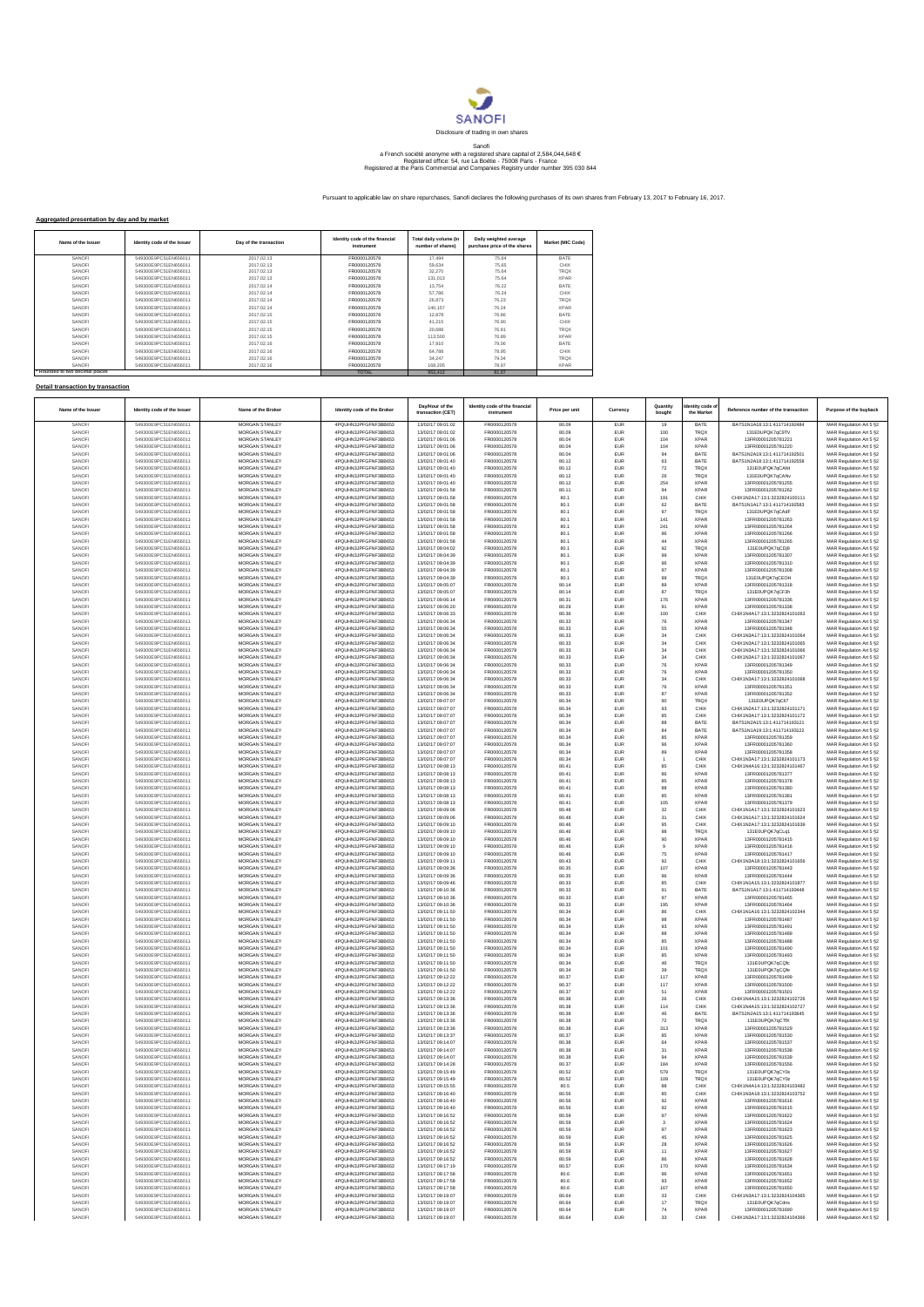

## Sanofi<br>a French société anonyme with a registered share capital of 2,584,044,648 €<br>Registered office: 54, rue La Boétie - 75008 Paris - France<br>Registered at the Paris Commercial and Companies Registry under number 395 030

Pursuant to applicable law on share repurchases, Sanofi declares the following purchases of its own shares from February 13, 2017 to February 16, 2017.

## **Aggregated presentation by day and by market**

| Name of the Issuer              | Identity code of the Issuer | Day of the transaction | Identity code of the financial<br>instrument | Total daily volume (in<br>number of shares) | Daily weighted average<br>purchase price of the shares | Market (MIC Code) |
|---------------------------------|-----------------------------|------------------------|----------------------------------------------|---------------------------------------------|--------------------------------------------------------|-------------------|
| SANOFI                          | 549300E9PC51EN656011        | 2017.02.13             | FR0000120578                                 | 17,494                                      | 75.64                                                  | <b>RATE</b>       |
| SANOFI                          | 549300E9PC51EN656011        | 2017.02.13             | FR0000120578                                 | 59.634                                      | 75.65                                                  | CHIX              |
| SANOFI                          | 549300E9PC51EN656011        | 2017.02.13             | FR0000120578                                 | 32.270                                      | 75.64                                                  | <b>TROX</b>       |
| SANOFI                          | 549300E9PC51EN656011        | 2017 02:13             | FR0000120578                                 | 131.013                                     | 75.64                                                  | <b>XPAR</b>       |
| SANOFI                          | 549300E9PC51EN656011        | 2017 02:14             | FR0000120578                                 | 13,754                                      | 76.22                                                  | <b>BATE</b>       |
| SANOFI                          | 549300E9PC51EN656011        | 2017.02.14             | FR0000120578                                 | 57.786                                      | 76.24                                                  | CHIX              |
| SANOFI                          | 549300E9PC51EN656011        | 2017.02.14             | FR0000120578                                 | 26.873                                      | 76.23                                                  | <b>TRQX</b>       |
| SANOFI                          | 549300E9PC51EN656011        | 2017.02.14             | FR0000120578                                 | 140.157                                     | 76.24                                                  | <b>XPAR</b>       |
| SANOFI                          | 549300E9PC51EN656011        | 2017.02.15             | FR0000120578                                 | 12,878                                      | 76.86                                                  | <b>BATE</b>       |
| SANOFI                          | 549300E9PC51EN656011        | 2017.02.15             | FR0000120578                                 | 41.215                                      | 76.90                                                  | CHIX              |
| SANOFI                          | 549300E9PC51EN656011        | 2017.02.15             | FR0000120578                                 | 20.688                                      | 76.81                                                  | <b>TRQX</b>       |
| SANOFI                          | 549300E9PC51EN656011        | 2017.02.15             | FR0000120578                                 | 113,500                                     | 76.89                                                  | <b>XPAR</b>       |
| SANOFI                          | 549300E9PC51EN656011        | 2017.02.16             | FR0000120578                                 | 17,910                                      | 79.06                                                  | <b>BATE</b>       |
| SANOFI                          | 549300E9PC51EN656011        | 2017.02.16             | FR0000120578                                 | 64.788                                      | 78.95                                                  | CHIX              |
| SANOFI                          | 549300E9PC51EN656011        | 2017.02.16             | FR0000120578                                 | 34.247                                      | 79.04                                                  | <b>TRQX</b>       |
| SANOFI                          | 549300E9PC51EN656011        | 2017.02.16             | FR0000120578                                 | 168,205                                     | 78.97                                                  | <b>XPAR</b>       |
| * Rounded to two decimal places |                             |                        | <b>TOTAL</b>                                 | 952.412                                     | 81.07                                                  |                   |

## **Detail transaction by transaction \* Rounded to two decimal places**

| Name of the Issuer | Identity code of the Issuer                  | Name of the Broker                             | Identity code of the Broker                  | Day/Hour of the<br>transaction (CET)   | Identity code of the financial<br>instrument | Price per unit | Currency   | Quantity<br>bought | dentity code o<br>the Market | Reference number of the transaction                            | Purpose of the buyback                             |
|--------------------|----------------------------------------------|------------------------------------------------|----------------------------------------------|----------------------------------------|----------------------------------------------|----------------|------------|--------------------|------------------------------|----------------------------------------------------------------|----------------------------------------------------|
| SANOFI             | 549300E9PC51EN656011                         | <b>MORGAN STANLEY</b>                          | 4PQUHN3JPFGFNF3BB653                         | 13/02/17 09:01:02                      | FR0000120578                                 | 80.09          | EUR        | 19                 | BATE                         | BATS1N1A18:13:1:411714192484                                   | MAR Regulation Art 5 §2                            |
| SANOFI             | 549300E9PC51EN656011                         | <b>MORGAN STANLEY</b><br>MORGAN STANLEY        | 4PQUHN3JPFGFNF3BB653                         | 13/02/17 09:01:02<br>13/02/17 09:01:06 | FR0000120578<br>FR0000120578                 | 80.09          | <b>EUR</b> | 100                | <b>TRQX</b>                  | 131E0UPQK7qC9TV                                                | MAR Regulation Art 5 §2                            |
| SANOFI<br>SANOFI   | 549300E9PC51EN656011<br>549300E9PC51EN656011 | MORGAN STANLEY                                 | 4PQUHN3JPFGFNF3BB653<br>4PQUHN3JPFGFNF3BB653 | 13/02/17 09:01:06                      | FR0000120578                                 | 80.04<br>80.04 | EUR<br>EUR | 104<br>104         | <b>XPAR</b><br><b>XPAR</b>   | 13FR00001205781221<br>13FR00001205781220                       | MAR Regulation Art 5 §2<br>MAR Regulation Art 5 §2 |
| SANOFI             | 549300E9PC51EN656011                         | MORGAN STANLEY                                 | 4PQUHN3JPFGFNF3BB653                         | 13/02/17 09:01:06                      | FR0000120578                                 | 80.04          | EUR        | 94                 | BATE                         | BATS1N2A19:13:1:411714192501                                   | MAR Regulation Art 5 §2                            |
| SANOFI             | 549300E9PC51EN656011                         | MORGAN STANLEY                                 | 4PQUHN3JPFGFNF3BB653                         | 13/02/17 09:01:40                      | FR0000120578                                 | 80.12          | EUR        | 63                 | BATE                         | BATS1N2A18:13:1:411714192558                                   | MAR Regulation Art 5 §2                            |
| SANOFI             | 549300E9PC51EN656011                         | MORGAN STANLEY                                 | 4PQUHN3JPFGFNF3BB653                         | 13/02/17 09:01:40                      | FR0000120578                                 | 80.12          | EUR        | 72                 | TRQX                         | 131E0UPQK7qCANt                                                | MAR Regulation Art 5 §2                            |
| SANOFI<br>SANOFI   | 549300E9PC51EN656011                         | MORGAN STANLEY<br>MORGAN STANLEY               | 4PQUHN3JPFGFNF3BB653                         | 13/02/17 09:01:40                      | FR0000120578<br>FR0000120578                 | 80.12<br>80.12 | EUR<br>EUR | 26<br>254          | <b>TRQX</b><br><b>XPAR</b>   | 131E0UPQK7qCAN<br>13FR00001205781255                           | MAR Regulation Art 5 §2                            |
| SANOFI             | 549300E9PC51EN656011<br>549300E9PC51EN656011 | MORGAN STANLEY                                 | 4PQUHN3JPFGFNF3BB653<br>4PQUHN3JPFGFNF3BB653 | 13/02/17 09:01:40<br>13/02/17 09:01:58 | FR0000120578                                 | 80.11          | EUR        | 94                 | <b>XPAR</b>                  | 13FR00001205781262                                             | MAR Regulation Art 5 §2<br>MAR Regulation Art 5 §2 |
| SANOFI             | 549300E9PC51EN656011                         | MORGAN STANLEY                                 | 4PQUHN3JPFGFNF3BB653                         | 13/02/17 09:01:58                      | FR0000120578                                 | 80.1           | EUR        | 191                | CHIX                         | CHIX1N2A17:13:1:3232824100111                                  | MAR Regulation Art 5 §2                            |
| SANOFI             | 549300E9PC51EN656011                         | MORGAN STANLEY                                 | 4PQUHN3JPFGFNF3BB653                         | 13/02/17 09:01:58                      | FR0000120578                                 | 80.1           | EUR        | 62                 | BATE                         | BATS1N1A17:13:1:411714192583                                   | MAR Regulation Art 5 §2                            |
| SANOFI             | 549300E9PC51EN656011                         | MORGAN STANLEY                                 | 4PQUHN3JPFGFNF3BB653                         | 13/02/17 09:01:58                      | FR0000120578                                 | 80.1           | EUR        | 97                 | <b>TRQX</b>                  | 131E0UPQK7qCAdF                                                | MAR Regulation Art 5 §2                            |
| SANOFI             | 549300E9PC51EN656011                         | MORGAN STANLEY                                 | 4PQUHN3JPFGFNF3BB653                         | 13/02/17 09:01:58                      | FR0000120578                                 | 80.1           | EUR        | 141                | <b>XPAR</b>                  | 13FR00001205781263                                             | MAR Regulation Art 5 §2                            |
| SANOFI<br>SANOFI   | 549300E9PC51EN656011<br>549300E9PC51EN656011 | MORGAN STANLEY<br>MORGAN STANLEY               | 4PQUHN3JPFGFNF3BB653<br>4PQUHN3JPFGFNF3BB653 | 13/02/17 09:01:58<br>13/02/17 09:01:58 | FR0000120578<br>FR0000120578                 | 80.1<br>80.1   | EUR<br>EUR | 241<br>96          | <b>XPAR</b><br><b>XPAR</b>   | 13FR00001205781264<br>13FR00001205781266                       | MAR Regulation Art 5 §2<br>MAR Regulation Art 5 §2 |
| SANOFI             | 549300E9PC51EN656011                         | MORGAN STANLEY                                 | 4PQUHN3JPFGFNF3BB653                         | 13/02/17 09:01:58                      | FR0000120578                                 | 80.1           | EUR        | 44                 | <b>XPAR</b>                  | 13FR00001205781265                                             | MAR Regulation Art 5 §2                            |
| SANOFI             | 549300E9PC51EN656011                         | MORGAN STANLEY                                 | 4PQUHN3JPFGFNF3BB653                         | 13/02/17 09:04:02                      | FR0000120578                                 | 80.1           | EUR        | $92\,$             | TRQX                         | 131E0UPQK7qCDj9                                                | MAR Regulation Art 5 §2                            |
| SANOFI             | 549300E9PC51EN656011                         | MORGAN STANLEY                                 | 4PQUHN3JPFGFNF3BB653                         | 13/02/17 09:04:39                      | FR0000120578                                 | 80.1           | EUR        | 99                 | <b>XPAR</b>                  | 13FR00001205781307                                             | MAR Regulation Art 5 §2                            |
| SANOFI<br>SANOFI   | 549300E9PC51EN656011<br>549300E9PC51EN656011 | MORGAN STANLEY<br>MORGAN STANLEY               | 4PQUHN3JPFGFNF3BB653<br>4PQUHN3JPFGFNF3BB653 | 13/02/17 09:04:39<br>13/02/17 09:04:39 | FR0000120578<br>FR0000120578                 | 80.1           | EUR        | 96                 | <b>XPAR</b><br><b>XPAR</b>   | 13ER00001205781310<br>13FR00001205781308                       | MAR Regulation Art 5 §2                            |
| SANOFI             | 549300E9PC51EN656011                         | MORGAN STANLEY                                 | 4PQUHN3JPFGFNF3BB653                         | 13/02/17 09:04:39                      | FR0000120578                                 | 80.1<br>80.1   | EUR<br>EUR | 97<br>99           | TRQX                         | 131E0UPQK7qCEOH                                                | MAR Regulation Art 5 §2<br>MAR Regulation Art 5 §2 |
| SANOFI             | 549300E9PC51EN656011                         | MORGAN STANLEY                                 | 4PQUHN3JPFGFNF3BB653                         | 13/02/17 09:05:07                      | FR0000120578                                 | 80.14          | EUR        | 89                 | <b>XPAR</b>                  | 13FR00001205781318                                             | MAR Regulation Art 5 §2                            |
| SANOFI             | 549300E9PC51EN656011                         | MORGAN STANLEY                                 | 4PQUHN3JPFGFNF3BB653                         | 13/02/17 09:05:07                      | FR0000120578                                 | 80.14          | EUR        | 87                 | <b>TRQX</b>                  | 131E0UPQK7qCF3h                                                | MAR Regulation Art 5 §2                            |
| SANOFI             | 549300E9PC51EN656011                         | MORGAN STANLEY                                 | 4PQUHN3JPFGFNF3BB653                         | 13/02/17 09:06:14                      | FR0000120578                                 | 80.31          | EUR        | 176                | <b>XPAR</b>                  | 13FR00001205781336                                             | MAR Regulation Art 5 §2                            |
| SANOFI<br>SANOFI   | 549300E9PC51EN656011<br>549300E9PC51EN656011 | MORGAN STANLEY<br>MORGAN STANLEY               | 4PQUHN3JPFGFNF3BB653<br>4PQUHN3JPFGFNF3BB653 | 13/02/17 09:06:20<br>13/02/17 09:06:33 | FR0000120578<br>FR0000120578                 | 80.29<br>80.36 | EUR<br>EUR | 91<br>100          | <b>XPAR</b><br>CHIX          | 13FR00001205781338<br>CHIX1N4A17:13:1:3232824101063            | MAR Regulation Art 5 §2<br>MAR Regulation Art 5 §2 |
| SANOFI             | 549300E9PC51EN656011                         | MORGAN STANLEY                                 | 4PQUHN3JPFGFNF3BB653                         | 13/02/17 09:06:34                      | FR0000120578                                 | 80.33          | EUR        | 76                 | <b>XPAR</b>                  | 13FR00001205781347                                             | MAR Regulation Art 5 §2                            |
| SANOFI             | 549300E9PC51EN656011                         | MORGAN STANLEY                                 | 4PQUHN3JPFGFNF3BB653                         | 13/02/17 09:06:34                      | FR0000120578                                 | 80.33          | EUR        | 55                 | <b>XPAR</b>                  | 13FR00001205781348                                             | MAR Regulation Art 5 §2                            |
| SANOFI             | 549300E9PC51EN656011                         | MORGAN STANLEY                                 | 4PQUHN3JPFGFNF3BB653                         | 13/02/17 09:06:34                      | FR0000120578                                 | 80.33          | EUR        | $_{34}$            | CHIX                         | CHIX1N3A17:13:1:3232824101064                                  | MAR Regulation Art 5 §2                            |
| SANOFI<br>SANOFI   | 549300E9PC51EN656011<br>549300E9PC51EN656011 | MORGAN STANLEY<br>MORGAN STANLEY               | 4PQUHN3JPFGFNF3BB653<br>4PQUHN3JPFGFNF3BB653 | 13/02/17 09:06:34<br>13/02/17 09:06:34 | FR0000120578<br>FR0000120578                 | 80.33<br>80.33 | EUR<br>EUR | 34<br>34           | CHIX<br>CHIX                 | CHIX1N3A17:13:1:3232824101065<br>CHIX1N3A17:13:1:3232824101066 | MAR Regulation Art 5 §2                            |
| SANOFI             | 549300E9PC51EN656011                         | MORGAN STANLEY                                 | 4PQUHN3JPFGFNF3BB653                         | 13/02/17 09:06:34                      | FR0000120578                                 | 80.33          | EUR        | 34                 | CHIX                         | CHIX1N3A17:13:1:3232824101067                                  | MAR Regulation Art 5 §2<br>MAR Regulation Art 5 §2 |
| SANOFI             | 549300E9PC51EN656011                         | MORGAN STANLEY                                 | 4PQUHN3JPFGFNF3BB653                         | 13/02/17 09:06:34                      | FR0000120578                                 | 80.33          | EUR        | ${\bf 76}$         | <b>XPAR</b>                  | 13FR00001205781349                                             | MAR Regulation Art 5 §2                            |
| SANOFI             | 549300E9PC51EN656011                         | <b>MORGAN STANLEY</b>                          | 4PQUHN3JPFGFNF3BB653                         | 13/02/17 09:06:34                      | FR0000120578                                 | 80.33          | EUR        | 76                 | <b>XPAR</b>                  | 13FR00001205781350                                             | MAR Regulation Art 5 §2                            |
| SANOFI             | 549300E9PC51EN656011                         | <b>MORGAN STANLEY</b>                          | 4PQUHN3JPFGFNF3BB653                         | 13/02/17 09:06:34                      | FR0000120578                                 | 80.33          | EUR        | 34                 | CHIX                         | CHIX1N3A17:13:1:3232824101068                                  | MAR Regulation Art 5 §2                            |
| SANOFI<br>SANOFI   | 549300E9PC51EN656011                         | MORGAN STANLEY<br>MORGAN STANLEY               | 4PQUHN3JPFGFNF3BB653<br>4PQUHN3JPFGFNF3BB653 | 13/02/17 09:06:34<br>13/02/17 09:06:34 | FR0000120578<br>FR0000120578                 | 80.33<br>80.33 | EUR        | ${\bf 76}$<br>87   | <b>XPAR</b><br><b>XPAR</b>   | 13FR00001205781351                                             | MAR Regulation Art 5 §2                            |
| SANOFI             | 549300E9PC51EN656011<br>549300E9PC51EN656011 | MORGAN STANLEY                                 | 4PQUHN3JPFGFNF3BB653                         | 13/02/17 09:07:07                      | FR0000120578                                 | 80.34          | EUR<br>EUR | 90                 | <b>TRQX</b>                  | 13FR00001205781352<br>131E0UPQK7qCll7                          | MAR Regulation Art 5 §2<br>MAR Regulation Art 5 §2 |
| SANOFI             | 549300E9PC51EN656011                         | MORGAN STANLEY                                 | 4PQUHN3JPFGFNF3BB653                         | 13/02/17 09:07:07                      | FR0000120578                                 | 80.34          | EUR        | 93                 | CHIX                         | CHIX1N2A17:13:1:3232824101171                                  | MAR Regulation Art 5 §2                            |
| SANOFI             | 549300E9PC51EN656011                         | MORGAN STANLEY                                 | 4PQUHN3JPFGFNF3BB653                         | 13/02/17 09:07:07                      | FR0000120578                                 | 80.34          | EUR        | 85                 | CHIX                         | CHIX1N3A17:13:1:3232824101172                                  | MAR Regulation Art 5 §2                            |
| SANOFI             | 549300E9PC51EN656011                         | MORGAN STANLEY                                 | 4PQUHN3JPFGFNF3BB653                         | 13/02/17 09:07:07                      | FR0000120578                                 | 80.34          | EUR        | 88                 | BATE                         | BATS1N2A15:13:1:411714193121                                   | MAR Regulation Art 5 §2                            |
| SANOFI             | 549300E9PC51EN656011                         | MORGAN STANLEY<br>MORGAN STANLEY               | 4PQUHN3JPFGFNF3BB653                         | 13/02/17 09:07:07                      | FR0000120578<br>FR0000120578                 | 80.34          | EUR        | 84                 | BATE                         | BATS1N1A19:13:1:411714193122<br>13ER00001205781359             | MAR Regulation Art 5 §2                            |
| SANOFI<br>SANOFI   | 549300E9PC51EN656011<br>549300E9PC51EN656011 | MORGAN STANLEY                                 | 4PQUHN3JPFGFNF3BB653<br>4PQUHN3JPFGFNF3BB653 | 13/02/17 09:07:07<br>13/02/17 09:07:07 | FR0000120578                                 | 80.34<br>80.34 | EUR<br>EUR | 85<br>96           | <b>XPAR</b><br><b>XPAR</b>   | 13FR00001205781360                                             | MAR Regulation Art 5 §2<br>MAR Regulation Art 5 §2 |
| SANOFI             | 549300E9PC51EN656011                         | MORGAN STANLEY                                 | 4PQUHN3JPFGFNF3BB653                         | 13/02/17 09:07:07                      | FR0000120578                                 | 80.34          | EUR        | 89                 | <b>XPAR</b>                  | 13FR00001205781358                                             | MAR Regulation Art 5 §2                            |
| SANOFI             | 549300E9PC51EN656011                         | MORGAN STANLEY                                 | 4PQUHN3JPFGFNF3BB653                         | 13/02/17 09:07:07                      | FR0000120578                                 | 80.34          | EUR        |                    | CHIX                         | CHIX1N3A17:13:1:3232824101173                                  | MAR Regulation Art 5 §2                            |
| SANOFI             | 549300E9PC51EN656011                         | MORGAN STANLEY                                 | 4PQUHN3JPFGFNF3BB653                         | 13/02/17 09:08:13                      | FR0000120578                                 | 80.41          | EUR        | 85                 | CHIX                         | CHIX1N4A16:13:1:3232824101467                                  | MAR Regulation Art 5 §2                            |
| SANOFI<br>SANOFI   | 549300E9PC51EN656011<br>549300E9PC51EN656011 | MORGAN STANLEY<br>MORGAN STANLEY               | 4PQUHN3JPFGFNF3BB653<br>4PQUHN3JPFGFNF3BB653 | 13/02/17 09:08:13<br>13/02/17 09:08:13 | FR0000120578<br>FR0000120578                 | 80.41<br>80.41 | EUR<br>EUR | 86<br>85           | <b>XPAR</b><br><b>XPAR</b>   | 13FR00001205781377<br>13FR00001205781378                       | MAR Regulation Art 5 §2<br>MAR Regulation Art 5 §2 |
| SANOFI             | 549300E9PC51EN656011                         | MORGAN STANLEY                                 | 4PQUHN3JPFGFNF3BB653                         | 13/02/17 09:08:13                      | FR0000120578                                 | 80.41          | EUR        | 88                 | <b>XPAR</b>                  | 13FR00001205781380                                             | MAR Regulation Art 5 §2                            |
| SANOFI             | 549300E9PC51EN656011                         | <b>MORGAN STANLEY</b>                          | 4PQUHN3JPFGFNF3BB653                         | 13/02/17 09:08:13                      | FR0000120578                                 | 80.41          | EUR        | 85                 | <b>XPAR</b>                  | 13FR00001205781381                                             | MAR Regulation Art 5 §2                            |
| SANOFI             | 549300E9PC51EN656011                         | <b>MORGAN STANLEY</b>                          | 4PQUHN3JPFGFNF3BB653                         | 13/02/17 09:08:13                      | FR0000120578                                 | 80.41          | EUR        | 105                | <b>XPAR</b>                  | 13ER00001205781379                                             | MAR Regulation Art 5 §2                            |
| SANOFI<br>SANOFI   | 549300E9PC51EN656011                         | MORGAN STANLEY                                 | 4PQUHN3JPFGFNF3BB653<br>4PQUHN3JPFGFNF3BB653 | 13/02/17 09:09:06<br>13/02/17 09:09:06 | FR0000120578<br>FR0000120578                 | 80.48<br>80.48 | EUR        | $_{32}$            | CHIX<br>CHIX                 | CHIX1N1A17:13:1:3232824101623<br>CHIX1N1A17:13:1:3232824101624 | MAR Regulation Art 5 §2<br>MAR Regulation Art 5 §2 |
| SANOFI             | 549300E9PC51EN656011<br>549300E9PC51EN656011 | MORGAN STANLEY<br>MORGAN STANLEY               | 4PQUHN3JPFGFNF3BB653                         | 13/02/17 09:09:10                      | FR0000120578                                 | 80.46          | EUR<br>EUR | $_{31}$<br>95      | CHIX                         | CHIX1N2A17:13:1:3232824101639                                  | MAR Regulation Art 5 §2                            |
| SANOFI             | 549300E9PC51EN656011                         | MORGAN STANLEY                                 | 4PQUHN3JPFGFNF3BB653                         | 13/02/17 09:09:10                      | FR0000120578                                 | 80.46          | EUR        | 98                 | <b>TRQX</b>                  | 131E0UPQK7qCLq1                                                | MAR Regulation Art 5 §2                            |
| SANOFI             | 549300E9PC51EN656011                         | MORGAN STANLEY                                 | 4PQUHN3JPFGFNF3BB653                         | 13/02/17 09:09:10                      | FR0000120578                                 | 80.46          | EUR        | 90                 | <b>XPAR</b>                  | 13FR00001205781415                                             | MAR Regulation Art 5 §2                            |
| SANOFI             | 549300E9PC51EN656011                         | MORGAN STANLEY                                 | 4PQUHN3JPFGFNF3BB653                         | 13/02/17 09:09:10                      | FR0000120578                                 | 80.46          | EUR        | $\overline{9}$     | <b>XPAR</b>                  | 13FR00001205781416                                             | MAR Regulation Art 5 §2                            |
| SANOFI<br>SANOFI   | 549300E9PC51EN656011<br>549300E9PC51EN656011 | <b>MORGAN STANLEY</b><br><b>MORGAN STANLEY</b> | 4PQUHN3JPFGFNF3BB653<br>4PQUHN3JPFGFNF3BB653 | 13/02/17 09:09:10<br>13/02/17 09:09:11 | FR0000120578<br>FR0000120578                 | 80.46<br>80.43 | EUR<br>EUR | 75<br>92           | <b>XPAR</b><br>CHIX          | 13FR00001205781417<br>CHIX1N3A18:13:1:3232824101656            | MAR Regulation Art 5 §2<br>MAR Regulation Art 5 §2 |
| SANOFI             | 549300E9PC51EN656011                         | MORGAN STANLEY                                 | 4PQUHN3JPFGFNF3BB653                         | 13/02/17 09:09:36                      | FR0000120578                                 | 80.35          | EUR        | 107                | <b>XPAR</b>                  | 13FR00001205781443                                             | MAR Regulation Art 5 §2                            |
| SANOFI             | 549300E9PC51EN656011                         | MORGAN STANLEY                                 | 4PQUHN3JPFGFNF3BB653                         | 13/02/17 09:09:36                      | FR0000120578                                 | 80.35          | EUR        | 96                 | <b>XPAR</b>                  | 13FR00001205781444                                             | MAR Regulation Art 5 §2                            |
| SANOFI             | 549300E9PC51EN656011                         | MORGAN STANLEY                                 | 4PQUHN3JPFGFNF3BB653                         | 13/02/17 09:09:46                      | FR0000120578                                 | 80.33          | EUR        | 85                 | CHIX                         | CHIX1N1A15:13:1:3232824101877                                  | MAR Regulation Art 5 §2                            |
| SANOFI<br>SANOFI   | 549300E9PC51EN656011<br>549300E9PC51EN656011 | MORGAN STANLEY<br>MORGAN STANLEY               | 4PQUHN3JPFGFNF3BB653<br>4PQUHN3JPFGFNF3BB653 | 13/02/17 09:10:36<br>13/02/17 09:10:36 | FR0000120578<br>FR0000120578                 | 80.33<br>80.33 | EUR<br>EUR | 91<br>97           | BATE<br><b>XPAR</b>          | BATS1N1A17:13:1:411714193448<br>13FR00001205781465             | MAR Regulation Art 5 §2<br>MAR Regulation Art 5 §2 |
| SANOFI             | 549300E9PC51EN656011                         | MORGAN STANLEY                                 | 4PQUHN3JPFGFNF3BB653                         | 13/02/17 09:10:36                      | FR0000120578                                 | 80.33          | EUR        | 195                | <b>XPAR</b>                  | 13FR00001205781464                                             | MAR Regulation Art 5 §2                            |
| SANOFI             | 549300E9PC51EN656011                         | <b>MORGAN STANLEY</b>                          | 4PQUHN3JPFGFNF3BB653                         | 13/02/17 09:11:50                      | FR0000120578                                 | 80.34          | EUR        | 86                 | CHIX                         | CHIX1N1A16:13:1:3232824102344                                  | MAR Regulation Art 5 §2                            |
| SANOFI             | 549300E9PC51EN656011                         | <b>MORGAN STANLEY</b>                          | 4PQUHN3JPFGFNF3BB653                         | 13/02/17 09:11:50                      | FR0000120578                                 | 80.34          | EUR        | 98                 | <b>XPAR</b>                  | 13FR00001205781487                                             | MAR Regulation Art 5 §2                            |
| SANOFI<br>SANOFI   | 549300E9PC51EN656011<br>549300E9PC51EN656011 | MORGAN STANLEY<br>MORGAN STANLEY               | 4PQUHN3JPFGFNF3BB653<br>4PQUHN3JPFGFNF3BB653 | 13/02/17 09:11:50<br>13/02/17 09:11:50 | FR0000120578<br>FR0000120578                 | 80.34<br>80.34 | EUR<br>EUR | 93<br>88           | <b>XPAR</b><br><b>XPAR</b>   | 13FR00001205781491<br>13FR00001205781489                       | MAR Regulation Art 5 §2<br>MAR Regulation Art 5 §2 |
| SANOFI             | 549300E9PC51EN656011                         | MORGAN STANLEY                                 | 4PQUHN3JPFGFNF3BB653                         | 13/02/17 09:11:50                      | FR0000120578                                 | 80.34          | EUR        | 85                 | <b>XPAR</b>                  | 13FR00001205781488                                             | MAR Regulation Art 5 §2                            |
| SANOFI             | 549300E9PC51EN656011                         | MORGAN STANLEY                                 | 4PQUHN3JPFGFNF3BB653                         | 13/02/17 09:11:50                      | FR0000120578                                 | 80.34          | EUR        | 101                | <b>XPAR</b>                  | 13FR00001205781490                                             | MAR Regulation Art 5 §2                            |
| SANOFI             | 549300E9PC51EN656011                         | MORGAN STANLEY                                 | 4PQUHN3JPFGFNF3BB653                         | 13/02/17 09:11:50                      | FR0000120578                                 | 80.34          | EUR        | 85                 | <b>XPAR</b>                  | 13FR00001205781493                                             | MAR Regulation Art 5 §2                            |
| SANOFI<br>SANOFI   | 549300E9PC51EN656011<br>549300E9PC51EN656011 | MORGAN STANLEY<br>MORGAN STANLEY               | 4PQUHN3JPFGFNF3BB653<br>4PQUHN3JPFGFNF3BB653 | 13/02/17 09:11:50<br>13/02/17 09:11:50 | FR0000120578<br>FR0000120578                 | 80.34<br>80.34 | EUR<br>EUR | 46<br>39           | TRQX<br>TRQX                 | 131E0UPQK7qCQfc<br>131E0UPQK7qCQfe                             | MAR Regulation Art 5 §2<br>MAR Regulation Art 5 §2 |
| SANOFI             | 549300E9PC51EN656011                         | <b>MORGAN STANLEY</b>                          | 4PQUHN3JPFGFNF3BB653                         | 13/02/17 09:12:22                      | FR0000120578                                 | 80.37          | EUR        | 117                | <b>XPAR</b>                  | 13FR00001205781499                                             | MAR Regulation Art 5 §2                            |
| SANOFI             | 549300E9PC51EN656011                         | <b>MORGAN STANLEY</b>                          | 4PQUHN3JPFGFNF3BB653                         | 13/02/17 09:12:22                      | FR0000120578                                 | 80.37          | EUR        | 117                | <b>XPAR</b>                  | 13FR00001205781500                                             | MAR Regulation Art 5 §2                            |
| SANOFI             | 549300E9PC51EN656011                         | MORGAN STANLEY                                 | 4PQUHN3JPFGFNF3BB653                         | 13/02/17 09:12:22                      | FR0000120578                                 | 80.37          | EUR        | 51                 | <b>XPAR</b>                  | 13FR00001205781501                                             | MAR Regulation Art 5 §2                            |
| SANOFI             | 549300E9PC51EN656011                         | MORGAN STANLEY                                 | 4PQUHN3JPFGFNF3BB653                         | 13/02/17 09:13:36                      | FR0000120578                                 | 80.38          | EUR        | ${\bf 26}$         | CHIX                         | CHIX1N4A15:13:1:3232824102726                                  | MAR Regulation Art 5 §2                            |
| SANOFI<br>SANOFI   | 549300E9PC51EN656011<br>549300E9PC51EN656011 | MORGAN STANLEY<br>MORGAN STANLEY               | 4PQUHN3JPFGFNF3BB653<br>4PQUHN3JPFGFNF3BB653 | 13/02/17 09:13:36<br>13/02/17 09:13:36 | FR0000120578<br>FR0000120578                 | 80.38<br>80.38 | EUR<br>EUR | 114<br>46          | CHIX<br>BATE                 | CHIX1N4A15:13:1:3232824102727<br>BATS1N2A15:13:1:411714193645  | MAR Regulation Art 5 §2<br>MAR Regulation Art 5 §2 |
| SANOFI             | 549300E9PC51EN656011                         | MORGAN STANLEY                                 | 4PQUHN3JPFGFNF3BB653                         | 13/02/17 09:13:36                      | FR0000120578                                 | 80.38          | EUR        | 72                 | TRQX                         | 131E0UPQK7gCTfX                                                | MAR Regulation Art 5 §2                            |
| SANOFI             | 549300E9PC51EN656011                         | MORGAN STANLEY                                 | 4PQUHN3JPFGFNF3BB653                         | 13/02/17 09:13:36                      | FR0000120578                                 | 80.38          | EUR        | 313                | <b>XPAR</b>                  | 13FR00001205781529                                             | MAR Regulation Art 5 §2                            |
| SANOFI             | 549300E9PC51EN656011                         | MORGAN STANLEY                                 | 4PQUHN3JPFGFNF3BB653                         | 13/02/17 09:13:37                      | FR0000120578                                 | 80.37          | EUR        | 85                 | <b>XPAR</b>                  | 13FR00001205781530                                             | MAR Regulation Art 5 §2                            |
| SANOFI             | 549300E9PC51EN656011                         | MORGAN STANLEY                                 | 4PQUHN3JPFGFNF3BB653                         | 13/02/17 09:14:07                      | FR0000120578                                 | 80.38          | EUR        | 64                 | <b>XPAR</b>                  | 13ER00001205781537<br>13FR00001205781538                       | MAR Regulation Art 5 §2                            |
| SANOFI<br>SANOFI   | 549300E9PC51EN656011<br>549300E9PC51EN656011 | MORGAN STANLEY<br>MORGAN STANLEY               | 4PQUHN3JPFGFNF3BB653<br>4PQUHN3JPFGFNF3BB653 | 13/02/17 09:14:07<br>13/02/17 09:14:07 | FR0000120578<br>FR0000120578                 | 80.38<br>80.38 | EUR<br>EUR | 31<br>94           | <b>XPAR</b><br><b>XPAR</b>   | 13FR00001205781539                                             | MAR Regulation Art 5 §2<br>MAR Regulation Art 5 §2 |
| SANOFI             | 549300E9PC51EN656011                         | MORGAN STANLEY                                 | 4PQUHN3JPFGFNF3BB653                         | 13/02/17 09:14:28                      | FR0000120578                                 | 80.37          | EUR        | 184                | <b>XPAR</b>                  | 13FR00001205781556                                             | MAR Regulation Art 5 §2                            |
| SANOFI             | 549300E9PC51EN656011                         | MORGAN STANLEY                                 | 4PQUHN3JPFGFNF3BB653                         | 13/02/17 09:15:49                      | FR0000120578                                 | 80.52          | EUR        | 579                | <b>TRQX</b>                  | 131E0UPQK7qCY0x                                                | MAR Regulation Art 5 §2                            |
| SANOFI             | 549300E9PC51EN656011                         | MORGAN STANLEY                                 | 4POLIHN3JPEGENE3BB653                        | 13/02/17 09:15:49                      | FR0000120578                                 | 80.52          | EUR        | 109                | TRQX                         | 131E0UPQK7qCY0z                                                | MAR Regulation Art 5 §2                            |
| SANOFI<br>SANOFI   | 549300E9PC51EN656011<br>549300E9PC51EN656011 | MORGAN STANLEY<br><b>MORGAN STANLEY</b>        | 4PQUHN3JPFGFNF3BB653<br>4PQUHN3JPFGFNF3BB653 | 13/02/17 09:15:55<br>13/02/17 09:16:40 | FR0000120578<br>FR0000120578                 | 80.5<br>80.56  | EUR<br>EUR | 88<br>85           | CHIX<br>CHIX                 | CHIX1N4A14:13:1:3232824103482<br>CHIX1N3A18:13:1:3232824103752 | MAR Regulation Art 5 §2                            |
| SANOFI             | 549300E9PC51EN656011                         | <b>MORGAN STANLEY</b>                          | 4PQUHN3JPFGFNF3BB653                         | 13/02/17 09:16:40                      | FR0000120578                                 | 80.56          | EUR        | 92                 | <b>XPAR</b>                  | 13FR00001205781616                                             | MAR Regulation Art 5 §2<br>MAR Regulation Art 5 §2 |
| SANOFI             | 549300E9PC51EN656011                         | MORGAN STANLEY                                 | 4PQUHN3JPFGFNF3BB653                         | 13/02/17 09:16:40                      | FR0000120578                                 | 80.56          | EUR        | 92                 | <b>XPAR</b>                  | 13FR00001205781615                                             | MAR Regulation Art 5 §2                            |
| SANOFI             | 549300E9PC51EN656011                         | MORGAN STANLEY                                 | 4PQUHN3JPFGFNF3BB653                         | 13/02/17 09:16:52                      | FR0000120578                                 | 80.59          | EUR        | 97                 | <b>XPAR</b>                  | 13FR00001205781622                                             | MAR Regulation Art 5 §2                            |
| SANOFI<br>SANOFI   | 549300E9PC51EN656011<br>549300E9PC51EN656011 | MORGAN STANLEY<br>MORGAN STANLEY               | 4PQUHN3JPFGFNF3BB653<br>4PQUHN3JPFGFNF3BB653 | 13/02/17 09:16:52<br>13/02/17 09:16:52 | FR0000120578<br>FR0000120578                 | 80.59<br>80.59 | EUR<br>EUR | 97                 | <b>XPAR</b><br><b>XPAR</b>   | 13FR00001205781624<br>13FR00001205781623                       | MAR Regulation Art 5 §2                            |
| SANOFI             | 549300E9PC51EN656011                         | MORGAN STANLEY                                 | 4PQUHN3JPFGFNF3BB653                         | 13/02/17 09:16:52                      | FR0000120578                                 | 80.59          | EUR        | 45                 | <b>XPAR</b>                  | 13FR00001205781625                                             | MAR Regulation Art 5 §2<br>MAR Regulation Art 5 §2 |
| SANOFI             | 549300E9PC51EN656011                         | MORGAN STANLEY                                 | 4PQUHN3JPFGFNF3BB653                         | 13/02/17 09:16:52                      | FR0000120578                                 | 80.59          | EUR        | 28                 | <b>XPAR</b>                  | 13FR00001205781626                                             | MAR Regulation Art 5 §2                            |
| SANOFI             | 549300E9PC51EN656011                         | MORGAN STANLEY                                 | 4PQUHN3JPFGFNF3BB653                         | 13/02/17 09:16:52                      | FR0000120578                                 | 80.59          | <b>EUR</b> | 11                 | <b>XPAR</b>                  | 13ER00001205781627                                             | MAR Regulation Art 5 §2                            |
| SANOFI             | 549300E9PC51EN656011                         | <b>MORGAN STANLEY</b>                          | 4PQUHN3JPFGFNF3BB653                         | 13/02/17 09:16:52                      | FR0000120578                                 | 80.59          | <b>EUR</b> | 86                 | <b>XPAR</b>                  | 13ER00001205781628                                             | MAR Regulation Art 5 §2                            |
| SANOFI<br>SANOFI   | 549300E9PC51EN656011<br>549300E9PC51EN656011 | MORGAN STANLEY<br>MORGAN STANLEY               | 4PQUHN3JPFGFNF3BB653<br>4PQUHN3JPFGFNF3BB653 | 13/02/17 09:17:19<br>13/02/17 09:17:58 | FR0000120578<br>FR0000120578                 | 80.57<br>80.6  | EUR<br>EUR | 170<br>96          | <b>XPAR</b><br><b>XPAR</b>   | 13FR00001205781634<br>13FR00001205781651                       | MAR Regulation Art 5 §2<br>MAR Regulation Art 5 §2 |
| SANOFI             | 549300E9PC51EN656011                         | MORGAN STANLEY                                 | 4PQUHN3JPFGFNF3BB653                         | 13/02/17 09:17:58                      | FR0000120578                                 | 80.6           | EUR        | 93                 | <b>XPAR</b>                  | 13FR00001205781652                                             | MAR Regulation Art 5 §2                            |
| SANOFI             | 549300E9PC51EN656011                         | MORGAN STANLEY                                 | 4PQUHN3JPFGFNF3BB653                         | 13/02/17 09:17:58                      | FR0000120578                                 | 80.6           | EUR        | 167                | <b>XPAR</b>                  | 13FR00001205781650                                             | MAR Regulation Art 5 §2                            |
| SANOFI             | 549300E9PC51EN656011                         | MORGAN STANLEY                                 | 4PQUHN3JPFGFNF3BB653                         | 13/02/17 09:19:07                      | FR0000120578                                 | 80.64          | EUR        | 33                 | CHIX                         | CHIX1N3A17:13:1:3232824104365                                  | MAR Regulation Art 5 §2                            |
| SANOFI<br>SANOFI   | 549300E9PC51EN656011<br>549300E9PC51EN656011 | MORGAN STANLEY<br>MORGAN STANLEY               | 4PQUHN3JPFGFNF3BB653<br>4PQUHN3JPFGFNF3BB653 | 13/02/17 09:19:07<br>13/02/17 09:19:07 | FR0000120578<br>FR0000120578                 | 80.64<br>80.64 | EUR<br>EUR | 17<br>74           | <b>TRQX</b><br><b>XPAR</b>   | 131E0UPQK7qCdns<br>13FR00001205781690                          | MAR Regulation Art 5 §2<br>MAR Regulation Art 5 §2 |
| SANOFI             | 549300E9PC51EN656011                         | MORGAN STANLEY                                 | 4PQUHN3JPFGFNF3BB653                         | 13/02/17 09:19:07                      | FR0000120578                                 | 80.64          | EUR        | 33                 | CHIX                         | CHIX1N3A17:13:1:3232824104366                                  | MAR Regulation Art 5 §2                            |
|                    |                                              |                                                |                                              |                                        |                                              |                |            |                    |                              |                                                                |                                                    |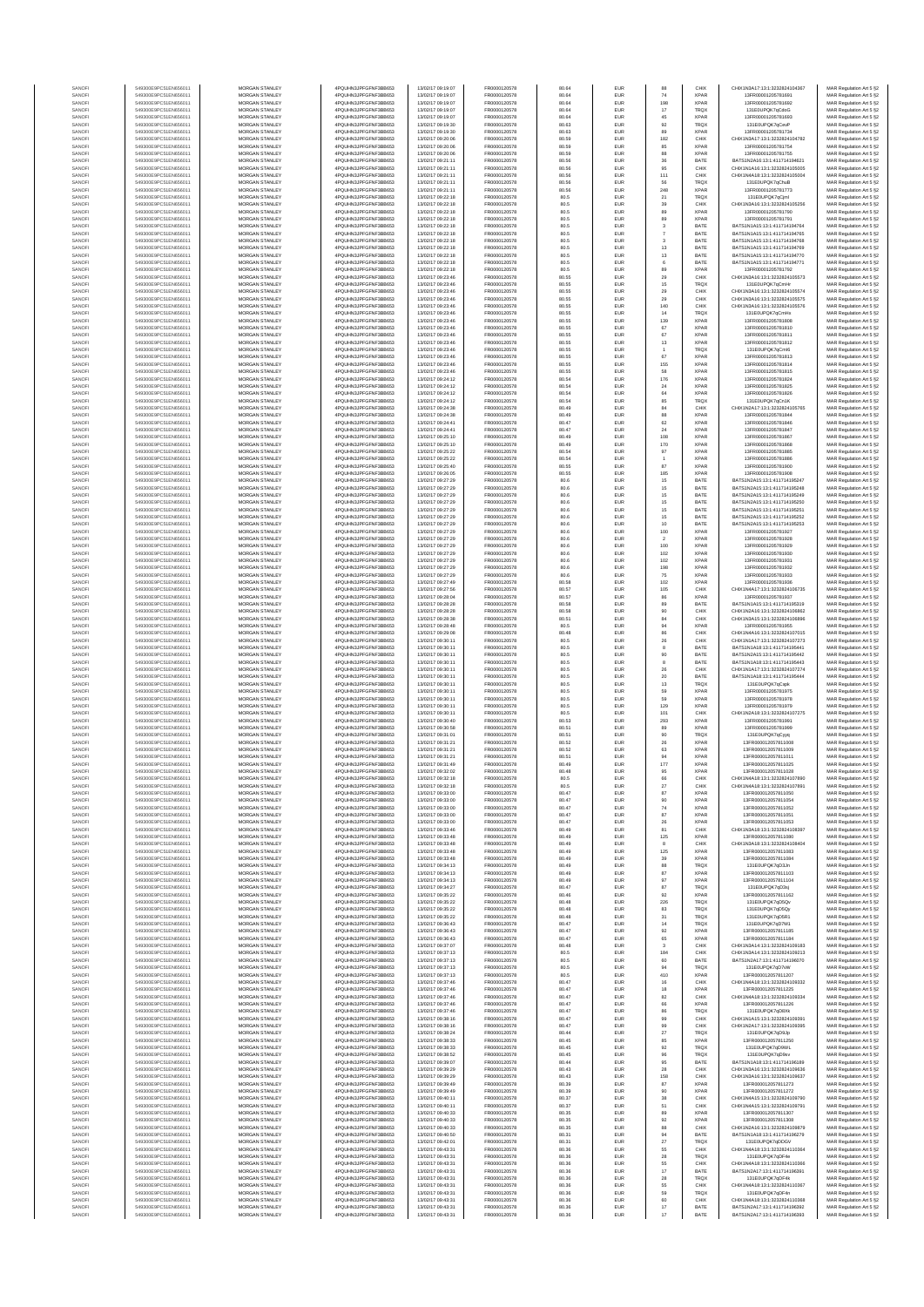| SANOF            | 549300E9PC51EN656011                         | MORGAN STANLEY                                 | 4PQUHN3JPFGFNF3BB653                          | 13/02/17 09:19:07                      | FR0000120578                 | 80.64          | EUR                      | 88                             | CHIX                       | CHIX1N3A17-13-1-3232824104367                                  | MAR Regulation Art 5 §2                            |
|------------------|----------------------------------------------|------------------------------------------------|-----------------------------------------------|----------------------------------------|------------------------------|----------------|--------------------------|--------------------------------|----------------------------|----------------------------------------------------------------|----------------------------------------------------|
| SANOFI           | 549300E9PC51EN656011                         | MORGAN STANLEY                                 | 4PQUHN3JPFGFNF3BB653                          | 13/02/17 09:19:07                      | FR0000120578                 | 80.64          | EUR                      | 74                             | <b>XPAR</b>                | 13FR00001205781691                                             | MAR Regulation Art 5 §2                            |
| SANOFI           | 549300E9PC51EN656011                         | MORGAN STANLEY                                 | 4PQUHN3JPFGFNF3BB653                          | 13/02/17 09:19:07                      | FR0000120578                 | 80.64          | EUR                      | 198                            | <b>XPAR</b>                | 13FR00001205781692                                             | MAR Regulation Art 5 §2                            |
| SANOFI           | 549300E9PC51EN656011                         | MORGAN STANLEY                                 | 4PQUHN3JPFGFNF3BB653                          | 13/02/17 09:19:07                      | FR0000120578                 | 80.64          | EUR                      | 17                             | TRQX                       | 131E0UPQK7qCdoG                                                | MAR Regulation Art 5 §2                            |
| SANOFI<br>SANOFI | 549300E9PC51EN656011<br>549300E9PC51EN656011 | MORGAN STANLEY<br>MORGAN STANLEY               | 4PQUHN3JPFGFNF3BB653<br>4PQUHN3JPFGFNF3BB653  | 13/02/17 09:19:07<br>13/02/17 09:19:30 | FR0000120578<br>FR0000120578 | 80.64<br>80.63 | EUR<br>EUR               | 45<br>92                       | <b>XPAR</b><br>TRQ)        | 13FR00001205781693<br>131E0UPQK7qCevF                          | MAR Regulation Art 5 §2<br>MAR Regulation Art 5 §2 |
| SANOFI           | 549300E9PC51EN656011                         | MORGAN STANLEY                                 | 4PQUHN3JPFGFNF3BB653                          | 13/02/17 09:19:30                      | FR0000120578                 | 80.63          | EUR                      | 89                             | <b>XPAR</b>                | 13FR00001205781734                                             | MAR Regulation Art 5 §2                            |
| SANOFI           | 549300E9PC51EN656011                         | MORGAN STANLEY                                 | 4PQUHN3JPFGFNF3BB653                          | 13/02/17 09:20:06                      | FR0000120578                 | 80.59          | EUR                      | 182                            | CHIX                       | CHIX1N3A17:13:1:3232824104782                                  | MAR Regulation Art 5 §2                            |
| SANOFI           | 549300E9PC51EN656011                         | <b>MORGAN STANLEY</b>                          | 4PQUHN3JPFGFNF3BB653                          | 13/02/17 09:20:06                      | FR0000120578                 | 80.59          | EUR                      | 85                             | <b>XPAR</b>                | 13FR00001205781754                                             | MAR Regulation Art 5 §2                            |
| SANOFI<br>SANOFI | 549300E9PC51EN656011<br>549300E9PC51EN656011 | <b>MORGAN STANLEY</b><br><b>MORGAN STANLEY</b> | 4PQUHN3JPFGFNF3BB653<br>4PQUHN3JPFGFNF3BB653  | 13/02/17 09:20:06<br>13/02/17 09:21:11 | FR0000120578<br>FR0000120578 | 80.59<br>80.56 | <b>EUR</b><br>EUR        | 88<br>36                       | <b>XPAR</b><br>BATE        | 13FR00001205781755<br>BATS1N2A16:13:1:411714194621             | MAR Regulation Art 5 §2<br>MAR Regulation Art 5 §2 |
| SANOFI           | 549300E9PC51EN656011                         | MORGAN STANLEY                                 | 4PQUHN3JPFGFNF3BB653                          | 13/02/17 09:21:11                      | FR0000120578                 | 80.56          | EUR                      | 95                             | CHIX                       | CHIX1N1A16:13:1:3232824105005                                  | MAR Regulation Art 5 §2                            |
| SANOFI           | 549300E9PC51EN656011                         | MORGAN STANLEY                                 | 4PQUHN3JPFGFNF3BB653                          | 13/02/17 09:21:11                      | FR0000120578                 | 80.56          | EUR                      | 111                            | CHIX                       | CHIX1N4A18:13:1:3232824105004                                  | MAR Regulation Art 5 §2                            |
| SANOF            | 549300E9PC51EN656011                         | MORGAN STANLEY                                 | 4PQUHN3JPFGFNF3BB653                          | 13/02/17 09:21:11                      | FR0000120578                 | 80.56          | EUR                      | 56                             | TRQ)                       | 131E0UPQK7qChuE                                                | MAR Regulation Art 5 §2                            |
| SANOFI           | 549300E9PC51EN656011                         | MORGAN STANLEY                                 | 4PQUHN3JPFGFNF3BB653                          | 13/02/17 09:21:11                      | FR0000120578                 | 80.56          | EUR                      | 248                            | <b>XPAR</b>                | 13FR00001205781773                                             | MAR Regulation Art 5 §2                            |
| SANOFI<br>SANOFI | 549300E9PC51EN656011<br>549300E9PC51EN656011 | MORGAN STANLEY<br>MORGAN STANLEY               | 4PQUHN3JPFGFNF3BB653<br>4PQUHN3JPFGFNF3BB653  | 13/02/17 09:22:18<br>13/02/17 09:22:18 | FR0000120578<br>FR0000120578 | 80.5<br>80.5   | EUR<br>EUR               | 21<br>39                       | TRQX<br>CHIX               | 131E0UPQK7qCjml<br>CHIX1N3A16:13:1:3232824105256               | MAR Regulation Art 5 §2<br>MAR Regulation Art 5 §2 |
| SANOFI           | 549300E9PC51EN656011                         | <b>MORGAN STANLEY</b>                          | 4PQUHN3JPFGFNF3BB653                          | 13/02/17 09:22:18                      | FR0000120578                 | 80.5           | EUR                      | 89                             | <b>XPAR</b>                | 13FR00001205781790                                             | MAR Regulation Art 5 §2                            |
| SANOFI           | 549300E9PC51EN656011                         | <b>MORGAN STANLEY</b>                          | 4PQUHN3JPFGFNF3BB653                          | 13/02/17 09:22:18                      | FR0000120578                 | 80.5           | <b>EUR</b>               | 89                             | <b>XPAR</b>                | 13FR00001205781791                                             | MAR Regulation Art 5 §2                            |
| SANOFI           | 549300E9PC51EN656011                         | MORGAN STANLEY                                 | 4PQUHN3JPFGFNF3BB653                          | 13/02/17 09:22:18                      | FR0000120578                 | 80.5           | EUR                      | 3                              | BATE                       | BATS1N1A15:13:1:411714194764                                   | MAR Regulation Art 5 §2                            |
| SANOF            | 549300E9PC51EN656011                         | MORGAN STANLEY                                 | 4PQUHN3JPFGFNF3BB653                          | 13/02/17 09:22:18                      | FR0000120578                 | 80.5           | EUR                      |                                | BATE                       | BATS1N1A15:13:1:411714194765                                   | MAR Regulation Art 5 §2                            |
| SANOFI           | 549300E9PC51EN656011                         | MORGAN STANLEY                                 | 4PQUHN3JPFGFNF3BB653                          | 13/02/17 09:22:18                      | FR0000120578                 | 80.5           | EUR                      |                                | BATE                       | BATS1N1A15:13:1:411714194768                                   | MAR Regulation Art 5 §2                            |
| SANOFI           | 549300E9PC51EN656011                         | MORGAN STANLEY                                 | 4PQUHN3JPFGFNF3BB653                          | 13/02/17 09:22:18                      | FR0000120578                 | 80.5           | EUR                      | 13                             | BATE                       | BATS1N1A15:13:1:411714194769                                   | MAR Regulation Art 5 §2                            |
| SANOFI<br>SANOFI | 549300E9PC51EN656011<br>549300E9PC51EN656011 | MORGAN STANLEY<br>MORGAN STANLEY               | 4PQUHN3JPFGFNF3BB653<br>4PQUHN3JPFGFNF3BB653  | 13/02/17 09:22:18<br>13/02/17 09:22:18 | FR0000120578<br>FR0000120578 | 80.5<br>80.5   | EUR<br>EUR               | 13<br>6                        | BATE<br>BATE               | BATS1N1A15:13:1:411714194770<br>BATS1N1A15:13:1:411714194771   | MAR Regulation Art 5 §2<br>MAR Regulation Art 5 §2 |
| SANOFI           | 549300E9PC51EN656011                         | <b>MORGAN STANLEY</b>                          | 4POLIHN3JPEGENE3BB653                         | 13/02/17 09:22:18                      | FR0000120578                 | 80.5           | EUR                      | 89                             | <b>XPAR</b>                | 13FR00001205781792                                             | MAR Regulation Art 5 §2                            |
| SANOFI           | 549300E9PC51EN656011                         | MORGAN STANLEY                                 | 4PQUHN3JPFGFNF3BB653                          | 13/02/17 09:23:46                      | FR0000120578                 | 80.55          | EUR                      | 29                             | CHIX                       | CHIX1N3A16:13:1:3232824105573                                  | MAR Regulation Art 5 §2                            |
| SANOFI           | 549300E9PC51EN656011                         | MORGAN STANLEY                                 | 4PQUHN3JPFGFNF3BB653                          | 13/02/17 09:23:46                      | FR0000120578                 | 80.55          | EUR                      | $15\,$                         | <b>TRQX</b>                | 131E0UPQK7qCmHr                                                | MAR Regulation Art 5 §2                            |
| SANOFI           | 549300E9PC51EN656011                         | MORGAN STANLEY                                 | 4PQUHN3JPFGFNF3BB653                          | 13/02/17 09:23:46                      | FR0000120578                 | 80.55          | EUR                      | $29\,$                         | CHIX                       | CHIX1N3A16:13:1:3232824105574                                  | MAR Regulation Art 5 §2                            |
| SANOF            | 549300E9PC51EN656011                         | MORGAN STANLEY<br>MORGAN STANLEY               | 4PQUHN3JPFGFNF3BB653                          | 13/02/17 09:23:46                      | FR0000120578                 | 80.55          | EUR                      | 29                             | CHIX                       | CHIX1N3A16:13:1:3232824105575                                  | MAR Regulation Art 5 §2                            |
| SANOFI<br>SANOFI | 549300E9PC51EN656011<br>549300E9PC51EN656011 | MORGAN STANLEY                                 | 4PQUHN3JPFGFNF3BB653<br>4PQUHN3JPFGFNF3BB653  | 13/02/17 09:23:46<br>13/02/17 09:23:46 | FR0000120578<br>FR0000120578 | 80.55<br>80.55 | EUR<br>EUR               | 140<br>14                      | CHIX<br>TRQX               | CHIX1N3A16:13:1:3232824105576<br>131E0UPQK7qCmHx               | MAR Regulation Art 5 §2<br>MAR Regulation Art 5 §2 |
| SANOFI           | 549300E9PC51EN656011                         | MORGAN STANLEY                                 | 4PQUHN3JPFGFNF3BB653                          | 13/02/17 09:23:46                      | FR0000120578                 | 80.55          | EUR                      | 139                            | <b>XPAR</b>                | 13FR00001205781808                                             | MAR Regulation Art 5 §2                            |
| SANOFI           | 549300E9PC51EN656011                         | <b>MORGAN STANLEY</b>                          | 4PQUHN3JPFGFNF3BB653                          | 13/02/17 09:23:46                      | FR0000120578                 | 80.55          | EUR                      | 67                             | <b>XPAR</b>                | 13FR00001205781810                                             | MAR Regulation Art 5 §2                            |
| SANOFI           | 549300E9PC51EN656011                         | <b>MORGAN STANLEY</b>                          | 4PQUHN3JPFGFNF3BB653                          | 13/02/17 09:23:46                      | FR0000120578                 | 80.55          | EUR                      | 67                             | <b>XPAR</b>                | 13FR00001205781811                                             | MAR Regulation Art 5 §2                            |
| SANOFI           | 549300E9PC51EN656011                         | MORGAN STANLEY                                 | 4PQUHN3JPFGFNF3BB653                          | 13/02/17 09:23:46                      | FR0000120578                 | 80.55          | EUR                      | 13                             | <b>XPAR</b>                | 13FR00001205781812                                             | MAR Regulation Art 5 §2                            |
| SANOFI<br>SANOFI | 549300E9PC51EN656011<br>549300E9PC51EN656011 | MORGAN STANLEY<br>MORGAN STANLEY               | 4PQUHN3JPFGFNF3BB653<br>4PQUHN3JPFGFNF3BB653  | 13/02/17 09:23:46<br>13/02/17 09:23:46 | FR0000120578<br>FR0000120578 | 80.55<br>80.55 | EUR<br>EUR               | 67                             | <b>TRQX</b><br><b>XPAF</b> | 131E0UPQK7qCml6<br>13FR00001205781813                          | MAR Regulation Art 5 §2<br>MAR Regulation Art 5 §2 |
| SANOFI           | 549300E9PC51EN656011                         | MORGAN STANLEY                                 | 4PQUHN3JPFGFNF3BB653                          | 13/02/17 09:23:46                      | FR0000120578                 | 80.55          | EUR                      | 155                            | <b>XPAF</b>                | 13FR00001205781814                                             | MAR Regulation Art 5 §2                            |
| SANOFI           | 549300E9PC51EN656011                         | MORGAN STANLEY                                 | 4PQUHN3JPFGFNF3BB653                          | 13/02/17 09:23:46                      | FR0000120578                 | 80.55          | EUR                      | 58                             | <b>XPAR</b>                | 13FR00001205781815                                             | MAR Regulation Art 5 §2                            |
| SANOFI           | 549300E9PC51EN656011                         | MORGAN STANLEY                                 | 4PQUHN3JPFGFNF3BB653                          | 13/02/17 09:24:12                      | FR0000120578                 | 80.54          | EUR                      | 176                            | <b>XPAR</b>                | 13FR00001205781824                                             | MAR Regulation Art 5 §2                            |
| SANOFI           | 549300E9PC51EN656011                         | <b>MORGAN STANLEY</b>                          | 4POLIHN3JPEGENE3BB653                         | 13/02/17 09:24:12                      | FR0000120578<br>FR0000120578 | 80.54          | <b>EUR</b>               | 24                             | <b>XPAR</b>                | 13FR00001205781825                                             | MAR Regulation Art 5 §2                            |
| SANOFI<br>SANOFI | 549300E9PC51EN656011<br>549300E9PC51EN656011 | <b>MORGAN STANLEY</b><br>MORGAN STANLEY        | 4PQUHN3JPFGFNF3BB653<br>4PQUHN3JPFGFNF3BB653  | 13/02/17 09:24:12<br>13/02/17 09:24:12 | FR0000120578                 | 80.54<br>80.54 | EUR<br>EUR               | 64<br>85                       | <b>XPAR</b><br><b>TRQX</b> | 13FR00001205781826<br>131F0UPOK7nCn1K                          | MAR Regulation Art 5 §2<br>MAR Regulation Art 5 §2 |
| SANOFI           | 549300E9PC51EN656011                         | MORGAN STANLEY                                 | 4PQUHN3JPFGFNF3BB653                          | 13/02/17 09:24:38                      | FR0000120578                 | 80.49          | EUR                      | 84                             | CHIX                       | CHIX1N2A17:13:1:3232824105765                                  | MAR Regulation Art 5 §2                            |
| SANOFI           | 549300E9PC51EN656011                         | MORGAN STANLEY                                 | 4PQUHN3JPFGFNF3BB653                          | 13/02/17 09:24:38                      | FR0000120578                 | 80.49          | EUR                      | $_{88}$                        | <b>XPAR</b>                | 13FR00001205781844                                             | MAR Regulation Art 5 §2                            |
| SANOFI           | 549300E9PC51EN656011                         | MORGAN STANLEY                                 | 4PQUHN3JPFGFNF3BB653                          | 13/02/17 09:24:41                      | FR0000120578                 | 80.47          | EUR                      | 62                             | <b>XPAF</b>                | 13FR00001205781846                                             | MAR Regulation Art 5 §2                            |
| SANOFI           | 549300E9PC51EN656011<br>549300E9PC51EN656011 | MORGAN STANLEY<br>MORGAN STANLEY               | 4PQUHN3JPFGFNF3BB653<br>4PQUHN3JPFGFNF3BB653  | 13/02/17 09:24:41<br>13/02/17 09:25:10 | FR0000120578<br>FR0000120578 | 80.47<br>80.49 | EUR<br>EUR               | $24\,$<br>108                  | <b>XPAR</b><br><b>XPAR</b> | 13FR00001205781847<br>13FR00001205781867                       | MAR Regulation Art 5 §2<br>MAR Regulation Art 5 §2 |
| SANOFI<br>SANOFI | 549300E9PC51EN656011                         | MORGAN STANLEY                                 | 4PQUHN3JPFGFNF3BB653                          | 13/02/17 09:25:10                      | FR0000120578                 | 80.49          | EUR                      | 170                            | <b>XPAR</b>                | 13FR00001205781868                                             | MAR Regulation Art 5 §2                            |
| SANOFI           | 549300E9PC51EN656011                         | <b>MORGAN STANLEY</b>                          | 4POLIHN3JPEGENE3BB653                         | 13/02/17 09:25:22                      | FR0000120578                 | 80.54          | <b>EUR</b>               | 97                             | <b>XPAR</b>                | 13FR00001205781885                                             | MAR Regulation Art 5 §2                            |
| SANOFI           | 549300E9PC51EN656011                         | MORGAN STANLEY                                 | 4PQUHN3JPFGFNF3BB653                          | 13/02/17 09:25:22                      | FR0000120578                 | 80.54          | EUR                      | 1                              | <b>XPAR</b>                | 13FR00001205781886                                             | MAR Regulation Art 5 §2                            |
| SANOFI           | 549300E9PC51EN656011                         | MORGAN STANLEY                                 | 4PQUHN3JPFGFNF3BB653                          | 13/02/17 09:25:40                      | FR0000120578                 | 80.55          | EUR                      | 87                             | <b>XPAR</b>                | 13FR00001205781900                                             | MAR Regulation Art 5 §2                            |
| SANOFI           | 549300E9PC51EN656011                         | MORGAN STANLEY                                 | 4PQUHN3JPFGFNF3BB653                          | 13/02/17 09:26:05<br>13/02/17 09:27:29 | FR0000120578<br>FR0000120578 | 80.55          | EUR                      | 185                            | XPAR                       | 13FR00001205781908                                             | MAR Regulation Art 5 §2                            |
| SANOFI<br>SANOFI | 549300E9PC51EN656011<br>549300E9PC51EN656011 | MORGAN STANLEY<br>MORGAN STANLEY               | 4PQUHN3JPFGFNF3BB653<br>4PQUHN3JPFGFNF3BB653  | 13/02/17 09:27:29                      | FR0000120578                 | 80.6<br>80.6   | EUR<br>EUR               | 15<br>15                       | BATE<br>BATE               | BATS1N2A15:13:1:411714195247<br>BATS1N2A15:13:1:411714195248   | MAR Regulation Art 5 §2                            |
| SANOFI           | 549300E9PC51EN656011                         | MORGAN STANLEY                                 | 4PQUHN3JPFGFNF3BB653                          | 13/02/17 09:27:29                      | FR0000120578                 | 80.6           | EUR                      | $15\,$                         | BATE                       | RATS1N2A15-13-1-411714195249                                   | MAR Regulation Art 5 §2<br>MAR Regulation Art 5 §2 |
| SANOFI           | 549300E9PC51EN656011                         | MORGAN STANLEY                                 | 4PQUHN3JPFGFNF3BB653                          | 13/02/17 09:27:29                      | FR0000120578                 | 80.6           | EUR                      | 15                             | BATE                       | BATS1N2A15:13:1:411714195250                                   | MAR Regulation Art 5 §2                            |
| SANOFI           | 549300E9PC51EN656011                         | <b>MORGAN STANLEY</b>                          | 4POLIHN3JPEGENE3BB653                         | 13/02/17 09:27:29                      | FR0000120578                 | 80.6           | EUR                      | 15                             | BATE                       | BATS1N2A15-13-1-411714195251                                   | MAR Regulation Art 5 §2                            |
| SANOFI           | 549300E9PC51EN656011                         | MORGAN STANLEY                                 | 4PQUHN3JPFGFNF3BB653                          | 13/02/17 09:27:29                      | FR0000120578                 | 80.6           | <b>EUR</b>               | 15                             | BATE                       | BATS1N2A15:13:1:411714195252                                   | MAR Regulation Art 5 §2                            |
| SANOFI<br>SANOFI | 549300E9PC51EN656011<br>549300E9PC51EN656011 | MORGAN STANLEY<br>MORGAN STANLEY               | 4PQUHN3JPFGFNF3BB653<br>4PQUHN3JPFGFNF3BB653  | 13/02/17 09:27:29                      | FR0000120578<br>FR0000120578 | 80.6<br>80.6   | EUR<br>EUR               | 10                             | BATE<br><b>XPAR</b>        | BATS1N2A15:13:1:411714195253<br>13FR00001205781927             | MAR Regulation Art 5 §2                            |
| SANOFI           | 549300E9PC51EN656011                         | MORGAN STANLEY                                 | 4PQUHN3JPFGFNF3BB653                          | 13/02/17 09:27:29<br>13/02/17 09:27:29 | FR0000120578                 | 80.6           | EUR                      | 100<br>$\overline{\mathbf{2}}$ | <b>XPAF</b>                | 13FR00001205781928                                             | MAR Regulation Art 5 §2<br>MAR Regulation Art 5 §2 |
| SANOFI           | 549300E9PC51EN656011                         | MORGAN STANLEY                                 | 4PQUHN3JPFGFNF3BB653                          | 13/02/17 09:27:29                      | FR0000120578                 | 80.6           | EUR                      | 100                            | <b>XPAR</b>                | 13FR00001205781929                                             | MAR Regulation Art 5 §2                            |
| SANOFI           | 549300E9PC51EN656011                         | MORGAN STANLEY                                 | 4PQUHN3JPFGFNF3BB653                          | 13/02/17 09:27:29                      | FR0000120578                 | 80.6           | EUR                      | 102                            | <b>XPAR</b>                | 13FR00001205781930                                             | MAR Regulation Art 5 §2                            |
| SANOFI           | 549300E9PC51EN656011                         | MORGAN STANLEY                                 | 4PQUHN3JPFGFNF3BB653                          | 13/02/17 09:27:29                      | FR0000120578                 | 80.6           | EUR                      | 102                            | <b>XPAR</b>                | 13FR00001205781931                                             | MAR Regulation Art 5 §2                            |
| SANOFI           | 549300E9PC51EN656011                         | <b>MORGAN STANLEY</b>                          | 4PQUHN3JPFGFNF3BB653                          | 13/02/17 09:27:29                      | FR0000120578                 | 80.6           | EUR                      | 198                            | <b>XPAR</b>                | 13FR00001205781932                                             | MAR Regulation Art 5 §2                            |
| SANOFI<br>SANOFI | 549300E9PC51EN656011<br>549300E9PC51EN656011 | <b>MORGAN STANLEY</b><br>MORGAN STANLEY        | 4PQUHN3JPFGFNF3BB653<br>4PQUHN3JPFGFNF3BB653  | 13/02/17 09:27:29<br>13/02/17 09:27:49 | FR0000120578<br>FR0000120578 | 80.6<br>80.58  | EUR<br>EUR               | 75<br>102                      | <b>XPAR</b><br><b>XPAR</b> | 13FR00001205781933<br>13FR00001205781936                       | MAR Regulation Art 5 §2<br>MAR Regulation Art 5 §2 |
| SANOFI           | 549300E9PC51EN656011                         | MORGAN STANLEY                                 | 4PQUHN3JPFGFNF3BB653                          | 13/02/17 09:27:56                      | FR0000120578                 | 80.57          | EUR                      | 105                            | CHIX                       | CHIX1N4A17:13:1:3232824106735                                  | MAR Regulation Art 5 §2                            |
| SANOF            | 549300E9PC51EN656011                         | MORGAN STANLEY                                 | 4PQUHN3JPFGFNF3BB653                          | 13/02/17 09:28:04                      | FR0000120578                 | 80.57          | EUR                      | 86                             | <b>XPAF</b>                | 13FR00001205781937                                             | MAR Regulation Art 5 §2                            |
| SANOFI           | 549300E9PC51EN656011                         | MORGAN STANLEY                                 | 4PQUHN3JPFGFNF3BB653                          | 13/02/17 09:28:28                      | FR0000120578                 | 80.58          | EUR                      | 89                             | BATE                       | BATS1N1A15:13:1:411714195319                                   | MAR Regulation Art 5 §2                            |
| SANOFI           | 549300E9PC51EN656011                         | MORGAN STANLEY                                 | 4PQUHN3JPFGFNF3BB653                          | 13/02/17 09:28:28                      | FR0000120578<br>FR0000120578 | 80.58          | EUR                      | 90<br>84                       | CHIX                       | CHIX1N2A16:13:1:3232824106862                                  | MAR Regulation Art 5 §2                            |
| SANOFI<br>SANOFI | 549300E9PC51EN656011<br>549300E9PC51EN656011 | MORGAN STANLEY<br><b>MORGAN STANLEY</b>        | 4PQUHN3JPFGFNF3BB653<br>4PQUHN3JPFGFNF3BB653  | 13/02/17 09:28:38<br>13/02/17 09:28:48 | FR0000120578                 | 80.51<br>80.5  | EUR<br>EUR               | 94                             | CHIX<br><b>XPAR</b>        | CHIX1N3A15:13:1:3232824106896<br>13FR00001205781955            | MAR Regulation Art 5 §2<br>MAR Regulation Art 5 §2 |
| SANOFI           | 549300E9PC51EN656011                         | <b>MORGAN STANLEY</b>                          | 4PQUHN3JPFGFNF3BB653                          | 13/02/17 09:29:08                      | FR0000120578                 | 80.48          | <b>EUR</b>               | 86                             | CHIX                       | CHIX1N4A16:13:1:3232824107015                                  | MAR Regulation Art 5 §2                            |
| SANOFI           | 549300E9PC51EN656011                         | <b>MORGAN STANLEY</b>                          | 4PQUHN3JPFGFNF3BB653                          | 13/02/17 09:30:11                      | FR0000120578                 | 80.5           | EUR                      | 26                             | CHIX                       | CHIX1N1A17:13:1:3232824107273                                  | MAR Regulation Art 5 §2                            |
| SANOFI           | 549300E9PC51EN656011                         | MORGAN STANLEY                                 | 4PQUHN3JPFGFNF3BB653                          | 13/02/17 09:30:11                      | FR0000120578                 | 80.5           | EUR                      | 8                              | BATE                       | BATS1N1A18:13:1:411714195441                                   | MAR Regulation Art 5 §2                            |
| SANOFI           | 549300E9PC51EN656011                         | MORGAN STANLEY                                 | 4PQUHN3JPFGFNF3BB653                          | 13/02/17 09:30:11                      | FR0000120578                 | 80.5           | EUR                      | 90                             | BATE                       | BATS1N2A15:13:1:411714195442                                   | MAR Regulation Art 5 §2                            |
| SANOF<br>SANOFI  | 549300E9PC51EN656011<br>549300E9PC51EN656011 | MORGAN STANLEY<br>MORGAN STANLEY               | 4PQUHN3JPFGFNF3BB653<br>4PQUHN3JPFGFNF3BB653  | 13/02/17 09:30:11<br>13/02/17 09:30:11 | FR0000120578<br>FR0000120578 | 80.5<br>80.5   | EUR<br>EUR               | 8<br>26                        | BATE<br>CHIX               | BATS1N1A18:13:1:411714195443<br>CHIX1N1A17:13:1:3232824107274  | MAR Regulation Art 5 §2<br>MAR Regulation Art 5 §2 |
| SANOFI           | 549300E9PC51EN656011                         | MORGAN STANLEY                                 | 4PQUHN3JPFGFNF3BB653                          | 13/02/17 09:30:11                      | FR0000120578                 | 80.5           | EUR                      | 20                             | BATE                       | BATS1N1A18:13:1:411714195444                                   | MAR Regulation Art 5 §2                            |
| SANOFI           | 549300E9PC51EN656011                         | MORGAN STANLEY                                 | 4PQUHN3JPFGFNF3BB653                          | 13/02/17 09:30:11                      | FR0000120578                 | 80.5           | EUR                      | 13                             | <b>TRQX</b>                | 131E0UPQK7qCxpk                                                | MAR Regulation Art 5 §2                            |
| SANOFI           | 549300E9PC51EN656011                         | <b>MORGAN STANLEY</b>                          | 4PQUHN3JPFGFNF3BB653                          | 13/02/17 09:30:11                      | FR0000120578                 | 80.5           | EUR                      | 59                             | <b>XPAR</b>                | 13FR00001205781975                                             | MAR Regulation Art 5 §2                            |
| SANOFI           | 549300E9PC51EN656011                         | <b>MORGAN STANLEY</b><br>MORGAN STANLEY        | 4PQUHN3JPFGFNF3BB653<br>4POLIHN3JPEGENE3BB653 | 13/02/17 09:30:11                      | FR0000120578                 | 80.5           | <b>EUR</b>               | 59                             | <b>XPAR</b>                | 13FR00001205781978                                             | MAR Regulation Art 5 §2                            |
| SANOFI<br>SANOFI | 549300E9PC51EN656011<br>549300E9PC51EN656011 | MORGAN STANLEY                                 | 4PQUHN3JPFGFNF3BB653                          | 13/02/17 09:30:11<br>13/02/17 09:30:11 | FR0000120578<br>FR0000120578 | 80.5<br>80.5   | EUR<br>EUR               | 129<br>101                     | <b>XPAR</b><br>CHIX        | 13FR00001205781979<br>CHIX1N2A18:13:1:3232824107275            | MAR Regulation Art 5 §2<br>MAR Regulation Art 5 §2 |
| SANOFI           | 549300E9PC51EN656011                         | MORGAN STANLEY                                 | 4PQUHN3JPFGFNF3BB653                          | 13/02/17 09:30:40                      | FR0000120578                 | 80.53          | EUR                      | 293                            | <b>XPAR</b>                | 13FR00001205781991                                             | MAR Regulation Art 5 §2                            |
| SANOF            | 549300E9PC51EN656011                         | MORGAN STANLEY                                 | 4PQUHN3JPFGFNF3BB653                          | 13/02/17 09:30:58                      | FR0000120578                 | 80.51          | EUR                      | 89                             | <b>XPAR</b>                | 13FR00001205781999                                             | MAR Regulation Art 5 §2                            |
| SANOFI           | 549300E9PC51EN656011                         | MORGAN STANLEY                                 | 4PQUHN3JPFGFNF3BB653                          | 13/02/17 09:31:01                      | FR0000120578                 | 80.51          | EUR                      | 90                             | <b>TRQX</b>                | 131E0UPQK7qCyyq                                                | MAR Regulation Art 5 §2                            |
| SANOFI           | 549300E9PC51EN656011                         | MORGAN STANLEY                                 | 4PQUHN3JPFGFNF3BB653                          | 13/02/17 09:31:21                      | FR0000120578                 | 80.52          | EUR                      | 26                             | <b>XPAR</b>                | 13FR000012057811008                                            | MAR Regulation Art 5 §2                            |
| SANOFI<br>SANOFI | 549300E9PC51EN656011<br>549300E9PC51EN656011 | <b>MORGAN STANLEY</b><br><b>MORGAN STANLEY</b> | 4PQUHN3JPFGFNF3BB653<br>4PQUHN3JPFGFNF3BB653  | 13/02/17 09:31:21<br>13/02/17 09:31:21 | FR0000120578<br>FR0000120578 | 80.52<br>80.51 | EUR<br>EUR               | 63<br>94                       | <b>XPAR</b><br><b>XPAR</b> | 13FR000012057811009<br>13FR000012057811011                     | MAR Regulation Art 5 §2<br>MAR Regulation Art 5 §2 |
| SANOFI           | 549300E9PC51EN656011                         | MORGAN STANLEY                                 | 4PQUHN3JPFGFNF3BB653                          | 13/02/17 09:31:49                      | FR0000120578                 | 80.49          | EUR                      | 177                            | <b>XPAR</b>                | 13FR000012057811025                                            | MAR Regulation Art 5 §2                            |
| SANOFI           | 549300E9PC51EN656011                         | MORGAN STANLEY                                 | 4PQUHN3JPFGFNF3BB653                          | 13/02/17 09:32:02                      | FR0000120578                 | 80.48          | EUR                      | 95                             | XPAR                       | 13FR000012057811028                                            | MAR Regulation Art 5 §2                            |
|                  |                                              |                                                | N3JPFGFNF3BB653                               |                                        |                              |                |                          |                                |                            |                                                                | : Regulation Art 5 §2                              |
| SANOF            | 549300E9PC51EN656011                         | MORGAN STANLEY<br>MORGAN STANLEY               | 4PQUHN3JPFGFNF3BB653                          | 13/02/17 09:32:18<br>13/02/17 09:33:00 | FR0000120578<br>FR0000120578 | 80.5           | EUR                      | $27\,$                         | CHIX                       | CHIX1N4A18:13:1:3232824107891                                  | MAR Regulation Art 5 §2                            |
| SANOFI<br>SANOFI | 549300E9PC51EN656011<br>549300E9PC51EN656011 | MORGAN STANLEY                                 | 4PQUHN3JPFGFNF3BB653<br>4PQUHN3JPFGFNF3BB653  | 13/02/17 09:33:00                      | FR0000120578                 | 80.47<br>80.47 | EUR<br>EUR               | 87<br>90                       | <b>XPAR</b><br><b>XPAR</b> | 13FR000012057811050<br>13FR000012057811054                     | MAR Regulation Art 5 §2<br>MAR Regulation Art 5 §2 |
| SANOFI           | 549300E9PC51EN656011                         | <b>MORGAN STANLEY</b>                          | 4PQUHN3JPFGFNF3BB653                          | 13/02/17 09:33:00                      | FR0000120578                 | 80.47          | <b>EUR</b>               | 74                             | <b>XPAR</b>                | 13ER000012057811052                                            | MAR Regulation Art 5 §2                            |
| SANOFI           | 549300E9PC51EN656011                         | <b>MORGAN STANLEY</b>                          | 4PQUHN3JPFGFNF3BB653                          | 13/02/17 09:33:00                      | FR0000120578                 | 80.47          | <b>EUR</b>               | 87                             | <b>XPAR</b>                | 13FR000012057811051                                            | MAR Regulation Art 5 §2                            |
| SANOFI           | 549300E9PC51EN656011                         | MORGAN STANLEY                                 | 4PQUHN3JPFGFNF3BB653                          | 13/02/17 09:33:00                      | FR0000120578                 | 80.47          | EUR                      | 26                             | <b>XPAR</b>                | 13FR000012057811053                                            | MAR Regulation Art 5 §2                            |
| SANOFI           | 549300E9PC51EN656011                         | MORGAN STANLEY                                 | 4PQUHN3JPFGFNF3BB653                          | 13/02/17 09:33:46                      | FR0000120578                 | 80.49          | EUR                      | 81                             | CHIX                       | CHIX1N3A18:13:1:3232824108397<br>13FR000012057811080           | MAR Regulation Art 5 §2                            |
| SANOFI<br>SANOFI | 549300E9PC51EN656011<br>549300E9PC51EN656011 | MORGAN STANLEY<br>MORGAN STANLEY               | 4PQUHN3JPFGFNF3BB653<br>4PQUHN3JPFGFNF3BB653  | 13/02/17 09:33:48<br>13/02/17 09:33:48 | FR0000120578<br>FR0000120578 | 80.49<br>80.49 | EUR<br>EUR               | 125                            | <b>XPAR</b><br>CHIX        | CHIX1N3A18:13:1:3232824108404                                  | MAR Regulation Art 5 §2<br>MAR Regulation Art 5 §2 |
| SANOFI           | 549300E9PC51EN656011                         | MORGAN STANLEY                                 | 4PQUHN3JPFGFNF3BB653                          | 13/02/17 09:33:48                      | FR0000120578                 | 80.49          | EUR                      | 125                            | <b>XPAR</b>                | 13FR000012057811083                                            | MAR Regulation Art 5 §2                            |
| SANOFI           | 549300E9PC51EN656011                         | MORGAN STANLEY                                 | 4PQUHN3JPFGFNF3BB653                          | 13/02/17 09:33:48                      | FR0000120578                 | 80.49          | EUR                      | 39                             | <b>XPAR</b>                | 13FR000012057811084                                            | MAR Regulation Art 5 §2                            |
| SANOFI           | 549300E9PC51EN656011                         | <b>MORGAN STANLEY</b><br>MORGAN STANLEY        | 4PQUHN3JPFGFNF3BB653                          | 13/02/17 09:34:13<br>13/02/17 09:34:13 | FR0000120578<br>FR0000120578 | 80.49          | <b>EUR</b>               | 88                             | <b>TRQX</b>                | 131E0UPQK7qD3Jn                                                | MAR Regulation Art 5 §2                            |
| SANOFI<br>SANOFI | 549300E9PC51EN656011<br>549300E9PC51EN656011 | <b>MORGAN STANLEY</b>                          | 4PQUHN3JPFGFNF3BB653<br>4PQUHN3JPFGFNF3BB653  | 13/02/17 09:34:13                      | FR0000120578                 | 80.49<br>80.49 | EUR<br><b>EUR</b>        | 87<br>97                       | <b>XPAR</b><br><b>XPAR</b> | 13FR000012057811103<br>13FR000012057811104                     | MAR Regulation Art 5 §2<br>MAR Regulation Art 5 §2 |
| SANOFI           | 549300E9PC51EN656011                         | MORGAN STANLEY                                 | 4PQUHN3JPFGFNF3BB653                          | 13/02/17 09:34:27                      | FR0000120578                 | 80.47          | EUR                      | 87                             | TRQX                       | 131E0UPQK7qD3sj                                                | MAR Regulation Art 5 §2                            |
| SANOFI           | 549300E9PC51EN656011                         | MORGAN STANLEY                                 | 4PQUHN3JPFGFNF3BB653                          | 13/02/17 09:35:22                      | FR0000120578                 | 80.46          | EUR                      | 92                             | <b>XPAR</b>                | 13FR000012057811162                                            | MAR Regulation Art 5 §2                            |
| SANOFI           | 549300E9PC51EN656011                         | MORGAN STANLEY                                 | 4PQUHN3JPFGFNF3BB653                          | 13/02/17 09:35:22                      | FR0000120578                 | 80.48          | EUR                      | 226                            | TRQ)                       | 131E0UPQK7qD5Qv                                                | MAR Regulation Art 5 §2                            |
| SANOFI<br>SANOFI | 549300E9PC51EN656011<br>549300E9PC51EN656011 | MORGAN STANLEY<br>MORGAN STANLEY               | 4PQUHN3JPFGFNF3BB653<br>4PQUHN3JPFGFNF3BB653  | 13/02/17 09:35:22<br>13/02/17 09:35:22 | FR0000120578<br>FR0000120578 | 80.48<br>80.48 | EUR<br><b>EUR</b>        | 83<br>31                       | <b>TRQX</b><br><b>TRQX</b> | 131E0UPQK7qD5Qy<br>131E0UPQK7qD5R1                             | MAR Regulation Art 5 §2<br>MAR Regulation Art 5 §2 |
| SANOFI           | 549300E9PC51EN656011                         | MORGAN STANLEY                                 | 4PQUHN3JPFGFNF3BB653                          | 13/02/17 09:36:43                      | FR0000120578                 | 80.47          | EUR                      | 14                             | TRQX                       | 131E0UPQK7qD7M1                                                | MAR Regulation Art 5 §2                            |
| SANOFI           | 549300E9PC51EN656011                         | <b>MORGAN STANLEY</b>                          | 4PQUHN3JPFGFNF3BB653                          | 13/02/17 09:36:43                      | FR0000120578                 | 80.47          | <b>EUR</b>               | 92                             | <b>XPAR</b>                | 13FR000012057811185                                            | MAR Regulation Art 5 §2                            |
| SANOFI           | 549300E9PC51EN656011                         | <b>MORGAN STANLEY</b>                          | 4PQUHN3JPFGFNF3BB653                          | 13/02/17 09:36:43                      | FR0000120578                 | 80.47          | EUR                      | 65                             | <b>XPAR</b>                | 13ER000012057811184                                            | MAR Regulation Art 5 §2                            |
| SANOFI           | 549300E9PC51EN656011                         | MORGAN STANLEY<br>MORGAN STANLEY               | 4PQUHN3JPFGFNF3BB653                          | 13/02/17 09:37:07                      | FR0000120578                 | 80.48          | EUR                      | 3                              | CHIX                       | CHIX1N3A14:13:1:3232824109183                                  | MAR Regulation Art 5 §2                            |
| SANOFI<br>SANOF  | 549300E9PC51EN656011<br>549300E9PC51EN656011 | MORGAN STANLEY                                 | 4PQUHN3JPFGFNF3BB653<br>4PQUHN3JPFGFNF3BB653  | 13/02/17 09:37:13<br>13/02/17 09:37:13 | FR0000120578<br>FR0000120578 | 80.5<br>80.5   | EUR<br>EUR               | 184<br>60                      | CHIX<br>BATE               | CHIX1N3A14:13:1:3232824109213<br>BATS1N2A17:13:1:411714196070  | MAR Regulation Art 5 §2<br>MAR Regulation Art 5 §2 |
| SANOFI           | 549300E9PC51EN656011                         | MORGAN STANLEY                                 | 4PQUHN3JPFGFNF3BB653                          | 13/02/17 09:37:13                      | FR0000120578                 | 80.5           | EUR                      | 94                             | <b>TRQX</b>                | 131E0UPQK7qD7vV                                                | MAR Regulation Art 5 §2                            |
| SANOFI           | 549300E9PC51EN656011                         | MORGAN STANLEY                                 | 4PQUHN3JPFGFNF3BB653                          | 13/02/17 09:37:13                      | FR0000120578                 | 80.5           | EUR                      | 410                            | <b>XPAR</b>                | 13FR000012057811207                                            | MAR Regulation Art 5 §2                            |
| SANOFI           | 549300E9PC51EN656011                         | MORGAN STANLEY                                 | 4PQUHN3JPFGFNF3BB653                          | 13/02/17 09:37:46                      | FR0000120578                 | 80.47          | <b>EUR</b>               | 16                             | CHIX                       | CHIX1N4A18:13:1:3232824109332                                  | MAR Regulation Art 5 §2                            |
| SANOFI<br>SANOFI | 549300E9PC51EN656011<br>549300E9PC51EN656011 | <b>MORGAN STANLEY</b><br><b>MORGAN STANLEY</b> | 4PQUHN3JPFGFNF3BB653<br>4PQUHN3JPFGFNF3BB653  | 13/02/17 09:37:46<br>13/02/17 09:37:46 | FR0000120578<br>FR0000120578 | 80.47<br>80.47 | EUR<br><b>EUR</b>        | 18<br>82                       | <b>XPAR</b><br>CHIX        | 13FR000012057811225<br>CHIX1N4A18:13:1:3232824109334           | MAR Regulation Art 5 §2<br>MAR Regulation Art 5 §2 |
| SANOFI           | 549300E9PC51EN656011                         | MORGAN STANLEY                                 | 4PQUHN3JPFGFNF3BB653                          | 13/02/17 09:37:46                      | FR0000120578                 | 80.47          | EUR                      | 66                             | <b>XPAR</b>                | 13FR000012057811226                                            | MAR Regulation Art 5 §2                            |
| SANOFI           | 549300E9PC51EN656011                         | MORGAN STANLEY                                 | 4PQUHN3JPFGFNF3BB653                          | 13/02/17 09:37:46                      | FR0000120578                 | 80.47          | EUR                      | 86                             | <b>TRQX</b>                | 131E0UPQK7qD8Xk                                                | MAR Regulation Art 5 §2                            |
| SANOF            | 549300E9PC51EN656011                         | MORGAN STANLEY                                 | 4PQUHN3JPFGFNF3BB653                          | 13/02/17 09:38:16                      | FR0000120578                 | 80.47          | EUR                      | 99                             | CHIX                       | CHIX1N1A15:13:1:3232824109391                                  | MAR Regulation Art 5 §2                            |
| SANOFI           | 549300E9PC51EN656011                         | MORGAN STANLEY                                 | 4PQUHN3JPFGFNF3BB653                          | 13/02/17 09:38:16                      | FR0000120578                 | 80.47          | EUR                      | 99                             | CHIX                       | CHIX1N2A17:13:1:3232824109395                                  | MAR Regulation Art 5 §2                            |
| SANOFI<br>SANOFI | 549300E9PC51EN656011<br>549300E9PC51EN656011 | MORGAN STANLEY<br>MORGAN STANLEY               | 4PQUHN3JPFGFNF3BB653<br>4PQUHN3JPFGFNF3BB653  | 13/02/17 09:38:24<br>13/02/17 09:38:33 | FR0000120578<br>FR0000120578 | 80.44<br>80.45 | <b>EUR</b><br>EUR        | $27\,$<br>85                   | <b>TRQX</b><br><b>XPAR</b> | 131E0UPQK7qD9Jp<br>13FR000012057811250                         | MAR Regulation Art 5 §2<br>MAR Regulation Art 5 §2 |
| SANOFI           | 549300E9PC51EN656011                         | <b>MORGAN STANLEY</b>                          | 4PQUHN3JPFGFNF3BB653                          | 13/02/17 09:38:33                      | FR0000120578                 | 80.45          | <b>EUR</b>               | 92                             | <b>TRQX</b>                | 131E0UPQK7qD9WL                                                | MAR Regulation Art 5 §2                            |
| SANOFI           | 549300E9PC51EN656011                         | <b>MORGAN STANLEY</b>                          | 4PQUHN3JPFGFNF3BB653                          | 13/02/17 09:38:52                      | FR0000120578                 | 80.45          | <b>EUR</b>               | 96                             | <b>TRQX</b>                | 131E0UPQK7gD9sv                                                | MAR Regulation Art 5 §2                            |
| SANOFI           | 549300E9PC51EN656011                         | MORGAN STANLEY                                 | 4PQUHN3JPFGFNF3BB653                          | 13/02/17 09:39:07                      | FR0000120578                 | 80.44          | EUR                      | 95                             | BATE                       | BATS1N1A18:13:1:411714196189                                   | MAR Regulation Art 5 §2                            |
| SANOFI<br>SANOFI | 549300E9PC51EN656011<br>549300E9PC51EN656011 | MORGAN STANLEY<br>MORGAN STANLEY               | 4PQUHN3JPFGFNF3BB653<br>4PQUHN3JPFGFNF3BB653  | 13/02/17 09:39:29<br>13/02/17 09:39:29 | FR0000120578<br>FR0000120578 | 80.43<br>80.43 | EUR<br>EUR               | 28<br>158                      | CHIX<br>CHIX               | CHIX1N3A16:13:1:3232824109636<br>CHIX1N3A16:13:1:3232824109637 | MAR Regulation Art 5 §2                            |
| SANOFI           | 549300E9PC51EN656011                         | MORGAN STANLEY                                 | 4PQUHN3JPFGFNF3BB653                          | 13/02/17 09:39:49                      | FR0000120578                 | 80.39          | EUR                      | 87                             | <b>XPAR</b>                | 13FR000012057811273                                            | MAR Regulation Art 5 §2<br>MAR Regulation Art 5 §2 |
| SANOFI           | 549300E9PC51EN656011                         | MORGAN STANLEY                                 | 4PQUHN3JPFGFNF3BB653                          | 13/02/17 09:39:49                      | FR0000120578                 | 80.39          | EUR                      | 90                             | <b>XPAR</b>                | 13FR000012057811272                                            | MAR Regulation Art 5 §2                            |
| SANOFI           | 549300E9PC51EN656011                         | MORGAN STANLEY                                 | 4PQUHN3JPFGFNF3BB653                          | 13/02/17 09:40:11                      | FR0000120578                 | 80.37          | <b>EUR</b>               | 38                             | CHIX                       | CHIX1N4A15:13:1:3232824109790                                  | MAR Regulation Art 5 §2                            |
| SANOFI           | 549300E9PC51EN656011                         | <b>MORGAN STANLEY</b>                          | 4PQUHN3JPFGFNF3BB653                          | 13/02/17 09:40:11                      | FR0000120578                 | 80.37          | <b>EUR</b>               | 51                             | CHIX                       | CHIX1N4A15:13:1:3232824109791                                  | MAR Regulation Art 5 §2                            |
| SANOFI           | 549300E9PC51EN656011                         | <b>MORGAN STANLEY</b>                          | 4PQUHN3JPFGFNF3BB653                          | 13/02/17 09:40:33                      | FR0000120578                 | 80.35          | <b>EUR</b>               | 89                             | <b>XPAR</b>                | 13FR000012057811307                                            | MAR Regulation Art 5 §2                            |
| SANOFI<br>SANOFI | 549300E9PC51EN656011<br>549300E9PC51EN656011 | <b>MORGAN STANLEY</b><br>MORGAN STANLEY        | 4PQUHN3JPFGFNF3BB653<br>4PQUHN3JPFGFNF3BB653  | 13/02/17 09:40:33<br>13/02/17 09:40:33 | FR0000120578<br>FR0000120578 | 80.35<br>80.35 | <b>EUR</b><br>EUR        | 92<br>88                       | <b>XPAR</b><br>CHIX        | 13FR000012057811308<br>CHIX1N2A16:13:1:3232824109879           | MAR Regulation Art 5 §2<br>MAR Regulation Art 5 §2 |
| SANOFI           | 549300E9PC51EN656011                         | MORGAN STANLEY                                 | 4PQUHN3JPFGFNF3BB653                          | 13/02/17 09:40:50                      | FR0000120578                 | 80.31          | EUR                      | 94                             | BATE                       | BATS1N1A18:13:1:411714196279                                   | MAR Regulation Art 5 §2                            |
| SANOFI           | 549300E9PC51EN656011                         | MORGAN STANLEY                                 | 4PQUHN3JPFGFNF3BB653                          | 13/02/17 09:42:01                      | FR0000120578                 | 80.31          | EUR                      | $27\,$                         | TRQ)                       | 131E0UPQK7qDDG\                                                | MAR Regulation Art 5 §2                            |
| SANOFI           | 549300E9PC51EN656011                         | MORGAN STANLEY                                 | 4PQUHN3JPFGFNF3BB653                          | 13/02/17 09:43:31                      | FR0000120578                 | 80.36          | EUR                      | 55                             | CHIX                       | CHIX1N4A18:13:1:3232824110364                                  | MAR Regulation Art 5 §2                            |
| SANOFI           | 549300E9PC51EN656011                         | MORGAN STANLEY                                 | 4PQUHN3JPFGFNF3BB653                          | 13/02/17 09:43:31                      | FR0000120578                 | 80.36          | EUR                      | 28                             | <b>TRQX</b>                | 131E0UPQK7qDF4e                                                | MAR Regulation Art 5 §2                            |
| SANOFI<br>SANOFI | 549300E9PC51EN656011<br>549300E9PC51EN656011 | MORGAN STANLEY<br><b>MORGAN STANLEY</b>        | 4PQUHN3JPFGFNF3BB653<br>4PQUHN3JPFGFNF3BB653  | 13/02/17 09:43:31<br>13/02/17 09:43:31 | FR0000120578<br>FR0000120578 | 80.36<br>80.36 | <b>EUR</b><br><b>EUR</b> | 55<br>17                       | CHIX<br>BATE               | CHIX1N4A18:13:1:3232824110366<br>BATS1N2A17:13:1:411714196391  | MAR Regulation Art 5 §2<br>MAR Regulation Art 5 §2 |
| SANOFI           | 549300E9PC51EN656011                         | <b>MORGAN STANLEY</b>                          | 4PQUHN3JPFGFNF3BB653                          | 13/02/17 09:43:31                      | FR0000120578                 | 80.36          | <b>EUR</b>               | 28                             | <b>TRQX</b>                | 131E0UPQK7gDF4k                                                | MAR Regulation Art 5 §2                            |
| SANOFI           | 549300E9PC51EN656011                         | MORGAN STANLEY                                 | 4PQUHN3JPFGFNF3BB653                          | 13/02/17 09:43:31                      | FR0000120578                 | 80.36          | EUR                      | 55                             | CHIX                       | CHIX1N4A18:13:1:3232824110367                                  | MAR Regulation Art 5 §2                            |
| SANOFI           | 549300E9PC51EN656011                         | MORGAN STANLEY                                 | 4PQUHN3JPFGFNF3BB653                          | 13/02/17 09:43:31                      | FR0000120578                 | 80.36          | EUR                      | 59                             | <b>TRQX</b>                | 131E0UPQK7qDF4n                                                | MAR Regulation Art 5 §2                            |
| SANOF<br>SANOF   | 549300E9PC51EN656011<br>549300E9PC51EN656011 | MORGAN STANLEY<br>MORGAN STANLEY               | 4PQUHN3JPFGFNF3BB653<br>4PQUHN3JPFGFNF3BB653  | 13/02/17 09:43:31<br>13/02/17 09:43:31 | FR0000120578<br>FR0000120578 | 80.36<br>80.36 | EUR<br>EUR               | 60<br>17                       | CHIX<br>BATE               | CHIX1N4A18:13:1:3232824110368<br>BATS1N2A17:13:1:411714196392  | MAR Regulation Art 5 §2<br>MAR Regulation Art 5 §2 |
| SANOFI           | 549300E9PC51EN656011                         | MORGAN STANLEY                                 | 4PQUHN3JPFGFNF3BB653                          | 13/02/17 09:43:31                      | FR0000120578                 | 80.36          | EUR                      | 17                             | BATE                       | BATS1N2A17:13:1:411714196393                                   | MAR Regulation Art 5 §2                            |
|                  |                                              |                                                |                                               |                                        |                              |                |                          |                                |                            |                                                                |                                                    |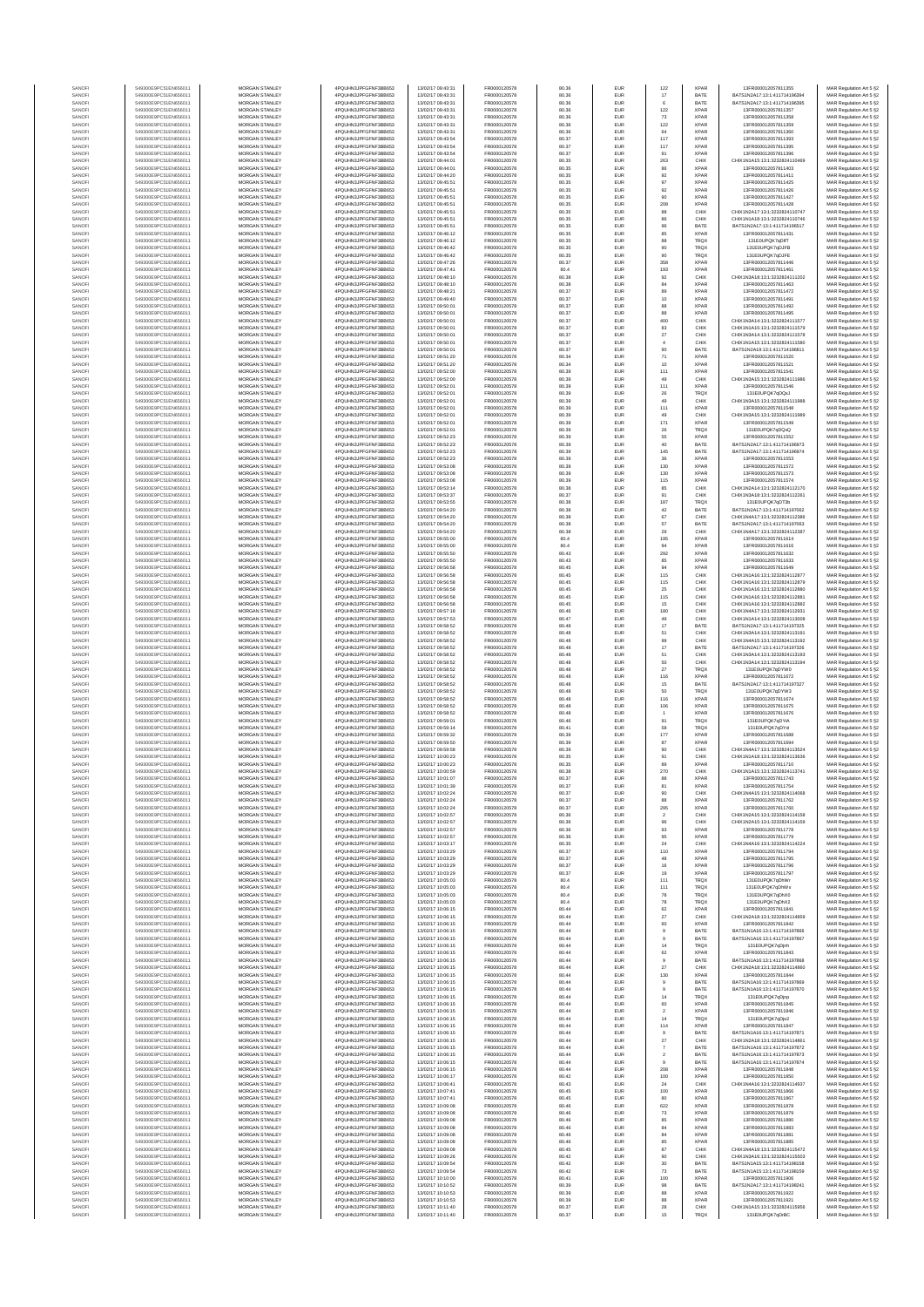| SANOF            | 549300E9PC51EN656011                         | MORGAN STANLEY                                 | 4PQUHN3JPFGFNF3BB653                          | 13/02/17 09:43:31                      | FR0000120578                 | 80.36          | EUR               | 122                   | <b>XPAR</b>                | 13FR000012057811355                                            | MAR Regulation Art 5 §2                            |
|------------------|----------------------------------------------|------------------------------------------------|-----------------------------------------------|----------------------------------------|------------------------------|----------------|-------------------|-----------------------|----------------------------|----------------------------------------------------------------|----------------------------------------------------|
| SANOFI           | 549300E9PC51EN656011                         | MORGAN STANLEY                                 | 4PQUHN3JPFGFNF3BB653                          | 13/02/17 09:43:31                      | FR0000120578                 | 80.36          | EUR               | 17                    | BATE                       | BATS1N2A17:13:1:411714196394                                   | MAR Regulation Art 5 §2                            |
| SANOF            | 549300E9PC51EN656011                         | MORGAN STANLEY                                 | 4PQUHN3JPFGFNF3BB653                          | 13/02/17 09:43:31                      | FR0000120578                 | 80.36          | EUR               |                       | BATE                       | BATS1N2A17:13:1:411714196395                                   | MAR Regulation Art 5 §2                            |
| SANOFI           | 549300E9PC51EN656011                         | MORGAN STANLEY                                 | 4PQUHN3JPFGFNF3BB653                          | 13/02/17 09:43:31                      | FR0000120578                 | 80.36          | EUR               | 122                   | <b>XPAF</b>                | 13FR000012057811357                                            | MAR Regulation Art 5 §2                            |
| SANOFI<br>SANOFI | 549300E9PC51EN656011<br>549300E9PC51EN656011 | MORGAN STANLEY<br>MORGAN STANLEY               | 4PQUHN3JPFGFNF3BB653<br>4PQUHN3JPFGFNF3BB653  | 13/02/17 09:43:31<br>13/02/17 09:43:31 | FR0000120578<br>FR0000120578 | 80.36<br>80.36 | EUR<br>EUR        | 73<br>122             | <b>XPAF</b><br><b>XPAF</b> | 13FR000012057811358<br>13FR000012057811359                     | MAR Regulation Art 5 §2<br>MAR Regulation Art 5 §2 |
| SANOFI           | 549300E9PC51EN656011                         | <b>MORGAN STANLEY</b>                          | 4POLIHN3JPEGENE3BB653                         | 13/02/17 09:43:31                      | FR0000120578                 | 80.36          | EUR               | 64                    | <b>XPAF</b>                | 13FR000012057811360                                            | MAR Regulation Art 5 §2                            |
| SANOFI           | 549300E9PC51EN656011                         | <b>MORGAN STANLEY</b>                          | 4PQUHN3JPFGFNF3BB653                          | 13/02/17 09:43:54                      | FR0000120578                 | 80.37          | EUR               | 117                   | <b>XPAF</b>                | 13FR000012057811393                                            | MAR Regulation Art 5 §2                            |
| SANOFI           | 549300E9PC51EN656011                         | MORGAN STANLEY                                 | 4PQUHN3JPFGFNF3BB653                          | 13/02/17 09:43:54                      | FR0000120578                 | 80.37          | EUR               | $117\,$               | <b>XPAF</b>                | 13FR000012057811395                                            | MAR Regulation Art 5 §2                            |
| SANOFI<br>SANOFI | 549300E9PC51EN656011<br>549300E9PC51EN656011 | MORGAN STANLEY<br>MORGAN STANLEY               | 4PQUHN3JPFGFNF3BB653<br>4PQUHN3JPFGFNF3BB653  | 13/02/17 09:43:54<br>13/02/17 09:44:01 | FR0000120578<br>FR0000120578 | 80.37<br>80.35 | EUR<br>EUR        | 91<br>263             | <b>XPAF</b><br>CHIX        | 13FR000012057811396<br>CHIX1N1A15:13:1:3232824110469           | MAR Regulation Art 5 §2<br>MAR Regulation Art 5 §2 |
| SANOF            | 549300E9PC51EN656011                         | MORGAN STANLEY                                 | 4PQUHN3JPFGFNF3BB653                          | 13/02/17 09:44:01                      | FR0000120578                 | 80.35          | EUR               | 86                    | <b>XPAF</b>                | 13FR000012057811403                                            | MAR Regulation Art 5 §2                            |
| SANOFI           | 549300E9PC51EN656011                         | MORGAN STANLEY                                 | 4PQUHN3JPFGFNF3BB653                          | 13/02/17 09:44:20                      | FR0000120578                 | 80.35          | EUR               | 92                    | <b>XPAF</b>                | 13FR000012057811411                                            | MAR Regulation Art 5 §2                            |
| SANOFI           | 549300E9PC51EN656011                         | MORGAN STANLEY                                 | 4PQUHN3JPFGFNF3BB653                          | 13/02/17 09:45:51                      | FR0000120578                 | 80.35          | EUR               | 97                    | <b>XPAF</b>                | 13FR000012057811425                                            | MAR Regulation Art 5 §2                            |
| SANOFI           | 549300E9PC51EN656011                         | MORGAN STANLEY                                 | 4PQUHN3JPFGFNF3BB653                          | 13/02/17 09:45:51                      | FR0000120578                 | 80.35          | EUR               | 92                    | <b>XPAF</b>                | 13FR000012057811426                                            | MAR Regulation Art 5 §2                            |
| SANOFI<br>SANOFI | 549300E9PC51EN656011<br>549300E9PC51EN656011 | <b>MORGAN STANLEY</b><br><b>MORGAN STANLEY</b> | 4PQUHN3JPFGFNF3BB653<br>4PQUHN3JPFGFNF3BB653  | 13/02/17 09:45:51<br>13/02/17 09:45:51 | FR0000120578<br>FR0000120578 | 80.35<br>80.35 | EUR<br>EUR        | 90<br>208             | <b>XPAF</b><br><b>XPAF</b> | 13FR000012057811427<br>13FR000012057811428                     | MAR Regulation Art 5 §2<br>MAR Regulation Art 5 §2 |
| SANOFI           | 549300E9PC51EN656011                         | MORGAN STANLEY                                 | 4PQUHN3JPFGFNF3BB653                          | 13/02/17 09:45:51                      | FR0000120578                 | 80.35          | EUR               | 88                    | CHIX                       | CHIX1N2A17:13:1:3232824110747                                  | MAR Regulation Art 5 §2                            |
| SANOFI           | 549300E9PC51EN656011                         | MORGAN STANLEY                                 | 4PQUHN3JPFGFNF3BB653                          | 13/02/17 09:45:51                      | FR0000120578                 | 80.35          | EUR               | $_{86}$               | CHIX                       | CHIX1N1A18:13:1:3232824110746                                  | MAR Regulation Art 5 §2                            |
| SANOFI           | 549300E9PC51EN656011                         | MORGAN STANLEY                                 | 4PQUHN3JPFGFNF3BB653                          | 13/02/17 09:45:51                      | FR0000120578                 | 80.35          | EUR               | 96                    | BATE                       | BATS1N2A17:13:1:411714196517                                   | MAR Regulation Art 5 §2                            |
| SANOFI           | 549300E9PC51EN656011                         | MORGAN STANLEY                                 | 4PQUHN3JPFGFNF3BB653                          | 13/02/17 09:46:12                      | FR0000120578                 | 80.35          | EUR               | 85                    | <b>XPAF</b>                | 13FR000012057811431                                            | MAR Regulation Art 5 §2                            |
| SANOFI           | 549300E9PC51EN656011                         | MORGAN STANLEY                                 | 4PQUHN3JPFGFNF3BB653                          | 13/02/17 09:46:12                      | FR0000120578                 | 80.35          | EUR               | 88                    | TRQ)                       | 131E0UPQK7qDIFT                                                | MAR Regulation Art 5 §2                            |
| SANOFI<br>SANOFI | 549300E9PC51EN656011<br>549300E9PC51EN656011 | MORGAN STANLEY<br><b>MORGAN STANLEY</b>        | 4PQUHN3JPFGFNF3BB653<br>4PQUHN3JPFGFNF3BB653  | 13/02/17 09:46:42<br>13/02/17 09:46:42 | FR0000120578                 | 80.35<br>80.35 | EUR<br>EUR        | 90                    | TRQ)<br>TRQ)               | 131E0UPQK7qDJFB<br>131E0UPQK7qDJFE                             | MAR Regulation Art 5 §2                            |
| SANOFI           | 549300E9PC51EN656011                         | <b>MORGAN STANLEY</b>                          | 4POLIHN3JPEGENE3BB653                         | 13/02/17 09:47:26                      | FR0000120578<br>FR0000120578 | 80.37          | EUR               | 90<br>358             | <b>XPAF</b>                | 13FR000012057811446                                            | MAR Regulation Art 5 §2<br>MAR Regulation Art 5 §2 |
| SANOFI           | 549300E9PC51EN656011                         | MORGAN STANLEY                                 | 4PQUHN3JPFGFNF3BB653                          | 13/02/17 09:47:41                      | FR0000120578                 | 80.4           | EUR               | 193                   | <b>XPAF</b>                | 13FR000012057811461                                            | MAR Regulation Art 5 §2                            |
| SANOFI           | 549300E9PC51EN656011                         | MORGAN STANLEY                                 | 4PQUHN3JPFGFNF3BB653                          | 13/02/17 09:48:10                      | FR0000120578                 | 80.38          | EUR               | $92\,$                | CHIX                       | CHIX1N3A18:13:1:3232824111202                                  | MAR Regulation Art 5 §2                            |
| SANOF            | 549300E9PC51EN656011                         | MORGAN STANLEY                                 | 4PQUHN3JPFGFNF3BB653                          | 13/02/17 09:48:10                      | FR0000120578                 | 80.38          | EUR               | 84                    | <b>XPAF</b>                | 13FR000012057811463                                            | MAR Regulation Art 5 §2                            |
| SANOFI           | 549300E9PC51EN656011                         | MORGAN STANLEY<br>MORGAN STANLEY               | 4PQUHN3JPFGFNF3BB653                          | 13/02/17 09:48:21                      | FR0000120578                 | 80.37          | EUR               | 89                    | <b>XPAF</b>                | 13FR000012057811472                                            | MAR Regulation Art 5 §2                            |
| SANOFI<br>SANOFI | 549300E9PC51EN656011<br>549300E9PC51EN656011 | MORGAN STANLEY                                 | 4PQUHN3JPFGFNF3BB653<br>4PQUHN3JPFGFNF3BB653  | 13/02/17 09:49:40<br>13/02/17 09:50:01 | FR0000120578<br>FR0000120578 | 80.37<br>80.37 | EUR<br>EUR        | 10<br>88              | <b>XPAF</b><br><b>XPAF</b> | 13FR000012057811491<br>13FR000012057811492                     | MAR Regulation Art 5 §2<br>MAR Regulation Art 5 §2 |
| SANOFI           | 549300E9PC51EN656011                         | <b>MORGAN STANLEY</b>                          | 4PQUHN3JPFGFNF3BB653                          | 13/02/17 09:50:01                      | FR0000120578                 | 80.37          | EUR               | 88                    | <b>XPAF</b>                | 13FR000012057811495                                            | MAR Regulation Art 5 §2                            |
| SANOFI           | 549300E9PC51EN656011                         | <b>MORGAN STANLEY</b>                          | 4PQUHN3JPFGFNF3BB653                          | 13/02/17 09:50:01                      | FR0000120578                 | 80.37          | EUR               | 400                   | CHIX                       | CHIX1N3A14:13:1:3232824111577                                  | MAR Regulation Art 5 §2                            |
| SANOFI           | 549300E9PC51EN656011                         | MORGAN STANLEY                                 | 4PQUHN3JPFGFNF3BB653                          | 13/02/17 09:50:01                      | FR0000120578                 | 80.37          | EUR               | $^{\rm 83}$           | CHIX                       | CHIX1N1A15:13:1:3232824111579                                  | MAR Regulation Art 5 §2                            |
| SANOFI<br>SANOFI | 549300E9PC51EN656011<br>549300E9PC51EN656011 | MORGAN STANLEY<br>MORGAN STANLEY               | 4PQUHN3JPFGFNF3BB653<br>4PQUHN3JPFGFNF3BB653  | 13/02/17 09:50:01<br>13/02/17 09:50:01 | FR0000120578<br>FR0000120578 | 80.37<br>80.37 | EUR<br>EUR        | $27\,$                | CHIX<br>CHIX               | CHIX1N3A14:13:1:3232824111578<br>CHIX1N1A15:13:1:3232824111580 | MAR Regulation Art 5 §2<br>MAR Regulation Art 5 §2 |
| SANOFI           | 549300E9PC51EN656011                         | MORGAN STANLEY                                 | 4PQUHN3JPFGFNF3BB653                          | 13/02/17 09:50:01                      | FR0000120578                 | 80.37          | EUR               | 90                    | BATE                       | BATS1N2A19:13:1:411714196811                                   | MAR Regulation Art 5 §2                            |
| SANOFI           | 549300E9PC51EN656011                         | MORGAN STANLEY                                 | 4PQUHN3JPFGFNF3BB653                          | 13/02/17 09:51:20                      | FR0000120578                 | 80.34          | EUR               | 71                    | XPAF                       | 13FR000012057811520                                            | MAR Regulation Art 5 §2                            |
| SANOFI           | 549300E9PC51EN656011                         | MORGAN STANLEY                                 | 4PQUHN3JPFGFNF3BB653                          | 13/02/17 09:51:20                      | FR0000120578                 | 80.34          | EUR               | 10                    | <b>XPAF</b>                | 13FR000012057811521                                            | MAR Regulation Art 5 §2                            |
| SANOFI           | 549300E9PC51EN656011                         | <b>MORGAN STANLEY</b>                          | 4PQUHN3JPFGFNF3BB653                          | 13/02/17 09:52:00                      | FR0000120578                 | 80.39          | EUR               | 111                   | <b>XPAF</b>                | 13FR000012057811541                                            | MAR Regulation Art 5 §2                            |
| SANOFI<br>SANOFI | 549300E9PC51EN656011<br>549300E9PC51EN656011 | <b>MORGAN STANLEY</b><br>MORGAN STANLEY        | 4PQUHN3JPFGFNF3BB653<br>4PQUHN3JPFGFNF3BB653  | 13/02/17 09:52:00<br>13/02/17 09:52:01 | FR0000120578<br>FR0000120578 | 80.39<br>80.39 | EUR<br>EUR        | 49<br>111             | CHIX<br>XPAF               | CHIX1N3A15:13:1:3232824111986<br>13FR000012057811546           | MAR Regulation Art 5 §2<br>MAR Regulation Art 5 §2 |
| SANOFI           | 549300E9PC51EN656011                         | MORGAN STANLEY                                 | 4POLIHN3JPEGENE3BB653                         | 13/02/17 09:52:01                      | FR0000120578                 | 80.39          | EUR               | ${\bf 26}$            | TRQ)                       | 131F0UPOK7gDOxJ                                                | MAR Regulation Art 5 §2                            |
| SANOFI           | 549300E9PC51EN656011                         | MORGAN STANLEY                                 | 4PQUHN3JPFGFNF3BB653                          | 13/02/17 09:52:01                      | FR0000120578                 | 80.39          | EUR               | 49                    | CHIX                       | CHIX1N3A15:13:1:3232824111988                                  | MAR Regulation Art 5 §2                            |
| SANOFI           | 549300E9PC51EN656011                         | MORGAN STANLEY                                 | 4PQUHN3JPFGFNF3BB653                          | 13/02/17 09:52:01                      | FR0000120578                 | 80.39          | EUR               | 111                   | <b>XPAF</b>                | 13FR000012057811548                                            | MAR Regulation Art 5 §2                            |
| SANOFI<br>SANOFI | 549300E9PC51EN656011<br>549300E9PC51EN656011 | MORGAN STANLEY<br>MORGAN STANLEY               | 4PQUHN3JPFGFNF3BB653<br>4PQUHN3JPFGFNF3BB653  | 13/02/17 09:52:01<br>13/02/17 09:52:01 | FR0000120578<br>FR0000120578 | 80.39<br>80.39 | EUR<br>EUR        | 49<br>171             | CHIX<br>XPAF               | CHIX1N3A15:13:1:3232824111989<br>13FR000012057811549           | MAR Regulation Art 5 §2<br>MAR Regulation Art 5 §2 |
| SANOFI           | 549300E9PC51EN656011                         | MORGAN STANLEY                                 | 4PQUHN3JPFGFNF3BB653                          | 13/02/17 09:52:01                      | FR0000120578                 | 80.39          | EUR               | 26                    | TRQ)                       | 131E0UPQK7qDQxQ                                                | MAR Regulation Art 5 §2                            |
| SANOFI           | 549300E9PC51EN656011                         | <b>MORGAN STANLEY</b>                          | 4PQUHN3JPFGFNF3BB653                          | 13/02/17 09:52:23                      | FR0000120578                 | 80.39          | EUR               | 55                    | <b>XPAF</b>                | 13FR000012057811552                                            | MAR Regulation Art 5 §2                            |
| SANOFI           | 549300E9PC51EN656011                         | MORGAN STANLEY                                 | 4PQUHN3JPFGFNF3BB653                          | 13/02/17 09:52:23                      | FR0000120578                 | 80.39          | EUR               | 40                    | BATE                       | BATS1N2A17:13:1:411714196973                                   | MAR Regulation Art 5 §2                            |
| SANOFI<br>SANOFI | 549300E9PC51EN656011<br>549300E9PC51EN656011 | MORGAN STANLEY<br>MORGAN STANLEY               | 4PQUHN3JPFGFNF3BB653<br>4PQUHN3JPFGFNF3BB653  | 13/02/17 09:52:23<br>13/02/17 09:52:23 | FR0000120578<br>FR0000120578 | 80.39<br>80.39 | EUR<br>EUR        | 145                   | BATE<br><b>XPAF</b>        | BATS1N2A17:13:1:411714196974<br>13FR000012057811553            | MAR Regulation Art 5 §2                            |
| SANOF            | 549300E9PC51EN656011                         | MORGAN STANLEY                                 | 4PQUHN3JPFGFNF3BB653                          | 13/02/17 09:53:08                      | FR0000120578                 | 80.39          | EUR               | $36\,$<br>130         | <b>XPAF</b>                | 13FR000012057811572                                            | MAR Regulation Art 5 §2<br>MAR Regulation Art 5 §2 |
| SANOFI           | 549300E9PC51EN656011                         | MORGAN STANLEY                                 | 4PQUHN3JPFGFNF3BB653                          | 13/02/17 09:53:08                      | FR0000120578                 | 80.39          | EUR               | 130                   | <b>XPAF</b>                | 13FR000012057811573                                            | MAR Regulation Art 5 §2                            |
| SANOFI           | 549300E9PC51EN656011                         | <b>MORGAN STANLEY</b>                          | 4PQUHN3JPFGFNF3BB653                          | 13/02/17 09:53:08                      | FR0000120578                 | 80.39          | EUR               | 115                   | <b>XPAF</b>                | 13FR000012057811574                                            | MAR Regulation Art 5 §2                            |
| SANOFI           | 549300E9PC51EN656011                         | MORGAN STANLEY                                 | 4PQUHN3JPFGFNF3BB653<br>4POLIHN3JPEGENE3BB653 | 13/02/17 09:53:14<br>13/02/17 09:53:37 | FR0000120578                 | 80.38          | EUR               | 85                    | CHIX                       | CHIX1N2A14:13:1:3232824112170                                  | MAR Regulation Art 5 §2                            |
| SANOFI<br>SANOFI | 549300E9PC51EN656011<br>549300E9PC51EN656011 | <b>MORGAN STANLEY</b><br><b>MORGAN STANLEY</b> | 4POLIHN3JPEGENE3BB653                         | 13/02/17 09:53:55                      | FR0000120578<br>FR0000120578 | 80.37<br>80.38 | EUR<br>EUR        | 91<br>187             | CHIX<br>TRQ)               | CHIX1N3A18:13:1:3232824112261<br>131E0UPQK7qDT3b               | MAR Regulation Art 5 §2<br>MAR Regulation Art 5 §2 |
| SANOFI           | 549300E9PC51EN656011                         | MORGAN STANLEY                                 | 4PQUHN3JPFGFNF3BB653                          | 13/02/17 09:54:20                      | FR0000120578                 | 80.38          | EUR               | 42                    | BATE                       | BATS1N2A17:13:1:411714197062                                   | MAR Regulation Art 5 §2                            |
| SANOFI           | 549300E9PC51EN656011                         | MORGAN STANLEY                                 | 4PQUHN3JPFGFNF3BB653                          | 13/02/17 09:54:20                      | FR0000120578                 | 80.38          | EUR               | 67                    | CHIX                       | CHIX1N4A17:13:1:3232824112386                                  | MAR Regulation Art 5 §2                            |
| SANOFI           | 549300E9PC51EN656011                         | MORGAN STANLEY                                 | 4PQUHN3JPFGFNF3BB653                          | 13/02/17 09:54:20                      | FR0000120578                 | 80.38          | EUR               | 57                    | BATE                       | BATS1N2A17:13:1:411714197063                                   | MAR Regulation Art 5 §2                            |
| SANOFI<br>SANOFI | 549300E9PC51EN656011<br>549300E9PC51EN656011 | MORGAN STANLEY<br>MORGAN STANLEY               | 4PQUHN3JPFGFNF3BB653<br>4PQUHN3JPFGFNF3BB653  | 13/02/17 09:54:20<br>13/02/17 09:55:00 | FR0000120578<br>FR0000120578 | 80.38<br>80.4  | EUR<br>EUR        | 29<br>195             | CHIX<br><b>XPAF</b>        | CHIX1N4A17:13:1:3232824112387<br>13FR000012057811614           | MAR Regulation Art 5 §2<br>MAR Regulation Art 5 §2 |
| SANOFI           | 549300E9PC51EN656011                         | MORGAN STANLEY                                 | 4PQUHN3JPFGFNF3BB653                          | 13/02/17 09:55:00                      | FR0000120578                 | 80.4           | EUR               | 94                    | <b>XPAF</b>                | 13FR000012057811616                                            | MAR Regulation Art 5 §2                            |
| SANOFI           | 549300E9PC51EN656011                         | <b>MORGAN STANLEY</b>                          | 4PQUHN3JPFGFNF3BB653                          | 13/02/17 09:55:50                      | FR0000120578                 | 80.43          | EUR               | 292                   | <b>XPAF</b>                | 13FR000012057811632                                            | MAR Regulation Art 5 §2                            |
| SANOFI           | 549300E9PC51EN656011                         | <b>MORGAN STANLEY</b>                          | 4PQUHN3JPFGFNF3BB653                          | 13/02/17 09:55:50                      | FR0000120578                 | 80.43          | EUR               | 85                    | <b>XPAF</b>                | 13FR000012057811633                                            | MAR Regulation Art 5 §2                            |
| SANOFI<br>SANOFI | 549300E9PC51EN656011<br>549300E9PC51EN656011 | MORGAN STANLEY<br>MORGAN STANLEY               | 4PQUHN3JPFGFNF3BB653<br>4PQUHN3JPFGFNF3BB653  | 13/02/17 09:56:58<br>13/02/17 09:56:58 | FR0000120578<br>FR0000120578 | 80.45<br>80.45 | EUR<br>EUR        | 94<br>115             | <b>XPAF</b><br>CHIX        | 13FR000012057811649<br>CHIX1N1A16:13:1:3232824112877           | MAR Regulation Art 5 §2<br>MAR Regulation Art 5 §2 |
| SANOFI           | 549300E9PC51EN656011                         | MORGAN STANLEY                                 | 4PQUHN3JPFGFNF3BB653                          | 13/02/17 09:56:58                      | FR0000120578                 | 80.45          | EUR               | 115                   | CHIX                       | CHIX1N1A16:13:1:3232824112879                                  | MAR Regulation Art 5 §2                            |
| SANOFI           | 549300E9PC51EN656011                         | MORGAN STANLEY                                 | 4PQUHN3JPFGFNF3BB653                          | 13/02/17 09:56:58                      | FR0000120578                 | 80.45          | EUR               | 25                    | CHIX                       | CHIX1N1A16:13:1:3232824112880                                  | MAR Regulation Art 5 §2                            |
| SANOFI           | 549300E9PC51EN656011<br>549300E9PC51EN656011 | MORGAN STANLEY<br>MORGAN STANLEY               | 4PQUHN3JPFGFNF3BB653<br>4PQUHN3JPFGFNF3BB653  | 13/02/17 09:56:58<br>13/02/17 09:56:58 | FR0000120578<br>FR0000120578 | 80.45          | EUR               | 115<br>15             | CHIX<br>CHIX               | CHIX1N1A16:13:1:3232824112881                                  | MAR Regulation Art 5 §2<br>MAR Regulation Art 5 §2 |
| SANOFI<br>SANOFI | 549300E9PC51EN656011                         | <b>MORGAN STANLEY</b>                          | 4PQUHN3JPFGFNF3BB653                          | 13/02/17 09:57:18                      | FR0000120578                 | 80.45<br>80.46 | EUR<br>EUR        | 180                   | CHIX                       | CHIX1N1A16:13:1:3232824112882<br>CHIX1N4A17:13:1:3232824112931 | MAR Regulation Art 5 §2                            |
| SANOFI           | 549300E9PC51EN656011                         | <b>MORGAN STANLEY</b>                          | 4PQUHN3JPFGFNF3BB653                          | 13/02/17 09:57:53                      | FR0000120578                 | 80.47          | EUR               | 49                    | CHIX                       | CHIX1N1A14:13:1:3232824113008                                  | MAR Regulation Art 5 §2                            |
| SANOFI           | 549300E9PC51EN656011                         | MORGAN STANLEY                                 | 4PQUHN3JPFGFNF3BB653                          | 13/02/17 09:58:52                      | FR0000120578                 | 80.48          | EUR               | 17                    | BATE                       | BATS1N2A17:13:1:411714197325                                   | MAR Regulation Art 5 §2                            |
| SANOFI<br>SANOFI | 549300E9PC51EN656011<br>549300E9PC51EN656011 | MORGAN STANLEY<br>MORGAN STANLEY               | 4PQUHN3JPFGFNF3BB653<br>4PQUHN3JPFGFNF3BB653  | 13/02/17 09:58:52<br>13/02/17 09:58:52 | FR0000120578<br>FR0000120578 | 80.48<br>80.48 | EUR<br>EUR        | 51<br>99              | CHIX<br>CHIX               | CHIX1N3A14:13:1:3232824113191<br>CHIX1N4A15:13:1:3232824113192 | MAR Regulation Art 5 §2<br>MAR Regulation Art 5 §2 |
| SANOF            | 549300E9PC51EN656011                         | MORGAN STANLEY                                 | 4PQUHN3JPFGFNF3BB653                          | 13/02/17 09:58:52                      | FR0000120578                 | 80.48          | EUR               | $17\,$                | BATE                       | BATS1N2A17:13:1:411714197326                                   | MAR Regulation Art 5 §2                            |
| SANOFI           | 549300E9PC51EN656011                         | MORGAN STANLEY                                 | 4PQUHN3JPFGFNF3BB653                          | 13/02/17 09:58:52                      | FR0000120578                 | 80.48          | EUR               | 51                    | CHIX                       | CHIX1N3A14:13:1:3232824113193                                  | MAR Regulation Art 5 §2                            |
| SANOFI           | 549300E9PC51EN656011                         | MORGAN STANLEY                                 | 4PQUHN3JPFGFNF3BB653                          | 13/02/17 09:58:52                      | FR0000120578                 | 80.48          | EUR               | 50                    | CHIX                       | CHIX1N3A14:13:1:3232824113194                                  | MAR Regulation Art 5 §2                            |
| SANOFI<br>SANOFI | 549300E9PC51EN656011<br>549300E9PC51EN656011 | MORGAN STANLEY<br><b>MORGAN STANLEY</b>        | 4PQUHN3JPFGFNF3BB653<br>4PQUHN3JPFGFNF3BB653  | 13/02/17 09:58:52<br>13/02/17 09:58:52 | FR0000120578<br>FR0000120578 | 80.48<br>80.48 | EUR<br>EUR        | $27\,$<br>116         | TRQ)<br><b>XPAF</b>        | 131E0UPQK7qDYW0<br>13FR000012057811672                         | MAR Regulation Art 5 §2<br>MAR Regulation Art 5 §2 |
| SANOFI           | 549300E9PC51EN656011                         | MORGAN STANLEY                                 | 4POLIHN3JPEGENE3BB653                         | 13/02/17 09:58:52                      | FR0000120578                 | 80.48          | EUR               | 15                    | BATE                       | BATS1N2A17:13:1:411714197327                                   | MAR Regulation Art 5 §2                            |
| SANOFI           | 549300E9PC51EN656011                         | MORGAN STANLEY                                 | 4PQUHN3JPFGFNF3BB653                          | 13/02/17 09:58:52                      | FR0000120578                 | 80.48          | EUR               | 50                    | TRQ)                       | 131E0UPQK7qDYW3                                                | MAR Regulation Art 5 §2                            |
| SANOFI           | 549300E9PC51EN656011                         | MORGAN STANLEY                                 | 4PQUHN3JPFGFNF3BB653                          | 13/02/17 09:58:52                      | FR0000120578                 | 80.48          | EUR               | 116                   | XPAF                       | 13FR000012057811674                                            | MAR Regulation Art 5 §2                            |
| SANOFI<br>SANOFI | 549300E9PC51EN656011<br>549300E9PC51EN656011 | MORGAN STANLEY<br>MORGAN STANLEY               | 4PQUHN3JPFGFNF3BB653<br>4PQUHN3JPFGFNF3BB653  | 13/02/17 09:58:52<br>13/02/17 09:58:52 | FR0000120578<br>FR0000120578 | 80.48<br>80.48 | EUR<br>EUR        | 106                   | <b>XPAF</b><br><b>XPAF</b> | 13FR000012057811675<br>13FR000012057811676                     | MAR Regulation Art 5 §2<br>MAR Regulation Art 5 §2 |
| SANOFI           | 549300E9PC51EN656011                         | MORGAN STANLEY                                 | 4PQUHN3JPFGFNF3BB653                          | 13/02/17 09:59:01                      | FR0000120578                 | 80.46          | EUR               | 91                    | TRQ)                       | 131E0UPQK7qDYiA                                                | MAR Regulation Art 5 §2                            |
| SANOFI           | 549300E9PC51EN656011                         | MORGAN STANLEY                                 | 4PQUHN3JPFGFNF3BB653                          | 13/02/17 09:59:14                      | FR0000120578                 | 80.41          | EUR               | 58                    | TRQ)                       | 131E0UPQK7qDYxl                                                | MAR Regulation Art 5 §2                            |
| SANOFI           | 549300E9PC51EN656011                         | <b>MORGAN STANLEY</b>                          | 4PQUHN3JPFGFNF3BB653                          | 13/02/17 09:59:32                      | FR0000120578                 | 80.39          | EUR               | 177                   | <b>XPAF</b>                | 13FR000012057811688                                            | MAR Regulation Art 5 §2                            |
| SANOFI           | 549300E9PC51EN656011<br>549300E9PC51EN656011 | <b>MORGAN STANLEY</b>                          | 4PQUHN3JPFGFNF3BB653                          | 13/02/17 09:59:50                      | ER0000120578                 | 80.39          | EUR               | 87                    | <b>XPAF</b>                | 13FR000012057811694                                            | MAR Regulation Art 5 §2                            |
| SANOFI<br>SANOFI | 549300E9PC51EN656011                         | MORGAN STANLEY<br>MORGAN STANLEY               | 4PQUHN3JPFGFNF3BB653<br>4PQUHN3JPFGFNF3BB653  | 13/02/17 09:59:58<br>13/02/17 10:00:23 | FR0000120578<br>FR0000120578 | 80.39<br>80.35 | EUR<br>EUR        | 90<br>91              | CHIX<br>CHIX               | CHIX1N4A17:13:1:3232824113524<br>CHIX1N1A18:13:1:3232824113636 | MAR Regulation Art 5 §2<br>MAR Regulation Art 5 §2 |
| SANOF            | 549300E9PC51EN656011                         | MORGAN STANLEY                                 | 4PQUHN3JPFGFNF3BB653                          | 13/02/17 10:00:23                      | FR0000120578                 | 80.35          | EUR               | 89                    | <b>XPAF</b>                | 13FR000012057811710                                            | MAR Regulation Art 5 §2                            |
| SANOFI           | 549300E9PC51EN656011                         | MORGAN STANLEY                                 | 4PQUHN3JPFGFNF3BB653                          | 13/02/17 10:00:59                      | FR0000120578                 | 80.38          |                   | 270                   | CHIX                       | CHIX1N1A15:13:1:3232824113741                                  | MAR Regulation Art 5 §2                            |
| SANOF            | 549300E9PC51EN656011                         | MORGAN STANLE'                                 | 4PQUHN3JPFGFNF3BB653                          | 13/02/17 10:01:07                      | ER0000120578                 | 80.37          |                   |                       |                            | I3FR000012057811743                                            | MAR Regulation Art 5 §2                            |
| SANOFI<br>SANOFI | 549300E9PC51EN656011<br>549300E9PC51EN656011 | MORGAN STANLEY<br><b>MORGAN STANLEY</b>        | 4PQUHN3JPFGFNF3BB653<br>4PQUHN3JPFGFNF3BB653  | 13/02/17 10:01:39<br>13/02/17 10:02:24 | FR0000120578<br>FR0000120578 | 80.37<br>80.37 | EUR<br>EUR        | 81<br>90              | <b>XPAF</b><br>CHIX        | 13FR000012057811754<br>CHIX1N4A15:13:1:3232824114068           | MAR Regulation Art 5 §2<br>MAR Regulation Art 5 §2 |
| SANOFI           | 549300E9PC51EN656011                         | <b>MORGAN STANLEY</b>                          | 4PQUHN3JPFGFNF3BB653                          | 13/02/17 10:02:24                      | FR0000120578                 | 80.37          | EUR               | 88                    | <b>XPAF</b>                | 13FR000012057811762                                            | MAR Regulation Art 5 §2                            |
| SANOFI           | 549300E9PC51EN656011                         | MORGAN STANLEY                                 | 4PQUHN3JPFGFNF3BB653                          | 13/02/17 10:02:24                      | FR0000120578                 | 80.37          | EUR               | 295                   | <b>XPAF</b>                | 13FR000012057811760                                            | MAR Regulation Art 5 §2                            |
| SANOFI           | 549300E9PC51EN656011                         | MORGAN STANLEY                                 | 4PQUHN3JPFGFNF3BB653                          | 13/02/17 10:02:57                      | FR0000120578                 | 80.36          | EUR               | $\overline{2}$        | CHIX                       | CHIX1N2A15:13:1:3232824114158                                  | MAR Regulation Art 5 §2                            |
| SANOFI<br>SANOFI | 549300E9PC51EN656011<br>549300E9PC51EN656011 | MORGAN STANLEY<br>MORGAN STANLEY               | 4PQUHN3JPFGFNF3BB653<br>4PQUHN3JPFGFNF3BB653  | 13/02/17 10:02:57<br>13/02/17 10:02:57 | FR0000120578<br>FR0000120578 | 80.36<br>80.36 | EUR<br>EUR        | 96<br>93              | CHIX<br><b>XPAF</b>        | CHIX1N2A15:13:1:3232824114159<br>13FR000012057811778           | MAR Regulation Art 5 §2<br>MAR Regulation Art 5 §2 |
| SANOFI           | 549300E9PC51EN656011                         | MORGAN STANLEY                                 | 4PQUHN3JPFGFNF3BB653                          | 13/02/17 10:02:57                      | FR0000120578                 | 80.36          | EUR               | 95                    | <b>XPAF</b>                | 13FR000012057811779                                            | MAR Regulation Art 5 §2                            |
| SANOFI           | 549300E9PC51EN656011                         | MORGAN STANLEY                                 | 4PQUHN3JPFGFNF3BB653                          | 13/02/17 10:03:17                      | FR0000120578                 | 80.35          | EUR               | $24\,$                | CHIX                       | CHIX1N4A16:13:1:3232824114224                                  | MAR Regulation Art 5 §2                            |
| SANOFI           | 549300E9PC51EN656011                         | MORGAN STANLEY                                 | 4PQUHN3JPFGFNF3BB653                          | 13/02/17 10:03:29                      | FR0000120578                 | 80.37          | EUR               | 110                   | <b>XPAR</b>                | 13FR000012057811794                                            | MAR Regulation Art 5 §2                            |
| SANOFI<br>SANOFI | 549300E9PC51EN656011<br>549300E9PC51EN656011 | <b>MORGAN STANLEY</b><br>MORGAN STANLEY        | 4PQUHN3JPFGFNF3BB653<br>4PQUHN3JPFGFNF3BB653  | 13/02/17 10:03:29<br>13/02/17 10:03:29 | FR0000120578<br>FR0000120578 | 80.37<br>80.37 | EUR<br>EUR        | 48<br>16              | <b>XPAR</b><br><b>XPAF</b> | 13FR000012057811795<br>13FR000012057811796                     | MAR Regulation Art 5 §2<br>MAR Regulation Art 5 §2 |
| SANOFI           | 549300E9PC51EN656011                         | MORGAN STANLEY                                 | 4PQUHN3JPFGFNF3BB653                          | 13/02/17 10:03:29                      | FR0000120578                 | 80.37          | EUR               | 19                    | <b>XPAF</b>                | 13FR000012057811797                                            | MAR Regulation Art 5 §2                            |
| SANOFI           | 549300E9PC51EN656011                         | MORGAN STANLEY                                 | 4PQUHN3JPFGFNF3BB653                          | 13/02/17 10:05:03                      | FR0000120578                 | 80.4           | EUR               | 111                   | TRQ)                       | 131E0UPQK7qDhWr                                                | MAR Regulation Art 5 §2                            |
| SANOF<br>SANOFI  | 549300E9PC51EN656011<br>549300E9PC51EN656011 | MORGAN STANLEY<br>MORGAN STANLEY               | 4PQUHN3JPFGFNF3BB653<br>4PQUHN3JPFGFNF3BB653  | 13/02/17 10:05:03<br>13/02/17 10:05:03 | FR0000120578<br>FR0000120578 | 80.4<br>80.4   | EUR<br>EUR        | 111<br>78             | TRQ)<br>TRQ)               | 131E0UPQK7qDhWx<br>131E0UPQK7qDhX0                             | MAR Regulation Art 5 §2<br>MAR Regulation Art 5 §2 |
| SANOFI           | 549300E9PC51EN656011                         | MORGAN STANLEY                                 | 4PQUHN3JPFGFNF3BB653                          | 13/02/17 10:05:03                      | FR0000120578                 | 80.4           | EUR               | 78                    | TRQ)                       | 131E0UPQK7qDhX2                                                | MAR Regulation Art 5 §2                            |
| SANOFI           | 549300E9PC51EN656011                         | MORGAN STANLEY                                 | 4PQUHN3JPFGFNF3BB653                          | 13/02/17 10:06:15                      | FR0000120578                 | 80.44          | EUR               | 62                    | <b>XPAF</b>                | 13FR000012057811841                                            | MAR Regulation Art 5 §2                            |
| SANOFI           | 549300E9PC51EN656011                         | MORGAN STANLEY                                 | 4PQUHN3JPFGFNF3BB653                          | 13/02/17 10:06:15                      | FR0000120578                 | 80.44          | EUR               | 27                    | CHIX                       | CHIX1N2A18-13-1-3232824114859                                  | MAR Regulation Art 5 §2                            |
| SANOFI           | 549300E9PC51EN656011                         | <b>MORGAN STANLEY</b>                          | 4PQUHN3JPFGFNF3BB653                          | 13/02/17 10:06:15                      | FR0000120578                 | 80.44<br>80.44 | EUR               | 60                    | <b>XPAR</b><br>BATE        | 13FR000012057811842<br>BATS1N1A16:13:1:411714197866            | MAR Regulation Art 5 §2                            |
| SANOFI<br>SANOFI | 549300E9PC51EN656011<br>549300E9PC51EN656011 | MORGAN STANLEY<br>MORGAN STANLEY               | 4PQUHN3JPFGFNF3BB653<br>4PQUHN3JPFGFNF3BB653  | 13/02/17 10:06:15<br>13/02/17 10:06:15 | FR0000120578<br>FR0000120578 | 80.44          | EUR<br>EUR        | $\overline{9}$        | BATE                       | BATS1N1A16:13:1:411714197867                                   | MAR Regulation Art 5 §2<br>MAR Regulation Art 5 §2 |
| SANOFI           | 549300E9PC51EN656011                         | MORGAN STANLEY                                 | 4PQUHN3JPFGFNF3BB653                          | 13/02/17 10:06:15                      | FR0000120578                 | 80.44          | EUR               | 14                    | TRQ)                       | 131E0UPQK7qDjnh                                                | MAR Regulation Art 5 §2                            |
| SANOFI           | 549300E9PC51EN656011                         | MORGAN STANLEY                                 | 4PQUHN3JPFGFNF3BB653                          | 13/02/17 10:06:15                      | FR0000120578                 | 80.44          | EUR               | 62                    | <b>XPAF</b>                | 13FR000012057811843                                            | MAR Regulation Art 5 §2                            |
| SANOFI           | 549300E9PC51EN656011                         | MORGAN STANLEY                                 | 4PQUHN3JPFGFNF3BB653                          | 13/02/17 10:06:15                      | FR0000120578                 | 80.44          | EUR               | $\overline{9}$        | BATE                       | BATS1N1A16:13:1:411714197868                                   | MAR Regulation Art 5 §2                            |
| SANOFI<br>SANOFI | 549300E9PC51EN656011<br>549300E9PC51EN656011 | MORGAN STANLEY<br><b>MORGAN STANLEY</b>        | 4PQUHN3JPFGFNF3BB653<br>4PQUHN3JPFGFNF3BB653  | 13/02/17 10:06:15<br>13/02/17 10:06:15 | FR0000120578<br>FR0000120578 | 80.44<br>80.44 | <b>EUR</b><br>EUR | 27<br>130             | CHIX<br><b>XPAR</b>        | CHIX1N2A18:13:1:3232824114860<br>13ER000012057811844           | MAR Regulation Art 5 §2<br>MAR Regulation Art 5 §2 |
| SANOFI           | 549300E9PC51EN656011                         | <b>MORGAN STANLEY</b>                          | 4PQUHN3JPFGFNF3BB653                          | 13/02/17 10:06:15                      | FR0000120578                 | 80.44          | EUR               | $\overline{9}$        | BATE                       | BATS1N1A16:13:1:411714197869                                   | MAR Regulation Art 5 §2                            |
| SANOFI           | 549300E9PC51EN656011                         | MORGAN STANLEY                                 | 4PQUHN3JPFGFNF3BB653                          | 13/02/17 10:06:15                      | FR0000120578                 | 80.44          | EUR               | $\overline{9}$        | BATE                       | BATS1N1A16:13:1:411714197870                                   | MAR Regulation Art 5 §2                            |
| SANOFI           | 549300E9PC51EN656011                         | MORGAN STANLEY                                 | 4PQUHN3JPFGFNF3BB653                          | 13/02/17 10:06:15                      | FR0000120578                 | 80.44          | EUR               | 14                    | TRQ)                       | 131E0UPQK7qDjnp                                                | MAR Regulation Art 5 §2                            |
| SANOFI<br>SANOFI | 549300E9PC51EN656011<br>549300E9PC51EN656011 | MORGAN STANLEY<br>MORGAN STANLEY               | 4PQUHN3JPFGFNF3BB653<br>4PQUHN3JPFGFNF3BB653  | 13/02/17 10:06:15<br>13/02/17 10:06:15 | FR0000120578<br>FR0000120578 | 80.44<br>80.44 | EUR<br>EUR        | 60<br>$\bar{2}$       | <b>XPAF</b><br><b>XPAF</b> | 13FR000012057811845<br>13FR000012057811846                     | MAR Regulation Art 5 §2<br>MAR Regulation Art 5 §2 |
| SANOFI           | 549300E9PC51EN656011                         | MORGAN STANLEY                                 | 4PQUHN3JPFGFNF3BB653                          | 13/02/17 10:06:15                      | FR0000120578                 | 80.44          | EUR               | 14                    | TRQ)                       | 131E0UPQK7qDjo2                                                | MAR Regulation Art 5 §2                            |
| SANOFI           | 549300E9PC51EN656011                         | MORGAN STANLEY                                 | 4PQUHN3JPFGFNF3BB653                          | 13/02/17 10:06:15                      | FR0000120578                 | 80.44          | EUR               | 114                   | <b>XPAR</b>                | 13FR000012057811847                                            | MAR Regulation Art 5 §2                            |
| SANOFI           | 549300E9PC51EN656011                         | <b>MORGAN STANLEY</b>                          | 4PQUHN3JPFGFNF3BB653                          | 13/02/17 10:06:15                      | FR0000120578                 | 80.44          | EUR               | $\overline{9}$        | BATE                       | BATS1N1A16:13:1:411714197871                                   | MAR Regulation Art 5 §2                            |
| SANOFI           | 549300E9PC51EN656011                         | <b>MORGAN STANLEY</b>                          | 4PQUHN3JPFGFNF3BB653                          | 13/02/17 10:06:15                      | FR0000120578                 | 80.44          | EUR               | 27                    | CHIX                       | CHIX1N2A18:13:1:3232824114861                                  | MAR Regulation Art 5 §2                            |
| SANOFI<br>SANOFI | 549300E9PC51EN656011<br>549300E9PC51EN656011 | MORGAN STANLEY<br>MORGAN STANLEY               | 4PQUHN3JPFGFNF3BB653<br>4PQUHN3JPFGFNF3BB653  | 13/02/17 10:06:15<br>13/02/17 10:06:15 | FR0000120578<br>FR0000120578 | 80.44<br>80.44 | EUR<br>EUR        | $\overline{2}$        | BATE<br>BATE               | BATS1N1A16:13:1:411714197872<br>BATS1N1A16:13:1:411714197873   | MAR Regulation Art 5 §2<br>MAR Regulation Art 5 §2 |
| SANOF            | 549300E9PC51EN656011                         | MORGAN STANLEY                                 | 4PQUHN3JPFGFNF3BB653                          | 13/02/17 10:06:15                      | FR0000120578                 | 80.44          | EUR               |                       | BATE                       | BATS1N1A16:13:1:411714197874                                   | MAR Regulation Art 5 §2                            |
| SANOFI           | 549300E9PC51EN656011                         | MORGAN STANLEY                                 | 4PQUHN3JPFGFNF3BB653                          | 13/02/17 10:06:15                      | FR0000120578                 | 80.44          | EUR               | 208                   | <b>XPAF</b>                | 13FR000012057811848                                            | MAR Regulation Art 5 §2                            |
| SANOFI           | 549300E9PC51EN656011                         | MORGAN STANLEY                                 | 4PQUHN3JPFGFNF3BB653                          | 13/02/17 10:06:17                      | FR0000120578                 | 80.42          | EUR               | 100                   | <b>XPAF</b>                | 13FR000012057811850                                            | MAR Regulation Art 5 §2                            |
| SANOFI<br>SANOFI | 549300E9PC51EN656011<br>549300E9PC51EN656011 | MORGAN STANLEY<br><b>MORGAN STANLEY</b>        | 4PQUHN3JPFGFNF3BB653<br>4PQUHN3JPFGFNF3BB653  | 13/02/17 10:06:41<br>13/02/17 10:07:41 | FR0000120578<br>FR0000120578 | 80.43<br>80.45 | <b>EUR</b><br>EUR | 24<br>100             | CHIX<br><b>XPAR</b>        | CHIX1N4A16:13:1:3232824114937<br>13FR000012057811866           | MAR Regulation Art 5 §2<br>MAR Regulation Art 5 §2 |
| SANOFI           | 549300E9PC51EN656011                         | <b>MORGAN STANLEY</b>                          | 4PQUHN3JPFGFNF3BB653                          | 13/02/17 10:07:41                      | FR0000120578                 | 80.45          | EUR               | 80                    | <b>XPAR</b>                | 13FR000012057811867                                            | MAR Regulation Art 5 §2                            |
| SANOFI           | 549300E9PC51EN656011                         | MORGAN STANLEY                                 | 4PQUHN3JPFGFNF3BB653                          | 13/02/17 10:09:08                      | FR0000120578                 | 80.46          | EUR               | 622                   | <b>XPAF</b>                | 13FR000012057811878                                            | MAR Regulation Art 5 §2                            |
| SANOFI           | 549300E9PC51EN656011                         | MORGAN STANLEY                                 | 4PQUHN3JPFGFNF3BB653                          | 13/02/17 10:09:08                      | FR0000120578                 | 80.46          | EUR               | 73                    | <b>XPAF</b>                | 13FR000012057811879                                            | MAR Regulation Art 5 §2                            |
| SANOFI<br>SANOF  | 549300E9PC51EN656011<br>549300E9PC51EN656011 | MORGAN STANLEY<br>MORGAN STANLEY               | 4PQUHN3JPFGFNF3BB653<br>4PQUHN3JPFGFNF3BB653  | 13/02/17 10:09:08<br>13/02/17 10:09:08 | FR0000120578<br>FR0000120578 | 80.46<br>80.46 | EUR<br>EUR        | 85<br>84              | <b>XPAF</b><br><b>XPAF</b> | 13FR000012057811880<br>13FR000012057811883                     | MAR Regulation Art 5 §2<br>MAR Regulation Art 5 §2 |
| SANOFI           | 549300E9PC51EN656011                         | MORGAN STANLEY                                 | 4PQUHN3JPFGFNF3BB653                          | 13/02/17 10:09:08                      | FR0000120578                 | 80.46          | EUR               | 84                    | <b>XPAF</b>                | 13FR000012057811881                                            | MAR Regulation Art 5 §2                            |
| SANOFI           | 549300E9PC51EN656011                         | MORGAN STANLEY                                 | 4PQUHN3JPFGFNF3BB653                          | 13/02/17 10:09:08                      | FR0000120578                 | 80.46          | EUR               | 85                    | <b>XPAF</b>                | 13FR000012057811885                                            | MAR Regulation Art 5 §2                            |
| SANOFI           | 549300E9PC51EN656011                         | MORGAN STANLEY                                 | 4PQUHN3JPFGFNF3BB653                          | 13/02/17 10:09:08                      | FR0000120578                 | 80.45          | EUR               | 87                    | CHIX                       | CHIX1N4A18:13:1:3232824115472                                  | MAR Regulation Art 5 §2                            |
| SANOFI<br>SANOFI | 549300E9PC51EN656011<br>549300E9PC51EN656011 | <b>MORGAN STANLEY</b><br><b>MORGAN STANLEY</b> | 4PQUHN3JPFGFNF3BB653<br>4PQUHN3JPFGFNF3BB653  | 13/02/17 10:09:26<br>13/02/17 10:09:54 | FR0000120578<br>FR0000120578 | 80.42<br>80.42 | EUR<br>EUR        | 90<br>30 <sup>°</sup> | CHIX<br>BATE               | CHIX1N3A16:13:1:3232824115503<br>BATS1N1A15:13:1:411714198158  | MAR Regulation Art 5 §2<br>MAR Regulation Art 5 §2 |
| SANOFI           | 549300E9PC51EN656011                         | MORGAN STANLEY                                 | 4PQUHN3JPFGFNF3BB653                          | 13/02/17 10:09:54                      | FR0000120578                 | 80.42          | EUR               | 73                    | <b>RATE</b>                | BATS1N1A15:13:1:411714198159                                   | MAR Regulation Art 5 §2                            |
| SANOFI           | 549300E9PC51EN656011                         | MORGAN STANLEY                                 | 4PQUHN3JPFGFNF3BB653                          | 13/02/17 10:10:00                      | FR0000120578                 | 80.41          | EUR               | 100                   | <b>XPAF</b>                | 13FR000012057811906                                            | MAR Regulation Art 5 §2                            |
| SANOFI           | 549300E9PC51EN656011                         | MORGAN STANLEY                                 | 4PQUHN3JPFGFNF3BB653                          | 13/02/17 10:10:52                      | FR0000120578                 | 80.39          | EUR               | 98                    | BATE                       | BATS1N2A17:13:1:411714198241                                   | MAR Regulation Art 5 §2                            |
| SANOFI<br>SANOFI | 549300E9PC51EN656011<br>549300E9PC51EN656011 | MORGAN STANLEY<br>MORGAN STANLEY               | 4PQUHN3JPFGFNF3BB653<br>4PQUHN3JPFGFNF3BB653  | 13/02/17 10:10:53<br>13/02/17 10:10:53 | FR0000120578<br>FR0000120578 | 80.39<br>80.39 | EUR<br>EUR        | 88<br>88              | XPAF<br><b>XPAF</b>        | 13FR000012057811922<br>13FR000012057811921                     | MAR Regulation Art 5 §2<br>MAR Regulation Art 5 §2 |
| SANOFI           | 549300E9PC51EN656011                         | MORGAN STANLEY                                 | 4PQUHN3JPFGFNF3BB653                          | 13/02/17 10:11:40                      | FR0000120578                 | 80.37          | EUR               | 28                    | CHIX                       | CHIX1N1A15:13:1:3232824115956                                  | MAR Regulation Art 5 §2                            |
| SANOFI           | 549300E9PC51EN656011                         | <b>MORGAN STANLEY</b>                          | 4PQUHN3JPFGFNF3BB653                          | 13/02/17 10:11:40                      | FR0000120578                 | 80.37          | EUR               | 15                    | <b>TRQX</b>                | 131E0UPQK7qDrBC                                                | MAR Regulation Art 5 §2                            |
|                  |                                              |                                                |                                               |                                        |                              |                |                   |                       |                            |                                                                |                                                    |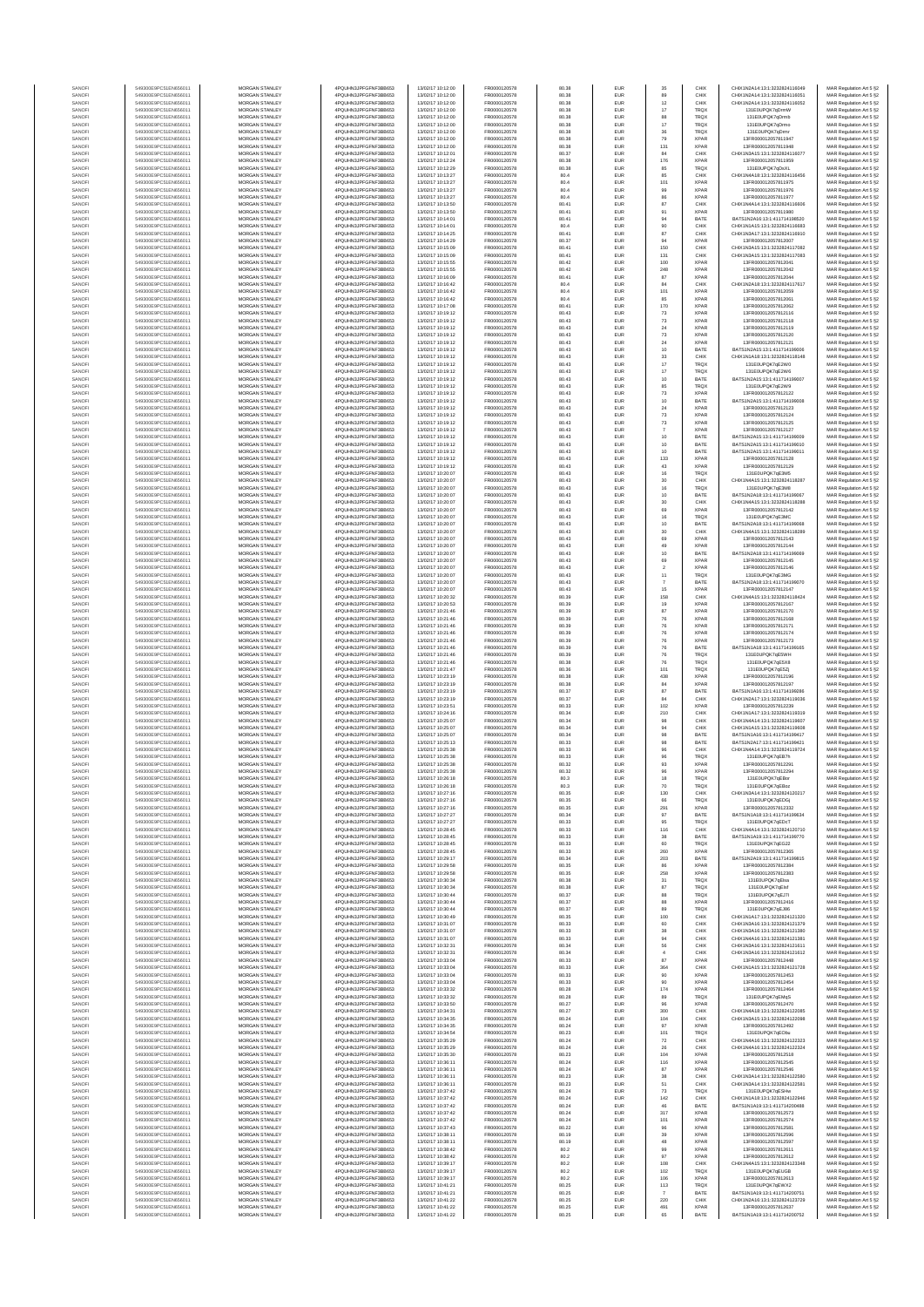| SANOF<br>549300E9PC51EN656011<br>MORGAN STANLEY<br>4PQUHN3JPFGFNF3BB653<br>13/02/17 10:12:00<br>FR0000120578<br>80.38<br>EUR<br>89<br>CHIX<br>CHIX1N2A14:13:1:3232824116051<br>FR0000120578<br>$12\,$<br>549300E9PC51EN656011<br>MORGAN STANLEY<br>4POLIHN3JPEGENE3BB653<br>13/02/17 10:12:00<br>80.38<br>EUR<br>CHIX<br>CHIX1N2A14:13:1:3232824116052<br>SANOFI<br>549300E9PC51EN656011<br>MORGAN STANLEY<br>13/02/17 10:12:00<br>FR0000120578<br>17<br>131E0UPQK7qDrmW<br>MAR Regulation Art 5 §2<br>SANOFI<br>4PQUHN3JPFGFNF3BB653<br>80.38<br>EUR<br><b>TRQX</b><br>88<br>SANOFI<br>549300E9PC51EN656011<br><b>MORGAN STANLEY</b><br>4PQUHN3JPFGFNF3BB653<br>13/02/17 10:12:00<br>FR0000120578<br>80.38<br>EUR<br><b>TRQX</b><br>131E0UPQK7gDrmb<br>MAR Regulation Art 5 §2<br>SANOFI<br>549300E9PC51EN656011<br><b>MORGAN STANLEY</b><br>4PQUHN3JPFGFNF3BB653<br>13/02/17 10:12:00<br>FR0000120578<br>80.38<br><b>EUR</b><br>17<br><b>TRQX</b><br>131E0UPQK7gDrmg<br>549300E9PC51EN656011<br><b>MORGAN STANLEY</b><br>4PQUHN3JPFGFNF3BB653<br>13/02/17 10:12:00<br>FR0000120578<br>80.38<br>EUR<br>36<br>TRQX<br>131E0UPQK7qDrmr<br>SANOFI<br>MORGAN STANLEY<br>13/02/17 10:12:00<br>FR0000120578<br>80.38<br>EUR<br>79<br><b>XPAR</b><br>SANOF<br>549300E9PC51EN656011<br>4PQUHN3JPFGFNF3BB653<br>13FR000012057811947<br>SANOFI<br>549300E9PC51EN656011<br>MORGAN STANLEY<br>4PQUHN3JPFGFNF3BB653<br>13/02/17 10:12:00<br>FR0000120578<br>80.38<br>EUR<br>131<br><b>XPAF</b><br>13FR000012057811948<br>MAR Regulation Art 5 §2<br>SANOF<br>549300E9PC51EN656011<br>MORGAN STANLEY<br>4PQUHN3JPFGFNF3BB653<br>13/02/17 10:12:01<br>FR0000120578<br>80.37<br>EUR<br>84<br>CHIX<br>CHIX1N3A15:13:1:3232824116077<br>MAR Regulation Art 5 §2<br>SANOFI<br>549300E9PC51EN656011<br>MORGAN STANLEY<br>4PQUHN3JPFGFNF3BB653<br>13/02/17 10:12:24<br>FR0000120578<br>80.38<br>EUR<br>176<br><b>XPAF</b><br>13FR000012057811959<br>MORGAN STANLEY<br>4PQUHN3JPFGFNF3BB653<br>13/02/17 10:12:29<br>FR0000120578<br>80.38<br>EUR<br>85<br><b>TRQX</b><br>549300E9PC51EN656011<br>131E0UPQK7qDsXL<br>SANOFI<br>MORGAN STANLEY<br>13/02/17 10:13:27<br>FR0000120578<br>CHIX<br>MAR Regulation Art 5 §2<br>549300E9PC51EN656011<br>4PQUHN3JPFGFNF3BB653<br>80.4<br>EUR<br>85<br>CHIX1N4A18:13:1:3232824116456<br>SANOFI<br>101<br>SANOFI<br>549300E9PC51EN656011<br><b>MORGAN STANLEY</b><br>4POLIHN3JPEGENE3BB653<br>13/02/17 10:13:27<br>FR0000120578<br>80.4<br>EUR<br><b>XPAR</b><br>13FR000012057811975<br>MAR Regulation Art 5 §2<br>SANOFI<br>549300E9PC51EN656011<br><b>MORGAN STANLEY</b><br>4PQUHN3JPFGFNF3BB653<br>13/02/17 10:13:27<br>FR0000120578<br>80.4<br><b>EUR</b><br>99<br><b>XPAR</b><br>13ER000012057811976<br>549300E9PC51EN656011<br>MORGAN STANLEY<br>4PQUHN3JPFGFNF3BB653<br>13/02/17 10:13:27<br>FR0000120578<br>80.4<br>EUR<br>86<br><b>XPAR</b><br>13FR000012057811977<br>SANOFI<br>549300E9PC51EN656011<br>MORGAN STANLEY<br>13/02/17 10:13:50<br>FR0000120578<br>80.41<br>EUR<br>87<br>CHIX<br>CHIX1N4A14:13:1:3232824116606<br>SANOFI<br>4PQUHN3JPFGFNF3BB653<br>SANOFI<br>549300E9PC51EN656011<br>MORGAN STANLEY<br>4PQUHN3JPFGFNF3BB653<br>13/02/17 10:13:50<br>FR0000120578<br>80.41<br>EUR<br>91<br><b>XPAF</b><br>13FR000012057811980<br>MAR Regulation Art 5 §2<br>549300E9PC51EN656011<br>MORGAN STANLEY<br>4PQUHN3JPFGFNF3BB653<br>13/02/17 10:14:01<br>FR0000120578<br>80.41<br>EUR<br>94<br>BATE<br>BATS1N2A16:13:1:411714198520<br>MAR Regulation Art 5 §2<br>SANOFI<br>549300E9PC51EN656011<br>MORGAN STANLEY<br>13/02/17 10:14:01<br>FR0000120578<br>SANOFI<br>4PQUHN3JPFGFNF3BB653<br>80.4<br>EUR<br>90<br>CHIX<br>CHIX1N1A15:13:1:3232824116683<br>$^{\rm 87}$<br>FR0000120578<br>80.41<br>EUR<br>CHIX<br>549300E9PC51EN656011<br>MORGAN STANLEY<br>4PQUHN3JPFGFNF3BB653<br>13/02/17 10:14:25<br>CHIX1N3A17:13:1:3232824116910<br>SANOFI<br>SANOFI<br>549300E9PC51EN656011<br><b>MORGAN STANLEY</b><br>4POLIHN3JPEGENE3BB653<br>13/02/17 10:14:29<br>FR0000120578<br>80.37<br><b>EUR</b><br>94<br><b>XPAR</b><br>13FR000012057812007<br>150<br>SANOFI<br>549300E9PC51EN656011<br>MORGAN STANLEY<br>4PQUHN3JPFGFNF3BB653<br>13/02/17 10:15:09<br>FR0000120578<br>80.41<br>EUR<br>CHIX<br>CHIX1N3A15:13:1:3232824117082<br>MAR Regulation Art 5 §2<br>549300E9PC51EN656011<br>MORGAN STANLEY<br>4PQUHN3JPFGFNF3BB653<br>13/02/17 10:15:09<br>FR0000120578<br>80.41<br>EUR<br>131<br>CHIX<br>CHIX1N3A15:13:1:3232824117083<br>MAR Regulation Art 5 §2<br>SANOFI<br>MORGAN STANLEY<br>13/02/17 10:15:55<br>FR0000120578<br>100<br><b>XPAR</b><br>MAR Regulation Art 5 §2<br>SANOFI<br>549300E9PC51EN656011<br>4PQUHN3JPFGFNF3BB653<br>80.42<br>EUR<br>13FR000012057812041<br>248<br>SANOF<br>549300E9PC51EN656011<br>MORGAN STANLEY<br>4PQUHN3JPFGFNF3BB653<br>13/02/17 10:15:55<br>FR0000120578<br>80.42<br>EUR<br><b>XPAF</b><br>13FR000012057812042<br>SANOFI<br>549300E9PC51EN656011<br>MORGAN STANLEY<br>4PQUHN3JPFGFNF3BB653<br>13/02/17 10:16:09<br>FR0000120578<br>80.41<br>EUR<br>87<br><b>XPAR</b><br>13FR000012057812044<br>MAR Regulation Art 5 §2<br>MORGAN STANLEY<br>4PQUHN3JPFGFNF3BB653<br>FR0000120578<br>80.4<br>EUR<br>84<br>CHIX<br>CHIX1N2A18:13:1:3232824117617<br>549300E9PC51EN656011<br>13/02/17 10:16:42<br>MAR Regulation Art 5 §2<br>SANOFI<br>FR0000120578<br>101<br><b>XPAR</b><br>549300E9PC51EN656011<br>MORGAN STANLEY<br>4PQUHN3JPFGFNF3BB653<br>13/02/17 10:16:42<br>80.4<br>EUR<br>13FR000012057812059<br>MAR Regulation Art 5 §2<br>SANOFI<br>SANOFI<br>549300E9PC51EN656011<br><b>MORGAN STANLEY</b><br>4PQUHN3JPFGFNF3BB653<br>13/02/17 10:16:42<br>FR0000120578<br>80.4<br>EUR<br>85<br><b>XPAR</b><br>13ER000012057812081<br>SANOFI<br>549300E9PC51EN656011<br><b>MORGAN STANLEY</b><br>4PQUHN3JPFGFNF3BB653<br>13/02/17 10:17:08<br>FR0000120578<br>80.41<br><b>EUR</b><br>170<br><b>XPAR</b><br>13FR000012057812062<br>549300E9PC51EN656011<br>MORGAN STANLEY<br>4PQUHN3JPFGFNF3BB653<br>13/02/17 10:19:12<br>FR0000120578<br>80.43<br>EUR<br>$\bf 73$<br><b>XPAR</b><br>13FR000012057812116<br>MAR Regulation Art 5 §2<br>SANOFI<br>549300E9PC51EN656011<br>MORGAN STANLEY<br>13/02/17 10:19:12<br>FR0000120578<br>80.43<br>EUR<br>$\bf 73$<br><b>XPAR</b><br>13FR000012057812118<br>MAR Regulation Art 5 §2<br>SANOFI<br>4PQUHN3JPFGFNF3BB653<br>SANOFI<br>549300E9PC51EN656011<br>MORGAN STANLEY<br>4PQUHN3JPFGFNF3BB653<br>13/02/17 10:19:12<br>FR0000120578<br>80.43<br>EUR<br>24<br><b>XPAR</b><br>13FR000012057812119<br>MAR Regulation Art 5 §2<br>$73\,$<br>549300E9PC51EN656011<br>MORGAN STANLEY<br>4PQUHN3JPFGFNF3BB653<br>13/02/17 10:19:12<br>FR0000120578<br>80.43<br>EUR<br><b>XPAR</b><br>13FR000012057812120<br>SANOFI<br>MORGAN STANLEY<br>13/02/17 10:19:12<br>FR0000120578<br>$24\,$<br><b>XPAR</b><br>13FR000012057812121<br>MAR Regulation Art 5 §2<br>SANOFI<br>549300E9PC51EN656011<br>4PQUHN3JPFGFNF3BB653<br>80.43<br>EUR<br>10<br>80.43<br>EUR<br>BATE<br>MORGAN STANLEY<br>13/02/17 10:19:12<br>FR0000120578<br>BATS1N2A15:13:1:411714199006<br>MAR Regulation Art 5 §2<br>SANOFI<br>549300E9PC51EN656011<br>4PQUHN3JPFGFNF3BB653<br>33<br>SANOFI<br>549300E9PC51EN656011<br><b>MORGAN STANLEY</b><br>4PQUHN3JPFGFNF3BB653<br>13/02/17 10:19:12<br>FR0000120578<br>80.43<br><b>EUR</b><br>CHIX<br>CHIX1N1A18:13:1:3232824118148<br>$17\,$<br>SANOFI<br>549300E9PC51EN656011<br><b>MORGAN STANLEY</b><br>4PQUHN3JPFGFNF3BB653<br>13/02/17 10:19:12<br>FR0000120578<br>80.43<br>EUR<br><b>TRQX</b><br>131E0UPQK7gE2W0<br>549300E9PC51EN656011<br>MORGAN STANLEY<br>4PQUHN3JPFGFNF3BB653<br>13/02/17 10:19:12<br>FR0000120578<br>80.43<br>EUR<br>$17\,$<br><b>TRQX</b><br>131E0UPQK7qE2W6<br>MAR Regulation Art 5 §2<br>SANOFI<br>MORGAN STANLEY<br>13/02/17 10:19:12<br>FR0000120578<br>10<br>BATS1N2A15:13:1:411714199007<br>MAR Regulation Art 5 §2<br>SANOFI<br>549300E9PC51EN656011<br>4PQUHN3JPFGFNF3BB653<br>80.43<br>EUR<br>BATE<br>85<br>SANOFI<br>549300E9PC51EN656011<br>MORGAN STANLEY<br>4PQUHN3JPFGFNF3BB653<br>13/02/17 10:19:12<br>FR0000120578<br>80.43<br>EUR<br>TRQ)<br>131E0UPQK7qE2W9<br>MAR Regulation Art 5 §2<br>SANOFI<br>549300E9PC51EN656011<br>MORGAN STANLEY<br>4PQUHN3JPFGFNF3BB653<br>13/02/17 10:19:12<br>FR0000120578<br>80.43<br>EUR<br>$\bf 73$<br><b>XPAF</b><br>13FR000012057812122<br>10<br>549300E9PC51EN656011<br>MORGAN STANLEY<br>4PQUHN3JPFGFNF3BB653<br>13/02/17 10:19:12<br>FR0000120578<br>80.43<br>EUR<br>BATE<br>BATS1N2A15:13:1:411714199008<br>MAR Regulation Art 5 §2<br>SANOFI<br>549300E9PC51EN656011<br>MORGAN STANLEY<br>13/02/17 10:19:12<br>FR0000120578<br>$24\,$<br><b>XPAR</b><br>MAR Regulation Art 5 §2<br>SANOFI<br>4PQUHN3JPFGFNF3BB653<br>80.43<br>EUR<br>13FR000012057812123<br>$73\,$<br>FR0000120578<br>80.43<br>EUR<br><b>XPAR</b><br>549300E9PC51EN656011<br>MORGAN STANLEY<br>4PQUHN3JPFGFNF3BB653<br>13/02/17 10:19:12<br>13FR000012057812124<br>MAR Regulation Art 5 §2<br>SANOFI<br><b>XPAR</b><br>SANOFI<br>549300E9PC51EN656011<br><b>MORGAN STANLEY</b><br>4POLIHN3JPEGENE3BB653<br>13/02/17 10:19:12<br>FR0000120578<br>80.43<br><b>EUR</b><br>73<br>13FR000012057812125<br>SANOFI<br>549300E9PC51EN656011<br><b>MORGAN STANLEY</b><br>4PQUHN3JPFGFNF3BB653<br>13/02/17 10:19:12<br>FR0000120578<br>80.43<br>EUR<br>$\overline{7}$<br><b>XPAR</b><br>13FR000012057812127<br>549300E9PC51EN656011<br>MORGAN STANLEY<br>4PQUHN3JPFGFNF3BB653<br>13/02/17 10:19:12<br>FR0000120578<br>80.43<br>EUR<br>$10$<br>BATE<br>BATS1N2A15:13:1:411714199009<br>MAR Regulation Art 5 §2<br>SANOFI<br>MORGAN STANLEY<br>13/02/17 10:19:12<br>FR0000120578<br>10<br>MAR Regulation Art 5 §2<br>SANOFI<br>549300E9PC51EN656011<br>4PQUHN3JPFGFNF3BB653<br>80.43<br>EUR<br>BATE<br>BATS1N2A15:13:1:411714199010<br>10<br>SANOFI<br>549300E9PC51EN656011<br>MORGAN STANLEY<br>4PQUHN3JPFGFNF3BB653<br>13/02/17 10:19:12<br>FR0000120578<br>80.43<br>EUR<br>BATE<br>BATS1N2A15:13:1:411714199011<br>MAR Regulation Art 5 §2<br>SANOFI<br>549300E9PC51EN656011<br>MORGAN STANLEY<br>4PQUHN3JPFGFNF3BB653<br>13/02/17 10:19:12<br>FR0000120578<br>80.43<br>EUR<br>133<br><b>XPAR</b><br>13FR000012057812128<br>549300E9PC51EN656011<br>MORGAN STANLEY<br>4PQUHN3JPFGFNF3BB653<br>13/02/17 10:19:12<br>FR0000120578<br>80.43<br>EUR<br>43<br><b>XPAR</b><br>13FR000012057812129<br>SANOFI<br>MORGAN STANLEY<br>13/02/17 10:20:07<br>FR0000120578<br>16<br><b>TRQX</b><br>131E0UPQK7qE3M5<br>549300E9PC51EN656011<br>4PQUHN3JPFGFNF3BB653<br>80.43<br>EUR<br>MAR Regulation Art 5 §2<br>SANOFI<br>30<br>SANOFI<br>549300E9PC51EN656011<br><b>MORGAN STANLEY</b><br>4PQUHN3JPFGFNF3BB653<br>13/02/17 10:20:07<br>FR0000120578<br>80.43<br>EUR<br>CHIX<br>CHIX1N4A15:13:1:3232824118287<br>MAR Regulation Art 5 §2<br>SANOFI<br>549300E9PC51EN656011<br>MORGAN STANLEY<br>4PQUHN3JPFGFNF3BB653<br>13/02/17 10:20:07<br>FR0000120578<br>80.43<br><b>EUR</b><br>16<br><b>TRQX</b><br>131E0UPQK7qE3M8<br>549300E9PC51EN656011<br>MORGAN STANLEY<br>4PQUHN3JPFGFNF3BB653<br>13/02/17 10:20:07<br>FR0000120578<br>80.43<br>EUR<br>10<br>BATE<br>BATS1N2A18:13:1:411714199067<br>SANOFI<br>MORGAN STANLEY<br>13/02/17 10:20:07<br>FR0000120578<br>80.43<br>EUR<br>$30\,$<br>CHIX1N4A15:13:1:3232824118288<br>MAR Regulation Art 5 §2<br>SANOFI<br>549300E9PC51EN656011<br>4PQUHN3JPFGFNF3BB653<br>CHIX<br>SANOFI<br>549300E9PC51EN656011<br>MORGAN STANLEY<br>4PQUHN3JPFGFNF3BB653<br>13/02/17 10:20:07<br>FR0000120578<br>80.43<br>EUR<br>69<br><b>XPAF</b><br>13FR000012057812142<br>MAR Regulation Art 5 §2<br>16<br>549300E9PC51EN656011<br>MORGAN STANLEY<br>4PQUHN3JPFGFNF3BB653<br>13/02/17 10:20:07<br>FR0000120578<br>80.43<br>EUR<br>TRQ)<br>131E0UPQK7qE3MC<br>MAR Regulation Art 5 §2<br>SANOFI<br>10<br>549300E9PC51EN656011<br>MORGAN STANLEY<br>13/02/17 10:20:07<br>FR0000120578<br>BATE<br>BATS1N2A18:13:1:411714199068<br>SANOFI<br>4PQUHN3JPFGFNF3BB653<br>80.43<br>EUR<br>$30\,$<br>80.43<br>549300E9PC51EN656011<br>MORGAN STANLEY<br>4PQUHN3JPFGFNF3BB653<br>13/02/17 10:20:07<br>FR0000120578<br>EUR<br>CHIX<br>CHIX1N4A15:13:1:3232824118289<br>SANOFI<br>SANOFI<br>549300E9PC51EN656011<br><b>MORGAN STANLEY</b><br>4PQUHN3JPFGFNF3BB653<br>13/02/17 10:20:07<br>FR0000120578<br>80.43<br><b>EUR</b><br>69<br><b>XPAR</b><br>13FR000012057812143<br>MAR Regulation Art 5 §2<br>49<br>SANOFI<br>549300E9PC51EN656011<br><b>MORGAN STANLEY</b><br>4PQUHN3JPFGFNF3BB653<br>13/02/17 10:20:07<br>FR0000120578<br>80.43<br>EUR<br><b>XPAR</b><br>13FR000012057812144<br>MAR Regulation Art 5 §2<br>SANOFI<br>549300E9PC51EN656011<br>MORGAN STANLEY<br>4PQUHN3JPFGFNF3BB653<br>13/02/17 10:20:07<br>FR0000120578<br>80.43<br>EUR<br>10<br>BATE<br>BATS1N2A18:13:1:411714199069<br>MAR Regulation Art 5 §2<br>MORGAN STANLEY<br>13/02/17 10:20:07<br>FR0000120578<br>69<br>SANOFI<br>549300E9PC51EN656011<br>4PQUHN3JPFGFNF3BB653<br>80.43<br>EUR<br><b>XPAR</b><br>13FR000012057812145<br>SANOF<br>549300E9PC51EN656011<br>MORGAN STANLEY<br>4PQUHN3JPFGFNF3BB653<br>13/02/17 10:20:07<br>FR0000120578<br>80.43<br>EUR<br>$\overline{\mathbf{2}}$<br><b>XPAR</b><br>13FR000012057812146<br>MAR Regulation Art 5 §2<br>SANOFI<br>549300E9PC51EN656011<br>MORGAN STANLEY<br>4PQUHN3JPFGFNF3BB653<br>13/02/17 10:20:07<br>FR0000120578<br>80.43<br>EUR<br>11<br>TRQ)<br>131E0UPQK7qE3MG<br>MAR Regulation Art 5 §2<br>MORGAN STANLEY<br>4PQUHN3JPFGFNF3BB653<br>13/02/17 10:20:07<br>FR0000120578<br>80.43<br>EUR<br>BATE<br>BATS1N2A18:13:1:411714199070<br>549300E9PC51EN656011<br>MAR Regulation Art 5 §2<br>SANOFI<br>$\overline{7}$<br>13/02/17 10:20:07<br>FR0000120578<br>15<br>549300E9PC51EN656011<br>MORGAN STANLEY<br>4PQUHN3JPFGFNF3BB653<br>80.43<br>EUR<br><b>XPAR</b><br>13FR000012057812147<br>SANOFI<br>158<br>SANOFI<br>549300E9PC51EN656011<br><b>MORGAN STANLEY</b><br>4PQUHN3JPFGFNF3BB653<br>13/02/17 10:20:32<br>FR0000120578<br>80.39<br>EUR<br>CHIX<br>CHIX1N4A15:13:1:3232824118424<br>SANOFI<br>549300E9PC51EN656011<br><b>MORGAN STANLEY</b><br>4PQUHN3JPFGFNF3BB653<br>13/02/17 10:20:53<br>FR0000120578<br>80.39<br><b>EUR</b><br>19<br><b>XPAR</b><br>13FR000012057812167<br>MAR Regulation Art 5 §2<br>549300E9PC51EN656011<br><b>MORGAN STANLEY</b><br>4PQUHN3JPFGFNF3BB653<br>13/02/17 10:21:46<br>FR0000120578<br>80.39<br>EUR<br>87<br><b>XPAR</b><br>13FR000012057812170<br>MAR Regulation Art 5 §2<br>SANOFI<br>549300E9PC51EN656011<br>MORGAN STANLEY<br>13/02/17 10:21:46<br>FR0000120578<br>80.39<br>EUR<br>76<br><b>XPAR</b><br>13FR000012057812168<br>SANOFI<br>4PQUHN3JPFGFNF3BB653<br>SANOFI<br>549300E9PC51EN656011<br>MORGAN STANLEY<br>4PQUHN3JPFGFNF3BB653<br>13/02/17 10:21:46<br>FR0000120578<br>80.39<br>EUR<br>76<br><b>XPAR</b><br>13FR000012057812171<br>76<br>SANOF<br>549300E9PC51EN656011<br>MORGAN STANLEY<br>4PQUHN3JPFGFNF3BB653<br>13/02/17 10:21:46<br>FR0000120578<br>80.39<br>EUR<br><b>XPAF</b><br>13FR000012057812174<br>MAR Regulation Art 5 §2<br>SANOFI<br>549300E9PC51EN656011<br>MORGAN STANLEY<br>4PQUHN3JPFGFNF3BB653<br>13/02/17 10:21:46<br>FR0000120578<br>80.39<br>EUR<br>76<br><b>XPAF</b><br>13FR000012057812173<br>MAR Regulation Art 5 §2<br>FR0000120578<br>80.39<br>EUR<br>76<br>BATE<br>BATS1N1A18:13:1:411714199165<br>549300E9PC51EN656011<br>MORGAN STANLEY<br>4PQUHN3JPFGFNF3BB653<br>13/02/17 10:21:46<br>SANOFI<br>FR0000120578<br>549300E9PC51EN656011<br>MORGAN STANLEY<br>4PQUHN3JPFGFNF3BB653<br>13/02/17 10:21:46<br>80.39<br>EUR<br>76<br>TRQX<br>131E0UPQK7qE5WH<br>SANOFI<br>SANOFI<br>549300E9PC51EN656011<br><b>MORGAN STANLEY</b><br>4PQUHN3JPFGFNF3BB653<br>13/02/17 10:21:46<br>FR0000120578<br>80.38<br>EUR<br>76<br><b>TRQX</b><br>131E0UPQK7gE5X8<br>MAR Regulation Art 5 §2<br>SANOFI<br>549300E9PC51EN656011<br><b>MORGAN STANLEY</b><br>4PQUHN3JPFGFNF3BB653<br>13/02/17 10:21:47<br>FR0000120578<br>80.36<br><b>EUR</b><br>101<br><b>TRQX</b><br>131E0UPQK7qE5Zj<br>MAR Regulation Art 5 §2<br>549300E9PC51EN656011<br>MORGAN STANLEY<br>4PQUHN3JPFGFNF3BB653<br>13/02/17 10:23:19<br>FR0000120578<br>80.38<br>EUR<br>438<br><b>XPAR</b><br>13FR000012057812196<br>MAR Regulation Art 5 §2<br>SANOFI<br>549300E9PC51EN656011<br>MORGAN STANLEY<br>13/02/17 10:23:19<br>FR0000120578<br>80.38<br>EUR<br>$^{\rm 84}$<br><b>XPAR</b><br>13FR000012057812197<br>SANOFI<br>4PQUHN3JPFGFNF3BB653<br>SANOFI<br>549300E9PC51EN656011<br>MORGAN STANLEY<br>4PQUHN3JPFGFNF3BB653<br>13/02/17 10:23:19<br>FR0000120578<br>80.37<br>EUR<br>87<br>BATE<br>BATS1N1A16:13:1:411714199286<br>MAR Regulation Art 5 §2<br>549300E9PC51EN656011<br>MORGAN STANLEY<br>4PQUHN3JPFGFNF3BB653<br>13/02/17 10:23:19<br>FR0000120578<br>80.37<br>EUR<br>84<br>CHIX<br>CHIX1N2A17:13:1:3232824119036<br>MAR Regulation Art 5 §2<br>SANOFI<br>549300E9PC51EN656011<br>MORGAN STANLEY<br>4PQUHN3JPFGFNF3BB653<br>13/02/17 10:23:51<br>FR0000120578<br>80.33<br>102<br><b>XPAR</b><br>MAR Regulation Art 5 §2<br>SANOFI<br>EUR<br>13FR000012057812239<br>210<br>80.34<br>EUR<br>CHIX<br>549300E9PC51EN656011<br>MORGAN STANLEY<br>4PQUHN3JPFGFNF3BB653<br>13/02/17 10:24:16<br>FR0000120578<br>CHIX1N1A17:13:1:3232824119319<br>SANOFI<br>SANOFI<br>549300E9PC51EN656011<br><b>MORGAN STANLEY</b><br>4POLIHN3JPEGENE3BB653<br>13/02/17 10:25:07<br>FR0000120578<br>80.34<br><b>EUR</b><br>98<br>CHIX<br>CHIX1N4A14:13:1:3232824119607<br>94<br>SANOFI<br>549300E9PC51EN656011<br><b>MORGAN STANLEY</b><br>4PQUHN3JPFGFNF3BB653<br>13/02/17 10:25:07<br>FR0000120578<br>80.34<br>EUR<br>CHIX<br>CHIX1N1A15:13:1:3232824119608<br>MAR Regulation Art 5 §2<br>549300E9PC51EN656011<br>MORGAN STANLEY<br>4PQUHN3JPFGFNF3BB653<br>13/02/17 10:25:07<br>FR0000120578<br>80.34<br>EUR<br>$98\,$<br>BATE<br>BATS1N1A16:13:1:411714199417<br>MAR Regulation Art 5 §2<br>SANOFI<br>MORGAN STANLEY<br>13/02/17 10:25:13<br>FR0000120578<br>98<br>SANOFI<br>549300E9PC51EN656011<br>4PQUHN3JPFGFNF3BB653<br>80.33<br>EUR<br>BATE<br>BATS1N2A17:13:1:411714199421<br>SANOF<br>549300E9PC51EN656011<br>MORGAN STANLEY<br>4PQUHN3JPFGFNF3BB653<br>13/02/17 10:25:38<br>FR0000120578<br>80.33<br>EUR<br>96<br>CHIX<br>CHIX1N4A14:13:1:3232824119724<br>SANOFI<br>549300E9PC51EN656011<br>MORGAN STANLEY<br>4PQUHN3JPFGFNF3BB653<br>13/02/17 10:25:38<br>FR0000120578<br>80.33<br>EUR<br><b>TRQX</b><br>131E0UPQK7qEB7h<br>MAR Regulation Art 5 §2<br>4PQUHN3JPFGFNF3BB653<br>549300E9PC51EN656011<br>MORGAN STANLEY<br>13/02/17 10:25:38<br>FR0000120578<br>80.32<br>EUR<br>93<br><b>XPAR</b><br>13FR000012057812291<br>MAR Regulation Art 5 §2<br>SANOFI<br>549300E9PC51EN656011<br>MORGAN STANLEY<br>4PQUHN3JPFGFNF3BB653<br><b>XPAR</b><br>13/02/17 10:25:38<br>FR0000120578<br>80.32<br>EUR<br>96<br>13FR000012057812294<br>SANOFI<br>SANOFI<br>549300E9PC51EN656011<br><b>MORGAN STANLEY</b><br>4PQUHN3JPFGFNF3BB653<br>13/02/17 10:26:18<br>FR0000120578<br>803<br><b>FLIR</b><br><b>TROX</b><br>131F0UPOK7oFBo<br>SANOFI<br>549300E9PC51EN656011<br><b>MORGAN STANLEY</b><br>4POLIHN3JPEGENE3BB653<br>13/02/17 10:26:18<br>FR0000120578<br>80.3<br><b>EUR</b><br>70<br><b>TRQX</b><br>131E0UPQK7qEBoz<br>MAR Regulation Art 5 §2<br>SANOFI<br>549300E9PC51EN656011<br>MORGAN STANLEY<br>4PQUHN3JPFGFNF3BB653<br>13/02/17 10:27:16<br>FR0000120578<br>CHIX1N3A14:13:1:3232824120217<br>MAR Regulation Art 5 §2<br>80.35<br>EUR<br>130<br>CHIX<br>13/02/17 10:27:16<br>FR0000120578<br>SANOFI<br>549300E9PC51EN656011<br>MORGAN STANLEY<br>4PQUHN3JPFGFNF3BB653<br>80.35<br>EUR<br>66<br><b>TRQX</b><br>131E0UPQK7qEDGj<br>MAR Regulation Art 5 §2<br>SANOFI<br>549300E9PC51EN656011<br>MORGAN STANLEY<br>4PQUHN3JPFGFNF3BB653<br>13/02/17 10:27:16<br>FR0000120578<br>80.35<br>EUR<br>291<br><b>XPAR</b><br>13FR000012057812332<br>SANOFI<br>549300E9PC51EN656011<br>MORGAN STANLEY<br>4PQUHN3JPFGFNF3BB653<br>13/02/17 10:27:27<br>FR0000120578<br>80.34<br>EUR<br>97<br>BATE<br>BATS1N1A18:13:1:411714199634<br>SANOFI<br>549300E9PC51EN656011<br>MORGAN STANLEY<br>4PQUHN3JPFGFNF3BB653<br>13/02/17 10:27:27<br>FR0000120578<br>80.33<br>EUR<br>95<br>TRQX<br>MAR Regulation Art 5 §2<br>131E0UPQK7gEDcT<br>116<br>CHIX<br>SANOFI<br>549300E9PC51EN656011<br>MORGAN STANLEY<br>4PQUHN3JPFGFNF3BB653<br>13/02/17 10:28:45<br>FR0000120578<br>80.33<br>EUR<br>CHIX1N4A14:13:1:3232824120710<br>MAR Regulation Art 5 §2<br>SANOFI<br>549300E9PC51EN656011<br>MORGAN STANLEY<br>4PQUHN3JPFGFNF3BB653<br>13/02/17 10:28:45<br>FR0000120578<br>80.33<br><b>EUR</b><br>38<br>BATE<br>BATS1N1A19:13:1:411714199770<br>SANOFI<br>549300E9PC51EN656011<br><b>MORGAN STANLEY</b><br>4PQUHN3JPFGFNF3BB653<br>13/02/17 10:28:45<br>FR0000120578<br>80.33<br>EUR<br>60<br><b>TRQX</b><br>131E0UPQK7gEG22<br>SANOFI<br>MORGAN STANLEY<br>13/02/17 10:28:45<br>FR0000120578<br>EUR<br>260<br><b>XPAR</b><br>MAR Regulation Art 5 §2<br>549300E9PC51EN656011<br>4PQUHN3JPFGFNF3BB653<br>80.33<br>13FR000012057812365<br>MORGAN STANLEY<br>FR0000120578<br>203<br>SANOFI<br>549300E9PC51EN656011<br>4POLIHN3JPEGENE3BB653<br>13/02/17 10:29:17<br>80.34<br>EUR<br>BATE<br>BATS1N2A19:13:1:411714199815<br>MAR Regulation Art 5 §2<br>SANOFI<br>549300E9PC51EN656011<br>MORGAN STANLEY<br>4PQUHN3JPFGFNF3BB653<br>13/02/17 10:29:58<br>FR0000120578<br>80.35<br>EUR<br>86<br><b>XPAR</b><br>13FR000012057812384<br>SANOFI<br>549300E9PC51EN656011<br>MORGAN STANLEY<br>4PQUHN3JPFGFNF3BB653<br>13/02/17 10:29:58<br>FR0000120578<br>80.35<br>EUR<br>258<br><b>XPAR</b><br>13FR000012057812383<br>SANOFI<br>549300E9PC51EN656011<br>MORGAN STANLEY<br>4PQUHN3JPFGFNF3BB653<br>13/02/17 10:30:34<br>FR0000120578<br>80.38<br>EUR<br>31<br><b>TRQX</b><br>131E0UPQK7qElsa<br>MAR Regulation Art 5 §2<br>87<br>SANOFI<br>549300E9PC51EN656011<br>MORGAN STANLEY<br>4PQUHN3JPFGFNF3BB653<br>13/02/17 10:30:34<br>FR0000120578<br>80.38<br>EUR<br><b>TRQX</b><br>131E0UPQK7qElsf<br>88<br>TRQX<br>SANOFI<br>549300E9PC51EN656011<br>MORGAN STANLEY<br>4PQUHN3JPFGFNF3BB653<br>13/02/17 10:30:44<br>FR0000120578<br>80.37<br>EUR<br>131E0UPQK7qEJ7I<br>SANOFI<br>549300E9PC51EN656011<br>MORGAN STANLEY<br>4PQUHN3JPFGFNF3BB653<br>13/02/17 10:30:44<br>FR0000120578<br>80.37<br><b>EUR</b><br>88<br><b>XPAR</b><br>13FR000012057812416<br>SANOFI<br>549300E9PC51EN656011<br><b>MORGAN STANLEY</b><br>4PQUHN3JPFGFNF3BB653<br>13/02/17 10:30:44<br>FR0000120578<br>80.37<br>EUR<br>89<br><b>TRQX</b><br>131E0UPQK7gEJ86<br>MAR Regulation Art 5 §2<br>SANOFI<br>MORGAN STANLEY<br>13/02/17 10:30:49<br>FR0000120578<br>80.35<br>EUR<br>100<br>CHIX<br>CHIX1N1A17:13:1:3232824121320<br>MAR Regulation Art 5 §2<br>549300E9PC51EN656011<br>4PQUHN3JPFGFNF3BB653<br>SANOFI<br>549300E9PC51EN656011<br><b>MORGAN STANLEY</b><br>4PQUHN3JPFGFNF3BB653<br>13/02/17 10:31:07<br>FR0000120578<br>80.33<br>EUR<br>60<br>CHIX<br>CHIX1N3A16:13:1:3232824121379<br>SANOFI<br>549300E9PC51EN656011<br>MORGAN STANLEY<br>4PQUHN3JPFGFNF3BB653<br>13/02/17 10:31:07<br>FR0000120578<br>80.33<br>EUR<br>38<br>CHIX<br>CHIX1N3A16:13:1:3232824121380<br>SANOFI<br>549300E9PC51EN656011<br>MORGAN STANLEY<br>4PQUHN3JPFGFNF3BB653<br>13/02/17 10:31:07<br>FR0000120578<br>80.33<br>EUR<br>94<br>CHIX<br>CHIX1N4A16:13:1:3232824121381<br>MAR Regulation Art 5 §2<br>56<br>SANOFI<br>549300E9PC51EN656011<br>MORGAN STANLEY<br>4PQUHN3JPFGFNF3BB653<br>13/02/17 10:32:31<br>FR0000120578<br>80.34<br>EUR<br>CHIX<br>CHIX1N3A16:13:1:3232824121611<br>MORGAN STANLEY<br>13/02/17 10:32:31<br>FR0000120578<br>$\overline{4}$<br>CHIX<br>SANOFI<br>549300E9PC51EN656011<br>4PQUHN3JPFGFNF3BB653<br>80.34<br><b>EUR</b><br>CHIX1N3A16:13:1:3232824121612<br>87<br>SANOFI<br>549300E9PC51EN656011<br>MORGAN STANLEY<br>4PQUHN3JPFGFNF3BB653<br>13/02/17 10:33:04<br>FR0000120578<br>80.33<br><b>EUR</b><br><b>XPAR</b><br>13FR000012057812448<br>SANOFI<br>549300E9PC51EN656011<br><b>MORGAN STANLEY</b><br>4PQUHN3JPFGFNF3BB653<br>13/02/17 10:33:04<br>FR0000120578<br>80.33<br><b>EUR</b><br>364<br>CHIX<br>CHIX1N1A15:13:1:3232824121728<br>MAR Regulation Art 5 §2<br><b>MORGAN STANLEY</b><br>13/02/17 10:33:04<br>FR0000120578<br>90<br><b>XPAR</b><br>MAR Regulation Art 5 §2<br>SANOFI<br>549300E9PC51EN656011<br>4POLIHN3JPEGENE3BB653<br>80.33<br>EUR<br>13FR000012057812453<br>MORGAN STANLEY<br>90<br><b>XPAR</b><br>MAR Regulation Art 5 §2<br>SANOFI<br>549300E9PC51EN656011<br>4PQUHN3JPFGFNF3BB653<br>13/02/17 10:33:04<br>FR0000120578<br>80.33<br>EUR<br>13FR000012057812454<br>SANOFI<br>549300E9PC51EN656011<br>MORGAN STANLEY<br>4PQUHN3JPFGFNF3BB653<br>13/02/17 10:33:32<br>FR0000120578<br>80.28<br>EUR<br>174<br><b>XPAR</b><br>13FR000012057812464<br>SANOFI<br>549300E9PC51EN656011<br>MORGAN STANLEY<br>4PQUHN3JPFGFNF3BB653<br>13/02/17 10:33:32<br>FR0000120578<br>80.28<br>EUR<br>89<br>TRQX<br>131E0UPQK7qEMqS<br>MAR Regulation Art 5 §2<br>SANOFI<br>549300E9PC51EN656011<br>MORGAN STANLEY<br>4PQUHN3JPFGFNF3BB653<br>13/02/17 10:33:50<br>FR0000120578<br>80.27<br>EUR<br><b>XPAR</b><br>13FR000012057812470<br>MAR Regulation Art 5 §2<br>96<br>300<br>SANOFI<br>MORGAN STANLEY<br>FR0000120578<br>80.27<br>EUR<br>CHIX<br>CHIX1N4A18:13:1:3232824122085<br>549300E9PC51EN656011<br>4PQUHN3JPFGFNF3BB653<br>13/02/17 10:34:31<br>SANOFI<br>549300E9PC51EN656011<br><b>MORGAN STANLEY</b><br>4PQUHN3JPFGFNF3BB653<br>13/02/17 10:34:35<br>FR0000120578<br>80.24<br><b>EUR</b><br>104<br>CHIX<br>CHIX1N3A15:13:1:3232824122098<br>SANOFI<br>549300E9PC51EN656011<br><b>MORGAN STANLEY</b><br>4PQUHN3JPFGFNF3BB653<br>13/02/17 10:34:35<br>FR0000120578<br>80.24<br><b>EUR</b><br>97<br><b>XPAR</b><br>13FR000012057812492<br>SANOFI<br>MORGAN STANLEY<br>13/02/17 10:34:54<br>FR0000120578<br>101<br><b>TRQX</b><br>MAR Regulation Art 5 §2<br>549300E9PC51EN656011<br>4PQUHN3JPFGFNF3BB653<br>80.23<br>EUR<br>131E0UPQK7qEObu<br>MORGAN STANLEY<br>MAR Regulation Art 5 §2<br>SANOFI<br>549300E9PC51EN656011<br>4PQUHN3JPFGFNF3BB653<br>13/02/17 10:35:29<br>FR0000120578<br>80.24<br>EUR<br>$\bf 72$<br>CHIX<br>CHIX1N4A16:13:1:3232824122323<br>SANOFI<br>549300E9PC51EN656011<br>MORGAN STANLEY<br>4PQUHN3JPFGFNF3BB653<br>13/02/17 10:35:29<br>FR0000120578<br>80.24<br>EUR<br>26<br>CHIX<br>CHIX1N4A16:13:1:3232824122324<br>SANOFI<br>549300E9PC51EN656011<br>MORGAN STANLEY<br>4PQUHN3JPFGFNF3BB653<br>13/02/17 10:35:30<br>FR0000120578<br>80.23<br>EUR<br>104<br><b>XPAR</b><br>13FR000012057812518<br>MORGAN STANLEY<br>EUR<br>116<br><b>XPAR</b><br>SANOFI<br>549300E9PC51EN656011<br>4PQUHN3JPFGFNF3BB653<br>13/02/17 10:36:11<br>FR0000120578<br>80.24<br>13FR000012057812545<br>MAR Regulation Art 5 §2<br><b>XPAR</b><br>MORGAN STANLEY<br>4PQUHN3JPFGFNF3BB653<br>13/02/17 10:36:11<br>FR0000120578<br>87<br>13FR000012057812546<br>SANOFI<br>549300E9PC51EN656011<br>80.24<br><b>EUR</b><br>SANOFI<br>549300E9PC51EN656011<br><b>MORGAN STANLEY</b><br>4PQUHN3JPFGFNF3BB653<br>13/02/17 10:36:11<br>FR0000120578<br>80.23<br><b>EUR</b><br>38<br>CHIX<br>CHIX1N3A14:13:1:3232824122580<br>SANOFI<br>549300E9PC51EN656011<br><b>MORGAN STANLEY</b><br>4PQUHN3JPFGFNF3BB653<br>13/02/17 10:36:11<br>FR0000120578<br>80.23<br><b>EUR</b><br>51<br>CHIX<br>CHIX1N3A14:13:1:3232824122581<br>549300E9PC51EN656011<br><b>MORGAN STANLEY</b><br>13/02/17 10:37:42<br>FR0000120578<br>73<br>TRQX<br>131E0UPQK7qESHv<br>SANOFI<br>4PQUHN3JPFGFNF3BB653<br>80.24<br>EUR<br>142<br>SANOFI<br>549300E9PC51EN656011<br>MORGAN STANLEY<br>4PQUHN3JPFGFNF3BB653<br>13/02/17 10:37:42<br>FR0000120578<br>80.24<br>EUR<br>CHIX<br>CHIX1N1A18:13:1:3232824122946<br>MAR Regulation Art 5 §2<br>SANOFI<br>549300E9PC51EN656011<br>MORGAN STANLEY<br>4PQUHN3JPFGFNF3BB653<br>13/02/17 10:37:42<br>FR0000120578<br>80.24<br>EUR<br>46<br>BATE<br>BATS1N1A19:13:1:411714200488<br>MAR Regulation Art 5 §2<br>SANOFI<br>549300E9PC51EN656011<br>MORGAN STANLEY<br>4PQUHN3JPFGFNF3BB653<br>13/02/17 10:37:42<br>FR0000120578<br>80.24<br>EUR<br>317<br><b>XPAR</b><br>13FR000012057812573<br>SANOFI<br>549300E9PC51EN656011<br>MORGAN STANLEY<br>4PQUHN3JPFGFNF3BB653<br>13/02/17 10:37:42<br>FR0000120578<br>80.24<br>EUR<br>101<br><b>XPAR</b><br>13FR000012057812574<br>MAR Regulation Art 5 §2<br>MORGAN STANLEY<br>4PQUHN3JPFGFNF3BB653<br>EUR<br>96<br><b>XPAR</b><br>SANOFI<br>549300E9PC51EN656011<br>13/02/17 10:37:43<br>FR0000120578<br>80.22<br>13FR000012057812581<br>MAR Regulation Art 5 §2<br>MORGAN STANLEY<br>13/02/17 10:38:11<br>FR0000120578<br>39<br><b>XPAR</b><br>13FR000012057812596<br>SANOFI<br>549300E9PC51EN656011<br>4PQUHN3JPFGFNF3BB653<br>80.19<br><b>EUR</b><br>48<br>SANOFI<br>549300E9PC51EN656011<br><b>MORGAN STANLEY</b><br>4PQUHN3JPFGFNF3BB653<br>13/02/17 10:38:11<br>FR0000120578<br>80.19<br><b>EUR</b><br><b>XPAR</b><br>13FR000012057812597<br>SANOFI<br>549300E9PC51EN656011<br><b>MORGAN STANLEY</b><br>4PQUHN3JPFGFNF3BB653<br>13/02/17 10:38:42<br>FR0000120578<br>80.2<br><b>EUR</b><br>99<br><b>XPAR</b><br>13FR000012057812611<br>549300E9PC51EN656011<br>MORGAN STANLEY<br>13/02/17 10:38:42<br>FR0000120578<br>97<br><b>XPAR</b><br>SANOFI<br>4PQUHN3JPFGFNF3BB653<br>80.2<br>EUR<br>13FR000012057812612<br>FR0000120578<br>108<br>CHIX<br>SANOFI<br>549300E9PC51EN656011<br>MORGAN STANLEY<br>4PQUHN3JPFGFNF3BB653<br>13/02/17 10:39:17<br>80.2<br>EUR<br>CHIX1N4A15:13:1:3232824123348<br>MAR Regulation Art 5 §2<br>SANOFI<br>549300E9PC51EN656011<br>MORGAN STANLEY<br>4PQUHN3JPFGFNF3BB653<br>13/02/17 10:39:17<br>FR0000120578<br>80.2<br>EUR<br>102<br>TRQ)<br>131E0UPQK7qEUGB<br>MAR Regulation Art 5 §2<br>SANOFI<br>549300E9PC51EN656011<br>MORGAN STANLEY<br>4PQUHN3JPFGFNF3BB653<br>13/02/17 10:39:17<br>FR0000120578<br>80.2<br>EUR<br>106<br><b>XPAR</b><br>13FR000012057812613<br><b>TRQX</b><br>SANOFI<br>549300E9PC51EN656011<br>MORGAN STANLEY<br>4PQUHN3JPFGFNF3BB653<br>13/02/17 10:41:21<br>FR0000120578<br>80.25<br>EUR<br>113<br>131E0UPQK7qEWX2<br>BATE<br>SANOFI<br>549300E9PC51EN656011<br>MORGAN STANLEY<br>13/02/17 10:41:21<br>FR0000120578<br>80.25<br>EUR<br>BATS1N1A19:13:1:411714200751<br>MAR Regulation Art 5 §2<br>4PQUHN3JPFGFNF3BB653<br>$\overline{7}$<br>SANOFI<br>549300E9PC51EN656011<br><b>MORGAN STANLEY</b><br>4PQUHN3JPFGFNF3BB653<br>13/02/17 10:41:22<br>FR0000120578<br>80.25<br><b>EUR</b><br>220<br>CHIX<br>CHIX1N2A16:13:1:3232824123729<br>SANOFI<br>549300E9PC51EN656011<br><b>MORGAN STANLEY</b><br>4PQUHN3JPFGFNF3BB653<br>13/02/17 10:41:22<br>FR0000120578<br>80.25<br>EUR<br>491<br><b>XPAR</b><br>13FR000012057812637<br>SANOFI<br>MORGAN STANLEY<br>13/02/17 10:41:22<br>FR0000120578<br>65<br>BATE<br>MAR Regulation Art 5 §2<br>549300E9PC51EN656011<br>4PQUHN3JPFGFNF3BB653<br>80.25<br>EUR<br>BATS1N1A19:13:1:411714200752 | SANOF | 549300E9PC51EN656011 | MORGAN STANLEY | 4PQUHN3JPFGFNF3BB653 | 13/02/17 10:12:00 | FR0000120578 | 80.38 | EUR | 35 | CHIX | CHIX1N2A14:13:1:3232824116049 | MAR Regulation Art 5 §2 |
|--------------------------------------------------------------------------------------------------------------------------------------------------------------------------------------------------------------------------------------------------------------------------------------------------------------------------------------------------------------------------------------------------------------------------------------------------------------------------------------------------------------------------------------------------------------------------------------------------------------------------------------------------------------------------------------------------------------------------------------------------------------------------------------------------------------------------------------------------------------------------------------------------------------------------------------------------------------------------------------------------------------------------------------------------------------------------------------------------------------------------------------------------------------------------------------------------------------------------------------------------------------------------------------------------------------------------------------------------------------------------------------------------------------------------------------------------------------------------------------------------------------------------------------------------------------------------------------------------------------------------------------------------------------------------------------------------------------------------------------------------------------------------------------------------------------------------------------------------------------------------------------------------------------------------------------------------------------------------------------------------------------------------------------------------------------------------------------------------------------------------------------------------------------------------------------------------------------------------------------------------------------------------------------------------------------------------------------------------------------------------------------------------------------------------------------------------------------------------------------------------------------------------------------------------------------------------------------------------------------------------------------------------------------------------------------------------------------------------------------------------------------------------------------------------------------------------------------------------------------------------------------------------------------------------------------------------------------------------------------------------------------------------------------------------------------------------------------------------------------------------------------------------------------------------------------------------------------------------------------------------------------------------------------------------------------------------------------------------------------------------------------------------------------------------------------------------------------------------------------------------------------------------------------------------------------------------------------------------------------------------------------------------------------------------------------------------------------------------------------------------------------------------------------------------------------------------------------------------------------------------------------------------------------------------------------------------------------------------------------------------------------------------------------------------------------------------------------------------------------------------------------------------------------------------------------------------------------------------------------------------------------------------------------------------------------------------------------------------------------------------------------------------------------------------------------------------------------------------------------------------------------------------------------------------------------------------------------------------------------------------------------------------------------------------------------------------------------------------------------------------------------------------------------------------------------------------------------------------------------------------------------------------------------------------------------------------------------------------------------------------------------------------------------------------------------------------------------------------------------------------------------------------------------------------------------------------------------------------------------------------------------------------------------------------------------------------------------------------------------------------------------------------------------------------------------------------------------------------------------------------------------------------------------------------------------------------------------------------------------------------------------------------------------------------------------------------------------------------------------------------------------------------------------------------------------------------------------------------------------------------------------------------------------------------------------------------------------------------------------------------------------------------------------------------------------------------------------------------------------------------------------------------------------------------------------------------------------------------------------------------------------------------------------------------------------------------------------------------------------------------------------------------------------------------------------------------------------------------------------------------------------------------------------------------------------------------------------------------------------------------------------------------------------------------------------------------------------------------------------------------------------------------------------------------------------------------------------------------------------------------------------------------------------------------------------------------------------------------------------------------------------------------------------------------------------------------------------------------------------------------------------------------------------------------------------------------------------------------------------------------------------------------------------------------------------------------------------------------------------------------------------------------------------------------------------------------------------------------------------------------------------------------------------------------------------------------------------------------------------------------------------------------------------------------------------------------------------------------------------------------------------------------------------------------------------------------------------------------------------------------------------------------------------------------------------------------------------------------------------------------------------------------------------------------------------------------------------------------------------------------------------------------------------------------------------------------------------------------------------------------------------------------------------------------------------------------------------------------------------------------------------------------------------------------------------------------------------------------------------------------------------------------------------------------------------------------------------------------------------------------------------------------------------------------------------------------------------------------------------------------------------------------------------------------------------------------------------------------------------------------------------------------------------------------------------------------------------------------------------------------------------------------------------------------------------------------------------------------------------------------------------------------------------------------------------------------------------------------------------------------------------------------------------------------------------------------------------------------------------------------------------------------------------------------------------------------------------------------------------------------------------------------------------------------------------------------------------------------------------------------------------------------------------------------------------------------------------------------------------------------------------------------------------------------------------------------------------------------------------------------------------------------------------------------------------------------------------------------------------------------------------------------------------------------------------------------------------------------------------------------------------------------------------------------------------------------------------------------------------------------------------------------------------------------------------------------------------------------------------------------------------------------------------------------------------------------------------------------------------------------------------------------------------------------------------------------------------------------------------------------------------------------------------------------------------------------------------------------------------------------------------------------------------------------------------------------------------------------------------------------------------------------------------------------------------------------------------------------------------------------------------------------------------------------------------------------------------------------------------------------------------------------------------------------------------------------------------------------------------------------------------------------------------------------------------------------------------------------------------------------------------------------------------------------------------------------------------------------------------------------------------------------------------------------------------------------------------------------------------------------------------------------------------------------------------------------------------------------------------------------------------------------------------------------------------------------------------------------------------------------------------------------------------------------------------------------------------------------------------------------------------------------------------------------------------------------------------------------------------------------------------------------------------------------------------------------------------------------------------------------------------------------------------------------------------------------------------------------------------------------------------------------------------------------------------------------------------------------------------------------------------------------------------------------------------------------------------------------------------------------------------------------------------------------------------------------------------------------------------------------------------------------------------------------------------------------------------------------------------------------------------------------------------------------------------------------------------------------------------------------------------------------------------------------------------------------------------------------------------------------------------------------------------------------------------------------------------------------------------------------------------------------------------------------------------------------------------------------------------------------------------------------------------------------------------------------------------------------------------------------------------------------------------------------------------------------------------------------------------------------------------------------------------------------------------------------------------------------------------------------------------------------------------------------------------------------------------------------------------------------------------------------------------------------------------------------------------------------------------------------------------------------------------------------------------------------------------------------------------------------------------------------------------------------------------------------------------------------------------------------------------------------------------------------------------------------------------------------------------------------------------------------------------------------------------------------------------------------------------------------------------------------------------------------------------------------------------------------------------------------------------------------------------------------------------------------------------------------------------------------------------------------------------------------------------------------------------------------------------------------------------------------------------------------------------------------------------------------------------------------------------------------------------------------------------------------------------------------------------------------------------------------------------------------------------------------------------------------------------------------------------------------------------------------------------------------------------------------------------------------------------------------------------------------------------------------------------------------------------------------------------------------------------------------------------------------------------------------------------------------------------------------------------------------------------------------------------------------------------------------------------------------------------------------------------------------------------------------------------------------------------------------------------------------------------------------------------------------------------------------------------------------------------------------------------------------------------------------------------------------------------------------------------------------------------------------------------------------------------------------------------------------------------------------------------------------------------------------------------------------------------------------------------------------------------------------------------------------------------------------------------------------------------------------------------------------------------------------------------------------------------------------------------------------------------------------------------------------------------------------------------------------------------------------------------------------------------------------------------------------------------------------------------------------------------------------------------------------------------------------------------------------------------------------------------------------------------------------------------------------------------------------------------------------------------------------------------------------------------------------------------------------------------------------------------------------------------------------------------------------------------------------------------------------------------------------------------------------------------------------------------------------------------------------------------------------------------------------------------------------------------------------------------------------------------------------------------------------------------------------------------------------------------------------------------------------------------------------------------------------------------------------------------------------------------------------------------------------------------------------------------------------------------------------------------------------------------------------------------------------------------------------------------------------------------------------------------------------------------------------------------------------------------------------------------------------------------------------------------------------------------------------------------------------------------------------------------------------------------------------------------------------------------------------------------------------------------------------------------------------------------------------------------------------------------------------------------------------------------------------------------------------------------------------------------------------------------------------------------------------------------------------------------------------------------------------------------------------------------------------------------------------------------------------------------------------------------------------------------------------------------------------------------------------------------------------------------------------------------------------------------------------------------------------------------------------------------------------------------------------------------------------------------------------------------------------------------------------------------------------------------------------------------------------------------------------------------------------------------------------------------------------------------------------------------------------------------------------------------------------------------------------------------------------------------------------------------------------------------------------------------------------------------------------------------------------------------------------------------------------------------------------------------------------------------------------------------------------------------------------------------------------------------------------------------------------------------------------------------------------------------------------------------------------------------------------------------------------------------------------------------------------------------------------------------------------------------------------------------------------------------------------------------------------------------------------------------------------------------------------------------------------------------------------------------------------------------------------------------------------------------------------------------------------------------------------------------------------------------------------------------------------------------------------------------------------------------------------------------------------------------------------------------------------------------------------------------------------------------------------------------------------------------------------------------------------------------------------------------------------------------------------------------------------------------------------------------------------------------------------------------------------------------------------------------------------------------------------------------------------------------------------------------------------------------------------------------------------------------------------------------------------------------------------------------------------------------------------------------------------------------------------------------------------------------------------------------------------------------------------------------------------------------------------------------------------------------------------------------------------------------------------------------------------------------------------------------------------------------------------------------------------------------------------------------------------------------------------------------------------------------------------------------------------------------------------------------------------------------------------------------------------------------------------------------------------------------------------------------------------------------------------------------------------------------------------------------------------------------------------------------------------------------------------------------------------------------------------------------------------------------------------------------------------------------------------------------------------------------------------------------------------------------------------------------------------------------------------------------------------------------------------------------------------------------------------------------------------------------------------------------------------------------------------------------------------------------------------------------------------------------------------------------------------------------------------------------------------------------------------------------------------------------------------------------------------------------------------------------------------------------------------------------------------------------------------------------------------------------------------------------------------------------------------------------------------------------------------------------------------------------------------------------------------------------------------------------------------------------------------------------------------------------------------------------------------------------------------------------------------------------------------------------------------------------------------------------------------------------------------------------------------------------------------------------------------------------------------------------------------------------------------------------------------------------------------------------------------------------------------------------------------------------------------------------------------------------------------------------------------------------------------------------------------------------------------------------------------------------------------------------------------------------------------------------------------------------------------------------------------------------------------------------------------------------------------------------------------------------------------------------------------------------------------------------------------------------------------------------------------------------------------------------------------------------------------------------------------------------------------------------------------------------------------------------------------------------------------------------------------------------------------------------------------------------------------------------------------------------------------------------------------------------------------------------------------------------------------------------------------------------------------------------------------------------------------------------------------------------------------------------------------------------------------------------------------------------------------------------------------------------------------------------------------------------------------------------------------------------------------------------------------------------------------------------------------------------------------------------------------------------------------------------------------------------------------------------------------------------------------------------------------------------------------------------------------------------------------------------------------------------------------------------------------------------------------------------------------------------------------------------------------------------------------------------------------------------------------------------------------------------------------------------------------------------------------------------------------------------------------------------------------------------------------------------------------------------------------------------------------------------------------------------------------------------------------------------------------------------------------------------------------------------------------------------------------------------------------------------------------------------------------------------------------------------------------------------------------------------------------------------------------------------------------------------------------------------------------------------------------------------------------------------------------------------------------------------------------------------------------------------------------------------------------------------------------------------------------------------------------------------------------------------------------------------------------------------------------------------------------------------------------------------------------------------------------------------------------------------------------------------------------------------------------------------------------------------------------------------------------------------------------------------------------------------------------------------------------------------------------------------------------------------------------------------------------------------------------------------------------------------------------------------------------------------------------------------------------------------------------------------------------------------------------------------------------------------------------------------------------------------------------------------------------------------------------------------------------------------------------------------------------------------------------------------------------------------------------------------------------------------------------------------------------------------------------------------------------------------------------------------------------------------------------------------------------------------------------------------------------------------------------------------------------------------------------------------------------------------------------------------------------------------------------------------------------------------------------------------------------------------------------------------------------------------------------------------------------------------------------------------------------------------------------------------------------------------------------------------------------------------------------------------------------------------------------------------------------------------------------------------------------------------------------------------------------------------------------------------------------------------------------------------------------------------------------------------------------------------------------------------------------------------------------------------------------------------------------------------------------------------------------------------------------------------------------------------------------------------------------------------------------------------------------------------------------------------------------------------------------------------------------------------------------------------------------------------------------------------------------------------------------------------------------------------------------------------------------------------------------------------------------------------------------------------------------------------------------------------------------------------------------------------------------------------------------------------------------------------------------------------------------------------------------------------------------------------------------------------------------------------------------------------|-------|----------------------|----------------|----------------------|-------------------|--------------|-------|-----|----|------|-------------------------------|-------------------------|
|                                                                                                                                                                                                                                                                                                                                                                                                                                                                                                                                                                                                                                                                                                                                                                                                                                                                                                                                                                                                                                                                                                                                                                                                                                                                                                                                                                                                                                                                                                                                                                                                                                                                                                                                                                                                                                                                                                                                                                                                                                                                                                                                                                                                                                                                                                                                                                                                                                                                                                                                                                                                                                                                                                                                                                                                                                                                                                                                                                                                                                                                                                                                                                                                                                                                                                                                                                                                                                                                                                                                                                                                                                                                                                                                                                                                                                                                                                                                                                                                                                                                                                                                                                                                                                                                                                                                                                                                                                                                                                                                                                                                                                                                                                                                                                                                                                                                                                                                                                                                                                                                                                                                                                                                                                                                                                                                                                                                                                                                                                                                                                                                                                                                                                                                                                                                                                                                                                                                                                                                                                                                                                                                                                                                                                                                                                                                                                                                                                                                                                                                                                                                                                                                                                                                                                                                                                                                                                                                                                                                                                                                                                                                                                                                                                                                                                                                                                                                                                                                                                                                                                                                                                                                                                                                                                                                                                                                                                                                                                                                                                                                                                                                                                                                                                                                                                                                                                                                                                                                                                                                                                                                                                                                                                                                                                                                                                                                                                                                                                                                                                                                                                                                                                                                                                                                                                                                                                                                                                                                                                                                                                                                                                                                                                                                                                                                                                                                                                                                                                                                                                                                                                                                                                                                                                                                                                                                                                                                                                                                                                                                                                                                                                                                                                                                                                                                                                                                                                                                                                                                                                                                                                                                                                                                                                                                                                                                                                                                                                                                                                                                                                                                                                                                                                                                                                                                                                                                                                                                                                                                                                                                                                                                                                                                                                                                                                                                                                                                                                                                                                                                                                                                                                                                                                                                                                                                                                                                                                                                                                                                                                                                                                                                                                                                                                                                                                                                                                                                                                                                                                                                                                                                                                                                                                                                                                                                                                                                                                                                                                                                                                                                                                                                                                                                                                                                                                                                                                                                                                                                                                                                                                                                                                                                                                                                                                                                                                                                                                                                                                                                                                                                                                                                                                                                                                                                                                                                                                                                                                                                                                                                                                                                                                                                                                                                                                                                                                                                                                                                                                                                                                                                                                                                                                                                                                                                                                                                                                                                                                                                                                                                                                                                                                                                                                                                                                                                                                                                                                                                                                                                                                                                                                                                                                                                                                                                                                                                                                                                                                                                                                                                                                                                                                                                                                                                                                                                                                                                                                                                                                                                                                                                                                                                                                                                                                                                                                                                                                                                                                                                                                                                                                                                                                                                                                                                                                                                                                                                                                                                                                                                                                                                                                                                                                                                                                                                                                                                                                                                                                                                                                                                                                                                                                                                                                                                                                                                                                                                                                                                                                                                                                                                                                                                                                                                                                                                                                                                                                                                                                                                                                                                                                                                                                                                                                                                                                                                                                                                                                                                                                                                                                                                                                                                                                                                                                                                                                                                                                                                                                                                                                                                                                                                                                                                                                                                                                                                                                                                                                                                                                                                                                                                                                                                                                                                                                                                                                                                                                                                                                                                                                                                                                                                                                                                                                                                                                                                                                                                                                                                                                                                                                                                                                                                                                                                                                                                                                                                                                                                                                                                                                                                                                                                                                                                                                                                                                                                                                                                                                                                                                                                                                                                                                                                                                                                                                                                                                                                                                                                                                                                                                                                                                                                                                                                                                                                                                                                                                                                                                                                                                                                                                                                                                                                                                                                                                                                                                                                                                                                                                                                                                                                                                                                                                                                                                                                                                                                                                                                                                                                                                                                                                                                                                                                                                                                                                                                                                                                                                                                                                                                                                                                                                                                                                                                                                                                                                                                                                                                                                                                                                                                                                                                                                                                                                                                                                                                                                                                                                                                                                                                                                                                                                                                                                                                                                                                                                                                                                                                                                                                                                                                                                                                                                                                                                                                                                                                                                                                                                                                                                                                                                                                                                                                                                                                                                                                                                                                                                                                                                                                                                                                                                                                                                                                                                                                                                                                                                                                                                                                                                                                                                                                                                                                                                                                                                                                                                                                                                                                                                                                                                                                                                                                                                                                                                                                                                                                                                                                                                                                                                                                                                                                                                                                                                                                                                                                                                                      |       |                      |                |                      |                   |              |       |     |    |      |                               | MAR Regulation Art 5 §2 |
|                                                                                                                                                                                                                                                                                                                                                                                                                                                                                                                                                                                                                                                                                                                                                                                                                                                                                                                                                                                                                                                                                                                                                                                                                                                                                                                                                                                                                                                                                                                                                                                                                                                                                                                                                                                                                                                                                                                                                                                                                                                                                                                                                                                                                                                                                                                                                                                                                                                                                                                                                                                                                                                                                                                                                                                                                                                                                                                                                                                                                                                                                                                                                                                                                                                                                                                                                                                                                                                                                                                                                                                                                                                                                                                                                                                                                                                                                                                                                                                                                                                                                                                                                                                                                                                                                                                                                                                                                                                                                                                                                                                                                                                                                                                                                                                                                                                                                                                                                                                                                                                                                                                                                                                                                                                                                                                                                                                                                                                                                                                                                                                                                                                                                                                                                                                                                                                                                                                                                                                                                                                                                                                                                                                                                                                                                                                                                                                                                                                                                                                                                                                                                                                                                                                                                                                                                                                                                                                                                                                                                                                                                                                                                                                                                                                                                                                                                                                                                                                                                                                                                                                                                                                                                                                                                                                                                                                                                                                                                                                                                                                                                                                                                                                                                                                                                                                                                                                                                                                                                                                                                                                                                                                                                                                                                                                                                                                                                                                                                                                                                                                                                                                                                                                                                                                                                                                                                                                                                                                                                                                                                                                                                                                                                                                                                                                                                                                                                                                                                                                                                                                                                                                                                                                                                                                                                                                                                                                                                                                                                                                                                                                                                                                                                                                                                                                                                                                                                                                                                                                                                                                                                                                                                                                                                                                                                                                                                                                                                                                                                                                                                                                                                                                                                                                                                                                                                                                                                                                                                                                                                                                                                                                                                                                                                                                                                                                                                                                                                                                                                                                                                                                                                                                                                                                                                                                                                                                                                                                                                                                                                                                                                                                                                                                                                                                                                                                                                                                                                                                                                                                                                                                                                                                                                                                                                                                                                                                                                                                                                                                                                                                                                                                                                                                                                                                                                                                                                                                                                                                                                                                                                                                                                                                                                                                                                                                                                                                                                                                                                                                                                                                                                                                                                                                                                                                                                                                                                                                                                                                                                                                                                                                                                                                                                                                                                                                                                                                                                                                                                                                                                                                                                                                                                                                                                                                                                                                                                                                                                                                                                                                                                                                                                                                                                                                                                                                                                                                                                                                                                                                                                                                                                                                                                                                                                                                                                                                                                                                                                                                                                                                                                                                                                                                                                                                                                                                                                                                                                                                                                                                                                                                                                                                                                                                                                                                                                                                                                                                                                                                                                                                                                                                                                                                                                                                                                                                                                                                                                                                                                                                                                                                                                                                                                                                                                                                                                                                                                                                                                                                                                                                                                                                                                                                                                                                                                                                                                                                                                                                                                                                                                                                                                                                                                                                                                                                                                                                                                                                                                                                                                                                                                                                                                                                                                                                                                                                                                                                                                                                                                                                                                                                                                                                                                                                                                                                                                                                                                                                                                                                                                                                                                                                                                                                                                                                                                                                                                                                                                                                                                                                                                                                                                                                                                                                                                                                                                                                                                                                                                                                                                                                                                                                                                                                                                                                                                                                                                                                                                                                                                                                                                                                                                                                                                                                                                                                                                                                                                                                                                                                                                                                                                                                                                                                                                                                                                                                                                                                                                                                                                                                                                                                                                                                                                                                                                                                                                                                                                                                                                                                                                                                                                                                                                                                                                                                                                                                                                                                                                                                                                                                                                                                                                                                                                                                                                                                                                                                                                                                                                                                                                                                                                                                                                                                                                                                                                                                                                                                                                                                                                                                                                                                                                                                                                                                                                                                                                                                                                                                                                                                                                                                                                                                                                                                                                                                                                                                                                                                                                                                                                                                                                                                                                                                                                                                                                                                                                                                                                                                                                                                                                                                                                                                                                                                                                                                                                                                                                                                                                                                                                                                                                                                                                                                                                                                                                                                                                                                                                                                                                                                                                                                                                                                                                                                                                                                                                                                                                                                                                                                                                                                                                                                                                                                                                                                                                                                                                                                                                                                                                                                                                                                                                                                                                                                                                                                                                                                                                                                                                                                                                                                                                                                                                                                                                                                                                                                                                                                                                                                                                                                                                                                                                                                                                                                                                                                                                                                      |       |                      |                |                      |                   |              |       |     |    |      |                               | MAR Regulation Art 5 §2 |
|                                                                                                                                                                                                                                                                                                                                                                                                                                                                                                                                                                                                                                                                                                                                                                                                                                                                                                                                                                                                                                                                                                                                                                                                                                                                                                                                                                                                                                                                                                                                                                                                                                                                                                                                                                                                                                                                                                                                                                                                                                                                                                                                                                                                                                                                                                                                                                                                                                                                                                                                                                                                                                                                                                                                                                                                                                                                                                                                                                                                                                                                                                                                                                                                                                                                                                                                                                                                                                                                                                                                                                                                                                                                                                                                                                                                                                                                                                                                                                                                                                                                                                                                                                                                                                                                                                                                                                                                                                                                                                                                                                                                                                                                                                                                                                                                                                                                                                                                                                                                                                                                                                                                                                                                                                                                                                                                                                                                                                                                                                                                                                                                                                                                                                                                                                                                                                                                                                                                                                                                                                                                                                                                                                                                                                                                                                                                                                                                                                                                                                                                                                                                                                                                                                                                                                                                                                                                                                                                                                                                                                                                                                                                                                                                                                                                                                                                                                                                                                                                                                                                                                                                                                                                                                                                                                                                                                                                                                                                                                                                                                                                                                                                                                                                                                                                                                                                                                                                                                                                                                                                                                                                                                                                                                                                                                                                                                                                                                                                                                                                                                                                                                                                                                                                                                                                                                                                                                                                                                                                                                                                                                                                                                                                                                                                                                                                                                                                                                                                                                                                                                                                                                                                                                                                                                                                                                                                                                                                                                                                                                                                                                                                                                                                                                                                                                                                                                                                                                                                                                                                                                                                                                                                                                                                                                                                                                                                                                                                                                                                                                                                                                                                                                                                                                                                                                                                                                                                                                                                                                                                                                                                                                                                                                                                                                                                                                                                                                                                                                                                                                                                                                                                                                                                                                                                                                                                                                                                                                                                                                                                                                                                                                                                                                                                                                                                                                                                                                                                                                                                                                                                                                                                                                                                                                                                                                                                                                                                                                                                                                                                                                                                                                                                                                                                                                                                                                                                                                                                                                                                                                                                                                                                                                                                                                                                                                                                                                                                                                                                                                                                                                                                                                                                                                                                                                                                                                                                                                                                                                                                                                                                                                                                                                                                                                                                                                                                                                                                                                                                                                                                                                                                                                                                                                                                                                                                                                                                                                                                                                                                                                                                                                                                                                                                                                                                                                                                                                                                                                                                                                                                                                                                                                                                                                                                                                                                                                                                                                                                                                                                                                                                                                                                                                                                                                                                                                                                                                                                                                                                                                                                                                                                                                                                                                                                                                                                                                                                                                                                                                                                                                                                                                                                                                                                                                                                                                                                                                                                                                                                                                                                                                                                                                                                                                                                                                                                                                                                                                                                                                                                                                                                                                                                                                                                                                                                                                                                                                                                                                                                                                                                                                                                                                                                                                                                                                                                                                                                                                                                                                                                                                                                                                                                                                                                                                                                                                                                                                                                                                                                                                                                                                                                                                                                                                                                                                                                                                                                                                                                                                                                                                                                                                                                                                                                                                                                                                                                                                                                                                                                                                                                                                                                                                                                                                                                                                                                                                                                                                                                                                                                                                                                                                                                                                                                                                                                                                                                                                                                                                                                                                                                                                                                                                                                                                                                                                                                                                                                                                                                                                                                                                                                                                                                                                                                                                                                                                                                                                                                                                                                                                                                                                                                                                                                                                                                                                                                                                                                                                                                                                                                                                                                                                                                                                                                                                                                                                                                                                                                                                                                                                                                                                                                                                                                                                                                                                                                                                                                                                                                                                                                                                                                                                                                                                                                                                                                                                                                                                                                                                                                                                                                                                                                                                                                                                                                                                                                                                                                                                                                                                                                                                                                                                                                                                                                                                                                                                                                                                                                                                                                                                                                                                                                                                                                                                                                                                                                                                                                                                                                                                                                                                                                                                                                                                                                                                                                                                                                                                                                                                                                                                                                                                                                                                                                                                                                                                                                                                                                                                                                                                                                                                                                                                                                                                                                                                                                                                                                                                                                                                                                                                                                                                                                                                                                                                                                                                                                                                                                                                                                                                                                                                                                                                                                                                                                                                                                                                                                                                                                                                                                                                                                                                                                                                                                                                                                                                                                                                                                                                                                                                                                                                                                                                                                                                                                                                                                                                                      |       |                      |                |                      |                   |              |       |     |    |      |                               |                         |
|                                                                                                                                                                                                                                                                                                                                                                                                                                                                                                                                                                                                                                                                                                                                                                                                                                                                                                                                                                                                                                                                                                                                                                                                                                                                                                                                                                                                                                                                                                                                                                                                                                                                                                                                                                                                                                                                                                                                                                                                                                                                                                                                                                                                                                                                                                                                                                                                                                                                                                                                                                                                                                                                                                                                                                                                                                                                                                                                                                                                                                                                                                                                                                                                                                                                                                                                                                                                                                                                                                                                                                                                                                                                                                                                                                                                                                                                                                                                                                                                                                                                                                                                                                                                                                                                                                                                                                                                                                                                                                                                                                                                                                                                                                                                                                                                                                                                                                                                                                                                                                                                                                                                                                                                                                                                                                                                                                                                                                                                                                                                                                                                                                                                                                                                                                                                                                                                                                                                                                                                                                                                                                                                                                                                                                                                                                                                                                                                                                                                                                                                                                                                                                                                                                                                                                                                                                                                                                                                                                                                                                                                                                                                                                                                                                                                                                                                                                                                                                                                                                                                                                                                                                                                                                                                                                                                                                                                                                                                                                                                                                                                                                                                                                                                                                                                                                                                                                                                                                                                                                                                                                                                                                                                                                                                                                                                                                                                                                                                                                                                                                                                                                                                                                                                                                                                                                                                                                                                                                                                                                                                                                                                                                                                                                                                                                                                                                                                                                                                                                                                                                                                                                                                                                                                                                                                                                                                                                                                                                                                                                                                                                                                                                                                                                                                                                                                                                                                                                                                                                                                                                                                                                                                                                                                                                                                                                                                                                                                                                                                                                                                                                                                                                                                                                                                                                                                                                                                                                                                                                                                                                                                                                                                                                                                                                                                                                                                                                                                                                                                                                                                                                                                                                                                                                                                                                                                                                                                                                                                                                                                                                                                                                                                                                                                                                                                                                                                                                                                                                                                                                                                                                                                                                                                                                                                                                                                                                                                                                                                                                                                                                                                                                                                                                                                                                                                                                                                                                                                                                                                                                                                                                                                                                                                                                                                                                                                                                                                                                                                                                                                                                                                                                                                                                                                                                                                                                                                                                                                                                                                                                                                                                                                                                                                                                                                                                                                                                                                                                                                                                                                                                                                                                                                                                                                                                                                                                                                                                                                                                                                                                                                                                                                                                                                                                                                                                                                                                                                                                                                                                                                                                                                                                                                                                                                                                                                                                                                                                                                                                                                                                                                                                                                                                                                                                                                                                                                                                                                                                                                                                                                                                                                                                                                                                                                                                                                                                                                                                                                                                                                                                                                                                                                                                                                                                                                                                                                                                                                                                                                                                                                                                                                                                                                                                                                                                                                                                                                                                                                                                                                                                                                                                                                                                                                                                                                                                                                                                                                                                                                                                                                                                                                                                                                                                                                                                                                                                                                                                                                                                                                                                                                                                                                                                                                                                                                                                                                                                                                                                                                                                                                                                                                                                                                                                                                                                                                                                                                                                                                                                                                                                                                                                                                                                                                                                                                                                                                                                                                                                                                                                                                                                                                                                                                                                                                                                                                                                                                                                                                                                                                                                                                                                                                                                                                                                                                                                                                                                                                                                                                                                                                                                                                                                                                                                                                                                                                                                                                                                                                                                                                                                                                                                                                                                                                                                                                                                                                                                                                                                                                                                                                                                                                                                                                                                                                                                                                                                                                                                                                                                                                                                                                                                                                                                                                                                                                                                                                                                                                                                                                                                                                                                                                                                                                                                                                                                                                                                                                                                                                                                                                                                                                                                                                                                                                                                                                                                                                                                                                                                                                                                                                                                                                                                                                                                                                                                                                                                                                                                                                                                                                                                                                                                                                                                                                                                                                                                                                                                                                                                                                                                                                                                                                                                                                                                                                                                                                                                                                                                                                                                                                                                                                                                                                                                                                                                                                                                                                                                                                                                                                                                                                                                                                                                                                                                                                                                                                                                                                                                                                                                                                                                                                                                                                                                                                                                                                                                                                                                                                                                                                                                                                                                                                                                                                                                                                                                                                                                                                                                                                                                                                                                                                                                                                                                                                                                                                                                                                                                                                                                                                                                                                                                                                                                                                                                                                                                                                                                                                                                                                                                                                                                                                                                                                                                                                                                                                                                                      |       |                      |                |                      |                   |              |       |     |    |      |                               | MAR Regulation Art 5 §2 |
|                                                                                                                                                                                                                                                                                                                                                                                                                                                                                                                                                                                                                                                                                                                                                                                                                                                                                                                                                                                                                                                                                                                                                                                                                                                                                                                                                                                                                                                                                                                                                                                                                                                                                                                                                                                                                                                                                                                                                                                                                                                                                                                                                                                                                                                                                                                                                                                                                                                                                                                                                                                                                                                                                                                                                                                                                                                                                                                                                                                                                                                                                                                                                                                                                                                                                                                                                                                                                                                                                                                                                                                                                                                                                                                                                                                                                                                                                                                                                                                                                                                                                                                                                                                                                                                                                                                                                                                                                                                                                                                                                                                                                                                                                                                                                                                                                                                                                                                                                                                                                                                                                                                                                                                                                                                                                                                                                                                                                                                                                                                                                                                                                                                                                                                                                                                                                                                                                                                                                                                                                                                                                                                                                                                                                                                                                                                                                                                                                                                                                                                                                                                                                                                                                                                                                                                                                                                                                                                                                                                                                                                                                                                                                                                                                                                                                                                                                                                                                                                                                                                                                                                                                                                                                                                                                                                                                                                                                                                                                                                                                                                                                                                                                                                                                                                                                                                                                                                                                                                                                                                                                                                                                                                                                                                                                                                                                                                                                                                                                                                                                                                                                                                                                                                                                                                                                                                                                                                                                                                                                                                                                                                                                                                                                                                                                                                                                                                                                                                                                                                                                                                                                                                                                                                                                                                                                                                                                                                                                                                                                                                                                                                                                                                                                                                                                                                                                                                                                                                                                                                                                                                                                                                                                                                                                                                                                                                                                                                                                                                                                                                                                                                                                                                                                                                                                                                                                                                                                                                                                                                                                                                                                                                                                                                                                                                                                                                                                                                                                                                                                                                                                                                                                                                                                                                                                                                                                                                                                                                                                                                                                                                                                                                                                                                                                                                                                                                                                                                                                                                                                                                                                                                                                                                                                                                                                                                                                                                                                                                                                                                                                                                                                                                                                                                                                                                                                                                                                                                                                                                                                                                                                                                                                                                                                                                                                                                                                                                                                                                                                                                                                                                                                                                                                                                                                                                                                                                                                                                                                                                                                                                                                                                                                                                                                                                                                                                                                                                                                                                                                                                                                                                                                                                                                                                                                                                                                                                                                                                                                                                                                                                                                                                                                                                                                                                                                                                                                                                                                                                                                                                                                                                                                                                                                                                                                                                                                                                                                                                                                                                                                                                                                                                                                                                                                                                                                                                                                                                                                                                                                                                                                                                                                                                                                                                                                                                                                                                                                                                                                                                                                                                                                                                                                                                                                                                                                                                                                                                                                                                                                                                                                                                                                                                                                                                                                                                                                                                                                                                                                                                                                                                                                                                                                                                                                                                                                                                                                                                                                                                                                                                                                                                                                                                                                                                                                                                                                                                                                                                                                                                                                                                                                                                                                                                                                                                                                                                                                                                                                                                                                                                                                                                                                                                                                                                                                                                                                                                                                                                                                                                                                                                                                                                                                                                                                                                                                                                                                                                                                                                                                                                                                                                                                                                                                                                                                                                                                                                                                                                                                                                                                                                                                                                                                                                                                                                                                                                                                                                                                                                                                                                                                                                                                                                                                                                                                                                                                                                                                                                                                                                                                                                                                                                                                                                                                                                                                                                                                                                                                                                                                                                                                                                                                                                                                                                                                                                                                                                                                                                                                                                                                                                                                                                                                                                                                                                                                                                                                                                                                                                                                                                                                                                                                                                                                                                                                                                                                                                                                                                                                                                                                                                                                                                                                                                                                                                                                                                                                                                                                                                                                                                                                                                                                                                                                                                                                                                                                                                                                                                                                                                                                                                                                                                                                                                                                                                                                                                                                                                                                                                                                                                                                                                                                                                                                                                                                                                                                                                                                                                                                                                                                                                                                                                                                                                                                                                                                                                                                                                                                                                                                                                                                                                                                                                                                                                                                                                                                                                                                                                                                                                                                                                                                                                                                                                                                                                                                                                                                                                                                                                                                                                                                                                                                                                                                                                                                                                                                                                                                                                                                                                                                                                                                                                                                                                                                                                                                                                                                                                                                                                                                                                                                                                                                                                                                                                                                                                                                                                                                                                                                                                                                                                                                                                                                                                                                                                                                                                      |       |                      |                |                      |                   |              |       |     |    |      |                               | MAR Regulation Art 5 §2 |
|                                                                                                                                                                                                                                                                                                                                                                                                                                                                                                                                                                                                                                                                                                                                                                                                                                                                                                                                                                                                                                                                                                                                                                                                                                                                                                                                                                                                                                                                                                                                                                                                                                                                                                                                                                                                                                                                                                                                                                                                                                                                                                                                                                                                                                                                                                                                                                                                                                                                                                                                                                                                                                                                                                                                                                                                                                                                                                                                                                                                                                                                                                                                                                                                                                                                                                                                                                                                                                                                                                                                                                                                                                                                                                                                                                                                                                                                                                                                                                                                                                                                                                                                                                                                                                                                                                                                                                                                                                                                                                                                                                                                                                                                                                                                                                                                                                                                                                                                                                                                                                                                                                                                                                                                                                                                                                                                                                                                                                                                                                                                                                                                                                                                                                                                                                                                                                                                                                                                                                                                                                                                                                                                                                                                                                                                                                                                                                                                                                                                                                                                                                                                                                                                                                                                                                                                                                                                                                                                                                                                                                                                                                                                                                                                                                                                                                                                                                                                                                                                                                                                                                                                                                                                                                                                                                                                                                                                                                                                                                                                                                                                                                                                                                                                                                                                                                                                                                                                                                                                                                                                                                                                                                                                                                                                                                                                                                                                                                                                                                                                                                                                                                                                                                                                                                                                                                                                                                                                                                                                                                                                                                                                                                                                                                                                                                                                                                                                                                                                                                                                                                                                                                                                                                                                                                                                                                                                                                                                                                                                                                                                                                                                                                                                                                                                                                                                                                                                                                                                                                                                                                                                                                                                                                                                                                                                                                                                                                                                                                                                                                                                                                                                                                                                                                                                                                                                                                                                                                                                                                                                                                                                                                                                                                                                                                                                                                                                                                                                                                                                                                                                                                                                                                                                                                                                                                                                                                                                                                                                                                                                                                                                                                                                                                                                                                                                                                                                                                                                                                                                                                                                                                                                                                                                                                                                                                                                                                                                                                                                                                                                                                                                                                                                                                                                                                                                                                                                                                                                                                                                                                                                                                                                                                                                                                                                                                                                                                                                                                                                                                                                                                                                                                                                                                                                                                                                                                                                                                                                                                                                                                                                                                                                                                                                                                                                                                                                                                                                                                                                                                                                                                                                                                                                                                                                                                                                                                                                                                                                                                                                                                                                                                                                                                                                                                                                                                                                                                                                                                                                                                                                                                                                                                                                                                                                                                                                                                                                                                                                                                                                                                                                                                                                                                                                                                                                                                                                                                                                                                                                                                                                                                                                                                                                                                                                                                                                                                                                                                                                                                                                                                                                                                                                                                                                                                                                                                                                                                                                                                                                                                                                                                                                                                                                                                                                                                                                                                                                                                                                                                                                                                                                                                                                                                                                                                                                                                                                                                                                                                                                                                                                                                                                                                                                                                                                                                                                                                                                                                                                                                                                                                                                                                                                                                                                                                                                                                                                                                                                                                                                                                                                                                                                                                                                                                                                                                                                                                                                                                                                                                                                                                                                                                                                                                                                                                                                                                                                                                                                                                                                                                                                                                                                                                                                                                                                                                                                                                                                                                                                                                                                                                                                                                                                                                                                                                                                                                                                                                                                                                                                                                                                                                                                                                                                                                                                                                                                                                                                                                                                                                                                                                                                                                                                                                                                                                                                                                                                                                                                                                                                                                                                                                                                                                                                                                                                                                                                                                                                                                                                                                                                                                                                                                                                                                                                                                                                                                                                                                                                                                                                                                                                                                                                                                                                                                                                                                                                                                                                                                                                                                                                                                                                                                                                                                                                                                                                                                                                                                                                                                                                                                                                                                                                                                                                                                                                                                                                                                                                                                                                                                                                                                                                                                                                                                                                                                                                                                                                                                                                                                                                                                                                                                                                                                                                                                                                                                                                                                                                                                                                                                                                                                                                                                                                                                                                                                                                                                                                                                                                                                                                                                                                                                                                                                                                                                                                                                                                                                                                                                                                                                                                                                                                                                                                                                                                                                                                                                                                                                                                                                                                                                                                                                                                                                                                                                                                                                                                                                                                                                                                                                                                                                                                                                                                                                                                                                                                                                                                                                                                                                                                                                                                                                                                                                                                                                                                                                                                                                                                                                                                                                                                                                                                                                                                                                                                                                                                                                                      |       |                      |                |                      |                   |              |       |     |    |      |                               | MAR Regulation Art 5 §2 |
|                                                                                                                                                                                                                                                                                                                                                                                                                                                                                                                                                                                                                                                                                                                                                                                                                                                                                                                                                                                                                                                                                                                                                                                                                                                                                                                                                                                                                                                                                                                                                                                                                                                                                                                                                                                                                                                                                                                                                                                                                                                                                                                                                                                                                                                                                                                                                                                                                                                                                                                                                                                                                                                                                                                                                                                                                                                                                                                                                                                                                                                                                                                                                                                                                                                                                                                                                                                                                                                                                                                                                                                                                                                                                                                                                                                                                                                                                                                                                                                                                                                                                                                                                                                                                                                                                                                                                                                                                                                                                                                                                                                                                                                                                                                                                                                                                                                                                                                                                                                                                                                                                                                                                                                                                                                                                                                                                                                                                                                                                                                                                                                                                                                                                                                                                                                                                                                                                                                                                                                                                                                                                                                                                                                                                                                                                                                                                                                                                                                                                                                                                                                                                                                                                                                                                                                                                                                                                                                                                                                                                                                                                                                                                                                                                                                                                                                                                                                                                                                                                                                                                                                                                                                                                                                                                                                                                                                                                                                                                                                                                                                                                                                                                                                                                                                                                                                                                                                                                                                                                                                                                                                                                                                                                                                                                                                                                                                                                                                                                                                                                                                                                                                                                                                                                                                                                                                                                                                                                                                                                                                                                                                                                                                                                                                                                                                                                                                                                                                                                                                                                                                                                                                                                                                                                                                                                                                                                                                                                                                                                                                                                                                                                                                                                                                                                                                                                                                                                                                                                                                                                                                                                                                                                                                                                                                                                                                                                                                                                                                                                                                                                                                                                                                                                                                                                                                                                                                                                                                                                                                                                                                                                                                                                                                                                                                                                                                                                                                                                                                                                                                                                                                                                                                                                                                                                                                                                                                                                                                                                                                                                                                                                                                                                                                                                                                                                                                                                                                                                                                                                                                                                                                                                                                                                                                                                                                                                                                                                                                                                                                                                                                                                                                                                                                                                                                                                                                                                                                                                                                                                                                                                                                                                                                                                                                                                                                                                                                                                                                                                                                                                                                                                                                                                                                                                                                                                                                                                                                                                                                                                                                                                                                                                                                                                                                                                                                                                                                                                                                                                                                                                                                                                                                                                                                                                                                                                                                                                                                                                                                                                                                                                                                                                                                                                                                                                                                                                                                                                                                                                                                                                                                                                                                                                                                                                                                                                                                                                                                                                                                                                                                                                                                                                                                                                                                                                                                                                                                                                                                                                                                                                                                                                                                                                                                                                                                                                                                                                                                                                                                                                                                                                                                                                                                                                                                                                                                                                                                                                                                                                                                                                                                                                                                                                                                                                                                                                                                                                                                                                                                                                                                                                                                                                                                                                                                                                                                                                                                                                                                                                                                                                                                                                                                                                                                                                                                                                                                                                                                                                                                                                                                                                                                                                                                                                                                                                                                                                                                                                                                                                                                                                                                                                                                                                                                                                                                                                                                                                                                                                                                                                                                                                                                                                                                                                                                                                                                                                                                                                                                                                                                                                                                                                                                                                                                                                                                                                                                                                                                                                                                                                                                                                                                                                                                                                                                                                                                                                                                                                                                                                                                                                                                                                                                                                                                                                                                                                                                                                                                                                                                                                                                                                                                                                                                                                                                                                                                                                                                                                                                                                                                                                                                                                                                                                                                                                                                                                                                                                                                                                                                                                                                                                                                                                                                                                                                                                                                                                                                                                                                                                                                                                                                                                                                                                                                                                                                                                                                                                                                                                                                                                                                                                                                                                                                                                                                                                                                                                                                                                                                                                                                                                                                                                                                                                                                                                                                                                                                                                                                                                                                                                                                                                                                                                                                                                                                                                                                                                                                                                                                                                                                                                                                                                                                                                                                                                                                                                                                                                                                                                                                                                                                                                                                                                                                                                                                                                                                                                                                                                                                                                                                                                                                                                                                                                                                                                                                                                                                                                                                                                                                                                                                                                                                                                                                                                                                                                                                                                                                                                                                                                                                                                                                                                                                                                                                                                                                                                                                                                                                                                                                                                                                                                                                                                                                                                                                                                                                                                                                                                                                                                                                                                                                                                                                                                                                                                                                                                                                                                                                                                                                                                                                                                                                                                                                                                                                                                                                      |       |                      |                |                      |                   |              |       |     |    |      |                               |                         |
|                                                                                                                                                                                                                                                                                                                                                                                                                                                                                                                                                                                                                                                                                                                                                                                                                                                                                                                                                                                                                                                                                                                                                                                                                                                                                                                                                                                                                                                                                                                                                                                                                                                                                                                                                                                                                                                                                                                                                                                                                                                                                                                                                                                                                                                                                                                                                                                                                                                                                                                                                                                                                                                                                                                                                                                                                                                                                                                                                                                                                                                                                                                                                                                                                                                                                                                                                                                                                                                                                                                                                                                                                                                                                                                                                                                                                                                                                                                                                                                                                                                                                                                                                                                                                                                                                                                                                                                                                                                                                                                                                                                                                                                                                                                                                                                                                                                                                                                                                                                                                                                                                                                                                                                                                                                                                                                                                                                                                                                                                                                                                                                                                                                                                                                                                                                                                                                                                                                                                                                                                                                                                                                                                                                                                                                                                                                                                                                                                                                                                                                                                                                                                                                                                                                                                                                                                                                                                                                                                                                                                                                                                                                                                                                                                                                                                                                                                                                                                                                                                                                                                                                                                                                                                                                                                                                                                                                                                                                                                                                                                                                                                                                                                                                                                                                                                                                                                                                                                                                                                                                                                                                                                                                                                                                                                                                                                                                                                                                                                                                                                                                                                                                                                                                                                                                                                                                                                                                                                                                                                                                                                                                                                                                                                                                                                                                                                                                                                                                                                                                                                                                                                                                                                                                                                                                                                                                                                                                                                                                                                                                                                                                                                                                                                                                                                                                                                                                                                                                                                                                                                                                                                                                                                                                                                                                                                                                                                                                                                                                                                                                                                                                                                                                                                                                                                                                                                                                                                                                                                                                                                                                                                                                                                                                                                                                                                                                                                                                                                                                                                                                                                                                                                                                                                                                                                                                                                                                                                                                                                                                                                                                                                                                                                                                                                                                                                                                                                                                                                                                                                                                                                                                                                                                                                                                                                                                                                                                                                                                                                                                                                                                                                                                                                                                                                                                                                                                                                                                                                                                                                                                                                                                                                                                                                                                                                                                                                                                                                                                                                                                                                                                                                                                                                                                                                                                                                                                                                                                                                                                                                                                                                                                                                                                                                                                                                                                                                                                                                                                                                                                                                                                                                                                                                                                                                                                                                                                                                                                                                                                                                                                                                                                                                                                                                                                                                                                                                                                                                                                                                                                                                                                                                                                                                                                                                                                                                                                                                                                                                                                                                                                                                                                                                                                                                                                                                                                                                                                                                                                                                                                                                                                                                                                                                                                                                                                                                                                                                                                                                                                                                                                                                                                                                                                                                                                                                                                                                                                                                                                                                                                                                                                                                                                                                                                                                                                                                                                                                                                                                                                                                                                                                                                                                                                                                                                                                                                                                                                                                                                                                                                                                                                                                                                                                                                                                                                                                                                                                                                                                                                                                                                                                                                                                                                                                                                                                                                                                                                                                                                                                                                                                                                                                                                                                                                                                                                                                                                                                                                                                                                                                                                                                                                                                                                                                                                                                                                                                                                                                                                                                                                                                                                                                                                                                                                                                                                                                                                                                                                                                                                                                                                                                                                                                                                                                                                                                                                                                                                                                                                                                                                                                                                                                                                                                                                                                                                                                                                                                                                                                                                                                                                                                                                                                                                                                                                                                                                                                                                                                                                                                                                                                                                                                                                                                                                                                                                                                                                                                                                                                                                                                                                                                                                                                                                                                                                                                                                                                                                                                                                                                                                                                                                                                                                                                                                                                                                                                                                                                                                                                                                                                                                                                                                                                                                                                                                                                                                                                                                                                                                                                                                                                                                                                                                                                                                                                                                                                                                                                                                                                                                                                                                                                                                                                                                                                                                                                                                                                                                                                                                                                                                                                                                                                                                                                                                                                                                                                                                                                                                                                                                                                                                                                                                                                                                                                                                                                                                                                                                                                                                                                                                                                                                                                                                                                                                                                                                                                                                                                                                                                                                                                                                                                                                                                                                                                                                                                                                                                                                                                                                                                                                                                                                                                                                                                                                                                                                                                                                                                                                                                                                                                                                                                                                                                                                                                                                                                                                                                                                                                                                                                                                                                                                                                                                                                                                                                                                                                                                                                                                                                                                                                                                                                                                                                                                                                                                                                                                      |       |                      |                |                      |                   |              |       |     |    |      |                               | MAR Regulation Art 5 §2 |
|                                                                                                                                                                                                                                                                                                                                                                                                                                                                                                                                                                                                                                                                                                                                                                                                                                                                                                                                                                                                                                                                                                                                                                                                                                                                                                                                                                                                                                                                                                                                                                                                                                                                                                                                                                                                                                                                                                                                                                                                                                                                                                                                                                                                                                                                                                                                                                                                                                                                                                                                                                                                                                                                                                                                                                                                                                                                                                                                                                                                                                                                                                                                                                                                                                                                                                                                                                                                                                                                                                                                                                                                                                                                                                                                                                                                                                                                                                                                                                                                                                                                                                                                                                                                                                                                                                                                                                                                                                                                                                                                                                                                                                                                                                                                                                                                                                                                                                                                                                                                                                                                                                                                                                                                                                                                                                                                                                                                                                                                                                                                                                                                                                                                                                                                                                                                                                                                                                                                                                                                                                                                                                                                                                                                                                                                                                                                                                                                                                                                                                                                                                                                                                                                                                                                                                                                                                                                                                                                                                                                                                                                                                                                                                                                                                                                                                                                                                                                                                                                                                                                                                                                                                                                                                                                                                                                                                                                                                                                                                                                                                                                                                                                                                                                                                                                                                                                                                                                                                                                                                                                                                                                                                                                                                                                                                                                                                                                                                                                                                                                                                                                                                                                                                                                                                                                                                                                                                                                                                                                                                                                                                                                                                                                                                                                                                                                                                                                                                                                                                                                                                                                                                                                                                                                                                                                                                                                                                                                                                                                                                                                                                                                                                                                                                                                                                                                                                                                                                                                                                                                                                                                                                                                                                                                                                                                                                                                                                                                                                                                                                                                                                                                                                                                                                                                                                                                                                                                                                                                                                                                                                                                                                                                                                                                                                                                                                                                                                                                                                                                                                                                                                                                                                                                                                                                                                                                                                                                                                                                                                                                                                                                                                                                                                                                                                                                                                                                                                                                                                                                                                                                                                                                                                                                                                                                                                                                                                                                                                                                                                                                                                                                                                                                                                                                                                                                                                                                                                                                                                                                                                                                                                                                                                                                                                                                                                                                                                                                                                                                                                                                                                                                                                                                                                                                                                                                                                                                                                                                                                                                                                                                                                                                                                                                                                                                                                                                                                                                                                                                                                                                                                                                                                                                                                                                                                                                                                                                                                                                                                                                                                                                                                                                                                                                                                                                                                                                                                                                                                                                                                                                                                                                                                                                                                                                                                                                                                                                                                                                                                                                                                                                                                                                                                                                                                                                                                                                                                                                                                                                                                                                                                                                                                                                                                                                                                                                                                                                                                                                                                                                                                                                                                                                                                                                                                                                                                                                                                                                                                                                                                                                                                                                                                                                                                                                                                                                                                                                                                                                                                                                                                                                                                                                                                                                                                                                                                                                                                                                                                                                                                                                                                                                                                                                                                                                                                                                                                                                                                                                                                                                                                                                                                                                                                                                                                                                                                                                                                                                                                                                                                                                                                                                                                                                                                                                                                                                                                                                                                                                                                                                                                                                                                                                                                                                                                                                                                                                                                                                                                                                                                                                                                                                                                                                                                                                                                                                                                                                                                                                                                                                                                                                                                                                                                                                                                                                                                                                                                                                                                                                                                                                                                                                                                                                                                                                                                                                                                                                                                                                                                                                                                                                                                                                                                                                                                                                                                                                                                                                                                                                                                                                                                                                                                                                                                                                                                                                                                                                                                                                                                                                                                                                                                                                                                                                                                                                                                                                                                                                                                                                                                                                                                                                                                                                                                                                                                                                                                                                                                                                                                                                                                                                                                                                                                                                                                                                                                                                                                                                                                                                                                                                                                                                                                                                                                                                                                                                                                                                                                                                                                                                                                                                                                                                                                                                                                                                                                                                                                                                                                                                                                                                                                                                                                                                                                                                                                                                                                                                                                                                                                                                                                                                                                                                                                                                                                                                                                                                                                                                                                                                                                                                                                                                                                                                                                                                                                                                                                                                                                                                                                                                                                                                                                                                                                                                                                                                                                                                                                                                                                                                                                                                                                                                                                                                                                                                                                                                                                                                                                                                                                                                                                                                                                                                                                                                                                                                                                                                                                                                                                                                                                                                                                                                                                                                                                                                                                                                                                                                                                                                                                                                                                                                                                                                                                                                                                                                                                                      |       |                      |                |                      |                   |              |       |     |    |      |                               | MAR Regulation Art 5 §2 |
|                                                                                                                                                                                                                                                                                                                                                                                                                                                                                                                                                                                                                                                                                                                                                                                                                                                                                                                                                                                                                                                                                                                                                                                                                                                                                                                                                                                                                                                                                                                                                                                                                                                                                                                                                                                                                                                                                                                                                                                                                                                                                                                                                                                                                                                                                                                                                                                                                                                                                                                                                                                                                                                                                                                                                                                                                                                                                                                                                                                                                                                                                                                                                                                                                                                                                                                                                                                                                                                                                                                                                                                                                                                                                                                                                                                                                                                                                                                                                                                                                                                                                                                                                                                                                                                                                                                                                                                                                                                                                                                                                                                                                                                                                                                                                                                                                                                                                                                                                                                                                                                                                                                                                                                                                                                                                                                                                                                                                                                                                                                                                                                                                                                                                                                                                                                                                                                                                                                                                                                                                                                                                                                                                                                                                                                                                                                                                                                                                                                                                                                                                                                                                                                                                                                                                                                                                                                                                                                                                                                                                                                                                                                                                                                                                                                                                                                                                                                                                                                                                                                                                                                                                                                                                                                                                                                                                                                                                                                                                                                                                                                                                                                                                                                                                                                                                                                                                                                                                                                                                                                                                                                                                                                                                                                                                                                                                                                                                                                                                                                                                                                                                                                                                                                                                                                                                                                                                                                                                                                                                                                                                                                                                                                                                                                                                                                                                                                                                                                                                                                                                                                                                                                                                                                                                                                                                                                                                                                                                                                                                                                                                                                                                                                                                                                                                                                                                                                                                                                                                                                                                                                                                                                                                                                                                                                                                                                                                                                                                                                                                                                                                                                                                                                                                                                                                                                                                                                                                                                                                                                                                                                                                                                                                                                                                                                                                                                                                                                                                                                                                                                                                                                                                                                                                                                                                                                                                                                                                                                                                                                                                                                                                                                                                                                                                                                                                                                                                                                                                                                                                                                                                                                                                                                                                                                                                                                                                                                                                                                                                                                                                                                                                                                                                                                                                                                                                                                                                                                                                                                                                                                                                                                                                                                                                                                                                                                                                                                                                                                                                                                                                                                                                                                                                                                                                                                                                                                                                                                                                                                                                                                                                                                                                                                                                                                                                                                                                                                                                                                                                                                                                                                                                                                                                                                                                                                                                                                                                                                                                                                                                                                                                                                                                                                                                                                                                                                                                                                                                                                                                                                                                                                                                                                                                                                                                                                                                                                                                                                                                                                                                                                                                                                                                                                                                                                                                                                                                                                                                                                                                                                                                                                                                                                                                                                                                                                                                                                                                                                                                                                                                                                                                                                                                                                                                                                                                                                                                                                                                                                                                                                                                                                                                                                                                                                                                                                                                                                                                                                                                                                                                                                                                                                                                                                                                                                                                                                                                                                                                                                                                                                                                                                                                                                                                                                                                                                                                                                                                                                                                                                                                                                                                                                                                                                                                                                                                                                                                                                                                                                                                                                                                                                                                                                                                                                                                                                                                                                                                                                                                                                                                                                                                                                                                                                                                                                                                                                                                                                                                                                                                                                                                                                                                                                                                                                                                                                                                                                                                                                                                                                                                                                                                                                                                                                                                                                                                                                                                                                                                                                                                                                                                                                                                                                                                                                                                                                                                                                                                                                                                                                                                                                                                                                                                                                                                                                                                                                                                                                                                                                                                                                                                                                                                                                                                                                                                                                                                                                                                                                                                                                                                                                                                                                                                                                                                                                                                                                                                                                                                                                                                                                                                                                                                                                                                                                                                                                                                                                                                                                                                                                                                                                                                                                                                                                                                                                                                                                                                                                                                                                                                                                                                                                                                                                                                                                                                                                                                                                                                                                                                                                                                                                                                                                                                                                                                                                                                                                                                                                                                                                                                                                                                                                                                                                                                                                                                                                                                                                                                                                                                                                                                                                                                                                                                                                                                                                                                                                                                                                                                                                                                                                                                                                                                                                                                                                                                                                                                                                                                                                                                                                                                                                                                                                                                                                                                                                                                                                                                                                                                                                                                                                                                                                                                                                                                                                                                                                                                                                                                                                                                                                                                                                                                                                                                                                                                                                                                                                                                                                                                                                                                                                                                                                                                                                                                                                                                                                                                                                                                                                                                                                                                                                                                                                                                                                                                                                                                                                      |       |                      |                |                      |                   |              |       |     |    |      |                               |                         |
|                                                                                                                                                                                                                                                                                                                                                                                                                                                                                                                                                                                                                                                                                                                                                                                                                                                                                                                                                                                                                                                                                                                                                                                                                                                                                                                                                                                                                                                                                                                                                                                                                                                                                                                                                                                                                                                                                                                                                                                                                                                                                                                                                                                                                                                                                                                                                                                                                                                                                                                                                                                                                                                                                                                                                                                                                                                                                                                                                                                                                                                                                                                                                                                                                                                                                                                                                                                                                                                                                                                                                                                                                                                                                                                                                                                                                                                                                                                                                                                                                                                                                                                                                                                                                                                                                                                                                                                                                                                                                                                                                                                                                                                                                                                                                                                                                                                                                                                                                                                                                                                                                                                                                                                                                                                                                                                                                                                                                                                                                                                                                                                                                                                                                                                                                                                                                                                                                                                                                                                                                                                                                                                                                                                                                                                                                                                                                                                                                                                                                                                                                                                                                                                                                                                                                                                                                                                                                                                                                                                                                                                                                                                                                                                                                                                                                                                                                                                                                                                                                                                                                                                                                                                                                                                                                                                                                                                                                                                                                                                                                                                                                                                                                                                                                                                                                                                                                                                                                                                                                                                                                                                                                                                                                                                                                                                                                                                                                                                                                                                                                                                                                                                                                                                                                                                                                                                                                                                                                                                                                                                                                                                                                                                                                                                                                                                                                                                                                                                                                                                                                                                                                                                                                                                                                                                                                                                                                                                                                                                                                                                                                                                                                                                                                                                                                                                                                                                                                                                                                                                                                                                                                                                                                                                                                                                                                                                                                                                                                                                                                                                                                                                                                                                                                                                                                                                                                                                                                                                                                                                                                                                                                                                                                                                                                                                                                                                                                                                                                                                                                                                                                                                                                                                                                                                                                                                                                                                                                                                                                                                                                                                                                                                                                                                                                                                                                                                                                                                                                                                                                                                                                                                                                                                                                                                                                                                                                                                                                                                                                                                                                                                                                                                                                                                                                                                                                                                                                                                                                                                                                                                                                                                                                                                                                                                                                                                                                                                                                                                                                                                                                                                                                                                                                                                                                                                                                                                                                                                                                                                                                                                                                                                                                                                                                                                                                                                                                                                                                                                                                                                                                                                                                                                                                                                                                                                                                                                                                                                                                                                                                                                                                                                                                                                                                                                                                                                                                                                                                                                                                                                                                                                                                                                                                                                                                                                                                                                                                                                                                                                                                                                                                                                                                                                                                                                                                                                                                                                                                                                                                                                                                                                                                                                                                                                                                                                                                                                                                                                                                                                                                                                                                                                                                                                                                                                                                                                                                                                                                                                                                                                                                                                                                                                                                                                                                                                                                                                                                                                                                                                                                                                                                                                                                                                                                                                                                                                                                                                                                                                                                                                                                                                                                                                                                                                                                                                                                                                                                                                                                                                                                                                                                                                                                                                                                                                                                                                                                                                                                                                                                                                                                                                                                                                                                                                                                                                                                                                                                                                                                                                                                                                                                                                                                                                                                                                                                                                                                                                                                                                                                                                                                                                                                                                                                                                                                                                                                                                                                                                                                                                                                                                                                                                                                                                                                                                                                                                                                                                                                                                                                                                                                                                                                                                                                                                                                                                                                                                                                                                                                                                                                                                                                                                                                                                                                                                                                                                                                                                                                                                                                                                                                                                                                                                                                                                                                                                                                                                                                                                                                                                                                                                                                                                                                                                                                                                                                                                                                                                                                                                                                                                                                                                                                                                                                                                                                                                                                                                                                                                                                                                                                                                                                                                                                                                                                                                                                                                                                                                                                                                                                                                                                                                                                                                                                                                                                                                                                                                                                                                                                                                                                                                                                                                                                                                                                                                                                                                                                                                                                                                                                                                                                                                                                                                                                                                                                                                                                                                                                                                                                                                                                                                                                                                                                                                                                                                                                                                                                                                                                                                                                                                                                                                                                                                                                                                                                                                                                                                                                                                                                                                                                                                                                                                                                                                                                                                                                                                                                                                                                                                                                                                                                                                                                                                                                                                                                                                                                                                                                                                                                                                                                                                                                                                                                                                                                                                                                                                                                                                                                                                                                                                                                                                                                                                                                                                                                                                                                                                                                                                                                                                                                                                                                                                                                                                                                                                                                                                      |       |                      |                |                      |                   |              |       |     |    |      |                               | MAR Regulation Art 5 §2 |
|                                                                                                                                                                                                                                                                                                                                                                                                                                                                                                                                                                                                                                                                                                                                                                                                                                                                                                                                                                                                                                                                                                                                                                                                                                                                                                                                                                                                                                                                                                                                                                                                                                                                                                                                                                                                                                                                                                                                                                                                                                                                                                                                                                                                                                                                                                                                                                                                                                                                                                                                                                                                                                                                                                                                                                                                                                                                                                                                                                                                                                                                                                                                                                                                                                                                                                                                                                                                                                                                                                                                                                                                                                                                                                                                                                                                                                                                                                                                                                                                                                                                                                                                                                                                                                                                                                                                                                                                                                                                                                                                                                                                                                                                                                                                                                                                                                                                                                                                                                                                                                                                                                                                                                                                                                                                                                                                                                                                                                                                                                                                                                                                                                                                                                                                                                                                                                                                                                                                                                                                                                                                                                                                                                                                                                                                                                                                                                                                                                                                                                                                                                                                                                                                                                                                                                                                                                                                                                                                                                                                                                                                                                                                                                                                                                                                                                                                                                                                                                                                                                                                                                                                                                                                                                                                                                                                                                                                                                                                                                                                                                                                                                                                                                                                                                                                                                                                                                                                                                                                                                                                                                                                                                                                                                                                                                                                                                                                                                                                                                                                                                                                                                                                                                                                                                                                                                                                                                                                                                                                                                                                                                                                                                                                                                                                                                                                                                                                                                                                                                                                                                                                                                                                                                                                                                                                                                                                                                                                                                                                                                                                                                                                                                                                                                                                                                                                                                                                                                                                                                                                                                                                                                                                                                                                                                                                                                                                                                                                                                                                                                                                                                                                                                                                                                                                                                                                                                                                                                                                                                                                                                                                                                                                                                                                                                                                                                                                                                                                                                                                                                                                                                                                                                                                                                                                                                                                                                                                                                                                                                                                                                                                                                                                                                                                                                                                                                                                                                                                                                                                                                                                                                                                                                                                                                                                                                                                                                                                                                                                                                                                                                                                                                                                                                                                                                                                                                                                                                                                                                                                                                                                                                                                                                                                                                                                                                                                                                                                                                                                                                                                                                                                                                                                                                                                                                                                                                                                                                                                                                                                                                                                                                                                                                                                                                                                                                                                                                                                                                                                                                                                                                                                                                                                                                                                                                                                                                                                                                                                                                                                                                                                                                                                                                                                                                                                                                                                                                                                                                                                                                                                                                                                                                                                                                                                                                                                                                                                                                                                                                                                                                                                                                                                                                                                                                                                                                                                                                                                                                                                                                                                                                                                                                                                                                                                                                                                                                                                                                                                                                                                                                                                                                                                                                                                                                                                                                                                                                                                                                                                                                                                                                                                                                                                                                                                                                                                                                                                                                                                                                                                                                                                                                                                                                                                                                                                                                                                                                                                                                                                                                                                                                                                                                                                                                                                                                                                                                                                                                                                                                                                                                                                                                                                                                                                                                                                                                                                                                                                                                                                                                                                                                                                                                                                                                                                                                                                                                                                                                                                                                                                                                                                                                                                                                                                                                                                                                                                                                                                                                                                                                                                                                                                                                                                                                                                                                                                                                                                                                                                                                                                                                                                                                                                                                                                                                                                                                                                                                                                                                                                                                                                                                                                                                                                                                                                                                                                                                                                                                                                                                                                                                                                                                                                                                                                                                                                                                                                                                                                                                                                                                                                                                                                                                                                                                                                                                                                                                                                                                                                                                                                                                                                                                                                                                                                                                                                                                                                                                                                                                                                                                                                                                                                                                                                                                                                                                                                                                                                                                                                                                                                                                                                                                                                                                                                                                                                                                                                                                                                                                                                                                                                                                                                                                                                                                                                                                                                                                                                                                                                                                                                                                                                                                                                                                                                                                                                                                                                                                                                                                                                                                                                                                                                                                                                                                                                                                                                                                                                                                                                                                                                                                                                                                                                                                                                                                                                                                                                                                                                                                                                                                                                                                                                                                                                                                                                                                                                                                                                                                                                                                                                                                                                                                                                                                                                                                                                                                                                                                                                                                                                                                                                                                                                                                                                                                                                                                                                                                                                                                                                                                                                                                                                                                                                                                                                                                                                                                                                                                                                                                                                                                                                                                                                                                                                                                                                                                                                                                                                                                                                                                                                                                                                                                                                                                                                                                                                                                                      |       |                      |                |                      |                   |              |       |     |    |      |                               | MAR Regulation Art 5 §2 |
|                                                                                                                                                                                                                                                                                                                                                                                                                                                                                                                                                                                                                                                                                                                                                                                                                                                                                                                                                                                                                                                                                                                                                                                                                                                                                                                                                                                                                                                                                                                                                                                                                                                                                                                                                                                                                                                                                                                                                                                                                                                                                                                                                                                                                                                                                                                                                                                                                                                                                                                                                                                                                                                                                                                                                                                                                                                                                                                                                                                                                                                                                                                                                                                                                                                                                                                                                                                                                                                                                                                                                                                                                                                                                                                                                                                                                                                                                                                                                                                                                                                                                                                                                                                                                                                                                                                                                                                                                                                                                                                                                                                                                                                                                                                                                                                                                                                                                                                                                                                                                                                                                                                                                                                                                                                                                                                                                                                                                                                                                                                                                                                                                                                                                                                                                                                                                                                                                                                                                                                                                                                                                                                                                                                                                                                                                                                                                                                                                                                                                                                                                                                                                                                                                                                                                                                                                                                                                                                                                                                                                                                                                                                                                                                                                                                                                                                                                                                                                                                                                                                                                                                                                                                                                                                                                                                                                                                                                                                                                                                                                                                                                                                                                                                                                                                                                                                                                                                                                                                                                                                                                                                                                                                                                                                                                                                                                                                                                                                                                                                                                                                                                                                                                                                                                                                                                                                                                                                                                                                                                                                                                                                                                                                                                                                                                                                                                                                                                                                                                                                                                                                                                                                                                                                                                                                                                                                                                                                                                                                                                                                                                                                                                                                                                                                                                                                                                                                                                                                                                                                                                                                                                                                                                                                                                                                                                                                                                                                                                                                                                                                                                                                                                                                                                                                                                                                                                                                                                                                                                                                                                                                                                                                                                                                                                                                                                                                                                                                                                                                                                                                                                                                                                                                                                                                                                                                                                                                                                                                                                                                                                                                                                                                                                                                                                                                                                                                                                                                                                                                                                                                                                                                                                                                                                                                                                                                                                                                                                                                                                                                                                                                                                                                                                                                                                                                                                                                                                                                                                                                                                                                                                                                                                                                                                                                                                                                                                                                                                                                                                                                                                                                                                                                                                                                                                                                                                                                                                                                                                                                                                                                                                                                                                                                                                                                                                                                                                                                                                                                                                                                                                                                                                                                                                                                                                                                                                                                                                                                                                                                                                                                                                                                                                                                                                                                                                                                                                                                                                                                                                                                                                                                                                                                                                                                                                                                                                                                                                                                                                                                                                                                                                                                                                                                                                                                                                                                                                                                                                                                                                                                                                                                                                                                                                                                                                                                                                                                                                                                                                                                                                                                                                                                                                                                                                                                                                                                                                                                                                                                                                                                                                                                                                                                                                                                                                                                                                                                                                                                                                                                                                                                                                                                                                                                                                                                                                                                                                                                                                                                                                                                                                                                                                                                                                                                                                                                                                                                                                                                                                                                                                                                                                                                                                                                                                                                                                                                                                                                                                                                                                                                                                                                                                                                                                                                                                                                                                                                                                                                                                                                                                                                                                                                                                                                                                                                                                                                                                                                                                                                                                                                                                                                                                                                                                                                                                                                                                                                                                                                                                                                                                                                                                                                                                                                                                                                                                                                                                                                                                                                                                                                                                                                                                                                                                                                                                                                                                                                                                                                                                                                                                                                                                                                                                                                                                                                                                                                                                                                                                                                                                                                                                                                                                                                                                                                                                                                                                                                                                                                                                                                                                                                                                                                                                                                                                                                                                                                                                                                                                                                                                                                                                                                                                                                                                                                                                                                                                                                                                                                                                                                                                                                                                                                                                                                                                                                                                                                                                                                                                                                                                                                                                                                                                                                                                                                                                                                                                                                                                                                                                                                                                                                                                                                                                                                                                                                                                                                                                                                                                                                                                                                                                                                                                                                                                                                                                                                                                                                                                                                                                                                                                                                                                                                                                                                                                                                                                                                                                                                                                                                                                                                                                                                                                                                                                                                                                                                                                                                                                                                                                                                                                                                                                                                                                                                                                                                                                                                                                                                                                                                                                                                                                                                                                                                                                                                                                                                                                                                                                                                                                                                                                                                                                                                                                                                                                                                                                                                                                                                                                                                                                                                                                                                                                                                                                                                                                                                                                                                                                                                                                                                                                                                                                                                                                                                                                                                                                                                      |       |                      |                |                      |                   |              |       |     |    |      |                               | MAR Regulation Art 5 §2 |
|                                                                                                                                                                                                                                                                                                                                                                                                                                                                                                                                                                                                                                                                                                                                                                                                                                                                                                                                                                                                                                                                                                                                                                                                                                                                                                                                                                                                                                                                                                                                                                                                                                                                                                                                                                                                                                                                                                                                                                                                                                                                                                                                                                                                                                                                                                                                                                                                                                                                                                                                                                                                                                                                                                                                                                                                                                                                                                                                                                                                                                                                                                                                                                                                                                                                                                                                                                                                                                                                                                                                                                                                                                                                                                                                                                                                                                                                                                                                                                                                                                                                                                                                                                                                                                                                                                                                                                                                                                                                                                                                                                                                                                                                                                                                                                                                                                                                                                                                                                                                                                                                                                                                                                                                                                                                                                                                                                                                                                                                                                                                                                                                                                                                                                                                                                                                                                                                                                                                                                                                                                                                                                                                                                                                                                                                                                                                                                                                                                                                                                                                                                                                                                                                                                                                                                                                                                                                                                                                                                                                                                                                                                                                                                                                                                                                                                                                                                                                                                                                                                                                                                                                                                                                                                                                                                                                                                                                                                                                                                                                                                                                                                                                                                                                                                                                                                                                                                                                                                                                                                                                                                                                                                                                                                                                                                                                                                                                                                                                                                                                                                                                                                                                                                                                                                                                                                                                                                                                                                                                                                                                                                                                                                                                                                                                                                                                                                                                                                                                                                                                                                                                                                                                                                                                                                                                                                                                                                                                                                                                                                                                                                                                                                                                                                                                                                                                                                                                                                                                                                                                                                                                                                                                                                                                                                                                                                                                                                                                                                                                                                                                                                                                                                                                                                                                                                                                                                                                                                                                                                                                                                                                                                                                                                                                                                                                                                                                                                                                                                                                                                                                                                                                                                                                                                                                                                                                                                                                                                                                                                                                                                                                                                                                                                                                                                                                                                                                                                                                                                                                                                                                                                                                                                                                                                                                                                                                                                                                                                                                                                                                                                                                                                                                                                                                                                                                                                                                                                                                                                                                                                                                                                                                                                                                                                                                                                                                                                                                                                                                                                                                                                                                                                                                                                                                                                                                                                                                                                                                                                                                                                                                                                                                                                                                                                                                                                                                                                                                                                                                                                                                                                                                                                                                                                                                                                                                                                                                                                                                                                                                                                                                                                                                                                                                                                                                                                                                                                                                                                                                                                                                                                                                                                                                                                                                                                                                                                                                                                                                                                                                                                                                                                                                                                                                                                                                                                                                                                                                                                                                                                                                                                                                                                                                                                                                                                                                                                                                                                                                                                                                                                                                                                                                                                                                                                                                                                                                                                                                                                                                                                                                                                                                                                                                                                                                                                                                                                                                                                                                                                                                                                                                                                                                                                                                                                                                                                                                                                                                                                                                                                                                                                                                                                                                                                                                                                                                                                                                                                                                                                                                                                                                                                                                                                                                                                                                                                                                                                                                                                                                                                                                                                                                                                                                                                                                                                                                                                                                                                                                                                                                                                                                                                                                                                                                                                                                                                                                                                                                                                                                                                                                                                                                                                                                                                                                                                                                                                                                                                                                                                                                                                                                                                                                                                                                                                                                                                                                                                                                                                                                                                                                                                                                                                                                                                                                                                                                                                                                                                                                                                                                                                                                                                                                                                                                                                                                                                                                                                                                                                                                                                                                                                                                                                                                                                                                                                                                                                                                                                                                                                                                                                                                                                                                                                                                                                                                                                                                                                                                                                                                                                                                                                                                                                                                                                                                                                                                                                                                                                                                                                                                                                                                                                                                                                                                                                                                                                                                                                                                                                                                                                                                                                                                                                                                                                                                                                                                                                                                                                                                                                                                                                                                                                                                                                                                                                                                                                                                                                                                                                                                                                                                                                                                                                                                                                                                                                                                                                                                                                                                                                                                                                                                                                                                                                                                                                                                                                                                                                                                                                                                                                                                                                                                                                                                                                                                                                                                                                                                                                                                                                                                                                                                                                                                                                                                                                                                                                                                                                                                                                                                                                                                                                                                                                                                                                                                                                                                                                                                                                                                                                                                                                                                                                                                                                                                                                                                                                                                                                                                                                                                                                                                                                                                                                                                                                                                                                                                                                                                                                                                                                                                                                                                                                                                                                                                                                                                                                                      |       |                      |                |                      |                   |              |       |     |    |      |                               |                         |
|                                                                                                                                                                                                                                                                                                                                                                                                                                                                                                                                                                                                                                                                                                                                                                                                                                                                                                                                                                                                                                                                                                                                                                                                                                                                                                                                                                                                                                                                                                                                                                                                                                                                                                                                                                                                                                                                                                                                                                                                                                                                                                                                                                                                                                                                                                                                                                                                                                                                                                                                                                                                                                                                                                                                                                                                                                                                                                                                                                                                                                                                                                                                                                                                                                                                                                                                                                                                                                                                                                                                                                                                                                                                                                                                                                                                                                                                                                                                                                                                                                                                                                                                                                                                                                                                                                                                                                                                                                                                                                                                                                                                                                                                                                                                                                                                                                                                                                                                                                                                                                                                                                                                                                                                                                                                                                                                                                                                                                                                                                                                                                                                                                                                                                                                                                                                                                                                                                                                                                                                                                                                                                                                                                                                                                                                                                                                                                                                                                                                                                                                                                                                                                                                                                                                                                                                                                                                                                                                                                                                                                                                                                                                                                                                                                                                                                                                                                                                                                                                                                                                                                                                                                                                                                                                                                                                                                                                                                                                                                                                                                                                                                                                                                                                                                                                                                                                                                                                                                                                                                                                                                                                                                                                                                                                                                                                                                                                                                                                                                                                                                                                                                                                                                                                                                                                                                                                                                                                                                                                                                                                                                                                                                                                                                                                                                                                                                                                                                                                                                                                                                                                                                                                                                                                                                                                                                                                                                                                                                                                                                                                                                                                                                                                                                                                                                                                                                                                                                                                                                                                                                                                                                                                                                                                                                                                                                                                                                                                                                                                                                                                                                                                                                                                                                                                                                                                                                                                                                                                                                                                                                                                                                                                                                                                                                                                                                                                                                                                                                                                                                                                                                                                                                                                                                                                                                                                                                                                                                                                                                                                                                                                                                                                                                                                                                                                                                                                                                                                                                                                                                                                                                                                                                                                                                                                                                                                                                                                                                                                                                                                                                                                                                                                                                                                                                                                                                                                                                                                                                                                                                                                                                                                                                                                                                                                                                                                                                                                                                                                                                                                                                                                                                                                                                                                                                                                                                                                                                                                                                                                                                                                                                                                                                                                                                                                                                                                                                                                                                                                                                                                                                                                                                                                                                                                                                                                                                                                                                                                                                                                                                                                                                                                                                                                                                                                                                                                                                                                                                                                                                                                                                                                                                                                                                                                                                                                                                                                                                                                                                                                                                                                                                                                                                                                                                                                                                                                                                                                                                                                                                                                                                                                                                                                                                                                                                                                                                                                                                                                                                                                                                                                                                                                                                                                                                                                                                                                                                                                                                                                                                                                                                                                                                                                                                                                                                                                                                                                                                                                                                                                                                                                                                                                                                                                                                                                                                                                                                                                                                                                                                                                                                                                                                                                                                                                                                                                                                                                                                                                                                                                                                                                                                                                                                                                                                                                                                                                                                                                                                                                                                                                                                                                                                                                                                                                                                                                                                                                                                                                                                                                                                                                                                                                                                                                                                                                                                                                                                                                                                                                                                                                                                                                                                                                                                                                                                                                                                                                                                                                                                                                                                                                                                                                                                                                                                                                                                                                                                                                                                                                                                                                                                                                                                                                                                                                                                                                                                                                                                                                                                                                                                                                                                                                                                                                                                                                                                                                                                                                                                                                                                                                                                                                                                                                                                                                                                                                                                                                                                                                                                                                                                                                                                                                                                                                                                                                                                                                                                                                                                                                                                                                                                                                                                                                                                                                                                                                                                                                                                                                                                                                                                                                                                                                                                                                                                                                                                                                                                                                                                                                                                                                                                                                                                                                                                                                                                                                                                                                                                                                                                                                                                                                                                                                                                                                                                                                                                                                                                                                                                                                                                                                                                                                                                                                                                                                                                                                                                                                                                                                                                                                                                                                                                                                                                                                                                                                                                                                                                                                                                                                                                                                                                                                                                                                                                                                                                                                                                                                                                                                                                                                                                                                                                                                                                                                                                                                                                                                                                                                                                                                                                                                                                                                                                                                                                                                                                                                                                                                                                                                                                                                                                                                                                                                                                                                                                                                                                                                                                                                                                                                                                                                                                                                                                                                                                                                                                                                                                                                                                                                                                                                                                                                                                                                                                                                                                                                                                                      |       |                      |                |                      |                   |              |       |     |    |      |                               | MAR Regulation Art 5 §2 |
|                                                                                                                                                                                                                                                                                                                                                                                                                                                                                                                                                                                                                                                                                                                                                                                                                                                                                                                                                                                                                                                                                                                                                                                                                                                                                                                                                                                                                                                                                                                                                                                                                                                                                                                                                                                                                                                                                                                                                                                                                                                                                                                                                                                                                                                                                                                                                                                                                                                                                                                                                                                                                                                                                                                                                                                                                                                                                                                                                                                                                                                                                                                                                                                                                                                                                                                                                                                                                                                                                                                                                                                                                                                                                                                                                                                                                                                                                                                                                                                                                                                                                                                                                                                                                                                                                                                                                                                                                                                                                                                                                                                                                                                                                                                                                                                                                                                                                                                                                                                                                                                                                                                                                                                                                                                                                                                                                                                                                                                                                                                                                                                                                                                                                                                                                                                                                                                                                                                                                                                                                                                                                                                                                                                                                                                                                                                                                                                                                                                                                                                                                                                                                                                                                                                                                                                                                                                                                                                                                                                                                                                                                                                                                                                                                                                                                                                                                                                                                                                                                                                                                                                                                                                                                                                                                                                                                                                                                                                                                                                                                                                                                                                                                                                                                                                                                                                                                                                                                                                                                                                                                                                                                                                                                                                                                                                                                                                                                                                                                                                                                                                                                                                                                                                                                                                                                                                                                                                                                                                                                                                                                                                                                                                                                                                                                                                                                                                                                                                                                                                                                                                                                                                                                                                                                                                                                                                                                                                                                                                                                                                                                                                                                                                                                                                                                                                                                                                                                                                                                                                                                                                                                                                                                                                                                                                                                                                                                                                                                                                                                                                                                                                                                                                                                                                                                                                                                                                                                                                                                                                                                                                                                                                                                                                                                                                                                                                                                                                                                                                                                                                                                                                                                                                                                                                                                                                                                                                                                                                                                                                                                                                                                                                                                                                                                                                                                                                                                                                                                                                                                                                                                                                                                                                                                                                                                                                                                                                                                                                                                                                                                                                                                                                                                                                                                                                                                                                                                                                                                                                                                                                                                                                                                                                                                                                                                                                                                                                                                                                                                                                                                                                                                                                                                                                                                                                                                                                                                                                                                                                                                                                                                                                                                                                                                                                                                                                                                                                                                                                                                                                                                                                                                                                                                                                                                                                                                                                                                                                                                                                                                                                                                                                                                                                                                                                                                                                                                                                                                                                                                                                                                                                                                                                                                                                                                                                                                                                                                                                                                                                                                                                                                                                                                                                                                                                                                                                                                                                                                                                                                                                                                                                                                                                                                                                                                                                                                                                                                                                                                                                                                                                                                                                                                                                                                                                                                                                                                                                                                                                                                                                                                                                                                                                                                                                                                                                                                                                                                                                                                                                                                                                                                                                                                                                                                                                                                                                                                                                                                                                                                                                                                                                                                                                                                                                                                                                                                                                                                                                                                                                                                                                                                                                                                                                                                                                                                                                                                                                                                                                                                                                                                                                                                                                                                                                                                                                                                                                                                                                                                                                                                                                                                                                                                                                                                                                                                                                                                                                                                                                                                                                                                                                                                                                                                                                                                                                                                                                                                                                                                                                                                                                                                                                                                                                                                                                                                                                                                                                                                                                                                                                                                                                                                                                                                                                                                                                                                                                                                                                                                                                                                                                                                                                                                                                                                                                                                                                                                                                                                                                                                                                                                                                                                                                                                                                                                                                                                                                                                                                                                                                                                                                                                                                                                                                                                                                                                                                                                                                                                                                                                                                                                                                                                                                                                                                                                                                                                                                                                                                                                                                                                                                                                                                                                                                                                                                                                                                                                                                                                                                                                                                                                                                                                                                                                                                                                                                                                                                                                                                                                                                                                                                                                                                                                                                                                                                                                                                                                                                                                                                                                                                                                                                                                                                                                                                                                                                                                                                                                                                                                                                                                                                                                                                                                                                                                                                                                                                                                                                                                                                                                                                                                                                                                                                                                                                                                                                                                                                                                                                                                                                                                                                                                                                                                                                                                                                                                                                                                                                                                                                                                                                                                                                                                                                                                                                                                                                                                                                                                                                                                                                                                                                                                                                                                                                                                                                                                                                                                                                                                                                                                                                                                                                                                                                                                                                                                                                                                                                                                                                                                                                                                                                                                                                                                                                                                                                                                                                      |       |                      |                |                      |                   |              |       |     |    |      |                               | MAR Regulation Art 5 §2 |
|                                                                                                                                                                                                                                                                                                                                                                                                                                                                                                                                                                                                                                                                                                                                                                                                                                                                                                                                                                                                                                                                                                                                                                                                                                                                                                                                                                                                                                                                                                                                                                                                                                                                                                                                                                                                                                                                                                                                                                                                                                                                                                                                                                                                                                                                                                                                                                                                                                                                                                                                                                                                                                                                                                                                                                                                                                                                                                                                                                                                                                                                                                                                                                                                                                                                                                                                                                                                                                                                                                                                                                                                                                                                                                                                                                                                                                                                                                                                                                                                                                                                                                                                                                                                                                                                                                                                                                                                                                                                                                                                                                                                                                                                                                                                                                                                                                                                                                                                                                                                                                                                                                                                                                                                                                                                                                                                                                                                                                                                                                                                                                                                                                                                                                                                                                                                                                                                                                                                                                                                                                                                                                                                                                                                                                                                                                                                                                                                                                                                                                                                                                                                                                                                                                                                                                                                                                                                                                                                                                                                                                                                                                                                                                                                                                                                                                                                                                                                                                                                                                                                                                                                                                                                                                                                                                                                                                                                                                                                                                                                                                                                                                                                                                                                                                                                                                                                                                                                                                                                                                                                                                                                                                                                                                                                                                                                                                                                                                                                                                                                                                                                                                                                                                                                                                                                                                                                                                                                                                                                                                                                                                                                                                                                                                                                                                                                                                                                                                                                                                                                                                                                                                                                                                                                                                                                                                                                                                                                                                                                                                                                                                                                                                                                                                                                                                                                                                                                                                                                                                                                                                                                                                                                                                                                                                                                                                                                                                                                                                                                                                                                                                                                                                                                                                                                                                                                                                                                                                                                                                                                                                                                                                                                                                                                                                                                                                                                                                                                                                                                                                                                                                                                                                                                                                                                                                                                                                                                                                                                                                                                                                                                                                                                                                                                                                                                                                                                                                                                                                                                                                                                                                                                                                                                                                                                                                                                                                                                                                                                                                                                                                                                                                                                                                                                                                                                                                                                                                                                                                                                                                                                                                                                                                                                                                                                                                                                                                                                                                                                                                                                                                                                                                                                                                                                                                                                                                                                                                                                                                                                                                                                                                                                                                                                                                                                                                                                                                                                                                                                                                                                                                                                                                                                                                                                                                                                                                                                                                                                                                                                                                                                                                                                                                                                                                                                                                                                                                                                                                                                                                                                                                                                                                                                                                                                                                                                                                                                                                                                                                                                                                                                                                                                                                                                                                                                                                                                                                                                                                                                                                                                                                                                                                                                                                                                                                                                                                                                                                                                                                                                                                                                                                                                                                                                                                                                                                                                                                                                                                                                                                                                                                                                                                                                                                                                                                                                                                                                                                                                                                                                                                                                                                                                                                                                                                                                                                                                                                                                                                                                                                                                                                                                                                                                                                                                                                                                                                                                                                                                                                                                                                                                                                                                                                                                                                                                                                                                                                                                                                                                                                                                                                                                                                                                                                                                                                                                                                                                                                                                                                                                                                                                                                                                                                                                                                                                                                                                                                                                                                                                                                                                                                                                                                                                                                                                                                                                                                                                                                                                                                                                                                                                                                                                                                                                                                                                                                                                                                                                                                                                                                                                                                                                                                                                                                                                                                                                                                                                                                                                                                                                                                                                                                                                                                                                                                                                                                                                                                                                                                                                                                                                                                                                                                                                                                                                                                                                                                                                                                                                                                                                                                                                                                                                                                                                                                                                                                                                                                                                                                                                                                                                                                                                                                                                                                                                                                                                                                                                                                                                                                                                                                                                                                                                                                                                                                                                                                                                                                                                                                                                                                                                                                                                                                                                                                                                                                                                                                                                                                                                                                                                                                                                                                                                                                                                                                                                                                                                                                                                                                                                                                                                                                                                                                                                                                                                                                                                                                                                                                                                                                                                                                                                                                                                                                                                                                                                                                                                                                                                                                                                                                                                                                                                                                                                                                                                                                                                                                                                                                                                                                                                                                                                                                                                                                                                                                                                                                                                                                                                                                                                                                                                                                                                                                                                                                                                                                                                                                                                                                                                                                                                                                                                                                                                                                                                                                                                                                                                                                                                                                                                                                                                                                                                                                                                                                                                                                                                                                                                                                                                                                                                                                                                                                                                                                                                                                                                                                                      |       |                      |                |                      |                   |              |       |     |    |      |                               | MAR Regulation Art 5 §2 |
|                                                                                                                                                                                                                                                                                                                                                                                                                                                                                                                                                                                                                                                                                                                                                                                                                                                                                                                                                                                                                                                                                                                                                                                                                                                                                                                                                                                                                                                                                                                                                                                                                                                                                                                                                                                                                                                                                                                                                                                                                                                                                                                                                                                                                                                                                                                                                                                                                                                                                                                                                                                                                                                                                                                                                                                                                                                                                                                                                                                                                                                                                                                                                                                                                                                                                                                                                                                                                                                                                                                                                                                                                                                                                                                                                                                                                                                                                                                                                                                                                                                                                                                                                                                                                                                                                                                                                                                                                                                                                                                                                                                                                                                                                                                                                                                                                                                                                                                                                                                                                                                                                                                                                                                                                                                                                                                                                                                                                                                                                                                                                                                                                                                                                                                                                                                                                                                                                                                                                                                                                                                                                                                                                                                                                                                                                                                                                                                                                                                                                                                                                                                                                                                                                                                                                                                                                                                                                                                                                                                                                                                                                                                                                                                                                                                                                                                                                                                                                                                                                                                                                                                                                                                                                                                                                                                                                                                                                                                                                                                                                                                                                                                                                                                                                                                                                                                                                                                                                                                                                                                                                                                                                                                                                                                                                                                                                                                                                                                                                                                                                                                                                                                                                                                                                                                                                                                                                                                                                                                                                                                                                                                                                                                                                                                                                                                                                                                                                                                                                                                                                                                                                                                                                                                                                                                                                                                                                                                                                                                                                                                                                                                                                                                                                                                                                                                                                                                                                                                                                                                                                                                                                                                                                                                                                                                                                                                                                                                                                                                                                                                                                                                                                                                                                                                                                                                                                                                                                                                                                                                                                                                                                                                                                                                                                                                                                                                                                                                                                                                                                                                                                                                                                                                                                                                                                                                                                                                                                                                                                                                                                                                                                                                                                                                                                                                                                                                                                                                                                                                                                                                                                                                                                                                                                                                                                                                                                                                                                                                                                                                                                                                                                                                                                                                                                                                                                                                                                                                                                                                                                                                                                                                                                                                                                                                                                                                                                                                                                                                                                                                                                                                                                                                                                                                                                                                                                                                                                                                                                                                                                                                                                                                                                                                                                                                                                                                                                                                                                                                                                                                                                                                                                                                                                                                                                                                                                                                                                                                                                                                                                                                                                                                                                                                                                                                                                                                                                                                                                                                                                                                                                                                                                                                                                                                                                                                                                                                                                                                                                                                                                                                                                                                                                                                                                                                                                                                                                                                                                                                                                                                                                                                                                                                                                                                                                                                                                                                                                                                                                                                                                                                                                                                                                                                                                                                                                                                                                                                                                                                                                                                                                                                                                                                                                                                                                                                                                                                                                                                                                                                                                                                                                                                                                                                                                                                                                                                                                                                                                                                                                                                                                                                                                                                                                                                                                                                                                                                                                                                                                                                                                                                                                                                                                                                                                                                                                                                                                                                                                                                                                                                                                                                                                                                                                                                                                                                                                                                                                                                                                                                                                                                                                                                                                                                                                                                                                                                                                                                                                                                                                                                                                                                                                                                                                                                                                                                                                                                                                                                                                                                                                                                                                                                                                                                                                                                                                                                                                                                                                                                                                                                                                                                                                                                                                                                                                                                                                                                                                                                                                                                                                                                                                                                                                                                                                                                                                                                                                                                                                                                                                                                                                                                                                                                                                                                                                                                                                                                                                                                                                                                                                                                                                                                                                                                                                                                                                                                                                                                                                                                                                                                                                                                                                                                                                                                                                                                                                                                                                                                                                                                                                                                                                                                                                                                                                                                                                                                                                                                                                                                                                                                                                                                                                                                                                                                                                                                                                                                                                                                                                                                                                                                                                                                                                                                                                                                                                                                                                                                                                                                                                                                                                                                                                                                                                                                                                                                                                                                                                                                                                                                                                                                                                                                                                                                                                                                                                                                                                                                                                                                                                                                                                                                                                                                                                                                                                                                                                                                                                                                                                                                                                                                                                                                                                                                                                                                                                                                                                                                                                                                                                                                                                                                                                                                                                                                                                                                                                                                                                                                                                                                                                                                                                                                                                                                                                                                                                                                                                                                                                                                                                                                                                                                                                                                                                                                                                                                                                                                                                                                                                                                                                                                                                                                                                                                                                                                                                                                      |       |                      |                |                      |                   |              |       |     |    |      |                               |                         |
|                                                                                                                                                                                                                                                                                                                                                                                                                                                                                                                                                                                                                                                                                                                                                                                                                                                                                                                                                                                                                                                                                                                                                                                                                                                                                                                                                                                                                                                                                                                                                                                                                                                                                                                                                                                                                                                                                                                                                                                                                                                                                                                                                                                                                                                                                                                                                                                                                                                                                                                                                                                                                                                                                                                                                                                                                                                                                                                                                                                                                                                                                                                                                                                                                                                                                                                                                                                                                                                                                                                                                                                                                                                                                                                                                                                                                                                                                                                                                                                                                                                                                                                                                                                                                                                                                                                                                                                                                                                                                                                                                                                                                                                                                                                                                                                                                                                                                                                                                                                                                                                                                                                                                                                                                                                                                                                                                                                                                                                                                                                                                                                                                                                                                                                                                                                                                                                                                                                                                                                                                                                                                                                                                                                                                                                                                                                                                                                                                                                                                                                                                                                                                                                                                                                                                                                                                                                                                                                                                                                                                                                                                                                                                                                                                                                                                                                                                                                                                                                                                                                                                                                                                                                                                                                                                                                                                                                                                                                                                                                                                                                                                                                                                                                                                                                                                                                                                                                                                                                                                                                                                                                                                                                                                                                                                                                                                                                                                                                                                                                                                                                                                                                                                                                                                                                                                                                                                                                                                                                                                                                                                                                                                                                                                                                                                                                                                                                                                                                                                                                                                                                                                                                                                                                                                                                                                                                                                                                                                                                                                                                                                                                                                                                                                                                                                                                                                                                                                                                                                                                                                                                                                                                                                                                                                                                                                                                                                                                                                                                                                                                                                                                                                                                                                                                                                                                                                                                                                                                                                                                                                                                                                                                                                                                                                                                                                                                                                                                                                                                                                                                                                                                                                                                                                                                                                                                                                                                                                                                                                                                                                                                                                                                                                                                                                                                                                                                                                                                                                                                                                                                                                                                                                                                                                                                                                                                                                                                                                                                                                                                                                                                                                                                                                                                                                                                                                                                                                                                                                                                                                                                                                                                                                                                                                                                                                                                                                                                                                                                                                                                                                                                                                                                                                                                                                                                                                                                                                                                                                                                                                                                                                                                                                                                                                                                                                                                                                                                                                                                                                                                                                                                                                                                                                                                                                                                                                                                                                                                                                                                                                                                                                                                                                                                                                                                                                                                                                                                                                                                                                                                                                                                                                                                                                                                                                                                                                                                                                                                                                                                                                                                                                                                                                                                                                                                                                                                                                                                                                                                                                                                                                                                                                                                                                                                                                                                                                                                                                                                                                                                                                                                                                                                                                                                                                                                                                                                                                                                                                                                                                                                                                                                                                                                                                                                                                                                                                                                                                                                                                                                                                                                                                                                                                                                                                                                                                                                                                                                                                                                                                                                                                                                                                                                                                                                                                                                                                                                                                                                                                                                                                                                                                                                                                                                                                                                                                                                                                                                                                                                                                                                                                                                                                                                                                                                                                                                                                                                                                                                                                                                                                                                                                                                                                                                                                                                                                                                                                                                                                                                                                                                                                                                                                                                                                                                                                                                                                                                                                                                                                                                                                                                                                                                                                                                                                                                                                                                                                                                                                                                                                                                                                                                                                                                                                                                                                                                                                                                                                                                                                                                                                                                                                                                                                                                                                                                                                                                                                                                                                                                                                                                                                                                                                                                                                                                                                                                                                                                                                                                                                                                                                                                                                                                                                                                                                                                                                                                                                                                                                                                                                                                                                                                                                                                                                                                                                                                                                                                                                                                                                                                                                                                                                                                                                                                                                                                                                                                                                                                                                                                                                                                                                                                                                                                                                                                                                                                                                                                                                                                                                                                                                                                                                                                                                                                                                                                                                                                                                                                                                                                                                                                                                                                                                                                                                                                                                                                                                                                                                                                                                                                                                                                                                                                                                                                                                                                                                                                                                                                                                                                                                                                                                                                                                                                                                                                                                                                                                                                                                                                                                                                                                                                                                                                                                                                                                                                                                                                                                                                                                                                                                                                                                                                                                                                                                                                                                                                                                                                                                                                                                                                                                                                                                                                                                                                                                                                                                                                                                                                                                                                                                                                                                                                                                                                                                                                                                                                                                                                                                                                                                                                                                                                                                                                                                                                                                                                                                                                      |       |                      |                |                      |                   |              |       |     |    |      |                               |                         |
|                                                                                                                                                                                                                                                                                                                                                                                                                                                                                                                                                                                                                                                                                                                                                                                                                                                                                                                                                                                                                                                                                                                                                                                                                                                                                                                                                                                                                                                                                                                                                                                                                                                                                                                                                                                                                                                                                                                                                                                                                                                                                                                                                                                                                                                                                                                                                                                                                                                                                                                                                                                                                                                                                                                                                                                                                                                                                                                                                                                                                                                                                                                                                                                                                                                                                                                                                                                                                                                                                                                                                                                                                                                                                                                                                                                                                                                                                                                                                                                                                                                                                                                                                                                                                                                                                                                                                                                                                                                                                                                                                                                                                                                                                                                                                                                                                                                                                                                                                                                                                                                                                                                                                                                                                                                                                                                                                                                                                                                                                                                                                                                                                                                                                                                                                                                                                                                                                                                                                                                                                                                                                                                                                                                                                                                                                                                                                                                                                                                                                                                                                                                                                                                                                                                                                                                                                                                                                                                                                                                                                                                                                                                                                                                                                                                                                                                                                                                                                                                                                                                                                                                                                                                                                                                                                                                                                                                                                                                                                                                                                                                                                                                                                                                                                                                                                                                                                                                                                                                                                                                                                                                                                                                                                                                                                                                                                                                                                                                                                                                                                                                                                                                                                                                                                                                                                                                                                                                                                                                                                                                                                                                                                                                                                                                                                                                                                                                                                                                                                                                                                                                                                                                                                                                                                                                                                                                                                                                                                                                                                                                                                                                                                                                                                                                                                                                                                                                                                                                                                                                                                                                                                                                                                                                                                                                                                                                                                                                                                                                                                                                                                                                                                                                                                                                                                                                                                                                                                                                                                                                                                                                                                                                                                                                                                                                                                                                                                                                                                                                                                                                                                                                                                                                                                                                                                                                                                                                                                                                                                                                                                                                                                                                                                                                                                                                                                                                                                                                                                                                                                                                                                                                                                                                                                                                                                                                                                                                                                                                                                                                                                                                                                                                                                                                                                                                                                                                                                                                                                                                                                                                                                                                                                                                                                                                                                                                                                                                                                                                                                                                                                                                                                                                                                                                                                                                                                                                                                                                                                                                                                                                                                                                                                                                                                                                                                                                                                                                                                                                                                                                                                                                                                                                                                                                                                                                                                                                                                                                                                                                                                                                                                                                                                                                                                                                                                                                                                                                                                                                                                                                                                                                                                                                                                                                                                                                                                                                                                                                                                                                                                                                                                                                                                                                                                                                                                                                                                                                                                                                                                                                                                                                                                                                                                                                                                                                                                                                                                                                                                                                                                                                                                                                                                                                                                                                                                                                                                                                                                                                                                                                                                                                                                                                                                                                                                                                                                                                                                                                                                                                                                                                                                                                                                                                                                                                                                                                                                                                                                                                                                                                                                                                                                                                                                                                                                                                                                                                                                                                                                                                                                                                                                                                                                                                                                                                                                                                                                                                                                                                                                                                                                                                                                                                                                                                                                                                                                                                                                                                                                                                                                                                                                                                                                                                                                                                                                                                                                                                                                                                                                                                                                                                                                                                                                                                                                                                                                                                                                                                                                                                                                                                                                                                                                                                                                                                                                                                                                                                                                                                                                                                                                                                                                                                                                                                                                                                                                                                                                                                                                                                                                                                                                                                                                                                                                                                                                                                                                                                                                                                                                                                                                                                                                                                                                                                                                                                                                                                                                                                                                                                                                                                                                                                                                                                                                                                                                                                                                                                                                                                                                                                                                                                                                                                                                                                                                                                                                                                                                                                                                                                                                                                                                                                                                                                                                                                                                                                                                                                                                                                                                                                                                                                                                                                                                                                                                                                                                                                                                                                                                                                                                                                                                                                                                                                                                                                                                                                                                                                                                                                                                                                                                                                                                                                                                                                                                                                                                                                                                                                                                                                                                                                                                                                                                                                                                                                                                                                                                                                                                                                                                                                                                                                                                                                                                                                                                                                                                                                                                                                                                                                                                                                                                                                                                                                                                                                                                                                                                                                                                                                                                                                                                                                                                                                                                                                                                                                                                                                                                                                                                                                                                                                                                                                                                                                                                                                                                                                                                                                                                                                                                                                                                                                                                                                                                                                                                                                                                                                                                                                                                                                                                                                                                                                                                                                                                                                                                                                      |       |                      |                |                      |                   |              |       |     |    |      |                               | MAR Regulation Art 5 §2 |
|                                                                                                                                                                                                                                                                                                                                                                                                                                                                                                                                                                                                                                                                                                                                                                                                                                                                                                                                                                                                                                                                                                                                                                                                                                                                                                                                                                                                                                                                                                                                                                                                                                                                                                                                                                                                                                                                                                                                                                                                                                                                                                                                                                                                                                                                                                                                                                                                                                                                                                                                                                                                                                                                                                                                                                                                                                                                                                                                                                                                                                                                                                                                                                                                                                                                                                                                                                                                                                                                                                                                                                                                                                                                                                                                                                                                                                                                                                                                                                                                                                                                                                                                                                                                                                                                                                                                                                                                                                                                                                                                                                                                                                                                                                                                                                                                                                                                                                                                                                                                                                                                                                                                                                                                                                                                                                                                                                                                                                                                                                                                                                                                                                                                                                                                                                                                                                                                                                                                                                                                                                                                                                                                                                                                                                                                                                                                                                                                                                                                                                                                                                                                                                                                                                                                                                                                                                                                                                                                                                                                                                                                                                                                                                                                                                                                                                                                                                                                                                                                                                                                                                                                                                                                                                                                                                                                                                                                                                                                                                                                                                                                                                                                                                                                                                                                                                                                                                                                                                                                                                                                                                                                                                                                                                                                                                                                                                                                                                                                                                                                                                                                                                                                                                                                                                                                                                                                                                                                                                                                                                                                                                                                                                                                                                                                                                                                                                                                                                                                                                                                                                                                                                                                                                                                                                                                                                                                                                                                                                                                                                                                                                                                                                                                                                                                                                                                                                                                                                                                                                                                                                                                                                                                                                                                                                                                                                                                                                                                                                                                                                                                                                                                                                                                                                                                                                                                                                                                                                                                                                                                                                                                                                                                                                                                                                                                                                                                                                                                                                                                                                                                                                                                                                                                                                                                                                                                                                                                                                                                                                                                                                                                                                                                                                                                                                                                                                                                                                                                                                                                                                                                                                                                                                                                                                                                                                                                                                                                                                                                                                                                                                                                                                                                                                                                                                                                                                                                                                                                                                                                                                                                                                                                                                                                                                                                                                                                                                                                                                                                                                                                                                                                                                                                                                                                                                                                                                                                                                                                                                                                                                                                                                                                                                                                                                                                                                                                                                                                                                                                                                                                                                                                                                                                                                                                                                                                                                                                                                                                                                                                                                                                                                                                                                                                                                                                                                                                                                                                                                                                                                                                                                                                                                                                                                                                                                                                                                                                                                                                                                                                                                                                                                                                                                                                                                                                                                                                                                                                                                                                                                                                                                                                                                                                                                                                                                                                                                                                                                                                                                                                                                                                                                                                                                                                                                                                                                                                                                                                                                                                                                                                                                                                                                                                                                                                                                                                                                                                                                                                                                                                                                                                                                                                                                                                                                                                                                                                                                                                                                                                                                                                                                                                                                                                                                                                                                                                                                                                                                                                                                                                                                                                                                                                                                                                                                                                                                                                                                                                                                                                                                                                                                                                                                                                                                                                                                                                                                                                                                                                                                                                                                                                                                                                                                                                                                                                                                                                                                                                                                                                                                                                                                                                                                                                                                                                                                                                                                                                                                                                                                                                                                                                                                                                                                                                                                                                                                                                                                                                                                                                                                                                                                                                                                                                                                                                                                                                                                                                                                                                                                                                                                                                                                                                                                                                                                                                                                                                                                                                                                                                                                                                                                                                                                                                                                                                                                                                                                                                                                                                                                                                                                                                                                                                                                                                                                                                                                                                                                                                                                                                                                                                                                                                                                                                                                                                                                                                                                                                                                                                                                                                                                                                                                                                                                                                                                                                                                                                                                                                                                                                                                                                                                                                                                                                                                                                                                                                                                                                                                                                                                                                                                                                                                                                                                                                                                                                                                                                                                                                                                                                                                                                                                                                                                                                                                                                                                                                                                                                                                                                                                                                                                                                                                                                                                                                                                                                                                                                                                                                                                                                                                                                                                                                                                                                                                                                                                                                                                                                                                                                                                                                                                                                                                                                                                                                                                                                                                                                                                                                                                                                                                                                                                                                                                                                                                                                                                                                                                                                                                                                                                                                                                                                                                                                                                                                                                                                                                                                                                                                                                                                                                                                                                                                                                                                                                                                                                                                                                                                                                                                                                                                                                                                                                                                                                                                                                                                                                                      |       |                      |                |                      |                   |              |       |     |    |      |                               |                         |
|                                                                                                                                                                                                                                                                                                                                                                                                                                                                                                                                                                                                                                                                                                                                                                                                                                                                                                                                                                                                                                                                                                                                                                                                                                                                                                                                                                                                                                                                                                                                                                                                                                                                                                                                                                                                                                                                                                                                                                                                                                                                                                                                                                                                                                                                                                                                                                                                                                                                                                                                                                                                                                                                                                                                                                                                                                                                                                                                                                                                                                                                                                                                                                                                                                                                                                                                                                                                                                                                                                                                                                                                                                                                                                                                                                                                                                                                                                                                                                                                                                                                                                                                                                                                                                                                                                                                                                                                                                                                                                                                                                                                                                                                                                                                                                                                                                                                                                                                                                                                                                                                                                                                                                                                                                                                                                                                                                                                                                                                                                                                                                                                                                                                                                                                                                                                                                                                                                                                                                                                                                                                                                                                                                                                                                                                                                                                                                                                                                                                                                                                                                                                                                                                                                                                                                                                                                                                                                                                                                                                                                                                                                                                                                                                                                                                                                                                                                                                                                                                                                                                                                                                                                                                                                                                                                                                                                                                                                                                                                                                                                                                                                                                                                                                                                                                                                                                                                                                                                                                                                                                                                                                                                                                                                                                                                                                                                                                                                                                                                                                                                                                                                                                                                                                                                                                                                                                                                                                                                                                                                                                                                                                                                                                                                                                                                                                                                                                                                                                                                                                                                                                                                                                                                                                                                                                                                                                                                                                                                                                                                                                                                                                                                                                                                                                                                                                                                                                                                                                                                                                                                                                                                                                                                                                                                                                                                                                                                                                                                                                                                                                                                                                                                                                                                                                                                                                                                                                                                                                                                                                                                                                                                                                                                                                                                                                                                                                                                                                                                                                                                                                                                                                                                                                                                                                                                                                                                                                                                                                                                                                                                                                                                                                                                                                                                                                                                                                                                                                                                                                                                                                                                                                                                                                                                                                                                                                                                                                                                                                                                                                                                                                                                                                                                                                                                                                                                                                                                                                                                                                                                                                                                                                                                                                                                                                                                                                                                                                                                                                                                                                                                                                                                                                                                                                                                                                                                                                                                                                                                                                                                                                                                                                                                                                                                                                                                                                                                                                                                                                                                                                                                                                                                                                                                                                                                                                                                                                                                                                                                                                                                                                                                                                                                                                                                                                                                                                                                                                                                                                                                                                                                                                                                                                                                                                                                                                                                                                                                                                                                                                                                                                                                                                                                                                                                                                                                                                                                                                                                                                                                                                                                                                                                                                                                                                                                                                                                                                                                                                                                                                                                                                                                                                                                                                                                                                                                                                                                                                                                                                                                                                                                                                                                                                                                                                                                                                                                                                                                                                                                                                                                                                                                                                                                                                                                                                                                                                                                                                                                                                                                                                                                                                                                                                                                                                                                                                                                                                                                                                                                                                                                                                                                                                                                                                                                                                                                                                                                                                                                                                                                                                                                                                                                                                                                                                                                                                                                                                                                                                                                                                                                                                                                                                                                                                                                                                                                                                                                                                                                                                                                                                                                                                                                                                                                                                                                                                                                                                                                                                                                                                                                                                                                                                                                                                                                                                                                                                                                                                                                                                                                                                                                                                                                                                                                                                                                                                                                                                                                                                                                                                                                                                                                                                                                                                                                                                                                                                                                                                                                                                                                                                                                                                                                                                                                                                                                                                                                                                                                                                                                                                                                                                                                                                                                                                                                                                                                                                                                                                                                                                                                                                                                                                                                                                                                                                                                                                                                                                                                                                                                                                                                                                                                                                                                                                                                                                                                                                                                                                                                                                                                                                                                                                                                                                                                                                                                                                                                                                                                                                                                                                                                                                                                                                                                                                                                                                                                                                                                                                                                                                                                                                                                                                                                                                                                                                                                                                                                                                                                                                                                                                                                                                                                                                                                                                                                                                                                                                                                                                                                                                                                                                                                                                                                                                                                                                                                                                                                                                                                                                                                                                                                                                                                                                                                                                                                                                                                                                                                                                                                                                                                                                                                                                                                                                                                                                                                                                                                                                                                                                                                                                                                                                                                                                                                                                                                                                                                                                                                                                                                                                                                                                                                                                                                                                                                                                                                                                                                                                                                                                                                                                                                                                                                                                                                                                                                                                                                                      |       |                      |                |                      |                   |              |       |     |    |      |                               |                         |
|                                                                                                                                                                                                                                                                                                                                                                                                                                                                                                                                                                                                                                                                                                                                                                                                                                                                                                                                                                                                                                                                                                                                                                                                                                                                                                                                                                                                                                                                                                                                                                                                                                                                                                                                                                                                                                                                                                                                                                                                                                                                                                                                                                                                                                                                                                                                                                                                                                                                                                                                                                                                                                                                                                                                                                                                                                                                                                                                                                                                                                                                                                                                                                                                                                                                                                                                                                                                                                                                                                                                                                                                                                                                                                                                                                                                                                                                                                                                                                                                                                                                                                                                                                                                                                                                                                                                                                                                                                                                                                                                                                                                                                                                                                                                                                                                                                                                                                                                                                                                                                                                                                                                                                                                                                                                                                                                                                                                                                                                                                                                                                                                                                                                                                                                                                                                                                                                                                                                                                                                                                                                                                                                                                                                                                                                                                                                                                                                                                                                                                                                                                                                                                                                                                                                                                                                                                                                                                                                                                                                                                                                                                                                                                                                                                                                                                                                                                                                                                                                                                                                                                                                                                                                                                                                                                                                                                                                                                                                                                                                                                                                                                                                                                                                                                                                                                                                                                                                                                                                                                                                                                                                                                                                                                                                                                                                                                                                                                                                                                                                                                                                                                                                                                                                                                                                                                                                                                                                                                                                                                                                                                                                                                                                                                                                                                                                                                                                                                                                                                                                                                                                                                                                                                                                                                                                                                                                                                                                                                                                                                                                                                                                                                                                                                                                                                                                                                                                                                                                                                                                                                                                                                                                                                                                                                                                                                                                                                                                                                                                                                                                                                                                                                                                                                                                                                                                                                                                                                                                                                                                                                                                                                                                                                                                                                                                                                                                                                                                                                                                                                                                                                                                                                                                                                                                                                                                                                                                                                                                                                                                                                                                                                                                                                                                                                                                                                                                                                                                                                                                                                                                                                                                                                                                                                                                                                                                                                                                                                                                                                                                                                                                                                                                                                                                                                                                                                                                                                                                                                                                                                                                                                                                                                                                                                                                                                                                                                                                                                                                                                                                                                                                                                                                                                                                                                                                                                                                                                                                                                                                                                                                                                                                                                                                                                                                                                                                                                                                                                                                                                                                                                                                                                                                                                                                                                                                                                                                                                                                                                                                                                                                                                                                                                                                                                                                                                                                                                                                                                                                                                                                                                                                                                                                                                                                                                                                                                                                                                                                                                                                                                                                                                                                                                                                                                                                                                                                                                                                                                                                                                                                                                                                                                                                                                                                                                                                                                                                                                                                                                                                                                                                                                                                                                                                                                                                                                                                                                                                                                                                                                                                                                                                                                                                                                                                                                                                                                                                                                                                                                                                                                                                                                                                                                                                                                                                                                                                                                                                                                                                                                                                                                                                                                                                                                                                                                                                                                                                                                                                                                                                                                                                                                                                                                                                                                                                                                                                                                                                                                                                                                                                                                                                                                                                                                                                                                                                                                                                                                                                                                                                                                                                                                                                                                                                                                                                                                                                                                                                                                                                                                                                                                                                                                                                                                                                                                                                                                                                                                                                                                                                                                                                                                                                                                                                                                                                                                                                                                                                                                                                                                                                                                                                                                                                                                                                                                                                                                                                                                                                                                                                                                                                                                                                                                                                                                                                                                                                                                                                                                                                                                                                                                                                                                                                                                                                                                                                                                                                                                                                                                                                                                                                                                                                                                                                                                                                                                                                                                                                                                                                                                                                                                                                                                                                                                                                                                                                                                                                                                                                                                                                                                                                                                                                                                                                                                                                                                                                                                                                                                                                                                                                                                                                                                                                                                                                                                                                                                                                                                                                                                                                                                                                                                                                                                                                                                                                                                                                                                                                                                                                                                                                                                                                                                                                                                                                                                                                                                                                                                                                                                                                                                                                                                                                                                                                                                                                                                                                                                                                                                                                                                                                                                                                                                                                                                                                                                                                                                                                                                                                                                                                                                                                                                                                                                                                                                                                                                                                                                                                                                                                                                                                                                                                                                                                                                                                                                                                                                                                                                                                                                                                                                                                                                                                                                                                                                                                                                                                                                                                                                                                                                                                                                                                                                                                                                                                                                                                                                                                                                                                                                                                                                                                                                                                                                                                                                                                                                                      |       |                      |                |                      |                   |              |       |     |    |      |                               | MAR Regulation Art 5 §2 |
|                                                                                                                                                                                                                                                                                                                                                                                                                                                                                                                                                                                                                                                                                                                                                                                                                                                                                                                                                                                                                                                                                                                                                                                                                                                                                                                                                                                                                                                                                                                                                                                                                                                                                                                                                                                                                                                                                                                                                                                                                                                                                                                                                                                                                                                                                                                                                                                                                                                                                                                                                                                                                                                                                                                                                                                                                                                                                                                                                                                                                                                                                                                                                                                                                                                                                                                                                                                                                                                                                                                                                                                                                                                                                                                                                                                                                                                                                                                                                                                                                                                                                                                                                                                                                                                                                                                                                                                                                                                                                                                                                                                                                                                                                                                                                                                                                                                                                                                                                                                                                                                                                                                                                                                                                                                                                                                                                                                                                                                                                                                                                                                                                                                                                                                                                                                                                                                                                                                                                                                                                                                                                                                                                                                                                                                                                                                                                                                                                                                                                                                                                                                                                                                                                                                                                                                                                                                                                                                                                                                                                                                                                                                                                                                                                                                                                                                                                                                                                                                                                                                                                                                                                                                                                                                                                                                                                                                                                                                                                                                                                                                                                                                                                                                                                                                                                                                                                                                                                                                                                                                                                                                                                                                                                                                                                                                                                                                                                                                                                                                                                                                                                                                                                                                                                                                                                                                                                                                                                                                                                                                                                                                                                                                                                                                                                                                                                                                                                                                                                                                                                                                                                                                                                                                                                                                                                                                                                                                                                                                                                                                                                                                                                                                                                                                                                                                                                                                                                                                                                                                                                                                                                                                                                                                                                                                                                                                                                                                                                                                                                                                                                                                                                                                                                                                                                                                                                                                                                                                                                                                                                                                                                                                                                                                                                                                                                                                                                                                                                                                                                                                                                                                                                                                                                                                                                                                                                                                                                                                                                                                                                                                                                                                                                                                                                                                                                                                                                                                                                                                                                                                                                                                                                                                                                                                                                                                                                                                                                                                                                                                                                                                                                                                                                                                                                                                                                                                                                                                                                                                                                                                                                                                                                                                                                                                                                                                                                                                                                                                                                                                                                                                                                                                                                                                                                                                                                                                                                                                                                                                                                                                                                                                                                                                                                                                                                                                                                                                                                                                                                                                                                                                                                                                                                                                                                                                                                                                                                                                                                                                                                                                                                                                                                                                                                                                                                                                                                                                                                                                                                                                                                                                                                                                                                                                                                                                                                                                                                                                                                                                                                                                                                                                                                                                                                                                                                                                                                                                                                                                                                                                                                                                                                                                                                                                                                                                                                                                                                                                                                                                                                                                                                                                                                                                                                                                                                                                                                                                                                                                                                                                                                                                                                                                                                                                                                                                                                                                                                                                                                                                                                                                                                                                                                                                                                                                                                                                                                                                                                                                                                                                                                                                                                                                                                                                                                                                                                                                                                                                                                                                                                                                                                                                                                                                                                                                                                                                                                                                                                                                                                                                                                                                                                                                                                                                                                                                                                                                                                                                                                                                                                                                                                                                                                                                                                                                                                                                                                                                                                                                                                                                                                                                                                                                                                                                                                                                                                                                                                                                                                                                                                                                                                                                                                                                                                                                                                                                                                                                                                                                                                                                                                                                                                                                                                                                                                                                                                                                                                                                                                                                                                                                                                                                                                                                                                                                                                                                                                                                                                                                                                                                                                                                                                                                                                                                                                                                                                                                                                                                                                                                                                                                                                                                                                                                                                                                                                                                                                                                                                                                                                                                                                                                                                                                                                                                                                                                                                                                                                                                                                                                                                                                                                                                                                                                                                                                                                                                                                                                                                                                                                                                                                                                                                                                                                                                                                                                                                                                                                                                                                                                                                                                                                                                                                                                                                                                                                                                                                                                                                                                                                                                                                                                                                                                                                                                                                                                                                                                                                                                                                                                                                                                                                                                                                                                                                                                                                                                                                                                                                                                                                                                                                                                                                                                                                                                                                                                                                                                                                                                                                                                                                                                                                                                                                                                                                                                                                                                                                                                                                                                                                                                                                                                                                                                                                                                                                                                                                                                                                                                                                                                                                                                                                                                                                                                                                                                                                                                                                                                                                                                                                                                                                                                                                                                                                                                                                                                                                                                                                                                                                                                                                                                                                                                                                                                                                                                                                                                      |       |                      |                |                      |                   |              |       |     |    |      |                               | MAR Regulation Art 5 §2 |
|                                                                                                                                                                                                                                                                                                                                                                                                                                                                                                                                                                                                                                                                                                                                                                                                                                                                                                                                                                                                                                                                                                                                                                                                                                                                                                                                                                                                                                                                                                                                                                                                                                                                                                                                                                                                                                                                                                                                                                                                                                                                                                                                                                                                                                                                                                                                                                                                                                                                                                                                                                                                                                                                                                                                                                                                                                                                                                                                                                                                                                                                                                                                                                                                                                                                                                                                                                                                                                                                                                                                                                                                                                                                                                                                                                                                                                                                                                                                                                                                                                                                                                                                                                                                                                                                                                                                                                                                                                                                                                                                                                                                                                                                                                                                                                                                                                                                                                                                                                                                                                                                                                                                                                                                                                                                                                                                                                                                                                                                                                                                                                                                                                                                                                                                                                                                                                                                                                                                                                                                                                                                                                                                                                                                                                                                                                                                                                                                                                                                                                                                                                                                                                                                                                                                                                                                                                                                                                                                                                                                                                                                                                                                                                                                                                                                                                                                                                                                                                                                                                                                                                                                                                                                                                                                                                                                                                                                                                                                                                                                                                                                                                                                                                                                                                                                                                                                                                                                                                                                                                                                                                                                                                                                                                                                                                                                                                                                                                                                                                                                                                                                                                                                                                                                                                                                                                                                                                                                                                                                                                                                                                                                                                                                                                                                                                                                                                                                                                                                                                                                                                                                                                                                                                                                                                                                                                                                                                                                                                                                                                                                                                                                                                                                                                                                                                                                                                                                                                                                                                                                                                                                                                                                                                                                                                                                                                                                                                                                                                                                                                                                                                                                                                                                                                                                                                                                                                                                                                                                                                                                                                                                                                                                                                                                                                                                                                                                                                                                                                                                                                                                                                                                                                                                                                                                                                                                                                                                                                                                                                                                                                                                                                                                                                                                                                                                                                                                                                                                                                                                                                                                                                                                                                                                                                                                                                                                                                                                                                                                                                                                                                                                                                                                                                                                                                                                                                                                                                                                                                                                                                                                                                                                                                                                                                                                                                                                                                                                                                                                                                                                                                                                                                                                                                                                                                                                                                                                                                                                                                                                                                                                                                                                                                                                                                                                                                                                                                                                                                                                                                                                                                                                                                                                                                                                                                                                                                                                                                                                                                                                                                                                                                                                                                                                                                                                                                                                                                                                                                                                                                                                                                                                                                                                                                                                                                                                                                                                                                                                                                                                                                                                                                                                                                                                                                                                                                                                                                                                                                                                                                                                                                                                                                                                                                                                                                                                                                                                                                                                                                                                                                                                                                                                                                                                                                                                                                                                                                                                                                                                                                                                                                                                                                                                                                                                                                                                                                                                                                                                                                                                                                                                                                                                                                                                                                                                                                                                                                                                                                                                                                                                                                                                                                                                                                                                                                                                                                                                                                                                                                                                                                                                                                                                                                                                                                                                                                                                                                                                                                                                                                                                                                                                                                                                                                                                                                                                                                                                                                                                                                                                                                                                                                                                                                                                                                                                                                                                                                                                                                                                                                                                                                                                                                                                                                                                                                                                                                                                                                                                                                                                                                                                                                                                                                                                                                                                                                                                                                                                                                                                                                                                                                                                                                                                                                                                                                                                                                                                                                                                                                                                                                                                                                                                                                                                                                                                                                                                                                                                                                                                                                                                                                                                                                                                                                                                                                                                                                                                                                                                                                                                                                                                                                                                                                                                                                                                                                                                                                                                                                                                                                                                                                                                                                                                                                                                                                                                                                                                                                                                                                                                                                                                                                                                                                                                                                                                                                                                                                                                                                                                                                                                                                                                                                                                                                                                                                                                                                                                                                                                                                                                                                                                                                                                                                                                                                                                                                                                                                                                                                                                                                                                                                                                                                                                                                                                                                                                                                                                                                                                                                                                                                                                                                                                                                                                                                                                                                                                                                                                                                                                                                                                                                                                                                                                                                                                                                                                                                                                                                                                                                                                                                                                                                                                                                                                                                                                                                                                                                                                                                                                                                                                                                                                                                                                                                                                                                                                                                                                                                                                                                                                                                                                                                                                                                                                                                                                                                                                                                                                                                                                                                                                                                                                                                                                                                                                                                                                                                                                                                                                                                                                                                                                                                                                                                                                                                                                                                                      |       |                      |                |                      |                   |              |       |     |    |      |                               |                         |
|                                                                                                                                                                                                                                                                                                                                                                                                                                                                                                                                                                                                                                                                                                                                                                                                                                                                                                                                                                                                                                                                                                                                                                                                                                                                                                                                                                                                                                                                                                                                                                                                                                                                                                                                                                                                                                                                                                                                                                                                                                                                                                                                                                                                                                                                                                                                                                                                                                                                                                                                                                                                                                                                                                                                                                                                                                                                                                                                                                                                                                                                                                                                                                                                                                                                                                                                                                                                                                                                                                                                                                                                                                                                                                                                                                                                                                                                                                                                                                                                                                                                                                                                                                                                                                                                                                                                                                                                                                                                                                                                                                                                                                                                                                                                                                                                                                                                                                                                                                                                                                                                                                                                                                                                                                                                                                                                                                                                                                                                                                                                                                                                                                                                                                                                                                                                                                                                                                                                                                                                                                                                                                                                                                                                                                                                                                                                                                                                                                                                                                                                                                                                                                                                                                                                                                                                                                                                                                                                                                                                                                                                                                                                                                                                                                                                                                                                                                                                                                                                                                                                                                                                                                                                                                                                                                                                                                                                                                                                                                                                                                                                                                                                                                                                                                                                                                                                                                                                                                                                                                                                                                                                                                                                                                                                                                                                                                                                                                                                                                                                                                                                                                                                                                                                                                                                                                                                                                                                                                                                                                                                                                                                                                                                                                                                                                                                                                                                                                                                                                                                                                                                                                                                                                                                                                                                                                                                                                                                                                                                                                                                                                                                                                                                                                                                                                                                                                                                                                                                                                                                                                                                                                                                                                                                                                                                                                                                                                                                                                                                                                                                                                                                                                                                                                                                                                                                                                                                                                                                                                                                                                                                                                                                                                                                                                                                                                                                                                                                                                                                                                                                                                                                                                                                                                                                                                                                                                                                                                                                                                                                                                                                                                                                                                                                                                                                                                                                                                                                                                                                                                                                                                                                                                                                                                                                                                                                                                                                                                                                                                                                                                                                                                                                                                                                                                                                                                                                                                                                                                                                                                                                                                                                                                                                                                                                                                                                                                                                                                                                                                                                                                                                                                                                                                                                                                                                                                                                                                                                                                                                                                                                                                                                                                                                                                                                                                                                                                                                                                                                                                                                                                                                                                                                                                                                                                                                                                                                                                                                                                                                                                                                                                                                                                                                                                                                                                                                                                                                                                                                                                                                                                                                                                                                                                                                                                                                                                                                                                                                                                                                                                                                                                                                                                                                                                                                                                                                                                                                                                                                                                                                                                                                                                                                                                                                                                                                                                                                                                                                                                                                                                                                                                                                                                                                                                                                                                                                                                                                                                                                                                                                                                                                                                                                                                                                                                                                                                                                                                                                                                                                                                                                                                                                                                                                                                                                                                                                                                                                                                                                                                                                                                                                                                                                                                                                                                                                                                                                                                                                                                                                                                                                                                                                                                                                                                                                                                                                                                                                                                                                                                                                                                                                                                                                                                                                                                                                                                                                                                                                                                                                                                                                                                                                                                                                                                                                                                                                                                                                                                                                                                                                                                                                                                                                                                                                                                                                                                                                                                                                                                                                                                                                                                                                                                                                                                                                                                                                                                                                                                                                                                                                                                                                                                                                                                                                                                                                                                                                                                                                                                                                                                                                                                                                                                                                                                                                                                                                                                                                                                                                                                                                                                                                                                                                                                                                                                                                                                                                                                                                                                                                                                                                                                                                                                                                                                                                                                                                                                                                                                                                                                                                                                                                                                                                                                                                                                                                                                                                                                                                                                                                                                                                                                                                                                                                                                                                                                                                                                                                                                                                                                                                                                                                                                                                                                                                                                                                                                                                                                                                                                                                                                                                                                                                                                                                                                                                                                                                                                                                                                                                                                                                                                                                                                                                                                                                                                                                                                                                                                                                                                                                                                                                                                                                                                                                                                                                                                                                                                                                                                                                                                                                                                                                                                                                                                                                                                                                                                                                                                                                                                                                                                                                                                                                                                                                                                                                                                                                                                                                                                                                                                                                                                                                                                                                                                                                                                                                                                                                                                                                                                                                                                                                                                                                                                                                                                                                                                                                                                                                                                                                                                                                                                                                                                                                                                                                                                                                                                                                                                                                                                                                                                                                                                                                                                                                                                                                                                                      |       |                      |                |                      |                   |              |       |     |    |      |                               |                         |
|                                                                                                                                                                                                                                                                                                                                                                                                                                                                                                                                                                                                                                                                                                                                                                                                                                                                                                                                                                                                                                                                                                                                                                                                                                                                                                                                                                                                                                                                                                                                                                                                                                                                                                                                                                                                                                                                                                                                                                                                                                                                                                                                                                                                                                                                                                                                                                                                                                                                                                                                                                                                                                                                                                                                                                                                                                                                                                                                                                                                                                                                                                                                                                                                                                                                                                                                                                                                                                                                                                                                                                                                                                                                                                                                                                                                                                                                                                                                                                                                                                                                                                                                                                                                                                                                                                                                                                                                                                                                                                                                                                                                                                                                                                                                                                                                                                                                                                                                                                                                                                                                                                                                                                                                                                                                                                                                                                                                                                                                                                                                                                                                                                                                                                                                                                                                                                                                                                                                                                                                                                                                                                                                                                                                                                                                                                                                                                                                                                                                                                                                                                                                                                                                                                                                                                                                                                                                                                                                                                                                                                                                                                                                                                                                                                                                                                                                                                                                                                                                                                                                                                                                                                                                                                                                                                                                                                                                                                                                                                                                                                                                                                                                                                                                                                                                                                                                                                                                                                                                                                                                                                                                                                                                                                                                                                                                                                                                                                                                                                                                                                                                                                                                                                                                                                                                                                                                                                                                                                                                                                                                                                                                                                                                                                                                                                                                                                                                                                                                                                                                                                                                                                                                                                                                                                                                                                                                                                                                                                                                                                                                                                                                                                                                                                                                                                                                                                                                                                                                                                                                                                                                                                                                                                                                                                                                                                                                                                                                                                                                                                                                                                                                                                                                                                                                                                                                                                                                                                                                                                                                                                                                                                                                                                                                                                                                                                                                                                                                                                                                                                                                                                                                                                                                                                                                                                                                                                                                                                                                                                                                                                                                                                                                                                                                                                                                                                                                                                                                                                                                                                                                                                                                                                                                                                                                                                                                                                                                                                                                                                                                                                                                                                                                                                                                                                                                                                                                                                                                                                                                                                                                                                                                                                                                                                                                                                                                                                                                                                                                                                                                                                                                                                                                                                                                                                                                                                                                                                                                                                                                                                                                                                                                                                                                                                                                                                                                                                                                                                                                                                                                                                                                                                                                                                                                                                                                                                                                                                                                                                                                                                                                                                                                                                                                                                                                                                                                                                                                                                                                                                                                                                                                                                                                                                                                                                                                                                                                                                                                                                                                                                                                                                                                                                                                                                                                                                                                                                                                                                                                                                                                                                                                                                                                                                                                                                                                                                                                                                                                                                                                                                                                                                                                                                                                                                                                                                                                                                                                                                                                                                                                                                                                                                                                                                                                                                                                                                                                                                                                                                                                                                                                                                                                                                                                                                                                                                                                                                                                                                                                                                                                                                                                                                                                                                                                                                                                                                                                                                                                                                                                                                                                                                                                                                                                                                                                                                                                                                                                                                                                                                                                                                                                                                                                                                                                                                                                                                                                                                                                                                                                                                                                                                                                                                                                                                                                                                                                                                                                                                                                                                                                                                                                                                                                                                                                                                                                                                                                                                                                                                                                                                                                                                                                                                                                                                                                                                                                                                                                                                                                                                                                                                                                                                                                                                                                                                                                                                                                                                                                                                                                                                                                                                                                                                                                                                                                                                                                                                                                                                                                                                                                                                                                                                                                                                                                                                                                                                                                                                                                                                                                                                                                                                                                                                                                                                                                                                                                                                                                                                                                                                                                                                                                                                                                                                                                                                                                                                                                                                                                                                                                                                                                                                                                                                                                                                                                                                                                                                                                                                                                                                                                                                                                                                                                                                                                                                                                                                                                                                                                                                                                                                                                                                                                                                                                                                                                                                                                                                                                                                                                                                                                                                                                                                                                                                                                                                                                                                                                                                                                                                                                                                                                                                                                                                                                                                                                                                                                                                                                                                                                                                                                                                                                                                                                                                                                                                                                                                                                                                                                                                                                                                                                                                                                                                                                                                                                                                                                                                                                                                                                                                                                                                                                                                                                                                                                                                                                                                                                                                                                                                                                                                                                                                                                                                                                                                                                                                                                                                                                                                                                                                                                                                                                                                                                                                                                                                                                                                                                                                                                                                                                                                                                                                                                                                                                                                                                                                                      |       |                      |                |                      |                   |              |       |     |    |      |                               | MAR Regulation Art 5 §2 |
|                                                                                                                                                                                                                                                                                                                                                                                                                                                                                                                                                                                                                                                                                                                                                                                                                                                                                                                                                                                                                                                                                                                                                                                                                                                                                                                                                                                                                                                                                                                                                                                                                                                                                                                                                                                                                                                                                                                                                                                                                                                                                                                                                                                                                                                                                                                                                                                                                                                                                                                                                                                                                                                                                                                                                                                                                                                                                                                                                                                                                                                                                                                                                                                                                                                                                                                                                                                                                                                                                                                                                                                                                                                                                                                                                                                                                                                                                                                                                                                                                                                                                                                                                                                                                                                                                                                                                                                                                                                                                                                                                                                                                                                                                                                                                                                                                                                                                                                                                                                                                                                                                                                                                                                                                                                                                                                                                                                                                                                                                                                                                                                                                                                                                                                                                                                                                                                                                                                                                                                                                                                                                                                                                                                                                                                                                                                                                                                                                                                                                                                                                                                                                                                                                                                                                                                                                                                                                                                                                                                                                                                                                                                                                                                                                                                                                                                                                                                                                                                                                                                                                                                                                                                                                                                                                                                                                                                                                                                                                                                                                                                                                                                                                                                                                                                                                                                                                                                                                                                                                                                                                                                                                                                                                                                                                                                                                                                                                                                                                                                                                                                                                                                                                                                                                                                                                                                                                                                                                                                                                                                                                                                                                                                                                                                                                                                                                                                                                                                                                                                                                                                                                                                                                                                                                                                                                                                                                                                                                                                                                                                                                                                                                                                                                                                                                                                                                                                                                                                                                                                                                                                                                                                                                                                                                                                                                                                                                                                                                                                                                                                                                                                                                                                                                                                                                                                                                                                                                                                                                                                                                                                                                                                                                                                                                                                                                                                                                                                                                                                                                                                                                                                                                                                                                                                                                                                                                                                                                                                                                                                                                                                                                                                                                                                                                                                                                                                                                                                                                                                                                                                                                                                                                                                                                                                                                                                                                                                                                                                                                                                                                                                                                                                                                                                                                                                                                                                                                                                                                                                                                                                                                                                                                                                                                                                                                                                                                                                                                                                                                                                                                                                                                                                                                                                                                                                                                                                                                                                                                                                                                                                                                                                                                                                                                                                                                                                                                                                                                                                                                                                                                                                                                                                                                                                                                                                                                                                                                                                                                                                                                                                                                                                                                                                                                                                                                                                                                                                                                                                                                                                                                                                                                                                                                                                                                                                                                                                                                                                                                                                                                                                                                                                                                                                                                                                                                                                                                                                                                                                                                                                                                                                                                                                                                                                                                                                                                                                                                                                                                                                                                                                                                                                                                                                                                                                                                                                                                                                                                                                                                                                                                                                                                                                                                                                                                                                                                                                                                                                                                                                                                                                                                                                                                                                                                                                                                                                                                                                                                                                                                                                                                                                                                                                                                                                                                                                                                                                                                                                                                                                                                                                                                                                                                                                                                                                                                                                                                                                                                                                                                                                                                                                                                                                                                                                                                                                                                                                                                                                                                                                                                                                                                                                                                                                                                                                                                                                                                                                                                                                                                                                                                                                                                                                                                                                                                                                                                                                                                                                                                                                                                                                                                                                                                                                                                                                                                                                                                                                                                                                                                                                                                                                                                                                                                                                                                                                                                                                                                                                                                                                                                                                                                                                                                                                                                                                                                                                                                                                                                                                                                                                                                                                                                                                                                                                                                                                                                                                                                                                                                                                                                                                                                                                                                                                                                                                                                                                                                                                                                                                                                                                                                                                                                                                                                                                                                                                                                                                                                                                                                                                                                                                                                                                                                                                                                                                                                                                                                                                                                                                                                                                                                                                                                                                                                                                                                                                                                                                                                                                                                                                                                                                                                                                                                                                                                                                                                                                                                                                                                                                                                                                                                                                                                                                                                                                                                                                                                                                                                                                                                                                                                                                                                                                                                                                                                                                                                                                                                                                                                                                                                                                                                                                                                                                                                                                                                                                                                                                                                                                                                                                                                                                                                                                                                                                                                                                                                                                                                                                                                                                                                                                                                                                                                                                                                                                                                                                                                                                                                                                                                                                                                                                                                                                                                                                                                                                                                                                                                                                                                                                                                                                                                                                                                                                                                                                                                                                                                                                                                                                                                                                                                                                                                                                                                                                                                                                                                                                      |       |                      |                |                      |                   |              |       |     |    |      |                               |                         |
|                                                                                                                                                                                                                                                                                                                                                                                                                                                                                                                                                                                                                                                                                                                                                                                                                                                                                                                                                                                                                                                                                                                                                                                                                                                                                                                                                                                                                                                                                                                                                                                                                                                                                                                                                                                                                                                                                                                                                                                                                                                                                                                                                                                                                                                                                                                                                                                                                                                                                                                                                                                                                                                                                                                                                                                                                                                                                                                                                                                                                                                                                                                                                                                                                                                                                                                                                                                                                                                                                                                                                                                                                                                                                                                                                                                                                                                                                                                                                                                                                                                                                                                                                                                                                                                                                                                                                                                                                                                                                                                                                                                                                                                                                                                                                                                                                                                                                                                                                                                                                                                                                                                                                                                                                                                                                                                                                                                                                                                                                                                                                                                                                                                                                                                                                                                                                                                                                                                                                                                                                                                                                                                                                                                                                                                                                                                                                                                                                                                                                                                                                                                                                                                                                                                                                                                                                                                                                                                                                                                                                                                                                                                                                                                                                                                                                                                                                                                                                                                                                                                                                                                                                                                                                                                                                                                                                                                                                                                                                                                                                                                                                                                                                                                                                                                                                                                                                                                                                                                                                                                                                                                                                                                                                                                                                                                                                                                                                                                                                                                                                                                                                                                                                                                                                                                                                                                                                                                                                                                                                                                                                                                                                                                                                                                                                                                                                                                                                                                                                                                                                                                                                                                                                                                                                                                                                                                                                                                                                                                                                                                                                                                                                                                                                                                                                                                                                                                                                                                                                                                                                                                                                                                                                                                                                                                                                                                                                                                                                                                                                                                                                                                                                                                                                                                                                                                                                                                                                                                                                                                                                                                                                                                                                                                                                                                                                                                                                                                                                                                                                                                                                                                                                                                                                                                                                                                                                                                                                                                                                                                                                                                                                                                                                                                                                                                                                                                                                                                                                                                                                                                                                                                                                                                                                                                                                                                                                                                                                                                                                                                                                                                                                                                                                                                                                                                                                                                                                                                                                                                                                                                                                                                                                                                                                                                                                                                                                                                                                                                                                                                                                                                                                                                                                                                                                                                                                                                                                                                                                                                                                                                                                                                                                                                                                                                                                                                                                                                                                                                                                                                                                                                                                                                                                                                                                                                                                                                                                                                                                                                                                                                                                                                                                                                                                                                                                                                                                                                                                                                                                                                                                                                                                                                                                                                                                                                                                                                                                                                                                                                                                                                                                                                                                                                                                                                                                                                                                                                                                                                                                                                                                                                                                                                                                                                                                                                                                                                                                                                                                                                                                                                                                                                                                                                                                                                                                                                                                                                                                                                                                                                                                                                                                                                                                                                                                                                                                                                                                                                                                                                                                                                                                                                                                                                                                                                                                                                                                                                                                                                                                                                                                                                                                                                                                                                                                                                                                                                                                                                                                                                                                                                                                                                                                                                                                                                                                                                                                                                                                                                                                                                                                                                                                                                                                                                                                                                                                                                                                                                                                                                                                                                                                                                                                                                                                                                                                                                                                                                                                                                                                                                                                                                                                                                                                                                                                                                                                                                                                                                                                                                                                                                                                                                                                                                                                                                                                                                                                                                                                                                                                                                                                                                                                                                                                                                                                                                                                                                                                                                                                                                                                                                                                                                                                                                                                                                                                                                                                                                                                                                                                                                                                                                                                                                                                                                                                                                                                                                                                                                                                                                                                                                                                                                                                                                                                                                                                                                                                                                                                                                                                                                                                                                                                                                                                                                                                                                                                                                                                                                                                                                                                                                                                                                                                                                                                                                                                                                                                                                                                                                                                                                                                                                                                                                                                                                                                                                                                                                                                                                                                                                                                                                                                                                                                                                                                                                                                                                                                                                                                                                                                                                                                                                                                                                                                                                                                                                                                                                                                                                                                                                                                                                                                                                                                                                                                                                                                                                                                                                                                                                                                                                                                                                                                                                                                                                                                                                                                                                                                                                                                                                                                                                                                                                                                                                                                                                                                                                                                                                                                                                                                                                                                                                                                                                                                                                                                                                                                                                                                                                                                                                                                                                                                                                                                                                                                                                                                                                                                                                                                                                                                                                                                                                                                                                                                                                                                                                                                                                                                                                                                                                                                                                                                                                                                                                                                                                                                                                      |       |                      |                |                      |                   |              |       |     |    |      |                               | MAR Regulation Art 5 §2 |
|                                                                                                                                                                                                                                                                                                                                                                                                                                                                                                                                                                                                                                                                                                                                                                                                                                                                                                                                                                                                                                                                                                                                                                                                                                                                                                                                                                                                                                                                                                                                                                                                                                                                                                                                                                                                                                                                                                                                                                                                                                                                                                                                                                                                                                                                                                                                                                                                                                                                                                                                                                                                                                                                                                                                                                                                                                                                                                                                                                                                                                                                                                                                                                                                                                                                                                                                                                                                                                                                                                                                                                                                                                                                                                                                                                                                                                                                                                                                                                                                                                                                                                                                                                                                                                                                                                                                                                                                                                                                                                                                                                                                                                                                                                                                                                                                                                                                                                                                                                                                                                                                                                                                                                                                                                                                                                                                                                                                                                                                                                                                                                                                                                                                                                                                                                                                                                                                                                                                                                                                                                                                                                                                                                                                                                                                                                                                                                                                                                                                                                                                                                                                                                                                                                                                                                                                                                                                                                                                                                                                                                                                                                                                                                                                                                                                                                                                                                                                                                                                                                                                                                                                                                                                                                                                                                                                                                                                                                                                                                                                                                                                                                                                                                                                                                                                                                                                                                                                                                                                                                                                                                                                                                                                                                                                                                                                                                                                                                                                                                                                                                                                                                                                                                                                                                                                                                                                                                                                                                                                                                                                                                                                                                                                                                                                                                                                                                                                                                                                                                                                                                                                                                                                                                                                                                                                                                                                                                                                                                                                                                                                                                                                                                                                                                                                                                                                                                                                                                                                                                                                                                                                                                                                                                                                                                                                                                                                                                                                                                                                                                                                                                                                                                                                                                                                                                                                                                                                                                                                                                                                                                                                                                                                                                                                                                                                                                                                                                                                                                                                                                                                                                                                                                                                                                                                                                                                                                                                                                                                                                                                                                                                                                                                                                                                                                                                                                                                                                                                                                                                                                                                                                                                                                                                                                                                                                                                                                                                                                                                                                                                                                                                                                                                                                                                                                                                                                                                                                                                                                                                                                                                                                                                                                                                                                                                                                                                                                                                                                                                                                                                                                                                                                                                                                                                                                                                                                                                                                                                                                                                                                                                                                                                                                                                                                                                                                                                                                                                                                                                                                                                                                                                                                                                                                                                                                                                                                                                                                                                                                                                                                                                                                                                                                                                                                                                                                                                                                                                                                                                                                                                                                                                                                                                                                                                                                                                                                                                                                                                                                                                                                                                                                                                                                                                                                                                                                                                                                                                                                                                                                                                                                                                                                                                                                                                                                                                                                                                                                                                                                                                                                                                                                                                                                                                                                                                                                                                                                                                                                                                                                                                                                                                                                                                                                                                                                                                                                                                                                                                                                                                                                                                                                                                                                                                                                                                                                                                                                                                                                                                                                                                                                                                                                                                                                                                                                                                                                                                                                                                                                                                                                                                                                                                                                                                                                                                                                                                                                                                                                                                                                                                                                                                                                                                                                                                                                                                                                                                                                                                                                                                                                                                                                                                                                                                                                                                                                                                                                                                                                                                                                                                                                                                                                                                                                                                                                                                                                                                                                                                                                                                                                                                                                                                                                                                                                                                                                                                                                                                                                                                                                                                                                                                                                                                                                                                                                                                                                                                                                                                                                                                                                                                                                                                                                                                                                                                                                                                                                                                                                                                                                                                                                                                                                                                                                                                                                                                                                                                                                                                                                                                                                                                                                                                                                                                                                                                                                                                                                                                                                                                                                                                                                                                                                                                                                                                                                                                                                                                                                                                                                                                                                                                                                                                                                                                                                                                                                                                                                                                                                                                                                                                                                                                                                                                                                                                                                                                                                                                                                                                                                                                                                                                                                                                                                                                                                                                                                                                                                                                                                                                                                                                                                                                                                                                                                                                                                                                                                                                                                                                                                                                                                                                                                                                                                                                                                                                                                                                                                                                                                                                                                                                                                                                                                                                                                                                                                                                                                                                                                                                                                                                                                                                                                                                                                                                                                                                                                                                                                                                                                                                                                                                                                                                                                                                                                                                                                                                                                                                                                                                                                                                                                                                                                                                                                                                                                                                                                                                                                                                                                                                                                                                                                                                                                                                                                                                                                                                                                                                                                                                                                                                                                                                                                                                                                                                                                                                                                                      |       |                      |                |                      |                   |              |       |     |    |      |                               | MAR Regulation Art 5 §2 |
|                                                                                                                                                                                                                                                                                                                                                                                                                                                                                                                                                                                                                                                                                                                                                                                                                                                                                                                                                                                                                                                                                                                                                                                                                                                                                                                                                                                                                                                                                                                                                                                                                                                                                                                                                                                                                                                                                                                                                                                                                                                                                                                                                                                                                                                                                                                                                                                                                                                                                                                                                                                                                                                                                                                                                                                                                                                                                                                                                                                                                                                                                                                                                                                                                                                                                                                                                                                                                                                                                                                                                                                                                                                                                                                                                                                                                                                                                                                                                                                                                                                                                                                                                                                                                                                                                                                                                                                                                                                                                                                                                                                                                                                                                                                                                                                                                                                                                                                                                                                                                                                                                                                                                                                                                                                                                                                                                                                                                                                                                                                                                                                                                                                                                                                                                                                                                                                                                                                                                                                                                                                                                                                                                                                                                                                                                                                                                                                                                                                                                                                                                                                                                                                                                                                                                                                                                                                                                                                                                                                                                                                                                                                                                                                                                                                                                                                                                                                                                                                                                                                                                                                                                                                                                                                                                                                                                                                                                                                                                                                                                                                                                                                                                                                                                                                                                                                                                                                                                                                                                                                                                                                                                                                                                                                                                                                                                                                                                                                                                                                                                                                                                                                                                                                                                                                                                                                                                                                                                                                                                                                                                                                                                                                                                                                                                                                                                                                                                                                                                                                                                                                                                                                                                                                                                                                                                                                                                                                                                                                                                                                                                                                                                                                                                                                                                                                                                                                                                                                                                                                                                                                                                                                                                                                                                                                                                                                                                                                                                                                                                                                                                                                                                                                                                                                                                                                                                                                                                                                                                                                                                                                                                                                                                                                                                                                                                                                                                                                                                                                                                                                                                                                                                                                                                                                                                                                                                                                                                                                                                                                                                                                                                                                                                                                                                                                                                                                                                                                                                                                                                                                                                                                                                                                                                                                                                                                                                                                                                                                                                                                                                                                                                                                                                                                                                                                                                                                                                                                                                                                                                                                                                                                                                                                                                                                                                                                                                                                                                                                                                                                                                                                                                                                                                                                                                                                                                                                                                                                                                                                                                                                                                                                                                                                                                                                                                                                                                                                                                                                                                                                                                                                                                                                                                                                                                                                                                                                                                                                                                                                                                                                                                                                                                                                                                                                                                                                                                                                                                                                                                                                                                                                                                                                                                                                                                                                                                                                                                                                                                                                                                                                                                                                                                                                                                                                                                                                                                                                                                                                                                                                                                                                                                                                                                                                                                                                                                                                                                                                                                                                                                                                                                                                                                                                                                                                                                                                                                                                                                                                                                                                                                                                                                                                                                                                                                                                                                                                                                                                                                                                                                                                                                                                                                                                                                                                                                                                                                                                                                                                                                                                                                                                                                                                                                                                                                                                                                                                                                                                                                                                                                                                                                                                                                                                                                                                                                                                                                                                                                                                                                                                                                                                                                                                                                                                                                                                                                                                                                                                                                                                                                                                                                                                                                                                                                                                                                                                                                                                                                                                                                                                                                                                                                                                                                                                                                                                                                                                                                                                                                                                                                                                                                                                                                                                                                                                                                                                                                                                                                                                                                                                                                                                                                                                                                                                                                                                                                                                                                                                                                                                                                                                                                                                                                                                                                                                                                                                                                                                                                                                                                                                                                                                                                                                                                                                                                                                                                                                                                                                                                                                                                                                                                                                                                                                                                                                                                                                                                                                                                                                                                                                                                                                                                                                                                                                                                                                                                                                                                                                                                                                                                                                                                                                                                                                                                                                                                                                                                                                                                                                                                                                                                                                                                                                                                                                                                                                                                                                                                                                                                                                                                                                                                                                                                                                                                                                                                                                                                                                                                                                                                                                                                                                                                                                                                                                                                                                                                                                                                                                                                                                                                                                                                                                                                                                                                                                                                                                                                                                                                                                                                                                                                                                                                                                                                                                                                                                                                                                                                                                                                                                                                                                                                                                                                                                                                                                                                                                                                                                                                                                                                                                                                                                                                                                                                                                                                                                                                                                                                                                                                                                                                                                                                                                                                                                                                                                                                                                                                                                                                                                                                                                                                                                                                                                                                                                                                                                                                                                                                                                                                                                                                                                                                                                                                                                                                                                                                                                      |       |                      |                |                      |                   |              |       |     |    |      |                               |                         |
|                                                                                                                                                                                                                                                                                                                                                                                                                                                                                                                                                                                                                                                                                                                                                                                                                                                                                                                                                                                                                                                                                                                                                                                                                                                                                                                                                                                                                                                                                                                                                                                                                                                                                                                                                                                                                                                                                                                                                                                                                                                                                                                                                                                                                                                                                                                                                                                                                                                                                                                                                                                                                                                                                                                                                                                                                                                                                                                                                                                                                                                                                                                                                                                                                                                                                                                                                                                                                                                                                                                                                                                                                                                                                                                                                                                                                                                                                                                                                                                                                                                                                                                                                                                                                                                                                                                                                                                                                                                                                                                                                                                                                                                                                                                                                                                                                                                                                                                                                                                                                                                                                                                                                                                                                                                                                                                                                                                                                                                                                                                                                                                                                                                                                                                                                                                                                                                                                                                                                                                                                                                                                                                                                                                                                                                                                                                                                                                                                                                                                                                                                                                                                                                                                                                                                                                                                                                                                                                                                                                                                                                                                                                                                                                                                                                                                                                                                                                                                                                                                                                                                                                                                                                                                                                                                                                                                                                                                                                                                                                                                                                                                                                                                                                                                                                                                                                                                                                                                                                                                                                                                                                                                                                                                                                                                                                                                                                                                                                                                                                                                                                                                                                                                                                                                                                                                                                                                                                                                                                                                                                                                                                                                                                                                                                                                                                                                                                                                                                                                                                                                                                                                                                                                                                                                                                                                                                                                                                                                                                                                                                                                                                                                                                                                                                                                                                                                                                                                                                                                                                                                                                                                                                                                                                                                                                                                                                                                                                                                                                                                                                                                                                                                                                                                                                                                                                                                                                                                                                                                                                                                                                                                                                                                                                                                                                                                                                                                                                                                                                                                                                                                                                                                                                                                                                                                                                                                                                                                                                                                                                                                                                                                                                                                                                                                                                                                                                                                                                                                                                                                                                                                                                                                                                                                                                                                                                                                                                                                                                                                                                                                                                                                                                                                                                                                                                                                                                                                                                                                                                                                                                                                                                                                                                                                                                                                                                                                                                                                                                                                                                                                                                                                                                                                                                                                                                                                                                                                                                                                                                                                                                                                                                                                                                                                                                                                                                                                                                                                                                                                                                                                                                                                                                                                                                                                                                                                                                                                                                                                                                                                                                                                                                                                                                                                                                                                                                                                                                                                                                                                                                                                                                                                                                                                                                                                                                                                                                                                                                                                                                                                                                                                                                                                                                                                                                                                                                                                                                                                                                                                                                                                                                                                                                                                                                                                                                                                                                                                                                                                                                                                                                                                                                                                                                                                                                                                                                                                                                                                                                                                                                                                                                                                                                                                                                                                                                                                                                                                                                                                                                                                                                                                                                                                                                                                                                                                                                                                                                                                                                                                                                                                                                                                                                                                                                                                                                                                                                                                                                                                                                                                                                                                                                                                                                                                                                                                                                                                                                                                                                                                                                                                                                                                                                                                                                                                                                                                                                                                                                                                                                                                                                                                                                                                                                                                                                                                                                                                                                                                                                                                                                                                                                                                                                                                                                                                                                                                                                                                                                                                                                                                                                                                                                                                                                                                                                                                                                                                                                                                                                                                                                                                                                                                                                                                                                                                                                                                                                                                                                                                                                                                                                                                                                                                                                                                                                                                                                                                                                                                                                                                                                                                                                                                                                                                                                                                                                                                                                                                                                                                                                                                                                                                                                                                                                                                                                                                                                                                                                                                                                                                                                                                                                                                                                                                                                                                                                                                                                                                                                                                                                                                                                                                                                                                                                                                                                                                                                                                                                                                                                                                                                                                                                                                                                                                                                                                                                                                                                                                                                                                                                                                                                                                                                                                                                                                                                                                                                                                                                                                                                                                                                                                                                                                                                                                                                                                                                                                                                                                                                                                                                                                                                                                                                                                                                                                                                                                                                                                                                                                                                                                                                                                                                                                                                                                                                                                                                                                                                                                                                                                                                                                                                                                                                                                                                                                                                                                                                                                                                                                                                                                                                                                                                                                                                                                                                                                                                                                                                                                                                                                                                                                                                                                                                                                                                                                                                                                                                                                                                                                                                                                                                                                                                                                                                                                                                                                                                                                                                                                                                                                                                                                                                                                                                                                                                                                                                                                                                      |       |                      |                |                      |                   |              |       |     |    |      |                               |                         |
|                                                                                                                                                                                                                                                                                                                                                                                                                                                                                                                                                                                                                                                                                                                                                                                                                                                                                                                                                                                                                                                                                                                                                                                                                                                                                                                                                                                                                                                                                                                                                                                                                                                                                                                                                                                                                                                                                                                                                                                                                                                                                                                                                                                                                                                                                                                                                                                                                                                                                                                                                                                                                                                                                                                                                                                                                                                                                                                                                                                                                                                                                                                                                                                                                                                                                                                                                                                                                                                                                                                                                                                                                                                                                                                                                                                                                                                                                                                                                                                                                                                                                                                                                                                                                                                                                                                                                                                                                                                                                                                                                                                                                                                                                                                                                                                                                                                                                                                                                                                                                                                                                                                                                                                                                                                                                                                                                                                                                                                                                                                                                                                                                                                                                                                                                                                                                                                                                                                                                                                                                                                                                                                                                                                                                                                                                                                                                                                                                                                                                                                                                                                                                                                                                                                                                                                                                                                                                                                                                                                                                                                                                                                                                                                                                                                                                                                                                                                                                                                                                                                                                                                                                                                                                                                                                                                                                                                                                                                                                                                                                                                                                                                                                                                                                                                                                                                                                                                                                                                                                                                                                                                                                                                                                                                                                                                                                                                                                                                                                                                                                                                                                                                                                                                                                                                                                                                                                                                                                                                                                                                                                                                                                                                                                                                                                                                                                                                                                                                                                                                                                                                                                                                                                                                                                                                                                                                                                                                                                                                                                                                                                                                                                                                                                                                                                                                                                                                                                                                                                                                                                                                                                                                                                                                                                                                                                                                                                                                                                                                                                                                                                                                                                                                                                                                                                                                                                                                                                                                                                                                                                                                                                                                                                                                                                                                                                                                                                                                                                                                                                                                                                                                                                                                                                                                                                                                                                                                                                                                                                                                                                                                                                                                                                                                                                                                                                                                                                                                                                                                                                                                                                                                                                                                                                                                                                                                                                                                                                                                                                                                                                                                                                                                                                                                                                                                                                                                                                                                                                                                                                                                                                                                                                                                                                                                                                                                                                                                                                                                                                                                                                                                                                                                                                                                                                                                                                                                                                                                                                                                                                                                                                                                                                                                                                                                                                                                                                                                                                                                                                                                                                                                                                                                                                                                                                                                                                                                                                                                                                                                                                                                                                                                                                                                                                                                                                                                                                                                                                                                                                                                                                                                                                                                                                                                                                                                                                                                                                                                                                                                                                                                                                                                                                                                                                                                                                                                                                                                                                                                                                                                                                                                                                                                                                                                                                                                                                                                                                                                                                                                                                                                                                                                                                                                                                                                                                                                                                                                                                                                                                                                                                                                                                                                                                                                                                                                                                                                                                                                                                                                                                                                                                                                                                                                                                                                                                                                                                                                                                                                                                                                                                                                                                                                                                                                                                                                                                                                                                                                                                                                                                                                                                                                                                                                                                                                                                                                                                                                                                                                                                                                                                                                                                                                                                                                                                                                                                                                                                                                                                                                                                                                                                                                                                                                                                                                                                                                                                                                                                                                                                                                                                                                                                                                                                                                                                                                                                                                                                                                                                                                                                                                                                                                                                                                                                                                                                                                                                                                                                                                                                                                                                                                                                                                                                                                                                                                                                                                                                                                                                                                                                                                                                                                                                                                                                                                                                                                                                                                                                                                                                                                                                                                                                                                                                                                                                                                                                                                                                                                                                                                                                                                                                                                                                                                                                                                                                                                                                                                                                                                                                                                                                                                                                                                                                                                                                                                                                                                                                                                                                                                                                                                                                                                                                                                                                                                                                                                                                                                                                                                                                                                                                                                                                                                                                                                                                                                                                                                                                                                                                                                                                                                                                                                                                                                                                                                                                                                                                                                                                                                                                                                                                                                                                                                                                                                                                                                                                                                                                                                                                                                                                                                                                                                                                                                                                                                                                                                                                                                                                                                                                                                                                                                                                                                                                                                                                                                                                                                                                                                                                                                                                                                                                                                                                                                                                                                                                                                                                                                                                                                                                                                                                                                                                                                                                                                                                                                                                                                                                                                                                                                                                                                                                                                                                                                                                                                                                                                                                                                                                                                                                                                                                                                                                                                                                                                                                                                                                                                                                                                                                                                                                                                                                                                                                                                                                                                                                                                      |       |                      |                |                      |                   |              |       |     |    |      |                               | MAR Regulation Art 5 §2 |
|                                                                                                                                                                                                                                                                                                                                                                                                                                                                                                                                                                                                                                                                                                                                                                                                                                                                                                                                                                                                                                                                                                                                                                                                                                                                                                                                                                                                                                                                                                                                                                                                                                                                                                                                                                                                                                                                                                                                                                                                                                                                                                                                                                                                                                                                                                                                                                                                                                                                                                                                                                                                                                                                                                                                                                                                                                                                                                                                                                                                                                                                                                                                                                                                                                                                                                                                                                                                                                                                                                                                                                                                                                                                                                                                                                                                                                                                                                                                                                                                                                                                                                                                                                                                                                                                                                                                                                                                                                                                                                                                                                                                                                                                                                                                                                                                                                                                                                                                                                                                                                                                                                                                                                                                                                                                                                                                                                                                                                                                                                                                                                                                                                                                                                                                                                                                                                                                                                                                                                                                                                                                                                                                                                                                                                                                                                                                                                                                                                                                                                                                                                                                                                                                                                                                                                                                                                                                                                                                                                                                                                                                                                                                                                                                                                                                                                                                                                                                                                                                                                                                                                                                                                                                                                                                                                                                                                                                                                                                                                                                                                                                                                                                                                                                                                                                                                                                                                                                                                                                                                                                                                                                                                                                                                                                                                                                                                                                                                                                                                                                                                                                                                                                                                                                                                                                                                                                                                                                                                                                                                                                                                                                                                                                                                                                                                                                                                                                                                                                                                                                                                                                                                                                                                                                                                                                                                                                                                                                                                                                                                                                                                                                                                                                                                                                                                                                                                                                                                                                                                                                                                                                                                                                                                                                                                                                                                                                                                                                                                                                                                                                                                                                                                                                                                                                                                                                                                                                                                                                                                                                                                                                                                                                                                                                                                                                                                                                                                                                                                                                                                                                                                                                                                                                                                                                                                                                                                                                                                                                                                                                                                                                                                                                                                                                                                                                                                                                                                                                                                                                                                                                                                                                                                                                                                                                                                                                                                                                                                                                                                                                                                                                                                                                                                                                                                                                                                                                                                                                                                                                                                                                                                                                                                                                                                                                                                                                                                                                                                                                                                                                                                                                                                                                                                                                                                                                                                                                                                                                                                                                                                                                                                                                                                                                                                                                                                                                                                                                                                                                                                                                                                                                                                                                                                                                                                                                                                                                                                                                                                                                                                                                                                                                                                                                                                                                                                                                                                                                                                                                                                                                                                                                                                                                                                                                                                                                                                                                                                                                                                                                                                                                                                                                                                                                                                                                                                                                                                                                                                                                                                                                                                                                                                                                                                                                                                                                                                                                                                                                                                                                                                                                                                                                                                                                                                                                                                                                                                                                                                                                                                                                                                                                                                                                                                                                                                                                                                                                                                                                                                                                                                                                                                                                                                                                                                                                                                                                                                                                                                                                                                                                                                                                                                                                                                                                                                                                                                                                                                                                                                                                                                                                                                                                                                                                                                                                                                                                                                                                                                                                                                                                                                                                                                                                                                                                                                                                                                                                                                                                                                                                                                                                                                                                                                                                                                                                                                                                                                                                                                                                                                                                                                                                                                                                                                                                                                                                                                                                                                                                                                                                                                                                                                                                                                                                                                                                                                                                                                                                                                                                                                                                                                                                                                                                                                                                                                                                                                                                                                                                                                                                                                                                                                                                                                                                                                                                                                                                                                                                                                                                                                                                                                                                                                                                                                                                                                                                                                                                                                                                                                                                                                                                                                                                                                                                                                                                                                                                                                                                                                                                                                                                                                                                                                                                                                                                                                                                                                                                                                                                                                                                                                                                                                                                                                                                                                                                                                                                                                                                                                                                                                                                                                                                                                                                                                                                                                                                                                                                                                                                                                                                                                                                                                                                                                                                                                                                                                                                                                                                                                                                                                                                                                                                                                                                                                                                                                                                                                                                                                                                                                                                                                                                                                                                                                                                                                                                                                                                                                                                                                                                                                                                                                                                                                                                                                                                                                                                                                                                                                                                                                                                                                                                                                                                                                                                                                                                                                                                                                                                                                                                                                                                                                                                                                                                                                                                                                                                                                                                                                                                                                                                                                                                                                                                                                                                                                                                                                                                                                                                                                                                                                                                                                                                                                                                                                                                                                                                                                                                                                                                                                                                                                                                                                                                                                                                                                                                                                                      |       |                      |                |                      |                   |              |       |     |    |      |                               |                         |
|                                                                                                                                                                                                                                                                                                                                                                                                                                                                                                                                                                                                                                                                                                                                                                                                                                                                                                                                                                                                                                                                                                                                                                                                                                                                                                                                                                                                                                                                                                                                                                                                                                                                                                                                                                                                                                                                                                                                                                                                                                                                                                                                                                                                                                                                                                                                                                                                                                                                                                                                                                                                                                                                                                                                                                                                                                                                                                                                                                                                                                                                                                                                                                                                                                                                                                                                                                                                                                                                                                                                                                                                                                                                                                                                                                                                                                                                                                                                                                                                                                                                                                                                                                                                                                                                                                                                                                                                                                                                                                                                                                                                                                                                                                                                                                                                                                                                                                                                                                                                                                                                                                                                                                                                                                                                                                                                                                                                                                                                                                                                                                                                                                                                                                                                                                                                                                                                                                                                                                                                                                                                                                                                                                                                                                                                                                                                                                                                                                                                                                                                                                                                                                                                                                                                                                                                                                                                                                                                                                                                                                                                                                                                                                                                                                                                                                                                                                                                                                                                                                                                                                                                                                                                                                                                                                                                                                                                                                                                                                                                                                                                                                                                                                                                                                                                                                                                                                                                                                                                                                                                                                                                                                                                                                                                                                                                                                                                                                                                                                                                                                                                                                                                                                                                                                                                                                                                                                                                                                                                                                                                                                                                                                                                                                                                                                                                                                                                                                                                                                                                                                                                                                                                                                                                                                                                                                                                                                                                                                                                                                                                                                                                                                                                                                                                                                                                                                                                                                                                                                                                                                                                                                                                                                                                                                                                                                                                                                                                                                                                                                                                                                                                                                                                                                                                                                                                                                                                                                                                                                                                                                                                                                                                                                                                                                                                                                                                                                                                                                                                                                                                                                                                                                                                                                                                                                                                                                                                                                                                                                                                                                                                                                                                                                                                                                                                                                                                                                                                                                                                                                                                                                                                                                                                                                                                                                                                                                                                                                                                                                                                                                                                                                                                                                                                                                                                                                                                                                                                                                                                                                                                                                                                                                                                                                                                                                                                                                                                                                                                                                                                                                                                                                                                                                                                                                                                                                                                                                                                                                                                                                                                                                                                                                                                                                                                                                                                                                                                                                                                                                                                                                                                                                                                                                                                                                                                                                                                                                                                                                                                                                                                                                                                                                                                                                                                                                                                                                                                                                                                                                                                                                                                                                                                                                                                                                                                                                                                                                                                                                                                                                                                                                                                                                                                                                                                                                                                                                                                                                                                                                                                                                                                                                                                                                                                                                                                                                                                                                                                                                                                                                                                                                                                                                                                                                                                                                                                                                                                                                                                                                                                                                                                                                                                                                                                                                                                                                                                                                                                                                                                                                                                                                                                                                                                                                                                                                                                                                                                                                                                                                                                                                                                                                                                                                                                                                                                                                                                                                                                                                                                                                                                                                                                                                                                                                                                                                                                                                                                                                                                                                                                                                                                                                                                                                                                                                                                                                                                                                                                                                                                                                                                                                                                                                                                                                                                                                                                                                                                                                                                                                                                                                                                                                                                                                                                                                                                                                                                                                                                                                                                                                                                                                                                                                                                                                                                                                                                                                                                                                                                                                                                                                                                                                                                                                                                                                                                                                                                                                                                                                                                                                                                                                                                                                                                                                                                                                                                                                                                                                                                                                                                                                                                                                                                                                                                                                                                                                                                                                                                                                                                                                                                                                                                                                                                                                                                                                                                                                                                                                                                                                                                                                                                                                                                                                                                                                                                                                                                                                                                                                                                                                                                                                                                                                                                                                                                                                                                                                                                                                                                                                                                                                                                                                                                                                                                                                                                                                                                                                                                                                                                                                                                                                                                                                                                                                                                                                                                                                                                                                                                                                                                                                                                                                                                                                                                                                                                                                                                                                                                                                                                                                                                                                                                                                                                                                                                                                                                                                                                                                                                                                                                                                                                                                                                                                                                                                                                                                                                                                                                                                                                                                                                                                                                                                                                                                                                                                                                                                                                                                                                                                                                                                                                                                                                                                                                                                                                                                                                                                                                                                                                                                                                                                                                                                                                                                                                                                                                                                                                                                                                                                                                                                                                                                                                                                                                                                                                                                                                                                                                                                                                                                                                                                                                                                                                                                                                                                                      |       |                      |                |                      |                   |              |       |     |    |      |                               |                         |
|                                                                                                                                                                                                                                                                                                                                                                                                                                                                                                                                                                                                                                                                                                                                                                                                                                                                                                                                                                                                                                                                                                                                                                                                                                                                                                                                                                                                                                                                                                                                                                                                                                                                                                                                                                                                                                                                                                                                                                                                                                                                                                                                                                                                                                                                                                                                                                                                                                                                                                                                                                                                                                                                                                                                                                                                                                                                                                                                                                                                                                                                                                                                                                                                                                                                                                                                                                                                                                                                                                                                                                                                                                                                                                                                                                                                                                                                                                                                                                                                                                                                                                                                                                                                                                                                                                                                                                                                                                                                                                                                                                                                                                                                                                                                                                                                                                                                                                                                                                                                                                                                                                                                                                                                                                                                                                                                                                                                                                                                                                                                                                                                                                                                                                                                                                                                                                                                                                                                                                                                                                                                                                                                                                                                                                                                                                                                                                                                                                                                                                                                                                                                                                                                                                                                                                                                                                                                                                                                                                                                                                                                                                                                                                                                                                                                                                                                                                                                                                                                                                                                                                                                                                                                                                                                                                                                                                                                                                                                                                                                                                                                                                                                                                                                                                                                                                                                                                                                                                                                                                                                                                                                                                                                                                                                                                                                                                                                                                                                                                                                                                                                                                                                                                                                                                                                                                                                                                                                                                                                                                                                                                                                                                                                                                                                                                                                                                                                                                                                                                                                                                                                                                                                                                                                                                                                                                                                                                                                                                                                                                                                                                                                                                                                                                                                                                                                                                                                                                                                                                                                                                                                                                                                                                                                                                                                                                                                                                                                                                                                                                                                                                                                                                                                                                                                                                                                                                                                                                                                                                                                                                                                                                                                                                                                                                                                                                                                                                                                                                                                                                                                                                                                                                                                                                                                                                                                                                                                                                                                                                                                                                                                                                                                                                                                                                                                                                                                                                                                                                                                                                                                                                                                                                                                                                                                                                                                                                                                                                                                                                                                                                                                                                                                                                                                                                                                                                                                                                                                                                                                                                                                                                                                                                                                                                                                                                                                                                                                                                                                                                                                                                                                                                                                                                                                                                                                                                                                                                                                                                                                                                                                                                                                                                                                                                                                                                                                                                                                                                                                                                                                                                                                                                                                                                                                                                                                                                                                                                                                                                                                                                                                                                                                                                                                                                                                                                                                                                                                                                                                                                                                                                                                                                                                                                                                                                                                                                                                                                                                                                                                                                                                                                                                                                                                                                                                                                                                                                                                                                                                                                                                                                                                                                                                                                                                                                                                                                                                                                                                                                                                                                                                                                                                                                                                                                                                                                                                                                                                                                                                                                                                                                                                                                                                                                                                                                                                                                                                                                                                                                                                                                                                                                                                                                                                                                                                                                                                                                                                                                                                                                                                                                                                                                                                                                                                                                                                                                                                                                                                                                                                                                                                                                                                                                                                                                                                                                                                                                                                                                                                                                                                                                                                                                                                                                                                                                                                                                                                                                                                                                                                                                                                                                                                                                                                                                                                                                                                                                                                                                                                                                                                                                                                                                                                                                                                                                                                                                                                                                                                                                                                                                                                                                                                                                                                                                                                                                                                                                                                                                                                                                                                                                                                                                                                                                                                                                                                                                                                                                                                                                                                                                                                                                                                                                                                                                                                                                                                                                                                                                                                                                                                                                                                                                                                                                                                                                                                                                                                                                                                                                                                                                                                                                                                                                                                                                                                                                                                                                                                                                                                                                                                                                                                                                                                                                                                                                                                                                                                                                                                                                                                                                                                                                                                                                                                                                                                                                                                                                                                                                                                                                                                                                                                                                                                                                                                                                                                                                                                                                                                                                                                                                                                                                                                                                                                                                                                                                                                                                                                                                                                                                                                                                                                                                                                                                                                                                                                                                                                                                                                                                                                                                                                                                                                                                                                                                                                                                                                                                                                                                                                                                                                                                                                                                                                                                                                                                                                                                                                                                                                                                                                                                                                                                                                                                                                                                                                                                                                                                                                                                                                                                                                                                                                                                                                                                                                                                                                                                                                                                                                                                                                                                                                                                                                                                                                                                                                                                                                                                                                                                                                                                                                                                                                                                                                                                                                                                                                                                                                                                                                                                                                                                                                                                                                                                                                                                                                                                                      |       |                      |                |                      |                   |              |       |     |    |      |                               | MAR Regulation Art 5 §2 |
|                                                                                                                                                                                                                                                                                                                                                                                                                                                                                                                                                                                                                                                                                                                                                                                                                                                                                                                                                                                                                                                                                                                                                                                                                                                                                                                                                                                                                                                                                                                                                                                                                                                                                                                                                                                                                                                                                                                                                                                                                                                                                                                                                                                                                                                                                                                                                                                                                                                                                                                                                                                                                                                                                                                                                                                                                                                                                                                                                                                                                                                                                                                                                                                                                                                                                                                                                                                                                                                                                                                                                                                                                                                                                                                                                                                                                                                                                                                                                                                                                                                                                                                                                                                                                                                                                                                                                                                                                                                                                                                                                                                                                                                                                                                                                                                                                                                                                                                                                                                                                                                                                                                                                                                                                                                                                                                                                                                                                                                                                                                                                                                                                                                                                                                                                                                                                                                                                                                                                                                                                                                                                                                                                                                                                                                                                                                                                                                                                                                                                                                                                                                                                                                                                                                                                                                                                                                                                                                                                                                                                                                                                                                                                                                                                                                                                                                                                                                                                                                                                                                                                                                                                                                                                                                                                                                                                                                                                                                                                                                                                                                                                                                                                                                                                                                                                                                                                                                                                                                                                                                                                                                                                                                                                                                                                                                                                                                                                                                                                                                                                                                                                                                                                                                                                                                                                                                                                                                                                                                                                                                                                                                                                                                                                                                                                                                                                                                                                                                                                                                                                                                                                                                                                                                                                                                                                                                                                                                                                                                                                                                                                                                                                                                                                                                                                                                                                                                                                                                                                                                                                                                                                                                                                                                                                                                                                                                                                                                                                                                                                                                                                                                                                                                                                                                                                                                                                                                                                                                                                                                                                                                                                                                                                                                                                                                                                                                                                                                                                                                                                                                                                                                                                                                                                                                                                                                                                                                                                                                                                                                                                                                                                                                                                                                                                                                                                                                                                                                                                                                                                                                                                                                                                                                                                                                                                                                                                                                                                                                                                                                                                                                                                                                                                                                                                                                                                                                                                                                                                                                                                                                                                                                                                                                                                                                                                                                                                                                                                                                                                                                                                                                                                                                                                                                                                                                                                                                                                                                                                                                                                                                                                                                                                                                                                                                                                                                                                                                                                                                                                                                                                                                                                                                                                                                                                                                                                                                                                                                                                                                                                                                                                                                                                                                                                                                                                                                                                                                                                                                                                                                                                                                                                                                                                                                                                                                                                                                                                                                                                                                                                                                                                                                                                                                                                                                                                                                                                                                                                                                                                                                                                                                                                                                                                                                                                                                                                                                                                                                                                                                                                                                                                                                                                                                                                                                                                                                                                                                                                                                                                                                                                                                                                                                                                                                                                                                                                                                                                                                                                                                                                                                                                                                                                                                                                                                                                                                                                                                                                                                                                                                                                                                                                                                                                                                                                                                                                                                                                                                                                                                                                                                                                                                                                                                                                                                                                                                                                                                                                                                                                                                                                                                                                                                                                                                                                                                                                                                                                                                                                                                                                                                                                                                                                                                                                                                                                                                                                                                                                                                                                                                                                                                                                                                                                                                                                                                                                                                                                                                                                                                                                                                                                                                                                                                                                                                                                                                                                                                                                                                                                                                                                                                                                                                                                                                                                                                                                                                                                                                                                                                                                                                                                                                                                                                                                                                                                                                                                                                                                                                                                                                                                                                                                                                                                                                                                                                                                                                                                                                                                                                                                                                                                                                                                                                                                                                                                                                                                                                                                                                                                                                                                                                                                                                                                                                                                                                                                                                                                                                                                                                                                                                                                                                                                                                                                                                                                                                                                                                                                                                                                                                                                                                                                                                                                                                                                                                                                                                                                                                                                                                                                                                                                                                                                                                                                                                                                                                                                                                                                                                                                                                                                                                                                                                                                                                                                                                                                                                                                                                                                                                                                                                                                                                                                                                                                                                                                                                                                                                                                                                                                                                                                                                                                                                                                                                                                                                                                                                                                                                                                                                                                                                                                                                                                                                                                                                                                                                                                                                                                                                                                                                                                                                                                                                                                                                                                                                                                                                                                                                                                                                                                                                                                                                                                                                                                                                                                                                                                                                                                                                                                                                                                                                                                                                                                                                                                                                                                                                                                                                                                                                                                                                                                                                                                                                                                                                                                                                      |       |                      |                |                      |                   |              |       |     |    |      |                               | MAR Regulation Art 5 §2 |
|                                                                                                                                                                                                                                                                                                                                                                                                                                                                                                                                                                                                                                                                                                                                                                                                                                                                                                                                                                                                                                                                                                                                                                                                                                                                                                                                                                                                                                                                                                                                                                                                                                                                                                                                                                                                                                                                                                                                                                                                                                                                                                                                                                                                                                                                                                                                                                                                                                                                                                                                                                                                                                                                                                                                                                                                                                                                                                                                                                                                                                                                                                                                                                                                                                                                                                                                                                                                                                                                                                                                                                                                                                                                                                                                                                                                                                                                                                                                                                                                                                                                                                                                                                                                                                                                                                                                                                                                                                                                                                                                                                                                                                                                                                                                                                                                                                                                                                                                                                                                                                                                                                                                                                                                                                                                                                                                                                                                                                                                                                                                                                                                                                                                                                                                                                                                                                                                                                                                                                                                                                                                                                                                                                                                                                                                                                                                                                                                                                                                                                                                                                                                                                                                                                                                                                                                                                                                                                                                                                                                                                                                                                                                                                                                                                                                                                                                                                                                                                                                                                                                                                                                                                                                                                                                                                                                                                                                                                                                                                                                                                                                                                                                                                                                                                                                                                                                                                                                                                                                                                                                                                                                                                                                                                                                                                                                                                                                                                                                                                                                                                                                                                                                                                                                                                                                                                                                                                                                                                                                                                                                                                                                                                                                                                                                                                                                                                                                                                                                                                                                                                                                                                                                                                                                                                                                                                                                                                                                                                                                                                                                                                                                                                                                                                                                                                                                                                                                                                                                                                                                                                                                                                                                                                                                                                                                                                                                                                                                                                                                                                                                                                                                                                                                                                                                                                                                                                                                                                                                                                                                                                                                                                                                                                                                                                                                                                                                                                                                                                                                                                                                                                                                                                                                                                                                                                                                                                                                                                                                                                                                                                                                                                                                                                                                                                                                                                                                                                                                                                                                                                                                                                                                                                                                                                                                                                                                                                                                                                                                                                                                                                                                                                                                                                                                                                                                                                                                                                                                                                                                                                                                                                                                                                                                                                                                                                                                                                                                                                                                                                                                                                                                                                                                                                                                                                                                                                                                                                                                                                                                                                                                                                                                                                                                                                                                                                                                                                                                                                                                                                                                                                                                                                                                                                                                                                                                                                                                                                                                                                                                                                                                                                                                                                                                                                                                                                                                                                                                                                                                                                                                                                                                                                                                                                                                                                                                                                                                                                                                                                                                                                                                                                                                                                                                                                                                                                                                                                                                                                                                                                                                                                                                                                                                                                                                                                                                                                                                                                                                                                                                                                                                                                                                                                                                                                                                                                                                                                                                                                                                                                                                                                                                                                                                                                                                                                                                                                                                                                                                                                                                                                                                                                                                                                                                                                                                                                                                                                                                                                                                                                                                                                                                                                                                                                                                                                                                                                                                                                                                                                                                                                                                                                                                                                                                                                                                                                                                                                                                                                                                                                                                                                                                                                                                                                                                                                                                                                                                                                                                                                                                                                                                                                                                                                                                                                                                                                                                                                                                                                                                                                                                                                                                                                                                                                                                                                                                                                                                                                                                                                                                                                                                                                                                                                                                                                                                                                                                                                                                                                                                                                                                                                                                                                                                                                                                                                                                                                                                                                                                                                                                                                                                                                                                                                                                                                                                                                                                                                                                                                                                                                                                                                                                                                                                                                                                                                                                                                                                                                                                                                                                                                                                                                                                                                                                                                                                                                                                                                                                                                                                                                                                                                                                                                                                                                                                                                                                                                                                                                                                                                                                                                                                                                                                                                                                                                                                                                                                                                                                                                                                                                                                                                                                                                                                                                                                                                                                                                                                                                                                                                                                                                                                                                                                                                                                                                                                                                                                                                                                                                                                                                                                                                                                                                                                                                                                                                                                                                                                                                                                                                                                                                                                                                                                                                                                                                                                                                                                                                                                                                                                                                                                                                                                                                                                                                                                                                                                                                                                                                                                                                                                                                                                                                                                                                                                                                                                                                                                                                                                                                                                                                                                                                                                                                                                                                                                                                                                                                                                                                                                                                                                                                                                                                                                                                                                                                                                                                                                                                                                                                                                                                                                                                                                                                                                                                                                                                                                                                                                                                                                                                                                                                                                                                                                                                                                                                                                                                                      |       |                      |                |                      |                   |              |       |     |    |      |                               |                         |
|                                                                                                                                                                                                                                                                                                                                                                                                                                                                                                                                                                                                                                                                                                                                                                                                                                                                                                                                                                                                                                                                                                                                                                                                                                                                                                                                                                                                                                                                                                                                                                                                                                                                                                                                                                                                                                                                                                                                                                                                                                                                                                                                                                                                                                                                                                                                                                                                                                                                                                                                                                                                                                                                                                                                                                                                                                                                                                                                                                                                                                                                                                                                                                                                                                                                                                                                                                                                                                                                                                                                                                                                                                                                                                                                                                                                                                                                                                                                                                                                                                                                                                                                                                                                                                                                                                                                                                                                                                                                                                                                                                                                                                                                                                                                                                                                                                                                                                                                                                                                                                                                                                                                                                                                                                                                                                                                                                                                                                                                                                                                                                                                                                                                                                                                                                                                                                                                                                                                                                                                                                                                                                                                                                                                                                                                                                                                                                                                                                                                                                                                                                                                                                                                                                                                                                                                                                                                                                                                                                                                                                                                                                                                                                                                                                                                                                                                                                                                                                                                                                                                                                                                                                                                                                                                                                                                                                                                                                                                                                                                                                                                                                                                                                                                                                                                                                                                                                                                                                                                                                                                                                                                                                                                                                                                                                                                                                                                                                                                                                                                                                                                                                                                                                                                                                                                                                                                                                                                                                                                                                                                                                                                                                                                                                                                                                                                                                                                                                                                                                                                                                                                                                                                                                                                                                                                                                                                                                                                                                                                                                                                                                                                                                                                                                                                                                                                                                                                                                                                                                                                                                                                                                                                                                                                                                                                                                                                                                                                                                                                                                                                                                                                                                                                                                                                                                                                                                                                                                                                                                                                                                                                                                                                                                                                                                                                                                                                                                                                                                                                                                                                                                                                                                                                                                                                                                                                                                                                                                                                                                                                                                                                                                                                                                                                                                                                                                                                                                                                                                                                                                                                                                                                                                                                                                                                                                                                                                                                                                                                                                                                                                                                                                                                                                                                                                                                                                                                                                                                                                                                                                                                                                                                                                                                                                                                                                                                                                                                                                                                                                                                                                                                                                                                                                                                                                                                                                                                                                                                                                                                                                                                                                                                                                                                                                                                                                                                                                                                                                                                                                                                                                                                                                                                                                                                                                                                                                                                                                                                                                                                                                                                                                                                                                                                                                                                                                                                                                                                                                                                                                                                                                                                                                                                                                                                                                                                                                                                                                                                                                                                                                                                                                                                                                                                                                                                                                                                                                                                                                                                                                                                                                                                                                                                                                                                                                                                                                                                                                                                                                                                                                                                                                                                                                                                                                                                                                                                                                                                                                                                                                                                                                                                                                                                                                                                                                                                                                                                                                                                                                                                                                                                                                                                                                                                                                                                                                                                                                                                                                                                                                                                                                                                                                                                                                                                                                                                                                                                                                                                                                                                                                                                                                                                                                                                                                                                                                                                                                                                                                                                                                                                                                                                                                                                                                                                                                                                                                                                                                                                                                                                                                                                                                                                                                                                                                                                                                                                                                                                                                                                                                                                                                                                                                                                                                                                                                                                                                                                                                                                                                                                                                                                                                                                                                                                                                                                                                                                                                                                                                                                                                                                                                                                                                                                                                                                                                                                                                                                                                                                                                                                                                                                                                                                                                                                                                                                                                                                                                                                                                                                                                                                                                                                                                                                                                                                                                                                                                                                                                                                                                                                                                                                                                                                                                                                                                                                                                                                                                                                                                                                                                                                                                                                                                                                                                                                                                                                                                                                                                                                                                                                                                                                                                                                                                                                                                                                                                                                                                                                                                                                                                                                                                                                                                                                                                                                                                                                                                                                                                                                                                                                                                                                                                                                                                                                                                                                                                                                                                                                                                                                                                                                                                                                                                                                                                                                                                                                                                                                                                                                                                                                                                                                                                                                                                                                                                                                                                                                                                                                                                                                                                                                                                                                                                                                                                                                                                                                                                                                                                                                                                                                                                                                                                                                                                                                                                                                                                                                                                                                                                                                                                                                                                                                                                                                                                                                                                                                                                                                                                                                                                                                                                                                                                                                                                                                                                                                                                                                                                                                                                                                                                                                                                                                                                                                                                                                                                                                                                                                                                                                                                                                                                                                                                                                                                                                                                                                                                                      |       |                      |                |                      |                   |              |       |     |    |      |                               |                         |
|                                                                                                                                                                                                                                                                                                                                                                                                                                                                                                                                                                                                                                                                                                                                                                                                                                                                                                                                                                                                                                                                                                                                                                                                                                                                                                                                                                                                                                                                                                                                                                                                                                                                                                                                                                                                                                                                                                                                                                                                                                                                                                                                                                                                                                                                                                                                                                                                                                                                                                                                                                                                                                                                                                                                                                                                                                                                                                                                                                                                                                                                                                                                                                                                                                                                                                                                                                                                                                                                                                                                                                                                                                                                                                                                                                                                                                                                                                                                                                                                                                                                                                                                                                                                                                                                                                                                                                                                                                                                                                                                                                                                                                                                                                                                                                                                                                                                                                                                                                                                                                                                                                                                                                                                                                                                                                                                                                                                                                                                                                                                                                                                                                                                                                                                                                                                                                                                                                                                                                                                                                                                                                                                                                                                                                                                                                                                                                                                                                                                                                                                                                                                                                                                                                                                                                                                                                                                                                                                                                                                                                                                                                                                                                                                                                                                                                                                                                                                                                                                                                                                                                                                                                                                                                                                                                                                                                                                                                                                                                                                                                                                                                                                                                                                                                                                                                                                                                                                                                                                                                                                                                                                                                                                                                                                                                                                                                                                                                                                                                                                                                                                                                                                                                                                                                                                                                                                                                                                                                                                                                                                                                                                                                                                                                                                                                                                                                                                                                                                                                                                                                                                                                                                                                                                                                                                                                                                                                                                                                                                                                                                                                                                                                                                                                                                                                                                                                                                                                                                                                                                                                                                                                                                                                                                                                                                                                                                                                                                                                                                                                                                                                                                                                                                                                                                                                                                                                                                                                                                                                                                                                                                                                                                                                                                                                                                                                                                                                                                                                                                                                                                                                                                                                                                                                                                                                                                                                                                                                                                                                                                                                                                                                                                                                                                                                                                                                                                                                                                                                                                                                                                                                                                                                                                                                                                                                                                                                                                                                                                                                                                                                                                                                                                                                                                                                                                                                                                                                                                                                                                                                                                                                                                                                                                                                                                                                                                                                                                                                                                                                                                                                                                                                                                                                                                                                                                                                                                                                                                                                                                                                                                                                                                                                                                                                                                                                                                                                                                                                                                                                                                                                                                                                                                                                                                                                                                                                                                                                                                                                                                                                                                                                                                                                                                                                                                                                                                                                                                                                                                                                                                                                                                                                                                                                                                                                                                                                                                                                                                                                                                                                                                                                                                                                                                                                                                                                                                                                                                                                                                                                                                                                                                                                                                                                                                                                                                                                                                                                                                                                                                                                                                                                                                                                                                                                                                                                                                                                                                                                                                                                                                                                                                                                                                                                                                                                                                                                                                                                                                                                                                                                                                                                                                                                                                                                                                                                                                                                                                                                                                                                                                                                                                                                                                                                                                                                                                                                                                                                                                                                                                                                                                                                                                                                                                                                                                                                                                                                                                                                                                                                                                                                                                                                                                                                                                                                                                                                                                                                                                                                                                                                                                                                                                                                                                                                                                                                                                                                                                                                                                                                                                                                                                                                                                                                                                                                                                                                                                                                                                                                                                                                                                                                                                                                                                                                                                                                                                                                                                                                                                                                                                                                                                                                                                                                                                                                                                                                                                                                                                                                                                                                                                                                                                                                                                                                                                                                                                                                                                                                                                                                                                                                                                                                                                                                                                                                                                                                                                                                                                                                                                                                                                                                                                                                                                                                                                                                                                                                                                                                                                                                                                                                                                                                                                                                                                                                                                                                                                                                                                                                                                                                                                                                                                                                                                                                                                                                                                                                                                                                                                                                                                                                                                                                                                                                                                                                                                                                                                                                                                                                                                                                                                                                                                                                                                                                                                                                                                                                                                                                                                                                                                                                                                                                                                                                                                                                                                                                                                                                                                                                                                                                                                                                                                                                                                                                                                                                                                                                                                                                                                                                                                                                                                                                                                                                                                                                                                                                                                                                                                                                                                                                                                                                                                                                                                                                                                                                                                                                                                                                                                                                                                                                                                                                                                                                                                                                                                                                                                                                                                                                                                                                                                                                                                                                                                                                                                                                                                                                                                                                                                                                                                                                                                                                                                                                                                                                                                                                                                                                                                                                                                                                                                                                                                                                                                                                                                                                                      |       |                      |                |                      |                   |              |       |     |    |      |                               | MAR Regulation Art 5 §2 |
|                                                                                                                                                                                                                                                                                                                                                                                                                                                                                                                                                                                                                                                                                                                                                                                                                                                                                                                                                                                                                                                                                                                                                                                                                                                                                                                                                                                                                                                                                                                                                                                                                                                                                                                                                                                                                                                                                                                                                                                                                                                                                                                                                                                                                                                                                                                                                                                                                                                                                                                                                                                                                                                                                                                                                                                                                                                                                                                                                                                                                                                                                                                                                                                                                                                                                                                                                                                                                                                                                                                                                                                                                                                                                                                                                                                                                                                                                                                                                                                                                                                                                                                                                                                                                                                                                                                                                                                                                                                                                                                                                                                                                                                                                                                                                                                                                                                                                                                                                                                                                                                                                                                                                                                                                                                                                                                                                                                                                                                                                                                                                                                                                                                                                                                                                                                                                                                                                                                                                                                                                                                                                                                                                                                                                                                                                                                                                                                                                                                                                                                                                                                                                                                                                                                                                                                                                                                                                                                                                                                                                                                                                                                                                                                                                                                                                                                                                                                                                                                                                                                                                                                                                                                                                                                                                                                                                                                                                                                                                                                                                                                                                                                                                                                                                                                                                                                                                                                                                                                                                                                                                                                                                                                                                                                                                                                                                                                                                                                                                                                                                                                                                                                                                                                                                                                                                                                                                                                                                                                                                                                                                                                                                                                                                                                                                                                                                                                                                                                                                                                                                                                                                                                                                                                                                                                                                                                                                                                                                                                                                                                                                                                                                                                                                                                                                                                                                                                                                                                                                                                                                                                                                                                                                                                                                                                                                                                                                                                                                                                                                                                                                                                                                                                                                                                                                                                                                                                                                                                                                                                                                                                                                                                                                                                                                                                                                                                                                                                                                                                                                                                                                                                                                                                                                                                                                                                                                                                                                                                                                                                                                                                                                                                                                                                                                                                                                                                                                                                                                                                                                                                                                                                                                                                                                                                                                                                                                                                                                                                                                                                                                                                                                                                                                                                                                                                                                                                                                                                                                                                                                                                                                                                                                                                                                                                                                                                                                                                                                                                                                                                                                                                                                                                                                                                                                                                                                                                                                                                                                                                                                                                                                                                                                                                                                                                                                                                                                                                                                                                                                                                                                                                                                                                                                                                                                                                                                                                                                                                                                                                                                                                                                                                                                                                                                                                                                                                                                                                                                                                                                                                                                                                                                                                                                                                                                                                                                                                                                                                                                                                                                                                                                                                                                                                                                                                                                                                                                                                                                                                                                                                                                                                                                                                                                                                                                                                                                                                                                                                                                                                                                                                                                                                                                                                                                                                                                                                                                                                                                                                                                                                                                                                                                                                                                                                                                                                                                                                                                                                                                                                                                                                                                                                                                                                                                                                                                                                                                                                                                                                                                                                                                                                                                                                                                                                                                                                                                                                                                                                                                                                                                                                                                                                                                                                                                                                                                                                                                                                                                                                                                                                                                                                                                                                                                                                                                                                                                                                                                                                                                                                                                                                                                                                                                                                                                                                                                                                                                                                                                                                                                                                                                                                                                                                                                                                                                                                                                                                                                                                                                                                                                                                                                                                                                                                                                                                                                                                                                                                                                                                                                                                                                                                                                                                                                                                                                                                                                                                                                                                                                                                                                                                                                                                                                                                                                                                                                                                                                                                                                                                                                                                                                                                                                                                                                                                                                                                                                                                                                                                                                                                                                                                                                                                                                                                                                                                                                                                                                                                                                                                                                                                                                                                                                                                                                                                                                                                                                                                                                                                                                                                                                                                                                                                                                                                                                                                                                                                                                                                                                                                                                                                                                                                                                                                                                                                                                                                                                                                                                                                                                                                                                                                                                                                                                                                                                                                                                                                                                                                                                                                                                                                                                                                                                                                                                                                                                                                                                                                                                                                                                                                                                                                                                                                                                                                                                                                                                                                                                                                                                                                                                                                                                                                                                                                                                                                                                                                                                                                                                                                                                                                                                                                                                                                                                                                                                                                                                                                                                                                                                                                                                                                                                                                                                                                                                                                                                                                                                                                                                                                                                                                                                                                                                                                                                                                                                                                                                                                                                                                                                                                                                                                                                                                                                                                                                                                                                                                                                                                                                                                                                                                                                                                                                                                                                                                                                                                                                                                      |       |                      |                |                      |                   |              |       |     |    |      |                               | MAR Regulation Art 5 §2 |
|                                                                                                                                                                                                                                                                                                                                                                                                                                                                                                                                                                                                                                                                                                                                                                                                                                                                                                                                                                                                                                                                                                                                                                                                                                                                                                                                                                                                                                                                                                                                                                                                                                                                                                                                                                                                                                                                                                                                                                                                                                                                                                                                                                                                                                                                                                                                                                                                                                                                                                                                                                                                                                                                                                                                                                                                                                                                                                                                                                                                                                                                                                                                                                                                                                                                                                                                                                                                                                                                                                                                                                                                                                                                                                                                                                                                                                                                                                                                                                                                                                                                                                                                                                                                                                                                                                                                                                                                                                                                                                                                                                                                                                                                                                                                                                                                                                                                                                                                                                                                                                                                                                                                                                                                                                                                                                                                                                                                                                                                                                                                                                                                                                                                                                                                                                                                                                                                                                                                                                                                                                                                                                                                                                                                                                                                                                                                                                                                                                                                                                                                                                                                                                                                                                                                                                                                                                                                                                                                                                                                                                                                                                                                                                                                                                                                                                                                                                                                                                                                                                                                                                                                                                                                                                                                                                                                                                                                                                                                                                                                                                                                                                                                                                                                                                                                                                                                                                                                                                                                                                                                                                                                                                                                                                                                                                                                                                                                                                                                                                                                                                                                                                                                                                                                                                                                                                                                                                                                                                                                                                                                                                                                                                                                                                                                                                                                                                                                                                                                                                                                                                                                                                                                                                                                                                                                                                                                                                                                                                                                                                                                                                                                                                                                                                                                                                                                                                                                                                                                                                                                                                                                                                                                                                                                                                                                                                                                                                                                                                                                                                                                                                                                                                                                                                                                                                                                                                                                                                                                                                                                                                                                                                                                                                                                                                                                                                                                                                                                                                                                                                                                                                                                                                                                                                                                                                                                                                                                                                                                                                                                                                                                                                                                                                                                                                                                                                                                                                                                                                                                                                                                                                                                                                                                                                                                                                                                                                                                                                                                                                                                                                                                                                                                                                                                                                                                                                                                                                                                                                                                                                                                                                                                                                                                                                                                                                                                                                                                                                                                                                                                                                                                                                                                                                                                                                                                                                                                                                                                                                                                                                                                                                                                                                                                                                                                                                                                                                                                                                                                                                                                                                                                                                                                                                                                                                                                                                                                                                                                                                                                                                                                                                                                                                                                                                                                                                                                                                                                                                                                                                                                                                                                                                                                                                                                                                                                                                                                                                                                                                                                                                                                                                                                                                                                                                                                                                                                                                                                                                                                                                                                                                                                                                                                                                                                                                                                                                                                                                                                                                                                                                                                                                                                                                                                                                                                                                                                                                                                                                                                                                                                                                                                                                                                                                                                                                                                                                                                                                                                                                                                                                                                                                                                                                                                                                                                                                                                                                                                                                                                                                                                                                                                                                                                                                                                                                                                                                                                                                                                                                                                                                                                                                                                                                                                                                                                                                                                                                                                                                                                                                                                                                                                                                                                                                                                                                                                                                                                                                                                                                                                                                                                                                                                                                                                                                                                                                                                                                                                                                                                                                                                                                                                                                                                                                                                                                                                                                                                                                                                                                                                                                                                                                                                                                                                                                                                                                                                                                                                                                                                                                                                                                                                                                                                                                                                                                                                                                                                                                                                                                                                                                                                                                                                                                                                                                                                                                                                                                                                                                                                                                                                                                                                                                                                                                                                                                                                                                                                                                                                                                                                                                                                                                                                                                                                                                                                                                                                                                                                                                                                                                                                                                                                                                                                                                                                                                                                                                                                                                                                                                                                                                                                                                                                                                                                                                                                                                                                                                                                                                                                                                                                                                                                                                                                                                                                                                                                                                                                                                                                                                                                                                                                                                                                                                                                                                                                                                                                                                                                                                                                                                                                                                                                                                                                                                                                                                                                                                                                                                                                                                                                                                                                                                                                                                                                                                                                                                                                                                                                                                                                                                                                                                                                                                                                                                                                                                                                                                                                                                                                                                                                                                                                                                                                                                                                                                                                                                                                                                                                                                                                                                                                                                                                                                                                                                                                                                                                                                                                                                                                                                                                                                                                                                                                                                                                                                                                                                                                                                                                                                                                                                                                                                                                                                                                                                                                                                                                                                                                                                                                                                                                                                                                                                                                                                                                                                                                                                                      |       |                      |                |                      |                   |              |       |     |    |      |                               |                         |
|                                                                                                                                                                                                                                                                                                                                                                                                                                                                                                                                                                                                                                                                                                                                                                                                                                                                                                                                                                                                                                                                                                                                                                                                                                                                                                                                                                                                                                                                                                                                                                                                                                                                                                                                                                                                                                                                                                                                                                                                                                                                                                                                                                                                                                                                                                                                                                                                                                                                                                                                                                                                                                                                                                                                                                                                                                                                                                                                                                                                                                                                                                                                                                                                                                                                                                                                                                                                                                                                                                                                                                                                                                                                                                                                                                                                                                                                                                                                                                                                                                                                                                                                                                                                                                                                                                                                                                                                                                                                                                                                                                                                                                                                                                                                                                                                                                                                                                                                                                                                                                                                                                                                                                                                                                                                                                                                                                                                                                                                                                                                                                                                                                                                                                                                                                                                                                                                                                                                                                                                                                                                                                                                                                                                                                                                                                                                                                                                                                                                                                                                                                                                                                                                                                                                                                                                                                                                                                                                                                                                                                                                                                                                                                                                                                                                                                                                                                                                                                                                                                                                                                                                                                                                                                                                                                                                                                                                                                                                                                                                                                                                                                                                                                                                                                                                                                                                                                                                                                                                                                                                                                                                                                                                                                                                                                                                                                                                                                                                                                                                                                                                                                                                                                                                                                                                                                                                                                                                                                                                                                                                                                                                                                                                                                                                                                                                                                                                                                                                                                                                                                                                                                                                                                                                                                                                                                                                                                                                                                                                                                                                                                                                                                                                                                                                                                                                                                                                                                                                                                                                                                                                                                                                                                                                                                                                                                                                                                                                                                                                                                                                                                                                                                                                                                                                                                                                                                                                                                                                                                                                                                                                                                                                                                                                                                                                                                                                                                                                                                                                                                                                                                                                                                                                                                                                                                                                                                                                                                                                                                                                                                                                                                                                                                                                                                                                                                                                                                                                                                                                                                                                                                                                                                                                                                                                                                                                                                                                                                                                                                                                                                                                                                                                                                                                                                                                                                                                                                                                                                                                                                                                                                                                                                                                                                                                                                                                                                                                                                                                                                                                                                                                                                                                                                                                                                                                                                                                                                                                                                                                                                                                                                                                                                                                                                                                                                                                                                                                                                                                                                                                                                                                                                                                                                                                                                                                                                                                                                                                                                                                                                                                                                                                                                                                                                                                                                                                                                                                                                                                                                                                                                                                                                                                                                                                                                                                                                                                                                                                                                                                                                                                                                                                                                                                                                                                                                                                                                                                                                                                                                                                                                                                                                                                                                                                                                                                                                                                                                                                                                                                                                                                                                                                                                                                                                                                                                                                                                                                                                                                                                                                                                                                                                                                                                                                                                                                                                                                                                                                                                                                                                                                                                                                                                                                                                                                                                                                                                                                                                                                                                                                                                                                                                                                                                                                                                                                                                                                                                                                                                                                                                                                                                                                                                                                                                                                                                                                                                                                                                                                                                                                                                                                                                                                                                                                                                                                                                                                                                                                                                                                                                                                                                                                                                                                                                                                                                                                                                                                                                                                                                                                                                                                                                                                                                                                                                                                                                                                                                                                                                                                                                                                                                                                                                                                                                                                                                                                                                                                                                                                                                                                                                                                                                                                                                                                                                                                                                                                                                                                                                                                                                                                                                                                                                                                                                                                                                                                                                                                                                                                                                                                                                                                                                                                                                                                                                                                                                                                                                                                                                                                                                                                                                                                                                                                                                                                                                                                                                                                                                                                                                                                                                                                                                                                                                                                                                                                                                                                                                                                                                                                                                                                                                                                                                                                                                                                                                                                                                                                                                                                                                                                                                                                                                                                                                                                                                                                                                                                                                                                                                                                                                                                                                                                                                                                                                                                                                                                                                                                                                                                                                                                                                                                                                                                                                                                                                                                                                                                                                                                                                                                                                                                                                                                                                                                                                                                                                                                                                                                                                                                                                                                                                                                                                                                                                                                                                                                                                                                                                                                                                                                                                                                                                                                                                                                                                                                                                                                                                                                                                                                                                                                                                                                                                                                                                                                                                                                                                                                                                                                                                                                                                                                                                                                                                                                                                                                                                                                                                                                                                                                                                                                                                                                                                                                                                                                                                                                                                                                                                                                                                                                                                                                                                                                                                                                                                                                                                                      |       |                      |                |                      |                   |              |       |     |    |      |                               | MAR Regulation Art 5 §2 |
|                                                                                                                                                                                                                                                                                                                                                                                                                                                                                                                                                                                                                                                                                                                                                                                                                                                                                                                                                                                                                                                                                                                                                                                                                                                                                                                                                                                                                                                                                                                                                                                                                                                                                                                                                                                                                                                                                                                                                                                                                                                                                                                                                                                                                                                                                                                                                                                                                                                                                                                                                                                                                                                                                                                                                                                                                                                                                                                                                                                                                                                                                                                                                                                                                                                                                                                                                                                                                                                                                                                                                                                                                                                                                                                                                                                                                                                                                                                                                                                                                                                                                                                                                                                                                                                                                                                                                                                                                                                                                                                                                                                                                                                                                                                                                                                                                                                                                                                                                                                                                                                                                                                                                                                                                                                                                                                                                                                                                                                                                                                                                                                                                                                                                                                                                                                                                                                                                                                                                                                                                                                                                                                                                                                                                                                                                                                                                                                                                                                                                                                                                                                                                                                                                                                                                                                                                                                                                                                                                                                                                                                                                                                                                                                                                                                                                                                                                                                                                                                                                                                                                                                                                                                                                                                                                                                                                                                                                                                                                                                                                                                                                                                                                                                                                                                                                                                                                                                                                                                                                                                                                                                                                                                                                                                                                                                                                                                                                                                                                                                                                                                                                                                                                                                                                                                                                                                                                                                                                                                                                                                                                                                                                                                                                                                                                                                                                                                                                                                                                                                                                                                                                                                                                                                                                                                                                                                                                                                                                                                                                                                                                                                                                                                                                                                                                                                                                                                                                                                                                                                                                                                                                                                                                                                                                                                                                                                                                                                                                                                                                                                                                                                                                                                                                                                                                                                                                                                                                                                                                                                                                                                                                                                                                                                                                                                                                                                                                                                                                                                                                                                                                                                                                                                                                                                                                                                                                                                                                                                                                                                                                                                                                                                                                                                                                                                                                                                                                                                                                                                                                                                                                                                                                                                                                                                                                                                                                                                                                                                                                                                                                                                                                                                                                                                                                                                                                                                                                                                                                                                                                                                                                                                                                                                                                                                                                                                                                                                                                                                                                                                                                                                                                                                                                                                                                                                                                                                                                                                                                                                                                                                                                                                                                                                                                                                                                                                                                                                                                                                                                                                                                                                                                                                                                                                                                                                                                                                                                                                                                                                                                                                                                                                                                                                                                                                                                                                                                                                                                                                                                                                                                                                                                                                                                                                                                                                                                                                                                                                                                                                                                                                                                                                                                                                                                                                                                                                                                                                                                                                                                                                                                                                                                                                                                                                                                                                                                                                                                                                                                                                                                                                                                                                                                                                                                                                                                                                                                                                                                                                                                                                                                                                                                                                                                                                                                                                                                                                                                                                                                                                                                                                                                                                                                                                                                                                                                                                                                                                                                                                                                                                                                                                                                                                                                                                                                                                                                                                                                                                                                                                                                                                                                                                                                                                                                                                                                                                                                                                                                                                                                                                                                                                                                                                                                                                                                                                                                                                                                                                                                                                                                                                                                                                                                                                                                                                                                                                                                                                                                                                                                                                                                                                                                                                                                                                                                                                                                                                                                                                                                                                                                                                                                                                                                                                                                                                                                                                                                                                                                                                                                                                                                                                                                                                                                                                                                                                                                                                                                                                                                                                                                                                                                                                                                                                                                                                                                                                                                                                                                                                                                                                                                                                                                                                                                                                                                                                                                                                                                                                                                                                                                                                                                                                                                                                                                                                                                                                                                                                                                                                                                                                                                                                                                                                                                                                                                                                                                                                                                                                                                                                                                                                                                                                                                                                                                                                                                                                                                                                                                                                                                                                                                                                                                                                                                                                                                                                                                                                                                                                                                                                                                                                                                                                                                                                                                                                                                                                                                                                                                                                                                                                                                                                                                                                                                                                                                                                                                                                                                                                                                                                                                                                                                                                                                                                                                                                                                                                                                                                                                                                                                                                                                                                                                                                                                                                                                                                                                                                                                                                                                                                                                                                                                                                                                                                                                                                                                                                                                                                                                                                                                                                                                                                                                                                                                                                                                                                                                                                                                                                                                                                                                                                                                                                                                                                                                                                                                                                                                                                                                                                                                                                                                                                                                                                                                                                                                                                                                                                                                                                                                                                                                                                                                                                                                                                                                                                                                                                      |       |                      |                |                      |                   |              |       |     |    |      |                               | MAR Regulation Art 5 §2 |
|                                                                                                                                                                                                                                                                                                                                                                                                                                                                                                                                                                                                                                                                                                                                                                                                                                                                                                                                                                                                                                                                                                                                                                                                                                                                                                                                                                                                                                                                                                                                                                                                                                                                                                                                                                                                                                                                                                                                                                                                                                                                                                                                                                                                                                                                                                                                                                                                                                                                                                                                                                                                                                                                                                                                                                                                                                                                                                                                                                                                                                                                                                                                                                                                                                                                                                                                                                                                                                                                                                                                                                                                                                                                                                                                                                                                                                                                                                                                                                                                                                                                                                                                                                                                                                                                                                                                                                                                                                                                                                                                                                                                                                                                                                                                                                                                                                                                                                                                                                                                                                                                                                                                                                                                                                                                                                                                                                                                                                                                                                                                                                                                                                                                                                                                                                                                                                                                                                                                                                                                                                                                                                                                                                                                                                                                                                                                                                                                                                                                                                                                                                                                                                                                                                                                                                                                                                                                                                                                                                                                                                                                                                                                                                                                                                                                                                                                                                                                                                                                                                                                                                                                                                                                                                                                                                                                                                                                                                                                                                                                                                                                                                                                                                                                                                                                                                                                                                                                                                                                                                                                                                                                                                                                                                                                                                                                                                                                                                                                                                                                                                                                                                                                                                                                                                                                                                                                                                                                                                                                                                                                                                                                                                                                                                                                                                                                                                                                                                                                                                                                                                                                                                                                                                                                                                                                                                                                                                                                                                                                                                                                                                                                                                                                                                                                                                                                                                                                                                                                                                                                                                                                                                                                                                                                                                                                                                                                                                                                                                                                                                                                                                                                                                                                                                                                                                                                                                                                                                                                                                                                                                                                                                                                                                                                                                                                                                                                                                                                                                                                                                                                                                                                                                                                                                                                                                                                                                                                                                                                                                                                                                                                                                                                                                                                                                                                                                                                                                                                                                                                                                                                                                                                                                                                                                                                                                                                                                                                                                                                                                                                                                                                                                                                                                                                                                                                                                                                                                                                                                                                                                                                                                                                                                                                                                                                                                                                                                                                                                                                                                                                                                                                                                                                                                                                                                                                                                                                                                                                                                                                                                                                                                                                                                                                                                                                                                                                                                                                                                                                                                                                                                                                                                                                                                                                                                                                                                                                                                                                                                                                                                                                                                                                                                                                                                                                                                                                                                                                                                                                                                                                                                                                                                                                                                                                                                                                                                                                                                                                                                                                                                                                                                                                                                                                                                                                                                                                                                                                                                                                                                                                                                                                                                                                                                                                                                                                                                                                                                                                                                                                                                                                                                                                                                                                                                                                                                                                                                                                                                                                                                                                                                                                                                                                                                                                                                                                                                                                                                                                                                                                                                                                                                                                                                                                                                                                                                                                                                                                                                                                                                                                                                                                                                                                                                                                                                                                                                                                                                                                                                                                                                                                                                                                                                                                                                                                                                                                                                                                                                                                                                                                                                                                                                                                                                                                                                                                                                                                                                                                                                                                                                                                                                                                                                                                                                                                                                                                                                                                                                                                                                                                                                                                                                                                                                                                                                                                                                                                                                                                                                                                                                                                                                                                                                                                                                                                                                                                                                                                                                                                                                                                                                                                                                                                                                                                                                                                                                                                                                                                                                                                                                                                                                                                                                                                                                                                                                                                                                                                                                                                                                                                                                                                                                                                                                                                                                                                                                                                                                                                                                                                                                                                                                                                                                                                                                                                                                                                                                                                                                                                                                                                                                                                                                                                                                                                                                                                                                                                                                                                                                                                                                                                                                                                                                                                                                                                                                                                                                                                                                                                                                                                                                                                                                                                                                                                                                                                                                                                                                                                                                                                                                                                                                                                                                                                                                                                                                                                                                                                                                                                                                                                                                                                                                                                                                                                                                                                                                                                                                                                                                                                                                                                                                                                                                                                                                                                                                                                                                                                                                                                                                                                                                                                                                                                                                                                                                                                                                                                                                                                                                                                                                                                                                                                                                                                                                                                                                                                                                                                                                                                                                                                                                                                                                                                                                                                                                                                                                                                                                                                                                                                                                                                                                                                                                                                                                                                                                                                                                                                                                                                                                                                                                                                                                                                                                                                                                                                                                                                                                                                                                                                                                                                                                                                                                                                                                                                                                                      |       |                      |                |                      |                   |              |       |     |    |      |                               |                         |
|                                                                                                                                                                                                                                                                                                                                                                                                                                                                                                                                                                                                                                                                                                                                                                                                                                                                                                                                                                                                                                                                                                                                                                                                                                                                                                                                                                                                                                                                                                                                                                                                                                                                                                                                                                                                                                                                                                                                                                                                                                                                                                                                                                                                                                                                                                                                                                                                                                                                                                                                                                                                                                                                                                                                                                                                                                                                                                                                                                                                                                                                                                                                                                                                                                                                                                                                                                                                                                                                                                                                                                                                                                                                                                                                                                                                                                                                                                                                                                                                                                                                                                                                                                                                                                                                                                                                                                                                                                                                                                                                                                                                                                                                                                                                                                                                                                                                                                                                                                                                                                                                                                                                                                                                                                                                                                                                                                                                                                                                                                                                                                                                                                                                                                                                                                                                                                                                                                                                                                                                                                                                                                                                                                                                                                                                                                                                                                                                                                                                                                                                                                                                                                                                                                                                                                                                                                                                                                                                                                                                                                                                                                                                                                                                                                                                                                                                                                                                                                                                                                                                                                                                                                                                                                                                                                                                                                                                                                                                                                                                                                                                                                                                                                                                                                                                                                                                                                                                                                                                                                                                                                                                                                                                                                                                                                                                                                                                                                                                                                                                                                                                                                                                                                                                                                                                                                                                                                                                                                                                                                                                                                                                                                                                                                                                                                                                                                                                                                                                                                                                                                                                                                                                                                                                                                                                                                                                                                                                                                                                                                                                                                                                                                                                                                                                                                                                                                                                                                                                                                                                                                                                                                                                                                                                                                                                                                                                                                                                                                                                                                                                                                                                                                                                                                                                                                                                                                                                                                                                                                                                                                                                                                                                                                                                                                                                                                                                                                                                                                                                                                                                                                                                                                                                                                                                                                                                                                                                                                                                                                                                                                                                                                                                                                                                                                                                                                                                                                                                                                                                                                                                                                                                                                                                                                                                                                                                                                                                                                                                                                                                                                                                                                                                                                                                                                                                                                                                                                                                                                                                                                                                                                                                                                                                                                                                                                                                                                                                                                                                                                                                                                                                                                                                                                                                                                                                                                                                                                                                                                                                                                                                                                                                                                                                                                                                                                                                                                                                                                                                                                                                                                                                                                                                                                                                                                                                                                                                                                                                                                                                                                                                                                                                                                                                                                                                                                                                                                                                                                                                                                                                                                                                                                                                                                                                                                                                                                                                                                                                                                                                                                                                                                                                                                                                                                                                                                                                                                                                                                                                                                                                                                                                                                                                                                                                                                                                                                                                                                                                                                                                                                                                                                                                                                                                                                                                                                                                                                                                                                                                                                                                                                                                                                                                                                                                                                                                                                                                                                                                                                                                                                                                                                                                                                                                                                                                                                                                                                                                                                                                                                                                                                                                                                                                                                                                                                                                                                                                                                                                                                                                                                                                                                                                                                                                                                                                                                                                                                                                                                                                                                                                                                                                                                                                                                                                                                                                                                                                                                                                                                                                                                                                                                                                                                                                                                                                                                                                                                                                                                                                                                                                                                                                                                                                                                                                                                                                                                                                                                                                                                                                                                                                                                                                                                                                                                                                                                                                                                                                                                                                                                                                                                                                                                                                                                                                                                                                                                                                                                                                                                                                                                                                                                                                                                                                                                                                                                                                                                                                                                                                                                                                                                                                                                                                                                                                                                                                                                                                                                                                                                                                                                                                                                                                                                                                                                                                                                                                                                                                                                                                                                                                                                                                                                                                                                                                                                                                                                                                                                                                                                                                                                                                                                                                                                                                                                                                                                                                                                                                                                                                                                                                                                                                                                                                                                                                                                                                                                                                                                                                                                                                                                                                                                                                                                                                                                                                                                                                                                                                                                                                                                                                                                                                                                                                                                                                                                                                                                                                                                                                                                                                                                                                                                                                                                                                                                                                                                                                                                                                                                                                                                                                                                                                                                                                                                                                                                                                                                                                                                                                                                                                                                                                                                                                                                                                                                                                                                                                                                                                                                                                                                                                                                                                                                                                                                                                                                                                                                                                                                                                                                                                                                                                                                                                                                                                                                                                                                                                                                                                                                                                                                                                                                                                                                                                                                                                                                                                                                                                                                                                                                                                                                                                                                                                                                                                                                                                                                                      |       |                      |                |                      |                   |              |       |     |    |      |                               |                         |
|                                                                                                                                                                                                                                                                                                                                                                                                                                                                                                                                                                                                                                                                                                                                                                                                                                                                                                                                                                                                                                                                                                                                                                                                                                                                                                                                                                                                                                                                                                                                                                                                                                                                                                                                                                                                                                                                                                                                                                                                                                                                                                                                                                                                                                                                                                                                                                                                                                                                                                                                                                                                                                                                                                                                                                                                                                                                                                                                                                                                                                                                                                                                                                                                                                                                                                                                                                                                                                                                                                                                                                                                                                                                                                                                                                                                                                                                                                                                                                                                                                                                                                                                                                                                                                                                                                                                                                                                                                                                                                                                                                                                                                                                                                                                                                                                                                                                                                                                                                                                                                                                                                                                                                                                                                                                                                                                                                                                                                                                                                                                                                                                                                                                                                                                                                                                                                                                                                                                                                                                                                                                                                                                                                                                                                                                                                                                                                                                                                                                                                                                                                                                                                                                                                                                                                                                                                                                                                                                                                                                                                                                                                                                                                                                                                                                                                                                                                                                                                                                                                                                                                                                                                                                                                                                                                                                                                                                                                                                                                                                                                                                                                                                                                                                                                                                                                                                                                                                                                                                                                                                                                                                                                                                                                                                                                                                                                                                                                                                                                                                                                                                                                                                                                                                                                                                                                                                                                                                                                                                                                                                                                                                                                                                                                                                                                                                                                                                                                                                                                                                                                                                                                                                                                                                                                                                                                                                                                                                                                                                                                                                                                                                                                                                                                                                                                                                                                                                                                                                                                                                                                                                                                                                                                                                                                                                                                                                                                                                                                                                                                                                                                                                                                                                                                                                                                                                                                                                                                                                                                                                                                                                                                                                                                                                                                                                                                                                                                                                                                                                                                                                                                                                                                                                                                                                                                                                                                                                                                                                                                                                                                                                                                                                                                                                                                                                                                                                                                                                                                                                                                                                                                                                                                                                                                                                                                                                                                                                                                                                                                                                                                                                                                                                                                                                                                                                                                                                                                                                                                                                                                                                                                                                                                                                                                                                                                                                                                                                                                                                                                                                                                                                                                                                                                                                                                                                                                                                                                                                                                                                                                                                                                                                                                                                                                                                                                                                                                                                                                                                                                                                                                                                                                                                                                                                                                                                                                                                                                                                                                                                                                                                                                                                                                                                                                                                                                                                                                                                                                                                                                                                                                                                                                                                                                                                                                                                                                                                                                                                                                                                                                                                                                                                                                                                                                                                                                                                                                                                                                                                                                                                                                                                                                                                                                                                                                                                                                                                                                                                                                                                                                                                                                                                                                                                                                                                                                                                                                                                                                                                                                                                                                                                                                                                                                                                                                                                                                                                                                                                                                                                                                                                                                                                                                                                                                                                                                                                                                                                                                                                                                                                                                                                                                                                                                                                                                                                                                                                                                                                                                                                                                                                                                                                                                                                                                                                                                                                                                                                                                                                                                                                                                                                                                                                                                                                                                                                                                                                                                                                                                                                                                                                                                                                                                                                                                                                                                                                                                                                                                                                                                                                                                                                                                                                                                                                                                                                                                                                                                                                                                                                                                                                                                                                                                                                                                                                                                                                                                                                                                                                                                                                                                                                                                                                                                                                                                                                                                                                                                                                                                                                                                                                                                                                                                                                                                                                                                                                                                                                                                                                                                                                                                                                                                                                                                                                                                                                                                                                                                                                                                                                                                                                                                                                                                                                                                                                                                                                                                                                                                                                                                                                                                                                                                                                                                                                                                                                                                                                                                                                                                                                                                                                                                                                                                                                                                                                                                                                                                                                                                                                                                                                                                                                                                                                                                                                                                                                                                                                                                                                                                                                                                                                                                                                                                                                                                                                                                                                                                                                                                                                                                                                                                                                                                                                                                                                                                                                                                                                                                                                                                                                                                                                                                                                                                                                                                                                                                                                                                                                                                                                                                                                                                                                                                                                                                                                                                                                                                                                                                                                                                                                                                                                                                                                                                                                                                                                                                                                                                                                                                                                                                                                                                                                                                                                                                                                                                                                                                                                                                                                                                                                                                                                                                                                                                                                                                                                                                                                                                                                                                                                                                                                                                                                                                                                                                                                                                                                                                                                                                                                                                                                                                                                                                                                                                                                                                                                                                                      |       |                      |                |                      |                   |              |       |     |    |      |                               | MAR Regulation Art 5 §2 |
|                                                                                                                                                                                                                                                                                                                                                                                                                                                                                                                                                                                                                                                                                                                                                                                                                                                                                                                                                                                                                                                                                                                                                                                                                                                                                                                                                                                                                                                                                                                                                                                                                                                                                                                                                                                                                                                                                                                                                                                                                                                                                                                                                                                                                                                                                                                                                                                                                                                                                                                                                                                                                                                                                                                                                                                                                                                                                                                                                                                                                                                                                                                                                                                                                                                                                                                                                                                                                                                                                                                                                                                                                                                                                                                                                                                                                                                                                                                                                                                                                                                                                                                                                                                                                                                                                                                                                                                                                                                                                                                                                                                                                                                                                                                                                                                                                                                                                                                                                                                                                                                                                                                                                                                                                                                                                                                                                                                                                                                                                                                                                                                                                                                                                                                                                                                                                                                                                                                                                                                                                                                                                                                                                                                                                                                                                                                                                                                                                                                                                                                                                                                                                                                                                                                                                                                                                                                                                                                                                                                                                                                                                                                                                                                                                                                                                                                                                                                                                                                                                                                                                                                                                                                                                                                                                                                                                                                                                                                                                                                                                                                                                                                                                                                                                                                                                                                                                                                                                                                                                                                                                                                                                                                                                                                                                                                                                                                                                                                                                                                                                                                                                                                                                                                                                                                                                                                                                                                                                                                                                                                                                                                                                                                                                                                                                                                                                                                                                                                                                                                                                                                                                                                                                                                                                                                                                                                                                                                                                                                                                                                                                                                                                                                                                                                                                                                                                                                                                                                                                                                                                                                                                                                                                                                                                                                                                                                                                                                                                                                                                                                                                                                                                                                                                                                                                                                                                                                                                                                                                                                                                                                                                                                                                                                                                                                                                                                                                                                                                                                                                                                                                                                                                                                                                                                                                                                                                                                                                                                                                                                                                                                                                                                                                                                                                                                                                                                                                                                                                                                                                                                                                                                                                                                                                                                                                                                                                                                                                                                                                                                                                                                                                                                                                                                                                                                                                                                                                                                                                                                                                                                                                                                                                                                                                                                                                                                                                                                                                                                                                                                                                                                                                                                                                                                                                                                                                                                                                                                                                                                                                                                                                                                                                                                                                                                                                                                                                                                                                                                                                                                                                                                                                                                                                                                                                                                                                                                                                                                                                                                                                                                                                                                                                                                                                                                                                                                                                                                                                                                                                                                                                                                                                                                                                                                                                                                                                                                                                                                                                                                                                                                                                                                                                                                                                                                                                                                                                                                                                                                                                                                                                                                                                                                                                                                                                                                                                                                                                                                                                                                                                                                                                                                                                                                                                                                                                                                                                                                                                                                                                                                                                                                                                                                                                                                                                                                                                                                                                                                                                                                                                                                                                                                                                                                                                                                                                                                                                                                                                                                                                                                                                                                                                                                                                                                                                                                                                                                                                                                                                                                                                                                                                                                                                                                                                                                                                                                                                                                                                                                                                                                                                                                                                                                                                                                                                                                                                                                                                                                                                                                                                                                                                                                                                                                                                                                                                                                                                                                                                                                                                                                                                                                                                                                                                                                                                                                                                                                                                                                                                                                                                                                                                                                                                                                                                                                                                                                                                                                                                                                                                                                                                                                                                                                                                                                                                                                                                                                                                                                                                                                                                                                                                                                                                                                                                                                                                                                                                                                                                                                                                                                                                                                                                                                                                                                                                                                                                                                                                                                                                                                                                                                                                                                                                                                                                                                                                                                                                                                                                                                                                                                                                                                                                                                                                                                                                                                                                                                                                                                                                                                                                                                                                                                                                                                                                                                                                                                                                                                                                                                                                                                                                                                                                                                                                                                                                                                                                                                                                                                                                                                                                                                                                                                                                                                                                                                                                                                                                                                                                                                                                                                                                                                                                                                                                                                                                                                                                                                                                                                                                                                                                                                                                                                                                                                                                                                                                                                                                                                                                                                                                                                                                                                                                                                                                                                                                                                                                                                                                                                                                                                                                                                                                                                                                                                                                                                                                                                                                                                                                                                                                                                                                                                                                                                                                                                                                                                                                                                                                                                                                                                                                                                                                                                                                                                                                                                                                                                                                                                                                                                                                                                                                                                                                                                                                                                                                                                                                                                                                                                                                                                                                                                                                                                                                                                                                                                                                                                      |       |                      |                |                      |                   |              |       |     |    |      |                               | MAR Regulation Art 5 §2 |
|                                                                                                                                                                                                                                                                                                                                                                                                                                                                                                                                                                                                                                                                                                                                                                                                                                                                                                                                                                                                                                                                                                                                                                                                                                                                                                                                                                                                                                                                                                                                                                                                                                                                                                                                                                                                                                                                                                                                                                                                                                                                                                                                                                                                                                                                                                                                                                                                                                                                                                                                                                                                                                                                                                                                                                                                                                                                                                                                                                                                                                                                                                                                                                                                                                                                                                                                                                                                                                                                                                                                                                                                                                                                                                                                                                                                                                                                                                                                                                                                                                                                                                                                                                                                                                                                                                                                                                                                                                                                                                                                                                                                                                                                                                                                                                                                                                                                                                                                                                                                                                                                                                                                                                                                                                                                                                                                                                                                                                                                                                                                                                                                                                                                                                                                                                                                                                                                                                                                                                                                                                                                                                                                                                                                                                                                                                                                                                                                                                                                                                                                                                                                                                                                                                                                                                                                                                                                                                                                                                                                                                                                                                                                                                                                                                                                                                                                                                                                                                                                                                                                                                                                                                                                                                                                                                                                                                                                                                                                                                                                                                                                                                                                                                                                                                                                                                                                                                                                                                                                                                                                                                                                                                                                                                                                                                                                                                                                                                                                                                                                                                                                                                                                                                                                                                                                                                                                                                                                                                                                                                                                                                                                                                                                                                                                                                                                                                                                                                                                                                                                                                                                                                                                                                                                                                                                                                                                                                                                                                                                                                                                                                                                                                                                                                                                                                                                                                                                                                                                                                                                                                                                                                                                                                                                                                                                                                                                                                                                                                                                                                                                                                                                                                                                                                                                                                                                                                                                                                                                                                                                                                                                                                                                                                                                                                                                                                                                                                                                                                                                                                                                                                                                                                                                                                                                                                                                                                                                                                                                                                                                                                                                                                                                                                                                                                                                                                                                                                                                                                                                                                                                                                                                                                                                                                                                                                                                                                                                                                                                                                                                                                                                                                                                                                                                                                                                                                                                                                                                                                                                                                                                                                                                                                                                                                                                                                                                                                                                                                                                                                                                                                                                                                                                                                                                                                                                                                                                                                                                                                                                                                                                                                                                                                                                                                                                                                                                                                                                                                                                                                                                                                                                                                                                                                                                                                                                                                                                                                                                                                                                                                                                                                                                                                                                                                                                                                                                                                                                                                                                                                                                                                                                                                                                                                                                                                                                                                                                                                                                                                                                                                                                                                                                                                                                                                                                                                                                                                                                                                                                                                                                                                                                                                                                                                                                                                                                                                                                                                                                                                                                                                                                                                                                                                                                                                                                                                                                                                                                                                                                                                                                                                                                                                                                                                                                                                                                                                                                                                                                                                                                                                                                                                                                                                                                                                                                                                                                                                                                                                                                                                                                                                                                                                                                                                                                                                                                                                                                                                                                                                                                                                                                                                                                                                                                                                                                                                                                                                                                                                                                                                                                                                                                                                                                                                                                                                                                                                                                                                                                                                                                                                                                                                                                                                                                                                                                                                                                                                                                                                                                                                                                                                                                                                                                                                                                                                                                                                                                                                                                                                                                                                                                                                                                                                                                                                                                                                                                                                                                                                                                                                                                                                                                                                                                                                                                                                                                                                                                                                                                                                                                                                                                                                                                                                                                                                                                                                                                                                                                                                                                                                                                                                                                                                                                                                                                                                                                                                                                                                                                                                                                                                                                                                                                                                                                                                                                                                                                                                                                                                                                                                                                                                                                                                                                                                                                                                                                                                                                                                                                                                                                                                                                                                                                                                                                                                                                                                                                                                                                                                                                                                                                                                                                                                                                                                                                                                                                                                                                                                                                                                                                                                                                                                                                                                                                                                                                                                                                                                                                                                                                                                                                                                                                                                                                                                                                                                                                                                                                                                                                                                                                                                                                                                                                                                                                                                                                                                                                                                                                                                                                                                                                                                                                                                                                                                                                                                                                                                                                                                                                                                                                                                                                                                                                                                                                                                                                                                                                                                                                                                                                                                                                                                                                                                                                                                                                                                                                                                                                                                                                                                                                                                                                                                                                                                                                                                                                                                                                                                                                                                                                                                                                                                                                                                                                                                                                                                                                                                                                                                                                                                                                                                                                                                                                                                                                                                                                                                                      |       |                      |                |                      |                   |              |       |     |    |      |                               |                         |
|                                                                                                                                                                                                                                                                                                                                                                                                                                                                                                                                                                                                                                                                                                                                                                                                                                                                                                                                                                                                                                                                                                                                                                                                                                                                                                                                                                                                                                                                                                                                                                                                                                                                                                                                                                                                                                                                                                                                                                                                                                                                                                                                                                                                                                                                                                                                                                                                                                                                                                                                                                                                                                                                                                                                                                                                                                                                                                                                                                                                                                                                                                                                                                                                                                                                                                                                                                                                                                                                                                                                                                                                                                                                                                                                                                                                                                                                                                                                                                                                                                                                                                                                                                                                                                                                                                                                                                                                                                                                                                                                                                                                                                                                                                                                                                                                                                                                                                                                                                                                                                                                                                                                                                                                                                                                                                                                                                                                                                                                                                                                                                                                                                                                                                                                                                                                                                                                                                                                                                                                                                                                                                                                                                                                                                                                                                                                                                                                                                                                                                                                                                                                                                                                                                                                                                                                                                                                                                                                                                                                                                                                                                                                                                                                                                                                                                                                                                                                                                                                                                                                                                                                                                                                                                                                                                                                                                                                                                                                                                                                                                                                                                                                                                                                                                                                                                                                                                                                                                                                                                                                                                                                                                                                                                                                                                                                                                                                                                                                                                                                                                                                                                                                                                                                                                                                                                                                                                                                                                                                                                                                                                                                                                                                                                                                                                                                                                                                                                                                                                                                                                                                                                                                                                                                                                                                                                                                                                                                                                                                                                                                                                                                                                                                                                                                                                                                                                                                                                                                                                                                                                                                                                                                                                                                                                                                                                                                                                                                                                                                                                                                                                                                                                                                                                                                                                                                                                                                                                                                                                                                                                                                                                                                                                                                                                                                                                                                                                                                                                                                                                                                                                                                                                                                                                                                                                                                                                                                                                                                                                                                                                                                                                                                                                                                                                                                                                                                                                                                                                                                                                                                                                                                                                                                                                                                                                                                                                                                                                                                                                                                                                                                                                                                                                                                                                                                                                                                                                                                                                                                                                                                                                                                                                                                                                                                                                                                                                                                                                                                                                                                                                                                                                                                                                                                                                                                                                                                                                                                                                                                                                                                                                                                                                                                                                                                                                                                                                                                                                                                                                                                                                                                                                                                                                                                                                                                                                                                                                                                                                                                                                                                                                                                                                                                                                                                                                                                                                                                                                                                                                                                                                                                                                                                                                                                                                                                                                                                                                                                                                                                                                                                                                                                                                                                                                                                                                                                                                                                                                                                                                                                                                                                                                                                                                                                                                                                                                                                                                                                                                                                                                                                                                                                                                                                                                                                                                                                                                                                                                                                                                                                                                                                                                                                                                                                                                                                                                                                                                                                                                                                                                                                                                                                                                                                                                                                                                                                                                                                                                                                                                                                                                                                                                                                                                                                                                                                                                                                                                                                                                                                                                                                                                                                                                                                                                                                                                                                                                                                                                                                                                                                                                                                                                                                                                                                                                                                                                                                                                                                                                                                                                                                                                                                                                                                                                                                                                                                                                                                                                                                                                                                                                                                                                                                                                                                                                                                                                                                                                                                                                                                                                                                                                                                                                                                                                                                                                                                                                                                                                                                                                                                                                                                                                                                                                                                                                                                                                                                                                                                                                                                                                                                                                                                                                                                                                                                                                                                                                                                                                                                                                                                                                                                                                                                                                                                                                                                                                                                                                                                                                                                                                                                                                                                                                                                                                                                                                                                                                                                                                                                                                                                                                                                                                                                                                                                                                                                                                                                                                                                                                                                                                                                                                                                                                                                                                                                                                                                                                                                                                                                                                                                                                                                                                                                                                                                                                                                                                                                                                                                                                                                                                                                                                                                                                                                                                                                                                                                                                                                                                                                                                                                                                                                                                                                                                                                                                                                                                                                                                                                                                                                                                                                                                                                                                                                                                                                                                                                                                                                                                                                                                                                                                                                                                                                                                                                                                                                                                                                                                                                                                                                                                                                                                                                                                                                                                                                                                                                                                                                                                                                                                                                                                                                                                                                                                                                                                                                                                                                                                                                                                                                                                                                                                                                                                                                                                                                                                                                                                                                                                                                                                                                                                                                                                                                                                                                                                                                                                                                                                                                                                                                                                                                                                                                                                                                                                                                                                                      |       |                      |                |                      |                   |              |       |     |    |      |                               |                         |
|                                                                                                                                                                                                                                                                                                                                                                                                                                                                                                                                                                                                                                                                                                                                                                                                                                                                                                                                                                                                                                                                                                                                                                                                                                                                                                                                                                                                                                                                                                                                                                                                                                                                                                                                                                                                                                                                                                                                                                                                                                                                                                                                                                                                                                                                                                                                                                                                                                                                                                                                                                                                                                                                                                                                                                                                                                                                                                                                                                                                                                                                                                                                                                                                                                                                                                                                                                                                                                                                                                                                                                                                                                                                                                                                                                                                                                                                                                                                                                                                                                                                                                                                                                                                                                                                                                                                                                                                                                                                                                                                                                                                                                                                                                                                                                                                                                                                                                                                                                                                                                                                                                                                                                                                                                                                                                                                                                                                                                                                                                                                                                                                                                                                                                                                                                                                                                                                                                                                                                                                                                                                                                                                                                                                                                                                                                                                                                                                                                                                                                                                                                                                                                                                                                                                                                                                                                                                                                                                                                                                                                                                                                                                                                                                                                                                                                                                                                                                                                                                                                                                                                                                                                                                                                                                                                                                                                                                                                                                                                                                                                                                                                                                                                                                                                                                                                                                                                                                                                                                                                                                                                                                                                                                                                                                                                                                                                                                                                                                                                                                                                                                                                                                                                                                                                                                                                                                                                                                                                                                                                                                                                                                                                                                                                                                                                                                                                                                                                                                                                                                                                                                                                                                                                                                                                                                                                                                                                                                                                                                                                                                                                                                                                                                                                                                                                                                                                                                                                                                                                                                                                                                                                                                                                                                                                                                                                                                                                                                                                                                                                                                                                                                                                                                                                                                                                                                                                                                                                                                                                                                                                                                                                                                                                                                                                                                                                                                                                                                                                                                                                                                                                                                                                                                                                                                                                                                                                                                                                                                                                                                                                                                                                                                                                                                                                                                                                                                                                                                                                                                                                                                                                                                                                                                                                                                                                                                                                                                                                                                                                                                                                                                                                                                                                                                                                                                                                                                                                                                                                                                                                                                                                                                                                                                                                                                                                                                                                                                                                                                                                                                                                                                                                                                                                                                                                                                                                                                                                                                                                                                                                                                                                                                                                                                                                                                                                                                                                                                                                                                                                                                                                                                                                                                                                                                                                                                                                                                                                                                                                                                                                                                                                                                                                                                                                                                                                                                                                                                                                                                                                                                                                                                                                                                                                                                                                                                                                                                                                                                                                                                                                                                                                                                                                                                                                                                                                                                                                                                                                                                                                                                                                                                                                                                                                                                                                                                                                                                                                                                                                                                                                                                                                                                                                                                                                                                                                                                                                                                                                                                                                                                                                                                                                                                                                                                                                                                                                                                                                                                                                                                                                                                                                                                                                                                                                                                                                                                                                                                                                                                                                                                                                                                                                                                                                                                                                                                                                                                                                                                                                                                                                                                                                                                                                                                                                                                                                                                                                                                                                                                                                                                                                                                                                                                                                                                                                                                                                                                                                                                                                                                                                                                                                                                                                                                                                                                                                                                                                                                                                                                                                                                                                                                                                                                                                                                                                                                                                                                                                                                                                                                                                                                                                                                                                                                                                                                                                                                                                                                                                                                                                                                                                                                                                                                                                                                                                                                                                                                                                                                                                                                                                                                                                                                                                                                                                                                                                                                                                                                                                                                                                                                                                                                                                                                                                                                                                                                                                                                                                                                                                                                                                                                                                                                                                                                                                                                                                                                                                                                                                                                                                                                                                                                                                                                                                                                                                                                                                                                                                                                                                                                                                                                                                                                                                                                                                                                                                                                                                                                                                                                                                                                                                                                                                                                                                                                                                                                                                                                                                                                                                                                                                                                                                                                                                                                                                                                                                                                                                                                                                                                                                                                                                                                                                                                                                                                                                                                                                                                                                                                                                                                                                                                                                                                                                                                                                                                                                                                                                                                                                                                                                                                                                                                                                                                                                                                                                                                                                                                                                                                                                                                                                                                                                                                                                                                                                                                                                                                                                                                                                                                                                                                                                                                                                                                                                                                                                                                                                                                                                                                                                                                                                                                                                                                                                                                                                                                                                                                                                                                                                                                                                                                                                                                                                                                                                                                                                                                                                                                                                                                                                                                                                                                                                                                                                                                                                                                                                                      |       |                      |                |                      |                   |              |       |     |    |      |                               | MAR Regulation Art 5 §2 |
|                                                                                                                                                                                                                                                                                                                                                                                                                                                                                                                                                                                                                                                                                                                                                                                                                                                                                                                                                                                                                                                                                                                                                                                                                                                                                                                                                                                                                                                                                                                                                                                                                                                                                                                                                                                                                                                                                                                                                                                                                                                                                                                                                                                                                                                                                                                                                                                                                                                                                                                                                                                                                                                                                                                                                                                                                                                                                                                                                                                                                                                                                                                                                                                                                                                                                                                                                                                                                                                                                                                                                                                                                                                                                                                                                                                                                                                                                                                                                                                                                                                                                                                                                                                                                                                                                                                                                                                                                                                                                                                                                                                                                                                                                                                                                                                                                                                                                                                                                                                                                                                                                                                                                                                                                                                                                                                                                                                                                                                                                                                                                                                                                                                                                                                                                                                                                                                                                                                                                                                                                                                                                                                                                                                                                                                                                                                                                                                                                                                                                                                                                                                                                                                                                                                                                                                                                                                                                                                                                                                                                                                                                                                                                                                                                                                                                                                                                                                                                                                                                                                                                                                                                                                                                                                                                                                                                                                                                                                                                                                                                                                                                                                                                                                                                                                                                                                                                                                                                                                                                                                                                                                                                                                                                                                                                                                                                                                                                                                                                                                                                                                                                                                                                                                                                                                                                                                                                                                                                                                                                                                                                                                                                                                                                                                                                                                                                                                                                                                                                                                                                                                                                                                                                                                                                                                                                                                                                                                                                                                                                                                                                                                                                                                                                                                                                                                                                                                                                                                                                                                                                                                                                                                                                                                                                                                                                                                                                                                                                                                                                                                                                                                                                                                                                                                                                                                                                                                                                                                                                                                                                                                                                                                                                                                                                                                                                                                                                                                                                                                                                                                                                                                                                                                                                                                                                                                                                                                                                                                                                                                                                                                                                                                                                                                                                                                                                                                                                                                                                                                                                                                                                                                                                                                                                                                                                                                                                                                                                                                                                                                                                                                                                                                                                                                                                                                                                                                                                                                                                                                                                                                                                                                                                                                                                                                                                                                                                                                                                                                                                                                                                                                                                                                                                                                                                                                                                                                                                                                                                                                                                                                                                                                                                                                                                                                                                                                                                                                                                                                                                                                                                                                                                                                                                                                                                                                                                                                                                                                                                                                                                                                                                                                                                                                                                                                                                                                                                                                                                                                                                                                                                                                                                                                                                                                                                                                                                                                                                                                                                                                                                                                                                                                                                                                                                                                                                                                                                                                                                                                                                                                                                                                                                                                                                                                                                                                                                                                                                                                                                                                                                                                                                                                                                                                                                                                                                                                                                                                                                                                                                                                                                                                                                                                                                                                                                                                                                                                                                                                                                                                                                                                                                                                                                                                                                                                                                                                                                                                                                                                                                                                                                                                                                                                                                                                                                                                                                                                                                                                                                                                                                                                                                                                                                                                                                                                                                                                                                                                                                                                                                                                                                                                                                                                                                                                                                                                                                                                                                                                                                                                                                                                                                                                                                                                                                                                                                                                                                                                                                                                                                                                                                                                                                                                                                                                                                                                                                                                                                                                                                                                                                                                                                                                                                                                                                                                                                                                                                                                                                                                                                                                                                                                                                                                                                                                                                                                                                                                                                                                                                                                                                                                                                                                                                                                                                                                                                                                                                                                                                                                                                                                                                                                                                                                                                                                                                                                                                                                                                                                                                                                                                                                                                                                                                                                                                                                                                                                                                                                                                                                                                                                                                                                                                                                                                                                                                                                                                                                                                                                                                                                                                                                                                                                                                                                                                                                                                                                                                                                                                                                                                                                                                                                                                                                                                                                                                                                                                                                                                                                                                                                                                                                                                                                                                                                                                                                                                                                                                                                                                                                                                                                                                                                                                                                                                                                                                                                                                                                                                                                                                                                                                                                                                                                                                                                                                                                                                                                                                                                                                                                                                                                                                                                                                                                                                                                                                                                                                                                                                                                                                                                                                                                                                                                                                                                                                                                                                                                                                                                                                                                                                                                                                                                                                                                                                                                                                                                                                                                                                                                                                                                                                                                                                                                                                                                                                                                                                                                                                                                                                                                                                                                                                                                                                                                                                                                                                                                                                                                                                                                                                                                                                                                                                                                                                                                                                                                                                                                      |       |                      |                |                      |                   |              |       |     |    |      |                               |                         |
|                                                                                                                                                                                                                                                                                                                                                                                                                                                                                                                                                                                                                                                                                                                                                                                                                                                                                                                                                                                                                                                                                                                                                                                                                                                                                                                                                                                                                                                                                                                                                                                                                                                                                                                                                                                                                                                                                                                                                                                                                                                                                                                                                                                                                                                                                                                                                                                                                                                                                                                                                                                                                                                                                                                                                                                                                                                                                                                                                                                                                                                                                                                                                                                                                                                                                                                                                                                                                                                                                                                                                                                                                                                                                                                                                                                                                                                                                                                                                                                                                                                                                                                                                                                                                                                                                                                                                                                                                                                                                                                                                                                                                                                                                                                                                                                                                                                                                                                                                                                                                                                                                                                                                                                                                                                                                                                                                                                                                                                                                                                                                                                                                                                                                                                                                                                                                                                                                                                                                                                                                                                                                                                                                                                                                                                                                                                                                                                                                                                                                                                                                                                                                                                                                                                                                                                                                                                                                                                                                                                                                                                                                                                                                                                                                                                                                                                                                                                                                                                                                                                                                                                                                                                                                                                                                                                                                                                                                                                                                                                                                                                                                                                                                                                                                                                                                                                                                                                                                                                                                                                                                                                                                                                                                                                                                                                                                                                                                                                                                                                                                                                                                                                                                                                                                                                                                                                                                                                                                                                                                                                                                                                                                                                                                                                                                                                                                                                                                                                                                                                                                                                                                                                                                                                                                                                                                                                                                                                                                                                                                                                                                                                                                                                                                                                                                                                                                                                                                                                                                                                                                                                                                                                                                                                                                                                                                                                                                                                                                                                                                                                                                                                                                                                                                                                                                                                                                                                                                                                                                                                                                                                                                                                                                                                                                                                                                                                                                                                                                                                                                                                                                                                                                                                                                                                                                                                                                                                                                                                                                                                                                                                                                                                                                                                                                                                                                                                                                                                                                                                                                                                                                                                                                                                                                                                                                                                                                                                                                                                                                                                                                                                                                                                                                                                                                                                                                                                                                                                                                                                                                                                                                                                                                                                                                                                                                                                                                                                                                                                                                                                                                                                                                                                                                                                                                                                                                                                                                                                                                                                                                                                                                                                                                                                                                                                                                                                                                                                                                                                                                                                                                                                                                                                                                                                                                                                                                                                                                                                                                                                                                                                                                                                                                                                                                                                                                                                                                                                                                                                                                                                                                                                                                                                                                                                                                                                                                                                                                                                                                                                                                                                                                                                                                                                                                                                                                                                                                                                                                                                                                                                                                                                                                                                                                                                                                                                                                                                                                                                                                                                                                                                                                                                                                                                                                                                                                                                                                                                                                                                                                                                                                                                                                                                                                                                                                                                                                                                                                                                                                                                                                                                                                                                                                                                                                                                                                                                                                                                                                                                                                                                                                                                                                                                                                                                                                                                                                                                                                                                                                                                                                                                                                                                                                                                                                                                                                                                                                                                                                                                                                                                                                                                                                                                                                                                                                                                                                                                                                                                                                                                                                                                                                                                                                                                                                                                                                                                                                                                                                                                                                                                                                                                                                                                                                                                                                                                                                                                                                                                                                                                                                                                                                                                                                                                                                                                                                                                                                                                                                                                                                                                                                                                                                                                                                                                                                                                                                                                                                                                                                                                                                                                                                                                                                                                                                                                                                                                                                                                                                                                                                                                                                                                                                                                                                                                                                                                                                                                                                                                                                                                                                                                                                                                                                                                                                                                                                                                                                                                                                                                                                                                                                                                                                                                                                                                                                                                                                                                                                                                                                                                                                                                                                                                                                                                                                                                                                                                                                                                                                                                                                                                                                                                                                                                                                                                                                                                                                                                                                                                                                                                                                                                                                                                                                                                                                                                                                                                                                                                                                                                                                                                                                                                                                                                                                                                                                                                                                                                                                                                                                                                                                                                                                                                                                                                                                                                                                                                                                                                                                                                                                                                                                                                                                                                                                                                                                                                                                                                                                                                                                                                                                                                                                                                                                                                                                                                                                                                                                                                                                                                                                                                                                                                                                                                                                                                                                                                                                                                                                                                                                                                                                                                                                                                                                                                                                                                                                                                                                                                                                                                                                                                                                                                                                                                                                                                                                                                                                                                                                                                                                                                                                                                                                                                                                                                                                                                                                                                      |       |                      |                |                      |                   |              |       |     |    |      |                               |                         |
|                                                                                                                                                                                                                                                                                                                                                                                                                                                                                                                                                                                                                                                                                                                                                                                                                                                                                                                                                                                                                                                                                                                                                                                                                                                                                                                                                                                                                                                                                                                                                                                                                                                                                                                                                                                                                                                                                                                                                                                                                                                                                                                                                                                                                                                                                                                                                                                                                                                                                                                                                                                                                                                                                                                                                                                                                                                                                                                                                                                                                                                                                                                                                                                                                                                                                                                                                                                                                                                                                                                                                                                                                                                                                                                                                                                                                                                                                                                                                                                                                                                                                                                                                                                                                                                                                                                                                                                                                                                                                                                                                                                                                                                                                                                                                                                                                                                                                                                                                                                                                                                                                                                                                                                                                                                                                                                                                                                                                                                                                                                                                                                                                                                                                                                                                                                                                                                                                                                                                                                                                                                                                                                                                                                                                                                                                                                                                                                                                                                                                                                                                                                                                                                                                                                                                                                                                                                                                                                                                                                                                                                                                                                                                                                                                                                                                                                                                                                                                                                                                                                                                                                                                                                                                                                                                                                                                                                                                                                                                                                                                                                                                                                                                                                                                                                                                                                                                                                                                                                                                                                                                                                                                                                                                                                                                                                                                                                                                                                                                                                                                                                                                                                                                                                                                                                                                                                                                                                                                                                                                                                                                                                                                                                                                                                                                                                                                                                                                                                                                                                                                                                                                                                                                                                                                                                                                                                                                                                                                                                                                                                                                                                                                                                                                                                                                                                                                                                                                                                                                                                                                                                                                                                                                                                                                                                                                                                                                                                                                                                                                                                                                                                                                                                                                                                                                                                                                                                                                                                                                                                                                                                                                                                                                                                                                                                                                                                                                                                                                                                                                                                                                                                                                                                                                                                                                                                                                                                                                                                                                                                                                                                                                                                                                                                                                                                                                                                                                                                                                                                                                                                                                                                                                                                                                                                                                                                                                                                                                                                                                                                                                                                                                                                                                                                                                                                                                                                                                                                                                                                                                                                                                                                                                                                                                                                                                                                                                                                                                                                                                                                                                                                                                                                                                                                                                                                                                                                                                                                                                                                                                                                                                                                                                                                                                                                                                                                                                                                                                                                                                                                                                                                                                                                                                                                                                                                                                                                                                                                                                                                                                                                                                                                                                                                                                                                                                                                                                                                                                                                                                                                                                                                                                                                                                                                                                                                                                                                                                                                                                                                                                                                                                                                                                                                                                                                                                                                                                                                                                                                                                                                                                                                                                                                                                                                                                                                                                                                                                                                                                                                                                                                                                                                                                                                                                                                                                                                                                                                                                                                                                                                                                                                                                                                                                                                                                                                                                                                                                                                                                                                                                                                                                                                                                                                                                                                                                                                                                                                                                                                                                                                                                                                                                                                                                                                                                                                                                                                                                                                                                                                                                                                                                                                                                                                                                                                                                                                                                                                                                                                                                                                                                                                                                                                                                                                                                                                                                                                                                                                                                                                                                                                                                                                                                                                                                                                                                                                                                                                                                                                                                                                                                                                                                                                                                                                                                                                                                                                                                                                                                                                                                                                                                                                                                                                                                                                                                                                                                                                                                                                                                                                                                                                                                                                                                                                                                                                                                                                                                                                                                                                                                                                                                                                                                                                                                                                                                                                                                                                                                                                                                                                                                                                                                                                                                                                                                                                                                                                                                                                                                                                                                                                                                                                                                                                                                                                                                                                                                                                                                                                                                                                                                                                                                                                                                                                                                                                                                                                                                                                                                                                                                                                                                                                                                                                                                                                                                                                                                                                                                                                                                                                                                                                                                                                                                                                                                                                                                                                                                                                                                                                                                                                                                                                                                                                                                                                                                                                                                                                                                                                                                                                                                                                                                                                                                                                                                                                                                                                                                                                                                                                                                                                                                                                                                                                                                                                                                                                                                                                                                                                                                                                                                                                                                                                                                                                                                                                                                                                                                                                                                                                                                                                                                                                                                                                                                                                                                                                                                                                                                                                                                                                                                                                                                                                                                                                                                                                                                                                                                                                                                                                                                                                                                                                                                                                                                                                                                                                                                                                                                                                                                                                                                                                                                                                                                                                                                                                                                                                                                                                                                                                                                                                                                                                                                                                                                                                                                                                      |       |                      |                |                      |                   |              |       |     |    |      |                               | MAR Regulation Art 5 §2 |
|                                                                                                                                                                                                                                                                                                                                                                                                                                                                                                                                                                                                                                                                                                                                                                                                                                                                                                                                                                                                                                                                                                                                                                                                                                                                                                                                                                                                                                                                                                                                                                                                                                                                                                                                                                                                                                                                                                                                                                                                                                                                                                                                                                                                                                                                                                                                                                                                                                                                                                                                                                                                                                                                                                                                                                                                                                                                                                                                                                                                                                                                                                                                                                                                                                                                                                                                                                                                                                                                                                                                                                                                                                                                                                                                                                                                                                                                                                                                                                                                                                                                                                                                                                                                                                                                                                                                                                                                                                                                                                                                                                                                                                                                                                                                                                                                                                                                                                                                                                                                                                                                                                                                                                                                                                                                                                                                                                                                                                                                                                                                                                                                                                                                                                                                                                                                                                                                                                                                                                                                                                                                                                                                                                                                                                                                                                                                                                                                                                                                                                                                                                                                                                                                                                                                                                                                                                                                                                                                                                                                                                                                                                                                                                                                                                                                                                                                                                                                                                                                                                                                                                                                                                                                                                                                                                                                                                                                                                                                                                                                                                                                                                                                                                                                                                                                                                                                                                                                                                                                                                                                                                                                                                                                                                                                                                                                                                                                                                                                                                                                                                                                                                                                                                                                                                                                                                                                                                                                                                                                                                                                                                                                                                                                                                                                                                                                                                                                                                                                                                                                                                                                                                                                                                                                                                                                                                                                                                                                                                                                                                                                                                                                                                                                                                                                                                                                                                                                                                                                                                                                                                                                                                                                                                                                                                                                                                                                                                                                                                                                                                                                                                                                                                                                                                                                                                                                                                                                                                                                                                                                                                                                                                                                                                                                                                                                                                                                                                                                                                                                                                                                                                                                                                                                                                                                                                                                                                                                                                                                                                                                                                                                                                                                                                                                                                                                                                                                                                                                                                                                                                                                                                                                                                                                                                                                                                                                                                                                                                                                                                                                                                                                                                                                                                                                                                                                                                                                                                                                                                                                                                                                                                                                                                                                                                                                                                                                                                                                                                                                                                                                                                                                                                                                                                                                                                                                                                                                                                                                                                                                                                                                                                                                                                                                                                                                                                                                                                                                                                                                                                                                                                                                                                                                                                                                                                                                                                                                                                                                                                                                                                                                                                                                                                                                                                                                                                                                                                                                                                                                                                                                                                                                                                                                                                                                                                                                                                                                                                                                                                                                                                                                                                                                                                                                                                                                                                                                                                                                                                                                                                                                                                                                                                                                                                                                                                                                                                                                                                                                                                                                                                                                                                                                                                                                                                                                                                                                                                                                                                                                                                                                                                                                                                                                                                                                                                                                                                                                                                                                                                                                                                                                                                                                                                                                                                                                                                                                                                                                                                                                                                                                                                                                                                                                                                                                                                                                                                                                                                                                                                                                                                                                                                                                                                                                                                                                                                                                                                                                                                                                                                                                                                                                                                                                                                                                                                                                                                                                                                                                                                                                                                                                                                                                                                                                                                                                                                                                                                                                                                                                                                                                                                                                                                                                                                                                                                                                                                                                                                                                                                                                                                                                                                                                                                                                                                                                                                                                                                                                                                                                                                                                                                                                                                                                                                                                                                                                                                                                                                                                                                                                                                                                                                                                                                                                                                                                                                                                                                                                                                                                                                                                                                                                                                                                                                                                                                                                                                                                                                                                                                                                                                                                                                                                                                                                                                                                                                                                                                                                                                                                                                                                                                                                                                                                                                                                                                                                                                                                                                                                                                                                                                                                                                                                                                                                                                                                                                                                                                                                                                                                                                                                                                                                                                                                                                                                                                                                                                                                                                                                                                                                                                                                                                                                                                                                                                                                                                                                                                                                                                                                                                                                                                                                                                                                                                                                                                                                                                                                                                                                                                                                                                                                                                                                                                                                                                                                                                                                                                                                                                                                                                                                                                                                                                                                                                                                                                                                                                                                                                                                                                                                                                                                                                                                                                                                                                                                                                                                                                                                                                                                                                                                                                                                                                                                                                                                                                                                                                                                                                                                                                                                                                                                                                                                                                                                                                                                                                                                                                                                                                                                                                                                                                                                                                                                                                                                                                                                                                                                                                                                                                                                                                                                                                                                                                                                                                                                                                                      |       |                      |                |                      |                   |              |       |     |    |      |                               | MAR Regulation Art 5 §2 |
|                                                                                                                                                                                                                                                                                                                                                                                                                                                                                                                                                                                                                                                                                                                                                                                                                                                                                                                                                                                                                                                                                                                                                                                                                                                                                                                                                                                                                                                                                                                                                                                                                                                                                                                                                                                                                                                                                                                                                                                                                                                                                                                                                                                                                                                                                                                                                                                                                                                                                                                                                                                                                                                                                                                                                                                                                                                                                                                                                                                                                                                                                                                                                                                                                                                                                                                                                                                                                                                                                                                                                                                                                                                                                                                                                                                                                                                                                                                                                                                                                                                                                                                                                                                                                                                                                                                                                                                                                                                                                                                                                                                                                                                                                                                                                                                                                                                                                                                                                                                                                                                                                                                                                                                                                                                                                                                                                                                                                                                                                                                                                                                                                                                                                                                                                                                                                                                                                                                                                                                                                                                                                                                                                                                                                                                                                                                                                                                                                                                                                                                                                                                                                                                                                                                                                                                                                                                                                                                                                                                                                                                                                                                                                                                                                                                                                                                                                                                                                                                                                                                                                                                                                                                                                                                                                                                                                                                                                                                                                                                                                                                                                                                                                                                                                                                                                                                                                                                                                                                                                                                                                                                                                                                                                                                                                                                                                                                                                                                                                                                                                                                                                                                                                                                                                                                                                                                                                                                                                                                                                                                                                                                                                                                                                                                                                                                                                                                                                                                                                                                                                                                                                                                                                                                                                                                                                                                                                                                                                                                                                                                                                                                                                                                                                                                                                                                                                                                                                                                                                                                                                                                                                                                                                                                                                                                                                                                                                                                                                                                                                                                                                                                                                                                                                                                                                                                                                                                                                                                                                                                                                                                                                                                                                                                                                                                                                                                                                                                                                                                                                                                                                                                                                                                                                                                                                                                                                                                                                                                                                                                                                                                                                                                                                                                                                                                                                                                                                                                                                                                                                                                                                                                                                                                                                                                                                                                                                                                                                                                                                                                                                                                                                                                                                                                                                                                                                                                                                                                                                                                                                                                                                                                                                                                                                                                                                                                                                                                                                                                                                                                                                                                                                                                                                                                                                                                                                                                                                                                                                                                                                                                                                                                                                                                                                                                                                                                                                                                                                                                                                                                                                                                                                                                                                                                                                                                                                                                                                                                                                                                                                                                                                                                                                                                                                                                                                                                                                                                                                                                                                                                                                                                                                                                                                                                                                                                                                                                                                                                                                                                                                                                                                                                                                                                                                                                                                                                                                                                                                                                                                                                                                                                                                                                                                                                                                                                                                                                                                                                                                                                                                                                                                                                                                                                                                                                                                                                                                                                                                                                                                                                                                                                                                                                                                                                                                                                                                                                                                                                                                                                                                                                                                                                                                                                                                                                                                                                                                                                                                                                                                                                                                                                                                                                                                                                                                                                                                                                                                                                                                                                                                                                                                                                                                                                                                                                                                                                                                                                                                                                                                                                                                                                                                                                                                                                                                                                                                                                                                                                                                                                                                                                                                                                                                                                                                                                                                                                                                                                                                                                                                                                                                                                                                                                                                                                                                                                                                                                                                                                                                                                                                                                                                                                                                                                                                                                                                                                                                                                                                                                                                                                                                                                                                                                                                                                                                                                                                                                                                                                                                                                                                                                                                                                                                                                                                                                                                                                                                                                                                                                                                                                                                                                                                                                                                                                                                                                                                                                                                                                                                                                                                                                                                                                                                                                                                                                                                                                                                                                                                                                                                                                                                                                                                                                                                                                                                                                                                                                                                                                                                                                                                                                                                                                                                                                                                                                                                                                                                                                                                                                                                                                                                                                                                                                                                                                                                                                                                                                                                                                                                                                                                                                                                                                                                                                                                                                                                                                                                                                                                                                                                                                                                                                                                                                                                                                                                                                                                                                                                                                                                                                                                                                                                                                                                                                                                                                                                                                                                                                                                                                                                                                                                                                                                                                                                                                                                                                                                                                                                                                                                                                                                                                                                                                                                                                                                                                                                                                                                                                                                                                                                                                                                                                                                                                                                                                                                                                                                                                                                                                                                                                                                                                                                                                                                                                                                                                                                                                                                                                                                                                                                                                                                                                                                                                                                                                                                                                                                                                                                                                                                                                                                                                                                                                                                                                                                                                                                                                      |       |                      |                |                      |                   |              |       |     |    |      |                               |                         |
|                                                                                                                                                                                                                                                                                                                                                                                                                                                                                                                                                                                                                                                                                                                                                                                                                                                                                                                                                                                                                                                                                                                                                                                                                                                                                                                                                                                                                                                                                                                                                                                                                                                                                                                                                                                                                                                                                                                                                                                                                                                                                                                                                                                                                                                                                                                                                                                                                                                                                                                                                                                                                                                                                                                                                                                                                                                                                                                                                                                                                                                                                                                                                                                                                                                                                                                                                                                                                                                                                                                                                                                                                                                                                                                                                                                                                                                                                                                                                                                                                                                                                                                                                                                                                                                                                                                                                                                                                                                                                                                                                                                                                                                                                                                                                                                                                                                                                                                                                                                                                                                                                                                                                                                                                                                                                                                                                                                                                                                                                                                                                                                                                                                                                                                                                                                                                                                                                                                                                                                                                                                                                                                                                                                                                                                                                                                                                                                                                                                                                                                                                                                                                                                                                                                                                                                                                                                                                                                                                                                                                                                                                                                                                                                                                                                                                                                                                                                                                                                                                                                                                                                                                                                                                                                                                                                                                                                                                                                                                                                                                                                                                                                                                                                                                                                                                                                                                                                                                                                                                                                                                                                                                                                                                                                                                                                                                                                                                                                                                                                                                                                                                                                                                                                                                                                                                                                                                                                                                                                                                                                                                                                                                                                                                                                                                                                                                                                                                                                                                                                                                                                                                                                                                                                                                                                                                                                                                                                                                                                                                                                                                                                                                                                                                                                                                                                                                                                                                                                                                                                                                                                                                                                                                                                                                                                                                                                                                                                                                                                                                                                                                                                                                                                                                                                                                                                                                                                                                                                                                                                                                                                                                                                                                                                                                                                                                                                                                                                                                                                                                                                                                                                                                                                                                                                                                                                                                                                                                                                                                                                                                                                                                                                                                                                                                                                                                                                                                                                                                                                                                                                                                                                                                                                                                                                                                                                                                                                                                                                                                                                                                                                                                                                                                                                                                                                                                                                                                                                                                                                                                                                                                                                                                                                                                                                                                                                                                                                                                                                                                                                                                                                                                                                                                                                                                                                                                                                                                                                                                                                                                                                                                                                                                                                                                                                                                                                                                                                                                                                                                                                                                                                                                                                                                                                                                                                                                                                                                                                                                                                                                                                                                                                                                                                                                                                                                                                                                                                                                                                                                                                                                                                                                                                                                                                                                                                                                                                                                                                                                                                                                                                                                                                                                                                                                                                                                                                                                                                                                                                                                                                                                                                                                                                                                                                                                                                                                                                                                                                                                                                                                                                                                                                                                                                                                                                                                                                                                                                                                                                                                                                                                                                                                                                                                                                                                                                                                                                                                                                                                                                                                                                                                                                                                                                                                                                                                                                                                                                                                                                                                                                                                                                                                                                                                                                                                                                                                                                                                                                                                                                                                                                                                                                                                                                                                                                                                                                                                                                                                                                                                                                                                                                                                                                                                                                                                                                                                                                                                                                                                                                                                                                                                                                                                                                                                                                                                                                                                                                                                                                                                                                                                                                                                                                                                                                                                                                                                                                                                                                                                                                                                                                                                                                                                                                                                                                                                                                                                                                                                                                                                                                                                                                                                                                                                                                                                                                                                                                                                                                                                                                                                                                                                                                                                                                                                                                                                                                                                                                                                                                                                                                                                                                                                                                                                                                                                                                                                                                                                                                                                                                                                                                                                                                                                                                                                                                                                                                                                                                                                                                                                                                                                                                                                                                                                                                                                                                                                                                                                                                                                                                                                                                                                                                                                                                                                                                                                                                                                                                                                                                                                                                                                                                                                                                                                                                                                                                                                                                                                                                                                                                                                                                                                                                                                                                                                                                                                                                                                                                                                                                                                                                                                                                                                                                                                                                                                                                                                                                                                                                                                                                                                                                                                                                                                                                                                                                                                                                                                                                                                                                                                                                                                                                                                                                                                                                                                                                                                                                                                                                                                                                                                                                                                                                                                                                                                                                                                                                                                                                                                                                                                                                                                                                                                                                                                                                                                                                                                                                                                                                                                                                                                                                                                                                                                                                                                                                                                                                                                                                                                                                                                                                                                                                                                                                                                                                                                                                                                                                                                                                                                                                                                                                                                                                                                                                                                                                                                                                      |       |                      |                |                      |                   |              |       |     |    |      |                               | MAR Regulation Art 5 §2 |
|                                                                                                                                                                                                                                                                                                                                                                                                                                                                                                                                                                                                                                                                                                                                                                                                                                                                                                                                                                                                                                                                                                                                                                                                                                                                                                                                                                                                                                                                                                                                                                                                                                                                                                                                                                                                                                                                                                                                                                                                                                                                                                                                                                                                                                                                                                                                                                                                                                                                                                                                                                                                                                                                                                                                                                                                                                                                                                                                                                                                                                                                                                                                                                                                                                                                                                                                                                                                                                                                                                                                                                                                                                                                                                                                                                                                                                                                                                                                                                                                                                                                                                                                                                                                                                                                                                                                                                                                                                                                                                                                                                                                                                                                                                                                                                                                                                                                                                                                                                                                                                                                                                                                                                                                                                                                                                                                                                                                                                                                                                                                                                                                                                                                                                                                                                                                                                                                                                                                                                                                                                                                                                                                                                                                                                                                                                                                                                                                                                                                                                                                                                                                                                                                                                                                                                                                                                                                                                                                                                                                                                                                                                                                                                                                                                                                                                                                                                                                                                                                                                                                                                                                                                                                                                                                                                                                                                                                                                                                                                                                                                                                                                                                                                                                                                                                                                                                                                                                                                                                                                                                                                                                                                                                                                                                                                                                                                                                                                                                                                                                                                                                                                                                                                                                                                                                                                                                                                                                                                                                                                                                                                                                                                                                                                                                                                                                                                                                                                                                                                                                                                                                                                                                                                                                                                                                                                                                                                                                                                                                                                                                                                                                                                                                                                                                                                                                                                                                                                                                                                                                                                                                                                                                                                                                                                                                                                                                                                                                                                                                                                                                                                                                                                                                                                                                                                                                                                                                                                                                                                                                                                                                                                                                                                                                                                                                                                                                                                                                                                                                                                                                                                                                                                                                                                                                                                                                                                                                                                                                                                                                                                                                                                                                                                                                                                                                                                                                                                                                                                                                                                                                                                                                                                                                                                                                                                                                                                                                                                                                                                                                                                                                                                                                                                                                                                                                                                                                                                                                                                                                                                                                                                                                                                                                                                                                                                                                                                                                                                                                                                                                                                                                                                                                                                                                                                                                                                                                                                                                                                                                                                                                                                                                                                                                                                                                                                                                                                                                                                                                                                                                                                                                                                                                                                                                                                                                                                                                                                                                                                                                                                                                                                                                                                                                                                                                                                                                                                                                                                                                                                                                                                                                                                                                                                                                                                                                                                                                                                                                                                                                                                                                                                                                                                                                                                                                                                                                                                                                                                                                                                                                                                                                                                                                                                                                                                                                                                                                                                                                                                                                                                                                                                                                                                                                                                                                                                                                                                                                                                                                                                                                                                                                                                                                                                                                                                                                                                                                                                                                                                                                                                                                                                                                                                                                                                                                                                                                                                                                                                                                                                                                                                                                                                                                                                                                                                                                                                                                                                                                                                                                                                                                                                                                                                                                                                                                                                                                                                                                                                                                                                                                                                                                                                                                                                                                                                                                                                                                                                                                                                                                                                                                                                                                                                                                                                                                                                                                                                                                                                                                                                                                                                                                                                                                                                                                                                                                                                                                                                                                                                                                                                                                                                                                                                                                                                                                                                                                                                                                                                                                                                                                                                                                                                                                                                                                                                                                                                                                                                                                                                                                                                                                                                                                                                                                                                                                                                                                                                                                                                                                                                                                                                                                                                                                                                                                                                                                                                                                                                                                                                                                                                                                                                                                                                                                                                                                                                                                                                                                                                                                                                                                                                                                                                                                                                                                                                                                                                                                                                                                                                                                                                                                                                                                                                                                                                                                                                                                                                                                                                                                                                                                                                                                                                                                                                                                                                                                                                                                                                                                                                                                                                                                                                                                                                                                                                                                                                                                                                                                                                                                                                                                                                                                                                                                                                                                                                                                                                                                                                                                                                                                                                                                                                                                                                                                                                                                                                                                                                                                                                                                                                                                                                                                                                                                                                                                                                                                                                                                                                                                                                                                                                                                                                                                                                                                                                                                                                                                                                                                                                                                                                                                                                                                                                                                                                                                                                                                                                                                                                                                                                                                                                                                                                                                                                                                                                                                                                                                                                                                                                                                                                                                                                                                                                                                                                                                                                                                                                                                                                                                                                                                                                                                                                                                                                                                                                                                                                                      |       |                      |                |                      |                   |              |       |     |    |      |                               | MAR Regulation Art 5 §2 |
|                                                                                                                                                                                                                                                                                                                                                                                                                                                                                                                                                                                                                                                                                                                                                                                                                                                                                                                                                                                                                                                                                                                                                                                                                                                                                                                                                                                                                                                                                                                                                                                                                                                                                                                                                                                                                                                                                                                                                                                                                                                                                                                                                                                                                                                                                                                                                                                                                                                                                                                                                                                                                                                                                                                                                                                                                                                                                                                                                                                                                                                                                                                                                                                                                                                                                                                                                                                                                                                                                                                                                                                                                                                                                                                                                                                                                                                                                                                                                                                                                                                                                                                                                                                                                                                                                                                                                                                                                                                                                                                                                                                                                                                                                                                                                                                                                                                                                                                                                                                                                                                                                                                                                                                                                                                                                                                                                                                                                                                                                                                                                                                                                                                                                                                                                                                                                                                                                                                                                                                                                                                                                                                                                                                                                                                                                                                                                                                                                                                                                                                                                                                                                                                                                                                                                                                                                                                                                                                                                                                                                                                                                                                                                                                                                                                                                                                                                                                                                                                                                                                                                                                                                                                                                                                                                                                                                                                                                                                                                                                                                                                                                                                                                                                                                                                                                                                                                                                                                                                                                                                                                                                                                                                                                                                                                                                                                                                                                                                                                                                                                                                                                                                                                                                                                                                                                                                                                                                                                                                                                                                                                                                                                                                                                                                                                                                                                                                                                                                                                                                                                                                                                                                                                                                                                                                                                                                                                                                                                                                                                                                                                                                                                                                                                                                                                                                                                                                                                                                                                                                                                                                                                                                                                                                                                                                                                                                                                                                                                                                                                                                                                                                                                                                                                                                                                                                                                                                                                                                                                                                                                                                                                                                                                                                                                                                                                                                                                                                                                                                                                                                                                                                                                                                                                                                                                                                                                                                                                                                                                                                                                                                                                                                                                                                                                                                                                                                                                                                                                                                                                                                                                                                                                                                                                                                                                                                                                                                                                                                                                                                                                                                                                                                                                                                                                                                                                                                                                                                                                                                                                                                                                                                                                                                                                                                                                                                                                                                                                                                                                                                                                                                                                                                                                                                                                                                                                                                                                                                                                                                                                                                                                                                                                                                                                                                                                                                                                                                                                                                                                                                                                                                                                                                                                                                                                                                                                                                                                                                                                                                                                                                                                                                                                                                                                                                                                                                                                                                                                                                                                                                                                                                                                                                                                                                                                                                                                                                                                                                                                                                                                                                                                                                                                                                                                                                                                                                                                                                                                                                                                                                                                                                                                                                                                                                                                                                                                                                                                                                                                                                                                                                                                                                                                                                                                                                                                                                                                                                                                                                                                                                                                                                                                                                                                                                                                                                                                                                                                                                                                                                                                                                                                                                                                                                                                                                                                                                                                                                                                                                                                                                                                                                                                                                                                                                                                                                                                                                                                                                                                                                                                                                                                                                                                                                                                                                                                                                                                                                                                                                                                                                                                                                                                                                                                                                                                                                                                                                                                                                                                                                                                                                                                                                                                                                                                                                                                                                                                                                                                                                                                                                                                                                                                                                                                                                                                                                                                                                                                                                                                                                                                                                                                                                                                                                                                                                                                                                                                                                                                                                                                                                                                                                                                                                                                                                                                                                                                                                                                                                                                                                                                                                                                                                                                                                                                                                                                                                                                                                                                                                                                                                                                                                                                                                                                                                                                                                                                                                                                                                                                                                                                                                                                                                                                                                                                                                                                                                                                                                                                                                                                                                                                                                                                                                                                                                                                                                                                                                                                                                                                                                                                                                                                                                                                                                                                                                                                                                                                                                                                                                                                                                                                                                                                                                                                                                                                                                                                                                                                                                                                                                                                                                                                                                                                                                                                                                                                                                                                                                                                                                                                                                                                                                                                                                                                                                                                                                                                                                                                                                                                                                                                                                                                                                                                                                                                                                                                                                                                                                                                                                                                                                                                                                                                                                                                                                                                                                                                                                                                                                                                                                                                                                                                                                                                                                                                                                                                                                                                                                                                                                                                                                                                                                                                                                                                                                                                                                                                                                                                                                                                                                                                                                                                                                                                                                                                                                                                                                                                                                                                                                                                                                                                                                                                                                                                                                                                                                                                                                                                                                                                                                                                                                                                                                                                                                                                                                                                                                      |       |                      |                |                      |                   |              |       |     |    |      |                               |                         |
|                                                                                                                                                                                                                                                                                                                                                                                                                                                                                                                                                                                                                                                                                                                                                                                                                                                                                                                                                                                                                                                                                                                                                                                                                                                                                                                                                                                                                                                                                                                                                                                                                                                                                                                                                                                                                                                                                                                                                                                                                                                                                                                                                                                                                                                                                                                                                                                                                                                                                                                                                                                                                                                                                                                                                                                                                                                                                                                                                                                                                                                                                                                                                                                                                                                                                                                                                                                                                                                                                                                                                                                                                                                                                                                                                                                                                                                                                                                                                                                                                                                                                                                                                                                                                                                                                                                                                                                                                                                                                                                                                                                                                                                                                                                                                                                                                                                                                                                                                                                                                                                                                                                                                                                                                                                                                                                                                                                                                                                                                                                                                                                                                                                                                                                                                                                                                                                                                                                                                                                                                                                                                                                                                                                                                                                                                                                                                                                                                                                                                                                                                                                                                                                                                                                                                                                                                                                                                                                                                                                                                                                                                                                                                                                                                                                                                                                                                                                                                                                                                                                                                                                                                                                                                                                                                                                                                                                                                                                                                                                                                                                                                                                                                                                                                                                                                                                                                                                                                                                                                                                                                                                                                                                                                                                                                                                                                                                                                                                                                                                                                                                                                                                                                                                                                                                                                                                                                                                                                                                                                                                                                                                                                                                                                                                                                                                                                                                                                                                                                                                                                                                                                                                                                                                                                                                                                                                                                                                                                                                                                                                                                                                                                                                                                                                                                                                                                                                                                                                                                                                                                                                                                                                                                                                                                                                                                                                                                                                                                                                                                                                                                                                                                                                                                                                                                                                                                                                                                                                                                                                                                                                                                                                                                                                                                                                                                                                                                                                                                                                                                                                                                                                                                                                                                                                                                                                                                                                                                                                                                                                                                                                                                                                                                                                                                                                                                                                                                                                                                                                                                                                                                                                                                                                                                                                                                                                                                                                                                                                                                                                                                                                                                                                                                                                                                                                                                                                                                                                                                                                                                                                                                                                                                                                                                                                                                                                                                                                                                                                                                                                                                                                                                                                                                                                                                                                                                                                                                                                                                                                                                                                                                                                                                                                                                                                                                                                                                                                                                                                                                                                                                                                                                                                                                                                                                                                                                                                                                                                                                                                                                                                                                                                                                                                                                                                                                                                                                                                                                                                                                                                                                                                                                                                                                                                                                                                                                                                                                                                                                                                                                                                                                                                                                                                                                                                                                                                                                                                                                                                                                                                                                                                                                                                                                                                                                                                                                                                                                                                                                                                                                                                                                                                                                                                                                                                                                                                                                                                                                                                                                                                                                                                                                                                                                                                                                                                                                                                                                                                                                                                                                                                                                                                                                                                                                                                                                                                                                                                                                                                                                                                                                                                                                                                                                                                                                                                                                                                                                                                                                                                                                                                                                                                                                                                                                                                                                                                                                                                                                                                                                                                                                                                                                                                                                                                                                                                                                                                                                                                                                                                                                                                                                                                                                                                                                                                                                                                                                                                                                                                                                                                                                                                                                                                                                                                                                                                                                                                                                                                                                                                                                                                                                                                                                                                                                                                                                                                                                                                                                                                                                                                                                                                                                                                                                                                                                                                                                                                                                                                                                                                                                                                                                                                                                                                                                                                                                                                                                                                                                                                                                                                                                                                                                                                                                                                                                                                                                                                                                                                                                                                                                                                                                                                                                                                                                                                                                                                                                                                                                                                                                                                                                                                                                                                                                                                                                                                                                                                                                                                                                                                                                                                                                                                                                                                                                                                                                                                                                                                                                                                                                                                                                                                                                                                                                                                                                                                                                                                                                                                                                                                                                                                                                                                                                                                                                                                                                                                                                                                                                                                                                                                                                                                                                                                                                                                                                                                                                                                                                                                                                                                                                                                                                                                                                                                                                                                                                                                                                                                                                                                                                                                                                                                                                                                                                                                                                                                                                                                                                                                                                                                                                                                                                                                                                                                                                                                                                                                                                                                                                                                                                                                                                                                                                                                                                                                                                                                                                                                                                                                                                                                                                                                                                                                                                                                                                                                                                                                                                                                                                                                                                                                                                                                                                                                                                                                                                                                                                                                                                                                                                                                                                                                                                                                                                                                                                                                                                                                      |       |                      |                |                      |                   |              |       |     |    |      |                               | MAR Regulation Art 5 §2 |
|                                                                                                                                                                                                                                                                                                                                                                                                                                                                                                                                                                                                                                                                                                                                                                                                                                                                                                                                                                                                                                                                                                                                                                                                                                                                                                                                                                                                                                                                                                                                                                                                                                                                                                                                                                                                                                                                                                                                                                                                                                                                                                                                                                                                                                                                                                                                                                                                                                                                                                                                                                                                                                                                                                                                                                                                                                                                                                                                                                                                                                                                                                                                                                                                                                                                                                                                                                                                                                                                                                                                                                                                                                                                                                                                                                                                                                                                                                                                                                                                                                                                                                                                                                                                                                                                                                                                                                                                                                                                                                                                                                                                                                                                                                                                                                                                                                                                                                                                                                                                                                                                                                                                                                                                                                                                                                                                                                                                                                                                                                                                                                                                                                                                                                                                                                                                                                                                                                                                                                                                                                                                                                                                                                                                                                                                                                                                                                                                                                                                                                                                                                                                                                                                                                                                                                                                                                                                                                                                                                                                                                                                                                                                                                                                                                                                                                                                                                                                                                                                                                                                                                                                                                                                                                                                                                                                                                                                                                                                                                                                                                                                                                                                                                                                                                                                                                                                                                                                                                                                                                                                                                                                                                                                                                                                                                                                                                                                                                                                                                                                                                                                                                                                                                                                                                                                                                                                                                                                                                                                                                                                                                                                                                                                                                                                                                                                                                                                                                                                                                                                                                                                                                                                                                                                                                                                                                                                                                                                                                                                                                                                                                                                                                                                                                                                                                                                                                                                                                                                                                                                                                                                                                                                                                                                                                                                                                                                                                                                                                                                                                                                                                                                                                                                                                                                                                                                                                                                                                                                                                                                                                                                                                                                                                                                                                                                                                                                                                                                                                                                                                                                                                                                                                                                                                                                                                                                                                                                                                                                                                                                                                                                                                                                                                                                                                                                                                                                                                                                                                                                                                                                                                                                                                                                                                                                                                                                                                                                                                                                                                                                                                                                                                                                                                                                                                                                                                                                                                                                                                                                                                                                                                                                                                                                                                                                                                                                                                                                                                                                                                                                                                                                                                                                                                                                                                                                                                                                                                                                                                                                                                                                                                                                                                                                                                                                                                                                                                                                                                                                                                                                                                                                                                                                                                                                                                                                                                                                                                                                                                                                                                                                                                                                                                                                                                                                                                                                                                                                                                                                                                                                                                                                                                                                                                                                                                                                                                                                                                                                                                                                                                                                                                                                                                                                                                                                                                                                                                                                                                                                                                                                                                                                                                                                                                                                                                                                                                                                                                                                                                                                                                                                                                                                                                                                                                                                                                                                                                                                                                                                                                                                                                                                                                                                                                                                                                                                                                                                                                                                                                                                                                                                                                                                                                                                                                                                                                                                                                                                                                                                                                                                                                                                                                                                                                                                                                                                                                                                                                                                                                                                                                                                                                                                                                                                                                                                                                                                                                                                                                                                                                                                                                                                                                                                                                                                                                                                                                                                                                                                                                                                                                                                                                                                                                                                                                                                                                                                                                                                                                                                                                                                                                                                                                                                                                                                                                                                                                                                                                                                                                                                                                                                                                                                                                                                                                                                                                                                                                                                                                                                                                                                                                                                                                                                                                                                                                                                                                                                                                                                                                                                                                                                                                                                                                                                                                                                                                                                                                                                                                                                                                                                                                                                                                                                                                                                                                                                                                                                                                                                                                                                                                                                                                                                                                                                                                                                                                                                                                                                                                                                                                                                                                                                                                                                                                                                                                                                                                                                                                                                                                                                                                                                                                                                                                                                                                                                                                                                                                                                                                                                                                                                                                                                                                                                                                                                                                                                                                                                                                                                                                                                                                                                                                                                                                                                                                                                                                                                                                                                                                                                                                                                                                                                                                                                                                                                                                                                                                                                                                                                                                                                                                                                                                                                                                                                                                                                                                                                                                                                                                                                                                                                                                                                                                                                                                                                                                                                                                                                                                                                                                                                                                                                                                                                                                                                                                                                                                                                                                                                                                                                                                                                                                                                                                                                                                                                                                                                                                                                                                                                                                                                                                                                                                                                                                                                                                                                                                                                                                                                                                                                                                                                                                                                                                                                                                                                                                                                                                                                                                                                                                                                                                                                                                                                                                                                                                                                                                                      |       |                      |                |                      |                   |              |       |     |    |      |                               | MAR Regulation Art 5 §2 |
|                                                                                                                                                                                                                                                                                                                                                                                                                                                                                                                                                                                                                                                                                                                                                                                                                                                                                                                                                                                                                                                                                                                                                                                                                                                                                                                                                                                                                                                                                                                                                                                                                                                                                                                                                                                                                                                                                                                                                                                                                                                                                                                                                                                                                                                                                                                                                                                                                                                                                                                                                                                                                                                                                                                                                                                                                                                                                                                                                                                                                                                                                                                                                                                                                                                                                                                                                                                                                                                                                                                                                                                                                                                                                                                                                                                                                                                                                                                                                                                                                                                                                                                                                                                                                                                                                                                                                                                                                                                                                                                                                                                                                                                                                                                                                                                                                                                                                                                                                                                                                                                                                                                                                                                                                                                                                                                                                                                                                                                                                                                                                                                                                                                                                                                                                                                                                                                                                                                                                                                                                                                                                                                                                                                                                                                                                                                                                                                                                                                                                                                                                                                                                                                                                                                                                                                                                                                                                                                                                                                                                                                                                                                                                                                                                                                                                                                                                                                                                                                                                                                                                                                                                                                                                                                                                                                                                                                                                                                                                                                                                                                                                                                                                                                                                                                                                                                                                                                                                                                                                                                                                                                                                                                                                                                                                                                                                                                                                                                                                                                                                                                                                                                                                                                                                                                                                                                                                                                                                                                                                                                                                                                                                                                                                                                                                                                                                                                                                                                                                                                                                                                                                                                                                                                                                                                                                                                                                                                                                                                                                                                                                                                                                                                                                                                                                                                                                                                                                                                                                                                                                                                                                                                                                                                                                                                                                                                                                                                                                                                                                                                                                                                                                                                                                                                                                                                                                                                                                                                                                                                                                                                                                                                                                                                                                                                                                                                                                                                                                                                                                                                                                                                                                                                                                                                                                                                                                                                                                                                                                                                                                                                                                                                                                                                                                                                                                                                                                                                                                                                                                                                                                                                                                                                                                                                                                                                                                                                                                                                                                                                                                                                                                                                                                                                                                                                                                                                                                                                                                                                                                                                                                                                                                                                                                                                                                                                                                                                                                                                                                                                                                                                                                                                                                                                                                                                                                                                                                                                                                                                                                                                                                                                                                                                                                                                                                                                                                                                                                                                                                                                                                                                                                                                                                                                                                                                                                                                                                                                                                                                                                                                                                                                                                                                                                                                                                                                                                                                                                                                                                                                                                                                                                                                                                                                                                                                                                                                                                                                                                                                                                                                                                                                                                                                                                                                                                                                                                                                                                                                                                                                                                                                                                                                                                                                                                                                                                                                                                                                                                                                                                                                                                                                                                                                                                                                                                                                                                                                                                                                                                                                                                                                                                                                                                                                                                                                                                                                                                                                                                                                                                                                                                                                                                                                                                                                                                                                                                                                                                                                                                                                                                                                                                                                                                                                                                                                                                                                                                                                                                                                                                                                                                                                                                                                                                                                                                                                                                                                                                                                                                                                                                                                                                                                                                                                                                                                                                                                                                                                                                                                                                                                                                                                                                                                                                                                                                                                                                                                                                                                                                                                                                                                                                                                                                                                                                                                                                                                                                                                                                                                                                                                                                                                                                                                                                                                                                                                                                                                                                                                                                                                                                                                                                                                                                                                                                                                                                                                                                                                                                                                                                                                                                                                                                                                                                                                                                                                                                                                                                                                                                                                                                                                                                                                                                                                                                                                                                                                                                                                                                                                                                                                                                                                                                                                                                                                                                                                                                                                                                                                                                                                                                                                                                                                                                                                                                                                                                                                                                                                                                                                                                                                                                                                                                                                                                                                                                                                                                                                                                                                                                                                                                                                                                                                                                                                                                                                                                                                                                                                                                                                                                                                                                                                                                                                                                                                                                                                                                                                                                                                                                                                                                                                                                                                                                                                                                                                                                                                                                                                                                                                                                                                                                                                                                                                                                                                                                                                                                                                                                                                                                                                                                                                                                                                                                                                                                                                                                                                                                                                                                                                                                                                                                                                                                                                                                                                                                                                                                                                                                                                                                                                                                                                                                                                                                                                                                                                                                                                                                                                                                                                                                                                                                                                                                                                                                                                                                                                                                                                                                                                                                                                                                                                                                                                                                                                                                                                                                                                                                                                                                                                                                                                                                                                                                                                                                                                                                                                      |       |                      |                |                      |                   |              |       |     |    |      |                               |                         |
|                                                                                                                                                                                                                                                                                                                                                                                                                                                                                                                                                                                                                                                                                                                                                                                                                                                                                                                                                                                                                                                                                                                                                                                                                                                                                                                                                                                                                                                                                                                                                                                                                                                                                                                                                                                                                                                                                                                                                                                                                                                                                                                                                                                                                                                                                                                                                                                                                                                                                                                                                                                                                                                                                                                                                                                                                                                                                                                                                                                                                                                                                                                                                                                                                                                                                                                                                                                                                                                                                                                                                                                                                                                                                                                                                                                                                                                                                                                                                                                                                                                                                                                                                                                                                                                                                                                                                                                                                                                                                                                                                                                                                                                                                                                                                                                                                                                                                                                                                                                                                                                                                                                                                                                                                                                                                                                                                                                                                                                                                                                                                                                                                                                                                                                                                                                                                                                                                                                                                                                                                                                                                                                                                                                                                                                                                                                                                                                                                                                                                                                                                                                                                                                                                                                                                                                                                                                                                                                                                                                                                                                                                                                                                                                                                                                                                                                                                                                                                                                                                                                                                                                                                                                                                                                                                                                                                                                                                                                                                                                                                                                                                                                                                                                                                                                                                                                                                                                                                                                                                                                                                                                                                                                                                                                                                                                                                                                                                                                                                                                                                                                                                                                                                                                                                                                                                                                                                                                                                                                                                                                                                                                                                                                                                                                                                                                                                                                                                                                                                                                                                                                                                                                                                                                                                                                                                                                                                                                                                                                                                                                                                                                                                                                                                                                                                                                                                                                                                                                                                                                                                                                                                                                                                                                                                                                                                                                                                                                                                                                                                                                                                                                                                                                                                                                                                                                                                                                                                                                                                                                                                                                                                                                                                                                                                                                                                                                                                                                                                                                                                                                                                                                                                                                                                                                                                                                                                                                                                                                                                                                                                                                                                                                                                                                                                                                                                                                                                                                                                                                                                                                                                                                                                                                                                                                                                                                                                                                                                                                                                                                                                                                                                                                                                                                                                                                                                                                                                                                                                                                                                                                                                                                                                                                                                                                                                                                                                                                                                                                                                                                                                                                                                                                                                                                                                                                                                                                                                                                                                                                                                                                                                                                                                                                                                                                                                                                                                                                                                                                                                                                                                                                                                                                                                                                                                                                                                                                                                                                                                                                                                                                                                                                                                                                                                                                                                                                                                                                                                                                                                                                                                                                                                                                                                                                                                                                                                                                                                                                                                                                                                                                                                                                                                                                                                                                                                                                                                                                                                                                                                                                                                                                                                                                                                                                                                                                                                                                                                                                                                                                                                                                                                                                                                                                                                                                                                                                                                                                                                                                                                                                                                                                                                                                                                                                                                                                                                                                                                                                                                                                                                                                                                                                                                                                                                                                                                                                                                                                                                                                                                                                                                                                                                                                                                                                                                                                                                                                                                                                                                                                                                                                                                                                                                                                                                                                                                                                                                                                                                                                                                                                                                                                                                                                                                                                                                                                                                                                                                                                                                                                                                                                                                                                                                                                                                                                                                                                                                                                                                                                                                                                                                                                                                                                                                                                                                                                                                                                                                                                                                                                                                                                                                                                                                                                                                                                                                                                                                                                                                                                                                                                                                                                                                                                                                                                                                                                                                                                                                                                                                                                                                                                                                                                                                                                                                                                                                                                                                                                                                                                                                                                                                                                                                                                                                                                                                                                                                                                                                                                                                                                                                                                                                                                                                                                                                                                                                                                                                                                                                                                                                                                                                                                                                                                                                                                                                                                                                                                                                                                                                                                                                                                                                                                                                                                                                                                                                                                                                                                                                                                                                                                                                                                                                                                                                                                                                                                                                                                                                                                                                                                                                                                                                                                                                                                                                                                                                                                                                                                                                                                                                                                                                                                                                                                                                                                                                                                                                                                                                                                                                                                                                                                                                                                                                                                                                                                                                                                                                                                                                                                                                                                                                                                                                                                                                                                                                                                                                                                                                                                                                                                                                                                                                                                                                                                                                                                                                                                                                                                                                                                                                                                                                                                                                                                                                                                                                                                                                                                                                                                                                                                                                                                                                                                                                                                                                                                                                                                                                                                                                                                                                                                                                                                                                                                                                                                                                                                                                                                                                                                                                                                                                                                                                                                                                                                                                                                                                                                      |       |                      |                |                      |                   |              |       |     |    |      |                               |                         |
|                                                                                                                                                                                                                                                                                                                                                                                                                                                                                                                                                                                                                                                                                                                                                                                                                                                                                                                                                                                                                                                                                                                                                                                                                                                                                                                                                                                                                                                                                                                                                                                                                                                                                                                                                                                                                                                                                                                                                                                                                                                                                                                                                                                                                                                                                                                                                                                                                                                                                                                                                                                                                                                                                                                                                                                                                                                                                                                                                                                                                                                                                                                                                                                                                                                                                                                                                                                                                                                                                                                                                                                                                                                                                                                                                                                                                                                                                                                                                                                                                                                                                                                                                                                                                                                                                                                                                                                                                                                                                                                                                                                                                                                                                                                                                                                                                                                                                                                                                                                                                                                                                                                                                                                                                                                                                                                                                                                                                                                                                                                                                                                                                                                                                                                                                                                                                                                                                                                                                                                                                                                                                                                                                                                                                                                                                                                                                                                                                                                                                                                                                                                                                                                                                                                                                                                                                                                                                                                                                                                                                                                                                                                                                                                                                                                                                                                                                                                                                                                                                                                                                                                                                                                                                                                                                                                                                                                                                                                                                                                                                                                                                                                                                                                                                                                                                                                                                                                                                                                                                                                                                                                                                                                                                                                                                                                                                                                                                                                                                                                                                                                                                                                                                                                                                                                                                                                                                                                                                                                                                                                                                                                                                                                                                                                                                                                                                                                                                                                                                                                                                                                                                                                                                                                                                                                                                                                                                                                                                                                                                                                                                                                                                                                                                                                                                                                                                                                                                                                                                                                                                                                                                                                                                                                                                                                                                                                                                                                                                                                                                                                                                                                                                                                                                                                                                                                                                                                                                                                                                                                                                                                                                                                                                                                                                                                                                                                                                                                                                                                                                                                                                                                                                                                                                                                                                                                                                                                                                                                                                                                                                                                                                                                                                                                                                                                                                                                                                                                                                                                                                                                                                                                                                                                                                                                                                                                                                                                                                                                                                                                                                                                                                                                                                                                                                                                                                                                                                                                                                                                                                                                                                                                                                                                                                                                                                                                                                                                                                                                                                                                                                                                                                                                                                                                                                                                                                                                                                                                                                                                                                                                                                                                                                                                                                                                                                                                                                                                                                                                                                                                                                                                                                                                                                                                                                                                                                                                                                                                                                                                                                                                                                                                                                                                                                                                                                                                                                                                                                                                                                                                                                                                                                                                                                                                                                                                                                                                                                                                                                                                                                                                                                                                                                                                                                                                                                                                                                                                                                                                                                                                                                                                                                                                                                                                                                                                                                                                                                                                                                                                                                                                                                                                                                                                                                                                                                                                                                                                                                                                                                                                                                                                                                                                                                                                                                                                                                                                                                                                                                                                                                                                                                                                                                                                                                                                                                                                                                                                                                                                                                                                                                                                                                                                                                                                                                                                                                                                                                                                                                                                                                                                                                                                                                                                                                                                                                                                                                                                                                                                                                                                                                                                                                                                                                                                                                                                                                                                                                                                                                                                                                                                                                                                                                                                                                                                                                                                                                                                                                                                                                                                                                                                                                                                                                                                                                                                                                                                                                                                                                                                                                                                                                                                                                                                                                                                                                                                                                                                                                                                                                                                                                                                                                                                                                                                                                                                                                                                                                                                                                                                                                                                                                                                                                                                                                                                                                                                                                                                                                                                                                                                                                                                                                                                                                                                                                                                                                                                                                                                                                                                                                                                                                                                                                                                                                                                                                                                                                                                                                                                                                                                                                                                                                                                                                                                                                                                                                                                                                                                                                                                                                                                                                                                                                                                                                                                                                                                                                                                                                                                                                                                                                                                                                                                                                                                                                                                                                                                                                                                                                                                                                                                                                                                                                                                                                                                                                                                                                                                                                                                                                                                                                                                                                                                                                                                                                                                                                                                                                                                                                                                                                                                                                                                                                                                                                                                                                                                                                                                                                                                                                                                                                                                                                                                                                                                                                                                                                                                                                                                                                                                                                                                                                                                                                                                                                                                                                                                                                                                                                                                                                                                                                                                                                                                                                                                                                                                                                                                                                                                                                                                                                                                                                                                                                                                                                                                                                                                                                                                                                                                                                                                                                                                                                                                                                                                                                                                                                                                                                                                                                                                                                                                                                                                                                                                                                                                                                                                      |       |                      |                |                      |                   |              |       |     |    |      |                               | MAR Regulation Art 5 §2 |
|                                                                                                                                                                                                                                                                                                                                                                                                                                                                                                                                                                                                                                                                                                                                                                                                                                                                                                                                                                                                                                                                                                                                                                                                                                                                                                                                                                                                                                                                                                                                                                                                                                                                                                                                                                                                                                                                                                                                                                                                                                                                                                                                                                                                                                                                                                                                                                                                                                                                                                                                                                                                                                                                                                                                                                                                                                                                                                                                                                                                                                                                                                                                                                                                                                                                                                                                                                                                                                                                                                                                                                                                                                                                                                                                                                                                                                                                                                                                                                                                                                                                                                                                                                                                                                                                                                                                                                                                                                                                                                                                                                                                                                                                                                                                                                                                                                                                                                                                                                                                                                                                                                                                                                                                                                                                                                                                                                                                                                                                                                                                                                                                                                                                                                                                                                                                                                                                                                                                                                                                                                                                                                                                                                                                                                                                                                                                                                                                                                                                                                                                                                                                                                                                                                                                                                                                                                                                                                                                                                                                                                                                                                                                                                                                                                                                                                                                                                                                                                                                                                                                                                                                                                                                                                                                                                                                                                                                                                                                                                                                                                                                                                                                                                                                                                                                                                                                                                                                                                                                                                                                                                                                                                                                                                                                                                                                                                                                                                                                                                                                                                                                                                                                                                                                                                                                                                                                                                                                                                                                                                                                                                                                                                                                                                                                                                                                                                                                                                                                                                                                                                                                                                                                                                                                                                                                                                                                                                                                                                                                                                                                                                                                                                                                                                                                                                                                                                                                                                                                                                                                                                                                                                                                                                                                                                                                                                                                                                                                                                                                                                                                                                                                                                                                                                                                                                                                                                                                                                                                                                                                                                                                                                                                                                                                                                                                                                                                                                                                                                                                                                                                                                                                                                                                                                                                                                                                                                                                                                                                                                                                                                                                                                                                                                                                                                                                                                                                                                                                                                                                                                                                                                                                                                                                                                                                                                                                                                                                                                                                                                                                                                                                                                                                                                                                                                                                                                                                                                                                                                                                                                                                                                                                                                                                                                                                                                                                                                                                                                                                                                                                                                                                                                                                                                                                                                                                                                                                                                                                                                                                                                                                                                                                                                                                                                                                                                                                                                                                                                                                                                                                                                                                                                                                                                                                                                                                                                                                                                                                                                                                                                                                                                                                                                                                                                                                                                                                                                                                                                                                                                                                                                                                                                                                                                                                                                                                                                                                                                                                                                                                                                                                                                                                                                                                                                                                                                                                                                                                                                                                                                                                                                                                                                                                                                                                                                                                                                                                                                                                                                                                                                                                                                                                                                                                                                                                                                                                                                                                                                                                                                                                                                                                                                                                                                                                                                                                                                                                                                                                                                                                                                                                                                                                                                                                                                                                                                                                                                                                                                                                                                                                                                                                                                                                                                                                                                                                                                                                                                                                                                                                                                                                                                                                                                                                                                                                                                                                                                                                                                                                                                                                                                                                                                                                                                                                                                                                                                                                                                                                                                                                                                                                                                                                                                                                                                                                                                                                                                                                                                                                                                                                                                                                                                                                                                                                                                                                                                                                                                                                                                                                                                                                                                                                                                                                                                                                                                                                                                                                                                                                                                                                                                                                                                                                                                                                                                                                                                                                                                                                                                                                                                                                                                                                                                                                                                                                                                                                                                                                                                                                                                                                                                                                                                                                                                                                                                                                                                                                                                                                                                                                                                                                                                                                                                                                                                                                                                                                                                                                                                                                                                                                                                                                                                                                                                                                                                                                                                                                                                                                                                                                                                                                                                                                                                                                                                                                                                                                                                                                                                                                                                                                                                                                                                                                                                                                                                                                                                                                                                                                                                                                                                                                                                                                                                                                                                                                                                                                                                                                                                                                                                                                                                                                                                                                                                                                                                                                                                                                                                                                                                                                                                                                                                                                                                                                                                                                                                                                                                                                                                                                                                                                                                                                                                                                                                                                                                                                                                                                                                                                                                                                                                                                                                                                                                                                                                                                                                                                                                                                                                                                                                                                                                                                                                                                                                                                                                                                                                                                                                                                                                                                                                                                                                                                                                                                                                                                                                                                                                                                                                                                                                                                                                                                                                                                                                                                                                                                                                                                                                                                                                                                                                                                                                                                                                                                                                                                                                                      |       |                      |                |                      |                   |              |       |     |    |      |                               |                         |
|                                                                                                                                                                                                                                                                                                                                                                                                                                                                                                                                                                                                                                                                                                                                                                                                                                                                                                                                                                                                                                                                                                                                                                                                                                                                                                                                                                                                                                                                                                                                                                                                                                                                                                                                                                                                                                                                                                                                                                                                                                                                                                                                                                                                                                                                                                                                                                                                                                                                                                                                                                                                                                                                                                                                                                                                                                                                                                                                                                                                                                                                                                                                                                                                                                                                                                                                                                                                                                                                                                                                                                                                                                                                                                                                                                                                                                                                                                                                                                                                                                                                                                                                                                                                                                                                                                                                                                                                                                                                                                                                                                                                                                                                                                                                                                                                                                                                                                                                                                                                                                                                                                                                                                                                                                                                                                                                                                                                                                                                                                                                                                                                                                                                                                                                                                                                                                                                                                                                                                                                                                                                                                                                                                                                                                                                                                                                                                                                                                                                                                                                                                                                                                                                                                                                                                                                                                                                                                                                                                                                                                                                                                                                                                                                                                                                                                                                                                                                                                                                                                                                                                                                                                                                                                                                                                                                                                                                                                                                                                                                                                                                                                                                                                                                                                                                                                                                                                                                                                                                                                                                                                                                                                                                                                                                                                                                                                                                                                                                                                                                                                                                                                                                                                                                                                                                                                                                                                                                                                                                                                                                                                                                                                                                                                                                                                                                                                                                                                                                                                                                                                                                                                                                                                                                                                                                                                                                                                                                                                                                                                                                                                                                                                                                                                                                                                                                                                                                                                                                                                                                                                                                                                                                                                                                                                                                                                                                                                                                                                                                                                                                                                                                                                                                                                                                                                                                                                                                                                                                                                                                                                                                                                                                                                                                                                                                                                                                                                                                                                                                                                                                                                                                                                                                                                                                                                                                                                                                                                                                                                                                                                                                                                                                                                                                                                                                                                                                                                                                                                                                                                                                                                                                                                                                                                                                                                                                                                                                                                                                                                                                                                                                                                                                                                                                                                                                                                                                                                                                                                                                                                                                                                                                                                                                                                                                                                                                                                                                                                                                                                                                                                                                                                                                                                                                                                                                                                                                                                                                                                                                                                                                                                                                                                                                                                                                                                                                                                                                                                                                                                                                                                                                                                                                                                                                                                                                                                                                                                                                                                                                                                                                                                                                                                                                                                                                                                                                                                                                                                                                                                                                                                                                                                                                                                                                                                                                                                                                                                                                                                                                                                                                                                                                                                                                                                                                                                                                                                                                                                                                                                                                                                                                                                                                                                                                                                                                                                                                                                                                                                                                                                                                                                                                                                                                                                                                                                                                                                                                                                                                                                                                                                                                                                                                                                                                                                                                                                                                                                                                                                                                                                                                                                                                                                                                                                                                                                                                                                                                                                                                                                                                                                                                                                                                                                                                                                                                                                                                                                                                                                                                                                                                                                                                                                                                                                                                                                                                                                                                                                                                                                                                                                                                                                                                                                                                                                                                                                                                                                                                                                                                                                                                                                                                                                                                                                                                                                                                                                                                                                                                                                                                                                                                                                                                                                                                                                                                                                                                                                                                                                                                                                                                                                                                                                                                                                                                                                                                                                                                                                                                                                                                                                                                                                                                                                                                                                                                                                                                                                                                                                                                                                                                                                                                                                                                                                                                                                                                                                                                                                                                                                                                                                                                                                                                                                                                                                                                                                                                                                                                                                                                                                                                                                                                                                                                                                                                                                                                                                                                                                                                                                                                                                                                                                                                                                                                                                                                                                                                                                                                                                                                                                                                                                                                                                                                                                                                                                                                                                                                                                                                                                                                                                                                                                                                                                                                                                                                                                                                                                                                                                                                                                                                                                                                                                                                                                                                                                                                                                                                                                                                                                                                                                                                                                                                                                                                                                                                                                                                                                                                                                                                                                                                                                                                                                                                                                                                                                                                                                                                                                                                                                                                                                                                                                                                                                                                                                                                                                                                                                                                                                                                                                                                                                                                                                                                                                                                                                                                                                                                                                                                                                                                                                                                                                                                                                                                                                                                                                                                                                                                                                                                                                                                                                                                                                                                                                                                                                                                                                                                                                                                                                                                                                                                                                                                                                                                                                                                                                                                                                                                                                                                                                                                                                                                                                                                                                                                                                                      |       |                      |                |                      |                   |              |       |     |    |      |                               |                         |
|                                                                                                                                                                                                                                                                                                                                                                                                                                                                                                                                                                                                                                                                                                                                                                                                                                                                                                                                                                                                                                                                                                                                                                                                                                                                                                                                                                                                                                                                                                                                                                                                                                                                                                                                                                                                                                                                                                                                                                                                                                                                                                                                                                                                                                                                                                                                                                                                                                                                                                                                                                                                                                                                                                                                                                                                                                                                                                                                                                                                                                                                                                                                                                                                                                                                                                                                                                                                                                                                                                                                                                                                                                                                                                                                                                                                                                                                                                                                                                                                                                                                                                                                                                                                                                                                                                                                                                                                                                                                                                                                                                                                                                                                                                                                                                                                                                                                                                                                                                                                                                                                                                                                                                                                                                                                                                                                                                                                                                                                                                                                                                                                                                                                                                                                                                                                                                                                                                                                                                                                                                                                                                                                                                                                                                                                                                                                                                                                                                                                                                                                                                                                                                                                                                                                                                                                                                                                                                                                                                                                                                                                                                                                                                                                                                                                                                                                                                                                                                                                                                                                                                                                                                                                                                                                                                                                                                                                                                                                                                                                                                                                                                                                                                                                                                                                                                                                                                                                                                                                                                                                                                                                                                                                                                                                                                                                                                                                                                                                                                                                                                                                                                                                                                                                                                                                                                                                                                                                                                                                                                                                                                                                                                                                                                                                                                                                                                                                                                                                                                                                                                                                                                                                                                                                                                                                                                                                                                                                                                                                                                                                                                                                                                                                                                                                                                                                                                                                                                                                                                                                                                                                                                                                                                                                                                                                                                                                                                                                                                                                                                                                                                                                                                                                                                                                                                                                                                                                                                                                                                                                                                                                                                                                                                                                                                                                                                                                                                                                                                                                                                                                                                                                                                                                                                                                                                                                                                                                                                                                                                                                                                                                                                                                                                                                                                                                                                                                                                                                                                                                                                                                                                                                                                                                                                                                                                                                                                                                                                                                                                                                                                                                                                                                                                                                                                                                                                                                                                                                                                                                                                                                                                                                                                                                                                                                                                                                                                                                                                                                                                                                                                                                                                                                                                                                                                                                                                                                                                                                                                                                                                                                                                                                                                                                                                                                                                                                                                                                                                                                                                                                                                                                                                                                                                                                                                                                                                                                                                                                                                                                                                                                                                                                                                                                                                                                                                                                                                                                                                                                                                                                                                                                                                                                                                                                                                                                                                                                                                                                                                                                                                                                                                                                                                                                                                                                                                                                                                                                                                                                                                                                                                                                                                                                                                                                                                                                                                                                                                                                                                                                                                                                                                                                                                                                                                                                                                                                                                                                                                                                                                                                                                                                                                                                                                                                                                                                                                                                                                                                                                                                                                                                                                                                                                                                                                                                                                                                                                                                                                                                                                                                                                                                                                                                                                                                                                                                                                                                                                                                                                                                                                                                                                                                                                                                                                                                                                                                                                                                                                                                                                                                                                                                                                                                                                                                                                                                                                                                                                                                                                                                                                                                                                                                                                                                                                                                                                                                                                                                                                                                                                                                                                                                                                                                                                                                                                                                                                                                                                                                                                                                                                                                                                                                                                                                                                                                                                                                                                                                                                                                                                                                                                                                                                                                                                                                                                                                                                                                                                                                                                                                                                                                                                                                                                                                                                                                                                                                                                                                                                                                                                                                                                                                                                                                                                                                                                                                                                                                                                                                                                                                                                                                                                                                                                                                                                                                                                                                                                                                                                                                                                                                                                                                                                                                                                                                                                                                                                                                                                                                                                                                                                                                                                                                                                                                                                                                                                                                                                                                                                                                                                                                                                                                                                                                                                                                                                                                                                                                                                                                                                                                                                                                                                                                                                                                                                                                                                                                                                                                                                                                                                                                                                                                                                                                                                                                                                                                                                                                                                                                                                                                                                                                                                                                                                                                                                                                                                                                                                                                                                                                                                                                                                                                                                                                                                                                                                                                                                                                                                                                                                                                                                                                                                                                                                                                                                                                                                                                                                                                                                                                                                                                                                                                                                                                                                                                                                                                                                                                                                                                                                                                                                                                                                                                                                                                                                                                                                                                                                                                                                                                                                                                                                                                                                                                                                                                                                                                                                                                                                                                                                                                                                                                                                                                                                                                                                                                                                                      |       |                      |                |                      |                   |              |       |     |    |      |                               | MAR Regulation Art 5 §2 |
|                                                                                                                                                                                                                                                                                                                                                                                                                                                                                                                                                                                                                                                                                                                                                                                                                                                                                                                                                                                                                                                                                                                                                                                                                                                                                                                                                                                                                                                                                                                                                                                                                                                                                                                                                                                                                                                                                                                                                                                                                                                                                                                                                                                                                                                                                                                                                                                                                                                                                                                                                                                                                                                                                                                                                                                                                                                                                                                                                                                                                                                                                                                                                                                                                                                                                                                                                                                                                                                                                                                                                                                                                                                                                                                                                                                                                                                                                                                                                                                                                                                                                                                                                                                                                                                                                                                                                                                                                                                                                                                                                                                                                                                                                                                                                                                                                                                                                                                                                                                                                                                                                                                                                                                                                                                                                                                                                                                                                                                                                                                                                                                                                                                                                                                                                                                                                                                                                                                                                                                                                                                                                                                                                                                                                                                                                                                                                                                                                                                                                                                                                                                                                                                                                                                                                                                                                                                                                                                                                                                                                                                                                                                                                                                                                                                                                                                                                                                                                                                                                                                                                                                                                                                                                                                                                                                                                                                                                                                                                                                                                                                                                                                                                                                                                                                                                                                                                                                                                                                                                                                                                                                                                                                                                                                                                                                                                                                                                                                                                                                                                                                                                                                                                                                                                                                                                                                                                                                                                                                                                                                                                                                                                                                                                                                                                                                                                                                                                                                                                                                                                                                                                                                                                                                                                                                                                                                                                                                                                                                                                                                                                                                                                                                                                                                                                                                                                                                                                                                                                                                                                                                                                                                                                                                                                                                                                                                                                                                                                                                                                                                                                                                                                                                                                                                                                                                                                                                                                                                                                                                                                                                                                                                                                                                                                                                                                                                                                                                                                                                                                                                                                                                                                                                                                                                                                                                                                                                                                                                                                                                                                                                                                                                                                                                                                                                                                                                                                                                                                                                                                                                                                                                                                                                                                                                                                                                                                                                                                                                                                                                                                                                                                                                                                                                                                                                                                                                                                                                                                                                                                                                                                                                                                                                                                                                                                                                                                                                                                                                                                                                                                                                                                                                                                                                                                                                                                                                                                                                                                                                                                                                                                                                                                                                                                                                                                                                                                                                                                                                                                                                                                                                                                                                                                                                                                                                                                                                                                                                                                                                                                                                                                                                                                                                                                                                                                                                                                                                                                                                                                                                                                                                                                                                                                                                                                                                                                                                                                                                                                                                                                                                                                                                                                                                                                                                                                                                                                                                                                                                                                                                                                                                                                                                                                                                                                                                                                                                                                                                                                                                                                                                                                                                                                                                                                                                                                                                                                                                                                                                                                                                                                                                                                                                                                                                                                                                                                                                                                                                                                                                                                                                                                                                                                                                                                                                                                                                                                                                                                                                                                                                                                                                                                                                                                                                                                                                                                                                                                                                                                                                                                                                                                                                                                                                                                                                                                                                                                                                                                                                                                                                                                                                                                                                                                                                                                                                                                                                                                                                                                                                                                                                                                                                                                                                                                                                                                                                                                                                                                                                                                                                                                                                                                                                                                                                                                                                                                                                                                                                                                                                                                                                                                                                                                                                                                                                                                                                                                                                                                                                                                                                                                                                                                                                                                                                                                                                                                                                                                                                                                                                                                                                                                                                                                                                                                                                                                                                                                                                                                                                                                                                                                                                                                                                                                                                                                                                                                                                                                                                                                                                                                                                                                                                                                                                                                                                                                                                                                                                                                                                                                                                                                                                                                                                                                                                                                                                                                                                                                                                                                                                                                                                                                                                                                                                                                                                                                                                                                                                                                                                                                                                                                                                                                                                                                                                                                                                                                                                                                                                                                                                                                                                                                                                                                                                                                                                                                                                                                                                                                                                                                                                                                                                                                                                                                                                                                                                                                                                                                                                                                                                                                                                                                                                                                                                                                                                                                                                                                                                                                                                                                                                                                                                                                                                                                                                                                                                                                                                                                                                                                                                                                                                                                                                                                                                                                                                                                                                                                                                                                                                                                                                                                                                                                                                                                                                                                                                                                                                                                                                                                                                                                                                                                                                                                                                                                                                                                                                                                                                                                                                                                                                                                                                                                                                                                                                                                                                                                                                                                                                                                                                                                                                                                                                                                                                                                                                                                                                      |       |                      |                |                      |                   |              |       |     |    |      |                               | MAR Regulation Art 5 §2 |
|                                                                                                                                                                                                                                                                                                                                                                                                                                                                                                                                                                                                                                                                                                                                                                                                                                                                                                                                                                                                                                                                                                                                                                                                                                                                                                                                                                                                                                                                                                                                                                                                                                                                                                                                                                                                                                                                                                                                                                                                                                                                                                                                                                                                                                                                                                                                                                                                                                                                                                                                                                                                                                                                                                                                                                                                                                                                                                                                                                                                                                                                                                                                                                                                                                                                                                                                                                                                                                                                                                                                                                                                                                                                                                                                                                                                                                                                                                                                                                                                                                                                                                                                                                                                                                                                                                                                                                                                                                                                                                                                                                                                                                                                                                                                                                                                                                                                                                                                                                                                                                                                                                                                                                                                                                                                                                                                                                                                                                                                                                                                                                                                                                                                                                                                                                                                                                                                                                                                                                                                                                                                                                                                                                                                                                                                                                                                                                                                                                                                                                                                                                                                                                                                                                                                                                                                                                                                                                                                                                                                                                                                                                                                                                                                                                                                                                                                                                                                                                                                                                                                                                                                                                                                                                                                                                                                                                                                                                                                                                                                                                                                                                                                                                                                                                                                                                                                                                                                                                                                                                                                                                                                                                                                                                                                                                                                                                                                                                                                                                                                                                                                                                                                                                                                                                                                                                                                                                                                                                                                                                                                                                                                                                                                                                                                                                                                                                                                                                                                                                                                                                                                                                                                                                                                                                                                                                                                                                                                                                                                                                                                                                                                                                                                                                                                                                                                                                                                                                                                                                                                                                                                                                                                                                                                                                                                                                                                                                                                                                                                                                                                                                                                                                                                                                                                                                                                                                                                                                                                                                                                                                                                                                                                                                                                                                                                                                                                                                                                                                                                                                                                                                                                                                                                                                                                                                                                                                                                                                                                                                                                                                                                                                                                                                                                                                                                                                                                                                                                                                                                                                                                                                                                                                                                                                                                                                                                                                                                                                                                                                                                                                                                                                                                                                                                                                                                                                                                                                                                                                                                                                                                                                                                                                                                                                                                                                                                                                                                                                                                                                                                                                                                                                                                                                                                                                                                                                                                                                                                                                                                                                                                                                                                                                                                                                                                                                                                                                                                                                                                                                                                                                                                                                                                                                                                                                                                                                                                                                                                                                                                                                                                                                                                                                                                                                                                                                                                                                                                                                                                                                                                                                                                                                                                                                                                                                                                                                                                                                                                                                                                                                                                                                                                                                                                                                                                                                                                                                                                                                                                                                                                                                                                                                                                                                                                                                                                                                                                                                                                                                                                                                                                                                                                                                                                                                                                                                                                                                                                                                                                                                                                                                                                                                                                                                                                                                                                                                                                                                                                                                                                                                                                                                                                                                                                                                                                                                                                                                                                                                                                                                                                                                                                                                                                                                                                                                                                                                                                                                                                                                                                                                                                                                                                                                                                                                                                                                                                                                                                                                                                                                                                                                                                                                                                                                                                                                                                                                                                                                                                                                                                                                                                                                                                                                                                                                                                                                                                                                                                                                                                                                                                                                                                                                                                                                                                                                                                                                                                                                                                                                                                                                                                                                                                                                                                                                                                                                                                                                                                                                                                                                                                                                                                                                                                                                                                                                                                                                                                                                                                                                                                                                                                                                                                                                                                                                                                                                                                                                                                                                                                                                                                                                                                                                                                                                                                                                                                                                                                                                                                                                                                                                                                                                                                                                                                                                                                                                                                                                                                                                                                                                                                                                                                                                                                                                                                                                                                                                                                                                                                                                                                                                                                                                                                                                                                                                                                                                                                                                                                                                                                                                                                                                                                                                                                                                                                                                                                                                                                                                                                                                                                                                                                                                                                                                                                                                                                                                                                                                                                                                                                                                                                                                                                                                                                                                                                                                                                                                                                                                                                                                                                                                                                                                                                                                                                                                                                                                                                                                                                                                                                                                                                                                                                                                                                                                                                                                                                                                                                                                                                                                                                                                                                                                                                                                                                                                                                                                                                                                                                                                                                                                                                                                                                                                                                                                                                                                                                                                                                                                                                                                                                                                                                                                                                                                                                                                                                                                                                                                                                                                                                                                                                                                                                                                                                                                                                                                                                                                                                                                                                                                                                                                                                                                                                                                                                                                                                                                                      |       |                      |                |                      |                   |              |       |     |    |      |                               |                         |
|                                                                                                                                                                                                                                                                                                                                                                                                                                                                                                                                                                                                                                                                                                                                                                                                                                                                                                                                                                                                                                                                                                                                                                                                                                                                                                                                                                                                                                                                                                                                                                                                                                                                                                                                                                                                                                                                                                                                                                                                                                                                                                                                                                                                                                                                                                                                                                                                                                                                                                                                                                                                                                                                                                                                                                                                                                                                                                                                                                                                                                                                                                                                                                                                                                                                                                                                                                                                                                                                                                                                                                                                                                                                                                                                                                                                                                                                                                                                                                                                                                                                                                                                                                                                                                                                                                                                                                                                                                                                                                                                                                                                                                                                                                                                                                                                                                                                                                                                                                                                                                                                                                                                                                                                                                                                                                                                                                                                                                                                                                                                                                                                                                                                                                                                                                                                                                                                                                                                                                                                                                                                                                                                                                                                                                                                                                                                                                                                                                                                                                                                                                                                                                                                                                                                                                                                                                                                                                                                                                                                                                                                                                                                                                                                                                                                                                                                                                                                                                                                                                                                                                                                                                                                                                                                                                                                                                                                                                                                                                                                                                                                                                                                                                                                                                                                                                                                                                                                                                                                                                                                                                                                                                                                                                                                                                                                                                                                                                                                                                                                                                                                                                                                                                                                                                                                                                                                                                                                                                                                                                                                                                                                                                                                                                                                                                                                                                                                                                                                                                                                                                                                                                                                                                                                                                                                                                                                                                                                                                                                                                                                                                                                                                                                                                                                                                                                                                                                                                                                                                                                                                                                                                                                                                                                                                                                                                                                                                                                                                                                                                                                                                                                                                                                                                                                                                                                                                                                                                                                                                                                                                                                                                                                                                                                                                                                                                                                                                                                                                                                                                                                                                                                                                                                                                                                                                                                                                                                                                                                                                                                                                                                                                                                                                                                                                                                                                                                                                                                                                                                                                                                                                                                                                                                                                                                                                                                                                                                                                                                                                                                                                                                                                                                                                                                                                                                                                                                                                                                                                                                                                                                                                                                                                                                                                                                                                                                                                                                                                                                                                                                                                                                                                                                                                                                                                                                                                                                                                                                                                                                                                                                                                                                                                                                                                                                                                                                                                                                                                                                                                                                                                                                                                                                                                                                                                                                                                                                                                                                                                                                                                                                                                                                                                                                                                                                                                                                                                                                                                                                                                                                                                                                                                                                                                                                                                                                                                                                                                                                                                                                                                                                                                                                                                                                                                                                                                                                                                                                                                                                                                                                                                                                                                                                                                                                                                                                                                                                                                                                                                                                                                                                                                                                                                                                                                                                                                                                                                                                                                                                                                                                                                                                                                                                                                                                                                                                                                                                                                                                                                                                                                                                                                                                                                                                                                                                                                                                                                                                                                                                                                                                                                                                                                                                                                                                                                                                                                                                                                                                                                                                                                                                                                                                                                                                                                                                                                                                                                                                                                                                                                                                                                                                                                                                                                                                                                                                                                                                                                                                                                                                                                                                                                                                                                                                                                                                                                                                                                                                                                                                                                                                                                                                                                                                                                                                                                                                                                                                                                                                                                                                                                                                                                                                                                                                                                                                                                                                                                                                                                                                                                                                                                                                                                                                                                                                                                                                                                                                                                                                                                                                                                                                                                                                                                                                                                                                                                                                                                                                                                                                                                                                                                                                                                                                                                                                                                                                                                                                                                                                                                                                                                                                                                                                                                                                                                                                                                                                                                                                                                                                                                                                                                                                                                                                                                                                                                                                                                                                                                                                                                                                                                                                                                                                                                                                                                                                                                                                                                                                                                                                                                                                                                                                                                                                                                                                                                                                                                                                                                                                                                                                                                                                                                                                                                                                                                                                                                                                                                                                                                                                                                                                                                                                                                                                                                                                                                                                                                                                                                                                                                                                                                                                                                                                                                                                                                                                                                                                                                                                                                                                                                                                                                                                                                                                                                                                                                                                                                                                                                                                                                                                                                                                                                                                                                                                                                                                                                                                                                                                                                                                                                                                                                                                                                                                                                                                                                                                                                                                                                                                                                                                                                                                                                                                                                                                                                                                                                                                                                                                                                                                                                                                                                                                                                                                                                                                                                                                                                                                                                                                                                                                                                                                                                                                                                                                                                                                                                                      |       |                      |                |                      |                   |              |       |     |    |      |                               | MAR Regulation Art 5 §2 |
|                                                                                                                                                                                                                                                                                                                                                                                                                                                                                                                                                                                                                                                                                                                                                                                                                                                                                                                                                                                                                                                                                                                                                                                                                                                                                                                                                                                                                                                                                                                                                                                                                                                                                                                                                                                                                                                                                                                                                                                                                                                                                                                                                                                                                                                                                                                                                                                                                                                                                                                                                                                                                                                                                                                                                                                                                                                                                                                                                                                                                                                                                                                                                                                                                                                                                                                                                                                                                                                                                                                                                                                                                                                                                                                                                                                                                                                                                                                                                                                                                                                                                                                                                                                                                                                                                                                                                                                                                                                                                                                                                                                                                                                                                                                                                                                                                                                                                                                                                                                                                                                                                                                                                                                                                                                                                                                                                                                                                                                                                                                                                                                                                                                                                                                                                                                                                                                                                                                                                                                                                                                                                                                                                                                                                                                                                                                                                                                                                                                                                                                                                                                                                                                                                                                                                                                                                                                                                                                                                                                                                                                                                                                                                                                                                                                                                                                                                                                                                                                                                                                                                                                                                                                                                                                                                                                                                                                                                                                                                                                                                                                                                                                                                                                                                                                                                                                                                                                                                                                                                                                                                                                                                                                                                                                                                                                                                                                                                                                                                                                                                                                                                                                                                                                                                                                                                                                                                                                                                                                                                                                                                                                                                                                                                                                                                                                                                                                                                                                                                                                                                                                                                                                                                                                                                                                                                                                                                                                                                                                                                                                                                                                                                                                                                                                                                                                                                                                                                                                                                                                                                                                                                                                                                                                                                                                                                                                                                                                                                                                                                                                                                                                                                                                                                                                                                                                                                                                                                                                                                                                                                                                                                                                                                                                                                                                                                                                                                                                                                                                                                                                                                                                                                                                                                                                                                                                                                                                                                                                                                                                                                                                                                                                                                                                                                                                                                                                                                                                                                                                                                                                                                                                                                                                                                                                                                                                                                                                                                                                                                                                                                                                                                                                                                                                                                                                                                                                                                                                                                                                                                                                                                                                                                                                                                                                                                                                                                                                                                                                                                                                                                                                                                                                                                                                                                                                                                                                                                                                                                                                                                                                                                                                                                                                                                                                                                                                                                                                                                                                                                                                                                                                                                                                                                                                                                                                                                                                                                                                                                                                                                                                                                                                                                                                                                                                                                                                                                                                                                                                                                                                                                                                                                                                                                                                                                                                                                                                                                                                                                                                                                                                                                                                                                                                                                                                                                                                                                                                                                                                                                                                                                                                                                                                                                                                                                                                                                                                                                                                                                                                                                                                                                                                                                                                                                                                                                                                                                                                                                                                                                                                                                                                                                                                                                                                                                                                                                                                                                                                                                                                                                                                                                                                                                                                                                                                                                                                                                                                                                                                                                                                                                                                                                                                                                                                                                                                                                                                                                                                                                                                                                                                                                                                                                                                                                                                                                                                                                                                                                                                                                                                                                                                                                                                                                                                                                                                                                                                                                                                                                                                                                                                                                                                                                                                                                                                                                                                                                                                                                                                                                                                                                                                                                                                                                                                                                                                                                                                                                                                                                                                                                                                                                                                                                                                                                                                                                                                                                                                                                                                                                                                                                                                                                                                                                                                                                                                                                                                                                                                                                                                                                                                                                                                                                                                                                                                                                                                                                                                                                                                                                                                                                                                                                                                                                                                                                                                                                                                                                                                                                                                                                                                                                                                                                                                                                                                                                                                                                                                                                                                                                                                                                                                                                                                                                                                                                                                                                                                                                                                                                                                                                                                                                                                                                                                                                                                                                                                                                                                                                                                                                                                                                                                                                                                                                                                                                                                                                                                                                                                                                                                                                                                                                                                                                                                                                                                                                                                                                                                                                                                                                                                                                                                                                                                                                                                                                                                                                                                                                                                                                                                                                                                                                                                                                                                                                                                                                                                                                                                                                                                                                                                                                                                                                                                                                                                                                                                                                                                                                                                                                                                                                                                                                                                                                                                                                                                                                                                                                                                                                                                                                                                                                                                                                                                                                                                                                                                                                                                                                                                                                                                                                                                                                                                                                                                                                                                                                                                                                                                                                                                                                                                                                                                                                                                                                                                                                                                                                                                                                                                                                                                                                                                                                                                                                                                                                                                                                                                      |       |                      |                |                      |                   |              |       |     |    |      |                               | MAR Regulation Art 5 §2 |
|                                                                                                                                                                                                                                                                                                                                                                                                                                                                                                                                                                                                                                                                                                                                                                                                                                                                                                                                                                                                                                                                                                                                                                                                                                                                                                                                                                                                                                                                                                                                                                                                                                                                                                                                                                                                                                                                                                                                                                                                                                                                                                                                                                                                                                                                                                                                                                                                                                                                                                                                                                                                                                                                                                                                                                                                                                                                                                                                                                                                                                                                                                                                                                                                                                                                                                                                                                                                                                                                                                                                                                                                                                                                                                                                                                                                                                                                                                                                                                                                                                                                                                                                                                                                                                                                                                                                                                                                                                                                                                                                                                                                                                                                                                                                                                                                                                                                                                                                                                                                                                                                                                                                                                                                                                                                                                                                                                                                                                                                                                                                                                                                                                                                                                                                                                                                                                                                                                                                                                                                                                                                                                                                                                                                                                                                                                                                                                                                                                                                                                                                                                                                                                                                                                                                                                                                                                                                                                                                                                                                                                                                                                                                                                                                                                                                                                                                                                                                                                                                                                                                                                                                                                                                                                                                                                                                                                                                                                                                                                                                                                                                                                                                                                                                                                                                                                                                                                                                                                                                                                                                                                                                                                                                                                                                                                                                                                                                                                                                                                                                                                                                                                                                                                                                                                                                                                                                                                                                                                                                                                                                                                                                                                                                                                                                                                                                                                                                                                                                                                                                                                                                                                                                                                                                                                                                                                                                                                                                                                                                                                                                                                                                                                                                                                                                                                                                                                                                                                                                                                                                                                                                                                                                                                                                                                                                                                                                                                                                                                                                                                                                                                                                                                                                                                                                                                                                                                                                                                                                                                                                                                                                                                                                                                                                                                                                                                                                                                                                                                                                                                                                                                                                                                                                                                                                                                                                                                                                                                                                                                                                                                                                                                                                                                                                                                                                                                                                                                                                                                                                                                                                                                                                                                                                                                                                                                                                                                                                                                                                                                                                                                                                                                                                                                                                                                                                                                                                                                                                                                                                                                                                                                                                                                                                                                                                                                                                                                                                                                                                                                                                                                                                                                                                                                                                                                                                                                                                                                                                                                                                                                                                                                                                                                                                                                                                                                                                                                                                                                                                                                                                                                                                                                                                                                                                                                                                                                                                                                                                                                                                                                                                                                                                                                                                                                                                                                                                                                                                                                                                                                                                                                                                                                                                                                                                                                                                                                                                                                                                                                                                                                                                                                                                                                                                                                                                                                                                                                                                                                                                                                                                                                                                                                                                                                                                                                                                                                                                                                                                                                                                                                                                                                                                                                                                                                                                                                                                                                                                                                                                                                                                                                                                                                                                                                                                                                                                                                                                                                                                                                                                                                                                                                                                                                                                                                                                                                                                                                                                                                                                                                                                                                                                                                                                                                                                                                                                                                                                                                                                                                                                                                                                                                                                                                                                                                                                                                                                                                                                                                                                                                                                                                                                                                                                                                                                                                                                                                                                                                                                                                                                                                                                                                                                                                                                                                                                                                                                                                                                                                                                                                                                                                                                                                                                                                                                                                                                                                                                                                                                                                                                                                                                                                                                                                                                                                                                                                                                                                                                                                                                                                                                                                                                                                                                                                                                                                                                                                                                                                                                                                                                                                                                                                                                                                                                                                                                                                                                                                                                                                                                                                                                                                                                                                                                                                                                                                                                                                                                                                                                                                                                                                                                                                                                                                                                                                                                                                                                                                                                                                                                                                                                                                                                                                                                                                                                                                                                                                                                                                                                                                                                                                                                                                                                                                                                                                                                                                                                                                                                                                                                                                                                                                                                                                                                                                                                                                                                                                                                                                                                                                                                                                                                                                                                                                                                                                                                                                                                                                                                                                                                                                                                                                                                                                                                                                                                                                                                                                                                                                                                                                                                                                                                                                                                                                                                                                                                                                                                                                                                                                                                                                                                                                                                                                                                                                                                                                                                                                                                                                                                                                                                                                                                                                                                                                                                                                                                                                                                                                                                                                                                                                                                                                                                                                                                                                                                                                                                                                                                                                                                                                                                                                                                                                                                                                                                                                                                                                                                                                                                                                                                                                                                                                                                                                                                                                                                                                                                                                                                                                                                                                                                                                                                                                                                                                                                                                                                                                                      |       |                      |                |                      |                   |              |       |     |    |      |                               |                         |
|                                                                                                                                                                                                                                                                                                                                                                                                                                                                                                                                                                                                                                                                                                                                                                                                                                                                                                                                                                                                                                                                                                                                                                                                                                                                                                                                                                                                                                                                                                                                                                                                                                                                                                                                                                                                                                                                                                                                                                                                                                                                                                                                                                                                                                                                                                                                                                                                                                                                                                                                                                                                                                                                                                                                                                                                                                                                                                                                                                                                                                                                                                                                                                                                                                                                                                                                                                                                                                                                                                                                                                                                                                                                                                                                                                                                                                                                                                                                                                                                                                                                                                                                                                                                                                                                                                                                                                                                                                                                                                                                                                                                                                                                                                                                                                                                                                                                                                                                                                                                                                                                                                                                                                                                                                                                                                                                                                                                                                                                                                                                                                                                                                                                                                                                                                                                                                                                                                                                                                                                                                                                                                                                                                                                                                                                                                                                                                                                                                                                                                                                                                                                                                                                                                                                                                                                                                                                                                                                                                                                                                                                                                                                                                                                                                                                                                                                                                                                                                                                                                                                                                                                                                                                                                                                                                                                                                                                                                                                                                                                                                                                                                                                                                                                                                                                                                                                                                                                                                                                                                                                                                                                                                                                                                                                                                                                                                                                                                                                                                                                                                                                                                                                                                                                                                                                                                                                                                                                                                                                                                                                                                                                                                                                                                                                                                                                                                                                                                                                                                                                                                                                                                                                                                                                                                                                                                                                                                                                                                                                                                                                                                                                                                                                                                                                                                                                                                                                                                                                                                                                                                                                                                                                                                                                                                                                                                                                                                                                                                                                                                                                                                                                                                                                                                                                                                                                                                                                                                                                                                                                                                                                                                                                                                                                                                                                                                                                                                                                                                                                                                                                                                                                                                                                                                                                                                                                                                                                                                                                                                                                                                                                                                                                                                                                                                                                                                                                                                                                                                                                                                                                                                                                                                                                                                                                                                                                                                                                                                                                                                                                                                                                                                                                                                                                                                                                                                                                                                                                                                                                                                                                                                                                                                                                                                                                                                                                                                                                                                                                                                                                                                                                                                                                                                                                                                                                                                                                                                                                                                                                                                                                                                                                                                                                                                                                                                                                                                                                                                                                                                                                                                                                                                                                                                                                                                                                                                                                                                                                                                                                                                                                                                                                                                                                                                                                                                                                                                                                                                                                                                                                                                                                                                                                                                                                                                                                                                                                                                                                                                                                                                                                                                                                                                                                                                                                                                                                                                                                                                                                                                                                                                                                                                                                                                                                                                                                                                                                                                                                                                                                                                                                                                                                                                                                                                                                                                                                                                                                                                                                                                                                                                                                                                                                                                                                                                                                                                                                                                                                                                                                                                                                                                                                                                                                                                                                                                                                                                                                                                                                                                                                                                                                                                                                                                                                                                                                                                                                                                                                                                                                                                                                                                                                                                                                                                                                                                                                                                                                                                                                                                                                                                                                                                                                                                                                                                                                                                                                                                                                                                                                                                                                                                                                                                                                                                                                                                                                                                                                                                                                                                                                                                                                                                                                                                                                                                                                                                                                                                                                                                                                                                                                                                                                                                                                                                                                                                                                                                                                                                                                                                                                                                                                                                                                                                                                                                                                                                                                                                                                                                                                                                                                                                                                                                                                                                                                                                                                                                                                                                                                                                                                                                                                                                                                                                                                                                                                                                                                                                                                                                                                                                                                                                                                                                                                                                                                                                                                                                                                                                                                                                                                                                                                                                                                                                                                                                                                                                                                                                                                                                                                                                                                                                                                                                                                                                                                                                                                                                                                                                                                                                                                                                                                                                                                                                                                                                                                                                                                                                                                                                                                                                                                                                                                                                                                                                                                                                                                                                                                                                                                                                                                                                                                                                                                                                                                                                                                                                                                                                                                                                                                                                                                                                                                                                                                                                                                                                                                                                                                                                                                                                                                                                                                                                                                                                                                                                                                                                                                                                                                                                                                                                                                                                                                                                                                                                                                                                                                                                                                                                                                                                                                                                                                                                                                                                                                                                                                                                                                                                                                                                                                                                                                                                                                                                                                                                                                                                                                                                                                                                                                                                                                                                                                                                                                                                                                                                                                                                                                                                                                                                                                                                                                                                                                                                                                                                                                                                                      |       |                      |                |                      |                   |              |       |     |    |      |                               | MAR Regulation Art 5 §2 |
|                                                                                                                                                                                                                                                                                                                                                                                                                                                                                                                                                                                                                                                                                                                                                                                                                                                                                                                                                                                                                                                                                                                                                                                                                                                                                                                                                                                                                                                                                                                                                                                                                                                                                                                                                                                                                                                                                                                                                                                                                                                                                                                                                                                                                                                                                                                                                                                                                                                                                                                                                                                                                                                                                                                                                                                                                                                                                                                                                                                                                                                                                                                                                                                                                                                                                                                                                                                                                                                                                                                                                                                                                                                                                                                                                                                                                                                                                                                                                                                                                                                                                                                                                                                                                                                                                                                                                                                                                                                                                                                                                                                                                                                                                                                                                                                                                                                                                                                                                                                                                                                                                                                                                                                                                                                                                                                                                                                                                                                                                                                                                                                                                                                                                                                                                                                                                                                                                                                                                                                                                                                                                                                                                                                                                                                                                                                                                                                                                                                                                                                                                                                                                                                                                                                                                                                                                                                                                                                                                                                                                                                                                                                                                                                                                                                                                                                                                                                                                                                                                                                                                                                                                                                                                                                                                                                                                                                                                                                                                                                                                                                                                                                                                                                                                                                                                                                                                                                                                                                                                                                                                                                                                                                                                                                                                                                                                                                                                                                                                                                                                                                                                                                                                                                                                                                                                                                                                                                                                                                                                                                                                                                                                                                                                                                                                                                                                                                                                                                                                                                                                                                                                                                                                                                                                                                                                                                                                                                                                                                                                                                                                                                                                                                                                                                                                                                                                                                                                                                                                                                                                                                                                                                                                                                                                                                                                                                                                                                                                                                                                                                                                                                                                                                                                                                                                                                                                                                                                                                                                                                                                                                                                                                                                                                                                                                                                                                                                                                                                                                                                                                                                                                                                                                                                                                                                                                                                                                                                                                                                                                                                                                                                                                                                                                                                                                                                                                                                                                                                                                                                                                                                                                                                                                                                                                                                                                                                                                                                                                                                                                                                                                                                                                                                                                                                                                                                                                                                                                                                                                                                                                                                                                                                                                                                                                                                                                                                                                                                                                                                                                                                                                                                                                                                                                                                                                                                                                                                                                                                                                                                                                                                                                                                                                                                                                                                                                                                                                                                                                                                                                                                                                                                                                                                                                                                                                                                                                                                                                                                                                                                                                                                                                                                                                                                                                                                                                                                                                                                                                                                                                                                                                                                                                                                                                                                                                                                                                                                                                                                                                                                                                                                                                                                                                                                                                                                                                                                                                                                                                                                                                                                                                                                                                                                                                                                                                                                                                                                                                                                                                                                                                                                                                                                                                                                                                                                                                                                                                                                                                                                                                                                                                                                                                                                                                                                                                                                                                                                                                                                                                                                                                                                                                                                                                                                                                                                                                                                                                                                                                                                                                                                                                                                                                                                                                                                                                                                                                                                                                                                                                                                                                                                                                                                                                                                                                                                                                                                                                                                                                                                                                                                                                                                                                                                                                                                                                                                                                                                                                                                                                                                                                                                                                                                                                                                                                                                                                                                                                                                                                                                                                                                                                                                                                                                                                                                                                                                                                                                                                                                                                                                                                                                                                                                                                                                                                                                                                                                                                                                                                                                                                                                                                                                                                                                                                                                                                                                                                                                                                                                                                                                                                                                                                                                                                                                                                                                                                                                                                                                                                                                                                                                                                                                                                                                                                                                                                                                                                                                                                                                                                                                                                                                                                                                                                                                                                                                                                                                                                                                                                                                                                                                                                                                                                                                                                                                                                                                                                                                                                                                                                                                                                                                                                                                                                                                                                                                                                                                                                                                                                                                                                                                                                                                                                                                                                                                                                                                                                                                                                                                                                                                                                                                                                                                                                                                                                                                                                                                                                                                                                                                                                                                                                                                                                                                                                                                                                                                                                                                                                                                                                                                                                                                                                                                                                                                                                                                                                                                                                                                                                                                                                                                                                                                                                                                                                                                                                                                                                                                                                                                                                                                                                                                                                                                                                                                                                                                                                                                                                                                                                                                                                                                                                                                                                                                                                                                                                                                                                                                                                                                                                                                                                                                                                                                                                                                                                                                                                                                                                                                                                                                                                                                                                                                                                                                                                                                                                                                                                                                                                                                                                                                                                                                                                                                                                                                                                                                                                      |       |                      |                |                      |                   |              |       |     |    |      |                               | MAR Regulation Art 5 §2 |
|                                                                                                                                                                                                                                                                                                                                                                                                                                                                                                                                                                                                                                                                                                                                                                                                                                                                                                                                                                                                                                                                                                                                                                                                                                                                                                                                                                                                                                                                                                                                                                                                                                                                                                                                                                                                                                                                                                                                                                                                                                                                                                                                                                                                                                                                                                                                                                                                                                                                                                                                                                                                                                                                                                                                                                                                                                                                                                                                                                                                                                                                                                                                                                                                                                                                                                                                                                                                                                                                                                                                                                                                                                                                                                                                                                                                                                                                                                                                                                                                                                                                                                                                                                                                                                                                                                                                                                                                                                                                                                                                                                                                                                                                                                                                                                                                                                                                                                                                                                                                                                                                                                                                                                                                                                                                                                                                                                                                                                                                                                                                                                                                                                                                                                                                                                                                                                                                                                                                                                                                                                                                                                                                                                                                                                                                                                                                                                                                                                                                                                                                                                                                                                                                                                                                                                                                                                                                                                                                                                                                                                                                                                                                                                                                                                                                                                                                                                                                                                                                                                                                                                                                                                                                                                                                                                                                                                                                                                                                                                                                                                                                                                                                                                                                                                                                                                                                                                                                                                                                                                                                                                                                                                                                                                                                                                                                                                                                                                                                                                                                                                                                                                                                                                                                                                                                                                                                                                                                                                                                                                                                                                                                                                                                                                                                                                                                                                                                                                                                                                                                                                                                                                                                                                                                                                                                                                                                                                                                                                                                                                                                                                                                                                                                                                                                                                                                                                                                                                                                                                                                                                                                                                                                                                                                                                                                                                                                                                                                                                                                                                                                                                                                                                                                                                                                                                                                                                                                                                                                                                                                                                                                                                                                                                                                                                                                                                                                                                                                                                                                                                                                                                                                                                                                                                                                                                                                                                                                                                                                                                                                                                                                                                                                                                                                                                                                                                                                                                                                                                                                                                                                                                                                                                                                                                                                                                                                                                                                                                                                                                                                                                                                                                                                                                                                                                                                                                                                                                                                                                                                                                                                                                                                                                                                                                                                                                                                                                                                                                                                                                                                                                                                                                                                                                                                                                                                                                                                                                                                                                                                                                                                                                                                                                                                                                                                                                                                                                                                                                                                                                                                                                                                                                                                                                                                                                                                                                                                                                                                                                                                                                                                                                                                                                                                                                                                                                                                                                                                                                                                                                                                                                                                                                                                                                                                                                                                                                                                                                                                                                                                                                                                                                                                                                                                                                                                                                                                                                                                                                                                                                                                                                                                                                                                                                                                                                                                                                                                                                                                                                                                                                                                                                                                                                                                                                                                                                                                                                                                                                                                                                                                                                                                                                                                                                                                                                                                                                                                                                                                                                                                                                                                                                                                                                                                                                                                                                                                                                                                                                                                                                                                                                                                                                                                                                                                                                                                                                                                                                                                                                                                                                                                                                                                                                                                                                                                                                                                                                                                                                                                                                                                                                                                                                                                                                                                                                                                                                                                                                                                                                                                                                                                                                                                                                                                                                                                                                                                                                                                                                                                                                                                                                                                                                                                                                                                                                                                                                                                                                                                                                                                                                                                                                                                                                                                                                                                                                                                                                                                                                                                                                                                                                                                                                                                                                                                                                                                                                                                                                                                                                                                                                                                                                                                                                                                                                                                                                                                                                                                                                                                                                                                                                                                                                                                                                                                                                                                                                                                                                                                                                                                                                                                                                                                                                                                                                                                                                                                                                                                                                                                                                                                                                                                                                                                                                                                                                                                                                                                                                                                                                                                                                                                                                                                                                                                                                                                                                                                                                                                                                                                                                                                                                                                                                                                                                                                                                                                                                                                                                                                                                                                                                                                                                                                                                                                                                                                                                                                                                                                                                                                                                                                                                                                                                                                                                                                                                                                                                                                                                                                                                                                                                                                                                                                                                                                                                                                                                                                                                                                                                                                                                                                                                                                                                                                                                                                                                                                                                                                                                                                                                                                                                                                                                                                                                                                                                                                                                                                                                                                                                                                                                                                                                                                                                                                                                                                                                                                                                                                                                                                                                                                                                                                                                                                                                                                                                                                                                                                                                                                                                                                                                                                                                                                                                                                                                                                                                                                                                                                                                                                                                                                                                                                                                                                                                                                                                                                                                                      |       |                      |                |                      |                   |              |       |     |    |      |                               |                         |
|                                                                                                                                                                                                                                                                                                                                                                                                                                                                                                                                                                                                                                                                                                                                                                                                                                                                                                                                                                                                                                                                                                                                                                                                                                                                                                                                                                                                                                                                                                                                                                                                                                                                                                                                                                                                                                                                                                                                                                                                                                                                                                                                                                                                                                                                                                                                                                                                                                                                                                                                                                                                                                                                                                                                                                                                                                                                                                                                                                                                                                                                                                                                                                                                                                                                                                                                                                                                                                                                                                                                                                                                                                                                                                                                                                                                                                                                                                                                                                                                                                                                                                                                                                                                                                                                                                                                                                                                                                                                                                                                                                                                                                                                                                                                                                                                                                                                                                                                                                                                                                                                                                                                                                                                                                                                                                                                                                                                                                                                                                                                                                                                                                                                                                                                                                                                                                                                                                                                                                                                                                                                                                                                                                                                                                                                                                                                                                                                                                                                                                                                                                                                                                                                                                                                                                                                                                                                                                                                                                                                                                                                                                                                                                                                                                                                                                                                                                                                                                                                                                                                                                                                                                                                                                                                                                                                                                                                                                                                                                                                                                                                                                                                                                                                                                                                                                                                                                                                                                                                                                                                                                                                                                                                                                                                                                                                                                                                                                                                                                                                                                                                                                                                                                                                                                                                                                                                                                                                                                                                                                                                                                                                                                                                                                                                                                                                                                                                                                                                                                                                                                                                                                                                                                                                                                                                                                                                                                                                                                                                                                                                                                                                                                                                                                                                                                                                                                                                                                                                                                                                                                                                                                                                                                                                                                                                                                                                                                                                                                                                                                                                                                                                                                                                                                                                                                                                                                                                                                                                                                                                                                                                                                                                                                                                                                                                                                                                                                                                                                                                                                                                                                                                                                                                                                                                                                                                                                                                                                                                                                                                                                                                                                                                                                                                                                                                                                                                                                                                                                                                                                                                                                                                                                                                                                                                                                                                                                                                                                                                                                                                                                                                                                                                                                                                                                                                                                                                                                                                                                                                                                                                                                                                                                                                                                                                                                                                                                                                                                                                                                                                                                                                                                                                                                                                                                                                                                                                                                                                                                                                                                                                                                                                                                                                                                                                                                                                                                                                                                                                                                                                                                                                                                                                                                                                                                                                                                                                                                                                                                                                                                                                                                                                                                                                                                                                                                                                                                                                                                                                                                                                                                                                                                                                                                                                                                                                                                                                                                                                                                                                                                                                                                                                                                                                                                                                                                                                                                                                                                                                                                                                                                                                                                                                                                                                                                                                                                                                                                                                                                                                                                                                                                                                                                                                                                                                                                                                                                                                                                                                                                                                                                                                                                                                                                                                                                                                                                                                                                                                                                                                                                                                                                                                                                                                                                                                                                                                                                                                                                                                                                                                                                                                                                                                                                                                                                                                                                                                                                                                                                                                                                                                                                                                                                                                                                                                                                                                                                                                                                                                                                                                                                                                                                                                                                                                                                                                                                                                                                                                                                                                                                                                                                                                                                                                                                                                                                                                                                                                                                                                                                                                                                                                                                                                                                                                                                                                                                                                                                                                                                                                                                                                                                                                                                                                                                                                                                                                                                                                                                                                                                                                                                                                                                                                                                                                                                                                                                                                                                                                                                                                                                                                                                                                                                                                                                                                                                                                                                                                                                                                                                                                                                                                                                                                                                                                                                                                                                                                                                                                                                                                                                                                                                                                                                                                                                                                                                                                                                                                                                                                                                                                                                                                                                                                                                                                                                                                                                                                                                                                                                                                                                                                                                                                                                                                                                                                                                                                                                                                                                                                                                                                                                                                                                                                                                                                                                                                                                                                                                                                                                                                                                                                                                                                                                                                                                                                                                                                                                                                                                                                                                                                                                                                                                                                                                                                                                                                                                                                                                                                                                                                                                                                                                                                                                                                                                                                                                                                                                                                                                                                                                                                                                                                                                                                                                                                                                                                                                                                                                                                                                                                                                                                                                                                                                                                                                                                                                                                                                                                                                                                                                                                                                                                                                                                                                                                                                                                                                                                                                                                                                                                                                                                                                                                                                                                                                                                                                                                                                                                                                                                                                                                                                                                                                                                                                                                                                                                                                                                                                                                                                                                                                                                                                                                                                                                                                                                                                                      |       |                      |                |                      |                   |              |       |     |    |      |                               |                         |
|                                                                                                                                                                                                                                                                                                                                                                                                                                                                                                                                                                                                                                                                                                                                                                                                                                                                                                                                                                                                                                                                                                                                                                                                                                                                                                                                                                                                                                                                                                                                                                                                                                                                                                                                                                                                                                                                                                                                                                                                                                                                                                                                                                                                                                                                                                                                                                                                                                                                                                                                                                                                                                                                                                                                                                                                                                                                                                                                                                                                                                                                                                                                                                                                                                                                                                                                                                                                                                                                                                                                                                                                                                                                                                                                                                                                                                                                                                                                                                                                                                                                                                                                                                                                                                                                                                                                                                                                                                                                                                                                                                                                                                                                                                                                                                                                                                                                                                                                                                                                                                                                                                                                                                                                                                                                                                                                                                                                                                                                                                                                                                                                                                                                                                                                                                                                                                                                                                                                                                                                                                                                                                                                                                                                                                                                                                                                                                                                                                                                                                                                                                                                                                                                                                                                                                                                                                                                                                                                                                                                                                                                                                                                                                                                                                                                                                                                                                                                                                                                                                                                                                                                                                                                                                                                                                                                                                                                                                                                                                                                                                                                                                                                                                                                                                                                                                                                                                                                                                                                                                                                                                                                                                                                                                                                                                                                                                                                                                                                                                                                                                                                                                                                                                                                                                                                                                                                                                                                                                                                                                                                                                                                                                                                                                                                                                                                                                                                                                                                                                                                                                                                                                                                                                                                                                                                                                                                                                                                                                                                                                                                                                                                                                                                                                                                                                                                                                                                                                                                                                                                                                                                                                                                                                                                                                                                                                                                                                                                                                                                                                                                                                                                                                                                                                                                                                                                                                                                                                                                                                                                                                                                                                                                                                                                                                                                                                                                                                                                                                                                                                                                                                                                                                                                                                                                                                                                                                                                                                                                                                                                                                                                                                                                                                                                                                                                                                                                                                                                                                                                                                                                                                                                                                                                                                                                                                                                                                                                                                                                                                                                                                                                                                                                                                                                                                                                                                                                                                                                                                                                                                                                                                                                                                                                                                                                                                                                                                                                                                                                                                                                                                                                                                                                                                                                                                                                                                                                                                                                                                                                                                                                                                                                                                                                                                                                                                                                                                                                                                                                                                                                                                                                                                                                                                                                                                                                                                                                                                                                                                                                                                                                                                                                                                                                                                                                                                                                                                                                                                                                                                                                                                                                                                                                                                                                                                                                                                                                                                                                                                                                                                                                                                                                                                                                                                                                                                                                                                                                                                                                                                                                                                                                                                                                                                                                                                                                                                                                                                                                                                                                                                                                                                                                                                                                                                                                                                                                                                                                                                                                                                                                                                                                                                                                                                                                                                                                                                                                                                                                                                                                                                                                                                                                                                                                                                                                                                                                                                                                                                                                                                                                                                                                                                                                                                                                                                                                                                                                                                                                                                                                                                                                                                                                                                                                                                                                                                                                                                                                                                                                                                                                                                                                                                                                                                                                                                                                                                                                                                                                                                                                                                                                                                                                                                                                                                                                                                                                                                                                                                                                                                                                                                                                                                                                                                                                                                                                                                                                                                                                                                                                                                                                                                                                                                                                                                                                                                                                                                                                                                                                                                                                                                                                                                                                                                                                                                                                                                                                                                                                                                                                                                                                                                                                                                                                                                                                                                                                                                                                                                                                                                                                                                                                                                                                                                                                                                                                                                                                                                                                                                                                                                                                                                                                                                                                                                                                                                                                                                                                                                                                                                                                                                                                                                                                                                                                                                                                                                                                                                                                                                                                                                                                                                                                                                                                                                                                                                                                                                                                                                                                                                                                                                                                                                                                                                                                                                                                                                                                                                                                                                                                                                                                                                                                                                                                                                                                                                                                                                                                                                                                                                                                                                                                                                                                                                                                                                                                                                                                                                                                                                                                                                                                                                                                                                                                                                                                                                                                                                                                                                                                                                                                                                                                                                                                                                                                                                                                                                                                                                                                                                                                                                                                                                                                                                                                                                                                                                                                                                                                                                                                                                                                                                                                                                                                                                                                                                                                                                                                                                                                                                                                                                                                                                                                                                                                                                                                                                                                                                                                                                                                                                                                                                                                                                                                                                                                                                                                                                                                                                                                                                                                                                                                                                                                                                                                                                                                                                                      |       |                      |                |                      |                   |              |       |     |    |      |                               | MAR Regulation Art 5 §2 |
|                                                                                                                                                                                                                                                                                                                                                                                                                                                                                                                                                                                                                                                                                                                                                                                                                                                                                                                                                                                                                                                                                                                                                                                                                                                                                                                                                                                                                                                                                                                                                                                                                                                                                                                                                                                                                                                                                                                                                                                                                                                                                                                                                                                                                                                                                                                                                                                                                                                                                                                                                                                                                                                                                                                                                                                                                                                                                                                                                                                                                                                                                                                                                                                                                                                                                                                                                                                                                                                                                                                                                                                                                                                                                                                                                                                                                                                                                                                                                                                                                                                                                                                                                                                                                                                                                                                                                                                                                                                                                                                                                                                                                                                                                                                                                                                                                                                                                                                                                                                                                                                                                                                                                                                                                                                                                                                                                                                                                                                                                                                                                                                                                                                                                                                                                                                                                                                                                                                                                                                                                                                                                                                                                                                                                                                                                                                                                                                                                                                                                                                                                                                                                                                                                                                                                                                                                                                                                                                                                                                                                                                                                                                                                                                                                                                                                                                                                                                                                                                                                                                                                                                                                                                                                                                                                                                                                                                                                                                                                                                                                                                                                                                                                                                                                                                                                                                                                                                                                                                                                                                                                                                                                                                                                                                                                                                                                                                                                                                                                                                                                                                                                                                                                                                                                                                                                                                                                                                                                                                                                                                                                                                                                                                                                                                                                                                                                                                                                                                                                                                                                                                                                                                                                                                                                                                                                                                                                                                                                                                                                                                                                                                                                                                                                                                                                                                                                                                                                                                                                                                                                                                                                                                                                                                                                                                                                                                                                                                                                                                                                                                                                                                                                                                                                                                                                                                                                                                                                                                                                                                                                                                                                                                                                                                                                                                                                                                                                                                                                                                                                                                                                                                                                                                                                                                                                                                                                                                                                                                                                                                                                                                                                                                                                                                                                                                                                                                                                                                                                                                                                                                                                                                                                                                                                                                                                                                                                                                                                                                                                                                                                                                                                                                                                                                                                                                                                                                                                                                                                                                                                                                                                                                                                                                                                                                                                                                                                                                                                                                                                                                                                                                                                                                                                                                                                                                                                                                                                                                                                                                                                                                                                                                                                                                                                                                                                                                                                                                                                                                                                                                                                                                                                                                                                                                                                                                                                                                                                                                                                                                                                                                                                                                                                                                                                                                                                                                                                                                                                                                                                                                                                                                                                                                                                                                                                                                                                                                                                                                                                                                                                                                                                                                                                                                                                                                                                                                                                                                                                                                                                                                                                                                                                                                                                                                                                                                                                                                                                                                                                                                                                                                                                                                                                                                                                                                                                                                                                                                                                                                                                                                                                                                                                                                                                                                                                                                                                                                                                                                                                                                                                                                                                                                                                                                                                                                                                                                                                                                                                                                                                                                                                                                                                                                                                                                                                                                                                                                                                                                                                                                                                                                                                                                                                                                                                                                                                                                                                                                                                                                                                                                                                                                                                                                                                                                                                                                                                                                                                                                                                                                                                                                                                                                                                                                                                                                                                                                                                                                                                                                                                                                                                                                                                                                                                                                                                                                                                                                                                                                                                                                                                                                                                                                                                                                                                                                                                                                                                                                                                                                                                                                                                                                                                                                                                                                                                                                                                                                                                                                                                                                                                                                                                                                                                                                                                                                                                                                                                                                                                                                                                                                                                                                                                                                                                                                                                                                                                                                                                                                                                                                                                                                                                                                                                                                                                                                                                                                                                                                                                                                                                                                                                                                                                                                                                                                                                                                                                                                                                                                                                                                                                                                                                                                                                                                                                                                                                                                                                                                                                                                                                                                                                                                                                                                                                                                                                                                                                                                                                                                                                                                                                                                                                                                                                                                                                                                                                                                                                                                                                                                                                                                                                                                                                                                                                                                                                                                                                                                                                                                                                                                                                                                                                                                                                                                                                                                                                                                                                                                                                                                                                                                                                                                                                                                                                                                                                                                                                                                                                                                                                                                                                                                                                                                                                                                                                                                                                                                                                                                                                                                                                                                                                                                                                                                                                                                                                                                                                                                                                                                                                                                                                                                                                                                                                                                                                                                                                                                                                                                                                                                                                                                                                                                                                                                                                                                                                                                                                                                                                                                                                                                                                                                                                                                                                                                                                                                                                                                      |       |                      |                |                      |                   |              |       |     |    |      |                               | MAR Regulation Art 5 §2 |
|                                                                                                                                                                                                                                                                                                                                                                                                                                                                                                                                                                                                                                                                                                                                                                                                                                                                                                                                                                                                                                                                                                                                                                                                                                                                                                                                                                                                                                                                                                                                                                                                                                                                                                                                                                                                                                                                                                                                                                                                                                                                                                                                                                                                                                                                                                                                                                                                                                                                                                                                                                                                                                                                                                                                                                                                                                                                                                                                                                                                                                                                                                                                                                                                                                                                                                                                                                                                                                                                                                                                                                                                                                                                                                                                                                                                                                                                                                                                                                                                                                                                                                                                                                                                                                                                                                                                                                                                                                                                                                                                                                                                                                                                                                                                                                                                                                                                                                                                                                                                                                                                                                                                                                                                                                                                                                                                                                                                                                                                                                                                                                                                                                                                                                                                                                                                                                                                                                                                                                                                                                                                                                                                                                                                                                                                                                                                                                                                                                                                                                                                                                                                                                                                                                                                                                                                                                                                                                                                                                                                                                                                                                                                                                                                                                                                                                                                                                                                                                                                                                                                                                                                                                                                                                                                                                                                                                                                                                                                                                                                                                                                                                                                                                                                                                                                                                                                                                                                                                                                                                                                                                                                                                                                                                                                                                                                                                                                                                                                                                                                                                                                                                                                                                                                                                                                                                                                                                                                                                                                                                                                                                                                                                                                                                                                                                                                                                                                                                                                                                                                                                                                                                                                                                                                                                                                                                                                                                                                                                                                                                                                                                                                                                                                                                                                                                                                                                                                                                                                                                                                                                                                                                                                                                                                                                                                                                                                                                                                                                                                                                                                                                                                                                                                                                                                                                                                                                                                                                                                                                                                                                                                                                                                                                                                                                                                                                                                                                                                                                                                                                                                                                                                                                                                                                                                                                                                                                                                                                                                                                                                                                                                                                                                                                                                                                                                                                                                                                                                                                                                                                                                                                                                                                                                                                                                                                                                                                                                                                                                                                                                                                                                                                                                                                                                                                                                                                                                                                                                                                                                                                                                                                                                                                                                                                                                                                                                                                                                                                                                                                                                                                                                                                                                                                                                                                                                                                                                                                                                                                                                                                                                                                                                                                                                                                                                                                                                                                                                                                                                                                                                                                                                                                                                                                                                                                                                                                                                                                                                                                                                                                                                                                                                                                                                                                                                                                                                                                                                                                                                                                                                                                                                                                                                                                                                                                                                                                                                                                                                                                                                                                                                                                                                                                                                                                                                                                                                                                                                                                                                                                                                                                                                                                                                                                                                                                                                                                                                                                                                                                                                                                                                                                                                                                                                                                                                                                                                                                                                                                                                                                                                                                                                                                                                                                                                                                                                                                                                                                                                                                                                                                                                                                                                                                                                                                                                                                                                                                                                                                                                                                                                                                                                                                                                                                                                                                                                                                                                                                                                                                                                                                                                                                                                                                                                                                                                                                                                                                                                                                                                                                                                                                                                                                                                                                                                                                                                                                                                                                                                                                                                                                                                                                                                                                                                                                                                                                                                                                                                                                                                                                                                                                                                                                                                                                                                                                                                                                                                                                                                                                                                                                                                                                                                                                                                                                                                                                                                                                                                                                                                                                                                                                                                                                                                                                                                                                                                                                                                                                                                                                                                                                                                                                                                                                                                                                                                                                                                                                                                                                                                                                                                                                                                                                                                                                                                                                                                                                                                                                                                                                                                                                                                                                                                                                                                                                                                                                                                                                                                                                                                                                                                                                                                                                                                                                                                                                                                                                                                                                                                                                                                                                                                                                                                                                                                                                                                                                                                                                                                                                                                                                                                                                                                                                                                                                                                                                                                                                                                                                                                                                                                                                                                                                                                                                                                                                                                                                                                                                                                                                                                                                                                                                                                                                                                                                                                                                                                                                                                                                                                                                                                                                                                                                                                                                                                                                                                                                                                                                                                                                                                                                                                                                                                                                                                                                                                                                                                                                                                                                                                                                                                                                                                                                                                                                                                                                                                                                                                                                                                                                                                                                                                                                                                                                                                                                                                                                                                                                                                                                                                                                                                                                                                                                                                                                                                                                                                                                                                                                                                                                                                                                                                                                                                                                                                                                                                                                                                                                                                                                                                                                                                                                                                                                                                                                                                                                                                                                                      |       |                      |                |                      |                   |              |       |     |    |      |                               |                         |
|                                                                                                                                                                                                                                                                                                                                                                                                                                                                                                                                                                                                                                                                                                                                                                                                                                                                                                                                                                                                                                                                                                                                                                                                                                                                                                                                                                                                                                                                                                                                                                                                                                                                                                                                                                                                                                                                                                                                                                                                                                                                                                                                                                                                                                                                                                                                                                                                                                                                                                                                                                                                                                                                                                                                                                                                                                                                                                                                                                                                                                                                                                                                                                                                                                                                                                                                                                                                                                                                                                                                                                                                                                                                                                                                                                                                                                                                                                                                                                                                                                                                                                                                                                                                                                                                                                                                                                                                                                                                                                                                                                                                                                                                                                                                                                                                                                                                                                                                                                                                                                                                                                                                                                                                                                                                                                                                                                                                                                                                                                                                                                                                                                                                                                                                                                                                                                                                                                                                                                                                                                                                                                                                                                                                                                                                                                                                                                                                                                                                                                                                                                                                                                                                                                                                                                                                                                                                                                                                                                                                                                                                                                                                                                                                                                                                                                                                                                                                                                                                                                                                                                                                                                                                                                                                                                                                                                                                                                                                                                                                                                                                                                                                                                                                                                                                                                                                                                                                                                                                                                                                                                                                                                                                                                                                                                                                                                                                                                                                                                                                                                                                                                                                                                                                                                                                                                                                                                                                                                                                                                                                                                                                                                                                                                                                                                                                                                                                                                                                                                                                                                                                                                                                                                                                                                                                                                                                                                                                                                                                                                                                                                                                                                                                                                                                                                                                                                                                                                                                                                                                                                                                                                                                                                                                                                                                                                                                                                                                                                                                                                                                                                                                                                                                                                                                                                                                                                                                                                                                                                                                                                                                                                                                                                                                                                                                                                                                                                                                                                                                                                                                                                                                                                                                                                                                                                                                                                                                                                                                                                                                                                                                                                                                                                                                                                                                                                                                                                                                                                                                                                                                                                                                                                                                                                                                                                                                                                                                                                                                                                                                                                                                                                                                                                                                                                                                                                                                                                                                                                                                                                                                                                                                                                                                                                                                                                                                                                                                                                                                                                                                                                                                                                                                                                                                                                                                                                                                                                                                                                                                                                                                                                                                                                                                                                                                                                                                                                                                                                                                                                                                                                                                                                                                                                                                                                                                                                                                                                                                                                                                                                                                                                                                                                                                                                                                                                                                                                                                                                                                                                                                                                                                                                                                                                                                                                                                                                                                                                                                                                                                                                                                                                                                                                                                                                                                                                                                                                                                                                                                                                                                                                                                                                                                                                                                                                                                                                                                                                                                                                                                                                                                                                                                                                                                                                                                                                                                                                                                                                                                                                                                                                                                                                                                                                                                                                                                                                                                                                                                                                                                                                                                                                                                                                                                                                                                                                                                                                                                                                                                                                                                                                                                                                                                                                                                                                                                                                                                                                                                                                                                                                                                                                                                                                                                                                                                                                                                                                                                                                                                                                                                                                                                                                                                                                                                                                                                                                                                                                                                                                                                                                                                                                                                                                                                                                                                                                                                                                                                                                                                                                                                                                                                                                                                                                                                                                                                                                                                                                                                                                                                                                                                                                                                                                                                                                                                                                                                                                                                                                                                                                                                                                                                                                                                                                                                                                                                                                                                                                                                                                                                                                                                                                                                                                                                                                                                                                                                                                                                                                                                                                                                                                                                                                                                                                                                                                                                                                                                                                                                                                                                                                                                                                                                                                                                                                                                                                                                                                                                                                                                                                                                                                                                                                                                                                                                                                                                                                                                                                                                                                                                                                                                                                                                                                                                                                                                                                                                                                                                                                                                                                                                                                                                                                                                                                                                                                                                                                                                                                                                                                                                                                                                                                                                                                                                                                                                                                                                                                                                                                                                                                                                                                                                                                                                                                                                                                                                                                                                                                                                                                                                                                                                                                                                                                                                                                                                                                                                                                                                                                                                                                                                                                                                                                                                                                                                                                                                                                                                                                                                                                                                                                                                                                                                                                                                                                                                                                                                                                                                                                                                                                                                                                                                                                                                                                                                                                                                                                                                                                                                                                                                                                                                                                                                                                                                                                                                                                                                                                                                                                                                                                                                                                                                                                                                                                                                                                                                                                                                                                                                                                                                                                                                                                                                                                                                                                                                                                                      |       |                      |                |                      |                   |              |       |     |    |      |                               | MAR Regulation Art 5 §2 |
|                                                                                                                                                                                                                                                                                                                                                                                                                                                                                                                                                                                                                                                                                                                                                                                                                                                                                                                                                                                                                                                                                                                                                                                                                                                                                                                                                                                                                                                                                                                                                                                                                                                                                                                                                                                                                                                                                                                                                                                                                                                                                                                                                                                                                                                                                                                                                                                                                                                                                                                                                                                                                                                                                                                                                                                                                                                                                                                                                                                                                                                                                                                                                                                                                                                                                                                                                                                                                                                                                                                                                                                                                                                                                                                                                                                                                                                                                                                                                                                                                                                                                                                                                                                                                                                                                                                                                                                                                                                                                                                                                                                                                                                                                                                                                                                                                                                                                                                                                                                                                                                                                                                                                                                                                                                                                                                                                                                                                                                                                                                                                                                                                                                                                                                                                                                                                                                                                                                                                                                                                                                                                                                                                                                                                                                                                                                                                                                                                                                                                                                                                                                                                                                                                                                                                                                                                                                                                                                                                                                                                                                                                                                                                                                                                                                                                                                                                                                                                                                                                                                                                                                                                                                                                                                                                                                                                                                                                                                                                                                                                                                                                                                                                                                                                                                                                                                                                                                                                                                                                                                                                                                                                                                                                                                                                                                                                                                                                                                                                                                                                                                                                                                                                                                                                                                                                                                                                                                                                                                                                                                                                                                                                                                                                                                                                                                                                                                                                                                                                                                                                                                                                                                                                                                                                                                                                                                                                                                                                                                                                                                                                                                                                                                                                                                                                                                                                                                                                                                                                                                                                                                                                                                                                                                                                                                                                                                                                                                                                                                                                                                                                                                                                                                                                                                                                                                                                                                                                                                                                                                                                                                                                                                                                                                                                                                                                                                                                                                                                                                                                                                                                                                                                                                                                                                                                                                                                                                                                                                                                                                                                                                                                                                                                                                                                                                                                                                                                                                                                                                                                                                                                                                                                                                                                                                                                                                                                                                                                                                                                                                                                                                                                                                                                                                                                                                                                                                                                                                                                                                                                                                                                                                                                                                                                                                                                                                                                                                                                                                                                                                                                                                                                                                                                                                                                                                                                                                                                                                                                                                                                                                                                                                                                                                                                                                                                                                                                                                                                                                                                                                                                                                                                                                                                                                                                                                                                                                                                                                                                                                                                                                                                                                                                                                                                                                                                                                                                                                                                                                                                                                                                                                                                                                                                                                                                                                                                                                                                                                                                                                                                                                                                                                                                                                                                                                                                                                                                                                                                                                                                                                                                                                                                                                                                                                                                                                                                                                                                                                                                                                                                                                                                                                                                                                                                                                                                                                                                                                                                                                                                                                                                                                                                                                                                                                                                                                                                                                                                                                                                                                                                                                                                                                                                                                                                                                                                                                                                                                                                                                                                                                                                                                                                                                                                                                                                                                                                                                                                                                                                                                                                                                                                                                                                                                                                                                                                                                                                                                                                                                                                                                                                                                                                                                                                                                                                                                                                                                                                                                                                                                                                                                                                                                                                                                                                                                                                                                                                                                                                                                                                                                                                                                                                                                                                                                                                                                                                                                                                                                                                                                                                                                                                                                                                                                                                                                                                                                                                                                                                                                                                                                                                                                                                                                                                                                                                                                                                                                                                                                                                                                                                                                                                                                                                                                                                                                                                                                                                                                                                                                                                                                                                                                                                                                                                                                                                                                                                                                                                                                                                                                                                                                                                                                                                                                                                                                                                                                                                                                                                                                                                                                                                                                                                                                                                                                                                                                                                                                                                                                                                                                                                                                                                                                                                                                                                                                                                                                                                                                                                                                                                                                                                                                                                                                                                                                                                                                                                                                                                                                                                                                                                                                                                                                                                                                                                                                                                                                                                                                                                                                                                                                                                                                                                                                                                                                                                                                                                                                                                                                                                                                                                                                                                                                                                                                                                                                                                                                                                                                                                                                                                                                                                                                                                                                                                                                                                                                                                                                                                                                                                                                                                                                                                                                                                                                                                                                                                                                                                                                                                                                                                                                                                                                                                                                                                                                                                                                                                                                                                                                                                                                                                                                                                                                                                                                                                                                                                                                                                                                                                                                                                                                                                                                                                                                                                                                                                                                                                                                                                                                                                                                                                                                                                                                                                                                                                                                                                                                      |       |                      |                |                      |                   |              |       |     |    |      |                               | MAR Regulation Art 5 §2 |
|                                                                                                                                                                                                                                                                                                                                                                                                                                                                                                                                                                                                                                                                                                                                                                                                                                                                                                                                                                                                                                                                                                                                                                                                                                                                                                                                                                                                                                                                                                                                                                                                                                                                                                                                                                                                                                                                                                                                                                                                                                                                                                                                                                                                                                                                                                                                                                                                                                                                                                                                                                                                                                                                                                                                                                                                                                                                                                                                                                                                                                                                                                                                                                                                                                                                                                                                                                                                                                                                                                                                                                                                                                                                                                                                                                                                                                                                                                                                                                                                                                                                                                                                                                                                                                                                                                                                                                                                                                                                                                                                                                                                                                                                                                                                                                                                                                                                                                                                                                                                                                                                                                                                                                                                                                                                                                                                                                                                                                                                                                                                                                                                                                                                                                                                                                                                                                                                                                                                                                                                                                                                                                                                                                                                                                                                                                                                                                                                                                                                                                                                                                                                                                                                                                                                                                                                                                                                                                                                                                                                                                                                                                                                                                                                                                                                                                                                                                                                                                                                                                                                                                                                                                                                                                                                                                                                                                                                                                                                                                                                                                                                                                                                                                                                                                                                                                                                                                                                                                                                                                                                                                                                                                                                                                                                                                                                                                                                                                                                                                                                                                                                                                                                                                                                                                                                                                                                                                                                                                                                                                                                                                                                                                                                                                                                                                                                                                                                                                                                                                                                                                                                                                                                                                                                                                                                                                                                                                                                                                                                                                                                                                                                                                                                                                                                                                                                                                                                                                                                                                                                                                                                                                                                                                                                                                                                                                                                                                                                                                                                                                                                                                                                                                                                                                                                                                                                                                                                                                                                                                                                                                                                                                                                                                                                                                                                                                                                                                                                                                                                                                                                                                                                                                                                                                                                                                                                                                                                                                                                                                                                                                                                                                                                                                                                                                                                                                                                                                                                                                                                                                                                                                                                                                                                                                                                                                                                                                                                                                                                                                                                                                                                                                                                                                                                                                                                                                                                                                                                                                                                                                                                                                                                                                                                                                                                                                                                                                                                                                                                                                                                                                                                                                                                                                                                                                                                                                                                                                                                                                                                                                                                                                                                                                                                                                                                                                                                                                                                                                                                                                                                                                                                                                                                                                                                                                                                                                                                                                                                                                                                                                                                                                                                                                                                                                                                                                                                                                                                                                                                                                                                                                                                                                                                                                                                                                                                                                                                                                                                                                                                                                                                                                                                                                                                                                                                                                                                                                                                                                                                                                                                                                                                                                                                                                                                                                                                                                                                                                                                                                                                                                                                                                                                                                                                                                                                                                                                                                                                                                                                                                                                                                                                                                                                                                                                                                                                                                                                                                                                                                                                                                                                                                                                                                                                                                                                                                                                                                                                                                                                                                                                                                                                                                                                                                                                                                                                                                                                                                                                                                                                                                                                                                                                                                                                                                                                                                                                                                                                                                                                                                                                                                                                                                                                                                                                                                                                                                                                                                                                                                                                                                                                                                                                                                                                                                                                                                                                                                                                                                                                                                                                                                                                                                                                                                                                                                                                                                                                                                                                                                                                                                                                                                                                                                                                                                                                                                                                                                                                                                                                                                                                                                                                                                                                                                                                                                                                                                                                                                                                                                                                                                                                                                                                                                                                                                                                                                                                                                                                                                                                                                                                                                                                                                                                                                                                                                                                                                                                                                                                                                                                                                                                                                                                                                                                                                                                                                                                                                                                                                                                                                                                                                                                                                                                                                                                                                                                                                                                                                                                                                                                                                                                                                                                                                                                                                                                                                                                                                                                                                                                                                                                                                                                                                                                                                                                                                                                                                                                                                                                                                                                                                                                                                                                                                                                                                                                                                                                                                                                                                                                                                                                                                                                                                                                                                                                                                                                                                                                                                                                                                                                                                                                                                                                                                                                                                                                                                                                                                                                                                                                                                                                                                                                                                                                                                                                                                                                                                                                                                                                                                                                                                                                                                                                                                                                                                                                                                                                                                                                                                                                                                                                                                                                                                                                                                                                                                                                                                                                                                                                                                                                                                                                                                                                                                                                                                                                                                                                                                                                                                                                                                                                                                                                                                                                                                                                                                                                                                                                                                                                                                                                                                                                                                                                                                                                                                                                                                                      |       |                      |                |                      |                   |              |       |     |    |      |                               |                         |
|                                                                                                                                                                                                                                                                                                                                                                                                                                                                                                                                                                                                                                                                                                                                                                                                                                                                                                                                                                                                                                                                                                                                                                                                                                                                                                                                                                                                                                                                                                                                                                                                                                                                                                                                                                                                                                                                                                                                                                                                                                                                                                                                                                                                                                                                                                                                                                                                                                                                                                                                                                                                                                                                                                                                                                                                                                                                                                                                                                                                                                                                                                                                                                                                                                                                                                                                                                                                                                                                                                                                                                                                                                                                                                                                                                                                                                                                                                                                                                                                                                                                                                                                                                                                                                                                                                                                                                                                                                                                                                                                                                                                                                                                                                                                                                                                                                                                                                                                                                                                                                                                                                                                                                                                                                                                                                                                                                                                                                                                                                                                                                                                                                                                                                                                                                                                                                                                                                                                                                                                                                                                                                                                                                                                                                                                                                                                                                                                                                                                                                                                                                                                                                                                                                                                                                                                                                                                                                                                                                                                                                                                                                                                                                                                                                                                                                                                                                                                                                                                                                                                                                                                                                                                                                                                                                                                                                                                                                                                                                                                                                                                                                                                                                                                                                                                                                                                                                                                                                                                                                                                                                                                                                                                                                                                                                                                                                                                                                                                                                                                                                                                                                                                                                                                                                                                                                                                                                                                                                                                                                                                                                                                                                                                                                                                                                                                                                                                                                                                                                                                                                                                                                                                                                                                                                                                                                                                                                                                                                                                                                                                                                                                                                                                                                                                                                                                                                                                                                                                                                                                                                                                                                                                                                                                                                                                                                                                                                                                                                                                                                                                                                                                                                                                                                                                                                                                                                                                                                                                                                                                                                                                                                                                                                                                                                                                                                                                                                                                                                                                                                                                                                                                                                                                                                                                                                                                                                                                                                                                                                                                                                                                                                                                                                                                                                                                                                                                                                                                                                                                                                                                                                                                                                                                                                                                                                                                                                                                                                                                                                                                                                                                                                                                                                                                                                                                                                                                                                                                                                                                                                                                                                                                                                                                                                                                                                                                                                                                                                                                                                                                                                                                                                                                                                                                                                                                                                                                                                                                                                                                                                                                                                                                                                                                                                                                                                                                                                                                                                                                                                                                                                                                                                                                                                                                                                                                                                                                                                                                                                                                                                                                                                                                                                                                                                                                                                                                                                                                                                                                                                                                                                                                                                                                                                                                                                                                                                                                                                                                                                                                                                                                                                                                                                                                                                                                                                                                                                                                                                                                                                                                                                                                                                                                                                                                                                                                                                                                                                                                                                                                                                                                                                                                                                                                                                                                                                                                                                                                                                                                                                                                                                                                                                                                                                                                                                                                                                                                                                                                                                                                                                                                                                                                                                                                                                                                                                                                                                                                                                                                                                                                                                                                                                                                                                                                                                                                                                                                                                                                                                                                                                                                                                                                                                                                                                                                                                                                                                                                                                                                                                                                                                                                                                                                                                                                                                                                                                                                                                                                                                                                                                                                                                                                                                                                                                                                                                                                                                                                                                                                                                                                                                                                                                                                                                                                                                                                                                                                                                                                                                                                                                                                                                                                                                                                                                                                                                                                                                                                                                                                                                                                                                                                                                                                                                                                                                                                                                                                                                                                                                                                                                                                                                                                                                                                                                                                                                                                                                                                                                                                                                                                                                                                                                                                                                                                                                                                                                                                                                                                                                                                                                                                                                                                                                                                                                                                                                                                                                                                                                                                                                                                                                                                                                                                                                                                                                                                                                                                                                                                                                                                                                                                                                                                                                                                                                                                                                                                                                                                                                                                                                                                                                                                                                                                                                                                                                                                                                                                                                                                                                                                                                                                                                                                                                                                                                                                                                                                                                                                                                                                                                                                                                                                                                                                                                                                                                                                                                                                                                                                                                                                                                                                                                                                                                                                                                                                                                                                                                                                                                                                                                                                                                                                                                                                                                                                                                                                                                                                                                                                                                                                                                                                                                                                                                                                                                                                                                                                                                                                                                                                                                                                                                                                                                                                                                                                                                                                                                                                                                                                                                                                                                                                                                                                                                                                                                                                                                                                                                                                                                                                                                                                                                                                                                                                                                                                                                                                                                                                                                                                                                                                                                                                                                                                                                                                                                                                                                                      |       |                      |                |                      |                   |              |       |     |    |      |                               | MAR Regulation Art 5 §2 |
|                                                                                                                                                                                                                                                                                                                                                                                                                                                                                                                                                                                                                                                                                                                                                                                                                                                                                                                                                                                                                                                                                                                                                                                                                                                                                                                                                                                                                                                                                                                                                                                                                                                                                                                                                                                                                                                                                                                                                                                                                                                                                                                                                                                                                                                                                                                                                                                                                                                                                                                                                                                                                                                                                                                                                                                                                                                                                                                                                                                                                                                                                                                                                                                                                                                                                                                                                                                                                                                                                                                                                                                                                                                                                                                                                                                                                                                                                                                                                                                                                                                                                                                                                                                                                                                                                                                                                                                                                                                                                                                                                                                                                                                                                                                                                                                                                                                                                                                                                                                                                                                                                                                                                                                                                                                                                                                                                                                                                                                                                                                                                                                                                                                                                                                                                                                                                                                                                                                                                                                                                                                                                                                                                                                                                                                                                                                                                                                                                                                                                                                                                                                                                                                                                                                                                                                                                                                                                                                                                                                                                                                                                                                                                                                                                                                                                                                                                                                                                                                                                                                                                                                                                                                                                                                                                                                                                                                                                                                                                                                                                                                                                                                                                                                                                                                                                                                                                                                                                                                                                                                                                                                                                                                                                                                                                                                                                                                                                                                                                                                                                                                                                                                                                                                                                                                                                                                                                                                                                                                                                                                                                                                                                                                                                                                                                                                                                                                                                                                                                                                                                                                                                                                                                                                                                                                                                                                                                                                                                                                                                                                                                                                                                                                                                                                                                                                                                                                                                                                                                                                                                                                                                                                                                                                                                                                                                                                                                                                                                                                                                                                                                                                                                                                                                                                                                                                                                                                                                                                                                                                                                                                                                                                                                                                                                                                                                                                                                                                                                                                                                                                                                                                                                                                                                                                                                                                                                                                                                                                                                                                                                                                                                                                                                                                                                                                                                                                                                                                                                                                                                                                                                                                                                                                                                                                                                                                                                                                                                                                                                                                                                                                                                                                                                                                                                                                                                                                                                                                                                                                                                                                                                                                                                                                                                                                                                                                                                                                                                                                                                                                                                                                                                                                                                                                                                                                                                                                                                                                                                                                                                                                                                                                                                                                                                                                                                                                                                                                                                                                                                                                                                                                                                                                                                                                                                                                                                                                                                                                                                                                                                                                                                                                                                                                                                                                                                                                                                                                                                                                                                                                                                                                                                                                                                                                                                                                                                                                                                                                                                                                                                                                                                                                                                                                                                                                                                                                                                                                                                                                                                                                                                                                                                                                                                                                                                                                                                                                                                                                                                                                                                                                                                                                                                                                                                                                                                                                                                                                                                                                                                                                                                                                                                                                                                                                                                                                                                                                                                                                                                                                                                                                                                                                                                                                                                                                                                                                                                                                                                                                                                                                                                                                                                                                                                                                                                                                                                                                                                                                                                                                                                                                                                                                                                                                                                                                                                                                                                                                                                                                                                                                                                                                                                                                                                                                                                                                                                                                                                                                                                                                                                                                                                                                                                                                                                                                                                                                                                                                                                                                                                                                                                                                                                                                                                                                                                                                                                                                                                                                                                                                                                                                                                                                                                                                                                                                                                                                                                                                                                                                                                                                                                                                                                                                                                                                                                                                                                                                                                                                                                                                                                                                                                                                                                                                                                                                                                                                                                                                                                                                                                                                                                                                                                                                                                                                                                                                                                                                                                                                                                                                                                                                                                                                                                                                                                                                                                                                                                                                                                                                                                                                                                                                                                                                                                                                                                                                                                                                                                                                                                                                                                                                                                                                                                                                                                                                                                                                                                                                                                                                                                                                                                                                                                                                                                                                                                                                                                                                                                                                                                                                                                                                                                                                                                                                                                                                                                                                                                                                                                                                                                                                                                                                                                                                                                                                                                                                                                                                                                                                                                                                                                                                                                                                                                                                                                                                                                                                                                                                                                                                                                                                                                                                                                                                                                                                                                                                                                                                                                                                                                                                                                                                                                                                                                                                                                                                                                                                                                                                                                                                                                                                                                                                                                                                                                                                                                                                                                                                                                                                                                                                                                                                                                                                                                                                                                                                                                                                                                                                                                                                                                                                                                                                                                                                                                                                                                                                                                                                                                                                                                                                                                                                                                                                                                                                                                                                                                                                      |       |                      |                |                      |                   |              |       |     |    |      |                               | MAR Regulation Art 5 §2 |
|                                                                                                                                                                                                                                                                                                                                                                                                                                                                                                                                                                                                                                                                                                                                                                                                                                                                                                                                                                                                                                                                                                                                                                                                                                                                                                                                                                                                                                                                                                                                                                                                                                                                                                                                                                                                                                                                                                                                                                                                                                                                                                                                                                                                                                                                                                                                                                                                                                                                                                                                                                                                                                                                                                                                                                                                                                                                                                                                                                                                                                                                                                                                                                                                                                                                                                                                                                                                                                                                                                                                                                                                                                                                                                                                                                                                                                                                                                                                                                                                                                                                                                                                                                                                                                                                                                                                                                                                                                                                                                                                                                                                                                                                                                                                                                                                                                                                                                                                                                                                                                                                                                                                                                                                                                                                                                                                                                                                                                                                                                                                                                                                                                                                                                                                                                                                                                                                                                                                                                                                                                                                                                                                                                                                                                                                                                                                                                                                                                                                                                                                                                                                                                                                                                                                                                                                                                                                                                                                                                                                                                                                                                                                                                                                                                                                                                                                                                                                                                                                                                                                                                                                                                                                                                                                                                                                                                                                                                                                                                                                                                                                                                                                                                                                                                                                                                                                                                                                                                                                                                                                                                                                                                                                                                                                                                                                                                                                                                                                                                                                                                                                                                                                                                                                                                                                                                                                                                                                                                                                                                                                                                                                                                                                                                                                                                                                                                                                                                                                                                                                                                                                                                                                                                                                                                                                                                                                                                                                                                                                                                                                                                                                                                                                                                                                                                                                                                                                                                                                                                                                                                                                                                                                                                                                                                                                                                                                                                                                                                                                                                                                                                                                                                                                                                                                                                                                                                                                                                                                                                                                                                                                                                                                                                                                                                                                                                                                                                                                                                                                                                                                                                                                                                                                                                                                                                                                                                                                                                                                                                                                                                                                                                                                                                                                                                                                                                                                                                                                                                                                                                                                                                                                                                                                                                                                                                                                                                                                                                                                                                                                                                                                                                                                                                                                                                                                                                                                                                                                                                                                                                                                                                                                                                                                                                                                                                                                                                                                                                                                                                                                                                                                                                                                                                                                                                                                                                                                                                                                                                                                                                                                                                                                                                                                                                                                                                                                                                                                                                                                                                                                                                                                                                                                                                                                                                                                                                                                                                                                                                                                                                                                                                                                                                                                                                                                                                                                                                                                                                                                                                                                                                                                                                                                                                                                                                                                                                                                                                                                                                                                                                                                                                                                                                                                                                                                                                                                                                                                                                                                                                                                                                                                                                                                                                                                                                                                                                                                                                                                                                                                                                                                                                                                                                                                                                                                                                                                                                                                                                                                                                                                                                                                                                                                                                                                                                                                                                                                                                                                                                                                                                                                                                                                                                                                                                                                                                                                                                                                                                                                                                                                                                                                                                                                                                                                                                                                                                                                                                                                                                                                                                                                                                                                                                                                                                                                                                                                                                                                                                                                                                                                                                                                                                                                                                                                                                                                                                                                                                                                                                                                                                                                                                                                                                                                                                                                                                                                                                                                                                                                                                                                                                                                                                                                                                                                                                                                                                                                                                                                                                                                                                                                                                                                                                                                                                                                                                                                                                                                                                                                                                                                                                                                                                                                                                                                                                                                                                                                                                                                                                                                                                                                                                                                                                                                                                                                                                                                                                                                                                                                                                                                                                                                                                                                                                                                                                                                                                                                                                                                                                                                                                                                                                                                                                                                                                                                                                                                                                                                                                                                                                                                                                                                                                                                                                                                                                                                                                                                                                                                                                                                                                                                                                                                                                                                                                                                                                                                                                                                                                                                                                                                                                                                                                                                                                                                                                                                                                                                                                                                                                                                                                                                                                                                                                                                                                                                                                                                                                                                                                                                                                                                                                                                                                                                                                                                                                                                                                                                                                                                                                                                                                                                                                                                                                                                                                                                                                                                                                                                                                                                                                                                                                                                                                                                                                                                                                                                                                                                                                                                                                                                                                                                                                                                                                                                                                                                                                                                                                                                                                                                                                                                                                                                                                                                                                                                                                                                                                                                                                                                                                                                                                                                                                                                                                                                                                                                                                                                                                                                                                                                                                                                                                                                                                                                                                                                                                                                                                                                                                                                                                                                                                                                                                                                                                                                                                                                                                                      |       |                      |                |                      |                   |              |       |     |    |      |                               | MAR Regulation Art 5 §2 |
|                                                                                                                                                                                                                                                                                                                                                                                                                                                                                                                                                                                                                                                                                                                                                                                                                                                                                                                                                                                                                                                                                                                                                                                                                                                                                                                                                                                                                                                                                                                                                                                                                                                                                                                                                                                                                                                                                                                                                                                                                                                                                                                                                                                                                                                                                                                                                                                                                                                                                                                                                                                                                                                                                                                                                                                                                                                                                                                                                                                                                                                                                                                                                                                                                                                                                                                                                                                                                                                                                                                                                                                                                                                                                                                                                                                                                                                                                                                                                                                                                                                                                                                                                                                                                                                                                                                                                                                                                                                                                                                                                                                                                                                                                                                                                                                                                                                                                                                                                                                                                                                                                                                                                                                                                                                                                                                                                                                                                                                                                                                                                                                                                                                                                                                                                                                                                                                                                                                                                                                                                                                                                                                                                                                                                                                                                                                                                                                                                                                                                                                                                                                                                                                                                                                                                                                                                                                                                                                                                                                                                                                                                                                                                                                                                                                                                                                                                                                                                                                                                                                                                                                                                                                                                                                                                                                                                                                                                                                                                                                                                                                                                                                                                                                                                                                                                                                                                                                                                                                                                                                                                                                                                                                                                                                                                                                                                                                                                                                                                                                                                                                                                                                                                                                                                                                                                                                                                                                                                                                                                                                                                                                                                                                                                                                                                                                                                                                                                                                                                                                                                                                                                                                                                                                                                                                                                                                                                                                                                                                                                                                                                                                                                                                                                                                                                                                                                                                                                                                                                                                                                                                                                                                                                                                                                                                                                                                                                                                                                                                                                                                                                                                                                                                                                                                                                                                                                                                                                                                                                                                                                                                                                                                                                                                                                                                                                                                                                                                                                                                                                                                                                                                                                                                                                                                                                                                                                                                                                                                                                                                                                                                                                                                                                                                                                                                                                                                                                                                                                                                                                                                                                                                                                                                                                                                                                                                                                                                                                                                                                                                                                                                                                                                                                                                                                                                                                                                                                                                                                                                                                                                                                                                                                                                                                                                                                                                                                                                                                                                                                                                                                                                                                                                                                                                                                                                                                                                                                                                                                                                                                                                                                                                                                                                                                                                                                                                                                                                                                                                                                                                                                                                                                                                                                                                                                                                                                                                                                                                                                                                                                                                                                                                                                                                                                                                                                                                                                                                                                                                                                                                                                                                                                                                                                                                                                                                                                                                                                                                                                                                                                                                                                                                                                                                                                                                                                                                                                                                                                                                                                                                                                                                                                                                                                                                                                                                                                                                                                                                                                                                                                                                                                                                                                                                                                                                                                                                                                                                                                                                                                                                                                                                                                                                                                                                                                                                                                                                                                                                                                                                                                                                                                                                                                                                                                                                                                                                                                                                                                                                                                                                                                                                                                                                                                                                                                                                                                                                                                                                                                                                                                                                                                                                                                                                                                                                                                                                                                                                                                                                                                                                                                                                                                                                                                                                                                                                                                                                                                                                                                                                                                                                                                                                                                                                                                                                                                                                                                                                                                                                                                                                                                                                                                                                                                                                                                                                                                                                                                                                                                                                                                                                                                                                                                                                                                                                                                                                                                                                                                                                                                                                                                                                                                                                                                                                                                                                                                                                                                                                                                                                                                                                                                                                                                                                                                                                                                                                                                                                                                                                                                                                                                                                                                                                                                                                                                                                                                                                                                                                                                                                                                                                                                                                                                                                                                                                                                                                                                                                                                                                                                                                                                                                                                                                                                                                                                                                                                                                                                                                                                                                                                                                                                                                                                                                                                                                                                                                                                                                                                                                                                                                                                                                                                                                                                                                                                                                                                                                                                                                                                                                                                                                                                                                                                                                                                                                                                                                                                                                                                                                                                                                                                                                                                                                                                                                                                                                                                                                                                                                                                                                                                                                                                                                                                                                                                                                                                                                                                                                                                                                                                                                                                                                                                                                                                                                                                                                                                                                                                                                                                                                                                                                                                                                                                                                                                                                                                                                                                                                                                                                                                                                                                                                                                                                                                                                                                                                                                                                                                                                                                                                                                                                                                                                                                                                                                                                                                                                                                                                                                                                                                                                                                                                                                                                                                                                                                                                                                                                                                                                                                                                                                                                                                                                                                                                                                                                                                                                      |       |                      |                |                      |                   |              |       |     |    |      |                               | MAR Regulation Art 5 §2 |
|                                                                                                                                                                                                                                                                                                                                                                                                                                                                                                                                                                                                                                                                                                                                                                                                                                                                                                                                                                                                                                                                                                                                                                                                                                                                                                                                                                                                                                                                                                                                                                                                                                                                                                                                                                                                                                                                                                                                                                                                                                                                                                                                                                                                                                                                                                                                                                                                                                                                                                                                                                                                                                                                                                                                                                                                                                                                                                                                                                                                                                                                                                                                                                                                                                                                                                                                                                                                                                                                                                                                                                                                                                                                                                                                                                                                                                                                                                                                                                                                                                                                                                                                                                                                                                                                                                                                                                                                                                                                                                                                                                                                                                                                                                                                                                                                                                                                                                                                                                                                                                                                                                                                                                                                                                                                                                                                                                                                                                                                                                                                                                                                                                                                                                                                                                                                                                                                                                                                                                                                                                                                                                                                                                                                                                                                                                                                                                                                                                                                                                                                                                                                                                                                                                                                                                                                                                                                                                                                                                                                                                                                                                                                                                                                                                                                                                                                                                                                                                                                                                                                                                                                                                                                                                                                                                                                                                                                                                                                                                                                                                                                                                                                                                                                                                                                                                                                                                                                                                                                                                                                                                                                                                                                                                                                                                                                                                                                                                                                                                                                                                                                                                                                                                                                                                                                                                                                                                                                                                                                                                                                                                                                                                                                                                                                                                                                                                                                                                                                                                                                                                                                                                                                                                                                                                                                                                                                                                                                                                                                                                                                                                                                                                                                                                                                                                                                                                                                                                                                                                                                                                                                                                                                                                                                                                                                                                                                                                                                                                                                                                                                                                                                                                                                                                                                                                                                                                                                                                                                                                                                                                                                                                                                                                                                                                                                                                                                                                                                                                                                                                                                                                                                                                                                                                                                                                                                                                                                                                                                                                                                                                                                                                                                                                                                                                                                                                                                                                                                                                                                                                                                                                                                                                                                                                                                                                                                                                                                                                                                                                                                                                                                                                                                                                                                                                                                                                                                                                                                                                                                                                                                                                                                                                                                                                                                                                                                                                                                                                                                                                                                                                                                                                                                                                                                                                                                                                                                                                                                                                                                                                                                                                                                                                                                                                                                                                                                                                                                                                                                                                                                                                                                                                                                                                                                                                                                                                                                                                                                                                                                                                                                                                                                                                                                                                                                                                                                                                                                                                                                                                                                                                                                                                                                                                                                                                                                                                                                                                                                                                                                                                                                                                                                                                                                                                                                                                                                                                                                                                                                                                                                                                                                                                                                                                                                                                                                                                                                                                                                                                                                                                                                                                                                                                                                                                                                                                                                                                                                                                                                                                                                                                                                                                                                                                                                                                                                                                                                                                                                                                                                                                                                                                                                                                                                                                                                                                                                                                                                                                                                                                                                                                                                                                                                                                                                                                                                                                                                                                                                                                                                                                                                                                                                                                                                                                                                                                                                                                                                                                                                                                                                                                                                                                                                                                                                                                                                                                                                                                                                                                                                                                                                                                                                                                                                                                                                                                                                                                                                                                                                                                                                                                                                                                                                                                                                                                                                                                                                                                                                                                                                                                                                                                                                                                                                                                                                                                                                                                                                                                                                                                                                                                                                                                                                                                                                                                                                                                                                                                                                                                                                                                                                                                                                                                                                                                                                                                                                                                                                                                                                                                                                                                                                                                                                                                                                                                                                                                                                                                                                                                                                                                                                                                                                                                                                                                                                                                                                                                                                                                                                                                                                                                                                                                                                                                                                                                                                                                                                                                                                                                                                                                                                                                                                                                                                                                                                                                                                                                                                                                                                                                                                                                                                                                                                                                                                                                                                                                                                                                                                                                                                                                                                                                                                                                                                                                                                                                                                                                                                                                                                                                                                                                                                                                                                                                                                                                                                                                                                                                                                                                                                                                                                                                                                                                                                                                                                                                                                                                                                                                                                                                                                                                                                                                                                                                                                                                                                                                                                                                                                                                                                                                                                                                                                                                                                                                                                                                                                                                                                                                                                                                                                                                                                                                                                                                                                                                                                                                                                                                                                                                                                                                                                                                                                                                                                                                                                                                                                                                                                                                                                                                                                                                                                                                                                                                                                                                                                                                                                                                                                                                                                                                                                                                                                                                                                                                                                                                                      |       |                      |                |                      |                   |              |       |     |    |      |                               | MAR Regulation Art 5 §2 |
|                                                                                                                                                                                                                                                                                                                                                                                                                                                                                                                                                                                                                                                                                                                                                                                                                                                                                                                                                                                                                                                                                                                                                                                                                                                                                                                                                                                                                                                                                                                                                                                                                                                                                                                                                                                                                                                                                                                                                                                                                                                                                                                                                                                                                                                                                                                                                                                                                                                                                                                                                                                                                                                                                                                                                                                                                                                                                                                                                                                                                                                                                                                                                                                                                                                                                                                                                                                                                                                                                                                                                                                                                                                                                                                                                                                                                                                                                                                                                                                                                                                                                                                                                                                                                                                                                                                                                                                                                                                                                                                                                                                                                                                                                                                                                                                                                                                                                                                                                                                                                                                                                                                                                                                                                                                                                                                                                                                                                                                                                                                                                                                                                                                                                                                                                                                                                                                                                                                                                                                                                                                                                                                                                                                                                                                                                                                                                                                                                                                                                                                                                                                                                                                                                                                                                                                                                                                                                                                                                                                                                                                                                                                                                                                                                                                                                                                                                                                                                                                                                                                                                                                                                                                                                                                                                                                                                                                                                                                                                                                                                                                                                                                                                                                                                                                                                                                                                                                                                                                                                                                                                                                                                                                                                                                                                                                                                                                                                                                                                                                                                                                                                                                                                                                                                                                                                                                                                                                                                                                                                                                                                                                                                                                                                                                                                                                                                                                                                                                                                                                                                                                                                                                                                                                                                                                                                                                                                                                                                                                                                                                                                                                                                                                                                                                                                                                                                                                                                                                                                                                                                                                                                                                                                                                                                                                                                                                                                                                                                                                                                                                                                                                                                                                                                                                                                                                                                                                                                                                                                                                                                                                                                                                                                                                                                                                                                                                                                                                                                                                                                                                                                                                                                                                                                                                                                                                                                                                                                                                                                                                                                                                                                                                                                                                                                                                                                                                                                                                                                                                                                                                                                                                                                                                                                                                                                                                                                                                                                                                                                                                                                                                                                                                                                                                                                                                                                                                                                                                                                                                                                                                                                                                                                                                                                                                                                                                                                                                                                                                                                                                                                                                                                                                                                                                                                                                                                                                                                                                                                                                                                                                                                                                                                                                                                                                                                                                                                                                                                                                                                                                                                                                                                                                                                                                                                                                                                                                                                                                                                                                                                                                                                                                                                                                                                                                                                                                                                                                                                                                                                                                                                                                                                                                                                                                                                                                                                                                                                                                                                                                                                                                                                                                                                                                                                                                                                                                                                                                                                                                                                                                                                                                                                                                                                                                                                                                                                                                                                                                                                                                                                                                                                                                                                                                                                                                                                                                                                                                                                                                                                                                                                                                                                                                                                                                                                                                                                                                                                                                                                                                                                                                                                                                                                                                                                                                                                                                                                                                                                                                                                                                                                                                                                                                                                                                                                                                                                                                                                                                                                                                                                                                                                                                                                                                                                                                                                                                                                                                                                                                                                                                                                                                                                                                                                                                                                                                                                                                                                                                                                                                                                                                                                                                                                                                                                                                                                                                                                                                                                                                                                                                                                                                                                                                                                                                                                                                                                                                                                                                                                                                                                                                                                                                                                                                                                                                                                                                                                                                                                                                                                                                                                                                                                                                                                                                                                                                                                                                                                                                                                                                                                                                                                                                                                                                                                                                                                                                                                                                                                                                                                                                                                                                                                                                                                                                                                                                                                                                                                                                                                                                                                                                                                                                                                                                                                                                                                                                                                                                                                                                                                                                                                                                                                                                                                                                                                                                                                                                                                                                                                                                                                                                                                                                                                                                                                                                                                                                                                                                                                                                                                                                                                                                                                                                                                                                                                                                                                                                                                                                                                                                                                                                                                                                                                                                                                                                                                                                                                                                                                                                                                                                                                                                                                                                                                                                                                                                                                                                                                                                                                                                                                                                                                                                                                                                                                                                                                                                                                                                                                                                                                                                                                                                                                                                                                                                                                                                                                                                                                                                                                                                                                                                                                                                                                                                                                                                                                                                                                                                                                                                                                                                                                                                                                                                                                                                                                                                                                                                                                                                                                                                                                                                                                                                                                                                                                                                                                                                                                                                                                                                                                                                                                                                                                                                                                                                                                                                                                                                                                                                                                                                                                                                                                                                                                                                                                                                                                                                      |       |                      |                |                      |                   |              |       |     |    |      |                               |                         |
|                                                                                                                                                                                                                                                                                                                                                                                                                                                                                                                                                                                                                                                                                                                                                                                                                                                                                                                                                                                                                                                                                                                                                                                                                                                                                                                                                                                                                                                                                                                                                                                                                                                                                                                                                                                                                                                                                                                                                                                                                                                                                                                                                                                                                                                                                                                                                                                                                                                                                                                                                                                                                                                                                                                                                                                                                                                                                                                                                                                                                                                                                                                                                                                                                                                                                                                                                                                                                                                                                                                                                                                                                                                                                                                                                                                                                                                                                                                                                                                                                                                                                                                                                                                                                                                                                                                                                                                                                                                                                                                                                                                                                                                                                                                                                                                                                                                                                                                                                                                                                                                                                                                                                                                                                                                                                                                                                                                                                                                                                                                                                                                                                                                                                                                                                                                                                                                                                                                                                                                                                                                                                                                                                                                                                                                                                                                                                                                                                                                                                                                                                                                                                                                                                                                                                                                                                                                                                                                                                                                                                                                                                                                                                                                                                                                                                                                                                                                                                                                                                                                                                                                                                                                                                                                                                                                                                                                                                                                                                                                                                                                                                                                                                                                                                                                                                                                                                                                                                                                                                                                                                                                                                                                                                                                                                                                                                                                                                                                                                                                                                                                                                                                                                                                                                                                                                                                                                                                                                                                                                                                                                                                                                                                                                                                                                                                                                                                                                                                                                                                                                                                                                                                                                                                                                                                                                                                                                                                                                                                                                                                                                                                                                                                                                                                                                                                                                                                                                                                                                                                                                                                                                                                                                                                                                                                                                                                                                                                                                                                                                                                                                                                                                                                                                                                                                                                                                                                                                                                                                                                                                                                                                                                                                                                                                                                                                                                                                                                                                                                                                                                                                                                                                                                                                                                                                                                                                                                                                                                                                                                                                                                                                                                                                                                                                                                                                                                                                                                                                                                                                                                                                                                                                                                                                                                                                                                                                                                                                                                                                                                                                                                                                                                                                                                                                                                                                                                                                                                                                                                                                                                                                                                                                                                                                                                                                                                                                                                                                                                                                                                                                                                                                                                                                                                                                                                                                                                                                                                                                                                                                                                                                                                                                                                                                                                                                                                                                                                                                                                                                                                                                                                                                                                                                                                                                                                                                                                                                                                                                                                                                                                                                                                                                                                                                                                                                                                                                                                                                                                                                                                                                                                                                                                                                                                                                                                                                                                                                                                                                                                                                                                                                                                                                                                                                                                                                                                                                                                                                                                                                                                                                                                                                                                                                                                                                                                                                                                                                                                                                                                                                                                                                                                                                                                                                                                                                                                                                                                                                                                                                                                                                                                                                                                                                                                                                                                                                                                                                                                                                                                                                                                                                                                                                                                                                                                                                                                                                                                                                                                                                                                                                                                                                                                                                                                                                                                                                                                                                                                                                                                                                                                                                                                                                                                                                                                                                                                                                                                                                                                                                                                                                                                                                                                                                                                                                                                                                                                                                                                                                                                                                                                                                                                                                                                                                                                                                                                                                                                                                                                                                                                                                                                                                                                                                                                                                                                                                                                                                                                                                                                                                                                                                                                                                                                                                                                                                                                                                                                                                                                                                                                                                                                                                                                                                                                                                                                                                                                                                                                                                                                                                                                                                                                                                                                                                                                                                                                                                                                                                                                                                                                                                                                                                                                                                                                                                                                                                                                                                                                                                                                                                                                                                                                                                                                                                                                                                                                                                                                                                                                                                                                                                                                                                                                                                                                                                                                                                                                                                                                                                                                                                                                                                                                                                                                                                                                                                                                                                                                                                                                                                                                                                                                                                                                                                                                                                                                                                                                                                                                                                                                                                                                                                                                                                                                                                                                                                                                                                                                                                                                                                                                                                                                                                                                                                                                                                                                                                                                                                                                                                                                                                                                                                                                                                                                                                                                                                                                                                                                                                                                                                                                                                                                                                                                                                                                                                                                                                                                                                                                                                                                                                                                                                                                                                                                                                                                                                                                                                                                                                                                                                                                                                                                                                                                                                                                                                                                                                                                                                                                                                                                                                                                                                                                                                                                                                                                                                                                                                                                                                                                                                                                                                                                                                                                                                                                                                                                                                                                                                                                                                                                                                                                                                                                                                                                                                                                                                                                      |       |                      |                |                      |                   |              |       |     |    |      |                               | MAR Regulation Art 5 §2 |
|                                                                                                                                                                                                                                                                                                                                                                                                                                                                                                                                                                                                                                                                                                                                                                                                                                                                                                                                                                                                                                                                                                                                                                                                                                                                                                                                                                                                                                                                                                                                                                                                                                                                                                                                                                                                                                                                                                                                                                                                                                                                                                                                                                                                                                                                                                                                                                                                                                                                                                                                                                                                                                                                                                                                                                                                                                                                                                                                                                                                                                                                                                                                                                                                                                                                                                                                                                                                                                                                                                                                                                                                                                                                                                                                                                                                                                                                                                                                                                                                                                                                                                                                                                                                                                                                                                                                                                                                                                                                                                                                                                                                                                                                                                                                                                                                                                                                                                                                                                                                                                                                                                                                                                                                                                                                                                                                                                                                                                                                                                                                                                                                                                                                                                                                                                                                                                                                                                                                                                                                                                                                                                                                                                                                                                                                                                                                                                                                                                                                                                                                                                                                                                                                                                                                                                                                                                                                                                                                                                                                                                                                                                                                                                                                                                                                                                                                                                                                                                                                                                                                                                                                                                                                                                                                                                                                                                                                                                                                                                                                                                                                                                                                                                                                                                                                                                                                                                                                                                                                                                                                                                                                                                                                                                                                                                                                                                                                                                                                                                                                                                                                                                                                                                                                                                                                                                                                                                                                                                                                                                                                                                                                                                                                                                                                                                                                                                                                                                                                                                                                                                                                                                                                                                                                                                                                                                                                                                                                                                                                                                                                                                                                                                                                                                                                                                                                                                                                                                                                                                                                                                                                                                                                                                                                                                                                                                                                                                                                                                                                                                                                                                                                                                                                                                                                                                                                                                                                                                                                                                                                                                                                                                                                                                                                                                                                                                                                                                                                                                                                                                                                                                                                                                                                                                                                                                                                                                                                                                                                                                                                                                                                                                                                                                                                                                                                                                                                                                                                                                                                                                                                                                                                                                                                                                                                                                                                                                                                                                                                                                                                                                                                                                                                                                                                                                                                                                                                                                                                                                                                                                                                                                                                                                                                                                                                                                                                                                                                                                                                                                                                                                                                                                                                                                                                                                                                                                                                                                                                                                                                                                                                                                                                                                                                                                                                                                                                                                                                                                                                                                                                                                                                                                                                                                                                                                                                                                                                                                                                                                                                                                                                                                                                                                                                                                                                                                                                                                                                                                                                                                                                                                                                                                                                                                                                                                                                                                                                                                                                                                                                                                                                                                                                                                                                                                                                                                                                                                                                                                                                                                                                                                                                                                                                                                                                                                                                                                                                                                                                                                                                                                                                                                                                                                                                                                                                                                                                                                                                                                                                                                                                                                                                                                                                                                                                                                                                                                                                                                                                                                                                                                                                                                                                                                                                                                                                                                                                                                                                                                                                                                                                                                                                                                                                                                                                                                                                                                                                                                                                                                                                                                                                                                                                                                                                                                                                                                                                                                                                                                                                                                                                                                                                                                                                                                                                                                                                                                                                                                                                                                                                                                                                                                                                                                                                                                                                                                                                                                                                                                                                                                                                                                                                                                                                                                                                                                                                                                                                                                                                                                                                                                                                                                                                                                                                                                                                                                                                                                                                                                                                                                                                                                                                                                                                                                                                                                                                                                                                                                                                                                                                                                                                                                                                                                                                                                                                                                                                                                                                                                                                                                                                                                                                                                                                                                                                                                                                                                                                                                                                                                                                                                                                                                                                                                                                                                                                                                                                                                                                                                                                                                                                                                                                                                                                                                                                                                                                                                                                                                                                                                                                                                                                                                                                                                                                                                                                                                                                                                                                                                                                                                                                                                                                                                                                                                                                                                                                                                                                                                                                                                                                                                                                                                                                                                                                                                                                                                                                                                                                                                                                                                                                                                                                                                                                                                                                                                                                                                                                                                                                                                                                                                                                                                                                                                                                                                                                                                                                                                                                                                                                                                                                                                                                                                                                                                                                                                                                                                                                                                                                                                                                                                                                                                                                                                                                                                                                                                                                                                                                                                                                                                                                                                                                                                                                                                                                                                                                                                                                                                                                                                                                                                                                                                                                                                                                                                                                                                                                                                                                                                                                                                                                                                                                                                                                                                                                                                                                                                                                                                                                                                                                                                                                                                                                                                                                                                                                                                                      |       |                      |                |                      |                   |              |       |     |    |      |                               | MAR Regulation Art 5 §2 |
|                                                                                                                                                                                                                                                                                                                                                                                                                                                                                                                                                                                                                                                                                                                                                                                                                                                                                                                                                                                                                                                                                                                                                                                                                                                                                                                                                                                                                                                                                                                                                                                                                                                                                                                                                                                                                                                                                                                                                                                                                                                                                                                                                                                                                                                                                                                                                                                                                                                                                                                                                                                                                                                                                                                                                                                                                                                                                                                                                                                                                                                                                                                                                                                                                                                                                                                                                                                                                                                                                                                                                                                                                                                                                                                                                                                                                                                                                                                                                                                                                                                                                                                                                                                                                                                                                                                                                                                                                                                                                                                                                                                                                                                                                                                                                                                                                                                                                                                                                                                                                                                                                                                                                                                                                                                                                                                                                                                                                                                                                                                                                                                                                                                                                                                                                                                                                                                                                                                                                                                                                                                                                                                                                                                                                                                                                                                                                                                                                                                                                                                                                                                                                                                                                                                                                                                                                                                                                                                                                                                                                                                                                                                                                                                                                                                                                                                                                                                                                                                                                                                                                                                                                                                                                                                                                                                                                                                                                                                                                                                                                                                                                                                                                                                                                                                                                                                                                                                                                                                                                                                                                                                                                                                                                                                                                                                                                                                                                                                                                                                                                                                                                                                                                                                                                                                                                                                                                                                                                                                                                                                                                                                                                                                                                                                                                                                                                                                                                                                                                                                                                                                                                                                                                                                                                                                                                                                                                                                                                                                                                                                                                                                                                                                                                                                                                                                                                                                                                                                                                                                                                                                                                                                                                                                                                                                                                                                                                                                                                                                                                                                                                                                                                                                                                                                                                                                                                                                                                                                                                                                                                                                                                                                                                                                                                                                                                                                                                                                                                                                                                                                                                                                                                                                                                                                                                                                                                                                                                                                                                                                                                                                                                                                                                                                                                                                                                                                                                                                                                                                                                                                                                                                                                                                                                                                                                                                                                                                                                                                                                                                                                                                                                                                                                                                                                                                                                                                                                                                                                                                                                                                                                                                                                                                                                                                                                                                                                                                                                                                                                                                                                                                                                                                                                                                                                                                                                                                                                                                                                                                                                                                                                                                                                                                                                                                                                                                                                                                                                                                                                                                                                                                                                                                                                                                                                                                                                                                                                                                                                                                                                                                                                                                                                                                                                                                                                                                                                                                                                                                                                                                                                                                                                                                                                                                                                                                                                                                                                                                                                                                                                                                                                                                                                                                                                                                                                                                                                                                                                                                                                                                                                                                                                                                                                                                                                                                                                                                                                                                                                                                                                                                                                                                                                                                                                                                                                                                                                                                                                                                                                                                                                                                                                                                                                                                                                                                                                                                                                                                                                                                                                                                                                                                                                                                                                                                                                                                                                                                                                                                                                                                                                                                                                                                                                                                                                                                                                                                                                                                                                                                                                                                                                                                                                                                                                                                                                                                                                                                                                                                                                                                                                                                                                                                                                                                                                                                                                                                                                                                                                                                                                                                                                                                                                                                                                                                                                                                                                                                                                                                                                                                                                                                                                                                                                                                                                                                                                                                                                                                                                                                                                                                                                                                                                                                                                                                                                                                                                                                                                                                                                                                                                                                                                                                                                                                                                                                                                                                                                                                                                                                                                                                                                                                                                                                                                                                                                                                                                                                                                                                                                                                                                                                                                                                                                                                                                                                                                                                                                                                                                                                                                                                                                                                                                                                                                                                                                                                                                                                                                                                                                                                                                                                                                                                                                                                                                                                                                                                                                                                                                                                                                                                                                                                                                                                                                                                                                                                                                                                                                                                                                                                                                                                                                                                                                                                                                                                                                                                                                                                                                                                                                                                                                                                                                                                                                                                                                                                                                                                                                                                                                                                                                                                                                                                                                                                                                                                                                                                                                                                                                                                                                                                                                                                                                                                                                                                                                                                                                                                                                                                                                                                                                                                                                                                                                                                                                                                                                                                                                                                                                                                                                                                                                                                                                                                                                                                                                                                                                                                                                                                                                                                                                                                                                                                                                                                                                                                                                                                                                                                                                                                                                                                                                                                                                                                                                                                                                                                                                                                                                                                                                                                                                                                                                                                                                                                                                                                                                                                                                                                                                                                                                                                                                                                                                                                                                                                                                                                      |       |                      |                |                      |                   |              |       |     |    |      |                               | MAR Regulation Art 5 §2 |
|                                                                                                                                                                                                                                                                                                                                                                                                                                                                                                                                                                                                                                                                                                                                                                                                                                                                                                                                                                                                                                                                                                                                                                                                                                                                                                                                                                                                                                                                                                                                                                                                                                                                                                                                                                                                                                                                                                                                                                                                                                                                                                                                                                                                                                                                                                                                                                                                                                                                                                                                                                                                                                                                                                                                                                                                                                                                                                                                                                                                                                                                                                                                                                                                                                                                                                                                                                                                                                                                                                                                                                                                                                                                                                                                                                                                                                                                                                                                                                                                                                                                                                                                                                                                                                                                                                                                                                                                                                                                                                                                                                                                                                                                                                                                                                                                                                                                                                                                                                                                                                                                                                                                                                                                                                                                                                                                                                                                                                                                                                                                                                                                                                                                                                                                                                                                                                                                                                                                                                                                                                                                                                                                                                                                                                                                                                                                                                                                                                                                                                                                                                                                                                                                                                                                                                                                                                                                                                                                                                                                                                                                                                                                                                                                                                                                                                                                                                                                                                                                                                                                                                                                                                                                                                                                                                                                                                                                                                                                                                                                                                                                                                                                                                                                                                                                                                                                                                                                                                                                                                                                                                                                                                                                                                                                                                                                                                                                                                                                                                                                                                                                                                                                                                                                                                                                                                                                                                                                                                                                                                                                                                                                                                                                                                                                                                                                                                                                                                                                                                                                                                                                                                                                                                                                                                                                                                                                                                                                                                                                                                                                                                                                                                                                                                                                                                                                                                                                                                                                                                                                                                                                                                                                                                                                                                                                                                                                                                                                                                                                                                                                                                                                                                                                                                                                                                                                                                                                                                                                                                                                                                                                                                                                                                                                                                                                                                                                                                                                                                                                                                                                                                                                                                                                                                                                                                                                                                                                                                                                                                                                                                                                                                                                                                                                                                                                                                                                                                                                                                                                                                                                                                                                                                                                                                                                                                                                                                                                                                                                                                                                                                                                                                                                                                                                                                                                                                                                                                                                                                                                                                                                                                                                                                                                                                                                                                                                                                                                                                                                                                                                                                                                                                                                                                                                                                                                                                                                                                                                                                                                                                                                                                                                                                                                                                                                                                                                                                                                                                                                                                                                                                                                                                                                                                                                                                                                                                                                                                                                                                                                                                                                                                                                                                                                                                                                                                                                                                                                                                                                                                                                                                                                                                                                                                                                                                                                                                                                                                                                                                                                                                                                                                                                                                                                                                                                                                                                                                                                                                                                                                                                                                                                                                                                                                                                                                                                                                                                                                                                                                                                                                                                                                                                                                                                                                                                                                                                                                                                                                                                                                                                                                                                                                                                                                                                                                                                                                                                                                                                                                                                                                                                                                                                                                                                                                                                                                                                                                                                                                                                                                                                                                                                                                                                                                                                                                                                                                                                                                                                                                                                                                                                                                                                                                                                                                                                                                                                                                                                                                                                                                                                                                                                                                                                                                                                                                                                                                                                                                                                                                                                                                                                                                                                                                                                                                                                                                                                                                                                                                                                                                                                                                                                                                                                                                                                                                                                                                                                                                                                                                                                                                                                                                                                                                                                                                                                                                                                                                                                                                                                                                                                                                                                                                                                                                                                                                                                                                                                                                                                                                                                                                                                                                                                                                                                                                                                                                                                                                                                                                                                                                                                                                                                                                                                                                                                                                                                                                                                                                                                                                                                                                                                                                                                                                                                                                                                                                                                                                                                                                                                                                                                                                                                                                                                                                                                                                                                                                                                                                                                                                                                                                                                                                                                                                                                                                                                                                                                                                                                                                                                                                                                                                                                                                                                                                                                                                                                                                                                                                                                                                                                                                                                                                                                                                                                                                                                                                                                                                                                                                                                                                                                                                                                                                                                                                                                                                                                                                                                                                                                                                                                                                                                                                                                                                                                                                                                                                                                                                                                                                                                                                                                                                                                                                                                                                                                                                                                                                                                                                                                                                                                                                                                                                                                                                                                                                                                                                                                                                                                                                                                                                                                                                                                                                                                                                                                                                                                                                                                                                                                                                                                                                                                                                                                                                                                                                                                                                                                                                                                                                                                                                                                                                                                                                                                                                                                                                                                                                                                                                                                                                                                                                                                                                                                                                                                                                                                                                                      |       |                      |                |                      |                   |              |       |     |    |      |                               | MAR Regulation Art 5 §2 |
|                                                                                                                                                                                                                                                                                                                                                                                                                                                                                                                                                                                                                                                                                                                                                                                                                                                                                                                                                                                                                                                                                                                                                                                                                                                                                                                                                                                                                                                                                                                                                                                                                                                                                                                                                                                                                                                                                                                                                                                                                                                                                                                                                                                                                                                                                                                                                                                                                                                                                                                                                                                                                                                                                                                                                                                                                                                                                                                                                                                                                                                                                                                                                                                                                                                                                                                                                                                                                                                                                                                                                                                                                                                                                                                                                                                                                                                                                                                                                                                                                                                                                                                                                                                                                                                                                                                                                                                                                                                                                                                                                                                                                                                                                                                                                                                                                                                                                                                                                                                                                                                                                                                                                                                                                                                                                                                                                                                                                                                                                                                                                                                                                                                                                                                                                                                                                                                                                                                                                                                                                                                                                                                                                                                                                                                                                                                                                                                                                                                                                                                                                                                                                                                                                                                                                                                                                                                                                                                                                                                                                                                                                                                                                                                                                                                                                                                                                                                                                                                                                                                                                                                                                                                                                                                                                                                                                                                                                                                                                                                                                                                                                                                                                                                                                                                                                                                                                                                                                                                                                                                                                                                                                                                                                                                                                                                                                                                                                                                                                                                                                                                                                                                                                                                                                                                                                                                                                                                                                                                                                                                                                                                                                                                                                                                                                                                                                                                                                                                                                                                                                                                                                                                                                                                                                                                                                                                                                                                                                                                                                                                                                                                                                                                                                                                                                                                                                                                                                                                                                                                                                                                                                                                                                                                                                                                                                                                                                                                                                                                                                                                                                                                                                                                                                                                                                                                                                                                                                                                                                                                                                                                                                                                                                                                                                                                                                                                                                                                                                                                                                                                                                                                                                                                                                                                                                                                                                                                                                                                                                                                                                                                                                                                                                                                                                                                                                                                                                                                                                                                                                                                                                                                                                                                                                                                                                                                                                                                                                                                                                                                                                                                                                                                                                                                                                                                                                                                                                                                                                                                                                                                                                                                                                                                                                                                                                                                                                                                                                                                                                                                                                                                                                                                                                                                                                                                                                                                                                                                                                                                                                                                                                                                                                                                                                                                                                                                                                                                                                                                                                                                                                                                                                                                                                                                                                                                                                                                                                                                                                                                                                                                                                                                                                                                                                                                                                                                                                                                                                                                                                                                                                                                                                                                                                                                                                                                                                                                                                                                                                                                                                                                                                                                                                                                                                                                                                                                                                                                                                                                                                                                                                                                                                                                                                                                                                                                                                                                                                                                                                                                                                                                                                                                                                                                                                                                                                                                                                                                                                                                                                                                                                                                                                                                                                                                                                                                                                                                                                                                                                                                                                                                                                                                                                                                                                                                                                                                                                                                                                                                                                                                                                                                                                                                                                                                                                                                                                                                                                                                                                                                                                                                                                                                                                                                                                                                                                                                                                                                                                                                                                                                                                                                                                                                                                                                                                                                                                                                                                                                                                                                                                                                                                                                                                                                                                                                                                                                                                                                                                                                                                                                                                                                                                                                                                                                                                                                                                                                                                                                                                                                                                                                                                                                                                                                                                                                                                                                                                                                                                                                                                                                                                                                                                                                                                                                                                                                                                                                                                                                                                                                                                                                                                                                                                                                                                                                                                                                                                                                                                                                                                                                                                                                                                                                                                                                                                                                                                                                                                                                                                                                                                                                                                                                                                                                                                                                                                                                                                                                                                                                                                                                                                                                                                                                                                                                                                                                                                                                                                                                                                                                                                                                                                                                                                                                                                                                                                                                                                                                                                                                                                                                                                                                                                                                                                                                                                                                                                                                                                                                                                                                                                                                                                                                                                                                                                                                                                                                                                                                                                                                                                                                                                                                                                                                                                                                                                                                                                                                                                                                                                                                                                                                                                                                                                                                                                                                                                                                                                                                                                                                                                                                                                                                                                                                                                                                                                                                                                                                                                                                                                                                                                                                                                                                                                                                                                                                                                                                                                                                                                                                                                                                                                                                                                                                                                                                                                                                                                                                                                                                                                                                                                                                                                                                                                                                                                                                                                                                                                                                                                                                                                                                                                                                                                                                                                                                                                                                                                                                                                                                                                                                                                                                                                                                                                                                                                                                                                                                      |       |                      |                |                      |                   |              |       |     |    |      |                               | MAR Regulation Art 5 §2 |
|                                                                                                                                                                                                                                                                                                                                                                                                                                                                                                                                                                                                                                                                                                                                                                                                                                                                                                                                                                                                                                                                                                                                                                                                                                                                                                                                                                                                                                                                                                                                                                                                                                                                                                                                                                                                                                                                                                                                                                                                                                                                                                                                                                                                                                                                                                                                                                                                                                                                                                                                                                                                                                                                                                                                                                                                                                                                                                                                                                                                                                                                                                                                                                                                                                                                                                                                                                                                                                                                                                                                                                                                                                                                                                                                                                                                                                                                                                                                                                                                                                                                                                                                                                                                                                                                                                                                                                                                                                                                                                                                                                                                                                                                                                                                                                                                                                                                                                                                                                                                                                                                                                                                                                                                                                                                                                                                                                                                                                                                                                                                                                                                                                                                                                                                                                                                                                                                                                                                                                                                                                                                                                                                                                                                                                                                                                                                                                                                                                                                                                                                                                                                                                                                                                                                                                                                                                                                                                                                                                                                                                                                                                                                                                                                                                                                                                                                                                                                                                                                                                                                                                                                                                                                                                                                                                                                                                                                                                                                                                                                                                                                                                                                                                                                                                                                                                                                                                                                                                                                                                                                                                                                                                                                                                                                                                                                                                                                                                                                                                                                                                                                                                                                                                                                                                                                                                                                                                                                                                                                                                                                                                                                                                                                                                                                                                                                                                                                                                                                                                                                                                                                                                                                                                                                                                                                                                                                                                                                                                                                                                                                                                                                                                                                                                                                                                                                                                                                                                                                                                                                                                                                                                                                                                                                                                                                                                                                                                                                                                                                                                                                                                                                                                                                                                                                                                                                                                                                                                                                                                                                                                                                                                                                                                                                                                                                                                                                                                                                                                                                                                                                                                                                                                                                                                                                                                                                                                                                                                                                                                                                                                                                                                                                                                                                                                                                                                                                                                                                                                                                                                                                                                                                                                                                                                                                                                                                                                                                                                                                                                                                                                                                                                                                                                                                                                                                                                                                                                                                                                                                                                                                                                                                                                                                                                                                                                                                                                                                                                                                                                                                                                                                                                                                                                                                                                                                                                                                                                                                                                                                                                                                                                                                                                                                                                                                                                                                                                                                                                                                                                                                                                                                                                                                                                                                                                                                                                                                                                                                                                                                                                                                                                                                                                                                                                                                                                                                                                                                                                                                                                                                                                                                                                                                                                                                                                                                                                                                                                                                                                                                                                                                                                                                                                                                                                                                                                                                                                                                                                                                                                                                                                                                                                                                                                                                                                                                                                                                                                                                                                                                                                                                                                                                                                                                                                                                                                                                                                                                                                                                                                                                                                                                                                                                                                                                                                                                                                                                                                                                                                                                                                                                                                                                                                                                                                                                                                                                                                                                                                                                                                                                                                                                                                                                                                                                                                                                                                                                                                                                                                                                                                                                                                                                                                                                                                                                                                                                                                                                                                                                                                                                                                                                                                                                                                                                                                                                                                                                                                                                                                                                                                                                                                                                                                                                                                                                                                                                                                                                                                                                                                                                                                                                                                                                                                                                                                                                                                                                                                                                                                                                                                                                                                                                                                                                                                                                                                                                                                                                                                                                                                                                                                                                                                                                                                                                                                                                                                                                                                                                                                                                                                                                                                                                                                                                                                                                                                                                                                                                                                                                                                                                                                                                                                                                                                                                                                                                                                                                                                                                                                                                                                                                                                                                                                                                                                                                                                                                                                                                                                                                                                                                                                                                                                                                                                                                                                                                                                                                                                                                                                                                                                                                                                                                                                                                                                                                                                                                                                                                                                                                                                                                                                                                                                                                                                                                                                                                                                                                                                                                                                                                                                                                                                                                                                                                                                                                                                                                                                                                                                                                                                                                                                                                                                                                                                                                                                                                                                                                                                                                                                                                                                                                                                                                                                                                                                                                                                                                                                                                                                                                                                                                                                                                                                                                                                                                                                                                                                                                                                                                                                                                                                                                                                                                                                                                                                                                                                                                                                                                                                                                                                                                                                                                                                                                                                                                                                                                                                                                                                                                                                                                                                                                                                                                                                                                                                                                                                                                                                                                                                                                                                                                                                                                                                                                                                                                                                                                                                                                                                                                                                                                                                                                                                                                                                                                                                                                                                                      |       |                      |                |                      |                   |              |       |     |    |      |                               |                         |
|                                                                                                                                                                                                                                                                                                                                                                                                                                                                                                                                                                                                                                                                                                                                                                                                                                                                                                                                                                                                                                                                                                                                                                                                                                                                                                                                                                                                                                                                                                                                                                                                                                                                                                                                                                                                                                                                                                                                                                                                                                                                                                                                                                                                                                                                                                                                                                                                                                                                                                                                                                                                                                                                                                                                                                                                                                                                                                                                                                                                                                                                                                                                                                                                                                                                                                                                                                                                                                                                                                                                                                                                                                                                                                                                                                                                                                                                                                                                                                                                                                                                                                                                                                                                                                                                                                                                                                                                                                                                                                                                                                                                                                                                                                                                                                                                                                                                                                                                                                                                                                                                                                                                                                                                                                                                                                                                                                                                                                                                                                                                                                                                                                                                                                                                                                                                                                                                                                                                                                                                                                                                                                                                                                                                                                                                                                                                                                                                                                                                                                                                                                                                                                                                                                                                                                                                                                                                                                                                                                                                                                                                                                                                                                                                                                                                                                                                                                                                                                                                                                                                                                                                                                                                                                                                                                                                                                                                                                                                                                                                                                                                                                                                                                                                                                                                                                                                                                                                                                                                                                                                                                                                                                                                                                                                                                                                                                                                                                                                                                                                                                                                                                                                                                                                                                                                                                                                                                                                                                                                                                                                                                                                                                                                                                                                                                                                                                                                                                                                                                                                                                                                                                                                                                                                                                                                                                                                                                                                                                                                                                                                                                                                                                                                                                                                                                                                                                                                                                                                                                                                                                                                                                                                                                                                                                                                                                                                                                                                                                                                                                                                                                                                                                                                                                                                                                                                                                                                                                                                                                                                                                                                                                                                                                                                                                                                                                                                                                                                                                                                                                                                                                                                                                                                                                                                                                                                                                                                                                                                                                                                                                                                                                                                                                                                                                                                                                                                                                                                                                                                                                                                                                                                                                                                                                                                                                                                                                                                                                                                                                                                                                                                                                                                                                                                                                                                                                                                                                                                                                                                                                                                                                                                                                                                                                                                                                                                                                                                                                                                                                                                                                                                                                                                                                                                                                                                                                                                                                                                                                                                                                                                                                                                                                                                                                                                                                                                                                                                                                                                                                                                                                                                                                                                                                                                                                                                                                                                                                                                                                                                                                                                                                                                                                                                                                                                                                                                                                                                                                                                                                                                                                                                                                                                                                                                                                                                                                                                                                                                                                                                                                                                                                                                                                                                                                                                                                                                                                                                                                                                                                                                                                                                                                                                                                                                                                                                                                                                                                                                                                                                                                                                                                                                                                                                                                                                                                                                                                                                                                                                                                                                                                                                                                                                                                                                                                                                                                                                                                                                                                                                                                                                                                                                                                                                                                                                                                                                                                                                                                                                                                                                                                                                                                                                                                                                                                                                                                                                                                                                                                                                                                                                                                                                                                                                                                                                                                                                                                                                                                                                                                                                                                                                                                                                                                                                                                                                                                                                                                                                                                                                                                                                                                                                                                                                                                                                                                                                                                                                                                                                                                                                                                                                                                                                                                                                                                                                                                                                                                                                                                                                                                                                                                                                                                                                                                                                                                                                                                                                                                                                                                                                                                                                                                                                                                                                                                                                                                                                                                                                                                                                                                                                                                                                                                                                                                                                                                                                                                                                                                                                                                                                                                                                                                                                                                                                                                                                                                                                                                                                                                                                                                                                                                                                                                                                                                                                                                                                                                                                                                                                                                                                                                                                                                                                                                                                                                                                                                                                                                                                                                                                                                                                                                                                                                                                                                                                                                                                                                                                                                                                                                                                                                                                                                                                                                                                                                                                                                                                                                                                                                                                                                                                                                                                                                                                                                                                                                                                                                                                                                                                                                                                                                                                                                                                                                                                                                                                                                                                                                                                                                                                                                                                                                                                                                                                                                                                                                                                                                                                                                                                                                                                                                                                                                                                                                                                                                                                                                                                                                                                                                                                                                                                                                                                                                                                                                                                                                                                                                                                                                                                                                                                                                                                                                                                                                                                                                                                                                                                                                                                                                                                                                                                                                                                                                                                                                                                                                                                                                                                                                                                                                                                                                                                                                                                                                                                                                                                                                                                                                                                                                                                                                                                                                                                                                                                                                                                                                                      |       |                      |                |                      |                   |              |       |     |    |      |                               |                         |
|                                                                                                                                                                                                                                                                                                                                                                                                                                                                                                                                                                                                                                                                                                                                                                                                                                                                                                                                                                                                                                                                                                                                                                                                                                                                                                                                                                                                                                                                                                                                                                                                                                                                                                                                                                                                                                                                                                                                                                                                                                                                                                                                                                                                                                                                                                                                                                                                                                                                                                                                                                                                                                                                                                                                                                                                                                                                                                                                                                                                                                                                                                                                                                                                                                                                                                                                                                                                                                                                                                                                                                                                                                                                                                                                                                                                                                                                                                                                                                                                                                                                                                                                                                                                                                                                                                                                                                                                                                                                                                                                                                                                                                                                                                                                                                                                                                                                                                                                                                                                                                                                                                                                                                                                                                                                                                                                                                                                                                                                                                                                                                                                                                                                                                                                                                                                                                                                                                                                                                                                                                                                                                                                                                                                                                                                                                                                                                                                                                                                                                                                                                                                                                                                                                                                                                                                                                                                                                                                                                                                                                                                                                                                                                                                                                                                                                                                                                                                                                                                                                                                                                                                                                                                                                                                                                                                                                                                                                                                                                                                                                                                                                                                                                                                                                                                                                                                                                                                                                                                                                                                                                                                                                                                                                                                                                                                                                                                                                                                                                                                                                                                                                                                                                                                                                                                                                                                                                                                                                                                                                                                                                                                                                                                                                                                                                                                                                                                                                                                                                                                                                                                                                                                                                                                                                                                                                                                                                                                                                                                                                                                                                                                                                                                                                                                                                                                                                                                                                                                                                                                                                                                                                                                                                                                                                                                                                                                                                                                                                                                                                                                                                                                                                                                                                                                                                                                                                                                                                                                                                                                                                                                                                                                                                                                                                                                                                                                                                                                                                                                                                                                                                                                                                                                                                                                                                                                                                                                                                                                                                                                                                                                                                                                                                                                                                                                                                                                                                                                                                                                                                                                                                                                                                                                                                                                                                                                                                                                                                                                                                                                                                                                                                                                                                                                                                                                                                                                                                                                                                                                                                                                                                                                                                                                                                                                                                                                                                                                                                                                                                                                                                                                                                                                                                                                                                                                                                                                                                                                                                                                                                                                                                                                                                                                                                                                                                                                                                                                                                                                                                                                                                                                                                                                                                                                                                                                                                                                                                                                                                                                                                                                                                                                                                                                                                                                                                                                                                                                                                                                                                                                                                                                                                                                                                                                                                                                                                                                                                                                                                                                                                                                                                                                                                                                                                                                                                                                                                                                                                                                                                                                                                                                                                                                                                                                                                                                                                                                                                                                                                                                                                                                                                                                                                                                                                                                                                                                                                                                                                                                                                                                                                                                                                                                                                                                                                                                                                                                                                                                                                                                                                                                                                                                                                                                                                                                                                                                                                                                                                                                                                                                                                                                                                                                                                                                                                                                                                                                                                                                                                                                                                                                                                                                                                                                                                                                                                                                                                                                                                                                                                                                                                                                                                                                                                                                                                                                                                                                                                                                                                                                                                                                                                                                                                                                                                                                                                                                                                                                                                                                                                                                                                                                                                                                                                                                                                                                                                                                                                                                                                                                                                                                                                                                                                                                                                                                                                                                                                                                                                                                                                                                                                                                                                                                                                                                                                                                                                                                                                                                                                                                                                                                                                                                                                                                                                                                                                                                                                                                                                                                                                                                                                                                                                                                                                                                                                                                                                                                                                                                                                                                                                                                                                                                                                                                                                                                                                                                                                                                                                                                                                                                                                                                                                                                                                                                                                                                                                                                                                                                                                                                                                                                                                                                                                                                                                                                                                                                                                                                                                                                                                                                                                                                                                                                                                                                                                                                                                                                                                                                                                                                                                                                                                                                                                                                                                                                                                                                                                                                                                                                                                                                                                                                                                                                                                                                                                                                                                                                                                                                                                                                                                                                                                                                                                                                                                                                                                                                                                                                                                                                                                                                                                                                                                                                                                                                                                                                                                                                                                                                                                                                                                                                                                                                                                                                                                                                                                                                                                                                                                                                                                                                                                                                                                                                                                                                                                                                                                                                                                                                                                                                                                                                                                                                                                                                                                                                                                                                                                                                                                                                                                                                                                                                                                                                                                                                                                                                                                                                                                                                                                                                                                                                                                                                                                                                                                                                                                                      |       |                      |                |                      |                   |              |       |     |    |      |                               | MAR Regulation Art 5 §2 |
|                                                                                                                                                                                                                                                                                                                                                                                                                                                                                                                                                                                                                                                                                                                                                                                                                                                                                                                                                                                                                                                                                                                                                                                                                                                                                                                                                                                                                                                                                                                                                                                                                                                                                                                                                                                                                                                                                                                                                                                                                                                                                                                                                                                                                                                                                                                                                                                                                                                                                                                                                                                                                                                                                                                                                                                                                                                                                                                                                                                                                                                                                                                                                                                                                                                                                                                                                                                                                                                                                                                                                                                                                                                                                                                                                                                                                                                                                                                                                                                                                                                                                                                                                                                                                                                                                                                                                                                                                                                                                                                                                                                                                                                                                                                                                                                                                                                                                                                                                                                                                                                                                                                                                                                                                                                                                                                                                                                                                                                                                                                                                                                                                                                                                                                                                                                                                                                                                                                                                                                                                                                                                                                                                                                                                                                                                                                                                                                                                                                                                                                                                                                                                                                                                                                                                                                                                                                                                                                                                                                                                                                                                                                                                                                                                                                                                                                                                                                                                                                                                                                                                                                                                                                                                                                                                                                                                                                                                                                                                                                                                                                                                                                                                                                                                                                                                                                                                                                                                                                                                                                                                                                                                                                                                                                                                                                                                                                                                                                                                                                                                                                                                                                                                                                                                                                                                                                                                                                                                                                                                                                                                                                                                                                                                                                                                                                                                                                                                                                                                                                                                                                                                                                                                                                                                                                                                                                                                                                                                                                                                                                                                                                                                                                                                                                                                                                                                                                                                                                                                                                                                                                                                                                                                                                                                                                                                                                                                                                                                                                                                                                                                                                                                                                                                                                                                                                                                                                                                                                                                                                                                                                                                                                                                                                                                                                                                                                                                                                                                                                                                                                                                                                                                                                                                                                                                                                                                                                                                                                                                                                                                                                                                                                                                                                                                                                                                                                                                                                                                                                                                                                                                                                                                                                                                                                                                                                                                                                                                                                                                                                                                                                                                                                                                                                                                                                                                                                                                                                                                                                                                                                                                                                                                                                                                                                                                                                                                                                                                                                                                                                                                                                                                                                                                                                                                                                                                                                                                                                                                                                                                                                                                                                                                                                                                                                                                                                                                                                                                                                                                                                                                                                                                                                                                                                                                                                                                                                                                                                                                                                                                                                                                                                                                                                                                                                                                                                                                                                                                                                                                                                                                                                                                                                                                                                                                                                                                                                                                                                                                                                                                                                                                                                                                                                                                                                                                                                                                                                                                                                                                                                                                                                                                                                                                                                                                                                                                                                                                                                                                                                                                                                                                                                                                                                                                                                                                                                                                                                                                                                                                                                                                                                                                                                                                                                                                                                                                                                                                                                                                                                                                                                                                                                                                                                                                                                                                                                                                                                                                                                                                                                                                                                                                                                                                                                                                                                                                                                                                                                                                                                                                                                                                                                                                                                                                                                                                                                                                                                                                                                                                                                                                                                                                                                                                                                                                                                                                                                                                                                                                                                                                                                                                                                                                                                                                                                                                                                                                                                                                                                                                                                                                                                                                                                                                                                                                                                                                                                                                                                                                                                                                                                                                                                                                                                                                                                                                                                                                                                                                                                                                                                                                                                                                                                                                                                                                                                                                                                                                                                                                                                                                                                                                                                                                                                                                                                                                                                                                                                                                                                                                                                                                                                                                                                                                                                                                                                                                                                                                                                                                                                                                                                                                                                                                                                                                                                                                                                                                                                                                                                                                                                                                                                                                                                                                                                                                                                                                                                                                                                                                                                                                                                                                                                                                                                                                                                                                                                                                                                                                                                                                                                                                                                                                                                                                                                                                                                                                                                                                                                                                                                                                                                                                                                                                                                                                                                                                                                                                                                                                                                                                                                                                                                                                                                                                                                                                                                                                                                                                                                                                                                                                                                                                                                                                                                                                                                                                                                                                                                                                                                                                                                                                                                                                                                                                                                                                                                                                                                                                                                                                                                                                                                                                                                                                                                                                                                                                                                                                                                                                                                                                                                                                                                                                                                                                                                                                                                                                                                                                                                                                                                                                                                                                                                                                                                                                                                                                                                                                                                                                                                                                                                                                                                                                                                                                                                                                                                                                                                                                                                                                                                                                                                                                                                                                                                                                                                                                                                      |       |                      |                |                      |                   |              |       |     |    |      |                               |                         |
|                                                                                                                                                                                                                                                                                                                                                                                                                                                                                                                                                                                                                                                                                                                                                                                                                                                                                                                                                                                                                                                                                                                                                                                                                                                                                                                                                                                                                                                                                                                                                                                                                                                                                                                                                                                                                                                                                                                                                                                                                                                                                                                                                                                                                                                                                                                                                                                                                                                                                                                                                                                                                                                                                                                                                                                                                                                                                                                                                                                                                                                                                                                                                                                                                                                                                                                                                                                                                                                                                                                                                                                                                                                                                                                                                                                                                                                                                                                                                                                                                                                                                                                                                                                                                                                                                                                                                                                                                                                                                                                                                                                                                                                                                                                                                                                                                                                                                                                                                                                                                                                                                                                                                                                                                                                                                                                                                                                                                                                                                                                                                                                                                                                                                                                                                                                                                                                                                                                                                                                                                                                                                                                                                                                                                                                                                                                                                                                                                                                                                                                                                                                                                                                                                                                                                                                                                                                                                                                                                                                                                                                                                                                                                                                                                                                                                                                                                                                                                                                                                                                                                                                                                                                                                                                                                                                                                                                                                                                                                                                                                                                                                                                                                                                                                                                                                                                                                                                                                                                                                                                                                                                                                                                                                                                                                                                                                                                                                                                                                                                                                                                                                                                                                                                                                                                                                                                                                                                                                                                                                                                                                                                                                                                                                                                                                                                                                                                                                                                                                                                                                                                                                                                                                                                                                                                                                                                                                                                                                                                                                                                                                                                                                                                                                                                                                                                                                                                                                                                                                                                                                                                                                                                                                                                                                                                                                                                                                                                                                                                                                                                                                                                                                                                                                                                                                                                                                                                                                                                                                                                                                                                                                                                                                                                                                                                                                                                                                                                                                                                                                                                                                                                                                                                                                                                                                                                                                                                                                                                                                                                                                                                                                                                                                                                                                                                                                                                                                                                                                                                                                                                                                                                                                                                                                                                                                                                                                                                                                                                                                                                                                                                                                                                                                                                                                                                                                                                                                                                                                                                                                                                                                                                                                                                                                                                                                                                                                                                                                                                                                                                                                                                                                                                                                                                                                                                                                                                                                                                                                                                                                                                                                                                                                                                                                                                                                                                                                                                                                                                                                                                                                                                                                                                                                                                                                                                                                                                                                                                                                                                                                                                                                                                                                                                                                                                                                                                                                                                                                                                                                                                                                                                                                                                                                                                                                                                                                                                                                                                                                                                                                                                                                                                                                                                                                                                                                                                                                                                                                                                                                                                                                                                                                                                                                                                                                                                                                                                                                                                                                                                                                                                                                                                                                                                                                                                                                                                                                                                                                                                                                                                                                                                                                                                                                                                                                                                                                                                                                                                                                                                                                                                                                                                                                                                                                                                                                                                                                                                                                                                                                                                                                                                                                                                                                                                                                                                                                                                                                                                                                                                                                                                                                                                                                                                                                                                                                                                                                                                                                                                                                                                                                                                                                                                                                                                                                                                                                                                                                                                                                                                                                                                                                                                                                                                                                                                                                                                                                                                                                                                                                                                                                                                                                                                                                                                                                                                                                                                                                                                                                                                                                                                                                                                                                                                                                                                                                                                                                                                                                                                                                                                                                                                                                                                                                                                                                                                                                                                                                                                                                                                                                                                                                                                                                                                                                                                                                                                                                                                                                                                                                                                                                                                                                                                                                                                                                                                                                                                                                                                                                                                                                                                                                                                                                                                                                                                                                                                                                                                                                                                                                                                                                                                                                                                                                                                                                                                                                                                                                                                                                                                                                                                                                                                                                                                                                                                                                                                                                                                                                                                                                                                                                                                                                                                                                                                                                                                                                                                                                                                                                                                                                                                                                                                                                                                                                                                                                                                                                                                                                                                                                                                                                                                                                                                                                                                                                                                                                                                                                                                                                                                                                                                                                                                                                                                                                                                                                                                                                                                                                                                                                                                                                                                                                                                                                                                                                                                                                                                                                                                                                                                                                                                                                                                                                                                                                                                                                                                                                                                                                                                                                                                                                                                                                                                                                                                                                                                                                                                                                                                                                                                                                                                                                                                                                                                                                                                                                                                                                                                                                                                                                                                                                                                                                                                                                                                                                                                                                                                                                                                                                                                                                                                                                                                                                                                                                                                                                                                      |       |                      |                |                      |                   |              |       |     |    |      |                               | MAR Regulation Art 5 §2 |
|                                                                                                                                                                                                                                                                                                                                                                                                                                                                                                                                                                                                                                                                                                                                                                                                                                                                                                                                                                                                                                                                                                                                                                                                                                                                                                                                                                                                                                                                                                                                                                                                                                                                                                                                                                                                                                                                                                                                                                                                                                                                                                                                                                                                                                                                                                                                                                                                                                                                                                                                                                                                                                                                                                                                                                                                                                                                                                                                                                                                                                                                                                                                                                                                                                                                                                                                                                                                                                                                                                                                                                                                                                                                                                                                                                                                                                                                                                                                                                                                                                                                                                                                                                                                                                                                                                                                                                                                                                                                                                                                                                                                                                                                                                                                                                                                                                                                                                                                                                                                                                                                                                                                                                                                                                                                                                                                                                                                                                                                                                                                                                                                                                                                                                                                                                                                                                                                                                                                                                                                                                                                                                                                                                                                                                                                                                                                                                                                                                                                                                                                                                                                                                                                                                                                                                                                                                                                                                                                                                                                                                                                                                                                                                                                                                                                                                                                                                                                                                                                                                                                                                                                                                                                                                                                                                                                                                                                                                                                                                                                                                                                                                                                                                                                                                                                                                                                                                                                                                                                                                                                                                                                                                                                                                                                                                                                                                                                                                                                                                                                                                                                                                                                                                                                                                                                                                                                                                                                                                                                                                                                                                                                                                                                                                                                                                                                                                                                                                                                                                                                                                                                                                                                                                                                                                                                                                                                                                                                                                                                                                                                                                                                                                                                                                                                                                                                                                                                                                                                                                                                                                                                                                                                                                                                                                                                                                                                                                                                                                                                                                                                                                                                                                                                                                                                                                                                                                                                                                                                                                                                                                                                                                                                                                                                                                                                                                                                                                                                                                                                                                                                                                                                                                                                                                                                                                                                                                                                                                                                                                                                                                                                                                                                                                                                                                                                                                                                                                                                                                                                                                                                                                                                                                                                                                                                                                                                                                                                                                                                                                                                                                                                                                                                                                                                                                                                                                                                                                                                                                                                                                                                                                                                                                                                                                                                                                                                                                                                                                                                                                                                                                                                                                                                                                                                                                                                                                                                                                                                                                                                                                                                                                                                                                                                                                                                                                                                                                                                                                                                                                                                                                                                                                                                                                                                                                                                                                                                                                                                                                                                                                                                                                                                                                                                                                                                                                                                                                                                                                                                                                                                                                                                                                                                                                                                                                                                                                                                                                                                                                                                                                                                                                                                                                                                                                                                                                                                                                                                                                                                                                                                                                                                                                                                                                                                                                                                                                                                                                                                                                                                                                                                                                                                                                                                                                                                                                                                                                                                                                                                                                                                                                                                                                                                                                                                                                                                                                                                                                                                                                                                                                                                                                                                                                                                                                                                                                                                                                                                                                                                                                                                                                                                                                                                                                                                                                                                                                                                                                                                                                                                                                                                                                                                                                                                                                                                                                                                                                                                                                                                                                                                                                                                                                                                                                                                                                                                                                                                                                                                                                                                                                                                                                                                                                                                                                                                                                                                                                                                                                                                                                                                                                                                                                                                                                                                                                                                                                                                                                                                                                                                                                                                                                                                                                                                                                                                                                                                                                                                                                                                                                                                                                                                                                                                                                                                                                                                                                                                                                                                                                                                                                                                                                                                                                                                                                                                                                                                                                                                                                                                                                                                                                                                                                                                                                                                                                                                                                                                                                                                                                                                                                                                                                                                                                                                                                                                                                                                                                                                                                                                                                                                                                                                                                                                                                                                                                                                                                                                                                                                                                                                                                                                                                                                                                                                                                                                                                                                                                                                                                                                                                                                                                                                                                                                                                                                                                                                                                                                                                                                                                                                                                                                                                                                                                                                                                                                                                                                                                                                                                                                                                                                                                                                                                                                                                                                                                                                                                                                                                                                                                                                                                                                                                                                                                                                                                                                                                                                                                                                                                                                                                                                                                                                                                                                                                                                                                                                                                                                                                                                                                                                                                                                                                                                                                                                                                                                                                                                                                                                                                                                                                                                                                                                                                                                                                                                                                                                                                                                                                                                                                                                                                                                                                                                                                                                                                                                                                                                                                                                                                                                                                                                                                                                                                                                                                                                                                                                                                                                                                                                                                                                                                                                                                                                                                                                                                                                                                                      |       |                      |                |                      |                   |              |       |     |    |      |                               | MAR Regulation Art 5 §2 |
|                                                                                                                                                                                                                                                                                                                                                                                                                                                                                                                                                                                                                                                                                                                                                                                                                                                                                                                                                                                                                                                                                                                                                                                                                                                                                                                                                                                                                                                                                                                                                                                                                                                                                                                                                                                                                                                                                                                                                                                                                                                                                                                                                                                                                                                                                                                                                                                                                                                                                                                                                                                                                                                                                                                                                                                                                                                                                                                                                                                                                                                                                                                                                                                                                                                                                                                                                                                                                                                                                                                                                                                                                                                                                                                                                                                                                                                                                                                                                                                                                                                                                                                                                                                                                                                                                                                                                                                                                                                                                                                                                                                                                                                                                                                                                                                                                                                                                                                                                                                                                                                                                                                                                                                                                                                                                                                                                                                                                                                                                                                                                                                                                                                                                                                                                                                                                                                                                                                                                                                                                                                                                                                                                                                                                                                                                                                                                                                                                                                                                                                                                                                                                                                                                                                                                                                                                                                                                                                                                                                                                                                                                                                                                                                                                                                                                                                                                                                                                                                                                                                                                                                                                                                                                                                                                                                                                                                                                                                                                                                                                                                                                                                                                                                                                                                                                                                                                                                                                                                                                                                                                                                                                                                                                                                                                                                                                                                                                                                                                                                                                                                                                                                                                                                                                                                                                                                                                                                                                                                                                                                                                                                                                                                                                                                                                                                                                                                                                                                                                                                                                                                                                                                                                                                                                                                                                                                                                                                                                                                                                                                                                                                                                                                                                                                                                                                                                                                                                                                                                                                                                                                                                                                                                                                                                                                                                                                                                                                                                                                                                                                                                                                                                                                                                                                                                                                                                                                                                                                                                                                                                                                                                                                                                                                                                                                                                                                                                                                                                                                                                                                                                                                                                                                                                                                                                                                                                                                                                                                                                                                                                                                                                                                                                                                                                                                                                                                                                                                                                                                                                                                                                                                                                                                                                                                                                                                                                                                                                                                                                                                                                                                                                                                                                                                                                                                                                                                                                                                                                                                                                                                                                                                                                                                                                                                                                                                                                                                                                                                                                                                                                                                                                                                                                                                                                                                                                                                                                                                                                                                                                                                                                                                                                                                                                                                                                                                                                                                                                                                                                                                                                                                                                                                                                                                                                                                                                                                                                                                                                                                                                                                                                                                                                                                                                                                                                                                                                                                                                                                                                                                                                                                                                                                                                                                                                                                                                                                                                                                                                                                                                                                                                                                                                                                                                                                                                                                                                                                                                                                                                                                                                                                                                                                                                                                                                                                                                                                                                                                                                                                                                                                                                                                                                                                                                                                                                                                                                                                                                                                                                                                                                                                                                                                                                                                                                                                                                                                                                                                                                                                                                                                                                                                                                                                                                                                                                                                                                                                                                                                                                                                                                                                                                                                                                                                                                                                                                                                                                                                                                                                                                                                                                                                                                                                                                                                                                                                                                                                                                                                                                                                                                                                                                                                                                                                                                                                                                                                                                                                                                                                                                                                                                                                                                                                                                                                                                                                                                                                                                                                                                                                                                                                                                                                                                                                                                                                                                                                                                                                                                                                                                                                                                                                                                                                                                                                                                                                                                                                                                                                                                                                                                                                                                                                                                                                                                                                                                                                                                                                                                                                                                                                                                                                                                                                                                                                                                                                                                                                                                                                                                                                                                                                                                                                                                                                                                                                                                                                                                                                                                                                                                                                                                                                                                                                                                                                                                                                                                                                                                                                                                                                                                                                                                                                                                                                                                                                                                                                                                                                                                                                                                                                                                                                                                                                                                                                                                                                                                                                                                                                                                                                                                                                                                                                                                                                                                                                                                                                                                                                                                                                                                                                                                                                                                                                                                                                                                                                                                                                                                                                                                                                                                                                                                                                                                                                                                                                                                                                                                                                                                                                                                                                                                                                                                                                                                                                                                                                                                                                                                                                                                                                                                                                                                                                                                                                                                                                                                                                                                                                                                                                                                                                                                                                                                                                                                                                                                                                                                                                                                                                                                                                                                                                                                                                                                                                                                                                                                                                                                                                                                                                                                                                                                                                                                                                                                                                                                                                                                                                                                                                                                                                                                                                                                                                                                                                                                                                                                                                                                                                                                                                                                                                                                                                                                                                                                                                                                                                      |       |                      |                |                      |                   |              |       |     |    |      |                               | MAR Regulation Art 5 §2 |
|                                                                                                                                                                                                                                                                                                                                                                                                                                                                                                                                                                                                                                                                                                                                                                                                                                                                                                                                                                                                                                                                                                                                                                                                                                                                                                                                                                                                                                                                                                                                                                                                                                                                                                                                                                                                                                                                                                                                                                                                                                                                                                                                                                                                                                                                                                                                                                                                                                                                                                                                                                                                                                                                                                                                                                                                                                                                                                                                                                                                                                                                                                                                                                                                                                                                                                                                                                                                                                                                                                                                                                                                                                                                                                                                                                                                                                                                                                                                                                                                                                                                                                                                                                                                                                                                                                                                                                                                                                                                                                                                                                                                                                                                                                                                                                                                                                                                                                                                                                                                                                                                                                                                                                                                                                                                                                                                                                                                                                                                                                                                                                                                                                                                                                                                                                                                                                                                                                                                                                                                                                                                                                                                                                                                                                                                                                                                                                                                                                                                                                                                                                                                                                                                                                                                                                                                                                                                                                                                                                                                                                                                                                                                                                                                                                                                                                                                                                                                                                                                                                                                                                                                                                                                                                                                                                                                                                                                                                                                                                                                                                                                                                                                                                                                                                                                                                                                                                                                                                                                                                                                                                                                                                                                                                                                                                                                                                                                                                                                                                                                                                                                                                                                                                                                                                                                                                                                                                                                                                                                                                                                                                                                                                                                                                                                                                                                                                                                                                                                                                                                                                                                                                                                                                                                                                                                                                                                                                                                                                                                                                                                                                                                                                                                                                                                                                                                                                                                                                                                                                                                                                                                                                                                                                                                                                                                                                                                                                                                                                                                                                                                                                                                                                                                                                                                                                                                                                                                                                                                                                                                                                                                                                                                                                                                                                                                                                                                                                                                                                                                                                                                                                                                                                                                                                                                                                                                                                                                                                                                                                                                                                                                                                                                                                                                                                                                                                                                                                                                                                                                                                                                                                                                                                                                                                                                                                                                                                                                                                                                                                                                                                                                                                                                                                                                                                                                                                                                                                                                                                                                                                                                                                                                                                                                                                                                                                                                                                                                                                                                                                                                                                                                                                                                                                                                                                                                                                                                                                                                                                                                                                                                                                                                                                                                                                                                                                                                                                                                                                                                                                                                                                                                                                                                                                                                                                                                                                                                                                                                                                                                                                                                                                                                                                                                                                                                                                                                                                                                                                                                                                                                                                                                                                                                                                                                                                                                                                                                                                                                                                                                                                                                                                                                                                                                                                                                                                                                                                                                                                                                                                                                                                                                                                                                                                                                                                                                                                                                                                                                                                                                                                                                                                                                                                                                                                                                                                                                                                                                                                                                                                                                                                                                                                                                                                                                                                                                                                                                                                                                                                                                                                                                                                                                                                                                                                                                                                                                                                                                                                                                                                                                                                                                                                                                                                                                                                                                                                                                                                                                                                                                                                                                                                                                                                                                                                                                                                                                                                                                                                                                                                                                                                                                                                                                                                                                                                                                                                                                                                                                                                                                                                                                                                                                                                                                                                                                                                                                                                                                                                                                                                                                                                                                                                                                                                                                                                                                                                                                                                                                                                                                                                                                                                                                                                                                                                                                                                                                                                                                                                                                                                                                                                                                                                                                                                                                                                                                                                                                                                                                                                                                                                                                                                                                                                                                                                                                                                                                                                                                                                                                                                                                                                                                                                                                                                                                                                                                                                                                                                                                                                                                                                                                                                                                                                                                                                                                                                                                                                                                                                                                                                                                                                                                                                                                                                                                                                                                                                                                                                                                                                                                                                                                                                                                                                                                                                                                                                                                                                                                                                                                                                                                                                                                                                                                                                                                                                                                                                                                                                                                                                                                                                                                                                                                                                                                                                                                                                                                                                                                                                                                                                                                                                                                                                                                                                                                                                                                                                                                                                                                                                                                                                                                                                                                                                                                                                                                                                                                                                                                                                                                                                                                                                                                                                                                                                                                                                                                                                                                                                                                                                                                                                                                                                                                                                                                                                                                                                                                                                                                                                                                                                                                                                                                                                                                                                                                                                                                                                                                                                                                                                                                                                                                                                                                                                                                                                                                                                                                                                                                                                                                                                                                                                                                                                                                                                                                                                                                                                                                                                                                                                                                                                                                                                                                                                                                                                                                                                                      |       |                      |                |                      |                   |              |       |     |    |      |                               |                         |
|                                                                                                                                                                                                                                                                                                                                                                                                                                                                                                                                                                                                                                                                                                                                                                                                                                                                                                                                                                                                                                                                                                                                                                                                                                                                                                                                                                                                                                                                                                                                                                                                                                                                                                                                                                                                                                                                                                                                                                                                                                                                                                                                                                                                                                                                                                                                                                                                                                                                                                                                                                                                                                                                                                                                                                                                                                                                                                                                                                                                                                                                                                                                                                                                                                                                                                                                                                                                                                                                                                                                                                                                                                                                                                                                                                                                                                                                                                                                                                                                                                                                                                                                                                                                                                                                                                                                                                                                                                                                                                                                                                                                                                                                                                                                                                                                                                                                                                                                                                                                                                                                                                                                                                                                                                                                                                                                                                                                                                                                                                                                                                                                                                                                                                                                                                                                                                                                                                                                                                                                                                                                                                                                                                                                                                                                                                                                                                                                                                                                                                                                                                                                                                                                                                                                                                                                                                                                                                                                                                                                                                                                                                                                                                                                                                                                                                                                                                                                                                                                                                                                                                                                                                                                                                                                                                                                                                                                                                                                                                                                                                                                                                                                                                                                                                                                                                                                                                                                                                                                                                                                                                                                                                                                                                                                                                                                                                                                                                                                                                                                                                                                                                                                                                                                                                                                                                                                                                                                                                                                                                                                                                                                                                                                                                                                                                                                                                                                                                                                                                                                                                                                                                                                                                                                                                                                                                                                                                                                                                                                                                                                                                                                                                                                                                                                                                                                                                                                                                                                                                                                                                                                                                                                                                                                                                                                                                                                                                                                                                                                                                                                                                                                                                                                                                                                                                                                                                                                                                                                                                                                                                                                                                                                                                                                                                                                                                                                                                                                                                                                                                                                                                                                                                                                                                                                                                                                                                                                                                                                                                                                                                                                                                                                                                                                                                                                                                                                                                                                                                                                                                                                                                                                                                                                                                                                                                                                                                                                                                                                                                                                                                                                                                                                                                                                                                                                                                                                                                                                                                                                                                                                                                                                                                                                                                                                                                                                                                                                                                                                                                                                                                                                                                                                                                                                                                                                                                                                                                                                                                                                                                                                                                                                                                                                                                                                                                                                                                                                                                                                                                                                                                                                                                                                                                                                                                                                                                                                                                                                                                                                                                                                                                                                                                                                                                                                                                                                                                                                                                                                                                                                                                                                                                                                                                                                                                                                                                                                                                                                                                                                                                                                                                                                                                                                                                                                                                                                                                                                                                                                                                                                                                                                                                                                                                                                                                                                                                                                                                                                                                                                                                                                                                                                                                                                                                                                                                                                                                                                                                                                                                                                                                                                                                                                                                                                                                                                                                                                                                                                                                                                                                                                                                                                                                                                                                                                                                                                                                                                                                                                                                                                                                                                                                                                                                                                                                                                                                                                                                                                                                                                                                                                                                                                                                                                                                                                                                                                                                                                                                                                                                                                                                                                                                                                                                                                                                                                                                                                                                                                                                                                                                                                                                                                                                                                                                                                                                                                                                                                                                                                                                                                                                                                                                                                                                                                                                                                                                                                                                                                                                                                                                                                                                                                                                                                                                                                                                                                                                                                                                                                                                                                                                                                                                                                                                                                                                                                                                                                                                                                                                                                                                                                                                                                                                                                                                                                                                                                                                                                                                                                                                                                                                                                                                                                                                                                                                                                                                                                                                                                                                                                                                                                                                                                                                                                                                                                                                                                                                                                                                                                                                                                                                                                                                                                                                                                                                                                                                                                                                                                                                                                                                                                                                                                                                                                                                                                                                                                                                                                                                                                                                                                                                                                                                                                                                                                                                                                                                                                                                                                                                                                                                                                                                                                                                                                                                                                                                                                                                                                                                                                                                                                                                                                                                                                                                                                                                                                                                                                                                                                                                                                                                                                                                                                                                                                                                                                                                                                                                                                                                                                                                                                                                                                                                                                                                                                                                                                                                                                                                                                                                                                                                                                                                                                                                                                                                                                                                                                                                                                                                                                                                                                                                                                                                                                                                                                                                                                                                                                                                                                                                                                                                                                                                                                                                                                                                                                                                                                                                                                                                                                                                                                                                                                                                                                                                                                                                                                                                                                                                                                                                                                                                                                                                                                                                                                                                                                                                                      |       |                      |                |                      |                   |              |       |     |    |      |                               | MAR Regulation Art 5 §2 |
|                                                                                                                                                                                                                                                                                                                                                                                                                                                                                                                                                                                                                                                                                                                                                                                                                                                                                                                                                                                                                                                                                                                                                                                                                                                                                                                                                                                                                                                                                                                                                                                                                                                                                                                                                                                                                                                                                                                                                                                                                                                                                                                                                                                                                                                                                                                                                                                                                                                                                                                                                                                                                                                                                                                                                                                                                                                                                                                                                                                                                                                                                                                                                                                                                                                                                                                                                                                                                                                                                                                                                                                                                                                                                                                                                                                                                                                                                                                                                                                                                                                                                                                                                                                                                                                                                                                                                                                                                                                                                                                                                                                                                                                                                                                                                                                                                                                                                                                                                                                                                                                                                                                                                                                                                                                                                                                                                                                                                                                                                                                                                                                                                                                                                                                                                                                                                                                                                                                                                                                                                                                                                                                                                                                                                                                                                                                                                                                                                                                                                                                                                                                                                                                                                                                                                                                                                                                                                                                                                                                                                                                                                                                                                                                                                                                                                                                                                                                                                                                                                                                                                                                                                                                                                                                                                                                                                                                                                                                                                                                                                                                                                                                                                                                                                                                                                                                                                                                                                                                                                                                                                                                                                                                                                                                                                                                                                                                                                                                                                                                                                                                                                                                                                                                                                                                                                                                                                                                                                                                                                                                                                                                                                                                                                                                                                                                                                                                                                                                                                                                                                                                                                                                                                                                                                                                                                                                                                                                                                                                                                                                                                                                                                                                                                                                                                                                                                                                                                                                                                                                                                                                                                                                                                                                                                                                                                                                                                                                                                                                                                                                                                                                                                                                                                                                                                                                                                                                                                                                                                                                                                                                                                                                                                                                                                                                                                                                                                                                                                                                                                                                                                                                                                                                                                                                                                                                                                                                                                                                                                                                                                                                                                                                                                                                                                                                                                                                                                                                                                                                                                                                                                                                                                                                                                                                                                                                                                                                                                                                                                                                                                                                                                                                                                                                                                                                                                                                                                                                                                                                                                                                                                                                                                                                                                                                                                                                                                                                                                                                                                                                                                                                                                                                                                                                                                                                                                                                                                                                                                                                                                                                                                                                                                                                                                                                                                                                                                                                                                                                                                                                                                                                                                                                                                                                                                                                                                                                                                                                                                                                                                                                                                                                                                                                                                                                                                                                                                                                                                                                                                                                                                                                                                                                                                                                                                                                                                                                                                                                                                                                                                                                                                                                                                                                                                                                                                                                                                                                                                                                                                                                                                                                                                                                                                                                                                                                                                                                                                                                                                                                                                                                                                                                                                                                                                                                                                                                                                                                                                                                                                                                                                                                                                                                                                                                                                                                                                                                                                                                                                                                                                                                                                                                                                                                                                                                                                                                                                                                                                                                                                                                                                                                                                                                                                                                                                                                                                                                                                                                                                                                                                                                                                                                                                                                                                                                                                                                                                                                                                                                                                                                                                                                                                                                                                                                                                                                                                                                                                                                                                                                                                                                                                                                                                                                                                                                                                                                                                                                                                                                                                                                                                                                                                                                                                                                                                                                                                                                                                                                                                                                                                                                                                                                                                                                                                                                                                                                                                                                                                                                                                                                                                                                                                                                                                                                                                                                                                                                                                                                                                                                                                                                                                                                                                                                                                                                                                                                                                                                                                                                                                                                                                                                                                                                                                                                                                                                                                                                                                                                                                                                                                                                                                                                                                                                                                                                                                                                                                                                                                                                                                                                                                                                                                                                                                                                                                                                                                                                                                                                                                                                                                                                                                                                                                                                                                                                                                                                                                                                                                                                                                                                                                                                                                                                                                                                                                                                                                                                                                                                                                                                                                                                                                                                                                                                                                                                                                                                                                                                                                                                                                                                                                                                                                                                                                                                                                                                                                                                                                                                                                                                                                                                                                                                                                                                                                                                                                                                                                                                                                                                                                                                                                                                                                                                                                                                                                                                                                                                                                                                                                                                                                                                                                                                                                                                                                                                                                                                                                                                                                                                                                                                                                                                                                                                                                                                                                                                                                                                                                                                                                                                                                                                                                                                                                                                                                                                                                                                                                                                                                                                                                                                                                                                                                                                                                                                                                                                                                                                                                                                                                                                                                                                                                                                                                                                                                                                                                                                      |       |                      |                |                      |                   |              |       |     |    |      |                               | MAR Regulation Art 5 §2 |
|                                                                                                                                                                                                                                                                                                                                                                                                                                                                                                                                                                                                                                                                                                                                                                                                                                                                                                                                                                                                                                                                                                                                                                                                                                                                                                                                                                                                                                                                                                                                                                                                                                                                                                                                                                                                                                                                                                                                                                                                                                                                                                                                                                                                                                                                                                                                                                                                                                                                                                                                                                                                                                                                                                                                                                                                                                                                                                                                                                                                                                                                                                                                                                                                                                                                                                                                                                                                                                                                                                                                                                                                                                                                                                                                                                                                                                                                                                                                                                                                                                                                                                                                                                                                                                                                                                                                                                                                                                                                                                                                                                                                                                                                                                                                                                                                                                                                                                                                                                                                                                                                                                                                                                                                                                                                                                                                                                                                                                                                                                                                                                                                                                                                                                                                                                                                                                                                                                                                                                                                                                                                                                                                                                                                                                                                                                                                                                                                                                                                                                                                                                                                                                                                                                                                                                                                                                                                                                                                                                                                                                                                                                                                                                                                                                                                                                                                                                                                                                                                                                                                                                                                                                                                                                                                                                                                                                                                                                                                                                                                                                                                                                                                                                                                                                                                                                                                                                                                                                                                                                                                                                                                                                                                                                                                                                                                                                                                                                                                                                                                                                                                                                                                                                                                                                                                                                                                                                                                                                                                                                                                                                                                                                                                                                                                                                                                                                                                                                                                                                                                                                                                                                                                                                                                                                                                                                                                                                                                                                                                                                                                                                                                                                                                                                                                                                                                                                                                                                                                                                                                                                                                                                                                                                                                                                                                                                                                                                                                                                                                                                                                                                                                                                                                                                                                                                                                                                                                                                                                                                                                                                                                                                                                                                                                                                                                                                                                                                                                                                                                                                                                                                                                                                                                                                                                                                                                                                                                                                                                                                                                                                                                                                                                                                                                                                                                                                                                                                                                                                                                                                                                                                                                                                                                                                                                                                                                                                                                                                                                                                                                                                                                                                                                                                                                                                                                                                                                                                                                                                                                                                                                                                                                                                                                                                                                                                                                                                                                                                                                                                                                                                                                                                                                                                                                                                                                                                                                                                                                                                                                                                                                                                                                                                                                                                                                                                                                                                                                                                                                                                                                                                                                                                                                                                                                                                                                                                                                                                                                                                                                                                                                                                                                                                                                                                                                                                                                                                                                                                                                                                                                                                                                                                                                                                                                                                                                                                                                                                                                                                                                                                                                                                                                                                                                                                                                                                                                                                                                                                                                                                                                                                                                                                                                                                                                                                                                                                                                                                                                                                                                                                                                                                                                                                                                                                                                                                                                                                                                                                                                                                                                                                                                                                                                                                                                                                                                                                                                                                                                                                                                                                                                                                                                                                                                                                                                                                                                                                                                                                                                                                                                                                                                                                                                                                                                                                                                                                                                                                                                                                                                                                                                                                                                                                                                                                                                                                                                                                                                                                                                                                                                                                                                                                                                                                                                                                                                                                                                                                                                                                                                                                                                                                                                                                                                                                                                                                                                                                                                                                                                                                                                                                                                                                                                                                                                                                                                                                                                                                                                                                                                                                                                                                                                                                                                                                                                                                                                                                                                                                                                                                                                                                                                                                                                                                                                                                                                                                                                                                                                                                                                                                                                                                                                                                                                                                                                                                                                                                                                                                                                                                                                                                                                                                                                                                                                                                                                                                                                                                                                                                                                                                                                                                                                                                                                                                                                                                                                                                                                                                                                                                                                                                                                                                                                                                                                                                                                                                                                                                                                                                                                                                                                                                                                                                                                                                                                                                                                                                                                                                                                                                                                                                                                                                                                                                                                                                                                                                                                                                                                                                                                                                                                                                                                                                                                                                                                                                                                                                                                                                                                                                                                                                                                                                                                                                                                                                                                                                                                                                                                                                                                                                                                                                                                                                                                                                                                                                                                                                                                                                                                                                                                                                                                                                                                                                                                                                                                                                                                                                                                                                                                                                                                                                                                                                                                                                                                                                                                                                                                                                                                                                                                                                                                                                                                                                                                                                                                                                                                                                                                                                                                                                                                                                                                                                                                                                                                                                                                                                                                                                                                                                                                                                                                                                                                                                                                                                                                                                                                                                                                                                                                                                                                                                                                                                                                                                                                                                                      |       |                      |                |                      |                   |              |       |     |    |      |                               | MAR Regulation Art 5 §2 |
|                                                                                                                                                                                                                                                                                                                                                                                                                                                                                                                                                                                                                                                                                                                                                                                                                                                                                                                                                                                                                                                                                                                                                                                                                                                                                                                                                                                                                                                                                                                                                                                                                                                                                                                                                                                                                                                                                                                                                                                                                                                                                                                                                                                                                                                                                                                                                                                                                                                                                                                                                                                                                                                                                                                                                                                                                                                                                                                                                                                                                                                                                                                                                                                                                                                                                                                                                                                                                                                                                                                                                                                                                                                                                                                                                                                                                                                                                                                                                                                                                                                                                                                                                                                                                                                                                                                                                                                                                                                                                                                                                                                                                                                                                                                                                                                                                                                                                                                                                                                                                                                                                                                                                                                                                                                                                                                                                                                                                                                                                                                                                                                                                                                                                                                                                                                                                                                                                                                                                                                                                                                                                                                                                                                                                                                                                                                                                                                                                                                                                                                                                                                                                                                                                                                                                                                                                                                                                                                                                                                                                                                                                                                                                                                                                                                                                                                                                                                                                                                                                                                                                                                                                                                                                                                                                                                                                                                                                                                                                                                                                                                                                                                                                                                                                                                                                                                                                                                                                                                                                                                                                                                                                                                                                                                                                                                                                                                                                                                                                                                                                                                                                                                                                                                                                                                                                                                                                                                                                                                                                                                                                                                                                                                                                                                                                                                                                                                                                                                                                                                                                                                                                                                                                                                                                                                                                                                                                                                                                                                                                                                                                                                                                                                                                                                                                                                                                                                                                                                                                                                                                                                                                                                                                                                                                                                                                                                                                                                                                                                                                                                                                                                                                                                                                                                                                                                                                                                                                                                                                                                                                                                                                                                                                                                                                                                                                                                                                                                                                                                                                                                                                                                                                                                                                                                                                                                                                                                                                                                                                                                                                                                                                                                                                                                                                                                                                                                                                                                                                                                                                                                                                                                                                                                                                                                                                                                                                                                                                                                                                                                                                                                                                                                                                                                                                                                                                                                                                                                                                                                                                                                                                                                                                                                                                                                                                                                                                                                                                                                                                                                                                                                                                                                                                                                                                                                                                                                                                                                                                                                                                                                                                                                                                                                                                                                                                                                                                                                                                                                                                                                                                                                                                                                                                                                                                                                                                                                                                                                                                                                                                                                                                                                                                                                                                                                                                                                                                                                                                                                                                                                                                                                                                                                                                                                                                                                                                                                                                                                                                                                                                                                                                                                                                                                                                                                                                                                                                                                                                                                                                                                                                                                                                                                                                                                                                                                                                                                                                                                                                                                                                                                                                                                                                                                                                                                                                                                                                                                                                                                                                                                                                                                                                                                                                                                                                                                                                                                                                                                                                                                                                                                                                                                                                                                                                                                                                                                                                                                                                                                                                                                                                                                                                                                                                                                                                                                                                                                                                                                                                                                                                                                                                                                                                                                                                                                                                                                                                                                                                                                                                                                                                                                                                                                                                                                                                                                                                                                                                                                                                                                                                                                                                                                                                                                                                                                                                                                                                                                                                                                                                                                                                                                                                                                                                                                                                                                                                                                                                                                                                                                                                                                                                                                                                                                                                                                                                                                                                                                                                                                                                                                                                                                                                                                                                                                                                                                                                                                                                                                                                                                                                                                                                                                                                                                                                                                                                                                                                                                                                                                                                                                                                                                                                                                                                                                                                                                                                                                                                                                                                                                                                                                                                                                                                                                                                                                                                                                                                                                                                                                                                                                                                                                                                                                                                                                                                                                                                                                                                                                                                                                                                                                                                                                                                                                                                                                                                                                                                                                                                                                                                                                                                                                                                                                                                                                                                                                                                                                                                                                                                                                                                                                                                                                                                                                                                                                                                                                                                                                                                                                                                                                                                                                                                                                                                                                                                                                                                                                                                                                                                                                                                                                                                                                                                                                                                                                                                                                                                                                                                                                                                                                                                                                                                                                                                                                                                                                                                                                                                                                                                                                                                                                                                                                                                                                                                                                                                                                                                                                                                                                                                                                                                                                                                                                                                                                                                                                                                                                                                                                                                                                                                                                                                                                                                                                                                                                                                                                                                                                                                                                                                                                                                                                                                                                                                                                                                                                                                                                                                                                                                                                                                                                                                                                                                                                                                                                                                                                      |       |                      |                |                      |                   |              |       |     |    |      |                               | MAR Regulation Art 5 §2 |
|                                                                                                                                                                                                                                                                                                                                                                                                                                                                                                                                                                                                                                                                                                                                                                                                                                                                                                                                                                                                                                                                                                                                                                                                                                                                                                                                                                                                                                                                                                                                                                                                                                                                                                                                                                                                                                                                                                                                                                                                                                                                                                                                                                                                                                                                                                                                                                                                                                                                                                                                                                                                                                                                                                                                                                                                                                                                                                                                                                                                                                                                                                                                                                                                                                                                                                                                                                                                                                                                                                                                                                                                                                                                                                                                                                                                                                                                                                                                                                                                                                                                                                                                                                                                                                                                                                                                                                                                                                                                                                                                                                                                                                                                                                                                                                                                                                                                                                                                                                                                                                                                                                                                                                                                                                                                                                                                                                                                                                                                                                                                                                                                                                                                                                                                                                                                                                                                                                                                                                                                                                                                                                                                                                                                                                                                                                                                                                                                                                                                                                                                                                                                                                                                                                                                                                                                                                                                                                                                                                                                                                                                                                                                                                                                                                                                                                                                                                                                                                                                                                                                                                                                                                                                                                                                                                                                                                                                                                                                                                                                                                                                                                                                                                                                                                                                                                                                                                                                                                                                                                                                                                                                                                                                                                                                                                                                                                                                                                                                                                                                                                                                                                                                                                                                                                                                                                                                                                                                                                                                                                                                                                                                                                                                                                                                                                                                                                                                                                                                                                                                                                                                                                                                                                                                                                                                                                                                                                                                                                                                                                                                                                                                                                                                                                                                                                                                                                                                                                                                                                                                                                                                                                                                                                                                                                                                                                                                                                                                                                                                                                                                                                                                                                                                                                                                                                                                                                                                                                                                                                                                                                                                                                                                                                                                                                                                                                                                                                                                                                                                                                                                                                                                                                                                                                                                                                                                                                                                                                                                                                                                                                                                                                                                                                                                                                                                                                                                                                                                                                                                                                                                                                                                                                                                                                                                                                                                                                                                                                                                                                                                                                                                                                                                                                                                                                                                                                                                                                                                                                                                                                                                                                                                                                                                                                                                                                                                                                                                                                                                                                                                                                                                                                                                                                                                                                                                                                                                                                                                                                                                                                                                                                                                                                                                                                                                                                                                                                                                                                                                                                                                                                                                                                                                                                                                                                                                                                                                                                                                                                                                                                                                                                                                                                                                                                                                                                                                                                                                                                                                                                                                                                                                                                                                                                                                                                                                                                                                                                                                                                                                                                                                                                                                                                                                                                                                                                                                                                                                                                                                                                                                                                                                                                                                                                                                                                                                                                                                                                                                                                                                                                                                                                                                                                                                                                                                                                                                                                                                                                                                                                                                                                                                                                                                                                                                                                                                                                                                                                                                                                                                                                                                                                                                                                                                                                                                                                                                                                                                                                                                                                                                                                                                                                                                                                                                                                                                                                                                                                                                                                                                                                                                                                                                                                                                                                                                                                                                                                                                                                                                                                                                                                                                                                                                                                                                                                                                                                                                                                                                                                                                                                                                                                                                                                                                                                                                                                                                                                                                                                                                                                                                                                                                                                                                                                                                                                                                                                                                                                                                                                                                                                                                                                                                                                                                                                                                                                                                                                                                                                                                                                                                                                                                                                                                                                                                                                                                                                                                                                                                                                                                                                                                                                                                                                                                                                                                                                                                                                                                                                                                                                                                                                                                                                                                                                                                                                                                                                                                                                                                                                                                                                                                                                                                                                                                                                                                                                                                                                                                                                                                                                                                                                                                                                                                                                                                                                                                                                                                                                                                                                                                                                                                                                                                                                                                                                                                                                                                                                                                                                                                                                                                                                                                                                                                                                                                                                                                                                                                                                                                                                                                                                                                                                                                                                                                                                                                                                                                                                                                                                                                                                                                                                                                                                                                                                                                                                                                                                                                                                                                                                                                                                                                                                                                                                                                                                                                                                                                                                                                                                                                                                                                                                                                                                                                                                                                                                                                                                                                                                                                                                                                                                                                                                                                                                                                                                                                                                                                                                                                                                                                                                                                                                                                                                                                                                                                                                                                                                                                                                                                                                                                                                                                                                                                                                                                                                                                                                                                                                                                                                                                                                                                                                                                                                                                                                                                                                                                                                                                                                                                                                                                                                                                                                                                                                                                                                                                                                                      |       |                      |                |                      |                   |              |       |     |    |      |                               | MAR Regulation Art 5 §2 |
|                                                                                                                                                                                                                                                                                                                                                                                                                                                                                                                                                                                                                                                                                                                                                                                                                                                                                                                                                                                                                                                                                                                                                                                                                                                                                                                                                                                                                                                                                                                                                                                                                                                                                                                                                                                                                                                                                                                                                                                                                                                                                                                                                                                                                                                                                                                                                                                                                                                                                                                                                                                                                                                                                                                                                                                                                                                                                                                                                                                                                                                                                                                                                                                                                                                                                                                                                                                                                                                                                                                                                                                                                                                                                                                                                                                                                                                                                                                                                                                                                                                                                                                                                                                                                                                                                                                                                                                                                                                                                                                                                                                                                                                                                                                                                                                                                                                                                                                                                                                                                                                                                                                                                                                                                                                                                                                                                                                                                                                                                                                                                                                                                                                                                                                                                                                                                                                                                                                                                                                                                                                                                                                                                                                                                                                                                                                                                                                                                                                                                                                                                                                                                                                                                                                                                                                                                                                                                                                                                                                                                                                                                                                                                                                                                                                                                                                                                                                                                                                                                                                                                                                                                                                                                                                                                                                                                                                                                                                                                                                                                                                                                                                                                                                                                                                                                                                                                                                                                                                                                                                                                                                                                                                                                                                                                                                                                                                                                                                                                                                                                                                                                                                                                                                                                                                                                                                                                                                                                                                                                                                                                                                                                                                                                                                                                                                                                                                                                                                                                                                                                                                                                                                                                                                                                                                                                                                                                                                                                                                                                                                                                                                                                                                                                                                                                                                                                                                                                                                                                                                                                                                                                                                                                                                                                                                                                                                                                                                                                                                                                                                                                                                                                                                                                                                                                                                                                                                                                                                                                                                                                                                                                                                                                                                                                                                                                                                                                                                                                                                                                                                                                                                                                                                                                                                                                                                                                                                                                                                                                                                                                                                                                                                                                                                                                                                                                                                                                                                                                                                                                                                                                                                                                                                                                                                                                                                                                                                                                                                                                                                                                                                                                                                                                                                                                                                                                                                                                                                                                                                                                                                                                                                                                                                                                                                                                                                                                                                                                                                                                                                                                                                                                                                                                                                                                                                                                                                                                                                                                                                                                                                                                                                                                                                                                                                                                                                                                                                                                                                                                                                                                                                                                                                                                                                                                                                                                                                                                                                                                                                                                                                                                                                                                                                                                                                                                                                                                                                                                                                                                                                                                                                                                                                                                                                                                                                                                                                                                                                                                                                                                                                                                                                                                                                                                                                                                                                                                                                                                                                                                                                                                                                                                                                                                                                                                                                                                                                                                                                                                                                                                                                                                                                                                                                                                                                                                                                                                                                                                                                                                                                                                                                                                                                                                                                                                                                                                                                                                                                                                                                                                                                                                                                                                                                                                                                                                                                                                                                                                                                                                                                                                                                                                                                                                                                                                                                                                                                                                                                                                                                                                                                                                                                                                                                                                                                                                                                                                                                                                                                                                                                                                                                                                                                                                                                                                                                                                                                                                                                                                                                                                                                                                                                                                                                                                                                                                                                                                                                                                                                                                                                                                                                                                                                                                                                                                                                                                                                                                                                                                                                                                                                                                                                                                                                                                                                                                                                                                                                                                                                                                                                                                                                                                                                                                                                                                                                                                                                                                                                                                                                                                                                                                                                                                                                                                                                                                                                                                                                                                                                                                                                                                                                                                                                                                                                                                                                                                                                                                                                                                                                                                                                                                                                                                                                                                                                                                                                                                                                                                                                                                                                                                                                                                                                                                                                                                                                                                                                                                                                                                                                                                                                                                                                                                                                                                                                                                                                                                                                                                                                                                                                                                                                                                                                                                                                                                                                                                                                                                                                                                                                                                                                                                                                                                                                                                                                                                                                                                                                                                                                                                                                                                                                                                                                                                                                                                                                                                                                                                                                                                                                                                                                                                                                                                                                                                                                                                                                                                                                                                                                                                                                                                                                                                                                                                                                                                                                                                                                                                                                                                                                                                                                                                                                                                                                                                                                                                                                                                                                                                                                                                                                                                                                                                                                                                                                                                                                                                                                                                                                                                                                                                                                                                                                                                                                                                                                                                                                                                                                                                                                                                                                                                                                                                                                                                                                                                                                                                                                                                                                                                                                                                                                                                                                                                                                                                                                                                                                      |       |                      |                |                      |                   |              |       |     |    |      |                               | MAR Regulation Art 5 §2 |
|                                                                                                                                                                                                                                                                                                                                                                                                                                                                                                                                                                                                                                                                                                                                                                                                                                                                                                                                                                                                                                                                                                                                                                                                                                                                                                                                                                                                                                                                                                                                                                                                                                                                                                                                                                                                                                                                                                                                                                                                                                                                                                                                                                                                                                                                                                                                                                                                                                                                                                                                                                                                                                                                                                                                                                                                                                                                                                                                                                                                                                                                                                                                                                                                                                                                                                                                                                                                                                                                                                                                                                                                                                                                                                                                                                                                                                                                                                                                                                                                                                                                                                                                                                                                                                                                                                                                                                                                                                                                                                                                                                                                                                                                                                                                                                                                                                                                                                                                                                                                                                                                                                                                                                                                                                                                                                                                                                                                                                                                                                                                                                                                                                                                                                                                                                                                                                                                                                                                                                                                                                                                                                                                                                                                                                                                                                                                                                                                                                                                                                                                                                                                                                                                                                                                                                                                                                                                                                                                                                                                                                                                                                                                                                                                                                                                                                                                                                                                                                                                                                                                                                                                                                                                                                                                                                                                                                                                                                                                                                                                                                                                                                                                                                                                                                                                                                                                                                                                                                                                                                                                                                                                                                                                                                                                                                                                                                                                                                                                                                                                                                                                                                                                                                                                                                                                                                                                                                                                                                                                                                                                                                                                                                                                                                                                                                                                                                                                                                                                                                                                                                                                                                                                                                                                                                                                                                                                                                                                                                                                                                                                                                                                                                                                                                                                                                                                                                                                                                                                                                                                                                                                                                                                                                                                                                                                                                                                                                                                                                                                                                                                                                                                                                                                                                                                                                                                                                                                                                                                                                                                                                                                                                                                                                                                                                                                                                                                                                                                                                                                                                                                                                                                                                                                                                                                                                                                                                                                                                                                                                                                                                                                                                                                                                                                                                                                                                                                                                                                                                                                                                                                                                                                                                                                                                                                                                                                                                                                                                                                                                                                                                                                                                                                                                                                                                                                                                                                                                                                                                                                                                                                                                                                                                                                                                                                                                                                                                                                                                                                                                                                                                                                                                                                                                                                                                                                                                                                                                                                                                                                                                                                                                                                                                                                                                                                                                                                                                                                                                                                                                                                                                                                                                                                                                                                                                                                                                                                                                                                                                                                                                                                                                                                                                                                                                                                                                                                                                                                                                                                                                                                                                                                                                                                                                                                                                                                                                                                                                                                                                                                                                                                                                                                                                                                                                                                                                                                                                                                                                                                                                                                                                                                                                                                                                                                                                                                                                                                                                                                                                                                                                                                                                                                                                                                                                                                                                                                                                                                                                                                                                                                                                                                                                                                                                                                                                                                                                                                                                                                                                                                                                                                                                                                                                                                                                                                                                                                                                                                                                                                                                                                                                                                                                                                                                                                                                                                                                                                                                                                                                                                                                                                                                                                                                                                                                                                                                                                                                                                                                                                                                                                                                                                                                                                                                                                                                                                                                                                                                                                                                                                                                                                                                                                                                                                                                                                                                                                                                                                                                                                                                                                                                                                                                                                                                                                                                                                                                                                                                                                                                                                                                                                                                                                                                                                                                                                                                                                                                                                                                                                                                                                                                                                                                                                                                                                                                                                                                                                                                                                                                                                                                                                                                                                                                                                                                                                                                                                                                                                                                                                                                                                                                                                                                                                                                                                                                                                                                                                                                                                                                                                                                                                                                                                                                                                                                                                                                                                                                                                                                                                                                                                                                                                                                                                                                                                                                                                                                                                                                                                                                                                                                                                                                                                                                                                                                                                                                                                                                                                                                                                                                                                                                                                                                                                                                                                                                                                                                                                                                                                                                                                                                                                                                                                                                                                                                                                                                                                                                                                                                                                                                                                                                                                                                                                                                                                                                                                                                                                                                                                                                                                                                                                                                                                                                                                                                                                                                                                                                                                                                                                                                                                                                                                                                                                                                                                                                                                                                                                                                                                                                                                                                                                                                                                                                                                                                                                                                                                                                                                                                                                                                                                                                                                                                                                                                                                                                                                                                                                                                                                                                                                                                                                                                                                                                                                                                                                                                                                                                                                                                                                                                                                                                                                                                                                                                                                                                                                                                                                                                                                                                                                                                                                                                                                                                                                                                                                                                                      |       |                      |                |                      |                   |              |       |     |    |      |                               |                         |
|                                                                                                                                                                                                                                                                                                                                                                                                                                                                                                                                                                                                                                                                                                                                                                                                                                                                                                                                                                                                                                                                                                                                                                                                                                                                                                                                                                                                                                                                                                                                                                                                                                                                                                                                                                                                                                                                                                                                                                                                                                                                                                                                                                                                                                                                                                                                                                                                                                                                                                                                                                                                                                                                                                                                                                                                                                                                                                                                                                                                                                                                                                                                                                                                                                                                                                                                                                                                                                                                                                                                                                                                                                                                                                                                                                                                                                                                                                                                                                                                                                                                                                                                                                                                                                                                                                                                                                                                                                                                                                                                                                                                                                                                                                                                                                                                                                                                                                                                                                                                                                                                                                                                                                                                                                                                                                                                                                                                                                                                                                                                                                                                                                                                                                                                                                                                                                                                                                                                                                                                                                                                                                                                                                                                                                                                                                                                                                                                                                                                                                                                                                                                                                                                                                                                                                                                                                                                                                                                                                                                                                                                                                                                                                                                                                                                                                                                                                                                                                                                                                                                                                                                                                                                                                                                                                                                                                                                                                                                                                                                                                                                                                                                                                                                                                                                                                                                                                                                                                                                                                                                                                                                                                                                                                                                                                                                                                                                                                                                                                                                                                                                                                                                                                                                                                                                                                                                                                                                                                                                                                                                                                                                                                                                                                                                                                                                                                                                                                                                                                                                                                                                                                                                                                                                                                                                                                                                                                                                                                                                                                                                                                                                                                                                                                                                                                                                                                                                                                                                                                                                                                                                                                                                                                                                                                                                                                                                                                                                                                                                                                                                                                                                                                                                                                                                                                                                                                                                                                                                                                                                                                                                                                                                                                                                                                                                                                                                                                                                                                                                                                                                                                                                                                                                                                                                                                                                                                                                                                                                                                                                                                                                                                                                                                                                                                                                                                                                                                                                                                                                                                                                                                                                                                                                                                                                                                                                                                                                                                                                                                                                                                                                                                                                                                                                                                                                                                                                                                                                                                                                                                                                                                                                                                                                                                                                                                                                                                                                                                                                                                                                                                                                                                                                                                                                                                                                                                                                                                                                                                                                                                                                                                                                                                                                                                                                                                                                                                                                                                                                                                                                                                                                                                                                                                                                                                                                                                                                                                                                                                                                                                                                                                                                                                                                                                                                                                                                                                                                                                                                                                                                                                                                                                                                                                                                                                                                                                                                                                                                                                                                                                                                                                                                                                                                                                                                                                                                                                                                                                                                                                                                                                                                                                                                                                                                                                                                                                                                                                                                                                                                                                                                                                                                                                                                                                                                                                                                                                                                                                                                                                                                                                                                                                                                                                                                                                                                                                                                                                                                                                                                                                                                                                                                                                                                                                                                                                                                                                                                                                                                                                                                                                                                                                                                                                                                                                                                                                                                                                                                                                                                                                                                                                                                                                                                                                                                                                                                                                                                                                                                                                                                                                                                                                                                                                                                                                                                                                                                                                                                                                                                                                                                                                                                                                                                                                                                                                                                                                                                                                                                                                                                                                                                                                                                                                                                                                                                                                                                                                                                                                                                                                                                                                                                                                                                                                                                                                                                                                                                                                                                                                                                                                                                                                                                                                                                                                                                                                                                                                                                                                                                                                                                                                                                                                                                                                                                                                                                                                                                                                                                                                                                                                                                                                                                                                                                                                                                                                                                                                                                                                                                                                                                                                                                                                                                                                                                                                                                                                                                                                                                                                                                                                                                                                                                                                                                                                                                                                                                                                                                                                                                                                                                                                                                                                                                                                                                                                                                                                                                                                                                                                                                                                                                                                                                                                                                                                                                                                                                                                                                                                                                                                                                                                                                                                                                                                                                                                                                                                                                                                                                                                                                                                                                                                                                                                                                                                                                                                                                                                                                                                                                                                                                                                                                                                                                                                                                                                                                                                                                                                                                                                                                                                                                                                                                                                                                                                                                                                                                                                                                                                                                                                                                                                                                                                                                                                                                                                                                                                                                                                                                                                                                                                                                                                                                                                                                                                                                                                                                                                                                                                                                                                                                                                                                                                                                                                                                                                                                                                                                                                                                                                                                                                                                                                                                                                                                                                                                                                                                                                                                                                                                                                                                                                                                                                                                                                                                                                                      |       |                      |                |                      |                   |              |       |     |    |      |                               | MAR Regulation Art 5 §2 |
|                                                                                                                                                                                                                                                                                                                                                                                                                                                                                                                                                                                                                                                                                                                                                                                                                                                                                                                                                                                                                                                                                                                                                                                                                                                                                                                                                                                                                                                                                                                                                                                                                                                                                                                                                                                                                                                                                                                                                                                                                                                                                                                                                                                                                                                                                                                                                                                                                                                                                                                                                                                                                                                                                                                                                                                                                                                                                                                                                                                                                                                                                                                                                                                                                                                                                                                                                                                                                                                                                                                                                                                                                                                                                                                                                                                                                                                                                                                                                                                                                                                                                                                                                                                                                                                                                                                                                                                                                                                                                                                                                                                                                                                                                                                                                                                                                                                                                                                                                                                                                                                                                                                                                                                                                                                                                                                                                                                                                                                                                                                                                                                                                                                                                                                                                                                                                                                                                                                                                                                                                                                                                                                                                                                                                                                                                                                                                                                                                                                                                                                                                                                                                                                                                                                                                                                                                                                                                                                                                                                                                                                                                                                                                                                                                                                                                                                                                                                                                                                                                                                                                                                                                                                                                                                                                                                                                                                                                                                                                                                                                                                                                                                                                                                                                                                                                                                                                                                                                                                                                                                                                                                                                                                                                                                                                                                                                                                                                                                                                                                                                                                                                                                                                                                                                                                                                                                                                                                                                                                                                                                                                                                                                                                                                                                                                                                                                                                                                                                                                                                                                                                                                                                                                                                                                                                                                                                                                                                                                                                                                                                                                                                                                                                                                                                                                                                                                                                                                                                                                                                                                                                                                                                                                                                                                                                                                                                                                                                                                                                                                                                                                                                                                                                                                                                                                                                                                                                                                                                                                                                                                                                                                                                                                                                                                                                                                                                                                                                                                                                                                                                                                                                                                                                                                                                                                                                                                                                                                                                                                                                                                                                                                                                                                                                                                                                                                                                                                                                                                                                                                                                                                                                                                                                                                                                                                                                                                                                                                                                                                                                                                                                                                                                                                                                                                                                                                                                                                                                                                                                                                                                                                                                                                                                                                                                                                                                                                                                                                                                                                                                                                                                                                                                                                                                                                                                                                                                                                                                                                                                                                                                                                                                                                                                                                                                                                                                                                                                                                                                                                                                                                                                                                                                                                                                                                                                                                                                                                                                                                                                                                                                                                                                                                                                                                                                                                                                                                                                                                                                                                                                                                                                                                                                                                                                                                                                                                                                                                                                                                                                                                                                                                                                                                                                                                                                                                                                                                                                                                                                                                                                                                                                                                                                                                                                                                                                                                                                                                                                                                                                                                                                                                                                                                                                                                                                                                                                                                                                                                                                                                                                                                                                                                                                                                                                                                                                                                                                                                                                                                                                                                                                                                                                                                                                                                                                                                                                                                                                                                                                                                                                                                                                                                                                                                                                                                                                                                                                                                                                                                                                                                                                                                                                                                                                                                                                                                                                                                                                                                                                                                                                                                                                                                                                                                                                                                                                                                                                                                                                                                                                                                                                                                                                                                                                                                                                                                                                                                                                                                                                                                                                                                                                                                                                                                                                                                                                                                                                                                                                                                                                                                                                                                                                                                                                                                                                                                                                                                                                                                                                                                                                                                                                                                                                                                                                                                                                                                                                                                                                                                                                                                                                                                                                                                                                                                                                                                                                                                                                                                                                                                                                                                                                                                                                                                                                                                                                                                                                                                                                                                                                                                                                                                                                                                                                                                                                                                                                                                                                                                                                                                                                                                                                                                                                                                                                                                                                                                                                                                                                                                                                                                                                                                                                                                                                                                                                                                                                                                                                                                                                                                                                                                                                                                                                                                                                                                                                                                                                                                                                                                                                                                                                                                                                                                                                                                                                                                                                                                                                                                                                                                                                                                                                                                                                                                                                                                                                                                                                                                                                                                                                                                                                                                                                                                                                                                                                                                                                                                                                                                                                                                                                                                                                                                                                                                                                                                                                                                                                                                                                                                                                                                                                                                                                                                                                                                                                                                                                                                                                                                                                                                                                                                                                                                                                                                                                                                                                                                                                                                                                                                                                                                                                                                                                                                                                                                                                                                                                                                                                                                                                                                                                                                                                                                                                                                                                                                                                                                                                                                                                                                                                                                                                                                                                                                                                                                                                                                                                      |       |                      |                |                      |                   |              |       |     |    |      |                               |                         |
|                                                                                                                                                                                                                                                                                                                                                                                                                                                                                                                                                                                                                                                                                                                                                                                                                                                                                                                                                                                                                                                                                                                                                                                                                                                                                                                                                                                                                                                                                                                                                                                                                                                                                                                                                                                                                                                                                                                                                                                                                                                                                                                                                                                                                                                                                                                                                                                                                                                                                                                                                                                                                                                                                                                                                                                                                                                                                                                                                                                                                                                                                                                                                                                                                                                                                                                                                                                                                                                                                                                                                                                                                                                                                                                                                                                                                                                                                                                                                                                                                                                                                                                                                                                                                                                                                                                                                                                                                                                                                                                                                                                                                                                                                                                                                                                                                                                                                                                                                                                                                                                                                                                                                                                                                                                                                                                                                                                                                                                                                                                                                                                                                                                                                                                                                                                                                                                                                                                                                                                                                                                                                                                                                                                                                                                                                                                                                                                                                                                                                                                                                                                                                                                                                                                                                                                                                                                                                                                                                                                                                                                                                                                                                                                                                                                                                                                                                                                                                                                                                                                                                                                                                                                                                                                                                                                                                                                                                                                                                                                                                                                                                                                                                                                                                                                                                                                                                                                                                                                                                                                                                                                                                                                                                                                                                                                                                                                                                                                                                                                                                                                                                                                                                                                                                                                                                                                                                                                                                                                                                                                                                                                                                                                                                                                                                                                                                                                                                                                                                                                                                                                                                                                                                                                                                                                                                                                                                                                                                                                                                                                                                                                                                                                                                                                                                                                                                                                                                                                                                                                                                                                                                                                                                                                                                                                                                                                                                                                                                                                                                                                                                                                                                                                                                                                                                                                                                                                                                                                                                                                                                                                                                                                                                                                                                                                                                                                                                                                                                                                                                                                                                                                                                                                                                                                                                                                                                                                                                                                                                                                                                                                                                                                                                                                                                                                                                                                                                                                                                                                                                                                                                                                                                                                                                                                                                                                                                                                                                                                                                                                                                                                                                                                                                                                                                                                                                                                                                                                                                                                                                                                                                                                                                                                                                                                                                                                                                                                                                                                                                                                                                                                                                                                                                                                                                                                                                                                                                                                                                                                                                                                                                                                                                                                                                                                                                                                                                                                                                                                                                                                                                                                                                                                                                                                                                                                                                                                                                                                                                                                                                                                                                                                                                                                                                                                                                                                                                                                                                                                                                                                                                                                                                                                                                                                                                                                                                                                                                                                                                                                                                                                                                                                                                                                                                                                                                                                                                                                                                                                                                                                                                                                                                                                                                                                                                                                                                                                                                                                                                                                                                                                                                                                                                                                                                                                                                                                                                                                                                                                                                                                                                                                                                                                                                                                                                                                                                                                                                                                                                                                                                                                                                                                                                                                                                                                                                                                                                                                                                                                                                                                                                                                                                                                                                                                                                                                                                                                                                                                                                                                                                                                                                                                                                                                                                                                                                                                                                                                                                                                                                                                                                                                                                                                                                                                                                                                                                                                                                                                                                                                                                                                                                                                                                                                                                                                                                                                                                                                                                                                                                                                                                                                                                                                                                                                                                                                                                                                                                                                                                                                                                                                                                                                                                                                                                                                                                                                                                                                                                                                                                                                                                                                                                                                                                                                                                                                                                                                                                                                                                                                                                                                                                                                                                                                                                                                                                                                                                                                                                                                                                                                                                                                                                                                                                                                                                                                                                                                                                                                                                                                                                                                                                                                                                                                                                                                                                                                                                                                                                                                                                                                                                                                                                                                                                                                                                                                                                                                                                                                                                                                                                                                                                                                                                                                                                                                                                                                                                                                                                                                                                                                                                                                                                                                                                                                                                                                                                                                                                                                                                                                                                                                                                                                                                                                                                                                                                                                                                                                                                                                                                                                                                                                                                                                                                                                                                                                                                                                                                                                                                                                                                                                                                                                                                                                                                                                                                                                                                                                                                                                                                                                                                                                                                                                                                                                                                                                                                                                                                                                                                                                                                                                                                                                                                                                                                                                                                                                                                                                                                                                                                                                                                                                                                                                                                                                                                                                                                                                                                                                                                                                                                                                                                                                                                                                                                                                                                                                                                                                                                                                                                                                                                                                                                                                                                                                                                                                                                                                                                                                                                                                                                                                                                                                                                                                                                                                                                                                      |       |                      |                |                      |                   |              |       |     |    |      |                               | MAR Regulation Art 5 §2 |
|                                                                                                                                                                                                                                                                                                                                                                                                                                                                                                                                                                                                                                                                                                                                                                                                                                                                                                                                                                                                                                                                                                                                                                                                                                                                                                                                                                                                                                                                                                                                                                                                                                                                                                                                                                                                                                                                                                                                                                                                                                                                                                                                                                                                                                                                                                                                                                                                                                                                                                                                                                                                                                                                                                                                                                                                                                                                                                                                                                                                                                                                                                                                                                                                                                                                                                                                                                                                                                                                                                                                                                                                                                                                                                                                                                                                                                                                                                                                                                                                                                                                                                                                                                                                                                                                                                                                                                                                                                                                                                                                                                                                                                                                                                                                                                                                                                                                                                                                                                                                                                                                                                                                                                                                                                                                                                                                                                                                                                                                                                                                                                                                                                                                                                                                                                                                                                                                                                                                                                                                                                                                                                                                                                                                                                                                                                                                                                                                                                                                                                                                                                                                                                                                                                                                                                                                                                                                                                                                                                                                                                                                                                                                                                                                                                                                                                                                                                                                                                                                                                                                                                                                                                                                                                                                                                                                                                                                                                                                                                                                                                                                                                                                                                                                                                                                                                                                                                                                                                                                                                                                                                                                                                                                                                                                                                                                                                                                                                                                                                                                                                                                                                                                                                                                                                                                                                                                                                                                                                                                                                                                                                                                                                                                                                                                                                                                                                                                                                                                                                                                                                                                                                                                                                                                                                                                                                                                                                                                                                                                                                                                                                                                                                                                                                                                                                                                                                                                                                                                                                                                                                                                                                                                                                                                                                                                                                                                                                                                                                                                                                                                                                                                                                                                                                                                                                                                                                                                                                                                                                                                                                                                                                                                                                                                                                                                                                                                                                                                                                                                                                                                                                                                                                                                                                                                                                                                                                                                                                                                                                                                                                                                                                                                                                                                                                                                                                                                                                                                                                                                                                                                                                                                                                                                                                                                                                                                                                                                                                                                                                                                                                                                                                                                                                                                                                                                                                                                                                                                                                                                                                                                                                                                                                                                                                                                                                                                                                                                                                                                                                                                                                                                                                                                                                                                                                                                                                                                                                                                                                                                                                                                                                                                                                                                                                                                                                                                                                                                                                                                                                                                                                                                                                                                                                                                                                                                                                                                                                                                                                                                                                                                                                                                                                                                                                                                                                                                                                                                                                                                                                                                                                                                                                                                                                                                                                                                                                                                                                                                                                                                                                                                                                                                                                                                                                                                                                                                                                                                                                                                                                                                                                                                                                                                                                                                                                                                                                                                                                                                                                                                                                                                                                                                                                                                                                                                                                                                                                                                                                                                                                                                                                                                                                                                                                                                                                                                                                                                                                                                                                                                                                                                                                                                                                                                                                                                                                                                                                                                                                                                                                                                                                                                                                                                                                                                                                                                                                                                                                                                                                                                                                                                                                                                                                                                                                                                                                                                                                                                                                                                                                                                                                                                                                                                                                                                                                                                                                                                                                                                                                                                                                                                                                                                                                                                                                                                                                                                                                                                                                                                                                                                                                                                                                                                                                                                                                                                                                                                                                                                                                                                                                                                                                                                                                                                                                                                                                                                                                                                                                                                                                                                                                                                                                                                                                                                                                                                                                                                                                                                                                                                                                                                                                                                                                                                                                                                                                                                                                                                                                                                                                                                                                                                                                                                                                                                                                                                                                                                                                                                                                                                                                                                                                                                                                                                                                                                                                                                                                                                                                                                                                                                                                                                                                                                                                                                                                                                                                                                                                                                                                                                                                                                                                                                                                                                                                                                                                                                                                                                                                                                                                                                                                                                                                                                                                                                                                                                                                                                                                                                                                                                                                                                                                                                                                                                                                                                                                                                                                                                                                                                                                                                                                                                                                                                                                                                                                                                                                                                                                                                                                                                                                                                                                                                                                                                                                                                                                                                                                                                                                                                                                                                                                                                                                                                                                                                                                                                                                                                                                                                                                                                                                                                                                                                                                                                                                                                                                                                                                                                                                                                                                                                                                                                                                                                                                                                                                                                                                                                                                                                                                                                                                                                                                                                                                                                                                                                                                                                                                                                                                                                                                                                                                                                                                                                                                                                                                                                                                                                                                                                                                                                                                                                                                                                                                                                                                                                                                                      |       |                      |                |                      |                   |              |       |     |    |      |                               | MAR Regulation Art 5 §2 |
|                                                                                                                                                                                                                                                                                                                                                                                                                                                                                                                                                                                                                                                                                                                                                                                                                                                                                                                                                                                                                                                                                                                                                                                                                                                                                                                                                                                                                                                                                                                                                                                                                                                                                                                                                                                                                                                                                                                                                                                                                                                                                                                                                                                                                                                                                                                                                                                                                                                                                                                                                                                                                                                                                                                                                                                                                                                                                                                                                                                                                                                                                                                                                                                                                                                                                                                                                                                                                                                                                                                                                                                                                                                                                                                                                                                                                                                                                                                                                                                                                                                                                                                                                                                                                                                                                                                                                                                                                                                                                                                                                                                                                                                                                                                                                                                                                                                                                                                                                                                                                                                                                                                                                                                                                                                                                                                                                                                                                                                                                                                                                                                                                                                                                                                                                                                                                                                                                                                                                                                                                                                                                                                                                                                                                                                                                                                                                                                                                                                                                                                                                                                                                                                                                                                                                                                                                                                                                                                                                                                                                                                                                                                                                                                                                                                                                                                                                                                                                                                                                                                                                                                                                                                                                                                                                                                                                                                                                                                                                                                                                                                                                                                                                                                                                                                                                                                                                                                                                                                                                                                                                                                                                                                                                                                                                                                                                                                                                                                                                                                                                                                                                                                                                                                                                                                                                                                                                                                                                                                                                                                                                                                                                                                                                                                                                                                                                                                                                                                                                                                                                                                                                                                                                                                                                                                                                                                                                                                                                                                                                                                                                                                                                                                                                                                                                                                                                                                                                                                                                                                                                                                                                                                                                                                                                                                                                                                                                                                                                                                                                                                                                                                                                                                                                                                                                                                                                                                                                                                                                                                                                                                                                                                                                                                                                                                                                                                                                                                                                                                                                                                                                                                                                                                                                                                                                                                                                                                                                                                                                                                                                                                                                                                                                                                                                                                                                                                                                                                                                                                                                                                                                                                                                                                                                                                                                                                                                                                                                                                                                                                                                                                                                                                                                                                                                                                                                                                                                                                                                                                                                                                                                                                                                                                                                                                                                                                                                                                                                                                                                                                                                                                                                                                                                                                                                                                                                                                                                                                                                                                                                                                                                                                                                                                                                                                                                                                                                                                                                                                                                                                                                                                                                                                                                                                                                                                                                                                                                                                                                                                                                                                                                                                                                                                                                                                                                                                                                                                                                                                                                                                                                                                                                                                                                                                                                                                                                                                                                                                                                                                                                                                                                                                                                                                                                                                                                                                                                                                                                                                                                                                                                                                                                                                                                                                                                                                                                                                                                                                                                                                                                                                                                                                                                                                                                                                                                                                                                                                                                                                                                                                                                                                                                                                                                                                                                                                                                                                                                                                                                                                                                                                                                                                                                                                                                                                                                                                                                                                                                                                                                                                                                                                                                                                                                                                                                                                                                                                                                                                                                                                                                                                                                                                                                                                                                                                                                                                                                                                                                                                                                                                                                                                                                                                                                                                                                                                                                                                                                                                                                                                                                                                                                                                                                                                                                                                                                                                                                                                                                                                                                                                                                                                                                                                                                                                                                                                                                                                                                                                                                                                                                                                                                                                                                                                                                                                                                                                                                                                                                                                                                                                                                                                                                                                                                                                                                                                                                                                                                                                                                                                                                                                                                                                                                                                                                                                                                                                                                                                                                                                                                                                                                                                                                                                                                                                                                                                                                                                                                                                                                                                                                                                                                                                                                                                                                                                                                                                                                                                                                                                                                                                                                                                                                                                                                                                                                                                                                                                                                                                                                                                                                                                                                                                                                                                                                                                                                                                                                                                                                                                                                                                                                                                                                                                                                                                                                                                                                                                                                                                                                                                                                                                                                                                                                                                                                                                                                                                                                                                                                                                                                                                                                                                                                                                                                                                                                                                                                                                                                                                                                                                                                                                                                                                                                                                                                                                                                                                                                                                                                                                                                                                                                                                                                                                                                                                                                                                                                                                                                                                                                                                                                                                                                                                                                                                                                                                                                                                                                                                                                                                                                                                                                                                                                                                                                                                                                                                                                                                                                                                                                                                                                                                                                                                                                                                                                                                                                                                                                                                                                                                                                                                                                                                                                                                                                                                                                                                                                                                                                                                                                                                                                                                                                                                                                                                                                                                                                                                      |       |                      |                |                      |                   |              |       |     |    |      |                               | MAR Regulation Art 5 §2 |
|                                                                                                                                                                                                                                                                                                                                                                                                                                                                                                                                                                                                                                                                                                                                                                                                                                                                                                                                                                                                                                                                                                                                                                                                                                                                                                                                                                                                                                                                                                                                                                                                                                                                                                                                                                                                                                                                                                                                                                                                                                                                                                                                                                                                                                                                                                                                                                                                                                                                                                                                                                                                                                                                                                                                                                                                                                                                                                                                                                                                                                                                                                                                                                                                                                                                                                                                                                                                                                                                                                                                                                                                                                                                                                                                                                                                                                                                                                                                                                                                                                                                                                                                                                                                                                                                                                                                                                                                                                                                                                                                                                                                                                                                                                                                                                                                                                                                                                                                                                                                                                                                                                                                                                                                                                                                                                                                                                                                                                                                                                                                                                                                                                                                                                                                                                                                                                                                                                                                                                                                                                                                                                                                                                                                                                                                                                                                                                                                                                                                                                                                                                                                                                                                                                                                                                                                                                                                                                                                                                                                                                                                                                                                                                                                                                                                                                                                                                                                                                                                                                                                                                                                                                                                                                                                                                                                                                                                                                                                                                                                                                                                                                                                                                                                                                                                                                                                                                                                                                                                                                                                                                                                                                                                                                                                                                                                                                                                                                                                                                                                                                                                                                                                                                                                                                                                                                                                                                                                                                                                                                                                                                                                                                                                                                                                                                                                                                                                                                                                                                                                                                                                                                                                                                                                                                                                                                                                                                                                                                                                                                                                                                                                                                                                                                                                                                                                                                                                                                                                                                                                                                                                                                                                                                                                                                                                                                                                                                                                                                                                                                                                                                                                                                                                                                                                                                                                                                                                                                                                                                                                                                                                                                                                                                                                                                                                                                                                                                                                                                                                                                                                                                                                                                                                                                                                                                                                                                                                                                                                                                                                                                                                                                                                                                                                                                                                                                                                                                                                                                                                                                                                                                                                                                                                                                                                                                                                                                                                                                                                                                                                                                                                                                                                                                                                                                                                                                                                                                                                                                                                                                                                                                                                                                                                                                                                                                                                                                                                                                                                                                                                                                                                                                                                                                                                                                                                                                                                                                                                                                                                                                                                                                                                                                                                                                                                                                                                                                                                                                                                                                                                                                                                                                                                                                                                                                                                                                                                                                                                                                                                                                                                                                                                                                                                                                                                                                                                                                                                                                                                                                                                                                                                                                                                                                                                                                                                                                                                                                                                                                                                                                                                                                                                                                                                                                                                                                                                                                                                                                                                                                                                                                                                                                                                                                                                                                                                                                                                                                                                                                                                                                                                                                                                                                                                                                                                                                                                                                                                                                                                                                                                                                                                                                                                                                                                                                                                                                                                                                                                                                                                                                                                                                                                                                                                                                                                                                                                                                                                                                                                                                                                                                                                                                                                                                                                                                                                                                                                                                                                                                                                                                                                                                                                                                                                                                                                                                                                                                                                                                                                                                                                                                                                                                                                                                                                                                                                                                                                                                                                                                                                                                                                                                                                                                                                                                                                                                                                                                                                                                                                                                                                                                                                                                                                                                                                                                                                                                                                                                                                                                                                                                                                                                                                                                                                                                                                                                                                                                                                                                                                                                                                                                                                                                                                                                                                                                                                                                                                                                                                                                                                                                                                                                                                                                                                                                                                                                                                                                                                                                                                                                                                                                                                                                                                                                                                                                                                                                                                                                                                                                                                                                                                                                                                                                                                                                                                                                                                                                                                                                                                                                                                                                                                                                                                                                                                                                                                                                                                                                                                                                                                                                                                                                                                                                                                                                                                                                                                                                                                                                                                                                                                                                                                                                                                                                                                                                                                                                                                                                                                                                                                                                                                                                                                                                                                                                                                                                                                                                                                                                                                                                                                                                                                                                                                                                                                                                                                                                                                                                                                                                                                                                                                                                                                                                                                                                                                                                                                                                                                                                                                                                                                                                                                                                                                                                                                                                                                                                                                                                                                                                                                                                                                                                                                                                                                                                                                                                                                                                                                                                                                                                                                                                                                                                                                                                                                                                                                                                                                                                                                                                                                                                                                                                                                                                                                                                                                                                                                                                                                                                                                                                                                                                                                                                                                                                                                                                                                                                                                                                                                                                                                                                                                                                                                                                                                                                                                                                                      |       |                      |                |                      |                   |              |       |     |    |      |                               | MAR Regulation Art 5 §2 |
|                                                                                                                                                                                                                                                                                                                                                                                                                                                                                                                                                                                                                                                                                                                                                                                                                                                                                                                                                                                                                                                                                                                                                                                                                                                                                                                                                                                                                                                                                                                                                                                                                                                                                                                                                                                                                                                                                                                                                                                                                                                                                                                                                                                                                                                                                                                                                                                                                                                                                                                                                                                                                                                                                                                                                                                                                                                                                                                                                                                                                                                                                                                                                                                                                                                                                                                                                                                                                                                                                                                                                                                                                                                                                                                                                                                                                                                                                                                                                                                                                                                                                                                                                                                                                                                                                                                                                                                                                                                                                                                                                                                                                                                                                                                                                                                                                                                                                                                                                                                                                                                                                                                                                                                                                                                                                                                                                                                                                                                                                                                                                                                                                                                                                                                                                                                                                                                                                                                                                                                                                                                                                                                                                                                                                                                                                                                                                                                                                                                                                                                                                                                                                                                                                                                                                                                                                                                                                                                                                                                                                                                                                                                                                                                                                                                                                                                                                                                                                                                                                                                                                                                                                                                                                                                                                                                                                                                                                                                                                                                                                                                                                                                                                                                                                                                                                                                                                                                                                                                                                                                                                                                                                                                                                                                                                                                                                                                                                                                                                                                                                                                                                                                                                                                                                                                                                                                                                                                                                                                                                                                                                                                                                                                                                                                                                                                                                                                                                                                                                                                                                                                                                                                                                                                                                                                                                                                                                                                                                                                                                                                                                                                                                                                                                                                                                                                                                                                                                                                                                                                                                                                                                                                                                                                                                                                                                                                                                                                                                                                                                                                                                                                                                                                                                                                                                                                                                                                                                                                                                                                                                                                                                                                                                                                                                                                                                                                                                                                                                                                                                                                                                                                                                                                                                                                                                                                                                                                                                                                                                                                                                                                                                                                                                                                                                                                                                                                                                                                                                                                                                                                                                                                                                                                                                                                                                                                                                                                                                                                                                                                                                                                                                                                                                                                                                                                                                                                                                                                                                                                                                                                                                                                                                                                                                                                                                                                                                                                                                                                                                                                                                                                                                                                                                                                                                                                                                                                                                                                                                                                                                                                                                                                                                                                                                                                                                                                                                                                                                                                                                                                                                                                                                                                                                                                                                                                                                                                                                                                                                                                                                                                                                                                                                                                                                                                                                                                                                                                                                                                                                                                                                                                                                                                                                                                                                                                                                                                                                                                                                                                                                                                                                                                                                                                                                                                                                                                                                                                                                                                                                                                                                                                                                                                                                                                                                                                                                                                                                                                                                                                                                                                                                                                                                                                                                                                                                                                                                                                                                                                                                                                                                                                                                                                                                                                                                                                                                                                                                                                                                                                                                                                                                                                                                                                                                                                                                                                                                                                                                                                                                                                                                                                                                                                                                                                                                                                                                                                                                                                                                                                                                                                                                                                                                                                                                                                                                                                                                                                                                                                                                                                                                                                                                                                                                                                                                                                                                                                                                                                                                                                                                                                                                                                                                                                                                                                                                                                                                                                                                                                                                                                                                                                                                                                                                                                                                                                                                                                                                                                                                                                                                                                                                                                                                                                                                                                                                                                                                                                                                                                                                                                                                                                                                                                                                                                                                                                                                                                                                                                                                                                                                                                                                                                                                                                                                                                                                                                                                                                                                                                                                                                                                                                                                                                                                                                                                                                                                                                                                                                                                                                                                                                                                                                                                                                                                                                                                                                                                                                                                                                                                                                                                                                                                                                                                                                                                                                                                                                                                                                                                                                                                                                                                                                                                                                                                                                                                                                                                                                                                                                                                                                                                                                                                                                                                                                                                                                                                                                                                                                                                                                                                                                                                                                                                                                                                                                                                                                                                                                                                                                                                                                                                                                                                                                                                                                                                                                                                                                                                                                                                                                                                                                                                                                                                                                                                                                                                                                                                                                                                                                                                                                                                                                                                                                                                                                                                                                                                                                                                                                                                                                                                                                                                                                                                                                                                                                                                                                                                                                                                                                                                                                                                                                                                                                                                                                                                                                                                                                                                                                                                                                                                                                                                                                                                                                                                                                                                                                                                                                                                                                                                                                                                                                                                                                                                                                                                                                                                                                                                                                                                                                                                                                                                                                                                                                                                                                                                                                      |       |                      |                |                      |                   |              |       |     |    |      |                               |                         |
|                                                                                                                                                                                                                                                                                                                                                                                                                                                                                                                                                                                                                                                                                                                                                                                                                                                                                                                                                                                                                                                                                                                                                                                                                                                                                                                                                                                                                                                                                                                                                                                                                                                                                                                                                                                                                                                                                                                                                                                                                                                                                                                                                                                                                                                                                                                                                                                                                                                                                                                                                                                                                                                                                                                                                                                                                                                                                                                                                                                                                                                                                                                                                                                                                                                                                                                                                                                                                                                                                                                                                                                                                                                                                                                                                                                                                                                                                                                                                                                                                                                                                                                                                                                                                                                                                                                                                                                                                                                                                                                                                                                                                                                                                                                                                                                                                                                                                                                                                                                                                                                                                                                                                                                                                                                                                                                                                                                                                                                                                                                                                                                                                                                                                                                                                                                                                                                                                                                                                                                                                                                                                                                                                                                                                                                                                                                                                                                                                                                                                                                                                                                                                                                                                                                                                                                                                                                                                                                                                                                                                                                                                                                                                                                                                                                                                                                                                                                                                                                                                                                                                                                                                                                                                                                                                                                                                                                                                                                                                                                                                                                                                                                                                                                                                                                                                                                                                                                                                                                                                                                                                                                                                                                                                                                                                                                                                                                                                                                                                                                                                                                                                                                                                                                                                                                                                                                                                                                                                                                                                                                                                                                                                                                                                                                                                                                                                                                                                                                                                                                                                                                                                                                                                                                                                                                                                                                                                                                                                                                                                                                                                                                                                                                                                                                                                                                                                                                                                                                                                                                                                                                                                                                                                                                                                                                                                                                                                                                                                                                                                                                                                                                                                                                                                                                                                                                                                                                                                                                                                                                                                                                                                                                                                                                                                                                                                                                                                                                                                                                                                                                                                                                                                                                                                                                                                                                                                                                                                                                                                                                                                                                                                                                                                                                                                                                                                                                                                                                                                                                                                                                                                                                                                                                                                                                                                                                                                                                                                                                                                                                                                                                                                                                                                                                                                                                                                                                                                                                                                                                                                                                                                                                                                                                                                                                                                                                                                                                                                                                                                                                                                                                                                                                                                                                                                                                                                                                                                                                                                                                                                                                                                                                                                                                                                                                                                                                                                                                                                                                                                                                                                                                                                                                                                                                                                                                                                                                                                                                                                                                                                                                                                                                                                                                                                                                                                                                                                                                                                                                                                                                                                                                                                                                                                                                                                                                                                                                                                                                                                                                                                                                                                                                                                                                                                                                                                                                                                                                                                                                                                                                                                                                                                                                                                                                                                                                                                                                                                                                                                                                                                                                                                                                                                                                                                                                                                                                                                                                                                                                                                                                                                                                                                                                                                                                                                                                                                                                                                                                                                                                                                                                                                                                                                                                                                                                                                                                                                                                                                                                                                                                                                                                                                                                                                                                                                                                                                                                                                                                                                                                                                                                                                                                                                                                                                                                                                                                                                                                                                                                                                                                                                                                                                                                                                                                                                                                                                                                                                                                                                                                                                                                                                                                                                                                                                                                                                                                                                                                                                                                                                                                                                                                                                                                                                                                                                                                                                                                                                                                                                                                                                                                                                                                                                                                                                                                                                                                                                                                                                                                                                                                                                                                                                                                                                                                                                                                                                                                                                                                                                                                                                                                                                                                                                                                                                                                                                                                                                                                                                                                                                                                                                                                                                                                                                                                                                                                                                                                                                                                                                                                                                                                                                                                                                                                                                                                                                                                                                                                                                                                                                                                                                                                                                                                                                                                                                                                                                                                                                                                                                                                                                                                                                                                                                                                                                                                                                                                                                                                                                                                                                                                                                                                                                                                                                                                                                                                                                                                                                                                                                                                                                                                                                                                                                                                                                                                                                                                                                                                                                                                                                                                                                                                                                                                                                                                                                                                                                                                                                                                                                                                                                                                                                                                                                                                                                                                                                                                                                                                                                                                                                                                                                                                                                                                                                                                                                                                                                                                                                                                                                                                                                                                                                                                                                                                                                                                                                                                                                                                                                                                                                                                                                                                                                                                                                                                                                                                                                                                                                                                                                                                                                                                                                                                                                                                                                                                                                                                                                                                                                                                                                                                                                                                                                                                                                                                                                                                                                                                                                                                                                                                                                                                                                                                                                                                                                                                                                                                      |       |                      |                |                      |                   |              |       |     |    |      |                               | MAR Regulation Art 5 §2 |
|                                                                                                                                                                                                                                                                                                                                                                                                                                                                                                                                                                                                                                                                                                                                                                                                                                                                                                                                                                                                                                                                                                                                                                                                                                                                                                                                                                                                                                                                                                                                                                                                                                                                                                                                                                                                                                                                                                                                                                                                                                                                                                                                                                                                                                                                                                                                                                                                                                                                                                                                                                                                                                                                                                                                                                                                                                                                                                                                                                                                                                                                                                                                                                                                                                                                                                                                                                                                                                                                                                                                                                                                                                                                                                                                                                                                                                                                                                                                                                                                                                                                                                                                                                                                                                                                                                                                                                                                                                                                                                                                                                                                                                                                                                                                                                                                                                                                                                                                                                                                                                                                                                                                                                                                                                                                                                                                                                                                                                                                                                                                                                                                                                                                                                                                                                                                                                                                                                                                                                                                                                                                                                                                                                                                                                                                                                                                                                                                                                                                                                                                                                                                                                                                                                                                                                                                                                                                                                                                                                                                                                                                                                                                                                                                                                                                                                                                                                                                                                                                                                                                                                                                                                                                                                                                                                                                                                                                                                                                                                                                                                                                                                                                                                                                                                                                                                                                                                                                                                                                                                                                                                                                                                                                                                                                                                                                                                                                                                                                                                                                                                                                                                                                                                                                                                                                                                                                                                                                                                                                                                                                                                                                                                                                                                                                                                                                                                                                                                                                                                                                                                                                                                                                                                                                                                                                                                                                                                                                                                                                                                                                                                                                                                                                                                                                                                                                                                                                                                                                                                                                                                                                                                                                                                                                                                                                                                                                                                                                                                                                                                                                                                                                                                                                                                                                                                                                                                                                                                                                                                                                                                                                                                                                                                                                                                                                                                                                                                                                                                                                                                                                                                                                                                                                                                                                                                                                                                                                                                                                                                                                                                                                                                                                                                                                                                                                                                                                                                                                                                                                                                                                                                                                                                                                                                                                                                                                                                                                                                                                                                                                                                                                                                                                                                                                                                                                                                                                                                                                                                                                                                                                                                                                                                                                                                                                                                                                                                                                                                                                                                                                                                                                                                                                                                                                                                                                                                                                                                                                                                                                                                                                                                                                                                                                                                                                                                                                                                                                                                                                                                                                                                                                                                                                                                                                                                                                                                                                                                                                                                                                                                                                                                                                                                                                                                                                                                                                                                                                                                                                                                                                                                                                                                                                                                                                                                                                                                                                                                                                                                                                                                                                                                                                                                                                                                                                                                                                                                                                                                                                                                                                                                                                                                                                                                                                                                                                                                                                                                                                                                                                                                                                                                                                                                                                                                                                                                                                                                                                                                                                                                                                                                                                                                                                                                                                                                                                                                                                                                                                                                                                                                                                                                                                                                                                                                                                                                                                                                                                                                                                                                                                                                                                                                                                                                                                                                                                                                                                                                                                                                                                                                                                                                                                                                                                                                                                                                                                                                                                                                                                                                                                                                                                                                                                                                                                                                                                                                                                                                                                                                                                                                                                                                                                                                                                                                                                                                                                                                                                                                                                                                                                                                                                                                                                                                                                                                                                                                                                                                                                                                                                                                                                                                                                                                                                                                                                                                                                                                                                                                                                                                                                                                                                                                                                                                                                                                                                                                                                                                                                                                                                                                                                                                                                                                                                                                                                                                                                                                                                                                                                                                                                                                                                                                                                                                                                                                                                                                                                                                                                                                                                                                                                                                                                                                                                                                                                                                                                                                                                                                                                                                                                                                                                                                                                                                                                                                                                                                                                                                                                                                                                                                                                                                                                                                                                                                                                                                                                                                                                                                                                                                                                                                                                                                                                                                                                                                                                                                                                                                                                                                                                                                                                                                                                                                                                                                                                                                                                                                                                                                                                                                                                                                                                                                                                                                                                                                                                                                                                                                                                                                                                                                                                                                                                                                                                                                                                                                                                                                                                                                                                                                                                                                                                                                                                                                                                                                                                                                                                                                                                                                                                                                                                                                                                                                                                                                                                                                                                                                                                                                                                                                                                                                                                                                                                                                                                                                                                                                                                                                                                                                                                                                                                                                                                                                                                                                                                                                                                                                                                                                                                                                                                                                                                                                                                                                                                                                                                                                                                                                                                                                                                                                                                                                                                                                                                                                                                                                                      |       |                      |                |                      |                   |              |       |     |    |      |                               | MAR Regulation Art 5 §2 |
|                                                                                                                                                                                                                                                                                                                                                                                                                                                                                                                                                                                                                                                                                                                                                                                                                                                                                                                                                                                                                                                                                                                                                                                                                                                                                                                                                                                                                                                                                                                                                                                                                                                                                                                                                                                                                                                                                                                                                                                                                                                                                                                                                                                                                                                                                                                                                                                                                                                                                                                                                                                                                                                                                                                                                                                                                                                                                                                                                                                                                                                                                                                                                                                                                                                                                                                                                                                                                                                                                                                                                                                                                                                                                                                                                                                                                                                                                                                                                                                                                                                                                                                                                                                                                                                                                                                                                                                                                                                                                                                                                                                                                                                                                                                                                                                                                                                                                                                                                                                                                                                                                                                                                                                                                                                                                                                                                                                                                                                                                                                                                                                                                                                                                                                                                                                                                                                                                                                                                                                                                                                                                                                                                                                                                                                                                                                                                                                                                                                                                                                                                                                                                                                                                                                                                                                                                                                                                                                                                                                                                                                                                                                                                                                                                                                                                                                                                                                                                                                                                                                                                                                                                                                                                                                                                                                                                                                                                                                                                                                                                                                                                                                                                                                                                                                                                                                                                                                                                                                                                                                                                                                                                                                                                                                                                                                                                                                                                                                                                                                                                                                                                                                                                                                                                                                                                                                                                                                                                                                                                                                                                                                                                                                                                                                                                                                                                                                                                                                                                                                                                                                                                                                                                                                                                                                                                                                                                                                                                                                                                                                                                                                                                                                                                                                                                                                                                                                                                                                                                                                                                                                                                                                                                                                                                                                                                                                                                                                                                                                                                                                                                                                                                                                                                                                                                                                                                                                                                                                                                                                                                                                                                                                                                                                                                                                                                                                                                                                                                                                                                                                                                                                                                                                                                                                                                                                                                                                                                                                                                                                                                                                                                                                                                                                                                                                                                                                                                                                                                                                                                                                                                                                                                                                                                                                                                                                                                                                                                                                                                                                                                                                                                                                                                                                                                                                                                                                                                                                                                                                                                                                                                                                                                                                                                                                                                                                                                                                                                                                                                                                                                                                                                                                                                                                                                                                                                                                                                                                                                                                                                                                                                                                                                                                                                                                                                                                                                                                                                                                                                                                                                                                                                                                                                                                                                                                                                                                                                                                                                                                                                                                                                                                                                                                                                                                                                                                                                                                                                                                                                                                                                                                                                                                                                                                                                                                                                                                                                                                                                                                                                                                                                                                                                                                                                                                                                                                                                                                                                                                                                                                                                                                                                                                                                                                                                                                                                                                                                                                                                                                                                                                                                                                                                                                                                                                                                                                                                                                                                                                                                                                                                                                                                                                                                                                                                                                                                                                                                                                                                                                                                                                                                                                                                                                                                                                                                                                                                                                                                                                                                                                                                                                                                                                                                                                                                                                                                                                                                                                                                                                                                                                                                                                                                                                                                                                                                                                                                                                                                                                                                                                                                                                                                                                                                                                                                                                                                                                                                                                                                                                                                                                                                                                                                                                                                                                                                                                                                                                                                                                                                                                                                                                                                                                                                                                                                                                                                                                                                                                                                                                                                                                                                                                                                                                                                                                                                                                                                                                                                                                                                                                                                                                                                                                                                                                                                                                                                                                                                                                                                                                                                                                                                                                                                                                                                                                                                                                                                                                                                                                                                                                                                                                                                                                                                                                                                                                                                                                                                                                                                                                                                                                                                                                                                                                                                                                                                                                                                                                                                                                                                                                                                                                                                                                                                                                                                                                                                                                                                                                                                                                                                                                                                                                                                                                                                                                                                                                                                                                                                                                                                                                                                                                                                                                                                                                                                                                                                                                                                                                                                                                                                                                                                                                                                                                                                                                                                                                                                                                                                                                                                                                                                                                                                                                                                                                                                                                                                                                                                                                                                                                                                                                                                                                                                                                                                                                                                                                                                                                                                                                                                                                                                                                                                                                                                                                                                                                                                                                                                                                                                                                                                                                                                                                                                                                                                                                                                                                                                                                                                                                                                                                                                                                                                                                                                                                                                                                                                                                                                                                                                                                                                                                                                                                                                                                                                                                                                                                                                                                                                                                                                                                                                                                                                                                                                                                                                                                                                                                                                                                                                                                                                                                                                                                                                                                                                                                                                                                      |       |                      |                |                      |                   |              |       |     |    |      |                               | MAR Regulation Art 5 §2 |
|                                                                                                                                                                                                                                                                                                                                                                                                                                                                                                                                                                                                                                                                                                                                                                                                                                                                                                                                                                                                                                                                                                                                                                                                                                                                                                                                                                                                                                                                                                                                                                                                                                                                                                                                                                                                                                                                                                                                                                                                                                                                                                                                                                                                                                                                                                                                                                                                                                                                                                                                                                                                                                                                                                                                                                                                                                                                                                                                                                                                                                                                                                                                                                                                                                                                                                                                                                                                                                                                                                                                                                                                                                                                                                                                                                                                                                                                                                                                                                                                                                                                                                                                                                                                                                                                                                                                                                                                                                                                                                                                                                                                                                                                                                                                                                                                                                                                                                                                                                                                                                                                                                                                                                                                                                                                                                                                                                                                                                                                                                                                                                                                                                                                                                                                                                                                                                                                                                                                                                                                                                                                                                                                                                                                                                                                                                                                                                                                                                                                                                                                                                                                                                                                                                                                                                                                                                                                                                                                                                                                                                                                                                                                                                                                                                                                                                                                                                                                                                                                                                                                                                                                                                                                                                                                                                                                                                                                                                                                                                                                                                                                                                                                                                                                                                                                                                                                                                                                                                                                                                                                                                                                                                                                                                                                                                                                                                                                                                                                                                                                                                                                                                                                                                                                                                                                                                                                                                                                                                                                                                                                                                                                                                                                                                                                                                                                                                                                                                                                                                                                                                                                                                                                                                                                                                                                                                                                                                                                                                                                                                                                                                                                                                                                                                                                                                                                                                                                                                                                                                                                                                                                                                                                                                                                                                                                                                                                                                                                                                                                                                                                                                                                                                                                                                                                                                                                                                                                                                                                                                                                                                                                                                                                                                                                                                                                                                                                                                                                                                                                                                                                                                                                                                                                                                                                                                                                                                                                                                                                                                                                                                                                                                                                                                                                                                                                                                                                                                                                                                                                                                                                                                                                                                                                                                                                                                                                                                                                                                                                                                                                                                                                                                                                                                                                                                                                                                                                                                                                                                                                                                                                                                                                                                                                                                                                                                                                                                                                                                                                                                                                                                                                                                                                                                                                                                                                                                                                                                                                                                                                                                                                                                                                                                                                                                                                                                                                                                                                                                                                                                                                                                                                                                                                                                                                                                                                                                                                                                                                                                                                                                                                                                                                                                                                                                                                                                                                                                                                                                                                                                                                                                                                                                                                                                                                                                                                                                                                                                                                                                                                                                                                                                                                                                                                                                                                                                                                                                                                                                                                                                                                                                                                                                                                                                                                                                                                                                                                                                                                                                                                                                                                                                                                                                                                                                                                                                                                                                                                                                                                                                                                                                                                                                                                                                                                                                                                                                                                                                                                                                                                                                                                                                                                                                                                                                                                                                                                                                                                                                                                                                                                                                                                                                                                                                                                                                                                                                                                                                                                                                                                                                                                                                                                                                                                                                                                                                                                                                                                                                                                                                                                                                                                                                                                                                                                                                                                                                                                                                                                                                                                                                                                                                                                                                                                                                                                                                                                                                                                                                                                                                                                                                                                                                                                                                                                                                                                                                                                                                                                                                                                                                                                                                                                                                                                                                                                                                                                                                                                                                                                                                                                                                                                                                                                                                                                                                                                                                                                                                                                                                                                                                                                                                                                                                                                                                                                                                                                                                                                                                                                                                                                                                                                                                                                                                                                                                                                                                                                                                                                                                                                                                                                                                                                                                                                                                                                                                                                                                                                                                                                                                                                                                                                                                                                                                                                                                                                                                                                                                                                                                                                                                                                                                                                                                                                                                                                                                                                                                                                                                                                                                                                                                                                                                                                                                                                                                                                                                                                                                                                                                                                                                                                                                                                                                                                                                                                                                                                                                                                                                                                                                                                                                                                                                                                                                                                                                                                                                                                                                                                                                                                                                                                                                                                                                                                                                                                                                                                                                                                                                                                                                                                                                                                                                                                                                                                                                                                                                                                                                                                                                                                                                                                                                                                                                                                                                                                                                                                                                                                                                                                                                                                                                                                                                                                                                                                                                                                                                                                                                                                                                                                                                                                                                                                                                                                                                                                                                                                                                                                                                                                                                                                                                                                                                                                                                                                                                                                                                                                                                                                                                                                                                                                                                                                                                                                                                                                                                                      |       |                      |                |                      |                   |              |       |     |    |      |                               | MAR Regulation Art 5 §2 |
|                                                                                                                                                                                                                                                                                                                                                                                                                                                                                                                                                                                                                                                                                                                                                                                                                                                                                                                                                                                                                                                                                                                                                                                                                                                                                                                                                                                                                                                                                                                                                                                                                                                                                                                                                                                                                                                                                                                                                                                                                                                                                                                                                                                                                                                                                                                                                                                                                                                                                                                                                                                                                                                                                                                                                                                                                                                                                                                                                                                                                                                                                                                                                                                                                                                                                                                                                                                                                                                                                                                                                                                                                                                                                                                                                                                                                                                                                                                                                                                                                                                                                                                                                                                                                                                                                                                                                                                                                                                                                                                                                                                                                                                                                                                                                                                                                                                                                                                                                                                                                                                                                                                                                                                                                                                                                                                                                                                                                                                                                                                                                                                                                                                                                                                                                                                                                                                                                                                                                                                                                                                                                                                                                                                                                                                                                                                                                                                                                                                                                                                                                                                                                                                                                                                                                                                                                                                                                                                                                                                                                                                                                                                                                                                                                                                                                                                                                                                                                                                                                                                                                                                                                                                                                                                                                                                                                                                                                                                                                                                                                                                                                                                                                                                                                                                                                                                                                                                                                                                                                                                                                                                                                                                                                                                                                                                                                                                                                                                                                                                                                                                                                                                                                                                                                                                                                                                                                                                                                                                                                                                                                                                                                                                                                                                                                                                                                                                                                                                                                                                                                                                                                                                                                                                                                                                                                                                                                                                                                                                                                                                                                                                                                                                                                                                                                                                                                                                                                                                                                                                                                                                                                                                                                                                                                                                                                                                                                                                                                                                                                                                                                                                                                                                                                                                                                                                                                                                                                                                                                                                                                                                                                                                                                                                                                                                                                                                                                                                                                                                                                                                                                                                                                                                                                                                                                                                                                                                                                                                                                                                                                                                                                                                                                                                                                                                                                                                                                                                                                                                                                                                                                                                                                                                                                                                                                                                                                                                                                                                                                                                                                                                                                                                                                                                                                                                                                                                                                                                                                                                                                                                                                                                                                                                                                                                                                                                                                                                                                                                                                                                                                                                                                                                                                                                                                                                                                                                                                                                                                                                                                                                                                                                                                                                                                                                                                                                                                                                                                                                                                                                                                                                                                                                                                                                                                                                                                                                                                                                                                                                                                                                                                                                                                                                                                                                                                                                                                                                                                                                                                                                                                                                                                                                                                                                                                                                                                                                                                                                                                                                                                                                                                                                                                                                                                                                                                                                                                                                                                                                                                                                                                                                                                                                                                                                                                                                                                                                                                                                                                                                                                                                                                                                                                                                                                                                                                                                                                                                                                                                                                                                                                                                                                                                                                                                                                                                                                                                                                                                                                                                                                                                                                                                                                                                                                                                                                                                                                                                                                                                                                                                                                                                                                                                                                                                                                                                                                                                                                                                                                                                                                                                                                                                                                                                                                                                                                                                                                                                                                                                                                                                                                                                                                                                                                                                                                                                                                                                                                                                                                                                                                                                                                                                                                                                                                                                                                                                                                                                                                                                                                                                                                                                                                                                                                                                                                                                                                                                                                                                                                                                                                                                                                                                                                                                                                                                                                                                                                                                                                                                                                                                                                                                                                                                                                                                                                                                                                                                                                                                                                                                                                                                                                                                                                                                                                                                                                                                                                                                                                                                                                                                                                                                                                                                                                                                                                                                                                                                                                                                                                                                                                                                                                                                                                                                                                                                                                                                                                                                                                                                                                                                                                                                                                                                                                                                                                                                                                                                                                                                                                                                                                                                                                                                                                                                                                                                                                                                                                                                                                                                                                                                                                                                                                                                                                                                                                                                                                                                                                                                                                                                                                                                                                                                                                                                                                                                                                                                                                                                                                                                                                                                                                                                                                                                                                                                                                                                                                                                                                                                                                                                                                                                                                                                                                                                                                                                                                                                                                                                                                                                                                                                                                                                                                                                                                                                                                                                                                                                                                                                                                                                                                                                                                                                                                                                                                                                                                                                                                                                                                                                                                                                                                                                                                                                                                                                                                                                                                                                                                                                                                                                                                                                                                                                                                                                                                                                                                                                                                                                                                                                                                                                                                                                                                                                                                                                                                                                                                                                                                                                                                                                                                                                                                                                                                                                                                                                                                                                      |       |                      |                |                      |                   |              |       |     |    |      |                               |                         |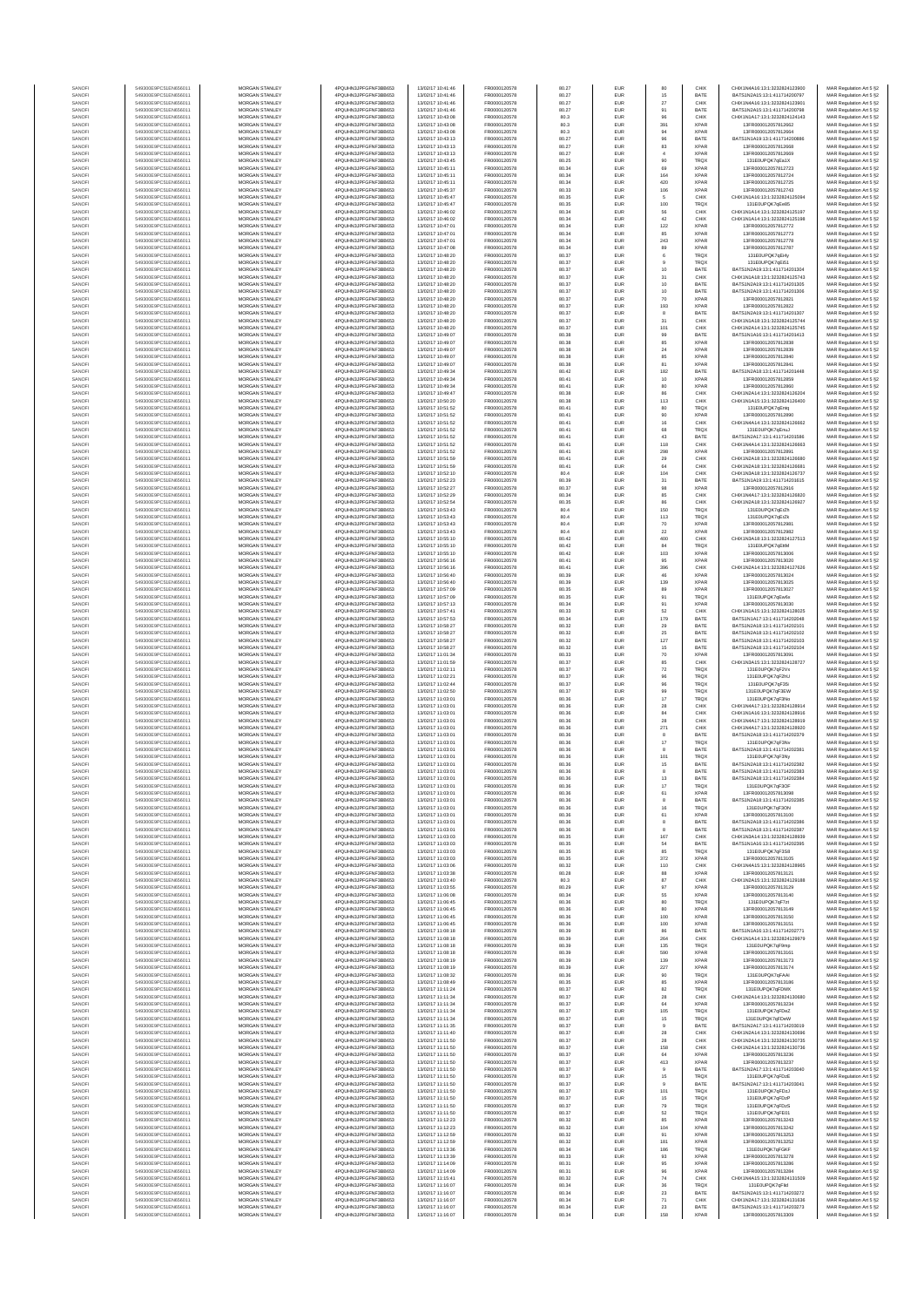| SANOF            | 549300E9PC51EN656011                         | MORGAN STANLEY                                 | 4PQUHN3JPFGFNF3BB653                          | 13/02/17 10:41:46                      | FR0000120578                 | 80.27          | EUR                      | 80                       | CHIX                       | CHIX1N4A16:13:1:3232824123900                                  | MAR Regulation Art 5 §2                            |
|------------------|----------------------------------------------|------------------------------------------------|-----------------------------------------------|----------------------------------------|------------------------------|----------------|--------------------------|--------------------------|----------------------------|----------------------------------------------------------------|----------------------------------------------------|
| SANOF            | 549300E9PC51EN656011                         | MORGAN STANLEY                                 | 4PQUHN3JPFGFNF3BB653                          | 13/02/17 10:41:46                      | FR0000120578                 | 80.27          | EUR                      | 15                       | BATE                       | BATS1N2A15:13:1:411714200797                                   | MAR Regulation Art 5 §2                            |
| SANOFI<br>SANOFI | 549300E9PC51EN656011<br>549300E9PC51EN656011 | MORGAN STANLEY<br>MORGAN STANLEY               | 4PQUHN3JPFGFNF3BB653<br>4PQUHN3JPFGFNF3BB653  | 13/02/17 10:41:46<br>13/02/17 10:41:46 | FR0000120578<br>FR0000120578 | 80.27<br>80.27 | EUR<br>EUR               | $27\,$<br>91             | CHIX<br>BATE               | CHIX1N4A16:13:1:3232824123901<br>BATS1N2A15:13:1:411714200798  | MAR Regulation Art 5 §2<br>MAR Regulation Art 5 §2 |
| SANOFI           | 549300E9PC51EN656011                         | <b>MORGAN STANLEY</b>                          | 4PQUHN3JPFGFNF3BB653                          | 13/02/17 10:43:08                      | FR0000120578                 | 80.3           | EUR                      | 96                       | CHIX                       | CHIX1N1A17:13:1:3232824124143                                  | MAR Regulation Art 5 §2                            |
| SANOFI           | 549300E9PC51EN656011                         | <b>MORGAN STANLEY</b>                          | 4PQUHN3JPFGFNF3BB653                          | 13/02/17 10:43:08                      | FR0000120578                 | 80.3           | <b>EUR</b>               | 391                      | <b>XPAR</b>                | 13FR000012057812662                                            | MAR Regulation Art 5 §2                            |
| SANOFI<br>SANOF  | 549300E9PC51EN656011<br>549300E9PC51EN656011 | MORGAN STANLEY<br>MORGAN STANLEY               | 4PQUHN3JPFGFNF3BB653<br>4PQUHN3JPFGFNF3BB653  | 13/02/17 10:43:08<br>13/02/17 10:43:13 | FR0000120578<br>FR0000120578 | 80.3<br>80.27  | EUR<br>EUR               | 94<br>$96\,$             | <b>XPAR</b><br>BATE        | 13FR000012057812664<br>BATS1N1A19:13:1:411714200886            | MAR Regulation Art 5 §2<br>MAR Regulation Art 5 §2 |
| SANOFI           | 549300E9PC51EN656011                         | MORGAN STANLEY                                 | 4PQUHN3JPFGFNF3BB653                          | 13/02/17 10:43:13                      | FR0000120578                 | 80.27          | EUR                      | 83                       | XPAF                       | 13FR000012057812668                                            | MAR Regulation Art 5 §2                            |
| SANOFI<br>SANOFI | 549300E9PC51EN656011<br>549300E9PC51EN656011 | MORGAN STANLEY<br>MORGAN STANLEY               | 4PQUHN3JPFGFNF3BB653<br>4PQUHN3JPFGFNF3BB653  | 13/02/17 10:43:13<br>13/02/17 10:43:45 | FR0000120578<br>FR0000120578 | 80.27<br>80.25 | EUR<br>EUR               | $\ddot{4}$<br>90         | XPAF<br>TRQ)               | 13FR000012057812669<br>131E0UPQK7qEa1X                         | MAR Regulation Art 5 §2<br>MAR Regulation Art 5 §2 |
| SANOFI           | 549300E9PC51EN656011                         | MORGAN STANLEY                                 | 4PQUHN3JPFGFNF3BB653                          | 13/02/17 10:45:11                      | FR0000120578                 | 80.34          | EUR                      | 69                       | <b>XPAR</b>                | 13FR000012057812723                                            | MAR Regulation Art 5 §2                            |
| SANOFI           | 549300E9PC51EN656011                         | MORGAN STANLEY                                 | 4PQUHN3JPFGFNF3BB653                          | 13/02/17 10:45:11                      | FR0000120578                 | 80.34          | <b>EUR</b>               | 164                      | <b>XPAR</b>                | 13FR000012057812724                                            | MAR Regulation Art 5 §2                            |
| SANOFI<br>SANOFI | 549300E9PC51EN656011<br>549300E9PC51EN656011 | <b>MORGAN STANLEY</b><br><b>MORGAN STANLEY</b> | 4PQUHN3JPFGFNF3BB653<br>4PQUHN3JPFGFNF3BB653  | 13/02/17 10:45:11<br>13/02/17 10:45:37 | FR0000120578<br>FR0000120578 | 80.34<br>80.33 | <b>EUR</b><br><b>EUR</b> | 420<br>106               | <b>XPAR</b><br><b>XPAR</b> | 13FR000012057812725<br>13FR000012057812743                     | MAR Regulation Art 5 §2<br>MAR Regulation Art 5 §2 |
| SANOFI           | 549300E9PC51EN656011                         | MORGAN STANLEY                                 | 4PQUHN3JPFGFNF3BB653                          | 13/02/17 10:45:47                      | FR0000120578                 | 80.35          | EUR                      | 5                        | CHIX                       | CHIX1N1A16:13:1:3232824125094                                  | MAR Regulation Art 5 §2                            |
| SANOFI           | 549300E9PC51EN656011                         | MORGAN STANLEY                                 | 4PQUHN3JPFGFNF3BB653                          | 13/02/17 10:45:47                      | FR0000120578                 | 80.35          | EUR                      | 100                      | TRQ)                       | 131E0UPQK7qEe85                                                | MAR Regulation Art 5 §2                            |
| SANOFI<br>SANOFI | 549300E9PC51EN656011<br>549300E9PC51EN656011 | MORGAN STANLEY<br>MORGAN STANLEY               | 4PQUHN3JPFGFNF3BB653<br>4PQUHN3JPFGFNF3BB653  | 13/02/17 10:46:02<br>13/02/17 10:46:02 | FR0000120578<br>FR0000120578 | 80.34<br>80.34 | EUR<br>EUR               | 56<br>42                 | CHIX<br>CHIX               | CHIX1N1A14:13:1:3232824125197<br>CHIX1N1A14:13:1:3232824125198 | MAR Regulation Art 5 §2<br>MAR Regulation Art 5 §2 |
| SANOFI           | 549300E9PC51EN656011                         | MORGAN STANLEY                                 | 4PQUHN3JPFGFNF3BB653                          | 13/02/17 10:47:01                      | FR0000120578                 | 80.34          | EUR                      | 122                      | XPAF                       | 13FR000012057812772                                            | MAR Regulation Art 5 §2                            |
| SANOFI           | 549300E9PC51EN656011                         | MORGAN STANLEY                                 | 4PQUHN3JPFGFNF3BB653                          | 13/02/17 10:47:01                      | FR0000120578                 | 80.34          | EUR                      | 85                       | <b>XPAR</b>                | 13FR000012057812773                                            | MAR Regulation Art 5 §2                            |
| SANOFI<br>SANOFI | 549300E9PC51EN656011<br>549300E9PC51EN656011 | <b>MORGAN STANLEY</b><br>MORGAN STANLEY        | 4PQUHN3JPFGFNF3BB653<br>4PQUHN3JPFGFNF3BB653  | 13/02/17 10:47:01<br>13/02/17 10:47:08 | FR0000120578<br>FR0000120578 | 80.34<br>80.34 | <b>EUR</b><br>EUR        | 243<br>89                | <b>XPAR</b><br><b>XPAR</b> | 13FR000012057812778<br>13ER000012057812787                     | MAR Regulation Art 5 §2<br>MAR Regulation Art 5 §2 |
| SANOFI           | 549300E9PC51EN656011                         | MORGAN STANLEY                                 | 4PQUHN3JPFGFNF3BB653                          | 13/02/17 10:48:20                      | FR0000120578                 | 80.37          | EUR                      | $\mathbf 6$              | TRQX                       | 131E0UPQK7qEi4y                                                | MAR Regulation Art 5 §2                            |
| SANOFI           | 549300E9PC51EN656011                         | MORGAN STANLEY                                 | 4PQUHN3JPFGFNF3BB653                          | 13/02/17 10:48:20                      | FR0000120578                 | 80.37          | EUR                      | $9$                      | <b>TRQX</b>                | 131E0UPQK7qEi51                                                | MAR Regulation Art 5 §2                            |
| SANOFI<br>SANOFI | 549300E9PC51EN656011<br>549300E9PC51EN656011 | MORGAN STANLEY<br>MORGAN STANLEY               | 4PQUHN3JPFGFNF3BB653<br>4PQUHN3JPFGFNF3BB653  | 13/02/17 10:48:20<br>13/02/17 10:48:20 | FR0000120578<br>FR0000120578 | 80.37<br>80.37 | EUR<br>EUR               | 10<br>31                 | BATE<br>CHIX               | BATS1N2A19:13:1:411714201304<br>CHIX1N1A18:13:1:3232824125743  | MAR Regulation Art 5 §2<br>MAR Regulation Art 5 §2 |
| SANOFI           | 549300E9PC51EN656011                         | MORGAN STANLEY                                 | 4PQUHN3JPFGFNF3BB653                          | 13/02/17 10:48:20                      | FR0000120578                 | 80.37          | EUR                      | 10                       | BATE                       | BATS1N2A19:13:1:411714201305                                   | MAR Regulation Art 5 §2                            |
| SANOFI           | 549300E9PC51EN656011                         | MORGAN STANLEY                                 | 4PQUHN3JPFGFNF3BB653                          | 13/02/17 10:48:20                      | FR0000120578                 | 80.37          | EUR                      | 10                       | BATE                       | BATS1N2A19:13:1:411714201306                                   | MAR Regulation Art 5 §2                            |
| SANOFI<br>SANOFI | 549300E9PC51EN656011<br>549300E9PC51EN656011 | <b>MORGAN STANLEY</b><br><b>MORGAN STANLEY</b> | 4PQUHN3JPFGFNF3BB653<br>4PQUHN3JPFGFNF3BB653  | 13/02/17 10:48:20<br>13/02/17 10:48:20 | FR0000120578<br>FR0000120578 | 80.37<br>80.37 | <b>EUR</b><br><b>EUR</b> | 70<br>193                | <b>XPAR</b><br><b>XPAR</b> | 13FR000012057812821<br>13FR000012057812822                     | MAR Regulation Art 5 §2<br>MAR Regulation Art 5 §2 |
| SANOFI           | 549300E9PC51EN656011                         | MORGAN STANLEY                                 | 4PQUHN3JPFGFNF3BB653                          | 13/02/17 10:48:20                      | FR0000120578                 | 80.37          | EUR                      | 8                        | BATE                       | BATS1N2A19:13:1:411714201307                                   | MAR Regulation Art 5 §2                            |
| SANOFI           | 549300E9PC51EN656011                         | MORGAN STANLEY                                 | 4PQUHN3JPFGFNF3BB653                          | 13/02/17 10:48:20                      | FR0000120578                 | 80.37          | EUR                      | $31\,$                   | CHIX                       | CHIX1N1A18:13:1:3232824125744                                  | MAR Regulation Art 5 §2                            |
| SANOFI<br>SANOFI | 549300E9PC51EN656011<br>549300E9PC51EN656011 | MORGAN STANLEY<br>MORGAN STANLEY               | 4PQUHN3JPFGFNF3BB653<br>4PQUHN3JPFGFNF3BB653  | 13/02/17 10:48:20<br>13/02/17 10:49:07 | FR0000120578<br>FR0000120578 | 80.37<br>80.38 | EUR<br>EUR               | 10 <sub>1</sub><br>99    | CHIX<br>BATE               | CHIX1N2A14:13:1:3232824125745<br>BATS1N1A16:13:1:411714201413  | MAR Regulation Art 5 §2<br>MAR Regulation Art 5 §2 |
| SANOFI           | 549300E9PC51EN656011                         | MORGAN STANLEY                                 | 4PQUHN3JPFGFNF3BB653                          | 13/02/17 10:49:07                      | FR0000120578                 | 80.38          | EUR                      | 85                       | XPAF                       | 13FR000012057812838                                            | MAR Regulation Art 5 §2                            |
| SANOFI<br>SANOFI | 549300E9PC51EN656011<br>549300E9PC51EN656011 | MORGAN STANLEY<br><b>MORGAN STANLEY</b>        | 4PQUHN3JPFGFNF3BB653<br>4PQUHN3JPFGFNF3BB653  | 13/02/17 10:49:07<br>13/02/17 10:49:07 | FR0000120578<br>FR0000120578 | 80.38<br>80.38 | EUR<br><b>EUR</b>        | $\bf{24}$<br>85          | <b>XPAF</b><br><b>XPAR</b> | 13FR000012057812839<br>13FR000012057812840                     | MAR Regulation Art 5 §2<br>MAR Regulation Art 5 §2 |
| SANOFI           | 549300E9PC51EN656011                         | <b>MORGAN STANLEY</b>                          | 4PQUHN3JPFGFNF3BB653                          | 13/02/17 10:49:07                      | FR0000120578                 | 80.38          | <b>EUR</b>               | 81                       | <b>XPAR</b>                | 13FR000012057812841                                            | MAR Regulation Art 5 §2                            |
| SANOFI           | 549300E9PC51EN656011                         | MORGAN STANLEY                                 | 4PQUHN3JPFGFNF3BB653                          | 13/02/17 10:49:34                      | FR0000120578                 | 80.42          | EUR                      | 182                      | BATE                       | BATS1N2A18:13:1:411714201448                                   | MAR Regulation Art 5 §2                            |
| SANOFI<br>SANOFI | 549300E9PC51EN656011<br>549300E9PC51EN656011 | MORGAN STANLEY<br>MORGAN STANLEY               | 4PQUHN3JPFGFNF3BB653<br>4PQUHN3JPFGFNF3BB653  | 13/02/17 10:49:34<br>13/02/17 10:49:34 | FR0000120578<br>FR0000120578 | 80.41<br>80.41 | EUR<br>EUR               | 10<br>80                 | <b>XPAF</b><br>XPAF        | 13FR000012057812859<br>13FR000012057812860                     | MAR Regulation Art 5 §2<br>MAR Regulation Art 5 §2 |
| SANOFI           | 549300E9PC51EN656011                         | MORGAN STANLEY                                 | 4PQUHN3JPFGFNF3BB653                          | 13/02/17 10:49:47                      | FR0000120578                 | 80.38          | EUR                      | 86                       | CHIX                       | CHIX1N2A14:13:1:323282412620                                   | MAR Regulation Art 5 §2                            |
| SANOFI           | 549300E9PC51EN656011                         | MORGAN STANLEY                                 | 4PQUHN3JPFGFNF3BB653                          | 13/02/17 10:50:20                      | FR0000120578                 | 80.38          | EUR                      | 113                      | CHIX                       | CHIX1N1A15:13:1:3232824126400                                  | MAR Regulation Art 5 §2                            |
| SANOFI<br>SANOFI | 549300E9PC51EN656011<br>549300E9PC51EN656011 | MORGAN STANLEY<br>MORGAN STANLEY               | 4PQUHN3JPFGFNF3BB653<br>4PQUHN3JPFGFNF3BB653  | 13/02/17 10:51:52<br>13/02/17 10:51:52 | FR0000120578<br>FR0000120578 | 80.41<br>80.41 | EUR<br>EUR               | 80<br>90                 | TRQ)<br><b>XPAR</b>        | 131E0UPQK7qEntq<br>13FR000012057812890                         | MAR Regulation Art 5 §2<br>MAR Regulation Art 5 §2 |
| SANOFI           | 549300E9PC51EN656011                         | <b>MORGAN STANLEY</b>                          | 4PQUHN3JPFGFNF3BB653                          | 13/02/17 10:51:52                      | FR0000120578                 | 80.41          | EUR                      | 16                       | CHIX                       | CHIX1N4A14:13:1:3232824126662                                  | MAR Regulation Art 5 §2                            |
| SANOFI           | 549300E9PC51EN656011<br>549300E9PC51EN656011 | MORGAN STANLEY<br>MORGAN STANLEY               | 4PQUHN3JPFGFNF3BB653<br>4PQUHN3JPFGFNF3BB653  | 13/02/17 10:51:52<br>13/02/17 10:51:52 | FR0000120578<br>FR0000120578 | 80.41<br>80.41 | <b>EUR</b><br>EUR        | 68                       | <b>TRQX</b><br>BATE        | 131E0UPQK7aEnuJ<br>BATS1N2A17:13:1:411714201586                | MAR Regulation Art 5 §2                            |
| SANOFI<br>SANOFI | 549300E9PC51EN656011                         | MORGAN STANLEY                                 | 4PQUHN3JPFGFNF3BB653                          | 13/02/17 10:51:52                      | FR0000120578                 | 80.41          | EUR                      | 43<br>118                | CHIX                       | CHIX1N4A14:13:1:3232824126663                                  | MAR Regulation Art 5 §2<br>MAR Regulation Art 5 §2 |
| SANOFI           | 549300E9PC51EN656011                         | MORGAN STANLEY                                 | 4PQUHN3JPFGFNF3BB653                          | 13/02/17 10:51:52                      | FR0000120578                 | 80.41          | EUR                      | 298                      | XPAF                       | 13FR000012057812891                                            | MAR Regulation Art 5 §2                            |
| SANOFI           | 549300E9PC51EN656011                         | MORGAN STANLEY                                 | 4PQUHN3JPFGFNF3BB653                          | 13/02/17 10:51:59                      | FR0000120578                 | 80.41          | EUR                      | 29                       | CHIX                       | CHIX1N2A18:13:1:323282412668                                   | MAR Regulation Art 5 §2                            |
| SANOFI<br>SANOFI | 549300E9PC51EN656011<br>549300E9PC51EN656011 | MORGAN STANLEY<br>MORGAN STANLEY               | 4PQUHN3JPFGFNF3BB653<br>4PQUHN3JPFGFNF3BB653  | 13/02/17 10:51:59<br>13/02/17 10:52:10 | FR0000120578<br>FR0000120578 | 80.41<br>80.4  | EUR<br><b>EUR</b>        | 64<br>104                | CHIX<br>CHIX               | CHIX1N2A18:13:1:3232824126681<br>CHIX1N3A18:13:1:3232824126737 | MAR Regulation Art 5 §2<br>MAR Regulation Art 5 §2 |
| SANOFI           | 549300E9PC51EN656011                         | <b>MORGAN STANLEY</b>                          | 4PQUHN3JPFGFNF3BB653                          | 13/02/17 10:52:23                      | FR0000120578                 | 80.39          | <b>EUR</b>               | 31                       | BATE                       | BATS1N1A19:13:1:411714201615                                   | MAR Regulation Art 5 §2                            |
| SANOFI           | 549300E9PC51EN656011                         | MORGAN STANLEY                                 | 4PQUHN3JPFGFNF3BB653                          | 13/02/17 10:52:27                      | FR0000120578                 | 80.37          | <b>EUR</b>               | 98                       | <b>XPAF</b>                | 13FR000012057812916                                            | MAR Regulation Art 5 §2                            |
| SANOFI<br>SANOFI | 549300E9PC51EN656011<br>549300E9PC51EN656011 | MORGAN STANLEY<br>MORGAN STANLEY               | 4PQUHN3JPFGFNF3BB653<br>4PQUHN3JPFGFNF3BB653  | 13/02/17 10:52:29<br>13/02/17 10:52:54 | FR0000120578<br>FR0000120578 | 80.34<br>80.35 | EUR<br>EUR               | 85<br>86                 | CHIX<br>CHIX               | CHIX1N4A17:13:1:3232824126820<br>CHIX1N2A18:13:1:3232824126927 | MAR Regulation Art 5 §2<br>MAR Regulation Art 5 §2 |
| SANOFI           | 549300E9PC51EN656011                         | MORGAN STANLEY                                 | 4PQUHN3JPFGFNF3BB653                          | 13/02/17 10:53:43                      | FR0000120578                 | 80.4           | EUR                      | 150                      | TRQ)                       | 131E0UPQK7gErZh                                                | MAR Regulation Art 5 §2                            |
| SANOFI           | 549300E9PC51EN656011                         | MORGAN STANLEY                                 | 4PQUHN3JPFGFNF3BB653                          | 13/02/17 10:53:43                      | FR0000120578                 | 80.4           | EUR                      | 113                      | TRQX                       | 131E0UPQK7qErZk                                                | MAR Regulation Art 5 §2                            |
| SANOFI<br>SANOFI | 549300E9PC51EN656011<br>549300E9PC51EN656011 | MORGAN STANLEY<br>MORGAN STANLEY               | 4PQUHN3JPFGFNF3BB653<br>4PQUHN3JPFGFNF3BB653  | 13/02/17 10:53:43<br>13/02/17 10:53:43 | FR0000120578<br>FR0000120578 | 80.4<br>80.4   | EUR<br>EUR               | 70<br>$\bf{22}$          | <b>XPAR</b><br><b>XPAR</b> | 13FR000012057812981<br>13FR000012057812982                     | MAR Regulation Art 5 §2<br>MAR Regulation Art 5 §2 |
| SANOFI           | 549300E9PC51EN656011                         | <b>MORGAN STANLEY</b>                          | 4PQUHN3JPFGFNF3BB653                          | 13/02/17 10:55:10                      | FR0000120578                 | 80.42          | <b>EUR</b>               | 400                      | CHIX                       | CHIX1N3A18:13:1:3232824127513                                  | MAR Regulation Art 5 §2                            |
| SANOFI           | 549300E9PC51EN656011                         | <b>MORGAN STANLEY</b>                          | 4PQUHN3JPFGFNF3BB653                          | 13/02/17 10:55:10                      | FR0000120578                 | 80.42          | EUR                      | 84                       | <b>TRQX</b>                | 131E0UPQK7gEttM                                                | MAR Regulation Art 5 §2                            |
| SANOFI<br>SANOFI | 549300E9PC51EN656011<br>549300E9PC51EN656011 | MORGAN STANLEY<br>MORGAN STANLEY               | 4PQUHN3JPFGFNF3BB653<br>4PQUHN3JPFGFNF3BB653  | 13/02/17 10:55:10<br>13/02/17 10:56:16 | FR0000120578<br>FR0000120578 | 80.42<br>80.41 | EUR<br>EUR               | 103<br>95                | <b>XPAR</b><br><b>XPAR</b> | 13FR000012057813006<br>13FR000012057813020                     | MAR Regulation Art 5 §2<br>MAR Regulation Art 5 §2 |
| SANOFI           | 549300E9PC51EN656011                         | MORGAN STANLEY                                 | 4PQUHN3JPFGFNF3BB653                          | 13/02/17 10:56:16                      | FR0000120578                 | 80.41          | EUR                      | 396                      | CHIX                       | CHIX1N2A14:13:1:3232824127626                                  | MAR Regulation Art 5 §2                            |
| SANOFI           | 549300E9PC51EN656011                         | MORGAN STANLEY                                 | 4PQUHN3JPFGFNF3BB653<br>4PQUHN3JPFGFNF3BB653  | 13/02/17 10:56:40                      | FR0000120578                 | 80.39          | EUR                      | 46                       | XPAF                       | 13FR000012057813024                                            | MAR Regulation Art 5 §2                            |
| SANOFI<br>SANOFI | 549300E9PC51EN656011<br>549300E9PC51EN656011 | MORGAN STANLEY<br>MORGAN STANLEY               | 4PQUHN3JPFGFNF3BB653                          | 13/02/17 10:56:40<br>13/02/17 10:57:09 | FR0000120578<br>FR0000120578 | 80.39<br>80.35 | EUR<br>EUR               | 139<br>89                | <b>XPAR</b><br><b>XPAR</b> | 13FR000012057813025<br>13FR000012057813027                     | MAR Regulation Art 5 §2<br>MAR Regulation Art 5 §2 |
| SANOFI           | 549300E9PC51EN656011                         | <b>MORGAN STANLEY</b>                          | 4PQUHN3JPFGFNF3BB653                          | 13/02/17 10:57:09                      | FR0000120578                 | 80.35          | <b>EUR</b>               | 91                       | <b>TRQX</b>                | 131E0UPQK7gEw6x                                                | MAR Regulation Art 5 §2                            |
| SANOFI<br>SANOFI | 549300E9PC51EN656011<br>549300E9PC51EN656011 | <b>MORGAN STANLEY</b><br>MORGAN STANLEY        | 4PQUHN3JPFGFNF3BB653<br>4PQUHN3JPFGFNF3BB653  | 13/02/17 10:57:13<br>13/02/17 10:57:41 | FR0000120578<br>FR0000120578 | 80.34<br>80.33 | <b>EUR</b><br>EUR        | 91<br>62                 | <b>XPAR</b><br>CHIX        | 13FR000012057813030<br>CHIX1N1A15:13:1:3232824128025           | MAR Regulation Art 5 §2<br>MAR Regulation Art 5 §2 |
| SANOFI           | 549300E9PC51EN656011                         | MORGAN STANLEY                                 | 4PQUHN3JPFGFNF3BB653                          | 13/02/17 10:57:53                      | FR0000120578                 | 80.34          | EUR                      | 179                      | BATE                       | BATS1N1A17:13:1:411714202048                                   | MAR Regulation Art 5 §2                            |
| SANOFI           | 549300E9PC51EN656011                         | MORGAN STANLEY                                 | 4PQUHN3JPFGFNF3BB653                          | 13/02/17 10:58:27                      | FR0000120578                 | 80.32          | EUR                      | 29                       | BATE                       | BATS1N2A18:13:1:411714202101                                   | MAR Regulation Art 5 §2                            |
| SANOF<br>SANOFI  | 549300E9PC51EN656011<br>549300E9PC51EN656011 | MORGAN STANLEY<br>MORGAN STANLEY               | 4PQUHN3JPFGFNF3BB653<br>4PQUHN3JPFGFNF3BB653  | 13/02/17 10:58:27<br>13/02/17 10:58:27 | FR0000120578<br>FR0000120578 | 80.32<br>80.32 | EUR<br>EUR               | 25<br>127                | BATE<br>BATE               | BATS1N2A18:13:1:411714202102<br>BATS1N2A18:13:1:411714202103   | MAR Regulation Art 5 §2<br>MAR Regulation Art 5 §2 |
| SANOFI           | 549300E9PC51EN656011                         | MORGAN STANLEY                                 | 4PQUHN3JPFGFNF3BB653                          | 13/02/17 10:58:27                      | FR0000120578                 | 80.32          | EUR                      | $15\,$                   | BATE                       | BATS1N2A18:13:1:411714202104                                   | MAR Regulation Art 5 §2                            |
| SANOFI           | 549300E9PC51EN656011                         | MORGAN STANLEY                                 | 4PQUHN3JPFGFNF3BB653                          | 13/02/17 11:01:34                      | FR0000120578                 | 80.33          | EUR                      | 70                       | <b>XPAF</b>                | 13FR000012057813091                                            | MAR Regulation Art 5 §2                            |
| SANOFI<br>SANOFI | 549300E9PC51EN656011<br>549300E9PC51EN656011 | <b>MORGAN STANLEY</b><br><b>MORGAN STANLEY</b> | 4PQUHN3JPFGFNF3BB653<br>4PQUHN3JPFGFNF3BB653  | 13/02/17 11:01:59<br>13/02/17 11:02:11 | FR0000120578<br>FR0000120578 | 80.37<br>80.37 | <b>EUR</b><br><b>EUR</b> | 85<br>$\scriptstyle{72}$ | CHIX<br><b>TRQX</b>        | CHIX1N3A15:13:1:3232824128727<br>131E0UPQK7qF2Vx               | MAR Regulation Art 5 §2<br>MAR Regulation Art 5 §2 |
| SANOFI           | 549300E9PC51EN656011                         | MORGAN STANLEY                                 | 4PQUHN3JPFGFNF3BB653                          | 13/02/17 11:02:21                      | FR0000120578                 | 80.37          | EUR                      | $96\,$                   | TRQX                       | 131E0UPQK7qF2hU                                                | MAR Regulation Art 5 §2                            |
| SANOFI           | 549300E9PC51EN656011                         | MORGAN STANLEY<br>MORGAN STANLEY               | 4PQUHN3JPFGFNF3BB653                          | 13/02/17 11:02:44<br>13/02/17 11:02:50 | FR0000120578<br>FR0000120578 | 80.37          | EUR                      | $96\,$                   | TRQX                       | 131E0UPQK7qF35i                                                | MAR Regulation Art 5 §2                            |
| SANOFI<br>SANOFI | 549300E9PC51EN656011<br>549300E9PC51EN656011 | MORGAN STANLEY                                 | 4PQUHN3JPFGFNF3BB653<br>4PQUHN3JPFGFNF3BB653  | 13/02/17 11:03:01                      | FR0000120578                 | 80.37<br>80.36 | EUR<br>EUR               | 99<br>$17\,$             | TRQ)<br>TRQ)               | 131E0UPQK7qF3EW<br>131E0UPQK7qF3No                             | MAR Regulation Art 5 §2<br>MAR Regulation Art 5 §2 |
| SANOFI           | 549300E9PC51EN656011                         | MORGAN STANLEY                                 | 4PQUHN3JPFGFNF3BB653                          | 13/02/17 11:03:01                      | FR0000120578                 | 80.36          | EUR                      | 28                       | CHIX                       | CHIX1N4A17:13:1:3232824128914                                  | MAR Regulation Art 5 §2                            |
| SANOFI<br>SANOFI | 549300E9PC51EN656011<br>549300E9PC51EN656011 | MORGAN STANLEY<br><b>MORGAN STANLEY</b>        | 4PQUHN3JPFGFNF3BB653<br>4PQUHN3JPFGFNF3BB653  | 13/02/17 11:03:01<br>13/02/17 11:03:01 | FR0000120578<br>FR0000120578 | 80.36<br>80.36 | EUR<br><b>EUR</b>        | 84<br>28                 | CHIX<br>CHIX               | CHIX1N1A16:13:1:3232824128916<br>CHIX1N4A17-13-1-3232824128919 | MAR Regulation Art 5 §2<br>MAR Regulation Art 5 §2 |
| SANOFI           | 549300E9PC51EN656011                         | MORGAN STANLEY                                 | 4PQUHN3JPFGFNF3BB653                          | 13/02/17 11:03:01                      | FR0000120578                 | 80.36          | <b>EUR</b>               | 271                      | CHIX                       | CHIX1N4A17-13-1-3232824128920                                  | MAR Regulation Art 5 §2                            |
| SANOFI           | 549300E9PC51EN656011                         | MORGAN STANLEY                                 | 4POLIHN3JPEGENE3BB653                         | 13/02/17 11:03:01                      | FR0000120578                 | 80.36          | EUR                      | 8                        | BATE                       | BATS1N2A18:13:1:411714202379                                   | MAR Regulation Art 5 §2                            |
| SANOFI<br>SANOF  | 549300E9PC51EN656011<br>549300E9PC51EN656011 | MORGAN STANLEY<br>MORGAN STANLEY               | 4PQUHN3JPFGFNF3BB653<br>4PQUHN3JPFGFNF3BB653  | 13/02/17 11:03:01<br>13/02/17 11:03:01 | FR0000120578<br>FR0000120578 | 80.36<br>80.36 | EUR<br>EUR               | 17                       | TRQ)<br>BATE               | 131E0UPQK7qF3N<br>BATS1N2A18:13:1:411714202381                 | MAR Regulation Art 5 §2<br>MAR Regulation Art 5 §2 |
| SANOFI           | 549300E9PC51EN656011                         | MORGAN STANLEY                                 | 4PQUHN3JPFGFNF3BB653                          | 13/02/17 11:03:01                      | FR0000120578                 | 80.36          | EUR                      | 10 <sub>1</sub>          | TRQ)                       | 131E0UPQK7qF3Ny                                                | MAR Regulation Art 5 §2                            |
| SANOFI           | 549300E9PC51EN656011<br>549300E9PC51EN656011 | MORGAN STANLEY<br>MORGAN STANLEY               | 4PQUHN3JPFGFNF3BB653<br>4PQUHN3JPFGFNF3BB653  | 13/02/17 11:03:01<br>13/02/17 11:03:01 | FR0000120578<br>FR0000120578 | 80.36          | EUR<br>EUR               | 15<br>8                  | BATE<br>BATE               | BATS1N2A18:13:1:411714202382<br>BATS1N2A18:13:1:411714202383   | MAR Regulation Art 5 §2                            |
| SANOFI<br>SANOFI | 549300E9PC51EN656011                         | <b>MORGAN STANLEY</b>                          | 4PQUHN3JPFGFNF3BB653                          | 13/02/17 11:03:01                      | FR0000120578                 | 80.36<br>80.36 | <b>FUE</b>               | 13                       | <b>RATE</b>                | RATS1N2A18-13-1-411714202384                                   | MAR Regulation Art 5 §2<br>MAR Regulation Art 5 §2 |
| SANOFI           | 549300E9PC51EN656011                         | <b>MORGAN STANLEY</b>                          | 4PQUHN3JPFGFNF3BB653                          | 13/02/17 11:03:01                      | FR0000120578                 | 80.36          | <b>EUR</b>               | 17                       | <b>TRQX</b>                | 131E0UPQK7qF3OF                                                | MAR Regulation Art 5 §2                            |
| SANOFI<br>SANOFI | 549300E9PC51EN656011<br>549300E9PC51EN656011 | MORGAN STANLEY<br>MORGAN STANLEY               | 4POLIHN3JPEGENE3BB653<br>4PQUHN3JPFGFNF3BB653 | 13/02/17 11:03:01<br>13/02/17 11:03:01 | FR0000120578<br>FR0000120578 | 80.36<br>80.36 | EUR<br>EUR               | 61<br>8                  | <b>XPAR</b><br>BATE        | 13FR000012057813098<br>BATS1N2A18:13:1:411714202385            | MAR Regulation Art 5 §2<br>MAR Regulation Art 5 §2 |
| SANOFI           | 549300E9PC51EN656011                         | MORGAN STANLEY                                 | 4PQUHN3JPFGFNF3BB653                          | 13/02/17 11:03:01                      | FR0000120578                 | 80.36          | EUR                      | 16                       | TRQ)                       | 131E0UPQK7gF3ON                                                | MAR Regulation Art 5 §2                            |
| SANOFI           | 549300E9PC51EN656011                         | MORGAN STANLEY                                 | 4PQUHN3JPFGFNF3BB653                          | 13/02/17 11:03:01                      | FR0000120578                 | 80.36          | EUR                      | 61                       | XPAF                       | 13FR000012057813100                                            | MAR Regulation Art 5 §2                            |
| SANOFI<br>SANOFI | 549300E9PC51EN656011<br>549300E9PC51EN656011 | MORGAN STANLEY<br>MORGAN STANLEY               | 4PQUHN3JPFGFNF3BB653<br>4PQUHN3JPFGFNF3BB653  | 13/02/17 11:03:01<br>13/02/17 11:03:01 | FR0000120578<br>FR0000120578 | 80.36<br>80.36 | EUR<br><b>EUR</b>        | 8<br>8                   | BATE<br>BATE               | BATS1N2A18:13:1:411714202386<br>BATS1N2A18:13:1:411714202387   | MAR Regulation Art 5 §2<br>MAR Regulation Art 5 §2 |
| SANOFI           | 549300E9PC51EN656011                         | MORGAN STANLEY                                 | 4PQUHN3JPFGFNF3BB653                          | 13/02/17 11:03:03                      | FR0000120578                 | 80.35          | <b>EUR</b>               | 167                      | CHIX                       | CHIX1N3A14-13-1-3232824128939                                  | MAR Regulation Art 5 §2                            |
| SANOFI<br>SANOFI | 549300E9PC51EN656011<br>549300E9PC51EN656011 | <b>MORGAN STANLEY</b><br>MORGAN STANLEY        | 4PQUHN3JPFGFNF3BB653<br>4PQUHN3JPFGFNF3BB653  | 13/02/17 11:03:03<br>13/02/17 11:03:03 | FR0000120578<br>FR0000120578 | 80.35<br>80.35 | <b>EUR</b><br><b>EUR</b> | 54<br>85                 | BATE<br>TRQX               | BATS1N1A16:13:1:411714202395<br>131E0UPQK7qF3S8                | MAR Regulation Art 5 §2<br>MAR Regulation Art 5 §2 |
| SANOFI           | 549300E9PC51EN656011                         | MORGAN STANLEY                                 | 4PQUHN3JPFGFNF3BB653                          | 13/02/17 11:03:03                      | FR0000120578                 | 80.35          | <b>EUR</b>               | 372                      | <b>XPAR</b>                | 13FR000012057813105                                            | MAR Regulation Art 5 §2                            |
| SANOFI           | 549300E9PC51EN656011                         | MORGAN STANLEY                                 | 4PQUHN3JPFGFNF3BB653                          | 13/02/17 11:03:06                      | FR0000120578                 | 80.32          | EUR                      | 110                      | CHIX                       | CHIX1N4A15:13:1:3232824128965                                  | MAR Regulation Art 5 §2                            |
| SANOFI<br>SANOFI | 549300E9PC51EN656011<br>549300E9PC51EN656011 | MORGAN STANLEY<br>MORGAN STANLEY               | 4PQUHN3JPFGFNF3BB653<br>4PQUHN3JPFGFNF3BB653  | 13/02/17 11:03:38<br>13/02/17 11:03:40 | FR0000120578<br>FR0000120578 | 80.28<br>80.3  | EUR<br>EUR               | 88<br>87                 | XPAF<br>CHIX               | 13FR000012057813121<br>CHIX1N2A15:13:1:3232824129188           | MAR Regulation Art 5 §2<br>MAR Regulation Art 5 §2 |
| SANOFI           | 549300E9PC51EN656011                         | MORGAN STANLEY                                 | 4PQUHN3JPFGFNF3BB653                          | 13/02/17 11:03:55                      | FR0000120578                 | 80.29          | EUR                      | 97                       | <b>XPAR</b>                | 13FR000012057813129                                            | MAR Regulation Art 5 §2                            |
| SANOFI<br>SANOFI | 549300E9PC51EN656011<br>549300E9PC51EN656011 | MORGAN STANLEY<br>MORGAN STANLEY               | 4PQUHN3JPFGFNF3BB653<br>4PQUHN3JPFGFNF3BB653  | 13/02/17 11:06:08<br>13/02/17 11:06:45 | FR0000120578<br>FR0000120578 | 80.34<br>80.36 | <b>EUR</b><br><b>EUR</b> | 55<br>80                 | <b>XPAR</b><br><b>TRQX</b> | 13FR000012057813140<br>131E0UPQK7gF7zt                         | MAR Regulation Art 5 §2<br>MAR Regulation Art 5 §2 |
| SANOFI           | 549300E9PC51EN656011                         | <b>MORGAN STANLEY</b>                          | 4PQUHN3JPFGFNF3BB653                          | 13/02/17 11:06:45                      | FR0000120578                 | 80.36          | <b>EUR</b>               | 80                       | <b>XPAR</b>                | 13FR000012057813149                                            | MAR Regulation Art 5 §2                            |
| SANOFI           | 549300E9PC51EN656011                         | MORGAN STANLEY                                 | 4PQUHN3JPFGFNF3BB653                          | 13/02/17 11:06:45                      | FR0000120578                 | 80.36          | <b>EUR</b>               | 100                      | <b>XPAR</b>                | 13FR000012057813150                                            | MAR Regulation Art 5 §2                            |
| SANOFI<br>SANOFI | 549300E9PC51EN656011<br>549300E9PC51EN656011 | MORGAN STANLEY<br>MORGAN STANLEY               | 4PQUHN3JPFGFNF3BB653<br>4PQUHN3JPFGFNF3BB653  | 13/02/17 11:06:45<br>13/02/17 11:08:18 | FR0000120578<br>FR0000120578 | 80.36<br>80.39 | <b>EUR</b><br>EUR        | 100<br>86                | <b>XPAR</b><br>BATE        | 13FR000012057813151<br>BATS1N1A16:13:1:411714202771            | MAR Regulation Art 5 §2<br>MAR Regulation Art 5 §2 |
| SANOFI           | 549300E9PC51EN656011                         | MORGAN STANLEY                                 | 4PQUHN3JPFGFNF3BB653                          | 13/02/17 11:08:18                      | FR0000120578                 | 80.39          | EUR                      | 264                      | CHIX                       | CHIX1N1A14:13:1:3232824129979                                  | MAR Regulation Art 5 §2                            |
| SANOFI           | 549300E9PC51EN656011                         | MORGAN STANLEY                                 | 4PQUHN3JPFGFNF3BB653                          | 13/02/17 11:08:18                      | FR0000120578                 | 80.39          | EUR                      | 135                      | TRQX<br><b>XPAR</b>        | 131E0UPQK7qF9mp                                                | MAR Regulation Art 5 §2                            |
| SANOFI<br>SANOFI | 549300E9PC51EN656011<br>549300E9PC51EN656011 | MORGAN STANLEY<br><b>MORGAN STANLEY</b>        | 4PQUHN3JPFGFNF3BB653<br>4PQUHN3JPFGFNF3BB653  | 13/02/17 11:08:18<br>13/02/17 11:08:19 | FR0000120578<br>FR0000120578 | 80.39<br>80.39 | <b>EUR</b><br><b>EUR</b> | 590<br>139               | <b>XPAR</b>                | 13FR000012057813161<br>13FR000012057813173                     | MAR Regulation Art 5 §2<br>MAR Regulation Art 5 §2 |
| SANOFI           | 549300E9PC51EN656011                         | <b>MORGAN STANLEY</b>                          | 4PQUHN3JPFGFNF3BB653                          | 13/02/17 11:08:19                      | FR0000120578                 | 80.39          | <b>EUR</b>               | 227                      | <b>XPAR</b>                | 13FR000012057813174                                            | MAR Regulation Art 5 §2                            |
| SANOFI<br>SANOFI | 549300E9PC51EN656011<br>549300E9PC51EN656011 | MORGAN STANLEY<br>MORGAN STANLEY               | 4POLIHN3JPEGENE3BB653<br>4PQUHN3JPFGFNF3BB653 | 13/02/17 11:08:32<br>13/02/17 11:08:49 | FR0000120578<br>FR0000120578 | 80.36<br>80.35 | EUR<br><b>EUR</b>        | 90<br>85                 | <b>TROX</b><br><b>XPAR</b> | 131E0UPQK7qFAAI<br>13FR000012057813186                         | MAR Regulation Art 5 §2<br>MAR Regulation Art 5 §2 |
| SANOFI           | 549300E9PC51EN656011                         | MORGAN STANLEY                                 | 4PQUHN3JPFGFNF3BB653                          | 13/02/17 11:11:24                      | FR0000120578                 | 80.37          | EUR                      | 82                       | TRQ)                       | 131E0UPQK7qFDMX                                                | MAR Regulation Art 5 §2                            |
| SANOFI           | 549300E9PC51EN656011                         | MORGAN STANLEY                                 | 4PQUHN3JPFGFNF3BB653                          | 13/02/17 11:11:34                      | FR0000120578                 | 80.37          | EUR                      | 28                       | CHIX                       | CHIX1N2A14:13:1:3232824130680                                  | MAR Regulation Art 5 §2                            |
| SANOFI<br>SANOFI | 549300E9PC51EN656011<br>549300E9PC51EN656011 | MORGAN STANLEY<br>MORGAN STANLEY               | 4PQUHN3JPFGFNF3BB653<br>4PQUHN3JPFGFNF3BB653  | 13/02/17 11:11:34<br>13/02/17 11:11:34 | FR0000120578<br>FR0000120578 | 80.37<br>80.37 | EUR<br><b>EUR</b>        | 64<br>105                | <b>XPAR</b><br>TRQX        | 13FR000012057813234<br>131E0UPQK7qFDeZ                         | MAR Regulation Art 5 §2<br>MAR Regulation Art 5 §2 |
| SANOFI           | 549300E9PC51EN656011                         | <b>MORGAN STANLEY</b>                          | 4PQUHN3JPFGFNF3BB653                          | 13/02/17 11:11:34                      | FR0000120578                 | 80.37          | <b>EUR</b>               | 15                       | <b>TRQX</b>                | 131E0UPQK7gFDeW                                                | MAR Regulation Art 5 §2                            |
| SANOFI           | 549300E9PC51EN656011                         | <b>MORGAN STANLEY</b>                          | 4PQUHN3JPFGFNF3BB653                          | 13/02/17 11:11:35                      | FR0000120578                 | 80.37          | <b>EUR</b>               | $\overline{9}$           | BATE                       | BATS1N2A17:13:1:411714203019                                   | MAR Regulation Art 5 §2                            |
| SANOFI<br>SANOFI | 549300E9PC51EN656011<br>549300E9PC51EN656011 | MORGAN STANLEY<br>MORGAN STANLEY               | 4PQUHN3JPFGFNF3BB653<br>4PQUHN3JPFGFNF3BB653  | 13/02/17 11:11:40<br>13/02/17 11:11:50 | FR0000120578<br>FR0000120578 | 80.37<br>80.37 | <b>EUR</b><br>EUR        | ${\bf 28}$<br>28         | CHIX<br>CHIX               | CHIX1N2A14:13:1:3232824130696<br>CHIX1N2A14:13:1:3232824130735 | MAR Regulation Art 5 §2<br>MAR Regulation Art 5 §2 |
| SANOFI           | 549300E9PC51EN656011                         | MORGAN STANLEY                                 | 4PQUHN3JPFGFNF3BB653                          | 13/02/17 11:11:50                      | FR0000120578                 | 80.37          | EUR                      | 158                      | CHIX                       | CHIX1N2A14:13:1:3232824130736                                  | MAR Regulation Art 5 §2                            |
| SANOFI           | 549300E9PC51EN656011                         | MORGAN STANLEY                                 | 4PQUHN3JPFGFNF3BB653                          | 13/02/17 11:11:50                      | FR0000120578                 | 80.37          | EUR                      | 64                       | <b>XPAR</b>                | 13FR000012057813236                                            | MAR Regulation Art 5 §2                            |
| SANOFI<br>SANOFI | 549300E9PC51EN656011<br>549300E9PC51EN656011 | MORGAN STANLEY<br>MORGAN STANLEY               | 4PQUHN3JPFGFNF3BB653<br>4PQUHN3JPFGFNF3BB653  | 13/02/17 11:11:50<br>13/02/17 11:11:50 | FR0000120578<br>FR0000120578 | 80.37<br>80.37 | EUR<br><b>EUR</b>        | 413<br>$\theta$          | <b>XPAR</b><br>BATE        | 13FR000012057813237<br>BATS1N2A17:13:1:411714203040            | MAR Regulation Art 5 §2<br>MAR Regulation Art 5 §2 |
| SANOFI           | 549300E9PC51EN656011                         | <b>MORGAN STANLEY</b>                          | 4PQUHN3JPFGFNF3BB653                          | 13/02/17 11:11:50                      | FR0000120578                 | 80.37          | <b>EUR</b>               | 15                       | <b>TRQX</b>                | 131E0UPQK7gFDzE                                                | MAR Regulation Art 5 §2                            |
| SANOFI           | 549300E9PC51EN656011<br>549300E9PC51EN656011 | <b>MORGAN STANLEY</b><br>MORGAN STANLEY        | 4PQUHN3JPFGFNF3BB653<br>4PQUHN3JPFGFNF3BB653  | 13/02/17 11:11:50                      | FR0000120578                 | 80.37          | <b>EUR</b>               | $\theta$                 | BATE<br>TRQX               | BATS1N2A17:13:1:411714203041                                   | MAR Regulation Art 5 §2                            |
| SANOFI<br>SANOFI | 549300E9PC51EN656011                         | MORGAN STANLEY                                 | 4PQUHN3JPFGFNF3BB653                          | 13/02/17 11:11:50<br>13/02/17 11:11:50 | FR0000120578<br>FR0000120578 | 80.37<br>80.37 | EUR<br><b>EUR</b>        | 101<br>$15\,$            | TRQX                       | 131E0UPQK7qFDzJ<br>131E0UPQK7qFDzP                             | MAR Regulation Art 5 §2<br>MAR Regulation Art 5 §2 |
| SANOFI           | 549300E9PC51EN656011                         | MORGAN STANLEY                                 | 4PQUHN3JPFGFNF3BB653                          | 13/02/17 11:11:50                      | FR0000120578                 | 80.37          | EUR                      | 79                       | TRQX                       | 131E0UPQK7qFDzS                                                | MAR Regulation Art 5 §2                            |
| SANOFI<br>SANOFI | 549300E9PC51EN656011<br>549300E9PC51EN656011 | MORGAN STANLEY<br>MORGAN STANLEY               | 4PQUHN3JPFGFNF3BB653<br>4PQUHN3JPFGFNF3BB653  | 13/02/17 11:11:50<br>13/02/17 11:12:23 | FR0000120578<br>FR0000120578 | 80.37<br>80.32 | EUR<br>EUR               | 62<br>85                 | TRQX<br><b>XPAR</b>        | 131E0UPQK7qFE01<br>13FR000012057813243                         | MAR Regulation Art 5 §2<br>MAR Regulation Art 5 §2 |
| SANOFI           | 549300E9PC51EN656011                         | MORGAN STANLEY                                 | 4PQUHN3JPFGFNF3BB653                          | 13/02/17 11:12:23                      | FR0000120578                 | 80.32          | EUR                      | 104                      | <b>XPAR</b>                | 13FR000012057813242                                            | MAR Regulation Art 5 §2                            |
| SANOFI           | 549300E9PC51EN656011                         | MORGAN STANLEY                                 | 4PQUHN3JPFGFNF3BB653                          | 13/02/17 11:12:59                      | FR0000120578                 | 80.32          | <b>EUR</b>               | 91                       | <b>XPAR</b>                | 13FR000012057813253                                            | MAR Regulation Art 5 §2                            |
| SANOFI<br>SANOFI | 549300E9PC51EN656011<br>549300E9PC51EN656011 | <b>MORGAN STANLEY</b><br><b>MORGAN STANLEY</b> | 4PQUHN3JPFGFNF3BB653<br>4PQUHN3JPFGFNF3BB653  | 13/02/17 11:12:59<br>13/02/17 11:13:36 | FR0000120578<br>FR0000120578 | 80.32<br>80.34 | <b>EUR</b><br><b>EUR</b> | 181<br>186               | <b>XPAR</b><br><b>TRQX</b> | 13FR000012057813252<br>131E0UPQK7qFGKF                         | MAR Regulation Art 5 §2<br>MAR Regulation Art 5 §2 |
| SANOFI           | 549300E9PC51EN656011                         | MORGAN STANLEY                                 | 4PQUHN3JPFGFNF3BB653                          | 13/02/17 11:13:39                      | FR0000120578                 | 80.33          | <b>EUR</b>               | 93                       | <b>XPAR</b>                | 13FR000012057813278                                            | MAR Regulation Art 5 §2                            |
| SANOFI<br>SANOFI | 549300E9PC51EN656011<br>549300E9PC51EN656011 | MORGAN STANLEY<br>MORGAN STANLEY               | 4PQUHN3JPFGFNF3BB653<br>4PQUHN3JPFGFNF3BB653  | 13/02/17 11:14:09<br>13/02/17 11:14:09 | FR0000120578<br>FR0000120578 | 80.31<br>80.31 | <b>EUR</b><br>EUR        | 95<br>96                 | <b>XPAR</b><br>XPAF        | 13FR000012057813286<br>13FR000012057813284                     | MAR Regulation Art 5 §2                            |
| SANOFI           | 549300E9PC51EN656011                         | MORGAN STANLEY                                 | 4PQUHN3JPFGFNF3BB653                          | 13/02/17 11:15:41                      | FR0000120578                 | 80.32          | EUR                      | $74\,$                   | CHIX                       | CHIX1N4A15:13:1:3232824131509                                  | MAR Regulation Art 5 §2<br>MAR Regulation Art 5 §2 |
| SANOFI           | 549300E9PC51EN656011                         | MORGAN STANLEY                                 | 4PQUHN3JPFGFNF3BB653                          | 13/02/17 11:16:07                      | FR0000120578                 | 80.34          | EUR                      | 36                       | <b>TRQX</b>                | 131E0UPQK7qFlid                                                | MAR Regulation Art 5 §2                            |
| SANOFI<br>SANOFI | 549300E9PC51EN656011<br>549300E9PC51EN656011 | MORGAN STANLEY<br><b>MORGAN STANLEY</b>        | 4PQUHN3JPFGFNF3BB653<br>4PQUHN3JPFGFNF3BB653  | 13/02/17 11:16:07<br>13/02/17 11:16:07 | FR0000120578<br>FR0000120578 | 80.34<br>80.34 | <b>EUR</b><br><b>EUR</b> | $23\,$<br>71             | BATE<br>CHIX               | BATS1N2A15:13:1:411714203272<br>CHIX1N2A17:13:1:3232824131636  | MAR Regulation Art 5 §2<br>MAR Regulation Art 5 §2 |
| SANOFI           | 549300E9PC51EN656011                         | <b>MORGAN STANLEY</b>                          | 4PQUHN3JPFGFNF3BB653                          | 13/02/17 11:16:07                      | FR0000120578                 | 80.34          | <b>EUR</b>               | 23                       | BATE                       | BATS1N2A15:13:1:411714203273                                   | MAR Regulation Art 5 §2                            |
| SANOFI           | 549300E9PC51EN656011                         | MORGAN STANLEY                                 | 4PQUHN3JPFGFNF3BB653                          | 13/02/17 11:16:07                      | FR0000120578                 | 80.34          | <b>EUR</b>               | 158                      | XPAR                       | 13FR000012057813309                                            | MAR Regulation Art 5 §2                            |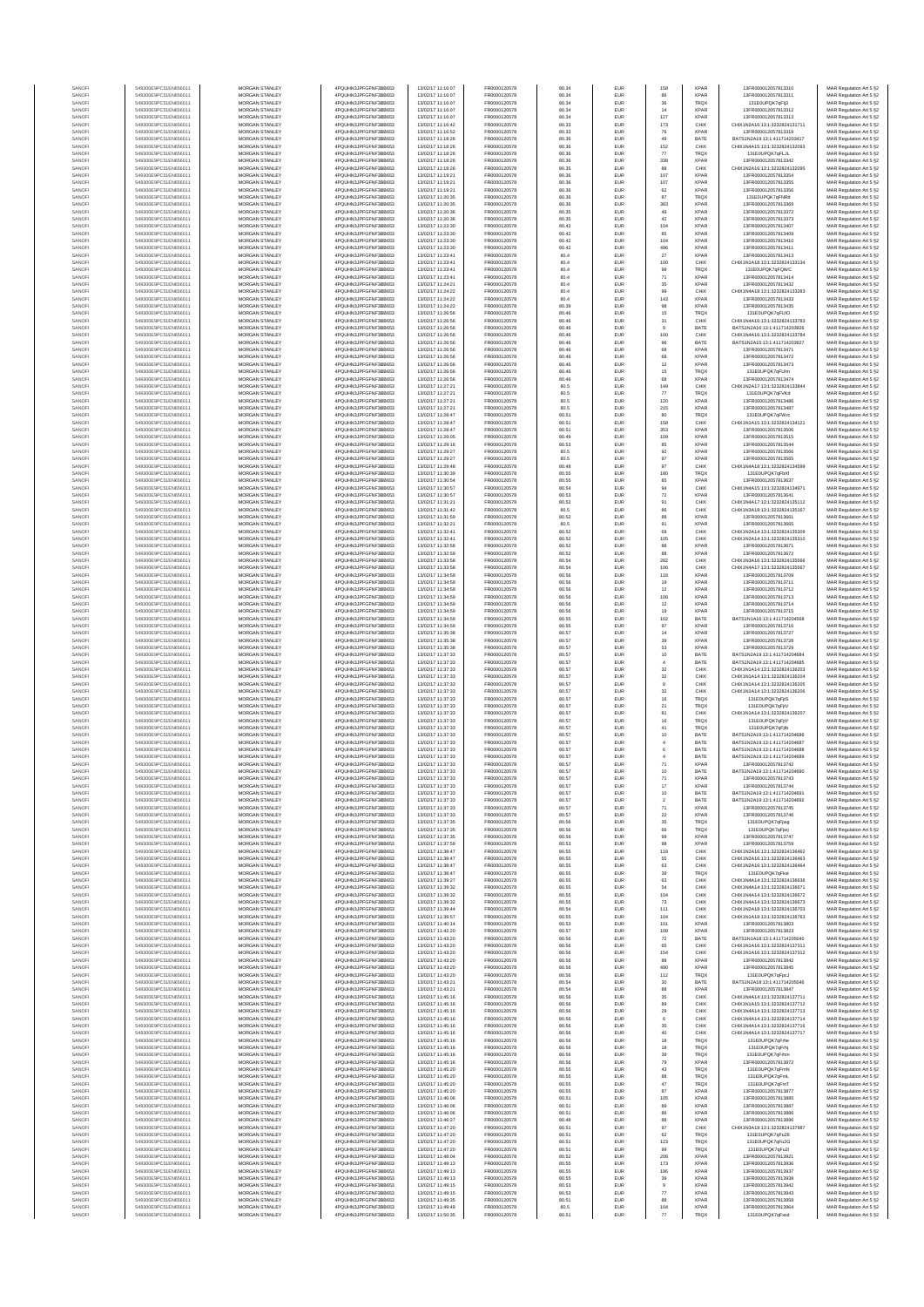| SANOF            | 549300E9PC51EN656011                         | MORGAN STANLEY                                 | 4PQUHN3JPFGFNF3BB653                          | 13/02/17 11:16:07                      | FR0000120578                 | 80.34          | EUR                      | 158                  | <b>XPAR</b>                | 13FR000012057813310                                            | MAR Regulation Art 5 §2                                                       |
|------------------|----------------------------------------------|------------------------------------------------|-----------------------------------------------|----------------------------------------|------------------------------|----------------|--------------------------|----------------------|----------------------------|----------------------------------------------------------------|-------------------------------------------------------------------------------|
| SANOFI           | 549300E9PC51EN656011                         | MORGAN STANLEY                                 | 4PQUHN3JPFGFNF3BB653                          | 13/02/17 11:16:07                      | FR0000120578                 | 80.34          | EUR                      | 86                   | <b>XPAR</b>                | 13FR000012057813311                                            | MAR Regulation Art 5 §2                                                       |
| SANOFI<br>SANOFI | 549300E9PC51EN656011<br>549300E9PC51EN656011 | MORGAN STANLEY<br>MORGAN STANLEY               | 4PQUHN3JPFGFNF3BB653<br>4PQUHN3JPFGFNF3BB653  | 13/02/17 11:16:07<br>13/02/17 11:16:07 | FR0000120578<br>FR0000120578 | 80.34<br>80.34 | EUR<br>EUR               | $36\,$<br>14         | <b>TRQX</b><br><b>XPAR</b> | 131E0UPQK7qFlj3<br>13FR000012057813312                         | MAR Regulation Art 5 §2<br>MAR Regulation Art 5 §2                            |
| SANOFI           | 549300E9PC51EN656011                         | MORGAN STANLEY                                 | 4PQUHN3JPFGFNF3BB653                          | 13/02/17 11:16:07                      | FR0000120578                 | 80.34          | EUR                      | 127                  | <b>XPAF</b>                | 13FR000012057813313                                            | MAR Regulation Art 5 §2                                                       |
| SANOFI           | 549300E9PC51EN656011                         | MORGAN STANLEY                                 | 4PQUHN3JPFGFNF3BB653                          | 13/02/17 11:16:42                      | FR0000120578                 | 80.33          | EUR                      | 173                  | CHIX                       | CHIX1N2A16:13:1:3232824131711                                  | MAR Regulation Art 5 §2                                                       |
| SANOFI           | 549300E9PC51EN656011                         | MORGAN STANLEY                                 | 4PQUHN3JPFGFNF3BB653                          | 13/02/17 11:16:52                      | FR0000120578                 | 80.33          | EUR                      | 76                   | <b>XPAR</b>                | 13FR000012057813319                                            | MAR Regulation Art 5 §2                                                       |
| SANOFI<br>SANOFI | 549300E9PC51EN656011<br>549300E9PC51EN656011 | MORGAN STANLEY<br><b>MORGAN STANLEY</b>        | 4PQUHN3JPFGFNF3BB653<br>4PQUHN3JPFGFNF3BB653  | 13/02/17 11:18:26<br>13/02/17 11:18:26 | FR0000120578<br>FR0000120578 | 80.36<br>80.36 | EUR<br>EUR               | 49<br>152            | BATE<br>CHIX               | BATS1N2A19:13:1:411714203417<br>CHIX1N4A15:13:1:3232824132093  | MAR Regulation Art 5 §2                                                       |
| SANOFI           | 549300E9PC51EN656011                         | <b>MORGAN STANLEY</b>                          | 4PQUHN3JPFGFNF3BB653                          | 13/02/17 11:18:26                      | FR0000120578                 | 80.36          | <b>EUR</b>               | 77                   | <b>TRQX</b>                | 131E0UPQK7gFLJL                                                | MAR Regulation Art 5 §2<br>MAR Regulation Art 5 §2                            |
| SANOFI           | 549300E9PC51EN656011                         | <b>MORGAN STANLEY</b>                          | 4PQUHN3JPFGFNF3BB653                          | 13/02/17 11:18:26                      | FR0000120578                 | 80.36          | EUR                      | 338                  | <b>XPAR</b>                | 13FR000012057813342                                            | MAR Regulation Art 5 §2                                                       |
| SANOFI           | 549300E9PC51EN656011                         | MORGAN STANLEY                                 | 4PQUHN3JPFGFNF3BB653                          | 13/02/17 11:18:26                      | FR0000120578                 | 80.35          | EUR                      | 88                   | CHIX                       | CHIX1N2A16:13:1:3232824132095                                  | MAR Regulation Art 5 §2                                                       |
| SANOFI<br>SANOF  | 549300E9PC51EN656011<br>549300E9PC51EN656011 | MORGAN STANLEY<br>MORGAN STANLEY               | 4PQUHN3JPFGFNF3BB653<br>4PQUHN3JPFGFNF3BB653  | 13/02/17 11:19:21<br>13/02/17 11:19:21 | FR0000120578<br>FR0000120578 | 80.36<br>80.36 | EUR<br>EUR               | 107<br>107           | <b>XPAR</b><br><b>XPAR</b> | 13FR000012057813354<br>13FR000012057813355                     | MAR Regulation Art 5 §2<br>MAR Regulation Art 5 §2                            |
| SANOFI           | 549300E9PC51EN656011                         | MORGAN STANLEY                                 | 4PQUHN3JPFGFNF3BB653                          | 13/02/17 11:19:21                      | FR0000120578                 | 80.36          | EUR                      | 62                   | <b>XPAR</b>                | 13FR000012057813356                                            | MAR Regulation Art 5 §2                                                       |
| SANOFI           | 549300E9PC51EN656011                         | MORGAN STANLEY                                 | 4PQUHN3JPFGFNF3BB653                          | 13/02/17 11:20:35                      | FR0000120578                 | 80.36          | EUR                      | 87                   | TRQX                       | 131E0UPQK7qFNRd                                                | MAR Regulation Art 5 §2                                                       |
| SANOFI           | 549300E9PC51EN656011                         | MORGAN STANLEY                                 | 4PQUHN3JPFGFNF3BB653                          | 13/02/17 11:20:35                      | FR0000120578                 | 80.36          | EUR                      | 383                  | <b>XPAR</b>                | 13FR000012057813369                                            | MAR Regulation Art 5 §2                                                       |
| SANOFI<br>SANOFI | 549300E9PC51EN656011<br>549300E9PC51EN656011 | <b>MORGAN STANLEY</b><br><b>MORGAN STANLEY</b> | 4PQUHN3JPFGFNF3BB653<br>4PQUHN3JPFGFNF3BB653  | 13/02/17 11:20:36<br>13/02/17 11:20:36 | FR0000120578<br>FR0000120578 | 80.35<br>80.35 | EUR<br><b>EUR</b>        | 49<br>42             | <b>XPAR</b><br><b>XPAR</b> | 13FR000012057813372<br>13FR000012057813373                     | MAR Regulation Art 5 §2<br>MAR Regulation Art 5 §2                            |
| SANOFI           | 549300E9PC51EN656011                         | <b>MORGAN STANLEY</b>                          | 4PQUHN3JPFGFNF3BB653                          | 13/02/17 11:23:30                      | FR0000120578                 | 80.42          | EUR                      | 104                  | <b>XPAR</b>                | 13FR000012057813407                                            | MAR Regulation Art 5 §2                                                       |
| SANOF            | 549300E9PC51EN656011                         | MORGAN STANLEY                                 | 4PQUHN3JPFGFNF3BB653                          | 13/02/17 11:23:30                      | FR0000120578                 | 80.42          | EUR                      | 85                   | <b>XPAR</b>                | 13FR000012057813409                                            | MAR Regulation Art 5 §2                                                       |
| SANOFI<br>SANOF  | 549300E9PC51EN656011<br>549300E9PC51EN656011 | MORGAN STANLEY<br>MORGAN STANLEY               | 4PQUHN3JPFGFNF3BB653<br>4PQUHN3JPFGFNF3BB653  | 13/02/17 11:23:30<br>13/02/17 11:23:30 | FR0000120578<br>FR0000120578 | 80.42<br>80.42 | EUR<br>EUR               | 104<br>496           | <b>XPAF</b><br><b>XPAF</b> | 13FR000012057813410<br>13FR000012057813411                     | MAR Regulation Art 5 §2<br>MAR Regulation Art 5 §2                            |
| SANOFI           | 549300E9PC51EN656011                         | MORGAN STANLEY                                 | 4PQUHN3JPFGFNF3BB653                          | 13/02/17 11:23:41                      | FR0000120578                 | 80.4           | EUR                      | $27\,$               | <b>XPAR</b>                | 13FR000012057813413                                            | MAR Regulation Art 5 §2                                                       |
| SANOFI           | 549300E9PC51EN656011                         | MORGAN STANLEY                                 | 4PQUHN3JPFGFNF3BB653                          | 13/02/17 11:23:41                      | FR0000120578                 | 80.4           | EUR                      | 100                  | CHIX                       | CHIX1N1A18:13:1:3232824133134                                  | MAR Regulation Art 5 §2                                                       |
| SANOFI           | 549300E9PC51EN656011                         | <b>MORGAN STANLEY</b>                          | 4POLIHN3JPEGENE3BB653                         | 13/02/17 11:23:41                      | FR0000120578                 | 80.4           | EUR                      | 99                   | <b>TRQX</b>                | 131E0UPQK7gFQWC                                                | MAR Regulation Art 5 §2                                                       |
| SANOFI<br>SANOFI | 549300E9PC51EN656011<br>549300E9PC51EN656011 | MORGAN STANLEY<br>MORGAN STANLEY               | 4PQUHN3JPFGFNF3BB653<br>4PQUHN3JPFGFNF3BB653  | 13/02/17 11:23:41<br>13/02/17 11:24:21 | FR0000120578<br>FR0000120578 | 80.4<br>80.4   | EUR<br>EUR               | 71<br>$35\,$         | <b>XPAR</b><br><b>XPAR</b> | 13ER000012057813414<br>13FR000012057813432                     | MAR Regulation Art 5 §2<br>MAR Regulation Art 5 §2                            |
| SANOFI           | 549300E9PC51EN656011                         | MORGAN STANLEY                                 | 4PQUHN3JPFGFNF3BB653                          | 13/02/17 11:24:22                      | FR0000120578                 | 80.4           | EUR                      | 99                   | CHIX                       | CHIX1N4A18:13:1:3232824133283                                  | MAR Regulation Art 5 §2                                                       |
| SANOF            | 549300E9PC51EN656011                         | MORGAN STANLEY                                 | 4PQUHN3JPFGFNF3BB653                          | 13/02/17 11:24:22                      | FR0000120578                 | 80.4           | EUR                      | 143                  | <b>XPAF</b>                | 13FR000012057813433                                            | MAR Regulation Art 5 §2                                                       |
| SANOFI           | 549300E9PC51EN656011                         | MORGAN STANLEY                                 | 4PQUHN3JPFGFNF3BB653                          | 13/02/17 11:24:22                      | FR0000120578                 | 80.39          | EUR                      |                      | <b>XPAR</b>                | 13FR000012057813435                                            | MAR Regulation Art 5 §2                                                       |
| SANOFI<br>SANOFI | 549300E9PC51EN656011<br>549300E9PC51EN656011 | MORGAN STANLEY<br>MORGAN STANLEY               | 4PQUHN3JPFGFNF3BB653<br>4PQUHN3JPFGFNF3BB653  | 13/02/17 11:26:56<br>13/02/17 11:26:56 | FR0000120578<br>FR0000120578 | 80.46<br>80.46 | EUR<br>EUR               | $15\,$<br>31         | <b>TRQX</b><br>CHIX        | 131E0UPQK7qFUIO<br>CHIX1N4A16:13:1:3232824133783               | MAR Regulation Art 5 §2<br>MAR Regulation Art 5 §2                            |
| SANOFI           | 549300E9PC51EN656011                         | <b>MORGAN STANLEY</b>                          | 4PQUHN3JPFGFNF3BB653                          | 13/02/17 11:26:56                      | FR0000120578                 | 80.46          | EUR                      | $\overline{9}$       | BATE                       | BATS1N2A16:13:1:411714203926                                   | MAR Regulation Art 5 §2                                                       |
| SANOFI           | 549300E9PC51EN656011                         | <b>MORGAN STANLEY</b>                          | 4PQUHN3JPFGFNF3BB653                          | 13/02/17 11:26:56                      | FR0000120578                 | 80.46          | EUR                      | 100                  | CHIX                       | CHIX1N4A16:13:1:3232824133784                                  | MAR Regulation Art 5 §2                                                       |
| SANOFI<br>SANOFI | 549300E9PC51EN656011<br>549300E9PC51EN656011 | MORGAN STANLEY<br>MORGAN STANLEY               | 4PQUHN3JPFGFNF3BB653<br>4PQUHN3JPFGFNF3BB653  | 13/02/17 11:26:56<br>13/02/17 11:26:56 | FR0000120578<br>FR0000120578 | 80.46<br>80.46 | EUR<br>EUR               | 96<br>$_{\rm 68}$    | BATE<br><b>XPAR</b>        | BATS1N2A15:13:1:411714203927<br>13FR000012057813471            | MAR Regulation Art 5 §2<br>MAR Regulation Art 5 §2                            |
| SANOFI           | 549300E9PC51EN656011                         | MORGAN STANLEY                                 | 4PQUHN3JPFGFNF3BB653                          | 13/02/17 11:26:56                      | FR0000120578                 | 80.46          | EUR                      | 68                   | <b>XPAR</b>                | 13FR000012057813472                                            | MAR Regulation Art 5 §2                                                       |
| SANOFI           | 549300E9PC51EN656011                         | MORGAN STANLEY                                 | 4PQUHN3JPFGFNF3BB653                          | 13/02/17 11:26:56                      | FR0000120578                 | 80.46          | EUR                      | 12                   | <b>XPAR</b>                | 13FR000012057813473                                            | MAR Regulation Art 5 §2                                                       |
| SANOFI<br>SANOFI | 549300E9PC51EN656011<br>549300E9PC51EN656011 | MORGAN STANLEY<br>MORGAN STANLEY               | 4PQUHN3JPFGFNF3BB653<br>4PQUHN3JPFGFNF3BB653  | 13/02/17 11:26:56<br>13/02/17 11:26:56 | FR0000120578<br>FR0000120578 | 80.46<br>80.46 | EUR<br>EUR               | 15<br>68             | <b>TRQX</b><br><b>XPAR</b> | 131E0UPQK7qFUlm<br>13FR000012057813474                         | MAR Regulation Art 5 §2<br>MAR Regulation Art 5 §2                            |
| SANOFI           | 549300E9PC51EN656011                         | <b>MORGAN STANLEY</b>                          | 4POLIHN3JPEGENE3BB653                         | 13/02/17 11:27:21                      | FR0000120578                 | 80.5           | <b>EUR</b>               | 149                  | CHIX                       | CHIX1N2A17-13-1-3232824133844                                  | MAR Regulation Art 5 §2                                                       |
| SANOFI           | 549300E9PC51EN656011                         | <b>MORGAN STANLEY</b>                          | 4PQUHN3JPFGFNF3BB653                          | 13/02/17 11:27:21                      | FR0000120578                 | 80.5           | EUR                      | 77                   | <b>TRQX</b>                | 131E0UPQK7gFVKd                                                | MAR Regulation Art 5 §2                                                       |
| SANOFI<br>SANOFI | 549300E9PC51EN656011<br>549300E9PC51EN656011 | MORGAN STANLEY<br>MORGAN STANLEY               | 4PQUHN3JPFGFNF3BB653<br>4PQUHN3JPFGFNF3BB653  | 13/02/17 11:27:21<br>13/02/17 11:27:21 | FR0000120578<br>FR0000120578 | 80.5<br>80.5   | EUR<br>EUR               | 120<br>215           | <b>XPAR</b><br><b>XPAR</b> | 13FR000012057813486<br>13FR000012057813487                     | MAR Regulation Art 5 §2                                                       |
| SANOFI           | 549300E9PC51EN656011                         | MORGAN STANLEY                                 | 4PQUHN3JPFGFNF3BB653                          | 13/02/17 11:28:47                      | FR0000120578                 | 80.51          | EUR                      | 80                   | <b>TRQX</b>                | 131E0UPQK7qFWrd                                                | MAR Regulation Art 5 §2<br>MAR Regulation Art 5 §2                            |
| SANOFI           | 549300E9PC51EN656011                         | MORGAN STANLEY                                 | 4PQUHN3JPFGFNF3BB653                          | 13/02/17 11:28:47                      | FR0000120578                 | 80.51          | EUR                      | 158                  | CHIX                       | CHIX1N1A15:13:1:3232824134121                                  | MAR Regulation Art 5 §2                                                       |
| SANOFI           | 549300E9PC51EN656011                         | MORGAN STANLEY                                 | 4PQUHN3JPFGFNF3BB653                          | 13/02/17 11:28:47                      | FR0000120578                 | 80.51          | EUR                      | 353                  | <b>XPAF</b>                | 13FR000012057813506                                            | MAR Regulation Art 5 §2                                                       |
| SANOFI<br>SANOFI | 549300E9PC51EN656011<br>549300E9PC51EN656011 | MORGAN STANLEY<br>MORGAN STANLEY               | 4PQUHN3JPFGFNF3BB653<br>4PQUHN3JPFGFNF3BB653  | 13/02/17 11:29:05<br>13/02/17 11:29:16 | FR0000120578<br>FR0000120578 | 80.49<br>80.53 | EUR<br>EUR               | 109<br>85            | <b>XPAR</b><br><b>XPAR</b> | 13FR000012057813515<br>13FR000012057813544                     | MAR Regulation Art 5 §2<br>MAR Regulation Art 5 §2                            |
| SANOFI           | 549300E9PC51EN656011                         | <b>MORGAN STANLEY</b>                          | 4POLIHN3JPEGENE3BB653                         | 13/02/17 11:29:27                      | FR0000120578                 | 80.5           | <b>EUR</b>               | 92                   | <b>XPAR</b>                | 13FR000012057813566                                            | MAR Regulation Art 5 §2                                                       |
| SANOFI           | 549300E9PC51EN656011                         | MORGAN STANLEY                                 | 4PQUHN3JPFGFNF3BB653                          | 13/02/17 11:29:27                      | FR0000120578                 | 80.5           | EUR                      | 97                   | <b>XPAR</b>                | 13ER000012057813565                                            | MAR Regulation Art 5 §2                                                       |
| SANOFI           | 549300E9PC51EN656011                         | MORGAN STANLEY<br>MORGAN STANLEY               | 4PQUHN3JPFGFNF3BB653                          | 13/02/17 11:29:48                      | FR0000120578<br>FR0000120578 | 80.48          | EUR                      | $97\,$<br>180        | CHIX                       | CHIX1N4A18:13:1:3232824134599<br>131E0UPQK7qFbXf               | MAR Regulation Art 5 §2<br>MAR Regulation Art 5 §2                            |
| SANOFI<br>SANOFI | 549300E9PC51EN656011<br>549300E9PC51EN656011 | MORGAN STANLEY                                 | 4PQUHN3JPFGFNF3BB653<br>4PQUHN3JPFGFNF3BB653  | 13/02/17 11:30:39<br>13/02/17 11:30:54 | FR0000120578                 | 80.55<br>80.55 | EUR<br>EUR               | 85                   | TRQ)<br><b>XPAF</b>        | 13FR000012057813637                                            | MAR Regulation Art 5 §2                                                       |
| SANOFI           | 549300E9PC51EN656011                         | MORGAN STANLEY                                 | 4PQUHN3JPFGFNF3BB653                          | 13/02/17 11:30:57                      | FR0000120578                 | 80.54          | EUR                      | 94                   | CHIX                       | CHIX1N4A15:13:1:3232824134971                                  | MAR Regulation Art 5 §2                                                       |
| SANOFI           | 549300E9PC51EN656011                         | MORGAN STANLEY                                 | 4PQUHN3JPFGFNF3BB653                          | 13/02/17 11:30:57                      | FR0000120578                 | 80.53          | EUR                      | $\scriptstyle{72}$   | <b>XPAR</b>                | 13FR000012057813641                                            | MAR Regulation Art 5 §2                                                       |
| SANOFI<br>SANOFI | 549300E9PC51EN656011<br>549300E9PC51EN656011 | MORGAN STANLEY<br><b>MORGAN STANLEY</b>        | 4PQUHN3JPFGFNF3BB653<br>4POLIHN3JPEGENE3BB653 | 13/02/17 11:31:21<br>13/02/17 11:31:42 | FR0000120578<br>FR0000120578 | 80.52<br>80.5  | EUR<br>EUR               | 91<br>86             | CHIX<br>CHIX               | CHIX1N4A17:13:1:3232824135112<br>CHIX1N3A18:13:1:3232824135167 | MAR Regulation Art 5 §2<br>MAR Regulation Art 5 §2                            |
| SANOFI           | 549300E9PC51EN656011                         | MORGAN STANLEY                                 | 4PQUHN3JPFGFNF3BB653                          | 13/02/17 11:31:59                      | FR0000120578                 | 80.52          | <b>EUR</b>               | 88                   | <b>XPAR</b>                | 13FR000012057813661                                            | MAR Regulation Art 5 §2                                                       |
| SANOFI           | 549300E9PC51EN656011                         | MORGAN STANLEY                                 | 4PQUHN3JPFGFNF3BB653                          | 13/02/17 11:32:21                      | FR0000120578                 | 80.5           | EUR                      | 91                   | <b>XPAR</b>                | 13FR000012057813665                                            | MAR Regulation Art 5 §2                                                       |
| SANOFI           | 549300E9PC51EN656011                         | MORGAN STANLEY                                 | 4PQUHN3JPFGFNF3BB653                          | 13/02/17 11:32:41                      | FR0000120578                 | 80.52          | EUR                      | 69                   | CHIX                       | CHIX1N2A14:13:1:3232824135309                                  | MAR Regulation Art 5 §2                                                       |
| SANOFI<br>SANOFI | 549300E9PC51EN656011<br>549300E9PC51EN656011 | MORGAN STANLEY<br>MORGAN STANLEY               | 4PQUHN3JPFGFNF3BB653<br>4PQUHN3JPFGFNF3BB653  | 13/02/17 11:32:41<br>13/02/17 11:32:58 | FR0000120578<br>FR0000120578 | 80.52<br>80.52 | EUR<br>EUR               | 105<br>88            | CHIX<br><b>XPAF</b>        | CHIX1N2A14:13:1:3232824135310<br>13FR000012057813671           | MAR Regulation Art 5 §2<br>MAR Regulation Art 5 §2                            |
| SANOFI           | 549300E9PC51EN656011                         | MORGAN STANLEY                                 | 4PQUHN3JPFGFNF3BB653                          | 13/02/17 11:32:59                      | FR0000120578                 | 80.52          | EUR                      | 88                   | <b>XPAR</b>                | 13FR000012057813672                                            | MAR Regulation Art 5 §2                                                       |
| SANOFI           | 549300E9PC51EN656011                         | MORGAN STANLEY                                 | 4PQUHN3JPFGFNF3BB653                          | 13/02/17 11:33:58                      | FR0000120578                 | 80.54          | EUR                      | 282                  | CHIX                       | CHIX1N3A16:13:1:3232824135566                                  | MAR Regulation Art 5 §2                                                       |
| SANOFI<br>SANOFI | 549300E9PC51EN656011<br>549300E9PC51EN656011 | <b>MORGAN STANLEY</b><br><b>MORGAN STANLEY</b> | 4PQUHN3JPFGFNF3BB653<br>4PQUHN3JPFGFNF3BB653  | 13/02/17 11:33:58<br>13/02/17 11:34:59 | FR0000120578<br>FR0000120578 | 80.54<br>80.56 | EUR<br>EUR               | 106<br>118           | CHIX<br><b>XPAR</b>        | CHIX1N4A17:13:1:3232824135567<br>13FR000012057813709           | MAR Regulation Art 5 §2<br>MAR Regulation Art 5 §2                            |
| SANOFI           | 549300E9PC51EN656011                         | MORGAN STANLEY                                 | 4PQUHN3JPFGFNF3BB653                          | 13/02/17 11:34:59                      | FR0000120578                 | 80.56          | EUR                      | 19                   | <b>XPAR</b>                | 13FR000012057813711                                            | MAR Regulation Art 5 §2                                                       |
| SANOFI           | 549300E9PC51EN656011                         | MORGAN STANLEY                                 | 4PQUHN3JPFGFNF3BB653                          | 13/02/17 11:34:59                      | FR0000120578                 | 80.56          | EUR                      | 12                   | <b>XPAR</b>                | 13FR000012057813712                                            | MAR Regulation Art 5 §2                                                       |
| SANOF<br>SANOFI  | 549300E9PC51EN656011<br>549300E9PC51EN656011 | MORGAN STANLEY<br>MORGAN STANLEY               | 4PQUHN3JPFGFNF3BB653<br>4PQUHN3JPFGFNF3BB653  | 13/02/17 11:34:59<br>13/02/17 11:34:59 | FR0000120578<br>FR0000120578 | 80.56<br>80.56 | EUR<br>EUR               | 106<br>12            | <b>XPAF</b><br><b>XPAF</b> | 13FR000012057813713<br>13FR000012057813714                     | MAR Regulation Art 5 §2                                                       |
| SANOFI           | 549300E9PC51EN656011                         | MORGAN STANLEY                                 | 4PQUHN3JPFGFNF3BB653                          | 13/02/17 11:34:59                      | FR0000120578                 | 80.56          | EUR                      | 19                   | <b>XPAR</b>                | 13FR000012057813715                                            | MAR Regulation Art 5 §2<br>MAR Regulation Art 5 §2                            |
| SANOFI           | 549300E9PC51EN656011                         | MORGAN STANLEY                                 | 4PQUHN3JPFGFNF3BB653                          | 13/02/17 11:34:59                      | FR0000120578                 | 80.55          | EUR                      | 102                  | BATE                       | BATS1N1A16:13:1:411714204568                                   | MAR Regulation Art 5 §2                                                       |
| SANOFI           | 549300E9PC51EN656011                         | <b>MORGAN STANLEY</b>                          | 4PQUHN3JPFGFNF3BB653                          | 13/02/17 11:34:59                      | FR0000120578                 | 80.55          | EUR                      | 97                   | <b>XPAR</b>                | 13FR000012057813716                                            | MAR Regulation Art 5 §2                                                       |
| SANOFI<br>SANOFI | 549300E9PC51EN656011<br>549300E9PC51EN656011 | <b>MORGAN STANLEY</b><br><b>MORGAN STANLEY</b> | 4PQUHN3JPFGFNF3BB653<br>4PQUHN3JPFGFNF3BB653  | 13/02/17 11:35:38<br>13/02/17 11:35:38 | FR0000120578<br>FR0000120578 | 80.57<br>80.57 | EUR<br>EUR               | 14<br>39             | <b>XPAR</b><br><b>XPAR</b> | 13FR000012057813727<br>13FR000012057813728                     | MAR Regulation Art 5 §2<br>MAR Regulation Art 5 §2                            |
| SANOFI           | 549300E9PC51EN656011                         | MORGAN STANLEY                                 | 4PQUHN3JPFGFNF3BB653                          | 13/02/17 11:35:38                      | FR0000120578                 | 80.57          | EUR                      | 53                   | <b>XPAR</b>                | 13FR000012057813729                                            | MAR Regulation Art 5 §2                                                       |
| SANOFI           | 549300E9PC51EN656011                         | MORGAN STANLEY                                 | 4PQUHN3JPFGFNF3BB653                          | 13/02/17 11:37:33                      | FR0000120578                 | 80.57          | EUR                      | 10                   | BATE                       | BATS1N2A19:13:1:411714204684                                   | MAR Regulation Art 5 §2                                                       |
| SANOF<br>SANOFI  | 549300E9PC51EN656011<br>549300E9PC51EN656011 | MORGAN STANLEY<br>MORGAN STANLEY               | 4PQUHN3JPFGFNF3BB653<br>4PQUHN3JPFGFNF3BB653  | 13/02/17 11:37:33<br>13/02/17 11:37:33 | FR0000120578<br>FR0000120578 | 80.57<br>80.57 | EUR<br>EUR               | $\,$ 4 $\,$<br>32    | BATE<br>CHIX               | BATS1N2A19:13:1:411714204685<br>CHIX1N1A14:13:1:3232824136203  | MAR Regulation Art 5 §2<br>MAR Regulation Art 5 §2                            |
| SANOFI           | 549300E9PC51EN656011                         | MORGAN STANLEY                                 | 4PQUHN3JPFGFNF3BB653                          | 13/02/17 11:37:33                      | FR0000120578                 | 80.57          | EUR                      | $32\,$               | CHIX                       | CHIX1N1A14:13:1:3232824136204                                  | MAR Regulation Art 5 §2                                                       |
| SANOFI           | 549300E9PC51EN656011                         | MORGAN STANLEY                                 | 4PQUHN3JPFGFNF3BB653                          | 13/02/17 11:37:33                      | FR0000120578                 | 80.57          | EUR                      | $^{\rm 8}$           | CHIX                       | CHIX1N1A14:13:1:3232824136205                                  | MAR Regulation Art 5 §2                                                       |
| SANOFI<br>SANOFI | 549300E9PC51EN656011<br>549300E9PC51EN656011 | <b>MORGAN STANLEY</b><br><b>MORGAN STANLEY</b> | 4PQUHN3JPFGFNF3BB653<br>4PQUHN3JPFGFNF3BB653  | 13/02/17 11:37:33<br>13/02/17 11:37:33 | FR0000120578<br>FR0000120578 | 80.57<br>80.57 | EUR<br>EUR               | 32<br>16             | CHIX<br><b>TRQX</b>        | CHIX1N1A14-13-1-3232824136206<br>131 FOUROK 7o First           | MAR Regulation Art 5 §2<br>MAR Regulation Art 5 §2                            |
| SANOFI           | 549300E9PC51EN656011                         | MORGAN STANLEY                                 | 4PQUHN3JPFGFNF3BB653                          | 13/02/17 11:37:33                      | FR0000120578                 | 80.57          | EUR                      | 21                   | TRQX                       | 131E0UPQK7qFjtV                                                | MAR Regulation Art 5 §2                                                       |
| SANOFI           | 549300E9PC51EN656011                         | MORGAN STANLEY                                 | 4PQUHN3JPFGFNF3BB653                          | 13/02/17 11:37:33                      | FR0000120578                 | 80.57          | EUR                      | 81                   | CHIX                       | CHIX1N1A14:13:1:3232824136207                                  | MAR Regulation Art 5 §2                                                       |
| SANOFI           | 549300E9PC51EN656011                         | MORGAN STANLEY<br>MORGAN STANLEY               | 4PQUHN3JPFGFNF3BB653                          | 13/02/17 11:37:33                      | FR0000120578                 | 80.57          | EUR                      | 16                   | TRQ)                       | 131E0UPQK7gFifY                                                | MAR Regulation Art 5 §2                                                       |
| SANOF<br>SANOFI  | 549300E9PC51EN656011<br>549300E9PC51EN656011 | MORGAN STANLEY                                 | 4PQUHN3JPFGFNF3BB653<br>4PQUHN3JPFGFNF3BB653  | 13/02/17 11:37:33<br>13/02/17 11:37:33 | FR0000120578<br>FR0000120578 | 80.57<br>80.57 | EUR<br>EUR               | 41<br>10             | TRQX<br>BATE               | 131E0UPQK7qFjtb<br>BATS1N2A19:13:1:411714204686                | MAR Regulation Art 5 §2<br>MAR Regulation Art 5 §2                            |
| SANOFI           | 549300E9PC51EN656011                         | MORGAN STANLEY                                 | 4PQUHN3JPFGFNF3BB653                          | 13/02/17 11:37:33                      | FR0000120578                 | 80.57          | EUR                      | $\overline{4}$       | BATE                       | BATS1N2A19:13:1:411714204687                                   | MAR Regulation Art 5 §2                                                       |
| SANOFI           | 549300E9PC51EN656011                         | <b>MORGAN STANLEY</b>                          | 4PQUHN3JPFGFNF3BB653                          | 13/02/17 11:37:33                      | FR0000120578                 | 80.57          | EUR                      | 6                    | BATE                       | BATS1N2A19:13:1:411714204688                                   | MAR Regulation Art 5 §2                                                       |
| SANOFI<br>SANOFI | 549300E9PC51EN656011<br>549300E9PC51EN656011 | <b>MORGAN STANLEY</b><br>MORGAN STANLEY        | 4PQUHN3JPFGFNF3BB653<br>4PQUHN3JPFGFNF3BB653  | 13/02/17 11:37:33<br>13/02/17 11:37:33 | FR0000120578<br>FR0000120578 | 80.57<br>80.57 | EUR<br>EUR               | $\overline{4}$<br>71 | BATE<br><b>XPAR</b>        | BATS1N2A19:13:1:411714204689<br>13FR000012057813742            | MAR Regulation Art 5 §2<br>MAR Regulation Art 5 §2                            |
| SANOFI           | 549300E9PC51EN656011                         | MORGAN STANLEY                                 | 4PQUHN3JPFGFNF3BB653                          | 13/02/17 11:37:33                      | FR0000120578                 | 80.57          | EUR                      | 10                   | BATE                       | BATS1N2A19:13:1:411714204690                                   | MAR Regulation Art 5 §2                                                       |
|                  |                                              |                                                | N3JPFGFNF3BB653                               |                                        |                              |                |                          |                      |                            |                                                                | : Regulation Art 5 §2                                                         |
| SANOF<br>SANOFI  | 549300E9PC51EN656011<br>549300E9PC51EN656011 | MORGAN STANLEY<br>MORGAN STANLEY               | 4PQUHN3JPFGFNF3BB653<br>4PQUHN3JPFGFNF3BB653  | 13/02/17 11:37:33<br>13/02/17 11:37:33 | FR0000120578<br>FR0000120578 | 80.57<br>80.57 | EUR<br>EUR               | 17                   | <b>XPAR</b><br>BATE        | 13FR000012057813744<br>BATS1N2A19:13:1:411714204691            | MAR Regulation Art 5 §2<br>MAR Regulation Art 5 §2                            |
| SANOFI           | 549300E9PC51EN656011                         | MORGAN STANLEY                                 | 4PQUHN3JPFGFNF3BB653                          | 13/02/17 11:37:33                      | FR0000120578                 | 80.57          | EUR                      | 10<br>$\overline{2}$ | BATE                       | BATS1N2A19:13:1:411714204692                                   | MAR Regulation Art 5 §2                                                       |
| SANOFI           | 549300E9PC51EN656011                         | <b>MORGAN STANLEY</b>                          | 4PQUHN3JPFGFNF3BB653                          | 13/02/17 11:37:33                      | FR0000120578                 | 80.57          | <b>EUR</b>               | 71                   | <b>XPAR</b>                | 13ER000012057813745                                            | MAR Regulation Art 5 §2                                                       |
| SANOFI           | 549300E9PC51EN656011                         | <b>MORGAN STANLEY</b>                          | 4PQUHN3JPFGFNF3BB653                          | 13/02/17 11:37:33                      | FR0000120578                 | 80.57          | <b>EUR</b>               | 22                   | <b>XPAR</b>                | 13FR000012057813746                                            | MAR Regulation Art 5 §2                                                       |
| SANOFI<br>SANOFI | 549300E9PC51EN656011<br>549300E9PC51EN656011 | MORGAN STANLEY<br>MORGAN STANLEY               | 4PQUHN3JPFGFNF3BB653<br>4PQUHN3JPFGFNF3BB653  | 13/02/17 11:37:35<br>13/02/17 11:37:35 | FR0000120578<br>FR0000120578 | 80.56<br>80.56 | EUR<br>EUR               | 35<br>$66\,$         | TRQX<br>TRQX               | 131E0UPQK7qFjwg<br>131E0UPQK7qFjwj                             | MAR Regulation Art 5 §2<br>MAR Regulation Art 5 §2                            |
| SANOFI           | 549300E9PC51EN656011                         | MORGAN STANLEY                                 | 4PQUHN3JPFGFNF3BB653                          | 13/02/17 11:37:35                      | FR0000120578                 | 80.56          | EUR                      | 99                   | <b>XPAR</b>                | 13FR000012057813747                                            | MAR Regulation Art 5 §2                                                       |
| SANOFI           | 549300E9PC51EN656011                         | MORGAN STANLEY                                 | 4PQUHN3JPFGFNF3BB653                          | 13/02/17 11:37:59                      | FR0000120578                 | 80.53          | EUR                      | 98                   | <b>XPAR</b>                | 13FR000012057813759                                            | MAR Regulation Art 5 §2                                                       |
| SANOFI<br>SANOFI | 549300E9PC51EN656011<br>549300E9PC51EN656011 | MORGAN STANLEY<br>MORGAN STANLEY               | 4PQUHN3JPFGFNF3BB653<br>4PQUHN3JPFGFNF3BB653  | 13/02/17 11:38:47<br>13/02/17 11:38:47 | FR0000120578<br>FR0000120578 | 80.55<br>80.55 | EUR<br>EUR               | 118<br>55            | CHIX<br>CHIX               | CHIX1N2A16:13:1:3232824136462<br>CHIX1N2A16:13:1:3232824136463 | MAR Regulation Art 5 §2<br>MAR Regulation Art 5 §2                            |
| SANOFI           | 549300E9PC51EN656011                         | <b>MORGAN STANLEY</b>                          | 4PQUHN3JPFGFNF3BB653                          | 13/02/17 11:38:47                      | FR0000120578                 | 80.55          | <b>EUR</b>               | 63                   | CHIX                       | CHIX1N2A16:13:1:3232824136464                                  | MAR Regulation Art 5 §2                                                       |
| SANOFI<br>SANOFI | 549300E9PC51EN656011<br>549300E9PC51EN656011 | MORGAN STANLEY<br><b>MORGAN STANLEY</b>        | 4PQUHN3JPFGFNF3BB653<br>4PQUHN3JPFGFNF3BB653  | 13/02/17 11:38:47<br>13/02/17 11:39:27 | FR0000120578<br>FR0000120578 | 80.55<br>80.55 | EUR<br><b>EUR</b>        | 39<br>63             | <b>TRQX</b><br>CHIX        | 131 FOUROK 7n Flort<br>CHIX1N4A14:13:1:3232824136636           | MAR Regulation Art 5 §2<br>MAR Regulation Art 5 §2                            |
| SANOFI           | 549300E9PC51EN656011                         | MORGAN STANLEY                                 | 4PQUHN3JPFGFNF3BB653                          | 13/02/17 11:39:32                      | FR0000120578                 | 80.55          | EUR                      | 54                   | CHIX                       | CHIX1N4A14:13:1:3232824136671                                  | MAR Regulation Art 5 §2                                                       |
| SANOFI           | 549300E9PC51EN656011                         | MORGAN STANLEY                                 | 4PQUHN3JPFGFNF3BB653                          | 13/02/17 11:39:32                      | FR0000120578                 | 80.55          | EUR                      | 104                  | CHIX                       | CHIX1N4A14:13:1:3232824136672                                  | MAR Regulation Art 5 §2                                                       |
| SANOFI<br>SANOFI | 549300E9PC51EN656011<br>549300E9PC51EN656011 | MORGAN STANLEY<br>MORGAN STANLEY               | 4PQUHN3JPFGFNF3BB653<br>4PQUHN3JPFGFNF3BB653  | 13/02/17 11:39:32<br>13/02/17 11:39:44 | FR0000120578<br>FR0000120578 | 80.55<br>80.54 | EUR<br>EUR               | 73<br>111            | CHIX<br>CHIX               | CHIX1N4A14:13:1:3232824136673<br>CHIX1N2A18:13:1:3232824136703 | MAR Regulation Art 5 §2<br>MAR Regulation Art 5 §2                            |
| SANOFI           | 549300E9PC51EN656011                         | MORGAN STANLEY                                 | 4PQUHN3JPFGFNF3BB653                          | 13/02/17 11:39:57                      | FR0000120578                 | 80.55          | EUR                      | 104                  | CHIX                       | CHIX1N1A18:13:1:3232824136763                                  | MAR Regulation Art 5 §2                                                       |
| SANOFI           | 549300E9PC51EN656011                         | MORGAN STANLEY                                 | 4PQUHN3JPFGFNF3BB653                          | 13/02/17 11:40:14                      | FR0000120578                 | 80.53          | EUR                      | 101                  | <b>XPAR</b>                | 13FR000012057813803                                            | MAR Regulation Art 5 §2                                                       |
| SANOFI<br>SANOFI | 549300E9PC51EN656011<br>549300E9PC51EN656011 | <b>MORGAN STANLEY</b><br><b>MORGAN STANLEY</b> | 4PQUHN3JPFGFNF3BB653<br>4PQUHN3JPFGFNF3BB653  | 13/02/17 11:42:20<br>13/02/17 11:43:20 | FR0000120578<br>FR0000120578 | 80.57<br>80.56 | <b>EUR</b><br><b>EUR</b> | 108<br>72            | <b>XPAR</b><br>BATE        | 13FR000012057813823<br>BATS1N1A18:13:1:411714205040            | MAR Regulation Art 5 §2                                                       |
| SANOFI           | 549300E9PC51EN656011                         | MORGAN STANLEY                                 | 4PQUHN3JPFGFNF3BB653                          | 13/02/17 11:43:20                      | FR0000120578                 | 80.56          | EUR                      | 65                   | CHIX                       | CHIX1N1A16:13:1:3232824137311                                  | MAR Regulation Art 5 §2<br>MAR Regulation Art 5 §2                            |
| SANOFI           | 549300E9PC51EN656011                         | MORGAN STANLEY                                 | 4PQUHN3JPFGFNF3BB653                          | 13/02/17 11:43:20                      | FR0000120578                 | 80.56          | EUR                      | 154                  | CHIX                       | CHIX1N1A16:13:1:3232824137312                                  | MAR Regulation Art 5 §2                                                       |
| SANOFI           | 549300E9PC51EN656011<br>549300E9PC51EN656011 | MORGAN STANLEY                                 | 4PQUHN3JPFGFNF3BB653                          | 13/02/17 11:43:20                      | FR0000120578                 | 80.56          | EUR                      | 88                   | <b>XPAR</b>                | 13FR000012057813842                                            | MAR Regulation Art 5 §2                                                       |
| SANOFI<br>SANOFI | 549300E9PC51EN656011                         | MORGAN STANLEY<br>MORGAN STANLEY               | 4PQUHN3JPFGFNF3BB653<br>4PQUHN3JPFGFNF3BB653  | 13/02/17 11:43:20<br>13/02/17 11:43:20 | FR0000120578<br>FR0000120578 | 80.56<br>80.56 | EUR<br>EUR               | 490<br>112           | <b>XPAR</b><br>TRQX        | 13FR000012057813845<br>131E0UPQK7qFpcJ                         | MAR Regulation Art 5 §2<br>MAR Regulation Art 5 §2                            |
| SANOFI           | 549300E9PC51EN656011                         | MORGAN STANLEY                                 | 4PQUHN3JPFGFNF3BB653                          | 13/02/17 11:43:21                      | FR0000120578                 | 80.54          | EUR                      | 30                   | BATE                       | BATS1N2A18:13:1:411714205046                                   | MAR Regulation Art 5 §2                                                       |
| SANOFI           | 549300E9PC51EN656011                         | <b>MORGAN STANLEY</b>                          | 4PQUHN3JPFGFNF3BB653                          | 13/02/17 11:43:21                      | FR0000120578                 | 80.54          | <b>EUR</b>               | 88                   | <b>XPAR</b>                | 13FR000012057813847                                            | MAR Regulation Art 5 §2                                                       |
| SANOFI<br>SANOFI | 549300E9PC51EN656011<br>549300E9PC51EN656011 | <b>MORGAN STANLEY</b><br>MORGAN STANLEY        | 4PQUHN3JPFGFNF3BB653<br>4PQUHN3JPFGFNF3BB653  | 13/02/17 11:45:16<br>13/02/17 11:45:16 | FR0000120578<br>FR0000120578 | 80.56<br>80.56 | <b>EUR</b><br>EUR        | 35<br>89             | CHIX<br>CHIX               | CHIX1N4A14:13:1:3232824137711<br>CHIX1N1A15:13:1:3232824137712 | MAR Regulation Art 5 §2<br>MAR Regulation Art 5 §2                            |
| SANOFI           | 549300E9PC51EN656011                         | MORGAN STANLEY                                 | 4PQUHN3JPFGFNF3BB653                          | 13/02/17 11:45:16                      | FR0000120578                 | 80.56          | EUR                      | $29\,$               | CHIX                       | CHIX1N4A14:13:1:3232824137713                                  | MAR Regulation Art 5 §2                                                       |
| SANOFI           | 549300E9PC51EN656011                         | MORGAN STANLEY                                 | 4PQUHN3JPFGFNF3BB653                          | 13/02/17 11:45:16                      | FR0000120578                 | 80.56          | EUR                      | $\mathbf 6$          | CHIX                       | CHIX1N4A14:13:1:3232824137714                                  | MAR Regulation Art 5 §2                                                       |
| SANOFI           | 549300E9PC51EN656011                         | MORGAN STANLEY                                 | 4PQUHN3JPFGFNF3BB653                          | 13/02/17 11:45:16                      | FR0000120578                 | 80.56          | EUR                      | 35                   | CHIX                       | CHIX1N4A14:13:1:3232824137716                                  | MAR Regulation Art 5 §2                                                       |
| SANOFI<br>SANOFI | 549300E9PC51EN656011<br>549300E9PC51EN656011 | MORGAN STANLEY<br>MORGAN STANLEY               | 4PQUHN3JPFGFNF3BB653<br>4PQUHN3JPFGFNF3BB653  | 13/02/17 11:45:16<br>13/02/17 11:45:16 | FR0000120578<br>FR0000120578 | 80.56<br>80.56 | <b>EUR</b><br>EUR        | 40<br>$18$           | CHIX<br>TRQX               | CHIX1N4A14:13:1:3232824137717<br>131E0UPQK7qFrhe               | MAR Regulation Art 5 §2<br>MAR Regulation Art 5 §2                            |
| SANOFI           | 549300E9PC51EN656011                         | <b>MORGAN STANLEY</b>                          | 4PQUHN3JPFGFNF3BB653                          | 13/02/17 11:45:16                      | FR0000120578                 | 80.56          | <b>EUR</b>               | 18                   | <b>TRQX</b>                | 131E0UPQK7qFrhj                                                | MAR Regulation Art 5 §2                                                       |
| SANOFI           | 549300E9PC51EN656011                         | <b>MORGAN STANLEY</b>                          | 4PQUHN3JPFGFNF3BB653                          | 13/02/17 11:45:16                      | FR0000120578                 | 80.56          | <b>EUR</b>               | 39                   | <b>TRQX</b>                | 131E0UPQK7gFrhm                                                | MAR Regulation Art 5 §2                                                       |
| SANOFI<br>SANOFI | 549300E9PC51EN656011<br>549300E9PC51EN656011 | MORGAN STANLEY<br>MORGAN STANLEY               | 4PQUHN3JPFGFNF3BB653<br>4PQUHN3JPFGFNF3BB653  | 13/02/17 11:45:16<br>13/02/17 11:45:20 | FR0000120578<br>FR0000120578 | 80.56<br>80.55 | EUR<br>EUR               | 79<br>43             | <b>XPAR</b><br>TRQX        | 13FR000012057813872<br>131E0UPQK7qFmN                          | MAR Regulation Art 5 §2<br>MAR Regulation Art 5 §2                            |
| SANOFI           | 549300E9PC51EN656011                         | MORGAN STANLEY                                 | 4PQUHN3JPFGFNF3BB653                          | 13/02/17 11:45:20                      | FR0000120578                 | 80.55          | EUR                      | 88                   | <b>TRQX</b>                | 131E0UPQK7qFmL                                                 | MAR Regulation Art 5 §2                                                       |
| SANOFI           | 549300E9PC51EN656011                         | MORGAN STANLEY                                 | 4PQUHN3JPFGFNF3BB653                          | 13/02/17 11:45:20                      | FR0000120578                 | 80.55          | EUR                      | 47                   | <b>TRQX</b>                | 131E0UPQK7qFmT                                                 | MAR Regulation Art 5 §2                                                       |
| SANOFI<br>SANOFI | 549300E9PC51EN656011<br>549300E9PC51EN656011 | MORGAN STANLEY<br>MORGAN STANLEY               | 4PQUHN3JPFGFNF3BB653<br>4PQUHN3JPFGFNF3BB653  | 13/02/17 11:45:20<br>13/02/17 11:46:06 | FR0000120578<br>FR0000120578 | 80.55          | EUR                      | $^{\rm 87}$<br>105   | <b>XPAR</b><br><b>XPAR</b> | 13FR000012057813877<br>13FR000012057813885                     | MAR Regulation Art 5 §2<br>MAR Regulation Art 5 §2                            |
| SANOFI           | 549300E9PC51EN656011                         | <b>MORGAN STANLEY</b>                          | 4PQUHN3JPFGFNF3BB653                          | 13/02/17 11:46:06                      | FR0000120578                 | 80.51<br>80.51 | <b>EUR</b><br><b>EUR</b> | 89                   | <b>XPAR</b>                | 13FR000012057813887                                            | MAR Regulation Art 5 §2                                                       |
| SANOFI           | 549300E9PC51EN656011                         | <b>MORGAN STANLEY</b>                          | 4PQUHN3JPFGFNF3BB653                          | 13/02/17 11:46:06                      | FR0000120578                 | 80.51          | <b>EUR</b>               | 86                   | <b>XPAR</b>                | 13FR000012057813886                                            | MAR Regulation Art 5 §2                                                       |
| SANOFI           | 549300E9PC51EN656011                         | <b>MORGAN STANLEY</b>                          | 4PQUHN3JPFGFNF3BB653                          | 13/02/17 11:46:27                      | FR0000120578                 | 80.48          | <b>EUR</b>               | 88                   | <b>XPAR</b>                | 13FR000012057813896                                            | MAR Regulation Art 5 §2                                                       |
| SANOFI<br>SANOFI | 549300E9PC51EN656011<br>549300E9PC51EN656011 | MORGAN STANLEY<br>MORGAN STANLEY               | 4PQUHN3JPFGFNF3BB653<br>4PQUHN3JPFGFNF3BB653  | 13/02/17 11:47:20<br>13/02/17 11:47:20 | FR0000120578<br>FR0000120578 | 80.51<br>80.51 | EUR<br>EUR               | 97<br>62             | CHIX<br>TRQX               | CHIX1N3A18:13:1:3232824137987<br>131E0UPQK7qFu26               | MAR Regulation Art 5 §2<br>MAR Regulation Art 5 §2                            |
| SANOFI           | 549300E9PC51EN656011                         | MORGAN STANLEY                                 | 4PQUHN3JPFGFNF3BB653                          | 13/02/17 11:47:20                      | FR0000120578                 | 80.51          | EUR                      | 123                  | <b>TRQX</b>                | 131E0UPQK7qFu2G                                                | MAR Regulation Art 5 §2                                                       |
| SANOFI           | 549300E9PC51EN656011                         | MORGAN STANLEY                                 | 4PQUHN3JPFGFNF3BB653                          | 13/02/17 11:47:20                      | FR0000120578                 | 80.51          | EUR                      | 99                   | <b>TRQX</b>                | 131E0UPQK7qFu2l                                                | MAR Regulation Art 5 §2                                                       |
| SANOFI<br>SANOFI | 549300E9PC51EN656011<br>549300E9PC51EN656011 | MORGAN STANLEY<br>MORGAN STANLEY               | 4PQUHN3JPFGFNF3BB653<br>4PQUHN3JPFGFNF3BB653  | 13/02/17 11:48:04<br>13/02/17 11:49:13 | FR0000120578<br>FR0000120578 | 80.52          | EUR                      | 208<br>173           | <b>XPAR</b><br><b>XPAR</b> | 13FR000012057813921<br>13FR000012057813936                     | MAR Regulation Art 5 §2<br>MAR Regulation Art 5 §2                            |
|                  |                                              |                                                | 4PQUHN3JPFGFNF3BB653                          | 13/02/17 11:49:13                      | FR0000120578                 | 80.55<br>80.55 | <b>EUR</b><br><b>EUR</b> | 186                  | <b>XPAR</b>                | 13FR000012057813937                                            | MAR Regulation Art 5 §2                                                       |
| SANOFI           | 549300E9PC51EN656011                         | <b>MORGAN STANLEY</b>                          |                                               |                                        |                              |                |                          |                      |                            |                                                                |                                                                               |
| SANOFI           | 549300E9PC51EN656011                         | <b>MORGAN STANLEY</b>                          | 4PQUHN3JPFGFNF3BB653                          | 13/02/17 11:49:13                      | FR0000120578                 | 80.55          | <b>EUR</b>               | 39                   | <b>XPAR</b>                | 13FR000012057813938                                            | MAR Regulation Art 5 §2                                                       |
| SANOFI           | 549300E9PC51EN656011                         | MORGAN STANLEY                                 | 4PQUHN3JPFGFNF3BB653                          | 13/02/17 11:49:15                      | FR0000120578                 | 80.53          | EUR                      | $\overline{9}$       | <b>XPAR</b>                | 13FR000012057813942                                            | MAR Regulation Art 5 §2                                                       |
| SANOFI<br>SANOF  | 549300E9PC51EN656011<br>549300E9PC51EN656011 | MORGAN STANLEY<br>MORGAN STANLEY               | 4PQUHN3JPFGFNF3BB653<br>4PQUHN3JPFGFNF3BB653  | 13/02/17 11:49:15<br>13/02/17 11:49:35 | FR0000120578<br>FR0000120578 | 80.53<br>80.51 | EUR<br>EUR               | $77\,$<br>88         | <b>XPAR</b><br><b>XPAR</b> | 13FR000012057813943<br>13FR000012057813958                     | MAR Regulation Art 5 §2                                                       |
| SANOF<br>SANOFI  | 549300E9PC51EN656011<br>549300E9PC51EN656011 | MORGAN STANLEY<br>MORGAN STANLEY               | 4PQUHN3JPFGFNF3BB653<br>4PQUHN3JPFGFNF3BB653  | 13/02/17 11:49:49<br>13/02/17 11:50:35 | FR0000120578<br>FR0000120578 | 80.5<br>80.51  | EUR<br>EUR               | 104<br>$77\,$        | <b>XPAR</b><br>TRQX        | 13FR000012057813964<br>131E0UPQK7qFxod                         | MAR Regulation Art 5 §2<br>MAR Regulation Art 5 §2<br>MAR Regulation Art 5 §2 |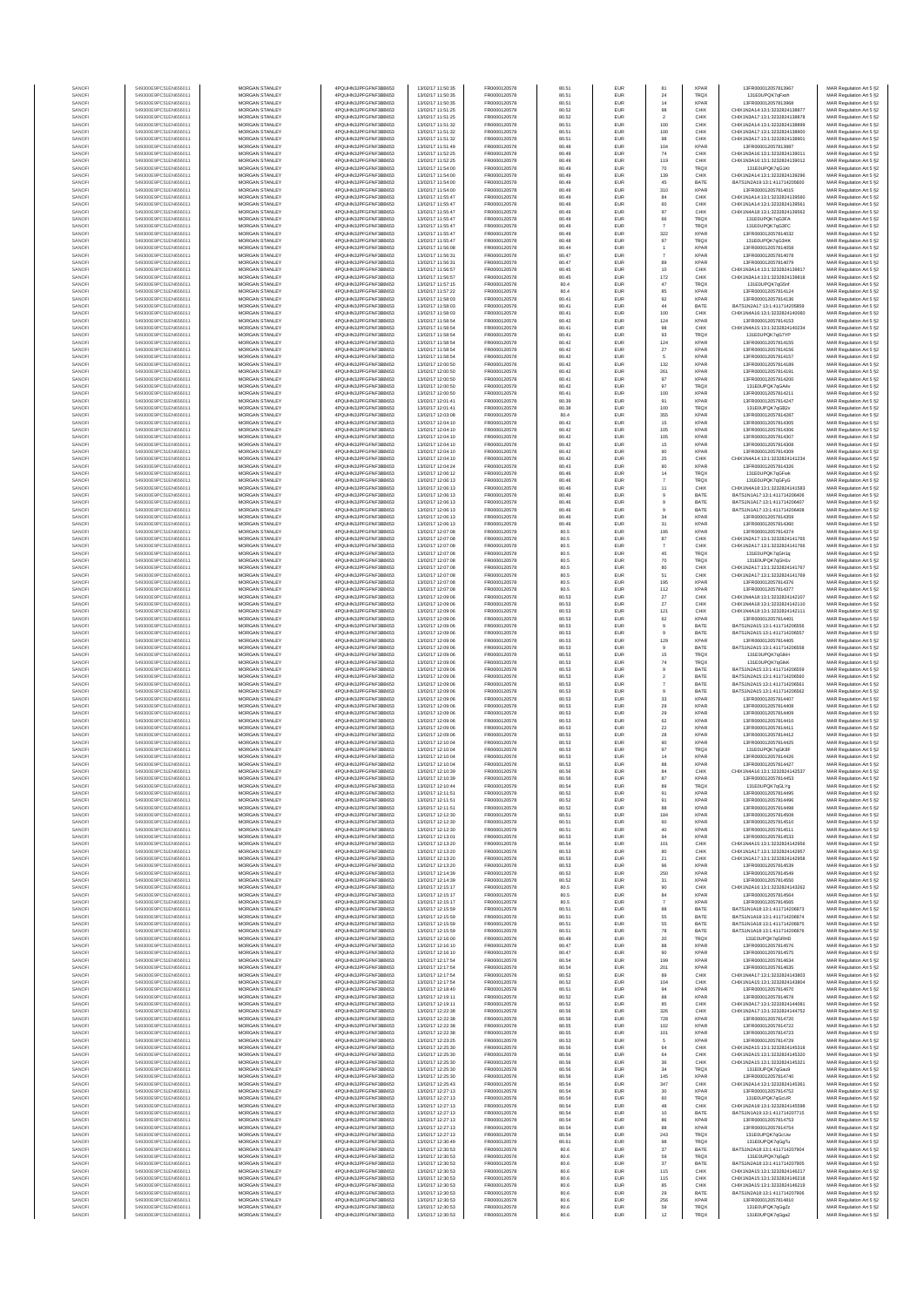| SANOFI           | 549300E9PC51EN656011                         | MORGAN STANLEY                                 | 4POLIHN3JPEGENE3BB653                         | 13/02/17 11:50:35                      | FR0000120578                 | 80.51          | EUR                      | 81                    | <b>XPAR</b>                | 13FR000012057813967                                            | MAR Regulation Art 5 §2                            |
|------------------|----------------------------------------------|------------------------------------------------|-----------------------------------------------|----------------------------------------|------------------------------|----------------|--------------------------|-----------------------|----------------------------|----------------------------------------------------------------|----------------------------------------------------|
| SANOFI           | 549300E9PC51EN656011                         | MORGAN STANLEY                                 | 4PQUHN3JPFGFNF3BB653                          | 13/02/17 11:50:35                      | FR0000120578                 | 80.51          | EUR                      | 24                    | <b>TRQX</b>                | 131E0UPQK7qFxoh                                                | MAR Regulation Art 5 §2                            |
| SANOFI<br>SANOFI | 549300E9PC51EN656011<br>549300E9PC51EN656011 | <b>MORGAN STANLEY</b><br><b>MORGAN STANLEY</b> | 4POLIHN3JPEGENE3BB653<br>4PQUHN3JPFGFNF3BB653 | 13/02/17 11:50:35<br>13/02/17 11:51:25 | FR0000120578<br>FR0000120578 | 80.51<br>80.52 | <b>EUR</b><br><b>EUR</b> | 14<br>98              | <b>XPAR</b><br>CHIX        | 13FR000012057813968<br>CHIX1N2A14:13:1:3232824138877           | MAR Regulation Art 5 §2<br>MAR Regulation Art 5 §2 |
| SANOFI           | 549300E9PC51EN656011                         | MORGAN STANLEY                                 | 4PQUHN3JPFGFNF3BB653                          | 13/02/17 11:51:25                      | FR0000120578                 | 80.52          | EUR                      | $\sqrt{2}$            | CHIX                       | CHIX1N3A17:13:1:3232824138878                                  | MAR Regulation Art 5 §2                            |
| SANOFI           | 549300E9PC51EN656011                         | MORGAN STANLEY                                 | 4PQUHN3JPFGFNF3BB653                          | 13/02/17 11:51:32                      | FR0000120578                 | 80.51          | EUR                      | 100                   | CHIX                       | CHIX1N2A14:13:1:3232824138899                                  | MAR Regulation Art 5 §2                            |
| SANOFI<br>SANOFI | 549300E9PC51EN656011<br>549300E9PC51EN656011 | MORGAN STANLEY<br>MORGAN STANLEY               | 4PQUHN3JPFGFNF3BB653<br>4PQUHN3JPFGFNF3BB653  | 13/02/17 11:51:32<br>13/02/17 11:51:32 | FR0000120578<br>FR0000120578 | 80.51<br>80.51 | EUR<br>EUR               | 100<br>98             | CHIX<br>CHIX               | CHIX1N3A17:13:1:3232824138900<br>CHIX1N3A17:13:1:3232824138901 | MAR Regulation Art 5 §2<br>MAR Regulation Art 5 §2 |
| SANOFI           | 549300E9PC51EN656011                         | MORGAN STANLEY                                 | 4PQUHN3JPFGFNF3BB653                          | 13/02/17 11:51:49                      | FR0000120578                 | 80.48          | EUR                      | 104                   | <b>XPAR</b>                | 13FR000012057813987                                            | MAR Regulation Art 5 §2                            |
| SANOFI<br>SANOFI | 549300E9PC51EN656011<br>549300E9PC51EN656011 | MORGAN STANLEY<br>MORGAN STANLEY               | 4PQUHN3JPFGFNF3BB653<br>4PQUHN3JPFGFNF3BB653  | 13/02/17 11:52:25<br>13/02/17 11:52:25 | FR0000120578<br>FR0000120578 | 80.49<br>80.49 | EUR<br>EUR               | $74\,$<br>119         | CHIX<br>CHIX               | CHIX1N3A16:13:1:3232824139011<br>CHIX1N3A16:13:1:3232824139012 | MAR Regulation Art 5 §2<br>MAR Regulation Art 5 §2 |
| SANOFI           | 549300E9PC51EN656011                         | <b>MORGAN STANLEY</b>                          | 4PQUHN3JPFGFNF3BB653                          | 13/02/17 11:54:00                      | FR0000120578                 | 80.49          | <b>EUR</b>               | 70                    | <b>TROX</b>                | 131E0UPQK7qG1Kt                                                | MAR Regulation Art 5 §2                            |
| SANOFI           | 549300E9PC51EN656011<br>549300E9PC51EN656011 | MORGAN STANLEY<br>MORGAN STANLEY               | 4PQUHN3JPFGFNF3BB653<br>4POUHN3JPEGENE3BB653  | 13/02/17 11:54:00<br>13/02/17 11:54:00 | FR0000120578<br>FR0000120578 | 80.49<br>80.49 | <b>EUR</b><br>EUR        | 139<br>45             | CHIX<br>BATE               | CHIX1N2A14-13-1-3232824139296<br>BATS1N2A19:13:1:411714205600  | MAR Regulation Art 5 §2                            |
| SANOFI<br>SANOFI | 549300E9PC51EN656011                         | MORGAN STANLEY                                 | 4PQUHN3JPFGFNF3BB653                          | 13/02/17 11:54:00                      | FR0000120578                 | 80.49          | EUR                      | 310                   | XPAR                       | 13FR000012057814015                                            | MAR Regulation Art 5 §2<br>MAR Regulation Art 5 §2 |
| SANOFI           | 549300E9PC51EN656011                         | MORGAN STANLEY                                 | 4PQUHN3JPFGFNF3BB653                          | 13/02/17 11:55:47                      | FR0000120578                 | 80.49          | EUR                      | 84                    | CHIX                       | CHIX1N1A14:13:1:3232824139560                                  | MAR Regulation Art 5 §2                            |
| SANOFI<br>SANOFI | 549300E9PC51EN656011<br>549300E9PC51EN656011 | MORGAN STANLEY<br>MORGAN STANLEY               | 4PQUHN3JPFGFNF3BB653<br>4PQUHN3JPFGFNF3BB653  | 13/02/17 11:55:47<br>13/02/17 11:55:47 | FR0000120578<br>FR0000120578 | 80.49<br>80.49 | EUR<br>EUR               | 60<br>97              | CHIX<br>CHIX               | CHIX1N1A14:13:1:3232824139561<br>CHIX1N4A18:13:1:3232824139562 | MAR Regulation Art 5 §2<br>MAR Regulation Art 5 §2 |
| SANOFI           | 549300E9PC51EN656011                         | MORGAN STANLEY                                 | 4PQUHN3JPFGFNF3BB653                          | 13/02/17 11:55:47                      | FR0000120578                 | 80.49          | EUR                      | 66                    | TRQX                       | 131E0UPQK7qG3FA                                                | MAR Regulation Art 5 §2                            |
| SANOFI           | 549300E9PC51EN656011                         | <b>MORGAN STANLEY</b>                          | 4PQUHN3JPFGFNF3BB653                          | 13/02/17 11:55:47                      | FR0000120578                 | 80.49          | <b>EUR</b>               | $\overline{7}$        | <b>TRQX</b>                | 131E0UPQK7qG3FC                                                | MAR Regulation Art 5 §2                            |
| SANOFI<br>SANOFI | 549300E9PC51EN656011<br>549300E9PC51EN656011 | MORGAN STANLEY<br>MORGAN STANLEY               | 4PQUHN3JPFGFNF3BB653<br>4PQUHN3JPFGFNF3BB653  | 13/02/17 11:55:47<br>13/02/17 11:55:47 | FR0000120578                 | 80.49<br>80.48 | <b>EUR</b><br>EUR        | 322                   | <b>XPAR</b><br>TRQX        | 13FR000012057814032<br>131E0UPQK7qG3HK                         | MAR Regulation Art 5 §2                            |
| SANOFI           | 549300E9PC51EN656011                         | MORGAN STANLEY                                 | 4PQUHN3JPFGFNF3BB653                          | 13/02/17 11:56:08                      | FR0000120578<br>FR0000120578 | 80.44          | EUR                      | $97\,$                | XPAR                       | 13FR000012057814058                                            | MAR Regulation Art 5 §2<br>MAR Regulation Art 5 §2 |
| SANOFI           | 549300E9PC51EN656011                         | MORGAN STANLEY                                 | 4PQUHN3JPFGFNF3BB653                          | 13/02/17 11:56:31                      | FR0000120578                 | 80.47          | EUR                      | $\boldsymbol{7}$      | <b>XPAF</b>                | 13FR000012057814078                                            | MAR Regulation Art 5 §2                            |
| SANOFI<br>SANOFI | 549300E9PC51EN656011<br>549300E9PC51EN656011 | MORGAN STANLEY<br>MORGAN STANLEY               | 4PQUHN3JPFGFNF3BB653<br>4PQUHN3JPFGFNF3BB653  | 13/02/17 11:56:31<br>13/02/17 11:56:57 | FR0000120578<br>FR0000120578 | 80.47<br>80.45 | EUR<br>EUR               | 89<br>$10$            | <b>XPAR</b><br>CHIX        | 13FR000012057814079<br>CHIX1N3A14:13:1:3232824139817           | MAR Regulation Art 5 §2<br>MAR Regulation Art 5 §2 |
| SANOFI           | 549300E9PC51EN656011                         | MORGAN STANLEY                                 | 4PQUHN3JPFGFNF3BB653                          | 13/02/17 11:56:57                      | FR0000120578                 | 80.45          | EUR                      | 172                   | CHIX                       | CHIX1N3A14:13:1:3232824139818                                  | MAR Regulation Art 5 §2                            |
| SANOFI<br>SANOFI | 549300E9PC51EN656011<br>549300E9PC51EN656011 | <b>MORGAN STANLEY</b><br>MORGAN STANLEY        | 4PQUHN3JPFGFNF3BB653<br>4PQUHN3JPFGFNF3BB653  | 13/02/17 11:57:15<br>13/02/17 11:57:22 | FR0000120578                 | 80.4<br>80.4   | <b>EUR</b>               | 47                    | <b>TROX</b><br><b>XPAR</b> | 131E0UPQK7gG5nf<br>13FR000012057814124                         | MAR Regulation Art 5 §2                            |
| SANOFI           | 549300E9PC51EN656011                         | MORGAN STANLEY                                 | 4PQUHN3JPFGFNF3BB653                          | 13/02/17 11:58:03                      | FR0000120578<br>FR0000120578 | 80.41          | EUR<br>EUR               | 85<br>$92\,$          | <b>XPAR</b>                | 13FR000012057814136                                            | MAR Regulation Art 5 §2<br>MAR Regulation Art 5 §2 |
| SANOFI           | 549300E9PC51EN656011                         | MORGAN STANLEY                                 | 4PQUHN3JPFGFNF3BB653                          | 13/02/17 11:58:03                      | FR0000120578                 | 80.41          | EUR                      | $44\,$                | BATE                       | BATS1N2A17:13:1:411714205859                                   | MAR Regulation Art 5 §2                            |
| SANOFI<br>SANOFI | 549300E9PC51EN656011<br>549300E9PC51EN656011 | MORGAN STANLEY<br>MORGAN STANLEY               | 4PQUHN3JPFGFNF3BB653<br>4PQUHN3JPFGFNF3BB653  | 13/02/17 11:58:03<br>13/02/17 11:58:54 | FR0000120578<br>FR0000120578 | 80.41<br>80.42 | EUR<br>EUR               | 100<br>124            | CHIX<br><b>XPAF</b>        | CHIX1N4A16:13:1:3232824140060<br>13FR000012057814153           | MAR Regulation Art 5 §2<br>MAR Regulation Art 5 §2 |
| SANOFI           | 549300E9PC51EN656011                         | MORGAN STANLEY                                 | 4PQUHN3JPFGFNF3BB653                          | 13/02/17 11:58:54                      | FR0000120578                 | 80.41          | EUR                      | 98                    | CHIX                       | CHIX1N4A15:13:1:3232824140234                                  | MAR Regulation Art 5 §2                            |
| SANOFI           | 549300E9PC51EN656011                         | MORGAN STANLEY                                 | 4PQUHN3JPFGFNF3BB653                          | 13/02/17 11:58:54                      | FR0000120578                 | 80.41          | EUR                      | 93                    | TRQX                       | 131E0UPQK7qG7YP                                                | MAR Regulation Art 5 §2                            |
| SANOFI<br>SANOFI | 549300E9PC51EN656011<br>549300E9PC51EN656011 | <b>MORGAN STANLEY</b><br><b>MORGAN STANLEY</b> | 4PQUHN3JPFGFNF3BB653<br>4PQUHN3JPFGFNF3BB653  | 13/02/17 11:58:54<br>13/02/17 11:58:54 | FR0000120578<br>FR0000120578 | 80.42<br>80.42 | <b>EUR</b><br><b>EUR</b> | 124<br>$27\,$         | <b>XPAR</b><br><b>XPAR</b> | 13FR000012057814155<br>13FR000012057814156                     | MAR Regulation Art 5 §2<br>MAR Regulation Art 5 §2 |
| SANOFI           | 549300E9PC51EN656011                         | MORGAN STANLEY                                 | 4PQUHN3JPFGFNF3BB653                          | 13/02/17 11:58:54                      | FR0000120578                 | 80.42          | EUR                      | $\sqrt{5}$            | <b>XPAR</b>                | 13FR000012057814157                                            | MAR Regulation Art 5 §2                            |
| SANOFI           | 549300E9PC51EN656011                         | MORGAN STANLEY                                 | 4PQUHN3JPFGFNF3BB653                          | 13/02/17 12:00:50                      | FR0000120578                 | 80.42          | EUR                      | 132                   | <b>XPAR</b>                | 13FR000012057814189                                            | MAR Regulation Art 5 §2                            |
| SANOF<br>SANOFI  | 549300E9PC51EN656011<br>549300E9PC51EN656011 | MORGAN STANLEY<br>MORGAN STANLEY               | 4PQUHN3JPFGFNF3BB653<br>4PQUHN3JPFGFNF3BB653  | 13/02/17 12:00:50<br>13/02/17 12:00:50 | FR0000120578<br>FR0000120578 | 80.42<br>80.41 | EUR<br>EUR               | 261<br>97             | <b>XPAR</b><br><b>XPAR</b> | 13FR000012057814191<br>13FR000012057814200                     | MAR Regulation Art 5 §2<br>MAR Regulation Art 5 §2 |
| SANOFI           | 549300E9PC51EN656011                         | MORGAN STANLEY                                 | 4PQUHN3JPFGFNF3BB653                          | 13/02/17 12:00:50                      | FR0000120578                 | 80.42          | EUR                      | 97                    | TRQX                       | 131E0UPQK7gGA4v                                                | MAR Regulation Art 5 §2                            |
| SANOFI<br>SANOFI | 549300E9PC51EN656011<br>549300E9PC51EN656011 | MORGAN STANLEY<br>MORGAN STANLEY               | 4PQUHN3JPFGFNF3BB653<br>4PQUHN3JPFGFNF3BB653  | 13/02/17 12:00:50<br>13/02/17 12:01:41 | FR0000120578<br>FR0000120578 | 80.41<br>80.39 | EUR<br>EUR               | 100<br>91             | <b>XPAR</b><br><b>XPAR</b> | 13FR000012057814211<br>13FR000012057814247                     | MAR Regulation Art 5 §2<br>MAR Regulation Art 5 §2 |
| SANOFI           | 549300E9PC51EN656011                         | <b>MORGAN STANLEY</b>                          | 4PQUHN3JPFGFNF3BB653                          | 13/02/17 12:01:41                      | FR0000120578                 | 80.38          | <b>EUR</b>               | 100                   | <b>TRQX</b>                | 131F0UPOK7nGB2v                                                | MAR Regulation Art 5 §2                            |
| SANOFI           | 549300E9PC51EN656011                         | MORGAN STANLEY                                 | 4PQUHN3JPFGFNF3BB653                          | 13/02/17 12:03:08                      | FR0000120578                 | 80.4           | <b>EUR</b>               | 355                   | <b>XPAR</b>                | 13FR000012057814287                                            | MAR Regulation Art 5 §2                            |
| SANOFI<br>SANOFI | 549300E9PC51EN656011<br>549300E9PC51EN656011 | MORGAN STANLEY<br>MORGAN STANLEY               | 4PQUHN3JPFGFNF3BB653<br>4PQUHN3JPFGFNF3BB653  | 13/02/17 12:04:10<br>13/02/17 12:04:10 | FR0000120578<br>FR0000120578 | 80.42<br>80.42 | EUR<br>EUR               | $15\,$<br>105         | <b>XPAR</b><br>XPAR        | 13FR000012057814305<br>13FR000012057814306                     | MAR Regulation Art 5 §2<br>MAR Regulation Art 5 §2 |
| SANOF            | 549300E9PC51EN656011                         | MORGAN STANLEY                                 | 4PQUHN3JPFGFNF3BB653                          | 13/02/17 12:04:10                      | FR0000120578                 | 80.42          | EUR                      | 105                   | <b>XPAR</b>                | 13FR000012057814307                                            | MAR Regulation Art 5 §2                            |
| SANOFI           | 549300E9PC51EN656011                         | MORGAN STANLEY                                 | 4PQUHN3JPFGFNF3BB653                          | 13/02/17 12:04:10                      | FR0000120578                 | 80.42          | EUR                      | 15                    | <b>XPAR</b>                | 13FR000012057814308                                            | MAR Regulation Art 5 §2                            |
| SANOFI<br>SANOFI | 549300E9PC51EN656011<br>549300E9PC51EN656011 | MORGAN STANLEY<br>MORGAN STANLEY               | 4PQUHN3JPFGFNF3BB653<br>4PQUHN3JPFGFNF3BB653  | 13/02/17 12:04:10<br>13/02/17 12:04:10 | FR0000120578<br>FR0000120578 | 80.42<br>80.42 | EUR<br><b>EUR</b>        | 90<br>25              | <b>XPAR</b><br>CHIX        | 13FR000012057814309<br>CHIX1N4A14:13:1:3232824141234           | MAR Regulation Art 5 §2<br>MAR Regulation Art 5 §2 |
| SANOFI           | 549300E9PC51EN656011                         | <b>MORGAN STANLEY</b>                          | 4PQUHN3JPFGFNF3BB653                          | 13/02/17 12:04:24                      | FR0000120578                 | 80.43          | <b>EUR</b>               | 90                    | <b>XPAR</b>                | 13FR000012057814326                                            | MAR Regulation Art 5 §2                            |
| SANOFI<br>SANOFI | 549300E9PC51EN656011<br>549300E9PC51EN656011 | <b>MORGAN STANLEY</b><br>MORGAN STANLEY        | 4PQUHN3JPFGFNF3BB653<br>4PQUHN3JPFGFNF3BB653  | 13/02/17 12:06:12                      | FR0000120578<br>FR0000120578 | 80.46<br>80.46 | <b>EUR</b><br>EUR        | 14<br>$\overline{7}$  | <b>TRQX</b><br><b>TRQX</b> | 131E0UPQK7qGFwk<br>131E0UPQK7qGFyG                             | MAR Regulation Art 5 §2                            |
| SANOFI           | 549300E9PC51EN656011                         | MORGAN STANLEY                                 | 4PQUHN3JPFGFNF3BB653                          | 13/02/17 12:06:13<br>13/02/17 12:06:13 | FR0000120578                 | 80.46          | EUR                      | $11$                  | CHIX                       | CHIX1N4A18:13:1:3232824141583                                  | MAR Regulation Art 5 §2<br>MAR Regulation Art 5 §2 |
| SANOFI           | 549300E9PC51EN656011                         | MORGAN STANLEY                                 | 4PQUHN3JPFGFNF3BB653                          | 13/02/17 12:06:13                      | FR0000120578                 | 80.46          | EUR                      |                       | BATE                       | BATS1N1A17:13:1:411714206406                                   | MAR Regulation Art 5 §2                            |
| SANOFI<br>SANOFI | 549300E9PC51EN656011<br>549300E9PC51EN656011 | MORGAN STANLEY<br>MORGAN STANLEY               | 4PQUHN3JPFGFNF3BB653<br>4PQUHN3JPFGFNF3BB653  | 13/02/17 12:06:13<br>13/02/17 12:06:13 | FR0000120578<br>FR0000120578 | 80.46<br>80.46 | EUR<br>EUR               | $_{9}$                | BATE<br>BATE               | BATS1N1A17:13:1:411714206407<br>BATS1N1A17:13:1:411714206408   | MAR Regulation Art 5 §2<br>MAR Regulation Art 5 §2 |
| SANOFI           | 549300E9PC51EN656011                         | MORGAN STANLEY                                 | 4PQUHN3JPFGFNF3BB653                          | 13/02/17 12:06:13                      | FR0000120578                 | 80.46          | EUR                      | 34                    | <b>XPAR</b>                | 13FR000012057814359                                            | MAR Regulation Art 5 §2                            |
| SANOFI           | 549300E9PC51EN656011                         | <b>MORGAN STANLEY</b>                          | 4PQUHN3JPFGFNF3BB653                          | 13/02/17 12:06:13                      | FR0000120578                 | 80.46          | <b>EUR</b>               | 31                    | <b>XPAR</b>                | 13FR000012057814360                                            | MAR Regulation Art 5 §2                            |
| SANOFI<br>SANOFI | 549300E9PC51EN656011<br>549300E9PC51EN656011 | <b>MORGAN STANLEY</b><br>MORGAN STANLEY        | 4PQUHN3JPFGFNF3BB653<br>4PQUHN3JPFGFNF3BB653  | 13/02/17 12:07:08<br>13/02/17 12:07:08 | FR0000120578<br>FR0000120578 | 80.5<br>80.5   | <b>EUR</b><br>EUR        | 195<br>87             | <b>XPAR</b><br>CHIX        | 13FR000012057814374<br>CHIX1N2A17:13:1:3232824141765           | MAR Regulation Art 5 §2<br>MAR Regulation Art 5 §2 |
| SANOFI           | 549300E9PC51EN656011                         | MORGAN STANLEY                                 | 4PQUHN3JPFGFNF3BB653                          | 13/02/17 12:07:08                      | FR0000120578                 | 80.5           | EUR                      |                       | CHIX                       | CHIX1N2A17:13:1:3232824141766                                  | MAR Regulation Art 5 §2                            |
| SANOFI<br>SANOFI | 549300E9PC51EN656011<br>549300E9PC51EN656011 | MORGAN STANLEY<br>MORGAN STANLEY               | 4PQUHN3JPFGFNF3BB653<br>4PQUHN3JPFGFNF3BB653  | 13/02/17 12:07:08<br>13/02/17 12:07:08 | FR0000120578<br>FR0000120578 | 80.5<br>80.5   | EUR<br>EUR               | 45                    | TRQX<br>TRQX               | 131E0UPQK7qGH1q<br>131E0UPQK7qGH1v                             | MAR Regulation Art 5 §2                            |
| SANOFI           | 549300E9PC51EN656011                         | MORGAN STANLEY                                 | 4PQUHN3JPFGFNF3BB653                          | 13/02/17 12:07:08                      | FR0000120578                 | 80.5           | EUR                      | $70$<br>80            | CHIX                       | CHIX1N2A17:13:1:3232824141767                                  | MAR Regulation Art 5 §2<br>MAR Regulation Art 5 §2 |
| SANOFI           | 549300E9PC51EN656011                         | MORGAN STANLEY                                 | 4PQUHN3JPFGFNF3BB653                          | 13/02/17 12:07:08                      | FR0000120578                 | 80.5           | EUR                      | 51                    | CHIX                       | CHIX1N2A17:13:1:3232824141769                                  | MAR Regulation Art 5 §2                            |
| SANOFI<br>SANOFI | 549300E9PC51EN656011<br>549300E9PC51EN656011 | <b>MORGAN STANLEY</b><br><b>MORGAN STANLEY</b> | 4PQUHN3JPFGFNF3BB653<br>4PQUHN3JPFGFNF3BB653  | 13/02/17 12:07:08<br>13/02/17 12:07:08 | FR0000120578<br>FR0000120578 | 80.5<br>80.5   | <b>EUR</b><br><b>EUR</b> | 195<br>112            | <b>XPAR</b><br><b>XPAR</b> | 13FR000012057814376<br>13FR000012057814377                     | MAR Regulation Art 5 §2<br>MAR Regulation Art 5 §2 |
| SANOFI           | 549300E9PC51EN656011                         | MORGAN STANLEY                                 | 4PQUHN3JPFGFNF3BB653                          | 13/02/17 12:09:06                      | FR0000120578                 | 80.53          | EUR                      | $27\,$                | CHIX                       | CHIX1N4A18:13:1:3232824142107                                  | MAR Regulation Art 5 §2                            |
| SANOFI<br>SANOFI | 549300E9PC51EN656011<br>549300E9PC51EN656011 | MORGAN STANLEY<br>MORGAN STANLEY               | 4PQUHN3JPFGFNF3BB653<br>4PQUHN3JPFGFNF3BB653  | 13/02/17 12:09:06<br>13/02/17 12:09:06 | FR0000120578<br>FR0000120578 | 80.53<br>80.53 | EUR<br>EUR               | $27\,$                | CHIX<br>CHIX               | CHIX1N4A18:13:1:3232824142110<br>CHIX1N4A18:13:1:3232824142111 | MAR Regulation Art 5 §2                            |
| SANOFI           | 549300E9PC51EN656011                         | MORGAN STANLEY                                 | 4PQUHN3JPFGFNF3BB653                          | 13/02/17 12:09:06                      | FR0000120578                 | 80.53          | EUR                      | 121<br>62             | <b>XPAF</b>                | 13FR000012057814401                                            | MAR Regulation Art 5 §2<br>MAR Regulation Art 5 §2 |
| SANOFI           | 549300E9PC51EN656011                         | MORGAN STANLEY                                 | 4PQUHN3JPFGFNF3BB653                          | 13/02/17 12:09:06                      | FR0000120578                 | 80.53          | EUR                      | 9                     | BATE                       | BATS1N2A15:13:1:411714206556                                   | MAR Regulation Art 5 §2                            |
| SANOFI<br>SANOFI | 549300E9PC51EN656011<br>549300E9PC51EN656011 | MORGAN STANLEY<br>MORGAN STANLEY               | 4PQUHN3JPFGFNF3BB653<br>4PQUHN3JPFGFNF3BB653  | 13/02/17 12:09:06<br>13/02/17 12:09:06 | FR0000120578<br>FR0000120578 | 80.53<br>80.53 | EUR<br><b>EUR</b>        | $\overline{9}$<br>129 | BATE<br><b>XPAR</b>        | BATS1N2A15:13:1:411714206557<br>13FR000012057814405            | MAR Regulation Art 5 §2<br>MAR Regulation Art 5 §2 |
| SANOFI           | 549300E9PC51EN656011                         | <b>MORGAN STANLEY</b>                          | 4PQUHN3JPFGFNF3BB653                          | 13/02/17 12:09:06                      | FR0000120578                 | 80.53          | <b>EUR</b>               | $\theta$              | BATE                       | BATS1N2A15:13:1:411714206558                                   | MAR Regulation Art 5 §2                            |
| SANOFI           | 549300E9PC51EN656011                         | <b>MORGAN STANLEY</b>                          | 4PQUHN3JPFGFNF3BB653<br>4PQUHN3JPFGFNF3BB653  | 13/02/17 12:09:06                      | FR0000120578                 | 80.53          | EUR                      | 15                    | <b>TRQX</b>                | 131E0UPQK7gGlkH                                                | MAR Regulation Art 5 §2                            |
| SANOFI<br>SANOFI | 549300E9PC51EN656011<br>549300E9PC51EN656011 | MORGAN STANLEY<br>MORGAN STANLEY               | 4PQUHN3JPFGFNF3BB653                          | 13/02/17 12:09:06<br>13/02/17 12:09:06 | FR0000120578<br>FR0000120578 | 80.53<br>80.53 | EUR<br>EUR               | 74<br>$9$             | TRQX<br>BATE               | 131E0UPQK7qGlkK<br>BATS1N2A15:13:1:411714206559                | MAR Regulation Art 5 §2<br>MAR Regulation Art 5 §2 |
| SANOFI           | 549300E9PC51EN656011                         | MORGAN STANLEY                                 | 4PQUHN3JPFGFNF3BB653                          | 13/02/17 12:09:06                      | FR0000120578                 | 80.53          | EUR                      |                       | BATE                       | BATS1N2A15:13:1:411714206560                                   | MAR Regulation Art 5 §2                            |
| SANOFI<br>SANOFI | 549300E9PC51EN656011<br>549300E9PC51EN656011 | MORGAN STANLEY<br>MORGAN STANLEY               | 4PQUHN3JPFGFNF3BB653<br>4PQUHN3JPFGFNF3BB653  | 13/02/17 12:09:06<br>13/02/17 12:09:06 | FR0000120578<br>FR0000120578 | 80.53<br>80.53 | EUR<br>EUR               | $\boldsymbol{7}$      | BATE<br>BATE               | BATS1N2A15:13:1:411714206561<br>BATS1N2A15:13:1:411714206562   | MAR Regulation Art 5 §2<br>MAR Regulation Art 5 §2 |
| SANOFI           | 549300E9PC51EN656011                         | MORGAN STANLEY                                 | 4PQUHN3JPFGFNF3BB653                          | 13/02/17 12:09:06                      | FR0000120578                 | 80.53          | EUR                      | $_{33}$               | <b>XPAR</b>                | 13FR000012057814407                                            | MAR Regulation Art 5 §2                            |
| SANOFI           | 549300E9PC51EN656011                         | <b>MORGAN STANLEY</b>                          | 4PQUHN3JPFGFNF3BB653                          | 13/02/17 12:09:06                      | FR0000120578                 | 80.53          | <b>EUR</b>               | 29                    | <b>XPAR</b>                | 13FR000012057814408                                            | MAR Regulation Art 5 §2                            |
| SANOFI<br>SANOFI | 549300E9PC51EN656011<br>549300E9PC51EN656011 | MORGAN STANLEY<br>MORGAN STANLEY               | 4PQUHN3JPFGFNF3BB653<br>4PQUHN3JPFGFNF3BB653  | 13/02/17 12:09:06<br>13/02/17 12:09:06 | FR0000120578<br>FR0000120578 | 80.53<br>80.53 | <b>EUR</b><br>EUR        | 29<br>$62\,$          | <b>XPAR</b><br><b>XPAR</b> | 13FR000012057814409<br>13FR000012057814410                     | MAR Regulation Art 5 §2<br>MAR Regulation Art 5 §2 |
| SANOFI           | 549300E9PC51EN656011                         | MORGAN STANLEY                                 | 4PQUHN3JPFGFNF3BB653                          | 13/02/17 12:09:06                      | FR0000120578                 | 80.53          | EUR                      | $\bf 22$              | <b>XPAR</b>                | 13FR000012057814411                                            | MAR Regulation Art 5 §2                            |
| SANOF<br>SANOFI  | 549300E9PC51EN656011<br>549300E9PC51EN656011 | MORGAN STANLEY<br>MORGAN STANLEY               | 4PQUHN3JPFGFNF3BB653<br>4PQUHN3JPFGFNF3BB653  | 13/02/17 12:09:06<br>13/02/17 12:10:04 | FR0000120578<br>FR0000120578 | 80.53<br>80.53 | EUR<br>EUR               | ${\bf 28}$            | <b>XPAR</b><br><b>XPAR</b> | 13FR000012057814412<br>13FR000012057814425                     | MAR Regulation Art 5 §2<br>MAR Regulation Art 5 §2 |
| SANOFI           | 549300E9PC51EN656011                         | MORGAN STANLEY                                 | 4PQUHN3JPFGFNF3BB653                          | 13/02/17 12:10:04                      | FR0000120578                 | 80.53          | EUR                      | 90<br>97              | TRQX                       | 131E0UPQK7qGK8F                                                | MAR Regulation Art 5 §2                            |
| SANOFI           | 549300E9PC51EN656011                         | MORGAN STANLEY                                 | 4PQUHN3JPFGFNF3BB653                          | 13/02/17 12:10:04                      | FR0000120578                 | 80.53          | EUR                      | 14                    | <b>XPAR</b>                | 13FR000012057814426                                            | MAR Regulation Art 5 §2                            |
| SANOFI<br>SANOFI | 549300E9PC51EN656011<br>549300E9PC51EN656011 | <b>MORGAN STANLEY</b><br><b>MORGAN STANLEY</b> | 4PQUHN3JPFGFNF3BB653<br>4PQUHN3JPFGFNF3BB653  | 13/02/17 12:10:04<br>13/02/17 12:10:39 | FR0000120578<br>FR0000120578 | 80.53<br>80.56 | <b>EUR</b><br><b>EUR</b> | 88<br>84              | <b>XPAR</b><br>CHIX        | 13FR000012057814427<br>CHIX1N4A16:13:1:3232824142537           | MAR Regulation Art 5 §2<br>MAR Regulation Art 5 §2 |
| SANOFI           | 549300E9PC51EN65601                          | <b>MORGAN STANLEY</b>                          | 4POLIHN3JPEGENE3BB653                         | 13/02/17 12:10:39                      | FR0000120578                 | 80.56          | <b>FUE</b>               | 87                    | <b>XPAR</b>                | 13FR000012057814453                                            | MAR Regulation Art 5 §2                            |
| SANOFI           | 549300E9PC51EN656011                         | MORGAN STANLEY                                 | 4PQUHN3JPFGFNF3BB653                          | 13/02/17 12:10:44                      | FR0000120578                 | 80.54          | EUR                      | 89                    | <b>TRQX</b>                | 131E0UPQK7qGLYg                                                | MAR Regulation Art 5 §2                            |
| SANOF<br>SANOFI  | 549300E9PC51EN656011<br>549300E9PC51EN656011 | MORGAN STANLEY<br>MORGAN STANLEY               | 4PQUHN3JPFGFNF3BB653<br>4PQUHN3JPFGFNF3BB653  | 13/02/17 12:11:51<br>13/02/17 12:11:51 | FR0000120578<br>FR0000120578 | 80.52<br>80.52 | EUR<br>EUR               | 91<br>91              | <b>XPAR</b><br><b>XPAR</b> | 13FR000012057814495<br>13FR000012057814496                     | MAR Regulation Art 5 §2<br>MAR Regulation Art 5 §2 |
| SANOFI           | 549300E9PC51EN656011                         | MORGAN STANLEY                                 | 4PQUHN3JPFGFNF3BB653                          | 13/02/17 12:11:51                      | FR0000120578                 | 80.52          | <b>EUR</b>               | 88                    | <b>XPAR</b>                | 13FR000012057814498                                            | MAR Regulation Art 5 §2                            |
| SANOFI<br>SANOFI | 549300E9PC51EN656011<br>549300E9PC51EN656011 | MORGAN STANLEY<br><b>MORGAN STANLEY</b>        | 4PQUHN3JPFGFNF3BB653<br>4PQUHN3JPFGFNF3BB653  | 13/02/17 12:12:30<br>13/02/17 12:12:30 | FR0000120578<br>FR0000120578 | 80.51<br>80.51 | EUR<br><b>EUR</b>        | 184<br>60             | <b>XPAR</b><br><b>XPAR</b> | 13FR000012057814508<br>13FR000012057814510                     | MAR Regulation Art 5 §2                            |
| SANOFI           | 549300E9PC51EN656011                         | <b>MORGAN STANLEY</b>                          | 4PQUHN3JPFGFNF3BB653                          | 13/02/17 12:12:30                      | FR0000120578                 | 80.51          | <b>EUR</b>               | 40                    | <b>XPAR</b>                | 13ER000012057814511                                            | MAR Regulation Art 5 §2<br>MAR Regulation Art 5 §2 |
| SANOFI           | 549300E9PC51EN656011                         | MORGAN STANLEY                                 | 4PQUHN3JPFGFNF3BB653                          | 13/02/17 12:13:01                      | FR0000120578                 | 80.53          | EUR                      | 94                    | <b>XPAR</b>                | 13FR000012057814533                                            | MAR Regulation Art 5 §2                            |
| SANOFI<br>SANOFI | 549300E9PC51EN656011<br>549300E9PC51EN656011 | MORGAN STANLEY<br>MORGAN STANLEY               | 4PQUHN3JPFGFNF3BB653<br>4PQUHN3JPFGFNF3BB653  | 13/02/17 12:13:20<br>13/02/17 12:13:20 | FR0000120578<br>FR0000120578 | 80.54<br>80.53 | EUR<br>EUR               | 101<br>80             | CHIX<br>CHIX               | CHIX1N4A15:13:1:3232824142956<br>CHIX1N1A17:13:1:3232824142957 | MAR Regulation Art 5 §2<br>MAR Regulation Art 5 §2 |
| SANOFI           | 549300E9PC51EN656011                         | MORGAN STANLEY                                 | 4PQUHN3JPFGFNF3BB653                          | 13/02/17 12:13:20                      | FR0000120578                 | 80.53          | EUR                      | 21                    | CHIX                       | CHIX1N1A17:13:1:3232824142958                                  | MAR Regulation Art 5 §2                            |
| SANOFI<br>SANOFI | 549300E9PC51EN656011<br>549300E9PC51EN656011 | MORGAN STANLEY<br>MORGAN STANLEY               | 4POLIHN3JPEGENE3BB653<br>4PQUHN3JPFGFNF3BB653 | 13/02/17 12:13:20<br>13/02/17 12:14:39 | FR0000120578<br>FR0000120578 | 80.53          | <b>EUR</b><br>EUR        | $96\,$<br>250         | <b>XPAR</b><br><b>XPAR</b> | 13FR000012057814539                                            | MAR Regulation Art 5 §2                            |
| SANOFI           | 549300E9PC51EN656011                         | MORGAN STANLEY                                 | 4PQUHN3JPFGFNF3BB653                          | 13/02/17 12:14:39                      | FR0000120578                 | 80.52<br>80.52 | EUR                      | 31                    | <b>XPAR</b>                | 13FR000012057814549<br>13FR000012057814550                     | MAR Regulation Art 5 §2<br>MAR Regulation Art 5 §2 |
| SANOFI           | 549300E9PC51EN656011                         | <b>MORGAN STANLEY</b>                          | 4PQUHN3JPFGFNF3BB653                          | 13/02/17 12:15:17                      | FR0000120578                 | 80.5           | <b>EUR</b>               | 90                    | CHIX                       | CHIX1N2A16:13:1:3232824143262                                  | MAR Regulation Art 5 §2                            |
| SANOFI<br>SANOFI | 549300E9PC51EN656011<br>549300E9PC51EN656011 | <b>MORGAN STANLEY</b><br>MORGAN STANLEY        | 4PQUHN3JPFGFNF3BB653<br>4PQUHN3JPFGFNF3BB653  | 13/02/17 12:15:17<br>13/02/17 12:15:17 | FR0000120578<br>FR0000120578 | 80.5<br>80.5   | <b>EUR</b><br><b>EUR</b> | 84<br>$\overline{7}$  | <b>XPAR</b><br><b>XPAR</b> | 13FR000012057814564<br>13FR000012057814565                     | MAR Regulation Art 5 §2<br>MAR Regulation Art 5 §2 |
| SANOFI           | 549300E9PC51EN656011                         | MORGAN STANLEY                                 | 4PQUHN3JPFGFNF3BB653                          | 13/02/17 12:15:59                      | FR0000120578                 | 80.51          | <b>EUR</b>               | 88                    | BATE                       | BATS1N1A18:13:1:411714206973                                   | MAR Regulation Art 5 §2                            |
| SANOFI<br>SANOFI | 549300E9PC51EN656011<br>549300E9PC51EN656011 | MORGAN STANLEY<br>MORGAN STANLEY               | 4PQUHN3JPFGFNF3BB653<br>4PQUHN3JPFGFNF3BB653  | 13/02/17 12:15:59<br>13/02/17 12:15:59 | FR0000120578<br>FR0000120578 | 80.51<br>80.51 | EUR<br>EUR               | 55<br>55              | BATE<br>BATE               | BATS1N1A18:13:1:411714206974<br>BATS1N1A18:13:1:411714206975   | MAR Regulation Art 5 §2                            |
| SANOFI           | 549300E9PC51EN656011                         | MORGAN STANLEY                                 | 4PQUHN3JPFGFNF3BB653                          | 13/02/17 12:15:59                      | FR0000120578                 | 80.51          | EUR                      | ${\bf 78}$            | BATE                       | BATS1N1A18:13:1:411714206976                                   | MAR Regulation Art 5 §2<br>MAR Regulation Art 5 §2 |
| SANOFI           | 549300E9PC51EN656011                         | MORGAN STANLEY                                 | 4PQUHN3JPFGFNF3BB653                          | 13/02/17 12:16:00                      | FR0000120578                 | 80.49          | <b>EUR</b>               | 20                    | <b>TROX</b>                | 131E0UPQK7qGRHD                                                | MAR Regulation Art 5 §2                            |
| SANOFI<br>SANOFI | 549300E9PC51EN656011<br>549300E9PC51EN656011 | <b>MORGAN STANLEY</b><br><b>MORGAN STANLEY</b> | 4PQUHN3JPFGFNF3BB653<br>4PQUHN3JPFGFNF3BB653  | 13/02/17 12:16:10<br>13/02/17 12:16:10 | FR0000120578<br>FR0000120578 | 80.47<br>80.47 | <b>EUR</b><br><b>EUR</b> | 88<br>90              | <b>XPAR</b><br><b>XPAR</b> | 13FR000012057814576<br>13FR000012057814575                     | MAR Regulation Art 5 §2<br>MAR Regulation Art 5 §2 |
| SANOFI           | 549300E9PC51EN656011                         | MORGAN STANLEY                                 | 4PQUHN3JPFGFNF3BB653                          | 13/02/17 12:17:54                      | FR0000120578                 | 80.54          | <b>EUR</b>               | 199                   | <b>XPAR</b>                | 13FR000012057814634                                            | MAR Regulation Art 5 §2                            |
| SANOFI           | 549300E9PC51EN656011                         | MORGAN STANLEY                                 | 4PQUHN3JPFGFNF3BB653                          | 13/02/17 12:17:54                      | FR0000120578                 | 80.54          | <b>EUR</b>               | 201                   | <b>XPAR</b>                | 13FR000012057814635                                            | MAR Regulation Art 5 §2                            |
| SANOFI<br>SANOFI | 549300E9PC51EN656011<br>549300E9PC51EN656011 | MORGAN STANLEY<br>MORGAN STANLEY               | 4PQUHN3JPFGFNF3BB653<br>4PQUHN3JPFGFNF3BB653  | 13/02/17 12:17:54<br>13/02/17 12:17:54 | FR0000120578<br>FR0000120578 | 80.52<br>80.52 | EUR<br>EUR               | 89<br>104             | CHIX<br>CHIX               | CHIX1N4A17:13:1:3232824143803<br>CHIX1N1A15:13:1:3232824143804 | MAR Regulation Art 5 §2<br>MAR Regulation Art 5 §2 |
| SANOFI           | 549300E9PC51EN656011                         | MORGAN STANLEY                                 | 4PQUHN3JPFGFNF3BB653                          | 13/02/17 12:18:40                      | FR0000120578                 | 80.51          | EUR                      | 94                    | <b>XPAR</b>                | 13FR000012057814670                                            | MAR Regulation Art 5 §2                            |
| SANOFI<br>SANOFI | 549300E9PC51EN656011<br>549300E9PC51EN656011 | MORGAN STANLEY<br>MORGAN STANLEY               | 4PQUHN3JPFGFNF3BB653<br>4PQUHN3JPFGFNF3BB653  | 13/02/17 12:19:11<br>13/02/17 12:19:11 | FR0000120578<br>FR0000120578 | 80.52<br>80.52 | <b>EUR</b><br><b>EUR</b> | 88<br>85              | <b>XPAR</b><br>CHIX        | 13FR000012057814678<br>CHIX1N3A17:13:1:3232824144081           | MAR Regulation Art 5 §2                            |
| SANOFI           | 549300E9PC51EN656011                         | <b>MORGAN STANLEY</b>                          | 4PQUHN3JPFGFNF3BB653                          | 13/02/17 12:22:38                      | FR0000120578                 | 80.56          | <b>EUR</b>               | 326                   | CHIX                       | CHIX1N2A17:13:1:3232824144752                                  | MAR Regulation Art 5 §2<br>MAR Regulation Art 5 §2 |
| SANOFI           | 549300E9PC51EN656011                         | MORGAN STANLEY                                 | 4PQUHN3JPFGFNF3BB653                          | 13/02/17 12:22:38                      | FR0000120578                 | 80.56          | EUR                      | 728                   | XPAR                       | 13FR000012057814720                                            | MAR Regulation Art 5 §2                            |
| SANOFI<br>SANOFI | 549300E9PC51EN656011<br>549300E9PC51EN656011 | MORGAN STANLEY<br>MORGAN STANLEY               | 4PQUHN3JPFGFNF3BB653<br>4PQUHN3JPFGFNF3BB653  | 13/02/17 12:22:38<br>13/02/17 12:22:38 | FR0000120578<br>FR0000120578 | 80.55<br>80.55 | <b>EUR</b><br>EUR        | 102<br>101            | XPAR<br><b>XPAR</b>        | 13FR000012057814722<br>13FR000012057814723                     | MAR Regulation Art 5 §2<br>MAR Regulation Art 5 §2 |
| SANOFI           | 549300E9PC51EN656011                         | MORGAN STANLEY                                 | 4PQUHN3JPFGFNF3BB653                          | 13/02/17 12:23:25                      | FR0000120578                 | 80.53          | EUR                      | $\mathbf s$           | <b>XPAR</b>                | 13FR000012057814729                                            | MAR Regulation Art 5 §2                            |
| SANOFI<br>SANOFI | 549300E9PC51EN656011<br>549300E9PC51EN656011 | MORGAN STANLEY<br>MORGAN STANLEY               | 4PQUHN3JPFGFNF3BB653<br>4PQUHN3JPFGFNF3BB653  | 13/02/17 12:25:30<br>13/02/17 12:25:30 | FR0000120578<br>FR0000120578 | 80.56<br>80.56 | <b>EUR</b><br>EUR        | 64<br>64              | CHIX<br>CHIX               | CHIX1N2A15:13:1:3232824145318<br>CHIX1N2A15:13:1:3232824145320 | MAR Regulation Art 5 §2<br>MAR Regulation Art 5 §2 |
| SANOFI           | 549300E9PC51EN656011                         | <b>MORGAN STANLEY</b>                          | 4PQUHN3JPFGFNF3BB653                          | 13/02/17 12:25:30                      | FR0000120578                 | 80.56          | <b>EUR</b>               | 36                    | CHIX                       | CHIX1N2A15:13:1:3232824145321                                  | MAR Regulation Art 5 §2                            |
| SANOFI           | 549300E9PC51EN656011                         | <b>MORGAN STANLEY</b>                          | 4PQUHN3JPFGFNF3BB653                          | 13/02/17 12:25:30                      | FR0000120578                 | 80.56          | <b>EUR</b>               | 34                    | <b>TRQX</b>                | 131E0UPQK7gGau9                                                | MAR Regulation Art 5 §2                            |
| SANOFI<br>SANOFI | 549300E9PC51EN656011<br>549300E9PC51EN656011 | MORGAN STANLEY<br>MORGAN STANLEY               | 4PQUHN3JPFGFNF3BB653<br>4PQUHN3JPFGFNF3BB653  | 13/02/17 12:25:30<br>13/02/17 12:25:43 | FR0000120578<br>FR0000120578 | 80.56<br>80.54 | EUR<br><b>EUR</b>        | 145<br>347            | XPAR<br>CHIX               | 13FR000012057814740<br>CHIX1N2A14:13:1:323282414536            | MAR Regulation Art 5 §2<br>MAR Regulation Art 5 §2 |
| SANOFI           | 549300E9PC51EN656011                         | MORGAN STANLEY                                 | 4PQUHN3JPFGFNF3BB653                          | 13/02/17 12:27:13                      | FR0000120578                 | 80.54          | EUR                      | 30                    | <b>XPAR</b>                | 13FR000012057814752                                            | MAR Regulation Art 5 §2                            |
| SANOFI           | 549300E9PC51EN656011                         | MORGAN STANLEY                                 | 4PQUHN3JPFGFNF3BB653                          | 13/02/17 12:27:13                      | FR0000120578                 | 80.54          | EUR                      | 60                    | <b>TRQX</b>                | 131E0UPQK7qGcUR                                                | MAR Regulation Art 5 §2                            |
| SANOFI<br>SANOFI | 549300E9PC51EN656011<br>549300E9PC51EN656011 | MORGAN STANLEY<br>MORGAN STANLEY               | 4PQUHN3JPFGFNF3BB653<br>4PQUHN3JPFGFNF3BB653  | 13/02/17 12:27:13<br>13/02/17 12:27:13 | FR0000120578<br>FR0000120578 | 80.54<br>80.54 | EUR<br>EUR               | 48<br>$10$            | CHIX<br>BATE               | CHIX1N2A18:13:1:3232824145598<br>BATS1N1A19:13:1:411714207715  | MAR Regulation Art 5 §2<br>MAR Regulation Art 5 §2 |
| SANOFI           | 549300E9PC51EN656011                         | MORGAN STANLEY                                 | 4PQUHN3JPFGFNF3BB653                          | 13/02/17 12:27:13                      | FR0000120578                 | 80.54          | EUR                      | 86                    | <b>XPAR</b>                | 13FR000012057814753                                            | MAR Regulation Art 5 §2                            |
| SANOFI<br>SANOFI | 549300E9PC51EN656011<br>549300E9PC51EN656011 | <b>MORGAN STANLEY</b><br>MORGAN STANLEY        | 4PQUHN3JPFGFNF3BB653<br>4PQUHN3JPFGFNF3BB653  | 13/02/17 12:27:13<br>13/02/17 12:27:13 | FR0000120578<br>FR0000120578 | 80.54<br>80.54 | <b>EUR</b><br><b>EUR</b> | 88<br>243             | <b>XPAR</b><br><b>TRQX</b> | 13FR000012057814754<br>131E0UPQK7qGcUw                         | MAR Regulation Art 5 §2<br>MAR Regulation Art 5 §2 |
| SANOFI           | 549300E9PC51EN656011                         | MORGAN STANLEY                                 | 4PQUHN3JPFGFNF3BB653                          | 13/02/17 12:30:49                      | FR0000120578                 | 80.61          | <b>EUR</b>               | 98                    | <b>TRQX</b>                | 131E0UPQK7qGgTu                                                | MAR Regulation Art 5 §2                            |
| SANOFI           | 549300E9PC51EN656011                         | MORGAN STANLEY                                 | 4PQUHN3JPFGFNF3BB653                          | 13/02/17 12:30:53                      | FR0000120578                 | 80.6           | EUR                      | 37                    | BATE                       | BATS1N2A18:13:1:411714207904                                   | MAR Regulation Art 5 §2                            |
| SANOFI<br>SANOFI | 549300E9PC51EN656011<br>549300E9PC51EN656011 | MORGAN STANLEY<br>MORGAN STANLEY               | 4PQUHN3JPFGFNF3BB653<br>4PQUHN3JPFGFNF3BB653  | 13/02/17 12:30:53<br>13/02/17 12:30:53 | FR0000120578<br>FR0000120578 | 80.6<br>80.6   | EUR<br>EUR               | 59<br>$_{37}$         | <b>TRQX</b><br>BATE        | 131E0UPQK7qGgZr<br>BATS1N2A18:13:1:411714207905                | MAR Regulation Art 5 §2<br>MAR Regulation Art 5 §2 |
| SANOFI           | 549300E9PC51EN656011                         | MORGAN STANLEY                                 | 4PQUHN3JPFGFNF3BB653                          | 13/02/17 12:30:53                      | FR0000120578                 | 80.6           | <b>EUR</b>               | 115                   | CHIX                       | CHIX1N3A15:13:1:3232824146217                                  | MAR Regulation Art 5 §2                            |
| SANOFI<br>SANOFI | 549300E9PC51EN656011<br>549300E9PC51EN656011 | MORGAN STANLEY<br><b>MORGAN STANLEY</b>        | 4PQUHN3JPFGFNF3BB653<br>4PQUHN3JPFGFNF3BB653  | 13/02/17 12:30:53<br>13/02/17 12:30:53 | FR0000120578<br>FR0000120578 | 80.6<br>80.6   | EUR<br><b>EUR</b>        | 115<br>85             | CHIX<br>CHIX               | CHIX1N3A15:13:1:3232824146218<br>CHIX1N3A15:13:1:3232824146219 | MAR Regulation Art 5 §2                            |
| SANOFI           | 549300E9PC51EN656011                         | <b>MORGAN STANLEY</b>                          | 4PQUHN3JPFGFNF3BB653                          | 13/02/17 12:30:53                      | FR0000120578                 | 80.6           | <b>EUR</b>               | 29                    | BATE                       | BATS1N2A18:13:1:411714207906                                   | MAR Regulation Art 5 §2<br>MAR Regulation Art 5 §2 |
| SANOFI           | 549300E9PC51EN656011                         | MORGAN STANLEY                                 | 4PQUHN3JPFGFNF3BB653                          | 13/02/17 12:30:53                      | FR0000120578                 | 80.6           | EUR                      | 256                   | <b>XPAR</b><br>TRQX        | 13FR000012057814810                                            | MAR Regulation Art 5 §2                            |
| SANOFI<br>SANOFI | 549300E9PC51EN656011<br>549300E9PC51EN656011 | MORGAN STANLEY<br>MORGAN STANLEY               | 4PQUHN3JPFGFNF3BB653<br>4PQUHN3JPFGFNF3BB653  | 13/02/17 12:30:53<br>13/02/17 12:30:53 | FR0000120578<br>FR0000120578 | 80.6<br>80.6   | EUR<br>EUR               | 59<br>$12$            | TRQX                       | 131E0UPQK7qGgZz<br>131E0UPQK7qGga2                             | MAR Regulation Art 5 §2<br>MAR Regulation Art 5 §2 |
|                  |                                              |                                                |                                               |                                        |                              |                |                          |                       |                            |                                                                |                                                    |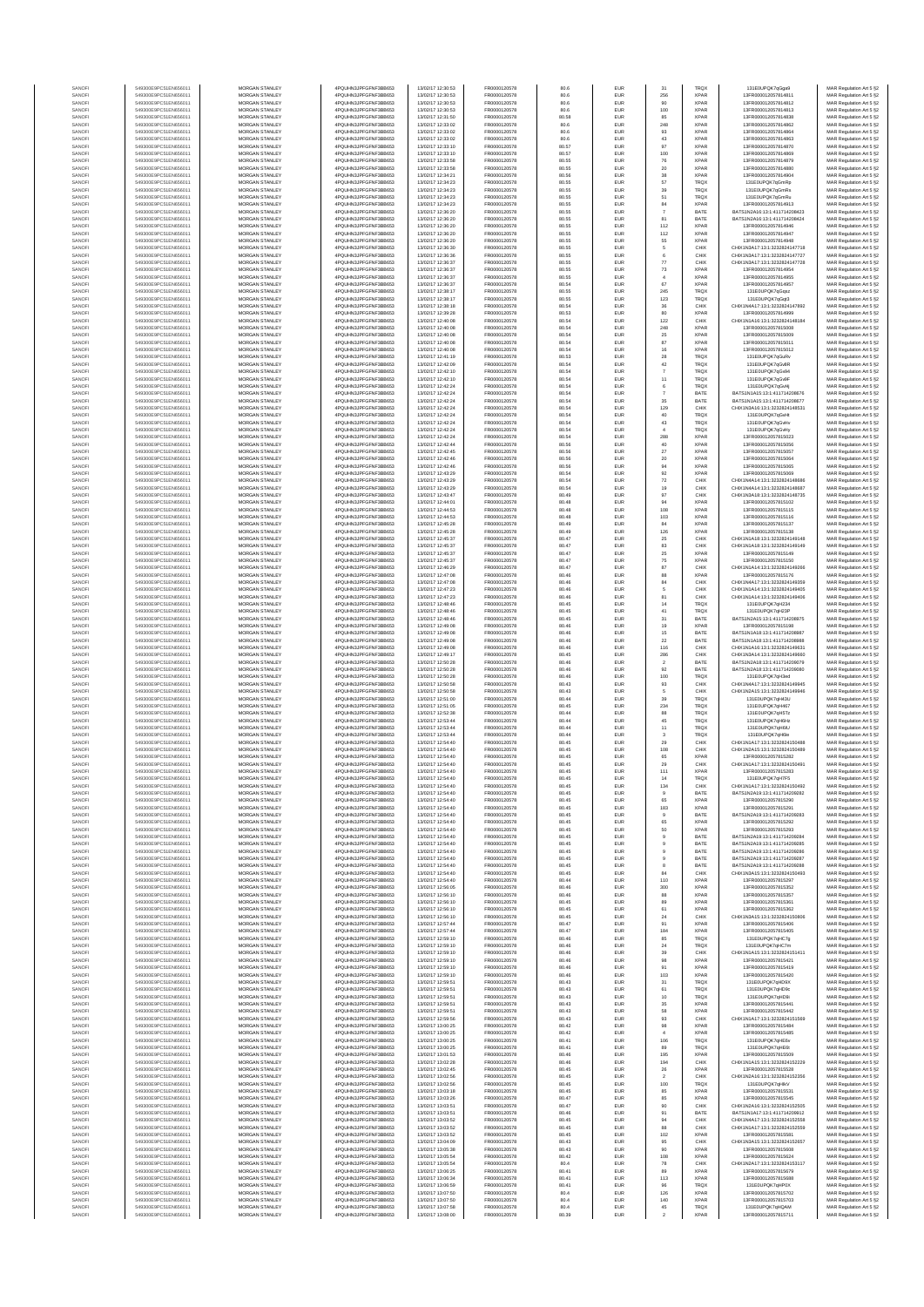| SANOF            | 549300E9PC51EN656011                         | MORGAN STANLEY                                 | 4PQUHN3JPFGFNF3BB653                          | 13/02/17 12:30:53                      | FR0000120578                 | 80.6           | EUR        | 31                 | TRQX                       | 131E0UPQK7qGga9                                                | MAR Regulation Art 5 §2                            |
|------------------|----------------------------------------------|------------------------------------------------|-----------------------------------------------|----------------------------------------|------------------------------|----------------|------------|--------------------|----------------------------|----------------------------------------------------------------|----------------------------------------------------|
| SANOF            | 549300E9PC51EN656011                         | MORGAN STANLEY                                 | 4PQUHN3JPFGFNF3BB653                          | 13/02/17 12:30:53                      | FR0000120578                 | 80.6           | EUR        | 256                | <b>XPAR</b>                | 13FR000012057814811                                            | MAR Regulation Art 5 §2                            |
| SANOFI           | 549300E9PC51EN656011                         | <b>MORGAN STANLEY</b>                          | 4POLIHN3JPEGENE3BB653                         | 13/02/17 12:30:53                      | FR0000120578                 | 80.6           | EUR        | 90                 | <b>XPAR</b>                | 13FR000012057814812                                            | MAR Regulation Art 5 §2                            |
| SANOFI           | 549300E9PC51EN656011                         | MORGAN STANLEY                                 | 4PQUHN3JPFGFNF3BB653                          | 13/02/17 12:30:53                      | FR0000120578                 | 80.6           | EUR        | 100                | <b>XPAR</b>                | 13FR000012057814813                                            | MAR Regulation Art 5 §2                            |
| SANOFI<br>SANOFI | 549300E9PC51EN656011<br>549300E9PC51EN656011 | MORGAN STANLEY<br>MORGAN STANLEY               | 4PQUHN3JPFGFNF3BB653<br>4PQUHN3JPFGFNF3BB653  | 13/02/17 12:31:50<br>13/02/17 12:33:02 | FR0000120578<br>FR0000120578 | 80.58<br>80.6  | EUR<br>EUR | 85<br>248          | <b>XPAR</b><br>XPAR        | 13FR000012057814838<br>13FR000012057814862                     | MAR Regulation Art 5 §2<br>MAR Regulation Art 5 §2 |
| SANOF            | 549300E9PC51EN656011                         | MORGAN STANLEY                                 | 4PQUHN3JPFGFNF3BB653                          | 13/02/17 12:33:02                      | FR0000120578                 | 80.6           | EUR        | $\mathsf{93}$      | <b>XPAF</b>                | 13FR000012057814864                                            | MAR Regulation Art 5 §2                            |
| SANOFI           | 549300E9PC51EN656011                         | MORGAN STANLEY                                 | 4PQUHN3JPFGFNF3BB653                          | 13/02/17 12:33:02                      | FR0000120578                 | 80.6           | EUR        | 43                 | <b>XPAF</b>                | 13FR000012057814863                                            | MAR Regulation Art 5 §2                            |
| SANOFI           | 549300E9PC51EN656011<br>549300E9PC51EN656011 | MORGAN STANLEY<br>MORGAN STANLEY               | 4PQUHN3JPFGFNF3BB653<br>4PQUHN3JPFGFNF3BB653  | 13/02/17 12:33:10<br>13/02/17 12:33:10 | FR0000120578<br>FR0000120578 | 80.57<br>80.57 | EUR<br>EUR | 97<br>100          | <b>XPAR</b><br><b>XPAR</b> | 13FR000012057814870<br>13FR000012057814869                     | MAR Regulation Art 5 §2<br>MAR Regulation Art 5 §2 |
| SANOFI<br>SANOFI | 549300E9PC51EN656011                         | MORGAN STANLEY                                 | 4PQUHN3JPFGFNF3BB653                          | 13/02/17 12:33:58                      | FR0000120578                 | 80.55          | EUR        | 76                 | <b>XPAR</b>                | 13FR000012057814879                                            | MAR Regulation Art 5 §2                            |
| SANOFI           | 549300E9PC51EN656011                         | <b>MORGAN STANLEY</b>                          | 4PQUHN3JPFGFNF3BB653                          | 13/02/17 12:33:58                      | FR0000120578                 | 80.55          | EUR        | 20                 | <b>XPAR</b>                | 13FR000012057814880                                            | MAR Regulation Art 5 §2                            |
| SANOFI           | 549300E9PC51EN656011                         | MORGAN STANLEY                                 | 4PQUHN3JPFGFNF3BB653                          | 13/02/17 12:34:21                      | FR0000120578                 | 80.56          | EUR        | 38                 | <b>XPAR</b>                | 13FR000012057814904                                            | MAR Regulation Art 5 §2                            |
| SANOFI<br>SANOFI | 549300E9PC51EN656011<br>549300E9PC51EN656011 | MORGAN STANLEY<br>MORGAN STANLEY               | 4PQUHN3JPFGFNF3BB653<br>4PQUHN3JPFGFNF3BB653  | 13/02/17 12:34:23<br>13/02/17 12:34:23 | FR0000120578<br>FR0000120578 | 80.55<br>80.55 | EUR<br>EUR | $_{\rm 57}$<br>39  | <b>TRQX</b><br>TRQX        | 131E0UPQK7qGmRp<br>131E0UPQK7qGmRs                             | MAR Regulation Art 5 §2<br>MAR Regulation Art 5 §2 |
| SANOF            | 549300E9PC51EN656011                         | MORGAN STANLEY                                 | 4PQUHN3JPFGFNF3BB653                          | 13/02/17 12:34:23                      | FR0000120578                 | 80.55          | EUR        | 51                 | TRQ)                       | 131E0UPQK7qGmRu                                                | MAR Regulation Art 5 §2                            |
| SANOFI           | 549300E9PC51EN656011                         | MORGAN STANLEY                                 | 4PQUHN3JPFGFNF3BB653                          | 13/02/17 12:34:23                      | FR0000120578                 | 80.55          | EUR        | 84                 | <b>XPAF</b>                | 13FR000012057814913                                            | MAR Regulation Art 5 §2                            |
| SANOFI           | 549300E9PC51EN656011                         | MORGAN STANLEY                                 | 4PQUHN3JPFGFNF3BB653                          | 13/02/17 12:36:20                      | FR0000120578                 | 80.55          | EUR        | $\overline{7}$     | BATE                       | BATS1N2A16:13:1:411714208423                                   | MAR Regulation Art 5 §2                            |
| SANOFI<br>SANOFI | 549300E9PC51EN656011<br>549300E9PC51EN656011 | MORGAN STANLEY<br><b>MORGAN STANLEY</b>        | 4PQUHN3JPFGFNF3BB653<br>4PQUHN3JPFGFNF3BB653  | 13/02/17 12:36:20<br>13/02/17 12:36:20 | FR0000120578<br>FR0000120578 | 80.55<br>80.55 | EUR<br>EUR | 81<br>112          | BATE<br><b>XPAR</b>        | BATS1N2A16:13:1:411714208424<br>13FR000012057814946            | MAR Regulation Art 5 §2                            |
| SANOFI           | 549300E9PC51EN656011                         | <b>MORGAN STANLEY</b>                          | 4PQUHN3JPFGFNF3BB653                          | 13/02/17 12:36:20                      | FR0000120578                 | 80.55          | EUR        | $112\,$            | <b>XPAR</b>                | 13FR000012057814947                                            | MAR Regulation Art 5 §2<br>MAR Regulation Art 5 §2 |
| SANOFI           | 549300E9PC51EN656011                         | MORGAN STANLEY                                 | 4PQUHN3JPFGFNF3BB653                          | 13/02/17 12:36:20                      | FR0000120578                 | 80.55          | EUR        | 55                 | <b>XPAR</b>                | 13FR000012057814948                                            | MAR Regulation Art 5 §2                            |
| SANOFI           | 549300E9PC51EN656011                         | MORGAN STANLEY                                 | 4PQUHN3JPFGFNF3BB653                          | 13/02/17 12:36:30                      | FR0000120578                 | 80.55          | EUR        | 5                  | CHIX                       | CHIX1N3A17:13:1:3232824147718                                  | MAR Regulation Art 5 §2                            |
| SANOFI           | 549300E9PC51EN656011<br>549300E9PC51EN656011 | MORGAN STANLEY<br>MORGAN STANLEY               | 4PQUHN3JPFGFNF3BB653<br>4PQUHN3JPFGFNF3BB653  | 13/02/17 12:36:36<br>13/02/17 12:36:37 | FR0000120578<br>FR0000120578 | 80.55<br>80.55 | EUR<br>EUR | 6                  | CHIX<br>CHIX               | CHIX1N3A17:13:1:3232824147721<br>CHIX1N3A17:13:1:3232824147728 | MAR Regulation Art 5 §2                            |
| SANOFI<br>SANOFI | 549300E9PC51EN656011                         | <b>MORGAN STANLEY</b>                          | 4PQUHN3JPFGFNF3BB653                          | 13/02/17 12:36:37                      | FR0000120578                 | 80.55          | EUR        | $77\,$<br>73       | <b>XPAR</b>                | 13FR000012057814954                                            | MAR Regulation Art 5 §2<br>MAR Regulation Art 5 §2 |
| SANOFI           | 549300E9PC51EN656011                         | MORGAN STANLEY                                 | 4PQUHN3JPFGFNF3BB653                          | 13/02/17 12:36:37                      | FR0000120578                 | 80.55          | EUR        | $\overline{4}$     | <b>XPAR</b>                | 13FR000012057814955                                            | MAR Regulation Art 5 §2                            |
| SANOFI           | 549300E9PC51EN656011                         | <b>MORGAN STANLEY</b>                          | 4POLIHN3JPEGENE3BB653                         | 13/02/17 12:36:37                      | FR0000120578                 | 80.54          | EUR        | 67                 | <b>XPAR</b>                | 13FR000012057814957                                            | MAR Regulation Art 5 §2                            |
| SANOFI           | 549300E9PC51EN656011                         | <b>MORGAN STANLEY</b>                          | 4PQUHN3JPFGFNF3BB653                          | 13/02/17 12:38:17                      | FR0000120578                 | 80.55          | EUR        | 245                | <b>TRQX</b>                | 131F0UPOK7oGosz                                                | MAR Regulation Art 5 §2                            |
| SANOFI<br>SANOFI | 549300E9PC51EN656011<br>549300E9PC51EN656011 | MORGAN STANLEY<br>MORGAN STANLEY               | 4PQUHN3JPFGFNF3BB653<br>4PQUHN3JPFGFNF3BB653  | 13/02/17 12:38:17<br>13/02/17 12:38:18 | FR0000120578<br>FR0000120578 | 80.55<br>80.54 | EUR<br>EUR | 123<br>36          | <b>TRQX</b><br>CHIX        | 131E0UPQK7qGqt3<br>CHIX1N4A17:13:1:3232824147892               | MAR Regulation Art 5 §2<br>MAR Regulation Art 5 §2 |
| SANOFI           | 549300E9PC51EN656011                         | MORGAN STANLEY                                 | 4PQUHN3JPFGFNF3BB653                          | 13/02/17 12:39:28                      | FR0000120578                 | 80.53          | EUR        | 80                 | <b>XPAF</b>                | 13FR000012057814999                                            | MAR Regulation Art 5 §2                            |
| SANOFI           | 549300E9PC51EN656011                         | MORGAN STANLEY                                 | 4PQUHN3JPFGFNF3BB653                          | 13/02/17 12:40:08                      | FR0000120578                 | 80.54          | EUR        | 122                | CHIX                       | CHIX1N1A16:13:1:3232824148184                                  | MAR Regulation Art 5 §2                            |
| SANOFI           | 549300E9PC51EN656011                         | MORGAN STANLEY<br>MORGAN STANLEY               | 4PQUHN3JPFGFNF3BB653                          | 13/02/17 12:40:08                      | FR0000120578<br>FR0000120578 | 80.54          | EUR        | 248<br>25          | <b>XPAR</b><br><b>XPAR</b> | 13FR000012057815008                                            | MAR Regulation Art 5 §2<br>MAR Regulation Art 5 §2 |
| SANOFI<br>SANOFI | 549300E9PC51EN656011<br>549300E9PC51EN656011 | <b>MORGAN STANLEY</b>                          | 4PQUHN3JPFGFNF3BB653<br>4PQUHN3JPFGFNF3BB653  | 13/02/17 12:40:08<br>13/02/17 12:40:08 | FR0000120578                 | 80.54<br>80.54 | EUR<br>EUR | 87                 | <b>XPAR</b>                | 13FR000012057815009<br>13FR000012057815011                     | MAR Regulation Art 5 §2                            |
| SANOFI           | 549300E9PC51EN656011                         | <b>MORGAN STANLEY</b>                          | 4PQUHN3JPFGFNF3BB653                          | 13/02/17 12:40:08                      | FR0000120578                 | 80.54          | EUR        | 16                 | <b>XPAR</b>                | 13FR000012057815012                                            | MAR Regulation Art 5 §2                            |
| SANOFI           | 549300E9PC51EN656011                         | MORGAN STANLEY                                 | 4PQUHN3JPFGFNF3BB653                          | 13/02/17 12:41:19                      | FR0000120578                 | 80.53          | EUR        | 28                 | <b>TRQX</b>                | 131E0UPQK7qGuRv                                                | MAR Regulation Art 5 §2                            |
| SANOF<br>SANOFI  | 549300E9PC51EN656011<br>549300E9PC51EN656011 | MORGAN STANLEY<br>MORGAN STANLEY               | 4PQUHN3JPFGFNF3BB653<br>4PQUHN3JPFGFNF3BB653  | 13/02/17 12:42:09<br>13/02/17 12:42:10 | FR0000120578<br>FR0000120578 | 80.54<br>80.54 | EUR<br>EUR | $42\,$             | <b>TRQX</b><br>TRQ)        | 131E0UPQK7qGv8R<br>131E0UPQK7qGv94                             | MAR Regulation Art 5 §2                            |
| SANOFI           | 549300E9PC51EN656011                         | MORGAN STANLEY                                 | 4PQUHN3JPFGFNF3BB653                          | 13/02/17 12:42:10                      | FR0000120578                 | 80.54          | EUR        | $11$               | <b>TRQX</b>                | 131E0UPQK7qGv9                                                 | MAR Regulation Art 5 §2<br>MAR Regulation Art 5 §2 |
| SANOFI           | 549300E9PC51EN656011                         | MORGAN STANLEY                                 | 4PQUHN3JPFGFNF3BB653                          | 13/02/17 12:42:24                      | FR0000120578                 | 80.54          | EUR        | 6                  | <b>TRQX</b>                | 131E0UPQK7qGvHj                                                | MAR Regulation Art 5 §2                            |
| SANOFI           | 549300E9PC51EN656011                         | MORGAN STANLEY<br>MORGAN STANLEY               | 4PQUHN3JPFGFNF3BB653                          | 13/02/17 12:42:24                      | FR0000120578                 | 80.54          | EUR        | $\overline{7}$     | BATE                       | BATS1N1A15:13:1:411714208676                                   | MAR Regulation Art 5 §2                            |
| SANOFI<br>SANOFI | 549300E9PC51EN656011<br>549300E9PC51EN656011 | <b>MORGAN STANLEY</b>                          | 4PQUHN3JPFGFNF3BB653<br>4POLIHN3JPEGENE3BB653 | 13/02/17 12:42:24<br>13/02/17 12:42:24 | FR0000120578<br>FR0000120578 | 80.54<br>80.54 | EUR<br>EUR | 35<br>129          | BATE<br>CHIX               | BATS1N1A15:13:1:411714208677<br>CHIX1N3A16:13:1:3232824148531  | MAR Regulation Art 5 §2<br>MAR Regulation Art 5 §2 |
| SANOFI           | 549300E9PC51EN656011                         | MORGAN STANLEY                                 | 4PQUHN3JPFGFNF3BB653                          | 13/02/17 12:42:24                      | FR0000120578                 | 80.54          | EUR        | 40                 | <b>TRQX</b>                | 131E0UPQK7qGvH                                                 | MAR Regulation Art 5 §2                            |
| SANOFI           | 549300E9PC51EN656011                         | MORGAN STANLEY                                 | 4PQUHN3JPFGFNF3BB653                          | 13/02/17 12:42:24                      | FR0000120578                 | 80.54          | EUR        | $43\,$             | <b>TRQX</b>                | 131E0UPQK7qGvHv                                                | MAR Regulation Art 5 §2                            |
| SANOF            | 549300E9PC51EN656011                         | MORGAN STANLEY                                 | 4PQUHN3JPFGFNF3BB653                          | 13/02/17 12:42:24                      | FR0000120578                 | 80.54          | EUR        | $\,$ 4 $\,$        | <b>TRQX</b>                | 131E0UPQK7qGvHy<br>13FR000012057815023                         | MAR Regulation Art 5 §2                            |
| SANOFI<br>SANOFI | 549300E9PC51EN656011<br>549300E9PC51EN656011 | MORGAN STANLEY<br>MORGAN STANLEY               | 4PQUHN3JPFGFNF3BB653<br>4PQUHN3JPFGFNF3BB653  | 13/02/17 12:42:24<br>13/02/17 12:42:44 | FR0000120578<br>FR0000120578 | 80.54<br>80.56 | EUR<br>EUR | 288<br>40          | <b>XPAF</b><br><b>XPAF</b> | 13FR000012057815056                                            | MAR Regulation Art 5 §2<br>MAR Regulation Art 5 §2 |
| SANOFI           | 549300E9PC51EN656011                         | MORGAN STANLEY                                 | 4PQUHN3JPFGFNF3BB653                          | 13/02/17 12:42:45                      | FR0000120578                 | 80.56          | EUR        | $27\,$             | <b>XPAR</b>                | 13FR000012057815057                                            | MAR Regulation Art 5 §2                            |
| SANOFI           | 549300E9PC51EN656011                         | MORGAN STANLEY                                 | 4PQUHN3JPFGFNF3BB653                          | 13/02/17 12:42:46                      | FR0000120578                 | 80.56          | EUR        | $20\,$             | <b>XPAR</b>                | 13FR000012057815064                                            | MAR Regulation Art 5 §2                            |
| SANOFI           | 549300E9PC51EN656011                         | <b>MORGAN STANLEY</b>                          | 4POLIHN3JPEGENE3BB653                         | 13/02/17 12:42:46                      | FR0000120578                 | 80.56          | EUR        | $\frac{94}{92}$    | <b>XPAR</b>                | 13FR000012057815065                                            | MAR Regulation Art 5 §2                            |
| SANOFI<br>SANOFI | 549300E9PC51EN656011<br>549300E9PC51EN656011 | <b>MORGAN STANLEY</b><br>MORGAN STANLEY        | 4PQUHN3JPFGFNF3BB653<br>4PQUHN3JPFGFNF3BB653  | 13/02/17 12:43:29<br>13/02/17 12:43:29 | FR0000120578<br>FR0000120578 | 80.54<br>80.54 | EUR<br>EUR | $\scriptstyle{72}$ | <b>XPAR</b><br>CHIX        | 13FR000012057815069<br>CHIX1N4A14:13:1:3232824148686           | MAR Regulation Art 5 §2<br>MAR Regulation Art 5 §2 |
| SANOFI           | 549300E9PC51EN656011                         | MORGAN STANLEY                                 | 4PQUHN3JPFGFNF3BB653                          | 13/02/17 12:43:29                      | FR0000120578                 | 80.54          | EUR        | 19                 | CHIX                       | CHIX1N4A14:13:1:3232824148687                                  | MAR Regulation Art 5 §2                            |
| SANOF            | 549300E9PC51EN656011                         | MORGAN STANLEY                                 | 4PQUHN3JPFGFNF3BB653                          | 13/02/17 12:43:41                      | FR0000120578                 | 80.49          | EUR        | 97                 | CHIX                       | CHIX1N3A18:13:1:3232824148735                                  | MAR Regulation Art 5 §2                            |
| SANOFI           | 549300E9PC51EN656011                         | MORGAN STANLEY                                 | 4PQUHN3JPFGFNF3BB653                          | 13/02/17 12:44:01                      | FR0000120578                 | 80.48          | EUR        | 94                 | <b>XPAF</b>                | 13FR000012057815102                                            | MAR Regulation Art 5 §2                            |
| SANOFI<br>SANOFI | 549300E9PC51EN656011<br>549300E9PC51EN656011 | MORGAN STANLEY<br>MORGAN STANLEY               | 4PQUHN3JPFGFNF3BB653<br>4PQUHN3JPFGFNF3BB653  | 13/02/17 12:44:53<br>13/02/17 12:44:53 | FR0000120578<br>FR0000120578 | 80.48<br>80.48 | EUR<br>EUR | 108<br>103         | <b>XPAR</b><br><b>XPAR</b> | 13FR000012057815115<br>13FR000012057815116                     | MAR Regulation Art 5 §2<br>MAR Regulation Art 5 §2 |
| SANOFI           | 549300E9PC51EN656011                         | <b>MORGAN STANLEY</b>                          | 4PQUHN3JPFGFNF3BB653                          | 13/02/17 12:45:28                      | FR0000120578                 | 80.49          | EUR        | 84                 | <b>XPAR</b>                | 13FR000012057815137                                            | MAR Regulation Art 5 §2                            |
| SANOFI           | 549300E9PC51EN656011                         | <b>MORGAN STANLEY</b>                          | 4PQUHN3JPFGFNF3BB653                          | 13/02/17 12:45:28                      | FR0000120578                 | 80.49          | EUR        | 126                | <b>XPAR</b>                | 13FR000012057815138                                            | MAR Regulation Art 5 §2                            |
| SANOFI           | 549300E9PC51EN656011                         | MORGAN STANLEY                                 | 4PQUHN3JPFGFNF3BB653                          | 13/02/17 12:45:37                      | FR0000120578                 | 80.47          | EUR        | $25\,$             | CHIX                       | CHIX1N1A18:13:1:3232824149148                                  | MAR Regulation Art 5 §2                            |
| SANOFI<br>SANOFI | 549300E9PC51EN656011<br>549300E9PC51EN656011 | MORGAN STANLEY<br>MORGAN STANLEY               | 4PQUHN3JPFGFNF3BB653<br>4PQUHN3JPFGFNF3BB653  | 13/02/17 12:45:37<br>13/02/17 12:45:3  | FR0000120578<br>FR0000120578 | 80.47<br>80.47 | EUR<br>EUR | 83<br>25           | CHIX<br><b>XPAF</b>        | CHIX1N1A18:13:1:3232824149149<br>13FR000012057815149           | MAR Regulation Art 5 §2<br>MAR Regulation Art 5 §2 |
| SANOF            | 549300E9PC51EN656011                         | MORGAN STANLEY                                 | 4PQUHN3JPFGFNF3BB653                          | 13/02/17 12:45:37                      | FR0000120578                 | 80.47          | EUR        | 75                 | <b>XPAF</b>                | 13FR000012057815150                                            | MAR Regulation Art 5 §2                            |
| SANOFI           | 549300E9PC51EN656011                         | MORGAN STANLEY                                 | 4PQUHN3JPFGFNF3BB653                          | 13/02/17 12:46:29                      | FR0000120578                 | 80.47          | EUR        | 87                 | CHIX                       | CHIX1N1A14:13:1:3232824149266                                  | MAR Regulation Art 5 §2                            |
| SANOFI<br>SANOFI | 549300E9PC51EN656011<br>549300E9PC51EN656011 | MORGAN STANLEY<br><b>MORGAN STANLEY</b>        | 4PQUHN3JPFGFNF3BB653<br>4PQUHN3JPFGFNF3BB653  | 13/02/17 12:47:08<br>13/02/17 12:47:08 | FR0000120578<br>FR0000120578 | 80.46<br>80.46 | EUR<br>EUR | 88                 | <b>XPAF</b><br>CHIX        | 13FR000012057815176<br>CHIX1N4A17:13:1:3232824149359           | MAR Regulation Art 5 §2                            |
| SANOFI           | 549300E9PC51EN656011                         | <b>MORGAN STANLEY</b>                          | 4PQUHN3JPFGFNF3BB653                          | 13/02/17 12:47:23                      | FR0000120578                 | 80.46          | EUR        | 84<br>$\sqrt{5}$   | CHIX                       | CHIX1N1A14:13:1:3232824149405                                  | MAR Regulation Art 5 §2<br>MAR Regulation Art 5 §2 |
| SANOFI           | 549300E9PC51EN656011                         | MORGAN STANLEY                                 | 4PQUHN3JPFGFNF3BB653                          | 13/02/17 12:47:23                      | FR0000120578                 | 80.46          | EUR        | 81                 | CHIX                       | CHIX1N1A14:13:1:3232824149406                                  | MAR Regulation Art 5 §2                            |
| SANOFI           | 549300E9PC51EN656011                         | MORGAN STANLEY                                 | 4PQUHN3JPFGFNF3BB653                          | 13/02/17 12:48:46                      | FR0000120578                 | 80.45          | EUR        | $14\,$             | <b>TRQX</b>                | 131E0UPQK7qH234                                                | MAR Regulation Art 5 §2                            |
| SANOF<br>SANOFI  | 549300E9PC51EN656011<br>549300E9PC51EN656011 | MORGAN STANLEY<br>MORGAN STANLEY               | 4PQUHN3JPFGFNF3BB653<br>4PQUHN3JPFGFNF3BB653  | 13/02/17 12:48:46<br>13/02/17 12:48:46 | FR0000120578<br>FR0000120578 | 80.45<br>80.45 | EUR<br>EUR | $41\,$             | TRQ)<br>BATE               | 131E0UPQK7qH23F<br>BATS1N2A15:13:1:411714208975                | MAR Regulation Art 5 §2                            |
| SANOFI           | 549300E9PC51EN656011                         | MORGAN STANLEY                                 | 4PQUHN3JPFGFNF3BB653                          | 13/02/17 12:49:08                      | FR0000120578                 | 80.46          | EUR        | $31\,$<br>19       | <b>XPAR</b>                | 13FR000012057815198                                            | MAR Regulation Art 5 §2<br>MAR Regulation Art 5 §2 |
| SANOFI           | 549300E9PC51EN656011                         | MORGAN STANLEY                                 | 4PQUHN3JPFGFNF3BB653                          | 13/02/17 12:49:08                      | FR0000120578                 | 80.46          | EUR        | 15                 | BATE                       | BATS1N1A18:13:1:411714208987                                   | MAR Regulation Art 5 §2                            |
| SANOFI           | 549300E9PC51EN656011                         | MORGAN STANLEY                                 | 4PQUHN3JPFGFNF3BB653                          | 13/02/17 12:49:08                      | FR0000120578                 | 80.46          | EUR        | $\bf 22$           | BATE                       | BATS1N1A18:13:1:411714208988                                   | MAR Regulation Art 5 §2                            |
| SANOFI<br>SANOFI | 549300E9PC51EN656011<br>549300E9PC51EN656011 | <b>MORGAN STANLEY</b><br><b>MORGAN STANLEY</b> | 4PQUHN3JPFGFNF3BB653<br>4PQUHN3JPFGFNF3BB653  | 13/02/17 12:49:08<br>13/02/17 12:49:17 | FR0000120578<br>FR0000120578 | 80.46<br>80.45 | EUR<br>EUR | 116<br>286         | CHIX<br>CHIX               | CHIX1N1A16:13:1:3232824149631<br>CHIX1N3A14:13:1:3232824149660 | MAR Regulation Art 5 §2<br>MAR Regulation Art 5 §2 |
| SANOFI           | 549300E9PC51EN656011                         | MORGAN STANLEY                                 | 4PQUHN3JPFGFNF3BB653                          | 13/02/17 12:50:28                      | FR0000120578                 | 80.46          | EUR        | $\boldsymbol{2}$   | BATE                       | BATS1N2A18:13:1:411714209079                                   | MAR Regulation Art 5 §2                            |
| SANOFI           | 549300E9PC51EN656011                         | MORGAN STANLEY                                 | 4PQUHN3JPFGFNF3BB653                          | 13/02/17 12:50:28                      | FR0000120578                 | 80.46          | EUR        | $92\,$             | BATE                       | BATS1N2A18:13:1:411714209080                                   | MAR Regulation Art 5 §2                            |
| SANOFI           | 549300E9PC51EN656011                         | MORGAN STANLEY                                 | 4PQUHN3JPFGFNF3BB653                          | 13/02/17 12:50:28                      | FR0000120578                 | 80.46          | EUR        | 100                | TRQ)                       | 131E0UPQK7qH3eo                                                | MAR Regulation Art 5 §2                            |
| SANOFI           | 549300E9PC51EN656011                         | MORGAN STANLEY                                 | 4PQUHN3JPFGFNF3BB653<br>4PQUHN3JPFGFNF3BB653  | 13/02/17 12:50:58                      | FR0000120578                 | 80.43          | EUR        | $\mathsf{93}$      | CHIX                       | CHIX1N4A17:13:1:3232824149945                                  | MAR Regulation Art 5 §2<br>MAR Regulation Art 5 §2 |
| SANOFI<br>SANOFI | 549300E9PC51EN656011<br>549300E9PC51EN656011 | MORGAN STANLEY<br>MORGAN STANLEY               | 4PQUHN3JPFGFNF3BB653                          | 13/02/17 12:50:58<br>13/02/17 12:51:00 | FR0000120578<br>FR0000120578 | 80.43<br>80.44 | EUR<br>EUR | $\sqrt{5}$<br>39   | CHIX<br>TRQX               | CHIX1N2A15:13:1:3232824149946<br>131E0UPQK7qH43U               | MAR Regulation Art 5 §2                            |
| SANOFI           | 549300E9PC51EN656011                         | <b>MORGAN STANLEY</b>                          | 4POLIHN3JPEGENE3BB653                         | 13/02/17 12:51:05                      | FR0000120578                 | 80.45          | EUR        | 234                | <b>TRQX</b>                | 131F0UPOK7oH467                                                | MAR Regulation Art 5 §2                            |
| SANOFI           | 549300E9PC51EN656011                         | MORGAN STANLEY                                 | 4PQUHN3JPFGFNF3BB653                          | 13/02/17 12:52:38                      | FR0000120578                 | 80.44          | EUR        | 88                 | <b>TRQX</b>                | 131F0UPOK7oH5Tz                                                | MAR Regulation Art 5 §2                            |
| SANOFI<br>SANOF  | 549300E9PC51EN656011<br>549300E9PC51EN656011 | MORGAN STANLEY<br>MORGAN STANLEY               | 4PQUHN3JPFGFNF3BB653<br>4PQUHN3JPFGFNF3BB653  | 13/02/17 12:53:44<br>13/02/17 12:53:44 | FR0000120578<br>FR0000120578 | 80.44<br>80.44 | EUR<br>EUR | 45<br>$11\,$       | <b>TRQX</b><br><b>TRQX</b> | 131E0UPQK7qH6Hz<br>131E0UPQK7qH6IU                             | MAR Regulation Art 5 §2<br>MAR Regulation Art 5 §2 |
| SANOFI           | 549300E9PC51EN656011                         | MORGAN STANLEY                                 | 4PQUHN3JPFGFNF3BB653                          | 13/02/17 12:53:44                      | FR0000120578                 | 80.44          | EUR        | $^{\rm 3}$         | TRQ)                       | 131E0UPQK7qH6le                                                | MAR Regulation Art 5 §2                            |
| SANOFI           | 549300E9PC51EN656011                         | MORGAN STANLEY                                 | 4PQUHN3JPFGFNF3BB653                          | 13/02/17 12:54:40                      | FR0000120578                 | 80.45          | EUR        | $29\,$             | CHIX                       | CHIX1N1A17:13:1:3232824150488                                  | MAR Regulation Art 5 §2                            |
| SANOFI           | 549300E9PC51EN656011                         | MORGAN STANLEY                                 | 4PQUHN3JPFGFNF3BB653                          | 13/02/17 12:54:40                      | FR0000120578                 | 80.45          | EUR        | 108                | CHIX                       | CHIX1N2A15:13:1:3232824150489                                  | MAR Regulation Art 5 §2                            |
| SANOFI<br>SANOFI | 549300E9PC51EN656011<br>549300E9PC51EN656011 | MORGAN STANLEY<br><b>MORGAN STANLEY</b>        | 4PQUHN3JPFGFNF3BB653<br>4PQUHN3JPFGFNF3BB653  | 13/02/17 12:54:40<br>13/02/17 12:54:40 | FR0000120578<br>FR0000120578 | 80.45<br>80.45 | EUR<br>EUR | 65<br>29           | <b>XPAR</b><br>CHIX        | 13FR000012057815282<br>CHIX1N1A17:13:1:3232824150491           | MAR Regulation Art 5 §2<br>MAR Regulation Art 5 §2 |
| SANOFI           | 549300E9PC51EN656011                         | MORGAN STANLEY                                 | 4POLIHN3JPEGENE3BB653                         | 13/02/17 12:54:40                      | FR0000120578                 | 80.45          | EUR        | 111                | <b>XPAR</b>                | 13FR000012057815283                                            | MAR Regulation Art 5 §2                            |
|                  |                                              |                                                |                                               |                                        |                              |                |            |                    |                            |                                                                |                                                    |
| SANOFI           | 549300E9PC51EN656011                         | MORGAN STANLEY                                 | 4PQUHN3JPFGFNF3BB653                          | 13/02/17 12:54:40                      | FR0000120578                 | 80.45          | EUR        | 134                | CHIX                       | CHIX1N1A17:13:1:3232824150492                                  | MAR Regulation Art 5 §2                            |
| SANOF<br>SANOFI  | 549300E9PC51EN656011<br>549300E9PC51EN656011 | MORGAN STANLEY<br>MORGAN STANLEY               | 4PQUHN3JPFGFNF3BB653<br>4PQUHN3JPFGFNF3BB653  | 13/02/17 12:54:40<br>13/02/17 12:54:40 | FR0000120578<br>FR0000120578 | 80.45<br>80.45 | EUR<br>EUR | 65                 | BATE<br><b>XPAR</b>        | BATS1N2A19:13:1:411714209282<br>13FR000012057815290            | MAR Regulation Art 5 §2<br>MAR Regulation Art 5 §2 |
| SANOFI           | 549300E9PC51EN656011                         | MORGAN STANLEY                                 | 4PQUHN3JPFGFNF3BB653                          | 13/02/17 12:54:40                      | FR0000120578                 | 80.45          | EUR        | 183                | <b>XPAR</b>                | 13FR000012057815291                                            | MAR Regulation Art 5 §2                            |
| SANOFI           | 549300E9PC51EN656011                         | MORGAN STANLEY                                 | 4PQUHN3JPFGFNF3BB653                          | 13/02/17 12:54:40                      | FR0000120578                 | 80.45          | EUR        |                    | <b>BATE</b>                | BATS1N2A19:13:1:411714209283                                   | MAR Regulation Art 5 §2                            |
| SANOFI<br>SANOFI | 549300E9PC51EN656011<br>549300E9PC51EN656011 | MORGAN STANLEY<br><b>MORGAN STANLEY</b>        | 4PQUHN3JPFGFNF3BB653<br>4PQUHN3JPFGFNF3BB653  | 13/02/17 12:54:40<br>13/02/17 12:54:40 | FR0000120578<br>FR0000120578 | 80.45<br>80.45 | EUR<br>EUR | 65<br>50           | <b>XPAR</b><br><b>XPAR</b> | 13FR000012057815292<br>13FR000012057815293                     | MAR Regulation Art 5 §2                            |
| SANOFI           | 549300E9PC51EN656011                         | MORGAN STANLEY                                 | 4PQUHN3JPFGFNF3BB653                          | 13/02/17 12:54:40                      | FR0000120578                 | 80.45          | EUR        |                    | BATE                       | BATS1N2A19:13:1:411714209284                                   | MAR Regulation Art 5 §2<br>MAR Regulation Art 5 §2 |
| SANOFI           | 549300E9PC51EN656011                         | MORGAN STANLEY                                 | 4PQUHN3JPFGFNF3BB653                          | 13/02/17 12:54:40                      | FR0000120578                 | 80.45          | EUR        | $^{\circ}$         | <b>BATE</b>                | BATS1N2A19:13:1:411714209285                                   | MAR Regulation Art 5 §2                            |
| SANOF<br>SANOFI  | 549300E9PC51EN656011<br>549300E9PC51EN656011 | MORGAN STANLEY<br>MORGAN STANLEY               | 4PQUHN3JPFGFNF3BB653<br>4PQUHN3JPFGFNF3BB653  | 13/02/17 12:54:40<br>13/02/17 12:54:40 | FR0000120578<br>FR0000120578 | 80.45<br>80.45 | EUR<br>EUR | $\mathsf g$        | BATE<br>BATE               | BATS1N2A19:13:1:411714209286<br>BATS1N2A19:13:1:411714209287   | MAR Regulation Art 5 §2                            |
| SANOFI           | 549300E9PC51EN656011                         | MORGAN STANLEY                                 | 4PQUHN3JPFGFNF3BB653                          | 13/02/17 12:54:40                      | FR0000120578                 | 80.45          | EUR        | 8                  | BATE                       | BATS1N2A19:13:1:411714209288                                   | MAR Regulation Art 5 §2<br>MAR Regulation Art 5 §2 |
| SANOFI           | 549300E9PC51EN656011                         | MORGAN STANLEY                                 | 4PQUHN3JPFGFNF3BB653                          | 13/02/17 12:54:40                      | FR0000120578                 | 80.45          | <b>EUR</b> | 84                 | CHIX                       | CHIX1N3A15:13:1:3232824150493                                  | MAR Regulation Art 5 §2                            |
| SANOFI           | 549300E9PC51EN656011                         | MORGAN STANLEY<br>MORGAN STANLEY               | 4PQUHN3JPFGFNF3BB653                          | 13/02/17 12:54:40<br>13/02/17 12:56:05 | FR0000120578                 | 80.44          | EUR        | 110                | <b>XPAR</b>                | 13FR000012057815297                                            | MAR Regulation Art 5 §2                            |
| SANOFI<br>SANOFI | 549300E9PC51EN656011<br>549300E9PC51EN656011 | <b>MORGAN STANLEY</b>                          | 4PQUHN3JPFGFNF3BB653<br>4PQUHN3JPFGFNF3BB653  | 13/02/17 12:56:10                      | FR0000120578<br>FR0000120578 | 80.46<br>80.46 | EUR<br>EUR | 300<br>88          | <b>XPAR</b><br><b>XPAR</b> | 13FR000012057815352<br>13FR000012057815357                     | MAR Regulation Art 5 §2<br>MAR Regulation Art 5 §2 |
| SANOFI           | 549300E9PC51EN656011                         | MORGAN STANLEY                                 | 4PQUHN3JPFGFNF3BB653                          | 13/02/17 12:56:10                      | FR0000120578                 | 80.45          | EUR        | 89                 | <b>XPAR</b>                | 13FR000012057815361                                            | MAR Regulation Art 5 §2                            |
| SANOFI           | 549300E9PC51EN656011                         | MORGAN STANLEY                                 | 4PQUHN3JPFGFNF3BB653                          | 13/02/17 12:56:10                      | FR0000120578                 | 80.45          | EUR        | 61                 | <b>XPAR</b>                | 13FR000012057815362                                            | MAR Regulation Art 5 §2                            |
| SANOF<br>SANOF   | 549300E9PC51EN656011<br>549300E9PC51EN656011 | MORGAN STANLEY<br>MORGAN STANLEY               | 4PQUHN3JPFGFNF3BB653<br>4PQUHN3JPFGFNF3BB653  | 13/02/17 12:56:10<br>13/02/17 12:57:44 | FR0000120578<br>FR0000120578 | 80.45<br>80.47 | EUR<br>EUR | 24<br>91           | CHIX<br><b>XPAR</b>        | CHIX1N3A15:13:1:3232824150806<br>13FR000012057815406           | MAR Regulation Art 5 §2<br>MAR Regulation Art 5 §2 |
| SANOFI           | 549300E9PC51EN656011                         | MORGAN STANLEY                                 | 4PQUHN3JPFGFNF3BB653                          | 13/02/17 12:57:44                      | FR0000120578                 | 80.47          | EUR        | 184                | <b>XPAR</b>                | 13FR000012057815405                                            | MAR Regulation Art 5 §2                            |
| SANOFI           | 549300E9PC51EN656011                         | MORGAN STANLEY                                 | 4PQUHN3JPFGFNF3BB653                          | 13/02/17 12:59:10                      | FR0000120578                 | 80.46          | <b>EUR</b> | 85                 | <b>TRQX</b>                | 131E0UPQK7qHC7g                                                | MAR Regulation Art 5 §2                            |
| SANOFI           | 549300E9PC51EN656011                         | MORGAN STANLEY                                 | 4PQUHN3JPFGFNF3BB653                          | 13/02/17 12:59:10                      | FR0000120578                 | 80.46          | EUR        | 24<br>39           | <b>TRQX</b>                | 131E0UPQK7gHC7m                                                | MAR Regulation Art 5 §2                            |
| SANOFI<br>SANOFI | 549300E9PC51EN656011<br>549300E9PC51EN656011 | <b>MORGAN STANLEY</b><br>MORGAN STANLEY        | 4PQUHN3JPFGFNF3BB653<br>4PQUHN3JPFGFNF3BB653  | 13/02/17 12:59:10<br>13/02/17 12:59:10 | FR0000120578<br>FR0000120578 | 80.46<br>80.46 | EUR<br>EUR | 98                 | CHIX<br><b>XPAR</b>        | CHIX1N1A15:13:1:3232824151411<br>13FR000012057815421           | MAR Regulation Art 5 §2<br>MAR Regulation Art 5 §2 |
| SANOFI           | 549300E9PC51EN656011                         | MORGAN STANLEY                                 | 4PQUHN3JPFGFNF3BB653                          | 13/02/17 12:59:10                      | FR0000120578                 | 80.46          | EUR        | 91                 | <b>XPAR</b>                | 13FR000012057815419                                            | MAR Regulation Art 5 §2                            |
| SANOFI           | 549300E9PC51EN656011                         | MORGAN STANLEY                                 | 4PQUHN3JPFGFNF3BB653                          | 13/02/17 12:59:10                      | FR0000120578                 | 80.46          | EUR        | 103                | <b>XPAR</b>                | 13FR000012057815420                                            | MAR Regulation Art 5 §2                            |
| SANOFI<br>SANOFI | 549300E9PC51EN656011<br>549300E9PC51EN656011 | MORGAN STANLEY<br>MORGAN STANLEY               | 4PQUHN3JPFGFNF3BB653<br>4PQUHN3JPFGFNF3BB653  | 13/02/17 12:59:51<br>13/02/17 12:59:51 | FR0000120578<br>FR0000120578 | 80.43<br>80.43 | EUR<br>EUR | 31<br>61           | <b>TRQX</b><br><b>TRQX</b> | 131E0UPQK7qHD9X<br>131E0UPQK7qHD9c                             | MAR Regulation Art 5 §2<br>MAR Regulation Art 5 §2 |
| SANOFI           | 549300E9PC51EN656011                         | MORGAN STANLEY                                 | 4PQUHN3JPFGFNF3BB653                          | 13/02/17 12:59:51                      | FR0000120578                 | 80.43          | EUR        | 10                 | <b>TRQX</b>                | 131E0UPQK7qHD9i                                                | MAR Regulation Art 5 §2                            |
| SANOFI           | 549300E9PC51EN656011                         | <b>MORGAN STANLEY</b>                          | 4PQUHN3JPFGFNF3BB653                          | 13/02/17 12:59:51                      | FR0000120578                 | 80.43          | EUR        | 35                 | <b>XPAR</b>                | 13FR000012057815441                                            | MAR Regulation Art 5 §2                            |
| SANOFI           | 549300E9PC51EN656011                         | <b>MORGAN STANLEY</b>                          | 4PQUHN3JPFGFNF3BB653                          | 13/02/17 12:59:51                      | FR0000120578                 | 80.43          | EUR        | 58                 | <b>XPAR</b>                | 13FR000012057815442                                            | MAR Regulation Art 5 §2                            |
| SANOFI<br>SANOFI | 549300E9PC51EN656011<br>549300E9PC51EN656011 | MORGAN STANLEY<br>MORGAN STANLEY               | 4PQUHN3JPFGFNF3BB653<br>4PQUHN3JPFGFNF3BB653  | 13/02/17 12:59:56<br>13/02/17 13:00:25 | FR0000120578<br>FR0000120578 | 80.43<br>80.42 | EUR<br>EUR | 93<br>$98\,$       | CHIX<br><b>XPAR</b>        | CHIX1N1A17:13:1:3232824151569<br>13FR000012057815484           | MAR Regulation Art 5 §2<br>MAR Regulation Art 5 §2 |
| SANOFI           | 549300E9PC51EN656011                         | MORGAN STANLEY                                 | 4PQUHN3JPFGFNF3BB653                          | 13/02/17 13:00:25                      | FR0000120578                 | 80.42          | EUR        |                    | <b>XPAR</b>                | 13FR000012057815485                                            | MAR Regulation Art 5 §2                            |
| SANOFI           | 549300E9PC51EN656011                         | MORGAN STANLEY                                 | 4PQUHN3JPFGFNF3BB653                          | 13/02/17 13:00:25                      | FR0000120578                 | 80.41          | EUR        | 106                | <b>TRQX</b>                | 131E0UPQK7qHE6v                                                | MAR Regulation Art 5 §2                            |
| SANOFI           | 549300E9PC51EN656011                         | MORGAN STANLEY                                 | 4PQUHN3JPFGFNF3BB653                          | 13/02/17 13:00:25                      | FR0000120578                 | 80.41          | EUR        | 89                 | <b>TRQX</b>                | 131E0UPQK7qHE6t                                                | MAR Regulation Art 5 §2                            |
| SANOFI<br>SANOFI | 549300E9PC51EN656011<br>549300E9PC51EN656011 | MORGAN STANLEY<br><b>MORGAN STANLEY</b>        | 4PQUHN3JPFGFNF3BB653<br>4PQUHN3JPFGFNF3BB653  | 13/02/17 13:01:53<br>13/02/17 13:02:28 | FR0000120578<br>FR0000120578 | 80.46<br>80.46 | EUR<br>EUR | 195<br>194         | <b>XPAR</b><br>CHIX        | 13FR000012057815509<br>CHIX1N1A15:13:1:3232824152229           | MAR Regulation Art 5 §2<br>MAR Regulation Art 5 §2 |
| SANOFI           | 549300E9PC51EN656011                         | <b>MORGAN STANLEY</b>                          | 4PQUHN3JPFGFNF3BB653                          | 13/02/17 13:02:45                      | FR0000120578                 | 80.45          | EUR        | 26                 | <b>XPAR</b>                | 13FR000012057815528                                            | MAR Regulation Art 5 §2                            |
| SANOFI           | 549300E9PC51EN656011                         | MORGAN STANLEY                                 | 4PQUHN3JPFGFNF3BB653                          | 13/02/17 13:02:56                      | FR0000120578                 | 80.45          | EUR        | $\sqrt{2}$         | CHIX                       | CHIX1N2A16:13:1:3232824152356                                  | MAR Regulation Art 5 §2                            |
| SANOFI           | 549300E9PC51EN656011                         | MORGAN STANLEY                                 | 4PQUHN3JPFGFNF3BB653                          | 13/02/17 13:02:56                      | FR0000120578                 | 80.45          | EUR        | 100                | TRQX                       | 131E0UPQK7qHlkV                                                | MAR Regulation Art 5 §2                            |
| SANOF<br>SANOFI  | 549300E9PC51EN656011<br>549300E9PC51EN656011 | MORGAN STANLEY<br>MORGAN STANLEY               | 4PQUHN3JPFGFNF3BB653<br>4PQUHN3JPFGFNF3BB653  | 13/02/17 13:03:18<br>13/02/17 13:03:26 | FR0000120578<br>FR0000120578 | 80.45<br>80.47 | EUR<br>EUR | 85<br>85           | <b>XPAR</b><br><b>XPAR</b> | 13FR000012057815531<br>13FR000012057815545                     | MAR Regulation Art 5 §2<br>MAR Regulation Art 5 §2 |
| SANOFI           | 549300E9PC51EN656011                         | MORGAN STANLEY                                 | 4PQUHN3JPFGFNF3BB653                          | 13/02/17 13:03:51                      | FR0000120578                 | 80.47          | EUR        | 90                 | CHIX                       | CHIX1N2A16:13:1:3232824152505                                  | MAR Regulation Art 5 §2                            |
| SANOFI           | 549300E9PC51EN656011                         | MORGAN STANLEY                                 | 4PQUHN3JPFGFNF3BB653                          | 13/02/17 13:03:51                      | FR0000120578                 | 80.46          | EUR        | 91                 | <b>BATE</b>                | BATS1N1A17:13:1:411714209912                                   | MAR Regulation Art 5 §2                            |
| SANOFI           | 549300E9PC51EN656011                         | MORGAN STANLEY                                 | 4PQUHN3JPFGFNF3BB653                          | 13/02/17 13:03:52                      | FR0000120578                 | 80.45          | EUR        | 94                 | CHIX                       | CHIX1N4A17:13:1:3232824152558                                  | MAR Regulation Art 5 §2                            |
| SANOFI<br>SANOFI | 549300E9PC51EN656011<br>549300E9PC51EN656011 | <b>MORGAN STANLEY</b><br><b>MORGAN STANLEY</b> | 4PQUHN3JPFGFNF3BB653<br>4PQUHN3JPFGFNF3BB653  | 13/02/17 13:03:52<br>13/02/17 13:03:52 | FR0000120578<br>FR0000120578 | 80.45<br>80.45 | EUR<br>EUR | 88<br>102          | CHIX<br><b>XPAR</b>        | CHIX1N1A17:13:1:3232824152559<br>13FR000012057815581           | MAR Regulation Art 5 §2<br>MAR Regulation Art 5 §2 |
| SANOFI           | 549300E9PC51EN656011                         | MORGAN STANLEY                                 | 4PQUHN3JPFGFNF3BB653                          | 13/02/17 13:04:09                      | FR0000120578                 | 80.43          | EUR        | 95                 | CHIX                       | CHIX1N3A15:13:1:3232824152651                                  | MAR Regulation Art 5 §2                            |
| SANOFI           | 549300E9PC51EN656011                         | MORGAN STANLEY                                 | 4PQUHN3JPFGFNF3BB653                          | 13/02/17 13:05:38                      | FR0000120578                 | 80.43          | EUR        | 90                 | XPAR                       | 13FR000012057815608                                            | MAR Regulation Art 5 §2                            |
| SANOFI<br>SANOFI | 549300E9PC51EN656011<br>549300E9PC51EN656011 | MORGAN STANLEY<br>MORGAN STANLEY               | 4PQUHN3JPFGFNF3BB653<br>4PQUHN3JPFGFNF3BB653  | 13/02/17 13:05:54<br>13/02/17 13:05:54 | FR0000120578<br>FR0000120578 | 80.42<br>80.4  | EUR        | 108<br>78          | <b>XPAR</b><br>CHIX        | 13FR000012057815624<br>CHIX1N2A17:13:1:3232824153117           | MAR Regulation Art 5 §2                            |
| SANOFI           | 549300E9PC51EN656011                         | MORGAN STANLEY                                 | 4PQUHN3JPFGFNF3BB653                          | 13/02/17 13:06:25                      | FR0000120578                 | 80.41          | EUR<br>EUR | 89                 | <b>XPAR</b>                | 13FR000012057815679                                            | MAR Regulation Art 5 §2<br>MAR Regulation Art 5 §2 |
| SANOFI           | 549300E9PC51EN656011                         | MORGAN STANLEY                                 | 4PQUHN3JPFGFNF3BB653                          | 13/02/17 13:06:34                      | FR0000120578                 | 80.41          | EUR        | 113                | <b>XPAR</b>                | 13FR000012057815688                                            | MAR Regulation Art 5 §2                            |
| SANOFI           | 549300E9PC51EN656011                         | <b>MORGAN STANLEY</b>                          | 4PQUHN3JPFGFNF3BB653                          | 13/02/17 13:06:59                      | FR0000120578                 | 80.41          | EUR        | 96                 | <b>TRQX</b>                | 131E0UPQK7gHP0X                                                | MAR Regulation Art 5 §2                            |
| SANOFI           | 549300E9PC51EN656011                         | <b>MORGAN STANLEY</b>                          | 4PQUHN3JPFGFNF3BB653                          | 13/02/17 13:07:50                      | FR0000120578                 | 80.4           | EUR        | 126                | <b>XPAR</b><br>XPAR        | 13FR000012057815702                                            | MAR Regulation Art 5 §2                            |
| SANOFI<br>SANOFI | 549300E9PC51EN656011<br>549300E9PC51EN656011 | MORGAN STANLEY<br>MORGAN STANLEY               | 4PQUHN3JPFGFNF3BB653<br>4PQUHN3JPFGFNF3BB653  | 13/02/17 13:07:50<br>13/02/17 13:07:58 | FR0000120578<br>FR0000120578 | 80.4<br>80.4   | EUR<br>EUR | 140<br>45          | TRQX                       | 13FR000012057815703<br>131E0UPQK7qHQAM                         | MAR Regulation Art 5 §2<br>MAR Regulation Art 5 §2 |
| SANOF            | 549300E9PC51EN656011                         | MORGAN STANLEY                                 | 4PQUHN3JPFGFNF3BB653                          | 13/02/17 13:08:00                      | FR0000120578                 | 80.39          | EUR        | $\,$               | <b>XPAR</b>                | 13FR000012057815711                                            | MAR Regulation Art 5 §2                            |
|                  |                                              |                                                |                                               |                                        |                              |                |            |                    |                            |                                                                |                                                    |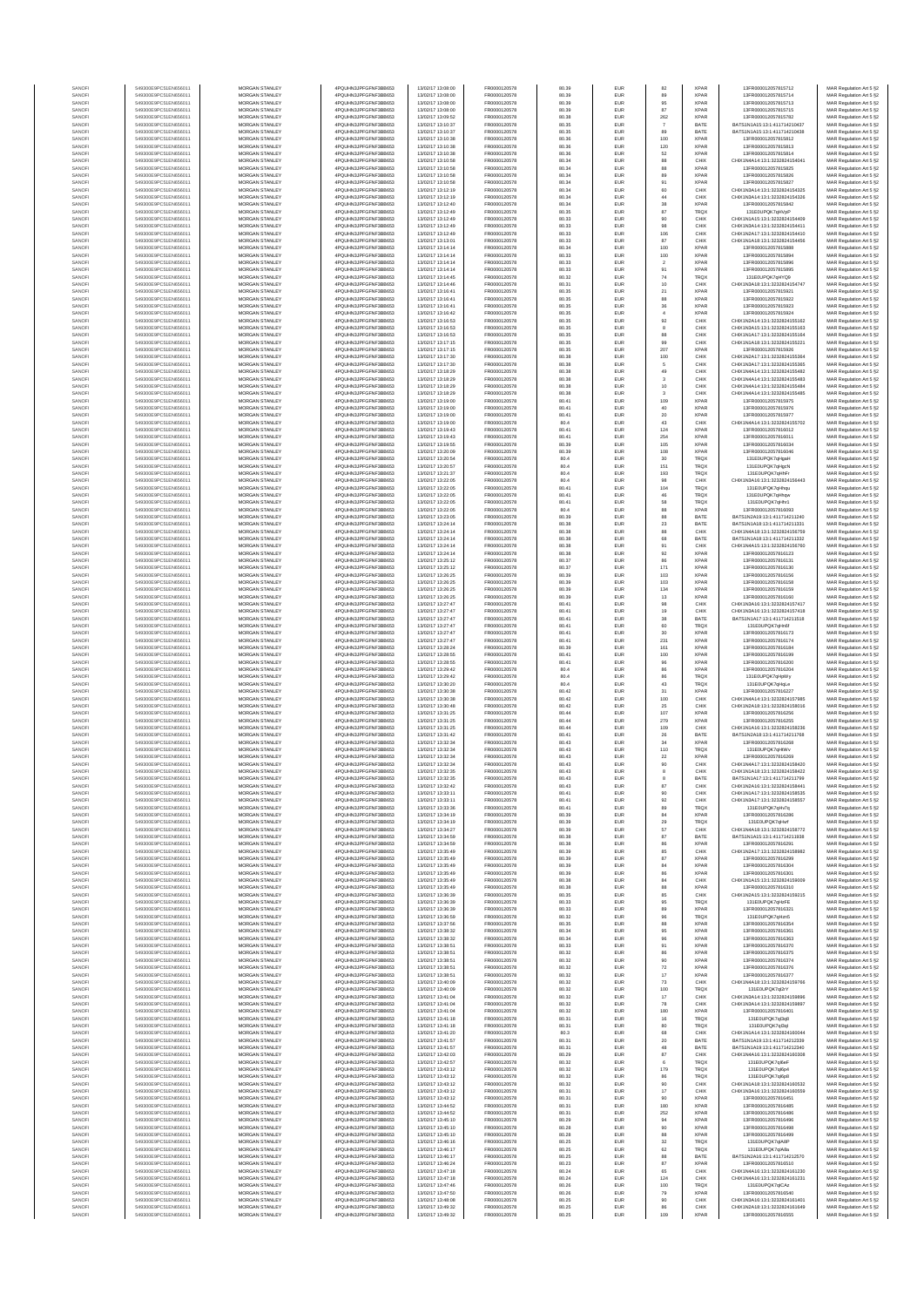| SANOF            | 549300E9PC51EN656011                         | <b>MORGAN STANLEY</b>                          | 4PQUHN3JPFGFNF3BB653                         | 13/02/17 13:08:00                      | FR0000120578                 | 80.39          | EUR                      | 82                         | <b>XPAR</b>                | 13FR000012057815712                                            | MAR Regulation Art 5 §2                            |
|------------------|----------------------------------------------|------------------------------------------------|----------------------------------------------|----------------------------------------|------------------------------|----------------|--------------------------|----------------------------|----------------------------|----------------------------------------------------------------|----------------------------------------------------|
| SANOFI<br>SANOFI | 549300E9PC51EN656011<br>549300E9PC51EN656011 | <b>MORGAN STANLEY</b><br>MORGAN STANLEY        | 4PQUHN3JPFGFNF3BB653<br>4PQUHN3JPFGFNF3BB653 | 13/02/17 13:08:00<br>13/02/17 13:08:00 | FR0000120578<br>FR0000120578 | 80.39<br>80.39 | EUR<br>EUR               | 89                         | <b>XPAR</b><br><b>XPAF</b> | 13FR000012057815714<br>13FR000012057815713                     | MAR Regulation Art 5 §2                            |
| SANOFI           | 549300E9PC51EN656011                         | MORGAN STANLEY                                 | 4PQUHN3JPFGFNF3BB653                         | 13/02/17 13:08:00                      | FR0000120578                 | 80.39          | EUR                      | 95<br>87                   | <b>XPAR</b>                | 13FR000012057815715                                            | MAR Regulation Art 5 §2<br>MAR Regulation Art 5 §2 |
| SANOFI           | 549300E9PC51EN656011                         | MORGAN STANLEY                                 | 4PQUHN3JPFGFNF3BB653                         | 13/02/17 13:09:52                      | FR0000120578                 | 80.38          | EUR                      | 262                        | XPAF                       | 13FR000012057815782                                            | MAR Regulation Art 5 §2                            |
| SANOFI<br>SANOFI | 549300E9PC51EN656011<br>549300E9PC51EN656011 | MORGAN STANLEY<br>MORGAN STANLEY               | 4PQUHN3JPFGFNF3BB653<br>4PQUHN3JPFGFNF3BB653 | 13/02/17 13:10:37<br>13/02/17 13:10:37 | FR0000120578<br>FR0000120578 | 80.35<br>80.35 | EUR<br>EUR               | 89                         | BATE<br>BATE               | BATS1N1A15:13:1:411714210437<br>BATS1N1A15:13:1:411714210438   | MAR Regulation Art 5 §2<br>MAR Regulation Art 5 §2 |
| SANOFI           | 549300E9PC51EN656011                         | MORGAN STANLEY                                 | 4PQUHN3JPFGFNF3BB653                         | 13/02/17 13:10:38                      | FR0000120578                 | 80.36          | <b>EUR</b>               | 100                        | XPAF                       | 13FR000012057815812                                            | MAR Regulation Art 5 §2                            |
| SANOFI<br>SANOFI | 549300E9PC51EN656011<br>549300E9PC51EN656011 | <b>MORGAN STANLEY</b><br><b>MORGAN STANLEY</b> | 4PQUHN3JPFGFNF3BB653<br>4PQUHN3JPFGFNF3BB653 | 13/02/17 13:10:38<br>13/02/17 13:10:38 | FR0000120578<br>FR0000120578 | 80.36<br>80.36 | EUR<br><b>EUR</b>        | 120                        | <b>XPAR</b><br><b>XPAR</b> | 13FR000012057815813<br>13FR000012057815814                     | MAR Regulation Art 5 §2                            |
| SANOFI           | 549300E9PC51EN656011                         | <b>MORGAN STANLEY</b>                          | 4PQUHN3JPFGFNF3BB653                         | 13/02/17 13:10:58                      | FR0000120578                 | 80.34          | <b>EUR</b>               | 62<br>88                   | CHIX                       | CHIX1N4A14:13:1:3232824154041                                  | MAR Regulation Art 5 §2<br>MAR Regulation Art 5 §2 |
| SANOFI           | 549300E9PC51EN656011                         | MORGAN STANLEY                                 | 4PQUHN3JPFGFNF3BB653                         | 13/02/17 13:10:58                      | FR0000120578                 | 80.34          | EUR                      | 88                         | <b>XPAF</b>                | 13FR000012057815825                                            | MAR Regulation Art 5 §2                            |
| SANOFI<br>SANOFI | 549300E9PC51EN656011<br>549300E9PC51EN656011 | MORGAN STANLEY<br>MORGAN STANLEY               | 4PQUHN3JPFGFNF3BB653<br>4PQUHN3JPFGFNF3BB653 | 13/02/17 13:10:58<br>13/02/17 13:10:58 | FR0000120578<br>FR0000120578 | 80.34<br>80.34 | EUR<br>EUR               | 89<br>91                   | <b>XPAF</b><br>XPAF        | 13FR000012057815826<br>13FR000012057815827                     | MAR Regulation Art 5 §2<br>MAR Regulation Art 5 §2 |
| SANOFI           | 549300E9PC51EN656011                         | MORGAN STANLEY                                 | 4PQUHN3JPFGFNF3BB653                         | 13/02/17 13:12:19                      | FR0000120578                 | 80.34          | EUR                      | 60                         | CHIX                       | CHIX1N3A14:13:1:3232824154325                                  | MAR Regulation Art 5 §2                            |
| SANOFI           | 549300E9PC51EN656011                         | MORGAN STANLEY                                 | 4PQUHN3JPFGFNF3BB653                         | 13/02/17 13:12:19                      | FR0000120578                 | 80.34          | <b>EUR</b>               | $44\,$                     | CHIX                       | CHIX1N3A14:13:1:3232824154326                                  | MAR Regulation Art 5 §2                            |
| SANOFI<br>SANOFI | 549300E9PC51EN656011<br>549300E9PC51EN656011 | MORGAN STANLEY<br><b>MORGAN STANLEY</b>        | 4PQUHN3JPFGFNF3BB653<br>4PQUHN3JPFGFNF3BB653 | 13/02/17 13:12:40<br>13/02/17 13:12:49 | FR0000120578<br>FR0000120578 | 80.34<br>80.35 | <b>EUR</b><br>EUR        | $_{\rm 38}$<br>87          | <b>XPAF</b><br>TRQ)        | 13FR000012057815842<br>131E0UPQK7gHVpP                         | MAR Regulation Art 5 §2<br>MAR Regulation Art 5 §2 |
| SANOFI           | 549300E9PC51EN656011                         | <b>MORGAN STANLEY</b>                          | 4PQUHN3JPFGFNF3BB653                         | 13/02/17 13:12:49                      | FR0000120578                 | 80.33          | <b>EUR</b>               | 90                         | CHIX                       | CHIX1N1A15:13:1:3232824154409                                  | MAR Regulation Art 5 §2                            |
| SANOFI           | 549300E9PC51EN656011                         | MORGAN STANLEY                                 | 4PQUHN3JPFGFNF3BB653                         | 13/02/17 13:12:49                      | FR0000120578                 | 80.33          | EUR                      | $98\,$                     | CHIX                       | CHIX1N3A14:13:1:3232824154411                                  | MAR Regulation Art 5 §2                            |
| SANOF<br>SANOFI  | 549300E9PC51EN656011<br>549300E9PC51EN656011 | MORGAN STANLEY<br>MORGAN STANLEY               | 4PQUHN3JPFGFNF3BB653<br>4PQUHN3JPFGFNF3BB653 | 13/02/17 13:12:49<br>13/02/17 13:13:01 | FR0000120578<br>FR0000120578 | 80.33<br>80.33 | EUR<br>EUR               | 106<br>87                  | CHIX<br>CHIX               | CHIX1N2A17:13:1:3232824154410<br>CHIX1N1A18:13:1:3232824154456 | MAR Regulation Art 5 §2<br>MAR Regulation Art 5 §2 |
| SANOFI           | 549300E9PC51EN656011                         | MORGAN STANLEY                                 | 4PQUHN3JPFGFNF3BB653                         | 13/02/17 13:14:14                      | FR0000120578                 | 80.34          | EUR                      | 100                        | XPAF                       | 13FR000012057815888                                            | MAR Regulation Art 5 §2                            |
| SANOFI           | 549300E9PC51EN656011                         | MORGAN STANLEY                                 | 4PQUHN3JPFGFNF3BB653                         | 13/02/17 13:14:14                      | FR0000120578                 | 80.33          | <b>EUR</b>               | 100                        | <b>XPAF</b>                | 13FR000012057815894                                            | MAR Regulation Art 5 §2                            |
| SANOFI<br>SANOFI | 549300E9PC51EN656011<br>549300E9PC51EN656011 | MORGAN STANLEY<br><b>MORGAN STANLEY</b>        | 4PQUHN3JPFGFNF3BB653<br>4PQUHN3JPFGFNF3BB653 | 13/02/17 13:14:14<br>13/02/17 13:14:14 | FR0000120578<br>FR0000120578 | 80.33<br>80.33 | EUR<br><b>EUR</b>        | $\,$ 2 $\,$                | <b>XPAF</b><br><b>XPAR</b> | 13FR000012057815896<br>13FR000012057815895                     | MAR Regulation Art 5 §2<br>MAR Regulation Art 5 §2 |
| SANOFI           | 549300E9PC51EN656011                         | <b>MORGAN STANLEY</b>                          | 4PQUHN3JPFGFNF3BB653                         | 13/02/17 13:14:45                      | FR0000120578                 | 80.32          | EUR                      | $\frac{91}{74}$            | TRQ)                       | 131E0UPOK7eHYO9                                                | MAR Regulation Art 5 §2                            |
| SANOFI           | 549300E9PC51EN656011                         | MORGAN STANLEY                                 | 4PQUHN3JPFGFNF3BB653                         | 13/02/17 13:14:46                      | FR0000120578                 | 80.31          | EUR                      | $10$                       | CHIX                       | CHIX1N3A18:13:1:3232824154747                                  | MAR Regulation Art 5 §2                            |
| SANOFI<br>SANOF  | 549300E9PC51EN656011<br>549300E9PC51EN656011 | MORGAN STANLEY<br>MORGAN STANLEY               | 4PQUHN3JPFGFNF3BB653<br>4PQUHN3JPFGFNF3BB653 | 13/02/17 13:16:41<br>13/02/17 13:16:41 | FR0000120578<br>FR0000120578 | 80.35<br>80.35 | EUR<br>EUR               | $\mathbf{21}$<br>88        | <b>XPAF</b><br>XPAF        | 13FR000012057815921<br>13FR000012057815922                     | MAR Regulation Art 5 §2<br>MAR Regulation Art 5 §2 |
| SANOFI           | 549300E9PC51EN656011                         | MORGAN STANLEY                                 | 4PQUHN3JPFGFNF3BB653                         | 13/02/17 13:16:41                      | FR0000120578                 | 80.35          | EUR                      | $_{\rm 36}$                | XPAF                       | 13FR000012057815923                                            | MAR Regulation Art 5 §2                            |
| SANOFI           | 549300E9PC51EN656011                         | MORGAN STANLEY                                 | 4PQUHN3JPFGFNF3BB653                         | 13/02/17 13:16:42                      | FR0000120578                 | 80.35          | EUR                      | $\,$ 4 $\,$                | <b>XPAF</b>                | 13FR000012057815924                                            | MAR Regulation Art 5 §2                            |
| SANOFI<br>SANOFI | 549300E9PC51EN656011<br>549300E9PC51EN656011 | MORGAN STANLEY<br><b>MORGAN STANLEY</b>        | 4PQUHN3JPFGFNF3BB653<br>4PQUHN3JPFGFNF3BB653 | 13/02/17 13:16:53<br>13/02/17 13:16:53 | FR0000120578<br>FR0000120578 | 80.35<br>80.35 | <b>EUR</b><br><b>EUR</b> | $92\,$<br>$\boldsymbol{8}$ | CHIX<br>CHIX               | CHIX1N2A14:13:1:3232824155162<br>CHIX1N3A15:13:1:3232824155163 | MAR Regulation Art 5 §2<br>MAR Regulation Art 5 §2 |
| SANOFI           | 549300E9PC51EN656011                         | <b>MORGAN STANLEY</b>                          | 4PQUHN3JPFGFNF3BB653                         | 13/02/17 13:16:53                      | FR0000120578                 | 80.35          | <b>EUR</b>               | 88                         | CHIX                       | CHIX1N1A17:13:1:3232824155164                                  | MAR Regulation Art 5 §2                            |
| SANOFI<br>SANOFI | 549300E9PC51EN656011<br>549300E9PC51EN656011 | MORGAN STANLEY                                 | 4PQUHN3JPFGFNF3BB653<br>4PQUHN3JPFGFNF3BB653 | 13/02/17 13:17:15<br>13/02/17 13:17:15 | FR0000120578<br>FR0000120578 | 80.35          | EUR                      | 99                         | CHIX<br>XPAF               | CHIX1N1A18:13:1:3232824155221<br>13FR000012057815926           | MAR Regulation Art 5 §2                            |
| SANOFI           | 549300E9PC51EN656011                         | MORGAN STANLEY<br>MORGAN STANLEY               | 4PQUHN3JPFGFNF3BB653                         | 13/02/17 13:17:30                      | FR0000120578                 | 80.35<br>80.38 | EUR<br>EUR               | $207\,$<br>100             | CHIX                       | CHIX1N2A17:13:1:3232824155364                                  | MAR Regulation Art 5 §2<br>MAR Regulation Art 5 §2 |
| SANOFI           | 549300E9PC51EN656011                         | MORGAN STANLEY                                 | 4PQUHN3JPFGFNF3BB653                         | 13/02/17 13:17:30                      | FR0000120578                 | 80.38          | EUR                      | $\overline{5}$             | CHIX                       | CHIX1N3A17:13:1:3232824155365                                  | MAR Regulation Art 5 §2                            |
| SANOFI<br>SANOFI | 549300E9PC51EN656011<br>549300E9PC51EN656011 | MORGAN STANLEY<br>MORGAN STANLEY               | 4PQUHN3JPFGFNF3BB653<br>4PQUHN3JPFGFNF3BB653 | 13/02/17 13:18:29<br>13/02/17 13:18:29 | FR0000120578<br>FR0000120578 | 80.38<br>80.38 | <b>EUR</b><br>EUR        | 49<br>$_{\rm 3}$           | CHIX<br>CHIX               | CHIX1N4A14:13:1:3232824155482<br>CHIX1N4A14:13:1:3232824155483 | MAR Regulation Art 5 §2<br>MAR Regulation Art 5 §2 |
| SANOFI           | 549300E9PC51EN656011                         | <b>MORGAN STANLEY</b>                          | 4PQUHN3JPFGFNF3BB653                         | 13/02/17 13:18:29                      | FR0000120578                 | 80.38          | <b>EUR</b>               | $10$                       | CHIX                       | CHIX1N4A14:13:1:3232824155484                                  | MAR Regulation Art 5 §2                            |
| SANOFI           | 549300E9PC51EN656011                         | <b>MORGAN STANLEY</b>                          | 4PQUHN3JPFGFNF3BB653                         | 13/02/17 13:18:29                      | FR0000120578                 | 80.38          | EUR                      | $\overline{\mathbf{3}}$    | CHIX                       | CHIX1N4A14:13:1:3232824155485                                  | MAR Regulation Art 5 §2                            |
| SANOFI<br>SANOFI | 549300E9PC51EN656011<br>549300E9PC51EN656011 | <b>MORGAN STANLEY</b><br>MORGAN STANLEY        | 4PQUHN3JPFGFNF3BB653<br>4PQUHN3JPFGFNF3BB653 | 13/02/17 13:19:00<br>13/02/17 13:19:00 | FR0000120578<br>FR0000120578 | 80.41<br>80.41 | <b>EUR</b><br>EUR        | 109<br>$40\,$              | <b>XPAF</b><br><b>XPAF</b> | 13FR000012057815975<br>13FR000012057815976                     | MAR Regulation Art 5 §2<br>MAR Regulation Art 5 §2 |
| SANOFI           | 549300E9PC51EN656011                         | MORGAN STANLEY                                 | 4PQUHN3JPFGFNF3BB653                         | 13/02/17 13:19:00                      | FR0000120578                 | 80.41          | EUR                      | $20\,$                     | <b>XPAF</b>                | 13FR000012057815977                                            | MAR Regulation Art 5 §2                            |
| SANOFI           | 549300E9PC51EN656011                         | MORGAN STANLEY                                 | 4PQUHN3JPFGFNF3BB653                         | 13/02/17 13:19:00                      | FR0000120578                 | 80.4           | EUR                      | $43\,$                     | CHIX                       | CHIX1N4A14:13:1:3232824155702                                  | MAR Regulation Art 5 §2                            |
| SANOF<br>SANOFI  | 549300E9PC51EN656011<br>549300E9PC51EN656011 | MORGAN STANLEY<br>MORGAN STANLEY               | 4PQUHN3JPFGFNF3BB653<br>4PQUHN3JPFGFNF3BB653 | 13/02/17 13:19:43<br>13/02/17 13:19:43 | FR0000120578<br>FR0000120578 | 80.41<br>80.41 | EUR<br><b>EUR</b>        | 124<br>254                 | XPAF<br><b>XPAF</b>        | 13FR000012057816012<br>13FR000012057816011                     | MAR Regulation Art 5 §2<br>MAR Regulation Art 5 §2 |
| SANOFI           | 549300E9PC51EN656011                         | MORGAN STANLEY                                 | 4PQUHN3JPFGFNF3BB653                         | 13/02/17 13:19:55                      | FR0000120578                 | 80.39          | EUR                      | 106                        | <b>XPAF</b>                | 13FR000012057816034                                            | MAR Regulation Art 5 §2                            |
| SANOFI           | 549300E9PC51EN656011                         | <b>MORGAN STANLEY</b>                          | 4PQUHN3JPFGFNF3BB653                         | 13/02/17 13:20:09                      | FR0000120578                 | 80.39          | <b>EUR</b>               | 108                        | <b>XPAR</b>                | 13FR000012057816046                                            | MAR Regulation Art 5 §2                            |
| SANOFI<br>SANOFI | 549300E9PC51EN656011<br>549300E9PC51EN656011 | <b>MORGAN STANLEY</b><br>MORGAN STANLEY        | 4PQUHN3JPFGFNF3BB653<br>4PQUHN3JPFGFNF3BB653 | 13/02/17 13:20:54<br>13/02/17 13:20:57 | FR0000120578<br>FR0000120578 | 80.4<br>80.4   | <b>EUR</b><br>EUR        | 30<br>151                  | <b>TRQX</b><br>TRQ)        | 131E0UPQK7aHgaH<br>131E0UPQK7qHgcN                             | MAR Regulation Art 5 §2<br>MAR Regulation Art 5 §2 |
| SANOFI           | 549300E9PC51EN656011                         | MORGAN STANLEY                                 | 4PQUHN3JPFGFNF3BB653                         | 13/02/17 13:21:37                      | FR0000120578                 | 80.4           | EUR                      | 193                        | TRQ)                       | 131E0UPQK7qHhFr                                                | MAR Regulation Art 5 §2                            |
| SANOF<br>SANOFI  | 549300E9PC51EN656011<br>549300E9PC51EN656011 | MORGAN STANLEY<br>MORGAN STANLEY               | 4PQUHN3JPFGFNF3BB653<br>4PQUHN3JPFGFNF3BB653 | 13/02/17 13:22:05<br>13/02/17 13:22:05 | FR0000120578<br>FR0000120578 | 80.4<br>80.41  | EUR<br>EUR               | $98\,$<br>104              | CHIX<br>TRQ)               | CHIX1N3A16:13:1:3232824156443<br>131E0UPQK7qHhqu               | MAR Regulation Art 5 §2<br>MAR Regulation Art 5 §2 |
| SANOFI           | 549300E9PC51EN656011                         | MORGAN STANLEY                                 | 4PQUHN3JPFGFNF3BB653                         | 13/02/17 13:22:05                      | FR0000120578                 | 80.41          | EUR                      | $46\,$                     | TRQ)                       | 131E0UPQK7qHhqv                                                | MAR Regulation Art 5 §2                            |
| SANOFI           | 549300E9PC51EN656011                         | MORGAN STANLEY                                 | 4PQUHN3JPFGFNF3BB653                         | 13/02/17 13:22:05                      | FR0000120578                 | 80.41          | <b>EUR</b>               | 58                         | TRQX                       | 131E0UPQK7qHhr1                                                | MAR Regulation Art 5 §2                            |
| SANOFI<br>SANOFI | 549300E9PC51EN656011<br>549300E9PC51EN656011 | <b>MORGAN STANLEY</b><br>MORGAN STANLEY        | 4PQUHN3JPFGFNF3BB653<br>4PQUHN3JPFGFNF3BB653 | 13/02/17 13:22:05<br>13/02/17 13:23:05 | FR0000120578<br>FR0000120578 | 80.4           | EUR                      | 88                         | <b>XPAR</b><br>BATE        | 13FR000012057816093<br>RATS1N2A19-13-1-411714211240            | MAR Regulation Art 5 §2                            |
| SANOFI           | 549300E9PC51EN656011                         | MORGAN STANLEY                                 | 4PQUHN3JPFGFNF3BB653                         | 13/02/17 13:24:14                      | FR0000120578                 | 80.39<br>80.38 | EUR<br>EUR               | 88<br>$23\,$               | BATE                       | BATS1N1A18:13:1:411714211331                                   | MAR Regulation Art 5 §2<br>MAR Regulation Art 5 §2 |
| SANOF            | 549300E9PC51EN656011                         | MORGAN STANLEY                                 | 4PQUHN3JPFGFNF3BB653                         | 13/02/17 13:24:14                      | FR0000120578                 | 80.38          | EUR                      | $_{88}$                    | CHIX                       | CHIX1N4A18:13:1:3232824156759                                  | MAR Regulation Art 5 §2                            |
| SANOFI<br>SANOFI | 549300E9PC51EN656011<br>549300E9PC51EN656011 | MORGAN STANLEY<br>MORGAN STANLEY               | 4PQUHN3JPFGFNF3BB653<br>4PQUHN3JPFGFNF3BB653 | 13/02/17 13:24:14<br>13/02/17 13:24:14 | FR0000120578<br>FR0000120578 | 80.38<br>80.38 | EUR<br>EUR               | 68<br>91                   | BATE<br>CHIX               | BATS1N1A18:13:1:411714211332<br>CHIX1N4A15:13:1:3232824156760  | MAR Regulation Art 5 §2                            |
| SANOFI           | 549300E9PC51EN656011                         | MORGAN STANLEY                                 | 4PQUHN3JPFGFNF3BB653                         | 13/02/17 13:24:14                      | FR0000120578                 | 80.38          | <b>EUR</b>               | $92\,$                     | <b>XPAF</b>                | 13FR000012057816123                                            | MAR Regulation Art 5 §2<br>MAR Regulation Art 5 §2 |
| SANOFI           | 549300E9PC51EN656011                         | MORGAN STANLEY                                 | 4PQUHN3JPFGFNF3BB653                         | 13/02/17 13:25:12                      | FR0000120578                 | 80.37          | EUR                      | 86                         | <b>XPAF</b>                | 13FR000012057816131                                            | MAR Regulation Art 5 §2                            |
| SANOFI<br>SANOFI | 549300E9PC51EN656011<br>549300E9PC51EN656011 | <b>MORGAN STANLEY</b><br><b>MORGAN STANLEY</b> | 4PQUHN3JPFGFNF3BB653<br>4PQUHN3JPFGFNF3BB653 | 13/02/17 13:25:12<br>13/02/17 13:26:25 | FR0000120578<br>FR0000120578 | 80.37<br>80.39 | <b>EUR</b><br>EUR        | 171<br>103                 | <b>XPAR</b><br><b>XPAR</b> | 13FR000012057816130<br>13FR000012057816156                     | MAR Regulation Art 5 §2<br>MAR Regulation Art 5 §2 |
| SANOFI           | 549300E9PC51EN656011                         | MORGAN STANLEY                                 | 4PQUHN3JPFGFNF3BB653                         | 13/02/17 13:26:25                      | FR0000120578                 | 80.39          | EUR                      | 103                        | <b>XPAF</b>                | 13FR000012057816158                                            | MAR Regulation Art 5 §2                            |
| SANOFI           | 549300E9PC51EN656011                         | MORGAN STANLEY                                 | 4PQUHN3JPFGFNF3BB653                         | 13/02/17 13:26:25                      | FR0000120578                 | 80.39          | EUR                      | 134                        | <b>XPAF</b>                | 13FR000012057816159                                            | MAR Regulation Art 5 §2                            |
| SANOF<br>SANOFI  | 549300E9PC51EN656011<br>549300E9PC51EN656011 | MORGAN STANLEY<br>MORGAN STANLEY               | 4PQUHN3JPFGFNF3BB653<br>4PQUHN3JPFGFNF3BB653 | 13/02/17 13:26:25<br>13/02/17 13:27:47 | FR0000120578<br>FR0000120578 | 80.39<br>80.41 | EUR<br>EUR               | $13\,$<br>$98\,$           | XPAF<br>CHIX               | 13FR000012057816160<br>CHIX1N3A16:13:1:3232824157417           | MAR Regulation Art 5 §2<br>MAR Regulation Art 5 §2 |
| SANOFI           | 549300E9PC51EN656011                         | MORGAN STANLEY                                 | 4PQUHN3JPFGFNF3BB653                         | 13/02/17 13:27:47                      | FR0000120578                 | 80.41          | EUR                      | 19                         | CHIX                       | CHIX1N3A16:13:1:3232824157418                                  | MAR Regulation Art 5 §2                            |
| SANOFI<br>SANOFI | 549300E9PC51EN656011<br>549300E9PC51EN656011 | MORGAN STANLEY<br><b>MORGAN STANLEY</b>        | 4PQUHN3JPFGFNF3BB653<br>4PQUHN3JPFGFNF3BB653 | 13/02/17 13:27:47<br>13/02/17 13:27:47 | FR0000120578<br>FR0000120578 | 80.41<br>80.41 | <b>EUR</b><br><b>EUR</b> | 38<br>60                   | BATE<br>TRQ)               | BATS1N1A17:13:1:411714211518<br>131E0UPQK7gHn6f                | MAR Regulation Art 5 §2<br>MAR Regulation Art 5 §2 |
| SANOFI           | 549300E9PC51EN656011                         | <b>MORGAN STANLEY</b>                          | 4PQUHN3JPFGFNF3BB653                         | 13/02/17 13:27:47                      | FR0000120578                 | 80.41          | <b>EUR</b>               | 30                         | <b>XPAR</b>                | 13FR000012057816173                                            | MAR Regulation Art 5 §2                            |
| SANOFI           | 549300E9PC51EN656011                         | <b>MORGAN STANLEY</b>                          | 4PQUHN3JPFGFNF3BB653                         | 13/02/17 13:27:47                      | FR0000120578                 | 80.41          | EUR                      | 231                        | <b>XPAF</b>                | 13FR000012057816174                                            | MAR Regulation Art 5 §2                            |
| SANOFI<br>SANOFI | 549300E9PC51EN656011<br>549300E9PC51EN656011 | MORGAN STANLEY<br>MORGAN STANLEY               | 4PQUHN3JPFGFNF3BB653<br>4PQUHN3JPFGFNF3BB653 | 13/02/17 13:28:24<br>13/02/17 13:28:55 | FR0000120578<br>FR0000120578 | 80.39<br>80.41 | EUR<br>EUR               | 161<br>100                 | <b>XPAF</b><br><b>XPAF</b> | 13FR000012057816184<br>13FR000012057816199                     | MAR Regulation Art 5 §2<br>MAR Regulation Art 5 §2 |
| SANOF            | 549300E9PC51EN656011                         | MORGAN STANLEY                                 | 4PQUHN3JPFGFNF3BB653                         | 13/02/17 13:28:55                      | FR0000120578                 | 80.41          | EUR                      | $96\,$                     | XPAF                       | 13FR000012057816200                                            | MAR Regulation Art 5 §2                            |
| SANOFI           | 549300E9PC51EN656011                         | MORGAN STANLEY                                 | 4PQUHN3JPFGFNF3BB653                         | 13/02/17 13:29:42                      | FR0000120578                 | 80.4           | EUR                      | 86                         | XPAF                       | 13FR000012057816204                                            | MAR Regulation Art 5 §2                            |
| SANOFI<br>SANOFI | 549300E9PC51EN656011<br>549300E9PC51EN656011 | MORGAN STANLEY<br>MORGAN STANLEY               | 4PQUHN3JPFGFNF3BB653<br>4PQUHN3JPFGFNF3BB653 | 13/02/17 13:29:42<br>13/02/17 13:30:20 | FR0000120578<br>FR0000120578 | 80.4<br>80.4   | EUR<br><b>EUR</b>        | $\bf 86$<br>$43\,$         | TRQ)<br>TRQX               | 131E0UPQK7qHpWy<br>131E0UPQK7qHqLe                             | MAR Regulation Art 5 §2<br>MAR Regulation Art 5 §2 |
| SANOFI           | 549300E9PC51EN656011                         | <b>MORGAN STANLEY</b>                          | 4PQUHN3JPFGFNF3BB653                         | 13/02/17 13:30:38                      | FR0000120578                 | 80.42          | EUR                      | 31                         | <b>XPAF</b>                | 13FR000012057816227                                            | MAR Regulation Art 5 §2                            |
| SANOFI           | 549300E9PC51EN656011                         | MORGAN STANLEY                                 | 4POLIHN3JPEGENE3BB653                        | 13/02/17 13:30:38                      | FR0000120578                 | 80.42          | <b>EUR</b>               | 100                        | CHIX                       | CHIX1N4A14-13-1-3232824157985                                  | MAR Regulation Art 5 §2                            |
| SANOFI<br>SANOFI | 549300E9PC51EN656011<br>549300E9PC51EN656011 | MORGAN STANLEY<br>MORGAN STANLEY               | 4PQUHN3JPFGFNF3BB653<br>4PQUHN3JPFGFNF3BB653 | 13/02/17 13:30:48<br>13/02/17 13:31:25 | FR0000120578<br>FR0000120578 | 80.42<br>80.44 | EUR<br>EUR               | $2\mathrm{s}$<br>107       | CHIX<br><b>XPAF</b>        | CHIX1N2A18:13:1:3232824158016<br>13FR000012057816256           | MAR Regulation Art 5 §2<br>MAR Regulation Art 5 §2 |
| SANOFI           | 549300E9PC51EN656011                         | MORGAN STANLEY                                 | 4PQUHN3JPFGFNF3BB653                         | 13/02/17 13:31:25                      | FR0000120578                 | 80.44          | EUR                      | 279                        | <b>XPAF</b>                | 13FR000012057816255                                            | MAR Regulation Art 5 §2                            |
| SANOF            | 549300E9PC51EN656011                         | MORGAN STANLEY                                 | 4PQUHN3JPFGFNF3BB653                         | 13/02/17 13:31:25                      | FR0000120578                 | 80.44          | EUR                      | 109                        | CHIX                       | CHIX1N1A16:13:1:3232824158236                                  | MAR Regulation Art 5 §2                            |
| SANOFI<br>SANOFI | 549300E9PC51EN656011<br>549300E9PC51EN656011 | MORGAN STANLEY<br>MORGAN STANLEY               | 4PQUHN3JPFGFNF3BB653<br>4PQUHN3JPFGFNF3BB653 | 13/02/17 13:31:42<br>13/02/17 13:32:34 | FR0000120578<br>FR0000120578 | 80.41<br>80.43 | <b>EUR</b><br>EUR        | ${\bf 26}$<br>34           | BATE<br><b>XPAF</b>        | BATS1N2A18:13:1:411714211768<br>13FR000012057816268            | MAR Regulation Art 5 §2<br>MAR Regulation Art 5 §2 |
| SANOFI           | 549300E9PC51EN656011                         | <b>MORGAN STANLEY</b>                          | 4PQUHN3JPFGFNF3BB653                         | 13/02/17 13:32:34                      | FR0000120578                 | 80.43          | <b>EUR</b>               | 110                        | <b>TRQX</b>                | 131E0UPQK7gHtWy                                                | MAR Regulation Art 5 §2                            |
| SANOFI           | 549300E9PC51EN656011                         | MORGAN STANLEY<br>MORGAN STANLEY               | 4PQUHN3JPFGFNF3BB653                         | 13/02/17 13:32:34                      | FR0000120578                 | 80.43          | <b>EUR</b>               | $\bf 22$                   | <b>XPAR</b>                | 13FR000012057816269                                            | MAR Regulation Art 5 §2                            |
| SANOF<br>SANOFI  | 549300E9PC51EN656011<br>549300E9PC51EN656011 | MORGAN STANLEY                                 | 4PQUHN3JPFGFNF3BB653<br>4PQUHN3JPFGFNF3BB653 | 13/02/17 13:32:34<br>13/02/17 13:32:35 | FR0000120578<br>FR0000120578 | 80.43<br>80.43 | EUR<br>EUR               | 90                         | CHIX<br>CHIX               | CHIX1N4A17:13:1:3232824158420<br>CHIX1N1A18:13:1:3232824158422 | MAR Regulation Art 5 §2<br>MAR Regulation Art 5 §2 |
|                  |                                              |                                                |                                              |                                        |                              |                |                          |                            |                            | 13:1:411714211799                                              | t Regulation Art 5 §2                              |
| SANOF<br>SANOFI  | 549300E9PC51EN656011<br>549300E9PC51EN656011 | MORGAN STANLEY<br>MORGAN STANLEY               | 4PQUHN3JPFGFNF3BB653<br>4PQUHN3JPFGFNF3BB653 | 13/02/17 13:32:42<br>13/02/17 13:33:11 | FR0000120578<br>FR0000120578 | 80.43<br>80.41 | EUR<br><b>EUR</b>        | 87<br>90                   | CHIX<br>CHIX               | CHIX1N2A16:13:1:3232824158441<br>CHIX1N1A17:13:1:3232824158535 | MAR Regulation Art 5 §2<br>MAR Regulation Art 5 §2 |
| SANOFI           | 549300E9PC51EN656011                         | MORGAN STANLEY                                 | 4PQUHN3JPFGFNF3BB653                         | 13/02/17 13:33:11                      | FR0000120578                 | 80.41          | <b>EUR</b>               | 92                         | CHIX                       | CHIX1N3A17:13:1:3232824158557                                  | MAR Regulation Art 5 §2                            |
| SANOFI           | 549300E9PC51EN656011                         | <b>MORGAN STANLEY</b>                          | 4PQUHN3JPFGFNF3BB653                         | 13/02/17 13:33:36                      | FR0000120578                 | 80.41          | EUR                      | 89                         | <b>TRQX</b>                | 131F0UPOK7oHv7o                                                | MAR Regulation Art 5 §2                            |
| SANOFI<br>SANOFI | 549300E9PC51EN656011<br>549300E9PC51EN656011 | <b>MORGAN STANLEY</b><br>MORGAN STANLEY        | 4PQUHN3JPFGFNF3BB653<br>4PQUHN3JPFGFNF3BB653 | 13/02/17 13:34:19<br>13/02/17 13:34:19 | FR0000120578<br>FR0000120578 | 80.39<br>80.39 | <b>EUR</b><br>EUR        | 84<br>$29\,$               | <b>XPAR</b><br>TRQX        | 13FR000012057816286<br>131E0UPQK7gHvf                          | MAR Regulation Art 5 §2<br>MAR Regulation Art 5 §2 |
| SANOFI           | 549300E9PC51EN656011                         | MORGAN STANLEY                                 | 4PQUHN3JPFGFNF3BB653                         | 13/02/17 13:34:27                      | FR0000120578                 | 80.39          | <b>EUR</b>               | $_{\rm 57}$                | CHIX                       | CHIX1N4A18:13:1:3232824158772                                  | MAR Regulation Art 5 §2                            |
| SANOFI<br>SANOFI | 549300E9PC51EN656011<br>549300E9PC51EN656011 | MORGAN STANLEY<br>MORGAN STANLEY               | 4PQUHN3JPFGFNF3BB653<br>4PQUHN3JPFGFNF3BB653 | 13/02/17 13:34:59<br>13/02/17 13:34:59 | FR0000120578<br>FR0000120578 | 80.38<br>80.38 | EUR<br>EUR               | 87<br>86                   | BATE<br>XPAF               | BATS1N1A15:13:1:411714211938<br>13FR000012057816291            | MAR Regulation Art 5 §2<br>MAR Regulation Art 5 §2 |
| SANOFI           | 549300E9PC51EN656011                         | MORGAN STANLEY                                 | 4PQUHN3JPFGFNF3BB653                         | 13/02/17 13:35:49                      | FR0000120578                 | 80.39          | <b>EUR</b>               | 85                         | CHIX                       | CHIX1N2A17:13:1:3232824158982                                  | MAR Regulation Art 5 §2                            |
| SANOFI           | 549300E9PC51EN656011                         | MORGAN STANLEY                                 | 4PQUHN3JPFGFNF3BB653                         | 13/02/17 13:35:49                      | FR0000120578                 | 80.39          | <b>EUR</b>               | 87                         | <b>XPAR</b>                | 13FR000012057816299                                            | MAR Regulation Art 5 §2                            |
| SANOFI<br>SANOFI | 549300E9PC51EN656011<br>549300E9PC51EN656011 | <b>MORGAN STANLEY</b><br><b>MORGAN STANLEY</b> | 4PQUHN3JPFGFNF3BB653<br>4PQUHN3JPFGFNF3BB653 | 13/02/17 13:35:49<br>13/02/17 13:35:49 | FR0000120578<br>FR0000120578 | 80.39<br>80.39 | <b>EUR</b><br><b>EUR</b> | 84<br>86                   | <b>XPAR</b><br><b>XPAR</b> | 13FR000012057816304<br>13ER000012057816301                     | MAR Regulation Art 5 §2<br>MAR Regulation Art 5 §2 |
| SANOFI           | 549300E9PC51EN656011                         | <b>MORGAN STANLEY</b>                          | 4PQUHN3JPFGFNF3BB653                         | 13/02/17 13:35:49                      | FR0000120578                 | 80.38          | <b>EUR</b>               | 84                         | CHIX                       | CHIX1N1A15:13:1:3232824159009                                  | MAR Regulation Art 5 §2                            |
| SANOFI<br>SANOFI | 549300E9PC51EN656011<br>549300E9PC51EN656011 | MORGAN STANLEY<br>MORGAN STANLEY               | 4PQUHN3JPFGFNF3BB653<br>4PQUHN3JPFGFNF3BB653 | 13/02/17 13:35:49<br>13/02/17 13:36:39 | FR0000120578<br>FR0000120578 | 80.38<br>80.35 | EUR<br><b>EUR</b>        | 88<br>85                   | <b>XPAR</b><br>CHIX        | 13FR000012057816310<br>CHIX1N2A15:13:1:3232824159215           | MAR Regulation Art 5 §2<br>MAR Regulation Art 5 §2 |
| SANOFI           | 549300E9PC51EN656011                         | MORGAN STANLEY                                 | 4PQUHN3JPFGFNF3BB653                         | 13/02/17 13:36:39                      | FR0000120578                 | 80.33          | EUR                      | 95                         | TRQ)                       | 131E0UPQK7qHzFE                                                | MAR Regulation Art 5 §2                            |
| SANOFI           | 549300E9PC51EN656011                         | MORGAN STANLEY                                 | 4PQUHN3JPFGFNF3BB653                         | 13/02/17 13:36:39                      | FR0000120578                 | 80.33          | EUR                      | 89                         | XPAF                       | 13FR000012057816321                                            | MAR Regulation Art 5 §2                            |
| SANOFI<br>SANOFI | 549300E9PC51EN656011<br>549300E9PC51EN656011 | MORGAN STANLEY<br>MORGAN STANLEY               | 4PQUHN3JPFGFNF3BB653<br>4PQUHN3JPFGFNF3BB653 | 13/02/17 13:36:59<br>13/02/17 13:37:56 | FR0000120578<br>FR0000120578 | 80.32<br>80.35 | <b>EUR</b><br><b>EUR</b> | 96<br>88                   | <b>TRQX</b><br><b>XPAR</b> | 131E0UPQK7gHzn5<br>13FR000012057816354                         | MAR Regulation Art 5 §2<br>MAR Regulation Art 5 §2 |
| SANOFI           | 549300E9PC51EN656011                         | <b>MORGAN STANLEY</b>                          | 4PQUHN3JPFGFNF3BB653                         | 13/02/17 13:38:32                      | FR0000120578                 | 80.34          | <b>EUR</b>               | 95                         | <b>XPAR</b>                | 13FR000012057816361                                            | MAR Regulation Art 5 §2                            |
| SANOFI           | 549300E9PC51EN656011                         | MORGAN STANLEY                                 | 4PQUHN3JPFGFNF3BB653                         | 13/02/17 13:38:32<br>13/02/17 13:38:51 | FR0000120578                 | 80.34          | <b>EUR</b>               | 96                         | <b>XPAR</b>                | 13FR000012057816363                                            | MAR Regulation Art 5 §2                            |
| SANOFI<br>SANOFI | 549300E9PC51EN656011<br>549300E9PC51EN656011 | MORGAN STANLEY<br>MORGAN STANLEY               | 4PQUHN3JPFGFNF3BB653<br>4PQUHN3JPFGFNF3BB653 | 13/02/17 13:38:51                      | FR0000120578<br>FR0000120578 | 80.33<br>80.32 | EUR<br>EUR               | 91<br>86                   | <b>XPAR</b><br><b>XPAR</b> | 13FR000012057816370<br>13FR000012057816375                     | MAR Regulation Art 5 §2<br>MAR Regulation Art 5 §2 |
| SANOF            | 549300E9PC51EN656011                         | MORGAN STANLEY                                 | 4PQUHN3JPFGFNF3BB653                         | 13/02/17 13:38:51                      | FR0000120578                 | 80.32          | EUR                      | 90                         | XPAF                       | 13FR000012057816374                                            | MAR Regulation Art 5 §2                            |
| SANOFI<br>SANOFI | 549300E9PC51EN656011                         | MORGAN STANLEY                                 | 4PQUHN3JPFGFNF3BB653                         | 13/02/17 13:38:51                      | FR0000120578                 | 80.32          | EUR                      | 72<br>$17\,$               | XPAF<br><b>XPAR</b>        | 13FR000012057816376                                            | MAR Regulation Art 5 §2                            |
| SANOFI           | 549300E9PC51EN656011<br>549300E9PC51EN656011 | MORGAN STANLEY<br>MORGAN STANLEY               | 4PQUHN3JPFGFNF3BB653<br>4PQUHN3JPFGFNF3BB653 | 13/02/17 13:38:51<br>13/02/17 13:40:09 | FR0000120578<br>FR0000120578 | 80.32<br>80.32 | EUR<br><b>EUR</b>        | 73                         | CHIX                       | 13FR000012057816377<br>CHIX1N4A18:13:1:3232824159766           | MAR Regulation Art 5 §2<br>MAR Regulation Art 5 §2 |
| SANOFI           | 549300E9PC51EN656011                         | <b>MORGAN STANLEY</b>                          | 4PQUHN3JPFGFNF3BB653                         | 13/02/17 13:40:09                      | FR0000120578                 | 80.32          | <b>EUR</b>               | 100                        | <b>TRQX</b>                | 131E0UPQK7ql2rY                                                | MAR Regulation Art 5 §2                            |
| SANOFI<br>SANOFI | 549300E9PC51EN656011<br>549300E9PC51EN656011 | <b>MORGAN STANLEY</b><br>MORGAN STANLEY        | 4PQUHN3JPFGFNF3BB653<br>4PQUHN3JPFGFNF3BB653 | 13/02/17 13:41:04<br>13/02/17 13:41:04 | FR0000120578<br>FR0000120578 | 80.32<br>80.32 | <b>EUR</b><br>EUR        | 17<br>78                   | CHIX<br>CHIX               | CHIX1N3A14:13:1:3232824159896<br>CHIX1N3A14:13:1:3232824159897 | MAR Regulation Art 5 §2<br>MAR Regulation Art 5 §2 |
| SANOFI           | 549300E9PC51EN656011                         | MORGAN STANLEY                                 | 4PQUHN3JPFGFNF3BB653                         | 13/02/17 13:41:04                      | FR0000120578                 | 80.32          | EUR                      | 180                        | <b>XPAR</b>                | 13FR000012057816401                                            | MAR Regulation Art 5 §2                            |
| SANOF            | 549300E9PC51EN656011                         | MORGAN STANLEY                                 | 4PQUHN3JPFGFNF3BB653                         | 13/02/17 13:41:18                      | FR0000120578                 | 80.31          | EUR                      | $16\,$                     | TRQ)                       | 131E0UPQK7ql3q8                                                | MAR Regulation Art 5 §2                            |
| SANOFI<br>SANOFI | 549300E9PC51EN656011<br>549300E9PC51EN656011 | MORGAN STANLEY<br>MORGAN STANLEY               | 4PQUHN3JPFGFNF3BB653<br>4PQUHN3JPFGFNF3BB653 | 13/02/17 13:41:18<br>13/02/17 13:41:20 | FR0000120578<br>FR0000120578 | 80.31<br>80.3  | EUR<br><b>EUR</b>        | 80<br>68                   | TRQ)<br>CHIX               | 131E0UPQK7ql3ql<br>CHIX1N1A14:13:1:3232824160044               | MAR Regulation Art 5 §2<br>MAR Regulation Art 5 §2 |
| SANOFI           | 549300E9PC51EN656011                         | MORGAN STANLEY                                 | 4PQUHN3JPFGFNF3BB653                         | 13/02/17 13:41:57                      | FR0000120578                 | 80.31          | <b>EUR</b>               | $20\,$                     | BATE                       | BATS1N1A19:13:1:411714212339                                   | MAR Regulation Art 5 §2                            |
| SANOFI           | 549300E9PC51EN656011                         | <b>MORGAN STANLEY</b>                          | 4PQUHN3JPFGFNF3BB653                         | 13/02/17 13:41:57                      | FR0000120578                 | 80.31          | <b>EUR</b>               | 48                         | BATE                       | BATS1N1A19:13:1:411714212340                                   | MAR Regulation Art 5 §2                            |
| SANOFI<br>SANOFI | 549300E9PC51EN656011<br>549300E9PC51EN656011 | <b>MORGAN STANLEY</b><br>MORGAN STANLEY        | 4PQUHN3JPFGFNF3BB653<br>4PQUHN3JPFGFNF3BB653 | 13/02/17 13:42:03<br>13/02/17 13:42:57 | FR0000120578<br>FR0000120578 | 80.29<br>80.32 | <b>EUR</b><br>EUR        | 87<br>$^{\rm 6}$           | CHIX<br>TRQX               | CHIX1N4A16:13:1:3232824160308<br>131E0UPQK7ql6eF               | MAR Regulation Art 5 §2<br>MAR Regulation Art 5 §2 |
| SANOFI           | 549300E9PC51EN656011                         | MORGAN STANLEY                                 | 4PQUHN3JPFGFNF3BB653                         | 13/02/17 13:43:12                      | FR0000120578                 | 80.32          | EUR                      | 179                        | <b>TRQX</b>                | 131E0UPQK7ql6p4                                                | MAR Regulation Art 5 §2                            |
| SANOFI           | 549300E9PC51EN656011                         | MORGAN STANLEY                                 | 4PQUHN3JPFGFNF3BB653                         | 13/02/17 13:43:12                      | FR0000120578                 | 80.32          | EUR                      | 86                         | TRQ)                       | 131E0UPQK7ql6p8                                                | MAR Regulation Art 5 §2                            |
| SANOFI<br>SANOFI | 549300E9PC51EN656011<br>549300E9PC51EN656011 | MORGAN STANLEY<br>MORGAN STANLEY               | 4PQUHN3JPFGFNF3BB653<br>4PQUHN3JPFGFNF3BB653 | 13/02/17 13:43:12<br>13/02/17 13:43:12 | FR0000120578<br>FR0000120578 | 80.32<br>80.31 | EUR<br>EUR               | $90\,$<br>$17\,$           | CHIX<br>CHIX               | CHIX1N1A18:13:1:3232824160532<br>CHIX1N3A16:13:1:3232824160559 | MAR Regulation Art 5 §2<br>MAR Regulation Art 5 §2 |
| SANOFI           | 549300E9PC51EN656011                         | MORGAN STANLEY                                 | 4PQUHN3JPFGFNF3BB653                         | 13/02/17 13:43:12                      | FR0000120578                 | 80.31          | <b>EUR</b>               | 90                         | <b>XPAR</b>                | 13FR000012057816451                                            | MAR Regulation Art 5 §2                            |
| SANOFI<br>SANOFI | 549300E9PC51EN656011<br>549300E9PC51EN656011 | <b>MORGAN STANLEY</b><br><b>MORGAN STANLEY</b> | 4PQUHN3JPFGFNF3BB653<br>4PQUHN3JPFGFNF3BB653 | 13/02/17 13:44:52<br>13/02/17 13:44:52 | FR0000120578<br>FR0000120578 | 80.31<br>80.31 | <b>EUR</b><br><b>EUR</b> | 180<br>252                 | <b>XPAR</b><br><b>XPAR</b> | 13FR000012057816485<br>13FR000012057816486                     | MAR Regulation Art 5 §2                            |
| SANOFI           | 549300E9PC51EN656011                         | <b>MORGAN STANLEY</b>                          | 4PQUHN3JPFGFNF3BB653                         | 13/02/17 13:45:10                      | FR0000120578                 | 80.29          | <b>EUR</b>               | 94                         | <b>XPAR</b>                | 13FR000012057816496                                            | MAR Regulation Art 5 §2<br>MAR Regulation Art 5 §2 |
| SANOFI           | 549300E9PC51EN656011                         | MORGAN STANLEY                                 | 4PQUHN3JPFGFNF3BB653                         | 13/02/17 13:45:10                      | FR0000120578                 | 80.28          | EUR                      | 90                         | <b>XPAR</b>                | 13FR000012057816498                                            | MAR Regulation Art 5 §2                            |
| SANOFI<br>SANOFI | 549300E9PC51EN656011<br>549300E9PC51EN656011 | MORGAN STANLEY<br>MORGAN STANLEY               | 4PQUHN3JPFGFNF3BB653<br>4PQUHN3JPFGFNF3BB653 | 13/02/17 13:45:10<br>13/02/17 13:46:16 | FR0000120578<br>FR0000120578 | 80.28<br>80.25 | EUR<br>EUR               | 88<br>$_{32}$              | <b>XPAR</b><br>TRQ)        | 13FR000012057816499<br>131E0UPQK7qIA8P                         | MAR Regulation Art 5 §2<br>MAR Regulation Art 5 §2 |
| SANOFI           | 549300E9PC51EN656011                         | MORGAN STANLEY                                 | 4PQUHN3JPFGFNF3BB653                         | 13/02/17 13:46:17                      | FR0000120578                 | 80.25          | EUR                      | 62                         | TRQ)                       | 131E0UPQK7qlA8a                                                | MAR Regulation Art 5 §2                            |
| SANOFI           | 549300E9PC51EN656011                         | MORGAN STANLEY                                 | 4PQUHN3JPFGFNF3BB653                         | 13/02/17 13:46:17                      | FR0000120578                 | 80.25          | EUR                      | 88<br>87                   | BATE<br><b>XPAF</b>        | BATS1N2A16:13:1:411714212570                                   | MAR Regulation Art 5 §2                            |
| SANOFI<br>SANOFI | 549300E9PC51EN656011<br>549300E9PC51EN656011 | MORGAN STANLEY<br><b>MORGAN STANLEY</b>        | 4PQUHN3JPFGFNF3BB653<br>4PQUHN3JPFGFNF3BB653 | 13/02/17 13:46:24<br>13/02/17 13:47:18 | FR0000120578<br>FR0000120578 | 80.23<br>80.24 | <b>EUR</b><br><b>EUR</b> | 65                         | CHIX                       | 13FR000012057816510<br>CHIX1N4A16:13:1:3232824161230           | MAR Regulation Art 5 §2<br>MAR Regulation Art 5 §2 |
| SANOFI           | 549300E9PC51EN656011                         | <b>MORGAN STANLEY</b>                          | 4PQUHN3JPFGFNF3BB653                         | 13/02/17 13:47:18                      | FR0000120578                 | 80.24          | <b>EUR</b>               | 124                        | CHIX                       | CHIX1N4A16:13:1:3232824161231                                  | MAR Regulation Art 5 §2                            |
| SANOFI<br>SANOFI | 549300E9PC51EN656011<br>549300E9PC51EN656011 | MORGAN STANLEY<br>MORGAN STANLEY               | 4PQUHN3JPFGFNF3BB653<br>4PQUHN3JPFGFNF3BB653 | 13/02/17 13:47:46<br>13/02/17 13:47:50 | FR0000120578<br>FR0000120578 | 80.26<br>80.26 | EUR<br>EUR               | 100<br>79                  | <b>TRQX</b><br><b>XPAR</b> | 131E0UPQK7qICAz<br>13FR000012057816540                         | MAR Regulation Art 5 §2<br>MAR Regulation Art 5 §2 |
| SANOF            | 549300E9PC51EN656011                         | MORGAN STANLEY                                 | 4PQUHN3JPFGFNF3BB653                         | 13/02/17 13:48:08                      | FR0000120578                 | 80.25          | EUR                      | 90                         | CHIX                       | CHIX1N3A16:13:1:3232824161401                                  | MAR Regulation Art 5 §2                            |
| SANOF<br>SANOFI  | 549300E9PC51EN656011<br>549300E9PC51EN656011 | MORGAN STANLEY<br>MORGAN STANLEY               | 4PQUHN3JPFGFNF3BB653<br>4PQUHN3JPFGFNF3BB653 | 13/02/17 13:49:32<br>13/02/17 13:49:32 | FR0000120578<br>FR0000120578 | 80.25<br>80.25 | EUR                      | 86<br>109                  | CHIX<br><b>XPAR</b>        | CHIX1N2A18:13:1:3232824161649<br>13FR000012057816555           | MAR Regulation Art 5 §2<br>MAR Regulation Art 5 §2 |
|                  |                                              |                                                |                                              |                                        |                              |                | <b>EUR</b>               |                            |                            |                                                                |                                                    |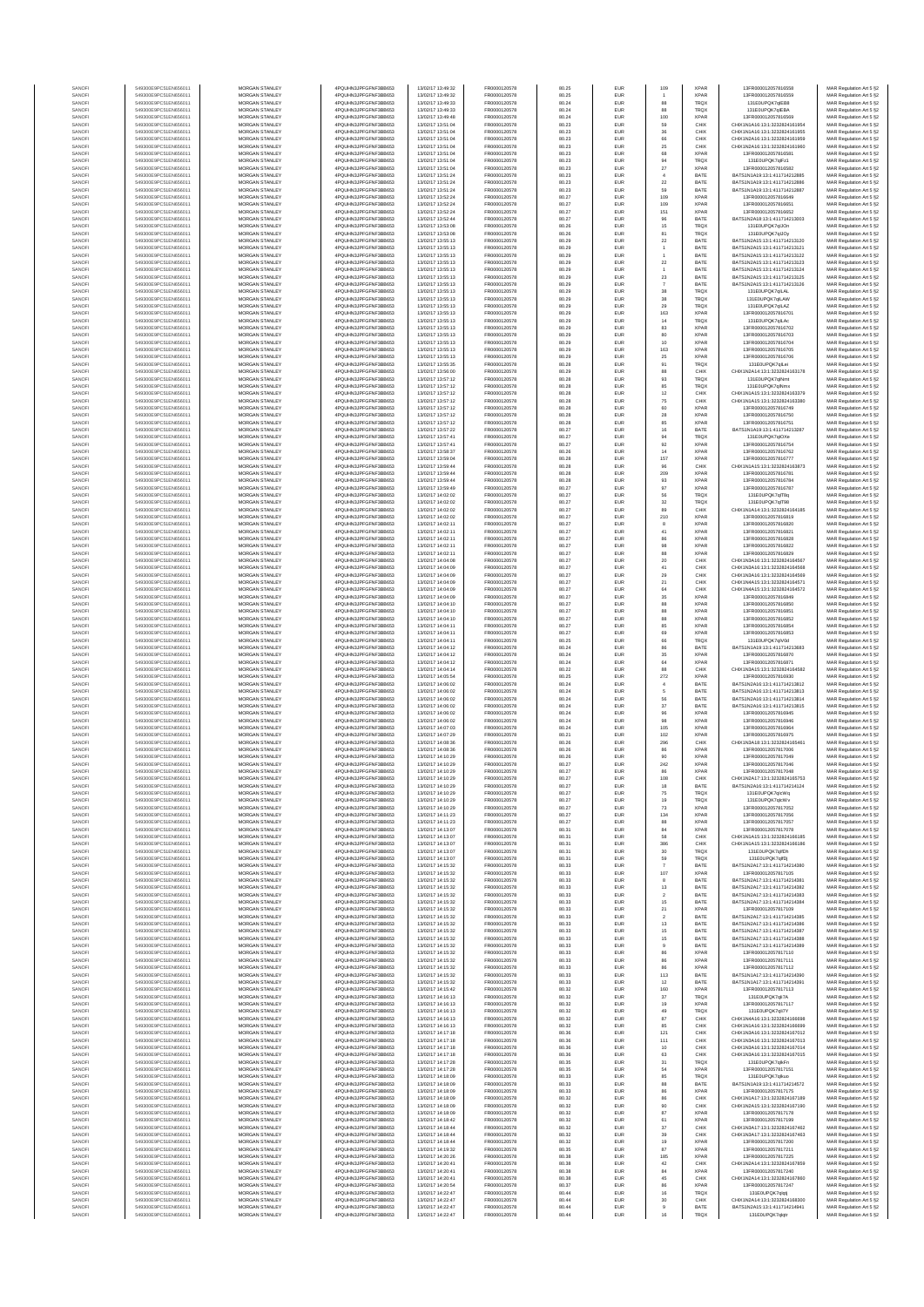| SANOF           | 549300E9PC51EN656011                         | MORGAN STANLEY                                 | 4PQUHN3JPFGFNF3BB653                         | 13/02/17 13:49:32                      | FR0000120578                 | 80.25          | EUR        | 109                      | <b>XPAR</b>                | 13ER000012057816558                        | MAR Regulation Art 5 §2                            |
|-----------------|----------------------------------------------|------------------------------------------------|----------------------------------------------|----------------------------------------|------------------------------|----------------|------------|--------------------------|----------------------------|--------------------------------------------|----------------------------------------------------|
| SANOFI          | 549300E9PC51EN656011                         | <b>MORGAN STANLEY</b>                          | 4PQUHN3JPFGFNF3BB653                         | 13/02/17 13:49:32                      | FR0000120578                 | 80.25          | EUR        | 88                       | <b>XPAR</b>                | 13FR000012057816559                        | MAR Regulation Art 5 §2                            |
| SANOFI          | 549300E9PC51EN656011                         | MORGAN STANLEY                                 | 4PQUHN3JPFGFNF3BB653                         | 13/02/17 13:49:33                      | FR0000120578                 | 80.24          | EUR        |                          | <b>TRQX</b>                | 131E0UPQK7qIEB8                            | MAR Regulation Art 5 §2                            |
| SANOFI          | 549300E9PC51EN656011                         | MORGAN STANLEY                                 | 4PQUHN3JPFGFNF3BB653                         | 13/02/17 13:49:33                      | FR0000120578                 | 80.24          | EUR        | 88                       | <b>TRQX</b>                | 131E0UPQK7qIEBA                            | MAR Regulation Art 5 §2                            |
| SANOFI          | 549300E9PC51EN656011                         | MORGAN STANLEY                                 | 4PQUHN3JPFGFNF3BB653                         | 13/02/17 13:49:48                      | FR0000120578                 | 80.24          | EUR        | 100                      | <b>XPAF</b>                | 13FR000012057816569                        | MAR Regulation Art 5 §2                            |
| SANOFI          | 549300E9PC51EN656011                         | MORGAN STANLEY                                 | 4PQUHN3JPFGFNF3BB653                         | 13/02/17 13:51:04                      | FR0000120578                 | 80.23          | EUR        | 59                       | CHIX                       | CHIX1N1A16:13:1:3232824161954              | MAR Regulation Art 5 §2                            |
| SANOFI          | 549300E9PC51EN656011                         | MORGAN STANLEY                                 | 4PQUHN3JPFGFNF3BB653                         | 13/02/17 13:51:04                      | FR0000120578                 | 80.23          | EUR        | $36\,$                   | CHIX                       | CHIX1N1A16:13:1:3232824161955              | MAR Regulation Art 5 §2                            |
| SANOFI          | 549300E9PC51EN656011                         | MORGAN STANLEY                                 | 4PQUHN3JPFGFNF3BB653                         | 13/02/17 13:51:04                      | FR0000120578                 | 80.23          | EUR        | 66                       | CHIX                       | CHIX1N2A16:13:1:3232824161959              | MAR Regulation Art 5 §2                            |
| SANOFI          | 549300E9PC51EN656011                         | <b>MORGAN STANLEY</b>                          | 4PQUHN3JPFGFNF3BB653                         | 13/02/17 13:51:04                      | FR0000120578                 | 80.23          | EUR        | 25                       | CHIX                       | CHIX1N2A16:13:1:3232824161960              | MAR Regulation Art 5 §2                            |
| SANOFI          | 549300E9PC51EN656011                         | <b>MORGAN STANLEY</b>                          | 4PQUHN3JPFGFNF3BB653                         | 13/02/17 13:51:04                      | FR0000120578                 | 80.23          | EUR        |                          | <b>XPAR</b>                | 13FR000012057816581                        | MAR Regulation Art 5 §2                            |
| SANOFI          | 549300E9PC51EN656011                         | <b>MORGAN STANLEY</b>                          | 4PQUHN3JPFGFNF3BB653                         | 13/02/17 13:51:04                      | FR0000120578                 | 80.23          | EUR        | 68<br>94                 | <b>TRQX</b>                | 131E0UPQK7glFz1                            | MAR Regulation Art 5 §2                            |
| SANOFI          | 549300E9PC51EN656011                         | MORGAN STANLEY                                 | 4PQUHN3JPFGFNF3BB653                         | 13/02/17 13:51:04                      | FR0000120578                 | 80.23          | EUR        | $27\,$                   | <b>XPAR</b>                | 13FR000012057816582                        | MAR Regulation Art 5 §2                            |
| SANOFI          | 549300E9PC51EN656011                         | MORGAN STANLEY                                 | 4PQUHN3JPFGFNF3BB653                         | 13/02/17 13:51:24                      | FR0000120578                 | 80.23          | EUR        | $\,$ 4                   | BATE                       | BATS1N1A19:13:1:411714212885               | MAR Regulation Art 5 §2                            |
| SANOF           | 549300E9PC51EN656011                         | MORGAN STANLEY                                 | 4PQUHN3JPFGFNF3BB653                         | 13/02/17 13:51:24                      | FR0000120578                 | 80.23          | EUR        | $\bf 22$                 | BATE                       | BATS1N1A19:13:1:411714212886               | MAR Regulation Art 5 §2                            |
| SANOFI          | 549300E9PC51EN656011                         | MORGAN STANLEY                                 | 4PQUHN3JPFGFNF3BB653                         | 13/02/17 13:51:24                      | FR0000120578                 | 80.23          | EUR        | 59                       | BATE                       | BATS1N1A19:13:1:411714212887               | MAR Regulation Art 5 §2                            |
| SANOFI          | 549300E9PC51EN656011                         | MORGAN STANLEY                                 | 4PQUHN3JPFGFNF3BB653                         | 13/02/17 13:52:24                      | FR0000120578                 | 80.27          | EUR        | 109                      | <b>XPAR</b>                | 13FR000012057816649                        | MAR Regulation Art 5 §2                            |
| SANOFI          | 549300E9PC51EN656011                         | MORGAN STANLEY                                 | 4PQUHN3JPFGFNF3BB653                         | 13/02/17 13:52:24                      | FR0000120578                 | 80.27          | EUR        | 109                      | <b>XPAR</b>                | 13FR000012057816651                        | MAR Regulation Art 5 §2                            |
| SANOFI          | 549300E9PC51EN656011                         | <b>MORGAN STANLEY</b>                          | 4PQUHN3JPFGFNF3BB653                         | 13/02/17 13:52:24                      | FR0000120578                 | 80.27          | EUR        | 151                      | <b>XPAR</b>                | 13FR000012057816652                        | MAR Regulation Art 5 §2                            |
| SANOFI          | 549300E9PC51EN656011                         | <b>MORGAN STANLEY</b>                          | 4PQUHN3JPFGFNF3BB653                         | 13/02/17 13:52:44                      | FR0000120578                 | 80.27          | EUR        | 96                       | BATE                       | BATS1N2A18:13:1:411714213003               | MAR Regulation Art 5 §2                            |
| SANOFI          | 549300E9PC51EN656011                         | MORGAN STANLEY                                 | 4PQUHN3JPFGFNF3BB653                         | 13/02/17 13:53:08                      | FR0000120578                 | 80.26          | EUR        | 15                       | <b>TRQX</b>                | 131E0UPQK7qUOn                             | MAR Regulation Art 5 §2                            |
| SANOF           | 549300E9PC51EN656011                         | MORGAN STANLEY                                 | 4PQUHN3JPFGFNF3BB653                         | 13/02/17 13:53:08                      | FR0000120578                 | 80.26          | EUR        | 81                       | <b>TRQX</b>                | 131E0UPQK7qUOy                             | MAR Regulation Art 5 §2                            |
| SANOFI          | 549300E9PC51EN656011                         | MORGAN STANLEY                                 | 4PQUHN3JPFGFNF3BB653                         | 13/02/17 13:55:13                      | FR0000120578                 | 80.29          | EUR        | 22                       | BATE                       | BATS1N2A15:13:1:411714213120               | MAR Regulation Art 5 §2                            |
| SANOFI          | 549300E9PC51EN656011                         | MORGAN STANLEY                                 | 4PQUHN3JPFGFNF3BB653                         | 13/02/17 13:55:13                      | FR0000120578                 | 80.29          | EUR        | 1                        | BATE                       | BATS1N2A15:13:1:411714213121               | MAR Regulation Art 5 §2                            |
| SANOFI          | 549300E9PC51EN656011                         | MORGAN STANLEY                                 | 4PQUHN3JPFGFNF3BB653                         | 13/02/17 13:55:13                      | FR0000120578                 | 80.29          | EUR        | $\bf{22}$                | BATE                       | BATS1N2A15:13:1:411714213122               | MAR Regulation Art 5 §2                            |
| SANOFI          | 549300E9PC51EN656011                         | MORGAN STANLEY                                 | 4PQUHN3JPFGFNF3BB653                         | 13/02/17 13:55:13                      | FR0000120578                 | 80.29          | EUR        |                          | BATE                       | BATS1N2A15:13:1:411714213123               | MAR Regulation Art 5 §2                            |
| SANOFI          | 549300E9PC51EN656011                         | <b>MORGAN STANLEY</b><br>MORGAN STANLEY        | 4POLIHN3JPEGENE3BB653                        | 13/02/17 13:55:13                      | FR0000120578                 | 80.29          | EUR        |                          | BATE                       | BATS1N2A15:13:1:411714213124               | MAR Regulation Art 5 §2                            |
| SANOFI          | 549300E9PC51EN656011                         | MORGAN STANLEY                                 | 4PQUHN3JPFGFNF3BB653                         | 13/02/17 13:55:13                      | FR0000120578                 | 80.29          | EUR        | 23                       | BATE                       | BATS1N2A15:13:1:411714213125               | MAR Regulation Art 5 §2                            |
| SANOFI          | 549300E9PC51EN656011                         |                                                | 4PQUHN3JPFGFNF3BB653                         | 13/02/17 13:55:13                      | FR0000120578                 | 80.29          | EUR        | $\overline{\phantom{a}}$ | BATE                       | BATS1N2A15:13:1:411714213126               | MAR Regulation Art 5 §2                            |
| SANOFI          | 549300E9PC51EN656011                         | MORGAN STANLEY                                 | 4PQUHN3JPFGFNF3BB653                         | 13/02/17 13:55:13                      | FR0000120578                 | 80.29          | EUR        | $_{\rm 38}$              | <b>TRQX</b>                | 131E0UPQK7qILAL                            | MAR Regulation Art 5 §2                            |
| SANOF           | 549300E9PC51EN656011                         | MORGAN STANLEY                                 | 4PQUHN3JPFGFNF3BB653                         | 13/02/17 13:55:13                      | FR0000120578                 | 80.29          | EUR        | 38                       | TRQ)                       | 131E0UPQK7qILAW                            | MAR Regulation Art 5 §2                            |
| SANOFI          | 549300E9PC51EN656011                         | MORGAN STANLEY                                 | 4PQUHN3JPFGFNF3BB653                         | 13/02/17 13:55:13                      | FR0000120578                 | 80.29          | EUR        | 29                       | TRQ)                       | 131E0UPQK7qLAZ                             | MAR Regulation Art 5 §2                            |
| SANOFI          | 549300E9PC51EN656011                         | MORGAN STANLEY                                 | 4PQUHN3JPFGFNF3BB653                         | 13/02/17 13:55:13                      | FR0000120578                 | 80.29          | EUR        | 163                      | <b>XPAR</b>                | 13FR000012057816701                        | MAR Regulation Art 5 §2                            |
| SANOFI          | 549300E9PC51EN656011                         | MORGAN STANLEY                                 | 4PQUHN3JPFGFNF3BB653                         | 13/02/17 13:55:13                      | FR0000120578                 | 80.29          | EUR        | 14                       | TRQX                       | 131E0UPQK7qILAc                            | MAR Regulation Art 5 §2                            |
| SANOFI          | 549300E9PC51EN656011                         | <b>MORGAN STANLEY</b>                          | 4PQUHN3JPFGFNF3BB653                         | 13/02/17 13:55:13                      | FR0000120578                 | 80.29          | EUR        | 83                       | <b>XPAR</b>                | 13FR000012057816702                        | MAR Regulation Art 5 §2                            |
| SANOFI          | 549300E9PC51EN656011                         | <b>MORGAN STANLEY</b>                          | 4PQUHN3JPFGFNF3BB653                         | 13/02/17 13:55:13                      | FR0000120578                 | 80.29          | EUR        | 80                       | <b>XPAR</b>                | 13FR000012057816703                        | MAR Regulation Art 5 §2                            |
| SANOFI          | 549300E9PC51EN656011                         | MORGAN STANLEY                                 | 4PQUHN3JPFGFNF3BB653                         | 13/02/17 13:55:13                      | FR0000120578                 | 80.29          | EUR        | 10                       | <b>XPAR</b>                | 13FR000012057816704                        | MAR Regulation Art 5 §2                            |
| SANOFI          | 549300E9PC51EN656011                         | MORGAN STANLEY                                 | 4PQUHN3JPFGFNF3BB653                         | 13/02/17 13:55:13                      | FR0000120578                 | 80.29          | EUR        | 163                      | <b>XPAR</b>                | 13FR000012057816705                        | MAR Regulation Art 5 §2                            |
| SANOFI          | 549300E9PC51EN656011                         | MORGAN STANLEY                                 | 4PQUHN3JPFGFNF3BB653                         | 13/02/17 13:55:13                      | FR0000120578                 | 80.29          | EUR        | 25                       | <b>XPAF</b>                | 13FR000012057816706                        | MAR Regulation Art 5 §2                            |
| SANOFI          | 549300E9PC51EN656011                         | MORGAN STANLEY                                 | 4PQUHN3JPFGFNF3BB653                         | 13/02/17 13:55:35                      | FR0000120578                 | 80.28          | EUR        | 91                       | TRQ)                       | 131E0UPQK7qlLei                            | MAR Regulation Art 5 §2                            |
| SANOFI          | 549300E9PC51EN656011                         | MORGAN STANLEY                                 | 4PQUHN3JPFGFNF3BB653                         | 13/02/17 13:56:00                      | FR0000120578                 | 80.29          | EUR        | 88                       | CHIX                       | CHIX1N2A14:13:1:3232824163178              | MAR Regulation Art 5 §2                            |
| SANOFI          | 549300E9PC51EN656011                         | MORGAN STANLEY                                 | 4PQUHN3JPFGFNF3BB653                         | 13/02/17 13:57:12                      | FR0000120578                 | 80.28          | EUR        | 93                       | TRQ)                       | 131E0UPQK7qlNmt                            | MAR Regulation Art 5 §2                            |
| SANOFI          | 549300E9PC51EN656011                         | <b>MORGAN STANLEY</b>                          | 4POLIHN3JPEGENE3BB653                        | 13/02/17 13:57:12                      | FR0000120578                 | 80.28          | EUR        | 85                       | <b>TRQX</b>                | 131F0UPOK7olNmx                            | MAR Regulation Art 5 §2                            |
| SANOFI          | 549300E9PC51EN656011                         | MORGAN STANLEY                                 | 4PQUHN3JPFGFNF3BB653                         | 13/02/17 13:57:12                      | FR0000120578                 | 80.28          | EUR        | 12                       | CHIX                       | CHIX1N1A15:13:1:3232824163379              | MAR Regulation Art 5 §2                            |
| SANOFI          | 549300E9PC51EN656011                         | <b>MORGAN STANLEY</b>                          | 4PQUHN3JPFGFNF3BB653                         | 13/02/17 13:57:12                      | FR0000120578                 | 80.28          | EUR        | 75                       | CHIX                       | CHIX1N1A15:13:1:3232824163380              | MAR Regulation Art 5 §2                            |
| SANOFI          | 549300E9PC51EN656011                         | MORGAN STANLEY                                 | 4PQUHN3JPFGFNF3BB653                         | 13/02/17 13:57:12                      | FR0000120578                 | 80.28          | EUR        | 60                       | <b>XPAF</b>                | 13FR000012057816749                        | MAR Regulation Art 5 §2                            |
| SANOFI          | 549300E9PC51EN656011                         | MORGAN STANLEY                                 | 4PQUHN3JPFGFNF3BB653                         | 13/02/17 13:57:12                      | FR0000120578                 | 80.28          | EUR        | ${\bf 28}$               | <b>XPAR</b>                | 13FR000012057816750                        | MAR Regulation Art 5 §2                            |
| SANOFI          | 549300E9PC51EN656011                         | MORGAN STANLEY                                 | 4PQUHN3JPFGFNF3BB653                         | 13/02/17 13:57:12                      | FR0000120578                 | 80.28          | EUR        | 85                       | <b>XPAF</b>                | 13FR000012057816751                        | MAR Regulation Art 5 §2                            |
| SANOFI          | 549300E9PC51EN656011                         | MORGAN STANLEY                                 | 4PQUHN3JPFGFNF3BB653                         | 13/02/17 13:57:22                      | FR0000120578                 | 80.27          | EUR        | 16                       | BATE                       | BATS1N1A19:13:1:411714213287               | MAR Regulation Art 5 §2<br>MAR Regulation Art 5 §2 |
| SANOFI          | 549300E9PC51EN656011                         | MORGAN STANLEY                                 | 4PQUHN3JPFGFNF3BB653                         | 13/02/17 13:57:41                      | FR0000120578                 | 80.27          | EUR        | 94                       | <b>TRQX</b>                | 131E0UPQK7glOXe                            | MAR Regulation Art 5 §2                            |
| SANOFI          | 549300E9PC51EN656011                         | MORGAN STANLEY                                 | 4PQUHN3JPFGFNF3BB653                         | 13/02/17 13:57:41                      | FR0000120578                 | 80.27          | EUR        | 92                       | <b>XPAR</b>                | 13FR000012057816754                        |                                                    |
| SANOFI          | 549300E9PC51EN656011                         | <b>MORGAN STANLEY</b>                          | 4POLIHN3JPEGENE3BB653                        | 13/02/17 13:58:37                      | FR0000120578                 | 80.26          | EUR        | 14                       | <b>XPAR</b>                | 13FR000012057816762                        | MAR Regulation Art 5 §2                            |
| SANOFI          | 549300E9PC51EN656011                         | <b>MORGAN STANLEY</b>                          | 4POLIHN3JPEGENE3BB653                        | 13/02/17 13:59:04                      | FR0000120578                 | 80.28          | EUR        | 157                      | <b>XPAR</b>                | 13FR000012057816777                        | MAR Regulation Art 5 §2                            |
| SANOFI          | 549300E9PC51EN656011                         | MORGAN STANLEY                                 | 4PQUHN3JPFGFNF3BB653                         | 13/02/17 13:59:44                      | FR0000120578                 | 80.28          | EUR        | $96\,$                   | CHIX                       | CHIX1N1A15:13:1:3232824163873              | MAR Regulation Art 5 §2                            |
| SANOFI          | 549300E9PC51EN656011                         | MORGAN STANLEY                                 | 4PQUHN3JPFGFNF3BB653                         | 13/02/17 13:59:44                      | FR0000120578                 | 80.28          | EUR        | 209                      | <b>XPAF</b>                | 13FR000012057816781                        | MAR Regulation Art 5 §2                            |
| SANOFI          | 549300E9PC51EN656011                         | MORGAN STANLEY                                 | 4PQUHN3JPFGFNF3BB653                         | 13/02/17 13:59:44                      | FR0000120578                 | 80.28          | EUR        | $\mathsf{93}$            | <b>XPAF</b>                | 13FR000012057816784                        | MAR Regulation Art 5 §2                            |
| SANOFI          | 549300E9PC51EN656011                         | MORGAN STANLEY                                 | 4PQUHN3JPFGFNF3BB653                         | 13/02/17 13:59:49                      | FR0000120578                 | 80.27          | EUR        | 97                       | <b>XPAF</b>                | 13FR000012057816787                        | MAR Regulation Art 5 §2                            |
| SANOFI          | 549300E9PC51EN656011                         | MORGAN STANLEY                                 | 4PQUHN3JPFGFNF3BB653                         | 13/02/17 14:02:02                      | FR0000120578                 | 80.27          | EUR        | 56                       | TRQX                       | 131E0UPQK7qlT8a                            | MAR Regulation Art 5 §2                            |
| SANOFI          | 549300E9PC51EN656011                         | MORGAN STANLEY                                 | 4PQUHN3JPFGFNF3BB653                         | 13/02/17 14:02:02                      | FR0000120578                 | 80.27          | EUR        | $_{32}$                  | <b>TRQX</b>                | 131E0UPQK7qlT98                            | MAR Regulation Art 5 §2                            |
| SANOFI          | 549300E9PC51EN656011                         | <b>MORGAN STANLEY</b>                          | 4POLIHN3JPEGENE3BB653                        | 13/02/17 14:02:02                      | FR0000120578                 | 80.27          | EUR        | 89                       | CHIX                       | CHIX1N1A14-13-1-3232824164185              | MAR Regulation Art 5 §2                            |
| SANOFI          | 549300E9PC51EN656011                         | MORGAN STANLEY                                 | 4PQUHN3JPFGFNF3BB653                         | 13/02/17 14:02:02                      | FR0000120578                 | 80.27          | EUR        | 210                      | <b>XPAR</b>                | 13FR000012057816819                        | MAR Regulation Art 5 §2                            |
| SANOFI          | 549300E9PC51EN656011                         | MORGAN STANLEY                                 | 4PQUHN3JPFGFNF3BB653                         | 13/02/17 14:02:11                      | FR0000120578                 | 80.27          | EUR        | 8                        | <b>XPAR</b>                | 13FR000012057816820                        | MAR Regulation Art 5 §2                            |
| SANOFI          | 549300E9PC51EN656011                         | MORGAN STANLEY                                 | 4PQUHN3JPFGFNF3BB653                         | 13/02/17 14:02:11                      | FR0000120578                 | 80.27          | EUR        | $41\,$                   | <b>XPAR</b>                | 13FR000012057816821                        | MAR Regulation Art 5 §2                            |
| SANOFI          | 549300E9PC51EN656011                         | MORGAN STANLEY                                 | 4PQUHN3JPFGFNF3BB653                         | 13/02/17 14:02:11                      | FR0000120578                 | 80.27          | EUR        | 86                       | <b>XPAF</b>                | 13FR000012057816828                        | MAR Regulation Art 5 §2                            |
| SANOFI          | 549300E9PC51EN656011                         | MORGAN STANLEY                                 | 4PQUHN3JPFGFNF3BB653                         | 13/02/17 14:02:11                      | FR0000120578                 | 80.27          | EUR        | 98                       | <b>XPAF</b>                | 13FR000012057816822                        | MAR Regulation Art 5 §2                            |
| SANOFI          | 549300E9PC51EN656011                         | MORGAN STANLEY                                 | 4PQUHN3JPFGFNF3BB653                         | 13/02/17 14:02:11                      | FR0000120578                 | 80.27          | EUR        | 88                       | <b>XPAR</b>                | 13FR000012057816829                        | MAR Regulation Art 5 §2                            |
| SANOFI          | 549300E9PC51EN656011                         | MORGAN STANLEY                                 | 4PQUHN3JPFGFNF3BB653                         | 13/02/17 14:04:08                      | FR0000120578                 | 80.27          | EUR        | $20\,$                   | CHIX                       | CHIX1N3A16:13:1:3232824164567              | MAR Regulation Art 5 §2                            |
| SANOFI          | 549300E9PC51EN656011                         | <b>MORGAN STANLEY</b>                          | 4PQUHN3JPFGFNF3BB653                         | 13/02/17 14:04:09                      | FR0000120578                 | 80.27          | EUR        | 41                       | CHIX                       | CHIX1N3A16:13:1:3232824164568              | MAR Regulation Art 5 §2                            |
| SANOFI          | 549300E9PC51EN656011                         | <b>MORGAN STANLEY</b>                          | 4PQUHN3JPFGFNF3BB653                         | 13/02/17 14:04:09                      | FR0000120578                 | 80.27          | EUR        | 29                       | CHIX                       | CHIX1N3A16:13:1:3232824164569              | MAR Regulation Art 5 §2                            |
| SANOFI          | 549300E9PC51EN656011                         | MORGAN STANLEY                                 | 4PQUHN3JPFGFNF3BB653                         | 13/02/17 14:04:09                      | FR0000120578                 | 80.27          | EUR        | $21\,$                   | CHIX                       | CHIX1N4A15:13:1:3232824164571              | MAR Regulation Art 5 §2                            |
| SANOFI          | 549300E9PC51EN656011                         | MORGAN STANLEY                                 | 4PQUHN3JPFGFNF3BB653                         | 13/02/17 14:04:09                      | FR0000120578                 | 80.27          | EUR        | 64                       | CHIX                       | CHIX1N4A15:13:1:3232824164572              | MAR Regulation Art 5 §2                            |
| SANOFI          | 549300E9PC51EN656011                         | MORGAN STANLEY                                 | 4PQUHN3JPFGFNF3BB653                         | 13/02/17 14:04:09                      | FR0000120578                 | 80.27          | EUR        | 35                       | <b>XPAF</b>                | 13FR000012057816849                        | MAR Regulation Art 5 §2                            |
| SANOFI          | 549300E9PC51EN656011                         | MORGAN STANLEY                                 | 4PQUHN3JPFGFNF3BB653                         | 13/02/17 14:04:10                      | FR0000120578                 | 80.27          | EUR        | 88                       | <b>XPAF</b>                | 13FR000012057816850                        | MAR Regulation Art 5 §2                            |
| SANOFI          | 549300E9PC51EN656011                         | MORGAN STANLEY                                 | 4PQUHN3JPFGFNF3BB653                         | 13/02/17 14:04:10                      | FR0000120578                 | 80.27          | EUR        | 88                       | <b>XPAR</b>                | 13FR000012057816851                        | MAR Regulation Art 5 §2                            |
| SANOFI          | 549300E9PC51EN656011                         | MORGAN STANLEY                                 | 4PQUHN3JPFGFNF3BB653                         | 13/02/17 14:04:10                      | FR0000120578                 | 80.27          | EUR        | 88                       | <b>XPAR</b>                | 13FR000012057816852                        | MAR Regulation Art 5 §2                            |
| SANOFI          | 549300E9PC51EN656011                         | <b>MORGAN STANLEY</b>                          | 4PQUHN3JPFGFNF3BB653                         | 13/02/17 14:04:11                      | FR0000120578                 | 80.27          | EUR        | 85                       | <b>XPAR</b>                | 13FR000012057816854                        | MAR Regulation Art 5 §2                            |
| SANOFI          | 549300E9PC51EN656011                         | <b>MORGAN STANLEY</b>                          | 4PQUHN3JPFGFNF3BB653                         | 13/02/17 14:04:11                      | FR0000120578                 | 80.27          | EUR        | 69                       | <b>XPAR</b>                | 13FR000012057816853                        | MAR Regulation Art 5 §2                            |
| SANOFI          | 549300E9PC51EN656011                         | <b>MORGAN STANLEY</b>                          | 4PQUHN3JPFGFNF3BB653                         | 13/02/17 14:04:11                      | FR0000120578                 | 80.25          | EUR        | 66                       | TRQ)                       | 131E0UPQK7gIV0d                            | MAR Regulation Art 5 §2                            |
| SANOFI          | 549300E9PC51EN656011                         | MORGAN STANLEY                                 | 4PQUHN3JPFGFNF3BB653                         | 13/02/17 14:04:12                      | FR0000120578                 | 80.24          | EUR        | 86                       | BATE                       | BATS1N1A19:13:1:411714213683               | MAR Regulation Art 5 §2                            |
| SANOFI<br>SANOF | 549300E9PC51EN656011<br>549300E9PC51EN656011 | MORGAN STANLEY<br>MORGAN STANLEY               | 4PQUHN3JPFGFNF3BB653<br>4PQUHN3JPFGFNF3BB653 | 13/02/17 14:04:12<br>13/02/17 14:04:12 | FR0000120578<br>FR0000120578 | 80.24<br>80.24 | EUR<br>EUR | 35                       | <b>XPAR</b><br><b>XPAF</b> | 13FR000012057816870<br>13FR000012057816871 | MAR Regulation Art 5 §2                            |
| SANOFI          | 549300E9PC51EN656011                         | MORGAN STANLEY                                 | 4PQUHN3JPFGFNF3BB653                         | 13/02/17 14:04:14                      | FR0000120578                 | 80.22          | EUR        | 64<br>88                 | CHIX                       | CHIX1N3A15:13:1:3232824164582              | MAR Regulation Art 5 §2<br>MAR Regulation Art 5 §2 |
| SANOFI          | 549300E9PC51EN656011                         | MORGAN STANLEY                                 | 4PQUHN3JPFGFNF3BB653                         | 13/02/17 14:05:54                      | FR0000120578                 | 80.25          | EUR        | 272                      | <b>XPAR</b>                | 13FR000012057816930                        | MAR Regulation Art 5 §2                            |
| SANOFI          | 549300E9PC51EN656011                         | MORGAN STANLEY                                 | 4PQUHN3JPFGFNF3BB653                         | 13/02/17 14:06:02                      | FR0000120578                 | 80.24          | EUR        | $\sqrt{4}$               | BATE                       | BATS1N2A16:13:1:411714213812               | MAR Regulation Art 5 §2                            |
| SANOFI          | 549300E9PC51EN656011                         | <b>MORGAN STANLEY</b>                          | 4PQUHN3JPFGFNF3BB653                         | 13/02/17 14:06:02                      | FR0000120578                 | 80.24          | EUR        | 5                        | BATE                       | BATS1N2A16-13-1-411714213813               | MAR Regulation Art 5 §2                            |
| SANOFI          | 549300E9PC51EN656011                         | <b>MORGAN STANLEY</b>                          | 4POLIHN3JPEGENE3BB653                        | 13/02/17 14:06:02                      | FR0000120578                 | 80.24          | EUR        | 56                       | BATE                       | BATS1N2A16:13:1:411714213814               | MAR Regulation Art 5 §2                            |
| SANOFI          | 549300E9PC51EN656011                         | MORGAN STANLEY                                 | 4PQUHN3JPFGFNF3BB653                         | 13/02/17 14:06:02                      | FR0000120578                 | 80.24          | EUR        | $37\,$                   | BATE                       | BATS1N2A16:13:1:411714213815               | MAR Regulation Art 5 §2                            |
| SANOFI          | 549300E9PC51EN656011                         | MORGAN STANLEY                                 | 4PQUHN3JPFGFNF3BB653                         | 13/02/17 14:06:02                      | FR0000120578                 | 80.24          | EUR        | $96\,$                   | <b>XPAR</b>                | 13FR000012057816945                        | MAR Regulation Art 5 §2                            |
| SANOFI          | 549300E9PC51EN656011                         | MORGAN STANLEY                                 | 4PQUHN3JPFGFNF3BB653                         | 13/02/17 14:06:02                      | FR0000120578                 | 80.24          | EUR        | 98                       | <b>XPAF</b>                | 13FR000012057816946                        | MAR Regulation Art 5 §2                            |
| SANOFI          | 549300E9PC51EN656011                         | MORGAN STANLEY                                 | 4PQUHN3JPFGFNF3BB653                         | 13/02/17 14:07:03                      | FR0000120578                 | 80.24          | EUR        | 105                      | <b>XPAR</b>                | 13FR000012057816964                        | MAR Regulation Art 5 §2                            |
| SANOFI          | 549300E9PC51EN656011                         | MORGAN STANLEY                                 | 4PQUHN3JPFGFNF3BB653                         | 13/02/17 14:07:29                      | FR0000120578                 | 80.21          | EUR        | 102                      | <b>XPAR</b>                | 13FR000012057816975                        | MAR Regulation Art 5 §2                            |
| SANOFI          | 549300E9PC51EN656011                         | MORGAN STANLEY                                 | 4PQUHN3JPFGFNF3BB653                         | 13/02/17 14:08:36                      | FR0000120578                 | 80.26          | EUR        | 296                      | CHIX                       | CHIX1N3A18:13:1:3232824165461              | MAR Regulation Art 5 §2                            |
| SANOFI          | 549300E9PC51EN656011                         | <b>MORGAN STANLEY</b>                          | 4PQUHN3JPFGFNF3BB653                         | 13/02/17 14:08:36                      | FR0000120578                 | 80.26          | EUR        | 86                       | <b>XPAR</b>                | 13FR000012057817006                        | MAR Regulation Art 5 §2                            |
| SANOFI          | 549300E9PC51EN656011<br>549300E9PC51EN656011 | <b>MORGAN STANLEY</b><br><b>MORGAN STANLEY</b> | 4PQUHN3JPFGFNF3BB653<br>4PQUHN3JPFGFNF3BB653 | 13/02/17 14:10:29<br>13/02/17 14:10:29 | FR0000120578<br>FR0000120578 | 80.26<br>80.27 | EUR<br>EUR | 90<br>242                | <b>XPAR</b><br><b>XPAR</b> | 13FR000012057817049<br>13FR000012057817046 | MAR Regulation Art 5 §2                            |
| SANOF<br>SANOFI | 549300E9PC51EN656011                         | MORGAN STANLEY                                 | 4PQUHN3JPFGFNF3BB653                         | 13/02/17 14:10:29                      | FR0000120578                 | 80.27          | EUR        | 86                       | <b>XPAR</b>                | 13FR000012057817048                        | MAR Regulation Art 5 §2<br>MAR Regulation Art 5 §2 |
| SANOF           | 549300E9PC51EN656011                         | MORGAN STANLEY                                 | HN3JPFGFNF3BB653<br>4PQUHN3JPFGFNF3BB653     | 13/02/17 14:10:29                      | FR0000120578                 | 80.27          | EUR        | 18                       | BATE                       | BATS1N2A16:13:1:411714214124               | MAR Regulation Art 5 §2                            |
| SANOFI          | 549300E9PC51EN656011                         | MORGAN STANLEY                                 | 4PQUHN3JPFGFNF3BB653                         | 13/02/17 14:10:29                      | FR0000120578                 | 80.27          | EUR        | 75                       | <b>TRQX</b>                | 131E0UPQK7qlcWq                            | MAR Regulation Art 5 §2                            |
| SANOFI          | 549300E9PC51EN656011                         | MORGAN STANLEY                                 | 4PQUHN3JPFGFNF3BB653                         | 13/02/17 14:10:29                      | FR0000120578                 | 80.27          | EUR        | 19                       | <b>TRQX</b>                | 131E0UPQK7qlcWv                            | MAR Regulation Art 5 §2                            |
| SANOFI          | 549300E9PC51EN656011                         | <b>MORGAN STANLEY</b>                          | 4PQUHN3JPFGFNF3BB653                         | 13/02/17 14:10:29                      | FR0000120578                 | 80.27          | EUR        | 73                       | <b>XPAR</b>                | 13FR000012057817052                        | MAR Regulation Art 5 §2                            |
| SANOFI          | 549300E9PC51EN656011                         | <b>MORGAN STANLEY</b>                          | 4PQUHN3JPFGFNF3BB653                         | 13/02/17 14:11:23                      | FR0000120578                 | 80.27          | EUR        | 134                      | <b>XPAR</b>                | 13FR000012057817056                        | MAR Regulation Art 5 §2                            |
| SANOFI          | 549300E9PC51EN656011                         | MORGAN STANLEY                                 | 4PQUHN3JPFGFNF3BB653                         | 13/02/17 14:11:23                      | FR0000120578                 | 80.27          | EUR        | 88                       | <b>XPAR</b>                | 13FR000012057817057                        | MAR Regulation Art 5 §2                            |
| SANOFI          | 549300E9PC51EN656011                         | MORGAN STANLEY                                 | 4PQUHN3JPFGFNF3BB653                         | 13/02/17 14:13:07                      | FR0000120578                 | 80.31          | EUR        | 84                       | <b>XPAR</b>                | 13FR000012057817078                        | MAR Regulation Art 5 §2                            |
| SANOFI          | 549300E9PC51EN656011                         | MORGAN STANLEY                                 | 4PQUHN3JPFGFNF3BB653                         | 13/02/17 14:13:07                      | FR0000120578                 | 80.31          | EUR        | 58                       | CHIX                       | CHIX1N1A15:13:1:3232824166185              | MAR Regulation Art 5 §2                            |
| SANOFI          | 549300E9PC51EN656011                         | MORGAN STANLEY                                 | 4PQUHN3JPFGFNF3BB653                         | 13/02/17 14:13:07                      | FR0000120578                 | 80.31          | EUR        | 386                      | CHIX                       | CHIX1N1A15:13:1:3232824166186              | MAR Regulation Art 5 §2                            |
| SANOFI          | 549300E9PC51EN656011                         | MORGAN STANLEY                                 | 4PQUHN3JPFGFNF3BB653                         | 13/02/17 14:13:07                      | FR0000120578                 | 80.31          |            | 30                       | <b>TRQX</b>                | 131E0UPQK7alfDh                            | MAR Regulation Art 5 §2                            |
| SANOFI          | 549300E9PC51EN656011                         | MORGAN STANLEY                                 | 4PQUHN3JPFGFNF3BB653                         | 13/02/17 14:13:07                      | FR0000120578                 | 80.31          | EUR<br>EUR | 59                       | TRQX                       | 131E0UPQK7qlfDj                            | MAR Regulation Art 5 §2                            |
| SANOFI          | 549300E9PC51EN656011                         | <b>MORGAN STANLEY</b>                          | 4PQUHN3JPFGFNF3BB653                         | 13/02/17 14:15:32                      | FR0000120578                 | 80.33          | EUR        | $\overline{7}$           | BATE                       | BATS1N2A17-13-1-411714214380               | MAR Regulation Art 5 §2                            |
| SANOFI          | 549300E9PC51EN656011                         | <b>MORGAN STANLEY</b>                          | 4PQUHN3JPFGFNF3BB653                         | 13/02/17 14:15:32                      | FR0000120578                 | 80.33          | EUR        | 107                      | <b>XPAR</b>                | 13FR000012057817105                        | MAR Regulation Art 5 §2                            |
| SANOFI          | 549300E9PC51EN656011                         | <b>MORGAN STANLEY</b>                          | 4PQUHN3JPFGFNF3BB653                         | 13/02/17 14:15:32                      | FR0000120578                 | 80.33          | EUR        | 8                        | <b>BATE</b>                | BATS1N2A17:13:1:411714214381               | MAR Regulation Art 5 §2                            |
| SANOFI          | 549300E9PC51EN656011                         | MORGAN STANLEY                                 | 4PQUHN3JPFGFNF3BB653                         | 13/02/17 14:15:32                      | FR0000120578                 | 80.33          | EUR        | 13                       | BATE                       | BATS1N2A17:13:1:411714214382               | MAR Regulation Art 5 §2                            |
| SANOFI          | 549300E9PC51EN656011                         | MORGAN STANLEY                                 | 4PQUHN3JPFGFNF3BB653                         | 13/02/17 14:15:32                      | FR0000120578                 | 80.33          | EUR        | $\sqrt{2}$               | BATE                       | BATS1N2A17:13:1:411714214383               | MAR Regulation Art 5 §2                            |
| SANOFI          | 549300E9PC51EN656011                         | MORGAN STANLEY                                 | 4PQUHN3JPFGFNF3BB653                         | 13/02/17 14:15:32                      | FR0000120578                 | 80.33          | EUR        | 15                       | BATE                       | BATS1N2A17:13:1:411714214384               | MAR Regulation Art 5 §2                            |
| SANOFI          | 549300E9PC51EN656011                         | MORGAN STANLEY                                 | 4PQUHN3JPFGFNF3BB653                         | 13/02/17 14:15:32                      | FR0000120578                 | 80.33          | EUR        | 21                       | <b>XPAF</b>                | 13FR000012057817109                        | MAR Regulation Art 5 §2                            |
| SANOFI          | 549300E9PC51EN656011                         | MORGAN STANLEY                                 | 4PQUHN3JPFGFNF3BB653                         | 13/02/17 14:15:32                      | FR0000120578                 | 80.33          | EUR        | $\sqrt{2}$               | BATE                       | BATS1N2A17:13:1:411714214385               | MAR Regulation Art 5 §2                            |
| SANOFI          | 549300E9PC51EN656011                         | MORGAN STANLEY                                 | 4PQUHN3JPFGFNF3BB653                         | 13/02/17 14:15:32                      | FR0000120578                 | 80.33          | EUR        | 13                       | BATE                       | BATS1N2A17:13:1:411714214386               | MAR Regulation Art 5 §2                            |
| SANOFI          | 549300E9PC51EN656011                         | MORGAN STANLEY                                 | 4PQUHN3JPFGFNF3BB653                         | 13/02/17 14:15:32                      | FR0000120578                 | 80.33          | EUR        | 15                       | <b>BATE</b>                | BATS1N2A17-13-1-411714214387               | MAR Regulation Art 5 §2                            |
| SANOFI          | 549300E9PC51EN656011                         | <b>MORGAN STANLEY</b>                          | 4PQUHN3JPFGFNF3BB653                         | 13/02/17 14:15:32                      | FR0000120578                 | 80.33          | EUR        | 15                       | BATE                       | BATS1N2A17:13:1:411714214388               | MAR Regulation Art 5 §2                            |
| SANOFI          | 549300E9PC51EN656011                         | MORGAN STANLEY                                 | 4PQUHN3JPFGFNF3BB653                         | 13/02/17 14:15:32                      | FR0000120578                 | 80.33          | EUR        | $^{\circ}$               | BATE                       | BATS1N2A17:13:1:411714214389               | MAR Regulation Art 5 §2                            |
| SANOFI          | 549300E9PC51EN656011                         | MORGAN STANLEY                                 | 4PQUHN3JPFGFNF3BB653                         | 13/02/17 14:15:32                      | FR0000120578                 | 80.33          | EUR        | 86                       | <b>XPAR</b>                | 13FR000012057817110                        | MAR Regulation Art 5 §2                            |
| SANOFI          | 549300E9PC51EN656011                         | MORGAN STANLEY                                 | 4PQUHN3JPFGFNF3BB653                         | 13/02/17 14:15:32                      | FR0000120578                 | 80.33          | EUR        | 86                       | <b>XPAR</b>                | 13FR000012057817111                        | MAR Regulation Art 5 §2                            |
| SANOFI          | 549300E9PC51EN656011                         | MORGAN STANLEY                                 | 4PQUHN3JPFGFNF3BB653                         | 13/02/17 14:15:32                      | FR0000120578                 | 80.33          | EUR        | 86                       | <b>XPAR</b>                | 13FR000012057817112                        | MAR Regulation Art 5 §2                            |
| SANOFI          | 549300E9PC51EN656011                         | MORGAN STANLEY                                 | 4PQUHN3JPFGFNF3BB653                         | 13/02/17 14:15:32                      | FR0000120578                 | 80.33          | EUR        | 113                      | BATE                       | BATS1N1A17:13:1:411714214390               | MAR Regulation Art 5 §2                            |
| SANOFI          | 549300E9PC51EN656011                         | MORGAN STANLEY                                 | 4PQUHN3JPFGFNF3BB653                         | 13/02/17 14:15:32                      | FR0000120578                 | 80.33          | <b>EUR</b> | 12                       | BATE                       | BATS1N1A17:13:1:411714214391               | MAR Regulation Art 5 §2                            |
| SANOFI          | 549300E9PC51EN656011                         | <b>MORGAN STANLEY</b>                          | 4PQUHN3JPFGFNF3BB653                         | 13/02/17 14:15:42                      | FR0000120578                 | 80.32          | EUR        | 160                      | <b>XPAR</b>                | 13FR000012057817113                        | MAR Regulation Art 5 §2                            |
| SANOFI          | 549300E9PC51EN656011                         | <b>MORGAN STANLEY</b>                          | 4PQUHN3JPFGFNF3BB653                         | 13/02/17 14:16:13                      | FR0000120578                 | 80.32          | EUR        | 37                       | <b>TRQX</b>                | 131E0UPQK7gli7A                            | MAR Regulation Art 5 §2                            |
| SANOFI          | 549300E9PC51EN656011                         | MORGAN STANLEY                                 | 4PQUHN3JPFGFNF3BB653                         | 13/02/17 14:16:13                      | FR0000120578                 | 80.32          | EUR        | 19                       | <b>XPAR</b>                | 13FR000012057817117                        | MAR Regulation Art 5 §2                            |
| SANOFI          | 549300E9PC51EN656011                         | MORGAN STANLEY                                 | 4PQUHN3JPFGFNF3BB653                         | 13/02/17 14:16:13                      | FR0000120578                 | 80.32          | EUR        | 49                       | TRQX                       | 131E0UPQK7qli7Y                            | MAR Regulation Art 5 §2                            |
| SANOFI          | 549300E9PC51EN656011                         | MORGAN STANLEY                                 | 4PQUHN3JPFGFNF3BB653                         | 13/02/17 14:16:13                      | FR0000120578                 | 80.32          | EUR        | 87                       | CHIX                       | CHIX1N4A16:13:1:3232824166698              | MAR Regulation Art 5 §2                            |
| SANOFI          | 549300E9PC51EN656011                         | MORGAN STANLEY                                 | 4PQUHN3JPFGFNF3BB653                         | 13/02/17 14:16:13                      | FR0000120578                 | 80.32          | EUR        | 85                       | CHIX                       | CHIX1N1A16:13:1:3232824166699              | MAR Regulation Art 5 §2                            |
| SANOFI          | 549300E9PC51EN656011                         | MORGAN STANLEY                                 | 4PQUHN3JPFGFNF3BB653                         | 13/02/17 14:17:18                      | FR0000120578                 | 80.36          | EUR        | 121                      | CHIX                       | CHIX1N3A16:13:1:3232824167012              | MAR Regulation Art 5 §2                            |
| SANOFI          | 549300E9PC51EN656011                         | MORGAN STANLEY                                 | 4PQUHN3JPFGFNF3BB653                         | 13/02/17 14:17:18                      | FR0000120578                 | 80.36          | <b>EUR</b> | 111                      | CHIX                       | CHIX1N3A16:13:1:3232824167013              | MAR Regulation Art 5 §2                            |
| SANOFI          | 549300E9PC51EN656011                         | <b>MORGAN STANLEY</b>                          | 4PQUHN3JPFGFNF3BB653                         | 13/02/17 14:17:18                      | FR0000120578                 | 80.36          | EUR        | 10                       | CHIX                       | CHIX1N3A16:13:1:3232824167014              | MAR Regulation Art 5 §2                            |
| SANOFI          | 549300E9PC51EN656011                         | <b>MORGAN STANLEY</b>                          | 4PQUHN3JPFGFNF3BB653                         | 13/02/17 14:17:18                      | FR0000120578                 | 80.36          | EUR        | 63                       | CHIX                       | CHIX1N3A16:13:1:3232824167015              | MAR Regulation Art 5 §2                            |
| SANOFI          | 549300E9PC51EN656011                         | MORGAN STANLEY                                 | 4PQUHN3JPFGFNF3BB653                         | 13/02/17 14:17:28                      | FR0000120578                 | 80.35          | EUR        | $31\,$                   | TRQX                       | 131E0UPQK7qlkFn                            | MAR Regulation Art 5 §2                            |
| SANOFI          | 549300E9PC51EN656011                         | MORGAN STANLEY                                 | 4PQUHN3JPFGFNF3BB653                         | 13/02/17 14:17:28                      | FR0000120578                 | 80.35          | EUR        | 54                       | <b>XPAR</b>                | 13FR000012057817151                        | MAR Regulation Art 5 §2                            |
| SANOFI          | 549300E9PC51EN656011                         | MORGAN STANLEY                                 | 4PQUHN3JPFGFNF3BB653                         | 13/02/17 14:18:09                      | FR0000120578                 | 80.33          | EUR        | 85                       | TRQ)                       | 131E0UPQK7qlkua                            | MAR Regulation Art 5 §2                            |
| SANOFI          | 549300E9PC51EN656011                         | MORGAN STANLEY                                 | 4PQUHN3JPFGFNF3BB653                         | 13/02/17 14:18:09                      | FR0000120578                 | 80.33          | EUR        | 88                       | BATE                       | BATS1N1A19:13:1:411714214572               | MAR Regulation Art 5 §2                            |
| SANOFI          | 549300E9PC51EN656011                         | MORGAN STANLEY                                 | 4PQUHN3JPFGFNF3BB653                         | 13/02/17 14:18:09                      | FR0000120578                 | 80.33          | EUR        | 86                       | <b>XPAR</b>                | 13FR000012057817175                        | MAR Regulation Art 5 §2                            |
| SANOFI          | 549300E9PC51EN656011                         | MORGAN STANLEY                                 | 4PQUHN3JPFGFNF3BB653                         | 13/02/17 14:18:09                      | FR0000120578                 | 80.32          | EUR        | 86                       | CHIX                       | CHIX1N1A17:13:1:3232824167189              | MAR Regulation Art 5 §2                            |
| SANOFI          | 549300E9PC51EN656011                         | <b>MORGAN STANLEY</b>                          | 4PQUHN3JPFGFNF3BB653                         | 13/02/17 14:18:09                      | FR0000120578                 | 80.32          | EUR        | 90                       | CHIX                       | CHIX1N2A15:13:1:3232824167190              | MAR Regulation Art 5 §2                            |
| SANOFI          | 549300E9PC51EN656011                         | <b>MORGAN STANLEY</b>                          | 4PQUHN3JPFGFNF3BB653                         | 13/02/17 14:18:09                      | FR0000120578                 | 80.32          | EUR        | 87                       | <b>XPAR</b>                | 13FR000012057817178                        | MAR Regulation Art 5 §2                            |
| SANOFI          | 549300E9PC51EN656011                         | <b>MORGAN STANLEY</b>                          | 4PQUHN3JPFGFNF3BB653                         | 13/02/17 14:18:42                      | FR0000120578                 | 80.32          | EUR        | 61                       | <b>XPAR</b>                | 13FR000012057817199                        | MAR Regulation Art 5 §2                            |
| SANOFI          | 549300E9PC51EN656011                         | MORGAN STANLEY                                 | 4PQUHN3JPFGFNF3BB653                         | 13/02/17 14:18:44                      | FR0000120578                 | 80.32          | EUR        | $37\,$                   | CHIX                       | CHIX1N3A17:13:1:3232824167462              | MAR Regulation Art 5 §2                            |
| SANOFI          | 549300E9PC51EN656011                         | MORGAN STANLEY                                 | 4PQUHN3JPFGFNF3BB653                         | 13/02/17 14:18:44                      | FR0000120578                 | 80.32          | EUR        | 39                       | CHIX                       | CHIX1N3A17:13:1:3232824167463              | MAR Regulation Art 5 §2                            |
| SANOFI          | 549300E9PC51EN656011                         | MORGAN STANLEY                                 | 4PQUHN3JPFGFNF3BB653                         | 13/02/17 14:18:44                      | FR0000120578                 | 80.32          | EUR        | 19                       | <b>XPAR</b>                | 13FR000012057817200                        |                                                    |
| SANOFI          | 549300E9PC51EN656011                         | MORGAN STANLEY                                 | 4PQUHN3JPFGFNF3BB653                         | 13/02/17 14:19:32                      | FR0000120578                 | 80.35          | EUR        | 87                       | <b>XPAR</b>                | 13FR000012057817211                        | MAR Regulation Art 5 §2<br>MAR Regulation Art 5 §2 |
| SANOFI          | 549300E9PC51EN656011                         | MORGAN STANLEY                                 | 4PQUHN3JPFGFNF3BB653                         | 13/02/17 14:20:26                      | FR0000120578                 | 80.38          | EUR        | 185                      | <b>XPAR</b>                | 13FR000012057817225                        | MAR Regulation Art 5 §2                            |
| SANOFI          | 549300E9PC51EN656011                         | MORGAN STANLEY                                 | 4PQUHN3JPFGFNF3BB653                         | 13/02/17 14:20:41                      | FR0000120578                 | 80.38          | EUR        | 42                       | CHIX                       | CHIX1N2A14:13:1:3232824167859              | MAR Regulation Art 5 §2                            |
| SANOFI          | 549300E9PC51EN656011                         | <b>MORGAN STANLEY</b>                          | 4PQUHN3JPFGFNF3BB653                         | 13/02/17 14:20:41                      | FR0000120578                 | 80.38          | EUR        | 84                       | <b>XPAR</b>                | 13FR000012057817240                        | MAR Regulation Art 5 §2                            |
| SANOFI          | 549300E9PC51EN656011                         | <b>MORGAN STANLEY</b>                          | 4PQUHN3JPFGFNF3BB653                         | 13/02/17 14:20:41                      | FR0000120578                 | 80.38          | EUR        | 45                       | CHIX                       | CHIX1N2A14:13:1:3232824167860              | MAR Regulation Art 5 §2                            |
| SANOFI          | 549300E9PC51EN656011                         | MORGAN STANLEY                                 | 4PQUHN3JPFGFNF3BB653                         | 13/02/17 14:20:54                      | FR0000120578                 | 80.37          | EUR        | 86                       | <b>XPAR</b>                | 13FR000012057817247                        | MAR Regulation Art 5 §2                            |
| SANOFI          | 549300E9PC51EN656011                         | MORGAN STANLEY                                 | 4PQUHN3JPFGFNF3BB653                         | 13/02/17 14:22:47                      | FR0000120578                 | 80.44          | EUR        | 16                       | TRQX                       | 131E0UPQK7qlqtj                            | MAR Regulation Art 5 §2                            |
| SANOF           | 549300E9PC51EN656011                         | MORGAN STANLEY                                 | 4PQUHN3JPFGFNF3BB653                         | 13/02/17 14:22:47                      | FR0000120578                 | 80.44          | EUR        | 30                       | CHIX                       | CHIX1N2A14:13:1:3232824168300              | MAR Regulation Art 5 §2                            |
| SANOF           | 549300E9PC51EN656011                         | MORGAN STANLEY                                 | 4PQUHN3JPFGFNF3BB653                         | 13/02/17 14:22:47                      | FR0000120578                 | 80.44          | EUR        | $\mathsf g$              | BATE                       | BATS1N2A15:13:1:411714214941               |                                                    |
| SANOFI          | 549300E9PC51EN656011                         | MORGAN STANLEY                                 | 4PQUHN3JPFGFNF3BB653                         | 13/02/17 14:22:47                      | FR0000120578                 | 80.44          | EUR        | 16                       | TRQX                       | 131E0UPQK7qlqtr                            | MAR Regulation Art 5 §2<br>MAR Regulation Art 5 §2 |
|                 |                                              |                                                |                                              |                                        |                              |                |            |                          |                            |                                            |                                                    |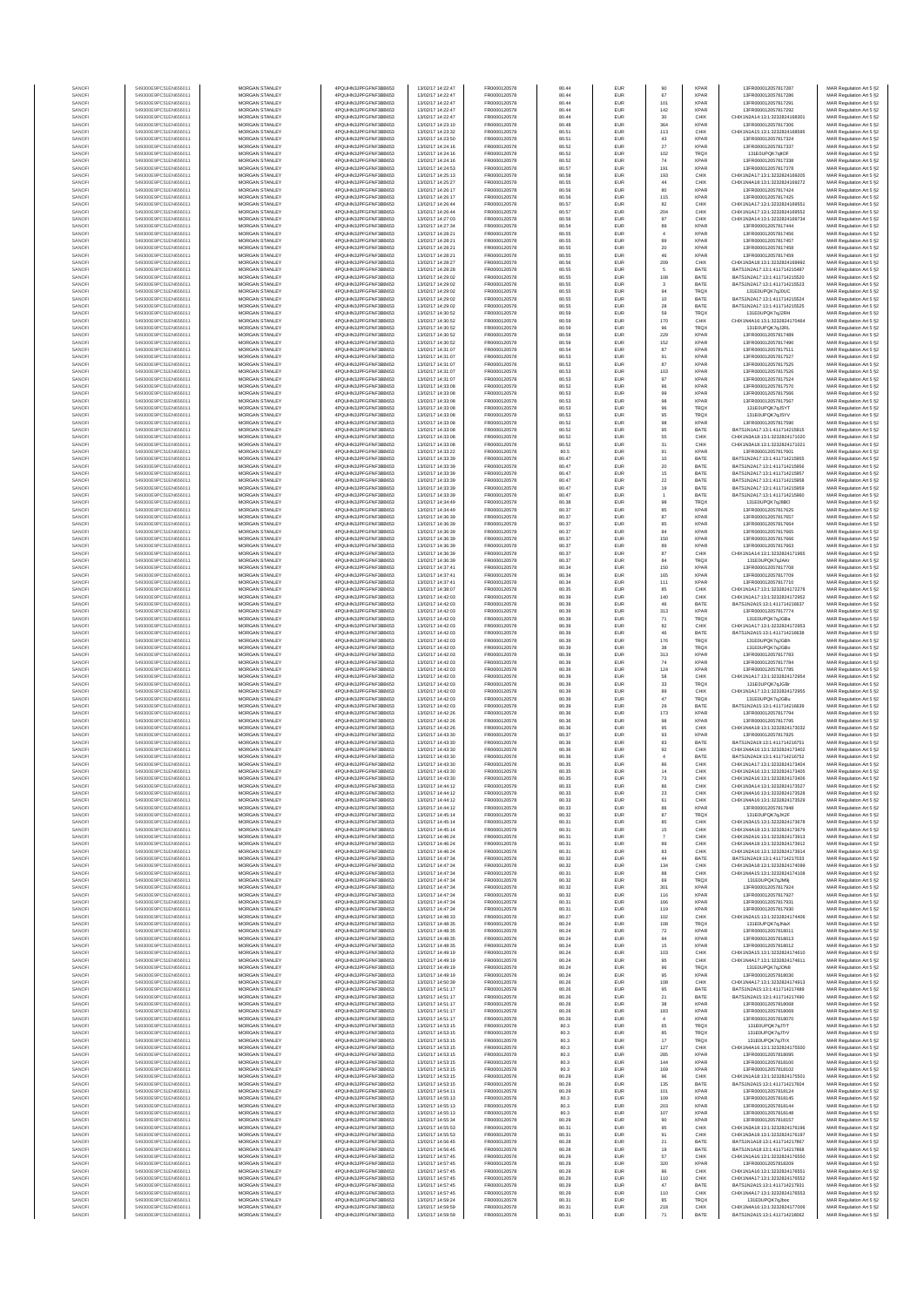| SANOF            | 549300E9PC51EN656011                         | MORGAN STANLEY                                 | 4PQUHN3JPFGFNF3BB653                         | 13/02/17 14:22:47                      | FR0000120578                 | 80.44          | EUR                      | 90                    | <b>XPAR</b>                | 13FR000012057817287                                            | MAR Regulation Art 5 §2                            |
|------------------|----------------------------------------------|------------------------------------------------|----------------------------------------------|----------------------------------------|------------------------------|----------------|--------------------------|-----------------------|----------------------------|----------------------------------------------------------------|----------------------------------------------------|
| SANOF            | 549300E9PC51EN656011                         | MORGAN STANLEY                                 | 4PQUHN3JPFGFNF3BB653                         | 13/02/17 14:22:47                      | FR0000120578                 | 80.44          | EUR                      | 67                    | <b>XPAR</b>                | 13FR000012057817286                                            | MAR Regulation Art 5 §2                            |
| SANOFI           | 549300E9PC51EN656011                         | MORGAN STANLEY                                 | 4PQUHN3JPFGFNF3BB653                         | 13/02/17 14:22:47                      | FR0000120578                 | 80.44          | EUR                      | 101                   | <b>XPAR</b><br><b>XPAF</b> | 13FR000012057817291                                            | MAR Regulation Art 5 §2                            |
| SANOFI<br>SANOFI | 549300E9PC51EN656011<br>549300E9PC51EN656011 | MORGAN STANLEY<br><b>MORGAN STANLEY</b>        | 4PQUHN3JPFGFNF3BB653<br>4PQUHN3JPFGFNF3BB653 | 13/02/17 14:22:47<br>13/02/17 14:22:47 | FR0000120578<br>FR0000120578 | 80.44<br>80.44 | EUR<br>EUR               | 142<br>30             | CHIX                       | 13FR000012057817292<br>CHIX1N2A14:13:1:3232824168301           | MAR Regulation Art 5 §2<br>MAR Regulation Art 5 §2 |
| SANOFI           | 549300E9PC51EN656011                         | <b>MORGAN STANLEY</b>                          | 4PQUHN3JPFGFNF3BB653                         | 13/02/17 14:23:10                      | FR0000120578                 | 80.48          | <b>EUR</b>               | 364                   | <b>XPAR</b>                | 13FR000012057817306                                            | MAR Regulation Art 5 §2                            |
| SANOFI           | 549300E9PC51EN656011                         | MORGAN STANLEY                                 | 4PQUHN3JPFGFNF3BB653                         | 13/02/17 14:23:32                      | FR0000120578                 | 80.51          | EUR                      | 113                   | CHIX                       | CHIX1N1A15:13:1:3232824168595                                  | MAR Regulation Art 5 §2                            |
| SANOF            | 549300E9PC51EN656011                         | MORGAN STANLEY                                 | 4PQUHN3JPFGFNF3BB653                         | 13/02/17 14:23:50                      | FR0000120578                 | 80.51          | EUR                      | 43                    | <b>XPAR</b>                | 13FR000012057817324                                            | MAR Regulation Art 5 §2                            |
| SANOFI<br>SANOFI | 549300E9PC51EN656011<br>549300E9PC51EN656011 | MORGAN STANLEY<br>MORGAN STANLEY               | 4PQUHN3JPFGFNF3BB653<br>4PQUHN3JPFGFNF3BB653 | 13/02/17 14:24:16<br>13/02/17 14:24:16 | FR0000120578<br>FR0000120578 | 80.52<br>80.52 | EUR<br>EUR               | 27<br>102             | XPAF<br>TRQ)               | 13FR000012057817337<br>131E0UPQK7qltOF                         | MAR Regulation Art 5 §2<br>MAR Regulation Art 5 §2 |
| SANOFI           | 549300E9PC51EN656011                         | MORGAN STANLEY                                 | 4PQUHN3JPFGFNF3BB653                         | 13/02/17 14:24:16                      | FR0000120578                 | 80.52          | EUR                      | 74                    | XPAF                       | 13FR000012057817338                                            | MAR Regulation Art 5 §2                            |
| SANOFI           | 549300E9PC51EN656011                         | MORGAN STANLEY                                 | 4POLIHN3JPEGENE3BB653                        | 13/02/17 14:24:53                      | FR0000120578                 | 80.57          | EUR                      | 191                   | <b>XPAR</b>                | 13FR000012057817378                                            | MAR Regulation Art 5 §2<br>MAR Regulation Art 5 §2 |
| SANOFI<br>SANOFI | 549300E9PC51EN656011<br>549300E9PC51EN656011 | MORGAN STANLEY<br><b>MORGAN STANLEY</b>        | 4PQUHN3JPFGFNF3BB653<br>4PQUHN3JPFGFNF3BB653 | 13/02/17 14:25:13<br>13/02/17 14:25:27 | FR0000120578<br>FR0000120578 | 80.58<br>80.55 | <b>EUR</b><br><b>EUR</b> | 193<br>44             | CHIX<br>CHIX               | CHIX1N2A17:13:1:3232824169205<br>CHIX1N4A18:13:1:3232824169272 | MAR Regulation Art 5 §2                            |
| SANOFI           | 549300E9PC51EN656011                         | <b>MORGAN STANLEY</b>                          | 4PQUHN3JPFGFNF3BB653                         | 13/02/17 14:26:17                      | FR0000120578                 | 80.56          | <b>EUR</b>               | 80                    | <b>XPAR</b>                | 13FR000012057817424                                            | MAR Regulation Art 5 §2                            |
| SANOFI           | 549300E9PC51EN656011                         | MORGAN STANLEY                                 | 4PQUHN3JPFGFNF3BB653                         | 13/02/17 14:26:17                      | FR0000120578                 | 80.56          | EUR                      | 115                   | <b>XPAF</b>                | 13FR000012057817425                                            | MAR Regulation Art 5 §2                            |
| SANOFI           | 549300E9PC51EN656011                         | MORGAN STANLEY                                 | 4PQUHN3JPFGFNF3BB653                         | 13/02/17 14:26:44                      | FR0000120578                 | 80.57          | EUR                      | 82                    | CHIX                       | CHIX1N1A17:13:1:323282416955                                   | MAR Regulation Art 5 §2                            |
| SANOFI<br>SANOFI | 549300E9PC51EN656011<br>549300E9PC51EN656011 | MORGAN STANLEY<br>MORGAN STANLEY               | 4PQUHN3JPFGFNF3BB653<br>4PQUHN3JPFGFNF3BB653 | 13/02/17 14:26:44<br>13/02/17 14:27:03 | FR0000120578<br>FR0000120578 | 80.57<br>80.56 | EUR<br>EUR               | 20 <sub>6</sub><br>97 | CHIX<br>CHIX               | CHIX1N1A17:13:1:3232824169552<br>CHIX1N3A14:13:1:3232824169734 | MAR Regulation Art 5 §2<br>MAR Regulation Art 5 §2 |
| SANOFI           | 549300E9PC51EN656011                         | MORGAN STANLEY                                 | 4PQUHN3JPFGFNF3BB653                         | 13/02/17 14:27:34                      | FR0000120578                 | 80.54          | EUR                      | 89                    | XPAF                       | 13FR000012057817444                                            | MAR Regulation Art 5 §2                            |
| SANOFI           | 549300E9PC51EN656011                         | MORGAN STANLEY                                 | 4PQUHN3JPFGFNF3BB653                         | 13/02/17 14:28:21                      | FR0000120578                 | 80.55          | EUR                      | $\ddot{a}$            | <b>XPAR</b>                | 13FR000012057817456                                            | MAR Regulation Art 5 §2                            |
| SANOFI           | 549300E9PC51EN656011                         | <b>MORGAN STANLEY</b>                          | 4POLIHN3JPEGENE3BB653                        | 13/02/17 14:28:21                      | FR0000120578                 | 80.55          | <b>EUR</b>               | 89                    | <b>XPAR</b>                | 13FR000012057817457                                            | MAR Regulation Art 5 §2                            |
| SANOFI<br>SANOFI | 549300E9PC51EN656011<br>549300E9PC51EN656011 | MORGAN STANLEY<br>MORGAN STANLEY               | 4PQUHN3JPFGFNF3BB653<br>4PQUHN3JPFGFNF3BB653 | 13/02/17 14:28:21<br>13/02/17 14:28:21 | FR0000120578<br>FR0000120578 | 80.55<br>80.55 | EUR<br>EUR               | 20<br>$\bf 46$        | <b>XPAR</b><br><b>XPAR</b> | 13FR000012057817458<br>13FR000012057817459                     | MAR Regulation Art 5 §2<br>MAR Regulation Art 5 §2 |
| SANOFI           | 549300E9PC51EN656011                         | MORGAN STANLEY                                 | 4PQUHN3JPFGFNF3BB653                         | 13/02/17 14:28:27                      | FR0000120578                 | 80.56          | EUR                      | 209                   | CHIX                       | CHIX1N3A18:13:1:3232824169992                                  | MAR Regulation Art 5 §2                            |
| SANOFI           | 549300E9PC51EN656011                         | MORGAN STANLEY                                 | 4PQUHN3JPFGFNF3BB653                         | 13/02/17 14:28:28                      | FR0000120578                 | 80.55          | EUR                      | $\sqrt{5}$            | BATE                       | BATS1N2A17:13:1:411714215487                                   | MAR Regulation Art 5 §2                            |
| SANOFI           | 549300E9PC51EN656011                         | MORGAN STANLEY                                 | 4PQUHN3JPFGFNF3BB653                         | 13/02/17 14:29:02                      | FR0000120578                 | 80.55          | EUR                      | 108                   | BATE                       | BATS1N2A17:13:1:411714215520                                   | MAR Regulation Art 5 §2                            |
| SANOFI<br>SANOFI | 549300E9PC51EN656011<br>549300E9PC51EN656011 | MORGAN STANLEY<br>MORGAN STANLEY               | 4PQUHN3JPFGFNF3BB653<br>4PQUHN3JPFGFNF3BB653 | 13/02/17 14:29:02<br>13/02/17 14:29:02 | FR0000120578<br>FR0000120578 | 80.55<br>80.55 | EUR<br>EUR               | $_{3}$<br>94          | BATE<br>TRQ)               | BATS1N2A17:13:1:411714215523<br>131E0UPQK7qJ0UC                | MAR Regulation Art 5 §2<br>MAR Regulation Art 5 §2 |
| SANOFI           | 549300E9PC51EN656011                         | <b>MORGAN STANLEY</b>                          | 4POLIHN3JPEGENE3BB653                        | 13/02/17 14:29:02                      | FR0000120578                 | 80.55          | <b>EUR</b>               | 10                    | BATE                       | BATS1N2A17:13:1:411714215524                                   | MAR Regulation Art 5 §2                            |
| SANOFI           | 549300E9PC51EN656011                         | <b>MORGAN STANLEY</b>                          | 4PQUHN3JPFGFNF3BB653                         | 13/02/17 14:29:02                      | FR0000120578                 | 80.55          | <b>EUR</b>               | 28                    | BATE                       | BATS1N2A17:13:1:411714215525                                   | MAR Regulation Art 5 §2                            |
| SANOFI<br>SANOFI | 549300E9PC51EN656011<br>549300E9PC51EN656011 | MORGAN STANLEY<br>MORGAN STANLEY               | 4PQUHN3JPFGFNF3BB653<br>4PQUHN3JPFGFNF3BB653 | 13/02/17 14:30:52<br>13/02/17 14:30:52 | FR0000120578<br>FR0000120578 | 80.59<br>80.59 | EUR<br>EUR               | 59<br>170             | TRQX<br>CHIX               | 131E0UPQK7qJ2RH<br>CHIX1N4A16:13:1:3232824170464               | MAR Regulation Art 5 §2<br>MAR Regulation Art 5 §2 |
| SANOFI           | 549300E9PC51EN656011                         | MORGAN STANLEY                                 | 4PQUHN3JPFGFNF3BB653                         | 13/02/17 14:30:52                      | FR0000120578                 | 80.59          | EUR                      | $96\,$                | TRQ)                       | 131E0UPQK7qJ2RL                                                | MAR Regulation Art 5 §2                            |
| SANOFI           | 549300E9PC51EN656011                         | MORGAN STANLEY                                 | 4PQUHN3JPFGFNF3BB653                         | 13/02/17 14:30:52                      | FR0000120578                 | 80.59          | EUR                      | 229                   | XPAF                       | 13FR000012057817489                                            | MAR Regulation Art 5 §2                            |
| SANOFI           | 549300E9PC51EN656011                         | MORGAN STANLEY<br>MORGAN STANLEY               | 4PQUHN3JPFGFNF3BB653<br>4PQUHN3JPFGFNF3BB653 | 13/02/17 14:30:52<br>13/02/17 14:31:07 | FR0000120578<br>FR0000120578 | 80.59<br>80.54 | EUR<br>EUR               | 152<br>87             | <b>XPAF</b><br><b>XPAF</b> | 13FR000012057817490<br>13FR000012057817511                     | MAR Regulation Art 5 §2<br>MAR Regulation Art 5 §2 |
| SANOFI<br>SANOFI | 549300E9PC51EN656011<br>549300E9PC51EN656011 | <b>MORGAN STANLEY</b>                          | 4PQUHN3JPFGFNF3BB653                         | 13/02/17 14:31:07                      | FR0000120578                 | 80.53          | <b>EUR</b>               |                       | <b>XPAR</b>                | 13FR000012057817527                                            | MAR Regulation Art 5 §2                            |
| SANOFI           | 549300E9PC51EN656011                         | <b>MORGAN STANLEY</b>                          | 4PQUHN3JPFGFNF3BB653                         | 13/02/17 14:31:07                      | FR0000120578                 | 80.53          | <b>EUR</b>               | 91<br>87              | <b>XPAR</b>                | 13FR000012057817525                                            | MAR Regulation Art 5 §2                            |
| SANOFI           | 549300E9PC51EN656011                         | MORGAN STANLEY                                 | 4PQUHN3JPFGFNF3BB653                         | 13/02/17 14:31:07                      | FR0000120578                 | 80.53          | EUR                      | 103                   | <b>XPAR</b>                | 13FR000012057817526                                            | MAR Regulation Art 5 §2                            |
| SANOFI<br>SANOFI | 549300E9PC51EN656011<br>549300E9PC51EN656011 | MORGAN STANLEY<br>MORGAN STANLEY               | 4PQUHN3JPFGFNF3BB653<br>4PQUHN3JPFGFNF3BB653 | 13/02/17 14:31:07<br>13/02/17 14:33:08 | FR0000120578<br>FR0000120578 | 80.53<br>80.52 | EUR<br>EUR               | 97<br>96              | <b>XPAR</b><br>XPAF        | 13FR000012057817524<br>13FR000012057817570                     | MAR Regulation Art 5 §2<br>MAR Regulation Art 5 §2 |
| SANOFI           | 549300E9PC51EN656011                         | MORGAN STANLEY                                 | 4PQUHN3JPFGFNF3BB653                         | 13/02/17 14:33:08                      | FR0000120578                 | 80.53          | EUR                      | 99                    | XPAF                       | 13FR000012057817566                                            | MAR Regulation Art 5 §2                            |
| SANOFI           | 549300E9PC51EN656011                         | MORGAN STANLEY                                 | 4PQUHN3JPFGFNF3BB653                         | 13/02/17 14:33:08                      | FR0000120578                 | 80.53          | EUR                      | 98                    | XPAF                       | 13FR00001205781756                                             | MAR Regulation Art 5 §2                            |
| SANOFI<br>SANOFI | 549300E9PC51EN656011<br>549300E9PC51EN656011 | MORGAN STANLEY<br>MORGAN STANLEY               | 4PQUHN3JPFGFNF3BB653<br>4PQUHN3JPFGFNF3BB653 | 13/02/17 14:33:08<br>13/02/17 14:33:08 | FR0000120578<br>FR0000120578 | 80.53<br>80.53 | EUR<br>EUR               | 96<br>95              | TRQX<br>TRQX               | 131E0UPQK7qJ5YT<br>131E0UPQK7qJ5YV                             | MAR Regulation Art 5 §2<br>MAR Regulation Art 5 §2 |
| SANOFI           | 549300E9PC51EN656011                         | <b>MORGAN STANLEY</b>                          | 4PQUHN3JPFGFNF3BB653                         | 13/02/17 14:33:08                      | FR0000120578                 | 80.52          | <b>EUR</b>               |                       | <b>XPAR</b>                | 13FR000012057817590                                            | MAR Regulation Art 5 §2                            |
| SANOFI           | 549300E9PC51EN656011                         | MORGAN STANLEY                                 | 4PQUHN3JPFGFNF3BB653                         | 13/02/17 14:33:08                      | FR0000120578                 | 80.52          | <b>EUR</b>               | 98<br>95              | BATE                       | BATS1N1A17:13:1:411714215915                                   | MAR Regulation Art 5 §2                            |
| SANOFI           | 549300E9PC51EN656011                         | MORGAN STANLEY                                 | 4PQUHN3JPFGFNF3BB653                         | 13/02/17 14:33:08                      | FR0000120578                 | 80.52          | EUR                      | 55                    | CHIX                       | CHIX1N3A18:13:1:3232824171020                                  | MAR Regulation Art 5 §2                            |
| SANOFI<br>SANOFI | 549300E9PC51EN656011<br>549300E9PC51EN656011 | MORGAN STANLEY<br>MORGAN STANLEY               | 4PQUHN3JPFGFNF3BB653<br>4PQUHN3JPFGFNF3BB653 | 13/02/17 14:33:08<br>13/02/17 14:33:22 | FR0000120578<br>FR0000120578 | 80.52<br>80.5  | EUR<br>EUR               | 31<br>91              | CHIX<br>XPAF               | CHIX1N3A18:13:1:3232824171021<br>13FR000012057817601           | MAR Regulation Art 5 §2<br>MAR Regulation Art 5 §2 |
| SANOFI           | 549300E9PC51EN656011                         | MORGAN STANLEY                                 | 4PQUHN3JPFGFNF3BB653                         | 13/02/17 14:33:39                      | FR0000120578                 | 80.47          | EUR                      | 10                    | BATE                       | BATS1N2A17:13:1:411714215955                                   | MAR Regulation Art 5 §2                            |
| SANOFI           | 549300E9PC51EN656011                         | MORGAN STANLEY                                 | 4PQUHN3JPFGFNF3BB653                         | 13/02/17 14:33:39                      | FR0000120578                 | 80.47          | EUR                      | $20\,$                | BATE                       | BATS1N2A17-13-1-411714215956                                   | MAR Regulation Art 5 §2                            |
| SANOFI<br>SANOFI | 549300E9PC51EN656011<br>549300E9PC51EN656011 | MORGAN STANLEY<br><b>MORGAN STANLEY</b>        | 4PQUHN3JPFGFNF3BB653<br>4PQUHN3JPFGFNF3BB653 | 13/02/17 14:33:39<br>13/02/17 14:33:39 | FR0000120578<br>FR0000120578 | 80.47<br>80.47 | EUR<br><b>EUR</b>        | 15<br>22              | BATE<br>BATE               | BATS1N2A17:13:1:411714215957<br>BATS1N2A17-13-1-411714215958   | MAR Regulation Art 5 §2<br>MAR Regulation Art 5 §2 |
| SANOFI           | 549300E9PC51EN656011                         | MORGAN STANLEY                                 | 4PQUHN3JPFGFNF3BB653                         | 13/02/17 14:33:39                      | FR0000120578                 | 80.47          | <b>EUR</b>               | 19                    | BATE                       | RATS1N2A17-13-1-411714215959                                   | MAR Regulation Art 5 §2                            |
| SANOFI           | 549300E9PC51EN656011                         | MORGAN STANLEY                                 | 4PQUHN3JPFGFNF3BB653                         | 13/02/17 14:33:39                      | FR0000120578                 | 80.47          | EUR                      | $\mathbf{1}$          | BATE                       | BATS1N2A17:13:1:411714215960                                   | MAR Regulation Art 5 §2                            |
| SANOFI           | 549300E9PC51EN656011                         | MORGAN STANLEY                                 | 4PQUHN3JPFGFNF3BB653                         | 13/02/17 14:34:49                      | FR0000120578                 | 80.38          | EUR                      | $98\,$                | TRQ)                       | 131E0UPQK7qJ8BO                                                | MAR Regulation Art 5 §2                            |
| SANOFI<br>SANOFI | 549300E9PC51EN656011<br>549300E9PC51EN656011 | MORGAN STANLEY<br>MORGAN STANLEY               | 4PQUHN3JPFGFNF3BB653<br>4PQUHN3JPFGFNF3BB653 | 13/02/17 14:34:49<br>13/02/17 14:36:39 | FR0000120578<br>FR0000120578 | 80.37<br>80.37 | EUR<br>EUR               | 85<br>87              | XPAF<br>XPAF               | 13FR000012057817625<br>13FR000012057817657                     | MAR Regulation Art 5 §2<br>MAR Regulation Art 5 §2 |
| SANOFI           | 549300E9PC51EN656011                         | MORGAN STANLEY                                 | 4PQUHN3JPFGFNF3BB653                         | 13/02/17 14:36:39                      | FR0000120578                 | 80.37          | EUR                      | 85                    | <b>XPAR</b>                | 13FR000012057817664                                            | MAR Regulation Art 5 §2                            |
| SANOFI           | 549300E9PC51EN656011                         | MORGAN STANLEY                                 | 4PQUHN3JPFGFNF3BB653                         | 13/02/17 14:36:39                      | FR0000120578                 | 80.37          | EUR                      | 84                    | <b>XPAR</b>                | 13FR000012057817665                                            | MAR Regulation Art 5 §2                            |
| SANOFI           | 549300E9PC51EN656011                         | <b>MORGAN STANLEY</b>                          | 4PQUHN3JPFGFNF3BB653                         | 13/02/17 14:36:39                      | FR0000120578                 | 80.37          | <b>EUR</b>               | 150                   | <b>XPAR</b>                | 13FR000012057817666                                            | MAR Regulation Art 5 §2                            |
| SANOFI<br>SANOFI | 549300E9PC51EN656011<br>549300E9PC51EN656011 | <b>MORGAN STANLEY</b><br>MORGAN STANLEY        | 4PQUHN3JPFGFNF3BB653<br>4PQUHN3JPFGFNF3BB653 | 13/02/17 14:36:39<br>13/02/17 14:36:39 | FR0000120578<br>FR0000120578 | 80.37<br>80.37 | EUR<br>EUR               | 89<br>87              | <b>XPAR</b><br>CHIX        | 13FR000012057817663<br>CHIX1N1A14:13:1:3232824171965           | MAR Regulation Art 5 §2<br>MAR Regulation Art 5 §2 |
| SANOFI           | 549300E9PC51EN656011                         | MORGAN STANLEY                                 | 4PQUHN3JPFGFNF3BB653                         | 13/02/17 14:36:39                      | FR0000120578                 | 80.37          | EUR                      | 84                    | TRQX                       | 131E0UPQK7qJAKr                                                | MAR Regulation Art 5 §2                            |
| SANOFI           | 549300E9PC51EN656011                         | MORGAN STANLEY                                 | 4PQUHN3JPFGFNF3BB653                         | 13/02/17 14:37:41                      | FR0000120578                 | 80.34          | EUR                      | 150                   | XPAF                       | 13FR000012057817708                                            | MAR Regulation Art 5 §2                            |
| SANOFI           | 549300E9PC51EN656011                         | MORGAN STANLEY                                 | 4PQUHN3JPFGFNF3BB653<br>4PQUHN3JPFGFNF3BB653 | 13/02/17 14:37:41                      | FR0000120578                 | 80.34          | EUR                      | 165                   | XPAF                       | 13FR000012057817709                                            | MAR Regulation Art 5 §2                            |
| SANOFI<br>SANOFI | 549300E9PC51EN656011<br>549300E9PC51EN656011 | MORGAN STANLEY<br>MORGAN STANLEY               | 4PQUHN3JPFGFNF3BB653                         | 13/02/17 14:37:41<br>13/02/17 14:38:07 | FR0000120578<br>FR0000120578 | 80.34<br>80.35 | EUR<br>EUR               | 111<br>85             | <b>XPAR</b><br>CHIX        | 13FR000012057817710<br>CHIX1N1A17:13:1:3232824172278           | MAR Regulation Art 5 §2<br>MAR Regulation Art 5 §2 |
| SANOFI           | 549300E9PC51EN656011                         | <b>MORGAN STANLEY</b>                          | 4PQUHN3JPFGFNF3BB653                         | 13/02/17 14:42:03                      | FR0000120578                 | 80.39          | <b>EUR</b>               | 140                   | CHIX                       | CHIX1N1A17:13:1:3232824172952                                  | MAR Regulation Art 5 §2                            |
| SANOFI           | 549300E9PC51EN656011                         | <b>MORGAN STANLEY</b>                          | 4PQUHN3JPFGFNF3BB653                         | 13/02/17 14:42:03                      | FR0000120578                 | 80.39          | <b>EUR</b>               | 46                    | BATE                       | BATS1N2A15:13:1:411714216637                                   | MAR Regulation Art 5 §2                            |
| SANOFI<br>SANOFI | 549300E9PC51EN656011<br>549300E9PC51EN656011 | MORGAN STANLEY<br>MORGAN STANLEY               | 4PQUHN3JPFGFNF3BB653<br>4PQUHN3JPFGFNF3BB653 | 13/02/17 14:42:03<br>13/02/17 14:42:03 | FR0000120578<br>FR0000120578 | 80.39<br>80.39 | EUR<br>EUR               | 313<br>$71\,$         | XPAF<br>TRQX               | 13FR000012057817774<br>131E0UPQK7qJGBa                         | MAR Regulation Art 5 §2<br>MAR Regulation Art 5 §2 |
| SANOFI           | 549300E9PC51EN656011                         | MORGAN STANLEY                                 | 4PQUHN3JPFGFNF3BB653                         | 13/02/17 14:42:03                      | FR0000120578                 | 80.39          | EUR                      | 82                    | CHIX                       | CHIX1N1A17:13:1:3232824172953                                  | MAR Regulation Art 5 §2                            |
| SANOF            | 549300E9PC51EN656011                         | MORGAN STANLEY                                 | 4PQUHN3JPFGFNF3BB653                         | 13/02/17 14:42:03                      | FR0000120578                 | 80.39          | EUR                      | 46                    | BATE                       | BATS1N2A15:13:1:411714216638                                   | MAR Regulation Art 5 §2                            |
| SANOFI           | 549300E9PC51EN656011                         | MORGAN STANLEY                                 | 4PQUHN3JPFGFNF3BB653                         | 13/02/17 14:42:03                      | FR0000120578                 | 80.39          | EUR                      | 176                   | TRQ)                       | 131E0UPQK7qJGBł                                                | MAR Regulation Art 5 §2                            |
| SANOFI<br>SANOFI | 549300E9PC51EN656011<br>549300E9PC51EN656011 | MORGAN STANLEY<br>MORGAN STANLEY               | 4PQUHN3JPFGFNF3BB653<br>4PQUHN3JPFGFNF3BB653 | 13/02/17 14:42:03<br>13/02/17 14:42:03 | FR0000120578<br>FR0000120578 | 80.39<br>80.39 | EUR<br>EUR               | 38<br>313             | TRQX<br><b>XPAR</b>        | 131E0UPQK7qJGBo<br>13FR000012057817783                         | MAR Regulation Art 5 §2<br>MAR Regulation Art 5 §2 |
| SANOFI           | 549300E9PC51EN656011                         | <b>MORGAN STANLEY</b>                          | 4PQUHN3JPFGFNF3BB653                         | 13/02/17 14:42:03                      | FR0000120578                 | 80.39          | <b>EUR</b>               | 74                    | <b>XPAR</b>                | 13FR000012057817784                                            | MAR Regulation Art 5 §2                            |
| SANOFI           | 549300E9PC51EN656011                         | <b>MORGAN STANLEY</b>                          | 4PQUHN3JPFGFNF3BB653                         | 13/02/17 14:42:03                      | FR0000120578                 | 80.39          | <b>EUR</b>               | 124                   | <b>XPAR</b>                | 13FR000012057817785                                            | MAR Regulation Art 5 §2                            |
| SANOFI           | 549300E9PC51EN656011                         | MORGAN STANLEY<br>MORGAN STANLEY               | 4PQUHN3JPFGFNF3BB653                         | 13/02/17 14:42:03<br>13/02/17 14:42:03 | FR0000120578                 | 80.39          | EUR                      | 58                    | CHIX                       | CHIX1N1A17:13:1:3232824172954                                  | MAR Regulation Art 5 §2                            |
| SANOFI<br>SANOFI | 549300E9PC51EN656011<br>549300E9PC51EN656011 | MORGAN STANLEY                                 | 4PQUHN3JPFGFNF3BB653<br>4PQUHN3JPFGFNF3BB653 | 13/02/17 14:42:03                      | FR0000120578<br>FR0000120578 | 80.39<br>80.39 | EUR<br>EUR               | $_{\rm 33}$<br>89     | TRQX<br>CHIX               | 131E0UPQK7qJGB<br>CHIX1N1A17:13:1:3232824172955                | MAR Regulation Art 5 §2<br>MAR Regulation Art 5 §2 |
| SANOFI           | 549300E9PC51EN656011                         | MORGAN STANLEY                                 | 4PQUHN3JPFGFNF3BB653                         | 13/02/17 14:42:03                      | FR0000120578                 | 80.39          | EUR                      | 47                    | TRQ)                       | 131E0UPQK7qJGBL                                                | MAR Regulation Art 5 §2                            |
| SANOFI           | 549300E9PC51EN656011                         | MORGAN STANLEY                                 | 4PQUHN3JPFGFNF3BB653                         | 13/02/17 14:42:03                      | FR0000120578                 | 80.39          | EUR                      | 29                    | BATE                       | BATS1N2A15:13:1:411714216639                                   | MAR Regulation Art 5 §2                            |
| SANOFI<br>SANOFI | 549300E9PC51EN656011<br>549300E9PC51EN656011 | MORGAN STANLEY<br><b>MORGAN STANLEY</b>        | 4PQUHN3JPFGFNF3BB653<br>4PQUHN3JPFGFNF3BB653 | 13/02/17 14:42:26<br>13/02/17 14:42:26 | FR0000120578<br>FR0000120578 | 80.36<br>80.36 | EUR<br><b>EUR</b>        | 173                   | <b>XPAR</b><br><b>XPAR</b> | 13FR000012057817794<br>13FR000012057817795                     | MAR Regulation Art 5 §2                            |
| SANOFI           | 549300E9PC51EN656011                         | MORGAN STANLEY                                 | 4PQUHN3JPFGFNF3BB653                         | 13/02/17 14:42:26                      | FR0000120578                 | 80.36          | <b>EUR</b>               | 98<br>95              | CHIX                       | CHIX1N4A18:13:1:3232824173032                                  | MAR Regulation Art 5 §2<br>MAR Regulation Art 5 §2 |
| SANOFI           | 549300E9PC51EN656011                         | MORGAN STANLEY                                 | 4PQUHN3JPFGFNF3BB653                         | 13/02/17 14:43:30                      | FR0000120578                 | 80.37          | EUR                      | $93\,$                | <b>XPAR</b>                | 13FR000012057817825                                            | MAR Regulation Art 5 §2                            |
| SANOFI           | 549300E9PC51EN656011                         | MORGAN STANLEY                                 | 4PQUHN3JPFGFNF3BB653                         | 13/02/17 14:43:30                      | FR0000120578                 | 80.36          | EUR                      | 83                    | BATE                       | BATS1N2A19:13:1:411714216751                                   | MAR Regulation Art 5 §2                            |
| SANOF<br>SANOFI  | 549300E9PC51EN656011<br>549300E9PC51EN656011 | MORGAN STANLEY<br>MORGAN STANLEY               | 4PQUHN3JPFGFNF3BB653<br>4PQUHN3JPFGFNF3BB653 | 13/02/17 14:43:30<br>13/02/17 14:43:30 | FR0000120578<br>FR0000120578 | 80.36<br>80.36 | EUR<br>EUR               | 92                    | CHIX<br>BATE               | CHIX1N4A16:13:1:3232824173402<br>BATS1N2A19:13:1:411714216752  | MAR Regulation Art 5 §2<br>MAR Regulation Art 5 §2 |
| SANOFI           | 549300E9PC51EN656011                         | MORGAN STANLEY                                 | 4PQUHN3JPFGFNF3BB653                         | 13/02/17 14:43:30                      | FR0000120578                 | 80.35          | EUR                      | 86                    | CHIX                       | CHIX1N1A17:13:1:3232824173404                                  | MAR Regulation Art 5 §2                            |
| SANOFI           | 549300E9PC51EN656011                         | MORGAN STANLEY                                 | 4PQUHN3JPFGFNF3BB653                         | 13/02/17 14:43:30                      | FR0000120578                 | 80.35          | EUR                      | 14                    | CHIX                       | CHIX1N2A16:13:1:3232824173405                                  | MAR Regulation Art 5 §2                            |
| SANOFI<br>SANOFI | 549300E9PC51EN656011<br>549300E9PC51EN656011 | <b>MORGAN STANLEY</b><br><b>MORGAN STANLEY</b> | 4PQUHN3JPFGFNF3BB653<br>4PQUHN3JPFGFNF3BB653 | 13/02/17 14:43:30<br>13/02/17 14:44:12 | FR0000120578<br>FR0000120578 | 80.35<br>80.33 | <b>FUE</b><br><b>EUR</b> | 73<br>86              | CHIX<br>CHIX               | CHIX1N2A16-13-1-3232824173406<br>CHIX1N3A14:13:1:3232824173527 | MAR Regulation Art 5 §2<br>MAR Regulation Art 5 §2 |
| SANOFI           | 549300E9PC51EN656011                         | MORGAN STANLEY                                 | 4POLIHN3JPEGENE3BB653                        | 13/02/17 14:44:12                      | FR0000120578                 | 80.33          | EUR                      | 23                    | CHIX                       | CHIX1N4A16:13:1:3232824173528                                  | MAR Regulation Art 5 §2                            |
| SANOFI           | 549300E9PC51EN656011                         | <b>MORGAN STANLEY</b>                          | 4PQUHN3JPFGFNF3BB653                         | 13/02/17 14:44:12                      | FR0000120578                 | 80.33          | EUR                      | 61                    | CHIX                       | CHIX1N4A16:13:1:3232824173529                                  | MAR Regulation Art 5 §2                            |
| SANOFI<br>SANOFI | 549300E9PC51EN656011<br>549300E9PC51EN656011 | MORGAN STANLEY<br>MORGAN STANLEY               | 4PQUHN3JPFGFNF3BB653<br>4PQUHN3JPFGFNF3BB653 | 13/02/17 14:44:12<br>13/02/17 14:45:14 | FR0000120578<br>FR0000120578 | 80.33<br>80.32 | EUR<br>EUR               | 87                    | XPAF<br>TRQ)               | 13FR000012057817848<br>131E0UPQK7qJK2R                         | MAR Regulation Art 5 §2                            |
| SANOFI           | 549300E9PC51EN656011                         | MORGAN STANLEY                                 | 4PQUHN3JPFGFNF3BB653                         | 13/02/17 14:45:14                      | FR0000120578                 | 80.31          | EUR                      | 85                    | CHIX                       | CHIX1N3A15:13:1:3232824173678                                  | MAR Regulation Art 5 §2<br>MAR Regulation Art 5 §2 |
| SANOFI           | 549300E9PC51EN656011                         | MORGAN STANLEY                                 | 4PQUHN3JPFGFNF3BB653                         | 13/02/17 14:45:14                      | FR0000120578                 | 80.31          | <b>EUR</b>               | 15                    | CHIX                       | CHIX1N4A18:13:1:3232824173679                                  | MAR Regulation Art 5 §2                            |
| SANOFI           | 549300E9PC51EN656011<br>549300E9PC51EN656011 | MORGAN STANLEY                                 | 4PQUHN3JPFGFNF3BB653                         | 13/02/17 14:46:24<br>13/02/17 14:46:24 | FR0000120578<br>FR0000120578 | 80.31          | <b>EUR</b>               | $\overline{7}$        | CHIX                       | CHIX1N2A16:13:1:3232824173913                                  | MAR Regulation Art 5 §2                            |
| SANOFI<br>SANOFI | 549300E9PC51EN656011                         | <b>MORGAN STANLEY</b><br>MORGAN STANLEY        | 4PQUHN3JPFGFNF3BB653<br>4PQUHN3JPFGFNF3BB653 | 13/02/17 14:46:24                      | FR0000120578                 | 80.31<br>80.31 | <b>EUR</b><br>EUR        | 89<br>83              | CHIX<br>CHIX               | CHIX1N4A18:13:1:3232824173912<br>CHIX1N2A16:13:1:3232824173914 | MAR Regulation Art 5 §2<br>MAR Regulation Art 5 §2 |
| SANOFI           | 549300E9PC51EN656011                         | MORGAN STANLEY                                 | 4PQUHN3JPFGFNF3BB653                         | 13/02/17 14:47:34                      | FR0000120578                 | 80.32          | <b>EUR</b>               | 44                    | BATE                       | BATS1N2A19:13:1:411714217033                                   | MAR Regulation Art 5 §2                            |
| SANOFI           | 549300E9PC51EN656011                         | MORGAN STANLEY                                 | 4PQUHN3JPFGFNF3BB653<br>4PQUHN3JPFGFNF3BB653 | 13/02/17 14:47:34                      | FR0000120578                 | 80.32          | EUR                      | 134                   | CHIX                       | CHIX1N3A18:13:1:323282417409                                   | MAR Regulation Art 5 §2                            |
| SANOFI<br>SANOFI | 549300E9PC51EN656011<br>549300E9PC51EN656011 | MORGAN STANLEY<br>MORGAN STANLEY               | 4PQUHN3JPFGFNF3BB653                         | 13/02/17 14:47:34<br>13/02/17 14:47:34 | FR0000120578<br>FR0000120578 | 80.31<br>80.32 | EUR<br>EUR               | 88<br>69              | CHIX<br>TRQ)               | CHIX1N4A15:13:1:3232824174108<br>131E0UPQK7qJM9j               | MAR Regulation Art 5 §2<br>MAR Regulation Art 5 §2 |
| SANOFI           | 549300E9PC51EN656011                         | MORGAN STANLEY                                 | 4PQUHN3JPFGFNF3BB653                         | 13/02/17 14:47:34                      | FR0000120578                 | 80.32          | EUR                      | 301                   | <b>XPAR</b>                | 13FR000012057817924                                            | MAR Regulation Art 5 §2                            |
| SANOFI<br>SANOFI | 549300E9PC51EN656011<br>549300E9PC51EN656011 | MORGAN STANLEY<br>MORGAN STANLEY               | 4PQUHN3JPFGFNF3BB653<br>4PQUHN3JPFGFNF3BB653 | 13/02/17 14:47:34<br>13/02/17 14:47:34 | FR0000120578<br>FR0000120578 | 80.32<br>80.31 | <b>EUR</b><br><b>EUR</b> | 116<br>166            | <b>XPAR</b><br><b>XPAR</b> | 13FR000012057817927<br>13FR000012057817931                     | MAR Regulation Art 5 §2                            |
| SANOFI           | 549300E9PC51EN656011                         | MORGAN STANLEY                                 | 4PQUHN3JPFGFNF3BB653                         | 13/02/17 14:47:34                      | FR0000120578                 | 80.31          | <b>EUR</b>               | 119                   | <b>XPAR</b>                | 13FR000012057817930                                            | MAR Regulation Art 5 §2<br>MAR Regulation Art 5 §2 |
| SANOFI           | 549300E9PC51EN656011                         | MORGAN STANLEY                                 | 4PQUHN3JPFGFNF3BB653                         | 13/02/17 14:48:33                      | FR0000120578                 | 80.27          | EUR                      | 102                   | CHIX                       | CHIX1N2A15:13:1:3232824174406                                  | MAR Regulation Art 5 §2                            |
| SANOFI           | 549300E9PC51EN656011                         | MORGAN STANLEY                                 | 4PQUHN3JPFGFNF3BB653                         | 13/02/17 14:48:35                      | FR0000120578                 | 80.24          | EUR                      | 108                   | <b>TRQX</b>                | 131E0UPQK7qJNaX                                                | MAR Regulation Art 5 §2                            |
| SANOFI<br>SANOFI | 549300E9PC51EN656011<br>549300E9PC51EN656011 | MORGAN STANLEY<br>MORGAN STANLEY               | 4PQUHN3JPFGFNF3BB653<br>4PQUHN3JPFGFNF3BB653 | 13/02/17 14:48:35<br>13/02/17 14:48:35 | FR0000120578<br>FR0000120578 | 80.24<br>80.24 | EUR<br>EUR               | $72\,$<br>94          | <b>XPAR</b><br><b>XPAR</b> | 13FR000012057818011<br>13FR000012057818013                     | MAR Regulation Art 5 §2<br>MAR Regulation Art 5 §2 |
| SANOFI           | 549300E9PC51EN656011                         | MORGAN STANLEY                                 | 4PQUHN3JPFGFNF3BB653                         | 13/02/17 14:48:35                      | FR0000120578                 | 80.24          | EUR                      | $15\,$                | <b>XPAR</b>                | 13FR000012057818012                                            | MAR Regulation Art 5 §2                            |
| SANOFI           | 549300E9PC51EN656011                         | MORGAN STANLEY                                 | 4PQUHN3JPFGFNF3BB653                         | 13/02/17 14:49:19                      | FR0000120578                 | 80.24          | <b>EUR</b>               | 103                   | CHIX                       | CHIX1N3A15:13:1:3232824174610                                  | MAR Regulation Art 5 §2                            |
| SANOFI<br>SANOFI | 549300E9PC51EN656011<br>549300E9PC51EN656011 | MORGAN STANLEY<br><b>MORGAN STANLEY</b>        | 4PQUHN3JPFGFNF3BB653<br>4PQUHN3JPFGFNF3BB653 | 13/02/17 14:49:19<br>13/02/17 14:49:19 | FR0000120578<br>FR0000120578 | 80.24<br>80.24 | <b>EUR</b><br><b>EUR</b> | 95<br>96              | CHIX<br><b>TRQX</b>        | CHIX1N4A17:13:1:3232824174611<br>131E0UPQK7qJON8               | MAR Regulation Art 5 §2<br>MAR Regulation Art 5 §2 |
| SANOFI           | 549300E9PC51EN656011                         | MORGAN STANLEY                                 | 4PQUHN3JPFGFNF3BB653                         | 13/02/17 14:49:19                      | FR0000120578                 | 80.24          | EUR                      | 95                    | <b>XPAR</b>                | 13FR000012057818030                                            | MAR Regulation Art 5 §2                            |
| SANOFI           | 549300E9PC51EN656011                         | MORGAN STANLEY                                 | 4PQUHN3JPFGFNF3BB653                         | 13/02/17 14:50:39                      | FR0000120578                 | 80.26          | <b>EUR</b>               | 108                   | CHIX                       | CHIX1N4A17:13:1:3232824174913                                  | MAR Regulation Art 5 §2                            |
| SANOFI           | 549300E9PC51EN656011                         | MORGAN STANLEY                                 | 4PQUHN3JPFGFNF3BB653                         | 13/02/17 14:51:17                      | FR0000120578                 | 80.26          | EUR                      | 95                    | BATE                       | BATS1N2A15:13:1:411714217489                                   | MAR Regulation Art 5 §2                            |
| SANOFI<br>SANOFI | 549300E9PC51EN656011<br>549300E9PC51EN656011 | MORGAN STANLEY<br>MORGAN STANLEY               | 4PQUHN3JPFGFNF3BB653<br>4PQUHN3JPFGFNF3BB653 | 13/02/17 14:51:17<br>13/02/17 14:51:17 | FR0000120578<br>FR0000120578 | 80.26<br>80.26 | EUR<br>EUR               | 21<br>38              | BATE<br><b>XPAR</b>        | BATS1N2A15:13:1:411714217490<br>13FR000012057818068            | MAR Regulation Art 5 §2<br>MAR Regulation Art 5 §2 |
| SANOFI           | 549300E9PC51EN656011                         | MORGAN STANLEY                                 | 4PQUHN3JPFGFNF3BB653                         | 13/02/17 14:51:17                      | FR0000120578                 | 80.26          | EUR                      | 183                   | <b>XPAR</b>                | 13FR000012057818069                                            | MAR Regulation Art 5 §2                            |
| SANOFI           | 549300E9PC51EN656011                         | <b>MORGAN STANLEY</b>                          | 4PQUHN3JPFGFNF3BB653                         | 13/02/17 14:51:17                      | FR0000120578                 | 80.26          | <b>EUR</b>               | $\overline{4}$        | <b>XPAR</b>                | 13FR000012057818070                                            | MAR Regulation Art 5 §2                            |
| SANOFI<br>SANOFI | 549300E9PC51EN656011<br>549300E9PC51EN656011 | <b>MORGAN STANLEY</b><br>MORGAN STANLEY        | 4PQUHN3JPFGFNF3BB653<br>4PQUHN3JPFGFNF3BB653 | 13/02/17 14:53:15<br>13/02/17 14:53:15 | FR0000120578<br>FR0000120578 | 80.3<br>80.3   | <b>EUR</b><br>EUR        | 65<br>85              | <b>TRQX</b><br>TRQX        | 131E0UPQK7qJTrT<br>131E0UPQK7qJTrV                             | MAR Regulation Art 5 §2<br>MAR Regulation Art 5 §2 |
| SANOFI           | 549300E9PC51EN656011                         | MORGAN STANLEY                                 | 4PQUHN3JPFGFNF3BB653                         | 13/02/17 14:53:15                      | FR0000120578                 | 80.3           | EUR                      | 17                    | TRQX                       | 131E0UPQK7qJTrX                                                | MAR Regulation Art 5 §2                            |
| SANOFI           | 549300E9PC51EN656011                         | MORGAN STANLEY                                 | 4PQUHN3JPFGFNF3BB653                         | 13/02/17 14:53:15                      | FR0000120578                 | 80.3           | EUR                      | 127                   | CHIX                       | CHIX1N4A16:13:1:3232824175500                                  | MAR Regulation Art 5 §2                            |
| SANOFI           | 549300E9PC51EN656011                         | MORGAN STANLEY                                 | 4PQUHN3JPFGFNF3BB653                         | 13/02/17 14:53:15                      | FR0000120578                 | 80.3           | EUR                      | 285                   | <b>XPAR</b>                | 13FR000012057818095                                            | MAR Regulation Art 5 §2                            |
| SANOFI<br>SANOFI | 549300E9PC51EN656011<br>549300E9PC51EN656011 | MORGAN STANLEY<br>MORGAN STANLEY               | 4PQUHN3JPFGFNF3BB653<br>4PQUHN3JPFGFNF3BB653 | 13/02/17 14:53:15<br>13/02/17 14:53:15 | FR0000120578<br>FR0000120578 | 80.3<br>80.3   | EUR<br><b>EUR</b>        | 144<br>169            | <b>XPAR</b><br><b>XPAR</b> | 13FR000012057818100<br>13FR000012057818102                     | MAR Regulation Art 5 §2<br>MAR Regulation Art 5 §2 |
| SANOFI           | 549300E9PC51EN656011                         | <b>MORGAN STANLEY</b>                          | 4PQUHN3JPFGFNF3BB653                         | 13/02/17 14:53:15                      | FR0000120578                 | 80.29          | <b>EUR</b>               | 96                    | CHIX                       | CHIX1N1A18:13:1:3232824175501                                  | MAR Regulation Art 5 §2                            |
| SANOFI           | 549300E9PC51EN656011                         | <b>MORGAN STANLEY</b>                          | 4PQUHN3JPFGFNF3BB653                         | 13/02/17 14:53:15                      | FR0000120578                 | 80.29          | <b>EUR</b>               | 135                   | BATE                       | BATS1N2A15:13:1:411714217604                                   | MAR Regulation Art 5 §2                            |
| SANOFI<br>SANOFI | 549300E9PC51EN656011<br>549300E9PC51EN656011 | MORGAN STANLEY<br>MORGAN STANLEY               | 4PQUHN3JPFGFNF3BB653<br>4PQUHN3JPFGFNF3BB653 | 13/02/17 14:54:11<br>13/02/17 14:55:13 | FR0000120578<br>FR0000120578 | 80.29<br>80.3  | EUR<br>EUR               | 101<br>109            | <b>XPAR</b><br><b>XPAR</b> | 13FR000012057818124<br>13FR000012057818145                     | MAR Regulation Art 5 §2                            |
| SANOFI           | 549300E9PC51EN656011                         | MORGAN STANLEY                                 | 4PQUHN3JPFGFNF3BB653                         | 13/02/17 14:55:13                      | FR0000120578                 | 80.3           | EUR                      | 203                   | <b>XPAR</b>                | 13FR000012057818144                                            | MAR Regulation Art 5 §2<br>MAR Regulation Art 5 §2 |
| SANOFI           | 549300E9PC51EN656011                         | MORGAN STANLEY                                 | 4PQUHN3JPFGFNF3BB653                         | 13/02/17 14:55:13                      | FR0000120578                 | 80.3           | EUR                      | 107                   | <b>XPAR</b>                | 13FR000012057818148                                            | MAR Regulation Art 5 §2                            |
| SANOFI           | 549300E9PC51EN656011                         | MORGAN STANLEY                                 | 4PQUHN3JPFGFNF3BB653                         | 13/02/17 14:55:34                      | FR0000120578                 | 80.29          | EUR                      | 90                    | <b>XPAR</b>                | 13FR000012057818157                                            | MAR Regulation Art 5 §2                            |
| SANOFI<br>SANOFI | 549300E9PC51EN656011<br>549300E9PC51EN656011 | MORGAN STANLEY<br>MORGAN STANLEY               | 4PQUHN3JPFGFNF3BB653<br>4PQUHN3JPFGFNF3BB653 | 13/02/17 14:55:53<br>13/02/17 14:55:53 | FR0000120578<br>FR0000120578 | 80.31<br>80.31 | EUR<br><b>EUR</b>        | 95<br>91              | CHIX<br>CHIX               | CHIX1N3A18:13:1:3232824176196<br>CHIX1N3A18:13:1:3232824176197 | MAR Regulation Art 5 §2<br>MAR Regulation Art 5 §2 |
| SANOFI           | 549300E9PC51EN656011                         | <b>MORGAN STANLEY</b>                          | 4PQUHN3JPFGFNF3BB653                         | 13/02/17 14:56:45                      | FR0000120578                 | 80.28          | <b>EUR</b>               | 21                    | BATE                       | BATS1N1A18:13:1:411714217867                                   | MAR Regulation Art 5 §2                            |
| SANOFI           | 549300E9PC51EN656011                         | <b>MORGAN STANLEY</b>                          | 4PQUHN3JPFGFNF3BB653                         | 13/02/17 14:56:45                      | FR0000120578                 | 80.28          | <b>EUR</b>               | 19                    | BATE                       | BATS1N1A18:13:1:411714217868                                   | MAR Regulation Art 5 §2                            |
| SANOFI           | 549300E9PC51EN656011                         | MORGAN STANLEY                                 | 4PQUHN3JPFGFNF3BB653                         | 13/02/17 14:57:45                      | FR0000120578                 | 80.29          | <b>EUR</b>               | 67                    | CHIX                       | CHIX1N1A16:13:1:3232824176550                                  | MAR Regulation Art 5 §2                            |
| SANOFI<br>SANOFI | 549300E9PC51EN656011<br>549300E9PC51EN656011 | MORGAN STANLEY<br>MORGAN STANLEY               | 4PQUHN3JPFGFNF3BB653<br>4PQUHN3JPFGFNF3BB653 | 13/02/17 14:57:45<br>13/02/17 14:57:45 | FR0000120578<br>FR0000120578 | 80.29<br>80.29 | EUR<br>EUR               | 320<br>86             | <b>XPAR</b><br>CHIX        | 13FR000012057818209<br>CHIX1N1A16:13:1:323282417655            | MAR Regulation Art 5 §2<br>MAR Regulation Art 5 §2 |
| SANOFI           | 549300E9PC51EN656011                         | MORGAN STANLEY                                 | 4PQUHN3JPFGFNF3BB653                         | 13/02/17 14:57:45                      | FR0000120578                 | 80.29          | EUR                      | 110                   | CHIX                       | CHIX1N4A17:13:1:3232824176552                                  | MAR Regulation Art 5 §2                            |
| SANOFI           | 549300E9PC51EN656011                         | MORGAN STANLEY                                 | 4PQUHN3JPFGFNF3BB653                         | 13/02/17 14:57:45                      | FR0000120578                 | 80.29          | EUR                      | 47                    | BATE                       | BATS1N2A15:13:1:411714217931                                   | MAR Regulation Art 5 §2                            |
| SANOFI<br>SANOFI | 549300E9PC51EN656011<br>549300E9PC51EN656011 | MORGAN STANLEY<br><b>MORGAN STANLEY</b>        | 4PQUHN3JPFGFNF3BB653<br>4PQUHN3JPFGFNF3BB653 | 13/02/17 14:57:45<br>13/02/17 14:59:24 | FR0000120578<br>FR0000120578 | 80.29<br>80.31 | EUR<br><b>EUR</b>        | 110<br>85             | CHIX<br><b>TRQX</b>        | CHIX1N4A17:13:1:3232824176553<br>131E0UPQK7qJboc               | MAR Regulation Art 5 §2<br>MAR Regulation Art 5 §2 |
| SANOFI           | 549300E9PC51EN656011                         | <b>MORGAN STANLEY</b>                          | 4PQUHN3JPFGFNF3BB653                         | 13/02/17 14:59:59                      | FR0000120578                 | 80.31          | <b>EUR</b>               | 218                   | CHIX                       | CHIX1N4A16:13:1:3232824177006                                  | MAR Regulation Art 5 §2                            |
| SANOFI           | 549300E9PC51EN656011                         | MORGAN STANLEY                                 | 4PQUHN3JPFGFNF3BB653                         | 13/02/17 14:59:59                      | FR0000120578                 | 80.31          | EUR                      | $71\,$                | BATE                       | BATS1N2A15:13:1:411714218062                                   | MAR Regulation Art 5 §2                            |
|                  |                                              |                                                |                                              |                                        |                              |                |                          |                       |                            |                                                                |                                                    |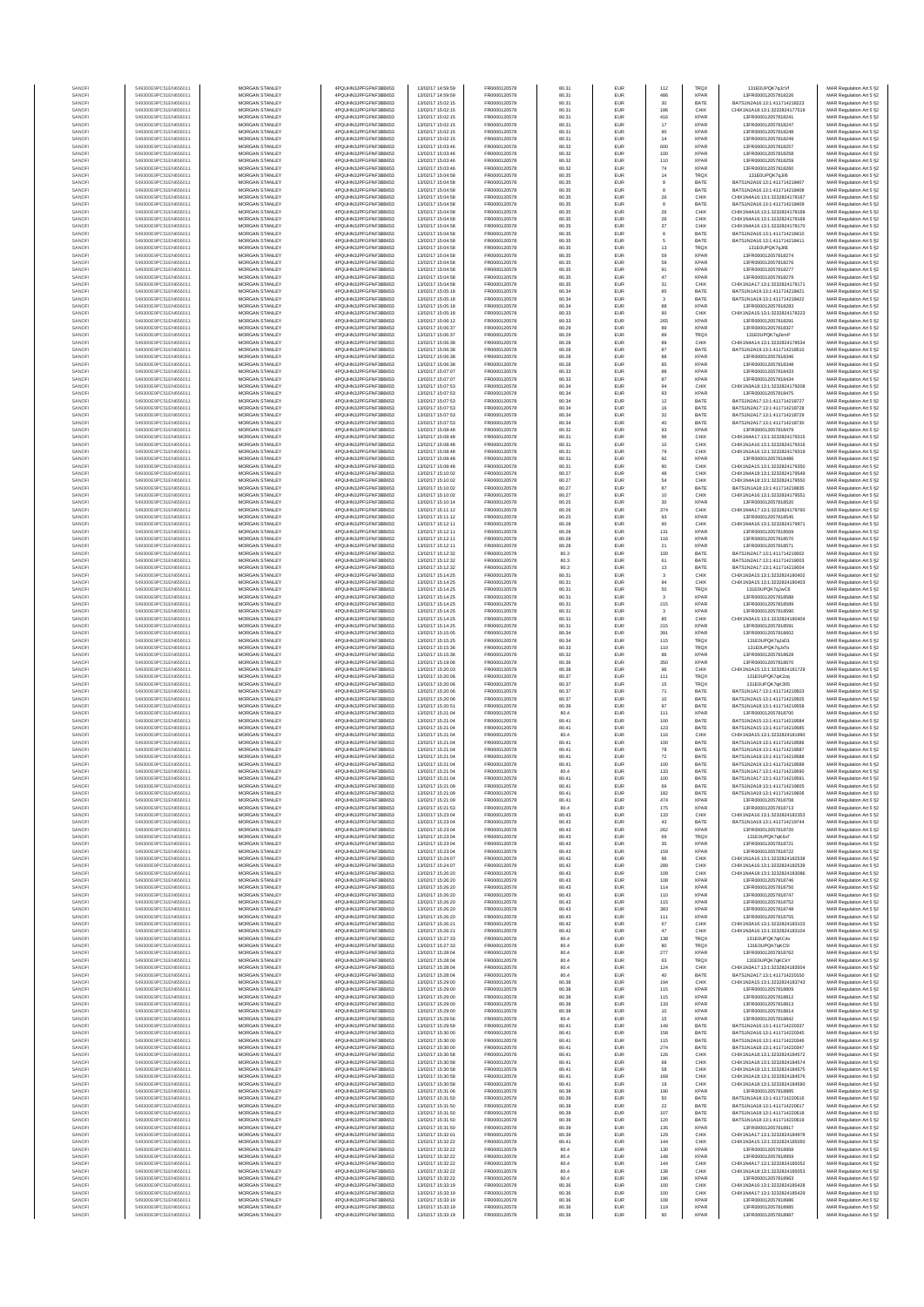| SANOF            | 549300E9PC51EN656011                         | MORGAN STANLEY                                 | 4PQUHN3JPFGFNF3BB653                          | 13/02/17 14:59:59                      | FR0000120578                 | 80.31          | EUR                      | 112                                     | TRQX                       | 131E0UPQK7qJcVf                                                | MAR Regulation Art 5 §2                            |
|------------------|----------------------------------------------|------------------------------------------------|-----------------------------------------------|----------------------------------------|------------------------------|----------------|--------------------------|-----------------------------------------|----------------------------|----------------------------------------------------------------|----------------------------------------------------|
| SANOF            | 549300E9PC51EN656011                         | MORGAN STANLEY                                 | 4PQUHN3JPFGFNF3BB653                          | 13/02/17 14:59:59                      | FR0000120578                 | 80.31          | EUR                      | 486                                     | <b>XPAR</b>                | 13FR000012057818226                                            | MAR Regulation Art 5 §2                            |
| SANOFI<br>SANOFI | 549300E9PC51EN656011<br>549300E9PC51EN656011 | MORGAN STANLEY<br>MORGAN STANLEY               | 4PQUHN3JPFGFNF3BB653<br>4PQUHN3JPFGFNF3BB653  | 13/02/17 15:02:15<br>13/02/17 15:02:15 | FR0000120578<br>FR0000120578 | 80.31<br>80.31 | EUR<br>EUR               | 30<br>186                               | BATE<br>CHIX               | BATS1N2A16:13:1:411714218223<br>CHIX1N1A18:13:1:3232824177519  | MAR Regulation Art 5 §2<br>MAR Regulation Art 5 §2 |
| SANOFI           | 549300E9PC51EN656011                         | <b>MORGAN STANLEY</b>                          | 4PQUHN3JPFGFNF3BB653                          | 13/02/17 15:02:15                      | FR0000120578                 | 80.31          | EUR                      | 416                                     | <b>XPAR</b>                | 13FR000012057818241                                            | MAR Regulation Art 5 §2                            |
| SANOFI<br>SANOFI | 549300E9PC51EN656011<br>549300E9PC51EN656011 | <b>MORGAN STANLEY</b><br>MORGAN STANLEY        | 4PQUHN3JPFGFNF3BB653<br>4POURN3JPEGENE3BB653  | 13/02/17 15:02:15<br>13/02/17 15:02:15 | FR0000120578<br>FR0000120578 | 80.31<br>80.31 | <b>EUR</b><br>EUR        | 17                                      | <b>XPAR</b><br><b>XPAR</b> | 13FR000012057818247<br>13ER000012057818248                     | MAR Regulation Art 5 §2                            |
| SANOF            | 549300E9PC51EN656011                         | MORGAN STANLEY                                 | 4PQUHN3JPFGFNF3BB653                          | 13/02/17 15:02:15                      | FR0000120578                 | 80.31          | EUR                      | 90<br>14                                | <b>XPAR</b>                | 13FR000012057818249                                            | MAR Regulation Art 5 §2<br>MAR Regulation Art 5 §2 |
| SANOFI           | 549300E9PC51EN656011                         | MORGAN STANLEY                                 | 4PQUHN3JPFGFNF3BB653                          | 13/02/17 15:03:46                      | FR0000120578                 | 80.32          | EUR                      | 600                                     | XPAF                       | 13FR000012057818257                                            | MAR Regulation Art 5 §2                            |
| SANOFI<br>SANOFI | 549300E9PC51EN656011<br>549300E9PC51EN656011 | MORGAN STANLEY<br>MORGAN STANLEY               | 4PQUHN3JPFGFNF3BB653<br>4PQUHN3JPFGFNF3BB653  | 13/02/17 15:03:46<br>13/02/17 15:03:46 | FR0000120578<br>FR0000120578 | 80.32<br>80.32 | EUR<br>EUR               | 100<br>110                              | XPAF<br>XPAF               | 13FR000012057818258<br>13FR000012057818259                     | MAR Regulation Art 5 §2<br>MAR Regulation Art 5 §2 |
| SANOFI           | 549300E9PC51EN656011                         | MORGAN STANLEY                                 | 4PQUHN3JPFGFNF3BB653                          | 13/02/17 15:03:46                      | FR0000120578                 | 80.32          | EUR                      | $74\,$                                  | <b>XPAR</b>                | 13FR000012057818260                                            | MAR Regulation Art 5 §2                            |
| SANOFI<br>SANOFI | 549300E9PC51EN656011<br>549300E9PC51EN656011 | MORGAN STANLEY<br><b>MORGAN STANLEY</b>        | 4PQUHN3JPFGFNF3BB653<br>4PQUHN3JPFGFNF3BB653  | 13/02/17 15:04:58<br>13/02/17 15:04:58 | FR0000120578<br>FR0000120578 | 80.35<br>80.35 | EUR<br><b>EUR</b>        | 14<br>8                                 | TRQX<br>BATE               | 131E0UPQK7qJil6<br>BATS1N2A16:13:1:411714218407                | MAR Regulation Art 5 §2<br>MAR Regulation Art 5 §2 |
| SANOFI           | 549300E9PC51EN656011                         | <b>MORGAN STANLEY</b>                          | 4PQUHN3JPFGFNF3BB653                          | 13/02/17 15:04:58                      | FR0000120578                 | 80.35          | <b>EUR</b>               | 8                                       | BATE                       | BATS1N2A16:13:1:411714218408                                   | MAR Regulation Art 5 §2                            |
| SANOFI           | 549300E9PC51EN656011                         | MORGAN STANLEY                                 | 4PQUHN3JPFGFNF3BB653                          | 13/02/17 15:04:58                      | FR0000120578                 | 80.35          | EUR                      | ${\bf 26}$                              | CHIX                       | CHIX1N4A16:13:1:3232824178167                                  | MAR Regulation Art 5 §2                            |
| SANOFI<br>SANOFI | 549300E9PC51EN656011<br>549300E9PC51EN656011 | MORGAN STANLEY<br>MORGAN STANLEY               | 4PQUHN3JPFGFNF3BB653<br>4PQUHN3JPFGFNF3BB653  | 13/02/17 15:04:58<br>13/02/17 15:04:58 | FR0000120578<br>FR0000120578 | 80.35<br>80.35 | EUR<br>EUR               | $\,$ 8<br>${\bf 26}$                    | BATE<br>CHIX               | BATS1N2A16:13:1:411714218409<br>CHIX1N4A16:13:1:3232824178168  | MAR Regulation Art 5 §2<br>MAR Regulation Art 5 §2 |
| SANOFI           | 549300E9PC51EN656011                         | MORGAN STANLEY                                 | 4PQUHN3JPFGFNF3BB653                          | 13/02/17 15:04:58                      | FR0000120578                 | 80.35          | EUR                      | $\rm 26$                                | CHIX                       | CHIX1N4A16:13:1:3232824178169                                  | MAR Regulation Art 5 §2                            |
| SANOFI           | 549300E9PC51EN656011                         | MORGAN STANLEY                                 | 4PQUHN3JPFGFNF3BB653                          | 13/02/17 15:04:58                      | FR0000120578                 | 80.35          | EUR                      | $_{37}$                                 | CHIX                       | CHIX1N4A16:13:1:3232824178170                                  | MAR Regulation Art 5 §2                            |
| SANOFI           | 549300E9PC51EN656011                         | MORGAN STANLEY                                 | 4PQUHN3JPFGFNF3BB653                          | 13/02/17 15:04:58                      | FR0000120578                 | 80.35          | EUR                      | $^{\rm 8}$                              | BATE                       | BATS1N2A16:13:1:411714218410                                   | MAR Regulation Art 5 §2                            |
| SANOFI<br>SANOFI | 549300E9PC51EN656011<br>549300E9PC51EN656011 | <b>MORGAN STANLEY</b><br>MORGAN STANLEY        | 4PQUHN3JPFGFNF3BB653<br>4PQUHN3JPFGFNF3BB653  | 13/02/17 15:04:58<br>13/02/17 15:04:58 | FR0000120578<br>FR0000120578 | 80.35<br>80.35 | <b>EUR</b><br>EUR        | 5<br>13                                 | BATE<br>TRQ)               | BATS1N2A16:13:1:411714218411<br>131F0UPOK7oJilF                | MAR Regulation Art 5 §2<br>MAR Regulation Art 5 §2 |
| SANOFI           | 549300E9PC51EN656011                         | MORGAN STANLEY                                 | 4PQUHN3JPFGFNF3BB653                          | 13/02/17 15:04:58                      | FR0000120578                 | 80.35          | EUR                      | 59                                      | <b>XPAR</b>                | 13FR000012057818274                                            | MAR Regulation Art 5 §2                            |
| SANOFI<br>SANOFI | 549300E9PC51EN656011<br>549300E9PC51EN656011 | MORGAN STANLEY<br>MORGAN STANLEY               | 4PQUHN3JPFGFNF3BB653<br>4PQUHN3JPFGFNF3BB653  | 13/02/17 15:04:58<br>13/02/17 15:04:58 | FR0000120578<br>FR0000120578 | 80.35<br>80.35 | EUR<br>EUR               | 59                                      | <b>XPAR</b><br>XPAF        | 13FR000012057818276<br>13FR000012057818277                     | MAR Regulation Art 5 §2                            |
| SANOFI           | 549300E9PC51EN656011                         | MORGAN STANLEY                                 | 4PQUHN3JPFGFNF3BB653                          | 13/02/17 15:04:58                      | FR0000120578                 | 80.35          | EUR                      | 91<br>47                                | XPAF                       | 13FR000012057818278                                            | MAR Regulation Art 5 §2<br>MAR Regulation Art 5 §2 |
| SANOFI           | 549300E9PC51EN656011                         | MORGAN STANLEY                                 | 4PQUHN3JPFGFNF3BB653                          | 13/02/17 15:04:58                      | FR0000120578                 | 80.35          | EUR                      | $31\,$                                  | CHIX                       | CHIX1N1A17:13:1:3232824178171                                  | MAR Regulation Art 5 §2                            |
| SANOFI<br>SANOFI | 549300E9PC51EN656011<br>549300E9PC51EN656011 | MORGAN STANLEY<br><b>MORGAN STANLEY</b>        | 4PQUHN3JPFGFNF3BB653<br>4PQUHN3JPFGFNF3BB653  | 13/02/17 15:05:18<br>13/02/17 15:05:18 | FR0000120578<br>FR0000120578 | 80.34<br>80.34 | EUR<br><b>EUR</b>        | 85<br>3                                 | BATE<br>BATE               | BATS1N1A19:13:1:411714218421<br>RATS1N1A19-13-1-411714218422   | MAR Regulation Art 5 §2<br>MAR Regulation Art 5 §2 |
| SANOFI           | 549300E9PC51EN656011                         | <b>MORGAN STANLEY</b>                          | 4PQUHN3JPFGFNF3BB653                          | 13/02/17 15:05:18                      | FR0000120578                 | 80.34          | <b>EUR</b>               | 88                                      | <b>XPAF</b>                | 13FR000012057818283                                            | MAR Regulation Art 5 §2                            |
| SANOFI           | 549300E9PC51EN656011                         | MORGAN STANLEY                                 | 4PQUHN3JPFGFNF3BB653                          | 13/02/17 15:05:18                      | FR0000120578                 | 80.33          | EUR                      | 90                                      | CHIX                       | CHIX1N2A15:13:1:3232824178223                                  | MAR Regulation Art 5 §2                            |
| SANOFI<br>SANOFI | 549300E9PC51EN656011<br>549300E9PC51EN656011 | MORGAN STANLEY<br>MORGAN STANLEY               | 4PQUHN3JPFGFNF3BB653<br>4PQUHN3JPFGFNF3BB653  | 13/02/17 15:06:12<br>13/02/17 15:06:37 | FR0000120578<br>FR0000120578 | 80.33<br>80.29 | EUR<br>EUR               | 265<br>89                               | <b>XPAF</b><br>XPAF        | 13FR00001205781829<br>13FR000012057818327                      | MAR Regulation Art 5 §2<br>MAR Regulation Art 5 §2 |
| SANOFI           | 549300E9PC51EN656011                         | MORGAN STANLEY                                 | 4PQUHN3JPFGFNF3BB653                          | 13/02/17 15:06:37                      | FR0000120578                 | 80.29          | EUR                      | 89                                      | TRQ)                       | 131E0UPQK7qJkml                                                | MAR Regulation Art 5 §2                            |
| SANOFI           | 549300E9PC51EN656011                         | MORGAN STANLEY                                 | 4PQUHN3JPFGFNF3BB653                          | 13/02/17 15:06:38                      | FR0000120578                 | 80.28          | EUR                      | 89<br>87                                | CHIX<br>BATE               | CHIX1N4A14:13:1:3232824178534                                  | MAR Regulation Art 5 §2                            |
| SANOFI<br>SANOFI | 549300E9PC51EN656011<br>549300E9PC51EN656011 | MORGAN STANLEY<br><b>MORGAN STANLEY</b>        | 4PQUHN3JPFGFNF3BB653<br>4PQUHN3JPFGFNF3BB653  | 13/02/17 15:06:38<br>13/02/17 15:06:38 | FR0000120578<br>FR0000120578 | 80.28<br>80.28 | EUR<br><b>EUR</b>        | 88                                      | <b>XPAR</b>                | BATS1N2A19:13:1:411714218510<br>13FR000012057818346            | MAR Regulation Art 5 §2<br>MAR Regulation Art 5 §2 |
| SANOFI           | 549300E9PC51EN656011                         | <b>MORGAN STANLEY</b>                          | 4PQUHN3JPFGFNF3BB653                          | 13/02/17 15:06:38                      | FR0000120578                 | 80.28          | <b>EUR</b>               | 85                                      | <b>XPAR</b>                | 13FR000012057818348                                            | MAR Regulation Art 5 §2                            |
| SANOFI           | 549300E9PC51EN656011                         | MORGAN STANLEY                                 | 4PQUHN3JPFGFNF3BB653                          | 13/02/17 15:07:07                      | FR0000120578                 | 80.33          | EUR                      | 88                                      | <b>XPAR</b>                | 13FR000012057818433                                            | MAR Regulation Art 5 §2                            |
| SANOFI<br>SANOFI | 549300E9PC51EN656011<br>549300E9PC51EN656011 | MORGAN STANLEY<br>MORGAN STANLEY               | 4PQUHN3JPFGFNF3BB653<br>4PQUHN3JPFGFNF3BB653  | 13/02/17 15:07:07<br>13/02/17 15:07:53 | FR0000120578<br>FR0000120578 | 80.33<br>80.34 | EUR<br>EUR               | 87<br>94                                | <b>XPAF</b><br>CHIX        | 13FR000012057818434<br>CHIX1N3A18:13:1:323282417920            | MAR Regulation Art 5 §2<br>MAR Regulation Art 5 §2 |
| SANOFI           | 549300E9PC51EN656011                         | MORGAN STANLEY                                 | 4PQUHN3JPFGFNF3BB653                          | 13/02/17 15:07:53                      | FR0000120578                 | 80.34          | EUR                      | 93                                      | XPAF                       | 13FR000012057818475                                            | MAR Regulation Art 5 §2                            |
| SANOFI<br>SANOFI | 549300E9PC51EN656011<br>549300E9PC51EN656011 | MORGAN STANLEY<br>MORGAN STANLEY               | 4PQUHN3JPFGFNF3BB653<br>4PQUHN3JPFGFNF3BB653  | 13/02/17 15:07:53<br>13/02/17 15:07:53 | FR0000120578<br>FR0000120578 | 80.34<br>80.34 | EUR<br>EUR               | 12<br>16                                | BATE<br>BATE               | BATS1N2A17:13:1:411714218727<br>BATS1N2A17:13:1:411714218728   | MAR Regulation Art 5 §2<br>MAR Regulation Art 5 §2 |
| SANOFI           | 549300E9PC51EN656011                         | MORGAN STANLEY                                 | 4PQUHN3JPFGFNF3BB653                          | 13/02/17 15:07:53                      | FR0000120578                 | 80.34          | EUR                      | 32                                      | BATE                       | BATS1N2A17:13:1:411714218729                                   | MAR Regulation Art 5 §2                            |
| SANOFI           | 549300E9PC51EN656011                         | <b>MORGAN STANLEY</b>                          | 4PQUHN3JPFGFNF3BB653                          | 13/02/17 15:07:53                      | FR0000120578                 | 80.34          | <b>EUR</b>               | $\begin{array}{c} 40 \\ 93 \end{array}$ | BATE                       | BATS1N2A17-13-1-411714218730                                   | MAR Regulation Art 5 §2                            |
| SANOFI<br>SANOFI | 549300E9PC51EN656011<br>549300E9PC51EN656011 | MORGAN STANLEY<br>MORGAN STANLEY               | 4PQUHN3JPFGFNF3BB653<br>4PQUHN3JPFGFNF3BB653  | 13/02/17 15:08:48<br>13/02/17 15:08:48 | FR0000120578<br>FR0000120578 | 80.32<br>80.31 | <b>EUR</b><br>EUR        | 96                                      | <b>XPAR</b><br>CHIX        | 13FR000012057818479<br>CHIX1N4A17:13:1:3232824179315           | MAR Regulation Art 5 §2<br>MAR Regulation Art 5 §2 |
| SANOFI           | 549300E9PC51EN656011                         | MORGAN STANLEY                                 | 4PQUHN3JPFGFNF3BB653                          | 13/02/17 15:08:48                      | FR0000120578                 | 80.31          | EUR                      | 10                                      | CHIX                       | CHIX1N1A16:13:1:3232824179316                                  | MAR Regulation Art 5 §2                            |
| SANOFI           | 549300E9PC51EN656011                         | MORGAN STANLEY                                 | 4PQUHN3JPFGFNF3BB653                          | 13/02/17 15:08:48                      | FR0000120578                 | 80.31          | EUR                      | 79                                      | CHIX                       | CHIX1N1A16:13:1:3232824179319                                  | MAR Regulation Art 5 §2                            |
| SANOFI<br>SANOFI | 549300E9PC51EN656011<br>549300E9PC51EN656011 | MORGAN STANLEY<br>MORGAN STANLEY               | 4PQUHN3JPFGFNF3BB653<br>4PQUHN3JPFGFNF3BB653  | 13/02/17 15:08:48<br>13/02/17 15:08:48 | FR0000120578<br>FR0000120578 | 80.31<br>80.31 | EUR<br>EUR               | 92<br>90                                | XPAF<br>CHIX               | 13FR000012057818486<br>CHIX1N2A15:13:1:3232824179350           | MAR Regulation Art 5 §2<br>MAR Regulation Art 5 §2 |
| SANOFI           | 549300E9PC51EN656011                         | MORGAN STANLEY                                 | 4PQUHN3JPFGFNF3BB653                          | 13/02/17 15:10:02                      | FR0000120578                 | 80.27          | <b>EUR</b>               | 48                                      | CHIX                       | CHIX1N4A18:13:1:3232824179549                                  | MAR Regulation Art 5 §2                            |
| SANOFI           | 549300E9PC51EN656011                         | <b>MORGAN STANLEY</b>                          | 4PQUHN3JPFGFNF3BB653                          | 13/02/17 15:10:02                      | FR0000120578                 | 80.27          | <b>EUR</b>               | 64                                      | CHIX                       | CHIX1N4A18-13-1-3232824179550                                  | MAR Regulation Art 5 §2                            |
| SANOFI<br>SANOFI | 549300E9PC51EN656011<br>549300E9PC51EN656011 | MORGAN STANLEY<br>MORGAN STANLEY               | 4PQUHN3JPFGFNF3BB653<br>4PQUHN3JPFGFNF3BB653  | 13/02/17 15:10:02<br>13/02/17 15:10:02 | FR0000120578<br>FR0000120578 | 80.27<br>80.27 | <b>EUR</b><br>EUR        | 87<br>10                                | BATE<br>CHIX               | BATS1N1A18-13-1-411714218835<br>CHIX1N1A16:13:1:3232824179551  | MAR Regulation Art 5 §2<br>MAR Regulation Art 5 §2 |
| SANOFI           | 549300E9PC51EN656011                         | MORGAN STANLEY                                 | 4PQUHN3JPFGFNF3BB653                          | 13/02/17 15:10:14                      | FR0000120578                 | 80.25          | EUR                      | $_{30}$                                 | XPAF                       | 13FR000012057818520                                            | MAR Regulation Art 5 §2                            |
| SANOFI           | 549300E9PC51EN656011                         | MORGAN STANLEY                                 | 4PQUHN3JPFGFNF3BB653                          | 13/02/17 15:11:12                      | FR0000120578                 | 80.26          | EUR                      | 374                                     | CHID                       | CHIX1N4A17:13:1:3232824179760                                  | MAR Regulation Art 5 §2                            |
| SANOFI<br>SANOFI | 549300E9PC51EN656011<br>549300E9PC51EN656011 | MORGAN STANLEY<br>MORGAN STANLEY               | 4PQUHN3JPFGFNF3BB653<br>4PQUHN3JPFGFNF3BB653  | 13/02/17 15:11:12<br>13/02/17 15:12:11 | FR0000120578<br>FR0000120578 | 80.25<br>80.28 | EUR<br>EUR               | 93<br>90                                | XPAF<br>CHIX               | 13FR000012057818545<br>CHIX1N4A16:13:1:3232824179971           | MAR Regulation Art 5 §2<br>MAR Regulation Art 5 §2 |
| SANOFI           | 549300E9PC51EN656011                         | MORGAN STANLEY                                 | 4PQUHN3JPFGFNF3BB653                          | 13/02/17 15:12:11                      | FR0000120578                 | 80.28          | EUR                      | 131                                     | <b>XPAR</b>                | 13FR000012057818569                                            | MAR Regulation Art 5 §2                            |
| SANOFI           | 549300E9PC51EN656011                         | <b>MORGAN STANLEY</b>                          | 4PQUHN3JPFGFNF3BB653                          | 13/02/17 15:12:11                      | FR0000120578                 | 80.28          | <b>EUR</b>               | 116                                     | <b>XPAR</b>                | 13FR000012057818570                                            | MAR Regulation Art 5 §2                            |
| SANOFI<br>SANOFI | 549300E9PC51EN656011<br>549300E9PC51EN656011 | <b>MORGAN STANLEY</b><br>MORGAN STANLEY        | 4PQUHN3JPFGFNF3BB653<br>4PQUHN3JPFGFNF3BB653  | 13/02/17 15:12:11<br>13/02/17 15:12:32 | FR0000120578<br>FR0000120578 | 80.28<br>80.3  | EUR<br>EUR               | 21<br>100                               | <b>XPAR</b><br>BATE        | 13FR000012057818571<br>BATS1N2A17:13:1:411714219002            | MAR Regulation Art 5 §2<br>MAR Regulation Art 5 §2 |
| SANOFI           | 549300E9PC51EN656011                         | MORGAN STANLEY                                 | 4PQUHN3JPFGFNF3BB653                          | 13/02/17 15:12:32                      | FR0000120578                 | 80.3           | EUR                      | 61                                      | BATE                       | BATS1N2A17:13:1:411714219003                                   | MAR Regulation Art 5 §2                            |
| SANOFI           | 549300E9PC51EN656011                         | MORGAN STANLEY                                 | 4PQUHN3JPFGFNF3BB653                          | 13/02/17 15:12:32                      | FR0000120578                 | 80.3           | EUR                      | $13\,$                                  | BATE                       | BATS1N2A17:13:1:411714219004                                   | MAR Regulation Art 5 §2                            |
| SANOFI<br>SANOFI | 549300E9PC51EN656011<br>549300E9PC51EN656011 | MORGAN STANLEY<br>MORGAN STANLEY               | 4PQUHN3JPFGFNF3BB653<br>4PQUHN3JPFGFNF3BB653  | 13/02/17 15:14:25<br>13/02/17 15:14:25 | FR0000120578<br>FR0000120578 | 80.31<br>80.31 | EUR<br>EUR               | $_{3}$<br>94                            | CHIX<br>CHIX               | CHIX1N3A15:13:1:3232824180402<br>CHIX1N3A15:13:1:3232824180403 | MAR Regulation Art 5 §2<br>MAR Regulation Art 5 §2 |
| SANOFI           | 549300E9PC51EN656011                         | MORGAN STANLEY                                 | 4PQUHN3JPFGFNF3BB653                          | 13/02/17 15:14:25                      | FR0000120578                 | 80.31          | EUR                      | 50                                      | TRQ)                       | 131E0UPQK7qJwC6                                                | MAR Regulation Art 5 §2                            |
| SANOFI<br>SANOFI | 549300E9PC51EN656011<br>549300E9PC51EN656011 | <b>MORGAN STANLEY</b><br><b>MORGAN STANLEY</b> | 4PQUHN3JPFGFNF3BB653<br>4PQUHN3JPFGFNF3BB653  | 13/02/17 15:14:25<br>13/02/17 15:14:25 | FR0000120578<br>FR0000120578 | 80.31<br>80.31 | <b>EUR</b><br><b>EUR</b> | 3<br>215                                | <b>XPAR</b><br><b>XPAR</b> | 13FR000012057818588<br>13FR000012057818589                     | MAR Regulation Art 5 §2<br>MAR Regulation Art 5 §2 |
| SANOFI           | 549300E9PC51EN656011                         | MORGAN STANLEY                                 | 4PQUHN3JPFGFNF3BB653                          | 13/02/17 15:14:25                      | FR0000120578                 | 80.31          | EUR                      | $\mathbf 3$                             | <b>XPAF</b>                | 13FR000012057818590                                            | MAR Regulation Art 5 §2                            |
| SANOFI           | 549300E9PC51EN656011                         | MORGAN STANLEY                                 | 4PQUHN3JPFGFNF3BB653                          | 13/02/17 15:14:25                      | FR0000120578                 | 80.31          | EUR                      | 85                                      | CHIX                       | CHIX1N3A15:13:1:3232824180404                                  | MAR Regulation Art 5 §2                            |
| SANOFI<br>SANOF  | 549300E9PC51EN656011<br>549300E9PC51EN656011 | MORGAN STANLEY<br>MORGAN STANLEY               | 4PQUHN3JPFGFNF3BB653<br>4PQUHN3JPFGFNF3BB653  | 13/02/17 15:14:25<br>13/02/17 15:15:05 | FR0000120578<br>FR0000120578 | 80.31<br>80.34 | EUR<br>EUR               | 215<br>391                              | XPAF<br>XPAF               | 13FR00001205781859<br>13FR000012057818602                      | MAR Regulation Art 5 §2<br>MAR Regulation Art 5 §2 |
| SANOFI           | 549300E9PC51EN656011                         | MORGAN STANLEY                                 | 4PQUHN3JPFGFNF3BB653                          | 13/02/17 15:15:25                      | FR0000120578                 | 80.34          | EUR                      | 115                                     | TRQ)                       | 131E0UPQK7qJxD1                                                | MAR Regulation Art 5 §2                            |
| SANOFI           | 549300E9PC51EN656011<br>549300E9PC51EN656011 | MORGAN STANLEY<br>MORGAN STANLEY               | 4PQUHN3JPFGFNF3BB653<br>4PQUHN3JPFGFNF3BB653  | 13/02/17 15:15:36<br>13/02/17 15:15:36 | FR0000120578<br>FR0000120578 | 80.33<br>80.32 | EUR<br>EUR               | 110<br>86                               | TRQX<br><b>XPAR</b>        | 131E0UPQK7qJxTo<br>13FR000012057818628                         | MAR Regulation Art 5 §2<br>MAR Regulation Art 5 §2 |
| SANOFI<br>SANOFI | 549300E9PC51EN656011                         | <b>MORGAN STANLEY</b>                          | 4PQUHN3JPFGFNF3BB653                          | 13/02/17 15:19:06                      | FR0000120578                 | 80.36          | <b>EUR</b>               | 350                                     | <b>XPAR</b>                | 13FR000012057818670                                            | MAR Regulation Art 5 §2                            |
| SANOFI           | 549300E9PC51EN656011                         | <b>MORGAN STANLEY</b>                          | 4PQUHN3JPFGFNF3BB653                          | 13/02/17 15:20:03                      | FR0000120578                 | 80.38          | <b>EUR</b>               | 96                                      | CHIX                       | CHIX1N1A15:13:1:3232824181729                                  | MAR Regulation Art 5 §2                            |
| SANOFI           | 549300E9PC51EN656011                         | MORGAN STANLEY<br>MORGAN STANLEY               | 4PQUHN3JPFGFNF3BB653                          | 13/02/17 15:20:06                      | FR0000120578                 | 80.37<br>80.37 | EUR<br>EUR               | 111                                     | TRQX<br>TRQX               | 131E0UPQK7qK2zq<br>131E0UPQK7qK305                             | MAR Regulation Art 5 §2                            |
| SANOFI<br>SANOFI | 549300E9PC51EN656011<br>549300E9PC51EN656011 | MORGAN STANLEY                                 | 4PQUHN3JPFGFNF3BB653<br>4PQUHN3JPFGFNF3BB653  | 13/02/17 15:20:06<br>13/02/17 15:20:06 | FR0000120578<br>FR0000120578 | 80.37          | EUR                      | $15\,$<br>71                            | BATE                       | BATS1N1A17:13:1:411714219503                                   | MAR Regulation Art 5 §2<br>MAR Regulation Art 5 §2 |
| SANOFI           | 549300E9PC51EN656011                         | MORGAN STANLEY                                 | 4PQUHN3JPFGFNF3BB653                          | 13/02/17 15:20:06                      | FR0000120578                 | 80.37          | EUR                      | 10                                      | BATE                       | BATS1N2A15:13:1:411714219505                                   | MAR Regulation Art 5 §2                            |
| SANOFI<br>SANOFI | 549300E9PC51EN656011<br>549300E9PC51EN656011 | MORGAN STANLEY<br>MORGAN STANLEY               | 4PQUHN3JPFGFNF3BB653<br>4PQUHN3JPFGFNF3BB653  | 13/02/17 15:20:51<br>13/02/17 15:21:04 | FR0000120578<br>FR0000120578 | 80.39<br>80.4  | EUR<br>EUR               | 97<br>111                               | BATE<br><b>XPAF</b>        | BATS1N1A18:13:1:411714219558<br>13FR000012057818700            | MAR Regulation Art 5 §2<br>MAR Regulation Art 5 §2 |
| SANOFI           | 549300E9PC51EN656011                         | <b>MORGAN STANLEY</b>                          | 4PQUHN3JPFGFNF3BB653                          | 13/02/17 15:21:04                      | FR0000120578                 | 80.41          | <b>EUR</b>               | 100                                     | BATE                       | BATS1N2A15:13:1:411714219584                                   | MAR Regulation Art 5 §2                            |
| SANOFI           | 549300E9PC51EN656011                         | MORGAN STANLEY                                 | 4PQUHN3JPFGFNF3BB653                          | 13/02/17 15:21:04                      | FR0000120578                 | 80.41          | <b>EUR</b>               | 123                                     | BATE                       | BATS1N2A15:13:1:411714219585                                   | MAR Regulation Art 5 §2                            |
| SANOFI<br>SANOFI | 549300E9PC51EN656011<br>549300E9PC51EN656011 | MORGAN STANLEY<br>MORGAN STANLEY               | 4POLIHN3JPEGENE3BB653<br>4PQUHN3JPFGFNF3BB653 | 13/02/17 15:21:04<br>13/02/17 15:21:04 | FR0000120578<br>FR0000120578 | 80.4<br>80.41  | EUR<br>EUR               | 116<br>100                              | CHIX<br>BATE               | CHIX1N3A15:13:1:3232824181990<br>BATS1N1A19:13:1:411714219586  | MAR Regulation Art 5 §2<br>MAR Regulation Art 5 §2 |
| SANOF            | 549300E9PC51EN656011                         | MORGAN STANLEY                                 | 4PQUHN3JPFGFNF3BB653                          | 13/02/17 15:21:04                      | FR0000120578                 | 80.41          | EUR                      | 78                                      | BATE                       | BATS1N1A19:13:1:411714219587                                   | MAR Regulation Art 5 §2                            |
| SANOFI           | 549300E9PC51EN656011                         | MORGAN STANLEY                                 | 4PQUHN3JPFGFNF3BB653<br>4PQUHN3JPFGFNF3BB653  | 13/02/17 15:21:04                      | FR0000120578                 | 80.41          | EUR                      | 72                                      | BATE<br>BATE               | BATS1N1A19:13:1:411714219586                                   | MAR Regulation Art 5 §2                            |
| SANOFI<br>SANOFI | 549300E9PC51EN656011<br>549300E9PC51EN656011 | MORGAN STANLEY<br>MORGAN STANLEY               | 4PQUHN3JPFGFNF3BB653                          | 13/02/17 15:21:04<br>13/02/17 15:21:04 | FR0000120578<br>FR0000120578 | 80.41<br>80.4  | EUR<br>EUR               | 100<br>133                              | BATE                       | BATS1N2A19:13:1:411714219589<br>BATS1N1A17:13:1:411714219590   | MAR Regulation Art 5 §2<br>MAR Regulation Art 5 §2 |
| SANOFI           | 549300E9PC51EN656011                         | <b>MORGAN STANLEY</b>                          | 4PQUHN3JPFGFNF3BB653                          | 13/02/17 15:21:04                      | FR0000120578                 | 80.41          | <b>FUE</b>               | 100                                     | <b>RATE</b>                | BATS1N1A17:13:1:411714219591                                   | MAR Regulation Art 5 §2                            |
| SANOFI<br>SANOFI | 549300E9PC51EN656011<br>549300E9PC51EN656011 | <b>MORGAN STANLEY</b><br>MORGAN STANLEY        | 4PQUHN3JPFGFNF3BB653<br>4POLIHN3JPEGENE3BB653 | 13/02/17 15:21:09<br>13/02/17 15:21:09 | FR0000120578<br>FR0000120578 | 80.41<br>80.41 | <b>EUR</b><br>EUR        | 69                                      | BATE<br>BATE               | BATS1N2A18-13-1-411714219805<br>BATS1N1A19:13:1:411714219606   | MAR Regulation Art 5 §2                            |
| SANOFI           | 549300E9PC51EN656011                         | MORGAN STANLEY                                 | 4PQUHN3JPFGFNF3BB653                          | 13/02/17 15:21:09                      | FR0000120578                 | 80.41          | EUR                      | 182<br>474                              | <b>XPAR</b>                | 13FR000012057818708                                            | MAR Regulation Art 5 §2<br>MAR Regulation Art 5 §2 |
| SANOFI           | 549300E9PC51EN656011                         | MORGAN STANLEY                                 | 4PQUHN3JPFGFNF3BB653                          | 13/02/17 15:21:53                      | FR0000120578                 | 80.4           | EUR                      | 175                                     | XPAF                       | 13FR000012057818713                                            | MAR Regulation Art 5 §2                            |
| SANOFI<br>SANOFI | 549300E9PC51EN656011<br>549300E9PC51EN656011 | MORGAN STANLEY<br>MORGAN STANLEY               | 4PQUHN3JPFGFNF3BB653<br>4PQUHN3JPFGFNF3BB653  | 13/02/17 15:23:04<br>13/02/17 15:23:04 | FR0000120578<br>FR0000120578 | 80.43<br>80.43 | EUR<br>EUR               | 133<br>43                               | CHIX<br>BATE               | CHIX1N2A16:13:1:3232824182353<br>BATS1N1A19:13:1:411714219744  | MAR Regulation Art 5 §2<br>MAR Regulation Art 5 §2 |
| SANOFI           | 549300E9PC51EN656011                         | MORGAN STANLEY                                 | 4PQUHN3JPFGFNF3BB653                          | 13/02/17 15:23:04                      | FR0000120578                 | 80.43          | <b>EUR</b>               | 262                                     | <b>XPAR</b>                | 13FR000012057818720                                            | MAR Regulation Art 5 §2                            |
| SANOFI           | 549300E9PC51EN656011                         | MORGAN STANLEY                                 | 4PQUHN3JPFGFNF3BB653                          | 13/02/17 15:23:04                      | FR0000120578<br>FR0000120578 | 80.43          | <b>EUR</b>               | 69                                      | <b>TRQX</b>                | 131F0UPOK7oK6x7                                                | MAR Regulation Art 5 §2                            |
| SANOFI<br>SANOFI | 549300E9PC51EN656011<br>549300E9PC51EN656011 | <b>MORGAN STANLEY</b><br>MORGAN STANLEY        | 4PQUHN3JPFGFNF3BB653<br>4PQUHN3JPFGFNF3BB653  | 13/02/17 15:23:04<br>13/02/17 15:23:04 | FR0000120578                 | 80.43<br>80.43 | <b>EUR</b><br>EUR        | 35<br>159                               | <b>XPAR</b><br><b>XPAR</b> | 13FR000012057818721<br>13FR000012057818722                     | MAR Regulation Art 5 §2<br>MAR Regulation Art 5 §2 |
| SANOFI           | 549300E9PC51EN656011                         | MORGAN STANLEY                                 | 4PQUHN3JPFGFNF3BB653                          | 13/02/17 15:24:07                      | FR0000120578                 | 80.42          | <b>EUR</b>               | 96                                      | CHIX                       | CHIX1N1A16:13:1:3232824182538                                  | MAR Regulation Art 5 §2                            |
| SANOFI<br>SANOFI | 549300E9PC51EN656011<br>549300E9PC51EN656011 | MORGAN STANLEY<br>MORGAN STANLEY               | 4PQUHN3JPFGFNF3BB653<br>4PQUHN3JPFGFNF3BB653  | 13/02/17 15:24:07<br>13/02/17 15:26:20 | FR0000120578<br>FR0000120578 | 80.42<br>80.43 | EUR<br>EUR               | 289<br>109                              | CHIX<br>CHIX               | CHIX1N1A16:13:1:323282418253<br>CHIX1N4A18:13:1:3232824183086  | MAR Regulation Art 5 §2<br>MAR Regulation Art 5 §2 |
| SANOFI           | 549300E9PC51EN656011                         | MORGAN STANLEY                                 | 4PQUHN3JPFGFNF3BB653                          | 13/02/17 15:26:20                      | FR0000120578                 | 80.43          | EUR                      | 108                                     | XPAF                       | 13FR000012057818746                                            | MAR Regulation Art 5 §2                            |
| SANOFI<br>SANOFI | 549300E9PC51EN656011<br>549300E9PC51EN656011 | MORGAN STANLEY<br>MORGAN STANLEY               | 4PQUHN3JPFGFNF3BB653<br>4PQUHN3JPFGFNF3BB653  | 13/02/17 15:26:20<br>13/02/17 15:26:20 | FR0000120578<br>FR0000120578 | 80.43<br>80.43 | EUR<br><b>EUR</b>        | 114<br>110                              | <b>XPAR</b><br><b>XPAR</b> | 13FR000012057818750<br>13FR000012057818747                     | MAR Regulation Art 5 §2<br>MAR Regulation Art 5 §2 |
| SANOFI           | 549300E9PC51EN656011                         | MORGAN STANLEY                                 | 4PQUHN3JPFGFNF3BB653                          | 13/02/17 15:26:20                      | FR0000120578                 | 80.43          | <b>EUR</b>               | 115                                     | <b>XPAR</b>                | 13FR000012057818752                                            | MAR Regulation Art 5 §2                            |
| SANOFI           | 549300E9PC51EN656011                         | <b>MORGAN STANLEY</b>                          | 4PQUHN3JPFGFNF3BB653                          | 13/02/17 15:26:20                      | FR0000120578                 | 80.43          | <b>EUR</b>               | 383                                     | <b>XPAR</b>                | 13FR000012057818748                                            | MAR Regulation Art 5 §2                            |
| SANOFI<br>SANOFI | 549300E9PC51EN656011<br>549300E9PC51EN656011 | MORGAN STANLEY<br>MORGAN STANLEY               | 4PQUHN3JPFGFNF3BB653<br>4PQUHN3JPFGFNF3BB653  | 13/02/17 15:26:20<br>13/02/17 15:26:21 | FR0000120578<br>FR0000120578 | 80.43<br>80.42 | EUR<br><b>EUR</b>        | 111<br>67                               | <b>XPAR</b><br>CHIX        | 13FR000012057818755<br>CHIX1N3A16:13:1:3232824183103           | MAR Regulation Art 5 §2<br>MAR Regulation Art 5 §2 |
| SANOF            | 549300E9PC51EN656011                         | MORGAN STANLEY                                 | 4PQUHN3JPFGFNF3BB653                          | 13/02/17 15:26:21                      | FR0000120578                 | 80.42          | EUR                      | 47                                      | CHIX                       | CHIX1N3A16:13:1:3232824183104                                  | MAR Regulation Art 5 §2                            |
| SANOFI           | 549300E9PC51EN656011                         | MORGAN STANLEY                                 | 4PQUHN3JPFGFNF3BB653                          | 13/02/17 15:27:33                      | FR0000120578                 | 80.4           | EUR                      | 138                                     | TRQX                       | 131E0UPQK7gKC4v                                                | MAR Regulation Art 5 §2                            |
| SANOFI<br>SANOFI | 549300E9PC51EN656011<br>549300E9PC51EN656011 | MORGAN STANLEY<br>MORGAN STANLEY               | 4PQUHN3JPFGFNF3BB653<br>4PQUHN3JPFGFNF3BB653  | 13/02/17 15:27:33<br>13/02/17 15:28:04 | FR0000120578<br>FR0000120578 | 80.4<br>80.4   | EUR<br><b>EUR</b>        | 80<br>277                               | TRQX<br><b>XPAR</b>        | 131E0UPQK7qKC5I<br>13FR000012057818762                         | MAR Regulation Art 5 §2<br>MAR Regulation Art 5 §2 |
| SANOFI           | 549300E9PC51EN656011                         | MORGAN STANLEY                                 | 4PQUHN3JPFGFNF3BB653                          | 13/02/17 15:28:04                      | FR0000120578                 | 80.4           | <b>EUR</b>               | 63                                      | <b>TRQX</b>                | 131E0UPQK7qKCkY                                                | MAR Regulation Art 5 §2                            |
| SANOFI<br>SANOFI | 549300E9PC51EN656011                         | <b>MORGAN STANLEY</b>                          | 4PQUHN3JPFGFNF3BB653                          | 13/02/17 15:28:04                      | FR0000120578                 | 80.4           | <b>EUR</b>               | 124                                     | CHIX                       | CHIX1N3A17:13:1:3232824183504                                  | MAR Regulation Art 5 §2                            |
| SANOFI           | 549300E9PC51EN656011<br>549300E9PC51EN656011 | MORGAN STANLEY<br>MORGAN STANLEY               | 4PQUHN3JPFGFNF3BB653<br>4PQUHN3JPFGFNF3BB653  | 13/02/17 15:28:04<br>13/02/17 15:29:00 | FR0000120578<br>FR0000120578 | 80.4<br>80.38  | EUR<br><b>EUR</b>        | 40<br>194                               | BATE<br>CHIX               | BATS1N2A17:13:1:411714220150<br>CHIX1N2A15:13:1:3232824183743  | MAR Regulation Art 5 §2<br>MAR Regulation Art 5 §2 |
| SANOFI           | 549300E9PC51EN656011                         | MORGAN STANLEY                                 | 4PQUHN3JPFGFNF3BB653                          | 13/02/17 15:29:00                      | FR0000120578                 | 80.38          | EUR                      | 115                                     | <b>XPAR</b>                | 13FR000012057818809                                            | MAR Regulation Art 5 §2                            |
| SANOFI<br>SANOFI | 549300E9PC51EN656011<br>549300E9PC51EN656011 | MORGAN STANLEY<br>MORGAN STANLEY               | 4PQUHN3JPFGFNF3BB653<br>4PQUHN3JPFGFNF3BB653  | 13/02/17 15:29:00<br>13/02/17 15:29:00 | FR0000120578<br>FR0000120578 | 80.38<br>80.38 | EUR<br>EUR               | 115<br>133                              | <b>XPAR</b><br><b>XPAR</b> | 13FR000012057818812<br>13FR000012057818813                     | MAR Regulation Art 5 §2<br>MAR Regulation Art 5 §2 |
| SANOFI           | 549300E9PC51EN656011                         | MORGAN STANLEY                                 | 4PQUHN3JPFGFNF3BB653                          | 13/02/17 15:29:00                      | FR0000120578                 | 80.38          | EUR                      | 10                                      | <b>XPAR</b>                | 13FR000012057818814                                            | MAR Regulation Art 5 §2                            |
| SANOFI           | 549300E9PC51EN656011                         | <b>MORGAN STANLEY</b>                          | 4PQUHN3JPFGFNF3BB653                          | 13/02/17 15:29:56                      | FR0000120578                 | 80.4           | <b>EUR</b>               | 15                                      | <b>XPAR</b>                | 13FR000012057818842                                            | MAR Regulation Art 5 §2                            |
| SANOFI<br>SANOFI | 549300E9PC51EN656011<br>549300E9PC51EN656011 | <b>MORGAN STANLEY</b><br>MORGAN STANLEY        | 4PQUHN3JPFGFNF3BB653<br>4PQUHN3JPFGFNF3BB653  | 13/02/17 15:29:59<br>13/02/17 15:30:00 | FR0000120578<br>FR0000120578 | 80.41<br>80.41 | <b>EUR</b><br><b>EUR</b> | 149<br>158                              | BATE<br>BATE               | BATS1N2A16:13:1:411714220337<br>BATS1N2A16:13:1:411714220345   | MAR Regulation Art 5 §2<br>MAR Regulation Art 5 §2 |
| SANOFI           | 549300E9PC51EN656011                         | MORGAN STANLEY                                 | 4PQUHN3JPFGFNF3BB653                          | 13/02/17 15:30:00                      | FR0000120578                 | 80.41          | EUR                      | 115                                     | BATE                       | BATS1N2A16:13:1:411714220346                                   | MAR Regulation Art 5 §2                            |
| SANOFI           | 549300E9PC51EN656011                         | MORGAN STANLEY                                 | 4PQUHN3JPFGFNF3BB653                          | 13/02/17 15:30:00                      | FR0000120578                 | 80.41          | EUR                      | 274                                     | BATE                       | BATS1N1A18:13:1:411714220347                                   | MAR Regulation Art 5 §2                            |
| SANOFI<br>SANOFI | 549300E9PC51EN656011<br>549300E9PC51EN656011 | MORGAN STANLEY<br>MORGAN STANLEY               | 4PQUHN3JPFGFNF3BB653<br>4PQUHN3JPFGFNF3BB653  | 13/02/17 15:30:58<br>13/02/17 15:30:58 | FR0000120578<br>FR0000120578 | 80.41<br>80.41 | EUR<br><b>EUR</b>        | 126<br>68                               | CHIX<br>CHIX               | CHIX1N1A18:13:1:3232824184572<br>CHIX1N1A18:13:1:3232824184574 | MAR Regulation Art 5 §2<br>MAR Regulation Art 5 §2 |
| SANOFI           | 549300E9PC51EN656011                         | MORGAN STANLEY                                 | 4PQUHN3JPFGFNF3BB653                          | 13/02/17 15:30:58                      | FR0000120578                 | 80.41          | <b>EUR</b>               | 58                                      | CHIX                       | CHIX1N1A18:13:1:3232824184575                                  | MAR Regulation Art 5 §2                            |
| SANOFI<br>SANOFI | 549300E9PC51EN656011<br>549300E9PC51EN656011 | <b>MORGAN STANLEY</b><br><b>MORGAN STANLEY</b> | 4PQUHN3JPFGFNF3BB653<br>4PQUHN3JPFGFNF3BB653  | 13/02/17 15:30:58<br>13/02/17 15:30:58 | FR0000120578<br>FR0000120578 | 80.41<br>80.41 | <b>EUR</b><br><b>EUR</b> | 168                                     | CHIX<br>CHIX               | CHIX1N1A18:13:1:3232824184576<br>CHIX1N1A18:13:1:3232824184590 | MAR Regulation Art 5 §2                            |
| SANOFI           | 549300E9PC51EN656011                         | MORGAN STANLEY                                 | 4PQUHN3JPFGFNF3BB653                          | 13/02/17 15:31:06                      | FR0000120578                 | 80.38          | EUR                      | 19<br>190                               | <b>XPAR</b>                | 13FR000012057818885                                            | MAR Regulation Art 5 §2<br>MAR Regulation Art 5 §2 |
| SANOFI           | 549300E9PC51EN656011                         | MORGAN STANLEY                                 | 4PQUHN3JPFGFNF3BB653                          | 13/02/17 15:31:50                      | FR0000120578                 | 80.39          | EUR                      | 50                                      | BATE                       | BATS1N1A18:13:1:411714220616                                   | MAR Regulation Art 5 §2                            |
| SANOFI<br>SANOFI | 549300E9PC51EN656011<br>549300E9PC51EN656011 | MORGAN STANLEY<br>MORGAN STANLEY               | 4PQUHN3JPFGFNF3BB653<br>4PQUHN3JPFGFNF3BB653  | 13/02/17 15:31:50<br>13/02/17 15:31:50 | FR0000120578<br>FR0000120578 | 80.39<br>80.39 | EUR<br>EUR               | 22<br>107                               | BATE<br>BATE               | BATS1N1A18:13:1:411714220617<br>BATS1N1A18:13:1:411714220618   | MAR Regulation Art 5 §2<br>MAR Regulation Art 5 §2 |
| SANOFI           | 549300E9PC51EN656011                         | MORGAN STANLEY                                 | 4PQUHN3JPFGFNF3BB653                          | 13/02/17 15:31:50                      | FR0000120578                 | 80.39          | EUR                      | 120                                     | BATE                       | BATS1N1A18:13:1:411714220619                                   | MAR Regulation Art 5 §2                            |
| SANOFI           | 549300E9PC51EN656011                         | MORGAN STANLEY                                 | 4PQUHN3JPFGFNF3BB653                          | 13/02/17 15:31:50                      | FR0000120578                 | 80.39          | <b>EUR</b>               | 135                                     | <b>XPAR</b>                | 13FR000012057818917                                            | MAR Regulation Art 5 §2                            |
| SANOFI<br>SANOFI | 549300E9PC51EN656011<br>549300E9PC51EN656011 | MORGAN STANLEY<br><b>MORGAN STANLEY</b>        | 4PQUHN3JPFGFNF3BB653<br>4PQUHN3JPFGFNF3BB653  | 13/02/17 15:32:01<br>13/02/17 15:32:22 | FR0000120578<br>FR0000120578 | 80.39<br>80.41 | <b>EUR</b><br><b>EUR</b> | 129<br>144                              | CHIX<br>CHIX               | CHIX1N1A17:13:1:3232824184978<br>CHIX1N3A15:13:1:3232824185050 | MAR Regulation Art 5 §2<br>MAR Regulation Art 5 §2 |
| SANOFI           | 549300E9PC51EN656011                         | <b>MORGAN STANLEY</b>                          | 4PQUHN3JPFGFNF3BB653                          | 13/02/17 15:32:22                      | FR0000120578                 | 80.4           | <b>EUR</b>               | 130                                     | <b>XPAR</b>                | 13FR000012057818958                                            | MAR Regulation Art 5 §2                            |
| SANOFI<br>SANOFI | 549300E9PC51EN656011<br>549300E9PC51EN656011 | MORGAN STANLEY<br>MORGAN STANLEY               | 4PQUHN3JPFGFNF3BB653<br>4PQUHN3JPFGFNF3BB653  | 13/02/17 15:32:22<br>13/02/17 15:32:22 | FR0000120578<br>FR0000120578 | 80.4<br>80.4   | <b>EUR</b><br>EUR        | 148<br>144                              | <b>XPAR</b><br>CHIX        | 13FR000012057818959                                            | MAR Regulation Art 5 §2                            |
| SANOFI           | 549300E9PC51EN656011                         | MORGAN STANLEY                                 | 4PQUHN3JPFGFNF3BB653                          | 13/02/17 15:32:22                      | FR0000120578                 | 80.4           | EUR                      | 138                                     | CHIX                       | CHIX1N4A17:13:1:3232824185052<br>CHIX1N1A18:13:1:3232824185053 | MAR Regulation Art 5 §2<br>MAR Regulation Art 5 §2 |
| SANOFI           | 549300E9PC51EN656011                         | MORGAN STANLEY                                 | 4PQUHN3JPFGFNF3BB653                          | 13/02/17 15:32:22                      | FR0000120578                 | 80.4           | EUR                      | 196                                     | <b>XPAR</b>                | 13FR000012057818963                                            | MAR Regulation Art 5 §2                            |
| SANOFI<br>SANOFI | 549300E9PC51EN656011<br>549300E9PC51EN656011 | MORGAN STANLEY<br>MORGAN STANLEY               | 4PQUHN3JPFGFNF3BB653<br>4PQUHN3JPFGFNF3BB653  | 13/02/17 15:33:19<br>13/02/17 15:33:19 | FR0000120578<br>FR0000120578 | 80.36<br>80.36 | EUR<br><b>EUR</b>        | 100<br>100                              | CHIX<br>CHIX               | CHIX1N3A16:13:1:3232824185428<br>CHIX1N4A17:13:1:3232824185429 | MAR Regulation Art 5 §2<br>MAR Regulation Art 5 §2 |
| SANOFI           | 549300E9PC51EN656011                         | <b>MORGAN STANLEY</b>                          | 4PQUHN3JPFGFNF3BB653                          | 13/02/17 15:33:19                      | FR0000120578                 | 80.36          | <b>EUR</b>               | 108                                     | <b>XPAR</b>                | 13FR000012057818986                                            | MAR Regulation Art 5 §2                            |
| SANOFI<br>SANOFI | 549300E9PC51EN656011<br>549300E9PC51EN656011 | <b>MORGAN STANLEY</b><br>MORGAN STANLEY        | 4PQUHN3JPFGFNF3BB653<br>4PQUHN3JPFGFNF3BB653  | 13/02/17 15:33:19<br>13/02/17 15:33:19 | FR0000120578<br>FR0000120578 | 80.36<br>80.36 | <b>EUR</b><br>EUR        | 119<br>90                               | <b>XPAR</b><br>XPAR        | 13FR000012057818985<br>13FR000012057818987                     | MAR Regulation Art 5 §2<br>MAR Regulation Art 5 §2 |
|                  |                                              |                                                |                                               |                                        |                              |                |                          |                                         |                            |                                                                |                                                    |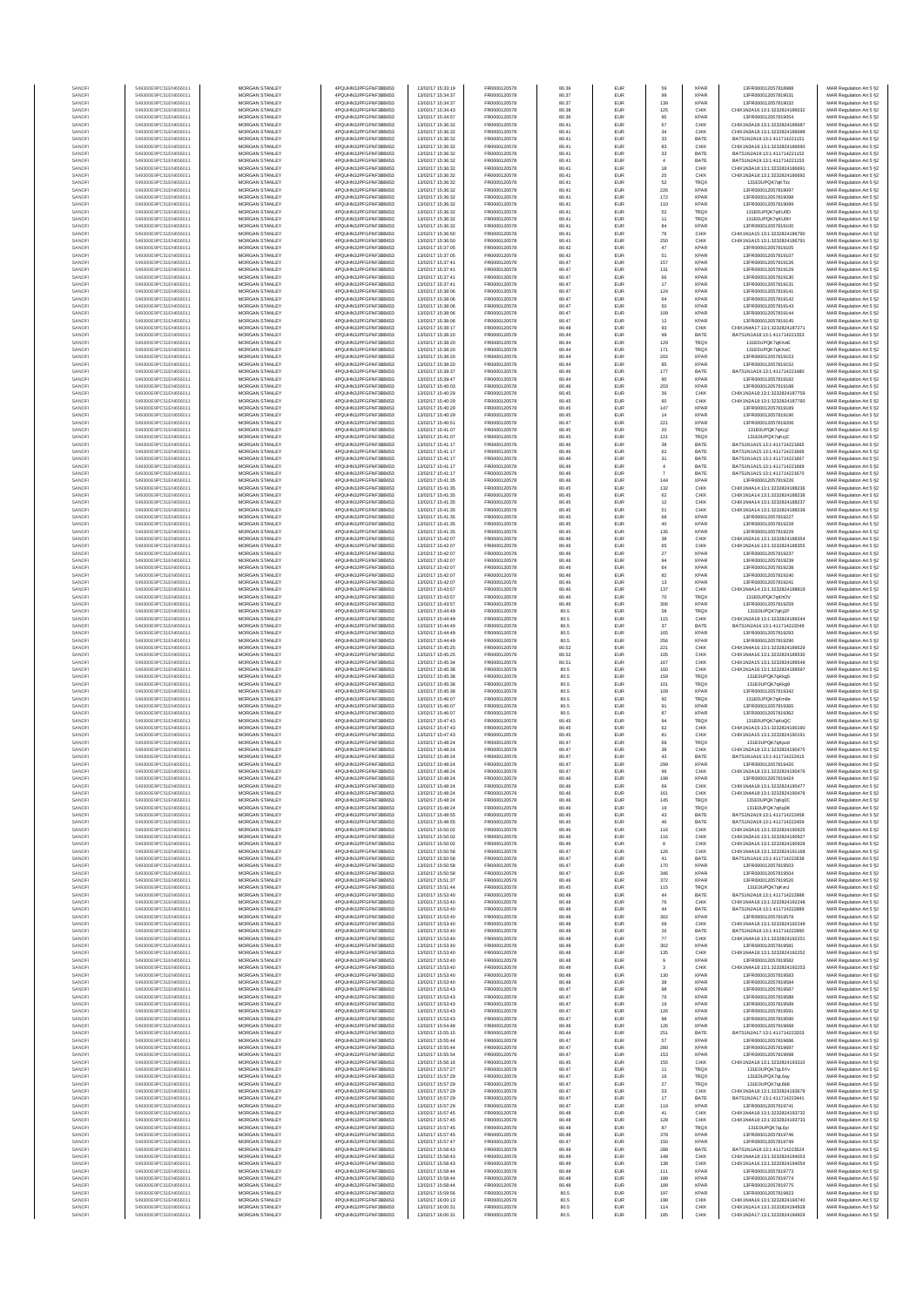| SANOF            | 549300E9PC51EN656011                         | <b>MORGAN STANLEY</b>                          | 4PQUHN3JPFGFNF3BB653                          | 13/02/17 15:33:19                      | FR0000120578                 | 80.36          | EUR                      | 59                   | <b>XPAR</b>                | 13FR000012057818988                                            | MAR Regulation Art 5 §2                            |
|------------------|----------------------------------------------|------------------------------------------------|-----------------------------------------------|----------------------------------------|------------------------------|----------------|--------------------------|----------------------|----------------------------|----------------------------------------------------------------|----------------------------------------------------|
| SANOFI<br>SANOFI | 549300E9PC51EN656011<br>549300E9PC51EN656011 | <b>MORGAN STANLEY</b><br>MORGAN STANLEY        | 4PQUHN3JPFGFNF3BB653<br>4PQUHN3JPFGFNF3BB653  | 13/02/17 15:34:37<br>13/02/17 15:34:37 | FR0000120578<br>FR0000120578 | 80.37<br>80.37 | <b>EUR</b><br>EUR        | 99<br>139            | <b>XPAR</b><br><b>XPAR</b> | 13FR000012057819031<br>13FR000012057819032                     | MAR Regulation Art 5 §2<br>MAR Regulation Art 5 §2 |
| SANOFI           | 549300E9PC51EN656011                         | MORGAN STANLEY                                 | 4PQUHN3JPFGFNF3BB653                          | 13/02/17 15:34:43                      | FR0000120578                 | 80.38          | EUR                      | 125                  | CHIX                       | CHIX1N2A16:13:1:3232824186032                                  | MAR Regulation Art 5 §2                            |
| SANOFI<br>SANOFI | 549300E9PC51EN656011<br>549300E9PC51EN656011 | MORGAN STANLEY<br>MORGAN STANLEY               | 4PQUHN3JPFGFNF3BB653<br>4PQUHN3JPFGFNF3BB653  | 13/02/17 15:34:57<br>13/02/17 15:36:32 | FR0000120578<br>FR0000120578 | 80.36<br>80.41 | EUR<br>EUR               | 95<br>67             | <b>XPAR</b><br>CHIX        | 13FR000012057819054<br>CHIX1N3A18:13:1:3232824186681           | MAR Regulation Art 5 §2<br>MAR Regulation Art 5 §2 |
| SANOFI           | 549300E9PC51EN656011                         | MORGAN STANLEY                                 | 4PQUHN3JPFGFNF3BB653                          | 13/02/17 15:36:32                      | FR0000120578                 | 80.41          | EUR                      | $_{34}$              | CHIX                       | CHIX1N3A18:13:1:3232824186688                                  | MAR Regulation Art 5 §2                            |
| SANOFI<br>SANOFI | 549300E9PC51EN656011<br>549300E9PC51EN656011 | MORGAN STANLEY<br><b>MORGAN STANLEY</b>        | 4PQUHN3JPFGFNF3BB653<br>4PQUHN3JPFGFNF3BB653  | 13/02/17 15:36:32<br>13/02/17 15:36:32 | FR0000120578<br>FR0000120578 | 80.41<br>80.41 | EUR<br>EUR               | 33<br>83             | BATE<br>CHIX               | BATS1N2A19:13:1:411714221151<br>CHIX1N3A18:13:1:3232824186690  | MAR Regulation Art 5 §2<br>MAR Regulation Art 5 §2 |
| SANOFI<br>SANOFI | 549300E9PC51EN656011<br>549300E9PC51EN656011 | MORGAN STANLEY<br>MORGAN STANLEY               | 4PQUHN3JPFGFNF3BB653<br>4PQUHN3JPFGFNF3BB653  | 13/02/17 15:36:32<br>13/02/17 15:36:32 | FR0000120578<br>FR0000120578 | 80.41<br>80.41 | <b>EUR</b><br><b>EUR</b> | 33<br>$\overline{4}$ | BATE<br>BATE               | BATS1N2A19:13:1:411714221152<br>BATS1N2A19:13:1:411714221153   | MAR Regulation Art 5 §2<br>MAR Regulation Art 5 §2 |
| SANOFI           | 549300E9PC51EN656011                         | MORGAN STANLEY                                 | 4PQUHN3JPFGFNF3BB653                          | 13/02/17 15:36:32                      | FR0000120578                 | 80.41          | EUR                      | $18\,$               | CHIX                       | CHIX1N3A18:13:1:3232824186691                                  | MAR Regulation Art 5 §2                            |
| SANOFI<br>SANOF  | 549300E9PC51EN656011<br>549300E9PC51EN656011 | MORGAN STANLEY<br>MORGAN STANLEY               | 4PQUHN3JPFGFNF3BB653<br>4PQUHN3JPFGFNF3BB653  | 13/02/17 15:36:32<br>13/02/17 15:36:32 | FR0000120578<br>FR0000120578 | 80.41<br>80.41 | EUR<br>EUR               | 25<br>62             | CHIX<br>TRQ)               | CHIX1N3A18:13:1:3232824186692<br>131E0UPQK7qKTzx               | MAR Regulation Art 5 §2                            |
| SANOFI           | 549300E9PC51EN656011                         | MORGAN STANLEY                                 | 4PQUHN3JPFGFNF3BB653                          | 13/02/17 15:36:32                      | FR0000120578                 | 80.41          | EUR                      | 226                  | <b>XPAR</b>                | 13FR000012057819097                                            | MAR Regulation Art 5 §2<br>MAR Regulation Art 5 §2 |
| SANOFI<br>SANOFI | 549300E9PC51EN656011<br>549300E9PC51EN656011 | MORGAN STANLEY<br>MORGAN STANLEY               | 4PQUHN3JPFGFNF3BB653<br>4PQUHN3JPFGFNF3BB653  | 13/02/17 15:36:32<br>13/02/17 15:36:32 | FR0000120578<br>FR0000120578 | 80.41<br>80.41 | EUR<br>EUR               | 172<br>110           | <b>XPAR</b><br><b>XPAR</b> | 13FR000012057819098<br>13FR000012057819099                     | MAR Regulation Art 5 §2<br>MAR Regulation Art 5 §2 |
| SANOFI           | 549300E9PC51EN656011                         | <b>MORGAN STANLEY</b>                          | 4PQUHN3JPFGFNF3BB653                          | 13/02/17 15:36:32                      | FR0000120578                 | 80.41          | <b>EUR</b>               | 52                   | <b>TRQX</b>                | 131E0UPQK7qKU0D                                                | MAR Regulation Art 5 §2                            |
| SANOFI           | 549300E9PC51EN656011<br>549300E9PC51EN656011 | <b>MORGAN STANLEY</b><br>MORGAN STANLEY        | 4PQUHN3JPFGFNF3BB653<br>4PQUHN3JPFGFNF3BB653  | 13/02/17 15:36:32<br>13/02/17 15:36:32 | FR0000120578<br>FR0000120578 | 80.41<br>80.41 | EUR<br>EUR               | $11\,$               | <b>TRQX</b><br>XPAR        | 131E0UPQK7qKU0H<br>13FR000012057819100                         | MAR Regulation Art 5 §2                            |
| SANOFI<br>SANOFI | 549300E9PC51EN656011                         | MORGAN STANLEY                                 | 4PQUHN3JPFGFNF3BB653                          | 13/02/17 15:36:50                      | FR0000120578                 | 80.41          | EUR                      | 84<br>${\bf 76}$     | CHIX                       | CHIX1N1A15:13:1:3232824186790                                  | MAR Regulation Art 5 §2<br>MAR Regulation Art 5 §2 |
| SANOFI           | 549300E9PC51EN656011                         | MORGAN STANLEY                                 | 4PQUHN3JPFGFNF3BB653                          | 13/02/17 15:36:50                      | FR0000120578                 | 80.41          | EUR                      | 250                  | CHIX                       | CHIX1N1A15:13:1:3232824186791<br>13FR000012057819105           | MAR Regulation Art 5 §2                            |
| SANOFI<br>SANOFI | 549300E9PC51EN656011<br>549300E9PC51EN656011 | MORGAN STANLEY<br>MORGAN STANLEY               | 4PQUHN3JPFGFNF3BB653<br>4PQUHN3JPFGFNF3BB653  | 13/02/17 15:37:05<br>13/02/17 15:37:05 | FR0000120578<br>FR0000120578 | 80.42<br>80.42 | EUR<br>EUR               | $47\,$<br>51         | <b>XPAF</b><br><b>XPAR</b> | 13FR000012057819107                                            | MAR Regulation Art 5 §2<br>MAR Regulation Art 5 §2 |
| SANOFI           | 549300E9PC51EN656011                         | MORGAN STANLEY                                 | 4PQUHN3JPFGFNF3BB653                          | 13/02/17 15:37:41                      | FR0000120578                 | 80.47          | EUR                      | 157                  | <b>XPAR</b>                | 13FR000012057819126                                            | MAR Regulation Art 5 §2                            |
| SANOFI<br>SANOFI | 549300E9PC51EN656011<br>549300E9PC51EN656011 | <b>MORGAN STANLEY</b><br>MORGAN STANLEY        | 4PQUHN3JPFGFNF3BB653<br>4PQUHN3JPFGFNF3BB653  | 13/02/17 15:37:41<br>13/02/17 15:37:41 | FR0000120578<br>FR0000120578 | 80.47<br>80.47 | <b>EUR</b><br><b>EUR</b> | 131<br>66            | <b>XPAR</b><br><b>XPAR</b> | 13FR000012057819129<br>13FR000012057819130                     | MAR Regulation Art 5 §2<br>MAR Regulation Art 5 §2 |
| SANOFI           | 549300E9PC51EN656011                         | MORGAN STANLEY<br>MORGAN STANLEY               | 4PQUHN3JPFGFNF3BB653                          | 13/02/17 15:37:41                      | FR0000120578<br>FR0000120578 | 80.47          | EUR                      | $17\,$               | <b>XPAR</b>                | 13FR000012057819131                                            | MAR Regulation Art 5 §2                            |
| SANOFI<br>SANOFI | 549300E9PC51EN656011<br>549300E9PC51EN656011 | MORGAN STANLEY                                 | 4PQUHN3JPFGFNF3BB653<br>4PQUHN3JPFGFNF3BB653  | 13/02/17 15:38:06<br>13/02/17 15:38:06 | FR0000120578                 | 80.47<br>80.47 | EUR<br>EUR               | 124<br>64            | <b>XPAR</b><br><b>XPAR</b> | 13FR000012057819141<br>13FR000012057819142                     | MAR Regulation Art 5 §2<br>MAR Regulation Art 5 §2 |
| SANOFI           | 549300E9PC51EN656011                         | MORGAN STANLEY                                 | 4PQUHN3JPFGFNF3BB653                          | 13/02/17 15:38:06                      | FR0000120578                 | 80.47          | EUR                      | 50                   | <b>XPAR</b>                | 13FR000012057819143                                            | MAR Regulation Art 5 §2                            |
| SANOFI<br>SANOFI | 549300E9PC51EN656011<br>549300E9PC51EN656011 | MORGAN STANLEY<br>MORGAN STANLEY               | 4PQUHN3JPFGFNF3BB653<br>4PQUHN3JPFGFNF3BB653  | 13/02/17 15:38:06<br>13/02/17 15:38:06 | FR0000120578<br>FR0000120578 | 80.47<br>80.47 | EUR<br>EUR               | 109<br>12            | <b>XPAR</b><br><b>XPAR</b> | 13FR000012057819144<br>13FR000012057819145                     | MAR Regulation Art 5 §2<br>MAR Regulation Art 5 §2 |
| SANOFI<br>SANOFI | 549300E9PC51EN656011<br>549300E9PC51EN656011 | <b>MORGAN STANLEY</b><br>MORGAN STANLEY        | 4PQUHN3JPFGFNF3BB653<br>4PQUHN3JPFGFNF3BB653  | 13/02/17 15:38:17<br>13/02/17 15:38:20 | FR0000120578<br>FR0000120578 | 80.48<br>80.44 | <b>EUR</b><br><b>EUR</b> | 93<br>99             | CHIX<br>BATE               | CHIX1N4A17:13:1:3232824187271<br>BATS1N1A18:13:1:411714221353  | MAR Regulation Art 5 §2<br>MAR Regulation Art 5 §2 |
| SANOFI           | 549300E9PC51EN656011                         | MORGAN STANLEY                                 | 4PQUHN3JPFGFNF3BB653                          | 13/02/17 15:38:20                      | FR0000120578                 | 80.44          | EUR                      | 129                  | TRQX                       | 131E0UPQK7qKXeE                                                | MAR Regulation Art 5 §2                            |
| SANOFI<br>SANOFI | 549300E9PC51EN656011<br>549300E9PC51EN656011 | MORGAN STANLEY<br>MORGAN STANLEY               | 4PQUHN3JPFGFNF3BB653<br>4PQUHN3JPFGFNF3BB653  | 13/02/17 15:38:20<br>13/02/17 15:38:20 | FR0000120578<br>FR0000120578 | 80.44<br>80.44 | EUR<br>EUR               | 171                  | TRQX<br><b>XPAR</b>        | 131E0UPQK7qKXeC<br>13FR000012057819153                         | MAR Regulation Art 5 §2                            |
| SANOFI           | 549300E9PC51EN656011                         | MORGAN STANLEY                                 | 4PQUHN3JPFGFNF3BB653                          | 13/02/17 15:38:20                      | FR0000120578                 | 80.44          | EUR                      | 202<br>85            | <b>XPAR</b>                | 13FR000012057819152                                            | MAR Regulation Art 5 §2<br>MAR Regulation Art 5 §2 |
| SANOFI           | 549300E9PC51EN656011                         | MORGAN STANLEY                                 | 4PQUHN3JPFGFNF3BB653<br>4PQUHN3JPFGFNF3BB653  | 13/02/17 15:39:37                      | FR0000120578                 | 80.46          | EUR<br>EUR               | 177<br>90            | BATE<br><b>XPAR</b>        | BATS1N1A19:13:1:411714221480<br>13FR000012057819182            | MAR Regulation Art 5 §2                            |
| SANOFI<br>SANOFI | 549300E9PC51EN656011<br>549300E9PC51EN656011 | MORGAN STANLEY<br><b>MORGAN STANLEY</b>        | 4PQUHN3JPFGFNF3BB653                          | 13/02/17 15:39:47<br>13/02/17 15:40:03 | FR0000120578<br>FR0000120578 | 80.44<br>80.46 | <b>EUR</b>               | 203                  | <b>XPAR</b>                | 13FR000012057819188                                            | MAR Regulation Art 5 §2<br>MAR Regulation Art 5 §2 |
| SANOFI<br>SANOFI | 549300E9PC51EN656011<br>549300E9PC51EN656011 | MORGAN STANLEY<br>MORGAN STANLEY               | 4PQUHN3JPFGFNF3BB653<br>4PQUHN3JPFGFNF3BB653  | 13/02/17 15:40:29<br>13/02/17 15:40:29 | FR0000120578<br>FR0000120578 | 80.45<br>80.45 | <b>EUR</b><br>EUR        | 36<br>60             | CHIX<br>CHIX               | CHIX1N2A18-13-1-3232824187759<br>CHIX1N2A18:13:1:3232824187760 | MAR Regulation Art 5 §2<br>MAR Regulation Art 5 §2 |
| SANOFI           | 549300E9PC51EN656011                         | MORGAN STANLEY                                 | 4PQUHN3JPFGFNF3BB653                          | 13/02/17 15:40:29                      | FR0000120578                 | 80.45          | EUR                      | 147                  | <b>XPAR</b>                | 13FR000012057819189                                            | MAR Regulation Art 5 §2                            |
| SANOFI<br>SANOFI | 549300E9PC51EN656011<br>549300E9PC51EN656011 | MORGAN STANLEY<br>MORGAN STANLEY               | 4PQUHN3JPFGFNF3BB653<br>4PQUHN3JPFGFNF3BB653  | 13/02/17 15:40:29<br>13/02/17 15:40:51 | FR0000120578<br>FR0000120578 | 80.45<br>80.47 | EUR<br>EUR               | 14<br>221            | XPAR<br><b>XPAR</b>        | 13FR000012057819190<br>13FR000012057819206                     | MAR Regulation Art 5 §2<br>MAR Regulation Art 5 §2 |
| SANOFI           | 549300E9PC51EN656011                         | MORGAN STANLEY                                 | 4PQUHN3JPFGFNF3BB653                          | 13/02/17 15:41:07                      | FR0000120578                 | 80.45          | EUR                      | 20                   | <b>TRQX</b>                | 131E0UPQK7qKcj2                                                | MAR Regulation Art 5 §2                            |
| SANOFI<br>SANOFI | 549300E9PC51EN656011<br>549300E9PC51EN656011 | MORGAN STANLEY<br>MORGAN STANLEY               | 4PQUHN3JPFGFNF3BB653<br>4PQUHN3JPFGFNF3BB653  | 13/02/17 15:41:07<br>13/02/17 15:41:17 | FR0000120578<br>FR0000120578 | 80.45<br>80.46 | EUR<br>EUR               | 121<br>38            | TRQX<br>BATE               | 131E0UPQK7gKciC<br>BATS1N1A15:13:1:411714221665                | MAR Regulation Art 5 §2<br>MAR Regulation Art 5 §2 |
| SANOFI           | 549300E9PC51EN656011                         | <b>MORGAN STANLEY</b>                          | 4PQUHN3JPFGFNF3BB653                          | 13/02/17 15:41:17                      | FR0000120578                 | 80.46          | <b>EUR</b>               | $62\,$               | BATE                       | RATS1N1A15-13-1-411714221666                                   | MAR Regulation Art 5 §2                            |
| SANOFI<br>SANOFI | 549300E9PC51EN656011<br>549300E9PC51EN656011 | <b>MORGAN STANLEY</b><br>MORGAN STANLEY        | 4PQUHN3JPFGFNF3BB653<br>4PQUHN3JPFGFNF3BB653  | 13/02/17 15:41:17<br>13/02/17 15:41:17 | FR0000120578<br>FR0000120578 | 80.46<br>80.46 | <b>EUR</b><br>EUR        | 31<br>$\sqrt{4}$     | BATE<br>BATE               | BATS1N1A15:13:1:411714221667<br>BATS1N1A15:13:1:411714221669   | MAR Regulation Art 5 §2<br>MAR Regulation Art 5 §2 |
| SANOFI           | 549300E9PC51EN656011                         | MORGAN STANLEY                                 | 4PQUHN3JPFGFNF3BB653                          | 13/02/17 15:41:17                      | FR0000120578                 | 80.46          | EUR                      |                      | BATE                       | BATS1N1A15:13:1:411714221670                                   | MAR Regulation Art 5 §2                            |
| SANOFI<br>SANOFI | 549300E9PC51EN656011<br>549300E9PC51EN656011 | MORGAN STANLEY<br>MORGAN STANLEY               | 4PQUHN3JPFGFNF3BB653<br>4PQUHN3JPFGFNF3BB653  | 13/02/17 15:41:35<br>13/02/17 15:41:35 | FR0000120578<br>FR0000120578 | 80.46<br>80.45 | EUR<br>EUR               | 144<br>132           | <b>XPAF</b><br>CHIX        | 13FR000012057819226<br>CHIX1N4A14:13:1:3232824188236           | MAR Regulation Art 5 §2<br>MAR Regulation Art 5 §2 |
| SANOFI           | 549300E9PC51EN656011                         | MORGAN STANLEY                                 | 4PQUHN3JPFGFNF3BB653                          | 13/02/17 15:41:35                      | FR0000120578                 | 80.45          | EUR                      | $62\,$               | CHIX                       | CHIX1N1A14:13:1:3232824188238                                  | MAR Regulation Art 5 §2                            |
| SANOFI<br>SANOFI | 549300E9PC51EN656011<br>549300E9PC51EN656011 | MORGAN STANLEY<br><b>MORGAN STANLEY</b>        | 4PQUHN3JPFGFNF3BB653<br>4PQUHN3JPFGFNF3BB653  | 13/02/17 15:41:35<br>13/02/17 15:41:35 | FR0000120578<br>FR0000120578 | 80.45<br>80.45 | EUR<br>EUR               | 12<br>51             | CHIX<br>CHIX               | CHIX1N4A14:13:1:3232824188237<br>CHIX1N1A14:13:1:3232824188239 | MAR Regulation Art 5 §2<br>MAR Regulation Art 5 §2 |
| SANOFI           | 549300E9PC51EN656011                         | MORGAN STANLEY                                 | 4PQUHN3JPFGFNF3BB653                          | 13/02/17 15:41:35                      | FR0000120578                 | 80.45          | <b>EUR</b>               | 68                   | <b>XPAR</b>                | 13FR000012057819227                                            | MAR Regulation Art 5 §2                            |
| SANOFI<br>SANOFI | 549300E9PC51EN656011<br>549300E9PC51EN656011 | MORGAN STANLEY<br>MORGAN STANLEY               | 4PQUHN3JPFGFNF3BB653<br>4PQUHN3JPFGFNF3BB653  | 13/02/17 15:41:35<br>13/02/17 15:41:35 | FR0000120578<br>FR0000120578 | 80.45<br>80.45 | EUR<br>EUR               | 40<br>135            | XPAR<br><b>XPAR</b>        | 13FR000012057819228<br>13FR000012057819229                     | MAR Regulation Art 5 §2<br>MAR Regulation Art 5 §2 |
| SANOFI           | 549300E9PC51EN656011                         | MORGAN STANLEY                                 | 4PQUHN3JPFGFNF3BB653                          | 13/02/17 15:42:07                      | FR0000120578                 | 80.46          | EUR                      | 38                   | CHIX                       | CHIX1N2A16:13:1:323282418835                                   | MAR Regulation Art 5 §2                            |
| SANOFI<br>SANOFI | 549300E9PC51EN656011<br>549300E9PC51EN656011 | MORGAN STANLEY<br>MORGAN STANLEY               | 4PQUHN3JPFGFNF3BB653<br>4PQUHN3JPFGFNF3BB653  | 13/02/17 15:42:07<br>13/02/17 15:42:07 | FR0000120578<br>FR0000120578 | 80.46<br>80.46 | EUR<br>EUR               | 65<br>$27\,$         | CHIX<br><b>XPAR</b>        | CHIX1N2A16:13:1:3232824188355<br>13FR000012057819237           | MAR Regulation Art 5 §2<br>MAR Regulation Art 5 §2 |
| SANOFI           | 549300E9PC51EN656011                         | MORGAN STANLEY                                 | 4PQUHN3JPFGFNF3BB653                          | 13/02/17 15:42:07                      | FR0000120578                 | 80.46          | EUR                      | 94                   | <b>XPAR</b>                | 13FR000012057819239                                            | MAR Regulation Art 5 §2                            |
| SANOFI<br>SANOFI | 549300E9PC51EN656011<br>549300E9PC51EN656011 | MORGAN STANLEY<br><b>MORGAN STANLEY</b>        | 4PQUHN3JPFGFNF3BB653<br>4PQUHN3JPFGFNF3BB653  | 13/02/17 15:42:07<br>13/02/17 15:42:07 | FR0000120578<br>FR0000120578 | 80.46<br>80.46 | <b>EUR</b><br><b>EUR</b> | 64<br>82             | <b>XPAR</b><br><b>XPAR</b> | 13FR000012057819238<br>13FR000012057819240                     | MAR Regulation Art 5 §2<br>MAR Regulation Art 5 §2 |
| SANOFI           | 549300E9PC51EN656011                         | MORGAN STANLEY                                 | 4PQUHN3JPFGFNF3BB653                          | 13/02/17 15:42:07                      | FR0000120578                 | 80.46          | EUR                      | $13\,$               | <b>XPAR</b>                | 13FR000012057819241                                            | MAR Regulation Art 5 §2                            |
| SANOFI<br>SANOF  | 549300E9PC51EN656011<br>549300E9PC51EN656011 | MORGAN STANLEY<br>MORGAN STANLEY               | 4PQUHN3JPFGFNF3BB653<br>4PQUHN3JPFGFNF3BB653  | 13/02/17 15:43:57<br>13/02/17 15:43:57 | FR0000120578<br>FR0000120578 | 80.46<br>80.46 | EUR<br>EUR               | 137<br>70            | CHIX<br><b>TRQX</b>        | CHIX1N4A14:13:1:3232824188819<br>131E0UPQK7qKhO\               | MAR Regulation Art 5 §2<br>MAR Regulation Art 5 §2 |
| SANOFI           | 549300E9PC51EN656011                         | MORGAN STANLEY                                 | 4PQUHN3JPFGFNF3BB653                          | 13/02/17 15:43:57                      | FR0000120578                 | 80.46          | EUR                      | 306                  | <b>XPAR</b>                | 13FR000012057819259                                            | MAR Regulation Art 5 §2                            |
| SANOFI<br>SANOFI | 549300E9PC51EN656011<br>549300E9PC51EN656011 | MORGAN STANLEY<br>MORGAN STANLEY               | 4PQUHN3JPFGFNF3BB653<br>4PQUHN3JPFGFNF3BB653  | 13/02/17 15:44:49<br>13/02/17 15:44:49 | FR0000120578<br>FR0000120578 | 80.5<br>80.5   | EUR<br>EUR               | 58<br>115            | TRQX<br>CHIX               | 131E0UPQK7qKj1P<br>CHIX1N2A18:13:1:3232824189244               | MAR Regulation Art 5 §2<br>MAR Regulation Art 5 §2 |
| SANOFI<br>SANOFI | 549300E9PC51EN656011<br>549300E9PC51EN656011 | <b>MORGAN STANLEY</b><br><b>MORGAN STANLEY</b> | 4PQUHN3JPFGFNF3BB653<br>4PQUHN3JPFGFNF3BB653  | 13/02/17 15:44:49<br>13/02/17 15:44:49 | FR0000120578                 | 80.5<br>80.5   | <b>EUR</b><br><b>EUR</b> | 37<br>165            | BATE<br><b>XPAR</b>        | BATS1N2A16:13:1:411714222049<br>13FR000012057819293            | MAR Regulation Art 5 §2                            |
| SANOFI           | 549300E9PC51EN656011                         | <b>MORGAN STANLEY</b>                          | 4PQUHN3JPFGFNF3BB653                          | 13/02/17 15:44:49                      | FR0000120578<br>FR0000120578 | 80.5           | <b>EUR</b>               | 256                  | <b>XPAR</b>                | 13FR000012057819290                                            | MAR Regulation Art 5 §2<br>MAR Regulation Art 5 §2 |
| SANOFI<br>SANOFI | 549300E9PC51EN656011<br>549300E9PC51EN656011 | MORGAN STANLEY<br>MORGAN STANLEY               | 4PQUHN3JPFGFNF3BB653<br>4PQUHN3JPFGFNF3BB653  | 13/02/17 15:45:25<br>13/02/17 15:45:25 | FR0000120578<br>FR0000120578 | 80.52<br>80.52 | EUR<br>EUR               | 221<br>105           | CHIX<br>CHIX               | CHIX1N4A16:13:1:3232824189529<br>CHIX1N4A16:13:1:3232824189530 | MAR Regulation Art 5 §2<br>MAR Regulation Art 5 §2 |
| SANOFI           | 549300E9PC51EN656011                         | MORGAN STANLEY                                 | 4PQUHN3JPFGFNF3BB653                          | 13/02/17 15:45:34                      | FR0000120578                 | 80.51          | EUR                      | 167                  | CHIX                       | CHIX1N2A15:13:1:3232824189549                                  | MAR Regulation Art 5 §2                            |
| SANOFI           | 549300E9PC51EN656011                         | MORGAN STANLEY                                 | 4PQUHN3JPFGFNF3BB653<br>4PQUHN3JPFGFNF3BB653  | 13/02/17 15:45:38<br>13/02/17 15:45:38 | FR0000120578<br>FR0000120578 | 80.5           | EUR<br>EUR               | 160<br>159           | CHIX<br>TRQX               | CHIX1N1A16:13:1:3232824189597                                  | MAR Regulation Art 5 §2                            |
| SANOFI<br>SANOFI | 549300E9PC51EN656011<br>549300E9PC51EN656011 | MORGAN STANLEY<br>MORGAN STANLEY               | 4PQUHN3JPFGFNF3BB653                          | 13/02/17 15:45:38                      | FR0000120578                 | 80.5<br>80.5   | EUR                      | 101                  | TRQX                       | 131E0UPQK7qKkg5<br>131E0UPQK7qKkg9                             | MAR Regulation Art 5 §2<br>MAR Regulation Art 5 §2 |
| SANOFI<br>SANOFI | 549300E9PC51EN656011<br>549300E9PC51EN656011 | <b>MORGAN STANLEY</b><br>MORGAN STANLEY        | 4PQUHN3JPFGFNF3BB653<br>4PQUHN3JPFGFNF3BB653  | 13/02/17 15:45:38<br>13/02/17 15:46:07 | FR0000120578<br>FR0000120578 | 80.5<br>80.5   | <b>EUR</b><br><b>EUR</b> | 109<br>92            | <b>XPAR</b><br><b>TRQX</b> | 13FR000012057819342<br>131E0UPQK7qKm8e                         | MAR Regulation Art 5 §2<br>MAR Regulation Art 5 §2 |
| SANOFI           | 549300E9PC51EN656011                         | MORGAN STANLEY                                 | 4PQUHN3JPFGFNF3BB653                          | 13/02/17 15:46:07                      | FR0000120578                 | 80.5           | EUR                      | 91                   | <b>XPAR</b>                | 13FR000012057819365                                            | MAR Regulation Art 5 §2                            |
| SANOFI<br>SANOFI | 549300E9PC51EN656011<br>549300E9PC51EN656011 | MORGAN STANLEY<br>MORGAN STANLEY               | 4PQUHN3JPFGFNF3BB653<br>4PQUHN3JPFGFNF3BB653  | 13/02/17 15:46:07<br>13/02/17 15:47:43 | FR0000120578<br>FR0000120578 | 80.5<br>80.45  | EUR<br>EUR               | $_{\rm 87}$<br>94    | <b>XPAR</b><br>TRQX        | 13FR000012057819362<br>131E0UPQK7qKoQC                         | MAR Regulation Art 5 §2<br>MAR Regulation Art 5 §2 |
| SANOFI           | 549300E9PC51EN656011                         | MORGAN STANLEY                                 | 4PQUHN3JPFGFNF3BB653                          | 13/02/17 15:47:43                      | FR0000120578                 | 80.45          | EUR                      | 62                   | CHIX                       | CHIX1N1A15:13:1:3232824190190                                  | MAR Regulation Art 5 §2                            |
| SANOFI<br>SANOFI | 549300E9PC51EN656011<br>549300E9PC51EN656011 | MORGAN STANLEY<br>MORGAN STANLEY               | 4PQUHN3JPFGFNF3BB653<br>4PQUHN3JPFGFNF3BB653  | 13/02/17 15:47:43<br>13/02/17 15:48:24 | FR0000120578<br>FR0000120578 | 80.45<br>80.47 | EUR<br>EUR               | 81<br>69             | CHIX<br>TRQX               | CHIX1N1A15:13:1:3232824190191<br>131E0UPQK7qKpzd               | MAR Regulation Art 5 §2<br>MAR Regulation Art 5 §2 |
| SANOFI           | 549300E9PC51EN656011                         | <b>MORGAN STANLEY</b>                          | 4PQUHN3JPFGFNF3BB653                          | 13/02/17 15:48:24                      | FR0000120578                 | 80.47          | <b>EUR</b>               | 38                   | CHIX                       | CHIX1N2A18:13:1:3232824190475                                  | MAR Regulation Art 5 §2                            |
| SANOFI<br>SANOFI | 549300E9PC51EN656011<br>549300E9PC51EN656011 | <b>MORGAN STANLEY</b><br>MORGAN STANLEY        | 4PQUHN3JPFGFNF3BB653<br>4PQUHN3JPFGFNF3BB653  | 13/02/17 15:48:24<br>13/02/17 15:48:24 | FR0000120578<br>FR0000120578 | 80.47<br>80.47 | <b>EUR</b><br>EUR        | 43<br>299            | BATE<br><b>XPAR</b>        | RATS1N1A16-13-1-411714222415<br>13ER000012057819420            | MAR Regulation Art 5 §2<br>MAR Regulation Art 5 §2 |
| SANOFI           | 549300E9PC51EN656011                         | MORGAN STANLEY                                 | 4PQUHN3JPFGFNF3BB653                          | 13/02/17 15:48:24                      | FR0000120578                 | 80.47          | EUR                      | 96                   | CHIX                       | CHIX1N2A18:13:1:3232824190476                                  | MAR Regulation Art 5 §2                            |
| SANOF            | 549300E9PC51EN656011                         | MORGAN STANLEY                                 | 4PQUHN3JPFGFNF3BB653                          | 13/02/17 15:48:24                      | FR0000120578                 | 80.46          | EUR                      | 69                   | CHIX                       | CHIX1N4A18:13:1:3232824190477                                  | t Regulation Art 5 62<br>MAR Regulation Art 5 §2   |
| SANOFI           | 549300E9PC51EN656011                         | MORGAN STANLEY                                 | 4PQUHN3JPFGFNF3BB653                          | 13/02/17 15:48:24                      | FR0000120578                 | 80.46          | EUR                      | 161                  | CHIX                       | CHIX1N4A18:13:1:3232824190478                                  | MAR Regulation Art 5 §2                            |
| SANOFI<br>SANOFI | 549300E9PC51EN656011<br>549300E9PC51EN656011 | MORGAN STANLEY<br><b>MORGAN STANLEY</b>        | 4PQUHN3JPFGFNF3BB653<br>4PQUHN3JPFGFNF3BB653  | 13/02/17 15:48:24<br>13/02/17 15:48:24 | FR0000120578<br>FR0000120578 | 80.46<br>80.46 | EUR<br><b>EUR</b>        | 145<br>19            | <b>TRQX</b><br><b>TRQX</b> | 131E0UPQK7qKq0C<br>131E0UPQK7gKg0K                             | MAR Regulation Art 5 §2<br>MAR Regulation Art 5 §2 |
| SANOFI           | 549300E9PC51EN656011                         | <b>MORGAN STANLEY</b>                          | 4PQUHN3JPFGFNF3BB653                          | 13/02/17 15:48:55                      | FR0000120578                 | 80.45          | <b>EUR</b>               | 43                   | BATE                       | BATS1N2A19:13:1:411714222458                                   | MAR Regulation Art 5 §2                            |
| SANOFI<br>SANOFI | 549300E9PC51EN656011<br>549300E9PC51EN656011 | MORGAN STANLEY<br>MORGAN STANLEY               | 4POLIHN3JPEGENE3BB653<br>4PQUHN3JPFGFNF3BB653 | 13/02/17 15:48:55<br>13/02/17 15:50:02 | FR0000120578<br>FR0000120578 | 80.45<br>80.46 | EUR<br>EUR               | 46<br>116            | BATE<br>CHIX               | BATS1N2A19:13:1:411714222459<br>CHIX1N3A16:13:1:3232824190925  | MAR Regulation Art 5 §2<br>MAR Regulation Art 5 §2 |
| SANOFI           | 549300E9PC51EN656011                         | MORGAN STANLEY                                 | 4PQUHN3JPFGFNF3BB653                          | 13/02/17 15:50:02                      | FR0000120578                 | 80.46          | EUR                      | 116                  | CHIX                       | CHIX1N3A16:13:1:3232824190927                                  | MAR Regulation Art 5 §2                            |
| SANOFI<br>SANOFI | 549300E9PC51EN656011<br>549300E9PC51EN656011 | MORGAN STANLEY<br>MORGAN STANLEY               | 4PQUHN3JPFGFNF3BB653<br>4PQUHN3JPFGFNF3BB653  | 13/02/17 15:50:02<br>13/02/17 15:50:58 | FR0000120578<br>FR0000120578 | 80.46<br>80.47 | EUR<br>EUR               | 126                  | CHIX<br>CHIX               | CHIX1N3A16:13:1:3232824190928<br>CHIX1N4A18:13:1:3232824191168 | MAR Regulation Art 5 §2<br>MAR Regulation Art 5 §2 |
| SANOFI           | 549300E9PC51EN656011                         | MORGAN STANLEY<br>MORGAN STANLEY               | 4PQUHN3JPFGFNF3BB653                          | 13/02/17 15:50:58                      | FR0000120578                 | 80.47          | <b>EUR</b>               | 41                   | BATE                       | BATS1N1A16:13:1:411714222639                                   | MAR Regulation Art 5 §2                            |
| SANOFI<br>SANOFI | 549300E9PC51EN656011<br>549300E9PC51EN656011 | MORGAN STANLEY                                 | 4PQUHN3JPFGFNF3BB653<br>4PQUHN3JPFGFNF3BB653  | 13/02/17 15:50:58<br>13/02/17 15:50:58 | FR0000120578<br>FR0000120578 | 80.47<br>80.47 | <b>EUR</b><br><b>EUR</b> | 170<br>346           | <b>XPAR</b><br><b>XPAR</b> | 13FR000012057819503<br>13FR000012057819504                     | MAR Regulation Art 5 §2<br>MAR Regulation Art 5 §2 |
| SANOFI<br>SANOFI | 549300E9PC51EN656011<br>549300E9PC51EN656011 | <b>MORGAN STANLEY</b><br><b>MORGAN STANLEY</b> | 4PQUHN3JPFGFNF3BB653<br>4PQUHN3JPFGFNF3BB653  | 13/02/17 15:51:37<br>13/02/17 15:51:44 | FR0000120578<br>FR0000120578 | 80.46<br>80.45 | <b>EUR</b><br><b>EUR</b> | 372<br>115           | <b>XPAR</b><br>TRQX        | 13ER000012057819520<br>131E0UPQK7qKvnJ                         | MAR Regulation Art 5 §2<br>MAR Regulation Art 5 §2 |
| SANOFI           | 549300E9PC51EN656011                         | MORGAN STANLEY                                 | 4PQUHN3JPFGFNF3BB653                          | 13/02/17 15:53:40                      | FR0000120578                 | 80.48          | <b>EUR</b>               | $44\,$               | BATE                       | BATS1N2A18:13:1:411714222988                                   | MAR Regulation Art 5 §2                            |
| SANOFI<br>SANOFI | 549300E9PC51EN656011<br>549300E9PC51EN656011 | MORGAN STANLEY<br>MORGAN STANLEY               | 4PQUHN3JPFGFNF3BB653<br>4PQUHN3JPFGFNF3BB653  | 13/02/17 15:53:40<br>13/02/17 15:53:40 | FR0000120578<br>FR0000120578 | 80.48<br>80.48 | EUR<br>EUR               | 76<br>$44\,$         | CHIX<br>BATE               | CHIX1N4A18:13:1:3232824192248<br>BATS1N2A18:13:1:411714222989  | MAR Regulation Art 5 §2<br>MAR Regulation Art 5 §2 |
| SANOFI           | 549300E9PC51EN656011                         | MORGAN STANLEY                                 | 4PQUHN3JPFGFNF3BB653                          | 13/02/17 15:53:40                      | FR0000120578                 | 80.48          | EUR                      | 302                  | <b>XPAR</b>                | 13FR000012057819578                                            | MAR Regulation Art 5 §2<br>MAR Regulation Art 5 §2 |
| SANOFI<br>SANOFI | 549300E9PC51EN656011<br>549300E9PC51EN656011 | MORGAN STANLEY<br>MORGAN STANLEY               | 4PQUHN3JPFGFNF3BB653<br>4PQUHN3JPFGFNF3BB653  | 13/02/17 15:53:40<br>13/02/17 15:53:40 | FR0000120578<br>FR0000120578 | 80.48<br>80.48 | <b>EUR</b><br><b>EUR</b> | 59<br>26             | CHIX<br>BATE               | CHIX1N4A18:13:1:3232824192249<br>BATS1N2A18:13:1:411714222990  | MAR Regulation Art 5 §2                            |
| SANOFI<br>SANOFI | 549300E9PC51EN656011                         | <b>MORGAN STANLEY</b><br>MORGAN STANLEY        | 4PQUHN3JPFGFNF3BB653<br>4PQUHN3JPFGFNF3BB653  | 13/02/17 15:53:40<br>13/02/17 15:53:40 | FR0000120578                 | 80.48          | <b>EUR</b>               | 77<br>302            | CHIX<br><b>XPAR</b>        | CHIX1N4A18:13:1:3232824192251<br>13FR000012057819581           | MAR Regulation Art 5 §2                            |
| SANOFI           | 549300E9PC51EN656011<br>549300E9PC51EN656011 | MORGAN STANLEY                                 | 4PQUHN3JPFGFNF3BB653                          | 13/02/17 15:53:40                      | FR0000120578<br>FR0000120578 | 80.48<br>80.48 | <b>EUR</b><br><b>EUR</b> | 135                  | CHIX                       | CHIX1N4A18:13:1:3232824192252                                  | MAR Regulation Art 5 §2<br>MAR Regulation Art 5 §2 |
| SANOF<br>SANOFI  | 549300E9PC51EN656011<br>549300E9PC51EN656011 | MORGAN STANLEY<br>MORGAN STANLEY               | 4PQUHN3JPFGFNF3BB653<br>4PQUHN3JPFGFNF3BB653  | 13/02/17 15:53:40<br>13/02/17 15:53:40 | FR0000120578<br>FR0000120578 | 80.48<br>80.48 | EUR<br>EUR               | $_{9}$               | <b>XPAR</b><br>CHIX        | 13FR000012057819582<br>CHIX1N4A18:13:1:3232824192253           | MAR Regulation Art 5 §2<br>MAR Regulation Art 5 §2 |
| SANOFI           | 549300E9PC51EN656011                         | MORGAN STANLEY                                 | 4PQUHN3JPFGFNF3BB653                          | 13/02/17 15:53:40                      | FR0000120578                 | 80.48          | <b>EUR</b>               | 130                  | <b>XPAR</b>                | 13FR000012057819583                                            | MAR Regulation Art 5 §2                            |
| SANOFI<br>SANOFI | 549300E9PC51EN656011<br>549300E9PC51EN656011 | MORGAN STANLEY<br><b>MORGAN STANLEY</b>        | 4PQUHN3JPFGFNF3BB653<br>4PQUHN3JPFGFNF3BB653  | 13/02/17 15:53:40<br>13/02/17 15:53:43 | FR0000120578<br>FR0000120578 | 80.48<br>80.47 | EUR<br><b>EUR</b>        | 38<br>98             | <b>XPAR</b><br><b>XPAR</b> | 13FR000012057819584<br>13FR000012057819587                     | MAR Regulation Art 5 §2<br>MAR Regulation Art 5 §2 |
| SANOFI           | 549300E9PC51EN656011                         | <b>MORGAN STANLEY</b>                          | 4PQUHN3JPFGFNF3BB653                          | 13/02/17 15:53:43                      | FR0000120578                 | 80.47          | <b>EUR</b>               | 76                   | <b>XPAR</b>                | 13FR000012057819588                                            | MAR Regulation Art 5 §2                            |
| SANOFI<br>SANOFI | 549300E9PC51EN656011<br>549300E9PC51EN656011 | MORGAN STANLEY<br>MORGAN STANLEY               | 4PQUHN3JPFGFNF3BB653<br>4PQUHN3JPFGFNF3BB653  | 13/02/17 15:53:43<br>13/02/17 15:53:43 | FR0000120578<br>FR0000120578 | 80.47<br>80.47 | EUR<br><b>EUR</b>        | 19<br>126            | <b>XPAR</b><br><b>XPAR</b> | 13FR000012057819589<br>13FR000012057819591                     | MAR Regulation Art 5 §2<br>MAR Regulation Art 5 §2 |
| SANOFI           | 549300E9PC51EN656011                         | MORGAN STANLEY                                 | 4PQUHN3JPFGFNF3BB653                          | 13/02/17 15:53:43                      | FR0000120578                 | 80.47          | EUR                      | 98                   | <b>XPAR</b>                | 13FR000012057819590                                            | MAR Regulation Art 5 §2                            |
| SANOFI<br>SANOFI | 549300E9PC51EN656011<br>549300E9PC51EN656011 | MORGAN STANLEY<br>MORGAN STANLEY               | 4PQUHN3JPFGFNF3BB653<br>4PQUHN3JPFGFNF3BB653  | 13/02/17 15:54:48<br>13/02/17 15:55:15 | FR0000120578<br>FR0000120578 | 80.46<br>80.44 | EUR<br><b>EUR</b>        | 126<br>251           | <b>XPAR</b><br>BATE        | 13FR000012057819668<br>BATS1N2A17:13:1:411714223203            | MAR Regulation Art 5 §2<br>MAR Regulation Art 5 §2 |
| SANOFI           | 549300E9PC51EN656011                         | MORGAN STANLEY                                 | 4PQUHN3JPFGFNF3BB653                          | 13/02/17 15:55:44                      | FR0000120578                 | 80.47          | <b>EUR</b>               | 57                   | <b>XPAR</b>                | 13FR000012057819686                                            | MAR Regulation Art 5 §2                            |
| SANOFI<br>SANOFI | 549300E9PC51EN656011<br>549300E9PC51EN656011 | <b>MORGAN STANLEY</b><br><b>MORGAN STANLEY</b> | 4PQUHN3JPFGFNF3BB653<br>4PQUHN3JPFGFNF3BB653  | 13/02/17 15:55:44<br>13/02/17 15:55:54 | FR0000120578<br>FR0000120578 | 80.47<br>80.47 | <b>EUR</b><br><b>EUR</b> | 280<br>153           | <b>XPAR</b><br><b>XPAR</b> | 13FR000012057819687<br>13FR000012057819698                     | MAR Regulation Art 5 §2<br>MAR Regulation Art 5 §2 |
| SANOFI           | 549300E9PC51EN656011                         | MORGAN STANLEY                                 | 4PQUHN3JPFGFNF3BB653                          | 13/02/17 15:56:16                      | FR0000120578                 | 80.45          | EUR                      | 155                  | CHIX                       | CHIX1N2A18:13:1:3232824193310                                  | MAR Regulation Art 5 §2                            |
| SANOFI<br>SANOFI | 549300E9PC51EN656011<br>549300E9PC51EN656011 | MORGAN STANLEY<br>MORGAN STANLEY               | 4PQUHN3JPFGFNF3BB653<br>4PQUHN3JPFGFNF3BB653  | 13/02/17 15:57:27<br>13/02/17 15:57:29 | FR0000120578<br>FR0000120578 | 80.47<br>80.47 | EUR<br>EUR               | $11\,$<br>16         | <b>TRQX</b><br>TRQX        | 131E0UPQK7qL6Yv<br>131E0UPQK7qL6ay                             | MAR Regulation Art 5 §2<br>MAR Regulation Art 5 §2 |
| SANOFI           | 549300E9PC51EN656011                         | MORGAN STANLEY                                 | 4PQUHN3JPFGFNF3BB653                          | 13/02/17 15:57:29                      | FR0000120578                 | 80.47          | EUR                      | $27\,$               | TRQX                       | 131E0UPQK7qL6b8                                                | MAR Regulation Art 5 §2                            |
| SANOFI<br>SANOFI | 549300E9PC51EN656011<br>549300E9PC51EN656011 | MORGAN STANLEY<br>MORGAN STANLEY               | 4PQUHN3JPFGFNF3BB653<br>4PQUHN3JPFGFNF3BB653  | 13/02/17 15:57:29<br>13/02/17 15:57:29 | FR0000120578<br>FR0000120578 | 80.47<br>80.47 | EUR<br>EUR               | 53<br>17             | CHIX<br>BATE               | CHIX1N3A18:13:1:3232824193679<br>BATS1N2A17:13:1:411714223441  | MAR Regulation Art 5 §2<br>MAR Regulation Art 5 §2 |
| SANOFI           | 549300E9PC51EN656011                         | <b>MORGAN STANLEY</b>                          | 4PQUHN3JPFGFNF3BB653                          | 13/02/17 15:57:29                      | FR0000120578                 | 80.47          | <b>EUR</b>               | 119                  | <b>XPAR</b>                | 13FR000012057819741                                            | MAR Regulation Art 5 §2                            |
| SANOFI<br>SANOFI | 549300E9PC51EN656011<br>549300E9PC51EN656011 | <b>MORGAN STANLEY</b><br><b>MORGAN STANLEY</b> | 4PQUHN3JPFGFNF3BB653<br>4PQUHN3JPFGFNF3BB653  | 13/02/17 15:57:45<br>13/02/17 15:57:45 | FR0000120578<br>FR0000120578 | 80.48<br>80.48 | <b>EUR</b><br><b>EUR</b> | 41<br>128            | CHIX<br>CHIX               | CHIX1N4A18:13:1:3232824193732<br>CHIX1N4A18:13:1:3232824193733 | MAR Regulation Art 5 §2<br>MAR Regulation Art 5 §2 |
| SANOFI<br>SANOFI | 549300E9PC51EN656011<br>549300E9PC51EN656011 | MORGAN STANLEY<br>MORGAN STANLEY               | 4PQUHN3JPFGFNF3BB653<br>4PQUHN3JPFGFNF3BB653  | 13/02/17 15:57:45<br>13/02/17 15:57:45 | FR0000120578<br>FR0000120578 | 80.48<br>80.48 | EUR<br>EUR               | 87<br>378            | TRQX<br><b>XPAR</b>        | 131E0UPQK7qL6yi<br>13FR000012057819746                         | MAR Regulation Art 5 §2<br>MAR Regulation Art 5 §2 |
| SANOFI           | 549300E9PC51EN656011                         | MORGAN STANLEY                                 | 4PQUHN3JPFGFNF3BB653                          | 13/02/17 15:57:47                      | FR0000120578                 | 80.47          | EUR                      | 150                  | <b>XPAR</b>                | 13FR000012057819749                                            | MAR Regulation Art 5 §2                            |
| SANOFI<br>SANOFI | 549300E9PC51EN656011<br>549300E9PC51EN656011 | MORGAN STANLEY<br>MORGAN STANLEY               | 4PQUHN3JPFGFNF3BB653<br>4PQUHN3JPFGFNF3BB653  | 13/02/17 15:58:43<br>13/02/17 15:58:43 | FR0000120578<br>FR0000120578 | 80.49<br>80.49 | EUR<br>EUR               | 288<br>148           | BATE<br>CHIX               | BATS1N1A18:13:1:411714223524<br>CHIX1N4A18:13:1:3232824194053  | MAR Regulation Art 5 §2<br>MAR Regulation Art 5 §2 |
| SANOFI           | 549300E9PC51EN656011                         | MORGAN STANLEY                                 | 4PQUHN3JPFGFNF3BB653                          | 13/02/17 15:58:43                      | FR0000120578                 | 80.49          | EUR                      | 138                  | CHIX                       | CHIX1N1A16:13:1:3232824194054                                  | MAR Regulation Art 5 §2                            |
| SANOFI<br>SANOFI | 549300E9PC51EN656011<br>549300E9PC51EN656011 | <b>MORGAN STANLEY</b><br><b>MORGAN STANLEY</b> | 4PQUHN3JPFGFNF3BB653<br>4PQUHN3JPFGFNF3BB653  | 13/02/17 15:58:44<br>13/02/17 15:58:44 | FR0000120578<br>FR0000120578 | 80.48<br>80.48 | <b>EUR</b><br><b>EUR</b> | 111<br>189           | <b>XPAR</b><br><b>XPAR</b> | 13FR000012057819773<br>13FR000012057819774                     | MAR Regulation Art 5 §2<br>MAR Regulation Art 5 §2 |
| SANOFI           | 549300E9PC51EN656011                         | MORGAN STANLEY                                 | 4PQUHN3JPFGFNF3BB653                          | 13/02/17 15:58:44                      | FR0000120578                 | 80.48          | EUR                      | 189                  | XPAR                       | 13FR000012057819775                                            | MAR Regulation Art 5 §2                            |
| SANOFI<br>SANOFI | 549300E9PC51EN656011<br>549300E9PC51EN656011 | MORGAN STANLEY<br>MORGAN STANLEY               | 4PQUHN3JPFGFNF3BB653<br>4PQUHN3JPFGFNF3BB653  | 13/02/17 15:59:56<br>13/02/17 16:00:13 | FR0000120578<br>FR0000120578 | 80.5<br>80.5   | EUR<br>EUR               | 197<br>198           | <b>XPAR</b><br>CHIX        | 13FR000012057819823<br>CHIX1N4A16:13:1:3232824194740           | MAR Regulation Art 5 §2<br>MAR Regulation Art 5 §2 |
| SANOF<br>SANOFI  | 549300E9PC51EN656011                         | MORGAN STANLEY                                 | 4PQUHN3JPFGFNF3BB653                          | 13/02/17 16:00:31                      | FR0000120578                 | 80.5           | EUR                      | 114                  | CHIX                       | CHIX1N1A14:13:1:3232824194928                                  | MAR Regulation Art 5 §2                            |
|                  | 549300E9PC51EN656011                         | MORGAN STANLEY                                 | 4PQUHN3JPFGFNF3BB653                          | 13/02/17 16:00:31                      | FR0000120578                 | 80.5           | EUR                      | 185                  | CHIX                       | CHIX1N2A17:13:1:3232824194929                                  | MAR Regulation Art 5 §2                            |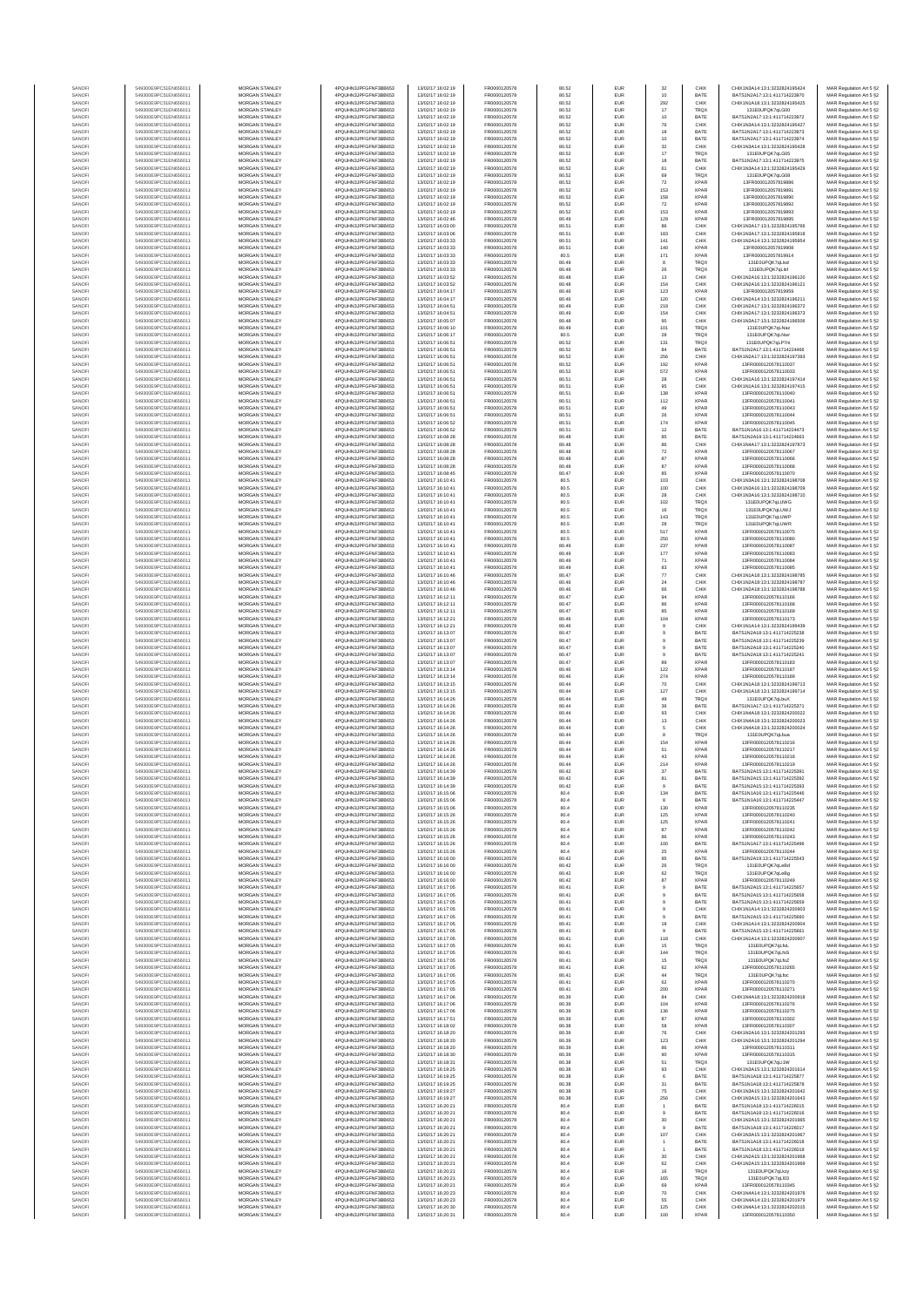| SANOF            | 549300E9PC51EN656011                         | MORGAN STANLEY                                 | 4PQUHN3JPFGFNF3BB653                         | 13/02/17 16:02:19                      | FR0000120578                 | 80.52          | EUR                      | 32                        | CHIX                       | CHIX1N3A14:13:1:3232824195424                                  | MAR Regulation Art 5 §2                            |
|------------------|----------------------------------------------|------------------------------------------------|----------------------------------------------|----------------------------------------|------------------------------|----------------|--------------------------|---------------------------|----------------------------|----------------------------------------------------------------|----------------------------------------------------|
| SANOF            | 549300E9PC51EN656011                         | MORGAN STANLEY                                 | 4PQUHN3JPFGFNF3BB653                         | 13/02/17 16:02:19                      | FR0000120578                 | 80.52          | EUR                      | 10                        | BATE                       | BATS1N2A17:13:1:411714223970                                   | MAR Regulation Art 5 §2                            |
| SANOFI<br>SANOFI | 549300E9PC51EN656011<br>549300E9PC51EN656011 | MORGAN STANLEY<br>MORGAN STANLEY               | 4PQUHN3JPFGFNF3BB653<br>4PQUHN3JPFGFNF3BB653 | 13/02/17 16:02:19<br>13/02/17 16:02:19 | FR0000120578<br>FR0000120578 | 80.52<br>80.52 | EUR<br>EUR               | 292<br>17                 | CHIX<br>TRQX               | CHIX1N1A18:13:1:3232824195425<br>131E0UPQK7qLG00               | MAR Regulation Art 5 §2<br>MAR Regulation Art 5 §2 |
| SANOFI           | 549300E9PC51EN656011                         | <b>MORGAN STANLEY</b>                          | 4PQUHN3JPFGFNF3BB653                         | 13/02/17 16:02:19                      | FR0000120578                 | 80.52          | <b>EUR</b>               | 10                        | BATE                       | BATS1N2A17:13:1:411714223972                                   | MAR Regulation Art 5 §2                            |
| SANOFI<br>SANOFI | 549300E9PC51EN656011<br>549300E9PC51EN656011 | <b>MORGAN STANLEY</b><br>MORGAN STANLEY        | 4PQUHN3JPFGFNF3BB653<br>4PQUHN3JPFGFNF3BB653 | 13/02/17 16:02:19<br>13/02/17 16:02:19 | FR0000120578<br>FR0000120578 | 80.52<br>80.52 | <b>EUR</b><br>EUR        | 76                        | CHIX<br>BATE               | CHIX1N3A14-13-1-3232824195427<br>BATS1N2A17:13:1:411714223973  | MAR Regulation Art 5 §2<br>MAR Regulation Art 5 §2 |
| SANOFI           | 549300E9PC51EN656011                         | MORGAN STANLEY                                 | 4PQUHN3JPFGFNF3BB653                         | 13/02/17 16:02:19                      | FR0000120578                 | 80.52          | EUR                      | $18\,$<br>$10$            | BATE                       | BATS1N2A17:13:1:411714223974                                   | MAR Regulation Art 5 §2                            |
| SANOFI           | 549300E9PC51EN656011                         | MORGAN STANLEY                                 | 4PQUHN3JPFGFNF3BB653                         | 13/02/17 16:02:19                      | FR0000120578                 | 80.52          | EUR                      | 32                        | CHIX                       | CHIX1N3A14:13:1:3232824195428                                  | MAR Regulation Art 5 §2                            |
| SANOFI<br>SANOFI | 549300E9PC51EN656011<br>549300E9PC51EN656011 | MORGAN STANLEY<br>MORGAN STANLEY               | 4PQUHN3JPFGFNF3BB653<br>4PQUHN3JPFGFNF3BB653 | 13/02/17 16:02:19<br>13/02/17 16:02:19 | FR0000120578<br>FR0000120578 | 80.52<br>80.52 | EUR<br>EUR               | $17\,$<br>18              | <b>TRQX</b><br>BATE        | 131E0UPQK7qLG05<br>BATS1N2A17:13:1:411714223975                | MAR Regulation Art 5 §2<br>MAR Regulation Art 5 §2 |
| SANOFI           | 549300E9PC51EN656011                         | MORGAN STANLEY                                 | 4PQUHN3JPFGFNF3BB653                         | 13/02/17 16:02:19                      | FR0000120578                 | 80.52          | EUR                      | 61                        | CHIX                       | CHIX1N3A14:13:1:3232824195429                                  | MAR Regulation Art 5 §2                            |
| SANOFI<br>SANOFI | 549300E9PC51EN656011<br>549300E9PC51EN656011 | MORGAN STANLEY<br><b>MORGAN STANLEY</b>        | 4PQUHN3JPFGFNF3BB653<br>4PQUHN3JPFGFNF3BB653 | 13/02/17 16:02:19<br>13/02/17 16:02:19 | FR0000120578<br>FR0000120578 | 80.52<br>80.52 | EUR<br><b>EUR</b>        | 69<br>72                  | TRQX<br><b>XPAR</b>        | 131E0UPQK7qLG08<br>13FR000012057819886                         | MAR Regulation Art 5 §2<br>MAR Regulation Art 5 §2 |
| SANOFI           | 549300E9PC51EN656011                         | MORGAN STANLEY                                 | 4PQUHN3JPFGFNF3BB653                         | 13/02/17 16:02:19                      | FR0000120578                 | 80.52          | EUR                      | 153                       | <b>XPAR</b>                | 13FR000012057819891                                            | MAR Regulation Art 5 §2                            |
| SANOFI           | 549300E9PC51EN656011                         | MORGAN STANLEY                                 | 4PQUHN3JPFGFNF3BB653                         | 13/02/17 16:02:19                      | FR0000120578                 | 80.52          | EUR                      | 158                       | <b>XPAR</b>                | 13FR000012057819890                                            | MAR Regulation Art 5 §2                            |
| SANOFI<br>SANOFI | 549300E9PC51EN656011<br>549300E9PC51EN656011 | MORGAN STANLEY<br>MORGAN STANLEY               | 4PQUHN3JPFGFNF3BB653<br>4PQUHN3JPFGFNF3BB653 | 13/02/17 16:02:19<br>13/02/17 16:02:19 | FR0000120578<br>FR0000120578 | 80.52<br>80.52 | EUR<br>EUR               | $\scriptstyle{72}$<br>153 | <b>XPAR</b><br><b>XPAR</b> | 13FR000012057819892<br>13FR000012057819893                     | MAR Regulation Art 5 §2                            |
| SANOFI           | 549300E9PC51EN656011                         | MORGAN STANLEY                                 | 4PQUHN3JPFGFNF3BB653                         | 13/02/17 16:02:46                      | FR0000120578                 | 80.49          | EUR                      | 129                       | <b>XPAF</b>                | 13FR000012057819895                                            | MAR Regulation Art 5 §2<br>MAR Regulation Art 5 §2 |
| SANOFI           | 549300E9PC51EN656011                         | MORGAN STANLEY                                 | 4PQUHN3JPFGFNF3BB653                         | 13/02/17 16:03:00                      | FR0000120578                 | 80.51          | EUR                      | 86                        | CHIX                       | CHIX1N3A17:13:1:3232824195766                                  | MAR Regulation Art 5 §2                            |
| SANOFI           | 549300E9PC51EN656011                         | MORGAN STANLEY                                 | 4PQUHN3JPFGFNF3BB653                         | 13/02/17 16:03:06                      | FR0000120578                 | 80.51          | EUR                      | 183                       | CHIX                       | CHIX1N3A17:13:1:3232824195818                                  | MAR Regulation Art 5 §2                            |
| SANOFI<br>SANOFI | 549300E9PC51EN656011<br>549300E9PC51EN656011 | <b>MORGAN STANLEY</b><br>MORGAN STANLEY        | 4PQUHN3JPFGFNF3BB653<br>4PQUHN3JPFGFNF3BB653 | 13/02/17 16:03:33<br>13/02/17 16:03:33 | FR0000120578<br>FR0000120578 | 80.51<br>80.51 | <b>EUR</b><br><b>EUR</b> | 141<br>140                | CHIX<br><b>XPAR</b>        | CHIX1N2A14:13:1:3232824195954<br>13FR000012057819908           | MAR Regulation Art 5 §2<br>MAR Regulation Art 5 §2 |
| SANOFI           | 549300E9PC51EN656011                         | MORGAN STANLEY                                 | 4PQUHN3JPFGFNF3BB653                         | 13/02/17 16:03:33                      | FR0000120578                 | 80.5           | EUR                      | 171                       | <b>XPAR</b>                | 13FR000012057819914                                            | MAR Regulation Art 5 §2                            |
| SANOFI           | 549300E9PC51EN656011                         | MORGAN STANLEY                                 | 4PQUHN3JPFGFNF3BB653                         | 13/02/17 16:03:33                      | FR0000120578                 | 80.49          | EUR                      |                           | TRQX                       | 131E0UPQK7qLlsd                                                | MAR Regulation Art 5 §2                            |
| SANOF<br>SANOFI  | 549300E9PC51EN656011<br>549300E9PC51EN656011 | MORGAN STANLEY<br>MORGAN STANLEY               | 4PQUHN3JPFGFNF3BB653<br>4PQUHN3JPFGFNF3BB653 | 13/02/17 16:03:33<br>13/02/17 16:03:52 | FR0000120578<br>FR0000120578 | 80.49<br>80.48 | EUR<br>EUR               | ${\bf 26}$<br>13          | TRQX<br>CHIX               | 131E0UPQK7qLls<br>CHIX1N2A16:13:1:3232824196120                | MAR Regulation Art 5 §2<br>MAR Regulation Art 5 §2 |
| SANOFI           | 549300E9PC51EN656011                         | MORGAN STANLEY                                 | 4PQUHN3JPFGFNF3BB653                         | 13/02/17 16:03:52                      | FR0000120578                 | 80.48          | EUR                      | 154                       | CHIX                       | CHIX1N2A16:13:1:3232824196121                                  | MAR Regulation Art 5 §2                            |
| SANOFI           | 549300E9PC51EN656011                         | MORGAN STANLEY                                 | 4PQUHN3JPFGFNF3BB653                         | 13/02/17 16:04:17                      | FR0000120578                 | 80.46          | EUR                      | 123                       | <b>XPAR</b>                | 13FR000012057819959                                            | MAR Regulation Art 5 §2                            |
| SANOFI<br>SANOFI | 549300E9PC51EN656011<br>549300E9PC51EN656011 | <b>MORGAN STANLEY</b><br>MORGAN STANLEY        | 4PQUHN3JPFGFNF3BB653<br>4PQUHN3JPFGFNF3BB653 | 13/02/17 16:04:17<br>13/02/17 16:04:51 | FR0000120578<br>FR0000120578 | 80.46<br>80.49 | <b>EUR</b><br><b>EUR</b> | 120<br>218                | CHIX<br>CHIX               | CHIX1N2A14:13:1:3232824196211<br>CHIX1N2A17:13:1:3232824196372 | MAR Regulation Art 5 §2                            |
| SANOFI           | 549300E9PC51EN656011                         | MORGAN STANLEY                                 | 4PQUHN3JPFGFNF3BB653                         | 13/02/17 16:04:51                      | FR0000120578                 | 80.49          | EUR                      | 154                       | CHIX                       | CHIX1N2A17:13:1:3232824196373                                  | MAR Regulation Art 5 §2<br>MAR Regulation Art 5 §2 |
| SANOFI           | 549300E9PC51EN656011                         | MORGAN STANLEY                                 | 4PQUHN3JPFGFNF3BB653                         | 13/02/17 16:05:07                      | FR0000120578                 | 80.48          | EUR                      | 95                        | CHIX                       | CHIX1N3A17:13:1:3232824196506                                  | MAR Regulation Art 5 §2                            |
| SANOFI<br>SANOFI | 549300E9PC51EN656011<br>549300E9PC51EN656011 | MORGAN STANLEY<br>MORGAN STANLEY               | 4PQUHN3JPFGFNF3BB653<br>4PQUHN3JPFGFNF3BB653 | 13/02/17 16:06:10<br>13/02/17 16:06:17 | FR0000120578<br>FR0000120578 | 80.49<br>80.5  | EUR<br>EUR               | 101<br>28                 | TRQX<br><b>TRQX</b>        | 131E0UPQK7qLNaz<br>131E0UPQK7qLNw                              | MAR Regulation Art 5 §2<br>MAR Regulation Art 5 §2 |
| SANOFI           | 549300E9PC51EN656011                         | MORGAN STANLEY                                 | 4PQUHN3JPFGFNF3BB653                         | 13/02/17 16:06:51                      | FR0000120578                 | 80.52          | EUR                      | 131                       | TRQX                       | 131E0UPQK7qLP7m                                                | MAR Regulation Art 5 §2                            |
| SANOFI           | 549300E9PC51EN656011                         | MORGAN STANLEY                                 | 4PQUHN3JPFGFNF3BB653                         | 13/02/17 16:06:51                      | FR0000120578                 | 80.52          | EUR                      | 84                        | BATE                       | BATS1N2A17:13:1:411714224466                                   | MAR Regulation Art 5 §2                            |
| SANOFI<br>SANOFI | 549300E9PC51EN656011<br>549300E9PC51EN656011 | <b>MORGAN STANLEY</b><br><b>MORGAN STANLEY</b> | 4PQUHN3JPFGFNF3BB653<br>4PQUHN3JPFGFNF3BB653 | 13/02/17 16:06:51<br>13/02/17 16:06:51 | FR0000120578<br>FR0000120578 | 80.52<br>80.52 | <b>EUR</b><br><b>EUR</b> | 256<br>192                | CHIX<br><b>XPAR</b>        | CHIX1N2A17:13:1:3232824197393<br>13FR0000120578110037          | MAR Regulation Art 5 §2                            |
| SANOFI           | 549300E9PC51EN656011                         | MORGAN STANLEY                                 | 4PQUHN3JPFGFNF3BB653                         | 13/02/17 16:06:51                      | FR0000120578                 | 80.52          | EUR                      | 572                       | <b>XPAR</b>                | 13FR0000120578110033                                           | MAR Regulation Art 5 §2<br>MAR Regulation Art 5 §2 |
| SANOFI           | 549300E9PC51EN656011                         | MORGAN STANLEY                                 | 4PQUHN3JPFGFNF3BB653                         | 13/02/17 16:06:51                      | FR0000120578                 | 80.51          | EUR                      | 28                        | CHIX                       | CHIX1N1A16:13:1:3232824197414                                  | MAR Regulation Art 5 §2                            |
| SANOFI<br>SANOFI | 549300E9PC51EN656011<br>549300E9PC51EN656011 | MORGAN STANLEY<br>MORGAN STANLEY               | 4PQUHN3JPFGFNF3BB653<br>4PQUHN3JPFGFNF3BB653 | 13/02/17 16:06:51<br>13/02/17 16:06:51 | FR0000120578<br>FR0000120578 | 80.51<br>80.51 | EUR<br>EUR               | 95<br>138                 | CHIX<br><b>XPAR</b>        | CHIX1N1A16:13:1:3232824197415<br>13FR0000120578110040          | MAR Regulation Art 5 §2<br>MAR Regulation Art 5 §2 |
| SANOFI           | 549300E9PC51EN656011                         | MORGAN STANLEY                                 | 4PQUHN3JPFGFNF3BB653                         | 13/02/17 16:06:51                      | FR0000120578                 | 80.51          | EUR                      | 112                       | <b>XPAR</b>                | 13FR0000120578110041                                           | MAR Regulation Art 5 §2                            |
| SANOFI           | 549300E9PC51EN656011                         | MORGAN STANLEY                                 | 4PQUHN3JPFGFNF3BB653                         | 13/02/17 16:06:51                      | FR0000120578                 | 80.51          | EUR                      | 49                        | <b>XPAR</b>                | 13FR0000120578110043                                           | MAR Regulation Art 5 §2                            |
| SANOFI<br>SANOFI | 549300E9PC51EN656011<br>549300E9PC51EN656011 | MORGAN STANLEY<br><b>MORGAN STANLEY</b>        | 4PQUHN3JPFGFNF3BB653<br>4PQUHN3JPFGFNF3BB653 | 13/02/17 16:06:51<br>13/02/17 16:06:52 | FR0000120578<br>FR0000120578 | 80.51<br>80.51 | EUR<br><b>EUR</b>        | ${\bf 26}$<br>174         | <b>XPAR</b><br><b>XPAR</b> | 13FR0000120578110044<br>13FR0000120578110045                   | MAR Regulation Art 5 §2<br>MAR Regulation Art 5 §2 |
| SANOFI           | 549300E9PC51EN656011                         | <b>MORGAN STANLEY</b>                          | 4PQUHN3JPFGFNF3BB653                         | 13/02/17 16:06:52                      | FR0000120578                 | 80.51          | <b>EUR</b>               | $12\,$                    | BATE                       | BATS1N1A16:13:1:411714224473                                   | MAR Regulation Art 5 §2                            |
| SANOFI           | 549300E9PC51EN656011                         | MORGAN STANLEY                                 | 4PQUHN3JPFGFNF3BB653                         | 13/02/17 16:08:28                      | FR0000120578                 | 80.48          | EUR                      | 85                        | BATE                       | BATS1N2A19:13:1:411714224663                                   | MAR Regulation Art 5 §2                            |
| SANOFI<br>SANOFI | 549300E9PC51EN656011<br>549300E9PC51EN656011 | MORGAN STANLEY<br>MORGAN STANLEY               | 4PQUHN3JPFGFNF3BB653<br>4PQUHN3JPFGFNF3BB653 | 13/02/17 16:08:28<br>13/02/17 16:08:28 | FR0000120578<br>FR0000120578 | 80.48<br>80.48 | EUR<br>EUR               | 86<br>$\scriptstyle{72}$  | CHIX<br><b>XPAF</b>        | CHIX1N4A17:13:1:3232824197873<br>13FR0000120578110067          | MAR Regulation Art 5 §2<br>MAR Regulation Art 5 §2 |
| SANOFI           | 549300E9PC51EN656011                         | MORGAN STANLEY                                 | 4PQUHN3JPFGFNF3BB653                         | 13/02/17 16:08:28                      | FR0000120578                 | 80.48          | EUR                      | 87                        | <b>XPAR</b>                | 13FR0000120578110066                                           | MAR Regulation Art 5 §2                            |
| SANOFI           | 549300E9PC51EN656011                         | MORGAN STANLEY                                 | 4PQUHN3JPFGFNF3BB653                         | 13/02/17 16:08:28                      | FR0000120578                 | 80.48          | EUR                      | 87                        | <b>XPAR</b>                | 13FR0000120578110068                                           | MAR Regulation Art 5 §2                            |
| SANOFI<br>SANOFI | 549300E9PC51EN656011<br>549300E9PC51EN656011 | MORGAN STANLEY<br><b>MORGAN STANLEY</b>        | 4PQUHN3JPFGFNF3BB653<br>4PQUHN3JPFGFNF3BB653 | 13/02/17 16:08:45<br>13/02/17 16:10:41 | FR0000120578<br>FR0000120578 | 80.47<br>80.5  | EUR<br><b>EUR</b>        | 85<br>103                 | <b>XPAR</b><br>CHIX        | 13FR0000120578110070<br>CHIX1N3A16-13-1-3232824198708          | MAR Regulation Art 5 §2                            |
| SANOFI           | 549300E9PC51EN656011                         | MORGAN STANLEY                                 | 4PQUHN3JPFGFNF3BB653                         | 13/02/17 16:10:41                      | FR0000120578                 | 80.5           | <b>EUR</b>               | 100                       | CHIX                       | CHIX1N3A16-13-1-3232824198709                                  | MAR Regulation Art 5 §2<br>MAR Regulation Art 5 §2 |
| SANOFI           | 549300E9PC51EN656011                         | MORGAN STANLEY                                 | 4PQUHN3JPFGFNF3BB653                         | 13/02/17 16:10:41                      | FR0000120578                 | 80.5           | EUR                      | ${\bf 28}$                | CHIX                       | CHIX1N3A16:13:1:3232824198710                                  | MAR Regulation Art 5 §2                            |
| SANOFI<br>SANOFI | 549300E9PC51EN656011<br>549300E9PC51EN656011 | MORGAN STANLEY<br>MORGAN STANLEY               | 4PQUHN3JPFGFNF3BB653<br>4PQUHN3JPFGFNF3BB653 | 13/02/17 16:10:41<br>13/02/17 16:10:41 | FR0000120578<br>FR0000120578 | 80.5<br>80.5   | EUR<br>EUR               | 102<br>16                 | <b>TRQX</b><br>TRQX        | 131E0UPQK7qLUWG<br>131E0UPQK7qLUWJ                             | MAR Regulation Art 5 §2                            |
| SANOFI           | 549300E9PC51EN656011                         | MORGAN STANLEY                                 | 4PQUHN3JPFGFNF3BB653                         | 13/02/17 16:10:41                      | FR0000120578                 | 80.5           | EUR                      | 143                       | <b>TRQX</b>                | 131E0UPQK7qLUWF                                                | MAR Regulation Art 5 §2<br>MAR Regulation Art 5 §2 |
| SANOFI           | 549300E9PC51EN656011                         | MORGAN STANLEY                                 | 4PQUHN3JPFGFNF3BB653                         | 13/02/17 16:10:41                      | FR0000120578                 | 80.5           | EUR                      | 28                        | TRQX                       | 131E0UPQK7qLUWR                                                | MAR Regulation Art 5 §2                            |
| SANOFI           | 549300E9PC51EN656011                         | MORGAN STANLEY                                 | 4PQUHN3JPFGFNF3BB653                         | 13/02/17 16:10:41                      | FR0000120578                 | 80.5           | EUR                      | 517                       | <b>XPAR</b>                | 13FR0000120578110075                                           | MAR Regulation Art 5 §2                            |
| SANOFI<br>SANOFI | 549300E9PC51EN656011<br>549300E9PC51EN656011 | <b>MORGAN STANLEY</b><br><b>MORGAN STANLEY</b> | 4PQUHN3JPFGFNF3BB653<br>4PQUHN3JPFGFNF3BB653 | 13/02/17 16:10:41<br>13/02/17 16:10:41 | FR0000120578<br>FR0000120578 | 80.5<br>80.49  | <b>EUR</b><br><b>EUR</b> | 250<br>237                | <b>XPAR</b><br><b>XPAR</b> | 13FR0000120578110080<br>13FR0000120578110087                   | MAR Regulation Art 5 §2<br>MAR Regulation Art 5 §2 |
| SANOFI           | 549300E9PC51EN656011                         | MORGAN STANLEY                                 | 4PQUHN3JPFGFNF3BB653                         | 13/02/17 16:10:41                      | FR0000120578                 | 80.49          | EUR                      | $177\,$                   | <b>XPAR</b>                | 13FR0000120578110083                                           | MAR Regulation Art 5 §2                            |
| SANOFI           | 549300E9PC51EN656011                         | MORGAN STANLEY                                 | 4PQUHN3JPFGFNF3BB653                         | 13/02/17 16:10:41                      | FR0000120578                 | 80.49          | EUR                      | $71\,$                    | XPAR                       | 13FR0000120578110084                                           | MAR Regulation Art 5 §2                            |
| SANOF<br>SANOFI  | 549300E9PC51EN656011<br>549300E9PC51EN656011 | MORGAN STANLEY<br>MORGAN STANLEY               | 4PQUHN3JPFGFNF3BB653<br>4PQUHN3JPFGFNF3BB653 | 13/02/17 16:10:41<br>13/02/17 16:10:46 | FR0000120578<br>FR0000120578 | 80.49<br>80.47 | EUR<br>EUR               | 83<br>$77\,$              | <b>XPAF</b><br>CHIX        | 13FR0000120578110085<br>CHIX1N1A18:13:1:3232824198785          | MAR Regulation Art 5 §2<br>MAR Regulation Art 5 §2 |
| SANOFI           | 549300E9PC51EN656011                         | MORGAN STANLEY                                 | 4PQUHN3JPFGFNF3BB653                         | 13/02/17 16:10:46                      | FR0000120578                 | 80.46          | EUR                      | $\bf{24}$                 | CHIX                       | CHIX1N2A18:13:1:3232824198787                                  | MAR Regulation Art 5 §2                            |
| SANOFI           | 549300E9PC51EN656011                         | MORGAN STANLEY                                 | 4PQUHN3JPFGFNF3BB653                         | 13/02/17 16:10:46                      | FR0000120578                 | 80.46          | EUR                      | 66                        | CHIX                       | CHIX1N2A18:13:1:3232824198788                                  | MAR Regulation Art 5 §2                            |
| SANOFI<br>SANOFI | 549300E9PC51EN656011<br>549300E9PC51EN656011 | <b>MORGAN STANLEY</b><br><b>MORGAN STANLEY</b> | 4PQUHN3JPFGFNF3BB653<br>4PQUHN3JPFGFNF3BB653 | 13/02/17 16:12:11<br>13/02/17 16:12:11 | FR0000120578<br>FR0000120578 | 80.47<br>80.47 | <b>EUR</b><br><b>EUR</b> | 94<br>86                  | <b>XPAR</b><br><b>XPAR</b> | 13FR0000120578110166<br>13FR0000120578110168                   | MAR Regulation Art 5 §2<br>MAR Regulation Art 5 §2 |
| SANOFI           | 549300E9PC51EN656011                         | MORGAN STANLEY                                 | 4PQUHN3JPFGFNF3BB653                         | 13/02/17 16:12:11                      | FR0000120578                 | 80.47          | EUR                      | 85                        | XPAR                       | 13FR0000120578110169                                           | MAR Regulation Art 5 §2                            |
| SANOFI<br>SANOFI | 549300E9PC51EN656011<br>549300E9PC51EN656011 | MORGAN STANLEY<br>MORGAN STANLEY               | 4PQUHN3JPFGFNF3BB653<br>4PQUHN3JPFGFNF3BB653 | 13/02/17 16:12:21<br>13/02/17 16:12:21 | FR0000120578<br>FR0000120578 | 80.46<br>80.46 | EUR<br>EUR               | 104                       | <b>XPAR</b><br>CHIX        | 13FR0000120578110173<br>CHIX1N1A14:13:1:3232824199439          | MAR Regulation Art 5 §2                            |
| SANOF            | 549300E9PC51EN656011                         | MORGAN STANLEY                                 | 4PQUHN3JPFGFNF3BB653                         | 13/02/17 16:13:07                      | FR0000120578                 | 80.47          | EUR                      |                           | BATE                       | BATS1N2A18:13:1:411714225238                                   | MAR Regulation Art 5 §2<br>MAR Regulation Art 5 §2 |
| SANOFI           | 549300E9PC51EN656011                         | MORGAN STANLEY                                 | 4PQUHN3JPFGFNF3BB653                         | 13/02/17 16:13:07                      | FR0000120578                 | 80.47          | EUR                      |                           | BATE                       | BATS1N2A18:13:1:411714225239                                   | MAR Regulation Art 5 §2                            |
| SANOFI           | 549300E9PC51EN656011<br>549300E9PC51EN656011 | MORGAN STANLEY<br>MORGAN STANLEY               | 4PQUHN3JPFGFNF3BB653<br>4PQUHN3JPFGFNF3BB653 | 13/02/17 16:13:07<br>13/02/17 16:13:07 | FR0000120578<br>FR0000120578 | 80.47<br>80.47 | EUR<br>EUR               | 9                         | BATE<br>BATE               | BATS1N2A18:13:1:411714225240<br>BATS1N2A18:13:1:411714225241   | MAR Regulation Art 5 §2                            |
| SANOFI<br>SANOFI | 549300E9PC51EN656011                         | <b>MORGAN STANLEY</b>                          | 4PQUHN3JPFGFNF3BB653                         | 13/02/17 16:13:07                      | FR0000120578                 | 80.47          | <b>EUR</b>               | 89                        | <b>XPAR</b>                | 13FR0000120578110183                                           | MAR Regulation Art 5 §2<br>MAR Regulation Art 5 §2 |
| SANOFI           | 549300E9PC51EN656011                         | MORGAN STANLEY                                 | 4PQUHN3JPFGFNF3BB653                         | 13/02/17 16:13:14                      | FR0000120578                 | 80.46          | <b>EUR</b>               | 122                       | <b>XPAR</b>                | 13FR0000120578110187                                           | MAR Regulation Art 5 §2                            |
| SANOFI           | 549300E9PC51EN656011<br>549300E9PC51EN656011 | MORGAN STANLEY<br>MORGAN STANLEY               | 4PQUHN3JPFGFNF3BB653                         | 13/02/17 16:13:14<br>13/02/17 16:13:15 | FR0000120578                 | 80.46<br>80.44 | EUR<br>EUR               | 274                       | <b>XPAR</b><br>CHIX        | 13FR0000120578110189                                           | MAR Regulation Art 5 §2                            |
| SANOFI<br>SANOFI | 549300E9PC51EN656011                         | MORGAN STANLEY                                 | 4PQUHN3JPFGFNF3BB653<br>4PQUHN3JPFGFNF3BB653 | 13/02/17 16:13:15                      | FR0000120578<br>FR0000120578 | 80.44          | EUR                      | $70\,$<br>127             | CHIX                       | CHIX1N1A18:13:1:3232824199713<br>CHIX1N1A18:13:1:3232824199714 | MAR Regulation Art 5 §2<br>MAR Regulation Art 5 §2 |
| SANOFI           | 549300E9PC51EN656011                         | MORGAN STANLEY                                 | 4PQUHN3JPFGFNF3BB653                         | 13/02/17 16:14:26                      | FR0000120578                 | 80.44          | EUR                      | 49                        | <b>TRQX</b>                | 131E0UPQK7qLbu)                                                | MAR Regulation Art 5 §2                            |
| SANOFI           | 549300E9PC51EN656011                         | MORGAN STANLEY                                 | 4PQUHN3JPFGFNF3BB653                         | 13/02/17 16:14:26                      | FR0000120578                 | 80.44          | EUR<br>EUR               | 36<br>93                  | BATE<br>CHIX               | BATS1N1A17:13:1:411714225371                                   | MAR Regulation Art 5 §2<br>MAR Regulation Art 5 §2 |
| SANOFI<br>SANOFI | 549300E9PC51EN656011<br>549300E9PC51EN656011 | MORGAN STANLEY<br><b>MORGAN STANLEY</b>        | 4PQUHN3JPFGFNF3BB653<br>4PQUHN3JPFGFNF3BB653 | 13/02/17 16:14:26<br>13/02/17 16:14:26 | FR0000120578<br>FR0000120578 | 80.44<br>80.44 | <b>EUR</b>               | $13\,$                    | CHIX                       | CHIX1N4A18:13:1:3232824200022<br>CHIX1N4A18-13-1-3232824200023 | MAR Regulation Art 5 §2                            |
| SANOFI           | 549300E9PC51EN656011                         | MORGAN STANLEY                                 | 4PQUHN3JPFGFNF3BB653                         | 13/02/17 16:14:26                      | FR0000120578                 | 80.44          | <b>EUR</b>               | 5                         | CHIX                       | CHIX1N4A18-13-1-3232824200024                                  | MAR Regulation Art 5 §2                            |
| SANOFI<br>SANOFI | 549300E9PC51EN656011<br>549300E9PC51EN656011 | MORGAN STANLEY<br>MORGAN STANLEY               | 4PQUHN3JPFGFNF3BB653<br>4PQUHN3JPFGFNF3BB653 | 13/02/17 16:14:26<br>13/02/17 16:14:26 | FR0000120578<br>FR0000120578 | 80.44<br>80.44 | EUR<br>EUR               | 8<br>154                  | <b>TRQX</b><br>XPAR        | 131E0UPQK7qLbus<br>13FR0000120578110216                        | MAR Regulation Art 5 §2<br>MAR Regulation Art 5 §2 |
| SANOF            | 549300E9PC51EN656011                         | MORGAN STANLEY                                 | 4PQUHN3JPFGFNF3BB653                         | 13/02/17 16:14:26                      | FR0000120578                 | 80.44          | EUR                      | 51                        | <b>XPAR</b>                | 13FR0000120578110217                                           | MAR Regulation Art 5 §2                            |
| SANOFI           | 549300E9PC51EN656011                         | MORGAN STANLEY                                 | 4PQUHN3JPFGFNF3BB653                         | 13/02/17 16:14:26                      | FR0000120578                 | 80.44          | EUR                      | 43                        | <b>XPAR</b>                | 13FR0000120578110218                                           | MAR Regulation Art 5 §2                            |
| SANOFI<br>SANOFI | 549300E9PC51EN656011<br>549300E9PC51EN656011 | MORGAN STANLEY<br>MORGAN STANLEY               | 4PQUHN3JPFGFNF3BB653<br>4PQUHN3JPFGFNF3BB653 | 13/02/17 16:14:26<br>13/02/17 16:14:39 | FR0000120578<br>FR0000120578 | 80.44<br>80.42 | EUR<br>EUR               | 214<br>37                 | <b>XPAR</b><br>BATE        | 13FR0000120578110219<br>BATS1N2A15:13:1:411714225391           | MAR Regulation Art 5 §2<br>MAR Regulation Art 5 §2 |
| SANOFI           | 549300E9PC51EN656011                         | <b>MORGAN STANLEY</b>                          | 4PQUHN3JPFGFNF3BB653                         | 13/02/17 16:14:39                      | FR0000120578                 | 80.42          | <b>FUR</b>               | 81                        | RATE                       | BATS1N2A15:13:1:411714225392                                   | MAR Regulation Art 5 §2                            |
| SANOFI           | 549300E9PC51EN656011                         | MORGAN STANLEY                                 | 4PQUHN3JPFGFNF3BB653                         | 13/02/17 16:14:39                      | FR0000120578                 | 80.42          | <b>EUR</b>               | $\mathbf{Q}$              | BATE                       | BATS1N2A15:13:1:411714225393                                   | MAR Regulation Art 5 §2                            |
| SANOFI<br>SANOFI | 549300E9PC51EN656011<br>549300E9PC51EN656011 | MORGAN STANLEY<br>MORGAN STANLEY               | 4PQUHN3JPFGFNF3BB653<br>4PQUHN3JPFGFNF3BB653 | 13/02/17 16:15:06<br>13/02/17 16:15:06 | FR0000120578<br>FR0000120578 | 80.4<br>80.4   | EUR<br>EUR               | 134                       | BATE<br>BATE               | BATS1N1A16:13:1:411714225446<br>BATS1N1A16:13:1:411714225447   | MAR Regulation Art 5 §2<br>MAR Regulation Art 5 §2 |
| SANOFI           | 549300E9PC51EN656011                         | MORGAN STANLEY                                 | 4PQUHN3JPFGFNF3BB653                         | 13/02/17 16:15:06                      | FR0000120578                 | 80.4           | EUR                      | 130                       | <b>XPAR</b>                | 13FR0000120578110235                                           | MAR Regulation Art 5 §2                            |
| SANOFI           | 549300E9PC51EN656011                         | MORGAN STANLEY                                 | 4PQUHN3JPFGFNF3BB653                         | 13/02/17 16:15:26                      | FR0000120578                 | 80.4           | EUR                      | 125                       | <b>XPAR</b>                | 13FR0000120578110240                                           | MAR Regulation Art 5 §2                            |
| SANOFI<br>SANOFI | 549300E9PC51EN656011<br>549300E9PC51EN656011 | MORGAN STANLEY<br>MORGAN STANLEY               | 4PQUHN3JPFGFNF3BB653<br>4PQUHN3JPFGFNF3BB653 | 13/02/17 16:15:26<br>13/02/17 16:15:26 | FR0000120578<br>FR0000120578 | 80.4<br>80.4   | EUR<br>EUR               | 125<br>87                 | <b>XPAR</b><br><b>XPAR</b> | 13FR0000120578110241<br>13FR0000120578110242                   | MAR Regulation Art 5 §2<br>MAR Regulation Art 5 §2 |
| SANOFI           | 549300E9PC51EN656011                         | <b>MORGAN STANLEY</b>                          | 4PQUHN3JPFGFNF3BB653                         | 13/02/17 16:15:26                      | FR0000120578                 | 80.4           | <b>EUR</b>               | 86                        | <b>XPAR</b>                | 13FR0000120578110243                                           | MAR Regulation Art 5 §2                            |
| SANOFI<br>SANOFI | 549300E9PC51EN656011<br>549300E9PC51EN656011 | MORGAN STANLEY<br>MORGAN STANLEY               | 4PQUHN3JPFGFNF3BB653<br>4PQUHN3JPFGFNF3BB653 | 13/02/17 16:15:26<br>13/02/17 16:15:26 | FR0000120578                 | 80.4<br>80.4   | <b>EUR</b><br>EUR        | 100                       | BATE<br><b>XPAR</b>        | BATS1N1A17:13:1:411714225496                                   | MAR Regulation Art 5 §2                            |
| SANOFI           | 549300E9PC51EN656011                         | MORGAN STANLEY                                 | 4POLIHN3JPEGENE3BB653                        | 13/02/17 16:16:00                      | FR0000120578<br>FR0000120578 | 80.42          | EUR                      | $25\,$<br>95              | BATE                       | 13FR0000120578110244<br>BATS1N2A19:13:1:411714225543           | MAR Regulation Art 5 §2<br>MAR Regulation Art 5 §2 |
| SANOFI           | 549300E9PC51EN656011                         | MORGAN STANLEY                                 | 4PQUHN3JPFGFNF3BB653                         | 13/02/17 16:16:00                      | FR0000120578                 | 80.42          | EUR                      | 26                        | TRQX                       | 131E0UPQK7qLeBd                                                | MAR Regulation Art 5 §2                            |
| SANOFI<br>SANOFI | 549300E9PC51EN656011<br>549300E9PC51EN656011 | MORGAN STANLEY<br>MORGAN STANLEY               | 4PQUHN3JPFGFNF3BB653<br>4PQUHN3JPFGFNF3BB653 | 13/02/17 16:16:00<br>13/02/17 16:16:00 | FR0000120578<br>FR0000120578 | 80.42<br>80.42 | EUR<br>EUR               | 62<br>87                  | TRQX<br><b>XPAR</b>        | 131E0UPQK7qLeBg<br>13FR0000120578110249                        | MAR Regulation Art 5 §2<br>MAR Regulation Art 5 §2 |
| SANOFI           | 549300E9PC51EN656011                         | MORGAN STANLEY                                 | 4PQUHN3JPFGFNF3BB653                         | 13/02/17 16:17:05                      | FR0000120578                 | 80.41          | EUR                      |                           | BATE                       | BATS1N2A15:13:1:411714225657                                   | MAR Regulation Art 5 §2                            |
| SANOFI<br>SANOFI | 549300E9PC51EN656011<br>549300E9PC51EN656011 | MORGAN STANLEY<br>MORGAN STANLEY               | 4PQUHN3JPFGFNF3BB653<br>4PQUHN3JPFGFNF3BB653 | 13/02/17 16:17:05<br>13/02/17 16:17:05 | FR0000120578<br>FR0000120578 | 80.41<br>80.41 | EUR<br><b>EUR</b>        | 9                         | BATE<br>BATE               | BATS1N2A15:13:1:411714225658<br>BATS1N2A15:13:1:411714225659   | MAR Regulation Art 5 §2                            |
| SANOFI           | 549300E9PC51EN656011                         | MORGAN STANLEY                                 | 4PQUHN3JPFGFNF3BB653                         | 13/02/17 16:17:05                      | FR0000120578                 | 80.41          | <b>EUR</b>               | $\mathbf{Q}$              | CHIX                       | CHIX1N1A14-13-1-3232824200903                                  | MAR Regulation Art 5 §2<br>MAR Regulation Art 5 §2 |
| SANOFI           | 549300E9PC51EN656011                         | MORGAN STANLEY                                 | 4PQUHN3JPFGFNF3BB653                         | 13/02/17 16:17:05                      | FR0000120578                 | 80.41          | EUR                      |                           | BATE                       | BATS1N2A15:13:1:411714225660                                   | MAR Regulation Art 5 §2                            |
| SANOFI<br>SANOFI | 549300E9PC51EN656011<br>549300E9PC51EN656011 | MORGAN STANLEY<br>MORGAN STANLEY               | 4PQUHN3JPFGFNF3BB653<br>4PQUHN3JPFGFNF3BB653 | 13/02/17 16:17:05<br>13/02/17 16:17:05 | FR0000120578<br>FR0000120578 | 80.41<br>80.41 | EUR<br>EUR               | 18                        | CHIX<br>BATE               | CHIX1N1A14:13:1:3232824200904<br>BATS1N2A15:13:1:411714225661  | MAR Regulation Art 5 §2<br>MAR Regulation Art 5 §2 |
| SANOFI           | 549300E9PC51EN656011                         | MORGAN STANLEY                                 | 4PQUHN3JPFGFNF3BB653                         | 13/02/17 16:17:05                      | FR0000120578                 | 80.41          | EUR                      | 118                       | CHIX                       | CHIX1N1A14:13:1:3232824200907                                  | MAR Regulation Art 5 §2                            |
| SANOFI           | 549300E9PC51EN656011                         | MORGAN STANLEY                                 | 4PQUHN3JPFGFNF3BB653                         | 13/02/17 16:17:05                      | FR0000120578                 | 80.41          | EUR                      | $15\,$                    | <b>TRQX</b>                | 131E0UPQK7qLfoL                                                | MAR Regulation Art 5 §2                            |
| SANOFI<br>SANOFI | 549300E9PC51EN656011<br>549300E9PC51EN656011 | MORGAN STANLEY<br>MORGAN STANLEY               | 4PQUHN3JPFGFNF3BB653<br>4PQUHN3JPFGFNF3BB653 | 13/02/17 16:17:05<br>13/02/17 16:17:05 | FR0000120578<br>FR0000120578 | 80.41<br>80.41 | EUR<br><b>EUR</b>        | 144<br>15                 | TRQX<br><b>TRQX</b>        | 131E0UPQK7qLfoS<br>131E0UPQK7gLfoZ                             | MAR Regulation Art 5 §2<br>MAR Regulation Art 5 §2 |
| SANOFI           | 549300E9PC51EN656011                         | <b>MORGAN STANLEY</b>                          | 4PQUHN3JPFGFNF3BB653                         | 13/02/17 16:17:05                      | FR0000120578                 | 80.41          | <b>EUR</b>               | 62                        | <b>XPAR</b>                | 13FR0000120578110265                                           | MAR Regulation Art 5 §2                            |
| SANOFI           | 549300E9PC51EN656011                         | MORGAN STANLEY                                 | 4PQUHN3JPFGFNF3BB653                         | 13/02/17 16:17:05                      | FR0000120578                 | 80.41          | EUR                      | 44<br>62                  | <b>TRQX</b><br><b>XPAR</b> | 131E0UPQK7gLfoc                                                | MAR Regulation Art 5 §2                            |
| SANOFI<br>SANOFI | 549300E9PC51EN656011<br>549300E9PC51EN656011 | MORGAN STANLEY<br>MORGAN STANLEY               | 4PQUHN3JPFGFNF3BB653<br>4PQUHN3JPFGFNF3BB653 | 13/02/17 16:17:05<br>13/02/17 16:17:05 | FR0000120578<br>FR0000120578 | 80.41<br>80.41 | EUR<br>EUR               | 200                       | <b>XPAR</b>                | 13FR0000120578110270<br>13FR0000120578110271                   | MAR Regulation Art 5 §2<br>MAR Regulation Art 5 §2 |
| SANOFI           | 549300E9PC51EN656011                         | MORGAN STANLEY                                 | 4PQUHN3JPFGFNF3BB653                         | 13/02/17 16:17:06                      | FR0000120578                 | 80.39          | EUR                      | 84                        | CHIX                       | CHIX1N4A18:13:1:3232824200918                                  | MAR Regulation Art 5 §2                            |
| SANOFI<br>SANOFI | 549300E9PC51EN656011<br>549300E9PC51EN656011 | MORGAN STANLEY<br>MORGAN STANLEY               | 4PQUHN3JPFGFNF3BB653<br>4PQUHN3JPFGFNF3BB653 | 13/02/17 16:17:06<br>13/02/17 16:17:06 | FR0000120578<br>FR0000120578 | 80.39<br>80.39 | <b>EUR</b><br>EUR        | 104<br>136                | <b>XPAR</b><br><b>XPAR</b> | 13FR0000120578110276<br>13FR0000120578110275                   | MAR Regulation Art 5 §2<br>MAR Regulation Art 5 §2 |
| SANOFI           | 549300E9PC51EN656011                         | <b>MORGAN STANLEY</b>                          | 4PQUHN3JPFGFNF3BB653                         | 13/02/17 16:17:51                      | FR0000120578                 | 80.39          | <b>EUR</b>               | 87                        | <b>XPAR</b>                | 13FR0000120578110302                                           | MAR Regulation Art 5 §2                            |
| SANOFI           | 549300E9PC51EN656011                         | <b>MORGAN STANLEY</b>                          | 4PQUHN3JPFGFNF3BB653                         | 13/02/17 16:18:02                      | FR0000120578                 | 80.38          | <b>EUR</b>               | 58                        | <b>XPAR</b>                | 13FR0000120578110307                                           | MAR Regulation Art 5 §2                            |
| SANOFI<br>SANOFI | 549300E9PC51EN656011<br>549300E9PC51EN656011 | MORGAN STANLEY<br>MORGAN STANLEY               | 4PQUHN3JPFGFNF3BB653<br>4PQUHN3JPFGFNF3BB653 | 13/02/17 16:18:20<br>13/02/17 16:18:20 | FR0000120578<br>FR0000120578 | 80.39<br>80.39 | EUR<br>EUR               | ${\bf 76}$<br>123         | CHIX<br>CHIX               | CHIX1N2A16:13:1:3232824201293<br>CHIX1N2A16:13:1:3232824201294 | MAR Regulation Art 5 §2<br>MAR Regulation Art 5 §2 |
| SANOFI           | 549300E9PC51EN656011                         | MORGAN STANLEY                                 | 4PQUHN3JPFGFNF3BB653                         | 13/02/17 16:18:20                      | FR0000120578                 | 80.39          | EUR                      | 86                        | <b>XPAR</b>                | 13FR0000120578110311                                           | MAR Regulation Art 5 §2                            |
| SANOFI           | 549300E9PC51EN656011                         | MORGAN STANLEY                                 | 4PQUHN3JPFGFNF3BB653                         | 13/02/17 16:18:30                      | FR0000120578                 | 80.39          | EUR                      | 90                        | <b>XPAR</b>                | 13FR0000120578110315                                           | MAR Regulation Art 5 §2                            |
| SANOFI<br>SANOFI | 549300E9PC51EN656011<br>549300E9PC51EN656011 | MORGAN STANLEY<br>MORGAN STANLEY               | 4PQUHN3JPFGFNF3BB653<br>4PQUHN3JPFGFNF3BB653 | 13/02/17 16:18:31<br>13/02/17 16:19:25 | FR0000120578<br>FR0000120578 | 80.38<br>80.38 | EUR<br>EUR               | 51<br>93                  | TRQX<br>CHIX               | 131E0UPQK7qLi1W<br>CHIX1N3A15:13:1:3232824201614               | MAR Regulation Art 5 §2<br>MAR Regulation Art 5 §2 |
| SANOFI           | 549300E9PC51EN656011                         | <b>MORGAN STANLEY</b>                          | 4PQUHN3JPFGFNF3BB653                         | 13/02/17 16:19:25                      | FR0000120578                 | 80.38          | <b>EUR</b>               | 6                         | BATE                       | BATS1N1A18:13:1:411714225877                                   | MAR Regulation Art 5 §2                            |
| SANOFI           | 549300E9PC51EN656011                         | <b>MORGAN STANLEY</b>                          | 4PQUHN3JPFGFNF3BB653                         | 13/02/17 16:19:25                      | FR0000120578                 | 80.38          | <b>EUR</b>               | 31                        | BATE                       | BATS1N1A18:13:1:411714225878                                   | MAR Regulation Art 5 §2                            |
| SANOFI<br>SANOFI | 549300E9PC51EN656011<br>549300E9PC51EN656011 | MORGAN STANLEY<br>MORGAN STANLEY               | 4PQUHN3JPFGFNF3BB653<br>4PQUHN3JPFGFNF3BB653 | 13/02/17 16:19:27<br>13/02/17 16:19:27 | FR0000120578<br>FR0000120578 | 80.38<br>80.38 | <b>EUR</b><br>EUR        | 75<br>256                 | CHIX<br>CHIX               | CHIX1N3A15:13:1:3232824201642<br>CHIX1N3A15:13:1:3232824201643 | MAR Regulation Art 5 §2<br>MAR Regulation Art 5 §2 |
| SANOFI           | 549300E9PC51EN656011                         | MORGAN STANLEY                                 | 4PQUHN3JPFGFNF3BB653                         | 13/02/17 16:20:21                      | FR0000120578                 | 80.4           | EUR                      |                           | BATE                       | BATS1N1A18:13:1:411714226015                                   | MAR Regulation Art 5 §2                            |
| SANOFI           | 549300E9PC51EN656011                         | MORGAN STANLEY                                 | 4PQUHN3JPFGFNF3BB653                         | 13/02/17 16:20:21                      | FR0000120578                 | 80.4           | EUR                      |                           | BATE                       | BATS1N1A18:13:1:411714226016                                   | MAR Regulation Art 5 §2                            |
| SANOFI<br>SANOFI | 549300E9PC51EN656011<br>549300E9PC51EN656011 | MORGAN STANLEY<br>MORGAN STANLEY               | 4PQUHN3JPFGFNF3BB653<br>4PQUHN3JPFGFNF3BB653 | 13/02/17 16:20:21<br>13/02/17 16:20:21 | FR0000120578<br>FR0000120578 | 80.4<br>80.4   | EUR<br>EUR               | 30<br>$\overline{9}$      | CHIX<br>BATE               | CHIX1N2A15:13:1:3232824201965<br>BATS1N1A18:13:1:411714226017  | MAR Regulation Art 5 §2<br>MAR Regulation Art 5 §2 |
| SANOFI           | 549300E9PC51EN656011                         | MORGAN STANLEY                                 | 4PQUHN3JPFGFNF3BB653                         | 13/02/17 16:20:21                      | FR0000120578                 | 80.4           | EUR                      | 107                       | CHIX                       | CHIX1N3A15:13:1:3232824201967                                  | MAR Regulation Art 5 §2                            |
| SANOFI           | 549300E9PC51EN656011                         | <b>MORGAN STANLEY</b>                          | 4PQUHN3JPFGFNF3BB653                         | 13/02/17 16:20:21                      | FR0000120578                 | 80.4           | <b>EUR</b>               | $\overline{1}$            | BATE                       | BATS1N1A18:13:1:411714226018                                   | MAR Regulation Art 5 §2                            |
| SANOFI<br>SANOFI | 549300E9PC51EN656011<br>549300E9PC51EN656011 | <b>MORGAN STANLEY</b><br>MORGAN STANLEY        | 4PQUHN3JPFGFNF3BB653<br>4PQUHN3JPFGFNF3BB653 | 13/02/17 16:20:21<br>13/02/17 16:20:21 | FR0000120578<br>FR0000120578 | 80.4<br>80.4   | <b>EUR</b><br>EUR        | 30                        | BATE<br>CHIX               | BATS1N1A18:13:1:411714226019<br>CHIX1N2A15:13:1:3232824201968  | MAR Regulation Art 5 §2<br>MAR Regulation Art 5 §2 |
| SANOFI           | 549300E9PC51EN656011                         | MORGAN STANLEY                                 | 4PQUHN3JPFGFNF3BB653                         | 13/02/17 16:20:21                      | FR0000120578                 | 80.4           | EUR                      | 62                        | CHIX                       | CHIX1N2A15:13:1:3232824201969                                  | MAR Regulation Art 5 §2                            |
| SANOFI           | 549300E9PC51EN656011                         | MORGAN STANLEY                                 | 4PQUHN3JPFGFNF3BB653                         | 13/02/17 16:20:21                      | FR0000120578                 | 80.4           | EUR                      | 16                        | TRQX                       | 131E0UPQK7qLkzy                                                | MAR Regulation Art 5 §2                            |
| SANOFI<br>SANOFI | 549300E9PC51EN656011<br>549300E9PC51EN656011 | MORGAN STANLEY<br>MORGAN STANLEY               | 4PQUHN3JPFGFNF3BB653<br>4PQUHN3JPFGFNF3BB653 | 13/02/17 16:20:21<br>13/02/17 16:20:21 | FR0000120578<br>FR0000120578 | 80.4<br>80.4   | EUR<br><b>EUR</b>        | 165<br>69                 | TRQX<br><b>XPAR</b>        | 131E0UPQK7qLI03<br>13FR0000120578110345                        | MAR Regulation Art 5 §2<br>MAR Regulation Art 5 §2 |
| SANOFI           | 549300E9PC51EN656011                         | MORGAN STANLEY                                 | 4PQUHN3JPFGFNF3BB653                         | 13/02/17 16:20:23                      | FR0000120578                 | 80.4           | EUR                      | 70                        | CHIX                       | CHIX1N4A14:13:1:3232824201978                                  | MAR Regulation Art 5 §2                            |
| SANOFI<br>SANOFI | 549300E9PC51EN656011<br>549300E9PC51EN656011 | <b>MORGAN STANLEY</b><br><b>MORGAN STANLEY</b> | 4PQUHN3JPFGFNF3BB653<br>4PQUHN3JPFGFNF3BB653 | 13/02/17 16:20:23<br>13/02/17 16:20:30 | FR0000120578<br>FR0000120578 | 80.4<br>80.4   | <b>EUR</b><br><b>EUR</b> | 55<br>125                 | CHIX<br>CHIX               | CHIX1N4A14:13:1:3232824201979<br>CHIX1N4A14:13:1:3232824202015 | MAR Regulation Art 5 §2                            |
| SANOFI           | 549300E9PC51EN656011                         | MORGAN STANLEY                                 | 4PQUHN3JPFGFNF3BB653                         | 13/02/17 16:20:31                      | FR0000120578                 | 80.4           | EUR                      | 100                       | <b>XPAR</b>                | 13FR0000120578110350                                           | MAR Regulation Art 5 §2<br>MAR Regulation Art 5 §2 |
|                  |                                              |                                                |                                              |                                        |                              |                |                          |                           |                            |                                                                |                                                    |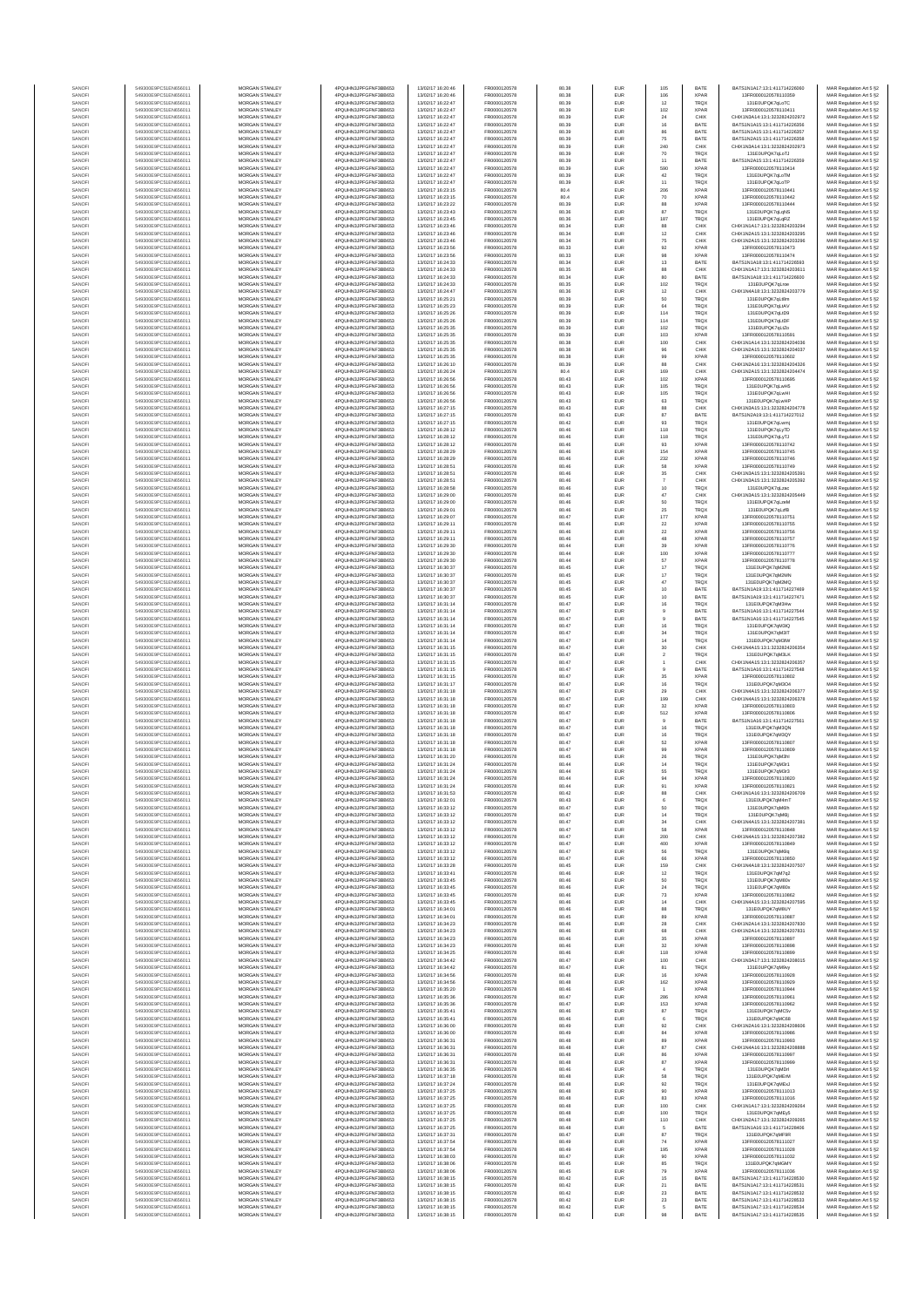| SANOF            | 549300E9PC51EN656011                         | MORGAN STANLEY                                 | 4PQUHN3JPFGFNF3BB653                          | 13/02/17 16:20:46                      | FR0000120578                 |
|------------------|----------------------------------------------|------------------------------------------------|-----------------------------------------------|----------------------------------------|------------------------------|
| SANOFI           | 549300E9PC51EN656011                         | MORGAN STANLEY                                 | 4PQUHN3JPFGFNF3BB653                          | 13/02/17 16:20:46                      | FR0000120578                 |
| SANOF            | 549300E9PC51EN656011                         | MORGAN STANLEY                                 | 4PQUHN3JPFGFNF3BB653                          | 13/02/17 16:22:47                      | FR0000120578                 |
| SANOFI           | 549300E9PC51EN656011                         | MORGAN STANLEY                                 | 4PQUHN3JPFGFNF3BB653                          | 13/02/17 16:22:47                      | FR0000120578                 |
| SANOFI           | 549300E9PC51EN656011                         | MORGAN STANLEY                                 | 4PQUHN3JPFGFNF3BB653                          | 13/02/17 16:22:47                      | FR0000120578                 |
| SANOFI           | 549300E9PC51EN656011                         | MORGAN STANLEY                                 | 4PQUHN3JPFGFNF3BB653                          | 13/02/17 16:22:47                      | FR0000120578                 |
| SANOFI<br>SANOFI | 549300E9PC51EN656011<br>549300E9PC51EN656011 | <b>MORGAN STANLEY</b><br><b>MORGAN STANLEY</b> | 4PQUHN3JPFGFNF3BB653<br>4PQUHN3JPFGFNF3BB653  | 13/02/17 16:22:47<br>13/02/17 16:22:47 | FR0000120578<br>FR0000120578 |
| SANOFI           | 549300E9PC51EN656011                         | MORGAN STANLEY                                 | 4PQUHN3JPFGFNF3BB653                          | 13/02/17 16:22:47                      | FR0000120578                 |
| SANOFI           | 549300E9PC51EN656011                         | MORGAN STANLEY                                 | 4PQUHN3JPFGFNF3BB653                          | 13/02/17 16:22:47                      | FR0000120578                 |
| SANOFI           | 549300E9PC51EN656011                         | MORGAN STANLEY                                 | 4PQUHN3JPFGFNF3BB653                          | 13/02/17 16:22:47                      | FR0000120578                 |
| SANOFI           | 549300E9PC51EN656011                         | MORGAN STANLEY                                 | 4PQUHN3JPFGFNF3BB653                          | 13/02/17 16:22:47                      | FR0000120578                 |
| SANOFI           | 549300E9PC51EN656011                         | MORGAN STANLEY                                 | 4PQUHN3JPFGFNF3BB653                          | 13/02/17 16:22:47                      | FR0000120578                 |
| SANOFI           | 549300E9PC51EN656011                         | MORGAN STANLEY                                 | 4PQUHN3JPFGFNF3BB653                          | 13/02/17 16:22:47                      | FR0000120578                 |
| SANOFI           | 549300E9PC51EN656011                         | MORGAN STANLEY                                 | 4PQUHN3JPFGFNF3BB653                          | 13/02/17 16:23:15                      | FR0000120578                 |
| SANOFI<br>SANOFI | 549300E9PC51EN656011<br>549300E9PC51EN656011 | <b>MORGAN STANLEY</b><br><b>MORGAN STANLEY</b> | 4PQUHN3JPFGFNF3BB653<br>4PQUHN3JPFGFNF3BB653  | 13/02/17 16:23:15<br>13/02/17 16:23:22 | FR0000120578<br>FR0000120578 |
| SANOFI           | 549300E9PC51EN656011                         | MORGAN STANLEY                                 | 4PQUHN3JPFGFNF3BB653                          | 13/02/17 16:23:43                      | FR0000120578                 |
| SANOFI           | 549300E9PC51EN656011                         | MORGAN STANLEY                                 | 4PQUHN3JPFGFNF3BB653                          | 13/02/17 16:23:45                      | FR0000120578                 |
| SANOFI           | 549300E9PC51EN656011                         | MORGAN STANLEY                                 | 4PQUHN3JPFGFNF3BB653                          | 13/02/17 16:23:46                      | FR0000120578                 |
| SANOFI           | 549300E9PC51EN656011                         | MORGAN STANLEY                                 | 4PQUHN3JPFGFNF3BB653                          | 13/02/17 16:23:46                      | FR0000120578                 |
| SANOFI           | 549300E9PC51EN656011                         | MORGAN STANLEY                                 | 4PQUHN3JPFGFNF3BB653                          | 13/02/17 16:23:46                      | FR0000120578                 |
| SANOFI           | 549300E9PC51EN656011                         | MORGAN STANLEY                                 | 4PQUHN3JPFGFNF3BB653                          | 13/02/17 16:23:56                      | FR0000120578                 |
| SANOFI           | 549300E9PC51EN656011                         | <b>MORGAN STANLEY</b>                          | 4PQUHN3JPFGFNF3BB653                          | 13/02/17 16:23:56                      | FR0000120578                 |
| SANOFI           | 549300E9PC51EN656011                         | <b>MORGAN STANLEY</b>                          | 4PQUHN3JPFGFNF3BB653                          | 13/02/17 16:24:33                      | FR0000120578                 |
| SANOFI           | 549300E9PC51EN656011                         | MORGAN STANLEY                                 | 4PQUHN3JPFGFNF3BB653                          | 13/02/17 16:24:33                      | FR0000120578                 |
| SANOFI           | 549300E9PC51EN656011                         | MORGAN STANLEY<br>MORGAN STANLEY               | 4PQUHN3JPFGFNF3BB653                          | 13/02/17 16:24:33<br>13/02/17 16:24:33 | FR0000120578                 |
| SANOF<br>SANOFI  | 549300E9PC51EN656011<br>549300E9PC51EN656011 | MORGAN STANLEY                                 | 4PQUHN3JPFGFNF3BB653<br>4PQUHN3JPFGFNF3BB653  | 13/02/17 16:24:47                      | FR0000120578<br>FR0000120578 |
| SANOFI           | 549300E9PC51EN656011                         | MORGAN STANLEY                                 | 4PQUHN3JPFGFNF3BB653                          | 13/02/17 16:25:21                      | FR0000120578                 |
| SANOFI           | 549300E9PC51EN656011                         | MORGAN STANLEY                                 | 4PQUHN3JPFGFNF3BB653                          | 13/02/17 16:25:23                      | FR0000120578                 |
| SANOFI           | 549300E9PC51EN656011                         | <b>MORGAN STANLEY</b>                          | 4PQUHN3JPFGFNF3BB653                          | 13/02/17 16:25:26                      | FR0000120578                 |
| SANOFI           | 549300E9PC51EN656011                         | <b>MORGAN STANLEY</b>                          | 4PQUHN3JPFGFNF3BB653                          | 13/02/17 16:25:26                      | FR0000120578                 |
| SANOFI           | 549300E9PC51EN656011                         | MORGAN STANLEY                                 | 4PQUHN3JPFGFNF3BB653                          | 13/02/17 16:25:35                      | FR0000120578                 |
| SANOFI           | 549300E9PC51EN656011                         | MORGAN STANLEY                                 | 4PQUHN3JPFGFNF3BB653                          | 13/02/17 16:25:35                      | FR0000120578                 |
| SANOFI           | 549300E9PC51EN656011                         | MORGAN STANLEY                                 | 4PQUHN3JPFGFNF3BB653                          | 13/02/17 16:25:35                      | FR0000120578                 |
| SANOFI           | 549300E9PC51EN656011<br>549300E9PC51EN656011 | MORGAN STANLEY<br>MORGAN STANLEY               | 4PQUHN3JPFGFNF3BB653<br>4PQUHN3JPFGFNF3BB653  | 13/02/17 16:25:35<br>13/02/17 16:25:35 | FR0000120578<br>FR0000120578 |
| SANOFI<br>SANOFI | 549300E9PC51EN656011                         | MORGAN STANLEY                                 | 4PQUHN3JPFGFNF3BB653                          | 13/02/17 16:26:10                      | FR0000120578                 |
| SANOFI           | 549300E9PC51EN656011                         | <b>MORGAN STANLEY</b>                          | 4PQUHN3JPFGFNF3BB653                          | 13/02/17 16:26:24                      | FR0000120578                 |
| SANOFI           | 549300E9PC51EN656011                         | <b>MORGAN STANLEY</b>                          | 4PQUHN3JPFGFNF3BB653                          | 13/02/17 16:26:56                      | FR0000120578                 |
| SANOFI           | 549300E9PC51EN656011                         | MORGAN STANLEY                                 | 4PQUHN3JPFGFNF3BB653                          | 13/02/17 16:26:56                      | FR0000120578                 |
| SANOFI           | 549300E9PC51EN656011                         | MORGAN STANLEY                                 | 4POLIHN3JPEGENE3BB653                         | 13/02/17 16:26:56                      | FR0000120578                 |
| SANOFI           | 549300E9PC51EN656011                         | MORGAN STANLEY                                 | 4PQUHN3JPFGFNF3BB653                          | 13/02/17 16:26:56                      | FR0000120578                 |
| SANOFI<br>SANOFI | 549300E9PC51EN656011<br>549300E9PC51EN656011 | MORGAN STANLEY<br>MORGAN STANLEY               | 4PQUHN3JPFGFNF3BB653<br>4PQUHN3JPFGFNF3BB653  | 13/02/17 16:27:15<br>13/02/17 16:27:15 | FR0000120578<br>FR0000120578 |
| SANOFI           | 549300E9PC51EN656011                         | MORGAN STANLEY                                 | 4PQUHN3JPFGFNF3BB653                          | 13/02/17 16:27:15                      | FR0000120578                 |
| SANOFI           | 549300E9PC51EN656011                         | MORGAN STANLEY                                 | 4PQUHN3JPFGFNF3BB653                          | 13/02/17 16:28:12                      | FR0000120578                 |
| SANOFI           | 549300E9PC51EN656011                         | <b>MORGAN STANLEY</b>                          | 4PQUHN3JPFGFNF3BB653                          | 13/02/17 16:28:12                      | FR0000120578                 |
| SANOFI           | 549300E9PC51EN656011                         | MORGAN STANLEY                                 | 4PQUHN3JPFGFNF3BB653                          | 13/02/17 16:28:12                      | FR0000120578                 |
| SANOFI           | 549300E9PC51EN656011                         | MORGAN STANLEY                                 | 4PQUHN3JPFGFNF3BB653                          | 13/02/17 16:28:29                      | FR0000120578                 |
| SANOFI           | 549300E9PC51EN656011                         | MORGAN STANLEY                                 | 4PQUHN3JPFGFNF3BB653                          | 13/02/17 16:28:29                      | FR0000120578                 |
| SANOF            | 549300E9PC51EN656011                         | MORGAN STANLEY                                 | 4PQUHN3JPFGFNF3BB653                          | 13/02/17 16:28:51                      | FR0000120578                 |
| SANOFI           | 549300E9PC51EN656011                         | MORGAN STANLEY                                 | 4PQUHN3JPFGFNF3BB653                          | 13/02/17 16:28:51                      | FR0000120578                 |
| SANOFI           | 549300E9PC51EN656011                         | MORGAN STANLEY                                 | 4PQUHN3JPFGFNF3BB653                          | 13/02/17 16:28:51                      | FR0000120578                 |
| SANOFI<br>SANOFI | 549300E9PC51EN656011<br>549300E9PC51EN656011 | MORGAN STANLEY<br><b>MORGAN STANLEY</b>        | 4PQUHN3JPFGFNF3BB653<br>4POLIHN3JPEGENE3BB653 | 13/02/17 16:28:58<br>13/02/17 16:29:00 | FR0000120578<br>FR0000120578 |
| SANOFI           | 549300E9PC51EN656011                         | <b>MORGAN STANLEY</b>                          | 4PQUHN3JPFGFNF3BB653                          | 13/02/17 16:29:00                      | FR0000120578                 |
| SANOFI           | 549300E9PC51EN656011                         | MORGAN STANLEY                                 | 4POURN3JPEGENE3BB653                          | 13/02/17 16:29:01                      | FR0000120578                 |
| SANOFI           | 549300E9PC51EN656011                         | MORGAN STANLEY                                 | 4PQUHN3JPFGFNF3BB653                          | 13/02/17 16:29:07                      | FR0000120578                 |
| SANOFI           | 549300E9PC51EN656011                         | MORGAN STANLEY                                 | 4PQUHN3JPFGFNF3BB653                          | 13/02/17 16:29:11                      | FR0000120578                 |
| SANOFI           | 549300E9PC51EN656011                         | MORGAN STANLEY                                 | 4PQUHN3JPFGFNF3BB653                          | 13/02/17 16:29:11                      | FR0000120578                 |
| SANOFI           | 549300E9PC51EN656011                         | MORGAN STANLEY                                 | 4PQUHN3JPFGFNF3BB653                          | 13/02/17 16:29:11                      | FR0000120578                 |
| SANOFI           | 549300E9PC51EN656011                         | MORGAN STANLEY                                 | 4PQUHN3JPFGFNF3BB653                          | 13/02/17 16:29:30                      | FR0000120578                 |
| SANOFI           | 549300E9PC51EN656011                         | <b>MORGAN STANLEY</b>                          | 4PQUHN3JPFGFNF3BB653                          | 13/02/17 16:29:30                      | FR0000120578                 |
| SANOFI           | 549300E9PC51EN656011<br>549300E9PC51EN656011 | <b>MORGAN STANLEY</b>                          | 4PQUHN3JPFGFNF3BB653<br>4PQUHN3JPFGFNF3BB653  | 13/02/17 16:29:30                      | FR0000120578                 |
| SANOFI<br>SANOFI | 549300E9PC51EN656011                         | MORGAN STANLEY<br>MORGAN STANLEY               | 4PQUHN3JPFGFNF3BB653                          | 13/02/17 16:30:37<br>13/02/17 16:30:37 | FR0000120578<br>FR0000120578 |
| SANOF            | 549300E9PC51EN656011                         | MORGAN STANLEY                                 | 4PQUHN3JPFGFNF3BB653                          | 13/02/17 16:30:37                      | FR0000120578                 |
| SANOFI           | 549300E9PC51EN656011                         | MORGAN STANLEY                                 | 4PQUHN3JPFGFNF3BB653                          | 13/02/17 16:30:37                      | FR0000120578                 |
| SANOFI           | 549300E9PC51EN656011                         | MORGAN STANLEY                                 | 4PQUHN3JPFGFNF3BB653                          | 13/02/17 16:30:37                      | FR0000120578                 |
| SANOFI           | 549300E9PC51EN656011                         | MORGAN STANLEY                                 | 4PQUHN3JPFGFNF3BB653                          | 13/02/17 16:31:14                      | FR0000120578                 |
| SANOFI           | 549300E9PC51EN656011                         | <b>MORGAN STANLEY</b>                          | 4PQUHN3JPFGFNF3BB653                          | 13/02/17 16:31:14                      | FR0000120578                 |
| SANOFI           | 549300E9PC51EN656011                         | <b>MORGAN STANLEY</b>                          | 4PQUHN3JPFGFNF3BB653                          | 13/02/17 16:31:14                      | FR0000120578                 |
| SANOFI<br>SANOFI | 549300E9PC51EN656011<br>549300E9PC51EN656011 | MORGAN STANLEY<br>MORGAN STANLEY               | 4PQUHN3JPFGFNF3BB653<br>4PQUHN3JPFGFNF3BB653  | 13/02/17 16:31:14<br>13/02/17 16:31:14 | FR0000120578                 |
| SANOFI           | 549300E9PC51EN656011                         | MORGAN STANLEY                                 | 4PQUHN3JPFGFNF3BB653                          | 13/02/17 16:31:14                      | FR0000120578<br>FR0000120578 |
| SANOFI           | 549300E9PC51EN656011                         | MORGAN STANLEY                                 | 4PQUHN3JPFGFNF3BB653                          | 13/02/17 16:31:15                      | FR0000120578                 |
| SANOFI           | 549300E9PC51EN656011                         | MORGAN STANLEY                                 | 4PQUHN3JPFGFNF3BB653                          | 13/02/17 16:31:15                      | FR0000120578                 |
| SANOFI           | 549300E9PC51EN656011                         | MORGAN STANLEY                                 | 4PQUHN3JPFGFNF3BB653                          | 13/02/17 16:31:15                      | FR0000120578                 |
| SANOFI           | 549300E9PC51EN656011                         | MORGAN STANLEY                                 | 4PQUHN3JPFGFNF3BB653                          | 13/02/17 16:31:15                      | FR0000120578                 |
| SANOFI           | 549300E9PC51EN656011                         | <b>MORGAN STANLEY</b>                          | 4PQUHN3JPFGFNF3BB653                          | 13/02/17 16:31:15                      | FR0000120578                 |
| SANOFI           | 549300E9PC51EN656011                         | MORGAN STANLEY                                 | 4PQUHN3JPFGFNF3BB653                          | 13/02/17 16:31:17                      | FR0000120578                 |
| SANOFI           | 549300E9PC51EN656011                         | MORGAN STANLEY                                 | 4PQUHN3JPFGFNF3BB653                          | 13/02/17 16:31:18                      | FR0000120578                 |
| SANOFI<br>SANOFI | 549300E9PC51EN656011<br>549300E9PC51EN656011 | MORGAN STANLEY<br>MORGAN STANLEY               | 4PQUHN3JPFGFNF3BB653<br>4PQUHN3JPFGFNF3BB653  | 13/02/17 16:31:18<br>13/02/17 16:31:18 | FR0000120578<br>FR0000120578 |
| SANOFI           | 549300E9PC51EN656011                         | MORGAN STANLEY                                 | 4PQUHN3JPFGFNF3BB653                          | 13/02/17 16:31:18                      | FR0000120578                 |
| SANOFI           | 549300E9PC51EN656011                         | MORGAN STANLEY                                 | 4PQUHN3JPFGFNF3BB653                          | 13/02/17 16:31:18                      | FR0000120578                 |
| SANOFI           | 549300E9PC51EN656011                         | MORGAN STANLEY                                 | 4PQUHN3JPFGFNF3BB653                          | 13/02/17 16:31:18                      | FR0000120578                 |
| SANOFI           | 549300E9PC51EN656011                         | <b>MORGAN STANLEY</b>                          | 4PQUHN3JPFGFNF3BB653                          | 13/02/17 16:31:18                      | FR0000120578                 |
| SANOFI           | 549300E9PC51EN656011                         | MORGAN STANLEY                                 | 4PQUHN3JPFGFNF3BB653                          | 13/02/17 16:31:18                      | FR0000120578                 |
| SANOFI           | 549300E9PC51EN656011                         | MORGAN STANLEY                                 | 4PQUHN3JPFGFNF3BB653                          | 13/02/17 16:31:18                      | FR0000120578                 |
| SANOFI           | 549300E9PC51EN656011                         | MORGAN STANLEY                                 | 4PQUHN3JPFGFNF3BB653                          | 13/02/17 16:31:20                      | FR0000120578                 |
| SANOF            | 549300E9PC51EN656011                         | MORGAN STANLEY                                 | 4PQUHN3JPFGFNF3BB653                          | 13/02/17 16:31:24                      | FR0000120578                 |
| SANOFI           | 549300E9PC51EN656011                         | MORGAN STANLEY<br>MORGAN STANLEY               | 4PQUHN3JPFGFNF3BB653                          | 13/02/17 16:31:24                      | FR0000120578<br>ER0000120578 |
| SANOF<br>SANOFI  | 549300E9PC51EN65601<br>549300E9PC51EN656011  | MORGAN STANLEY                                 | PQUHN3JPFGFNF3BB653<br>4PQUHN3JPFGFNF3BB653   | 13/02/17 16:31:24<br>13/02/17 16:31:24 | FR0000120578                 |
| SANOFI           | 549300E9PC51EN656011                         | MORGAN STANLEY                                 | 4PQUHN3JPFGFNF3BB653                          | 13/02/17 16:31:53                      | FR0000120578                 |
| SANOFI           | 549300E9PC51EN656011                         | <b>MORGAN STANLEY</b>                          | 4PQUHN3JPFGFNF3BB653                          | 13/02/17 16:32:01                      | FR0000120578                 |
| SANOFI           | 549300E9PC51EN656011                         | MORGAN STANLEY                                 | 4PQUHN3JPFGFNF3BB653                          | 13/02/17 16:33:12                      | FR0000120578                 |
| SANOFI           | 549300E9PC51EN656011                         | MORGAN STANLEY                                 | 4PQUHN3JPFGFNF3BB653                          | 13/02/17 16:33:12                      | FR0000120578                 |
| SANOFI           | 549300E9PC51EN656011                         | MORGAN STANLEY                                 | 4PQUHN3JPFGFNF3BB653                          | 13/02/17 16:33:12                      | FR0000120578                 |
| SANOFI           | 549300E9PC51EN656011                         | MORGAN STANLEY                                 | 4PQUHN3JPFGFNF3BB653                          | 13/02/17 16:33:12                      | FR0000120578                 |
| SANOFI<br>SANOFI | 549300E9PC51EN656011<br>549300E9PC51EN656011 | MORGAN STANLEY<br>MORGAN STANLEY               | 4PQUHN3JPFGFNF3BB653<br>4PQUHN3JPFGFNF3BB653  | 13/02/17 16:33:12<br>13/02/17 16:33:12 | FR0000120578<br>FR0000120578 |
| SANOFI           | 549300E9PC51EN656011                         | MORGAN STANLEY                                 | 4PQUHN3JPFGFNF3BB653                          | 13/02/17 16:33:12                      | FR0000120578                 |
| SANOFI           | 549300E9PC51EN656011                         | MORGAN STANLEY                                 | 4PQUHN3JPFGFNF3BB653                          | 13/02/17 16:33:12                      | FR0000120578                 |
| SANOFI           | 549300E9PC51EN656011                         | MORGAN STANLEY                                 | 4PQUHN3JPFGFNF3BB653                          | 13/02/17 16:33:28                      | FR0000120578                 |
| SANOFI           | 549300E9PC51EN656011                         | MORGAN STANLEY                                 | 4PQUHN3JPFGFNF3BB653                          | 13/02/17 16:33:41                      | FR0000120578                 |
| SANOFI           | 549300E9PC51EN656011                         | MORGAN STANLEY                                 | 4PQUHN3JPFGFNF3BB653                          | 13/02/17 16:33:45                      | FR0000120578                 |
| SANOFI<br>SANOFI | 549300E9PC51EN656011<br>549300E9PC51EN656011 | MORGAN STANLEY<br>MORGAN STANLEY               | 4PQUHN3JPFGFNF3BB653<br>4PQUHN3JPFGFNF3BB653  | 13/02/17 16:33:45<br>13/02/17 16:33:45 | FR0000120578<br>FR0000120578 |
| SANOFI           | 549300E9PC51EN656011                         | MORGAN STANLEY                                 | 4PQUHN3JPFGFNF3BB653                          | 13/02/17 16:33:45                      | FR0000120578                 |
| SANOFI           | 549300E9PC51EN656011                         | MORGAN STANLEY                                 | 4PQUHN3JPFGFNF3BB653                          | 13/02/17 16:34:01                      | FR0000120578                 |
| SANOFI           | 549300E9PC51EN656011                         | MORGAN STANLEY                                 | 4PQUHN3JPFGFNF3BB653                          | 13/02/17 16:34:01                      | FR0000120578                 |
| SANOFI           | 549300E9PC51EN656011                         | <b>MORGAN STANLEY</b>                          | 4PQUHN3JPFGFNF3BB653                          | 13/02/17 16:34:23                      | FR0000120578                 |
| SANOFI           | 549300E9PC51EN656011                         | MORGAN STANLEY                                 | 4PQUHN3JPFGFNF3BB653                          | 13/02/17 16:34:23                      | FR0000120578                 |
| SANOFI           | 549300E9PC51EN656011                         | MORGAN STANLEY                                 | 4PQUHN3JPFGFNF3BB653                          | 13/02/17 16:34:23                      | FR0000120578                 |
| SANOFI<br>SANOFI | 549300E9PC51EN656011<br>549300E9PC51EN656011 | MORGAN STANLEY<br>MORGAN STANLEY               | 4PQUHN3JPFGFNF3BB653<br>4PQUHN3JPFGFNF3BB653  | 13/02/17 16:34:23<br>13/02/17 16:34:25 | FR0000120578<br>FR0000120578 |
| SANOFI           | 549300E9PC51EN656011                         | MORGAN STANLEY                                 | 4PQUHN3JPFGFNF3BB653                          | 13/02/17 16:34:42                      | FR0000120578                 |
| SANOFI           | 549300E9PC51EN656011                         | MORGAN STANLEY                                 | 4PQUHN3JPFGFNF3BB653                          | 13/02/17 16:34:42                      | FR0000120578                 |
| SANOFI           | 549300E9PC51EN656011                         | MORGAN STANLEY                                 | 4PQUHN3JPFGFNF3BB653                          | 13/02/17 16:34:56                      | FR0000120578                 |
| SANOFI           | 549300E9PC51EN656011                         | <b>MORGAN STANLEY</b>                          | 4PQUHN3JPFGFNF3BB653                          | 13/02/17 16:34:56                      | FR0000120578                 |
| SANOFI           | 549300E9PC51EN656011                         | MORGAN STANLEY                                 | 4PQUHN3JPFGFNF3BB653                          | 13/02/17 16:35:20                      | FR0000120578                 |
| SANOFI           | 549300E9PC51EN656011                         | MORGAN STANLEY                                 | 4PQUHN3JPFGFNF3BB653                          | 13/02/17 16:35:36                      | FR0000120578                 |
| SANOFI<br>SANOFI | 549300E9PC51EN656011<br>549300E9PC51EN656011 | MORGAN STANLEY<br>MORGAN STANLEY               | 4PQUHN3JPFGFNF3BB653<br>4PQUHN3JPFGFNF3BB653  | 13/02/17 16:35:36<br>13/02/17 16:35:41 | FR0000120578<br>FR0000120578 |
| SANOFI           | 549300E9PC51EN656011                         | MORGAN STANLEY                                 | 4PQUHN3JPFGFNF3BB653                          | 13/02/17 16:35:41                      | FR0000120578                 |
| SANOFI           | 549300E9PC51EN656011                         | MORGAN STANLEY                                 | 4PQUHN3JPFGFNF3BB653                          | 13/02/17 16:36:00                      | FR0000120578                 |
| SANOFI           | 549300E9PC51EN656011                         | <b>MORGAN STANLEY</b>                          | 4PQUHN3JPFGFNF3BB653                          | 13/02/17 16:36:00                      | FR0000120578                 |
| SANOFI           | 549300E9PC51EN656011                         | <b>MORGAN STANLEY</b>                          | 4PQUHN3JPFGFNF3BB653                          | 13/02/17 16:36:31                      | FR0000120578                 |
| SANOFI           | 549300E9PC51EN656011                         | MORGAN STANLEY                                 | 4PQUHN3JPFGFNF3BB653                          | 13/02/17 16:36:31                      | FR0000120578                 |
| SANOFI           | 549300E9PC51EN656011                         | MORGAN STANLEY                                 | 4PQUHN3JPFGFNF3BB653                          | 13/02/17 16:36:31                      | FR0000120578                 |
| SANOFI           | 549300E9PC51EN656011                         | MORGAN STANLEY                                 | 4PQUHN3JPFGFNF3BB653                          | 13/02/17 16:36:31                      | FR0000120578                 |
| SANOFI           | 549300E9PC51EN656011                         | MORGAN STANLEY                                 | 4PQUHN3JPFGFNF3BB653                          | 13/02/17 16:36:35                      | FR0000120578                 |
| SANOFI           | 549300E9PC51EN656011                         | MORGAN STANLEY                                 | 4PQUHN3JPFGFNF3BB653                          | 13/02/17 16:37:18                      | FR0000120578                 |
| SANOFI           | 549300E9PC51EN656011                         | MORGAN STANLEY                                 | 4PQUHN3JPFGFNF3BB653                          | 13/02/17 16:37:24                      | FR0000120578                 |
| SANOFI<br>SANOFI | 549300E9PC51EN656011<br>549300E9PC51EN656011 | <b>MORGAN STANLEY</b><br><b>MORGAN STANLEY</b> | 4PQUHN3JPFGFNF3BB653<br>4PQUHN3JPFGFNF3BB653  | 13/02/17 16:37:25<br>13/02/17 16:37:25 | FR0000120578<br>FR0000120578 |
| SANOFI           | 549300E9PC51EN656011                         | MORGAN STANLEY                                 | 4PQUHN3JPFGFNF3BB653                          | 13/02/17 16:37:25                      | FR0000120578                 |
| SANOFI           | 549300E9PC51EN656011                         | MORGAN STANLEY                                 | 4PQUHN3JPFGFNF3BB653                          | 13/02/17 16:37:25                      | FR0000120578                 |
| SANOFI           | 549300E9PC51EN656011                         | MORGAN STANLEY                                 | 4PQUHN3JPFGFNF3BB653                          | 13/02/17 16:37:25                      | FR0000120578                 |
| SANOF            | 549300E9PC51EN656011                         | MORGAN STANLEY                                 | 4PQUHN3JPFGFNF3BB653                          | 13/02/17 16:37:25                      | FR0000120578                 |
| SANOFI           | 549300E9PC51EN656011                         | MORGAN STANLEY                                 | 4PQUHN3JPFGFNF3BB653                          | 13/02/17 16:37:31                      | FR0000120578                 |
| SANOFI           | 549300E9PC51EN656011                         | MORGAN STANLEY                                 | 4PQUHN3JPFGFNF3BB653                          | 13/02/17 16:37:54                      | FR0000120578                 |
| SANOFI           | 549300E9PC51EN656011                         | MORGAN STANLEY                                 | 4PQUHN3JPFGFNF3BB653                          | 13/02/17 16:37:54                      | FR0000120578                 |
| SANOFI           | 549300E9PC51EN656011                         | <b>MORGAN STANLEY</b>                          | 4PQUHN3JPFGFNF3BB653                          | 13/02/17 16:38:03                      | FR0000120578                 |
| SANOFI           | 549300E9PC51EN656011                         | <b>MORGAN STANLEY</b>                          | 4PQUHN3JPFGFNF3BB653                          | 13/02/17 16:38:06                      | FR0000120578                 |
| SANOFI<br>SANOFI | 549300E9PC51EN656011<br>549300E9PC51EN656011 | MORGAN STANLEY<br>MORGAN STANLEY               | 4PQUHN3JPFGFNF3BB653<br>4PQUHN3JPFGFNF3BB653  | 13/02/17 16:38:06<br>13/02/17 16:38:15 | FR0000120578<br>FR0000120578 |
| SANOFI           | 549300E9PC51EN656011                         | MORGAN STANLEY                                 | 4PQUHN3JPFGFNF3BB653                          | 13/02/17 16:38:15                      | FR0000120578                 |
| SANOFI           | 549300E9PC51EN656011                         | MORGAN STANLEY                                 | 4PQUHN3JPFGFNF3BB653                          | 13/02/17 16:38:15                      | FR0000120578                 |
| SANOFI           | 549300E9PC51EN656011                         | MORGAN STANLEY                                 | 4PQUHN3JPFGFNF3BB653                          | 13/02/17 16:38:15                      | FR0000120578                 |
| SANOFI           | 549300E9PC51EN656011                         | MORGAN STANLEY                                 | 4PQUHN3JPFGFNF3BB653                          | 13/02/17 16:38:15                      | FR0000120578                 |
| SANOFI           | 549300E9PC51EN656011                         | <b>MORGAN STANLEY</b>                          | 4PQUHN3JPFGFNF3BB653                          | 13/02/17 16:38:15                      | FR0000120578                 |
|                  |                                              |                                                |                                               |                                        |                              |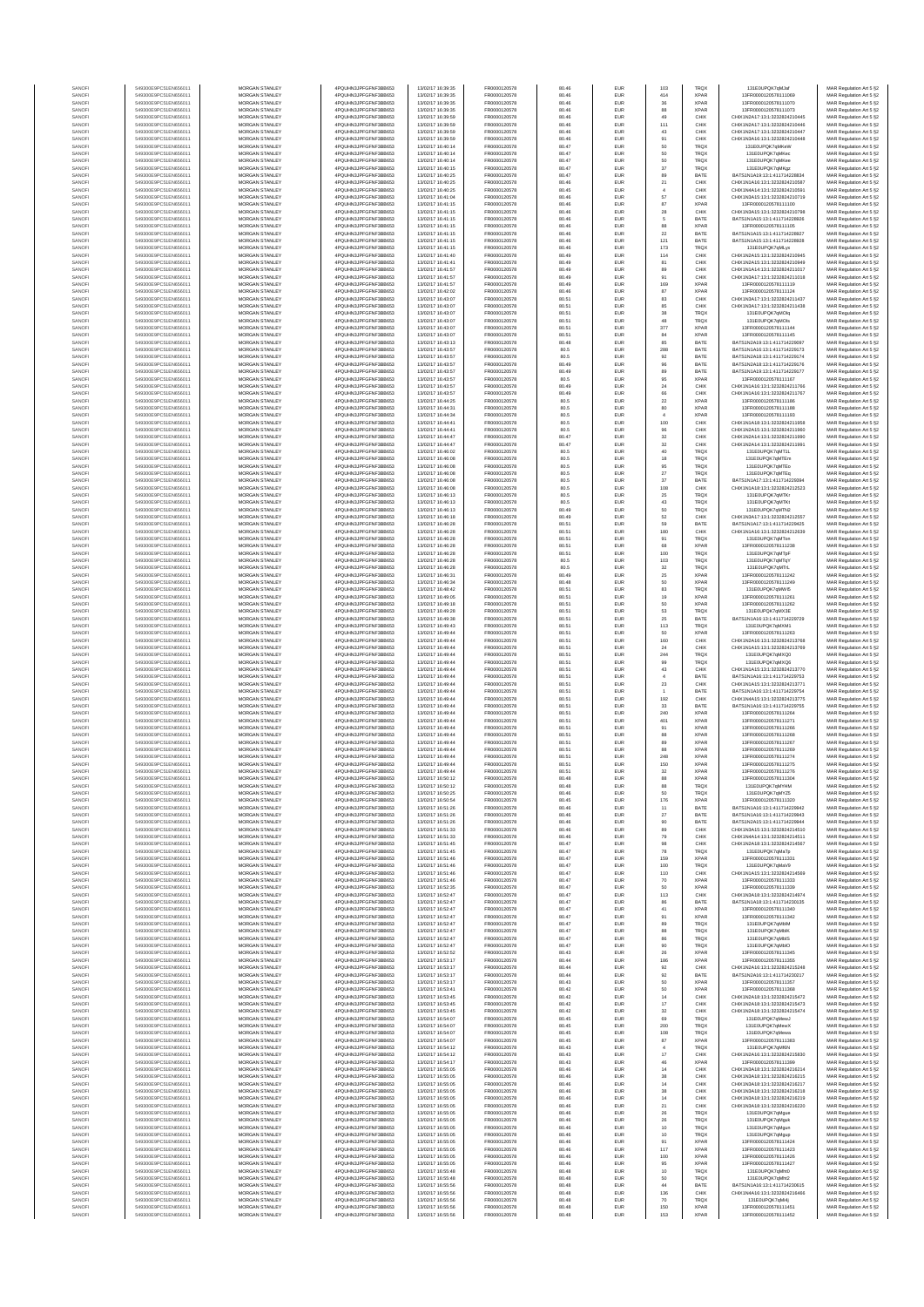| SANOF            | 549300E9PC51EN656011                         | MORGAN STANLEY                                 | 4PQUHN3JPFGFNF3BB653                          | 13/02/17 16:39:35                      | FR0000120578                 | 80.46          | EUR                      | 103                  | <b>TRQX</b>                | 131E0UPQK7qMJaf                                                | MAR Regulation Art 5 §2                            |
|------------------|----------------------------------------------|------------------------------------------------|-----------------------------------------------|----------------------------------------|------------------------------|----------------|--------------------------|----------------------|----------------------------|----------------------------------------------------------------|----------------------------------------------------|
| SANOFI           | 549300E9PC51EN656011                         | MORGAN STANLEY                                 | 4PQUHN3JPFGFNF3BB653                          | 13/02/17 16:39:35                      | FR0000120578                 | 80.46          | EUR                      | 414                  | <b>XPAR</b>                | 13FR0000120578111069                                           | MAR Regulation Art 5 §2                            |
| SANOF            | 549300E9PC51EN656011                         | MORGAN STANLEY                                 | 4PQUHN3JPFGFNF3BB653                          | 13/02/17 16:39:35                      | FR0000120578                 | 80.46          | EUR                      | 36                   | <b>XPAR</b>                | 13FR0000120578111070                                           | MAR Regulation Art 5 §2                            |
| SANOFI           | 549300E9PC51EN656011                         | MORGAN STANLEY                                 | 4PQUHN3JPFGFNF3BB653                          | 13/02/17 16:39:35                      | FR0000120578                 | 80.46          | EUR                      | 88                   | <b>XPAR</b>                | 13FR0000120578111073                                           | MAR Regulation Art 5 §2                            |
| SANOFI<br>SANOFI | 549300E9PC51EN656011<br>549300E9PC51EN656011 | MORGAN STANLEY<br>MORGAN STANLEY               | 4PQUHN3JPFGFNF3BB653<br>4PQUHN3JPFGFNF3BB653  | 13/02/17 16:39:59<br>13/02/17 16:39:59 | FR0000120578<br>FR0000120578 | 80.46<br>80.46 | EUR<br>EUR               | 49<br>111            | CHIX<br>CHIX               | CHIX1N2A17:13:1:3232824210445<br>CHIX1N2A17:13:1:3232824210446 | MAR Regulation Art 5 §2<br>MAR Regulation Art 5 §2 |
| SANOFI           | 549300E9PC51EN656011                         | <b>MORGAN STANLEY</b>                          | 4PQUHN3JPFGFNF3BB653                          | 13/02/17 16:39:59                      | FR0000120578                 | 80.46          | EUR                      | 43                   | CHIX                       | CHIX1N2A17-13-1-3232824210447                                  | MAR Regulation Art 5 §2                            |
| SANOFI           | 549300E9PC51EN656011                         | <b>MORGAN STANLEY</b>                          | 4PQUHN3JPFGFNF3BB653                          | 13/02/17 16:39:59                      | FR0000120578                 | 80.46          | <b>EUR</b>               | 91                   | CHIX                       | CHIX1N3A16:13:1:3232824210448                                  | MAR Regulation Art 5 §2                            |
| SANOFI           | 549300E9PC51EN656011                         | MORGAN STANLEY                                 | 4PQUHN3JPFGFNF3BB653                          | 13/02/17 16:40:14                      | FR0000120578                 | 80.47          | EUR                      | 50                   | TROX                       | 131E0UPQK7qMKeW                                                | MAR Regulation Art 5 §2                            |
| SANOFI<br>SANOFI | 549300E9PC51EN656011<br>549300E9PC51EN656011 | MORGAN STANLEY<br>MORGAN STANLEY               | 4PQUHN3JPFGFNF3BB653<br>4PQUHN3JPFGFNF3BB653  | 13/02/17 16:40:14<br>13/02/17 16:40:14 | FR0000120578<br>FR0000120578 | 80.47<br>80.47 | EUR<br>EUR               | 50<br>50             | <b>TRQX</b><br>TRQX        | 131E0UPQK7qMKec<br>131E0UPQK7qMKee                             | MAR Regulation Art 5 §2<br>MAR Regulation Art 5 §2 |
| SANOF            | 549300E9PC51EN656011                         | MORGAN STANLEY                                 | 4PQUHN3JPFGFNF3BB653                          | 13/02/17 16:40:15                      | FR0000120578                 | 80.47          | EUR                      | $37\,$               | TRQX                       | 131E0UPQK7qMKgz                                                | MAR Regulation Art 5 §2                            |
| SANOFI           | 549300E9PC51EN656011                         | MORGAN STANLEY                                 | 4PQUHN3JPFGFNF3BB653                          | 13/02/17 16:40:25                      | FR0000120578                 | 80.47          | EUR                      | 89                   | BATE                       | BATS1N1A19:13:1:411714228834                                   | MAR Regulation Art 5 §2                            |
| SANOFI           | 549300E9PC51EN656011                         | MORGAN STANLEY                                 | 4PQUHN3JPFGFNF3BB653                          | 13/02/17 16:40:25                      | FR0000120578                 | 80.46          | EUR                      | $21\,$               | CHIX                       | CHIX1N1A16:13:1:3232824210587                                  | MAR Regulation Art 5 §2                            |
| SANOFI           | 549300E9PC51EN656011                         | MORGAN STANLEY                                 | 4PQUHN3JPFGFNF3BB653                          | 13/02/17 16:40:25                      | FR0000120578                 | 80.45          | EUR                      | $\overline{4}$<br>57 | CHIX                       | CHIX1N4A14:13:1:3232824210591                                  | MAR Regulation Art 5 §2                            |
| SANOFI<br>SANOFI | 549300E9PC51EN656011<br>549300E9PC51EN656011 | <b>MORGAN STANLEY</b><br><b>MORGAN STANLEY</b> | 4PQUHN3JPFGFNF3BB653<br>4PQUHN3JPFGFNF3BB653  | 13/02/17 16:41:04<br>13/02/17 16:41:15 | FR0000120578<br>FR0000120578 | 80.46<br>80.46 | EUR<br>EUR               | 87                   | CHIX<br><b>XPAR</b>        | CHIX1N3A15:13:1:3232824210719<br>13FR0000120578111100          | MAR Regulation Art 5 §2<br>MAR Regulation Art 5 §2 |
| SANOFI           | 549300E9PC51EN656011                         | MORGAN STANLEY                                 | 4PQUHN3JPFGFNF3BB653                          | 13/02/17 16:41:15                      | FR0000120578                 | 80.46          | EUR                      | ${\bf 28}$           | CHIX                       | CHIX1N3A15:13:1:3232824210798                                  | MAR Regulation Art 5 §2                            |
| SANOFI           | 549300E9PC51EN656011                         | MORGAN STANLEY                                 | 4PQUHN3JPFGFNF3BB653                          | 13/02/17 16:41:15                      | FR0000120578                 | 80.46          | EUR                      | 5                    | BATE                       | BATS1N1A15:13:1:411714228926                                   | MAR Regulation Art 5 §2                            |
| SANOFI           | 549300E9PC51EN656011                         | MORGAN STANLEY                                 | 4PQUHN3JPFGFNF3BB653                          | 13/02/17 16:41:15                      | FR0000120578                 | 80.46          | EUR                      | 88                   | <b>XPAR</b>                | 13FR0000120578111105                                           | MAR Regulation Art 5 §2                            |
| SANOFI           | 549300E9PC51EN656011                         | MORGAN STANLEY                                 | 4PQUHN3JPFGFNF3BB653                          | 13/02/17 16:41:15                      | FR0000120578                 | 80.46          | EUR                      | $\bf 22$             | BATE                       | BATS1N1A15:13:1:411714228927                                   | MAR Regulation Art 5 §2                            |
| SANOFI           | 549300E9PC51EN656011                         | MORGAN STANLEY                                 | 4PQUHN3JPFGFNF3BB653                          | 13/02/17 16:41:15                      | FR0000120578                 | 80.46          | EUR                      | 121                  | BATE                       | BATS1N1A15:13:1:411714228928                                   | MAR Regulation Art 5 §2                            |
| SANOFI           | 549300E9PC51EN656011                         | MORGAN STANLEY                                 | 4PQUHN3JPFGFNF3BB653<br>4POLIHN3JPEGENE3BB653 | 13/02/17 16:41:15                      | FR0000120578                 | 80.46          | EUR                      | 173                  | TRQX                       | 131E0UPQK7qMLyx                                                | MAR Regulation Art 5 §2                            |
| SANOFI<br>SANOFI | 549300E9PC51EN656011<br>549300E9PC51EN656011 | <b>MORGAN STANLEY</b><br><b>MORGAN STANLEY</b> | 4PQUHN3JPFGFNF3BB653                          | 13/02/17 16:41:40<br>13/02/17 16:41:41 | FR0000120578<br>FR0000120578 | 80.49<br>80.49 | <b>EUR</b><br>EUR        | 114<br>81            | CHIX<br>CHIX               | CHIX1N2A15:13:1:3232824210945<br>CHIX1N2A15-13-1-3232824210949 | MAR Regulation Art 5 §2<br>MAR Regulation Art 5 §2 |
| SANOFI           | 549300E9PC51EN656011                         | MORGAN STANLEY                                 | 4PQUHN3JPFGFNF3BB653                          | 13/02/17 16:41:57                      | FR0000120578                 | 80.49          | EUR                      | 89                   | CHIX                       | CHIX1N1A14:13:1:3232824211017                                  | MAR Regulation Art 5 §2                            |
| SANOFI           | 549300E9PC51EN656011                         | MORGAN STANLEY                                 | 4PQUHN3JPFGFNF3BB653                          | 13/02/17 16:41:57                      | FR0000120578                 | 80.49          | EUR                      | 91                   | CHIX                       | CHIX1N3A17:13:1:3232824211018                                  | MAR Regulation Art 5 §2                            |
| SANOFI           | 549300E9PC51EN656011                         | MORGAN STANLEY                                 | 4PQUHN3JPFGFNF3BB653                          | 13/02/17 16:41:57                      | FR0000120578                 | 80.49          | EUR                      | 169                  | <b>XPAF</b>                | 13FR0000120578111119                                           | MAR Regulation Art 5 §2                            |
| SANOFI           | 549300E9PC51EN656011                         | MORGAN STANLEY                                 | 4PQUHN3JPFGFNF3BB653                          | 13/02/17 16:42:02                      | FR0000120578                 | 80.46          | EUR                      | 87                   | <b>XPAR</b>                | 13FR0000120578111124                                           | MAR Regulation Art 5 §2                            |
| SANOFI<br>SANOFI | 549300E9PC51EN656011<br>549300E9PC51EN656011 | MORGAN STANLEY<br>MORGAN STANLEY               | 4PQUHN3JPFGFNF3BB653<br>4PQUHN3JPFGFNF3BB653  | 13/02/17 16:43:07<br>13/02/17 16:43:07 | FR0000120578<br>FR0000120578 | 80.51<br>80.51 | EUR<br>EUR               | 83<br>85             | CHIX<br>CHIX               | CHIX1N3A17:13:1:3232824211437<br>CHIX1N3A17:13:1:3232824211438 | MAR Regulation Art 5 §2<br>MAR Regulation Art 5 §2 |
| SANOFI           | 549300E9PC51EN656011                         | <b>MORGAN STANLEY</b>                          | 4PQUHN3JPFGFNF3BB653                          | 13/02/17 16:43:07                      | FR0000120578                 | 80.51          | EUR                      | 38                   | <b>TRQX</b>                | 131E0UPQK7gMOlg                                                | MAR Regulation Art 5 §2                            |
| SANOFI           | 549300E9PC51EN656011                         | <b>MORGAN STANLEY</b>                          | 4PQUHN3JPFGFNF3BB653                          | 13/02/17 16:43:07                      | FR0000120578                 | 80.51          | <b>EUR</b>               | 48                   | <b>TRQX</b>                | 131E0UPQK7gMOls                                                | MAR Regulation Art 5 §2                            |
| SANOFI           | 549300E9PC51EN656011                         | <b>MORGAN STANLEY</b>                          | 4PQUHN3JPFGFNF3BB653                          | 13/02/17 16:43:07                      | FR0000120578                 | 80.51          | EUR                      | 377                  | <b>XPAR</b>                | 13FR0000120578111144                                           | MAR Regulation Art 5 §2                            |
| SANOFI           | 549300E9PC51EN656011                         | MORGAN STANLEY                                 | 4PQUHN3JPFGFNF3BB653                          | 13/02/17 16:43:07                      | FR0000120578                 | 80.51          | EUR                      | 84                   | <b>XPAR</b>                | 13FR0000120578111145                                           | MAR Regulation Art 5 §2                            |
| SANOFI<br>SANOFI | 549300E9PC51EN656011<br>549300E9PC51EN656011 | MORGAN STANLEY<br>MORGAN STANLEY               | 4PQUHN3JPFGFNF3BB653<br>4PQUHN3JPFGFNF3BB653  | 13/02/17 16:43:13<br>13/02/17 16:43:57 | FR0000120578<br>FR0000120578 | 80.48<br>80.5  | EUR<br>EUR               | 85<br>288            | BATE<br>BATE               | BATS1N2A19:13:1:411714229097<br>BATS1N1A16:13:1:411714229173   | MAR Regulation Art 5 §2<br>MAR Regulation Art 5 §2 |
| SANOFI           | 549300E9PC51EN656011                         | MORGAN STANLEY                                 | 4PQUHN3JPFGFNF3BB653                          | 13/02/17 16:43:57                      | FR0000120578                 | 80.5           | EUR                      | 92                   | BATE                       | BATS1N2A18:13:1:411714229174                                   | MAR Regulation Art 5 §2                            |
| SANOFI           | 549300E9PC51EN656011                         | MORGAN STANLEY                                 | 4PQUHN3JPFGFNF3BB653                          | 13/02/17 16:43:57                      | FR0000120578                 | 80.49          | EUR                      | 96                   | BATE                       | BATS1N2A18:13:1:411714229176                                   | MAR Regulation Art 5 §2                            |
| SANOFI           | 549300E9PC51EN656011                         | <b>MORGAN STANLEY</b>                          | 4PQUHN3JPFGFNF3BB653                          | 13/02/17 16:43:57                      | FR0000120578                 | 80.49          | <b>EUR</b>               | 89                   | BATE                       | BATS1N1A19:13:1:411714229177                                   | MAR Regulation Art 5 §2                            |
| SANOFI           | 549300E9PC51EN656011<br>549300E9PC51EN656011 | <b>MORGAN STANLEY</b><br>MORGAN STANLEY        | 4PQUHN3JPFGFNF3BB653<br>4PQUHN3JPFGFNF3BB653  | 13/02/17 16:43:57<br>13/02/17 16:43:57 | FR0000120578<br>FR0000120578 | 80.5<br>80.49  | EUR<br>EUR               | 95                   | <b>XPAR</b><br>CHIX        | 13FR0000120578111167<br>CHIX1N1A16:13:1:3232824211766          | MAR Regulation Art 5 §2                            |
| SANOFI<br>SANOFI | 549300E9PC51EN656011                         | <b>MORGAN STANLEY</b>                          | 4PQUHN3JPFGFNF3BB653                          | 13/02/17 16:43:57                      | FR0000120578                 | 80.49          | EUR                      | $\bf 24$<br>66       | CHIX                       | CHIX1N1A16:13:1:3232824211767                                  | MAR Regulation Art 5 §2<br>MAR Regulation Art 5 §2 |
| SANOFI           | 549300E9PC51EN656011                         | MORGAN STANLEY                                 | 4PQUHN3JPFGFNF3BB653                          | 13/02/17 16:44:25                      | FR0000120578                 | 80.5           | EUR                      | $\bf 22$             | <b>XPAR</b>                | 13FR0000120578111186                                           | MAR Regulation Art 5 §2                            |
| SANOFI           | 549300E9PC51EN656011                         | MORGAN STANLEY                                 | 4PQUHN3JPFGFNF3BB653                          | 13/02/17 16:44:31                      | FR0000120578                 | 80.5           | EUR                      | 80                   | <b>XPAF</b>                | 13FR0000120578111188                                           | MAR Regulation Art 5 §2                            |
| SANOFI           | 549300E9PC51EN656011                         | MORGAN STANLEY                                 | 4PQUHN3JPFGFNF3BB653                          | 13/02/17 16:44:34                      | FR0000120578                 | 80.5           | EUR                      | $\overline{4}$       | <b>XPAF</b>                | 13FR0000120578111193                                           | MAR Regulation Art 5 §2                            |
| SANOFI<br>SANOFI | 549300E9PC51EN656011<br>549300E9PC51EN656011 | MORGAN STANLEY<br>MORGAN STANLEY               | 4PQUHN3JPFGFNF3BB653<br>4PQUHN3JPFGFNF3BB653  | 13/02/17 16:44:41<br>13/02/17 16:44:41 | FR0000120578<br>FR0000120578 | 80.5<br>80.5   | EUR<br>EUR               | 100<br>96            | CHIX<br>CHIX               | CHIX1N1A18:13:1:3232824211958<br>CHIX1N2A15:13:1:3232824211960 | MAR Regulation Art 5 §2<br>MAR Regulation Art 5 §2 |
| SANOFI           | 549300E9PC51EN656011                         | <b>MORGAN STANLEY</b>                          | 4POLIHN3JPEGENE3BB653                         | 13/02/17 16:44:47                      | FR0000120578                 | 80.47          | <b>EUR</b>               | 32                   | CHIX                       | CHIX1N2A14:13:1:3232824211990                                  | MAR Regulation Art 5 §2                            |
| SANOFI           | 549300E9PC51EN656011                         | MORGAN STANLEY                                 | 4PQUHN3JPFGFNF3BB653                          | 13/02/17 16:44:47                      | FR0000120578                 | 80.47          | EUR                      | 32                   | CHIX                       | CHIX1N2A14:13:1:3232824211991                                  | MAR Regulation Art 5 §2                            |
| SANOFI           | 549300E9PC51EN656011                         | MORGAN STANLEY                                 | 4PQUHN3JPFGFNF3BB653                          | 13/02/17 16:46:02                      | FR0000120578                 | 80.5           | EUR                      | $40\,$               | <b>TRQX</b>                | 131E0UPQK7qMT1L                                                | MAR Regulation Art 5 §2                            |
| SANOFI           | 549300E9PC51EN656011                         | MORGAN STANLEY                                 | 4PQUHN3JPFGFNF3BB653                          | 13/02/17 16:46:08                      | FR0000120578                 | 80.5           | EUR                      | 18                   | TRQX                       | 131E0UPQK7qMTEm                                                | MAR Regulation Art 5 §2                            |
| SANOF<br>SANOFI  | 549300E9PC51EN656011<br>549300E9PC51EN656011 | MORGAN STANLEY<br>MORGAN STANLEY               | 4PQUHN3JPFGFNF3BB653<br>4PQUHN3JPFGFNF3BB653  | 13/02/17 16:46:08<br>13/02/17 16:46:08 | FR0000120578<br>FR0000120578 | 80.5<br>80.5   | EUR<br>EUR               | 95<br>$27\,$         | TRQ)<br>TRQ)               | 131E0UPQK7qMTEo<br>131E0UPQK7qMTEq                             | MAR Regulation Art 5 §2                            |
| SANOFI           | 549300E9PC51EN656011                         | MORGAN STANLEY                                 | 4PQUHN3JPFGFNF3BB653                          | 13/02/17 16:46:08                      | FR0000120578                 | 80.5           | EUR                      | $37\,$               | BATE                       | BATS1N1A17:13:1:411714229394                                   | MAR Regulation Art 5 §2<br>MAR Regulation Art 5 §2 |
| SANOFI           | 549300E9PC51EN656011                         | MORGAN STANLEY                                 | 4PQUHN3JPFGFNF3BB653                          | 13/02/17 16:46:08                      | FR0000120578                 | 80.5           | EUR                      | 108                  | CHIX                       | CHIX1N1A18:13:1:3232824212523                                  | MAR Regulation Art 5 §2                            |
| SANOFI           | 549300E9PC51EN656011                         | <b>MORGAN STANLEY</b>                          | 4PQUHN3JPFGFNF3BB653                          | 13/02/17 16:46:13                      | FR0000120578                 | 80.5           | EUR                      | 25                   | <b>TRQX</b>                | 131E0UPQK7gMTK                                                 | MAR Regulation Art 5 §2                            |
| SANOFI           | 549300E9PC51EN656011                         | <b>MORGAN STANLEY</b>                          | 4PQUHN3JPFGFNF3BB653                          | 13/02/17 16:46:13                      | FR0000120578                 | 80.5           | <b>EUR</b>               | 43                   | <b>TRQX</b>                | 131E0UPQK7gMTKt                                                | MAR Regulation Art 5 §2                            |
| SANOFI<br>SANOFI | 549300E9PC51EN656011<br>549300E9PC51EN656011 | MORGAN STANLEY<br>MORGAN STANLEY               | 4PQUHN3JPFGFNF3BB653<br>4PQUHN3JPFGFNF3BB653  | 13/02/17 16:46:13<br>13/02/17 16:46:18 | FR0000120578<br>FR0000120578 | 80.49<br>80.49 | EUR<br>EUR               | 50<br>$_{\rm 52}$    | TRQX<br>CHIX               | 131E0UPQK7qMTN2<br>CHIX1N3A17:13:1:3232824212557               | MAR Regulation Art 5 §2<br>MAR Regulation Art 5 §2 |
| SANOFI           | 549300E9PC51EN656011                         | MORGAN STANLEY                                 | 4PQUHN3JPFGFNF3BB653                          | 13/02/17 16:46:28                      | FR0000120578                 | 80.51          | EUR                      | 59                   | BATE                       | BATS1N1A17:13:1:411714229425                                   | MAR Regulation Art 5 §2                            |
| SANOFI           | 549300E9PC51EN656011                         | MORGAN STANLEY                                 | 4PQUHN3JPFGFNF3BB653                          | 13/02/17 16:46:28                      | FR0000120578                 | 80.51          | EUR                      | 180                  | CHIX                       | CHIX1N1A16:13:1:3232824212639                                  | MAR Regulation Art 5 §2                            |
| SANOFI           | 549300E9PC51EN656011                         | MORGAN STANLEY                                 | 4PQUHN3JPFGFNF3BB653                          | 13/02/17 16:46:28                      | FR0000120578                 | 80.51          | EUR                      | 91                   | <b>TRQX</b>                | 131E0UPQK7qMTon                                                | MAR Regulation Art 5 §2                            |
| SANOFI           | 549300E9PC51EN656011                         | MORGAN STANLEY                                 | 4PQUHN3JPFGFNF3BB653                          | 13/02/17 16:46:28                      | FR0000120578                 | 80.51          | EUR                      | 68                   | <b>XPAR</b>                | 13FR0000120578111238                                           | MAR Regulation Art 5 §2                            |
| SANOFI<br>SANOFI | 549300E9PC51EN656011<br>549300E9PC51EN656011 | <b>MORGAN STANLEY</b><br><b>MORGAN STANLEY</b> | 4PQUHN3JPFGFNF3BB653<br>4PQUHN3JPFGFNF3BB653  | 13/02/17 16:46:28<br>13/02/17 16:46:28 | FR0000120578<br>FR0000120578 | 80.51<br>80.5  | <b>EUR</b><br>EUR        | 100<br>103           | <b>TRQX</b><br><b>TRQX</b> | 131E0UPQK7gMTpF<br>131E0UPQK7qMTqY                             | MAR Regulation Art 5 §2<br>MAR Regulation Art 5 §2 |
| SANOFI           | 549300E9PC51EN656011                         | MORGAN STANLEY                                 | 4PQUHN3JPFGFNF3BB653                          | 13/02/17 16:46:28                      | FR0000120578                 | 80.5           | EUR                      | $_{\rm 32}$          | <b>TRQX</b>                | 131E0UPQK7qMTrL                                                | MAR Regulation Art 5 §2                            |
| SANOFI           | 549300E9PC51EN656011                         | MORGAN STANLEY                                 | 4PQUHN3JPFGFNF3BB653                          | 13/02/17 16:46:31                      | FR0000120578                 | 80.49          | EUR                      | $2\mathrm{s}$        | <b>XPAR</b>                | 13FR0000120578111242                                           | MAR Regulation Art 5 §2                            |
| SANOF            | 549300E9PC51EN656011                         | MORGAN STANLEY                                 | 4PQUHN3JPFGFNF3BB653                          | 13/02/17 16:46:34                      | FR0000120578                 | 80.48          | EUR                      | 50                   | <b>XPAR</b>                | 13FR0000120578111249                                           | MAR Regulation Art 5 §2                            |
| SANOFI           | 549300E9PC51EN656011<br>549300E9PC51EN656011 | MORGAN STANLEY<br>MORGAN STANLEY               | 4PQUHN3JPFGFNF3BB653<br>4PQUHN3JPFGFNF3BB653  | 13/02/17 16:48:42<br>13/02/17 16:49:05 | FR0000120578<br>FR0000120578 | 80.51<br>80.51 | EUR<br>EUR               | 83<br>19             | TRQ)<br><b>XPAR</b>        | 131E0UPQK7qMWI5<br>13FR0000120578111261                        | MAR Regulation Art 5 §2                            |
| SANOFI<br>SANOFI | 549300E9PC51EN656011                         | MORGAN STANLEY                                 | 4PQUHN3JPFGFNF3BB653                          | 13/02/17 16:49:18                      | FR0000120578                 | 80.51          | EUR                      | 50                   | <b>XPAR</b>                | 13FR0000120578111262                                           | MAR Regulation Art 5 §2<br>MAR Regulation Art 5 §2 |
| SANOFI           | 549300E9PC51EN656011                         | <b>MORGAN STANLEY</b>                          | 4PQUHN3JPFGFNF3BB653                          | 13/02/17 16:49:28                      | FR0000120578                 | 80.51          | EUR                      | 53                   | <b>TRQX</b>                | 131E0UPQK7gMX3E                                                | MAR Regulation Art 5 §2                            |
| SANOFI           | 549300E9PC51EN656011                         | <b>MORGAN STANLEY</b>                          | 4PQUHN3JPFGFNF3BB653                          | 13/02/17 16:49:38                      | FR0000120578                 | 80.51          | <b>EUR</b>               | 25                   | BATE                       | BATS1N1A16:13:1:411714229729                                   | MAR Regulation Art 5 §2                            |
| SANOFI           | 549300E9PC51EN656011                         | MORGAN STANLEY                                 | 4PQUHN3JPFGFNF3BB653                          | 13/02/17 16:49:43                      | FR0000120578                 | 80.51          | EUR                      | 113                  | <b>TRQX</b>                | 131E0UPQK7qMXM1                                                | MAR Regulation Art 5 §2                            |
| SANOF<br>SANOFI  | 549300E9PC51EN656011<br>549300E9PC51EN656011 | MORGAN STANLEY<br>MORGAN STANLEY               | 4PQUHN3JPFGFNF3BB653<br>4PQUHN3JPFGFNF3BB653  | 13/02/17 16:49:44<br>13/02/17 16:49:44 | FR0000120578<br>FR0000120578 | 80.51<br>80.51 | EUR<br>EUR               | 50<br>160            | <b>XPAR</b><br>CHIX        | 13FR0000120578111263<br>CHIX1N2A16:13:1:3232824213768          | MAR Regulation Art 5 §2<br>MAR Regulation Art 5 §2 |
| SANOFI           | 549300E9PC51EN656011                         | MORGAN STANLEY                                 | 4PQUHN3JPFGFNF3BB653                          | 13/02/17 16:49:44                      | FR0000120578                 | 80.51          | EUR                      | $24\,$               | CHIX                       | CHIX1N1A15:13:1:3232824213769                                  | MAR Regulation Art 5 §2                            |
| SANOFI           | 549300E9PC51EN656011                         | MORGAN STANLEY                                 | 4PQUHN3JPFGFNF3BB653                          | 13/02/17 16:49:44                      | FR0000120578                 | 80.51          | EUR                      | 244                  | <b>TRQX</b>                | 131E0UPQK7qMXQ0                                                | MAR Regulation Art 5 §2                            |
| SANOFI           | 549300E9PC51EN656011                         | MORGAN STANLEY                                 | 4PQUHN3JPFGFNF3BB653                          | 13/02/17 16:49:44                      | FR0000120578                 | 80.51          | EUR                      | 99                   | <b>TRQX</b>                | 131E0UPQK7qMXQ6                                                | MAR Regulation Art 5 §2                            |
| SANOFI           | 549300E9PC51EN656011                         | MORGAN STANLEY                                 | 4PQUHN3JPFGFNF3BB653                          | 13/02/17 16:49:44                      | FR0000120578                 | 80.51          | EUR                      | 43                   | CHIX                       | CHIX1N1A15:13:1:3232824213770                                  | MAR Regulation Art 5 §2                            |
| SANOFI<br>SANOFI | 549300E9PC51EN656011<br>549300E9PC51EN656011 | <b>MORGAN STANLEY</b><br>MORGAN STANLEY        | 4PQUHN3JPFGFNF3BB653<br>4PQUHN3JPFGFNF3BB653  | 13/02/17 16:49:44<br>13/02/17 16:49:44 | FR0000120578<br>FR0000120578 | 80.51<br>80.51 | EUR<br><b>EUR</b>        | $\overline{4}$<br>23 | BATE<br>CHIX               | BATS1N1A16:13:1:411714229753<br>CHIX1N1A15:13:1:3232824213771  | MAR Regulation Art 5 §2<br>MAR Regulation Art 5 §2 |
| SANOFI           | 549300E9PC51EN656011                         | MORGAN STANLEY                                 | 4PQUHN3JPFGFNF3BB653                          | 13/02/17 16:49:44                      | FR0000120578                 | 80.51          | EUR                      |                      | BATE                       | BATS1N1A16:13:1:411714229754                                   | MAR Regulation Art 5 §2                            |
| SANOFI           | 549300E9PC51EN656011                         | MORGAN STANLEY                                 | 4PQUHN3JPFGFNF3BB653                          | 13/02/17 16:49:44                      | FR0000120578                 | 80.51          | EUR                      | 192                  | CHIX                       | CHIX1N4A15:13:1:3232824213775                                  | MAR Regulation Art 5 §2                            |
| SANOFI           | 549300E9PC51EN656011                         | MORGAN STANLEY                                 | 4PQUHN3JPFGFNF3BB653                          | 13/02/17 16:49:44                      | FR0000120578                 | 80.51          | EUR                      | 33                   | BATE                       | BATS1N1A16:13:1:411714229755                                   | MAR Regulation Art 5 §2                            |
| SANOFI           | 549300E9PC51EN656011                         | MORGAN STANLEY<br>MORGAN STANLEY               | 4PQUHN3JPFGFNF3BB653                          | 13/02/17 16:49:44                      | FR0000120578                 | 80.51          | EUR                      | 240                  | <b>XPAF</b>                | 13FR0000120578111264                                           | MAR Regulation Art 5 §2                            |
| SANOFI<br>SANOFI | 549300E9PC51EN656011<br>549300E9PC51EN656011 | MORGAN STANLEY                                 | 4PQUHN3JPFGFNF3BB653<br>4PQUHN3JPFGFNF3BB653  | 13/02/17 16:49:44<br>13/02/17 16:49:44 | FR0000120578<br>FR0000120578 | 80.51<br>80.51 | EUR<br>EUR               | 401<br>91            | <b>XPAR</b><br><b>XPAR</b> | 13FR0000120578111271<br>13FR0000120578111266                   | MAR Regulation Art 5 §2<br>MAR Regulation Art 5 §2 |
| SANOFI           | 549300E9PC51EN656011                         | <b>MORGAN STANLEY</b>                          | 4PQUHN3JPFGFNF3BB653                          | 13/02/17 16:49:44                      | FR0000120578                 | 80.51          | <b>EUR</b>               | 88                   | <b>XPAR</b>                | 13FR0000120578111268                                           | MAR Regulation Art 5 §2                            |
| SANOFI           | 549300E9PC51EN656011                         | <b>MORGAN STANLEY</b>                          | 4PQUHN3JPFGFNF3BB653                          | 13/02/17 16:49:44                      | FR0000120578                 | 80.51          | EUR                      | 89                   | <b>XPAR</b>                | 13FR0000120578111267                                           | MAR Regulation Art 5 §2                            |
| SANOFI           | 549300E9PC51EN656011                         | MORGAN STANLEY                                 | 4PQUHN3JPFGFNF3BB653                          | 13/02/17 16:49:44                      | FR0000120578                 | 80.51          | EUR                      | 88                   | <b>XPAR</b>                | 13FR0000120578111269                                           | MAR Regulation Art 5 §2                            |
| SANOFI           | 549300E9PC51EN656011                         | MORGAN STANLEY                                 | 4PQUHN3JPFGFNF3BB653                          | 13/02/17 16:49:44                      | FR0000120578<br>FR0000120578 | 80.51          | EUR                      | 248                  | XPAR                       | 13FR0000120578111274                                           | MAR Regulation Art 5 §2                            |
| SANOF<br>SANOFI  | 549300E9PC51EN656011<br>549300E9PC51EN656011 | MORGAN STANLEY<br>MORGAN STANLEY               | 4PQUHN3JPFGFNF3BB653<br>4PQUHN3JPFGFNF3BB653  | 13/02/17 16:49:44<br>13/02/17 16:49:44 | FR0000120578                 | 80.51<br>80.51 | EUR<br>EUR               | 150<br>32            | <b>XPAR</b><br><b>XPAR</b> | 13FR0000120578111275<br>13FR0000120578111276                   | MAR Regulation Art 5 §2<br>MAR Regulation Art 5 §2 |
| SANOF            | 49300E9PC51EN656011                          | <b>MORGAN STANLE</b>                           | PQUHN3JPFGFNF3BB653                           | 3/02/17 16:50:12                       | <b>ER0000120578</b>          | 80.48          |                          |                      | XPAF                       | 3FR0000120578111304                                            | MAR Regulation Art 5 §2                            |
| SANOFI           | 549300E9PC51EN656011                         | MORGAN STANLEY                                 | 4PQUHN3JPFGFNF3BB653                          | 13/02/17 16:50:12                      | FR0000120578                 | 80.48          | EUR                      | 88                   | TRQX                       | 131E0UPQK7qMYHM                                                | MAR Regulation Art 5 §2                            |
| SANOFI           | 549300E9PC51EN656011                         | <b>MORGAN STANLEY</b>                          | 4PQUHN3JPFGFNF3BB653                          | 13/02/17 16:50:25                      | FR0000120578                 | 80.46          | <b>EUR</b>               | 50                   | <b>TRQX</b>                | 131E0UPQK7qMYZ5                                                | MAR Regulation Art 5 §2                            |
| SANOFI<br>SANOFI | 549300E9PC51EN656011<br>549300E9PC51EN656011 | <b>MORGAN STANLEY</b><br>MORGAN STANLEY        | 4PQUHN3JPFGFNF3BB653<br>4PQUHN3JPFGFNF3BB653  | 13/02/17 16:50:54<br>13/02/17 16:51:26 | FR0000120578<br>FR0000120578 | 80.45<br>80.46 | <b>EUR</b><br>EUR        | 176<br>11            | <b>XPAR</b><br><b>RATE</b> | 13FR0000120578111320<br>BATS1N1A16:13:1:411714229942           | MAR Regulation Art 5 §2<br>MAR Regulation Art 5 §2 |
| SANOFI           | 549300E9PC51EN656011                         | MORGAN STANLEY                                 | 4PQUHN3JPFGFNF3BB653                          | 13/02/17 16:51:26                      | FR0000120578                 | 80.46          | EUR                      | $27\,$               | BATE                       | BATS1N1A16:13:1:411714229943                                   | MAR Regulation Art 5 §2                            |
| SANOF            | 549300E9PC51EN656011                         | MORGAN STANLEY                                 | 4PQUHN3JPFGFNF3BB653                          | 13/02/17 16:51:26                      | FR0000120578                 | 80.46          | EUR                      | 90                   | BATE                       | BATS1N2A15:13:1:411714229944                                   | MAR Regulation Art 5 §2                            |
| SANOF            | 549300E9PC51EN656011                         | MORGAN STANLEY                                 | 4PQUHN3JPFGFNF3BB653                          | 13/02/17 16:51:33                      | FR0000120578                 | 80.46          | EUR                      | 89                   | CHIX                       | CHIX1N3A15:13:1:3232824214510                                  | MAR Regulation Art 5 §2                            |
| SANOFI<br>SANOFI | 549300E9PC51EN656011                         | MORGAN STANLEY<br>MORGAN STANLEY               | 4PQUHN3JPFGFNF3BB653<br>4PQUHN3JPFGFNF3BB653  | 13/02/17 16:51:33                      | FR0000120578<br>FR0000120578 | 80.46<br>80.47 | EUR<br>EUR               | 79<br>98             | CHIX<br>CHIX               | CHIX1N4A14:13:1:3232824214511<br>CHIX1N2A18:13:1:3232824214567 | MAR Regulation Art 5 §2<br>MAR Regulation Art 5 §2 |
| SANOFI           | 549300E9PC51EN656011<br>549300E9PC51EN656011 | MORGAN STANLEY                                 | 4PQUHN3JPFGFNF3BB653                          | 13/02/17 16:51:45<br>13/02/17 16:51:45 | FR0000120578                 | 80.47          | <b>EUR</b>               | 78                   | <b>TRQX</b>                | 131E0UPQK7gMaTp                                                | MAR Regulation Art 5 §2                            |
| SANOFI           | 549300E9PC51EN656011                         | <b>MORGAN STANLEY</b>                          | 4PQUHN3JPFGFNF3BB653                          | 13/02/17 16:51:46                      | FR0000120578                 | 80.47          | <b>EUR</b>               | 159                  | <b>XPAR</b>                | 13FR0000120578111331                                           | MAR Regulation Art 5 §2                            |
| SANOFI           | 549300E9PC51EN656011                         | MORGAN STANLEY                                 | 4PQUHN3JPFGFNF3BB653                          | 13/02/17 16:51:46                      | FR0000120578                 | 80.47          | EUR                      | 100                  | <b>TRQX</b>                | 131E0UPQK7qMaV9                                                | MAR Regulation Art 5 §2                            |
| SANOFI<br>SANOFI | 549300E9PC51EN656011<br>549300E9PC51EN656011 | MORGAN STANLEY                                 | 4PQUHN3JPFGFNF3BB653<br>4PQUHN3JPFGFNF3BB653  | 13/02/17 16:51:46<br>13/02/17 16:51:46 | FR0000120578<br>FR0000120578 | 80.47<br>80.47 | EUR<br>EUR               | 110                  | CHIX<br><b>XPAR</b>        | CHIX1N1A15:13:1:3232824214569<br>13FR0000120578111333          | MAR Regulation Art 5 §2                            |
| SANOF            | 549300E9PC51EN656011                         | MORGAN STANLEY<br>MORGAN STANLEY               | 4PQUHN3JPFGFNF3BB653                          | 13/02/17 16:52:35                      | FR0000120578                 | 80.47          | EUR                      | $70\,$<br>50         | <b>XPAR</b>                | 13FR0000120578111339                                           | MAR Regulation Art 5 §2<br>MAR Regulation Art 5 §2 |
| SANOFI           | 549300E9PC51EN656011                         | MORGAN STANLEY                                 | 4PQUHN3JPFGFNF3BB653                          | 13/02/17 16:52:47                      | FR0000120578                 | 80.47          | EUR                      | 113                  | CHIX                       | CHIX1N3A18:13:1:3232824214974                                  | MAR Regulation Art 5 §2                            |
| SANOFI           | 549300E9PC51EN656011                         | MORGAN STANLEY                                 | 4PQUHN3JPFGFNF3BB653                          | 13/02/17 16:52:47                      | FR0000120578                 | 80.47          | EUR                      | 86                   | BATE                       | BATS1N1A18:13:1:411714230135                                   | MAR Regulation Art 5 §2                            |
| SANOFI           | 549300E9PC51EN656011                         | MORGAN STANLEY                                 | 4PQUHN3JPFGFNF3BB653                          | 13/02/17 16:52:47                      | FR0000120578                 | 80.47          | EUR                      | 41                   | <b>XPAR</b>                | 13FR0000120578111340                                           | MAR Regulation Art 5 §2                            |
| SANOFI<br>SANOFI | 549300E9PC51EN656011<br>549300E9PC51EN656011 | MORGAN STANLEY<br><b>MORGAN STANLEY</b>        | 4PQUHN3JPFGFNF3BB653<br>4PQUHN3JPFGFNF3BB653  | 13/02/17 16:52:47<br>13/02/17 16:52:47 | FR0000120578<br>FR0000120578 | 80.47<br>80.47 | <b>EUR</b><br><b>EUR</b> | 91<br>89             | <b>XPAR</b><br><b>TRQX</b> | 13FR0000120578111342<br>131E0UPQK7gMbIM                        | MAR Regulation Art 5 §2<br>MAR Regulation Art 5 §2 |
| SANOFI           | 549300E9PC51EN656011                         | MORGAN STANLEY                                 | 4PQUHN3JPFGFNF3BB653                          | 13/02/17 16:52:47                      | FR0000120578                 | 80.47          | EUR                      | 88                   | <b>TRQX</b>                | 131E0UPQK7qMblK                                                | MAR Regulation Art 5 §2                            |
| SANOFI           | 549300E9PC51EN656011                         | MORGAN STANLEY                                 | 4PQUHN3JPFGFNF3BB653                          | 13/02/17 16:52:47                      | FR0000120578                 | 80.47          | EUR                      | 86                   | TRQX                       | 131E0UPQK7qMbIS                                                | MAR Regulation Art 5 §2                            |
| SANOFI           | 549300E9PC51EN656011                         | MORGAN STANLEY                                 | 4PQUHN3JPFGFNF3BB653                          | 13/02/17 16:52:47                      | FR0000120578                 | 80.47          | EUR                      | 90                   | <b>TRQX</b>                | 131E0UPQK7qMblO                                                | MAR Regulation Art 5 §2                            |
| SANOFI<br>SANOFI | 549300E9PC51EN656011<br>549300E9PC51EN656011 | MORGAN STANLEY<br>MORGAN STANLEY               | 4PQUHN3JPFGFNF3BB653<br>4PQUHN3JPFGFNF3BB653  | 13/02/17 16:52:52<br>13/02/17 16:53:17 | FR0000120578<br>FR0000120578 | 80.43<br>80.44 | EUR<br>EUR               | $2\!\!\!$<br>186     | <b>XPAR</b><br><b>XPAR</b> | 13FR0000120578111345<br>13FR0000120578111355                   | MAR Regulation Art 5 §2<br>MAR Regulation Art 5 §2 |
| SANOFI           | 549300E9PC51EN656011                         | MORGAN STANLEY                                 | 4PQUHN3JPFGFNF3BB653                          | 13/02/17 16:53:17                      | FR0000120578                 | 80.44          | <b>EUR</b>               | 92                   | CHIX                       | CHIX1N2A16:13:1:3232824215248                                  | MAR Regulation Art 5 §2                            |
| SANOFI           | 549300E9PC51EN656011                         | <b>MORGAN STANLEY</b>                          | 4PQUHN3JPFGFNF3BB653                          | 13/02/17 16:53:17                      | FR0000120578                 | 80.44          | <b>EUR</b>               | 92                   | BATE                       | BATS1N2A16-13-1-411714230217                                   | MAR Regulation Art 5 §2                            |
| SANOFI           | 549300E9PC51EN656011                         | <b>MORGAN STANLEY</b>                          | 4PQUHN3JPFGFNF3BB653                          | 13/02/17 16:53:17                      | FR0000120578                 | 80.43          | <b>EUR</b>               | 50                   | <b>XPAR</b>                | 13FR0000120578111357                                           | MAR Regulation Art 5 §2                            |
| SANOFI<br>SANOFI | 549300E9PC51EN656011<br>549300E9PC51EN656011 | MORGAN STANLEY<br>MORGAN STANLEY               | 4PQUHN3JPFGFNF3BB653<br>4PQUHN3JPFGFNF3BB653  | 13/02/17 16:53:41<br>13/02/17 16:53:45 | FR0000120578<br>FR0000120578 | 80.42<br>80.42 | EUR<br>EUR               | 50<br>14             | <b>XPAR</b><br>CHIX        | 13FR0000120578111368<br>CHIX1N2A18:13:1:3232824215472          | MAR Regulation Art 5 §2<br>MAR Regulation Art 5 §2 |
| SANOFI           | 549300E9PC51EN656011                         | MORGAN STANLEY                                 | 4PQUHN3JPFGFNF3BB653                          | 13/02/17 16:53:45                      | FR0000120578                 | 80.42          | EUR                      | 17                   | CHIX                       | CHIX1N2A18:13:1:3232824215473                                  | MAR Regulation Art 5 §2                            |
| SANOFI           | 549300E9PC51EN656011                         | MORGAN STANLEY                                 | 4PQUHN3JPFGFNF3BB653                          | 13/02/17 16:53:45                      | FR0000120578                 | 80.42          | EUR                      | $32\,$               | CHIX                       | CHIX1N2A18:13:1:3232824215474                                  | MAR Regulation Art 5 §2                            |
| SANOFI           | 549300E9PC51EN656011                         | MORGAN STANLEY                                 | 4PQUHN3JPFGFNF3BB653                          | 13/02/17 16:54:07                      | FR0000120578                 | 80.45          | EUR                      | 69                   | <b>TRQX</b>                | 131E0UPQK7qMewJ                                                | MAR Regulation Art 5 §2                            |
| SANOFI<br>SANOFI | 549300E9PC51EN656011<br>549300E9PC51EN656011 | MORGAN STANLEY<br><b>MORGAN STANLEY</b>        | 4PQUHN3JPFGFNF3BB653<br>4PQUHN3JPFGFNF3BB653  | 13/02/17 16:54:07<br>13/02/17 16:54:07 | FR0000120578<br>FR0000120578 | 80.45<br>80.45 | EUR<br><b>EUR</b>        | 200<br>108           | TRQX<br><b>TRQX</b>        | 131E0UPQK7qMewX<br>131E0UPQK7gMewa                             | MAR Regulation Art 5 §2                            |
| SANOFI           | 549300E9PC51EN656011                         | <b>MORGAN STANLEY</b>                          | 4PQUHN3JPFGFNF3BB653                          | 13/02/17 16:54:07                      | FR0000120578                 | 80.45          | <b>EUR</b>               | 87                   | <b>XPAR</b>                | 13FR0000120578111383                                           | MAR Regulation Art 5 §2<br>MAR Regulation Art 5 §2 |
| SANOFI           | 549300E9PC51EN656011                         | MORGAN STANLEY                                 | 4PQUHN3JPFGFNF3BB653                          | 13/02/17 16:54:12                      | FR0000120578                 | 80.43          | EUR                      | $\overline{4}$       | <b>TRQX</b>                | 131E0UPQK7qMf6N                                                | MAR Regulation Art 5 §2                            |
| SANOFI           | 549300E9PC51EN656011                         | MORGAN STANLEY                                 | 4PQUHN3JPFGFNF3BB653                          | 13/02/17 16:54:12                      | FR0000120578                 | 80.43          | EUR                      | 17                   | CHIX                       | CHIX1N2A16:13:1:3232824215830                                  | MAR Regulation Art 5 §2                            |
| SANOF            | 549300E9PC51EN656011                         | MORGAN STANLEY                                 | 4PQUHN3JPFGFNF3BB653                          | 13/02/17 16:54:17                      | FR0000120578                 | 80.43          | EUR                      | 46                   | <b>XPAR</b>                | 13FR0000120578111399                                           | MAR Regulation Art 5 §2                            |
| SANOFI<br>SANOFI | 549300E9PC51EN656011<br>549300E9PC51EN656011 | MORGAN STANLEY<br>MORGAN STANLEY               | 4PQUHN3JPFGFNF3BB653<br>4PQUHN3JPFGFNF3BB653  | 13/02/17 16:55:05<br>13/02/17 16:55:05 | FR0000120578<br>FR0000120578 | 80.46<br>80.46 | EUR<br>EUR               | 14<br>38             | CHIX<br>CHIX               | CHIX1N3A18:13:1:3232824216214<br>CHIX1N3A18:13:1:3232824216215 | MAR Regulation Art 5 §2<br>MAR Regulation Art 5 §2 |
| SANOFI           | 549300E9PC51EN656011                         | MORGAN STANLEY                                 | 4PQUHN3JPFGFNF3BB653                          | 13/02/17 16:55:05                      | FR0000120578                 | 80.46          | <b>EUR</b>               | 14                   | CHIX                       | CHIX1N3A18:13:1:3232824216217                                  | MAR Regulation Art 5 §2                            |
| SANOFI           | 549300E9PC51EN656011                         | <b>MORGAN STANLEY</b>                          | 4PQUHN3JPFGFNF3BB653                          | 13/02/17 16:55:05                      | FR0000120578                 | 80.46          | <b>EUR</b>               | 38                   | CHIX                       | CHIX1N3A18:13:1:3232824216218                                  | MAR Regulation Art 5 §2                            |
| SANOFI           | 549300E9PC51EN656011                         | <b>MORGAN STANLEY</b>                          | 4PQUHN3JPFGFNF3BB653                          | 13/02/17 16:55:05                      | FR0000120578                 | 80.46          | <b>EUR</b>               | 14                   | CHIX                       | CHIX1N3A18:13:1:3232824216219                                  | MAR Regulation Art 5 §2                            |
| SANOFI<br>SANOFI | 549300E9PC51EN656011<br>549300E9PC51EN656011 | MORGAN STANLEY                                 | 4PQUHN3JPFGFNF3BB653<br>4PQUHN3JPFGFNF3BB653  | 13/02/17 16:55:05<br>13/02/17 16:55:05 | FR0000120578                 | 80.46<br>80.46 | EUR<br>EUR               | 21                   | CHIX<br>TRQX               | CHIX1N3A18:13:1:3232824216220                                  | MAR Regulation Art 5 §2                            |
| SANOFI           | 549300E9PC51EN656011                         | MORGAN STANLEY<br>MORGAN STANLEY               | 4PQUHN3JPFGFNF3BB653                          | 13/02/17 16:55:05                      | FR0000120578<br>FR0000120578 | 80.46          | EUR                      | ${\bf 26}$<br>26     | TRQX                       | 131E0UPQK7qMgue<br>131E0UPQK7qMgul                             | MAR Regulation Art 5 §2<br>MAR Regulation Art 5 §2 |
| SANOF            | 549300E9PC51EN656011                         | MORGAN STANLEY                                 | 4PQUHN3JPFGFNF3BB653                          | 13/02/17 16:55:05                      | FR0000120578                 | 80.46          | EUR                      | 10                   | <b>TRQX</b>                | 131E0UPQK7qMgun                                                | MAR Regulation Art 5 §2                            |
| SANOFI           | 549300E9PC51EN656011                         | MORGAN STANLEY                                 | 4PQUHN3JPFGFNF3BB653                          | 13/02/17 16:55:05                      | FR0000120578                 | 80.46          | EUR                      | 10                   | TRQX                       | 131E0UPQK7qMgup                                                | MAR Regulation Art 5 §2                            |
| SANOFI           | 549300E9PC51EN656011                         | MORGAN STANLEY                                 | 4PQUHN3JPFGFNF3BB653                          | 13/02/17 16:55:05                      | FR0000120578                 | 80.46          | EUR                      | 91<br>117            | <b>XPAR</b><br><b>XPAR</b> | 13FR0000120578111424                                           | MAR Regulation Art 5 §2                            |
| SANOFI<br>SANOFI | 549300E9PC51EN656011<br>549300E9PC51EN656011 | MORGAN STANLEY<br><b>MORGAN STANLEY</b>        | 4PQUHN3JPFGFNF3BB653<br>4PQUHN3JPFGFNF3BB653  | 13/02/17 16:55:05<br>13/02/17 16:55:05 | FR0000120578<br>FR0000120578 | 80.46<br>80.46 | EUR<br><b>EUR</b>        | 100                  | <b>XPAR</b>                | 13FR0000120578111423<br>13FR0000120578111426                   | MAR Regulation Art 5 §2<br>MAR Regulation Art 5 §2 |
| SANOFI           | 549300E9PC51EN656011                         | <b>MORGAN STANLEY</b>                          | 4PQUHN3JPFGFNF3BB653                          | 13/02/17 16:55:05                      | FR0000120578                 | 80.46          | <b>EUR</b>               | 95                   | <b>XPAR</b>                | 13FR0000120578111427                                           | MAR Regulation Art 5 §2                            |
| SANOFI           | 549300E9PC51EN656011                         | MORGAN STANLEY                                 | 4PQUHN3JPFGFNF3BB653                          | 13/02/17 16:55:48                      | FR0000120578                 | 80.48          | EUR                      | 10                   | <b>TRQX</b>                | 131E0UPQK7qMht0                                                | MAR Regulation Art 5 §2                            |
| SANOFI           | 549300E9PC51EN656011                         | MORGAN STANLEY                                 | 4PQUHN3JPFGFNF3BB653                          | 13/02/17 16:55:48                      | FR0000120578                 | 80.48          | EUR                      | 50                   | TRQX                       | 131E0UPQK7qMht2                                                | MAR Regulation Art 5 §2                            |
| SANOF<br>SANOFI  | 549300E9PC51EN656011<br>549300E9PC51EN656011 | MORGAN STANLEY<br>MORGAN STANLEY               | 4PQUHN3JPFGFNF3BB653<br>4PQUHN3JPFGFNF3BB653  | 13/02/17 16:55:56<br>13/02/17 16:55:56 | FR0000120578<br>FR0000120578 | 80.48<br>80.48 | EUR<br>EUR               | 44<br>136            | BATE<br>CHIX               | BATS1N1A16:13:1:411714230615<br>CHIX1N4A16:13:1:3232824216466  | MAR Regulation Art 5 §2<br>MAR Regulation Art 5 §2 |
| SANOFI           | 549300E9PC51EN656011                         | MORGAN STANLEY                                 | 4PQUHN3JPFGFNF3BB653                          | 13/02/17 16:55:56                      | FR0000120578                 | 80.48          | EUR                      | 70                   | TRQX                       | 131E0UPQK7qMi4j                                                | MAR Regulation Art 5 §2                            |
| SANOFI           | 549300E9PC51EN656011                         | MORGAN STANLEY                                 | 4PQUHN3JPFGFNF3BB653                          | 13/02/17 16:55:56                      | FR0000120578                 | 80.48          | EUR                      | 150                  | <b>XPAR</b>                | 13FR0000120578111451                                           | MAR Regulation Art 5 §2                            |
| SANOFI           | 549300E9PC51EN656011                         | <b>MORGAN STANLEY</b>                          | 4PQUHN3JPFGFNF3BB653                          | 13/02/17 16:55:56                      | FR0000120578                 | 80.48          | EUR                      | 153                  | <b>XPAR</b>                | 13FR0000120578111452                                           | MAR Regulation Art 5 §2                            |
|                  |                                              |                                                |                                               |                                        |                              |                |                          |                      |                            |                                                                |                                                    |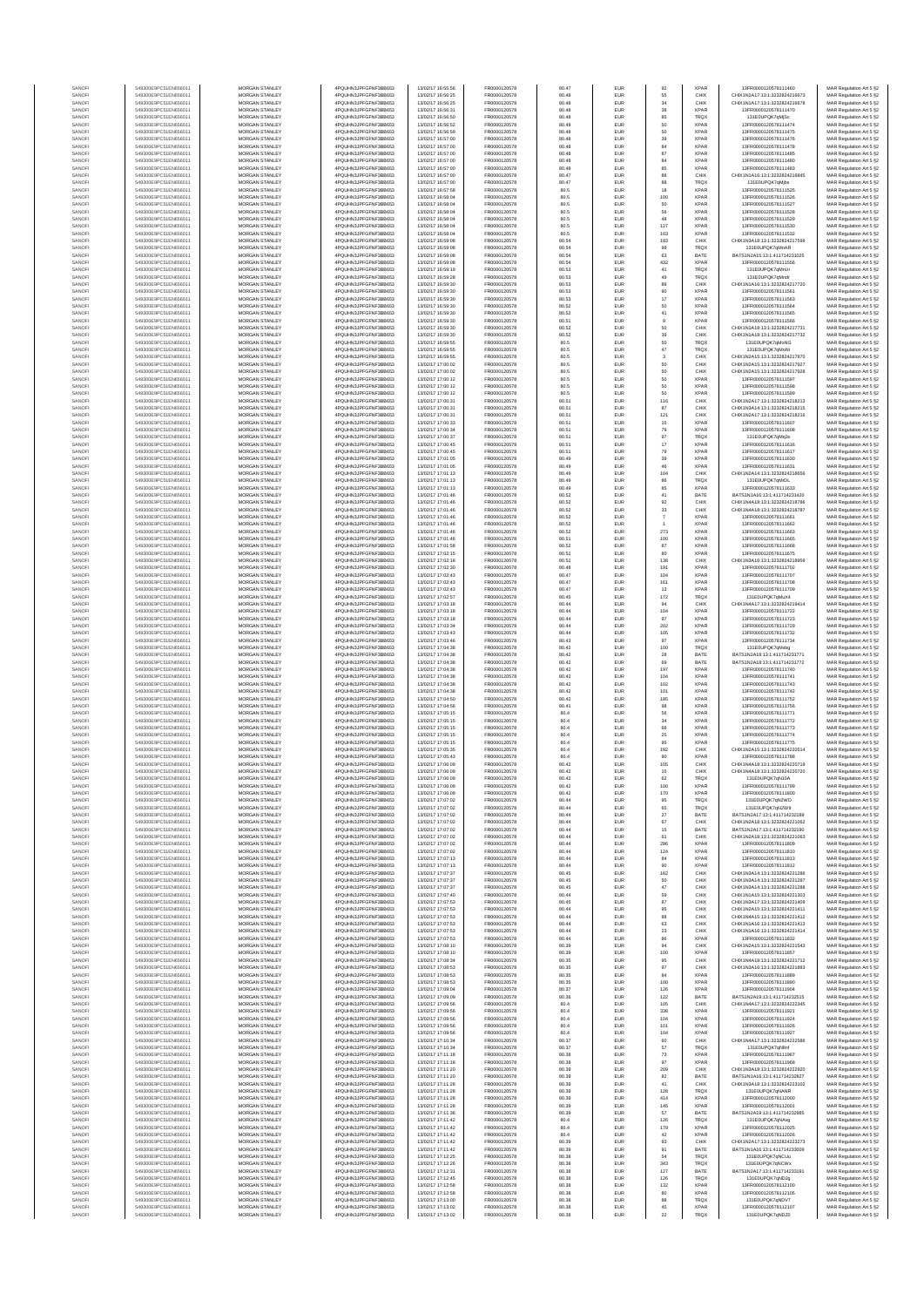| MORGAN STANLEY<br>4PQUHN3JPFGFNF3BB653<br>FR0000120578<br>EUR<br>55<br>CHIX1N1A17:13:1:3232824216673<br>SANOFI<br>549300E9PC51EN656011<br>13/02/17 16:56:25<br>80.48<br>CHIX<br>MAR Regulation Art 5 §2<br>SANOFI<br>549300E9PC51EN656011<br><b>MORGAN STANLEY</b><br>4PQUHN3JPFGFNF3BB653<br>13/02/17 16:56:25<br>FR0000120578<br>80.48<br><b>EUR</b><br>34<br>CHIX<br>CHIX1N1A17:13:1:3232824216678<br>MAR Regulation Art 5 §2<br>38<br>SANOFI<br>549300E9PC51EN656011<br><b>MORGAN STANLEY</b><br>4PQUHN3JPFGFNF3BB653<br>13/02/17 16:56:31<br>FR0000120578<br>80.48<br><b>EUR</b><br><b>XPAR</b><br>13FR0000120578111470<br>MAR Regulation Art 5 §2<br>549300E9PC51EN656011<br>MORGAN STANLEY<br>4PQUHN3JPFGFNF3BB653<br>13/02/17 16:56:50<br>FR0000120578<br>80.48<br>EUR<br>85<br>TRQX<br>131E0UPQK7qMjSc<br>MAR Regulation Art 5 §2<br>SANOFI<br>MORGAN STANLEY<br>13/02/17 16:56:52<br>FR0000120578<br>50<br>13FR0000120578111474<br>MAR Regulation Art 5 §2<br>SANOFI<br>549300E9PC51EN656011<br>4PQUHN3JPFGFNF3BB653<br>80.48<br>EUR<br><b>XPAR</b><br>50<br>SANOF<br>549300E9PC51EN656011<br>MORGAN STANLEY<br>4PQUHN3JPFGFNF3BB653<br>13/02/17 16:56:59<br>FR0000120578<br>80.48<br>EUR<br>XPAF<br>13FR0000120578111475<br>MAR Regulation Art 5 §2<br>SANOFI<br>549300E9PC51EN656011<br>MORGAN STANLEY<br>4PQUHN3JPFGFNF3BB653<br>13/02/17 16:57:00<br>FR0000120578<br>80.48<br>EUR<br>39<br>XPAF<br>13FR0000120578111476<br>MAR Regulation Art 5 §2<br>84<br>4PQUHN3JPFGFNF3BB653<br>13/02/17 16:57:00<br>FR0000120578<br>EUR<br><b>XPAR</b><br>13FR0000120578111478<br>549300E9PC51EN656011<br>MORGAN STANLEY<br>80.48<br>MAR Regulation Art 5 §2<br>87<br><b>XPAF</b><br>549300E9PC51EN656011<br>MORGAN STANLEY<br>4PQUHN3JPFGFNF3BB653<br>13/02/17 16:57:00<br>FR0000120578<br>80.48<br>EUR<br>13FR0000120578111485<br>MAR Regulation Art 5 §2<br>SANOFI<br>84<br>4PQUHN3JPFGFNF3BB653<br>FR0000120578<br>80.48<br>EUR<br><b>XPAR</b><br>MAR Regulation Art 5 §2<br>549300E9PC51EN656011<br>MORGAN STANLEY<br>13/02/17 16:57:00<br>13FR0000120578111480<br>549300E9PC51EN656011<br><b>MORGAN STANLEY</b><br>4PQUHN3JPFGFNF3BB653<br>13/02/17 16:57:00<br>FR0000120578<br>80.48<br><b>EUR</b><br>85<br><b>XPAF</b><br>13FR0000120578111483<br>MAR Regulation Art 5 §2<br>88<br>549300E9PC51EN656011<br>MORGAN STANLEY<br>4PQUHN3JPFGFNF3BB653<br>13/02/17 16:57:00<br>FR0000120578<br>80.47<br>EUR<br>CHIX<br>CHIX1N1A16:13:1:3232824216845<br>MAR Regulation Art 5 §2<br>549300E9PC51EN656011<br>MORGAN STANLEY<br>4PQUHN3JPFGFNF3BB653<br>13/02/17 16:57:00<br>FR0000120578<br>80.47<br>EUR<br>88<br>TRQX<br>131E0UPQK7qMjbs<br>MAR Regulation Art 5 §2<br>MORGAN STANLEY<br>13/02/17 16:57:58<br>FR0000120578<br>$18\,$<br>13FR0000120578111525<br>MAR Regulation Art 5 §2<br>549300E9PC51EN656011<br>4PQUHN3JPFGFNF3BB653<br>80.5<br>EUR<br><b>XPAR</b><br>100<br>549300E9PC51EN656011<br>MORGAN STANLEY<br>4PQUHN3JPFGFNF3BB653<br>13/02/17 16:58:04<br>FR0000120578<br>80.5<br>EUR<br>XPAF<br>13FR0000120578111526<br>MAR Regulation Art 5 §2<br>549300E9PC51EN656011<br>MORGAN STANLEY<br>4PQUHN3JPFGFNF3BB653<br>13/02/17 16:58:04<br>FR0000120578<br>80.5<br>EUR<br>50<br>XPAF<br>13FR0000120578111527<br>MAR Regulation Art 5 §2<br>56<br>4PQUHN3JPFGFNF3BB653<br>FR0000120578<br>80.5<br>EUR<br><b>XPAR</b><br>13FR0000120578111528<br>MAR Regulation Art 5 §2<br>549300E9PC51EN656011<br>MORGAN STANLEY<br>13/02/17 16:58:04<br>13/02/17 16:58:04<br>FR0000120578<br>48<br><b>XPAF</b><br>549300E9PC51EN656011<br>MORGAN STANLEY<br>4PQUHN3JPFGFNF3BB653<br>80.5<br>EUR<br>13FR0000120578111529<br>MAR Regulation Art 5 §2<br>127<br>549300E9PC51EN656011<br><b>MORGAN STANLEY</b><br>4PQUHN3JPFGFNF3BB653<br>13/02/17 16:58:04<br>FR0000120578<br>80.5<br><b>EUR</b><br><b>XPAR</b><br>13FR0000120578111530<br>MAR Regulation Art 5 §2<br>103<br>549300E9PC51EN656011<br>MORGAN STANLEY<br>4PQUHN3JPFGFNF3BB653<br>13/02/17 16:58:04<br>FR0000120578<br>80.5<br><b>EUR</b><br><b>XPAR</b><br>13FR0000120578111532<br>MAR Regulation Art 5 §2<br>549300E9PC51EN656011<br>MORGAN STANLEY<br>4PQUHN3JPFGFNF3BB653<br>13/02/17 16:59:08<br>FR0000120578<br>80.54<br>EUR<br>193<br>CHIX<br>CHIX1N3A18:13:1:3232824217599<br>MAR Regulation Art 5 §2<br>MORGAN STANLEY<br>13/02/17 16:59:08<br>FR0000120578<br>80.54<br>EUR<br>99<br>MAR Regulation Art 5 §2<br>549300E9PC51EN656011<br>4PQUHN3JPFGFNF3BB653<br>TRQX<br>131E0UPQK7qMnAR<br>549300E9PC51EN656011<br>MORGAN STANLEY<br>4PQUHN3JPFGFNF3BB653<br>13/02/17 16:59:08<br>FR0000120578<br>80.54<br>EUR<br>63<br>BATE<br>BATS1N2A15:13:1:411714231025<br>MAR Regulation Art 5 §2<br>432<br>549300E9PC51EN656011<br>MORGAN STANLEY<br>4PQUHN3JPFGFNF3BB653<br>13/02/17 16:59:08<br>FR0000120578<br>80.54<br>EUR<br>XPAF<br>13FR0000120578111556<br>MAR Regulation Art 5 §2<br>549300E9PC51EN656011<br>MORGAN STANLEY<br>4PQUHN3JPFGFNF3BB653<br>13/02/17 16:59:19<br>FR0000120578<br>41<br>TRQX<br>MAR Regulation Art 5 §2<br>80.53<br>EUR<br>131E0UPQK7qMnUr<br>49<br>EUR<br>TRQX<br>MORGAN STANLEY<br>4PQUHN3JPFGFNF3BB653<br>13/02/17 16:59:28<br>FR0000120578<br>80.53<br>131E0UPQK7qMnd<br>MAR Regulation Art 5 §2<br>549300E9PC51EN656011<br>549300E9PC51EN656011<br><b>MORGAN STANLEY</b><br>4PQUHN3JPFGFNF3BB653<br>13/02/17 16:59:30<br>FR0000120578<br>80.53<br><b>EUR</b><br>89<br>CHIX<br>CHIX1N1A16:13:1:3232824217720<br>MAR Regulation Art 5 §2<br>90<br>549300E9PC51EN656011<br><b>MORGAN STANLEY</b><br>4PQUHN3JPFGFNF3BB653<br>13/02/17 16:59:30<br>FR0000120578<br>80.53<br><b>EUR</b><br><b>XPAR</b><br>13FR0000120578111561<br>MAR Regulation Art 5 §2<br>549300E9PC51EN656011<br>MORGAN STANLEY<br>4PQUHN3JPFGFNF3BB653<br>13/02/17 16:59:30<br>FR0000120578<br>80.53<br>EUR<br>$17\,$<br><b>XPAF</b><br>13FR0000120578111563<br>MAR Regulation Art 5 §2<br>MORGAN STANLEY<br>13/02/17 16:59:30<br>50<br>MAR Regulation Art 5 §2<br>549300E9PC51EN656011<br>4PQUHN3JPFGFNF3BB653<br>FR0000120578<br>80.52<br>EUR<br><b>XPAR</b><br>13FR0000120578111564<br>41<br>549300E9PC51EN656011<br>MORGAN STANLEY<br>4PQUHN3JPFGFNF3BB653<br>13/02/17 16:59:30<br>FR0000120578<br>80.52<br>EUR<br>XPAF<br>13FR0000120578111565<br>MAR Regulation Art 5 §2<br>549300E9PC51EN656011<br>MORGAN STANLEY<br>4PQUHN3JPFGFNF3BB653<br>13/02/17 16:59:30<br>FR0000120578<br>80.51<br>EUR<br>$9$<br>XPAF<br>13FR0000120578111566<br>MAR Regulation Art 5 §2<br>50<br>549300E9PC51EN656011<br>4PQUHN3JPFGFNF3BB653<br>13/02/17 16:59:30<br>FR0000120578<br>80.52<br>EUR<br>CHIX<br>CHIX1N1A18:13:1:3232824217731<br>MORGAN STANLEY<br>MAR Regulation Art 5 §2<br>MORGAN STANLEY<br>4PQUHN3JPFGFNF3BB653<br>13/02/17 16:59:30<br>FR0000120578<br>39<br>CHIX1N1A18:13:1:3232824217732<br>MAR Regulation Art 5 §2<br>549300E9PC51EN656011<br>80.52<br>EUR<br>CHIX<br>50<br>549300E9PC51EN656011<br><b>MORGAN STANLEY</b><br>4PQUHN3JPFGFNF3BB653<br>13/02/17 16:59:55<br>FR0000120578<br>80.5<br><b>EUR</b><br><b>TRQX</b><br>131E0UPQK7qMoNG<br>MAR Regulation Art 5 §2<br>$47\,$<br>549300E9PC51EN656011<br><b>MORGAN STANLEY</b><br>4PQUHN3JPFGFNF3BB653<br>13/02/17 16:59:55<br>FR0000120578<br>80.5<br><b>EUR</b><br><b>TRQX</b><br>131E0UPQK7qMoNI<br>MAR Regulation Art 5 §2<br>549300E9PC51EN656011<br>MORGAN STANLEY<br>4PQUHN3JPFGFNF3BB653<br>13/02/17 16:59:55<br>FR0000120578<br>80.5<br>EUR<br>$\,$ 3 $\,$<br>CHIX1N2A15:13:1:3232824217870<br>MAR Regulation Art 5 §2<br>CHIX<br>MORGAN STANLEY<br>13/02/17 17:00:02<br>FR0000120578<br>80.5<br>EUR<br>50<br>MAR Regulation Art 5 §2<br>549300E9PC51EN656011<br>4PQUHN3JPFGFNF3BB653<br>CHIX<br>CHIX1N2A15:13:1:3232824217927<br>549300E9PC51EN656011<br>MORGAN STANLEY<br>4PQUHN3JPFGFNF3BB653<br>13/02/17 17:00:02<br>FR0000120578<br>80.5<br>EUR<br>50<br>CHID<br>CHIX1N2A15:13:1:3232824217928<br>MAR Regulation Art 5 §2<br>50<br>549300E9PC51EN656011<br>MORGAN STANLEY<br>4PQUHN3JPFGFNF3BB653<br>13/02/17 17:00:12<br>FR0000120578<br>80.5<br>EUR<br>XPAF<br>13FR0000120578111597<br>MAR Regulation Art 5 §2<br>549300E9PC51EN656011<br>MORGAN STANLEY<br>4PQUHN3JPFGFNF3BB653<br>13/02/17 17:00:12<br>FR0000120578<br>50<br><b>XPAF</b><br>80.5<br>EUR<br>13FR0000120578111598<br>MAR Regulation Art 5 §2<br>50<br>MORGAN STANLEY<br>4PQUHN3JPFGFNF3BB653<br>FR0000120578<br>80.5<br>EUR<br><b>XPAF</b><br>549300E9PC51EN656011<br>13/02/17 17:00:12<br>13FR0000120578111599<br>MAR Regulation Art 5 §2<br>MORGAN STANLEY<br>4PQUHN3JPFGFNF3BB653<br>FR0000120578<br>116<br>CHIX<br>CHIX1N2A17:13:1:3232824218213<br>MAR Regulation Art 5 §2<br>549300E9PC51EN656011<br>13/02/17 17:00:31<br>80.51<br><b>EUR</b><br>87<br>549300E9PC51EN656011<br><b>MORGAN STANLEY</b><br>4PQUHN3JPFGFNF3BB653<br>13/02/17 17:00:31<br>FR0000120578<br>80.51<br><b>EUR</b><br>CHIX<br>CHIX1N3A14-13-1-3232824218215<br>MAR Regulation Art 5 §2<br>121<br>549300E9PC51EN656011<br>MORGAN STANLEY<br>4PQUHN3JPFGFNF3BB653<br>13/02/17 17:00:31<br>FR0000120578<br>80.51<br><b>EUR</b><br>CHIX<br>CHIX1N2A17:13:1:3232824218216<br>MAR Regulation Art 5 §2<br>549300E9PC51EN656011<br>MORGAN STANLEY<br>4PQUHN3JPFGFNF3BB653<br>13/02/17 17:00:33<br>FR0000120578<br>15<br>XPAF<br>MAR Regulation Art 5 §2<br>80.51<br>EUR<br>13FR0000120578111607<br>MORGAN STANLEY<br>4PQUHN3JPFGFNF3BB653<br>13/02/17 17:00:34<br>FR0000120578<br>80.51<br>EUR<br>79<br>XPAF<br>549300E9PC51EN656011<br>13FR0000120578111608<br>MAR Regulation Art 5 §2<br>97<br>549300E9PC51EN656011<br>MORGAN STANLEY<br>4PQUHN3JPFGFNF3BB653<br>13/02/17 17:00:37<br>FR0000120578<br>80.51<br>EUR<br>TRQ)<br>131E0UPQK7qMq3x<br>MAR Regulation Art 5 §2<br>$17\,$<br>549300E9PC51EN656011<br>MORGAN STANLEY<br>4PQUHN3JPFGFNF3BB653<br>13/02/17 17:00:45<br>FR0000120578<br>80.51<br>EUR<br>XPAF<br>13FR0000120578111616<br>MAR Regulation Art 5 §2<br>549300E9PC51EN656011<br>4PQUHN3JPFGFNF3BB653<br>13/02/17 17:00:45<br>FR0000120578<br>79<br><b>XPAR</b><br>13FR0000120578111617<br>MAR Regulation Art 5 §2<br>MORGAN STANLEY<br>80.51<br>EUR<br>39<br>4PQUHN3JPFGFNF3BB653<br>FR0000120578<br>EUR<br><b>XPAR</b><br>MAR Regulation Art 5 §2<br>549300E9PC51EN656011<br>MORGAN STANLEY<br>13/02/17 17:01:05<br>80.49<br>13FR0000120578111630<br>549300E9PC51EN656011<br><b>MORGAN STANLEY</b><br>4PQUHN3JPFGFNF3BB653<br>13/02/17 17:01:05<br>FR0000120578<br>80.49<br><b>EUR</b><br>46<br><b>XPAR</b><br>13FR0000120578111631<br>MAR Regulation Art 5 §2<br>104<br>549300E9PC51EN656011<br>MORGAN STANLEY<br>4PQUHN3JPFGFNF3BB653<br>13/02/17 17:01:13<br>FR0000120578<br>80.49<br>EUR<br>CHIX<br>CHIX1N2A14:13:1:3232824218656<br>MAR Regulation Art 5 §2<br>549300E9PC51EN656011<br>MORGAN STANLEY<br>4PQUHN3JPFGFNF3BB653<br>13/02/17 17:01:13<br>FR0000120578<br>80.49<br>EUR<br>86<br>TRQX<br>131E0UPQK7qMrDL<br>MAR Regulation Art 5 §2<br>MORGAN STANLEY<br>13/02/17 17:01:13<br>FR0000120578<br>85<br>MAR Regulation Art 5 §2<br>549300E9PC51EN656011<br>4PQUHN3JPFGFNF3BB653<br>80.49<br>EUR<br><b>XPAR</b><br>13FR0000120578111633<br>41<br>549300E9PC51EN656011<br>MORGAN STANLEY<br>4PQUHN3JPFGFNF3BB653<br>13/02/17 17:01:46<br>FR0000120578<br>80.52<br>EUR<br>BATE<br>BATS1N1A16:13:1:411714231420<br>MAR Regulation Art 5 §2<br>549300E9PC51EN656011<br>MORGAN STANLEY<br>4PQUHN3JPFGFNF3BB653<br>13/02/17 17:01:46<br>FR0000120578<br>80.52<br>EUR<br>92<br>CHIX<br>CHIX1N4A18:13:1:323282421878<br>MAR Regulation Art 5 §2<br>$_{33}$<br>4PQUHN3JPFGFNF3BB653<br>13/02/17 17:01:46<br>FR0000120578<br>80.52<br>EUR<br>CHIX<br>549300E9PC51EN656011<br>MORGAN STANLEY<br>CHIX1N4A18:13:1:3232824218787<br>MAR Regulation Art 5 §2<br>MORGAN STANLEY<br>FR0000120578<br><b>XPAF</b><br>549300E9PC51EN656011<br>4PQUHN3JPFGFNF3BB653<br>13/02/17 17:01:46<br>80.52<br>EUR<br>$\overline{7}$<br>13FR0000120578111661<br>MAR Regulation Art 5 §2<br>549300E9PC51EN656011<br><b>MORGAN STANLEY</b><br>4PQUHN3JPFGFNF3BB653<br>13/02/17 17:01:46<br>FR0000120578<br>80.52<br><b>EUR</b><br>$\ddot{\phantom{1}}$<br><b>XPAR</b><br>13FR0000120578111662<br>MAR Regulation Art 5 §2<br>273<br>549300E9PC51EN656011<br><b>MORGAN STANLEY</b><br>4PQUHN3JPFGFNF3BB653<br>13/02/17 17:01:46<br>FR0000120578<br>80.52<br><b>EUR</b><br><b>XPAR</b><br>13FR0000120578111663<br>MAR Regulation Art 5 §2<br>549300E9PC51EN656011<br>MORGAN STANLEY<br>4PQUHN3JPFGFNF3BB653<br>13/02/17 17:01:46<br>FR0000120578<br>EUR<br>100<br><b>XPAF</b><br>13FR0000120578111665<br>MAR Regulation Art 5 §2<br>80.51<br>MORGAN STANLEY<br>13/02/17 17:01:58<br>FR0000120578<br>80.52<br>EUR<br>87<br><b>XPAR</b><br>MAR Regulation Art 5 §2<br>549300E9PC51EN656011<br>4PQUHN3JPFGFNF3BB653<br>13FR0000120578111668<br>549300E9PC51EN656011<br>MORGAN STANLEY<br>4PQUHN3JPFGFNF3BB653<br>13/02/17 17:02:15<br>FR0000120578<br>80.51<br>EUR<br>80<br>XPAF<br>13FR0000120578111675<br>MAR Regulation Art 5 §2<br>138<br>549300E9PC51EN656011<br>MORGAN STANLEY<br>4PQUHN3JPFGFNF3BB653<br>13/02/17 17:02:18<br>FR0000120578<br>80.51<br>EUR<br>CHIX<br>CHIX1N3A16:13:1:323282421895<br>MAR Regulation Art 5 §2<br>549300E9PC51EN656011<br>MORGAN STANLEY<br>4PQUHN3JPFGFNF3BB653<br>13/02/17 17:02:30<br>FR0000120578<br>XPAF<br>MAR Regulation Art 5 §2<br>80.48<br>EUR<br>191<br>13FR0000120578111702<br>80.47<br>EUR<br>104<br><b>XPAF</b><br>MORGAN STANLEY<br>4PQUHN3JPFGFNF3BB653<br>13/02/17 17:02:43<br>FR0000120578<br>13FR0000120578111707<br>MAR Regulation Art 5 §2<br>549300E9PC51EN656011<br>161<br>549300E9PC51EN656011<br><b>MORGAN STANLEY</b><br>4PQUHN3JPFGFNF3BB653<br>13/02/17 17:02:43<br>FR0000120578<br>80.47<br><b>EUR</b><br><b>XPAR</b><br>13FR0000120578111708<br>MAR Regulation Art 5 §2<br>549300E9PC51EN656011<br><b>MORGAN STANLEY</b><br>4PQUHN3JPFGFNF3BB653<br>13/02/17 17:02:43<br>FR0000120578<br>80.47<br><b>EUR</b><br>13<br><b>XPAR</b><br>13FR0000120578111709<br>MAR Regulation Art 5 §2<br>549300E9PC51EN656011<br>MORGAN STANLEY<br>4PQUHN3JPFGFNF3BB653<br>13/02/17 17:02:57<br>FR0000120578<br>80.45<br>EUR<br>$172\,$<br>TRQX<br>131E0UPQK7qMuX4<br>MAR Regulation Art 5 §2<br>MORGAN STANLEY<br>13/02/17 17:03:18<br>FR0000120578<br>94<br>CHIX1N4A17:13:1:3232824219414<br>MAR Regulation Art 5 §2<br>549300E9PC51EN656011<br>4PQUHN3JPFGFNF3BB653<br>80.44<br>EUR<br>CHIX<br>104<br>549300E9PC51EN656011<br>MORGAN STANLEY<br>4PQUHN3JPFGFNF3BB653<br>13/02/17 17:03:18<br>FR0000120578<br>80.44<br>EUR<br>XPAF<br>13FR0000120578111722<br>MAR Regulation Art 5 §2<br>549300E9PC51EN656011<br>MORGAN STANLEY<br>4PQUHN3JPFGFNF3BB653<br>13/02/17 17:03:18<br>FR0000120578<br>80.44<br>EUR<br>97<br>XPAF<br>13FR0000120578111723<br>MAR Regulation Art 5 §2<br>4PQUHN3JPFGFNF3BB653<br>202<br>549300E9PC51EN656011<br>MORGAN STANLEY<br>13/02/17 17:03:34<br>FR0000120578<br>80.44<br>EUR<br><b>XPAR</b><br>13FR0000120578111729<br>MAR Regulation Art 5 §2<br>4PQUHN3JPFGFNF3BB653<br>13/02/17 17:03:43<br>105<br><b>XPAF</b><br>13FR0000120578111732<br>549300E9PC51EN656011<br>MORGAN STANLEY<br>FR0000120578<br>80.44<br>EUR<br>MAR Regulation Art 5 §2<br>FR0000120578<br>EUR<br>97<br><b>XPAR</b><br>MORGAN STANLEY<br>4PQUHN3JPFGFNF3BB653<br>13/02/17 17:03:46<br>80.43<br>13FR0000120578111734<br>MAR Regulation Art 5 §2<br>549300E9PC51EN656011<br>100<br>549300E9PC51EN656011<br><b>MORGAN STANLEY</b><br>4PQUHN3JPFGFNF3BB653<br>13/02/17 17:04:38<br>FR0000120578<br>80.42<br><b>EUR</b><br><b>TRQX</b><br>131E0UPQK7qMxbg<br>MAR Regulation Art 5 §2<br>549300E9PC51EN656011<br><b>MORGAN STANLEY</b><br>4PQUHN3JPFGFNF3BB653<br>13/02/17 17:04:38<br>FR0000120578<br>80.42<br><b>EUR</b><br>28<br>BATE<br>BATS1N2A18:13:1:411714231771<br>MAR Regulation Art 5 §2<br>549300E9PC51EN656011<br>MORGAN STANLEY<br>4PQUHN3JPFGFNF3BB653<br>13/02/17 17:04:38<br>FR0000120578<br>80.42<br>EUR<br>69<br>BATE<br>BATS1N2A18:13:1:411714231772<br>MAR Regulation Art 5 §2<br>MORGAN STANLEY<br>13/02/17 17:04:38<br>FR0000120578<br>197<br>MAR Regulation Art 5 §2<br>549300E9PC51EN656011<br>4PQUHN3JPFGFNF3BB653<br>80.42<br>EUR<br><b>XPAF</b><br>13FR0000120578111740<br>104<br>549300E9PC51EN656011<br>MORGAN STANLEY<br>4PQUHN3JPFGFNF3BB653<br>13/02/17 17:04:38<br>FR0000120578<br>80.42<br>EUR<br>XPAF<br>13FR0000120578111741<br>MAR Regulation Art 5 §2<br>549300E9PC51EN656011<br>MORGAN STANLEY<br>4PQUHN3JPFGFNF3BB653<br>13/02/17 17:04:38<br>FR0000120578<br>80.42<br>EUR<br>102<br>XPAF<br>13FR0000120578111743<br>MAR Regulation Art 5 §2<br>101<br>549300E9PC51EN656011<br>MORGAN STANLEY<br>4PQUHN3JPFGFNF3BB653<br>13/02/17 17:04:38<br>FR0000120578<br>80.42<br>EUR<br><b>XPAR</b><br>13FR0000120578111742<br>MAR Regulation Art 5 §2<br>MORGAN STANLEY<br>FR0000120578<br><b>XPAR</b><br>13FR0000120578111752<br>MAR Regulation Art 5 §2<br>549300E9PC51EN656011<br>4PQUHN3JPFGFNF3BB653<br>13/02/17 17:04:50<br>80.42<br><b>EUR</b><br>185<br>549300E9PC51EN656011<br><b>MORGAN STANLEY</b><br>4POLIHN3JPEGENE3BB653<br>13/02/17 17:04:56<br>FR0000120578<br>80.41<br><b>EUR</b><br>98<br><b>XPAR</b><br>13FR0000120578111756<br>MAR Regulation Art 5 §2<br>56<br>549300E9PC51EN656011<br>MORGAN STANLEY<br>4PQUHN3JPFGFNF3BB653<br>13/02/17 17:05:15<br>FR0000120578<br>80.4<br><b>EUR</b><br><b>XPAR</b><br>13FR0000120578111771<br>MAR Regulation Art 5 §2<br>549300E9PC51EN656011<br>MORGAN STANLEY<br>4PQUHN3JPFGFNF3BB653<br>13/02/17 17:05:15<br>FR0000120578<br>80.4<br>EUR<br>$_{\rm 34}$<br>XPAF<br>13FR0000120578111772<br>MAR Regulation Art 5 §2<br>MORGAN STANLEY<br>4PQUHN3JPFGFNF3BB653<br>13/02/17 17:05:15<br>FR0000120578<br>80.4<br>EUR<br>66<br>XPAF<br>13FR0000120578111773<br>549300E9PC51EN656011<br>MAR Regulation Art 5 §2<br>549300E9PC51EN656011<br>MORGAN STANLEY<br>4PQUHN3JPFGFNF3BB653<br>13/02/17 17:05:15<br>FR0000120578<br>80.4<br>EUR<br>25<br>XPAF<br>13FR0000120578111774<br>MAR Regulation Art 5 §2<br>95<br>549300E9PC51EN656011<br>MORGAN STANLEY<br>4PQUHN3JPFGFNF3BB653<br>13/02/17 17:05:15<br>FR0000120578<br>80.4<br>EUR<br>XPAF<br>13FR0000120578111775<br>MAR Regulation Art 5 §2<br>549300E9PC51EN656011<br>MORGAN STANLEY<br>4PQUHN3JPFGFNF3BB653<br>13/02/17 17:05:35<br>192<br>MAR Regulation Art 5 §2<br>FR0000120578<br>80.4<br>EUR<br>CHIX<br>CHIX1N2A15:13:1:3232824220514<br>4PQUHN3JPFGFNF3BB653<br>FR0000120578<br>80.4<br>EUR<br><b>XPAR</b><br>MAR Regulation Art 5 §2<br>549300E9PC51EN656011<br>MORGAN STANLEY<br>13/02/17 17:05:43<br>90<br>13FR0000120578111788<br>105<br>549300E9PC51EN656011<br><b>MORGAN STANLEY</b><br>4POLIHN3JPEGENE3BB653<br>13/02/17 17:06:09<br>FR0000120578<br>80.42<br><b>EUR</b><br>CHIX<br>CHIX1N4A18:13:1:3232824220719<br>MAR Regulation Art 5 §2<br>549300E9PC51EN656011<br>MORGAN STANLEY<br>4POLIHN3JPEGENE3BB653<br>13/02/17 17:06:09<br>FR0000120578<br>80.42<br><b>EUR</b><br>15<br>CHIX<br>CHIX1N4A18:13:1:3232824220720<br>MAR Regulation Art 5 §2<br>62<br>MAD DA<br>13/02/17 17:06:09<br>549300E9PC51EN656011<br>MORGAN STANLEY<br>4PQUHN3JPFGFNF3BB653<br>FR0000120578<br>80.42<br>EUR<br>100<br><b>XPAR</b><br>13FR0000120578111799<br>MAR Regulation Art 5 §2<br>549300E9PC51EN656011<br>MORGAN STANLEY<br>4PQUHN3JPFGFNF3BB653<br>13/02/17 17:06:09<br>FR0000120578<br>80.42<br>EUR<br>170<br><b>XPAR</b><br>13FR0000120578111800<br>MAR Regulation Art 5 §2<br>549300E9PC51EN656011<br>MORGAN STANLEY<br>4PQUHN3JPFGFNF3BB653<br>13/02/17 17:07:02<br>FR0000120578<br>80.44<br>EUR<br>95<br>TRQX<br>131E0UPQK7qN2WD<br>MAR Regulation Art 5 §2<br>4PQUHN3JPFGFNF3BB653<br>13/02/17 17:07:02<br>FR0000120578<br>65<br>131E0UPQK7qN2W9<br>549300E9PC51EN656011<br>MORGAN STANLEY<br>80.44<br>EUR<br><b>TRQX</b><br>MAR Regulation Art 5 §2<br>BATS1N2A17:13:1:411714232189<br>549300E9PC51EN656011<br>MORGAN STANLEY<br>4PQUHN3JPFGFNF3BB653<br>13/02/17 17:07:02<br>FR0000120578<br>27<br>BATE<br>MAR Regulation Art 5 §2<br>80.44<br><b>EUR</b><br>67<br>549300E9PC51EN656011<br>MORGAN STANLEY<br>4PQUHN3JPFGFNF3BB653<br>13/02/17 17:07:02<br>FR0000120578<br>80.44<br><b>EUR</b><br>CHIX<br>CHIX1N2A18:13:1:3232824221062<br>MAR Regulation Art 5 §2<br>549300E9PC51EN656011<br><b>MORGAN STANLEY</b><br>4PQUHN3JPFGFNF3BB653<br>13/02/17 17:07:02<br>FR0000120578<br>80.44<br><b>EUR</b><br>15<br>BATE<br>BATS1N2A17:13:1:411714232190<br>MAR Regulation Art 5 §2<br>MORGAN STANLEY<br>13/02/17 17:07:02<br>FR0000120578<br>61<br>CHIX1N2A18:13:1:3232824221063<br>MAR Regulation Art 5 §2<br>549300E9PC51EN656011<br>4PQUHN3JPFGFNF3BB653<br>80.44<br><b>EUR</b><br>CHIX<br>MORGAN STANLEY<br>FR0000120578<br>286<br>549300E9PC51EN656011<br>4PQUHN3JPFGFNF3BB653<br>13/02/17 17:07:02<br>80.44<br><b>EUR</b><br><b>XPAR</b><br>13FR0000120578111809<br>MAR Regulation Art 5 §2<br>549300E9PC51EN656011<br>MORGAN STANLEY<br>4PQUHN3JPFGFNF3BB653<br>13/02/17 17:07:02<br>FR0000120578<br>80.44<br>EUR<br>124<br><b>XPAR</b><br>13FR0000120578111810<br>MAR Regulation Art 5 §2<br>549300E9PC51EN656011<br>MORGAN STANLEY<br>4PQUHN3JPFGFNF3BB653<br>13/02/17 17:07:13<br>FR0000120578<br>80.44<br>EUR<br>84<br><b>XPAR</b><br>13FR0000120578111813<br>MAR Regulation Art 5 §2<br>549300E9PC51EN656011<br>4PQUHN3JPFGFNF3BB653<br>13/02/17 17:07:13<br><b>XPAR</b><br>13FR0000120578111812<br>MAR Regulation Art 5 §2<br>MORGAN STANLEY<br>FR0000120578<br>90<br>80.44<br>EUR<br>4PQUHN3JPFGFNF3BB653<br>162<br>549300E9PC51EN656011<br>MORGAN STANLEY<br>13/02/17 17:07:37<br>FR0000120578<br>80.45<br>EUR<br>CHIX<br>CHIX1N3A14:13:1:3232824221286<br>MAR Regulation Art 5 §2<br>549300E9PC51EN656011<br>MORGAN STANLEY<br>4PQUHN3JPFGFNF3BB653<br>13/02/17 17:07:37<br>FR0000120578<br>50<br>CHIX<br>CHIX1N3A14:13:1:3232824221287<br>MAR Regulation Art 5 §2<br>80.45<br><b>EUR</b><br>47<br>549300E9PC51EN656011<br>MORGAN STANLEY<br>4PQUHN3JPFGFNF3BB653<br>13/02/17 17:07:37<br>FR0000120578<br>80.45<br><b>EUR</b><br>CHIX<br>CHIX1N3A14-13-1-3232824221288<br>MAR Regulation Art 5 §2<br>549300E9PC51EN656011<br><b>MORGAN STANLEY</b><br>4PQUHN3JPFGFNF3BB653<br>13/02/17 17:07:40<br>FR0000120578<br>80.44<br><b>EUR</b><br>59<br>CHIX<br>CHIX1N1A15:13:1:3232824221303<br>MAR Regulation Art 5 §2<br>MORGAN STANLEY<br>13/02/17 17:07:53<br>FR0000120578<br>87<br>CHIX1N3A17:13:1:3232824221409<br>MAR Regulation Art 5 §2<br>549300E9PC51EN656011<br>4PQUHN3JPFGFNF3BB653<br>80.45<br>EUR<br>CHIX<br>MORGAN STANLEY<br>FR0000120578<br>95<br>549300E9PC51EN656011<br>4PQUHN3JPFGFNF3BB653<br>13/02/17 17:07:53<br>80.44<br><b>EUR</b><br>CHIX<br>CHIX1N2A15:13:1:3232824221411<br>MAR Regulation Art 5 §2<br>549300E9PC51EN656011<br>MORGAN STANLEY<br>4PQUHN3JPFGFNF3BB653<br>13/02/17 17:07:53<br>FR0000120578<br>80.44<br>EUR<br>88<br>CHIX<br>CHIX1N4A15:13:1:3232824221412<br>MAR Regulation Art 5 §2<br>549300E9PC51EN656011<br>MORGAN STANLEY<br>4PQUHN3JPFGFNF3BB653<br>13/02/17 17:07:53<br>FR0000120578<br>80.44<br>EUR<br>63<br>CHIX<br>CHIX1N1A16:13:1:3232824221413<br>MAR Regulation Art 5 §2<br>4PQUHN3JPFGFNF3BB653<br>549300E9PC51EN656011<br>MORGAN STANLEY<br>13/02/17 17:07:53<br>FR0000120578<br>23<br>CHIX<br>CHIX1N1A16:13:1:3232824221414<br>MAR Regulation Art 5 §2<br>80.44<br>EUR<br>86<br><b>XPAR</b><br>MORGAN STANLEY<br>4PQUHN3JPFGFNF3BB653<br>FR0000120578<br>80.44<br><b>EUR</b><br>13FR0000120578111832<br>MAR Regulation Art 5 §2<br>549300E9PC51EN656011<br>13/02/17 17:07:53<br>549300E9PC51EN656011<br>MORGAN STANLEY<br>4PQUHN3JPFGFNF3BB653<br>13/02/17 17:08:10<br>FR0000120578<br>80.39<br><b>EUR</b><br>94<br>CHIX<br>CHIX1N2A15:13:1:3232824221543<br>MAR Regulation Art 5 §2<br>549300E9PC51EN656011<br>MORGAN STANLEY<br>4PQUHN3JPFGFNF3BB653<br>13/02/17 17:08:10<br>FR0000120578<br>80.39<br><b>EUR</b><br>100<br><b>XPAR</b><br>13FR0000120578111857<br>MAR Regulation Art 5 §2<br>MORGAN STANLEY<br>4PQUHN3JPFGFNF3BB653<br>13/02/17 17:08:34<br>FR0000120578<br>95<br>CHIX<br>MAR Regulation Art 5 §2<br>549300E9PC51EN656011<br>80.35<br><b>EUR</b><br>CHIX1N4A18:13:1:3232824221712<br>MORGAN STANLEY<br>97<br>549300E9PC51EN656011<br>4PQUHN3JPFGFNF3BB653<br>13/02/17 17:08:53<br>FR0000120578<br>80.35<br>EUR<br>CHIX<br>CHIX1N3A16:13:1:3232824221883<br>MAR Regulation Art 5 §2<br>549300E9PC51EN656011<br>MORGAN STANLEY<br>4PQUHN3JPFGFNF3BB653<br>13/02/17 17:08:53<br>FR0000120578<br>80.35<br>EUR<br>84<br><b>XPAR</b><br>13FR0000120578111889<br>MAR Regulation Art 5 §2<br>549300E9PC51EN656011<br>MORGAN STANLEY<br>4PQUHN3JPFGFNF3BB653<br>13/02/17 17:08:53<br>FR0000120578<br>80.35<br>EUR<br>100<br><b>XPAR</b><br>13FR0000120578111890<br>MAR Regulation Art 5 §2<br>549300E9PC51EN656011<br>4PQUHN3JPFGFNF3BB653<br>13/02/17 17:09:04<br>FR0000120578<br>EUR<br>126<br><b>XPAR</b><br>MORGAN STANLEY<br>80.37<br>13FR0000120578111904<br>MAR Regulation Art 5 §2<br>549300E9PC51EN656011<br>MORGAN STANLEY<br>4PQUHN3JPFGFNF3BB653<br>13/02/17 17:09:09<br>FR0000120578<br>122<br>BATE<br>BATS1N2A19:13:1:411714232515<br>MAR Regulation Art 5 §2<br>80.36<br><b>EUR</b><br>549300E9PC51EN656011<br><b>MORGAN STANLEY</b><br>4PQUHN3JPFGFNF3BB653<br>13/02/17 17:09:56<br>FR0000120578<br>80.4<br><b>EUR</b><br>105<br>CHIX<br>CHIX1N4A17:13:1:3232824222345<br>MAR Regulation Art 5 §2<br>549300E9PC51EN656011<br><b>MORGAN STANLEY</b><br>4PQUHN3JPFGFNF3BB653<br>13/02/17 17:09:56<br>FR0000120578<br>80.4<br><b>EUR</b><br>338<br><b>XPAR</b><br>13FR0000120578111921<br>MAR Regulation Art 5 §2<br>MORGAN STANLEY<br>4PQUHN3JPFGFNF3BB653<br>13/02/17 17:09:56<br>FR0000120578<br>104<br><b>XPAR</b><br>MAR Regulation Art 5 §2<br>549300E9PC51EN656011<br>80.4<br>EUR<br>13FR0000120578111924<br>MORGAN STANLEY<br>FR0000120578<br>101<br><b>XPAR</b><br>549300E9PC51EN656011<br>4PQUHN3JPFGFNF3BB653<br>13/02/17 17:09:56<br>80.4<br><b>EUR</b><br>13FR0000120578111926<br>MAR Regulation Art 5 §2<br>549300E9PC51EN656011<br>MORGAN STANLEY<br>4PQUHN3JPFGFNF3BB653<br>13/02/17 17:09:56<br>FR0000120578<br>80.4<br>EUR<br>104<br>XPAF<br>13FR0000120578111927<br>MAR Regulation Art 5 §2<br>549300E9PC51EN656011<br>MORGAN STANLEY<br>4PQUHN3JPFGFNF3BB653<br>13/02/17 17:10:34<br>FR0000120578<br>80.37<br>EUR<br>60<br>CHIX<br>CHIX1N4A17:13:1:323282422258<br>MAR Regulation Art 5 §2<br>57<br>549300E9PC51EN656011<br>MORGAN STANLEY<br>4PQUHN3JPFGFNF3BB653<br>13/02/17 17:10:34<br>FR0000120578<br>80.37<br>EUR<br><b>TRQX</b><br>131E0UPQK7qN8nf<br>MAR Regulation Art 5 §2<br>4PQUHN3JPFGFNF3BB653<br>73<br><b>XPAR</b><br>549300E9PC51EN656011<br>MORGAN STANLEY<br>13/02/17 17:11:18<br>FR0000120578<br>80.38<br><b>EUR</b><br>13FR0000120578111967<br>MAR Regulation Art 5 §2<br>549300E9PC51EN656011<br><b>MORGAN STANLEY</b><br>4PQUHN3JPFGFNF3BB653<br>13/02/17 17:11:18<br>FR0000120578<br>80.38<br><b>EUR</b><br>97<br><b>XPAR</b><br>13FR0000120578111968<br>MAR Regulation Art 5 §2<br>549300E9PC51EN656011<br><b>MORGAN STANLEY</b><br>4PQUHN3JPFGFNF3BB653<br>13/02/17 17:11:20<br>FR0000120578<br>80.39<br><b>EUR</b><br>209<br>CHIX<br>CHIX1N3A18:13:1:3232824222920<br>MAR Regulation Art 5 §2<br>MORGAN STANLEY<br>4PQUHN3JPFGFNF3BB653<br>13/02/17 17:11:20<br>FR0000120578<br>82<br>BATE<br>BATS1N1A16:13:1:411714232827<br>MAR Regulation Art 5 §2<br>549300E9PC51EN656011<br>80.39<br><b>EUR</b><br>MORGAN STANLEY<br>41<br>549300E9PC51EN656011<br>4PQUHN3JPFGFNF3BB653<br>13/02/17 17:11:28<br>FR0000120578<br>80.39<br><b>EUR</b><br>CHIX<br>CHIX1N3A18:13:1:3232824223102<br>MAR Regulation Art 5 §2<br>549300E9PC51EN656011<br>MORGAN STANLEY<br>4PQUHN3JPFGFNF3BB653<br>13/02/17 17:11:28<br>FR0000120578<br>80.39<br>EUR<br>128<br>TRQX<br>131E0UPQK7qNANR<br>MAR Regulation Art 5 §2<br>549300E9PC51EN656011<br>MORGAN STANLEY<br>4PQUHN3JPFGFNF3BB653<br>13/02/17 17:11:28<br>FR0000120578<br>80.39<br>EUR<br>414<br><b>XPAR</b><br>13FR0000120578112000<br>MAR Regulation Art 5 §2<br>4PQUHN3JPFGFNF3BB653<br>FR0000120578<br>145<br><b>XPAR</b><br>13FR0000120578112001<br>549300E9PC51EN656011<br>MORGAN STANLEY<br>13/02/17 17:11:28<br>80.39<br><b>EUR</b><br>MAR Regulation Art 5 §2<br>4PQUHN3JPFGFNF3BB653<br>13/02/17 17:11:36<br>57<br>BATE<br>549300E9PC51EN656011<br>MORGAN STANLEY<br>FR0000120578<br>BATS1N2A19:13:1:411714232985<br>MAR Regulation Art 5 §2<br>80.39<br><b>EUR</b><br>4PQUHN3JPFGFNF3BB653<br>126<br>549300E9PC51EN656011<br>MORGAN STANLEY<br>FR0000120578<br><b>EUR</b><br><b>TRQX</b><br>131E0UPQK7qNAvg<br>MAR Regulation Art 5 §2<br>13/02/17 17:11:42<br>80.4<br>549300E9PC51EN656011<br><b>MORGAN STANLEY</b><br>4PQUHN3JPFGFNF3BB653<br>13/02/17 17:11:42<br>FR0000120578<br>80.4<br><b>EUR</b><br>179<br><b>XPAR</b><br>13FR0000120578112025<br>MAR Regulation Art 5 §2<br>549300E9PC51EN656011<br><b>MORGAN STANLEY</b><br>4PQUHN3JPFGFNF3BB653<br>13/02/17 17:11:42<br>FR0000120578<br>80.4<br><b>EUR</b><br>42<br><b>XPAR</b><br>13FR0000120578112026<br>MAR Regulation Art 5 §2<br>MORGAN STANLEY<br>13/02/17 17:11:42<br>FR0000120578<br>80.39<br>$\mathbf{93}$<br>CHIX<br>CHIX1N2A17:13:1:3232824223273<br>MAR Regulation Art 5 §2<br>549300E9PC51EN656011<br>4PQUHN3JPFGFNF3BB653<br><b>EUR</b><br>MORGAN STANLEY<br>91<br>549300E9PC51EN656011<br>4PQUHN3JPFGFNF3BB653<br>13/02/17 17:11:42<br>FR0000120578<br>80.39<br><b>EUR</b><br>BATE<br>BATS1N1A16:13:1:411714233009<br>MAR Regulation Art 5 §2<br>549300E9PC51EN656011<br>MORGAN STANLEY<br>4PQUHN3JPFGFNF3BB653<br>13/02/17 17:12:25<br>FR0000120578<br>80.38<br>EUR<br>54<br>TRQX<br>131E0UPQK7qNCUu<br>MAR Regulation Art 5 §2<br>549300E9PC51EN656011<br>MORGAN STANLEY<br>4PQUHN3JPFGFNF3BB653<br>13/02/17 17:12:26<br>FR0000120578<br>80.38<br>EUR<br>343<br>TRQX<br>131E0UPQK7qNCWx<br>MAR Regulation Art 5 §2<br>127<br>4PQUHN3JPFGFNF3BB653<br>BATE<br>BATS1N2A17:13:1:411714233191<br>549300E9PC51EN656011<br>MORGAN STANLEY<br>13/02/17 17:12:31<br>FR0000120578<br>80.38<br>EUR<br>MAR Regulation Art 5 §2<br>MORGAN STANLEY<br>4PQUHN3JPFGFNF3BB653<br>13/02/17 17:12:45<br>FR0000120578<br>126<br>549300E9PC51EN656011<br>80.38<br><b>EUR</b><br><b>TROX</b><br>131E0UPQK7qND2g<br>MAR Regulation Art 5 §2<br>549300E9PC51EN656011<br><b>MORGAN STANLEY</b><br>4PQUHN3JPFGFNF3BB653<br>13/02/17 17:12:58<br>FR0000120578<br>80.38<br><b>EUR</b><br>132<br><b>XPAR</b><br>13FR0000120578112100<br>MAR Regulation Art 5 §2<br>549300E9PC51EN656011<br><b>MORGAN STANLEY</b><br>4PQUHN3JPFGFNF3BB653<br>13/02/17 17:12:58<br>FR0000120578<br>80.38<br><b>EUR</b><br>80<br><b>XPAR</b><br>13FR0000120578112105<br>MAR Regulation Art 5 §2<br>MORGAN STANLEY<br>13/02/17 17:13:00<br>FR0000120578<br>88<br><b>TROX</b><br>MAR Regulation Art 5 §2<br>549300E9PC51EN656011<br>4PQUHN3JPFGFNF3BB653<br>80.38<br>EUR<br>131E0UPQK7qNDV7<br>MORGAN STANLEY<br>80.38<br>EUR<br>45<br>XPAR<br>549300E9PC51EN656011<br>4PQUHN3JPFGFNF3BB653<br>13/02/17 17:13:02<br>FR0000120578<br>13FR0000120578112107<br>MAR Regulation Art 5 §2<br>549300E9PC51EN656011<br>MORGAN STANLEY<br>4PQUHN3JPFGFNF3BB653<br>13/02/17 17:13:02<br>FR0000120578<br>80.38<br>EUR<br>22<br>TRQX<br>131E0UPQK7qNDZ0<br>MAR Regulation Art 5 §2 | SANOF  | 549300E9PC51EN656011 | MORGAN STANLEY | 4PQUHN3JPFGFNF3BB653 | 13/02/17 16:55:56 | FR0000120578 | 80.47 | EUR | 92 | <b>XPAR</b> | 13FR0000120578111460 | MAR Regulation Art 5 §2 |
|-----------------------------------------------------------------------------------------------------------------------------------------------------------------------------------------------------------------------------------------------------------------------------------------------------------------------------------------------------------------------------------------------------------------------------------------------------------------------------------------------------------------------------------------------------------------------------------------------------------------------------------------------------------------------------------------------------------------------------------------------------------------------------------------------------------------------------------------------------------------------------------------------------------------------------------------------------------------------------------------------------------------------------------------------------------------------------------------------------------------------------------------------------------------------------------------------------------------------------------------------------------------------------------------------------------------------------------------------------------------------------------------------------------------------------------------------------------------------------------------------------------------------------------------------------------------------------------------------------------------------------------------------------------------------------------------------------------------------------------------------------------------------------------------------------------------------------------------------------------------------------------------------------------------------------------------------------------------------------------------------------------------------------------------------------------------------------------------------------------------------------------------------------------------------------------------------------------------------------------------------------------------------------------------------------------------------------------------------------------------------------------------------------------------------------------------------------------------------------------------------------------------------------------------------------------------------------------------------------------------------------------------------------------------------------------------------------------------------------------------------------------------------------------------------------------------------------------------------------------------------------------------------------------------------------------------------------------------------------------------------------------------------------------------------------------------------------------------------------------------------------------------------------------------------------------------------------------------------------------------------------------------------------------------------------------------------------------------------------------------------------------------------------------------------------------------------------------------------------------------------------------------------------------------------------------------------------------------------------------------------------------------------------------------------------------------------------------------------------------------------------------------------------------------------------------------------------------------------------------------------------------------------------------------------------------------------------------------------------------------------------------------------------------------------------------------------------------------------------------------------------------------------------------------------------------------------------------------------------------------------------------------------------------------------------------------------------------------------------------------------------------------------------------------------------------------------------------------------------------------------------------------------------------------------------------------------------------------------------------------------------------------------------------------------------------------------------------------------------------------------------------------------------------------------------------------------------------------------------------------------------------------------------------------------------------------------------------------------------------------------------------------------------------------------------------------------------------------------------------------------------------------------------------------------------------------------------------------------------------------------------------------------------------------------------------------------------------------------------------------------------------------------------------------------------------------------------------------------------------------------------------------------------------------------------------------------------------------------------------------------------------------------------------------------------------------------------------------------------------------------------------------------------------------------------------------------------------------------------------------------------------------------------------------------------------------------------------------------------------------------------------------------------------------------------------------------------------------------------------------------------------------------------------------------------------------------------------------------------------------------------------------------------------------------------------------------------------------------------------------------------------------------------------------------------------------------------------------------------------------------------------------------------------------------------------------------------------------------------------------------------------------------------------------------------------------------------------------------------------------------------------------------------------------------------------------------------------------------------------------------------------------------------------------------------------------------------------------------------------------------------------------------------------------------------------------------------------------------------------------------------------------------------------------------------------------------------------------------------------------------------------------------------------------------------------------------------------------------------------------------------------------------------------------------------------------------------------------------------------------------------------------------------------------------------------------------------------------------------------------------------------------------------------------------------------------------------------------------------------------------------------------------------------------------------------------------------------------------------------------------------------------------------------------------------------------------------------------------------------------------------------------------------------------------------------------------------------------------------------------------------------------------------------------------------------------------------------------------------------------------------------------------------------------------------------------------------------------------------------------------------------------------------------------------------------------------------------------------------------------------------------------------------------------------------------------------------------------------------------------------------------------------------------------------------------------------------------------------------------------------------------------------------------------------------------------------------------------------------------------------------------------------------------------------------------------------------------------------------------------------------------------------------------------------------------------------------------------------------------------------------------------------------------------------------------------------------------------------------------------------------------------------------------------------------------------------------------------------------------------------------------------------------------------------------------------------------------------------------------------------------------------------------------------------------------------------------------------------------------------------------------------------------------------------------------------------------------------------------------------------------------------------------------------------------------------------------------------------------------------------------------------------------------------------------------------------------------------------------------------------------------------------------------------------------------------------------------------------------------------------------------------------------------------------------------------------------------------------------------------------------------------------------------------------------------------------------------------------------------------------------------------------------------------------------------------------------------------------------------------------------------------------------------------------------------------------------------------------------------------------------------------------------------------------------------------------------------------------------------------------------------------------------------------------------------------------------------------------------------------------------------------------------------------------------------------------------------------------------------------------------------------------------------------------------------------------------------------------------------------------------------------------------------------------------------------------------------------------------------------------------------------------------------------------------------------------------------------------------------------------------------------------------------------------------------------------------------------------------------------------------------------------------------------------------------------------------------------------------------------------------------------------------------------------------------------------------------------------------------------------------------------------------------------------------------------------------------------------------------------------------------------------------------------------------------------------------------------------------------------------------------------------------------------------------------------------------------------------------------------------------------------------------------------------------------------------------------------------------------------------------------------------------------------------------------------------------------------------------------------------------------------------------------------------------------------------------------------------------------------------------------------------------------------------------------------------------------------------------------------------------------------------------------------------------------------------------------------------------------------------------------------------------------------------------------------------------------------------------------------------------------------------------------------------------------------------------------------------------------------------------------------------------------------------------------------------------------------------------------------------------------------------------------------------------------------------------------------------------------------------------------------------------------------------------------------------------------------------------------------------------------------------------------------------------------------------------------------------------------------------------------------------------------------------------------------------------------------------------------------------------------------------------------------------------------------------------------------------------------------------------------------------------------------------------------------------------------------------------------------------------------------------------------------------------------------------------------------------------------------------------------------------------------------------------------------------------------------------------------------------------------------------------------------------------------------------------------------------------------------------------------------------------------------------------------------------------------------------------------------------------------------------------------------------------------------------------------------------------------------------------------------------------------------------------------------------------------------------------------------------------------------------------------------------------------------------------------------------------------------------------------------------------------------------------------------------------------------------------------------------------------------------------------------------------------------------------------------------------------------------------------------------------------------------------------------------------------------------------------------------------------------------------------------------------------------------------------------------------------------------------------------------------------------------------------------------------------------------------------------------------------------------------------------------------------------------------------------------------------------------------------------------------------------------------------------------------------------------------------------------------------------------------------------------------------------------------------------------------------------------------------------------------------------------------------------------------------------------------------------------------------------------------------------------------------------------------------------------------------------------------------------------------------------------------------------------------------------------------------------------------------------------------------------------------------------------------------------------------------------------------------------------------------------------------------------------------------------------------------------------------------------------------------------------------------------------------------------------------------------------------------------------------------------------------------------------------------------------------------------------------------------------------------------------------------------------------------------------------------------------------------------------------------------------------------------------------------------------------------------------------------------------------------------------------------------------------------------------------------------------------------------------------------------------------------------------------------------------------------------------------------------------------------------------------------------------------------------------------------------------------------------------------------------------------------------------------------------------------------------------------------------------------------------------------------------------------------------------------------------------------------------------------------------------------------------------------------------------------------------------------------------------------------------------------------------------------------------------------------------------------------------------------------------------------------------------------------------------------------------------------------------------------------------------------------------------------------------------------------------------------------------------------------------------------------------------------------------------------------------------------------------------------------------------------------------------------------------------------------------------------------------------------------------------------------------------------------------------------------------------------------------------------------------------------------------------------------------------------------------------------------------------------------------------------------------------------------------------------------------------------------------------------------------------------------------------------------------------------------------------------------------------------------------------------------------------------------------------------------------------------------------------------------------------------------------------------------------------------------------------------------------------------------------------------------------------------------------------------------------------------------------------------------------------------------------------------------------------------------------------------------------------------------------------------------------------------------------------------------------------------------------------------------------------------------------------------------------------------------------------------------------------------------------------------------------------------------------------------------------------------------------------------------------------------------------------------------------------------------------------------------------------------------------------------------------------------------------------------------------------------------------------------------------------------------------------------------------------------------------------------------------------------------------------------------------------------------------------------------------------------------------------------------------------------------------------------------------------------------------------------------------------------------------------------------------------------------------------------------------------------------------------------------------------------------------------------------------------------------------------------------------------------------------------------------------------------------------------------------------------------------------------------------------------------------------------------------------------------------------------------------------------------------------------------------------------------------------------------------------------------------------------------------------------------------------------------------------------------------------------------------------------------------------------------------------------------------------------------------------------------------------------------------------------------------------------------------------------------------------------------------------------------------------------------------------------------------------------------------------------------------------------------------------------------------------------------------------------------------------------------------------------------------------------------------------------------------------------------------------------------------------------------------------------------------------------------------------------------------------------------------------------------------------------------------------------------------------------------------------------------------------------------------------------------------------------------------------------------------------------------------------------------------------------------------------------------------------------------------------------------------------------------------------------------------------------------------------------------------------------------------------------------------------------------------------------------------------------------------------------------------------------------------------------------------------------------------------------------------------------------------------------------------------------------------------------------------------------------------------------------------------------------------------------------------------------------------------------------------------------------------------------------------------------------------------------------------------------------------------------------------------------------------------------------------------------------------------------------------------------------------------------------------------------------------------------------------------------------------------------------------------------------------------------------------------------------------------------------------------------------------------------------------------------------------------------------------------------------------------------------------------------------------------------------------------------------------------------------------------------------------------------------------------------------------------------------------------------------------------------------------------------------------------------------------------------------------------------------------------------------------------------------------------------------------------------------------------------------------------------------------------------------------------------------------------------------------------------------------------------------------------------------------------------------------------------------------------------------------------------------------------------------------------------------------------------------------------------------------------------------------------------------------------------------------------------------------------------------------------------------------------------------------------------------------------------------------------------------------------------------------------------------------------------------------------------------------------------------------------------------------------------------------------------------------------------------------------------------------------------------------------------------------------------------------------------------------------------------------------------------------------------------------------------------------------------------------------------------------------------------------------------------------------------------------------------------------------------------------------------------------------------------------------------------------------------------------------------------------------------------------------------------------------------------------------------------------------------------------------------------------------------------------------------------------------------------------------------------------------------------------------------------------------------------------------------------------------------------------------------------------------------------------------------------------------------------------------------------------------------------------------------------------------------------------------------------------------------------------------------------------------------------------------------------------------------------------------------------------------------------------------------------------------------------------------------------------------------------------------------------------------------------------------------------------------------------------------------------------------------------------------------------------------------------------------------------------------------------------------------------------------------------------------------------------------------------------------------------------------------------------------------------------------------------------------------------------------------------------------------------------------------------------------------------------------------------------------------------------------------------------------------------------------------------------------------------------------------------------------------------------------------------------------------------------------------------------------------------------------------------------------------------------------------------------------------------------------------------------------------------------------------------------------------------------------------------------------------------------------------------------------------------------------------------------------------------------------------------------------------------------------------------------------------------------------------------------------------------------------------------------------------------------------------------------------------------------------------------------------------------------------------------------------------------------------------------------------------------------------------------------------------------------------------------------------------------------------------------------------------------------------------------------------------------------------------------------------------------------------------------------------------------------------------------------------------------------------------------------------------------------------------------------------------------------------------------------------------------------------------------------------------------------------------------------------------------------------------------------------------------------------------------------------------------------------------------------------------------------------------------------------------------------------------------------------------------------------------------------------------------------------------------------------------------------------------------------------------------------------------------------------------------------------------------------------------------------------------------------------------------------------------------------------------------------------------------------------------------------------------------------------------------------------------------------------------------------------------------------------------------------------------------------------------------------------------------------------------------------------------------------------------------------------------------------------------------------------------------------------------------------------------------------------------------------------------------------------------------------------------------------------------------------------------------------------------------------------------------------------------------------------------------------------------------------------------------------------------------------------------------------------------------------------------------------------------------------------------------------------------------------------------------------------------------------------------------------------------------------------------------------------------------------------------------------------------------------------------------------------------------------------------------------------------------------------------------------------------------------------------------------------------------------------------------------------------------------------------------------------------------------------------------------------------------------------------------------------------------------------------------------------------------------------------------------------------------------------------------------------------------------------------------------------------------------------------------------------------------------------------------------------------------------------------------------------------------------------------------------------------------------------------------------------------------------------------------------------------------------------------------------------------------------------------------------------------------------------------------------------------------------------------------------------------------|--------|----------------------|----------------|----------------------|-------------------|--------------|-------|-----|----|-------------|----------------------|-------------------------|
|                                                                                                                                                                                                                                                                                                                                                                                                                                                                                                                                                                                                                                                                                                                                                                                                                                                                                                                                                                                                                                                                                                                                                                                                                                                                                                                                                                                                                                                                                                                                                                                                                                                                                                                                                                                                                                                                                                                                                                                                                                                                                                                                                                                                                                                                                                                                                                                                                                                                                                                                                                                                                                                                                                                                                                                                                                                                                                                                                                                                                                                                                                                                                                                                                                                                                                                                                                                                                                                                                                                                                                                                                                                                                                                                                                                                                                                                                                                                                                                                                                                                                                                                                                                                                                                                                                                                                                                                                                                                                                                                                                                                                                                                                                                                                                                                                                                                                                                                                                                                                                                                                                                                                                                                                                                                                                                                                                                                                                                                                                                                                                                                                                                                                                                                                                                                                                                                                                                                                                                                                                                                                                                                                                                                                                                                                                                                                                                                                                                                                                                                                                                                                                                                                                                                                                                                                                                                                                                                                                                                                                                                                                                                                                                                                                                                                                                                                                                                                                                                                                                                                                                                                                                                                                                                                                                                                                                                                                                                                                                                                                                                                                                                                                                                                                                                                                                                                                                                                                                                                                                                                                                                                                                                                                                                                                                                                                                                                                                                                                                                                                                                                                                                                                                                                                                                                                                                                                                                                                                                                                                                                                                                                                                                                                                                                                                                                                                                                                                                                                                                                                                                                                                                                                                                                                                                                                                                                                                                                                                                                                                                                                                                                                                                                                                                                                                                                                                                                                                                                                                                                                                                                                                                                                                                                                                                                                                                                                                                                                                                                                                                                                                                                                                                                                                                                                                                                                                                                                                                                                                                                                                                                                                                                                                                                                                                                                                                                                                                                                                                                                                                                                                                                                                                                                                                                                                                                                                                                                                                                                                                                                                                                                                                                                                                                                                                                                                                                                                                                                                                                                                                                                                                                                                                                                                                                                                                                                                                                                                                                                                                                                                                                                                                                                                                                                                                                                                                                                                                                                                                                                                                                                                                                                                                                                                                                                                                                                                                                                                                                                                                                                                                                                                                                                                                                                                                                                                                                                                                                                                                                                                                                                                                                                                                                                                                                                                                                                                                                                                                                                                                                                                                                                                                                                                                                                                                                                                                                                                                                                                                                                                                                                                                                                                                                                                                                                                                                                                                                                                                                                                                                                                                                                                                                                                                                                                                                                                                                                                                                                                                                                                                                                                                                                                                                                                                                                                                                                                                                                                                                                                                                                                                                                                                                                                                                                                                                                                                                                                                                                                                                                                                                                                                                                                                                                                                                                                                                                                                                                                                                                                                                                                                                                                                                                                                                                                                                                                                                                                                                                                                                                                                                                                                                                                                                                                                                                                                                                                                                                                                                                                                                                                                                                                                                                                                                                                                                                                                                                                                                                                                                                                                                                                                                                                                                                                                                                                                                                                                                                                                                                                                                                                                                                                                                                                                                                                                                                                                                                                                                                                                                                                                                                                                                                                                                                                                                                                                                                                                                                                                                                                                                                                                                                                                                                                                                                                                                                                                                                                                                                                                                                                                                                                                                                                                                                                                                                                                                                                                                                                                                                                                                                                                                                                                                                                                                                                                                                                                                                                                                                                                                                                                                                                                                                                                                                                                                                                                                                                                                                                                                                                                                                                                                                                                                                                                                                                                                                                                                                                                                                                                                                                                                                                                                                                                                                                                                                                                                                                                                                                                                                                                                                                                                                                                                                                                                                                                                                                                                                                                                                                                                                                                                                                                                                                                                                                                                                                                                                                                                                                                                                                                                                                                                                                                                                                                                                                                                                                                                                                                                                                                                                                                                                                                                                                                                                                                                                                                                                                                                                                                                                                                                                                                                                                                                                                                                                                                                                                                                                                                                                                                                                                                                                                                                                                                                                                                                                                                                                                                                                                                                                                                                                                                                                                                                                                                                                                                                                                                                                                                                                                                                                                                                                                                                                                                                                                                                                                                                                                                                                                                                                                                                                                                                                                                                                                                                                                                                                                                                                                                                                                                                                                                                                                                                                                                                                                                                                                                                                                                                                                                                                                                                                                                                                                                                                                                                                                                                                                                                                                                                                                                                                                                                                                                                                                                                                                                                                                                                                                                                                                                                                                                                                                                                                                                                                             |        |                      |                |                      |                   |              |       |     |    |             |                      |                         |
|                                                                                                                                                                                                                                                                                                                                                                                                                                                                                                                                                                                                                                                                                                                                                                                                                                                                                                                                                                                                                                                                                                                                                                                                                                                                                                                                                                                                                                                                                                                                                                                                                                                                                                                                                                                                                                                                                                                                                                                                                                                                                                                                                                                                                                                                                                                                                                                                                                                                                                                                                                                                                                                                                                                                                                                                                                                                                                                                                                                                                                                                                                                                                                                                                                                                                                                                                                                                                                                                                                                                                                                                                                                                                                                                                                                                                                                                                                                                                                                                                                                                                                                                                                                                                                                                                                                                                                                                                                                                                                                                                                                                                                                                                                                                                                                                                                                                                                                                                                                                                                                                                                                                                                                                                                                                                                                                                                                                                                                                                                                                                                                                                                                                                                                                                                                                                                                                                                                                                                                                                                                                                                                                                                                                                                                                                                                                                                                                                                                                                                                                                                                                                                                                                                                                                                                                                                                                                                                                                                                                                                                                                                                                                                                                                                                                                                                                                                                                                                                                                                                                                                                                                                                                                                                                                                                                                                                                                                                                                                                                                                                                                                                                                                                                                                                                                                                                                                                                                                                                                                                                                                                                                                                                                                                                                                                                                                                                                                                                                                                                                                                                                                                                                                                                                                                                                                                                                                                                                                                                                                                                                                                                                                                                                                                                                                                                                                                                                                                                                                                                                                                                                                                                                                                                                                                                                                                                                                                                                                                                                                                                                                                                                                                                                                                                                                                                                                                                                                                                                                                                                                                                                                                                                                                                                                                                                                                                                                                                                                                                                                                                                                                                                                                                                                                                                                                                                                                                                                                                                                                                                                                                                                                                                                                                                                                                                                                                                                                                                                                                                                                                                                                                                                                                                                                                                                                                                                                                                                                                                                                                                                                                                                                                                                                                                                                                                                                                                                                                                                                                                                                                                                                                                                                                                                                                                                                                                                                                                                                                                                                                                                                                                                                                                                                                                                                                                                                                                                                                                                                                                                                                                                                                                                                                                                                                                                                                                                                                                                                                                                                                                                                                                                                                                                                                                                                                                                                                                                                                                                                                                                                                                                                                                                                                                                                                                                                                                                                                                                                                                                                                                                                                                                                                                                                                                                                                                                                                                                                                                                                                                                                                                                                                                                                                                                                                                                                                                                                                                                                                                                                                                                                                                                                                                                                                                                                                                                                                                                                                                                                                                                                                                                                                                                                                                                                                                                                                                                                                                                                                                                                                                                                                                                                                                                                                                                                                                                                                                                                                                                                                                                                                                                                                                                                                                                                                                                                                                                                                                                                                                                                                                                                                                                                                                                                                                                                                                                                                                                                                                                                                                                                                                                                                                                                                                                                                                                                                                                                                                                                                                                                                                                                                                                                                                                                                                                                                                                                                                                                                                                                                                                                                                                                                                                                                                                                                                                                                                                                                                                                                                                                                                                                                                                                                                                                                                                                                                                                                                                                                                                                                                                                                                                                                                                                                                                                                                                                                                                                                                                                                                                                                                                                                                                                                                                                                                                                                                                                                                                                                                                                                                                                                                                                                                                                                                                                                                                                                                                                                                                                                                                                                                                                                                                                                                                                                                                                                                                                                                                                                                                                                                                                                                                                                                                                                                                                                                                                                                                                                                                                                                                                                                                                                                                                                                                                                                                                                                                                                                                                                                                                                                                                                                                                                                                                                                                                                                                                                                                                                                                                                                                                                                                                                                                                                                                                                                                                                                                                                                                                                                                                                                                                                                                                                                                                                                                                                                                                                                                                                                                                                                                                                                                                                                                                                                                                                                                                                                                                                                                                                                                                                                                                                                                                                                                                                                                                                                                                                                                                                                                                                                                                                                                                                                                                                                                                                                                                                                                                                                                                                                                                                                                                                                                                                                                                                                                                                                                                                                                                                                                                                                                                                                                                                                                                                                                                                                                                                                                                                                                                                                                                                                                                                                                                                                                                                                                                                                                                                                                                                                                                                                                                                                                                                                                                                                                                                                                                                                                                                                                                                                                                                                                                                                                                                                                                                                                                                                                                                                                                                                                                                                                                                                                                                                                                                                                                                                                                                                                                                                                                                                                                                                                                                                                                                                                                                                                                                                                                                                                                                                                                                                                                                                                                                                                                                                                             |        |                      |                |                      |                   |              |       |     |    |             |                      |                         |
|                                                                                                                                                                                                                                                                                                                                                                                                                                                                                                                                                                                                                                                                                                                                                                                                                                                                                                                                                                                                                                                                                                                                                                                                                                                                                                                                                                                                                                                                                                                                                                                                                                                                                                                                                                                                                                                                                                                                                                                                                                                                                                                                                                                                                                                                                                                                                                                                                                                                                                                                                                                                                                                                                                                                                                                                                                                                                                                                                                                                                                                                                                                                                                                                                                                                                                                                                                                                                                                                                                                                                                                                                                                                                                                                                                                                                                                                                                                                                                                                                                                                                                                                                                                                                                                                                                                                                                                                                                                                                                                                                                                                                                                                                                                                                                                                                                                                                                                                                                                                                                                                                                                                                                                                                                                                                                                                                                                                                                                                                                                                                                                                                                                                                                                                                                                                                                                                                                                                                                                                                                                                                                                                                                                                                                                                                                                                                                                                                                                                                                                                                                                                                                                                                                                                                                                                                                                                                                                                                                                                                                                                                                                                                                                                                                                                                                                                                                                                                                                                                                                                                                                                                                                                                                                                                                                                                                                                                                                                                                                                                                                                                                                                                                                                                                                                                                                                                                                                                                                                                                                                                                                                                                                                                                                                                                                                                                                                                                                                                                                                                                                                                                                                                                                                                                                                                                                                                                                                                                                                                                                                                                                                                                                                                                                                                                                                                                                                                                                                                                                                                                                                                                                                                                                                                                                                                                                                                                                                                                                                                                                                                                                                                                                                                                                                                                                                                                                                                                                                                                                                                                                                                                                                                                                                                                                                                                                                                                                                                                                                                                                                                                                                                                                                                                                                                                                                                                                                                                                                                                                                                                                                                                                                                                                                                                                                                                                                                                                                                                                                                                                                                                                                                                                                                                                                                                                                                                                                                                                                                                                                                                                                                                                                                                                                                                                                                                                                                                                                                                                                                                                                                                                                                                                                                                                                                                                                                                                                                                                                                                                                                                                                                                                                                                                                                                                                                                                                                                                                                                                                                                                                                                                                                                                                                                                                                                                                                                                                                                                                                                                                                                                                                                                                                                                                                                                                                                                                                                                                                                                                                                                                                                                                                                                                                                                                                                                                                                                                                                                                                                                                                                                                                                                                                                                                                                                                                                                                                                                                                                                                                                                                                                                                                                                                                                                                                                                                                                                                                                                                                                                                                                                                                                                                                                                                                                                                                                                                                                                                                                                                                                                                                                                                                                                                                                                                                                                                                                                                                                                                                                                                                                                                                                                                                                                                                                                                                                                                                                                                                                                                                                                                                                                                                                                                                                                                                                                                                                                                                                                                                                                                                                                                                                                                                                                                                                                                                                                                                                                                                                                                                                                                                                                                                                                                                                                                                                                                                                                                                                                                                                                                                                                                                                                                                                                                                                                                                                                                                                                                                                                                                                                                                                                                                                                                                                                                                                                                                                                                                                                                                                                                                                                                                                                                                                                                                                                                                                                                                                                                                                                                                                                                                                                                                                                                                                                                                                                                                                                                                                                                                                                                                                                                                                                                                                                                                                                                                                                                                                                                                                                                                                                                                                                                                                                                                                                                                                                                                                                                                                                                                                                                                                                                                                                                                                                                                                                                                                                                                                                                                                                                                                                                                                                                                                                                                                                                                                                                                                                                                                                                                                                                                                                                                                                                                                                                                                                                                                                                                                                                                                                                                                                                                                                                                                                                                                                                                                                                                                                                                                                                                                                                                                                                                                                                                                                                                                                                                                                                                                                                                                                                                                                                                                                                                                                                                                                                                                                                                                                                                                                                                                                                                                                                                                                                                                                                                                                                                                                                                                                                                                                                                                                                                                                                                                                                                                                                                                                                                                                                                                                                                                                                                                                                                                                                                                                                                                                                                                                                                                                                                                                                                                                                                                                                                                                                                                                                                                                                                                                                                                                                                                                                                                                                                                                                                                                                                                                                                                                                                                                                                                                                                                                                                                                                                                                                                                                                                                                                                                                                                                                                                                                                                                                                                                                                                                                                                                                                                                                                                                                                                                                                                                                                                                                                                                                                                                                                                                                                                                                                                                                                                                                                                                                                                                                                                                                                                                                                                                                                                                                                                                                                                                                                                                                                                                                                                                                                                                                                                                                                                                                                                                                                                                                                                                                                                                             |        |                      |                |                      |                   |              |       |     |    |             |                      |                         |
|                                                                                                                                                                                                                                                                                                                                                                                                                                                                                                                                                                                                                                                                                                                                                                                                                                                                                                                                                                                                                                                                                                                                                                                                                                                                                                                                                                                                                                                                                                                                                                                                                                                                                                                                                                                                                                                                                                                                                                                                                                                                                                                                                                                                                                                                                                                                                                                                                                                                                                                                                                                                                                                                                                                                                                                                                                                                                                                                                                                                                                                                                                                                                                                                                                                                                                                                                                                                                                                                                                                                                                                                                                                                                                                                                                                                                                                                                                                                                                                                                                                                                                                                                                                                                                                                                                                                                                                                                                                                                                                                                                                                                                                                                                                                                                                                                                                                                                                                                                                                                                                                                                                                                                                                                                                                                                                                                                                                                                                                                                                                                                                                                                                                                                                                                                                                                                                                                                                                                                                                                                                                                                                                                                                                                                                                                                                                                                                                                                                                                                                                                                                                                                                                                                                                                                                                                                                                                                                                                                                                                                                                                                                                                                                                                                                                                                                                                                                                                                                                                                                                                                                                                                                                                                                                                                                                                                                                                                                                                                                                                                                                                                                                                                                                                                                                                                                                                                                                                                                                                                                                                                                                                                                                                                                                                                                                                                                                                                                                                                                                                                                                                                                                                                                                                                                                                                                                                                                                                                                                                                                                                                                                                                                                                                                                                                                                                                                                                                                                                                                                                                                                                                                                                                                                                                                                                                                                                                                                                                                                                                                                                                                                                                                                                                                                                                                                                                                                                                                                                                                                                                                                                                                                                                                                                                                                                                                                                                                                                                                                                                                                                                                                                                                                                                                                                                                                                                                                                                                                                                                                                                                                                                                                                                                                                                                                                                                                                                                                                                                                                                                                                                                                                                                                                                                                                                                                                                                                                                                                                                                                                                                                                                                                                                                                                                                                                                                                                                                                                                                                                                                                                                                                                                                                                                                                                                                                                                                                                                                                                                                                                                                                                                                                                                                                                                                                                                                                                                                                                                                                                                                                                                                                                                                                                                                                                                                                                                                                                                                                                                                                                                                                                                                                                                                                                                                                                                                                                                                                                                                                                                                                                                                                                                                                                                                                                                                                                                                                                                                                                                                                                                                                                                                                                                                                                                                                                                                                                                                                                                                                                                                                                                                                                                                                                                                                                                                                                                                                                                                                                                                                                                                                                                                                                                                                                                                                                                                                                                                                                                                                                                                                                                                                                                                                                                                                                                                                                                                                                                                                                                                                                                                                                                                                                                                                                                                                                                                                                                                                                                                                                                                                                                                                                                                                                                                                                                                                                                                                                                                                                                                                                                                                                                                                                                                                                                                                                                                                                                                                                                                                                                                                                                                                                                                                                                                                                                                                                                                                                                                                                                                                                                                                                                                                                                                                                                                                                                                                                                                                                                                                                                                                                                                                                                                                                                                                                                                                                                                                                                                                                                                                                                                                                                                                                                                                                                                                                                                                                                                                                                                                                                                                                                                                                                                                                                                                                                                                                                                                                                                                                                                                                                                                                                                                                                                                                                                                                                                                                                                                                                                                                                                                                                                                                                                                                                                                                                                                                                                                                                                                                                                                                                                                                                                                                                                                                                                                                                                                                                                                                                                                                                                                                                                                                                                                                                                                                                                                                                                                                                                                                                                                                                                                                                                                                                                                                                                                                                                                                                                                                                                                                                                                                                                                                                                                                                                                                                                                                                                                                                                                                                                                                                                                                                                                                                                                                                                                                                                                                                                                                                                                                                                                                                                                                                                                                                                                                                                                                                                                                                                                                                                                                                                                                                                                                                                                                                                                                                                                                                                                                                                                                                                                                                                                                                                                                                                                                                                                                                                                                                                                                                                                                                                                                                                                                                                                                                                                                                                                                                                                                                                                                                                                                                                                                                                                                                                                                                                                                                                                                                                                                                                                                                                                                                                                                                                                                                                                                                                                                                                                                                                                                                                                                                                                                                                                                                                                                                                                                                                                                                                                                                                                                                                                                                                                                                                                                                                                                                                                                                                                                                                                                                                                                                                                                                                                                                                                                                                                                                                                                                                                                                                                                                                                                                                                                                                                                                                                                                                                                                                                                                                                                                                                                                                                                                                                                                                                                                                                                                                                                                                                                                                                                                                                                                                                                                             |        |                      |                |                      |                   |              |       |     |    |             |                      |                         |
|                                                                                                                                                                                                                                                                                                                                                                                                                                                                                                                                                                                                                                                                                                                                                                                                                                                                                                                                                                                                                                                                                                                                                                                                                                                                                                                                                                                                                                                                                                                                                                                                                                                                                                                                                                                                                                                                                                                                                                                                                                                                                                                                                                                                                                                                                                                                                                                                                                                                                                                                                                                                                                                                                                                                                                                                                                                                                                                                                                                                                                                                                                                                                                                                                                                                                                                                                                                                                                                                                                                                                                                                                                                                                                                                                                                                                                                                                                                                                                                                                                                                                                                                                                                                                                                                                                                                                                                                                                                                                                                                                                                                                                                                                                                                                                                                                                                                                                                                                                                                                                                                                                                                                                                                                                                                                                                                                                                                                                                                                                                                                                                                                                                                                                                                                                                                                                                                                                                                                                                                                                                                                                                                                                                                                                                                                                                                                                                                                                                                                                                                                                                                                                                                                                                                                                                                                                                                                                                                                                                                                                                                                                                                                                                                                                                                                                                                                                                                                                                                                                                                                                                                                                                                                                                                                                                                                                                                                                                                                                                                                                                                                                                                                                                                                                                                                                                                                                                                                                                                                                                                                                                                                                                                                                                                                                                                                                                                                                                                                                                                                                                                                                                                                                                                                                                                                                                                                                                                                                                                                                                                                                                                                                                                                                                                                                                                                                                                                                                                                                                                                                                                                                                                                                                                                                                                                                                                                                                                                                                                                                                                                                                                                                                                                                                                                                                                                                                                                                                                                                                                                                                                                                                                                                                                                                                                                                                                                                                                                                                                                                                                                                                                                                                                                                                                                                                                                                                                                                                                                                                                                                                                                                                                                                                                                                                                                                                                                                                                                                                                                                                                                                                                                                                                                                                                                                                                                                                                                                                                                                                                                                                                                                                                                                                                                                                                                                                                                                                                                                                                                                                                                                                                                                                                                                                                                                                                                                                                                                                                                                                                                                                                                                                                                                                                                                                                                                                                                                                                                                                                                                                                                                                                                                                                                                                                                                                                                                                                                                                                                                                                                                                                                                                                                                                                                                                                                                                                                                                                                                                                                                                                                                                                                                                                                                                                                                                                                                                                                                                                                                                                                                                                                                                                                                                                                                                                                                                                                                                                                                                                                                                                                                                                                                                                                                                                                                                                                                                                                                                                                                                                                                                                                                                                                                                                                                                                                                                                                                                                                                                                                                                                                                                                                                                                                                                                                                                                                                                                                                                                                                                                                                                                                                                                                                                                                                                                                                                                                                                                                                                                                                                                                                                                                                                                                                                                                                                                                                                                                                                                                                                                                                                                                                                                                                                                                                                                                                                                                                                                                                                                                                                                                                                                                                                                                                                                                                                                                                                                                                                                                                                                                                                                                                                                                                                                                                                                                                                                                                                                                                                                                                                                                                                                                                                                                                                                                                                                                                                                                                                                                                                                                                                                                                                                                                                                                                                                                                                                                                                                                                                                                                                                                                                                                                                                                                                                                                                                                                                                                                                                                                                                                                                                                                                                                                                                                                                                                                                                                                                                                                                                                                                                                                                                                                                                                                                                                                                                                                                                                                                                                                                                                                                                                                                                                                                                                                                                                                                                                                                                                                                                                                                                                                                                                                                                                                                                                                                                                                                                                                                                                                                                                                                                                                                                                                                                                                                                                                                                                                                                                                                                                                                                                                                                                                                                                                                                                                                                                                                                                                                                                                                                                                                                                                                                                                                                                                                                                                                                                                                                                                                                                                                                                                                                                                                                                                                                                                                                                                                                                                                                                                                                                                                                                                                                                                                                                                                                                                                                                                                                                                                                                                                                                                                                                                                                                                                                                                                                                                                                                                                                                                                                                                                                                                                                                                                                                                                                                                                                                                                                                                                                                                                                                                                                                                                                                                                                                                                                                                                                                                                                                                                                                                                                                                                                                                                                                                                                                                                                                                                                                                                                                                                                                                                                                                                                                                                                                                                                                                                                                                                                                                                                                                                                                                                                                                                                                                                                                                                                                                                                                                                                                                                                                                                                                                                                                                                                                                                                                                                                                                                                                                                                                                                                                                                                                                                                                                                                                                                                                                                                                                                                                                                                                                                                                                                                                                                                                                                                                                                                                                                                                                                                                                                                                                                                                                             |        |                      |                |                      |                   |              |       |     |    |             |                      |                         |
|                                                                                                                                                                                                                                                                                                                                                                                                                                                                                                                                                                                                                                                                                                                                                                                                                                                                                                                                                                                                                                                                                                                                                                                                                                                                                                                                                                                                                                                                                                                                                                                                                                                                                                                                                                                                                                                                                                                                                                                                                                                                                                                                                                                                                                                                                                                                                                                                                                                                                                                                                                                                                                                                                                                                                                                                                                                                                                                                                                                                                                                                                                                                                                                                                                                                                                                                                                                                                                                                                                                                                                                                                                                                                                                                                                                                                                                                                                                                                                                                                                                                                                                                                                                                                                                                                                                                                                                                                                                                                                                                                                                                                                                                                                                                                                                                                                                                                                                                                                                                                                                                                                                                                                                                                                                                                                                                                                                                                                                                                                                                                                                                                                                                                                                                                                                                                                                                                                                                                                                                                                                                                                                                                                                                                                                                                                                                                                                                                                                                                                                                                                                                                                                                                                                                                                                                                                                                                                                                                                                                                                                                                                                                                                                                                                                                                                                                                                                                                                                                                                                                                                                                                                                                                                                                                                                                                                                                                                                                                                                                                                                                                                                                                                                                                                                                                                                                                                                                                                                                                                                                                                                                                                                                                                                                                                                                                                                                                                                                                                                                                                                                                                                                                                                                                                                                                                                                                                                                                                                                                                                                                                                                                                                                                                                                                                                                                                                                                                                                                                                                                                                                                                                                                                                                                                                                                                                                                                                                                                                                                                                                                                                                                                                                                                                                                                                                                                                                                                                                                                                                                                                                                                                                                                                                                                                                                                                                                                                                                                                                                                                                                                                                                                                                                                                                                                                                                                                                                                                                                                                                                                                                                                                                                                                                                                                                                                                                                                                                                                                                                                                                                                                                                                                                                                                                                                                                                                                                                                                                                                                                                                                                                                                                                                                                                                                                                                                                                                                                                                                                                                                                                                                                                                                                                                                                                                                                                                                                                                                                                                                                                                                                                                                                                                                                                                                                                                                                                                                                                                                                                                                                                                                                                                                                                                                                                                                                                                                                                                                                                                                                                                                                                                                                                                                                                                                                                                                                                                                                                                                                                                                                                                                                                                                                                                                                                                                                                                                                                                                                                                                                                                                                                                                                                                                                                                                                                                                                                                                                                                                                                                                                                                                                                                                                                                                                                                                                                                                                                                                                                                                                                                                                                                                                                                                                                                                                                                                                                                                                                                                                                                                                                                                                                                                                                                                                                                                                                                                                                                                                                                                                                                                                                                                                                                                                                                                                                                                                                                                                                                                                                                                                                                                                                                                                                                                                                                                                                                                                                                                                                                                                                                                                                                                                                                                                                                                                                                                                                                                                                                                                                                                                                                                                                                                                                                                                                                                                                                                                                                                                                                                                                                                                                                                                                                                                                                                                                                                                                                                                                                                                                                                                                                                                                                                                                                                                                                                                                                                                                                                                                                                                                                                                                                                                                                                                                                                                                                                                                                                                                                                                                                                                                                                                                                                                                                                                                                                                                                                                                                                                                                                                                                                                                                                                                                                                                                                                                                                                                                                                                                                                                                                                                                                                                                                                                                                                                                                                                                                                                                                                                                                                                                                                                                                                                                                                                                                                                                                                                                                                                                                                                                                                                                                                                                                                                                                                                                                                                                                                                                                                                                                                                                                                                                                                                                                                                                                                                                                                                                                                                                                                                                                                                                                                                                                                                                                                                                                                                                                                                                                                                                                                                                                                                                                                                                                                                                                                                                                                                                                                                                                                                                                                                                                                                                                                                                                                                                                                                                                                                                                                                                                                                                                                                                                                                                                                                                                                                                                                                                                                                                                                                                                                                                                                                                                                                                                                                                                                                                                                                                                                                                                                                                                                                                                                                                                                                                                                                                                                                                                                                                                                                                                                                                                                                                                                                                                                                                                                                                                                                                                                                                                                                                                                                                                                                                                                                                                                                                                                                                                                                                                                                                                                                                                                                                                                                                                                                                                                                                                                                                                                                                                                                                                                                                                                                                                                                                                                                                                                                                                                                                                                                                                                                                                                                                                                                                                                                                                                                                                                                                                                                                                                                                                                                                                                                                                                                                                                                                                                                                                                                                                                                                                                                                                                                                                                                                                                                                                                                                                                                                                                                                                                                                                                                                                                                                             |        |                      |                |                      |                   |              |       |     |    |             |                      |                         |
| SANOFI<br>SANOFI<br>SANOFI<br>SANOFI<br>SANOFI<br>SANOF<br>SANOFI<br>SANOFI<br>SANOFI<br>SANOFI<br>SANOFI<br>SANOFI<br>SANOFI<br>SANOFI<br>SANOFI<br>SANOFI<br>SANOFI<br>SANOFI<br>SANOFI<br>SANOFI<br>SANOFI<br>SANOF<br>SANOFI<br>SANOFI<br>SANOFI<br>SANOFI<br>SANOFI<br>SANOFI<br>SANOFI<br>SANOFI<br>SANOFI<br>SANOFI<br>SANOFI<br>SANOFI<br>SANOFI<br>SANOFI<br>SANOFI<br>SANOFI<br>SANOFI<br>SANOFI<br>SANOFI<br>SANOFI<br>SANOFI<br>SANOFI<br>SANOFI<br>SANOFI<br>SANOF<br>SANOFI<br>SANOFI<br>SANOFI<br>SANOFI<br>SANOFI<br>SANOFI<br>SANOFI<br>SANOFI<br>SANOFI<br>SANOFI<br>SANOFI<br>SANOFI<br>SANOFI<br>SANOFI<br>SANOFI<br>SANOF<br>SANOFI<br>SANOFI<br>SANOFI<br>SANOFI<br>SANOFI<br>SANOFI<br>SANOFI<br>SANOFI<br>SANOF<br>SANOFI<br>SANOFI<br>SANOFI<br>SANOFI<br>SANOFI<br>SANOFI<br>SANOFI<br>SANOFI<br>SANOFI<br>SANOFI<br>SANOFI<br>SANOFI<br>SANOFI<br>SANOFI<br>SANOF<br>SANOFI<br>SANOFI<br>SANOFI<br>SANOFI<br>SANOFI<br>SANOFI<br>SANOFI<br>SANOFI<br>SANOFI<br>SANOFI<br>SANOFI<br>SANOFI<br>SANOFI<br>SANOFI<br>SANOFI<br>SANOFI<br>SANOFI<br>SANOFI<br>SANOFI<br>SANOFI<br>SANOFI<br>SANOFI<br>SANOFI<br>SANOFI<br>SANOFI<br>SANOFI<br>SANOFI<br>SANOFI<br>SANOFI<br>SANOFI<br>SANOFI<br>SANOFI<br>SANOFI<br>SANOFI<br>SANOFI<br>SANOFI<br>SANOFI<br>SANOFI<br>SANOFI<br>SANOFI<br>SANOFI<br>SANOFI<br>SANOFI<br>SANOFI<br>SANOFI<br>SANOFI<br>SANOFI<br>SANOFI<br>SANOFI<br>SANOF<br>SANOFI<br>SANOFI<br>SANOFI<br>SANOFI<br>SANOFI<br>SANOFI<br>SANOFI<br>SANOFI                                                                                                                                                                                                                                                                                                                                                                                                                                                                                                                                                                                                                                                                                                                                                                                                                                                                                                                                                                                                                                                                                                                                                                                                                                                                                                                                                                                                                                                                                                                                                                                                                                                                                                                                                                                                                                                                                                                                                                                                                                                                                                                                                                                                                                                                                                                                                                                                                                                                                                                                                                                                                                                                                                                                                                                                                                                                                                                                                                                                                                                                                                                                                                                                                                                                                                                                                                                                                                                                                                                                                                                                                                                                                                                                                                                                                                                                                                                                                                                                                                                                                                                                                                                                                                                                                                                                                                                                                                                                                                                                                                                                                                                                                                                                                                                                                                                                                                                                                                                                                                                                                                                                                                                                                                                                                                                                                                                                                                                                                                                                                                                                                                                                                                                                                                                                                                                                                                                                                                                                                                                                                                                                                                                                                                                                                                                                                                                                                                                                                                                                                                                                                                                                                                                                                                                                                                                                                                                                                                                                                                                                                                                                                                                                                                                                                                                                                                                                                                                                                                                                                                                                                                                                                                                                                                                                                                                                                                                                                                                                                                                                                                                                                                                                                                                                                                                                                                                                                                                                                                                                                                                                                                                                                                                                                                                                                                                                                                                                                                                                                                                                                                                                                                                                                                                                                                                                                                                                                                                                                                                                                                                                                                                                                                                                                                                                                                                                                                                                                                                                                                                                                                                                                                                                                                                                                                                                                                                                                                                                                                                                                                                                                                                                                                                                                                                                                                                                                                                                                                                                                                                                                                                                                                                                                                                                                                                                                                                                                                                                                                                                                                                                                                                                                                                                                                                                                                                                                                                                                                                                                                                                                                                                                                                                                                                                                                                                                                                                                                                                                                                                                                                                                                                                                                                                                                                                                                                                                                                                                                                                                                                                                                                                                                                                                                                                                                                                                                                                                                                                                                                                                                                                                                                                                                                                                                                                                                                                                                                                                                                                                                                                                                                                                                                                                                                                                                                                                                                                                                                                                                                                                                                                                                                                                                                                                                                                                                                                                                                                                                                                                                                                                                                                                                                                                                                                                                                                                                                                                                                                                                                                                                                                                                                                                                                                                                                                                                                                                                                                                                                                                                                                                                                                                                                                                                                                                                                                                                                                                                                                                                                                                                                                                                                                                                                                                                                                                                                                                                                                                                                                                                                                                                                                                                                                                                                                                                                                                                                                                                                                                                                                                                                                                                                                                                                                                                                                                                                                                                                                                                                                                                                                                                                                                                                                                                                                                                                                                                                                                                                                                                                                                                                                                                                                                                                                                                                                                                                                                                                                                                                                                                                                                                                                                                                                                                                                                                                                                                                                                                                                                                                                                                                                                                                                                                                                                                                                                                                                                                                                                                                                                                                                                                                                                                                                                                                                                                                                                                                                                                                                                                                                                                                                                                                                                                                                                                                                                                                                                                                                                                                                                                                                                                                                                                                                                                                                                                                                                                                                                                                                                                                                                                                                                                                                                                                                                                                                                                                                                                                                                                                                                                                                                                                                                                                                                                                                                                                                                                                                                                                                                                                                                                                                                                                                                                                                                                                                                                                                                                                                                                                                                                                                                                                                                                                                                                                                                                                                                                                                                                                                                                                                                                                                                                                                                                                                                                                                                                                                                                                                                                                                                                                                                                                                                                                                                                                                                                                                                                                                                                                                                                                                                                                                                                                                                                                                                                                                                                                                                                                                                                                                                                                                                                                                                                                                                                                                                                                                                                                                                                                                                                                                                                                                                                                                                                                                                                                                                                                                                                                                                                                                                                                                                                                                                                                                                                                                                                                                                                                                                                                                                                                                                                                                                                                                                                                                                                                                                                                                                                                                                                                                                                                                                                                                                                                                                                                                                                                                                                                                                                                                                                                                                                                                                                                                                                                                                                                                                                                                                                                                                                                                                                                                                                                                                                                                                                                                                                                                                                                                                                                                                                                                                                                                                                                                                                                                                                                                                                                                                                                                                                                                                                                                                                                                                                                                                                                                                                                                                                                                                                                                                                                                                                                                                                                                             | SANOFI |                      |                |                      |                   |              |       |     |    |             |                      |                         |
|                                                                                                                                                                                                                                                                                                                                                                                                                                                                                                                                                                                                                                                                                                                                                                                                                                                                                                                                                                                                                                                                                                                                                                                                                                                                                                                                                                                                                                                                                                                                                                                                                                                                                                                                                                                                                                                                                                                                                                                                                                                                                                                                                                                                                                                                                                                                                                                                                                                                                                                                                                                                                                                                                                                                                                                                                                                                                                                                                                                                                                                                                                                                                                                                                                                                                                                                                                                                                                                                                                                                                                                                                                                                                                                                                                                                                                                                                                                                                                                                                                                                                                                                                                                                                                                                                                                                                                                                                                                                                                                                                                                                                                                                                                                                                                                                                                                                                                                                                                                                                                                                                                                                                                                                                                                                                                                                                                                                                                                                                                                                                                                                                                                                                                                                                                                                                                                                                                                                                                                                                                                                                                                                                                                                                                                                                                                                                                                                                                                                                                                                                                                                                                                                                                                                                                                                                                                                                                                                                                                                                                                                                                                                                                                                                                                                                                                                                                                                                                                                                                                                                                                                                                                                                                                                                                                                                                                                                                                                                                                                                                                                                                                                                                                                                                                                                                                                                                                                                                                                                                                                                                                                                                                                                                                                                                                                                                                                                                                                                                                                                                                                                                                                                                                                                                                                                                                                                                                                                                                                                                                                                                                                                                                                                                                                                                                                                                                                                                                                                                                                                                                                                                                                                                                                                                                                                                                                                                                                                                                                                                                                                                                                                                                                                                                                                                                                                                                                                                                                                                                                                                                                                                                                                                                                                                                                                                                                                                                                                                                                                                                                                                                                                                                                                                                                                                                                                                                                                                                                                                                                                                                                                                                                                                                                                                                                                                                                                                                                                                                                                                                                                                                                                                                                                                                                                                                                                                                                                                                                                                                                                                                                                                                                                                                                                                                                                                                                                                                                                                                                                                                                                                                                                                                                                                                                                                                                                                                                                                                                                                                                                                                                                                                                                                                                                                                                                                                                                                                                                                                                                                                                                                                                                                                                                                                                                                                                                                                                                                                                                                                                                                                                                                                                                                                                                                                                                                                                                                                                                                                                                                                                                                                                                                                                                                                                                                                                                                                                                                                                                                                                                                                                                                                                                                                                                                                                                                                                                                                                                                                                                                                                                                                                                                                                                                                                                                                                                                                                                                                                                                                                                                                                                                                                                                                                                                                                                                                                                                                                                                                                                                                                                                                                                                                                                                                                                                                                                                                                                                                                                                                                                                                                                                                                                                                                                                                                                                                                                                                                                                                                                                                                                                                                                                                                                                                                                                                                                                                                                                                                                                                                                                                                                                                                                                                                                                                                                                                                                                                                                                                                                                                                                                                                                                                                                                                                                                                                                                                                                                                                                                                                                                                                                                                                                                                                                                                                                                                                                                                                                                                                                                                                                                                                                                                                                                                                                                                                                                                                                                                                                                                                                                                                                                                                                                                                                                                                                                                                                                                                                                                                                                                                                                                                                                                                                                                                                                                                                                                                                                                                                                                                                                                                                                                                                                                                                                                                                                                                                                                                                                                                                                                                                                                                                                                                                                                                                                                                                                                                                                                                                                                                                                                                                                                                                                                                                                                                                                                                                                                                                                                                                                                                                                                                                                                                                                                                                                                                                                                                                                                                                                                                                                                                                                                                                                                                                                                                                                                                                                                                                                                                                                                                                                                                                                                                                                                                                                                                                                                                                                                                                                                                                                                                                                                                                                                                                                                                                                                                                                                                                                                                                                                                                                                                                                                                                                                                                                                                                                                                                                                                                                                                                                                                                                                                                                                                                                                                                                                                                                                                                                                                                                                                                                                                                                                                                                                                                                                                                                                                                                                                                                                                                                                                                                                                                                                                                                                                                                                                                                                                                                                                                                                                                                                                                                                                                                                                                                                                                                                                                                                                                                                                                                                                                                                                                                                                                                                                                                                                                                                                                                                                                                                                                                                                                                                                                                                                                                                                                                                                                                                                                                                                                                                                                                                                                                                                                                                                                                                                                                                                                                                                                                                                                                                                                                                                                                                                                                                                                                                                                                                                                                                                                                                                                                                                                                                                                                                                                                                                                                                                                                                                                                                                                                                                                                                                                                                                                                                                                                                                                                                                                                                                                                                                                                                                                                             |        |                      |                |                      |                   |              |       |     |    |             |                      |                         |
|                                                                                                                                                                                                                                                                                                                                                                                                                                                                                                                                                                                                                                                                                                                                                                                                                                                                                                                                                                                                                                                                                                                                                                                                                                                                                                                                                                                                                                                                                                                                                                                                                                                                                                                                                                                                                                                                                                                                                                                                                                                                                                                                                                                                                                                                                                                                                                                                                                                                                                                                                                                                                                                                                                                                                                                                                                                                                                                                                                                                                                                                                                                                                                                                                                                                                                                                                                                                                                                                                                                                                                                                                                                                                                                                                                                                                                                                                                                                                                                                                                                                                                                                                                                                                                                                                                                                                                                                                                                                                                                                                                                                                                                                                                                                                                                                                                                                                                                                                                                                                                                                                                                                                                                                                                                                                                                                                                                                                                                                                                                                                                                                                                                                                                                                                                                                                                                                                                                                                                                                                                                                                                                                                                                                                                                                                                                                                                                                                                                                                                                                                                                                                                                                                                                                                                                                                                                                                                                                                                                                                                                                                                                                                                                                                                                                                                                                                                                                                                                                                                                                                                                                                                                                                                                                                                                                                                                                                                                                                                                                                                                                                                                                                                                                                                                                                                                                                                                                                                                                                                                                                                                                                                                                                                                                                                                                                                                                                                                                                                                                                                                                                                                                                                                                                                                                                                                                                                                                                                                                                                                                                                                                                                                                                                                                                                                                                                                                                                                                                                                                                                                                                                                                                                                                                                                                                                                                                                                                                                                                                                                                                                                                                                                                                                                                                                                                                                                                                                                                                                                                                                                                                                                                                                                                                                                                                                                                                                                                                                                                                                                                                                                                                                                                                                                                                                                                                                                                                                                                                                                                                                                                                                                                                                                                                                                                                                                                                                                                                                                                                                                                                                                                                                                                                                                                                                                                                                                                                                                                                                                                                                                                                                                                                                                                                                                                                                                                                                                                                                                                                                                                                                                                                                                                                                                                                                                                                                                                                                                                                                                                                                                                                                                                                                                                                                                                                                                                                                                                                                                                                                                                                                                                                                                                                                                                                                                                                                                                                                                                                                                                                                                                                                                                                                                                                                                                                                                                                                                                                                                                                                                                                                                                                                                                                                                                                                                                                                                                                                                                                                                                                                                                                                                                                                                                                                                                                                                                                                                                                                                                                                                                                                                                                                                                                                                                                                                                                                                                                                                                                                                                                                                                                                                                                                                                                                                                                                                                                                                                                                                                                                                                                                                                                                                                                                                                                                                                                                                                                                                                                                                                                                                                                                                                                                                                                                                                                                                                                                                                                                                                                                                                                                                                                                                                                                                                                                                                                                                                                                                                                                                                                                                                                                                                                                                                                                                                                                                                                                                                                                                                                                                                                                                                                                                                                                                                                                                                                                                                                                                                                                                                                                                                                                                                                                                                                                                                                                                                                                                                                                                                                                                                                                                                                                                                                                                                                                                                                                                                                                                                                                                                                                                                                                                                                                                                                                                                                                                                                                                                                                                                                                                                                                                                                                                                                                                                                                                                                                                                                                                                                                                                                                                                                                                                                                                                                                                                                                                                                                                                                                                                                                                                                                                                                                                                                                                                                                                                                                                                                                                                                                                                                                                                                                                                                                                                                                                                                                                                                                                                                                                                                                                                                                                                                                                                                                                                                                                                                                                                                                                                                                                                                                                                                                                                                                                                                                                                                                                                                                                                                                                                                                                                                                                                                                                                                                                                                                                                                                                                                                                                                                                                                                                                                                                                                                                                                                                                                                                                                                                                                                                                                                                                                                                                                                                                                                                                                                                                                                                                                                                                                                                                                                                                                                                                                                                                                                                                                                                                                                                                                                                                                                                                                                                                                                                                                                                                                                                                                                                                                                                                                                                                                                                                                                                                                                                                                                                                                                                                                                                                                                                                                                                                                                                                                                                                                                                                                                                                                                                                                                                                                                                                                                                                                                                                                                                                                                                                                                                                                                                                                                                                                                                                                                                                                                                                                                                                                                                                                                                                                                                                                                                                                                                                                                                                                                                                                                                                                                                                                                                                                                                                                                                                                                                                                                                                                                                                                                                                                                                                                                                                                                                                                                                                                                                                                                                                                                                                                                                                                                                                                                                                                                                                                                                                                                                                                                                                                                                                                                                                                                                                                                                                                                                                                                                                                                             |        |                      |                |                      |                   |              |       |     |    |             |                      |                         |
|                                                                                                                                                                                                                                                                                                                                                                                                                                                                                                                                                                                                                                                                                                                                                                                                                                                                                                                                                                                                                                                                                                                                                                                                                                                                                                                                                                                                                                                                                                                                                                                                                                                                                                                                                                                                                                                                                                                                                                                                                                                                                                                                                                                                                                                                                                                                                                                                                                                                                                                                                                                                                                                                                                                                                                                                                                                                                                                                                                                                                                                                                                                                                                                                                                                                                                                                                                                                                                                                                                                                                                                                                                                                                                                                                                                                                                                                                                                                                                                                                                                                                                                                                                                                                                                                                                                                                                                                                                                                                                                                                                                                                                                                                                                                                                                                                                                                                                                                                                                                                                                                                                                                                                                                                                                                                                                                                                                                                                                                                                                                                                                                                                                                                                                                                                                                                                                                                                                                                                                                                                                                                                                                                                                                                                                                                                                                                                                                                                                                                                                                                                                                                                                                                                                                                                                                                                                                                                                                                                                                                                                                                                                                                                                                                                                                                                                                                                                                                                                                                                                                                                                                                                                                                                                                                                                                                                                                                                                                                                                                                                                                                                                                                                                                                                                                                                                                                                                                                                                                                                                                                                                                                                                                                                                                                                                                                                                                                                                                                                                                                                                                                                                                                                                                                                                                                                                                                                                                                                                                                                                                                                                                                                                                                                                                                                                                                                                                                                                                                                                                                                                                                                                                                                                                                                                                                                                                                                                                                                                                                                                                                                                                                                                                                                                                                                                                                                                                                                                                                                                                                                                                                                                                                                                                                                                                                                                                                                                                                                                                                                                                                                                                                                                                                                                                                                                                                                                                                                                                                                                                                                                                                                                                                                                                                                                                                                                                                                                                                                                                                                                                                                                                                                                                                                                                                                                                                                                                                                                                                                                                                                                                                                                                                                                                                                                                                                                                                                                                                                                                                                                                                                                                                                                                                                                                                                                                                                                                                                                                                                                                                                                                                                                                                                                                                                                                                                                                                                                                                                                                                                                                                                                                                                                                                                                                                                                                                                                                                                                                                                                                                                                                                                                                                                                                                                                                                                                                                                                                                                                                                                                                                                                                                                                                                                                                                                                                                                                                                                                                                                                                                                                                                                                                                                                                                                                                                                                                                                                                                                                                                                                                                                                                                                                                                                                                                                                                                                                                                                                                                                                                                                                                                                                                                                                                                                                                                                                                                                                                                                                                                                                                                                                                                                                                                                                                                                                                                                                                                                                                                                                                                                                                                                                                                                                                                                                                                                                                                                                                                                                                                                                                                                                                                                                                                                                                                                                                                                                                                                                                                                                                                                                                                                                                                                                                                                                                                                                                                                                                                                                                                                                                                                                                                                                                                                                                                                                                                                                                                                                                                                                                                                                                                                                                                                                                                                                                                                                                                                                                                                                                                                                                                                                                                                                                                                                                                                                                                                                                                                                                                                                                                                                                                                                                                                                                                                                                                                                                                                                                                                                                                                                                                                                                                                                                                                                                                                                                                                                                                                                                                                                                                                                                                                                                                                                                                                                                                                                                                                                                                                                                                                                                                                                                                                                                                                                                                                                                                                                                                                                                                                                                                                                                                                                                                                                                                                                                                                                                                                                                                                                                                                                                                                                                                                                                                                                                                                                                                                                                                                                                                                                                                                                                                                                                                                                                                                                                                                                                                                                                                                                                                                                                                                                                                                                                                                                                                                                                                                                                                                                                                                                                                                                                                                                                                                                                                                                                                                                                                                                                                                                                                                                                                                                                                                                                                                                                                                                                                                                                                                                                                                                                                                                                                                                                                                                                                                                                                                                                                                                                                                                                                                                                                                                                                                                                                                                                                                                                                                                                                                                                                                                                                                                                                                                                                                                                                                                                                                                                                                                                                                                                                                                                                                                                                                                                                                                                                                                                                                                                                                                                                                                                                                                                                                                                                                                                                                                                                                                                                                                                                                                                                                                                                                                                                                                                                                                                                                                                                                                                                                                                                                                                                                                                                                                                                                                                                                                                                                                                                                                                                                                                                                                                                                                                                                                                                                                                                                                                                                                                                                                                                                                                                                                                                                                                                                                                                                                                                                                                                                                                                                                                                                                                                                                                                                                                                                                                                                                                                                                                                                                                                                                                                                                                                                                                                                             |        |                      |                |                      |                   |              |       |     |    |             |                      |                         |
|                                                                                                                                                                                                                                                                                                                                                                                                                                                                                                                                                                                                                                                                                                                                                                                                                                                                                                                                                                                                                                                                                                                                                                                                                                                                                                                                                                                                                                                                                                                                                                                                                                                                                                                                                                                                                                                                                                                                                                                                                                                                                                                                                                                                                                                                                                                                                                                                                                                                                                                                                                                                                                                                                                                                                                                                                                                                                                                                                                                                                                                                                                                                                                                                                                                                                                                                                                                                                                                                                                                                                                                                                                                                                                                                                                                                                                                                                                                                                                                                                                                                                                                                                                                                                                                                                                                                                                                                                                                                                                                                                                                                                                                                                                                                                                                                                                                                                                                                                                                                                                                                                                                                                                                                                                                                                                                                                                                                                                                                                                                                                                                                                                                                                                                                                                                                                                                                                                                                                                                                                                                                                                                                                                                                                                                                                                                                                                                                                                                                                                                                                                                                                                                                                                                                                                                                                                                                                                                                                                                                                                                                                                                                                                                                                                                                                                                                                                                                                                                                                                                                                                                                                                                                                                                                                                                                                                                                                                                                                                                                                                                                                                                                                                                                                                                                                                                                                                                                                                                                                                                                                                                                                                                                                                                                                                                                                                                                                                                                                                                                                                                                                                                                                                                                                                                                                                                                                                                                                                                                                                                                                                                                                                                                                                                                                                                                                                                                                                                                                                                                                                                                                                                                                                                                                                                                                                                                                                                                                                                                                                                                                                                                                                                                                                                                                                                                                                                                                                                                                                                                                                                                                                                                                                                                                                                                                                                                                                                                                                                                                                                                                                                                                                                                                                                                                                                                                                                                                                                                                                                                                                                                                                                                                                                                                                                                                                                                                                                                                                                                                                                                                                                                                                                                                                                                                                                                                                                                                                                                                                                                                                                                                                                                                                                                                                                                                                                                                                                                                                                                                                                                                                                                                                                                                                                                                                                                                                                                                                                                                                                                                                                                                                                                                                                                                                                                                                                                                                                                                                                                                                                                                                                                                                                                                                                                                                                                                                                                                                                                                                                                                                                                                                                                                                                                                                                                                                                                                                                                                                                                                                                                                                                                                                                                                                                                                                                                                                                                                                                                                                                                                                                                                                                                                                                                                                                                                                                                                                                                                                                                                                                                                                                                                                                                                                                                                                                                                                                                                                                                                                                                                                                                                                                                                                                                                                                                                                                                                                                                                                                                                                                                                                                                                                                                                                                                                                                                                                                                                                                                                                                                                                                                                                                                                                                                                                                                                                                                                                                                                                                                                                                                                                                                                                                                                                                                                                                                                                                                                                                                                                                                                                                                                                                                                                                                                                                                                                                                                                                                                                                                                                                                                                                                                                                                                                                                                                                                                                                                                                                                                                                                                                                                                                                                                                                                                                                                                                                                                                                                                                                                                                                                                                                                                                                                                                                                                                                                                                                                                                                                                                                                                                                                                                                                                                                                                                                                                                                                                                                                                                                                                                                                                                                                                                                                                                                                                                                                                                                                                                                                                                                                                                                                                                                                                                                                                                                                                                                                                                                                                                                                                                                                                                                                                                                                                                                                                                                                                                                                                                                                                                                                                                                                                                                                                                                                                                                                                                                                                                                                                                                                                                                                                                                                                                                                                                                                                                                                                                                                                                                                                                                                                                                                                                                                                                                                                                                                                                                                                                                                                                                                                                                                                                                                                                                                                                                                                                                                                                                                                                                                                                                                                                                                                                                                                                                                                                                                                                                                                                                                                                                                                                                                                                                                                                                                                                                                                                                                                                                                                                                                                                                                                                                                                                                                                                                                                                                                                                                                                                                                                                                                                                                                                                                                                                                                                                                                                                                                                                                                                                                                                                                                                                                                                                                                                                                                                                                                                                                                                                                                                                                                                                                                                                                                                                                                                                                                                                                                                                                                                                                                                                                                                                                                                                                                                                                                                                                                                                                                                                                                                                                                                                                                                                                                                                                                                                                                                                                                                                                                                                                                                                                                                                                                                                                                                                                                                                                                                                                                                                                                                                                                                                                                                                                                                                                                                                                                                                                                                                                                                                                                                                                                                                                                                                                                                                                                                                                                                                                                                                                                                                                                                                                                                                                                                                                                                                                                                                                                                                                                                                                                                                                                                                                                                                                                                                             |        |                      |                |                      |                   |              |       |     |    |             |                      |                         |
|                                                                                                                                                                                                                                                                                                                                                                                                                                                                                                                                                                                                                                                                                                                                                                                                                                                                                                                                                                                                                                                                                                                                                                                                                                                                                                                                                                                                                                                                                                                                                                                                                                                                                                                                                                                                                                                                                                                                                                                                                                                                                                                                                                                                                                                                                                                                                                                                                                                                                                                                                                                                                                                                                                                                                                                                                                                                                                                                                                                                                                                                                                                                                                                                                                                                                                                                                                                                                                                                                                                                                                                                                                                                                                                                                                                                                                                                                                                                                                                                                                                                                                                                                                                                                                                                                                                                                                                                                                                                                                                                                                                                                                                                                                                                                                                                                                                                                                                                                                                                                                                                                                                                                                                                                                                                                                                                                                                                                                                                                                                                                                                                                                                                                                                                                                                                                                                                                                                                                                                                                                                                                                                                                                                                                                                                                                                                                                                                                                                                                                                                                                                                                                                                                                                                                                                                                                                                                                                                                                                                                                                                                                                                                                                                                                                                                                                                                                                                                                                                                                                                                                                                                                                                                                                                                                                                                                                                                                                                                                                                                                                                                                                                                                                                                                                                                                                                                                                                                                                                                                                                                                                                                                                                                                                                                                                                                                                                                                                                                                                                                                                                                                                                                                                                                                                                                                                                                                                                                                                                                                                                                                                                                                                                                                                                                                                                                                                                                                                                                                                                                                                                                                                                                                                                                                                                                                                                                                                                                                                                                                                                                                                                                                                                                                                                                                                                                                                                                                                                                                                                                                                                                                                                                                                                                                                                                                                                                                                                                                                                                                                                                                                                                                                                                                                                                                                                                                                                                                                                                                                                                                                                                                                                                                                                                                                                                                                                                                                                                                                                                                                                                                                                                                                                                                                                                                                                                                                                                                                                                                                                                                                                                                                                                                                                                                                                                                                                                                                                                                                                                                                                                                                                                                                                                                                                                                                                                                                                                                                                                                                                                                                                                                                                                                                                                                                                                                                                                                                                                                                                                                                                                                                                                                                                                                                                                                                                                                                                                                                                                                                                                                                                                                                                                                                                                                                                                                                                                                                                                                                                                                                                                                                                                                                                                                                                                                                                                                                                                                                                                                                                                                                                                                                                                                                                                                                                                                                                                                                                                                                                                                                                                                                                                                                                                                                                                                                                                                                                                                                                                                                                                                                                                                                                                                                                                                                                                                                                                                                                                                                                                                                                                                                                                                                                                                                                                                                                                                                                                                                                                                                                                                                                                                                                                                                                                                                                                                                                                                                                                                                                                                                                                                                                                                                                                                                                                                                                                                                                                                                                                                                                                                                                                                                                                                                                                                                                                                                                                                                                                                                                                                                                                                                                                                                                                                                                                                                                                                                                                                                                                                                                                                                                                                                                                                                                                                                                                                                                                                                                                                                                                                                                                                                                                                                                                                                                                                                                                                                                                                                                                                                                                                                                                                                                                                                                                                                                                                                                                                                                                                                                                                                                                                                                                                                                                                                                                                                                                                                                                                                                                                                                                                                                                                                                                                                                                                                                                                                                                                                                                                                                                                                                                                                                                                                                                                                                                                                                                                                                                                                                                                                                                                                                                                                                                                                                                                                                                                                                                                                                                                                                                                                                                                                                                                                                                                                                                                                                                                                                                                                                                                                                                                                                                                                                                                                                                                                                                                                                                                                                                                                                                                                                                                                                                                                                                                                                                                                                                                                                                                                                                                                                                                                                                                                                                                                                                                                                                                                                                                                                                                                                                                                                                                                                                                                                                                                                                                                                                                                                                                                                                                                                                                                                                                                                                                                                                                                                                                                                                                                                                                                                                                                                                                                                                                                                                                                                                                                                                                                                                                                                                                                                                                                                                                                                                                                                                                                                                                                                                                                                                                                                                                                                                                                                                                                                                                                                                                                                                                                                                                                                                                                                                                                                                                                                                                                                                                                                                                                                                                                                                                                                                                                                                                                                                                                                                                                                                                                                                                                                                                                                                                                                                                                                                                                                                                                                                                                                                                                                                                                                                                                                                                                                                                                                                                                                                                                                                                                                                                                                                                                                                                                                                                                                                                                                                                                                                                                                                                                                                                                                                                                                                                                                                                                                                                                                                                                                                                                                                                                                                                                                                                                                                                                                                                                                                                             |        |                      |                |                      |                   |              |       |     |    |             |                      |                         |
|                                                                                                                                                                                                                                                                                                                                                                                                                                                                                                                                                                                                                                                                                                                                                                                                                                                                                                                                                                                                                                                                                                                                                                                                                                                                                                                                                                                                                                                                                                                                                                                                                                                                                                                                                                                                                                                                                                                                                                                                                                                                                                                                                                                                                                                                                                                                                                                                                                                                                                                                                                                                                                                                                                                                                                                                                                                                                                                                                                                                                                                                                                                                                                                                                                                                                                                                                                                                                                                                                                                                                                                                                                                                                                                                                                                                                                                                                                                                                                                                                                                                                                                                                                                                                                                                                                                                                                                                                                                                                                                                                                                                                                                                                                                                                                                                                                                                                                                                                                                                                                                                                                                                                                                                                                                                                                                                                                                                                                                                                                                                                                                                                                                                                                                                                                                                                                                                                                                                                                                                                                                                                                                                                                                                                                                                                                                                                                                                                                                                                                                                                                                                                                                                                                                                                                                                                                                                                                                                                                                                                                                                                                                                                                                                                                                                                                                                                                                                                                                                                                                                                                                                                                                                                                                                                                                                                                                                                                                                                                                                                                                                                                                                                                                                                                                                                                                                                                                                                                                                                                                                                                                                                                                                                                                                                                                                                                                                                                                                                                                                                                                                                                                                                                                                                                                                                                                                                                                                                                                                                                                                                                                                                                                                                                                                                                                                                                                                                                                                                                                                                                                                                                                                                                                                                                                                                                                                                                                                                                                                                                                                                                                                                                                                                                                                                                                                                                                                                                                                                                                                                                                                                                                                                                                                                                                                                                                                                                                                                                                                                                                                                                                                                                                                                                                                                                                                                                                                                                                                                                                                                                                                                                                                                                                                                                                                                                                                                                                                                                                                                                                                                                                                                                                                                                                                                                                                                                                                                                                                                                                                                                                                                                                                                                                                                                                                                                                                                                                                                                                                                                                                                                                                                                                                                                                                                                                                                                                                                                                                                                                                                                                                                                                                                                                                                                                                                                                                                                                                                                                                                                                                                                                                                                                                                                                                                                                                                                                                                                                                                                                                                                                                                                                                                                                                                                                                                                                                                                                                                                                                                                                                                                                                                                                                                                                                                                                                                                                                                                                                                                                                                                                                                                                                                                                                                                                                                                                                                                                                                                                                                                                                                                                                                                                                                                                                                                                                                                                                                                                                                                                                                                                                                                                                                                                                                                                                                                                                                                                                                                                                                                                                                                                                                                                                                                                                                                                                                                                                                                                                                                                                                                                                                                                                                                                                                                                                                                                                                                                                                                                                                                                                                                                                                                                                                                                                                                                                                                                                                                                                                                                                                                                                                                                                                                                                                                                                                                                                                                                                                                                                                                                                                                                                                                                                                                                                                                                                                                                                                                                                                                                                                                                                                                                                                                                                                                                                                                                                                                                                                                                                                                                                                                                                                                                                                                                                                                                                                                                                                                                                                                                                                                                                                                                                                                                                                                                                                                                                                                                                                                                                                                                                                                                                                                                                                                                                                                                                                                                                                                                                                                                                                                                                                                                                                                                                                                                                                                                                                                                                                                                                                                                                                                                                                                                                                                                                                                                                                                                                                                                                                                                                                                                                                                                                                                                                                                                                                                                                                                                                                                                                                                                                                                                                                                                                                                                                                                                                                                                                                                                                                                                                                                                                                                                                                                                                                                                                                                                                                                                                                                                                                                                                                                                                                                                                                                                                                                                                                                                                                                                                                                                                                                                                                                                                                                                                                                                                                                                                                                                                                                                                                                                                                                                                                                                                                                                                                                                                                                                                                                                                                                                                                                                                                                                                                                                                                                                                                                                                                                                                                                                                                                                                                                                                                                                                                                                                                                                                                                                                                                                                                                                                                                                                                                                                                                                                                                                                                                                                                                                                                                                                                                                                                                                                                                                                                                                                                                                                                                                                                                                                                                                                                                                                                                                                                                                                                                                                                                                                                                                                                                                                                                                                                                                                                                                                                                                                                                                                                                                                                                                                                                                                                                                                                                                                                                                                                                                                                                                                                                                                                                                                                                                                                                                                                                                                                                                                                                                                                                                                                                                                                                                                                                                                                                                                                                                                                                                                                                                                                                                                                                                                                                                                                                                                                                                                                                                                                                                                                                                                                                                                                                                                                                                                                                                                                                             |        |                      |                |                      |                   |              |       |     |    |             |                      |                         |
|                                                                                                                                                                                                                                                                                                                                                                                                                                                                                                                                                                                                                                                                                                                                                                                                                                                                                                                                                                                                                                                                                                                                                                                                                                                                                                                                                                                                                                                                                                                                                                                                                                                                                                                                                                                                                                                                                                                                                                                                                                                                                                                                                                                                                                                                                                                                                                                                                                                                                                                                                                                                                                                                                                                                                                                                                                                                                                                                                                                                                                                                                                                                                                                                                                                                                                                                                                                                                                                                                                                                                                                                                                                                                                                                                                                                                                                                                                                                                                                                                                                                                                                                                                                                                                                                                                                                                                                                                                                                                                                                                                                                                                                                                                                                                                                                                                                                                                                                                                                                                                                                                                                                                                                                                                                                                                                                                                                                                                                                                                                                                                                                                                                                                                                                                                                                                                                                                                                                                                                                                                                                                                                                                                                                                                                                                                                                                                                                                                                                                                                                                                                                                                                                                                                                                                                                                                                                                                                                                                                                                                                                                                                                                                                                                                                                                                                                                                                                                                                                                                                                                                                                                                                                                                                                                                                                                                                                                                                                                                                                                                                                                                                                                                                                                                                                                                                                                                                                                                                                                                                                                                                                                                                                                                                                                                                                                                                                                                                                                                                                                                                                                                                                                                                                                                                                                                                                                                                                                                                                                                                                                                                                                                                                                                                                                                                                                                                                                                                                                                                                                                                                                                                                                                                                                                                                                                                                                                                                                                                                                                                                                                                                                                                                                                                                                                                                                                                                                                                                                                                                                                                                                                                                                                                                                                                                                                                                                                                                                                                                                                                                                                                                                                                                                                                                                                                                                                                                                                                                                                                                                                                                                                                                                                                                                                                                                                                                                                                                                                                                                                                                                                                                                                                                                                                                                                                                                                                                                                                                                                                                                                                                                                                                                                                                                                                                                                                                                                                                                                                                                                                                                                                                                                                                                                                                                                                                                                                                                                                                                                                                                                                                                                                                                                                                                                                                                                                                                                                                                                                                                                                                                                                                                                                                                                                                                                                                                                                                                                                                                                                                                                                                                                                                                                                                                                                                                                                                                                                                                                                                                                                                                                                                                                                                                                                                                                                                                                                                                                                                                                                                                                                                                                                                                                                                                                                                                                                                                                                                                                                                                                                                                                                                                                                                                                                                                                                                                                                                                                                                                                                                                                                                                                                                                                                                                                                                                                                                                                                                                                                                                                                                                                                                                                                                                                                                                                                                                                                                                                                                                                                                                                                                                                                                                                                                                                                                                                                                                                                                                                                                                                                                                                                                                                                                                                                                                                                                                                                                                                                                                                                                                                                                                                                                                                                                                                                                                                                                                                                                                                                                                                                                                                                                                                                                                                                                                                                                                                                                                                                                                                                                                                                                                                                                                                                                                                                                                                                                                                                                                                                                                                                                                                                                                                                                                                                                                                                                                                                                                                                                                                                                                                                                                                                                                                                                                                                                                                                                                                                                                                                                                                                                                                                                                                                                                                                                                                                                                                                                                                                                                                                                                                                                                                                                                                                                                                                                                                                                                                                                                                                                                                                                                                                                                                                                                                                                                                                                                                                                                                                                                                                                                                                                                                                                                                                                                                                                                                                                                                                                                                                                                                                                                                                                                                                                                                                                                                                                                                                                                                                                                                                                                                                                                                                                                                                                                                                                                                                                                                                                                                                                                                                                                                                                                                                                                                                                                                                                                                                                                                                                                                                                                                                                                                                                                                                                                                                                                                                                                                                                                                                                                                                                                                                                                                                                                                                                                                                                                                                                                                                                                                                                                                                                                                                                                                                                                                                                                                                                                                                                                                                                                                                                                                                                                                                                                                                                                                                                                                                                                                                                                                                                                                                                                                                                                                                                                                                                                                                                                                                                                                                                                                                                                                                                                                                                                                                                                                                                                                                                                                                                                                                                                                                                                                                                                                                                                                                                                                                                                                                                                                                                                                                                                                                                                                                                                                                                                                                                                                                                                                                                                                                                                                                                                                                                                                                                                                                                                                                                                                                                                                                                                                                                                                                                                                                                                                                                                                                                                                                                                                                                                                                                                                                                                                                                                                                                                                                                                                                                                                                                                                                                                                                                                                                                                                                                                                                                                                                                                                                                                                                                                                                                                                                                                                                                                                             |        |                      |                |                      |                   |              |       |     |    |             |                      |                         |
|                                                                                                                                                                                                                                                                                                                                                                                                                                                                                                                                                                                                                                                                                                                                                                                                                                                                                                                                                                                                                                                                                                                                                                                                                                                                                                                                                                                                                                                                                                                                                                                                                                                                                                                                                                                                                                                                                                                                                                                                                                                                                                                                                                                                                                                                                                                                                                                                                                                                                                                                                                                                                                                                                                                                                                                                                                                                                                                                                                                                                                                                                                                                                                                                                                                                                                                                                                                                                                                                                                                                                                                                                                                                                                                                                                                                                                                                                                                                                                                                                                                                                                                                                                                                                                                                                                                                                                                                                                                                                                                                                                                                                                                                                                                                                                                                                                                                                                                                                                                                                                                                                                                                                                                                                                                                                                                                                                                                                                                                                                                                                                                                                                                                                                                                                                                                                                                                                                                                                                                                                                                                                                                                                                                                                                                                                                                                                                                                                                                                                                                                                                                                                                                                                                                                                                                                                                                                                                                                                                                                                                                                                                                                                                                                                                                                                                                                                                                                                                                                                                                                                                                                                                                                                                                                                                                                                                                                                                                                                                                                                                                                                                                                                                                                                                                                                                                                                                                                                                                                                                                                                                                                                                                                                                                                                                                                                                                                                                                                                                                                                                                                                                                                                                                                                                                                                                                                                                                                                                                                                                                                                                                                                                                                                                                                                                                                                                                                                                                                                                                                                                                                                                                                                                                                                                                                                                                                                                                                                                                                                                                                                                                                                                                                                                                                                                                                                                                                                                                                                                                                                                                                                                                                                                                                                                                                                                                                                                                                                                                                                                                                                                                                                                                                                                                                                                                                                                                                                                                                                                                                                                                                                                                                                                                                                                                                                                                                                                                                                                                                                                                                                                                                                                                                                                                                                                                                                                                                                                                                                                                                                                                                                                                                                                                                                                                                                                                                                                                                                                                                                                                                                                                                                                                                                                                                                                                                                                                                                                                                                                                                                                                                                                                                                                                                                                                                                                                                                                                                                                                                                                                                                                                                                                                                                                                                                                                                                                                                                                                                                                                                                                                                                                                                                                                                                                                                                                                                                                                                                                                                                                                                                                                                                                                                                                                                                                                                                                                                                                                                                                                                                                                                                                                                                                                                                                                                                                                                                                                                                                                                                                                                                                                                                                                                                                                                                                                                                                                                                                                                                                                                                                                                                                                                                                                                                                                                                                                                                                                                                                                                                                                                                                                                                                                                                                                                                                                                                                                                                                                                                                                                                                                                                                                                                                                                                                                                                                                                                                                                                                                                                                                                                                                                                                                                                                                                                                                                                                                                                                                                                                                                                                                                                                                                                                                                                                                                                                                                                                                                                                                                                                                                                                                                                                                                                                                                                                                                                                                                                                                                                                                                                                                                                                                                                                                                                                                                                                                                                                                                                                                                                                                                                                                                                                                                                                                                                                                                                                                                                                                                                                                                                                                                                                                                                                                                                                                                                                                                                                                                                                                                                                                                                                                                                                                                                                                                                                                                                                                                                                                                                                                                                                                                                                                                                                                                                                                                                                                                                                                                                                                                                                                                                                                                                                                                                                                                                                                                                                                                                                                                                                                                                                                                                                                                                                                                                                                                                                                                                                                                                                                                                                                                                                                                                                                                                                                                                                                                                                                                                                                                                                                                                                                                                                                                                                                                                                                                                                                                                                                                                                                                                                                                                                                                                                                                                                                                                                                                                                                                                                                                                                                                                                                                                                                                                                                                                                                                                                                                                                                                                                                                                                                                                                                                                                                                                                                                                                                                                                                                                                                                                                                                                                                                                                                                                                                                                                                                                                                                                                                                                                                                                                                                                                                                                                                                                                                                                                                                                                                                                                                                                                                                                                                                                                                                                                                                                                                                                                                                                                                                                                                                                                                                                                                                                                                                                                                                                                                                                                                                                                                                                                                                                                                                                                                                                                                                                                                                                                                                                                                                                                                                                                                                                                                                                                                                                                                                                                                                                                                                                                                                                                                                                                                                                                                                                                                                                                                                                                                                                                                                                                                                                                                                                                                                                                                                                                                                                                                                                                                                                                                                                                                                                                                                                                                                                                                                                                                                                                                                                                                                                                                                                                                                                                                                                                                                                                                                                                                                                                                                                                                                                                                                                                                                                                                                                                             |        |                      |                |                      |                   |              |       |     |    |             |                      |                         |
|                                                                                                                                                                                                                                                                                                                                                                                                                                                                                                                                                                                                                                                                                                                                                                                                                                                                                                                                                                                                                                                                                                                                                                                                                                                                                                                                                                                                                                                                                                                                                                                                                                                                                                                                                                                                                                                                                                                                                                                                                                                                                                                                                                                                                                                                                                                                                                                                                                                                                                                                                                                                                                                                                                                                                                                                                                                                                                                                                                                                                                                                                                                                                                                                                                                                                                                                                                                                                                                                                                                                                                                                                                                                                                                                                                                                                                                                                                                                                                                                                                                                                                                                                                                                                                                                                                                                                                                                                                                                                                                                                                                                                                                                                                                                                                                                                                                                                                                                                                                                                                                                                                                                                                                                                                                                                                                                                                                                                                                                                                                                                                                                                                                                                                                                                                                                                                                                                                                                                                                                                                                                                                                                                                                                                                                                                                                                                                                                                                                                                                                                                                                                                                                                                                                                                                                                                                                                                                                                                                                                                                                                                                                                                                                                                                                                                                                                                                                                                                                                                                                                                                                                                                                                                                                                                                                                                                                                                                                                                                                                                                                                                                                                                                                                                                                                                                                                                                                                                                                                                                                                                                                                                                                                                                                                                                                                                                                                                                                                                                                                                                                                                                                                                                                                                                                                                                                                                                                                                                                                                                                                                                                                                                                                                                                                                                                                                                                                                                                                                                                                                                                                                                                                                                                                                                                                                                                                                                                                                                                                                                                                                                                                                                                                                                                                                                                                                                                                                                                                                                                                                                                                                                                                                                                                                                                                                                                                                                                                                                                                                                                                                                                                                                                                                                                                                                                                                                                                                                                                                                                                                                                                                                                                                                                                                                                                                                                                                                                                                                                                                                                                                                                                                                                                                                                                                                                                                                                                                                                                                                                                                                                                                                                                                                                                                                                                                                                                                                                                                                                                                                                                                                                                                                                                                                                                                                                                                                                                                                                                                                                                                                                                                                                                                                                                                                                                                                                                                                                                                                                                                                                                                                                                                                                                                                                                                                                                                                                                                                                                                                                                                                                                                                                                                                                                                                                                                                                                                                                                                                                                                                                                                                                                                                                                                                                                                                                                                                                                                                                                                                                                                                                                                                                                                                                                                                                                                                                                                                                                                                                                                                                                                                                                                                                                                                                                                                                                                                                                                                                                                                                                                                                                                                                                                                                                                                                                                                                                                                                                                                                                                                                                                                                                                                                                                                                                                                                                                                                                                                                                                                                                                                                                                                                                                                                                                                                                                                                                                                                                                                                                                                                                                                                                                                                                                                                                                                                                                                                                                                                                                                                                                                                                                                                                                                                                                                                                                                                                                                                                                                                                                                                                                                                                                                                                                                                                                                                                                                                                                                                                                                                                                                                                                                                                                                                                                                                                                                                                                                                                                                                                                                                                                                                                                                                                                                                                                                                                                                                                                                                                                                                                                                                                                                                                                                                                                                                                                                                                                                                                                                                                                                                                                                                                                                                                                                                                                                                                                                                                                                                                                                                                                                                                                                                                                                                                                                                                                                                                                                                                                                                                                                                                                                                                                                                                                                                                                                                                                                                                                                                                                                                                                                                                                                                                                                                                                                                                                                                                                                                                                                                                                                                                                                                                                                                                                                                                                                                                                                                                                                                                                                                                                                                                                                                                                                                                                                                                                                                                                                                                                                                                                                                                                                                                                                                                                                                                                                                                                                                                                                                                                                                                                                                                                                                                                                                                                                                                                                                                                                                                                                                                                                                                                                                                                                                                                                                                                                                                                                                                                                                                                                                                                                                                                                                                                                                                                                                                                                                                                                                                                                                                                                                                                                                                                                                                                                                                                                                                                                                                                                                                                                                                                                                                                                                                                                                                                                                                                                                                                                                                                                                                                                                                                                                                                                                                                                                                                                                                                                                                                                                                                                                                                                                                                                                                                                                                                                                                                                                                                                                                                                                                                                                                                                                                                                                                                                                                                                                                                                                                                                                                                                                                                                                                                                                                                                                                                                                                                                                                                                                                                                                                                                                                                                                                                                                                                                                                                                                                                                                                                                                                                                                                                                                                                                                                                                                                                                                                                                                                                                                                                                                                                                                                                                                                                                                                                                                                                                                                                                                                                                                                                                                                                                                                                                                                                                             |        |                      |                |                      |                   |              |       |     |    |             |                      |                         |
|                                                                                                                                                                                                                                                                                                                                                                                                                                                                                                                                                                                                                                                                                                                                                                                                                                                                                                                                                                                                                                                                                                                                                                                                                                                                                                                                                                                                                                                                                                                                                                                                                                                                                                                                                                                                                                                                                                                                                                                                                                                                                                                                                                                                                                                                                                                                                                                                                                                                                                                                                                                                                                                                                                                                                                                                                                                                                                                                                                                                                                                                                                                                                                                                                                                                                                                                                                                                                                                                                                                                                                                                                                                                                                                                                                                                                                                                                                                                                                                                                                                                                                                                                                                                                                                                                                                                                                                                                                                                                                                                                                                                                                                                                                                                                                                                                                                                                                                                                                                                                                                                                                                                                                                                                                                                                                                                                                                                                                                                                                                                                                                                                                                                                                                                                                                                                                                                                                                                                                                                                                                                                                                                                                                                                                                                                                                                                                                                                                                                                                                                                                                                                                                                                                                                                                                                                                                                                                                                                                                                                                                                                                                                                                                                                                                                                                                                                                                                                                                                                                                                                                                                                                                                                                                                                                                                                                                                                                                                                                                                                                                                                                                                                                                                                                                                                                                                                                                                                                                                                                                                                                                                                                                                                                                                                                                                                                                                                                                                                                                                                                                                                                                                                                                                                                                                                                                                                                                                                                                                                                                                                                                                                                                                                                                                                                                                                                                                                                                                                                                                                                                                                                                                                                                                                                                                                                                                                                                                                                                                                                                                                                                                                                                                                                                                                                                                                                                                                                                                                                                                                                                                                                                                                                                                                                                                                                                                                                                                                                                                                                                                                                                                                                                                                                                                                                                                                                                                                                                                                                                                                                                                                                                                                                                                                                                                                                                                                                                                                                                                                                                                                                                                                                                                                                                                                                                                                                                                                                                                                                                                                                                                                                                                                                                                                                                                                                                                                                                                                                                                                                                                                                                                                                                                                                                                                                                                                                                                                                                                                                                                                                                                                                                                                                                                                                                                                                                                                                                                                                                                                                                                                                                                                                                                                                                                                                                                                                                                                                                                                                                                                                                                                                                                                                                                                                                                                                                                                                                                                                                                                                                                                                                                                                                                                                                                                                                                                                                                                                                                                                                                                                                                                                                                                                                                                                                                                                                                                                                                                                                                                                                                                                                                                                                                                                                                                                                                                                                                                                                                                                                                                                                                                                                                                                                                                                                                                                                                                                                                                                                                                                                                                                                                                                                                                                                                                                                                                                                                                                                                                                                                                                                                                                                                                                                                                                                                                                                                                                                                                                                                                                                                                                                                                                                                                                                                                                                                                                                                                                                                                                                                                                                                                                                                                                                                                                                                                                                                                                                                                                                                                                                                                                                                                                                                                                                                                                                                                                                                                                                                                                                                                                                                                                                                                                                                                                                                                                                                                                                                                                                                                                                                                                                                                                                                                                                                                                                                                                                                                                                                                                                                                                                                                                                                                                                                                                                                                                                                                                                                                                                                                                                                                                                                                                                                                                                                                                                                                                                                                                                                                                                                                                                                                                                                                                                                                                                                                                                                                                                                                                                                                                                                                                                                                                                                                                                                                                                                                                                                                                                                                                                                                                                                                                                                                                                                                                                                                                                                                                                                                                                                                                                                                                                                                                                                                                                                                                                                                                                                                                                                                                                                                                                                                                                                                                                                                                                                                                                                                                                                                                                                                                                                                                                                                                                                                                                                                                                                                                                                                                                                                                                                                                                                                                                                                                                                                                                                                                                                                                                                                                                                                                                                                                                                                                                                                                                                                                                                                                                                                                                                                                                                                                                                                                                                                                                                                                                                                                                                                                                                                                                                                                                                                                                                                                                                                                                                                                                                                                                                                                                                                                                                                                                                                                                                                                                                                                                                                                                                                                                                                                                                                                                                                                                                                                                                                                                                                                                                                                                                                                                                                                                                                                                                                                                                                                                                                                                                                                                                                                                                                                                                                                                                                                                                                                                                                                                                                                                                                                                                                                                                                                                                                                                                                                                                                                                                                                                                                                                                                                                                                                                                                                                                                                                                                                                                                                                                                                                                                                                                                                                                                                                                                                                                                                                                                                                                                                                                                                                                                                                                                                                                                                                                                                                                                                                                                                                                                                                                                                                                                                                                                                                                                                                                                                                                                                             |        |                      |                |                      |                   |              |       |     |    |             |                      |                         |
|                                                                                                                                                                                                                                                                                                                                                                                                                                                                                                                                                                                                                                                                                                                                                                                                                                                                                                                                                                                                                                                                                                                                                                                                                                                                                                                                                                                                                                                                                                                                                                                                                                                                                                                                                                                                                                                                                                                                                                                                                                                                                                                                                                                                                                                                                                                                                                                                                                                                                                                                                                                                                                                                                                                                                                                                                                                                                                                                                                                                                                                                                                                                                                                                                                                                                                                                                                                                                                                                                                                                                                                                                                                                                                                                                                                                                                                                                                                                                                                                                                                                                                                                                                                                                                                                                                                                                                                                                                                                                                                                                                                                                                                                                                                                                                                                                                                                                                                                                                                                                                                                                                                                                                                                                                                                                                                                                                                                                                                                                                                                                                                                                                                                                                                                                                                                                                                                                                                                                                                                                                                                                                                                                                                                                                                                                                                                                                                                                                                                                                                                                                                                                                                                                                                                                                                                                                                                                                                                                                                                                                                                                                                                                                                                                                                                                                                                                                                                                                                                                                                                                                                                                                                                                                                                                                                                                                                                                                                                                                                                                                                                                                                                                                                                                                                                                                                                                                                                                                                                                                                                                                                                                                                                                                                                                                                                                                                                                                                                                                                                                                                                                                                                                                                                                                                                                                                                                                                                                                                                                                                                                                                                                                                                                                                                                                                                                                                                                                                                                                                                                                                                                                                                                                                                                                                                                                                                                                                                                                                                                                                                                                                                                                                                                                                                                                                                                                                                                                                                                                                                                                                                                                                                                                                                                                                                                                                                                                                                                                                                                                                                                                                                                                                                                                                                                                                                                                                                                                                                                                                                                                                                                                                                                                                                                                                                                                                                                                                                                                                                                                                                                                                                                                                                                                                                                                                                                                                                                                                                                                                                                                                                                                                                                                                                                                                                                                                                                                                                                                                                                                                                                                                                                                                                                                                                                                                                                                                                                                                                                                                                                                                                                                                                                                                                                                                                                                                                                                                                                                                                                                                                                                                                                                                                                                                                                                                                                                                                                                                                                                                                                                                                                                                                                                                                                                                                                                                                                                                                                                                                                                                                                                                                                                                                                                                                                                                                                                                                                                                                                                                                                                                                                                                                                                                                                                                                                                                                                                                                                                                                                                                                                                                                                                                                                                                                                                                                                                                                                                                                                                                                                                                                                                                                                                                                                                                                                                                                                                                                                                                                                                                                                                                                                                                                                                                                                                                                                                                                                                                                                                                                                                                                                                                                                                                                                                                                                                                                                                                                                                                                                                                                                                                                                                                                                                                                                                                                                                                                                                                                                                                                                                                                                                                                                                                                                                                                                                                                                                                                                                                                                                                                                                                                                                                                                                                                                                                                                                                                                                                                                                                                                                                                                                                                                                                                                                                                                                                                                                                                                                                                                                                                                                                                                                                                                                                                                                                                                                                                                                                                                                                                                                                                                                                                                                                                                                                                                                                                                                                                                                                                                                                                                                                                                                                                                                                                                                                                                                                                                                                                                                                                                                                                                                                                                                                                                                                                                                                                                                                                                                                                                                                                                                                                                                                                                                                                                                                                                                                                                                                                                                                                                                                                                                                                                                                                                                                                                                                                                                                                                                                                                                                                                                                                                                                                                                                                                                                                                                                                                                                                                                                                                                                                                                                                                                                                                                                                                                                                                                                                                                                                                                                                                                                                                                                                                                                                                                                                                                                                                                                                                                                                                                                                                                                                                                                                                                                                                                                                                                                                                                                                                                                                                                                                                                                                                                                                                                                                                                                                                                                                                                                                                                                                                                                                                                                                                                                                                                                                                                                                                                                                                                                                                                                                                                                                                                                                                                                                                                                                                                                                                                                                                                                                                                                                                                                                                                                                                                                                                                                                                                                                                                                                                                                                                                                                                                                                                                                                                                                                                                                                                                                                                                                                                                                                                                                                                                                                                                                                                                                                                                                                                                                                                                                                                                                                                                                                                                                                                                                                                                                                                                                                                                                                                                                                                                                                                                                                                                                                                                                                                                                                                                                                                                                                                                                                                                                                                                                                                                                                                                                                                                                                                                                                                                                                                                                                                                                                                                                                                                                                                                                                                                                                                                                                                                                                                                                                                                                                                                                                                                                                                                                                                                                                                                                                                                             |        |                      |                |                      |                   |              |       |     |    |             |                      |                         |
|                                                                                                                                                                                                                                                                                                                                                                                                                                                                                                                                                                                                                                                                                                                                                                                                                                                                                                                                                                                                                                                                                                                                                                                                                                                                                                                                                                                                                                                                                                                                                                                                                                                                                                                                                                                                                                                                                                                                                                                                                                                                                                                                                                                                                                                                                                                                                                                                                                                                                                                                                                                                                                                                                                                                                                                                                                                                                                                                                                                                                                                                                                                                                                                                                                                                                                                                                                                                                                                                                                                                                                                                                                                                                                                                                                                                                                                                                                                                                                                                                                                                                                                                                                                                                                                                                                                                                                                                                                                                                                                                                                                                                                                                                                                                                                                                                                                                                                                                                                                                                                                                                                                                                                                                                                                                                                                                                                                                                                                                                                                                                                                                                                                                                                                                                                                                                                                                                                                                                                                                                                                                                                                                                                                                                                                                                                                                                                                                                                                                                                                                                                                                                                                                                                                                                                                                                                                                                                                                                                                                                                                                                                                                                                                                                                                                                                                                                                                                                                                                                                                                                                                                                                                                                                                                                                                                                                                                                                                                                                                                                                                                                                                                                                                                                                                                                                                                                                                                                                                                                                                                                                                                                                                                                                                                                                                                                                                                                                                                                                                                                                                                                                                                                                                                                                                                                                                                                                                                                                                                                                                                                                                                                                                                                                                                                                                                                                                                                                                                                                                                                                                                                                                                                                                                                                                                                                                                                                                                                                                                                                                                                                                                                                                                                                                                                                                                                                                                                                                                                                                                                                                                                                                                                                                                                                                                                                                                                                                                                                                                                                                                                                                                                                                                                                                                                                                                                                                                                                                                                                                                                                                                                                                                                                                                                                                                                                                                                                                                                                                                                                                                                                                                                                                                                                                                                                                                                                                                                                                                                                                                                                                                                                                                                                                                                                                                                                                                                                                                                                                                                                                                                                                                                                                                                                                                                                                                                                                                                                                                                                                                                                                                                                                                                                                                                                                                                                                                                                                                                                                                                                                                                                                                                                                                                                                                                                                                                                                                                                                                                                                                                                                                                                                                                                                                                                                                                                                                                                                                                                                                                                                                                                                                                                                                                                                                                                                                                                                                                                                                                                                                                                                                                                                                                                                                                                                                                                                                                                                                                                                                                                                                                                                                                                                                                                                                                                                                                                                                                                                                                                                                                                                                                                                                                                                                                                                                                                                                                                                                                                                                                                                                                                                                                                                                                                                                                                                                                                                                                                                                                                                                                                                                                                                                                                                                                                                                                                                                                                                                                                                                                                                                                                                                                                                                                                                                                                                                                                                                                                                                                                                                                                                                                                                                                                                                                                                                                                                                                                                                                                                                                                                                                                                                                                                                                                                                                                                                                                                                                                                                                                                                                                                                                                                                                                                                                                                                                                                                                                                                                                                                                                                                                                                                                                                                                                                                                                                                                                                                                                                                                                                                                                                                                                                                                                                                                                                                                                                                                                                                                                                                                                                                                                                                                                                                                                                                                                                                                                                                                                                                                                                                                                                                                                                                                                                                                                                                                                                                                                                                                                                                                                                                                                                                                                                                                                                                                                                                                                                                                                                                                                                                                                                                                                                                                                                                                                                                                                                                                                                                                                                                                                                                                                                                                                                                                                                                                                                                                                                                                                                                                                                                                                                                                                                                                                                                                                                                                                                                                                                                                                                                                                                                                                                                                                                                                                                                                                                                                                                                                                                                                                                                                                                                                                                                                                                                                                                                                                                                                                                                                                                                                                                                                                                                                                                                                                                                                                                                                                                                                                                                                                                                                                                                                                                                                                                                                                                                                                                                                                                                                                                                                                                                                                                                                                                                                                                                                                                                                                                                                                                                                                                                                                                                                                                                                                                                                                                                                                                                                                                                                                                                                                                                                                                                                                                                                                                                                                                                                                                                                                                                                                                                                                                                                                                                                                                                                                                                                                                                                                                                                                                                                                                                                                                                                                                                                                                                                                                                                                                                                                                                                                                                                                                                                                                                                                                                                                                                                                                                                                                                                                                                                                                                                                                                                                                                                                                                                                                                                                                                                                                                                                                                                                                                                                                                                                                                                                                                                                                                                                                                                                                                                                                                                                                                                                                                                                                                                                                                                                                                                                                                                                                                                                                                                                                                                                             |        |                      |                |                      |                   |              |       |     |    |             |                      |                         |
|                                                                                                                                                                                                                                                                                                                                                                                                                                                                                                                                                                                                                                                                                                                                                                                                                                                                                                                                                                                                                                                                                                                                                                                                                                                                                                                                                                                                                                                                                                                                                                                                                                                                                                                                                                                                                                                                                                                                                                                                                                                                                                                                                                                                                                                                                                                                                                                                                                                                                                                                                                                                                                                                                                                                                                                                                                                                                                                                                                                                                                                                                                                                                                                                                                                                                                                                                                                                                                                                                                                                                                                                                                                                                                                                                                                                                                                                                                                                                                                                                                                                                                                                                                                                                                                                                                                                                                                                                                                                                                                                                                                                                                                                                                                                                                                                                                                                                                                                                                                                                                                                                                                                                                                                                                                                                                                                                                                                                                                                                                                                                                                                                                                                                                                                                                                                                                                                                                                                                                                                                                                                                                                                                                                                                                                                                                                                                                                                                                                                                                                                                                                                                                                                                                                                                                                                                                                                                                                                                                                                                                                                                                                                                                                                                                                                                                                                                                                                                                                                                                                                                                                                                                                                                                                                                                                                                                                                                                                                                                                                                                                                                                                                                                                                                                                                                                                                                                                                                                                                                                                                                                                                                                                                                                                                                                                                                                                                                                                                                                                                                                                                                                                                                                                                                                                                                                                                                                                                                                                                                                                                                                                                                                                                                                                                                                                                                                                                                                                                                                                                                                                                                                                                                                                                                                                                                                                                                                                                                                                                                                                                                                                                                                                                                                                                                                                                                                                                                                                                                                                                                                                                                                                                                                                                                                                                                                                                                                                                                                                                                                                                                                                                                                                                                                                                                                                                                                                                                                                                                                                                                                                                                                                                                                                                                                                                                                                                                                                                                                                                                                                                                                                                                                                                                                                                                                                                                                                                                                                                                                                                                                                                                                                                                                                                                                                                                                                                                                                                                                                                                                                                                                                                                                                                                                                                                                                                                                                                                                                                                                                                                                                                                                                                                                                                                                                                                                                                                                                                                                                                                                                                                                                                                                                                                                                                                                                                                                                                                                                                                                                                                                                                                                                                                                                                                                                                                                                                                                                                                                                                                                                                                                                                                                                                                                                                                                                                                                                                                                                                                                                                                                                                                                                                                                                                                                                                                                                                                                                                                                                                                                                                                                                                                                                                                                                                                                                                                                                                                                                                                                                                                                                                                                                                                                                                                                                                                                                                                                                                                                                                                                                                                                                                                                                                                                                                                                                                                                                                                                                                                                                                                                                                                                                                                                                                                                                                                                                                                                                                                                                                                                                                                                                                                                                                                                                                                                                                                                                                                                                                                                                                                                                                                                                                                                                                                                                                                                                                                                                                                                                                                                                                                                                                                                                                                                                                                                                                                                                                                                                                                                                                                                                                                                                                                                                                                                                                                                                                                                                                                                                                                                                                                                                                                                                                                                                                                                                                                                                                                                                                                                                                                                                                                                                                                                                                                                                                                                                                                                                                                                                                                                                                                                                                                                                                                                                                                                                                                                                                                                                                                                                                                                                                                                                                                                                                                                                                                                                                                                                                                                                                                                                                                                                                                                                                                                                                                                                                                                                                                                                                                                                                                                                                                                                                                                                                                                                                                                                                                                                                                                                                                                                                                                                                                                                                                                                                                                                                                                                                                                                                                                                                                                                                                                                                                                                                                                                                                                                                                                                                                                                                                                                                                                                                                                                                                                                                                                                                                                                                                                                                                                                                                                                                                                                                                                                                                                                                                                                                                                                                                                                                                                                                                                                                                                                                                                                                                                                                                                                                                                                                                                                                                                                                                                                                                                                                                                                                                                                                                                                                                                                                                                                                                                                                                                                                                                                                                                                                                                                                                                                                                                                                                                                                                                                                                                                                                                                                                                                                                                                                                                                                                                                                                                                                                                                                                                                                                                                                                                                                                                                                                                                                                                                                                                                                                                                                                                                                                                                                                                                                                                                                                                                                                                                                                                                                                                                                                                                                                                                                                                                                                                                                                                                                                                                                                                                                                                                                                                                                                                                                                                                                                                                                                                                                                                                                                                                                                                                                                                                                                                                                                                                                                                                                                                                                                                                                                                                                                                                                                                                                                                                                                                                                                                                                                                                                                                                                                                                                                                                                                                                                                                                                                                                                                                                                                                             |        |                      |                |                      |                   |              |       |     |    |             |                      |                         |
|                                                                                                                                                                                                                                                                                                                                                                                                                                                                                                                                                                                                                                                                                                                                                                                                                                                                                                                                                                                                                                                                                                                                                                                                                                                                                                                                                                                                                                                                                                                                                                                                                                                                                                                                                                                                                                                                                                                                                                                                                                                                                                                                                                                                                                                                                                                                                                                                                                                                                                                                                                                                                                                                                                                                                                                                                                                                                                                                                                                                                                                                                                                                                                                                                                                                                                                                                                                                                                                                                                                                                                                                                                                                                                                                                                                                                                                                                                                                                                                                                                                                                                                                                                                                                                                                                                                                                                                                                                                                                                                                                                                                                                                                                                                                                                                                                                                                                                                                                                                                                                                                                                                                                                                                                                                                                                                                                                                                                                                                                                                                                                                                                                                                                                                                                                                                                                                                                                                                                                                                                                                                                                                                                                                                                                                                                                                                                                                                                                                                                                                                                                                                                                                                                                                                                                                                                                                                                                                                                                                                                                                                                                                                                                                                                                                                                                                                                                                                                                                                                                                                                                                                                                                                                                                                                                                                                                                                                                                                                                                                                                                                                                                                                                                                                                                                                                                                                                                                                                                                                                                                                                                                                                                                                                                                                                                                                                                                                                                                                                                                                                                                                                                                                                                                                                                                                                                                                                                                                                                                                                                                                                                                                                                                                                                                                                                                                                                                                                                                                                                                                                                                                                                                                                                                                                                                                                                                                                                                                                                                                                                                                                                                                                                                                                                                                                                                                                                                                                                                                                                                                                                                                                                                                                                                                                                                                                                                                                                                                                                                                                                                                                                                                                                                                                                                                                                                                                                                                                                                                                                                                                                                                                                                                                                                                                                                                                                                                                                                                                                                                                                                                                                                                                                                                                                                                                                                                                                                                                                                                                                                                                                                                                                                                                                                                                                                                                                                                                                                                                                                                                                                                                                                                                                                                                                                                                                                                                                                                                                                                                                                                                                                                                                                                                                                                                                                                                                                                                                                                                                                                                                                                                                                                                                                                                                                                                                                                                                                                                                                                                                                                                                                                                                                                                                                                                                                                                                                                                                                                                                                                                                                                                                                                                                                                                                                                                                                                                                                                                                                                                                                                                                                                                                                                                                                                                                                                                                                                                                                                                                                                                                                                                                                                                                                                                                                                                                                                                                                                                                                                                                                                                                                                                                                                                                                                                                                                                                                                                                                                                                                                                                                                                                                                                                                                                                                                                                                                                                                                                                                                                                                                                                                                                                                                                                                                                                                                                                                                                                                                                                                                                                                                                                                                                                                                                                                                                                                                                                                                                                                                                                                                                                                                                                                                                                                                                                                                                                                                                                                                                                                                                                                                                                                                                                                                                                                                                                                                                                                                                                                                                                                                                                                                                                                                                                                                                                                                                                                                                                                                                                                                                                                                                                                                                                                                                                                                                                                                                                                                                                                                                                                                                                                                                                                                                                                                                                                                                                                                                                                                                                                                                                                                                                                                                                                                                                                                                                                                                                                                                                                                                                                                                                                                                                                                                                                                                                                                                                                                                                                                                                                                                                                                                                                                                                                                                                                                                                                                                                                                                                                                                                                                                                                                                                                                                                                                                                                                                                                                                                                                                                                                                                                                                                                                                                                                                                                                                                                                                                                                                                                                                                                                                                                                                                                                                                                                                                                                                                                                                                                                                                                                                                                                                                                                                                                                                                                                                                                                                                                                                                                                                                                                                                                                                                                                                                                                                                                                                                                                                                                                                                                                                                                                                                                                                                                                                                                                                                                                                                                                                                                                                                                                                                                                                                                                                                                                                                                                                                                                                                                                                                                                                                                                                                                                                                                                                                                                                                                                                                                                                                                                                                                                                                                                                                                                                                                                                                                                                                                                                                                                                                                                                                                                                                                                                                                                                                                                                                                                                                                                                                                                                                                                                                                                                                                                                                                                                                                                                                                                                                                                                                                                                                                                                                                                                                                                                                                                                                                                                                                                                                                                                                                                                                                                                                                                                                                                                                                                                                                                                                                                                                                                                                                                                                                                                                                                                                                                                                                                                                                                                                                                                                                                                                                                                                                                                                                                                                                                                                                                                                                                                                                                                                                                                                                                                                                                                                                                                                                                                                                                                                                                                                                                                                                                                                                                                             |        |                      |                |                      |                   |              |       |     |    |             |                      |                         |
|                                                                                                                                                                                                                                                                                                                                                                                                                                                                                                                                                                                                                                                                                                                                                                                                                                                                                                                                                                                                                                                                                                                                                                                                                                                                                                                                                                                                                                                                                                                                                                                                                                                                                                                                                                                                                                                                                                                                                                                                                                                                                                                                                                                                                                                                                                                                                                                                                                                                                                                                                                                                                                                                                                                                                                                                                                                                                                                                                                                                                                                                                                                                                                                                                                                                                                                                                                                                                                                                                                                                                                                                                                                                                                                                                                                                                                                                                                                                                                                                                                                                                                                                                                                                                                                                                                                                                                                                                                                                                                                                                                                                                                                                                                                                                                                                                                                                                                                                                                                                                                                                                                                                                                                                                                                                                                                                                                                                                                                                                                                                                                                                                                                                                                                                                                                                                                                                                                                                                                                                                                                                                                                                                                                                                                                                                                                                                                                                                                                                                                                                                                                                                                                                                                                                                                                                                                                                                                                                                                                                                                                                                                                                                                                                                                                                                                                                                                                                                                                                                                                                                                                                                                                                                                                                                                                                                                                                                                                                                                                                                                                                                                                                                                                                                                                                                                                                                                                                                                                                                                                                                                                                                                                                                                                                                                                                                                                                                                                                                                                                                                                                                                                                                                                                                                                                                                                                                                                                                                                                                                                                                                                                                                                                                                                                                                                                                                                                                                                                                                                                                                                                                                                                                                                                                                                                                                                                                                                                                                                                                                                                                                                                                                                                                                                                                                                                                                                                                                                                                                                                                                                                                                                                                                                                                                                                                                                                                                                                                                                                                                                                                                                                                                                                                                                                                                                                                                                                                                                                                                                                                                                                                                                                                                                                                                                                                                                                                                                                                                                                                                                                                                                                                                                                                                                                                                                                                                                                                                                                                                                                                                                                                                                                                                                                                                                                                                                                                                                                                                                                                                                                                                                                                                                                                                                                                                                                                                                                                                                                                                                                                                                                                                                                                                                                                                                                                                                                                                                                                                                                                                                                                                                                                                                                                                                                                                                                                                                                                                                                                                                                                                                                                                                                                                                                                                                                                                                                                                                                                                                                                                                                                                                                                                                                                                                                                                                                                                                                                                                                                                                                                                                                                                                                                                                                                                                                                                                                                                                                                                                                                                                                                                                                                                                                                                                                                                                                                                                                                                                                                                                                                                                                                                                                                                                                                                                                                                                                                                                                                                                                                                                                                                                                                                                                                                                                                                                                                                                                                                                                                                                                                                                                                                                                                                                                                                                                                                                                                                                                                                                                                                                                                                                                                                                                                                                                                                                                                                                                                                                                                                                                                                                                                                                                                                                                                                                                                                                                                                                                                                                                                                                                                                                                                                                                                                                                                                                                                                                                                                                                                                                                                                                                                                                                                                                                                                                                                                                                                                                                                                                                                                                                                                                                                                                                                                                                                                                                                                                                                                                                                                                                                                                                                                                                                                                                                                                                                                                                                                                                                                                                                                                                                                                                                                                                                                                                                                                                                                                                                                                                                                                                                                                                                                                                                                                                                                                                                                                                                                                                                                                                                                                                                                                                                                                                                                                                                                                                                                                                                                                                                                                                                                                                                                                                                                                                                                                                                                                                                                                                                                                                                                                                                                                                                                                                                                                                                                                                                                                                                                                                                                                                                                                                                                                                                                                                                                                                                                                                                                                                                                                                                                                                                                                                                                                                                                                                                                                                                                                                                                                                                                                                                                                                                                                                                                                                                                                                                                                                                                                                                                                                                                                                                                                                                                                                                                                                                                                                                                                                                                                                                                                                                                                                                                                                                                                                                                                                                                                                                                                                                                                                                                                                                                                                                                                                                                                                                                                                                                                                                                                                                                                                                                                                                                                                                                                                                                                                                                                                                                                                                                                                                                                                                                                                                                                                                                                                                                                                                                                                                                                                                                                                                                                                                                                                                                                                                                                                                                                                                                                                                                                                                                                                                                                                                                                                                                                                                                                                                                                                                                                                                                                                                                                                                                                                                                                                                                                                                                                                                                                                                                                                                                                                                                                                                                                                                                                                                                                                                                                                                                                                                                                                                                                                                                                                                                                                                                                                                                                                                                                                                                                                                                                                                                                                                                                                                                                                                                                                                                                                                                                                                                                                                                                                                                                                                                             |        |                      |                |                      |                   |              |       |     |    |             |                      |                         |
|                                                                                                                                                                                                                                                                                                                                                                                                                                                                                                                                                                                                                                                                                                                                                                                                                                                                                                                                                                                                                                                                                                                                                                                                                                                                                                                                                                                                                                                                                                                                                                                                                                                                                                                                                                                                                                                                                                                                                                                                                                                                                                                                                                                                                                                                                                                                                                                                                                                                                                                                                                                                                                                                                                                                                                                                                                                                                                                                                                                                                                                                                                                                                                                                                                                                                                                                                                                                                                                                                                                                                                                                                                                                                                                                                                                                                                                                                                                                                                                                                                                                                                                                                                                                                                                                                                                                                                                                                                                                                                                                                                                                                                                                                                                                                                                                                                                                                                                                                                                                                                                                                                                                                                                                                                                                                                                                                                                                                                                                                                                                                                                                                                                                                                                                                                                                                                                                                                                                                                                                                                                                                                                                                                                                                                                                                                                                                                                                                                                                                                                                                                                                                                                                                                                                                                                                                                                                                                                                                                                                                                                                                                                                                                                                                                                                                                                                                                                                                                                                                                                                                                                                                                                                                                                                                                                                                                                                                                                                                                                                                                                                                                                                                                                                                                                                                                                                                                                                                                                                                                                                                                                                                                                                                                                                                                                                                                                                                                                                                                                                                                                                                                                                                                                                                                                                                                                                                                                                                                                                                                                                                                                                                                                                                                                                                                                                                                                                                                                                                                                                                                                                                                                                                                                                                                                                                                                                                                                                                                                                                                                                                                                                                                                                                                                                                                                                                                                                                                                                                                                                                                                                                                                                                                                                                                                                                                                                                                                                                                                                                                                                                                                                                                                                                                                                                                                                                                                                                                                                                                                                                                                                                                                                                                                                                                                                                                                                                                                                                                                                                                                                                                                                                                                                                                                                                                                                                                                                                                                                                                                                                                                                                                                                                                                                                                                                                                                                                                                                                                                                                                                                                                                                                                                                                                                                                                                                                                                                                                                                                                                                                                                                                                                                                                                                                                                                                                                                                                                                                                                                                                                                                                                                                                                                                                                                                                                                                                                                                                                                                                                                                                                                                                                                                                                                                                                                                                                                                                                                                                                                                                                                                                                                                                                                                                                                                                                                                                                                                                                                                                                                                                                                                                                                                                                                                                                                                                                                                                                                                                                                                                                                                                                                                                                                                                                                                                                                                                                                                                                                                                                                                                                                                                                                                                                                                                                                                                                                                                                                                                                                                                                                                                                                                                                                                                                                                                                                                                                                                                                                                                                                                                                                                                                                                                                                                                                                                                                                                                                                                                                                                                                                                                                                                                                                                                                                                                                                                                                                                                                                                                                                                                                                                                                                                                                                                                                                                                                                                                                                                                                                                                                                                                                                                                                                                                                                                                                                                                                                                                                                                                                                                                                                                                                                                                                                                                                                                                                                                                                                                                                                                                                                                                                                                                                                                                                                                                                                                                                                                                                                                                                                                                                                                                                                                                                                                                                                                                                                                                                                                                                                                                                                                                                                                                                                                                                                                                                                                                                                                                                                                                                                                                                                                                                                                                                                                                                                                                                                                                                                                                                                                                                                                                                                                                                                                                                                                                                                                                                                                                                                                                                                                                                                                                                                                                                                                                                                                                                                                                                                                                                                                                                                                                                                                                                                                                                                                                                                                                                                                                                                                                                                                                                                                                                                                                                                                                                                                                                                                                                                                                                                                                                                                                                                                                                                                                                                                                                                                                                                                                                                                                                                                                                                                                                                                                                                                                                                                                                                                                                                                                                                                                                                                                                                                                                                                                                                                                                                                                                                                                                                                                                                                                                                                                                                                                                                                                                                                                                                                                                                                                                                                                                                                                                                                                                                                                                                                                                                                                                                                                                                                                                                                                                                                                                                                                                                                                                                                                                                                                                                                                                                                                                                                                                                                                                                                                                                                                                                                                                                                                                                                                                                                                                                                                                                                                                                                                                                                                                                                                                                                                                                                                                                                                                                                                                                                                                                                                                                                                                                                                                                                                                                                                                                                                                                                                                                                                                                                                                                                                                                                                                                                                                                                                                                                                                                                                                                                                                                                                                                                                                                                                                                                                                                                                                                                                                                                                                                                                                                                                                                                                                                                                                                                                                                                                                                                                                                                                                                                                                                                                                                                                                                                                                                                                                                                                             |        |                      |                |                      |                   |              |       |     |    |             |                      |                         |
|                                                                                                                                                                                                                                                                                                                                                                                                                                                                                                                                                                                                                                                                                                                                                                                                                                                                                                                                                                                                                                                                                                                                                                                                                                                                                                                                                                                                                                                                                                                                                                                                                                                                                                                                                                                                                                                                                                                                                                                                                                                                                                                                                                                                                                                                                                                                                                                                                                                                                                                                                                                                                                                                                                                                                                                                                                                                                                                                                                                                                                                                                                                                                                                                                                                                                                                                                                                                                                                                                                                                                                                                                                                                                                                                                                                                                                                                                                                                                                                                                                                                                                                                                                                                                                                                                                                                                                                                                                                                                                                                                                                                                                                                                                                                                                                                                                                                                                                                                                                                                                                                                                                                                                                                                                                                                                                                                                                                                                                                                                                                                                                                                                                                                                                                                                                                                                                                                                                                                                                                                                                                                                                                                                                                                                                                                                                                                                                                                                                                                                                                                                                                                                                                                                                                                                                                                                                                                                                                                                                                                                                                                                                                                                                                                                                                                                                                                                                                                                                                                                                                                                                                                                                                                                                                                                                                                                                                                                                                                                                                                                                                                                                                                                                                                                                                                                                                                                                                                                                                                                                                                                                                                                                                                                                                                                                                                                                                                                                                                                                                                                                                                                                                                                                                                                                                                                                                                                                                                                                                                                                                                                                                                                                                                                                                                                                                                                                                                                                                                                                                                                                                                                                                                                                                                                                                                                                                                                                                                                                                                                                                                                                                                                                                                                                                                                                                                                                                                                                                                                                                                                                                                                                                                                                                                                                                                                                                                                                                                                                                                                                                                                                                                                                                                                                                                                                                                                                                                                                                                                                                                                                                                                                                                                                                                                                                                                                                                                                                                                                                                                                                                                                                                                                                                                                                                                                                                                                                                                                                                                                                                                                                                                                                                                                                                                                                                                                                                                                                                                                                                                                                                                                                                                                                                                                                                                                                                                                                                                                                                                                                                                                                                                                                                                                                                                                                                                                                                                                                                                                                                                                                                                                                                                                                                                                                                                                                                                                                                                                                                                                                                                                                                                                                                                                                                                                                                                                                                                                                                                                                                                                                                                                                                                                                                                                                                                                                                                                                                                                                                                                                                                                                                                                                                                                                                                                                                                                                                                                                                                                                                                                                                                                                                                                                                                                                                                                                                                                                                                                                                                                                                                                                                                                                                                                                                                                                                                                                                                                                                                                                                                                                                                                                                                                                                                                                                                                                                                                                                                                                                                                                                                                                                                                                                                                                                                                                                                                                                                                                                                                                                                                                                                                                                                                                                                                                                                                                                                                                                                                                                                                                                                                                                                                                                                                                                                                                                                                                                                                                                                                                                                                                                                                                                                                                                                                                                                                                                                                                                                                                                                                                                                                                                                                                                                                                                                                                                                                                                                                                                                                                                                                                                                                                                                                                                                                                                                                                                                                                                                                                                                                                                                                                                                                                                                                                                                                                                                                                                                                                                                                                                                                                                                                                                                                                                                                                                                                                                                                                                                                                                                                                                                                                                                                                                                                                                                                                                                                                                                                                                                                                                                                                                                                                                                                                                                                                                                                                                                                                                                                                                                                                                                                                                                                                                                                                                                                                                                                                                                                                                                                                                                                                                                                                                                                                                                                                                                                                                                                                                                                                                                                                                                                                                                                                                                                                                                                                                                                                                                                                                                                                                                                                                                                                                                                                                                                                                                                                                                                                                                                                                                                                                                                                                                                                                                                                                                                                                                                                                                                                                                                                                                                                                                                                                                                                                                                                                                                                                                                                                                                                                                                                                                                                                                                                                                                                                                                                                                                                                                                                                                                                                                                                                                                                                                                                                                                                                                                                                                                                                                                                                                                                                                                                                                                                                                                                                                                                                                                                                                                                                                                                                                                                                                                                                                                                                                                                                                                                                                                                                                                                                                                                                                                                                                                                                                                                                                                                                                                                                                                                                                                                                                                                                                                                                                                                                                                                                                                                                                                                                                                                                                                                                                                                                                                                                                                                                                                                                                                                                                                                                                                                                                                                                                                                                                                                                                                                                                                                                                                                                                                                                                                                                                                                                                                                                                                                                                                                                                                                                                                                                                                                                                                                                                                                                                                                                                                                                                                                                                                                                                                                                                                                                                                                                                                                                                             |        |                      |                |                      |                   |              |       |     |    |             |                      |                         |
|                                                                                                                                                                                                                                                                                                                                                                                                                                                                                                                                                                                                                                                                                                                                                                                                                                                                                                                                                                                                                                                                                                                                                                                                                                                                                                                                                                                                                                                                                                                                                                                                                                                                                                                                                                                                                                                                                                                                                                                                                                                                                                                                                                                                                                                                                                                                                                                                                                                                                                                                                                                                                                                                                                                                                                                                                                                                                                                                                                                                                                                                                                                                                                                                                                                                                                                                                                                                                                                                                                                                                                                                                                                                                                                                                                                                                                                                                                                                                                                                                                                                                                                                                                                                                                                                                                                                                                                                                                                                                                                                                                                                                                                                                                                                                                                                                                                                                                                                                                                                                                                                                                                                                                                                                                                                                                                                                                                                                                                                                                                                                                                                                                                                                                                                                                                                                                                                                                                                                                                                                                                                                                                                                                                                                                                                                                                                                                                                                                                                                                                                                                                                                                                                                                                                                                                                                                                                                                                                                                                                                                                                                                                                                                                                                                                                                                                                                                                                                                                                                                                                                                                                                                                                                                                                                                                                                                                                                                                                                                                                                                                                                                                                                                                                                                                                                                                                                                                                                                                                                                                                                                                                                                                                                                                                                                                                                                                                                                                                                                                                                                                                                                                                                                                                                                                                                                                                                                                                                                                                                                                                                                                                                                                                                                                                                                                                                                                                                                                                                                                                                                                                                                                                                                                                                                                                                                                                                                                                                                                                                                                                                                                                                                                                                                                                                                                                                                                                                                                                                                                                                                                                                                                                                                                                                                                                                                                                                                                                                                                                                                                                                                                                                                                                                                                                                                                                                                                                                                                                                                                                                                                                                                                                                                                                                                                                                                                                                                                                                                                                                                                                                                                                                                                                                                                                                                                                                                                                                                                                                                                                                                                                                                                                                                                                                                                                                                                                                                                                                                                                                                                                                                                                                                                                                                                                                                                                                                                                                                                                                                                                                                                                                                                                                                                                                                                                                                                                                                                                                                                                                                                                                                                                                                                                                                                                                                                                                                                                                                                                                                                                                                                                                                                                                                                                                                                                                                                                                                                                                                                                                                                                                                                                                                                                                                                                                                                                                                                                                                                                                                                                                                                                                                                                                                                                                                                                                                                                                                                                                                                                                                                                                                                                                                                                                                                                                                                                                                                                                                                                                                                                                                                                                                                                                                                                                                                                                                                                                                                                                                                                                                                                                                                                                                                                                                                                                                                                                                                                                                                                                                                                                                                                                                                                                                                                                                                                                                                                                                                                                                                                                                                                                                                                                                                                                                                                                                                                                                                                                                                                                                                                                                                                                                                                                                                                                                                                                                                                                                                                                                                                                                                                                                                                                                                                                                                                                                                                                                                                                                                                                                                                                                                                                                                                                                                                                                                                                                                                                                                                                                                                                                                                                                                                                                                                                                                                                                                                                                                                                                                                                                                                                                                                                                                                                                                                                                                                                                                                                                                                                                                                                                                                                                                                                                                                                                                                                                                                                                                                                                                                                                                                                                                                                                                                                                                                                                                                                                                                                                                                                                                                                                                                                                                                                                                                                                                                                                                                                                                                                                                                                                                                                                                                                                                                                                                                                                                                                                                                                                                                                                                                                                                                                                                                                                                                                                                                                                                                                                                                                                                                                                                                                                                                                                                                                                                                                                                                                                                                                                                                                                                                                                                                                                                                                                                                                                                                                                                                                                                                                                                                                                                                                                                                                                                                                                                                                                                                                                                                                                                                                                                                                                                                                                                                                                                                                                                                                                                                                                                                                                                                                                                                                                                                                                                                                                                                                                                                                                                                                                                                                                                                                                                                                                                                                                                                                                                                                                                                                                                                                                                                                                                                                                                                                                                                                                                                                                                                                                                                                                                                                                                                                                                                                                                                                                                                                                                                                                                                                                                                                                                                                                                                                                                                                                                                                                                                                                                                                                                                                                                                                                                                                                                                                                                                                                                                                                                                                                                                                                                                                                                                                                                                                                                                                                                                                                                                                                                                                                                                                                                                                                                                                                                                                                                                                                                                                                                                                                                                                                                                                                                                                                                                                                                                                                                                                                                                                                                                                                                                                                                                                                                                                                                                                                                                                                                                                                                                                                                                                                                                                                                                                                                                                                                                                                                                                                             |        |                      |                |                      |                   |              |       |     |    |             |                      |                         |
|                                                                                                                                                                                                                                                                                                                                                                                                                                                                                                                                                                                                                                                                                                                                                                                                                                                                                                                                                                                                                                                                                                                                                                                                                                                                                                                                                                                                                                                                                                                                                                                                                                                                                                                                                                                                                                                                                                                                                                                                                                                                                                                                                                                                                                                                                                                                                                                                                                                                                                                                                                                                                                                                                                                                                                                                                                                                                                                                                                                                                                                                                                                                                                                                                                                                                                                                                                                                                                                                                                                                                                                                                                                                                                                                                                                                                                                                                                                                                                                                                                                                                                                                                                                                                                                                                                                                                                                                                                                                                                                                                                                                                                                                                                                                                                                                                                                                                                                                                                                                                                                                                                                                                                                                                                                                                                                                                                                                                                                                                                                                                                                                                                                                                                                                                                                                                                                                                                                                                                                                                                                                                                                                                                                                                                                                                                                                                                                                                                                                                                                                                                                                                                                                                                                                                                                                                                                                                                                                                                                                                                                                                                                                                                                                                                                                                                                                                                                                                                                                                                                                                                                                                                                                                                                                                                                                                                                                                                                                                                                                                                                                                                                                                                                                                                                                                                                                                                                                                                                                                                                                                                                                                                                                                                                                                                                                                                                                                                                                                                                                                                                                                                                                                                                                                                                                                                                                                                                                                                                                                                                                                                                                                                                                                                                                                                                                                                                                                                                                                                                                                                                                                                                                                                                                                                                                                                                                                                                                                                                                                                                                                                                                                                                                                                                                                                                                                                                                                                                                                                                                                                                                                                                                                                                                                                                                                                                                                                                                                                                                                                                                                                                                                                                                                                                                                                                                                                                                                                                                                                                                                                                                                                                                                                                                                                                                                                                                                                                                                                                                                                                                                                                                                                                                                                                                                                                                                                                                                                                                                                                                                                                                                                                                                                                                                                                                                                                                                                                                                                                                                                                                                                                                                                                                                                                                                                                                                                                                                                                                                                                                                                                                                                                                                                                                                                                                                                                                                                                                                                                                                                                                                                                                                                                                                                                                                                                                                                                                                                                                                                                                                                                                                                                                                                                                                                                                                                                                                                                                                                                                                                                                                                                                                                                                                                                                                                                                                                                                                                                                                                                                                                                                                                                                                                                                                                                                                                                                                                                                                                                                                                                                                                                                                                                                                                                                                                                                                                                                                                                                                                                                                                                                                                                                                                                                                                                                                                                                                                                                                                                                                                                                                                                                                                                                                                                                                                                                                                                                                                                                                                                                                                                                                                                                                                                                                                                                                                                                                                                                                                                                                                                                                                                                                                                                                                                                                                                                                                                                                                                                                                                                                                                                                                                                                                                                                                                                                                                                                                                                                                                                                                                                                                                                                                                                                                                                                                                                                                                                                                                                                                                                                                                                                                                                                                                                                                                                                                                                                                                                                                                                                                                                                                                                                                                                                                                                                                                                                                                                                                                                                                                                                                                                                                                                                                                                                                                                                                                                                                                                                                                                                                                                                                                                                                                                                                                                                                                                                                                                                                                                                                                                                                                                                                                                                                                                                                                                                                                                                                                                                                                                                                                                                                                                                                                                                                                                                                                                                                                                                                                                                                                                                                                                                                                                                                                                                                                                                                                                                                                                                                                                                                                                                                                                                                                                                                                                                                                                                                                                                                                                                                                                                                                                                                                                                                                                                                                                                                                                                                                                                                                                                                                                                                                                                                                                                                                                                                                                                                                                                                                                                                                                                                                                                                                                                                                                                                                                                                                                                                                                                                                                                                                                                                                                                                                                                                                                                                                                                                                                                                                                                                                                                                                                                                                                                                                                                                                                                                                                                                                                                                                                                                                                                                                                                                                                                                                                                                                                                                                                                                                                                                                                                                                                                                                                                                                                                                                                                                                                                                                                                                                                                                                                                                                                                                                                                                                                                                                                                                                                                                                                                                                                                                                                                                                                                                                                                                                                                                                                                                                                                                                                                                                                                                                                                                                                                                                                                                                                                                                                                                                                                                                                                                                                                                                                                                                                                                                                                                                                                                                                                                                                                                                                                                                                                                                                                                                                                                                                                                                                                                                                                                                                                                                                                                                                                                                                                                                                                                                                                                                                                                                                                                                                                                                                                                                                                                                                                                                                                                                                                                                                                                                                                                                                                                                                                                             |        |                      |                |                      |                   |              |       |     |    |             |                      |                         |
|                                                                                                                                                                                                                                                                                                                                                                                                                                                                                                                                                                                                                                                                                                                                                                                                                                                                                                                                                                                                                                                                                                                                                                                                                                                                                                                                                                                                                                                                                                                                                                                                                                                                                                                                                                                                                                                                                                                                                                                                                                                                                                                                                                                                                                                                                                                                                                                                                                                                                                                                                                                                                                                                                                                                                                                                                                                                                                                                                                                                                                                                                                                                                                                                                                                                                                                                                                                                                                                                                                                                                                                                                                                                                                                                                                                                                                                                                                                                                                                                                                                                                                                                                                                                                                                                                                                                                                                                                                                                                                                                                                                                                                                                                                                                                                                                                                                                                                                                                                                                                                                                                                                                                                                                                                                                                                                                                                                                                                                                                                                                                                                                                                                                                                                                                                                                                                                                                                                                                                                                                                                                                                                                                                                                                                                                                                                                                                                                                                                                                                                                                                                                                                                                                                                                                                                                                                                                                                                                                                                                                                                                                                                                                                                                                                                                                                                                                                                                                                                                                                                                                                                                                                                                                                                                                                                                                                                                                                                                                                                                                                                                                                                                                                                                                                                                                                                                                                                                                                                                                                                                                                                                                                                                                                                                                                                                                                                                                                                                                                                                                                                                                                                                                                                                                                                                                                                                                                                                                                                                                                                                                                                                                                                                                                                                                                                                                                                                                                                                                                                                                                                                                                                                                                                                                                                                                                                                                                                                                                                                                                                                                                                                                                                                                                                                                                                                                                                                                                                                                                                                                                                                                                                                                                                                                                                                                                                                                                                                                                                                                                                                                                                                                                                                                                                                                                                                                                                                                                                                                                                                                                                                                                                                                                                                                                                                                                                                                                                                                                                                                                                                                                                                                                                                                                                                                                                                                                                                                                                                                                                                                                                                                                                                                                                                                                                                                                                                                                                                                                                                                                                                                                                                                                                                                                                                                                                                                                                                                                                                                                                                                                                                                                                                                                                                                                                                                                                                                                                                                                                                                                                                                                                                                                                                                                                                                                                                                                                                                                                                                                                                                                                                                                                                                                                                                                                                                                                                                                                                                                                                                                                                                                                                                                                                                                                                                                                                                                                                                                                                                                                                                                                                                                                                                                                                                                                                                                                                                                                                                                                                                                                                                                                                                                                                                                                                                                                                                                                                                                                                                                                                                                                                                                                                                                                                                                                                                                                                                                                                                                                                                                                                                                                                                                                                                                                                                                                                                                                                                                                                                                                                                                                                                                                                                                                                                                                                                                                                                                                                                                                                                                                                                                                                                                                                                                                                                                                                                                                                                                                                                                                                                                                                                                                                                                                                                                                                                                                                                                                                                                                                                                                                                                                                                                                                                                                                                                                                                                                                                                                                                                                                                                                                                                                                                                                                                                                                                                                                                                                                                                                                                                                                                                                                                                                                                                                                                                                                                                                                                                                                                                                                                                                                                                                                                                                                                                                                                                                                                                                                                                                                                                                                                                                                                                                                                                                                                                                                                                                                                                                                                                                                                                                                                                                                                                                                                                                                                                                                                                                                                                                                                                                                                                                                                                                                                                                                                                                                                                                                                                                                                                                                                                                                                                                                                                                                                                                                                                                                                                                                                                                                                                                                                                                                                                                                                                                                                                                                                                                                                                                                                                                                                                                                                                                                                                                                                                                                                                                                                                                                                                                                                                                                                                                                                                                                                                                                                                                                                                                                                                                                                                                                                                                                                                                                                                                                                                                                                                                                                                                                                                                                                                                                                                                                                                                                                                                                                                                                                                                                                                                                                                                                                                                                                                                                                                                                                                                                                                                                                                                                                                                                                                                                                                                                                                                                                                                                                                                                                                                                                                                                                                                                                                                                                                                                                                                                                                                                                                                                                                                                                                                                                                                                                                                                                                                                                                                                                                                                                                                                                                                                                                                                                                                                                                                                                                                                                                                                                                                                                                                                                                                                                                                                                                                                                                                                                                                                                                                                                                                                                                                                                                                                                                                                                                                                                                                                                                                                                                                                                                                                                                                                                                                                                                                                                                                                                                                                                                                                                                                                                                                                                                                                                                                                                                                                                                                                                                                                                                                                                                                                                                                                                                                                                                                                                                                                                                                                                                                                                                                                                                                                                                                                                                                                                                                                                                             |        |                      |                |                      |                   |              |       |     |    |             |                      |                         |
|                                                                                                                                                                                                                                                                                                                                                                                                                                                                                                                                                                                                                                                                                                                                                                                                                                                                                                                                                                                                                                                                                                                                                                                                                                                                                                                                                                                                                                                                                                                                                                                                                                                                                                                                                                                                                                                                                                                                                                                                                                                                                                                                                                                                                                                                                                                                                                                                                                                                                                                                                                                                                                                                                                                                                                                                                                                                                                                                                                                                                                                                                                                                                                                                                                                                                                                                                                                                                                                                                                                                                                                                                                                                                                                                                                                                                                                                                                                                                                                                                                                                                                                                                                                                                                                                                                                                                                                                                                                                                                                                                                                                                                                                                                                                                                                                                                                                                                                                                                                                                                                                                                                                                                                                                                                                                                                                                                                                                                                                                                                                                                                                                                                                                                                                                                                                                                                                                                                                                                                                                                                                                                                                                                                                                                                                                                                                                                                                                                                                                                                                                                                                                                                                                                                                                                                                                                                                                                                                                                                                                                                                                                                                                                                                                                                                                                                                                                                                                                                                                                                                                                                                                                                                                                                                                                                                                                                                                                                                                                                                                                                                                                                                                                                                                                                                                                                                                                                                                                                                                                                                                                                                                                                                                                                                                                                                                                                                                                                                                                                                                                                                                                                                                                                                                                                                                                                                                                                                                                                                                                                                                                                                                                                                                                                                                                                                                                                                                                                                                                                                                                                                                                                                                                                                                                                                                                                                                                                                                                                                                                                                                                                                                                                                                                                                                                                                                                                                                                                                                                                                                                                                                                                                                                                                                                                                                                                                                                                                                                                                                                                                                                                                                                                                                                                                                                                                                                                                                                                                                                                                                                                                                                                                                                                                                                                                                                                                                                                                                                                                                                                                                                                                                                                                                                                                                                                                                                                                                                                                                                                                                                                                                                                                                                                                                                                                                                                                                                                                                                                                                                                                                                                                                                                                                                                                                                                                                                                                                                                                                                                                                                                                                                                                                                                                                                                                                                                                                                                                                                                                                                                                                                                                                                                                                                                                                                                                                                                                                                                                                                                                                                                                                                                                                                                                                                                                                                                                                                                                                                                                                                                                                                                                                                                                                                                                                                                                                                                                                                                                                                                                                                                                                                                                                                                                                                                                                                                                                                                                                                                                                                                                                                                                                                                                                                                                                                                                                                                                                                                                                                                                                                                                                                                                                                                                                                                                                                                                                                                                                                                                                                                                                                                                                                                                                                                                                                                                                                                                                                                                                                                                                                                                                                                                                                                                                                                                                                                                                                                                                                                                                                                                                                                                                                                                                                                                                                                                                                                                                                                                                                                                                                                                                                                                                                                                                                                                                                                                                                                                                                                                                                                                                                                                                                                                                                                                                                                                                                                                                                                                                                                                                                                                                                                                                                                                                                                                                                                                                                                                                                                                                                                                                                                                                                                                                                                                                                                                                                                                                                                                                                                                                                                                                                                                                                                                                                                                                                                                                                                                                                                                                                                                                                                                                                                                                                                                                                                                                                                                                                                                                                                                                                                                                                                                                                                                                                                                                                                                                                                                                                                                                                                                                                                                                                                                                                                                                                                                                                                                                                                                                                                                                                                                                                                                                                                                                                                                                                                                                                                                                                                                                                                                                                                                                                                                                                                                                                                                                                                                                                                                                                                                                                                                                                                                                                                                                                                                                                                                                                                                                                                                                                                                                                                                                                                                                                                                                                                                                                                                                                                                                                                                                                                                                                                                                                                                                                                                                                                                                                                                                                                                                                                                                                                                                                                                                                                                                                                                                                                                                                                                                                                                                                                                                                                                                                                                                                                                                                                                                                                                                                                                                                                                                                                                                                                                                                                                                                                                                                                                                                                                                                                                                                                                                                                                                                                                                                                                                                                                                                                                                                                                                                                                                                                                                                                                                                                                                                                                                                                                                                                                                                                                                                                                                                                                                                                                                                                                                                                                                                                                                                                                                                                                                                                                                                                                                                                                                                                                                                                                                                                                                                                                                                                                                                                                                                                                                                                                                                                                                                                                                                                                                                                                                                                                                                                                                                                                                                                                                                                                                                                                                                                                                                                                                                                                                                                                                                                                                                                                                                                                                                                                                                                                                                                                                                                                                                                                                                                                                                                                                                                                                                                                                                                                                                                                                                             |        |                      |                |                      |                   |              |       |     |    |             |                      |                         |
|                                                                                                                                                                                                                                                                                                                                                                                                                                                                                                                                                                                                                                                                                                                                                                                                                                                                                                                                                                                                                                                                                                                                                                                                                                                                                                                                                                                                                                                                                                                                                                                                                                                                                                                                                                                                                                                                                                                                                                                                                                                                                                                                                                                                                                                                                                                                                                                                                                                                                                                                                                                                                                                                                                                                                                                                                                                                                                                                                                                                                                                                                                                                                                                                                                                                                                                                                                                                                                                                                                                                                                                                                                                                                                                                                                                                                                                                                                                                                                                                                                                                                                                                                                                                                                                                                                                                                                                                                                                                                                                                                                                                                                                                                                                                                                                                                                                                                                                                                                                                                                                                                                                                                                                                                                                                                                                                                                                                                                                                                                                                                                                                                                                                                                                                                                                                                                                                                                                                                                                                                                                                                                                                                                                                                                                                                                                                                                                                                                                                                                                                                                                                                                                                                                                                                                                                                                                                                                                                                                                                                                                                                                                                                                                                                                                                                                                                                                                                                                                                                                                                                                                                                                                                                                                                                                                                                                                                                                                                                                                                                                                                                                                                                                                                                                                                                                                                                                                                                                                                                                                                                                                                                                                                                                                                                                                                                                                                                                                                                                                                                                                                                                                                                                                                                                                                                                                                                                                                                                                                                                                                                                                                                                                                                                                                                                                                                                                                                                                                                                                                                                                                                                                                                                                                                                                                                                                                                                                                                                                                                                                                                                                                                                                                                                                                                                                                                                                                                                                                                                                                                                                                                                                                                                                                                                                                                                                                                                                                                                                                                                                                                                                                                                                                                                                                                                                                                                                                                                                                                                                                                                                                                                                                                                                                                                                                                                                                                                                                                                                                                                                                                                                                                                                                                                                                                                                                                                                                                                                                                                                                                                                                                                                                                                                                                                                                                                                                                                                                                                                                                                                                                                                                                                                                                                                                                                                                                                                                                                                                                                                                                                                                                                                                                                                                                                                                                                                                                                                                                                                                                                                                                                                                                                                                                                                                                                                                                                                                                                                                                                                                                                                                                                                                                                                                                                                                                                                                                                                                                                                                                                                                                                                                                                                                                                                                                                                                                                                                                                                                                                                                                                                                                                                                                                                                                                                                                                                                                                                                                                                                                                                                                                                                                                                                                                                                                                                                                                                                                                                                                                                                                                                                                                                                                                                                                                                                                                                                                                                                                                                                                                                                                                                                                                                                                                                                                                                                                                                                                                                                                                                                                                                                                                                                                                                                                                                                                                                                                                                                                                                                                                                                                                                                                                                                                                                                                                                                                                                                                                                                                                                                                                                                                                                                                                                                                                                                                                                                                                                                                                                                                                                                                                                                                                                                                                                                                                                                                                                                                                                                                                                                                                                                                                                                                                                                                                                                                                                                                                                                                                                                                                                                                                                                                                                                                                                                                                                                                                                                                                                                                                                                                                                                                                                                                                                                                                                                                                                                                                                                                                                                                                                                                                                                                                                                                                                                                                                                                                                                                                                                                                                                                                                                                                                                                                                                                                                                                                                                                                                                                                                                                                                                                                                                                                                                                                                                                                                                                                                                                                                                                                                                                                                                                                                                                                                                                                                                                                                                                                                                                                                                                                                                                                                                                                                                                                                                                                                                                                                                                                                                                                                                                                                                                                                                                                                                                                                                                                                                                                                                                                                                                                                                                                                                                                                                                                                                                                                                                                                                                                                                                                                                                                                                                                                                                                                                                                                                                                                                                                                                                                                                                                                                                                                                                                                                                                                                                                                                                                                                                                                                                                                                                                                                                                                                                                                                                                                                                                                                                                                                                                                                                                                                                                                                                                                                                                                                                                                                                                                                                                                                                                                                                                                                                                                                                                                                                                                                                                                                                                                                                                                                                                                                                                                                                                                                                                                                                                                                                                                                                                                                                                                                                                                                                                                                                                                                                                                                                                                                                                                                                                                                                                                                                                                                                                                                                                                                                                                                                                                                                                                                                                                                                                                                                                                                                                                                                                                                                                                                                                                                                                                                                                                                                                                                                                                                                                                                                                                                                                                                                                                                                                                                                                                                                                                                                                                                                                                                                                                                                                                                                                                                                                                                                                                                                                                                                                                                                                                                                                                                                                                                                                                                                                                                                                                                                                             |        |                      |                |                      |                   |              |       |     |    |             |                      |                         |
|                                                                                                                                                                                                                                                                                                                                                                                                                                                                                                                                                                                                                                                                                                                                                                                                                                                                                                                                                                                                                                                                                                                                                                                                                                                                                                                                                                                                                                                                                                                                                                                                                                                                                                                                                                                                                                                                                                                                                                                                                                                                                                                                                                                                                                                                                                                                                                                                                                                                                                                                                                                                                                                                                                                                                                                                                                                                                                                                                                                                                                                                                                                                                                                                                                                                                                                                                                                                                                                                                                                                                                                                                                                                                                                                                                                                                                                                                                                                                                                                                                                                                                                                                                                                                                                                                                                                                                                                                                                                                                                                                                                                                                                                                                                                                                                                                                                                                                                                                                                                                                                                                                                                                                                                                                                                                                                                                                                                                                                                                                                                                                                                                                                                                                                                                                                                                                                                                                                                                                                                                                                                                                                                                                                                                                                                                                                                                                                                                                                                                                                                                                                                                                                                                                                                                                                                                                                                                                                                                                                                                                                                                                                                                                                                                                                                                                                                                                                                                                                                                                                                                                                                                                                                                                                                                                                                                                                                                                                                                                                                                                                                                                                                                                                                                                                                                                                                                                                                                                                                                                                                                                                                                                                                                                                                                                                                                                                                                                                                                                                                                                                                                                                                                                                                                                                                                                                                                                                                                                                                                                                                                                                                                                                                                                                                                                                                                                                                                                                                                                                                                                                                                                                                                                                                                                                                                                                                                                                                                                                                                                                                                                                                                                                                                                                                                                                                                                                                                                                                                                                                                                                                                                                                                                                                                                                                                                                                                                                                                                                                                                                                                                                                                                                                                                                                                                                                                                                                                                                                                                                                                                                                                                                                                                                                                                                                                                                                                                                                                                                                                                                                                                                                                                                                                                                                                                                                                                                                                                                                                                                                                                                                                                                                                                                                                                                                                                                                                                                                                                                                                                                                                                                                                                                                                                                                                                                                                                                                                                                                                                                                                                                                                                                                                                                                                                                                                                                                                                                                                                                                                                                                                                                                                                                                                                                                                                                                                                                                                                                                                                                                                                                                                                                                                                                                                                                                                                                                                                                                                                                                                                                                                                                                                                                                                                                                                                                                                                                                                                                                                                                                                                                                                                                                                                                                                                                                                                                                                                                                                                                                                                                                                                                                                                                                                                                                                                                                                                                                                                                                                                                                                                                                                                                                                                                                                                                                                                                                                                                                                                                                                                                                                                                                                                                                                                                                                                                                                                                                                                                                                                                                                                                                                                                                                                                                                                                                                                                                                                                                                                                                                                                                                                                                                                                                                                                                                                                                                                                                                                                                                                                                                                                                                                                                                                                                                                                                                                                                                                                                                                                                                                                                                                                                                                                                                                                                                                                                                                                                                                                                                                                                                                                                                                                                                                                                                                                                                                                                                                                                                                                                                                                                                                                                                                                                                                                                                                                                                                                                                                                                                                                                                                                                                                                                                                                                                                                                                                                                                                                                                                                                                                                                                                                                                                                                                                                                                                                                                                                                                                                                                                                                                                                                                                                                                                                                                                                                                                                                                                                                                                                                                                                                                                                                                                                                                                                                                                                                                                                                                                                                                                                                                                                                                                                                                                                                                                                                                                                                                                                                                                                                                                                                                                                                                                                                                                                                                                                                                                                                                                                                                                                                                                                                                                                                                                                                                                                                                                                                                                                                                                                                                                                                                                                                                                                                                                                                                                                                                                                                                                                                                                                                                                                                                                                                                                                                                                                                                                                                                                                                                                                                                                                                                                                                                                                                                                                                                                                                                                                                                                                                                                                                                                                                                                                                                                                                                                                                                                                                                                                                                                                                                                                                                                                                                                                                                                                                                                                                                                                                                                                                                                                                                                                                                                                                                                                                                                                                                                                                                                                                                                                                                                                                                                                                                                                                                                                                                                                                                                                                                                                                                                                                                                                                                                                                                                                                                                                                                                                                                                                                                                                                                                                                                                                                                                                                                                                                                                                                                                                                                                                                                                                                                                                                                                                                                                                                                                                                                                                                                                                                                                                                                                                                                                                                                                                                                                                                                                                                                                                                                                                                                                                                                                                                                                                                                                                                                                                                                                                                                                                                                                                                                                                                                                                                                                                                                                                                                                                                                                                                                                                                                                                                                                                                                                                                                                             |        |                      |                |                      |                   |              |       |     |    |             |                      |                         |
|                                                                                                                                                                                                                                                                                                                                                                                                                                                                                                                                                                                                                                                                                                                                                                                                                                                                                                                                                                                                                                                                                                                                                                                                                                                                                                                                                                                                                                                                                                                                                                                                                                                                                                                                                                                                                                                                                                                                                                                                                                                                                                                                                                                                                                                                                                                                                                                                                                                                                                                                                                                                                                                                                                                                                                                                                                                                                                                                                                                                                                                                                                                                                                                                                                                                                                                                                                                                                                                                                                                                                                                                                                                                                                                                                                                                                                                                                                                                                                                                                                                                                                                                                                                                                                                                                                                                                                                                                                                                                                                                                                                                                                                                                                                                                                                                                                                                                                                                                                                                                                                                                                                                                                                                                                                                                                                                                                                                                                                                                                                                                                                                                                                                                                                                                                                                                                                                                                                                                                                                                                                                                                                                                                                                                                                                                                                                                                                                                                                                                                                                                                                                                                                                                                                                                                                                                                                                                                                                                                                                                                                                                                                                                                                                                                                                                                                                                                                                                                                                                                                                                                                                                                                                                                                                                                                                                                                                                                                                                                                                                                                                                                                                                                                                                                                                                                                                                                                                                                                                                                                                                                                                                                                                                                                                                                                                                                                                                                                                                                                                                                                                                                                                                                                                                                                                                                                                                                                                                                                                                                                                                                                                                                                                                                                                                                                                                                                                                                                                                                                                                                                                                                                                                                                                                                                                                                                                                                                                                                                                                                                                                                                                                                                                                                                                                                                                                                                                                                                                                                                                                                                                                                                                                                                                                                                                                                                                                                                                                                                                                                                                                                                                                                                                                                                                                                                                                                                                                                                                                                                                                                                                                                                                                                                                                                                                                                                                                                                                                                                                                                                                                                                                                                                                                                                                                                                                                                                                                                                                                                                                                                                                                                                                                                                                                                                                                                                                                                                                                                                                                                                                                                                                                                                                                                                                                                                                                                                                                                                                                                                                                                                                                                                                                                                                                                                                                                                                                                                                                                                                                                                                                                                                                                                                                                                                                                                                                                                                                                                                                                                                                                                                                                                                                                                                                                                                                                                                                                                                                                                                                                                                                                                                                                                                                                                                                                                                                                                                                                                                                                                                                                                                                                                                                                                                                                                                                                                                                                                                                                                                                                                                                                                                                                                                                                                                                                                                                                                                                                                                                                                                                                                                                                                                                                                                                                                                                                                                                                                                                                                                                                                                                                                                                                                                                                                                                                                                                                                                                                                                                                                                                                                                                                                                                                                                                                                                                                                                                                                                                                                                                                                                                                                                                                                                                                                                                                                                                                                                                                                                                                                                                                                                                                                                                                                                                                                                                                                                                                                                                                                                                                                                                                                                                                                                                                                                                                                                                                                                                                                                                                                                                                                                                                                                                                                                                                                                                                                                                                                                                                                                                                                                                                                                                                                                                                                                                                                                                                                                                                                                                                                                                                                                                                                                                                                                                                                                                                                                                                                                                                                                                                                                                                                                                                                                                                                                                                                                                                                                                                                                                                                                                                                                                                                                                                                                                                                                                                                                                                                                                                                                                                                                                                                                                                                                                                                                                                                                                                                                                                                                                                                                                                                                                                                                                                                                                                                                                                                                                                                                                                                                                                                                                                                                                                                                                                                                                                                                                                                                                                                                                                                                                                                                                                                                                                                                                                                                                                                                                                                                                                                                                                                                                                                                                                                                                                                                                                                                                                                                                                                                                                                                                                                                                                                                                                                                                                                                                                                                                                                                                                                                                                                                                                                                                                                                                                                                                                                                                                                                                                                                                                                                                                                                                                                                                                                                                                                                                                                                                                                                                                                                                                                                                                                                                                                                                                                                                                                                                                                                                                                                                                                                                                                                                                                                                                                                                                                                                                                                                                                                                                                                                                                                                                                                                                                                                                                                                                                                                                                                                                                                                                                                                                                                                                                                                                                                                                                                                                                                                                                                                                                                                                                                                                                                                                                                                                                                                                                                                                                                                                                                                                                                                                                                                                                                                                                                                                                                                                                                                                                                                                                                                                                                                                                                                                                                                                                                                                                                                                                                                                                                                                                                                                                                                                                                                                                                                                                                                                                                                                                                                                                                                                                                                                                                                                                                                                                                                                                                                                                                                                                                                                                                                                                                                                                                                                             |        |                      |                |                      |                   |              |       |     |    |             |                      |                         |
|                                                                                                                                                                                                                                                                                                                                                                                                                                                                                                                                                                                                                                                                                                                                                                                                                                                                                                                                                                                                                                                                                                                                                                                                                                                                                                                                                                                                                                                                                                                                                                                                                                                                                                                                                                                                                                                                                                                                                                                                                                                                                                                                                                                                                                                                                                                                                                                                                                                                                                                                                                                                                                                                                                                                                                                                                                                                                                                                                                                                                                                                                                                                                                                                                                                                                                                                                                                                                                                                                                                                                                                                                                                                                                                                                                                                                                                                                                                                                                                                                                                                                                                                                                                                                                                                                                                                                                                                                                                                                                                                                                                                                                                                                                                                                                                                                                                                                                                                                                                                                                                                                                                                                                                                                                                                                                                                                                                                                                                                                                                                                                                                                                                                                                                                                                                                                                                                                                                                                                                                                                                                                                                                                                                                                                                                                                                                                                                                                                                                                                                                                                                                                                                                                                                                                                                                                                                                                                                                                                                                                                                                                                                                                                                                                                                                                                                                                                                                                                                                                                                                                                                                                                                                                                                                                                                                                                                                                                                                                                                                                                                                                                                                                                                                                                                                                                                                                                                                                                                                                                                                                                                                                                                                                                                                                                                                                                                                                                                                                                                                                                                                                                                                                                                                                                                                                                                                                                                                                                                                                                                                                                                                                                                                                                                                                                                                                                                                                                                                                                                                                                                                                                                                                                                                                                                                                                                                                                                                                                                                                                                                                                                                                                                                                                                                                                                                                                                                                                                                                                                                                                                                                                                                                                                                                                                                                                                                                                                                                                                                                                                                                                                                                                                                                                                                                                                                                                                                                                                                                                                                                                                                                                                                                                                                                                                                                                                                                                                                                                                                                                                                                                                                                                                                                                                                                                                                                                                                                                                                                                                                                                                                                                                                                                                                                                                                                                                                                                                                                                                                                                                                                                                                                                                                                                                                                                                                                                                                                                                                                                                                                                                                                                                                                                                                                                                                                                                                                                                                                                                                                                                                                                                                                                                                                                                                                                                                                                                                                                                                                                                                                                                                                                                                                                                                                                                                                                                                                                                                                                                                                                                                                                                                                                                                                                                                                                                                                                                                                                                                                                                                                                                                                                                                                                                                                                                                                                                                                                                                                                                                                                                                                                                                                                                                                                                                                                                                                                                                                                                                                                                                                                                                                                                                                                                                                                                                                                                                                                                                                                                                                                                                                                                                                                                                                                                                                                                                                                                                                                                                                                                                                                                                                                                                                                                                                                                                                                                                                                                                                                                                                                                                                                                                                                                                                                                                                                                                                                                                                                                                                                                                                                                                                                                                                                                                                                                                                                                                                                                                                                                                                                                                                                                                                                                                                                                                                                                                                                                                                                                                                                                                                                                                                                                                                                                                                                                                                                                                                                                                                                                                                                                                                                                                                                                                                                                                                                                                                                                                                                                                                                                                                                                                                                                                                                                                                                                                                                                                                                                                                                                                                                                                                                                                                                                                                                                                                                                                                                                                                                                                                                                                                                                                                                                                                                                                                                                                                                                                                                                                                                                                                                                                                                                                                                                                                                                                                                                                                                                                                                                                                                                                                                                                                                                                                                                                                                                                                                                                                                                                                                                                                                                                                                                                                                                                                                                                                                                                                                                                                                                                                                                                                                                                                                                                                                                                                                                                                                                                                                                                                                                                                                                                                                                                                                                                                                                                                                                                                                                                                                                                                                                                                                                                                                                                                                                                                                                                                                                                                                                                                                                                                                                                                                                                                                                                                                                                                                                                                                                                                                                                                                                                                                                                                                                                                                                                                                                                                                                                                                                                                                                                                                                                                                                                                                                                                                                                                                                                                                                                                                                                                                                                                                                                                                                                                                                                                                                                                                                                                                                                                                                                                                                                                                                                                                                                                                                                                                                                                                                                                                                                                                                                                                                                                                                                                                                                                                                                                                                                                                                                                                                                                                                                                                                                                                                                                                                                                                                                                                                                                                                                                                                                                                                                                                                                                                                                                                                                                                                                                                                                                                                                                                                                                                                                                                                                                                                                                                                                                                                                                                                                                                                                                                                                                                                                                                                                                                                                                                                                                                                                                                                                                                                                                                                                                                                                                                                                                                                                                                                                                                                                                                                                                                                                                                                                                                             |        |                      |                |                      |                   |              |       |     |    |             |                      |                         |
|                                                                                                                                                                                                                                                                                                                                                                                                                                                                                                                                                                                                                                                                                                                                                                                                                                                                                                                                                                                                                                                                                                                                                                                                                                                                                                                                                                                                                                                                                                                                                                                                                                                                                                                                                                                                                                                                                                                                                                                                                                                                                                                                                                                                                                                                                                                                                                                                                                                                                                                                                                                                                                                                                                                                                                                                                                                                                                                                                                                                                                                                                                                                                                                                                                                                                                                                                                                                                                                                                                                                                                                                                                                                                                                                                                                                                                                                                                                                                                                                                                                                                                                                                                                                                                                                                                                                                                                                                                                                                                                                                                                                                                                                                                                                                                                                                                                                                                                                                                                                                                                                                                                                                                                                                                                                                                                                                                                                                                                                                                                                                                                                                                                                                                                                                                                                                                                                                                                                                                                                                                                                                                                                                                                                                                                                                                                                                                                                                                                                                                                                                                                                                                                                                                                                                                                                                                                                                                                                                                                                                                                                                                                                                                                                                                                                                                                                                                                                                                                                                                                                                                                                                                                                                                                                                                                                                                                                                                                                                                                                                                                                                                                                                                                                                                                                                                                                                                                                                                                                                                                                                                                                                                                                                                                                                                                                                                                                                                                                                                                                                                                                                                                                                                                                                                                                                                                                                                                                                                                                                                                                                                                                                                                                                                                                                                                                                                                                                                                                                                                                                                                                                                                                                                                                                                                                                                                                                                                                                                                                                                                                                                                                                                                                                                                                                                                                                                                                                                                                                                                                                                                                                                                                                                                                                                                                                                                                                                                                                                                                                                                                                                                                                                                                                                                                                                                                                                                                                                                                                                                                                                                                                                                                                                                                                                                                                                                                                                                                                                                                                                                                                                                                                                                                                                                                                                                                                                                                                                                                                                                                                                                                                                                                                                                                                                                                                                                                                                                                                                                                                                                                                                                                                                                                                                                                                                                                                                                                                                                                                                                                                                                                                                                                                                                                                                                                                                                                                                                                                                                                                                                                                                                                                                                                                                                                                                                                                                                                                                                                                                                                                                                                                                                                                                                                                                                                                                                                                                                                                                                                                                                                                                                                                                                                                                                                                                                                                                                                                                                                                                                                                                                                                                                                                                                                                                                                                                                                                                                                                                                                                                                                                                                                                                                                                                                                                                                                                                                                                                                                                                                                                                                                                                                                                                                                                                                                                                                                                                                                                                                                                                                                                                                                                                                                                                                                                                                                                                                                                                                                                                                                                                                                                                                                                                                                                                                                                                                                                                                                                                                                                                                                                                                                                                                                                                                                                                                                                                                                                                                                                                                                                                                                                                                                                                                                                                                                                                                                                                                                                                                                                                                                                                                                                                                                                                                                                                                                                                                                                                                                                                                                                                                                                                                                                                                                                                                                                                                                                                                                                                                                                                                                                                                                                                                                                                                                                                                                                                                                                                                                                                                                                                                                                                                                                                                                                                                                                                                                                                                                                                                                                                                                                                                                                                                                                                                                                                                                                                                                                                                                                                                                                                                                                                                                                                                                                                                                                                                                                                                                                                                                                                                                                                                                                                                                                                                                                                                                                                                                                                                                                                                                                                                                                                                                                                                                                                                                                                                                                                                                                                                                                                                                                                                                                                                                                                                                                                                                                                                                                                                                                                                                                                                                                                                                                                                                                                                                                                                                                                                                                                                                                                                                                                                                                                                                                                                                                                                                                                                                                                                                                                                                                                                                                                                                                                                                                                                                                                                                                                                                                                                                                                                                                                                                                                                                                                                                                                                                                                                                                                                                                                                                                                                                                                                                                                                                                                                                                                                                                                                                                                                                                                                                                                                                                                                                                                                                                                                                                                                                                                                                                                                                                                                                                                                                                                                                                                                                                                                                                                                                                                                                                                                                                                                                                                                                                                                                                                                                                                                                                                                                                                                                                                                                                                                                                                                                                                                                                                                                                                                                                                                                                                                                                                                                                                                                                                                                                                                                                                                                                                                                                                                                                                                                                                                                                                                                                                                                                                                                                                                                                                                                                                                                                                                                                                                                                                                                                                                                                                                                                                                                                                                                                                                                                                                                                                                                                                                                                                                                                                                                                                                                                                                                                                                                                                                                                                                                                                                                                                                                                                                                                                                                                                                                                                                                                                             |        |                      |                |                      |                   |              |       |     |    |             |                      |                         |
|                                                                                                                                                                                                                                                                                                                                                                                                                                                                                                                                                                                                                                                                                                                                                                                                                                                                                                                                                                                                                                                                                                                                                                                                                                                                                                                                                                                                                                                                                                                                                                                                                                                                                                                                                                                                                                                                                                                                                                                                                                                                                                                                                                                                                                                                                                                                                                                                                                                                                                                                                                                                                                                                                                                                                                                                                                                                                                                                                                                                                                                                                                                                                                                                                                                                                                                                                                                                                                                                                                                                                                                                                                                                                                                                                                                                                                                                                                                                                                                                                                                                                                                                                                                                                                                                                                                                                                                                                                                                                                                                                                                                                                                                                                                                                                                                                                                                                                                                                                                                                                                                                                                                                                                                                                                                                                                                                                                                                                                                                                                                                                                                                                                                                                                                                                                                                                                                                                                                                                                                                                                                                                                                                                                                                                                                                                                                                                                                                                                                                                                                                                                                                                                                                                                                                                                                                                                                                                                                                                                                                                                                                                                                                                                                                                                                                                                                                                                                                                                                                                                                                                                                                                                                                                                                                                                                                                                                                                                                                                                                                                                                                                                                                                                                                                                                                                                                                                                                                                                                                                                                                                                                                                                                                                                                                                                                                                                                                                                                                                                                                                                                                                                                                                                                                                                                                                                                                                                                                                                                                                                                                                                                                                                                                                                                                                                                                                                                                                                                                                                                                                                                                                                                                                                                                                                                                                                                                                                                                                                                                                                                                                                                                                                                                                                                                                                                                                                                                                                                                                                                                                                                                                                                                                                                                                                                                                                                                                                                                                                                                                                                                                                                                                                                                                                                                                                                                                                                                                                                                                                                                                                                                                                                                                                                                                                                                                                                                                                                                                                                                                                                                                                                                                                                                                                                                                                                                                                                                                                                                                                                                                                                                                                                                                                                                                                                                                                                                                                                                                                                                                                                                                                                                                                                                                                                                                                                                                                                                                                                                                                                                                                                                                                                                                                                                                                                                                                                                                                                                                                                                                                                                                                                                                                                                                                                                                                                                                                                                                                                                                                                                                                                                                                                                                                                                                                                                                                                                                                                                                                                                                                                                                                                                                                                                                                                                                                                                                                                                                                                                                                                                                                                                                                                                                                                                                                                                                                                                                                                                                                                                                                                                                                                                                                                                                                                                                                                                                                                                                                                                                                                                                                                                                                                                                                                                                                                                                                                                                                                                                                                                                                                                                                                                                                                                                                                                                                                                                                                                                                                                                                                                                                                                                                                                                                                                                                                                                                                                                                                                                                                                                                                                                                                                                                                                                                                                                                                                                                                                                                                                                                                                                                                                                                                                                                                                                                                                                                                                                                                                                                                                                                                                                                                                                                                                                                                                                                                                                                                                                                                                                                                                                                                                                                                                                                                                                                                                                                                                                                                                                                                                                                                                                                                                                                                                                                                                                                                                                                                                                                                                                                                                                                                                                                                                                                                                                                                                                                                                                                                                                                                                                                                                                                                                                                                                                                                                                                                                                                                                                                                                                                                                                                                                                                                                                                                                                                                                                                                                                                                                                                                                                                                                                                                                                                                                                                                                                                                                                                                                                                                                                                                                                                                                                                                                                                                                                                                                                                                                                                                                                                                                                                                                                                                                                                                                                                                                                                                                                                                                                                                                                                                                                                                                                                                                                                                                                                                                                                                                                                                                                                                                                                                                                                                                                                                                                                                                                                                                                                                                                                                                                                                                                                                                                                                                                                                                                                                                                                                                                                                                                                                                                                                                                                                                                                                                                                                                                                                                                                                                                                                                                                                                                                                                                                                                                                                                                                                                                                                                                                                                                                                                                                                                                                                                                                                                                                                                                                                                                                                                                                                                                                                                                                                                                                                                                                                                                                                                                                                                                                                                                                                                                                                                                                                                                                                                                                                                                                                                                                                                                                                                                                                                                                                                                                                                                                                                                                                                                                                                                                                                                                                                                                                                                                                                                                                                                                                                                                                                                                                                                                                                                                                                                                                                                                                                                                                                                                                                                                                                                                                                                                                                                                                                                                                                                                                                                                                                                                                                                                                                                                                                                                                                                                                                                                                                                                                                                                                                                                                                                                                                                                                                                                                                                                                                                                                                                                                                                                                                                                                                                                                                                                                                                                                                                                                                                             |        |                      |                |                      |                   |              |       |     |    |             |                      |                         |
|                                                                                                                                                                                                                                                                                                                                                                                                                                                                                                                                                                                                                                                                                                                                                                                                                                                                                                                                                                                                                                                                                                                                                                                                                                                                                                                                                                                                                                                                                                                                                                                                                                                                                                                                                                                                                                                                                                                                                                                                                                                                                                                                                                                                                                                                                                                                                                                                                                                                                                                                                                                                                                                                                                                                                                                                                                                                                                                                                                                                                                                                                                                                                                                                                                                                                                                                                                                                                                                                                                                                                                                                                                                                                                                                                                                                                                                                                                                                                                                                                                                                                                                                                                                                                                                                                                                                                                                                                                                                                                                                                                                                                                                                                                                                                                                                                                                                                                                                                                                                                                                                                                                                                                                                                                                                                                                                                                                                                                                                                                                                                                                                                                                                                                                                                                                                                                                                                                                                                                                                                                                                                                                                                                                                                                                                                                                                                                                                                                                                                                                                                                                                                                                                                                                                                                                                                                                                                                                                                                                                                                                                                                                                                                                                                                                                                                                                                                                                                                                                                                                                                                                                                                                                                                                                                                                                                                                                                                                                                                                                                                                                                                                                                                                                                                                                                                                                                                                                                                                                                                                                                                                                                                                                                                                                                                                                                                                                                                                                                                                                                                                                                                                                                                                                                                                                                                                                                                                                                                                                                                                                                                                                                                                                                                                                                                                                                                                                                                                                                                                                                                                                                                                                                                                                                                                                                                                                                                                                                                                                                                                                                                                                                                                                                                                                                                                                                                                                                                                                                                                                                                                                                                                                                                                                                                                                                                                                                                                                                                                                                                                                                                                                                                                                                                                                                                                                                                                                                                                                                                                                                                                                                                                                                                                                                                                                                                                                                                                                                                                                                                                                                                                                                                                                                                                                                                                                                                                                                                                                                                                                                                                                                                                                                                                                                                                                                                                                                                                                                                                                                                                                                                                                                                                                                                                                                                                                                                                                                                                                                                                                                                                                                                                                                                                                                                                                                                                                                                                                                                                                                                                                                                                                                                                                                                                                                                                                                                                                                                                                                                                                                                                                                                                                                                                                                                                                                                                                                                                                                                                                                                                                                                                                                                                                                                                                                                                                                                                                                                                                                                                                                                                                                                                                                                                                                                                                                                                                                                                                                                                                                                                                                                                                                                                                                                                                                                                                                                                                                                                                                                                                                                                                                                                                                                                                                                                                                                                                                                                                                                                                                                                                                                                                                                                                                                                                                                                                                                                                                                                                                                                                                                                                                                                                                                                                                                                                                                                                                                                                                                                                                                                                                                                                                                                                                                                                                                                                                                                                                                                                                                                                                                                                                                                                                                                                                                                                                                                                                                                                                                                                                                                                                                                                                                                                                                                                                                                                                                                                                                                                                                                                                                                                                                                                                                                                                                                                                                                                                                                                                                                                                                                                                                                                                                                                                                                                                                                                                                                                                                                                                                                                                                                                                                                                                                                                                                                                                                                                                                                                                                                                                                                                                                                                                                                                                                                                                                                                                                                                                                                                                                                                                                                                                                                                                                                                                                                                                                                                                                                                                                                                                                                                                                                                                                                                                                                                                                                                                                                                                                                                                                                                                                                                                                                                                                                                                                                                                                                                                                                                                                                                                                                                                                                                                                                                                                                                                                                                                                                                                                                                                                                                                                                                                                                                                                                                                                                                                                                                                                                                                                                                                                                                                                                                                                                                                                                                                                                                                                                                                                                                                                                                                                                                                                                                                                                                                                                                                                                                                                                                                                                                                                                                                                                                                                                                                                                                                                                                                                                                                                                                                                                                                                                                                                                                                                                                                                                                                                                                                                                                                                                                                                                                                                                                                                                                                                                                                                                                                                                                                                                                                                                                                                                                                                                                                                                                                                                                                                                                                                                                                                                                                                                                                                                                                                                                                                                                                                                                                                                                                                                                                                                                                                                                                                                                                                                                                                                                                                                                                                                                                                                                                                                                                                                                                                                                                                                                                                                                                                                                                                                                                                                                                                                                                                                                                                                                                                                                                                                                                                                                                                                                                                                                                                                                                                                                                                                                                                                                                                                                                                                                                                                                                                                                                                                                                                                                                                                                                                                                                                                                                                                                                                                                                                                                                                                                                                                                                                                                                                                                                                                                                                                                                                                                                                                                                                             |        |                      |                |                      |                   |              |       |     |    |             |                      |                         |
|                                                                                                                                                                                                                                                                                                                                                                                                                                                                                                                                                                                                                                                                                                                                                                                                                                                                                                                                                                                                                                                                                                                                                                                                                                                                                                                                                                                                                                                                                                                                                                                                                                                                                                                                                                                                                                                                                                                                                                                                                                                                                                                                                                                                                                                                                                                                                                                                                                                                                                                                                                                                                                                                                                                                                                                                                                                                                                                                                                                                                                                                                                                                                                                                                                                                                                                                                                                                                                                                                                                                                                                                                                                                                                                                                                                                                                                                                                                                                                                                                                                                                                                                                                                                                                                                                                                                                                                                                                                                                                                                                                                                                                                                                                                                                                                                                                                                                                                                                                                                                                                                                                                                                                                                                                                                                                                                                                                                                                                                                                                                                                                                                                                                                                                                                                                                                                                                                                                                                                                                                                                                                                                                                                                                                                                                                                                                                                                                                                                                                                                                                                                                                                                                                                                                                                                                                                                                                                                                                                                                                                                                                                                                                                                                                                                                                                                                                                                                                                                                                                                                                                                                                                                                                                                                                                                                                                                                                                                                                                                                                                                                                                                                                                                                                                                                                                                                                                                                                                                                                                                                                                                                                                                                                                                                                                                                                                                                                                                                                                                                                                                                                                                                                                                                                                                                                                                                                                                                                                                                                                                                                                                                                                                                                                                                                                                                                                                                                                                                                                                                                                                                                                                                                                                                                                                                                                                                                                                                                                                                                                                                                                                                                                                                                                                                                                                                                                                                                                                                                                                                                                                                                                                                                                                                                                                                                                                                                                                                                                                                                                                                                                                                                                                                                                                                                                                                                                                                                                                                                                                                                                                                                                                                                                                                                                                                                                                                                                                                                                                                                                                                                                                                                                                                                                                                                                                                                                                                                                                                                                                                                                                                                                                                                                                                                                                                                                                                                                                                                                                                                                                                                                                                                                                                                                                                                                                                                                                                                                                                                                                                                                                                                                                                                                                                                                                                                                                                                                                                                                                                                                                                                                                                                                                                                                                                                                                                                                                                                                                                                                                                                                                                                                                                                                                                                                                                                                                                                                                                                                                                                                                                                                                                                                                                                                                                                                                                                                                                                                                                                                                                                                                                                                                                                                                                                                                                                                                                                                                                                                                                                                                                                                                                                                                                                                                                                                                                                                                                                                                                                                                                                                                                                                                                                                                                                                                                                                                                                                                                                                                                                                                                                                                                                                                                                                                                                                                                                                                                                                                                                                                                                                                                                                                                                                                                                                                                                                                                                                                                                                                                                                                                                                                                                                                                                                                                                                                                                                                                                                                                                                                                                                                                                                                                                                                                                                                                                                                                                                                                                                                                                                                                                                                                                                                                                                                                                                                                                                                                                                                                                                                                                                                                                                                                                                                                                                                                                                                                                                                                                                                                                                                                                                                                                                                                                                                                                                                                                                                                                                                                                                                                                                                                                                                                                                                                                                                                                                                                                                                                                                                                                                                                                                                                                                                                                                                                                                                                                                                                                                                                                                                                                                                                                                                                                                                                                                                                                                                                                                                                                                                                                                                                                                                                                                                                                                                                                                                                                                                                                                                                                                                                                                                                                                                                                                                                                                                                                                                                                                                                                                                                                                                                                                                                                                                                                                                                                                                                                                                                                                                                                                                                                                                                                                                                                                                                                                                                                                                                                                                                                                                                                                                                                                                                                                                                                                                                                                                                                                                                                                                                                                                                                                                                                                                                                                                                                                                                                                                                                                                                                                                                                                                                                                                                                                                                                                                                                                                                                                                                                                                                                                                                                                                                                                                                                                                                                                                                                                                                                                                                                                                                                                                                                                                                                                                                                                                                                                                                                                                                                                                                                                                                                                                                                                                                                                                                                                                                                                                                                                                                                                                                                                                                                                                                                                                                                                                                                                                                                                                                                                                                                                                                                                                                                                                                                                                                                                                                                                                                                                                                                                                                                                                                                                                                                                                                                                                                                                                                                                                                                                                                                                                                                                                                                                                                                                                                                                                                                                                                                                                                                                                                                                                                                                                                                                                                                                                                                                                                                                                                                                                                                                                                                                                                                                                                                                                                                                                                                                                                                                                                                                                                                                                                                                                                                                                                                                                                                                                                                                                                                                                                                                                                                                                                                                                                                                             |        |                      |                |                      |                   |              |       |     |    |             |                      |                         |
|                                                                                                                                                                                                                                                                                                                                                                                                                                                                                                                                                                                                                                                                                                                                                                                                                                                                                                                                                                                                                                                                                                                                                                                                                                                                                                                                                                                                                                                                                                                                                                                                                                                                                                                                                                                                                                                                                                                                                                                                                                                                                                                                                                                                                                                                                                                                                                                                                                                                                                                                                                                                                                                                                                                                                                                                                                                                                                                                                                                                                                                                                                                                                                                                                                                                                                                                                                                                                                                                                                                                                                                                                                                                                                                                                                                                                                                                                                                                                                                                                                                                                                                                                                                                                                                                                                                                                                                                                                                                                                                                                                                                                                                                                                                                                                                                                                                                                                                                                                                                                                                                                                                                                                                                                                                                                                                                                                                                                                                                                                                                                                                                                                                                                                                                                                                                                                                                                                                                                                                                                                                                                                                                                                                                                                                                                                                                                                                                                                                                                                                                                                                                                                                                                                                                                                                                                                                                                                                                                                                                                                                                                                                                                                                                                                                                                                                                                                                                                                                                                                                                                                                                                                                                                                                                                                                                                                                                                                                                                                                                                                                                                                                                                                                                                                                                                                                                                                                                                                                                                                                                                                                                                                                                                                                                                                                                                                                                                                                                                                                                                                                                                                                                                                                                                                                                                                                                                                                                                                                                                                                                                                                                                                                                                                                                                                                                                                                                                                                                                                                                                                                                                                                                                                                                                                                                                                                                                                                                                                                                                                                                                                                                                                                                                                                                                                                                                                                                                                                                                                                                                                                                                                                                                                                                                                                                                                                                                                                                                                                                                                                                                                                                                                                                                                                                                                                                                                                                                                                                                                                                                                                                                                                                                                                                                                                                                                                                                                                                                                                                                                                                                                                                                                                                                                                                                                                                                                                                                                                                                                                                                                                                                                                                                                                                                                                                                                                                                                                                                                                                                                                                                                                                                                                                                                                                                                                                                                                                                                                                                                                                                                                                                                                                                                                                                                                                                                                                                                                                                                                                                                                                                                                                                                                                                                                                                                                                                                                                                                                                                                                                                                                                                                                                                                                                                                                                                                                                                                                                                                                                                                                                                                                                                                                                                                                                                                                                                                                                                                                                                                                                                                                                                                                                                                                                                                                                                                                                                                                                                                                                                                                                                                                                                                                                                                                                                                                                                                                                                                                                                                                                                                                                                                                                                                                                                                                                                                                                                                                                                                                                                                                                                                                                                                                                                                                                                                                                                                                                                                                                                                                                                                                                                                                                                                                                                                                                                                                                                                                                                                                                                                                                                                                                                                                                                                                                                                                                                                                                                                                                                                                                                                                                                                                                                                                                                                                                                                                                                                                                                                                                                                                                                                                                                                                                                                                                                                                                                                                                                                                                                                                                                                                                                                                                                                                                                                                                                                                                                                                                                                                                                                                                                                                                                                                                                                                                                                                                                                                                                                                                                                                                                                                                                                                                                                                                                                                                                                                                                                                                                                                                                                                                                                                                                                                                                                                                                                                                                                                                                                                                                                                                                                                                                                                                                                                                                                                                                                                                                                                                                                                                                                                                                                                                                                                                                                                                                                                                                                                                                                                                                                                                                                                                                                                                                                                                                                                                                                                                                                                                                                                                                                                                                                                                                                                                                                                                                                                                                                                                                                                                                                                                                                                                                                                                                                                                                                                                                                                                                                                                                                                                                                                                                                                                                                                                                                                                                                                                                                                                                                                                                                                                                                                                                                                                                                                                                                                                                                                                                                                                                                                                                                                                                                                                                                                                                                                                                                                                                                                                                                                                                                                                                                                                                                                                                                                                                                                                                                                                                                                                                                                                                                                                                                                                                                                                                                                                                                                                                                                                                                                                                                                                                                                                                                                                                                                                                                                                                                                                                                                                                                                                                                                                                                                                                                                                                                                                                                                                                                                                                                                                                                                                                                                                                                                                                                                                                                                                                                                                                                                                                                                                                                                                                                                                                                                                                                                                                                                                                                                                                                                                                                                                                                                                                                                                                                                                                                                                                                                                                                                                                                                                                                                                                                                                                                                                                                                                                                                                                                                                                                                                                                                                                                                                                                                                                                                                                                                                                                                                                                                                                                                                                                                                                                                                                                                                                                                                                                                                                                                                                                                                                                                                                                                                                                                                                                             |        |                      |                |                      |                   |              |       |     |    |             |                      |                         |
|                                                                                                                                                                                                                                                                                                                                                                                                                                                                                                                                                                                                                                                                                                                                                                                                                                                                                                                                                                                                                                                                                                                                                                                                                                                                                                                                                                                                                                                                                                                                                                                                                                                                                                                                                                                                                                                                                                                                                                                                                                                                                                                                                                                                                                                                                                                                                                                                                                                                                                                                                                                                                                                                                                                                                                                                                                                                                                                                                                                                                                                                                                                                                                                                                                                                                                                                                                                                                                                                                                                                                                                                                                                                                                                                                                                                                                                                                                                                                                                                                                                                                                                                                                                                                                                                                                                                                                                                                                                                                                                                                                                                                                                                                                                                                                                                                                                                                                                                                                                                                                                                                                                                                                                                                                                                                                                                                                                                                                                                                                                                                                                                                                                                                                                                                                                                                                                                                                                                                                                                                                                                                                                                                                                                                                                                                                                                                                                                                                                                                                                                                                                                                                                                                                                                                                                                                                                                                                                                                                                                                                                                                                                                                                                                                                                                                                                                                                                                                                                                                                                                                                                                                                                                                                                                                                                                                                                                                                                                                                                                                                                                                                                                                                                                                                                                                                                                                                                                                                                                                                                                                                                                                                                                                                                                                                                                                                                                                                                                                                                                                                                                                                                                                                                                                                                                                                                                                                                                                                                                                                                                                                                                                                                                                                                                                                                                                                                                                                                                                                                                                                                                                                                                                                                                                                                                                                                                                                                                                                                                                                                                                                                                                                                                                                                                                                                                                                                                                                                                                                                                                                                                                                                                                                                                                                                                                                                                                                                                                                                                                                                                                                                                                                                                                                                                                                                                                                                                                                                                                                                                                                                                                                                                                                                                                                                                                                                                                                                                                                                                                                                                                                                                                                                                                                                                                                                                                                                                                                                                                                                                                                                                                                                                                                                                                                                                                                                                                                                                                                                                                                                                                                                                                                                                                                                                                                                                                                                                                                                                                                                                                                                                                                                                                                                                                                                                                                                                                                                                                                                                                                                                                                                                                                                                                                                                                                                                                                                                                                                                                                                                                                                                                                                                                                                                                                                                                                                                                                                                                                                                                                                                                                                                                                                                                                                                                                                                                                                                                                                                                                                                                                                                                                                                                                                                                                                                                                                                                                                                                                                                                                                                                                                                                                                                                                                                                                                                                                                                                                                                                                                                                                                                                                                                                                                                                                                                                                                                                                                                                                                                                                                                                                                                                                                                                                                                                                                                                                                                                                                                                                                                                                                                                                                                                                                                                                                                                                                                                                                                                                                                                                                                                                                                                                                                                                                                                                                                                                                                                                                                                                                                                                                                                                                                                                                                                                                                                                                                                                                                                                                                                                                                                                                                                                                                                                                                                                                                                                                                                                                                                                                                                                                                                                                                                                                                                                                                                                                                                                                                                                                                                                                                                                                                                                                                                                                                                                                                                                                                                                                                                                                                                                                                                                                                                                                                                                                                                                                                                                                                                                                                                                                                                                                                                                                                                                                                                                                                                                                                                                                                                                                                                                                                                                                                                                                                                                                                                                                                                                                                                                                                                                                                                                                                                                                                                                                                                                                                                                                                                                                                                                                                                                                                                                                                                                                                                                                                                                                                                                                                                                                                                                                                                                                                                                                                                                                                                                                                                                                                                                                                                                                                                                                                                                                                                                                                                                                                                                                                                                                                                                                                                                                                                                                                                                                                                                                                                                                                                                                                                                                                                                                                                                                                                                                                                                                                                                                                                                                                                                                                                                                                                                                                                                                                                                                                                                                                                                                                                                                                                                                                                                                                                                                                                                                                                                                                                                                                                                                                                                                                                                                                                                                                                                                                                                                                                                                                                                                                                                                                                                                                                                                                                                                                                                                                                                                                                                                                                                                                                                                                                                                                                                                                                                                                                                                                                                                                                                                                                                                                                                                                                                                                                                                                                                                                                                                                                                                                                                                                                                                                                                                                                                                                                                                                                                                                                                                                                                                                                                                                                                                                                                                                                                                                                                                                                                                                                                                                                                                                                                                                                                                                                                                                                                                                                                                                                                                                                                                                                                                                                                                                                                                                                                                                                                                                                                                                                                                                                                                                                                                                                                                                                                                                                                                                                                                                                                                                                                                                                                                                                                                                                                                                                                                                                                                                                                             |        |                      |                |                      |                   |              |       |     |    |             |                      |                         |
|                                                                                                                                                                                                                                                                                                                                                                                                                                                                                                                                                                                                                                                                                                                                                                                                                                                                                                                                                                                                                                                                                                                                                                                                                                                                                                                                                                                                                                                                                                                                                                                                                                                                                                                                                                                                                                                                                                                                                                                                                                                                                                                                                                                                                                                                                                                                                                                                                                                                                                                                                                                                                                                                                                                                                                                                                                                                                                                                                                                                                                                                                                                                                                                                                                                                                                                                                                                                                                                                                                                                                                                                                                                                                                                                                                                                                                                                                                                                                                                                                                                                                                                                                                                                                                                                                                                                                                                                                                                                                                                                                                                                                                                                                                                                                                                                                                                                                                                                                                                                                                                                                                                                                                                                                                                                                                                                                                                                                                                                                                                                                                                                                                                                                                                                                                                                                                                                                                                                                                                                                                                                                                                                                                                                                                                                                                                                                                                                                                                                                                                                                                                                                                                                                                                                                                                                                                                                                                                                                                                                                                                                                                                                                                                                                                                                                                                                                                                                                                                                                                                                                                                                                                                                                                                                                                                                                                                                                                                                                                                                                                                                                                                                                                                                                                                                                                                                                                                                                                                                                                                                                                                                                                                                                                                                                                                                                                                                                                                                                                                                                                                                                                                                                                                                                                                                                                                                                                                                                                                                                                                                                                                                                                                                                                                                                                                                                                                                                                                                                                                                                                                                                                                                                                                                                                                                                                                                                                                                                                                                                                                                                                                                                                                                                                                                                                                                                                                                                                                                                                                                                                                                                                                                                                                                                                                                                                                                                                                                                                                                                                                                                                                                                                                                                                                                                                                                                                                                                                                                                                                                                                                                                                                                                                                                                                                                                                                                                                                                                                                                                                                                                                                                                                                                                                                                                                                                                                                                                                                                                                                                                                                                                                                                                                                                                                                                                                                                                                                                                                                                                                                                                                                                                                                                                                                                                                                                                                                                                                                                                                                                                                                                                                                                                                                                                                                                                                                                                                                                                                                                                                                                                                                                                                                                                                                                                                                                                                                                                                                                                                                                                                                                                                                                                                                                                                                                                                                                                                                                                                                                                                                                                                                                                                                                                                                                                                                                                                                                                                                                                                                                                                                                                                                                                                                                                                                                                                                                                                                                                                                                                                                                                                                                                                                                                                                                                                                                                                                                                                                                                                                                                                                                                                                                                                                                                                                                                                                                                                                                                                                                                                                                                                                                                                                                                                                                                                                                                                                                                                                                                                                                                                                                                                                                                                                                                                                                                                                                                                                                                                                                                                                                                                                                                                                                                                                                                                                                                                                                                                                                                                                                                                                                                                                                                                                                                                                                                                                                                                                                                                                                                                                                                                                                                                                                                                                                                                                                                                                                                                                                                                                                                                                                                                                                                                                                                                                                                                                                                                                                                                                                                                                                                                                                                                                                                                                                                                                                                                                                                                                                                                                                                                                                                                                                                                                                                                                                                                                                                                                                                                                                                                                                                                                                                                                                                                                                                                                                                                                                                                                                                                                                                                                                                                                                                                                                                                                                                                                                                                                                                                                                                                                                                                                                                                                                                                                                                                                                                                                                                                                                                                                                                                                                                                                                                                                                                                                                                                                                                                                                                                                                                                                                                                                                                                                                                                                                                                                                                                                                                                                                                                                                                                                                                                                                                                                                                                                                                                                                                                                                                                                                                                                                                                                                                                                                                                                                                                                                                                                                                                                                                                                                                                                                                                                                                                                                                                                                                                                                                                                                                                                                                                                                                                                                                                                                                                                                                                                                                                                                                                                                                                                                                                                                                                                                                                                                                                                                                                                                                                                                                                                                                                                                                                                                                                                                                                                                                                                                                                                                                                                                                                                                                                                                                                                                                                                                                                                                                                                                                                                                                                                                                                                                                                                                                                                                                                                                                                                                                                                                                                                                                                                                                                                                                                                                                                                                                                                                                                                                                                                                                                                                                                                                                                                                                                                                                                                                                                                                                                                                                                                                                                                                                                                                                                                                                                                                                                                                                                                                                                                                                                                                                                                                                                                                                                                                                                                                                                                                                                                                                                                                                                                                                                                                                                                                                                                                                                                                                                                                                                                                                                                                                                                                                                                                                                                                                                                                                                                                                                                                                                                                                                                                                                                                                                                                                                             |        |                      |                |                      |                   |              |       |     |    |             |                      |                         |
|                                                                                                                                                                                                                                                                                                                                                                                                                                                                                                                                                                                                                                                                                                                                                                                                                                                                                                                                                                                                                                                                                                                                                                                                                                                                                                                                                                                                                                                                                                                                                                                                                                                                                                                                                                                                                                                                                                                                                                                                                                                                                                                                                                                                                                                                                                                                                                                                                                                                                                                                                                                                                                                                                                                                                                                                                                                                                                                                                                                                                                                                                                                                                                                                                                                                                                                                                                                                                                                                                                                                                                                                                                                                                                                                                                                                                                                                                                                                                                                                                                                                                                                                                                                                                                                                                                                                                                                                                                                                                                                                                                                                                                                                                                                                                                                                                                                                                                                                                                                                                                                                                                                                                                                                                                                                                                                                                                                                                                                                                                                                                                                                                                                                                                                                                                                                                                                                                                                                                                                                                                                                                                                                                                                                                                                                                                                                                                                                                                                                                                                                                                                                                                                                                                                                                                                                                                                                                                                                                                                                                                                                                                                                                                                                                                                                                                                                                                                                                                                                                                                                                                                                                                                                                                                                                                                                                                                                                                                                                                                                                                                                                                                                                                                                                                                                                                                                                                                                                                                                                                                                                                                                                                                                                                                                                                                                                                                                                                                                                                                                                                                                                                                                                                                                                                                                                                                                                                                                                                                                                                                                                                                                                                                                                                                                                                                                                                                                                                                                                                                                                                                                                                                                                                                                                                                                                                                                                                                                                                                                                                                                                                                                                                                                                                                                                                                                                                                                                                                                                                                                                                                                                                                                                                                                                                                                                                                                                                                                                                                                                                                                                                                                                                                                                                                                                                                                                                                                                                                                                                                                                                                                                                                                                                                                                                                                                                                                                                                                                                                                                                                                                                                                                                                                                                                                                                                                                                                                                                                                                                                                                                                                                                                                                                                                                                                                                                                                                                                                                                                                                                                                                                                                                                                                                                                                                                                                                                                                                                                                                                                                                                                                                                                                                                                                                                                                                                                                                                                                                                                                                                                                                                                                                                                                                                                                                                                                                                                                                                                                                                                                                                                                                                                                                                                                                                                                                                                                                                                                                                                                                                                                                                                                                                                                                                                                                                                                                                                                                                                                                                                                                                                                                                                                                                                                                                                                                                                                                                                                                                                                                                                                                                                                                                                                                                                                                                                                                                                                                                                                                                                                                                                                                                                                                                                                                                                                                                                                                                                                                                                                                                                                                                                                                                                                                                                                                                                                                                                                                                                                                                                                                                                                                                                                                                                                                                                                                                                                                                                                                                                                                                                                                                                                                                                                                                                                                                                                                                                                                                                                                                                                                                                                                                                                                                                                                                                                                                                                                                                                                                                                                                                                                                                                                                                                                                                                                                                                                                                                                                                                                                                                                                                                                                                                                                                                                                                                                                                                                                                                                                                                                                                                                                                                                                                                                                                                                                                                                                                                                                                                                                                                                                                                                                                                                                                                                                                                                                                                                                                                                                                                                                                                                                                                                                                                                                                                                                                                                                                                                                                                                                                                                                                                                                                                                                                                                                                                                                                                                                                                                                                                                                                                                                                                                                                                                                                                                                                                                                                                                                                                                                                                                                                                                                                                                                                                                                                                                                                                                                                                                                                                                                                                                                                                                                                                                                                                                                                                                                                                                                                                                                                                                                                                                                                                                                                                                                                                                                                                                                                                                                                                                                                                                                                                                                                                                                                                                                                                                                                                                                                                                                                                                                                                                                                                                                                                                                                                                                                                                                                                                                                                                                                                                                                                                                                                                                                                                                                                                                                                                                                                                                                                                                                                                                                                                                                                                                                                                                                                                                                                                                                                                                                                                                                                                                                                                                                                                                                                                                                                                                                                                                                                                                                                                                                                                                                                                                                                                                                                                                                                                                                                                                                                                                                                                                                                                                                                                                                                                                                                                                                                                                                                                                                                                                                                                                                                                                                                                                                                                                                                                                                                                                                                                                                                                                                                                                                                                                                                                                                                                                                                                                                                                                                                                                                                                                                                                                                                                                                                                                                                                                                                                                                                                                                                                                                                                                                                                                                                                                                                                                                                                                                                                                                                                                                                                                                                                                                                                                                                                                                                                                                                                                                                                                                                                                                                                                                                                                                                                                                                                                                                                                                                                                                                                                                                                                             |        |                      |                |                      |                   |              |       |     |    |             |                      |                         |
|                                                                                                                                                                                                                                                                                                                                                                                                                                                                                                                                                                                                                                                                                                                                                                                                                                                                                                                                                                                                                                                                                                                                                                                                                                                                                                                                                                                                                                                                                                                                                                                                                                                                                                                                                                                                                                                                                                                                                                                                                                                                                                                                                                                                                                                                                                                                                                                                                                                                                                                                                                                                                                                                                                                                                                                                                                                                                                                                                                                                                                                                                                                                                                                                                                                                                                                                                                                                                                                                                                                                                                                                                                                                                                                                                                                                                                                                                                                                                                                                                                                                                                                                                                                                                                                                                                                                                                                                                                                                                                                                                                                                                                                                                                                                                                                                                                                                                                                                                                                                                                                                                                                                                                                                                                                                                                                                                                                                                                                                                                                                                                                                                                                                                                                                                                                                                                                                                                                                                                                                                                                                                                                                                                                                                                                                                                                                                                                                                                                                                                                                                                                                                                                                                                                                                                                                                                                                                                                                                                                                                                                                                                                                                                                                                                                                                                                                                                                                                                                                                                                                                                                                                                                                                                                                                                                                                                                                                                                                                                                                                                                                                                                                                                                                                                                                                                                                                                                                                                                                                                                                                                                                                                                                                                                                                                                                                                                                                                                                                                                                                                                                                                                                                                                                                                                                                                                                                                                                                                                                                                                                                                                                                                                                                                                                                                                                                                                                                                                                                                                                                                                                                                                                                                                                                                                                                                                                                                                                                                                                                                                                                                                                                                                                                                                                                                                                                                                                                                                                                                                                                                                                                                                                                                                                                                                                                                                                                                                                                                                                                                                                                                                                                                                                                                                                                                                                                                                                                                                                                                                                                                                                                                                                                                                                                                                                                                                                                                                                                                                                                                                                                                                                                                                                                                                                                                                                                                                                                                                                                                                                                                                                                                                                                                                                                                                                                                                                                                                                                                                                                                                                                                                                                                                                                                                                                                                                                                                                                                                                                                                                                                                                                                                                                                                                                                                                                                                                                                                                                                                                                                                                                                                                                                                                                                                                                                                                                                                                                                                                                                                                                                                                                                                                                                                                                                                                                                                                                                                                                                                                                                                                                                                                                                                                                                                                                                                                                                                                                                                                                                                                                                                                                                                                                                                                                                                                                                                                                                                                                                                                                                                                                                                                                                                                                                                                                                                                                                                                                                                                                                                                                                                                                                                                                                                                                                                                                                                                                                                                                                                                                                                                                                                                                                                                                                                                                                                                                                                                                                                                                                                                                                                                                                                                                                                                                                                                                                                                                                                                                                                                                                                                                                                                                                                                                                                                                                                                                                                                                                                                                                                                                                                                                                                                                                                                                                                                                                                                                                                                                                                                                                                                                                                                                                                                                                                                                                                                                                                                                                                                                                                                                                                                                                                                                                                                                                                                                                                                                                                                                                                                                                                                                                                                                                                                                                                                                                                                                                                                                                                                                                                                                                                                                                                                                                                                                                                                                                                                                                                                                                                                                                                                                                                                                                                                                                                                                                                                                                                                                                                                                                                                                                                                                                                                                                                                                                                                                                                                                                                                                                                                                                                                                                                                                                                                                                                                                                                                                                                                                                                                                                                                                                                                                                                                                                                                                                                                                                                                                                                                                                                                                                                                                                                                                                                                                                                                                                                                                                                                                                                                                                                                                                                                                                                                                                                                                                                                                                                                                                                                                                                                                                                                                                                                                                                                                                                                                                                                                                                                                                                                                                                                                                                                                                                                                                                                                                                                                                                                                                                                                                                                                                                                                                                                                                                                                                                                                                                                                                                                                                                                                                                                                                                                                                                                                                                                                                                                                                                                                                                                                                                                                                                                                                                                                                                                                                                                                                                                                                                                                                                                                                                                                                                                                                                                                                                                                                                                                                                                                                                                                                                                                                                                                                                                                                                                                                                                                                                                                                                                                                                                                                                                                                                                                                                                                                                                                                                                                                                                                                                                                                                                                                                                                                                                                                                                                                                                                                                                                                                                                                                                                                                                                                                                                                                                                                                                                                                                                                                                                                                                                                                                                                                                                                                                                                                                                                                                                                                                                                                                                                                                                                                                                                                                                                                                                                                                                                                                                                                                                                                                                                                                                                                                                                                                                                                                                                                                                                                                                                                                                                                                                                                                                                                                                                                                                                             |        |                      |                |                      |                   |              |       |     |    |             |                      |                         |
|                                                                                                                                                                                                                                                                                                                                                                                                                                                                                                                                                                                                                                                                                                                                                                                                                                                                                                                                                                                                                                                                                                                                                                                                                                                                                                                                                                                                                                                                                                                                                                                                                                                                                                                                                                                                                                                                                                                                                                                                                                                                                                                                                                                                                                                                                                                                                                                                                                                                                                                                                                                                                                                                                                                                                                                                                                                                                                                                                                                                                                                                                                                                                                                                                                                                                                                                                                                                                                                                                                                                                                                                                                                                                                                                                                                                                                                                                                                                                                                                                                                                                                                                                                                                                                                                                                                                                                                                                                                                                                                                                                                                                                                                                                                                                                                                                                                                                                                                                                                                                                                                                                                                                                                                                                                                                                                                                                                                                                                                                                                                                                                                                                                                                                                                                                                                                                                                                                                                                                                                                                                                                                                                                                                                                                                                                                                                                                                                                                                                                                                                                                                                                                                                                                                                                                                                                                                                                                                                                                                                                                                                                                                                                                                                                                                                                                                                                                                                                                                                                                                                                                                                                                                                                                                                                                                                                                                                                                                                                                                                                                                                                                                                                                                                                                                                                                                                                                                                                                                                                                                                                                                                                                                                                                                                                                                                                                                                                                                                                                                                                                                                                                                                                                                                                                                                                                                                                                                                                                                                                                                                                                                                                                                                                                                                                                                                                                                                                                                                                                                                                                                                                                                                                                                                                                                                                                                                                                                                                                                                                                                                                                                                                                                                                                                                                                                                                                                                                                                                                                                                                                                                                                                                                                                                                                                                                                                                                                                                                                                                                                                                                                                                                                                                                                                                                                                                                                                                                                                                                                                                                                                                                                                                                                                                                                                                                                                                                                                                                                                                                                                                                                                                                                                                                                                                                                                                                                                                                                                                                                                                                                                                                                                                                                                                                                                                                                                                                                                                                                                                                                                                                                                                                                                                                                                                                                                                                                                                                                                                                                                                                                                                                                                                                                                                                                                                                                                                                                                                                                                                                                                                                                                                                                                                                                                                                                                                                                                                                                                                                                                                                                                                                                                                                                                                                                                                                                                                                                                                                                                                                                                                                                                                                                                                                                                                                                                                                                                                                                                                                                                                                                                                                                                                                                                                                                                                                                                                                                                                                                                                                                                                                                                                                                                                                                                                                                                                                                                                                                                                                                                                                                                                                                                                                                                                                                                                                                                                                                                                                                                                                                                                                                                                                                                                                                                                                                                                                                                                                                                                                                                                                                                                                                                                                                                                                                                                                                                                                                                                                                                                                                                                                                                                                                                                                                                                                                                                                                                                                                                                                                                                                                                                                                                                                                                                                                                                                                                                                                                                                                                                                                                                                                                                                                                                                                                                                                                                                                                                                                                                                                                                                                                                                                                                                                                                                                                                                                                                                                                                                                                                                                                                                                                                                                                                                                                                                                                                                                                                                                                                                                                                                                                                                                                                                                                                                                                                                                                                                                                                                                                                                                                                                                                                                                                                                                                                                                                                                                                                                                                                                                                                                                                                                                                                                                                                                                                                                                                                                                                                                                                                                                                                                                                                                                                                                                                                                                                                                                                                                                                                                                                                                                                                                                                                                                                                                                                                                                                                                                                                                                                                                                                                                                                                                                                                                                                                                                                                                                                                                                                                                                                                                                                                                                                                                                                                                                                                                                                                                                                                                                                                                                                                                                                                                                                                                                                                                                                                                                                                                                                                                                                                                                                                                                                                                                                                                                                                                                                                                                                                                                                                                                                                                                                                                                                                                                                                                                                                                                                                                                                                                                                                                                                                                                                                                                                                                                                                                                                                                                                                                                                                                                                                                                                                                                                                                                                                                                                                                                                                                                                                                                                                                                                                                                                                                                                                                                                                                                                                                                                                                                                                                                                                                                                                                                                                                                                                                                                                                                                                                                                                                                                                                                                                                                                                                                                                                                                                                                                                                                                                                                                                                                                                                                                                                                                                                                                                                                                                                                                                                                                                                                                                                                                                                                                                                                                                                                                                                                                                                                                                                                                                                                                                                                                                                                                                                                                                                                                                                                                                                                                                                                                                                                                                                                                                                                                                                                                                                                                                                                                                                                                                                                                                                                                                                                                                                                                                                                                                                                                                                                                                                                                                                                                                                                                                                                             |        |                      |                |                      |                   |              |       |     |    |             |                      |                         |
|                                                                                                                                                                                                                                                                                                                                                                                                                                                                                                                                                                                                                                                                                                                                                                                                                                                                                                                                                                                                                                                                                                                                                                                                                                                                                                                                                                                                                                                                                                                                                                                                                                                                                                                                                                                                                                                                                                                                                                                                                                                                                                                                                                                                                                                                                                                                                                                                                                                                                                                                                                                                                                                                                                                                                                                                                                                                                                                                                                                                                                                                                                                                                                                                                                                                                                                                                                                                                                                                                                                                                                                                                                                                                                                                                                                                                                                                                                                                                                                                                                                                                                                                                                                                                                                                                                                                                                                                                                                                                                                                                                                                                                                                                                                                                                                                                                                                                                                                                                                                                                                                                                                                                                                                                                                                                                                                                                                                                                                                                                                                                                                                                                                                                                                                                                                                                                                                                                                                                                                                                                                                                                                                                                                                                                                                                                                                                                                                                                                                                                                                                                                                                                                                                                                                                                                                                                                                                                                                                                                                                                                                                                                                                                                                                                                                                                                                                                                                                                                                                                                                                                                                                                                                                                                                                                                                                                                                                                                                                                                                                                                                                                                                                                                                                                                                                                                                                                                                                                                                                                                                                                                                                                                                                                                                                                                                                                                                                                                                                                                                                                                                                                                                                                                                                                                                                                                                                                                                                                                                                                                                                                                                                                                                                                                                                                                                                                                                                                                                                                                                                                                                                                                                                                                                                                                                                                                                                                                                                                                                                                                                                                                                                                                                                                                                                                                                                                                                                                                                                                                                                                                                                                                                                                                                                                                                                                                                                                                                                                                                                                                                                                                                                                                                                                                                                                                                                                                                                                                                                                                                                                                                                                                                                                                                                                                                                                                                                                                                                                                                                                                                                                                                                                                                                                                                                                                                                                                                                                                                                                                                                                                                                                                                                                                                                                                                                                                                                                                                                                                                                                                                                                                                                                                                                                                                                                                                                                                                                                                                                                                                                                                                                                                                                                                                                                                                                                                                                                                                                                                                                                                                                                                                                                                                                                                                                                                                                                                                                                                                                                                                                                                                                                                                                                                                                                                                                                                                                                                                                                                                                                                                                                                                                                                                                                                                                                                                                                                                                                                                                                                                                                                                                                                                                                                                                                                                                                                                                                                                                                                                                                                                                                                                                                                                                                                                                                                                                                                                                                                                                                                                                                                                                                                                                                                                                                                                                                                                                                                                                                                                                                                                                                                                                                                                                                                                                                                                                                                                                                                                                                                                                                                                                                                                                                                                                                                                                                                                                                                                                                                                                                                                                                                                                                                                                                                                                                                                                                                                                                                                                                                                                                                                                                                                                                                                                                                                                                                                                                                                                                                                                                                                                                                                                                                                                                                                                                                                                                                                                                                                                                                                                                                                                                                                                                                                                                                                                                                                                                                                                                                                                                                                                                                                                                                                                                                                                                                                                                                                                                                                                                                                                                                                                                                                                                                                                                                                                                                                                                                                                                                                                                                                                                                                                                                                                                                                                                                                                                                                                                                                                                                                                                                                                                                                                                                                                                                                                                                                                                                                                                                                                                                                                                                                                                                                                                                                                                                                                                                                                                                                                                                                                                                                                                                                                                                                                                                                                                                                                                                                                                                                                                                                                                                                                                                                                                                                                                                                                                                                                                                                                                                                                                                                                                                                                                                                                                                                                                                                                                                                                                                                                                                                                                                                                                                                                                                                                                                                                                                                                                                                                                                                                                                                                                                                                                                                                                                                                                                                                                                                                                                                                                                                                                                                                                                                                                                                                                                                                                                                                                                                                                                                                                                                                                                                                                                                                                                                                                                                                                                                                                                                                                                                                                                                                                                                                                                                                                                                                                                                                                                                                                                                                                                                                                                                                                                                                                                                                                                                                                                                                                                                                                                                                                                                                                                                                                                                                                                                                                                                                                                                                                                                                                                                                                                                                                                                                                                                                                                                                                                                                                                                                                                                                                                                                                                                                                                                                                                                                                                                                                                                                                                                                                                                                                                                                                                                                                                                                                                                                                                                                                                                                                                                                                                                                                                                                                                                                                                                                                                                                                                                                                                                                                                                                                                                                                                                                                                                                                                                                                                                                                                                                                                                                                                                                                                                                                                                                                                                                                                                                                                                                                                                                                                                                                                                                                             |        |                      |                |                      |                   |              |       |     |    |             |                      |                         |
|                                                                                                                                                                                                                                                                                                                                                                                                                                                                                                                                                                                                                                                                                                                                                                                                                                                                                                                                                                                                                                                                                                                                                                                                                                                                                                                                                                                                                                                                                                                                                                                                                                                                                                                                                                                                                                                                                                                                                                                                                                                                                                                                                                                                                                                                                                                                                                                                                                                                                                                                                                                                                                                                                                                                                                                                                                                                                                                                                                                                                                                                                                                                                                                                                                                                                                                                                                                                                                                                                                                                                                                                                                                                                                                                                                                                                                                                                                                                                                                                                                                                                                                                                                                                                                                                                                                                                                                                                                                                                                                                                                                                                                                                                                                                                                                                                                                                                                                                                                                                                                                                                                                                                                                                                                                                                                                                                                                                                                                                                                                                                                                                                                                                                                                                                                                                                                                                                                                                                                                                                                                                                                                                                                                                                                                                                                                                                                                                                                                                                                                                                                                                                                                                                                                                                                                                                                                                                                                                                                                                                                                                                                                                                                                                                                                                                                                                                                                                                                                                                                                                                                                                                                                                                                                                                                                                                                                                                                                                                                                                                                                                                                                                                                                                                                                                                                                                                                                                                                                                                                                                                                                                                                                                                                                                                                                                                                                                                                                                                                                                                                                                                                                                                                                                                                                                                                                                                                                                                                                                                                                                                                                                                                                                                                                                                                                                                                                                                                                                                                                                                                                                                                                                                                                                                                                                                                                                                                                                                                                                                                                                                                                                                                                                                                                                                                                                                                                                                                                                                                                                                                                                                                                                                                                                                                                                                                                                                                                                                                                                                                                                                                                                                                                                                                                                                                                                                                                                                                                                                                                                                                                                                                                                                                                                                                                                                                                                                                                                                                                                                                                                                                                                                                                                                                                                                                                                                                                                                                                                                                                                                                                                                                                                                                                                                                                                                                                                                                                                                                                                                                                                                                                                                                                                                                                                                                                                                                                                                                                                                                                                                                                                                                                                                                                                                                                                                                                                                                                                                                                                                                                                                                                                                                                                                                                                                                                                                                                                                                                                                                                                                                                                                                                                                                                                                                                                                                                                                                                                                                                                                                                                                                                                                                                                                                                                                                                                                                                                                                                                                                                                                                                                                                                                                                                                                                                                                                                                                                                                                                                                                                                                                                                                                                                                                                                                                                                                                                                                                                                                                                                                                                                                                                                                                                                                                                                                                                                                                                                                                                                                                                                                                                                                                                                                                                                                                                                                                                                                                                                                                                                                                                                                                                                                                                                                                                                                                                                                                                                                                                                                                                                                                                                                                                                                                                                                                                                                                                                                                                                                                                                                                                                                                                                                                                                                                                                                                                                                                                                                                                                                                                                                                                                                                                                                                                                                                                                                                                                                                                                                                                                                                                                                                                                                                                                                                                                                                                                                                                                                                                                                                                                                                                                                                                                                                                                                                                                                                                                                                                                                                                                                                                                                                                                                                                                                                                                                                                                                                                                                                                                                                                                                                                                                                                                                                                                                                                                                                                                                                                                                                                                                                                                                                                                                                                                                                                                                                                                                                                                                                                                                                                                                                                                                                                                                                                                                                                                                                                                                                                                                                                                                                                                                                                                                                                                                                                                                                                                                                                                                                                                                                                                                                                                                                                                                                                                                                                                                                                                                                                                                                                                                                                                                                                                                                                                                                                                                                                                                                                                                                                                                                                                                                                                                                                                                                                                                                                                                                                                                                                                                                                                                                                                                                                                                                                                                                                                                                                                                                                                                                                                                                                                                                                                                                                                                                                                                                                                                                                                                                                                                                                                                                                                                                                                                                                                                                                                                                                                                                                                                                                                                                                                                                                                                                                                                                                                                                                                                                                                                                                                                                                                                                                                                                                                                                                                                                                                                                                                                                                                                                                                                                                                                                                                                                                                                                                                                                                                                                                                                                                                                                                                                                                                                                                                                                                                                                                                                                                                                                                                                                                                                                                                                                                                                                                                                                                                                                                                                                                                                                                                                                                                                                                                                                                                                                                                                                                                                                                                                                                                                                                                                                                                                                                                                                                                                                                                                                                                                                                                                                                                                                                                                                                                                                                                                                                                                                                                                                                                                                                                                                                                                                                                                                                                                                                                                                                                                                                                                                                                                                                                                                                                                                                                                                                                                                                             |        |                      |                |                      |                   |              |       |     |    |             |                      |                         |
|                                                                                                                                                                                                                                                                                                                                                                                                                                                                                                                                                                                                                                                                                                                                                                                                                                                                                                                                                                                                                                                                                                                                                                                                                                                                                                                                                                                                                                                                                                                                                                                                                                                                                                                                                                                                                                                                                                                                                                                                                                                                                                                                                                                                                                                                                                                                                                                                                                                                                                                                                                                                                                                                                                                                                                                                                                                                                                                                                                                                                                                                                                                                                                                                                                                                                                                                                                                                                                                                                                                                                                                                                                                                                                                                                                                                                                                                                                                                                                                                                                                                                                                                                                                                                                                                                                                                                                                                                                                                                                                                                                                                                                                                                                                                                                                                                                                                                                                                                                                                                                                                                                                                                                                                                                                                                                                                                                                                                                                                                                                                                                                                                                                                                                                                                                                                                                                                                                                                                                                                                                                                                                                                                                                                                                                                                                                                                                                                                                                                                                                                                                                                                                                                                                                                                                                                                                                                                                                                                                                                                                                                                                                                                                                                                                                                                                                                                                                                                                                                                                                                                                                                                                                                                                                                                                                                                                                                                                                                                                                                                                                                                                                                                                                                                                                                                                                                                                                                                                                                                                                                                                                                                                                                                                                                                                                                                                                                                                                                                                                                                                                                                                                                                                                                                                                                                                                                                                                                                                                                                                                                                                                                                                                                                                                                                                                                                                                                                                                                                                                                                                                                                                                                                                                                                                                                                                                                                                                                                                                                                                                                                                                                                                                                                                                                                                                                                                                                                                                                                                                                                                                                                                                                                                                                                                                                                                                                                                                                                                                                                                                                                                                                                                                                                                                                                                                                                                                                                                                                                                                                                                                                                                                                                                                                                                                                                                                                                                                                                                                                                                                                                                                                                                                                                                                                                                                                                                                                                                                                                                                                                                                                                                                                                                                                                                                                                                                                                                                                                                                                                                                                                                                                                                                                                                                                                                                                                                                                                                                                                                                                                                                                                                                                                                                                                                                                                                                                                                                                                                                                                                                                                                                                                                                                                                                                                                                                                                                                                                                                                                                                                                                                                                                                                                                                                                                                                                                                                                                                                                                                                                                                                                                                                                                                                                                                                                                                                                                                                                                                                                                                                                                                                                                                                                                                                                                                                                                                                                                                                                                                                                                                                                                                                                                                                                                                                                                                                                                                                                                                                                                                                                                                                                                                                                                                                                                                                                                                                                                                                                                                                                                                                                                                                                                                                                                                                                                                                                                                                                                                                                                                                                                                                                                                                                                                                                                                                                                                                                                                                                                                                                                                                                                                                                                                                                                                                                                                                                                                                                                                                                                                                                                                                                                                                                                                                                                                                                                                                                                                                                                                                                                                                                                                                                                                                                                                                                                                                                                                                                                                                                                                                                                                                                                                                                                                                                                                                                                                                                                                                                                                                                                                                                                                                                                                                                                                                                                                                                                                                                                                                                                                                                                                                                                                                                                                                                                                                                                                                                                                                                                                                                                                                                                                                                                                                                                                                                                                                                                                                                                                                                                                                                                                                                                                                                                                                                                                                                                                                                                                                                                                                                                                                                                                                                                                                                                                                                                                                                                                                                                                                                                                                                                                                                                                                                                                                                                                                                                                                                                                                                                                                                                                                                                                                                                                                                                                                                                                                                                                                                                                                                                                                                                                                                                                                                                                                                                                                                                                                                                                                                                                                                                                                                                                                                                                                                                                                                                                                                                                                                                                                                                                                                                                                                                                                                                                                                                                                                                                                                                                                                                                                                                                                                                                                                                                                                                                                                                                                                                                                                                                                                                                                                                                                                                                                                                                                                                                                                                                                                                                                                                                                                                                                                                                                                                                                                                                                                                                                                                                                                                                                                                                                                                                                                                                                                                                                                                                                                                                                                                                                                                                                                                                                                                                                                                                                                                                                                                                                                                                                                                                                                                                                                                                                                                                                                                                                                                                                                                                                                                                                                                                                                                                                                                                                                                                                                                                                                                                                                                                                                                                                                                                                                                                                                                                                                                                                                                                                                                                                                                                                                                                                                                                                                                                                                                                                                                                                                                                                                                                                                                                                                                                                                                                                                                                                                                                                                                                                                                                                                                                                                                                                                                                                                                                                                                                                                                                                                                                                                                                                                                                                                                                                                                                                                                                                                             |        |                      |                |                      |                   |              |       |     |    |             |                      |                         |
|                                                                                                                                                                                                                                                                                                                                                                                                                                                                                                                                                                                                                                                                                                                                                                                                                                                                                                                                                                                                                                                                                                                                                                                                                                                                                                                                                                                                                                                                                                                                                                                                                                                                                                                                                                                                                                                                                                                                                                                                                                                                                                                                                                                                                                                                                                                                                                                                                                                                                                                                                                                                                                                                                                                                                                                                                                                                                                                                                                                                                                                                                                                                                                                                                                                                                                                                                                                                                                                                                                                                                                                                                                                                                                                                                                                                                                                                                                                                                                                                                                                                                                                                                                                                                                                                                                                                                                                                                                                                                                                                                                                                                                                                                                                                                                                                                                                                                                                                                                                                                                                                                                                                                                                                                                                                                                                                                                                                                                                                                                                                                                                                                                                                                                                                                                                                                                                                                                                                                                                                                                                                                                                                                                                                                                                                                                                                                                                                                                                                                                                                                                                                                                                                                                                                                                                                                                                                                                                                                                                                                                                                                                                                                                                                                                                                                                                                                                                                                                                                                                                                                                                                                                                                                                                                                                                                                                                                                                                                                                                                                                                                                                                                                                                                                                                                                                                                                                                                                                                                                                                                                                                                                                                                                                                                                                                                                                                                                                                                                                                                                                                                                                                                                                                                                                                                                                                                                                                                                                                                                                                                                                                                                                                                                                                                                                                                                                                                                                                                                                                                                                                                                                                                                                                                                                                                                                                                                                                                                                                                                                                                                                                                                                                                                                                                                                                                                                                                                                                                                                                                                                                                                                                                                                                                                                                                                                                                                                                                                                                                                                                                                                                                                                                                                                                                                                                                                                                                                                                                                                                                                                                                                                                                                                                                                                                                                                                                                                                                                                                                                                                                                                                                                                                                                                                                                                                                                                                                                                                                                                                                                                                                                                                                                                                                                                                                                                                                                                                                                                                                                                                                                                                                                                                                                                                                                                                                                                                                                                                                                                                                                                                                                                                                                                                                                                                                                                                                                                                                                                                                                                                                                                                                                                                                                                                                                                                                                                                                                                                                                                                                                                                                                                                                                                                                                                                                                                                                                                                                                                                                                                                                                                                                                                                                                                                                                                                                                                                                                                                                                                                                                                                                                                                                                                                                                                                                                                                                                                                                                                                                                                                                                                                                                                                                                                                                                                                                                                                                                                                                                                                                                                                                                                                                                                                                                                                                                                                                                                                                                                                                                                                                                                                                                                                                                                                                                                                                                                                                                                                                                                                                                                                                                                                                                                                                                                                                                                                                                                                                                                                                                                                                                                                                                                                                                                                                                                                                                                                                                                                                                                                                                                                                                                                                                                                                                                                                                                                                                                                                                                                                                                                                                                                                                                                                                                                                                                                                                                                                                                                                                                                                                                                                                                                                                                                                                                                                                                                                                                                                                                                                                                                                                                                                                                                                                                                                                                                                                                                                                                                                                                                                                                                                                                                                                                                                                                                                                                                                                                                                                                                                                                                                                                                                                                                                                                                                                                                                                                                                                                                                                                                                                                                                                                                                                                                                                                                                                                                                                                                                                                                                                                                                                                                                                                                                                                                                                                                                                                                                                                                                                                                                                                                                                                                                                                                                                                                                                                                                                                                                                                                                                                                                                                                                                                                                                                                                                                                                                                                                                                                                                                                                                                                                                                                                                                                                                                                                                                                                                                                                                                                                                                                                                                                                                                                                                                                                                                                                                                                                                                                                                                                                                                                                                                                                                                                                                                                                                                                                                                                                                                                                                                                                                                                                                                                                                                                                                                                                                                                                                                                                                                                                                                                                                                                                                                                                                                                                                                                                                                                                                                                                                                                                                                                                                                                                                                                                                                                                                                                                                                                                                                                                                                                                                                                                                                                                                                                                                                                                                                                                                                                                                                                                                                                                                                                                                                                                                                                                                                                                                                                                                                                                                                                                                                                                                                                                                                                                                                                                                                                                                                                                                                                                                                                                                                                                                                                                                                                                                                                                                                                                                                                                                                                                                                                                                                                                                                                                                                                                                                                                                                                                                                                                                                                                                                                                                                                                                                                                                                                                                                                                                                                                                                                                                                                                                                                                                                                                                                                                                                                                                                                                                                                                                                                                                                                                                                                                                                                                                                                                                                                                                                                                                                                                                                                                                                             |        |                      |                |                      |                   |              |       |     |    |             |                      |                         |
|                                                                                                                                                                                                                                                                                                                                                                                                                                                                                                                                                                                                                                                                                                                                                                                                                                                                                                                                                                                                                                                                                                                                                                                                                                                                                                                                                                                                                                                                                                                                                                                                                                                                                                                                                                                                                                                                                                                                                                                                                                                                                                                                                                                                                                                                                                                                                                                                                                                                                                                                                                                                                                                                                                                                                                                                                                                                                                                                                                                                                                                                                                                                                                                                                                                                                                                                                                                                                                                                                                                                                                                                                                                                                                                                                                                                                                                                                                                                                                                                                                                                                                                                                                                                                                                                                                                                                                                                                                                                                                                                                                                                                                                                                                                                                                                                                                                                                                                                                                                                                                                                                                                                                                                                                                                                                                                                                                                                                                                                                                                                                                                                                                                                                                                                                                                                                                                                                                                                                                                                                                                                                                                                                                                                                                                                                                                                                                                                                                                                                                                                                                                                                                                                                                                                                                                                                                                                                                                                                                                                                                                                                                                                                                                                                                                                                                                                                                                                                                                                                                                                                                                                                                                                                                                                                                                                                                                                                                                                                                                                                                                                                                                                                                                                                                                                                                                                                                                                                                                                                                                                                                                                                                                                                                                                                                                                                                                                                                                                                                                                                                                                                                                                                                                                                                                                                                                                                                                                                                                                                                                                                                                                                                                                                                                                                                                                                                                                                                                                                                                                                                                                                                                                                                                                                                                                                                                                                                                                                                                                                                                                                                                                                                                                                                                                                                                                                                                                                                                                                                                                                                                                                                                                                                                                                                                                                                                                                                                                                                                                                                                                                                                                                                                                                                                                                                                                                                                                                                                                                                                                                                                                                                                                                                                                                                                                                                                                                                                                                                                                                                                                                                                                                                                                                                                                                                                                                                                                                                                                                                                                                                                                                                                                                                                                                                                                                                                                                                                                                                                                                                                                                                                                                                                                                                                                                                                                                                                                                                                                                                                                                                                                                                                                                                                                                                                                                                                                                                                                                                                                                                                                                                                                                                                                                                                                                                                                                                                                                                                                                                                                                                                                                                                                                                                                                                                                                                                                                                                                                                                                                                                                                                                                                                                                                                                                                                                                                                                                                                                                                                                                                                                                                                                                                                                                                                                                                                                                                                                                                                                                                                                                                                                                                                                                                                                                                                                                                                                                                                                                                                                                                                                                                                                                                                                                                                                                                                                                                                                                                                                                                                                                                                                                                                                                                                                                                                                                                                                                                                                                                                                                                                                                                                                                                                                                                                                                                                                                                                                                                                                                                                                                                                                                                                                                                                                                                                                                                                                                                                                                                                                                                                                                                                                                                                                                                                                                                                                                                                                                                                                                                                                                                                                                                                                                                                                                                                                                                                                                                                                                                                                                                                                                                                                                                                                                                                                                                                                                                                                                                                                                                                                                                                                                                                                                                                                                                                                                                                                                                                                                                                                                                                                                                                                                                                                                                                                                                                                                                                                                                                                                                                                                                                                                                                                                                                                                                                                                                                                                                                                                                                                                                                                                                                                                                                                                                                                                                                                                                                                                                                                                                                                                                                                                                                                                                                                                                                                                                                                                                                                                                                                                                                                                                                                                                                                                                                                                                                                                                                                                                                                                                                                                                                                                                                                                                                                                                                                                                                                                                                                                                                                                                                                                                                                                                                                                                                                                                                                                                                                                                                                                                                                                                                                                                                                                                                                                                                                                                                                                                                                                                                                                                                                                                                                                                                                                                                                                                                                                                                                                                                                                                                                                                                                                                                                                                                                                                                                                                                                                                                                                                                                                                                                                                                                                                                                                                                                                                                                                                                                                                                                                                                                                                                                                                                                                                                                                                                                                                                                                                                                                                                                                                                                                                                                                                                                                                                                                                                                                                                                                                                                                                                                                                                                                                                                                                                                                                                                                                                                                                                                                                                                                                                                                                                                                                                                                                                                                                                                                                                                                                                                                                                                                                                                                                                                                                                                                                                                                                                                                                                                                                                                                                                                                                                                                                                                                                                                                                                                                                                                                                                                                                                                                                                                                                                                                                                                                                                                                                                                                                                                                                                                                                                                                                                                                                                                                                                                                                                                                                                                                                                                                                                                                                                                                                                                                                                                                                                                                                                                                                                                                                                                                                                                                                                                                                                             |        |                      |                |                      |                   |              |       |     |    |             |                      |                         |
|                                                                                                                                                                                                                                                                                                                                                                                                                                                                                                                                                                                                                                                                                                                                                                                                                                                                                                                                                                                                                                                                                                                                                                                                                                                                                                                                                                                                                                                                                                                                                                                                                                                                                                                                                                                                                                                                                                                                                                                                                                                                                                                                                                                                                                                                                                                                                                                                                                                                                                                                                                                                                                                                                                                                                                                                                                                                                                                                                                                                                                                                                                                                                                                                                                                                                                                                                                                                                                                                                                                                                                                                                                                                                                                                                                                                                                                                                                                                                                                                                                                                                                                                                                                                                                                                                                                                                                                                                                                                                                                                                                                                                                                                                                                                                                                                                                                                                                                                                                                                                                                                                                                                                                                                                                                                                                                                                                                                                                                                                                                                                                                                                                                                                                                                                                                                                                                                                                                                                                                                                                                                                                                                                                                                                                                                                                                                                                                                                                                                                                                                                                                                                                                                                                                                                                                                                                                                                                                                                                                                                                                                                                                                                                                                                                                                                                                                                                                                                                                                                                                                                                                                                                                                                                                                                                                                                                                                                                                                                                                                                                                                                                                                                                                                                                                                                                                                                                                                                                                                                                                                                                                                                                                                                                                                                                                                                                                                                                                                                                                                                                                                                                                                                                                                                                                                                                                                                                                                                                                                                                                                                                                                                                                                                                                                                                                                                                                                                                                                                                                                                                                                                                                                                                                                                                                                                                                                                                                                                                                                                                                                                                                                                                                                                                                                                                                                                                                                                                                                                                                                                                                                                                                                                                                                                                                                                                                                                                                                                                                                                                                                                                                                                                                                                                                                                                                                                                                                                                                                                                                                                                                                                                                                                                                                                                                                                                                                                                                                                                                                                                                                                                                                                                                                                                                                                                                                                                                                                                                                                                                                                                                                                                                                                                                                                                                                                                                                                                                                                                                                                                                                                                                                                                                                                                                                                                                                                                                                                                                                                                                                                                                                                                                                                                                                                                                                                                                                                                                                                                                                                                                                                                                                                                                                                                                                                                                                                                                                                                                                                                                                                                                                                                                                                                                                                                                                                                                                                                                                                                                                                                                                                                                                                                                                                                                                                                                                                                                                                                                                                                                                                                                                                                                                                                                                                                                                                                                                                                                                                                                                                                                                                                                                                                                                                                                                                                                                                                                                                                                                                                                                                                                                                                                                                                                                                                                                                                                                                                                                                                                                                                                                                                                                                                                                                                                                                                                                                                                                                                                                                                                                                                                                                                                                                                                                                                                                                                                                                                                                                                                                                                                                                                                                                                                                                                                                                                                                                                                                                                                                                                                                                                                                                                                                                                                                                                                                                                                                                                                                                                                                                                                                                                                                                                                                                                                                                                                                                                                                                                                                                                                                                                                                                                                                                                                                                                                                                                                                                                                                                                                                                                                                                                                                                                                                                                                                                                                                                                                                                                                                                                                                                                                                                                                                                                                                                                                                                                                                                                                                                                                                                                                                                                                                                                                                                                                                                                                                                                                                                                                                                                                                                                                                                                                                                                                                                                                                                                                                                                                                                                                                                                                                                                                                                                                                                                                                                                                                                                                                                                                                                                                                                                                                                                                                                                                                                                                                                                                                                                                                                                                                                                                                                                                                                                                                                                                                                                                                                                                                                                                                                                                                                                                                                                                                                                                                                                                                                                                                                                                                                                                                                                                                                                                                                                                                                                                                                                                                                                                                                                                                                                                                                                                                                                                                                                                                                                                                                                                                                                                                                                                                                                                                                                                                                                                                                                                                                                                                                                                                                                                                                                                                                                                                                                                                                                                                                                                                                                                                                                                                                                                                                                                                                                                                                                                                                                                                                                                                                                                                                                                                                                                                                                                                                                                                                                                                                                                                                                                                                                                                                                                                                                                                                                                                                                                                                                                                                                                                                                                                                                                                                                                                                                                                                                                                                                                                                                                                                                                                                                                                                                                                                                                                                                                                                                                                                                                                                                                                                                                                                                                                                                                                                                                                                                                                                                                                                                                                                                                                                                                                                                                                                                                                                                                                                                                                                                                                                                                                                                                                                                                                                                                                                                                                                                                                                                                                                                                                                                                                                                                                                                                                                                                                                                                                                                                                                                                                                                                                                                                                                                                                                                                                                                                                                                                                                                             |        |                      |                |                      |                   |              |       |     |    |             |                      |                         |
|                                                                                                                                                                                                                                                                                                                                                                                                                                                                                                                                                                                                                                                                                                                                                                                                                                                                                                                                                                                                                                                                                                                                                                                                                                                                                                                                                                                                                                                                                                                                                                                                                                                                                                                                                                                                                                                                                                                                                                                                                                                                                                                                                                                                                                                                                                                                                                                                                                                                                                                                                                                                                                                                                                                                                                                                                                                                                                                                                                                                                                                                                                                                                                                                                                                                                                                                                                                                                                                                                                                                                                                                                                                                                                                                                                                                                                                                                                                                                                                                                                                                                                                                                                                                                                                                                                                                                                                                                                                                                                                                                                                                                                                                                                                                                                                                                                                                                                                                                                                                                                                                                                                                                                                                                                                                                                                                                                                                                                                                                                                                                                                                                                                                                                                                                                                                                                                                                                                                                                                                                                                                                                                                                                                                                                                                                                                                                                                                                                                                                                                                                                                                                                                                                                                                                                                                                                                                                                                                                                                                                                                                                                                                                                                                                                                                                                                                                                                                                                                                                                                                                                                                                                                                                                                                                                                                                                                                                                                                                                                                                                                                                                                                                                                                                                                                                                                                                                                                                                                                                                                                                                                                                                                                                                                                                                                                                                                                                                                                                                                                                                                                                                                                                                                                                                                                                                                                                                                                                                                                                                                                                                                                                                                                                                                                                                                                                                                                                                                                                                                                                                                                                                                                                                                                                                                                                                                                                                                                                                                                                                                                                                                                                                                                                                                                                                                                                                                                                                                                                                                                                                                                                                                                                                                                                                                                                                                                                                                                                                                                                                                                                                                                                                                                                                                                                                                                                                                                                                                                                                                                                                                                                                                                                                                                                                                                                                                                                                                                                                                                                                                                                                                                                                                                                                                                                                                                                                                                                                                                                                                                                                                                                                                                                                                                                                                                                                                                                                                                                                                                                                                                                                                                                                                                                                                                                                                                                                                                                                                                                                                                                                                                                                                                                                                                                                                                                                                                                                                                                                                                                                                                                                                                                                                                                                                                                                                                                                                                                                                                                                                                                                                                                                                                                                                                                                                                                                                                                                                                                                                                                                                                                                                                                                                                                                                                                                                                                                                                                                                                                                                                                                                                                                                                                                                                                                                                                                                                                                                                                                                                                                                                                                                                                                                                                                                                                                                                                                                                                                                                                                                                                                                                                                                                                                                                                                                                                                                                                                                                                                                                                                                                                                                                                                                                                                                                                                                                                                                                                                                                                                                                                                                                                                                                                                                                                                                                                                                                                                                                                                                                                                                                                                                                                                                                                                                                                                                                                                                                                                                                                                                                                                                                                                                                                                                                                                                                                                                                                                                                                                                                                                                                                                                                                                                                                                                                                                                                                                                                                                                                                                                                                                                                                                                                                                                                                                                                                                                                                                                                                                                                                                                                                                                                                                                                                                                                                                                                                                                                                                                                                                                                                                                                                                                                                                                                                                                                                                                                                                                                                                                                                                                                                                                                                                                                                                                                                                                                                                                                                                                                                                                                                                                                                                                                                                                                                                                                                                                                                                                                                                                                                                                                                                                                                                                                                                                                                                                                                                                                                                                                                                                                                                                                                                                                                                                                                                                                                                                                                                                                                                                                                                                                                                                                                                                                                                                                                                                                                                                                                                                                                                                                                                                                                                                                                                                                                                                                                                                                                                                                                                                                                                                                                                                                                                                                                                                                                                                                                                                                                                                                                                                                                                                                                                                                                                                                                                                                                                                                                                                                                                                                                                                                                                                                                                                                                                                                                                                                                                                                                                                                                                                                                                                                                                                                                                                                                                                                                                                                                                                                                                                                                                                                                                                                                                                                                                                                                                                                                                                                                                                                                                                                                                                                                                                                                                                                                                                                                                                                                                                                                                                                                                                                                                                                                                                                                                                                                                                                                                                                                                                                                                                                                                                                                                                                                                                                                                                                                                                                                                                                                                                                                                                                                                                                                                                                                                                                                                                                                                                                                                                                                                                                                                                                                                                                                                                                                                                                                                                                                                                                                                                                                                                                                                                                                                                                                                                                                                                                                                                                                                                                                                                                                                                                                                                                                                                                                                                                                                                                                                                                                                                                                                                                                                                                                                                                                                                                                                                                                                                                                                                                                                                                                                                                                                                                                                             |        |                      |                |                      |                   |              |       |     |    |             |                      |                         |
|                                                                                                                                                                                                                                                                                                                                                                                                                                                                                                                                                                                                                                                                                                                                                                                                                                                                                                                                                                                                                                                                                                                                                                                                                                                                                                                                                                                                                                                                                                                                                                                                                                                                                                                                                                                                                                                                                                                                                                                                                                                                                                                                                                                                                                                                                                                                                                                                                                                                                                                                                                                                                                                                                                                                                                                                                                                                                                                                                                                                                                                                                                                                                                                                                                                                                                                                                                                                                                                                                                                                                                                                                                                                                                                                                                                                                                                                                                                                                                                                                                                                                                                                                                                                                                                                                                                                                                                                                                                                                                                                                                                                                                                                                                                                                                                                                                                                                                                                                                                                                                                                                                                                                                                                                                                                                                                                                                                                                                                                                                                                                                                                                                                                                                                                                                                                                                                                                                                                                                                                                                                                                                                                                                                                                                                                                                                                                                                                                                                                                                                                                                                                                                                                                                                                                                                                                                                                                                                                                                                                                                                                                                                                                                                                                                                                                                                                                                                                                                                                                                                                                                                                                                                                                                                                                                                                                                                                                                                                                                                                                                                                                                                                                                                                                                                                                                                                                                                                                                                                                                                                                                                                                                                                                                                                                                                                                                                                                                                                                                                                                                                                                                                                                                                                                                                                                                                                                                                                                                                                                                                                                                                                                                                                                                                                                                                                                                                                                                                                                                                                                                                                                                                                                                                                                                                                                                                                                                                                                                                                                                                                                                                                                                                                                                                                                                                                                                                                                                                                                                                                                                                                                                                                                                                                                                                                                                                                                                                                                                                                                                                                                                                                                                                                                                                                                                                                                                                                                                                                                                                                                                                                                                                                                                                                                                                                                                                                                                                                                                                                                                                                                                                                                                                                                                                                                                                                                                                                                                                                                                                                                                                                                                                                                                                                                                                                                                                                                                                                                                                                                                                                                                                                                                                                                                                                                                                                                                                                                                                                                                                                                                                                                                                                                                                                                                                                                                                                                                                                                                                                                                                                                                                                                                                                                                                                                                                                                                                                                                                                                                                                                                                                                                                                                                                                                                                                                                                                                                                                                                                                                                                                                                                                                                                                                                                                                                                                                                                                                                                                                                                                                                                                                                                                                                                                                                                                                                                                                                                                                                                                                                                                                                                                                                                                                                                                                                                                                                                                                                                                                                                                                                                                                                                                                                                                                                                                                                                                                                                                                                                                                                                                                                                                                                                                                                                                                                                                                                                                                                                                                                                                                                                                                                                                                                                                                                                                                                                                                                                                                                                                                                                                                                                                                                                                                                                                                                                                                                                                                                                                                                                                                                                                                                                                                                                                                                                                                                                                                                                                                                                                                                                                                                                                                                                                                                                                                                                                                                                                                                                                                                                                                                                                                                                                                                                                                                                                                                                                                                                                                                                                                                                                                                                                                                                                                                                                                                                                                                                                                                                                                                                                                                                                                                                                                                                                                                                                                                                                                                                                                                                                                                                                                                                                                                                                                                                                                                                                                                                                                                                                                                                                                                                                                                                                                                                                                                                                                                                                                                                                                                                                                                                                                                                                                                                                                                                                                                                                                                                                                                                                                                                                                                                                                                                                                                                                                                                                                                                                                                                                                                                                                                                                                                                                                                                                                                                                                                                                                                                                                                                                                                                                                                                                                                                                                                                                                                                                                                                                                                                                                                                                                                                                                                                                                                                                                                                                                                                                                                                                                                                                                                                                                                                                                                                                                                                                                                                                                                                                                                                                                                                                                                                                                                                                                                                                                                                                                                                                                                                                                                                                                                                                                                                                                                                                                                                                                                                                                                                                                                                                                                                                                                                                                                                                                                                                                                                                                                                                                                                                                                                                                                                                                                                                                                                                                                                                                                                                                                                                                                                                                                                                                                                                                                                                                                                                                                                                                                                                                                                                                                                                                                                                                                                                                                                                                                                                                                                                                                                                                                                                                                                                                                                                                                                                                                                                                                                                                                                                                                                                                                                                                                                                                                                                                                                                                                                                                                                                                                                                                                                                                                                                                                                                                                                                                                                                                                                                                                                                                                                                                                                                                                                                                                                                                                                                                                                                                                                                                                                                                                                                                                                                                                                                                                                                                                                                                                                                                                                                                                                                                                                                                                                                                                                                                                                                                                             |        |                      |                |                      |                   |              |       |     |    |             |                      |                         |
|                                                                                                                                                                                                                                                                                                                                                                                                                                                                                                                                                                                                                                                                                                                                                                                                                                                                                                                                                                                                                                                                                                                                                                                                                                                                                                                                                                                                                                                                                                                                                                                                                                                                                                                                                                                                                                                                                                                                                                                                                                                                                                                                                                                                                                                                                                                                                                                                                                                                                                                                                                                                                                                                                                                                                                                                                                                                                                                                                                                                                                                                                                                                                                                                                                                                                                                                                                                                                                                                                                                                                                                                                                                                                                                                                                                                                                                                                                                                                                                                                                                                                                                                                                                                                                                                                                                                                                                                                                                                                                                                                                                                                                                                                                                                                                                                                                                                                                                                                                                                                                                                                                                                                                                                                                                                                                                                                                                                                                                                                                                                                                                                                                                                                                                                                                                                                                                                                                                                                                                                                                                                                                                                                                                                                                                                                                                                                                                                                                                                                                                                                                                                                                                                                                                                                                                                                                                                                                                                                                                                                                                                                                                                                                                                                                                                                                                                                                                                                                                                                                                                                                                                                                                                                                                                                                                                                                                                                                                                                                                                                                                                                                                                                                                                                                                                                                                                                                                                                                                                                                                                                                                                                                                                                                                                                                                                                                                                                                                                                                                                                                                                                                                                                                                                                                                                                                                                                                                                                                                                                                                                                                                                                                                                                                                                                                                                                                                                                                                                                                                                                                                                                                                                                                                                                                                                                                                                                                                                                                                                                                                                                                                                                                                                                                                                                                                                                                                                                                                                                                                                                                                                                                                                                                                                                                                                                                                                                                                                                                                                                                                                                                                                                                                                                                                                                                                                                                                                                                                                                                                                                                                                                                                                                                                                                                                                                                                                                                                                                                                                                                                                                                                                                                                                                                                                                                                                                                                                                                                                                                                                                                                                                                                                                                                                                                                                                                                                                                                                                                                                                                                                                                                                                                                                                                                                                                                                                                                                                                                                                                                                                                                                                                                                                                                                                                                                                                                                                                                                                                                                                                                                                                                                                                                                                                                                                                                                                                                                                                                                                                                                                                                                                                                                                                                                                                                                                                                                                                                                                                                                                                                                                                                                                                                                                                                                                                                                                                                                                                                                                                                                                                                                                                                                                                                                                                                                                                                                                                                                                                                                                                                                                                                                                                                                                                                                                                                                                                                                                                                                                                                                                                                                                                                                                                                                                                                                                                                                                                                                                                                                                                                                                                                                                                                                                                                                                                                                                                                                                                                                                                                                                                                                                                                                                                                                                                                                                                                                                                                                                                                                                                                                                                                                                                                                                                                                                                                                                                                                                                                                                                                                                                                                                                                                                                                                                                                                                                                                                                                                                                                                                                                                                                                                                                                                                                                                                                                                                                                                                                                                                                                                                                                                                                                                                                                                                                                                                                                                                                                                                                                                                                                                                                                                                                                                                                                                                                                                                                                                                                                                                                                                                                                                                                                                                                                                                                                                                                                                                                                                                                                                                                                                                                                                                                                                                                                                                                                                                                                                                                                                                                                                                                                                                                                                                                                                                                                                                                                                                                                                                                                                                                                                                                                                                                                                                                                                                                                                                                                                                                                                                                                                                                                                                                                                                                                                                                                                                                                                                                                                                                                                                                                                                                                                                                                                                                                                                                                                                                                                                                                                                                                                                                                                                                                                                                                                                                                                                                                                                                                                                                                                                                                                                                                                                                                                                                                                                                                                                                                                                                                                                                                                                                                                                                                                                                                                                                                                                                                                                                                                                                                                                                                                                                                                                                                                                                                                                                                                                                                                                                                                                                                                                                                                                                                                                                                                                                                                                                                                                                                                                                                                                                                                                                                                                                                                                                                                                                                                                                                                                                                                                                                                                                                                                                                                                                                                                                                                                                                                                                                                                                                                                                                                                                                                                                                                                                                                                                                                                                                                                                                                                                                                                                                                                                                                                                                                                                                                                                                                                                                                                                                                                                                                                                                                                                                                                                                                                                                                                                                                                                                                                                                                                                                                                                                                                                                                                                                                                                                                                                                                                                                                                                                                                                                                                                                                                                                                                                                                                                                                                                                                                                                                                                                                                                                                                                                                                                                                                                                                                                                                                                                                                                                                                                                                                                                                                                                                                                                                                                                                                                                                                                                                                                                                                                                                                                             |        |                      |                |                      |                   |              |       |     |    |             |                      |                         |
|                                                                                                                                                                                                                                                                                                                                                                                                                                                                                                                                                                                                                                                                                                                                                                                                                                                                                                                                                                                                                                                                                                                                                                                                                                                                                                                                                                                                                                                                                                                                                                                                                                                                                                                                                                                                                                                                                                                                                                                                                                                                                                                                                                                                                                                                                                                                                                                                                                                                                                                                                                                                                                                                                                                                                                                                                                                                                                                                                                                                                                                                                                                                                                                                                                                                                                                                                                                                                                                                                                                                                                                                                                                                                                                                                                                                                                                                                                                                                                                                                                                                                                                                                                                                                                                                                                                                                                                                                                                                                                                                                                                                                                                                                                                                                                                                                                                                                                                                                                                                                                                                                                                                                                                                                                                                                                                                                                                                                                                                                                                                                                                                                                                                                                                                                                                                                                                                                                                                                                                                                                                                                                                                                                                                                                                                                                                                                                                                                                                                                                                                                                                                                                                                                                                                                                                                                                                                                                                                                                                                                                                                                                                                                                                                                                                                                                                                                                                                                                                                                                                                                                                                                                                                                                                                                                                                                                                                                                                                                                                                                                                                                                                                                                                                                                                                                                                                                                                                                                                                                                                                                                                                                                                                                                                                                                                                                                                                                                                                                                                                                                                                                                                                                                                                                                                                                                                                                                                                                                                                                                                                                                                                                                                                                                                                                                                                                                                                                                                                                                                                                                                                                                                                                                                                                                                                                                                                                                                                                                                                                                                                                                                                                                                                                                                                                                                                                                                                                                                                                                                                                                                                                                                                                                                                                                                                                                                                                                                                                                                                                                                                                                                                                                                                                                                                                                                                                                                                                                                                                                                                                                                                                                                                                                                                                                                                                                                                                                                                                                                                                                                                                                                                                                                                                                                                                                                                                                                                                                                                                                                                                                                                                                                                                                                                                                                                                                                                                                                                                                                                                                                                                                                                                                                                                                                                                                                                                                                                                                                                                                                                                                                                                                                                                                                                                                                                                                                                                                                                                                                                                                                                                                                                                                                                                                                                                                                                                                                                                                                                                                                                                                                                                                                                                                                                                                                                                                                                                                                                                                                                                                                                                                                                                                                                                                                                                                                                                                                                                                                                                                                                                                                                                                                                                                                                                                                                                                                                                                                                                                                                                                                                                                                                                                                                                                                                                                                                                                                                                                                                                                                                                                                                                                                                                                                                                                                                                                                                                                                                                                                                                                                                                                                                                                                                                                                                                                                                                                                                                                                                                                                                                                                                                                                                                                                                                                                                                                                                                                                                                                                                                                                                                                                                                                                                                                                                                                                                                                                                                                                                                                                                                                                                                                                                                                                                                                                                                                                                                                                                                                                                                                                                                                                                                                                                                                                                                                                                                                                                                                                                                                                                                                                                                                                                                                                                                                                                                                                                                                                                                                                                                                                                                                                                                                                                                                                                                                                                                                                                                                                                                                                                                                                                                                                                                                                                                                                                                                                                                                                                                                                                                                                                                                                                                                                                                                                                                                                                                                                                                                                                                                                                                                                                                                                                                                                                                                                                                                                                                                                                                                                                                                                                                                                                                                                                                                                                                                                                                                                                                                                                                                                                                                                                                                                                                                                                                                                                                                                                                                                                                                                                                                                                                                                                                                                                                                                                                                                                                                                                                                                                                                                                                                                                                                                                                                                                                                                                                                                                                                                                                                                                                                                                                                                                                                                                                                                                                                                                                                                                                                                                                                                                                                                                                                                                                                                                                                                                                                                                                                                                                                                                                                                                                                                                                                                                                                                                                                                                                                                                                                                                                                                                                                                                                                                                                                                                                                                                                                                                                                                                                                                                                                                                                                                                                                                                                                                                                                                                                                                                                                                                                                                                                                                                                                                                                                                                                                                                                                                                                                                                                                                                                                                                                                                                                                                                                                                                                                                                                                                                                                                                                                                                                                                                                                                                                                                                                                                                                                                                                                                                                                                                                                                                                                                                                                                                                                                                                                                                                                                                                                                                                                                                                                                                                                                                                                                                                                                                                                                                                                                                                                                                                                                                                                                                                                                                                                                                                                                                                                                                                                                                                                                                                                                                                                                                                                                                                                                                                                                                                                                                                                                                                                                                                                                                                                                                                                                                                                                                                                                                                                                                                                                                                                                                                                                                                                             |        |                      |                |                      |                   |              |       |     |    |             |                      |                         |
|                                                                                                                                                                                                                                                                                                                                                                                                                                                                                                                                                                                                                                                                                                                                                                                                                                                                                                                                                                                                                                                                                                                                                                                                                                                                                                                                                                                                                                                                                                                                                                                                                                                                                                                                                                                                                                                                                                                                                                                                                                                                                                                                                                                                                                                                                                                                                                                                                                                                                                                                                                                                                                                                                                                                                                                                                                                                                                                                                                                                                                                                                                                                                                                                                                                                                                                                                                                                                                                                                                                                                                                                                                                                                                                                                                                                                                                                                                                                                                                                                                                                                                                                                                                                                                                                                                                                                                                                                                                                                                                                                                                                                                                                                                                                                                                                                                                                                                                                                                                                                                                                                                                                                                                                                                                                                                                                                                                                                                                                                                                                                                                                                                                                                                                                                                                                                                                                                                                                                                                                                                                                                                                                                                                                                                                                                                                                                                                                                                                                                                                                                                                                                                                                                                                                                                                                                                                                                                                                                                                                                                                                                                                                                                                                                                                                                                                                                                                                                                                                                                                                                                                                                                                                                                                                                                                                                                                                                                                                                                                                                                                                                                                                                                                                                                                                                                                                                                                                                                                                                                                                                                                                                                                                                                                                                                                                                                                                                                                                                                                                                                                                                                                                                                                                                                                                                                                                                                                                                                                                                                                                                                                                                                                                                                                                                                                                                                                                                                                                                                                                                                                                                                                                                                                                                                                                                                                                                                                                                                                                                                                                                                                                                                                                                                                                                                                                                                                                                                                                                                                                                                                                                                                                                                                                                                                                                                                                                                                                                                                                                                                                                                                                                                                                                                                                                                                                                                                                                                                                                                                                                                                                                                                                                                                                                                                                                                                                                                                                                                                                                                                                                                                                                                                                                                                                                                                                                                                                                                                                                                                                                                                                                                                                                                                                                                                                                                                                                                                                                                                                                                                                                                                                                                                                                                                                                                                                                                                                                                                                                                                                                                                                                                                                                                                                                                                                                                                                                                                                                                                                                                                                                                                                                                                                                                                                                                                                                                                                                                                                                                                                                                                                                                                                                                                                                                                                                                                                                                                                                                                                                                                                                                                                                                                                                                                                                                                                                                                                                                                                                                                                                                                                                                                                                                                                                                                                                                                                                                                                                                                                                                                                                                                                                                                                                                                                                                                                                                                                                                                                                                                                                                                                                                                                                                                                                                                                                                                                                                                                                                                                                                                                                                                                                                                                                                                                                                                                                                                                                                                                                                                                                                                                                                                                                                                                                                                                                                                                                                                                                                                                                                                                                                                                                                                                                                                                                                                                                                                                                                                                                                                                                                                                                                                                                                                                                                                                                                                                                                                                                                                                                                                                                                                                                                                                                                                                                                                                                                                                                                                                                                                                                                                                                                                                                                                                                                                                                                                                                                                                                                                                                                                                                                                                                                                                                                                                                                                                                                                                                                                                                                                                                                                                                                                                                                                                                                                                                                                                                                                                                                                                                                                                                                                                                                                                                                                                                                                                                                                                                                                                                                                                                                                                                                                                                                                                                                                                                                                                                                                                                                                                                                                                                                                                                                                                                                                                                                                                                                                                                                                                                                                                                                                                                                                                                                                                                                                                                                                                                                                                                                                                                                                                                                                                                                                                                                                                                                                                                                                                                                                                                                                                                                                                                                                                                                                                                                                                                                                                                                                                                                                                                                                                                                                                                                                                                                                                                                                                                                                                                                                                                                                                                                                                                                                                                                                                                                                                                                                                                                                                                                                                                                                                                                                                                                                                                                                                                                                                                                                                                                                                                                                                                                                                                                                                                                                                                                                                                                                                                                                                                                                                                                                                                                                                                                                                                                                                                                                                                                                                                                                                                                                                                                                                                                                                                                                                                                                                                                                                                                                                                                                                                                                                                                                                                                                                                                                                                                                                                                                                                                                                                                                                                                                                                                                                                                                                                                                                                                                                                                                                                                                                                                                                                                                                                                                                                                                                                                                                                                                                                                                                                                                                                                                                                                                                                                                                                                                                                                                                                                                                                                                                                                                                                                                                                                                                                                                                                                                                                                                                                                                                                                                                                                                                                                                                                                                                                                                                                                                                                                                                                                                                                                                                                                                                                                                                                                                                                                                                                                                                                                                                                                                                                                                                                                                                                                             |        |                      |                |                      |                   |              |       |     |    |             |                      |                         |
|                                                                                                                                                                                                                                                                                                                                                                                                                                                                                                                                                                                                                                                                                                                                                                                                                                                                                                                                                                                                                                                                                                                                                                                                                                                                                                                                                                                                                                                                                                                                                                                                                                                                                                                                                                                                                                                                                                                                                                                                                                                                                                                                                                                                                                                                                                                                                                                                                                                                                                                                                                                                                                                                                                                                                                                                                                                                                                                                                                                                                                                                                                                                                                                                                                                                                                                                                                                                                                                                                                                                                                                                                                                                                                                                                                                                                                                                                                                                                                                                                                                                                                                                                                                                                                                                                                                                                                                                                                                                                                                                                                                                                                                                                                                                                                                                                                                                                                                                                                                                                                                                                                                                                                                                                                                                                                                                                                                                                                                                                                                                                                                                                                                                                                                                                                                                                                                                                                                                                                                                                                                                                                                                                                                                                                                                                                                                                                                                                                                                                                                                                                                                                                                                                                                                                                                                                                                                                                                                                                                                                                                                                                                                                                                                                                                                                                                                                                                                                                                                                                                                                                                                                                                                                                                                                                                                                                                                                                                                                                                                                                                                                                                                                                                                                                                                                                                                                                                                                                                                                                                                                                                                                                                                                                                                                                                                                                                                                                                                                                                                                                                                                                                                                                                                                                                                                                                                                                                                                                                                                                                                                                                                                                                                                                                                                                                                                                                                                                                                                                                                                                                                                                                                                                                                                                                                                                                                                                                                                                                                                                                                                                                                                                                                                                                                                                                                                                                                                                                                                                                                                                                                                                                                                                                                                                                                                                                                                                                                                                                                                                                                                                                                                                                                                                                                                                                                                                                                                                                                                                                                                                                                                                                                                                                                                                                                                                                                                                                                                                                                                                                                                                                                                                                                                                                                                                                                                                                                                                                                                                                                                                                                                                                                                                                                                                                                                                                                                                                                                                                                                                                                                                                                                                                                                                                                                                                                                                                                                                                                                                                                                                                                                                                                                                                                                                                                                                                                                                                                                                                                                                                                                                                                                                                                                                                                                                                                                                                                                                                                                                                                                                                                                                                                                                                                                                                                                                                                                                                                                                                                                                                                                                                                                                                                                                                                                                                                                                                                                                                                                                                                                                                                                                                                                                                                                                                                                                                                                                                                                                                                                                                                                                                                                                                                                                                                                                                                                                                                                                                                                                                                                                                                                                                                                                                                                                                                                                                                                                                                                                                                                                                                                                                                                                                                                                                                                                                                                                                                                                                                                                                                                                                                                                                                                                                                                                                                                                                                                                                                                                                                                                                                                                                                                                                                                                                                                                                                                                                                                                                                                                                                                                                                                                                                                                                                                                                                                                                                                                                                                                                                                                                                                                                                                                                                                                                                                                                                                                                                                                                                                                                                                                                                                                                                                                                                                                                                                                                                                                                                                                                                                                                                                                                                                                                                                                                                                                                                                                                                                                                                                                                                                                                                                                                                                                                                                                                                                                                                                                                                                                                                                                                                                                                                                                                                                                                                                                                                                                                                                                                                                                                                                                                                                                                                                                                                                                                                                                                                                                                                                                                                                                                                                                                                                                                                                                                                                                                                                                                                                                                                                                                                                                                                                                                                                                                                                                                                                                                                                                                                                                                                                                                                                                                                                                                                                                                                                                                                                                                                                                                                                                                                                                                                                                                                                                                                                                                                                                                                                                                                                                                                                                                                                                                                                                                                                                                                                                                                                                                                                                                                                                                                                                                                                                                                                                                                                                                                                                                                                                                                                                                                                                                                                                                                                                                                                                                                                                                                                                                                                                                                                                                                                                                                                                                                                                                                                                                                                                                                                                                                                                                                                                                                                                                                                                                                                                                                                                                                                                                                                                                                                                                                                                                                                                                                                                                                                                                                                                                                                                                                                                                                                                                                                                                                                                                                                                                                                                                                                                                                                                                                                                                                                                                                                                                                                                                                                                                                                                                                                                                                                                                                                                                                                                                                                                                                                                                                                                                                                                                                                                                                                                                                                                                                                                                                                                                                                                                                                                                                                                                                                                                                                                                                                                                                                                                                                                                                                                                                                                                                                                                                                                                                                                                                                                                                                                                                                                                                                                                                                                                                                                                                                                                                                                                                                                                                                                                                                                                                                                                                                                                                                                                                                                                                                                                                                                             |        |                      |                |                      |                   |              |       |     |    |             |                      |                         |
|                                                                                                                                                                                                                                                                                                                                                                                                                                                                                                                                                                                                                                                                                                                                                                                                                                                                                                                                                                                                                                                                                                                                                                                                                                                                                                                                                                                                                                                                                                                                                                                                                                                                                                                                                                                                                                                                                                                                                                                                                                                                                                                                                                                                                                                                                                                                                                                                                                                                                                                                                                                                                                                                                                                                                                                                                                                                                                                                                                                                                                                                                                                                                                                                                                                                                                                                                                                                                                                                                                                                                                                                                                                                                                                                                                                                                                                                                                                                                                                                                                                                                                                                                                                                                                                                                                                                                                                                                                                                                                                                                                                                                                                                                                                                                                                                                                                                                                                                                                                                                                                                                                                                                                                                                                                                                                                                                                                                                                                                                                                                                                                                                                                                                                                                                                                                                                                                                                                                                                                                                                                                                                                                                                                                                                                                                                                                                                                                                                                                                                                                                                                                                                                                                                                                                                                                                                                                                                                                                                                                                                                                                                                                                                                                                                                                                                                                                                                                                                                                                                                                                                                                                                                                                                                                                                                                                                                                                                                                                                                                                                                                                                                                                                                                                                                                                                                                                                                                                                                                                                                                                                                                                                                                                                                                                                                                                                                                                                                                                                                                                                                                                                                                                                                                                                                                                                                                                                                                                                                                                                                                                                                                                                                                                                                                                                                                                                                                                                                                                                                                                                                                                                                                                                                                                                                                                                                                                                                                                                                                                                                                                                                                                                                                                                                                                                                                                                                                                                                                                                                                                                                                                                                                                                                                                                                                                                                                                                                                                                                                                                                                                                                                                                                                                                                                                                                                                                                                                                                                                                                                                                                                                                                                                                                                                                                                                                                                                                                                                                                                                                                                                                                                                                                                                                                                                                                                                                                                                                                                                                                                                                                                                                                                                                                                                                                                                                                                                                                                                                                                                                                                                                                                                                                                                                                                                                                                                                                                                                                                                                                                                                                                                                                                                                                                                                                                                                                                                                                                                                                                                                                                                                                                                                                                                                                                                                                                                                                                                                                                                                                                                                                                                                                                                                                                                                                                                                                                                                                                                                                                                                                                                                                                                                                                                                                                                                                                                                                                                                                                                                                                                                                                                                                                                                                                                                                                                                                                                                                                                                                                                                                                                                                                                                                                                                                                                                                                                                                                                                                                                                                                                                                                                                                                                                                                                                                                                                                                                                                                                                                                                                                                                                                                                                                                                                                                                                                                                                                                                                                                                                                                                                                                                                                                                                                                                                                                                                                                                                                                                                                                                                                                                                                                                                                                                                                                                                                                                                                                                                                                                                                                                                                                                                                                                                                                                                                                                                                                                                                                                                                                                                                                                                                                                                                                                                                                                                                                                                                                                                                                                                                                                                                                                                                                                                                                                                                                                                                                                                                                                                                                                                                                                                                                                                                                                                                                                                                                                                                                                                                                                                                                                                                                                                                                                                                                                                                                                                                                                                                                                                                                                                                                                                                                                                                                                                                                                                                                                                                                                                                                                                                                                                                                                                                                                                                                                                                                                                                                                                                                                                                                                                                                                                                                                                                                                                                                                                                                                                                                                                                                                                                                                                                                                                                                                                                                                                                                                                                                                                                                                                                                                                                                                                                                                                                                                                                                                                                                                                                                                                                                                                                                                                                                                                                                                                                                                                                                                                                                                                                                                                                                                                                                                                                                                                                                                                                                                                                                                                                                                                                                                                                                                                                                                                                                                                                                                                                                                                                                                                                                                                                                                                                                                                                                                                                                                                                                                                                                                                                                                                                                                                                                                                                                                                                                                                                                                                                                                                                                                                                                                                                                                                                                                                                                                                                                                                                                                                                                                                                                                                                                                                                                                                                                                                                                                                                                                                                                                                                                                                                                                                                                                                                                                                                                                                                                                                                                                                                                                                                                                                                                                                                                                                                                                                                                                                                                                                                                                                                                                                                                                                                                                                                                                                                                                                                                                                                                                                                                                                                                                                                                                                                                                                                                                                                                                                                                                                                                                                                                                                                                                                                                                                                                                                                                                                                                                                                                                                                                                                                                                                                                                                                                                                                                                                                                                                                                                                                                                                                                                                                                                                                                                                                                                                                                                                                                                                                                                                                                                                                                                                                                                                                                                                                                                                                                                                             |        |                      |                |                      |                   |              |       |     |    |             |                      |                         |
|                                                                                                                                                                                                                                                                                                                                                                                                                                                                                                                                                                                                                                                                                                                                                                                                                                                                                                                                                                                                                                                                                                                                                                                                                                                                                                                                                                                                                                                                                                                                                                                                                                                                                                                                                                                                                                                                                                                                                                                                                                                                                                                                                                                                                                                                                                                                                                                                                                                                                                                                                                                                                                                                                                                                                                                                                                                                                                                                                                                                                                                                                                                                                                                                                                                                                                                                                                                                                                                                                                                                                                                                                                                                                                                                                                                                                                                                                                                                                                                                                                                                                                                                                                                                                                                                                                                                                                                                                                                                                                                                                                                                                                                                                                                                                                                                                                                                                                                                                                                                                                                                                                                                                                                                                                                                                                                                                                                                                                                                                                                                                                                                                                                                                                                                                                                                                                                                                                                                                                                                                                                                                                                                                                                                                                                                                                                                                                                                                                                                                                                                                                                                                                                                                                                                                                                                                                                                                                                                                                                                                                                                                                                                                                                                                                                                                                                                                                                                                                                                                                                                                                                                                                                                                                                                                                                                                                                                                                                                                                                                                                                                                                                                                                                                                                                                                                                                                                                                                                                                                                                                                                                                                                                                                                                                                                                                                                                                                                                                                                                                                                                                                                                                                                                                                                                                                                                                                                                                                                                                                                                                                                                                                                                                                                                                                                                                                                                                                                                                                                                                                                                                                                                                                                                                                                                                                                                                                                                                                                                                                                                                                                                                                                                                                                                                                                                                                                                                                                                                                                                                                                                                                                                                                                                                                                                                                                                                                                                                                                                                                                                                                                                                                                                                                                                                                                                                                                                                                                                                                                                                                                                                                                                                                                                                                                                                                                                                                                                                                                                                                                                                                                                                                                                                                                                                                                                                                                                                                                                                                                                                                                                                                                                                                                                                                                                                                                                                                                                                                                                                                                                                                                                                                                                                                                                                                                                                                                                                                                                                                                                                                                                                                                                                                                                                                                                                                                                                                                                                                                                                                                                                                                                                                                                                                                                                                                                                                                                                                                                                                                                                                                                                                                                                                                                                                                                                                                                                                                                                                                                                                                                                                                                                                                                                                                                                                                                                                                                                                                                                                                                                                                                                                                                                                                                                                                                                                                                                                                                                                                                                                                                                                                                                                                                                                                                                                                                                                                                                                                                                                                                                                                                                                                                                                                                                                                                                                                                                                                                                                                                                                                                                                                                                                                                                                                                                                                                                                                                                                                                                                                                                                                                                                                                                                                                                                                                                                                                                                                                                                                                                                                                                                                                                                                                                                                                                                                                                                                                                                                                                                                                                                                                                                                                                                                                                                                                                                                                                                                                                                                                                                                                                                                                                                                                                                                                                                                                                                                                                                                                                                                                                                                                                                                                                                                                                                                                                                                                                                                                                                                                                                                                                                                                                                                                                                                                                                                                                                                                                                                                                                                                                                                                                                                                                                                                                                                                                                                                                                                                                                                                                                                                                                                                                                                                                                                                                                                                                                                                                                                                                                                                                                                                                                                                                                                                                                                                                                                                                                                                                                                                                                                                                                                                                                                                                                                                                                                                                                                                                                                                                                                                                                                                                                                                                                                                                                                                                                                                                                                                                                                                                                                                                                                                                                                                                                                                                                                                                                                                                                                                                                                                                                                                                                                                                                                                                                                                                                                                                                                                                                                                                                                                                                                                                                                                                                                                                                                                                                                                                                                                                                                                                                                                                                                                                                                                                                                                                                                                                                                                                                                                                                                                                                                                                                                                                                                                                                                                                                                                                                                                                                                                                                                                                                                                                                                                                                                                                                                                                                                                                                                                                                                                                                                                                                                                                                                                                                                                                                                                                                                                                                                                                                                                                                                                                                                                                                                                                                                                                                                                                                                                                                                                                                                                                                                                                                                                                                                                                                                                                                                                                                                                                                                                                                                                                                                                                                                                                                                                                                                                                                                                                                                                                                                                                                                                                                                                                                                                                                                                                                                                                                                                                                                                                                                                                                                                                                                                                                                                                                                                                                                                                                                                                                                                                                                                                                                                                                                                                                                                                                                                                                                                                                                                                                                                                                                                                                                                                                                                                                                                                                                                                                                                                                                                                                                                                                                                                                                                                                                                                                                                                                                                                                                                                                                                                                                             |        |                      |                |                      |                   |              |       |     |    |             |                      |                         |
|                                                                                                                                                                                                                                                                                                                                                                                                                                                                                                                                                                                                                                                                                                                                                                                                                                                                                                                                                                                                                                                                                                                                                                                                                                                                                                                                                                                                                                                                                                                                                                                                                                                                                                                                                                                                                                                                                                                                                                                                                                                                                                                                                                                                                                                                                                                                                                                                                                                                                                                                                                                                                                                                                                                                                                                                                                                                                                                                                                                                                                                                                                                                                                                                                                                                                                                                                                                                                                                                                                                                                                                                                                                                                                                                                                                                                                                                                                                                                                                                                                                                                                                                                                                                                                                                                                                                                                                                                                                                                                                                                                                                                                                                                                                                                                                                                                                                                                                                                                                                                                                                                                                                                                                                                                                                                                                                                                                                                                                                                                                                                                                                                                                                                                                                                                                                                                                                                                                                                                                                                                                                                                                                                                                                                                                                                                                                                                                                                                                                                                                                                                                                                                                                                                                                                                                                                                                                                                                                                                                                                                                                                                                                                                                                                                                                                                                                                                                                                                                                                                                                                                                                                                                                                                                                                                                                                                                                                                                                                                                                                                                                                                                                                                                                                                                                                                                                                                                                                                                                                                                                                                                                                                                                                                                                                                                                                                                                                                                                                                                                                                                                                                                                                                                                                                                                                                                                                                                                                                                                                                                                                                                                                                                                                                                                                                                                                                                                                                                                                                                                                                                                                                                                                                                                                                                                                                                                                                                                                                                                                                                                                                                                                                                                                                                                                                                                                                                                                                                                                                                                                                                                                                                                                                                                                                                                                                                                                                                                                                                                                                                                                                                                                                                                                                                                                                                                                                                                                                                                                                                                                                                                                                                                                                                                                                                                                                                                                                                                                                                                                                                                                                                                                                                                                                                                                                                                                                                                                                                                                                                                                                                                                                                                                                                                                                                                                                                                                                                                                                                                                                                                                                                                                                                                                                                                                                                                                                                                                                                                                                                                                                                                                                                                                                                                                                                                                                                                                                                                                                                                                                                                                                                                                                                                                                                                                                                                                                                                                                                                                                                                                                                                                                                                                                                                                                                                                                                                                                                                                                                                                                                                                                                                                                                                                                                                                                                                                                                                                                                                                                                                                                                                                                                                                                                                                                                                                                                                                                                                                                                                                                                                                                                                                                                                                                                                                                                                                                                                                                                                                                                                                                                                                                                                                                                                                                                                                                                                                                                                                                                                                                                                                                                                                                                                                                                                                                                                                                                                                                                                                                                                                                                                                                                                                                                                                                                                                                                                                                                                                                                                                                                                                                                                                                                                                                                                                                                                                                                                                                                                                                                                                                                                                                                                                                                                                                                                                                                                                                                                                                                                                                                                                                                                                                                                                                                                                                                                                                                                                                                                                                                                                                                                                                                                                                                                                                                                                                                                                                                                                                                                                                                                                                                                                                                                                                                                                                                                                                                                                                                                                                                                                                                                                                                                                                                                                                                                                                                                                                                                                                                                                                                                                                                                                                                                                                                                                                                                                                                                                                                                                                                                                                                                                                                                                                                                                                                                                                                                                                                                                                                                                                                                                                                                                                                                                                                                                                                                                                                                                                                                                                                                                                                                                                                                                                                                                                                                                                                                                                                                                                                                                                                                                                                                                                                                                                                                                                                                                                                                                                                                                                                                                                                                                                                                                                                                                                                                                                                                                                                                                                                                                                                                                                                                                                                                                                                                                                                                                                                                                                                                                                                                                                                                                                                                                                                                                                                                                                                                                                                                                                                                                                                                                                                                                                                                                                                                                                                                                                                                                                                                                                                                                                                                                                                                                                                                                                                                                                                                                                                                                                                                                                                                                                                                                                                                                                                                                                                                                                                                                                                                                                                                                                                                                                                                                                                                                                                                                                                                                                                                                                                                                                                                                                                                                                                                                                                                                                                                                                                                                                                                                                                                                                                                                                                                                                                                                                                                                                                                                                                                                                                                                                                                                                                                                                                                                                                                                                                                                                                                                                                                                                                                                                                                                                                                                                                                                                                                                                                                                                                                                                                                                                                                                                                                                                                                                                                                                                                                                                                                                                                                                                                                                                                                                                                                                                                                                                                                                                                                                                                                                                                                                                                                                                                                                                                                                                                                                                                                                                                                                                                                                                                                                                                                                                                                                                             |        |                      |                |                      |                   |              |       |     |    |             |                      |                         |
|                                                                                                                                                                                                                                                                                                                                                                                                                                                                                                                                                                                                                                                                                                                                                                                                                                                                                                                                                                                                                                                                                                                                                                                                                                                                                                                                                                                                                                                                                                                                                                                                                                                                                                                                                                                                                                                                                                                                                                                                                                                                                                                                                                                                                                                                                                                                                                                                                                                                                                                                                                                                                                                                                                                                                                                                                                                                                                                                                                                                                                                                                                                                                                                                                                                                                                                                                                                                                                                                                                                                                                                                                                                                                                                                                                                                                                                                                                                                                                                                                                                                                                                                                                                                                                                                                                                                                                                                                                                                                                                                                                                                                                                                                                                                                                                                                                                                                                                                                                                                                                                                                                                                                                                                                                                                                                                                                                                                                                                                                                                                                                                                                                                                                                                                                                                                                                                                                                                                                                                                                                                                                                                                                                                                                                                                                                                                                                                                                                                                                                                                                                                                                                                                                                                                                                                                                                                                                                                                                                                                                                                                                                                                                                                                                                                                                                                                                                                                                                                                                                                                                                                                                                                                                                                                                                                                                                                                                                                                                                                                                                                                                                                                                                                                                                                                                                                                                                                                                                                                                                                                                                                                                                                                                                                                                                                                                                                                                                                                                                                                                                                                                                                                                                                                                                                                                                                                                                                                                                                                                                                                                                                                                                                                                                                                                                                                                                                                                                                                                                                                                                                                                                                                                                                                                                                                                                                                                                                                                                                                                                                                                                                                                                                                                                                                                                                                                                                                                                                                                                                                                                                                                                                                                                                                                                                                                                                                                                                                                                                                                                                                                                                                                                                                                                                                                                                                                                                                                                                                                                                                                                                                                                                                                                                                                                                                                                                                                                                                                                                                                                                                                                                                                                                                                                                                                                                                                                                                                                                                                                                                                                                                                                                                                                                                                                                                                                                                                                                                                                                                                                                                                                                                                                                                                                                                                                                                                                                                                                                                                                                                                                                                                                                                                                                                                                                                                                                                                                                                                                                                                                                                                                                                                                                                                                                                                                                                                                                                                                                                                                                                                                                                                                                                                                                                                                                                                                                                                                                                                                                                                                                                                                                                                                                                                                                                                                                                                                                                                                                                                                                                                                                                                                                                                                                                                                                                                                                                                                                                                                                                                                                                                                                                                                                                                                                                                                                                                                                                                                                                                                                                                                                                                                                                                                                                                                                                                                                                                                                                                                                                                                                                                                                                                                                                                                                                                                                                                                                                                                                                                                                                                                                                                                                                                                                                                                                                                                                                                                                                                                                                                                                                                                                                                                                                                                                                                                                                                                                                                                                                                                                                                                                                                                                                                                                                                                                                                                                                                                                                                                                                                                                                                                                                                                                                                                                                                                                                                                                                                                                                                                                                                                                                                                                                                                                                                                                                                                                                                                                                                                                                                                                                                                                                                                                                                                                                                                                                                                                                                                                                                                                                                                                                                                                                                                                                                                                                                                                                                                                                                                                                                                                                                                                                                                                                                                                                                                                                                                                                                                                                                                                                                                                                                                                                                                                                                                                                                                                                                                                                                                                                                                                                                                                                                                                                                                                                                                                                                                                                                                                                                                                                                                                                                                                                                                                                                                                                                                                                                                                                                                                                                                                                                                                                                                                                                                                                                                                                                                                                                                                                                                                                                                                                                                                                                                                                                                                                                                                                                                                                                                                                                                                                                                                                                                                                                                                                                                                                                                                                                                                                                                                                                                                                                                                                                                                                                                                                                                                                                                                                                                                                                                                                                                                                                                                                                                                                                                                                                                                                                                                                                                                                                                                                                                                                                                                                                                                                                                                                                                                                                                                                                                                                                                                                                                                                                                                                                                                                                                                                                                                                                                                                                                                                                                                                                                                                                                                                                                                                                                                                                                                                                                                                                                                                                                                                                                                                                                                                                                                                                                                                                                                                                                                                                                                                                                                                                                                                                                                                                                                                                                                                                                                                                                                                                                                                                                                                                                                                                                                                                                                                                                                                                                                                                                                                                                                                                                                                                                                                                                                                                                                                                                                                                                                                                                                                                                                                                                                                                                                                                                                                                                                                                                                                                                                                                                                                                                                                                                                                                                                                                                                                                                                                                                                                                                                                                                                                                                                                                                                                                                                                                                                                                                                                                                                                                                             |        |                      |                |                      |                   |              |       |     |    |             |                      |                         |
|                                                                                                                                                                                                                                                                                                                                                                                                                                                                                                                                                                                                                                                                                                                                                                                                                                                                                                                                                                                                                                                                                                                                                                                                                                                                                                                                                                                                                                                                                                                                                                                                                                                                                                                                                                                                                                                                                                                                                                                                                                                                                                                                                                                                                                                                                                                                                                                                                                                                                                                                                                                                                                                                                                                                                                                                                                                                                                                                                                                                                                                                                                                                                                                                                                                                                                                                                                                                                                                                                                                                                                                                                                                                                                                                                                                                                                                                                                                                                                                                                                                                                                                                                                                                                                                                                                                                                                                                                                                                                                                                                                                                                                                                                                                                                                                                                                                                                                                                                                                                                                                                                                                                                                                                                                                                                                                                                                                                                                                                                                                                                                                                                                                                                                                                                                                                                                                                                                                                                                                                                                                                                                                                                                                                                                                                                                                                                                                                                                                                                                                                                                                                                                                                                                                                                                                                                                                                                                                                                                                                                                                                                                                                                                                                                                                                                                                                                                                                                                                                                                                                                                                                                                                                                                                                                                                                                                                                                                                                                                                                                                                                                                                                                                                                                                                                                                                                                                                                                                                                                                                                                                                                                                                                                                                                                                                                                                                                                                                                                                                                                                                                                                                                                                                                                                                                                                                                                                                                                                                                                                                                                                                                                                                                                                                                                                                                                                                                                                                                                                                                                                                                                                                                                                                                                                                                                                                                                                                                                                                                                                                                                                                                                                                                                                                                                                                                                                                                                                                                                                                                                                                                                                                                                                                                                                                                                                                                                                                                                                                                                                                                                                                                                                                                                                                                                                                                                                                                                                                                                                                                                                                                                                                                                                                                                                                                                                                                                                                                                                                                                                                                                                                                                                                                                                                                                                                                                                                                                                                                                                                                                                                                                                                                                                                                                                                                                                                                                                                                                                                                                                                                                                                                                                                                                                                                                                                                                                                                                                                                                                                                                                                                                                                                                                                                                                                                                                                                                                                                                                                                                                                                                                                                                                                                                                                                                                                                                                                                                                                                                                                                                                                                                                                                                                                                                                                                                                                                                                                                                                                                                                                                                                                                                                                                                                                                                                                                                                                                                                                                                                                                                                                                                                                                                                                                                                                                                                                                                                                                                                                                                                                                                                                                                                                                                                                                                                                                                                                                                                                                                                                                                                                                                                                                                                                                                                                                                                                                                                                                                                                                                                                                                                                                                                                                                                                                                                                                                                                                                                                                                                                                                                                                                                                                                                                                                                                                                                                                                                                                                                                                                                                                                                                                                                                                                                                                                                                                                                                                                                                                                                                                                                                                                                                                                                                                                                                                                                                                                                                                                                                                                                                                                                                                                                                                                                                                                                                                                                                                                                                                                                                                                                                                                                                                                                                                                                                                                                                                                                                                                                                                                                                                                                                                                                                                                                                                                                                                                                                                                                                                                                                                                                                                                                                                                                                                                                                                                                                                                                                                                                                                                                                                                                                                                                                                                                                                                                                                                                                                                                                                                                                                                                                                                                                                                                                                                                                                                                                                                                                                                                                                                                                                                                                                                                                                                                                                                                                                                                                                                                                                                                                                                                                                                                                                                                                                                                                                                                                                                                                                                                                                                                                                                                                                                                                                                                                                                                                                                                                                                                                                                                                                                                                                                                                                                                                                                                                                                                                                                                                                                                                                                                                                                                                                                                                                                                                                                                                                                                                                                                                                                                                                                                                                                                                                                                                                                                                                                                                                                                                                                                                                                                                                                                                                                                                                                                                                                                                                                                                                                                                                                                                                                                                                                                                                                                                                                                                                                                                                                                                                                                                                                                                                                                                                                                                                                                                                                                                                                                                                                                                                                                                                                                                                                                                                                                                                                                                                                                                                                                                                                                                                                                                                                                                                                                                                                                                                                                                                                                                                                                                                                                                                                                                                                                                                                                                                                                                                                                                                                                                                                                                                                                                                                                                                                                                                                                                                                                                                                                                                                                                                                                                                                                                                                                                                                                                                                                                                                                                                                                                                                                                                                                                                                                                                                                                                                                                                                                                                                                                                                                                                                                                                                                                                                                                                                                                                                                                                                                                                                                                                                                                                                                                                                                                                                                                                                                                                                                                                                                                                                                                                                                                                                                                                                                                                                                             |        |                      |                |                      |                   |              |       |     |    |             |                      |                         |
|                                                                                                                                                                                                                                                                                                                                                                                                                                                                                                                                                                                                                                                                                                                                                                                                                                                                                                                                                                                                                                                                                                                                                                                                                                                                                                                                                                                                                                                                                                                                                                                                                                                                                                                                                                                                                                                                                                                                                                                                                                                                                                                                                                                                                                                                                                                                                                                                                                                                                                                                                                                                                                                                                                                                                                                                                                                                                                                                                                                                                                                                                                                                                                                                                                                                                                                                                                                                                                                                                                                                                                                                                                                                                                                                                                                                                                                                                                                                                                                                                                                                                                                                                                                                                                                                                                                                                                                                                                                                                                                                                                                                                                                                                                                                                                                                                                                                                                                                                                                                                                                                                                                                                                                                                                                                                                                                                                                                                                                                                                                                                                                                                                                                                                                                                                                                                                                                                                                                                                                                                                                                                                                                                                                                                                                                                                                                                                                                                                                                                                                                                                                                                                                                                                                                                                                                                                                                                                                                                                                                                                                                                                                                                                                                                                                                                                                                                                                                                                                                                                                                                                                                                                                                                                                                                                                                                                                                                                                                                                                                                                                                                                                                                                                                                                                                                                                                                                                                                                                                                                                                                                                                                                                                                                                                                                                                                                                                                                                                                                                                                                                                                                                                                                                                                                                                                                                                                                                                                                                                                                                                                                                                                                                                                                                                                                                                                                                                                                                                                                                                                                                                                                                                                                                                                                                                                                                                                                                                                                                                                                                                                                                                                                                                                                                                                                                                                                                                                                                                                                                                                                                                                                                                                                                                                                                                                                                                                                                                                                                                                                                                                                                                                                                                                                                                                                                                                                                                                                                                                                                                                                                                                                                                                                                                                                                                                                                                                                                                                                                                                                                                                                                                                                                                                                                                                                                                                                                                                                                                                                                                                                                                                                                                                                                                                                                                                                                                                                                                                                                                                                                                                                                                                                                                                                                                                                                                                                                                                                                                                                                                                                                                                                                                                                                                                                                                                                                                                                                                                                                                                                                                                                                                                                                                                                                                                                                                                                                                                                                                                                                                                                                                                                                                                                                                                                                                                                                                                                                                                                                                                                                                                                                                                                                                                                                                                                                                                                                                                                                                                                                                                                                                                                                                                                                                                                                                                                                                                                                                                                                                                                                                                                                                                                                                                                                                                                                                                                                                                                                                                                                                                                                                                                                                                                                                                                                                                                                                                                                                                                                                                                                                                                                                                                                                                                                                                                                                                                                                                                                                                                                                                                                                                                                                                                                                                                                                                                                                                                                                                                                                                                                                                                                                                                                                                                                                                                                                                                                                                                                                                                                                                                                                                                                                                                                                                                                                                                                                                                                                                                                                                                                                                                                                                                                                                                                                                                                                                                                                                                                                                                                                                                                                                                                                                                                                                                                                                                                                                                                                                                                                                                                                                                                                                                                                                                                                                                                                                                                                                                                                                                                                                                                                                                                                                                                                                                                                                                                                                                                                                                                                                                                                                                                                                                                                                                                                                                                                                                                                                                                                                                                                                                                                                                                                                                                                                                                                                                                                                                                                                                                                                                                                                                                                                                                                                                                                                                                                                                                                                                                                                                                                                                                                                                                                                                                                                                                                                                                                                                                                                                                                                                                                                                                                                                                                                                                                                                                                                                                                                                                                                                                                                                                                                                                                                                                                                                                                                                                                                                                                                                                                                                                                                                                                                                                                                                                                                                                                                                                                                                                                                                                                                                                                                                                                                                                                                                                                                                                                                                                                                                                                                                                                                                                                                                                                                                                                                                                                                                                                                                                                                                                                                                                                                                                                                                                                                                                                                                                                                                                                                                                                                                                                                                                                                                                                                                                                                                                                                                                                                                                                                                                                                                                                                                                                                                                                                                                                                                                                                                                                                                                                                                                                                                                                                                                                                                                                                                                                                                                                                                                                                                                                                                                                                                                                                                                                                                                                                                                                                                                                                                                                                                                                                                                                                                                                                                                                                                                                                                                                                                                                                                                                                                                                                                                                                                                                                                                                                                                                                                                                                                                                                                                                                                                                                                                                                                                                                                                                                                                                                                                                                                                                                                                                                                                                                                                                                                                                                                                                                                                                                                                                                                                                                                                                                                                                                                                                                                                                                                                                                                                                                                                                                                                                                                                                                                             |        |                      |                |                      |                   |              |       |     |    |             |                      |                         |
|                                                                                                                                                                                                                                                                                                                                                                                                                                                                                                                                                                                                                                                                                                                                                                                                                                                                                                                                                                                                                                                                                                                                                                                                                                                                                                                                                                                                                                                                                                                                                                                                                                                                                                                                                                                                                                                                                                                                                                                                                                                                                                                                                                                                                                                                                                                                                                                                                                                                                                                                                                                                                                                                                                                                                                                                                                                                                                                                                                                                                                                                                                                                                                                                                                                                                                                                                                                                                                                                                                                                                                                                                                                                                                                                                                                                                                                                                                                                                                                                                                                                                                                                                                                                                                                                                                                                                                                                                                                                                                                                                                                                                                                                                                                                                                                                                                                                                                                                                                                                                                                                                                                                                                                                                                                                                                                                                                                                                                                                                                                                                                                                                                                                                                                                                                                                                                                                                                                                                                                                                                                                                                                                                                                                                                                                                                                                                                                                                                                                                                                                                                                                                                                                                                                                                                                                                                                                                                                                                                                                                                                                                                                                                                                                                                                                                                                                                                                                                                                                                                                                                                                                                                                                                                                                                                                                                                                                                                                                                                                                                                                                                                                                                                                                                                                                                                                                                                                                                                                                                                                                                                                                                                                                                                                                                                                                                                                                                                                                                                                                                                                                                                                                                                                                                                                                                                                                                                                                                                                                                                                                                                                                                                                                                                                                                                                                                                                                                                                                                                                                                                                                                                                                                                                                                                                                                                                                                                                                                                                                                                                                                                                                                                                                                                                                                                                                                                                                                                                                                                                                                                                                                                                                                                                                                                                                                                                                                                                                                                                                                                                                                                                                                                                                                                                                                                                                                                                                                                                                                                                                                                                                                                                                                                                                                                                                                                                                                                                                                                                                                                                                                                                                                                                                                                                                                                                                                                                                                                                                                                                                                                                                                                                                                                                                                                                                                                                                                                                                                                                                                                                                                                                                                                                                                                                                                                                                                                                                                                                                                                                                                                                                                                                                                                                                                                                                                                                                                                                                                                                                                                                                                                                                                                                                                                                                                                                                                                                                                                                                                                                                                                                                                                                                                                                                                                                                                                                                                                                                                                                                                                                                                                                                                                                                                                                                                                                                                                                                                                                                                                                                                                                                                                                                                                                                                                                                                                                                                                                                                                                                                                                                                                                                                                                                                                                                                                                                                                                                                                                                                                                                                                                                                                                                                                                                                                                                                                                                                                                                                                                                                                                                                                                                                                                                                                                                                                                                                                                                                                                                                                                                                                                                                                                                                                                                                                                                                                                                                                                                                                                                                                                                                                                                                                                                                                                                                                                                                                                                                                                                                                                                                                                                                                                                                                                                                                                                                                                                                                                                                                                                                                                                                                                                                                                                                                                                                                                                                                                                                                                                                                                                                                                                                                                                                                                                                                                                                                                                                                                                                                                                                                                                                                                                                                                                                                                                                                                                                                                                                                                                                                                                                                                                                                                                                                                                                                                                                                                                                                                                                                                                                                                                                                                                                                                                                                                                                                                                                                                                                                                                                                                                                                                                                                                                                                                                                                                                                                                                                                                                                                                                                                                                                                                                                                                                                                                                                                                                                                                                                                                                                                                                                                                                                                                                                                                                                                                                                                                                                                                                                                                                                                                                                                                                                                                                                                                                                                                                                                                                                                                                                                                                                                                                                                                                                                                                                                                                                                                                                                                                                                                                                                                                                                                                                                                                                                                                                                                                                                                                                                                                                                                                                                                                                                                                                                                                                                                                                                                                                                                                                                                                                                                                                                                                                                                                                                                                                                                                                                                                                                                                                                                                                                                                                                                                                                                                                                                                                                                                                                                                                                                                                                                                                                                                                                                                                                                                                                                                                                                                                                                                                                                                                                                                                                                                                                                                                                                                                                                                                                                                                                                                                                                                                                                                                                                                                                                                                                                                                                                                                                                                                                                                                                                                                                                                                                                                                                                                                                                                                                                                                                                                                                                                                                                                                                                                                                                                                                                                                                                                                                                                                                                                                                                                                                                                                                                                                                                                                                                                                                                                                                                                                                                                                                                                                                                                                                                                                                                                                                                                                                                                                                                                                                                                                                                                                                                                                                                                                                                                                                                                                                                                                                                                                                                                                                                                                                                                                                                                                                                                                                                                                                                                                                                                                                                                                                             |        |                      |                |                      |                   |              |       |     |    |             |                      |                         |
|                                                                                                                                                                                                                                                                                                                                                                                                                                                                                                                                                                                                                                                                                                                                                                                                                                                                                                                                                                                                                                                                                                                                                                                                                                                                                                                                                                                                                                                                                                                                                                                                                                                                                                                                                                                                                                                                                                                                                                                                                                                                                                                                                                                                                                                                                                                                                                                                                                                                                                                                                                                                                                                                                                                                                                                                                                                                                                                                                                                                                                                                                                                                                                                                                                                                                                                                                                                                                                                                                                                                                                                                                                                                                                                                                                                                                                                                                                                                                                                                                                                                                                                                                                                                                                                                                                                                                                                                                                                                                                                                                                                                                                                                                                                                                                                                                                                                                                                                                                                                                                                                                                                                                                                                                                                                                                                                                                                                                                                                                                                                                                                                                                                                                                                                                                                                                                                                                                                                                                                                                                                                                                                                                                                                                                                                                                                                                                                                                                                                                                                                                                                                                                                                                                                                                                                                                                                                                                                                                                                                                                                                                                                                                                                                                                                                                                                                                                                                                                                                                                                                                                                                                                                                                                                                                                                                                                                                                                                                                                                                                                                                                                                                                                                                                                                                                                                                                                                                                                                                                                                                                                                                                                                                                                                                                                                                                                                                                                                                                                                                                                                                                                                                                                                                                                                                                                                                                                                                                                                                                                                                                                                                                                                                                                                                                                                                                                                                                                                                                                                                                                                                                                                                                                                                                                                                                                                                                                                                                                                                                                                                                                                                                                                                                                                                                                                                                                                                                                                                                                                                                                                                                                                                                                                                                                                                                                                                                                                                                                                                                                                                                                                                                                                                                                                                                                                                                                                                                                                                                                                                                                                                                                                                                                                                                                                                                                                                                                                                                                                                                                                                                                                                                                                                                                                                                                                                                                                                                                                                                                                                                                                                                                                                                                                                                                                                                                                                                                                                                                                                                                                                                                                                                                                                                                                                                                                                                                                                                                                                                                                                                                                                                                                                                                                                                                                                                                                                                                                                                                                                                                                                                                                                                                                                                                                                                                                                                                                                                                                                                                                                                                                                                                                                                                                                                                                                                                                                                                                                                                                                                                                                                                                                                                                                                                                                                                                                                                                                                                                                                                                                                                                                                                                                                                                                                                                                                                                                                                                                                                                                                                                                                                                                                                                                                                                                                                                                                                                                                                                                                                                                                                                                                                                                                                                                                                                                                                                                                                                                                                                                                                                                                                                                                                                                                                                                                                                                                                                                                                                                                                                                                                                                                                                                                                                                                                                                                                                                                                                                                                                                                                                                                                                                                                                                                                                                                                                                                                                                                                                                                                                                                                                                                                                                                                                                                                                                                                                                                                                                                                                                                                                                                                                                                                                                                                                                                                                                                                                                                                                                                                                                                                                                                                                                                                                                                                                                                                                                                                                                                                                                                                                                                                                                                                                                                                                                                                                                                                                                                                                                                                                                                                                                                                                                                                                                                                                                                                                                                                                                                                                                                                                                                                                                                                                                                                                                                                                                                                                                                                                                                                                                                                                                                                                                                                                                                                                                                                                                                                                                                                                                                                                                                                                                                                                                                                                                                                                                                                                                                                                                                                                                                                                                                                                                                                                                                                                                                                                                                                                                                                                                                                                                                                                                                                                                                                                                                                                                                                                                                                                                                                                                                                                                                                                                                                                                                                                                                                                                                                                                                                                                                                                                                                                                                                                                                                                                                                                                                                                                                                                                                                                                                                                                                                                                                                                                                                                                                                                                                                                                                                                                                                                                                                                                                                                                                                                                                                                                                                                                                                                                                                                                                                                                                                                                                                                                                                                                                                                                                                                                                                                                                                                                                                                                                                                                                                                                                                                                                                                                                                                                                                                                                                                                                                                                                                                                                                                                                                                                                                                                                                                                                                                                                                                                                                                                                                                                                                                                                                                                                                                                                                                                                                                                                                                                                                                                                                                                                                                                                                                                                                                                                                                                                                                                                                                                                                                                                                                                                                                                                                                                                                                                                                                                                                                                                                                                                                                                                                                                                                                                                                                                                                                                                                                                                                                                                                                                                                                                                                                                                                                                                                                                                                                                                                                                                                                                                                                                                                                                                                                                                                                                                                                                                                                                                                                                                                                                                                                                                                                                                                                                                                                                                                                                                                                                                                             |        |                      |                |                      |                   |              |       |     |    |             |                      |                         |
|                                                                                                                                                                                                                                                                                                                                                                                                                                                                                                                                                                                                                                                                                                                                                                                                                                                                                                                                                                                                                                                                                                                                                                                                                                                                                                                                                                                                                                                                                                                                                                                                                                                                                                                                                                                                                                                                                                                                                                                                                                                                                                                                                                                                                                                                                                                                                                                                                                                                                                                                                                                                                                                                                                                                                                                                                                                                                                                                                                                                                                                                                                                                                                                                                                                                                                                                                                                                                                                                                                                                                                                                                                                                                                                                                                                                                                                                                                                                                                                                                                                                                                                                                                                                                                                                                                                                                                                                                                                                                                                                                                                                                                                                                                                                                                                                                                                                                                                                                                                                                                                                                                                                                                                                                                                                                                                                                                                                                                                                                                                                                                                                                                                                                                                                                                                                                                                                                                                                                                                                                                                                                                                                                                                                                                                                                                                                                                                                                                                                                                                                                                                                                                                                                                                                                                                                                                                                                                                                                                                                                                                                                                                                                                                                                                                                                                                                                                                                                                                                                                                                                                                                                                                                                                                                                                                                                                                                                                                                                                                                                                                                                                                                                                                                                                                                                                                                                                                                                                                                                                                                                                                                                                                                                                                                                                                                                                                                                                                                                                                                                                                                                                                                                                                                                                                                                                                                                                                                                                                                                                                                                                                                                                                                                                                                                                                                                                                                                                                                                                                                                                                                                                                                                                                                                                                                                                                                                                                                                                                                                                                                                                                                                                                                                                                                                                                                                                                                                                                                                                                                                                                                                                                                                                                                                                                                                                                                                                                                                                                                                                                                                                                                                                                                                                                                                                                                                                                                                                                                                                                                                                                                                                                                                                                                                                                                                                                                                                                                                                                                                                                                                                                                                                                                                                                                                                                                                                                                                                                                                                                                                                                                                                                                                                                                                                                                                                                                                                                                                                                                                                                                                                                                                                                                                                                                                                                                                                                                                                                                                                                                                                                                                                                                                                                                                                                                                                                                                                                                                                                                                                                                                                                                                                                                                                                                                                                                                                                                                                                                                                                                                                                                                                                                                                                                                                                                                                                                                                                                                                                                                                                                                                                                                                                                                                                                                                                                                                                                                                                                                                                                                                                                                                                                                                                                                                                                                                                                                                                                                                                                                                                                                                                                                                                                                                                                                                                                                                                                                                                                                                                                                                                                                                                                                                                                                                                                                                                                                                                                                                                                                                                                                                                                                                                                                                                                                                                                                                                                                                                                                                                                                                                                                                                                                                                                                                                                                                                                                                                                                                                                                                                                                                                                                                                                                                                                                                                                                                                                                                                                                                                                                                                                                                                                                                                                                                                                                                                                                                                                                                                                                                                                                                                                                                                                                                                                                                                                                                                                                                                                                                                                                                                                                                                                                                                                                                                                                                                                                                                                                                                                                                                                                                                                                                                                                                                                                                                                                                                                                                                                                                                                                                                                                                                                                                                                                                                                                                                                                                                                                                                                                                                                                                                                                                                                                                                                                                                                                                                                                                                                                                                                                                                                                                                                                                                                                                                                                                                                                                                                                                                                                                                                                                                                                                                                                                                                                                                                                                                                                                                                                                                                                                                                                                                                                                                                                                                                                                                                                                                                                                                                                                                                                                                                                                                                                                                                                                                                                                                                                                                                                                                                                                                                                                                                                                                                                                                                                                                                                                                                                                                                                                                                                                                                                                                                                                                                                                                                                                                                                                                                                                                                                                                                                                                                                                                                                                                                                                                                                                                                                                                                                                                                                                                                                                                                                                                                                                                                                                                                                                                                                                                                                                                                                                                                                                                                                                                                                                                                                                                                                                                                                                                                                                                                                                                                                                                                                                                                                                                                                                                                                                                                                                                                                                                                                                                                                                                                                                                                                                                                                                                                                                                                                                                                                                                                                                                                                                                                                                                                                                                                                                                                                                                                                                                                                                                                                                                                                                                                                                                                                                                                                                                                                                                                                                                                                                                                                                                                                                                                                                                                                                                                                                                                                                                                                                                                                                                                                                                                                                                                                                                                                                                                                                                                                                                                                                                                                                                                                                                                                                                                                                                                                                                                                                                                                                                                                                                                                                                                                                                                                                                                                                                                                                                                                                                                                                                                                                                                                                                                                                                                                                                                                                                                                                                                                                             |        |                      |                |                      |                   |              |       |     |    |             |                      |                         |
|                                                                                                                                                                                                                                                                                                                                                                                                                                                                                                                                                                                                                                                                                                                                                                                                                                                                                                                                                                                                                                                                                                                                                                                                                                                                                                                                                                                                                                                                                                                                                                                                                                                                                                                                                                                                                                                                                                                                                                                                                                                                                                                                                                                                                                                                                                                                                                                                                                                                                                                                                                                                                                                                                                                                                                                                                                                                                                                                                                                                                                                                                                                                                                                                                                                                                                                                                                                                                                                                                                                                                                                                                                                                                                                                                                                                                                                                                                                                                                                                                                                                                                                                                                                                                                                                                                                                                                                                                                                                                                                                                                                                                                                                                                                                                                                                                                                                                                                                                                                                                                                                                                                                                                                                                                                                                                                                                                                                                                                                                                                                                                                                                                                                                                                                                                                                                                                                                                                                                                                                                                                                                                                                                                                                                                                                                                                                                                                                                                                                                                                                                                                                                                                                                                                                                                                                                                                                                                                                                                                                                                                                                                                                                                                                                                                                                                                                                                                                                                                                                                                                                                                                                                                                                                                                                                                                                                                                                                                                                                                                                                                                                                                                                                                                                                                                                                                                                                                                                                                                                                                                                                                                                                                                                                                                                                                                                                                                                                                                                                                                                                                                                                                                                                                                                                                                                                                                                                                                                                                                                                                                                                                                                                                                                                                                                                                                                                                                                                                                                                                                                                                                                                                                                                                                                                                                                                                                                                                                                                                                                                                                                                                                                                                                                                                                                                                                                                                                                                                                                                                                                                                                                                                                                                                                                                                                                                                                                                                                                                                                                                                                                                                                                                                                                                                                                                                                                                                                                                                                                                                                                                                                                                                                                                                                                                                                                                                                                                                                                                                                                                                                                                                                                                                                                                                                                                                                                                                                                                                                                                                                                                                                                                                                                                                                                                                                                                                                                                                                                                                                                                                                                                                                                                                                                                                                                                                                                                                                                                                                                                                                                                                                                                                                                                                                                                                                                                                                                                                                                                                                                                                                                                                                                                                                                                                                                                                                                                                                                                                                                                                                                                                                                                                                                                                                                                                                                                                                                                                                                                                                                                                                                                                                                                                                                                                                                                                                                                                                                                                                                                                                                                                                                                                                                                                                                                                                                                                                                                                                                                                                                                                                                                                                                                                                                                                                                                                                                                                                                                                                                                                                                                                                                                                                                                                                                                                                                                                                                                                                                                                                                                                                                                                                                                                                                                                                                                                                                                                                                                                                                                                                                                                                                                                                                                                                                                                                                                                                                                                                                                                                                                                                                                                                                                                                                                                                                                                                                                                                                                                                                                                                                                                                                                                                                                                                                                                                                                                                                                                                                                                                                                                                                                                                                                                                                                                                                                                                                                                                                                                                                                                                                                                                                                                                                                                                                                                                                                                                                                                                                                                                                                                                                                                                                                                                                                                                                                                                                                                                                                                                                                                                                                                                                                                                                                                                                                                                                                                                                                                                                                                                                                                                                                                                                                                                                                                                                                                                                                                                                                                                                                                                                                                                                                                                                                                                                                                                                                                                                                                                                                                                                                                                                                                                                                                                                                                                                                                                                                                                                                                                                                                                                                                                                                                                                                                                                                                                                                                                                                                                                                                                                                                                                                                                                                                                                                                                                                                                                                                                                                                                                                                                                                                                                                                                                                                                                                                                                                                                                                                                                                                                                                                                                                                                                                                                                                                                                                                                                                                                                                                                                                                                                                                                                                                                                                                                                                                                                                                                                                                                                                                                                                                                                                                                                                                                                                                                                                                                                                                                                                                                                                                                                                                                                                                                                                                                                                                                                                                                                                                                                                                                                                                                                                                                                                                                                                                                                                                                                                                                                                                                                                                                                                                                                                                                                                                                                                                                                                                                                                                                                                                                                                                                                                                                                                                                                                                                                                                                                                                                                                                                                                                                                                                                                                                                                                                                                                                                                                                                                                                                                                                                                                                                                                                                                                                                                                                                                                                                                                                                                                                                                                                                                                                                                                                                                                                                                                                                                                                                                                                                                                                                                                                                                                                                                                                                                                                                                                                                                                                                                                                                                                                                                                                                                                                                                                                                                                                                                                                                                                                                                                                                                                                                                                                                                                                                                                                                                                                                                                                                                                                                                                                                                                                                                                                                                                             |        |                      |                |                      |                   |              |       |     |    |             |                      |                         |
|                                                                                                                                                                                                                                                                                                                                                                                                                                                                                                                                                                                                                                                                                                                                                                                                                                                                                                                                                                                                                                                                                                                                                                                                                                                                                                                                                                                                                                                                                                                                                                                                                                                                                                                                                                                                                                                                                                                                                                                                                                                                                                                                                                                                                                                                                                                                                                                                                                                                                                                                                                                                                                                                                                                                                                                                                                                                                                                                                                                                                                                                                                                                                                                                                                                                                                                                                                                                                                                                                                                                                                                                                                                                                                                                                                                                                                                                                                                                                                                                                                                                                                                                                                                                                                                                                                                                                                                                                                                                                                                                                                                                                                                                                                                                                                                                                                                                                                                                                                                                                                                                                                                                                                                                                                                                                                                                                                                                                                                                                                                                                                                                                                                                                                                                                                                                                                                                                                                                                                                                                                                                                                                                                                                                                                                                                                                                                                                                                                                                                                                                                                                                                                                                                                                                                                                                                                                                                                                                                                                                                                                                                                                                                                                                                                                                                                                                                                                                                                                                                                                                                                                                                                                                                                                                                                                                                                                                                                                                                                                                                                                                                                                                                                                                                                                                                                                                                                                                                                                                                                                                                                                                                                                                                                                                                                                                                                                                                                                                                                                                                                                                                                                                                                                                                                                                                                                                                                                                                                                                                                                                                                                                                                                                                                                                                                                                                                                                                                                                                                                                                                                                                                                                                                                                                                                                                                                                                                                                                                                                                                                                                                                                                                                                                                                                                                                                                                                                                                                                                                                                                                                                                                                                                                                                                                                                                                                                                                                                                                                                                                                                                                                                                                                                                                                                                                                                                                                                                                                                                                                                                                                                                                                                                                                                                                                                                                                                                                                                                                                                                                                                                                                                                                                                                                                                                                                                                                                                                                                                                                                                                                                                                                                                                                                                                                                                                                                                                                                                                                                                                                                                                                                                                                                                                                                                                                                                                                                                                                                                                                                                                                                                                                                                                                                                                                                                                                                                                                                                                                                                                                                                                                                                                                                                                                                                                                                                                                                                                                                                                                                                                                                                                                                                                                                                                                                                                                                                                                                                                                                                                                                                                                                                                                                                                                                                                                                                                                                                                                                                                                                                                                                                                                                                                                                                                                                                                                                                                                                                                                                                                                                                                                                                                                                                                                                                                                                                                                                                                                                                                                                                                                                                                                                                                                                                                                                                                                                                                                                                                                                                                                                                                                                                                                                                                                                                                                                                                                                                                                                                                                                                                                                                                                                                                                                                                                                                                                                                                                                                                                                                                                                                                                                                                                                                                                                                                                                                                                                                                                                                                                                                                                                                                                                                                                                                                                                                                                                                                                                                                                                                                                                                                                                                                                                                                                                                                                                                                                                                                                                                                                                                                                                                                                                                                                                                                                                                                                                                                                                                                                                                                                                                                                                                                                                                                                                                                                                                                                                                                                                                                                                                                                                                                                                                                                                                                                                                                                                                                                                                                                                                                                                                                                                                                                                                                                                                                                                                                                                                                                                                                                                                                                                                                                                                                                                                                                                                                                                                                                                                                                                                                                                                                                                                                                                                                                                                                                                                                                                                                                                                                                                                                                                                                                                                                                                                                                                                                                                                                                                                                                                                                                                                                                                                                                                                                                                                                                                                                                                                                                                                                                                                                                                                                                                                                                                                                                                                                                                                                                                                                                                                                                                                                                                                                                                                                                                                                                                                                                                                                                                                                                                                                                                                                                                                                                                                                                                                                                                                                                                                                                                                                                                                                                                                                                                                                                                                                                                                                                                                                                                                                                                                                                                                                                                                                                                                                                                                                                                                                                                                                                                                                                                                                                                                                                                                                                                                                                                                                                                                                                                                                                                                                                                                                                                                                                                                                                                                                                                                                                                                                                                                                                                                                                                                                                                                                                                                                                                                                                                                                                                                                                                                                                                                                                                                                                                                                                                                                                                                                                                                                                                                                                                                                                                                                                                                                                                                                                                                                                                                                                                                                                                                                                                                                                                                                                                                                                                                                                                                                                                                                                                                                                                                                                                                                                                                                                                                                                                                                                                                                                                                                                                                                                                                                                                                                                                                                                                                                                                                                                                                                                                                                                                                                                                                                                                                                                                                                                                                                                                                                                                                                                                                                                                                                                                                                                             |        |                      |                |                      |                   |              |       |     |    |             |                      |                         |
|                                                                                                                                                                                                                                                                                                                                                                                                                                                                                                                                                                                                                                                                                                                                                                                                                                                                                                                                                                                                                                                                                                                                                                                                                                                                                                                                                                                                                                                                                                                                                                                                                                                                                                                                                                                                                                                                                                                                                                                                                                                                                                                                                                                                                                                                                                                                                                                                                                                                                                                                                                                                                                                                                                                                                                                                                                                                                                                                                                                                                                                                                                                                                                                                                                                                                                                                                                                                                                                                                                                                                                                                                                                                                                                                                                                                                                                                                                                                                                                                                                                                                                                                                                                                                                                                                                                                                                                                                                                                                                                                                                                                                                                                                                                                                                                                                                                                                                                                                                                                                                                                                                                                                                                                                                                                                                                                                                                                                                                                                                                                                                                                                                                                                                                                                                                                                                                                                                                                                                                                                                                                                                                                                                                                                                                                                                                                                                                                                                                                                                                                                                                                                                                                                                                                                                                                                                                                                                                                                                                                                                                                                                                                                                                                                                                                                                                                                                                                                                                                                                                                                                                                                                                                                                                                                                                                                                                                                                                                                                                                                                                                                                                                                                                                                                                                                                                                                                                                                                                                                                                                                                                                                                                                                                                                                                                                                                                                                                                                                                                                                                                                                                                                                                                                                                                                                                                                                                                                                                                                                                                                                                                                                                                                                                                                                                                                                                                                                                                                                                                                                                                                                                                                                                                                                                                                                                                                                                                                                                                                                                                                                                                                                                                                                                                                                                                                                                                                                                                                                                                                                                                                                                                                                                                                                                                                                                                                                                                                                                                                                                                                                                                                                                                                                                                                                                                                                                                                                                                                                                                                                                                                                                                                                                                                                                                                                                                                                                                                                                                                                                                                                                                                                                                                                                                                                                                                                                                                                                                                                                                                                                                                                                                                                                                                                                                                                                                                                                                                                                                                                                                                                                                                                                                                                                                                                                                                                                                                                                                                                                                                                                                                                                                                                                                                                                                                                                                                                                                                                                                                                                                                                                                                                                                                                                                                                                                                                                                                                                                                                                                                                                                                                                                                                                                                                                                                                                                                                                                                                                                                                                                                                                                                                                                                                                                                                                                                                                                                                                                                                                                                                                                                                                                                                                                                                                                                                                                                                                                                                                                                                                                                                                                                                                                                                                                                                                                                                                                                                                                                                                                                                                                                                                                                                                                                                                                                                                                                                                                                                                                                                                                                                                                                                                                                                                                                                                                                                                                                                                                                                                                                                                                                                                                                                                                                                                                                                                                                                                                                                                                                                                                                                                                                                                                                                                                                                                                                                                                                                                                                                                                                                                                                                                                                                                                                                                                                                                                                                                                                                                                                                                                                                                                                                                                                                                                                                                                                                                                                                                                                                                                                                                                                                                                                                                                                                                                                                                                                                                                                                                                                                                                                                                                                                                                                                                                                                                                                                                                                                                                                                                                                                                                                                                                                                                                                                                                                                                                                                                                                                                                                                                                                                                                                                                                                                                                                                                                                                                                                                                                                                                                                                                                                                                                                                                                                                                                                                                                                                                                                                                                                                                                                                                                                                                                                                                                                                                                                                                                                                                                                                                                                                                                                                                                                                                                                                                                                                                                                                                                                                                                                                                                                                                                                                                                                                                                                                                                                                                                                                                                                                                                                                                                                                                                                                                                                                                                                                                                                                                                                                                                                                                                                                                                                                                                                                                                                                                                                                                                                                                                                                                                                                                                                                                                                                                                                                                                                                                                                                                                                                                                                                                                                                                                                                                                                                                                                                                                                                                                                                                                                                                                                                                                                                                                                                                                                                                                                                                                                                                                                                                                                                                                                                                                                                                                                                                                                                                                                                                                                                                                                                                                                                                                                                                                                                                                                                                                                                                                                                                                                                                                                                                                                                                                                                                                                                                                                                                                                                                                                                                                                                                                                                                                                                                                                                                                                                                                                                                                                                                                                                                                                                                                                                                                                                                                                                                                                                                                                                                                                                                                                                                                                                                                                                                                                                                                                                                                                                                                                                                                                                                                                                                                                                                                                                                                                                                                                                                                                                                                                                                                                                                                                                                                                                                                                                                                                                                                                                                                                                                                                                                                                                                                                                                                                                                                                                                                                                                                                                                                                                                                                                                                                                                                                                                                                                                             |        |                      |                |                      |                   |              |       |     |    |             |                      |                         |
|                                                                                                                                                                                                                                                                                                                                                                                                                                                                                                                                                                                                                                                                                                                                                                                                                                                                                                                                                                                                                                                                                                                                                                                                                                                                                                                                                                                                                                                                                                                                                                                                                                                                                                                                                                                                                                                                                                                                                                                                                                                                                                                                                                                                                                                                                                                                                                                                                                                                                                                                                                                                                                                                                                                                                                                                                                                                                                                                                                                                                                                                                                                                                                                                                                                                                                                                                                                                                                                                                                                                                                                                                                                                                                                                                                                                                                                                                                                                                                                                                                                                                                                                                                                                                                                                                                                                                                                                                                                                                                                                                                                                                                                                                                                                                                                                                                                                                                                                                                                                                                                                                                                                                                                                                                                                                                                                                                                                                                                                                                                                                                                                                                                                                                                                                                                                                                                                                                                                                                                                                                                                                                                                                                                                                                                                                                                                                                                                                                                                                                                                                                                                                                                                                                                                                                                                                                                                                                                                                                                                                                                                                                                                                                                                                                                                                                                                                                                                                                                                                                                                                                                                                                                                                                                                                                                                                                                                                                                                                                                                                                                                                                                                                                                                                                                                                                                                                                                                                                                                                                                                                                                                                                                                                                                                                                                                                                                                                                                                                                                                                                                                                                                                                                                                                                                                                                                                                                                                                                                                                                                                                                                                                                                                                                                                                                                                                                                                                                                                                                                                                                                                                                                                                                                                                                                                                                                                                                                                                                                                                                                                                                                                                                                                                                                                                                                                                                                                                                                                                                                                                                                                                                                                                                                                                                                                                                                                                                                                                                                                                                                                                                                                                                                                                                                                                                                                                                                                                                                                                                                                                                                                                                                                                                                                                                                                                                                                                                                                                                                                                                                                                                                                                                                                                                                                                                                                                                                                                                                                                                                                                                                                                                                                                                                                                                                                                                                                                                                                                                                                                                                                                                                                                                                                                                                                                                                                                                                                                                                                                                                                                                                                                                                                                                                                                                                                                                                                                                                                                                                                                                                                                                                                                                                                                                                                                                                                                                                                                                                                                                                                                                                                                                                                                                                                                                                                                                                                                                                                                                                                                                                                                                                                                                                                                                                                                                                                                                                                                                                                                                                                                                                                                                                                                                                                                                                                                                                                                                                                                                                                                                                                                                                                                                                                                                                                                                                                                                                                                                                                                                                                                                                                                                                                                                                                                                                                                                                                                                                                                                                                                                                                                                                                                                                                                                                                                                                                                                                                                                                                                                                                                                                                                                                                                                                                                                                                                                                                                                                                                                                                                                                                                                                                                                                                                                                                                                                                                                                                                                                                                                                                                                                                                                                                                                                                                                                                                                                                                                                                                                                                                                                                                                                                                                                                                                                                                                                                                                                                                                                                                                                                                                                                                                                                                                                                                                                                                                                                                                                                                                                                                                                                                                                                                                                                                                                                                                                                                                                                                                                                                                                                                                                                                                                                                                                                                                                                                                                                                                                                                                                                                                                                                                                                                                                                                                                                                                                                                                                                                                                                                                                                                                                                                                                                                                                                                                                                                                                                                                                                                                                                                                                                                                                                                                                                                                                                                                                                                                                                                                                                                                                                                                                                                                                                                                                                                                                                                                                                                                                                                                                                                                                                                                                                                                                                                                                                                                                                                                                                                                                                                                                                                                                                                                                                                                                                                                                                                                                                                                                                                                                                                                                                                                                                                                                                                                                                                                                                                                                                                                                                                                                                                                                                                                                                                                                                                                                                                                                                                                                                                                                                                                                                                                                                                                                                                                                                                                                                                                                                                                                                                                                                                                                                                                                                                                                                                                                                                                                                                                                                                                                                                                                                                                                                                                                                                                                                                                                                                                                                                                                                                                                                                                                                                                                                                                                                                                                                                                                                                                                                                                                                                                                                                                                                                                                                                                                                                                                                                                                                                                                                                                                                                                                                                                                                                                                                                                                                                                                                                                                                                                                                                                                                                                                                                                                                                                                                                                                                                                                                                                                                                                                                                                                                                                                                                                                                                                                                                                                                                                                                                                                                                                                                                                                                                                                                                                                                                                                                                                                                                                                                                                                                                                                                                                                                                                                                                                                                                                                                                                                                                                                                                                                                                                                                                                                                                                                                                                                                                                                                                                                                                                                                                                                                                                                                                                             |        |                      |                |                      |                   |              |       |     |    |             |                      |                         |
|                                                                                                                                                                                                                                                                                                                                                                                                                                                                                                                                                                                                                                                                                                                                                                                                                                                                                                                                                                                                                                                                                                                                                                                                                                                                                                                                                                                                                                                                                                                                                                                                                                                                                                                                                                                                                                                                                                                                                                                                                                                                                                                                                                                                                                                                                                                                                                                                                                                                                                                                                                                                                                                                                                                                                                                                                                                                                                                                                                                                                                                                                                                                                                                                                                                                                                                                                                                                                                                                                                                                                                                                                                                                                                                                                                                                                                                                                                                                                                                                                                                                                                                                                                                                                                                                                                                                                                                                                                                                                                                                                                                                                                                                                                                                                                                                                                                                                                                                                                                                                                                                                                                                                                                                                                                                                                                                                                                                                                                                                                                                                                                                                                                                                                                                                                                                                                                                                                                                                                                                                                                                                                                                                                                                                                                                                                                                                                                                                                                                                                                                                                                                                                                                                                                                                                                                                                                                                                                                                                                                                                                                                                                                                                                                                                                                                                                                                                                                                                                                                                                                                                                                                                                                                                                                                                                                                                                                                                                                                                                                                                                                                                                                                                                                                                                                                                                                                                                                                                                                                                                                                                                                                                                                                                                                                                                                                                                                                                                                                                                                                                                                                                                                                                                                                                                                                                                                                                                                                                                                                                                                                                                                                                                                                                                                                                                                                                                                                                                                                                                                                                                                                                                                                                                                                                                                                                                                                                                                                                                                                                                                                                                                                                                                                                                                                                                                                                                                                                                                                                                                                                                                                                                                                                                                                                                                                                                                                                                                                                                                                                                                                                                                                                                                                                                                                                                                                                                                                                                                                                                                                                                                                                                                                                                                                                                                                                                                                                                                                                                                                                                                                                                                                                                                                                                                                                                                                                                                                                                                                                                                                                                                                                                                                                                                                                                                                                                                                                                                                                                                                                                                                                                                                                                                                                                                                                                                                                                                                                                                                                                                                                                                                                                                                                                                                                                                                                                                                                                                                                                                                                                                                                                                                                                                                                                                                                                                                                                                                                                                                                                                                                                                                                                                                                                                                                                                                                                                                                                                                                                                                                                                                                                                                                                                                                                                                                                                                                                                                                                                                                                                                                                                                                                                                                                                                                                                                                                                                                                                                                                                                                                                                                                                                                                                                                                                                                                                                                                                                                                                                                                                                                                                                                                                                                                                                                                                                                                                                                                                                                                                                                                                                                                                                                                                                                                                                                                                                                                                                                                                                                                                                                                                                                                                                                                                                                                                                                                                                                                                                                                                                                                                                                                                                                                                                                                                                                                                                                                                                                                                                                                                                                                                                                                                                                                                                                                                                                                                                                                                                                                                                                                                                                                                                                                                                                                                                                                                                                                                                                                                                                                                                                                                                                                                                                                                                                                                                                                                                                                                                                                                                                                                                                                                                                                                                                                                                                                                                                                                                                                                                                                                                                                                                                                                                                                                                                                                                                                                                                                                                                                                                                                                                                                                                                                                                                                                                                                                                                                                                                                                                                                                                                                                                                                                                                                                                                                                                                                                                                                                                                                                                                                                                                                                                                                                                                                                                                                                                                                                                                                                                                                                                                                                                                                                                                                                                                                                                                                                                                                                                                                                                                                                                                                                                                                                                                                                                                                                                                                                                                                                                                                                                                                                                                                                                                                                                                                                                                                                                                                                                                                                                                                                                                                                                                                                                                                                                                                                                                                                                                                                                                                                                                                                                                                                                                                                                                                                                                                                                                                                                                                                                                                                                                                                                                                                                                                                                                                                                                                                                                                                                                                                                                                                                                                                                                                                                                                                                                                                                                                                                                                                                                                                                                                                                                                                                                                                                                                                                                                                                                                                                                                                                                                                                                                                                                                                                                                                                                                                                                                                                                                                                                                                                                                                                                                                                                                                                                                                                                                                                                                                                                                                                                                                                                                                                                                                                                                                                                                                                                                                                                                                                                                                                                                                                                                                                                                                                                                                                                                                                                                                                                                                                                                                                                                                                                                                                                                                                                                                                                                                                                                                                                                                                                                                                                                                                                                                                                                                                                                                                                                                                                                                                                                                                                                                                                                                                                                                                                                                                                                                                                                                                                                                                                                                                                                                                                                                                                                                                                                                                                                                                                                                                                                                                                                                                                             |        |                      |                |                      |                   |              |       |     |    |             |                      |                         |
|                                                                                                                                                                                                                                                                                                                                                                                                                                                                                                                                                                                                                                                                                                                                                                                                                                                                                                                                                                                                                                                                                                                                                                                                                                                                                                                                                                                                                                                                                                                                                                                                                                                                                                                                                                                                                                                                                                                                                                                                                                                                                                                                                                                                                                                                                                                                                                                                                                                                                                                                                                                                                                                                                                                                                                                                                                                                                                                                                                                                                                                                                                                                                                                                                                                                                                                                                                                                                                                                                                                                                                                                                                                                                                                                                                                                                                                                                                                                                                                                                                                                                                                                                                                                                                                                                                                                                                                                                                                                                                                                                                                                                                                                                                                                                                                                                                                                                                                                                                                                                                                                                                                                                                                                                                                                                                                                                                                                                                                                                                                                                                                                                                                                                                                                                                                                                                                                                                                                                                                                                                                                                                                                                                                                                                                                                                                                                                                                                                                                                                                                                                                                                                                                                                                                                                                                                                                                                                                                                                                                                                                                                                                                                                                                                                                                                                                                                                                                                                                                                                                                                                                                                                                                                                                                                                                                                                                                                                                                                                                                                                                                                                                                                                                                                                                                                                                                                                                                                                                                                                                                                                                                                                                                                                                                                                                                                                                                                                                                                                                                                                                                                                                                                                                                                                                                                                                                                                                                                                                                                                                                                                                                                                                                                                                                                                                                                                                                                                                                                                                                                                                                                                                                                                                                                                                                                                                                                                                                                                                                                                                                                                                                                                                                                                                                                                                                                                                                                                                                                                                                                                                                                                                                                                                                                                                                                                                                                                                                                                                                                                                                                                                                                                                                                                                                                                                                                                                                                                                                                                                                                                                                                                                                                                                                                                                                                                                                                                                                                                                                                                                                                                                                                                                                                                                                                                                                                                                                                                                                                                                                                                                                                                                                                                                                                                                                                                                                                                                                                                                                                                                                                                                                                                                                                                                                                                                                                                                                                                                                                                                                                                                                                                                                                                                                                                                                                                                                                                                                                                                                                                                                                                                                                                                                                                                                                                                                                                                                                                                                                                                                                                                                                                                                                                                                                                                                                                                                                                                                                                                                                                                                                                                                                                                                                                                                                                                                                                                                                                                                                                                                                                                                                                                                                                                                                                                                                                                                                                                                                                                                                                                                                                                                                                                                                                                                                                                                                                                                                                                                                                                                                                                                                                                                                                                                                                                                                                                                                                                                                                                                                                                                                                                                                                                                                                                                                                                                                                                                                                                                                                                                                                                                                                                                                                                                                                                                                                                                                                                                                                                                                                                                                                                                                                                                                                                                                                                                                                                                                                                                                                                                                                                                                                                                                                                                                                                                                                                                                                                                                                                                                                                                                                                                                                                                                                                                                                                                                                                                                                                                                                                                                                                                                                                                                                                                                                                                                                                                                                                                                                                                                                                                                                                                                                                                                                                                                                                                                                                                                                                                                                                                                                                                                                                                                                                                                                                                                                                                                                                                                                                                                                                                                                                                                                                                                                                                                                                                                                                                                                                                                                                                                                                                                                                                                                                                                                                                                                                                                                                                                                                                                                                                                                                                                                                                                                                                                                                                                                                                                                                                                                                                                                                                                                                                                                                                                                                                                                                                                                                                                                                                                                                                                                                                                                                                                                                                                                                                                                                                                                                                                                                                                                                                                                                                                                                                                                                                                                                                                                                                                                                                                                                                                                                                                                                                                                                                                                                                                                                                                                                                                                                                                                                                                                                                                                                                                                                                                                                                                                                                                                                                                                                                                                                                                                                                                                                                                                                                                                                                                                                                                                                                                                                                                                                                                                                                                                                                                                                                                                                                                                                                                                                                                                                                                                                                                                                                                                                                                                                                                                                                                                                                                                                                                                                                                                                                                                                                                                                                                                                                                                                                                                                                                                                                                                                                                                                                                                                                                                                                                                                                                                                                                                                                                                                                                                                                                                                                                                                                                                                                                                                                                                                                                                                                                                                                                                                                                                                                                                                                                                                                                                                                                                                                                                                                                                                                                                                                                                                                                                                                                                                                                                                                                                                                                                                                                                                                                                                                                                                                                                                                                                                                                                                                                                                                                                                                                                                                                                                                                                                                                                                                                                                                                                                                                                                                                                                                                                                                                                                                                                                                                                                                                                                                                                                                                                             |        |                      |                |                      |                   |              |       |     |    |             |                      |                         |
|                                                                                                                                                                                                                                                                                                                                                                                                                                                                                                                                                                                                                                                                                                                                                                                                                                                                                                                                                                                                                                                                                                                                                                                                                                                                                                                                                                                                                                                                                                                                                                                                                                                                                                                                                                                                                                                                                                                                                                                                                                                                                                                                                                                                                                                                                                                                                                                                                                                                                                                                                                                                                                                                                                                                                                                                                                                                                                                                                                                                                                                                                                                                                                                                                                                                                                                                                                                                                                                                                                                                                                                                                                                                                                                                                                                                                                                                                                                                                                                                                                                                                                                                                                                                                                                                                                                                                                                                                                                                                                                                                                                                                                                                                                                                                                                                                                                                                                                                                                                                                                                                                                                                                                                                                                                                                                                                                                                                                                                                                                                                                                                                                                                                                                                                                                                                                                                                                                                                                                                                                                                                                                                                                                                                                                                                                                                                                                                                                                                                                                                                                                                                                                                                                                                                                                                                                                                                                                                                                                                                                                                                                                                                                                                                                                                                                                                                                                                                                                                                                                                                                                                                                                                                                                                                                                                                                                                                                                                                                                                                                                                                                                                                                                                                                                                                                                                                                                                                                                                                                                                                                                                                                                                                                                                                                                                                                                                                                                                                                                                                                                                                                                                                                                                                                                                                                                                                                                                                                                                                                                                                                                                                                                                                                                                                                                                                                                                                                                                                                                                                                                                                                                                                                                                                                                                                                                                                                                                                                                                                                                                                                                                                                                                                                                                                                                                                                                                                                                                                                                                                                                                                                                                                                                                                                                                                                                                                                                                                                                                                                                                                                                                                                                                                                                                                                                                                                                                                                                                                                                                                                                                                                                                                                                                                                                                                                                                                                                                                                                                                                                                                                                                                                                                                                                                                                                                                                                                                                                                                                                                                                                                                                                                                                                                                                                                                                                                                                                                                                                                                                                                                                                                                                                                                                                                                                                                                                                                                                                                                                                                                                                                                                                                                                                                                                                                                                                                                                                                                                                                                                                                                                                                                                                                                                                                                                                                                                                                                                                                                                                                                                                                                                                                                                                                                                                                                                                                                                                                                                                                                                                                                                                                                                                                                                                                                                                                                                                                                                                                                                                                                                                                                                                                                                                                                                                                                                                                                                                                                                                                                                                                                                                                                                                                                                                                                                                                                                                                                                                                                                                                                                                                                                                                                                                                                                                                                                                                                                                                                                                                                                                                                                                                                                                                                                                                                                                                                                                                                                                                                                                                                                                                                                                                                                                                                                                                                                                                                                                                                                                                                                                                                                                                                                                                                                                                                                                                                                                                                                                                                                                                                                                                                                                                                                                                                                                                                                                                                                                                                                                                                                                                                                                                                                                                                                                                                                                                                                                                                                                                                                                                                                                                                                                                                                                                                                                                                                                                                                                                                                                                                                                                                                                                                                                                                                                                                                                                                                                                                                                                                                                                                                                                                                                                                                                                                                                                                                                                                                                                                                                                                                                                                                                                                                                                                                                                                                                                                                                                                                                                                                                                                                                                                                                                                                                                                                                                                                                                                                                                                                                                                                                                                                                                                                                                                                                                                                                                                                                                                                                                                                                                                                                                                                                                                                                                                                                                                                                                                                                                                                                                                                                                                                                                                                                                                                                                                                                                                                                                                                                                                                                                                                                                                                                                                                                                                                                                                                                                                                                                                                                                                                                                                                                                                                                                                                                                                                                                                                                                                                                                                                                                                                                                                                                                                                                                                                                                                                                                                                                                                                                                                                                                                                                                                                                                                                                                                                                                                                                                                                                                                                                                                                                                                                                                                                                                                                                                                                                                                                                                                                                                                                                                                                                                                                                                                                                                                                                                                                                                                                                                                                                                                                                                                                                                                                                                                                                                                                                                                                                                                                                                                                                                                                                                                                                                                                                                                                                                                                                                                                                                                                                                                                                                                                                                                                                                                                                                                                                                                                                                                                                                                                                                                                                                                                                                                                                                                                                                                                                                                                                                                                                                                                                                                                                                                                                                                                                                                                                                                                                                                                                                                                                                                                                                                                                                                                                                                                                                                                                                                                                                                                                                                                                                                                                                                                                                                                                                                                                                                                                                                                                                                                                                                                                                                                                                                                                                                                                                                                                                                                                                                                                                                                                                                                                                                                                             |        |                      |                |                      |                   |              |       |     |    |             |                      |                         |
|                                                                                                                                                                                                                                                                                                                                                                                                                                                                                                                                                                                                                                                                                                                                                                                                                                                                                                                                                                                                                                                                                                                                                                                                                                                                                                                                                                                                                                                                                                                                                                                                                                                                                                                                                                                                                                                                                                                                                                                                                                                                                                                                                                                                                                                                                                                                                                                                                                                                                                                                                                                                                                                                                                                                                                                                                                                                                                                                                                                                                                                                                                                                                                                                                                                                                                                                                                                                                                                                                                                                                                                                                                                                                                                                                                                                                                                                                                                                                                                                                                                                                                                                                                                                                                                                                                                                                                                                                                                                                                                                                                                                                                                                                                                                                                                                                                                                                                                                                                                                                                                                                                                                                                                                                                                                                                                                                                                                                                                                                                                                                                                                                                                                                                                                                                                                                                                                                                                                                                                                                                                                                                                                                                                                                                                                                                                                                                                                                                                                                                                                                                                                                                                                                                                                                                                                                                                                                                                                                                                                                                                                                                                                                                                                                                                                                                                                                                                                                                                                                                                                                                                                                                                                                                                                                                                                                                                                                                                                                                                                                                                                                                                                                                                                                                                                                                                                                                                                                                                                                                                                                                                                                                                                                                                                                                                                                                                                                                                                                                                                                                                                                                                                                                                                                                                                                                                                                                                                                                                                                                                                                                                                                                                                                                                                                                                                                                                                                                                                                                                                                                                                                                                                                                                                                                                                                                                                                                                                                                                                                                                                                                                                                                                                                                                                                                                                                                                                                                                                                                                                                                                                                                                                                                                                                                                                                                                                                                                                                                                                                                                                                                                                                                                                                                                                                                                                                                                                                                                                                                                                                                                                                                                                                                                                                                                                                                                                                                                                                                                                                                                                                                                                                                                                                                                                                                                                                                                                                                                                                                                                                                                                                                                                                                                                                                                                                                                                                                                                                                                                                                                                                                                                                                                                                                                                                                                                                                                                                                                                                                                                                                                                                                                                                                                                                                                                                                                                                                                                                                                                                                                                                                                                                                                                                                                                                                                                                                                                                                                                                                                                                                                                                                                                                                                                                                                                                                                                                                                                                                                                                                                                                                                                                                                                                                                                                                                                                                                                                                                                                                                                                                                                                                                                                                                                                                                                                                                                                                                                                                                                                                                                                                                                                                                                                                                                                                                                                                                                                                                                                                                                                                                                                                                                                                                                                                                                                                                                                                                                                                                                                                                                                                                                                                                                                                                                                                                                                                                                                                                                                                                                                                                                                                                                                                                                                                                                                                                                                                                                                                                                                                                                                                                                                                                                                                                                                                                                                                                                                                                                                                                                                                                                                                                                                                                                                                                                                                                                                                                                                                                                                                                                                                                                                                                                                                                                                                                                                                                                                                                                                                                                                                                                                                                                                                                                                                                                                                                                                                                                                                                                                                                                                                                                                                                                                                                                                                                                                                                                                                                                                                                                                                                                                                                                                                                                                                                                                                                                                                                                                                                                                                                                                                                                                                                                                                                                                                                                                                                                                                                                                                                                                                                                                                                                                                                                                                                                                                                                                                                                                                                                                                                                                                                                                                                                                                                                                                                                                                                                                                                                                                                                                                                                                                                                                                                                                                                                                                                                                                                                                                                                                                                                                                                                                                                                                                                                                                                                                                                                                                                                                                                                                                                                                                                                                                                                                                                                                                                                                                                                                                                                                                                                                                                                                                                                                                                                                                                                                                                                                                                                                                                                                                                                                                                                                                                                                                                                                                                                                                                                                                                                                                                                                                                                                                                                                                                                                                                                                                                                                                                                                                                                                                                                                                                                                                                                                                                                                                                                                                                                                                                                                                                                                                                                                                                                                                                                                                                                                                                                                                                                                                                                                                                                                                                                                                                                                                                                                                                                                                                                                                                                                                                                                                                                                                                                                                                                                                                                                                                                                                                                                                                                                                                                                                                                                                                                                                                                                                                                                                                                                                                                                                                                                                                                                                                                                                                                                                                                                                                                                                                                                                                                                                                                                                                                                                                                                                                                                                                                                                                                                                                                                                                                                                                                                                                                                                                                                                                                                                                                                                                                                                                                                                                                                                                                                                                                                                                                                                                                                                                                                                                                                                                                                                                                                                                                                                                                                                                                                                                                                                                                                                                                                                                                                                                                                                             |        |                      |                |                      |                   |              |       |     |    |             |                      |                         |
|                                                                                                                                                                                                                                                                                                                                                                                                                                                                                                                                                                                                                                                                                                                                                                                                                                                                                                                                                                                                                                                                                                                                                                                                                                                                                                                                                                                                                                                                                                                                                                                                                                                                                                                                                                                                                                                                                                                                                                                                                                                                                                                                                                                                                                                                                                                                                                                                                                                                                                                                                                                                                                                                                                                                                                                                                                                                                                                                                                                                                                                                                                                                                                                                                                                                                                                                                                                                                                                                                                                                                                                                                                                                                                                                                                                                                                                                                                                                                                                                                                                                                                                                                                                                                                                                                                                                                                                                                                                                                                                                                                                                                                                                                                                                                                                                                                                                                                                                                                                                                                                                                                                                                                                                                                                                                                                                                                                                                                                                                                                                                                                                                                                                                                                                                                                                                                                                                                                                                                                                                                                                                                                                                                                                                                                                                                                                                                                                                                                                                                                                                                                                                                                                                                                                                                                                                                                                                                                                                                                                                                                                                                                                                                                                                                                                                                                                                                                                                                                                                                                                                                                                                                                                                                                                                                                                                                                                                                                                                                                                                                                                                                                                                                                                                                                                                                                                                                                                                                                                                                                                                                                                                                                                                                                                                                                                                                                                                                                                                                                                                                                                                                                                                                                                                                                                                                                                                                                                                                                                                                                                                                                                                                                                                                                                                                                                                                                                                                                                                                                                                                                                                                                                                                                                                                                                                                                                                                                                                                                                                                                                                                                                                                                                                                                                                                                                                                                                                                                                                                                                                                                                                                                                                                                                                                                                                                                                                                                                                                                                                                                                                                                                                                                                                                                                                                                                                                                                                                                                                                                                                                                                                                                                                                                                                                                                                                                                                                                                                                                                                                                                                                                                                                                                                                                                                                                                                                                                                                                                                                                                                                                                                                                                                                                                                                                                                                                                                                                                                                                                                                                                                                                                                                                                                                                                                                                                                                                                                                                                                                                                                                                                                                                                                                                                                                                                                                                                                                                                                                                                                                                                                                                                                                                                                                                                                                                                                                                                                                                                                                                                                                                                                                                                                                                                                                                                                                                                                                                                                                                                                                                                                                                                                                                                                                                                                                                                                                                                                                                                                                                                                                                                                                                                                                                                                                                                                                                                                                                                                                                                                                                                                                                                                                                                                                                                                                                                                                                                                                                                                                                                                                                                                                                                                                                                                                                                                                                                                                                                                                                                                                                                                                                                                                                                                                                                                                                                                                                                                                                                                                                                                                                                                                                                                                                                                                                                                                                                                                                                                                                                                                                                                                                                                                                                                                                                                                                                                                                                                                                                                                                                                                                                                                                                                                                                                                                                                                                                                                                                                                                                                                                                                                                                                                                                                                                                                                                                                                                                                                                                                                                                                                                                                                                                                                                                                                                                                                                                                                                                                                                                                                                                                                                                                                                                                                                                                                                                                                                                                                                                                                                                                                                                                                                                                                                                                                                                                                                                                                                                                                                                                                                                                                                                                                                                                                                                                                                                                                                                                                                                                                                                                                                                                                                                                                                                                                                                                                                                                                                                                                                                                                                                                                                                                                                                                                                                                                                                                                                                                                                                                                                                                                                                                                                                                                                                                                                                                                                                                                                                                                                                                                                                                                                                                                                                                                                                                                                                                                                                                                                                                                                                                                                                                                                                                                                                                                                                                                                                                                                                                                                                                                                                                                                                                                                                                                                                                                                                                                                                                                                                                                                                                                                                                                                                                                                                                                                                                                                                                                                                                                                                                                                                                                                                                                                                                                                                                                                                                                                                                                                                                                                                                                                                                                                                                                                                                                                                                                                                                                                                                                                                                                                                                                                                                                                                                                                                                                                                                                                                                                                                                                                                                                                                                                                                                                                                                                                                                                                                                                                                                                                                                                                                                                                                                                                                                                                                                                                                                                                                                                                                                                                                                                                                                                                                                                                                                                                                                                                                                                                                                                                                                                                                                                                                                                                                                                                                                                                                                                                                                                                                                                                                                                                                                                                                                                                                                                                                                                                                                                                                                                                                                                                                                                                                                                                                                                                                                                                                                                                                                                                                                                                                                                                                                                                                                                                                                                                                                                                                                                                                                                                                                                                                                                                                                                                                                                                                                                                                                                                                                                                                                                                                                                                                                                                                                                             |        |                      |                |                      |                   |              |       |     |    |             |                      |                         |
|                                                                                                                                                                                                                                                                                                                                                                                                                                                                                                                                                                                                                                                                                                                                                                                                                                                                                                                                                                                                                                                                                                                                                                                                                                                                                                                                                                                                                                                                                                                                                                                                                                                                                                                                                                                                                                                                                                                                                                                                                                                                                                                                                                                                                                                                                                                                                                                                                                                                                                                                                                                                                                                                                                                                                                                                                                                                                                                                                                                                                                                                                                                                                                                                                                                                                                                                                                                                                                                                                                                                                                                                                                                                                                                                                                                                                                                                                                                                                                                                                                                                                                                                                                                                                                                                                                                                                                                                                                                                                                                                                                                                                                                                                                                                                                                                                                                                                                                                                                                                                                                                                                                                                                                                                                                                                                                                                                                                                                                                                                                                                                                                                                                                                                                                                                                                                                                                                                                                                                                                                                                                                                                                                                                                                                                                                                                                                                                                                                                                                                                                                                                                                                                                                                                                                                                                                                                                                                                                                                                                                                                                                                                                                                                                                                                                                                                                                                                                                                                                                                                                                                                                                                                                                                                                                                                                                                                                                                                                                                                                                                                                                                                                                                                                                                                                                                                                                                                                                                                                                                                                                                                                                                                                                                                                                                                                                                                                                                                                                                                                                                                                                                                                                                                                                                                                                                                                                                                                                                                                                                                                                                                                                                                                                                                                                                                                                                                                                                                                                                                                                                                                                                                                                                                                                                                                                                                                                                                                                                                                                                                                                                                                                                                                                                                                                                                                                                                                                                                                                                                                                                                                                                                                                                                                                                                                                                                                                                                                                                                                                                                                                                                                                                                                                                                                                                                                                                                                                                                                                                                                                                                                                                                                                                                                                                                                                                                                                                                                                                                                                                                                                                                                                                                                                                                                                                                                                                                                                                                                                                                                                                                                                                                                                                                                                                                                                                                                                                                                                                                                                                                                                                                                                                                                                                                                                                                                                                                                                                                                                                                                                                                                                                                                                                                                                                                                                                                                                                                                                                                                                                                                                                                                                                                                                                                                                                                                                                                                                                                                                                                                                                                                                                                                                                                                                                                                                                                                                                                                                                                                                                                                                                                                                                                                                                                                                                                                                                                                                                                                                                                                                                                                                                                                                                                                                                                                                                                                                                                                                                                                                                                                                                                                                                                                                                                                                                                                                                                                                                                                                                                                                                                                                                                                                                                                                                                                                                                                                                                                                                                                                                                                                                                                                                                                                                                                                                                                                                                                                                                                                                                                                                                                                                                                                                                                                                                                                                                                                                                                                                                                                                                                                                                                                                                                                                                                                                                                                                                                                                                                                                                                                                                                                                                                                                                                                                                                                                                                                                                                                                                                                                                                                                                                                                                                                                                                                                                                                                                                                                                                                                                                                                                                                                                                                                                                                                                                                                                                                                                                                                                                                                                                                                                                                                                                                                                                                                                                                                                                                                                                                                                                                                                                                                                                                                                                                                                                                                                                                                                                                                                                                                                                                                                                                                                                                                                                                                                                                                                                                                                                                                                                                                                                                                                                                                                                                                                                                                                                                                                                                                                                                                                                                                                                                                                                                                                                                                                                                                                                                                                                                                                                                                                                                                                                                                                                                                                                                                                                                                                                                                                                                                                                                                                                                                                                                                                                                                                                                                                                                                                                                                                                                                                                                                                                                                                                                                                                                                                                                                                                                                                                                                                                                                                                                                                                                                                                                                                                                                                                                                                                                                                                                                                                                                                                                                                                                                                                                                                                                                                                                                                                                                                                                                                                                                                                                                                                                                                                                                                                                                                                                                                                                                                                                                                                                                                                                                                                                                                                                                                                                                                                                                                                                                                                                                                                                                                                                                                                                                                                                                                                                                                                                                                                                                                                                                                                                                                                                                                                                                                                                                                                                                                                                                                                                                                                                                                                                                                                                                                                                                                                                                                                                                                                                                                                                                                                                                                                                                                                                                                                                                                                                                                                                                                                                                                                                                                                                                                                                                                                                                                                                                                                                                                                                                                                                                                                                                                                                                                                                                                                                                                                                                                                                                                                                                                                                                                                                                                                                                                                                                                                                                                                                                                                                                                                                                                                                                                                                                                                                                                                                                                                                                                                                                                                                                                                                                                                                                                                                                                                                                                                                                                                                                                                                                                                                                             |        |                      |                |                      |                   |              |       |     |    |             |                      |                         |
|                                                                                                                                                                                                                                                                                                                                                                                                                                                                                                                                                                                                                                                                                                                                                                                                                                                                                                                                                                                                                                                                                                                                                                                                                                                                                                                                                                                                                                                                                                                                                                                                                                                                                                                                                                                                                                                                                                                                                                                                                                                                                                                                                                                                                                                                                                                                                                                                                                                                                                                                                                                                                                                                                                                                                                                                                                                                                                                                                                                                                                                                                                                                                                                                                                                                                                                                                                                                                                                                                                                                                                                                                                                                                                                                                                                                                                                                                                                                                                                                                                                                                                                                                                                                                                                                                                                                                                                                                                                                                                                                                                                                                                                                                                                                                                                                                                                                                                                                                                                                                                                                                                                                                                                                                                                                                                                                                                                                                                                                                                                                                                                                                                                                                                                                                                                                                                                                                                                                                                                                                                                                                                                                                                                                                                                                                                                                                                                                                                                                                                                                                                                                                                                                                                                                                                                                                                                                                                                                                                                                                                                                                                                                                                                                                                                                                                                                                                                                                                                                                                                                                                                                                                                                                                                                                                                                                                                                                                                                                                                                                                                                                                                                                                                                                                                                                                                                                                                                                                                                                                                                                                                                                                                                                                                                                                                                                                                                                                                                                                                                                                                                                                                                                                                                                                                                                                                                                                                                                                                                                                                                                                                                                                                                                                                                                                                                                                                                                                                                                                                                                                                                                                                                                                                                                                                                                                                                                                                                                                                                                                                                                                                                                                                                                                                                                                                                                                                                                                                                                                                                                                                                                                                                                                                                                                                                                                                                                                                                                                                                                                                                                                                                                                                                                                                                                                                                                                                                                                                                                                                                                                                                                                                                                                                                                                                                                                                                                                                                                                                                                                                                                                                                                                                                                                                                                                                                                                                                                                                                                                                                                                                                                                                                                                                                                                                                                                                                                                                                                                                                                                                                                                                                                                                                                                                                                                                                                                                                                                                                                                                                                                                                                                                                                                                                                                                                                                                                                                                                                                                                                                                                                                                                                                                                                                                                                                                                                                                                                                                                                                                                                                                                                                                                                                                                                                                                                                                                                                                                                                                                                                                                                                                                                                                                                                                                                                                                                                                                                                                                                                                                                                                                                                                                                                                                                                                                                                                                                                                                                                                                                                                                                                                                                                                                                                                                                                                                                                                                                                                                                                                                                                                                                                                                                                                                                                                                                                                                                                                                                                                                                                                                                                                                                                                                                                                                                                                                                                                                                                                                                                                                                                                                                                                                                                                                                                                                                                                                                                                                                                                                                                                                                                                                                                                                                                                                                                                                                                                                                                                                                                                                                                                                                                                                                                                                                                                                                                                                                                                                                                                                                                                                                                                                                                                                                                                                                                                                                                                                                                                                                                                                                                                                                                                                                                                                                                                                                                                                                                                                                                                                                                                                                                                                                                                                                                                                                                                                                                                                                                                                                                                                                                                                                                                                                                                                                                                                                                                                                                                                                                                                                                                                                                                                                                                                                                                                                                                                                                                                                                                                                                                                                                                                                                                                                                                                                                                                                                                                                                                                                                                                                                                                                                                                                                                                                                                                                                                                                                                                                                                                                                                                                                                                                                                                                                                                                                                                                                                                                                                                                                                                                                                                                                                                                                                                                                                                                                                                                                                                                                                                                                                                                                                                                                                                                                                                                                                                                                                                                                                                                                                                                                                                                                                                                                                                                                                                                                                                                                                                                                                                                                                                                                                                                                                                                                                                                                                                                                                                                                                                                                                                                                                                                                                                                                                                                                                                                                                                                                                                                                                                                                                                                                                                                                                                                                                                                                                                                                                                                                                                                                                                                                                                                                                                                                                                                                                                                                                                                                                                                                                                                                                                                                                                                                                                                                                                                                                                                                                                                                                                                                                                                                                                                                                                                                                                                                                                                                                                                                                                                                                                                                                                                                                                                                                                                                                                                                                                                                                                                                                                                                                                                                                                                                                                                                                                                                                                                                                                                                                                                                                                                                                                                                                                                                                                                                                                                                                                                                                                                                                                                                                                                                                                                                                                                                                                                                                                                                                                                                                                                                                                                                                                                                                                                                                                                                                                                                                                                                                                                                                                                                                                                                                                                                                                                                                                                                                                                                                                                                                                                                                                                                                                                                                                                                                                                                             |        |                      |                |                      |                   |              |       |     |    |             |                      |                         |
|                                                                                                                                                                                                                                                                                                                                                                                                                                                                                                                                                                                                                                                                                                                                                                                                                                                                                                                                                                                                                                                                                                                                                                                                                                                                                                                                                                                                                                                                                                                                                                                                                                                                                                                                                                                                                                                                                                                                                                                                                                                                                                                                                                                                                                                                                                                                                                                                                                                                                                                                                                                                                                                                                                                                                                                                                                                                                                                                                                                                                                                                                                                                                                                                                                                                                                                                                                                                                                                                                                                                                                                                                                                                                                                                                                                                                                                                                                                                                                                                                                                                                                                                                                                                                                                                                                                                                                                                                                                                                                                                                                                                                                                                                                                                                                                                                                                                                                                                                                                                                                                                                                                                                                                                                                                                                                                                                                                                                                                                                                                                                                                                                                                                                                                                                                                                                                                                                                                                                                                                                                                                                                                                                                                                                                                                                                                                                                                                                                                                                                                                                                                                                                                                                                                                                                                                                                                                                                                                                                                                                                                                                                                                                                                                                                                                                                                                                                                                                                                                                                                                                                                                                                                                                                                                                                                                                                                                                                                                                                                                                                                                                                                                                                                                                                                                                                                                                                                                                                                                                                                                                                                                                                                                                                                                                                                                                                                                                                                                                                                                                                                                                                                                                                                                                                                                                                                                                                                                                                                                                                                                                                                                                                                                                                                                                                                                                                                                                                                                                                                                                                                                                                                                                                                                                                                                                                                                                                                                                                                                                                                                                                                                                                                                                                                                                                                                                                                                                                                                                                                                                                                                                                                                                                                                                                                                                                                                                                                                                                                                                                                                                                                                                                                                                                                                                                                                                                                                                                                                                                                                                                                                                                                                                                                                                                                                                                                                                                                                                                                                                                                                                                                                                                                                                                                                                                                                                                                                                                                                                                                                                                                                                                                                                                                                                                                                                                                                                                                                                                                                                                                                                                                                                                                                                                                                                                                                                                                                                                                                                                                                                                                                                                                                                                                                                                                                                                                                                                                                                                                                                                                                                                                                                                                                                                                                                                                                                                                                                                                                                                                                                                                                                                                                                                                                                                                                                                                                                                                                                                                                                                                                                                                                                                                                                                                                                                                                                                                                                                                                                                                                                                                                                                                                                                                                                                                                                                                                                                                                                                                                                                                                                                                                                                                                                                                                                                                                                                                                                                                                                                                                                                                                                                                                                                                                                                                                                                                                                                                                                                                                                                                                                                                                                                                                                                                                                                                                                                                                                                                                                                                                                                                                                                                                                                                                                                                                                                                                                                                                                                                                                                                                                                                                                                                                                                                                                                                                                                                                                                                                                                                                                                                                                                                                                                                                                                                                                                                                                                                                                                                                                                                                                                                                                                                                                                                                                                                                                                                                                                                                                                                                                                                                                                                                                                                                                                                                                                                                                                                                                                                                                                                                                                                                                                                                                                                                                                                                                                                                                                                                                                                                                                                                                                                                                                                                                                                                                                                                                                                                                                                                                                                                                                                                                                                                                                                                                                                                                                                                                                                                                                                                                                                                                                                                                                                                                                                                                                                                                                                                                                                                                                                                                                                                                                                                                                                                                                                                                                                                                                                                                                                                                                                                                                                                                                                                                                                                                                                                                                                                                                                                                                                                                                                                                                                                                                                                                                                                                                                                                                                                                                                                                                                                                                                                                                                                                                                                                                                                                                                                                                                                                                                                                                                                                                                                                                                                                                                                                                                                                                                                                                                                                                                                                                                                                                                                                                                                                                                                                                                                                                                                                                                                                                                                                                                                                                                                                                                                                                                                                                                                                                                                                                                                                                                                                                                                                                                                                                                                                                                                                                                                                                                                                                                                                                                                                                                                                                                                                                                                                                                                                                                                                                                                                                                                                                                                                                                                                                                                                                                                                                                                                                                                                                                                                                                                                                                                                                                                                                                                                                                                                                                                                                                                                                                                                                                                                                                                                                                                                                                                                                                                                                                                                                                                                                                                                                                                                                                                                                                                                                                                                                                                                                                                                                                                                                                                                                                                                                                                                                                                                                                                                                                                                                                                                                                                                                                                                                                                                                                                                                                                                                                                                                                                                                                                                                                                                                                                                                                                                                                                                                                                                                                                                                                                                                                                                                                                                                                                                                                                                                                                                                                                                                                                                                                                                                             |        |                      |                |                      |                   |              |       |     |    |             |                      |                         |
|                                                                                                                                                                                                                                                                                                                                                                                                                                                                                                                                                                                                                                                                                                                                                                                                                                                                                                                                                                                                                                                                                                                                                                                                                                                                                                                                                                                                                                                                                                                                                                                                                                                                                                                                                                                                                                                                                                                                                                                                                                                                                                                                                                                                                                                                                                                                                                                                                                                                                                                                                                                                                                                                                                                                                                                                                                                                                                                                                                                                                                                                                                                                                                                                                                                                                                                                                                                                                                                                                                                                                                                                                                                                                                                                                                                                                                                                                                                                                                                                                                                                                                                                                                                                                                                                                                                                                                                                                                                                                                                                                                                                                                                                                                                                                                                                                                                                                                                                                                                                                                                                                                                                                                                                                                                                                                                                                                                                                                                                                                                                                                                                                                                                                                                                                                                                                                                                                                                                                                                                                                                                                                                                                                                                                                                                                                                                                                                                                                                                                                                                                                                                                                                                                                                                                                                                                                                                                                                                                                                                                                                                                                                                                                                                                                                                                                                                                                                                                                                                                                                                                                                                                                                                                                                                                                                                                                                                                                                                                                                                                                                                                                                                                                                                                                                                                                                                                                                                                                                                                                                                                                                                                                                                                                                                                                                                                                                                                                                                                                                                                                                                                                                                                                                                                                                                                                                                                                                                                                                                                                                                                                                                                                                                                                                                                                                                                                                                                                                                                                                                                                                                                                                                                                                                                                                                                                                                                                                                                                                                                                                                                                                                                                                                                                                                                                                                                                                                                                                                                                                                                                                                                                                                                                                                                                                                                                                                                                                                                                                                                                                                                                                                                                                                                                                                                                                                                                                                                                                                                                                                                                                                                                                                                                                                                                                                                                                                                                                                                                                                                                                                                                                                                                                                                                                                                                                                                                                                                                                                                                                                                                                                                                                                                                                                                                                                                                                                                                                                                                                                                                                                                                                                                                                                                                                                                                                                                                                                                                                                                                                                                                                                                                                                                                                                                                                                                                                                                                                                                                                                                                                                                                                                                                                                                                                                                                                                                                                                                                                                                                                                                                                                                                                                                                                                                                                                                                                                                                                                                                                                                                                                                                                                                                                                                                                                                                                                                                                                                                                                                                                                                                                                                                                                                                                                                                                                                                                                                                                                                                                                                                                                                                                                                                                                                                                                                                                                                                                                                                                                                                                                                                                                                                                                                                                                                                                                                                                                                                                                                                                                                                                                                                                                                                                                                                                                                                                                                                                                                                                                                                                                                                                                                                                                                                                                                                                                                                                                                                                                                                                                                                                                                                                                                                                                                                                                                                                                                                                                                                                                                                                                                                                                                                                                                                                                                                                                                                                                                                                                                                                                                                                                                                                                                                                                                                                                                                                                                                                                                                                                                                                                                                                                                                                                                                                                                                                                                                                                                                                                                                                                                                                                                                                                                                                                                                                                                                                                                                                                                                                                                                                                                                                                                                                                                                                                                                                                                                                                                                                                                                                                                                                                                                                                                                                                                                                                                                                                                                                                                                                                                                                                                                                                                                                                                                                                                                                                                                                                                                                                                                                                                                                                                                                                                                                                                                                                                                                                                                                                                                                                                                                                                                                                                                                                                                                                                                                                                                                                                                                                                                                                                                                                                                                                                                                                                                                                                                                                                                                                                                                                                                                                                                                                                                                                                                                                                                                                                                                                                                                                                                                                                                                                                                                                                                                                                                                                                                                                                                                                                                                                                                                                                                                                                                                                                                                                                                                                                                                                                                                                                                                                                                                                                                                                                                                                                                                                                                                                                                                                                                                                                                                                                                                                                                                                                                                                                                                                                                                                                                                                                                                                                                                                                                                                                                                                                                                                                                                                                                                                                                                                                                                                                                                                                                                                                                                                                                                                                                                                                                                                                                                                                                                                                                                                                                                                                                                                                                                                                                                                                                                                                                                                                                                                                                                                                                                                                                                                                                                                                                                                                                                                                                                                                                                                                                                                                                                                                                                                                                                                                                                                                                                                                                                                                                                                                                                                                                                                                                                                                                                                                                                                                                                                                                                                                                                                                                                                                                                                                                                                                                                                                                                                                                                                                                                                                                                                                                                                                                                                                                                                                                                                                                                                                                                                                                                                                                                                                                                                                                                                                                                                                                                                                                                                                                                                                                             |        |                      |                |                      |                   |              |       |     |    |             |                      |                         |
|                                                                                                                                                                                                                                                                                                                                                                                                                                                                                                                                                                                                                                                                                                                                                                                                                                                                                                                                                                                                                                                                                                                                                                                                                                                                                                                                                                                                                                                                                                                                                                                                                                                                                                                                                                                                                                                                                                                                                                                                                                                                                                                                                                                                                                                                                                                                                                                                                                                                                                                                                                                                                                                                                                                                                                                                                                                                                                                                                                                                                                                                                                                                                                                                                                                                                                                                                                                                                                                                                                                                                                                                                                                                                                                                                                                                                                                                                                                                                                                                                                                                                                                                                                                                                                                                                                                                                                                                                                                                                                                                                                                                                                                                                                                                                                                                                                                                                                                                                                                                                                                                                                                                                                                                                                                                                                                                                                                                                                                                                                                                                                                                                                                                                                                                                                                                                                                                                                                                                                                                                                                                                                                                                                                                                                                                                                                                                                                                                                                                                                                                                                                                                                                                                                                                                                                                                                                                                                                                                                                                                                                                                                                                                                                                                                                                                                                                                                                                                                                                                                                                                                                                                                                                                                                                                                                                                                                                                                                                                                                                                                                                                                                                                                                                                                                                                                                                                                                                                                                                                                                                                                                                                                                                                                                                                                                                                                                                                                                                                                                                                                                                                                                                                                                                                                                                                                                                                                                                                                                                                                                                                                                                                                                                                                                                                                                                                                                                                                                                                                                                                                                                                                                                                                                                                                                                                                                                                                                                                                                                                                                                                                                                                                                                                                                                                                                                                                                                                                                                                                                                                                                                                                                                                                                                                                                                                                                                                                                                                                                                                                                                                                                                                                                                                                                                                                                                                                                                                                                                                                                                                                                                                                                                                                                                                                                                                                                                                                                                                                                                                                                                                                                                                                                                                                                                                                                                                                                                                                                                                                                                                                                                                                                                                                                                                                                                                                                                                                                                                                                                                                                                                                                                                                                                                                                                                                                                                                                                                                                                                                                                                                                                                                                                                                                                                                                                                                                                                                                                                                                                                                                                                                                                                                                                                                                                                                                                                                                                                                                                                                                                                                                                                                                                                                                                                                                                                                                                                                                                                                                                                                                                                                                                                                                                                                                                                                                                                                                                                                                                                                                                                                                                                                                                                                                                                                                                                                                                                                                                                                                                                                                                                                                                                                                                                                                                                                                                                                                                                                                                                                                                                                                                                                                                                                                                                                                                                                                                                                                                                                                                                                                                                                                                                                                                                                                                                                                                                                                                                                                                                                                                                                                                                                                                                                                                                                                                                                                                                                                                                                                                                                                                                                                                                                                                                                                                                                                                                                                                                                                                                                                                                                                                                                                                                                                                                                                                                                                                                                                                                                                                                                                                                                                                                                                                                                                                                                                                                                                                                                                                                                                                                                                                                                                                                                                                                                                                                                                                                                                                                                                                                                                                                                                                                                                                                                                                                                                                                                                                                                                                                                                                                                                                                                                                                                                                                                                                                                                                                                                                                                                                                                                                                                                                                                                                                                                                                                                                                                                                                                                                                                                                                                                                                                                                                                                                                                                                                                                                                                                                                                                                                                                                                                                                                                                                                                                                                                                                                                                                                                                                                                                                                                                                                                                                                                                                                                                                                                                                                                                                                                                                                                                                                                                                                                                                                                                                                                                                                                                                                                                                                                                                                                                                                                                                                                                                                                                                                                                                                                                                                                                                                                                                                                                                                                                                                                                                                                                                                                                                                                                                                                                                                                                                                                                                                                                                                                                                                                                                                                                                                                                                                                                                                                                                                                                                                                                                                                                                                                                                                                                                                                                                                                                                                                                                                                                                                                                                                                                                                                                                                                                                                                                                                                                                                                                                                                                                                                                                                                                                                                                                                                                                                                                                                                                                                                                                                                                                                                                                                                                                                                                                                                                                                                                                                                                                                                                                                                                                                                                                                                                                                                                                                                                                                                                                                                                                                                                                                                                                                                                                                                                                                                                                                                                                                                                                                                                                                                                                                                                                                                                                                                                                                                                                                                                                                                                                                                                                                                                                                                                                                                                                                                                                                                                                                                                                                                                                                                                                                                                                                                                                                                                                                                                                                                                                                                                                                                                                                                                                                                                                                                                                                                                                                                                                                                                                                                                                                                                                                                                                                                                                                                                                                                                                                                                                                                             |        |                      |                |                      |                   |              |       |     |    |             |                      |                         |
|                                                                                                                                                                                                                                                                                                                                                                                                                                                                                                                                                                                                                                                                                                                                                                                                                                                                                                                                                                                                                                                                                                                                                                                                                                                                                                                                                                                                                                                                                                                                                                                                                                                                                                                                                                                                                                                                                                                                                                                                                                                                                                                                                                                                                                                                                                                                                                                                                                                                                                                                                                                                                                                                                                                                                                                                                                                                                                                                                                                                                                                                                                                                                                                                                                                                                                                                                                                                                                                                                                                                                                                                                                                                                                                                                                                                                                                                                                                                                                                                                                                                                                                                                                                                                                                                                                                                                                                                                                                                                                                                                                                                                                                                                                                                                                                                                                                                                                                                                                                                                                                                                                                                                                                                                                                                                                                                                                                                                                                                                                                                                                                                                                                                                                                                                                                                                                                                                                                                                                                                                                                                                                                                                                                                                                                                                                                                                                                                                                                                                                                                                                                                                                                                                                                                                                                                                                                                                                                                                                                                                                                                                                                                                                                                                                                                                                                                                                                                                                                                                                                                                                                                                                                                                                                                                                                                                                                                                                                                                                                                                                                                                                                                                                                                                                                                                                                                                                                                                                                                                                                                                                                                                                                                                                                                                                                                                                                                                                                                                                                                                                                                                                                                                                                                                                                                                                                                                                                                                                                                                                                                                                                                                                                                                                                                                                                                                                                                                                                                                                                                                                                                                                                                                                                                                                                                                                                                                                                                                                                                                                                                                                                                                                                                                                                                                                                                                                                                                                                                                                                                                                                                                                                                                                                                                                                                                                                                                                                                                                                                                                                                                                                                                                                                                                                                                                                                                                                                                                                                                                                                                                                                                                                                                                                                                                                                                                                                                                                                                                                                                                                                                                                                                                                                                                                                                                                                                                                                                                                                                                                                                                                                                                                                                                                                                                                                                                                                                                                                                                                                                                                                                                                                                                                                                                                                                                                                                                                                                                                                                                                                                                                                                                                                                                                                                                                                                                                                                                                                                                                                                                                                                                                                                                                                                                                                                                                                                                                                                                                                                                                                                                                                                                                                                                                                                                                                                                                                                                                                                                                                                                                                                                                                                                                                                                                                                                                                                                                                                                                                                                                                                                                                                                                                                                                                                                                                                                                                                                                                                                                                                                                                                                                                                                                                                                                                                                                                                                                                                                                                                                                                                                                                                                                                                                                                                                                                                                                                                                                                                                                                                                                                                                                                                                                                                                                                                                                                                                                                                                                                                                                                                                                                                                                                                                                                                                                                                                                                                                                                                                                                                                                                                                                                                                                                                                                                                                                                                                                                                                                                                                                                                                                                                                                                                                                                                                                                                                                                                                                                                                                                                                                                                                                                                                                                                                                                                                                                                                                                                                                                                                                                                                                                                                                                                                                                                                                                                                                                                                                                                                                                                                                                                                                                                                                                                                                                                                                                                                                                                                                                                                                                                                                                                                                                                                                                                                                                                                                                                                                                                                                                                                                                                                                                                                                                                                                                                                                                                                                                                                                                                                                                                                                                                                                                                                                                                                                                                                                                                                                                                                                                                                                                                                                                                                                                                                                                                                                                                                                                                                                                                                                                                                                                                                                                                                                                                                                                                                                                                                                                                                                                                                                                                                                                                                                                                                                                                                                                                                                                                                                                                                                                                                                                                                                                                                                                                                                                                                                                                                                                                                                                                                                                                                                                                                                                                                                                                                                                                                                                                                                                                                                                                                                                                                                                                                                                                                                                                                                                                                                                                                                                                                                                                                                                                                                                                                                                                                                                                                                                                                                                                                                                                                                                                                                                                                                                                                                                                                                                                                                                                                                                                                                                                                                                                                                                                                                                                                                                                                                                                                                                                                                                                                                                                                                                                                                                                                                                                                                                                                                                                                                                                                                                                                                                                                                                                                                                                                                                                                                                                                                                                                                                                                                                                                                                                                                                                                                                                                                                                                                                                                                                                                                                                                                                                                                                                                                                                                                                                                                                                                                                                                                                                                                                                                                                                                                                                                                                                                                                                                                                                                                                                                                                                                                                                                                                                                                                                                                                                                                                                                                                                                                                                                                                                                                                                                                                                                                                                                                                                                                                                                                                                                                                                                                                                                                                                                                                                                                                                                                                                                                                                                                                                                                                                                                                                                             |        |                      |                |                      |                   |              |       |     |    |             |                      |                         |
|                                                                                                                                                                                                                                                                                                                                                                                                                                                                                                                                                                                                                                                                                                                                                                                                                                                                                                                                                                                                                                                                                                                                                                                                                                                                                                                                                                                                                                                                                                                                                                                                                                                                                                                                                                                                                                                                                                                                                                                                                                                                                                                                                                                                                                                                                                                                                                                                                                                                                                                                                                                                                                                                                                                                                                                                                                                                                                                                                                                                                                                                                                                                                                                                                                                                                                                                                                                                                                                                                                                                                                                                                                                                                                                                                                                                                                                                                                                                                                                                                                                                                                                                                                                                                                                                                                                                                                                                                                                                                                                                                                                                                                                                                                                                                                                                                                                                                                                                                                                                                                                                                                                                                                                                                                                                                                                                                                                                                                                                                                                                                                                                                                                                                                                                                                                                                                                                                                                                                                                                                                                                                                                                                                                                                                                                                                                                                                                                                                                                                                                                                                                                                                                                                                                                                                                                                                                                                                                                                                                                                                                                                                                                                                                                                                                                                                                                                                                                                                                                                                                                                                                                                                                                                                                                                                                                                                                                                                                                                                                                                                                                                                                                                                                                                                                                                                                                                                                                                                                                                                                                                                                                                                                                                                                                                                                                                                                                                                                                                                                                                                                                                                                                                                                                                                                                                                                                                                                                                                                                                                                                                                                                                                                                                                                                                                                                                                                                                                                                                                                                                                                                                                                                                                                                                                                                                                                                                                                                                                                                                                                                                                                                                                                                                                                                                                                                                                                                                                                                                                                                                                                                                                                                                                                                                                                                                                                                                                                                                                                                                                                                                                                                                                                                                                                                                                                                                                                                                                                                                                                                                                                                                                                                                                                                                                                                                                                                                                                                                                                                                                                                                                                                                                                                                                                                                                                                                                                                                                                                                                                                                                                                                                                                                                                                                                                                                                                                                                                                                                                                                                                                                                                                                                                                                                                                                                                                                                                                                                                                                                                                                                                                                                                                                                                                                                                                                                                                                                                                                                                                                                                                                                                                                                                                                                                                                                                                                                                                                                                                                                                                                                                                                                                                                                                                                                                                                                                                                                                                                                                                                                                                                                                                                                                                                                                                                                                                                                                                                                                                                                                                                                                                                                                                                                                                                                                                                                                                                                                                                                                                                                                                                                                                                                                                                                                                                                                                                                                                                                                                                                                                                                                                                                                                                                                                                                                                                                                                                                                                                                                                                                                                                                                                                                                                                                                                                                                                                                                                                                                                                                                                                                                                                                                                                                                                                                                                                                                                                                                                                                                                                                                                                                                                                                                                                                                                                                                                                                                                                                                                                                                                                                                                                                                                                                                                                                                                                                                                                                                                                                                                                                                                                                                                                                                                                                                                                                                                                                                                                                                                                                                                                                                                                                                                                                                                                                                                                                                                                                                                                                                                                                                                                                                                                                                                                                                                                                                                                                                                                                                                                                                                                                                                                                                                                                                                                                                                                                                                                                                                                                                                                                                                                                                                                                                                                                                                                                                                                                                                                                                                                                                                                                                                                                                                                                                                                                                                                                                                                                                                                                                                                                                                                                                                                                                                                                                                                                                                                                                                                                                                                                                                                                                                                                                                                                                                                                                                                                                                                                                                                                                                                                                                                                                                                                                                                                                                                                                                                                                                                                                                                                                                                                                                                                                                                                                                                                                                                                                                                                                                                                                                                                                                                                                                                                                                                                                                                                                                                                                                                                                                                                                                                                                                                                                                                                                                                                                                                                                                                                                                                                                                                                                                                                                                                                                                                                                                                                                                                                                                                                                                                                                                                                                                                                                                                                                                                                                                                                                                                                                                                                                                                                                                                                                                                                                                                                                                                                                                                                                                                                                                                                                                                                                                                                                                                                                                                                                                                                                                                                                                                                                                                                                                                                                                                                                                                                                                                                                                                                                                                                                                                                                                                                                                                                                                                                                                                                                                                                                                                                                                                                                                                                                                                                                                                                                                                                                                                                                                                                                                                                                                                                                                                                                                                                                                                                                                                                                                                                                                                                                                                                                                                                                                                                                                                                                                                                                                                                                                                                                                                                                                                                                                                                                                                                                                                                                                                                                                                                                                                                                                                                                                                                                                                                                                                                                                                                                                                                                                                                                                                                                                                                                                                                                                                                                                                                             |        |                      |                |                      |                   |              |       |     |    |             |                      |                         |
|                                                                                                                                                                                                                                                                                                                                                                                                                                                                                                                                                                                                                                                                                                                                                                                                                                                                                                                                                                                                                                                                                                                                                                                                                                                                                                                                                                                                                                                                                                                                                                                                                                                                                                                                                                                                                                                                                                                                                                                                                                                                                                                                                                                                                                                                                                                                                                                                                                                                                                                                                                                                                                                                                                                                                                                                                                                                                                                                                                                                                                                                                                                                                                                                                                                                                                                                                                                                                                                                                                                                                                                                                                                                                                                                                                                                                                                                                                                                                                                                                                                                                                                                                                                                                                                                                                                                                                                                                                                                                                                                                                                                                                                                                                                                                                                                                                                                                                                                                                                                                                                                                                                                                                                                                                                                                                                                                                                                                                                                                                                                                                                                                                                                                                                                                                                                                                                                                                                                                                                                                                                                                                                                                                                                                                                                                                                                                                                                                                                                                                                                                                                                                                                                                                                                                                                                                                                                                                                                                                                                                                                                                                                                                                                                                                                                                                                                                                                                                                                                                                                                                                                                                                                                                                                                                                                                                                                                                                                                                                                                                                                                                                                                                                                                                                                                                                                                                                                                                                                                                                                                                                                                                                                                                                                                                                                                                                                                                                                                                                                                                                                                                                                                                                                                                                                                                                                                                                                                                                                                                                                                                                                                                                                                                                                                                                                                                                                                                                                                                                                                                                                                                                                                                                                                                                                                                                                                                                                                                                                                                                                                                                                                                                                                                                                                                                                                                                                                                                                                                                                                                                                                                                                                                                                                                                                                                                                                                                                                                                                                                                                                                                                                                                                                                                                                                                                                                                                                                                                                                                                                                                                                                                                                                                                                                                                                                                                                                                                                                                                                                                                                                                                                                                                                                                                                                                                                                                                                                                                                                                                                                                                                                                                                                                                                                                                                                                                                                                                                                                                                                                                                                                                                                                                                                                                                                                                                                                                                                                                                                                                                                                                                                                                                                                                                                                                                                                                                                                                                                                                                                                                                                                                                                                                                                                                                                                                                                                                                                                                                                                                                                                                                                                                                                                                                                                                                                                                                                                                                                                                                                                                                                                                                                                                                                                                                                                                                                                                                                                                                                                                                                                                                                                                                                                                                                                                                                                                                                                                                                                                                                                                                                                                                                                                                                                                                                                                                                                                                                                                                                                                                                                                                                                                                                                                                                                                                                                                                                                                                                                                                                                                                                                                                                                                                                                                                                                                                                                                                                                                                                                                                                                                                                                                                                                                                                                                                                                                                                                                                                                                                                                                                                                                                                                                                                                                                                                                                                                                                                                                                                                                                                                                                                                                                                                                                                                                                                                                                                                                                                                                                                                                                                                                                                                                                                                                                                                                                                                                                                                                                                                                                                                                                                                                                                                                                                                                                                                                                                                                                                                                                                                                                                                                                                                                                                                                                                                                                                                                                                                                                                                                                                                                                                                                                                                                                                                                                                                                                                                                                                                                                                                                                                                                                                                                                                                                                                                                                                                                                                                                                                                                                                                                                                                                                                                                                                                                                                                                                                                                                                                                                                                                                                                                                                                                                                                                                                                                                                                                                                                                                                                                                                                                                                                                                                                                                                                                                                                                                                                                                                                                                                                                                                                                                                                                                                                                                                                                                                                                                                                                                                                                                                                                                                                                                                                                                                                                                                                                                                                                                                                                                                                                                                                                                                                                                                                                                                                                                                                                                                                                                                                                                                                                                                                                                                                                                                                                                                                                                                                                                                                                                                                                                                                                                                                                                                                                                                                                                                                                                                                                                                                                                                                                                                                                                                                                                                                                                                                                                                                                                                                                                                                                                                                                                                                                                                                                                                                                                                                                                                                                                                                                                                                                                                                                                                                                                                                                                                                                                                                                                                                                                                                                                                                                                                                                                                                                                                                                                                                                                                                                                                                                                                                                                                                                                                                                                                                                                                                                                                                                                                                                                                                                                                                                                                                                                                                                                                                                                                                                                                                                                                                                                                                                                                                                                                                                                                                                                                                                                                                                                                                                                                                                                                                                                                                                                                                                                                                                                                                                                                                                                                                                                                                                                                                                                                                                                                                                                                                                                                                                                                                                                                                                                                                                                                                                                                                                                                                                                                                                                                                                                                                                                                                                                                                                                                                             |        |                      |                |                      |                   |              |       |     |    |             |                      |                         |
|                                                                                                                                                                                                                                                                                                                                                                                                                                                                                                                                                                                                                                                                                                                                                                                                                                                                                                                                                                                                                                                                                                                                                                                                                                                                                                                                                                                                                                                                                                                                                                                                                                                                                                                                                                                                                                                                                                                                                                                                                                                                                                                                                                                                                                                                                                                                                                                                                                                                                                                                                                                                                                                                                                                                                                                                                                                                                                                                                                                                                                                                                                                                                                                                                                                                                                                                                                                                                                                                                                                                                                                                                                                                                                                                                                                                                                                                                                                                                                                                                                                                                                                                                                                                                                                                                                                                                                                                                                                                                                                                                                                                                                                                                                                                                                                                                                                                                                                                                                                                                                                                                                                                                                                                                                                                                                                                                                                                                                                                                                                                                                                                                                                                                                                                                                                                                                                                                                                                                                                                                                                                                                                                                                                                                                                                                                                                                                                                                                                                                                                                                                                                                                                                                                                                                                                                                                                                                                                                                                                                                                                                                                                                                                                                                                                                                                                                                                                                                                                                                                                                                                                                                                                                                                                                                                                                                                                                                                                                                                                                                                                                                                                                                                                                                                                                                                                                                                                                                                                                                                                                                                                                                                                                                                                                                                                                                                                                                                                                                                                                                                                                                                                                                                                                                                                                                                                                                                                                                                                                                                                                                                                                                                                                                                                                                                                                                                                                                                                                                                                                                                                                                                                                                                                                                                                                                                                                                                                                                                                                                                                                                                                                                                                                                                                                                                                                                                                                                                                                                                                                                                                                                                                                                                                                                                                                                                                                                                                                                                                                                                                                                                                                                                                                                                                                                                                                                                                                                                                                                                                                                                                                                                                                                                                                                                                                                                                                                                                                                                                                                                                                                                                                                                                                                                                                                                                                                                                                                                                                                                                                                                                                                                                                                                                                                                                                                                                                                                                                                                                                                                                                                                                                                                                                                                                                                                                                                                                                                                                                                                                                                                                                                                                                                                                                                                                                                                                                                                                                                                                                                                                                                                                                                                                                                                                                                                                                                                                                                                                                                                                                                                                                                                                                                                                                                                                                                                                                                                                                                                                                                                                                                                                                                                                                                                                                                                                                                                                                                                                                                                                                                                                                                                                                                                                                                                                                                                                                                                                                                                                                                                                                                                                                                                                                                                                                                                                                                                                                                                                                                                                                                                                                                                                                                                                                                                                                                                                                                                                                                                                                                                                                                                                                                                                                                                                                                                                                                                                                                                                                                                                                                                                                                                                                                                                                                                                                                                                                                                                                                                                                                                                                                                                                                                                                                                                                                                                                                                                                                                                                                                                                                                                                                                                                                                                                                                                                                                                                                                                                                                                                                                                                                                                                                                                                                                                                                                                                                                                                                                                                                                                                                                                                                                                                                                                                                                                                                                                                                                                                                                                                                                                                                                                                                                                                                                                                                                                                                                                                                                                                                                                                                                                                                                                                                                                                                                                                                                                                                                                                                                                                                                                                                                                                                                                                                                                                                                                                                                                                                                                                                                                                                                                                                                                                                                                                                                                                                                                                                                                                                                                                                                                                                                                                                                                                                                                                                                                                                                                                                                                                                                                                                                                                                                                                                                                                                                                                                                                                                                                                                                                                                                                                                                                                                                                                                                                                                                                                                                                                                                                                                                                                                                                                                                                                                                                                                                                                                                                                                                                                                                                                                                                                                                                                                                                                                                                                                                                                                                                                                                                                                                                                                                                                                                                                                                                                                                                                                                                                                                                                                                                                                                                                                                                                                                                                                                                                                                                                                                                                                                                                                                                                                                                                                                                                                                                                                                                                                                                                                                                                                                                                                                                                                                                                                                                                                                                                                                                                                                                                                                                                                                                                                                                                                                                                                                                                                                                                                                                                                                                                                                                                                                                                                                                                                                                                                                                                                                                                                                                                                                                                                                                                                                                                                                                                                                                                                                                                                                                                                                                                                                                                                                                                                                                                                                                                                                                                                                                                                                                                                                                                                                                                                                                                                                                                                                                                                                                                                                                                                                                                                                                                                                                                                                                                                                                                                                                                                                                                                                                                                                                                                                                                                                                                                                                                                                                                                                                                                                                                                                                                                                                                                                                                                                                                                                                                                                                                                                                                                                                                                                                                                                                                                                                                                                                                                                             |        |                      |                |                      |                   |              |       |     |    |             |                      |                         |
|                                                                                                                                                                                                                                                                                                                                                                                                                                                                                                                                                                                                                                                                                                                                                                                                                                                                                                                                                                                                                                                                                                                                                                                                                                                                                                                                                                                                                                                                                                                                                                                                                                                                                                                                                                                                                                                                                                                                                                                                                                                                                                                                                                                                                                                                                                                                                                                                                                                                                                                                                                                                                                                                                                                                                                                                                                                                                                                                                                                                                                                                                                                                                                                                                                                                                                                                                                                                                                                                                                                                                                                                                                                                                                                                                                                                                                                                                                                                                                                                                                                                                                                                                                                                                                                                                                                                                                                                                                                                                                                                                                                                                                                                                                                                                                                                                                                                                                                                                                                                                                                                                                                                                                                                                                                                                                                                                                                                                                                                                                                                                                                                                                                                                                                                                                                                                                                                                                                                                                                                                                                                                                                                                                                                                                                                                                                                                                                                                                                                                                                                                                                                                                                                                                                                                                                                                                                                                                                                                                                                                                                                                                                                                                                                                                                                                                                                                                                                                                                                                                                                                                                                                                                                                                                                                                                                                                                                                                                                                                                                                                                                                                                                                                                                                                                                                                                                                                                                                                                                                                                                                                                                                                                                                                                                                                                                                                                                                                                                                                                                                                                                                                                                                                                                                                                                                                                                                                                                                                                                                                                                                                                                                                                                                                                                                                                                                                                                                                                                                                                                                                                                                                                                                                                                                                                                                                                                                                                                                                                                                                                                                                                                                                                                                                                                                                                                                                                                                                                                                                                                                                                                                                                                                                                                                                                                                                                                                                                                                                                                                                                                                                                                                                                                                                                                                                                                                                                                                                                                                                                                                                                                                                                                                                                                                                                                                                                                                                                                                                                                                                                                                                                                                                                                                                                                                                                                                                                                                                                                                                                                                                                                                                                                                                                                                                                                                                                                                                                                                                                                                                                                                                                                                                                                                                                                                                                                                                                                                                                                                                                                                                                                                                                                                                                                                                                                                                                                                                                                                                                                                                                                                                                                                                                                                                                                                                                                                                                                                                                                                                                                                                                                                                                                                                                                                                                                                                                                                                                                                                                                                                                                                                                                                                                                                                                                                                                                                                                                                                                                                                                                                                                                                                                                                                                                                                                                                                                                                                                                                                                                                                                                                                                                                                                                                                                                                                                                                                                                                                                                                                                                                                                                                                                                                                                                                                                                                                                                                                                                                                                                                                                                                                                                                                                                                                                                                                                                                                                                                                                                                                                                                                                                                                                                                                                                                                                                                                                                                                                                                                                                                                                                                                                                                                                                                                                                                                                                                                                                                                                                                                                                                                                                                                                                                                                                                                                                                                                                                                                                                                                                                                                                                                                                                                                                                                                                                                                                                                                                                                                                                                                                                                                                                                                                                                                                                                                                                                                                                                                                                                                                                                                                                                                                                                                                                                                                                                                                                                                                                                                                                                                                                                                                                                                                                                                                                                                                                                                                                                                                                                                                                                                                                                                                                                                                                                                                                                                                                                                                                                                                                                                                                                                                                                                                                                                                                                                                                                                                                                                                                                                                                                                                                                                                                                                                                                                                                                                                                                                                                                                                                                                                                                                                                                                                                                                                                                                                                                                                                                                                                                                                                                                                                                                                                                                                                                                                                                                                                                                                                                                                                                                                                                                                                                                                                                                                                                                                                                                                                                                                                                                                                                                                                                                                                                                                                                                                                                                                                                                                                                                                                                                                                                                                                                                                                                                                                                                                                                                                                                                                                                                                                                                                                                                                                                                                                                                                                                                                                                                                                                                                                                                                                                                                                                                                                                                                                                                                                                                                                                                                                                                                                                                                                                                                                                                                                                                                                                                                                                                                                                                                                                                                                                                                                                                                                                                                                                                                                                                                                                                                                                                                                                                                                                                                                                                                                                                                                                                                                                                                                                                                                                                                                                                                                                                                                                                                                                                                                                                                                                                                                                                                                                                                                                                                                                                                                                                                                                                                                                                                                                                                                                                                                                                                                                                                                                                                                                                                                                                                                                                                                                                                                                                                                                                                                                                                                                                                                                                                                                                                                                                                                                                                                                                                                                                                                                                                                                                                                                                                                                                                                                                                                                                                                                                                                                                                                                                                                                                                                                                                                                                                                                                                                                                                                                                                                                             |        |                      |                |                      |                   |              |       |     |    |             |                      |                         |
|                                                                                                                                                                                                                                                                                                                                                                                                                                                                                                                                                                                                                                                                                                                                                                                                                                                                                                                                                                                                                                                                                                                                                                                                                                                                                                                                                                                                                                                                                                                                                                                                                                                                                                                                                                                                                                                                                                                                                                                                                                                                                                                                                                                                                                                                                                                                                                                                                                                                                                                                                                                                                                                                                                                                                                                                                                                                                                                                                                                                                                                                                                                                                                                                                                                                                                                                                                                                                                                                                                                                                                                                                                                                                                                                                                                                                                                                                                                                                                                                                                                                                                                                                                                                                                                                                                                                                                                                                                                                                                                                                                                                                                                                                                                                                                                                                                                                                                                                                                                                                                                                                                                                                                                                                                                                                                                                                                                                                                                                                                                                                                                                                                                                                                                                                                                                                                                                                                                                                                                                                                                                                                                                                                                                                                                                                                                                                                                                                                                                                                                                                                                                                                                                                                                                                                                                                                                                                                                                                                                                                                                                                                                                                                                                                                                                                                                                                                                                                                                                                                                                                                                                                                                                                                                                                                                                                                                                                                                                                                                                                                                                                                                                                                                                                                                                                                                                                                                                                                                                                                                                                                                                                                                                                                                                                                                                                                                                                                                                                                                                                                                                                                                                                                                                                                                                                                                                                                                                                                                                                                                                                                                                                                                                                                                                                                                                                                                                                                                                                                                                                                                                                                                                                                                                                                                                                                                                                                                                                                                                                                                                                                                                                                                                                                                                                                                                                                                                                                                                                                                                                                                                                                                                                                                                                                                                                                                                                                                                                                                                                                                                                                                                                                                                                                                                                                                                                                                                                                                                                                                                                                                                                                                                                                                                                                                                                                                                                                                                                                                                                                                                                                                                                                                                                                                                                                                                                                                                                                                                                                                                                                                                                                                                                                                                                                                                                                                                                                                                                                                                                                                                                                                                                                                                                                                                                                                                                                                                                                                                                                                                                                                                                                                                                                                                                                                                                                                                                                                                                                                                                                                                                                                                                                                                                                                                                                                                                                                                                                                                                                                                                                                                                                                                                                                                                                                                                                                                                                                                                                                                                                                                                                                                                                                                                                                                                                                                                                                                                                                                                                                                                                                                                                                                                                                                                                                                                                                                                                                                                                                                                                                                                                                                                                                                                                                                                                                                                                                                                                                                                                                                                                                                                                                                                                                                                                                                                                                                                                                                                                                                                                                                                                                                                                                                                                                                                                                                                                                                                                                                                                                                                                                                                                                                                                                                                                                                                                                                                                                                                                                                                                                                                                                                                                                                                                                                                                                                                                                                                                                                                                                                                                                                                                                                                                                                                                                                                                                                                                                                                                                                                                                                                                                                                                                                                                                                                                                                                                                                                                                                                                                                                                                                                                                                                                                                                                                                                                                                                                                                                                                                                                                                                                                                                                                                                                                                                                                                                                                                                                                                                                                                                                                                                                                                                                                                                                                                                                                                                                                                                                                                                                                                                                                                                                                                                                                                                                                                                                                                                                                                                                                                                                                                                                                                                                                                                                                                                                                                                                                                                                                                                                                                                                                                                                                                                                                                                                                                                                                                                                                                                                                                                                                                                                                                                                                                                                                                                                                                                                                                                                                                                                                                                                                                                                                                                                                                                                                                                                                                                                                                                                                                                                                                                                                                                                                                                                                                                                                                                                                                                                                                                                                                                                                                                                                                                                                                                                                                                                                                                                                                                                                                                                                                                                                                                                                                                                                                                                                                                                                                                                                                                                                                                                                                                                                                                                                                                                                                                                                                                                                                                                                                                                                                                                                                                                                                                                                                                                                                                                                                                                                                                                                                                                                                                                                                                                                                                                                                                                                                                                                                                                                                                                                                                                                                                                                                                                                                                                                                                                                                                                                                                                                                                                                                                                                                                                                                                                                                                                                                                                                                                                                                                                                                                                                                                                                                                                                                                                                                                                                                                                                                                                                                                                                                                                                                                                                                                                                                                                                                                                                                                                                                                                                                                                                                                                                                                                                                                                                                                                                                                                                                                                                                                                                                                                                                                                                                                                                                                                                                                                                                                                                                                                                                                                                                                                                                                                                                                                                                                                                                                                                                                                                                                                                                                                                                                                                                                                                                                                                                                                                                                                                                                                                                                                                                                                             |        |                      |                |                      |                   |              |       |     |    |             |                      |                         |
|                                                                                                                                                                                                                                                                                                                                                                                                                                                                                                                                                                                                                                                                                                                                                                                                                                                                                                                                                                                                                                                                                                                                                                                                                                                                                                                                                                                                                                                                                                                                                                                                                                                                                                                                                                                                                                                                                                                                                                                                                                                                                                                                                                                                                                                                                                                                                                                                                                                                                                                                                                                                                                                                                                                                                                                                                                                                                                                                                                                                                                                                                                                                                                                                                                                                                                                                                                                                                                                                                                                                                                                                                                                                                                                                                                                                                                                                                                                                                                                                                                                                                                                                                                                                                                                                                                                                                                                                                                                                                                                                                                                                                                                                                                                                                                                                                                                                                                                                                                                                                                                                                                                                                                                                                                                                                                                                                                                                                                                                                                                                                                                                                                                                                                                                                                                                                                                                                                                                                                                                                                                                                                                                                                                                                                                                                                                                                                                                                                                                                                                                                                                                                                                                                                                                                                                                                                                                                                                                                                                                                                                                                                                                                                                                                                                                                                                                                                                                                                                                                                                                                                                                                                                                                                                                                                                                                                                                                                                                                                                                                                                                                                                                                                                                                                                                                                                                                                                                                                                                                                                                                                                                                                                                                                                                                                                                                                                                                                                                                                                                                                                                                                                                                                                                                                                                                                                                                                                                                                                                                                                                                                                                                                                                                                                                                                                                                                                                                                                                                                                                                                                                                                                                                                                                                                                                                                                                                                                                                                                                                                                                                                                                                                                                                                                                                                                                                                                                                                                                                                                                                                                                                                                                                                                                                                                                                                                                                                                                                                                                                                                                                                                                                                                                                                                                                                                                                                                                                                                                                                                                                                                                                                                                                                                                                                                                                                                                                                                                                                                                                                                                                                                                                                                                                                                                                                                                                                                                                                                                                                                                                                                                                                                                                                                                                                                                                                                                                                                                                                                                                                                                                                                                                                                                                                                                                                                                                                                                                                                                                                                                                                                                                                                                                                                                                                                                                                                                                                                                                                                                                                                                                                                                                                                                                                                                                                                                                                                                                                                                                                                                                                                                                                                                                                                                                                                                                                                                                                                                                                                                                                                                                                                                                                                                                                                                                                                                                                                                                                                                                                                                                                                                                                                                                                                                                                                                                                                                                                                                                                                                                                                                                                                                                                                                                                                                                                                                                                                                                                                                                                                                                                                                                                                                                                                                                                                                                                                                                                                                                                                                                                                                                                                                                                                                                                                                                                                                                                                                                                                                                                                                                                                                                                                                                                                                                                                                                                                                                                                                                                                                                                                                                                                                                                                                                                                                                                                                                                                                                                                                                                                                                                                                                                                                                                                                                                                                                                                                                                                                                                                                                                                                                                                                                                                                                                                                                                                                                                                                                                                                                                                                                                                                                                                                                                                                                                                                                                                                                                                                                                                                                                                                                                                                                                                                                                                                                                                                                                                                                                                                                                                                                                                                                                                                                                                                                                                                                                                                                                                                                                                                                                                                                                                                                                                                                                                                                                                                                                                                                                                                                                                                                                                                                                                                                                                                                                                                                                                                                                                                                                                                                                                                                                                                                                                                                                                                                                                                                                                                                                                                                                                                                                                                                                                                                                                                                                                                                                                                                                                                                                                                                                                                                                                                                                                                                                                                                                                                                                                                                                                                                                                                                                                                                                                                                                                                                                                                                                                                                                                                                                                                                                                                                                                                                                                                                                                                                                                                                                                                                                                                                                                                                                                                                                                                                                                                                                                                                                                                                                                                                                                                                                                                                                                                                                                                                                                                                                                                                                                                                                                                                                                                                                                                                                                                                                                                                                                                                                                                                                                                                                                                                                                                                                                                                                                                                                                                                                                                                                                                                                                                                                                                                                                                                                                                                                                                                                                                                                                                                                                                                                                                                                                                                                                                                                                                                                                                                                                                                                                                                                                                                                                                                                                                                                                                                                                                                                                                                                                                                                                                                                                                                                                                                                                                                                                                                                                                                                                                                                                                                                                                                                                                                                                                                                                                                                                                                                                                                                                                                                                                                                                                                                                                                                                                                                                                                                                                                                                                                                                                                                                                                                                                                                                                                                                                                                                                                                                                                                                                                                                                                                                                                                                                                                                                                                                                                                                                                                                                                                                                                                                                                                                                                                                                                                                                                                             |        |                      |                |                      |                   |              |       |     |    |             |                      |                         |
|                                                                                                                                                                                                                                                                                                                                                                                                                                                                                                                                                                                                                                                                                                                                                                                                                                                                                                                                                                                                                                                                                                                                                                                                                                                                                                                                                                                                                                                                                                                                                                                                                                                                                                                                                                                                                                                                                                                                                                                                                                                                                                                                                                                                                                                                                                                                                                                                                                                                                                                                                                                                                                                                                                                                                                                                                                                                                                                                                                                                                                                                                                                                                                                                                                                                                                                                                                                                                                                                                                                                                                                                                                                                                                                                                                                                                                                                                                                                                                                                                                                                                                                                                                                                                                                                                                                                                                                                                                                                                                                                                                                                                                                                                                                                                                                                                                                                                                                                                                                                                                                                                                                                                                                                                                                                                                                                                                                                                                                                                                                                                                                                                                                                                                                                                                                                                                                                                                                                                                                                                                                                                                                                                                                                                                                                                                                                                                                                                                                                                                                                                                                                                                                                                                                                                                                                                                                                                                                                                                                                                                                                                                                                                                                                                                                                                                                                                                                                                                                                                                                                                                                                                                                                                                                                                                                                                                                                                                                                                                                                                                                                                                                                                                                                                                                                                                                                                                                                                                                                                                                                                                                                                                                                                                                                                                                                                                                                                                                                                                                                                                                                                                                                                                                                                                                                                                                                                                                                                                                                                                                                                                                                                                                                                                                                                                                                                                                                                                                                                                                                                                                                                                                                                                                                                                                                                                                                                                                                                                                                                                                                                                                                                                                                                                                                                                                                                                                                                                                                                                                                                                                                                                                                                                                                                                                                                                                                                                                                                                                                                                                                                                                                                                                                                                                                                                                                                                                                                                                                                                                                                                                                                                                                                                                                                                                                                                                                                                                                                                                                                                                                                                                                                                                                                                                                                                                                                                                                                                                                                                                                                                                                                                                                                                                                                                                                                                                                                                                                                                                                                                                                                                                                                                                                                                                                                                                                                                                                                                                                                                                                                                                                                                                                                                                                                                                                                                                                                                                                                                                                                                                                                                                                                                                                                                                                                                                                                                                                                                                                                                                                                                                                                                                                                                                                                                                                                                                                                                                                                                                                                                                                                                                                                                                                                                                                                                                                                                                                                                                                                                                                                                                                                                                                                                                                                                                                                                                                                                                                                                                                                                                                                                                                                                                                                                                                                                                                                                                                                                                                                                                                                                                                                                                                                                                                                                                                                                                                                                                                                                                                                                                                                                                                                                                                                                                                                                                                                                                                                                                                                                                                                                                                                                                                                                                                                                                                                                                                                                                                                                                                                                                                                                                                                                                                                                                                                                                                                                                                                                                                                                                                                                                                                                                                                                                                                                                                                                                                                                                                                                                                                                                                                                                                                                                                                                                                                                                                                                                                                                                                                                                                                                                                                                                                                                                                                                                                                                                                                                                                                                                                                                                                                                                                                                                                                                                                                                                                                                                                                                                                                                                                                                                                                                                                                                                                                                                                                                                                                                                                                                                                                                                                                                                                                                                                                                                                                                                                                                                                                                                                                                                                                                                                                                                                                                                                                                                                                                                                                                                                                                                                                                                                                                                                                                                                                                                                                                                                                                                                                                                                                                                                                                                                                                                                                                                                                                                                                                                                                                                                                                                                                                                                                                                                                                                                                                                                                                                                                                                                                                                                                                                                                                                                                                                                                                                                                                                                                                                                                                                                                                                                                                                                                                                                                                                                                                                                                                                                                                                                                                                                                                                                                                                                                                                                                                                                                                                                                                                                                                                                                                                                                                                                                                                                                                                                                                                                                                                                                                                                                                                                                                                                                                                                                                                                                                                                                                                                                                                                                                                                                                                                                                                                                                                                                                                                                                                                                                                                                                                                                                                                                                                                                                                                                                                                                                                                                                                                                                                                                                                                                                                                                                                                                                                                                                                                                                                                                                                                                                                                                                                                                                                                                                                                                                                                                                                                                                                                                                                                                                                                                                                                                                                                                                                                                                                                                                                                                                                                                                                                                                                                                                                                                                                                                                                                                                                                                                                                                                                                                                                                                                                                                                                                                                                                                                                                                                                                                                                                                                                                                                                                                                                                                                                                                                                                                                                                                                                                                                                                                                                                                                                                                                                                                                                                                                                                                                                                                                                                                                                                                                                                                                                                                                                                                                                                                                             |        |                      |                |                      |                   |              |       |     |    |             |                      |                         |
|                                                                                                                                                                                                                                                                                                                                                                                                                                                                                                                                                                                                                                                                                                                                                                                                                                                                                                                                                                                                                                                                                                                                                                                                                                                                                                                                                                                                                                                                                                                                                                                                                                                                                                                                                                                                                                                                                                                                                                                                                                                                                                                                                                                                                                                                                                                                                                                                                                                                                                                                                                                                                                                                                                                                                                                                                                                                                                                                                                                                                                                                                                                                                                                                                                                                                                                                                                                                                                                                                                                                                                                                                                                                                                                                                                                                                                                                                                                                                                                                                                                                                                                                                                                                                                                                                                                                                                                                                                                                                                                                                                                                                                                                                                                                                                                                                                                                                                                                                                                                                                                                                                                                                                                                                                                                                                                                                                                                                                                                                                                                                                                                                                                                                                                                                                                                                                                                                                                                                                                                                                                                                                                                                                                                                                                                                                                                                                                                                                                                                                                                                                                                                                                                                                                                                                                                                                                                                                                                                                                                                                                                                                                                                                                                                                                                                                                                                                                                                                                                                                                                                                                                                                                                                                                                                                                                                                                                                                                                                                                                                                                                                                                                                                                                                                                                                                                                                                                                                                                                                                                                                                                                                                                                                                                                                                                                                                                                                                                                                                                                                                                                                                                                                                                                                                                                                                                                                                                                                                                                                                                                                                                                                                                                                                                                                                                                                                                                                                                                                                                                                                                                                                                                                                                                                                                                                                                                                                                                                                                                                                                                                                                                                                                                                                                                                                                                                                                                                                                                                                                                                                                                                                                                                                                                                                                                                                                                                                                                                                                                                                                                                                                                                                                                                                                                                                                                                                                                                                                                                                                                                                                                                                                                                                                                                                                                                                                                                                                                                                                                                                                                                                                                                                                                                                                                                                                                                                                                                                                                                                                                                                                                                                                                                                                                                                                                                                                                                                                                                                                                                                                                                                                                                                                                                                                                                                                                                                                                                                                                                                                                                                                                                                                                                                                                                                                                                                                                                                                                                                                                                                                                                                                                                                                                                                                                                                                                                                                                                                                                                                                                                                                                                                                                                                                                                                                                                                                                                                                                                                                                                                                                                                                                                                                                                                                                                                                                                                                                                                                                                                                                                                                                                                                                                                                                                                                                                                                                                                                                                                                                                                                                                                                                                                                                                                                                                                                                                                                                                                                                                                                                                                                                                                                                                                                                                                                                                                                                                                                                                                                                                                                                                                                                                                                                                                                                                                                                                                                                                                                                                                                                                                                                                                                                                                                                                                                                                                                                                                                                                                                                                                                                                                                                                                                                                                                                                                                                                                                                                                                                                                                                                                                                                                                                                                                                                                                                                                                                                                                                                                                                                                                                                                                                                                                                                                                                                                                                                                                                                                                                                                                                                                                                                                                                                                                                                                                                                                                                                                                                                                                                                                                                                                                                                                                                                                                                                                                                                                                                                                                                                                                                                                                                                                                                                                                                                                                                                                                                                                                                                                                                                                                                                                                                                                                                                                                                                                                                                                                                                                                                                                                                                                                                                                                                                                                                                                                                                                                                                                                                                                                                                                                                                                                                                                                                                                                                                                                                                                                                                                                                                                                                                                                                                                                                                                                                                                                                                                                                                                                                                                                                                                                                                                                                                                                                                                                                                                                                                                                                                                                                                                                                                                                                                                                                                                                                                                                                                                                                                                                                                                                                                                                                                                                                                                                                                                                                                                                                                                                                                                                                                                                                                                                                                                                                                                                                                                                                                                                                                                                                                                                                                                                                                                                                                                                                                                                                                                                                                                                                                                                                                                                                                                                                                                                                                                                                                                                                                                                                                                                                                                                                                                                                                                                                                                                                                                                                                                                                                                                                                                                                                                                                                                                                                                                                                                                                                                                                                                                                                                                                                                                                                                                                                                                                                                                                                                                                                                                                                                                                                                                                                                                                                                                                                                                                                                                                                                                                                                                                                                                                                                                                                                                                                                                                                                                                                                                                                                                                                                                                                                                                                                                                                                                                                                                                                                                                                                                                                                                                                                                                                                                                                                                                                                                                                                                                                                                                                                                                                                                                                                                                                                                                                                                                                                                                                                                                                                                                                                                                                                                                                                                                                                                                                                                                                                                                                                                                                                                                                                                                                                                                                                                                                                                                                                                                                                             |        |                      |                |                      |                   |              |       |     |    |             |                      |                         |
|                                                                                                                                                                                                                                                                                                                                                                                                                                                                                                                                                                                                                                                                                                                                                                                                                                                                                                                                                                                                                                                                                                                                                                                                                                                                                                                                                                                                                                                                                                                                                                                                                                                                                                                                                                                                                                                                                                                                                                                                                                                                                                                                                                                                                                                                                                                                                                                                                                                                                                                                                                                                                                                                                                                                                                                                                                                                                                                                                                                                                                                                                                                                                                                                                                                                                                                                                                                                                                                                                                                                                                                                                                                                                                                                                                                                                                                                                                                                                                                                                                                                                                                                                                                                                                                                                                                                                                                                                                                                                                                                                                                                                                                                                                                                                                                                                                                                                                                                                                                                                                                                                                                                                                                                                                                                                                                                                                                                                                                                                                                                                                                                                                                                                                                                                                                                                                                                                                                                                                                                                                                                                                                                                                                                                                                                                                                                                                                                                                                                                                                                                                                                                                                                                                                                                                                                                                                                                                                                                                                                                                                                                                                                                                                                                                                                                                                                                                                                                                                                                                                                                                                                                                                                                                                                                                                                                                                                                                                                                                                                                                                                                                                                                                                                                                                                                                                                                                                                                                                                                                                                                                                                                                                                                                                                                                                                                                                                                                                                                                                                                                                                                                                                                                                                                                                                                                                                                                                                                                                                                                                                                                                                                                                                                                                                                                                                                                                                                                                                                                                                                                                                                                                                                                                                                                                                                                                                                                                                                                                                                                                                                                                                                                                                                                                                                                                                                                                                                                                                                                                                                                                                                                                                                                                                                                                                                                                                                                                                                                                                                                                                                                                                                                                                                                                                                                                                                                                                                                                                                                                                                                                                                                                                                                                                                                                                                                                                                                                                                                                                                                                                                                                                                                                                                                                                                                                                                                                                                                                                                                                                                                                                                                                                                                                                                                                                                                                                                                                                                                                                                                                                                                                                                                                                                                                                                                                                                                                                                                                                                                                                                                                                                                                                                                                                                                                                                                                                                                                                                                                                                                                                                                                                                                                                                                                                                                                                                                                                                                                                                                                                                                                                                                                                                                                                                                                                                                                                                                                                                                                                                                                                                                                                                                                                                                                                                                                                                                                                                                                                                                                                                                                                                                                                                                                                                                                                                                                                                                                                                                                                                                                                                                                                                                                                                                                                                                                                                                                                                                                                                                                                                                                                                                                                                                                                                                                                                                                                                                                                                                                                                                                                                                                                                                                                                                                                                                                                                                                                                                                                                                                                                                                                                                                                                                                                                                                                                                                                                                                                                                                                                                                                                                                                                                                                                                                                                                                                                                                                                                                                                                                                                                                                                                                                                                                                                                                                                                                                                                                                                                                                                                                                                                                                                                                                                                                                                                                                                                                                                                                                                                                                                                                                                                                                                                                                                                                                                                                                                                                                                                                                                                                                                                                                                                                                                                                                                                                                                                                                                                                                                                                                                                                                                                                                                                                                                                                                                                                                                                                                                                                                                                                                                                                                                                                                                                                                                                                                                                                                                                                                                                                                                                                                                                                                                                                                                                                                                                                                                                                                                                                                                                                                                                                                                                                                                                                                                                                                                                                                                                                                                                                                                                                                                                                                                                                                                                                                                                                                                                                                                                                                                                                                                                                                                                                                                                                                                                                                                                                                                                                                                                                                                                                                                                                                                                                                                                                                                                                                                                                                                                                                                                                                                                                                                                                                                                                                                                                                                                                                                                                                                                                                                                                                                                                                                                                                                                                                                                                                                                                                                                                                                                                                                                                                                                                                                                                                                                                                                                                                                                                                                                                                                                                                                                                                                                                                                                                                                                                                                                                                                                                                                                                                                                                                                                                                                                                                                                                                                                                                                                                                                                                                                                                                                                                                                                                                                                                                                                                                                                                                                                                                                                                                                                                                                                                                                                                                                                                                                                                                                                                                                                                                                                                                                                                                                                                                                                                                                                                                                                                                                                                                                                                                                                                                                                                                                                                                                                                                                                                                                                                                                                                                                                                                                                                                                                                                                                                                                                                                                                                                                                                                                                                                                                                                                                                                                                                                                                                                                                                                                                                                                                                                                                                                                                                                                                                                                                                                                                                                                                                                                                                                                                                                                                                                                                                                                                                                                                                                                                                                                                                                                                                                                                                                                                                                                                             |        |                      |                |                      |                   |              |       |     |    |             |                      |                         |
|                                                                                                                                                                                                                                                                                                                                                                                                                                                                                                                                                                                                                                                                                                                                                                                                                                                                                                                                                                                                                                                                                                                                                                                                                                                                                                                                                                                                                                                                                                                                                                                                                                                                                                                                                                                                                                                                                                                                                                                                                                                                                                                                                                                                                                                                                                                                                                                                                                                                                                                                                                                                                                                                                                                                                                                                                                                                                                                                                                                                                                                                                                                                                                                                                                                                                                                                                                                                                                                                                                                                                                                                                                                                                                                                                                                                                                                                                                                                                                                                                                                                                                                                                                                                                                                                                                                                                                                                                                                                                                                                                                                                                                                                                                                                                                                                                                                                                                                                                                                                                                                                                                                                                                                                                                                                                                                                                                                                                                                                                                                                                                                                                                                                                                                                                                                                                                                                                                                                                                                                                                                                                                                                                                                                                                                                                                                                                                                                                                                                                                                                                                                                                                                                                                                                                                                                                                                                                                                                                                                                                                                                                                                                                                                                                                                                                                                                                                                                                                                                                                                                                                                                                                                                                                                                                                                                                                                                                                                                                                                                                                                                                                                                                                                                                                                                                                                                                                                                                                                                                                                                                                                                                                                                                                                                                                                                                                                                                                                                                                                                                                                                                                                                                                                                                                                                                                                                                                                                                                                                                                                                                                                                                                                                                                                                                                                                                                                                                                                                                                                                                                                                                                                                                                                                                                                                                                                                                                                                                                                                                                                                                                                                                                                                                                                                                                                                                                                                                                                                                                                                                                                                                                                                                                                                                                                                                                                                                                                                                                                                                                                                                                                                                                                                                                                                                                                                                                                                                                                                                                                                                                                                                                                                                                                                                                                                                                                                                                                                                                                                                                                                                                                                                                                                                                                                                                                                                                                                                                                                                                                                                                                                                                                                                                                                                                                                                                                                                                                                                                                                                                                                                                                                                                                                                                                                                                                                                                                                                                                                                                                                                                                                                                                                                                                                                                                                                                                                                                                                                                                                                                                                                                                                                                                                                                                                                                                                                                                                                                                                                                                                                                                                                                                                                                                                                                                                                                                                                                                                                                                                                                                                                                                                                                                                                                                                                                                                                                                                                                                                                                                                                                                                                                                                                                                                                                                                                                                                                                                                                                                                                                                                                                                                                                                                                                                                                                                                                                                                                                                                                                                                                                                                                                                                                                                                                                                                                                                                                                                                                                                                                                                                                                                                                                                                                                                                                                                                                                                                                                                                                                                                                                                                                                                                                                                                                                                                                                                                                                                                                                                                                                                                                                                                                                                                                                                                                                                                                                                                                                                                                                                                                                                                                                                                                                                                                                                                                                                                                                                                                                                                                                                                                                                                                                                                                                                                                                                                                                                                                                                                                                                                                                                                                                                                                                                                                                                                                                                                                                                                                                                                                                                                                                                                                                                                                                                                                                                                                                                                                                                                                                                                                                                                                                                                                                                                                                                                                                                                                                                                                                                                                                                                                                                                                                                                                                                                                                                                                                                                                                                                                                                                                                                                                                                                                                                                                                                                                                                                                                                                                                                                                                                                                                                                                                                                                                                                                                                                                                                                                                                                                                                                                                                                                                                                                                                                                                                                                                                                                                                                                                                                                                                                                                                                                                                                                                                                                                                                                                                                                                                                                                                                                                                                                                                                                                                                                                                                                                                                                                                                                                                                                                                                                                                                                                                                                                                                                                                                                                                                                                                                                                                                                                                                                                                                                                                                                                                                                                                                                                                                                                                                                                                                                                                                                                                                                                                                                                                                                                                                                                                                                                                                                                                                                                                                                                                                                                                                                                                                                                                                                                                                                                                                                                                                                                                                                                                                                                                                                                                                                                                                                                                                                                                                                                                                                                                                                                                                                                                                                                                                                                                                                                                                                                                                                                                                                                                                                                                                                                                                                                                                                                                                                                                                                                                                                                                                                                                                                                                                                                                                                                                                                                                                                                                                                                                                                                                                                                                                                                                                                                                                                                                                                                                                                                                                                                                                                                                                                                                                                                                                                                                                                                                                                                                                                                                                                                                                                                                                                                                                                                                                                                                                                                                                                                                                                                                                                                                                                                                                                                                                                                                                                                                                                                                                                                                                                                                                                                                                                                                                                                                                                                                                                                                                                                                                                                             |        |                      |                |                      |                   |              |       |     |    |             |                      |                         |
|                                                                                                                                                                                                                                                                                                                                                                                                                                                                                                                                                                                                                                                                                                                                                                                                                                                                                                                                                                                                                                                                                                                                                                                                                                                                                                                                                                                                                                                                                                                                                                                                                                                                                                                                                                                                                                                                                                                                                                                                                                                                                                                                                                                                                                                                                                                                                                                                                                                                                                                                                                                                                                                                                                                                                                                                                                                                                                                                                                                                                                                                                                                                                                                                                                                                                                                                                                                                                                                                                                                                                                                                                                                                                                                                                                                                                                                                                                                                                                                                                                                                                                                                                                                                                                                                                                                                                                                                                                                                                                                                                                                                                                                                                                                                                                                                                                                                                                                                                                                                                                                                                                                                                                                                                                                                                                                                                                                                                                                                                                                                                                                                                                                                                                                                                                                                                                                                                                                                                                                                                                                                                                                                                                                                                                                                                                                                                                                                                                                                                                                                                                                                                                                                                                                                                                                                                                                                                                                                                                                                                                                                                                                                                                                                                                                                                                                                                                                                                                                                                                                                                                                                                                                                                                                                                                                                                                                                                                                                                                                                                                                                                                                                                                                                                                                                                                                                                                                                                                                                                                                                                                                                                                                                                                                                                                                                                                                                                                                                                                                                                                                                                                                                                                                                                                                                                                                                                                                                                                                                                                                                                                                                                                                                                                                                                                                                                                                                                                                                                                                                                                                                                                                                                                                                                                                                                                                                                                                                                                                                                                                                                                                                                                                                                                                                                                                                                                                                                                                                                                                                                                                                                                                                                                                                                                                                                                                                                                                                                                                                                                                                                                                                                                                                                                                                                                                                                                                                                                                                                                                                                                                                                                                                                                                                                                                                                                                                                                                                                                                                                                                                                                                                                                                                                                                                                                                                                                                                                                                                                                                                                                                                                                                                                                                                                                                                                                                                                                                                                                                                                                                                                                                                                                                                                                                                                                                                                                                                                                                                                                                                                                                                                                                                                                                                                                                                                                                                                                                                                                                                                                                                                                                                                                                                                                                                                                                                                                                                                                                                                                                                                                                                                                                                                                                                                                                                                                                                                                                                                                                                                                                                                                                                                                                                                                                                                                                                                                                                                                                                                                                                                                                                                                                                                                                                                                                                                                                                                                                                                                                                                                                                                                                                                                                                                                                                                                                                                                                                                                                                                                                                                                                                                                                                                                                                                                                                                                                                                                                                                                                                                                                                                                                                                                                                                                                                                                                                                                                                                                                                                                                                                                                                                                                                                                                                                                                                                                                                                                                                                                                                                                                                                                                                                                                                                                                                                                                                                                                                                                                                                                                                                                                                                                                                                                                                                                                                                                                                                                                                                                                                                                                                                                                                                                                                                                                                                                                                                                                                                                                                                                                                                                                                                                                                                                                                                                                                                                                                                                                                                                                                                                                                                                                                                                                                                                                                                                                                                                                                                                                                                                                                                                                                                                                                                                                                                                                                                                                                                                                                                                                                                                                                                                                                                                                                                                                                                                                                                                                                                                                                                                                                                                                                                                                                                                                                                                                                                                                                                                                                                                                                                                                                                                                                                                                                                                                                                                                                                                                                                                                                                                                                                                                                                                                                                                                                                                                                                                                                                                                                                                                                                                                                                                                                                                                                                                                                                                                                                                                                                                                                                                                                                                                                                                                                                                                                                                                                                                                                                                                                                                                                                                                                                                                                                                                                                                                                                                                                                                                                                                                                                                                                                                                                                                                                                                                                                                                                                                                                                                                                                                                                                                                                                                                                                                                                                                                                                                                                                                                                                                                                                                                                                                                                                                                                                                                                                                                                                                                                                                                                                                                                                                                                                                                                                                                                                                                                                                                                                                                                                                                                                                                                                                                                                                                                                                                                                                                                                                                                                                                                                                                                                                                                                                                                                                                                                                                                                                                                                                                                                                                                                                                                                                                                                                                                                                                                                                                                                                                                                                                                                                                                                                                                                                                                                                                                                                                                                                                                                                                                                                                                                                                                                                                                                                                                                                                                                                                                                                                                                                                                                                                                                                                                                                                                                                                                                                                                                                                                                                                                                                                                                                                                                                                                                                                                                                                                                                                                                                                                                                                                                                                                                                                                                                                                                                                                                                                                                                                                                                                                                                                                                                                                                                                                                                                                                                             |        |                      |                |                      |                   |              |       |     |    |             |                      |                         |
|                                                                                                                                                                                                                                                                                                                                                                                                                                                                                                                                                                                                                                                                                                                                                                                                                                                                                                                                                                                                                                                                                                                                                                                                                                                                                                                                                                                                                                                                                                                                                                                                                                                                                                                                                                                                                                                                                                                                                                                                                                                                                                                                                                                                                                                                                                                                                                                                                                                                                                                                                                                                                                                                                                                                                                                                                                                                                                                                                                                                                                                                                                                                                                                                                                                                                                                                                                                                                                                                                                                                                                                                                                                                                                                                                                                                                                                                                                                                                                                                                                                                                                                                                                                                                                                                                                                                                                                                                                                                                                                                                                                                                                                                                                                                                                                                                                                                                                                                                                                                                                                                                                                                                                                                                                                                                                                                                                                                                                                                                                                                                                                                                                                                                                                                                                                                                                                                                                                                                                                                                                                                                                                                                                                                                                                                                                                                                                                                                                                                                                                                                                                                                                                                                                                                                                                                                                                                                                                                                                                                                                                                                                                                                                                                                                                                                                                                                                                                                                                                                                                                                                                                                                                                                                                                                                                                                                                                                                                                                                                                                                                                                                                                                                                                                                                                                                                                                                                                                                                                                                                                                                                                                                                                                                                                                                                                                                                                                                                                                                                                                                                                                                                                                                                                                                                                                                                                                                                                                                                                                                                                                                                                                                                                                                                                                                                                                                                                                                                                                                                                                                                                                                                                                                                                                                                                                                                                                                                                                                                                                                                                                                                                                                                                                                                                                                                                                                                                                                                                                                                                                                                                                                                                                                                                                                                                                                                                                                                                                                                                                                                                                                                                                                                                                                                                                                                                                                                                                                                                                                                                                                                                                                                                                                                                                                                                                                                                                                                                                                                                                                                                                                                                                                                                                                                                                                                                                                                                                                                                                                                                                                                                                                                                                                                                                                                                                                                                                                                                                                                                                                                                                                                                                                                                                                                                                                                                                                                                                                                                                                                                                                                                                                                                                                                                                                                                                                                                                                                                                                                                                                                                                                                                                                                                                                                                                                                                                                                                                                                                                                                                                                                                                                                                                                                                                                                                                                                                                                                                                                                                                                                                                                                                                                                                                                                                                                                                                                                                                                                                                                                                                                                                                                                                                                                                                                                                                                                                                                                                                                                                                                                                                                                                                                                                                                                                                                                                                                                                                                                                                                                                                                                                                                                                                                                                                                                                                                                                                                                                                                                                                                                                                                                                                                                                                                                                                                                                                                                                                                                                                                                                                                                                                                                                                                                                                                                                                                                                                                                                                                                                                                                                                                                                                                                                                                                                                                                                                                                                                                                                                                                                                                                                                                                                                                                                                                                                                                                                                                                                                                                                                                                                                                                                                                                                                                                                                                                                                                                                                                                                                                                                                                                                                                                                                                                                                                                                                                                                                                                                                                                                                                                                                                                                                                                                                                                                                                                                                                                                                                                                                                                                                                                                                                                                                                                                                                                                                                                                                                                                                                                                                                                                                                                                                                                                                                                                                                                                                                                                                                                                                                                                                                                                                                                                                                                                                                                                                                                                                                                                                                                                                                                                                                                                                                                                                                                                                                                                                                                                                                                                                                                                                                                                                                                                                                                                                                                                                                                                                                                                                                                                                                                                                                                                                                                                                                                                                                                                                                                                                                                                                                                                                                                                                                                                                                                                                                                                                                                                                                                                                                                                                                                                                                                                                                                                                                                                                                                                                                                                                                                                                                                                                                                                                                                                                                                                                                                                                                                                                                                                                                                                                                                                                                                                                                                                                                                                                                                                                                                                                                                                                                                                                                                                                                                                                                                                                                                                                                                                                                                                                                                                                                                                                                                                                                                                                                                                                                                                                                                                                                                                                                                                                                                                                                                                                                                                                                                                                                                                                                                                                                                                                                                                                                                                                                                                                                                                                                                                                                                                                                                                                                                                                                                                                                                                                                                                                                                                                                                                                                                                                                                                                                                                                                                                                                                                                                                                                                                                                                                                                                                                                                                                                                                                                                                                                                                                                                                                                                                                                                                                                                                                                                                                                                                                                                                                                                                                                                                                                                                                                                                                                                                                                                                                                                                                                                                                                                                                                                                                                                                                                                                                                                                                                                                                                                                                                                                                                                                                                                                                                                                                                                                                                                                                                                                                                                             |        |                      |                |                      |                   |              |       |     |    |             |                      |                         |
|                                                                                                                                                                                                                                                                                                                                                                                                                                                                                                                                                                                                                                                                                                                                                                                                                                                                                                                                                                                                                                                                                                                                                                                                                                                                                                                                                                                                                                                                                                                                                                                                                                                                                                                                                                                                                                                                                                                                                                                                                                                                                                                                                                                                                                                                                                                                                                                                                                                                                                                                                                                                                                                                                                                                                                                                                                                                                                                                                                                                                                                                                                                                                                                                                                                                                                                                                                                                                                                                                                                                                                                                                                                                                                                                                                                                                                                                                                                                                                                                                                                                                                                                                                                                                                                                                                                                                                                                                                                                                                                                                                                                                                                                                                                                                                                                                                                                                                                                                                                                                                                                                                                                                                                                                                                                                                                                                                                                                                                                                                                                                                                                                                                                                                                                                                                                                                                                                                                                                                                                                                                                                                                                                                                                                                                                                                                                                                                                                                                                                                                                                                                                                                                                                                                                                                                                                                                                                                                                                                                                                                                                                                                                                                                                                                                                                                                                                                                                                                                                                                                                                                                                                                                                                                                                                                                                                                                                                                                                                                                                                                                                                                                                                                                                                                                                                                                                                                                                                                                                                                                                                                                                                                                                                                                                                                                                                                                                                                                                                                                                                                                                                                                                                                                                                                                                                                                                                                                                                                                                                                                                                                                                                                                                                                                                                                                                                                                                                                                                                                                                                                                                                                                                                                                                                                                                                                                                                                                                                                                                                                                                                                                                                                                                                                                                                                                                                                                                                                                                                                                                                                                                                                                                                                                                                                                                                                                                                                                                                                                                                                                                                                                                                                                                                                                                                                                                                                                                                                                                                                                                                                                                                                                                                                                                                                                                                                                                                                                                                                                                                                                                                                                                                                                                                                                                                                                                                                                                                                                                                                                                                                                                                                                                                                                                                                                                                                                                                                                                                                                                                                                                                                                                                                                                                                                                                                                                                                                                                                                                                                                                                                                                                                                                                                                                                                                                                                                                                                                                                                                                                                                                                                                                                                                                                                                                                                                                                                                                                                                                                                                                                                                                                                                                                                                                                                                                                                                                                                                                                                                                                                                                                                                                                                                                                                                                                                                                                                                                                                                                                                                                                                                                                                                                                                                                                                                                                                                                                                                                                                                                                                                                                                                                                                                                                                                                                                                                                                                                                                                                                                                                                                                                                                                                                                                                                                                                                                                                                                                                                                                                                                                                                                                                                                                                                                                                                                                                                                                                                                                                                                                                                                                                                                                                                                                                                                                                                                                                                                                                                                                                                                                                                                                                                                                                                                                                                                                                                                                                                                                                                                                                                                                                                                                                                                                                                                                                                                                                                                                                                                                                                                                                                                                                                                                                                                                                                                                                                                                                                                                                                                                                                                                                                                                                                                                                                                                                                                                                                                                                                                                                                                                                                                                                                                                                                                                                                                                                                                                                                                                                                                                                                                                                                                                                                                                                                                                                                                                                                                                                                                                                                                                                                                                                                                                                                                                                                                                                                                                                                                                                                                                                                                                                                                                                                                                                                                                                                                                                                                                                                                                                                                                                                                                                                                                                                                                                                                                                                                                                                                                                                                                                                                                                                                                                                                                                                                                                                                                                                                                                                                                                                                                                                                                                                                                                                                                                                                                                                                                                                                                                                                                                                                                                                                                                                                                                                                                                                                                                                                                                                                                                                                                                                                                                                                                                                                                                                                                                                                                                                                                                                                                                                                                                                                                                                                                                                                                                                                                                                                                                                                                                                                                                                                                                                                                                                                                                                                                                                                                                                                                                                                                                                                                                                                                                                                                                                                                                                                                                                                                                                                                                                                                                                                                                                                                                                                                                                                                                                                                                                                                                                                                                                                                                                                                                                                                                                                                                                                                                                                                                                                                                                                                                                                                                                                                                                                                                                                                                                                                                                                                                                                                                                                                                                                                                                                                                                                                                                                                                                                                                                                                                                                                                                                                                                                                                                                                                                                                                                                                                                                                                                                                                                                                                                                                                                                                                                                                                                                                                                                                                                                                                                                                                                                                                                                                                                                                                                                                                                                                                                                                                                                                                                                                                                                                                                                                                                                                                                                                                                                                                                                                                                                                                                                                                                                                                                                                                                                                                                                                                                                                                                                                                                                                                                                                                                                             |        |                      |                |                      |                   |              |       |     |    |             |                      |                         |
|                                                                                                                                                                                                                                                                                                                                                                                                                                                                                                                                                                                                                                                                                                                                                                                                                                                                                                                                                                                                                                                                                                                                                                                                                                                                                                                                                                                                                                                                                                                                                                                                                                                                                                                                                                                                                                                                                                                                                                                                                                                                                                                                                                                                                                                                                                                                                                                                                                                                                                                                                                                                                                                                                                                                                                                                                                                                                                                                                                                                                                                                                                                                                                                                                                                                                                                                                                                                                                                                                                                                                                                                                                                                                                                                                                                                                                                                                                                                                                                                                                                                                                                                                                                                                                                                                                                                                                                                                                                                                                                                                                                                                                                                                                                                                                                                                                                                                                                                                                                                                                                                                                                                                                                                                                                                                                                                                                                                                                                                                                                                                                                                                                                                                                                                                                                                                                                                                                                                                                                                                                                                                                                                                                                                                                                                                                                                                                                                                                                                                                                                                                                                                                                                                                                                                                                                                                                                                                                                                                                                                                                                                                                                                                                                                                                                                                                                                                                                                                                                                                                                                                                                                                                                                                                                                                                                                                                                                                                                                                                                                                                                                                                                                                                                                                                                                                                                                                                                                                                                                                                                                                                                                                                                                                                                                                                                                                                                                                                                                                                                                                                                                                                                                                                                                                                                                                                                                                                                                                                                                                                                                                                                                                                                                                                                                                                                                                                                                                                                                                                                                                                                                                                                                                                                                                                                                                                                                                                                                                                                                                                                                                                                                                                                                                                                                                                                                                                                                                                                                                                                                                                                                                                                                                                                                                                                                                                                                                                                                                                                                                                                                                                                                                                                                                                                                                                                                                                                                                                                                                                                                                                                                                                                                                                                                                                                                                                                                                                                                                                                                                                                                                                                                                                                                                                                                                                                                                                                                                                                                                                                                                                                                                                                                                                                                                                                                                                                                                                                                                                                                                                                                                                                                                                                                                                                                                                                                                                                                                                                                                                                                                                                                                                                                                                                                                                                                                                                                                                                                                                                                                                                                                                                                                                                                                                                                                                                                                                                                                                                                                                                                                                                                                                                                                                                                                                                                                                                                                                                                                                                                                                                                                                                                                                                                                                                                                                                                                                                                                                                                                                                                                                                                                                                                                                                                                                                                                                                                                                                                                                                                                                                                                                                                                                                                                                                                                                                                                                                                                                                                                                                                                                                                                                                                                                                                                                                                                                                                                                                                                                                                                                                                                                                                                                                                                                                                                                                                                                                                                                                                                                                                                                                                                                                                                                                                                                                                                                                                                                                                                                                                                                                                                                                                                                                                                                                                                                                                                                                                                                                                                                                                                                                                                                                                                                                                                                                                                                                                                                                                                                                                                                                                                                                                                                                                                                                                                                                                                                                                                                                                                                                                                                                                                                                                                                                                                                                                                                                                                                                                                                                                                                                                                                                                                                                                                                                                                                                                                                                                                                                                                                                                                                                                                                                                                                                                                                                                                                                                                                                                                                                                                                                                                                                                                                                                                                                                                                                                                                                                                                                                                                                                                                                                                                                                                                                                                                                                                                                                                                                                                                                                                                                                                                                                                                                                                                                                                                                                                                                                                                                                                                                                                                                                                                                                                                                                                                                                                                                                                                                                                                                                                                                                                                                                                                                                                                                                                                                                                                                                                                                                                                                                                                                                                                                                                                                                                                                                                                                                                                                                                                                                                                                                                                                                                                                                                                                                                                                                                                                                                                                                                                                                                                                                                                                                                                                                                                                                                                                                                                                                                                                                                                                                                                                                                                                                                                                                                                                                                                                                                                                                                                                                                                                                                                                                                                                                                                                                                                                                                                                                                                                                                                                                                                                                                                                                                                                                                                                                                                                                                                                                                                                                                                                                                                                                                                                                                                                                                                                                                                                                                                                                                                                                                                                                                                                                                                                                                                                                                                                                                                                                                                                                                                                                                                                                                                                                                                                                                                                                                                                                                                                                                                                                                                                                                                                                                                                                                                                                                                                                                                                                                                                                                                                                                                                                                                                                                                                                                                                                                                                                                                                                                                                                                                                                                                                                                                                                                                                                                                                                                                                                                                                                                                                                                                                                                                                                                                                                                                                                                                                                                                                                                                                                                                                                                                                                                                                                                                                                                                                                                                                                                                                                                                                                                                                                                             |        |                      |                |                      |                   |              |       |     |    |             |                      |                         |
|                                                                                                                                                                                                                                                                                                                                                                                                                                                                                                                                                                                                                                                                                                                                                                                                                                                                                                                                                                                                                                                                                                                                                                                                                                                                                                                                                                                                                                                                                                                                                                                                                                                                                                                                                                                                                                                                                                                                                                                                                                                                                                                                                                                                                                                                                                                                                                                                                                                                                                                                                                                                                                                                                                                                                                                                                                                                                                                                                                                                                                                                                                                                                                                                                                                                                                                                                                                                                                                                                                                                                                                                                                                                                                                                                                                                                                                                                                                                                                                                                                                                                                                                                                                                                                                                                                                                                                                                                                                                                                                                                                                                                                                                                                                                                                                                                                                                                                                                                                                                                                                                                                                                                                                                                                                                                                                                                                                                                                                                                                                                                                                                                                                                                                                                                                                                                                                                                                                                                                                                                                                                                                                                                                                                                                                                                                                                                                                                                                                                                                                                                                                                                                                                                                                                                                                                                                                                                                                                                                                                                                                                                                                                                                                                                                                                                                                                                                                                                                                                                                                                                                                                                                                                                                                                                                                                                                                                                                                                                                                                                                                                                                                                                                                                                                                                                                                                                                                                                                                                                                                                                                                                                                                                                                                                                                                                                                                                                                                                                                                                                                                                                                                                                                                                                                                                                                                                                                                                                                                                                                                                                                                                                                                                                                                                                                                                                                                                                                                                                                                                                                                                                                                                                                                                                                                                                                                                                                                                                                                                                                                                                                                                                                                                                                                                                                                                                                                                                                                                                                                                                                                                                                                                                                                                                                                                                                                                                                                                                                                                                                                                                                                                                                                                                                                                                                                                                                                                                                                                                                                                                                                                                                                                                                                                                                                                                                                                                                                                                                                                                                                                                                                                                                                                                                                                                                                                                                                                                                                                                                                                                                                                                                                                                                                                                                                                                                                                                                                                                                                                                                                                                                                                                                                                                                                                                                                                                                                                                                                                                                                                                                                                                                                                                                                                                                                                                                                                                                                                                                                                                                                                                                                                                                                                                                                                                                                                                                                                                                                                                                                                                                                                                                                                                                                                                                                                                                                                                                                                                                                                                                                                                                                                                                                                                                                                                                                                                                                                                                                                                                                                                                                                                                                                                                                                                                                                                                                                                                                                                                                                                                                                                                                                                                                                                                                                                                                                                                                                                                                                                                                                                                                                                                                                                                                                                                                                                                                                                                                                                                                                                                                                                                                                                                                                                                                                                                                                                                                                                                                                                                                                                                                                                                                                                                                                                                                                                                                                                                                                                                                                                                                                                                                                                                                                                                                                                                                                                                                                                                                                                                                                                                                                                                                                                                                                                                                                                                                                                                                                                                                                                                                                                                                                                                                                                                                                                                                                                                                                                                                                                                                                                                                                                                                                                                                                                                                                                                                                                                                                                                                                                                                                                                                                                                                                                                                                                                                                                                                                                                                                                                                                                                                                                                                                                                                                                                                                                                                                                                                                                                                                                                                                                                                                                                                                                                                                                                                                                                                                                                                                                                                                                                                                                                                                                                                                                                                                                                                                                                                                                                                                                                                                                                                                                                                                                                                                                                                                                                                                                                                                                                                                                                                                                                                                                                                                                                                                                                                                                                                                                                                                                                                                                                                                                                                                                                                                                                                                                                                                                                                                                                                                                                                                                                                                                                                                                                                                                                                                                                                                                                                                                                                                                                                                                                                                                                                                                                                                                                                                                                                                                                                                                                                                                                                                                                                                                                                                                                                                                                                                                                                                                                                                                                                                                                                                                                                                                                                                                                                                                                                                                                                                                                                                                                                                                                                                                                                                                                                                                                                                                                                                                                                                                                                                                                                                                                                                                                                                                                                                                                                                                                                                                                                                                                                                                                                                                                                                                                                                                                                                                                                                                                                                                                                                                                                                                                                                                                                                                                                                                                                                                                                                                                                                                                                                                                                                                                                                                                                                                                                                                                                                                                                                                                                                                                                                                                                                                                                                                                                                                                                                                                                                                                                                                                                                                                                                                                                                                                                                                                                                                                                                                                                                                                                                                                                                                                                                                                                                                                                                                                                                                                                                                                                                                                                                                                                                                                                                                                                                                                                                                                                                                                                                                                                                                                                                                                                                                                                                                                                                                                                                                                                                                                                                                                                                                                             |        |                      |                |                      |                   |              |       |     |    |             |                      |                         |
|                                                                                                                                                                                                                                                                                                                                                                                                                                                                                                                                                                                                                                                                                                                                                                                                                                                                                                                                                                                                                                                                                                                                                                                                                                                                                                                                                                                                                                                                                                                                                                                                                                                                                                                                                                                                                                                                                                                                                                                                                                                                                                                                                                                                                                                                                                                                                                                                                                                                                                                                                                                                                                                                                                                                                                                                                                                                                                                                                                                                                                                                                                                                                                                                                                                                                                                                                                                                                                                                                                                                                                                                                                                                                                                                                                                                                                                                                                                                                                                                                                                                                                                                                                                                                                                                                                                                                                                                                                                                                                                                                                                                                                                                                                                                                                                                                                                                                                                                                                                                                                                                                                                                                                                                                                                                                                                                                                                                                                                                                                                                                                                                                                                                                                                                                                                                                                                                                                                                                                                                                                                                                                                                                                                                                                                                                                                                                                                                                                                                                                                                                                                                                                                                                                                                                                                                                                                                                                                                                                                                                                                                                                                                                                                                                                                                                                                                                                                                                                                                                                                                                                                                                                                                                                                                                                                                                                                                                                                                                                                                                                                                                                                                                                                                                                                                                                                                                                                                                                                                                                                                                                                                                                                                                                                                                                                                                                                                                                                                                                                                                                                                                                                                                                                                                                                                                                                                                                                                                                                                                                                                                                                                                                                                                                                                                                                                                                                                                                                                                                                                                                                                                                                                                                                                                                                                                                                                                                                                                                                                                                                                                                                                                                                                                                                                                                                                                                                                                                                                                                                                                                                                                                                                                                                                                                                                                                                                                                                                                                                                                                                                                                                                                                                                                                                                                                                                                                                                                                                                                                                                                                                                                                                                                                                                                                                                                                                                                                                                                                                                                                                                                                                                                                                                                                                                                                                                                                                                                                                                                                                                                                                                                                                                                                                                                                                                                                                                                                                                                                                                                                                                                                                                                                                                                                                                                                                                                                                                                                                                                                                                                                                                                                                                                                                                                                                                                                                                                                                                                                                                                                                                                                                                                                                                                                                                                                                                                                                                                                                                                                                                                                                                                                                                                                                                                                                                                                                                                                                                                                                                                                                                                                                                                                                                                                                                                                                                                                                                                                                                                                                                                                                                                                                                                                                                                                                                                                                                                                                                                                                                                                                                                                                                                                                                                                                                                                                                                                                                                                                                                                                                                                                                                                                                                                                                                                                                                                                                                                                                                                                                                                                                                                                                                                                                                                                                                                                                                                                                                                                                                                                                                                                                                                                                                                                                                                                                                                                                                                                                                                                                                                                                                                                                                                                                                                                                                                                                                                                                                                                                                                                                                                                                                                                                                                                                                                                                                                                                                                                                                                                                                                                                                                                                                                                                                                                                                                                                                                                                                                                                                                                                                                                                                                                                                                                                                                                                                                                                                                                                                                                                                                                                                                                                                                                                                                                                                                                                                                                                                                                                                                                                                                                                                                                                                                                                                                                                                                                                                                                                                                                                                                                                                                                                                                                                                                                                                                                                                                                                                                                                                                                                                                                                                                                                                                                                                                                                                                                                                                                                                                                                                                                                                                                                                                                                                                                                                                                                                                                                                                                                                                                                                                                                                                                                                                                                                                                                                                                                                                                                                                                                                                                                                                                                                                                                                                                                                                                                                                                                                                                                                                                                                                                                                                                                                                                                                                                                                                                                                                                                                                                                                                                                                                                                                                                                                                                                                                                                                                                                                                                                                                                                                                                                                                                                                                                                                                                                                                                                                                                                                                                                                                                                                                                                                                                                                                                                                                                                                                                                                                                                                                                                                                                                                                                                                                                                                                                                                                                                                                                                                                                                                                                                                                                                                                                                                                                                                                                                                                                                                                                                                                                                                                                                                                                                                                                                                                                                                                                                                                                                                                                                                                                                                                                                                                                                                                                                                                                                                                                                                                                                                                                                                                                                                                                                                                                                                                                                                                                                                                                                                                                                                                                                                                                                                                                                                                                                                                                                                                                                                                                                                                                                                                                                                                                                                                                                                                                                                                                                                                                                                                                                                                                                                                                                                                                                                                                                                                                                                                                                                                                                                                                                                                                                                                                                                                                                                                                                                                                                                                                                                                                                                                                                                                                                                                                                                                                                                                                                                                                                                                                                                                                                                                                                                                                                                                             |        |                      |                |                      |                   |              |       |     |    |             |                      |                         |
|                                                                                                                                                                                                                                                                                                                                                                                                                                                                                                                                                                                                                                                                                                                                                                                                                                                                                                                                                                                                                                                                                                                                                                                                                                                                                                                                                                                                                                                                                                                                                                                                                                                                                                                                                                                                                                                                                                                                                                                                                                                                                                                                                                                                                                                                                                                                                                                                                                                                                                                                                                                                                                                                                                                                                                                                                                                                                                                                                                                                                                                                                                                                                                                                                                                                                                                                                                                                                                                                                                                                                                                                                                                                                                                                                                                                                                                                                                                                                                                                                                                                                                                                                                                                                                                                                                                                                                                                                                                                                                                                                                                                                                                                                                                                                                                                                                                                                                                                                                                                                                                                                                                                                                                                                                                                                                                                                                                                                                                                                                                                                                                                                                                                                                                                                                                                                                                                                                                                                                                                                                                                                                                                                                                                                                                                                                                                                                                                                                                                                                                                                                                                                                                                                                                                                                                                                                                                                                                                                                                                                                                                                                                                                                                                                                                                                                                                                                                                                                                                                                                                                                                                                                                                                                                                                                                                                                                                                                                                                                                                                                                                                                                                                                                                                                                                                                                                                                                                                                                                                                                                                                                                                                                                                                                                                                                                                                                                                                                                                                                                                                                                                                                                                                                                                                                                                                                                                                                                                                                                                                                                                                                                                                                                                                                                                                                                                                                                                                                                                                                                                                                                                                                                                                                                                                                                                                                                                                                                                                                                                                                                                                                                                                                                                                                                                                                                                                                                                                                                                                                                                                                                                                                                                                                                                                                                                                                                                                                                                                                                                                                                                                                                                                                                                                                                                                                                                                                                                                                                                                                                                                                                                                                                                                                                                                                                                                                                                                                                                                                                                                                                                                                                                                                                                                                                                                                                                                                                                                                                                                                                                                                                                                                                                                                                                                                                                                                                                                                                                                                                                                                                                                                                                                                                                                                                                                                                                                                                                                                                                                                                                                                                                                                                                                                                                                                                                                                                                                                                                                                                                                                                                                                                                                                                                                                                                                                                                                                                                                                                                                                                                                                                                                                                                                                                                                                                                                                                                                                                                                                                                                                                                                                                                                                                                                                                                                                                                                                                                                                                                                                                                                                                                                                                                                                                                                                                                                                                                                                                                                                                                                                                                                                                                                                                                                                                                                                                                                                                                                                                                                                                                                                                                                                                                                                                                                                                                                                                                                                                                                                                                                                                                                                                                                                                                                                                                                                                                                                                                                                                                                                                                                                                                                                                                                                                                                                                                                                                                                                                                                                                                                                                                                                                                                                                                                                                                                                                                                                                                                                                                                                                                                                                                                                                                                                                                                                                                                                                                                                                                                                                                                                                                                                                                                                                                                                                                                                                                                                                                                                                                                                                                                                                                                                                                                                                                                                                                                                                                                                                                                                                                                                                                                                                                                                                                                                                                                                                                                                                                                                                                                                                                                                                                                                                                                                                                                                                                                                                                                                                                                                                                                                                                                                                                                                                                                                                                                                                                                                                                                                                                                                                                                                                                                                                                                                                                                                                                                                                                                                                                                                                                                                                                                                                                                                                                                                                                                                                                                                                                                                                                                                                                                                                                                                                                                                                                                                                                                                                                                                                                                                                                                                                                                                                                                                                                                                                                                                                                                                                                                                                                                                                                                                                                                                                                                                                                                                                                                                                                                                                                                                                                                                                                                                                                                                                                                                                                                                                                                                                                                                                                                                                                                                                                                                                                                                                                                                                                                                                                                                                                                                                                                                                                                                                                                                                                                                                                                                                                                                                                                                                                                                                                                                                                                                                                                                                                                                                                                                                                                                                                                                                                                                                                                                                                                                                                                                                                                                                                                                                                                                                                                                                                                                                                                                                                                                                                                                                                                                                                                                                                                                                                                                                                                                                                                                                                                                                                                                                                                                                                                                                                                                                                                                                                                                                                                                                                                                                                                                                                                                                                                                                                                                                                                                                                                                                                                                                                                                                                                                                                                                                                                                                                                                                                                                                                                                                                                                                                                                                                                                                                                                                                                                                                                                                                                                                                                                                                                                                                                                                                                                                                                                                                                                                                                                                                                                                                                                                                                                                                                                                                                                                                                                                                                                                                                                                                                                                                                                                                                                                                                                                                                                                                                                                                                                                                                             |        |                      |                |                      |                   |              |       |     |    |             |                      |                         |
|                                                                                                                                                                                                                                                                                                                                                                                                                                                                                                                                                                                                                                                                                                                                                                                                                                                                                                                                                                                                                                                                                                                                                                                                                                                                                                                                                                                                                                                                                                                                                                                                                                                                                                                                                                                                                                                                                                                                                                                                                                                                                                                                                                                                                                                                                                                                                                                                                                                                                                                                                                                                                                                                                                                                                                                                                                                                                                                                                                                                                                                                                                                                                                                                                                                                                                                                                                                                                                                                                                                                                                                                                                                                                                                                                                                                                                                                                                                                                                                                                                                                                                                                                                                                                                                                                                                                                                                                                                                                                                                                                                                                                                                                                                                                                                                                                                                                                                                                                                                                                                                                                                                                                                                                                                                                                                                                                                                                                                                                                                                                                                                                                                                                                                                                                                                                                                                                                                                                                                                                                                                                                                                                                                                                                                                                                                                                                                                                                                                                                                                                                                                                                                                                                                                                                                                                                                                                                                                                                                                                                                                                                                                                                                                                                                                                                                                                                                                                                                                                                                                                                                                                                                                                                                                                                                                                                                                                                                                                                                                                                                                                                                                                                                                                                                                                                                                                                                                                                                                                                                                                                                                                                                                                                                                                                                                                                                                                                                                                                                                                                                                                                                                                                                                                                                                                                                                                                                                                                                                                                                                                                                                                                                                                                                                                                                                                                                                                                                                                                                                                                                                                                                                                                                                                                                                                                                                                                                                                                                                                                                                                                                                                                                                                                                                                                                                                                                                                                                                                                                                                                                                                                                                                                                                                                                                                                                                                                                                                                                                                                                                                                                                                                                                                                                                                                                                                                                                                                                                                                                                                                                                                                                                                                                                                                                                                                                                                                                                                                                                                                                                                                                                                                                                                                                                                                                                                                                                                                                                                                                                                                                                                                                                                                                                                                                                                                                                                                                                                                                                                                                                                                                                                                                                                                                                                                                                                                                                                                                                                                                                                                                                                                                                                                                                                                                                                                                                                                                                                                                                                                                                                                                                                                                                                                                                                                                                                                                                                                                                                                                                                                                                                                                                                                                                                                                                                                                                                                                                                                                                                                                                                                                                                                                                                                                                                                                                                                                                                                                                                                                                                                                                                                                                                                                                                                                                                                                                                                                                                                                                                                                                                                                                                                                                                                                                                                                                                                                                                                                                                                                                                                                                                                                                                                                                                                                                                                                                                                                                                                                                                                                                                                                                                                                                                                                                                                                                                                                                                                                                                                                                                                                                                                                                                                                                                                                                                                                                                                                                                                                                                                                                                                                                                                                                                                                                                                                                                                                                                                                                                                                                                                                                                                                                                                                                                                                                                                                                                                                                                                                                                                                                                                                                                                                                                                                                                                                                                                                                                                                                                                                                                                                                                                                                                                                                                                                                                                                                                                                                                                                                                                                                                                                                                                                                                                                                                                                                                                                                                                                                                                                                                                                                                                                                                                                                                                                                                                                                                                                                                                                                                                                                                                                                                                                                                                                                                                                                                                                                                                                                                                                                                                                                                                                                                                                                                                                                                                                                                                                                                                                                                                                                                                                                                                                                                                                                                                                                                                                                                                                                                                                                                                                                                                                                                                                                                                                                                                                                                                                                                                                                                                                                                                                                                                                                                                                                                                                                                                                                                                                                                                                                                                                                                                                                                                                                                                                                                                                                                                                                                                                                                                                                                                                                                                                                                                                                                                                                                                                                                                                                                                                                                                                                                                                                                                                                                                                                                                                                                                                                                                                                                                                                                                                                                                                                                                                                                                                                                                                                                                                                                                                                                                                                                                                                                                                                                                                                                                                                                                                                                                                                                                                                                                                                                                                                                                                                                                                                                                                                                                                                                                                                                                                                                                                                                                                                                                                                                                                                                                                                                                                                                                                                                                                                                                                                                                                                                                                                                                                                                                                                                                                                                                                                                                                                                                                                                                                                                                                                                                                                                                                                                                                                                                                                                                                                                                                                                                                                                                                                                                                                                                                                                                                                                                                                                                                                                                                                                                                                                                                                                                                                                                                                                                                                                                                                                                                                                                                                                                                                                                                                                                                                                                                                                                                                                                                                                                                                                                                                                                                                                                                                                                                                                                                                                                                                                                                                                                                                                                                                                                                                                                                                                                                                                                                                                                                             |        |                      |                |                      |                   |              |       |     |    |             |                      |                         |
|                                                                                                                                                                                                                                                                                                                                                                                                                                                                                                                                                                                                                                                                                                                                                                                                                                                                                                                                                                                                                                                                                                                                                                                                                                                                                                                                                                                                                                                                                                                                                                                                                                                                                                                                                                                                                                                                                                                                                                                                                                                                                                                                                                                                                                                                                                                                                                                                                                                                                                                                                                                                                                                                                                                                                                                                                                                                                                                                                                                                                                                                                                                                                                                                                                                                                                                                                                                                                                                                                                                                                                                                                                                                                                                                                                                                                                                                                                                                                                                                                                                                                                                                                                                                                                                                                                                                                                                                                                                                                                                                                                                                                                                                                                                                                                                                                                                                                                                                                                                                                                                                                                                                                                                                                                                                                                                                                                                                                                                                                                                                                                                                                                                                                                                                                                                                                                                                                                                                                                                                                                                                                                                                                                                                                                                                                                                                                                                                                                                                                                                                                                                                                                                                                                                                                                                                                                                                                                                                                                                                                                                                                                                                                                                                                                                                                                                                                                                                                                                                                                                                                                                                                                                                                                                                                                                                                                                                                                                                                                                                                                                                                                                                                                                                                                                                                                                                                                                                                                                                                                                                                                                                                                                                                                                                                                                                                                                                                                                                                                                                                                                                                                                                                                                                                                                                                                                                                                                                                                                                                                                                                                                                                                                                                                                                                                                                                                                                                                                                                                                                                                                                                                                                                                                                                                                                                                                                                                                                                                                                                                                                                                                                                                                                                                                                                                                                                                                                                                                                                                                                                                                                                                                                                                                                                                                                                                                                                                                                                                                                                                                                                                                                                                                                                                                                                                                                                                                                                                                                                                                                                                                                                                                                                                                                                                                                                                                                                                                                                                                                                                                                                                                                                                                                                                                                                                                                                                                                                                                                                                                                                                                                                                                                                                                                                                                                                                                                                                                                                                                                                                                                                                                                                                                                                                                                                                                                                                                                                                                                                                                                                                                                                                                                                                                                                                                                                                                                                                                                                                                                                                                                                                                                                                                                                                                                                                                                                                                                                                                                                                                                                                                                                                                                                                                                                                                                                                                                                                                                                                                                                                                                                                                                                                                                                                                                                                                                                                                                                                                                                                                                                                                                                                                                                                                                                                                                                                                                                                                                                                                                                                                                                                                                                                                                                                                                                                                                                                                                                                                                                                                                                                                                                                                                                                                                                                                                                                                                                                                                                                                                                                                                                                                                                                                                                                                                                                                                                                                                                                                                                                                                                                                                                                                                                                                                                                                                                                                                                                                                                                                                                                                                                                                                                                                                                                                                                                                                                                                                                                                                                                                                                                                                                                                                                                                                                                                                                                                                                                                                                                                                                                                                                                                                                                                                                                                                                                                                                                                                                                                                                                                                                                                                                                                                                                                                                                                                                                                                                                                                                                                                                                                                                                                                                                                                                                                                                                                                                                                                                                                                                                                                                                                                                                                                                                                                                                                                                                                                                                                                                                                                                                                                                                                                                                                                                                                                                                                                                                                                                                                                                                                                                                                                                                                                                                                                                                                                                                                                                                                                                                                                                                                                                                                                                                                                                                                                                                                                                                                                                                                                                                                                                                                                                                                                                                                                                                                                                                                                                                                                                                                                                                                                                                                                                                                                                                                                                                                                                                                                                                                                                                                                                                                                                                                                                                                                                                                                                                                                                                                                                                                                                                                                                                                                                                                                                                                                                                                                                                                                                                                                                                                                                                                                                                                                                                                                                                                                                                                                                                                                                                                                                                                                                                                                                                                                                                                                                                                                                                                                                                                                                                                                                                                                                                                                                                                                                                                                                                                                                                                                                                                                                                                                                                                                                                                                                                                                                                                                                                                                                                                                                                                                                                                                                                                                                                                                                                                                                                                                                                                                                                                                                                                                                                                                                                                                                                                                                                                                                                                                                                                                                                                                                                                                                                                                                                                                                                                                                                                                                                                                                                                                                                                                                                                                                                                                                                                                                                                                                                                                                                                                                                                                                                                                                                                                                                                                                                                                                                                                                                                                                                                                                                                                                                                                                                                                                                                                                                                                                                                                                                                                                                                                                                                                                                                                                                                                                                                                                                                                                                                                                                                                                                                                                                                                                                                                                                                                                                                                                                                                                                                                                                                                                                                                                                                                                                             |        |                      |                |                      |                   |              |       |     |    |             |                      |                         |
|                                                                                                                                                                                                                                                                                                                                                                                                                                                                                                                                                                                                                                                                                                                                                                                                                                                                                                                                                                                                                                                                                                                                                                                                                                                                                                                                                                                                                                                                                                                                                                                                                                                                                                                                                                                                                                                                                                                                                                                                                                                                                                                                                                                                                                                                                                                                                                                                                                                                                                                                                                                                                                                                                                                                                                                                                                                                                                                                                                                                                                                                                                                                                                                                                                                                                                                                                                                                                                                                                                                                                                                                                                                                                                                                                                                                                                                                                                                                                                                                                                                                                                                                                                                                                                                                                                                                                                                                                                                                                                                                                                                                                                                                                                                                                                                                                                                                                                                                                                                                                                                                                                                                                                                                                                                                                                                                                                                                                                                                                                                                                                                                                                                                                                                                                                                                                                                                                                                                                                                                                                                                                                                                                                                                                                                                                                                                                                                                                                                                                                                                                                                                                                                                                                                                                                                                                                                                                                                                                                                                                                                                                                                                                                                                                                                                                                                                                                                                                                                                                                                                                                                                                                                                                                                                                                                                                                                                                                                                                                                                                                                                                                                                                                                                                                                                                                                                                                                                                                                                                                                                                                                                                                                                                                                                                                                                                                                                                                                                                                                                                                                                                                                                                                                                                                                                                                                                                                                                                                                                                                                                                                                                                                                                                                                                                                                                                                                                                                                                                                                                                                                                                                                                                                                                                                                                                                                                                                                                                                                                                                                                                                                                                                                                                                                                                                                                                                                                                                                                                                                                                                                                                                                                                                                                                                                                                                                                                                                                                                                                                                                                                                                                                                                                                                                                                                                                                                                                                                                                                                                                                                                                                                                                                                                                                                                                                                                                                                                                                                                                                                                                                                                                                                                                                                                                                                                                                                                                                                                                                                                                                                                                                                                                                                                                                                                                                                                                                                                                                                                                                                                                                                                                                                                                                                                                                                                                                                                                                                                                                                                                                                                                                                                                                                                                                                                                                                                                                                                                                                                                                                                                                                                                                                                                                                                                                                                                                                                                                                                                                                                                                                                                                                                                                                                                                                                                                                                                                                                                                                                                                                                                                                                                                                                                                                                                                                                                                                                                                                                                                                                                                                                                                                                                                                                                                                                                                                                                                                                                                                                                                                                                                                                                                                                                                                                                                                                                                                                                                                                                                                                                                                                                                                                                                                                                                                                                                                                                                                                                                                                                                                                                                                                                                                                                                                                                                                                                                                                                                                                                                                                                                                                                                                                                                                                                                                                                                                                                                                                                                                                                                                                                                                                                                                                                                                                                                                                                                                                                                                                                                                                                                                                                                                                                                                                                                                                                                                                                                                                                                                                                                                                                                                                                                                                                                                                                                                                                                                                                                                                                                                                                                                                                                                                                                                                                                                                                                                                                                                                                                                                                                                                                                                                                                                                                                                                                                                                                                                                                                                                                                                                                                                                                                                                                                                                                                                                                                                                                                                                                                                                                                                                                                                                                                                                                                                                                                                                                                                                                                                                                                                                                                                                                                                                                                                                                                                                                                                                                                                                                                                                                                                                                                                                                                                                                                                                                                                                                                                                                                                                                                                                                                                                                                                                                                                                                                                                                                                                                                                                                                                                                                                                                                                                                                                                                                                                                                                                                                                                                                                                                                                                                                                                                                                                                                                                                                                                                                                                                                                                                                                                                                                                                                                                                                                                                                                                                                                                                                                                                                                                                                                                                                                                                                                                                                                                                                                                                                                                                                                                                                                                                                                                                                                                                                                                                                                                                                                                                                                                                                                                                                                                                                                                                                                                                                                                                                                                                                                                                                                                                                                                                                                                                                                                                                                                                                                                                                                                                                                                                                                                                                                                                                                                                                                                                                                                                                                                                                                                                                                                                                                                                                                                                                                                                                                                                                                                                                                                                                                                                                                                                                                                                                                                                                                                                                                                                                                                                                                                                                                                                                                                                                                                                                                                                                                                                                                                                                                                                                                                                                                                                                                                                                                                                                                                                                                                                                                                                                                                                                                                                                                                                                                                                                                                                                                                                                                                                                                                                                                                                                                                                                                                                                                                                                                                                                                                                                                                                                                                                                                                                                                                                                                                                                                                                                                                                                                                                                                                                                                                                                                                                                                                                                                                                                                                                                                             |        |                      |                |                      |                   |              |       |     |    |             |                      |                         |
|                                                                                                                                                                                                                                                                                                                                                                                                                                                                                                                                                                                                                                                                                                                                                                                                                                                                                                                                                                                                                                                                                                                                                                                                                                                                                                                                                                                                                                                                                                                                                                                                                                                                                                                                                                                                                                                                                                                                                                                                                                                                                                                                                                                                                                                                                                                                                                                                                                                                                                                                                                                                                                                                                                                                                                                                                                                                                                                                                                                                                                                                                                                                                                                                                                                                                                                                                                                                                                                                                                                                                                                                                                                                                                                                                                                                                                                                                                                                                                                                                                                                                                                                                                                                                                                                                                                                                                                                                                                                                                                                                                                                                                                                                                                                                                                                                                                                                                                                                                                                                                                                                                                                                                                                                                                                                                                                                                                                                                                                                                                                                                                                                                                                                                                                                                                                                                                                                                                                                                                                                                                                                                                                                                                                                                                                                                                                                                                                                                                                                                                                                                                                                                                                                                                                                                                                                                                                                                                                                                                                                                                                                                                                                                                                                                                                                                                                                                                                                                                                                                                                                                                                                                                                                                                                                                                                                                                                                                                                                                                                                                                                                                                                                                                                                                                                                                                                                                                                                                                                                                                                                                                                                                                                                                                                                                                                                                                                                                                                                                                                                                                                                                                                                                                                                                                                                                                                                                                                                                                                                                                                                                                                                                                                                                                                                                                                                                                                                                                                                                                                                                                                                                                                                                                                                                                                                                                                                                                                                                                                                                                                                                                                                                                                                                                                                                                                                                                                                                                                                                                                                                                                                                                                                                                                                                                                                                                                                                                                                                                                                                                                                                                                                                                                                                                                                                                                                                                                                                                                                                                                                                                                                                                                                                                                                                                                                                                                                                                                                                                                                                                                                                                                                                                                                                                                                                                                                                                                                                                                                                                                                                                                                                                                                                                                                                                                                                                                                                                                                                                                                                                                                                                                                                                                                                                                                                                                                                                                                                                                                                                                                                                                                                                                                                                                                                                                                                                                                                                                                                                                                                                                                                                                                                                                                                                                                                                                                                                                                                                                                                                                                                                                                                                                                                                                                                                                                                                                                                                                                                                                                                                                                                                                                                                                                                                                                                                                                                                                                                                                                                                                                                                                                                                                                                                                                                                                                                                                                                                                                                                                                                                                                                                                                                                                                                                                                                                                                                                                                                                                                                                                                                                                                                                                                                                                                                                                                                                                                                                                                                                                                                                                                                                                                                                                                                                                                                                                                                                                                                                                                                                                                                                                                                                                                                                                                                                                                                                                                                                                                                                                                                                                                                                                                                                                                                                                                                                                                                                                                                                                                                                                                                                                                                                                                                                                                                                                                                                                                                                                                                                                                                                                                                                                                                                                                                                                                                                                                                                                                                                                                                                                                                                                                                                                                                                                                                                                                                                                                                                                                                                                                                                                                                                                                                                                                                                                                                                                                                                                                                                                                                                                                                                                                                                                                                                                                                                                                                                                                                                                                                                                                                                                                                                                                                                                                                                                                                                                                                                                                                                                                                                                                                                                                                                                                                                                                                                                                                                                                                                                                                                                                                                                                                                                                                                                                                                                                                                                                                                                                                                                                                                                                                                                                                                                                                                                                                                                                                                                                                                                                                                                                                                                                                                                                                                                                                                                                                                                                                                                                                                                                                                                                                                                                                                                                                                                                                                                                                                                                                                                                                                                                                                                                                                                                                                                                                                                                                                                                                                                                                                                                                                                                                                                                                                                                                                                                                                                                                                                                                                                                                                                                                                                                                                                                                                                                                                                                                                                                                                                                                                                                                                                                                                                                                                                                                                                                                                                                                                                                                                                                                                                                                                                                                                                                                                                                                                                                                                                                                                                                                                                                                                                                                                                                                                                                                                                                                                                                                                                                                                                                                                                                                                                                                                                                                                                                                                                                                                                                                                                                                                                                                                                                                                                                                                                                                                                                                                                                                                                                                                                                                                                                                                                                                                                                                                                                                                                                                                                                                                                                                                                                                                                                                                                                                                                                                                                                                                                                                                                                                                                                                                                                                                                                                                                                                                                                                                                                                                                                                                                                                                                                                                                                                                                                                                                                                                                                                                                                                                                                                                                                                                                                                                                                                                                                                                                                                                                                                                                                                                                                                                                                                                                                                                                                                                                                                             |        |                      |                |                      |                   |              |       |     |    |             |                      |                         |
|                                                                                                                                                                                                                                                                                                                                                                                                                                                                                                                                                                                                                                                                                                                                                                                                                                                                                                                                                                                                                                                                                                                                                                                                                                                                                                                                                                                                                                                                                                                                                                                                                                                                                                                                                                                                                                                                                                                                                                                                                                                                                                                                                                                                                                                                                                                                                                                                                                                                                                                                                                                                                                                                                                                                                                                                                                                                                                                                                                                                                                                                                                                                                                                                                                                                                                                                                                                                                                                                                                                                                                                                                                                                                                                                                                                                                                                                                                                                                                                                                                                                                                                                                                                                                                                                                                                                                                                                                                                                                                                                                                                                                                                                                                                                                                                                                                                                                                                                                                                                                                                                                                                                                                                                                                                                                                                                                                                                                                                                                                                                                                                                                                                                                                                                                                                                                                                                                                                                                                                                                                                                                                                                                                                                                                                                                                                                                                                                                                                                                                                                                                                                                                                                                                                                                                                                                                                                                                                                                                                                                                                                                                                                                                                                                                                                                                                                                                                                                                                                                                                                                                                                                                                                                                                                                                                                                                                                                                                                                                                                                                                                                                                                                                                                                                                                                                                                                                                                                                                                                                                                                                                                                                                                                                                                                                                                                                                                                                                                                                                                                                                                                                                                                                                                                                                                                                                                                                                                                                                                                                                                                                                                                                                                                                                                                                                                                                                                                                                                                                                                                                                                                                                                                                                                                                                                                                                                                                                                                                                                                                                                                                                                                                                                                                                                                                                                                                                                                                                                                                                                                                                                                                                                                                                                                                                                                                                                                                                                                                                                                                                                                                                                                                                                                                                                                                                                                                                                                                                                                                                                                                                                                                                                                                                                                                                                                                                                                                                                                                                                                                                                                                                                                                                                                                                                                                                                                                                                                                                                                                                                                                                                                                                                                                                                                                                                                                                                                                                                                                                                                                                                                                                                                                                                                                                                                                                                                                                                                                                                                                                                                                                                                                                                                                                                                                                                                                                                                                                                                                                                                                                                                                                                                                                                                                                                                                                                                                                                                                                                                                                                                                                                                                                                                                                                                                                                                                                                                                                                                                                                                                                                                                                                                                                                                                                                                                                                                                                                                                                                                                                                                                                                                                                                                                                                                                                                                                                                                                                                                                                                                                                                                                                                                                                                                                                                                                                                                                                                                                                                                                                                                                                                                                                                                                                                                                                                                                                                                                                                                                                                                                                                                                                                                                                                                                                                                                                                                                                                                                                                                                                                                                                                                                                                                                                                                                                                                                                                                                                                                                                                                                                                                                                                                                                                                                                                                                                                                                                                                                                                                                                                                                                                                                                                                                                                                                                                                                                                                                                                                                                                                                                                                                                                                                                                                                                                                                                                                                                                                                                                                                                                                                                                                                                                                                                                                                                                                                                                                                                                                                                                                                                                                                                                                                                                                                                                                                                                                                                                                                                                                                                                                                                                                                                                                                                                                                                                                                                                                                                                                                                                                                                                                                                                                                                                                                                                                                                                                                                                                                                                                                                                                                                                                                                                                                                                                                                                                                                                                                                                                                                                                                                                                                                                                                                                                                                                                                                                                                                                                                                                                                                                                                                                                                                                                                                                                                                                                                                                                                                                                                                                                                                                                                                                                                                                                                                                                                                                                                                                                                                                                                                                                                                                                                                                                                                                                                                                                                                                                                                                                                                                                                                                                                                                                                                                                                                                                                                                                                                                                                                                                                                                                                                                                                                                                                                                                                                                                                                                                                                                                                                                                                                                                                                                                                                                                                                                                                                                                                                                                                                                                                                                                                                                                                                                                                                                                                                                                                                                                                                                                                                                                                                                                                                                                                                                                                                                                                                                                                                                                                                                                                                                                                                                                                                                                                                                                                                                                                                                                                                                                                                                                                                                                                                                                                                                                                                                                                                                                                                                                                                                                                                                                                                                                                                                                                                                                                                                                                                                                                                                                                                                                                                                                                                                                                                                                                                                                                                                                                                                                                                                                                                                                                                                                                                                                                                                                                                                                                                                                                                                                                                                                                                                                                                                                                                                                                                                                                                                                                                                                                                                                                                                                                                                                                                                                                                                                                                                                                                                                                                                                                                                                                                                                                                                                                                                                                                                                                                                                                                                                                                                                                                                                                                                                                                                                                             |        |                      |                |                      |                   |              |       |     |    |             |                      |                         |
|                                                                                                                                                                                                                                                                                                                                                                                                                                                                                                                                                                                                                                                                                                                                                                                                                                                                                                                                                                                                                                                                                                                                                                                                                                                                                                                                                                                                                                                                                                                                                                                                                                                                                                                                                                                                                                                                                                                                                                                                                                                                                                                                                                                                                                                                                                                                                                                                                                                                                                                                                                                                                                                                                                                                                                                                                                                                                                                                                                                                                                                                                                                                                                                                                                                                                                                                                                                                                                                                                                                                                                                                                                                                                                                                                                                                                                                                                                                                                                                                                                                                                                                                                                                                                                                                                                                                                                                                                                                                                                                                                                                                                                                                                                                                                                                                                                                                                                                                                                                                                                                                                                                                                                                                                                                                                                                                                                                                                                                                                                                                                                                                                                                                                                                                                                                                                                                                                                                                                                                                                                                                                                                                                                                                                                                                                                                                                                                                                                                                                                                                                                                                                                                                                                                                                                                                                                                                                                                                                                                                                                                                                                                                                                                                                                                                                                                                                                                                                                                                                                                                                                                                                                                                                                                                                                                                                                                                                                                                                                                                                                                                                                                                                                                                                                                                                                                                                                                                                                                                                                                                                                                                                                                                                                                                                                                                                                                                                                                                                                                                                                                                                                                                                                                                                                                                                                                                                                                                                                                                                                                                                                                                                                                                                                                                                                                                                                                                                                                                                                                                                                                                                                                                                                                                                                                                                                                                                                                                                                                                                                                                                                                                                                                                                                                                                                                                                                                                                                                                                                                                                                                                                                                                                                                                                                                                                                                                                                                                                                                                                                                                                                                                                                                                                                                                                                                                                                                                                                                                                                                                                                                                                                                                                                                                                                                                                                                                                                                                                                                                                                                                                                                                                                                                                                                                                                                                                                                                                                                                                                                                                                                                                                                                                                                                                                                                                                                                                                                                                                                                                                                                                                                                                                                                                                                                                                                                                                                                                                                                                                                                                                                                                                                                                                                                                                                                                                                                                                                                                                                                                                                                                                                                                                                                                                                                                                                                                                                                                                                                                                                                                                                                                                                                                                                                                                                                                                                                                                                                                                                                                                                                                                                                                                                                                                                                                                                                                                                                                                                                                                                                                                                                                                                                                                                                                                                                                                                                                                                                                                                                                                                                                                                                                                                                                                                                                                                                                                                                                                                                                                                                                                                                                                                                                                                                                                                                                                                                                                                                                                                                                                                                                                                                                                                                                                                                                                                                                                                                                                                                                                                                                                                                                                                                                                                                                                                                                                                                                                                                                                                                                                                                                                                                                                                                                                                                                                                                                                                                                                                                                                                                                                                                                                                                                                                                                                                                                                                                                                                                                                                                                                                                                                                                                                                                                                                                                                                                                                                                                                                                                                                                                                                                                                                                                                                                                                                                                                                                                                                                                                                                                                                                                                                                                                                                                                                                                                                                                                                                                                                                                                                                                                                                                                                                                                                                                                                                                                                                                                                                                                                                                                                                                                                                                                                                                                                                                                                                                                                                                                                                                                                                                                                                                                                                                                                                                                                                                                                                                                                                                                                                                                                                                                                                                                                                                                                                                                                                                                                                                                                                                                                                                                                                                                                                                                                                                                                                                                                                                                                                                                                                                                                                                                                                                                                                                                                                                                                                                                                                                                                                                                                                                                                                                                                                                                                                                                                                                                                                                                                                                                                                                                                                                                                                                                                                                                                                                                                                                                                                                                                                                                                                                                                                                                                                                                                                                                                                                                                                                                                                                                                                                                                                                                                                                                                                                                                                                                                                                                                                                                                                                                                                                                                                                                                                                                                                                                                                                                                                                                                                                                                                                                                                                                                                                                                                                                                                                                                                                                                                                                                                                                                                                                                                                                                                                                                                                                                                                                                                                                                                                                                                                                                                                                                                                                                                                                                                                                                                                                                                                                                                                                                                                                                                                                                                                                                                                                                                                                                                                                                                                                                                                                                                                                                                                                                                                                                                                                                                                                                                                                                                                                                                                                                                                                                                                                                                                                                                                                                                                                                                                                                                                                                                                                                                                                                                                                                                                                                                                                                                                                                                                                                                                                                                                                                                                                                                                                                                                                                                                                                                                                                                                                                                                                                                                                                                                                                                                                                                                                                                                                                                                                                                                                                                                                                                                                             |        |                      |                |                      |                   |              |       |     |    |             |                      |                         |
|                                                                                                                                                                                                                                                                                                                                                                                                                                                                                                                                                                                                                                                                                                                                                                                                                                                                                                                                                                                                                                                                                                                                                                                                                                                                                                                                                                                                                                                                                                                                                                                                                                                                                                                                                                                                                                                                                                                                                                                                                                                                                                                                                                                                                                                                                                                                                                                                                                                                                                                                                                                                                                                                                                                                                                                                                                                                                                                                                                                                                                                                                                                                                                                                                                                                                                                                                                                                                                                                                                                                                                                                                                                                                                                                                                                                                                                                                                                                                                                                                                                                                                                                                                                                                                                                                                                                                                                                                                                                                                                                                                                                                                                                                                                                                                                                                                                                                                                                                                                                                                                                                                                                                                                                                                                                                                                                                                                                                                                                                                                                                                                                                                                                                                                                                                                                                                                                                                                                                                                                                                                                                                                                                                                                                                                                                                                                                                                                                                                                                                                                                                                                                                                                                                                                                                                                                                                                                                                                                                                                                                                                                                                                                                                                                                                                                                                                                                                                                                                                                                                                                                                                                                                                                                                                                                                                                                                                                                                                                                                                                                                                                                                                                                                                                                                                                                                                                                                                                                                                                                                                                                                                                                                                                                                                                                                                                                                                                                                                                                                                                                                                                                                                                                                                                                                                                                                                                                                                                                                                                                                                                                                                                                                                                                                                                                                                                                                                                                                                                                                                                                                                                                                                                                                                                                                                                                                                                                                                                                                                                                                                                                                                                                                                                                                                                                                                                                                                                                                                                                                                                                                                                                                                                                                                                                                                                                                                                                                                                                                                                                                                                                                                                                                                                                                                                                                                                                                                                                                                                                                                                                                                                                                                                                                                                                                                                                                                                                                                                                                                                                                                                                                                                                                                                                                                                                                                                                                                                                                                                                                                                                                                                                                                                                                                                                                                                                                                                                                                                                                                                                                                                                                                                                                                                                                                                                                                                                                                                                                                                                                                                                                                                                                                                                                                                                                                                                                                                                                                                                                                                                                                                                                                                                                                                                                                                                                                                                                                                                                                                                                                                                                                                                                                                                                                                                                                                                                                                                                                                                                                                                                                                                                                                                                                                                                                                                                                                                                                                                                                                                                                                                                                                                                                                                                                                                                                                                                                                                                                                                                                                                                                                                                                                                                                                                                                                                                                                                                                                                                                                                                                                                                                                                                                                                                                                                                                                                                                                                                                                                                                                                                                                                                                                                                                                                                                                                                                                                                                                                                                                                                                                                                                                                                                                                                                                                                                                                                                                                                                                                                                                                                                                                                                                                                                                                                                                                                                                                                                                                                                                                                                                                                                                                                                                                                                                                                                                                                                                                                                                                                                                                                                                                                                                                                                                                                                                                                                                                                                                                                                                                                                                                                                                                                                                                                                                                                                                                                                                                                                                                                                                                                                                                                                                                                                                                                                                                                                                                                                                                                                                                                                                                                                                                                                                                                                                                                                                                                                                                                                                                                                                                                                                                                                                                                                                                                                                                                                                                                                                                                                                                                                                                                                                                                                                                                                                                                                                                                                                                                                                                                                                                                                                                                                                                                                                                                                                                                                                                                                                                                                                                                                                                                                                                                                                                                                                                                                                                                                                                                                                                                                                                                                                                                                                                                                                                                                                                                                                                                                                                                                                                                                                                                                                                                                                                                                                                                                                                                                                                                                                                                                                                                                                                                                                                                                                                                                                                                                                                                                                                                                                                                                                                                                                                                                                                                                                                                                                                                                                                                                                                                                                                                                                                                                                                                                                                                                                                                                                                                                                                                                                                                                                                                                                                                                                                                                                                                                                                                                                                                                                                                                                                                                                                                                                                                                                                                                                                                                                                                                                                                                                                                                                                                                                                                                                                                                                                                                                                                                                                                                                                                                                                                                                                                                                                                                                                                                                                                                                                                                                                                                                                                                                                                                                                                                                                                                                                                                                                                                                                                                                                                                                                                                                                                                                                                                                                                                                                                                                                                                                                                                                                                                                                                                                                                                                                                                                                                                                                                                                                                                                                                                                                                                                                                                                                                                                                                                                                                                                                                                                                                                                                                                                                                                                                                                                                                                                                                                                                                                                                                                                                                                                                                                                                                                                                                                                                                                                                                                                                                                                                                                                                                                                                                                                                                                                                             |        |                      |                |                      |                   |              |       |     |    |             |                      |                         |
|                                                                                                                                                                                                                                                                                                                                                                                                                                                                                                                                                                                                                                                                                                                                                                                                                                                                                                                                                                                                                                                                                                                                                                                                                                                                                                                                                                                                                                                                                                                                                                                                                                                                                                                                                                                                                                                                                                                                                                                                                                                                                                                                                                                                                                                                                                                                                                                                                                                                                                                                                                                                                                                                                                                                                                                                                                                                                                                                                                                                                                                                                                                                                                                                                                                                                                                                                                                                                                                                                                                                                                                                                                                                                                                                                                                                                                                                                                                                                                                                                                                                                                                                                                                                                                                                                                                                                                                                                                                                                                                                                                                                                                                                                                                                                                                                                                                                                                                                                                                                                                                                                                                                                                                                                                                                                                                                                                                                                                                                                                                                                                                                                                                                                                                                                                                                                                                                                                                                                                                                                                                                                                                                                                                                                                                                                                                                                                                                                                                                                                                                                                                                                                                                                                                                                                                                                                                                                                                                                                                                                                                                                                                                                                                                                                                                                                                                                                                                                                                                                                                                                                                                                                                                                                                                                                                                                                                                                                                                                                                                                                                                                                                                                                                                                                                                                                                                                                                                                                                                                                                                                                                                                                                                                                                                                                                                                                                                                                                                                                                                                                                                                                                                                                                                                                                                                                                                                                                                                                                                                                                                                                                                                                                                                                                                                                                                                                                                                                                                                                                                                                                                                                                                                                                                                                                                                                                                                                                                                                                                                                                                                                                                                                                                                                                                                                                                                                                                                                                                                                                                                                                                                                                                                                                                                                                                                                                                                                                                                                                                                                                                                                                                                                                                                                                                                                                                                                                                                                                                                                                                                                                                                                                                                                                                                                                                                                                                                                                                                                                                                                                                                                                                                                                                                                                                                                                                                                                                                                                                                                                                                                                                                                                                                                                                                                                                                                                                                                                                                                                                                                                                                                                                                                                                                                                                                                                                                                                                                                                                                                                                                                                                                                                                                                                                                                                                                                                                                                                                                                                                                                                                                                                                                                                                                                                                                                                                                                                                                                                                                                                                                                                                                                                                                                                                                                                                                                                                                                                                                                                                                                                                                                                                                                                                                                                                                                                                                                                                                                                                                                                                                                                                                                                                                                                                                                                                                                                                                                                                                                                                                                                                                                                                                                                                                                                                                                                                                                                                                                                                                                                                                                                                                                                                                                                                                                                                                                                                                                                                                                                                                                                                                                                                                                                                                                                                                                                                                                                                                                                                                                                                                                                                                                                                                                                                                                                                                                                                                                                                                                                                                                                                                                                                                                                                                                                                                                                                                                                                                                                                                                                                                                                                                                                                                                                                                                                                                                                                                                                                                                                                                                                                                                                                                                                                                                                                                                                                                                                                                                                                                                                                                                                                                                                                                                                                                                                                                                                                                                                                                                                                                                                                                                                                                                                                                                                                                                                                                                                                                                                                                                                                                                                                                                                                                                                                                                                                                                                                                                                                                                                                                                                                                                                                                                                                                                                                                                                                                                                                                                                                                                                                                                                                                                                                                                                                                                                                                                                                                                                                                                                                                                                                                                                                                                                                                                                                                                                                                                                                                                                                                                                                                                                                                                                                                                                                                                                                                                                                                                                                                                                                                                                                                                                                                                                                                                                                                                                                                                                                                                                                                                                                                                                                                                                                                                                                                                                                                                                                                                                                                                                                                                                                                                                                                                                                                                                                                                                                                                                                                                                                                                                                                                                                                                                                                                                                                                                                                                                                                                                                                                                                                                                                                                                                                                                                                                                                                                                                                                                                                                                                                                                                                                                                                                                                                                                                                                                                                                                                                                                                                                                                                                                                                                                                                                                                                                                                                                                                                                                                                                                                                                                                                                                                                                                                                                                                                                                                                                                                                                                                                                                                                                                                                                                                                                                                                                                                                                                                                                                                                                                                                                                                                                                                                                                                                                                                                                                                                                                                                                                                                                                                                                                                                                                                                                                                                                                                                                                                                                                                                                                                                                                                                                                                                                                                                                                                                                                                                                                                                                                                                                                                                                                                                                                                                                                                                                                                                                                                                                                                                                                                                                                                                                                                                                                                                                                                                                                                                                                                                                                                                                                                                                                                                                                                                                                                                                                                                                                                                                                                                                                                                                                                                                                                                                                                                                             |        |                      |                |                      |                   |              |       |     |    |             |                      |                         |
|                                                                                                                                                                                                                                                                                                                                                                                                                                                                                                                                                                                                                                                                                                                                                                                                                                                                                                                                                                                                                                                                                                                                                                                                                                                                                                                                                                                                                                                                                                                                                                                                                                                                                                                                                                                                                                                                                                                                                                                                                                                                                                                                                                                                                                                                                                                                                                                                                                                                                                                                                                                                                                                                                                                                                                                                                                                                                                                                                                                                                                                                                                                                                                                                                                                                                                                                                                                                                                                                                                                                                                                                                                                                                                                                                                                                                                                                                                                                                                                                                                                                                                                                                                                                                                                                                                                                                                                                                                                                                                                                                                                                                                                                                                                                                                                                                                                                                                                                                                                                                                                                                                                                                                                                                                                                                                                                                                                                                                                                                                                                                                                                                                                                                                                                                                                                                                                                                                                                                                                                                                                                                                                                                                                                                                                                                                                                                                                                                                                                                                                                                                                                                                                                                                                                                                                                                                                                                                                                                                                                                                                                                                                                                                                                                                                                                                                                                                                                                                                                                                                                                                                                                                                                                                                                                                                                                                                                                                                                                                                                                                                                                                                                                                                                                                                                                                                                                                                                                                                                                                                                                                                                                                                                                                                                                                                                                                                                                                                                                                                                                                                                                                                                                                                                                                                                                                                                                                                                                                                                                                                                                                                                                                                                                                                                                                                                                                                                                                                                                                                                                                                                                                                                                                                                                                                                                                                                                                                                                                                                                                                                                                                                                                                                                                                                                                                                                                                                                                                                                                                                                                                                                                                                                                                                                                                                                                                                                                                                                                                                                                                                                                                                                                                                                                                                                                                                                                                                                                                                                                                                                                                                                                                                                                                                                                                                                                                                                                                                                                                                                                                                                                                                                                                                                                                                                                                                                                                                                                                                                                                                                                                                                                                                                                                                                                                                                                                                                                                                                                                                                                                                                                                                                                                                                                                                                                                                                                                                                                                                                                                                                                                                                                                                                                                                                                                                                                                                                                                                                                                                                                                                                                                                                                                                                                                                                                                                                                                                                                                                                                                                                                                                                                                                                                                                                                                                                                                                                                                                                                                                                                                                                                                                                                                                                                                                                                                                                                                                                                                                                                                                                                                                                                                                                                                                                                                                                                                                                                                                                                                                                                                                                                                                                                                                                                                                                                                                                                                                                                                                                                                                                                                                                                                                                                                                                                                                                                                                                                                                                                                                                                                                                                                                                                                                                                                                                                                                                                                                                                                                                                                                                                                                                                                                                                                                                                                                                                                                                                                                                                                                                                                                                                                                                                                                                                                                                                                                                                                                                                                                                                                                                                                                                                                                                                                                                                                                                                                                                                                                                                                                                                                                                                                                                                                                                                                                                                                                                                                                                                                                                                                                                                                                                                                                                                                                                                                                                                                                                                                                                                                                                                                                                                                                                                                                                                                                                                                                                                                                                                                                                                                                                                                                                                                                                                                                                                                                                                                                                                                                                                                                                                                                                                                                                                                                                                                                                                                                                                                                                                                                                                                                                                                                                                                                                                                                                                                                                                                                                                                                                                                                                                                                                                                                                                                                                                                                                                                                                                                                                                                                                                                                                                                                                                                                                                                                                                                                                                                                                                                                                                                                                                                                                                                                                                                                                                                                                                                                                                                                                                                                                                                                                                                                                                                                                                                                                                                                                                                                                                                                                                                                                                                                                                                                                                                                                                                                                                                                                                                                                                                                                                                                                                                                                                                                                                                                                                                                                                                                                                                                                                                                                                                                                                                                                                                                                                                                                                                                                                                                                                                                                                                                                                                                                                                                                                                                                                                                                                                                                                                                                                                                                                                                                                                                                                                                                                                                                                                                                                                                                                                                                                                                                                                                                                                                                                                                                                                                                                                                                                                                                                                                                                                                                                                                                                                                                                                                                                                                                                                                                                                                                                                                                                                                                                                                                                                                                                                                                                                                                                                                                                                                                                                                                                                                                                                                                                                                                                                                                                                                                                                                                                                                                                                                                                                                                                                                                                                                                                                                                                                                                                                                                                                                                                                                                                                                                                                                                                                                                                                                                                                                                                                                                                                                                                                                                                                                                                                                                                                                                                                                                                                                                                                                                                                                                                                                                                                                                                                                                                                                                                                                                                                                                                                                                                                                                                             |        |                      |                |                      |                   |              |       |     |    |             |                      |                         |
|                                                                                                                                                                                                                                                                                                                                                                                                                                                                                                                                                                                                                                                                                                                                                                                                                                                                                                                                                                                                                                                                                                                                                                                                                                                                                                                                                                                                                                                                                                                                                                                                                                                                                                                                                                                                                                                                                                                                                                                                                                                                                                                                                                                                                                                                                                                                                                                                                                                                                                                                                                                                                                                                                                                                                                                                                                                                                                                                                                                                                                                                                                                                                                                                                                                                                                                                                                                                                                                                                                                                                                                                                                                                                                                                                                                                                                                                                                                                                                                                                                                                                                                                                                                                                                                                                                                                                                                                                                                                                                                                                                                                                                                                                                                                                                                                                                                                                                                                                                                                                                                                                                                                                                                                                                                                                                                                                                                                                                                                                                                                                                                                                                                                                                                                                                                                                                                                                                                                                                                                                                                                                                                                                                                                                                                                                                                                                                                                                                                                                                                                                                                                                                                                                                                                                                                                                                                                                                                                                                                                                                                                                                                                                                                                                                                                                                                                                                                                                                                                                                                                                                                                                                                                                                                                                                                                                                                                                                                                                                                                                                                                                                                                                                                                                                                                                                                                                                                                                                                                                                                                                                                                                                                                                                                                                                                                                                                                                                                                                                                                                                                                                                                                                                                                                                                                                                                                                                                                                                                                                                                                                                                                                                                                                                                                                                                                                                                                                                                                                                                                                                                                                                                                                                                                                                                                                                                                                                                                                                                                                                                                                                                                                                                                                                                                                                                                                                                                                                                                                                                                                                                                                                                                                                                                                                                                                                                                                                                                                                                                                                                                                                                                                                                                                                                                                                                                                                                                                                                                                                                                                                                                                                                                                                                                                                                                                                                                                                                                                                                                                                                                                                                                                                                                                                                                                                                                                                                                                                                                                                                                                                                                                                                                                                                                                                                                                                                                                                                                                                                                                                                                                                                                                                                                                                                                                                                                                                                                                                                                                                                                                                                                                                                                                                                                                                                                                                                                                                                                                                                                                                                                                                                                                                                                                                                                                                                                                                                                                                                                                                                                                                                                                                                                                                                                                                                                                                                                                                                                                                                                                                                                                                                                                                                                                                                                                                                                                                                                                                                                                                                                                                                                                                                                                                                                                                                                                                                                                                                                                                                                                                                                                                                                                                                                                                                                                                                                                                                                                                                                                                                                                                                                                                                                                                                                                                                                                                                                                                                                                                                                                                                                                                                                                                                                                                                                                                                                                                                                                                                                                                                                                                                                                                                                                                                                                                                                                                                                                                                                                                                                                                                                                                                                                                                                                                                                                                                                                                                                                                                                                                                                                                                                                                                                                                                                                                                                                                                                                                                                                                                                                                                                                                                                                                                                                                                                                                                                                                                                                                                                                                                                                                                                                                                                                                                                                                                                                                                                                                                                                                                                                                                                                                                                                                                                                                                                                                                                                                                                                                                                                                                                                                                                                                                                                                                                                                                                                                                                                                                                                                                                                                                                                                                                                                                                                                                                                                                                                                                                                                                                                                                                                                                                                                                                                                                                                                                                                                                                                                                                                                                                                                                                                                                                                                                                                                                                                                                                                                                                                                                                                                                                                                                                                                                                                                                                                                                                                                                                                                                                                                                                                                                                                                                                                                                                                                                                                                                                                                                                                                                                                                                                                                                                                                                                                                                                                                                                                                                                                                                                                                                                                                                                                                                                                                                                                                                                                                                                                                                                                                                                                                                                                                                                                                                                                                                                                                                                                                                                                                                                                                                                                                                                                                                                                                                                                                                                                                                                                                                                                                                                                                                                                                                                                                                                                                                                                                                                                                                                                                                                                                                                                                                                                                                                                                                                                                                                                                                                                                                                                                                                                                                                                                                                                                                                                                                                                                                                                                                                                                                                                                                                                                                                                                                                                                                                                                                                                                                                                                                                                                                                                                                                                                                                                                                                                                                                                                                                                                                                                                                                                                                                                                                                                                                                                                                                                                                                                                                                                                                                                                                                                                                                                                                                                                                                                                                                                                                                                                                                                                                                                                                                                                                                                                                                                                                                                                                                                                                                                                                                                                                                                                                                                                                                                                                                                                                                                                                                                                                                                                                                                                                                                                                                                                                                                                                                                                                                                                                                                                                                                                                                                                                                                                                                                                                                                                             |        |                      |                |                      |                   |              |       |     |    |             |                      |                         |
|                                                                                                                                                                                                                                                                                                                                                                                                                                                                                                                                                                                                                                                                                                                                                                                                                                                                                                                                                                                                                                                                                                                                                                                                                                                                                                                                                                                                                                                                                                                                                                                                                                                                                                                                                                                                                                                                                                                                                                                                                                                                                                                                                                                                                                                                                                                                                                                                                                                                                                                                                                                                                                                                                                                                                                                                                                                                                                                                                                                                                                                                                                                                                                                                                                                                                                                                                                                                                                                                                                                                                                                                                                                                                                                                                                                                                                                                                                                                                                                                                                                                                                                                                                                                                                                                                                                                                                                                                                                                                                                                                                                                                                                                                                                                                                                                                                                                                                                                                                                                                                                                                                                                                                                                                                                                                                                                                                                                                                                                                                                                                                                                                                                                                                                                                                                                                                                                                                                                                                                                                                                                                                                                                                                                                                                                                                                                                                                                                                                                                                                                                                                                                                                                                                                                                                                                                                                                                                                                                                                                                                                                                                                                                                                                                                                                                                                                                                                                                                                                                                                                                                                                                                                                                                                                                                                                                                                                                                                                                                                                                                                                                                                                                                                                                                                                                                                                                                                                                                                                                                                                                                                                                                                                                                                                                                                                                                                                                                                                                                                                                                                                                                                                                                                                                                                                                                                                                                                                                                                                                                                                                                                                                                                                                                                                                                                                                                                                                                                                                                                                                                                                                                                                                                                                                                                                                                                                                                                                                                                                                                                                                                                                                                                                                                                                                                                                                                                                                                                                                                                                                                                                                                                                                                                                                                                                                                                                                                                                                                                                                                                                                                                                                                                                                                                                                                                                                                                                                                                                                                                                                                                                                                                                                                                                                                                                                                                                                                                                                                                                                                                                                                                                                                                                                                                                                                                                                                                                                                                                                                                                                                                                                                                                                                                                                                                                                                                                                                                                                                                                                                                                                                                                                                                                                                                                                                                                                                                                                                                                                                                                                                                                                                                                                                                                                                                                                                                                                                                                                                                                                                                                                                                                                                                                                                                                                                                                                                                                                                                                                                                                                                                                                                                                                                                                                                                                                                                                                                                                                                                                                                                                                                                                                                                                                                                                                                                                                                                                                                                                                                                                                                                                                                                                                                                                                                                                                                                                                                                                                                                                                                                                                                                                                                                                                                                                                                                                                                                                                                                                                                                                                                                                                                                                                                                                                                                                                                                                                                                                                                                                                                                                                                                                                                                                                                                                                                                                                                                                                                                                                                                                                                                                                                                                                                                                                                                                                                                                                                                                                                                                                                                                                                                                                                                                                                                                                                                                                                                                                                                                                                                                                                                                                                                                                                                                                                                                                                                                                                                                                                                                                                                                                                                                                                                                                                                                                                                                                                                                                                                                                                                                                                                                                                                                                                                                                                                                                                                                                                                                                                                                                                                                                                                                                                                                                                                                                                                                                                                                                                                                                                                                                                                                                                                                                                                                                                                                                                                                                                                                                                                                                                                                                                                                                                                                                                                                                                                                                                                                                                                                                                                                                                                                                                                                                                                                                                                                                                                                                                                                                                                                                                                                                                                                                                                                                                                                                                                                                                                                                                                                                                                                                                                                                                                                                                                                                                                                                                                                                                                                                                                                                                                                                                                                                                                                                                                                                                                                                                                                                                                                                                                                                                                                                                                                                                                                                                                                                                                                                                                                                                                                                                                                                                                                                                                                                                                                                                                                                                                                                                                                                                                                                                                                                                                                                                                                                                                                                                                                                                                                                                                                                                                                                                                                                                                                                                                                                                                                                                                                                                                                                                                                                                                                                                                                                                                                                                                                                                                                                                                                                                                                                                                                                                                                                                                                                                                                                                                                                                                                                                                                                                                                                                                                                                                                                                                                                                                                                                                                                                                                                                                                                                                                                                                                                                                                                                                                                                                                                                                                                                                                                                                                                                                                                                                                                                                                                                                                                                                                                                                                                                                                                                                                                                                                                                                                                                                                                                                                                                                                                                                                                                                                                                                                                                                                                                                                                                                                                                                                                                                                                                                                                                                                                                                                                                                                                                                                                                                                                                                                                                                                                                                                                                                                                                                                                                                                                                                                                                                                                                                                                                                                                                                                                                                                                                                                                                                                                                                                                                                                                                                                                                                                                                                                                                                                                                             |        |                      |                |                      |                   |              |       |     |    |             |                      |                         |
|                                                                                                                                                                                                                                                                                                                                                                                                                                                                                                                                                                                                                                                                                                                                                                                                                                                                                                                                                                                                                                                                                                                                                                                                                                                                                                                                                                                                                                                                                                                                                                                                                                                                                                                                                                                                                                                                                                                                                                                                                                                                                                                                                                                                                                                                                                                                                                                                                                                                                                                                                                                                                                                                                                                                                                                                                                                                                                                                                                                                                                                                                                                                                                                                                                                                                                                                                                                                                                                                                                                                                                                                                                                                                                                                                                                                                                                                                                                                                                                                                                                                                                                                                                                                                                                                                                                                                                                                                                                                                                                                                                                                                                                                                                                                                                                                                                                                                                                                                                                                                                                                                                                                                                                                                                                                                                                                                                                                                                                                                                                                                                                                                                                                                                                                                                                                                                                                                                                                                                                                                                                                                                                                                                                                                                                                                                                                                                                                                                                                                                                                                                                                                                                                                                                                                                                                                                                                                                                                                                                                                                                                                                                                                                                                                                                                                                                                                                                                                                                                                                                                                                                                                                                                                                                                                                                                                                                                                                                                                                                                                                                                                                                                                                                                                                                                                                                                                                                                                                                                                                                                                                                                                                                                                                                                                                                                                                                                                                                                                                                                                                                                                                                                                                                                                                                                                                                                                                                                                                                                                                                                                                                                                                                                                                                                                                                                                                                                                                                                                                                                                                                                                                                                                                                                                                                                                                                                                                                                                                                                                                                                                                                                                                                                                                                                                                                                                                                                                                                                                                                                                                                                                                                                                                                                                                                                                                                                                                                                                                                                                                                                                                                                                                                                                                                                                                                                                                                                                                                                                                                                                                                                                                                                                                                                                                                                                                                                                                                                                                                                                                                                                                                                                                                                                                                                                                                                                                                                                                                                                                                                                                                                                                                                                                                                                                                                                                                                                                                                                                                                                                                                                                                                                                                                                                                                                                                                                                                                                                                                                                                                                                                                                                                                                                                                                                                                                                                                                                                                                                                                                                                                                                                                                                                                                                                                                                                                                                                                                                                                                                                                                                                                                                                                                                                                                                                                                                                                                                                                                                                                                                                                                                                                                                                                                                                                                                                                                                                                                                                                                                                                                                                                                                                                                                                                                                                                                                                                                                                                                                                                                                                                                                                                                                                                                                                                                                                                                                                                                                                                                                                                                                                                                                                                                                                                                                                                                                                                                                                                                                                                                                                                                                                                                                                                                                                                                                                                                                                                                                                                                                                                                                                                                                                                                                                                                                                                                                                                                                                                                                                                                                                                                                                                                                                                                                                                                                                                                                                                                                                                                                                                                                                                                                                                                                                                                                                                                                                                                                                                                                                                                                                                                                                                                                                                                                                                                                                                                                                                                                                                                                                                                                                                                                                                                                                                                                                                                                                                                                                                                                                                                                                                                                                                                                                                                                                                                                                                                                                                                                                                                                                                                                                                                                                                                                                                                                                                                                                                                                                                                                                                                                                                                                                                                                                                                                                                                                                                                                                                                                                                                                                                                                                                                                                                                                                                                                                                                                                                                                                                                                                                                                                                                                                                                                                                                                                                                                                                                                                                                                                                                                                                                                                                                                                                                                                                                                                                                                                                                                                                                                                                                                                                                                                                                                                                                                                                                                                                                                                                                                                                                                                                                                                                                                                                                                                                                                                                                                                                                                                                                                                                                                                                                                                                                                                                                                                                                                                                                                                                                                                                                                                                                                                                                                                                                                                                                                                                                                                                                                                                                                                                                                                                                                                                                                                                                                                                                                                                                                                                                                                                                                                                                                                                                                                                                                                                                                                                                                                                                                                                                                                                                                                                                                                                                                                                                                                                                                                                                                                                                                                                                                                                                                                                                                                                                                                                                                                                                                                                                                                                                                                                                                                                                                                                                                                                                                                                                                                                                                                                                                                                                                                                                                                                                                                                                                                                                                                                                                                                                                                                                                                                                                                                                                                                                                                                                                                                                                                                                                                                                                                                                                                                                                                                                                                                                                                                                                                                                                                                                                                                                                                                                                                                                                                                                                                                                                                                                                                                                                                                                                                                                                                                                                                                                                                                                                                                                                                                                                                                                                                                                                                                                                                                                                                                                                                                                                                                                                                                                                                                                                                                                                                                                                                                                                                                                                             |        |                      |                |                      |                   |              |       |     |    |             |                      |                         |
|                                                                                                                                                                                                                                                                                                                                                                                                                                                                                                                                                                                                                                                                                                                                                                                                                                                                                                                                                                                                                                                                                                                                                                                                                                                                                                                                                                                                                                                                                                                                                                                                                                                                                                                                                                                                                                                                                                                                                                                                                                                                                                                                                                                                                                                                                                                                                                                                                                                                                                                                                                                                                                                                                                                                                                                                                                                                                                                                                                                                                                                                                                                                                                                                                                                                                                                                                                                                                                                                                                                                                                                                                                                                                                                                                                                                                                                                                                                                                                                                                                                                                                                                                                                                                                                                                                                                                                                                                                                                                                                                                                                                                                                                                                                                                                                                                                                                                                                                                                                                                                                                                                                                                                                                                                                                                                                                                                                                                                                                                                                                                                                                                                                                                                                                                                                                                                                                                                                                                                                                                                                                                                                                                                                                                                                                                                                                                                                                                                                                                                                                                                                                                                                                                                                                                                                                                                                                                                                                                                                                                                                                                                                                                                                                                                                                                                                                                                                                                                                                                                                                                                                                                                                                                                                                                                                                                                                                                                                                                                                                                                                                                                                                                                                                                                                                                                                                                                                                                                                                                                                                                                                                                                                                                                                                                                                                                                                                                                                                                                                                                                                                                                                                                                                                                                                                                                                                                                                                                                                                                                                                                                                                                                                                                                                                                                                                                                                                                                                                                                                                                                                                                                                                                                                                                                                                                                                                                                                                                                                                                                                                                                                                                                                                                                                                                                                                                                                                                                                                                                                                                                                                                                                                                                                                                                                                                                                                                                                                                                                                                                                                                                                                                                                                                                                                                                                                                                                                                                                                                                                                                                                                                                                                                                                                                                                                                                                                                                                                                                                                                                                                                                                                                                                                                                                                                                                                                                                                                                                                                                                                                                                                                                                                                                                                                                                                                                                                                                                                                                                                                                                                                                                                                                                                                                                                                                                                                                                                                                                                                                                                                                                                                                                                                                                                                                                                                                                                                                                                                                                                                                                                                                                                                                                                                                                                                                                                                                                                                                                                                                                                                                                                                                                                                                                                                                                                                                                                                                                                                                                                                                                                                                                                                                                                                                                                                                                                                                                                                                                                                                                                                                                                                                                                                                                                                                                                                                                                                                                                                                                                                                                                                                                                                                                                                                                                                                                                                                                                                                                                                                                                                                                                                                                                                                                                                                                                                                                                                                                                                                                                                                                                                                                                                                                                                                                                                                                                                                                                                                                                                                                                                                                                                                                                                                                                                                                                                                                                                                                                                                                                                                                                                                                                                                                                                                                                                                                                                                                                                                                                                                                                                                                                                                                                                                                                                                                                                                                                                                                                                                                                                                                                                                                                                                                                                                                                                                                                                                                                                                                                                                                                                                                                                                                                                                                                                                                                                                                                                                                                                                                                                                                                                                                                                                                                                                                                                                                                                                                                                                                                                                                                                                                                                                                                                                                                                                                                                                                                                                                                                                                                                                                                                                                                                                                                                                                                                                                                                                                                                                                                                                                                                                                                                                                                                                                                                                                                                                                                                                                                                                                                                                                                                                                                                                                                                                                                                                                                                                                                                                                                                                                                                                                                                                                                                                                                                                                                                                                                                                                                                                                                                                                                                                                                                                                                                                                                                                                                                                                                                                                                                                                                                                                                                                                                                                                                                                                                                                                                                                                                                                                                                                                                                                                                                                                                                                                                                                                                                                                                                                                                                                                                                                                                                                                                                                                                                                                                                                                                                                                                                                                                                                                                                                                                                                                                                                                                                                                                                                                                                                                                                                                                                                                                                                                                                                                                                                                                                                                                                                                                                                                                                                                                                                                                                                                                                                                                                                                                                                                                                                                                                                                                                                                                                                                                                                                                                                                                                                                                                                                                                                                                                                                                                                                                                                                                                                                                                                                                                                                                                                                                                                                                                                                                                                                                                                                                                                                                                                                                                                                                                                                                                                                                                                                                                                                                                                                                                                                                                                                                                                                                                                                                                                                                                                                                                                                                                                                                                                                                                                                                                                                                                                                                                                                                                                                                                                                                                                                                                                                                                                                                                                                                                                                                                                                                                                                                                                                                                                                                                                                                                                                                                                                                                                                                                                                                                                                                                                                                                                                                                                                                                                                                                                                                                                                                                                             |        |                      |                |                      |                   |              |       |     |    |             |                      |                         |
|                                                                                                                                                                                                                                                                                                                                                                                                                                                                                                                                                                                                                                                                                                                                                                                                                                                                                                                                                                                                                                                                                                                                                                                                                                                                                                                                                                                                                                                                                                                                                                                                                                                                                                                                                                                                                                                                                                                                                                                                                                                                                                                                                                                                                                                                                                                                                                                                                                                                                                                                                                                                                                                                                                                                                                                                                                                                                                                                                                                                                                                                                                                                                                                                                                                                                                                                                                                                                                                                                                                                                                                                                                                                                                                                                                                                                                                                                                                                                                                                                                                                                                                                                                                                                                                                                                                                                                                                                                                                                                                                                                                                                                                                                                                                                                                                                                                                                                                                                                                                                                                                                                                                                                                                                                                                                                                                                                                                                                                                                                                                                                                                                                                                                                                                                                                                                                                                                                                                                                                                                                                                                                                                                                                                                                                                                                                                                                                                                                                                                                                                                                                                                                                                                                                                                                                                                                                                                                                                                                                                                                                                                                                                                                                                                                                                                                                                                                                                                                                                                                                                                                                                                                                                                                                                                                                                                                                                                                                                                                                                                                                                                                                                                                                                                                                                                                                                                                                                                                                                                                                                                                                                                                                                                                                                                                                                                                                                                                                                                                                                                                                                                                                                                                                                                                                                                                                                                                                                                                                                                                                                                                                                                                                                                                                                                                                                                                                                                                                                                                                                                                                                                                                                                                                                                                                                                                                                                                                                                                                                                                                                                                                                                                                                                                                                                                                                                                                                                                                                                                                                                                                                                                                                                                                                                                                                                                                                                                                                                                                                                                                                                                                                                                                                                                                                                                                                                                                                                                                                                                                                                                                                                                                                                                                                                                                                                                                                                                                                                                                                                                                                                                                                                                                                                                                                                                                                                                                                                                                                                                                                                                                                                                                                                                                                                                                                                                                                                                                                                                                                                                                                                                                                                                                                                                                                                                                                                                                                                                                                                                                                                                                                                                                                                                                                                                                                                                                                                                                                                                                                                                                                                                                                                                                                                                                                                                                                                                                                                                                                                                                                                                                                                                                                                                                                                                                                                                                                                                                                                                                                                                                                                                                                                                                                                                                                                                                                                                                                                                                                                                                                                                                                                                                                                                                                                                                                                                                                                                                                                                                                                                                                                                                                                                                                                                                                                                                                                                                                                                                                                                                                                                                                                                                                                                                                                                                                                                                                                                                                                                                                                                                                                                                                                                                                                                                                                                                                                                                                                                                                                                                                                                                                                                                                                                                                                                                                                                                                                                                                                                                                                                                                                                                                                                                                                                                                                                                                                                                                                                                                                                                                                                                                                                                                                                                                                                                                                                                                                                                                                                                                                                                                                                                                                                                                                                                                                                                                                                                                                                                                                                                                                                                                                                                                                                                                                                                                                                                                                                                                                                                                                                                                                                                                                                                                                                                                                                                                                                                                                                                                                                                                                                                                                                                                                                                                                                                                                                                                                                                                                                                                                                                                                                                                                                                                                                                                                                                                                                                                                                                                                                                                                                                                                                                                                                                                                                                                                                                                                                                                                                                                                                                                                                                                                                                                                                                                                                                                                                                                                                                                                                                                                                                                                                                                                                                                                                                                                                                                                                                                                                                                                                                                                                                                                                                                                                                                                                                                                                                                                                                                                                                                                                                                                                                                                                                                                                                                                                                                                                                                                                                                                                                                                                                                                                                                                                                                                                                                                                                                                                                                                                                                                                                                                                                                                                                                                                                                                                                                                                                                                                                                                                                                                                                                                                                                                                                                                                                                                                                                                                                                                                                                                                                                                                                                                                                                                                                                                                                                                                                                                                                                                                                                                                                                                                                                                                                                                                                                                                                                                                                                                                                                                                                                                                                                                                                                                                                                                                                                                                                                                                                                                                                                                                                                                                                                                                                                                                                                                                                                                                                                                                                                                                                                                                                                                                                                                                                                                                                                                                                                                                                                                                                                                                                                                                                                                                                                                                                                                                                                                                                                                                                                                                                                                                                                                                                                                                                                                                                                                                                                                                                                                                                                                                                                                                                                                                                                                                                                                                                                                                                                                                                                                                                                                                                                                                                                                                                                                                                                                                                                                                                                                                                                                                                                                                                                                                                                                                                                                                                                                                                                                                                                                                                                                                                                                                             |        |                      |                |                      |                   |              |       |     |    |             |                      |                         |
|                                                                                                                                                                                                                                                                                                                                                                                                                                                                                                                                                                                                                                                                                                                                                                                                                                                                                                                                                                                                                                                                                                                                                                                                                                                                                                                                                                                                                                                                                                                                                                                                                                                                                                                                                                                                                                                                                                                                                                                                                                                                                                                                                                                                                                                                                                                                                                                                                                                                                                                                                                                                                                                                                                                                                                                                                                                                                                                                                                                                                                                                                                                                                                                                                                                                                                                                                                                                                                                                                                                                                                                                                                                                                                                                                                                                                                                                                                                                                                                                                                                                                                                                                                                                                                                                                                                                                                                                                                                                                                                                                                                                                                                                                                                                                                                                                                                                                                                                                                                                                                                                                                                                                                                                                                                                                                                                                                                                                                                                                                                                                                                                                                                                                                                                                                                                                                                                                                                                                                                                                                                                                                                                                                                                                                                                                                                                                                                                                                                                                                                                                                                                                                                                                                                                                                                                                                                                                                                                                                                                                                                                                                                                                                                                                                                                                                                                                                                                                                                                                                                                                                                                                                                                                                                                                                                                                                                                                                                                                                                                                                                                                                                                                                                                                                                                                                                                                                                                                                                                                                                                                                                                                                                                                                                                                                                                                                                                                                                                                                                                                                                                                                                                                                                                                                                                                                                                                                                                                                                                                                                                                                                                                                                                                                                                                                                                                                                                                                                                                                                                                                                                                                                                                                                                                                                                                                                                                                                                                                                                                                                                                                                                                                                                                                                                                                                                                                                                                                                                                                                                                                                                                                                                                                                                                                                                                                                                                                                                                                                                                                                                                                                                                                                                                                                                                                                                                                                                                                                                                                                                                                                                                                                                                                                                                                                                                                                                                                                                                                                                                                                                                                                                                                                                                                                                                                                                                                                                                                                                                                                                                                                                                                                                                                                                                                                                                                                                                                                                                                                                                                                                                                                                                                                                                                                                                                                                                                                                                                                                                                                                                                                                                                                                                                                                                                                                                                                                                                                                                                                                                                                                                                                                                                                                                                                                                                                                                                                                                                                                                                                                                                                                                                                                                                                                                                                                                                                                                                                                                                                                                                                                                                                                                                                                                                                                                                                                                                                                                                                                                                                                                                                                                                                                                                                                                                                                                                                                                                                                                                                                                                                                                                                                                                                                                                                                                                                                                                                                                                                                                                                                                                                                                                                                                                                                                                                                                                                                                                                                                                                                                                                                                                                                                                                                                                                                                                                                                                                                                                                                                                                                                                                                                                                                                                                                                                                                                                                                                                                                                                                                                                                                                                                                                                                                                                                                                                                                                                                                                                                                                                                                                                                                                                                                                                                                                                                                                                                                                                                                                                                                                                                                                                                                                                                                                                                                                                                                                                                                                                                                                                                                                                                                                                                                                                                                                                                                                                                                                                                                                                                                                                                                                                                                                                                                                                                                                                                                                                                                                                                                                                                                                                                                                                                                                                                                                                                                                                                                                                                                                                                                                                                                                                                                                                                                                                                                                                                                                                                                                                                                                                                                                                                                                                                                                                                                                                                                                                                                                                                                                                                                                                                                                                                                                                                                                                                                                                                                                                                                                                                                                                                                                                                                                                                                                                                                                                                                                                                                                                                                                                                                                                                                                                                                                                                                                                                                                                                                                                                                                                                                                                                                                                                                                                                                                                                                                                                                                                                                                                                                                                                                                                                                                                                                                                                                                                                                                                                                                                                                                                                                                                                                                                                                                                                                                                                                                                                                                                                                                                                                                                                                                                                                                                                                                                                                                                                                                                                                                                                                                                                                                                                                                                                                                                                                                                                                                                                                                                                                                                                                                                                                                                                                                                                                                                                                                                                                                                                                                                                                                                                                                                                                                                                                                                                                                                                                                                                                                                                                                                                                                                                                                                                                                                                                                                                                                                                                                                                                                                                                                                                                                                                                                                                                                                                                                                                                                                                                                                                                                                                                                                                                                                                                                                                                                                                                                                                                                                                                                                                                                                                                                                                                                                                                                                                                                                                                                                                                                                                                                                                                                                                                                                                                                                                                                                                                                                                                                                                                                                                                                                                                                                                                                                                                                                                                                                                                                                                                                                                                                                                                                                                                                                                                                                                                                                                                                                                                                                                                                                                                                                                                                                                                                                                                                                                                                                             |        |                      |                |                      |                   |              |       |     |    |             |                      |                         |
|                                                                                                                                                                                                                                                                                                                                                                                                                                                                                                                                                                                                                                                                                                                                                                                                                                                                                                                                                                                                                                                                                                                                                                                                                                                                                                                                                                                                                                                                                                                                                                                                                                                                                                                                                                                                                                                                                                                                                                                                                                                                                                                                                                                                                                                                                                                                                                                                                                                                                                                                                                                                                                                                                                                                                                                                                                                                                                                                                                                                                                                                                                                                                                                                                                                                                                                                                                                                                                                                                                                                                                                                                                                                                                                                                                                                                                                                                                                                                                                                                                                                                                                                                                                                                                                                                                                                                                                                                                                                                                                                                                                                                                                                                                                                                                                                                                                                                                                                                                                                                                                                                                                                                                                                                                                                                                                                                                                                                                                                                                                                                                                                                                                                                                                                                                                                                                                                                                                                                                                                                                                                                                                                                                                                                                                                                                                                                                                                                                                                                                                                                                                                                                                                                                                                                                                                                                                                                                                                                                                                                                                                                                                                                                                                                                                                                                                                                                                                                                                                                                                                                                                                                                                                                                                                                                                                                                                                                                                                                                                                                                                                                                                                                                                                                                                                                                                                                                                                                                                                                                                                                                                                                                                                                                                                                                                                                                                                                                                                                                                                                                                                                                                                                                                                                                                                                                                                                                                                                                                                                                                                                                                                                                                                                                                                                                                                                                                                                                                                                                                                                                                                                                                                                                                                                                                                                                                                                                                                                                                                                                                                                                                                                                                                                                                                                                                                                                                                                                                                                                                                                                                                                                                                                                                                                                                                                                                                                                                                                                                                                                                                                                                                                                                                                                                                                                                                                                                                                                                                                                                                                                                                                                                                                                                                                                                                                                                                                                                                                                                                                                                                                                                                                                                                                                                                                                                                                                                                                                                                                                                                                                                                                                                                                                                                                                                                                                                                                                                                                                                                                                                                                                                                                                                                                                                                                                                                                                                                                                                                                                                                                                                                                                                                                                                                                                                                                                                                                                                                                                                                                                                                                                                                                                                                                                                                                                                                                                                                                                                                                                                                                                                                                                                                                                                                                                                                                                                                                                                                                                                                                                                                                                                                                                                                                                                                                                                                                                                                                                                                                                                                                                                                                                                                                                                                                                                                                                                                                                                                                                                                                                                                                                                                                                                                                                                                                                                                                                                                                                                                                                                                                                                                                                                                                                                                                                                                                                                                                                                                                                                                                                                                                                                                                                                                                                                                                                                                                                                                                                                                                                                                                                                                                                                                                                                                                                                                                                                                                                                                                                                                                                                                                                                                                                                                                                                                                                                                                                                                                                                                                                                                                                                                                                                                                                                                                                                                                                                                                                                                                                                                                                                                                                                                                                                                                                                                                                                                                                                                                                                                                                                                                                                                                                                                                                                                                                                                                                                                                                                                                                                                                                                                                                                                                                                                                                                                                                                                                                                                                                                                                                                                                                                                                                                                                                                                                                                                                                                                                                                                                                                                                                                                                                                                                                                                                                                                                                                                                                                                                                                                                                                                                                                                                                                                                                                                                                                                                                                                                                                                                                                                                                                                                                                                                                                                                                                                                                                                                                                                                                                                                                                                                                                                                                                                                                                                                                                                                                                                                                                                                                                                                                                                                                                                                                                                                                                                                                                                                                                                                                                                                                                                                                                                                                                                                                                                                                                                                                                                                                                                                                                                                                                                                                                                                                                                                                                                                                                                                                                                                                                                                                                                                                                                                                                                                                                                                                                                                                                                                                                                                                                                                                                                                                                                                                                                                                                                                                                                                                                                                                                                                                                                                                                                                                                                                                                                                                                                                                                                                                                                                                                                                                                                                                                                                                                                                                                                                                                                                                                                                                                                                                                                                                                                                                                                                                                                                                                                                                                                                                                                                                                                                                                                                                                                                                                                                                                                                                                                                                                                                                                                                                                                                                                                                                                                                                                                                                                                                                                                                                                                                                                                                                                                                                                                                                                                                                                                                                                                                                                                                                                                                                                                                                                                                                                                                                                                                                                                                                                                                                                                                                                                                                                                                                                                                                                                                                                                                                                                                                                                                                                                                                                                                                                                                                                                                                                                                                                                                                                                                                                                                                                                                                                                                                                                                                                                                                                                                                                                                                                                                                                                                                                                                                                                                                                                                                             |        |                      |                |                      |                   |              |       |     |    |             |                      |                         |
|                                                                                                                                                                                                                                                                                                                                                                                                                                                                                                                                                                                                                                                                                                                                                                                                                                                                                                                                                                                                                                                                                                                                                                                                                                                                                                                                                                                                                                                                                                                                                                                                                                                                                                                                                                                                                                                                                                                                                                                                                                                                                                                                                                                                                                                                                                                                                                                                                                                                                                                                                                                                                                                                                                                                                                                                                                                                                                                                                                                                                                                                                                                                                                                                                                                                                                                                                                                                                                                                                                                                                                                                                                                                                                                                                                                                                                                                                                                                                                                                                                                                                                                                                                                                                                                                                                                                                                                                                                                                                                                                                                                                                                                                                                                                                                                                                                                                                                                                                                                                                                                                                                                                                                                                                                                                                                                                                                                                                                                                                                                                                                                                                                                                                                                                                                                                                                                                                                                                                                                                                                                                                                                                                                                                                                                                                                                                                                                                                                                                                                                                                                                                                                                                                                                                                                                                                                                                                                                                                                                                                                                                                                                                                                                                                                                                                                                                                                                                                                                                                                                                                                                                                                                                                                                                                                                                                                                                                                                                                                                                                                                                                                                                                                                                                                                                                                                                                                                                                                                                                                                                                                                                                                                                                                                                                                                                                                                                                                                                                                                                                                                                                                                                                                                                                                                                                                                                                                                                                                                                                                                                                                                                                                                                                                                                                                                                                                                                                                                                                                                                                                                                                                                                                                                                                                                                                                                                                                                                                                                                                                                                                                                                                                                                                                                                                                                                                                                                                                                                                                                                                                                                                                                                                                                                                                                                                                                                                                                                                                                                                                                                                                                                                                                                                                                                                                                                                                                                                                                                                                                                                                                                                                                                                                                                                                                                                                                                                                                                                                                                                                                                                                                                                                                                                                                                                                                                                                                                                                                                                                                                                                                                                                                                                                                                                                                                                                                                                                                                                                                                                                                                                                                                                                                                                                                                                                                                                                                                                                                                                                                                                                                                                                                                                                                                                                                                                                                                                                                                                                                                                                                                                                                                                                                                                                                                                                                                                                                                                                                                                                                                                                                                                                                                                                                                                                                                                                                                                                                                                                                                                                                                                                                                                                                                                                                                                                                                                                                                                                                                                                                                                                                                                                                                                                                                                                                                                                                                                                                                                                                                                                                                                                                                                                                                                                                                                                                                                                                                                                                                                                                                                                                                                                                                                                                                                                                                                                                                                                                                                                                                                                                                                                                                                                                                                                                                                                                                                                                                                                                                                                                                                                                                                                                                                                                                                                                                                                                                                                                                                                                                                                                                                                                                                                                                                                                                                                                                                                                                                                                                                                                                                                                                                                                                                                                                                                                                                                                                                                                                                                                                                                                                                                                                                                                                                                                                                                                                                                                                                                                                                                                                                                                                                                                                                                                                                                                                                                                                                                                                                                                                                                                                                                                                                                                                                                                                                                                                                                                                                                                                                                                                                                                                                                                                                                                                                                                                                                                                                                                                                                                                                                                                                                                                                                                                                                                                                                                                                                                                                                                                                                                                                                                                                                                                                                                                                                                                                                                                                                                                                                                                                                                                                                                                                                                                                                                                                                                                                                                                                                                                                                                                                                                                                                                                                                                                                                                                                                                                                                                                                                                                                                                                                                                                                                                                                                                                                                                                                                                                                                                                                                                                                                                                                                                                                                                                                                                                                                                                                                                                                                                                                                                                                                                                                                                                                                                                                                                                                                                                                                                                                                                                                                                                                                                                                                                                                                                                                                                                                                                                                                                                                                                                                                                                                                                                                                                                                                                                                                                                                                                                                                                                                                                                                                                                                                                                                                                                                                                                                                                                                                                                                                                                                                                                                                                                                                                                                                                                                                                                                                                                                                                                                                                                                                                                                                                                                                                                                                                                                                                                                                                                                                                                                                                                                                                                                                                                                                                                                                                                                                                                                                                                                                                                                                                                                                                                                                                                                                                                                                                                                                                                                                                                                                                                                                                                                                                                                                                                                                                                                                                                                                                                                                                                                                                                                                                                                                                                                                                                                                                                                                                                                                                                                                                                                                                                                                                                                                                                                                                                                                                                                                                                                                                                                                                                                                                                                                                                                                                                                                                                                                                                                                                                                                                                                                                                                                                                                                                                                                                                                                                                                                                                                                                                                                                                                                             |        |                      |                |                      |                   |              |       |     |    |             |                      |                         |
|                                                                                                                                                                                                                                                                                                                                                                                                                                                                                                                                                                                                                                                                                                                                                                                                                                                                                                                                                                                                                                                                                                                                                                                                                                                                                                                                                                                                                                                                                                                                                                                                                                                                                                                                                                                                                                                                                                                                                                                                                                                                                                                                                                                                                                                                                                                                                                                                                                                                                                                                                                                                                                                                                                                                                                                                                                                                                                                                                                                                                                                                                                                                                                                                                                                                                                                                                                                                                                                                                                                                                                                                                                                                                                                                                                                                                                                                                                                                                                                                                                                                                                                                                                                                                                                                                                                                                                                                                                                                                                                                                                                                                                                                                                                                                                                                                                                                                                                                                                                                                                                                                                                                                                                                                                                                                                                                                                                                                                                                                                                                                                                                                                                                                                                                                                                                                                                                                                                                                                                                                                                                                                                                                                                                                                                                                                                                                                                                                                                                                                                                                                                                                                                                                                                                                                                                                                                                                                                                                                                                                                                                                                                                                                                                                                                                                                                                                                                                                                                                                                                                                                                                                                                                                                                                                                                                                                                                                                                                                                                                                                                                                                                                                                                                                                                                                                                                                                                                                                                                                                                                                                                                                                                                                                                                                                                                                                                                                                                                                                                                                                                                                                                                                                                                                                                                                                                                                                                                                                                                                                                                                                                                                                                                                                                                                                                                                                                                                                                                                                                                                                                                                                                                                                                                                                                                                                                                                                                                                                                                                                                                                                                                                                                                                                                                                                                                                                                                                                                                                                                                                                                                                                                                                                                                                                                                                                                                                                                                                                                                                                                                                                                                                                                                                                                                                                                                                                                                                                                                                                                                                                                                                                                                                                                                                                                                                                                                                                                                                                                                                                                                                                                                                                                                                                                                                                                                                                                                                                                                                                                                                                                                                                                                                                                                                                                                                                                                                                                                                                                                                                                                                                                                                                                                                                                                                                                                                                                                                                                                                                                                                                                                                                                                                                                                                                                                                                                                                                                                                                                                                                                                                                                                                                                                                                                                                                                                                                                                                                                                                                                                                                                                                                                                                                                                                                                                                                                                                                                                                                                                                                                                                                                                                                                                                                                                                                                                                                                                                                                                                                                                                                                                                                                                                                                                                                                                                                                                                                                                                                                                                                                                                                                                                                                                                                                                                                                                                                                                                                                                                                                                                                                                                                                                                                                                                                                                                                                                                                                                                                                                                                                                                                                                                                                                                                                                                                                                                                                                                                                                                                                                                                                                                                                                                                                                                                                                                                                                                                                                                                                                                                                                                                                                                                                                                                                                                                                                                                                                                                                                                                                                                                                                                                                                                                                                                                                                                                                                                                                                                                                                                                                                                                                                                                                                                                                                                                                                                                                                                                                                                                                                                                                                                                                                                                                                                                                                                                                                                                                                                                                                                                                                                                                                                                                                                                                                                                                                                                                                                                                                                                                                                                                                                                                                                                                                                                                                                                                                                                                                                                                                                                                                                                                                                                                                                                                                                                                                                                                                                                                                                                                                                                                                                                                                                                                                                                                                                                                                                                                                                                                                                                                                                                                                                                                                                                                                                                                                                                                                                                                                                                                                                                                                                                                                                                                                                                                                                                                                                                                                                                                                                                                                                                                                                                                                                                                                                                                                                                                                                                                                                                                                                                                                                                                                                                                                                                                                                                                                                                                                                                                                                                                                                                                                                                                                                                                                                                                                                                                                                                                                                                                                                                                                                                                                                                                                                                                                                                                                                                                                                                                                                                                                                                                                                                                                                                                                                                                                                                                                                                                                                                                                                                                                                                                                                                                                                                                                                                                                                                                                                                                                                                                                                                                                                                                                                                                                                                                                                                                                                                                                                                                                                                                                                                                                                                                                                                                                                                                                                                                                                                                                                                                                                                                                                                                                                                                                                                                                                                                                                                                                                                                                                                                                                                                                                                                                                                                                                                                                                                                                                                                                                                                                                                                                                                                                                                                                                                                                                                                                                                                                                                                                                                                                                                                                                                                                                                                                                                                                                                                                                                                                                                                                                                                                                                                                                                                                                                                                                                                                                                                                                                                                                                                                                                                                                                                                                                                                                                                                                                                                                                                                                                                                                                                                                                                                                                                                                                                                                                                                                                                                                                                                                                                                                                                                                                             |        |                      |                |                      |                   |              |       |     |    |             |                      |                         |
|                                                                                                                                                                                                                                                                                                                                                                                                                                                                                                                                                                                                                                                                                                                                                                                                                                                                                                                                                                                                                                                                                                                                                                                                                                                                                                                                                                                                                                                                                                                                                                                                                                                                                                                                                                                                                                                                                                                                                                                                                                                                                                                                                                                                                                                                                                                                                                                                                                                                                                                                                                                                                                                                                                                                                                                                                                                                                                                                                                                                                                                                                                                                                                                                                                                                                                                                                                                                                                                                                                                                                                                                                                                                                                                                                                                                                                                                                                                                                                                                                                                                                                                                                                                                                                                                                                                                                                                                                                                                                                                                                                                                                                                                                                                                                                                                                                                                                                                                                                                                                                                                                                                                                                                                                                                                                                                                                                                                                                                                                                                                                                                                                                                                                                                                                                                                                                                                                                                                                                                                                                                                                                                                                                                                                                                                                                                                                                                                                                                                                                                                                                                                                                                                                                                                                                                                                                                                                                                                                                                                                                                                                                                                                                                                                                                                                                                                                                                                                                                                                                                                                                                                                                                                                                                                                                                                                                                                                                                                                                                                                                                                                                                                                                                                                                                                                                                                                                                                                                                                                                                                                                                                                                                                                                                                                                                                                                                                                                                                                                                                                                                                                                                                                                                                                                                                                                                                                                                                                                                                                                                                                                                                                                                                                                                                                                                                                                                                                                                                                                                                                                                                                                                                                                                                                                                                                                                                                                                                                                                                                                                                                                                                                                                                                                                                                                                                                                                                                                                                                                                                                                                                                                                                                                                                                                                                                                                                                                                                                                                                                                                                                                                                                                                                                                                                                                                                                                                                                                                                                                                                                                                                                                                                                                                                                                                                                                                                                                                                                                                                                                                                                                                                                                                                                                                                                                                                                                                                                                                                                                                                                                                                                                                                                                                                                                                                                                                                                                                                                                                                                                                                                                                                                                                                                                                                                                                                                                                                                                                                                                                                                                                                                                                                                                                                                                                                                                                                                                                                                                                                                                                                                                                                                                                                                                                                                                                                                                                                                                                                                                                                                                                                                                                                                                                                                                                                                                                                                                                                                                                                                                                                                                                                                                                                                                                                                                                                                                                                                                                                                                                                                                                                                                                                                                                                                                                                                                                                                                                                                                                                                                                                                                                                                                                                                                                                                                                                                                                                                                                                                                                                                                                                                                                                                                                                                                                                                                                                                                                                                                                                                                                                                                                                                                                                                                                                                                                                                                                                                                                                                                                                                                                                                                                                                                                                                                                                                                                                                                                                                                                                                                                                                                                                                                                                                                                                                                                                                                                                                                                                                                                                                                                                                                                                                                                                                                                                                                                                                                                                                                                                                                                                                                                                                                                                                                                                                                                                                                                                                                                                                                                                                                                                                                                                                                                                                                                                                                                                                                                                                                                                                                                                                                                                                                                                                                                                                                                                                                                                                                                                                                                                                                                                                                                                                                                                                                                                                                                                                                                                                                                                                                                                                                                                                                                                                                                                                                                                                                                                                                                                                                                                                                                                                                                                                                                                                                                                                                                                                                                                                                                                                                                                                                                                                                                                                                                                                                                                                                                                                                                                                                                                                                                                                                                                                                                                                                                                                                                                                                                                                                                                                                                                                                                                                                                                                                                                                                                                                                                                                                                                                                                                                                                                                                                                                                                                                                                                                                                                                                                                                                                                                                                                                                                                                                                                                                                                                                                                                                                                                                                                                                                                                                                                                                                                                                                                                                                                                                                                                                                                                                                                                                                                                                                                                                                                                                                                                                                                                                                                                                                                                                                                                                                                                                                                                                                                                                                                                                                                                                                                                                                                                                                                                                                                                                                                                                                                                                                                                                                                                                                                                                                                                                                                                                                                                                                                                                                                                                                                                                                                                                                                                                                                                                                                                                                                                                                                                                                                                                                                                                                                                                                                                                                                                                                                                                                                                                                                                                                                                                                                                                                                                                                                                                                                                                                                                                                                                                                                                                                                                                                                                                                                                                                                                                                                                                                                                                                                                                                                                                                                                                                                                                                                                                                                                                                                                                                                                                                                                                                                                                                                                                                                                                                                                                                                                                                                                                                                                                                                                                                                                                                                                                                                                                                                                                                                                                                                                                                                                                                                                                                                                                                                                                                                                                                                                                             |        |                      |                |                      |                   |              |       |     |    |             |                      |                         |
|                                                                                                                                                                                                                                                                                                                                                                                                                                                                                                                                                                                                                                                                                                                                                                                                                                                                                                                                                                                                                                                                                                                                                                                                                                                                                                                                                                                                                                                                                                                                                                                                                                                                                                                                                                                                                                                                                                                                                                                                                                                                                                                                                                                                                                                                                                                                                                                                                                                                                                                                                                                                                                                                                                                                                                                                                                                                                                                                                                                                                                                                                                                                                                                                                                                                                                                                                                                                                                                                                                                                                                                                                                                                                                                                                                                                                                                                                                                                                                                                                                                                                                                                                                                                                                                                                                                                                                                                                                                                                                                                                                                                                                                                                                                                                                                                                                                                                                                                                                                                                                                                                                                                                                                                                                                                                                                                                                                                                                                                                                                                                                                                                                                                                                                                                                                                                                                                                                                                                                                                                                                                                                                                                                                                                                                                                                                                                                                                                                                                                                                                                                                                                                                                                                                                                                                                                                                                                                                                                                                                                                                                                                                                                                                                                                                                                                                                                                                                                                                                                                                                                                                                                                                                                                                                                                                                                                                                                                                                                                                                                                                                                                                                                                                                                                                                                                                                                                                                                                                                                                                                                                                                                                                                                                                                                                                                                                                                                                                                                                                                                                                                                                                                                                                                                                                                                                                                                                                                                                                                                                                                                                                                                                                                                                                                                                                                                                                                                                                                                                                                                                                                                                                                                                                                                                                                                                                                                                                                                                                                                                                                                                                                                                                                                                                                                                                                                                                                                                                                                                                                                                                                                                                                                                                                                                                                                                                                                                                                                                                                                                                                                                                                                                                                                                                                                                                                                                                                                                                                                                                                                                                                                                                                                                                                                                                                                                                                                                                                                                                                                                                                                                                                                                                                                                                                                                                                                                                                                                                                                                                                                                                                                                                                                                                                                                                                                                                                                                                                                                                                                                                                                                                                                                                                                                                                                                                                                                                                                                                                                                                                                                                                                                                                                                                                                                                                                                                                                                                                                                                                                                                                                                                                                                                                                                                                                                                                                                                                                                                                                                                                                                                                                                                                                                                                                                                                                                                                                                                                                                                                                                                                                                                                                                                                                                                                                                                                                                                                                                                                                                                                                                                                                                                                                                                                                                                                                                                                                                                                                                                                                                                                                                                                                                                                                                                                                                                                                                                                                                                                                                                                                                                                                                                                                                                                                                                                                                                                                                                                                                                                                                                                                                                                                                                                                                                                                                                                                                                                                                                                                                                                                                                                                                                                                                                                                                                                                                                                                                                                                                                                                                                                                                                                                                                                                                                                                                                                                                                                                                                                                                                                                                                                                                                                                                                                                                                                                                                                                                                                                                                                                                                                                                                                                                                                                                                                                                                                                                                                                                                                                                                                                                                                                                                                                                                                                                                                                                                                                                                                                                                                                                                                                                                                                                                                                                                                                                                                                                                                                                                                                                                                                                                                                                                                                                                                                                                                                                                                                                                                                                                                                                                                                                                                                                                                                                                                                                                                                                                                                                                                                                                                                                                                                                                                                                                                                                                                                                                                                                                                                                                                                                                                                                                                                                                                                                                                                                                                                                                                                                                                                                                                                                                                                                                                                                                                                                                                                                                                                                                                                                                                                                                                                                                                                                                                                                                                                                                                                                                                                                                                                                                                                                                                                                                                                                                                                                                                                                                                                                                                                                                                                                                                                                                                                                                                                                                                                                                                                                                                                                                                                                                                                                                                                                                                                                                                                                                                                                                                                                                                                                                                                                                                                                                                                                                                                                                                                                                                                                                                                                                                                                                                                                                                                                                                                                                                                                                                                                                                                                                                                                                                                                                                                                                                                                                                                                                                                                                                                                                                                                                                                                                                                                                                                                                                                                                                                                                                                                                                                                                                                                                                                                                                                                                                                                                                                                                                                                                                                                                                                                                                                                                                                                                                                                                                                                                                                                                                                                                                                                                                                                                                                                                                                                                                                                                                                                                                                                                                                                                                                                                                                                                                                                                                                                                                                                                                                                                                                                                                                                                                                                                                                                                                                                                                                                                                                                                                                                                                                                                                                                                                                                                                                                                                                                                                                                                                                                                                                                                                                                                                                                                                                                                                                                                                                                                                                                                                                                                                                                                                                                                                                                                                                                                                                                                                                                             |        |                      |                |                      |                   |              |       |     |    |             |                      |                         |
|                                                                                                                                                                                                                                                                                                                                                                                                                                                                                                                                                                                                                                                                                                                                                                                                                                                                                                                                                                                                                                                                                                                                                                                                                                                                                                                                                                                                                                                                                                                                                                                                                                                                                                                                                                                                                                                                                                                                                                                                                                                                                                                                                                                                                                                                                                                                                                                                                                                                                                                                                                                                                                                                                                                                                                                                                                                                                                                                                                                                                                                                                                                                                                                                                                                                                                                                                                                                                                                                                                                                                                                                                                                                                                                                                                                                                                                                                                                                                                                                                                                                                                                                                                                                                                                                                                                                                                                                                                                                                                                                                                                                                                                                                                                                                                                                                                                                                                                                                                                                                                                                                                                                                                                                                                                                                                                                                                                                                                                                                                                                                                                                                                                                                                                                                                                                                                                                                                                                                                                                                                                                                                                                                                                                                                                                                                                                                                                                                                                                                                                                                                                                                                                                                                                                                                                                                                                                                                                                                                                                                                                                                                                                                                                                                                                                                                                                                                                                                                                                                                                                                                                                                                                                                                                                                                                                                                                                                                                                                                                                                                                                                                                                                                                                                                                                                                                                                                                                                                                                                                                                                                                                                                                                                                                                                                                                                                                                                                                                                                                                                                                                                                                                                                                                                                                                                                                                                                                                                                                                                                                                                                                                                                                                                                                                                                                                                                                                                                                                                                                                                                                                                                                                                                                                                                                                                                                                                                                                                                                                                                                                                                                                                                                                                                                                                                                                                                                                                                                                                                                                                                                                                                                                                                                                                                                                                                                                                                                                                                                                                                                                                                                                                                                                                                                                                                                                                                                                                                                                                                                                                                                                                                                                                                                                                                                                                                                                                                                                                                                                                                                                                                                                                                                                                                                                                                                                                                                                                                                                                                                                                                                                                                                                                                                                                                                                                                                                                                                                                                                                                                                                                                                                                                                                                                                                                                                                                                                                                                                                                                                                                                                                                                                                                                                                                                                                                                                                                                                                                                                                                                                                                                                                                                                                                                                                                                                                                                                                                                                                                                                                                                                                                                                                                                                                                                                                                                                                                                                                                                                                                                                                                                                                                                                                                                                                                                                                                                                                                                                                                                                                                                                                                                                                                                                                                                                                                                                                                                                                                                                                                                                                                                                                                                                                                                                                                                                                                                                                                                                                                                                                                                                                                                                                                                                                                                                                                                                                                                                                                                                                                                                                                                                                                                                                                                                                                                                                                                                                                                                                                                                                                                                                                                                                                                                                                                                                                                                                                                                                                                                                                                                                                                                                                                                                                                                                                                                                                                                                                                                                                                                                                                                                                                                                                                                                                                                                                                                                                                                                                                                                                                                                                                                                                                                                                                                                                                                                                                                                                                                                                                                                                                                                                                                                                                                                                                                                                                                                                                                                                                                                                                                                                                                                                                                                                                                                                                                                                                                                                                                                                                                                                                                                                                                                                                                                                                                                                                                                                                                                                                                                                                                                                                                                                                                                                                                                                                                                                                                                                                                                                                                                                                                                                                                                                                                                                                                                                                                                                                                                                                                                                                                                                                                                                                                                                                                                                                                                                                                                                                                                                                                                                                                                                                                                                                                                                                                                                                                                                                                                                                                                                                                                                                                                                                                                                                                                                                                                                                                                                                                                                                                                                                                                                                                                                                                                                                                                                                                                                                                                                                                                                                                                                                                                                                                                                                                                                                                                                                                                                                                                                                                                                                                                                                                                                                                                                                                                                                                                                                                                                                                                                                                                                                                                                                                                                                                                                                                                                                                                                                                                                                                                                                                                                                                                                                                                                                                                                                                                                                                                                                                                                                                                                                                                                                                                                                                                                                                                                                                                                                                                                                                                                                                                                                                                                                                                                                                                                                                                                                                                                                                                                                                                                                                                                                                                                                                                                                                                                                                                                                                                                                                                                                                                                                                                                                                                                                                                                                                                                                                                                                                                                                                                                                                                                                                                                                                                                                                                                                                                                                                                                                                                                                                                                                                                                                                                                                                                                                                                                                                                                                                                                                                                                                                                                                                                                                                                                                                                                                                                                                                                                                                                                                                                                                                                                                                                                                                                                                                                                                                                                                                                                                                                                                                                                                                                                                                                                                                                                                                                                                                                                                                                                                                                                                                                                                             |        |                      |                |                      |                   |              |       |     |    |             |                      |                         |
|                                                                                                                                                                                                                                                                                                                                                                                                                                                                                                                                                                                                                                                                                                                                                                                                                                                                                                                                                                                                                                                                                                                                                                                                                                                                                                                                                                                                                                                                                                                                                                                                                                                                                                                                                                                                                                                                                                                                                                                                                                                                                                                                                                                                                                                                                                                                                                                                                                                                                                                                                                                                                                                                                                                                                                                                                                                                                                                                                                                                                                                                                                                                                                                                                                                                                                                                                                                                                                                                                                                                                                                                                                                                                                                                                                                                                                                                                                                                                                                                                                                                                                                                                                                                                                                                                                                                                                                                                                                                                                                                                                                                                                                                                                                                                                                                                                                                                                                                                                                                                                                                                                                                                                                                                                                                                                                                                                                                                                                                                                                                                                                                                                                                                                                                                                                                                                                                                                                                                                                                                                                                                                                                                                                                                                                                                                                                                                                                                                                                                                                                                                                                                                                                                                                                                                                                                                                                                                                                                                                                                                                                                                                                                                                                                                                                                                                                                                                                                                                                                                                                                                                                                                                                                                                                                                                                                                                                                                                                                                                                                                                                                                                                                                                                                                                                                                                                                                                                                                                                                                                                                                                                                                                                                                                                                                                                                                                                                                                                                                                                                                                                                                                                                                                                                                                                                                                                                                                                                                                                                                                                                                                                                                                                                                                                                                                                                                                                                                                                                                                                                                                                                                                                                                                                                                                                                                                                                                                                                                                                                                                                                                                                                                                                                                                                                                                                                                                                                                                                                                                                                                                                                                                                                                                                                                                                                                                                                                                                                                                                                                                                                                                                                                                                                                                                                                                                                                                                                                                                                                                                                                                                                                                                                                                                                                                                                                                                                                                                                                                                                                                                                                                                                                                                                                                                                                                                                                                                                                                                                                                                                                                                                                                                                                                                                                                                                                                                                                                                                                                                                                                                                                                                                                                                                                                                                                                                                                                                                                                                                                                                                                                                                                                                                                                                                                                                                                                                                                                                                                                                                                                                                                                                                                                                                                                                                                                                                                                                                                                                                                                                                                                                                                                                                                                                                                                                                                                                                                                                                                                                                                                                                                                                                                                                                                                                                                                                                                                                                                                                                                                                                                                                                                                                                                                                                                                                                                                                                                                                                                                                                                                                                                                                                                                                                                                                                                                                                                                                                                                                                                                                                                                                                                                                                                                                                                                                                                                                                                                                                                                                                                                                                                                                                                                                                                                                                                                                                                                                                                                                                                                                                                                                                                                                                                                                                                                                                                                                                                                                                                                                                                                                                                                                                                                                                                                                                                                                                                                                                                                                                                                                                                                                                                                                                                                                                                                                                                                                                                                                                                                                                                                                                                                                                                                                                                                                                                                                                                                                                                                                                                                                                                                                                                                                                                                                                                                                                                                                                                                                                                                                                                                                                                                                                                                                                                                                                                                                                                                                                                                                                                                                                                                                                                                                                                                                                                                                                                                                                                                                                                                                                                                                                                                                                                                                                                                                                                                                                                                                                                                                                                                                                                                                                                                                                                                                                                                                                                                                                                                                                                                                                                                                                                                                                                                                                                                                                                                                                                                                                                                                                                                                                                                                                                                                                                                                                                                                                                                                                                                                                                                                                                                                                                                                                                                                                                                                                                                                                                                                                                                                                                                                                                                                                                                                                                                                                                                                                                                                                                                                                                                                                                                                                                                                                                                                                                                                                                                                                                                                                                                                                                                                                                                                                                                                                                                                                                                                                                                                                                                                                                                                                                                                                                                                                                                                                                                                                                                                                                                                                                                                                                                                                                                                                                                                                                                                                                                                                                                                                                                                                                                                                                                                                                                                                                                                                                                                                                                                                                                                                                                                                                                                                                                                                                                                                                                                                                                                                                                                                                                                                                                                                                                                                                                                                                                                                                                                                                                                                                                                                                                                                                                                                                                                                                                                                                                                                                                                                                                                                                                                                                                                                                                                                                                                                                                                                                                                                                                                                                                                                                                                                                                                                                                                                                                                                                                                                                                                                                                                                                                                                                                                                                                                                                                                                                                                                                                                                                                                                                                                                                                                                                                                                                                                                                                                                                                                                                                                                                                                                                                                                                                                                                                                                                                                                                                                                                                                                                                                                                                                                                                                                                                                                                                                                                                                                                             |        |                      |                |                      |                   |              |       |     |    |             |                      |                         |
|                                                                                                                                                                                                                                                                                                                                                                                                                                                                                                                                                                                                                                                                                                                                                                                                                                                                                                                                                                                                                                                                                                                                                                                                                                                                                                                                                                                                                                                                                                                                                                                                                                                                                                                                                                                                                                                                                                                                                                                                                                                                                                                                                                                                                                                                                                                                                                                                                                                                                                                                                                                                                                                                                                                                                                                                                                                                                                                                                                                                                                                                                                                                                                                                                                                                                                                                                                                                                                                                                                                                                                                                                                                                                                                                                                                                                                                                                                                                                                                                                                                                                                                                                                                                                                                                                                                                                                                                                                                                                                                                                                                                                                                                                                                                                                                                                                                                                                                                                                                                                                                                                                                                                                                                                                                                                                                                                                                                                                                                                                                                                                                                                                                                                                                                                                                                                                                                                                                                                                                                                                                                                                                                                                                                                                                                                                                                                                                                                                                                                                                                                                                                                                                                                                                                                                                                                                                                                                                                                                                                                                                                                                                                                                                                                                                                                                                                                                                                                                                                                                                                                                                                                                                                                                                                                                                                                                                                                                                                                                                                                                                                                                                                                                                                                                                                                                                                                                                                                                                                                                                                                                                                                                                                                                                                                                                                                                                                                                                                                                                                                                                                                                                                                                                                                                                                                                                                                                                                                                                                                                                                                                                                                                                                                                                                                                                                                                                                                                                                                                                                                                                                                                                                                                                                                                                                                                                                                                                                                                                                                                                                                                                                                                                                                                                                                                                                                                                                                                                                                                                                                                                                                                                                                                                                                                                                                                                                                                                                                                                                                                                                                                                                                                                                                                                                                                                                                                                                                                                                                                                                                                                                                                                                                                                                                                                                                                                                                                                                                                                                                                                                                                                                                                                                                                                                                                                                                                                                                                                                                                                                                                                                                                                                                                                                                                                                                                                                                                                                                                                                                                                                                                                                                                                                                                                                                                                                                                                                                                                                                                                                                                                                                                                                                                                                                                                                                                                                                                                                                                                                                                                                                                                                                                                                                                                                                                                                                                                                                                                                                                                                                                                                                                                                                                                                                                                                                                                                                                                                                                                                                                                                                                                                                                                                                                                                                                                                                                                                                                                                                                                                                                                                                                                                                                                                                                                                                                                                                                                                                                                                                                                                                                                                                                                                                                                                                                                                                                                                                                                                                                                                                                                                                                                                                                                                                                                                                                                                                                                                                                                                                                                                                                                                                                                                                                                                                                                                                                                                                                                                                                                                                                                                                                                                                                                                                                                                                                                                                                                                                                                                                                                                                                                                                                                                                                                                                                                                                                                                                                                                                                                                                                                                                                                                                                                                                                                                                                                                                                                                                                                                                                                                                                                                                                                                                                                                                                                                                                                                                                                                                                                                                                                                                                                                                                                                                                                                                                                                                                                                                                                                                                                                                                                                                                                                                                                                                                                                                                                                                                                                                                                                                                                                                                                                                                                                                                                                                                                                                                                                                                                                                                                                                                                                                                                                                                                                                                                                                                                                                                                                                                                                                                                                                                                                                                                                                                                                                                                                                                                                                                                                                                                                                                                                                                                                                                                                                                                                                                                                                                                                                                                                                                                                                                                                                                                                                                                                                                                                                                                                                                                                                                                                                                                                                                                                                                                                                                                                                                                                                                                                                                                                                                                                                                                                                                                                                                                                                                                                                                                                                                                                                                                                                                                                                                                                                                                                                                                                                                                                                                                                                                                                                                                                                                                                                                                                                                                                                                                                                                                                                                                                                                                                                                                                                                                                                                                                                                                                                                                                                                                                                                                                                                                                                                                                                                                                                                                                                                                                                                                                                                                                                                                                                                                                                                                                                                                                                                                                                                                                                                                                                                                                                                                                                                                                                                                                                                                                                                                                                                                                                                                                                                                                                                                                                                                                                                                                                                                                                                                                                                                                                                                                                                                                                                                                                                                                                                                                                                                                                                                                                                                                                                                                                                                                                                                                                                                                                                                                                                                                                                                                                                                                                                                                                                                                                                                                                                                                                                                                                                                                                                                                                                                                                                                                                                                                                                                                                                                                                                                                                                                                                                                                                                                                                                                                                                                                                                                                                                                                                                                                                                                                                                                                                                                                                                                                                                                                                                                                                                                                                                                                                                                                                                                                                                                                                                             |        |                      |                |                      |                   |              |       |     |    |             |                      |                         |
|                                                                                                                                                                                                                                                                                                                                                                                                                                                                                                                                                                                                                                                                                                                                                                                                                                                                                                                                                                                                                                                                                                                                                                                                                                                                                                                                                                                                                                                                                                                                                                                                                                                                                                                                                                                                                                                                                                                                                                                                                                                                                                                                                                                                                                                                                                                                                                                                                                                                                                                                                                                                                                                                                                                                                                                                                                                                                                                                                                                                                                                                                                                                                                                                                                                                                                                                                                                                                                                                                                                                                                                                                                                                                                                                                                                                                                                                                                                                                                                                                                                                                                                                                                                                                                                                                                                                                                                                                                                                                                                                                                                                                                                                                                                                                                                                                                                                                                                                                                                                                                                                                                                                                                                                                                                                                                                                                                                                                                                                                                                                                                                                                                                                                                                                                                                                                                                                                                                                                                                                                                                                                                                                                                                                                                                                                                                                                                                                                                                                                                                                                                                                                                                                                                                                                                                                                                                                                                                                                                                                                                                                                                                                                                                                                                                                                                                                                                                                                                                                                                                                                                                                                                                                                                                                                                                                                                                                                                                                                                                                                                                                                                                                                                                                                                                                                                                                                                                                                                                                                                                                                                                                                                                                                                                                                                                                                                                                                                                                                                                                                                                                                                                                                                                                                                                                                                                                                                                                                                                                                                                                                                                                                                                                                                                                                                                                                                                                                                                                                                                                                                                                                                                                                                                                                                                                                                                                                                                                                                                                                                                                                                                                                                                                                                                                                                                                                                                                                                                                                                                                                                                                                                                                                                                                                                                                                                                                                                                                                                                                                                                                                                                                                                                                                                                                                                                                                                                                                                                                                                                                                                                                                                                                                                                                                                                                                                                                                                                                                                                                                                                                                                                                                                                                                                                                                                                                                                                                                                                                                                                                                                                                                                                                                                                                                                                                                                                                                                                                                                                                                                                                                                                                                                                                                                                                                                                                                                                                                                                                                                                                                                                                                                                                                                                                                                                                                                                                                                                                                                                                                                                                                                                                                                                                                                                                                                                                                                                                                                                                                                                                                                                                                                                                                                                                                                                                                                                                                                                                                                                                                                                                                                                                                                                                                                                                                                                                                                                                                                                                                                                                                                                                                                                                                                                                                                                                                                                                                                                                                                                                                                                                                                                                                                                                                                                                                                                                                                                                                                                                                                                                                                                                                                                                                                                                                                                                                                                                                                                                                                                                                                                                                                                                                                                                                                                                                                                                                                                                                                                                                                                                                                                                                                                                                                                                                                                                                                                                                                                                                                                                                                                                                                                                                                                                                                                                                                                                                                                                                                                                                                                                                                                                                                                                                                                                                                                                                                                                                                                                                                                                                                                                                                                                                                                                                                                                                                                                                                                                                                                                                                                                                                                                                                                                                                                                                                                                                                                                                                                                                                                                                                                                                                                                                                                                                                                                                                                                                                                                                                                                                                                                                                                                                                                                                                                                                                                                                                                                                                                                                                                                                                                                                                                                                                                                                                                                                                                                                                                                                                                                                                                                                                                                                                                                                                                                                                                                                                                                                                                                                                                                                                                                                                                                                                                                                                                                                                                                                                                                                                                                                                                                                                                                                                                                                                                                                                                                                                                                                                                                                                                                                                                                                                                                                                                                                                                                                                                                                                                                                                                                                                                                                                                                                                                                                                                                                                                                                                                                                                                                                                                                                                                                                                                                                                                                                                                                                                                                                                                                                                                                                                                                                                                                                                                                                                                                                                                                                                                                                                                                                                                                                                                                                                                                                                                                                                                                                                                                                                                                                                                                                                                                                                                                                                                                                                                                                                                                                                                                                                                                                                                                                                                                                                                                                                                                                                                                                                                                                                                                                                                                                                                                                                                                                                                                                                                                                                                                                                                                                                                                                                                                                                                                                                                                                                                                                                                                                                                                                                                                                                                                                                                                                                                                                                                                                                                                                                                                                                                                                                                                                                                                                                                                                                                                                                                                                                                                                                                                                                                                                                                                                                                                                                                                                                                                                                                                                                                                                                                                                                                                                                                                                                                                                                                                                                                                                                                                                                                                                                                                                                                                                                                                                                                                                                                                                                                                                                                                                                                                                                                                                                                                                                                                                                                                                                                                                                                                                                                                                                                                                                                                                                                                                                                                                                                                                                             |        |                      |                |                      |                   |              |       |     |    |             |                      |                         |
|                                                                                                                                                                                                                                                                                                                                                                                                                                                                                                                                                                                                                                                                                                                                                                                                                                                                                                                                                                                                                                                                                                                                                                                                                                                                                                                                                                                                                                                                                                                                                                                                                                                                                                                                                                                                                                                                                                                                                                                                                                                                                                                                                                                                                                                                                                                                                                                                                                                                                                                                                                                                                                                                                                                                                                                                                                                                                                                                                                                                                                                                                                                                                                                                                                                                                                                                                                                                                                                                                                                                                                                                                                                                                                                                                                                                                                                                                                                                                                                                                                                                                                                                                                                                                                                                                                                                                                                                                                                                                                                                                                                                                                                                                                                                                                                                                                                                                                                                                                                                                                                                                                                                                                                                                                                                                                                                                                                                                                                                                                                                                                                                                                                                                                                                                                                                                                                                                                                                                                                                                                                                                                                                                                                                                                                                                                                                                                                                                                                                                                                                                                                                                                                                                                                                                                                                                                                                                                                                                                                                                                                                                                                                                                                                                                                                                                                                                                                                                                                                                                                                                                                                                                                                                                                                                                                                                                                                                                                                                                                                                                                                                                                                                                                                                                                                                                                                                                                                                                                                                                                                                                                                                                                                                                                                                                                                                                                                                                                                                                                                                                                                                                                                                                                                                                                                                                                                                                                                                                                                                                                                                                                                                                                                                                                                                                                                                                                                                                                                                                                                                                                                                                                                                                                                                                                                                                                                                                                                                                                                                                                                                                                                                                                                                                                                                                                                                                                                                                                                                                                                                                                                                                                                                                                                                                                                                                                                                                                                                                                                                                                                                                                                                                                                                                                                                                                                                                                                                                                                                                                                                                                                                                                                                                                                                                                                                                                                                                                                                                                                                                                                                                                                                                                                                                                                                                                                                                                                                                                                                                                                                                                                                                                                                                                                                                                                                                                                                                                                                                                                                                                                                                                                                                                                                                                                                                                                                                                                                                                                                                                                                                                                                                                                                                                                                                                                                                                                                                                                                                                                                                                                                                                                                                                                                                                                                                                                                                                                                                                                                                                                                                                                                                                                                                                                                                                                                                                                                                                                                                                                                                                                                                                                                                                                                                                                                                                                                                                                                                                                                                                                                                                                                                                                                                                                                                                                                                                                                                                                                                                                                                                                                                                                                                                                                                                                                                                                                                                                                                                                                                                                                                                                                                                                                                                                                                                                                                                                                                                                                                                                                                                                                                                                                                                                                                                                                                                                                                                                                                                                                                                                                                                                                                                                                                                                                                                                                                                                                                                                                                                                                                                                                                                                                                                                                                                                                                                                                                                                                                                                                                                                                                                                                                                                                                                                                                                                                                                                                                                                                                                                                                                                                                                                                                                                                                                                                                                                                                                                                                                                                                                                                                                                                                                                                                                                                                                                                                                                                                                                                                                                                                                                                                                                                                                                                                                                                                                                                                                                                                                                                                                                                                                                                                                                                                                                                                                                                                                                                                                                                                                                                                                                                                                                                                                                                                                                                                                                                                                                                                                                                                                                                                                                                                                                                                                                                                                                                                                                                                                                                                                                                                                                                                                                                                                                                                                                                                                                                                                                                                                                                                                                                                                                                                                                                                                                                                                                                                                                                                                                                                                                                                                                                                                                                                                                                                                                                                                                                                                                                                                                                                                                                                                                                                                                                                                                                                                                                                                                                                                                                                                                                                                                                                                                                                                                                                                                                                                                                                                                                                                                                                                                                                                                                                                                                                                                                                                                                                                                                                                                                                                                                                                                                                                                                                                                                                                                                                                                                                                                                                                                                                                                                                                                                                                                                                                                                                                                                                                                                                                                                                                                                                                                                                                                                                                                                                                                                                                                                                                                                                                                                                                                                                                                                                                                                                                                                                                                                                                                                                                                                                                                                                                                                                                                                                                                                                                                                                                                                                                                                                                                                                                                                                                                                                                                                                                                                                                                                                                                                                                                                                                                                                                                                                                                                                                                                                                                                                                                                                                                                                                                                                                                                                                                                                                                                                                                                                                                                                                                                                                                                                                                                                                                                                                                                                                                                                                                                                                                                                                                                                                                                                                                                                                                                                                                                                                                                                                                                                                                                                                                                                                                                                                                                                                                                                                                                                                                                                                                                                                                                                                                                                                                                                                                                                                                                                             |        |                      |                |                      |                   |              |       |     |    |             |                      |                         |
|                                                                                                                                                                                                                                                                                                                                                                                                                                                                                                                                                                                                                                                                                                                                                                                                                                                                                                                                                                                                                                                                                                                                                                                                                                                                                                                                                                                                                                                                                                                                                                                                                                                                                                                                                                                                                                                                                                                                                                                                                                                                                                                                                                                                                                                                                                                                                                                                                                                                                                                                                                                                                                                                                                                                                                                                                                                                                                                                                                                                                                                                                                                                                                                                                                                                                                                                                                                                                                                                                                                                                                                                                                                                                                                                                                                                                                                                                                                                                                                                                                                                                                                                                                                                                                                                                                                                                                                                                                                                                                                                                                                                                                                                                                                                                                                                                                                                                                                                                                                                                                                                                                                                                                                                                                                                                                                                                                                                                                                                                                                                                                                                                                                                                                                                                                                                                                                                                                                                                                                                                                                                                                                                                                                                                                                                                                                                                                                                                                                                                                                                                                                                                                                                                                                                                                                                                                                                                                                                                                                                                                                                                                                                                                                                                                                                                                                                                                                                                                                                                                                                                                                                                                                                                                                                                                                                                                                                                                                                                                                                                                                                                                                                                                                                                                                                                                                                                                                                                                                                                                                                                                                                                                                                                                                                                                                                                                                                                                                                                                                                                                                                                                                                                                                                                                                                                                                                                                                                                                                                                                                                                                                                                                                                                                                                                                                                                                                                                                                                                                                                                                                                                                                                                                                                                                                                                                                                                                                                                                                                                                                                                                                                                                                                                                                                                                                                                                                                                                                                                                                                                                                                                                                                                                                                                                                                                                                                                                                                                                                                                                                                                                                                                                                                                                                                                                                                                                                                                                                                                                                                                                                                                                                                                                                                                                                                                                                                                                                                                                                                                                                                                                                                                                                                                                                                                                                                                                                                                                                                                                                                                                                                                                                                                                                                                                                                                                                                                                                                                                                                                                                                                                                                                                                                                                                                                                                                                                                                                                                                                                                                                                                                                                                                                                                                                                                                                                                                                                                                                                                                                                                                                                                                                                                                                                                                                                                                                                                                                                                                                                                                                                                                                                                                                                                                                                                                                                                                                                                                                                                                                                                                                                                                                                                                                                                                                                                                                                                                                                                                                                                                                                                                                                                                                                                                                                                                                                                                                                                                                                                                                                                                                                                                                                                                                                                                                                                                                                                                                                                                                                                                                                                                                                                                                                                                                                                                                                                                                                                                                                                                                                                                                                                                                                                                                                                                                                                                                                                                                                                                                                                                                                                                                                                                                                                                                                                                                                                                                                                                                                                                                                                                                                                                                                                                                                                                                                                                                                                                                                                                                                                                                                                                                                                                                                                                                                                                                                                                                                                                                                                                                                                                                                                                                                                                                                                                                                                                                                                                                                                                                                                                                                                                                                                                                                                                                                                                                                                                                                                                                                                                                                                                                                                                                                                                                                                                                                                                                                                                                                                                                                                                                                                                                                                                                                                                                                                                                                                                                                                                                                                                                                                                                                                                                                                                                                                                                                                                                                                                                                                                                                                                                                                                                                                                                                                                                                                                                                                                                                                                                                                                                                                                                                                                                                                                                                                                                                                                                                                                                                                                                                                                                                                                                                                                                                                                                                                                                                                                                                                                                                                                                                                                                                                                                                                                                                                                                                                                                                                                                                                                                                                                                                                                                                                                                                                                                                                                                                                                                                                                                                                                                                                                                                                                                                                                                                                                                                                                                                                                                                                                                                                                                                                                                                                                                                                                                                                                                                                                                                                                                                                                                                                                                                                                                                                                                                                                                                                                                                                                                                                                                                                                                                                                                                                                                                                                                                                                                                                                                                                                                                                                                                                                                                                                                                                                                                                                                                                                                                                                                                                                                                                                                                                                                                                                                                                                                                                                                                                                                                                                                                                                                                                                                                                                                                                                                                                                                                                                                                                                                                                                                                                                                                                                                                                                                                                                                                                                                                                                                                                                                                                                                                                                                                                                                                                                                                                                                                                                                                                                                                                                                                                                                                                                                                                                                                                                                                                                                                                                                                                                                                                                                                                                                                                                                                                                                                                                                                                                                                                                                                                                                                                                                                                                                                                                                                                                                                                                                                                                                                                                                                                                                                                                                                                                                                                                                                                                                                                                                                                                                                                                                                                                                                                                                                                                                                             |        |                      |                |                      |                   |              |       |     |    |             |                      |                         |
|                                                                                                                                                                                                                                                                                                                                                                                                                                                                                                                                                                                                                                                                                                                                                                                                                                                                                                                                                                                                                                                                                                                                                                                                                                                                                                                                                                                                                                                                                                                                                                                                                                                                                                                                                                                                                                                                                                                                                                                                                                                                                                                                                                                                                                                                                                                                                                                                                                                                                                                                                                                                                                                                                                                                                                                                                                                                                                                                                                                                                                                                                                                                                                                                                                                                                                                                                                                                                                                                                                                                                                                                                                                                                                                                                                                                                                                                                                                                                                                                                                                                                                                                                                                                                                                                                                                                                                                                                                                                                                                                                                                                                                                                                                                                                                                                                                                                                                                                                                                                                                                                                                                                                                                                                                                                                                                                                                                                                                                                                                                                                                                                                                                                                                                                                                                                                                                                                                                                                                                                                                                                                                                                                                                                                                                                                                                                                                                                                                                                                                                                                                                                                                                                                                                                                                                                                                                                                                                                                                                                                                                                                                                                                                                                                                                                                                                                                                                                                                                                                                                                                                                                                                                                                                                                                                                                                                                                                                                                                                                                                                                                                                                                                                                                                                                                                                                                                                                                                                                                                                                                                                                                                                                                                                                                                                                                                                                                                                                                                                                                                                                                                                                                                                                                                                                                                                                                                                                                                                                                                                                                                                                                                                                                                                                                                                                                                                                                                                                                                                                                                                                                                                                                                                                                                                                                                                                                                                                                                                                                                                                                                                                                                                                                                                                                                                                                                                                                                                                                                                                                                                                                                                                                                                                                                                                                                                                                                                                                                                                                                                                                                                                                                                                                                                                                                                                                                                                                                                                                                                                                                                                                                                                                                                                                                                                                                                                                                                                                                                                                                                                                                                                                                                                                                                                                                                                                                                                                                                                                                                                                                                                                                                                                                                                                                                                                                                                                                                                                                                                                                                                                                                                                                                                                                                                                                                                                                                                                                                                                                                                                                                                                                                                                                                                                                                                                                                                                                                                                                                                                                                                                                                                                                                                                                                                                                                                                                                                                                                                                                                                                                                                                                                                                                                                                                                                                                                                                                                                                                                                                                                                                                                                                                                                                                                                                                                                                                                                                                                                                                                                                                                                                                                                                                                                                                                                                                                                                                                                                                                                                                                                                                                                                                                                                                                                                                                                                                                                                                                                                                                                                                                                                                                                                                                                                                                                                                                                                                                                                                                                                                                                                                                                                                                                                                                                                                                                                                                                                                                                                                                                                                                                                                                                                                                                                                                                                                                                                                                                                                                                                                                                                                                                                                                                                                                                                                                                                                                                                                                                                                                                                                                                                                                                                                                                                                                                                                                                                                                                                                                                                                                                                                                                                                                                                                                                                                                                                                                                                                                                                                                                                                                                                                                                                                                                                                                                                                                                                                                                                                                                                                                                                                                                                                                                                                                                                                                                                                                                                                                                                                                                                                                                                                                                                                                                                                                                                                                                                                                                                                                                                                                                                                                                                                                                                                                                                                                                                                                                                                                                                                                                                                                                                                                                                                                                                                                                                                                                                                                                                                                                                                                                                                                                                                                                                                                                                                                                                                                                                                                                                                                                                                                                                                                                                                                                                                                                                                                                                                                                                                                                                                                                                                                                                                                                                                                                                                                                                                                                                                                                                                                                                                                                                                                                                                                                                                                                                                                                                                                                                                                                                                                                                                                                                                                                                                                                                                                                                                                                                                                                                                                                                                                                                                                                                                                                                                                                                                                                                                                                                                                                                                                                                                                                                                                                                                                                                                                                                                                                                                                                                                                                                                                                                                                                                                                                                                                                                                                                                                                                                                                                                                                                                                                                                                                                                                                                                                                                                                                                                                                                                                                                                                                                                                                                                                                                                                                                                                                                                                                                                                                                                                                                                                                                                                                                                                                                                                                                                                                                                                                                                                                                                                                                                                                                                                                                                                                                                                                                                                                                                                                                                                                                                                                                                                                                                                                                                                                                                                                                                                                                                                                                                                                                                                                                                                                                                                                                                                                                                                                                                                                                                                                                                                                                                                                                                                                                                                                                                                                                                                                                                                                                                                                                                                                                                                                                                                                                                                                                                                                                                                                                                                                                                                                                                                                                                                                                                                                                                                                                                                                                                                                                                                                                                                                                                                                             |        |                      |                |                      |                   |              |       |     |    |             |                      |                         |
|                                                                                                                                                                                                                                                                                                                                                                                                                                                                                                                                                                                                                                                                                                                                                                                                                                                                                                                                                                                                                                                                                                                                                                                                                                                                                                                                                                                                                                                                                                                                                                                                                                                                                                                                                                                                                                                                                                                                                                                                                                                                                                                                                                                                                                                                                                                                                                                                                                                                                                                                                                                                                                                                                                                                                                                                                                                                                                                                                                                                                                                                                                                                                                                                                                                                                                                                                                                                                                                                                                                                                                                                                                                                                                                                                                                                                                                                                                                                                                                                                                                                                                                                                                                                                                                                                                                                                                                                                                                                                                                                                                                                                                                                                                                                                                                                                                                                                                                                                                                                                                                                                                                                                                                                                                                                                                                                                                                                                                                                                                                                                                                                                                                                                                                                                                                                                                                                                                                                                                                                                                                                                                                                                                                                                                                                                                                                                                                                                                                                                                                                                                                                                                                                                                                                                                                                                                                                                                                                                                                                                                                                                                                                                                                                                                                                                                                                                                                                                                                                                                                                                                                                                                                                                                                                                                                                                                                                                                                                                                                                                                                                                                                                                                                                                                                                                                                                                                                                                                                                                                                                                                                                                                                                                                                                                                                                                                                                                                                                                                                                                                                                                                                                                                                                                                                                                                                                                                                                                                                                                                                                                                                                                                                                                                                                                                                                                                                                                                                                                                                                                                                                                                                                                                                                                                                                                                                                                                                                                                                                                                                                                                                                                                                                                                                                                                                                                                                                                                                                                                                                                                                                                                                                                                                                                                                                                                                                                                                                                                                                                                                                                                                                                                                                                                                                                                                                                                                                                                                                                                                                                                                                                                                                                                                                                                                                                                                                                                                                                                                                                                                                                                                                                                                                                                                                                                                                                                                                                                                                                                                                                                                                                                                                                                                                                                                                                                                                                                                                                                                                                                                                                                                                                                                                                                                                                                                                                                                                                                                                                                                                                                                                                                                                                                                                                                                                                                                                                                                                                                                                                                                                                                                                                                                                                                                                                                                                                                                                                                                                                                                                                                                                                                                                                                                                                                                                                                                                                                                                                                                                                                                                                                                                                                                                                                                                                                                                                                                                                                                                                                                                                                                                                                                                                                                                                                                                                                                                                                                                                                                                                                                                                                                                                                                                                                                                                                                                                                                                                                                                                                                                                                                                                                                                                                                                                                                                                                                                                                                                                                                                                                                                                                                                                                                                                                                                                                                                                                                                                                                                                                                                                                                                                                                                                                                                                                                                                                                                                                                                                                                                                                                                                                                                                                                                                                                                                                                                                                                                                                                                                                                                                                                                                                                                                                                                                                                                                                                                                                                                                                                                                                                                                                                                                                                                                                                                                                                                                                                                                                                                                                                                                                                                                                                                                                                                                                                                                                                                                                                                                                                                                                                                                                                                                                                                                                                                                                                                                                                                                                                                                                                                                                                                                                                                                                                                                                                                                                                                                                                                                                                                                                                                                                                                                                                                                                                                                                                                                                                                                                                                                                                                                                                                                                                                                                                                                                                                                                                                                                                                                                                                                                                                                                                                                                                                                                                                                                                                                                                                                                                                                                                                                                                                                                                                                                                                                                                                                                                                                                                                                                                                                                                                                                                                                                                                                                                                                                                                                                                                                                                                                                                                                                                                                                                                                                                                                                                                                                                                                                                                                                                                                                                                                                                                                                                                                                                                                                                                                                                                                                                                                                                                                                                                                                                                                                                                                                                                                                                                                                                                                                                                                                                                                                                                                                                                                                                                                                                                                                                                                                                                                                                                                                                                                                                                                                                                                                                                                                                                                                                                                                                                                                                                                                                                                                                                                                                                                                                                                                                                                                                                                                                                                                                                                                                                                                                                                                                                                                                                                                                                                                                                                                                                                                                                                                                                                                                                                                                                                                                                                                                                                                                                                                                                                                                                                                                                                                                                                                                                                                                                                                                                                                                                                                                                                                                                                                                                                                                                                                                                                                                                                                                                                                                                                                                                                                                                                                                                                                                                                                                                                                                                                                                                                                                                                                                                                                                                                                                                                                                                                                                                                                                                                                                                                                                                                                                                                                                                                                                                                                                                                                                                                                                                                                                                                                                                                                                                                                                                                                                                                                                                                                                                                                                                                                                                                                             |        |                      |                |                      |                   |              |       |     |    |             |                      |                         |
|                                                                                                                                                                                                                                                                                                                                                                                                                                                                                                                                                                                                                                                                                                                                                                                                                                                                                                                                                                                                                                                                                                                                                                                                                                                                                                                                                                                                                                                                                                                                                                                                                                                                                                                                                                                                                                                                                                                                                                                                                                                                                                                                                                                                                                                                                                                                                                                                                                                                                                                                                                                                                                                                                                                                                                                                                                                                                                                                                                                                                                                                                                                                                                                                                                                                                                                                                                                                                                                                                                                                                                                                                                                                                                                                                                                                                                                                                                                                                                                                                                                                                                                                                                                                                                                                                                                                                                                                                                                                                                                                                                                                                                                                                                                                                                                                                                                                                                                                                                                                                                                                                                                                                                                                                                                                                                                                                                                                                                                                                                                                                                                                                                                                                                                                                                                                                                                                                                                                                                                                                                                                                                                                                                                                                                                                                                                                                                                                                                                                                                                                                                                                                                                                                                                                                                                                                                                                                                                                                                                                                                                                                                                                                                                                                                                                                                                                                                                                                                                                                                                                                                                                                                                                                                                                                                                                                                                                                                                                                                                                                                                                                                                                                                                                                                                                                                                                                                                                                                                                                                                                                                                                                                                                                                                                                                                                                                                                                                                                                                                                                                                                                                                                                                                                                                                                                                                                                                                                                                                                                                                                                                                                                                                                                                                                                                                                                                                                                                                                                                                                                                                                                                                                                                                                                                                                                                                                                                                                                                                                                                                                                                                                                                                                                                                                                                                                                                                                                                                                                                                                                                                                                                                                                                                                                                                                                                                                                                                                                                                                                                                                                                                                                                                                                                                                                                                                                                                                                                                                                                                                                                                                                                                                                                                                                                                                                                                                                                                                                                                                                                                                                                                                                                                                                                                                                                                                                                                                                                                                                                                                                                                                                                                                                                                                                                                                                                                                                                                                                                                                                                                                                                                                                                                                                                                                                                                                                                                                                                                                                                                                                                                                                                                                                                                                                                                                                                                                                                                                                                                                                                                                                                                                                                                                                                                                                                                                                                                                                                                                                                                                                                                                                                                                                                                                                                                                                                                                                                                                                                                                                                                                                                                                                                                                                                                                                                                                                                                                                                                                                                                                                                                                                                                                                                                                                                                                                                                                                                                                                                                                                                                                                                                                                                                                                                                                                                                                                                                                                                                                                                                                                                                                                                                                                                                                                                                                                                                                                                                                                                                                                                                                                                                                                                                                                                                                                                                                                                                                                                                                                                                                                                                                                                                                                                                                                                                                                                                                                                                                                                                                                                                                                                                                                                                                                                                                                                                                                                                                                                                                                                                                                                                                                                                                                                                                                                                                                                                                                                                                                                                                                                                                                                                                                                                                                                                                                                                                                                                                                                                                                                                                                                                                                                                                                                                                                                                                                                                                                                                                                                                                                                                                                                                                                                                                                                                                                                                                                                                                                                                                                                                                                                                                                                                                                                                                                                                                                                                                                                                                                                                                                                                                                                                                                                                                                                                                                                                                                                                                                                                                                                                                                                                                                                                                                                                                                                                                                                                                                                                                                                                                                                                                                                                                                                                                                                                                                                                                                                                                                                                                                                                                                                                                                                                                                                                                                                                                                                                                                                                                                                                                                                                                                                                                                                                                                                                                                                                                                                                                                                                                                                                                                                                                                                                                                                                                                                                                                                                                                                                                                                                                                                                                                                                                                                                                                                                                                                                                                                                                                                                                                                                                                                                                                                                                                                                                                                                                                                                                                                                                                                                                                                                                                                                                                                                                                                                                                                                                                                                                                                                                                                                                                                                                                                                                                                                                                                                                                                                                                                                                                                                                                                                                                                                                                                                                                                                                                                                                                                                                                                                                                                                                                                                                                                                                                                                                                                                                                                                                                                                                                                                                                                                                                                                                                                                                                                                                                                                                                                                                                                                                                                                                                                                                                                                                                                                                                                                                                                                                                                                                                                                                                                                                                                                                                                                                                                                                                                                                                                                                                                                                                                                                                                                                                                                                                                                                                                                                                                                                                                                                                                                                                                                                                                                                                                                                                                                                                                                                                                                                                                                                                                                                                                                                                                                                                                                                                                                                                                                                                                                                                                                                                                                                                                                                                                                                                                                                                                                                                                                                                                                                                                                                                                                                                                                                                                             |        |                      |                |                      |                   |              |       |     |    |             |                      |                         |
|                                                                                                                                                                                                                                                                                                                                                                                                                                                                                                                                                                                                                                                                                                                                                                                                                                                                                                                                                                                                                                                                                                                                                                                                                                                                                                                                                                                                                                                                                                                                                                                                                                                                                                                                                                                                                                                                                                                                                                                                                                                                                                                                                                                                                                                                                                                                                                                                                                                                                                                                                                                                                                                                                                                                                                                                                                                                                                                                                                                                                                                                                                                                                                                                                                                                                                                                                                                                                                                                                                                                                                                                                                                                                                                                                                                                                                                                                                                                                                                                                                                                                                                                                                                                                                                                                                                                                                                                                                                                                                                                                                                                                                                                                                                                                                                                                                                                                                                                                                                                                                                                                                                                                                                                                                                                                                                                                                                                                                                                                                                                                                                                                                                                                                                                                                                                                                                                                                                                                                                                                                                                                                                                                                                                                                                                                                                                                                                                                                                                                                                                                                                                                                                                                                                                                                                                                                                                                                                                                                                                                                                                                                                                                                                                                                                                                                                                                                                                                                                                                                                                                                                                                                                                                                                                                                                                                                                                                                                                                                                                                                                                                                                                                                                                                                                                                                                                                                                                                                                                                                                                                                                                                                                                                                                                                                                                                                                                                                                                                                                                                                                                                                                                                                                                                                                                                                                                                                                                                                                                                                                                                                                                                                                                                                                                                                                                                                                                                                                                                                                                                                                                                                                                                                                                                                                                                                                                                                                                                                                                                                                                                                                                                                                                                                                                                                                                                                                                                                                                                                                                                                                                                                                                                                                                                                                                                                                                                                                                                                                                                                                                                                                                                                                                                                                                                                                                                                                                                                                                                                                                                                                                                                                                                                                                                                                                                                                                                                                                                                                                                                                                                                                                                                                                                                                                                                                                                                                                                                                                                                                                                                                                                                                                                                                                                                                                                                                                                                                                                                                                                                                                                                                                                                                                                                                                                                                                                                                                                                                                                                                                                                                                                                                                                                                                                                                                                                                                                                                                                                                                                                                                                                                                                                                                                                                                                                                                                                                                                                                                                                                                                                                                                                                                                                                                                                                                                                                                                                                                                                                                                                                                                                                                                                                                                                                                                                                                                                                                                                                                                                                                                                                                                                                                                                                                                                                                                                                                                                                                                                                                                                                                                                                                                                                                                                                                                                                                                                                                                                                                                                                                                                                                                                                                                                                                                                                                                                                                                                                                                                                                                                                                                                                                                                                                                                                                                                                                                                                                                                                                                                                                                                                                                                                                                                                                                                                                                                                                                                                                                                                                                                                                                                                                                                                                                                                                                                                                                                                                                                                                                                                                                                                                                                                                                                                                                                                                                                                                                                                                                                                                                                                                                                                                                                                                                                                                                                                                                                                                                                                                                                                                                                                                                                                                                                                                                                                                                                                                                                                                                                                                                                                                                                                                                                                                                                                                                                                                                                                                                                                                                                                                                                                                                                                                                                                                                                                                                                                                                                                                                                                                                                                                                                                                                                                                                                                                                                                                                                                                                                                                                                                                                                                                                                                                                                                                                                                                                                                                                                                                                                                                                                                                                                                                                                                                                                                                                                                                                                                                                                                                                                                                                                                                                                                                                                                                                                                                                                                                                                                                                                                                                                                                                                                                                                                                                                                                                                                                                                                                                                                                                                                                                                                                                                                                                                                                                                                                                                                                                                                                                                                                                                                                                                                                                                                                                                                                                                                                                                                                                                                                                                                                                                                                                                                                                                                                                                                                                                                                                                                                                                                                                                                                                                                                                                                                                                                                                                                                                                                                                                                                                                                                                                                                                                                                                                                                                                                                                                                                                                                                                                                                                                                                                                                                                                                                                                                                                                                                                                                                                                                                                                                                                                                                                                                                                                                                                                                                                                                                                                                                                                                                                                                                                                                                                                                                                                                                                                                                                                                                                                                                                                                                                                                                                                                                                                                                                                                                                                                                                                                                                                                                                                                                                                                                                                                                                                                                                                                                                                                                                                                                                                                                                                                                                                                                                                                                                                                                                                                                                                                                                                                                                                                                                                                                                                                                                                                                                                                                                                                                                                                                                                                                                                                                                                                                                                                                                                                                                                                                                                                                                                                                                                                                                                                                                                                                                                                                                                                                                                                                                                                                                                                                                                                                                                                                                                             |        |                      |                |                      |                   |              |       |     |    |             |                      |                         |
|                                                                                                                                                                                                                                                                                                                                                                                                                                                                                                                                                                                                                                                                                                                                                                                                                                                                                                                                                                                                                                                                                                                                                                                                                                                                                                                                                                                                                                                                                                                                                                                                                                                                                                                                                                                                                                                                                                                                                                                                                                                                                                                                                                                                                                                                                                                                                                                                                                                                                                                                                                                                                                                                                                                                                                                                                                                                                                                                                                                                                                                                                                                                                                                                                                                                                                                                                                                                                                                                                                                                                                                                                                                                                                                                                                                                                                                                                                                                                                                                                                                                                                                                                                                                                                                                                                                                                                                                                                                                                                                                                                                                                                                                                                                                                                                                                                                                                                                                                                                                                                                                                                                                                                                                                                                                                                                                                                                                                                                                                                                                                                                                                                                                                                                                                                                                                                                                                                                                                                                                                                                                                                                                                                                                                                                                                                                                                                                                                                                                                                                                                                                                                                                                                                                                                                                                                                                                                                                                                                                                                                                                                                                                                                                                                                                                                                                                                                                                                                                                                                                                                                                                                                                                                                                                                                                                                                                                                                                                                                                                                                                                                                                                                                                                                                                                                                                                                                                                                                                                                                                                                                                                                                                                                                                                                                                                                                                                                                                                                                                                                                                                                                                                                                                                                                                                                                                                                                                                                                                                                                                                                                                                                                                                                                                                                                                                                                                                                                                                                                                                                                                                                                                                                                                                                                                                                                                                                                                                                                                                                                                                                                                                                                                                                                                                                                                                                                                                                                                                                                                                                                                                                                                                                                                                                                                                                                                                                                                                                                                                                                                                                                                                                                                                                                                                                                                                                                                                                                                                                                                                                                                                                                                                                                                                                                                                                                                                                                                                                                                                                                                                                                                                                                                                                                                                                                                                                                                                                                                                                                                                                                                                                                                                                                                                                                                                                                                                                                                                                                                                                                                                                                                                                                                                                                                                                                                                                                                                                                                                                                                                                                                                                                                                                                                                                                                                                                                                                                                                                                                                                                                                                                                                                                                                                                                                                                                                                                                                                                                                                                                                                                                                                                                                                                                                                                                                                                                                                                                                                                                                                                                                                                                                                                                                                                                                                                                                                                                                                                                                                                                                                                                                                                                                                                                                                                                                                                                                                                                                                                                                                                                                                                                                                                                                                                                                                                                                                                                                                                                                                                                                                                                                                                                                                                                                                                                                                                                                                                                                                                                                                                                                                                                                                                                                                                                                                                                                                                                                                                                                                                                                                                                                                                                                                                                                                                                                                                                                                                                                                                                                                                                                                                                                                                                                                                                                                                                                                                                                                                                                                                                                                                                                                                                                                                                                                                                                                                                                                                                                                                                                                                                                                                                                                                                                                                                                                                                                                                                                                                                                                                                                                                                                                                                                                                                                                                                                                                                                                                                                                                                                                                                                                                                                                                                                                                                                                                                                                                                                                                                                                                                                                                                                                                                                                                                                                                                                                                                                                                                                                                                                                                                                                                                                                                                                                                                                                                                                                                                                                                                                                                                                                                                                                                                                                                                                                                                                                                                                                                                                                                                                                                                                                                                                                                                                                                                                                                                                                                                                                                                                                                                                                                                                                                                                                                                                                                                                                                                                                                                                                                                                                                                                                                                                                                                                                                                                                                                                                                                                                                                                                                                                                                                                                                                                                                                                                                                                                                                                                                                                                                                                                                                                                                                                                                                                                                                                                                                                                                                                                                                                                                                                                                                                                                                                                                                                                                                                                                                                                                                                                                                                                                                                                                                                                                                                                                                                                                                                                                                                                                                                                                                                                                                                                                                                                                                                                                                                                                                                                                                                                                                                                                                                                                                                                                                                                                                                                                                                                                                                                                                                                                                                                                                                                                                                                                                                                                                                                                                                                                                                                                                                                                                                                                                                                                                                                                                                                                                                                                                                                                                                                                                                                                                                                                                                                                                                                                                                                                                                                                                                                                                                                                                                                                                                                                                                                                                                                                                                                                                                                                                                                                                                                                                                                                                                                                                                                                                                                                                                                                                                                                                                                                                                                                                                                                                                                                                                                                                                                                                                                                                                                                                                                                                                                                                                                                                                                                                                                                                                                                                                                                                                                                                                                                                                                                                                                                                                                                                                                                                                                                                                                                                                                                                                                                                                                                             |        |                      |                |                      |                   |              |       |     |    |             |                      |                         |
|                                                                                                                                                                                                                                                                                                                                                                                                                                                                                                                                                                                                                                                                                                                                                                                                                                                                                                                                                                                                                                                                                                                                                                                                                                                                                                                                                                                                                                                                                                                                                                                                                                                                                                                                                                                                                                                                                                                                                                                                                                                                                                                                                                                                                                                                                                                                                                                                                                                                                                                                                                                                                                                                                                                                                                                                                                                                                                                                                                                                                                                                                                                                                                                                                                                                                                                                                                                                                                                                                                                                                                                                                                                                                                                                                                                                                                                                                                                                                                                                                                                                                                                                                                                                                                                                                                                                                                                                                                                                                                                                                                                                                                                                                                                                                                                                                                                                                                                                                                                                                                                                                                                                                                                                                                                                                                                                                                                                                                                                                                                                                                                                                                                                                                                                                                                                                                                                                                                                                                                                                                                                                                                                                                                                                                                                                                                                                                                                                                                                                                                                                                                                                                                                                                                                                                                                                                                                                                                                                                                                                                                                                                                                                                                                                                                                                                                                                                                                                                                                                                                                                                                                                                                                                                                                                                                                                                                                                                                                                                                                                                                                                                                                                                                                                                                                                                                                                                                                                                                                                                                                                                                                                                                                                                                                                                                                                                                                                                                                                                                                                                                                                                                                                                                                                                                                                                                                                                                                                                                                                                                                                                                                                                                                                                                                                                                                                                                                                                                                                                                                                                                                                                                                                                                                                                                                                                                                                                                                                                                                                                                                                                                                                                                                                                                                                                                                                                                                                                                                                                                                                                                                                                                                                                                                                                                                                                                                                                                                                                                                                                                                                                                                                                                                                                                                                                                                                                                                                                                                                                                                                                                                                                                                                                                                                                                                                                                                                                                                                                                                                                                                                                                                                                                                                                                                                                                                                                                                                                                                                                                                                                                                                                                                                                                                                                                                                                                                                                                                                                                                                                                                                                                                                                                                                                                                                                                                                                                                                                                                                                                                                                                                                                                                                                                                                                                                                                                                                                                                                                                                                                                                                                                                                                                                                                                                                                                                                                                                                                                                                                                                                                                                                                                                                                                                                                                                                                                                                                                                                                                                                                                                                                                                                                                                                                                                                                                                                                                                                                                                                                                                                                                                                                                                                                                                                                                                                                                                                                                                                                                                                                                                                                                                                                                                                                                                                                                                                                                                                                                                                                                                                                                                                                                                                                                                                                                                                                                                                                                                                                                                                                                                                                                                                                                                                                                                                                                                                                                                                                                                                                                                                                                                                                                                                                                                                                                                                                                                                                                                                                                                                                                                                                                                                                                                                                                                                                                                                                                                                                                                                                                                                                                                                                                                                                                                                                                                                                                                                                                                                                                                                                                                                                                                                                                                                                                                                                                                                                                                                                                                                                                                                                                                                                                                                                                                                                                                                                                                                                                                                                                                                                                                                                                                                                                                                                                                                                                                                                                                                                                                                                                                                                                                                                                                                                                                                                                                                                                                                                                                                                                                                                                                                                                                                                                                                                                                                                                                                                                                                                                                                                                                                                                                                                                                                                                                                                                                                                                                                                                                                                                                                                                                                                                                                                                                                                                                                                                                                                                                                                                                                                                                                                                                                                                                                                                                                                                                                                                                                                                                                                                                                                                                                                                                                                                                                                                                                                                                                                                                                                                                                                                                                                                                                                                                                                                                                                                                                                                                                                                                                                                                                                                                                                                                                                                                                                                                                                                                                                                                                                                                                                                                                                                                                                                                                                                                                                                                                                                                                                                                                                                                                                                                                                                                                                                                                                                                                                                                                                                                                                                                                                                                                                                                                                                                                                                                                                                                                                                                                                                                                                                                                                                                                                                                                                                                                                                                                                                                                                                                                                                                                                                                                                                                                                                                                                                                                                                                                                                                                                                                                                                                                                                                                                                                                                                                                                                                                                                                                                                                                                                                                                                                                                                                                                                                                                                                                                                                                                                                                                                                                                                                                                                                                                                                                                                                                                                                                                                                                                                                                                                                                                                                                                                                                                                                                                                                                                                                                                                                                                                                                                                                                                                                                                                                                                                                                                                                                                                                                                                                                                                                                                                                                                                                                                                                                                                                                                                                                                                                                                                                                                                                                                                                                                                                                                                                                                                                                                                                                                                                                                                                                                                                                                                                                                                                                                             |        |                      |                |                      |                   |              |       |     |    |             |                      |                         |
|                                                                                                                                                                                                                                                                                                                                                                                                                                                                                                                                                                                                                                                                                                                                                                                                                                                                                                                                                                                                                                                                                                                                                                                                                                                                                                                                                                                                                                                                                                                                                                                                                                                                                                                                                                                                                                                                                                                                                                                                                                                                                                                                                                                                                                                                                                                                                                                                                                                                                                                                                                                                                                                                                                                                                                                                                                                                                                                                                                                                                                                                                                                                                                                                                                                                                                                                                                                                                                                                                                                                                                                                                                                                                                                                                                                                                                                                                                                                                                                                                                                                                                                                                                                                                                                                                                                                                                                                                                                                                                                                                                                                                                                                                                                                                                                                                                                                                                                                                                                                                                                                                                                                                                                                                                                                                                                                                                                                                                                                                                                                                                                                                                                                                                                                                                                                                                                                                                                                                                                                                                                                                                                                                                                                                                                                                                                                                                                                                                                                                                                                                                                                                                                                                                                                                                                                                                                                                                                                                                                                                                                                                                                                                                                                                                                                                                                                                                                                                                                                                                                                                                                                                                                                                                                                                                                                                                                                                                                                                                                                                                                                                                                                                                                                                                                                                                                                                                                                                                                                                                                                                                                                                                                                                                                                                                                                                                                                                                                                                                                                                                                                                                                                                                                                                                                                                                                                                                                                                                                                                                                                                                                                                                                                                                                                                                                                                                                                                                                                                                                                                                                                                                                                                                                                                                                                                                                                                                                                                                                                                                                                                                                                                                                                                                                                                                                                                                                                                                                                                                                                                                                                                                                                                                                                                                                                                                                                                                                                                                                                                                                                                                                                                                                                                                                                                                                                                                                                                                                                                                                                                                                                                                                                                                                                                                                                                                                                                                                                                                                                                                                                                                                                                                                                                                                                                                                                                                                                                                                                                                                                                                                                                                                                                                                                                                                                                                                                                                                                                                                                                                                                                                                                                                                                                                                                                                                                                                                                                                                                                                                                                                                                                                                                                                                                                                                                                                                                                                                                                                                                                                                                                                                                                                                                                                                                                                                                                                                                                                                                                                                                                                                                                                                                                                                                                                                                                                                                                                                                                                                                                                                                                                                                                                                                                                                                                                                                                                                                                                                                                                                                                                                                                                                                                                                                                                                                                                                                                                                                                                                                                                                                                                                                                                                                                                                                                                                                                                                                                                                                                                                                                                                                                                                                                                                                                                                                                                                                                                                                                                                                                                                                                                                                                                                                                                                                                                                                                                                                                                                                                                                                                                                                                                                                                                                                                                                                                                                                                                                                                                                                                                                                                                                                                                                                                                                                                                                                                                                                                                                                                                                                                                                                                                                                                                                                                                                                                                                                                                                                                                                                                                                                                                                                                                                                                                                                                                                                                                                                                                                                                                                                                                                                                                                                                                                                                                                                                                                                                                                                                                                                                                                                                                                                                                                                                                                                                                                                                                                                                                                                                                                                                                                                                                                                                                                                                                                                                                                                                                                                                                                                                                                                                                                                                                                                                                                                                                                                                                                                                                                                                                                                                                                                                                                                                                                                                                                                                                                                                                                                                                                                                                                                                                                                                                                                                                                                                                                                                                                                                                                                                                                                                                                                                                                                                                                                                                                                                                                                                                                                                                                                                                                                                                                                                                                                                                                                                                                                                                                                                                                                                                                                                                                                                                                                                                                                                                                                                                                                                                                                                                                                                                                                                                                                                                                                                                                                                                                                                                                                                                                                                                                                                                                                                                                                                                                                                                                                                                                                                                                                                                                                                                                                                                                                                                                                                                                                                                                                                                                                                                                                                                                                                                                                                                                                                                                                                                                                                                                                                                                                                                                                                                                                                                                                                                                                                                                                                                                                                                                                                                                                                                                                                                                                                                                                                                                                                                                                                                                                                                                                                                                                                                                                                                                                                                                                                                                                                                                                                                                                                                                                                                                                                                                                                                                                                                                                                                                                                                                                                                                                                                                                                                                                                                                                                                                                                                                                                                                                                                                                                                                                                                                                                                                                                                                                                                                                                                                                                                                                                                                                                                                                                                                                                                                                                                                                                                                                                                                                                                                                                                                                                                                                                                                                                                                                                                                                                                                                                                                                                                                                                                                                                                                                                                                                                                                                                                                                                                                                                                                                                                                                                                                                                                                                                                                                                                             |        |                      |                |                      |                   |              |       |     |    |             |                      |                         |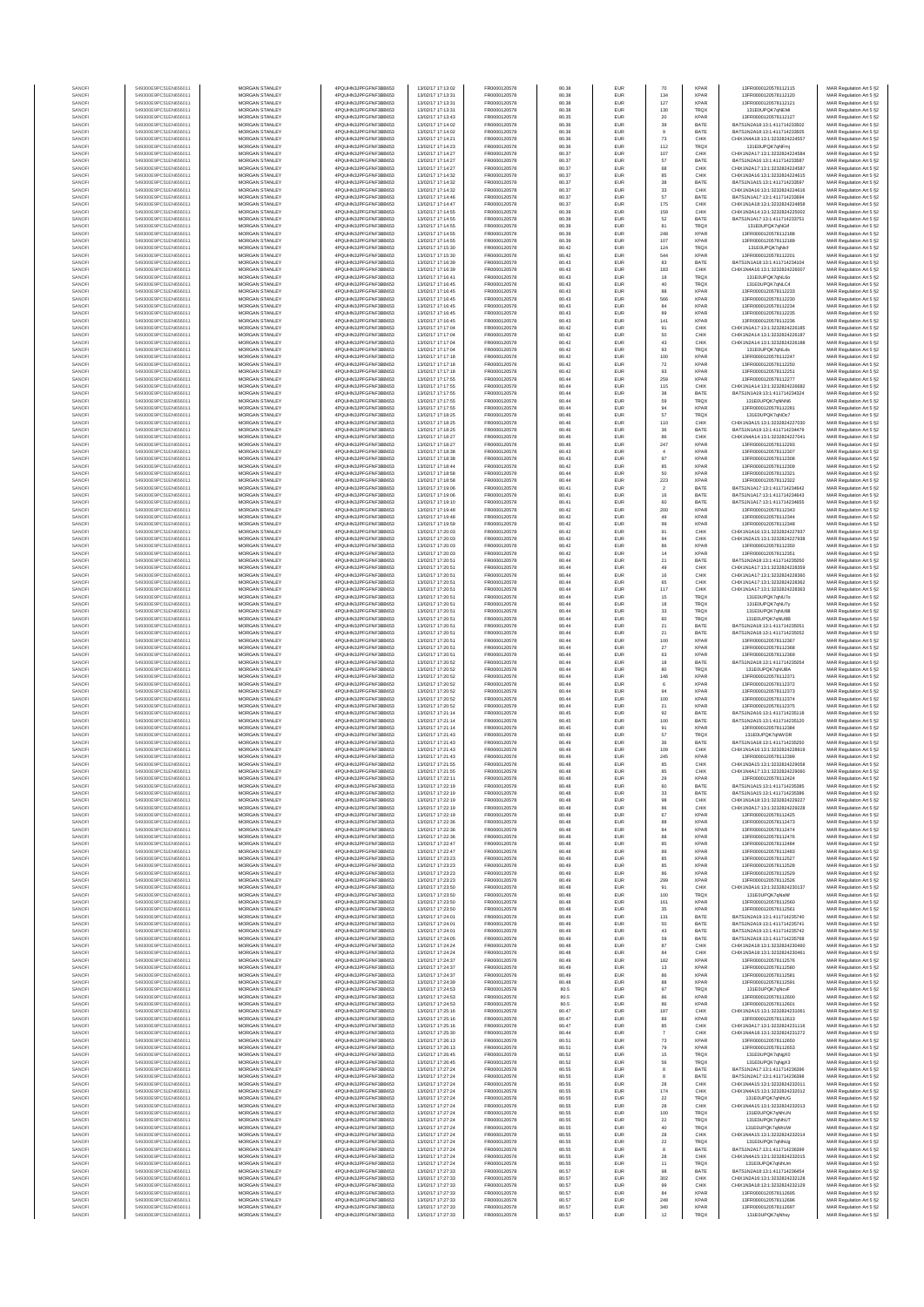| SANOF            | 549300E9PC51EN656011                         | <b>MORGAN STANLEY</b>                          | 4PQUHN3JPFGFNF3BB653                         | 13/02/17 17:13:02                      | FR0000120578                 | 80.38          | EUR                      | 70                   | <b>XPAR</b>                | 13FR0000120578112115                                           | MAR Regulation Art 5 §2                            |
|------------------|----------------------------------------------|------------------------------------------------|----------------------------------------------|----------------------------------------|------------------------------|----------------|--------------------------|----------------------|----------------------------|----------------------------------------------------------------|----------------------------------------------------|
| SANOFI<br>SANOFI | 549300E9PC51EN656011<br>549300E9PC51EN656011 | <b>MORGAN STANLEY</b><br>MORGAN STANLEY        | 4PQUHN3JPFGFNF3BB653<br>4PQUHN3JPFGFNF3BB653 | 13/02/17 17:13:31<br>13/02/17 17:13:31 | FR0000120578<br>FR0000120578 | 80.38<br>80.38 | <b>EUR</b><br>EUR        | 134                  | <b>XPAR</b><br><b>XPAR</b> | 13FR0000120578112120<br>13FR0000120578112121                   | MAR Regulation Art 5 §2                            |
| SANOFI           | 549300E9PC51EN656011                         | MORGAN STANLEY                                 | 4POLIHN3JPEGENE3BB653                        | 13/02/17 17:13:31                      | FR0000120578                 | 80.38          | EUR                      | $127\,$<br>130       | <b>TRQX</b>                | 131E0UPQK7gNEMi                                                | MAR Regulation Art 5 §2<br>MAR Regulation Art 5 §2 |
| SANOFI           | 549300E9PC51EN656011                         | MORGAN STANLEY                                 | 4PQUHN3JPFGFNF3BB653                         | 13/02/17 17:13:43                      | FR0000120578                 | 80.35          | EUR                      | 20                   | XPAF                       | 13FR0000120578112127                                           | MAR Regulation Art 5 §2                            |
| SANOFI<br>SANOFI | 549300E9PC51EN656011<br>549300E9PC51EN656011 | MORGAN STANLEY<br>MORGAN STANLEY               | 4PQUHN3JPFGFNF3BB653<br>4PQUHN3JPFGFNF3BB653 | 13/02/17 17:14:02<br>13/02/17 17:14:02 | FR0000120578<br>FR0000120578 | 80.36<br>80.36 | EUR<br>EUR               | 39<br>$\mathsf{9}$   | BATE<br>BATE               | BATS1N2A18:13:1:411714233502<br>BATS1N2A18:13:1:411714233505   | MAR Regulation Art 5 §2<br>MAR Regulation Art 5 §2 |
| SANOFI           | 549300E9PC51EN656011                         | MORGAN STANLEY                                 | 4PQUHN3JPFGFNF3BB653                         | 13/02/17 17:14:21                      | FR0000120578                 | 80.36          | EUR                      | 73                   | CHIX                       | CHIX1N4A18:13:1:3232824224557                                  | MAR Regulation Art 5 §2                            |
| SANOFI<br>SANOFI | 549300E9PC51EN656011<br>549300E9PC51EN656011 | <b>MORGAN STANLEY</b><br><b>MORGAN STANLEY</b> | 4PQUHN3JPFGFNF3BB653<br>4PQUHN3JPFGFNF3BB653 | 13/02/17 17:14:23<br>13/02/17 17:14:27 | FR0000120578<br>FR0000120578 | 80.36<br>80.37 | EUR<br><b>EUR</b>        | 112<br>107           | TRQ)<br>CHIX               | 131E0UPQK7gNFmi<br>CHIX1N2A17:13:1:3232824224584               | MAR Regulation Art 5 §2<br>MAR Regulation Art 5 §2 |
| SANOFI           | 549300E9PC51EN656011                         | <b>MORGAN STANLEY</b>                          | 4PQUHN3JPFGFNF3BB653                         | 13/02/17 17:14:27                      | FR0000120578                 | 80.37          | <b>EUR</b>               | 67                   | BATE                       | BATS1N2A16-13-1-411714233587                                   | MAR Regulation Art 5 §2                            |
| SANOFI           | 549300E9PC51EN656011                         | MORGAN STANLEY                                 | 4PQUHN3JPFGFNF3BB653                         | 13/02/17 17:14:27                      | FR0000120578                 | 80.37          | EUR                      | 68                   | CHIX                       | CHIX1N2A17:13:1:3232824224587                                  | MAR Regulation Art 5 §2                            |
| SANOFI<br>SANOF  | 549300E9PC51EN656011<br>549300E9PC51EN656011 | MORGAN STANLEY<br>MORGAN STANLEY               | 4PQUHN3JPFGFNF3BB653<br>4PQUHN3JPFGFNF3BB653 | 13/02/17 17:14:32<br>13/02/17 17:14:32 | FR0000120578<br>FR0000120578 | 80.37<br>80.37 | EUR<br>EUR               | 85<br>38             | CHIX<br>BATE               | CHIX1N3A16:13:1:3232824224615<br>BATS1N1A15:13:1:411714233597  | MAR Regulation Art 5 §2<br>MAR Regulation Art 5 §2 |
| SANOFI           | 549300E9PC51EN656011                         | MORGAN STANLEY                                 | 4PQUHN3JPFGFNF3BB653                         | 13/02/17 17:14:32                      | FR0000120578                 | 80.37          | EUR                      | 33                   | CHIX                       | CHIX1N3A16:13:1:3232824224616                                  | MAR Regulation Art 5 §2                            |
| SANOFI           | 549300E9PC51EN656011                         | MORGAN STANLEY                                 | 4PQUHN3JPFGFNF3BB653                         | 13/02/17 17:14:46                      | FR0000120578                 | 80.37          | EUR                      | 57                   | BATE                       | BATS1N1A17:13:1:411714233694                                   | MAR Regulation Art 5 §2                            |
| SANOFI<br>SANOFI | 549300E9PC51EN656011<br>549300E9PC51EN656011 | MORGAN STANLEY<br><b>MORGAN STANLEY</b>        | 4PQUHN3JPFGFNF3BB653<br>4PQUHN3JPFGFNF3BB653 | 13/02/17 17:14:47<br>13/02/17 17:14:55 | FR0000120578<br>FR0000120578 | 80.37<br>80.39 | EUR<br><b>EUR</b>        | 175<br>159           | CHIX<br>CHIX               | CHIX1N1A18:13:1:3232824224858<br>CHIX1N3A14:13:1:3232824225002 | MAR Regulation Art 5 §2<br>MAR Regulation Art 5 §2 |
| SANOFI           | 549300E9PC51EN656011                         | <b>MORGAN STANLEY</b>                          | 4PQUHN3JPFGFNF3BB653                         | 13/02/17 17:14:55                      | FR0000120578                 | 80.39          | <b>EUR</b>               | 52                   | BATE                       | BATS1N1A17:13:1:411714233751                                   | MAR Regulation Art 5 §2                            |
| SANOFI           | 549300E9PC51EN656011                         | MORGAN STANLEY                                 | 4PQUHN3JPFGFNF3BB653                         | 13/02/17 17:14:55                      | FR0000120578                 | 80.39          | EUR                      | 81                   | TRQX                       | 131E0UPQK7gNGtf                                                | MAR Regulation Art 5 §2                            |
| SANOF<br>SANOFI  | 549300E9PC51EN656011<br>549300E9PC51EN656011 | MORGAN STANLEY<br>MORGAN STANLEY               | 4PQUHN3JPFGFNF3BB653<br>4PQUHN3JPFGFNF3BB653 | 13/02/17 17:14:55<br>13/02/17 17:14:55 | FR0000120578<br>FR0000120578 | 80.39<br>80.39 | EUR<br>EUR               | 248<br>107           | <b>XPAR</b><br>XPAF        | 13FR0000120578112188<br>13FR0000120578112189                   | MAR Regulation Art 5 §2<br>MAR Regulation Art 5 §2 |
| SANOFI           | 549300E9PC51EN656011                         | MORGAN STANLEY                                 | 4PQUHN3JPFGFNF3BB653                         | 13/02/17 17:15:30                      | FR0000120578                 | 80.42          | EUR                      | 124                  | TRQ)                       | 131E0UPQK7qNlcf                                                | MAR Regulation Art 5 §2                            |
| SANOFI           | 549300E9PC51EN656011                         | MORGAN STANLEY                                 | 4PQUHN3JPFGFNF3BB653                         | 13/02/17 17:15:30                      | FR0000120578                 | 80.42          | EUR                      | 544                  | <b>XPAR</b>                | 13FR0000120578112201                                           | MAR Regulation Art 5 §2                            |
| SANOFI<br>SANOFI | 549300E9PC51EN656011<br>549300E9PC51EN656011 | MORGAN STANLEY<br><b>MORGAN STANLEY</b>        | 4PQUHN3JPFGFNF3BB653<br>4PQUHN3JPFGFNF3BB653 | 13/02/17 17:16:39<br>13/02/17 17:16:39 | FR0000120578<br>FR0000120578 | 80.43<br>80.43 | EUR<br><b>EUR</b>        | 83<br>183            | BATE<br>CHIX               | BATS1N1A18:13:1:411714234104<br>CHIX1N4A16:13:1:3232824226007  | MAR Regulation Art 5 §2<br>MAR Regulation Art 5 §2 |
| SANOFI           | 549300E9PC51EN656011                         | MORGAN STANLEY                                 | 4PQUHN3JPFGFNF3BB653                         | 13/02/17 17:16:41                      | FR0000120578                 | 80.43          | EUR                      | 19                   | <b>TRQX</b>                | 131E0UPQK7gNL6o                                                | MAR Regulation Art 5 §2                            |
| SANOFI           | 549300E9PC51EN656011                         | MORGAN STANLEY<br>MORGAN STANLEY               | 4PQUHN3JPFGFNF3BB653                         | 13/02/17 17:16:45                      | FR0000120578                 | 80.43          | EUR                      | 40                   | TRQX                       | 131E0UPQK7qNLC4                                                | MAR Regulation Art 5 §2                            |
| SANOFI<br>SANOF  | 549300E9PC51EN656011<br>549300E9PC51EN656011 | MORGAN STANLEY                                 | 4PQUHN3JPFGFNF3BB653<br>4PQUHN3JPFGFNF3BB653 | 13/02/17 17:16:45<br>13/02/17 17:16:45 | FR0000120578<br>FR0000120578 | 80.43<br>80.43 | EUR<br>EUR               | 88<br>566            | <b>XPAR</b><br>XPAF        | 13FR0000120578112233<br>13FR0000120578112230                   | MAR Regulation Art 5 §2<br>MAR Regulation Art 5 §2 |
| SANOFI           | 549300E9PC51EN656011                         | MORGAN STANLEY                                 | 4PQUHN3JPFGFNF3BB653                         | 13/02/17 17:16:45                      | FR0000120578                 | 80.43          | EUR                      | 84                   | XPAF                       | 13FR0000120578112234                                           | MAR Regulation Art 5 §2                            |
| SANOFI           | 549300E9PC51EN656011                         | MORGAN STANLEY                                 | 4PQUHN3JPFGFNF3BB653                         | 13/02/17 17:16:45                      | FR0000120578                 | 80.43          | EUR                      | 89                   | <b>XPAR</b>                | 13FR0000120578112235                                           | MAR Regulation Art 5 §2                            |
| SANOFI<br>SANOFI | 549300E9PC51EN656011<br>549300E9PC51EN656011 | MORGAN STANLEY<br><b>MORGAN STANLEY</b>        | 4PQUHN3JPFGFNF3BB653<br>4PQUHN3JPFGFNF3BB653 | 13/02/17 17:16:45<br>13/02/17 17:17:04 | FR0000120578<br>FR0000120578 | 80.43<br>80.42 | EUR<br><b>EUR</b>        | 141<br>91            | <b>XPAF</b><br>CHIX        | 13FR0000120578112236<br>CHIX1N1A17:13:1:3232824226185          | MAR Regulation Art 5 §2<br>MAR Regulation Art 5 §2 |
| SANOFI           | 549300E9PC51EN656011                         | <b>MORGAN STANLEY</b>                          | 4PQUHN3JPFGFNF3BB653                         | 13/02/17 17:17:04                      | FR0000120578                 | 80.42          | <b>EUR</b>               | 50                   | CHIX                       | CHIX1N2A14:13:1:3232824226187                                  | MAR Regulation Art 5 §2                            |
| SANOFI<br>SANOFI | 549300E9PC51EN656011<br>549300E9PC51EN656011 | MORGAN STANLEY<br>MORGAN STANLEY               | 4PQUHN3JPFGFNF3BB653<br>4PQUHN3JPFGFNF3BB653 | 13/02/17 17:17:04<br>13/02/17 17:17:04 | FR0000120578                 | 80.42<br>80.42 | EUR<br>EUR               | $43\,$               | CHIX<br>TRQ)               | CHIX1N2A14:13:1:3232824226188<br>131E0UPQK7qNLds               | MAR Regulation Art 5 §2                            |
| SANOFI           | 549300E9PC51EN656011                         | MORGAN STANLEY                                 | 4PQUHN3JPFGFNF3BB653                         | 13/02/17 17:17:18                      | FR0000120578<br>FR0000120578 | 80.42          | EUR                      | $\mathbf{93}$<br>100 | XPAF                       | 13FR0000120578112247                                           | MAR Regulation Art 5 §2<br>MAR Regulation Art 5 §2 |
| SANOFI           | 549300E9PC51EN656011                         | MORGAN STANLEY                                 | 4PQUHN3JPFGFNF3BB653                         | 13/02/17 17:17:18                      | FR0000120578                 | 80.42          | EUR                      | $\scriptstyle{72}$   | XPAF                       | 13FR0000120578112250                                           | MAR Regulation Art 5 §2                            |
| SANOFI<br>SANOFI | 549300E9PC51EN656011<br>549300E9PC51EN656011 | MORGAN STANLEY<br>MORGAN STANLEY               | 4PQUHN3JPFGFNF3BB653<br>4PQUHN3JPFGFNF3BB653 | 13/02/17 17:17:18<br>13/02/17 17:17:55 | FR0000120578<br>FR0000120578 | 80.42<br>80.44 | EUR<br>EUR               | 93<br>259            | <b>XPAR</b><br><b>XPAF</b> | 13FR0000120578112251<br>13FR0000120578112277                   | MAR Regulation Art 5 §2<br>MAR Regulation Art 5 §2 |
| SANOFI           | 549300E9PC51EN656011                         | <b>MORGAN STANLEY</b>                          | 4PQUHN3JPFGFNF3BB653                         | 13/02/17 17:17:55                      | FR0000120578                 | 80.44          | <b>EUR</b>               | 115                  | CHIX                       | CHIX1N1A14-13-1-3232824226682                                  | MAR Regulation Art 5 §2                            |
| SANOFI           | 549300E9PC51EN656011                         | MORGAN STANLEY                                 | 4PQUHN3JPFGFNF3BB653                         | 13/02/17 17:17:55<br>13/02/17 17:17:55 | FR0000120578                 | 80.44          | <b>EUR</b>               | 38                   | BATE                       | BATS1N1A19:13:1:411714234324                                   | MAR Regulation Art 5 §2                            |
| SANOFI<br>SANOFI | 549300E9PC51EN656011<br>549300E9PC51EN656011 | <b>MORGAN STANLEY</b><br>MORGAN STANLEY        | 4PQUHN3JPFGFNF3BB653<br>4PQUHN3JPFGFNF3BB653 | 13/02/17 17:17:55                      | FR0000120578<br>FR0000120578 | 80.44<br>80.44 | <b>EUR</b><br>EUR        | 59<br>94             | <b>TRQX</b><br><b>XPAR</b> | 131E0UPQK7qNNN6<br>13FR0000120578112281                        | MAR Regulation Art 5 §2<br>MAR Regulation Art 5 §2 |
| SANOFI           | 549300E9PC51EN656011                         | MORGAN STANLEY                                 | 4PQUHN3JPFGFNF3BB653                         | 13/02/17 17:18:25                      | FR0000120578                 | 80.46          | EUR                      | 57                   | TRQX                       | 131E0UPQK7qNOc7                                                | MAR Regulation Art 5 §2                            |
| SANOFI           | 549300E9PC51EN656011                         | MORGAN STANLEY                                 | 4PQUHN3JPFGFNF3BB653                         | 13/02/17 17:18:25                      | FR0000120578                 | 80.46          | EUR                      | 110                  | CHIX                       | CHIX1N3A15:13:1:323282422703<br>BATS1N1A19:13:1:411714234479   | MAR Regulation Art 5 §2                            |
| SANOF<br>SANOFI  | 549300E9PC51EN656011<br>549300E9PC51EN656011 | MORGAN STANLEY<br>MORGAN STANLEY               | 4PQUHN3JPFGFNF3BB653<br>4PQUHN3JPFGFNF3BB653 | 13/02/17 17:18:25<br>13/02/17 17:18:27 | FR0000120578<br>FR0000120578 | 80.46<br>80.46 | EUR<br>EUR               | $_{\rm 36}$<br>86    | BATE<br>CHIX               | CHIX1N4A14:13:1:3232824227041                                  | MAR Regulation Art 5 §2<br>MAR Regulation Art 5 §2 |
| SANOFI           | 549300E9PC51EN656011                         | MORGAN STANLEY                                 | 4PQUHN3JPFGFNF3BB653                         | 13/02/17 17:18:27                      | FR0000120578                 | 80.46          | EUR                      | 247                  | <b>XPAF</b>                | 13FR0000120578112293                                           | MAR Regulation Art 5 §2                            |
| SANOFI           | 549300E9PC51EN656011                         | <b>MORGAN STANLEY</b>                          | 4PQUHN3JPFGFNF3BB653                         | 13/02/17 17:18:38                      | FR0000120578                 | 80.43          | EUR                      | $\overline{4}$       | <b>XPAR</b>                | 13FR0000120578112307                                           | MAR Regulation Art 5 §2                            |
| SANOFI<br>SANOFI | 549300E9PC51EN656011<br>549300E9PC51EN656011 | <b>MORGAN STANLEY</b><br>MORGAN STANLEY        | 4PQUHN3JPFGFNF3BB653<br>4PQUHN3JPFGFNF3BB653 | 13/02/17 17:18:38<br>13/02/17 17:18:44 | FR0000120578<br>FR0000120578 | 80.43<br>80.42 | <b>EUR</b><br>EUR        | 97<br>85             | <b>XPAR</b><br><b>XPAR</b> | 13FR0000120578112308<br>13FR0000120578112309                   | MAR Regulation Art 5 §2<br>MAR Regulation Art 5 §2 |
| SANOFI           | 549300E9PC51EN656011                         | MORGAN STANLEY                                 | 4PQUHN3JPFGFNF3BB653                         | 13/02/17 17:18:58                      | FR0000120578                 | 80.44          | EUR                      | 50                   | <b>XPAF</b>                | 13FR0000120578112321                                           | MAR Regulation Art 5 §2                            |
| SANOF            | 549300E9PC51EN656011                         | MORGAN STANLEY                                 | 4PQUHN3JPFGFNF3BB653                         | 13/02/17 17:18:58                      | FR0000120578                 | 80.44          | EUR                      | 223                  | XPAF                       | 13FR0000120578112322                                           | MAR Regulation Art 5 §2                            |
| SANOFI<br>SANOFI | 549300E9PC51EN656011<br>549300E9PC51EN656011 | MORGAN STANLEY<br>MORGAN STANLEY               | 4PQUHN3JPFGFNF3BB653<br>4PQUHN3JPFGFNF3BB653 | 13/02/17 17:19:06<br>13/02/17 17:19:06 | FR0000120578<br>FR0000120578 | 80.41<br>80.41 | EUR<br>EUR               | $\,$<br>$16\,$       | BATE<br>BATE               | BATS1N1A17:13:1:411714234642<br>BATS1N1A17:13:1:411714234643   | MAR Regulation Art 5 §2<br>MAR Regulation Art 5 §2 |
| SANOFI           | 549300E9PC51EN656011                         | MORGAN STANLEY                                 | 4PQUHN3JPFGFNF3BB653                         | 13/02/17 17:19:10                      | FR0000120578                 | 80.41          | EUR                      | 60                   | BATE                       | BATS1N1A17:13:1:411714234655                                   | MAR Regulation Art 5 §2                            |
| SANOFI           | 549300E9PC51EN656011                         | <b>MORGAN STANLEY</b>                          | 4PQUHN3JPFGFNF3BB653                         | 13/02/17 17:19:48                      | FR0000120578                 | 80.42          | <b>EUR</b>               | 200                  | <b>XPAR</b>                | 13FR0000120578112343                                           | MAR Regulation Art 5 §2                            |
| SANOFI<br>SANOFI | 549300E9PC51EN656011<br>549300E9PC51EN656011 | <b>MORGAN STANLEY</b><br>MORGAN STANLEY        | 4PQUHN3JPFGFNF3BB653<br>4PQUHN3JPFGFNF3BB653 | 13/02/17 17:19:48<br>13/02/17 17:19:59 | FR0000120578<br>FR0000120578 | 80.42<br>80.42 | <b>EUR</b><br>EUR        | 49<br>99             | <b>XPAR</b><br><b>XPAF</b> | 13FR0000120578112344<br>13FR0000120578112348                   | MAR Regulation Art 5 §2<br>MAR Regulation Art 5 §2 |
| SANOF            | 549300E9PC51EN656011                         | MORGAN STANLEY                                 | 4PQUHN3JPFGFNF3BB653                         | 13/02/17 17:20:03                      | FR0000120578                 | 80.42          | EUR                      | 91                   | CHIX                       | CHIX1N1A16:13:1:3232824227937                                  | MAR Regulation Art 5 §2                            |
| SANOFI           | 549300E9PC51EN656011                         | MORGAN STANLEY                                 | 4PQUHN3JPFGFNF3BB653                         | 13/02/17 17:20:03                      | FR0000120578                 | 80.42          | EUR                      | 94                   | CHIX                       | CHIX1N2A15:13:1:3232824227938                                  | MAR Regulation Art 5 §2                            |
| SANOFI<br>SANOFI | 549300E9PC51EN656011<br>549300E9PC51EN656011 | MORGAN STANLEY<br>MORGAN STANLEY               | 4PQUHN3JPFGFNF3BB653<br>4PQUHN3JPFGFNF3BB653 | 13/02/17 17:20:03<br>13/02/17 17:20:03 | FR0000120578<br>FR0000120578 | 80.42<br>80.42 | EUR<br>EUR               | 86<br>14             | XPAF<br>XPAF               | 13FR0000120578112350<br>13FR0000120578112351                   | MAR Regulation Art 5 §2<br>MAR Regulation Art 5 §2 |
| SANOFI           | 549300E9PC51EN656011                         | MORGAN STANLEY                                 | 4PQUHN3JPFGFNF3BB653                         | 13/02/17 17:20:51                      | FR0000120578                 | 80.44          | EUR                      | $21\,$               | BATE                       | BATS1N2A18:13:1:411714235050                                   | MAR Regulation Art 5 §2                            |
| SANOFI<br>SANOFI | 549300E9PC51EN656011<br>549300E9PC51EN656011 | <b>MORGAN STANLEY</b><br><b>MORGAN STANLEY</b> | 4PQUHN3JPFGFNF3BB653<br>4PQUHN3JPFGFNF3BB653 | 13/02/17 17:20:51<br>13/02/17 17:20:51 | FR0000120578<br>FR0000120578 | 80.44<br>80.44 | <b>EUR</b><br>EUR        | 49<br>16             | CHIX<br>CHIX               | CHIX1N1A17:13:1:3232824228359<br>CHIX1N1A17:13:1:3232824228360 | MAR Regulation Art 5 §2<br>MAR Regulation Art 5 §2 |
| SANOFI           | 549300E9PC51EN656011                         | MORGAN STANLEY                                 | 4PQUHN3JPFGFNF3BB653                         | 13/02/17 17:20:51                      | FR0000120578                 | 80.44          | EUR                      | 65                   | CHIX                       | CHIX1N1A17:13:1:3232824228362                                  | MAR Regulation Art 5 §2                            |
| SANOFI           | 549300E9PC51EN656011                         | MORGAN STANLEY                                 | 4PQUHN3JPFGFNF3BB653                         | 13/02/17 17:20:51                      | FR0000120578                 | 80.44          | EUR                      | 117                  | CHIX                       | CHIX1N1A17:13:1:3232824228363                                  | MAR Regulation Art 5 §2                            |
| SANOF<br>SANOFI  | 549300E9PC51EN656011<br>549300E9PC51EN656011 | MORGAN STANLEY<br>MORGAN STANLEY               | 4PQUHN3JPFGFNF3BB653<br>4PQUHN3JPFGFNF3BB653 | 13/02/17 17:20:51<br>13/02/17 17:20:51 | FR0000120578<br>FR0000120578 | 80.44<br>80.44 | EUR<br>EUR               | 15<br>18             | TRQ)<br>TRQ)               | 131E0UPQK7qNU7o<br>131E0UPQK7qNU7y                             | MAR Regulation Art 5 §2<br>MAR Regulation Art 5 §2 |
| SANOFI           | 549300E9PC51EN656011                         | MORGAN STANLEY                                 | 4PQUHN3JPFGFNF3BB653                         | 13/02/17 17:20:51                      | FR0000120578                 | 80.44          | EUR                      | $_{33}$              | TRQX                       | 131E0UPQK7qNU88                                                | MAR Regulation Art 5 §2                            |
| SANOFI           | 549300E9PC51EN656011                         | MORGAN STANLEY                                 | 4PQUHN3JPFGFNF3BB653                         | 13/02/17 17:20:51                      | FR0000120578                 | 80.44          | EUR                      | 60                   | TRQX                       | 131E0UPQK7qNU8B                                                | MAR Regulation Art 5 §2                            |
| SANOFI<br>SANOFI | 549300E9PC51EN656011<br>549300E9PC51EN656011 | <b>MORGAN STANLEY</b><br><b>MORGAN STANLEY</b> | 4PQUHN3JPFGFNF3BB653<br>4PQUHN3JPFGFNF3BB653 | 13/02/17 17:20:51<br>13/02/17 17:20:51 | FR0000120578<br>FR0000120578 | 80.44<br>80.44 | <b>EUR</b><br><b>EUR</b> | 21<br>21             | BATE<br>BATE               | BATS1N2A18:13:1:411714235051<br>BATS1N2A18:13:1:411714235052   | MAR Regulation Art 5 §2<br>MAR Regulation Art 5 §2 |
| SANOFI           | 549300E9PC51EN656011                         | <b>MORGAN STANLEY</b>                          | 4PQUHN3JPFGFNF3BB653                         | 13/02/17 17:20:51                      | FR0000120578                 | 80.44          | EUR                      | 100                  | <b>XPAR</b>                | 13FR0000120578112367                                           | MAR Regulation Art 5 §2                            |
| SANOFI<br>SANOFI | 549300E9PC51EN656011<br>549300E9PC51EN656011 | MORGAN STANLEY<br>MORGAN STANLEY               | 4PQUHN3JPFGFNF3BB653<br>4PQUHN3JPFGFNF3BB653 | 13/02/17 17:20:51<br>13/02/17 17:20:51 | FR0000120578<br>FR0000120578 | 80.44<br>80.44 | EUR<br>EUR               | $27\,$<br>63         | <b>XPAR</b><br>XPAR        | 13FR0000120578112368<br>13FR0000120578112369                   | MAR Regulation Art 5 §2<br>MAR Regulation Art 5 §2 |
| SANOF            | 549300E9PC51EN656011                         | MORGAN STANLEY                                 | 4PQUHN3JPFGFNF3BB653                         | 13/02/17 17:20:52                      | FR0000120578                 | 80.44          | EUR                      | 18                   | BATE                       | BATS1N2A18:13:1:41171423505                                    | MAR Regulation Art 5 §2                            |
| SANOFI           | 549300E9PC51EN656011                         | MORGAN STANLEY                                 | 4PQUHN3JPFGFNF3BB653                         | 13/02/17 17:20:52                      | FR0000120578                 | 80.44          | EUR                      | 80                   | TRQ)                       | 131E0UPQK7qNUBA                                                | MAR Regulation Art 5 §2                            |
| SANOFI           | 549300E9PC51EN656011<br>549300E9PC51EN656011 | MORGAN STANLEY<br>MORGAN STANLEY               | 4PQUHN3JPFGFNF3BB653<br>4PQUHN3JPFGFNF3BB653 | 13/02/17 17:20:52<br>13/02/17 17:20:52 | FR0000120578<br>FR0000120578 | 80.44<br>80.44 | EUR<br>EUR               | 146                  | <b>XPAR</b><br><b>XPAF</b> | 13FR0000120578112371<br>13FR0000120578112372                   | MAR Regulation Art 5 §2<br>MAR Regulation Art 5 §2 |
| SANOFI<br>SANOFI | 549300E9PC51EN656011                         | <b>MORGAN STANLEY</b>                          | 4PQUHN3JPFGFNF3BB653                         | 13/02/17 17:20:52                      | FR0000120578                 | 80.44          | <b>EUR</b>               | 6<br>94              | <b>XPAR</b>                | 13FR0000120578112373                                           | MAR Regulation Art 5 §2                            |
| SANOFI           | 549300E9PC51EN656011                         | <b>MORGAN STANLEY</b>                          | 4PQUHN3JPFGFNF3BB653                         | 13/02/17 17:20:52                      | FR0000120578                 | 80.44          | <b>EUR</b>               | 100                  | <b>XPAR</b>                | 13FR0000120578112374                                           | MAR Regulation Art 5 §2                            |
| SANOFI<br>SANOFI | 549300E9PC51EN656011<br>549300E9PC51EN656011 | MORGAN STANLEY<br>MORGAN STANLEY               | 4PQUHN3JPFGFNF3BB653<br>4PQUHN3JPFGFNF3BB653 | 13/02/17 17:20:52<br>13/02/17 17:21:14 | FR0000120578<br>FR0000120578 | 80.44<br>80.45 | EUR<br>EUR               | 21<br>$92\,$         | <b>XPAF</b><br>BATE        | 13FR0000120578112375<br>BATS1N2A16:13:1:411714235118           | MAR Regulation Art 5 §2<br>MAR Regulation Art 5 §2 |
| SANOFI           | 549300E9PC51EN656011                         | MORGAN STANLEY                                 | 4PQUHN3JPFGFNF3BB653                         | 13/02/17 17:21:14                      | FR0000120578                 | 80.45          | EUR                      | 100                  | BATE                       | BATS1N2A15:13:1:411714235120                                   | MAR Regulation Art 5 §2                            |
| SANOFI           | 549300E9PC51EN656011                         | MORGAN STANLEY                                 | 4PQUHN3JPFGFNF3BB653                         | 13/02/17 17:21:14                      | FR0000120578                 | 80.45          | EUR                      | 91                   | XPAF                       | 3FR0000120578112384                                            | MAR Regulation Art 5 §2                            |
| SANOFI<br>SANOFI | 549300E9PC51EN656011<br>549300E9PC51EN656011 | MORGAN STANLEY<br>MORGAN STANLEY               | 4PQUHN3JPFGFNF3BB653<br>4PQUHN3JPFGFNF3BB653 | 13/02/17 17:21:43<br>13/02/17 17:21:43 | FR0000120578<br>FR0000120578 | 80.49<br>80.49 | EUR<br>EUR               | 57<br>36             | TRQ)<br>BATE               | 131E0UPQK7gNWDR<br>BATS1N1A18:13:1:411714235250                | MAR Regulation Art 5 §2<br>MAR Regulation Art 5 §2 |
| SANOFI           | 549300E9PC51EN656011                         | <b>MORGAN STANLEY</b>                          | 4PQUHN3JPFGFNF3BB653                         | 13/02/17 17:21:43                      | FR0000120578                 | 80.49          | <b>EUR</b>               | 109                  | CHIX                       | CHIX1N1A16:13:1:3232824228919                                  | MAR Regulation Art 5 §2                            |
| SANOFI<br>SANOFI | 549300E9PC51EN656011<br>549300E9PC51EN656011 | <b>MORGAN STANLEY</b><br>MORGAN STANLEY        | 4PQUHN3JPFGFNF3BB653<br>4PQUHN3JPFGFNF3BB653 | 13/02/17 17:21:43<br>13/02/17 17:21:55 | FR0000120578<br>FR0000120578 | 80.49<br>80.48 | <b>EUR</b><br>EUR        | 245<br>85            | <b>XPAR</b><br>CHIX        | 13FR0000120578112399<br>CHIX1N3A15:13:1:3232824229058          | MAR Regulation Art 5 §2<br>MAR Regulation Art 5 §2 |
| SANOFI           | 549300E9PC51EN656011                         | MORGAN STANLEY                                 | 4PQUHN3JPFGFNF3BB653                         | 13/02/17 17:21:55                      | FR0000120578                 | 80.48          | EUR                      | 85                   | CHIX                       | CHIX1N4A17:13:1:3232824229060                                  | MAR Regulation Art 5 §2                            |
|                  |                                              |                                                |                                              | 3/02/17 17:22:1                        |                              |                |                          |                      |                            |                                                                | : Regulation Art 5 §.                              |
| SANOF<br>SANOFI  | 549300E9PC51EN656011<br>549300E9PC51EN656011 | MORGAN STANLEY<br>MORGAN STANLEY               | 4PQUHN3JPFGFNF3BB653<br>4PQUHN3JPFGFNF3BB653 | 13/02/17 17:22:19<br>13/02/17 17:22:19 | FR0000120578<br>FR0000120578 | 80.48<br>80.48 | EUR<br>EUR               | 60<br>33             | BATE<br>BATE               | BATS1N1A15:13:1:411714235385<br>BATS1N1A15:13:1:411714235386   | MAR Regulation Art 5 §2<br>MAR Regulation Art 5 §2 |
| SANOFI           | 549300E9PC51EN656011                         | MORGAN STANLEY                                 | 4PQUHN3JPFGFNF3BB653                         | 13/02/17 17:22:19                      | FR0000120578                 | 80.48          | EUR                      | 98                   | CHIX                       | CHIX1N1A18:13:1:3232824229227                                  | MAR Regulation Art 5 §2                            |
| SANOFI<br>SANOFI | 549300E9PC51EN656011<br>549300E9PC51EN656011 | <b>MORGAN STANLEY</b><br><b>MORGAN STANLEY</b> | 4PQUHN3JPFGFNF3BB653<br>4PQUHN3JPFGFNF3BB653 | 13/02/17 17:22:19<br>13/02/17 17:22:19 | FR0000120578<br>FR0000120578 | 80.48<br>80.48 | <b>EUR</b><br><b>EUR</b> | 86<br>67             | CHIX<br><b>XPAR</b>        | CHIX1N3A17:13:1:3232824229228<br>13FR0000120578112425          | MAR Regulation Art 5 §2                            |
| SANOFI           | 549300E9PC51EN656011                         | MORGAN STANLEY                                 | 4PQUHN3JPFGFNF3BB653                         | 13/02/17 17:22:36                      | FR0000120578                 | 80.48          | EUR                      | 88                   | <b>XPAR</b>                | 13FR0000120578112473                                           | MAR Regulation Art 5 §2<br>MAR Regulation Art 5 §2 |
| SANOFI           | 549300E9PC51EN656011                         | MORGAN STANLEY                                 | 4PQUHN3JPFGFNF3BB653                         | 13/02/17 17:22:36                      | FR0000120578                 | 80.48          | <b>EUR</b>               | 84                   | <b>XPAR</b>                | 13FR0000120578112474                                           | MAR Regulation Art 5 §2                            |
| SANOFI<br>SANOFI | 549300E9PC51EN656011<br>549300E9PC51EN656011 | MORGAN STANLEY<br>MORGAN STANLEY               | 4PQUHN3JPFGFNF3BB653<br>4PQUHN3JPFGFNF3BB653 | 13/02/17 17:22:36<br>13/02/17 17:22:47 | FR0000120578<br>FR0000120578 | 80.48<br>80.48 | EUR<br>EUR               | 88<br>85             | <b>XPAR</b><br><b>XPAR</b> | 13FR0000120578112476<br>13FR0000120578112484                   | MAR Regulation Art 5 §2<br>MAR Regulation Art 5 §2 |
| SANOFI           | 549300E9PC51EN656011                         | MORGAN STANLEY                                 | 4PQUHN3JPFGFNF3BB653                         | 13/02/17 17:22:47                      | FR0000120578                 | 80.48          | EUR                      | 89                   | <b>XPAR</b>                | 13FR0000120578112483                                           | MAR Regulation Art 5 §2                            |
| SANOFI<br>SANOFI | 549300E9PC51EN656011<br>549300E9PC51EN656011 | MORGAN STANLEY<br><b>MORGAN STANLEY</b>        | 4PQUHN3JPFGFNF3BB653<br>4PQUHN3JPFGFNF3BB653 | 13/02/17 17:23:23<br>13/02/17 17:23:23 | FR0000120578<br>FR0000120578 | 80.49<br>80.49 | EUR<br><b>EUR</b>        | 85                   | <b>XPAR</b><br><b>XPAR</b> | 13FR0000120578112527<br>13FR0000120578112528                   | MAR Regulation Art 5 §2                            |
| SANOFI           | 549300E9PC51EN656011                         | <b>MORGAN STANLEY</b>                          | 4PQUHN3JPFGFNF3BB653                         | 13/02/17 17:23:23                      | FR0000120578                 | 80.49          | <b>EUR</b>               | 85<br>86             | <b>XPAR</b>                | 13FR0000120578112529                                           | MAR Regulation Art 5 §2<br>MAR Regulation Art 5 §2 |
| SANOFI           | 549300E9PC51EN656011                         | <b>MORGAN STANLEY</b>                          | 4PQUHN3JPFGFNF3BB653                         | 13/02/17 17:23:23                      | FR0000120578                 | 80.49          | <b>EUR</b>               | 299                  | <b>XPAR</b>                | 13FR0000120578112526                                           | MAR Regulation Art 5 §2                            |
| SANOFI<br>SANOFI | 549300E9PC51EN656011<br>549300E9PC51EN656011 | MORGAN STANLEY<br>MORGAN STANLEY               | 4PQUHN3JPFGFNF3BB653<br>4PQUHN3JPFGFNF3BB653 | 13/02/17 17:23:50<br>13/02/17 17:23:50 | FR0000120578<br>FR0000120578 | 80.48<br>80.48 | <b>EUR</b><br>EUR        | 91<br>100            | CHIX<br>TRQX               | CHIX1N3A16:13:1:3232824230137<br>131E0UPQK7qNaNf               | MAR Regulation Art 5 §2<br>MAR Regulation Art 5 §2 |
| SANOFI           | 549300E9PC51EN656011                         | MORGAN STANLEY                                 | 4PQUHN3JPFGFNF3BB653                         | 13/02/17 17:23:50                      | FR0000120578                 | 80.48          | EUR                      | 161                  | <b>XPAR</b>                | 13FR0000120578112560                                           | MAR Regulation Art 5 §2                            |
| SANOFI           | 549300E9PC51EN656011                         | MORGAN STANLEY                                 | 4PQUHN3JPFGFNF3BB653                         | 13/02/17 17:23:50                      | FR0000120578                 | 80.48          | EUR                      | 35                   | <b>XPAR</b>                | 13FR0000120578112561                                           | MAR Regulation Art 5 §2                            |
| SANOFI<br>SANOFI | 549300E9PC51EN656011<br>549300E9PC51EN656011 | MORGAN STANLEY<br>MORGAN STANLEY               | 4PQUHN3JPFGFNF3BB653<br>4PQUHN3JPFGFNF3BB653 | 13/02/17 17:24:01<br>13/02/17 17:24:01 | FR0000120578<br>FR0000120578 | 80.49<br>80.49 | EUR<br><b>EUR</b>        | 131<br>50            | BATE<br>BATE               | BATS1N2A19:13:1:411714235740<br>BATS1N2A19:13:1:411714235741   | MAR Regulation Art 5 §2<br>MAR Regulation Art 5 §2 |
| SANOFI           | 549300E9PC51EN656011                         | MORGAN STANLEY                                 | 4PQUHN3JPFGFNF3BB653                         | 13/02/17 17:24:01                      | FR0000120578                 | 80.49          | <b>EUR</b>               | 43                   | BATE                       | BATS1N2A19:13:1:411714235742                                   | MAR Regulation Art 5 §2                            |
| SANOFI<br>SANOFI | 549300E9PC51EN656011                         | MORGAN STANLEY<br>MORGAN STANLEY               | 4PQUHN3JPFGFNF3BB653                         | 13/02/17 17:24:05<br>13/02/17 17:24:24 | FR0000120578                 | 80.49          | <b>EUR</b>               | 59<br>87             | BATE<br>CHIX               | BATS1N2A19-13-1-411714235768<br>CHIX1N2A18:13:1:3232824230460  | MAR Regulation Art 5 §2<br>MAR Regulation Art 5 §2 |
| SANOFI           | 549300E9PC51EN656011<br>549300E9PC51EN656011 | MORGAN STANLEY                                 | 4PQUHN3JPFGFNF3BB653<br>4PQUHN3JPFGFNF3BB653 | 13/02/17 17:24:24                      | FR0000120578<br>FR0000120578 | 80.48<br>80.48 | <b>EUR</b><br><b>EUR</b> | 84                   | CHIX                       | CHIX1N3A18:13:1:3232824230461                                  | MAR Regulation Art 5 §2                            |
| SANOF            | 549300E9PC51EN656011                         | MORGAN STANLEY                                 | 4PQUHN3JPFGFNF3BB653                         | 13/02/17 17:24:37                      | FR0000120578                 | 80.49          | EUR                      | 182                  | <b>XPAR</b>                | 13FR0000120578112576                                           | MAR Regulation Art 5 §2                            |
| SANOFI<br>SANOFI | 549300E9PC51EN656011                         | MORGAN STANLEY<br>MORGAN STANLEY               | 4PQUHN3JPFGFNF3BB653<br>4PQUHN3JPFGFNF3BB653 | 13/02/17 17:24:37                      | FR0000120578                 | 80.49          | EUR                      | $13\,$<br>86         | <b>XPAR</b><br><b>XPAR</b> | 13FR0000120578112580<br>13FR0000120578112581                   | MAR Regulation Art 5 §2<br>MAR Regulation Art 5 §2 |
| SANOFI           | 549300E9PC51EN656011<br>549300E9PC51EN656011 | MORGAN STANLEY                                 | 4PQUHN3JPFGFNF3BB653                         | 13/02/17 17:24:37<br>13/02/17 17:24:39 | FR0000120578<br>FR0000120578 | 80.49<br>80.48 | EUR<br><b>EUR</b>        | 88                   | <b>XPAR</b>                | 13FR0000120578112591                                           | MAR Regulation Art 5 §2                            |
| SANOFI           | 549300E9PC51EN656011                         | <b>MORGAN STANLEY</b>                          | 4PQUHN3JPFGFNF3BB653                         | 13/02/17 17:24:53                      | FR0000120578                 | 80.5           | <b>EUR</b>               | 97                   | <b>TRQX</b>                | 131E0UPQK7gNcvF                                                | MAR Regulation Art 5 §2                            |
| SANOFI<br>SANOFI | 549300E9PC51EN656011<br>549300E9PC51EN656011 | <b>MORGAN STANLEY</b><br>MORGAN STANLEY        | 4PQUHN3JPFGFNF3BB653<br>4PQUHN3JPFGFNF3BB653 | 13/02/17 17:24:53<br>13/02/17 17:24:53 | FR0000120578<br>FR0000120578 | 80.5<br>80.5   | <b>EUR</b><br><b>EUR</b> | 86<br>86             | <b>XPAR</b><br><b>XPAR</b> | 13FR0000120578112600<br>13FR0000120578112601                   | MAR Regulation Art 5 §2<br>MAR Regulation Art 5 §2 |
| SANOFI           | 549300E9PC51EN656011                         | MORGAN STANLEY                                 | 4PQUHN3JPFGFNF3BB653                         | 13/02/17 17:25:16                      | FR0000120578                 | 80.47          | <b>EUR</b>               | 187                  | CHIX                       | CHIX1N2A15:13:1:3232824231061                                  | MAR Regulation Art 5 §2                            |
| SANOFI           | 549300E9PC51EN656011                         | MORGAN STANLEY                                 | 4PQUHN3JPFGFNF3BB653                         | 13/02/17 17:25:16                      | FR0000120578                 | 80.47          | EUR                      | 89                   | <b>XPAR</b>                | 13FR0000120578112613                                           | MAR Regulation Art 5 §2                            |
| SANOFI<br>SANOFI | 549300E9PC51EN656011<br>549300E9PC51EN656011 | MORGAN STANLEY<br>MORGAN STANLEY               | 4PQUHN3JPFGFNF3BB653<br>4PQUHN3JPFGFNF3BB653 | 13/02/17 17:25:16<br>13/02/17 17:25:30 | FR0000120578<br>FR0000120578 | 80.47<br>80.44 | EUR<br>EUR               | 85                   | CHIX<br>CHIX               | CHIX1N3A17:13:1:3232824231116<br>CHIX1N4A18:13:1:3232824231272 | MAR Regulation Art 5 §2<br>MAR Regulation Art 5 §2 |
| SANOFI           | 549300E9PC51EN656011                         | MORGAN STANLEY                                 | 4PQUHN3JPFGFNF3BB653                         | 13/02/17 17:26:13                      | FR0000120578                 | 80.51          | <b>EUR</b>               | 73                   | <b>XPAR</b>                | 13FR0000120578112650                                           | MAR Regulation Art 5 §2                            |
| SANOFI<br>SANOFI | 549300E9PC51EN656011<br>549300E9PC51EN656011 | <b>MORGAN STANLEY</b><br><b>MORGAN STANLEY</b> | 4PQUHN3JPFGFNF3BB653<br>4PQUHN3JPFGFNF3BB653 | 13/02/17 17:26:13<br>13/02/17 17:26:45 | FR0000120578<br>FR0000120578 | 80.51<br>80.52 | <b>EUR</b><br><b>EUR</b> | 79<br>15             | <b>XPAR</b><br><b>TRQX</b> | 13FR0000120578112653<br>131E0UPQK7qNgX0                        | MAR Regulation Art 5 §2                            |
| SANOFI           | 549300E9PC51EN656011                         | MORGAN STANLEY                                 | 4PQUHN3JPFGFNF3BB653                         | 13/02/17 17:26:45                      | FR0000120578                 | 80.52          | <b>EUR</b>               | 56                   | TRQX                       | 131E0UPQK7qNgX3                                                | MAR Regulation Art 5 §2<br>MAR Regulation Art 5 §2 |
| SANOFI           | 549300E9PC51EN656011                         | MORGAN STANLEY                                 | 4PQUHN3JPFGFNF3BB653                         | 13/02/17 17:27:24                      | FR0000120578                 | 80.55          | EUR                      | 8                    | BATE                       | BATS1N2A17:13:1:411714236396                                   | MAR Regulation Art 5 §2                            |
| SANOFI<br>SANOFI | 549300E9PC51EN656011<br>549300E9PC51EN656011 | MORGAN STANLEY<br>MORGAN STANLEY               | 4PQUHN3JPFGFNF3BB653<br>4PQUHN3JPFGFNF3BB653 | 13/02/17 17:27:24<br>13/02/17 17:27:24 | FR0000120578<br>FR0000120578 | 80.55<br>80.55 | EUR<br>EUR               | $^{\rm 8}$<br>28     | BATE<br>CHIX               | BATS1N2A17:13:1:411714236398<br>CHIX1N4A15:13:1:3232824232011  | MAR Regulation Art 5 §2                            |
| SANOFI           | 549300E9PC51EN656011                         | MORGAN STANLEY                                 | 4PQUHN3JPFGFNF3BB653                         | 13/02/17 17:27:24                      | FR0000120578                 | 80.55          | <b>EUR</b>               | 174                  | CHIX                       | CHIX1N4A15:13:1:3232824232012                                  | MAR Regulation Art 5 §2<br>MAR Regulation Art 5 §2 |
| SANOFI           | 549300E9PC51EN656011                         | MORGAN STANLEY                                 | 4PQUHN3JPFGFNF3BB653                         | 13/02/17 17:27:24                      | FR0000120578                 | 80.55          | EUR                      | 22                   | <b>TRQX</b>                | 131E0UPQK7qNhUG                                                | MAR Regulation Art 5 §2                            |
| SANOFI<br>SANOFI | 549300E9PC51EN656011<br>549300E9PC51EN656011 | <b>MORGAN STANLEY</b><br><b>MORGAN STANLEY</b> | 4PQUHN3JPFGFNF3BB653<br>4PQUHN3JPFGFNF3BB653 | 13/02/17 17:27:24<br>13/02/17 17:27:24 | FR0000120578<br>FR0000120578 | 80.55<br>80.55 | <b>EUR</b><br><b>EUR</b> | 28<br>100            | CHIX<br><b>TRQX</b>        | CHIX1N4A15:13:1:3232824232013<br>131E0UPQK7qNhUN               | MAR Regulation Art 5 §2<br>MAR Regulation Art 5 §2 |
| SANOFI           | 549300E9PC51EN656011                         | <b>MORGAN STANLEY</b>                          | 4PQUHN3JPFGFNF3BB653                         | 13/02/17 17:27:24                      | FR0000120578                 | 80.55          | <b>EUR</b>               | $22\,$               | <b>TRQX</b>                | 131E0UPQK7gNhUT                                                | MAR Regulation Art 5 §2                            |
| SANOFI           | 549300E9PC51EN656011                         | MORGAN STANLEY                                 | 4PQUHN3JPFGFNF3BB653                         | 13/02/17 17:27:24                      | FR0000120578                 | 80.55          | <b>EUR</b>               | 40                   | TRQX                       | 131E0UPQK7qNhUW                                                | MAR Regulation Art 5 §2                            |
| SANOFI<br>SANOFI | 549300E9PC51EN656011<br>549300E9PC51EN656011 | MORGAN STANLEY<br>MORGAN STANLEY               | 4PQUHN3JPFGFNF3BB653<br>4PQUHN3JPFGFNF3BB653 | 13/02/17 17:27:24<br>13/02/17 17:27:24 | FR0000120578<br>FR0000120578 | 80.55<br>80.55 | <b>EUR</b><br>EUR        | 28<br>$\bf{22}$      | CHIX<br>TRQX               | CHIX1N4A15:13:1:3232824232014<br>131E0UPQK7qNhUg               | MAR Regulation Art 5 §2<br>MAR Regulation Art 5 §2 |
| SANOFI           | 549300E9PC51EN656011                         | MORGAN STANLEY                                 | 4PQUHN3JPFGFNF3BB653                         | 13/02/17 17:27:24                      | FR0000120578                 | 80.55          | EUR                      | 8                    | BATE                       | BATS1N2A17:13:1:411714236399                                   | MAR Regulation Art 5 §2                            |
| SANOFI           | 549300E9PC51EN656011                         | MORGAN STANLEY                                 | 4PQUHN3JPFGFNF3BB653                         | 13/02/17 17:27:24                      | FR0000120578                 | 80.55          | <b>EUR</b>               | $\bf 28$             | CHIX<br><b>TRQX</b>        | CHIX1N4A15:13:1:3232824232015                                  | MAR Regulation Art 5 §2                            |
| SANOFI<br>SANOFI | 549300E9PC51EN656011<br>549300E9PC51EN656011 | MORGAN STANLEY<br><b>MORGAN STANLEY</b>        | 4PQUHN3JPFGFNF3BB653<br>4PQUHN3JPFGFNF3BB653 | 13/02/17 17:27:24<br>13/02/17 17:27:33 | FR0000120578<br>FR0000120578 | 80.55<br>80.57 | <b>EUR</b><br><b>EUR</b> | 11<br>98             | BATE                       | 131E0UPQK7qNhUm<br>BATS1N2A18:13:1:411714236454                | MAR Regulation Art 5 §2<br>MAR Regulation Art 5 §2 |
| SANOFI           | 549300E9PC51EN656011                         | <b>MORGAN STANLEY</b>                          | 4PQUHN3JPFGFNF3BB653                         | 13/02/17 17:27:33                      | FR0000120578                 | 80.57          | <b>EUR</b>               | 302                  | CHIX                       | CHIX1N2A16:13:1:3232824232128                                  | MAR Regulation Art 5 §2                            |
| SANOFI<br>SANOFI | 549300E9PC51EN656011<br>549300E9PC51EN656011 | MORGAN STANLEY<br>MORGAN STANLEY               | 4PQUHN3JPFGFNF3BB653<br>4PQUHN3JPFGFNF3BB653 | 13/02/17 17:27:33<br>13/02/17 17:27:33 | FR0000120578<br>FR0000120578 | 80.57<br>80.57 | <b>EUR</b><br><b>EUR</b> | 99<br>84             | CHIX<br><b>XPAR</b>        | CHIX1N3A18:13:1:3232824232129<br>13FR0000120578112695          | MAR Regulation Art 5 §2<br>MAR Regulation Art 5 §2 |
| SANOFI           | 549300E9PC51EN656011                         | MORGAN STANLEY                                 | 4PQUHN3JPFGFNF3BB653                         | 13/02/17 17:27:33                      | FR0000120578                 | 80.57          | EUR                      | 248                  | <b>XPAR</b>                | 13FR0000120578112696                                           | MAR Regulation Art 5 §2                            |
| SANOF<br>SANOFI  | 549300E9PC51EN656011<br>549300E9PC51EN656011 | MORGAN STANLEY<br>MORGAN STANLEY               | 4PQUHN3JPFGFNF3BB653<br>4PQUHN3JPFGFNF3BB653 | 13/02/17 17:27:33<br>13/02/17 17:27:33 | FR0000120578<br>FR0000120578 | 80.57<br>80.57 | EUR<br><b>EUR</b>        | 340<br>12            | <b>XPAR</b><br>TRQX        | 13FR0000120578112697                                           | MAR Regulation Art 5 §2                            |
|                  |                                              |                                                |                                              |                                        |                              |                |                          |                      |                            | 131E0UPQK7qNhsy                                                | MAR Regulation Art 5 §2                            |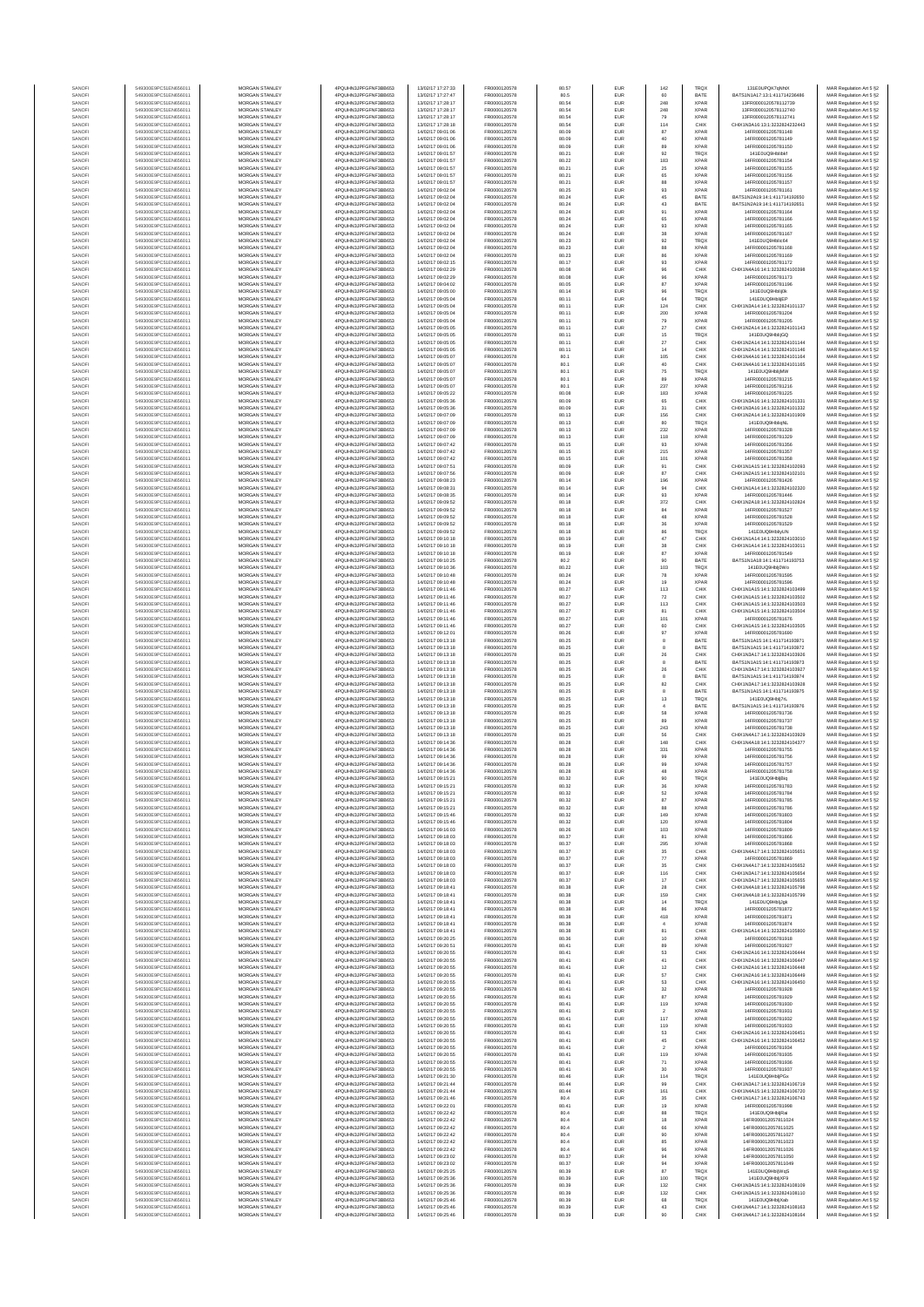| SANOF            | 549300E9PC51EN656011                         | MORGAN STANLEY                                 | 4PQUHN3JPFGFNF3BB653                          | 13/02/17 17:27:33                      | FR0000120578                 | 80.57          | EUR                      | 142                   | <b>TRQX</b>                | 131E0UPQK7gNhtX                                                | MAR Regulation Art 5 §2                            |
|------------------|----------------------------------------------|------------------------------------------------|-----------------------------------------------|----------------------------------------|------------------------------|----------------|--------------------------|-----------------------|----------------------------|----------------------------------------------------------------|----------------------------------------------------|
| SANOFI           | 549300E9PC51EN656011                         | <b>MORGAN STANLEY</b>                          | 4PQUHN3JPFGFNF3BB653                          | 13/02/17 17:27:47                      | FR0000120578                 | 80.5           | EUR                      | 60                    | BATE                       | BATS1N1A17-13-1-411714236486                                   | MAR Regulation Art 5 §2                            |
| SANOFI           | 549300E9PC51EN656011                         | <b>MORGAN STANLEY</b>                          | 4PQUHN3JPFGFNF3BB653                          | 13/02/17 17:28:17                      | FR0000120578                 | 80.54          | EUR                      | 248                   | <b>XPAR</b>                | 13FR0000120578112739                                           | MAR Regulation Art 5 §2                            |
| SANOFI           | 549300E9PC51EN656011                         | MORGAN STANLEY                                 | 4PQUHN3JPFGFNF3BB653                          | 13/02/17 17:28:17                      | FR0000120578                 | 80.54          | EUR                      | 248                   | XPAR                       | 13FR0000120578112740                                           | MAR Regulation Art 5 §2                            |
| SANOFI<br>SANOFI | 549300E9PC51EN656011<br>549300E9PC51EN656011 | MORGAN STANLEY<br>MORGAN STANLEY               | 4PQUHN3JPFGFNF3BB653<br>4PQUHN3JPFGFNF3BB653  | 13/02/17 17:28:17<br>13/02/17 17:28:18 | FR0000120578<br>FR0000120578 | 80.54<br>80.54 | EUR<br>EUR               | 79<br>114             | <b>XPAF</b><br>CHIX        | 13FR0000120578112741<br>CHIX1N3A16:13:1:3232824232443          | MAR Regulation Art 5 §2<br>MAR Regulation Art 5 §2 |
| SANOFI           | 549300E9PC51EN656011                         | MORGAN STANLEY                                 | 4PQUHN3JPFGFNF3BB653                          | 14/02/17 09:01:06                      | FR0000120578                 | 80.09          | EUR                      | 87                    | <b>XPAR</b>                | 14FR00001205781148                                             | MAR Regulation Art 5 §2                            |
| SANOFI           | 549300E9PC51EN656011                         | MORGAN STANLEY                                 | 4PQUHN3JPFGFNF3BB653                          | 14/02/17 09:01:06                      | FR0000120578                 | 80.09          | EUR                      | 40                    | <b>XPAR</b>                | 14FR00001205781149                                             | MAR Regulation Art 5 §2                            |
| SANOFI           | 549300E9PC51EN656011                         | <b>MORGAN STANLEY</b>                          | 4PQUHN3JPFGFNF3BB653                          | 14/02/17 09:01:06                      | FR0000120578                 | 80.09          | EUR                      | 89                    | <b>XPAR</b>                | 14FR00001205781150                                             | MAR Regulation Art 5 §2                            |
| SANOFI<br>SANOFI | 549300E9PC51EN656011<br>549300E9PC51EN656011 | <b>MORGAN STANLEY</b><br><b>MORGAN STANLEY</b> | 4PQUHN3JPFGFNF3BB653<br>4PQUHN3JPFGFNF3BB653  | 14/02/17 09:01:57<br>14/02/17 09:01:57 | FR0000120578<br>FR0000120578 | 80.21<br>80.22 | EUR<br>EUR               | 92<br>183             | <b>TRQX</b><br><b>XPAR</b> | 141E0UQ9Hblibkf<br>14FR00001205781154                          | MAR Regulation Art 5 §2<br>MAR Regulation Art 5 §2 |
| SANOFI           | 549300E9PC51EN656011                         | MORGAN STANLEY                                 | 4PQUHN3JPFGFNF3BB653                          | 14/02/17 09:01:57                      | FR0000120578                 | 80.21          | EUR                      | $2\mathrm{s}$         | <b>XPAR</b>                | 14FR00001205781155                                             | MAR Regulation Art 5 §2                            |
| SANOFI           | 549300E9PC51EN656011                         | MORGAN STANLEY                                 | 4PQUHN3JPFGFNF3BB653                          | 14/02/17 09:01:57                      | FR0000120578                 | 80.21          | EUR                      | 65                    | <b>XPAR</b>                | 14FR00001205781156                                             | MAR Regulation Art 5 §2                            |
| SANOF<br>SANOFI  | 549300E9PC51EN656011<br>549300E9PC51EN656011 | MORGAN STANLEY<br>MORGAN STANLEY               | 4PQUHN3JPFGFNF3BB653<br>4PQUHN3JPFGFNF3BB653  | 14/02/17 09:01:57<br>14/02/17 09:02:04 | FR0000120578<br>FR0000120578 | 80.21<br>80.25 | EUR<br>EUR               | 88<br>93              | <b>XPAF</b><br><b>XPAR</b> | 14FR00001205781157<br>14FR00001205781161                       | MAR Regulation Art 5 §2<br>MAR Regulation Art 5 §2 |
| SANOFI           | 549300E9PC51EN656011                         | MORGAN STANLEY                                 | 4PQUHN3JPFGFNF3BB653                          | 14/02/17 09:02:04                      | FR0000120578                 | 80.24          | EUR                      | 45                    | BATE                       | BATS1N2A19:14:1:411714192650                                   | MAR Regulation Art 5 §2                            |
| SANOFI           | 549300E9PC51EN656011                         | MORGAN STANLEY                                 | 4PQUHN3JPFGFNF3BB653                          | 14/02/17 09:02:04                      | FR0000120578                 | 80.24          | EUR                      | 43                    | BATE                       | BATS1N2A19:14:1:411714192651                                   | MAR Regulation Art 5 §2                            |
| SANOFI           | 549300E9PC51EN656011                         | <b>MORGAN STANLEY</b>                          | 4PQUHN3JPFGFNF3BB653                          | 14/02/17 09:02:04                      | FR0000120578                 | 80.24          | EUR                      | 91                    | <b>XPAR</b>                | 14FR00001205781164                                             | MAR Regulation Art 5 §2                            |
| SANOFI<br>SANOFI | 549300E9PC51EN656011<br>549300E9PC51EN656011 | <b>MORGAN STANLEY</b><br><b>MORGAN STANLEY</b> | 4PQUHN3JPFGFNF3BB653<br>4PQUHN3JPFGFNF3BB653  | 14/02/17 09:02:04<br>14/02/17 09:02:04 | FR0000120578<br>FR0000120578 | 80.24<br>80.24 | <b>EUR</b><br>EUR        | 65<br>$\mathsf{93}$   | <b>XPAR</b><br><b>XPAR</b> | 14FR00001205781166<br>14FR00001205781165                       | MAR Regulation Art 5 §2<br>MAR Regulation Art 5 §2 |
| SANOF            | 549300E9PC51EN656011                         | MORGAN STANLEY                                 | 4PQUHN3JPFGFNF3BB653                          | 14/02/17 09:02:04                      | FR0000120578                 | 80.24          | EUR                      | $38\,$                | <b>XPAR</b>                | 14FR00001205781167                                             | MAR Regulation Art 5 §2                            |
| SANOFI           | 549300E9PC51EN656011                         | MORGAN STANLEY                                 | 4PQUHN3JPFGFNF3BB653                          | 14/02/17 09:02:04                      | FR0000120578                 | 80.23          | EUR                      | 92                    | TRQ)                       | 141E0UQ9Hblic64                                                | MAR Regulation Art 5 §2                            |
| SANOFI           | 549300E9PC51EN656011                         | MORGAN STANLEY                                 | 4PQUHN3JPFGFNF3BB653                          | 14/02/17 09:02:04                      | FR0000120578                 | 80.23          | EUR                      | 88                    | <b>XPAR</b>                | 14FR00001205781168                                             | MAR Regulation Art 5 §2                            |
| SANOFI<br>SANOFI | 549300E9PC51EN656011<br>549300E9PC51EN656011 | MORGAN STANLEY<br>MORGAN STANLEY               | 4PQUHN3JPFGFNF3BB653<br>4PQUHN3JPFGFNF3BB653  | 14/02/17 09:02:04<br>14/02/17 09:02:15 | FR0000120578<br>FR0000120578 | 80.23<br>80.17 | EUR<br>EUR               | 86<br>$93\,$          | <b>XPAR</b><br><b>XPAR</b> | 14FR00001205781169<br>14FR00001205781172                       | MAR Regulation Art 5 §2<br>MAR Regulation Art 5 §2 |
| SANOFI           | 549300E9PC51EN656011                         | <b>MORGAN STANLEY</b>                          | 4POLIHN3JPEGENE3BB653                         | 14/02/17 09:02:29                      | FR0000120578                 | 80.08          | EUR                      | 96                    | CHIX                       | CHIX1N4A16:14:1:3232824100398                                  | MAR Regulation Art 5 §2                            |
| SANOFI           | 549300E9PC51EN656011                         | MORGAN STANLEY                                 | 4PQUHN3JPFGFNF3BB653                          | 14/02/17 09:02:29                      | FR0000120578                 | 80.08          | EUR                      | 96                    | <b>XPAR</b>                | 14FR00001205781173                                             | MAR Regulation Art 5 §2                            |
| SANOFI           | 549300E9PC51EN656011                         | MORGAN STANLEY                                 | 4PQUHN3JPFGFNF3BB653                          | 14/02/17 09:04:02                      | FR0000120578                 | 80.05          | EUR                      | $_{\rm 87}$           | <b>XPAR</b>                | 14FR00001205781196                                             | MAR Regulation Art 5 §2                            |
| SANOFI<br>SANOF  | 549300E9PC51EN656011<br>549300E9PC51EN656011 | MORGAN STANLEY<br>MORGAN STANLEY               | 4PQUHN3JPFGFNF3BB653<br>4PQUHN3JPFGFNF3BB653  | 14/02/17 09:05:00<br>14/02/17 09:05:04 | FR0000120578<br>FR0000120578 | 80.14<br>80.11 | EUR<br>EUR               | 96<br>$_{\rm 64}$     | TRQX<br>TRQ)               | 141E0UQ9Hblij0k<br>141E0UQ9HblijEP                             | MAR Regulation Art 5 §2<br>MAR Regulation Art 5 §2 |
| SANOFI           | 549300E9PC51EN656011                         | MORGAN STANLEY                                 | 4PQUHN3JPFGFNF3BB653                          | 14/02/17 09:05:04                      | FR0000120578                 | 80.11          | EUR                      | 124                   | CHIX                       | CHIX1N3A14:14:1:3232824101137                                  | MAR Regulation Art 5 §2                            |
| SANOFI           | 549300E9PC51EN656011                         | MORGAN STANLEY                                 | 4PQUHN3JPFGFNF3BB653                          | 14/02/17 09:05:04                      | FR0000120578                 | 80.11          | EUR                      | 200                   | <b>XPAR</b>                | 14FR00001205781204                                             | MAR Regulation Art 5 §2                            |
| SANOFI<br>SANOFI | 549300E9PC51EN656011<br>549300E9PC51EN656011 | MORGAN STANLEY<br><b>MORGAN STANLEY</b>        | 4PQUHN3JPFGFNF3BB653<br>4PQUHN3JPFGFNF3BB653  | 14/02/17 09:05:04<br>14/02/17 09:05:05 | FR0000120578<br>FR0000120578 | 80.11<br>80.11 | EUR<br>EUR               | 79<br>27              | <b>XPAR</b><br>CHIX        | 14FR00001205781205<br>CHIX1N2A14:14:1:3232824101143            | MAR Regulation Art 5 §2<br>MAR Regulation Art 5 §2 |
| SANOFI           | 549300E9PC51EN656011                         | <b>MORGAN STANLEY</b>                          | 4PQUHN3JPFGFNF3BB653                          | 14/02/17 09:05:05                      | FR0000120578                 | 80.11          | EUR                      | 15                    | <b>TRQX</b>                | 141E0UQ9HbliiGQ                                                | MAR Regulation Art 5 §2                            |
| SANOFI           | 549300E9PC51EN656011                         | MORGAN STANLEY                                 | 4PQUHN3JPFGFNF3BB653                          | 14/02/17 09:05:05                      | FR0000120578                 | 80.11          | EUR                      | $27\,$                | CHIX                       | CHIX1N2A14:14:1:3232824101144                                  | MAR Regulation Art 5 §2                            |
| SANOFI           | 549300E9PC51EN656011                         | MORGAN STANLEY                                 | 4PQUHN3JPFGFNF3BB653                          | 14/02/17 09:05:05                      | FR0000120578                 | 80.11          | EUR                      | 14                    | CHIX                       | CHIX1N2A14:14:1:3232824101146                                  | MAR Regulation Art 5 §2                            |
| SANOFI<br>SANOFI | 549300E9PC51EN656011<br>549300E9PC51EN656011 | MORGAN STANLEY<br>MORGAN STANLEY               | 4PQUHN3JPFGFNF3BB653<br>4PQUHN3JPFGFNF3BB653  | 14/02/17 09:05:07<br>14/02/17 09:05:07 | FR0000120578<br>FR0000120578 | 80.1<br>80.1   | EUR<br>EUR               | 105<br>40             | CHIX<br>CHIX               | CHIX1N4A16:14:1:3232824101164<br>CHIX1N4A16:14:1:3232824101165 | MAR Regulation Art 5 §2<br>MAR Regulation Art 5 §2 |
| SANOFI           | 549300E9PC51EN656011                         | MORGAN STANLEY                                 | 4PQUHN3JPFGFNF3BB653                          | 14/02/17 09:05:07                      | FR0000120578                 | 80.1           | EUR                      | 75                    | <b>TRQX</b>                | 141E0UQ9HblijMW                                                | MAR Regulation Art 5 §2                            |
| SANOFI           | 549300E9PC51EN656011                         | MORGAN STANLEY                                 | 4PQUHN3JPFGFNF3BB653                          | 14/02/17 09:05:07                      | FR0000120578                 | 80.1           | EUR                      | 89                    | <b>XPAR</b>                | 14FR00001205781215                                             | MAR Regulation Art 5 §2                            |
| SANOFI<br>SANOFI | 549300E9PC51EN656011<br>549300E9PC51EN656011 | <b>MORGAN STANLEY</b><br><b>MORGAN STANLEY</b> | 4POLIHN3JPEGENE3BB653<br>4PQUHN3JPFGFNF3BB653 | 14/02/17 09:05:07<br>14/02/17 09:05:22 | FR0000120578<br>FR0000120578 | 80.1<br>80.08  | <b>EUR</b><br>EUR        | 237<br>183            | <b>XPAR</b><br><b>XPAR</b> | 14FR00001205781216<br>14FR00001205781225                       | MAR Regulation Art 5 §2<br>MAR Regulation Art 5 §2 |
| SANOFI           | 549300E9PC51EN656011                         | MORGAN STANLEY                                 | 4PQUHN3JPFGFNF3BB653                          | 14/02/17 09:05:36                      | FR0000120578                 | 80.09          | EUR                      | 65                    | CHIX                       | CHIX1N3A16:14:1:3232824101331                                  | MAR Regulation Art 5 §2                            |
| SANOFI           | 549300E9PC51EN656011                         | MORGAN STANLEY                                 | 4PQUHN3JPFGFNF3BB653                          | 14/02/17 09:05:36                      | FR0000120578                 | 80.09          | EUR                      | $31\,$                | CHIX                       | CHIX1N3A16:14:1:3232824101332                                  | MAR Regulation Art 5 §2                            |
| SANOFI           | 549300E9PC51EN656011                         | MORGAN STANLEY                                 | 4PQUHN3JPFGFNF3BB653                          | 14/02/17 09:07:09                      | FR0000120578                 | 80.13          | EUR                      | 156                   | CHIX                       | CHIX1N2A14:14:1:3232824101909                                  | MAR Regulation Art 5 §2                            |
| SANOFI<br>SANOFI | 549300E9PC51EN656011<br>549300E9PC51EN656011 | MORGAN STANLEY<br>MORGAN STANLEY               | 4PQUHN3JPFGFNF3BB653<br>4PQUHN3JPFGFNF3BB653  | 14/02/17 09:07:09<br>14/02/17 09:07:09 | FR0000120578<br>FR0000120578 | 80.13<br>80.13 | EUR<br>EUR               | 80<br>232             | TRQ)<br><b>XPAR</b>        | 141E0UQ9HbligNL<br>14FR00001205781328                          | MAR Regulation Art 5 §2<br>MAR Regulation Art 5 §2 |
| SANOFI           | 549300E9PC51EN656011                         | MORGAN STANLEY                                 | 4PQUHN3JPFGFNF3BB653                          | 14/02/17 09:07:09                      | FR0000120578                 | 80.13          | EUR                      | 118                   | <b>XPAR</b>                | 14FR00001205781329                                             | MAR Regulation Art 5 §2                            |
| SANOFI           | 549300E9PC51EN656011                         | MORGAN STANLEY                                 | 4PQUHN3JPFGFNF3BB653                          | 14/02/17 09:07:42                      | FR0000120578                 | 80.15          | EUR                      | 93                    | <b>XPAR</b>                | 14FR00001205781356                                             | MAR Regulation Art 5 §2                            |
| SANOFI<br>SANOFI | 549300E9PC51EN656011<br>549300E9PC51EN656011 | <b>MORGAN STANLEY</b><br>MORGAN STANLEY        | 4POLIHN3JPEGENE3BB653<br>4PQUHN3JPFGFNF3BB653 | 14/02/17 09:07:42<br>14/02/17 09:07:42 | FR0000120578<br>FR0000120578 | 80.15<br>80.15 | EUR<br>EUR               | 215<br>101            | <b>XPAR</b><br><b>XPAR</b> | 14FR00001205781357<br>14FR00001205781358                       | MAR Regulation Art 5 §2<br>MAR Regulation Art 5 §2 |
| SANOFI           | 549300E9PC51EN656011                         | MORGAN STANLEY                                 | 4PQUHN3JPFGFNF3BB653                          | 14/02/17 09:07:51                      | FR0000120578                 | 80.09          | EUR                      | 91                    | CHIX                       | CHIX1N1A15:14:1:3232824102093                                  | MAR Regulation Art 5 §2                            |
| SANOFI           | 549300E9PC51EN656011                         | MORGAN STANLEY                                 | 4PQUHN3JPFGFNF3BB653                          | 14/02/17 09:07:56                      | FR0000120578                 | 80.09          | EUR                      | 87                    | CHIX                       | CHIX1N2A15:14:1:3232824102101                                  | MAR Regulation Art 5 §2                            |
| SANOFI           | 549300E9PC51EN656011                         | MORGAN STANLEY                                 | 4PQUHN3JPFGFNF3BB653                          | 14/02/17 09:08:23                      | FR0000120578                 | 80.14          | EUR                      | 196                   | <b>XPAF</b>                | 14FR00001205781426                                             | MAR Regulation Art 5 §2                            |
| SANOFI<br>SANOFI | 549300E9PC51EN656011<br>549300E9PC51EN656011 | MORGAN STANLEY<br>MORGAN STANLEY               | 4PQUHN3JPFGFNF3BB653<br>4PQUHN3JPFGFNF3BB653  | 14/02/17 09:08:31<br>14/02/17 09:08:35 | FR0000120578<br>FR0000120578 | 80.14<br>80.14 | EUR<br>EUR               | 94<br>$93\,$          | CHIX<br><b>XPAR</b>        | CHIX1N1A14:14:1:3232824102320<br>14FR00001205781446            | MAR Regulation Art 5 §2<br>MAR Regulation Art 5 §2 |
| SANOFI           | 549300E9PC51EN656011                         | MORGAN STANLEY                                 | 4PQUHN3JPFGFNF3BB653                          | 14/02/17 09:09:52                      | FR0000120578                 | 80.18          | EUR                      | 372                   | CHIX                       | CHIX1N2A18:14:1:3232824102824                                  | MAR Regulation Art 5 §2                            |
| SANOFI           | 549300E9PC51EN656011                         | <b>MORGAN STANLEY</b>                          | 4PQUHN3JPFGFNF3BB653                          | 14/02/17 09:09:52                      | FR0000120578                 | 80.18          | EUR                      | 84                    | <b>XPAR</b>                | 14FR00001205781527                                             | MAR Regulation Art 5 §2                            |
| SANOFI           | 549300E9PC51EN656011                         | <b>MORGAN STANLEY</b><br>MORGAN STANLEY        | 4PQUHN3JPFGFNF3BB653<br>4POLIHN3JPEGENE3BB653 | 14/02/17 09:09:52                      | FR0000120578                 | 80.18          | <b>EUR</b>               | 48                    | <b>XPAR</b>                | 14FR00001205781528<br>14FR00001205781529                       | MAR Regulation Art 5 §2                            |
| SANOFI<br>SANOFI | 549300E9PC51EN656011<br>549300E9PC51EN656011 | MORGAN STANLEY                                 | 4PQUHN3JPFGFNF3BB653                          | 14/02/17 09:09:52<br>14/02/17 09:09:52 | FR0000120578<br>FR0000120578 | 80.18<br>80.18 | EUR<br>EUR               | 36<br>$_{86}$         | <b>XPAR</b><br>TRQ)        | 141E0UQ9HbliyUN                                                | MAR Regulation Art 5 §2<br>MAR Regulation Art 5 §2 |
| SANOFI           | 549300E9PC51EN656011                         | MORGAN STANLEY                                 | 4PQUHN3JPFGFNF3BB653                          | 14/02/17 09:10:18                      | FR0000120578                 | 80.19          | EUR                      | 47                    | CHIX                       | CHIX1N1A14:14:1:3232824103010                                  | MAR Regulation Art 5 §2                            |
| SANOFI           | 549300E9PC51EN656011                         | MORGAN STANLEY                                 | 4PQUHN3JPFGFNF3BB653                          | 14/02/17 09:10:18                      | FR0000120578                 | 80.19          | EUR                      | 38                    | CHIX                       | CHIX1N1A14:14:1:3232824103011                                  | MAR Regulation Art 5 §2                            |
| SANOFI<br>SANOFI | 549300E9PC51EN656011<br>549300E9PC51EN656011 | MORGAN STANLEY<br>MORGAN STANLEY               | 4PQUHN3JPFGFNF3BB653<br>4PQUHN3JPFGFNF3BB653  | 14/02/17 09:10:18<br>14/02/17 09:10:25 | FR0000120578<br>FR0000120578 | 80.19<br>80.2  | EUR<br>EUR               | $^{\rm 87}$<br>90     | <b>XPAR</b><br>BATE        | 14FR00001205781549<br>BATS1N1A18:14:1:411714193753             | MAR Regulation Art 5 §2<br>MAR Regulation Art 5 §2 |
| SANOFI           | 549300E9PC51EN656011                         | <b>MORGAN STANLEY</b>                          | 4PQUHN3JPFGFNF3BB653                          | 14/02/17 09:10:36                      | FR0000120578                 | 80.22          | EUR                      | 103                   | <b>TRQX</b>                | 141E0UQ9Hbli0Wo                                                | MAR Regulation Art 5 §2                            |
| SANOFI           | 549300E9PC51EN656011                         | <b>MORGAN STANLEY</b>                          | 4PQUHN3JPFGFNF3BB653                          | 14/02/17 09:10:48                      | FR0000120578                 | 80.24          | EUR                      | 78                    | <b>XPAR</b>                | 14FR00001205781595                                             | MAR Regulation Art 5 §2                            |
| SANOFI           | 549300E9PC51EN656011                         | MORGAN STANLEY<br>MORGAN STANLEY               | 4PQUHN3JPFGFNF3BB653                          | 14/02/17 09:10:48<br>14/02/17 09:11:46 | FR0000120578<br>FR0000120578 | 80.24          | EUR                      | 19<br>113             | <b>XPAR</b>                | 14FR00001205781596<br>CHIX1N1A15:14:1:3232824103499            | MAR Regulation Art 5 §2                            |
| SANOFI<br>SANOF  | 549300E9PC51EN656011<br>549300E9PC51EN656011 | MORGAN STANLEY                                 | 4PQUHN3JPFGFNF3BB653<br>4PQUHN3JPFGFNF3BB653  | 14/02/17 09:11:46                      | FR0000120578                 | 80.27<br>80.27 | EUR<br>EUR               | $72\,$                | CHIX<br>CHIX               | CHIX1N1A15:14:1:3232824103502                                  | MAR Regulation Art 5 §2<br>MAR Regulation Art 5 §2 |
| SANOFI           | 549300E9PC51EN656011                         | MORGAN STANLEY                                 | 4PQUHN3JPFGFNF3BB653                          | 14/02/17 09:11:46                      | FR0000120578                 | 80.27          | EUR                      | 113                   | CHIX                       | CHIX1N1A15:14:1:3232824103503                                  | MAR Regulation Art 5 §2                            |
| SANOFI           | 549300E9PC51EN656011                         | MORGAN STANLEY                                 | 4PQUHN3JPFGFNF3BB653                          | 14/02/17 09:11:46                      | FR0000120578                 | 80.27          | EUR                      | 81                    | CHIX                       | CHIX1N1A15:14:1:3232824103504                                  | MAR Regulation Art 5 §2                            |
| SANOFI<br>SANOFI | 549300E9PC51EN656011<br>549300E9PC51EN656011 | MORGAN STANLEY<br><b>MORGAN STANLEY</b>        | 4PQUHN3JPFGFNF3BB653<br>4PQUHN3JPFGFNF3BB653  | 14/02/17 09:11:46<br>14/02/17 09:11:46 | FR0000120578<br>FR0000120578 | 80.27<br>80.27 | EUR<br>EUR               | 101<br>60             | <b>XPAR</b><br>CHIX        | 14FR00001205781676<br>CHIX1N1A15:14:1:3232824103505            | MAR Regulation Art 5 §2<br>MAR Regulation Art 5 §2 |
| SANOFI           | 549300E9PC51EN656011                         | <b>MORGAN STANLEY</b>                          | 4PQUHN3JPFGFNF3BB653                          | 14/02/17 09:12:01                      | FR0000120578                 | 80.26          | EUR                      | 97                    | <b>XPAR</b>                | 14FR00001205781690                                             | MAR Regulation Art 5 §2                            |
| SANOFI           | 549300E9PC51EN656011                         | <b>MORGAN STANLEY</b>                          | 4PQUHN3JPFGFNF3BB653                          | 14/02/17 09:13:18                      | FR0000120578                 | 80.25          | EUR                      | 8                     | BATE                       | BATS1N1A15:14:1:411714193971                                   | MAR Regulation Art 5 §2                            |
| SANOFI           | 549300E9PC51EN656011                         | MORGAN STANLEY<br>MORGAN STANLEY               | 4PQUHN3JPFGFNF3BB653                          | 14/02/17 09:13:18<br>14/02/17 09:13:18 | FR0000120578<br>FR0000120578 | 80.25          | EUR                      | 8<br>26               | BATE                       | BATS1N1A15:14:1:411714193972                                   | MAR Regulation Art 5 §2                            |
| SANOFI<br>SANOF  | 549300E9PC51EN656011<br>549300E9PC51EN656011 | MORGAN STANLEY                                 | 4PQUHN3JPFGFNF3BB653<br>4PQUHN3JPFGFNF3BB653  | 14/02/17 09:13:18                      | FR0000120578                 | 80.25<br>80.25 | EUR<br>EUR               | 8                     | CHIX<br>BATE               | CHIX1N3A17:14:1:3232824103926<br>BATS1N1A15:14:1:411714193973  | MAR Regulation Art 5 §2<br>MAR Regulation Art 5 §2 |
| SANOFI           | 549300E9PC51EN656011                         | MORGAN STANLEY                                 | 4PQUHN3JPFGFNF3BB653                          | 14/02/17 09:13:18                      | FR0000120578                 | 80.25          | EUR                      | 26                    | CHIX                       | CHIX1N3A17:14:1:3232824103927                                  | MAR Regulation Art 5 §2                            |
| SANOFI           | 549300E9PC51EN656011                         | MORGAN STANLEY                                 | 4PQUHN3JPFGFNF3BB653                          | 14/02/17 09:13:18                      | FR0000120578                 | 80.25          | EUR                      | 8                     | BATE                       | BATS1N1A15:14:1:411714193974                                   | MAR Regulation Art 5 §2                            |
| SANOFI<br>SANOFI | 549300E9PC51EN656011<br>549300E9PC51EN656011 | MORGAN STANLEY<br><b>MORGAN STANLEY</b>        | 4PQUHN3JPFGFNF3BB653<br>4PQUHN3JPFGFNF3BB653  | 14/02/17 09:13:18<br>14/02/17 09:13:18 | FR0000120578<br>FR0000120578 | 80.25<br>80.25 | EUR<br>EUR               | 82<br>8               | CHIX<br>BATE               | CHIX1N3A17:14:1:3232824103928<br>BATS1N1A15:14:1:411714193975  | MAR Regulation Art 5 §2                            |
| SANOFI           | 549300E9PC51EN656011                         | <b>MORGAN STANLEY</b>                          | 4PQUHN3JPFGFNF3BB653                          | 14/02/17 09:13:18                      | FR0000120578                 | 80.25          | EUR                      | 13                    | <b>TRQX</b>                | 141E0UQ9Hbli7rL                                                | MAR Regulation Art 5 §2<br>MAR Regulation Art 5 §2 |
| SANOFI           | 549300E9PC51EN656011                         | MORGAN STANLEY                                 | 4PQUHN3JPFGFNF3BB653                          | 14/02/17 09:13:18                      | FR0000120578                 | 80.25          | EUR                      | $\overline{4}$        | BATE                       | BATS1N1A15:14:1:411714193976                                   | MAR Regulation Art 5 §2                            |
| SANOFI           | 549300E9PC51EN656011                         | MORGAN STANLEY                                 | 4PQUHN3JPFGFNF3BB653                          | 14/02/17 09:13:18                      | FR0000120578                 | 80.25          | EUR                      | 58                    | <b>XPAR</b>                | 14FR00001205781736                                             | MAR Regulation Art 5 §2                            |
| SANOFI<br>SANOF  | 549300E9PC51EN656011<br>549300E9PC51EN656011 | MORGAN STANLEY<br>MORGAN STANLEY               | 4PQUHN3JPFGFNF3BB653<br>4PQUHN3JPFGFNF3BB653  | 14/02/17 09:13:18<br>14/02/17 09:13:18 | FR0000120578<br>FR0000120578 | 80.25<br>80.25 | EUR<br>EUR               | 89<br>243             | <b>XPAR</b><br><b>XPAR</b> | 14FR00001205781737<br>14FR0000120578173                        | MAR Regulation Art 5 §2<br>MAR Regulation Art 5 §2 |
| SANOFI           | 549300E9PC51EN656011                         | MORGAN STANLEY                                 | 4PQUHN3JPFGFNF3BB653                          | 14/02/17 09:13:18                      | FR0000120578                 | 80.25          | EUR                      | 56                    | CHIX                       | CHIX1N4A17:14:1:3232824103929                                  | MAR Regulation Art 5 §2                            |
| SANOFI           | 549300E9PC51EN656011                         | MORGAN STANLEY                                 | 4PQUHN3JPFGFNF3BB653                          | 14/02/17 09:14:36                      | FR0000120578                 | 80.28          | EUR                      | 148                   | CHIX                       | CHIX1N4A18:14:1:3232824104377                                  | MAR Regulation Art 5 §2                            |
| SANOFI<br>SANOFI | 549300E9PC51EN656011<br>549300E9PC51EN656011 | <b>MORGAN STANLEY</b><br><b>MORGAN STANLEY</b> | 4PQUHN3JPFGFNF3BB653<br>4PQUHN3JPFGFNF3BB653  | 14/02/17 09:14:36<br>14/02/17 09:14:36 | FR0000120578<br>FR0000120578 | 80.28<br>80.28 | EUR<br>EUR               | 331<br>99             | <b>XPAR</b><br><b>XPAR</b> | 14FR00001205781755<br>14FR00001205781756                       | MAR Regulation Art 5 §2<br>MAR Regulation Art 5 §2 |
| SANOF            | 549300E9PC51EN656011                         | MORGAN STANLEY                                 | 4PQUHN3JPFGFNF3BB653                          | 14/02/17 09:14:36                      | FR0000120578                 | 80.28          | EUR                      | 99                    | <b>XPAR</b>                | 14FR00001205781757                                             | MAR Regulation Art 5 §2                            |
| SANOFI           | 549300E9PC51EN656011                         | MORGAN STANLEY                                 | 4PQUHN3JPFGFNF3BB653                          | 14/02/17 09:14:36                      | FR0000120578                 | 80.28          | EUR                      | 48                    | <b>XPAR</b>                | 14FR00001205781758                                             | MAR Regulation Art 5 §2                            |
|                  |                                              |                                                | N3JPFGFNF3BB653                               | 14/02/17 09:15:21                      | FR0000120578                 |                |                          |                       |                            | 14FR00001205781783                                             | : Regulation Art 5 §2                              |
| SANOF<br>SANOFI  | 549300E9PC51EN656011<br>549300E9PC51EN656011 | MORGAN STANLEY<br>MORGAN STANLEY               | 4PQUHN3JPFGFNF3BB653<br>4PQUHN3JPFGFNF3BB653  | 14/02/17 09:15:21                      | FR0000120578                 | 80.32<br>80.32 | EUR<br>EUR               | 36<br>52              | <b>XPAR</b><br><b>XPAR</b> | 14FR00001205781784                                             | MAR Regulation Art 5 §2<br>MAR Regulation Art 5 §2 |
| SANOFI           | 549300E9PC51EN656011                         | MORGAN STANLEY                                 | 4PQUHN3JPFGFNF3BB653                          | 14/02/17 09:15:21                      | FR0000120578                 | 80.32          | EUR                      | 87                    | <b>XPAR</b>                | 14FR00001205781785                                             | MAR Regulation Art 5 §2                            |
| SANOFI           | 549300E9PC51EN656011                         | <b>MORGAN STANLEY</b>                          | 4PQUHN3JPFGFNF3BB653                          | 14/02/17 09:15:21                      | FR0000120578                 | 80.32          | <b>EUR</b>               | 88                    | <b>XPAR</b>                | 14FR00001205781786                                             | MAR Regulation Art 5 §2                            |
| SANOFI<br>SANOFI | 549300E9PC51EN656011<br>549300E9PC51EN656011 | <b>MORGAN STANLEY</b><br>MORGAN STANLEY        | 4PQUHN3JPFGFNF3BB653<br>4PQUHN3JPFGFNF3BB653  | 14/02/17 09:15:46<br>14/02/17 09:15:46 | FR0000120578<br>FR0000120578 | 80.32<br>80.32 | <b>EUR</b><br>EUR        | 149<br>120            | <b>XPAR</b><br><b>XPAR</b> | 14FR00001205781803<br>14FR00001205781804                       | MAR Regulation Art 5 §2<br>MAR Regulation Art 5 §2 |
| SANOFI           | 549300E9PC51EN656011                         | MORGAN STANLEY                                 | 4PQUHN3JPFGFNF3BB653                          | 14/02/17 09:16:03                      | FR0000120578                 | 80.26          | EUR                      | 103                   | <b>XPAR</b>                | 14FR00001205781809                                             | MAR Regulation Art 5 §2                            |
| SANOFI           | 549300E9PC51EN656011                         | MORGAN STANLEY                                 | 4PQUHN3JPFGFNF3BB653                          | 14/02/17 09:18:03                      | FR0000120578                 | 80.37          | EUR                      | 81                    | <b>XPAR</b>                | 14FR00001205781866                                             | MAR Regulation Art 5 §2                            |
| SANOFI           | 549300E9PC51EN656011                         | MORGAN STANLEY                                 | 4PQUHN3JPFGFNF3BB653                          | 14/02/17 09:18:03                      | FR0000120578                 | 80.37          | EUR                      | 295                   | <b>XPAR</b><br>CHIX        | 14FR0000120578186<br>CHIX1N4A17:14:1:3232824105651             | MAR Regulation Art 5 §2                            |
| SANOFI<br>SANOFI | 549300E9PC51EN656011<br>549300E9PC51EN656011 | MORGAN STANLEY<br>MORGAN STANLEY               | 4PQUHN3JPFGFNF3BB653<br>4PQUHN3JPFGFNF3BB653  | 14/02/17 09:18:03<br>14/02/17 09:18:03 | FR0000120578<br>FR0000120578 | 80.37<br>80.37 | EUR<br>EUR               | 35<br>$77\,$          | <b>XPAR</b>                | 14FR00001205781869                                             | MAR Regulation Art 5 §2<br>MAR Regulation Art 5 §2 |
| SANOFI           | 549300E9PC51EN656011                         | <b>MORGAN STANLEY</b>                          | 4PQUHN3JPFGFNF3BB653                          | 14/02/17 09:18:03                      | FR0000120578                 | 80.37          | <b>EUR</b>               | 35                    | CHIX                       | CHIX1N4A17:14:1:3232824105652                                  | MAR Regulation Art 5 §2                            |
| SANOFI<br>SANOFI | 549300E9PC51EN656011<br>549300E9PC51EN656011 | MORGAN STANLEY<br><b>MORGAN STANLEY</b>        | 4PQUHN3JPFGFNF3BB653<br>4PQUHN3JPFGFNF3BB653  | 14/02/17 09:18:03<br>14/02/17 09:18:03 | FR0000120578<br>FR0000120578 | 80.37<br>80.37 | <b>EUR</b><br><b>EUR</b> | 116<br>17             | CHIX<br>CHIX               | CHIX1N3A17:14:1:3232824105654<br>CHIX1N3A17:14:1:3232824105655 | MAR Regulation Art 5 §2<br>MAR Regulation Art 5 §2 |
| SANOFI           | 549300E9PC51EN656011                         | MORGAN STANLEY                                 | 4PQUHN3JPFGFNF3BB653                          | 14/02/17 09:18:41                      | FR0000120578                 | 80.38          | EUR                      | 28                    | CHIX                       | CHIX1N4A18:14:1:3232824105798                                  | MAR Regulation Art 5 §2                            |
| SANOFI           | 549300E9PC51EN656011                         | MORGAN STANLEY                                 | 4PQUHN3JPFGFNF3BB653                          | 14/02/17 09:18:41                      | FR0000120578                 | 80.38          | EUR                      | 159                   | CHIX                       | CHIX1N4A18:14:1:3232824105799                                  | MAR Regulation Art 5 §2                            |
| SANOFI<br>SANOFI | 549300E9PC51EN656011<br>549300E9PC51EN656011 | MORGAN STANLEY<br>MORGAN STANLEY               | 4PQUHN3JPFGFNF3BB653<br>4PQUHN3JPFGFNF3BB653  | 14/02/17 09:18:41<br>14/02/17 09:18:41 | FR0000120578<br>FR0000120578 | 80.38<br>80.38 | EUR<br>EUR               | 14<br>86              | TRQ)<br><b>XPAR</b>        | 141E0UQ9HbliJak<br>14FR00001205781872                          | MAR Regulation Art 5 §2<br>MAR Regulation Art 5 §2 |
| SANOFI           | 549300E9PC51EN656011                         | MORGAN STANLEY                                 | 4PQUHN3JPFGFNF3BB653                          | 14/02/17 09:18:41                      | FR0000120578                 | 80.38          | EUR                      | 418                   | <b>XPAR</b>                | 14FR00001205781871                                             | MAR Regulation Art 5 §2                            |
| SANOFI           | 549300E9PC51EN656011                         | MORGAN STANLEY                                 | 4PQUHN3JPFGFNF3BB653                          | 14/02/17 09:18:41                      | FR0000120578                 | 80.38          | EUR                      | $\overline{4}$        | <b>XPAR</b>                | 14FR00001205781874                                             | MAR Regulation Art 5 §2                            |
| SANOFI<br>SANOFI | 549300E9PC51EN656011<br>549300E9PC51EN656011 | <b>MORGAN STANLEY</b><br><b>MORGAN STANLEY</b> | 4PQUHN3JPFGFNF3BB653<br>4PQUHN3JPFGFNF3BB653  | 14/02/17 09:18:41<br>14/02/17 09:20:25 | FR0000120578<br>FR0000120578 | 80.38<br>80.36 | <b>EUR</b><br>EUR        | 81<br>10              | CHIX<br><b>XPAR</b>        | CHIX1N1A14:14:1:3232824105800<br>14FR00001205781918            | MAR Regulation Art 5 §2                            |
| SANOFI           | 549300E9PC51EN656011                         | MORGAN STANLEY                                 | 4PQUHN3JPFGFNF3BB653                          | 14/02/17 09:20:51                      | FR0000120578                 | 80.41          | EUR                      | 89                    | <b>XPAR</b>                | 14FR00001205781927                                             | MAR Regulation Art 5 §2<br>MAR Regulation Art 5 §2 |
| SANOFI           | 549300E9PC51EN656011                         | MORGAN STANLEY                                 | 4PQUHN3JPFGFNF3BB653                          | 14/02/17 09:20:55                      | FR0000120578                 | 80.41          | EUR                      | 53                    | CHIX                       | CHIX1N2A16:14:1:3232824106444                                  | MAR Regulation Art 5 §2                            |
| SANOFI           | 549300E9PC51EN656011                         | MORGAN STANLEY                                 | 4PQUHN3JPFGFNF3BB653                          | 14/02/17 09:20:55                      | FR0000120578                 | 80.41          | EUR                      | 41                    | CHIX                       | CHIX1N2A16:14:1:3232824106447                                  | MAR Regulation Art 5 §2                            |
| SANOFI<br>SANOFI | 549300E9PC51EN656011<br>549300E9PC51EN656011 | MORGAN STANLEY<br>MORGAN STANLEY               | 4PQUHN3JPFGFNF3BB653<br>4PQUHN3JPFGFNF3BB653  | 14/02/17 09:20:55<br>14/02/17 09:20:55 | FR0000120578<br>FR0000120578 | 80.41<br>80.41 | EUR<br>EUR               | 12<br>$_{\rm 57}$     | CHIX<br>CHIX               | CHIX1N2A16:14:1:3232824106448<br>CHIX1N2A16:14:1:3232824106449 | MAR Regulation Art 5 §2<br>MAR Regulation Art 5 §2 |
| SANOFI           | 549300E9PC51EN656011                         | MORGAN STANLEY                                 | 4PQUHN3JPFGFNF3BB653                          | 14/02/17 09:20:55                      | FR0000120578                 | 80.41          | EUR                      | 53                    | CHIX                       | CHIX1N2A16:14:1:3232824106450                                  | MAR Regulation Art 5 §2                            |
| SANOFI           | 549300E9PC51EN656011                         | <b>MORGAN STANLEY</b>                          | 4PQUHN3JPFGFNF3BB653                          | 14/02/17 09:20:55                      | FR0000120578                 | 80.41          | <b>EUR</b>               | 32                    | <b>XPAR</b>                | 14FR00001205781928                                             | MAR Regulation Art 5 §2                            |
| SANOFI           | 549300E9PC51EN656011                         | <b>MORGAN STANLEY</b>                          | 4PQUHN3JPFGFNF3BB653                          | 14/02/17 09:20:55                      | FR0000120578                 | 80.41          | <b>EUR</b>               | 87                    | <b>XPAR</b>                | 14FR00001205781929                                             | MAR Regulation Art 5 §2                            |
| SANOFI<br>SANOFI | 549300E9PC51EN656011<br>549300E9PC51EN656011 | MORGAN STANLEY<br>MORGAN STANLEY               | 4PQUHN3JPFGFNF3BB653<br>4PQUHN3JPFGFNF3BB653  | 14/02/17 09:20:55<br>14/02/17 09:20:55 | FR0000120578<br>FR0000120578 | 80.41<br>80.41 | EUR<br>EUR               | 119<br>$\overline{2}$ | <b>XPAR</b><br><b>XPAR</b> | 14FR00001205781930<br>14FR00001205781931                       | MAR Regulation Art 5 §2<br>MAR Regulation Art 5 §2 |
| SANOFI           | 549300E9PC51EN656011                         | MORGAN STANLEY                                 | 4PQUHN3JPFGFNF3BB653                          | 14/02/17 09:20:55                      | FR0000120578                 | 80.41          | EUR                      | 117                   | <b>XPAR</b>                | 14FR00001205781932                                             | MAR Regulation Art 5 §2                            |
| SANOFI           | 549300E9PC51EN656011                         | MORGAN STANLEY                                 | 4PQUHN3JPFGFNF3BB653                          | 14/02/17 09:20:55                      | FR0000120578                 | 80.41          | EUR                      | 119                   | <b>XPAR</b>                | 14FR00001205781933                                             | MAR Regulation Art 5 §2                            |
| SANOFI<br>SANOFI | 549300E9PC51EN656011<br>549300E9PC51EN656011 | MORGAN STANLEY<br>MORGAN STANLEY               | 4PQUHN3JPFGFNF3BB653<br>4PQUHN3JPFGFNF3BB653  | 14/02/17 09:20:55<br>14/02/17 09:20:55 | FR0000120578<br>FR0000120578 | 80.41<br>80.41 | EUR<br>EUR               | 53<br>45              | CHIX<br>CHIX               | CHIX1N2A16:14:1:3232824106451<br>CHIX1N2A16:14:1:3232824106452 | MAR Regulation Art 5 §2<br>MAR Regulation Art 5 §2 |
| SANOFI           | 549300E9PC51EN656011                         | <b>MORGAN STANLEY</b>                          | 4PQUHN3JPFGFNF3BB653                          | 14/02/17 09:20:55                      | FR0000120578                 | 80.41          | <b>EUR</b>               | $\overline{2}$        | <b>XPAR</b>                | 14FR00001205781934                                             | MAR Regulation Art 5 §2                            |
| SANOFI           | 549300E9PC51EN656011                         | <b>MORGAN STANLEY</b>                          | 4PQUHN3JPFGFNF3BB653                          | 14/02/17 09:20:55                      | FR0000120578                 | 80.41          | <b>EUR</b>               | 119                   | <b>XPAR</b>                | 14FR00001205781935                                             | MAR Regulation Art 5 §2                            |
| SANOFI           | 549300E9PC51EN656011                         | MORGAN STANLEY                                 | 4PQUHN3JPFGFNF3BB653                          | 14/02/17 09:20:55                      | FR0000120578                 | 80.41          | EUR                      | 71                    | <b>XPAR</b>                | 14FR00001205781936                                             | MAR Regulation Art 5 §2                            |
| SANOFI<br>SANOFI | 549300E9PC51EN656011<br>549300E9PC51EN656011 | MORGAN STANLEY<br>MORGAN STANLEY               | 4PQUHN3JPFGFNF3BB653<br>4PQUHN3JPFGFNF3BB653  | 14/02/17 09:20:55<br>14/02/17 09:21:30 | FR0000120578<br>FR0000120578 | 80.41<br>80.46 | EUR<br>EUR               | 30<br>114             | <b>XPAR</b><br><b>TRQX</b> | 14FR00001205781937<br>141E0UQ9HbljPGx                          | MAR Regulation Art 5 §2<br>MAR Regulation Art 5 §2 |
| SANOFI           | 549300E9PC51EN656011                         | MORGAN STANLEY                                 | 4PQUHN3JPFGFNF3BB653                          | 14/02/17 09:21:44                      | FR0000120578                 | 80.44          | EUR                      | 99                    | CHIX                       | CHIX1N3A17:14:1:3232824106719                                  | MAR Regulation Art 5 §2                            |
| SANOFI           | 549300E9PC51EN656011                         | MORGAN STANLEY                                 | 4PQUHN3JPFGFNF3BB653                          | 14/02/17 09:21:44                      | FR0000120578                 | 80.44          | EUR                      | 161                   | CHIX                       | CHIX1N4A15:14:1:3232824106720                                  | MAR Regulation Art 5 §2                            |
| SANOFI           | 549300E9PC51EN656011                         | MORGAN STANLEY                                 | 4PQUHN3JPFGFNF3BB653                          | 14/02/17 09:21:46                      | FR0000120578                 | 80.4           | <b>EUR</b>               | 35                    | CHIX                       | CHIX1N1A17:14:1:3232824106743                                  | MAR Regulation Art 5 §2                            |
| SANOFI<br>SANOFI | 549300E9PC51EN656011<br>549300E9PC51EN656011 | <b>MORGAN STANLEY</b><br><b>MORGAN STANLEY</b> | 4PQUHN3JPFGFNF3BB653<br>4PQUHN3JPFGFNF3BB653  | 14/02/17 09:22:01<br>14/02/17 09:22:42 | FR0000120578<br>FR0000120578 | 80.41<br>80.4  | <b>EUR</b><br><b>EUR</b> | 19<br>88              | <b>XPAR</b><br><b>TRQX</b> | 14FR00001205781998<br>141E0UQ9HbliRai                          | MAR Regulation Art 5 §2<br>MAR Regulation Art 5 §2 |
| SANOFI           | 549300E9PC51EN656011                         | <b>MORGAN STANLEY</b>                          | 4PQUHN3JPFGFNF3BB653                          | 14/02/17 09:22:42                      | FR0000120578                 | 80.4           | <b>EUR</b>               | 18                    | <b>XPAR</b>                | 14FR000012057811024                                            | MAR Regulation Art 5 §2                            |
| SANOFI           | 549300E9PC51EN656011                         | MORGAN STANLEY                                 | 4PQUHN3JPFGFNF3BB653                          | 14/02/17 09:22:42                      | FR0000120578                 | 80.4           | EUR                      | $66\,$                | <b>XPAR</b>                | 14FR000012057811025                                            | MAR Regulation Art 5 §2                            |
| SANOFI<br>SANOFI | 549300E9PC51EN656011<br>549300E9PC51EN656011 | MORGAN STANLEY<br>MORGAN STANLEY               | 4PQUHN3JPFGFNF3BB653<br>4PQUHN3JPFGFNF3BB653  | 14/02/17 09:22:42<br>14/02/17 09:22:42 | FR0000120578<br>FR0000120578 | 80.4<br>80.4   | EUR<br>EUR               | 90<br>85              | <b>XPAR</b><br><b>XPAR</b> | 14FR000012057811027<br>14FR000012057811023                     | MAR Regulation Art 5 §2<br>MAR Regulation Art 5 §2 |
| SANOFI           | 549300E9PC51EN656011                         | MORGAN STANLEY                                 | 4PQUHN3JPFGFNF3BB653                          | 14/02/17 09:22:42                      | FR0000120578                 | 80.4           | EUR                      | 96                    | <b>XPAR</b>                | 14FR000012057811026                                            | MAR Regulation Art 5 §2                            |
| SANOFI           | 549300E9PC51EN656011                         | MORGAN STANLEY                                 | 4PQUHN3JPFGFNF3BB653                          | 14/02/17 09:23:02                      | FR0000120578                 | 80.37          | EUR                      | 94                    | <b>XPAR</b>                | 14FR000012057811050                                            | MAR Regulation Art 5 §2                            |
| SANOFI           | 549300E9PC51EN656011                         | MORGAN STANLEY                                 | 4PQUHN3JPFGFNF3BB653                          | 14/02/17 09:23:02                      | FR0000120578                 | 80.37          | <b>EUR</b>               | 94                    | <b>XPAR</b>                | 14FR000012057811049                                            | MAR Regulation Art 5 §2                            |
| SANOFI<br>SANOFI | 549300E9PC51EN656011<br>549300E9PC51EN656011 | <b>MORGAN STANLEY</b><br><b>MORGAN STANLEY</b> | 4PQUHN3JPFGFNF3BB653<br>4PQUHN3JPFGFNF3BB653  | 14/02/17 09:25:25<br>14/02/17 09:25:36 | FR0000120578<br>FR0000120578 | 80.39<br>80.39 | <b>EUR</b><br><b>EUR</b> | 87<br>100             | <b>TRQX</b><br><b>TRQX</b> | 141E0UQ9HbliWgS<br>141E0UQ9HbljXF9                             | MAR Regulation Art 5 §2<br>MAR Regulation Art 5 §2 |
| SANOFI           | 549300E9PC51EN656011                         | MORGAN STANLEY                                 | 4PQUHN3JPFGFNF3BB653                          | 14/02/17 09:25:36                      | FR0000120578                 | 80.39          | EUR                      | 132                   | CHIX                       | CHIX1N3A15:14:1:3232824108109                                  | MAR Regulation Art 5 §2                            |
| SANOFI           | 549300E9PC51EN656011                         | MORGAN STANLEY                                 | 4PQUHN3JPFGFNF3BB653                          | 14/02/17 09:25:36                      | FR0000120578                 | 80.39          | EUR                      | 132                   | CHIX                       | CHIX1N3A15:14:1:3232824108110                                  | MAR Regulation Art 5 §2                            |
| SANOF<br>SANOF   | 549300E9PC51EN656011<br>549300E9PC51EN656011 | MORGAN STANLEY<br>MORGAN STANLEY               | 4PQUHN3JPFGFNF3BB653<br>4PQUHN3JPFGFNF3BB653  | 14/02/17 09:25:46<br>14/02/17 09:25:46 | FR0000120578<br>FR0000120578 | 80.39<br>80.39 | EUR<br>EUR               | 68<br>43              | <b>TRQX</b><br>CHIX        | 141E0UQ9HbljXab<br>CHIX1N4A17:14:1:3232824108163               | MAR Regulation Art 5 §2<br>MAR Regulation Art 5 §2 |
| SANOFI           | 549300E9PC51EN656011                         | MORGAN STANLEY                                 | 4PQUHN3JPFGFNF3BB653                          | 14/02/17 09:25:46                      | FR0000120578                 | 80.39          | EUR                      | 90                    | CHIX                       | CHIX1N4A17:14:1:3232824108164                                  | MAR Regulation Art 5 §2                            |
|                  |                                              |                                                |                                               |                                        |                              |                |                          |                       |                            |                                                                |                                                    |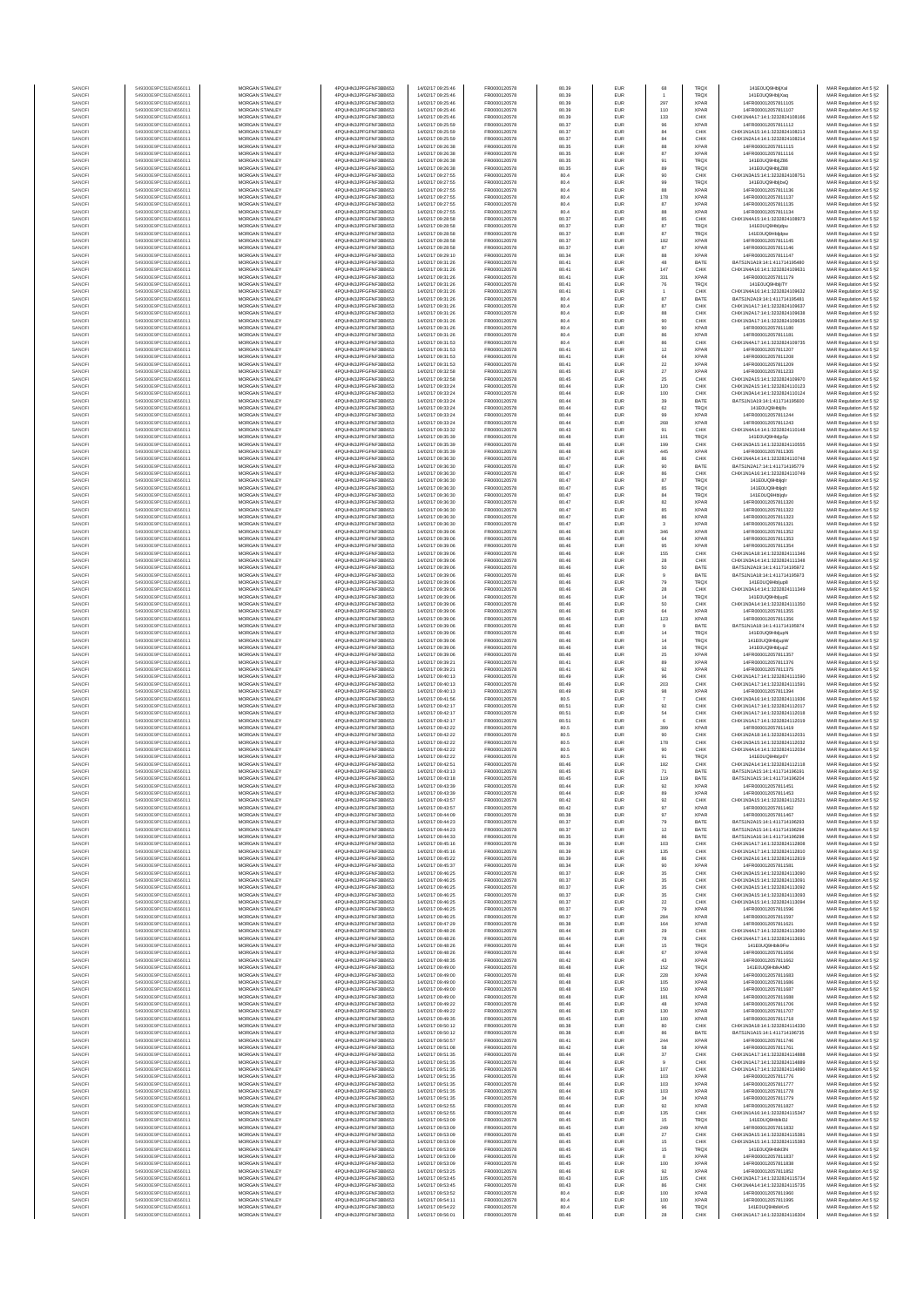| SANOF            | 549300E9PC51EN656011                         | MORGAN STANLEY                                 | 4PQUHN3JPFGFNF3BB653                          | 14/02/17 09:25:46                      | FR0000120578                 | 80.39          | EUR                      | 68                    | TRQX                       | 141E0UQ9HbljXal                                                | MAR Regulation Art 5 §2                            |
|------------------|----------------------------------------------|------------------------------------------------|-----------------------------------------------|----------------------------------------|------------------------------|----------------|--------------------------|-----------------------|----------------------------|----------------------------------------------------------------|----------------------------------------------------|
| SANOFI           | 549300E9PC51EN656011                         | MORGAN STANLEY                                 | 4PQUHN3JPFGFNF3BB653                          | 14/02/17 09:25:46                      | FR0000120578                 | 80.39          | EUR                      |                       | TRQX                       | 141E0UQ9HbliXag                                                | MAR Regulation Art 5 §2                            |
| SANOF<br>SANOFI  | 549300E9PC51EN656011<br>549300E9PC51EN656011 | MORGAN STANLEY<br>MORGAN STANLEY               | 4PQUHN3JPFGFNF3BB653<br>4PQUHN3JPFGFNF3BB653  | 14/02/17 09:25:46<br>14/02/17 09:25:46 | FR0000120578<br>FR0000120578 | 80.39<br>80.39 | EUR<br>EUR               | 297<br>110            | <b>XPAR</b><br><b>XPAR</b> | 14FR000012057811105<br>14FR000012057811107                     | MAR Regulation Art 5 §2<br>MAR Regulation Art 5 §2 |
| SANOFI           | 549300E9PC51EN656011                         | MORGAN STANLEY                                 | 4PQUHN3JPFGFNF3BB653                          | 14/02/17 09:25:46                      | FR0000120578                 | 80.39          | EUR                      | 133                   | CHIX                       | CHIX1N4A17:14:1:3232824108166                                  | MAR Regulation Art 5 §2                            |
| SANOFI           | 549300E9PC51EN656011                         | MORGAN STANLEY                                 | 4PQUHN3JPFGFNF3BB653                          | 14/02/17 09:25:59                      | FR0000120578                 | 80.37          | EUR                      | 96                    | <b>XPAR</b>                | 14FR000012057811112                                            | MAR Regulation Art 5 §2                            |
| SANOFI<br>SANOFI | 549300E9PC51EN656011<br>549300E9PC51EN656011 | <b>MORGAN STANLEY</b><br><b>MORGAN STANLEY</b> | 4PQUHN3JPFGFNF3BB653<br>4PQUHN3JPFGFNF3BB653  | 14/02/17 09:25:59<br>14/02/17 09:25:59 | FR0000120578<br>FR0000120578 | 80.37<br>80.37 | EUR<br><b>EUR</b>        | 84<br>84              | CHIX<br>CHIX               | CHIX1N1A15:14:1:3232824108213<br>CHIX1N2A14:14:1:3232824108214 | MAR Regulation Art 5 §2<br>MAR Regulation Art 5 §2 |
| SANOFI           | 549300E9PC51EN656011                         | MORGAN STANLEY                                 | 4PQUHN3JPFGFNF3BB653                          | 14/02/17 09:26:38                      | FR0000120578                 | 80.35          | EUR                      | 88                    | <b>XPAR</b>                | 14FR000012057811115                                            | MAR Regulation Art 5 §2                            |
| SANOFI<br>SANOFI | 549300E9PC51EN656011<br>549300E9PC51EN656011 | MORGAN STANLEY<br>MORGAN STANLEY               | 4PQUHN3JPFGFNF3BB653<br>4PQUHN3JPFGFNF3BB653  | 14/02/17 09:26:38<br>14/02/17 09:26:38 | FR0000120578<br>FR0000120578 | 80.35<br>80.35 | EUR<br>EUR               | 87<br>91              | <b>XPAR</b><br>TRQX        | 14FR000012057811116<br>141E0UQ9HbliZ86                         | MAR Regulation Art 5 §2<br>MAR Regulation Art 5 §2 |
| SANOF            | 549300E9PC51EN656011                         | MORGAN STANLEY                                 | 4PQUHN3JPFGFNF3BB653                          | 14/02/17 09:26:38                      | FR0000120578                 | 80.35          | EUR                      | 89                    | TRQ)                       | 141E0UQ9HbliZ88                                                | MAR Regulation Art 5 §2                            |
| SANOFI           | 549300E9PC51EN656011                         | MORGAN STANLEY                                 | 4PQUHN3JPFGFNF3BB653                          | 14/02/17 09:27:55                      | FR0000120578                 | 80.4           | EUR                      | 90                    | CHIX                       | CHIX1N3A15:14:1:3232824108751                                  | MAR Regulation Art 5 §2                            |
| SANOFI<br>SANOFI | 549300E9PC51EN656011<br>549300E9PC51EN656011 | MORGAN STANLEY<br>MORGAN STANLEY               | 4PQUHN3JPFGFNF3BB653<br>4PQUHN3JPFGFNF3BB653  | 14/02/17 09:27:55<br>14/02/17 09:27:55 | FR0000120578<br>FR0000120578 | 80.4<br>80.4   | EUR<br>EUR               | 99<br>88              | <b>TRQX</b><br><b>XPAR</b> | 141E0UQ9HbljbvQ<br>14FR000012057811136                         | MAR Regulation Art 5 §2<br>MAR Regulation Art 5 §2 |
| SANOFI           | 549300E9PC51EN656011                         | <b>MORGAN STANLEY</b>                          | 4PQUHN3JPFGFNF3BB653                          | 14/02/17 09:27:55                      | FR0000120578                 | 80.4           | EUR                      | 178                   | <b>XPAR</b>                | 14FR000012057811137                                            | MAR Regulation Art 5 §2                            |
| SANOFI           | 549300E9PC51EN656011                         | <b>MORGAN STANLEY</b>                          | 4PQUHN3JPFGFNF3BB653                          | 14/02/17 09:27:55                      | FR0000120578                 | 80.4           | EUR                      | 87                    | <b>XPAR</b>                | 14FR000012057811135                                            | MAR Regulation Art 5 §2                            |
| SANOFI<br>SANOFI | 549300E9PC51EN656011<br>549300E9PC51EN656011 | MORGAN STANLEY<br>MORGAN STANLEY               | 4PQUHN3JPFGFNF3BB653<br>4PQUHN3JPFGFNF3BB653  | 14/02/17 09:27:55<br>14/02/17 09:28:58 | FR0000120578<br>FR0000120578 | 80.4<br>80.37  | EUR<br>EUR               | 88<br>85              | <b>XPAR</b><br>CHIX        | 14FR000012057811134<br>CHIX1N4A15:14:1:3232824108973           | MAR Regulation Art 5 §2<br>MAR Regulation Art 5 §2 |
| SANOFI           | 549300E9PC51EN656011                         | MORGAN STANLEY                                 | 4PQUHN3JPFGFNF3BB653                          | 14/02/17 09:28:58                      | FR0000120578                 | 80.37          | EUR                      | 87                    | <b>TRQX</b>                | 141E0UQ9Hbljdpu                                                | MAR Regulation Art 5 §2                            |
| SANOFI           | 549300E9PC51EN656011                         | MORGAN STANLEY                                 | 4PQUHN3JPFGFNF3BB653                          | 14/02/17 09:28:58                      | FR0000120578                 | 80.37          | EUR                      | 87                    | <b>TRQX</b>                | 141E0UQ9Hbljdpw                                                | MAR Regulation Art 5 §2                            |
| SANOFI           | 549300E9PC51EN656011                         | MORGAN STANLEY                                 | 4PQUHN3JPFGFNF3BB653                          | 14/02/17 09:28:58                      | FR0000120578                 | 80.37          | EUR                      | 182                   | <b>XPAR</b>                | 14FR000012057811145                                            | MAR Regulation Art 5 §2                            |
| SANOFI<br>SANOFI | 549300E9PC51EN656011<br>549300E9PC51EN656011 | MORGAN STANLEY<br><b>MORGAN STANLEY</b>        | 4PQUHN3JPFGFNF3BB653<br>4POLIHN3JPEGENE3BB653 | 14/02/17 09:28:58<br>14/02/17 09:29:10 | FR0000120578<br>FR0000120578 | 80.37<br>80.34 | EUR<br><b>EUR</b>        | 87<br>88              | <b>XPAR</b><br><b>XPAR</b> | 14FR000012057811146<br>14FR000012057811147                     | MAR Regulation Art 5 §2<br>MAR Regulation Art 5 §2 |
| SANOFI           | 549300E9PC51EN656011                         | <b>MORGAN STANLEY</b>                          | 4PQUHN3JPFGFNF3BB653                          | 14/02/17 09:31:26                      | FR0000120578                 | 80.41          | EUR                      | 48                    | BATE                       | BATS1N1A19-14-1-411714195480                                   | MAR Regulation Art 5 §2                            |
| SANOFI           | 549300E9PC51EN656011                         | MORGAN STANLEY                                 | 4PQUHN3JPFGFNF3BB653                          | 14/02/17 09:31:26                      | FR0000120578                 | 80.41          | EUR                      | 147                   | CHIX                       | CHIX1N4A16:14:1:3232824109631                                  | MAR Regulation Art 5 §2                            |
| SANOFI<br>SANOFI | 549300E9PC51EN656011<br>549300E9PC51EN656011 | MORGAN STANLEY<br>MORGAN STANLEY               | 4PQUHN3JPFGFNF3BB653<br>4PQUHN3JPFGFNF3BB653  | 14/02/17 09:31:26<br>14/02/17 09:31:26 | FR0000120578<br>FR0000120578 | 80.41<br>80.41 | EUR<br>EUR               | 331<br>76             | <b>XPAR</b><br>TRQ)        | 14FR000012057811179<br>141E0UQ9HbljiTY                         | MAR Regulation Art 5 §2<br>MAR Regulation Art 5 §2 |
| SANOFI           | 549300E9PC51EN656011                         | MORGAN STANLEY                                 | 4PQUHN3JPFGFNF3BB653                          | 14/02/17 09:31:26                      | FR0000120578                 | 80.41          | EUR                      |                       | CHIX                       | CHIX1N4A16:14:1:3232824109632                                  | MAR Regulation Art 5 §2                            |
| SANOFI           | 549300E9PC51EN656011                         | MORGAN STANLEY                                 | 4PQUHN3JPFGFNF3BB653                          | 14/02/17 09:31:26                      | FR0000120578                 | 80.4           | EUR                      | $^{\rm 87}$           | BATE                       | BATS1N2A19:14:1:411714195481                                   | MAR Regulation Art 5 §2                            |
| SANOFI<br>SANOFI | 549300E9PC51EN656011<br>549300E9PC51EN656011 | MORGAN STANLEY<br><b>MORGAN STANLEY</b>        | 4PQUHN3JPFGFNF3BB653<br>4PQUHN3JPFGFNF3BB653  | 14/02/17 09:31:26<br>14/02/17 09:31:26 | FR0000120578<br>FR0000120578 | 80.4<br>80.4   | EUR<br>EUR               | 87<br>88              | CHIX<br>CHIX               | CHIX1N1A17:14:1:3232824109637<br>CHIX1N2A17:14:1:3232824109638 | MAR Regulation Art 5 §2<br>MAR Regulation Art 5 §2 |
| SANOFI           | 549300E9PC51EN656011                         | <b>MORGAN STANLEY</b>                          | 4PQUHN3JPFGFNF3BB653                          | 14/02/17 09:31:26                      | FR0000120578                 | 80.4           | <b>EUR</b>               | 90                    | CHIX                       | CHIX1N3A17:14:1:3232824109635                                  | MAR Regulation Art 5 §2                            |
| SANOFI           | 549300E9PC51EN656011                         | MORGAN STANLEY                                 | 4PQUHN3JPFGFNF3BB653                          | 14/02/17 09:31:26                      | FR0000120578                 | 80.4           | EUR                      | 90                    | <b>XPAR</b>                | 14FR000012057811180                                            | MAR Regulation Art 5 §2                            |
| SANOFI<br>SANOFI | 549300E9PC51EN656011<br>549300E9PC51EN656011 | MORGAN STANLEY<br>MORGAN STANLEY               | 4PQUHN3JPFGFNF3BB653<br>4PQUHN3JPFGFNF3BB653  | 14/02/17 09:31:26<br>14/02/17 09:31:53 | FR0000120578<br>FR0000120578 | 80.4<br>80.4   | EUR<br>EUR               | 86<br>86              | <b>XPAR</b><br>CHIX        | 14FR000012057811181<br>CHIX1N4A17:14:1:3232824109735           | MAR Regulation Art 5 §2<br>MAR Regulation Art 5 §2 |
| SANOFI           | 549300E9PC51EN656011                         | MORGAN STANLEY                                 | 4PQUHN3JPFGFNF3BB653                          | 14/02/17 09:31:53                      | FR0000120578                 | 80.41          | EUR                      | $12\,$                | <b>XPAF</b>                | 14FR000012057811207                                            | MAR Regulation Art 5 §2                            |
| SANOFI           | 549300E9PC51EN656011                         | MORGAN STANLEY                                 | 4PQUHN3JPFGFNF3BB653                          | 14/02/17 09:31:53                      | FR0000120578                 | 80.41          | EUR                      | 64                    | <b>XPAR</b>                | 14FR000012057811208                                            | MAR Regulation Art 5 §2                            |
| SANOFI<br>SANOFI | 549300E9PC51EN656011<br>549300E9PC51EN656011 | MORGAN STANLEY<br><b>MORGAN STANLEY</b>        | 4PQUHN3JPFGFNF3BB653<br>4PQUHN3JPFGFNF3BB653  | 14/02/17 09:31:53<br>14/02/17 09:32:58 | FR0000120578<br>FR0000120578 | 80.41<br>80.45 | EUR<br><b>EUR</b>        | $\bf 22$<br>$27\,$    | <b>XPAR</b><br><b>XPAR</b> | 14FR000012057811209<br>14FR000012057811233                     | MAR Regulation Art 5 §2<br>MAR Regulation Art 5 §2 |
| SANOFI           | 549300E9PC51EN656011                         | <b>MORGAN STANLEY</b>                          | 4PQUHN3JPFGFNF3BB653                          | 14/02/17 09:32:58                      | FR0000120578                 | 80.45          | EUR                      | 25                    | CHIX                       | CHIX1N2A15:14:1:3232824109970                                  | MAR Regulation Art 5 §2                            |
| SANOFI           | 549300E9PC51EN656011                         | MORGAN STANLEY                                 | 4PQUHN3JPFGFNF3BB653                          | 14/02/17 09:33:24                      | FR0000120578                 | 80.44          | EUR                      | 120                   | CHIX                       | CHIX1N2A15:14:1:3232824110123                                  | MAR Regulation Art 5 §2                            |
| SANOFI<br>SANOF  | 549300E9PC51EN656011<br>549300E9PC51EN656011 | MORGAN STANLEY<br>MORGAN STANLEY               | 4PQUHN3JPFGFNF3BB653<br>4PQUHN3JPFGFNF3BB653  | 14/02/17 09:33:24<br>14/02/17 09:33:24 | FR0000120578<br>FR0000120578 | 80.44<br>80.44 | EUR<br>EUR               | 100<br>$39\,$         | CHIX<br>BATE               | CHIX1N3A14:14:1:3232824110124<br>BATS1N1A19:14:1:411714195600  | MAR Regulation Art 5 §2<br>MAR Regulation Art 5 §2 |
| SANOFI           | 549300E9PC51EN656011                         | MORGAN STANLEY                                 | 4PQUHN3JPFGFNF3BB653                          | 14/02/17 09:33:24                      | FR0000120578                 | 80.44          | EUR                      | 62                    | TRQ)                       | 141E0UQ9Hbljlls                                                | MAR Regulation Art 5 §2                            |
| SANOFI           | 549300E9PC51EN656011                         | MORGAN STANLEY                                 | 4PQUHN3JPFGFNF3BB653                          | 14/02/17 09:33:24                      | FR0000120578                 | 80.44          | EUR                      | 99                    | <b>XPAF</b>                | 14FR000012057811244                                            | MAR Regulation Art 5 §2                            |
| SANOFI<br>SANOFI | 549300E9PC51EN656011<br>549300E9PC51EN656011 | MORGAN STANLEY<br>MORGAN STANLEY               | 4PQUHN3JPFGFNF3BB653<br>4PQUHN3JPFGFNF3BB653  | 14/02/17 09:33:24<br>14/02/17 09:33:32 | FR0000120578<br>FR0000120578 | 80.44<br>80.43 | EUR<br>EUR               | 268<br>91             | <b>XPAR</b><br>CHIX        | 14FR000012057811243<br>CHIX1N4A14:14:1:3232824110148           | MAR Regulation Art 5 §2<br>MAR Regulation Art 5 §2 |
| SANOFI           | 549300E9PC51EN656011                         | <b>MORGAN STANLEY</b>                          | 4POLIHN3JPEGENE3BB653                         | 14/02/17 09:35:39                      | FR0000120578                 | 80.48          | <b>EUR</b>               | 101                   | <b>TRQX</b>                | 141E0UQ9HbljpSp                                                | MAR Regulation Art 5 §2                            |
| SANOFI           | 549300E9PC51EN656011<br>549300E9PC51EN656011 | MORGAN STANLEY                                 | 4PQUHN3JPFGFNF3BB653                          | 14/02/17 09:35:39                      | FR0000120578                 | 80.48          | EUR                      | 199                   | CHIX                       | CHIX1N3A15:14:1:3232824110555                                  | MAR Regulation Art 5 §2                            |
| SANOFI<br>SANOFI | 549300E9PC51EN656011                         | MORGAN STANLEY<br>MORGAN STANLEY               | 4PQUHN3JPFGFNF3BB653<br>4PQUHN3JPFGFNF3BB653  | 14/02/17 09:35:39<br>14/02/17 09:36:30 | FR0000120578<br>FR0000120578 | 80.48<br>80.47 | EUR<br>EUR               | 445<br>86             | <b>XPAR</b><br>CHIX        | 14FR000012057811305<br>CHIX1N4A14:14:1:3232824110748           | MAR Regulation Art 5 §2<br>MAR Regulation Art 5 §2 |
| SANOF            | 549300E9PC51EN656011                         | MORGAN STANLEY                                 | 4PQUHN3JPFGFNF3BB653                          | 14/02/17 09:36:30                      | FR0000120578                 | 80.47          | EUR                      | 90                    | BATE                       | BATS1N2A17:14:1:411714195779                                   | MAR Regulation Art 5 §2                            |
| SANOFI           | 549300E9PC51EN656011                         | MORGAN STANLEY                                 | 4PQUHN3JPFGFNF3BB653                          | 14/02/17 09:36:30                      | FR0000120578                 | 80.47          | EUR                      |                       | CHIX                       | CHIX1N1A16:14:1:3232824110749                                  | MAR Regulation Art 5 §2                            |
| SANOFI<br>SANOFI | 549300E9PC51EN656011<br>549300E9PC51EN656011 | MORGAN STANLEY<br>MORGAN STANLEY               | 4PQUHN3JPFGFNF3BB653<br>4PQUHN3JPFGFNF3BB653  | 14/02/17 09:36:30<br>14/02/17 09:36:30 | FR0000120578<br>FR0000120578 | 80.47<br>80.47 | EUR<br>EUR               | $^{\rm 87}$<br>85     | <b>TRQX</b><br><b>TRQX</b> | 141E0UQ9HbljgIr<br>141E0UQ9Hbljglt                             | MAR Regulation Art 5 §2<br>MAR Regulation Art 5 §2 |
| SANOFI           | 549300E9PC51EN656011                         | <b>MORGAN STANLEY</b>                          | 4PQUHN3JPFGFNF3BB653                          | 14/02/17 09:36:30                      | FR0000120578                 | 80.47          | EUR                      | 84                    | <b>TRQX</b>                | 141E0UQ9Hbligly                                                | MAR Regulation Art 5 §2                            |
| SANOFI           | 549300E9PC51EN656011                         | <b>MORGAN STANLEY</b>                          | 4PQUHN3JPFGFNF3BB653                          | 14/02/17 09:36:30                      | FR0000120578                 | 80.47          | <b>EUR</b>               | 82                    | <b>XPAR</b>                | 14FR000012057811320                                            | MAR Regulation Art 5 §2                            |
| SANOFI<br>SANOFI | 549300E9PC51EN656011<br>549300E9PC51EN656011 | MORGAN STANLEY<br>MORGAN STANLEY               | 4PQUHN3JPFGFNF3BB653<br>4PQUHN3JPFGFNF3BB653  | 14/02/17 09:36:30<br>14/02/17 09:36:30 | FR0000120578<br>FR0000120578 | 80.47<br>80.47 | EUR<br>EUR               | 85<br>86              | <b>XPAR</b><br><b>XPAR</b> | 14FR000012057811322<br>14FR000012057811323                     | MAR Regulation Art 5 §2<br>MAR Regulation Art 5 §2 |
| SANOFI           | 549300E9PC51EN656011                         | MORGAN STANLEY                                 | 4PQUHN3JPFGFNF3BB653                          | 14/02/17 09:36:30                      | FR0000120578                 | 80.47          | EUR                      | 3                     | <b>XPAR</b>                | 14FR000012057811321                                            | MAR Regulation Art 5 §2                            |
| SANOFI           | 549300E9PC51EN656011                         | MORGAN STANLEY                                 | 4PQUHN3JPFGFNF3BB653                          | 14/02/17 09:39:06                      | FR0000120578                 | 80.46          | EUR                      | 346                   | <b>XPAR</b>                | 14FR000012057811352                                            | MAR Regulation Art 5 §2                            |
| SANOFI<br>SANOFI | 549300E9PC51EN656011<br>549300E9PC51EN656011 | MORGAN STANLEY<br>MORGAN STANLEY               | 4PQUHN3JPFGFNF3BB653<br>4PQUHN3JPFGFNF3BB653  | 14/02/17 09:39:06<br>14/02/17 09:39:06 | FR0000120578<br>FR0000120578 | 80.46<br>80.46 | EUR<br>EUR               | 64<br>95              | <b>XPAR</b><br><b>XPAR</b> | 14FR000012057811353<br>14FR000012057811354                     | MAR Regulation Art 5 §2<br>MAR Regulation Art 5 §2 |
| SANOFI           | 549300E9PC51EN656011                         | <b>MORGAN STANLEY</b>                          | 4PQUHN3JPFGFNF3BB653                          | 14/02/17 09:39:06                      | FR0000120578                 | 80.46          | <b>EUR</b>               | 155                   | CHIX                       | CHIX1N1A18:14:1:3232824111346                                  | MAR Regulation Art 5 §2                            |
| SANOFI           | 549300E9PC51EN656011<br>549300E9PC51EN656011 | <b>MORGAN STANLEY</b>                          | 4PQUHN3JPFGFNF3BB653<br>4PQUHN3JPFGFNF3BB653  | 14/02/17 09:39:06                      | FR0000120578                 | 80.46          | EUR                      | 28                    | CHIX                       | CHIX1N3A14:14:1:3232824111348                                  | MAR Regulation Art 5 §2                            |
| SANOFI<br>SANOFI | 549300E9PC51EN656011                         | MORGAN STANLEY<br>MORGAN STANLEY               | 4PQUHN3JPFGFNF3BB653                          | 14/02/17 09:39:06<br>14/02/17 09:39:06 | FR0000120578<br>FR0000120578 | 80.46<br>80.46 | EUR<br>EUR               | 50<br>$\overline{9}$  | BATE<br>BATE               | BATS1N2A19:14:1:411714195972<br>BATS1N1A18:14:1:411714195973   | MAR Regulation Art 5 §2<br>MAR Regulation Art 5 §2 |
| SANOF            | 549300E9PC51EN656011                         | MORGAN STANLEY                                 | 4PQUHN3JPFGFNF3BB653                          | 14/02/17 09:39:06                      | FR0000120578                 | 80.46          | EUR                      | 79                    | TRQ)                       | 141E0UQ9Hbljup8                                                | MAR Regulation Art 5 §2                            |
| SANOFI           | 549300E9PC51EN656011                         | MORGAN STANLEY                                 | 4PQUHN3JPFGFNF3BB653                          | 14/02/17 09:39:06                      | FR0000120578                 | 80.46          | EUR                      | 28                    | CHIX                       | CHIX1N3A14:14:1:3232824111349                                  | MAR Regulation Art 5 §2                            |
| SANOFI<br>SANOFI | 549300E9PC51EN656011<br>549300E9PC51EN656011 | MORGAN STANLEY<br>MORGAN STANLEY               | 4PQUHN3JPFGFNF3BB653<br>4PQUHN3JPFGFNF3BB653  | 14/02/17 09:39:06<br>14/02/17 09:39:06 | FR0000120578<br>FR0000120578 | 80.46<br>80.46 | EUR<br>EUR               | $14\,$<br>50          | <b>TRQX</b><br>CHIX        | 141E0UQ9HbljupE<br>CHIX1N3A14:14:1:3232824111350               | MAR Regulation Art 5 §2<br>MAR Regulation Art 5 §2 |
| SANOFI           | 549300E9PC51EN656011                         | <b>MORGAN STANLEY</b>                          | 4PQUHN3JPFGFNF3BB653                          | 14/02/17 09:39:06                      | FR0000120578                 | 80.46          | EUR                      | 64                    | <b>XPAR</b>                | 14FR000012057811355                                            | MAR Regulation Art 5 §2                            |
| SANOFI           | 549300E9PC51EN656011<br>549300E9PC51EN656011 | <b>MORGAN STANLEY</b><br>MORGAN STANLEY        | 4PQUHN3JPFGFNF3BB653<br>4PQUHN3JPFGFNF3BB653  | 14/02/17 09:39:06<br>14/02/17 09:39:06 | FR0000120578<br>FR0000120578 | 80.46<br>80.46 | <b>EUR</b><br>EUR        | 123                   | <b>XPAR</b><br>BATE        | 14FR000012057811356<br>BATS1N1A18:14:1:411714195974            | MAR Regulation Art 5 §2                            |
| SANOFI<br>SANOF  | 549300E9PC51EN656011                         | MORGAN STANLEY                                 | 4PQUHN3JPFGFNF3BB653                          | 14/02/17 09:39:06                      | FR0000120578                 | 80.46          | EUR                      | $\mathsf g$<br>$14\,$ | <b>TRQX</b>                | 141E0UQ9HbljupN                                                | MAR Regulation Art 5 §2<br>MAR Regulation Art 5 §2 |
| SANOFI           | 549300E9PC51EN656011                         | MORGAN STANLEY                                 | 4PQUHN3JPFGFNF3BB653                          | 14/02/17 09:39:06                      | FR0000120578                 | 80.46          | EUR                      | 14                    | TRQX                       | 141E0UQ9HbljupW                                                | MAR Regulation Art 5 §2                            |
| SANOFI<br>SANOFI | 549300E9PC51EN656011<br>549300E9PC51EN656011 | MORGAN STANLEY<br>MORGAN STANLEY               | 4PQUHN3JPFGFNF3BB653<br>4PQUHN3JPFGFNF3BB653  | 14/02/17 09:39:06<br>14/02/17 09:39:06 | FR0000120578<br>FR0000120578 | 80.46<br>80.46 | EUR<br>EUR               | 16<br>25              | TRQ)<br><b>XPAR</b>        | 141E0UQ9HbljupZ<br>14FR000012057811357                         | MAR Regulation Art 5 §2<br>MAR Regulation Art 5 §2 |
| SANOFI           | 549300E9PC51EN656011                         | MORGAN STANLEY                                 | 4PQUHN3JPFGFNF3BB653                          | 14/02/17 09:39:21                      | FR0000120578                 | 80.41          | EUR                      | 89                    | <b>XPAR</b>                | 14FR000012057811376                                            | MAR Regulation Art 5 §2                            |
| SANOFI           | 549300E9PC51EN656011                         | MORGAN STANLEY                                 | 4PQUHN3JPFGFNF3BB653                          | 14/02/17 09:39:21                      | FR0000120578                 | 80.41          | EUR                      | 92                    | <b>XPAR</b>                | 14FR000012057811375                                            | MAR Regulation Art 5 §2                            |
| SANOFI           | 549300E9PC51EN656011                         | <b>MORGAN STANLEY</b><br>MORGAN STANLEY        | 4PQUHN3JPFGFNF3BB653                          | 14/02/17 09:40:13                      | FR0000120578                 | 80.49          | EUR                      | 96                    | CHIX                       | CHIX1N1A17:14:1:3232824111590                                  | MAR Regulation Art 5 §2                            |
| SANOFI<br>SANOFI | 549300E9PC51EN656011<br>549300E9PC51EN656011 | MORGAN STANLEY                                 | 4PQUHN3JPFGFNF3BB653<br>4PQUHN3JPFGFNF3BB653  | 14/02/17 09:40:13<br>14/02/17 09:40:13 | FR0000120578<br>FR0000120578 | 80.49<br>80.49 | <b>EUR</b><br>EUR        | 203<br>98             | CHIX<br><b>XPAR</b>        | CHIX1N1A17:14:1:3232824111591<br>14FR000012057811394           | MAR Regulation Art 5 §2<br>MAR Regulation Art 5 §2 |
| SANOFI           | 549300E9PC51EN656011                         | MORGAN STANLEY                                 | 4PQUHN3JPFGFNF3BB653                          | 14/02/17 09:41:56                      | FR0000120578                 | 80.5           | EUR                      | $\overline{7}$        | CHIX                       | CHIX1N3A16:14:1:3232824111936                                  | MAR Regulation Art 5 §2                            |
| SANOFI           | 549300E9PC51EN656011<br>549300E9PC51EN656011 | MORGAN STANLEY<br>MORGAN STANLEY               | 4PQUHN3JPFGFNF3BB653<br>4PQUHN3JPFGFNF3BB653  | 14/02/17 09:42:17<br>14/02/17 09:42:17 | FR0000120578<br>FR0000120578 | 80.51<br>80.51 | EUR<br>EUR               | 92<br>54              | CHIX<br>CHIX               | CHIX1N1A17:14:1:3232824112017<br>CHIX1N1A17:14:1:3232824112018 | MAR Regulation Art 5 §2                            |
| SANOFI<br>SANOFI | 549300E9PC51EN656011                         | MORGAN STANLEY                                 | 4PQUHN3JPFGFNF3BB653                          | 14/02/17 09:42:17                      | FR0000120578                 | 80.51          | EUR                      | 6                     | CHIX                       | CHIX1N1A17:14:1:3232824112019                                  | MAR Regulation Art 5 §2<br>MAR Regulation Art 5 §2 |
| SANOFI           | 549300E9PC51EN656011                         | MORGAN STANLEY                                 | 4PQUHN3JPFGFNF3BB653                          | 14/02/17 09:42:22                      | FR0000120578                 | 80.5           | EUR                      | 399                   | <b>XPAR</b>                | 14FR000012057811419                                            | MAR Regulation Art 5 §2                            |
| SANOFI<br>SANOFI | 549300E9PC51EN656011<br>549300E9PC51EN656011 | <b>MORGAN STANLEY</b><br><b>MORGAN STANLEY</b> | 4PQUHN3JPFGFNF3BB653<br>4PQUHN3JPFGFNF3BB653  | 14/02/17 09:42:22<br>14/02/17 09:42:22 | FR0000120578<br>FR0000120578 | 80.5<br>80.5   | <b>EUR</b><br>EUR        | 90<br>178             | CHIX<br>CHIX               | CHIX1N2A18-14-1-3232824112031<br>CHIX1N3A15:14:1:3232824112032 | MAR Regulation Art 5 §2<br>MAR Regulation Art 5 §2 |
| SANOFI           | 549300E9PC51EN656011                         | MORGAN STANLEY                                 | 4PQUHN3JPFGFNF3BB653                          | 14/02/17 09:42:22                      | FR0000120578                 | 80.5           | EUR                      | 90                    | CHIX                       | CHIX1N4A14:14:1:3232824112034                                  | MAR Regulation Art 5 §2                            |
| SANOFI           | 549300E9PC51EN656011                         | MORGAN STANLEY                                 | 4PQUHN3JPFGFNF3BB653                          | 14/02/17 09:42:22                      | FR0000120578                 | 80.5           | EUR                      | 91                    | <b>TRQX</b>                | 141E0UQ9Hbljz6Y                                                | MAR Regulation Art 5 §2                            |
| SANOF<br>SANOFI  | 549300E9PC51EN656011<br>549300E9PC51EN656011 | MORGAN STANLEY<br>MORGAN STANLEY               | 4PQUHN3JPFGFNF3BB653<br>4PQUHN3JPFGFNF3BB653  | 14/02/17 09:42:51<br>14/02/17 09:43:13 | FR0000120578<br>FR0000120578 | 80.46          | EUR<br>EUR               | 182<br>71             | CHIX<br>BATE               | CHIX1N2A14:14:1:3232824112118<br>BATS1N1A15:14:1:411714196191  | MAR Regulation Art 5 §2<br>MAR Regulation Art 5 §2 |
| SANOF            | 549300E9PC51EN656011                         | MORGAN STANLE'                                 | PQUHN3JPFGFNF3BB653                           | 4/02/17 09:43:18                       | <b>ER0000120578</b>          | 80.45          |                          | 119                   | BATE                       | RATS1N1A15-14-1-411714196204                                   | MAR Regulation Art 5 §2                            |
| SANOFI           | 549300E9PC51EN656011                         | MORGAN STANLEY                                 | 4PQUHN3JPFGFNF3BB653                          | 14/02/17 09:43:39                      | FR0000120578                 | 80.44          | EUR                      | 92                    | <b>XPAR</b>                | 14FR000012057811451                                            | MAR Regulation Art 5 §2                            |
| SANOFI<br>SANOFI | 549300E9PC51EN656011<br>549300E9PC51EN656011 | <b>MORGAN STANLEY</b><br><b>MORGAN STANLEY</b> | 4PQUHN3JPFGFNF3BB653<br>4PQUHN3JPFGFNF3BB653  | 14/02/17 09:43:39<br>14/02/17 09:43:57 | FR0000120578<br>FR0000120578 | 80.44<br>80.42 | <b>EUR</b><br><b>EUR</b> | 89<br>92              | <b>XPAR</b><br>CHIX        | 14FR000012057811453<br>CHIX1N3A15:14:1:3232824112521           | MAR Regulation Art 5 §2<br>MAR Regulation Art 5 §2 |
| SANOFI           | 549300E9PC51EN656011                         | MORGAN STANLEY                                 | 4PQUHN3JPFGFNF3BB653                          | 14/02/17 09:43:57                      | FR0000120578                 | 80.42          | EUR                      | 97                    | <b>XPAR</b>                | 14FR000012057811462                                            | MAR Regulation Art 5 §2                            |
| SANOFI           | 549300E9PC51EN656011                         | MORGAN STANLEY                                 | 4PQUHN3JPFGFNF3BB653                          | 14/02/17 09:44:09                      | FR0000120578                 | 80.38          | EUR                      | 97                    | <b>XPAR</b>                | 14FR000012057811467                                            | MAR Regulation Art 5 §2                            |
| SANOFI<br>SANOFI | 549300E9PC51EN656011<br>549300E9PC51EN656011 | MORGAN STANLEY<br>MORGAN STANLEY               | 4PQUHN3JPFGFNF3BB653<br>4PQUHN3JPFGFNF3BB653  | 14/02/17 09:44:23<br>14/02/17 09:44:23 | FR0000120578<br>FR0000120578 | 80.37<br>80.37 | EUR<br>EUR               | 79<br>12              | BATE<br>BATE               | BATS1N2A15:14:1:411714196293<br>BATS1N2A15:14:1:411714196294   | MAR Regulation Art 5 §2<br>MAR Regulation Art 5 §2 |
| SANOFI           | 549300E9PC51EN656011                         | MORGAN STANLEY                                 | 4PQUHN3JPFGFNF3BB653                          | 14/02/17 09:44:33                      | FR0000120578                 | 80.35          | EUR                      | 86                    | BATE                       | BATS1N1A16:14:1:411714196298                                   | MAR Regulation Art 5 §2                            |
| SANOFI<br>SANOFI | 549300E9PC51EN656011<br>549300E9PC51EN656011 | MORGAN STANLEY<br>MORGAN STANLEY               | 4PQUHN3JPFGFNF3BB653<br>4PQUHN3JPFGFNF3BB653  | 14/02/17 09:45:16<br>14/02/17 09:45:16 | FR0000120578<br>FR0000120578 | 80.39<br>80.39 | EUR<br><b>EUR</b>        | 103                   | CHIX<br>CHIX               | CHIX1N1A17:14:1:3232824112808<br>CHIX1N1A17-14-1-3232824112810 | MAR Regulation Art 5 §2                            |
| SANOFI           | 549300E9PC51EN656011                         | <b>MORGAN STANLEY</b>                          | 4PQUHN3JPFGFNF3BB653                          | 14/02/17 09:45:22                      | FR0000120578                 | 80.39          | <b>EUR</b>               | 135<br>86             | CHIX                       | CHIX1N2A16:14:1:3232824112819                                  | MAR Regulation Art 5 §2<br>MAR Regulation Art 5 §2 |
| SANOFI           | 549300E9PC51EN656011                         | MORGAN STANLEY                                 | 4PQUHN3JPFGFNF3BB653                          | 14/02/17 09:45:37                      | FR0000120578                 | 80.34          | EUR                      | 90                    | <b>XPAR</b>                | 14FR000012057811581                                            | MAR Regulation Art 5 §2                            |
| SANOFI<br>SANOFI | 549300E9PC51EN656011<br>549300E9PC51EN656011 | MORGAN STANLEY<br>MORGAN STANLEY               | 4PQUHN3JPFGFNF3BB653<br>4PQUHN3JPFGFNF3BB653  | 14/02/17 09:46:25<br>14/02/17 09:46:25 | FR0000120578<br>FR0000120578 | 80.37<br>80.37 | EUR<br>EUR               | 35<br>$35\,$          | CHIX<br>CHIX               | CHIX1N3A15:14:1:3232824113090<br>CHIX1N3A15:14:1:3232824113091 | MAR Regulation Art 5 §2<br>MAR Regulation Art 5 §2 |
| SANOF            | 549300E9PC51EN656011                         | MORGAN STANLEY                                 | 4PQUHN3JPFGFNF3BB653                          | 14/02/17 09:46:25                      | FR0000120578                 | 80.37          | EUR                      | 35                    | CHIX                       | CHIX1N3A15:14:1:3232824113092                                  | MAR Regulation Art 5 §2                            |
| SANOFI           | 549300E9PC51EN656011                         | MORGAN STANLEY<br>MORGAN STANLEY               | 4PQUHN3JPFGFNF3BB653                          | 14/02/17 09:46:25                      | FR0000120578                 | 80.37          | EUR                      | 35                    | CHIX                       | CHIX1N3A15:14:1:3232824113093<br>CHIX1N3A15:14:1:3232824113094 | MAR Regulation Art 5 §2                            |
| SANOFI<br>SANOFI | 549300E9PC51EN656011<br>549300E9PC51EN656011 | MORGAN STANLEY                                 | 4PQUHN3JPFGFNF3BB653<br>4PQUHN3JPFGFNF3BB653  | 14/02/17 09:46:25<br>14/02/17 09:46:25 | FR0000120578<br>FR0000120578 | 80.37<br>80.37 | EUR<br>EUR               | $22\,$<br>79          | CHIX<br><b>XPAR</b>        | 14FR000012057811596                                            | MAR Regulation Art 5 §2<br>MAR Regulation Art 5 §2 |
| SANOFI           | 549300E9PC51EN656011                         | MORGAN STANLEY                                 | 4PQUHN3JPFGFNF3BB653                          | 14/02/17 09:46:25                      | FR0000120578                 | 80.37          | <b>EUR</b>               | 284                   | <b>XPAR</b>                | 14FR000012057811597                                            | MAR Regulation Art 5 §2                            |
| SANOFI<br>SANOFI | 549300E9PC51EN656011<br>549300E9PC51EN656011 | MORGAN STANLEY<br>MORGAN STANLEY               | 4PQUHN3JPFGFNF3BB653<br>4PQUHN3JPFGFNF3BB653  | 14/02/17 09:47:29<br>14/02/17 09:48:26 | FR0000120578<br>FR0000120578 | 80.38<br>80.44 | <b>EUR</b><br>EUR        | 164<br>$29\,$         | <b>XPAR</b><br>CHIX        | 14FR000012057811621<br>CHIX1N4A17:14:1:3232824113690           | MAR Regulation Art 5 §2<br>MAR Regulation Art 5 §2 |
| SANOFI           | 549300E9PC51EN656011                         | MORGAN STANLEY                                 | 4PQUHN3JPFGFNF3BB653                          | 14/02/17 09:48:26                      | FR0000120578                 | 80.44          | EUR                      | 78                    | CHIX                       | CHIX1N4A17:14:1:3232824113691                                  | MAR Regulation Art 5 §2                            |
| SANOFI           | 549300E9PC51EN656011                         | MORGAN STANLEY                                 | 4PQUHN3JPFGFNF3BB653                          | 14/02/17 09:48:26                      | FR0000120578                 | 80.44          | EUR                      | 15                    | TRQ)                       | 141E0UQ9Hblk9Fw                                                | MAR Regulation Art 5 §2                            |
| SANOFI<br>SANOFI | 549300E9PC51EN656011<br>549300E9PC51EN656011 | MORGAN STANLEY<br>MORGAN STANLEY               | 4PQUHN3JPFGFNF3BB653<br>4PQUHN3JPFGFNF3BB653  | 14/02/17 09:48:26<br>14/02/17 09:48:35 | FR0000120578<br>FR0000120578 | 80.44<br>80.42 | EUR<br>EUR               | 67<br>43              | <b>XPAR</b><br><b>XPAR</b> | 14FR000012057811656<br>14FR000012057811662                     | MAR Regulation Art 5 §2<br>MAR Regulation Art 5 §2 |
| SANOFI           | 549300E9PC51EN656011                         | MORGAN STANLEY                                 | 4PQUHN3JPFGFNF3BB653                          | 14/02/17 09:49:00                      | FR0000120578                 | 80.48          | EUR                      | 152                   | <b>TRQX</b>                | 141E0UQ9HblkAMD                                                | MAR Regulation Art 5 §2                            |
| SANOFI           | 549300E9PC51EN656011                         | <b>MORGAN STANLEY</b>                          | 4PQUHN3JPFGFNF3BB653                          | 14/02/17 09:49:00                      | FR0000120578                 | 80.48          | <b>EUR</b>               | 228                   | <b>XPAR</b>                | 14FR000012057811683                                            | MAR Regulation Art 5 §2                            |
| SANOFI<br>SANOFI | 549300E9PC51EN656011<br>549300E9PC51EN656011 | <b>MORGAN STANLEY</b><br>MORGAN STANLEY        | 4PQUHN3JPFGFNF3BB653<br>4PQUHN3JPFGFNF3BB653  | 14/02/17 09:49:00<br>14/02/17 09:49:00 | FR0000120578<br>FR0000120578 | 80.48<br>80.48 | <b>EUR</b><br>EUR        | 105<br>150            | <b>XPAR</b><br><b>XPAR</b> | 14FR000012057811686<br>14FR000012057811687                     | MAR Regulation Art 5 §2<br>MAR Regulation Art 5 §2 |
| SANOFI           | 549300E9PC51EN656011                         | MORGAN STANLEY                                 | 4PQUHN3JPFGFNF3BB653                          | 14/02/17 09:49:00                      | FR0000120578                 | 80.48          | EUR                      | 181                   | <b>XPAR</b>                | 14FR000012057811688                                            | MAR Regulation Art 5 §2                            |
| SANOFI<br>SANOFI | 549300E9PC51EN656011<br>549300E9PC51EN656011 | MORGAN STANLEY<br>MORGAN STANLEY               | 4PQUHN3JPFGFNF3BB653<br>4PQUHN3JPFGFNF3BB653  | 14/02/17 09:49:22<br>14/02/17 09:49:22 | FR0000120578<br>FR0000120578 | 80.46<br>80.46 | EUR<br>EUR               | 48<br>130             | <b>XPAR</b><br><b>XPAR</b> | 14FR000012057811706<br>14FR000012057811707                     | MAR Regulation Art 5 §2<br>MAR Regulation Art 5 §2 |
| SANOFI           | 549300E9PC51EN656011                         | MORGAN STANLEY                                 | 4PQUHN3JPFGFNF3BB653                          | 14/02/17 09:49:35                      | FR0000120578                 | 80.45          | EUR                      | 100                   | <b>XPAR</b>                | 14FR000012057811718                                            | MAR Regulation Art 5 §2                            |
| SANOFI           | 549300E9PC51EN656011                         | MORGAN STANLEY                                 | 4PQUHN3JPFGFNF3BB653                          | 14/02/17 09:50:12                      | FR0000120578                 | 80.38          | EUR                      | 80                    | CHIX                       | CHIX1N3A18:14:1:3232824114330                                  | MAR Regulation Art 5 §2                            |
| SANOFI<br>SANOFI | 549300E9PC51EN656011<br>549300E9PC51EN656011 | <b>MORGAN STANLEY</b><br><b>MORGAN STANLEY</b> | 4PQUHN3JPFGFNF3BB653<br>4PQUHN3JPFGFNF3BB653  | 14/02/17 09:50:12<br>14/02/17 09:50:57 | FR0000120578<br>FR0000120578 | 80.38<br>80.41 | <b>EUR</b><br><b>EUR</b> | 86<br>244             | BATE<br><b>XPAR</b>        | BATS1N1A15:14:1:411714196735<br>14FR000012057811746            | MAR Regulation Art 5 §2<br>MAR Regulation Art 5 §2 |
| SANOFI           | 549300E9PC51EN656011                         | MORGAN STANLEY                                 | 4PQUHN3JPFGFNF3BB653                          | 14/02/17 09:51:08                      | FR0000120578                 | 80.42          | EUR                      | 58                    | <b>XPAR</b>                | 14FR000012057811761                                            | MAR Regulation Art 5 §2                            |
| SANOFI           | 549300E9PC51EN656011                         | MORGAN STANLEY                                 | 4PQUHN3JPFGFNF3BB653                          | 14/02/17 09:51:35                      | FR0000120578                 | 80.44          | EUR                      | $37\,$                | CHIX                       | CHIX1N1A17:14:1:3232824114888                                  | MAR Regulation Art 5 §2                            |
| SANOFI<br>SANOFI | 549300E9PC51EN656011<br>549300E9PC51EN656011 | MORGAN STANLEY<br>MORGAN STANLEY               | 4PQUHN3JPFGFNF3BB653<br>4PQUHN3JPFGFNF3BB653  | 14/02/17 09:51:35<br>14/02/17 09:51:35 | FR0000120578<br>FR0000120578 | 80.44<br>80.44 | EUR<br>EUR               | $\overline{9}$<br>107 | CHIX<br>CHIX               | CHIX1N1A17:14:1:3232824114889<br>CHIX1N1A17:14:1:3232824114890 | MAR Regulation Art 5 §2<br>MAR Regulation Art 5 §2 |
| SANOFI           | 549300E9PC51EN656011                         | MORGAN STANLEY                                 | 4PQUHN3JPFGFNF3BB653                          | 14/02/17 09:51:35                      | FR0000120578                 | 80.44          | EUR                      | 103                   | <b>XPAR</b>                | 14FR000012057811776                                            | MAR Regulation Art 5 §2                            |
| SANOFI           | 549300E9PC51EN656011                         | MORGAN STANLEY                                 | 4PQUHN3JPFGFNF3BB653                          | 14/02/17 09:51:35                      | FR0000120578                 | 80.44          | EUR                      | 103                   | <b>XPAR</b>                | 14FR000012057811777                                            | MAR Regulation Art 5 §2                            |
| SANOFI<br>SANOFI | 549300E9PC51EN656011<br>549300E9PC51EN656011 | <b>MORGAN STANLEY</b><br><b>MORGAN STANLEY</b> | 4PQUHN3JPFGFNF3BB653<br>4PQUHN3JPFGFNF3BB653  | 14/02/17 09:51:35<br>14/02/17 09:51:35 | FR0000120578<br>FR0000120578 | 80.44<br>80.44 | <b>EUR</b><br><b>EUR</b> | 103<br>34             | <b>XPAR</b><br><b>XPAR</b> | 14FR000012057811778<br>14FR000012057811779                     | MAR Regulation Art 5 §2<br>MAR Regulation Art 5 §2 |
| SANOFI           | 549300E9PC51EN656011                         | MORGAN STANLEY                                 | 4PQUHN3JPFGFNF3BB653                          | 14/02/17 09:52:55                      | FR0000120578                 | 80.44          | EUR                      | 92                    | <b>XPAR</b>                | 14FR000012057811827                                            | MAR Regulation Art 5 §2                            |
| SANOFI           | 549300E9PC51EN656011                         | MORGAN STANLEY                                 | 4PQUHN3JPFGFNF3BB653                          | 14/02/17 09:52:55                      | FR0000120578                 | 80.44          | EUR                      | 135                   | CHIX                       | CHIX1N1A16:14:1:3232824115347                                  | MAR Regulation Art 5 §2                            |
| SANOFI<br>SANOFI | 549300E9PC51EN656011<br>549300E9PC51EN656011 | MORGAN STANLEY<br>MORGAN STANLEY               | 4PQUHN3JPFGFNF3BB653<br>4PQUHN3JPFGFNF3BB653  | 14/02/17 09:53:09<br>14/02/17 09:53:09 | FR0000120578<br>FR0000120578 | 80.45<br>80.45 | EUR<br>EUR               | 15<br>249             | TRQX<br><b>XPAR</b>        | 141E0UQ9Hblkl3J<br>14FR000012057811832                         | MAR Regulation Art 5 §2<br>MAR Regulation Art 5 §2 |
| SANOFI           | 549300E9PC51EN656011                         | MORGAN STANLEY                                 | 4PQUHN3JPFGFNF3BB653                          | 14/02/17 09:53:09                      | FR0000120578                 | 80.45          | EUR                      | $27\,$                | CHIX                       | CHIX1N3A15:14:1:3232824115381                                  | MAR Regulation Art 5 §2                            |
| SANOFI           | 549300E9PC51EN656011                         | MORGAN STANLEY                                 | 4PQUHN3JPFGFNF3BB653                          | 14/02/17 09:53:09                      | FR0000120578                 | 80.45          | EUR                      | 15                    | CHIX                       | CHIX1N3A15:14:1:3232824115383                                  | MAR Regulation Art 5 §2                            |
| SANOFI<br>SANOFI | 549300E9PC51EN656011<br>549300E9PC51EN656011 | MORGAN STANLEY<br><b>MORGAN STANLEY</b>        | 4PQUHN3JPFGFNF3BB653<br>4PQUHN3JPFGFNF3BB653  | 14/02/17 09:53:09<br>14/02/17 09:53:09 | FR0000120578<br>FR0000120578 | 80.45<br>80.45 | EUR<br><b>EUR</b>        | 15<br>8               | TRQX<br><b>XPAR</b>        | 141E0UQ9HblkJ3N<br>14FR000012057811837                         | MAR Regulation Art 5 §2<br>MAR Regulation Art 5 §2 |
| SANOFI           | 549300E9PC51EN656011                         | <b>MORGAN STANLEY</b>                          | 4PQUHN3JPFGFNF3BB653                          | 14/02/17 09:53:09                      | FR0000120578                 | 80.45          | <b>EUR</b>               | 100                   | <b>XPAR</b>                | 14FR000012057811838                                            | MAR Regulation Art 5 §2                            |
| SANOFI<br>SANOFI | 549300E9PC51EN656011<br>549300E9PC51EN656011 | MORGAN STANLEY<br>MORGAN STANLEY               | 4PQUHN3JPFGFNF3BB653<br>4PQUHN3JPFGFNF3BB653  | 14/02/17 09:53:25<br>14/02/17 09:53:45 | FR0000120578<br>FR0000120578 | 80.46<br>80.43 | EUR<br>EUR               | 92<br>105             | <b>XPAR</b><br>CHIX        | 14FR000012057811852<br>CHIX1N3A17:14:1:3232824115734           | MAR Regulation Art 5 §2<br>MAR Regulation Art 5 §2 |
| SANOFI           | 549300E9PC51EN656011                         | MORGAN STANLEY                                 | 4PQUHN3JPFGFNF3BB653                          | 14/02/17 09:53:45                      | FR0000120578                 | 80.43          | EUR                      |                       | CHIX                       | CHIX1N4A14:14:1:3232824115735                                  | MAR Regulation Art 5 §2                            |
| SANOFI           | 549300E9PC51EN656011                         | MORGAN STANLEY                                 | 4PQUHN3JPFGFNF3BB653                          | 14/02/17 09:53:52                      | FR0000120578                 | 80.4           | EUR                      | 100                   | <b>XPAR</b>                | 14FR000012057811960                                            | MAR Regulation Art 5 §2                            |
| SANOFI<br>SANOFI | 549300E9PC51EN656011<br>549300E9PC51EN656011 | MORGAN STANLEY<br>MORGAN STANLEY               | 4PQUHN3JPFGFNF3BB653<br>4PQUHN3JPFGFNF3BB653  | 14/02/17 09:54:11<br>14/02/17 09:54:22 | FR0000120578<br>FR0000120578 | 80.4<br>80.4   | EUR<br>EUR               | 100<br>96             | <b>XPAR</b><br><b>TRQX</b> | 14FR000012057811995<br>141E0UQ9HblkKn5                         | MAR Regulation Art 5 §2<br>MAR Regulation Art 5 §2 |
| SANOFI           | 549300E9PC51EN656011                         | <b>MORGAN STANLEY</b>                          | 4PQUHN3JPFGFNF3BB653                          | 14/02/17 09:56:01                      | FR0000120578                 | 80.46          | EUR                      | 28                    | CHIX                       | CHIX1N1A17:14:1:3232824116304                                  | MAR Regulation Art 5 §2                            |
|                  |                                              |                                                |                                               |                                        |                              |                |                          |                       |                            |                                                                |                                                    |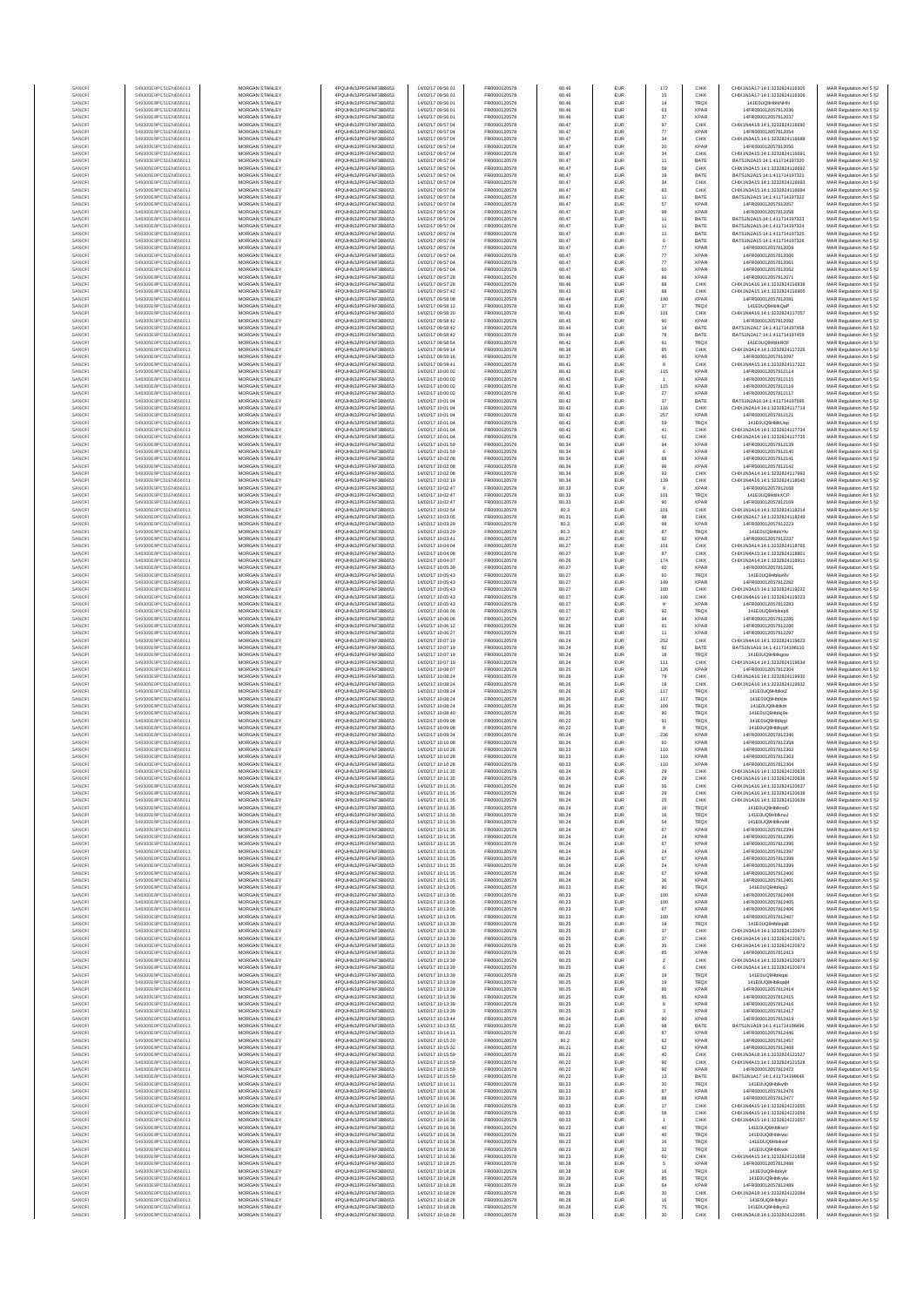| SANOF            | 549300E9PC51EN656011                         | MORGAN STANLEY                                 | 4PQUHN3JPFGFNF3BB653                          | 14/02/17 09:56:01                      | FR0000120578                 | 80.46          | EUR                      | 172               | CHIX                       | CHIX1N1A17:14:1:3232824116305                                  | MAR Regulation Art 5 §2                            |
|------------------|----------------------------------------------|------------------------------------------------|-----------------------------------------------|----------------------------------------|------------------------------|----------------|--------------------------|-------------------|----------------------------|----------------------------------------------------------------|----------------------------------------------------|
| SANOF            | 549300E9PC51EN656011                         | MORGAN STANLEY                                 | 4PQUHN3JPFGFNF3BB653                          | 14/02/17 09:56:01                      | FR0000120578                 | 80.46          | EUR                      | 15                | CHIX                       | CHIX1N1A17:14:1:3232824116306                                  | MAR Regulation Art 5 §2                            |
| SANOFI           | 549300E9PC51EN656011                         | MORGAN STANLEY<br>MORGAN STANLEY               | 4PQUHN3JPFGFNF3BB653                          | 14/02/17 09:56:01                      | FR0000120578                 | 80.46          | EUR                      | $14\,$            | <b>TRQX</b><br><b>XPAR</b> | 141FOUQ9HNkNHN                                                 | MAR Regulation Art 5 §2                            |
| SANOFI<br>SANOFI | 549300E9PC51EN656011<br>549300E9PC51EN656011 | <b>MORGAN STANLEY</b>                          | 4PQUHN3JPFGFNF3BB653<br>4PQUHN3JPFGFNF3BB653  | 14/02/17 09:56:01<br>14/02/17 09:56:01 | FR0000120578<br>FR0000120578 | 80.46<br>80.46 | EUR<br>EUR               | 63<br>37          | <b>XPAR</b>                | 14FR000012057812036<br>14FR000012057812037                     | MAR Regulation Art 5 §2<br>MAR Regulation Art 5 §2 |
| SANOFI           | 549300E9PC51EN656011                         | <b>MORGAN STANLEY</b>                          | 4PQUHN3JPFGFNF3BB653                          | 14/02/17 09:57:04                      | FR0000120578                 | 80.47          | <b>EUR</b>               | 97                | CHIX                       | CHIX1N4A18:14:1:3232824116690                                  | MAR Regulation Art 5 §2                            |
| SANOFI           | 549300E9PC51EN656011                         | <b>MORGAN STANLEY</b>                          | 4POLIHN3JPEGENE3BB653                         | 14/02/17 09:57:04                      | FR0000120578                 | 80.47          | EUR                      | $77\,$            | <b>XPAR</b>                | 14FR000012057812054                                            | MAR Regulation Art 5 §2                            |
| SANOF<br>SANOFI  | 549300E9PC51EN656011<br>549300E9PC51EN656011 | MORGAN STANLEY<br>MORGAN STANLEY               | 4PQUHN3JPFGFNF3BB653<br>4PQUHN3JPFGFNF3BB653  | 14/02/17 09:57:04<br>14/02/17 09:57:04 | FR0000120578<br>FR0000120578 | 80.47<br>80.47 | EUR<br>EUR               | $_{\rm 34}$<br>20 | CHIX<br><b>XPAF</b>        | CHIX1N3A15:14:1:3232824116688<br>14FR000012057812056           | MAR Regulation Art 5 §2                            |
| SANOF            | 549300E9PC51EN656011                         | MORGAN STANLEY                                 | 4PQUHN3JPFGFNF3BB653                          | 14/02/17 09:57:04                      | FR0000120578                 | 80.47          | EUR                      | $_{\rm 34}$       | CHIX                       | CHIX1N3A15:14:1:3232824116691                                  | MAR Regulation Art 5 §2<br>MAR Regulation Art 5 §2 |
| SANOFI           | 549300E9PC51EN656011                         | MORGAN STANLEY                                 | 4PQUHN3JPFGFNF3BB653                          | 14/02/17 09:57:04                      | FR0000120578                 | 80.47          | EUR                      | 11                | BATE                       | BATS1N2A15:14:1:411714197320                                   | MAR Regulation Art 5 §2                            |
| SANOFI<br>SANOFI | 549300E9PC51EN656011<br>549300E9PC51EN656011 | MORGAN STANLEY<br>MORGAN STANLEY               | 4PQUHN3JPFGFNF3BB653<br>4PQUHN3JPFGFNF3BB653  | 14/02/17 09:57:04<br>14/02/17 09:57:04 | FR0000120578<br>FR0000120578 | 80.47<br>80.47 | EUR<br>EUR               | 59<br>19          | CHIX<br>BATE               | CHIX1N3A15:14:1:3232824116692<br>BATS1N2A15:14:1:411714197321  | MAR Regulation Art 5 §2<br>MAR Regulation Art 5 §2 |
| SANOFI           | 549300E9PC51EN656011                         | <b>MORGAN STANLEY</b>                          | 4POLIHN3JPEGENE3BB653                         | 14/02/17 09:57:04                      | FR0000120578                 | 80.47          | EUR                      | 34                | CHIX                       | CHIX1N3A15:14:1:3232824116693                                  | MAR Regulation Art 5 §2                            |
| SANOFI           | 549300E9PC51EN656011                         | <b>MORGAN STANLEY</b>                          | 4PQUHN3JPFGFNF3BB653                          | 14/02/17 09:57:04                      | FR0000120578                 | 80.47          | <b>EUR</b>               | 83                | CHIX                       | CHIX1N3A15:14:1:3232824116694                                  | MAR Regulation Art 5 §2                            |
| SANOFI<br>SANOFI | 549300E9PC51EN656011<br>549300E9PC51EN656011 | MORGAN STANLEY<br>MORGAN STANLEY               | 4PQUHN3JPFGFNF3BB653<br>4PQUHN3JPFGFNF3BB653  | 14/02/17 09:57:04<br>14/02/17 09:57:04 | FR0000120578<br>FR0000120578 | 80.47<br>80.47 | EUR<br>EUR               | 11<br>57          | BATE<br><b>XPAR</b>        | BATS1N2A15:14:1:411714197322<br>14FR000012057812057            | MAR Regulation Art 5 §2<br>MAR Regulation Art 5 §2 |
| SANOFI           | 549300E9PC51EN656011                         | MORGAN STANLEY                                 | 4PQUHN3JPFGFNF3BB653                          | 14/02/17 09:57:04                      | FR0000120578                 | 80.47          | EUR                      | 99                | <b>XPAF</b>                | 14FR000012057812058                                            | MAR Regulation Art 5 §2                            |
| SANOFI           | 549300E9PC51EN656011                         | MORGAN STANLEY                                 | 4PQUHN3JPFGFNF3BB653                          | 14/02/17 09:57:04                      | FR0000120578                 | 80.47          | EUR                      | 11                | BATE                       | BATS1N2A15:14:1:411714197323                                   | MAR Regulation Art 5 §2                            |
| SANOFI           | 549300E9PC51EN656011                         | MORGAN STANLEY                                 | 4PQUHN3JPFGFNF3BB653                          | 14/02/17 09:57:04                      | FR0000120578                 | 80.47          | EUR                      | 11                | BATE                       | BATS1N2A15:14:1:411714197324                                   | MAR Regulation Art 5 §2                            |
| SANOFI<br>SANOFI | 549300E9PC51EN656011<br>549300E9PC51EN656011 | MORGAN STANLEY<br><b>MORGAN STANLEY</b>        | 4PQUHN3JPFGFNF3BB653<br>4POLIHN3JPEGENE3BB653 | 14/02/17 09:57:04<br>14/02/17 09:57:04 | FR0000120578<br>FR0000120578 | 80.47<br>80.47 | EUR<br><b>EUR</b>        | 11<br>6           | BATE<br>BATE               | BATS1N2A15:14:1:411714197325<br>BATS1N2A15:14:1:411714197326   | MAR Regulation Art 5 §2<br>MAR Regulation Art 5 §2 |
| SANOFI           | 549300E9PC51EN656011                         | MORGAN STANLEY                                 | 4PQUHN3JPFGFNF3BB653                          | 14/02/17 09:57:04                      | FR0000120578                 | 80.47          | EUR                      | 77                | <b>XPAR</b>                | 14FR000012057812059                                            | MAR Regulation Art 5 §2                            |
| SANOFI           | 549300E9PC51EN656011                         | MORGAN STANLEY                                 | 4PQUHN3JPFGFNF3BB653                          | 14/02/17 09:57:04                      | FR0000120578                 | 80.47          | EUR                      | $77\,$            | <b>XPAR</b>                | 14FR000012057812060                                            | MAR Regulation Art 5 §2                            |
| SANOFI<br>SANOF  | 549300E9PC51EN656011<br>549300E9PC51EN656011 | MORGAN STANLEY<br>MORGAN STANLEY               | 4PQUHN3JPFGFNF3BB653<br>4PQUHN3JPFGFNF3BB653  | 14/02/17 09:57:04<br>14/02/17 09:57:04 | FR0000120578<br>FR0000120578 | 80.47<br>80.47 | EUR<br>EUR               | $77\,$<br>60      | <b>XPAR</b><br><b>XPAF</b> | 14FR000012057812061<br>14FR000012057812062                     | MAR Regulation Art 5 §2                            |
| SANOFI           | 549300E9PC51EN656011                         | MORGAN STANLEY                                 | 4PQUHN3JPFGFNF3BB653                          | 14/02/17 09:57:28                      | FR0000120578                 | 80.46          | EUR                      |                   | <b>XPAR</b>                | 14FR000012057812071                                            | MAR Regulation Art 5 §2<br>MAR Regulation Art 5 §2 |
| SANOFI           | 549300E9PC51EN656011                         | MORGAN STANLEY                                 | 4PQUHN3JPFGFNF3BB653                          | 14/02/17 09:57:28                      | FR0000120578                 | 80.46          | EUR                      | 88                | CHIX                       | CHIX1N1A16:14:1:3232824116838                                  | MAR Regulation Art 5 §2                            |
| SANOFI           | 549300E9PC51EN656011                         | MORGAN STANLEY                                 | 4PQUHN3JPFGFNF3BB653                          | 14/02/17 09:57:42                      | FR0000120578<br>FR0000120578 | 80.43          | EUR                      | 88<br>190         | CHIX                       | CHIX1N2A15:14:1:3232824116905                                  | MAR Regulation Art 5 §2                            |
| SANOFI<br>SANOFI | 549300E9PC51EN656011<br>549300E9PC51EN656011 | <b>MORGAN STANLEY</b><br><b>MORGAN STANLEY</b> | 4PQUHN3JPFGFNF3BB653<br>4PQUHN3JPFGFNF3BB653  | 14/02/17 09:58:08<br>14/02/17 09:58:12 | FR0000120578                 | 80.44<br>80.43 | EUR<br><b>EUR</b>        | 37                | <b>XPAR</b><br><b>TRQX</b> | 14FR000012057812081<br>141E0UQ9HblkQaP                         | MAR Regulation Art 5 §2<br>MAR Regulation Art 5 §2 |
| SANOFI           | 549300E9PC51EN656011                         | MORGAN STANLEY                                 | 4PQUHN3JPFGFNF3BB653                          | 14/02/17 09:58:20                      | FR0000120578                 | 80.43          | EUR                      | 101               | CHIX                       | CHIX1N4A16:14:1:3232824117057                                  | MAR Regulation Art 5 §2                            |
| SANOFI<br>SANOFI | 549300E9PC51EN656011<br>549300E9PC51EN656011 | MORGAN STANLEY<br>MORGAN STANLEY               | 4PQUHN3JPFGFNF3BB653<br>4PQUHN3JPFGFNF3BB653  | 14/02/17 09:58:42<br>14/02/17 09:58:42 | FR0000120578<br>FR0000120578 | 80.45<br>80.44 | EUR<br>EUR               | 90<br>14          | <b>XPAR</b><br>BATE        | 14FR000012057812092<br>BATS1N2A17:14:1:411714197458            | MAR Regulation Art 5 §2                            |
| SANOFI           | 549300E9PC51EN656011                         | MORGAN STANLEY                                 | 4PQUHN3JPFGFNF3BB653                          | 14/02/17 09:58:42                      | FR0000120578                 | 80.44          | EUR                      | 78                | BATE                       | BATS1N2A17:14:1:411714197459                                   | MAR Regulation Art 5 §2<br>MAR Regulation Art 5 §2 |
| SANOFI           | 549300E9PC51EN656011                         | MORGAN STANLEY                                 | 4PQUHN3JPFGFNF3BB653                          | 14/02/17 09:58:54                      | FR0000120578                 | 80.42          | EUR                      | 91                | <b>TRQX</b>                | 141E0UQ9HblkROF                                                | MAR Regulation Art 5 §2                            |
| SANOFI<br>SANOFI | 549300E9PC51EN656011<br>549300E9PC51EN656011 | MORGAN STANLEY<br><b>MORGAN STANLEY</b>        | 4PQUHN3JPFGFNF3BB653<br>4PQUHN3JPFGFNF3BB653  | 14/02/17 09:59:14<br>14/02/17 09:59:16 | FR0000120578<br>FR0000120578 | 80.38<br>80.37 | EUR<br><b>EUR</b>        | 85                | CHIX<br><b>XPAR</b>        | CHIX1N3A14:14:1:3232824117226<br>14FR000012057812097           | MAR Regulation Art 5 §2<br>MAR Regulation Art 5 §2 |
| SANOFI           | 549300E9PC51EN656011                         | <b>MORGAN STANLEY</b>                          | 4PQUHN3JPFGFNF3BB653                          | 14/02/17 09:59:41                      | FR0000120578                 | 80.41          | EUR                      | 90<br>8           | CHIX                       | CHIX1N4A15:14:1:3232824117322                                  | MAR Regulation Art 5 §2                            |
| SANOFI           | 549300E9PC51EN656011                         | MORGAN STANLEY                                 | 4PQUHN3JPFGFNF3BB653                          | 14/02/17 10:00:02                      | FR0000120578                 | 80.42          | EUR                      | 115               | <b>XPAR</b>                | 14FR000012057812114                                            | MAR Regulation Art 5 §2                            |
| SANOFI<br>SANOFI | 549300E9PC51EN656011<br>549300E9PC51EN656011 | MORGAN STANLEY<br>MORGAN STANLEY               | 4PQUHN3JPFGFNF3BB653<br>4PQUHN3JPFGFNF3BB653  | 14/02/17 10:00:02<br>14/02/17 10:00:02 | FR0000120578<br>FR0000120578 | 80.42<br>80.42 | EUR<br>EUR               |                   | <b>XPAR</b><br><b>XPAF</b> | 14FR000012057812115<br>14FR000012057812116                     | MAR Regulation Art 5 §2                            |
| SANOFI           | 549300E9PC51EN656011                         | MORGAN STANLEY                                 | 4PQUHN3JPFGFNF3BB653                          | 14/02/17 10:00:02                      | FR0000120578                 | 80.42          | EUR                      | 115<br>$27\,$     | <b>XPAF</b>                | 14FR000012057812117                                            | MAR Regulation Art 5 §2<br>MAR Regulation Art 5 §2 |
| SANOFI           | 549300E9PC51EN656011                         | MORGAN STANLEY                                 | 4PQUHN3JPFGFNF3BB653                          | 14/02/17 10:01:04                      | FR0000120578                 | 80.42          | EUR                      | $37\,$            | BATE                       | BATS1N2A16:14:1:411714197595                                   | MAR Regulation Art 5 §2                            |
| SANOFI<br>SANOFI | 549300E9PC51EN656011<br>549300E9PC51EN656011 | MORGAN STANLEY<br>MORGAN STANLEY               | 4PQUHN3JPFGFNF3BB653<br>4PQUHN3JPFGFNF3BB653  | 14/02/17 10:01:04<br>14/02/17 10:01:04 | FR0000120578<br>FR0000120578 | 80.42<br>80.42 | EUR<br>EUR               | 116<br>257        | CHIX<br><b>XPAR</b>        | CHIX1N2A14:14:1:3232824117714<br>14FR000012057812121           | MAR Regulation Art 5 §2<br>MAR Regulation Art 5 §2 |
| SANOFI           | 549300E9PC51EN656011                         | <b>MORGAN STANLEY</b>                          | 4POLIHN3JPEGENE3BB653                         | 14/02/17 10:01:04                      | FR0000120578                 | 80.42          | <b>EUR</b>               | 59                | <b>TRQX</b>                | 141E0UQ9HblkUeo                                                | MAR Regulation Art 5 §2                            |
| SANOFI           | 549300E9PC51EN656011                         | <b>MORGAN STANLEY</b>                          | 4PQUHN3JPFGFNF3BB653                          | 14/02/17 10:01:04                      | FR0000120578                 | 80.42          | EUR                      | 41                | CHIX                       | CHIX1N2A14:14:1:3232824117734                                  | MAR Regulation Art 5 §2                            |
| SANOFI<br>SANOFI | 549300E9PC51EN656011<br>549300E9PC51EN656011 | MORGAN STANLEY<br>MORGAN STANLEY               | 4PQUHN3JPFGFNF3BB653<br>4PQUHN3JPFGFNF3BB653  | 14/02/17 10:01:04<br>14/02/17 10:01:59 | FR0000120578<br>FR0000120578 | 80.42<br>80.34 | EUR<br>EUR               | 61<br>94          | CHIX<br><b>XPAR</b>        | CHIX1N2A14:14:1:3232824117735<br>14FR000012057812139           | MAR Regulation Art 5 §2                            |
| SANOFI           | 549300E9PC51EN656011                         | MORGAN STANLEY                                 | 4PQUHN3JPFGFNF3BB653                          | 14/02/17 10:01:59                      | FR0000120578                 | 80.34          | EUR                      | $\mathbf 6$       | <b>XPAF</b>                | 14FR000012057812140                                            | MAR Regulation Art 5 §2<br>MAR Regulation Art 5 §2 |
| SANOFI           | 549300E9PC51EN656011                         | MORGAN STANLEY                                 | 4PQUHN3JPFGFNF3BB653                          | 14/02/17 10:02:08                      | FR0000120578                 | 80.34          | EUR                      | 88                | <b>XPAR</b>                | 14FR000012057812141                                            | MAR Regulation Art 5 §2                            |
| SANOFI           | 549300E9PC51EN656011<br>549300E9PC51EN656011 | MORGAN STANLEY<br>MORGAN STANLEY               | 4PQUHN3JPFGFNF3BB653<br>4PQUHN3JPFGFNF3BB653  | 14/02/17 10:02:08<br>14/02/17 10:02:08 | FR0000120578<br>FR0000120578 | 80.34<br>80.34 | EUR<br>EUR               | 96<br>93          | <b>XPAR</b><br>CHIX        | 14FR000012057812142<br>CHIX1N3A14:14:1:3232824117993           | MAR Regulation Art 5 §2<br>MAR Regulation Art 5 §2 |
| SANOFI<br>SANOFI | 549300E9PC51EN656011                         | <b>MORGAN STANLEY</b>                          | 4PQUHN3JPFGFNF3BB653                          | 14/02/17 10:02:19                      | FR0000120578                 | 80.34          | EUR                      | 139               | CHIX                       | CHIX1N4A16-14-1-3232824118045                                  | MAR Regulation Art 5 §2                            |
| SANOFI           | 549300E9PC51EN656011                         | <b>MORGAN STANLEY</b>                          | 4PQUHN3JPFGFNF3BB653                          | 14/02/17 10:02:47                      | FR0000120578                 | 80.33          | <b>EUR</b>               | $\overline{9}$    | <b>XPAR</b>                | 14FR000012057812168                                            | MAR Regulation Art 5 §2                            |
| SANOFI<br>SANOFI | 549300E9PC51EN656011<br>549300E9PC51EN656011 | <b>MORGAN STANLEY</b><br>MORGAN STANLEY        | 4POLIHN3JPEGENE3BB653<br>4PQUHN3JPFGFNF3BB653 | 14/02/17 10:02:47<br>14/02/17 10:02:47 | FR0000120578<br>FR0000120578 | 80.33<br>80.33 | EUR<br>EUR               | 101<br>90         | TRQX<br><b>XPAR</b>        | 141E0UQ9HblkXCP<br>14FR000012057812169                         | MAR Regulation Art 5 §2                            |
| SANOFI           | 549300E9PC51EN656011                         | MORGAN STANLEY                                 | 4PQUHN3JPFGFNF3BB653                          | 14/02/17 10:02:54                      | FR0000120578                 | 80.3           | EUR                      | 101               | CHIX                       | CHIX1N1A14:14:1:3232824118214                                  | MAR Regulation Art 5 §2<br>MAR Regulation Art 5 §2 |
| SANOFI           | 549300E9PC51EN656011                         | MORGAN STANLEY                                 | 4PQUHN3JPFGFNF3BB653                          | 14/02/17 10:03:05                      | FR0000120578                 | 80.31          | EUR                      | 98                | CHIX                       | CHIX1N2A17:14:1:3232824118249                                  | MAR Regulation Art 5 §2                            |
| SANOFI           | 549300E9PC51EN656011<br>549300E9PC51EN656011 | MORGAN STANLEY<br>MORGAN STANLEY               | 4PQUHN3JPFGFNF3BB653<br>4PQUHN3JPFGFNF3BB653  | 14/02/17 10:03:29<br>14/02/17 10:03:29 | FR0000120578<br>FR0000120578 | 80.3<br>80.3   | EUR<br>EUR               | 98<br>$^{\rm 87}$ | <b>XPAR</b><br><b>TRQX</b> | 14FR000012057812223<br>141E0UQ9HblkYtv                         | MAR Regulation Art 5 §2<br>MAR Regulation Art 5 §2 |
| SANOFI<br>SANOFI | 549300E9PC51EN656011                         | <b>MORGAN STANLEY</b>                          | 4PQUHN3JPFGFNF3BB653                          | 14/02/17 10:03:41                      | FR0000120578                 | 80.27          | <b>EUR</b>               | 92                | <b>XPAR</b>                | 14FR000012057812237                                            | MAR Regulation Art 5 §2                            |
| SANOFI           | 549300E9PC51EN656011                         | <b>MORGAN STANLEY</b>                          | 4PQUHN3JPFGFNF3BB653                          | 14/02/17 10:04:04                      | FR0000120578                 | 80.27          | EUR                      | 101               | CHIX                       | CHIX1N3A14:14:1:3232824118765                                  | MAR Regulation Art 5 §2                            |
| SANOFI           | 549300E9PC51EN656011                         | MORGAN STANLEY                                 | 4PQUHN3JPFGFNF3BB653                          | 14/02/17 10:04:08                      | FR0000120578                 | 80.27          | EUR                      | 87                | CHIX                       | CHIX1N4A15:14:1:3232824118801                                  | MAR Regulation Art 5 §2                            |
| SANOFI<br>SANOF  | 549300E9PC51EN656011<br>549300E9PC51EN656011 | MORGAN STANLEY<br>MORGAN STANLEY               | 4PQUHN3JPFGFNF3BB653<br>4PQUHN3JPFGFNF3BB653  | 14/02/17 10:04:37<br>14/02/17 10:05:39 | FR0000120578<br>FR0000120578 | 80.26<br>80.27 | EUR<br>EUR               | 174<br>60         | CHIX<br><b>XPAR</b>        | CHIX1N2A14:14:1:3232824118911<br>14FR000012057812281           | MAR Regulation Art 5 §2<br>MAR Regulation Art 5 §2 |
| SANOFI           | 549300E9PC51EN656011                         | MORGAN STANLEY                                 | 4PQUHN3JPFGFNF3BB653                          | 14/02/17 10:05:43                      | FR0000120578                 | 80.27          | EUR                      | 60                | TRQ)                       | 141E0UQ9Hblke9V                                                | MAR Regulation Art 5 §2                            |
| SANOFI           | 549300E9PC51EN656011                         | MORGAN STANLEY                                 | 4PQUHN3JPFGFNF3BB653                          | 14/02/17 10:05:43                      | FR0000120578                 | 80.27          | EUR                      | 149               | <b>XPAR</b>                | 14FR000012057812282                                            | MAR Regulation Art 5 §2                            |
| SANOFI<br>SANOFI | 549300E9PC51EN656011<br>549300E9PC51EN656011 | MORGAN STANLEY<br><b>MORGAN STANLEY</b>        | 4PQUHN3JPFGFNF3BB653<br>4PQUHN3JPFGFNF3BB653  | 14/02/17 10:05:43<br>14/02/17 10:05:43 | FR0000120578<br>FR0000120578 | 80.27<br>80.27 | EUR<br>EUR               | 100<br>100        | CHIX<br>CHIX               | CHIX1N3A15:14:1:3232824119222<br>CHIX1N4A16:14:1:3232824119223 | MAR Regulation Art 5 §2<br>MAR Regulation Art 5 §2 |
| SANOFI           | 549300E9PC51EN656011                         | <b>MORGAN STANLEY</b>                          | 4PQUHN3JPFGFNF3BB653                          | 14/02/17 10:05:43                      | FR0000120578                 | 80.27          | <b>EUR</b>               | 9                 | <b>XPAR</b>                | 14FR000012057812283                                            | MAR Regulation Art 5 §2                            |
| SANOFI           | 549300E9PC51EN656011<br>549300E9PC51EN656011 | MORGAN STANLEY<br>MORGAN STANLEY               | 4PQUHN3JPFGFNF3BB653                          | 14/02/17 10:06:06<br>14/02/17 10:06:06 | FR0000120578<br>FR0000120578 | 80.27<br>80.27 | EUR<br>EUR               | 92                | TROX<br><b>XPAR</b>        | 141E0UQ9Hblkep6<br>14FR000012057812285                         | MAR Regulation Art 5 §2                            |
| SANOFI<br>SANOFI | 549300E9PC51EN656011                         | MORGAN STANLEY                                 | 4PQUHN3JPFGFNF3BB653<br>4PQUHN3JPFGFNF3BB653  | 14/02/17 10:06:12                      | FR0000120578                 | 80.26          | EUR                      | 94<br>91          | <b>XPAF</b>                | 14FR000012057812286                                            | MAR Regulation Art 5 §2<br>MAR Regulation Art 5 §2 |
| SANOF            | 549300E9PC51EN656011                         | MORGAN STANLEY                                 | 4PQUHN3JPFGFNF3BB653                          | 14/02/17 10:06:27                      | FR0000120578                 | 80.23          | EUR                      | 11                | <b>XPAF</b>                | 14FR000012057812297                                            | MAR Regulation Art 5 §2                            |
| SANOFI           | 549300E9PC51EN656011                         | MORGAN STANLEY                                 | 4PQUHN3JPFGFNF3BB653                          | 14/02/17 10:07:19                      | FR0000120578<br>FR0000120578 | 80.24<br>80.24 | EUR<br>EUR               | 252<br>82         | CHIX<br>BATE               | CHIX1N4A16:14:1:3232824119623                                  | MAR Regulation Art 5 §2                            |
| SANOFI<br>SANOFI | 549300E9PC51EN656011<br>549300E9PC51EN656011 | MORGAN STANLEY<br>MORGAN STANLEY               | 4PQUHN3JPFGFNF3BB653<br>4PQUHN3JPFGFNF3BB653  | 14/02/17 10:07:19<br>14/02/17 10:07:19 | FR0000120578                 | 80.24          | EUR                      | 18                | TRQX                       | BATS1N1A16:14:1:411714198110<br>141E0UQ9Hblkgow                | MAR Regulation Art 5 §2<br>MAR Regulation Art 5 §2 |
| SANOFI           | 549300E9PC51EN656011                         | <b>MORGAN STANLEY</b>                          | 4PQUHN3JPFGFNF3BB653                          | 14/02/17 10:07:19                      | FR0000120578                 | 80.24          | EUR                      | 111               | CHIX                       | CHIX1N1A14:14:1:3232824119634                                  | MAR Regulation Art 5 §2                            |
| SANOFI           | 549300E9PC51EN656011<br>549300E9PC51EN656011 | <b>MORGAN STANLEY</b><br>MORGAN STANLEY        | 4PQUHN3JPFGFNF3BB653<br>4PQUHN3JPFGFNF3BB653  | 14/02/17 10:08:07<br>14/02/17 10:08:24 | FR0000120578<br>FR0000120578 | 80.25          | <b>EUR</b><br>EUR        | 126               | <b>XPAR</b><br>CHIX        | 14FR000012057812304<br>CHIX1N1A16:14:1:3232824119930           | MAR Regulation Art 5 §2                            |
| SANOFI<br>SANOFI | 549300E9PC51EN656011                         | MORGAN STANLEY                                 | 4PQUHN3JPFGFNF3BB653                          | 14/02/17 10:08:24                      | FR0000120578                 | 80.26<br>80.26 | EUR                      | 79<br>18          | CHIX                       | CHIX1N1A16:14:1:3232824119932                                  | MAR Regulation Art 5 §2<br>MAR Regulation Art 5 §2 |
| SANOFI           | 549300E9PC51EN656011                         | MORGAN STANLEY                                 | 4PQUHN3JPFGFNF3BB653                          | 14/02/17 10:08:24                      | FR0000120578                 | 80.26          | EUR                      | 117               | <b>TRQX</b>                | 141E0UQ9HblkitZ                                                | MAR Regulation Art 5 §2                            |
| SANOFI           | 549300E9PC51EN656011<br>549300E9PC51EN656011 | MORGAN STANLEY                                 | 4PQUHN3JPFGFNF3BB653                          | 14/02/17 10:08:24                      | FR0000120578                 | 80.26          | EUR                      | 117               | <b>TRQX</b>                | 141E0UQ9Hblkite                                                | MAR Regulation Art 5 §2                            |
| SANOFI<br>SANOFI | 549300E9PC51EN656011                         | MORGAN STANLEY<br>MORGAN STANLEY               | 4PQUHN3JPFGFNF3BB653<br>4PQUHN3JPFGFNF3BB653  | 14/02/17 10:08:24<br>14/02/17 10:08:40 | FR0000120578<br>FR0000120578 | 80.26<br>80.25 | EUR<br>EUR               | 109<br>90         | <b>TRQX</b><br>TRQX        | 141E0UQ9Hblkitt<br>141E0UQ9Hblkj9e                             | MAR Regulation Art 5 §2<br>MAR Regulation Art 5 §2 |
| SANOFI           | 549300E9PC51EN656011                         | <b>MORGAN STANLEY</b>                          | 4PQUHN3JPFGFNF3BB653                          | 14/02/17 10:09:08                      | FR0000120578                 | 80.22          | <b>EUR</b>               | 91                | <b>TROX</b>                | 141E0UQ9Hblkigl                                                | MAR Regulation Art 5 §2                            |
| SANOFI           | 549300E9PC51EN656011<br>549300E9PC51EN656011 | MORGAN STANLEY<br>MORGAN STANLEY               | 4PQUHN3JPFGFNF3BB653<br>4PQUHN3JPFGFNF3BB653  | 14/02/17 10:09:08                      | FR0000120578                 | 80.22          | EUR                      | $\overline{9}$    | <b>TRQX</b>                | 141E0UQ9HblkigK                                                | MAR Regulation Art 5 §2                            |
| SANOFI<br>SANOFI | 549300E9PC51EN656011                         | MORGAN STANLEY                                 | 4PQUHN3JPFGFNF3BB653                          | 14/02/17 10:09:34<br>14/02/17 10:10:08 | FR0000120578<br>FR0000120578 | 80.24<br>80.24 | EUR<br>EUR               | 236<br>60         | <b>XPAR</b><br>XPAR        | 14FR000012057812346<br>14FR000012057812358                     | MAR Regulation Art 5 §2<br>MAR Regulation Art 5 §2 |
| SANOF            | 549300E9PC51EN656011                         | MORGAN STANLEY                                 | 4PQUHN3JPFGFNF3BB653                          | 14/02/17 10:10:26                      | FR0000120578                 | 80.23          | EUR                      | 110               | <b>XPAR</b>                | 14FR000012057812362                                            | MAR Regulation Art 5 §2                            |
| SANOFI           | 549300E9PC51EN656011<br>549300E9PC51EN656011 | MORGAN STANLEY<br>MORGAN STANLEY               | 4PQUHN3JPFGFNF3BB653<br>4PQUHN3JPFGFNF3BB653  | 14/02/17 10:10:28<br>14/02/17 10:10:28 | FR0000120578<br>FR0000120578 | 80.23<br>80.23 | EUR<br>EUR               | 110<br>110        | <b>XPAR</b><br><b>XPAR</b> | 14FR000012057812363<br>14FR000012057812364                     | MAR Regulation Art 5 §2<br>MAR Regulation Art 5 §2 |
| SANOFI<br>SANOFI | 549300E9PC51EN656011                         | MORGAN STANLEY                                 | 4PQUHN3JPFGFNF3BB653                          | 14/02/17 10:11:35                      | FR0000120578                 | 80.24          | EUR                      | 29                | CHIX                       | CHIX1N1A16:14:1:3232824120635                                  | MAR Regulation Art 5 §2                            |
| SANOFI           | 549300E9PC51EN656011                         | <b>MORGAN STANLEY</b>                          | 4PQUHN3JPFGFNF3BB653                          | 14/02/17 10:11:35                      | FR0000120578                 | 80.24          | <b>FLIR</b>              | 29                | CHIX                       | CHIX1N1A16:14:1:3232824120636                                  | MAR Regulation Art 5 §2                            |
| SANOFI<br>SANOFI | 549300E9PC51EN656011<br>549300E9PC51EN656011 | <b>MORGAN STANLEY</b><br>MORGAN STANLEY        | 4PQUHN3JPFGFNF3BB653<br>4POLIHN3JPEGENE3BB653 | 14/02/17 10:11:35<br>14/02/17 10:11:35 | FR0000120578<br>FR0000120578 | 80.24<br>80.24 | <b>EUR</b><br>EUR        | 56<br>29          | CHIX<br>CHIX               | CHIX1N1A16:14:1:3232824120637<br>CHIX1N1A16:14:1:3232824120638 | MAR Regulation Art 5 §2<br>MAR Regulation Art 5 §2 |
| SANOFI           | 549300E9PC51EN656011                         | MORGAN STANLEY                                 | 4PQUHN3JPFGFNF3BB653                          | 14/02/17 10:11:35                      | FR0000120578                 | 80.24          | EUR                      | $2\mathrm{s}$     | CHIX                       | CHIX1N1A16:14:1:3232824120639                                  | MAR Regulation Art 5 §2                            |
| SANOFI           | 549300E9PC51EN656011<br>549300E9PC51EN656011 | MORGAN STANLEY                                 | 4PQUHN3JPFGFNF3BB653                          | 14/02/17 10:11:35<br>14/02/17 10:11:35 | FR0000120578                 | 80.24          | EUR                      |                   | <b>TRQX</b>                | 141E0UQ9HblknoD                                                | MAR Regulation Art 5 §2                            |
| SANOFI<br>SANOFI | 549300E9PC51EN656011                         | MORGAN STANLEY<br>MORGAN STANLEY               | 4PQUHN3JPFGFNF3BB653<br>4PQUHN3JPFGFNF3BB653  | 14/02/17 10:11:35                      | FR0000120578<br>FR0000120578 | 80.24<br>80.24 | EUR<br>EUR               | 16<br>54          | <b>TRQX</b><br><b>TRQX</b> | 141E0UQ9HblknoJ<br>141E0UQ9HblknoM                             | MAR Regulation Art 5 §2<br>MAR Regulation Art 5 §2 |
| SANOFI           | 549300E9PC51EN656011                         | MORGAN STANLEY                                 | 4PQUHN3JPFGFNF3BB653                          | 14/02/17 10:11:35                      | FR0000120578                 | 80.24          | EUR                      | $_{\rm 67}$       | <b>XPAR</b>                | 14FR000012057812394                                            | MAR Regulation Art 5 §2                            |
| SANOFI<br>SANOFI | 549300E9PC51EN656011<br>549300E9PC51EN656011 | <b>MORGAN STANLEY</b><br><b>MORGAN STANLEY</b> | 4PQUHN3JPFGFNF3BB653<br>4PQUHN3JPFGFNF3BB653  | 14/02/17 10:11:35<br>14/02/17 10:11:35 | FR0000120578<br>FR0000120578 | 80.24<br>80.24 | <b>EUR</b><br>EUR        | 24<br>67          | <b>XPAR</b><br><b>XPAR</b> | 14FR000012057812395<br>14FR000012057812396                     | MAR Regulation Art 5 §2<br>MAR Regulation Art 5 §2 |
| SANOFI           | 549300E9PC51EN656011                         | MORGAN STANLEY                                 | 4PQUHN3JPFGFNF3BB653                          | 14/02/17 10:11:35                      | FR0000120578                 | 80.24          | EUR                      | $\bf 24$          | <b>XPAR</b>                | 14FR000012057812397                                            | MAR Regulation Art 5 §2                            |
| SANOFI           | 549300E9PC51EN656011                         | MORGAN STANLEY                                 | 4PQUHN3JPFGFNF3BB653                          | 14/02/17 10:11:35                      | FR0000120578                 | 80.24          | EUR                      | 67                | XPAR                       | 14FR000012057812398                                            | MAR Regulation Art 5 §2                            |
| SANOFI<br>SANOFI | 549300E9PC51EN656011<br>549300E9PC51EN656011 | MORGAN STANLEY<br>MORGAN STANLEY               | 4PQUHN3JPFGFNF3BB653<br>4PQUHN3JPFGFNF3BB653  | 14/02/17 10:11:35<br>14/02/17 10:11:35 | FR0000120578<br>FR0000120578 | 80.24<br>80.24 | EUR<br>EUR               | $24\,$<br>67      | <b>XPAR</b><br><b>XPAF</b> | 14FR000012057812399<br>14FR000012057812400                     | MAR Regulation Art 5 §2<br>MAR Regulation Art 5 §2 |
| SANOFI           | 549300E9PC51EN656011                         | MORGAN STANLEY                                 | 4PQUHN3JPFGFNF3BB653                          | 14/02/17 10:11:35                      | FR0000120578                 | 80.24          | EUR                      | 36                | <b>XPAR</b>                | 14FR000012057812401                                            | MAR Regulation Art 5 §2                            |
| SANOFI<br>SANOFI | 549300E9PC51EN656011<br>549300E9PC51EN656011 | MORGAN STANLEY<br>MORGAN STANLEY               | 4PQUHN3JPFGFNF3BB653<br>4PQUHN3JPFGFNF3BB653  | 14/02/17 10:13:05<br>14/02/17 10:13:05 | FR0000120578<br>FR0000120578 | 80.23<br>80.23 | EUR<br>EUR               | 90<br>100         | TRQX<br><b>XPAR</b>        | 141E0UQ9Hblkpi2<br>14FR000012057812404                         | MAR Regulation Art 5 §2<br>MAR Regulation Art 5 §2 |
| SANOFI           | 549300E9PC51EN656011                         | MORGAN STANLEY                                 | 4PQUHN3JPFGFNF3BB653                          | 14/02/17 10:13:05                      | FR0000120578                 | 80.23          | <b>EUR</b>               | 100               | <b>XPAR</b>                | 14FR000012057812405                                            | MAR Regulation Art 5 §2                            |
| SANOFI           | 549300E9PC51EN656011                         | <b>MORGAN STANLEY</b>                          | 4PQUHN3JPFGFNF3BB653                          | 14/02/17 10:13:05                      | FR0000120578                 | 80.23          | <b>EUR</b>               | 67                | <b>XPAR</b>                | 14FR000012057812406                                            | MAR Regulation Art 5 §2                            |
| SANOFI<br>SANOFI | 549300E9PC51EN656011<br>549300E9PC51EN656011 | MORGAN STANLEY<br>MORGAN STANLEY               | 4PQUHN3JPFGFNF3BB653<br>4PQUHN3JPFGFNF3BB653  | 14/02/17 10:13:05<br>14/02/17 10:13:39 | FR0000120578<br>FR0000120578 | 80.23<br>80.25 | EUR<br>EUR               | 100<br>19         | <b>XPAR</b><br><b>TRQX</b> | 14FR000012057812407<br>141E0UQ9HblkgaB                         | MAR Regulation Art 5 §2<br>MAR Regulation Art 5 §2 |
| SANOFI           | 549300E9PC51EN656011                         | MORGAN STANLEY                                 | 4PQUHN3JPFGFNF3BB653                          | 14/02/17 10:13:39                      | FR0000120578                 | 80.25          | EUR                      | $37\,$            | CHIX                       | CHIX1N3A14:14:1:3232824120970                                  | MAR Regulation Art 5 §2                            |
| SANOFI           | 549300E9PC51EN656011                         | MORGAN STANLEY                                 | 4PQUHN3JPFGFNF3BB653                          | 14/02/17 10:13:39                      | FR0000120578                 | 80.25          | EUR                      | 37                | CHIX                       | CHIX1N3A14:14:1:3232824120971                                  | MAR Regulation Art 5 §2                            |
| SANOFI<br>SANOFI | 549300E9PC51EN656011<br>549300E9PC51EN656011 | MORGAN STANLEY<br>MORGAN STANLEY               | 4PQUHN3JPFGFNF3BB653<br>4PQUHN3JPFGFNF3BB653  | 14/02/17 10:13:39<br>14/02/17 10:13:39 | FR0000120578<br>FR0000120578 | 80.25<br>80.25 | EUR<br>EUR               | 35<br>85          | CHIX<br><b>XPAR</b>        | CHIX1N3A14:14:1:3232824120972<br>14FR000012057812413           | MAR Regulation Art 5 §2<br>MAR Regulation Art 5 §2 |
| SANOFI           | 549300E9PC51EN656011                         | MORGAN STANLEY                                 | 4PQUHN3JPFGFNF3BB653                          | 14/02/17 10:13:39                      | FR0000120578                 | 80.25          | <b>EUR</b>               | $\overline{2}$    | CHIX                       | CHIX1N3A14:14:1:3232824120973                                  | MAR Regulation Art 5 §2                            |
| SANOFI           | 549300E9PC51EN656011                         | <b>MORGAN STANLEY</b>                          | 4PQUHN3JPFGFNF3BB653                          | 14/02/17 10:13:39                      | FR0000120578                 | 80.25          | <b>EUR</b>               | 6                 | CHIX                       | CHIX1N3A14:14:1:3232824120974                                  | MAR Regulation Art 5 §2                            |
| SANOFI<br>SANOFI | 549300E9PC51EN656011<br>549300E9PC51EN656011 | MORGAN STANLEY<br>MORGAN STANLEY               | 4PQUHN3JPFGFNF3BB653<br>4PQUHN3JPFGFNF3BB653  | 14/02/17 10:13:39<br>14/02/17 10:13:39 | FR0000120578<br>FR0000120578 | 80.25<br>80.25 | EUR<br>EUR               | 19<br>19          | <b>TRQX</b><br><b>TRQX</b> | 141E0UQ9Hblkgal<br>141E0UQ9HblkgaM                             | MAR Regulation Art 5 §2<br>MAR Regulation Art 5 §2 |
| SANOFI           | 549300E9PC51EN656011                         | MORGAN STANLEY                                 | 4PQUHN3JPFGFNF3BB653                          | 14/02/17 10:13:39                      | FR0000120578                 | 80.25          | EUR                      | 85                | <b>XPAR</b>                | 14FR000012057812414                                            | MAR Regulation Art 5 §2                            |
| SANOFI<br>SANOFI | 549300E9PC51EN656011<br>549300E9PC51EN656011 | MORGAN STANLEY<br>MORGAN STANLEY               | 4PQUHN3JPFGFNF3BB653<br>4PQUHN3JPFGFNF3BB653  | 14/02/17 10:13:39<br>14/02/17 10:13:39 | FR0000120578<br>FR0000120578 | 80.25<br>80.25 | EUR<br>EUR               | 85<br>8           | <b>XPAR</b><br><b>XPAR</b> | 14FR000012057812415<br>14FR000012057812416                     | MAR Regulation Art 5 §2<br>MAR Regulation Art 5 §2 |
| SANOFI           | 549300E9PC51EN656011                         | MORGAN STANLEY                                 | 4PQUHN3JPFGFNF3BB653                          | 14/02/17 10:13:39                      | FR0000120578                 | 80.25          | EUR                      | 3                 | <b>XPAR</b>                | 14FR000012057812417                                            | MAR Regulation Art 5 §2                            |
| SANOFI           | 549300E9PC51EN656011                         | <b>MORGAN STANLEY</b>                          | 4PQUHN3JPFGFNF3BB653                          | 14/02/17 10:13:44                      | FR0000120578                 | 80.24          | <b>EUR</b>               | 90                | <b>XPAR</b>                | 14FR000012057812419                                            | MAR Regulation Art 5 §2                            |
| SANOFI<br>SANOFI | 549300E9PC51EN656011<br>549300E9PC51EN656011 | <b>MORGAN STANLEY</b><br>MORGAN STANLEY        | 4PQUHN3JPFGFNF3BB653<br>4PQUHN3JPFGFNF3BB653  | 14/02/17 10:13:55<br>14/02/17 10:14:11 | FR0000120578<br>FR0000120578 | 80.22<br>80.22 | <b>EUR</b><br>EUR        | 98<br>87          | BATE<br><b>XPAR</b>        | BATS1N1A18:14:1:411714198496<br>14FR000012057812446            | MAR Regulation Art 5 §2<br>MAR Regulation Art 5 §2 |
| SANOFI           | 549300E9PC51EN656011                         | MORGAN STANLEY                                 | 4PQUHN3JPFGFNF3BB653                          | 14/02/17 10:15:20                      | FR0000120578                 | 80.2           | EUR                      | 62                | <b>XPAR</b>                | 14FR000012057812457                                            | MAR Regulation Art 5 §2                            |
| SANOFI           | 549300E9PC51EN656011                         | MORGAN STANLEY                                 | 4PQUHN3JPFGFNF3BB653                          | 14/02/17 10:15:32                      | FR0000120578                 | 80.21          | EUR                      | 62                | <b>XPAR</b>                | 14FR000012057812468                                            | MAR Regulation Art 5 §2                            |
| SANOFI<br>SANOFI | 549300E9PC51EN656011<br>549300E9PC51EN656011 | MORGAN STANLEY<br>MORGAN STANLEY               | 4PQUHN3JPFGFNF3BB653<br>4PQUHN3JPFGFNF3BB653  | 14/02/17 10:15:59<br>14/02/17 10:15:59 | FR0000120578<br>FR0000120578 | 80.22<br>80.22 | EUR<br>EUR               | 40<br>90          | CHIX<br>CHIX               | CHIX1N3A18:14:1:3232824121527<br>CHIX1N4A15:14:1:3232824121528 | MAR Regulation Art 5 §2<br>MAR Regulation Art 5 §2 |
| SANOFI           | 549300E9PC51EN656011                         | MORGAN STANLEY                                 | 4PQUHN3JPFGFNF3BB653                          | 14/02/17 10:15:59                      | FR0000120578                 | 80.22          | <b>EUR</b>               | 90                | <b>XPAR</b>                | 14FR000012057812472                                            | MAR Regulation Art 5 §2                            |
| SANOFI           | 549300E9PC51EN656011                         | <b>MORGAN STANLEY</b>                          | 4PQUHN3JPFGFNF3BB653                          | 14/02/17 10:15:59                      | FR0000120578                 | 80.22          | <b>EUR</b>               | 13                | BATE                       | BATS1N1A17:14:1:411714198646                                   | MAR Regulation Art 5 §2                            |
| SANOFI<br>SANOFI | 549300E9PC51EN656011<br>549300E9PC51EN656011 | <b>MORGAN STANLEY</b><br>MORGAN STANLEY        | 4PQUHN3JPFGFNF3BB653<br>4PQUHN3JPFGFNF3BB653  | 14/02/17 10:16:11<br>14/02/17 10:16:36 | FR0000120578<br>FR0000120578 | 80.23<br>80.23 | <b>EUR</b><br>EUR        | 30<br>87          | <b>TRQX</b><br><b>XPAR</b> | 141E0UQ9Hblkv4h<br>14FR000012057812476                         | MAR Regulation Art 5 §2                            |
| SANOFI           | 549300E9PC51EN656011                         | MORGAN STANLEY                                 | 4PQUHN3JPFGFNF3BB653                          | 14/02/17 10:16:36                      | FR0000120578                 | 80.23          | EUR                      | 88                | <b>XPAR</b>                | 14FR000012057812477                                            | MAR Regulation Art 5 §2<br>MAR Regulation Art 5 §2 |
| SANOFI           | 549300E9PC51EN656011                         | MORGAN STANLEY                                 | 4PQUHN3JPFGFNF3BB653                          | 14/02/17 10:16:36                      | FR0000120578                 | 80.23          | EUR                      | 17                | CHIX                       | CHIX1N4A15:14:1:3232824121655                                  | MAR Regulation Art 5 §2                            |
| SANOFI<br>SANOFI | 549300E9PC51EN656011<br>549300E9PC51EN656011 | MORGAN STANLEY<br>MORGAN STANLEY               | 4PQUHN3JPFGFNF3BB653<br>4PQUHN3JPFGFNF3BB653  | 14/02/17 10:16:36<br>14/02/17 10:16:36 | FR0000120578<br>FR0000120578 | 80.23<br>80.23 | EUR<br>EUR               | 58                | CHIX<br>CHIX               | CHIX1N4A15:14:1:3232824121656<br>CHIX1N4A15:14:1:3232824121657 | MAR Regulation Art 5 §2<br>MAR Regulation Art 5 §2 |
| SANOFI           | 549300E9PC51EN656011                         | MORGAN STANLEY                                 | 4PQUHN3JPFGFNF3BB653                          | 14/02/17 10:16:36                      | FR0000120578                 | 80.23          | EUR                      | $40\,$            | TRQX                       | 141E0UQ9HblkvoY                                                | MAR Regulation Art 5 §2                            |
| SANOFI           | 549300E9PC51EN656011                         | MORGAN STANLEY                                 | 4PQUHN3JPFGFNF3BB653                          | 14/02/17 10:16:36                      | FR0000120578                 | 80.23          | <b>EUR</b>               | 40                | <b>TRQX</b>                | 141E0UQ9Hblkvoc                                                | MAR Regulation Art 5 §2                            |
| SANOFI<br>SANOFI | 549300E9PC51EN656011<br>549300E9PC51EN656011 | <b>MORGAN STANLEY</b><br><b>MORGAN STANLEY</b> | 4PQUHN3JPFGFNF3BB653<br>4PQUHN3JPFGFNF3BB653  | 14/02/17 10:16:36<br>14/02/17 10:16:36 | FR0000120578<br>FR0000120578 | 80.23<br>80.23 | <b>EUR</b><br><b>EUR</b> | 16<br>32          | <b>TRQX</b><br><b>TRQX</b> | 141E0UQ9Hblkvof<br>141E0UQ9Hblkvok                             | MAR Regulation Art 5 §2<br>MAR Regulation Art 5 §2 |
| SANOFI           | 549300E9PC51EN656011                         | MORGAN STANLEY                                 | 4PQUHN3JPFGFNF3BB653                          | 14/02/17 10:16:36                      | FR0000120578                 | 80.23          | EUR                      | 60                | CHIX                       | CHIX1N4A15:14:1:3232824121658                                  | MAR Regulation Art 5 §2                            |
| SANOFI           | 549300E9PC51EN656011                         | MORGAN STANLEY                                 | 4PQUHN3JPFGFNF3BB653                          | 14/02/17 10:18:25                      | FR0000120578                 | 80.28          | EUR                      | 5                 | <b>XPAR</b>                | 14FR000012057812488                                            | MAR Regulation Art 5 §2                            |
| SANOFI<br>SANOFI | 549300E9PC51EN656011<br>549300E9PC51EN656011 | MORGAN STANLEY<br>MORGAN STANLEY               | 4PQUHN3JPFGFNF3BB653<br>4PQUHN3JPFGFNF3BB653  | 14/02/17 10:18:28<br>14/02/17 10:18:28 | FR0000120578<br>FR0000120578 | 80.28<br>80.28 | EUR<br>EUR               | 16<br>85          | TRQ)<br><b>TRQX</b>        | 141E0UQ9Hblkylr<br>141E0UQ9Hblkylw                             | MAR Regulation Art 5 §2<br>MAR Regulation Art 5 §2 |
| SANOFI           | 549300E9PC51EN656011                         | MORGAN STANLEY                                 | 4PQUHN3JPFGFNF3BB653                          | 14/02/17 10:18:28                      | FR0000120578                 | 80.28          | EUR                      | 64                | <b>XPAR</b>                | 14FR000012057812489                                            | MAR Regulation Art 5 §2                            |
| SANOFI           | 549300E9PC51EN656011                         | MORGAN STANLEY                                 | 4PQUHN3JPFGFNF3BB653                          | 14/02/17 10:18:28                      | FR0000120578                 | 80.28          | EUR                      | 30                | CHIX                       | CHIX1N3A18:14:1:3232824122084                                  | MAR Regulation Art 5 §2                            |
| SANOFI<br>SANOFI | 549300E9PC51EN656011<br>549300E9PC51EN656011 | <b>MORGAN STANLEY</b><br><b>MORGAN STANLEY</b> | 4PQUHN3JPFGFNF3BB653<br>4PQUHN3JPFGFNF3BB653  | 14/02/17 10:18:28<br>14/02/17 10:18:28 | FR0000120578<br>FR0000120578 | 80.28<br>80.28 | <b>EUR</b><br>EUR        | 16<br>75          | <b>TRQX</b><br><b>TRQX</b> | 141E0UQ9Hblkvlz<br>141E0UQ9Hblkym2                             | MAR Regulation Art 5 §2<br>MAR Regulation Art 5 §2 |
| SANOFI           | 549300E9PC51EN656011                         | MORGAN STANLEY                                 | 4PQUHN3JPFGFNF3BB653                          | 14/02/17 10:18:28                      | FR0000120578                 | 80.28          | EUR                      | $30\,$            | CHIX                       | CHIX1N3A18:14:1:3232824122085                                  | MAR Regulation Art 5 §2                            |
|                  |                                              |                                                |                                               |                                        |                              |                |                          |                   |                            |                                                                |                                                    |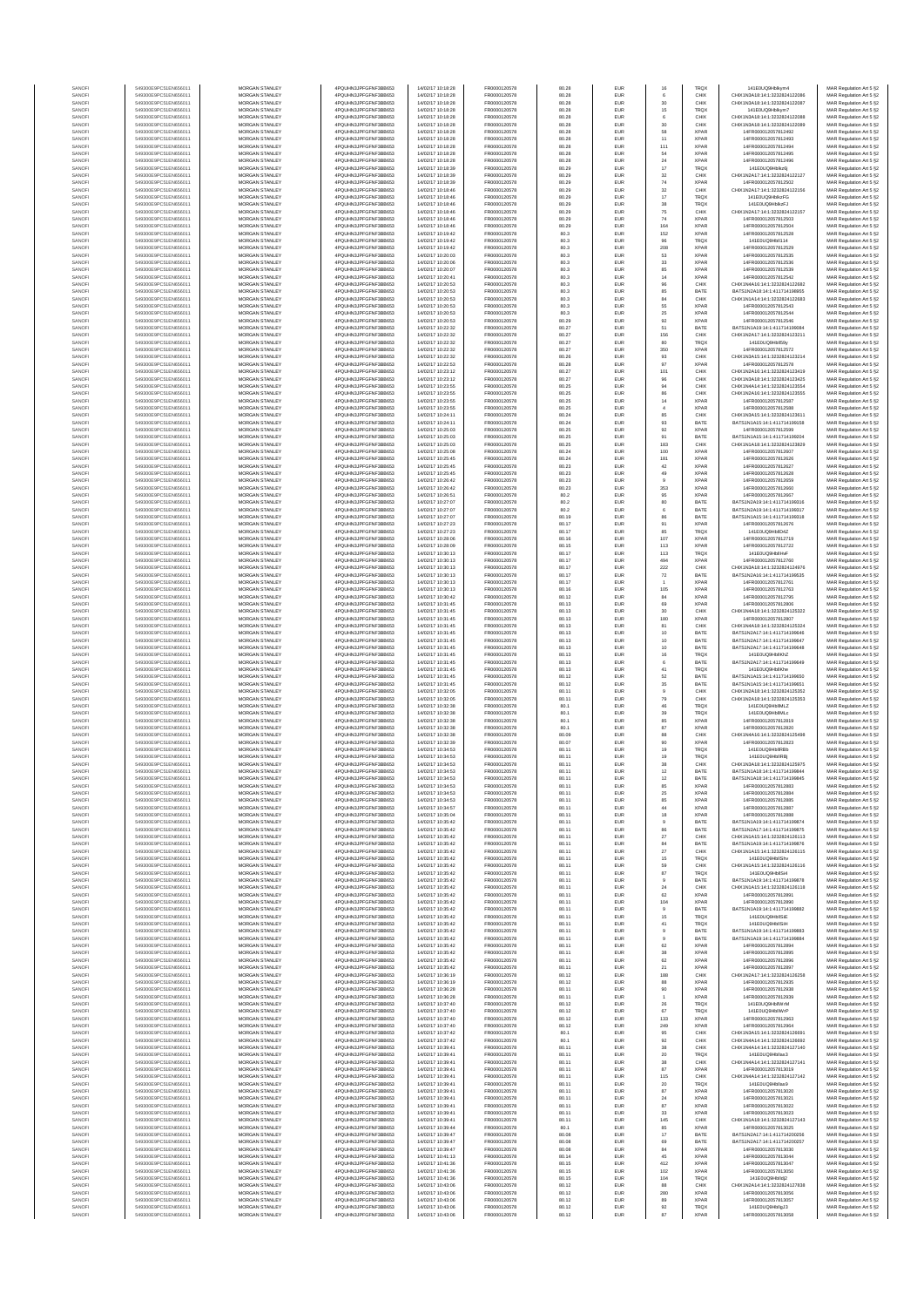| SANOF            | 549300E9PC51EN656011                         | <b>MORGAN STANLEY</b>                          | 4PQUHN3JPFGFNF3BB653                         | 14/02/17 10:18:28                      | FR0000120578                 | 80.28          | EUR                      | 16                       | <b>TRQX</b>                | 141F0UQ9Hblkvm4                                              | MAR Regulation Art 5 §2                            |
|------------------|----------------------------------------------|------------------------------------------------|----------------------------------------------|----------------------------------------|------------------------------|----------------|--------------------------|--------------------------|----------------------------|--------------------------------------------------------------|----------------------------------------------------|
| SANOFI           | 549300E9PC51EN656011                         | MORGAN STANLEY                                 | 4PQUHN3JPFGFNF3BB653                         | 14/02/17 10:18:28                      | FR0000120578                 | 80.28          | EUR                      | 6                        | CHIX                       | CHIX1N3A18:14:1:3232824122086                                | MAR Regulation Art 5 §2                            |
| SANOFI           | 549300E9PC51EN656011                         | MORGAN STANLEY                                 | 4PQUHN3JPFGFNF3BB653                         | 14/02/17 10:18:28                      | FR0000120578                 | 80.28          | EUR                      | $30\,$                   | CHIX                       | CHIX1N3A18:14:1:3232824122087                                | MAR Regulation Art 5 §2                            |
| SANOFI           | 549300E9PC51EN656011                         | MORGAN STANLEY                                 | 4PQUHN3JPFGFNF3BB653                         | 14/02/17 10:18:28                      | FR0000120578                 | 80.28          | EUR                      | 15                       | TRQX                       | 141E0UQ9Hblkym7                                              | MAR Regulation Art 5 §2                            |
| SANOFI           | 549300E9PC51EN656011                         | MORGAN STANLEY                                 | 4PQUHN3JPFGFNF3BB653                         | 14/02/17 10:18:28                      | FR0000120578                 | 80.28          | EUR                      | 6                        | CHIX                       | CHIX1N3A18:14:1:323282412208                                 | MAR Regulation Art 5 §2                            |
| SANOFI<br>SANOFI | 549300E9PC51EN656011<br>549300E9PC51EN656011 | MORGAN STANLEY<br>MORGAN STANLEY               | 4PQUHN3JPFGFNF3BB653<br>4PQUHN3JPFGFNF3BB653 | 14/02/17 10:18:28<br>14/02/17 10:18:28 | FR0000120578<br>FR0000120578 | 80.28<br>80.28 | EUR<br>EUR               | $_{30}$<br>58            | CHIX<br><b>XPAR</b>        | CHIX1N3A18:14:1:323282412208<br>14FR000012057812492          | MAR Regulation Art 5 §2<br>MAR Regulation Art 5 §2 |
| SANOFI           | 549300E9PC51EN656011                         | MORGAN STANLEY                                 | 4PQUHN3JPFGFNF3BB653                         | 14/02/17 10:18:28                      | FR0000120578                 | 80.28          | EUR                      | 11                       | <b>XPAF</b>                | 14FR000012057812493                                          | MAR Regulation Art 5 §2                            |
| SANOFI           | 549300E9PC51EN656011                         | <b>MORGAN STANLEY</b>                          | 4PQUHN3JPFGFNF3BB653                         | 14/02/17 10:18:28                      | FR0000120578                 | 80.28          | EUR                      | 111                      | <b>XPAR</b>                | 14FR000012057812494                                          | MAR Regulation Art 5 §2                            |
| SANOFI           | 549300E9PC51EN656011                         | <b>MORGAN STANLEY</b>                          | 4PQUHN3JPFGFNF3BB653                         | 14/02/17 10:18:28                      | FR0000120578                 | 80.28          | <b>EUR</b>               | 54                       | <b>XPAR</b>                | 14FR000012057812495                                          | MAR Regulation Art 5 §2                            |
| SANOFI           | 549300E9PC51EN656011                         | <b>MORGAN STANLEY</b>                          | 4PQUHN3JPFGFNF3BB653                         | 14/02/17 10:18:28                      | FR0000120578                 | 80.28          | <b>EUR</b>               | $24\,$                   | <b>XPAR</b>                | 14FR000012057812496                                          | MAR Regulation Art 5 §2                            |
| SANOFI<br>SANOFI | 549300E9PC51EN656011<br>549300E9PC51EN656011 | MORGAN STANLEY<br>MORGAN STANLEY               | 4PQUHN3JPFGFNF3BB653<br>4PQUHN3JPFGFNF3BB653 | 14/02/17 10:18:39<br>14/02/17 10:18:39 | FR0000120578<br>FR0000120578 | 80.29<br>80.29 | EUR<br>EUR               | $17\,$<br>$_{\rm 32}$    | TRQ)<br>CHIX               | 141E0UQ9Hblkz6j<br>CHIX1N2A17:14:1:3232824122127             | MAR Regulation Art 5 §2<br>MAR Regulation Art 5 §2 |
| SANOF            | 549300E9PC51EN656011                         | MORGAN STANLEY                                 | 4PQUHN3JPFGFNF3BB653                         | 14/02/17 10:18:39                      | FR0000120578                 | 80.29          | EUR                      | $\bf 74$                 | XPAF                       | 14FR000012057812502                                          | MAR Regulation Art 5 §2                            |
| SANOFI           | 549300E9PC51EN656011                         | MORGAN STANLEY                                 | 4PQUHN3JPFGFNF3BB653                         | 14/02/17 10:18:46                      | FR0000120578                 | 80.29          | EUR                      | $_{\rm 32}$              | CHIX                       | CHIX1N2A17:14:1:3232824122156                                | MAR Regulation Art 5 §2                            |
| SANOFI           | 549300E9PC51EN656011                         | MORGAN STANLEY                                 | 4PQUHN3JPFGFNF3BB653                         | 14/02/17 10:18:46                      | FR0000120578                 | 80.29          | EUR                      | $17\,$                   | TRQ)                       | 141E0UQ9HblkzFG                                              | MAR Regulation Art 5 §2                            |
| SANOFI           | 549300E9PC51EN656011                         | MORGAN STANLEY                                 | 4PQUHN3JPFGFNF3BB653                         | 14/02/17 10:18:46                      | FR0000120578                 | 80.29          | EUR                      | 38                       | <b>TRQX</b>                | 141E0UQ9HblkzFJ                                              | MAR Regulation Art 5 §2                            |
| SANOFI           | 549300E9PC51EN656011                         | <b>MORGAN STANLEY</b>                          | 4PQUHN3JPFGFNF3BB653                         | 14/02/17 10:18:46                      | FR0000120578                 | 80.29          | <b>EUR</b>               | 75                       | CHIX                       | CHIX1N2A17:14:1:3232824122157                                | MAR Regulation Art 5 §2                            |
| SANOFI<br>SANOFI | 549300E9PC51EN656011<br>549300E9PC51EN656011 | <b>MORGAN STANLEY</b><br>MORGAN STANLEY        | 4PQUHN3JPFGFNF3BB653<br>4PQUHN3JPFGFNF3BB653 | 14/02/17 10:18:46<br>14/02/17 10:18:46 | FR0000120578<br>FR0000120578 | 80.29<br>80.29 | <b>EUR</b><br>EUR        | 74                       | <b>XPAR</b><br><b>XPAR</b> | 14FR000012057812503<br>14FR000012057812504                   | MAR Regulation Art 5 §2                            |
| SANOF            | 549300E9PC51EN656011                         | MORGAN STANLEY                                 | 4PQUHN3JPFGFNF3BB653                         | 14/02/17 10:19:42                      | FR0000120578                 | 80.3           | EUR                      | 164<br>152               | <b>XPAR</b>                | 14FR000012057812528                                          | MAR Regulation Art 5 §2<br>MAR Regulation Art 5 §2 |
| SANOFI           | 549300E9PC51EN656011                         | MORGAN STANLEY                                 | 4PQUHN3JPFGFNF3BB653                         | 14/02/17 10:19:42                      | FR0000120578                 | 80.3           | EUR                      | $96\,$                   | TRQ)                       | 141E0UQ9Hbll114                                              | MAR Regulation Art 5 §2                            |
| SANOFI           | 549300E9PC51EN656011                         | MORGAN STANLEY                                 | 4PQUHN3JPFGFNF3BB653                         | 14/02/17 10:19:42                      | FR0000120578                 | 80.3           | EUR                      | 208                      | XPAF                       | 14FR000012057812529                                          | MAR Regulation Art 5 §2                            |
| SANOFI           | 549300E9PC51EN656011                         | MORGAN STANLEY                                 | 4PQUHN3JPFGFNF3BB653                         | 14/02/17 10:20:03                      | FR0000120578                 | 80.3           | EUR                      | 53                       | <b>XPAR</b>                | 14FR000012057812535                                          | MAR Regulation Art 5 §2                            |
| SANOFI           | 549300E9PC51EN656011                         | MORGAN STANLEY                                 | 4PQUHN3JPFGFNF3BB653                         | 14/02/17 10:20:06                      | FR0000120578                 | 80.3           | EUR                      | $_{33}$                  | <b>XPAR</b>                | 14FR000012057812536                                          | MAR Regulation Art 5 §2                            |
| SANOFI<br>SANOFI | 549300E9PC51EN656011<br>549300E9PC51EN656011 | <b>MORGAN STANLEY</b><br>MORGAN STANLEY        | 4PQUHN3JPFGFNF3BB653<br>4PQUHN3JPFGFNF3BB653 | 14/02/17 10:20:07<br>14/02/17 10:20:41 | FR0000120578<br>FR0000120578 | 80.3<br>80.3   | <b>EUR</b><br>EUR        | 85<br>14                 | <b>XPAR</b><br><b>XPAR</b> | 14FR000012057812539<br>14FR000012057812542                   | MAR Regulation Art 5 §2<br>MAR Regulation Art 5 §2 |
| SANOFI           | 549300E9PC51EN656011                         | MORGAN STANLEY                                 | 4PQUHN3JPFGFNF3BB653                         | 14/02/17 10:20:53                      | FR0000120578                 | 80.3           | EUR                      | 96                       | CHIX                       | CHIX1N4A16:14:1:3232824122682                                | MAR Regulation Art 5 §2                            |
| SANOFI           | 549300E9PC51EN656011                         | MORGAN STANLEY                                 | 4PQUHN3JPFGFNF3BB653                         | 14/02/17 10:20:53                      | FR0000120578                 | 80.3           | EUR                      | 85                       | BATE                       | BATS1N2A18:14:1:411714198955                                 | MAR Regulation Art 5 §2                            |
| SANOF            | 549300E9PC51EN656011                         | MORGAN STANLEY                                 | 4PQUHN3JPFGFNF3BB653                         | 14/02/17 10:20:53                      | FR0000120578                 | 80.3           | EUR                      | 84                       | CHIX                       | CHIX1N1A14:14:1:3232824122682                                | MAR Regulation Art 5 §2                            |
| SANOFI           | 549300E9PC51EN656011                         | MORGAN STANLEY                                 | 4PQUHN3JPFGFNF3BB653                         | 14/02/17 10:20:53                      | FR0000120578                 | 80.3           | EUR                      | 55                       | XPAF                       | 14FR000012057812543                                          | MAR Regulation Art 5 §2                            |
| SANOFI<br>SANOFI | 549300E9PC51EN656011<br>549300E9PC51EN656011 | MORGAN STANLEY<br>MORGAN STANLEY               | 4PQUHN3JPFGFNF3BB653<br>4PQUHN3JPFGFNF3BB653 | 14/02/17 10:20:53<br>14/02/17 10:20:53 | FR0000120578<br>FR0000120578 | 80.3<br>80.29  | EUR<br>EUR               | $2\mathrm{S}$<br>92      | <b>XPAR</b><br>XPAF        | 14FR000012057812544<br>14FR000012057812546                   | MAR Regulation Art 5 §2<br>MAR Regulation Art 5 §2 |
| SANOFI           | 549300E9PC51EN656011                         | <b>MORGAN STANLEY</b>                          | 4PQUHN3JPFGFNF3BB653                         | 14/02/17 10:22:32                      | FR0000120578                 | 80.27          | <b>EUR</b>               | 51                       | BATE                       | BATS1N1A19:14:1:411714199084                                 | MAR Regulation Art 5 §2                            |
| SANOFI           | 549300E9PC51EN656011                         | <b>MORGAN STANLEY</b>                          | 4PQUHN3JPFGFNF3BB653                         | 14/02/17 10:22:32                      | FR0000120578                 | 80.27          | <b>EUR</b>               | 156                      | CHIX                       | CHIX1N2A17:14:1:3232824123211                                | MAR Regulation Art 5 §2                            |
| SANOFI           | 549300E9PC51EN656011                         | MORGAN STANLEY                                 | 4PQUHN3JPFGFNF3BB653                         | 14/02/17 10:22:32                      | FR0000120578                 | 80.27          | EUR                      | 80                       | TRQ)                       | 141E0UQ9Hbll59                                               | MAR Regulation Art 5 §2                            |
| SANOFI           | 549300E9PC51EN656011                         | MORGAN STANLEY                                 | 4PQUHN3JPFGFNF3BB653                         | 14/02/17 10:22:32                      | FR0000120578                 | 80.27          | EUR                      | 350                      | <b>XPAR</b>                | 14FR000012057812572                                          | MAR Regulation Art 5 §2                            |
| SANOFI<br>SANOFI | 549300E9PC51EN656011<br>549300E9PC51EN656011 | MORGAN STANLEY<br>MORGAN STANLEY               | 4PQUHN3JPFGFNF3BB653<br>4PQUHN3JPFGFNF3BB653 | 14/02/17 10:22:32<br>14/02/17 10:22:53 | FR0000120578<br>FR0000120578 | 80.26<br>80.28 | EUR<br>EUR               | 93<br>97                 | CHID<br>XPAF               | CHIX1N3A15:14:1:3232824123214<br>14FR000012057812578         | MAR Regulation Art 5 §2<br>MAR Regulation Art 5 §2 |
| SANOFI           | 549300E9PC51EN656011                         | MORGAN STANLEY                                 | 4PQUHN3JPFGFNF3BB653                         | 14/02/17 10:23:12                      | FR0000120578                 | 80.27          | EUR                      | 101                      | CHIX                       | CHIX1N2A16:14:1:3232824123419                                | MAR Regulation Art 5 §2                            |
| SANOFI           | 549300E9PC51EN656011                         | MORGAN STANLEY                                 | 4PQUHN3JPFGFNF3BB653                         | 14/02/17 10:23:12                      | FR0000120578                 | 80.27          | EUR                      | 96                       | CHIX                       | CHIX1N3A18:14:1:3232824123425                                | MAR Regulation Art 5 §2                            |
| SANOFI           | 549300E9PC51EN656011                         | <b>MORGAN STANLEY</b>                          | 4PQUHN3JPFGFNF3BB653                         | 14/02/17 10:23:55                      | FR0000120578                 | 80.25          | <b>EUR</b>               | 94<br>86                 | CHIX                       | CHIX1N4A14:14:1:3232824123554                                | MAR Regulation Art 5 §2                            |
| SANOFI           | 549300E9PC51EN656011                         | MORGAN STANLEY                                 | 4PQUHN3JPFGFNF3BB653                         | 14/02/17 10:23:55<br>14/02/17 10:23:55 | FR0000120578                 | 80.25          | EUR                      |                          | CHIX                       | CHIX1N2A16:14:1:3232824123555                                | MAR Regulation Art 5 §2                            |
| SANOFI<br>SANOFI | 549300E9PC51EN656011<br>549300E9PC51EN656011 | <b>MORGAN STANLEY</b><br>MORGAN STANLEY        | 4PQUHN3JPFGFNF3BB653<br>4PQUHN3JPFGFNF3BB653 | 14/02/17 10:23:55                      | FR0000120578<br>FR0000120578 | 80.25<br>80.25 | <b>EUR</b><br>EUR        | 14<br>$\sqrt{4}$         | <b>XPAR</b><br><b>XPAF</b> | 14FR000012057812587<br>14FR000012057812588                   | MAR Regulation Art 5 §2<br>MAR Regulation Art 5 §2 |
| SANOFI           | 549300E9PC51EN656011                         | MORGAN STANLEY                                 | 4PQUHN3JPFGFNF3BB653                         | 14/02/17 10:24:11                      | FR0000120578                 | 80.24          | EUR                      | 85                       | CHIX                       | CHIX1N3A15:14:1:3232824123611                                | MAR Regulation Art 5 §2                            |
| SANOFI           | 549300E9PC51EN656011                         | MORGAN STANLEY                                 | 4PQUHN3JPFGFNF3BB653                         | 14/02/17 10:24:11                      | FR0000120578                 | 80.24          | EUR                      | $\mathbf{93}$            | BATE                       | BATS1N1A15:14:1:411714199158                                 | MAR Regulation Art 5 §2                            |
| SANOF            | 549300E9PC51EN656011                         | MORGAN STANLEY                                 | 4PQUHN3JPFGFNF3BB653                         | 14/02/17 10:25:03                      | FR0000120578                 | 80.25          | EUR                      | 92                       | XPAF                       | 14FR000012057812599                                          | MAR Regulation Art 5 §2                            |
| SANOFI           | 549300E9PC51EN656011                         | MORGAN STANLEY                                 | 4PQUHN3JPFGFNF3BB653                         | 14/02/17 10:25:03                      | FR0000120578                 | 80.25          | EUR                      | 91                       | BATE                       | BATS1N1A15:14:1:411714199204                                 | MAR Regulation Art 5 §2                            |
| SANOFI<br>SANOFI | 549300E9PC51EN656011<br>549300E9PC51EN656011 | MORGAN STANLEY<br><b>MORGAN STANLEY</b>        | 4PQUHN3JPFGFNF3BB653<br>4PQUHN3JPFGFNF3BB653 | 14/02/17 10:25:03<br>14/02/17 10:25:08 | FR0000120578<br>FR0000120578 | 80.25<br>80.24 | EUR<br><b>EUR</b>        | 183<br>100               | CHIX<br><b>XPAR</b>        | CHIX1N1A18:14:1:3232824123829<br>14FR000012057812607         | MAR Regulation Art 5 §2<br>MAR Regulation Art 5 §2 |
| SANOFI           | 549300E9PC51EN656011                         | <b>MORGAN STANLEY</b>                          | 4PQUHN3JPFGFNF3BB653                         | 14/02/17 10:25:45                      | FR0000120578                 | 80.24          | <b>EUR</b>               | 181                      | <b>XPAR</b>                | 14FR000012057812626                                          | MAR Regulation Art 5 §2                            |
| SANOFI           | 549300E9PC51EN656011                         | MORGAN STANLEY                                 | 4POLIHN3JPEGENE3BB653                        | 14/02/17 10:25:45                      | FR0000120578                 | 80.23          | EUR                      | $42\,$                   | <b>XPAR</b>                | 14FR000012057812627                                          | MAR Regulation Art 5 §2                            |
| SANOFI           | 549300E9PC51EN656011                         | MORGAN STANLEY                                 | 4PQUHN3JPFGFNF3BB653                         | 14/02/17 10:25:45                      | FR0000120578                 | 80.23          | EUR                      | 49                       | <b>XPAF</b>                | 14FR000012057812628                                          | MAR Regulation Art 5 §2                            |
| SANOF            | 549300E9PC51EN656011                         | MORGAN STANLEY                                 | 4PQUHN3JPFGFNF3BB653                         | 14/02/17 10:26:42                      | FR0000120578                 | 80.23          | EUR                      | $\mathsf{9}$             | XPAF                       | 14FR000012057812659                                          | MAR Regulation Art 5 §2                            |
| SANOFI<br>SANOFI | 549300E9PC51EN656011<br>549300E9PC51EN656011 | MORGAN STANLEY<br>MORGAN STANLEY               | 4PQUHN3JPFGFNF3BB653<br>4PQUHN3JPFGFNF3BB653 | 14/02/17 10:26:42<br>14/02/17 10:26:51 | FR0000120578<br>FR0000120578 | 80.23<br>80.2  | EUR<br>EUR               | 353<br>95                | XPAF<br><b>XPAR</b>        | 14FR000012057812660<br>14FR000012057812667                   | MAR Regulation Art 5 §2<br>MAR Regulation Art 5 §2 |
| SANOFI           | 549300E9PC51EN656011                         | MORGAN STANLEY                                 | 4PQUHN3JPFGFNF3BB653                         | 14/02/17 10:27:07                      | FR0000120578                 | 80.2           | EUR                      | 80                       | BATE                       | BATS1N2A19:14:1:411714199316                                 | MAR Regulation Art 5 §2                            |
| SANOFI           | 549300E9PC51EN656011                         | <b>MORGAN STANLEY</b>                          | 4PQUHN3JPFGFNF3BB653                         | 14/02/17 10:27:07                      | FR0000120578                 | 80.2           | <b>EUR</b>               | 6                        | BATE                       | BATS1N2A19:14:1:411714199317                                 | MAR Regulation Art 5 §2                            |
| SANOFI           | 549300E9PC51EN656011                         | <b>MORGAN STANLEY</b>                          | 4PQUHN3JPFGFNF3BB653                         | 14/02/17 10:27:07                      | FR0000120578                 | 80.19          | <b>EUR</b>               | 86                       | BATE                       | BATS1N1A15:14:1:411714199318                                 | MAR Regulation Art 5 §2                            |
| SANOFI           | 549300E9PC51EN656011                         | MORGAN STANLEY                                 | 4PQUHN3JPFGFNF3BB653                         | 14/02/17 10:27:23                      | FR0000120578                 | 80.17          | EUR                      | 91                       | <b>XPAR</b>                | 14FR000012057812676                                          | MAR Regulation Art 5 §2                            |
| SANOF            | 549300E9PC51EN656011                         | MORGAN STANLEY                                 | 4PQUHN3JPFGFNF3BB653                         | 14/02/17 10:27:23                      | FR0000120578                 | 80.17          | EUR                      | 85                       | TRQX                       | 141E0UQ9HbIID4Z                                              | MAR Regulation Art 5 §2                            |
| SANOFI<br>SANOFI | 549300E9PC51EN656011<br>549300E9PC51EN656011 | MORGAN STANLEY<br>MORGAN STANLEY               | 4PQUHN3JPFGFNF3BB653<br>4PQUHN3JPFGFNF3BB653 | 14/02/17 10:28:06<br>14/02/17 10:28:09 | FR0000120578<br>FR0000120578 | 80.16<br>80.15 | EUR<br>EUR               | 107<br>113               | XPAF<br>XPAF               | 14FR000012057812719<br>14FR000012057812722                   | MAR Regulation Art 5 §2<br>MAR Regulation Art 5 §2 |
| SANOFI           | 549300E9PC51EN656011                         | MORGAN STANLEY                                 | 4PQUHN3JPFGFNF3BB653                         | 14/02/17 10:30:13                      | FR0000120578                 | 80.17          | EUR                      | 113                      | TRQX                       | 141E0UQ9HbllHvF                                              | MAR Regulation Art 5 §2                            |
| SANOFI           | 549300E9PC51EN656011                         | MORGAN STANLEY                                 | 4PQUHN3JPFGFNF3BB653                         | 14/02/17 10:30:13                      | FR0000120578                 | 80.17          | EUR                      | 494                      | <b>XPAR</b>                | 14FR000012057812760                                          | MAR Regulation Art 5 §2                            |
| SANOFI           | 549300E9PC51EN656011                         | <b>MORGAN STANLEY</b>                          | 4PQUHN3JPFGFNF3BB653                         | 14/02/17 10:30:13                      | FR0000120578                 | 80.17          | <b>EUR</b>               | $222\,$                  | CHIX                       | CHIX1N3A18:14:1:3232824124976                                | MAR Regulation Art 5 §2                            |
| SANOFI<br>SANOFI | 549300E9PC51EN656011<br>549300E9PC51EN656011 | <b>MORGAN STANLEY</b><br>MORGAN STANLEY        | 4PQUHN3JPFGFNF3BB653<br>4PQUHN3JPFGFNF3BB653 | 14/02/17 10:30:13                      | FR0000120578                 | 80.17<br>80.17 | EUR                      | 72                       | BATE<br>XPAF               | BATS1N2A16:14:1:411714199535<br>14FR000012057812761          | MAR Regulation Art 5 §2                            |
| SANOFI           | 549300E9PC51EN656011                         | MORGAN STANLEY                                 | 4PQUHN3JPFGFNF3BB653                         | 14/02/17 10:30:13<br>14/02/17 10:30:13 | FR0000120578<br>FR0000120578 | 80.16          | EUR<br>EUR               | 105                      | <b>XPAR</b>                | 14FR000012057812763                                          | MAR Regulation Art 5 §2<br>MAR Regulation Art 5 §2 |
| SANOF            | 549300E9PC51EN656011                         | MORGAN STANLEY                                 | 4PQUHN3JPFGFNF3BB653                         | 14/02/17 10:30:42                      | FR0000120578                 | 80.12          | EUR                      | 84                       | XPAF                       | 14FR000012057812795                                          | MAR Regulation Art 5 §2                            |
| SANOFI           | 549300E9PC51EN656011                         | MORGAN STANLEY                                 | 4PQUHN3JPFGFNF3BB653                         | 14/02/17 10:31:45                      | FR0000120578                 | 80.13          | EUR                      | 69                       | XPAF                       | 14FR000012057812806                                          | MAR Regulation Art 5 §2                            |
| SANOFI           | 549300E9PC51EN656011                         | MORGAN STANLEY                                 | 4PQUHN3JPFGFNF3BB653                         | 14/02/17 10:31:45                      | FR0000120578                 | 80.13          | EUR                      | 30                       | CHIX                       | CHIX1N4A18:14:1:3232824125322                                | MAR Regulation Art 5 §2                            |
| SANOFI<br>SANOFI | 549300E9PC51EN656011<br>549300E9PC51EN656011 | MORGAN STANLEY<br><b>MORGAN STANLEY</b>        | 4PQUHN3JPFGFNF3BB653<br>4PQUHN3JPFGFNF3BB653 | 14/02/17 10:31:45<br>14/02/17 10:31:45 | FR0000120578<br>FR0000120578 | 80.13<br>80.13 | EUR<br>EUR               | 180<br>81                | <b>XPAF</b><br>CHIX        | 14FR000012057812807<br>CHIX1N4A18:14:1:3232824125324         | MAR Regulation Art 5 §2<br>MAR Regulation Art 5 §2 |
| SANOFI           | 549300E9PC51EN656011                         | <b>MORGAN STANLEY</b>                          | 4PQUHN3JPFGFNF3BB653                         | 14/02/17 10:31:45                      | FR0000120578                 | 80.13          | <b>EUR</b>               | 10                       | BATE                       | BATS1N2A17:14:1:411714199646                                 | MAR Regulation Art 5 §2                            |
| SANOFI           | 549300E9PC51EN656011                         | <b>MORGAN STANLEY</b>                          | 4PQUHN3JPFGFNF3BB653                         | 14/02/17 10:31:45                      | FR0000120578                 | 80.13          | EUR                      | 10                       | BATE                       | BATS1N2A17:14:1:411714199647                                 | MAR Regulation Art 5 §2                            |
| SANOFI           | 549300E9PC51EN656011                         | MORGAN STANLEY                                 | 4PQUHN3JPFGFNF3BB653                         | 14/02/17 10:31:45                      | FR0000120578                 | 80.13          | EUR                      | $10$                     | BATE                       | BATS1N2A17:14:1:411714199648                                 | MAR Regulation Art 5 §2                            |
| SANOFI           | 549300E9PC51EN656011                         | MORGAN STANLEY                                 | 4PQUHN3JPFGFNF3BB653                         | 14/02/17 10:31:45                      | FR0000120578                 | 80.13          | EUR                      | 16                       | TRQX                       | 141E0UQ9HbllKhZ                                              | MAR Regulation Art 5 §2                            |
| SANOF<br>SANOFI  | 549300E9PC51EN656011<br>549300E9PC51EN656011 | MORGAN STANLEY<br>MORGAN STANLEY               | 4PQUHN3JPFGFNF3BB653<br>4PQUHN3JPFGFNF3BB653 | 14/02/17 10:31:45<br>14/02/17 10:31:45 | FR0000120578<br>FR0000120578 | 80.13<br>80.13 | EUR<br>EUR               | 6<br>41                  | BATE<br>TRQ)               | BATS1N2A17:14:1:411714199649<br>141E0UQ9HbllKhe              | MAR Regulation Art 5 §2<br>MAR Regulation Art 5 §2 |
| SANOFI           | 549300E9PC51EN656011                         | MORGAN STANLEY                                 | 4PQUHN3JPFGFNF3BB653                         | 14/02/17 10:31:45                      | FR0000120578                 | 80.12          | EUR                      | 52                       | BATE                       | BATS1N1A15:14:1:411714199650                                 | MAR Regulation Art 5 §2                            |
| SANOFI           | 549300E9PC51EN656011                         | MORGAN STANLEY                                 | 4PQUHN3JPFGFNF3BB653                         | 14/02/17 10:31:45                      | FR0000120578                 | 80.12          | EUR                      | 35                       | BATE                       | BATS1N1A15:14:1:411714199651                                 | MAR Regulation Art 5 §2                            |
| SANOFI           | 549300E9PC51EN656011                         | <b>MORGAN STANLEY</b>                          | 4PQUHN3JPFGFNF3BB653                         | 14/02/17 10:32:05                      | FR0000120578                 | 80.11          | <b>EUR</b>               | $\overline{9}$           | CHIX                       | CHIX1N2A18:14:1:3232824125352                                | MAR Regulation Art 5 §2                            |
| SANOFI           | 549300E9PC51EN656011<br>549300E9PC51EN656011 | <b>MORGAN STANLEY</b><br>MORGAN STANLEY        | 4PQUHN3JPFGFNF3BB653<br>4PQUHN3JPFGFNF3BB653 | 14/02/17 10:32:05<br>14/02/17 10:32:38 | FR0000120578<br>FR0000120578 | 80.11          | <b>EUR</b><br>EUR        | 79                       | CHIX<br>TRQX               | CHIX1N2A18:14:1:3232824125353<br>141E0UQ9HbllMLZ             | MAR Regulation Art 5 §2                            |
| SANOFI<br>SANOFI | 549300E9PC51EN656011                         | MORGAN STANLEY                                 | 4PQUHN3JPFGFNF3BB653                         | 14/02/17 10:32:38                      | FR0000120578                 | 80.1<br>80.1   | EUR                      | $\bf 46$<br>39           | TRQX                       | 141E0UQ9HbllMLc                                              | MAR Regulation Art 5 §2<br>MAR Regulation Art 5 §2 |
| SANOFI           | 549300E9PC51EN656011                         | MORGAN STANLEY                                 | 4PQUHN3JPFGFNF3BB653                         | 14/02/17 10:32:38                      | FR0000120578                 | 80.1           | EUR                      | 85                       | XPAF                       | 14FR000012057812819                                          | MAR Regulation Art 5 §2                            |
| SANOF            | 549300E9PC51EN656011                         | MORGAN STANLEY                                 | 4PQUHN3JPFGFNF3BB653                         | 14/02/17 10:32:38                      | FR0000120578                 | 80.1           | EUR                      | 87                       | XPAF                       | 14FR000012057812820                                          | MAR Regulation Art 5 §2                            |
| SANOFI           | 549300E9PC51EN656011                         | MORGAN STANLEY                                 | 4PQUHN3JPFGFNF3BB653                         | 14/02/17 10:32:38                      | FR0000120578                 | 80.09          | EUR                      | 88                       | CHIX                       | CHIX1N4A16:14:1:3232824125498                                | MAR Regulation Art 5 §2                            |
| SANOFI<br>SANOFI | 549300E9PC51EN656011<br>549300E9PC51EN656011 | MORGAN STANLEY<br><b>MORGAN STANLEY</b>        | 4PQUHN3JPFGFNF3BB653<br>4PQUHN3JPFGFNF3BB653 | 14/02/17 10:32:39<br>14/02/17 10:34:52 | FR0000120578<br>FR0000120578 | 80.07<br>80.11 | EUR<br><b>EUR</b>        | 90<br>19                 | <b>XPAR</b><br><b>TRQX</b> | 14FR000012057812823<br>141F0UQ9HNIRRh                        | MAR Regulation Art 5 §2<br>MAR Regulation Art 5 §2 |
| SANOFI           | 549300E9PC51EN656011                         | <b>MORGAN STANLEY</b>                          | 4PQUHN3JPFGFNF3BB653                         | 14/02/17 10:34:53                      | FR0000120578                 | 80.11          | <b>EUR</b>               | 19                       | <b>TRQX</b>                | 141E0UQ9HbllRB                                               | MAR Regulation Art 5 §2                            |
| SANOF            | 549300E9PC51EN656011                         | MORGAN STANLEY                                 | 4PQUHN3JPFGFNF3BB653                         | 14/02/17 10:34:53                      | FR0000120578                 | 80.11          | EUR                      | $_{\rm 38}$              | CHIX                       | CHIX1N3A18:14:1:3232824125975                                | MAR Regulation Art 5 §2                            |
| SANOFI           | 549300E9PC51EN656011                         | MORGAN STANLEY                                 | 4PQUHN3JPFGFNF3BB653                         | 14/02/17 10:34:53                      | FR0000120578                 | 80.11          | EUR                      | 12                       | BATE                       | BATS1N1A18:14:1:411714199844                                 | MAR Regulation Art 5 §2                            |
|                  |                                              |                                                | 4PQUHN3JPFGFNF3BB653                         |                                        | FR0000120578                 |                |                          |                          |                            |                                                              | रे Regulation Art 5 \$2                            |
| SANOF<br>SANOFI  | 549300E9PC51EN656011<br>549300E9PC51EN656011 | MORGAN STANLEY<br>MORGAN STANLEY               | 4PQUHN3JPFGFNF3BB653                         | 14/02/17 10:34:53<br>14/02/17 10:34:53 | FR0000120578                 | 80.11<br>80.11 | EUR<br>EUR               | 85<br>25                 | XPAF<br><b>XPAR</b>        | 14FR000012057812883<br>14FR000012057812884                   | MAR Regulation Art 5 §2<br>MAR Regulation Art 5 §2 |
| SANOFI           | 549300E9PC51EN656011                         | MORGAN STANLEY                                 | 4PQUHN3JPFGFNF3BB653                         | 14/02/17 10:34:53                      | FR0000120578                 | 80.11          | EUR                      | 85                       | <b>XPAR</b>                | 14FR000012057812885                                          | MAR Regulation Art 5 §2                            |
| SANOFI           | 549300E9PC51EN656011                         | <b>MORGAN STANLEY</b>                          | 4PQUHN3JPFGFNF3BB653                         | 14/02/17 10:34:57                      | FR0000120578                 | 80.11          | <b>EUR</b>               | 44                       | <b>XPAR</b>                | 14FR000012057812887                                          | MAR Regulation Art 5 §2                            |
| SANOFI           | 549300E9PC51EN656011                         | <b>MORGAN STANLEY</b>                          | 4PQUHN3JPFGFNF3BB653                         | 14/02/17 10:35:04                      | FR0000120578                 | 80.11          | <b>EUR</b>               | 18                       | <b>XPAR</b>                | 14FR000012057812888                                          | MAR Regulation Art 5 §2                            |
| SANOFI<br>SANOFI | 549300E9PC51EN656011<br>549300E9PC51EN656011 | MORGAN STANLEY<br>MORGAN STANLEY               | 4PQUHN3JPFGFNF3BB653<br>4PQUHN3JPFGFNF3BB653 | 14/02/17 10:35:42<br>14/02/17 10:35:42 | FR0000120578<br>FR0000120578 | 80.11<br>80.11 | EUR<br><b>EUR</b>        | $\overline{9}$<br>86     | BATE<br>BATE               | BATS1N1A19:14:1:411714199874<br>BATS1N2A17:14:1:411714199875 | MAR Regulation Art 5 §2<br>MAR Regulation Art 5 §2 |
| SANOFI           | 549300E9PC51EN656011                         | MORGAN STANLEY                                 | 4PQUHN3JPFGFNF3BB653                         | 14/02/17 10:35:42                      | FR0000120578                 | 80.11          | EUR                      | 27                       | CHIX                       | CHIX1N1A15:14:1:3232824126113                                | MAR Regulation Art 5 §2                            |
| SANOFI           | 549300E9PC51EN656011                         | MORGAN STANLEY                                 | 4PQUHN3JPFGFNF3BB653                         | 14/02/17 10:35:42                      | FR0000120578                 | 80.11          | EUR                      | 84                       | BATE                       | BATS1N1A19:14:1:411714199876                                 | MAR Regulation Art 5 §2                            |
| SANOFI           | 549300E9PC51EN656011                         | MORGAN STANLEY                                 | 4PQUHN3JPFGFNF3BB653                         | 14/02/17 10:35:42                      | FR0000120578                 | 80.11          | EUR                      | 27                       | CHIX                       | CHIX1N1A15:14:1:3232824126115                                | MAR Regulation Art 5 §2                            |
| SANOFI           | 549300E9PC51EN656011                         | MORGAN STANLEY                                 | 4PQUHN3JPFGFNF3BB653                         | 14/02/17 10:35:42                      | FR0000120578                 | 80.11          | EUR                      | $15\,$                   | <b>TRQX</b>                | 141E0UQ9HbllShv<br>CHIX1N1A15:14:1:3232824126116             | MAR Regulation Art 5 §2                            |
| SANOFI<br>SANOFI | 549300E9PC51EN656011<br>549300E9PC51EN656011 | <b>MORGAN STANLEY</b><br><b>MORGAN STANLEY</b> | 4PQUHN3JPFGFNF3BB653<br>4PQUHN3JPFGFNF3BB653 | 14/02/17 10:35:42<br>14/02/17 10:35:42 | FR0000120578<br>FR0000120578 | 80.11<br>80.11 | <b>EUR</b><br><b>EUR</b> | 59<br>87                 | CHIX<br><b>TRQX</b>        | 141F0UQ9HbllSid                                              | MAR Regulation Art 5 §2<br>MAR Regulation Art 5 §2 |
| SANOFI           | 549300E9PC51EN656011                         | <b>MORGAN STANLEY</b>                          | 4PQUHN3JPFGFNF3BB653                         | 14/02/17 10:35:42                      | FR0000120578                 | 80.11          | <b>EUR</b>               | $\overline{9}$           | BATE                       | BATS1N1A19:14:1:411714199878                                 | MAR Regulation Art 5 §2                            |
| SANOFI           | 549300E9PC51EN656011                         | MORGAN STANLEY                                 | 4PQUHN3JPFGFNF3BB653                         | 14/02/17 10:35:42                      | FR0000120578                 | 80.11          | <b>EUR</b>               | $24\,$                   | CHIX                       | CHIX1N1A15:14:1:3232824126118                                | MAR Regulation Art 5 §2                            |
| SANOFI<br>SANOFI | 549300E9PC51EN656011<br>549300E9PC51EN656011 | MORGAN STANLEY<br>MORGAN STANLEY               | 4PQUHN3JPFGFNF3BB653<br>4PQUHN3JPFGFNF3BB653 | 14/02/17 10:35:42<br>14/02/17 10:35:42 | FR0000120578<br>FR0000120578 | 80.11<br>80.11 | EUR<br>EUR               | 62<br>104                | <b>XPAR</b><br><b>XPAR</b> | 14FR000012057812891<br>14FR000012057812890                   | MAR Regulation Art 5 §2                            |
| SANOFI           | 549300E9PC51EN656011                         | MORGAN STANLEY                                 | 4PQUHN3JPFGFNF3BB653                         | 14/02/17 10:35:42                      | FR0000120578                 | 80.11          | EUR                      | $\mathsf{9}$             | BATE                       | BATS1N1A19:14:1:411714199882                                 | MAR Regulation Art 5 §2<br>MAR Regulation Art 5 §2 |
| SANOFI           | 549300E9PC51EN656011                         | MORGAN STANLEY                                 | 4PQUHN3JPFGFNF3BB653                         | 14/02/17 10:35:42                      | FR0000120578                 | 80.11          | EUR                      | 15                       | <b>TRQX</b>                | 141E0UQ9HbIISiE                                              | MAR Regulation Art 5 §2                            |
| SANOFI           | 549300E9PC51EN656011                         | MORGAN STANLEY                                 | 4PQUHN3JPFGFNF3BB653                         | 14/02/17 10:35:42                      | FR0000120578                 | 80.11          | <b>EUR</b>               | 41                       | TRQX                       | 141E0UQ9HbllSiH                                              | MAR Regulation Art 5 §2                            |
| SANOFI           | 549300E9PC51EN656011<br>549300E9PC51EN656011 | MORGAN STANLEY<br>MORGAN STANLEY               | 4PQUHN3JPFGFNF3BB653                         | 14/02/17 10:35:42                      | FR0000120578<br>FR0000120578 | 80.11          | <b>EUR</b>               | $\overline{9}$           | BATE                       | BATS1N1A19:14:1:411714199883                                 | MAR Regulation Art 5 §2                            |
| SANOFI<br>SANOFI | 549300E9PC51EN656011                         | MORGAN STANLEY                                 | 4PQUHN3JPFGFNF3BB653<br>4PQUHN3JPFGFNF3BB653 | 14/02/17 10:35:42<br>14/02/17 10:35:42 | FR0000120578                 | 80.11<br>80.11 | <b>EUR</b><br>EUR        | $\overline{9}$<br>$62\,$ | BATE<br><b>XPAR</b>        | BATS1N1A19:14:1:411714199884<br>14FR000012057812894          | MAR Regulation Art 5 §2<br>MAR Regulation Art 5 §2 |
| SANOFI           | 549300E9PC51EN656011                         | MORGAN STANLEY                                 | 4PQUHN3JPFGFNF3BB653                         | 14/02/17 10:35:42                      | FR0000120578                 | 80.11          | <b>EUR</b>               | 38                       | <b>XPAR</b>                | 14FR000012057812895                                          | MAR Regulation Art 5 §2                            |
| SANOF            | 549300E9PC51EN656011                         | MORGAN STANLEY                                 | 4PQUHN3JPFGFNF3BB653                         | 14/02/17 10:35:42                      | FR0000120578                 | 80.11          | EUR                      | 62                       | <b>XPAR</b>                | 14FR000012057812896                                          | MAR Regulation Art 5 §2                            |
| SANOFI           | 549300E9PC51EN656011                         | MORGAN STANLEY                                 | 4PQUHN3JPFGFNF3BB653                         | 14/02/17 10:35:42                      | FR0000120578                 | 80.11          | EUR                      | 21                       | <b>XPAR</b>                | 14FR00001205781289                                           | MAR Regulation Art 5 §2                            |
| SANOFI<br>SANOFI | 549300E9PC51EN656011<br>549300E9PC51EN656011 | MORGAN STANLEY<br>MORGAN STANLEY               | 4PQUHN3JPFGFNF3BB653<br>4PQUHN3JPFGFNF3BB653 | 14/02/17 10:36:19<br>14/02/17 10:36:19 | FR0000120578<br>FR0000120578 | 80.12<br>80.12 | EUR<br><b>EUR</b>        | 188<br>88                | CHIX<br><b>XPAR</b>        | CHIX1N2A17:14:1:3232824126258<br>14FR000012057812935         | MAR Regulation Art 5 §2<br>MAR Regulation Art 5 §2 |
| SANOFI           | 549300E9PC51EN656011                         | <b>MORGAN STANLEY</b>                          | 4PQUHN3JPFGFNF3BB653                         | 14/02/17 10:36:28                      | FR0000120578                 | 80.11          | <b>EUR</b>               | 90                       | <b>XPAR</b>                | 14FR000012057812938                                          | MAR Regulation Art 5 §2                            |
| SANOFI           | 549300E9PC51EN656011                         | <b>MORGAN STANLEY</b>                          | 4PQUHN3JPFGFNF3BB653                         | 14/02/17 10:36:28                      | FR0000120578                 | 80.11          | <b>EUR</b>               | $\overline{1}$           | <b>XPAR</b>                | 14FR000012057812939                                          | MAR Regulation Art 5 §2                            |
| SANOFI           | 549300E9PC51EN656011                         | MORGAN STANLEY                                 | 4PQUHN3JPFGFNF3BB653                         | 14/02/17 10:37:40                      | FR0000120578                 | 80.12          | <b>EUR</b>               | 26                       | <b>TROX</b>                | 141E0UQ9HbllWrM                                              | MAR Regulation Art 5 §2                            |
| SANOFI<br>SANOFI | 549300E9PC51EN656011<br>549300E9PC51EN656011 | MORGAN STANLEY<br>MORGAN STANLEY               | 4PQUHN3JPFGFNF3BB653<br>4PQUHN3JPFGFNF3BB653 | 14/02/17 10:37:40<br>14/02/17 10:37:40 | FR0000120578<br>FR0000120578 | 80.12<br>80.12 | <b>EUR</b><br>EUR        | 67<br>133                | <b>TRQX</b><br><b>XPAR</b> | 141E0UQ9HbllWrP<br>14FR000012057812963                       | MAR Regulation Art 5 §2<br>MAR Regulation Art 5 §2 |
| SANOFI           | 549300E9PC51EN656011                         | MORGAN STANLEY                                 | 4PQUHN3JPFGFNF3BB653                         | 14/02/17 10:37:40                      | FR0000120578                 | 80.12          | EUR                      | 249                      | <b>XPAR</b>                | 14FR000012057812964                                          | MAR Regulation Art 5 §2                            |
| SANOFI           | 549300E9PC51EN656011                         | MORGAN STANLEY                                 | 4PQUHN3JPFGFNF3BB653                         | 14/02/17 10:37:42                      | FR0000120578                 | 80.1           | EUR                      | 95                       | CHIX                       | CHIX1N3A15:14:1:3232824126691                                | MAR Regulation Art 5 §2                            |
| SANOFI           | 549300E9PC51EN656011                         | MORGAN STANLEY                                 | 4PQUHN3JPFGFNF3BB653                         | 14/02/17 10:37:42                      | FR0000120578                 | 80.1           | EUR                      | 92                       | CHIX                       | CHIX1N4A14:14:1:3232824126692                                | MAR Regulation Art 5 §2                            |
| SANOFI<br>SANOFI | 549300E9PC51EN656011<br>549300E9PC51EN656011 | <b>MORGAN STANLEY</b><br><b>MORGAN STANLEY</b> | 4PQUHN3JPFGFNF3BB653<br>4PQUHN3JPFGFNF3BB653 | 14/02/17 10:39:41<br>14/02/17 10:39:41 | FR0000120578<br>FR0000120578 | 80.11<br>80.11 | <b>EUR</b><br><b>EUR</b> | 38<br>20                 | CHIX<br><b>TRQX</b>        | CHIX1N4A14:14:1:3232824127140<br>141E0UQ9Hbllas3             | MAR Regulation Art 5 §2<br>MAR Regulation Art 5 §2 |
| SANOFI           | 549300E9PC51EN656011                         | MORGAN STANLEY                                 | 4PQUHN3JPFGFNF3BB653                         | 14/02/17 10:39:41                      | FR0000120578                 | 80.11          | EUR                      | $_{\rm 38}$              | CHIX                       | CHIX1N4A14:14:1:3232824127141                                | MAR Regulation Art 5 §2                            |
| SANOFI           | 549300E9PC51EN656011                         | MORGAN STANLEY                                 | 4PQUHN3JPFGFNF3BB653                         | 14/02/17 10:39:41                      | FR0000120578                 | 80.11          | EUR                      | 87                       | <b>XPAR</b>                | 14FR000012057813019                                          | MAR Regulation Art 5 §2                            |
| SANOFI           | 549300E9PC51EN656011                         | MORGAN STANLEY                                 | 4PQUHN3JPFGFNF3BB653                         | 14/02/17 10:39:41                      | FR0000120578                 | 80.11          | EUR                      | 115                      | CHIX                       | CHIX1N4A14:14:1:3232824127142                                | MAR Regulation Art 5 §2                            |
| SANOFI<br>SANOFI | 549300E9PC51EN656011<br>549300E9PC51EN656011 | MORGAN STANLEY<br>MORGAN STANLEY               | 4PQUHN3JPFGFNF3BB653<br>4PQUHN3JPFGFNF3BB653 | 14/02/17 10:39:41<br>14/02/17 10:39:41 | FR0000120578<br>FR0000120578 | 80.11<br>80.11 | EUR<br><b>EUR</b>        | 20<br>87                 | TRQX<br><b>XPAR</b>        | 141E0UQ9Hbllas9<br>14FR000012057813020                       | MAR Regulation Art 5 §2<br>MAR Regulation Art 5 §2 |
| SANOFI           | 549300E9PC51EN656011                         | MORGAN STANLEY                                 | 4PQUHN3JPFGFNF3BB653                         | 14/02/17 10:39:41                      | FR0000120578                 | 80.11          | EUR                      | 24                       | <b>XPAR</b>                | 14FR000012057813021                                          | MAR Regulation Art 5 §2                            |
| SANOFI           | 549300E9PC51EN656011                         | <b>MORGAN STANLEY</b>                          | 4PQUHN3JPFGFNF3BB653                         | 14/02/17 10:39:41                      | FR0000120578                 | 80.11          | <b>EUR</b>               | 87                       | <b>XPAR</b>                | 14FR000012057813022                                          | MAR Regulation Art 5 §2                            |
| SANOFI           | 549300E9PC51EN656011                         | <b>MORGAN STANLEY</b>                          | 4PQUHN3JPFGFNF3BB653                         | 14/02/17 10:39:41                      | FR0000120578                 | 80.11          | <b>EUR</b>               | 33                       | <b>XPAR</b>                | 14FR000012057813023                                          | MAR Regulation Art 5 §2                            |
| SANOFI           | 549300E9PC51EN656011                         | <b>MORGAN STANLEY</b>                          | 4PQUHN3JPFGFNF3BB653                         | 14/02/17 10:39:41                      | FR0000120578                 | 80.11          | <b>EUR</b>               | 145                      | CHIX<br><b>XPAR</b>        | CHIX1N1A18:14:1:3232824127143                                | MAR Regulation Art 5 §2                            |
| SANOFI<br>SANOFI | 549300E9PC51EN656011<br>549300E9PC51EN656011 | MORGAN STANLEY<br>MORGAN STANLEY               | 4PQUHN3JPFGFNF3BB653<br>4PQUHN3JPFGFNF3BB653 | 14/02/17 10:39:44<br>14/02/17 10:39:47 | FR0000120578<br>FR0000120578 | 80.1<br>80.08  | <b>EUR</b><br><b>EUR</b> | 85<br>17                 | BATE                       | 14FR000012057813025<br>BATS1N2A17:14:1:411714200256          | MAR Regulation Art 5 §2<br>MAR Regulation Art 5 §2 |
| SANOFI           | 549300E9PC51EN656011                         | MORGAN STANLEY                                 | 4PQUHN3JPFGFNF3BB653                         | 14/02/17 10:39:47                      | FR0000120578                 | 80.08          | EUR                      | 69                       | BATE                       | BATS1N2A17:14:1:411714200257                                 | MAR Regulation Art 5 §2                            |
| SANOFI           | 549300E9PC51EN656011                         | MORGAN STANLEY                                 | 4PQUHN3JPFGFNF3BB653                         | 14/02/17 10:39:47                      | FR0000120578                 | 80.08          | EUR                      | 84                       | <b>XPAR</b>                | 14FR000012057813030                                          | MAR Regulation Art 5 §2                            |
| SANOFI           | 549300E9PC51EN656011                         | MORGAN STANLEY                                 | 4PQUHN3JPFGFNF3BB653                         | 14/02/17 10:41:13                      | FR0000120578                 | 80.14          | <b>EUR</b>               | 45                       | <b>XPAR</b>                | 14FR000012057813044                                          | MAR Regulation Art 5 §2                            |
| SANOFI<br>SANOFI | 549300E9PC51EN656011<br>549300E9PC51EN656011 | MORGAN STANLEY<br><b>MORGAN STANLEY</b>        | 4PQUHN3JPFGFNF3BB653<br>4PQUHN3JPFGFNF3BB653 | 14/02/17 10:41:36<br>14/02/17 10:41:36 | FR0000120578<br>FR0000120578 | 80.15<br>80.15 | <b>EUR</b><br><b>EUR</b> | 412<br>102               | <b>XPAR</b><br><b>XPAR</b> | 14FR000012057813047<br>14FR000012057813050                   | MAR Regulation Art 5 §2                            |
| SANOFI           | 549300E9PC51EN656011                         | <b>MORGAN STANLEY</b>                          | 4PQUHN3JPFGFNF3BB653                         | 14/02/17 10:41:36                      | FR0000120578                 | 80.15          | <b>EUR</b>               | 104                      | <b>TRQX</b>                | 141E0UQ9Hblldi2                                              | MAR Regulation Art 5 §2<br>MAR Regulation Art 5 §2 |
| SANOFI           | 549300E9PC51EN656011                         | MORGAN STANLEY                                 | 4PQUHN3JPFGFNF3BB653                         | 14/02/17 10:43:06                      | FR0000120578                 | 80.12          | EUR                      | 88                       | CHIX                       | CHIX1N2A14:14:1:3232824127838                                | MAR Regulation Art 5 §2                            |
| SANOFI           | 549300E9PC51EN656011                         | MORGAN STANLEY                                 | 4PQUHN3JPFGFNF3BB653                         | 14/02/17 10:43:06                      | FR0000120578                 | 80.12          | EUR                      | 280                      | <b>XPAR</b>                | 14FR000012057813056                                          | MAR Regulation Art 5 §2                            |
| SANOFI<br>SANOF  | 549300E9PC51EN656011<br>549300E9PC51EN656011 | MORGAN STANLEY<br>MORGAN STANLEY               | 4PQUHN3JPFGFNF3BB653<br>4PQUHN3JPFGFNF3BB653 | 14/02/17 10:43:06<br>14/02/17 10:43:06 | FR0000120578<br>FR0000120578 | 80.12<br>80.12 | EUR<br>EUR               | 89<br>92                 | <b>XPAR</b><br>TRQX        | 14FR000012057813057<br>141E0UQ9HbllgJ3                       | MAR Regulation Art 5 §2<br>MAR Regulation Art 5 §2 |
| SANOFI           | 549300E9PC51EN656011                         | MORGAN STANLEY                                 | 4PQUHN3JPFGFNF3BB653                         | 14/02/17 10:43:06                      | FR0000120578                 | 80.12          | EUR                      | 87                       | XPAR                       | 14FR000012057813058                                          | MAR Regulation Art 5 §2                            |
|                  |                                              |                                                |                                              |                                        |                              |                |                          |                          |                            |                                                              |                                                    |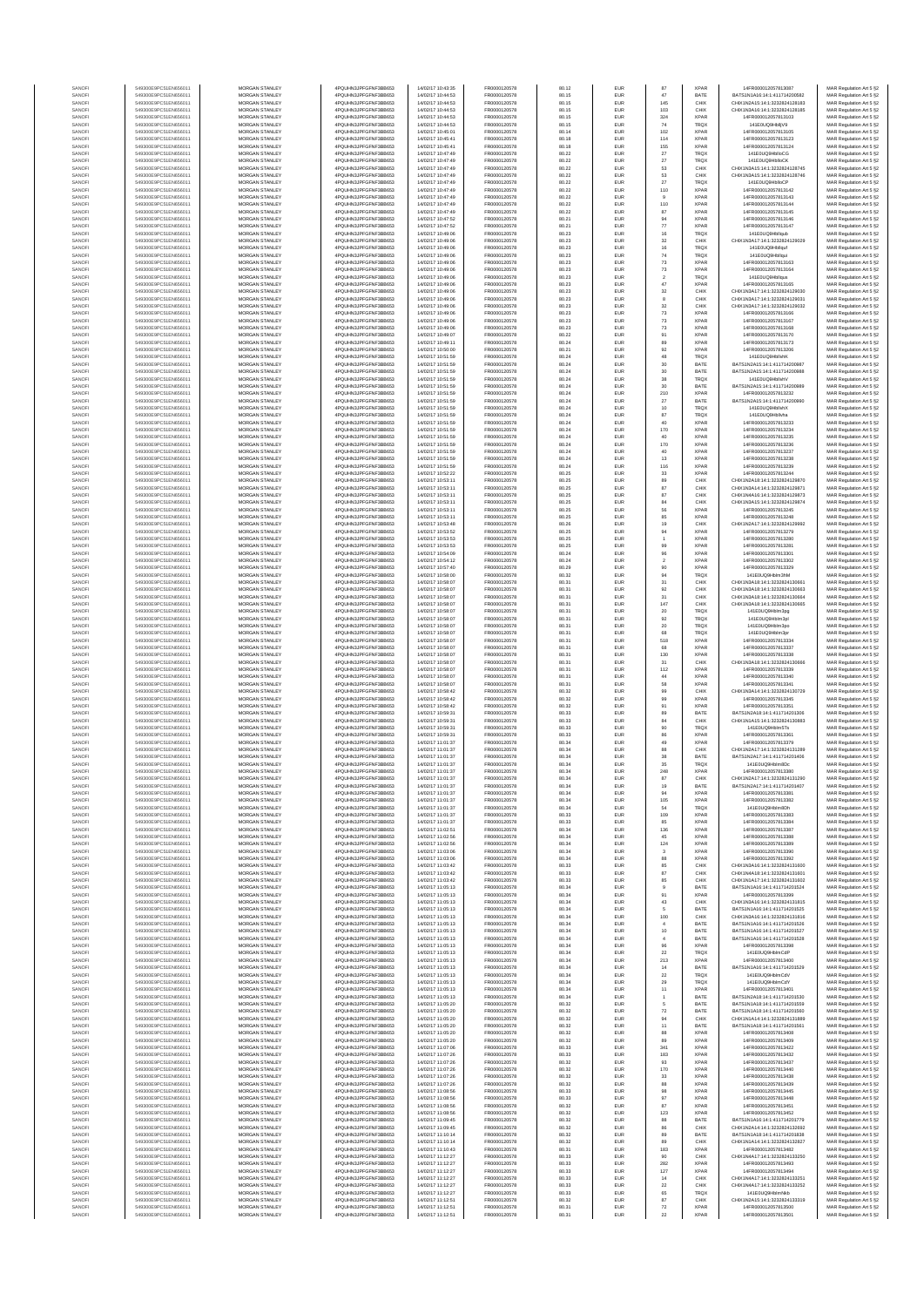| SANOF            | 549300E9PC51EN656011                         | MORGAN STANLEY                                 | 4PQUHN3JPFGFNF3BB653                           | 14/02/17 10:43:35                      | FR0000120578                 | 80.12          | EUR               | 87                    | <b>XPAR</b>                | 14FR000012057813087                                            | MAR Regulation Art 5 §2                            |
|------------------|----------------------------------------------|------------------------------------------------|------------------------------------------------|----------------------------------------|------------------------------|----------------|-------------------|-----------------------|----------------------------|----------------------------------------------------------------|----------------------------------------------------|
| SANOFI           | 549300E9PC51EN656011                         | MORGAN STANLEY                                 | 4PQUHN3JPFGFNF3BB653                           | 14/02/17 10:44:53                      | FR0000120578                 | 80.15          | EUR               | 47                    | BATE                       | BATS1N1A16:14:1:411714200582                                   | MAR Regulation Art 5 §2                            |
| SANOF<br>SANOFI  | 549300E9PC51EN656011<br>549300E9PC51EN656011 | MORGAN STANLEY<br>MORGAN STANLEY               | 4PQUHN3JPFGFNF3BB653<br>4PQUHN3JPFGFNF3BB653   | 14/02/17 10:44:53<br>14/02/17 10:44:53 | FR0000120578<br>FR0000120578 | 80.15<br>80.15 | EUR<br>EUR        | 145<br>103            | CHIX<br>CHIX               | CHIX1N2A15:14:1:3232824128183<br>CHIX1N3A16:14:1:3232824128185 | MAR Regulation Art 5 §2<br>MAR Regulation Art 5 §2 |
| SANOFI           | 549300E9PC51EN656011                         | MORGAN STANLEY                                 | 4PQUHN3JPFGFNF3BB653                           | 14/02/17 10:44:53                      | FR0000120578                 | 80.15          | EUR               | 324                   | XPAF                       | 14FR000012057813103                                            | MAR Regulation Art 5 §2                            |
| SANOFI           | 549300E9PC51EN656011                         | MORGAN STANLEY                                 | 4PQUHN3JPFGFNF3BB653                           | 14/02/17 10:44:53                      | FR0000120578                 | 80.15          | EUR               | 74                    | TRQ)                       | 141E0UQ9HblljV9                                                | MAR Regulation Art 5 §2                            |
| SANOFI           | 549300E9PC51EN656011                         | <b>MORGAN STANLEY</b>                          | 4POLIHN3JPEGENE3BB653                          | 14/02/17 10:45:01                      | FR0000120578                 | 80.14          | EUR               | 102                   | <b>XPAF</b>                | 14FR000012057813105                                            | MAR Regulation Art 5 §2                            |
| SANOFI<br>SANOFI | 549300E9PC51EN656011<br>549300E9PC51EN656011 | <b>MORGAN STANLEY</b><br>MORGAN STANLEY        | 4PQUHN3JPFGFNF3BB653<br>4PQUHN3JPFGFNF3BB653   | 14/02/17 10:45:41<br>14/02/17 10:45:41 | FR0000120578<br>FR0000120578 | 80.18<br>80.18 | EUR<br>EUR        | 114<br>155            | <b>XPAF</b><br><b>XPAF</b> | 14FR000012057813123<br>14FR000012057813124                     | MAR Regulation Art 5 §2<br>MAR Regulation Art 5 §2 |
| SANOFI           | 549300E9PC51EN656011                         | MORGAN STANLEY                                 | 4PQUHN3JPFGFNF3BB653                           | 14/02/17 10:47:49                      | FR0000120578                 | 80.22          | EUR               | $27\,$                | TRQ)                       | 141E0UQ9HblloCG                                                | MAR Regulation Art 5 §2                            |
| SANOFI           | 549300E9PC51EN656011                         | MORGAN STANLEY                                 | 4PQUHN3JPFGFNF3BB653                           | 14/02/17 10:47:49                      | FR0000120578                 | 80.22          | EUR               | 27                    | TRQ)                       | 141E0UQ9HblloCK                                                | MAR Regulation Art 5 §2                            |
| SANOF<br>SANOFI  | 549300E9PC51EN656011<br>549300E9PC51EN656011 | MORGAN STANLEY<br>MORGAN STANLEY               | 4PQUHN3JPFGFNF3BB653<br>4PQUHN3JPFGFNF3BB653   | 14/02/17 10:47:49<br>14/02/17 10:47:49 | FR0000120578<br>FR0000120578 | 80.22<br>80.22 | EUR<br>EUR        | 53<br>53              | CHIX<br>CHIX               | CHIX1N3A15:14:1:3232824128745<br>CHIX1N3A15:14:1:3232824128746 | MAR Regulation Art 5 §2<br>MAR Regulation Art 5 §2 |
| SANOFI           | 549300E9PC51EN656011                         | <b>MORGAN STANLEY</b>                          | 4PQUHN3JPFGFNF3BB653                           | 14/02/17 10:47:49                      | FR0000120578                 | 80.22          | EUR               | $27\,$                | TRQ)                       | 141E0UQ9HblloCF                                                | MAR Regulation Art 5 §2                            |
| SANOFI           | 549300E9PC51EN656011                         | MORGAN STANLEY                                 | 4PQUHN3JPFGFNF3BB653                           | 14/02/17 10:47:49                      | FR0000120578                 | 80.22          | EUR               | 110                   | <b>XPAF</b>                | 14FR000012057813142                                            | MAR Regulation Art 5 §2                            |
| SANOFI<br>SANOFI | 549300E9PC51EN656011<br>549300E9PC51EN656011 | <b>MORGAN STANLEY</b><br><b>MORGAN STANLEY</b> | 4PQUHN3JPFGFNF3BB653<br>4PQUHN3JPFGFNF3BB653   | 14/02/17 10:47:49<br>14/02/17 10:47:49 | FR0000120578<br>FR0000120578 | 80.22<br>80.22 | EUR<br>EUR        | $\overline{9}$<br>110 | <b>XPAF</b><br><b>XPAF</b> | 14FR000012057813143<br>14FR000012057813144                     | MAR Regulation Art 5 §2<br>MAR Regulation Art 5 §2 |
| SANOFI           | 549300E9PC51EN656011                         | MORGAN STANLEY                                 | 4PQUHN3JPFGFNF3BB653                           | 14/02/17 10:47:49                      | FR0000120578                 | 80.22          | EUR               | 87                    | <b>XPAF</b>                | 14FR000012057813145                                            | MAR Regulation Art 5 §2                            |
| SANOFI           | 549300E9PC51EN656011                         | MORGAN STANLEY                                 | 4PQUHN3JPFGFNF3BB653                           | 14/02/17 10:47:52                      | FR0000120578                 | 80.21          | EUR               | $94\,$                | <b>XPAF</b>                | 14FR000012057813146                                            | MAR Regulation Art 5 §2                            |
| SANOFI           | 549300E9PC51EN656011<br>549300E9PC51EN656011 | MORGAN STANLEY<br>MORGAN STANLEY               | 4PQUHN3JPFGFNF3BB653<br>4PQUHN3JPFGFNF3BB653   | 14/02/17 10:47:52<br>14/02/17 10:49:06 | FR0000120578<br>FR0000120578 | 80.21<br>80.23 | EUR<br>EUR        | 77<br>16              | <b>XPAF</b><br>TRQ)        | 14FR000012057813147<br>141E0UQ9Hbllqub                         | MAR Regulation Art 5 §2<br>MAR Regulation Art 5 §2 |
| SANOFI<br>SANOFI | 549300E9PC51EN656011                         | MORGAN STANLEY                                 | 4PQUHN3JPFGFNF3BB653                           | 14/02/17 10:49:06                      | FR0000120578                 | 80.23          | EUR               | 32                    | CHIX                       | CHIX1N3A17:14:1:3232824129029                                  | MAR Regulation Art 5 §2                            |
| SANOFI           | 549300E9PC51EN656011                         | MORGAN STANLEY                                 | 4PQUHN3JPFGFNF3BB653                           | 14/02/17 10:49:06                      | FR0000120578                 | 80.23          | EUR               | $16\,$                | TRQ)                       | 141E0UQ9Hbllquf                                                | MAR Regulation Art 5 §2                            |
| SANOFI           | 549300E9PC51EN656011                         | <b>MORGAN STANLEY</b>                          | 4PQUHN3JPFGFNF3BB653<br>4POLIHN3JPEGENE3BB653  | 14/02/17 10:49:06                      | FR0000120578                 | 80.23          | EUR               | 74                    | TRQ)                       | 141E0UQ9Hbllqui                                                | MAR Regulation Art 5 §2                            |
| SANOFI<br>SANOFI | 549300E9PC51EN656011<br>549300E9PC51EN656011 | <b>MORGAN STANLEY</b><br>MORGAN STANLEY        | 4PQUHN3JPFGFNF3BB653                           | 14/02/17 10:49:06<br>14/02/17 10:49:06 | FR0000120578<br>FR0000120578 | 80.23<br>80.23 | EUR<br>EUR        | 73<br>$73\,$          | <b>XPAF</b><br>XPAF        | 14FR000012057813163<br>14FR000012057813164                     | MAR Regulation Art 5 §2<br>MAR Regulation Art 5 §2 |
| SANOFI           | 549300E9PC51EN656011                         | MORGAN STANLEY                                 | 4PQUHN3JPFGFNF3BB653                           | 14/02/17 10:49:06                      | FR0000120578                 | 80.23          | EUR               | $\sqrt{2}$            | TRQ)                       | 141E0UQ9Hbllgu                                                 | MAR Regulation Art 5 §2                            |
| SANOF<br>SANOFI  | 549300E9PC51EN656011<br>549300E9PC51EN656011 | MORGAN STANLEY<br>MORGAN STANLEY               | 4PQUHN3JPFGFNF3BB653<br>4PQUHN3JPFGFNF3BB653   | 14/02/17 10:49:06<br>14/02/17 10:49:06 | FR0000120578<br>FR0000120578 | 80.23<br>80.23 | EUR<br>EUR        | $47\,$<br>$_{\rm 32}$ | <b>XPAF</b><br>CHIX        | 14FR000012057813165<br>CHIX1N3A17:14:1:3232824129030           | MAR Regulation Art 5 §2                            |
| SANOFI           | 549300E9PC51EN656011                         | MORGAN STANLEY                                 | 4PQUHN3JPFGFNF3BB653                           | 14/02/17 10:49:06                      | FR0000120578                 | 80.23          | EUR               | $\boldsymbol{8}$      | CHIX                       | CHIX1N3A17:14:1:3232824129031                                  | MAR Regulation Art 5 §2<br>MAR Regulation Art 5 §2 |
| SANOFI           | 549300E9PC51EN656011                         | MORGAN STANLEY                                 | 4PQUHN3JPFGFNF3BB653                           | 14/02/17 10:49:06                      | FR0000120578                 | 80.23          | EUR               | $32\,$                | CHIX                       | CHIX1N3A17:14:1:3232824129032                                  | MAR Regulation Art 5 §2                            |
| SANOFI<br>SANOFI | 549300E9PC51EN656011<br>549300E9PC51EN656011 | <b>MORGAN STANLEY</b><br><b>MORGAN STANLEY</b> | 4PQUHN3JPFGFNF3BB653<br>4PQUHN3JPFGFNF3BB653   | 14/02/17 10:49:06<br>14/02/17 10:49:06 | FR0000120578<br>FR0000120578 | 80.23<br>80.23 | EUR<br>EUR        | 73<br>73              | <b>XPAF</b><br><b>XPAF</b> | 14FR000012057813166<br>14FR000012057813167                     | MAR Regulation Art 5 §2<br>MAR Regulation Art 5 §2 |
| SANOFI           | 549300E9PC51EN656011                         | MORGAN STANLEY                                 | 4PQUHN3JPFGFNF3BB653                           | 14/02/17 10:49:06                      | FR0000120578                 | 80.23          | EUR               | $\bf 73$              | <b>XPAF</b>                | 14FR000012057813168                                            | MAR Regulation Art 5 §2                            |
| SANOFI           | 549300E9PC51EN656011                         | MORGAN STANLEY                                 | 4PQUHN3JPFGFNF3BB653                           | 14/02/17 10:49:07                      | FR0000120578                 | 80.22          | EUR               | 91                    | <b>XPAR</b>                | 14FR000012057813170                                            | MAR Regulation Art 5 §2                            |
| SANOFI<br>SANOFI | 549300E9PC51EN656011<br>549300E9PC51EN656011 | MORGAN STANLEY<br>MORGAN STANLEY               | 4PQUHN3JPFGFNF3BB653<br>4PQUHN3JPFGFNF3BB653   | 14/02/17 10:49:11<br>14/02/17 10:50:00 | FR0000120578<br>FR0000120578 | 80.24<br>80.21 | EUR<br>EUR        | 89<br>$92\,$          | <b>XPAF</b><br><b>XPAF</b> | 14FR000012057813173<br>14FR000012057813206                     | MAR Regulation Art 5 §2<br>MAR Regulation Art 5 §2 |
| SANOFI           | 549300E9PC51EN656011                         | MORGAN STANLEY                                 | 4PQUHN3JPFGFNF3BB653                           | 14/02/17 10:51:59                      | FR0000120578                 | 80.24          | EUR               | 48                    | TRQ)                       | 141E0UQ9HbllvhK                                                | MAR Regulation Art 5 §2                            |
| SANOFI           | 549300E9PC51EN656011                         | MORGAN STANLEY                                 | 4PQUHN3JPFGFNF3BB653                           | 14/02/17 10:51:59                      | FR0000120578                 | 80.24          | EUR               | $30\,$                | BATE                       | BATS1N2A15:14:1:411714200987                                   | MAR Regulation Art 5 §2                            |
| SANOFI<br>SANOFI | 549300E9PC51EN656011<br>549300E9PC51EN656011 | <b>MORGAN STANLEY</b><br><b>MORGAN STANLEY</b> | 4PQUHN3JPFGFNF3BB653<br>4PQUHN3JPFGFNF3BB653   | 14/02/17 10:51:59<br>14/02/17 10:51:59 | FR0000120578<br>FR0000120578 | 80.24<br>80.24 | EUR<br>EUR        | 30<br>38              | BATE<br>TRQ)               | BATS1N2A15:14:1:411714200988<br>141E0UQ9HbllvhV                | MAR Regulation Art 5 §2<br>MAR Regulation Art 5 §2 |
| SANOFI           | 549300E9PC51EN656011                         | MORGAN STANLEY                                 | 4PQUHN3JPFGFNF3BB653                           | 14/02/17 10:51:59                      | FR0000120578                 | 80.24          | EUR               | $30\,$                | BATE                       | BATS1N2A15:14:1:411714200989                                   | MAR Regulation Art 5 §2                            |
| SANOFI           | 549300E9PC51EN656011                         | MORGAN STANLEY                                 | 4PQUHN3JPFGFNF3BB653                           | 14/02/17 10:51:59                      | FR0000120578                 | 80.24          | EUR               | 210                   | <b>XPAF</b>                | 14FR000012057813232<br>BATS1N2A15:14:1:411714200990            | MAR Regulation Art 5 §2                            |
| SANOFI<br>SANOFI | 549300E9PC51EN656011<br>549300E9PC51EN656011 | MORGAN STANLEY<br>MORGAN STANLEY               | 4PQUHN3JPFGFNF3BB653<br>4PQUHN3JPFGFNF3BB653   | 14/02/17 10:51:59<br>14/02/17 10:51:59 | FR0000120578<br>FR0000120578 | 80.24<br>80.24 | EUR<br>EUR        | $27\,$<br>10          | BATE<br>TRQ)               | 141E0UQ9HbllvhX                                                | MAR Regulation Art 5 §2<br>MAR Regulation Art 5 §2 |
| SANOFI           | 549300E9PC51EN656011                         | MORGAN STANLEY                                 | 4PQUHN3JPFGFNF3BB653                           | 14/02/17 10:51:59                      | FR0000120578                 | 80.24          | EUR               | $87\,$                | TRQ)                       | 141E0UQ9Hbllvha                                                | MAR Regulation Art 5 §2                            |
| SANOFI           | 549300E9PC51EN656011                         | MORGAN STANLEY                                 | 4PQUHN3JPFGFNF3BB653                           | 14/02/17 10:51:59                      | FR0000120578                 | 80.24          | EUR               | 40                    | <b>XPAF</b>                | 14FR000012057813233                                            | MAR Regulation Art 5 §2                            |
| SANOFI<br>SANOFI | 549300E9PC51EN656011<br>549300E9PC51EN656011 | MORGAN STANLEY<br><b>MORGAN STANLEY</b>        | 4PQUHN3JPFGFNF3BB653<br>4PQUHN3JPFGFNF3BB653   | 14/02/17 10:51:59<br>14/02/17 10:51:59 | FR0000120578<br>FR0000120578 | 80.24<br>80.24 | EUR<br>EUR        | 170<br>40             | <b>XPAF</b><br><b>XPAF</b> | 14FR000012057813234<br>14FR000012057813235                     | MAR Regulation Art 5 §2<br>MAR Regulation Art 5 §2 |
| SANOFI           | 549300E9PC51EN656011                         | <b>MORGAN STANLEY</b>                          | 4PQUHN3JPFGFNF3BB653                           | 14/02/17 10:51:59                      | FR0000120578                 | 80.24          | EUR               | 170                   | <b>XPAF</b>                | 14FR000012057813236                                            | MAR Regulation Art 5 §2                            |
| SANOFI           | 549300E9PC51EN656011                         | MORGAN STANLEY<br>MORGAN STANLEY               | 4PQUHN3JPFGFNF3BB653                           | 14/02/17 10:51:59<br>14/02/17 10:51:59 | FR0000120578<br>FR0000120578 | 80.24          | EUR               | $40\,$                | XPAF<br><b>XPAR</b>        | 14FR000012057813237                                            | MAR Regulation Art 5 §2                            |
| SANOFI<br>SANOF  | 549300E9PC51EN656011<br>549300E9PC51EN656011 | MORGAN STANLEY                                 | 4PQUHN3JPFGFNF3BB653<br>4PQUHN3JPFGFNF3BB653   | 14/02/17 10:51:59                      | FR0000120578                 | 80.24<br>80.24 | EUR<br>EUR        | $13\,$<br>116         | <b>XPAF</b>                | 14FR000012057813238<br>14FR000012057813239                     | MAR Regulation Art 5 §2<br>MAR Regulation Art 5 §2 |
| SANOFI           | 549300E9PC51EN656011                         | MORGAN STANLEY                                 | 4PQUHN3JPFGFNF3BB653                           | 14/02/17 10:52:22                      | FR0000120578                 | 80.25          | EUR               | 33                    | <b>XPAF</b>                | 14FR000012057813244                                            | MAR Regulation Art 5 §2                            |
| SANOFI           | 549300E9PC51EN656011<br>549300E9PC51EN656011 | MORGAN STANLEY<br>MORGAN STANLEY               | 4PQUHN3JPFGFNF3BB653<br>4PQUHN3JPFGFNF3BB653   | 14/02/17 10:53:11<br>14/02/17 10:53:11 | FR0000120578<br>FR0000120578 | 80.25<br>80.25 | EUR<br>EUR        | 89<br>87              | CHIX<br>CHIX               | CHIX1N2A18:14:1:3232824129870<br>CHIX1N3A14:14:1:3232824129871 | MAR Regulation Art 5 §2<br>MAR Regulation Art 5 §2 |
| SANOFI<br>SANOFI | 549300E9PC51EN656011                         | <b>MORGAN STANLEY</b>                          | 4POLIHN3JPEGENE3BB653                          | 14/02/17 10:53:11                      | FR0000120578                 | 80.25          | EUR               | 87                    | CHIX                       | CHIX1N4A16:14:1:3232824129873                                  | MAR Regulation Art 5 §2                            |
| SANOFI           | 549300E9PC51EN656011                         | <b>MORGAN STANLEY</b>                          | 4POLIHN3JPEGENE3BB653                          | 14/02/17 10:53:11                      | FR0000120578                 | 80.25          | EUR               | 84                    | CHIX                       | CHIX1N3A15:14:1:3232824129874                                  | MAR Regulation Art 5 §2                            |
| SANOFI<br>SANOFI | 549300E9PC51EN656011<br>549300E9PC51EN656011 | MORGAN STANLEY<br>MORGAN STANLEY               | 4POLIHN3JPEGENE3BB653<br>4PQUHN3JPFGFNF3BB653  | 14/02/17 10:53:11<br>14/02/17 10:53:11 | FR0000120578                 | 80.25<br>80.25 | EUR<br>EUR        | 56                    | <b>XPAF</b><br><b>XPAF</b> | 14FR000012057813245<br>14FR000012057813248                     | MAR Regulation Art 5 §2                            |
| SANOFI           | 549300E9PC51EN656011                         | MORGAN STANLEY                                 | 4PQUHN3JPFGFNF3BB653                           | 14/02/17 10:53:48                      | FR0000120578<br>FR0000120578 | 80.26          | EUR               | 85<br>19              | CHIX                       | CHIX1N2A17:14:1:3232824129992                                  | MAR Regulation Art 5 §2<br>MAR Regulation Art 5 §2 |
| SANOFI           | 549300E9PC51EN656011                         | MORGAN STANLEY                                 | 4PQUHN3JPFGFNF3BB653                           | 14/02/17 10:53:52                      | FR0000120578                 | 80.25          | EUR               | 94                    | <b>XPAF</b>                | 14FR000012057813279                                            | MAR Regulation Art 5 §2                            |
| SANOFI<br>SANOFI | 549300E9PC51EN656011<br>549300E9PC51EN656011 | MORGAN STANLEY<br>MORGAN STANLEY               | 4PQUHN3JPFGFNF3BB653<br>4PQUHN3JPFGFNF3BB653   | 14/02/17 10:53:53<br>14/02/17 10:53:53 | FR0000120578<br>FR0000120578 | 80.25<br>80.25 | EUR<br>EUR        | 99                    | <b>XPAF</b><br><b>XPAF</b> | 14FR000012057813280<br>14FR000012057813281                     | MAR Regulation Art 5 §2<br>MAR Regulation Art 5 §2 |
| SANOFI           | 549300E9PC51EN656011                         | <b>MORGAN STANLEY</b>                          | 4PQUHN3JPFGFNF3BB653                           | 14/02/17 10:54:09                      | FR0000120578                 | 80.24          | EUR               | 96                    | <b>XPAF</b>                | 14FR000012057813301                                            | MAR Regulation Art 5 §2                            |
| SANOFI           | 549300E9PC51EN656011                         | <b>MORGAN STANLEY</b>                          | 4PQUHN3JPFGFNF3BB653                           | 14/02/17 10:54:12                      | FR0000120578                 | 80.24          | EUR               | $\overline{2}$        | <b>XPAF</b>                | 14FR000012057813302                                            | MAR Regulation Art 5 §2                            |
| SANOFI<br>SANOFI | 549300E9PC51EN656011<br>549300E9PC51EN656011 | MORGAN STANLEY<br>MORGAN STANLEY               | 4PQUHN3JPFGFNF3BB653<br>4PQUHN3JPFGFNF3BB653   | 14/02/17 10:57:40<br>14/02/17 10:58:00 | FR0000120578<br>FR0000120578 | 80.29<br>80.32 | EUR<br>EUR        | 90<br>94              | <b>XPAF</b><br>TRQ)        | 14FR000012057813329<br>141E0UQ9Hblm3hM                         | MAR Regulation Art 5 §2<br>MAR Regulation Art 5 §2 |
| SANOFI           | 549300E9PC51EN656011                         | MORGAN STANLEY                                 | 4PQUHN3JPFGFNF3BB653                           | 14/02/17 10:58:07                      | FR0000120578                 | 80.31          | EUR               | $31\,$                | CHIX                       | CHIX1N3A18:14:1:3232824130661                                  | MAR Regulation Art 5 §2                            |
| SANOFI           | 549300E9PC51EN656011                         | MORGAN STANLEY                                 | 4PQUHN3JPFGFNF3BB653                           | 14/02/17 10:58:07                      | FR0000120578                 | 80.31          | EUR               | 92                    | CHIX                       | CHIX1N3A18:14:1:3232824130663                                  | MAR Regulation Art 5 §2                            |
| SANOFI<br>SANOFI | 549300E9PC51EN656011<br>549300E9PC51EN656011 | MORGAN STANLEY<br>MORGAN STANLEY               | 4PQUHN3JPFGFNF3BB653<br>4PQUHN3JPFGFNF3BB653   | 14/02/17 10:58:07<br>14/02/17 10:58:07 | FR0000120578<br>FR0000120578 | 80.31<br>80.31 | EUR<br>EUR        | $31\,$<br>147         | CHIX<br>CHIX               | CHIX1N3A18:14:1:3232824130664<br>CHIX1N3A18:14:1:3232824130665 | MAR Regulation Art 5 §2<br>MAR Regulation Art 5 §2 |
| SANOFI           | 549300E9PC51EN656011                         | <b>MORGAN STANLEY</b>                          | 4PQUHN3JPFGFNF3BB653                           | 14/02/17 10:58:07                      | FR0000120578                 | 80.31          | EUR               | 20                    | TRQ)                       | 141E0UQ9Hblm3pg                                                | MAR Regulation Art 5 §2                            |
| SANOFI           | 549300E9PC51EN656011                         | <b>MORGAN STANLEY</b>                          | 4PQUHN3JPFGFNF3BB653                           | 14/02/17 10:58:07                      | FR0000120578                 | 80.31          | EUR               | 92                    | TRQ)                       | 141E0UQ9Hblm3pl                                                | MAR Regulation Art 5 §2                            |
| SANOFI<br>SANOFI | 549300E9PC51EN656011<br>549300E9PC51EN656011 | MORGAN STANLEY<br>MORGAN STANLEY               | 4PQUHN3JPFGFNF3BB653<br>4PQUHN3JPFGFNF3BB653   | 14/02/17 10:58:07<br>14/02/17 10:58:07 | FR0000120578<br>FR0000120578 | 80.31<br>80.31 | EUR<br>EUR        | $20\,$<br>68          | TRQ)<br>TRQ)               | 141E0UQ9Hblm3pc<br>141E0UQ9Hblm3pr                             | MAR Regulation Art 5 §2<br>MAR Regulation Art 5 §2 |
| SANOFI           | 549300E9PC51EN656011                         | MORGAN STANLEY                                 | 4PQUHN3JPFGFNF3BB653                           | 14/02/17 10:58:07                      | FR0000120578                 | 80.31          | EUR               | 518                   | <b>XPAF</b>                | 14FR000012057813334                                            | MAR Regulation Art 5 §2                            |
| SANOF            | 549300E9PC51EN656011                         | MORGAN STANLEY                                 | 4PQUHN3JPFGFNF3BB653                           | 14/02/17 10:58:07                      | FR0000120578                 | 80.31          | EUR               | 68                    | <b>XPAF</b>                | 14FR000012057813337                                            | MAR Regulation Art 5 §2                            |
| SANOFI<br>SANOFI | 549300E9PC51EN656011<br>549300E9PC51EN656011 | MORGAN STANLEY<br>MORGAN STANLEY               | 4PQUHN3JPFGFNF3BB653<br>4PQUHN3JPFGFNF3BB653   | 14/02/17 10:58:07<br>14/02/17 10:58:07 | FR0000120578<br>FR0000120578 | 80.31<br>80.31 | EUR<br>EUR        | 130<br>31             | <b>XPAF</b><br>CHIX        | 14FR000012057813338<br>CHIX1N3A18:14:1:3232824130666           | MAR Regulation Art 5 §2<br>MAR Regulation Art 5 §2 |
| SANOFI           | 549300E9PC51EN656011                         | MORGAN STANLEY                                 | 4PQUHN3JPFGFNF3BB653                           | 14/02/17 10:58:07                      | FR0000120578                 | 80.31          | EUR               | 112                   | XPAF                       | 14FR000012057813339                                            | MAR Regulation Art 5 §2                            |
| SANOFI           | 549300E9PC51EN656011                         | <b>MORGAN STANLEY</b>                          | 4PQUHN3JPFGFNF3BB653                           | 14/02/17 10:58:07                      | FR0000120578                 | 80.31          | EUR               | 44                    | <b>XPAF</b>                | 14FR000012057813340                                            | MAR Regulation Art 5 §2                            |
| SANOFI<br>SANOFI | 549300E9PC51EN656011<br>549300E9PC51EN656011 | MORGAN STANLEY<br>MORGAN STANLEY               | 4POLIHN3JPEGENE3BB653<br>4POLIHN3JPEGENE3BB653 | 14/02/17 10:58:07<br>14/02/17 10:58:42 | FR0000120578<br>FR0000120578 | 80.31<br>80.32 | EUR<br>EUR        | 58<br>99              | <b>XPAF</b><br>CHIX        | 14FR000012057813341<br>CHIX1N3A14:14:1:3232824130729           | MAR Regulation Art 5 §2<br>MAR Regulation Art 5 §2 |
| SANOFI           | 549300E9PC51EN656011                         | MORGAN STANLEY                                 | 4PQUHN3JPFGFNF3BB653                           | 14/02/17 10:58:42                      | FR0000120578                 | 80.32          | EUR               | 99                    | <b>XPAF</b>                | 14FR000012057813345                                            | MAR Regulation Art 5 §2                            |
| SANOFI           | 549300E9PC51EN656011                         | MORGAN STANLEY                                 | 4PQUHN3JPFGFNF3BB653                           | 14/02/17 10:58:42                      | FR0000120578                 | 80.32          | EUR               | 91                    | <b>XPAF</b>                | 14FR000012057813351                                            | MAR Regulation Art 5 §2                            |
| SANOFI<br>SANOFI | 549300E9PC51EN656011<br>549300E9PC51EN656011 | MORGAN STANLEY<br>MORGAN STANLEY               | 4PQUHN3JPFGFNF3BB653<br>4PQUHN3JPFGFNF3BB653   | 14/02/17 10:59:31<br>14/02/17 10:59:31 | FR0000120578<br>FR0000120578 | 80.33<br>80.33 | EUR<br>EUR        | 89<br>84              | BATE<br>CHIX               | BATS1N2A18:14:1:411714201306<br>CHIX1N1A15:14:1:3232824130883  | MAR Regulation Art 5 §2<br>MAR Regulation Art 5 §2 |
| SANOFI           | 549300E9PC51EN656011                         | MORGAN STANLEY                                 | 4PQUHN3JPFGFNF3BB653                           | 14/02/17 10:59:31                      | FR0000120578                 | 80.33          | EUR               | 90                    | TRQ)                       | 141E0UQ9Hblm5Ts                                                | MAR Regulation Art 5 §2                            |
| SANOFI           | 549300E9PC51EN656011                         | <b>MORGAN STANLEY</b>                          | 4PQUHN3JPFGFNF3BB653                           | 14/02/17 10:59:31                      | FR0000120578<br>ER0000120578 | 80.33          | EUR               | 86                    | <b>XPAF</b>                | 14FR000012057813361<br>14FR000012057813379                     | MAR Regulation Art 5 §2                            |
| SANOFI<br>SANOFI | 549300E9PC51EN656011<br>549300E9PC51EN656011 | <b>MORGAN STANLEY</b><br>MORGAN STANLEY        | 4PQUHN3JPFGFNF3BB653<br>4PQUHN3JPFGFNF3BB653   | 14/02/17 11:01:37<br>14/02/17 11:01:37 | FR0000120578                 | 80.34<br>80.34 | EUR<br>EUR        | 49<br>88              | <b>XPAF</b><br>CHIX        | CHIX1N2A17:14:1:3232824131289                                  | MAR Regulation Art 5 §2<br>MAR Regulation Art 5 §2 |
| SANOFI           | 549300E9PC51EN656011                         | MORGAN STANLEY                                 | 4PQUHN3JPFGFNF3BB653                           | 14/02/17 11:01:37                      | FR0000120578                 | 80.34          | EUR               | 38                    | BATE                       | BATS1N2A17:14:1:411714201406                                   | MAR Regulation Art 5 §2                            |
| SANOF            | 549300E9PC51EN656011                         | MORGAN STANLEY<br>MORGAN STANLEY               | 4PQUHN3JPFGFNF3BB653                           | 14/02/17 11:01:37                      | FR0000120578                 | 80.34          | EUR               | 35                    | TRQ)                       | 141E0UQ9Hblm8Dc<br>14FR000012057813380                         | MAR Regulation Art 5 §2                            |
| SANOFI<br>SANOF  | 549300E9PC51EN656011<br>549300E9PC51EN656011 | MORGAN STANLE'                                 | 4PQUHN3JPFGFNF3BB653<br>4PQUHN3JPFGFNF3BB653   | 14/02/17 11:01:37<br>14/02/17 11:01:37 | FR0000120578<br>ER0000120578 | 80.34<br>80.34 |                   | 248                   | <b>XPAF</b>                | CHIX1N2A17:14:1:3232824131290                                  | MAR Regulation Art 5 §2<br>MAR Regulation Art 5 §2 |
| SANOFI           | 549300E9PC51EN656011                         | MORGAN STANLEY                                 | 4PQUHN3JPFGFNF3BB653                           | 14/02/17 11:01:37                      | FR0000120578                 | 80.34          | EUR               | 19                    | BATE                       | BATS1N2A17:14:1:411714201407                                   | MAR Regulation Art 5 §2                            |
| SANOFI<br>SANOFI | 549300E9PC51EN656011<br>549300E9PC51EN656011 | <b>MORGAN STANLEY</b><br><b>MORGAN STANLEY</b> | 4PQUHN3JPFGFNF3BB653<br>4PQUHN3JPFGFNF3BB653   | 14/02/17 11:01:37<br>14/02/17 11:01:37 | FR0000120578<br>FR0000120578 | 80.34<br>80.34 | EUR<br>EUR        | 94<br>105             | <b>XPAR</b><br><b>XPAR</b> | 14FR000012057813381<br>14FR000012057813382                     | MAR Regulation Art 5 §2                            |
| SANOFI           | 549300E9PC51EN656011                         | MORGAN STANLEY                                 | 4PQUHN3JPFGFNF3BB653                           | 14/02/17 11:01:37                      | FR0000120578                 | 80.34          | EUR               | 54                    | <b>TRQX</b>                | 141E0UQ9Hblm8Dh                                                | MAR Regulation Art 5 §2<br>MAR Regulation Art 5 §2 |
| SANOFI           | 549300E9PC51EN656011                         | MORGAN STANLEY                                 | 4PQUHN3JPFGFNF3BB653                           | 14/02/17 11:01:37                      | FR0000120578                 | 80.33          | EUR               | 109                   | <b>XPAF</b>                | 14FR000012057813383                                            | MAR Regulation Art 5 §2                            |
| SANOFI<br>SANOFI | 549300E9PC51EN656011<br>549300E9PC51EN656011 | MORGAN STANLEY<br>MORGAN STANLEY               | 4PQUHN3JPFGFNF3BB653<br>4PQUHN3JPFGFNF3BB653   | 14/02/17 11:01:37<br>14/02/17 11:02:51 | FR0000120578<br>FR0000120578 | 80.33<br>80.34 | EUR<br>EUR        | 85<br>136             | <b>XPAF</b><br><b>XPAF</b> | 14FR000012057813384<br>14FR000012057813387                     | MAR Regulation Art 5 §2<br>MAR Regulation Art 5 §2 |
| SANOFI           | 549300E9PC51EN656011                         | MORGAN STANLEY                                 | 4PQUHN3JPFGFNF3BB653                           | 14/02/17 11:02:56                      | FR0000120578                 | 80.34          | EUR               | 45                    | <b>XPAF</b>                | 14FR000012057813388                                            | MAR Regulation Art 5 §2                            |
| SANOFI           | 549300E9PC51EN656011                         | MORGAN STANLEY<br>MORGAN STANLEY               | 4PQUHN3JPFGFNF3BB653                           | 14/02/17 11:02:56                      | FR0000120578                 | 80.34          | EUR               | 124                   | <b>XPAF</b>                | 14FR000012057813389                                            | MAR Regulation Art 5 §2                            |
| SANOFI<br>SANOFI | 549300E9PC51EN656011<br>549300E9PC51EN656011 | <b>MORGAN STANLEY</b>                          | 4PQUHN3JPFGFNF3BB653<br>4PQUHN3JPFGFNF3BB653   | 14/02/17 11:03:06<br>14/02/17 11:03:06 | FR0000120578<br>FR0000120578 | 80.34<br>80.34 | EUR<br>EUR        | 3<br>88               | <b>XPAR</b><br><b>XPAR</b> | 14FR000012057813390<br>14FR000012057813392                     | MAR Regulation Art 5 §2<br>MAR Regulation Art 5 §2 |
| SANOFI           | 549300E9PC51EN656011                         | MORGAN STANLEY                                 | 4PQUHN3JPFGFNF3BB653                           | 14/02/17 11:03:42                      | FR0000120578                 | 80.33          | EUR               | 85                    | CHIX                       | CHIX1N3A16:14:1:3232824131600                                  | MAR Regulation Art 5 §2                            |
| SANOFI<br>SANOFI | 549300E9PC51EN656011<br>549300E9PC51EN656011 | MORGAN STANLEY<br>MORGAN STANLEY               | 4PQUHN3JPFGFNF3BB653<br>4PQUHN3JPFGFNF3BB653   | 14/02/17 11:03:42<br>14/02/17 11:03:42 | FR0000120578<br>FR0000120578 | 80.33<br>80.33 | EUR<br>EUR        | 87<br>85              | CHIX<br>CHIX               | CHIX1N4A18:14:1:3232824131601<br>CHIX1N1A17:14:1:3232824131602 | MAR Regulation Art 5 §2<br>MAR Regulation Art 5 §2 |
| SANOF            | 549300E9PC51EN656011                         | MORGAN STANLEY                                 | 4PQUHN3JPFGFNF3BB653                           | 14/02/17 11:05:13                      | FR0000120578                 | 80.34          | EUR               |                       | BATE                       | BATS1N1A16:14:1:411714201524                                   | MAR Regulation Art 5 §2                            |
| SANOFI           | 549300E9PC51EN656011<br>549300E9PC51EN656011 | MORGAN STANLEY<br>MORGAN STANLEY               | 4PQUHN3JPFGFNF3BB653                           | 14/02/17 11:05:13                      | FR0000120578                 | 80.34          | EUR               | 91                    | <b>XPAF</b>                | 14FR000012057813399                                            | MAR Regulation Art 5 §2                            |
| SANOFI<br>SANOFI | 549300E9PC51EN656011                         | MORGAN STANLEY                                 | 4PQUHN3JPFGFNF3BB653<br>4PQUHN3JPFGFNF3BB653   | 14/02/17 11:05:13<br>14/02/17 11:05:13 | FR0000120578<br>FR0000120578 | 80.34<br>80.34 | EUR<br>EUR        | 43<br>5               | CHIX<br>BATE               | CHIX1N3A16:14:1:3232824131815<br>BATS1N1A16:14:1:411714201525  | MAR Regulation Art 5 §2<br>MAR Regulation Art 5 §2 |
| SANOFI           | 549300E9PC51EN656011                         | MORGAN STANLEY                                 | 4PQUHN3JPFGFNF3BB653                           | 14/02/17 11:05:13                      | FR0000120578                 | 80.34          | EUR               | 100                   | CHIX                       | CHIX1N3A16:14:1:3232824131816                                  | MAR Regulation Art 5 §2                            |
| SANOFI<br>SANOFI | 549300E9PC51EN656011<br>549300E9PC51EN656011 | <b>MORGAN STANLEY</b><br>MORGAN STANLEY        | 4PQUHN3JPFGFNF3BB653<br>4PQUHN3JPFGFNF3BB653   | 14/02/17 11:05:13<br>14/02/17 11:05:13 | FR0000120578<br>FR0000120578 | 80.34<br>80.34 | EUR<br>EUR        | 4<br>$10$             | BATE<br>BATE               | BATS1N1A16:14:1:411714201526<br>BATS1N1A16:14:1:411714201527   | MAR Regulation Art 5 §2<br>MAR Regulation Art 5 §2 |
| SANOFI           | 549300E9PC51EN656011                         | MORGAN STANLEY                                 | 4PQUHN3JPFGFNF3BB653                           | 14/02/17 11:05:13                      | FR0000120578                 | 80.34          | EUR               | $\overline{4}$        | BATE                       | BATS1N1A16:14:1:411714201528                                   | MAR Regulation Art 5 §2                            |
| SANOFI           | 549300E9PC51EN656011                         | MORGAN STANLEY                                 | 4PQUHN3JPFGFNF3BB653                           | 14/02/17 11:05:13                      | FR0000120578                 | 80.34          | EUR               | 96                    | XPAF                       | 14FR000012057813398                                            | MAR Regulation Art 5 §2                            |
| SANOFI<br>SANOFI | 549300E9PC51EN656011<br>549300E9PC51EN656011 | MORGAN STANLEY<br>MORGAN STANLEY               | 4PQUHN3JPFGFNF3BB653<br>4PQUHN3JPFGFNF3BB653   | 14/02/17 11:05:13<br>14/02/17 11:05:13 | FR0000120578<br>FR0000120578 | 80.34<br>80.34 | EUR<br>EUR        | 22<br>213             | TRQ)<br><b>XPAF</b>        | 141E0UQ9HblmCdF<br>14FR000012057813400                         | MAR Regulation Art 5 §2<br>MAR Regulation Art 5 §2 |
| SANOFI           | 549300E9PC51EN656011                         | MORGAN STANLEY                                 | 4PQUHN3JPFGFNF3BB653                           | 14/02/17 11:05:13                      | FR0000120578                 | 80.34          | <b>EUR</b>        | 14                    | BATE                       | BATS1N1A16:14:1:411714201529                                   | MAR Regulation Art 5 §2                            |
| SANOFI<br>SANOFI | 549300E9PC51EN656011<br>549300E9PC51EN656011 | <b>MORGAN STANLEY</b><br><b>MORGAN STANLEY</b> | 4PQUHN3JPFGFNF3BB653<br>4PQUHN3JPFGFNF3BB653   | 14/02/17 11:05:13<br>14/02/17 11:05:13 | FR0000120578<br>FR0000120578 | 80.34<br>80.34 | EUR<br>EUR        | 22<br>29              | <b>TRQX</b><br><b>TRQX</b> | 141E0UQ9HblmCdV<br>141E0UQ9HblmCdY                             | MAR Regulation Art 5 §2                            |
| SANOFI           | 549300E9PC51EN656011                         | MORGAN STANLEY                                 | 4PQUHN3JPFGFNF3BB653                           | 14/02/17 11:05:13                      | FR0000120578                 | 80.34          | EUR               | 11                    | <b>XPAR</b>                | 14FR000012057813401                                            | MAR Regulation Art 5 §2<br>MAR Regulation Art 5 §2 |
| SANOFI           | 549300E9PC51EN656011                         | MORGAN STANLEY                                 | 4PQUHN3JPFGFNF3BB653                           | 14/02/17 11:05:13                      | FR0000120578                 | 80.34          | EUR               |                       | BATE                       | BATS1N2A18:14:1:411714201530                                   | MAR Regulation Art 5 §2                            |
| SANOFI<br>SANOFI | 549300E9PC51EN656011<br>549300E9PC51EN656011 | MORGAN STANLEY<br>MORGAN STANLEY               | 4PQUHN3JPFGFNF3BB653<br>4PQUHN3JPFGFNF3BB653   | 14/02/17 11:05:20<br>14/02/17 11:05:20 | FR0000120578<br>FR0000120578 | 80.32<br>80.32 | EUR<br>EUR        | 72                    | BATE<br>BATE               | BATS1N1A18:14:1:411714201559<br>BATS1N1A18:14:1:411714201560   | MAR Regulation Art 5 §2<br>MAR Regulation Art 5 §2 |
| SANOFI           | 549300E9PC51EN656011                         | MORGAN STANLEY                                 | 4PQUHN3JPFGFNF3BB653                           | 14/02/17 11:05:20                      | FR0000120578                 | 80.32          | EUR               | 94                    | CHIX                       | CHIX1N1A14:14:1:3232824131889                                  | MAR Regulation Art 5 §2                            |
| SANOFI           | 549300E9PC51EN656011                         | MORGAN STANLEY                                 | 4PQUHN3JPFGFNF3BB653                           | 14/02/17 11:05:20                      | FR0000120578                 | 80.32          | EUR               | 11                    | BATE                       | BATS1N1A18:14:1:411714201561                                   | MAR Regulation Art 5 §2                            |
| SANOFI<br>SANOFI | 549300E9PC51EN656011<br>549300E9PC51EN656011 | <b>MORGAN STANLEY</b><br><b>MORGAN STANLEY</b> | 4PQUHN3JPFGFNF3BB653<br>4PQUHN3JPFGFNF3BB653   | 14/02/17 11:05:20<br>14/02/17 11:05:20 | FR0000120578<br>FR0000120578 | 80.32<br>80.32 | EUR<br>EUR        | 88<br>89              | <b>XPAF</b><br><b>XPAR</b> | 14FR000012057813408<br>14FR000012057813409                     | MAR Regulation Art 5 §2<br>MAR Regulation Art 5 §2 |
| SANOFI           | 549300E9PC51EN656011                         | MORGAN STANLEY                                 | 4PQUHN3JPFGFNF3BB653                           | 14/02/17 11:07:06                      | FR0000120578                 | 80.33          | EUR               | 341                   | XPAR                       | 14FR000012057813422                                            | MAR Regulation Art 5 §2                            |
| SANOFI           | 549300E9PC51EN656011                         | MORGAN STANLEY                                 | 4PQUHN3JPFGFNF3BB653                           | 14/02/17 11:07:26                      | FR0000120578                 | 80.33          | EUR               | 183                   | <b>XPAF</b>                | 14FR000012057813432                                            | MAR Regulation Art 5 §2                            |
| SANOF<br>SANOFI  | 549300E9PC51EN656011<br>549300E9PC51EN656011 | MORGAN STANLEY<br>MORGAN STANLEY               | 4PQUHN3JPFGFNF3BB653<br>4PQUHN3JPFGFNF3BB653   | 14/02/17 11:07:26<br>14/02/17 11:07:26 | FR0000120578<br>FR0000120578 | 80.32<br>80.32 | EUR<br>EUR        | 93<br>170             | <b>XPAF</b><br><b>XPAF</b> | 14FR000012057813437<br>14FR000012057813440                     | MAR Regulation Art 5 §2<br>MAR Regulation Art 5 §2 |
| SANOFI           | 549300E9PC51EN656011                         | MORGAN STANLEY                                 | 4PQUHN3JPFGFNF3BB653                           | 14/02/17 11:07:26                      | FR0000120578                 | 80.32          | EUR               | $33\,$                | <b>XPAF</b>                | 14FR000012057813438                                            | MAR Regulation Art 5 §2                            |
| SANOFI<br>SANOFI | 549300E9PC51EN656011<br>549300E9PC51EN656011 | MORGAN STANLEY<br><b>MORGAN STANLEY</b>        | 4PQUHN3JPFGFNF3BB653<br>4PQUHN3JPFGFNF3BB653   | 14/02/17 11:07:26<br>14/02/17 11:08:56 | FR0000120578<br>FR0000120578 | 80.32<br>80.33 | <b>EUR</b><br>EUR | 88<br>98              | <b>XPAF</b><br><b>XPAR</b> | 14FR000012057813439<br>14FR000012057813445                     | MAR Regulation Art 5 §2<br>MAR Regulation Art 5 §2 |
| SANOFI           | 549300E9PC51EN656011                         | <b>MORGAN STANLEY</b>                          | 4PQUHN3JPFGFNF3BB653                           | 14/02/17 11:08:56                      | FR0000120578                 | 80.33          | EUR               | 97                    | <b>XPAR</b>                | 14FR000012057813448                                            | MAR Regulation Art 5 §2                            |
| SANOFI           | 549300E9PC51EN656011                         | MORGAN STANLEY                                 | 4PQUHN3JPFGFNF3BB653                           | 14/02/17 11:08:56                      | FR0000120578                 | 80.32          | EUR               | 87                    | <b>XPAR</b>                | 14FR000012057813451                                            | MAR Regulation Art 5 §2                            |
| SANOFI<br>SANOFI | 549300E9PC51EN656011<br>549300E9PC51EN656011 | MORGAN STANLEY<br>MORGAN STANLEY               | 4PQUHN3JPFGFNF3BB653<br>4PQUHN3JPFGFNF3BB653   | 14/02/17 11:08:56<br>14/02/17 11:09:45 | FR0000120578<br>FR0000120578 | 80.32<br>80.32 | EUR<br>EUR        | 123<br>88             | <b>XPAF</b><br>BATE        | 14FR000012057813452<br>BATS1N1A16:14:1:411714201779            | MAR Regulation Art 5 §2<br>MAR Regulation Art 5 §2 |
| SANOF            | 549300E9PC51EN656011                         | MORGAN STANLEY                                 | 4PQUHN3JPFGFNF3BB653                           | 14/02/17 11:09:45                      | FR0000120578                 | 80.32          | EUR               | 86                    | CHIX                       | CHIX1N2A14:14:1:3232824132692                                  | MAR Regulation Art 5 §2                            |
| SANOFI           | 549300E9PC51EN656011                         | MORGAN STANLEY                                 | 4PQUHN3JPFGFNF3BB653                           | 14/02/17 11:10:14                      | FR0000120578                 | 80.32          | EUR               | 89                    | BATE                       | BATS1N1A18:14:1:411714201838                                   | MAR Regulation Art 5 §2                            |
| SANOFI<br>SANOFI | 549300E9PC51EN656011<br>549300E9PC51EN656011 | MORGAN STANLEY<br>MORGAN STANLEY               | 4PQUHN3JPFGFNF3BB653<br>4PQUHN3JPFGFNF3BB653   | 14/02/17 11:10:14<br>14/02/17 11:10:43 | FR0000120578<br>FR0000120578 | 80.32<br>80.31 | EUR<br>EUR        | 89<br>183             | CHIX<br><b>XPAF</b>        | CHIX1N1A14:14:1:3232824132827<br>14FR000012057813482           | MAR Regulation Art 5 §2<br>MAR Regulation Art 5 §2 |
| SANOFI           | 549300E9PC51EN656011                         | <b>MORGAN STANLEY</b>                          | 4PQUHN3JPFGFNF3BB653                           | 14/02/17 11:12:27                      | FR0000120578                 | 80.33          | EUR               | 90                    | CHIX                       | CHIX1N4A17:14:1:3232824133250                                  | MAR Regulation Art 5 §2                            |
| SANOFI<br>SANOFI | 549300E9PC51EN656011<br>549300E9PC51EN656011 | <b>MORGAN STANLEY</b><br>MORGAN STANLEY        | 4PQUHN3JPFGFNF3BB653<br>4PQUHN3JPFGFNF3BB653   | 14/02/17 11:12:27<br>14/02/17 11:12:27 | FR0000120578<br>FR0000120578 | 80.33<br>80.33 | EUR<br>EUR        | 282<br>127            | <b>XPAR</b><br><b>XPAF</b> | 14FR000012057813493<br>14FR000012057813494                     | MAR Regulation Art 5 §2<br>MAR Regulation Art 5 §2 |
| SANOFI           | 549300E9PC51EN656011                         | MORGAN STANLEY                                 | 4PQUHN3JPFGFNF3BB653                           | 14/02/17 11:12:27                      | FR0000120578                 | 80.33          | EUR               | 14                    | CHIX                       | CHIX1N4A17:14:1:3232824133251                                  | MAR Regulation Art 5 §2                            |
| SANOFI           | 549300E9PC51EN656011                         | MORGAN STANLEY                                 | 4PQUHN3JPFGFNF3BB653                           | 14/02/17 11:12:27                      | FR0000120578                 | 80.33          | EUR               | 22                    | CHIX                       | CHIX1N4A17:14:1:3232824133252                                  | MAR Regulation Art 5 §2                            |
| SANOFI<br>SANOFI | 549300E9PC51EN656011<br>549300E9PC51EN656011 | MORGAN STANLEY<br>MORGAN STANLEY               | 4PQUHN3JPFGFNF3BB653<br>4PQUHN3JPFGFNF3BB653   | 14/02/17 11:12:27<br>14/02/17 11:12:51 | FR0000120578<br>FR0000120578 | 80.33<br>80.32 | EUR<br>EUR        | 65<br>87              | TRQ)<br>CHIX               | 141E0UQ9HblmNkb<br>CHIX1N2A15:14:1:3232824133319               | MAR Regulation Art 5 §2<br>MAR Regulation Art 5 §2 |
| SANOFI           | 549300E9PC51EN656011                         | MORGAN STANLEY                                 | 4PQUHN3JPFGFNF3BB653                           | 14/02/17 11:12:51                      | FR0000120578                 | 80.31          | EUR               | 72                    | <b>XPAR</b>                | 14FR000012057813500                                            | MAR Regulation Art 5 §2                            |
| SANOFI           | 549300E9PC51EN656011                         | <b>MORGAN STANLEY</b>                          | 4PQUHN3JPFGFNF3BB653                           | 14/02/17 11:12:51                      | FR0000120578                 | 80.31          | EUR               | $22\,$                | <b>XPAR</b>                | 14FR000012057813501                                            | MAR Regulation Art 5 §2                            |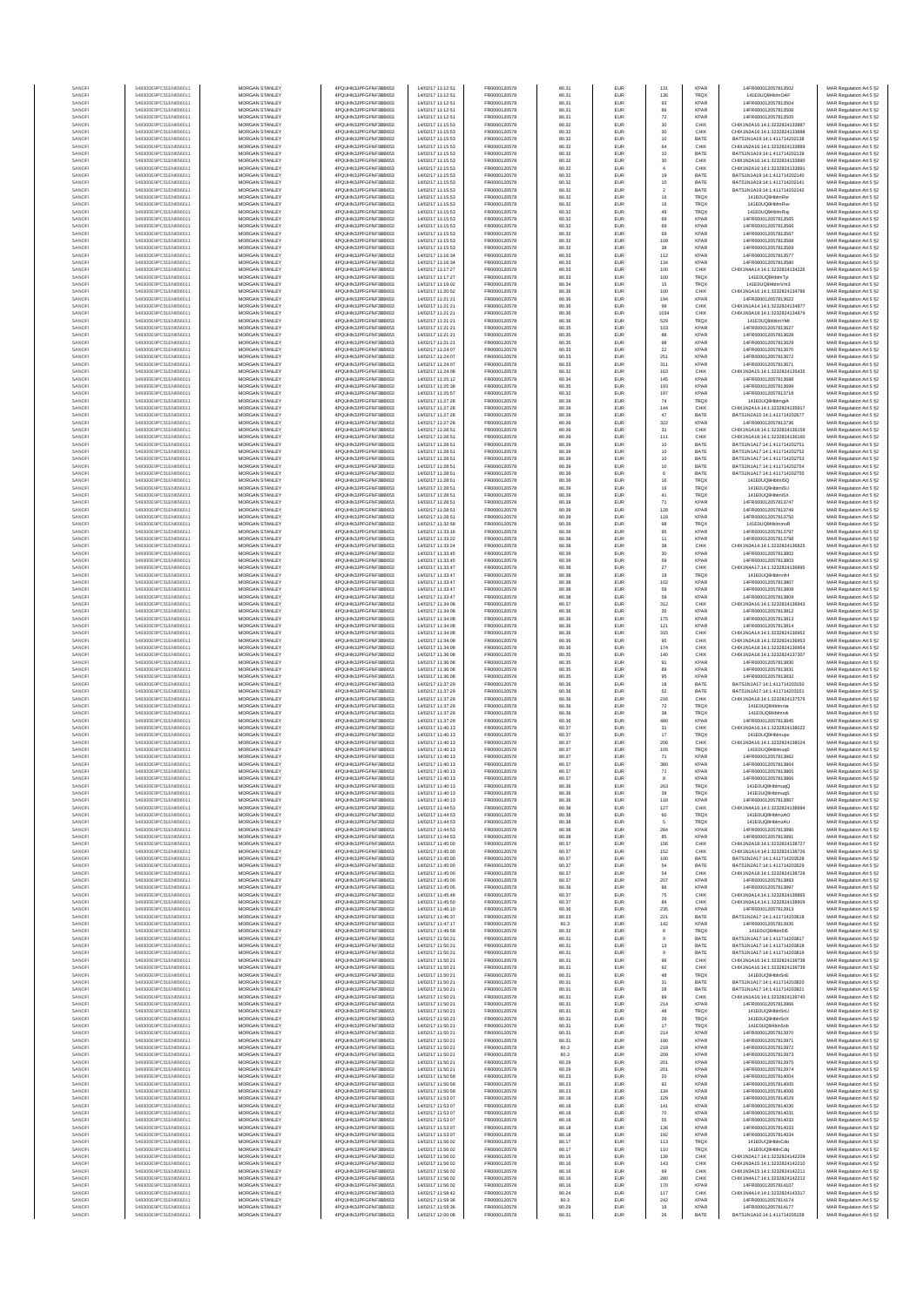| SANOF            | 549300E9PC51EN656011                         | MORGAN STANLEY                                 | 4PQUHN3JPFGFNF3BB653                           | 14/02/17 11:12:51                      | FR0000120578                 | 80.31          | EUR        | 131                | <b>XPAR</b>                | 14FR000012057813502                                            | MAR Regulation Art 5 §2                            |
|------------------|----------------------------------------------|------------------------------------------------|------------------------------------------------|----------------------------------------|------------------------------|----------------|------------|--------------------|----------------------------|----------------------------------------------------------------|----------------------------------------------------|
| SANOFI           | 549300E9PC51EN656011                         | <b>MORGAN STANLEY</b>                          | 4PQUHN3JPFGFNF3BB653                           | 14/02/17 11:12:51                      | ER0000120578                 | 80.31          | EUR        | 136                | TRQ)                       | 141F0UQ9HblmQAF                                                | MAR Regulation Art 5 §2                            |
| SANOFI           | 549300E9PC51EN656011                         | MORGAN STANLEY                                 | 4PQUHN3JPFGFNF3BB653                           | 14/02/17 11:12:51                      | FR0000120578                 | 80.31          | EUR        | $93\,$             | XPAF                       | 14FR000012057813504                                            | MAR Regulation Art 5 §2                            |
| SANOFI<br>SANOFI | 549300E9PC51EN656011<br>549300E9PC51EN656011 | MORGAN STANLEY<br>MORGAN STANLEY               | 4PQUHN3JPFGFNF3BB653<br>4PQUHN3JPFGFNF3BB653   | 14/02/17 11:12:51<br>14/02/17 11:12:51 | FR0000120578<br>FR0000120578 | 80.31<br>80.31 | EUR<br>EUR | 86<br>$72\,$       | <b>XPAF</b><br><b>XPAF</b> | 14FR000012057813506<br>14FR000012057813505                     | MAR Regulation Art 5 §2<br>MAR Regulation Art 5 §2 |
| SANOFI           | 549300E9PC51EN656011                         | MORGAN STANLEY                                 | 4PQUHN3JPFGFNF3BB653                           | 14/02/17 11:15:53                      | FR0000120578                 | 80.32          | EUR        | 30                 | CHIX                       | CHIX1N2A16:14:1:3232824133887                                  | MAR Regulation Art 5 §2                            |
| SANOFI           | 549300E9PC51EN656011                         | MORGAN STANLEY                                 | 4PQUHN3JPFGFNF3BB653                           | 14/02/17 11:15:53                      | FR0000120578                 | 80.32          | EUR        | $30\,$             | CHIX                       | CHIX1N2A16:14:1:3232824133888                                  | MAR Regulation Art 5 §2                            |
| SANOFI           | 549300E9PC51EN656011                         | MORGAN STANLEY                                 | 4PQUHN3JPFGFNF3BB653                           | 14/02/17 11:15:53                      | FR0000120578                 | 80.32          | EUR        | 10                 | BATE                       | BATS1N1A19:14:1:411714202138                                   | MAR Regulation Art 5 §2                            |
| SANOFI<br>SANOFI | 549300E9PC51EN656011<br>549300E9PC51EN656011 | <b>MORGAN STANLEY</b><br><b>MORGAN STANLEY</b> | 4PQUHN3JPFGFNF3BB653<br>4PQUHN3JPFGFNF3BB653   | 14/02/17 11:15:53<br>14/02/17 11:15:53 | FR0000120578<br>FR0000120578 | 80.32<br>80.32 | EUR<br>EUR | 64<br>10           | CHIX<br>BATE               | CHIX1N2A16:14:1:3232824133889<br>BATS1N1A19:14:1:411714202139  | MAR Regulation Art 5 §2<br>MAR Regulation Art 5 §2 |
| SANOFI           | 549300E9PC51EN656011                         | MORGAN STANLEY                                 | 4PQUHN3JPFGFNF3BB653                           | 14/02/17 11:15:53                      | FR0000120578                 | 80.32          | EUR        | 30                 | CHIX                       | CHIX1N2A16:14:1:3232824133890                                  | MAR Regulation Art 5 §2                            |
| SANOFI           | 549300E9PC51EN656011                         | MORGAN STANLEY                                 | 4PQUHN3JPFGFNF3BB653                           | 14/02/17 11:15:53                      | FR0000120578                 | 80.32          | EUR        | $\ddot{a}$         | CHIX                       | CHIX1N2A16:14:1:3232824133891                                  | MAR Regulation Art 5 §2                            |
| SANOFI           | 549300E9PC51EN656011                         | MORGAN STANLEY                                 | 4PQUHN3JPFGFNF3BB653                           | 14/02/17 11:15:53                      | FR0000120578                 | 80.32          | EUR        | 19                 | BATE                       | BATS1N1A19:14:1:411714202140                                   | MAR Regulation Art 5 §2                            |
| SANOF<br>SANOFI  | 549300E9PC51EN656011<br>549300E9PC51EN656011 | MORGAN STANLEY<br>MORGAN STANLEY               | 4PQUHN3JPFGFNF3BB653<br>4PQUHN3JPFGFNF3BB653   | 14/02/17 11:15:53<br>14/02/17 11:15:53 | FR0000120578<br>FR0000120578 | 80.32<br>80.32 | EUR<br>EUR | 10<br>$\bar{2}$    | BATE<br>BATE               | BATS1N1A19:14:1:411714202141<br>BATS1N1A19:14:1:411714202142   | MAR Regulation Art 5 §2                            |
| SANOFI           | 549300E9PC51EN656011                         | MORGAN STANLEY                                 | 4PQUHN3JPFGFNF3BB653                           | 14/02/17 11:15:53                      | FR0000120578                 | 80.32          | EUR        | $16\,$             | TRQ)                       | 141E0UQ9HblmRvr                                                | MAR Regulation Art 5 §2<br>MAR Regulation Art 5 §2 |
| SANOFI           | 549300E9PC51EN656011                         | MORGAN STANLEY                                 | 4PQUHN3JPFGFNF3BB653                           | 14/02/17 11:15:53                      | FR0000120578                 | 80.32          | EUR        | 16                 | TRQ)                       | 141E0UQ9HblmRw                                                 | MAR Regulation Art 5 §2                            |
| SANOFI           | 549300E9PC51EN656011                         | <b>MORGAN STANLEY</b>                          | 4PQUHN3JPFGFNF3BB653                           | 14/02/17 11:15:53                      | FR0000120578                 | 80.32          | EUR        | 49                 | TRQ)                       | 141E0UQ9HblmRw                                                 | MAR Regulation Art 5 §2                            |
| SANOFI           | 549300E9PC51EN656011                         | <b>MORGAN STANLEY</b>                          | 4PQUHN3JPFGFNF3BB653                           | 14/02/17 11:15:53                      | FR0000120578                 | 80.32          | EUR        | 69                 | <b>XPAF</b>                | 14FR000012057813565                                            | MAR Regulation Art 5 §2                            |
| SANOFI           | 549300E9PC51EN656011<br>549300E9PC51EN656011 | MORGAN STANLEY<br>MORGAN STANLEY               | 4PQUHN3JPFGFNF3BB653<br>4PQUHN3JPFGFNF3BB653   | 14/02/17 11:15:53<br>14/02/17 11:15:53 | FR0000120578                 | 80.32<br>80.32 | EUR<br>EUR | 69<br>69           | <b>XPAF</b><br><b>XPAR</b> | 14FR000012057813566<br>14FR000012057813567                     | MAR Regulation Art 5 §2                            |
| SANOFI<br>SANOFI | 549300E9PC51EN656011                         | MORGAN STANLEY                                 | 4PQUHN3JPFGFNF3BB653                           | 14/02/17 11:15:53                      | FR0000120578<br>FR0000120578 | 80.32          | EUR        | 108                | <b>XPAF</b>                | 14FR000012057813568                                            | MAR Regulation Art 5 §2<br>MAR Regulation Art 5 §2 |
| SANOFI           | 549300E9PC51EN656011                         | MORGAN STANLEY                                 | 4PQUHN3JPFGFNF3BB653                           | 14/02/17 11:15:53                      | FR0000120578                 | 80.32          | EUR        | 38                 | <b>XPAF</b>                | 14FR000012057813569                                            | MAR Regulation Art 5 §2                            |
| SANOFI           | 549300E9PC51EN656011                         | MORGAN STANLEY                                 | 4PQUHN3JPFGFNF3BB653                           | 14/02/17 11:16:34                      | FR0000120578                 | 80.33          | EUR        | 112                | XPAF                       | 14FR000012057813577                                            | MAR Regulation Art 5 §2                            |
| SANOFI           | 549300E9PC51EN656011                         | MORGAN STANLEY                                 | 4PQUHN3JPFGFNF3BB653                           | 14/02/17 11:16:34                      | FR0000120578                 | 80.33          | EUR        | 134                | <b>XPAF</b>                | 14FR000012057813580                                            | MAR Regulation Art 5 §2                            |
| SANOFI           | 549300E9PC51EN656011                         | <b>MORGAN STANLEY</b>                          | 4PQUHN3JPFGFNF3BB653                           | 14/02/17 11:17:27                      | FR0000120578                 | 80.33          | EUR        | 100                | CHIX                       | CHIX1N4A14:14:1:3232824134226                                  | MAR Regulation Art 5 §2<br>MAR Regulation Art 5 §2 |
| SANOFI<br>SANOFI | 549300E9PC51EN656011<br>549300E9PC51EN656011 | <b>MORGAN STANLEY</b><br>MORGAN STANLEY        | 4PQUHN3JPFGFNF3BB653<br>4PQUHN3JPFGFNF3BB653   | 14/02/17 11:17:27<br>14/02/17 11:19:02 | FR0000120578<br>FR0000120578 | 80.33<br>80.34 | EUR<br>EUR | 100<br>15          | TRQ)<br>TRQ)               | 141E0UQ9HblmTvi<br>141E0UQ9HblmVm3                             | MAR Regulation Art 5 §2                            |
| SANOFI           | 549300E9PC51EN656011                         | MORGAN STANLEY                                 | 4PQUHN3JPFGFNF3BB653                           | 14/02/17 11:20:52                      | FR0000120578                 | 80.36          | EUR        | 100                | CHIX                       | CHIX1N1A16:14:1:3232824134786                                  | MAR Regulation Art 5 §2                            |
| SANOF            | 549300E9PC51EN656011                         | MORGAN STANLEY                                 | 4PQUHN3JPFGFNF3BB653                           | 14/02/17 11:21:21                      | FR0000120578                 | 80.36          | EUR        | 194                | <b>XPAF</b>                | 14FR000012057813622                                            | MAR Regulation Art 5 §2                            |
| SANOFI           | 549300E9PC51EN656011                         | MORGAN STANLEY                                 | 4PQUHN3JPFGFNF3BB653                           | 14/02/17 11:21:21                      | FR0000120578                 | 80.36          | EUR        | 99                 | CHIX                       | CHIX1N1A14:14:1:3232824134877                                  | MAR Regulation Art 5 §2                            |
| SANOFI<br>SANOFI | 549300E9PC51EN656011<br>549300E9PC51EN656011 | MORGAN STANLEY<br>MORGAN STANLEY               | 4PQUHN3JPFGFNF3BB653<br>4PQUHN3JPFGFNF3BB653   | 14/02/17 11:21:21<br>14/02/17 11:21:21 | FR0000120578<br>FR0000120578 | 80.36<br>80.36 | EUR<br>EUR | 1034<br>529        | CHIX<br>TRQ)               | CHIX1N3A18:14:1:3232824134879<br>141E0UQ9HblmYMt               | MAR Regulation Art 5 §2<br>MAR Regulation Art 5 §2 |
| SANOFI           | 549300E9PC51EN656011                         | <b>MORGAN STANLEY</b>                          | 4PQUHN3JPFGFNF3BB653                           | 14/02/17 11:21:21                      | FR0000120578                 | 80.35          | EUR        | 103                | <b>XPAF</b>                | 14FR000012057813627                                            | MAR Regulation Art 5 §2                            |
| SANOFI           | 549300E9PC51EN656011                         | <b>MORGAN STANLEY</b>                          | 4PQUHN3JPFGFNF3BB653                           | 14/02/17 11:21:21                      | FR0000120578                 | 80.35          | EUR        | 88                 | <b>XPAF</b>                | 14FR000012057813628                                            | MAR Regulation Art 5 §2                            |
| SANOFI           | 549300E9PC51EN656011                         | MORGAN STANLEY                                 | 4PQUHN3JPFGFNF3BB653                           | 14/02/17 11:21:21                      | FR0000120578                 | 80.35          | EUR        | 98                 | <b>XPAF</b>                | 14FR000012057813629                                            | MAR Regulation Art 5 §2                            |
| SANOFI<br>SANOFI | 549300E9PC51EN656011<br>549300E9PC51EN656011 | MORGAN STANLEY<br>MORGAN STANLEY               | 4PQUHN3JPFGFNF3BB653<br>4PQUHN3JPFGFNF3BB653   | 14/02/17 11:24:07<br>14/02/17 11:24:07 | FR0000120578<br>FR0000120578 | 80.33<br>80.33 | EUR<br>EUR | $\bf 22$<br>251    | <b>XPAR</b><br><b>XPAF</b> | 14FR000012057813670<br>14FR000012057813672                     | MAR Regulation Art 5 §2                            |
| SANOFI           | 549300E9PC51EN656011                         | MORGAN STANLEY                                 | 4PQUHN3JPFGFNF3BB653                           | 14/02/17 11:24:07                      | FR0000120578                 | 80.33          | EUR        | 311                | <b>XPAF</b>                | 14FR000012057813671                                            | MAR Regulation Art 5 §2<br>MAR Regulation Art 5 §2 |
| SANOFI           | 549300E9PC51EN656011                         | MORGAN STANLEY                                 | 4PQUHN3JPFGFNF3BB653                           | 14/02/17 11:24:08                      | FR0000120578                 | 80.32          | EUR        | 163                | CHIX                       | CHIX1N3A15:14:1:3232824135435                                  | MAR Regulation Art 5 §2                            |
| SANOFI           | 549300E9PC51EN656011                         | MORGAN STANLEY                                 | 4PQUHN3JPFGFNF3BB653                           | 14/02/17 11:25:12                      | FR0000120578                 | 80.34          | EUR        | 145                | <b>XPAF</b>                | 14FR000012057813688                                            | MAR Regulation Art 5 §2                            |
| SANOFI           | 549300E9PC51EN656011                         | <b>MORGAN STANLEY</b>                          | 4PQUHN3JPFGFNF3BB653                           | 14/02/17 11:25:38                      | FR0000120578                 | 80.35          | EUR        | 193                | <b>XPAF</b>                | 14FR000012057813699                                            | MAR Regulation Art 5 §2                            |
| SANOFI<br>SANOFI | 549300E9PC51EN656011<br>549300E9PC51EN656011 | <b>MORGAN STANLEY</b><br>MORGAN STANLEY        | 4PQUHN3JPFGFNF3BB653<br>4POLIHN3JPEGENE3BB653  | 14/02/17 11:25:57<br>14/02/17 11:27:28 | FR0000120578<br>FR0000120578 | 80.32<br>80.39 | EUR<br>EUR | 197<br>74          | <b>XPAF</b><br>TRQ)        | 14FR000012057813718<br>141E0UQ9HblmgiA                         | MAR Regulation Art 5 §2<br>MAR Regulation Art 5 §2 |
| SANOFI           | 549300E9PC51EN656011                         | MORGAN STANLEY                                 | 4PQUHN3JPFGFNF3BB653                           | 14/02/17 11:27:28                      | FR0000120578                 | 80.39          | EUR        | 144                | CHIX                       | CHIX1N2A14:14:1:3232824135917                                  | MAR Regulation Art 5 §2                            |
| SANOFI           | 549300E9PC51EN656011                         | MORGAN STANLEY                                 | 4PQUHN3JPFGFNF3BB653                           | 14/02/17 11:27:28                      | FR0000120578                 | 80.39          | EUR        | 47                 | BATE                       | BATS1N2A15:14:1:411714202677                                   | MAR Regulation Art 5 §2                            |
| SANOFI           | 549300E9PC51EN656011                         | MORGAN STANLEY                                 | 4PQUHN3JPFGFNF3BB653                           | 14/02/17 11:27:28                      | FR0000120578                 | 80.39          | EUR        | 322                | <b>XPAF</b>                | 14FR000012057813736                                            | MAR Regulation Art 5 §2                            |
| SANOF<br>SANOFI  | 549300E9PC51EN656011<br>549300E9PC51EN656011 | MORGAN STANLEY<br>MORGAN STANLEY               | 4PQUHN3JPFGFNF3BB653<br>4PQUHN3JPFGFNF3BB653   | 14/02/17 11:28:51<br>14/02/17 11:28:51 | FR0000120578<br>FR0000120578 | 80.39<br>80.39 | EUR<br>EUR | 31<br>111          | CHIX<br>CHIX               | CHIX1N1A18:14:1:3232824136159<br>CHIX1N1A18:14:1:3232824136160 | MAR Regulation Art 5 §2<br>MAR Regulation Art 5 §2 |
| SANOFI           | 549300E9PC51EN656011                         | MORGAN STANLEY                                 | 4PQUHN3JPFGFNF3BB653                           | 14/02/17 11:28:51                      | FR0000120578                 | 80.39          | EUR        | 10                 | BATE                       | BATS1N1A17:14:1:411714202751                                   | MAR Regulation Art 5 §2                            |
| SANOFI           | 549300E9PC51EN656011                         | <b>MORGAN STANLEY</b>                          | 4PQUHN3JPFGFNF3BB653                           | 14/02/17 11:28:51                      | FR0000120578                 | 80.39          | EUR        | 10                 | BATE                       | BATS1N1A17:14:1:411714202752                                   | MAR Regulation Art 5 §2                            |
| SANOFI           | 549300E9PC51EN656011                         | <b>MORGAN STANLEY</b>                          | 4PQUHN3JPFGFNF3BB653                           | 14/02/17 11:28:51                      | FR0000120578                 | 80.39          | EUR        | 10                 | BATE                       | BATS1N1A17-14-1-411714202753                                   | MAR Regulation Art 5 §2                            |
| SANOFI<br>SANOFI | 549300E9PC51EN656011<br>549300E9PC51EN656011 | MORGAN STANLEY<br>MORGAN STANLEY               | 4PQUHN3JPFGFNF3BB653<br>4PQUHN3JPFGFNF3BB653   | 14/02/17 11:28:51<br>14/02/17 11:28:51 | FR0000120578<br>FR0000120578 | 80.39<br>80.39 | EUR<br>EUR | $10$<br>6          | BATE<br>BATE               | BATS1N1A17:14:1:411714202754<br>BATS1N1A17:14:1:411714202755   | MAR Regulation Art 5 §2<br>MAR Regulation Art 5 §2 |
| SANOF            | 549300E9PC51EN656011                         | MORGAN STANLEY                                 | 4PQUHN3JPFGFNF3BB653                           | 14/02/17 11:28:51                      | FR0000120578                 | 80.39          | EUR        | 16                 | TRQ)                       | 141E0UQ9Hblmi5C                                                | MAR Regulation Art 5 §2                            |
| SANOFI           | 549300E9PC51EN656011                         | MORGAN STANLEY                                 | 4PQUHN3JPFGFNF3BB653                           | 14/02/17 11:28:51                      | FR0000120578                 | 80.39          | EUR        | 16                 | TRQ)                       | 141E0UQ9Hblmi5U                                                | MAR Regulation Art 5 §2                            |
| SANOFI           | 549300E9PC51EN656011                         | MORGAN STANLEY                                 | 4POLIHN3JPEGENE3BB653                          | 14/02/17 11:28:51                      | FR0000120578                 | 80.39          | EUR        | $41\,$             | TRQ)                       | 141E0UQ9Hblmi5X                                                | MAR Regulation Art 5 §2                            |
| SANOFI<br>SANOFI | 549300E9PC51EN656011<br>549300E9PC51EN656011 | MORGAN STANLEY<br><b>MORGAN STANLEY</b>        | 4PQUHN3JPFGFNF3BB653<br>4PQUHN3JPFGFNF3BB653   | 14/02/17 11:28:51<br>14/02/17 11:28:51 | FR0000120578<br>FR0000120578 | 80.39<br>80.39 | EUR<br>EUR | 71<br>128          | <b>XPAF</b><br><b>XPAF</b> | 14FR000012057813747<br>14FR000012057813749                     | MAR Regulation Art 5 §2                            |
| SANOFI           | 549300E9PC51EN656011                         | <b>MORGAN STANLEY</b>                          | 4PQUHN3JPFGFNF3BB653                           | 14/02/17 11:28:51                      | FR0000120578                 | 80.39          | EUR        | 118                | <b>XPAF</b>                | 14FR000012057813750                                            | MAR Regulation Art 5 §2<br>MAR Regulation Art 5 §2 |
| SANOFI           | 549300E9PC51EN656011                         | MORGAN STANLEY                                 | 4PQUHN3JPFGFNF3BB653                           | 14/02/17 11:32:58                      | FR0000120578                 | 80.39          | EUR        | 98                 | TRQ)                       | 141E0UQ9HblmmxR                                                | MAR Regulation Art 5 §2                            |
| SANOFI           | 549300E9PC51EN656011                         | MORGAN STANLEY                                 | 4PQUHN3JPFGFNF3BB653                           | 14/02/17 11:33:16                      | FR0000120578                 | 80.39          | EUR        | 95                 | <b>XPAF</b>                | 14FR000012057813797                                            | MAR Regulation Art 5 §2                            |
| SANOFI<br>SANOFI | 549300E9PC51EN656011<br>549300E9PC51EN656011 | MORGAN STANLEY<br>MORGAN STANLEY               | 4PQUHN3JPFGFNF3BB653<br>4PQUHN3JPFGFNF3BB653   | 14/02/17 11:33:22<br>14/02/17 11:33:24 | FR0000120578<br>FR0000120578 | 80.38<br>80.38 | EUR<br>EUR | 11<br>38           | <b>XPAF</b><br>CHIX        | 14FR000012057813798<br>CHIX1N3A14:14:1:3232824136825           | MAR Regulation Art 5 §2<br>MAR Regulation Art 5 §2 |
| SANOFI           | 549300E9PC51EN656011                         | MORGAN STANLEY                                 | 4PQUHN3JPFGFNF3BB653                           | 14/02/17 11:33:45                      | FR0000120578                 | 80.39          | EUR        | 30                 | XPAF                       | 14FR000012057813802                                            | MAR Regulation Art 5 §2                            |
| SANOFI           | 549300E9PC51EN656011                         | MORGAN STANLEY                                 | 4PQUHN3JPFGFNF3BB653                           | 14/02/17 11:33:45                      | FR0000120578                 | 80.39          | EUR        | 59                 | <b>XPAF</b>                | 14FR000012057813803                                            | MAR Regulation Art 5 §2                            |
| SANOFI           | 549300E9PC51EN656011                         | <b>MORGAN STANLEY</b>                          | 4PQUHN3JPFGFNF3BB653                           | 14/02/17 11:33:47                      | FR0000120578                 | 80.38          | EUR        | 27                 | CHIX                       | CHIX1N4A17:14:1:3232824136895                                  | MAR Regulation Art 5 §2                            |
| SANOFI           | 549300E9PC51EN656011                         | <b>MORGAN STANLEY</b>                          | 4PQUHN3JPFGFNF3BB653                           | 14/02/17 11:33:47                      | FR0000120578                 | 80.38          | EUR        | 19                 | TRQ)                       | 141E0UQ9HblmnlH                                                | MAR Regulation Art 5 §2                            |
| SANOFI<br>SANOFI | 549300E9PC51EN656011<br>549300E9PC51EN656011 | MORGAN STANLEY<br>MORGAN STANLEY               | 4PQUHN3JPFGFNF3BB653<br>4PQUHN3JPFGFNF3BB653   | 14/02/17 11:33:47<br>14/02/17 11:33:47 | FR0000120578<br>FR0000120578 | 80.38<br>80.38 | EUR<br>EUR | 102<br>59          | XPAF<br><b>XPAF</b>        | 14FR000012057813807<br>14FR000012057813808                     | MAR Regulation Art 5 §2<br>MAR Regulation Art 5 §2 |
| SANOF            | 549300E9PC51EN656011                         | MORGAN STANLEY                                 | 4PQUHN3JPFGFNF3BB653                           | 14/02/17 11:33:47                      | FR0000120578                 | 80.38          | EUR        | 59                 | <b>XPAF</b>                | 14FR000012057813809                                            | MAR Regulation Art 5 §2                            |
| SANOFI           | 549300E9PC51EN656011                         | MORGAN STANLEY                                 | 4PQUHN3JPFGFNF3BB653                           | 14/02/17 11:34:08                      | FR0000120578                 | 80.37          | EUR        | 312                | CHIX                       | CHIX1N3A16:14:1:3232824136943                                  | MAR Regulation Art 5 §2                            |
| SANOFI           | 549300E9PC51EN656011                         | MORGAN STANLEY                                 | 4PQUHN3JPFGFNF3BB653                           | 14/02/17 11:34:08                      | FR0000120578                 | 80.36          | EUR        | 35                 | <b>XPAF</b>                | 14FR000012057813812                                            | MAR Regulation Art 5 §2                            |
| SANOFI<br>SANOFI | 549300E9PC51EN656011<br>549300E9PC51EN656011 | MORGAN STANLEY<br><b>MORGAN STANLEY</b>        | 4PQUHN3JPFGFNF3BB653<br>4PQUHN3JPFGFNF3BB653   | 14/02/17 11:34:08<br>14/02/17 11:34:08 | FR0000120578<br>FR0000120578 | 80.36<br>80.36 | EUR<br>EUR | 175<br>121         | <b>XPAF</b><br><b>XPAF</b> | 14FR000012057813813<br>14FR000012057813814                     | MAR Regulation Art 5 §2<br>MAR Regulation Art 5 §2 |
| SANOFI           | 549300E9PC51EN656011                         | <b>MORGAN STANLEY</b>                          | 4PQUHN3JPFGFNF3BB653                           | 14/02/17 11:34:08                      | FR0000120578                 | 80.36          | EUR        | 315                | CHIX                       | CHIX1N1A14:14:1:3232824136952                                  | MAR Regulation Art 5 §2                            |
| SANOFI           | 549300E9PC51EN656011                         | <b>MORGAN STANLEY</b>                          | 4PQUHN3JPFGFNF3BB653                           | 14/02/17 11:34:08                      | FR0000120578                 | 80.36          | EUR        | 95                 | CHIX                       | CHIX1N2A18:14:1:3232824136953                                  | MAR Regulation Art 5 §2                            |
| SANOFI           | 549300E9PC51EN656011                         | MORGAN STANLEY                                 | 4PQUHN3JPFGFNF3BB653                           | 14/02/17 11:34:08                      | FR0000120578                 | 80.36          | EUR        | $174\,$            | CHIX                       | CHIX1N1A18:14:1:3232824136954                                  | MAR Regulation Art 5 §2                            |
| SANOFI<br>SANOF  | 549300E9PC51EN656011<br>549300E9PC51EN656011 | MORGAN STANLEY<br>MORGAN STANLEY               | 4PQUHN3JPFGFNF3BB653<br>4PQUHN3JPFGFNF3BB653   | 14/02/17 11:36:08<br>14/02/17 11:36:08 | FR0000120578<br>FR0000120578 | 80.35<br>80.35 | EUR<br>EUR | 140<br>91          | CHIX<br><b>XPAF</b>        | CHIX1N2A18:14:1:3232824137307<br>14FR000012057813830           | MAR Regulation Art 5 §2<br>MAR Regulation Art 5 §2 |
| SANOFI           | 549300E9PC51EN656011                         | MORGAN STANLEY                                 | 4PQUHN3JPFGFNF3BB653                           | 14/02/17 11:36:08                      | FR0000120578                 | 80.35          | EUR        | 89                 | <b>XPAF</b>                | 14FR000012057813831                                            | MAR Regulation Art 5 §2                            |
| SANOFI           | 549300E9PC51EN656011                         | MORGAN STANLEY                                 | 4PQUHN3JPFGFNF3BB653                           | 14/02/17 11:36:08                      | FR0000120578                 | 80.35          | EUR        | 95                 | <b>XPAF</b>                | 14FR000012057813832                                            | MAR Regulation Art 5 §2                            |
| SANOFI           | 549300E9PC51EN656011                         | MORGAN STANLEY                                 | 4PQUHN3JPFGFNF3BB653                           | 14/02/17 11:37:29                      | FR0000120578                 | 80.36          | EUR        | 18                 | BATE                       | BATS1N1A17:14:1:411714203150                                   | MAR Regulation Art 5 §2                            |
| SANOFI<br>SANOFI | 549300E9PC51EN656011<br>549300E9PC51EN656011 | <b>MORGAN STANLEY</b><br><b>MORGAN STANLEY</b> | 4POLIHN3JPEGENE3BB653<br>4POLIHN3JPEGENE3BB653 | 14/02/17 11:37:29<br>14/02/17 11:37:29 | FR0000120578<br>FR0000120578 | 80.36<br>80.36 | EUR<br>EUR | 52<br>216          | BATE<br>CHIX               | BATS1N1A17-14-1-411714203151<br>CHIX1N3A18-14-1-3232824137576  | MAR Regulation Art 5 §2<br>MAR Regulation Art 5 §2 |
| SANOFI           | 549300E9PC51EN656011                         | MORGAN STANLEY                                 | 4PQUHN3JPFGFNF3BB653                           | 14/02/17 11:37:29                      | FR0000120578                 | 80.36          | EUR        | $\scriptstyle{72}$ | TRQ)                       | 141E0UQ9Hblmrvd                                                | MAR Regulation Art 5 §2                            |
| SANOFI           | 549300E9PC51EN656011                         | MORGAN STANLEY                                 | 4PQUHN3JPFGFNF3BB653                           | 14/02/17 11:37:29                      | FR0000120578                 | 80.36          | EUR        | $38\,$             | TRQ)                       | 141E0UQ9Hblmn4                                                 | MAR Regulation Art 5 §2                            |
| SANOFI           | 549300E9PC51EN656011                         | MORGAN STANLEY                                 | 4PQUHN3JPFGFNF3BB653                           | 14/02/17 11:37:29                      | FR0000120578                 | 80.36          | EUR        | 480                | <b>XPAF</b>                | 14FR000012057813845                                            | MAR Regulation Art 5 §2                            |
| SANOFI<br>SANOFI | 549300E9PC51EN656011<br>549300E9PC51EN656011 | MORGAN STANLEY<br>MORGAN STANLEY               | 4PQUHN3JPFGFNF3BB653<br>4PQUHN3JPFGFNF3BB653   | 14/02/17 11:40:13<br>14/02/17 11:40:13 | FR0000120578<br>FR0000120578 | 80.37<br>80.37 | EUR<br>EUR | 31<br>17           | CHIX<br>TRQ)               | CHIX1N3A16:14:1:3232824138022<br>141E0UQ9Hblmupv               | MAR Regulation Art 5 §2<br>MAR Regulation Art 5 §2 |
| SANOFI           | 549300E9PC51EN656011                         | MORGAN STANLEY                                 | 4PQUHN3JPFGFNF3BB653                           | 14/02/17 11:40:13                      | FR0000120578                 | 80.37          | EUR        | 206                | CHIX                       | CHIX1N3A16:14:1:3232824138024                                  | MAR Regulation Art 5 §2                            |
| SANOFI           | 549300E9PC51EN656011                         | <b>MORGAN STANLEY</b>                          | 4PQUHN3JPFGFNF3BB653                           | 14/02/17 11:40:13                      | FR0000120578                 | 80.37          | EUR        | 105                | <b>TRQX</b>                | 141E0UQ9Hblmug0                                                | MAR Regulation Art 5 §2                            |
| SANOFI           | 549300E9PC51EN656011                         | MORGAN STANLEY                                 | 4PQUHN3JPFGFNF3BB653                           | 14/02/17 11:40:13                      | ER0000120578                 | 80.37          | EUR        | 71                 | <b>XPAR</b>                | 14FR000012057813862                                            | MAR Regulation Art 5 §2                            |
| SANOFI<br>SANOFI | 549300E9PC51EN656011<br>549300E9PC51EN656011 | MORGAN STANLEY<br>MORGAN STANLEY               | 4PQUHN3JPFGFNF3BB653<br>4PQUHN3JPFGFNF3BB653   | 14/02/17 11:40:13<br>14/02/17 11:40:13 | FR0000120578<br>FR0000120578 | 80.37<br>80.37 | EUR<br>EUR | 380<br>71          | <b>XPAF</b><br>XPAR        | 14FR000012057813864<br>14FR000012057813865                     | MAR Regulation Art 5 §2<br>MAR Regulation Art 5 §2 |
|                  |                                              |                                                | N3JPFGFNF3BB653                                |                                        |                              |                |            |                    |                            | 012057813866                                                   |                                                    |
| SANOF            | 549300E9PC51EN656011                         | MORGAN STANLEY                                 | 4PQUHN3JPFGFNF3BB653                           | 14/02/17 11:40:13                      | FR0000120578                 | 80.36          | EUR        | 263                | TRQ)                       | 141E0UQ9HblmuqQ                                                | MAR Regulation Art 5 §2                            |
| SANOFI           | 549300E9PC51EN656011                         | MORGAN STANLEY                                 | 4PQUHN3JPFGFNF3BB653                           | 14/02/17 11:40:13                      | FR0000120578                 | 80.36          | EUR        | 39                 | <b>TRQX</b>                | 141E0UQ9HblmuqS                                                | MAR Regulation Art 5 §2                            |
| SANOFI<br>SANOFI | 549300E9PC51EN656011<br>549300E9PC51EN656011 | MORGAN STANLEY<br><b>MORGAN STANLEY</b>        | 4PQUHN3JPFGFNF3BB653<br>4PQUHN3JPFGFNF3BB653   | 14/02/17 11:40:13<br>14/02/17 11:44:53 | FR0000120578<br>FR0000120578 | 80.36<br>80.38 | EUR<br>EUR | 118<br>127         | <b>XPAF</b><br>CHIX        | 14FR000012057813867<br>CHIX1N4A16:14:1:3232824138694           | MAR Regulation Art 5 §2                            |
| SANOFI           | 549300E9PC51EN656011                         | <b>MORGAN STANLEY</b>                          | 4PQUHN3JPFGFNF3BB653                           | 14/02/17 11:44:53                      | FR0000120578                 | 80.38          | EUR        | 60                 | <b>TRQX</b>                | 141E0UQ9HblmzAO                                                | MAR Regulation Art 5 §2<br>MAR Regulation Art 5 §2 |
| SANOFI           | 549300E9PC51EN656011                         | MORGAN STANLEY                                 | 4POLIHN3JPEGENE3BB653                          | 14/02/17 11:44:53                      | FR0000120578                 | 80.38          | EUR        | 6                  | <b>TRQX</b>                | 141E0UQ9HblmzAU                                                | MAR Regulation Art 5 §2                            |
| SANOFI           | 549300E9PC51EN656011                         | MORGAN STANLEY                                 | 4PQUHN3JPFGFNF3BB653                           | 14/02/17 11:44:53                      | FR0000120578                 | 80.38          | EUR        | 284                | <b>XPAF</b>                | 14FR000012057813890                                            | MAR Regulation Art 5 §2                            |
| SANOFI<br>SANOFI | 549300E9PC51EN656011<br>549300E9PC51EN656011 | MORGAN STANLEY<br>MORGAN STANLEY               | 4PQUHN3JPFGFNF3BB653<br>4PQUHN3JPFGFNF3BB653   | 14/02/17 11:44:53<br>14/02/17 11:45:00 | FR0000120578<br>FR0000120578 | 80.38<br>80.37 | EUR<br>EUR | 85<br>156          | <b>XPAF</b><br>CHIX        | 14FR000012057813891<br>CHIX1N2A18:14:1:3232824138727           | MAR Regulation Art 5 §2<br>MAR Regulation Art 5 §2 |
| SANOFI           | 549300E9PC51EN656011                         | MORGAN STANLEY                                 | 4PQUHN3JPFGFNF3BB653                           | 14/02/17 11:45:00                      | FR0000120578                 | 80.37          | EUR        | 152                | CHIX                       | CHIX1N1A14:14:1:3232824138726                                  | MAR Regulation Art 5 §2                            |
| SANOFI           | 549300E9PC51EN656011                         | MORGAN STANLEY                                 | 4PQUHN3JPFGFNF3BB653                           | 14/02/17 11:45:00                      | FR0000120578                 | 80.37          | EUR        | 100                | BATE                       | BATS1N2A17:14:1:411714203528                                   | MAR Regulation Art 5 §2                            |
| SANOFI           | 549300E9PC51EN656011                         | <b>MORGAN STANLEY</b><br>MORGAN STANLEY        | 4PQUHN3JPFGFNF3BB653                           | 14/02/17 11:45:00                      | FR0000120578<br>FR0000120578 | 80.37          | EUR        | 54                 | BATE                       | RATS1N2A17-14-1-411714203529<br>CHIX1N2A1R-14-1-3232R2413R72R  | MAR Regulation Art 5 §2                            |
| SANOFI<br>SANOFI | 549300E9PC51EN656011<br>549300E9PC51EN656011 | <b>MORGAN STANLEY</b>                          | 4PQUHN3JPFGFNF3BB653<br>4PQUHN3JPFGFNF3BB653   | 14/02/17 11:45:00<br>14/02/17 11:45:00 | FR0000120578                 | 80.37<br>80.37 | EUR<br>EUR | 54<br>207          | CHIX<br><b>XPAR</b>        | 14FR000012057813893                                            | MAR Regulation Art 5 §2<br>MAR Regulation Art 5 §2 |
| SANOFI           | 549300E9PC51EN656011                         | MORGAN STANLEY                                 | 4PQUHN3JPFGFNF3BB653                           | 14/02/17 11:45:05                      | FR0000120578                 | 80.36          | EUR        | 86                 | <b>XPAF</b>                | 14FR000012057813897                                            | MAR Regulation Art 5 §2                            |
| SANOFI           | 549300E9PC51EN656011                         | MORGAN STANLEY                                 | 4PQUHN3JPFGFNF3BB653                           | 14/02/17 11:45:48                      | FR0000120578                 | 80.37          | EUR        | 75                 | CHIX                       | CHIX1N3A14:14:1:3232824138865                                  | MAR Regulation Art 5 §2                            |
| SANOFI<br>SANOFI | 549300E9PC51EN656011<br>549300E9PC51EN656011 | MORGAN STANLEY<br>MORGAN STANLEY               | 4PQUHN3JPFGFNF3BB653<br>4PQUHN3JPFGFNF3BB653   | 14/02/17 11:45:50<br>14/02/17 11:46:10 | FR0000120578<br>FR0000120578 | 80.37<br>80.36 | EUR<br>EUR | 84<br>235          | CHIX<br>XPAF               | CHIX1N3A14:14:1:3232824138909<br>14FR000012057813913           | MAR Regulation Art 5 §2                            |
| SANOFI           | 549300E9PC51EN656011                         | MORGAN STANLEY                                 | 4PQUHN3JPFGFNF3BB653                           | 14/02/17 11:46:37                      | FR0000120578                 | 80.33          | EUR        | 221                | BATE                       | BATS1N2A17:14:1:411714203618                                   | MAR Regulation Art 5 §2<br>MAR Regulation Art 5 §2 |
| SANOFI           | 549300E9PC51EN656011                         | MORGAN STANLEY                                 | 4PQUHN3JPFGFNF3BB653                           | 14/02/17 11:47:17                      | FR0000120578                 | 80.3           | EUR        | 142                | <b>XPAF</b>                | 14FR000012057813935                                            | MAR Regulation Art 5 §2                            |
| SANOFI           | 549300E9PC51EN656011                         | MORGAN STANLEY                                 | 4PQUHN3JPFGFNF3BB653                           | 14/02/17 11:49:59                      | FR0000120578                 | 80.32          | EUR        | 8                  | <b>TRQX</b>                | 141E0UQ9Hbln5I5                                                | MAR Regulation Art 5 §2                            |
| SANOFI           | 549300E9PC51EN656011                         | <b>MORGAN STANLEY</b><br>MORGAN STANLEY        | 4PQUHN3JPFGFNF3BB653                           | 14/02/17 11:50:21<br>14/02/17 11:50:21 | FR0000120578                 | 80.31          | EUR        |                    | BATE                       | BATS1N1A17:14:1:411714203817                                   | MAR Regulation Art 5 §2                            |
| SANOFI<br>SANOFI | 549300E9PC51EN656011<br>549300E9PC51EN656011 | MORGAN STANLEY                                 | 4PQUHN3JPFGFNF3BB653<br>4PQUHN3JPFGFNF3BB653   | 14/02/17 11:50:21                      | FR0000120578<br>FR0000120578 | 80.31<br>80.31 | EUR<br>EUR | $13\,$             | BATE<br>BATE               | BATS1N1A17:14:1:411714203818<br>BATS1N1A17:14:1:411714203819   | MAR Regulation Art 5 §2<br>MAR Regulation Art 5 §2 |
| SANOFI           | 549300E9PC51EN656011                         | MORGAN STANLEY                                 | 4PQUHN3JPFGFNF3BB653                           | 14/02/17 11:50:21                      | FR0000120578                 | 80.31          | EUR        | 96                 | CHIX                       | CHIX1N1A16:14:1:3232824139738                                  | MAR Regulation Art 5 §2                            |
| SANOFI           | 549300E9PC51EN656011                         | MORGAN STANLEY                                 | 4PQUHN3JPFGFNF3BB653                           | 14/02/17 11:50:21                      | FR0000120578                 | 80.31          | EUR        | 92                 | CHIX                       | CHIX1N1A16:14:1:3232824139739                                  | MAR Regulation Art 5 §2                            |
| SANOFI           | 549300E9PC51EN656011                         | MORGAN STANLEY                                 | 4PQUHN3JPFGFNF3BB653                           | 14/02/17 11:50:21                      | FR0000120578                 | 80.31          | EUR        | 48                 | TRQ)                       | 141E0UQ9HbIn5nE                                                | MAR Regulation Art 5 §2                            |
| SANOFI<br>SANOFI | 549300E9PC51EN656011<br>549300E9PC51EN656011 | MORGAN STANLEY<br><b>MORGAN STANLEY</b>        | 4PQUHN3JPFGFNF3BB653<br>4PQUHN3JPFGFNF3BB653   | 14/02/17 11:50:21<br>14/02/17 11:50:21 | FR0000120578<br>FR0000120578 | 80.31<br>80.31 | EUR<br>EUR | 31<br>28           | BATE<br>BATE               | BATS1N1A17:14:1:411714203820<br>BATS1N1A17:14:1:411714203821   | MAR Regulation Art 5 §2<br>MAR Regulation Art 5 §2 |
| SANOFI           | 549300E9PC51EN656011                         | <b>MORGAN STANLEY</b>                          | 4PQUHN3JPFGFNF3BB653                           | 14/02/17 11:50:21                      | FR0000120578                 | 80.31          | EUR        | 89                 | CHIX                       | CHIX1N1A16:14:1:3232824139740                                  | MAR Regulation Art 5 §2                            |
| SANOFI           | 549300E9PC51EN656011                         | MORGAN STANLEY                                 | 4PQUHN3JPFGFNF3BB653                           | 14/02/17 11:50:21                      | FR0000120578                 | 80.31          | EUR        | 214                | <b>XPAF</b>                | 14FR000012057813966                                            | MAR Regulation Art 5 §2                            |
| SANOFI           | 549300E9PC51EN656011                         | MORGAN STANLEY                                 | 4PQUHN3JPFGFNF3BB653                           | 14/02/17 11:50:21                      | FR0000120578                 | 80.31          | EUR        | 48                 | TRQ)                       | 141E0UQ9Hbln5nU                                                | MAR Regulation Art 5 §2                            |
| SANOFI<br>SANOFI | 549300E9PC51EN656011<br>549300E9PC51EN656011 | MORGAN STANLEY<br>MORGAN STANLEY               | 4PQUHN3JPFGFNF3BB653<br>4PQUHN3JPFGFNF3BB653   | 14/02/17 11:50:21<br>14/02/17 11:50:21 | FR0000120578<br>FR0000120578 | 80.31<br>80.31 | EUR<br>EUR | 29<br>17           | TRQ)<br>TRQ)               | 141E0UQ9Hbln5nX<br>141E0UQ9Hbln5nb                             | MAR Regulation Art 5 §2<br>MAR Regulation Art 5 §2 |
| SANOFI           | 549300E9PC51EN656011                         | MORGAN STANLEY                                 | 4PQUHN3JPFGFNF3BB653                           | 14/02/17 11:50:21                      | FR0000120578                 | 80.31          | EUR        | 214                | <b>XPAF</b>                | 14FR000012057813970                                            | MAR Regulation Art 5 §2                            |
| SANOFI           | 549300E9PC51EN656011                         | MORGAN STANLEY                                 | 4PQUHN3JPFGFNF3BB653                           | 14/02/17 11:50:21                      | FR0000120578                 | 80.31          | EUR        | 190                | <b>XPAF</b>                | 14FR000012057813971                                            | MAR Regulation Art 5 §2                            |
| SANOFI           | 549300E9PC51EN656011                         | <b>MORGAN STANLEY</b>                          | 4PQUHN3JPFGFNF3BB653                           | 14/02/17 11:50:21                      | FR0000120578                 | 80.3           | EUR        | 219                | <b>XPAR</b>                | 14FR000012057813972                                            | MAR Regulation Art 5 §2                            |
| SANOFI<br>SANOFI | 549300E9PC51EN656011<br>549300E9PC51EN656011 | <b>MORGAN STANLEY</b><br>MORGAN STANLEY        | 4PQUHN3JPFGFNF3BB653<br>4PQUHN3JPFGFNF3BB653   | 14/02/17 11:50:21<br>14/02/17 11:50:21 | FR0000120578<br>FR0000120578 | 80.3<br>80.29  | EUR<br>EUR | 209<br>201         | <b>XPAR</b><br><b>XPAF</b> | 14FR000012057813973<br>14FR000012057813975                     | MAR Regulation Art 5 §2<br>MAR Regulation Art 5 §2 |
| SANOFI           | 549300E9PC51EN656011                         | MORGAN STANLEY                                 | 4PQUHN3JPFGFNF3BB653                           | 14/02/17 11:50:21                      | FR0000120578                 | 80.29          | EUR        | 201                | <b>XPAF</b>                | 14FR000012057813974                                            | MAR Regulation Art 5 §2                            |
| SANOFI           | 549300E9PC51EN656011                         | MORGAN STANLEY                                 | 4PQUHN3JPFGFNF3BB653                           | 14/02/17 11:50:59                      | FR0000120578                 | 80.23          | EUR        | 20                 | XPAF                       | 14FR000012057814004                                            | MAR Regulation Art 5 §2                            |
| SANOFI           | 549300E9PC51EN656011                         | MORGAN STANLEY                                 | 4PQUHN3JPFGFNF3BB653                           | 14/02/17 11:50:59                      | FR0000120578                 | 80.23          | EUR        | 92                 | XPAF                       | 14FR000012057814005                                            | MAR Regulation Art 5 §2                            |
| SANOFI           | 549300E9PC51EN656011                         | MORGAN STANLEY                                 | 4PQUHN3JPFGFNF3BB653                           | 14/02/17 11:50:59                      | FR0000120578                 | 80.23          | EUR        | 134                | <b>XPAF</b><br><b>XPAR</b> | 14FR000012057814006                                            | MAR Regulation Art 5 §2                            |
| SANOFI<br>SANOFI | 549300E9PC51EN656011<br>549300E9PC51EN656011 | MORGAN STANLEY<br><b>MORGAN STANLEY</b>        | 4PQUHN3JPFGFNF3BB653<br>4PQUHN3JPFGFNF3BB653   | 14/02/17 11:53:07<br>14/02/17 11:53:07 | FR0000120578<br>FR0000120578 | 80.18<br>80.18 | EUR<br>EUR | 129<br>141         | <b>XPAR</b>                | 14FR000012057814029<br>14FR000012057814030                     | MAR Regulation Art 5 §2<br>MAR Regulation Art 5 §2 |
| SANOFI           | 549300E9PC51EN656011                         | <b>MORGAN STANLEY</b>                          | 4PQUHN3JPFGFNF3BB653                           | 14/02/17 11:53:07                      | FR0000120578                 | 80.18          | EUR        | 70                 | <b>XPAR</b>                | 14FR000012057814031                                            | MAR Regulation Art 5 §2                            |
| SANOFI           | 549300E9PC51EN656011                         | <b>MORGAN STANLEY</b>                          | 4PQUHN3JPFGFNF3BB653                           | 14/02/17 11:53:07                      | FR0000120578                 | 80.18          | EUR        | 55                 | <b>XPAR</b>                | 14FR000012057814032                                            | MAR Regulation Art 5 §2                            |
| SANOFI           | 549300E9PC51EN656011                         | MORGAN STANLEY                                 | 4PQUHN3JPFGFNF3BB653                           | 14/02/17 11:53:07                      | FR0000120578                 | 80.18          | EUR        | 136<br>192         | <b>XPAF</b>                | 14FR000012057814033                                            | MAR Regulation Art 5 §2                            |
| SANOFI<br>SANOFI | 549300E9PC51EN656011<br>549300E9PC51EN656011 | MORGAN STANLEY<br>MORGAN STANLEY               | 4PQUHN3JPFGFNF3BB653<br>4PQUHN3JPFGFNF3BB653   | 14/02/17 11:53:07<br>14/02/17 11:56:02 | FR0000120578<br>FR0000120578 | 80.18<br>80.17 | EUR<br>EUR | 113                | <b>XPAF</b><br>TRQ)        | 14FR000012057814034<br>141E0UQ9HblnCdo                         | MAR Regulation Art 5 §2<br>MAR Regulation Art 5 §2 |
| SANOFI           | 549300E9PC51EN656011                         | MORGAN STANLEY                                 | 4PQUHN3JPFGFNF3BB653                           | 14/02/17 11:56:02                      | FR0000120578                 | 80.17          | EUR        | 110                | TRQ)                       | 141E0UQ9HblnCdq                                                | MAR Regulation Art 5 §2                            |
| SANOFI           | 549300E9PC51EN656011                         | MORGAN STANLEY                                 | 4PQUHN3JPFGFNF3BB653                           | 14/02/17 11:56:02                      | FR0000120578                 | 80.16          | EUR        | 139                | CHIX                       | CHIX1N2A17:14:1:3232824142209                                  | MAR Regulation Art 5 §2                            |
| SANOFI           | 549300E9PC51EN656011                         | MORGAN STANLEY                                 | 4PQUHN3JPFGFNF3BB653                           | 14/02/17 11:56:02                      | FR0000120578                 | 80.16          | EUR        | 143                | CHIX                       | CHIX1N3A15:14:1:3232824142210                                  | MAR Regulation Art 5 §2                            |
| SANOFI<br>SANOFI | 549300E9PC51EN656011<br>549300E9PC51EN656011 | <b>MORGAN STANLEY</b><br><b>MORGAN STANLEY</b> | 4PQUHN3JPFGFNF3BB653<br>4PQUHN3JPFGFNF3BB653   | 14/02/17 11:56:02<br>14/02/17 11:56:02 | FR0000120578<br>FR0000120578 | 80.16<br>80.16 | EUR<br>EUR | 69<br>280          | CHIX<br>CHIX               | CHIX1N3A15:14:1:3232824142211<br>CHIX1N4A17:14:1:3232824142212 | MAR Regulation Art 5 §2<br>MAR Regulation Art 5 §2 |
| SANOFI           | 549300E9PC51EN656011                         | MORGAN STANLEY                                 | 4PQUHN3JPFGFNF3BB653                           | 14/02/17 11:56:02                      | FR0000120578                 | 80.16          | EUR        | 170                | <b>XPAF</b>                | 14FR000012057814107                                            | MAR Regulation Art 5 §2                            |
| SANOFI           | 549300E9PC51EN656011                         | MORGAN STANLEY                                 | 4PQUHN3JPFGFNF3BB653                           | 14/02/17 11:58:42                      | FR0000120578                 | 80.24          | EUR        | 117                | CHIX                       | CHIX1N4A14:14:1:3232824143317                                  | MAR Regulation Art 5 §2                            |
| SANOF            | 549300E9PC51EN656011                         | MORGAN STANLEY                                 | 4PQUHN3JPFGFNF3BB653                           | 14/02/17 11:59:36                      | FR0000120578                 | 80.3           | EUR        | 242                | XPAF                       | 14FR000012057814174                                            | MAR Regulation Art 5 §2                            |
| SANOF<br>SANOFI  | 549300E9PC51EN656011<br>549300E9PC51EN656011 | MORGAN STANLEY<br>MORGAN STANLEY               | 4PQUHN3JPFGFNF3BB653<br>4PQUHN3JPFGFNF3BB653   | 14/02/17 11:59:36<br>14/02/17 12:00:08 | FR0000120578<br>FR0000120578 | 80.29<br>80.31 | EUR<br>EUR | 19<br>26           | <b>XPAF</b><br>BATE        | 14FR000012057814177<br>BATS1N1A16:14:1:411714205158            | MAR Regulation Art 5 §2<br>MAR Regulation Art 5 §2 |
|                  |                                              |                                                |                                                |                                        |                              |                |            |                    |                            |                                                                |                                                    |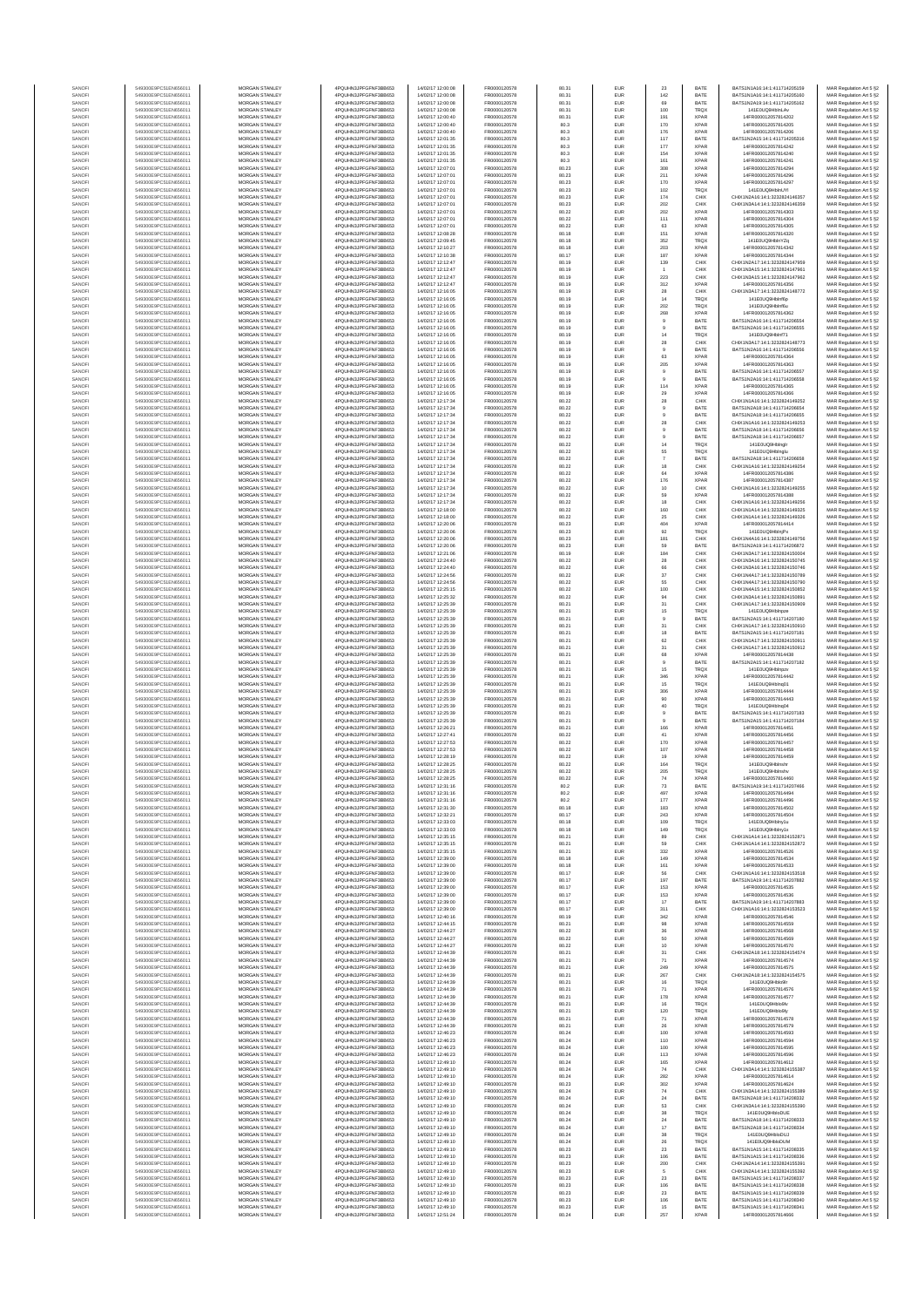| SANOF            | 549300E9PC51EN656011                         | MORGAN STANLEY                   | 4PQUHN3JPFGFNF3BB653                          | 14/02/17 12:00:08                      | FR0000120578                 | 80.31          | EUR        | 23             | BATE         | BATS1N1A16-14-1-411714205159                                   | MAR Regulation Art 5 §2                            |
|------------------|----------------------------------------------|----------------------------------|-----------------------------------------------|----------------------------------------|------------------------------|----------------|------------|----------------|--------------|----------------------------------------------------------------|----------------------------------------------------|
| SANOFI           | 549300E9PC51EN656011                         | <b>MORGAN STANLEY</b>            | 4PQUHN3JPFGFNF3BB653                          | 14/02/17 12:00:08                      | FR0000120578                 | 80.31          | EUR        | 142            | BATE         | BATS1N1A16:14:1:411714205160                                   | MAR Regulation Art 5 §2                            |
| SANOFI           | 549300E9PC51EN656011                         | MORGAN STANLEY                   | 4PQUHN3JPFGFNF3BB653                          | 14/02/17 12:00:08                      | FR0000120578                 | 80.31          | EUR        | 69             | BATE         | BATS1N2A19:14:1:411714205162                                   | MAR Regulation Art 5 §2                            |
| SANOFI           | 549300E9PC51EN656011                         | MORGAN STANLEY                   | 4PQUHN3JPFGFNF3BB653                          | 14/02/17 12:00:08                      | FR0000120578                 | 80.31          | EUR        | 100            | TRQX         | 141E0UQ9HblnLAv                                                | MAR Regulation Art 5 §2                            |
| SANOFI           | 549300E9PC51EN656011                         | MORGAN STANLEY                   | 4PQUHN3JPFGFNF3BB653                          | 14/02/17 12:00:40                      | FR0000120578                 | 80.31          | EUR        | 191            | <b>XPAR</b>  | 14FR000012057814202                                            | MAR Regulation Art 5 §2                            |
| SANOFI           | 549300E9PC51EN656011                         | MORGAN STANLEY                   | 4PQUHN3JPFGFNF3BB653                          | 14/02/17 12:00:40                      | FR0000120578                 | 80.3           | EUR        | 170            | <b>XPAR</b>  | 14FR000012057814205                                            | MAR Regulation Art 5 §2                            |
| SANOFI           | 549300E9PC51EN656011                         | MORGAN STANLEY                   | 4PQUHN3JPFGFNF3BB653                          | 14/02/17 12:00:40                      | FR0000120578                 | 80.3           | EUR        | 176            | <b>XPAR</b>  | 14FR000012057814206                                            | MAR Regulation Art 5 §2                            |
| SANOFI           | 549300E9PC51EN656011                         | MORGAN STANLEY                   | 4PQUHN3JPFGFNF3BB653                          | 14/02/17 12:01:35                      | FR0000120578                 | 80.3           | EUR        | 117            | BATE         | BATS1N2A15:14:1:411714205316                                   | MAR Regulation Art 5 §2                            |
| SANOFI           | 549300E9PC51EN656011                         | <b>MORGAN STANLEY</b>            | 4PQUHN3JPFGFNF3BB653                          | 14/02/17 12:01:35                      | FR0000120578                 | 80.3           | EUR        | 177            | <b>XPAR</b>  | 14FR000012057814242                                            | MAR Regulation Art 5 §2                            |
| SANOFI           | 549300E9PC51EN656011                         | <b>MORGAN STANLEY</b>            | 4PQUHN3JPFGFNF3BB653                          | 14/02/17 12:01:35                      | FR0000120578                 | 80.3           | <b>EUR</b> | 154            | <b>XPAR</b>  | 14FR000012057814240                                            | MAR Regulation Art 5 §2                            |
| SANOFI           | 549300E9PC51EN656011                         | <b>MORGAN STANLEY</b>            | 4PQUHN3JPFGFNF3BB653                          | 14/02/17 12:01:35                      | FR0000120578                 | 80.3           | EUR        | 161            | <b>XPAR</b>  | 14FR000012057814241                                            | MAR Regulation Art 5 §2                            |
| SANOFI           | 549300E9PC51EN656011                         | MORGAN STANLEY                   | 4PQUHN3JPFGFNF3BB653                          | 14/02/17 12:07:01                      | FR0000120578                 | 80.23          | EUR        | 308            | <b>XPAR</b>  | 14FR000012057814294                                            | MAR Regulation Art 5 §2                            |
| SANOFI           | 549300E9PC51EN656011                         | MORGAN STANLEY                   | 4PQUHN3JPFGFNF3BB653                          | 14/02/17 12:07:01                      | FR0000120578                 | 80.23          | EUR        | 211            | <b>XPAR</b>  | 14FR000012057814296                                            | MAR Regulation Art 5 §2                            |
| SANOF            | 549300E9PC51EN656011                         | MORGAN STANLEY                   | 4PQUHN3JPFGFNF3BB653                          | 14/02/17 12:07:01                      | FR0000120578                 | 80.23          | EUR        | 170            | <b>XPAR</b>  | 14FR000012057814297                                            |                                                    |
| SANOFI           | 549300E9PC51EN656011                         | MORGAN STANLEY                   | 4PQUHN3JPFGFNF3BB653                          | 14/02/17 12:07:01                      | FR0000120578                 | 80.23          | EUR        | 102            | <b>TRQX</b>  | 141E0UQ9HblnUYI                                                | MAR Regulation Art 5 §2<br>MAR Regulation Art 5 §2 |
| SANOFI           | 549300E9PC51EN656011                         | MORGAN STANLEY                   | 4PQUHN3JPFGFNF3BB653                          | 14/02/17 12:07:01                      | FR0000120578                 | 80.23          | EUR        | 174            | CHIX         | CHIX1N2A16:14:1:3232824146357                                  | MAR Regulation Art 5 §2                            |
| SANOFI           | 549300E9PC51EN656011                         | MORGAN STANLEY                   | 4PQUHN3JPFGFNF3BB653                          | 14/02/17 12:07:01                      | FR0000120578                 | 80.23          | EUR        | 202            | CHIX         | CHIX1N3A14:14:1:3232824146359                                  | MAR Regulation Art 5 §2                            |
| SANOFI           | 549300E9PC51EN656011                         | <b>MORGAN STANLEY</b>            | 4PQUHN3JPFGFNF3BB653                          | 14/02/17 12:07:01                      | FR0000120578                 | 80.22          | EUR        | 202            | <b>XPAR</b>  | 14FR000012057814303                                            | MAR Regulation Art 5 §2                            |
| SANOFI           | 549300E9PC51EN656011                         | <b>MORGAN STANLEY</b>            | 4PQUHN3JPFGFNF3BB653                          | 14/02/17 12:07:01                      | FR0000120578                 | 80.22          | <b>EUR</b> | 111            | <b>XPAR</b>  | 14FR000012057814304                                            | MAR Regulation Art 5 §2                            |
| SANOFI           | 549300E9PC51EN656011                         | <b>MORGAN STANLEY</b>            | 4PQUHN3JPFGFNF3BB653                          | 14/02/17 12:07:01                      | FR0000120578                 | 80.22          | EUR        | 63             | <b>XPAR</b>  | 14FR000012057814305                                            | MAR Regulation Art 5 §2                            |
| SANOF            | 549300E9PC51EN656011                         | MORGAN STANLEY                   | 4PQUHN3JPFGFNF3BB653                          | 14/02/17 12:08:28                      | FR0000120578                 | 80.18          | EUR        | 151            | <b>XPAR</b>  | 14FR000012057814320                                            | MAR Regulation Art 5 §2                            |
| SANOFI           | 549300E9PC51EN656011                         | MORGAN STANLEY                   | 4PQUHN3JPFGFNF3BB653                          | 14/02/17 12:09:45                      | FR0000120578                 | 80.18          | EUR        | 352            | TRQ)         | 141E0UQ9HblnYZq                                                | MAR Regulation Art 5 §2                            |
| SANOFI           | 549300E9PC51EN656011                         | MORGAN STANLEY                   | 4PQUHN3JPFGFNF3BB653                          | 14/02/17 12:10:27                      | FR0000120578                 | 80.18          | EUR        | 203            | <b>XPAR</b>  | 14FR000012057814342                                            | MAR Regulation Art 5 §2                            |
| SANOFI           | 549300E9PC51EN656011                         | MORGAN STANLEY                   | 4PQUHN3JPFGFNF3BB653                          | 14/02/17 12:10:38                      | FR0000120578                 | 80.17          | EUR        | 187            | <b>XPAR</b>  | 14FR000012057814344                                            | MAR Regulation Art 5 §2                            |
| SANOFI           | 549300E9PC51EN656011                         | MORGAN STANLEY                   | 4PQUHN3JPFGFNF3BB653<br>4POLIHN3JPEGENE3BB653 | 14/02/17 12:12:47                      | FR0000120578                 | 80.19          | EUR        | 139            | CHIX         | CHIX1N2A17:14:1:3232824147959                                  | MAR Regulation Art 5 §2                            |
| SANOFI           | 549300E9PC51EN656011                         | <b>MORGAN STANLEY</b>            | 4PQUHN3JPFGFNF3BB653                          | 14/02/17 12:12:47                      | FR0000120578                 | 80.19          | EUR        | $\overline{1}$ | CHIX         | CHIX1N3A15:14:1:3232824147961                                  | MAR Regulation Art 5 §2                            |
| SANOFI           | 549300E9PC51EN656011                         | MORGAN STANLEY                   |                                               | 14/02/17 12:12:47                      | FR0000120578                 | 80.19          | EUR        | 223            | CHIX         | CHIX1N3A15:14:1:3232824147962                                  | MAR Regulation Art 5 §2                            |
| SANOFI           | 549300E9PC51EN656011                         | MORGAN STANLEY                   | 4PQUHN3JPFGFNF3BB653                          | 14/02/17 12:12:47                      | FR0000120578                 | 80.19          | EUR        | $312\,$        | <b>XPAR</b>  | 14FR000012057814356                                            | MAR Regulation Art 5 §2                            |
| SANOFI           | 549300E9PC51EN656011                         | MORGAN STANLEY                   | 4PQUHN3JPFGFNF3BB653                          | 14/02/17 12:16:05                      | FR0000120578                 | 80.19          | EUR        | 28             | CHIX         | CHIX1N3A17:14:1:3232824148772                                  | MAR Regulation Art 5 §2                            |
| SANOF            | 549300E9PC51EN656011                         | MORGAN STANLEY                   | 4PQUHN3JPFGFNF3BB653                          | 14/02/17 12:16:05                      | FR0000120578                 | 80.19          | EUR        | $14\,$         | TRQ)         | 141E0UQ9Hblnf6p                                                | MAR Regulation Art 5 §2                            |
| SANOFI           | 549300E9PC51EN656011                         | MORGAN STANLEY                   | 4PQUHN3JPFGFNF3BB653                          | 14/02/17 12:16:05                      | FR0000120578                 | 80.19          | EUR        | 202            | TRQ)         | 141E0UQ9Hblnf6u                                                |                                                    |
| SANOFI           | 549300E9PC51EN656011                         | MORGAN STANLEY                   | 4PQUHN3JPFGFNF3BB653                          | 14/02/17 12:16:05                      | FR0000120578                 | 80.19          | EUR        | 268            | <b>XPAR</b>  | 14FR000012057814362                                            | MAR Regulation Art 5 §2<br>MAR Regulation Art 5 §2 |
| SANOFI           | 549300E9PC51EN656011                         | MORGAN STANLEY                   | 4PQUHN3JPFGFNF3BB653                          | 14/02/17 12:16:05                      | FR0000120578                 | 80.19          | EUR        | $\theta$       | BATE         | BATS1N2A16:14:1:411714206554                                   | MAR Regulation Art 5 §2                            |
| SANOFI           | 549300E9PC51EN656011                         | <b>MORGAN STANLEY</b>            | 4PQUHN3JPFGFNF3BB653                          | 14/02/17 12:16:05                      | FR0000120578                 | 80.19          | EUR        | $\overline{9}$ | BATE         | BATS1N2A16:14:1:411714206555                                   | MAR Regulation Art 5 §2                            |
| SANOFI           | 549300E9PC51EN656011                         | <b>MORGAN STANLEY</b>            | 4PQUHN3JPFGFNF3BB653                          | 14/02/17 12:16:05                      | FR0000120578                 | 80.19          | EUR        | 14             | <b>TRQX</b>  | 141E0UQ9Hblnf71                                                | MAR Regulation Art 5 §2                            |
| SANOFI           | 549300E9PC51EN656011                         | MORGAN STANLEY                   | 4PQUHN3JPFGFNF3BB653                          | 14/02/17 12:16:05                      | FR0000120578                 | 80.19          | EUR        | 28             | CHIX         | CHIX1N3A17:14:1:3232824148773                                  | MAR Regulation Art 5 §2                            |
| SANOFI           | 549300E9PC51EN656011                         | MORGAN STANLEY                   | 4PQUHN3JPFGFNF3BB653                          | 14/02/17 12:16:05                      | FR0000120578                 | 80.19          | EUR        | $9$            | BATE         | BATS1N2A16:14:1:411714206556                                   | MAR Regulation Art 5 §2                            |
| SANOFI           | 549300E9PC51EN656011                         | MORGAN STANLEY                   | 4PQUHN3JPFGFNF3BB653                          | 14/02/17 12:16:05                      | FR0000120578                 | 80.19          | EUR        | 63             | <b>XPAR</b>  | 14FR000012057814364                                            | MAR Regulation Art 5 §2                            |
| SANOFI           | 549300E9PC51EN656011                         | MORGAN STANLEY                   | 4PQUHN3JPFGFNF3BB653                          | 14/02/17 12:16:05                      | FR0000120578                 | 80.19          | EUR        | 205            | <b>XPAF</b>  | 14FR000012057814363                                            | MAR Regulation Art 5 §2                            |
| SANOFI           | 549300E9PC51EN656011                         | MORGAN STANLEY                   | 4PQUHN3JPFGFNF3BB653                          | 14/02/17 12:16:05                      | FR0000120578                 | 80.19          | EUR        | $\theta$       | BATE         | BATS1N2A16:14:1:411714206557                                   | MAR Regulation Art 5 §2                            |
| SANOFI           | 549300E9PC51EN656011                         | MORGAN STANLEY                   | 4PQUHN3JPFGFNF3BB653                          | 14/02/17 12:16:05                      | FR0000120578                 | 80.19          | EUR        | $\theta$       | BATE         | BATS1N2A16:14:1:411714206558                                   | MAR Regulation Art 5 §2                            |
| SANOFI           | 549300E9PC51EN656011                         | <b>MORGAN STANLEY</b>            | 4POLIHN3JPEGENE3BB653                         | 14/02/17 12:16:05                      | FR0000120578                 | 80.19          | <b>EUR</b> | 114            | <b>XPAR</b>  | 14FR000012057814365                                            | MAR Regulation Art 5 §2                            |
| SANOFI           | 549300E9PC51EN656011                         | <b>MORGAN STANLEY</b>            | 4PQUHN3JPFGFNF3BB653                          | 14/02/17 12:16:05                      | FR0000120578                 | 80.19          | EUR        | 29             | <b>XPAR</b>  | 14FR000012057814366                                            | MAR Regulation Art 5 §2                            |
| SANOFI           | 549300E9PC51EN656011                         | MORGAN STANLEY                   | 4PQUHN3JPFGFNF3BB653                          | 14/02/17 12:17:34                      | FR0000120578                 | 80.22          | EUR        | 28             | CHIX         | CHIX1N1A16:14:1:3232824149252                                  | MAR Regulation Art 5 §2                            |
| SANOFI           | 549300E9PC51EN656011                         | MORGAN STANLEY                   | 4PQUHN3JPFGFNF3BB653                          | 14/02/17 12:17:34                      | FR0000120578                 | 80.22          | EUR        | $\mathsf g$    | BATE         | BATS1N2A18:14:1:411714206654                                   | MAR Regulation Art 5 §2                            |
| SANOFI           | 549300E9PC51EN656011                         | MORGAN STANLEY                   | 4PQUHN3JPFGFNF3BB653                          | 14/02/17 12:17:34                      | FR0000120578                 | 80.22          | EUR        | $\overline{9}$ | BATE         | BATS1N2A18:14:1:411714206655                                   | MAR Regulation Art 5 §2                            |
| SANOFI           | 549300E9PC51EN656011                         | MORGAN STANLEY                   | 4PQUHN3JPFGFNF3BB653                          | 14/02/17 12:17:34                      | FR0000120578                 | 80.22          | EUR        | 28             | CHIX         | CHIX1N1A16:14:1:3232824149253                                  | MAR Regulation Art 5 §2                            |
|                  | 549300E9PC51EN656011                         | MORGAN STANLEY                   | 4PQUHN3JPFGFNF3BB653                          | 14/02/17 12:17:34                      | FR0000120578                 | 80.22          | EUR        | $9$            | BATE         | BATS1N2A18:14:1:411714206656                                   | MAR Regulation Art 5 §2                            |
| SANOFI<br>SANOFI | 549300E9PC51EN656011                         | MORGAN STANLEY                   | 4PQUHN3JPFGFNF3BB653                          | 14/02/17 12:17:34                      | FR0000120578                 | 80.22          | EUR        | $\theta$       | BATE         | BATS1N2A18:14:1:411714206657                                   | MAR Regulation Art 5 §2                            |
| SANOFI           | 549300E9PC51EN656011                         | MORGAN STANLEY                   | 4PQUHN3JPFGFNF3BB653                          | 14/02/17 12:17:34                      | FR0000120578                 | 80.22          | EUR        | $14\,$         | <b>TRQX</b>  | 141E0UQ9Hblngl                                                 | MAR Regulation Art 5 §2                            |
| SANOFI           | 549300E9PC51EN656011                         | <b>MORGAN STANLEY</b>            | 4POLIHN3JPEGENE3BB653                         | 14/02/17 12:17:34                      | FR0000120578                 | 80.22          | EUR        | 55             | <b>TRQX</b>  | 141E0UQ9Hblnglu                                                | MAR Regulation Art 5 §2                            |
| SANOFI           | 549300E9PC51EN656011                         | MORGAN STANLEY                   | 4PQUHN3JPFGFNF3BB653                          | 14/02/17 12:17:34                      | FR0000120578                 | 80.22          | EUR        | $\overline{7}$ | BATE         | BATS1N2A18-14-1-411714206658<br>CHIX1N1A16:14:1:3232824149254  | MAR Regulation Art 5 §2                            |
| SANOFI           | 549300E9PC51EN656011                         | MORGAN STANLEY                   | 4PQUHN3JPFGFNF3BB653                          | 14/02/17 12:17:34                      | FR0000120578                 | 80.22          | EUR        | $18\,$         | CHIX         | 14FR000012057814386                                            | MAR Regulation Art 5 §2                            |
| SANOFI           | 549300E9PC51EN656011                         | MORGAN STANLEY                   | 4PQUHN3JPFGFNF3BB653                          | 14/02/17 12:17:34                      | FR0000120578                 | 80.22          | EUR        | 64             | <b>XPAR</b>  |                                                                | MAR Regulation Art 5 §2                            |
| SANOFI           | 549300E9PC51EN656011                         | MORGAN STANLEY                   | 4PQUHN3JPFGFNF3BB653                          | 14/02/17 12:17:34                      | FR0000120578                 | 80.22          | EUR        | 176            | <b>XPAF</b>  | 14FR000012057814387                                            | MAR Regulation Art 5 §2                            |
| SANOFI           | 549300E9PC51EN656011                         | MORGAN STANLEY                   | 4PQUHN3JPFGFNF3BB653                          | 14/02/17 12:17:34                      | FR0000120578                 | 80.22          | EUR        | 10             | CHIX         | CHIX1N1A16:14:1:3232824149255                                  | MAR Regulation Art 5 §2                            |
| SANOFI           | 549300E9PC51EN656011                         | MORGAN STANLEY                   | 4PQUHN3JPFGFNF3BB653                          | 14/02/17 12:17:34                      | FR0000120578                 | 80.22          | EUR        | 59             | <b>XPAR</b>  | 14FR000012057814388                                            | MAR Regulation Art 5 §2                            |
| SANOFI           | 549300E9PC51EN656011                         | MORGAN STANLEY                   | 4PQUHN3JPFGFNF3BB653                          | 14/02/17 12:17:34                      | FR0000120578                 | 80.22          | EUR        | 18             | CHIX         | CHIX1N1A16:14:1:3232824149256                                  | MAR Regulation Art 5 §2                            |
| SANOFI           | 549300E9PC51EN656011                         | <b>MORGAN STANLEY</b>            | 4POLIHN3JPEGENE3BB653                         | 14/02/17 12:18:00                      | FR0000120578                 | 80.22          | EUR        | 160            | CHIX         | CHIX1N1A14-14-1-3232824149325                                  | MAR Regulation Art 5 §2                            |
| SANOFI           | 549300E9PC51EN656011                         | <b>MORGAN STANLEY</b>            | 4PQUHN3JPFGFNF3BB653                          | 14/02/17 12:18:00                      | FR0000120578                 | 80.22          | EUR        | 25             | CHIX         | CHIX1N1A14:14:1:3232824149326                                  | MAR Regulation Art 5 §2                            |
| SANOFI           | 549300E9PC51EN656011                         | MORGAN STANLEY                   | 4PQUHN3JPFGFNF3BB653                          | 14/02/17 12:20:06                      | FR0000120578                 | 80.23          | EUR        | 404            | <b>XPAR</b>  | 14FR000012057814414                                            | MAR Regulation Art 5 §2                            |
| SANOFI           | 549300E9PC51EN656011                         | MORGAN STANLEY                   | 4PQUHN3JPFGFNF3BB653                          | 14/02/17 12:20:06                      | FR0000120578                 | 80.23          | EUR        | 92             | <b>TRQX</b>  | 141E0UQ9HblnjPx                                                | MAR Regulation Art 5 §2                            |
| SANOFI           | 549300E9PC51EN656011                         | MORGAN STANLEY                   | 4PQUHN3JPFGFNF3BB653                          | 14/02/17 12:20:06                      | FR0000120578                 | 80.23          | EUR        | 181            | CHIX         | CHIX1N4A16:14:1:3232824149756                                  | MAR Regulation Art 5 §2                            |
| SANOFI           | 549300E9PC51EN656011                         | MORGAN STANLEY                   | 4PQUHN3JPFGFNF3BB653                          | 14/02/17 12:20:06                      | FR0000120578                 | 80.23          | EUR        | 59             | BATE         | BATS1N2A19:14:1:411714206872                                   | MAR Regulation Art 5 §2                            |
| SANOFI           | 549300E9PC51EN656011                         | MORGAN STANLEY                   | 4PQUHN3JPFGFNF3BB653                          | 14/02/17 12:21:06                      | FR0000120578                 | 80.19          | EUR        | 184            | CHIX         | CHIX1N3A17:14:1:3232824150004                                  | MAR Regulation Art 5 §2                            |
| SANOFI           | 549300E9PC51EN656011                         | MORGAN STANLEY                   | 4PQUHN3JPFGFNF3BB653                          | 14/02/17 12:24:40                      | FR0000120578                 | 80.22          | EUR        | 28             | CHIX         | CHIX1N3A16:14:1:3232824150745                                  | MAR Regulation Art 5 §2                            |
| SANOFI           | 549300E9PC51EN656011                         | <b>MORGAN STANLEY</b>            | 4PQUHN3JPFGFNF3BB653                          | 14/02/17 12:24:40                      | FR0000120578                 | 80.22          | EUR        | 66             | CHIX         | CHIX1N3A16:14:1:3232824150746                                  | MAR Regulation Art 5 §2                            |
| SANOFI           | 549300E9PC51EN656011                         | <b>MORGAN STANLEY</b>            | 4PQUHN3JPFGFNF3BB653                          | 14/02/17 12:24:56                      | FR0000120578                 | 80.22          | EUR        | 37             | CHIX         | CHIX1N4A17:14:1:3232824150789                                  | MAR Regulation Art 5 §2                            |
| SANOFI           | 549300E9PC51EN656011                         | MORGAN STANLEY<br>MORGAN STANLEY | 4PQUHN3JPFGFNF3BB653                          | 14/02/17 12:24:56<br>14/02/17 12:25:15 | FR0000120578<br>FR0000120578 | 80.22          | EUR        | 55<br>100      | CHIX         | CHIX1N4A17:14:1:3232824150790                                  | MAR Regulation Art 5 §2                            |
| SANOFI<br>SANOF  | 549300E9PC51EN656011<br>549300E9PC51EN656011 | MORGAN STANLEY                   | 4PQUHN3JPFGFNF3BB653<br>4PQUHN3JPFGFNF3BB653  | 14/02/17 12:25:32                      | FR0000120578                 | 80.22<br>80.22 | EUR<br>EUR | 94             | CHIX<br>CHIX | CHIX1N4A15:14:1:3232824150852<br>CHIX1N3A14:14:1:3232824150891 | MAR Regulation Art 5 §2<br>MAR Regulation Art 5 §2 |
| SANOFI           | 549300E9PC51EN656011                         | MORGAN STANLEY                   | 4PQUHN3JPFGFNF3BB653                          | 14/02/17 12:25:39                      | FR0000120578                 | 80.21          | EUR        | 31             | CHIX         | CHIX1N1A17:14:1:3232824150909                                  | MAR Regulation Art 5 §2                            |
| SANOFI           | 549300E9PC51EN656011                         | MORGAN STANLEY                   | 4PQUHN3JPFGFNF3BB653                          | 14/02/17 12:25:39                      | FR0000120578                 | 80.21          | EUR        | 15             | TRQX         | 141E0UQ9HbInpze                                                | MAR Regulation Art 5 §2                            |
| SANOFI           | 549300E9PC51EN656011                         | MORGAN STANLEY                   | 4PQUHN3JPFGFNF3BB653                          | 14/02/17 12:25:39                      | FR0000120578                 | 80.21          | EUR        | $\overline{9}$ | BATE         | BATS1N2A15:14:1:411714207180                                   | MAR Regulation Art 5 §2                            |
| SANOFI           | 549300E9PC51EN656011                         | <b>MORGAN STANLEY</b>            | 4PQUHN3JPFGFNF3BB653                          | 14/02/17 12:25:39                      | FR0000120578                 | 80.21          | EUR        | 31             | CHIX         | CHIX1N1A17:14:1:3232824150910                                  | MAR Regulation Art 5 §2                            |
| SANOFI           | 549300E9PC51EN656011                         | <b>MORGAN STANLEY</b>            | 4PQUHN3JPFGFNF3BB653                          | 14/02/17 12:25:39                      | FR0000120578                 | 80.21          | EUR        | 18             | BATE         | BATS1N2A15:14:1:411714207181                                   | MAR Regulation Art 5 §2                            |
| SANOFI           | 549300E9PC51EN656011                         | <b>MORGAN STANLEY</b>            | 4PQUHN3JPFGFNF3BB653                          | 14/02/17 12:25:39                      | FR0000120578                 | 80.21          | EUR        | 62             | CHIX         | CHIX1N1A17:14:1:3232824150911                                  | MAR Regulation Art 5 §2                            |
| SANOFI           | 549300E9PC51EN656011                         | MORGAN STANLEY                   | 4PQUHN3JPFGFNF3BB653                          | 14/02/17 12:25:39                      | FR0000120578                 | 80.21          | EUR        | $31\,$         | CHIX         | CHIX1N1A17:14:1:3232824150912                                  | MAR Regulation Art 5 §2                            |
| SANOFI           | 549300E9PC51EN656011                         | MORGAN STANLEY                   | 4PQUHN3JPFGFNF3BB653                          | 14/02/17 12:25:39                      | FR0000120578                 | 80.21          | EUR        | 68             | <b>XPAR</b>  | 14FR000012057814438                                            | MAR Regulation Art 5 §2                            |
| SANOF            | 549300E9PC51EN656011                         | MORGAN STANLEY                   | 4PQUHN3JPFGFNF3BB653                          | 14/02/17 12:25:39                      | FR0000120578                 | 80.21          | EUR        | $\mathsf g$    | BATE         | BATS1N2A15:14:1:411714207182                                   | MAR Regulation Art 5 §2                            |
| SANOFI           | 549300E9PC51EN656011                         | MORGAN STANLEY                   | 4PQUHN3JPFGFNF3BB653                          | 14/02/17 12:25:39                      | FR0000120578                 | 80.21          | EUR        | 15             | TRQ)         | 141E0UQ9HbInpzv                                                | MAR Regulation Art 5 §2                            |
| SANOFI           | 549300E9PC51EN656011                         | MORGAN STANLEY                   | 4PQUHN3JPFGFNF3BB653                          | 14/02/17 12:25:39                      | FR0000120578                 | 80.21          | EUR        | 346            | <b>XPAR</b>  | 14FR000012057814442                                            | MAR Regulation Art 5 §2                            |
| SANOFI           | 549300E9PC51EN656011                         | MORGAN STANLEY                   | 4PQUHN3JPFGFNF3BB653                          | 14/02/17 12:25:39                      | FR0000120578                 | 80.21          | EUR        | 15             | <b>TRQX</b>  | 141E0UQ9Hblnq01                                                | MAR Regulation Art 5 §2                            |
| SANOFI           | 549300E9PC51EN656011                         | <b>MORGAN STANLEY</b>            | 4PQUHN3JPFGFNF3BB653                          | 14/02/17 12:26:39                      | FR0000120578                 | 80.21          | EUR        | 306            | <b>XPAR</b>  | 14FR000012057814444                                            | MAR Regulation Art 5 §2                            |
| SANOFI           | 549300E9PC51EN656011                         | <b>MORGAN STANLEY</b>            | 4PQUHN3JPFGFNF3BB653                          | 14/02/17 12:25:39                      | FR0000120578                 | 80.21          | EUR        | 90             | <b>XPAR</b>  | 14FR000012057814443                                            | MAR Regulation Art 5 §2                            |
| SANOFI           | 549300E9PC51EN656011                         | MORGAN STANLEY                   | 4PQUHN3JPFGFNF3BB653                          | 14/02/17 12:25:39                      | FR0000120578                 | 80.21          | EUR        | 40             | TRQX         | 141E0UQ9Hblng04                                                | MAR Regulation Art 5 §2                            |
| SANOFI           | 549300E9PC51EN656011                         | MORGAN STANLEY                   | 4PQUHN3JPFGFNF3BB653                          | 14/02/17 12:25:39                      | FR0000120578                 | 80.21          | EUR        | $9$            | BATE         | BATS1N2A15:14:1:411714207183                                   | MAR Regulation Art 5 §2                            |
| SANOFI           | 549300E9PC51EN656011                         | MORGAN STANLEY                   | 4PQUHN3JPFGFNF3BB653                          | 14/02/17 12:25:39                      | FR0000120578                 | 80.21          | EUR        |                | BATE         | BATS1N2A15:14:1:411714207184                                   | MAR Regulation Art 5 §2                            |
| SANOF            | 549300E9PC51EN656011                         | MORGAN STANLEY                   | 4PQUHN3JPFGFNF3BB653                          | 14/02/17 12:26:21                      | FR0000120578                 | 80.21          | EUR        | 166            | <b>XPAR</b>  | 14FR000012057814451                                            | MAR Regulation Art 5 §2                            |
| SANOFI           | 549300E9PC51EN656011                         | MORGAN STANLEY                   | 4PQUHN3JPFGFNF3BB653                          | 14/02/17 12:27:41                      | FR0000120578                 | 80.22          | EUR        | 41             | <b>XPAR</b>  | 14FR000012057814456                                            | MAR Regulation Art 5 §2                            |
| SANOFI           | 549300E9PC51EN656011                         | MORGAN STANLEY                   | 4PQUHN3JPFGFNF3BB653                          | 14/02/17 12:27:53                      | FR0000120578                 | 80.22          | EUR        | 170            | <b>XPAR</b>  | 14FR000012057814457                                            | MAR Regulation Art 5 §2                            |
| SANOFI           | 549300E9PC51EN656011                         | <b>MORGAN STANLEY</b>            | 4PQUHN3JPFGFNF3BB653                          | 14/02/17 12:27:53                      | FR0000120578                 | 80.22          | EUR        | 107            | <b>XPAR</b>  | 14FR000012057814458                                            | MAR Regulation Art 5 §2                            |
| SANOFI           | 549300E9PC51EN656011                         | <b>MORGAN STANLEY</b>            | 4PQUHN3JPFGFNF3BB653                          | 14/02/17 12:28:19                      | FR0000120578                 | 80.22          | EUR        | 19             | <b>XPAR</b>  | 14FR000012057814459                                            | MAR Regulation Art 5 §2                            |
| SANOF            | 549300E9PC51EN656011                         | MORGAN STANLEY                   | 4PQUHN3JPFGFNF3BB653                          | 14/02/17 12:28:25                      | FR0000120578                 | 80.22          | EUR        | 164            | <b>TRQX</b>  | 141E0UQ9Hblnshr                                                | MAR Regulation Art 5 §2                            |
| SANOFI           | 549300E9PC51EN656011                         | MORGAN STANLEY                   | 4PQUHN3JPFGFNF3BB653                          | 14/02/17 12:28:25                      | FR0000120578                 | 80.22          | EUR        | 205            | TRQX         | 141E0UQ9Hblnshv                                                | MAR Regulation Art 5 §2                            |
| SANOF            | 549300E9PC51EN656011                         | MORGAN STANLEY                   | N3JPFGFNF3BB653<br>4PQUHN3JPFGFNF3BB653       | J2/17 12:28:25<br>14/02/17 12:31:16    | FR0000120578                 | 80.2           | EUR        | 73             | BATE         | BATS1N1A19:14:1:411714207466                                   | : Regulation Art 5 §2<br>MAR Regulation Art 5 §2   |
| SANOFI           | 549300E9PC51EN656011                         | MORGAN STANLEY                   | 4PQUHN3JPFGFNF3BB653                          | 14/02/17 12:31:16                      | FR0000120578                 | 80.2           | EUR        | 497            | <b>XPAR</b>  | 14FR000012057814494                                            | MAR Regulation Art 5 §2                            |
| SANOFI           | 549300E9PC51EN656011                         | MORGAN STANLEY                   | 4PQUHN3JPFGFNF3BB653                          | 14/02/17 12:31:16                      | FR0000120578                 | 80.2           | EUR        | 177            | <b>XPAR</b>  | 14FR000012057814496                                            | MAR Regulation Art 5 §2                            |
| SANOFI           | 549300E9PC51EN656011                         | <b>MORGAN STANLEY</b>            | 4PQUHN3JPFGFNF3BB653                          | 14/02/17 12:31:30                      | FR0000120578                 | 80.18          | <b>EUR</b> | 183            | <b>XPAR</b>  | 14FR000012057814502                                            | MAR Regulation Art 5 §2                            |
| SANOFI           | 549300E9PC51EN656011                         | <b>MORGAN STANLEY</b>            | 4PQUHN3JPFGFNF3BB653                          | 14/02/17 12:32:21                      | FR0000120578                 | 80.17          | <b>EUR</b> | 243            | <b>XPAR</b>  | 14FR000012057814504                                            | MAR Regulation Art 5 §2                            |
| SANOFI           | 549300E9PC51EN656011                         | MORGAN STANLEY                   | 4PQUHN3JPFGFNF3BB653                          | 14/02/17 12:33:03                      | FR0000120578                 | 80.18          | EUR        | 109            | TRQX         | 141E0UQ9Hblnv1u                                                | MAR Regulation Art 5 §2                            |
| SANOFI           | 549300E9PC51EN656011                         | MORGAN STANLEY                   | 4PQUHN3JPFGFNF3BB653                          | 14/02/17 12:33:03                      | FR0000120578                 | 80.18          | EUR        | 149            | TRQX         | 141E0UQ9Hblny1x                                                | MAR Regulation Art 5 §2                            |
| SANOFI           | 549300E9PC51EN656011                         | MORGAN STANLEY                   | 4PQUHN3JPFGFNF3BB653                          | 14/02/17 12:35:15                      | FR0000120578                 | 80.21          | EUR        |                | CHIX         | CHIX1N1A14:14:1:3232824152871                                  | MAR Regulation Art 5 §2                            |
| SANOFI           | 549300E9PC51EN656011                         | MORGAN STANLEY                   | 4PQUHN3JPFGFNF3BB653                          | 14/02/17 12:35:15                      | FR0000120578                 | 80.21          | EUR        | 59             | CHIX         | CHIX1N1A14:14:1:3232824152872                                  | MAR Regulation Art 5 §2                            |
| SANOFI           | 549300E9PC51EN656011                         | MORGAN STANLEY                   | 4PQUHN3JPFGFNF3BB653                          | 14/02/17 12:35:15                      | FR0000120578                 | 80.21          | EUR        | 332            | <b>XPAR</b>  | 14FR000012057814526                                            | MAR Regulation Art 5 §2                            |
| SANOFI           | 549300E9PC51EN656011                         | MORGAN STANLEY                   | 4PQUHN3JPFGFNF3BB653                          | 14/02/17 12:39:00                      | FR0000120578                 | 80.18          | EUR        | 149            | <b>XPAR</b>  | 14FR000012057814534                                            | MAR Regulation Art 5 §2                            |
| SANOFI           | 549300E9PC51EN656011                         | <b>MORGAN STANLEY</b>            | 4PQUHN3JPFGFNF3BB653                          | 14/02/17 12:39:00                      | FR0000120578                 | 80.18          | <b>EUR</b> | 161            | <b>XPAR</b>  | 14FR000012057814533                                            | MAR Regulation Art 5 §2                            |
| SANOFI           | 549300E9PC51EN656011                         | <b>MORGAN STANLEY</b>            | 4PQUHN3JPFGFNF3BB653                          | 14/02/17 12:39:00                      | FR0000120578                 | 80.17          | EUR        | 56             | CHIX         | CHIX1N1A16:14:1:3232824153518                                  | MAR Regulation Art 5 §2                            |
| SANOFI           | 549300E9PC51EN656011                         | <b>MORGAN STANLEY</b>            | 4PQUHN3JPFGFNF3BB653                          | 14/02/17 12:39:00                      | FR0000120578                 | 80.17          | <b>EUR</b> | 197            | BATE         | BATS1N1A19:14:1:411714207882                                   | MAR Regulation Art 5 §2                            |
| SANOFI           | 549300E9PC51EN656011                         | MORGAN STANLEY                   | 4PQUHN3JPFGFNF3BB653                          | 14/02/17 12:39:00                      | FR0000120578                 | 80.17          | EUR        | 153            | <b>XPAR</b>  | 14FR000012057814535                                            | MAR Regulation Art 5 §2                            |
| SANOFI           | 549300E9PC51EN656011                         | MORGAN STANLEY                   | 4PQUHN3JPFGFNF3BB653                          | 14/02/17 12:39:00                      | FR0000120578                 | 80.17          | EUR        | 153            | <b>XPAR</b>  | 14FR000012057814536                                            | MAR Regulation Art 5 §2                            |
| SANOFI           | 549300E9PC51EN656011                         | MORGAN STANLEY                   | 4PQUHN3JPFGFNF3BB653                          | 14/02/17 12:39:00                      | FR0000120578                 | 80.17          | EUR        | 17             | BATE         | BATS1N1A19:14:1:411714207883                                   | MAR Regulation Art 5 §2                            |
| SANOFI           | 549300E9PC51EN656011                         | MORGAN STANLEY                   | 4PQUHN3JPFGFNF3BB653                          | 14/02/17 12:39:00                      | FR0000120578                 | 80.17          | EUR        | 311            | CHIX         | CHIX1N1A16:14:1:3232824153523                                  | MAR Regulation Art 5 §2                            |
| SANOFI           | 549300E9PC51EN656011                         | MORGAN STANLEY                   | 4PQUHN3JPFGFNF3BB653                          | 14/02/17 12:40:16                      | FR0000120578                 | 80.19          | EUR        | 342            | <b>XPAR</b>  | 14FR000012057814546                                            | MAR Regulation Art 5 §2                            |
| SANOFI           | 549300E9PC51EN656011                         | MORGAN STANLEY                   | 4PQUHN3JPFGFNF3BB653                          | 14/02/17 12:44:15                      | FR0000120578                 | 80.21          | EUR        | 98             | <b>XPAR</b>  | 14FR000012057814559                                            | MAR Regulation Art 5 §2                            |
| SANOFI           | 549300E9PC51EN656011                         | <b>MORGAN STANLEY</b>            | 4PQUHN3JPFGFNF3BB653                          | 14/02/17 12:44:27                      | FR0000120578                 | 80.22          | <b>EUR</b> | 36             | <b>XPAR</b>  | 14FR000012057814568                                            | MAR Regulation Art 5 §2                            |
| SANOFI           | 549300E9PC51EN656011                         | <b>MORGAN STANLEY</b>            | 4PQUHN3JPFGFNF3BB653                          | 14/02/17 12:44:27                      | FR0000120578                 | 80.22          | EUR        | 50             | <b>XPAR</b>  | 14FR000012057814569                                            |                                                    |
| SANOFI           | 549300E9PC51EN656011                         | MORGAN STANLEY                   | 4PQUHN3JPFGFNF3BB653                          | 14/02/17 12:44:27                      | FR0000120578                 | 80.22          | EUR        | 10             | <b>XPAR</b>  | 14FR000012057814570                                            | MAR Regulation Art 5 §2<br>MAR Regulation Art 5 §2 |
| SANOFI           | 549300E9PC51EN656011                         | MORGAN STANLEY                   | 4PQUHN3JPFGFNF3BB653                          | 14/02/17 12:44:39                      | FR0000120578                 | 80.21          | EUR        | 31             | CHIX         | CHIX1N2A18:14:1:3232824154574                                  | MAR Regulation Art 5 §2                            |
| SANOFI           | 549300E9PC51EN656011                         | MORGAN STANLEY                   | 4PQUHN3JPFGFNF3BB653                          | 14/02/17 12:44:39                      | FR0000120578                 | 80.21          | EUR        | 71             | <b>XPAR</b>  | 14FR000012057814574                                            | MAR Regulation Art 5 §2                            |
| SANOFI           | 549300E9PC51EN656011                         | MORGAN STANLEY                   | 4PQUHN3JPFGFNF3BB653                          | 14/02/17 12:44:39                      | FR0000120578                 | 80.21          | EUR        | 249            | <b>XPAR</b>  | 14FR000012057814575                                            | MAR Regulation Art 5 §2                            |
| SANOFI           | 549300E9PC51EN656011                         | MORGAN STANLEY                   | 4PQUHN3JPFGFNF3BB653                          | 14/02/17 12:44:39                      | FR0000120578                 | 80.21          | EUR        | 267            | CHIX         | CHIX1N2A18:14:1:3232824154575                                  | MAR Regulation Art 5 §2                            |
| SANOFI           | 549300E9PC51EN656011                         | MORGAN STANLEY                   | 4PQUHN3JPFGFNF3BB653                          | 14/02/17 12:44:39                      | FR0000120578                 | 80.21          | EUR        | 16             | <b>TRQX</b>  | 141E0UQ9Hblo9lr                                                | MAR Regulation Art 5 §2                            |
| SANOFI           | 549300E9PC51EN656011                         | <b>MORGAN STANLEY</b>            | 4PQUHN3JPFGFNF3BB653                          | 14/02/17 12:44:39                      | FR0000120578                 | 80.21          | EUR        | 71             | <b>XPAR</b>  | 14FR000012057814576                                            | MAR Regulation Art 5 §2                            |
| SANOFI           | 549300E9PC51EN656011                         | <b>MORGAN STANLEY</b>            | 4PQUHN3JPFGFNF3BB653                          | 14/02/17 12:44:39                      | FR0000120578                 | 80.21          | <b>EUR</b> | 178            | <b>XPAR</b>  | 14FR000012057814577                                            | MAR Regulation Art 5 §2                            |
| SANOFI           | 549300E9PC51EN656011                         | MORGAN STANLEY                   | 4PQUHN3JPFGFNF3BB653                          | 14/02/17 12:44:39                      | FR0000120578                 | 80.21          | EUR        | 16             | TRQX         | 141E0UQ9Hblo9lv                                                | MAR Regulation Art 5 §2                            |
| SANOFI           | 549300E9PC51EN656011                         | MORGAN STANLEY                   | 4PQUHN3JPFGFNF3BB653                          | 14/02/17 12:44:39                      | FR0000120578                 | 80.21          | EUR        | 120            | TRQX         | 141E0UQ9Hblo9ly                                                | MAR Regulation Art 5 §2                            |
| SANOFI           | 549300E9PC51EN656011                         | MORGAN STANLEY                   | 4PQUHN3JPFGFNF3BB653                          | 14/02/17 12:44:39                      | FR0000120578                 | 80.21          | EUR        | 71             | <b>XPAR</b>  | 14FR000012057814578                                            | MAR Regulation Art 5 §2                            |
| SANOFI           | 549300E9PC51EN656011                         | MORGAN STANLEY                   | 4PQUHN3JPFGFNF3BB653                          | 14/02/17 12:44:39                      | FR0000120578                 | 80.21          | EUR        | 26             | <b>XPAR</b>  | 14FR000012057814579                                            | MAR Regulation Art 5 §2                            |
| SANOFI           | 549300E9PC51EN656011                         | MORGAN STANLEY                   | 4PQUHN3JPFGFNF3BB653                          | 14/02/17 12:46:23                      | FR0000120578                 | 80.24          | <b>EUR</b> | 100            | <b>XPAR</b>  | 14FR000012057814593                                            | MAR Regulation Art 5 §2                            |
| SANOFI           | 549300E9PC51EN656011                         | MORGAN STANLEY                   | 4PQUHN3JPFGFNF3BB653                          | 14/02/17 12:46:23                      | FR0000120578                 | 80.24          | EUR        | 110            | <b>XPAR</b>  | 14FR000012057814594                                            | MAR Regulation Art 5 §2                            |
| SANOFI           | 549300E9PC51EN656011                         | <b>MORGAN STANLEY</b>            | 4PQUHN3JPFGFNF3BB653                          | 14/02/17 12:46:23                      | FR0000120578                 | 80.24          | <b>EUR</b> | 100            | <b>XPAR</b>  | 14FR000012057814595                                            | MAR Regulation Art 5 §2                            |
| SANOFI           | 549300E9PC51EN656011                         | <b>MORGAN STANLEY</b>            | 4PQUHN3JPFGFNF3BB653                          | 14/02/17 12:46:23                      | FR0000120578                 | 80.24          | <b>EUR</b> | 113            | <b>XPAR</b>  | 14FR000012057814596                                            | MAR Regulation Art 5 §2                            |
| SANOFI           | 549300E9PC51EN656011                         | MORGAN STANLEY                   | 4PQUHN3JPFGFNF3BB653                          | 14/02/17 12:49:10                      | FR0000120578                 | 80.24          | EUR        | 165            | <b>XPAR</b>  | 14FR000012057814612                                            | MAR Regulation Art 5 §2                            |
| SANOFI           | 549300E9PC51EN656011                         | MORGAN STANLEY                   | 4PQUHN3JPFGFNF3BB653                          | 14/02/17 12:49:10                      | FR0000120578                 | 80.24          | EUR        | 74             | CHIX         | CHIX1N3A14:14:1:3232824155387                                  | MAR Regulation Art 5 §2                            |
| SANOFI           | 549300E9PC51EN656011                         | MORGAN STANLEY                   | 4PQUHN3JPFGFNF3BB653                          | 14/02/17 12:49:10                      | FR0000120578                 | 80.24          | EUR        | 282            | <b>XPAR</b>  | 14FR000012057814614                                            | MAR Regulation Art 5 §2                            |
| SANOFI           | 549300E9PC51EN656011                         | MORGAN STANLEY                   | 4PQUHN3JPFGFNF3BB653                          | 14/02/17 12:49:10                      | FR0000120578                 | 80.23          | EUR        | 302            | <b>XPAR</b>  | 14FR000012057814624                                            | MAR Regulation Art 5 §2                            |
| SANOFI           | 549300E9PC51EN656011                         | MORGAN STANLEY                   | 4PQUHN3JPFGFNF3BB653                          | 14/02/17 12:49:10                      | FR0000120578                 | 80.24          | EUR        | $74\,$         | CHIX         | CHIX1N3A14:14:1:3232824155389                                  | MAR Regulation Art 5 §2                            |
| SANOFI           | 549300E9PC51EN656011                         | MORGAN STANLEY                   | 4PQUHN3JPFGFNF3BB653                          | 14/02/17 12:49:10                      | FR0000120578                 | 80.24          | <b>EUR</b> | 24             | BATE         | BATS1N2A18:14:1:411714208332                                   | MAR Regulation Art 5 §2                            |
| SANOFI           | 549300E9PC51EN656011                         | <b>MORGAN STANLEY</b>            | 4PQUHN3JPFGFNF3BB653                          | 14/02/17 12:49:10                      | FR0000120578                 | 80.24          | EUR        | 53             | CHIX         | CHIX1N3A14:14:1:3232824155390                                  | MAR Regulation Art 5 §2                            |
| SANOFI           | 549300E9PC51EN656011                         | <b>MORGAN STANLEY</b>            | 4PQUHN3JPFGFNF3BB653                          | 14/02/17 12:49:10                      | FR0000120578                 | 80.24          | <b>EUR</b> | 38             | <b>TRQX</b>  | 141E0UQ9HbloDUE                                                | MAR Regulation Art 5 §2                            |
| SANOFI           | 549300E9PC51EN656011                         | <b>MORGAN STANLEY</b>            | 4PQUHN3JPFGFNF3BB653                          | 14/02/17 12:49:10                      | FR0000120578                 | 80.24          | <b>EUR</b> | 24             | <b>BATE</b>  | BATS1N2A18:14:1:411714208333                                   | MAR Regulation Art 5 §2                            |
| SANOFI           | 549300E9PC51EN656011                         | MORGAN STANLEY                   | 4PQUHN3JPFGFNF3BB653                          | 14/02/17 12:49:10                      | FR0000120578                 | 80.24          | EUR        | 17             | BATE         | BATS1N2A18:14:1:411714208334                                   | MAR Regulation Art 5 §2                            |
| SANOFI           | 549300E9PC51EN656011                         | MORGAN STANLEY                   | 4PQUHN3JPFGFNF3BB653                          | 14/02/17 12:49:10                      | FR0000120578                 | 80.24          | EUR        | 38             | TRQX         | 141E0UQ9HbloDUJ                                                | MAR Regulation Art 5 §2                            |
| SANOFI           | 549300E9PC51EN656011                         | MORGAN STANLEY                   | 4PQUHN3JPFGFNF3BB653                          | 14/02/17 12:49:10                      | FR0000120578                 | 80.24          | EUR        | 26             | <b>TRQX</b>  | 141E0UQ9HbloDUM                                                | MAR Regulation Art 5 §2                            |
| SANOFI           | 549300E9PC51EN656011                         | MORGAN STANLEY                   | 4PQUHN3JPFGFNF3BB653                          | 14/02/17 12:49:10                      | FR0000120578                 | 80.23          | EUR        | $23\,$         | BATE         | BATS1N1A15:14:1:411714208335                                   | MAR Regulation Art 5 §2                            |
| SANOFI           | 549300E9PC51EN656011                         | MORGAN STANLEY                   | 4PQUHN3JPFGFNF3BB653                          | 14/02/17 12:49:10                      | FR0000120578                 | 80.23          | EUR        | 106            | BATE         | BATS1N1A15:14:1:411714208336                                   | MAR Regulation Art 5 §2                            |
| SANOFI           | 549300E9PC51EN656011                         | MORGAN STANLEY                   | 4PQUHN3JPFGFNF3BB653                          | 14/02/17 12:49:10                      | FR0000120578                 | 80.23          | <b>EUR</b> | 200            | CHIX         | CHIX1N2A14:14:1:3232824155391                                  | MAR Regulation Art 5 §2                            |
| SANOFI           | 549300E9PC51EN656011                         | <b>MORGAN STANLEY</b>            | 4PQUHN3JPFGFNF3BB653                          | 14/02/17 12:49:10                      | FR0000120578                 | 80.23          | <b>EUR</b> | 5              | CHIX         | CHIX1N2A14:14:1:3232824155392                                  | MAR Regulation Art 5 §2                            |
| SANOFI           | 549300E9PC51EN656011                         | <b>MORGAN STANLEY</b>            | 4PQUHN3JPFGFNF3BB653                          | 14/02/17 12:49:10                      | FR0000120578                 | 80.23          | <b>EUR</b> | 23             | <b>BATE</b>  | BATS1N1A15:14:1:411714208337                                   | MAR Regulation Art 5 §2                            |
| SANOFI           | 549300E9PC51EN656011                         | MORGAN STANLEY                   | 4PQUHN3JPFGFNF3BB653                          | 14/02/17 12:49:10                      | FR0000120578                 | 80.23          | EUR        | 106            | <b>BATE</b>  | BATS1N1A15:14:1:411714208338                                   | MAR Regulation Art 5 §2                            |
| SANOFI           | 549300E9PC51EN656011                         | MORGAN STANLEY                   | 4PQUHN3JPFGFNF3BB653                          | 14/02/17 12:49:10                      | FR0000120578                 | 80.23          | EUR        | $23\,$         | BATE         | BATS1N1A15:14:1:411714208339                                   | MAR Regulation Art 5 §2                            |
| SANOF            | 549300E9PC51EN656011                         | MORGAN STANLEY                   | 4PQUHN3JPFGFNF3BB653                          | 14/02/17 12:49:10                      | FR0000120578                 | 80.23          | EUR        | 106            | BATE         | BATS1N1A15:14:1:411714208340                                   | MAR Regulation Art 5 §2                            |
| SANOF            | 549300E9PC51EN656011                         | MORGAN STANLEY                   | 4PQUHN3JPFGFNF3BB653                          | 14/02/17 12:49:10                      | FR0000120578                 | 80.23          | EUR        | 15             | BATE         | BATS1N1A15:14:1:411714208341                                   | MAR Regulation Art 5 §2                            |
| SANOFI           | 549300E9PC51EN656011                         | MORGAN STANLEY                   | 4PQUHN3JPFGFNF3BB653                          | 14/02/17 12:51:24                      | FR0000120578                 | 80.24          | EUR        | 257            | XPAR         | 14FR000012057814666                                            | MAR Regulation Art 5 §2                            |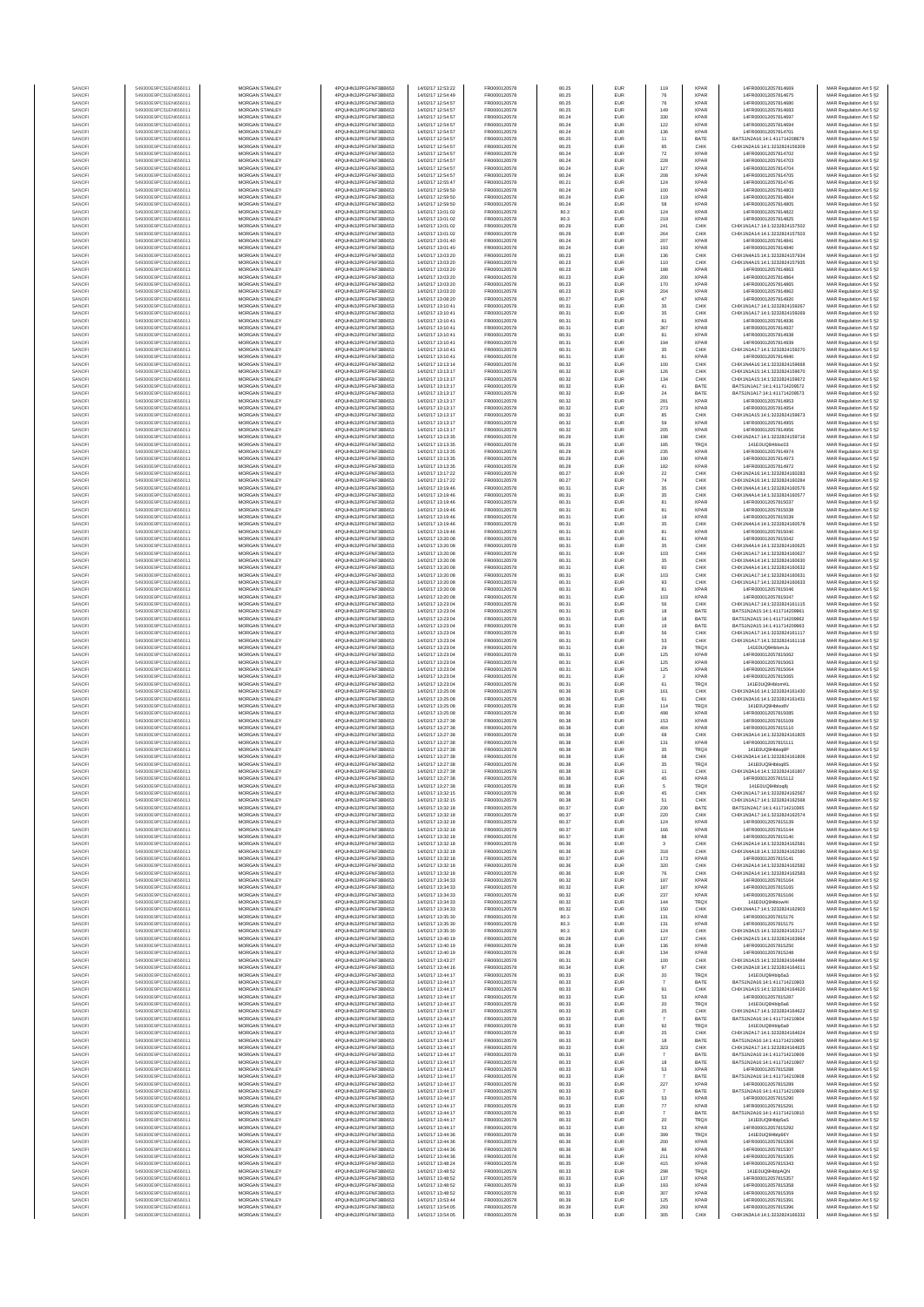|                  | 549300E9PC51EN656011                         | MORGAN STANLEY                          | 4PQUHN3JPFGFNF3BB653                          | 14/02/17 12:53:22                      | FR0000120578                 | 80.25          | EUR                      | 119                     | <b>XPAR</b>                | 14FR000012057814669                                            | MAR Regulation Art 5 §2                            |
|------------------|----------------------------------------------|-----------------------------------------|-----------------------------------------------|----------------------------------------|------------------------------|----------------|--------------------------|-------------------------|----------------------------|----------------------------------------------------------------|----------------------------------------------------|
| SANOF            | 549300E9PC51EN656011                         | MORGAN STANLEY                          | 4PQUHN3JPFGFNF3BB653                          | 14/02/17 12:54:49                      | FR0000120578                 | 80.25          | EUR                      | 76                      | <b>XPAF</b>                | 14FR000012057814675                                            | MAR Regulation Art 5 §2                            |
| SANOFI<br>SANOFI | 549300E9PC51EN656011<br>549300E9PC51EN656011 | MORGAN STANLEY<br>MORGAN STANLEY        | 4PQUHN3JPFGFNF3BB653<br>4PQUHN3JPFGFNF3BB653  | 14/02/17 12:54:57<br>14/02/17 12:54:57 | FR0000120578<br>FR0000120578 | 80.25<br>80.25 | EUR<br>EUR               | 76<br>149               | <b>XPAF</b><br><b>XPAF</b> | 14FR000012057814680<br>14FR000012057814683                     | MAR Regulation Art 5 §2<br>MAR Regulation Art 5 §2 |
| SANOFI           | 549300E9PC51EN656011                         | <b>MORGAN STANLEY</b>                   | 4PQUHN3JPFGFNF3BB653                          | 14/02/17 12:54:57                      | FR0000120578                 | 80.24          | <b>EUR</b>               | 330                     | <b>XPAR</b>                | 14FR000012057814697                                            | MAR Regulation Art 5 §2                            |
| SANOFI           | 549300E9PC51EN656011                         | <b>MORGAN STANLEY</b>                   | 4PQUHN3JPFGFNF3BB653                          | 14/02/17 12:54:57                      | FR0000120578                 | 80.24          | EUR                      | 122                     | <b>XPAR</b>                | 14FR000012057814694                                            | MAR Regulation Art 5 §2                            |
| SANOFI           | 549300E9PC51EN656011                         | MORGAN STANLEY<br>MORGAN STANLEY        | 4PQUHN3JPFGFNF3BB653                          | 14/02/17 12:54:57<br>14/02/17 12:54:57 | FR0000120578                 | 80.24          | EUR                      | 136                     | <b>XPAF</b>                | 14FR000012057814701                                            | MAR Regulation Art 5 §2                            |
| SANOFI<br>SANOFI | 549300E9PC51EN656011<br>549300E9PC51EN656011 | MORGAN STANLEY                          | 4PQUHN3JPFGFNF3BB653<br>4PQUHN3JPFGFNF3BB653  | 14/02/17 12:54:57                      | FR0000120578<br>FR0000120578 | 80.25<br>80.25 | EUR<br>EUR               | $11\,$<br>95            | BATE<br>CHIX               | BATS1N2A16:14:1:411714208679<br>CHIX1N2A16:14:1:3232824156309  | MAR Regulation Art 5 §2<br>MAR Regulation Art 5 §2 |
| SANOFI           | 549300E9PC51EN656011                         | MORGAN STANLEY                          | 4PQUHN3JPFGFNF3BB653                          | 14/02/17 12:54:57                      | FR0000120578                 | 80.24          | EUR                      | $\scriptstyle{72}$      | XPAF                       | 14FR000012057814702                                            | MAR Regulation Art 5 §2                            |
| SANOFI           | 549300E9PC51EN656011                         | MORGAN STANLEY                          | 4PQUHN3JPFGFNF3BB653                          | 14/02/17 12:54:57                      | FR0000120578                 | 80.24          | EUR                      | 228                     | XPAF                       | 14FR000012057814703                                            | MAR Regulation Art 5 §2                            |
| SANOFI<br>SANOFI | 549300E9PC51EN656011<br>549300E9PC51EN656011 | MORGAN STANLEY<br>MORGAN STANLEY        | 4PQUHN3JPFGFNF3BB653<br>4PQUHN3JPFGFNF3BB653  | 14/02/17 12:54:57<br>14/02/17 12:54:57 | FR0000120578<br>FR0000120578 | 80.24<br>80.24 | <b>EUR</b><br>EUR        | 127<br>208              | <b>XPAF</b><br><b>XPAF</b> | 14FR000012057814704<br>14FR000012057814705                     | MAR Regulation Art 5 §2<br>MAR Regulation Art 5 §2 |
| SANOFI           | 549300E9PC51EN656011                         | <b>MORGAN STANLEY</b>                   | 4PQUHN3JPFGFNF3BB653                          | 14/02/17 12:55:47                      | FR0000120578                 | 80.21          | <b>EUR</b>               | 124                     | <b>XPAR</b>                | 14FR000012057814745                                            | MAR Regulation Art 5 §2                            |
| SANOFI           | 549300E9PC51EN656011                         | <b>MORGAN STANLEY</b>                   | 4PQUHN3JPFGFNF3BB653                          | 14/02/17 12:59:50                      | FR0000120578                 | 80.24          | <b>EUR</b>               | 100                     | <b>XPAR</b>                | 14FR000012057814803                                            | MAR Regulation Art 5 §2                            |
| SANOFI           | 549300E9PC51EN656011                         | MORGAN STANLEY                          | 4PQUHN3JPFGFNF3BB653                          | 14/02/17 12:59:50                      | FR0000120578                 | 80.24          | EUR                      | 119                     | <b>XPAF</b>                | 14FR000012057814804                                            | MAR Regulation Art 5 §2                            |
| SANOFI           | 549300E9PC51EN656011                         | MORGAN STANLEY                          | 4PQUHN3JPFGFNF3BB653                          | 14/02/17 12:59:50                      | FR0000120578                 | 80.24          | EUR                      | 58                      | XPAF                       | 14FR000012057814805                                            | MAR Regulation Art 5 §2                            |
| SANOFI<br>SANOFI | 549300E9PC51EN656011<br>549300E9PC51EN656011 | MORGAN STANLEY<br>MORGAN STANLEY        | 4PQUHN3JPFGFNF3BB653<br>4PQUHN3JPFGFNF3BB653  | 14/02/17 13:01:02<br>14/02/17 13:01:02 | FR0000120578<br>FR0000120578 | 80.3<br>80.3   | EUR<br>EUR               | 124<br>219              | XPAF<br><b>XPAF</b>        | 14FR000012057814822<br>14FR000012057814825                     | MAR Regulation Art 5 §2<br>MAR Regulation Art 5 §2 |
| SANOFI           | 549300E9PC51EN656011                         | MORGAN STANLEY                          | 4PQUHN3JPFGFNF3BB653                          | 14/02/17 13:01:02                      | FR0000120578                 | 80.29          | EUR                      | 241                     | CHIX                       | CHIX1N1A17:14:1:3232824157502                                  | MAR Regulation Art 5 §2                            |
| SANOFI           | 549300E9PC51EN656011                         | MORGAN STANLEY                          | 4PQUHN3JPFGFNF3BB653                          | 14/02/17 13:01:02                      | FR0000120578                 | 80.29          | <b>EUR</b>               | 264                     | CHIX                       | CHIX1N2A14:14:1:3232824157503                                  | MAR Regulation Art 5 §2                            |
| SANOFI<br>SANOFI | 549300E9PC51EN656011<br>549300E9PC51EN656011 | <b>MORGAN STANLEY</b><br>MORGAN STANLEY | 4PQUHN3JPFGFNF3BB653<br>4PQUHN3JPFGFNF3BB653  | 14/02/17 13:01:40<br>14/02/17 13:01:40 | FR0000120578<br>FR0000120578 | 80.24          | <b>EUR</b>               | 207                     | <b>XPAF</b><br><b>XPAF</b> | 14FR000012057814841<br>14FR000012057814840                     | MAR Regulation Art 5 §2                            |
| SANOFI           | 549300E9PC51EN656011                         | MORGAN STANLEY                          | 4PQUHN3JPFGFNF3BB653                          | 14/02/17 13:03:20                      | FR0000120578                 | 80.24<br>80.23 | EUR<br>EUR               | 193<br>136              | CHIX                       | CHIX1N4A15:14:1:3232824157934                                  | MAR Regulation Art 5 §2<br>MAR Regulation Art 5 §2 |
| SANOFI           | 549300E9PC51EN656011                         | MORGAN STANLEY                          | 4PQUHN3JPFGFNF3BB653                          | 14/02/17 13:03:20                      | FR0000120578                 | 80.23          | EUR                      | 110                     | CHIX                       | CHIX1N4A15:14:1:3232824157935                                  | MAR Regulation Art 5 §2                            |
| SANOFI           | 549300E9PC51EN656011                         | MORGAN STANLEY                          | 4PQUHN3JPFGFNF3BB653                          | 14/02/17 13:03:20                      | FR0000120578                 | 80.23          | EUR                      | 188                     | <b>XPAF</b>                | 14FR000012057814863                                            | MAR Regulation Art 5 §2                            |
| SANOFI           | 549300E9PC51EN656011<br>549300E9PC51EN656011 | MORGAN STANLEY<br>MORGAN STANLEY        | 4PQUHN3JPFGFNF3BB653<br>4PQUHN3JPFGFNF3BB653  | 14/02/17 13:03:20<br>14/02/17 13:03:20 | FR0000120578<br>FR0000120578 | 80.23<br>80.23 | EUR                      | 200<br>170              | XPAF<br><b>XPAF</b>        | 14FR000012057814864<br>14FR000012057814865                     | MAR Regulation Art 5 §2<br>MAR Regulation Art 5 §2 |
| SANOFI<br>SANOFI | 549300E9PC51EN656011                         | MORGAN STANLEY                          | 4PQUHN3JPFGFNF3BB653                          | 14/02/17 13:03:20                      | FR0000120578                 | 80.23          | <b>EUR</b><br>EUR        | 204                     | <b>XPAF</b>                | 14FR000012057814862                                            | MAR Regulation Art 5 §2                            |
| SANOFI           | 549300E9PC51EN656011                         | <b>MORGAN STANLEY</b>                   | 4PQUHN3JPFGFNF3BB653                          | 14/02/17 13:08:20                      | FR0000120578                 | 80.27          | <b>EUR</b>               | $47\,$                  | <b>XPAF</b>                | 14FR000012057814920                                            | MAR Regulation Art 5 §2                            |
| SANOFI           | 549300E9PC51EN656011                         | <b>MORGAN STANLEY</b>                   | 4PQUHN3JPFGFNF3BB653                          | 14/02/17 13:10:41                      | FR0000120578                 | 80.31          | <b>EUR</b>               | 35                      | CHIX                       | CHIX1N1A17:14:1:3232824159267                                  | MAR Regulation Art 5 §2                            |
| SANOFI<br>SANOFI | 549300E9PC51EN656011<br>549300E9PC51EN656011 | MORGAN STANLEY<br>MORGAN STANLEY        | 4PQUHN3JPFGFNF3BB653<br>4PQUHN3JPFGFNF3BB653  | 14/02/17 13:10:41<br>14/02/17 13:10:41 | FR0000120578<br>FR0000120578 | 80.31<br>80.31 | EUR<br>EUR               | $3\mathrm{5}$<br>81     | CHIX<br><b>XPAF</b>        | CHIX1N1A17:14:1:3232824159269<br>14FR000012057814936           | MAR Regulation Art 5 §2<br>MAR Regulation Art 5 §2 |
| SANOF            | 549300E9PC51EN656011                         | MORGAN STANLEY                          | 4PQUHN3JPFGFNF3BB653                          | 14/02/17 13:10:41                      | FR0000120578                 | 80.31          | EUR                      | 367                     | XPAF                       | 14FR000012057814937                                            | MAR Regulation Art 5 §2                            |
| SANOFI           | 549300E9PC51EN656011                         | MORGAN STANLEY                          | 4PQUHN3JPFGFNF3BB653                          | 14/02/17 13:10:41                      | FR0000120578                 | 80.31          | EUR                      | 81                      | XPAF                       | 14FR000012057814938                                            | MAR Regulation Art 5 §2                            |
| SANOFI           | 549300E9PC51EN656011<br>549300E9PC51EN656011 | MORGAN STANLEY<br>MORGAN STANLEY        | 4PQUHN3JPFGFNF3BB653<br>4PQUHN3JPFGFNF3BB653  | 14/02/17 13:10:41<br>14/02/17 13:10:41 | FR0000120578<br>FR0000120578 | 80.31<br>80.31 | EUR                      | 194<br>35               | <b>XPAF</b><br>CHIX        | 14FR000012057814939<br>CHIX1N1A17:14:1:3232824159270           | MAR Regulation Art 5 §2<br>MAR Regulation Art 5 §2 |
| SANOFI<br>SANOFI | 549300E9PC51EN656011                         | <b>MORGAN STANLEY</b>                   | 4PQUHN3JPFGFNF3BB653                          | 14/02/17 13:10:41                      | FR0000120578                 | 80.31          | <b>EUR</b><br><b>EUR</b> | 81                      | <b>XPAR</b>                | 14FR000012057814940                                            | MAR Regulation Art 5 §2                            |
| SANOFI           | 549300E9PC51EN656011                         | <b>MORGAN STANLEY</b>                   | 4PQUHN3JPFGFNF3BB653                          | 14/02/17 13:13:14                      | FR0000120578                 | 80.32          | EUR                      | 100                     | CHIX                       | CHIX1N4A16:14:1:3232824159668                                  | MAR Regulation Art 5 §2                            |
| SANOFI           | 549300E9PC51EN656011                         | MORGAN STANLEY                          | 4PQUHN3JPFGFNF3BB653                          | 14/02/17 13:13:17                      | FR0000120578                 | 80.32          | EUR                      | 126                     | CHIX                       | CHIX1N1A15:14:1:3232824159670                                  | MAR Regulation Art 5 §2                            |
| SANOFI<br>SANOFI | 549300E9PC51EN656011<br>549300E9PC51EN656011 | MORGAN STANLEY<br>MORGAN STANLEY        | 4PQUHN3JPFGFNF3BB653<br>4PQUHN3JPFGFNF3BB653  | 14/02/17 13:13:17<br>14/02/17 13:13:17 | FR0000120578<br>FR0000120578 | 80.32<br>80.32 | EUR<br>EUR               | 134<br>$41\,$           | CHIX<br>BATE               | CHIX1N1A15:14:1:3232824159672<br>BATS1N1A17:14:1:411714209572  | MAR Regulation Art 5 §2<br>MAR Regulation Art 5 §2 |
| SANOF            | 549300E9PC51EN656011                         | MORGAN STANLEY                          | 4PQUHN3JPFGFNF3BB653                          | 14/02/17 13:13:17                      | FR0000120578                 | 80.32          | EUR                      | $\bf 24$                | BATE                       | BATS1N1A17:14:1:411714209573                                   | MAR Regulation Art 5 §2                            |
| SANOFI           | 549300E9PC51EN656011                         | MORGAN STANLEY                          | 4PQUHN3JPFGFNF3BB653                          | 14/02/17 13:13:17                      | FR0000120578                 | 80.32          | EUR                      | 281                     | XPAF                       | 14FR000012057814953                                            | MAR Regulation Art 5 §2                            |
| SANOFI           | 549300E9PC51EN656011                         | MORGAN STANLEY                          | 4PQUHN3JPFGFNF3BB653<br>4PQUHN3JPFGFNF3BB653  | 14/02/17 13:13:17                      | FR0000120578                 | 80.32          | EUR                      | 273                     | <b>XPAF</b>                | 14FR000012057814954                                            | MAR Regulation Art 5 §2                            |
| SANOFI<br>SANOFI | 549300E9PC51EN656011<br>549300E9PC51EN656011 | MORGAN STANLEY<br><b>MORGAN STANLEY</b> | 4PQUHN3JPFGFNF3BB653                          | 14/02/17 13:13:17<br>14/02/17 13:13:17 | FR0000120578<br>FR0000120578 | 80.32<br>80.32 | <b>EUR</b><br><b>EUR</b> | 85<br>59                | CHIX<br><b>XPAF</b>        | CHIX1N1A15:14:1:3232824159673<br>14FR000012057814955           | MAR Regulation Art 5 §2<br>MAR Regulation Art 5 §2 |
| SANOFI           | 549300E9PC51EN656011                         | MORGAN STANLEY                          | 4PQUHN3JPFGFNF3BB653                          | 14/02/17 13:13:17                      | FR0000120578                 | 80.32          | <b>EUR</b>               | 205                     | <b>XPAF</b>                | 14FR000012057814956                                            | MAR Regulation Art 5 §2                            |
| SANOFI           | 549300E9PC51EN656011                         | MORGAN STANLEY                          | 4PQUHN3JPFGFNF3BB653                          | 14/02/17 13:13:35                      | FR0000120578                 | 80.29          | EUR                      | 198                     | CHIX                       | CHIX1N2A17:14:1:3232824159716                                  | MAR Regulation Art 5 §2                            |
| SANOFI           | 549300E9PC51EN656011                         | MORGAN STANLEY                          | 4PQUHN3JPFGFNF3BB653                          | 14/02/17 13:13:35                      | FR0000120578                 | 80.29          | EUR                      | 185                     | TRQ)                       | 141E0UQ9Hbloc03<br>14FR000012057814974                         | MAR Regulation Art 5 §2                            |
| SANOFI<br>SANOFI | 549300E9PC51EN656011<br>549300E9PC51EN656011 | MORGAN STANLEY<br>MORGAN STANLEY        | 4PQUHN3JPFGFNF3BB653<br>4PQUHN3JPFGFNF3BB653  | 14/02/17 13:13:35<br>14/02/17 13:13:35 | FR0000120578<br>FR0000120578 | 80.29<br>80.29 | EUR<br>EUR               | 235<br>190              | <b>XPAF</b><br>XPAF        | 14FR000012057814973                                            | MAR Regulation Art 5 §2<br>MAR Regulation Art 5 §2 |
| SANOFI           | 549300E9PC51EN656011                         | MORGAN STANLEY                          | 4PQUHN3JPFGFNF3BB653                          | 14/02/17 13:13:35                      | FR0000120578                 | 80.29          | <b>EUR</b>               | 182                     | <b>XPAF</b>                | 14FR000012057814972                                            | MAR Regulation Art 5 §2                            |
| SANOFI           | 549300E9PC51EN656011                         | MORGAN STANLEY                          | 4PQUHN3JPFGFNF3BB653                          | 14/02/17 13:17:22                      | FR0000120578                 | 80.27          | EUR                      | $\bf{22}$               | CHIX                       | CHIX1N2A16:14:1:3232824160283                                  | MAR Regulation Art 5 §2                            |
| SANOFI           | 549300E9PC51EN656011                         | <b>MORGAN STANLEY</b>                   | 4PQUHN3JPFGFNF3BB653                          | 14/02/17 13:17:22                      | FR0000120578                 | 80.27          | <b>EUR</b>               | $\frac{74}{35}$         | CHIX                       | CHIX1N2A16:14:1:3232824160284                                  | MAR Regulation Art 5 §2                            |
| SANOFI<br>SANOFI | 549300E9PC51EN656011<br>549300E9PC51EN656011 | <b>MORGAN STANLEY</b><br>MORGAN STANLEY | 4PQUHN3JPFGFNF3BB653<br>4PQUHN3JPFGFNF3BB653  | 14/02/17 13:19:46<br>14/02/17 13:19:46 | FR0000120578<br>FR0000120578 | 80.31<br>80.31 | <b>EUR</b><br>EUR        | $3\mathrm{5}$           | CHIX<br>CHIX               | CHIX1N4A14:14:1:3232824160576<br>CHIX1N4A14:14:1:3232824160577 | MAR Regulation Art 5 §2<br>MAR Regulation Art 5 §2 |
| SANOFI           | 549300E9PC51EN656011                         | MORGAN STANLEY                          | 4PQUHN3JPFGFNF3BB653                          | 14/02/17 13:19:46                      | FR0000120578                 | 80.31          | EUR                      | 81                      | XPAF                       | 14FR000012057815037                                            | MAR Regulation Art 5 §2                            |
| SANOFI           | 549300E9PC51EN656011                         | MORGAN STANLEY                          | 4PQUHN3JPFGFNF3BB653                          | 14/02/17 13:19:46                      | FR0000120578                 | 80.31          | EUR                      | 81                      | XPAF                       | 14FR000012057815038                                            | MAR Regulation Art 5 §2                            |
| SANOFI           | 549300E9PC51EN656011                         | MORGAN STANLEY                          | 4PQUHN3JPFGFNF3BB653                          | 14/02/17 13:19:46                      | FR0000120578                 | 80.31          | EUR                      | 19                      | <b>XPAF</b>                | 14FR000012057815039                                            | MAR Regulation Art 5 §2                            |
| SANOFI<br>SANOFI | 549300E9PC51EN656011<br>549300E9PC51EN656011 | MORGAN STANLEY<br>MORGAN STANLEY        | 4PQUHN3JPFGFNF3BB653<br>4PQUHN3JPFGFNF3BB653  | 14/02/17 13:19:46<br>14/02/17 13:19:46 | FR0000120578<br>FR0000120578 | 80.31<br>80.31 | EUR<br><b>EUR</b>        | $35\,$<br>81            | CHIX<br><b>XPAF</b>        | CHIX1N4A14:14:1:3232824160578<br>14FR000012057815040           | MAR Regulation Art 5 §2<br>MAR Regulation Art 5 §2 |
| SANOFI           | 549300E9PC51EN656011                         | <b>MORGAN STANLEY</b>                   | 4PQUHN3JPFGFNF3BB653                          | 14/02/17 13:20:08                      | FR0000120578                 | 80.31          | EUR                      | 81                      | <b>XPAF</b>                | 14FR000012057815042                                            | MAR Regulation Art 5 §2                            |
| SANOFI           | 549300E9PC51EN656011                         | <b>MORGAN STANLEY</b>                   | 4PQUHN3JPFGFNF3BB653                          | 14/02/17 13:20:08                      | FR0000120578                 | 80.31          | EUR                      | 35                      | CHIX                       | CHIX1N4A14:14:1:3232824160625                                  | MAR Regulation Art 5 §2                            |
| SANOFI<br>SANOFI | 549300E9PC51EN656011<br>549300E9PC51EN656011 | MORGAN STANLEY<br>MORGAN STANLEY        | 4PQUHN3JPFGFNF3BB653<br>4PQUHN3JPFGFNF3BB653  | 14/02/17 13:20:08<br>14/02/17 13:20:08 | FR0000120578<br>FR0000120578 | 80.31<br>80.31 | EUR<br>EUR               | 103                     | CHIX<br>CHIX               | CHIX1N1A17:14:1:3232824160627<br>CHIX1N4A14:14:1:3232824160630 | MAR Regulation Art 5 §2                            |
| SANOFI           | 549300E9PC51EN656011                         | MORGAN STANLEY                          | 4PQUHN3JPFGFNF3BB653                          | 14/02/17 13:20:08                      | FR0000120578                 | 80.31          | EUR                      | $35\,$<br>60            | CHIX                       | CHIX1N4A14:14:1:3232824160632                                  | MAR Regulation Art 5 §2<br>MAR Regulation Art 5 §2 |
| SANOFI           | 549300E9PC51EN656011                         | MORGAN STANLEY                          | 4PQUHN3JPFGFNF3BB653                          | 14/02/17 13:20:08                      | FR0000120578                 | 80.31          | EUR                      | 103                     | CHIX                       | CHIX1N1A17:14:1:3232824160631                                  | MAR Regulation Art 5 §2                            |
| SANOFI           | 549300E9PC51EN656011                         | MORGAN STANLEY                          | 4PQUHN3JPFGFNF3BB653                          | 14/02/17 13:20:08                      | FR0000120578                 | 80.31          | <b>EUR</b>               | 93                      | CHIX                       | CHIX1N1A17:14:1:3232824160633                                  | MAR Regulation Art 5 §2                            |
| SANOFI<br>SANOFI | 549300E9PC51EN656011<br>549300E9PC51EN656011 | MORGAN STANLEY<br><b>MORGAN STANLEY</b> | 4PQUHN3JPFGFNF3BB653<br>4PQUHN3JPFGFNF3BB653  | 14/02/17 13:20:08<br>14/02/17 13:20:08 | FR0000120578<br>FR0000120578 | 80.31<br>80.31 | EUR<br><b>EUR</b>        | 81<br>103               | <b>XPAF</b><br><b>XPAF</b> | 14FR000012057815046<br>14FR000012057815047                     | MAR Regulation Art 5 §2<br>MAR Regulation Art 5 §2 |
| SANOFI           | 549300E9PC51EN656011                         | <b>MORGAN STANLEY</b>                   | 4PQUHN3JPFGFNF3BB653                          | 14/02/17 13:23:04                      | FR0000120578                 | 80.31          | <b>EUR</b>               | 56                      | CHIX                       | CHIX1N1A17:14:1:3232824161115                                  | MAR Regulation Art 5 §2                            |
| SANOFI           | 549300E9PC51EN656011                         | MORGAN STANLEY                          | 4PQUHN3JPFGFNF3BB653                          | 14/02/17 13:23:04                      | FR0000120578                 | 80.31          | EUR                      | $18\,$                  | BATE                       | BATS1N2A15:14:1:411714209961                                   | MAR Regulation Art 5 §2                            |
| SANOFI           | 549300E9PC51EN656011                         | MORGAN STANLEY                          | 4PQUHN3JPFGFNF3BB653                          | 14/02/17 13:23:04                      | FR0000120578                 | 80.31          | EUR                      | $18\,$                  | BATE                       | BATS1N2A15:14:1:411714209962                                   | MAR Regulation Art 5 §2                            |
| SANOF<br>SANOFI  | 549300E9PC51EN656011<br>549300E9PC51EN656011 | MORGAN STANLEY<br>MORGAN STANLEY        | 4PQUHN3JPFGFNF3BB653<br>4PQUHN3JPFGFNF3BB653  | 14/02/17 13:23:04<br>14/02/17 13:23:04 | FR0000120578<br>FR0000120578 | 80.31<br>80.31 | EUR<br>EUR               | 19<br>56                | BATE<br>CHIX               | BATS1N2A15:14:1:411714209963<br>CHIX1N1A17:14:1:3232824161117  | MAR Regulation Art 5 §2<br>MAR Regulation Art 5 §2 |
| SANOFI           | 549300E9PC51EN656011                         | MORGAN STANLEY                          | 4PQUHN3JPFGFNF3BB653                          | 14/02/17 13:23:04                      | FR0000120578                 | 80.31          | EUR                      | 53                      | CHIX                       | CHIX1N1A17:14:1:3232824161118                                  | MAR Regulation Art 5 §2                            |
| SANOFI           | 549300E9PC51EN656011                         | MORGAN STANLEY                          | 4PQUHN3JPFGFNF3BB653                          | 14/02/17 13:23:04                      | FR0000120578                 | 80.31          | <b>EUR</b>               | 29                      | TRQX                       | 141E0UQ9HblomJu                                                | MAR Regulation Art 5 §2                            |
| SANOFI<br>SANOFI | 549300E9PC51EN656011<br>549300E9PC51EN656011 | MORGAN STANLEY<br><b>MORGAN STANLEY</b> | 4PQUHN3JPFGFNF3BB653<br>4PQUHN3JPFGFNF3BB653  | 14/02/17 13:23:04<br>14/02/17 13:23:04 | FR0000120578<br>FR0000120578 | 80.31<br>80.31 | EUR<br><b>EUR</b>        | 125                     | <b>XPAR</b><br><b>XPAR</b> | 14FR000012057815062<br>14FR000012057815063                     | MAR Regulation Art 5 §2                            |
| SANOFI           | 549300E9PC51EN656011                         | <b>MORGAN STANLEY</b>                   | 4PQUHN3JPFGFNF3BB653                          | 14/02/17 13:23:04                      | FR0000120578                 | 80.31          | EUR                      | 125<br>125              | <b>XPAR</b>                | 14FR000012057815064                                            | MAR Regulation Art 5 §2<br>MAR Regulation Art 5 §2 |
| SANOFI           | 549300E9PC51EN656011                         | MORGAN STANLEY                          | 4PQUHN3JPFGFNF3BB653                          | 14/02/17 13:23:04                      | FR0000120578                 | 80.31          | EUR                      | $\sqrt{2}$              | <b>XPAF</b>                | 14FR000012057815065                                            | MAR Regulation Art 5 §2                            |
| SANOFI           | 549300E9PC51EN656011                         | MORGAN STANLEY                          | 4PQUHN3JPFGFNF3BB653                          | 14/02/17 13:23:04                      | FR0000120578                 | 80.31          | EUR                      | 61                      | TRQ)                       | 141E0UQ9HblomK                                                 | MAR Regulation Art 5 §2                            |
| SANOFI<br>SANOFI | 549300E9PC51EN656011<br>549300E9PC51EN656011 | MORGAN STANLEY<br>MORGAN STANLEY        | 4PQUHN3JPFGFNF3BB653<br>4PQUHN3JPFGFNF3BB653  | 14/02/17 13:25:08<br>14/02/17 13:25:08 | FR0000120578<br>FR0000120578 | 80.36<br>80.36 | EUR<br>EUR               | 161<br>61               | CHIX<br>CHIX               | CHIX1N3A16:14:1:3232824161430<br>CHIX1N3A16:14:1:3232824161431 | MAR Regulation Art 5 §2<br>MAR Regulation Art 5 §2 |
| SANOFI           | 549300E9PC51EN656011                         | MORGAN STANLEY                          | 4PQUHN3JPFGFNF3BB653                          | 14/02/17 13:25:08                      | FR0000120578                 | 80.36          | EUR                      | 114                     | TRQ)                       | 141E0UQ9Hbloo8V                                                | MAR Regulation Art 5 §2                            |
| SANOFI           | 549300E9PC51EN656011                         | MORGAN STANLEY                          | 4PQUHN3JPFGFNF3BB653                          | 14/02/17 13:25:08                      | FR0000120578                 | 80.36          | <b>EUR</b>               | 498                     | <b>XPAR</b>                | 14FR000012057815085                                            | MAR Regulation Art 5 §2                            |
| SANOFI           | 549300E9PC51EN656011                         | <b>MORGAN STANLEY</b>                   | 4PQUHN3JPFGFNF3BB653<br>4POLIHN3JPEGENE3BB653 | 14/02/17 13:27:38<br>14/02/17 13:27:38 | FR0000120578<br>FR0000120578 | 80.38          | <b>EUR</b>               | 153                     | <b>XPAR</b>                | 14FR000012057815109                                            | MAR Regulation Art 5 §2                            |
| SANOFI<br>SANOFI | 549300E9PC51EN656011<br>549300E9PC51EN656011 | <b>MORGAN STANLEY</b><br>MORGAN STANLEY | 4PQUHN3JPFGFNF3BB653                          | 14/02/17 13:27:38                      | FR0000120578                 | 80.38<br>80.38 | <b>EUR</b><br>EUR        | 404<br>68               | <b>XPAR</b><br>CHIX        | 14FR000012057815110<br>CHIX1N3A14:14:1:3232824161805           | MAR Regulation Art 5 §2<br>MAR Regulation Art 5 §2 |
| SANOFI           | 549300E9PC51EN656011                         | MORGAN STANLEY                          | 4PQUHN3JPFGFNF3BB653                          | 14/02/17 13:27:38                      | FR0000120578                 | 80.38          | EUR                      | 131                     | <b>XPAF</b>                | 14FR000012057815111                                            | MAR Regulation Art 5 §2                            |
| SANOF            | 549300E9PC51EN656011                         | MORGAN STANLEY                          | 4PQUHN3JPFGFNF3BB653                          | 14/02/17 13:27:38                      | FR0000120578                 | 80.38          | EUR                      | $35\,$                  | TRQ)                       | 141E0UQ9Hblog8F                                                | MAR Regulation Art 5 §2                            |
| SANOF<br>SANOFI  | 549300E9PC51EN656011<br>549300E9PC51EN656011 | MORGAN STANLEY<br>MORGAN STANLEY        | 4PQUHN3JPFGFNF3BB653<br>4PQUHN3JPFGFNF3BB653  | 14/02/17 13:27:38<br>14/02/17 13:27:38 | FR0000120578<br>FR0000120578 | 80.38<br>80.38 | EUR                      | 68<br>35                | CHIX<br>TRQ)               | CHIX1N3A14:14:1:3232824161806<br>141E0UQ9Hblog8S               | MAR Regulation Art 5 §2<br>MAR Regulation Art 5 §2 |
| SANOFI           | 549300E9PC51EN656011                         | MORGAN STANLEY                          | 4PQUHN3JPFGFNF3BB653                          | 14/02/17 13:27:38                      | FR0000120578                 | 80.38          | <b>EUR</b><br><b>EUR</b> | 11                      | CHIX                       | CHIX1N3A14:14:1:3232824161807                                  | MAR Regulation Art 5 §2                            |
| <b>SANOF</b>     |                                              | <b>IORGAN STANLEY</b>                   | OLIHN3-IPEGENE3BI                             | 4/02/17 13:27:31                       | FR000012057                  | 30.38          | <b>FUR</b>               | 45                      | <b>CPAR</b>                | 14FR00001205781511                                             | MAR Regulation Art 5.62                            |
| SANOFI           | 549300E9PC51EN656011                         | <b>MORGAN STANLEY</b>                   | 4PQUHN3JPFGFNF3BB653                          | 14/02/17 13:27:38                      | FR0000120578                 | 80.38          | <b>EUR</b>               | 5                       | <b>TRQX</b>                | 141E0UQ9Hblog8i<br>CHIX1N1A17:14:1:3232824162567               | MAR Regulation Art 5 §2                            |
| SANOFI<br>SANOFI | 549300E9PC51EN656011<br>549300E9PC51EN656011 | MORGAN STANLEY<br>MORGAN STANLEY        | 4PQUHN3JPFGFNF3BB653<br>4PQUHN3JPFGFNF3BB653  | 14/02/17 13:32:15<br>14/02/17 13:32:15 | FR0000120578<br>FR0000120578 | 80.38<br>80.38 | EUR<br>EUR               | 45<br>51                | CHIX<br>CHIX               | CHIX1N1A17:14:1:3232824162568                                  | MAR Regulation Art 5 §2<br>MAR Regulation Art 5 §2 |
| SANOFI           | 549300E9PC51EN656011                         | MORGAN STANLEY                          | 4PQUHN3JPFGFNF3BB653                          | 14/02/17 13:32:18                      | FR0000120578                 | 80.37          | EUR                      | 230                     | BATE                       | BATS1N2A17:14:1:411714210365                                   | MAR Regulation Art 5 §2                            |
| SANOFI           | 549300E9PC51EN656011                         | MORGAN STANLEY                          | 4PQUHN3JPFGFNF3BB653                          | 14/02/17 13:32:18                      | FR0000120578                 | 80.37          | EUR                      | 220                     | CHIX                       | CHIX1N3A17:14:1:3232824162574                                  | MAR Regulation Art 5 §2                            |
| SANOFI<br>SANOFI | 549300E9PC51EN656011<br>549300E9PC51EN656011 | MORGAN STANLEY<br>MORGAN STANLEY        | 4PQUHN3JPFGFNF3BB653<br>4PQUHN3JPFGFNF3BB653  | 14/02/17 13:32:18<br>14/02/17 13:32:18 | FR0000120578<br>FR0000120578 | 80.37<br>80.37 | <b>EUR</b><br><b>EUR</b> | 124<br>166              | <b>XPAR</b><br><b>XPAR</b> | 14FR000012057815139<br>14FR000012057815144                     | MAR Regulation Art 5 §2<br>MAR Regulation Art 5 §2 |
| SANOFI           | 549300E9PC51EN656011                         | <b>MORGAN STANLEY</b>                   | 4PQUHN3JPFGFNF3BB653                          | 14/02/17 13:32:18                      | FR0000120578                 | 80.37          | <b>EUR</b>               | 88                      | <b>XPAR</b>                | 14FR000012057815140                                            | MAR Regulation Art 5 §2                            |
| SANOFI           | 549300E9PC51EN656011                         | MORGAN STANLEY                          | 4PQUHN3JPFGFNF3BB653                          | 14/02/17 13:32:18                      | FR0000120578                 | 80.36          | <b>EUR</b>               | $\overline{\mathbf{3}}$ | CHIX                       | CHIX1N2A14:14:1:3232824162581                                  | MAR Regulation Art 5 §2                            |
| SANOFI           | 549300E9PC51EN656011                         | MORGAN STANLEY                          | 4PQUHN3JPFGFNF3BB653                          | 14/02/17 13:32:18                      | FR0000120578                 | 80.36          | EUR                      | 318                     | CHIX                       | CHIX1N4A18:14:1:3232824162580                                  | MAR Regulation Art 5 §2                            |
| SANOFI<br>SANOFI | 549300E9PC51EN656011<br>549300E9PC51EN656011 | MORGAN STANLEY<br>MORGAN STANLEY        | 4PQUHN3JPFGFNF3BB653<br>4PQUHN3JPFGFNF3BB653  | 14/02/17 13:32:18<br>14/02/17 13:32:18 | FR0000120578<br>FR0000120578 | 80.37<br>80.36 | <b>EUR</b><br>EUR        | 173<br>320              | <b>XPAF</b><br>CHIX        | 14FR000012057815141<br>CHIX1N2A14:14:1:3232824162582           | MAR Regulation Art 5 §2<br>MAR Regulation Art 5 §2 |
| SANOFI           | 549300E9PC51EN656011                         | MORGAN STANLEY                          | 4PQUHN3JPFGFNF3BB653                          | 14/02/17 13:32:18                      | FR0000120578                 | 80.36          | EUR                      | 76                      | CHIX                       | CHIX1N2A14:14:1:3232824162583                                  | MAR Regulation Art 5 §2                            |
| SANOFI           | 549300E9PC51EN656011<br>549300E9PC51EN656011 | MORGAN STANLEY                          | 4PQUHN3JPFGFNF3BB653                          | 14/02/17 13:34:33                      | FR0000120578                 | 80.32          | EUR                      | 187                     | <b>XPAF</b><br><b>XPAR</b> | 14FR000012057815164                                            | MAR Regulation Art 5 §2                            |
| SANOFI<br>SANOFI | 549300E9PC51EN656011                         | MORGAN STANLEY<br>MORGAN STANLEY        | 4PQUHN3JPFGFNF3BB653<br>4PQUHN3JPFGFNF3BB653  | 14/02/17 13:34:33<br>14/02/17 13:34:33 | FR0000120578<br>FR0000120578 | 80.32<br>80.32 | <b>EUR</b><br><b>EUR</b> | 187<br>237              | <b>XPAR</b>                | 14FR000012057815165<br>14FR000012057815166                     | MAR Regulation Art 5 §2<br>MAR Regulation Art 5 §2 |
| SANOFI           | 549300E9PC51EN656011                         | <b>MORGAN STANLEY</b>                   | 4PQUHN3JPFGFNF3BB653                          | 14/02/17 13:34:33                      | FR0000120578                 | 80.32          | <b>EUR</b>               | 144                     | <b>TRQX</b>                | 141 FOLIO9HblowHi                                              | MAR Regulation Art 5 §2                            |
| SANOFI           | 549300E9PC51EN656011                         | <b>MORGAN STANLEY</b>                   | 4PQUHN3JPFGFNF3BB653                          | 14/02/17 13:34:33                      | FR0000120578                 | 80.32          | <b>EUR</b>               | 150                     | CHIX                       | CHIX1N4A17:14:1:3232824162903                                  | MAR Regulation Art 5 §2                            |
| SANOFI<br>SANOFI | 549300E9PC51EN656011<br>549300E9PC51EN656011 | MORGAN STANLEY<br>MORGAN STANLEY        | 4POLIHN3JPEGENE3BB653<br>4PQUHN3JPFGFNF3BB653 | 14/02/17 13:35:30<br>14/02/17 13:35:30 | FR0000120578<br>FR0000120578 | 80.3<br>80.3   | EUR<br>EUR               | 131<br>131              | <b>XPAR</b><br><b>XPAR</b> | 14FR000012057815176<br>14FR000012057815175                     | MAR Regulation Art 5 §2<br>MAR Regulation Art 5 §2 |
| SANOFI           | 549300E9PC51EN656011                         | MORGAN STANLEY                          | 4PQUHN3JPFGFNF3BB653                          | 14/02/17 13:35:30                      | FR0000120578                 | 80.3           | EUR                      | 124                     | CHIX                       | CHIX1N3A15:14:1:3232824163117                                  | MAR Regulation Art 5 §2                            |
| SANOFI           | 549300E9PC51EN656011                         | MORGAN STANLEY                          | 4PQUHN3JPFGFNF3BB653                          | 14/02/17 13:40:19                      | FR0000120578                 | 80.28          | EUR                      | 137                     | CHIX                       | CHIX1N2A15:14:1:3232824163964                                  | MAR Regulation Art 5 §2                            |
| SANOFI           | 549300E9PC51EN656011                         | MORGAN STANLEY                          | 4PQUHN3JPFGFNF3BB653                          | 14/02/17 13:40:19                      | FR0000120578                 | 80.28          | <b>EUR</b>               | 136                     | <b>XPAR</b><br><b>XPAR</b> | 14FR000012057815250                                            | MAR Regulation Art 5 §2                            |
| SANOFI<br>SANOFI | 549300E9PC51EN656011<br>549300E9PC51EN656011 | MORGAN STANLEY<br><b>MORGAN STANLEY</b> | 4PQUHN3JPFGFNF3BB653<br>4PQUHN3JPFGFNF3BB653  | 14/02/17 13:40:19<br>14/02/17 13:43:27 | FR0000120578<br>FR0000120578 | 80.28<br>80.31 | EUR<br><b>EUR</b>        | 134<br>100              | CHIX                       | 14FR000012057815248<br>CHIX1N1A15:14:1:3232824164484           | MAR Regulation Art 5 §2<br>MAR Regulation Art 5 §2 |
| SANOFI           | 549300E9PC51EN656011                         | <b>MORGAN STANLEY</b>                   | 4PQUHN3JPFGFNF3BB653                          | 14/02/17 13:44:16                      | FR0000120578                 | 80.34          | <b>EUR</b>               | 97                      | CHIX                       | CHIX1N3A18:14:1:3232824164611                                  | MAR Regulation Art 5 §2                            |
| SANOFI           | 549300E9PC51EN656011                         | MORGAN STANLEY                          | 4PQUHN3JPFGFNF3BB653                          | 14/02/17 13:44:17                      | FR0000120578                 | 80.33          | EUR                      | $20\,$                  | TRQX                       | 141E0UQ9Hblp5a3                                                | MAR Regulation Art 5 §2                            |
| SANOFI<br>SANOF  | 549300E9PC51EN656011<br>549300E9PC51EN656011 | MORGAN STANLEY<br>MORGAN STANLEY        | 4PQUHN3JPFGFNF3BB653<br>4PQUHN3JPFGFNF3BB653  | 14/02/17 13:44:17<br>14/02/17 13:44:17 | FR0000120578<br>FR0000120578 | 80.33<br>80.33 | EUR<br>EUR               | $\overline{7}$<br>91    | BATE<br>CHIX               | BATS1N2A16:14:1:411714210903<br>CHIX1N1A15:14:1:3232824164620  | MAR Regulation Art 5 §2<br>MAR Regulation Art 5 §2 |
| SANOFI           | 549300E9PC51EN656011                         | MORGAN STANLEY                          | 4PQUHN3JPFGFNF3BB653                          | 14/02/17 13:44:17                      | FR0000120578                 | 80.33          | EUR                      | 53                      | XPAF                       | 14FR000012057815287                                            | MAR Regulation Art 5 §2                            |
| SANOFI           | 549300E9PC51EN656011                         | MORGAN STANLEY                          | 4PQUHN3JPFGFNF3BB653                          | 14/02/17 13:44:17                      | FR0000120578                 | 80.33          | EUR                      | $20\,$                  | <b>TRQX</b>                | 141E0UQ9Hblp5a6                                                | MAR Regulation Art 5 §2                            |
| SANOFI<br>SANOFI | 549300E9PC51EN656011<br>549300E9PC51EN656011 | MORGAN STANLEY<br><b>MORGAN STANLEY</b> | 4PQUHN3JPFGFNF3BB653<br>4PQUHN3JPFGFNF3BB653  | 14/02/17 13:44:17<br>14/02/17 13:44:17 | FR0000120578<br>FR0000120578 | 80.33<br>80.33 | <b>EUR</b><br><b>EUR</b> | 25<br>$\overline{7}$    | CHIX<br>BATE               | CHIX1N2A17:14:1:3232824164622<br>BATS1N2A16:14:1:411714210904  | MAR Regulation Art 5 §2                            |
| SANOFI           | 549300E9PC51EN656011                         | <b>MORGAN STANLEY</b>                   | 4PQUHN3JPFGFNF3BB653                          | 14/02/17 13:44:17                      | FR0000120578                 | 80.33          | <b>EUR</b>               | 92                      | <b>TRQX</b>                | 141E0UQ9Hblp5a9                                                | MAR Regulation Art 5 §2<br>MAR Regulation Art 5 §2 |
| SANOFI           | 549300E9PC51EN656011                         | MORGAN STANLEY                          | 4PQUHN3JPFGFNF3BB653                          | 14/02/17 13:44:17                      | FR0000120578                 | 80.33          | EUR                      | $25\,$                  | CHIX                       | CHIX1N2A17:14:1:3232824164624                                  | MAR Regulation Art 5 §2                            |
| SANOFI           | 549300E9PC51EN656011                         | MORGAN STANLEY                          | 4PQUHN3JPFGFNF3BB653                          | 14/02/17 13:44:17                      | FR0000120578                 | 80.33          | EUR                      | $18\,$                  | BATE                       | BATS1N2A16:14:1:411714210905                                   | MAR Regulation Art 5 §2                            |
| SANOF<br>SANOFI  | 549300E9PC51EN656011<br>549300E9PC51EN656011 | MORGAN STANLEY<br>MORGAN STANLEY        | 4PQUHN3JPFGFNF3BB653<br>4PQUHN3JPFGFNF3BB653  | 14/02/17 13:44:17<br>14/02/17 13:44:17 | FR0000120578<br>FR0000120578 | 80.33<br>80.33 | EUR<br>EUR               | 323<br>$\overline{7}$   | CHIX<br>BATE               | CHIX1N2A17:14:1:3232824164625<br>BATS1N2A16:14:1:411714210906  | MAR Regulation Art 5 §2<br>MAR Regulation Art 5 §2 |
| SANOFI           | 549300E9PC51EN656011                         | MORGAN STANLEY                          | 4PQUHN3JPFGFNF3BB653                          | 14/02/17 13:44:17                      | FR0000120578                 | 80.33          | <b>EUR</b>               | 18                      | BATE                       | BATS1N2A16:14:1:411714210907                                   | MAR Regulation Art 5 §2                            |
| SANOFI           | 549300E9PC51EN656011                         | MORGAN STANLEY                          | 4PQUHN3JPFGFNF3BB653                          | 14/02/17 13:44:17                      | FR0000120578                 | 80.33          | EUR                      | 53                      | <b>XPAF</b>                | 14FR000012057815288                                            | MAR Regulation Art 5 §2                            |
| SANOFI           | 549300E9PC51EN656011                         | <b>MORGAN STANLEY</b>                   | 4PQUHN3JPFGFNF3BB653                          | 14/02/17 13:44:17                      | FR0000120578                 | 80.33          | <b>EUR</b>               | $\overline{7}$          | BATE                       | BATS1N2A16:14:1:411714210908                                   | MAR Regulation Art 5 §2                            |
| SANOFI<br>SANOFI | 549300E9PC51EN656011<br>549300E9PC51EN656011 | <b>MORGAN STANLEY</b><br>MORGAN STANLEY | 4PQUHN3JPFGFNF3BB653<br>4PQUHN3JPFGFNF3BB653  | 14/02/17 13:44:17<br>14/02/17 13:44:17 | FR0000120578<br>FR0000120578 | 80.33<br>80.33 | <b>EUR</b><br>EUR        | 227<br>$\overline{7}$   | <b>XPAR</b><br>BATE        | 14FR000012057815289<br>BATS1N2A16:14:1:411714210909            | MAR Regulation Art 5 §2<br>MAR Regulation Art 5 §2 |
| SANOFI           | 549300E9PC51EN656011                         | MORGAN STANLEY                          | 4PQUHN3JPFGFNF3BB653                          | 14/02/17 13:44:17                      | FR0000120578                 | 80.33          | EUR                      | 53                      | <b>XPAR</b>                | 14FR000012057815290                                            | MAR Regulation Art 5 §2                            |
| SANOFI           | 549300E9PC51EN656011                         | MORGAN STANLEY                          | 4PQUHN3JPFGFNF3BB653                          | 14/02/17 13:44:17                      | FR0000120578                 | 80.33          | EUR                      | $77\,$                  | XPAF                       | 14FR000012057815291                                            | MAR Regulation Art 5 §2                            |
| SANOFI<br>SANOFI | 549300E9PC51EN656011<br>549300E9PC51EN656011 | MORGAN STANLEY<br>MORGAN STANLEY        | 4PQUHN3JPFGFNF3BB653<br>4PQUHN3JPFGFNF3BB653  | 14/02/17 13:44:17<br>14/02/17 13:44:17 | FR0000120578<br>FR0000120578 | 80.33<br>80.33 | EUR<br>EUR               | $20\,$                  | BATE<br>TRQ)               | BATS1N2A16:14:1:411714210910<br>141E0UQ9Hblp5aS                | MAR Regulation Art 5 §2<br>MAR Regulation Art 5 §2 |
| SANOFI           | 549300E9PC51EN656011                         | MORGAN STANLEY                          | 4PQUHN3JPFGFNF3BB653                          | 14/02/17 13:44:17                      | FR0000120578                 | 80.33          | <b>EUR</b>               | 53                      | <b>XPAR</b>                | 14FR000012057815292                                            | MAR Regulation Art 5 §2                            |
| SANOFI           | 549300E9PC51EN656011                         | MORGAN STANLEY                          | 4PQUHN3JPFGFNF3BB653                          | 14/02/17 13:44:36                      | FR0000120578                 | 80.36          | EUR                      | 399                     | <b>TRQX</b>                | 141E0UQ9Hblp66Y                                                | MAR Regulation Art 5 §2                            |
| SANOFI           | 549300E9PC51EN656011                         | <b>MORGAN STANLEY</b>                   | 4PQUHN3JPFGFNF3BB653                          | 14/02/17 13:44:36                      | FR0000120578                 | 80.36          | <b>EUR</b>               | 200                     | <b>XPAR</b>                | 14FR000012057815306                                            | MAR Regulation Art 5 §2                            |
| SANOFI<br>SANOFI | 549300E9PC51EN656011<br>549300E9PC51EN656011 | <b>MORGAN STANLEY</b><br>MORGAN STANLEY | 4PQUHN3JPFGFNF3BB653<br>4PQUHN3JPFGFNF3BB653  | 14/02/17 13:44:36<br>14/02/17 13:44:36 | FR0000120578<br>FR0000120578 | 80.36<br>80.36 | <b>EUR</b><br>EUR        | 86                      | <b>XPAR</b><br><b>XPAR</b> | 14FR000012057815307<br>14FR000012057815305                     | MAR Regulation Art 5 §2                            |
| SANOFI           | 549300E9PC51EN656011                         | MORGAN STANLEY                          | 4PQUHN3JPFGFNF3BB653                          | 14/02/17 13:48:24                      | FR0000120578                 | 80.35          | EUR                      | $211\,$<br>415          | <b>XPAR</b>                | 14FR000012057815343                                            | MAR Regulation Art 5 §2<br>MAR Regulation Art 5 §2 |
| SANOFI           | 549300E9PC51EN656011                         | MORGAN STANLEY                          | 4PQUHN3JPFGFNF3BB653                          | 14/02/17 13:48:52                      | FR0000120578                 | 80.33          | EUR                      | 298                     | TRQ)                       | 141E0UQ9HblpAQN                                                | MAR Regulation Art 5 §2                            |
| SANOFI           | 549300E9PC51EN656011                         | MORGAN STANLEY                          | 4PQUHN3JPFGFNF3BB653                          | 14/02/17 13:48:52                      | FR0000120578                 | 80.33          | EUR                      | 137                     | <b>XPAF</b>                | 14FR000012057815357                                            | MAR Regulation Art 5 §2                            |
| SANOFI<br>SANOFI | 549300E9PC51EN656011<br>549300E9PC51EN656011 | MORGAN STANLEY<br>MORGAN STANLEY        | 4PQUHN3JPFGFNF3BB653<br>4PQUHN3JPFGFNF3BB653  | 14/02/17 13:48:52<br>14/02/17 13:48:52 | FR0000120578<br>FR0000120578 | 80.33<br>80.33 | EUR<br><b>EUR</b>        | 193<br>307              | <b>XPAR</b><br><b>XPAR</b> | 14FR000012057815358<br>14FR000012057815359                     | MAR Regulation Art 5 §2<br>MAR Regulation Art 5 §2 |
| SANOFI           | 549300E9PC51EN656011                         | <b>MORGAN STANLEY</b>                   | 4PQUHN3JPFGFNF3BB653                          | 14/02/17 13:53:44                      | FR0000120578                 | 80.39          | <b>EUR</b>               | 125                     | <b>XPAR</b>                | 14FR000012057815391                                            | MAR Regulation Art 5 §2                            |
| SANOFI           | 549300E9PC51EN656011                         | <b>MORGAN STANLEY</b>                   | 4PQUHN3JPFGFNF3BB653                          | 14/02/17 13:54:05                      | FR0000120578                 | 80.39          | <b>EUR</b>               | 293                     | <b>XPAR</b>                | 14FR000012057815396                                            | MAR Regulation Art 5 §2                            |
| SANOFI           | 549300E9PC51EN656011                         | MORGAN STANLEY                          | 4PQUHN3JPFGFNF3BB653                          | 14/02/17 13:54:05                      | FR0000120578                 | 80.39          | EUR                      | 305                     | CHIX                       | CHIX1N3A14:14:1:3232824166332                                  | MAR Regulation Art 5 §2                            |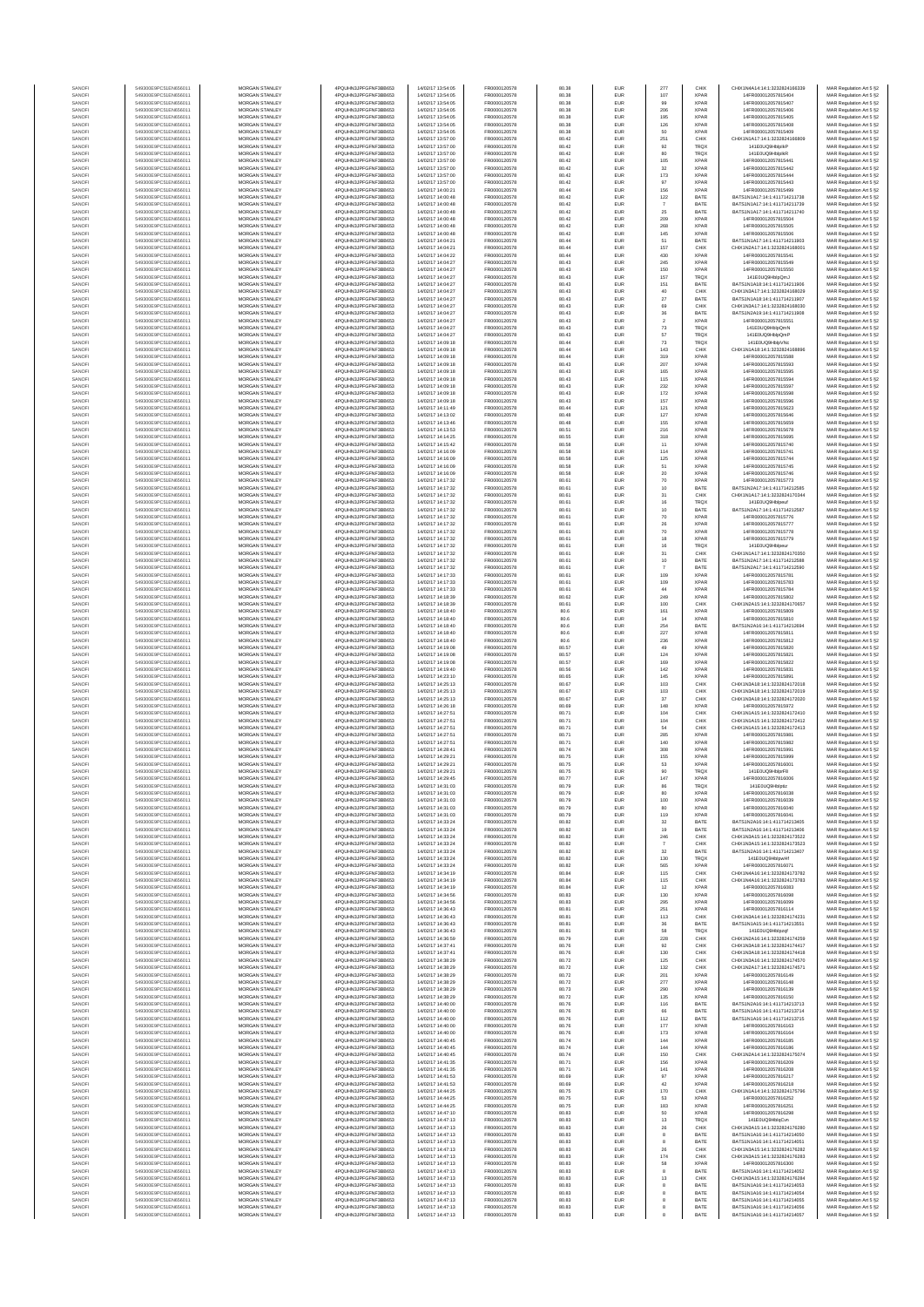| SANOF            | 549300E9PC51EN656011                         | MORGAN STANLEY                                 | 4PQUHN3JPFGFNF3BB653                           | 14/02/17 13:54:05                      | FR0000120578                 | 80.38          | EUR        | 277                   | CHIX                       | CHIX1N4A14-14-1-3232824166339                                  | MAR Regulation Art 5 §2                            |
|------------------|----------------------------------------------|------------------------------------------------|------------------------------------------------|----------------------------------------|------------------------------|----------------|------------|-----------------------|----------------------------|----------------------------------------------------------------|----------------------------------------------------|
| SANOFI           | 549300E9PC51EN656011                         | <b>MORGAN STANLEY</b>                          | 4PQUHN3JPFGFNF3BB653                           | 14/02/17 13:54:05                      | FR0000120578                 | 80.38          | EUR        | 107                   | <b>XPAR</b>                | 14FR000012057815404                                            | MAR Regulation Art 5 §2                            |
| SANOFI           | 549300E9PC51EN656011                         | MORGAN STANLEY                                 | 4PQUHN3JPFGFNF3BB653                           | 14/02/17 13:54:05                      | FR0000120578                 | 80.38          | EUR        | 99                    | <b>XPAR</b>                | 14FR000012057815407                                            | MAR Regulation Art 5 §2                            |
| SANOFI           | 549300E9PC51EN656011                         | MORGAN STANLEY                                 | 4PQUHN3JPFGFNF3BB653                           | 14/02/17 13:54:05                      | FR0000120578                 | 80.38          | EUR        | 206                   | XPAR                       | 14FR000012057815406                                            | MAR Regulation Art 5 §2                            |
| SANOFI           | 549300E9PC51EN656011                         | MORGAN STANLEY                                 | 4PQUHN3JPFGFNF3BB653                           | 14/02/17 13:54:05                      | FR0000120578                 | 80.38          | EUR        | 195                   | <b>XPAF</b>                | 14FR000012057815405                                            | MAR Regulation Art 5 §2                            |
| SANOFI           | 549300E9PC51EN656011<br>549300E9PC51EN656011 | MORGAN STANLEY<br>MORGAN STANLEY               | 4PQUHN3JPFGFNF3BB653<br>4PQUHN3JPFGFNF3BB653   | 14/02/17 13:54:05<br>14/02/17 13:54:05 | FR0000120578<br>FR0000120578 | 80.38<br>80.38 | EUR<br>EUR | 126<br>50             | <b>XPAF</b><br><b>XPAR</b> | 14FR000012057815408<br>14FR000012057815409                     | MAR Regulation Art 5 §2                            |
| SANOFI<br>SANOFI | 549300E9PC51EN656011                         | MORGAN STANLEY                                 | 4PQUHN3JPFGFNF3BB653                           | 14/02/17 13:57:00                      | FR0000120578                 | 80.42          | EUR        | 251                   | CHIX                       | CHIX1N1A17:14:1:3232824166809                                  | MAR Regulation Art 5 §2<br>MAR Regulation Art 5 §2 |
| SANOFI           | 549300E9PC51EN656011                         | <b>MORGAN STANLEY</b>                          | 4PQUHN3JPFGFNF3BB653                           | 14/02/17 13:57:00                      | FR0000120578                 | 80.42          | EUR        | 92                    | TRQ)                       | 141E0UQ9HblplkP                                                | MAR Regulation Art 5 §2                            |
| SANOFI           | 549300E9PC51EN656011                         | <b>MORGAN STANLEY</b>                          | 4PQUHN3JPFGFNF3BB653                           | 14/02/17 13:57:00                      | FR0000120578                 | 80.42          | EUR        | 80                    | <b>TRQX</b>                | 141E0UQ9HblplkR                                                | MAR Regulation Art 5 §2                            |
| SANOFI           | 549300E9PC51EN656011                         | <b>MORGAN STANLEY</b>                          | 4PQUHN3JPFGFNF3BB653                           | 14/02/17 13:57:00                      | FR0000120578                 | 80.42          | EUR        | 105                   | <b>XPAR</b>                | 14FR000012057815441                                            | MAR Regulation Art 5 §2                            |
| SANOFI<br>SANOFI | 549300E9PC51EN656011<br>549300E9PC51EN656011 | MORGAN STANLEY<br>MORGAN STANLEY               | 4PQUHN3JPFGFNF3BB653<br>4PQUHN3JPFGFNF3BB653   | 14/02/17 13:57:00<br>14/02/17 13:57:00 | FR0000120578<br>FR0000120578 | 80.42<br>80.42 | EUR<br>EUR | $_{\rm 32}$<br>173    | <b>XPAR</b><br><b>XPAR</b> | 14FR000012057815442<br>14FR000012057815444                     | MAR Regulation Art 5 §2<br>MAR Regulation Art 5 §2 |
| SANOF            | 549300E9PC51EN656011                         | MORGAN STANLEY                                 | 4PQUHN3JPFGFNF3BB653                           | 14/02/17 13:57:00                      | FR0000120578                 | 80.42          | EUR        | 97                    | <b>XPAF</b>                | 14FR000012057815443                                            | MAR Regulation Art 5 §2                            |
| SANOFI           | 549300E9PC51EN656011                         | MORGAN STANLEY                                 | 4PQUHN3JPFGFNF3BB653                           | 14/02/17 14:00:21                      | FR0000120578                 | 80.44          | EUR        | 156                   | <b>XPAF</b>                | 14FR000012057815499                                            | MAR Regulation Art 5 §2                            |
| SANOFI           | 549300E9PC51EN656011                         | MORGAN STANLEY                                 | 4PQUHN3JPFGFNF3BB653                           | 14/02/17 14:00:48                      | FR0000120578                 | 80.42          | EUR        | 122                   | BATE                       | BATS1N1A17:14:1:411714211738                                   | MAR Regulation Art 5 §2                            |
| SANOFI           | 549300E9PC51EN656011                         | MORGAN STANLEY                                 | 4PQUHN3JPFGFNF3BB653                           | 14/02/17 14:00:48                      | FR0000120578                 | 80.42          | EUR        | $\overline{7}$        | BATE                       | BATS1N1A17:14:1:411714211739                                   | MAR Regulation Art 5 §2                            |
| SANOFI<br>SANOFI | 549300E9PC51EN656011<br>549300E9PC51EN656011 | <b>MORGAN STANLEY</b><br><b>MORGAN STANLEY</b> | 4PQUHN3JPFGFNF3BB653<br>4PQUHN3JPFGFNF3BB653   | 14/02/17 14:00:48<br>14/02/17 14:00:48 | FR0000120578<br>FR0000120578 | 80.42<br>80.42 | EUR<br>EUR | 25<br>209             | BATE<br><b>XPAR</b>        | BATS1N1A17:14:1:411714211740<br>14FR000012057815504            | MAR Regulation Art 5 §2<br>MAR Regulation Art 5 §2 |
| SANOFI           | 549300E9PC51EN656011                         | MORGAN STANLEY                                 | 4PQUHN3JPFGFNF3BB653                           | 14/02/17 14:00:48                      | FR0000120578                 | 80.42          | EUR        | 268                   | <b>XPAR</b>                | 14FR000012057815505                                            | MAR Regulation Art 5 §2                            |
| SANOF            | 549300E9PC51EN656011                         | MORGAN STANLEY                                 | 4PQUHN3JPFGFNF3BB653                           | 14/02/17 14:00:48                      | FR0000120578                 | 80.42          | EUR        | 145                   | <b>XPAR</b>                | 14FR000012057815506                                            | MAR Regulation Art 5 §2                            |
| SANOFI           | 549300E9PC51EN656011                         | MORGAN STANLEY                                 | 4PQUHN3JPFGFNF3BB653                           | 14/02/17 14:04:21                      | FR0000120578                 | 80.44          | EUR        | 51                    | BATE                       | BATS1N1A17:14:1:411714211903                                   | MAR Regulation Art 5 §2                            |
| SANOFI           | 549300E9PC51EN656011                         | MORGAN STANLEY                                 | 4PQUHN3JPFGFNF3BB653                           | 14/02/17 14:04:21                      | FR0000120578                 | 80.44          | EUR        | 157                   | CHIX                       | CHIX1N2A17:14:1:3232824168001                                  | MAR Regulation Art 5 §2                            |
| SANOFI           | 549300E9PC51EN656011                         | MORGAN STANLEY                                 | 4PQUHN3JPFGFNF3BB653                           | 14/02/17 14:04:22                      | FR0000120578                 | 80.44          | EUR        | 430                   | <b>XPAR</b><br><b>XPAR</b> | 14FR000012057815541                                            | MAR Regulation Art 5 §2                            |
| SANOFI<br>SANOFI | 549300E9PC51EN656011<br>549300E9PC51EN656011 | MORGAN STANLEY<br><b>MORGAN STANLEY</b>        | 4PQUHN3JPFGFNF3BB653<br>4POLIHN3JPEGENE3BB653  | 14/02/17 14:04:27<br>14/02/17 14:04:27 | FR0000120578<br>FR0000120578 | 80.43<br>80.43 | EUR<br>EUR | 245<br>150            | <b>XPAR</b>                | 14FR000012057815549<br>14FR000012057815550                     | MAR Regulation Art 5 §2<br>MAR Regulation Art 5 §2 |
| SANOFI           | 549300E9PC51EN656011                         | MORGAN STANLEY                                 | 4PQUHN3JPFGFNF3BB653                           | 14/02/17 14:04:27                      | FR0000120578                 | 80.43          | EUR        | 157                   | <b>TRQX</b>                | 141E0UQ9HblpQmJ                                                | MAR Regulation Art 5 §2                            |
| SANOFI           | 549300E9PC51EN656011                         | MORGAN STANLEY                                 | 4PQUHN3JPFGFNF3BB653                           | 14/02/17 14:04:27                      | FR0000120578                 | 80.43          | EUR        | 151                   | BATE                       | BATS1N1A18:14:1:411714211906                                   | MAR Regulation Art 5 §2                            |
| SANOFI           | 549300E9PC51EN656011                         | MORGAN STANLEY                                 | 4PQUHN3JPFGFNF3BB653                           | 14/02/17 14:04:27                      | FR0000120578                 | 80.43          | EUR        | 40                    | CHIX                       | CHIX1N3A17:14:1:3232824168029                                  | MAR Regulation Art 5 §2                            |
| SANOF<br>SANOFI  | 549300E9PC51EN656011<br>549300E9PC51EN656011 | MORGAN STANLEY<br>MORGAN STANLEY               | 4PQUHN3JPFGFNF3BB653<br>4PQUHN3JPFGFNF3BB653   | 14/02/17 14:04:27<br>14/02/17 14:04:27 | FR0000120578<br>FR0000120578 | 80.43<br>80.43 | EUR<br>EUR | $27\,$<br>69          | BATE<br>CHIX               | BATS1N1A18:14:1:411714211907<br>CHIX1N3A17:14:1:3232824168030  | MAR Regulation Art 5 §2<br>MAR Regulation Art 5 §2 |
| SANOFI           | 549300E9PC51EN656011                         | MORGAN STANLEY                                 | 4PQUHN3JPFGFNF3BB653                           | 14/02/17 14:04:27                      | FR0000120578                 | 80.43          | EUR        | $36\,$                | BATE                       | BATS1N2A19:14:1:411714211908                                   | MAR Regulation Art 5 §2                            |
| SANOFI           | 549300E9PC51EN656011                         | MORGAN STANLEY                                 | 4PQUHN3JPFGFNF3BB653                           | 14/02/17 14:04:27                      | FR0000120578                 | 80.43          | EUR        | $\,$ 2 $\,$           | <b>XPAR</b>                | 14FR000012057815551                                            | MAR Regulation Art 5 §2                            |
| SANOFI           | 549300E9PC51EN656011                         | <b>MORGAN STANLEY</b>                          | 4PQUHN3JPFGFNF3BB653                           | 14/02/17 14:04:27                      | FR0000120578                 | 80.43          | EUR        | 73                    | <b>TRQX</b>                | 141E0UQ9HbloQmN                                                | MAR Regulation Art 5 §2                            |
| SANOFI<br>SANOFI | 549300E9PC51EN656011<br>549300E9PC51EN656011 | <b>MORGAN STANLEY</b><br>MORGAN STANLEY        | 4PQUHN3JPFGFNF3BB653<br>4PQUHN3JPFGFNF3BB653   | 14/02/17 14:04:27<br>14/02/17 14:09:18 | FR0000120578<br>FR0000120578 | 80.43<br>80.44 | EUR<br>EUR | 57<br>$\bf 73$        | <b>TRQX</b><br><b>TRQX</b> | 141E0UQ9HblpQmF<br>141E0UQ9HblpVNo                             | MAR Regulation Art 5 §2<br>MAR Regulation Art 5 §2 |
| SANOFI           | 549300E9PC51EN656011                         | MORGAN STANLEY                                 | 4PQUHN3JPFGFNF3BB653                           | 14/02/17 14:09:18                      | FR0000120578                 | 80.44          | EUR        | 143                   | CHIX                       | CHIX1N1A18:14:1:3232824168896                                  | MAR Regulation Art 5 §2                            |
| SANOFI           | 549300E9PC51EN656011                         | MORGAN STANLEY                                 | 4PQUHN3JPFGFNF3BB653                           | 14/02/17 14:09:18                      | FR0000120578                 | 80.44          | EUR        | 319                   | <b>XPAF</b>                | 14FR000012057815588                                            | MAR Regulation Art 5 §2                            |
| SANOFI           | 549300E9PC51EN656011                         | MORGAN STANLEY                                 | 4PQUHN3JPFGFNF3BB653                           | 14/02/17 14:09:18                      | FR0000120578                 | 80.43          | EUR        | 207                   | <b>XPAF</b>                | 14FR000012057815593                                            | MAR Regulation Art 5 §2                            |
| SANOFI           | 549300E9PC51EN656011                         | MORGAN STANLEY                                 | 4PQUHN3JPFGFNF3BB653                           | 14/02/17 14:09:18                      | FR0000120578                 | 80.43          | EUR        | 165                   | <b>XPAR</b><br><b>XPAR</b> | 14FR000012057815595                                            | MAR Regulation Art 5 §2                            |
| SANOFI<br>SANOFI | 549300E9PC51EN656011<br>549300E9PC51EN656011 | MORGAN STANLEY<br><b>MORGAN STANLEY</b>        | 4PQUHN3JPFGFNF3BB653<br>4POLIHN3JPEGENE3BB653  | 14/02/17 14:09:18<br>14/02/17 14:09:18 | FR0000120578<br>FR0000120578 | 80.43<br>80.43 | EUR<br>EUR | 115<br>232            | <b>XPAR</b>                | 14FR000012057815594<br>14FR000012057815597                     | MAR Regulation Art 5 §2<br>MAR Regulation Art 5 §2 |
| SANOFI           | 549300E9PC51EN656011                         | <b>MORGAN STANLEY</b>                          | 4PQUHN3JPFGFNF3BB653                           | 14/02/17 14:09:18                      | FR0000120578                 | 80.43          | EUR        | 172                   | <b>XPAR</b>                | 14FR000012057815598                                            | MAR Regulation Art 5 §2                            |
| SANOFI           | 549300E9PC51EN656011                         | <b>MORGAN STANLEY</b>                          | 4PQUHN3JPFGFNF3BB653                           | 14/02/17 14:09:18                      | FR0000120578                 | 80.43          | EUR        | 157                   | <b>XPAR</b>                | 14FR000012057815596                                            | MAR Regulation Art 5 §2                            |
| SANOFI           | 549300E9PC51EN656011                         | MORGAN STANLEY                                 | 4PQUHN3JPFGFNF3BB653                           | 14/02/17 14:11:49                      | FR0000120578                 | 80.44          | EUR        | 121                   | <b>XPAR</b>                | 14FR000012057815623                                            | MAR Regulation Art 5 §2                            |
| SANOFI<br>SANOFI | 549300E9PC51EN656011<br>549300E9PC51EN656011 | MORGAN STANLEY<br>MORGAN STANLEY               | 4PQUHN3JPFGFNF3BB653<br>4PQUHN3JPFGFNF3BB653   | 14/02/17 14:13:02<br>14/02/17 14:13:46 | FR0000120578<br>FR0000120578 | 80.48<br>80.48 | EUR<br>EUR | 127<br>155            | <b>XPAR</b><br><b>XPAF</b> | 14FR000012057815646<br>14FR000012057815659                     | MAR Regulation Art 5 §2                            |
| SANOFI           | 549300E9PC51EN656011                         | MORGAN STANLEY                                 | 4PQUHN3JPFGFNF3BB653                           | 14/02/17 14:13:53                      | FR0000120578                 | 80.51          | EUR        | 216                   | <b>XPAF</b>                | 14FR000012057815678                                            | MAR Regulation Art 5 §2<br>MAR Regulation Art 5 §2 |
| SANOFI           | 549300E9PC51EN656011                         | MORGAN STANLEY                                 | 4PQUHN3JPFGFNF3BB653                           | 14/02/17 14:14:25                      | FR0000120578                 | 80.55          | EUR        | 318                   | <b>XPAR</b>                | 14FR000012057815695                                            | MAR Regulation Art 5 §2                            |
| SANOFI           | 549300E9PC51EN656011                         | MORGAN STANLEY                                 | 4PQUHN3JPFGFNF3BB653                           | 14/02/17 14:15:42                      | FR0000120578                 | 80.58          | EUR        | 11                    | <b>XPAR</b>                | 14FR000012057815740                                            | MAR Regulation Art 5 §2                            |
| SANOFI<br>SANOFI | 549300E9PC51EN656011<br>549300E9PC51EN656011 | <b>MORGAN STANLEY</b><br><b>MORGAN STANLEY</b> | 4POLIHN3JPEGENE3BB653<br>4POLIHN3JPEGENE3BB653 | 14/02/17 14:16:09<br>14/02/17 14:16:09 | FR0000120578<br>FR0000120578 | 80.58<br>80.58 | EUR<br>EUR | 114<br>125            | <b>XPAR</b><br><b>XPAR</b> | 14FR000012057815741<br>14FR000012057815744                     | MAR Regulation Art 5 §2<br>MAR Regulation Art 5 §2 |
| SANOFI           | 549300E9PC51EN656011                         | MORGAN STANLEY                                 | 4PQUHN3JPFGFNF3BB653                           | 14/02/17 14:16:09                      | FR0000120578                 | 80.58          | EUR        | 51                    | <b>XPAR</b>                | 14FR000012057815745                                            | MAR Regulation Art 5 §2                            |
| SANOFI           | 549300E9PC51EN656011                         | MORGAN STANLEY                                 | 4PQUHN3JPFGFNF3BB653                           | 14/02/17 14:16:09                      | FR0000120578                 | 80.58          | EUR        | $20\,$                | <b>XPAR</b>                | 14FR000012057815746                                            | MAR Regulation Art 5 §2                            |
| SANOFI           | 549300E9PC51EN656011                         | MORGAN STANLEY                                 | 4PQUHN3JPFGFNF3BB653                           | 14/02/17 14:17:32                      | FR0000120578                 | 80.61          | EUR        | 70                    | <b>XPAF</b>                | 14FR000012057815773                                            | MAR Regulation Art 5 §2                            |
| SANOFI<br>SANOFI | 549300E9PC51EN656011<br>549300E9PC51EN656011 | MORGAN STANLEY<br>MORGAN STANLEY               | 4PQUHN3JPFGFNF3BB653<br>4PQUHN3JPFGFNF3BB653   | 14/02/17 14:17:32<br>14/02/17 14:17:32 | FR0000120578<br>FR0000120578 | 80.61<br>80.61 | EUR<br>EUR | 10<br>31              | BATE<br>CHIX               | BATS1N2A17:14:1:411714212585<br>CHIX1N1A17:14:1:3232824170344  | MAR Regulation Art 5 §2<br>MAR Regulation Art 5 §2 |
| SANOFI           | 549300E9PC51EN656011                         | MORGAN STANLEY                                 | 4PQUHN3JPFGFNF3BB653                           | 14/02/17 14:17:32                      | FR0000120578                 | 80.61          | EUR        | 16                    | <b>TRQX</b>                | 141E0UQ9Hblpeuf                                                | MAR Regulation Art 5 §2                            |
| SANOFI           | 549300E9PC51EN656011                         | <b>MORGAN STANLEY</b>                          | 4POLIHN3JPEGENE3BB653                          | 14/02/17 14:17:32                      | FR0000120578                 | 80.61          | EUR        | 10                    | BATE                       | BATS1N2A17:14:1:411714212587                                   | MAR Regulation Art 5 §2                            |
| SANOFI           | 549300E9PC51EN656011                         | MORGAN STANLEY                                 | 4PQUHN3JPFGFNF3BB653                           | 14/02/17 14:17:32                      | FR0000120578                 | 80.61          | EUR        | $70\,$                | <b>XPAR</b>                | 14FR000012057815776                                            | MAR Regulation Art 5 §2                            |
| SANOFI           | 549300E9PC51EN656011<br>549300E9PC51EN656011 | MORGAN STANLEY<br>MORGAN STANLEY               | 4PQUHN3JPFGFNF3BB653<br>4PQUHN3JPFGFNF3BB653   | 14/02/17 14:17:32<br>14/02/17 14:17:32 | FR0000120578<br>FR0000120578 | 80.61<br>80.61 | EUR        | ${\bf 26}$            | <b>XPAR</b><br><b>XPAR</b> | 14FR000012057815777<br>14FR000012057815778                     | MAR Regulation Art 5 §2                            |
| SANOFI<br>SANOFI | 549300E9PC51EN656011                         | MORGAN STANLEY                                 | 4PQUHN3JPFGFNF3BB653                           | 14/02/17 14:17:32                      | FR0000120578                 | 80.61          | EUR<br>EUR | $70$<br>18            | <b>XPAF</b>                | 14FR000012057815779                                            | MAR Regulation Art 5 §2<br>MAR Regulation Art 5 §2 |
| SANOFI           | 549300E9PC51EN656011                         | MORGAN STANLEY                                 | 4PQUHN3JPFGFNF3BB653                           | 14/02/17 14:17:32                      | FR0000120578                 | 80.61          | EUR        | 16                    | TRQ)                       | 141E0UQ9Hblpeu                                                 | MAR Regulation Art 5 §2                            |
| SANOFI           | 549300E9PC51EN656011                         | MORGAN STANLEY                                 | 4PQUHN3JPFGFNF3BB653                           | 14/02/17 14:17:32                      | FR0000120578                 | 80.61          | EUR        | 31                    | CHIX                       | CHIX1N1A17:14:1:3232824170350                                  | MAR Regulation Art 5 §2                            |
| SANOFI           | 549300E9PC51EN656011                         | MORGAN STANLEY                                 | 4PQUHN3JPFGFNF3BB653                           | 14/02/17 14:17:32                      | FR0000120578                 | 80.61          | EUR        | 10                    | BATE                       | BATS1N2A17:14:1:411714212588                                   | MAR Regulation Art 5 §2                            |
| SANOFI<br>SANOFI | 549300E9PC51EN656011<br>549300E9PC51EN656011 | <b>MORGAN STANLEY</b><br><b>MORGAN STANLEY</b> | 4PQUHN3JPFGFNF3BB653<br>4PQUHN3JPFGFNF3BB653   | 14/02/17 14:17:32<br>14/02/17 14:17:33 | FR0000120578<br>FR0000120578 | 80.61<br>80.61 | EUR<br>EUR | $\overline{7}$<br>109 | BATE<br><b>XPAR</b>        | BATS1N2A17:14:1:411714212590<br>14FR000012057815781            | MAR Regulation Art 5 §2<br>MAR Regulation Art 5 §2 |
| SANOFI           | 549300E9PC51EN656011                         | MORGAN STANLEY                                 | 4PQUHN3JPFGFNF3BB653                           | 14/02/17 14:17:33                      | FR0000120578                 | 80.61          | EUR        | 109                   | <b>XPAR</b>                | 14FR000012057815783                                            | MAR Regulation Art 5 §2                            |
| SANOFI           | 549300E9PC51EN656011                         | MORGAN STANLEY                                 | 4PQUHN3JPFGFNF3BB653                           | 14/02/17 14:17:33                      | FR0000120578                 | 80.61          | EUR        | $44\,$                | <b>XPAR</b>                | 14FR000012057815784                                            | MAR Regulation Art 5 §2                            |
| SANOFI           | 549300E9PC51EN656011                         | MORGAN STANLEY                                 | 4PQUHN3JPFGFNF3BB653                           | 14/02/17 14:18:39                      | FR0000120578                 | 80.62          | EUR        | 249                   | <b>XPAF</b>                | 14FR000012057815802                                            | MAR Regulation Art 5 §2                            |
| SANOFI<br>SANOFI | 549300E9PC51EN656011<br>549300E9PC51EN656011 | MORGAN STANLEY<br>MORGAN STANLEY               | 4PQUHN3JPFGFNF3BB653<br>4PQUHN3JPFGFNF3BB653   | 14/02/17 14:18:39<br>14/02/17 14:18:40 | FR0000120578<br>FR0000120578 | 80.61<br>80.6  | EUR<br>EUR | 100<br>161            | CHIX<br><b>XPAR</b>        | CHIX1N2A15:14:1:3232824170657<br>14FR000012057815809           | MAR Regulation Art 5 §2<br>MAR Regulation Art 5 §2 |
| SANOFI           | 549300E9PC51EN656011                         | MORGAN STANLEY                                 | 4PQUHN3JPFGFNF3BB653                           | 14/02/17 14:18:40                      | FR0000120578                 | 80.6           | EUR        | 14                    | <b>XPAR</b>                | 14FR000012057815810                                            | MAR Regulation Art 5 §2                            |
| SANOFI           | 549300E9PC51EN656011                         | <b>MORGAN STANLEY</b>                          | 4PQUHN3JPFGFNF3BB653                           | 14/02/17 14:18:40                      | FR0000120578                 | 80.6           | EUR        | 254                   | BATE                       | BATS1N2A16:14:1:411714212694                                   | MAR Regulation Art 5 §2                            |
| SANOFI           | 549300E9PC51EN656011                         | <b>MORGAN STANLEY</b>                          | 4PQUHN3JPFGFNF3BB653                           | 14/02/17 14:18:40                      | FR0000120578                 | 80.6           | EUR        | 227                   | <b>XPAR</b>                | 14FR000012057815811                                            | MAR Regulation Art 5 §2                            |
| SANOFI<br>SANOFI | 549300E9PC51EN656011<br>549300E9PC51EN656011 | <b>MORGAN STANLEY</b><br>MORGAN STANLEY        | 4PQUHN3JPFGFNF3BB653<br>4PQUHN3JPFGFNF3BB653   | 14/02/17 14:18:40<br>14/02/17 14:19:08 | FR0000120578<br>FR0000120578 | 80.6<br>80.57  | EUR<br>EUR | 236<br>49             | <b>XPAR</b><br><b>XPAR</b> | 14FR000012057815812<br>14FR000012057815820                     | MAR Regulation Art 5 §2<br>MAR Regulation Art 5 §2 |
| SANOFI           | 549300E9PC51EN656011                         | MORGAN STANLEY                                 | 4PQUHN3JPFGFNF3BB653                           | 14/02/17 14:19:08                      | FR0000120578                 | 80.57          | EUR        | 124                   | <b>XPAR</b>                | 14FR000012057815821                                            | MAR Regulation Art 5 §2                            |
| SANOF            | 549300E9PC51EN656011                         | MORGAN STANLEY                                 | 4PQUHN3JPFGFNF3BB653                           | 14/02/17 14:19:08                      | FR0000120578                 | 80.57          | EUR        | 169                   | <b>XPAF</b>                | 14FR000012057815822                                            | MAR Regulation Art 5 §2                            |
| SANOFI           | 549300E9PC51EN656011                         | MORGAN STANLEY                                 | 4PQUHN3JPFGFNF3BB653                           | 14/02/17 14:19:40                      | FR0000120578                 | 80.56          | EUR        | 142                   | <b>XPAF</b>                | 14FR000012057815831                                            | MAR Regulation Art 5 §2                            |
| SANOFI<br>SANOFI | 549300E9PC51EN656011<br>549300E9PC51EN656011 | MORGAN STANLEY<br>MORGAN STANLEY               | 4PQUHN3JPFGFNF3BB653<br>4PQUHN3JPFGFNF3BB653   | 14/02/17 14:23:10<br>14/02/17 14:25:13 | FR0000120578<br>FR0000120578 | 80.65<br>80.67 | EUR<br>EUR | 145<br>103            | <b>XPAR</b><br>CHIX        | 14FR000012057815891<br>CHIX1N3A18:14:1:3232824172018           | MAR Regulation Art 5 §2<br>MAR Regulation Art 5 §2 |
| SANOFI           | 549300E9PC51EN656011                         | <b>MORGAN STANLEY</b>                          | 4PQUHN3JPFGFNF3BB653                           | 14/02/17 14:25:13                      | FR0000120578                 | 80.67          | EUR        | 103                   | CHIX                       | CHIX1N3A18-14-1-3232824172019                                  | MAR Regulation Art 5 §2                            |
| SANOFI           | 549300E9PC51EN656011                         | <b>MORGAN STANLEY</b>                          | 4POLIHN3JPEGENE3BB653                          | 14/02/17 14:25:13                      | FR0000120578                 | 80.67          | EUR        | 37                    | CHIX                       | CHIX1N3A18:14:1:3232824172020                                  | MAR Regulation Art 5 §2                            |
| SANOFI           | 549300E9PC51EN656011                         | MORGAN STANLEY                                 | 4PQUHN3JPFGFNF3BB653                           | 14/02/17 14:26:18                      | FR0000120578                 | 80.69          | EUR        | 148                   | <b>XPAR</b>                | 14FR000012057815972                                            | MAR Regulation Art 5 §2                            |
| SANOFI           | 549300E9PC51EN656011                         | MORGAN STANLEY<br>MORGAN STANLEY               | 4PQUHN3JPFGFNF3BB653                           | 14/02/17 14:27:51                      | FR0000120578                 | 80.71          | EUR        | 104                   | CHIX                       | CHIX1N1A15:14:1:3232824172410<br>CHIX1N1A15:14:1:3232824172412 | MAR Regulation Art 5 §2                            |
| SANOFI<br>SANOFI | 549300E9PC51EN656011<br>549300E9PC51EN656011 | MORGAN STANLEY                                 | 4PQUHN3JPFGFNF3BB653<br>4PQUHN3JPFGFNF3BB653   | 14/02/17 14:27:51<br>14/02/17 14:27:51 | FR0000120578<br>FR0000120578 | 80.71<br>80.71 | EUR<br>EUR | 104<br>54             | CHIX<br>CHIX               | CHIX1N1A15:14:1:3232824172413                                  | MAR Regulation Art 5 §2<br>MAR Regulation Art 5 §2 |
| SANOFI           | 549300E9PC51EN656011                         | MORGAN STANLEY                                 | 4PQUHN3JPFGFNF3BB653                           | 14/02/17 14:27:51                      | FR0000120578                 | 80.71          | EUR        | 285                   | <b>XPAR</b>                | 14FR000012057815981                                            | MAR Regulation Art 5 §2                            |
| SANOFI           | 549300E9PC51EN656011                         | MORGAN STANLEY                                 | 4PQUHN3JPFGFNF3BB653                           | 14/02/17 14:27:51                      | FR0000120578                 | 80.71          | EUR        | 140                   | <b>XPAR</b>                | 14FR000012057815982                                            | MAR Regulation Art 5 §2                            |
| SANOFI<br>SANOFI | 549300E9PC51EN656011<br>549300E9PC51EN656011 | <b>MORGAN STANLEY</b><br><b>MORGAN STANLEY</b> | 4PQUHN3JPFGFNF3BB653<br>4PQUHN3JPFGFNF3BB653   | 14/02/17 14:28:41<br>14/02/17 14:29:21 | FR0000120578<br>FR0000120578 | 80.74<br>80.75 | EUR<br>EUR | 308<br>155            | <b>XPAR</b><br><b>XPAR</b> | 14FR000012057815991<br>14FR000012057815999                     | MAR Regulation Art 5 §2                            |
| SANOF            | 549300E9PC51EN656011                         | MORGAN STANLEY                                 | 4PQUHN3JPFGFNF3BB653                           | 14/02/17 14:29:21                      | FR0000120578                 | 80.75          | EUR        | 53                    | <b>XPAR</b>                | 14FR000012057816001                                            | MAR Regulation Art 5 §2<br>MAR Regulation Art 5 §2 |
| SANOFI           | 549300E9PC51EN656011                         | MORGAN STANLEY                                 | 4PQUHN3JPFGFNF3BB653                           | 14/02/17 14:29:21                      | FR0000120578                 | 80.75          | EUR        | 90                    | TRQX                       | 141E0UQ9HblprF8                                                | MAR Regulation Art 5 §2                            |
|                  |                                              |                                                | 1N3JPFGFNF3BB653                               |                                        |                              |                |            |                       |                            | 00012057816006                                                 | ⊀ Regulation Art 5 §.                              |
| SANOF            | 549300E9PC51EN656011                         | MORGAN STANLEY<br>MORGAN STANLEY               | 4PQUHN3JPFGFNF3BB653<br>4PQUHN3JPFGFNF3BB653   | 14/02/17 14:31:03<br>14/02/17 14:31:03 | FR0000120578<br>FR0000120578 | 80.79          | EUR        | 86<br>80              | <b>TRQX</b>                | 141E0UQ9Hblotiz                                                | MAR Regulation Art 5 §2                            |
| SANOFI<br>SANOFI | 549300E9PC51EN656011<br>549300E9PC51EN656011 | MORGAN STANLEY                                 | 4PQUHN3JPFGFNF3BB653                           | 14/02/17 14:31:03                      | FR0000120578                 | 80.79<br>80.79 | EUR<br>EUR | 100                   | <b>XPAR</b><br><b>XPAR</b> | 14FR000012057816038<br>14FR000012057816039                     | MAR Regulation Art 5 §2<br>MAR Regulation Art 5 §2 |
| SANOFI           | 549300E9PC51EN656011                         | <b>MORGAN STANLEY</b>                          | 4PQUHN3JPFGFNF3BB653                           | 14/02/17 14:31:03                      | FR0000120578                 | 80.79          | EUR        | 80                    | <b>XPAR</b>                | 14FR000012057816040                                            | MAR Regulation Art 5 §2                            |
| SANOFI           | 549300E9PC51EN656011                         | <b>MORGAN STANLEY</b>                          | 4PQUHN3JPFGFNF3BB653                           | 14/02/17 14:31:03                      | FR0000120578                 | 80.79          | EUR        | 119                   | <b>XPAR</b>                | 14FR000012057816041                                            | MAR Regulation Art 5 §2                            |
| SANOFI<br>SANOFI | 549300E9PC51EN656011<br>549300E9PC51EN656011 | MORGAN STANLEY<br>MORGAN STANLEY               | 4PQUHN3JPFGFNF3BB653<br>4PQUHN3JPFGFNF3BB653   | 14/02/17 14:33:24<br>14/02/17 14:33:24 | FR0000120578<br>FR0000120578 | 80.82<br>80.82 | EUR<br>EUR | $_{\rm 32}$<br>19     | BATE<br>BATE               | BATS1N2A16:14:1:411714213405<br>BATS1N2A16:14:1:411714213406   | MAR Regulation Art 5 §2<br>MAR Regulation Art 5 §2 |
| SANOFI           | 549300E9PC51EN656011                         | MORGAN STANLEY                                 | 4PQUHN3JPFGFNF3BB653                           | 14/02/17 14:33:24                      | FR0000120578                 | 80.82          | EUR        | 246                   | CHIX                       | CHIX1N3A15:14:1:3232824173522                                  | MAR Regulation Art 5 §2                            |
| SANOFI           | 549300E9PC51EN656011                         | MORGAN STANLEY                                 | 4PQUHN3JPFGFNF3BB653                           | 14/02/17 14:33:24                      | FR0000120578                 | 80.82          | EUR        | $\boldsymbol{7}$      | CHIX                       | CHIX1N3A15:14:1:3232824173523                                  | MAR Regulation Art 5 §2                            |
| SANOFI           | 549300E9PC51EN656011                         | MORGAN STANLEY                                 | 4PQUHN3JPFGFNF3BB653                           | 14/02/17 14:33:24                      | FR0000120578                 | 80.82          | EUR        | 32                    | BATE                       | BATS1N2A16:14:1:411714213407                                   | MAR Regulation Art 5 §2                            |
| SANOFI<br>SANOFI | 549300E9PC51EN656011<br>549300E9PC51EN656011 | MORGAN STANLEY<br><b>MORGAN STANLEY</b>        | 4PQUHN3JPFGFNF3BB653<br>4PQUHN3JPFGFNF3BB653   | 14/02/17 14:33:24<br>14/02/17 14:33:24 | FR0000120578<br>FR0000120578 | 80.82<br>80.82 | EUR<br>EUR | 130<br>565            | <b>TRQX</b><br><b>XPAR</b> | 141E0UQ9HblpwHf<br>14FR000012057816071                         | MAR Regulation Art 5 §2<br>MAR Regulation Art 5 §2 |
| SANOFI           | 549300E9PC51EN656011                         | <b>MORGAN STANLEY</b>                          | 4PQUHN3JPFGFNF3BB653                           | 14/02/17 14:34:19                      | FR0000120578                 | 80.84          | EUR        | 115                   | CHIX                       | CHIX1N4A16:14:1:3232824173782                                  | MAR Regulation Art 5 §2                            |
| SANOFI           | 549300E9PC51EN656011                         | <b>MORGAN STANLEY</b>                          | 4PQUHN3JPFGFNF3BB653                           | 14/02/17 14:34:19                      | FR0000120578                 | 80.84          | EUR        | 115                   | CHIX                       | CHIX1N4A16:14:1:3232824173783                                  | MAR Regulation Art 5 §2                            |
| SANOFI           | 549300E9PC51EN656011                         | MORGAN STANLEY<br><b>MORGAN STANLEY</b>        | 4PQUHN3JPFGFNF3BB653                           | 14/02/17 14:34:19                      | FR0000120578<br>FR0000120578 | 80.84          | EUR        | 12                    | XPAR<br><b>XPAR</b>        | 14FR000012057816083                                            | MAR Regulation Art 5 §2                            |
| SANOFI<br>SANOFI | 549300E9PC51EN656011<br>549300E9PC51EN656011 | MORGAN STANLEY                                 | 4PQUHN3JPFGFNF3BB653<br>4PQUHN3JPFGFNF3BB653   | 14/02/17 14:34:56<br>14/02/17 14:34:56 | FR0000120578                 | 80.83<br>80.83 | EUR<br>EUR | 130<br>295            | <b>XPAR</b>                | 14FR000012057816098<br>14FR000012057816099                     | MAR Regulation Art 5 §2<br>MAR Regulation Art 5 §2 |
| SANOFI           | 549300E9PC51EN656011                         | MORGAN STANLEY                                 | 4PQUHN3JPFGFNF3BB653                           | 14/02/17 14:36:43                      | FR0000120578                 | 80.81          | EUR        | 251                   | <b>XPAR</b>                | 14FR000012057816114                                            | MAR Regulation Art 5 §2                            |
| SANOFI           | 549300E9PC51EN656011                         | MORGAN STANLEY                                 | 4PQUHN3JPFGFNF3BB653                           | 14/02/17 14:36:43                      | FR0000120578                 | 80.81          | EUR        | 113                   | CHIX                       | CHIX1N3A14:14:1:3232824174231                                  | MAR Regulation Art 5 §2                            |
| SANOFI           | 549300E9PC51EN656011                         | MORGAN STANLEY<br>MORGAN STANLEY               | 4PQUHN3JPFGFNF3BB653                           | 14/02/17 14:36:43                      | FR0000120578<br>FR0000120578 | 80.81          | EUR        | 36                    | BATE                       | BATS1N1A15:14:1:411714213551<br>141F0UQ9Hblozof                | MAR Regulation Art 5 §2                            |
| SANOFI<br>SANOFI | 549300E9PC51EN656011<br>549300E9PC51EN656011 | <b>MORGAN STANLEY</b>                          | 4PQUHN3JPFGFNF3BB653<br>4PQUHN3JPFGFNF3BB653   | 14/02/17 14:36:43<br>14/02/17 14:36:59 | FR0000120578                 | 80.81<br>80.79 | EUR<br>EUR | 58<br>228             | <b>TRQX</b><br>CHIX        | CHIX1N2A16-14-1-3232824174259                                  | MAR Regulation Art 5 §2<br>MAR Regulation Art 5 §2 |
| SANOFI           | 549300E9PC51EN656011                         | MORGAN STANLEY                                 | 4PQUHN3JPFGFNF3BB653                           | 14/02/17 14:37:41                      | FR0000120578                 | 80.76          | EUR        | 92                    | CHIX                       | CHIX1N3A18:14:1:3232824174417                                  | MAR Regulation Art 5 §2                            |
| SANOFI           | 549300E9PC51EN656011                         | MORGAN STANLEY                                 | 4PQUHN3JPFGFNF3BB653                           | 14/02/17 14:37:41                      | FR0000120578                 | 80.76          | EUR        | 130                   | CHIX                       | CHIX1N3A18:14:1:3232824174418                                  | MAR Regulation Art 5 §2                            |
| SANOFI           | 549300E9PC51EN656011                         | MORGAN STANLEY                                 | 4PQUHN3JPFGFNF3BB653                           | 14/02/17 14:38:29                      | FR0000120578                 | 80.72          | EUR        | 125                   | CHIX                       | CHIX1N3A16:14:1:3232824174570                                  | MAR Regulation Art 5 §2                            |
| SANOFI<br>SANOFI | 549300E9PC51EN656011<br>549300E9PC51EN656011 | MORGAN STANLEY<br>MORGAN STANLEY               | 4PQUHN3JPFGFNF3BB653<br>4PQUHN3JPFGFNF3BB653   | 14/02/17 14:38:29<br>14/02/17 14:38:29 | FR0000120578<br>FR0000120578 | 80.72<br>80.72 | EUR<br>EUR | 132<br>201            | CHIX<br><b>XPAR</b>        | CHIX1N2A17:14:1:3232824174571<br>14FR000012057816149           | MAR Regulation Art 5 §2<br>MAR Regulation Art 5 §2 |
| SANOFI           | 549300E9PC51EN656011                         | MORGAN STANLEY                                 | 4PQUHN3JPFGFNF3BB653                           | 14/02/17 14:38:29                      | FR0000120578                 | 80.72          | EUR        | 277                   | <b>XPAR</b>                | 14FR000012057816148                                            | MAR Regulation Art 5 §2                            |
| SANOFI           | 549300E9PC51EN656011                         | <b>MORGAN STANLEY</b>                          | 4PQUHN3JPFGFNF3BB653                           | 14/02/17 14:38:29                      | FR0000120578                 | 80.73          | EUR        | 290                   | <b>XPAR</b>                | 14FR000012057816139                                            | MAR Regulation Art 5 §2                            |
| SANOFI           | 549300E9PC51EN656011                         | <b>MORGAN STANLEY</b>                          | 4PQUHN3JPFGFNF3BB653                           | 14/02/17 14:38:29                      | FR0000120578                 | 80.72          | EUR        | 135                   | <b>XPAR</b>                | 14FR000012057816150                                            | MAR Regulation Art 5 §2                            |
| SANOFI<br>SANOFI | 549300E9PC51EN656011<br>549300E9PC51EN656011 | MORGAN STANLEY<br>MORGAN STANLEY               | 4PQUHN3JPFGFNF3BB653<br>4PQUHN3JPFGFNF3BB653   | 14/02/17 14:40:00<br>14/02/17 14:40:00 | FR0000120578<br>FR0000120578 | 80.76<br>80.76 | EUR<br>EUR | 116<br>66             | BATE<br>BATE               | BATS1N2A16:14:1:411714213713<br>BATS1N1A16:14:1:411714213714   | MAR Regulation Art 5 §2                            |
| SANOFI           | 549300E9PC51EN656011                         | MORGAN STANLEY                                 | 4PQUHN3JPFGFNF3BB653                           | 14/02/17 14:40:00                      | FR0000120578                 | 80.76          | EUR        | 112                   | BATE                       | BATS1N1A16:14:1:411714213715                                   | MAR Regulation Art 5 §2<br>MAR Regulation Art 5 §2 |
| SANOFI           | 549300E9PC51EN656011                         | MORGAN STANLEY                                 | 4PQUHN3JPFGFNF3BB653                           | 14/02/17 14:40:00                      | FR0000120578                 | 80.76          | EUR        | 177                   | <b>XPAR</b>                | 14FR000012057816163                                            | MAR Regulation Art 5 §2                            |
| SANOFI           | 549300E9PC51EN656011                         | MORGAN STANLEY                                 | 4PQUHN3JPFGFNF3BB653                           | 14/02/17 14:40:00                      | FR0000120578                 | 80.76          | EUR        | 173                   | <b>XPAR</b>                | 14FR000012057816164                                            | MAR Regulation Art 5 §2                            |
| SANOFI           | 549300E9PC51EN656011                         | MORGAN STANLEY                                 | 4PQUHN3JPFGFNF3BB653                           | 14/02/17 14:40:45                      | FR0000120578                 | 80.74          | EUR        | 144                   | <b>XPAR</b>                | 14FR000012057816185                                            | MAR Regulation Art 5 §2                            |
| SANOFI<br>SANOFI | 549300E9PC51EN656011<br>549300E9PC51EN656011 | <b>MORGAN STANLEY</b><br><b>MORGAN STANLEY</b> | 4PQUHN3JPFGFNF3BB653<br>4PQUHN3JPFGFNF3BB653   | 14/02/17 14:40:45<br>14/02/17 14:40:45 | FR0000120578<br>FR0000120578 | 80.74<br>80.74 | EUR<br>EUR | 144<br>150            | <b>XPAR</b><br>CHIX        | 14FR000012057816186<br>CHIX1N2A14:14:1:3232824175074           | MAR Regulation Art 5 §2<br>MAR Regulation Art 5 §2 |
| SANOFI           | 549300E9PC51EN656011                         | MORGAN STANLEY                                 | 4PQUHN3JPFGFNF3BB653                           | 14/02/17 14:41:35                      | FR0000120578                 | 80.71          | EUR        | 156                   | <b>XPAR</b>                | 14FR000012057816209                                            | MAR Regulation Art 5 §2                            |
| SANOFI           | 549300E9PC51EN656011                         | MORGAN STANLEY                                 | 4PQUHN3JPFGFNF3BB653                           | 14/02/17 14:41:35                      | FR0000120578                 | 80.71          | EUR        | 141                   | <b>XPAR</b>                | 14FR000012057816208                                            | MAR Regulation Art 5 §2                            |
| SANOFI           | 549300E9PC51EN656011                         | MORGAN STANLEY                                 | 4PQUHN3JPFGFNF3BB653                           | 14/02/17 14:41:53                      | FR0000120578                 | 80.69          | EUR        | 97                    | <b>XPAR</b>                | 14FR000012057816217                                            | MAR Regulation Art 5 §2                            |
| SANOFI<br>SANOFI | 549300E9PC51EN656011<br>549300E9PC51EN656011 | MORGAN STANLEY<br>MORGAN STANLEY               | 4PQUHN3JPFGFNF3BB653<br>4PQUHN3JPFGFNF3BB653   | 14/02/17 14:41:53<br>14/02/17 14:44:25 | FR0000120578<br>FR0000120578 | 80.69<br>80.75 | EUR<br>EUR | 42<br>170             | <b>XPAR</b><br>CHIX        | 14FR000012057816218<br>CHIX1N1A14:14:1:3232824175796           | MAR Regulation Art 5 §2<br>MAR Regulation Art 5 §2 |
| SANOFI           | 549300E9PC51EN656011                         | MORGAN STANLEY                                 | 4PQUHN3JPFGFNF3BB653                           | 14/02/17 14:44:25                      | FR0000120578                 | 80.75          | EUR        | 53                    | <b>XPAR</b>                | 14FR000012057816252                                            | MAR Regulation Art 5 §2                            |
| SANOFI           | 549300E9PC51EN656011                         | <b>MORGAN STANLEY</b>                          | 4PQUHN3JPFGFNF3BB653                           | 14/02/17 14:44:25                      | FR0000120578                 | 80.75          | EUR        | 183                   | <b>XPAR</b>                | 14FR000012057816251                                            | MAR Regulation Art 5 §2                            |
| SANOFI           | 549300E9PC51EN656011                         | <b>MORGAN STANLEY</b>                          | 4PQUHN3JPFGFNF3BB653                           | 14/02/17 14:47:10                      | FR0000120578                 | 80.83          | EUR        | 50                    | <b>XPAR</b>                | 14FR000012057816298                                            | MAR Regulation Art 5 §2                            |
| SANOFI<br>SANOFI | 549300E9PC51EN656011<br>549300E9PC51EN656011 | <b>MORGAN STANLEY</b><br>MORGAN STANLEY        | 4PQUHN3JPFGFNF3BB653<br>4PQUHN3JPFGFNF3BB653   | 14/02/17 14:47:13<br>14/02/17 14:47:13 | FR0000120578<br>FR0000120578 | 80.83<br>80.83 | EUR<br>EUR | 13<br>${\bf 26}$      | <b>TRQX</b><br>CHIX        | 141E0UQ9HbloCyn<br>CHIX1N3A15:14:1:3232824176280               | MAR Regulation Art 5 §2<br>MAR Regulation Art 5 §2 |
| SANOFI           | 549300E9PC51EN656011                         | MORGAN STANLEY                                 | 4PQUHN3JPFGFNF3BB653                           | 14/02/17 14:47:13                      | FR0000120578                 | 80.83          | EUR        | 8                     | BATE                       | BATS1N1A16:14:1:411714214050                                   | MAR Regulation Art 5 §2                            |
| SANOFI           | 549300E9PC51EN656011                         | MORGAN STANLEY                                 | 4PQUHN3JPFGFNF3BB653                           | 14/02/17 14:47:13                      | FR0000120578                 | 80.83          | EUR        | 8                     | BATE                       | BATS1N1A16:14:1:411714214051                                   | MAR Regulation Art 5 §2                            |
| SANOFI           | 549300E9PC51EN656011                         | MORGAN STANLEY                                 | 4PQUHN3JPFGFNF3BB653                           | 14/02/17 14:47:13                      | FR0000120578                 | 80.83          | EUR        | 26                    | CHIX                       | CHIX1N3A15:14:1:3232824176282                                  | MAR Regulation Art 5 §2                            |
| SANOFI<br>SANOFI | 549300E9PC51EN656011<br>549300E9PC51EN656011 | MORGAN STANLEY<br>MORGAN STANLEY               | 4PQUHN3JPFGFNF3BB653<br>4PQUHN3JPFGFNF3BB653   | 14/02/17 14:47:13<br>14/02/17 14:47:13 | FR0000120578<br>FR0000120578 | 80.83<br>80.83 | EUR<br>EUR | 174<br>58             | CHIX<br><b>XPAR</b>        | CHIX1N3A15:14:1:3232824176283<br>14FR000012057816300           | MAR Regulation Art 5 §2<br>MAR Regulation Art 5 §2 |
| SANOFI           | 549300E9PC51EN656011                         | <b>MORGAN STANLEY</b>                          | 4PQUHN3JPFGFNF3BB653                           | 14/02/17 14:47:13                      | FR0000120578                 | 80.83          | EUR        | 8                     | BATE                       | BATS1N1A16:14:1:411714214052                                   | MAR Regulation Art 5 §2                            |
| SANOFI           | 549300E9PC51EN656011                         | <b>MORGAN STANLEY</b>                          | 4PQUHN3JPFGFNF3BB653                           | 14/02/17 14:47:13                      | FR0000120578                 | 80.83          | EUR        | 13                    | CHIX                       | CHIX1N3A15:14:1:3232824176284                                  | MAR Regulation Art 5 §2                            |
| SANOFI<br>SANOFI | 549300E9PC51EN656011<br>549300E9PC51EN656011 | MORGAN STANLEY<br>MORGAN STANLEY               | 4PQUHN3JPFGFNF3BB653<br>4PQUHN3JPFGFNF3BB653   | 14/02/17 14:47:13<br>14/02/17 14:47:13 | FR0000120578<br>FR0000120578 | 80.83          | EUR<br>EUR | 8<br>8                | BATE<br>BATE               | BATS1N1A16:14:1:411714214053<br>BATS1N1A16:14:1:411714214054   | MAR Regulation Art 5 §2                            |
| SANOF            | 549300E9PC51EN656011                         | MORGAN STANLEY                                 | 4PQUHN3JPFGFNF3BB653                           | 14/02/17 14:47:13                      | FR0000120578                 | 80.83<br>80.83 | EUR        |                       | BATE                       | BATS1N1A16:14:1:411714214055                                   | MAR Regulation Art 5 §2<br>MAR Regulation Art 5 §2 |
| SANOF            | 549300E9PC51EN656011                         | MORGAN STANLEY                                 | 4PQUHN3JPFGFNF3BB653                           | 14/02/17 14:47:13                      | FR0000120578                 | 80.83          | EUR        | 8                     | BATE                       | BATS1N1A16:14:1:411714214056                                   | MAR Regulation Art 5 §2                            |
| SANOFI           | 549300E9PC51EN656011                         | MORGAN STANLEY                                 | 4PQUHN3JPFGFNF3BB653                           | 14/02/17 14:47:13                      | FR0000120578                 | 80.83          | EUR        | 8                     | BATE                       | BATS1N1A16:14:1:411714214057                                   | MAR Regulation Art 5 §2                            |
|                  |                                              |                                                |                                                |                                        |                              |                |            |                       |                            |                                                                |                                                    |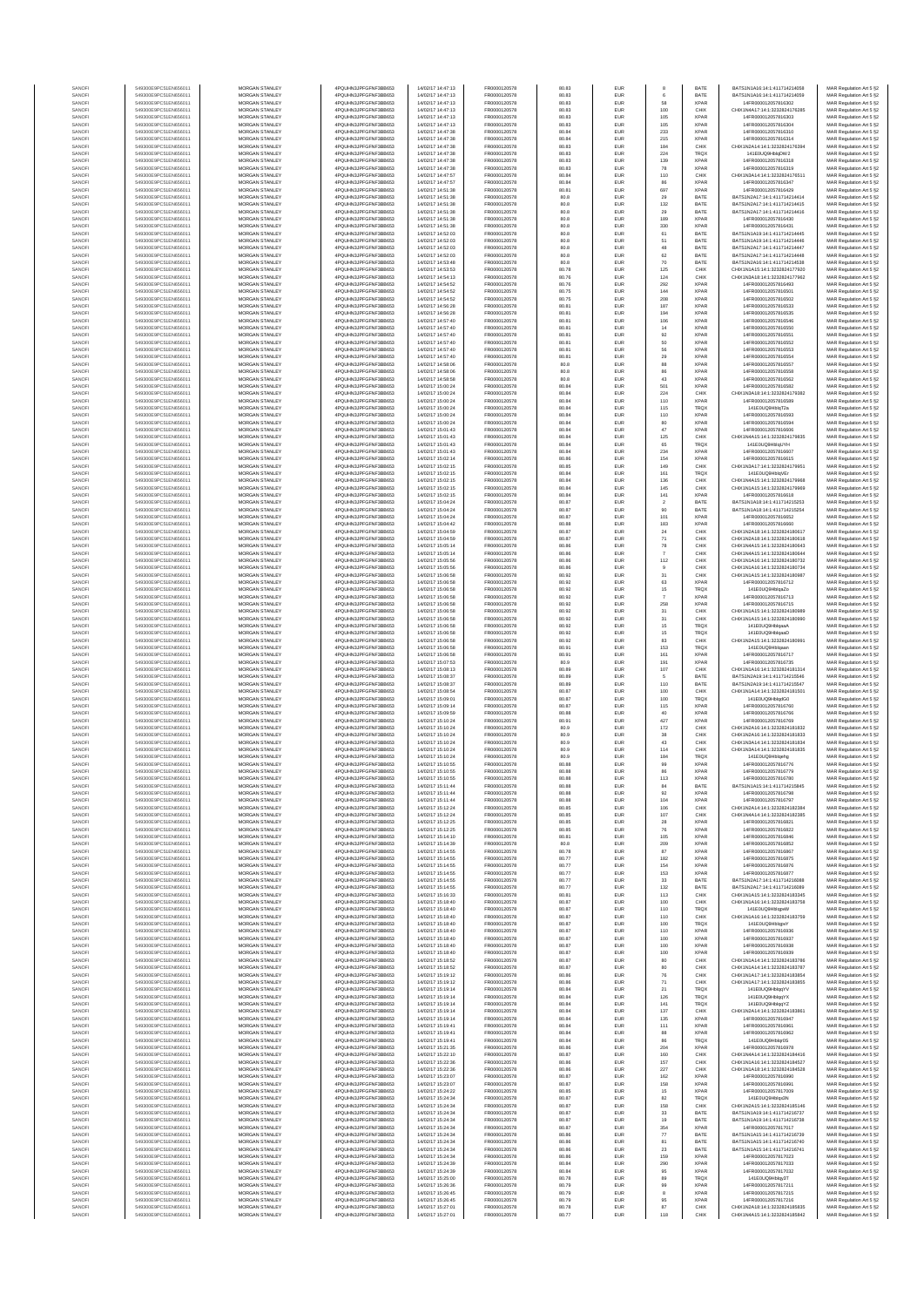| SANOF            | 549300E9PC51EN656011                         | MORGAN STANLEY                   | 4PQUHN3JPFGFNF3BB653                         | 14/02/17 14:47:13                      | FR0000120578                 | 80.83          | EUR               |                   | BATE         | BATS1N1A16:14:1:411714214058                                   | MAR Regulation Art 5 §2                            |
|------------------|----------------------------------------------|----------------------------------|----------------------------------------------|----------------------------------------|------------------------------|----------------|-------------------|-------------------|--------------|----------------------------------------------------------------|----------------------------------------------------|
| SANOF            | 549300E9PC51EN656011                         | MORGAN STANLEY                   | 4PQUHN3JPFGFNF3BB653                         | 14/02/17 14:47:13                      | FR0000120578                 | 80.83          | EUR               | 58                | BATE         | BATS1N1A16:14:1:411714214059                                   | MAR Regulation Art 5 §2                            |
| SANOFI           | 549300E9PC51EN656011                         | MORGAN STANLEY                   | 4PQUHN3JPFGFNF3BB653                         | 14/02/17 14:47:13                      | FR0000120578                 | 80.83          | EUR               |                   | <b>XPAR</b>  | 14FR000012057816302                                            | MAR Regulation Art 5 §2                            |
| SANOFI           | 549300E9PC51EN656011                         | MORGAN STANLEY                   | 4PQUHN3JPFGFNF3BB653                         | 14/02/17 14:47:13                      | FR0000120578                 | 80.83          | EUR               | 100               | CHIX         | CHIX1N4A17:14:1:3232824176285                                  | MAR Regulation Art 5 §2                            |
| SANOFI           | 549300E9PC51EN656011                         | <b>MORGAN STANLEY</b>            | 4PQUHN3JPFGFNF3BB653                         | 14/02/17 14:47:13                      | FR0000120578                 | 80.83          | EUR               | 105               | <b>XPAR</b>  | 14FR000012057816303                                            | MAR Regulation Art 5 §2                            |
| SANOFI           | 549300E9PC51EN656011                         | <b>MORGAN STANLEY</b>            | 4PQUHN3JPFGFNF3BB653                         | 14/02/17 14:47:13                      | FR0000120578                 | 80.83          | <b>EUR</b>        | 105               | <b>XPAR</b>  | 14FR000012057816304                                            | MAR Regulation Art 5 §2                            |
| SANOFI           | 549300E9PC51EN656011                         | MORGAN STANLEY                   | 4PQUHN3JPFGFNF3BB653                         | 14/02/17 14:47:38                      | FR0000120578                 | 80.84          | EUR               | 233               | <b>XPAR</b>  | 14FR000012057816310                                            | MAR Regulation Art 5 §2                            |
| SANOF            | 549300E9PC51EN656011                         | MORGAN STANLEY                   | 4PQUHN3JPFGFNF3BB653                         | 14/02/17 14:47:38                      | FR0000120578                 | 80.84          | EUR               | 215               | <b>XPAR</b>  | 14FR000012057816314                                            | MAR Regulation Art 5 §2                            |
| SANOFI           | 549300E9PC51EN656011                         | MORGAN STANLEY                   | 4PQUHN3JPFGFNF3BB653                         | 14/02/17 14:47:38                      | FR0000120578                 | 80.83          | EUR               | 184               | CHIX         | CHIX1N2A14:14:1:3232824176394                                  | MAR Regulation Art 5 §2                            |
| SANOF            | 549300E9PC51EN656011                         | MORGAN STANLEY                   | 4PQUHN3JPFGFNF3BB653                         | 14/02/17 14:47:38                      | FR0000120578                 | 80.83          | EUR               | 224               | TRQ)         | 141E0UQ9HblqDW2                                                | MAR Regulation Art 5 §2                            |
| SANOFI           | 549300E9PC51EN656011                         | MORGAN STANLEY                   | 4PQUHN3JPFGFNF3BB653                         | 14/02/17 14:47:38                      | FR0000120578                 | 80.83          | EUR               | 139               | XPAF         | 14FR000012057816318                                            | MAR Regulation Art 5 §2                            |
| SANOFI           | 549300E9PC51EN656011                         | MORGAN STANLEY                   | 4PQUHN3JPFGFNF3BB653                         | 14/02/17 14:47:38                      | FR0000120578                 | 80.83          | EUR               | 78                | XPAF         | 14FR000012057816319                                            | MAR Regulation Art 5 §2                            |
| SANOFI           | 549300E9PC51EN656011                         | MORGAN STANLEY                   | 4PQUHN3JPFGFNF3BB653                         | 14/02/17 14:47:57                      | FR0000120578                 | 80.84          | <b>EUR</b>        | 110               | CHIX         | CHIX1N3A14:14:1:3232824176511                                  | MAR Regulation Art 5 §2                            |
| SANOFI           | 549300E9PC51EN656011                         | <b>MORGAN STANLEY</b>            | 4POLIHN3JPEGENE3BB653                        | 14/02/17 14:47:57                      | FR0000120578                 | 80.84          | <b>EUR</b>        | 86                | <b>XPAR</b>  | 14FR000012057816347                                            | MAR Regulation Art 5 §2                            |
| SANOFI           | 549300E9PC51EN656011                         | MORGAN STANLEY                   | 4PQUHN3JPFGFNF3BB653                         | 14/02/17 14:51:38                      | FR0000120578                 | 80.81          | <b>EUR</b>        | 697               | <b>XPAR</b>  | 14FR000012057816429                                            | MAR Regulation Art 5 §2                            |
| SANOFI           | 549300E9PC51EN656011                         | MORGAN STANLEY                   | 4PQUHN3JPFGFNF3BB653                         | 14/02/17 14:51:38                      | FR0000120578                 | 80.8           | EUR               | 29                | BATE         | BATS1N2A17:14:1:411714214414                                   | MAR Regulation Art 5 §2                            |
| SANOFI           | 549300E9PC51EN656011                         | MORGAN STANLEY                   | 4PQUHN3JPFGFNF3BB653                         | 14/02/17 14:51:38                      | FR0000120578                 | 80.8           | EUR               | 132               | BATE         | BATS1N2A17:14:1:411714214415                                   | MAR Regulation Art 5 §2                            |
| SANOFI           | 549300E9PC51EN656011                         | MORGAN STANLEY                   | 4PQUHN3JPFGFNF3BB653                         | 14/02/17 14:51:38                      | FR0000120578                 | 80.8           | EUR               | 29                | BATE         | BATS1N2A17:14:1:411714214416                                   | MAR Regulation Art 5 §2                            |
| SANOFI           | 549300E9PC51EN656011                         | MORGAN STANLEY                   | 4PQUHN3JPFGFNF3BB653                         | 14/02/17 14:51:38                      | FR0000120578                 | 80.8           | EUR               | 189               | XPAF         | 14FR000012057816430                                            | MAR Regulation Art 5 §2                            |
| SANOFI           | 549300E9PC51EN656011                         | MORGAN STANLEY                   | 4PQUHN3JPFGFNF3BB653                         | 14/02/17 14:51:38                      | FR0000120578                 | 80.8           | EUR               | 330               | <b>XPAR</b>  | 14FR000012057816431                                            | MAR Regulation Art 5 §2                            |
| SANOFI           | 549300E9PC51EN656011                         | MORGAN STANLEY                   | 4PQUHN3JPFGFNF3BB653                         | 14/02/17 14:52:03                      | FR0000120578                 | 80.8           | EUR               | 61                | BATE         | BATS1N1A19:14:1:411714214445                                   | MAR Regulation Art 5 §2                            |
| SANOFI           | 549300E9PC51EN656011                         | <b>MORGAN STANLEY</b>            | 4POLIHN3JPEGENE3BB653                        | 14/02/17 14:52:03                      | FR0000120578                 | 80.8           | <b>EUR</b>        | 51                | BATE         | RATS1N1A19-14-1-411714214446                                   | MAR Regulation Art 5 §2                            |
| SANOFI           | 549300E9PC51EN656011                         | MORGAN STANLEY                   | 4PQUHN3JPFGFNF3BB653                         | 14/02/17 14:52:02                      | FR0000120578                 | 80.8           | EUR               | 48                | BATE         | BATS1N2A17:14:1:411714214447                                   | MAR Regulation Art 5 §2                            |
| SANOFI           | 549300E9PC51EN656011                         | MORGAN STANLEY                   | 4PQUHN3JPFGFNF3BB653                         | 14/02/17 14:52:03                      | FR0000120578                 | 80.8           | EUR               | $62\,$            | BATE         | BATS1N2A17:14:1:411714214448                                   | MAR Regulation Art 5 §2                            |
| SANOFI           | 549300E9PC51EN656011                         | MORGAN STANLEY                   | 4PQUHN3JPFGFNF3BB653                         | 14/02/17 14:53:48                      | FR0000120578                 | 80.8           | EUR               | $70$              | BATE         | BATS1N2A16:14:1:411714214538                                   | MAR Regulation Art 5 §2                            |
| SANOFI           | 549300E9PC51EN656011                         | MORGAN STANLEY                   | 4PQUHN3JPFGFNF3BB653                         | 14/02/17 14:53:53                      | FR0000120578                 | 80.78          | EUR               | 125               | CHIX         | CHIX1N1A15:14:1:3232824177920                                  | MAR Regulation Art 5 §2                            |
| SANOFI           | 549300E9PC51EN656011                         | MORGAN STANLEY                   | 4PQUHN3JPFGFNF3BB653                         | 14/02/17 14:54:13                      | FR0000120578                 | 80.76          | EUR               | 124               | CHIX         | CHIX1N3A18:14:1:3232824177962                                  | MAR Regulation Art 5 §2                            |
| SANOFI           | 549300E9PC51EN656011                         | MORGAN STANLEY                   | 4PQUHN3JPFGFNF3BB653                         | 14/02/17 14:54:52                      | FR0000120578                 | 80.76          | EUR               | 292               | <b>XPAR</b>  | 14FR000012057816493                                            | MAR Regulation Art 5 §2                            |
| SANOFI           | 549300E9PC51EN656011                         | MORGAN STANLEY                   | 4PQUHN3JPFGFNF3BB653                         | 14/02/17 14:54:52                      | FR0000120578                 | 80.75          | EUR               | 144               | <b>XPAF</b>  | 14FR000012057816501                                            | MAR Regulation Art 5 §2                            |
| SANOFI           | 549300E9PC51EN656011                         | <b>MORGAN STANLEY</b>            | 4PQUHN3JPFGFNF3BB653                         | 14/02/17 14:54:52                      | FR0000120578                 | 80.75          | <b>EUR</b>        | 208               | <b>XPAR</b>  | 14FR000012057816502                                            | MAR Regulation Art 5 §2                            |
| SANOFI           | 549300E9PC51EN656011                         | <b>MORGAN STANLEY</b>            | 4PQUHN3JPFGFNF3BB653                         | 14/02/17 14:56:28                      | FR0000120578                 | 80.81          | <b>EUR</b>        | 187               | <b>XPAR</b>  | 14FR000012057816533                                            | MAR Regulation Art 5 §2                            |
| SANOFI           | 549300E9PC51EN656011                         | MORGAN STANLEY                   | 4PQUHN3JPFGFNF3BB653                         | 14/02/17 14:56:28                      | FR0000120578                 | 80.81          | EUR               | 194               | <b>XPAF</b>  | 14FR000012057816535                                            | MAR Regulation Art 5 §2                            |
| SANOFI           | 549300E9PC51EN656011                         | MORGAN STANLEY                   | 4PQUHN3JPFGFNF3BB653                         | 14/02/17 14:57:40                      | FR0000120578                 | 80.81          | EUR               | 106               | <b>XPAR</b>  | 14FR000012057816546                                            | MAR Regulation Art 5 §2                            |
| SANOFI           | 549300E9PC51EN656011                         | MORGAN STANLEY                   | 4PQUHN3JPFGFNF3BB653                         | 14/02/17 14:57:40                      | FR0000120578                 | 80.81          | EUR               | $14\,$            | XPAF         | 14FR000012057816550                                            | MAR Regulation Art 5 §2                            |
| SANOFI           | 549300E9PC51EN656011                         | MORGAN STANLEY                   | 4PQUHN3JPFGFNF3BB653                         | 14/02/17 14:57:40                      | FR0000120578                 | 80.81          | EUR               | 92                | XPAF         | 14FR00001205781655                                             | MAR Regulation Art 5 §2                            |
| SANOFI           | 549300E9PC51EN656011                         | MORGAN STANLEY                   | 4PQUHN3JPFGFNF3BB653                         | 14/02/17 14:57:40                      | FR0000120578                 | 80.81          | EUR               | 50                | <b>XPAF</b>  | 14FR000012057816552                                            | MAR Regulation Art 5 §2                            |
| SANOFI           | 549300E9PC51EN656011                         | MORGAN STANLEY                   | 4PQUHN3JPFGFNF3BB653                         | 14/02/17 14:57:40                      | FR0000120578                 | 80.81          | EUR               | 56                | <b>XPAF</b>  | 14FR000012057816553                                            | MAR Regulation Art 5 §2                            |
| SANOFI           | 549300E9PC51EN656011                         | <b>MORGAN STANLEY</b>            | 4PQUHN3JPFGFNF3BB653                         | 14/02/17 14:57:40                      | FR0000120578                 | 80.81          | <b>EUR</b>        |                   | <b>XPAR</b>  | 14FR000012057816554                                            | MAR Regulation Art 5 §2                            |
| SANOFI           | 549300E9PC51EN656011                         | <b>MORGAN STANLEY</b>            | 4PQUHN3JPFGFNF3BB653                         | 14/02/17 14:58:06                      | FR0000120578                 | 80.8           | <b>EUR</b>        | 29<br>88          | <b>XPAR</b>  | 14FR000012057816557                                            | MAR Regulation Art 5 §2                            |
| SANOFI           | 549300E9PC51EN656011                         | MORGAN STANLEY                   | 4PQUHN3JPFGFNF3BB653                         | 14/02/17 14:58:06                      | FR0000120578                 | 80.8           | EUR               | 86                | <b>XPAR</b>  | 14FR000012057816558                                            | MAR Regulation Art 5 §2                            |
| SANOFI           | 549300E9PC51EN656011                         | MORGAN STANLEY                   | 4PQUHN3JPFGFNF3BB653                         | 14/02/17 14:58:58                      | FR0000120578                 | 80.8           | EUR               | 43                | <b>XPAR</b>  | 14FR000012057816562                                            | MAR Regulation Art 5 §2                            |
| SANOFI           | 549300E9PC51EN656011                         | MORGAN STANLEY                   | 4PQUHN3JPFGFNF3BB653                         | 14/02/17 15:00:24                      | FR0000120578                 | 80.84          | EUR               | 501               | XPAF         | 14FR000012057816582                                            | MAR Regulation Art 5 §2                            |
| SANOFI           | 549300E9PC51EN656011                         | MORGAN STANLEY                   | 4PQUHN3JPFGFNF3BB653                         | 14/02/17 15:00:24                      | FR0000120578                 | 80.84          | EUR               | 224               | CHIX         | CHIX1N3A18:14:1:3232824179382                                  | MAR Regulation Art 5 §2                            |
| SANOFI           | 549300E9PC51EN656011                         | MORGAN STANLEY                   | 4PQUHN3JPFGFNF3BB653                         | 14/02/17 15:00:24                      | FR0000120578                 | 80.84          | EUR               | 110               | XPAF         | 14FR000012057816589                                            | MAR Regulation Art 5 §2                            |
| SANOFI           | 549300E9PC51EN656011                         | MORGAN STANLEY                   | 4PQUHN3JPFGFNF3BB653                         | 14/02/17 15:00:24                      | FR0000120578                 | 80.84          | EUR               | 115               | TRQ)         | 141E0UQ9HblqT2a                                                | MAR Regulation Art 5 §2                            |
| SANOFI           | 549300E9PC51EN656011                         | MORGAN STANLEY                   | 4PQUHN3JPFGFNF3BB653                         | 14/02/17 15:00:24                      | FR0000120578                 | 80.84          | EUR               | 110               | <b>XPAR</b>  | 14FR000012057816593                                            | MAR Regulation Art 5 §2                            |
| SANOFI           | 549300E9PC51EN656011                         | <b>MORGAN STANLEY</b>            | 4PQUHN3JPFGFNF3BB653                         | 14/02/17 15:00:24                      | FR0000120578                 | 80.84          | EUR               | 80                | <b>XPAR</b>  | 14FR000012057816594                                            | MAR Regulation Art 5 §2                            |
| SANOFI           | 549300E9PC51EN656011                         | MORGAN STANLEY                   | 4PQUHN3JPFGFNF3BB653                         | 14/02/17 15:01:43                      | FR0000120578                 | 80.84          | <b>EUR</b>        | 47                | <b>XPAR</b>  | 14FR000012057816606                                            | MAR Regulation Art 5 §2                            |
| SANOFI           | 549300E9PC51EN656011                         | MORGAN STANLEY                   | 4PQUHN3JPFGFNF3BB653                         | 14/02/17 15:01:43                      | FR0000120578                 | 80.84          | EUR               | 125               | CHIX         | CHIX1N4A15:14:1:3232824179835                                  | MAR Regulation Art 5 §2                            |
| SANOFI           | 549300E9PC51EN656011                         | MORGAN STANLEY                   | 4PQUHN3JPFGFNF3BB653                         | 14/02/17 15:01:43                      | FR0000120578                 | 80.84          | EUR               | 65                | TRQX         | 141E0UQ9HblgUYH                                                | MAR Regulation Art 5 §2                            |
| SANOF            | 549300E9PC51EN656011<br>549300E9PC51EN656011 | MORGAN STANLEY<br>MORGAN STANLEY | 4PQUHN3JPFGFNF3BB653<br>4PQUHN3JPFGFNF3BB653 | 14/02/17 15:01:43<br>14/02/17 15:02:14 | FR0000120578<br>FR0000120578 | 80.84<br>80.86 | EUR<br>EUR        | 234<br>154        | XPAF<br>XPAF | 14FR000012057816607<br>14FR000012057816615                     | MAR Regulation Art 5 §2                            |
| SANOFI<br>SANOFI | 549300E9PC51EN656011                         | MORGAN STANLEY                   | 4PQUHN3JPFGFNF3BB653                         | 14/02/17 15:02:15                      | FR0000120578                 | 80.85          | EUR               | 149               | CHIX         | CHIX1N3A17:14:1:3232824179951                                  | MAR Regulation Art 5 §2<br>MAR Regulation Art 5 §2 |
| SANOFI           | 549300E9PC51EN656011                         | MORGAN STANLEY                   | 4PQUHN3JPFGFNF3BB653                         | 14/02/17 15:02:15                      | FR0000120578                 | 80.84          | <b>EUR</b>        | 161               | TRQX         | 141E0UQ9HblqVEr                                                | MAR Regulation Art 5 §2                            |
| SANOFI           | 549300E9PC51EN656011                         | <b>MORGAN STANLEY</b>            | 4PQUHN3JPFGFNF3BB653                         | 14/02/17 15:02:15                      | FR0000120578                 | 80.84          | <b>EUR</b>        | 136               | CHIX         | CHIX1N4A15:14:1:3232824179968                                  | MAR Regulation Art 5 §2                            |
| SANOFI           | 549300E9PC51EN656011                         | MORGAN STANLEY                   | 4PQUHN3JPFGFNF3BB653                         | 14/02/17 15:02:15                      | FR0000120578                 | 80.84          | <b>EUR</b>        | 145               | CHIX         | CHIX1N1A15:14:1:3232824179969                                  | MAR Regulation Art 5 §2                            |
| SANOFI<br>SANOFI | 549300E9PC51EN656011<br>549300E9PC51EN656011 | MORGAN STANLEY<br>MORGAN STANLEY | 4PQUHN3JPFGFNF3BB653<br>4PQUHN3JPFGFNF3BB653 | 14/02/17 15:02:15<br>14/02/17 15:04:24 | FR0000120578<br>FR0000120578 | 80.84<br>80.87 | EUR<br>EUR        | 141               | XPAF<br>BATE | 14FR000012057816618<br>BATS1N1A18:14:1:411714215253            | MAR Regulation Art 5 §2                            |
| SANOFI           | 549300E9PC51EN656011                         | MORGAN STANLEY                   | 4PQUHN3JPFGFNF3BB653                         | 14/02/17 15:04:24                      | FR0000120578                 | 80.87          | EUR               | $\mathbf 2$<br>90 | BATE         | BATS1N1A18:14:1:411714215254                                   | MAR Regulation Art 5 §2<br>MAR Regulation Art 5 §2 |
| SANOFI           | 549300E9PC51EN656011                         | MORGAN STANLEY                   | 4PQUHN3JPFGFNF3BB653                         | 14/02/17 15:04:24                      | FR0000120578                 | 80.87          | EUR               | 101               | XPAF         | 14FR000012057816652                                            | MAR Regulation Art 5 §2                            |
| SANOFI           | 549300E9PC51EN656011                         | MORGAN STANLEY                   | 4PQUHN3JPFGFNF3BB653                         | 14/02/17 15:04:42                      | FR0000120578                 | 80.88          | EUR               | 183               | <b>XPAR</b>  | 14FR000012057816660                                            | MAR Regulation Art 5 §2                            |
| SANOFI           | 549300E9PC51EN656011                         | MORGAN STANLEY                   | 4PQUHN3JPFGFNF3BB653                         | 14/02/17 15:04:59                      | FR0000120578                 | 80.87          | EUR               | $24\,$            | CHIX         | CHIX1N2A18:14:1:3232824180617                                  | MAR Regulation Art 5 §2                            |
| SANOFI           | 549300E9PC51EN656011                         | <b>MORGAN STANLEY</b>            | 4PQUHN3JPFGFNF3BB653                         | 14/02/17 15:04:59                      | FR0000120578                 | 80.87          | <b>EUR</b>        | 71                | CHIX         | CHIX1N2A18:14:1:3232824180618                                  | MAR Regulation Art 5 §2                            |
| SANOFI           | 549300E9PC51EN656011                         | <b>MORGAN STANLEY</b>            | 4PQUHN3JPFGFNF3BB653                         | 14/02/17 15:05:14                      | FR0000120578                 | 80.86          | EUR               | 78                | CHIX         | CHIX1N4A15:14:1:3232824180643                                  | MAR Regulation Art 5 §2                            |
| SANOFI           | 549300E9PC51EN656011                         | MORGAN STANLEY                   | 4PQUHN3JPFGFNF3BB653                         | 14/02/17 15:05:14                      | FR0000120578                 | 80.86          | EUR               | $\overline{7}$    | CHIX         | CHIX1N4A15:14:1:3232824180644                                  | MAR Regulation Art 5 §2                            |
| SANOFI           | 549300E9PC51EN656011                         | MORGAN STANLEY                   | 4PQUHN3JPFGFNF3BB653                         | 14/02/17 15:05:56                      | FR0000120578                 | 80.86          | EUR               | $112\,$           | CHIX         | CHIX1N1A16:14:1:3232824180732                                  | MAR Regulation Art 5 §2                            |
| SANOFI           | 549300E9PC51EN656011                         | MORGAN STANLEY                   | 4PQUHN3JPFGFNF3BB653                         | 14/02/17 15:05:56                      | FR0000120578                 | 80.86          | EUR               | $\mathsf g$       | CHIX         | CHIX1N1A16:14:1:3232824180734                                  | MAR Regulation Art 5 §2                            |
| SANOFI           | 549300E9PC51EN656011                         | MORGAN STANLEY                   | 4PQUHN3JPFGFNF3BB653                         | 14/02/17 15:06:58                      | FR0000120578                 | 80.92          | EUR               | 31                | CHIX         | CHIX1N1A15:14:1:3232824180987                                  | MAR Regulation Art 5 §2                            |
| SANOFI           | 549300E9PC51EN656011                         | MORGAN STANLEY                   | 4PQUHN3JPFGFNF3BB653                         | 14/02/17 15:06:58                      | FR0000120578                 | 80.92          | EUR               | 63                | <b>XPAR</b>  | 14FR000012057816712                                            | MAR Regulation Art 5 §2                            |
| SANOFI           | 549300E9PC51EN656011                         | MORGAN STANLEY                   | 4PQUHN3JPFGFNF3BB653                         | 14/02/17 15:06:58                      | FR0000120578                 | 80.92          | EUR               | 15                | TRQ)         | 141E0UQ9HblqaZo                                                | MAR Regulation Art 5 §2                            |
| SANOFI           | 549300E9PC51EN656011                         | <b>MORGAN STANLEY</b>            | 4PQUHN3JPFGFNF3BB653                         | 14/02/17 15:06:58                      | FR0000120578                 | 80.92          | <b>EUR</b>        | $\overline{7}$    | <b>XPAR</b>  | 14FR000012057816713                                            | MAR Regulation Art 5 §2                            |
| SANOFI           | 549300E9PC51EN656011                         | <b>MORGAN STANLEY</b>            | 4PQUHN3JPFGFNF3BB653                         | 14/02/17 15:06:58                      | FR0000120578                 | 80.92          | <b>EUR</b>        | 258               | <b>XPAR</b>  | 14FR000012057816715                                            |                                                    |
| SANOFI           | 549300E9PC51EN656011                         | MORGAN STANLEY                   | 4PQUHN3JPFGFNF3BB653                         | 14/02/17 15:06:58                      | FR0000120578                 | 80.92          | EUR               | 31                | CHIX         | CHIX1N1A15:14:1:3232824180989                                  | MAR Regulation Art 5 §2<br>MAR Regulation Art 5 §2 |
| SANOFI           | 549300E9PC51EN656011                         | MORGAN STANLEY                   | 4PQUHN3JPFGFNF3BB653                         | 14/02/17 15:06:58                      | FR0000120578                 | 80.92          | EUR               | $31\,$            | CHIX         | CHIX1N1A15:14:1:3232824180990                                  | MAR Regulation Art 5 §2                            |
| SANOFI           | 549300E9PC51EN656011                         | MORGAN STANLEY                   | 4PQUHN3JPFGFNF3BB653                         | 14/02/17 15:06:58                      | FR0000120578                 | 80.92          | EUR               | 15                | TRQ)         | 141E0UQ9Hblqaa/                                                | MAR Regulation Art 5 §2                            |
| SANOF            | 549300E9PC51EN656011                         | MORGAN STANLEY                   | 4PQUHN3JPFGFNF3BB653                         | 14/02/17 15:06:58                      | FR0000120578                 | 80.92          | EUR               | 15                | TRQ)         | 141E0UQ9HblgaaD                                                | MAR Regulation Art 5 §2                            |
| SANOFI           | 549300E9PC51EN656011                         | MORGAN STANLEY                   | 4PQUHN3JPFGFNF3BB653                         | 14/02/17 15:06:58                      | FR0000120578                 | 80.92          | EUR               | 83                | CHIX         | CHIX1N2A15:14:1:323282418099                                   | MAR Regulation Art 5 §2                            |
| SANOFI           | 549300E9PC51EN656011                         | MORGAN STANLEY                   | 4PQUHN3JPFGFNF3BB653                         | 14/02/17 15:06:58                      | FR0000120578                 | 80.91          | EUR               | 153               | TRQ)         | 141E0UQ9Hblgaar                                                | MAR Regulation Art 5 §2                            |
| SANOFI           | 549300E9PC51EN656011                         | MORGAN STANLEY                   | 4PQUHN3JPFGFNF3BB653                         | 14/02/17 15:06:58                      | FR0000120578                 | 80.91          | EUR               | 161               | <b>XPAR</b>  | 14FR000012057816717                                            | MAR Regulation Art 5 §2                            |
| SANOFI           | 549300E9PC51EN656011                         | <b>MORGAN STANLEY</b>            | 4PQUHN3JPFGFNF3BB653                         | 14/02/17 15:07:53                      | FR0000120578                 | 80.9           | <b>EUR</b>        | 191               | <b>XPAR</b>  | 14FR000012057816735                                            | MAR Regulation Art 5 §2                            |
| SANOFI           | 549300E9PC51EN656011                         | <b>MORGAN STANLEY</b>            | 4PQUHN3JPFGFNF3BB653                         | 14/02/17 15:08:13                      | FR0000120578                 | 80.89          | <b>EUR</b>        | 107               | CHIX         | CHIX1N1A16:14:1:3232824181314                                  | MAR Regulation Art 5 §2                            |
| SANOFI           | 549300E9PC51EN656011                         | MORGAN STANLEY                   | 4PQUHN3JPFGFNF3BB653                         | 14/02/17 15:08:37                      | FR0000120578                 | 80.89          | EUR               | 5                 | BATE         | BATS1N2A19:14:1:411714215546                                   | MAR Regulation Art 5 §2                            |
| SANOFI           | 549300E9PC51EN656011                         | MORGAN STANLEY                   | 4PQUHN3JPFGFNF3BB653                         | 14/02/17 15:08:37                      | FR0000120578                 | 80.89          | EUR               | 110               | BATE         | BATS1N2A19:14:1:411714215547                                   | MAR Regulation Art 5 §2                            |
| SANOFI           | 549300E9PC51EN656011                         | MORGAN STANLEY                   | 4PQUHN3JPFGFNF3BB653                         | 14/02/17 15:08:54                      | FR0000120578                 | 80.87          | EUR               | 100               | CHIX         | CHIX1N1A14:14:1:3232824181501                                  | MAR Regulation Art 5 §2                            |
| SANOFI           | 549300E9PC51EN656011                         | MORGAN STANLEY                   | 4PQUHN3JPFGFNF3BB653                         | 14/02/17 15:09:01                      | FR0000120578                 | 80.87          | EUR               | 100               | TRQ)         | 141E0UQ9HblqdG0                                                | MAR Regulation Art 5 §2                            |
| SANOFI           | 549300E9PC51EN656011                         | MORGAN STANLEY                   | 4PQUHN3JPFGFNF3BB653                         | 14/02/17 15:09:14                      | FR0000120578                 | 80.87          | EUR               | 115               | XPAF         | 14FR000012057816760                                            | MAR Regulation Art 5 §2                            |
| SANOFI           | 549300E9PC51EN656011                         | MORGAN STANLEY                   | 4PQUHN3JPFGFNF3BB653                         | 14/02/17 15:09:59                      | FR0000120578                 | 80.88          | EUR               | 40                | <b>XPAR</b>  | 14FR000012057816766                                            | MAR Regulation Art 5 §2                            |
| SANOFI           | 549300E9PC51EN656011                         | <b>MORGAN STANLEY</b>            | 4PQUHN3JPFGFNF3BB653                         | 14/02/17 15:10:24                      | FR0000120578                 | 80.91          | EUR               | 427               | <b>XPAR</b>  | 14FR000012057816769                                            | MAR Regulation Art 5 §2                            |
| SANOFI           | 549300E9PC51EN656011                         | MORGAN STANLEY                   | 4PQUHN3JPFGFNF3BB653                         | 14/02/17 15:10:24                      | FR0000120578                 | 80.9           | <b>EUR</b>        | 172               | CHIX         | CHIX1N2A16-14-1-3232824181832                                  | MAR Regulation Art 5 §2                            |
| SANOFI           | 549300E9PC51EN656011                         | MORGAN STANLEY                   | 4PQUHN3JPFGFNF3BB653                         | 14/02/17 15:10:24                      | FR0000120578                 | 80.9           | EUR               | $_{\rm 38}$       | CHIX         | CHIX1N2A16:14:1:3232824181833                                  | MAR Regulation Art 5 §2                            |
| SANOFI           | 549300E9PC51EN656011                         | MORGAN STANLEY                   | 4PQUHN3JPFGFNF3BB653                         | 14/02/17 15:10:24                      | FR0000120578                 | 80.9           | EUR               | 43                | CHIX         | CHIX1N3A14:14:1:3232824181834                                  | MAR Regulation Art 5 §2                            |
| SANOF            | 549300E9PC51EN656011                         | MORGAN STANLEY                   | 4PQUHN3JPFGFNF3BB653                         | 14/02/17 15:10:24                      | FR0000120578                 | 80.9           | EUR               | 114               | CHIX         | CHIX1N3A14:14:1:3232824181835                                  | MAR Regulation Art 5 §2                            |
| SANOFI           | 549300E9PC51EN656011                         | MORGAN STANLEY                   | 4PQUHN3JPFGFNF3BB653                         | 14/02/17 15:10:24                      | FR0000120578                 | 80.9           | EUR               | 184               | TRQ)         | 141E0UQ9Hblgehg                                                | MAR Regulation Art 5 §2                            |
| SANOFI           | 549300E9PC51EN656011                         | MORGAN STANLEY                   | 4PQUHN3JPFGFNF3BB653                         | 14/02/17 15:10:55                      | FR0000120578                 | 80.88          | EUR               | 99                | <b>XPAR</b>  | 14FR000012057816776                                            | MAR Regulation Art 5 §2                            |
| SANOFI           | 549300E9PC51EN656011                         | MORGAN STANLEY                   | 4PQUHN3JPFGFNF3BB653                         | 14/02/17 15:10:55                      | FR0000120578                 | 80.88          | EUR               | 86                | <b>XPAR</b>  | 14FR000012057816779                                            | MAR Regulation Art 5 §2                            |
| SANOFI           | 549300E9PC51EN656011                         | <b>MORGAN STANLEY</b>            | 4PQUHN3JPFGFNF3BB653                         | 14/02/17 15:10:55                      | FR0000120578                 | 80.88          | <b>FUE</b>        | 113               | <b>XPAR</b>  | 14FR000012057816780                                            | MAR Regulation Art 5 §2                            |
| SANOFI           | 549300E9PC51EN656011                         | <b>MORGAN STANLEY</b>            | 4PQUHN3JPFGFNF3BB653                         | 14/02/17 15:11:44                      | FR0000120578                 | 80.88          | <b>EUR</b>        | 84                | BATE         | BATS1N1A15:14:1:411714215845                                   | MAR Regulation Art 5 §2                            |
| SANOFI           | 549300E9PC51EN656011                         | MORGAN STANLEY                   | 4PQUHN3JPFGFNF3BB653                         | 14/02/17 15:11:44                      | FR0000120578                 | 80.88          | EUR               | 92                | <b>XPAR</b>  | 14FR000012057816798                                            | MAR Regulation Art 5 §2                            |
| SANOFI           | 549300E9PC51EN656011                         | <b>MORGAN STANLEY</b>            | 4PQUHN3JPFGFNF3BB653                         | 14/02/17 15:11:44                      | FR0000120578                 | 80.88          | <b>EUR</b>        | 104               | <b>XPAR</b>  | 14FR000012057816797                                            | MAR Regulation Art 5 §2                            |
| SANOFI           | 549300E9PC51EN656011                         | MORGAN STANLEY                   | 4PQUHN3JPFGFNF3BB653                         | 14/02/17 15:12:24                      | FR0000120578                 | 80.85          | EUR               | 106               | CHIX         | CHIX1N2A14:14:1:3232824182384                                  | MAR Regulation Art 5 §2                            |
| SANOFI           | 549300E9PC51EN656011                         | MORGAN STANLEY                   | 4PQUHN3JPFGFNF3BB653                         | 14/02/17 15:12:24                      | FR0000120578                 | 80.85          | EUR               | 107               | CHIX         | CHIX1N4A14:14:1:3232824182385                                  | MAR Regulation Art 5 §2                            |
| SANOFI           | 549300E9PC51EN656011                         | MORGAN STANLEY                   | 4PQUHN3JPFGFNF3BB653                         | 14/02/17 15:12:25                      | FR0000120578                 | 80.85          | EUR               | 28                | <b>XPAR</b>  | 14FR000012057816821                                            | MAR Regulation Art 5 §2                            |
| SANOFI           | 549300E9PC51EN656011                         | MORGAN STANLEY                   | 4PQUHN3JPFGFNF3BB653                         | 14/02/17 15:12:25                      | FR0000120578                 | 80.85          | <b>EUR</b>        | 76                | <b>XPAR</b>  | 14FR000012057816822                                            | MAR Regulation Art 5 §2                            |
| SANOFI           | 549300E9PC51EN656011                         | MORGAN STANLEY                   | 4PQUHN3JPFGFNF3BB653                         | 14/02/17 15:14:10                      | FR0000120578                 | 80.81          | <b>EUR</b>        | 105               | <b>XPAR</b>  | 14FR000012057816846                                            | MAR Regulation Art 5 §2                            |
| SANOFI           | 549300E9PC51EN656011                         | <b>MORGAN STANLEY</b>            | 4PQUHN3JPFGFNF3BB653                         | 14/02/17 15:14:39                      | FR0000120578                 | 80.8           | <b>EUR</b>        | 209               | <b>XPAR</b>  | 14FR000012057816852                                            |                                                    |
| SANOFI           | 549300E9PC51EN656011                         | MORGAN STANLEY                   | 4PQUHN3JPFGFNF3BB653                         | 14/02/17 15:14:55                      | FR0000120578                 | 80.78          | EUR               | 87                | <b>XPAR</b>  | 14FR000012057816867                                            | MAR Regulation Art 5 §2<br>MAR Regulation Art 5 §2 |
| SANOFI           | 549300E9PC51EN656011                         | MORGAN STANLEY                   | 4PQUHN3JPFGFNF3BB653                         | 14/02/17 15:14:55                      | FR0000120578                 | 80.77          | <b>EUR</b>        | 182               | <b>XPAR</b>  | 14FR000012057816875                                            | MAR Regulation Art 5 §2                            |
| SANOFI           | 549300E9PC51EN656011                         | MORGAN STANLEY                   | 4PQUHN3JPFGFNF3BB653                         | 14/02/17 15:14:55                      | FR0000120578                 | 80.77          | EUR               | 154               | <b>XPAR</b>  | 14FR000012057816876                                            | MAR Regulation Art 5 §2                            |
| SANOFI           | 549300E9PC51EN656011                         | MORGAN STANLEY                   | 4PQUHN3JPFGFNF3BB653                         | 14/02/17 15:14:55                      | FR0000120578                 | 80.77          | EUR               | 153               | <b>XPAR</b>  | 14FR000012057816877                                            | MAR Regulation Art 5 §2                            |
| SANOFI           | 549300E9PC51EN656011                         | MORGAN STANLEY                   | 4PQUHN3JPFGFNF3BB653                         | 14/02/17 15:14:55                      | FR0000120578                 | 80.77          | EUR               | 33                | BATE         | BATS1N2A17:14:1:411714216088                                   | MAR Regulation Art 5 §2                            |
| SANOFI           | 549300E9PC51EN656011                         | MORGAN STANLEY                   | 4PQUHN3JPFGFNF3BB653                         | 14/02/17 15:14:55                      | FR0000120578                 | 80.77          | EUR               | 132               | BATE         | BATS1N2A17:14:1:411714216089                                   | MAR Regulation Art 5 §2                            |
| SANOFI           | 549300E9PC51EN656011                         | MORGAN STANLEY                   | 4PQUHN3JPFGFNF3BB653                         | 14/02/17 15:16:33                      | FR0000120578                 | 80.81          | <b>EUR</b>        | 113               | CHIX         | CHIX1N1A15:14:1:3232824183345<br>CHIX1N1A16-14-1-3232824183758 | MAR Regulation Art 5 §2                            |
| SANOFI           | 549300E9PC51EN656011                         | <b>MORGAN STANLEY</b>            | 4PQUHN3JPFGFNF3BB653                         | 14/02/17 15:18:40                      | FR0000120578                 | 80.87          | EUR               | 100               | CHIX         | 141F0UQ9HblonvW                                                | MAR Regulation Art 5 §2                            |
| SANOFI           | 549300E9PC51EN656011                         | <b>MORGAN STANLEY</b>            | 4PQUHN3JPFGFNF3BB653                         | 14/02/17 15:18:40                      | FR0000120578                 | 80.87          | <b>EUR</b>        | 110               | <b>TRQX</b>  |                                                                | MAR Regulation Art 5 §2                            |
| SANOFI           | 549300E9PC51EN656011                         | MORGAN STANLEY                   | 4PQUHN3JPFGFNF3BB653                         | 14/02/17 15:18:40                      | FR0000120578                 | 80.87          | EUR               | 110               | CHIX         | CHIX1N1A16:14:1:3232824183759                                  | MAR Regulation Art 5 §2                            |
| SANOFI           | 549300E9PC51EN656011                         | MORGAN STANLEY                   | 4PQUHN3JPFGFNF3BB653                         | 14/02/17 15:18:40                      | FR0000120578                 | 80.87          | <b>EUR</b>        | 100               | <b>TRQX</b>  | 141E0UQ9HblqpvY                                                | MAR Regulation Art 5 §2                            |
| SANOFI           | 549300E9PC51EN656011                         | MORGAN STANLEY                   | 4PQUHN3JPFGFNF3BB653                         | 14/02/17 15:18:40                      | FR0000120578                 | 80.87          | EUR               | 110               | <b>XPAR</b>  | 14FR000012057816936                                            | MAR Regulation Art 5 §2                            |
| SANOFI           | 549300E9PC51EN656011                         | MORGAN STANLEY                   | 4PQUHN3JPFGFNF3BB653                         | 14/02/17 15:18:40                      | FR0000120578                 | 80.87          | EUR               | 100               | <b>XPAR</b>  | 14FR000012057816937                                            | MAR Regulation Art 5 §2                            |
| SANOFI           | 549300E9PC51EN656011                         | MORGAN STANLEY                   | 4PQUHN3JPFGFNF3BB653                         | 14/02/17 15:18:40                      | FR0000120578                 | 80.87          | EUR               | 100               | <b>XPAR</b>  | 14FR000012057816938                                            | MAR Regulation Art 5 §2                            |
| SANOFI           | 549300E9PC51EN656011                         | MORGAN STANLEY                   | 4PQUHN3JPFGFNF3BB653                         | 14/02/17 15:18:40                      | FR0000120578                 | 80.87          | <b>EUR</b>        | 100               | <b>XPAR</b>  | 14FR000012057816939                                            | MAR Regulation Art 5 §2                            |
| SANOFI           | 549300E9PC51EN656011                         | MORGAN STANLEY                   | 4PQUHN3JPFGFNF3BB653                         | 14/02/17 15:18:52                      | FR0000120578                 | 80.87          | <b>EUR</b>        | 80                | CHIX         | CHIX1N1A14-14-1-3232824183786                                  | MAR Regulation Art 5 §2                            |
| SANOFI           | 549300E9PC51EN656011                         | <b>MORGAN STANLEY</b>            | 4PQUHN3JPFGFNF3BB653                         | 14/02/17 15:18:52                      | FR0000120578                 | 80.87          | <b>EUR</b>        | 80                | CHIX         | CHIX1N1A14-14-1-3232824183787                                  | MAR Regulation Art 5 §2                            |
| SANOFI<br>SANOFI | 549300E9PC51EN656011<br>549300E9PC51EN656011 | MORGAN STANLEY<br>MORGAN STANLEY | 4PQUHN3JPFGFNF3BB653<br>4PQUHN3JPFGFNF3BB653 | 14/02/17 15:19:12<br>14/02/17 15:19:12 | FR0000120578<br>FR0000120578 | 80.86<br>80.86 | EUR<br><b>EUR</b> | 76                | CHIX<br>CHIX | CHIX1N1A17:14:1:3232824183854                                  | MAR Regulation Art 5 §2                            |
| SANOFI           | 549300E9PC51EN656011                         | MORGAN STANLEY                   | 4PQUHN3JPFGFNF3BB653                         | 14/02/17 15:19:14                      | FR0000120578                 | 80.84          | EUR               | 71<br>21          | TRQX         | CHIX1N1A17:14:1:3232824183855<br>141E0UQ9HblqqYV               | MAR Regulation Art 5 §2<br>MAR Regulation Art 5 §2 |
| SANOFI           | 549300E9PC51EN656011                         | MORGAN STANLEY                   | 4PQUHN3JPFGFNF3BB653                         | 14/02/17 15:19:14                      | FR0000120578                 | 80.84          | EUR               | 126               | TRQX         | 141E0UQ9HblqqYX                                                | MAR Regulation Art 5 §2                            |
| SANOFI           | 549300E9PC51EN656011                         | MORGAN STANLEY                   | 4PQUHN3JPFGFNF3BB653                         | 14/02/17 15:19:14                      | FR0000120578                 | 80.84          | EUR               | 141               | <b>TRQX</b>  | 141E0UQ9HblqqYZ                                                | MAR Regulation Art 5 §2                            |
| SANOFI           | 549300E9PC51EN656011                         | MORGAN STANLEY                   | 4PQUHN3JPFGFNF3BB653                         | 14/02/17 15:19:14                      | FR0000120578                 | 80.84          | EUR               | 137               | CHIX         | CHIX1N2A14:14:1:3232824183861                                  | MAR Regulation Art 5 §2                            |
| SANOFI           | 549300E9PC51EN656011                         | <b>MORGAN STANLEY</b>            | 4PQUHN3JPFGFNF3BB653                         | 14/02/17 15:19:14                      | FR0000120578                 | 80.84          | <b>EUR</b>        | 135               | <b>XPAR</b>  | 14FR000012057816947                                            | MAR Regulation Art 5 §2                            |
| SANOFI           | 549300E9PC51EN656011                         | <b>MORGAN STANLEY</b>            | 4PQUHN3JPFGFNF3BB653                         | 14/02/17 15:19:41                      | FR0000120578                 | 80.84          | <b>EUR</b>        | 111               | <b>XPAR</b>  | 14FR000012057816961                                            | MAR Regulation Art 5 §2                            |
| SANOFI           | 549300E9PC51EN656011                         | MORGAN STANLEY                   | 4PQUHN3JPFGFNF3BB653                         | 14/02/17 15:19:41                      | FR0000120578                 | 80.84          | <b>EUR</b>        | 88                | <b>XPAR</b>  | 14FR000012057816962                                            | MAR Regulation Art 5 §2                            |
| SANOFI           | 549300E9PC51EN656011                         | MORGAN STANLEY                   | 4PQUHN3JPFGFNF3BB653                         | 14/02/17 15:19:41                      | FR0000120578                 | 80.84          | EUR               | 86                | <b>TRQX</b>  | 141E0UQ9Hblqr0S                                                | MAR Regulation Art 5 §2                            |
| SANOFI           | 549300E9PC51EN656011                         | MORGAN STANLEY                   | 4PQUHN3JPFGFNF3BB653                         | 14/02/17 15:21:35                      | FR0000120578                 | 80.86          | EUR               | 204               | <b>XPAR</b>  | 14FR000012057816978                                            | MAR Regulation Art 5 §2                            |
| SANOFI           | 549300E9PC51EN656011                         | MORGAN STANLEY                   | 4PQUHN3JPFGFNF3BB653                         | 14/02/17 15:22:10                      | FR0000120578                 | 80.87          | EUR               | 160               | CHIX         | CHIX1N4A14:14:1:3232824184416                                  | MAR Regulation Art 5 §2                            |
| SANOFI           | 549300E9PC51EN656011                         | MORGAN STANLEY                   | 4PQUHN3JPFGFNF3BB653                         | 14/02/17 15:22:36                      | FR0000120578                 | 80.86          | EUR               | 157               | CHIX         | CHIX1N1A16:14:1:3232824184527                                  | MAR Regulation Art 5 §2                            |
| SANOFI           | 549300E9PC51EN656011                         | MORGAN STANLEY                   | 4PQUHN3JPFGFNF3BB653                         | 14/02/17 15:22:36                      | FR0000120578                 | 80.86          | <b>EUR</b>        | 227               | CHIX         | CHIX1N1A18:14:1:3232824184528                                  | MAR Regulation Art 5 §2                            |
| SANOFI           | 549300E9PC51EN656011                         | <b>MORGAN STANLEY</b>            | 4PQUHN3JPFGFNF3BB653                         | 14/02/17 15:23:07                      | FR0000120578                 | 80.87          | <b>EUR</b>        | 162               | <b>XPAR</b>  | 14FR000012057816990                                            | MAR Regulation Art 5 §2                            |
| SANOFI           | 549300E9PC51EN656011                         | <b>MORGAN STANLEY</b>            | 4PQUHN3JPFGFNF3BB653                         | 14/02/17 15:23:07                      | FR0000120578                 | 80.87          | <b>EUR</b>        | 158               | <b>XPAR</b>  | 14FR000012057816991                                            | MAR Regulation Art 5 §2                            |
| SANOFI           | 549300E9PC51EN656011                         | MORGAN STANLEY                   | 4PQUHN3JPFGFNF3BB653                         | 14/02/17 15:24:22                      | FR0000120578                 | 80.85          | EUR               | 15                | <b>XPAR</b>  | 14FR000012057817009                                            | MAR Regulation Art 5 §2                            |
| SANOFI           | 549300E9PC51EN656011                         | MORGAN STANLEY                   | 4PQUHN3JPFGFNF3BB653                         | 14/02/17 15:24:34                      | FR0000120578                 | 80.87          | EUR               | 82                | TRQX         | 141E0UQ9Hblqx3N                                                | MAR Regulation Art 5 §2                            |
| SANOFI           | 549300E9PC51EN656011                         | MORGAN STANLEY                   | 4PQUHN3JPFGFNF3BB653                         | 14/02/17 15:24:34                      | FR0000120578                 | 80.87          | EUR               | 158               | CHIX         | CHIX1N2A15:14:1:3232824185146                                  | MAR Regulation Art 5 §2                            |
| SANOFI           | 549300E9PC51EN656011                         | MORGAN STANLEY                   | 4PQUHN3JPFGFNF3BB653                         | 14/02/17 15:24:34                      | FR0000120578                 | 80.87          | EUR               | 33                | BATE         | ATS1N1A19:14:1:411714216737                                    | MAR Regulation Art 5 §2                            |
| SANOFI           | 549300E9PC51EN656011                         | MORGAN STANLEY                   | 4PQUHN3JPFGFNF3BB653                         | 14/02/17 15:24:34                      | FR0000120578                 | 80.87          | EUR               | 19                | BATE         | BATS1N1A19:14:1:411714216738                                   | MAR Regulation Art 5 §2                            |
| SANOFI           | 549300E9PC51EN656011                         | MORGAN STANLEY                   | 4PQUHN3JPFGFNF3BB653                         | 14/02/17 15:24:34                      | FR0000120578                 | 80.87          | EUR               | 354               | <b>XPAR</b>  | 14FR000012057817017                                            | MAR Regulation Art 5 §2                            |
| SANOFI           | 549300E9PC51EN656011                         | MORGAN STANLEY                   | 4PQUHN3JPFGFNF3BB653                         | 14/02/17 15:24:34                      | FR0000120578                 | 80.86          | <b>EUR</b>        | 77                | BATE         | BATS1N1A15:14:1:411714216739                                   | MAR Regulation Art 5 §2                            |
| SANOFI           | 549300E9PC51EN656011                         | <b>MORGAN STANLEY</b>            | 4PQUHN3JPFGFNF3BB653                         | 14/02/17 15:24:34                      | FR0000120578                 | 80.86          | <b>EUR</b>        | 81                | BATE         | BATS1N1A15:14:1:411714216740                                   |                                                    |
| SANOFI           | 549300E9PC51EN656011                         | <b>MORGAN STANLEY</b>            | 4PQUHN3JPFGFNF3BB653                         | 14/02/17 15:24:34                      | FR0000120578                 | 80.86          | <b>EUR</b>        | 23                | BATE         | BATS1N1A15:14:1:411714216741                                   | MAR Regulation Art 5 §2<br>MAR Regulation Art 5 §2 |
| SANOFI           | 549300E9PC51EN656011                         | MORGAN STANLEY                   | 4PQUHN3JPFGFNF3BB653                         | 14/02/17 15:24:34                      | FR0000120578                 | 80.86          | <b>EUR</b>        | 159               | <b>XPAR</b>  | 14FR000012057817023                                            | MAR Regulation Art 5 §2                            |
| SANOFI           | 549300E9PC51EN656011                         | MORGAN STANLEY                   | 4PQUHN3JPFGFNF3BB653                         | 14/02/17 15:24:39                      | FR0000120578                 | 80.84          | EUR               | 290               | <b>XPAR</b>  | 14FR000012057817033                                            | MAR Regulation Art 5 §2                            |
| SANOFI           | 549300E9PC51EN656011                         | MORGAN STANLEY                   | 4PQUHN3JPFGFNF3BB653                         | 14/02/17 15:24:39                      | FR0000120578                 | 80.84          | EUR               | 95                | <b>XPAR</b>  | 14FR000012057817032                                            | MAR Regulation Art 5 §2                            |
| SANOFI           | 549300E9PC51EN656011                         | MORGAN STANLEY                   | 4PQUHN3JPFGFNF3BB653                         | 14/02/17 15:25:00                      | FR0000120578                 | 80.78          | EUR               | 89                | TRQX         | 141E0UQ9Hblqy3T                                                | MAR Regulation Art 5 §2                            |
| SANOFI           | 549300E9PC51EN656011                         | MORGAN STANLEY                   | 4PQUHN3JPFGFNF3BB653                         | 14/02/17 15:26:36                      | FR0000120578                 | 80.79          | EUR               | 99                | <b>XPAR</b>  | 14FR000012057817211                                            | MAR Regulation Art 5 §2                            |
| SANOFI           | 549300E9PC51EN656011                         | MORGAN STANLEY                   | 4PQUHN3JPFGFNF3BB653                         | 14/02/17 15:26:45                      | FR0000120578                 | 80.79          | EUR               | 8                 | <b>XPAR</b>  | 14FR000012057817215                                            | MAR Regulation Art 5 §2                            |
| SANOFI           | 549300E9PC51EN656011                         | <b>MORGAN STANLEY</b>            | 4PQUHN3JPFGFNF3BB653                         | 14/02/17 15:26:45                      | FR0000120578                 | 80.79          | <b>EUR</b>        | 95                | <b>XPAR</b>  | 14FR000012057817216                                            |                                                    |
| SANOFI           | 549300E9PC51EN656011                         | <b>MORGAN STANLEY</b>            | 4PQUHN3JPFGFNF3BB653                         | 14/02/17 15:27:01                      | FR0000120578                 | 80.78          | <b>EUR</b>        | 87                | CHIX         | CHIX1N2A18:14:1:3232824185835                                  | MAR Regulation Art 5 §2<br>MAR Regulation Art 5 §2 |
| SANOFI           | 549300E9PC51EN656011                         | MORGAN STANLEY                   | 4PQUHN3JPFGFNF3BB653                         | 14/02/17 15:27:01                      | FR0000120578                 | 80.77          | EUR               | 118               | CHIX         | CHIX1N4A15:14:1:3232824185842                                  | MAR Regulation Art 5 §2                            |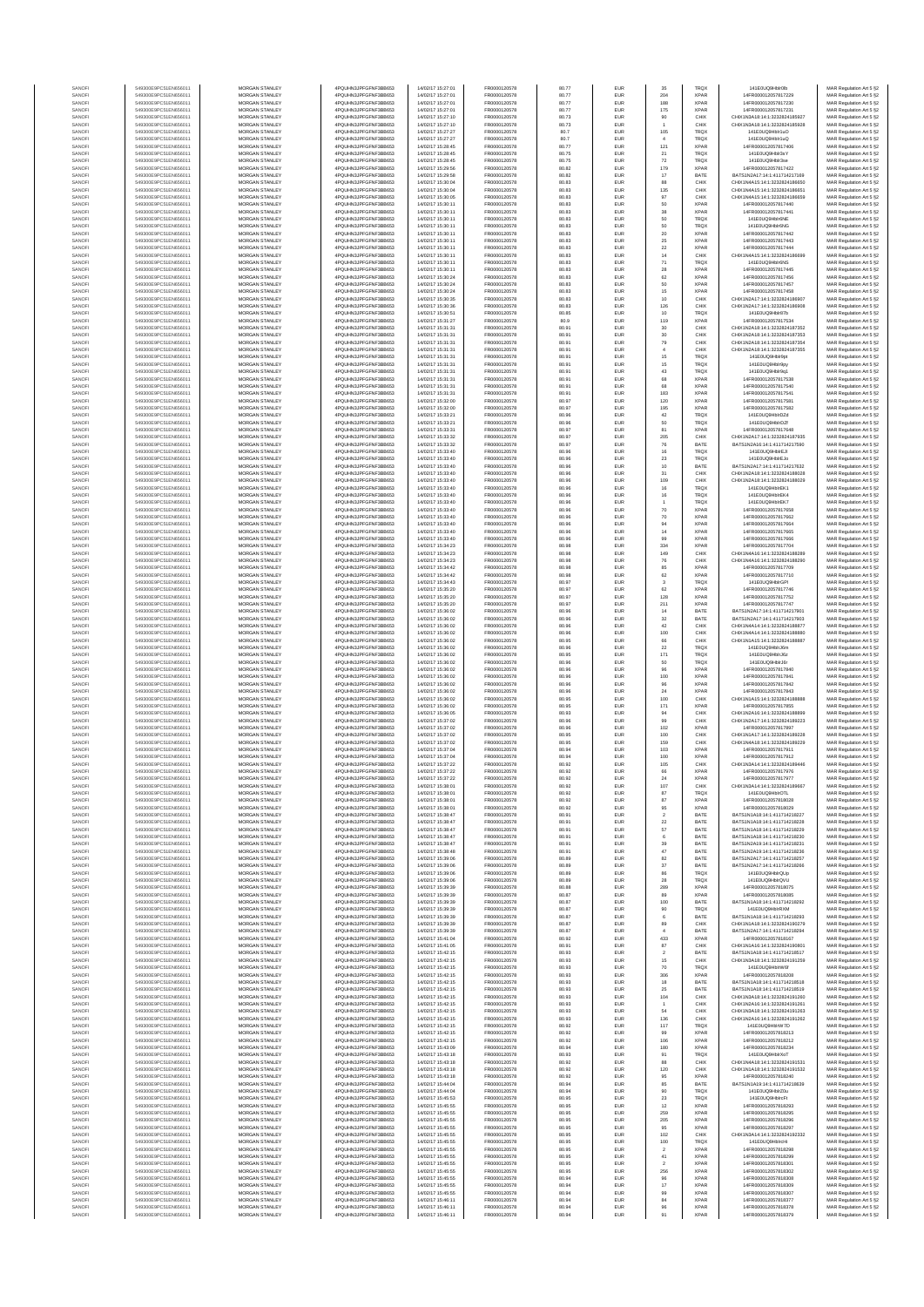| SANOF            | 549300E9PC51EN656011                         | <b>MORGAN STANLEY</b>                          | 4PQUHN3JPFGFNF3BB653                          | 14/02/17 15:27:01                      | FR0000120578                 | 80.77          | EUR               | 35                              | <b>TRQX</b>                | 141E0UQ9Hblr0lb                                                | MAR Regulation Art 5 §2                            |
|------------------|----------------------------------------------|------------------------------------------------|-----------------------------------------------|----------------------------------------|------------------------------|----------------|-------------------|---------------------------------|----------------------------|----------------------------------------------------------------|----------------------------------------------------|
| SANOFI           | 549300E9PC51EN656011                         | <b>MORGAN STANLEY</b>                          | 4PQUHN3JPFGFNF3BB653                          | 14/02/17 15:27:01                      | FR0000120578                 | 80.77          | EUR               | 204                             | <b>XPAR</b>                | 14FR000012057817229                                            | MAR Regulation Art 5 §2                            |
| SANOFI           | 549300E9PC51EN656011                         | MORGAN STANLEY                                 | 4PQUHN3JPFGFNF3BB653                          | 14/02/17 15:27:01                      | FR0000120578                 | 80.77          | EUR               | 188                             | <b>XPAR</b><br>XPAR        | 14FR000012057817230                                            | MAR Regulation Art 5 §2                            |
| SANOFI<br>SANOFI | 549300E9PC51EN656011<br>549300E9PC51EN656011 | MORGAN STANLEY<br>MORGAN STANLEY               | 4PQUHN3JPFGFNF3BB653<br>4PQUHN3JPFGFNF3BB653  | 14/02/17 15:27:01<br>14/02/17 15:27:10 | FR0000120578<br>FR0000120578 | 80.77<br>80.73 | EUR<br>EUR        | 175<br>90                       | CHIX                       | 14FR000012057817231<br>CHIX1N3A18:14:1:3232824185927           | MAR Regulation Art 5 §2<br>MAR Regulation Art 5 §2 |
| SANOFI           | 549300E9PC51EN656011                         | MORGAN STANLEY                                 | 4PQUHN3JPFGFNF3BB653                          | 14/02/17 15:27:10                      | FR0000120578                 | 80.73          | EUR               |                                 | CHIX                       | CHIX1N3A18:14:1:3232824185928                                  | MAR Regulation Art 5 §2                            |
| SANOFI           | 549300E9PC51EN656011                         | MORGAN STANLEY                                 | 4PQUHN3JPFGFNF3BB653                          | 14/02/17 15:27:27                      | FR0000120578                 | 80.7           | EUR               | 106                             | <b>TRQX</b>                | 141E0UQ9Hblr1uO                                                | MAR Regulation Art 5 §2                            |
| SANOFI           | 549300E9PC51EN656011                         | MORGAN STANLEY                                 | 4PQUHN3JPFGFNF3BB653                          | 14/02/17 15:27:27                      | FR0000120578                 | 80.7           | EUR               | $\overline{4}$                  | <b>TRQX</b>                | 141E0UQ9Hblr1uQ                                                | MAR Regulation Art 5 §2                            |
| SANOFI<br>SANOFI | 549300E9PC51EN656011<br>549300E9PC51EN656011 | <b>MORGAN STANLEY</b><br><b>MORGAN STANLEY</b> | 4PQUHN3JPFGFNF3BB653<br>4PQUHN3JPFGFNF3BB653  | 14/02/17 15:28:45<br>14/02/17 15:28:45 | FR0000120578<br>FR0000120578 | 80.77<br>80.75 | EUR<br>EUR        | 121                             | <b>XPAR</b><br><b>TRQX</b> | 14FR000012057817406<br>141E0UQ9Hblr3sY                         | MAR Regulation Art 5 §2<br>MAR Regulation Art 5 §2 |
| SANOFI           | 549300E9PC51EN656011                         | <b>MORGAN STANLEY</b>                          | 4PQUHN3JPFGFNF3BB653                          | 14/02/17 15:28:45                      | FR0000120578                 | 80.75          | EUR               | $21\,$<br>$72\,$                | <b>TRQX</b>                | 141E0UQ9Hblr3se                                                | MAR Regulation Art 5 §2                            |
| SANOFI           | 549300E9PC51EN656011                         | MORGAN STANLEY                                 | 4PQUHN3JPFGFNF3BB653                          | 14/02/17 15:29:56                      | FR0000120578                 | 80.82          | EUR               | 179                             | <b>XPAR</b>                | 14FR000012057817422                                            | MAR Regulation Art 5 §2                            |
| SANOFI           | 549300E9PC51EN656011                         | MORGAN STANLEY                                 | 4PQUHN3JPFGFNF3BB653                          | 14/02/17 15:29:58                      | FR0000120578                 | 80.82          | EUR               | $17\,$                          | BATE                       | BATS1N2A17:14:1:411714217169                                   | MAR Regulation Art 5 §2                            |
| SANOF<br>SANOFI  | 549300E9PC51EN656011<br>549300E9PC51EN656011 | MORGAN STANLEY<br>MORGAN STANLEY               | 4PQUHN3JPFGFNF3BB653<br>4PQUHN3JPFGFNF3BB653  | 14/02/17 15:30:04<br>14/02/17 15:30:04 | FR0000120578<br>FR0000120578 | 80.83<br>80.83 | EUR<br>EUR        | 88                              | CHIX<br>CHIX               | CHIX1N4A15:14:1:3232824186650<br>CHIX1N4A15:14:1:3232824186651 | MAR Regulation Art 5 §2                            |
| SANOFI           | 549300E9PC51EN656011                         | MORGAN STANLEY                                 | 4PQUHN3JPFGFNF3BB653                          | 14/02/17 15:30:05                      | FR0000120578                 | 80.83          | EUR               | 135<br>97                       | CHIX                       | CHIX1N4A15:14:1:3232824186659                                  | MAR Regulation Art 5 §2<br>MAR Regulation Art 5 §2 |
| SANOFI           | 549300E9PC51EN656011                         | MORGAN STANLEY                                 | 4PQUHN3JPFGFNF3BB653                          | 14/02/17 15:30:11                      | FR0000120578                 | 80.83          | EUR               | 50                              | <b>XPAF</b>                | 14FR000012057817440                                            | MAR Regulation Art 5 §2                            |
| SANOFI           | 549300E9PC51EN656011                         | <b>MORGAN STANLEY</b>                          | 4PQUHN3JPFGFNF3BB653                          | 14/02/17 15:30:11                      | FR0000120578                 | 80.83          | EUR               | 38                              | <b>XPAR</b>                | 14FR000012057817441                                            | MAR Regulation Art 5 §2                            |
| SANOFI           | 549300E9PC51EN656011                         | <b>MORGAN STANLEY</b>                          | 4PQUHN3JPFGFNF3BB653                          | 14/02/17 15:30:11                      | FR0000120578                 | 80.83          | EUR               | 50                              | <b>TRQX</b>                | 141E0UQ9Hblr6NE                                                | MAR Regulation Art 5 §2                            |
| SANOFI           | 549300E9PC51EN656011                         | MORGAN STANLEY                                 | 4PQUHN3JPFGFNF3BB653                          | 14/02/17 15:30:11                      | FR0000120578                 | 80.83          | EUR               | 50                              | <b>TRQX</b>                | 141E0UQ9Hblr6NG                                                | MAR Regulation Art 5 §2                            |
| SANOF<br>SANOFI  | 549300E9PC51EN656011<br>549300E9PC51EN656011 | MORGAN STANLEY<br>MORGAN STANLEY               | 4PQUHN3JPFGFNF3BB653<br>4PQUHN3JPFGFNF3BB653  | 14/02/17 15:30:11<br>14/02/17 15:30:11 | FR0000120578<br>FR0000120578 | 80.83<br>80.83 | EUR<br>EUR        | $20\,$                          | <b>XPAR</b><br><b>XPAF</b> | 14FR000012057817442<br>14FR000012057817443                     | MAR Regulation Art 5 §2                            |
| SANOFI           | 549300E9PC51EN656011                         | MORGAN STANLEY                                 | 4PQUHN3JPFGFNF3BB653                          | 14/02/17 15:30:11                      | FR0000120578                 | 80.83          | EUR               | 25<br>$\bf{22}$                 | <b>XPAF</b>                | 14FR000012057817444                                            | MAR Regulation Art 5 §2<br>MAR Regulation Art 5 §2 |
| SANOFI           | 549300E9PC51EN656011                         | MORGAN STANLEY                                 | 4PQUHN3JPFGFNF3BB653                          | 14/02/17 15:30:11                      | FR0000120578                 | 80.83          | EUR               | 14                              | CHIX                       | CHIX1N4A15:14:1:3232824186699                                  | MAR Regulation Art 5 §2                            |
| SANOFI           | 549300E9PC51EN656011                         | MORGAN STANLEY                                 | 4PQUHN3JPFGFNF3BB653                          | 14/02/17 15:30:11                      | FR0000120578                 | 80.83          | EUR               | $71\,$                          | <b>TRQX</b>                | 141E0UQ9Hblr6NS                                                | MAR Regulation Art 5 §2                            |
| SANOFI<br>SANOFI | 549300E9PC51EN656011<br>549300E9PC51EN656011 | <b>MORGAN STANLEY</b><br><b>MORGAN STANLEY</b> | 4PQUHN3JPFGFNF3BB653<br>4PQUHN3JPFGFNF3BB653  | 14/02/17 15:30:11<br>14/02/17 15:30:24 | FR0000120578<br>FR0000120578 | 80.83<br>80.83 | EUR<br>EUR        | 28<br>62                        | <b>XPAR</b><br><b>XPAR</b> | 14FR000012057817445<br>14FR000012057817456                     | MAR Regulation Art 5 §2<br>MAR Regulation Art 5 §2 |
| SANOFI           | 549300E9PC51EN656011                         | MORGAN STANLEY                                 | 4PQUHN3JPFGFNF3BB653                          | 14/02/17 15:30:24                      | FR0000120578                 | 80.83          | EUR               | 50                              | <b>XPAR</b>                | 14FR000012057817457                                            | MAR Regulation Art 5 §2                            |
| SANOFI           | 549300E9PC51EN656011                         | MORGAN STANLEY                                 | 4PQUHN3JPFGFNF3BB653                          | 14/02/17 15:30:24                      | FR0000120578                 | 80.83          | EUR               | 15                              | <b>XPAR</b>                | 14FR000012057817458                                            | MAR Regulation Art 5 §2                            |
| SANOF            | 549300E9PC51EN656011                         | MORGAN STANLEY                                 | 4PQUHN3JPFGFNF3BB653                          | 14/02/17 15:30:35                      | FR0000120578                 | 80.83          | EUR               | 10                              | CHIX                       | CHIX1N2A17:14:1:3232824186907                                  | MAR Regulation Art 5 §2                            |
| SANOFI           | 549300E9PC51EN656011                         | MORGAN STANLEY                                 | 4PQUHN3JPFGFNF3BB653                          | 14/02/17 15:30:36                      | FR0000120578                 | 80.83          | EUR               | 126                             | CHIX                       | CHIX1N2A17:14:1:3232824186908                                  | MAR Regulation Art 5 §2                            |
| SANOFI<br>SANOFI | 549300E9PC51EN656011<br>549300E9PC51EN656011 | MORGAN STANLEY<br>MORGAN STANLEY               | 4PQUHN3JPFGFNF3BB653<br>4PQUHN3JPFGFNF3BB653  | 14/02/17 15:30:51<br>14/02/17 15:31:27 | FR0000120578<br>FR0000120578 | 80.85<br>80.9  | EUR<br>EUR        | 10<br>119                       | TRQ)<br><b>XPAR</b>        | 141E0UQ9Hblr87b<br>14FR000012057817534                         | MAR Regulation Art 5 §2<br>MAR Regulation Art 5 §2 |
| SANOFI           | 549300E9PC51EN656011                         | <b>MORGAN STANLEY</b>                          | 4PQUHN3JPFGFNF3BB653                          | 14/02/17 15:31:31                      | FR0000120578                 | 80.91          | EUR               | 30                              | CHIX                       | CHIX1N2A18:14:1:3232824187352                                  | MAR Regulation Art 5 §2                            |
| SANOFI           | 549300E9PC51EN656011                         | <b>MORGAN STANLEY</b>                          | 4PQUHN3JPFGFNF3BB653                          | 14/02/17 15:31:31                      | FR0000120578                 | 80.91          | EUR               | 30                              | CHIX                       | CHIX1N2A18:14:1:3232824187353                                  | MAR Regulation Art 5 §2                            |
| SANOFI           | 549300E9PC51EN656011                         | MORGAN STANLEY                                 | 4PQUHN3JPFGFNF3BB653                          | 14/02/17 15:31:31                      | FR0000120578                 | 80.91          | EUR               | 79                              | CHIX                       | CHIX1N2A18:14:1:3232824187354                                  | MAR Regulation Art 5 §2                            |
| SANOFI<br>SANOFI | 549300E9PC51EN656011<br>549300E9PC51EN656011 | MORGAN STANLEY<br>MORGAN STANLEY               | 4PQUHN3JPFGFNF3BB653<br>4PQUHN3JPFGFNF3BB653  | 14/02/17 15:31:31<br>14/02/17 15:31:31 | FR0000120578<br>FR0000120578 | 80.91<br>80.91 | EUR<br>EUR        | $\boldsymbol{4}$<br>15          | CHIX<br>TRQ)               | CHIX1N2A18:14:1:3232824187355<br>141E0UQ9Hblr9pt               | MAR Regulation Art 5 §2                            |
| SANOFI           | 549300E9PC51EN656011                         | MORGAN STANLEY                                 | 4PQUHN3JPFGFNF3BB653                          | 14/02/17 15:31:31                      | FR0000120578                 | 80.91          | EUR               | 15                              | TRQ)                       | 141E0UQ9Hblr9py                                                | MAR Regulation Art 5 §2<br>MAR Regulation Art 5 §2 |
| SANOFI           | 549300E9PC51EN656011                         | MORGAN STANLEY                                 | 4PQUHN3JPFGFNF3BB653                          | 14/02/17 15:31:31                      | FR0000120578                 | 80.91          | EUR               | 43                              | <b>TRQX</b>                | 141E0UQ9Hblr9q1                                                | MAR Regulation Art 5 §2                            |
| SANOFI           | 549300E9PC51EN656011                         | MORGAN STANLEY                                 | 4PQUHN3JPFGFNF3BB653                          | 14/02/17 15:31:31                      | FR0000120578                 | 80.91          | EUR               | 68                              | <b>XPAR</b>                | 14FR000012057817538                                            | MAR Regulation Art 5 §2                            |
| SANOFI<br>SANOFI | 549300E9PC51EN656011<br>549300E9PC51EN656011 | <b>MORGAN STANLEY</b><br>MORGAN STANLEY        | 4PQUHN3JPFGFNF3BB653<br>4PQUHN3JPFGFNF3BB653  | 14/02/17 15:31:31<br>14/02/17 15:31:31 | FR0000120578<br>FR0000120578 | 80.91<br>80.91 | EUR<br>EUR        | 68<br>183                       | <b>XPAR</b><br><b>XPAR</b> | 14FR000012057817540<br>14FR000012057817541                     | MAR Regulation Art 5 §2                            |
| SANOFI           | 549300E9PC51EN656011                         | <b>MORGAN STANLEY</b>                          | 4PQUHN3JPFGFNF3BB653                          | 14/02/17 15:32:00                      | FR0000120578                 | 80.97          | EUR               | 120                             | <b>XPAR</b>                | 14FR000012057817581                                            | MAR Regulation Art 5 §2<br>MAR Regulation Art 5 §2 |
| SANOFI           | 549300E9PC51EN656011                         | MORGAN STANLEY                                 | 4PQUHN3JPFGFNF3BB653                          | 14/02/17 15:32:00                      | FR0000120578                 | 80.97          | EUR               | 195                             | <b>XPAF</b>                | 14FR000012057817582                                            | MAR Regulation Art 5 §2                            |
| SANOFI           | 549300E9PC51EN656011                         | MORGAN STANLEY                                 | 4PQUHN3JPFGFNF3BB653                          | 14/02/17 15:33:21                      | FR0000120578                 | 80.96          | EUR               | $42\,$                          | <b>TRQX</b>                | 141E0UQ9HblrDZd                                                | MAR Regulation Art 5 §2                            |
| SANOFI           | 549300E9PC51EN656011<br>549300E9PC51EN656011 | MORGAN STANLEY<br>MORGAN STANLEY               | 4PQUHN3JPFGFNF3BB653<br>4PQUHN3JPFGFNF3BB653  | 14/02/17 15:33:2<br>14/02/17 15:33:31  | FR0000120578<br>FR0000120578 | 80.96<br>80.97 | EUR<br>EUR        | 50<br>81                        | TRQ)<br><b>XPAF</b>        | 141E0UQ9HblrDZf<br>14FR000012057817648                         | MAR Regulation Art 5 §2                            |
| SANOFI<br>SANOFI | 549300E9PC51EN656011                         | <b>MORGAN STANLEY</b>                          | 4PQUHN3JPFGFNF3BB653                          | 14/02/17 15:33:32                      | FR0000120578                 | 80.97          | EUR               | 205                             | CHIX                       | CHIX1N2A17:14:1:3232824187935                                  | MAR Regulation Art 5 §2<br>MAR Regulation Art 5 §2 |
| SANOFI           | 549300E9PC51EN656011                         | MORGAN STANLEY                                 | 4PQUHN3JPFGFNF3BB653                          | 14/02/17 15:33:32                      | FR0000120578                 | 80.97          | EUR               | 76                              | BATE                       | BATS1N2A16:14:1:411714217590                                   | MAR Regulation Art 5 §2                            |
| SANOFI           | 549300E9PC51EN656011                         | <b>MORGAN STANLEY</b>                          | 4POLIHN3JPEGENE3BB653                         | 14/02/17 15:33:40                      | FR0000120578                 | 80.96          | EUR               | 16                              | <b>TRQX</b>                | 141E0UQ9HblrEJI                                                | MAR Regulation Art 5 §2                            |
| SANOFI           | 549300E9PC51EN656011                         | <b>MORGAN STANLEY</b>                          | 4PQUHN3JPFGFNF3BB653                          | 14/02/17 15:33:40                      | FR0000120578                 | 80.96          | EUR               | 23                              | <b>TRQX</b>                | 141E0UQ9HblrEJo                                                | MAR Regulation Art 5 §2                            |
| SANOFI<br>SANOFI | 549300E9PC51EN656011<br>549300E9PC51EN656011 | MORGAN STANLEY<br>MORGAN STANLEY               | 4PQUHN3JPFGFNF3BB653<br>4PQUHN3JPFGFNF3BB653  | 14/02/17 15:33:40<br>14/02/17 15:33:40 | FR0000120578<br>FR0000120578 | 80.96<br>80.96 | EUR<br>EUR        | $10$<br>$31\,$                  | BATE<br>CHIX               | BATS1N2A17:14:1:411714217632<br>CHIX1N2A18:14:1:3232824188028  | MAR Regulation Art 5 §2<br>MAR Regulation Art 5 §2 |
| SANOFI           | 549300E9PC51EN656011                         | MORGAN STANLEY                                 | 4PQUHN3JPFGFNF3BB653                          | 14/02/17 15:33:40                      | FR0000120578                 | 80.96          | EUR               | 109                             | CHIX                       | CHIX1N2A18:14:1:3232824188029                                  | MAR Regulation Art 5 §2                            |
| SANOFI           | 549300E9PC51EN656011                         | MORGAN STANLEY                                 | 4PQUHN3JPFGFNF3BB653                          | 14/02/17 15:33:40                      | FR0000120578                 | 80.96          | EUR               | 16                              | TRQ)                       | 141E0UQ9HblrEK1                                                | MAR Regulation Art 5 §2                            |
| SANOFI           | 549300E9PC51EN656011                         | MORGAN STANLEY                                 | 4PQUHN3JPFGFNF3BB653                          | 14/02/17 15:33:40                      | FR0000120578                 | 80.96          | EUR               | 16                              | <b>TRQX</b>                | 141E0UQ9HblrEK4                                                | MAR Regulation Art 5 §2                            |
| SANOFI<br>SANOFI | 549300E9PC51EN656011<br>549300E9PC51EN656011 | MORGAN STANLEY<br><b>MORGAN STANLEY</b>        | 4PQUHN3JPFGFNF3BB653<br>4POLIHN3JPEGENE3BB653 | 14/02/17 15:33:40<br>14/02/17 15:33:40 | FR0000120578<br>FR0000120578 | 80.96<br>80.96 | EUR<br>EUR        | 70                              | <b>TRQX</b><br><b>XPAR</b> | 141E0UQ9HblrEK7<br>14FR000012057817658                         | MAR Regulation Art 5 §2<br>MAR Regulation Art 5 §2 |
| SANOFI           | 549300E9PC51EN656011                         | MORGAN STANLEY                                 | 4PQUHN3JPFGFNF3BB653                          | 14/02/17 15:33:40                      | FR0000120578                 | 80.96          | EUR               | 70                              | <b>XPAR</b>                | 14FR000012057817662                                            | MAR Regulation Art 5 §2                            |
| SANOFI           | 549300E9PC51EN656011                         | MORGAN STANLEY                                 | 4PQUHN3JPFGFNF3BB653                          | 14/02/17 15:33:40                      | FR0000120578                 | 80.96          | EUR               | 94                              | <b>XPAR</b>                | 14FR000012057817664                                            | MAR Regulation Art 5 §2                            |
| SANOF            | 549300E9PC51EN656011                         | MORGAN STANLEY                                 | 4PQUHN3JPFGFNF3BB653                          | 14/02/17 15:33:40                      | FR0000120578                 | 80.96          | EUR               | $14\,$                          | <b>XPAR</b>                | 14FR000012057817665                                            | MAR Regulation Art 5 §2                            |
| SANOFI           | 549300E9PC51EN656011<br>549300E9PC51EN656011 | MORGAN STANLEY<br>MORGAN STANLEY               | 4PQUHN3JPFGFNF3BB653<br>4PQUHN3JPFGFNF3BB653  | 14/02/17 15:33:40<br>14/02/17 15:34:23 | FR0000120578<br>FR0000120578 | 80.96<br>80.98 | EUR<br>EUR        | 99<br>334                       | <b>XPAF</b><br><b>XPAF</b> | 14FR000012057817666<br>14FR000012057817704                     | MAR Regulation Art 5 §2                            |
| SANOFI<br>SANOFI | 549300E9PC51EN656011                         | MORGAN STANLEY                                 | 4PQUHN3JPFGFNF3BB653                          | 14/02/17 15:34:23                      | FR0000120578                 | 80.98          | EUR               | 149                             | CHIX                       | CHIX1N4A16:14:1:3232824188289                                  | MAR Regulation Art 5 §2<br>MAR Regulation Art 5 §2 |
| SANOFI           | 549300E9PC51EN656011                         | MORGAN STANLEY                                 | 4PQUHN3JPFGFNF3BB653                          | 14/02/17 15:34:23                      | FR0000120578                 | 80.98          | EUR               | 76                              | CHIX                       | CHIX1N4A16:14:1:3232824188290                                  | MAR Regulation Art 5 §2                            |
| SANOFI           | 549300E9PC51EN656011                         | <b>MORGAN STANLEY</b>                          | 4PQUHN3JPFGFNF3BB653                          | 14/02/17 15:34:42                      | FR0000120578                 | 80.98          | EUR               | 85                              | <b>XPAR</b>                | 14FR000012057817709                                            | MAR Regulation Art 5 §2                            |
| SANOFI           | 549300E9PC51EN656011                         | <b>MORGAN STANLEY</b>                          | 4PQUHN3JPFGFNF3BB653                          | 14/02/17 15:34:42                      | FR0000120578                 | 80.98          | EUR               | 62                              | <b>XPAR</b>                | 14FR000012057817710                                            | MAR Regulation Art 5 §2                            |
| SANOFI<br>SANOFI | 549300E9PC51EN656011<br>549300E9PC51EN656011 | MORGAN STANLEY<br>MORGAN STANLEY               | 4PQUHN3JPFGFNF3BB653<br>4PQUHN3JPFGFNF3BB653  | 14/02/17 15:34:43<br>14/02/17 15:35:20 | FR0000120578<br>FR0000120578 | 80.97<br>80.97 | EUR<br>EUR        | $\ensuremath{\mathbf{3}}$<br>62 | <b>TRQX</b><br><b>XPAR</b> | 141E0UQ9HblrGPI<br>14FR000012057817746                         | MAR Regulation Art 5 §2<br>MAR Regulation Art 5 §2 |
| SANOFI           | 549300E9PC51EN656011                         | MORGAN STANLEY                                 | 4PQUHN3JPFGFNF3BB653                          | 14/02/17 15:35:20                      | FR0000120578                 | 80.97          | EUR               | 128                             | <b>XPAF</b>                | 14FR000012057817752                                            | MAR Regulation Art 5 §2                            |
| SANOFI           | 549300E9PC51EN656011                         | MORGAN STANLEY                                 | 4PQUHN3JPFGFNF3BB653                          | 14/02/17 15:35:20                      | FR0000120578                 | 80.97          | EUR               | 211                             | <b>XPAF</b>                | 14FR000012057817747                                            | MAR Regulation Art 5 §2                            |
| SANOFI           | 549300E9PC51EN656011                         | MORGAN STANLEY                                 | 4PQUHN3JPFGFNF3BB653                          | 14/02/17 15:36:02                      | FR0000120578                 | 80.96          | EUR               | 14                              | BATE                       | BATS1N2A17:14:1:411714217901                                   | MAR Regulation Art 5 §2                            |
| SANOFI<br>SANOFI | 549300E9PC51EN656011<br>549300E9PC51EN656011 | MORGAN STANLEY<br><b>MORGAN STANLEY</b>        | 4PQUHN3JPFGFNF3BB653<br>4PQUHN3JPFGFNF3BB653  | 14/02/17 15:36:02<br>14/02/17 15:36:02 | FR0000120578<br>FR0000120578 | 80.96<br>80.96 | EUR<br>EUR        | $_{32}$<br>42                   | BATE<br>CHIX               | BATS1N2A17:14:1:411714217903<br>CHIX1N4A14:14:1:3232824188877  | MAR Regulation Art 5 §2<br>MAR Regulation Art 5 §2 |
| SANOFI           | 549300E9PC51EN656011                         | <b>MORGAN STANLEY</b>                          | 4PQUHN3JPFGFNF3BB653                          | 14/02/17 15:36:02                      | FR0000120578                 | 80.96          | EUR               | 100                             | CHIX                       | CHIX1N4A14:14:1:3232824188880                                  | MAR Regulation Art 5 §2                            |
| SANOFI           | 549300E9PC51EN656011                         | <b>MORGAN STANLEY</b>                          | 4PQUHN3JPFGFNF3BB653                          | 14/02/17 15:36:02                      | FR0000120578                 | 80.95          | EUR               | 66                              | CHIX                       | CHIX1N1A15:14:1:3232824188887                                  | MAR Regulation Art 5 §2                            |
| SANOFI           | 549300E9PC51EN656011                         | MORGAN STANLEY                                 | 4PQUHN3JPFGFNF3BB653                          | 14/02/17 15:36:02                      | FR0000120578                 | 80.96          | EUR               | $\bf 22$                        | <b>TRQX</b>                | 141E0UQ9HblrJ6m                                                | MAR Regulation Art 5 §2                            |
| SANOFI<br>SANOF  | 549300E9PC51EN656011<br>549300E9PC51EN656011 | MORGAN STANLEY<br>MORGAN STANLEY               | 4PQUHN3JPFGFNF3BB653<br>4PQUHN3JPFGFNF3BB653  | 14/02/17 15:36:02<br>14/02/17 15:36:02 | FR0000120578<br>FR0000120578 | 80.95<br>80.96 | EUR<br>EUR        | 171<br>50                       | <b>TRQX</b><br>TRQ)        | 141E0UQ9HblrJ6z<br>141E0UQ9HblrJ6r                             | MAR Regulation Art 5 §2<br>MAR Regulation Art 5 §2 |
| SANOFI           | 549300E9PC51EN656011                         | MORGAN STANLEY                                 | 4PQUHN3JPFGFNF3BB653                          | 14/02/17 15:36:02                      | FR0000120578                 | 80.96          | EUR               | 96                              | <b>XPAF</b>                | 14FR000012057817840                                            | MAR Regulation Art 5 §2                            |
| SANOFI           | 549300E9PC51EN656011                         | MORGAN STANLEY                                 | 4PQUHN3JPFGFNF3BB653                          | 14/02/17 15:36:02                      | FR0000120578                 | 80.96          | EUR               | 100                             | <b>XPAR</b>                | 14FR000012057817841                                            | MAR Regulation Art 5 §2                            |
| SANOFI           | 549300E9PC51EN656011                         | MORGAN STANLEY                                 | 4PQUHN3JPFGFNF3BB653                          | 14/02/17 15:36:02                      | FR0000120578                 | 80.96          | EUR               | 96                              | <b>XPAR</b>                | 14FR000012057817842                                            | MAR Regulation Art 5 §2                            |
| SANOFI<br>SANOFI | 549300E9PC51EN656011<br>549300E9PC51EN656011 | <b>MORGAN STANLEY</b><br><b>MORGAN STANLEY</b> | 4PQUHN3JPFGFNF3BB653<br>4POLIHN3JPEGENE3BB653 | 14/02/17 15:36:02<br>14/02/17 15:36:02 | FR0000120578<br>FR0000120578 | 80.96<br>80.95 | EUR<br>EUR        | 24<br>100                       | <b>XPAR</b><br>CHIX        | 14FR000012057817843<br>CHIX1N1A15:14:1:3232824188888           | MAR Regulation Art 5 §2<br>MAR Regulation Art 5 §2 |
| SANOFI           | 549300E9PC51EN656011                         | MORGAN STANLEY                                 | 4PQUHN3JPFGFNF3BB653                          | 14/02/17 15:36:02                      | FR0000120578                 | 80.95          | EUR               | 171                             | <b>XPAR</b>                | 14FR000012057817855                                            | MAR Regulation Art 5 §2                            |
| SANOFI           | 549300E9PC51EN656011                         | MORGAN STANLEY                                 | 4PQUHN3JPFGFNF3BB653                          | 14/02/17 15:36:05                      | FR0000120578                 | 80.93          | EUR               | 94                              | CHIX                       | CHIX1N2A16:14:1:3232824188899                                  | MAR Regulation Art 5 §2                            |
| SANOFI           | 549300E9PC51EN656011                         | MORGAN STANLEY                                 | 4PQUHN3JPFGFNF3BB653                          | 14/02/17 15:37:02                      | FR0000120578                 | 80.96          | EUR               | 99                              | CHIX                       | CHIX1N2A17:14:1:3232824189223                                  | MAR Regulation Art 5 §2                            |
| SANOF<br>SANOFI  | 549300E9PC51EN656011<br>549300E9PC51EN656011 | MORGAN STANLEY<br>MORGAN STANLEY               | 4PQUHN3JPFGFNF3BB653<br>4PQUHN3JPFGFNF3BB653  | 14/02/17 15:37:02<br>14/02/17 15:37:02 | FR0000120578<br>FR0000120578 | 80.96<br>80.95 | EUR<br>EUR        | 102<br>100                      | <b>XPAF</b><br>CHIX        | 14FR00001205781789<br>CHIX1N1A17:14:1:3232824189228            | MAR Regulation Art 5 §2<br>MAR Regulation Art 5 §2 |
| SANOFI           | 549300E9PC51EN656011                         | MORGAN STANLEY                                 | 4PQUHN3JPFGFNF3BB653                          | 14/02/17 15:37:02                      | FR0000120578                 | 80.95          | EUR               | 159                             | CHIX                       | CHIX1N4A18:14:1:3232824189229                                  | MAR Regulation Art 5 §2                            |
| SANOFI           | 549300E9PC51EN656011                         | <b>MORGAN STANLEY</b>                          | 4PQUHN3JPFGFNF3BB653                          | 14/02/17 15:37:04                      | FR0000120578                 | 80.94          | EUR               | 103                             | <b>XPAR</b>                | 14FR000012057817911                                            | MAR Regulation Art 5 §2                            |
| SANOFI           | 549300E9PC51EN656011                         | <b>MORGAN STANLEY</b>                          | 4PQUHN3JPFGFNF3BB653                          | 14/02/17 15:37:04                      | ER0000120578                 | 80.94          | EUR               | 100                             | <b>XPAR</b>                | 14FR000012057817912                                            | MAR Regulation Art 5 §2                            |
| SANOF<br>SANOFI  | 549300E9PC51EN656011<br>549300E9PC51EN656011 | <b>MORGAN STANLEY</b><br>MORGAN STANLEY        | 4PQUHN3JPFGFNF3BB653<br>4PQUHN3JPFGFNF3BB653  | 14/02/17 15:37:22<br>14/02/17 15:37:22 | FR0000120578<br>FR0000120578 | 80.92<br>80.92 | EUR<br>EUR        | 105<br>88                       | CHIX<br><b>XPAR</b>        | CHIX1N3A14:14:1:3232824189446<br>14FR000012057817976           | MAR Regulation Art 5 §2<br>MAR Regulation Art 5 §2 |
|                  |                                              |                                                | 1N3JPFGFNF3BB653                              | 32/17 15:37:22                         |                              |                |                   |                                 |                            | 1205781797.                                                    |                                                    |
| SANOF            | 549300E9PC51EN656011                         | MORGAN STANLEY                                 | 4PQUHN3JPFGFNF3BB653                          | 14/02/17 15:38:01                      | FR0000120578                 | 80.92          | EUR               | 107                             | CHIX                       | CHIX1N3A14:14:1:3232824189667                                  | MAR Regulation Art 5 §2                            |
| SANOFI           | 549300E9PC51EN656011                         | MORGAN STANLEY                                 | 4PQUHN3JPFGFNF3BB653                          | 14/02/17 15:38:01                      | FR0000120578                 | 80.92          | EUR               | 87                              | <b>TRQX</b>                | 141E0UQ9HblrOTL                                                | MAR Regulation Art 5 §2                            |
| SANOFI<br>SANOFI | 549300E9PC51EN656011<br>549300E9PC51EN656011 | MORGAN STANLEY<br><b>MORGAN STANLEY</b>        | 4PQUHN3JPFGFNF3BB653<br>4PQUHN3JPFGFNF3BB653  | 14/02/17 15:38:01<br>14/02/17 15:38:01 | FR0000120578<br>FR0000120578 | 80.92<br>80.92 | EUR<br>EUR        | 87<br>95                        | <b>XPAR</b><br><b>XPAR</b> | 14FR000012057818028<br>14FR000012057818029                     | MAR Regulation Art 5 §2                            |
| SANOFI           | 549300E9PC51EN656011                         | <b>MORGAN STANLEY</b>                          | 4PQUHN3JPFGFNF3BB653                          | 14/02/17 15:38:47                      | FR0000120578                 | 80.91          | EUR               | $\overline{2}$                  | BATE                       | BATS1N1A18:14:1:411714218227                                   | MAR Regulation Art 5 §2<br>MAR Regulation Art 5 §2 |
| SANOFI           | 549300E9PC51EN656011                         | MORGAN STANLEY                                 | 4PQUHN3JPFGFNF3BB653                          | 14/02/17 15:38:47                      | FR0000120578                 | 80.91          | EUR               | $\bf 22$                        | BATE                       | BATS1N1A18:14:1:411714218228                                   | MAR Regulation Art 5 §2                            |
| SANOFI           | 549300E9PC51EN656011                         | MORGAN STANLEY                                 | 4PQUHN3JPFGFNF3BB653                          | 14/02/17 15:38:47                      | FR0000120578                 | 80.91          | EUR               | 57                              | BATE                       | BATS1N1A18:14:1:411714218229                                   | MAR Regulation Art 5 §2                            |
| SANOFI<br>SANOFI | 549300E9PC51EN656011<br>549300E9PC51EN656011 | MORGAN STANLEY<br>MORGAN STANLEY               | 4PQUHN3JPFGFNF3BB653<br>4PQUHN3JPFGFNF3BB653  | 14/02/17 15:38:47<br>14/02/17 15:38:47 | FR0000120578<br>FR0000120578 | 80.91<br>80.91 | EUR<br>EUR        | 6<br>39                         | BATE<br>BATE               | BATS1N1A18:14:1:411714218230<br>BATS1N2A19:14:1:411714218231   | MAR Regulation Art 5 §2                            |
| SANOFI           | 549300E9PC51EN656011                         | MORGAN STANLEY                                 | 4PQUHN3JPFGFNF3BB653                          | 14/02/17 15:38:48                      | FR0000120578                 | 80.91          | EUR               | $47\,$                          | BATE                       | BATS1N2A19:14:1:411714218236                                   | MAR Regulation Art 5 §2<br>MAR Regulation Art 5 §2 |
| SANOFI           | 549300E9PC51EN656011                         | MORGAN STANLEY                                 | 4PQUHN3JPFGFNF3BB653                          | 14/02/17 15:39:06                      | FR0000120578                 | 80.89          | EUR               | 82                              | BATE                       | BATS1N2A17:14:1:411714218257                                   | MAR Regulation Art 5 §2                            |
| SANOFI           | 549300E9PC51EN656011                         | <b>MORGAN STANLEY</b>                          | 4PQUHN3JPFGFNF3BB653                          | 14/02/17 15:39:06<br>14/02/17 15:39:06 | FR0000120578<br>FR0000120578 | 80.89          | EUR               | 37<br>86                        | BATE                       | BATS1N2A17:14:1:411714218266<br>141F0UQ9HblrOUp                | MAR Regulation Art 5 §2                            |
| SANOFI<br>SANOFI | 549300E9PC51EN656011<br>549300E9PC51EN656011 | <b>MORGAN STANLEY</b><br><b>MORGAN STANLEY</b> | 4PQUHN3JPFGFNF3BB653<br>4PQUHN3JPFGFNF3BB653  | 14/02/17 15:39:06                      | FR0000120578                 | 80.89<br>80.89 | EUR<br>EUR        | 28                              | <b>TRQX</b><br><b>TRQX</b> | 141F0UQ9HblrOVU                                                | MAR Regulation Art 5 §2<br>MAR Regulation Art 5 §2 |
| SANOFI           | 549300E9PC51EN656011                         | MORGAN STANLEY                                 | 4PQUHN3JPFGFNF3BB653                          | 14/02/17 15:39:39                      | FR0000120578                 | 80.88          | EUR               | 289                             | <b>XPAR</b>                | 14FR000012057818075                                            | MAR Regulation Art 5 §2                            |
| SANOFI           | 549300E9PC51EN656011                         | <b>MORGAN STANLEY</b>                          | 4PQUHN3JPFGFNF3BB653                          | 14/02/17 15:39:39                      | FR0000120578                 | 80.87          | EUR               | 89                              | <b>XPAR</b>                | 14FR000012057818085                                            | MAR Regulation Art 5 §2                            |
| SANOFI<br>SANOFI | 549300E9PC51EN656011<br>549300E9PC51EN656011 | MORGAN STANLEY<br>MORGAN STANLEY               | 4PQUHN3JPFGFNF3BB653<br>4PQUHN3JPFGFNF3BB653  | 14/02/17 15:39:39<br>14/02/17 15:39:39 | FR0000120578<br>FR0000120578 | 80.87<br>80.87 | EUR<br>EUR        | 100<br>90                       | BATE<br><b>TRQX</b>        | BATS1N1A18:14:1:411714218292<br>141E0UQ9HblrRXM                | MAR Regulation Art 5 §2<br>MAR Regulation Art 5 §2 |
| SANOFI           | 549300E9PC51EN656011                         | MORGAN STANLEY                                 | 4PQUHN3JPFGFNF3BB653                          | 14/02/17 15:39:39                      | FR0000120578                 | 80.87          | EUR               | 6                               | <b>BATE</b>                | BATS1N1A18:14:1:411714218293                                   | MAR Regulation Art 5 §2                            |
| SANOFI           | 549300E9PC51EN656011                         | MORGAN STANLEY                                 | 4PQUHN3JPFGFNF3BB653                          | 14/02/17 15:39:39                      | FR0000120578                 | 80.87          | EUR               | 89                              | CHIX                       | CHIX1N1A18:14:1:3232824190279                                  | MAR Regulation Art 5 §2                            |
| SANOFI           | 549300E9PC51EN656011                         | MORGAN STANLEY                                 | 4PQUHN3JPFGFNF3BB653                          | 14/02/17 15:39:39                      | FR0000120578                 | 80.87          | EUR               | 4                               | <b>BATE</b>                | BATS1N2A17:14:1:411714218294                                   | MAR Regulation Art 5 §2                            |
| SANOFI<br>SANOFI | 549300E9PC51EN656011<br>549300E9PC51EN656011 | <b>MORGAN STANLEY</b><br>MORGAN STANLEY        | 4PQUHN3JPFGFNF3BB653<br>4PQUHN3JPFGFNF3BB653  | 14/02/17 15:41:04<br>14/02/17 15:41:05 | FR0000120578<br>FR0000120578 | 80.92<br>80.91 | EUR<br>EUR        | 433<br>$_{\rm 87}$              | <b>XPAR</b><br>CHIX        | 14FR000012057818167<br>CHIX1N1A16:14:1:3232824190801           | MAR Regulation Art 5 §2<br>MAR Regulation Art 5 §2 |
| SANOFI           | 549300E9PC51EN656011                         | MORGAN STANLEY                                 | 4PQUHN3JPFGFNF3BB653                          | 14/02/17 15:42:15                      | FR0000120578                 | 80.93          | EUR               | $\sqrt{2}$                      | <b>BATE</b>                | BATS1N1A18:14:1:411714218517                                   | MAR Regulation Art 5 §2                            |
| SANOFI           | 549300E9PC51EN656011                         | MORGAN STANLEY                                 | 4PQUHN3JPFGFNF3BB653                          | 14/02/17 15:42:15                      | FR0000120578                 | 80.93          | EUR               | 15                              | CHIX                       | CHIX1N3A18:14:1:3232824191259                                  | MAR Regulation Art 5 §2                            |
| SANOFI           | 549300E9PC51EN656011                         | MORGAN STANLEY                                 | 4PQUHN3JPFGFNF3BB653                          | 14/02/17 15:42:15                      | FR0000120578                 | 80.93          | EUR               | 70                              | <b>TRQX</b>                | 141E0UQ9HblrW6f                                                | MAR Regulation Art 5 §2                            |
| SANOFI<br>SANOFI | 549300E9PC51EN656011<br>549300E9PC51EN656011 | MORGAN STANLEY<br>MORGAN STANLEY               | 4PQUHN3JPFGFNF3BB653<br>4PQUHN3JPFGFNF3BB653  | 14/02/17 15:42:15<br>14/02/17 15:42:15 | FR0000120578<br>FR0000120578 | 80.93<br>80.93 | EUR<br><b>EUR</b> | 306<br>18                       | <b>XPAR</b><br>BATE        | 14FR000012057818208<br>BATS1N1A18:14:1:411714218518            | MAR Regulation Art 5 §2<br>MAR Regulation Art 5 §2 |
| SANOFI           | 549300E9PC51EN656011                         | <b>MORGAN STANLEY</b>                          | 4PQUHN3JPFGFNF3BB653                          | 14/02/17 15:42:15                      | FR0000120578                 | 80.93          | EUR               | 25                              | <b>BATE</b>                | BATS1N1A18:14:1:411714218519                                   | MAR Regulation Art 5 §2                            |
| SANOFI           | 549300E9PC51EN656011                         | <b>MORGAN STANLEY</b>                          | 4PQUHN3JPFGFNF3BB653                          | 14/02/17 15:42:15                      | FR0000120578                 | 80.93          | EUR               | 104                             | CHIX                       | CHIX1N3A18:14:1:3232824191260                                  | MAR Regulation Art 5 §2                            |
| SANOFI           | 549300E9PC51EN656011                         | MORGAN STANLEY                                 | 4PQUHN3JPFGFNF3BB653                          | 14/02/17 15:42:15                      | FR0000120578<br>FR0000120578 | 80.93          | EUR               | 54                              | CHIX                       | CHIX1N2A16:14:1:3232824191261                                  | MAR Regulation Art 5 §2                            |
| SANOFI<br>SANOFI | 549300E9PC51EN656011<br>549300E9PC51EN656011 | MORGAN STANLEY<br>MORGAN STANLEY               | 4PQUHN3JPFGFNF3BB653<br>4PQUHN3JPFGFNF3BB653  | 14/02/17 15:42:15<br>14/02/17 15:42:15 | FR0000120578                 | 80.93<br>80.93 | EUR<br>EUR        | 136                             | CHIX<br>CHIX               | CHIX1N3A18:14:1:3232824191263<br>CHIX1N2A16:14:1:3232824191262 | MAR Regulation Art 5 §2<br>MAR Regulation Art 5 §2 |
| SANOFI           | 549300E9PC51EN656011                         | MORGAN STANLEY                                 | 4PQUHN3JPFGFNF3BB653                          | 14/02/17 15:42:15                      | FR0000120578                 | 80.92          | EUR               | 117                             | <b>TRQX</b>                | 141E0UQ9HblrW7D                                                | MAR Regulation Art 5 §2                            |
| SANOFI           | 549300E9PC51EN656011                         | MORGAN STANLEY                                 | 4PQUHN3JPFGFNF3BB653                          | 14/02/17 15:42:15                      | FR0000120578                 | 80.92          | EUR               | 99                              | <b>XPAR</b>                | 14FR000012057818213                                            | MAR Regulation Art 5 §2                            |
| SANOFI           | 549300E9PC51EN656011                         | MORGAN STANLEY                                 | 4PQUHN3JPFGFNF3BB653                          | 14/02/17 15:42:15                      | FR0000120578                 | 80.92          | <b>EUR</b>        | 106                             | <b>XPAR</b>                | 14FR000012057818212                                            | MAR Regulation Art 5 §2                            |
| SANOFI<br>SANOFI | 549300E9PC51EN656011<br>549300E9PC51EN656011 | <b>MORGAN STANLEY</b><br><b>MORGAN STANLEY</b> | 4PQUHN3JPFGFNF3BB653<br>4PQUHN3JPFGFNF3BB653  | 14/02/17 15:43:09<br>14/02/17 15:43:18 | FR0000120578<br>FR0000120578 | 80.94<br>80.93 | EUR<br>EUR        | 180<br>91                       | <b>XPAR</b><br><b>TRQX</b> | 14FR000012057818234<br>141E0UQ9HblrXoT                         | MAR Regulation Art 5 §2<br>MAR Regulation Art 5 §2 |
| SANOFI           | 549300E9PC51EN656011                         | MORGAN STANLEY                                 | 4PQUHN3JPFGFNF3BB653                          | 14/02/17 15:43:18                      | FR0000120578                 | 80.92          | EUR               | 88                              | CHIX                       | CHIX1N4A18:14:1:3232824191531                                  | MAR Regulation Art 5 §2                            |
| SANOFI           | 549300E9PC51EN656011                         | MORGAN STANLEY                                 | 4PQUHN3JPFGFNF3BB653                          | 14/02/17 15:43:18                      | FR0000120578                 | 80.92          | EUR               | 120                             | CHIX                       | CHIX1N1A18:14:1:3232824191532                                  | MAR Regulation Art 5 §2                            |
| SANOFI           | 549300E9PC51EN656011                         | MORGAN STANLEY                                 | 4PQUHN3JPFGFNF3BB653                          | 14/02/17 15:43:18                      | FR0000120578                 | 80.92          | EUR               | 95                              | <b>XPAF</b>                | 14FR000012057818240                                            | MAR Regulation Art 5 §2                            |
| SANOFI<br>SANOFI | 549300E9PC51EN656011<br>549300E9PC51EN656011 | MORGAN STANLEY<br>MORGAN STANLEY               | 4PQUHN3JPFGFNF3BB653<br>4PQUHN3JPFGFNF3BB653  | 14/02/17 15:44:04<br>14/02/17 15:44:04 | FR0000120578<br>FR0000120578 | 80.94<br>80.94 | EUR<br>EUR        | 85<br>90                        | BATE<br><b>TRQX</b>        | BATS1N1A19:14:1:411714218639<br>141E0UQ9HblrZ0u                | MAR Regulation Art 5 §2<br>MAR Regulation Art 5 §2 |
| SANOFI           | 549300E9PC51EN656011                         | MORGAN STANLEY                                 | 4PQUHN3JPFGFNF3BB653                          | 14/02/17 15:45:53                      | FR0000120578                 | 80.95          | EUR               | 23                              | <b>TRQX</b>                | 141E0UQ9HblrcFt                                                | MAR Regulation Art 5 §2                            |
| SANOFI           | 549300E9PC51EN656011                         | <b>MORGAN STANLEY</b>                          | 4PQUHN3JPFGFNF3BB653                          | 14/02/17 15:45:55                      | FR0000120578                 | 80.95          | EUR               | 12                              | <b>XPAR</b>                | 14FR000012057818293                                            | MAR Regulation Art 5 §2                            |
| SANOFI           | 549300E9PC51EN656011                         | <b>MORGAN STANLEY</b>                          | 4PQUHN3JPFGFNF3BB653                          | 14/02/17 15:45:55                      | FR0000120578                 | 80.95          | EUR               | 259                             | <b>XPAR</b>                | 14FR000012057818295                                            | MAR Regulation Art 5 §2                            |
| SANOFI<br>SANOFI | 549300E9PC51EN656011<br>549300E9PC51EN656011 | <b>MORGAN STANLEY</b><br>MORGAN STANLEY        | 4PQUHN3JPFGFNF3BB653<br>4PQUHN3JPFGFNF3BB653  | 14/02/17 15:45:55<br>14/02/17 15:45:55 | FR0000120578<br>FR0000120578 | 80.95<br>80.95 | EUR<br>EUR        | 205<br>95                       | <b>XPAR</b><br><b>XPAR</b> | 14FR000012057818296<br>14FR000012057818297                     | MAR Regulation Art 5 §2<br>MAR Regulation Art 5 §2 |
| SANOFI           | 549300E9PC51EN656011                         | MORGAN STANLEY                                 | 4PQUHN3JPFGFNF3BB653                          | 14/02/17 15:45:55                      | FR0000120578                 | 80.95          | EUR               | 102                             | CHIX                       | CHIX1N3A14:14:1:3232824192332                                  | MAR Regulation Art 5 §2                            |
| SANOFI           | 549300E9PC51EN656011                         | MORGAN STANLEY                                 | 4PQUHN3JPFGFNF3BB653                          | 14/02/17 15:45:55                      | FR0000120578                 | 80.95          | EUR               | 100                             | TRQ)                       | 141E0UQ9HblrcHi                                                | MAR Regulation Art 5 §2                            |
| SANOFI           | 549300E9PC51EN656011                         | MORGAN STANLEY                                 | 4PQUHN3JPFGFNF3BB653                          | 14/02/17 15:45:55                      | FR0000120578                 | 80.95          | EUR               | $\,$ 2 $\,$                     | <b>XPAR</b>                | 14FR000012057818296                                            | MAR Regulation Art 5 §2                            |
| SANOFI<br>SANOFI | 549300E9PC51EN656011<br>549300E9PC51EN656011 | MORGAN STANLEY<br>MORGAN STANLEY               | 4PQUHN3JPFGFNF3BB653<br>4PQUHN3JPFGFNF3BB653  | 14/02/17 15:45:55<br>14/02/17 15:45:55 | FR0000120578<br>FR0000120578 | 80.95<br>80.95 | EUR<br>EUR        | 41<br>$\overline{2}$            | <b>XPAR</b><br><b>XPAR</b> | 14FR000012057818299<br>14FR000012057818301                     | MAR Regulation Art 5 §2<br>MAR Regulation Art 5 §2 |
| SANOFI           | 549300E9PC51EN656011                         | <b>MORGAN STANLEY</b>                          | 4PQUHN3JPFGFNF3BB653                          | 14/02/17 15:45:55                      | FR0000120578                 | 80.95          | EUR               | 256                             | <b>XPAR</b>                | 14FR000012057818302                                            | MAR Regulation Art 5 §2                            |
| SANOFI           | 549300E9PC51EN656011                         | <b>MORGAN STANLEY</b>                          | 4PQUHN3JPFGFNF3BB653                          | 14/02/17 15:45:55                      | FR0000120578                 | 80.94          | EUR               | 96                              | <b>XPAR</b>                | 14FR000012057818308                                            | MAR Regulation Art 5 §2                            |
| SANOFI           | 549300E9PC51EN656011                         | MORGAN STANLEY                                 | 4PQUHN3JPFGFNF3BB653                          | 14/02/17 15:45:55                      | FR0000120578                 | 80.94          | EUR               | 17                              | <b>XPAR</b>                | 14FR000012057818309                                            | MAR Regulation Art 5 §2                            |
| SANOFI<br>SANOF  | 549300E9PC51EN656011<br>549300E9PC51EN656011 | MORGAN STANLEY<br>MORGAN STANLEY               | 4PQUHN3JPFGFNF3BB653<br>4PQUHN3JPFGFNF3BB653  | 14/02/17 15:45:55<br>14/02/17 15:46:11 | FR0000120578<br>FR0000120578 | 80.94<br>80.94 | EUR<br>EUR        | 99<br>84                        | <b>XPAR</b><br><b>XPAR</b> | 14FR000012057818307<br>14FR000012057818377                     | MAR Regulation Art 5 §2<br>MAR Regulation Art 5 §2 |
| SANOF            | 549300E9PC51EN656011                         | MORGAN STANLEY                                 | 4PQUHN3JPFGFNF3BB653                          | 14/02/17 15:46:11                      | FR0000120578                 | 80.94          | EUR               | 96                              | <b>XPAR</b>                | 14FR000012057818378                                            | MAR Regulation Art 5 §2                            |
| SANOFI           | 549300E9PC51EN656011                         | MORGAN STANLEY                                 | 4PQUHN3JPFGFNF3BB653                          | 14/02/17 15:46:11                      | FR0000120578                 | 80.94          | <b>EUR</b>        | 91                              | <b>XPAR</b>                | 14FR000012057818379                                            | MAR Regulation Art 5 §2                            |
|                  |                                              |                                                |                                               |                                        |                              |                |                   |                                 |                            |                                                                |                                                    |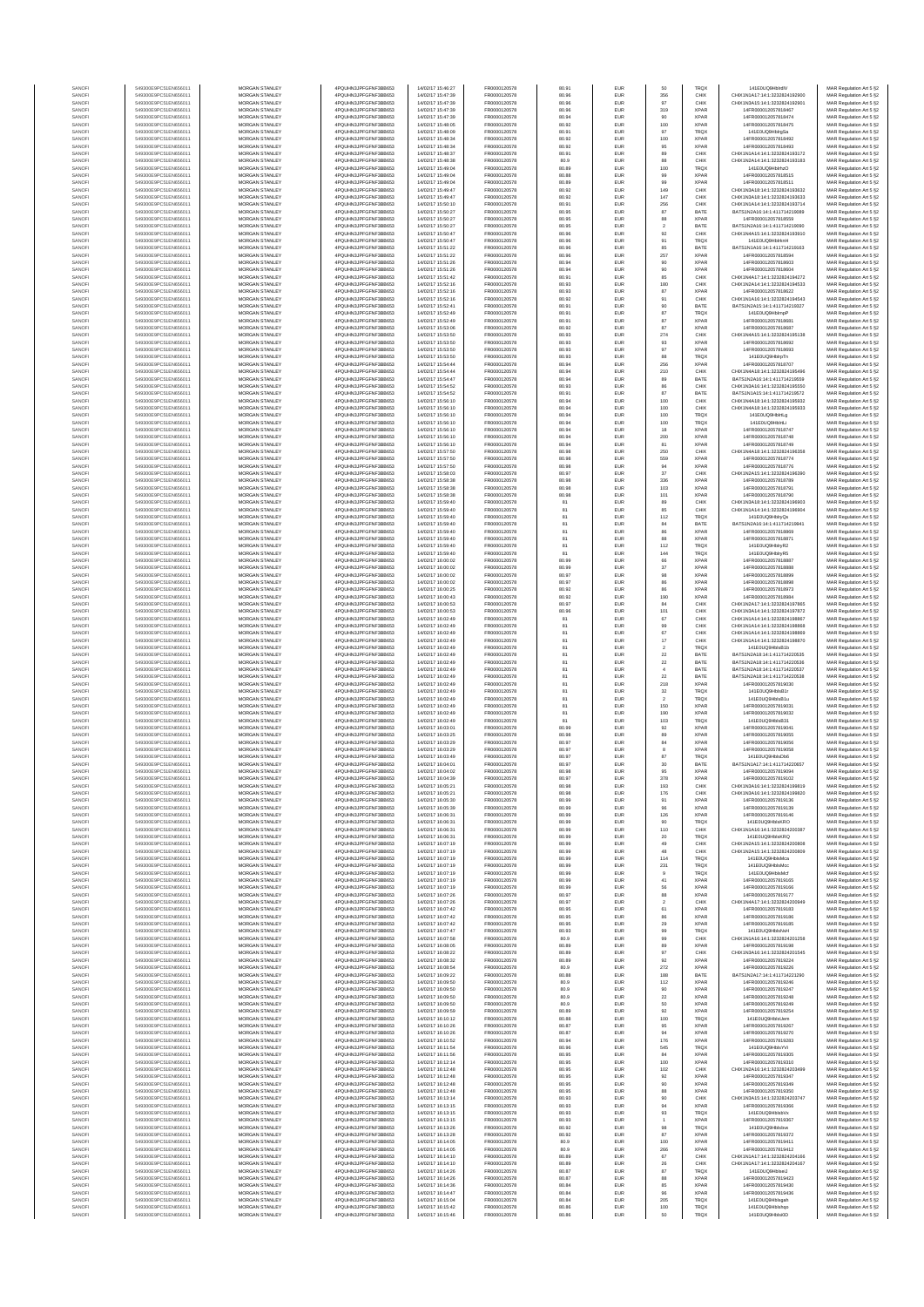| SANOF            | 549300E9PC51EN656011                         | MORGAN STANLEY                                 | 4PQUHN3JPFGFNF3BB653                          | 14/02/17 15:46:27                      | FR0000120578                 | 80.91          | EUR                      | 50                    | <b>TRQX</b>                | 141E0UQ9HblrdIV                                                | MAR Regulation Art 5 §2                            |
|------------------|----------------------------------------------|------------------------------------------------|-----------------------------------------------|----------------------------------------|------------------------------|----------------|--------------------------|-----------------------|----------------------------|----------------------------------------------------------------|----------------------------------------------------|
| SANOFI           | 549300E9PC51EN656011                         | <b>MORGAN STANLEY</b>                          | 4PQUHN3JPFGFNF3BB653                          | 14/02/17 15:47:39                      | FR0000120578                 | 80.96          | EUR                      | 356                   | CHIX                       | CHIX1N1A17:14:1:3232824192900                                  | MAR Regulation Art 5 §2                            |
| SANOFI<br>SANOFI | 549300E9PC51EN656011<br>549300E9PC51EN656011 | MORGAN STANLEY<br>MORGAN STANLEY               | 4PQUHN3JPFGFNF3BB653<br>4PQUHN3JPFGFNF3BB653  | 14/02/17 15:47:39<br>14/02/17 15:47:39 | FR0000120578<br>FR0000120578 | 80.96<br>80.96 | EUR<br>EUR               | 97<br>319             | CHIX<br><b>XPAR</b>        | CHIX1N3A15:14:1:3232824192901<br>14FR000012057818467           | MAR Regulation Art 5 §2<br>MAR Regulation Art 5 §2 |
| SANOFI           | 549300E9PC51EN656011                         | MORGAN STANLEY                                 | 4PQUHN3JPFGFNF3BB653                          | 14/02/17 15:47:39                      | FR0000120578                 | 80.94          | EUR                      | 90                    | <b>XPAF</b>                | 14FR000012057818474                                            | MAR Regulation Art 5 §2                            |
| SANOFI           | 549300E9PC51EN656011<br>549300E9PC51EN656011 | MORGAN STANLEY<br>MORGAN STANLEY               | 4PQUHN3JPFGFNF3BB653<br>4PQUHN3JPFGFNF3BB653  | 14/02/17 15:48:05<br>14/02/17 15:48:09 | FR0000120578<br>FR0000120578 | 80.92<br>80.91 | EUR<br>EUR               | 100<br>97             | <b>XPAR</b><br>TRQX        | 14FR000012057818475<br>141E0UQ9HblrgSa                         | MAR Regulation Art 5 §2<br>MAR Regulation Art 5 §2 |
| SANOFI<br>SANOFI | 549300E9PC51EN656011                         | MORGAN STANLEY                                 | 4PQUHN3JPFGFNF3BB653                          | 14/02/17 15:48:34                      | FR0000120578                 | 80.92          | EUR                      | 100                   | <b>XPAR</b>                | 14FR000012057818492                                            | MAR Regulation Art 5 §2                            |
| SANOFI           | 549300E9PC51EN656011                         | <b>MORGAN STANLEY</b>                          | 4PQUHN3JPFGFNF3BB653                          | 14/02/17 15:48:34                      | FR0000120578                 | 80.92          | EUR                      | 95                    | <b>XPAR</b>                | 14FR000012057818493                                            | MAR Regulation Art 5 §2                            |
| SANOFI<br>SANOFI | 549300E9PC51EN656011<br>549300E9PC51EN656011 | <b>MORGAN STANLEY</b><br><b>MORGAN STANLEY</b> | 4PQUHN3JPFGFNF3BB653<br>4PQUHN3JPFGFNF3BB653  | 14/02/17 15:48:37<br>14/02/17 15:48:38 | FR0000120578<br>FR0000120578 | 80.91<br>80.9  | <b>EUR</b><br>EUR        | 89<br>88              | CHIX<br>CHIX               | CHIX1N1A14:14:1:3232824193172<br>CHIX1N2A14-14-1-3232824193183 | MAR Regulation Art 5 §2<br>MAR Regulation Art 5 §2 |
| SANOFI           | 549300E9PC51EN656011                         | MORGAN STANLEY                                 | 4PQUHN3JPFGFNF3BB653                          | 14/02/17 15:49:04                      | FR0000120578                 | 80.89          | EUR                      | 100                   | TRQ)                       | 141E0UQ9HblrhzO                                                | MAR Regulation Art 5 §2                            |
| SANOFI<br>SANOF  | 549300E9PC51EN656011<br>549300E9PC51EN656011 | MORGAN STANLEY<br>MORGAN STANLEY               | 4PQUHN3JPFGFNF3BB653<br>4PQUHN3JPFGFNF3BB653  | 14/02/17 15:49:04<br>14/02/17 15:49:04 | FR0000120578<br>FR0000120578 | 80.88<br>80.89 | EUR<br>EUR               | 99<br>99              | <b>XPAR</b><br><b>XPAF</b> | 14FR000012057818515<br>14FR000012057818511                     | MAR Regulation Art 5 §2                            |
| SANOFI           | 549300E9PC51EN656011                         | MORGAN STANLEY                                 | 4PQUHN3JPFGFNF3BB653                          | 14/02/17 15:49:47                      | FR0000120578                 | 80.92          | EUR                      | 149                   | CHIX                       | CHIX1N3A18:14:1:3232824193632                                  | MAR Regulation Art 5 §2<br>MAR Regulation Art 5 §2 |
| SANOFI           | 549300E9PC51EN656011                         | MORGAN STANLEY                                 | 4PQUHN3JPFGFNF3BB653                          | 14/02/17 15:49:47                      | FR0000120578                 | 80.92          | EUR                      | 147                   | CHIX                       | CHIX1N3A18:14:1:3232824193633                                  | MAR Regulation Art 5 §2                            |
| SANOFI<br>SANOFI | 549300E9PC51EN656011<br>549300E9PC51EN656011 | MORGAN STANLEY<br><b>MORGAN STANLEY</b>        | 4PQUHN3JPFGFNF3BB653<br>4PQUHN3JPFGFNF3BB653  | 14/02/17 15:50:10<br>14/02/17 15:50:27 | FR0000120578<br>FR0000120578 | 80.91<br>80.95 | EUR<br>EUR               | 256<br>87             | CHIX<br>BATE               | CHIX1N1A14:14:1:3232824193714<br>BATS1N2A16:14:1:411714219089  | MAR Regulation Art 5 §2<br>MAR Regulation Art 5 §2 |
| SANOFI           | 549300E9PC51EN656011                         | <b>MORGAN STANLEY</b>                          | 4PQUHN3JPFGFNF3BB653                          | 14/02/17 15:50:27                      | FR0000120578                 | 80.95          | <b>EUR</b>               | 88                    | <b>XPAR</b>                | 14FR000012057818559                                            | MAR Regulation Art 5 §2                            |
| SANOFI           | 549300E9PC51EN656011                         | <b>MORGAN STANLEY</b>                          | 4PQUHN3JPFGFNF3BB653                          | 14/02/17 15:50:27                      | FR0000120578                 | 80.95          | EUR                      | $\,$ 2 $\,$           | BATE                       | BATS1N2A16:14:1:411714219090                                   | MAR Regulation Art 5 §2                            |
| SANOF<br>SANOFI  | 549300E9PC51EN656011<br>549300E9PC51EN656011 | MORGAN STANLEY<br>MORGAN STANLEY               | 4PQUHN3JPFGFNF3BB653<br>4PQUHN3JPFGFNF3BB653  | 14/02/17 15:50:47<br>14/02/17 15:50:47 | FR0000120578<br>FR0000120578 | 80.96<br>80.96 | EUR<br>EUR               | $92\,$<br>91          | CHIX<br>TRQ)               | CHIX1N4A15:14:1:3232824193910<br>141E0UQ9HblrknH               | MAR Regulation Art 5 §2<br>MAR Regulation Art 5 §2 |
| SANOFI           | 549300E9PC51EN656011                         | MORGAN STANLEY                                 | 4PQUHN3JPFGFNF3BB653                          | 14/02/17 15:51:22                      | FR0000120578                 | 80.96          | EUR                      | 85                    | BATE                       | BATS1N1A16:14:1:411714219163                                   | MAR Regulation Art 5 §2                            |
| SANOFI           | 549300E9PC51EN656011                         | MORGAN STANLEY                                 | 4PQUHN3JPFGFNF3BB653                          | 14/02/17 15:51:22                      | FR0000120578                 | 80.96          | EUR                      | 257                   | <b>XPAR</b>                | 14FR000012057818594                                            | MAR Regulation Art 5 §2                            |
| SANOFI<br>SANOFI | 549300E9PC51EN656011<br>549300E9PC51EN656011 | MORGAN STANLEY<br><b>MORGAN STANLEY</b>        | 4PQUHN3JPFGFNF3BB653<br>4POLIHN3JPEGENE3BB653 | 14/02/17 15:51:26<br>14/02/17 15:51:26 | FR0000120578<br>FR0000120578 | 80.94<br>80.94 | EUR<br>EUR               | 90<br>90              | <b>XPAR</b><br><b>XPAR</b> | 14FR000012057818603<br>14FR000012057818604                     | MAR Regulation Art 5 §2<br>MAR Regulation Art 5 §2 |
| SANOFI           | 549300E9PC51EN656011                         | MORGAN STANLEY                                 | 4PQUHN3JPFGFNF3BB653                          | 14/02/17 15:51:42                      | FR0000120578                 | 80.91          | EUR                      | 85                    | CHIX                       | CHIX1N4A17-14-1-3232824194272                                  | MAR Regulation Art 5 §2                            |
| SANOFI           | 549300E9PC51EN656011                         | MORGAN STANLEY                                 | 4PQUHN3JPFGFNF3BB653                          | 14/02/17 15:52:16                      | FR0000120578                 | 80.93          | EUR                      | 180                   | CHIX                       | CHIX1N2A14:14:1:3232824194533                                  | MAR Regulation Art 5 §2                            |
| SANOFI<br>SANOF  | 549300E9PC51EN656011<br>549300E9PC51EN656011 | MORGAN STANLEY<br>MORGAN STANLEY               | 4PQUHN3JPFGFNF3BB653<br>4PQUHN3JPFGFNF3BB653  | 14/02/17 15:52:16<br>14/02/17 15:52:16 | FR0000120578<br>FR0000120578 | 80.93<br>80.92 | EUR<br>EUR               | 87<br>91              | <b>XPAR</b><br>CHIX        | 14FR000012057818622<br>CHIX1N1A16:14:1:3232824194543           | MAR Regulation Art 5 §2<br>MAR Regulation Art 5 §2 |
| SANOFI           | 549300E9PC51EN656011                         | MORGAN STANLEY                                 | 4PQUHN3JPFGFNF3BB653                          | 14/02/17 15:52:41                      | FR0000120578                 | 80.91          | EUR                      | 90                    | BATE                       | BATS1N2A15:14:1:411714219327                                   | MAR Regulation Art 5 §2                            |
| SANOFI           | 549300E9PC51EN656011                         | MORGAN STANLEY                                 | 4PQUHN3JPFGFNF3BB653                          | 14/02/17 15:52:49                      | FR0000120578                 | 80.91          | EUR                      | 87                    | <b>TRQX</b>                | 141E0UQ9HblmpP                                                 | MAR Regulation Art 5 §2                            |
| SANOFI<br>SANOFI | 549300E9PC51EN656011<br>549300E9PC51EN656011 | MORGAN STANLEY<br><b>MORGAN STANLEY</b>        | 4PQUHN3JPFGFNF3BB653<br>4PQUHN3JPFGFNF3BB653  | 14/02/17 15:52:49<br>14/02/17 15:53:06 | FR0000120578<br>FR0000120578 | 80.91<br>80.92 | EUR<br>EUR               | 87<br>87              | <b>XPAR</b><br><b>XPAR</b> | 14FR000012057818681<br>14FR000012057818687                     | MAR Regulation Art 5 §2<br>MAR Regulation Art 5 §2 |
| SANOFI           | 549300E9PC51EN656011                         | <b>MORGAN STANLEY</b>                          | 4PQUHN3JPFGFNF3BB653                          | 14/02/17 15:53:50                      | FR0000120578                 | 80.93          | EUR                      | 274                   | CHIX                       | CHIX1N4A15:14:1:3232824195138                                  | MAR Regulation Art 5 §2                            |
| SANOFI<br>SANOFI | 549300E9PC51EN656011<br>549300E9PC51EN656011 | MORGAN STANLEY<br>MORGAN STANLEY               | 4PQUHN3JPFGFNF3BB653<br>4PQUHN3JPFGFNF3BB653  | 14/02/17 15:53:50<br>14/02/17 15:53:50 | FR0000120578<br>FR0000120578 | 80.93<br>80.93 | EUR<br>EUR               | 93<br>$97\,$          | <b>XPAR</b><br><b>XPAR</b> | 14FR000012057818692<br>14FR000012057818693                     | MAR Regulation Art 5 §2<br>MAR Regulation Art 5 §2 |
| SANOFI           | 549300E9PC51EN656011                         | MORGAN STANLEY                                 | 4PQUHN3JPFGFNF3BB653                          | 14/02/17 15:53:50                      | FR0000120578                 | 80.93          | EUR                      | 88                    | TRQ)                       | 141E0UQ9HblrpTn                                                | MAR Regulation Art 5 §2                            |
| SANOFI           | 549300E9PC51EN656011                         | MORGAN STANLEY                                 | 4PQUHN3JPFGFNF3BB653                          | 14/02/17 15:54:44                      | FR0000120578                 | 80.94          | EUR                      | 256                   | <b>XPAR</b>                | 14FR000012057818707                                            | MAR Regulation Art 5 §2                            |
| SANOFI<br>SANOFI | 549300E9PC51EN656011<br>549300E9PC51EN656011 | MORGAN STANLEY<br>MORGAN STANLEY               | 4PQUHN3JPFGFNF3BB653<br>4PQUHN3JPFGFNF3BB653  | 14/02/17 15:54:44<br>14/02/17 15:54:47 | FR0000120578<br>FR0000120578 | 80.94<br>80.94 | EUR<br>EUR               | 210<br>89             | CHIX<br>BATE               | CHIX1N4A18:14:1:3232824195496<br>BATS1N2A16:14:1:411714219559  | MAR Regulation Art 5 §2<br>MAR Regulation Art 5 §2 |
| SANOFI           | 549300E9PC51EN656011                         | <b>MORGAN STANLEY</b>                          | 4POLIHN3JPEGENE3BB653                         | 14/02/17 15:54:52                      | FR0000120578                 | 80.93          | <b>EUR</b>               | 86                    | CHIX                       | CHIX1N3A16:14:1:3232824195550                                  | MAR Regulation Art 5 §2                            |
| SANOFI<br>SANOFI | 549300E9PC51EN656011<br>549300E9PC51EN656011 | <b>MORGAN STANLEY</b><br>MORGAN STANLEY        | 4PQUHN3JPFGFNF3BB653<br>4PQUHN3JPFGFNF3BB653  | 14/02/17 15:54:52<br>14/02/17 15:56:10 | FR0000120578<br>FR0000120578 | 80.91<br>80.94 | EUR<br>EUR               | 87<br>100             | BATE<br>CHIX               | RATS1N1A15-14-1-411714219572<br>CHIX1N4A18:14:1:3232824195932  | MAR Regulation Art 5 §2<br>MAR Regulation Art 5 §2 |
| SANOFI           | 549300E9PC51EN656011                         | MORGAN STANLEY                                 | 4PQUHN3JPFGFNF3BB653                          | 14/02/17 15:56:10                      | FR0000120578                 | 80.94          | EUR                      | 100                   | CHIX                       | CHIX1N4A18:14:1:3232824195933                                  | MAR Regulation Art 5 §2                            |
| SANOFI           | 549300E9PC51EN656011                         | MORGAN STANLEY                                 | 4PQUHN3JPFGFNF3BB653                          | 14/02/17 15:56:10                      | FR0000120578                 | 80.94          | EUR                      | 100                   | <b>TRQX</b>                | 141E0UQ9HbirtLg                                                | MAR Regulation Art 5 §2                            |
| SANOFI<br>SANOFI | 549300E9PC51EN656011<br>549300E9PC51EN656011 | MORGAN STANLEY<br>MORGAN STANLEY               | 4PQUHN3JPFGFNF3BB653<br>4PQUHN3JPFGFNF3BB653  | 14/02/17 15:56:10<br>14/02/17 15:56:10 | FR0000120578<br>FR0000120578 | 80.94<br>80.94 | EUR<br>EUR               | 100<br>18             | <b>TRQX</b><br><b>XPAR</b> | 141E0UQ9HblrtLi<br>14FR000012057818747                         | MAR Regulation Art 5 §2<br>MAR Regulation Art 5 §2 |
| SANOFI           | 549300E9PC51EN656011                         | MORGAN STANLEY                                 | 4PQUHN3JPFGFNF3BB653                          | 14/02/17 15:56:10                      | FR0000120578                 | 80.94          | EUR                      | 200                   | <b>XPAR</b>                | 14FR000012057818748                                            | MAR Regulation Art 5 §2                            |
| SANOFI           | 549300E9PC51EN656011                         | MORGAN STANLEY                                 | 4PQUHN3JPFGFNF3BB653<br>4POLIHN3JPEGENE3BB653 | 14/02/17 15:56:10                      | FR0000120578                 | 80.94          | EUR                      | 81                    | <b>XPAR</b>                | 14FR000012057818749                                            | MAR Regulation Art 5 §2                            |
| SANOFI<br>SANOFI | 549300E9PC51EN656011<br>549300E9PC51EN656011 | <b>MORGAN STANLEY</b><br>MORGAN STANLEY        | 4PQUHN3JPFGFNF3BB653                          | 14/02/17 15:57:50<br>14/02/17 15:57:50 | FR0000120578<br>FR0000120578 | 80.98<br>80.98 | <b>EUR</b><br>EUR        | 250<br>559            | CHIX<br><b>XPAR</b>        | CHIX1N4A18:14:1:3232824196358<br>14FR000012057818774           | MAR Regulation Art 5 §2<br>MAR Regulation Art 5 §2 |
| SANOFI           | 549300E9PC51EN656011                         | MORGAN STANLEY                                 | 4PQUHN3JPFGFNF3BB653                          | 14/02/17 15:57:50                      | FR0000120578                 | 80.98          | EUR                      | 94                    | <b>XPAR</b>                | 14FR000012057818776                                            | MAR Regulation Art 5 §2                            |
| SANOFI<br>SANOFI | 549300E9PC51EN656011<br>549300E9PC51EN656011 | MORGAN STANLEY<br>MORGAN STANLEY               | 4PQUHN3JPFGFNF3BB653<br>4PQUHN3JPFGFNF3BB653  | 14/02/17 15:58:03<br>14/02/17 15:58:38 | FR0000120578<br>FR0000120578 | 80.97<br>80.98 | EUR<br>EUR               | 37<br>336             | CHIX<br><b>XPAF</b>        | CHIX1N2A15:14:1:3232824196390<br>14FR000012057818789           | MAR Regulation Art 5 §2                            |
| SANOFI           | 549300E9PC51EN656011                         | MORGAN STANLEY                                 | 4PQUHN3JPFGFNF3BB653                          | 14/02/17 15:58:38                      | FR0000120578                 | 80.98          | EUR                      | 103                   | <b>XPAR</b>                | 14FR000012057818791                                            | MAR Regulation Art 5 §2<br>MAR Regulation Art 5 §2 |
| SANOFI           | 549300E9PC51EN656011                         | MORGAN STANLEY                                 | 4PQUHN3JPFGFNF3BB653                          | 14/02/17 15:58:38                      | FR0000120578                 | 80.98          | EUR                      | 101                   | <b>XPAR</b>                | 14FR000012057818790                                            | MAR Regulation Art 5 §2                            |
| SANOFI<br>SANOFI | 549300E9PC51EN656011<br>549300E9PC51EN656011 | MORGAN STANLEY<br><b>MORGAN STANLEY</b>        | 4PQUHN3JPFGFNF3BB653<br>4PQUHN3JPFGFNF3BB653  | 14/02/17 15:59:40<br>14/02/17 15:59:40 | FR0000120578<br>FR0000120578 | 81<br>81       | EUR<br>EUR               | 89<br>85              | CHIX<br>CHIX               | CHIX1N3A18:14:1:3232824196903<br>CHIX1N1A14:14:1:3232824196904 | MAR Regulation Art 5 §2<br>MAR Regulation Art 5 §2 |
| SANOFI           | 549300E9PC51EN656011                         | <b>MORGAN STANLEY</b>                          | 4PQUHN3JPFGFNF3BB653                          | 14/02/17 15:59:40                      | FR0000120578                 | 81             | EUR                      | 112                   | <b>TRQX</b>                | 141E0UQ9HblryQs                                                | MAR Regulation Art 5 §2                            |
| SANOFI           | 549300E9PC51EN656011                         | MORGAN STANLEY                                 | 4PQUHN3JPFGFNF3BB653                          | 14/02/17 15:59:40                      | FR0000120578                 | 81             | EUR                      | 84                    | BATE                       | BATS1N2A16:14:1:411714219941                                   | MAR Regulation Art 5 §2                            |
| SANOFI<br>SANOFI | 549300E9PC51EN656011<br>549300E9PC51EN656011 | MORGAN STANLEY<br>MORGAN STANLEY               | 4PQUHN3JPFGFNF3BB653<br>4PQUHN3JPFGFNF3BB653  | 14/02/17 15:59:40<br>14/02/17 15:59:40 | FR0000120578<br>FR0000120578 | 81             | EUR<br>EUR               | 86<br>88              | <b>XPAR</b><br><b>XPAR</b> | 14FR000012057818869<br>14FR000012057818871                     | MAR Regulation Art 5 §2<br>MAR Regulation Art 5 §2 |
| SANOFI           | 549300E9PC51EN656011                         | MORGAN STANLEY                                 | 4PQUHN3JPFGFNF3BB653                          | 14/02/17 15:59:40                      | FR0000120578                 | 81             | EUR                      | 112                   | <b>TRQX</b>                | 141E0UQ9HblryR2                                                | MAR Regulation Art 5 §2                            |
| SANOFI<br>SANOFI | 549300E9PC51EN656011<br>549300E9PC51EN656011 | MORGAN STANLEY<br>MORGAN STANLEY               | 4PQUHN3JPFGFNF3BB653<br>4PQUHN3JPFGFNF3BB653  | 14/02/17 15:59:40<br>14/02/17 16:00:02 | FR0000120578<br>FR0000120578 | 81<br>80.99    | EUR<br>EUR               | 144<br>66             | <b>TRQX</b><br><b>XPAR</b> | 141E0UQ9HblryR5<br>14FR000012057818887                         | MAR Regulation Art 5 §2<br>MAR Regulation Art 5 §2 |
| SANOFI           | 549300E9PC51EN656011                         | <b>MORGAN STANLEY</b>                          | 4PQUHN3JPFGFNF3BB653                          | 14/02/17 16:00:02                      | FR0000120578                 | 80.99          | EUR                      | 37                    | <b>XPAR</b>                | 14FR000012057818888                                            | MAR Regulation Art 5 §2                            |
| SANOFI           | 549300E9PC51EN656011                         | <b>MORGAN STANLEY</b>                          | 4PQUHN3JPFGFNF3BB653                          | 14/02/17 16:00:02                      | FR0000120578                 | 80.97          | EUR                      | 98                    | <b>XPAR</b>                | 14FR000012057818899                                            | MAR Regulation Art 5 §2                            |
| SANOFI<br>SANOFI | 549300E9PC51EN656011<br>549300E9PC51EN656011 | MORGAN STANLEY<br>MORGAN STANLEY               | 4PQUHN3JPFGFNF3BB653<br>4PQUHN3JPFGFNF3BB653  | 14/02/17 16:00:02<br>14/02/17 16:00:25 | FR0000120578<br>FR0000120578 | 80.97<br>80.92 | EUR<br>EUR               | $_{86}$<br>86         | <b>XPAR</b><br>XPAR        | 14FR000012057818898<br>14FR000012057818973                     | MAR Regulation Art 5 §2<br>MAR Regulation Art 5 §2 |
| SANOF            | 549300E9PC51EN656011                         | MORGAN STANLEY                                 | 4PQUHN3JPFGFNF3BB653                          | 14/02/17 16:00:43                      | FR0000120578                 | 80.92          | EUR                      | 190                   | <b>XPAF</b>                | 14FR000012057818984                                            | MAR Regulation Art 5 §2                            |
| SANOFI<br>SANOFI | 549300E9PC51EN656011<br>549300E9PC51EN656011 | MORGAN STANLEY<br>MORGAN STANLEY               | 4PQUHN3JPFGFNF3BB653<br>4PQUHN3JPFGFNF3BB653  | 14/02/17 16:00:53<br>14/02/17 16:00:53 | FR0000120578<br>FR0000120578 | 80.97<br>80.96 | EUR<br>EUR               | 84<br>101             | CHIX<br>CHIX               | CHIX1N2A17:14:1:3232824197865<br>CHIX1N3A14:14:1:3232824197872 | MAR Regulation Art 5 §2<br>MAR Regulation Art 5 §2 |
| SANOFI           | 549300E9PC51EN656011                         | MORGAN STANLEY                                 | 4PQUHN3JPFGFNF3BB653                          | 14/02/17 16:02:49                      | FR0000120578                 | 81             | EUR                      | 67                    | CHIX                       | CHIX1N1A14:14:1:3232824198867                                  | MAR Regulation Art 5 §2                            |
| SANOFI<br>SANOFI | 549300E9PC51EN656011<br>549300E9PC51EN656011 | <b>MORGAN STANLEY</b><br><b>MORGAN STANLEY</b> | 4PQUHN3JPFGFNF3BB653<br>4PQUHN3JPFGFNF3BB653  | 14/02/17 16:02:49<br>14/02/17 16:02:49 | FR0000120578<br>FR0000120578 | 81<br>81       | EUR<br>EUR               | 99<br>67              | CHIX<br>CHIX               | CHIX1N1A14:14:1:3232824198868<br>CHIX1N1A14:14:1:3232824198869 | MAR Regulation Art 5 §2<br>MAR Regulation Art 5 §2 |
| SANOFI           | 549300E9PC51EN656011                         | <b>MORGAN STANLEY</b>                          | 4PQUHN3JPFGFNF3BB653                          | 14/02/17 16:02:49                      | FR0000120578                 | 81             | EUR                      | 17                    | CHIX                       | CHIX1N1A14:14:1:3232824198870                                  | MAR Regulation Art 5 §2                            |
| SANOFI           | 549300E9PC51EN656011                         | MORGAN STANLEY<br>MORGAN STANLEY               | 4PQUHN3JPFGFNF3BB653                          | 14/02/17 16:02:49<br>14/02/17 16:02:49 | FR0000120578<br>FR0000120578 | 81             | EUR                      | $\,$ 2 $\,$           | <b>TRQX</b>                | 141E0UQ9HblsB1b<br>BATS1N2A18:14:1:411714220535                | MAR Regulation Art 5 §2                            |
| SANOFI<br>SANOF  | 549300E9PC51EN656011<br>549300E9PC51EN656011 | MORGAN STANLEY                                 | 4PQUHN3JPFGFNF3BB653<br>4PQUHN3JPFGFNF3BB653  | 14/02/17 16:02:49                      | FR0000120578                 | 81<br>81       | EUR<br>EUR               | $22\,$<br>$\bf 22$    | BATE<br>BATE               | BATS1N2A18:14:1:411714220536                                   | MAR Regulation Art 5 §2<br>MAR Regulation Art 5 §2 |
| SANOFI           | 549300E9PC51EN656011                         | MORGAN STANLEY                                 | 4PQUHN3JPFGFNF3BB653                          | 14/02/17 16:02:49                      | FR0000120578                 | 81             | EUR                      |                       | BATE                       | BATS1N2A18:14:1:411714220537                                   | MAR Regulation Art 5 §2                            |
| SANOFI<br>SANOFI | 549300E9PC51EN656011<br>549300E9PC51EN656011 | MORGAN STANLEY<br>MORGAN STANLEY               | 4PQUHN3JPFGFNF3BB653<br>4PQUHN3JPFGFNF3BB653  | 14/02/17 16:02:49<br>14/02/17 16:02:49 | FR0000120578<br>FR0000120578 | 81<br>81       | EUR<br>EUR               | $\bf 22$<br>218       | BATE<br><b>XPAR</b>        | BATS1N2A18:14:1:411714220538<br>14FR000012057819030            | MAR Regulation Art 5 §2<br>MAR Regulation Art 5 §2 |
| SANOFI           | 549300E9PC51EN656011                         | <b>MORGAN STANLEY</b>                          | 4PQUHN3JPFGFNF3BB653                          | 14/02/17 16:02:49                      | FR0000120578                 | 81             | EUR                      | 32                    | <b>TRQX</b>                | 141E0UQ9HblsB1r                                                | MAR Regulation Art 5 §2                            |
| SANOFI           | 549300E9PC51EN656011<br>549300E9PC51EN656011 | <b>MORGAN STANLEY</b><br>MORGAN STANLEY        | 4PQUHN3JPFGFNF3BB653<br>4PQUHN3JPFGFNF3BB653  | 14/02/17 16:02:49<br>14/02/17 16:02:49 | FR0000120578<br>FR0000120578 | 81<br>81       | EUR<br>EUR               | $\overline{2}$<br>150 | <b>TRQX</b><br><b>XPAR</b> | 141F0UQ9HblsR1u<br>14FR000012057819031                         | MAR Regulation Art 5 §2                            |
| SANOFI<br>SANOFI | 549300E9PC51EN656011                         | MORGAN STANLEY                                 | 4PQUHN3JPFGFNF3BB653                          | 14/02/17 16:02:49                      | FR0000120578                 | 81             | EUR                      | 190                   | <b>XPAR</b>                | 14FR000012057819032                                            | MAR Regulation Art 5 §2<br>MAR Regulation Art 5 §2 |
| SANOFI           | 549300E9PC51EN656011                         | MORGAN STANLEY                                 | 4PQUHN3JPFGFNF3BB653                          | 14/02/17 16:02:49                      | FR0000120578                 | 81             | EUR                      | 103                   | TRQ)                       | 141E0UQ9HblsB31                                                | MAR Regulation Art 5 §2                            |
| SANOF<br>SANOFI  | 549300E9PC51EN656011<br>549300E9PC51EN656011 | MORGAN STANLEY<br>MORGAN STANLEY               | 4PQUHN3JPFGFNF3BB653<br>4PQUHN3JPFGFNF3BB653  | 14/02/17 16:03:01<br>14/02/17 16:03:25 | FR0000120578<br>FR0000120578 | 80.99<br>80.98 | EUR<br>EUR               | 92<br>89              | <b>XPAR</b><br><b>XPAR</b> | 14FR000012057819041<br>14FR000012057819055                     | MAR Regulation Art 5 §2<br>MAR Regulation Art 5 §2 |
| SANOFI           | 549300E9PC51EN656011                         | MORGAN STANLEY                                 | 4PQUHN3JPFGFNF3BB653                          | 14/02/17 16:03:29                      | FR0000120578                 | 80.97          | EUR                      | $^{\rm 84}$           | <b>XPAR</b>                | 14FR000012057819056                                            | MAR Regulation Art 5 §2                            |
| SANOFI<br>SANOFI | 549300E9PC51EN656011<br>549300E9PC51EN656011 | <b>MORGAN STANLEY</b><br><b>MORGAN STANLEY</b> | 4PQUHN3JPFGFNF3BB653<br>4PQUHN3JPFGFNF3BB653  | 14/02/17 16:03:29<br>14/02/17 16:03:49 | FR0000120578<br>FR0000120578 | 80.97<br>80.97 | EUR<br>EUR               | 8<br>87               | <b>XPAR</b><br><b>TRQX</b> | 14FR000012057819058<br>141E0UQ9HblsDb6                         | MAR Regulation Art 5 §2<br>MAR Regulation Art 5 §2 |
| SANOF            | 549300E9PC51EN656011                         | MORGAN STANLEY                                 | 4PQUHN3JPFGFNF3BB653                          | 14/02/17 16:04:01                      | FR0000120578                 | 80.97          | EUR                      | 30                    | BATE                       | BATS1N1A17:14:1:411714220657                                   | MAR Regulation Art 5 §2                            |
| SANOFI           | 549300E9PC51EN656011                         | MORGAN STANLEY                                 | 4PQUHN3JPFGFNF3BB653                          | 14/02/17 16:04:02                      | FR0000120578                 | 80.98          | EUR                      | 95                    | <b>XPAR</b>                | 14FR000012057819094                                            | MAR Regulation Art 5 §2                            |
| SANOF            | 549300E9PC51EN656011                         | MORGAN STANLEY                                 | N3JPFGFNF3BB653<br>4PQUHN3JPFGFNF3BB653       | 14/02/17 16:05:21                      | FR0000120578                 | 80.98          | EUR                      | 193                   | CHIX                       | CHIX1N3A16:14:1:3232824199819                                  | : Regulation Art 5 §2<br>MAR Regulation Art 5 §2   |
| SANOFI           | 549300E9PC51EN656011                         | MORGAN STANLEY                                 | 4PQUHN3JPFGFNF3BB653                          | 14/02/17 16:05:21                      | FR0000120578                 | 80.98          | EUR                      | 176                   | CHIX                       | CHIX1N3A16:14:1:3232824199820                                  | MAR Regulation Art 5 §2                            |
| SANOFI           | 549300E9PC51EN656011                         | MORGAN STANLEY                                 | 4PQUHN3JPFGFNF3BB653                          | 14/02/17 16:05:30                      | FR0000120578<br>FR0000120578 | 80.99          | EUR                      | 91                    | <b>XPAR</b>                | 14FR000012057819136                                            | MAR Regulation Art 5 §2                            |
| SANOFI<br>SANOFI | 549300E9PC51EN656011<br>549300E9PC51EN656011 | <b>MORGAN STANLEY</b><br><b>MORGAN STANLEY</b> | 4PQUHN3JPFGFNF3BB653<br>4PQUHN3JPFGFNF3BB653  | 14/02/17 16:05:39<br>14/02/17 16:06:31 | FR0000120578                 | 80.99<br>80.99 | <b>EUR</b><br><b>EUR</b> | 96<br>126             | <b>XPAR</b><br><b>XPAR</b> | 14FR000012057819139<br>14FR000012057819146                     | MAR Regulation Art 5 §2<br>MAR Regulation Art 5 §2 |
| SANOFI           | 549300E9PC51EN656011                         | MORGAN STANLEY                                 | 4PQUHN3JPFGFNF3BB653                          | 14/02/17 16:06:31                      | FR0000120578                 | 80.99          | EUR                      | 90                    | TRQX                       | 141E0UQ9HblsKRO                                                | MAR Regulation Art 5 §2                            |
| SANOFI<br>SANOFI | 549300E9PC51EN656011<br>549300E9PC51EN656011 | MORGAN STANLEY<br>MORGAN STANLEY               | 4PQUHN3JPFGFNF3BB653<br>4PQUHN3JPFGFNF3BB653  | 14/02/17 16:06:31<br>14/02/17 16:06:31 | FR0000120578<br>FR0000120578 | 80.99<br>80.99 | EUR<br>EUR               | 110<br>20             | CHIX<br>TRQ)               | CHIX1N1A16:14:1:3232824200387<br>141E0UQ9HblsKRQ               | MAR Regulation Art 5 §2<br>MAR Regulation Art 5 §2 |
| SANOFI           | 549300E9PC51EN656011                         | MORGAN STANLEY                                 | 4PQUHN3JPFGFNF3BB653                          | 14/02/17 16:07:19                      | FR0000120578                 | 80.99          | EUR                      | 49                    | CHIX                       | CHIX1N2A15:14:1:3232824200808                                  | MAR Regulation Art 5 §2                            |
| SANOFI<br>SANOFI | 549300E9PC51EN656011<br>549300E9PC51EN656011 | MORGAN STANLEY<br>MORGAN STANLEY               | 4PQUHN3JPFGFNF3BB653<br>4PQUHN3JPFGFNF3BB653  | 14/02/17 16:07:19<br>14/02/17 16:07:19 | FR0000120578<br>FR0000120578 | 80.99<br>80.99 | EUR<br>EUR               | 48<br>114             | CHIX<br>TRQX               | CHIX1N2A15:14:1:3232824200809<br>141E0UQ9HblsMca               | MAR Regulation Art 5 §2<br>MAR Regulation Art 5 §2 |
| SANOFI           | 549300E9PC51EN656011                         | <b>MORGAN STANLEY</b>                          | 4PQUHN3JPFGFNF3BB653                          | 14/02/17 16:07:19                      | FR0000120578                 | 80.99          | <b>EUR</b>               | 231                   | <b>TRQX</b>                | 141F0UQ9HbisMcc                                                | MAR Regulation Art 5 §2                            |
| SANOFI           | 549300E9PC51EN656011                         | <b>MORGAN STANLEY</b>                          | 4PQUHN3JPFGFNF3BB653                          | 14/02/17 16:07:19                      | FR0000120578                 | 80.99          | <b>EUR</b>               | $\theta$              | <b>TRQX</b>                | 141E0UQ9HblsMcf                                                | MAR Regulation Art 5 §2                            |
| SANOFI<br>SANOFI | 549300E9PC51EN656011<br>549300E9PC51EN656011 | <b>MORGAN STANLEY</b><br>MORGAN STANLEY        | 4PQUHN3JPFGFNF3BB653<br>4POLIHN3JPEGENE3BB653 | 14/02/17 16:07:19<br>14/02/17 16:07:19 | FR0000120578<br>FR0000120578 | 80.99<br>80.99 | <b>EUR</b><br>EUR        | 41<br>56              | <b>XPAR</b><br><b>XPAR</b> | 14FR000012057819165<br>14FR000012057819166                     | MAR Regulation Art 5 §2<br>MAR Regulation Art 5 §2 |
| SANOFI           | 549300E9PC51EN656011                         | MORGAN STANLEY                                 | 4PQUHN3JPFGFNF3BB653                          | 14/02/17 16:07:26                      | FR0000120578                 | 80.97          | EUR                      | 88                    | <b>XPAR</b>                | 14FR000012057819177                                            | MAR Regulation Art 5 §2                            |
| SANOFI<br>SANOFI | 549300E9PC51EN656011<br>549300E9PC51EN656011 | MORGAN STANLEY<br>MORGAN STANLEY               | 4PQUHN3JPFGFNF3BB653<br>4PQUHN3JPFGFNF3BB653  | 14/02/17 16:07:26<br>14/02/17 16:07:42 | FR0000120578<br>FR0000120578 | 80.97<br>80.95 | EUR<br>EUR               | $\overline{2}$<br>61  | CHIX<br><b>XPAR</b>        | CHIX1N4A17:14:1:3232824200949<br>14FR000012057819183           | MAR Regulation Art 5 §2                            |
| SANOFI           | 549300E9PC51EN656011                         | MORGAN STANLEY                                 | 4PQUHN3JPFGFNF3BB653                          | 14/02/17 16:07:42                      | FR0000120578                 | 80.95          | <b>EUR</b>               | 86                    | <b>XPAR</b>                | 14FR000012057819186                                            | MAR Regulation Art 5 §2<br>MAR Regulation Art 5 §2 |
| SANOFI           | 549300E9PC51EN656011                         | MORGAN STANLEY                                 | 4PQUHN3JPFGFNF3BB653                          | 14/02/17 16:07:42                      | FR0000120578                 | 80.95          | EUR                      | 29                    | <b>XPAR</b>                | 14FR000012057819185                                            | MAR Regulation Art 5 §2                            |
| SANOFI<br>SANOFI | 549300E9PC51EN656011<br>549300E9PC51EN656011 | <b>MORGAN STANLEY</b><br><b>MORGAN STANLEY</b> | 4PQUHN3JPFGFNF3BB653<br>4PQUHN3JPFGFNF3BB653  | 14/02/17 16:07:47<br>14/02/17 16:07:58 | FR0000120578<br>FR0000120578 | 80.93<br>80.9  | <b>EUR</b><br><b>EUR</b> | 99<br>99              | <b>TRQX</b><br>CHIX        | 141E0UQ9HblsNvH<br>CHIX1N1A16:14:1:3232824201258               | MAR Regulation Art 5 §2<br>MAR Regulation Art 5 §2 |
| SANOFI           | 549300E9PC51EN656011                         | MORGAN STANLEY                                 | 4PQUHN3JPFGFNF3BB653                          | 14/02/17 16:08:05                      | FR0000120578                 | 80.89          | EUR                      | 89                    | <b>XPAR</b>                | 14FR000012057819198                                            | MAR Regulation Art 5 §2                            |
| SANOFI<br>SANOFI | 549300E9PC51EN656011<br>549300E9PC51EN656011 | MORGAN STANLEY<br>MORGAN STANLEY               | 4PQUHN3JPFGFNF3BB653<br>4PQUHN3JPFGFNF3BB653  | 14/02/17 16:08:22<br>14/02/17 16:08:32 | FR0000120578<br>FR0000120578 | 80.89<br>80.89 | EUR<br>EUR               | 97<br>92              | CHIX<br><b>XPAR</b>        | CHIX1N3A16:14:1:3232824201545<br>14FR000012057819224           | MAR Regulation Art 5 §2                            |
| SANOFI           | 549300E9PC51EN656011                         | MORGAN STANLEY                                 | 4PQUHN3JPFGFNF3BB653                          | 14/02/17 16:08:54                      | FR0000120578                 | 80.9           | EUR                      | 272                   | <b>XPAR</b>                | 14FR000012057819226                                            | MAR Regulation Art 5 §2<br>MAR Regulation Art 5 §2 |
| SANOFI           | 549300E9PC51EN656011                         | MORGAN STANLEY                                 | 4PQUHN3JPFGFNF3BB653                          | 14/02/17 16:09:22                      | FR0000120578                 | 80.88          | EUR                      | 188                   | BATE                       | BATS1N2A17:14:1:411714221290                                   | MAR Regulation Art 5 §2                            |
| SANOFI<br>SANOFI | 549300E9PC51EN656011<br>549300E9PC51EN656011 | MORGAN STANLEY<br><b>MORGAN STANLEY</b>        | 4PQUHN3JPFGFNF3BB653<br>4PQUHN3JPFGFNF3BB653  | 14/02/17 16:09:50<br>14/02/17 16:09:50 | FR0000120578<br>FR0000120578 | 80.9<br>80.9   | EUR<br><b>EUR</b>        | 112<br>90             | <b>XPAR</b><br><b>XPAR</b> | 14FR000012057819246<br>14FR000012057819247                     | MAR Regulation Art 5 §2<br>MAR Regulation Art 5 §2 |
| SANOFI           | 549300E9PC51EN656011                         | <b>MORGAN STANLEY</b>                          | 4PQUHN3JPFGFNF3BB653                          | 14/02/17 16:09:50                      | FR0000120578                 | 80.9           | <b>EUR</b>               | 22                    | <b>XPAR</b>                | 14FR000012057819248                                            | MAR Regulation Art 5 §2                            |
| SANOFI<br>SANOFI | 549300E9PC51EN656011<br>549300E9PC51EN656011 | MORGAN STANLEY<br>MORGAN STANLEY               | 4PQUHN3JPFGFNF3BB653<br>4PQUHN3JPFGFNF3BB653  | 14/02/17 16:09:50<br>14/02/17 16:09:59 | FR0000120578<br>FR0000120578 | 80.9<br>80.89  | EUR<br>EUR               | 50<br>92              | <b>XPAR</b><br><b>XPAR</b> | 14FR000012057819249<br>14FR000012057819254                     | MAR Regulation Art 5 §2<br>MAR Regulation Art 5 §2 |
| SANOFI           | 549300E9PC51EN656011                         | MORGAN STANLEY                                 | 4PQUHN3JPFGFNF3BB653                          | 14/02/17 16:10:12                      | FR0000120578                 | 80.88          | EUR                      | 100                   | <b>TRQX</b>                | 141E0UQ9HblsUem                                                | MAR Regulation Art 5 §2                            |
| SANOFI           | 549300E9PC51EN656011                         | MORGAN STANLEY                                 | 4PQUHN3JPFGFNF3BB653                          | 14/02/17 16:10:26                      | FR0000120578                 | 80.87          | EUR                      | 95                    | <b>XPAR</b>                | 14FR000012057819267                                            | MAR Regulation Art 5 §2                            |
| SANOFI<br>SANOFI | 549300E9PC51EN656011<br>549300E9PC51EN656011 | MORGAN STANLEY<br>MORGAN STANLEY               | 4PQUHN3JPFGFNF3BB653<br>4PQUHN3JPFGFNF3BB653  | 14/02/17 16:10:26<br>14/02/17 16:10:52 | FR0000120578<br>FR0000120578 | 80.87<br>80.94 | <b>EUR</b><br>EUR        | 94<br>176             | <b>XPAR</b><br><b>XPAR</b> | 14FR000012057819270<br>14FR000012057819283                     | MAR Regulation Art 5 §2<br>MAR Regulation Art 5 §2 |
| SANOFI           | 549300E9PC51EN656011                         | <b>MORGAN STANLEY</b>                          | 4PQUHN3JPFGFNF3BB653                          | 14/02/17 16:11:54                      | FR0000120578                 | 80.96          | <b>EUR</b>               | 545                   | <b>TRQX</b>                | 141E0UQ9HblsYVi                                                | MAR Regulation Art 5 §2                            |
| SANOFI<br>SANOFI | 549300E9PC51EN656011<br>549300E9PC51EN656011 | <b>MORGAN STANLEY</b><br>MORGAN STANLEY        | 4PQUHN3JPFGFNF3BB653<br>4PQUHN3JPFGFNF3BB653  | 14/02/17 16:11:56<br>14/02/17 16:12:14 | FR0000120578<br>FR0000120578 | 80.95<br>80.95 | <b>EUR</b><br>EUR        | 84<br>100             | <b>XPAR</b><br><b>XPAR</b> | 14FR000012057819305<br>14FR000012057819310                     | MAR Regulation Art 5 §2<br>MAR Regulation Art 5 §2 |
| SANOFI           | 549300E9PC51EN656011                         | MORGAN STANLEY                                 | 4PQUHN3JPFGFNF3BB653                          | 14/02/17 16:12:48                      | FR0000120578                 | 80.95          | EUR                      | 102                   | CHIX                       | CHIX1N2A16:14:1:3232824203499                                  | MAR Regulation Art 5 §2                            |
| SANOFI<br>SANOFI | 549300E9PC51EN656011<br>549300E9PC51EN656011 | MORGAN STANLEY<br>MORGAN STANLEY               | 4PQUHN3JPFGFNF3BB653<br>4PQUHN3JPFGFNF3BB653  | 14/02/17 16:12:48<br>14/02/17 16:12:48 | FR0000120578<br>FR0000120578 | 80.95<br>80.95 | EUR<br>EUR               | 92<br>90              | <b>XPAR</b><br><b>XPAR</b> | 14FR000012057819347<br>14FR000012057819349                     | MAR Regulation Art 5 §2                            |
| SANOFI           | 549300E9PC51EN656011                         | MORGAN STANLEY                                 | 4PQUHN3JPFGFNF3BB653                          | 14/02/17 16:12:48                      | FR0000120578                 | 80.95          | EUR                      | 88                    | <b>XPAR</b>                | 14FR000012057819350                                            | MAR Regulation Art 5 §2<br>MAR Regulation Art 5 §2 |
| SANOFI           | 549300E9PC51EN656011                         | MORGAN STANLEY                                 | 4PQUHN3JPFGFNF3BB653                          | 14/02/17 16:13:14                      | FR0000120578                 | 80.93          | <b>EUR</b>               | 90                    | CHIX                       | CHIX1N3A15:14:1:3232824203747                                  | MAR Regulation Art 5 §2                            |
| SANOFI<br>SANOFI | 549300E9PC51EN656011<br>549300E9PC51EN656011 | <b>MORGAN STANLEY</b><br><b>MORGAN STANLEY</b> | 4PQUHN3JPFGFNF3BB653<br>4PQUHN3JPFGFNF3BB653  | 14/02/17 16:13:15<br>14/02/17 16:13:15 | FR0000120578<br>FR0000120578 | 80.93<br>80.93 | <b>EUR</b><br><b>EUR</b> | 94<br>93              | <b>XPAR</b><br><b>TRQX</b> | 14FR000012057819366<br>141E0UQ9HblsbVx                         | MAR Regulation Art 5 §2<br>MAR Regulation Art 5 §2 |
| SANOFI           | 549300E9PC51EN656011                         | <b>MORGAN STANLEY</b>                          | 4PQUHN3JPFGFNF3BB653                          | 14/02/17 16:13:15                      | FR0000120578                 | 80.93          | <b>EUR</b>               | 1                     | <b>XPAR</b>                | 14FR000012057819367                                            | MAR Regulation Art 5 §2                            |
| SANOFI<br>SANOFI | 549300E9PC51EN656011<br>549300E9PC51EN656011 | MORGAN STANLEY<br>MORGAN STANLEY               | 4PQUHN3JPFGFNF3BB653<br>4PQUHN3JPFGFNF3BB653  | 14/02/17 16:13:26<br>14/02/17 16:13:28 | FR0000120578<br>FR0000120578 | 80.92<br>80.92 | EUR<br>EUR               | 98<br>87              | TRQX<br><b>XPAR</b>        | 141E0UQ9Hblsbvx<br>14FR000012057819372                         | MAR Regulation Art 5 §2<br>MAR Regulation Art 5 §2 |
| SANOFI           | 549300E9PC51EN656011                         | MORGAN STANLEY                                 | 4PQUHN3JPFGFNF3BB653                          | 14/02/17 16:14:05                      | FR0000120578                 | 80.9           | EUR                      | 100                   | <b>XPAR</b>                | 14FR000012057819411                                            | MAR Regulation Art 5 §2                            |
| SANOFI           | 549300E9PC51EN656011                         | MORGAN STANLEY                                 | 4PQUHN3JPFGFNF3BB653<br>4PQUHN3JPFGFNF3BB653  | 14/02/17 16:14:05                      | FR0000120578                 | 80.9<br>80.89  | EUR                      | 266                   | <b>XPAR</b><br>CHIX        | 14FR000012057819412                                            | MAR Regulation Art 5 §2                            |
| SANOFI<br>SANOFI | 549300E9PC51EN656011<br>549300E9PC51EN656011 | MORGAN STANLEY<br>MORGAN STANLEY               | 4PQUHN3JPFGFNF3BB653                          | 14/02/17 16:14:10<br>14/02/17 16:14:10 | FR0000120578<br>FR0000120578 | 80.89          | EUR<br><b>EUR</b>        | 67<br>26              | CHIX                       | CHIX1N1A17:14:1:3232824204166<br>CHIX1N1A17:14:1:3232824204167 | MAR Regulation Art 5 §2<br>MAR Regulation Art 5 §2 |
| SANOFI           | 549300E9PC51EN656011                         | <b>MORGAN STANLEY</b>                          | 4PQUHN3JPFGFNF3BB653                          | 14/02/17 16:14:26                      | FR0000120578                 | 80.87          | <b>EUR</b>               | 87                    | <b>TRQX</b>                | 141E0UQ9HblseiJ                                                | MAR Regulation Art 5 §2                            |
| SANOFI<br>SANOFI | 549300E9PC51EN656011<br>549300E9PC51EN656011 | <b>MORGAN STANLEY</b><br>MORGAN STANLEY        | 4PQUHN3JPFGFNF3BB653<br>4PQUHN3JPFGFNF3BB653  | 14/02/17 16:14:26<br>14/02/17 16:14:36 | FR0000120578<br>FR0000120578 | 80.87<br>80.84 | <b>EUR</b><br>EUR        | 88<br>85              | <b>XPAR</b><br><b>XPAR</b> | 14FR000012057819423<br>14FR000012057819430                     | MAR Regulation Art 5 §2<br>MAR Regulation Art 5 §2 |
| SANOFI           | 549300E9PC51EN656011                         | MORGAN STANLEY                                 | 4PQUHN3JPFGFNF3BB653                          | 14/02/17 16:14:47                      | FR0000120578                 | 80.84          | EUR                      | 96                    | <b>XPAR</b>                | 14FR000012057819436                                            | MAR Regulation Art 5 §2                            |
| SANOFI<br>SANOF  | 549300E9PC51EN656011<br>549300E9PC51EN656011 | MORGAN STANLEY<br>MORGAN STANLEY               | 4PQUHN3JPFGFNF3BB653<br>4PQUHN3JPFGFNF3BB653  | 14/02/17 16:15:04<br>14/02/17 16:15:42 | FR0000120578<br>FR0000120578 | 80.84<br>80.86 | EUR<br>EUR               | 205<br>100            | <b>TRQX</b><br><b>TRQX</b> | 141E0UQ9Hblsgah<br>141E0UQ9Hblshqo                             | MAR Regulation Art 5 §2<br>MAR Regulation Art 5 §2 |
| SANOFI           | 549300E9PC51EN656011                         | MORGAN STANLEY                                 | 4PQUHN3JPFGFNF3BB653                          | 14/02/17 16:15:46                      | FR0000120578                 | 80.86          | EUR                      | 50                    | <b>TRQX</b>                | 141E0UQ9Hblsi0D                                                | MAR Regulation Art 5 §2                            |
|                  |                                              |                                                |                                               |                                        |                              |                |                          |                       |                            |                                                                |                                                    |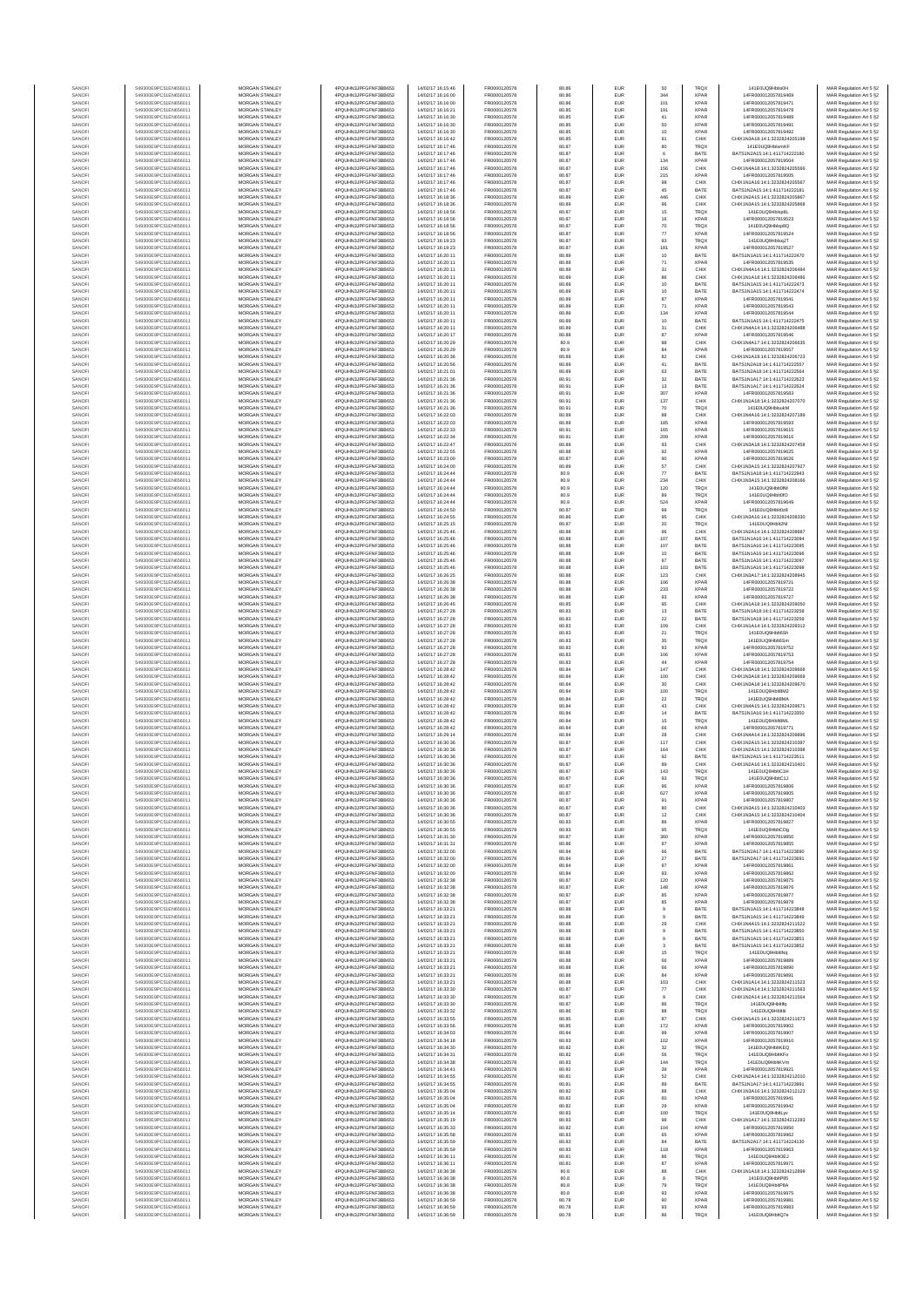| SANOFI           | 549300E9PC51EN656011                         | <b>MORGAN STANLEY</b>                          | 4PQUHN3JPFGFNF3BB653                         | 14/02/17 16:15:46                      | FR0000120578                 | 80.86          | EUR                      | 50                                      | <b>TRQX</b>                | 141FOLIO9HNsiOH                                               | MAR Regulation Art 5 §2                            |
|------------------|----------------------------------------------|------------------------------------------------|----------------------------------------------|----------------------------------------|------------------------------|----------------|--------------------------|-----------------------------------------|----------------------------|---------------------------------------------------------------|----------------------------------------------------|
| SANOFI           | 549300E9PC51EN656011                         | <b>MORGAN STANLEY</b>                          | 4PQUHN3JPFGFNF3BB653                         | 14/02/17 16:16:00                      | FR0000120578                 | 80.86          | <b>EUR</b>               | 344                                     | <b>XPAR</b>                | 14FR000012057819469                                           | MAR Regulation Art 5 §2                            |
| SANOFI<br>SANOFI | 549300E9PC51EN656011<br>549300E9PC51EN656011 | MORGAN STANLEY<br>MORGAN STANLEY               | 4PQUHN3JPFGFNF3BB653<br>4PQUHN3JPFGFNF3BB653 | 14/02/17 16:16:00<br>14/02/17 16:16:21 | FR0000120578<br>FR0000120578 | 80.86<br>80.85 | EUR<br>EUR               | 101<br>191                              | <b>XPAR</b><br><b>XPAR</b> | 14FR000012057819471<br>14FR000012057819478                    | MAR Regulation Art 5 §2<br>MAR Regulation Art 5 §2 |
| SANOFI           | 549300E9PC51EN656011                         | MORGAN STANLEY                                 | 4PQUHN3JPFGFNF3BB653                         | 14/02/17 16:16:30                      | FR0000120578                 | 80.85          | EUR                      | 41                                      | XPAF                       | 14FR000012057819489                                           | MAR Regulation Art 5 §2                            |
| SANOFI           | 549300E9PC51EN656011                         | MORGAN STANLEY                                 | 4PQUHN3JPFGFNF3BB653                         | 14/02/17 16:16:30                      | FR0000120578                 | 80.85          | EUR                      | 50                                      | XPAF                       | 14FR000012057819491                                           | MAR Regulation Art 5 §2                            |
| SANOFI           | 549300E9PC51EN656011                         | MORGAN STANLEY                                 | 4PQUHN3JPFGFNF3BB653                         | 14/02/17 16:16:30                      | FR0000120578                 | 80.85          | EUR                      | 10                                      | <b>XPAR</b>                | 14FR000012057819492                                           | MAR Regulation Art 5 §2                            |
| SANOFI<br>SANOFI | 549300E9PC51EN656011<br>549300E9PC51EN656011 | MORGAN STANLEY<br><b>MORGAN STANLEY</b>        | 4PQUHN3JPFGFNF3BB653<br>4PQUHN3JPFGFNF3BB653 | 14/02/17 16:16:42<br>14/02/17 16:17:46 | FR0000120578<br>FR0000120578 | 80.85<br>80.87 | EUR<br>EUR               | 91<br>80                                | CHIX<br>TRQ)               | CHIX1N3A18:14:1:3232824205198<br>141E0UQ9HblsmKF              | MAR Regulation Art 5 §2<br>MAR Regulation Art 5 §2 |
| SANOFI           | 549300E9PC51EN656011                         | <b>MORGAN STANLEY</b>                          | 4PQUHN3JPFGFNF3BB653                         | 14/02/17 16:17:46                      | FR0000120578                 | 80.87          | <b>EUR</b>               | 6                                       | BATE                       | BATS1N2A15:14:1:411714222180                                  | MAR Regulation Art 5 §2                            |
| SANOFI           | 549300E9PC51EN656011                         | <b>MORGAN STANLEY</b>                          | 4PQUHN3JPFGFNF3BB653                         | 14/02/17 16:17:46                      | FR0000120578                 | 80.87          | <b>EUR</b>               | 134                                     | <b>XPAR</b>                | 14FR000012057819504                                           | MAR Regulation Art 5 §2                            |
| SANOFI           | 549300E9PC51EN656011                         | MORGAN STANLEY                                 | 4PQUHN3JPFGFNF3BB653                         | 14/02/17 16:17:46<br>14/02/17 16:17:46 | FR0000120578                 | 80.87          | EUR                      | 156                                     | CHIX                       | CHIX1N4A18:14:1:3232824205566                                 | MAR Regulation Art 5 §2                            |
| SANOFI<br>SANOF  | 549300E9PC51EN656011<br>549300E9PC51EN656011 | MORGAN STANLEY<br>MORGAN STANLEY               | 4PQUHN3JPFGFNF3BB653<br>4PQUHN3JPFGFNF3BB653 | 14/02/17 16:17:46                      | FR0000120578<br>FR0000120578 | 80.87<br>80.87 | EUR<br>EUR               | 215<br>$98\,$                           | <b>XPAF</b><br>CHIX        | 14FR000012057819505<br>CHIX1N1A16:14:1:323282420556           | MAR Regulation Art 5 §2<br>MAR Regulation Art 5 §2 |
| SANOFI           | 549300E9PC51EN656011                         | MORGAN STANLEY                                 | 4PQUHN3JPFGFNF3BB653                         | 14/02/17 16:17:46                      | FR0000120578                 | 80.87          | EUR                      | 45                                      | BATE                       | BATS1N2A15:14:1:411714222181                                  | MAR Regulation Art 5 §2                            |
| SANOFI           | 549300E9PC51EN656011                         | MORGAN STANLEY                                 | 4PQUHN3JPFGFNF3BB653                         | 14/02/17 16:18:36                      | FR0000120578                 | 80.89          | EUR                      | 446                                     | CHIX                       | CHIX1N2A15:14:1:3232824205867                                 | MAR Regulation Art 5 §2                            |
| SANOFI           | 549300E9PC51EN656011                         | MORGAN STANLEY                                 | 4PQUHN3JPFGFNF3BB653                         | 14/02/17 16:18:36                      | FR0000120578                 | 80.89          | EUR                      | 96                                      | CHIX                       | CHIX1N3A15:14:1:3232824205868                                 | MAR Regulation Art 5 §2                            |
| SANOFI<br>SANOFI | 549300E9PC51EN656011<br>549300E9PC51EN656011 | <b>MORGAN STANLEY</b><br><b>MORGAN STANLEY</b> | 4PQUHN3JPFGFNF3BB653<br>4PQUHN3JPFGFNF3BB653 | 14/02/17 16:18:56<br>14/02/17 16:18:56 | FR0000120578<br>FR0000120578 | 80.87<br>80.87 | <b>EUR</b><br><b>EUR</b> | 15<br>$16\,$                            | <b>TRQX</b><br><b>XPAR</b> | 141E0UQ9Hblsp8I<br>14FR000012057819523                        | MAR Regulation Art 5 §2<br>MAR Regulation Art 5 §2 |
| SANOFI           | 549300E9PC51EN656011                         | MORGAN STANLEY                                 | 4PQUHN3JPFGFNF3BB653                         | 14/02/17 16:18:56                      | FR0000120578                 | 80.87          | EUR                      | 70                                      | TRQX                       | 141E0UQ9Hblsp8Q                                               | MAR Regulation Art 5 §2                            |
| SANOF            | 549300E9PC51EN656011                         | MORGAN STANLEY                                 | 4PQUHN3JPFGFNF3BB653                         | 14/02/17 16:18:56                      | FR0000120578                 | 80.87          | EUR                      | $77\,$                                  | <b>XPAR</b>                | 14FR000012057819524                                           | MAR Regulation Art 5 §2                            |
| SANOFI           | 549300E9PC51EN656011                         | MORGAN STANLEY                                 | 4PQUHN3JPFGFNF3BB653                         | 14/02/17 16:19:23                      | FR0000120578                 | 80.87          | EUR                      | 93                                      | TRQ)                       | 141E0UQ9HblsqJT                                               | MAR Regulation Art 5 §2                            |
| SANOFI<br>SANOFI | 549300E9PC51EN656011<br>549300E9PC51EN656011 | MORGAN STANLEY<br>MORGAN STANLEY               | 4PQUHN3JPFGFNF3BB653<br>4PQUHN3JPFGFNF3BB653 | 14/02/17 16:19:23<br>14/02/17 16:20:11 | FR0000120578<br>FR0000120578 | 80.87<br>80.89 | EUR<br>EUR               | 181<br>10                               | XPAF<br>BATE               | 14FR000012057819527<br>BATS1N1A15:14:1:411714222470           | MAR Regulation Art 5 §2<br>MAR Regulation Art 5 §2 |
| SANOFI           | 549300E9PC51EN656011                         | MORGAN STANLEY                                 | 4PQUHN3JPFGFNF3BB653                         | 14/02/17 16:20:11                      | FR0000120578                 | 80.89          | EUR                      | 71                                      | <b>XPAR</b>                | 14FR000012057819535                                           | MAR Regulation Art 5 §2                            |
| SANOFI           | 549300E9PC51EN656011                         | <b>MORGAN STANLEY</b>                          | 4PQUHN3JPFGFNF3BB653                         | 14/02/17 16:20:11                      | FR0000120578                 | 80.89          | EUR                      | $\begin{array}{c} 31 \\ 86 \end{array}$ | CHIX                       | CHIX1N4A14:14:1:3232824206484                                 | MAR Regulation Art 5 §2                            |
| SANOFI           | 549300E9PC51EN656011<br>549300E9PC51EN656011 | MORGAN STANLEY                                 | 4PQUHN3JPFGFNF3BB653                         | 14/02/17 16:20:11                      | FR0000120578                 | 80.89          | EUR                      |                                         | CHIX                       | CHIX1N1A18:14:1:3232824206486                                 | MAR Regulation Art 5 §2                            |
| SANOFI<br>SANOFI | 549300E9PC51EN656011                         | MORGAN STANLEY<br>MORGAN STANLEY               | 4PQUHN3JPFGFNF3BB653<br>4PQUHN3JPFGFNF3BB653 | 14/02/17 16:20:11<br>14/02/17 16:20:11 | FR0000120578<br>FR0000120578 | 80.89<br>80.89 | EUR<br>EUR               | $10$<br>10                              | BATE<br>BATE               | BATS1N1A15:14:1:411714222473<br>BATS1N1A15:14:1:411714222474  | MAR Regulation Art 5 §2<br>MAR Regulation Art 5 §2 |
| SANOFI           | 549300E9PC51EN656011                         | MORGAN STANLEY                                 | 4PQUHN3JPFGFNF3BB653                         | 14/02/17 16:20:11                      | FR0000120578                 | 80.89          | EUR                      | 87                                      | XPAF                       | 14FR000012057819541                                           | MAR Regulation Art 5 §2                            |
| SANOFI           | 549300E9PC51EN656011                         | MORGAN STANLEY                                 | 4PQUHN3JPFGFNF3BB653                         | 14/02/17 16:20:11                      | FR0000120578                 | 80.89          | EUR                      | 71                                      | XPAF                       | 14FR000012057819543                                           | MAR Regulation Art 5 §2                            |
| SANOFI<br>SANOFI | 549300E9PC51EN656011<br>549300E9PC51EN656011 | MORGAN STANLEY<br>MORGAN STANLEY               | 4PQUHN3JPFGFNF3BB653<br>4PQUHN3JPFGFNF3BB653 | 14/02/17 16:20:11<br>14/02/17 16:20:11 | FR0000120578<br>FR0000120578 | 80.89<br>80.89 | EUR<br>EUR               | 134<br>10                               | <b>XPAR</b><br>BATE        | 14FR000012057819544<br>BATS1N1A15:14:1:411714222475           | MAR Regulation Art 5 §2<br>MAR Regulation Art 5 §2 |
| SANOFI           | 549300E9PC51EN656011                         | <b>MORGAN STANLEY</b>                          | 4PQUHN3JPFGFNF3BB653                         | 14/02/17 16:20:11                      | FR0000120578                 | 80.89          | <b>EUR</b>               | 31                                      | CHIX                       | CHIX1N4A14:14:1:3232824206488                                 | MAR Regulation Art 5 §2                            |
| SANOFI           | 549300E9PC51EN656011                         | <b>MORGAN STANLEY</b>                          | 4PQUHN3JPFGFNF3BB653                         | 14/02/17 16:20:17                      | FR0000120578                 | 80.88          | <b>EUR</b>               | 87                                      | <b>XPAF</b>                | 14FR000012057819546                                           | MAR Regulation Art 5 §2                            |
| SANOFI           | 549300E9PC51EN656011                         | MORGAN STANLEY                                 | 4PQUHN3JPFGFNF3BB653                         | 14/02/17 16:20:29                      | FR0000120578                 | 80.9           | EUR                      | 88                                      | CHIX                       | CHIX1N4A17:14:1:3232824206635                                 | MAR Regulation Art 5 §2                            |
| SANOFI<br>SANOFI | 549300E9PC51EN656011<br>549300E9PC51EN656011 | MORGAN STANLEY<br>MORGAN STANLEY               | 4PQUHN3JPFGFNF3BB653<br>4PQUHN3JPFGFNF3BB653 | 14/02/17 16:20:29<br>14/02/17 16:20:36 | FR0000120578<br>FR0000120578 | 80.9<br>80.89  | EUR<br>EUR               | 84<br>82                                | <b>XPAF</b><br>CHIX        | 14FR000012057819557<br>CHIX1N1A18:14:1:3232824206723          | MAR Regulation Art 5 §2<br>MAR Regulation Art 5 §2 |
| SANOFI           | 549300E9PC51EN656011                         | MORGAN STANLEY                                 | 4PQUHN3JPFGFNF3BB653                         | 14/02/17 16:20:56                      | FR0000120578                 | 80.89          | EUR                      | 41                                      | BATE                       | BATS1N2A18:14:1:411714222557                                  | MAR Regulation Art 5 §2                            |
| SANOFI           | 549300E9PC51EN656011                         | MORGAN STANLEY                                 | 4PQUHN3JPFGFNF3BB653                         | 14/02/17 16:21:01                      | FR0000120578                 | 80.89          | EUR                      | 63                                      | BATE                       | BATS1N2A18:14:1:411714222564                                  | MAR Regulation Art 5 §2                            |
| SANOFI<br>SANOFI | 549300E9PC51EN656011<br>549300E9PC51EN656011 | MORGAN STANLEY<br><b>MORGAN STANLEY</b>        | 4PQUHN3JPFGFNF3BB653<br>4PQUHN3JPFGFNF3BB653 | 14/02/17 16:21:36<br>14/02/17 16:21:36 | FR0000120578<br>FR0000120578 | 80.91<br>80.91 | EUR<br><b>EUR</b>        | $_{32}$<br>13                           | BATE<br>BATE               | BATS1N1A17:14:1:411714222623<br>BATS1N1A17:14:1:411714222624  | MAR Regulation Art 5 §2<br>MAR Regulation Art 5 §2 |
| SANOFI           | 549300E9PC51EN656011                         | MORGAN STANLEY                                 | 4PQUHN3JPFGFNF3BB653                         | 14/02/17 16:21:36                      | FR0000120578                 | 80.91          | <b>EUR</b>               | 307                                     | <b>XPAF</b>                | 14FR000012057819583                                           | MAR Regulation Art 5 §2                            |
| SANOFI           | 549300E9PC51EN656011                         | <b>MORGAN STANLEY</b>                          | 4PQUHN3JPFGFNF3BB653                         | 14/02/17 16:21:36                      | FR0000120578                 | 80.91          | <b>EUR</b>               | 137                                     | CHIX                       | CHIX1N1A18:14:1:3232824207070                                 | MAR Regulation Art 5 §2                            |
| SANOFI           | 549300E9PC51EN656011                         | MORGAN STANLEY                                 | 4PQUHN3JPFGFNF3BB653                         | 14/02/17 16:21:36                      | FR0000120578                 | 80.91          | EUR                      | $70$                                    | TRQX                       | 141E0UQ9HblsukM                                               | MAR Regulation Art 5 §2                            |
| SANOFI<br>SANOFI | 549300E9PC51EN656011<br>549300E9PC51EN656011 | MORGAN STANLEY<br>MORGAN STANLEY               | 4PQUHN3JPFGFNF3BB653<br>4PQUHN3JPFGFNF3BB653 | 14/02/17 16:22:03<br>14/02/17 16:22:03 | FR0000120578<br>FR0000120578 | 80.89<br>80.89 | EUR<br>EUR               | 88<br>185                               | CHIX<br>XPAF               | CHIX1N4A16:14:1:3232824207189<br>14FR000012057819593          | MAR Regulation Art 5 §2<br>MAR Regulation Art 5 §2 |
| SANOFI           | 549300E9PC51EN656011                         | MORGAN STANLEY                                 | 4PQUHN3JPFGFNF3BB653                         | 14/02/17 16:22:33                      | FR0000120578                 | 80.91          | EUR                      | 165                                     | XPAF                       | 14FR000012057819615                                           | MAR Regulation Art 5 §2                            |
| SANOFI           | 549300E9PC51EN656011                         | MORGAN STANLEY                                 | 4PQUHN3JPFGFNF3BB653                         | 14/02/17 16:22:34                      | FR0000120578                 | 80.91          | EUR                      | 209                                     | XPAF                       | 14FR000012057819616                                           | MAR Regulation Art 5 §2                            |
| SANOFI<br>SANOFI | 549300E9PC51EN656011<br>549300E9PC51EN656011 | MORGAN STANLEY<br><b>MORGAN STANLEY</b>        | 4PQUHN3JPFGFNF3BB653<br>4PQUHN3JPFGFNF3BB653 | 14/02/17 16:22:47<br>14/02/17 16:22:55 | FR0000120578<br>FR0000120578 | 80.89<br>80.88 | EUR<br><b>EUR</b>        | 93                                      | CHIX<br><b>XPAR</b>        | CHIX1N3A18:14:1:3232824207458<br>14FR000012057819625          | MAR Regulation Art 5 §2                            |
| SANOFI           | 549300E9PC51EN656011                         | <b>MORGAN STANLEY</b>                          | 4PQUHN3JPFGFNF3BB653                         | 14/02/17 16:23:00                      | FR0000120578                 | 80.87          | <b>EUR</b>               | 92<br>90                                | <b>XPAR</b>                | 14FR000012057819626                                           | MAR Regulation Art 5 §2<br>MAR Regulation Art 5 §2 |
| SANOFI           | 549300E9PC51EN656011                         | MORGAN STANLEY                                 | 4PQUHN3JPFGFNF3BB653                         | 14/02/17 16:24:00                      | FR0000120578                 | 80.89          | EUR                      | 57                                      | CHIX                       | CHIX1N3A15:14:1:3232824207921                                 | MAR Regulation Art 5 §2                            |
| SANOFI           | 549300E9PC51EN656011                         | MORGAN STANLEY                                 | 4PQUHN3JPFGFNF3BB653                         | 14/02/17 16:24:44                      | FR0000120578                 | 80.9           | EUR                      | $77\,$                                  | BATE                       | BATS1N1A18:14:1:411714222943                                  | MAR Regulation Art 5 §2                            |
| SANOFI<br>SANOFI | 549300E9PC51EN656011<br>549300E9PC51EN656011 | MORGAN STANLEY<br>MORGAN STANLEY               | 4PQUHN3JPFGFNF3BB653<br>4PQUHN3JPFGFNF3BB653 | 14/02/17 16:24:44<br>14/02/17 16:24:44 | FR0000120578<br>FR0000120578 | 80.9<br>80.9   | EUR<br>EUR               | 234<br>120                              | CHIX<br>TRQ)               | CHIX1N3A15:14:1:3232824208166<br>141E0UQ9Hblt0fM              | MAR Regulation Art 5 §2<br>MAR Regulation Art 5 §2 |
| SANOFI           | 549300E9PC51EN656011                         | MORGAN STANLEY                                 | 4PQUHN3JPFGFNF3BB653                         | 14/02/17 16:24:44                      | FR0000120578                 | 80.9           | EUR                      | 89                                      | TRQX                       | 141E0UQ9Hblt0fO                                               | MAR Regulation Art 5 §2                            |
| SANOFI           | 549300E9PC51EN656011                         | MORGAN STANLEY                                 | 4PQUHN3JPFGFNF3BB653                         | 14/02/17 16:24:44                      | FR0000120578                 | 80.9           | EUR                      | 524                                     | <b>XPAR</b>                | 14FR000012057819649                                           | MAR Regulation Art 5 §2                            |
| SANOFI           | 549300E9PC51EN656011                         | <b>MORGAN STANLEY</b>                          | 4PQUHN3JPFGFNF3BB653                         | 14/02/17 16:24:50                      | FR0000120578                 | 80.87          | <b>EUR</b>               | 99                                      | <b>TRQX</b>                | 141E0UQ9Hblt0z8                                               | MAR Regulation Art 5 §2                            |
| SANOFI<br>SANOFI | 549300E9PC51EN656011<br>549300E9PC51EN656011 | <b>MORGAN STANLEY</b><br>MORGAN STANLEY        | 4PQUHN3JPFGFNF3BB653<br>4PQUHN3JPFGFNF3BB653 | 14/02/17 16:24:55<br>14/02/17 16:25:15 | FR0000120578<br>FR0000120578 | 80.86<br>80.87 | <b>EUR</b><br>EUR        | 95<br>$20\,$                            | CHIX<br>TRQX               | CHIX1N3A16:14:1:3232824208330<br>141E0UQ9Hblt2N               | MAR Regulation Art 5 §2<br>MAR Regulation Art 5 §2 |
| SANOFI           | 549300E9PC51EN656011                         | MORGAN STANLEY                                 | 4PQUHN3JPFGFNF3BB653                         | 14/02/17 16:25:46                      | FR0000120578                 | 80.88          | EUR                      | $96\,$                                  | CHIX                       | CHIX1N2A14:14:1:3232824208687                                 | MAR Regulation Art 5 §2                            |
| SANOFI           | 549300E9PC51EN656011                         | MORGAN STANLEY                                 | 4PQUHN3JPFGFNF3BB653                         | 14/02/17 16:25:46                      | FR0000120578                 | 80.88          | EUR                      | 107                                     | BATE                       | BATS1N1A16:14:1:411714223094                                  | MAR Regulation Art 5 §2                            |
| SANOFI           | 549300E9PC51EN656011                         | MORGAN STANLEY                                 | 4PQUHN3JPFGFNF3BB653                         | 14/02/17 16:25:46                      | FR0000120578                 | 80.88          | EUR                      | 107                                     | BATE                       | BATS1N1A16:14:1:411714223095                                  | MAR Regulation Art 5 §2                            |
| SANOFI<br>SANOFI | 549300E9PC51EN656011<br>549300E9PC51EN656011 | MORGAN STANLEY<br>MORGAN STANLEY               | 4PQUHN3JPFGFNF3BB653<br>4PQUHN3JPFGFNF3BB653 | 14/02/17 16:25:46<br>14/02/17 16:25:46 | FR0000120578<br>FR0000120578 | 80.88<br>80.88 | EUR<br>EUR               | 10<br>97                                | BATE<br>BATE               | BATS1N1A16:14:1:411714223096<br>BATS1N1A16:14:1:411714223097  | MAR Regulation Art 5 §2<br>MAR Regulation Art 5 §2 |
| SANOFI           | 549300E9PC51EN656011                         | <b>MORGAN STANLEY</b>                          | 4PQUHN3JPFGFNF3BB653                         | 14/02/17 16:25:46                      | FR0000120578                 | 80.88          | <b>EUR</b>               | 103                                     | BATE                       | BATS1N1A16:14:1:411714223098                                  | MAR Regulation Art 5 §2                            |
| SANOFI           | 549300E9PC51EN656011                         | <b>MORGAN STANLEY</b>                          | 4PQUHN3JPFGFNF3BB653                         | 14/02/17 16:26:25                      | FR0000120578                 | 80.88          | EUR                      | 123                                     | CHIX                       | CHIX1N3A17:14:1:3232824208945                                 | MAR Regulation Art 5 §2                            |
| SANOFI<br>SANOFI | 549300E9PC51EN656011<br>549300E9PC51EN656011 | MORGAN STANLEY<br>MORGAN STANLEY               | 4PQUHN3JPFGFNF3BB653<br>4PQUHN3JPFGFNF3BB653 | 14/02/17 16:26:38<br>14/02/17 16:26:38 | FR0000120578<br>FR0000120578 | 80.88<br>80.88 | EUR<br>EUR               | 106<br>233                              | <b>XPAR</b><br><b>XPAR</b> | 14FR000012057819721<br>14FR000012057819722                    | MAR Regulation Art 5 §2<br>MAR Regulation Art 5 §2 |
| SANOFI           | 549300E9PC51EN656011                         | MORGAN STANLEY                                 | 4PQUHN3JPFGFNF3BB653                         | 14/02/17 16:26:38                      | FR0000120578                 | 80.88          | EUR                      | $\mathbf{93}$                           | XPAF                       | 14FR000012057819727                                           | MAR Regulation Art 5 §2                            |
| SANOFI           | 549300E9PC51EN656011                         | MORGAN STANLEY                                 | 4PQUHN3JPFGFNF3BB653                         | 14/02/17 16:26:45                      | FR0000120578                 | 80.85          | EUR                      | 95                                      | CHIX                       | CHIX1N1A18:14:1:323282420905                                  | MAR Regulation Art 5 §2                            |
| SANOFI           | 549300E9PC51EN656011                         | MORGAN STANLEY                                 | 4PQUHN3JPFGFNF3BB653                         | 14/02/17 16:27:28                      | FR0000120578                 | 80.83          | EUR                      | 13                                      | BATE                       | BATS1N1A18:14:1:411714223258                                  | MAR Regulation Art 5 §2                            |
| SANOFI<br>SANOFI | 549300E9PC51EN656011<br>549300E9PC51EN656011 | MORGAN STANLEY<br><b>MORGAN STANLEY</b>        | 4PQUHN3JPFGFNF3BB653<br>4PQUHN3JPFGFNF3BB653 | 14/02/17 16:27:28<br>14/02/17 16:27:28 | FR0000120578<br>FR0000120578 | 80.83<br>80.83 | EUR<br><b>EUR</b>        | 22<br>109                               | BATE<br>CHIX               | BATS1N1A18:14:1:411714223259<br>CHIX1N1A14:14:1:3232824209312 | MAR Regulation Art 5 §2<br>MAR Regulation Art 5 §2 |
| SANOFI           | 549300E9PC51EN656011                         | <b>MORGAN STANLEY</b>                          | 4PQUHN3JPFGFNF3BB653                         | 14/02/17 16:27:28                      | FR0000120578                 | 80.83          | <b>EUR</b>               | 21                                      | <b>TRQX</b>                | 141E0UQ9Hblt6Sh                                               | MAR Regulation Art 5 §2                            |
| SANOFI           | 549300E9PC51EN656011                         | <b>MORGAN STANLEY</b>                          | 4PQUHN3JPFGFNF3BB653                         | 14/02/17 16:27:28                      | FR0000120578                 | 80.83          | EUR                      | 35                                      | <b>TRQX</b>                | 141E0UQ9Hblt6Sm                                               | MAR Regulation Art 5 §2                            |
| SANOFI<br>SANOFI | 549300E9PC51EN656011<br>549300E9PC51EN656011 | MORGAN STANLEY<br>MORGAN STANLEY               | 4PQUHN3JPFGFNF3BB653<br>4PQUHN3JPFGFNF3BB653 | 14/02/17 16:27:28<br>14/02/17 16:27:28 | FR0000120578<br>FR0000120578 | 80.83<br>80.83 | EUR<br>EUR               | $\mathbf{93}$<br>106                    | <b>XPAR</b><br><b>XPAR</b> | 14FR000012057819752<br>14FR000012057819753                    | MAR Regulation Art 5 §2<br>MAR Regulation Art 5 §2 |
| SANOF            | 549300E9PC51EN656011                         | MORGAN STANLEY                                 | 4PQUHN3JPFGFNF3BB653                         | 14/02/17 16:27:28                      | FR0000120578                 | 80.83          | EUR                      | $44\,$                                  | XPAF                       | 14FR000012057819754                                           | MAR Regulation Art 5 §2                            |
| SANOFI           | 549300E9PC51EN656011                         | MORGAN STANLEY                                 | 4PQUHN3JPFGFNF3BB653                         | 14/02/17 16:28:42                      | FR0000120578                 | 80.84          | EUR                      | 147                                     | CHIX                       | CHIX1N3A18:14:1:323282420966                                  | MAR Regulation Art 5 §2                            |
| SANOFI           | 549300E9PC51EN656011                         | MORGAN STANLEY                                 | 4PQUHN3JPFGFNF3BB653                         | 14/02/17 16:28:42                      | FR0000120578                 | 80.84          | EUR                      | 100                                     | CHIX                       | CHIX1N3A18:14:1:3232824209669                                 | MAR Regulation Art 5 §2                            |
| SANOFI<br>SANOFI | 549300E9PC51EN656011<br>549300E9PC51EN656011 | MORGAN STANLEY<br><b>MORGAN STANLEY</b>        | 4PQUHN3JPFGFNF3BB653<br>4PQUHN3JPFGFNF3BB653 | 14/02/17 16:28:42<br>14/02/17 16:28:42 | FR0000120578<br>FR0000120578 | 80.84<br>80.84 | EUR<br><b>EUR</b>        | 30<br>100                               | CHIX<br><b>TRQX</b>        | CHIX1N3A18:14:1:3232824209670<br>141E0UQ9Hblt8M2              | MAR Regulation Art 5 §2<br>MAR Regulation Art 5 §2 |
| SANOFI           | 549300E9PC51EN656011                         | <b>MORGAN STANLEY</b>                          | 4PQUHN3JPFGFNF3BB653                         | 14/02/17 16:28:42                      | FR0000120578                 | 80.84          | <b>EUR</b>               | 22                                      | <b>TRQX</b>                | 141F0UQ9HN#8MA                                                | MAR Regulation Art 5 §2                            |
| SANOFI           | 549300E9PC51EN656011                         | MORGAN STANLEY                                 | 4PQUHN3JPFGFNF3BB653                         | 14/02/17 16:28:42                      | FR0000120578                 | 80.84          | EUR                      | $43\,$                                  | CHIX                       | CHIX1N4A15:14:1:3232824209671                                 | MAR Regulation Art 5 §2                            |
| SANOFI           | 549300E9PC51EN656011                         | MORGAN STANLEY                                 | 4PQUHN3JPFGFNF3BB653                         | 14/02/17 16:28:42                      | FR0000120578                 | 80.84          | EUR                      | $14\,$                                  | BATE                       | BATS1N1A16:14:1:411714223350                                  | MAR Regulation Art 5 §2                            |
| SANOFI<br>SANOFI | 549300E9PC51EN656011<br>549300E9PC51EN656011 | MORGAN STANLEY<br>MORGAN STANLEY               | 4PQUHN3JPFGFNF3BB653<br>4PQUHN3JPFGFNF3BB653 | 14/02/17 16:28:42<br>14/02/17 16:28:42 | FR0000120578<br>FR0000120578 | 80.84<br>80.84 | EUR<br>EUR               | 15<br>66                                | TRQ)<br>XPAF               | 141E0UQ9Hblt8M<br>14FR000012057819771                         | MAR Regulation Art 5 §2<br>MAR Regulation Art 5 §2 |
| SANOFI           | 549300E9PC51EN656011                         | MORGAN STANLEY                                 | 4PQUHN3JPFGFNF3BB653                         | 14/02/17 16:29:14                      | FR0000120578                 | 80.84          | EUR                      | 28                                      | CHIX                       | CHIX1N4A14:14:1:323282420989                                  | MAR Regulation Art 5 §2                            |
| SANOFI           | 549300E9PC51EN656011                         | MORGAN STANLEY                                 | 4POLIHN3JPEGENE3BB653                        | 14/02/17 16:30:36                      | FR0000120578                 | 80.87          | EUR                      | 117                                     | CHIX                       | CHIX1N2A15:14:1:3232824210397                                 | MAR Regulation Art 5 §2                            |
| SANOFI<br>SANOFI | 549300E9PC51EN656011<br>549300E9PC51EN656011 | <b>MORGAN STANLEY</b><br><b>MORGAN STANLEY</b> | 4PQUHN3JPFGFNF3BB653<br>4PQUHN3JPFGFNF3BB653 | 14/02/17 16:30:36<br>14/02/17 16:30:36 | FR0000120578<br>FR0000120578 | 80.87<br>80.87 | EUR<br><b>EUR</b>        | 164<br>92                               | CHIX<br>BATE               | CHIX1N2A15:14:1:3232824210398<br>BATS1N2A15:14:1:411714223511 | MAR Regulation Art 5 §2<br>MAR Regulation Art 5 §2 |
| SANOFI           | 549300E9PC51EN656011                         | MORGAN STANLEY                                 | 4PQUHN3JPFGFNF3BB653                         | 14/02/17 16:30:36                      | FR0000120578                 | 80.87          | EUR                      | 89                                      | CHIX                       | CHIX1N2A16:14:1:3232824210401                                 | MAR Regulation Art 5 §2                            |
| SANOFI           | 549300E9PC51EN656011                         | MORGAN STANLEY                                 | 4PQUHN3JPFGFNF3BB653                         | 14/02/17 16:30:36                      | FR0000120578                 | 80.87          | EUR                      | 143                                     | TRQX                       | 141E0UQ9HbltC1H                                               | MAR Regulation Art 5 §2                            |
| SANOF            | 549300E9PC51EN656011                         | MORGAN STANLEY                                 | 4PQUHN3JPFGFNF3BB653                         | 14/02/17 16:30:36                      | FR0000120578                 | 80.87          | EUR                      | 96                                      | <b>XPAR</b>                | 14FR000012057819806                                           | रे Regulation Art 5 \$2<br>MAR Regulation Art 5 §2 |
| SANOFI           | 549300E9PC51EN656011                         | MORGAN STANLEY                                 | 4PQUHN3JPFGFNF3BB653                         | 14/02/17 16:30:36                      | FR0000120578                 | 80.87          | EUR                      | 627                                     | <b>XPAR</b>                | 14FR000012057819805                                           | MAR Regulation Art 5 §2                            |
| SANOFI           | 549300E9PC51EN656011                         | MORGAN STANLEY                                 | 4PQUHN3JPFGFNF3BB653                         | 14/02/17 16:30:36                      | FR0000120578                 | 80.87          | EUR                      | 91                                      | <b>XPAR</b>                | 14FR000012057819807                                           | MAR Regulation Art 5 §2                            |
| SANOFI           | 549300E9PC51EN656011                         | <b>MORGAN STANLEY</b>                          | 4PQUHN3JPFGFNF3BB653                         | 14/02/17 16:30:36                      | FR0000120578                 | 80.87          | <b>EUR</b>               | 80                                      | CHIX                       | CHIX1N3A15:14:1:3232824210403                                 | MAR Regulation Art 5 §2                            |
| SANOFI<br>SANOFI | 549300E9PC51EN656011<br>549300E9PC51EN656011 | <b>MORGAN STANLEY</b><br>MORGAN STANLEY        | 4PQUHN3JPFGFNF3BB653<br>4PQUHN3JPFGFNF3BB653 | 14/02/17 16:30:36<br>14/02/17 16:30:55 | FR0000120578<br>FR0000120578 | 80.87<br>80.83 | <b>EUR</b><br>EUR        | 12<br>86                                | CHIX<br><b>XPAR</b>        | CHIX1N3A15:14:1:3232824210404<br>14FR000012057819827          | MAR Regulation Art 5 §2<br>MAR Regulation Art 5 §2 |
| SANOFI           | 549300E9PC51EN656011                         | MORGAN STANLEY                                 | 4PQUHN3JPFGFNF3BB653                         | 14/02/17 16:30:55                      | FR0000120578                 | 80.83          | <b>EUR</b>               | 95                                      | TRQX                       | 141E0UQ9HbltCOg                                               | MAR Regulation Art 5 §2                            |
| SANOFI           | 549300E9PC51EN656011                         | MORGAN STANLEY                                 | 4PQUHN3JPFGFNF3BB653                         | 14/02/17 16:31:30                      | FR0000120578                 | 80.87          | EUR                      | 360                                     | <b>XPAR</b>                | 14FR000012057819850                                           | MAR Regulation Art 5 §2                            |
| SANOFI<br>SANOFI | 549300E9PC51EN656011<br>549300E9PC51EN656011 | MORGAN STANLEY<br>MORGAN STANLEY               | 4PQUHN3JPFGFNF3BB653<br>4PQUHN3JPFGFNF3BB653 | 14/02/17 16:31:31<br>14/02/17 16:32:00 | FR0000120578<br>FR0000120578 | 80.86          | EUR<br>EUR               | 97<br>66                                | <b>XPAR</b><br>BATE        | 14FR000012057819855<br>BATS1N2A17:14:1:411714223690           | MAR Regulation Art 5 §2<br>MAR Regulation Art 5 §2 |
| SANOFI           | 549300E9PC51EN656011                         | MORGAN STANLEY                                 | 4PQUHN3JPFGFNF3BB653                         | 14/02/17 16:32:00                      | FR0000120578                 | 80.84<br>80.84 | EUR                      | $\sqrt{27}$                             | BATE                       | BATS1N2A17:14:1:411714223691                                  | MAR Regulation Art 5 §2                            |
| SANOFI           | 549300E9PC51EN656011                         | <b>MORGAN STANLEY</b>                          | 4PQUHN3JPFGFNF3BB653                         | 14/02/17 16:32:00                      | FR0000120578                 | 80.84          | <b>EUR</b>               | 97                                      | <b>XPAR</b>                | 14FR000012057819861                                           | MAR Regulation Art 5 §2                            |
| SANOFI<br>SANOFI | 549300E9PC51EN656011<br>549300E9PC51EN656011 | <b>MORGAN STANLEY</b><br><b>MORGAN STANLEY</b> | 4PQUHN3JPFGFNF3BB653<br>4PQUHN3JPFGFNF3BB653 | 14/02/17 16:32:00<br>14/02/17 16:32:38 | FR0000120578<br>FR0000120578 | 80.84<br>80.87 | <b>EUR</b><br><b>EUR</b> | 93<br>120                               | <b>XPAR</b><br><b>XPAR</b> | 14FR000012057819862<br>14FR000012057819875                    | MAR Regulation Art 5 §2                            |
| SANOFI           | 549300E9PC51EN656011                         | MORGAN STANLEY                                 | 4PQUHN3JPFGFNF3BB653                         | 14/02/17 16:32:38                      | FR0000120578                 | 80.87          | <b>EUR</b>               | 148                                     | <b>XPAR</b>                | 14FR000012057819876                                           | MAR Regulation Art 5 §2<br>MAR Regulation Art 5 §2 |
| SANOFI           | 549300E9PC51EN656011                         | MORGAN STANLEY                                 | 4PQUHN3JPFGFNF3BB653                         | 14/02/17 16:32:38                      | FR0000120578                 | 80.87          | EUR                      | 85                                      | <b>XPAR</b>                | 14FR000012057819877                                           | MAR Regulation Art 5 §2                            |
| SANOFI<br>SANOFI | 549300E9PC51EN656011<br>549300E9PC51EN656011 | MORGAN STANLEY<br>MORGAN STANLEY               | 4PQUHN3JPFGFNF3BB653<br>4PQUHN3JPFGFNF3BB653 | 14/02/17 16:32:38<br>14/02/17 16:33:21 | FR0000120578<br>FR0000120578 | 80.87<br>80.88 | EUR<br>EUR               | 85<br>$\mathsf g$                       | <b>XPAR</b><br>BATE        | 14FR000012057819878<br>BATS1N1A15:14:1:411714223848           | MAR Regulation Art 5 §2                            |
| SANOFI           | 549300E9PC51EN656011                         | MORGAN STANLEY                                 | 4PQUHN3JPFGFNF3BB653                         | 14/02/17 16:33:21                      | FR0000120578                 | 80.88          | EUR                      | $\theta$                                | BATE                       | BATS1N1A15:14:1:411714223849                                  | MAR Regulation Art 5 §2<br>MAR Regulation Art 5 §2 |
| SANOFI           | 549300E9PC51EN656011                         | MORGAN STANLEY                                 | 4PQUHN3JPFGFNF3BB653                         | 14/02/17 16:33:21                      | FR0000120578                 | 80.88          | <b>EUR</b>               | 29                                      | CHIX                       | CHIX1N4A15:14:1:3232824211522                                 | MAR Regulation Art 5 §2                            |
| SANOFI           | 549300E9PC51EN656011<br>549300E9PC51EN656011 | MORGAN STANLEY<br>MORGAN STANLEY               | 4PQUHN3JPFGFNF3BB653                         | 14/02/17 16:33:21                      | FR0000120578<br>FR0000120578 | 80.88          | <b>EUR</b>               | $\overline{9}$                          | BATE                       | BATS1N1A15:14:1:411714223850                                  | MAR Regulation Art 5 §2                            |
| SANOFI<br>SANOFI | 549300E9PC51EN656011                         | MORGAN STANLEY                                 | 4PQUHN3JPFGFNF3BB653<br>4PQUHN3JPFGFNF3BB653 | 14/02/17 16:33:21<br>14/02/17 16:33:21 | FR0000120578                 | 80.88<br>80.88 | <b>EUR</b><br>EUR        | $\overline{9}$<br>3                     | BATE<br>BATE               | BATS1N1A15:14:1:411714223851<br>BATS1N1A15:14:1:411714223852  | MAR Regulation Art 5 §2<br>MAR Regulation Art 5 §2 |
| SANOFI           | 549300E9PC51EN656011                         | MORGAN STANLEY                                 | 4PQUHN3JPFGFNF3BB653                         | 14/02/17 16:33:21                      | FR0000120578                 | 80.88          | <b>EUR</b>               | 15                                      | <b>TRQX</b>                | 141E0UQ9HbltlNq                                               | MAR Regulation Art 5 §2                            |
| SANOF            | 549300E9PC51EN656011                         | MORGAN STANLEY                                 | 4PQUHN3JPFGFNF3BB653                         | 14/02/17 16:33:21                      | FR0000120578                 | 80.88          | EUR                      | 66                                      | <b>XPAR</b>                | 14FR000012057819889                                           | MAR Regulation Art 5 §2                            |
| SANOFI<br>SANOFI | 549300E9PC51EN656011<br>549300E9PC51EN656011 | MORGAN STANLEY<br>MORGAN STANLEY               | 4PQUHN3JPFGFNF3BB653<br>4PQUHN3JPFGFNF3BB653 | 14/02/17 16:33:21<br>14/02/17 16:33:21 | FR0000120578<br>FR0000120578 | 80.88<br>80.88 | EUR<br>EUR               | 66<br>84                                | <b>XPAR</b><br><b>XPAR</b> | 14FR000012057819890<br>14FR000012057819891                    | MAR Regulation Art 5 §2<br>MAR Regulation Art 5 §2 |
| SANOFI           | 549300E9PC51EN656011                         | MORGAN STANLEY                                 | 4PQUHN3JPFGFNF3BB653                         | 14/02/17 16:33:21                      | FR0000120578                 | 80.88          | <b>EUR</b>               | 103                                     | CHIX                       | CHIX1N1A14:14:1:3232824211523                                 | MAR Regulation Art 5 §2                            |
| SANOFI           | 549300E9PC51EN656011                         | <b>MORGAN STANLEY</b>                          | 4PQUHN3JPFGFNF3BB653                         | 14/02/17 16:33:30                      | FR0000120578                 | 80.87          | <b>EUR</b>               | 77                                      | CHIX                       | CHIX1N2A14:14:1:3232824211563                                 | MAR Regulation Art 5 §2                            |
| SANOFI           | 549300E9PC51EN656011                         | <b>MORGAN STANLEY</b><br>MORGAN STANLEY        | 4PQUHN3JPFGFNF3BB653                         | 14/02/17 16:33:30                      | FR0000120578                 | 80.87          | <b>EUR</b>               | $\overline{9}$                          | CHIX<br><b>TROX</b>        | CHIX1N2A14:14:1:3232824211564                                 | MAR Regulation Art 5 §2                            |
| SANOFI<br>SANOFI | 549300E9PC51EN656011<br>549300E9PC51EN656011 | MORGAN STANLEY                                 | 4PQUHN3JPFGFNF3BB653<br>4PQUHN3JPFGFNF3BB653 | 14/02/17 16:33:30<br>14/02/17 16:33:32 | FR0000120578<br>FR0000120578 | 80.87<br>80.86 | <b>EUR</b><br><b>EUR</b> | 86<br>88                                | <b>TRQX</b>                | 141E0UQ9Hbltlfg<br>141E0UQ9Hbltlii                            | MAR Regulation Art 5 §2<br>MAR Regulation Art 5 §2 |
| SANOFI           | 549300E9PC51EN656011                         | MORGAN STANLEY                                 | 4PQUHN3JPFGFNF3BB653                         | 14/02/17 16:33:55                      | FR0000120578                 | 80.85          | EUR                      | 87                                      | CHIX                       | CHIX1N1A15:14:1:3232824211673                                 | MAR Regulation Art 5 §2                            |
| SANOFI           | 549300E9PC51EN656011                         | MORGAN STANLEY                                 | 4PQUHN3JPFGFNF3BB653                         | 14/02/17 16:33:56                      | FR0000120578                 | 80.85          | EUR                      | 172                                     | <b>XPAR</b>                | 14FR000012057819902                                           | MAR Regulation Art 5 §2                            |
| SANOFI<br>SANOFI | 549300E9PC51EN656011<br>549300E9PC51EN656011 | MORGAN STANLEY<br>MORGAN STANLEY               | 4PQUHN3JPFGFNF3BB653<br>4PQUHN3JPFGFNF3BB653 | 14/02/17 16:34:03<br>14/02/17 16:34:18 | FR0000120578<br>FR0000120578 | 80.84<br>80.83 | EUR<br>EUR               | 99<br>102                               | <b>XPAR</b><br><b>XPAR</b> | 14FR000012057819907<br>14FR000012057819910                    | MAR Regulation Art 5 §2<br>MAR Regulation Art 5 §2 |
| SANOFI           | 549300E9PC51EN656011                         | <b>MORGAN STANLEY</b>                          | 4PQUHN3JPFGFNF3BB653                         | 14/02/17 16:34:30                      | FR0000120578                 | 80.82          | <b>EUR</b>               | 32                                      | <b>TRQX</b>                | 141E0UQ9HbltKEQ                                               | MAR Regulation Art 5 §2                            |
| SANOFI           | 549300E9PC51EN656011                         | <b>MORGAN STANLEY</b>                          | 4PQUHN3JPFGFNF3BB653                         | 14/02/17 16:34:31                      | FR0000120578                 | 80.82          | <b>EUR</b>               | 56                                      | <b>TRQX</b>                | 141E0UQ9HbltKFo                                               | MAR Regulation Art 5 §2                            |
| SANOFI           | 549300E9PC51EN656011                         | MORGAN STANLEY                                 | 4PQUHN3JPFGFNF3BB653                         | 14/02/17 16:34:38                      | FR0000120578                 | 80.83          | EUR                      | 144                                     | <b>TRQX</b>                | 141E0UQ9HbltKVm                                               | MAR Regulation Art 5 §2                            |
| SANOFI<br>SANOFI | 549300E9PC51EN656011<br>549300E9PC51EN656011 | MORGAN STANLEY<br>MORGAN STANLEY               | 4PQUHN3JPFGFNF3BB653<br>4PQUHN3JPFGFNF3BB653 | 14/02/17 16:34:41<br>14/02/17 16:34:55 | FR0000120578<br>FR0000120578 | 80.82<br>80.81 | EUR<br>EUR               | 39<br>52                                | <b>XPAR</b><br>CHIX        | 14FR000012057819921<br>CHIX1N2A14:14:1:3232824212010          | MAR Regulation Art 5 §2<br>MAR Regulation Art 5 §2 |
| SANOFI           | 549300E9PC51EN656011                         | MORGAN STANLEY                                 | 4PQUHN3JPFGFNF3BB653                         | 14/02/17 16:34:55                      | FR0000120578                 | 80.81          | EUR                      | 89                                      | BATE                       | BATS1N1A17:14:1:411714223991                                  | MAR Regulation Art 5 §2                            |
| SANOFI           | 549300E9PC51EN656011                         | MORGAN STANLEY                                 | 4PQUHN3JPFGFNF3BB653                         | 14/02/17 16:35:04                      | FR0000120578                 | 80.82          | EUR                      | 88                                      | CHIX                       | CHIX1N3A16:14:1:3232824212123                                 | MAR Regulation Art 5 §2                            |
| SANOFI           | 549300E9PC51EN656011                         | MORGAN STANLEY                                 | 4PQUHN3JPFGFNF3BB653                         | 14/02/17 16:35:04                      | FR0000120578                 | 80.82          | EUR                      | 60                                      | <b>XPAR</b>                | 14FR000012057819941                                           | MAR Regulation Art 5 §2                            |
| SANOFI<br>SANOFI | 549300E9PC51EN656011<br>549300E9PC51EN656011 | <b>MORGAN STANLEY</b><br><b>MORGAN STANLEY</b> | 4PQUHN3JPFGFNF3BB653<br>4PQUHN3JPFGFNF3BB653 | 14/02/17 16:35:04<br>14/02/17 16:35:14 | FR0000120578<br>FR0000120578 | 80.82<br>80.83 | <b>EUR</b><br><b>EUR</b> | 29<br>100                               | <b>XPAR</b><br><b>TRQX</b> | 14FR000012057819942<br>141E0UQ9HbltLyv                        | MAR Regulation Art 5 §2<br>MAR Regulation Art 5 §2 |
| SANOFI           | 549300E9PC51EN656011                         | <b>MORGAN STANLEY</b>                          | 4PQUHN3JPFGFNF3BB653                         | 14/02/17 16:35:19                      | FR0000120578                 | 80.83          | <b>EUR</b>               | 98                                      | CHIX                       | CHIX1N1A17:14:1:3232824212283                                 | MAR Regulation Art 5 §2                            |
| SANOFI           | 549300E9PC51EN656011                         | MORGAN STANLEY                                 | 4PQUHN3JPFGFNF3BB653                         | 14/02/17 16:35:33                      | FR0000120578                 | 80.82          | EUR                      | 104                                     | XPAR                       | 14FR000012057819950                                           | MAR Regulation Art 5 §2                            |
| SANOFI<br>SANOFI | 549300E9PC51EN656011<br>549300E9PC51EN656011 | MORGAN STANLEY<br>MORGAN STANLEY               | 4PQUHN3JPFGFNF3BB653<br>4PQUHN3JPFGFNF3BB653 | 14/02/17 16:35:58<br>14/02/17 16:35:59 | FR0000120578<br>FR0000120578 | 80.83<br>80.83 | <b>EUR</b><br>EUR        | 65<br>84                                | <b>XPAR</b><br>BATE        | 14FR000012057819962<br>BATS1N2A17:14:1:411714224130           | MAR Regulation Art 5 §2<br>MAR Regulation Art 5 §2 |
| SANOFI           | 549300E9PC51EN656011                         | MORGAN STANLEY                                 | 4PQUHN3JPFGFNF3BB653                         | 14/02/17 16:35:59                      | FR0000120578                 | 80.83          | EUR                      | 118                                     | <b>XPAR</b>                | 14FR000012057819963                                           | MAR Regulation Art 5 §2                            |
| SANOFI           | 549300E9PC51EN656011                         | MORGAN STANLEY                                 | 4PQUHN3JPFGFNF3BB653                         | 14/02/17 16:36:11                      | FR0000120578                 | 80.81          | EUR                      | 86                                      | TRQX                       | 141E0UQ9HbltOEJ                                               | MAR Regulation Art 5 §2                            |
| SANOFI           | 549300E9PC51EN656011                         | MORGAN STANLEY                                 | 4PQUHN3JPFGFNF3BB653                         | 14/02/17 16:36:11                      | FR0000120578                 | 80.81          | <b>EUR</b>               | 87                                      | <b>XPAR</b>                | 14FR000012057819971                                           | MAR Regulation Art 5 §2                            |
| SANOFI<br>SANOFI | 549300E9PC51EN656011<br>549300E9PC51EN656011 | <b>MORGAN STANLEY</b><br><b>MORGAN STANLEY</b> | 4PQUHN3JPFGFNF3BB653<br>4PQUHN3JPFGFNF3BB653 | 14/02/17 16:36:38<br>14/02/17 16:36:38 | FR0000120578<br>FR0000120578 | 80.8<br>80.8   | <b>EUR</b><br><b>EUR</b> | 88<br>8                                 | CHIX<br><b>TRQX</b>        | CHIX1N1A18:14:1:3232824212899<br>141E0UQ9HbltP85              | MAR Regulation Art 5 §2<br>MAR Regulation Art 5 §2 |
| SANOFI           | 549300E9PC51EN656011                         | <b>MORGAN STANLEY</b>                          | 4PQUHN3JPFGFNF3BB653                         | 14/02/17 16:36:38                      | FR0000120578                 | 80.8           | EUR                      | 79                                      | <b>TRQX</b>                | 141E0UQ9HbltP8A                                               | MAR Regulation Art 5 §2                            |
| SANOFI           | 549300E9PC51EN656011                         | MORGAN STANLEY                                 | 4PQUHN3JPFGFNF3BB653                         | 14/02/17 16:36:38                      | FR0000120578                 | 80.8           | EUR                      | 93                                      | <b>XPAR</b>                | 14FR000012057819975                                           | MAR Regulation Art 5 §2                            |
| SANOFI<br>SANOF  | 549300E9PC51EN656011<br>549300E9PC51EN656011 | MORGAN STANLEY<br>MORGAN STANLEY               | 4PQUHN3JPFGFNF3BB653<br>4PQUHN3JPFGFNF3BB653 | 14/02/17 16:36:59<br>14/02/17 16:36:59 | FR0000120578<br>FR0000120578 | 80.78<br>80.78 | EUR<br>EUR               | 90<br>93                                | <b>XPAR</b><br><b>XPAR</b> | 14FR00001205781998<br>14FR000012057819983                     | MAR Regulation Art 5 §2<br>MAR Regulation Art 5 §2 |
| SANOFI           | 549300E9PC51EN656011                         | MORGAN STANLEY                                 | 4PQUHN3JPFGFNF3BB653                         | 14/02/17 16:36:59                      | FR0000120578                 | 80.78          | EUR                      | 86                                      | TRQX                       | 141E0UQ9HbltQ7e                                               | MAR Regulation Art 5 §2                            |
|                  |                                              |                                                |                                              |                                        |                              |                |                          |                                         |                            |                                                               |                                                    |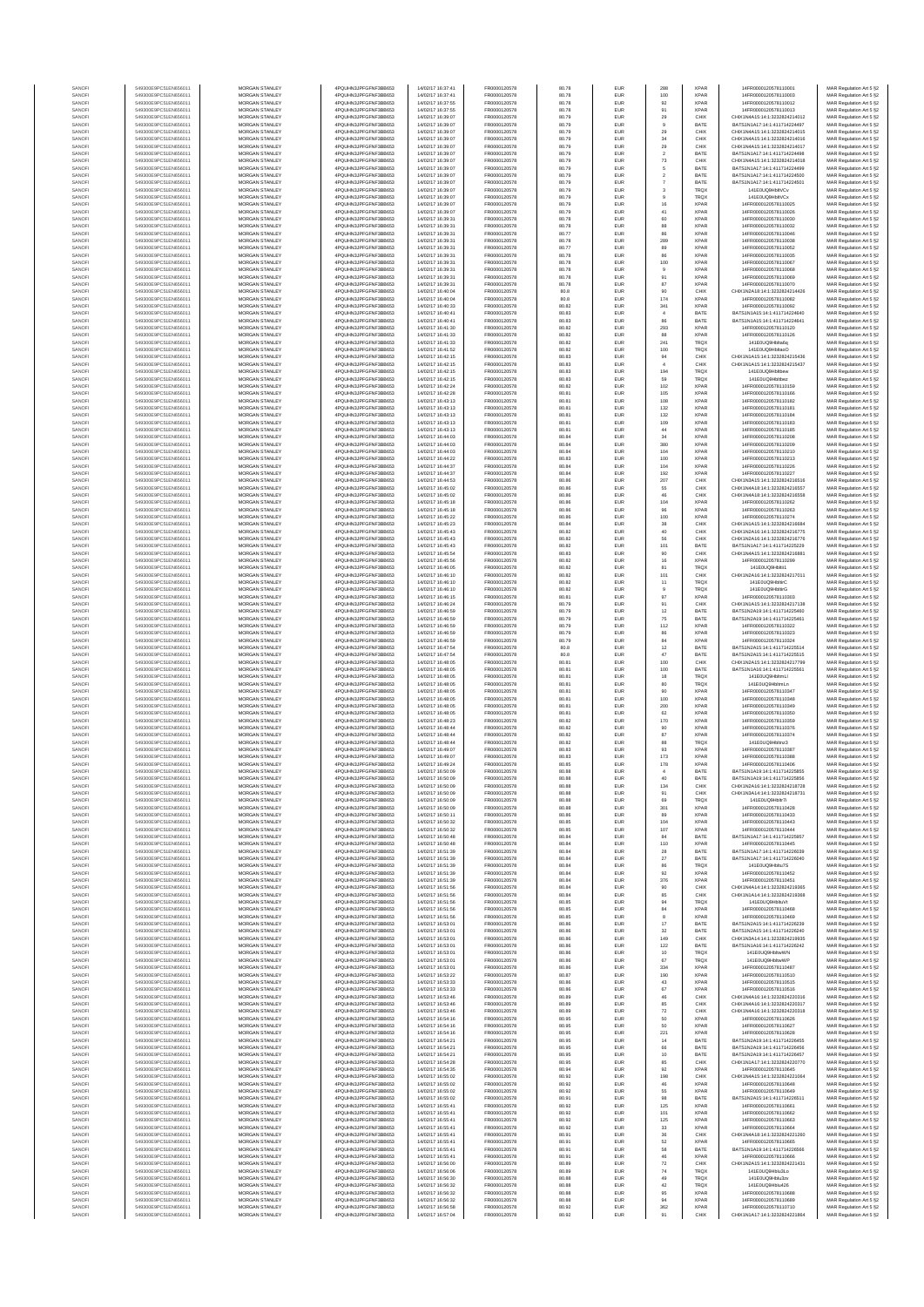| SANOFI           | 549300E9PC51EN656011                         | MORGAN STANLEY                                 | 4PQUHN3JPFGFNF3BB653                         | 14/02/17 16:37:41                      | FR0000120578                 | 80.78          | EUR                      | 288                      | <b>XPAR</b>                | 14FR0000120578110001                                           | MAR Regulation Art 5 §2                            |
|------------------|----------------------------------------------|------------------------------------------------|----------------------------------------------|----------------------------------------|------------------------------|----------------|--------------------------|--------------------------|----------------------------|----------------------------------------------------------------|----------------------------------------------------|
| SANOFI<br>SANOFI | 549300E9PC51EN656011<br>549300E9PC51EN656011 | MORGAN STANLEY<br>MORGAN STANLEY               | 4PQUHN3JPFGFNF3BB653<br>4PQUHN3JPFGFNF3BB653 | 14/02/17 16:37:41<br>14/02/17 16:37:55 | FR0000120578<br>FR0000120578 | 80.78<br>80.78 | <b>EUR</b><br>EUR        | 100<br>92                | <b>XPAR</b><br><b>XPAR</b> | 14FR0000120578110003<br>14FR0000120578110012                   | MAR Regulation Art 5 §2                            |
| SANOFI           | 549300E9PC51EN656011                         | MORGAN STANLEY                                 | 4PQUHN3JPFGFNF3BB653                         | 14/02/17 16:37:55                      | FR0000120578                 | 80.78          | EUR                      | 91                       | <b>XPAR</b>                | 14FR0000120578110013                                           | MAR Regulation Art 5 §2<br>MAR Regulation Art 5 §2 |
| SANOFI           | 549300E9PC51EN656011                         | MORGAN STANLEY                                 | 4PQUHN3JPFGFNF3BB653                         | 14/02/17 16:39:07                      | FR0000120578                 | 80.79          | EUR                      | 29                       | CHIX                       | CHIX1N4A15:14:1:3232824214012                                  | MAR Regulation Art 5 §2                            |
| SANOFI<br>SANOFI | 549300E9PC51EN656011<br>549300E9PC51EN656011 | MORGAN STANLEY<br>MORGAN STANLEY               | 4PQUHN3JPFGFNF3BB653<br>4PQUHN3JPFGFNF3BB653 | 14/02/17 16:39:07<br>14/02/17 16:39:07 | FR0000120578<br>FR0000120578 | 80.79<br>80.79 | EUR<br>EUR               | $9$<br>29                | BATE<br>CHIX               | BATS1N1A17:14:1:411714224497<br>CHIX1N4A15:14:1:3232824214015  | MAR Regulation Art 5 §2<br>MAR Regulation Art 5 §2 |
| SANOFI           | 549300E9PC51EN656011                         | MORGAN STANLEY                                 | 4PQUHN3JPFGFNF3BB653                         | 14/02/17 16:39:07                      | FR0000120578                 | 80.79          | EUR                      | 34                       | CHIX                       | CHIX1N4A15:14:1:3232824214016                                  | MAR Regulation Art 5 §2                            |
| SANOFI<br>SANOFI | 549300E9PC51EN656011<br>549300E9PC51EN656011 | <b>MORGAN STANLEY</b><br><b>MORGAN STANLEY</b> | 4PQUHN3JPFGFNF3BB653<br>4PQUHN3JPFGFNF3BB653 | 14/02/17 16:39:07<br>14/02/17 16:39:07 | FR0000120578<br>FR0000120578 | 80.79<br>80.79 | EUR<br><b>EUR</b>        | 29<br>$\overline{2}$     | CHIX<br>BATE               | CHIX1N4A15:14:1:3232824214017<br>BATS1N1A17:14:1:411714224498  | MAR Regulation Art 5 §2<br>MAR Regulation Art 5 §2 |
| SANOFI           | 549300E9PC51EN656011                         | <b>MORGAN STANLEY</b>                          | 4PQUHN3JPFGFNF3BB653                         | 14/02/17 16:39:07                      | FR0000120578                 | 80.79          | <b>EUR</b>               | 73                       | CHIX                       | CHIX1N4A15:14:1:3232824214018                                  | MAR Regulation Art 5 §2                            |
| SANOFI           | 549300E9PC51EN656011                         | MORGAN STANLEY                                 | 4PQUHN3JPFGFNF3BB653                         | 14/02/17 16:39:07                      | FR0000120578                 | 80.79          | EUR                      | 5                        | BATE                       | BATS1N1A17:14:1:411714224499                                   | MAR Regulation Art 5 §2                            |
| SANOFI<br>SANOF  | 549300E9PC51EN656011<br>549300E9PC51EN656011 | MORGAN STANLEY<br>MORGAN STANLEY               | 4PQUHN3JPFGFNF3BB653<br>4PQUHN3JPFGFNF3BB653 | 14/02/17 16:39:07<br>14/02/17 16:39:07 | FR0000120578<br>FR0000120578 | 80.79<br>80.79 | EUR<br>EUR               | $\,$ 2 $\,$              | BATE<br>BATE               | BATS1N1A17:14:1:411714224500<br>BATS1N1A17:14:1:411714224501   | MAR Regulation Art 5 §2<br>MAR Regulation Art 5 §2 |
| SANOFI           | 549300E9PC51EN656011                         | MORGAN STANLEY                                 | 4PQUHN3JPFGFNF3BB653                         | 14/02/17 16:39:07                      | FR0000120578                 | 80.79          | EUR                      | $\overline{\mathbf{3}}$  | TRQ)                       | 141E0UQ9HbltVCv                                                | MAR Regulation Art 5 §2                            |
| SANOFI           | 549300E9PC51EN656011                         | MORGAN STANLEY                                 | 4PQUHN3JPFGFNF3BB653                         | 14/02/17 16:39:07                      | FR0000120578                 | 80.79          | EUR                      | $\mathsf g$              | TRQX<br><b>XPAR</b>        | 141E0UQ9HbltVCx                                                | MAR Regulation Art 5 §2                            |
| SANOFI<br>SANOFI | 549300E9PC51EN656011<br>549300E9PC51EN656011 | MORGAN STANLEY<br><b>MORGAN STANLEY</b>        | 4PQUHN3JPFGFNF3BB653<br>4PQUHN3JPFGFNF3BB653 | 14/02/17 16:39:07<br>14/02/17 16:39:07 | FR0000120578<br>FR0000120578 | 80.79<br>80.79 | EUR<br><b>EUR</b>        | 16<br>41                 | <b>XPAR</b>                | 14FR0000120578110025<br>14FR0000120578110026                   | MAR Regulation Art 5 §2<br>MAR Regulation Art 5 §2 |
| SANOFI           | 549300E9PC51EN656011                         | <b>MORGAN STANLEY</b>                          | 4PQUHN3JPFGFNF3BB653                         | 14/02/17 16:39:31                      | FR0000120578                 | 80.78          | <b>EUR</b>               | 60                       | <b>XPAR</b>                | 14FR0000120578110030                                           | MAR Regulation Art 5 §2                            |
| SANOFI           | 549300E9PC51EN656011                         | MORGAN STANLEY                                 | 4PQUHN3JPFGFNF3BB653<br>4PQUHN3JPFGFNF3BB653 | 14/02/17 16:39:31                      | FR0000120578                 | 80.78          | EUR                      | 88                       | <b>XPAR</b>                | 14FR0000120578110032                                           | MAR Regulation Art 5 §2                            |
| SANOF<br>SANOFI  | 549300E9PC51EN656011<br>549300E9PC51EN656011 | MORGAN STANLEY<br>MORGAN STANLEY               | 4PQUHN3JPFGFNF3BB653                         | 14/02/17 16:39:31<br>14/02/17 16:39:31 | FR0000120578<br>FR0000120578 | 80.77<br>80.78 | EUR<br>EUR               | 86<br>289                | XPAF<br>XPAF               | 14FR0000120578110046<br>14FR0000120578110038                   | MAR Regulation Art 5 §2<br>MAR Regulation Art 5 §2 |
| SANOFI           | 549300E9PC51EN656011                         | MORGAN STANLEY                                 | 4PQUHN3JPFGFNF3BB653                         | 14/02/17 16:39:31                      | FR0000120578                 | 80.77          | EUR                      | 89                       | XPAF                       | 14FR0000120578110052                                           | MAR Regulation Art 5 §2                            |
| SANOFI           | 549300E9PC51EN656011                         | MORGAN STANLEY                                 | 4PQUHN3JPFGFNF3BB653                         | 14/02/17 16:39:31                      | FR0000120578                 | 80.78          | EUR                      | 86                       | <b>XPAR</b>                | 14FR0000120578110035                                           | MAR Regulation Art 5 §2                            |
| SANOFI<br>SANOFI | 549300E9PC51EN656011<br>549300E9PC51EN656011 | MORGAN STANLEY<br><b>MORGAN STANLEY</b>        | 4PQUHN3JPFGFNF3BB653<br>4PQUHN3JPFGFNF3BB653 | 14/02/17 16:39:31<br>14/02/17 16:39:31 | FR0000120578<br>FR0000120578 | 80.78<br>80.78 | EUR<br><b>EUR</b>        | 100<br>$\overline{9}$    | <b>XPAR</b><br><b>XPAR</b> | 14FR0000120578110067<br>14FR0000120578110068                   | MAR Regulation Art 5 §2<br>MAR Regulation Art 5 §2 |
| SANOFI           | 549300E9PC51EN656011                         | MORGAN STANLEY                                 | 4PQUHN3JPFGFNF3BB653                         | 14/02/17 16:39:31                      | FR0000120578                 | 80.78          | EUR                      | 91                       | <b>XPAR</b>                | 14FR0000120578110069                                           | MAR Regulation Art 5 §2                            |
| SANOFI<br>SANOFI | 549300E9PC51EN656011<br>549300E9PC51EN656011 | MORGAN STANLEY<br>MORGAN STANLEY               | 4PQUHN3JPFGFNF3BB653<br>4PQUHN3JPFGFNF3BB653 | 14/02/17 16:39:31                      | FR0000120578<br>FR0000120578 | 80.78<br>80.8  | EUR<br>EUR               | 87                       | XPAF<br>CHIX               | 14FR0000120578110070<br>CHIX1N2A18:14:1:3232824214426          | MAR Regulation Art 5 §2                            |
| SANOF            | 549300E9PC51EN656011                         | MORGAN STANLEY                                 | 4PQUHN3JPFGFNF3BB653                         | 14/02/17 16:40:04<br>14/02/17 16:40:04 | FR0000120578                 | 80.8           | EUR                      | 90<br>174                | XPAF                       | 14FR0000120578110082                                           | MAR Regulation Art 5 §2<br>MAR Regulation Art 5 §2 |
| SANOFI           | 549300E9PC51EN656011                         | MORGAN STANLEY                                 | 4PQUHN3JPFGFNF3BB653                         | 14/02/17 16:40:33                      | FR0000120578                 | 80.82          | EUR                      | 341                      | XPAF                       | 14FR0000120578110092                                           | MAR Regulation Art 5 §2                            |
| SANOFI           | 549300E9PC51EN656011<br>549300E9PC51EN656011 | MORGAN STANLEY<br>MORGAN STANLEY               | 4PQUHN3JPFGFNF3BB653<br>4PQUHN3JPFGFNF3BB653 | 14/02/17 16:40:41<br>14/02/17 16:40:41 | FR0000120578<br>FR0000120578 | 80.83<br>80.83 | EUR<br>EUR               | $\sqrt{4}$<br>86         | BATE<br>BATE               | BATS1N1A15:14:1:411714224640<br>BATS1N1A15:14:1:411714224641   | MAR Regulation Art 5 §2<br>MAR Regulation Art 5 §2 |
| SANOFI<br>SANOFI | 549300E9PC51EN656011                         | <b>MORGAN STANLEY</b>                          | 4PQUHN3JPFGFNF3BB653                         | 14/02/17 16:41:30                      | FR0000120578                 | 80.82          | <b>EUR</b>               | 293                      | <b>XPAR</b>                | 14FR0000120578110120                                           | MAR Regulation Art 5 §2                            |
| SANOFI           | 549300E9PC51EN656011                         | <b>MORGAN STANLEY</b>                          | 4PQUHN3JPFGFNF3BB653                         | 14/02/17 16:41:33                      | FR0000120578                 | 80.82          | <b>EUR</b>               | 88                       | <b>XPAR</b>                | 14FR0000120578110126                                           | MAR Regulation Art 5 §2                            |
| SANOFI<br>SANOFI | 549300E9PC51EN656011<br>549300E9PC51EN656011 | MORGAN STANLEY<br>MORGAN STANLEY               | 4PQUHN3JPFGFNF3BB653<br>4PQUHN3JPFGFNF3BB653 | 14/02/17 16:41:33<br>14/02/17 16:41:52 | FR0000120578<br>FR0000120578 | 80.82<br>80.82 | EUR<br>EUR               | 241<br>100               | TRQX<br>TRQX               | 141E0UQ9Hblta6c<br>141E0UQ9HbltaoO                             | MAR Regulation Art 5 §2<br>MAR Regulation Art 5 §2 |
| SANOFI           | 549300E9PC51EN656011                         | MORGAN STANLEY                                 | 4PQUHN3JPFGFNF3BB653                         | 14/02/17 16:42:15                      | FR0000120578                 | 80.83          | EUR                      | 94                       | CHIX                       | CHIX1N1A15:14:1:323282421543                                   | MAR Regulation Art 5 §2                            |
| SANOFI           | 549300E9PC51EN656011                         | MORGAN STANLEY                                 | 4PQUHN3JPFGFNF3BB653                         | 14/02/17 16:42:15                      | FR0000120578                 | 80.83          | EUR                      | $\sqrt{4}$               | CHIX                       | CHIX1N1A15:14:1:3232824215437                                  | MAR Regulation Art 5 §2                            |
| SANOFI<br>SANOFI | 549300E9PC51EN656011<br>549300E9PC51EN656011 | MORGAN STANLEY<br>MORGAN STANLEY               | 4PQUHN3JPFGFNF3BB653<br>4PQUHN3JPFGFNF3BB653 | 14/02/17 16:42:15<br>14/02/17 16:42:15 | FR0000120578<br>FR0000120578 | 80.83<br>80.83 | EUR<br>EUR               | 194<br>59                | TRQX<br>TRQX               | 141E0UQ9Hbltbew<br>141E0UQ9Hbltbez                             | MAR Regulation Art 5 §2<br>MAR Regulation Art 5 §2 |
| SANOFI           | 549300E9PC51EN656011                         | <b>MORGAN STANLEY</b>                          | 4PQUHN3JPFGFNF3BB653                         | 14/02/17 16:42:24                      | FR0000120578                 | 80.82          | <b>EUR</b>               | 102                      | <b>XPAR</b>                | 14FR0000120578110159                                           | MAR Regulation Art 5 §2                            |
| SANOFI<br>SANOFI | 549300E9PC51EN656011<br>549300E9PC51EN656011 | MORGAN STANLEY<br><b>MORGAN STANLEY</b>        | 4PQUHN3JPFGFNF3BB653<br>4PQUHN3JPFGFNF3BB653 | 14/02/17 18:42:28<br>14/02/17 16:43:13 | FR0000120578<br>FR0000120578 | 80.81<br>80.81 | <b>EUR</b><br><b>EUR</b> | 105<br>108               | <b>XPAR</b><br><b>XPAR</b> | 14FR0000120578110166<br>14FR0000120578110182                   | MAR Regulation Art 5 §2<br>MAR Regulation Art 5 §2 |
| SANOFI           | 549300E9PC51EN656011                         | MORGAN STANLEY                                 | 4POURN3JPEGENE3BB653                         | 14/02/17 16:43:13                      | FR0000120578                 | 80.81          | EUR                      | 132                      | <b>XPAR</b>                | 14FR0000120578110181                                           | MAR Regulation Art 5 §2                            |
| SANOFI           | 549300E9PC51EN656011                         | MORGAN STANLEY                                 | 4PQUHN3JPFGFNF3BB653                         | 14/02/17 16:43:13                      | FR0000120578                 | 80.81          | EUR                      | 132                      | <b>XPAR</b>                | 14FR0000120578110184                                           | MAR Regulation Art 5 §2                            |
| SANOFI<br>SANOF  | 549300E9PC51EN656011<br>549300E9PC51EN656011 | MORGAN STANLEY<br>MORGAN STANLEY               | 4PQUHN3JPFGFNF3BB653<br>4PQUHN3JPFGFNF3BB653 | 14/02/17 16:43:13<br>14/02/17 16:43:13 | FR0000120578<br>FR0000120578 | 80.81<br>80.81 | EUR<br>EUR               | 109<br>$44\,$            | XPAF<br>XPAF               | 14FR0000120578110183<br>14FR0000120578110185                   | MAR Regulation Art 5 §2<br>MAR Regulation Art 5 §2 |
| SANOFI           | 549300E9PC51EN656011                         | MORGAN STANLEY                                 | 4PQUHN3JPFGFNF3BB653                         | 14/02/17 16:44:03                      | FR0000120578                 | 80.84          | EUR                      | 34                       | <b>XPAF</b>                | 14FR0000120578110208                                           | MAR Regulation Art 5 §2                            |
| SANOFI           | 549300E9PC51EN656011                         | MORGAN STANLEY                                 | 4PQUHN3JPFGFNF3BB653                         | 14/02/17 16:44:03                      | FR0000120578                 | 80.84          | EUR                      | 380                      | <b>XPAF</b>                | 14FR0000120578110209                                           | MAR Regulation Art 5 §2                            |
| SANOFI<br>SANOFI | 549300E9PC51EN656011<br>549300E9PC51EN656011 | <b>MORGAN STANLEY</b><br><b>MORGAN STANLEY</b> | 4PQUHN3JPFGFNF3BB653<br>4PQUHN3JPFGFNF3BB653 | 14/02/17 16:44:03<br>14/02/17 16:44:22 | FR0000120578<br>FR0000120578 | 80.84<br>80.83 | EUR<br><b>EUR</b>        | 104<br>100               | <b>XPAR</b><br><b>XPAR</b> | 14FR0000120578110210<br>14FR0000120578110213                   | MAR Regulation Art 5 §2<br>MAR Regulation Art 5 §2 |
| SANOFI           | 549300E9PC51EN656011                         | MORGAN STANLEY                                 | 4PQUHN3JPFGFNF3BB653                         | 14/02/17 16:44:37                      | FR0000120578                 | 80.84          | EUR                      | 104                      | <b>XPAR</b>                | 14FR0000120578110226                                           | MAR Regulation Art 5 §2                            |
| SANOFI           | 549300E9PC51EN656011                         | MORGAN STANLEY<br>MORGAN STANLEY               | 4PQUHN3JPFGFNF3BB653                         | 14/02/17 16:44:37                      | FR0000120578                 | 80.84          | EUR                      | 192                      | <b>XPAF</b>                | 14FR0000120578110227<br>CHIX1N3A15:14:1:3232824216516          | MAR Regulation Art 5 §2                            |
| SANOF<br>SANOFI  | 549300E9PC51EN656011<br>549300E9PC51EN656011 | MORGAN STANLEY                                 | 4PQUHN3JPFGFNF3BB653<br>4PQUHN3JPFGFNF3BB653 | 14/02/17 16:44:53<br>14/02/17 16:45:02 | FR0000120578<br>FR0000120578 | 80.86<br>80.86 | EUR<br>EUR               | 207<br>55                | CHIX<br>CHIX               | CHIX1N4A18:14:1:3232824216557                                  | MAR Regulation Art 5 §2<br>MAR Regulation Art 5 §2 |
| SANOFI           | 549300E9PC51EN656011                         | MORGAN STANLEY                                 | 4PQUHN3JPFGFNF3BB653                         | 14/02/17 16:45:02                      | FR0000120578                 | 80.86          | EUR                      | 46                       | CHIX                       | CHIX1N4A18:14:1:3232824216558                                  | MAR Regulation Art 5 §2                            |
| SANOFI           | 549300E9PC51EN656011                         | MORGAN STANLEY                                 | 4PQUHN3JPFGFNF3BB653                         | 14/02/17 16:45:18                      | FR0000120578                 | 80.86          | EUR                      | 104                      | <b>XPAF</b>                | 14FR0000120578110262                                           | MAR Regulation Art 5 §2                            |
| SANOFI<br>SANOFI | 549300E9PC51EN656011<br>549300E9PC51EN656011 | <b>MORGAN STANLEY</b><br><b>MORGAN STANLEY</b> | 4PQUHN3JPFGFNF3BB653<br>4PQUHN3JPFGFNF3BB653 | 14/02/17 16:45:18<br>14/02/17 16:45:22 | FR0000120578<br>FR0000120578 | 80.86<br>80.86 | <b>EUR</b><br><b>EUR</b> | 96<br>100                | <b>XPAR</b><br><b>XPAR</b> | 14FR0000120578110263<br>14FR0000120578110274                   | MAR Regulation Art 5 §2<br>MAR Regulation Art 5 §2 |
| SANOFI           | 549300E9PC51EN656011                         | MORGAN STANLEY                                 | 4PQUHN3JPFGFNF3BB653                         | 14/02/17 16:45:23                      | FR0000120578                 | 80.84          | EUR                      | $_{\rm 38}$              | CHIX                       | CHIX1N1A15:14:1:3232824216684                                  | MAR Regulation Art 5 §2                            |
| SANOFI<br>SANOFI | 549300E9PC51EN656011<br>549300E9PC51EN656011 | MORGAN STANLEY<br>MORGAN STANLEY               | 4PQUHN3JPFGFNF3BB653<br>4PQUHN3JPFGFNF3BB653 | 14/02/17 16:45:43<br>14/02/17 16:45:43 | FR0000120578<br>FR0000120578 | 80.82<br>80.82 | EUR<br>EUR               | 40<br>56                 | CHIX<br>CHIX               | CHIX1N2A16:14:1:3232824216775<br>CHIX1N2A16:14:1:3232824216776 | MAR Regulation Art 5 §2                            |
| SANOFI           | 549300E9PC51EN656011                         | MORGAN STANLEY                                 | 4PQUHN3JPFGFNF3BB653                         | 14/02/17 16:45:43                      | FR0000120578                 | 80.82          | EUR                      | 101                      | BATE                       | BATS1N1A17:14:1:411714225229                                   | MAR Regulation Art 5 §2<br>MAR Regulation Art 5 §2 |
| SANOFI           | 549300E9PC51EN656011                         | MORGAN STANLEY                                 | 4PQUHN3JPFGFNF3BB653                         | 14/02/17 16:45:54                      | FR0000120578                 | 80.83          | EUR                      | 90                       | CHIX                       | CHIX1N4A15:14:1:3232824216881                                  | MAR Regulation Art 5 §2                            |
| SANOFI<br>SANOFI | 549300E9PC51EN656011<br>549300E9PC51EN656011 | MORGAN STANLEY<br><b>MORGAN STANLEY</b>        | 4PQUHN3JPFGFNF3BB653<br>4PQUHN3JPFGFNF3BB653 | 14/02/17 16:45:56<br>14/02/17 16:46:05 | FR0000120578<br>FR0000120578 | 80.82<br>80.82 | EUR<br><b>EUR</b>        | $16\,$<br>81             | <b>XPAR</b><br><b>TRQX</b> | 14FR0000120578110299<br>141E0UQ9Hblti1                         | MAR Regulation Art 5 §2<br>MAR Regulation Art 5 §2 |
| SANOFI           | 549300E9PC51EN656011                         | <b>MORGAN STANLEY</b>                          | 4PQUHN3JPFGFNF3BB653                         | 14/02/17 16:46:10                      | FR0000120578                 | 80.82          | EUR                      | 101                      | CHIX                       | CHIX1N2A16:14:1:3232824217011                                  | MAR Regulation Art 5 §2                            |
| SANOFI           | 549300E9PC51EN656011                         | MORGAN STANLEY<br>MORGAN STANLEY               | 4PQUHN3JPFGFNF3BB653<br>4PQUHN3JPFGFNF3BB653 | 14/02/17 16:46:10                      | FR0000120578<br>FR0000120578 | 80.82          | EUR                      | 11                       | TRQX                       | 141E0UQ9HbltirC                                                | MAR Regulation Art 5 §2                            |
| SANOFI<br>SANOF  | 549300E9PC51EN656011<br>549300E9PC51EN656011 | MORGAN STANLEY                                 | 4PQUHN3JPFGFNF3BB653                         | 14/02/17 16:46:10<br>14/02/17 16:46:15 | FR0000120578                 | 80.82<br>80.81 | EUR<br>EUR               | $_{9}$<br>97             | TRQX<br>XPAF               | 141E0UQ9HbltirG<br>14FR0000120578110303                        | MAR Regulation Art 5 §2<br>MAR Regulation Art 5 §2 |
| SANOFI           | 549300E9PC51EN656011                         | MORGAN STANLEY                                 | 4PQUHN3JPFGFNF3BB653                         | 14/02/17 16:46:24                      | FR0000120578                 | 80.79          | EUR                      | 91                       | CHIX                       | CHIX1N1A15:14:1:323282421713                                   | MAR Regulation Art 5 §2                            |
| SANOFI<br>SANOFI | 549300E9PC51EN656011<br>549300E9PC51EN656011 | MORGAN STANLEY<br>MORGAN STANLEY               | 4PQUHN3JPFGFNF3BB653<br>4PQUHN3JPFGFNF3BB653 | 14/02/17 16:46:59<br>14/02/17 16:46:59 | FR0000120578<br>FR0000120578 | 80.79<br>80.79 | EUR<br>EUR               | $12\,$<br>75             | BATE<br>BATE               | BATS1N2A19:14:1:411714225460<br>BATS1N2A19:14:1:411714225461   | MAR Regulation Art 5 §2<br>MAR Regulation Art 5 §2 |
| SANOFI           | 549300E9PC51EN656011                         | <b>MORGAN STANLEY</b>                          | 4PQUHN3JPFGFNF3BB653                         | 14/02/17 16:46:59                      | FR0000120578                 | 80.79          | <b>EUR</b>               | 112                      | <b>XPAR</b>                | 14FR0000120578110322                                           | MAR Regulation Art 5 §2                            |
| SANOFI<br>SANOFI | 549300E9PC51EN656011<br>549300E9PC51EN656011 | <b>MORGAN STANLEY</b><br><b>MORGAN STANLEY</b> | 4PQUHN3JPFGFNF3BB653<br>4PQUHN3JPFGFNF3BB653 | 14/02/17 16:46:59<br>14/02/17 16:46:59 | FR0000120578<br>FR0000120578 | 80.79<br>80.79 | <b>EUR</b><br>EUR        | 86<br>84                 | <b>XPAR</b><br><b>XPAR</b> | 14FR0000120578110323<br>14FR0000120578110324                   | MAR Regulation Art 5 §2<br>MAR Regulation Art 5 §2 |
| SANOFI           | 549300E9PC51EN656011                         | MORGAN STANLEY                                 | 4PQUHN3JPFGFNF3BB653                         | 14/02/17 16:47:54                      | FR0000120578                 | 80.8           | EUR                      | $12\,$                   | BATE                       | BATS1N2A15:14:1:411714225514                                   | MAR Regulation Art 5 §2                            |
| SANOFI           | 549300E9PC51EN656011                         | MORGAN STANLEY                                 | 4PQUHN3JPFGFNF3BB653                         | 14/02/17 16:47:54                      | FR0000120578                 | 80.8           | EUR                      | 47                       | BATE                       | BATS1N2A15:14:1:411714225515                                   | MAR Regulation Art 5 §2                            |
| SANOF<br>SANOFI  | 549300E9PC51EN656011<br>549300E9PC51EN656011 | MORGAN STANLEY<br>MORGAN STANLEY               | 4PQUHN3JPFGFNF3BB653<br>4PQUHN3JPFGFNF3BB653 | 14/02/17 16:48:05<br>14/02/17 16:48:05 | FR0000120578<br>FR0000120578 | 80.81<br>80.81 | EUR<br>EUR               | 100<br>100               | CHIX<br>BATE               | CHIX1N2A15:14:1:323282421779!<br>BATS1N1A16:14:1:411714225561  | MAR Regulation Art 5 §2<br>MAR Regulation Art 5 §2 |
| SANOFI           | 549300E9PC51EN656011                         | MORGAN STANLEY                                 | 4PQUHN3JPFGFNF3BB653                         | 14/02/17 16:48:05                      | FR0000120578                 | 80.81          | EUR                      | 18                       | TRQ)                       | 141E0UQ9HbltmLl                                                | MAR Regulation Art 5 §2                            |
| SANOFI           | 549300E9PC51EN656011                         | MORGAN STANLEY                                 | 4PQUHN3JPFGFNF3BB653                         | 14/02/17 16:48:05<br>14/02/17 16:48:05 | FR0000120578                 | 80.81          | EUR                      | 80                       | TRQX                       | 141E0UQ9HbltmLn                                                | MAR Regulation Art 5 §2                            |
| SANOFI<br>SANOFI | 549300E9PC51EN656011<br>549300E9PC51EN656011 | <b>MORGAN STANLEY</b><br><b>MORGAN STANLEY</b> | 4PQUHN3JPFGFNF3BB653<br>4PQUHN3JPFGFNF3BB653 | 14/02/17 16:48:05                      | FR0000120578<br>FR0000120578 | 80.81<br>80.81 | <b>EUR</b><br><b>EUR</b> | 90<br>100                | <b>XPAR</b><br><b>XPAR</b> | 14FR0000120578110347<br>14FR0000120578110348                   | MAR Regulation Art 5 §2<br>MAR Regulation Art 5 §2 |
| SANOFI           | 549300E9PC51EN656011                         | MORGAN STANLEY                                 | 4POUHN3JPEGENE3BB653                         | 14/02/17 16:48:05                      | FR0000120578                 | 80.81          | EUR                      | 200                      | <b>XPAR</b>                | 14FR0000120578110349                                           | MAR Regulation Art 5 §2                            |
| SANOFI<br>SANOFI | 549300E9PC51EN656011<br>549300E9PC51EN656011 | MORGAN STANLEY<br>MORGAN STANLEY               | 4PQUHN3JPFGFNF3BB653<br>4PQUHN3JPFGFNF3BB653 | 14/02/17 16:48:05<br>14/02/17 16:48:23 | FR0000120578<br>FR0000120578 | 80.81<br>80.82 | EUR<br>EUR               | $62\,$<br>170            | <b>XPAR</b><br>XPAF        | 14FR0000120578110350<br>14FR0000120578110359                   | MAR Regulation Art 5 §2<br>MAR Regulation Art 5 §2 |
| SANOFI           | 549300E9PC51EN656011                         | MORGAN STANLEY                                 | 4PQUHN3JPFGFNF3BB653                         | 14/02/17 16:48:44                      | FR0000120578                 | 80.82          | EUR                      | 90                       | XPAF                       | 14FR0000120578110376                                           | MAR Regulation Art 5 §2                            |
| SANOFI           | 549300E9PC51EN656011                         | MORGAN STANLEY                                 | 4PQUHN3JPFGFNF3BB653                         | 14/02/17 16:48:44                      | FR0000120578                 | 80.82          | EUR                      | 87                       | <b>XPAR</b>                | 14FR0000120578110374                                           | MAR Regulation Art 5 §2                            |
| SANOFI<br>SANOFI | 549300E9PC51EN656011<br>549300E9PC51EN656011 | MORGAN STANLEY<br><b>MORGAN STANLEY</b>        | 4PQUHN3JPFGFNF3BB653<br>4PQUHN3JPFGFNF3BB653 | 14/02/17 16:48:44<br>14/02/17 16:49:07 | FR0000120578<br>FR0000120578 | 80.82<br>80.83 | EUR<br>EUR               | 88<br>93                 | TRQX<br><b>XPAR</b>        | 141E0UQ9Hbltnz3<br>14FR0000120578110387                        | MAR Regulation Art 5 §2<br>MAR Regulation Art 5 §2 |
| SANOFI           | 549300E9PC51EN656011                         | <b>MORGAN STANLEY</b>                          | 4PQUHN3JPFGFNF3BB653                         | 14/02/17 16:49:07                      | FR0000120578                 | 80.83          | <b>EUR</b>               | 173                      | <b>XPAR</b>                | 14FR0000120578110388                                           | MAR Regulation Art 5 §2                            |
| SANOFI<br>SANOFI | 549300E9PC51EN656011<br>549300E9PC51EN656011 | <b>MORGAN STANLEY</b><br>MORGAN STANLEY        | 4PQUHN3JPFGFNF3BB653<br>4PQUHN3JPFGFNF3BB653 | 14/02/17 16:49:24                      | FR0000120578<br>FR0000120578 | 80.85<br>80.88 | EUR<br>EUR               | 178<br>$\sqrt{4}$        | <b>XPAR</b><br>BATE        | 14FR0000120578110406<br>BATS1N1A19:14:1:411714225855           | MAR Regulation Art 5 §2<br>MAR Regulation Art 5 §2 |
|                  |                                              |                                                |                                              | 14/02/17 16:50:09                      |                              |                |                          |                          |                            | N1A19:14:1:41171422                                            | Regulation Art 5 §                                 |
| SANOF            | 549300E9PC51EN656011                         | MORGAN STANLEY                                 | 4PQUHN3JPFGFNF3BB653                         | 14/02/17 16:50:09                      | FR0000120578                 | 80.88          | EUR                      | 134                      | CHIX                       | CHIX1N2A16:14:1:3232824218728                                  | MAR Regulation Art 5 §2                            |
| SANOFI<br>SANOFI | 549300E9PC51EN656011<br>549300E9PC51EN656011 | MORGAN STANLEY<br>MORGAN STANLEY               | 4PQUHN3JPFGFNF3BB653<br>4PQUHN3JPFGFNF3BB653 | 14/02/17 16:50:09<br>14/02/17 16:50:09 | FR0000120578<br>FR0000120578 | 80.88<br>80.88 | EUR<br><b>EUR</b>        | 91<br>69                 | CHIX<br><b>TROX</b>        | CHIX1N3A14:14:1:3232824218731<br>141E0UQ9Hbltr7i               | MAR Regulation Art 5 §2<br>MAR Regulation Art 5 §2 |
| SANOFI           | 549300E9PC51EN656011                         | <b>MORGAN STANLEY</b>                          | 4PQUHN3JPFGFNF3BB653                         | 14/02/17 16:50:09                      | FR0000120578                 | 80.88          | <b>EUR</b>               | 301                      | <b>XPAR</b>                | 14FR0000120578110428                                           | MAR Regulation Art 5 §2                            |
| SANOFI           | 549300E9PC51EN656011                         | <b>MORGAN STANLEY</b><br>MORGAN STANLEY        | 4PQUHN3JPFGFNF3BB653<br>4PQUHN3JPFGFNF3BB653 | 14/02/17 16:50:11<br>14/02/17 16:50:32 | FR0000120578<br>FR0000120578 | 80.86<br>80.85 | <b>EUR</b><br>EUR        | 89                       | <b>XPAR</b><br><b>XPAR</b> | 14FR0000120578110433                                           | MAR Regulation Art 5 §2                            |
| SANOFI<br>SANOFI | 549300E9PC51EN656011<br>549300E9PC51EN656011 | MORGAN STANLEY                                 | 4PQUHN3JPFGFNF3BB653                         | 14/02/17 16:50:32                      | FR0000120578                 | 80.85          | <b>EUR</b>               | 104<br>107               | <b>XPAR</b>                | 14FR0000120578110443<br>14FR0000120578110444                   | MAR Regulation Art 5 §2<br>MAR Regulation Art 5 §2 |
| SANOFI           | 549300E9PC51EN656011                         | MORGAN STANLEY                                 | 4PQUHN3JPFGFNF3BB653                         | 14/02/17 16:50:48                      | FR0000120578                 | 80.84          | EUR                      | 84                       | BATE                       | BATS1N1A17:14:1:411714225957                                   | MAR Regulation Art 5 §2                            |
| SANOFI<br>SANOFI | 549300E9PC51EN656011<br>549300E9PC51EN656011 | MORGAN STANLEY<br>MORGAN STANLEY               | 4PQUHN3JPFGFNF3BB653<br>4PQUHN3JPFGFNF3BB653 | 14/02/17 16:50:48<br>14/02/17 16:51:39 | FR0000120578<br>FR0000120578 | 80.84<br>80.84 | EUR<br>EUR               | 110<br>28                | XPAF<br>BATE               | 14FR0000120578110445<br>BATS1N1A17:14:1:411714226039           | MAR Regulation Art 5 §2<br>MAR Regulation Art 5 §2 |
| SANOFI           | 549300E9PC51EN656011                         | MORGAN STANLEY                                 | 4PQUHN3JPFGFNF3BB653                         | 14/02/17 16:51:39                      | FR0000120578                 | 80.84          | EUR                      | $27\,$                   | BATE                       | BATS1N1A17:14:1:411714226040                                   | MAR Regulation Art 5 §2                            |
| SANOFI           | 549300E9PC51EN656011                         | <b>MORGAN STANLEY</b>                          | 4PQUHN3JPFGFNF3BB653                         | 14/02/17 16:51:39                      | FR0000120578                 | 80.84          | <b>EUR</b>               | 86                       | <b>TRQX</b>                | 141 FOLIO9HNtu7S                                               | MAR Regulation Art 5 §2                            |
| SANOFI<br>SANOFI | 549300E9PC51EN656011<br>549300E9PC51EN656011 | <b>MORGAN STANLEY</b><br><b>MORGAN STANLEY</b> | 4PQUHN3JPFGFNF3BB653<br>4PQUHN3JPFGFNF3BB653 | 14/02/17 16:51:39<br>14/02/17 16:51:39 | FR0000120578<br>FR0000120578 | 80.84<br>80.84 | <b>EUR</b><br><b>EUR</b> | 92<br>376                | <b>XPAR</b><br><b>XPAR</b> | 14FR0000120578110452<br>14FR0000120578110451                   | MAR Regulation Art 5 §2<br>MAR Regulation Art 5 §2 |
| SANOFI           | 549300E9PC51EN656011                         | MORGAN STANLEY                                 | 4PQUHN3JPFGFNF3BB653                         | 14/02/17 16:51:56                      | FR0000120578                 | 80.84          | <b>EUR</b>               | 90                       | CHIX                       | CHIX1N4A14:14:1:3232824219365                                  | MAR Regulation Art 5 §2                            |
| SANOFI<br>SANOFI | 549300E9PC51EN656011<br>549300E9PC51EN656011 | <b>MORGAN STANLEY</b><br>MORGAN STANLEY        | 4PQUHN3JPFGFNF3BB653<br>4PQUHN3JPFGFNF3BB653 | 14/02/17 16:51:56<br>14/02/17 16:51:56 | FR0000120578<br>FR0000120578 | 80.84<br>80.85 | EUR<br>EUR               | 85<br>94                 | CHIX<br>TRQ)               | CHIX1N1A14:14:1:3232824219368<br>141E0UQ9HbltuVt               | MAR Regulation Art 5 §2<br>MAR Regulation Art 5 §2 |
| SANOFI           | 549300E9PC51EN656011                         | MORGAN STANLEY                                 | 4PQUHN3JPFGFNF3BB653                         | 14/02/17 16:51:56                      | FR0000120578                 | 80.85          | EUR                      | 84                       | <b>XPAR</b>                | 14FR0000120578110468                                           | MAR Regulation Art 5 §2                            |
| SANOFI           | 549300E9PC51EN656011                         | MORGAN STANLEY                                 | 4PQUHN3JPFGFNF3BB653                         | 14/02/17 16:51:56                      | FR0000120578                 | 80.85          | EUR                      | 8                        | <b>XPAR</b>                | 14FR0000120578110469                                           | MAR Regulation Art 5 §2                            |
| SANOFI<br>SANOFI | 549300E9PC51EN656011<br>549300E9PC51EN656011 | MORGAN STANLEY<br>MORGAN STANLEY               | 4PQUHN3JPFGFNF3BB653<br>4PQUHN3JPFGFNF3BB653 | 14/02/17 16:53:01<br>14/02/17 16:53:01 | FR0000120578<br>FR0000120578 | 80.86<br>80.86 | <b>EUR</b><br><b>EUR</b> | 17<br>32                 | BATE<br>BATE               | BATS1N2A15:14:1:411714226239<br>BATS1N2A15:14:1:411714226240   | MAR Regulation Art 5 §2<br>MAR Regulation Art 5 §2 |
| SANOFI           | 549300E9PC51EN656011                         | MORGAN STANLEY                                 | 4POLIHN3JPEGENE3BB653                        | 14/02/17 16:53:01                      | FR0000120578                 | 80.86          | <b>EUR</b>               | 149                      | CHIX                       | CHIX1N3A14:14:1:3232824219935                                  | MAR Regulation Art 5 §2                            |
| SANOFI           | 549300E9PC51EN656011                         | MORGAN STANLEY<br>MORGAN STANLEY               | 4PQUHN3JPFGFNF3BB653                         | 14/02/17 16:53:01                      | FR0000120578<br>FR0000120578 | 80.86          | EUR                      | $122\,$                  | BATE<br><b>TRQX</b>        | BATS1N1A16:14:1:411714226242<br>141E0UQ9HbltwWN                | MAR Regulation Art 5 §2                            |
| SANOFI<br>SANOF  | 549300E9PC51EN656011<br>549300E9PC51EN656011 | MORGAN STANLEY                                 | 4PQUHN3JPFGFNF3BB653<br>4PQUHN3JPFGFNF3BB653 | 14/02/17 16:53:01<br>14/02/17 16:53:01 | FR0000120578                 | 80.86<br>80.86 | <b>EUR</b><br>EUR        | 10<br>67                 | TRQX                       | 141E0UQ9HbltwWP                                                | MAR Regulation Art 5 §2<br>MAR Regulation Art 5 §2 |
| SANOFI           | 549300E9PC51EN656011                         | MORGAN STANLEY                                 | 4PQUHN3JPFGFNF3BB653                         | 14/02/17 16:53:01                      | FR0000120578                 | 80.86          | EUR                      | 334                      | <b>XPAR</b>                | 14FR0000120578110487                                           | MAR Regulation Art 5 §2                            |
| SANOFI<br>SANOFI | 549300E9PC51EN656011<br>549300E9PC51EN656011 | MORGAN STANLEY<br>MORGAN STANLEY               | 4PQUHN3JPFGFNF3BB653<br>4PQUHN3JPFGFNF3BB653 | 14/02/17 16:53:22<br>14/02/17 16:53:33 | FR0000120578<br>FR0000120578 | 80.87<br>80.86 | EUR<br><b>EUR</b>        | 190<br>43                | <b>XPAR</b><br><b>XPAR</b> | 14FR0000120578110510<br>14FR0000120578110515                   | MAR Regulation Art 5 §2<br>MAR Regulation Art 5 §2 |
| SANOFI           | 549300E9PC51EN656011                         | <b>MORGAN STANLEY</b>                          | 4PQUHN3JPFGFNF3BB653                         | 14/02/17 16:53:33                      | FR0000120578                 | 80.86          | <b>EUR</b>               | 67                       | <b>XPAR</b>                | 14FR0000120578110516                                           | MAR Regulation Art 5 §2                            |
| SANOFI           | 549300E9PC51EN656011                         | <b>MORGAN STANLEY</b>                          | 4PQUHN3JPFGFNF3BB653                         | 14/02/17 16:53:46                      | FR0000120578                 | 80.89          | <b>EUR</b>               | 46                       | CHIX                       | CHIX1N4A16:14:1:3232824220316                                  | MAR Regulation Art 5 §2                            |
| SANOFI<br>SANOFI | 549300E9PC51EN656011<br>549300E9PC51EN656011 | MORGAN STANLEY<br>MORGAN STANLEY               | 4PQUHN3JPFGFNF3BB653<br>4PQUHN3JPFGFNF3BB653 | 14/02/17 16:53:46<br>14/02/17 16:53:46 | FR0000120578<br>FR0000120578 | 80.89<br>80.89 | EUR<br><b>EUR</b>        | 85<br>$\scriptstyle{72}$ | CHIX<br>CHIX               | CHIX1N4A16:14:1:3232824220317<br>CHIX1N4A16:14:1:3232824220318 | MAR Regulation Art 5 §2<br>MAR Regulation Art 5 §2 |
| SANOFI           | 549300E9PC51EN656011                         | MORGAN STANLEY                                 | 4PQUHN3JPFGFNF3BB653                         | 14/02/17 16:54:16                      | FR0000120578                 | 80.95          | EUR                      | 50                       | <b>XPAR</b>                | 14FR0000120578110626                                           | MAR Regulation Art 5 §2                            |
| SANOFI<br>SANOFI | 549300E9PC51EN656011<br>549300E9PC51EN656011 | MORGAN STANLEY<br>MORGAN STANLEY               | 4PQUHN3JPFGFNF3BB653<br>4PQUHN3JPFGFNF3BB653 | 14/02/17 16:54:16<br>14/02/17 16:54:16 | FR0000120578<br>FR0000120578 | 80.95<br>80.95 | EUR<br>EUR               | 50<br>221                | <b>XPAR</b><br><b>XPAR</b> | 14FR0000120578110627<br>14FR0000120578110628                   | MAR Regulation Art 5 §2<br>MAR Regulation Art 5 §2 |
| SANOFI           | 549300E9PC51EN656011                         | MORGAN STANLEY                                 | 4PQUHN3JPFGFNF3BB653                         | 14/02/17 16:54:21                      | FR0000120578                 | 80.95          | <b>EUR</b>               | 14                       | BATE                       | BATS1N2A19:14:1:411714226455                                   | MAR Regulation Art 5 §2                            |
| SANOFI           | 549300E9PC51EN656011                         | <b>MORGAN STANLEY</b>                          | 4PQUHN3JPFGFNF3BB653                         | 14/02/17 16:54:21                      | FR0000120578                 | 80.95          | <b>EUR</b>               | 66                       | BATE                       | BATS1N2A19:14:1:411714226456                                   | MAR Regulation Art 5 §2                            |
| SANOFI<br>SANOFI | 549300E9PC51EN656011<br>549300E9PC51EN656011 | <b>MORGAN STANLEY</b><br>MORGAN STANLEY        | 4PQUHN3JPFGFNF3BB653<br>4PQUHN3JPFGFNF3BB653 | 14/02/17 16:54:21<br>14/02/17 16:54:28 | FR0000120578<br>FR0000120578 | 80.95<br>80.95 | <b>EUR</b><br><b>EUR</b> | 10<br>85                 | BATE<br>CHIX               | BATS1N2A19:14:1:411714226457<br>CHIX1N1A17:14:1:3232824220770  | MAR Regulation Art 5 §2<br>MAR Regulation Art 5 §2 |
| SANOFI           | 549300E9PC51EN656011                         | MORGAN STANLEY                                 | 4PQUHN3JPFGFNF3BB653                         | 14/02/17 16:54:35                      | FR0000120578                 | 80.94          | EUR                      | 92                       | <b>XPAR</b>                | 14FR0000120578110645                                           | MAR Regulation Art 5 §2                            |
| SANOFI           | 549300E9PC51EN656011                         | MORGAN STANLEY                                 | 4PQUHN3JPFGFNF3BB653                         | 14/02/17 16:55:02                      | FR0000120578                 | 80.92          | EUR                      | 198                      | CHIX                       | CHIX1N4A15:14:1:3232824221064                                  | MAR Regulation Art 5 §2                            |
| SANOFI<br>SANOFI | 549300E9PC51EN656011<br>549300E9PC51EN656011 | MORGAN STANLEY<br>MORGAN STANLEY               | 4PQUHN3JPFGFNF3BB653<br>4PQUHN3JPFGFNF3BB653 | 14/02/17 16:55:02<br>14/02/17 16:55:02 | FR0000120578<br>FR0000120578 | 80.92<br>80.92 | EUR<br><b>EUR</b>        | 46<br>55                 | <b>XPAR</b><br><b>XPAR</b> | 14FR0000120578110648<br>14FR0000120578110649                   | MAR Regulation Art 5 §2<br>MAR Regulation Art 5 §2 |
| SANOFI           | 549300E9PC51EN656011                         | MORGAN STANLEY                                 | 4PQUHN3JPFGFNF3BB653                         | 14/02/17 16:55:02                      | FR0000120578                 | 80.91          | EUR                      | 98                       | BATE                       | BATS1N2A15:14:1:411714226511                                   | MAR Regulation Art 5 §2                            |
| SANOFI<br>SANOFI | 549300E9PC51EN656011<br>549300E9PC51EN656011 | <b>MORGAN STANLEY</b><br><b>MORGAN STANLEY</b> | 4PQUHN3JPFGFNF3BB653<br>4PQUHN3JPFGFNF3BB653 | 14/02/17 16:55:41<br>14/02/17 16:55:41 | FR0000120578<br>FR0000120578 | 80.92<br>80.92 | <b>EUR</b><br><b>EUR</b> | 125<br>101               | <b>XPAR</b><br><b>XPAR</b> | 14FR0000120578110661<br>14FR0000120578110662                   | MAR Regulation Art 5 §2<br>MAR Regulation Art 5 §2 |
| SANOFI           | 549300E9PC51EN656011                         | <b>MORGAN STANLEY</b>                          | 4PQUHN3JPFGFNF3BB653                         | 14/02/17 16:55:41                      | FR0000120578                 | 80.92          | <b>EUR</b>               | 125                      | <b>XPAR</b>                | 14FR0000120578110663                                           | MAR Regulation Art 5 §2                            |
| SANOFI           | 549300E9PC51EN656011                         | MORGAN STANLEY                                 | 4PQUHN3JPFGFNF3BB653                         | 14/02/17 16:55:41                      | FR0000120578                 | 80.92          | <b>EUR</b>               | $33\,$                   | <b>XPAR</b>                | 14FR0000120578110664                                           | MAR Regulation Art 5 §2                            |
| SANOFI<br>SANOFI | 549300E9PC51EN656011<br>549300E9PC51EN656011 | MORGAN STANLEY<br>MORGAN STANLEY               | 4PQUHN3JPFGFNF3BB653<br>4PQUHN3JPFGFNF3BB653 | 14/02/17 16:55:41<br>14/02/17 16:55:41 | FR0000120578<br>FR0000120578 | 80.91<br>80.91 | <b>EUR</b><br>EUR        | 36<br>52                 | CHIX<br>XPAF               | CHIX1N4A18:14:1:3232824221260<br>14FR0000120578110665          | MAR Regulation Art 5 §2<br>MAR Regulation Art 5 §2 |
| SANOFI           | 549300E9PC51EN656011                         | MORGAN STANLEY                                 | 4PQUHN3JPFGFNF3BB653                         | 14/02/17 16:55:41                      | FR0000120578                 | 80.91          | EUR                      | 58                       | BATE                       | BATS1N1A19:14:1:411714226566                                   | MAR Regulation Art 5 §2                            |
| SANOFI<br>SANOFI | 549300E9PC51EN656011<br>549300E9PC51EN656011 | MORGAN STANLEY<br>MORGAN STANLEY               | 4PQUHN3JPFGFNF3BB653<br>4PQUHN3JPFGFNF3BB653 | 14/02/17 16:55:41<br>14/02/17 16:56:00 | FR0000120578<br>FR0000120578 | 80.91          | <b>EUR</b>               | 46<br>72                 | <b>XPAR</b><br>CHIX        | 14FR0000120578110666<br>CHIX1N2A15:14:1:3232824221431          | MAR Regulation Art 5 §2<br>MAR Regulation Art 5 §2 |
| SANOFI           | 549300E9PC51EN656011                         | <b>MORGAN STANLEY</b>                          | 4PQUHN3JPFGFNF3BB653                         | 14/02/17 16:56:06                      | FR0000120578                 | 80.89<br>80.89 | <b>EUR</b><br><b>EUR</b> | 74                       | <b>TRQX</b>                | 141E0UQ9Hblu3Lo                                                | MAR Regulation Art 5 §2                            |
| SANOFI           | 549300E9PC51EN656011                         | <b>MORGAN STANLEY</b>                          | 4PQUHN3JPFGFNF3BB653                         | 14/02/17 16:56:30                      | FR0000120578                 | 80.88          | <b>EUR</b>               | 49                       | <b>TRQX</b>                | 141E0UQ9Hblu3zv                                                | MAR Regulation Art 5 §2                            |
| SANOFI<br>SANOFI | 549300E9PC51EN656011<br>549300E9PC51EN656011 | <b>MORGAN STANLEY</b><br>MORGAN STANLEY        | 4PQUHN3JPFGFNF3BB653<br>4PQUHN3JPFGFNF3BB653 | 14/02/17 16:56:32<br>14/02/17 16:56:32 | FR0000120578<br>FR0000120578 | 80.88<br>80.88 | EUR<br><b>EUR</b>        | 42<br>95                 | <b>TRQX</b><br><b>XPAR</b> | 141E0UQ9Hblu426<br>14FR0000120578110688                        | MAR Regulation Art 5 §2<br>MAR Regulation Art 5 §2 |
| SANOFI           | 549300E9PC51EN656011                         | MORGAN STANLEY                                 | 4PQUHN3JPFGFNF3BB653                         | 14/02/17 16:56:32                      | FR0000120578                 | 80.88          | EUR                      | 94                       | <b>XPAR</b>                | 14FR0000120578110689                                           | MAR Regulation Art 5 §2                            |
| SANOF<br>SANOFI  | 549300E9PC51EN656011<br>549300E9PC51EN656011 | MORGAN STANLEY<br>MORGAN STANLEY               | 4PQUHN3JPFGFNF3BB653<br>4PQUHN3JPFGFNF3BB653 | 14/02/17 16:56:58<br>14/02/17 16:57:04 | FR0000120578<br>FR0000120578 | 80.92<br>80.92 | EUR<br><b>EUR</b>        | 362<br>91                | <b>XPAR</b><br>CHIX        | 14FR0000120578110710<br>CHIX1N1A17:14:1:3232824221864          | MAR Regulation Art 5 §2<br>MAR Regulation Art 5 §2 |
|                  |                                              |                                                |                                              |                                        |                              |                |                          |                          |                            |                                                                |                                                    |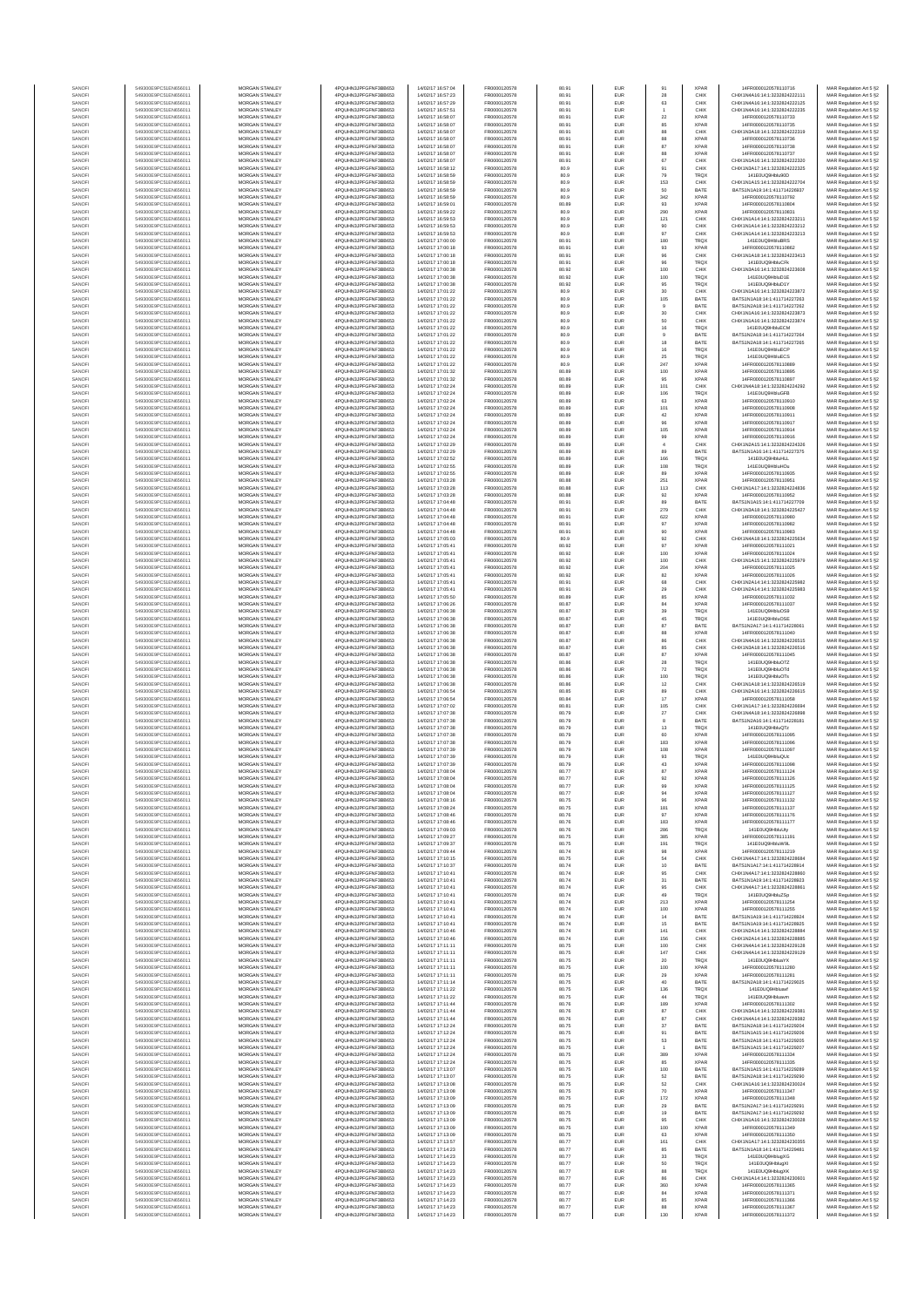| SANOF            | 549300E9PC51EN656011                         | MORGAN STANLEY                                 | 4PQUHN3JPFGFNF3BB653                          | 14/02/17 16:57:04                      | FR0000120578                 | 80.91          | EUR                      | 91                   | <b>XPAR</b>                | 14FR0000120578110716                                            | MAR Regulation Art 5 §2                            |
|------------------|----------------------------------------------|------------------------------------------------|-----------------------------------------------|----------------------------------------|------------------------------|----------------|--------------------------|----------------------|----------------------------|-----------------------------------------------------------------|----------------------------------------------------|
| SANOFI           | 549300E9PC51EN656011                         | MORGAN STANLEY                                 | 4PQUHN3JPFGFNF3BB653                          | 14/02/17 16:57:23                      | FR0000120578                 | 80.91          | EUR                      | 28                   | CHIX                       | CHIX1N4A16:14:1:3232824222111                                   | MAR Regulation Art 5 §2                            |
| SANOF<br>SANOFI  | 549300E9PC51EN656011<br>549300E9PC51EN656011 | MORGAN STANLEY<br>MORGAN STANLEY               | 4PQUHN3JPFGFNF3BB653<br>4PQUHN3JPFGFNF3BB653  | 4/02/17 16:57:29<br>14/02/17 16:57:51  | FR0000120578<br>FR0000120578 | 80.91<br>80.91 | EUR<br>EUR               | 63                   | CHIX<br>CHIX               | CHIX1N4A16:14:1:3232824222125<br>CHIX1N4A16:14:1:32328242222235 | MAR Regulation Art 5 §2<br>MAR Regulation Art 5 §2 |
| SANOFI           | 549300E9PC51EN656011                         | MORGAN STANLEY                                 | 4PQUHN3JPFGFNF3BB653                          | 14/02/17 16:58:07                      | FR0000120578                 | 80.91          | EUR                      | $\bf 22$             | <b>XPAR</b>                | 14FR0000120578110733                                            | MAR Regulation Art 5 §2                            |
| SANOFI           | 549300E9PC51EN656011                         | MORGAN STANLEY                                 | 4PQUHN3JPFGFNF3BB653                          | 14/02/17 16:58:07                      | FR0000120578                 | 80.91          | EUR                      | 85                   | <b>XPAR</b>                | 14FR0000120578110735                                            | MAR Regulation Art 5 §2                            |
| SANOFI           | 549300E9PC51EN656011                         | <b>MORGAN STANLEY</b>                          | 4PQUHN3JPFGFNF3BB653                          | 14/02/17 16:58:07                      | FR0000120578                 | 80.91          | EUR                      | 88                   | CHIX                       | CHIX1N3A18:14:1:3232824222319                                   | MAR Regulation Art 5 §2                            |
| SANOFI           | 549300E9PC51EN656011                         | MORGAN STANLEY                                 | 4PQUHN3JPFGFNF3BB653                          | 14/02/17 16:58:07                      | FR0000120578                 | 80.91          | <b>EUR</b>               | 88                   | <b>XPAR</b>                | 14FR0000120578110736                                            | MAR Regulation Art 5 §2                            |
| SANOFI<br>SANOFI | 549300E9PC51EN656011<br>549300E9PC51EN656011 | MORGAN STANLEY<br>MORGAN STANLEY               | 4PQUHN3JPFGFNF3BB653<br>4PQUHN3JPFGFNF3BB653  | 14/02/17 16:58:07<br>14/02/17 16:58:07 | FR0000120578<br>FR0000120578 | 80.91<br>80.91 | EUR<br>EUR               | 87<br>88             | <b>XPAR</b><br>XPAR        | 14FR0000120578110738<br>14FR0000120578110737                    | MAR Regulation Art 5 §2<br>MAR Regulation Art 5 §2 |
| SANOFI           | 549300E9PC51EN656011                         | MORGAN STANLEY                                 | 4PQUHN3JPFGFNF3BB653                          | 14/02/17 16:58:07                      | FR0000120578                 | 80.91          | EUR                      | 67                   | CHIX                       | CHIX1N1A16:14:1:3232824222320                                   | MAR Regulation Art 5 §2                            |
| SANOF            | 549300E9PC51EN656011                         | MORGAN STANLEY                                 | 4PQUHN3JPFGFNF3BB653                          | 4/02/17 16:58:12                       | FR0000120578                 | 80.9           | EUR                      | 91                   | CHIX                       | CHIX1N3A17:14:1:3232824222325                                   | MAR Regulation Art 5 §2                            |
| SANOFI<br>SANOFI | 549300E9PC51EN656011<br>549300E9PC51EN656011 | MORGAN STANLEY<br>MORGAN STANLEY               | 4PQUHN3JPFGFNF3BB653<br>4PQUHN3JPFGFNF3BB653  | 14/02/17 16:58:59<br>14/02/17 16:58:59 | FR0000120578<br>FR0000120578 | 80.9<br>80.9   | EUR<br>EUR               | 79<br>153            | TRQ)<br>CHIX               | 141E0UQ9Hblu90D<br>CHIX1N1A15:14:1:3232824222704                | MAR Regulation Art 5 §2<br>MAR Regulation Art 5 §2 |
| SANOFI           | 549300E9PC51EN656011                         | MORGAN STANLEY                                 | 4PQUHN3JPFGFNF3BB653                          | 14/02/17 16:58:59                      | FR0000120578                 | 80.9           | EUR                      | 50                   | BATE                       | BATS1N1A19:14:1:411714226937                                    | MAR Regulation Art 5 §2                            |
| SANOFI           | 549300E9PC51EN656011                         | <b>MORGAN STANLEY</b>                          | 4PQUHN3JPFGFNF3BB653                          | 14/02/17 16:58:59                      | FR0000120578                 | 80.9           | <b>EUR</b>               | 342                  | <b>XPAR</b>                | 14FR0000120578110792                                            | MAR Regulation Art 5 §2                            |
| SANOFI           | 549300E9PC51EN656011                         | MORGAN STANLEY                                 | 4PQUHN3JPFGFNF3BB653                          | 14/02/17 16:59:01                      | FR0000120578                 | 80.89          | <b>EUR</b>               | 93                   | <b>XPAR</b>                | 14FR0000120578110804                                            | MAR Regulation Art 5 §2                            |
| SANOFI           | 549300E9PC51EN656011                         | MORGAN STANLEY<br>MORGAN STANLEY               | 4PQUHN3JPFGFNF3BB653                          | 14/02/17 16:59:22                      | FR0000120578                 | 80.9<br>80.9   | EUR<br>EUR               | 290                  | XPAR                       | 14FR0000120578110831<br>CHIX1N1A14:14:1:323282422321            | MAR Regulation Art 5 §2                            |
| SANOFI<br>SANOFI | 549300E9PC51EN656011<br>549300E9PC51EN656011 | MORGAN STANLEY                                 | 4PQUHN3JPFGFNF3BB653<br>4PQUHN3JPFGFNF3BB653  | 14/02/17 16:59:53<br>14/02/17 16:59:53 | FR0000120578<br>FR0000120578 | 80.9           | EUR                      | 121<br>90            | CHIX<br>CHIX               | CHIX1N1A14:14:1:3232824223212                                   | MAR Regulation Art 5 §2<br>MAR Regulation Art 5 §2 |
| SANOFI           | 549300E9PC51EN656011                         | MORGAN STANLEY                                 | 4PQUHN3JPFGFNF3BB653                          | 14/02/17 16:59:53                      | FR0000120578                 | 80.9           | EUR                      | 97                   | CHIX                       | CHIX1N1A14:14:1:3232824223213                                   | MAR Regulation Art 5 §2                            |
| SANOFI           | 549300E9PC51EN656011                         | MORGAN STANLEY                                 | 4PQUHN3JPFGFNF3BB653                          | 14/02/17 17:00:00                      | FR0000120578                 | 80.91          | EUR                      | 180                  | TRQX                       | 141E0UQ9HbluBRS                                                 | MAR Regulation Art 5 §2                            |
| SANOFI           | 549300E9PC51EN656011                         | MORGAN STANLEY                                 | 4PQUHN3JPFGFNF3BB653                          | 14/02/17 17:00:18                      | FR0000120578                 | 80.91          | EUR                      | 93                   | <b>XPAR</b>                | 14FR0000120578110862                                            | MAR Regulation Art 5 §2                            |
| SANOFI<br>SANOFI | 549300E9PC51EN656011<br>549300E9PC51EN656011 | <b>MORGAN STANLEY</b><br><b>MORGAN STANLEY</b> | 4PQUHN3JPFGFNF3BB653<br>4PQUHN3JPFGFNF3BB653  | 14/02/17 17:00:18<br>14/02/17 17:00:18 | FR0000120578<br>FR0000120578 | 80.91<br>80.91 | <b>EUR</b><br><b>EUR</b> | 96<br>96             | CHIX<br><b>TRQX</b>        | CHIX1N1A18:14:1:3232824223413<br>141E0UQ9HbluCFk                | MAR Regulation Art 5 §2<br>MAR Regulation Art 5 §2 |
| SANOFI           | 549300E9PC51EN656011                         | MORGAN STANLEY                                 | 4PQUHN3JPFGFNF3BB653                          | 14/02/17 17:00:38                      | FR0000120578                 | 80.92          | EUR                      | 100                  | CHIX                       | CHIX1N3A16:14:1:3232824223608                                   | MAR Regulation Art 5 §2                            |
| SANOFI           | 549300E9PC51EN656011                         | MORGAN STANLEY                                 | 4PQUHN3JPFGFNF3BB653                          | 14/02/17 17:00:38                      | FR0000120578                 | 80.92          | EUR                      | 100                  | <b>TRQX</b>                | 141E0UQ9HbluD1E                                                 | MAR Regulation Art 5 §2                            |
| SANOFI           | 549300E9PC51EN656011                         | MORGAN STANLEY                                 | 4PQUHN3JPFGFNF3BB653                          | 14/02/17 17:00:38                      | FR0000120578                 | 80.92          | EUR                      | 95                   | <b>TRQX</b>                | 141E0UQ9HbluD1Y                                                 | MAR Regulation Art 5 §2                            |
| SANOFI           | 549300E9PC51EN656011<br>549300E9PC51EN656011 | MORGAN STANLEY<br>MORGAN STANLEY               | 4PQUHN3JPFGFNF3BB653<br>4PQUHN3JPFGFNF3BB653  | 14/02/17 17:01:22<br>14/02/17 17:01:22 | FR0000120578<br>FR0000120578 | 80.9<br>80.9   | EUR<br>EUR               | 30<br>106            | CHIX<br>BATE               | CHIX1N1A16:14:1:3232824223872<br>BATS1N1A18:14:1:411714227263   | MAR Regulation Art 5 §2<br>MAR Regulation Art 5 §2 |
| SANOFI<br>SANOFI | 549300E9PC51EN656011                         | MORGAN STANLEY                                 | 4PQUHN3JPFGFNF3BB653                          | 14/02/17 17:01:22                      | FR0000120578                 | 80.9           | <b>EUR</b>               | $9$                  | BATE                       | BATS1N2A18:14:1:411714227262                                    | MAR Regulation Art 5 §2                            |
| SANOFI           | 549300E9PC51EN656011                         | <b>MORGAN STANLEY</b>                          | 4PQUHN3JPFGFNF3BB653                          | 14/02/17 17:01:22                      | FR0000120578                 | 80.9           | <b>EUR</b>               | 30                   | CHIX                       | CHIX1N1A16:14:1:3232824223873                                   | MAR Regulation Art 5 §2                            |
| SANOFI           | 549300E9PC51EN656011                         | <b>MORGAN STANLEY</b>                          | 4PQUHN3JPFGFNF3BB653                          | 14/02/17 17:01:22                      | FR0000120578                 | 80.9           | <b>EUR</b>               | 50                   | CHIX                       | CHIX1N1A16:14:1:3232824223874                                   | MAR Regulation Art 5 §2                            |
| SANOFI<br>SANOFI | 549300E9PC51EN656011<br>549300E9PC51EN656011 | MORGAN STANLEY<br>MORGAN STANLEY               | 4PQUHN3JPFGFNF3BB653<br>4PQUHN3JPFGFNF3BB653  | 14/02/17 17:01:22<br>14/02/17 17:01:22 | FR0000120578<br>FR0000120578 | 80.9<br>80.9   | EUR<br>EUR               | $16\,$<br>$_{9}$     | <b>TRQX</b><br>BATE        | 141E0UQ9HbluECM<br>BATS1N2A18:14:1:411714227264                 | MAR Regulation Art 5 §2<br>MAR Regulation Art 5 §2 |
| SANOFI           | 549300E9PC51EN656011                         | MORGAN STANLEY                                 | 4PQUHN3JPFGFNF3BB653                          | 14/02/17 17:01:22                      | FR0000120578                 | 80.9           | EUR                      | 18                   | BATE                       | BATS1N2A18:14:1:411714227265                                    | MAR Regulation Art 5 §2                            |
| SANOFI           | 549300E9PC51EN656011                         | MORGAN STANLEY                                 | 4PQUHN3JPFGFNF3BB653                          | 14/02/17 17:01:22                      | FR0000120578                 | 80.9           | EUR                      | 16                   | TRQX                       | 141E0UQ9HbluECF                                                 | MAR Regulation Art 5 §2                            |
| SANOFI           | 549300E9PC51EN656011                         | MORGAN STANLEY                                 | 4PQUHN3JPFGFNF3BB653                          | 14/02/17 17:01:22                      | FR0000120578                 | 80.9           | EUR                      | 25                   | TRQX                       | 141E0UQ9HbluECS                                                 | MAR Regulation Art 5 §2                            |
| SANOFI<br>SANOFI | 549300E9PC51EN656011<br>549300E9PC51EN656011 | MORGAN STANLEY<br><b>MORGAN STANLEY</b>        | 4PQUHN3JPFGFNF3BB653<br>4PQUHN3JPFGFNF3BB653  | 14/02/17 17:01:22<br>14/02/17 17:01:32 | FR0000120578<br>FR0000120578 | 80.9<br>80.89  | EUR<br><b>EUR</b>        | 247<br>100           | <b>XPAR</b><br><b>XPAR</b> | 14FR0000120578110889<br>14FR0000120578110895                    | MAR Regulation Art 5 §2                            |
| SANOFI           | 549300E9PC51EN656011                         | <b>MORGAN STANLEY</b>                          | 4PQUHN3JPFGFNF3BB653                          | 14/02/17 17:01:32                      | FR0000120578                 | 80.89          | <b>EUR</b>               | 95                   | <b>XPAR</b>                | 14FR0000120578110897                                            | MAR Regulation Art 5 §2<br>MAR Regulation Art 5 §2 |
| SANOFI           | 549300E9PC51EN656011                         | MORGAN STANLEY                                 | 4PQUHN3JPFGFNF3BB653                          | 14/02/17 17:02:24                      | FR0000120578                 | 80.89          | EUR                      | 101                  | CHIX                       | CHIX1N4A18:14:1:3232824224292                                   | MAR Regulation Art 5 §2                            |
| SANOFI           | 549300E9PC51EN656011                         | MORGAN STANLEY                                 | 4PQUHN3JPFGFNF3BB653                          | 14/02/17 17:02:24                      | FR0000120578                 | 80.89          | EUR                      | 106                  | TRQX                       | 141E0UQ9HbluGFB                                                 | MAR Regulation Art 5 §2                            |
| SANOFI<br>SANOFI | 549300E9PC51EN656011<br>549300E9PC51EN656011 | MORGAN STANLEY<br>MORGAN STANLEY               | 4PQUHN3JPFGFNF3BB653<br>4PQUHN3JPFGFNF3BB653  | 14/02/17 17:02:24<br>14/02/17 17:02:24 | FR0000120578<br>FR0000120578 | 80.89<br>80.89 | EUR<br>EUR               | 63                   | <b>XPAR</b><br><b>XPAR</b> | 14FR0000120578110910<br>14FR0000120578110908                    | MAR Regulation Art 5 §2                            |
| SANOFI           | 549300E9PC51EN656011                         | MORGAN STANLEY                                 | 4PQUHN3JPFGFNF3BB653                          | 14/02/17 17:02:24                      | FR0000120578                 | 80.89          | EUR                      | 101<br>$42\,$        | <b>XPAR</b>                | 14FR0000120578110911                                            | MAR Regulation Art 5 §2<br>MAR Regulation Art 5 §2 |
| SANOFI           | 549300E9PC51EN656011                         | MORGAN STANLEY                                 | 4PQUHN3JPFGFNF3BB653                          | 14/02/17 17:02:24                      | FR0000120578                 | 80.89          | EUR                      | 96                   | <b>XPAR</b>                | 14FR0000120578110917                                            | MAR Regulation Art 5 §2                            |
| SANOFI           | 549300E9PC51EN656011                         | MORGAN STANLEY                                 | 4PQUHN3JPFGFNF3BB653                          | 14/02/17 17:02:24                      | FR0000120578                 | 80.89          | EUR                      | 105                  | <b>XPAR</b>                | 14FR0000120578110914                                            | MAR Regulation Art 5 §2                            |
| SANOFI           | 549300E9PC51EN656011                         | MORGAN STANLEY<br>MORGAN STANLEY               | 4PQUHN3JPFGFNF3BB653                          | 14/02/17 17:02:24<br>14/02/17 17:02:29 | FR0000120578<br>FR0000120578 | 80.89          | <b>EUR</b>               | 99                   | <b>XPAR</b>                | 14FR0000120578110916                                            | MAR Regulation Art 5 §2                            |
| SANOFI<br>SANOFI | 549300E9PC51EN656011<br>549300E9PC51EN656011 | MORGAN STANLEY                                 | 4PQUHN3JPFGFNF3BB653<br>4PQUHN3JPFGFNF3BB653  | 14/02/17 17:02:29                      | FR0000120578                 | 80.89<br>80.89 | <b>EUR</b><br>EUR        | $\overline{4}$<br>89 | CHIX<br>BATE               | CHIX1N2A15:14:1:3232824224326<br>BATS1N1A16:14:1:411714227375   | MAR Regulation Art 5 §2<br>MAR Regulation Art 5 §2 |
| SANOFI           | 549300E9PC51EN656011                         | MORGAN STANLEY                                 | 4PQUHN3JPFGFNF3BB653                          | 14/02/17 17:02:52                      | FR0000120578                 | 80.89          | EUR                      | 166                  | <b>TRQX</b>                | 141E0UQ9HbluHLL                                                 | MAR Regulation Art 5 §2                            |
| SANOF            | 549300E9PC51EN656011                         | MORGAN STANLEY                                 | 4PQUHN3JPFGFNF3BB653                          | 4/02/17 17:02:55                       | FR0000120578                 | 80.89          | EUR                      | 108                  | <b>TRQX</b>                | 141E0UQ9HbluHOu                                                 | MAR Regulation Art 5 §2                            |
| SANOFI           | 549300E9PC51EN656011                         | MORGAN STANLEY                                 | 4PQUHN3JPFGFNF3BB653                          | 14/02/17 17:02:55                      | FR0000120578                 | 80.89          | EUR                      | 89                   | <b>XPAR</b>                | 14FR0000120578110935                                            | MAR Regulation Art 5 §2                            |
| SANOFI<br>SANOFI | 549300E9PC51EN656011<br>549300E9PC51EN656011 | MORGAN STANLEY<br>MORGAN STANLEY               | 4PQUHN3JPFGFNF3BB653<br>4PQUHN3JPFGFNF3BB653  | 14/02/17 17:03:28<br>14/02/17 17:03:28 | FR0000120578<br>FR0000120578 | 80.88<br>80.88 | EUR<br><b>EUR</b>        | 251<br>113           | <b>XPAR</b><br>CHIX        | 14FR0000120578110951<br>CHIX1N1A17:14:1:3232824224836           | MAR Regulation Art 5 §2<br>MAR Regulation Art 5 §2 |
| SANOFI           | 549300E9PC51EN656011                         | <b>MORGAN STANLEY</b>                          | 4PQUHN3JPFGFNF3BB653                          | 14/02/17 17:03:28                      | FR0000120578                 | 80.88          | <b>EUR</b>               | 92                   | <b>XPAR</b>                | 14FR0000120578110952                                            | MAR Regulation Art 5 §2                            |
| SANOFI           | 549300E9PC51EN656011                         | <b>MORGAN STANLEY</b>                          | 4PQUHN3JPFGFNF3BB653                          | 14/02/17 17:04:48                      | FR0000120578                 | 80.91          | <b>EUR</b>               | 89                   | BATE                       | RATS1N1A15-14-1-411714227709                                    | MAR Regulation Art 5 §2                            |
| SANOFI           | 549300E9PC51EN656011                         | MORGAN STANLEY                                 | 4PQUHN3JPFGFNF3BB653                          | 14/02/17 17:04:48                      | FR0000120578                 | 80.91          | EUR                      | 279                  | CHIX                       | CHIX1N3A18:14:1:3232824225427                                   | MAR Regulation Art 5 §2                            |
| SANOFI<br>SANOFI | 549300E9PC51EN656011<br>549300E9PC51EN656011 | MORGAN STANLEY<br>MORGAN STANLEY               | 4PQUHN3JPFGFNF3BB653<br>4PQUHN3JPFGFNF3BB653  | 14/02/17 17:04:48<br>14/02/17 17:04:48 | FR0000120578<br>FR0000120578 | 80.91<br>80.91 | EUR<br>EUR               | 622<br>97            | XPAR<br><b>XPAR</b>        | 14FR0000120578110980<br>14FR0000120578110982                    | MAR Regulation Art 5 §2                            |
| SANOFI           | 549300E9PC51EN656011                         | MORGAN STANLEY                                 | 4PQUHN3JPFGFNF3BB653                          | 14/02/17 17:04:48                      | FR0000120578                 | 80.91          | EUR                      | 90                   | <b>XPAR</b>                | 4FR0000120578110983                                             | MAR Regulation Art 5 §2<br>MAR Regulation Art 5 §2 |
| SANOFI           | 549300E9PC51EN656011                         | MORGAN STANLEY                                 | 4PQUHN3JPFGFNF3BB653                          | 14/02/17 17:05:03                      | FR0000120578                 | 80.9           | EUR                      | 92                   | CHIX                       | CHIX1N4A18:14:1:3232824225634                                   | MAR Regulation Art 5 §2                            |
| SANOFI           | 549300E9PC51EN656011                         | MORGAN STANLEY                                 | 4PQUHN3JPFGFNF3BB653                          | 14/02/17 17:05:41                      | FR0000120578                 | 80.92          | EUR                      | 97                   | <b>XPAR</b>                | 14FR0000120578111021                                            | MAR Regulation Art 5 §2                            |
| SANOFI           | 549300E9PC51EN656011                         | <b>MORGAN STANLEY</b>                          | 4PQUHN3JPFGFNF3BB653                          | 14/02/17 17:05:41                      | FR0000120578                 | 80.92          | <b>EUR</b>               | 100                  | <b>XPAR</b>                | 14FR0000120578111024                                            | MAR Regulation Art 5 §2                            |
| SANOFI<br>SANOFI | 549300E9PC51EN656011<br>549300E9PC51EN656011 | <b>MORGAN STANLEY</b><br>MORGAN STANLEY        | 4PQUHN3JPFGFNF3BB653<br>4PQUHN3JPFGFNF3BB653  | 14/02/17 17:05:41<br>14/02/17 17:05:41 | FR0000120578<br>FR0000120578 | 80.92<br>80.92 | <b>EUR</b><br>EUR        | 100<br>$204\,$       | CHIX<br><b>XPAR</b>        | CHIX1N1A15:14:1:3232824225979<br>14FR0000120578111025           | MAR Regulation Art 5 §2<br>MAR Regulation Art 5 §2 |
| SANOFI           | 549300E9PC51EN656011                         | MORGAN STANLEY                                 | 4PQUHN3JPFGFNF3BB653                          | 14/02/17 17:05:41                      | FR0000120578                 | 80.92          | EUR                      | 82                   | <b>XPAR</b>                | 14FR0000120578111026                                            | MAR Regulation Art 5 §2                            |
| SANOFI           | 549300E9PC51EN656011                         | MORGAN STANLEY                                 | 4PQUHN3JPFGFNF3BB653                          | 14/02/17 17:05:41                      | FR0000120578                 | 80.91          | EUR                      | 68                   | CHIX                       | CHIX1N2A14:14:1:3232824225982                                   | MAR Regulation Art 5 §2                            |
| SANOFI           | 549300E9PC51EN656011                         | MORGAN STANLEY                                 | 4PQUHN3JPFGFNF3BB653                          | 14/02/17 17:05:41                      | FR0000120578                 | 80.91          | EUR                      | 29                   | CHIX                       | CHIX1N2A14:14:1:3232824225983                                   | MAR Regulation Art 5 §2                            |
| SANOFI<br>SANOFI | 549300E9PC51EN656011<br>549300E9PC51EN656011 | MORGAN STANLEY<br>MORGAN STANLEY               | 4PQUHN3JPFGFNF3BB653<br>4PQUHN3JPFGFNF3BB653  | 14/02/17 17:05:50<br>14/02/17 17:06:26 | FR0000120578<br>FR0000120578 | 80.89<br>80.87 | EUR<br>EUR               | 85<br>84             | <b>XPAR</b><br><b>XPAR</b> | 14FR0000120578111032<br>14FR0000120578111037                    | MAR Regulation Art 5 §2<br>MAR Regulation Art 5 §2 |
| SANOFI           | 549300E9PC51EN656011                         | <b>MORGAN STANLEY</b>                          | 4PQUHN3JPFGFNF3BB653                          | 14/02/17 17:06:38                      | FR0000120578                 | 80.87          | EUR                      | 39                   | <b>TRQX</b>                | 141E0UQ9HbluOS9                                                 | MAR Regulation Art 5 §2                            |
| SANOFI           | 549300E9PC51EN656011                         | <b>MORGAN STANLEY</b>                          | 4PQUHN3JPFGFNF3BB653                          | 14/02/17 17:06:38                      | FR0000120578                 | 80.87          | <b>EUR</b>               | $45\,$               | <b>TRQX</b>                | 141E0UQ9HbluOSE                                                 | MAR Regulation Art 5 §2                            |
| SANOFI           | 549300E9PC51EN656011                         | MORGAN STANLEY                                 | 4PQUHN3JPFGFNF3BB653                          | 14/02/17 17:06:38                      | FR0000120578                 | 80.87          | EUR                      | 87                   | BATE                       | BATS1N2A17:14:1:411714228061                                    | MAR Regulation Art 5 §2                            |
| SANOF<br>SANOFI  | 549300E9PC51EN656011<br>549300E9PC51EN656011 | MORGAN STANLEY<br>MORGAN STANLEY               | 4PQUHN3JPFGFNF3BB653<br>4PQUHN3JPFGFNF3BB653  | 14/02/17 17:06:38<br>14/02/17 17:06:38 | FR0000120578<br>FR0000120578 | 80.87<br>80.87 | EUR<br>EUR               | 88<br>86             | <b>XPAR</b><br>CHIX        | 14FR0000120578111040<br>CHIX1N4A16:14:1:3232824226515           | MAR Regulation Art 5 §2<br>MAR Regulation Art 5 §2 |
| SANOF            | 549300E9PC51EN656011                         | MORGAN STANLEY                                 | 4PQUHN3JPFGFNF3BB653                          | 14/02/17 17:06:38                      | FR0000120578                 | 80.87          | EUR                      | 85                   | CHIX                       | CHIX1N3A18:14:1:3232824226516                                   | MAR Regulation Art 5 §2                            |
| SANOFI           | 549300E9PC51EN656011                         | MORGAN STANLEY                                 | 4PQUHN3JPFGFNF3BB653                          | 14/02/17 17:06:38                      | FR0000120578                 | 80.87          | EUR                      | 87                   | <b>XPAR</b>                | 14FR0000120578111045                                            | MAR Regulation Art 5 §2                            |
| SANOFI           | 549300E9PC51EN656011                         | MORGAN STANLEY                                 | 4PQUHN3JPFGFNF3BB653                          | 14/02/17 17:06:38                      | FR0000120578                 | 80.86          | EUR                      | $\bf 28$             | TRQX                       | 141E0UQ9HbluOTZ                                                 | MAR Regulation Art 5 §2                            |
| SANOFI<br>SANOFI | 549300E9PC51EN656011<br>549300E9PC51EN656011 | MORGAN STANLEY<br><b>MORGAN STANLEY</b>        | 4PQUHN3JPFGFNF3BB653<br>4PQUHN3JPFGFNF3BB653  | 14/02/17 17:06:38<br>14/02/17 17:06:38 | FR0000120578<br>FR0000120578 | 80.86<br>80.86 | EUR<br><b>EUR</b>        | 72<br>100            | TRQX<br><b>TRQX</b>        | 141E0UQ9HbluOTd<br>141E0UQ9HbluOTs                              | MAR Regulation Art 5 §2<br>MAR Regulation Art 5 §2 |
| SANOFI           | 549300E9PC51EN656011                         | MORGAN STANLEY                                 | 4PQUHN3JPFGFNF3BB653                          | 14/02/17 17:06:38                      | FR0000120578                 | 80.86          | EUR                      | $12\,$               | CHIX                       | CHIX1N1A18:14:1:3232824226519                                   | MAR Regulation Art 5 §2                            |
| SANOFI           | 549300E9PC51EN656011                         | MORGAN STANLEY                                 | 4PQUHN3JPFGFNF3BB653                          | 14/02/17 17:06:54                      | FR0000120578                 | 80.85          | EUR                      | 89                   | CHIX                       | CHIX1N2A16:14:1:3232824226615                                   | MAR Regulation Art 5 §2                            |
| SANOFI           | 549300E9PC51EN656011                         | MORGAN STANLEY                                 | 4PQUHN3JPFGFNF3BB653                          | 14/02/17 17:06:54                      | FR0000120578                 | 80.84          | EUR                      | 17                   | <b>XPAR</b>                | 14FR0000120578111058                                            | MAR Regulation Art 5 §2                            |
| SANOFI<br>SANOFI | 549300E9PC51EN656011<br>549300E9PC51EN656011 | MORGAN STANLEY<br>MORGAN STANLEY               | 4PQUHN3JPFGFNF3BB653<br>4PQUHN3JPFGFNF3BB653  | 14/02/17 17:07:02<br>14/02/17 17:07:38 | FR0000120578<br>FR0000120578 | 80.81<br>80.79 | EUR<br>EUR               | 105<br>$27\,$        | CHIX<br>CHIX               | CHIX1N1A17:14:1:323282422669<br>CHIX1N4A18:14:1:3232824226898   | MAR Regulation Art 5 §2<br>MAR Regulation Art 5 §2 |
| SANOFI           | 549300E9PC51EN656011                         | MORGAN STANLEY                                 | 4PQUHN3JPFGFNF3BB653                          | 14/02/17 17:07:38                      | FR0000120578                 | 80.79          | EUR                      | 8                    | BATE                       | BATS1N2A16:14:1:411714228181                                    | MAR Regulation Art 5 §2                            |
| SANOFI           | 549300E9PC51EN656011                         | MORGAN STANLEY                                 | 4PQUHN3JPFGFNF3BB653                          | 14/02/17 17:07:38                      | FR0000120578                 | 80.79          | EUR                      | $13$                 | <b>TRQX</b>                | 141E0UQ9HbluQTz                                                 | MAR Regulation Art 5 §2                            |
| SANOFI           | 549300E9PC51EN656011                         | <b>MORGAN STANLEY</b>                          | 4PQUHN3JPFGFNF3BB653                          | 14/02/17 17:07:38                      | FR0000120578                 | 80.79          | <b>EUR</b>               | 60                   | <b>XPAR</b>                | 14FR0000120578111095                                            | MAR Regulation Art 5 §2                            |
| SANOFI<br>SANOFI | 549300E9PC51EN656011<br>549300E9PC51EN656011 | <b>MORGAN STANLEY</b><br>MORGAN STANLEY        | 4PQUHN3JPFGFNF3BB653<br>4PQUHN3JPFGFNF3BB653  | 14/02/17 17:07:38<br>14/02/17 17:07:39 | FR0000120578<br>FR0000120578 | 80.79<br>80.79 | EUR<br>EUR               | 183<br>108           | <b>XPAR</b><br><b>XPAR</b> | 14FR0000120578111096<br>14FR0000120578111097                    | MAR Regulation Art 5 §2<br>MAR Regulation Art 5 §2 |
| SANOFI           | 549300E9PC51EN656011                         | MORGAN STANLEY                                 | 4PQUHN3JPFGFNF3BB653                          | 14/02/17 17:07:39                      | FR0000120578                 | 80.79          | EUR                      | 93                   | <b>TRQX</b>                | 141E0UQ9HbluQUc                                                 | MAR Regulation Art 5 §2                            |
| SANOF            | 549300E9PC51EN656011                         | MORGAN STANLEY                                 | 4PQUHN3JPFGFNF3BB653                          | 14/02/17 17:07:39                      | FR0000120578                 | 80.79          | EUR                      | 43                   | <b>XPAR</b>                | 14FR0000120578111098                                            | MAR Regulation Art 5 §2                            |
| SANOFI           | 549300E9PC51EN656011                         | MORGAN STANLEY                                 | 4PQUHN3JPFGFNF3BB653                          | 14/02/17 17:08:04                      | FR0000120578                 | 80.77          |                          | 87                   | <b>XPAR</b>                | 14FR0000120578111124                                            | MAR Regulation Art 5 §2                            |
| SANOF<br>SANOFI  | 549300E9PC51EN656011                         | MORGAN STANLE'<br>MORGAN STANLEY               | POLIHN3 IPEGENE3BB653<br>4PQUHN3JPFGFNF3BB653 | 14/02/17 17:08:04<br>14/02/17 17:08:04 | ER0000120578<br>FR0000120578 | 80.77<br>80.77 | EUR                      | 99                   | <b>XPAR</b>                | 4FR0000120578111126<br>14FR0000120578111125                     | MAR Regulation Art 5 §2<br>MAR Regulation Art 5 §2 |
| SANOFI           | 549300E9PC51EN656011                         | <b>MORGAN STANLEY</b>                          | 4PQUHN3JPFGFNF3BB653                          | 14/02/17 17:08:04                      | FR0000120578                 | 80.77          | EUR                      | 94                   | <b>XPAR</b>                | 14FR0000120578111127                                            | MAR Regulation Art 5 §2                            |
| SANOFI           | 549300E9PC51EN656011                         | <b>MORGAN STANLEY</b>                          | 4PQUHN3JPFGFNF3BB653                          | 14/02/17 17:08:16                      | FR0000120578                 | 80.75          | <b>EUR</b>               | 96                   | <b>XPAR</b>                | 14FR0000120578111132                                            | MAR Regulation Art 5 §2                            |
| SANOFI           | 549300E9PC51EN656011                         | MORGAN STANLEY                                 | 4PQUHN3JPFGFNF3BB653<br>4PQUHN3JPFGFNF3BB653  | 14/02/17 17:08:24                      | FR0000120578                 | 80.75          | EUR                      | 181                  | <b>XPAR</b>                | 14FR0000120578111137                                            | MAR Regulation Art 5 §2                            |
| SANOFI<br>SANOFI | 549300E9PC51EN656011<br>549300E9PC51EN656011 | MORGAN STANLEY<br>MORGAN STANLEY               | 4PQUHN3JPFGFNF3BB653                          | 14/02/17 17:08:46<br>14/02/17 17:08:46 | FR0000120578<br>FR0000120578 | 80.76<br>80.76 | EUR<br>EUR               | 97<br>183            | <b>XPAR</b><br><b>XPAR</b> | 14FR0000120578111176<br>14FR0000120578111177                    | MAR Regulation Art 5 §2<br>MAR Regulation Art 5 §2 |
| SANOFI           | 549300E9PC51EN656011                         | MORGAN STANLEY                                 | 4PQUHN3JPFGFNF3BB653                          | 14/02/17 17:09:03                      | FR0000120578                 | 80.76          | EUR                      | 286                  | TRQX                       | 141E0UQ9HbluUty                                                 | MAR Regulation Art 5 §2                            |
| SANOFI           | 549300E9PC51EN656011                         | MORGAN STANLEY                                 | 4PQUHN3JPFGFNF3BB653                          | 14/02/17 17:09:27                      | FR0000120578                 | 80.75          | EUR                      | 385                  | <b>XPAR</b>                | 14FR0000120578111191                                            | MAR Regulation Art 5 §2                            |
| SANOFI           | 549300E9PC51EN656011                         | MORGAN STANLEY                                 | 4PQUHN3JPFGFNF3BB653                          | 14/02/17 17:09:37                      | FR0000120578                 | 80.75          | EUR                      | 191                  | <b>TRQX</b>                | 141E0UQ9HbluW9L                                                 | MAR Regulation Art 5 §2                            |
| SANOFI<br>SANOFI | 549300E9PC51EN656011<br>549300E9PC51EN656011 | MORGAN STANLEY<br><b>MORGAN STANLEY</b>        | 4PQUHN3JPFGFNF3BB653<br>4PQUHN3JPFGFNF3BB653  | 14/02/17 17:09:44<br>14/02/17 17:10:15 | FR0000120578<br>FR0000120578 | 80.74<br>80.75 | <b>EUR</b><br><b>EUR</b> | 98<br>54             | <b>XPAR</b><br>CHIX        | 14FR0000120578111219<br>CHIX1N4A17:14:1:3232824228684           | MAR Regulation Art 5 §2<br>MAR Regulation Art 5 §2 |
| SANOFI           | 549300E9PC51EN656011                         | MORGAN STANLEY                                 | 4PQUHN3JPFGFNF3BB653                          | 14/02/17 17:10:37                      | FR0000120578                 | 80.74          | EUR                      | $10$                 | BATE                       | BATS1N1A17:14:1:411714228914                                    | MAR Regulation Art 5 §2                            |
| SANOFI           | 549300E9PC51EN656011                         | MORGAN STANLEY                                 | 4PQUHN3JPFGFNF3BB653                          | 14/02/17 17:10:41                      | FR0000120578                 | 80.74          | EUR                      | 95                   | CHIX                       | CHIX1N4A17:14:1:3232824228860                                   | MAR Regulation Art 5 §2                            |
| SANOFI<br>SANOFI | 549300E9PC51EN656011<br>549300E9PC51EN656011 | MORGAN STANLEY<br>MORGAN STANLEY               | 4PQUHN3JPFGFNF3BB653<br>4PQUHN3JPFGFNF3BB653  | 14/02/17 17:10:41<br>14/02/17 17:10:41 | FR0000120578<br>FR0000120578 | 80.74<br>80.74 | EUR<br>EUR               | $31\,$<br>95         | BATE<br>CHIX               | BATS1N1A19:14:1:411714228923<br>CHIX1N4A17:14:1:3232824228861   | MAR Regulation Art 5 §2<br>MAR Regulation Art 5 §2 |
| SANOFI           | 549300E9PC51EN656011                         | MORGAN STANLEY                                 | 4PQUHN3JPFGFNF3BB653                          | 14/02/17 17:10:41                      | FR0000120578                 | 80.74          | EUR                      | 49                   | TRQX                       | 141E0UQ9HbluZSp                                                 | MAR Regulation Art 5 §2                            |
| SANOFI           | 549300E9PC51EN656011                         | MORGAN STANLEY                                 | 4PQUHN3JPFGFNF3BB653                          | 14/02/17 17:10:41                      | FR0000120578                 | 80.74          | EUR                      | 213                  | <b>XPAR</b>                | 14FR0000120578111254                                            | MAR Regulation Art 5 §2                            |
| SANOFI<br>SANOFI | 549300E9PC51EN656011<br>549300E9PC51EN656011 | MORGAN STANLEY<br>MORGAN STANLEY               | 4PQUHN3JPFGFNF3BB653<br>4PQUHN3JPFGFNF3BB653  | 14/02/17 17:10:41<br>14/02/17 17:10:41 | FR0000120578                 | 80.74<br>80.74 | EUR<br><b>EUR</b>        | 100                  | <b>XPAR</b><br>BATE        | 14FR0000120578111255<br>BATS1N1A19:14:1:411714228924            | MAR Regulation Art 5 §2                            |
| SANOFI           | 549300E9PC51EN656011                         | <b>MORGAN STANLEY</b>                          | 4PQUHN3JPFGFNF3BB653                          | 14/02/17 17:10:41                      | FR0000120578<br>FR0000120578 | 80.74          | <b>EUR</b>               | 14<br>15             | BATE                       | RATS1N1A19-14-1-411714228925                                    | MAR Regulation Art 5 §2<br>MAR Regulation Art 5 §2 |
| SANOFI           | 549300E9PC51EN656011                         | MORGAN STANLEY                                 | 4PQUHN3JPFGFNF3BB653                          | 14/02/17 17:10:46                      | FR0000120578                 | 80.74          | EUR                      | 141                  | CHIX                       | CHIX1N2A14:14:1:3232824228884                                   | MAR Regulation Art 5 §2                            |
| SANOFI           | 549300E9PC51EN656011                         | MORGAN STANLEY                                 | 4PQUHN3JPFGFNF3BB653                          | 14/02/17 17:10:46                      | FR0000120578                 | 80.74          | EUR                      | 156                  | CHIX                       | CHIX1N2A14:14:1:3232824228885                                   | MAR Regulation Art 5 §2                            |
| SANOFI<br>SANOFI | 549300E9PC51EN656011<br>549300E9PC51EN656011 | MORGAN STANLEY<br>MORGAN STANLEY               | 4PQUHN3JPFGFNF3BB653<br>4PQUHN3JPFGFNF3BB653  | 14/02/17 17:11:11<br>14/02/17 17:11:11 | FR0000120578<br>FR0000120578 | 80.75<br>80.75 | EUR<br>EUR               | 100<br>147           | CHIX<br>CHIX               | CHIX1N4A14:14:1:3232824229128<br>CHIX1N4A14:14:1:3232824229129  | MAR Regulation Art 5 §2<br>MAR Regulation Art 5 §2 |
| SANOFI           | 549300E9PC51EN656011                         | MORGAN STANLEY                                 | 4PQUHN3JPFGFNF3BB653                          | 14/02/17 17:11:11                      | FR0000120578                 | 80.75          | EUR                      | 20                   | TRQX                       | 141F0UQ9HbluaYX                                                 | MAR Regulation Art 5 §2                            |
| SANOFI           | 549300E9PC51EN656011                         | MORGAN STANLEY                                 | 4PQUHN3JPFGFNF3BB653                          | 14/02/17 17:11:11                      | FR0000120578                 | 80.75          | EUR                      | 100                  | <b>XPAR</b>                | 14FR0000120578111280                                            | MAR Regulation Art 5 §2                            |
| SANOFI           | 549300E9PC51EN656011                         | <b>MORGAN STANLEY</b>                          | 4PQUHN3JPFGFNF3BB653                          | 14/02/17 17:11:11                      | FR0000120578                 | 80.75          | <b>EUR</b>               | 29                   | <b>XPAR</b>                | 14FR0000120578111281                                            | MAR Regulation Art 5 §2                            |
| SANOFI           | 549300E9PC51EN656011<br>549300E9PC51EN656011 | <b>MORGAN STANLEY</b><br><b>MORGAN STANLEY</b> | 4PQUHN3JPFGFNF3BB653<br>4PQUHN3JPFGFNF3BB653  | 14/02/17 17:11:14<br>14/02/17 17:11:22 | FR0000120578                 | 80.75          | <b>EUR</b><br><b>EUR</b> | 40<br>136            | BATE<br><b>TRQX</b>        | BATS1N2A18:14:1:411714229025<br>141E0UQ9Hbluavf                 | MAR Regulation Art 5 §2                            |
| SANOFI<br>SANOFI | 549300E9PC51EN656011                         | MORGAN STANLEY                                 | 4PQUHN3JPFGFNF3BB653                          | 14/02/17 17:11:22                      | FR0000120578<br>FR0000120578 | 80.75<br>80.75 | EUR                      | $44\,$               | <b>TRQX</b>                | 141E0UQ9Hbluavm                                                 | MAR Regulation Art 5 §2<br>MAR Regulation Art 5 §2 |
| SANOFI           | 549300E9PC51EN656011                         | MORGAN STANLEY                                 | 4PQUHN3JPFGFNF3BB653                          | 14/02/17 17:11:44                      | FR0000120578                 | 80.76          | EUR                      | 189                  | <b>XPAR</b>                | 14FR0000120578111302                                            | MAR Regulation Art 5 §2                            |
| SANOFI           | 549300E9PC51EN656011                         | MORGAN STANLEY                                 | 4PQUHN3JPFGFNF3BB653                          | 14/02/17 17:11:44                      | FR0000120578                 | 80.76          | EUR                      | 87                   | CHIX                       | CHIX1N3A14:14:1:323282422938                                    | MAR Regulation Art 5 §2                            |
| SANOFI<br>SANOFI | 549300E9PC51EN656011<br>549300E9PC51EN656011 | MORGAN STANLEY<br>MORGAN STANLEY               | 4PQUHN3JPFGFNF3BB653<br>4PQUHN3JPFGFNF3BB653  | 14/02/17 17:11:44<br>14/02/17 17:12:24 | FR0000120578<br>FR0000120578 | 80.76<br>80.75 | EUR<br>EUR               | 87<br>$_{37}$        | CHIX<br>BATE               | CHIX1N4A14:14:1:3232824229382<br>BATS1N2A18:14:1:411714229204   | MAR Regulation Art 5 §2<br>MAR Regulation Art 5 §2 |
| SANOFI           | 549300E9PC51EN656011                         | <b>MORGAN STANLEY</b>                          | 4PQUHN3JPFGFNF3BB653                          | 14/02/17 17:12:24                      | FR0000120578                 | 80.75          | <b>EUR</b>               | 91                   | BATE                       | BATS1N1A15:14:1:411714229206                                    | MAR Regulation Art 5 §2                            |
| SANOFI           | 549300E9PC51EN656011                         | <b>MORGAN STANLEY</b>                          | 4PQUHN3JPFGFNF3BB653                          | 14/02/17 17:12:24                      | FR0000120578                 | 80.75          | <b>EUR</b>               | 53                   | BATE                       | BATS1N2A18:14:1:411714229205                                    | MAR Regulation Art 5 §2                            |
| SANOFI           | 549300E9PC51EN656011                         | MORGAN STANLEY                                 | 4PQUHN3JPFGFNF3BB653                          | 14/02/17 17:12:24                      | FR0000120578                 | 80.75          | <b>EUR</b>               |                      | BATE                       | BATS1N1A15:14:1:411714229207                                    | MAR Regulation Art 5 §2                            |
| SANOFI<br>SANOF  | 549300E9PC51EN656011<br>549300E9PC51EN656011 | MORGAN STANLEY<br>MORGAN STANLEY               | 4PQUHN3JPFGFNF3BB653<br>4PQUHN3JPFGFNF3BB653  | 14/02/17 17:12:24<br>14/02/17 17:12:24 | FR0000120578<br>FR0000120578 | 80.75<br>80.75 | EUR<br>EUR               | 389<br>85            | <b>XPAR</b><br><b>XPAR</b> | 14FR0000120578111334<br>14FR0000120578111335                    | MAR Regulation Art 5 §2                            |
| SANOFI           | 549300E9PC51EN656011                         | MORGAN STANLEY                                 | 4PQUHN3JPFGFNF3BB653                          | 14/02/17 17:13:07                      | FR0000120578                 | 80.75          | EUR                      | 100                  | BATE                       | BATS1N1A15:14:1:411714229289                                    | MAR Regulation Art 5 §2<br>MAR Regulation Art 5 §2 |
| SANOFI           | 549300E9PC51EN656011                         | MORGAN STANLEY                                 | 4PQUHN3JPFGFNF3BB653                          | 14/02/17 17:13:07                      | FR0000120578                 | 80.75          | <b>EUR</b>               | 62                   | BATE                       | BATS1N2A18:14:1:411714229290                                    | MAR Regulation Art 5 §2                            |
| SANOFI           | 549300E9PC51EN656011                         | MORGAN STANLEY                                 | 4PQUHN3JPFGFNF3BB653                          | 14/02/17 17:13:08                      | FR0000120578                 | 80.75          | EUR                      | 52                   | CHIX                       | CHIX1N1A16:14:1:3232824230024                                   | MAR Regulation Art 5 §2                            |
| SANOFI           | 549300E9PC51EN656011                         | <b>MORGAN STANLEY</b>                          | 4PQUHN3JPFGFNF3BB653                          | 14/02/17 17:13:08                      | FR0000120578                 | 80.75          | <b>EUR</b>               | 70                   | <b>XPAR</b>                | 14FR0000120578111347                                            | MAR Regulation Art 5 §2                            |
| SANOFI<br>SANOFI | 549300E9PC51EN656011<br>549300E9PC51EN656011 | MORGAN STANLEY<br>MORGAN STANLEY               | 4PQUHN3JPFGFNF3BB653<br>4PQUHN3JPFGFNF3BB653  | 14/02/17 17:13:09<br>14/02/17 17:13:09 | FR0000120578<br>FR0000120578 | 80.75<br>80.75 | <b>EUR</b><br>EUR        | 172<br>29            | <b>XPAR</b><br>BATE        | 14FR0000120578111348<br>BATS1N2A17:14:1:411714229291            | MAR Regulation Art 5 §2<br>MAR Regulation Art 5 §2 |
| SANOFI           | 549300E9PC51EN656011                         | MORGAN STANLEY                                 | 4PQUHN3JPFGFNF3BB653                          | 14/02/17 17:13:09                      | FR0000120578                 | 80.75          | <b>EUR</b>               | 19                   | BATE                       | BATS1N2A17:14:1:411714229292                                    | MAR Regulation Art 5 §2                            |
| SANOFI           | 549300E9PC51EN656011                         | MORGAN STANLEY                                 | 4PQUHN3JPFGFNF3BB653                          | 14/02/17 17:13:09                      | FR0000120578                 | 80.75          | <b>EUR</b>               | 95                   | CHIX                       | CHIX1N1A16:14:1:3232824230028                                   | MAR Regulation Art 5 §2                            |
| SANOFI           | 549300E9PC51EN656011                         | MORGAN STANLEY                                 | 4PQUHN3JPFGFNF3BB653                          | 14/02/17 17:13:09                      | FR0000120578                 | 80.75          | EUR                      | 100                  | <b>XPAR</b>                | 14FR0000120578111349                                            | MAR Regulation Art 5 §2                            |
| SANOFI<br>SANOFI | 549300E9PC51EN656011<br>549300E9PC51EN656011 | MORGAN STANLEY<br>MORGAN STANLEY               | 4PQUHN3JPFGFNF3BB653<br>4PQUHN3JPFGFNF3BB653  | 14/02/17 17:13:09<br>14/02/17 17:13:57 | FR0000120578<br>FR0000120578 | 80.75<br>80.77 | EUR<br>EUR               | 63<br>161            | <b>XPAR</b><br>CHIX        | 14FR0000120578111350<br>CHIX1N1A17:14:1:3232824230355           | MAR Regulation Art 5 §2<br>MAR Regulation Art 5 §2 |
| SANOFI           | 549300E9PC51EN656011                         | MORGAN STANLEY                                 | 4PQUHN3JPFGFNF3BB653                          | 14/02/17 17:14:23                      | FR0000120578                 | 80.77          | <b>EUR</b>               | 85                   | BATE                       | BATS1N1A18:14:1:411714229481                                    | MAR Regulation Art 5 §2                            |
| SANOFI           | 549300E9PC51EN656011                         | <b>MORGAN STANLEY</b>                          | 4PQUHN3JPFGFNF3BB653                          | 14/02/17 17:14:23                      | FR0000120578                 | 80.77          | <b>EUR</b>               | 33                   | <b>TRQX</b>                | 141E0UQ9HblugXG                                                 | MAR Regulation Art 5 §2                            |
| SANOFI           | 549300E9PC51EN656011                         | <b>MORGAN STANLEY</b>                          | 4PQUHN3JPFGFNF3BB653                          | 14/02/17 17:14:23                      | FR0000120578                 | 80.77          | <b>EUR</b>               | 50                   | <b>TRQX</b>                | 141E0UQ9HblugXI                                                 | MAR Regulation Art 5 §2                            |
| SANOFI<br>SANOFI | 549300E9PC51EN656011<br>549300E9PC51EN656011 | MORGAN STANLEY<br>MORGAN STANLEY               | 4PQUHN3JPFGFNF3BB653<br>4PQUHN3JPFGFNF3BB653  | 14/02/17 17:14:23<br>14/02/17 17:14:23 | FR0000120578<br>FR0000120578 | 80.77<br>80.77 | EUR<br><b>EUR</b>        | 88<br>86             | <b>TRQX</b><br>CHIX        | 141E0UQ9HblugXK<br>CHIX1N1A14:14:1:323282423060                 | MAR Regulation Art 5 §2<br>MAR Regulation Art 5 §2 |
| SANOFI           | 549300E9PC51EN656011                         | MORGAN STANLEY                                 | 4PQUHN3JPFGFNF3BB653                          | 14/02/17 17:14:23                      | FR0000120578                 | 80.77          | EUR                      | 360                  | <b>XPAR</b>                | 14FR0000120578111365                                            | MAR Regulation Art 5 §2                            |
| SANOFI           | 549300E9PC51EN656011                         | MORGAN STANLEY                                 | 4PQUHN3JPFGFNF3BB653                          | 14/02/17 17:14:23                      | FR0000120578                 | 80.77          | EUR                      | 84                   | <b>XPAR</b>                | 4FR0000120578111371                                             | MAR Regulation Art 5 §2                            |
| SANOFI           | 549300E9PC51EN656011                         | MORGAN STANLEY                                 | 4PQUHN3JPFGFNF3BB653                          | 14/02/17 17:14:23                      | FR0000120578                 | 80.77          | <b>EUR</b>               | 85                   | <b>XPAR</b>                | 14FR0000120578111366                                            | MAR Regulation Art 5 §2                            |
| SANOFI<br>SANOFI | 549300E9PC51EN656011<br>549300E9PC51EN656011 | MORGAN STANLEY<br><b>MORGAN STANLEY</b>        | 4PQUHN3JPFGFNF3BB653<br>4PQUHN3JPFGFNF3BB653  | 14/02/17 17:14:23<br>14/02/17 17:14:23 | FR0000120578<br>FR0000120578 | 80.77<br>80.77 | EUR<br>EUR               | 88<br>130            | <b>XPAR</b><br><b>XPAR</b> | 14FR0000120578111367<br>14FR0000120578111372                    | MAR Regulation Art 5 §2<br>MAR Regulation Art 5 §2 |
|                  |                                              |                                                |                                               |                                        |                              |                |                          |                      |                            |                                                                 |                                                    |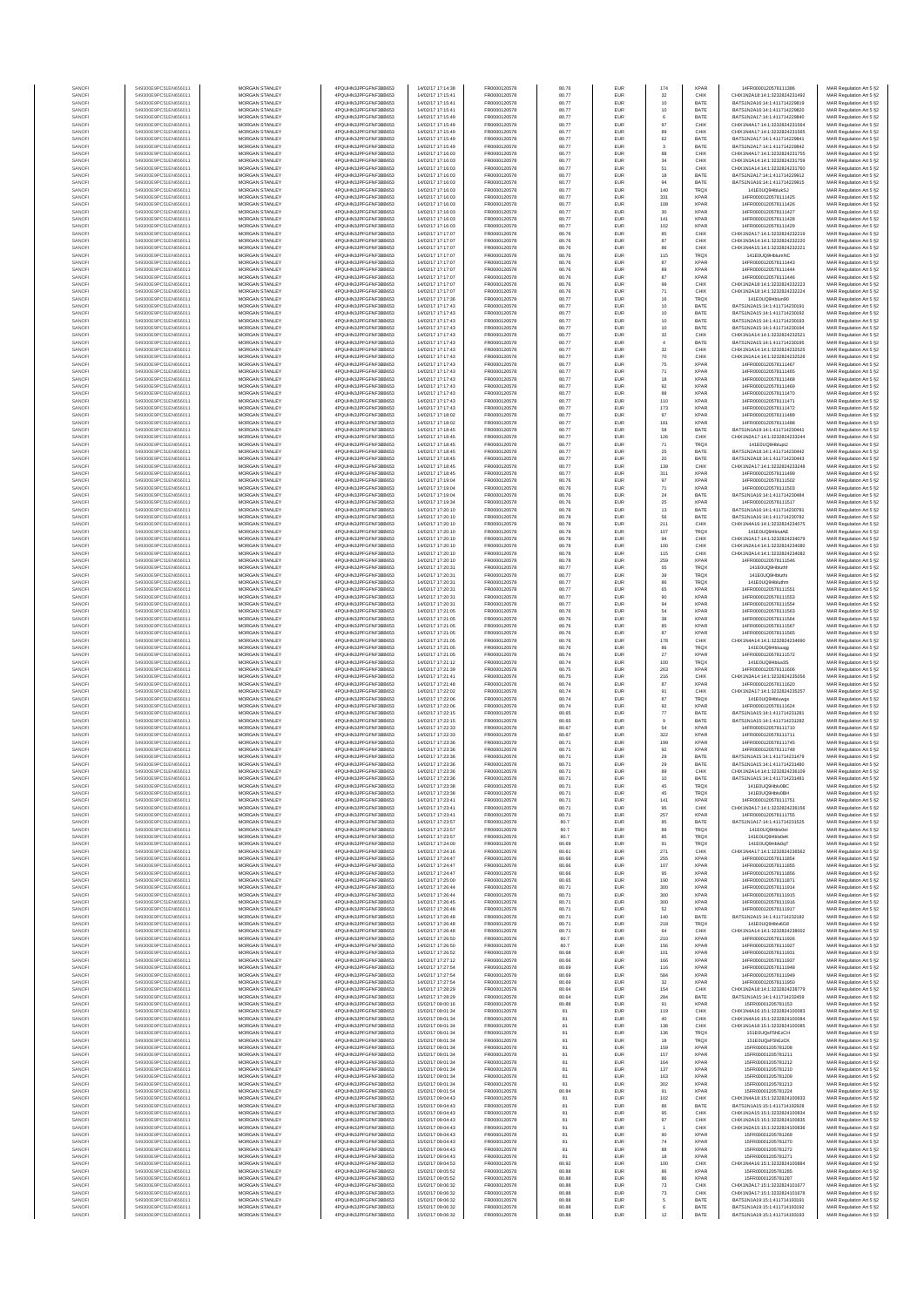| SANOFI           | 549300E9PC51EN656011                         | MORGAN STANLEY                                 | 4PQUHN3JPFGFNF3BB653                          | 14/02/17 17:14:38                      | FR0000120578                 | 80.76          | EUR                      | 174                  | <b>XPAR</b>                | 14FR0000120578111386                                           | MAR Regulation Art 5 §2                            |
|------------------|----------------------------------------------|------------------------------------------------|-----------------------------------------------|----------------------------------------|------------------------------|----------------|--------------------------|----------------------|----------------------------|----------------------------------------------------------------|----------------------------------------------------|
| SANOFI           | 549300E9PC51EN656011                         | MORGAN STANLEY                                 | 4PQUHN3JPFGFNF3BB653                          | 14/02/17 17:15:41                      | FR0000120578                 | 80.77          | EUR                      | 32                   | CHIX                       | CHIX1N2A18:14:1:3232824231492                                  | MAR Regulation Art 5 §2                            |
| SANOFI<br>SANOFI | 549300E9PC51EN656011<br>549300E9PC51EN656011 | <b>MORGAN STANLEY</b><br><b>MORGAN STANLEY</b> | 4PQUHN3JPFGFNF3BB653<br>4PQUHN3JPFGFNF3BB653  | 14/02/17 17:15:41<br>14/02/17 17:15:41 | FR0000120578<br>FR0000120578 | 80.77<br>80.77 | <b>EUR</b><br><b>EUR</b> | 10<br>10             | BATE<br>BATE               | BATS1N2A16:14:1:411714229819<br>BATS1N2A16:14:1:411714229820   | MAR Regulation Art 5 §2<br>MAR Regulation Art 5 §2 |
| SANOFI           | 549300E9PC51EN656011                         | MORGAN STANLEY                                 | 4PQUHN3JPFGFNF3BB653                          | 14/02/17 17:15:49                      | FR0000120578                 | 80.77          | EUR                      | 6                    | BATE                       | BATS1N2A17:14:1:411714229840                                   | MAR Regulation Art 5 §2                            |
| SANOFI<br>SANOFI | 549300E9PC51EN656011<br>549300E9PC51EN656011 | MORGAN STANLEY<br>MORGAN STANLEY               | 4PQUHN3JPFGFNF3BB653<br>4PQUHN3JPFGFNF3BB653  | 14/02/17 17:15:49<br>14/02/17 17:15:49 | FR0000120578<br>FR0000120578 | 80.77<br>80.77 | EUR<br>EUR               | $97\,$<br>89         | CHIX<br>CHIX               | CHIX1N4A17:14:1:3232824231564<br>CHIX1N4A17:14:1:3232824231565 | MAR Regulation Art 5 §2                            |
| SANOFI           | 549300E9PC51EN656011                         | MORGAN STANLEY                                 | 4PQUHN3JPFGFNF3BB653                          | 14/02/17 17:15:49                      | FR0000120578                 | 80.77          | EUR                      | 62                   | BATE                       | BATS1N2A17:14:1:411714229841                                   | MAR Regulation Art 5 §2<br>MAR Regulation Art 5 §2 |
| SANOFI           | 549300E9PC51EN656011                         | MORGAN STANLEY                                 | 4PQUHN3JPFGFNF3BB653                          | 14/02/17 17:15:49                      | FR0000120578                 | 80.77          | EUR                      | 3                    | BATE                       | BATS1N2A17:14:1:411714229842                                   | MAR Regulation Art 5 §2                            |
| SANOFI<br>SANOFI | 549300E9PC51EN656011<br>549300E9PC51EN656011 | MORGAN STANLEY<br>MORGAN STANLEY               | 4PQUHN3JPFGFNF3BB653<br>4PQUHN3JPFGFNF3BB653  | 14/02/17 17:16:03<br>14/02/17 17:16:03 | FR0000120578<br>FR0000120578 | 80.77<br>80.77 | EUR<br>EUR               | 88<br>34             | CHIX<br>CHIX               | CHIX1N4A17:14:1:3232824231755<br>CHIX1N1A14:14:1:3232824231759 | MAR Regulation Art 5 §2<br>MAR Regulation Art 5 §2 |
| SANOFI           | 549300E9PC51EN656011                         | <b>MORGAN STANLEY</b>                          | 4PQUHN3JPFGFNF3BB653                          | 14/02/17 17:18:03                      | FR0000120578                 | 80.77          | <b>EUR</b>               | 51                   | CHIX                       | CHIX1N1A14:14:1:3232824231760                                  | MAR Regulation Art 5 §2                            |
| SANOFI           | 549300E9PC51EN656011<br>549300E9PC51EN656011 | MORGAN STANLEY<br>MORGAN STANLEY               | 4PQUHN3JPFGFNF3BB653<br>4PQUHN3JPFGFNF3BB653  | 14/02/17 17:16:03<br>14/02/17 17:16:03 | FR0000120578<br>FR0000120578 | 80.77<br>80.77 | <b>EUR</b><br>EUR        | 18<br>94             | BATE<br>BATE               | BATS1N2A17:14:1:411714229912<br>BATS1N1A16:14:1:411714229915   | MAR Regulation Art 5 §2                            |
| SANOFI<br>SANOFI | 549300E9PC51EN656011                         | MORGAN STANLEY                                 | 4PQUHN3JPFGFNF3BB653                          | 14/02/17 17:16:03                      | FR0000120578                 | 80.77          | EUR                      | 140                  | <b>TRQX</b>                | 141E0UQ9HblukSJ                                                | MAR Regulation Art 5 §2<br>MAR Regulation Art 5 §2 |
| SANOFI           | 549300E9PC51EN656011                         | MORGAN STANLEY                                 | 4PQUHN3JPFGFNF3BB653                          | 14/02/17 17:16:03                      | FR0000120578                 | 80.77          | EUR                      | 331                  | <b>XPAR</b>                | 14FR0000120578111425                                           | MAR Regulation Art 5 §2                            |
| SANOFI<br>SANOFI | 549300E9PC51EN656011<br>549300E9PC51EN656011 | MORGAN STANLEY<br>MORGAN STANLEY               | 4PQUHN3JPFGFNF3BB653<br>4PQUHN3JPFGFNF3BB653  | 14/02/17 17:16:03<br>14/02/17 17:16:03 | FR0000120578<br>FR0000120578 | 80.77<br>80.77 | EUR<br>EUR               | 108<br>30            | <b>XPAR</b><br><b>XPAR</b> | 14FR0000120578111426<br>14FR0000120578111427                   | MAR Regulation Art 5 §2<br>MAR Regulation Art 5 §2 |
| SANOFI           | 549300E9PC51EN656011                         | MORGAN STANLEY                                 | 4PQUHN3JPFGFNF3BB653                          | 14/02/17 17:16:03                      | FR0000120578                 | 80.77          | EUR                      | 141                  | <b>XPAR</b>                | 14FR0000120578111428                                           | MAR Regulation Art 5 §2                            |
| SANOFI           | 549300E9PC51EN656011                         | <b>MORGAN STANLEY</b>                          | 4PQUHN3JPFGFNF3BB653                          | 14/02/17 17:16:03                      | FR0000120578                 | 80.77          | <b>EUR</b>               | 102                  | <b>XPAR</b>                | 14FR0000120578111429                                           | MAR Regulation Art 5 §2                            |
| SANOFI<br>SANOFI | 549300E9PC51EN656011<br>549300E9PC51EN656011 | MORGAN STANLEY<br>MORGAN STANLEY               | 4PQUHN3JPFGFNF3BB653<br>4PQUHN3JPFGFNF3BB653  | 14/02/17 17:17:07<br>14/02/17 17:17:07 | FR0000120578                 | 80.76<br>80.76 | <b>EUR</b><br>EUR        | 85                   | CHIX<br>CHIX               | CHIX1N2A17-14-1-3232824232219<br>CHIX1N3A14:14:1:3232824232220 | MAR Regulation Art 5 §2                            |
| SANOFI           | 549300E9PC51EN656011                         | MORGAN STANLEY                                 | 4PQUHN3JPFGFNF3BB653                          | 14/02/17 17:17:07                      | FR0000120578<br>FR0000120578 | 80.76          | EUR                      | $_{\rm 87}$<br>86    | CHIX                       | CHIX1N4A15:14:1:3232824232221                                  | MAR Regulation Art 5 §2<br>MAR Regulation Art 5 §2 |
| SANOFI           | 549300E9PC51EN656011                         | MORGAN STANLEY                                 | 4PQUHN3JPFGFNF3BB653                          | 14/02/17 17:17:07                      | FR0000120578                 | 80.76          | EUR                      | 115                  | TRQX                       | 141E0UQ9HblumNC                                                | MAR Regulation Art 5 §2                            |
| SANOFI<br>SANOFI | 549300E9PC51EN656011<br>549300E9PC51EN656011 | MORGAN STANLEY<br>MORGAN STANLEY               | 4PQUHN3JPFGFNF3BB653<br>4PQUHN3JPFGFNF3BB653  | 14/02/17 17:17:07<br>14/02/17 17:17:07 | FR0000120578<br>FR0000120578 | 80.76<br>80.76 | EUR<br>EUR               | 87<br>89             | <b>XPAR</b><br><b>XPAR</b> | 14FR0000120578111443<br>14FR0000120578111444                   | MAR Regulation Art 5 §2<br>MAR Regulation Art 5 §2 |
| SANOFI           | 549300E9PC51EN656011                         | MORGAN STANLEY                                 | 4PQUHN3JPFGFNF3BB653                          | 14/02/17 17:17:07                      | FR0000120578                 | 80.76          | EUR                      | 87                   | <b>XPAR</b>                | 14FR0000120578111446                                           | MAR Regulation Art 5 §2                            |
| SANOFI<br>SANOFI | 549300E9PC51EN656011<br>549300E9PC51EN656011 | <b>MORGAN STANLEY</b><br>MORGAN STANLEY        | 4PQUHN3JPFGFNF3BB653<br>4PQUHN3JPFGFNF3BB653  | 14/02/17 17:17:07<br>14/02/17 17:17:07 | FR0000120578<br>FR0000120578 | 80.76<br>80.76 | EUR<br>EUR               | 99                   | CHIX<br>CHIX               | CHIX1N2A18:14:1:3232824232223<br>CHIX1N2A18:14:1:3232824232224 | MAR Regulation Art 5 §2                            |
| SANOFI           | 549300E9PC51EN656011                         | MORGAN STANLEY                                 | 4PQUHN3JPFGFNF3BB653                          | 14/02/17 17:17:36                      | FR0000120578                 | 80.77          | EUR                      | $71\,$<br>$16\,$     | <b>TRQX</b>                | 141F0UQ9Hblun90                                                | MAR Regulation Art 5 §2<br>MAR Regulation Art 5 §2 |
| SANOFI           | 549300E9PC51EN656011                         | MORGAN STANLEY                                 | 4PQUHN3JPFGFNF3BB653                          | 14/02/17 17:17:43                      | FR0000120578                 | 80.77          | EUR                      | $10$                 | BATE                       | BATS1N2A15:14:1:411714230191                                   | MAR Regulation Art 5 §2                            |
| SANOFI<br>SANOFI | 549300E9PC51EN656011<br>549300E9PC51EN656011 | MORGAN STANLEY<br>MORGAN STANLEY               | 4PQUHN3JPFGFNF3BB653<br>4PQUHN3JPFGFNF3BB653  | 14/02/17 17:17:43<br>14/02/17 17:17:43 | FR0000120578<br>FR0000120578 | 80.77<br>80.77 | EUR<br>EUR               | 10<br>10             | BATE<br>BATE               | BATS1N2A15:14:1:411714230192<br>BATS1N2A15:14:1:411714230193   | MAR Regulation Art 5 §2<br>MAR Regulation Art 5 §2 |
| SANOFI           | 549300E9PC51EN656011                         | MORGAN STANLEY                                 | 4PQUHN3JPFGFNF3BB653                          | 14/02/17 17:17:43                      | FR0000120578                 | 80.77          | EUR                      | 10                   | BATE                       | BATS1N2A15:14:1:411714230194                                   | MAR Regulation Art 5 §2                            |
| SANOFI           | 549300E9PC51EN656011                         | MORGAN STANLEY                                 | 4PQUHN3JPFGFNF3BB653                          | 14/02/17 17:17:43                      | FR0000120578                 | 80.77          | EUR                      | $_{32}$              | CHIX                       | CHIX1N1A14:14:1:3232824232521                                  | MAR Regulation Art 5 §2                            |
| SANOFI<br>SANOFI | 549300E9PC51EN656011<br>549300E9PC51EN656011 | <b>MORGAN STANLEY</b><br><b>MORGAN STANLEY</b> | 4PQUHN3JPFGFNF3BB653<br>4PQUHN3JPFGFNF3BB653  | 14/02/17 17:17:43<br>14/02/17 17:17:43 | FR0000120578<br>FR0000120578 | 80.77<br>80.77 | <b>EUR</b><br><b>EUR</b> | $\overline{4}$<br>32 | BATE<br>CHIX               | BATS1N2A15:14:1:411714230195<br>CHIX1N1A14:14:1:3232824232525  | MAR Regulation Art 5 §2<br>MAR Regulation Art 5 §2 |
| SANOFI           | 549300E9PC51EN656011                         | MORGAN STANLEY                                 | 4PQUHN3JPFGFNF3BB653                          | 14/02/17 17:17:43                      | FR0000120578                 | 80.77          | EUR                      | $70\,$               | CHIX                       | CHIX1N1A14:14:1:3232824232526                                  | MAR Regulation Art 5 §2                            |
| SANOFI           | 549300E9PC51EN656011                         | MORGAN STANLEY                                 | 4PQUHN3JPFGFNF3BB653                          | 14/02/17 17:17:43                      | FR0000120578                 | 80.77          | EUR                      | 75                   | XPAR                       | 14FR0000120578111467                                           | MAR Regulation Art 5 §2                            |
| SANOF<br>SANOFI  | 549300E9PC51EN656011<br>549300E9PC51EN656011 | MORGAN STANLEY<br>MORGAN STANLEY               | 4PQUHN3JPFGFNF3BB653<br>4PQUHN3JPFGFNF3BB653  | 4/02/17 17:17:43<br>14/02/17 17:17:43  | FR0000120578<br>FR0000120578 | 80.77<br>80.77 | EUR<br>EUR               | $71\,$<br>18         | <b>XPAF</b><br><b>XPAR</b> | 14FR0000120578111465<br>14FR0000120578111468                   | MAR Regulation Art 5 §2<br>MAR Regulation Art 5 §2 |
| SANOFI           | 549300E9PC51EN656011                         | MORGAN STANLEY                                 | 4PQUHN3JPFGFNF3BB653                          | 14/02/17 17:17:43                      | FR0000120578                 | 80.77          | EUR                      | 92                   | <b>XPAR</b>                | 14FR0000120578111469                                           | MAR Regulation Art 5 §2                            |
| SANOFI<br>SANOFI | 549300E9PC51EN656011<br>549300E9PC51EN656011 | MORGAN STANLEY<br>MORGAN STANLEY               | 4PQUHN3JPFGFNF3BB653<br>4PQUHN3JPFGFNF3BB653  | 14/02/17 17:17:43<br>14/02/17 17:17:43 | FR0000120578<br>FR0000120578 | 80.77<br>80.77 | EUR<br>EUR               | 88<br>110            | <b>XPAR</b><br><b>XPAR</b> | 14FR0000120578111470<br>14FR0000120578111471                   | MAR Regulation Art 5 §2<br>MAR Regulation Art 5 §2 |
| SANOFI           | 549300E9PC51EN656011                         | <b>MORGAN STANLEY</b>                          | 4PQUHN3JPFGFNF3BB653                          | 14/02/17 17:17:43                      | FR0000120578                 | 80.77          | <b>EUR</b>               | 173                  | <b>XPAR</b>                | 14FR0000120578111472                                           | MAR Regulation Art 5 §2                            |
| SANOFI           | 549300E9PC51EN656011                         | MORGAN STANLEY                                 | 4PQUHN3JPFGFNF3BB653                          | 14/02/17 17:18:02                      | FR0000120578                 | 80.77          | <b>EUR</b>               | 97                   | <b>XPAR</b>                | 14FR0000120578111489                                           | MAR Regulation Art 5 §2                            |
| SANOFI<br>SANOFI | 549300E9PC51EN656011<br>549300E9PC51EN656011 | MORGAN STANLEY<br>MORGAN STANLEY               | 4PQUHN3JPFGFNF3BB653<br>4PQUHN3JPFGFNF3BB653  | 14/02/17 17:18:02<br>14/02/17 17:18:45 | FR0000120578<br>FR0000120578 | 80.77<br>80.77 | EUR<br>EUR               | 181<br>58            | <b>XPAR</b><br>BATE        | 14FR0000120578111488<br>BATS1N1A19:14:1:411714230441           | MAR Regulation Art 5 §2<br>MAR Regulation Art 5 §2 |
| SANOF            | 549300E9PC51EN656011                         | MORGAN STANLEY                                 | 4PQUHN3JPFGFNF3BB653                          | 4/02/17 17:18:45                       | FR0000120578                 | 80.77          | EUR                      | 126                  | CHIX                       | CHIX1N2A17:14:1:3232824233244                                  | MAR Regulation Art 5 §2                            |
| SANOFI           | 549300E9PC51EN656011<br>549300E9PC51EN656011 | MORGAN STANLEY                                 | 4PQUHN3JPFGFNF3BB653                          | 14/02/17 17:18:45                      | FR0000120578                 | 80.77          | EUR                      | $71\,$               | <b>TRQX</b><br>BATE        | 141E0UQ9HbluptJ                                                | MAR Regulation Art 5 §2                            |
| SANOFI<br>SANOFI | 549300E9PC51EN656011                         | MORGAN STANLEY<br>MORGAN STANLEY               | 4PQUHN3JPFGFNF3BB653<br>4PQUHN3JPFGFNF3BB653  | 14/02/17 17:18:45<br>14/02/17 17:18:45 | FR0000120578<br>FR0000120578 | 80.77<br>80.77 | EUR<br>EUR               | $2\mathrm{S}$<br>20  | BATE                       | BATS1N2A18:14:1:411714230442<br>BATS1N2A18:14:1:411714230443   | MAR Regulation Art 5 §2<br>MAR Regulation Art 5 §2 |
| SANOFI           | 549300E9PC51EN656011                         | <b>MORGAN STANLEY</b>                          | 4PQUHN3JPFGFNF3BB653                          | 14/02/17 17:18:45                      | FR0000120578                 | 80.77          | <b>EUR</b>               | 139                  | CHIX                       | CHIX1N2A17:14:1:3232824233248                                  | MAR Regulation Art 5 §2                            |
| SANOFI           | 549300E9PC51EN656011<br>549300E9PC51EN656011 | MORGAN STANLEY<br>MORGAN STANLEY               | 4PQUHN3JPFGFNF3BB653<br>4PQUHN3JPFGFNF3BB653  | 14/02/17 17:18:45<br>14/02/17 17:19:04 | FR0000120578<br>FR0000120578 | 80.77<br>80.76 | <b>EUR</b>               | 311                  | <b>XPAR</b><br><b>XPAR</b> | 14FR0000120578111499<br>14FR0000120578111502                   | MAR Regulation Art 5 §2                            |
| SANOFI<br>SANOFI | 549300E9PC51EN656011                         | MORGAN STANLEY                                 | 4PQUHN3JPFGFNF3BB653                          | 14/02/17 17:19:04                      | FR0000120578                 | 80.76          | EUR<br>EUR               | $97\,$<br>$71\,$     | <b>XPAR</b>                | 14FR0000120578111503                                           | MAR Regulation Art 5 §2<br>MAR Regulation Art 5 §2 |
| SANOFI           | 549300E9PC51EN656011                         | MORGAN STANLEY                                 | 4PQUHN3JPFGFNF3BB653                          | 14/02/17 17:19:04                      | FR0000120578                 | 80.76          | EUR                      | 24                   | BATE                       | BATS1N1A16:14:1:41171423048                                    | MAR Regulation Art 5 §2                            |
| SANOFI<br>SANOFI | 549300E9PC51EN656011<br>549300E9PC51EN656011 | MORGAN STANLEY<br>MORGAN STANLEY               | 4PQUHN3JPFGFNF3BB653<br>4PQUHN3JPFGFNF3BB653  | 14/02/17 17:19:34<br>14/02/17 17:20:10 | FR0000120578<br>FR0000120578 | 80.76<br>80.78 | EUR<br>EUR               | $2\mathrm{S}$<br>13  | <b>XPAR</b><br>BATE        | 14FR0000120578111517<br>BATS1N1A16:14:1:411714230781           | MAR Regulation Art 5 §2<br>MAR Regulation Art 5 §2 |
| SANOFI           | 549300E9PC51EN656011                         | MORGAN STANLEY                                 | 4PQUHN3JPFGFNF3BB653                          | 14/02/17 17:20:10                      | FR0000120578                 | 80.78          | EUR                      | 56                   | BATE                       | BATS1N1A16:14:1:411714230782                                   | MAR Regulation Art 5 §2                            |
| SANOFI           | 549300E9PC51EN656011                         | <b>MORGAN STANLEY</b>                          | 4PQUHN3JPFGFNF3BB653                          | 14/02/17 17:20:10                      | FR0000120578                 | 80.78          | <b>EUR</b>               | 211                  | CHIX                       | CHIX1N4A16:14:1:3232824234075                                  | MAR Regulation Art 5 §2                            |
| SANOFI<br>SANOFI | 549300E9PC51EN656011<br>549300E9PC51EN656011 | <b>MORGAN STANLEY</b><br>MORGAN STANLEY        | 4PQUHN3JPFGFNF3BB653<br>4PQUHN3JPFGFNF3BB653  | 14/02/17 17:20:10<br>14/02/17 17:20:10 | FR0000120578<br>FR0000120578 | 80.78<br>80.78 | <b>EUR</b><br>EUR        | 107<br>94            | <b>TRQX</b><br>CHIX        | 141E0UQ9HblutAE<br>CHIX1N1A17:14:1:3232824234079               | MAR Regulation Art 5 §2<br>MAR Regulation Art 5 §2 |
| SANOFI           | 549300E9PC51EN656011                         | MORGAN STANLEY                                 | 4PQUHN3JPFGFNF3BB653                          | 14/02/17 17:20:10                      | FR0000120578                 | 80.78          | EUR                      | 100                  | CHIX                       | CHIX1N2A14:14:1:3232824234080                                  | MAR Regulation Art 5 §2                            |
| SANOFI<br>SANOFI | 549300E9PC51EN656011<br>549300E9PC51EN656011 | MORGAN STANLEY<br>MORGAN STANLEY               | 4PQUHN3JPFGFNF3BB653<br>4PQUHN3JPFGFNF3BB653  | 14/02/17 17:20:10<br>14/02/17 17:20:10 | FR0000120578<br>FR0000120578 | 80.78<br>80.78 | EUR<br>EUR               | 115<br>259           | CHIX<br><b>XPAR</b>        | CHIX1N3A14:14:1:3232824234082<br>14FR0000120578111546          | MAR Regulation Art 5 §2<br>MAR Regulation Art 5 §2 |
| SANOFI           | 549300E9PC51EN656011                         | MORGAN STANLEY                                 | 4PQUHN3JPFGFNF3BB653                          | 14/02/17 17:20:31                      | FR0000120578                 | 80.77          | EUR                      | 55                   | TRQX                       | 141E0UQ9Hbluth                                                 | MAR Regulation Art 5 §2                            |
| SANOFI           | 549300E9PC51EN656011                         | MORGAN STANLEY                                 | 4PQUHN3JPFGFNF3BB653                          | 14/02/17 17:20:31                      | FR0000120578                 | 80.77          | EUR                      | 39                   | TRQX                       | 141E0UQ9Hbluth                                                 | MAR Regulation Art 5 §2                            |
| SANOFI<br>SANOFI | 549300E9PC51EN656011<br>549300E9PC51EN656011 | <b>MORGAN STANLEY</b><br><b>MORGAN STANLEY</b> | 4PQUHN3JPFGFNF3BB653<br>4PQUHN3JPFGFNF3BB653  | 14/02/17 17:20:31<br>14/02/17 17:20:31 | FR0000120578<br>FR0000120578 | 80.77<br>80.77 | <b>EUR</b><br><b>EUR</b> | 86<br>65             | <b>TRQX</b><br><b>XPAR</b> | 141E0UQ9Hbluthn<br>14FR0000120578111551                        | MAR Regulation Art 5 §2<br>MAR Regulation Art 5 §2 |
| SANOFI           | 549300E9PC51EN656011                         | MORGAN STANLEY                                 | 4PQUHN3JPFGFNF3BB653                          | 14/02/17 17:20:31                      | FR0000120578                 | 80.77          | EUR                      | 90                   | <b>XPAR</b>                | 14FR0000120578111553                                           | MAR Regulation Art 5 §2                            |
| SANOFI<br>SANOFI | 549300E9PC51EN656011<br>549300E9PC51EN656011 | MORGAN STANLEY<br>MORGAN STANLEY               | 4PQUHN3JPFGFNF3BB653<br>4PQUHN3JPFGFNF3BB653  | 14/02/17 17:20:31<br>14/02/17 17:21:05 | FR0000120578<br>FR0000120578 | 80.77<br>80.76 | EUR<br>EUR               | 94<br>54             | <b>XPAR</b><br><b>XPAR</b> | 14FR0000120578111554<br>14FR0000120578111563                   | MAR Regulation Art 5 §2<br>MAR Regulation Art 5 §2 |
| SANOFI           | 549300E9PC51EN656011                         | MORGAN STANLEY                                 | 4PQUHN3JPFGFNF3BB653                          | 14/02/17 17:21:05                      | FR0000120578                 | 80.76          | EUR                      | $_{\rm 38}$          | <b>XPAR</b>                | 14FR0000120578111564                                           | MAR Regulation Art 5 §2                            |
| SANOFI<br>SANOFI | 549300E9PC51EN656011<br>549300E9PC51EN656011 | MORGAN STANLEY<br>MORGAN STANLEY               | 4PQUHN3JPFGFNF3BB653<br>4PQUHN3JPFGFNF3BB653  | 14/02/17 17:21:05<br>14/02/17 17:21:05 | FR0000120578<br>FR0000120578 | 80.76<br>80.76 | EUR<br>EUR               | 85<br>87             | <b>XPAR</b><br><b>XPAR</b> | 14FR0000120578111567<br>14FR0000120578111565                   | MAR Regulation Art 5 §2<br>MAR Regulation Art 5 §2 |
| SANOFI           | 549300E9PC51EN656011                         | MORGAN STANLEY                                 | 4PQUHN3JPFGFNF3BB653                          | 14/02/17 17:21:05                      | FR0000120578                 | 80.76          | EUR                      | 178                  | CHIX                       | CHIX1N4A14:14:1:3232824234690                                  | MAR Regulation Art 5 §2                            |
| SANOFI           | 549300E9PC51EN656011                         | <b>MORGAN STANLEY</b>                          | 4PQUHN3JPFGFNF3BB653                          | 14/02/17 17:21:05                      | FR0000120578                 | 80.76          | <b>EUR</b>               | 86                   | <b>TRQX</b>                | 141E0UQ9Hbluugg                                                | MAR Regulation Art 5 §2                            |
| SANOFI<br>SANOFI | 549300E9PC51EN656011<br>549300E9PC51EN656011 | <b>MORGAN STANLEY</b><br>MORGAN STANLEY        | 4PQUHN3JPFGFNF3BB653<br>4PQUHN3JPFGFNF3BB653  | 14/02/17 17:21:05<br>14/02/17 17:21:12 | FR0000120578<br>FR0000120578 | 80.74<br>80.74 | EUR<br>EUR               | $27\,$<br>100        | <b>XPAR</b><br>TRQX        | 14FR0000120578111572<br>141E0UQ9Hbluv3S                        | MAR Regulation Art 5 §2<br>MAR Regulation Art 5 §2 |
| SANOFI           | 549300E9PC51EN656011                         | MORGAN STANLEY                                 | 4PQUHN3JPFGFNF3BB653                          | 14/02/17 17:21:39                      | FR0000120578                 | 80.75          | EUR                      | 263                  | <b>XPAR</b>                | 14FR0000120578111606                                           | MAR Regulation Art 5 §2                            |
| SANOFI<br>SANOFI | 549300E9PC51EN656011<br>549300E9PC51EN656011 | MORGAN STANLEY<br>MORGAN STANLEY               | 4PQUHN3JPFGFNF3BB653<br>4PQUHN3JPFGFNF3BB653  | 14/02/17 17:21:41<br>14/02/17 17:21:48 | FR0000120578<br>FR0000120578 | 80.75<br>80.74 | EUR<br>EUR               | 216<br>87            | CHIX<br><b>XPAF</b>        | CHIX1N3A14:14:1:3232824235056<br>14FR0000120578111620          | MAR Regulation Art 5 §2                            |
| SANOFI           | 549300E9PC51EN656011                         | MORGAN STANLEY                                 | 4PQUHN3JPFGFNF3BB653                          | 14/02/17 17:22:02                      | FR0000120578                 | 80.74          | EUR                      | 91                   | CHIX                       | CHIX1N2A17:14:1:3232824235257                                  | MAR Regulation Art 5 §2<br>MAR Regulation Art 5 §2 |
| SANOFI           | 549300E9PC51EN656011                         | MORGAN STANLEY                                 | 4PQUHN3JPFGFNF3BB653                          | 14/02/17 17:22:06                      | FR0000120578                 | 80.74          | EUR                      | 87                   | TRQX                       | 141E0UQ9Hbluwgx                                                | MAR Regulation Art 5 §2                            |
| SANOFI<br>SANOFI | 549300E9PC51EN656011<br>549300E9PC51EN656011 | <b>MORGAN STANLEY</b><br><b>MORGAN STANLEY</b> | 4PQUHN3JPFGFNF3BB653<br>4PQUHN3JPFGFNF3BB653  | 14/02/17 17:22:06<br>14/02/17 17:22:15 | FR0000120578<br>FR0000120578 | 80.74<br>80.65 | <b>EUR</b><br><b>EUR</b> | 92<br>77             | <b>XPAR</b><br>BATE        | 14FR0000120578111624<br>RATS1N1A15-14-1-411714231281           | MAR Regulation Art 5 §2<br>MAR Regulation Art 5 §2 |
| SANOFI           | 549300E9PC51EN656011                         | MORGAN STANLEY                                 | 4PQUHN3JPFGFNF3BB653                          | 14/02/17 17:22:15                      | FR0000120578                 | 80.65          | EUR                      | $9$                  | BATE                       | BATS1N1A15:14:1:411714231282                                   | MAR Regulation Art 5 §2                            |
| SANOFI           | 549300E9PC51EN656011                         | MORGAN STANLEY                                 | 4PQUHN3JPFGFNF3BB653                          | 14/02/17 17:22:33                      | FR0000120578<br>FR0000120578 | 80.67          | EUR                      | 54                   | <b>XPAR</b>                | 14FR0000120578111710                                           | MAR Regulation Art 5 §2                            |
| SANOF<br>SANOFI  | 549300E9PC51EN656011<br>549300E9PC51EN656011 | MORGAN STANLEY<br>MORGAN STANLEY               | 4PQUHN3JPFGFNF3BB653<br>4PQUHN3JPFGFNF3BB653  | 4/02/17 17:22:33<br>14/02/17 17:23:36  | FR0000120578                 | 80.67<br>80.71 | EUR<br>EUR               | 322<br>199           | <b>XPAR</b><br><b>XPAR</b> | 14FR0000120578111711<br>14FR0000120578111745                   | MAR Regulation Art 5 §2<br>MAR Regulation Art 5 §2 |
| SANOFI           | 549300E9PC51EN656011                         | MORGAN STANLEY                                 | 4PQUHN3JPFGFNF3BB653                          | 14/02/17 17:23:36                      | FR0000120578                 | 80.71          | EUR                      | 92                   | <b>XPAR</b>                | 14FR0000120578111748                                           | MAR Regulation Art 5 §2                            |
| SANOFI<br>SANOFI | 549300E9PC51EN656011<br>549300E9PC51EN656011 | MORGAN STANLEY<br><b>MORGAN STANLEY</b>        | 4PQUHN3JPFGFNF3BB653<br>4PQUHN3JPFGFNF3BB653  | 14/02/17 17:23:36<br>14/02/17 17:23:36 | FR0000120578<br>FR0000120578 | 80.71<br>80.71 | EUR<br><b>EUR</b>        | 29<br>29             | BATE<br>BATE               | BATS1N1A15:14:1:411714231479<br>BATS1N1A15-14-1-411714231480   | MAR Regulation Art 5 §2<br>MAR Regulation Art 5 §2 |
| SANOFI           | 549300E9PC51EN656011                         | <b>MORGAN STANLEY</b>                          | 4PQUHN3JPFGFNF3BB653                          | 14/02/17 17:23:36                      | FR0000120578                 | 80.71          | <b>EUR</b>               | 89                   | CHIX                       | CHIX1N2A14:14:1:3232824236109                                  | MAR Regulation Art 5 §2                            |
| SANOFI           | 549300E9PC51EN65601                          | <b>MORGAN STANLEY</b>                          | 4POLIHN3JPEGENE3BB653                         | 14/02/17 17:23:36                      | FR0000120578                 | 80.71          | <b>FUE</b>               |                      | <b>BATE</b>                | BATS1N1A15:14:1:411714231481                                   | MAR Regulation Art 5 §2                            |
| SANOFI<br>SANOF  | 549300E9PC51EN656011<br>549300E9PC51EN656011 | MORGAN STANLEY<br>MORGAN STANLEY               | 4PQUHN3JPFGFNF3BB653<br>4PQUHN3JPFGFNF3BB653  | 14/02/17 17:23:38<br>14/02/17 17:23:38 | FR0000120578<br>FR0000120578 | 80.71<br>80.71 | EUR<br>EUR               | $45\,$<br>45         | TRQX<br><b>TRQX</b>        | 141E0UQ9Hblv0BC<br>141E0UQ9Hblv0BH                             | MAR Regulation Art 5 §2<br>MAR Regulation Art 5 §2 |
| SANOFI           | 549300E9PC51EN656011                         | MORGAN STANLEY                                 | 4PQUHN3JPFGFNF3BB653                          | 14/02/17 17:23:41                      | FR0000120578                 | 80.71          | EUR                      | 141                  | <b>XPAR</b>                | 14FR0000120578111751                                           | MAR Regulation Art 5 §2                            |
| SANOFI<br>SANOFI | 549300E9PC51EN656011<br>549300E9PC51EN656011 | MORGAN STANLEY<br>MORGAN STANLEY               | 4PQUHN3JPFGFNF3BB653<br>4PQUHN3JPFGFNF3BB653  | 14/02/17 17:23:41<br>14/02/17 17:23:41 | FR0000120578<br>FR0000120578 | 80.71<br>80.71 | <b>EUR</b><br>EUR        | 95<br>257            | CHIX<br><b>XPAR</b>        | CHIX1N3A17:14:1:3232824236156<br>14FR0000120578111755          | MAR Regulation Art 5 §2<br>MAR Regulation Art 5 §2 |
| SANOFI           | 549300E9PC51EN656011                         | <b>MORGAN STANLEY</b>                          | 4PQUHN3JPFGFNF3BB653                          | 14/02/17 17:23:57                      | FR0000120578                 | 80.7           | <b>EUR</b>               | 85                   | BATE                       | BATS1N1A17:14:1:411714231525                                   | MAR Regulation Art 5 §2                            |
| SANOFI           | 549300E9PC51EN656011                         | <b>MORGAN STANLEY</b>                          | 4PQUHN3JPFGFNF3BB653                          | 14/02/17 17:23:57                      | FR0000120578                 | 80.7           | <b>EUR</b>               | 89                   | <b>TRQX</b>                | 141E0UQ9Hblv0el                                                | MAR Regulation Art 5 §2                            |
| SANOFI<br>SANOFI | 549300E9PC51EN656011<br>549300E9PC51EN656011 | MORGAN STANLEY<br>MORGAN STANLEY               | 4PQUHN3JPFGFNF3BB653<br>4PQUHN3JPFGFNF3BB653  | 14/02/17 17:23:57<br>14/02/17 17:24:00 | FR0000120578<br>FR0000120578 | 80.7<br>80.69  | <b>EUR</b><br>EUR        | 85<br>91             | TRQX<br>TRQX               | 141E0UQ9Hblv0eK<br>141E0UQ9Hblv0gT                             | MAR Regulation Art 5 §2<br>MAR Regulation Art 5 §2 |
| SANOFI           | 549300E9PC51EN656011                         | MORGAN STANLEY                                 | 4PQUHN3JPFGFNF3BB653                          | 14/02/17 17:24:16                      | FR0000120578                 | 80.61          | EUR                      | 271                  | CHIX                       | CHIX1N4A17:14:1:3232824236562                                  | MAR Regulation Art 5 §2                            |
| SANOFI<br>SANOFI | 549300E9PC51EN656011<br>549300E9PC51EN656011 | MORGAN STANLEY<br>MORGAN STANLEY               | 4PQUHN3JPFGFNF3BB653<br>4POLIHN3JPEGENE3BB653 | 14/02/17 17:24:47<br>14/02/17 17:24:47 | FR0000120578<br>FR0000120578 | 80.66<br>80.66 | EUR<br>EUR               | 255<br>107           | <b>XPAR</b><br><b>XPAR</b> | 14FR0000120578111854<br>14FR0000120578111855                   | MAR Regulation Art 5 §2<br>MAR Regulation Art 5 §2 |
| SANOFI           | 549300E9PC51EN656011                         | MORGAN STANLEY                                 | 4PQUHN3JPFGFNF3BB653                          | 14/02/17 17:24:47                      | FR0000120578                 | 80.66          | <b>EUR</b>               | 95                   | <b>XPAR</b>                | 14FR0000120578111856                                           | MAR Regulation Art 5 §2                            |
| SANOFI<br>SANOFI | 549300E9PC51EN656011<br>549300E9PC51EN656011 | MORGAN STANLEY<br><b>MORGAN STANLEY</b>        | 4PQUHN3JPFGFNF3BB653<br>4PQUHN3JPFGFNF3BB653  | 14/02/17 17:25:00<br>14/02/17 17:28:44 | FR0000120578<br>FR0000120578 | 80.65<br>80.71 | <b>EUR</b><br><b>EUR</b> | 190<br>300           | <b>XPAR</b><br><b>XPAR</b> | 14FR0000120578111871<br>14FR0000120578111914                   | MAR Regulation Art 5 §2                            |
| SANOFI           | 549300E9PC51EN656011                         | MORGAN STANLEY                                 | 4PQUHN3JPFGFNF3BB653                          | 14/02/17 17:26:44                      | FR0000120578                 | 80.71          | <b>EUR</b>               | 300                  | <b>XPAR</b>                | 14FR0000120578111915                                           | MAR Regulation Art 5 §2<br>MAR Regulation Art 5 §2 |
| SANOFI           | 549300E9PC51EN656011                         | MORGAN STANLEY                                 | 4PQUHN3JPFGFNF3BB653                          | 14/02/17 17:26:45                      | FR0000120578                 | 80.71          | <b>EUR</b>               | 300                  | <b>XPAR</b>                | 14FR0000120578111916                                           | MAR Regulation Art 5 §2                            |
| SANOFI<br>SANOFI | 549300E9PC51EN656011<br>549300E9PC51EN656011 | MORGAN STANLEY<br>MORGAN STANLEY               | 4PQUHN3JPFGFNF3BB653<br>4PQUHN3JPFGFNF3BB653  | 14/02/17 17:26:48<br>14/02/17 17:26:48 | FR0000120578<br>FR0000120578 | 80.71<br>80.71 | <b>EUR</b><br>EUR        | 52<br>140            | <b>XPAR</b><br>BATE        | 14FR0000120578111917<br>BATS1N2A15:14:1:411714232182           | MAR Regulation Art 5 §2<br>MAR Regulation Art 5 §2 |
| SANOFI           | 549300E9PC51EN656011                         | MORGAN STANLEY                                 | 4PQUHN3JPFGFNF3BB653                          | 14/02/17 17:26:48                      | FR0000120578                 | 80.71          | EUR                      | 218                  | TRQX                       | 141E0UQ9Hblv6G8                                                | MAR Regulation Art 5 §2                            |
| SANOFI           | 549300E9PC51EN656011<br>549300E9PC51EN656011 | MORGAN STANLEY<br>MORGAN STANLEY               | 4PQUHN3JPFGFNF3BB653<br>4PQUHN3JPFGFNF3BB653  | 14/02/17 17:26:48<br>14/02/17 17:26:50 | FR0000120578<br>FR0000120578 | 80.71          | EUR<br><b>EUR</b>        | 64<br>210            | CHIX<br><b>XPAR</b>        | CHIX1N1A14:14:1:3232824238002<br>14FR0000120578111926          | MAR Regulation Art 5 §2                            |
| SANOFI<br>SANOFI | 549300E9PC51EN656011                         | MORGAN STANLEY                                 | 4PQUHN3JPFGFNF3BB653                          | 14/02/17 17:26:50                      | FR0000120578                 | 80.7<br>80.7   | <b>EUR</b>               | 156                  | <b>XPAR</b>                | 14FR0000120578111927                                           | MAR Regulation Art 5 §2<br>MAR Regulation Art 5 §2 |
| SANOFI           | 549300E9PC51EN656011                         | <b>MORGAN STANLEY</b>                          | 4PQUHN3JPFGFNF3BB653                          | 14/02/17 17:26:52                      | FR0000120578                 | 80.68          | <b>EUR</b>               | 101                  | <b>XPAR</b>                | 14FR0000120578111931                                           | MAR Regulation Art 5 §2                            |
| SANOFI<br>SANOFI | 549300E9PC51EN656011<br>549300E9PC51EN656011 | <b>MORGAN STANLEY</b><br>MORGAN STANLEY        | 4POLIHN3JPEGENE3BB653<br>4PQUHN3JPFGFNF3BB653 | 14/02/17 17:27:12<br>14/02/17 17:27:54 | FR0000120578<br>FR0000120578 | 80.66<br>80.69 | <b>EUR</b><br><b>EUR</b> | 166<br>116           | <b>XPAR</b><br><b>XPAR</b> | 14FR0000120578111937<br>14FR0000120578111948                   | MAR Regulation Art 5 §2<br>MAR Regulation Art 5 §2 |
| SANOFI           | 549300E9PC51EN656011                         | MORGAN STANLEY                                 | 4PQUHN3JPFGFNF3BB653                          | 14/02/17 17:27:54                      | FR0000120578                 | 80.69          | EUR                      | 584                  | <b>XPAR</b>                | 14FR0000120578111949                                           | MAR Regulation Art 5 §2                            |
| SANOFI           | 549300E9PC51EN656011<br>549300E9PC51EN656011 | MORGAN STANLEY                                 | 4PQUHN3JPFGFNF3BB653                          | 14/02/17 17:27:54<br>14/02/17 17:28:29 | FR0000120578                 | 80.69          | EUR                      | 32                   | <b>XPAR</b><br>CHIX        | 4FR0000120578111950                                            | MAR Regulation Art 5 §2                            |
| SANOFI<br>SANOFI | 549300E9PC51EN656011                         | MORGAN STANLEY<br>MORGAN STANLEY               | 4PQUHN3JPFGFNF3BB653<br>4PQUHN3JPFGFNF3BB653  | 14/02/17 17:28:29                      | FR0000120578<br>FR0000120578 | 80.64<br>80.64 | <b>EUR</b><br>EUR        | 154<br>284           | BATE                       | CHIX1N2A18:14:1:3232824238779<br>BATS1N1A15:14:1:411714232459  | MAR Regulation Art 5 §2<br>MAR Regulation Art 5 §2 |
| SANOFI           | 549300E9PC51EN656011                         | MORGAN STANLEY                                 | 4PQUHN3JPFGFNF3BB653                          | 15/02/17 09:00:16                      | FR0000120578                 | 80.88          | <b>EUR</b>               | 91                   | <b>XPAR</b>                | 15FR00001205781153                                             | MAR Regulation Art 5 §2                            |
| SANOFI<br>SANOFI | 549300E9PC51EN656011<br>549300E9PC51EN656011 | <b>MORGAN STANLEY</b><br>MORGAN STANLEY        | 4PQUHN3JPFGFNF3BB653<br>4PQUHN3JPFGFNF3BB653  | 15/02/17 09:01:34<br>15/02/17 09:01:34 | FR0000120578<br>FR0000120578 | 81<br>81       | <b>EUR</b><br><b>EUR</b> | 119<br>40            | CHIX<br>CHIX               | CHIX1N4A16:15:1:3232824100083<br>CHIX1N4A16:15:1:3232824100084 | MAR Regulation Art 5 §2<br>MAR Regulation Art 5 §2 |
| SANOFI           | 549300E9PC51EN656011                         | MORGAN STANLEY                                 | 4PQUHN3JPFGFNF3BB653                          | 15/02/17 09:01:34                      | FR0000120578                 | 81             | EUR                      | 138                  | CHIX                       | CHIX1N1A18:15:1:3232824100085                                  | MAR Regulation Art 5 §2                            |
| SANOFI<br>SANOFI | 549300E9PC51EN656011<br>549300E9PC51EN656011 | MORGAN STANLEY<br>MORGAN STANLEY               | 4PQUHN3JPFGFNF3BB653<br>4PQUHN3JPFGFNF3BB653  | 15/02/17 09:01:34<br>15/02/17 09:01:34 | FR0000120578<br>FR0000120578 | 81<br>81       | EUR<br>EUR               | 136<br>18            | TRQX<br>TRQX               | 151E0UQsF5hEzCH<br>151E0UQsF5hEzCK                             | MAR Regulation Art 5 §2<br>MAR Regulation Art 5 §2 |
| SANOFI           | 549300E9PC51EN656011                         | MORGAN STANLEY                                 | 4PQUHN3JPFGFNF3BB653                          | 15/02/17 09:01:34                      | FR0000120578                 | 81             | <b>EUR</b>               | 159                  | <b>XPAR</b>                | 15FR00001205781208                                             | MAR Regulation Art 5 §2                            |
| SANOFI           | 549300E9PC51EN656011                         | MORGAN STANLEY                                 | 4PQUHN3JPFGFNF3BB653                          | 15/02/17 09:01:34                      | FR0000120578                 | 81             | EUR                      | 157                  | <b>XPAR</b>                | 15FR00001205781211                                             | MAR Regulation Art 5 §2                            |
| SANOFI<br>SANOFI | 549300E9PC51EN656011<br>549300E9PC51EN656011 | <b>MORGAN STANLEY</b><br><b>MORGAN STANLEY</b> | 4PQUHN3JPFGFNF3BB653<br>4PQUHN3JPFGFNF3BB653  | 15/02/17 09:01:34<br>15/02/17 09:01:34 | FR0000120578<br>FR0000120578 | 81<br>81       | <b>EUR</b><br><b>EUR</b> | 164<br>137           | <b>XPAR</b><br><b>XPAR</b> | 15FR00001205781212<br>15FR00001205781210                       | MAR Regulation Art 5 §2<br>MAR Regulation Art 5 §2 |
| SANOFI           | 549300E9PC51EN656011                         | MORGAN STANLEY                                 | 4PQUHN3JPFGFNF3BB653                          | 15/02/17 09:01:34                      | FR0000120578                 | 81             | EUR                      | 163                  | XPAR                       | 15FR00001205781209                                             | MAR Regulation Art 5 §2                            |
| SANOFI<br>SANOFI | 549300E9PC51EN656011<br>549300E9PC51EN656011 | MORGAN STANLEY<br>MORGAN STANLEY               | 4PQUHN3JPFGFNF3BB653<br>4PQUHN3JPFGFNF3BB653  | 15/02/17 09:01:34<br>15/02/17 09:01:54 | FR0000120578<br>FR0000120578 | 81<br>80.84    | <b>EUR</b><br>EUR        | $302\,$<br>91        | <b>XPAR</b><br><b>XPAR</b> | 15FR00001205781213<br>15FR00001205781224                       | MAR Regulation Art 5 §2<br>MAR Regulation Art 5 §2 |
| SANOFI           | 549300E9PC51EN656011                         | MORGAN STANLEY                                 | 4PQUHN3JPFGFNF3BB653                          | 15/02/17 09:04:43                      | FR0000120578                 | 81             | EUR                      | 102                  | CHIX                       | CHIX1N4A18:15:1:3232824100833                                  | MAR Regulation Art 5 §2                            |
| SANOFI<br>SANOFI | 549300E9PC51EN656011                         | MORGAN STANLEY                                 | 4PQUHN3JPFGFNF3BB653<br>4PQUHN3JPFGFNF3BB653  | 15/02/17 09:04:43                      | FR0000120578                 | 81<br>81       | <b>EUR</b>               | 86<br>95             | BATE<br>CHIX               | BATS1N1A15:15:1:411714192928                                   | MAR Regulation Art 5 §2                            |
| SANOFI           | 549300E9PC51EN656011<br>549300E9PC51EN656011 | MORGAN STANLEY<br>MORGAN STANLEY               | 4PQUHN3JPFGFNF3BB653                          | 15/02/17 09:04:43<br>15/02/17 09:04:43 | FR0000120578<br>FR0000120578 | 81             | EUR<br><b>EUR</b>        | 97                   | CHIX                       | CHIX1N1A15:15:1:3232824100834<br>CHIX1N2A15:15:1:3232824100835 | MAR Regulation Art 5 §2<br>MAR Regulation Art 5 §2 |
| SANOFI<br>SANOFI | 549300E9PC51EN656011<br>549300E9PC51EN656011 | <b>MORGAN STANLEY</b><br><b>MORGAN STANLEY</b> | 4PQUHN3JPFGFNF3BB653<br>4PQUHN3JPFGFNF3BB653  | 15/02/17 09:04:43<br>15/02/17 09:04:43 | FR0000120578<br>FR0000120578 | 81<br>81       | <b>EUR</b><br><b>EUR</b> | $\overline{1}$       | CHIX<br><b>XPAR</b>        | CHIX1N2A15:15:1:3232824100836<br>15FR00001205781269            | MAR Regulation Art 5 §2                            |
| SANOFI           | 549300E9PC51EN656011                         | MORGAN STANLEY                                 | 4PQUHN3JPFGFNF3BB653                          | 15/02/17 09:04:43                      | FR0000120578                 | 81             | EUR                      | 90<br>74             | <b>XPAR</b>                | 15FR00001205781270                                             | MAR Regulation Art 5 §2<br>MAR Regulation Art 5 §2 |
| SANOFI           | 549300E9PC51EN656011                         | MORGAN STANLEY                                 | 4PQUHN3JPFGFNF3BB653                          | 15/02/17 09:04:43                      | FR0000120578                 | 81             | EUR                      | 88                   | <b>XPAR</b>                | 15FR00001205781272                                             | MAR Regulation Art 5 §2                            |
| SANOFI<br>SANOFI | 549300E9PC51EN656011<br>549300E9PC51EN656011 | MORGAN STANLEY<br>MORGAN STANLEY               | 4PQUHN3JPFGFNF3BB653<br>4PQUHN3JPFGFNF3BB653  | 15/02/17 09:04:43<br>15/02/17 09:04:53 | FR0000120578<br>FR0000120578 | 81<br>80.92    | EUR<br>EUR               | 18<br>100            | <b>XPAR</b><br>CHIX        | 15FR00001205781271<br>CHIX1N4A16:15:1:3232824100884            | MAR Regulation Art 5 §2<br>MAR Regulation Art 5 §2 |
| SANOFI           | 549300E9PC51EN656011                         | MORGAN STANLEY                                 | 4PQUHN3JPFGFNF3BB653                          | 15/02/17 09:05:52                      | FR0000120578                 | 80.88          | <b>EUR</b>               | 86                   | <b>XPAR</b>                | 15FR00001205781285                                             | MAR Regulation Art 5 §2                            |
| SANOFI<br>SANOFI | 549300E9PC51EN656011<br>549300E9PC51EN656011 | MORGAN STANLEY<br><b>MORGAN STANLEY</b>        | 4PQUHN3JPFGFNF3BB653<br>4PQUHN3JPFGFNF3BB653  | 15/02/17 09:05:52<br>15/02/17 09:06:32 | FR0000120578<br>FR0000120578 | 80.88<br>80.88 | <b>EUR</b><br><b>EUR</b> | 86<br>73             | <b>XPAR</b><br>CHIX        | 15FR00001205781287<br>CHIX1N3A17:15:1:3232824101677            | MAR Regulation Art 5 §2<br>MAR Regulation Art 5 §2 |
| SANOFI           | 549300E9PC51EN656011                         | <b>MORGAN STANLEY</b>                          | 4PQUHN3JPFGFNF3BB653                          | 15/02/17 09:06:32                      | FR0000120578                 | 80.88          | <b>EUR</b>               | 73                   | CHIX                       | CHIX1N3A17:15:1:3232824101678                                  | MAR Regulation Art 5 §2                            |
| SANOFI<br>SANOFI | 549300E9PC51EN656011<br>549300E9PC51EN656011 | MORGAN STANLEY<br>MORGAN STANLEY               | 4PQUHN3JPFGFNF3BB653<br>4PQUHN3JPFGFNF3BB653  | 15/02/17 09:06:32<br>15/02/17 09:06:32 | FR0000120578<br>FR0000120578 | 80.88<br>80.88 | EUR<br>EUR               | $\sqrt{5}$           | BATE<br>BATE               | BATS1N1A19:15:1:411714193191<br>BATS1N1A19:15:1:411714193192   | MAR Regulation Art 5 §2<br>MAR Regulation Art 5 §2 |
| SANOFI           | 549300E9PC51EN656011                         | MORGAN STANLEY                                 | 4PQUHN3JPFGFNF3BB653                          | 15/02/17 09:06:32                      | FR0000120578                 | 80.88          | EUR                      | 12                   | BATE                       | BATS1N1A19:15:1:411714193193                                   | MAR Regulation Art 5 §2                            |
|                  |                                              |                                                |                                               |                                        |                              |                |                          |                      |                            |                                                                |                                                    |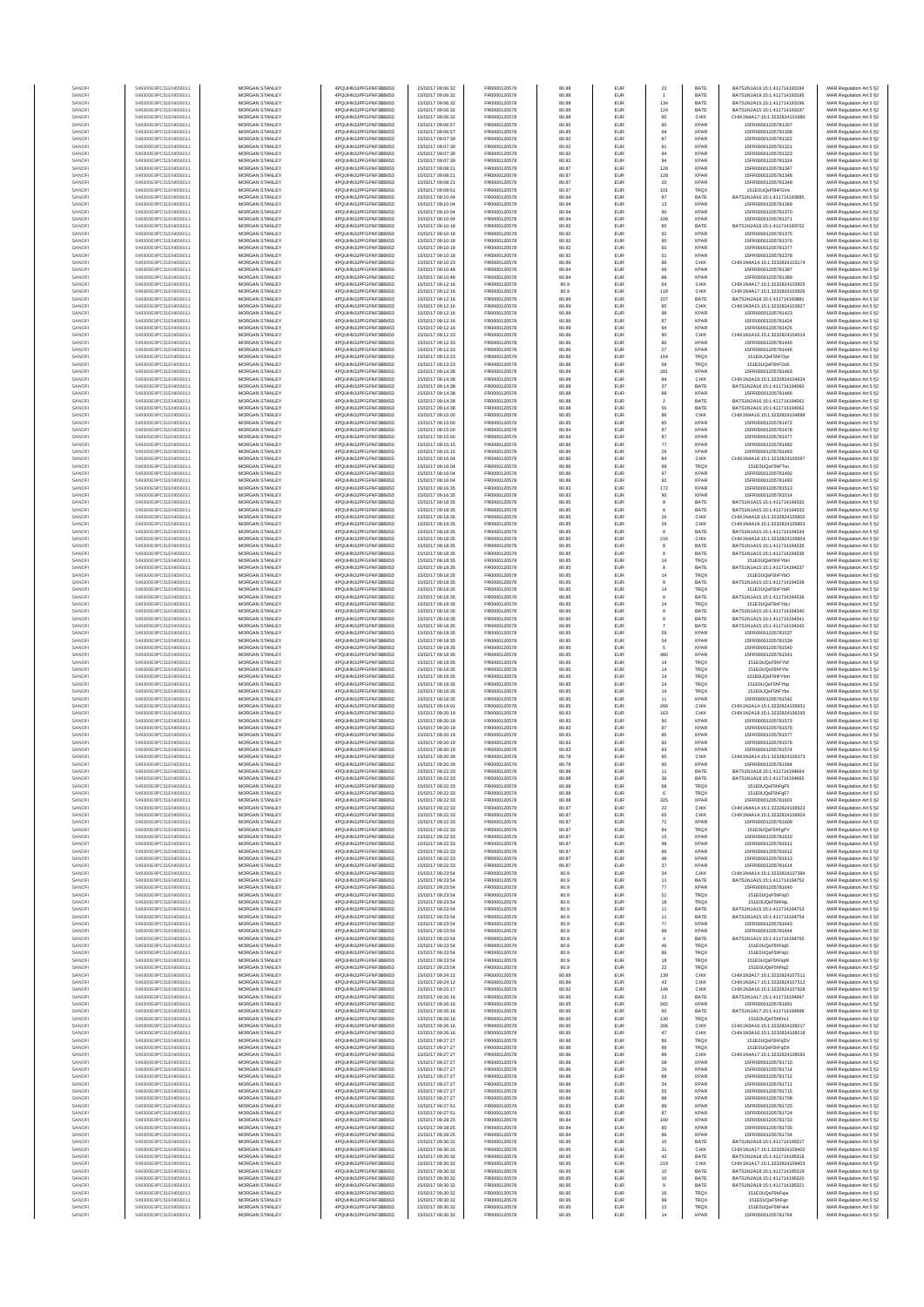| SANOF            | 549300E9PC51EN656011                         | MORGAN STANLEY                                 | 4PQUHN3JPFGFNF3BB653                           | 15/02/17 09:06:32                      | FR0000120578                 | 80.88          | EUR                      | 23                   | <b>BATE</b>                | BATS1N1A19:15:1:411714193194                                   | MAR Regulation Art 5 §2                            |
|------------------|----------------------------------------------|------------------------------------------------|------------------------------------------------|----------------------------------------|------------------------------|----------------|--------------------------|----------------------|----------------------------|----------------------------------------------------------------|----------------------------------------------------|
| SANOF            | 549300E9PC51EN656011                         | MORGAN STANLEY                                 | 4PQUHN3JPFGFNF3BB653                           | 15/02/17 09:06:32                      | FR0000120578                 | 80.88          | EUR                      |                      | BATE                       | BATS1N1A19:15:1:411714193195                                   | MAR Regulation Art 5 §2                            |
| SANOFI           | 549300E9PC51EN656011                         | <b>MORGAN STANLEY</b>                          | 4POLIHN3JPEGENE3BB653                          | 15/02/17 09:06:32                      | FR0000120578                 | 80.88          | <b>EUR</b>               | 134                  | BATE                       | BATS1N2A15:15:1:411714193196                                   | MAR Regulation Art 5 §2                            |
| SANOFI           | 549300E9PC51EN656011                         | MORGAN STANLEY                                 | 4PQUHN3JPFGFNF3BB653                           | 15/02/17 09:06:32                      | FR0000120578                 | 80.88          | EUR                      | 124                  | BATE                       | BATS1N2A15:15:1:411714193197                                   | MAR Regulation Art 5 §2                            |
| SANOFI<br>SANOFI | 549300E9PC51EN656011<br>549300E9PC51EN656011 | MORGAN STANLEY<br>MORGAN STANLEY               | 4PQUHN3JPFGFNF3BB653<br>4PQUHN3JPFGFNF3BB653   | 15/02/17 09:06:32<br>15/02/17 09:06:57 | FR0000120578<br>FR0000120578 | 80.88<br>80.85 | EUR<br>EUR               | 60<br>85             | CHIX<br><b>XPAR</b>        | CHIX1N4A17:15:1:3232824101680<br>15FR00001205781307            | MAR Regulation Art 5 §2<br>MAR Regulation Art 5 §2 |
| SANOF            | 549300E9PC51EN656011                         | MORGAN STANLEY                                 | 4PQUHN3JPFGFNF3BB653                           | 15/02/17 09:06:57                      | FR0000120578                 | 80.85          | EUR                      | 94                   | <b>XPAF</b>                | 15FR00001205781308                                             | MAR Regulation Art 5 §2                            |
| SANOFI           | 549300E9PC51EN656011                         | MORGAN STANLEY                                 | 4PQUHN3JPFGFNF3BB653                           | 15/02/17 09:07:39                      | FR0000120578                 | 80.92          | EUR                      | 87                   | <b>XPAR</b>                | 15FR00001205781322                                             | MAR Regulation Art 5 §2                            |
| SANOFI<br>SANOFI | 549300E9PC51EN656011<br>549300E9PC51EN656011 | MORGAN STANLEY<br>MORGAN STANLEY               | 4PQUHN3JPFGFNF3BB653<br>4PQUHN3JPFGFNF3BB653   | 15/02/17 09:07:39<br>15/02/17 09:07:39 | FR0000120578<br>FR0000120578 | 80.92<br>80.92 | EUR<br>EUR               | 91<br>94             | <b>XPAR</b><br><b>XPAR</b> | 15FR00001205781321<br>15FR00001205781323                       | MAR Regulation Art 5 §2<br>MAR Regulation Art 5 §2 |
| SANOFI           | 549300E9PC51EN656011                         | MORGAN STANLEY                                 | 4PQUHN3JPFGFNF3BB653                           | 15/02/17 09:07:39                      | FR0000120578                 | 80.92          | EUR                      | 94                   | <b>XPAR</b>                | 15FR00001205781324                                             | MAR Regulation Art 5 §2                            |
| SANOFI           | 549300E9PC51EN656011                         | <b>MORGAN STANLEY</b>                          | 4PQUHN3JPFGFNF3BB653                           | 15/02/17 09:08:21                      | FR0000120578                 | 80.87          | <b>EUR</b>               | 128                  | <b>XPAR</b>                | 15FR00001205781347                                             | MAR Regulation Art 5 §2                            |
| SANOFI           | 549300E9PC51EN656011<br>549300E9PC51EN656011 | MORGAN STANLEY<br>MORGAN STANLEY               | 4PQUHN3JPFGFNF3BB653<br>4PQUHN3JPFGFNF3BB653   | 15/02/17 09:08:21                      | FR0000120578                 | 80.87          | EUR                      | 128                  | <b>XPAR</b>                | 15FR00001205781348                                             | MAR Regulation Art 5 §2                            |
| SANOFI<br>SANOFI | 549300E9PC51EN656011                         | MORGAN STANLEY                                 | 4PQUHN3JPFGFNF3BB653                           | 15/02/17 09:08:21<br>15/02/17 09:09:51 | FR0000120578<br>FR0000120578 | 80.87<br>80.97 | EUR<br>EUR               | $20\,$<br>101        | <b>XPAR</b><br>TRQX        | 15FR00001205781349<br>151E0UQsF5hFGV6                          | MAR Regulation Art 5 §2<br>MAR Regulation Art 5 §2 |
| SANOF            | 549300E9PC51EN656011                         | MORGAN STANLEY                                 | 4PQUHN3JPFGFNF3BB653                           | 15/02/17 09:10:04                      | FR0000120578                 | 80.94          | EUR                      | 87                   | BATE                       | BATS1N1A16:15:1:411714193685                                   | MAR Regulation Art 5 §2                            |
| SANOFI           | 549300E9PC51EN656011                         | MORGAN STANLEY                                 | 4PQUHN3JPFGFNF3BB653                           | 15/02/17 09:10:04                      | FR0000120578                 | 80.94          | EUR                      | 13                   | <b>XPAR</b>                | 15FR00001205781369                                             | MAR Regulation Art 5 §2                            |
| SANOFI           | 549300E9PC51EN656011                         | MORGAN STANLEY                                 | 4PQUHN3JPFGFNF3BB653                           | 15/02/17 09:10:04                      | FR0000120578                 | 80.94          | EUR                      | 90                   | <b>XPAR</b>                | 15FR00001205781370                                             | MAR Regulation Art 5 §2                            |
| SANOFI<br>SANOFI | 549300E9PC51EN656011<br>549300E9PC51EN656011 | MORGAN STANLEY<br><b>MORGAN STANLEY</b>        | 4PQUHN3JPFGFNF3BB653<br>4PQUHN3JPFGFNF3BB653   | 15/02/17 09:10:04<br>15/02/17 09:10:18 | FR0000120578<br>FR0000120578 | 80.94<br>80.92 | EUR<br>EUR               | 109<br>85            | <b>XPAR</b><br>BATE        | 15FR00001205781371<br>BATS1N2A18:15:1:411714193702             | MAR Regulation Art 5 §2<br>MAR Regulation Art 5 §2 |
| SANOFI           | 549300E9PC51EN656011                         | MORGAN STANLEY                                 | 4PQUHN3JPFGFNF3BB653                           | 15/02/17 09:10:18                      | FR0000120578                 | 80.92          | EUR                      | 92                   | <b>XPAR</b>                | 15FR00001205781375                                             | MAR Regulation Art 5 §2                            |
| SANOFI           | 549300E9PC51EN656011                         | MORGAN STANLEY                                 | 4PQUHN3JPFGFNF3BB653                           | 15/02/17 09:10:18                      | FR0000120578                 | 80.92          | EUR                      | 95                   | <b>XPAR</b>                | 15FR00001205781376                                             | MAR Regulation Art 5 §2                            |
| SANOFI           | 549300E9PC51EN656011                         | MORGAN STANLEY                                 | 4PQUHN3JPFGFNF3BB653                           | 15/02/17 09:10:18                      | FR0000120578                 | 80.92          | EUR                      | 60                   | <b>XPAR</b>                | 15FR00001205781377                                             | MAR Regulation Art 5 §2                            |
| SANOFI           | 549300E9PC51EN656011<br>549300E9PC51EN656011 | MORGAN STANLEY<br>MORGAN STANLEY               | 4PQUHN3JPFGFNF3BB653<br>4PQUHN3JPFGFNF3BB653   | 15/02/17 09:10:18<br>15/02/17 09:10:23 | FR0000120578<br>FR0000120578 | 80.92<br>80.89 | EUR<br>EUR               | 51<br>86             | <b>XPAF</b><br>CHIX        | 15FR00001205781378<br>CHIX1N4A14:15:1:3232824103174            | MAR Regulation Art 5 §2<br>MAR Regulation Art 5 §2 |
| SANOF<br>SANOFI  | 549300E9PC51EN656011                         | MORGAN STANLEY                                 | 4PQUHN3JPFGFNF3BB653                           | 15/02/17 09:10:48                      | FR0000120578                 | 80.84          | EUR                      | 99                   | <b>XPAR</b>                | 15FR00001205781387                                             | MAR Regulation Art 5 §2                            |
| SANOFI           | 549300E9PC51EN656011                         | MORGAN STANLEY                                 | 4PQUHN3JPFGFNF3BB653                           | 15/02/17 09:10:48                      | FR0000120578                 | 80.84          | EUR                      | 88                   | <b>XPAR</b>                | 15FR00001205781389                                             | MAR Regulation Art 5 §2                            |
| SANOFI           | 549300E9PC51EN656011                         | <b>MORGAN STANLEY</b>                          | 4POLIHN3JPEGENE3BB653                          | 15/02/17 09:12:16                      | FR0000120578                 | 80.9           | <b>EUR</b>               | 64                   | CHIX                       | CHIX1N4A17-15-1-3232824103925                                  | MAR Regulation Art 5 §2                            |
| SANOFI           | 549300E9PC51EN656011                         | MORGAN STANLEY                                 | 4PQUHN3JPFGFNF3BB653                           | 15/02/17 09:12:16                      | FR0000120578                 | 80.9           | EUR                      | 118                  | CHIX                       | CHIX1N4A17:15:1:3232824103926                                  | MAR Regulation Art 5 §2                            |
| SANOFI<br>SANOFI | 549300E9PC51EN656011<br>549300E9PC51EN656011 | MORGAN STANLEY<br>MORGAN STANLEY               | 4PQUHN3JPFGFNF3BB653<br>4PQUHN3JPFGFNF3BB653   | 15/02/17 09:12:16<br>15/02/17 09:12:16 | FR0000120578<br>FR0000120578 | 80.89<br>80.89 | EUR<br>EUR               | 107<br>85            | BATE<br>CHIX               | BATS1N2A18:15:1:411714193881<br>CHIX1N3A15:15:1:3232824103927  | MAR Regulation Art 5 §2<br>MAR Regulation Art 5 §2 |
| SANOF            | 549300E9PC51EN656011                         | MORGAN STANLEY                                 | 4PQUHN3JPFGFNF3BB653                           | 15/02/17 09:12:16                      | FR0000120578                 | 80.89          | EUR                      | 98                   | <b>XPAF</b>                | 15FR00001205781423                                             | MAR Regulation Art 5 §2                            |
| SANOFI           | 549300E9PC51EN656011                         | MORGAN STANLEY                                 | 4PQUHN3JPFGFNF3BB653                           | 15/02/17 09:12:16                      | FR0000120578                 | 80.89          | EUR                      | 87                   | <b>XPAR</b>                | 15FR00001205781424                                             | MAR Regulation Art 5 §2                            |
| SANOFI           | 549300E9PC51EN656011<br>549300E9PC51EN656011 | MORGAN STANLEY<br>MORGAN STANLEY               | 4PQUHN3JPFGFNF3BB653<br>4PQUHN3JPFGFNF3BB653   | 15/02/17 09:12:16<br>15/02/17 09:12:33 | FR0000120578<br>FR0000120578 | 80.89<br>80.86 | EUR<br>EUR               | 94<br>90             | <b>XPAR</b><br>CHIX        | 15FR00001205781425<br>CHIX1N1A16:15:1:3232824104014            | MAR Regulation Art 5 §2<br>MAR Regulation Art 5 §2 |
| SANOFI<br>SANOFI | 549300E9PC51EN656011                         | <b>MORGAN STANLEY</b>                          | 4PQUHN3JPFGFNF3BB653                           | 15/02/17 09:12:33                      | FR0000120578                 | 80.86          | EUR                      | 80                   | <b>XPAR</b>                | 15FR00001205781445                                             | MAR Regulation Art 5 §2                            |
| SANOFI           | 549300E9PC51EN656011                         | <b>MORGAN STANLEY</b>                          | 4PQUHN3JPFGFNF3BB653                           | 15/02/17 09:12:33                      | FR0000120578                 | 80.86          | <b>EUR</b>               | 27                   | <b>XPAR</b>                | 15FR00001205781446                                             | MAR Regulation Art 5 §2                            |
| SANOFI           | 549300E9PC51EN656011                         | MORGAN STANLEY                                 | 4PQUHN3JPFGFNF3BB653                           | 15/02/17 09:13:23                      | FR0000120578                 | 80.86          | EUR                      | 164                  | TRQX                       | 151E0UQsF5hFOyz                                                | MAR Regulation Art 5 §2                            |
| SANOFI           | 549300E9PC51EN656011                         | MORGAN STANLEY                                 | 4PQUHN3JPFGFNF3BB653                           | 15/02/17 09:13:23                      | FR0000120578                 | 80.86          | EUR                      | 66                   | TRQX                       | 151E0UQsF5hFOzE                                                | MAR Regulation Art 5 §2                            |
| SANOFI<br>SANOFI | 549300E9PC51EN656011<br>549300E9PC51EN656011 | MORGAN STANLEY<br>MORGAN STANLEY               | 4PQUHN3JPFGFNF3BB653<br>4PQUHN3JPFGFNF3BB653   | 15/02/17 09:14:38<br>15/02/17 09:14:38 | FR0000120578<br>FR0000120578 | 80.89<br>80.88 | EUR<br>EUR               | 281<br>84            | <b>XPAF</b><br>CHIX        | 15FR00001205781463<br>CHIX1N2A18:15:1:3232824104634            | MAR Regulation Art 5 §2<br>MAR Regulation Art 5 §2 |
| SANOFI           | 549300E9PC51EN656011                         | MORGAN STANLEY                                 | 4PQUHN3JPFGFNF3BB653                           | 15/02/17 09:14:38                      | FR0000120578                 | 80.88          | EUR                      | 37                   | BATE                       | BATS1N2A16:15:1:411714194060                                   | MAR Regulation Art 5 §2                            |
| SANOFI           | 549300E9PC51EN656011                         | MORGAN STANLEY                                 | 4PQUHN3JPFGFNF3BB653                           | 15/02/17 09:14:38                      | FR0000120578                 | 80.88          | EUR                      | 88                   | <b>XPAR</b>                | 15FR00001205781466                                             | MAR Regulation Art 5 §2                            |
| SANOFI<br>SANOFI | 549300E9PC51EN656011<br>549300E9PC51EN656011 | MORGAN STANLEY<br><b>MORGAN STANLEY</b>        | 4PQUHN3JPFGFNF3BB653<br>4PQUHN3JPFGFNF3BB653   | 15/02/17 09:14:38<br>15/02/17 09:14:38 | FR0000120578<br>FR0000120578 | 80.88<br>80.88 | EUR<br>EUR               | $\overline{2}$<br>55 | BATE<br>BATE               | BATS1N2A16:15:1:411714194061<br>BATS1N2A16-15-1-411714194062   | MAR Regulation Art 5 §2                            |
| SANOFI           | 549300E9PC51EN656011                         | <b>MORGAN STANLEY</b>                          | 4PQUHN3JPFGFNF3BB653                           | 15/02/17 09:15:00                      | FR0000120578                 | 80.85          | <b>EUR</b>               | 86                   | CHIX                       | CHIX1N4A16:15:1:3232824104699                                  | MAR Regulation Art 5 §2<br>MAR Regulation Art 5 §2 |
| SANOFI           | 549300E9PC51EN656011                         | MORGAN STANLEY                                 | 4PQUHN3JPFGFNF3BB653                           | 15/02/17 09:15:00                      | FR0000120578                 | 80.85          | EUR                      | 85                   | <b>XPAR</b>                | 15FR00001205781472                                             | MAR Regulation Art 5 §2                            |
| SANOF            | 549300E9PC51EN656011                         | MORGAN STANLEY                                 | 4PQUHN3JPFGFNF3BB653                           | 15/02/17 09:15:00                      | FR0000120578                 | 80.84          | EUR                      | 87                   | <b>XPAR</b>                | 15FR00001205781478                                             | MAR Regulation Art 5 §2                            |
| SANOFI           | 549300E9PC51EN656011<br>549300E9PC51EN656011 | MORGAN STANLEY<br>MORGAN STANLEY               | 4PQUHN3JPFGFNF3BB653<br>4PQUHN3JPFGFNF3BB653   | 15/02/17 09:15:00<br>15/02/17 09:15:15 | FR0000120578<br>FR0000120578 | 80.84<br>80.86 | EUR<br>EUR               | 87<br>$77\,$         | <b>XPAF</b><br><b>XPAF</b> | 15FR00001205781477<br>15FR00001205781482                       | MAR Regulation Art 5 §2<br>MAR Regulation Art 5 §2 |
| SANOF<br>SANOFI  | 549300E9PC51EN656011                         | MORGAN STANLEY                                 | 4PQUHN3JPFGFNF3BB653                           | 15/02/17 09:15:15                      | FR0000120578                 | 80.86          | EUR                      | 26                   | <b>XPAR</b>                | 15FR00001205781483                                             | MAR Regulation Art 5 §2                            |
| SANOFI           | 549300E9PC51EN656011                         | MORGAN STANLEY                                 | 4PQUHN3JPFGFNF3BB653                           | 15/02/17 09:16:04                      | FR0000120578                 | 80.86          | EUR                      | $^{\rm 84}$          | CHIX                       | CHIX1N4A16:15:1:3232824105097                                  | MAR Regulation Art 5 §2                            |
| SANOFI           | 549300E9PC51EN656011                         | <b>MORGAN STANLEY</b>                          | 4POLIHN3JPEGENE3BB653                          | 15/02/17 09:16:04                      | FR0000120578                 | 80.86          | EUR                      | 99                   | <b>TRQX</b>                | 151F0UQsF5hFTvn                                                | MAR Regulation Art 5 §2                            |
| SANOFI           | 549300E9PC51EN656011                         | <b>MORGAN STANLEY</b>                          | 4PQUHN3JPFGFNF3BB653                           | 15/02/17 09:16:04                      | FR0000120578                 | 80.86          | EUR                      | 97                   | <b>XPAR</b>                | 15FR00001205781492                                             | MAR Regulation Art 5 §2                            |
| SANOFI<br>SANOFI | 549300E9PC51EN656011<br>549300E9PC51EN656011 | MORGAN STANLEY<br>MORGAN STANLEY               | 4PQUHN3JPFGFNF3BB653<br>4PQUHN3JPFGFNF3BB653   | 15/02/17 09:16:04<br>15/02/17 09:16:35 | FR0000120578<br>FR0000120578 | 80.86<br>80.83 | EUR<br>EUR               | $92\,$<br>172        | <b>XPAR</b><br><b>XPAR</b> | 15FR00001205781493<br>15FR00001205781513                       | MAR Regulation Art 5 §2<br>MAR Regulation Art 5 §2 |
| SANOF            | 549300E9PC51EN656011                         | MORGAN STANLEY                                 | 4PQUHN3JPFGFNF3BB653                           | 15/02/17 09:16:35                      | FR0000120578                 | 80.83          | EUR                      | 90                   | <b>XPAF</b>                | 15FR00001205781514                                             | MAR Regulation Art 5 §2                            |
| SANOFI           | 549300E9PC51EN656011                         | MORGAN STANLEY                                 | 4PQUHN3JPFGFNF3BB653                           | 15/02/17 09:18:35                      | FR0000120578                 | 80.85          | EUR                      |                      | BATE                       | BATS1N1A15:15:1:411714194332                                   | MAR Regulation Art 5 §2                            |
| SANOFI           | 549300E9PC51EN656011                         | MORGAN STANLEY                                 | 4PQUHN3JPFGFNF3BB653                           | 15/02/17 09:18:35                      | FR0000120578                 | 80.85          | EUR                      | 8                    | BATE                       | BATS1N1A15:15:1:411714194333                                   | MAR Regulation Art 5 §2                            |
| SANOFI<br>SANOFI | 549300E9PC51EN656011<br>549300E9PC51EN656011 | MORGAN STANLEY<br><b>MORGAN STANLEY</b>        | 4PQUHN3JPFGFNF3BB653<br>4PQUHN3JPFGFNF3BB653   | 15/02/17 09:18:35<br>15/02/17 09:18:35 | FR0000120578<br>FR0000120578 | 80.85<br>80.85 | EUR<br>EUR               | 26<br>26             | CHIX<br>CHIX               | CHIX1N4A18:15:1:3232824105802<br>CHIX1N4A18:15:1:3232824105803 | MAR Regulation Art 5 §2<br>MAR Regulation Art 5 §2 |
| SANOFI           | 549300E9PC51EN656011                         | <b>MORGAN STANLEY</b>                          | 4PQUHN3JPFGFNF3BB653                           | 15/02/17 09:18:35                      | FR0000120578                 | 80.85          | EUR                      | 8                    | BATE                       | BATS1N1A15:15:1:411714194334                                   | MAR Regulation Art 5 §2                            |
| SANOFI           | 549300E9PC51EN656011                         | MORGAN STANLEY                                 | 4PQUHN3JPFGFNF3BB653                           | 15/02/17 09:18:35                      | FR0000120578                 | 80.85          | EUR                      | 216                  | CHIX                       | CHIX1N4A18:15:1:3232824105804                                  | MAR Regulation Art 5 §2                            |
| SANOFI           | 549300E9PC51EN656011                         | MORGAN STANLEY                                 | 4PQUHN3JPFGFNF3BB653                           | 15/02/17 09:18:35                      | FR0000120578                 | 80.85          | EUR                      | 8                    | BATE                       | BATS1N1A15:15:1:411714194335                                   | MAR Regulation Art 5 §2                            |
| SANOF            | 549300E9PC51EN656011<br>549300E9PC51EN656011 | MORGAN STANLEY<br>MORGAN STANLEY               | 4PQUHN3JPFGFNF3BB653<br>4PQUHN3JPFGFNF3BB653   | 15/02/17 09:18:35<br>15/02/17 09:18:35 | FR0000120578<br>FR0000120578 | 80.85<br>80.85 | EUR<br>EUR               | 14                   | BATE<br>TRQ)               | BATS1N1A15:15:1:411714194336<br>151E0UQsF5hFYbH                | MAR Regulation Art 5 §2                            |
| SANOF<br>SANOFI  | 549300E9PC51EN656011                         | MORGAN STANLEY                                 | 4PQUHN3JPFGFNF3BB653                           | 15/02/17 09:18:35                      | FR0000120578                 | 80.85          | EUR                      | 8                    | BATE                       | BATS1N1A15:15:1:411714194337                                   | MAR Regulation Art 5 §2<br>MAR Regulation Art 5 §2 |
| SANOFI           | 549300E9PC51EN656011                         | MORGAN STANLEY                                 | 4PQUHN3JPFGFNF3BB653                           | 15/02/17 09:18:35                      | FR0000120578                 | 80.85          | EUR                      | 14                   | <b>TRQX</b>                | 151E0UQsF5hFYbO                                                | MAR Regulation Art 5 §2                            |
| SANOFI           | 549300E9PC51EN656011                         | <b>MORGAN STANLEY</b>                          | 4PQUHN3JPFGFNF3BB653                           | 15/02/17 09:18:35                      | FR0000120578                 | 80.85          | EUR                      | 8                    | BATE                       | BATS1N1A15:15:1:411714194338                                   | MAR Regulation Art 5 §2                            |
| SANOFI           | 549300E9PC51EN656011<br>549300E9PC51EN656011 | <b>MORGAN STANLEY</b>                          | 4PQUHN3JPFGFNF3BB653<br>4PQUHN3JPFGFNF3BB653   | 15/02/17 09:18:35                      | FR0000120578                 | 80.85          | EUR                      | 14                   | <b>TRQX</b>                | 151E0UQsF5hFYbR                                                | MAR Regulation Art 5 §2                            |
| SANOFI<br>SANOFI | 549300E9PC51EN656011                         | MORGAN STANLEY<br>MORGAN STANLEY               | 4PQUHN3JPFGFNF3BB653                           | 15/02/17 09:18:35<br>15/02/17 09:18:35 | FR0000120578<br>FR0000120578 | 80.85<br>80.85 | EUR<br>EUR               | 8<br>14              | BATE<br>TRQX               | BATS1N1A15:15:1:411714194339<br>151E0UQsF5hFYbU                | MAR Regulation Art 5 §2<br>MAR Regulation Art 5 §2 |
| SANOF            | 549300E9PC51EN656011                         | MORGAN STANLEY                                 | 4PQUHN3JPFGFNF3BB653                           | 15/02/17 09:18:35                      | FR0000120578                 | 80.85          | EUR                      |                      | BATE                       | BATS1N1A15:15:1:411714194340                                   | MAR Regulation Art 5 §2                            |
| SANOFI           | 549300E9PC51EN656011                         | MORGAN STANLEY                                 | 4PQUHN3JPFGFNF3BB653                           | 15/02/17 09:18:35                      | FR0000120578                 | 80.85          | EUR                      |                      | BATE                       | BATS1N1A15:15:1:411714194341                                   | MAR Regulation Art 5 §2                            |
| SANOFI<br>SANOFI | 549300E9PC51EN656011<br>549300E9PC51EN656011 | MORGAN STANLEY<br>MORGAN STANLEY               | 4PQUHN3JPFGFNF3BB653<br>4PQUHN3JPFGFNF3BB653   | 15/02/17 09:18:35<br>15/02/17 09:18:35 | FR0000120578<br>FR0000120578 | 80.85<br>80.85 | EUR<br>EUR               | $\overline{7}$<br>59 | BATE<br><b>XPAR</b>        | BATS1N1A15:15:1:411714194342<br>15FR00001205781537             | MAR Regulation Art 5 §2<br>MAR Regulation Art 5 §2 |
| SANOFI           | 549300E9PC51EN656011                         | MORGAN STANLEY                                 | 4PQUHN3JPFGFNF3BB653                           | 15/02/17 09:18:35                      | FR0000120578                 | 80.85          | EUR                      | $_{\rm 54}$          | <b>XPAR</b>                | 15FR00001205781539                                             | MAR Regulation Art 5 §2                            |
| SANOFI           | 549300E9PC51EN656011                         | <b>MORGAN STANLEY</b>                          | 4PQUHN3JPFGFNF3BB653                           | 15/02/17 09:18:35                      | FR0000120578                 | 80.85          | <b>EUR</b>               | 5                    | <b>XPAR</b>                | 15FR00001205781540                                             | MAR Regulation Art 5 §2                            |
| SANOFI           | 549300E9PC51EN656011                         | <b>MORGAN STANLEY</b>                          | 4PQUHN3JPFGFNF3BB653                           | 15/02/17 09:18:35                      | FR0000120578                 | 80.85          | EUR                      | 480                  | <b>XPAR</b>                | 15FR00001205781541                                             | MAR Regulation Art 5 §2                            |
| SANOFI<br>SANOFI | 549300E9PC51EN656011<br>549300E9PC51EN656011 | MORGAN STANLEY<br>MORGAN STANLEY               | 4PQUHN3JPFGFNF3BB653<br>4PQUHN3JPFGFNF3BB653   | 15/02/17 09:18:35<br>15/02/17 09:18:35 | FR0000120578<br>FR0000120578 | 80.85<br>80.85 | EUR<br>EUR               | $14\,$<br>14         | <b>TRQX</b><br>TRQX        | 151E0UQsF5hFYbl<br>151E0UQsF5hFYbi                             | MAR Regulation Art 5 §2<br>MAR Regulation Art 5 §2 |
| SANOF            | 549300E9PC51EN656011                         | MORGAN STANLEY                                 | 4PQUHN3JPFGFNF3BB653                           | 15/02/17 09:18:35                      | FR0000120578                 | 80.85          | EUR                      | 14                   | <b>TRQX</b>                | 151E0UQsF5hFYbm                                                | MAR Regulation Art 5 §2                            |
| SANOFI           | 549300E9PC51EN656011                         | MORGAN STANLEY                                 | 4PQUHN3JPFGFNF3BB653                           | 15/02/17 09:18:35                      | FR0000120578                 | 80.85          | EUR                      | 14                   | <b>TRQX</b>                | 151E0UQsF5hFYbp                                                | MAR Regulation Art 5 §2                            |
| SANOFI           | 549300E9PC51EN656011                         | MORGAN STANLEY                                 | 4PQUHN3JPFGFNF3BB653<br>4PQUHN3JPFGFNF3BB653   | 15/02/17 09:18:35                      | FR0000120578                 | 80.85          | EUR                      | $14\,$               | <b>TRQX</b>                | 151E0UQsF5hFYbs                                                | MAR Regulation Art 5 §2                            |
| SANOFI<br>SANOFI | 549300E9PC51EN656011<br>549300E9PC51EN656011 | MORGAN STANLEY<br><b>MORGAN STANLEY</b>        | 4PQUHN3JPFGFNF3BB653                           | 15/02/17 09:18:35<br>15/02/17 09:19:01 | FR0000120578<br>FR0000120578 | 80.85<br>80.85 | EUR<br>EUR               | 11<br>266            | <b>XPAR</b><br>CHIX        | 15FR00001205781542<br>CHIX1N2A14-15-1-3232824105931            | MAR Regulation Art 5 §2<br>MAR Regulation Art 5 §2 |
| SANOFI           | 549300E9PC51EN656011                         | MORGAN STANLEY                                 | 4PQUHN3JPFGFNF3BB653                           | 15/02/17 09:20:19                      | FR0000120578                 | 80.83          | EUR                      | 163                  | CHIX                       | CHIX1N2A18:15:1:3232824106293                                  | MAR Regulation Art 5 §2                            |
| SANOFI           | 549300E9PC51EN656011                         | MORGAN STANLEY                                 | 4PQUHN3JPFGFNF3BB653                           | 15/02/17 09:20:19                      | FR0000120578                 | 80.83          | EUR                      | 90                   | <b>XPAR</b>                | 15FR00001205781573                                             | MAR Regulation Art 5 §2                            |
| SANOFI           | 549300E9PC51EN656011                         | MORGAN STANLEY                                 | 4PQUHN3JPFGFNF3BB653                           | 15/02/17 09:20:19<br>15/02/17 09:20:19 | FR0000120578                 | 80.83          | EUR                      | 87                   | <b>XPAR</b>                | 15FR00001205781575                                             | MAR Regulation Art 5 §2                            |
| SANOFI<br>SANOFI | 549300E9PC51EN656011<br>549300E9PC51EN656011 | MORGAN STANLEY<br>MORGAN STANLEY               | 4PQUHN3JPFGFNF3BB653<br>4PQUHN3JPFGFNF3BB653   | 15/02/17 09:20:19                      | FR0000120578<br>FR0000120578 | 80.83<br>80.83 | EUR<br>EUR               | 85<br>92             | <b>XPAF</b><br><b>XPAF</b> | 15FR00001205781577<br>15FR00001205781576                       | MAR Regulation Art 5 §2<br>MAR Regulation Art 5 §2 |
| SANOFI           | 549300E9PC51EN656011                         | MORGAN STANLEY                                 | 4PQUHN3JPFGFNF3BB653                           | 15/02/17 09:20:19                      | FR0000120578                 | 80.83          | EUR                      | 93                   | <b>XPAR</b>                | 15FR00001205781574                                             | MAR Regulation Art 5 §2                            |
| SANOFI           | 549300E9PC51EN656011                         | MORGAN STANLEY                                 | 4PQUHN3JPFGFNF3BB653                           | 15/02/17 09:20:39                      | FR0000120578                 | 80.78          | EUR                      | 95                   | CHIX                       | CHIX1N3A14:15:1:3232824106373                                  | MAR Regulation Art 5 §2                            |
| SANOFI<br>SANOFI | 549300E9PC51EN656011<br>549300E9PC51EN656011 | <b>MORGAN STANLEY</b><br>MORGAN STANLEY        | 4POLIHN3JPEGENE3BB653<br>4POLIHN3JPEGENE3BB653 | 15/02/17 09:20:39                      | FR0000120578<br>FR0000120578 | 80.78<br>80.88 | <b>EUR</b><br>EUR        | 90                   | <b>XPAR</b><br>BATE        | 15FR00001205781584<br>BATS1N1A18:15:1:411714194664             | MAR Regulation Art 5 §2                            |
|                  |                                              |                                                |                                                | 15/02/17 09:22:33                      |                              |                |                          | 11                   |                            |                                                                | MAR Regulation Art 5 §2                            |
| SANOFI           | 549300E9PC51EN656011                         | MORGAN STANLEY                                 | 4PQUHN3JPFGFNF3BB653                           | 15/02/17 09:22:33                      | FR0000120578                 | 80.88          | EUR                      | 68                   | TRQX                       | 151E0UQsF5hFgF5                                                | MAR Regulation Art 5 §2                            |
| SANOF            | 549300E9PC51EN656011                         | MORGAN STANLEY                                 | 4PQUHN3JPFGFNF3BB653                           | 15/02/17 09:22:33                      | FR0000120578                 | 80.88          | EUR                      |                      | TRQX                       | 151E0UQsF5hFgF7                                                | MAR Regulation Art 5 §2                            |
| SANOFI<br>SANOFI | 549300E9PC51EN656011<br>549300E9PC51EN656011 | MORGAN STANLEY<br>MORGAN STANLEY               | 4PQUHN3JPFGFNF3BB653<br>4PQUHN3JPFGFNF3BB653   | 15/02/17 09:22:33<br>15/02/17 09:22:33 | FR0000120578<br>FR0000120578 | 80.88<br>80.87 | EUR<br>EUR               | 325<br>$22\,$        | <b>XPAR</b><br>CHIX        | 15FR00001205781601<br>CHIX1N4A14:15:1:3232824106923            | MAR Regulation Art 5 §2<br>MAR Regulation Art 5 §2 |
| SANOFI           | 549300E9PC51EN656011                         | MORGAN STANLEY                                 | 4PQUHN3JPFGFNF3BB653                           | 15/02/17 09:22:33                      | FR0000120578                 | 80.87          | <b>EUR</b>               | 65                   | CHIX                       | CHIX1N4A14:15:1:3232824106924                                  | MAR Regulation Art 5 §2                            |
| SANOFI           | 549300E9PC51EN656011                         | MORGAN STANLEY                                 | 4PQUHN3JPFGFNF3BB653                           | 15/02/17 09:22:33                      | FR0000120578                 | 80.87          | <b>EUR</b>               | 72                   | <b>XPAR</b>                | 15FR00001205781609                                             | MAR Regulation Art 5 §2                            |
| SANOFI           | 549300E9PC51EN656011                         | <b>MORGAN STANLEY</b>                          | 4PQUHN3JPFGFNF3BB653                           | 15/02/17 09:22:33                      | FR0000120578                 | 80.87          | <b>EUR</b>               | 84                   | <b>TRQX</b>                | 151E0UQsF5hFaFV                                                | MAR Regulation Art 5 §2                            |
| SANOFI<br>SANOFI | 549300E9PC51EN656011<br>549300E9PC51EN656011 | MORGAN STANLEY<br>MORGAN STANLEY               | 4PQUHN3JPFGFNF3BB653<br>4PQUHN3JPFGFNF3BB653   | 15/02/17 09:22:33<br>15/02/17 09:22:33 | FR0000120578<br>FR0000120578 | 80.87<br>80.87 | EUR<br>EUR               | 15<br>$98\,$         | <b>XPAR</b><br><b>XPAR</b> | 15FR00001205781610<br>15FR00001205781611                       | MAR Regulation Art 5 §2<br>MAR Regulation Art 5 §2 |
| SANOFI           | 549300E9PC51EN656011                         | MORGAN STANLEY                                 | 4PQUHN3JPFGFNF3BB653                           | 15/02/17 09:22:33                      | FR0000120578                 | 80.87          | EUR                      | 86                   | <b>XPAR</b>                | 15FR00001205781612                                             | MAR Regulation Art 5 §2                            |
| SANOFI           | 549300E9PC51EN656011                         | MORGAN STANLEY                                 | 4PQUHN3JPFGFNF3BB653                           | 15/02/17 09:22:33                      | FR0000120578                 | 80.87          | EUR                      | 48                   | <b>XPAR</b>                | 15FR00001205781613                                             | MAR Regulation Art 5 §2                            |
| SANOFI<br>SANOFI | 549300E9PC51EN656011                         | MORGAN STANLEY<br>MORGAN STANLEY               | 4PQUHN3JPFGFNF3BB653                           | 15/02/17 09:22:33                      | FR0000120578<br>FR0000120578 | 80.87          | EUR                      | 37<br>34             | <b>XPAR</b><br>CHIX        | 15FR00001205781614<br>CHIX1N4A14:15:1:3232824107394            | MAR Regulation Art 5 §2                            |
| SANOFI           | 549300E9PC51EN656011<br>549300E9PC51EN656011 | MORGAN STANLEY                                 | 4PQUHN3JPFGFNF3BB653<br>4PQUHN3JPFGFNF3BB653   | 15/02/17 09:23:54<br>15/02/17 09:23:54 | FR0000120578                 | 80.9<br>80.9   | EUR<br>EUR               | 11                   | BATE                       | BATS1N1A15:15:1:411714194752                                   | MAR Regulation Art 5 §2<br>MAR Regulation Art 5 §2 |
| SANOFI           | 549300E9PC51EN656011                         | <b>MORGAN STANLEY</b>                          | 4PQUHN3JPFGFNF3BB653                           | 15/02/17 09:23:54                      | FR0000120578                 | 80.9           | <b>EUR</b>               | 77                   | <b>XPAR</b>                | 15FR00001205781640                                             | MAR Regulation Art 5 §2                            |
| SANOFI           | 549300E9PC51EN656011                         | <b>MORGAN STANLEY</b>                          | 4PQUHN3JPFGFNF3BB653                           | 15/02/17 09:23:54                      | FR0000120578                 | 80.9           | <b>EUR</b>               | 51                   | <b>TRQX</b>                | 151FOUOsF5hFinO                                                | MAR Regulation Art 5 §2                            |
| SANOFI<br>SANOFI | 549300E9PC51EN656011<br>549300E9PC51EN656011 | MORGAN STANLEY<br>MORGAN STANLEY               | 4PQUHN3JPFGFNF3BB653<br>4PQUHN3JPFGFNF3BB653   | 15/02/17 09:23:54<br>15/02/17 09:23:54 | FR0000120578<br>FR0000120578 | 80.9<br>80.9   | EUR<br>EUR               | 18<br>11             | <b>TRQX</b><br>BATE        | 151E0UQsF5hFigL<br>BATS1N1A15:15:1:411714194753                | MAR Regulation Art 5 §2<br>MAR Regulation Art 5 §2 |
| SANOFI           | 549300E9PC51EN656011                         | MORGAN STANLEY                                 | 4PQUHN3JPFGFNF3BB653                           | 15/02/17 09:23:54                      | FR0000120578                 | 80.9           | EUR                      | 11                   | BATE                       | BATS1N1A15:15:1:411714194754                                   | MAR Regulation Art 5 §2                            |
| SANOFI           | 549300E9PC51EN656011                         | MORGAN STANLEY                                 | 4PQUHN3JPFGFNF3BB653                           | 15/02/17 09:23:54                      | FR0000120578                 | 80.9           | EUR                      | $77\,$               | <b>XPAR</b>                | 15FR00001205781643                                             | MAR Regulation Art 5 §2                            |
| SANOFI           | 549300E9PC51EN656011                         | MORGAN STANLEY                                 | 4PQUHN3JPFGFNF3BB653                           | 15/02/17 09:23:54                      | FR0000120578                 | 80.9<br>80.9   | <b>EUR</b>               | 99<br>$\overline{4}$ | <b>XPAR</b><br>BATE        | 15FR00001205781644                                             | MAR Regulation Art 5 §2<br>MAR Regulation Art 5 §2 |
| SANOFI<br>SANOFI | 549300E9PC51EN656011<br>549300E9PC51EN656011 | MORGAN STANLEY<br>MORGAN STANLEY               | 4PQUHN3JPFGFNF3BB653<br>4PQUHN3JPFGFNF3BB653   | 15/02/17 09:23:54<br>15/02/17 09:23:54 | FR0000120578<br>FR0000120578 | 80.9           | EUR<br><b>EUR</b>        | 46                   | <b>TRQX</b>                | BATS1N1A15:15:1:411714194755<br>151E0UQsF5hFigS                | MAR Regulation Art 5 §2                            |
| SANOFI           | 549300E9PC51EN656011                         | <b>MORGAN STANLEY</b>                          | 4PQUHN3JPFGFNF3BB653                           | 15/02/17 09:23:54                      | FR0000120578                 | 80.9           | <b>EUR</b>               | 86                   | <b>TRQX</b>                | 151E0UQsF5hFigU                                                | MAR Regulation Art 5 §2                            |
| SANOFI           | 549300E9PC51EN656011                         | MORGAN STANLEY                                 | 4PQUHN3JPFGFNF3BB653                           | 15/02/17 09:23:54                      | FR0000120578                 | 80.9           | EUR                      | 18                   | <b>TRQX</b>                | 151E0UQsF5hFigW                                                | MAR Regulation Art 5 §2                            |
| SANOFI<br>SANOFI | 549300E9PC51EN656011<br>549300E9PC51EN656011 | MORGAN STANLEY<br>MORGAN STANLEY               | 4PQUHN3JPFGFNF3BB653<br>4PQUHN3JPFGFNF3BB653   | 15/02/17 09:23:54<br>15/02/17 09:24:12 | FR0000120578<br>FR0000120578 | 80.9<br>80.89  | EUR<br>EUR               | $\bf 22$<br>139      | TRQX<br>CHIX               | 151E0UQsF5hFiqZ<br>CHIX1N3A17:15:1:3232824107511               | MAR Regulation Art 5 §2                            |
| SANOFI           | 549300E9PC51EN656011                         | MORGAN STANLEY                                 | 4PQUHN3JPFGFNF3BB653                           | 15/02/17 09:24:12                      | FR0000120578                 | 80.89          | EUR                      | 43                   | CHIX                       | CHIX1N3A17:15:1:3232824107512                                  | MAR Regulation Art 5 §2<br>MAR Regulation Art 5 §2 |
| SANOFI           | 549300E9PC51EN656011                         | MORGAN STANLEY                                 | 4PQUHN3JPFGFNF3BB653                           | 15/02/17 09:25:17                      | FR0000120578                 | 80.92          | EUR                      | 149                  | CHIX                       | CHIX1N3A16:15:1:3232824107928                                  | MAR Regulation Art 5 §2                            |
| SANOFI           | 549300E9PC51EN656011                         | MORGAN STANLEY                                 | 4PQUHN3JPFGFNF3BB653                           | 15/02/17 09:26:16                      | FR0000120578                 | 80.95          | EUR                      | 23                   | BATE                       | BATS1N1A17:15:1:411714194997                                   | MAR Regulation Art 5 §2                            |
| SANOFI<br>SANOFI | 549300E9PC51EN656011<br>549300E9PC51EN656011 | <b>MORGAN STANLEY</b><br><b>MORGAN STANLEY</b> | 4PQUHN3JPFGFNF3BB653<br>4PQUHN3JPFGFNF3BB653   | 15/02/17 09:26:16<br>15/02/17 09:26:16 | FR0000120578<br>FR0000120578 | 80.95<br>80.95 | <b>EUR</b><br><b>EUR</b> | 565<br>60            | <b>XPAR</b><br>BATE        | 15FR00001205781691<br>BATS1N1A17:15:1:411714194999             | MAR Regulation Art 5 §2<br>MAR Regulation Art 5 §2 |
| SANOFI           | 549300E9PC51EN656011                         | MORGAN STANLEY                                 | 4PQUHN3JPFGFNF3BB653                           | 15/02/17 09:26:16                      | FR0000120578                 | 80.95          | EUR                      | 130                  | TRQX                       | 151E0UQsF5hFnrJ                                                | MAR Regulation Art 5 §2                            |
| SANOFI           | 549300E9PC51EN656011                         | MORGAN STANLEY                                 | 4PQUHN3JPFGFNF3BB653                           | 15/02/17 09:26:16                      | FR0000120578                 | 80.95          | EUR                      | 206                  | CHIX                       | CHIX1N3A16:15:1:3232824108217                                  | MAR Regulation Art 5 §2                            |
| SANOFI           | 549300E9PC51EN656011                         | MORGAN STANLEY                                 | 4PQUHN3JPFGFNF3BB653                           | 15/02/17 09:26:16                      | FR0000120578                 | 80.95          | EUR                      | 47                   | CHIX                       | CHIX1N3A16:15:1:3232824108218                                  | MAR Regulation Art 5 §2                            |
| SANOFI<br>SANOFI | 549300E9PC51EN656011<br>549300E9PC51EN656011 | MORGAN STANLEY<br>MORGAN STANLEY               | 4PQUHN3JPFGFNF3BB653<br>4PQUHN3JPFGFNF3BB653   | 15/02/17 09:27:27<br>15/02/17 09:27:27 | FR0000120578<br>FR0000120578 | 80.86<br>80.86 | EUR<br>EUR               | 86<br>89             | <b>TRQX</b><br><b>TRQX</b> | 151E0UQsF5hFqDV<br>151E0UQsF5hFqDX                             | MAR Regulation Art 5 §2<br>MAR Regulation Art 5 §2 |
| SANOFI           | 549300E9PC51EN656011                         | MORGAN STANLEY                                 | 4PQUHN3JPFGFNF3BB653                           | 15/02/17 09:27:27                      | FR0000120578                 | 80.86          | EUR                      | 89                   | CHIX                       | CHIX1N4A17:15:1:3232824108593                                  | MAR Regulation Art 5 §2                            |
| SANOFI           | 549300E9PC51EN656011                         | <b>MORGAN STANLEY</b>                          | 4PQUHN3JPFGFNF3BB653                           | 15/02/17 09:27:27                      | FR0000120578                 | 80.86          | <b>EUR</b>               | 58                   | <b>XPAR</b>                | 15FR00001205781710                                             | MAR Regulation Art 5 §2                            |
| SANOFI           | 549300E9PC51EN656011                         | <b>MORGAN STANLEY</b>                          | 4PQUHN3JPFGFNF3BB653                           | 15/02/17 09:27:27                      | FR0000120578                 | 80.86          | <b>EUR</b>               | 29                   | <b>XPAR</b>                | 15FR00001205781714                                             | MAR Regulation Art 5 §2                            |
| SANOFI<br>SANOFI | 549300E9PC51EN656011<br>549300E9PC51EN656011 | MORGAN STANLEY<br>MORGAN STANLEY               | 4PQUHN3JPFGFNF3BB653<br>4PQUHN3JPFGFNF3BB653   | 15/02/17 09:27:27<br>15/02/17 09:27:27 | FR0000120578<br>FR0000120578 | 80.86<br>80.86 | EUR<br>EUR               | $_{88}$<br>34        | <b>XPAR</b><br>XPAR        | 15FR00001205781712<br>15FR00001205781711                       | MAR Regulation Art 5 §2<br>MAR Regulation Art 5 §2 |
| SANOF            | 549300E9PC51EN656011                         | MORGAN STANLEY                                 | 4PQUHN3JPFGFNF3BB653                           | 15/02/17 09:27:27                      | FR0000120578                 | 80.86          | EUR                      | 55                   | <b>XPAR</b>                | 15FR00001205781715                                             | MAR Regulation Art 5 §2                            |
| SANOFI           | 549300E9PC51EN656011                         | MORGAN STANLEY                                 | 4PQUHN3JPFGFNF3BB653                           | 15/02/17 09:27:27                      | FR0000120578                 | 80.86          | EUR                      | 88                   | <b>XPAR</b>                | 15FR00001205781709                                             | MAR Regulation Art 5 §2                            |
| SANOFI           | 549300E9PC51EN656011                         | MORGAN STANLEY                                 | 4PQUHN3JPFGFNF3BB653                           | 15/02/17 09:27:51                      | FR0000120578                 | 80.83          | EUR                      | 89                   | <b>XPAR</b>                | 15FR00001205781725                                             | MAR Regulation Art 5 §2                            |
| SANOFI<br>SANOFI | 549300E9PC51EN656011<br>549300E9PC51EN656011 | MORGAN STANLEY<br>MORGAN STANLEY               | 4PQUHN3JPFGFNF3BB653<br>4PQUHN3JPFGFNF3BB653   | 15/02/17 09:27:51<br>15/02/17 09:28:25 | FR0000120578<br>FR0000120578 | 80.83<br>80.84 | <b>EUR</b><br>EUR        | 87<br>100            | <b>XPAR</b><br><b>XPAR</b> | 15FR00001205781724<br>15FR00001205781733                       | MAR Regulation Art 5 §2<br>MAR Regulation Art 5 §2 |
| SANOFI           | 549300E9PC51EN656011                         | <b>MORGAN STANLEY</b>                          | 4PQUHN3JPFGFNF3BB653                           | 15/02/17 09:28:25                      | FR0000120578                 | 80.84          | <b>EUR</b>               | 85                   | <b>XPAR</b>                | 15FR00001205781735                                             | MAR Regulation Art 5 §2                            |
| SANOFI           | 549300E9PC51EN656011                         | <b>MORGAN STANLEY</b>                          | 4PQUHN3JPFGFNF3BB653                           | 15/02/17 09:28:25                      | FR0000120578                 | 80.84          | <b>EUR</b>               | 86                   | <b>XPAR</b>                | 15FR00001205781734                                             | MAR Regulation Art 5 §2                            |
| SANOFI           | 549300E9PC51EN656011                         | MORGAN STANLEY                                 | 4PQUHN3JPFGFNF3BB653                           | 15/02/17 09:30:32                      | FR0000120578                 | 80.95          | EUR                      | 10                   | BATE                       | BATS1N2A18:15:1:411714195317                                   | MAR Regulation Art 5 §2                            |
| SANOFI           | 549300E9PC51EN656011                         | MORGAN STANLEY                                 | 4PQUHN3JPFGFNF3BB653                           | 15/02/17 09:30:32                      | FR0000120578                 | 80.95          | EUR                      | 31                   | CHIX                       | CHIX1N1A17:15:1:3232824109402                                  | MAR Regulation Art 5 §2                            |
| SANOFI<br>SANOFI | 549300E9PC51EN656011<br>549300E9PC51EN656011 | MORGAN STANLEY<br>MORGAN STANLEY               | 4PQUHN3JPFGFNF3BB653<br>4PQUHN3JPFGFNF3BB653   | 15/02/17 09:30:32<br>15/02/17 09:30:32 | FR0000120578<br>FR0000120578 | 80.95<br>80.95 | EUR<br>EUR               | 42<br>219            | BATE<br>CHIX               | BATS1N2A18:15:1:411714195318<br>CHIX1N1A17:15:1:3232824109403  | MAR Regulation Art 5 §2<br>MAR Regulation Art 5 §2 |
| SANOFI           | 549300E9PC51EN656011                         | MORGAN STANLEY                                 | 4PQUHN3JPFGFNF3BB653                           | 15/02/17 09:30:32                      | FR0000120578                 | 80.95          | EUR                      | 10                   | BATE                       | BATS1N2A18:15:1:411714195319                                   | MAR Regulation Art 5 §2                            |
| SANOFI           | 549300E9PC51EN656011                         | MORGAN STANLEY                                 | 4PQUHN3JPFGFNF3BB653                           | 15/02/17 09:30:32                      | FR0000120578                 | 80.95          | EUR                      | 10                   | <b>BATE</b>                | BATS1N2A18:15:1:411714195320                                   | MAR Regulation Art 5 §2                            |
| SANOFI           | 549300E9PC51EN656011                         | <b>MORGAN STANLEY</b>                          | 4PQUHN3JPFGFNF3BB653                           | 15/02/17 09:30:32                      | FR0000120578                 | 80.95          | <b>EUR</b>               | $\overline{9}$       | <b>BATE</b>                | BATS1N2A18:15:1:411714195321                                   | MAR Regulation Art 5 §2                            |
| SANOFI<br>SANOFI | 549300E9PC51EN656011<br>549300E9PC51EN656011 | <b>MORGAN STANLEY</b><br>MORGAN STANLEY        | 4PQUHN3JPFGFNF3BB653<br>4PQUHN3JPFGFNF3BB653   | 15/02/17 09:30:32<br>15/02/17 09:30:32 | FR0000120578<br>FR0000120578 | 80.95<br>80.95 | <b>EUR</b><br>EUR        | 16<br>99             | <b>TRQX</b><br>TRQX        | 151E0UQsF5hFvjw<br>151E0UQsF5hFvjz                             | MAR Regulation Art 5 §2<br>MAR Regulation Art 5 §2 |
| SANOFI           | 549300E9PC51EN656011                         | MORGAN STANLEY                                 | 4PQUHN3JPFGFNF3BB653                           | 15/02/17 09:30:32                      | FR0000120578                 | 80.95          | EUR                      | $12\,$               | TRQX                       | 151E0UQsF5hFvk4                                                | MAR Regulation Art 5 §2                            |
| SANOFI           | 549300E9PC51EN656011                         | MORGAN STANLEY                                 | 4PQUHN3JPFGFNF3BB653                           | 15/02/17 09:30:32                      | FR0000120578                 | 80.95          | EUR                      | 14                   | XPAR                       | 15FR00001205781764                                             | MAR Regulation Art 5 §2                            |
|                  |                                              |                                                |                                                |                                        |                              |                |                          |                      |                            |                                                                |                                                    |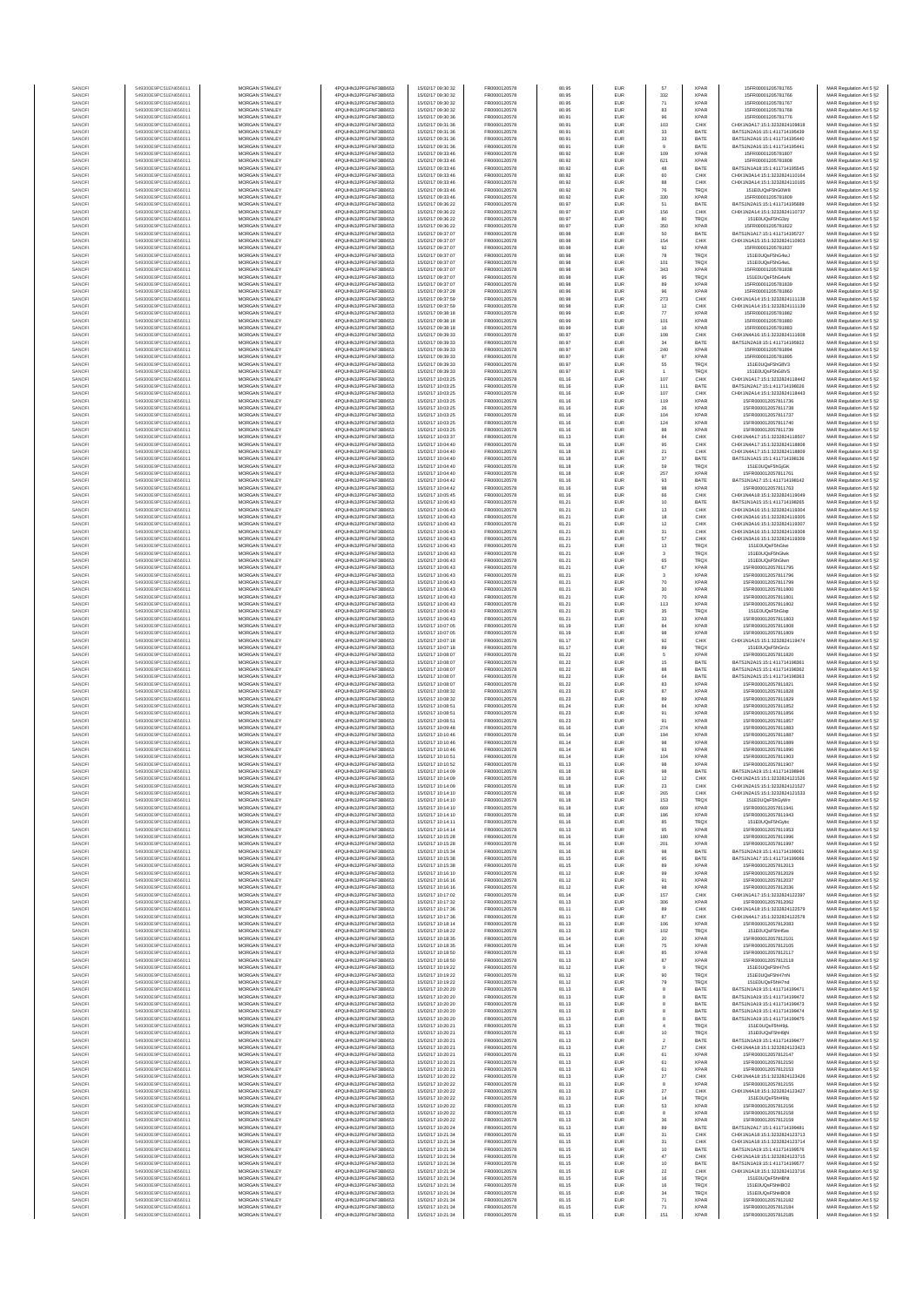| SANOF                  | 549300E9PC51EN656011                         | MORGAN STANLEY                                 | 4PQUHN3JPFGFNF3BB653                          | 15/02/17 09:30:32                      | FR0000120578                 | 80.95          | EUR                      | 57                            | <b>XPAR</b>                | 15FR00001205781765                                             | MAR Regulation Art 5 §2                            |
|------------------------|----------------------------------------------|------------------------------------------------|-----------------------------------------------|----------------------------------------|------------------------------|----------------|--------------------------|-------------------------------|----------------------------|----------------------------------------------------------------|----------------------------------------------------|
| SANOF                  | 549300E9PC51EN656011                         | MORGAN STANLEY                                 | 4PQUHN3JPFGFNF3BB653                          | 15/02/17 09:30:32                      | FR0000120578                 | 80.95          | EUR                      | 332                           | <b>XPAF</b>                | 15FR00001205781766                                             | MAR Regulation Art 5 §2                            |
| SANOFI                 | 549300E9PC51EN656011                         | MORGAN STANLEY                                 | 4PQUHN3JPFGFNF3BB653                          | 15/02/17 09:30:32                      | FR0000120578                 | 80.95          | EUR                      | 71                            | <b>XPAR</b>                | 15FR00001205781767                                             | MAR Regulation Art 5 §2                            |
| SANOFI<br>SANOFI       | 549300E9PC51EN656011<br>549300E9PC51EN656011 | MORGAN STANLEY<br><b>MORGAN STANLEY</b>        | 4PQUHN3JPFGFNF3BB653<br>4PQUHN3JPFGFNF3BB653  | 15/02/17 09:30:32<br>15/02/17 09:30:36 | FR0000120578<br>FR0000120578 | 80.95<br>80.91 | EUR<br><b>EUR</b>        | 83<br>96                      | <b>XPAR</b><br><b>XPAR</b> | 15FR00001205781768<br>15FR00001205781776                       | MAR Regulation Art 5 §2<br>MAR Regulation Art 5 §2 |
| SANOFI                 | 549300E9PC51EN656011                         | MORGAN STANLEY                                 | 4PQUHN3JPFGFNF3BB653                          | 15/02/17 09:31:36                      | FR0000120578                 | 80.91          | EUR                      | 103                           | CHIX                       | CHIX1N3A17:15:1:3232824109818                                  | MAR Regulation Art 5 §2                            |
| SANOFI                 | 549300E9PC51EN656011                         | MORGAN STANLEY                                 | 4PQUHN3JPFGFNF3BB653                          | 15/02/17 09:31:36                      | FR0000120578                 | 80.91          | EUR                      | $_{\rm 33}$                   | BATE                       | BATS1N2A16:15:1:411714195439                                   | MAR Regulation Art 5 §2                            |
| SANOFI                 | 549300E9PC51EN656011                         | MORGAN STANLEY                                 | 4PQUHN3JPFGFNF3BB653                          | 15/02/17 09:31:36                      | FR0000120578                 | 80.91          | EUR                      | $_{\rm 33}$                   | BATE                       | BATS1N2A16:15:1:411714195440                                   | MAR Regulation Art 5 §2                            |
| SANOFI<br>SANOFI       | 549300E9PC51EN656011<br>549300E9PC51EN656011 | MORGAN STANLEY<br>MORGAN STANLEY               | 4PQUHN3JPFGFNF3BB653<br>4PQUHN3JPFGFNF3BB653  | 15/02/17 09:31:36<br>15/02/17 09:33:46 | FR0000120578<br>FR0000120578 | 80.91<br>80.92 | EUR<br>EUR               | $9$<br>109                    | BATE<br><b>XPAF</b>        | BATS1N2A16:15:1:411714195441<br>15FR00001205781807             | MAR Regulation Art 5 §2<br>MAR Regulation Art 5 §2 |
| SANOFI                 | 549300E9PC51EN656011                         | MORGAN STANLEY                                 | 4PQUHN3JPFGFNF3BB653                          | 15/02/17 09:33:46                      | FR0000120578                 | 80.92          | EUR                      | 621                           | <b>XPAF</b>                | 15FR0000120578180                                              | MAR Regulation Art 5 §2                            |
| SANOFI                 | 549300E9PC51EN656011                         | MORGAN STANLEY                                 | 4PQUHN3JPFGFNF3BB653                          | 15/02/17 09:33:46                      | FR0000120578                 | 80.92          | EUR                      | 48                            | BATE                       | BATS1N1A18:15:1:411714195545                                   | MAR Regulation Art 5 §2                            |
| SANOFI                 | 549300E9PC51EN656011                         | MORGAN STANLEY                                 | 4PQUHN3JPFGFNF3BB653                          | 15/02/17 09:33:46                      | FR0000120578                 | 80.92          | EUR                      | 60                            | CHIX                       | CHIX1N3A14:15:1:3232824110164                                  | MAR Regulation Art 5 §2                            |
| SANOFI                 | 549300E9PC51EN656011                         | <b>MORGAN STANLEY</b>                          | 4POLIHN3JPEGENE3BB653                         | 15/02/17 09:33:46                      | FR0000120578<br>FR0000120578 | 80.92          | <b>EUR</b>               | 88                            | CHIX                       | CHIX1N3A14:15:1:3232824110165                                  | MAR Regulation Art 5 §2                            |
| SANOFI<br>SANOFI       | 549300E9PC51EN656011<br>549300E9PC51EN656011 | <b>MORGAN STANLEY</b><br>MORGAN STANLEY        | 4PQUHN3JPFGFNF3BB653<br>4PQUHN3JPFGFNF3BB653  | 15/02/17 09:33:46<br>15/02/17 09:33:46 | FR0000120578                 | 80.92<br>80.92 | EUR<br>EUR               | 76<br>330                     | <b>TRQX</b><br><b>XPAR</b> | 151E0UQsF5hG0W8<br>15FR00001205781809                          | MAR Regulation Art 5 §2<br>MAR Regulation Art 5 §2 |
| SANOFI                 | 549300E9PC51EN656011                         | MORGAN STANLEY                                 | 4PQUHN3JPFGFNF3BB653                          | 15/02/17 09:36:22                      | FR0000120578                 | 80.97          | EUR                      | 51                            | BATE                       | BATS1N2A15:15:1:411714195689                                   | MAR Regulation Art 5 §2                            |
| SANOF                  | 549300E9PC51EN656011                         | MORGAN STANLEY                                 | 4PQUHN3JPFGFNF3BB653                          | 15/02/17 09:36:22                      | FR0000120578                 | 80.97          | EUR                      | 156                           | CHIX                       | CHIX1N2A14:15:1:3232824110737                                  | MAR Regulation Art 5 §2                            |
| SANOFI                 | 549300E9PC51EN656011                         | MORGAN STANLEY                                 | 4PQUHN3JPFGFNF3BB653                          | 15/02/17 09:36:22                      | FR0000120578                 | 80.97          | EUR                      | 80                            | TRQ)                       | 151E0UQsF5hG3zy                                                | MAR Regulation Art 5 §2                            |
| SANOFI                 | 549300E9PC51EN656011                         | MORGAN STANLEY                                 | 4PQUHN3JPFGFNF3BB653                          | 15/02/17 09:36:22                      | FR0000120578                 | 80.97          | EUR                      | 350                           | <b>XPAR</b>                | 15FR00001205781822                                             | MAR Regulation Art 5 §2                            |
| SANOFI                 | 549300E9PC51EN656011                         | MORGAN STANLEY                                 | 4PQUHN3JPFGFNF3BB653<br>4POLIHN3JPEGENE3BB653 | 15/02/17 09:37:07<br>15/02/17 09:37:07 | FR0000120578                 | 80.98          | EUR                      | 50                            | BATE                       | BATS1N1A17:15:1:411714195727                                   | MAR Regulation Art 5 §2                            |
| SANOFI<br>SANOFI       | 549300E9PC51EN656011<br>549300E9PC51EN656011 | <b>MORGAN STANLEY</b><br><b>MORGAN STANLEY</b> | 4PQUHN3JPFGFNF3BB653                          | 15/02/17 09:37:07                      | FR0000120578<br>FR0000120578 | 80.98<br>80.98 | EUR<br><b>EUR</b>        | 154<br>92                     | CHIX<br><b>XPAR</b>        | CHIX1N1A15:15:1:3232824110903<br>15FR00001205781837            | MAR Regulation Art 5 §2<br>MAR Regulation Art 5 §2 |
| SANOFI                 | 549300E9PC51EN656011                         | MORGAN STANLEY                                 | 4POLIHN3JPEGENE3BB653                         | 15/02/17 09:37:07                      | FR0000120578                 | 80.98          | EUR                      | 78                            | <b>TRQX</b>                | 151E0UQsF5hG4wJ                                                | MAR Regulation Art 5 §2                            |
| SANOFI                 | 549300E9PC51EN656011                         | MORGAN STANLEY                                 | 4PQUHN3JPFGFNF3BB653                          | 15/02/17 09:37:07                      | FR0000120578                 | 80.98          | EUR                      | 101                           | <b>TRQX</b>                | 151E0UQsF5hG4wL                                                | MAR Regulation Art 5 §2                            |
| SANOFI                 | 549300E9PC51EN656011                         | MORGAN STANLEY                                 | 4PQUHN3JPFGFNF3BB653                          | 15/02/17 09:37:07                      | FR0000120578                 | 80.98          | EUR                      | 343                           | <b>XPAR</b>                | 15FR00001205781838                                             | MAR Regulation Art 5 §2                            |
| SANOFI                 | 549300E9PC51EN656011<br>549300E9PC51EN656011 | MORGAN STANLEY<br>MORGAN STANLEY               | 4PQUHN3JPFGFNF3BB653                          | 15/02/17 09:37:07                      | FR0000120578                 | 80.98          | EUR                      | 95                            | TRQ)                       | 151E0UQsF5hG4wN                                                | MAR Regulation Art 5 §2                            |
| SANOFI<br>SANOFI       | 549300E9PC51EN656011                         | MORGAN STANLEY                                 | 4PQUHN3JPFGFNF3BB653<br>4PQUHN3JPFGFNF3BB653  | 15/02/17 09:37:07<br>15/02/17 09:37:28 | FR0000120578<br>FR0000120578 | 80.98<br>80.96 | EUR<br>EUR               | 89<br>96                      | <b>XPAR</b><br><b>XPAR</b> | 15FR00001205781839<br>15FR00001205781860                       | MAR Regulation Art 5 §2<br>MAR Regulation Art 5 §2 |
| SANOFI                 | 549300E9PC51EN656011                         | <b>MORGAN STANLEY</b>                          | 4POLIHN3JPEGENE3BB653                         | 15/02/17 09:37:59                      | FR0000120578                 | 80.98          | <b>EUR</b>               | 273                           | CHIX                       | CHIX1N1A14:15:1:3232824111138                                  | MAR Regulation Art 5 §2                            |
| SANOFI                 | 549300E9PC51EN656011                         | <b>MORGAN STANLEY</b>                          | 4PQUHN3JPFGFNF3BB653                          | 15/02/17 09:37:59                      | FR0000120578                 | 80.98          | EUR                      | 12                            | CHIX                       | CHIX1N1A14-15-1-3232824111139                                  | MAR Regulation Art 5 §2                            |
| SANOFI                 | 549300E9PC51EN656011                         | MORGAN STANLEY                                 | 4PQUHN3JPFGFNF3BB653                          | 15/02/17 09:38:18                      | FR0000120578                 | 80.99          | EUR                      | $77\,$                        | <b>XPAR</b>                | 15FR00001205781882                                             | MAR Regulation Art 5 §2                            |
| SANOFI<br>SANOF        | 549300E9PC51EN656011<br>549300E9PC51EN656011 | MORGAN STANLEY<br>MORGAN STANLEY               | 4PQUHN3JPFGFNF3BB653<br>4PQUHN3JPFGFNF3BB653  | 15/02/17 09:38:18<br>15/02/17 09:38:18 | FR0000120578<br>FR0000120578 | 80.99<br>80.99 | EUR<br>EUR               | 101<br>16                     | <b>XPAR</b><br><b>XPAF</b> | 15FR00001205781880<br>15FR00001205781883                       | MAR Regulation Art 5 §2<br>MAR Regulation Art 5 §2 |
| SANOFI                 | 549300E9PC51EN656011                         | MORGAN STANLEY                                 | 4PQUHN3JPFGFNF3BB653                          | 15/02/17 09:39:33                      | FR0000120578                 | 80.97          | EUR                      | 108                           | CHIX                       | CHIX1N4A16:15:1:3232824111608                                  | MAR Regulation Art 5 §2                            |
| SANOFI                 | 549300E9PC51EN656011                         | MORGAN STANLEY                                 | 4PQUHN3JPFGFNF3BB653                          | 15/02/17 09:39:33                      | FR0000120578                 | 80.97          | EUR                      | $_{\rm 34}$                   | BATE                       | BATS1N2A18:15:1:411714195922                                   | MAR Regulation Art 5 §2                            |
| SANOFI                 | 549300E9PC51EN656011                         | MORGAN STANLEY                                 | 4PQUHN3JPFGFNF3BB653                          | 15/02/17 09:39:33                      | FR0000120578                 | 80.97          | EUR                      | 240                           | <b>XPAR</b>                | 15FR00001205781894                                             | MAR Regulation Art 5 §2                            |
| SANOFI<br>SANOFI       | 549300E9PC51EN656011<br>549300E9PC51EN656011 | <b>MORGAN STANLEY</b><br><b>MORGAN STANLEY</b> | 4PQUHN3JPFGFNF3BB653<br>4PQUHN3JPFGFNF3BB653  | 15/02/17 09:39:33<br>15/02/17 09:39:33 | FR0000120578<br>FR0000120578 | 80.97<br>80.97 | <b>EUR</b><br><b>EUR</b> | 97<br>55                      | <b>XPAR</b><br><b>TRQX</b> | 15FR00001205781895<br>151E0UQsF5hG8V3                          | MAR Regulation Art 5 §2<br>MAR Regulation Art 5 §2 |
| SANOFI                 | 549300E9PC51EN656011                         | MORGAN STANLEY                                 | 4PQUHN3JPFGFNF3BB653                          | 15/02/17 09:39:33                      | FR0000120578                 | 80.97          | EUR                      |                               | TRQX                       | 151E0UQsF5hG8VS                                                | MAR Regulation Art 5 §2                            |
| SANOFI                 | 549300E9PC51EN656011                         | MORGAN STANLEY                                 | 4PQUHN3JPFGFNF3BB653                          | 15/02/17 10:03:25                      | FR0000120578                 | 81.16          | EUR                      | 107                           | CHIX                       | CHIX1N1A17:15:1:3232824118442                                  | MAR Regulation Art 5 §2                            |
| SANOFI                 | 549300E9PC51EN656011                         | MORGAN STANLEY                                 | 4PQUHN3JPFGFNF3BB653                          | 15/02/17 10:03:25                      | FR0000120578                 | 81.16          | EUR                      | 111                           | BATE                       | BATS1N2A17:15:1:411714198026                                   | MAR Regulation Art 5 §2                            |
| SANOF<br>SANOFI        | 549300E9PC51EN656011<br>549300E9PC51EN656011 | MORGAN STANLEY<br>MORGAN STANLEY               | 4PQUHN3JPFGFNF3BB653<br>4PQUHN3JPFGFNF3BB653  | 15/02/17 10:03:25<br>15/02/17 10:03:25 | FR0000120578<br>FR0000120578 | 81.16<br>81.16 | EUR<br>EUR               | 107<br>119                    | CHIX<br><b>XPAF</b>        | CHIX1N2A14:15:1:3232824118443<br>15FR000012057811736           | MAR Regulation Art 5 §2                            |
| SANOFI                 | 549300E9PC51EN656011                         | MORGAN STANLEY                                 | 4PQUHN3JPFGFNF3BB653                          | 15/02/17 10:03:25                      | FR0000120578                 | 81.16          | EUR                      | 26                            | <b>XPAR</b>                | 15FR000012057811738                                            | MAR Regulation Art 5 §2<br>MAR Regulation Art 5 §2 |
| SANOFI                 | 549300E9PC51EN656011                         | MORGAN STANLEY                                 | 4PQUHN3JPFGFNF3BB653                          | 15/02/17 10:03:25                      | FR0000120578                 | 81.16          | EUR                      | 104                           | <b>XPAR</b>                | 15FR000012057811737                                            | MAR Regulation Art 5 §2                            |
| SANOFI                 | 549300E9PC51EN656011                         | <b>MORGAN STANLEY</b>                          | 4PQUHN3JPFGFNF3BB653                          | 15/02/17 10:03:25                      | FR0000120578                 | 81.16          | EUR                      | 124                           | <b>XPAR</b>                | 15FR000012057811740                                            | MAR Regulation Art 5 §2                            |
| SANOFI                 | 549300E9PC51EN656011                         | <b>MORGAN STANLEY</b>                          | 4PQUHN3JPFGFNF3BB653                          | 15/02/17 10:03:25                      | FR0000120578                 | 81.16          | <b>EUR</b>               | 88                            | <b>XPAR</b>                | 15FR000012057811739                                            | MAR Regulation Art 5 §2                            |
| SANOFI<br>SANOFI       | 549300E9PC51EN656011<br>549300E9PC51EN656011 | MORGAN STANLEY<br>MORGAN STANLEY               | 4PQUHN3JPFGFNF3BB653<br>4PQUHN3JPFGFNF3BB653  | 15/02/17 10:03:37<br>15/02/17 10:04:40 | FR0000120578<br>FR0000120578 | 81.13<br>81.18 | EUR<br>EUR               | 84<br>95                      | CHIX<br>CHIX               | CHIX1N4A17:15:1:3232824118507<br>CHIX1N4A17:15:1:3232824118808 | MAR Regulation Art 5 §2<br>MAR Regulation Art 5 §2 |
| SANOFI                 | 549300E9PC51EN656011                         | MORGAN STANLEY                                 | 4PQUHN3JPFGFNF3BB653                          | 15/02/17 10:04:40                      | FR0000120578                 | 81.18          | EUR                      | 21                            | CHIX                       | CHIX1N4A17:15:1:3232824118809                                  | MAR Regulation Art 5 §2                            |
| SANOFI                 | 549300E9PC51EN656011                         | MORGAN STANLEY                                 | 4PQUHN3JPFGFNF3BB653                          | 15/02/17 10:04:40                      | FR0000120578                 | 81.18          | EUR                      | $37\,$                        | BATE                       | BATS1N1A15:15:1:411714198136                                   | MAR Regulation Art 5 §2                            |
| SANOFI                 | 549300E9PC51EN656011                         | MORGAN STANLEY                                 | 4PQUHN3JPFGFNF3BB653                          | 15/02/17 10:04:40                      | FR0000120578                 | 81.18          | EUR                      | 59                            | <b>TRQX</b>                | 151E0UQsF5hGjGK                                                | MAR Regulation Art 5 §2                            |
| SANOFI<br>SANOFI       | 549300E9PC51EN656011<br>549300E9PC51EN656011 | MORGAN STANLEY<br><b>MORGAN STANLEY</b>        | 4PQUHN3JPFGFNF3BB653<br>4POLIHN3JPEGENE3BB653 | 15/02/17 10:04:40<br>15/02/17 10:04:42 | FR0000120578<br>FR0000120578 | 81.18<br>81.16 | EUR<br><b>EUR</b>        | 257<br>93                     | <b>XPAR</b><br>BATE        | 15FR000012057811761<br>BATS1N1A17:15:1:411714198142            | MAR Regulation Art 5 §2<br>MAR Regulation Art 5 §2 |
| SANOFI                 | 549300E9PC51EN656011                         | <b>MORGAN STANLEY</b>                          | 4PQUHN3JPFGFNF3BB653                          | 15/02/17 10:04:42                      | FR0000120578                 | 81.16          | EUR                      | 98                            | <b>XPAR</b>                | 15FR000012057811763                                            | MAR Regulation Art 5 §2                            |
| SANOFI                 | 549300E9PC51EN656011                         | MORGAN STANLEY                                 | 4PQUHN3JPFGFNF3BB653                          | 15/02/17 10:05:45                      | FR0000120578                 | 81.16          | EUR                      | $66\,$                        | CHIX                       | CHIX1N4A18:15:1:3232824119049                                  | MAR Regulation Art 5 §2                            |
| SANOFI                 | 549300E9PC51EN656011                         | MORGAN STANLEY                                 | 4PQUHN3JPFGFNF3BB653                          | 15/02/17 10:06:43                      | FR0000120578                 | 81.21          | EUR                      | 10                            | BATE                       | BATS1N1A15:15:1:411714198265                                   | MAR Regulation Art 5 §2                            |
| SANOFI<br>SANOFI       | 549300E9PC51EN656011<br>549300E9PC51EN656011 | MORGAN STANLEY<br>MORGAN STANLEY               | 4PQUHN3JPFGFNF3BB653<br>4PQUHN3JPFGFNF3BB653  | 15/02/17 10:06:43<br>15/02/17 10:06:43 | FR0000120578<br>FR0000120578 | 81.21<br>81.21 | EUR<br>EUR               | 13<br>18                      | CHIX<br>CHIX               | CHIX1N3A16:15:1:3232824119304<br>CHIX1N3A16:15:1:3232824119305 | MAR Regulation Art 5 §2<br>MAR Regulation Art 5 §2 |
| SANOFI                 | 549300E9PC51EN656011                         | MORGAN STANLEY                                 | 4PQUHN3JPFGFNF3BB653                          | 15/02/17 10:06:43                      | FR0000120578                 | 81.21          | EUR                      | $12\,$                        | CHIX                       | CHIX1N3A16:15:1:3232824119307                                  | MAR Regulation Art 5 §2                            |
| SANOFI                 | 549300E9PC51EN656011                         | MORGAN STANLEY                                 | 4PQUHN3JPFGFNF3BB653                          | 15/02/17 10:06:43                      | FR0000120578                 | 81.21          | EUR                      | 31                            | CHIX                       | CHIX1N3A16:15:1:3232824119308                                  | MAR Regulation Art 5 §2                            |
| SANOFI                 | 549300E9PC51EN656011                         | <b>MORGAN STANLEY</b>                          | 4PQUHN3JPFGFNF3BB653                          | 15/02/17 10:06:43                      | FR0000120578                 | 81.21          | EUR                      | 57                            | CHIX                       | CHIX1N3A16:15:1:3232824119309                                  | MAR Regulation Art 5 §2                            |
| SANOFI<br>SANOFI       | 549300E9PC51EN656011<br>549300E9PC51EN656011 | <b>MORGAN STANLEY</b><br>MORGAN STANLEY        | 4PQUHN3JPFGFNF3BB653<br>4PQUHN3JPFGFNF3BB653  | 15/02/17 10:06:43<br>15/02/17 10:06:43 | FR0000120578<br>FR0000120578 | 81.21<br>81.21 | <b>EUR</b><br>EUR        | 13<br>$\overline{\mathbf{3}}$ | <b>TRQX</b><br><b>TRQX</b> | 151E0UQsF5hGlwi<br>151E0UQsF5hGlwk                             | MAR Regulation Art 5 §2<br>MAR Regulation Art 5 §2 |
| SANOFI                 | 549300E9PC51EN656011                         | MORGAN STANLEY                                 | 4PQUHN3JPFGFNF3BB653                          | 15/02/17 10:06:43                      | FR0000120578                 | 81.21          | EUR                      | 65                            | TRQX                       | 151E0UQsF5hGlwr                                                | MAR Regulation Art 5 §2                            |
| SANOFI                 | 549300E9PC51EN656011                         | MORGAN STANLEY                                 | 4PQUHN3JPFGFNF3BB653                          | 15/02/17 10:06:43                      | FR0000120578                 | 81.21          | EUR                      | 67                            | <b>XPAF</b>                | 15FR000012057811795                                            | MAR Regulation Art 5 §2                            |
| SANOFI                 | 549300E9PC51EN656011                         | MORGAN STANLEY                                 | 4PQUHN3JPFGFNF3BB653                          | 15/02/17 10:06:43                      | FR0000120578                 | 81.21          | EUR                      | $\overline{\mathbf{3}}$       | <b>XPAF</b>                | 15FR000012057811796                                            | MAR Regulation Art 5 §2                            |
| SANOFI<br>SANOFI       | 549300E9PC51EN656011<br>549300E9PC51EN656011 | MORGAN STANLEY<br>MORGAN STANLEY               | 4PQUHN3JPFGFNF3BB653<br>4PQUHN3JPFGFNF3BB653  | 15/02/17 10:06:43<br>15/02/17 10:06:43 | FR0000120578<br>FR0000120578 | 81.21<br>81.21 | EUR<br>EUR               | 70<br>$30\,$                  | <b>XPAR</b><br><b>XPAR</b> | 15FR000012057811799<br>15FR000012057811800                     | MAR Regulation Art 5 §2<br>MAR Regulation Art 5 §2 |
| SANOFI                 | 549300E9PC51EN656011                         | <b>MORGAN STANLEY</b>                          | 4PQUHN3JPFGFNF3BB653                          | 15/02/17 10:06:43                      | FR0000120578                 | 81.21          | <b>EUR</b>               | 70                            | <b>XPAR</b>                | 15FR000012057811801                                            | MAR Regulation Art 5 §2                            |
| SANOFI                 | 549300E9PC51EN656011                         | <b>MORGAN STANLEY</b>                          | 4PQUHN3JPFGFNF3BB653                          | 15/02/17 10:06:43                      | FR0000120578                 | 81.21          | EUR                      | 113                           | <b>XPAR</b>                | 15FR000012057811802                                            | MAR Regulation Art 5 §2                            |
| SANOFI<br>SANOFI       | 549300E9PC51EN656011<br>549300E9PC51EN656011 | MORGAN STANLEY<br>MORGAN STANLEY               | 4PQUHN3JPFGFNF3BB653<br>4PQUHN3JPFGFNF3BB653  | 15/02/17 10:06:43<br>15/02/17 10:06:43 | FR0000120578<br>FR0000120578 | 81.21<br>81.21 | EUR<br>EUR               | $3\mathrm{5}$<br>$_{\rm 33}$  | <b>TRQX</b><br><b>XPAR</b> | 151E0UQsF5hGlxp<br>15FR000012057811803                         | MAR Regulation Art 5 §2<br>MAR Regulation Art 5 §2 |
| SANOF                  | 549300E9PC51EN656011                         | MORGAN STANLEY                                 | 4PQUHN3JPFGFNF3BB653                          | 15/02/17 10:07:05                      | FR0000120578                 | 81.19          | EUR                      | $^{\rm 84}$                   | <b>XPAF</b>                | 15FR000012057811808                                            | MAR Regulation Art 5 §2                            |
| SANOFI                 | 549300E9PC51EN656011                         | MORGAN STANLEY                                 | 4PQUHN3JPFGFNF3BB653                          | 15/02/17 10:07:05                      | FR0000120578                 | 81.19          | EUR                      | 98                            | <b>XPAF</b>                | 15FR000012057811809                                            | MAR Regulation Art 5 §2                            |
| SANOF                  | 549300E9PC51EN656011                         | MORGAN STANLEY                                 | 4PQUHN3JPFGFNF3BB653                          | 15/02/17 10:07:18                      | FR0000120578                 | 81.17          | EUR                      | 92                            | CHIX                       | CHIX1N1A15:15:1:3232824119474                                  | MAR Regulation Art 5 §2                            |
| SANOFI<br>SANOFI       | 549300E9PC51EN656011<br>549300E9PC51EN656011 | MORGAN STANLEY<br>MORGAN STANLEY               | 4PQUHN3JPFGFNF3BB653<br>4PQUHN3JPFGFNF3BB653  | 15/02/17 10:07:18<br>15/02/17 10:08:07 | FR0000120578<br>FR0000120578 | 81.17<br>81.22 | EUR<br>EUR               | 89<br>5                       | <b>TRQX</b><br><b>XPAR</b> | 151E0UQsF5hGn1x<br>15FR000012057811820                         | MAR Regulation Art 5 §2<br>MAR Regulation Art 5 §2 |
| SANOFI                 | 549300E9PC51EN656011                         | <b>MORGAN STANLEY</b>                          | 4PQUHN3JPFGFNF3BB653                          | 15/02/17 10:08:07                      | FR0000120578                 | 81.22          | <b>EUR</b>               | 15                            | BATE                       | BATS1N2A15:15:1:411714198361                                   | MAR Regulation Art 5 §2                            |
| SANOFI                 | 549300E9PC51EN656011                         | <b>MORGAN STANLEY</b>                          | 4PQUHN3JPFGFNF3BB653                          | 15/02/17 10:08:07                      | FR0000120578                 | 81.22          | EUR                      | 88                            | BATE                       | BATS1N2A15:15:1:411714198362                                   | MAR Regulation Art 5 §2                            |
| SANOFI                 | 549300E9PC51EN656011                         | MORGAN STANLEY                                 | 4PQUHN3JPFGFNF3BB653                          | 15/02/17 10:08:07                      | FR0000120578                 | 81.22          | EUR                      | $_{\rm 64}$                   | BATE                       | BATS1N2A15:15:1:411714198363                                   | MAR Regulation Art 5 §2                            |
| SANOFI                 | 549300E9PC51EN656011                         | MORGAN STANLEY                                 | 4PQUHN3JPFGFNF3BB653                          | 15/02/17 10:08:07                      | FR0000120578<br>FR0000120578 | 81.22          | EUR                      | 83                            | <b>XPAR</b>                | 15FR000012057811821                                            | MAR Regulation Art 5 §2                            |
| SANOF<br>SANOFI        | 549300E9PC51EN656011<br>549300E9PC51EN656011 | MORGAN STANLEY<br>MORGAN STANLEY               | 4PQUHN3JPFGFNF3BB653<br>4PQUHN3JPFGFNF3BB653  | 15/02/17 10:08:32<br>15/02/17 10:08:32 | FR0000120578                 | 81.23<br>81.23 | EUR<br>EUR               | 87<br>89                      | <b>XPAR</b><br><b>XPAR</b> | 15FR000012057811828<br>15FR000012057811829                     | MAR Regulation Art 5 §2<br>MAR Regulation Art 5 §2 |
| SANOFI                 | 549300E9PC51EN656011                         | MORGAN STANLEY                                 | 4PQUHN3JPFGFNF3BB653                          | 15/02/17 10:08:51                      | FR0000120578                 | 81.24          | EUR                      | $^{\rm 84}$                   | <b>XPAR</b>                | 15FR000012057811852                                            | MAR Regulation Art 5 §2                            |
| SANOFI                 | 549300E9PC51EN656011                         | MORGAN STANLEY                                 | 4PQUHN3JPFGFNF3BB653                          | 15/02/17 10:08:51                      | FR0000120578                 | 81.23          | EUR                      | 91                            | <b>XPAR</b>                | 15FR000012057811856                                            | MAR Regulation Art 5 §2                            |
| SANOFI                 | 549300E9PC51EN656011                         | <b>MORGAN STANLEY</b><br>MORGAN STANLEY        | 4PQUHN3JPFGFNF3BB653                          | 15/02/17 10:08:51                      | FR0000120578                 | 81.23          | EUR                      | 91                            | <b>XPAR</b>                | 15FR000012057811857                                            | MAR Regulation Art 5 §2                            |
| SANOFI<br>SANOFI       | 549300E9PC51EN656011<br>549300E9PC51EN656011 | MORGAN STANLEY                                 | 4PQUHN3JPFGFNF3BB653<br>4POLIHN3JPEGENE3BB653 | 15/02/17 10:09:48<br>15/02/17 10:10:46 | FR0000120578<br>FR0000120578 | 81.16<br>81.14 | <b>EUR</b><br>EUR        | 274<br>194                    | <b>XPAR</b><br>XPAR        | 15FR000012057811883<br>15FR000012057811887                     | MAR Regulation Art 5 §2<br>MAR Regulation Art 5 §2 |
| SANOFI                 | 549300E9PC51EN656011                         | MORGAN STANLEY                                 | 4PQUHN3JPFGFNF3BB653                          | 15/02/17 10:10:46                      | FR0000120578                 | 81.14          | EUR                      | 98                            | <b>XPAR</b>                | 15FR000012057811889                                            | MAR Regulation Art 5 §2                            |
| SANOF                  | 549300E9PC51EN656011                         | MORGAN STANLEY                                 | 4PQUHN3JPFGFNF3BB653                          | 15/02/17 10:10:46                      | FR0000120578                 | 81.14          | EUR                      | 93                            | <b>XPAR</b>                | 15FR000012057811890                                            | MAR Regulation Art 5 §2                            |
| SANOF                  | 549300E9PC51EN656011                         | MORGAN STANLEY                                 | 4PQUHN3JPFGFNF3BB653                          | 15/02/17 10:10:51                      | FR0000120578                 | 81.14          | EUR                      | 104                           | XPAR                       | 15FR000012057811903                                            | MAR Regulation Art 5 §2                            |
| SANOFI                 | 549300E9PC51EN656011<br>549300E9PC51EN656011 | MORGAN STANLEY<br>MORGAN STANLEY               | 4PQUHN3JPFGFNF3BB653<br>4PQUHN3JPFGFNF3BB653  | 15/02/17 10:10:52<br>15/02/17 10:14:09 | FR0000120578<br>FR0000120578 | 81.13<br>81.18 | EUR<br>EUR               | 98<br>98                      | <b>XPAR</b><br>BATE        | 15FR000012057811907<br>BATS1N1A19:15:1:411714198946            | MAR Regulation Art 5 §2<br>MAR Regulation Art 5 §2 |
| SANOFI<br><b>SANOF</b> | 9300E9PC51EN656011                           | <b>IORGAN STANLEY</b>                          | OLIHN3JPEGENE3BB652                           | 15/02/17 10:14:09                      | R000012057                   | 81 18          | FUR                      | 12                            |                            | HIX1N2A15-15-1-323282412152                                    | MAR Regulation Art 5.82                            |
| SANOFI                 | 549300E9PC51EN656011                         | <b>MORGAN STANLEY</b>                          | 4PQUHN3JPFGFNF3BB653                          | 15/02/17 10:14:09                      | FR0000120578                 | 81.18          | <b>EUR</b>               | 23                            | CHIX                       | CHIX1N2A15:15:1:3232824121527                                  | MAR Regulation Art 5 §2                            |
| SANOFI                 | 549300E9PC51EN656011                         | MORGAN STANLEY                                 | 4PQUHN3JPFGFNF3BB653                          | 15/02/17 10:14:10                      | FR0000120578                 | 81.18          | EUR                      | 265                           | CHIX                       | CHIX1N2A15:15:1:3232824121533                                  | MAR Regulation Art 5 §2                            |
| SANOFI                 | 549300E9PC51EN656011                         | MORGAN STANLEY                                 | 4PQUHN3JPFGFNF3BB653                          | 15/02/17 10:14:10<br>15/02/17 10:14:10 | FR0000120578                 | 81.18          | EUR                      | 153                           | TRQX                       | 151E0UQsF5hGvWn<br>15FR000012057811941                         | MAR Regulation Art 5 §2                            |
| SANOFI<br>SANOFI       | 549300E9PC51EN656011<br>549300E9PC51EN656011 | MORGAN STANLEY<br>MORGAN STANLEY               | 4PQUHN3JPFGFNF3BB653<br>4PQUHN3JPFGFNF3BB653  | 15/02/17 10:14:10                      | FR0000120578<br>FR0000120578 | 81.18<br>81.18 | EUR<br>EUR               | 669<br>186                    | <b>XPAR</b><br><b>XPAR</b> | 15FR000012057811943                                            | MAR Regulation Art 5 §2<br>MAR Regulation Art 5 §2 |
| SANOFI                 | 549300E9PC51EN656011                         | MORGAN STANLEY                                 | 4PQUHN3JPFGFNF3BB653                          | 15/02/17 10:14:11                      | FR0000120578                 | 81.16          | EUR                      | 85                            | TRQX                       | 151F0UQsF5hGvhc                                                | MAR Regulation Art 5 §2                            |
| SANOFI                 | 549300E9PC51EN656011                         | MORGAN STANLEY                                 | 4PQUHN3JPFGFNF3BB653                          | 15/02/17 10:14:14                      | FR0000120578                 | 81.13          | EUR                      | 95                            | <b>XPAR</b>                | 15FR000012057811953                                            | MAR Regulation Art 5 §2                            |
| SANOFI                 | 549300E9PC51EN656011                         | <b>MORGAN STANLEY</b>                          | 4PQUHN3JPFGFNF3BB653                          | 15/02/17 10:15:28                      | FR0000120578                 | 81.16          | <b>EUR</b>               | 180                           | <b>XPAR</b>                | 15FR000012057811996                                            | MAR Regulation Art 5 §2                            |
| SANOFI<br>SANOFI       | 549300E9PC51EN656011<br>549300E9PC51EN656011 | <b>MORGAN STANLEY</b><br>MORGAN STANLEY        | 4PQUHN3JPFGFNF3BB653<br>4PQUHN3JPFGFNF3BB653  | 15/02/17 10:15:28<br>15/02/17 10:15:34 | FR0000120578<br>FR0000120578 | 81.16<br>81.16 | <b>EUR</b><br>EUR        | 201<br>98                     | <b>XPAR</b><br>BATE        | 15FR000012057811997<br>BATS1N2A19:15:1:411714199061            | MAR Regulation Art 5 §2<br>MAR Regulation Art 5 §2 |
| SANOFI                 | 549300E9PC51EN656011                         | MORGAN STANLEY                                 | 4PQUHN3JPFGFNF3BB653                          | 15/02/17 10:15:38                      | FR0000120578                 | 81.15          | EUR                      | 95                            | BATE                       | BATS1N1A17:15:1:411714199066                                   | MAR Regulation Art 5 §2                            |
| SANOFI                 | 549300E9PC51EN656011                         | MORGAN STANLEY                                 | 4PQUHN3JPFGFNF3BB653                          | 15/02/17 10:15:38                      | FR0000120578                 | 81.15          | EUR                      | 89                            | <b>XPAR</b>                | 15FR000012057812013                                            | MAR Regulation Art 5 §2                            |
| SANOFI<br>SANOFI       | 549300E9PC51EN656011<br>549300E9PC51EN656011 | MORGAN STANLEY<br>MORGAN STANLEY               | 4PQUHN3JPFGFNF3BB653<br>4PQUHN3JPFGFNF3BB653  | 15/02/17 10:16:10<br>15/02/17 10:16:16 | FR0000120578<br>FR0000120578 | 81.12<br>81.12 | EUR<br>EUR               | 99<br>91                      | <b>XPAR</b><br><b>XPAR</b> | 15FR000012057812029<br>15FR000012057812037                     | MAR Regulation Art 5 §2<br>MAR Regulation Art 5 §2 |
| SANOFI                 | 549300E9PC51EN656011                         | MORGAN STANLEY                                 | 4PQUHN3JPFGFNF3BB653                          | 15/02/17 10:16:16                      | FR0000120578                 | 81.12          | <b>EUR</b>               | 98                            | <b>XPAR</b>                | 15FR000012057812036                                            | MAR Regulation Art 5 §2                            |
| SANOFI                 | 549300E9PC51EN656011                         | MORGAN STANLEY                                 | 4PQUHN3JPFGFNF3BB653                          | 15/02/17 10:17:02                      | FR0000120578                 | 81.14          | EUR                      | 157                           | CHIX                       | CHIX1N1A17:15:1:3232824122397                                  | MAR Regulation Art 5 §2                            |
| SANOFI                 | 549300E9PC51EN656011                         | <b>MORGAN STANLEY</b>                          | 4PQUHN3JPFGFNF3BB653                          | 15/02/17 10:17:32                      | FR0000120578                 | 81.13          | <b>EUR</b>               | 306                           | <b>XPAR</b>                | 15FR000012057812062                                            | MAR Regulation Art 5 §2                            |
| SANOFI<br>SANOFI       | 549300E9PC51EN656011<br>549300E9PC51EN656011 | <b>MORGAN STANLEY</b><br>MORGAN STANLEY        | 4PQUHN3JPFGFNF3BB653<br>4PQUHN3JPFGFNF3BB653  | 15/02/17 10:17:36<br>15/02/17 10:17:36 | FR0000120578<br>FR0000120578 | 81.11<br>81.11 | <b>EUR</b><br>EUR        | 89<br>87                      | CHIX<br>CHIX               | CHIX1N1A18:15:1:3232824122579<br>CHIX1N4A17:15:1:3232824122578 | MAR Regulation Art 5 §2<br>MAR Regulation Art 5 §2 |
| SANOFI                 | 549300E9PC51EN656011                         | MORGAN STANLEY                                 | 4PQUHN3JPFGFNF3BB653                          | 15/02/17 10:18:14                      | FR0000120578                 | 81.13          | EUR                      | 106                           | <b>XPAR</b>                | 15FR000012057812083                                            | MAR Regulation Art 5 §2                            |
| SANOFI                 | 549300E9PC51EN656011                         | MORGAN STANLEY                                 | 4PQUHN3JPFGFNF3BB653                          | 15/02/17 10:18:22                      | FR0000120578                 | 81.13          | EUR                      | 102                           | TRQ)                       | 151E0UQsF5hH5xs                                                | MAR Regulation Art 5 §2                            |
| SANOFI                 | 549300E9PC51EN656011                         | MORGAN STANLEY                                 | 4PQUHN3JPFGFNF3BB653                          | 15/02/17 10:18:35                      | FR0000120578                 | 81.14          | EUR                      | 20                            | <b>XPAR</b>                | 15FR000012057812101                                            | MAR Regulation Art 5 §2                            |
| SANOFI<br>SANOFI       | 549300E9PC51EN656011<br>549300E9PC51EN656011 | MORGAN STANLEY<br>MORGAN STANLEY               | 4PQUHN3JPFGFNF3BB653<br>4PQUHN3JPFGFNF3BB653  | 15/02/17 10:18:35<br>15/02/17 10:18:50 | FR0000120578<br>FR0000120578 | 81.14<br>81.13 | EUR<br>EUR               | 75<br>85                      | <b>XPAR</b><br><b>XPAR</b> | 15FR000012057812105<br>15FR000012057812117                     | MAR Regulation Art 5 §2<br>MAR Regulation Art 5 §2 |
| SANOFI                 | 549300E9PC51EN656011                         | <b>MORGAN STANLEY</b>                          | 4PQUHN3JPFGFNF3BB653                          | 15/02/17 10:18:50                      | FR0000120578                 | 81.13          | <b>EUR</b>               | 87                            | <b>XPAR</b>                | 15FR000012057812118                                            | MAR Regulation Art 5 §2                            |
| SANOFI                 | 549300E9PC51EN656011                         | <b>MORGAN STANLEY</b>                          | 4PQUHN3JPFGFNF3BB653                          | 15/02/17 10:19:22                      | FR0000120578                 | 81.12          | <b>EUR</b>               | $\overline{9}$                | <b>TRQX</b>                | 151E0UQsF5hH7nS                                                | MAR Regulation Art 5 §2                            |
| SANOFI                 | 549300E9PC51EN656011                         | MORGAN STANLEY                                 | 4PQUHN3JPFGFNF3BB653                          | 15/02/17 10:19:22                      | FR0000120578                 | 81.12          | EUR                      | 90                            | TRQX                       | 151E0UQsF5hH7nN                                                | MAR Regulation Art 5 §2                            |
| SANOFI<br>SANOFI       | 549300E9PC51EN656011<br>549300E9PC51EN656011 | MORGAN STANLEY<br>MORGAN STANLEY               | 4PQUHN3JPFGFNF3BB653<br>4PQUHN3JPFGFNF3BB653  | 15/02/17 10:19:22<br>15/02/17 10:20:20 | FR0000120578<br>FR0000120578 | 81.12<br>81.13 | EUR<br>EUR               | 79                            | <b>TRQX</b><br>BATE        | 151E0UQsF5hH7nd<br>BATS1N1A19:15:1:411714199471                | MAR Regulation Art 5 §2<br>MAR Regulation Art 5 §2 |
| SANOFI                 | 549300E9PC51EN656011                         | MORGAN STANLEY                                 | 4PQUHN3JPFGFNF3BB653                          | 15/02/17 10:20:20                      | FR0000120578                 | 81.13          | EUR                      |                               | BATE                       | BATS1N1A19:15:1:411714199472                                   | MAR Regulation Art 5 §2                            |
| SANOFI                 | 549300E9PC51EN656011                         | MORGAN STANLEY                                 | 4PQUHN3JPFGFNF3BB653                          | 15/02/17 10:20:20                      | FR0000120578                 | 81.13          | EUR                      | 8                             | BATE                       | BATS1N1A19:15:1:411714199473                                   | MAR Regulation Art 5 §2                            |
| SANOFI<br>SANOFI       | 549300E9PC51EN656011<br>549300E9PC51EN656011 | MORGAN STANLEY<br><b>MORGAN STANLEY</b>        | 4PQUHN3JPFGFNF3BB653<br>4PQUHN3JPFGFNF3BB653  | 15/02/17 10:20:20<br>15/02/17 10:20:20 | FR0000120578<br>FR0000120578 | 81.13<br>81.13 | EUR<br><b>EUR</b>        | 8                             | BATE<br><b>BATE</b>        | BATS1N1A19:15:1:411714199474<br>BATS1N1A19:15:1:411714199475   | MAR Regulation Art 5 §2<br>MAR Regulation Art 5 §2 |
| SANOFI                 | 549300E9PC51EN656011                         | <b>MORGAN STANLEY</b>                          | 4PQUHN3JPFGFNF3BB653                          | 15/02/17 10:20:21                      | FR0000120578                 | 81.13          | <b>EUR</b>               | $\Delta$                      | <b>TRQX</b>                | 151E0UQsF5hH9iL                                                | MAR Regulation Art 5 §2                            |
| SANOFI                 | 549300E9PC51EN656011                         | MORGAN STANLEY                                 | 4PQUHN3JPFGFNF3BB653                          | 15/02/17 10:20:21                      | FR0000120578                 | 81.13          | EUR                      | 10                            | TRQX                       | 151E0UQsF5hH9jN                                                | MAR Regulation Art 5 §2                            |
| SANOFI                 | 549300E9PC51EN656011                         | MORGAN STANLEY                                 | 4PQUHN3JPFGFNF3BB653                          | 15/02/17 10:20:21                      | FR0000120578                 | 81.13          | EUR                      | $\mathbf 2$                   | BATE                       | BATS1N1A19:15:1:411714199477                                   | MAR Regulation Art 5 §2                            |
| SANOFI<br>SANOFI       | 549300E9PC51EN656011<br>549300E9PC51EN656011 | MORGAN STANLEY<br>MORGAN STANLEY               | 4PQUHN3JPFGFNF3BB653<br>4PQUHN3JPFGFNF3BB653  | 15/02/17 10:20:21<br>15/02/17 10:20:21 | FR0000120578<br>FR0000120578 | 81.13<br>81.13 | EUR<br>EUR               | $27\,$<br>61                  | CHIX<br><b>XPAR</b>        | CHIX1N4A18:15:1:3232824123423<br>15FR000012057812147           | MAR Regulation Art 5 §2<br>MAR Regulation Art 5 §2 |
| SANOFI                 | 549300E9PC51EN656011                         | MORGAN STANLEY                                 | 4PQUHN3JPFGFNF3BB653                          | 15/02/17 10:20:21                      | FR0000120578                 | 81.13          | <b>EUR</b>               | 61                            | <b>XPAR</b>                | 15FR000012057812150                                            | MAR Regulation Art 5 §2                            |
| SANOFI                 | 549300E9PC51EN656011                         | MORGAN STANLEY                                 | 4PQUHN3JPFGFNF3BB653                          | 15/02/17 10:20:21                      | FR0000120578                 | 81.13          | EUR                      | 61                            | <b>XPAR</b>                | 15FR000012057812153                                            | MAR Regulation Art 5 §2                            |
| SANOFI                 | 549300E9PC51EN656011                         | <b>MORGAN STANLEY</b>                          | 4PQUHN3JPFGFNF3BB653                          | 15/02/17 10:20:22                      | FR0000120578                 | 81.13          | <b>EUR</b>               | 27                            | CHIX                       | CHIX1N4A18:15:1:3232824123426                                  | MAR Regulation Art 5 §2                            |
| SANOFI                 | 549300E9PC51EN656011                         | <b>MORGAN STANLEY</b>                          | 4PQUHN3JPFGFNF3BB653                          | 15/02/17 10:20:22                      | FR0000120578                 | 81.13          | <b>EUR</b>               | 8                             | <b>XPAR</b>                | 15FR000012057812155                                            | MAR Regulation Art 5 §2                            |
| SANOFI<br>SANOFI       | 549300E9PC51EN656011<br>549300E9PC51EN656011 | MORGAN STANLEY<br>MORGAN STANLEY               | 4PQUHN3JPFGFNF3BB653<br>4PQUHN3JPFGFNF3BB653  | 15/02/17 10:20:22<br>15/02/17 10:20:22 | FR0000120578<br>FR0000120578 | 81.13<br>81.13 | EUR<br>EUR               | $27\,$<br>14                  | CHIX<br>TRQX               | CHIX1N4A18:15:1:3232824123427<br>151E0UQsF5hH9lq               | MAR Regulation Art 5 §2<br>MAR Regulation Art 5 §2 |
| SANOFI                 | 549300E9PC51EN656011                         | MORGAN STANLEY                                 | 4PQUHN3JPFGFNF3BB653                          | 15/02/17 10:20:22                      | FR0000120578                 | 81.13          | EUR                      | 53                            | <b>XPAR</b>                | 15FR000012057812156                                            | MAR Regulation Art 5 §2                            |
| SANOFI                 | 549300E9PC51EN656011                         | MORGAN STANLEY                                 | 4PQUHN3JPFGFNF3BB653                          | 15/02/17 10:20:22                      | FR0000120578                 | 81.13          | EUR                      | 8                             | <b>XPAR</b>                | 15FR000012057812158                                            | MAR Regulation Art 5 §2                            |
| SANOFI<br>SANOFI       | 549300E9PC51EN656011<br>549300E9PC51EN656011 | MORGAN STANLEY<br>MORGAN STANLEY               | 4PQUHN3JPFGFNF3BB653<br>4PQUHN3JPFGFNF3BB653  | 15/02/17 10:20:22<br>15/02/17 10:20:24 | FR0000120578<br>FR0000120578 | 81.13<br>81.13 | EUR<br>EUR               | 36<br>89                      | <b>XPAR</b><br>BATE        | 15FR000012057812159<br>BATS1N2A17:15:1:411714199481            | MAR Regulation Art 5 §2<br>MAR Regulation Art 5 §2 |
| SANOFI                 | 549300E9PC51EN656011                         | MORGAN STANLEY                                 | 4PQUHN3JPFGFNF3BB653                          | 15/02/17 10:21:34                      | FR0000120578                 | 81.15          | EUR                      | 31                            | CHIX                       | CHIX1N1A18:15:1:3232824123713                                  | MAR Regulation Art 5 §2                            |
| SANOFI                 | 549300E9PC51EN656011                         | <b>MORGAN STANLEY</b>                          | 4PQUHN3JPFGFNF3BB653                          | 15/02/17 10:21:34                      | FR0000120578                 | 81.15          | <b>EUR</b>               | 31                            | CHIX                       | CHIX1N1A18:15:1:3232824123714                                  | MAR Regulation Art 5 §2                            |
| SANOFI                 | 549300E9PC51EN656011                         | <b>MORGAN STANLEY</b>                          | 4PQUHN3JPFGFNF3BB653                          | 15/02/17 10:21:34                      | FR0000120578                 | 81.15          | <b>EUR</b>               | 10                            | BATE                       | BATS1N1A19:15:1:411714199576                                   | MAR Regulation Art 5 §2                            |
| SANOFI<br>SANOFI       | 549300E9PC51EN656011<br>549300E9PC51EN656011 | MORGAN STANLEY<br>MORGAN STANLEY               | 4PQUHN3JPFGFNF3BB653<br>4PQUHN3JPFGFNF3BB653  | 15/02/17 10:21:34<br>15/02/17 10:21:34 | FR0000120578<br>FR0000120578 | 81.15<br>81.15 | EUR<br>EUR               | $47\,$<br>10                  | CHIX<br>BATE               | CHIX1N1A18:15:1:3232824123715<br>BATS1N1A19:15:1:411714199577  | MAR Regulation Art 5 §2                            |
| SANOFI                 | 549300E9PC51EN656011                         | MORGAN STANLEY                                 | 4PQUHN3JPFGFNF3BB653                          | 15/02/17 10:21:34                      | FR0000120578                 | 81.15          | EUR                      | $\bf 22$                      | CHIX                       | CHIX1N1A18:15:1:3232824123716                                  | MAR Regulation Art 5 §2<br>MAR Regulation Art 5 §2 |
| SANOFI                 | 549300E9PC51EN656011                         | MORGAN STANLEY                                 | 4PQUHN3JPFGFNF3BB653                          | 15/02/17 10:21:34                      | FR0000120578                 | 81.15          | EUR                      | 16                            | <b>TRQX</b>                | 151E0UQsF5hHBNt                                                | MAR Regulation Art 5 §2                            |
| SANOFI                 | 549300E9PC51EN656011                         | MORGAN STANLEY                                 | 4PQUHN3JPFGFNF3BB653                          | 15/02/17 10:21:34                      | FR0000120578                 | 81.15          | EUR                      | 16                            | TRQX                       | 151E0UQsF5hHBO2                                                | MAR Regulation Art 5 §2                            |
| SANOFI<br>SANOFI       | 549300E9PC51EN656011<br>549300E9PC51EN656011 | MORGAN STANLEY<br><b>MORGAN STANLEY</b>        | 4PQUHN3JPFGFNF3BB653<br>4PQUHN3JPFGFNF3BB653  | 15/02/17 10:21:34<br>15/02/17 10:21:34 | FR0000120578<br>FR0000120578 | 81.15<br>81.15 | <b>EUR</b><br><b>EUR</b> | 34<br>71                      | TRQX<br><b>XPAR</b>        | 151E0UQsF5hHBO8<br>15FR000012057812182                         | MAR Regulation Art 5 §2                            |
| SANOFI                 | 549300E9PC51EN656011                         | <b>MORGAN STANLEY</b>                          | 4PQUHN3JPFGFNF3BB653                          | 15/02/17 10:21:34                      | FR0000120578                 | 81.15          | <b>EUR</b>               | 71                            | <b>XPAR</b>                | 15FR000012057812184                                            | MAR Regulation Art 5 §2<br>MAR Regulation Art 5 §2 |
| SANOFI                 | 549300E9PC51EN656011                         | MORGAN STANLEY                                 | 4PQUHN3JPFGFNF3BB653                          | 15/02/17 10:21:34                      | FR0000120578                 | 81.15          | EUR                      | 151                           | XPAR                       | 15FR000012057812185                                            | MAR Regulation Art 5 §2                            |
|                        |                                              |                                                |                                               |                                        |                              |                |                          |                               |                            |                                                                |                                                    |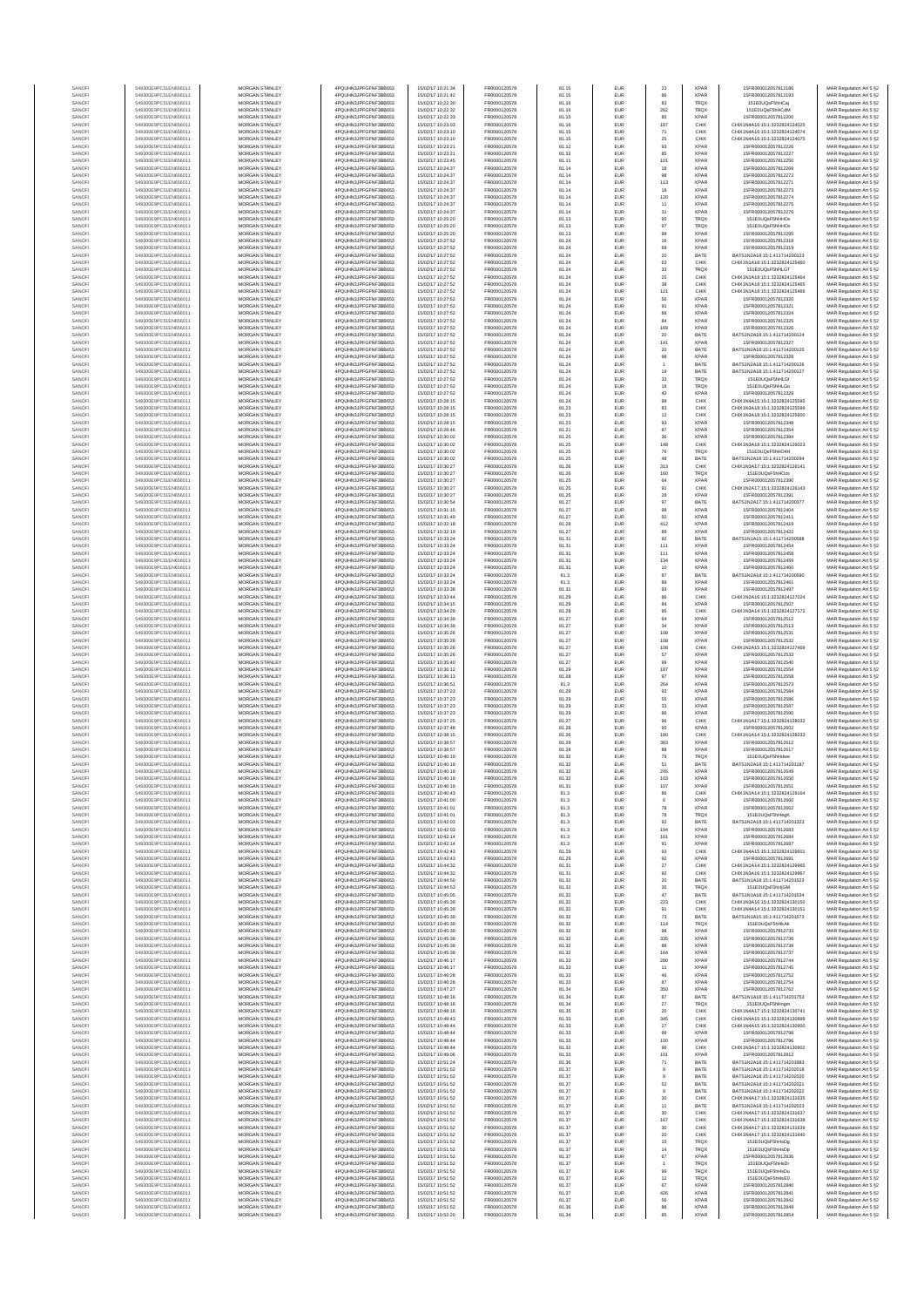| SANOF            | 549300E9PC51EN656011                         | MORGAN STANLEY                                 | 4PQUHN3JPFGFNF3BB653                           | 15/02/17 10:21:34                      | FR0000120578                 | 81.15          | EUR               | $23\,$               | <b>XPAR</b>                | 15FR000012057812186                                            | MAR Regulation Art 5 §2                            |
|------------------|----------------------------------------------|------------------------------------------------|------------------------------------------------|----------------------------------------|------------------------------|----------------|-------------------|----------------------|----------------------------|----------------------------------------------------------------|----------------------------------------------------|
| SANOF            | 549300E9PC51EN656011<br>549300E9PC51EN656011 | MORGAN STANLEY<br>MORGAN STANLEY               | 4PQUHN3JPFGFNF3BB653<br>4PQUHN3JPFGFNF3BB653   | 15/02/17 10:21:42<br>15/02/17 10:22:30 | FR0000120578<br>FR0000120578 | 81.15<br>81.16 | EUR<br>EUR        | 86                   | TRQ)                       | 15FR000012057812193<br>151E0UQsF5hHCaj                         | MAR Regulation Art 5 §2<br>MAR Regulation Art 5 §2 |
| SANOFI<br>SANOFI | 549300E9PC51EN656011                         | MORGAN STANLEY                                 | 4PQUHN3JPFGFNF3BB653                           | 15/02/17 10:22:32                      | FR0000120578                 | 81.16          | EUR               | 83<br>262            | TRQ)                       | 151E0UQsF5hHCdM                                                | MAR Regulation Art 5 §2                            |
| SANOFI           | 549300E9PC51EN656011                         | <b>MORGAN STANLEY</b>                          | 4PQUHN3JPFGFNF3BB653                           | 15/02/17 10:22:33                      | FR0000120578                 | 81.15          | EUR               | 85                   | <b>XPAF</b>                | 15FR000012057812200                                            | MAR Regulation Art 5 §2                            |
| SANOFI<br>SANOFI | 549300E9PC51EN656011<br>549300E9PC51EN656011 | <b>MORGAN STANLEY</b><br>MORGAN STANLEY        | 4POLIHN3JPEGENE3BB653<br>4PQUHN3JPFGFNF3BB653  | 15/02/17 10:23:03<br>15/02/17 10:23:10 | FR0000120578<br>FR0000120578 | 81.16<br>81.15 | EUR<br>EUR        | 187<br>$71\,$        | CHIX<br>CHIX               | CHIX1N4A16:15:1:3232824124025<br>CHIX1N4A16:15:1:3232824124074 | MAR Regulation Art 5 §2<br>MAR Regulation Art 5 §2 |
| SANOFI           | 549300E9PC51EN656011                         | MORGAN STANLEY                                 | 4PQUHN3JPFGFNF3BB653                           | 15/02/17 10:23:10                      | FR0000120578                 | 81.15          | EUR               | 25                   | CHIX                       | CHIX1N4A16:15:1:3232824124075                                  | MAR Regulation Art 5 §2                            |
| SANOF<br>SANOFI  | 549300E9PC51EN656011<br>549300E9PC51EN656011 | MORGAN STANLEY<br>MORGAN STANLEY               | 4PQUHN3JPFGFNF3BB653<br>4PQUHN3JPFGFNF3BB653   | 15/02/17 10:23:21<br>15/02/17 10:23:21 | FR0000120578<br>FR0000120578 | 81.12<br>81.12 | EUR<br>EUR        | $\mathsf{93}$<br>85  | <b>XPAF</b><br><b>XPAF</b> | 15FR000012057812226<br>15FR000012057812227                     | MAR Regulation Art 5 §2                            |
| SANOFI           | 549300E9PC51EN656011                         | MORGAN STANLEY                                 | 4PQUHN3JPFGFNF3BB653                           | 15/02/17 10:23:45                      | FR0000120578                 | 81.11          | EUR               | 101                  | <b>XPAF</b>                | 15FR000012057812250                                            | MAR Regulation Art 5 §2<br>MAR Regulation Art 5 §2 |
| SANOFI           | 549300E9PC51EN656011                         | MORGAN STANLEY                                 | 4PQUHN3JPFGFNF3BB653                           | 15/02/17 10:24:37                      | FR0000120578                 | 81.14          | EUR               | 18                   | <b>XPAF</b>                | 15FR000012057812269                                            | MAR Regulation Art 5 §2                            |
| SANOFI<br>SANOFI | 549300E9PC51EN656011<br>549300E9PC51EN656011 | MORGAN STANLEY<br><b>MORGAN STANLEY</b>        | 4PQUHN3JPFGFNF3BB653<br>4PQUHN3JPFGFNF3BB653   | 15/02/17 10:24:37<br>15/02/17 10:24:37 | FR0000120578<br>FR0000120578 | 81.14<br>81.14 | EUR<br>EUR        | 98<br>113            | <b>XPAF</b><br><b>XPAF</b> | 15FR000012057812272<br>15FR000012057812271                     | MAR Regulation Art 5 §2<br>MAR Regulation Art 5 §2 |
| SANOFI           | 549300E9PC51EN656011                         | MORGAN STANLEY                                 | 4POLIHN3JPEGENE3BB653                          | 15/02/17 10:24:37                      | FR0000120578                 | 81.14          | EUR               | 18                   | <b>XPAF</b>                | 15FR000012057812273                                            | MAR Regulation Art 5 §2                            |
| SANOFI           | 549300E9PC51EN656011                         | MORGAN STANLEY                                 | 4PQUHN3JPFGFNF3BB653                           | 15/02/17 10:24:37                      | FR0000120578                 | 81.14          | EUR               | 120                  | <b>XPAF</b>                | 15FR000012057812274                                            | MAR Regulation Art 5 §2                            |
| SANOFI<br>SANOFI | 549300E9PC51EN656011<br>549300E9PC51EN656011 | MORGAN STANLEY<br>MORGAN STANLEY               | 4PQUHN3JPFGFNF3BB653<br>4PQUHN3JPFGFNF3BB653   | 15/02/17 10:24:37<br>15/02/17 10:24:37 | FR0000120578<br>FR0000120578 | 81.14<br>81.14 | EUR<br>EUR        | $11\,$<br>$31\,$     | <b>XPAF</b><br><b>XPAF</b> | 15FR000012057812275<br>15FR000012057812276                     | MAR Regulation Art 5 §2<br>MAR Regulation Art 5 §2 |
| SANOFI           | 549300E9PC51EN656011                         | MORGAN STANLEY                                 | 4PQUHN3JPFGFNF3BB653                           | 15/02/17 10:25:20                      | FR0000120578                 | 81.13          | EUR               | 95                   | TRQ)                       | 151E0UQsF5hHHOv                                                | MAR Regulation Art 5 §2                            |
| SANOFI           | 549300E9PC51EN656011                         | MORGAN STANLEY                                 | 4PQUHN3JPFGFNF3BB653                           | 15/02/17 10:25:20                      | FR0000120578                 | 81.13          | EUR               | $97\,$               | TRQ)                       | 151E0UQsF5hHHOx                                                | MAR Regulation Art 5 §2                            |
| SANOFI<br>SANOFI | 549300E9PC51EN656011<br>549300E9PC51EN656011 | MORGAN STANLEY<br><b>MORGAN STANLEY</b>        | 4PQUHN3JPFGFNF3BB653<br>4PQUHN3JPFGFNF3BB653   | 15/02/17 10:25:20<br>15/02/17 10:27:52 | FR0000120578<br>FR0000120578 | 81.13<br>81.24 | EUR<br>EUR        | 99<br>16             | <b>XPAF</b><br><b>XPAF</b> | 15FR000012057812295<br>15FR000012057812318                     | MAR Regulation Art 5 §2<br>MAR Regulation Art 5 §2 |
| SANOFI           | 549300E9PC51EN656011                         | MORGAN STANLEY                                 | 4POLIHN3JPEGENE3BB653                          | 15/02/17 10:27:52                      | FR0000120578                 | 81.24          | EUR               | 69                   | <b>XPAF</b>                | 15FR000012057812319                                            | MAR Regulation Art 5 §2                            |
| SANOFI           | 549300E9PC51EN656011                         | MORGAN STANLEY                                 | 4POLIHN3JPEGENE3BB653                          | 15/02/17 10:27:52                      | FR0000120578                 | 81.24          | EUR               | $20\,$               | BATE                       | BATS1N2A18:15:1:411714200123                                   | MAR Regulation Art 5 §2                            |
| SANOFI<br>SANOFI | 549300E9PC51EN656011<br>549300E9PC51EN656011 | MORGAN STANLEY<br>MORGAN STANLEY               | 4PQUHN3JPFGFNF3BB653<br>4PQUHN3JPFGFNF3BB653   | 15/02/17 10:27:52<br>15/02/17 10:27:52 | FR0000120578<br>FR0000120578 | 81.24<br>81.24 | EUR<br>EUR        | 63<br>33             | CHIX<br>TRQ)               | CHIX1N1A18:15:1:3232824125460<br>151E0UQsF5hHLGT               | MAR Regulation Art 5 §2<br>MAR Regulation Art 5 §2 |
| SANOFI           | 549300E9PC51EN656011                         | MORGAN STANLEY                                 | 4PQUHN3JPFGFNF3BB653                           | 15/02/17 10:27:52                      | FR0000120578                 | 81.24          | EUR               | $2\mathrm{s}$        | CHIX                       | CHIX1N1A18:15:1:3232824125464                                  | MAR Regulation Art 5 §2                            |
| SANOFI           | 549300E9PC51EN656011                         | MORGAN STANLEY<br>MORGAN STANLEY               | 4PQUHN3JPFGFNF3BB653                           | 15/02/17 10:27:52                      | FR0000120578<br>FR0000120578 | 81.24<br>81.24 | EUR<br>EUR        | 38<br>121            | CHIX<br>CHIX               | CHIX1N1A18:15:1:3232824125465<br>CHIX1N1A18:15:1:3232824125466 | MAR Regulation Art 5 §2<br>MAR Regulation Art 5 §2 |
| SANOFI<br>SANOFI | 549300E9PC51EN656011<br>549300E9PC51EN656011 | <b>MORGAN STANLEY</b>                          | 4PQUHN3JPFGFNF3BB653<br>4PQUHN3JPFGFNF3BB653   | 15/02/17 10:27:52<br>15/02/17 10:27:52 | FR0000120578                 | 81.24          | EUR               | 56                   | <b>XPAF</b>                | 15FR000012057812320                                            | MAR Regulation Art 5 §2                            |
| SANOFI           | 549300E9PC51EN656011                         | <b>MORGAN STANLEY</b>                          | 4PQUHN3JPFGFNF3BB653                           | 15/02/17 10:27:52                      | FR0000120578                 | 81.24          | EUR               | 91                   | <b>XPAF</b>                | 15ER000012057812321                                            | MAR Regulation Art 5 §2                            |
| SANOFI           | 549300E9PC51EN656011<br>549300E9PC51EN656011 | MORGAN STANLEY<br>MORGAN STANLEY               | 4PQUHN3JPFGFNF3BB653                           | 15/02/17 10:27:52<br>15/02/17 10:27:52 | FR0000120578<br>FR0000120578 | 81.24          | EUR<br>EUR        | 88<br>84             | XPAF<br><b>XPAF</b>        | 15FR000012057812324                                            | MAR Regulation Art 5 §2                            |
| SANOFI<br>SANOF  | 549300E9PC51EN656011                         | MORGAN STANLEY                                 | 4PQUHN3JPFGFNF3BB653<br>4PQUHN3JPFGFNF3BB653   | 15/02/17 10:27:52                      | FR0000120578                 | 81.24<br>81.24 | EUR               | 169                  | <b>XPAF</b>                | 15FR000012057812325<br>15FR000012057812326                     | MAR Regulation Art 5 §2<br>MAR Regulation Art 5 §2 |
| SANOFI           | 549300E9PC51EN656011                         | MORGAN STANLEY                                 | 4PQUHN3JPFGFNF3BB653                           | 15/02/17 10:27:52                      | FR0000120578                 | 81.24          | EUR               | 20                   | BATE                       | BATS1N2A18:15:1:411714200124                                   | MAR Regulation Art 5 §2                            |
| SANOFI<br>SANOFI | 549300E9PC51EN656011<br>549300E9PC51EN656011 | MORGAN STANLEY<br>MORGAN STANLEY               | 4PQUHN3JPFGFNF3BB653<br>4PQUHN3JPFGFNF3BB653   | 15/02/17 10:27:52<br>15/02/17 10:27:52 | FR0000120578<br>FR0000120578 | 81.24<br>81.24 | EUR<br>EUR        | 141<br>20            | <b>XPAF</b><br>BATE        | 15FR000012057812327<br>BATS1N2A18:15:1:411714200125            | MAR Regulation Art 5 §2<br>MAR Regulation Art 5 §2 |
| SANOFI           | 549300E9PC51EN656011                         | <b>MORGAN STANLEY</b>                          | 4PQUHN3JPFGFNF3BB653                           | 15/02/17 10:27:52                      | FR0000120578                 | 81.24          | EUR               | 98                   | <b>XPAF</b>                | 15FR000012057812328                                            | MAR Regulation Art 5 §2                            |
| SANOFI           | 549300E9PC51EN656011                         | <b>MORGAN STANLEY</b>                          | 4PQUHN3JPFGFNF3BB653                           | 15/02/17 10:27:52                      | FR0000120578                 | 81.24          | EUR               |                      | BATE                       | BATS1N2A18:15:1:411714200126                                   | MAR Regulation Art 5 §2                            |
| SANOFI<br>SANOFI | 549300E9PC51EN656011<br>549300E9PC51EN656011 | MORGAN STANLEY<br>MORGAN STANLEY               | 4PQUHN3JPFGFNF3BB653<br>4PQUHN3JPFGFNF3BB653   | 15/02/17 10:27:52<br>15/02/17 10:27:52 | FR0000120578<br>FR0000120578 | 81.24<br>81.24 | EUR<br>EUR        | 19<br>$_{\rm 33}$    | BATE<br>TRQX               | BATS1N2A18:15:1:411714200127<br>151E0UQsF5hHLGf                | MAR Regulation Art 5 §2<br>MAR Regulation Art 5 §2 |
| SANOFI           | 549300E9PC51EN656011                         | MORGAN STANLEY                                 | 4PQUHN3JPFGFNF3BB653                           | 15/02/17 10:27:52                      | FR0000120578                 | 81.24          | EUR               | 18                   | TRQ)                       | 151E0UQsF5hHLGo                                                | MAR Regulation Art 5 §2                            |
| SANOF<br>SANOFI  | 549300E9PC51EN656011<br>549300E9PC51EN656011 | MORGAN STANLEY<br>MORGAN STANLEY               | 4PQUHN3JPFGFNF3BB653<br>4PQUHN3JPFGFNF3BB653   | 15/02/17 10:27:52<br>15/02/17 10:28:15 | FR0000120578<br>FR0000120578 | 81.24<br>81.24 | EUR<br>EUR        | $42\,$<br>99         | <b>XPAF</b><br>CHIX        | 15FR000012057812329<br>CHIX1N4A15:15:1:3232824125595           | MAR Regulation Art 5 §2<br>MAR Regulation Art 5 §2 |
| SANOFI           | 549300E9PC51EN656011                         | MORGAN STANLEY                                 | 4PQUHN3JPFGFNF3BB653                           | 15/02/17 10:28:15                      | FR0000120578                 | 81.23          | EUR               | 83                   | CHIX                       | CHIX1N3A18:15:1:3232824125599                                  | MAR Regulation Art 5 §2                            |
| SANOFI           | 549300E9PC51EN656011                         | MORGAN STANLEY                                 | 4PQUHN3JPFGFNF3BB653                           | 15/02/17 10:28:15                      | FR0000120578                 | 81.23          | EUR               | 12                   | CHIX                       | CHIX1N3A18:15:1:3232824125600                                  | MAR Regulation Art 5 §2                            |
| SANOFI<br>SANOFI | 549300E9PC51EN656011<br>549300E9PC51EN656011 | <b>MORGAN STANLEY</b><br>MORGAN STANLEY        | 4POLIHN3JPEGENE3BB653<br>4POLIHN3JPEGENE3BB653 | 15/02/17 10:28:15<br>15/02/17 10:28:46 | FR0000120578<br>FR0000120578 | 81.23<br>81.21 | EUR<br>EUR        | 93<br>87             | <b>XPAF</b><br><b>XPAF</b> | 15FR000012057812348<br>15FR000012057812354                     | MAR Regulation Art 5 §2<br>MAR Regulation Art 5 §2 |
| SANOFI           | 549300E9PC51EN656011                         | MORGAN STANLEY                                 | 4PQUHN3JPFGFNF3BB653                           | 15/02/17 10:30:02                      | FR0000120578                 | 81.25          | EUR               | $36\,$               | <b>XPAR</b>                | 15FR000012057812384                                            | MAR Regulation Art 5 §2                            |
| SANOFI           | 549300E9PC51EN656011                         | MORGAN STANLEY                                 | 4PQUHN3JPFGFNF3BB653                           | 15/02/17 10:30:02                      | FR0000120578                 | 81.25          | EUR               | 148                  | CHIX                       | CHIX1N3A18:15:1:3232824126023                                  | MAR Regulation Art 5 §2                            |
| SANOFI<br>SANOF  | 549300E9PC51EN656011<br>549300E9PC51EN656011 | MORGAN STANLEY<br>MORGAN STANLEY               | 4PQUHN3JPFGFNF3BB653<br>4PQUHN3JPFGFNF3BB653   | 15/02/17 10:30:02<br>15/02/17 10:30:02 | FR0000120578<br>FR0000120578 | 81.25<br>81.25 | EUR<br>EUR        | 76<br>48             | TRQ)<br>BATE               | 151E0UQsF5hHO4H<br>BATS1N2A18:15:1:411714200294                | MAR Regulation Art 5 §2<br>MAR Regulation Art 5 §2 |
| SANOFI           | 549300E9PC51EN656011                         | MORGAN STANLEY                                 | 4PQUHN3JPFGFNF3BB653                           | 15/02/17 10:30:27                      | FR0000120578                 | 81.26          | EUR               | 313                  | CHIX                       | CHIX1N3A17:15:1:3232824126141                                  | MAR Regulation Art 5 §2                            |
| SANOFI           | 549300E9PC51EN656011                         | MORGAN STANLEY                                 | 4PQUHN3JPFGFNF3BB653                           | 15/02/17 10:30:27                      | FR0000120578                 | 81.26          | EUR               | 160                  | TRQ)                       | 151E0UQsF5hHOzs                                                | MAR Regulation Art 5 §2                            |
| SANOFI<br>SANOFI | 549300E9PC51EN656011<br>549300E9PC51EN656011 | <b>MORGAN STANLEY</b><br>MORGAN STANLEY        | 4PQUHN3JPFGFNF3BB653<br>4PQUHN3JPFGFNF3BB653   | 15/02/17 10:30:27<br>15/02/17 10:30:27 | FR0000120578<br>FR0000120578 | 81.25<br>81.25 | EUR<br>EUR        | 64<br>91             | <b>XPAF</b><br>CHIX        | 15FR000012057812390<br>CHIX1N2A17:15:1:3232824126143           | MAR Regulation Art 5 §2<br>MAR Regulation Art 5 §2 |
| SANOFI           | 549300E9PC51EN656011                         | MORGAN STANLEY                                 | 4PQUHN3JPFGFNF3BB653                           | 15/02/17 10:30:27                      | FR0000120578                 | 81.25          | EUR               | $\bf 28$             | XPAF                       | 15FR000012057812391                                            | MAR Regulation Art 5 §2                            |
| SANOFI           | 549300E9PC51EN656011                         | MORGAN STANLEY                                 | 4PQUHN3JPFGFNF3BB653                           | 15/02/17 10:30:54                      | FR0000120578                 | 81.27          | EUR               | 97                   | BATE                       | BATS1N2A17:15:1:411714200377                                   | MAR Regulation Art 5 §2                            |
| SANOF<br>SANOFI  | 549300E9PC51EN656011<br>549300E9PC51EN656011 | MORGAN STANLEY<br>MORGAN STANLEY               | 4PQUHN3JPFGFNF3BB653<br>4PQUHN3JPFGFNF3BB653   | 15/02/17 10:31:15<br>15/02/17 10:31:49 | FR0000120578<br>FR0000120578 | 81.27<br>81.27 | EUR<br>EUR        | 98<br>50             | <b>XPAF</b><br><b>XPAF</b> | 15FR000012057812404<br>15FR000012057812411                     | MAR Regulation Art 5 §2<br>MAR Regulation Art 5 §2 |
| SANOFI           | 549300E9PC51EN656011                         | MORGAN STANLEY                                 | 4PQUHN3JPFGFNF3BB653                           | 15/02/17 10:32:18                      | FR0000120578                 | 81.28          | EUR               | 412                  | <b>XPAF</b>                | 15FR000012057812419                                            | MAR Regulation Art 5 §2                            |
| SANOFI           | 549300E9PC51EN656011                         | MORGAN STANLEY                                 | 4PQUHN3JPFGFNF3BB653                           | 15/02/17 10:32:19                      | FR0000120578                 | 81.27          | EUR               | 89                   | <b>XPAF</b>                | 15FR000012057812422                                            | MAR Regulation Art 5 §2                            |
| SANOFI<br>SANOFI | 549300E9PC51EN656011<br>549300E9PC51EN656011 | <b>MORGAN STANLEY</b><br><b>MORGAN STANLEY</b> | 4PQUHN3JPFGFNF3BB653<br>4PQUHN3JPFGFNF3BB653   | 15/02/17 10:33:24<br>15/02/17 10:33:24 | FR0000120578<br>FR0000120578 | 81.31<br>81.31 | EUR<br>EUR        | 92<br>111            | BATE<br><b>XPAF</b>        | BATS1N1A15:15:1:411714200588<br>15FR000012057812454            | MAR Regulation Art 5 §2<br>MAR Regulation Art 5 §2 |
| SANOFI           | 549300E9PC51EN656011                         | MORGAN STANLEY                                 | 4PQUHN3JPFGFNF3BB653                           | 15/02/17 10:33:24                      | FR0000120578                 | 81.31          | EUR               | 111                  | <b>XPAF</b>                | 15FR000012057812458                                            | MAR Regulation Art 5 §2                            |
| SANOFI           | 549300E9PC51EN656011                         | MORGAN STANLEY                                 | 4PQUHN3JPFGFNF3BB653                           | 15/02/17 10:33:24                      | FR0000120578                 | 81.31          | EUR               | 134                  | <b>XPAF</b>                | 15FR000012057812459                                            | MAR Regulation Art 5 §2                            |
| SANOFI<br>SANOFI | 549300E9PC51EN656011<br>549300E9PC51EN656011 | MORGAN STANLEY<br>MORGAN STANLEY               | 4PQUHN3JPFGFNF3BB653<br>4PQUHN3JPFGFNF3BB653   | 15/02/17 10:33:24<br>15/02/17 10:33:24 | FR0000120578<br>FR0000120578 | 81.31<br>81.3  | EUR<br>EUR        | 10<br>$^{\rm 87}$    | <b>XPAF</b><br>BATE        | 15FR000012057812460<br>BATS1N2A18:15:1:411714200590            | MAR Regulation Art 5 §2<br>MAR Regulation Art 5 §2 |
| SANOFI           | 549300E9PC51EN656011                         | MORGAN STANLEY                                 | 4PQUHN3JPFGFNF3BB653                           | 15/02/17 10:33:24                      | FR0000120578                 | 81.3           | EUR               | 89                   | <b>XPAF</b>                | 15FR000012057812461                                            | MAR Regulation Art 5 §2                            |
| SANOFI           | 549300E9PC51EN656011                         | MORGAN STANLEY                                 | 4PQUHN3JPFGFNF3BB653                           | 15/02/17 10:33:38                      | FR0000120578                 | 81.31          | EUR               | 93                   | <b>XPAF</b>                | 15FR000012057812497                                            | MAR Regulation Art 5 §2                            |
| SANOFI<br>SANOFI | 549300E9PC51EN656011<br>549300E9PC51EN656011 | <b>MORGAN STANLEY</b><br><b>MORGAN STANLEY</b> | 4PQUHN3JPFGFNF3BB653<br>4PQUHN3JPFGFNF3BB653   | 15/02/17 10:33:44<br>15/02/17 10:34:15 | FR0000120578<br>FR0000120578 | 81.29<br>81.29 | EUR<br>EUR        | 86<br>84             | CHIX<br><b>XPAF</b>        | CHIX1N2A16:15:1:3232824127024<br>15FR000012057812507           | MAR Regulation Art 5 §2<br>MAR Regulation Art 5 §2 |
| SANOFI           | 549300E9PC51EN656011                         | MORGAN STANLEY                                 | 4PQUHN3JPFGFNF3BB653                           | 15/02/17 10:34:29                      | FR0000120578                 | 81.28          | EUR               | 95                   | CHIX                       | CHIX1N3A14:15:1:3232824127172                                  | MAR Regulation Art 5 §2                            |
| SANOFI<br>SANOF  | 549300E9PC51EN656011<br>549300E9PC51EN656011 | MORGAN STANLEY<br>MORGAN STANLEY               | 4PQUHN3JPFGFNF3BB653<br>4PQUHN3JPFGFNF3BB653   | 15/02/17 10:34:39<br>15/02/17 10:34:39 | FR0000120578<br>FR0000120578 | 81.27<br>81.27 | EUR<br>EUR        | 64<br>34             | <b>XPAF</b><br><b>XPAF</b> | 15FR000012057812512<br>15FR000012057812513                     | MAR Regulation Art 5 §2<br>MAR Regulation Art 5 §2 |
| SANOFI           | 549300E9PC51EN656011                         | MORGAN STANLEY                                 | 4PQUHN3JPFGFNF3BB653                           | 15/02/17 10:35:26                      | FR0000120578                 | 81.27          | EUR               | 108                  | <b>XPAF</b>                | 15FR000012057812531                                            | MAR Regulation Art 5 §2                            |
| SANOF            | 549300E9PC51EN656011                         | MORGAN STANLEY                                 | 4PQUHN3JPFGFNF3BB653                           | 15/02/17 10:35:26                      | FR0000120578                 | 81.27          | EUR               | 108                  | <b>XPAF</b>                | 15FR000012057812532                                            | MAR Regulation Art 5 §2                            |
| SANOFI<br>SANOFI | 549300E9PC51EN656011<br>549300E9PC51EN656011 | MORGAN STANLEY<br>MORGAN STANLEY               | 4PQUHN3JPFGFNF3BB653<br>4PQUHN3JPFGFNF3BB653   | 15/02/17 10:35:26<br>15/02/17 10:35:26 | FR0000120578<br>FR0000120578 | 81.27<br>81.27 | EUR<br>EUR        | 108<br>$_{\rm 57}$   | CHIX<br><b>XPAF</b>        | CHIX1N2A15:15:1:3232824127469<br>15FR000012057812533           | MAR Regulation Art 5 §2<br>MAR Regulation Art 5 §2 |
| SANOFI           | 549300E9PC51EN656011                         | <b>MORGAN STANLEY</b>                          | 4PQUHN3JPFGFNF3BB653                           | 15/02/17 10:35:40                      | FR0000120578                 | 81.27          | EUR               | 99                   | <b>XPAF</b>                | 15FR000012057812540                                            | MAR Regulation Art 5 §2                            |
| SANOFI           | 549300E9PC51EN656011                         | <b>MORGAN STANLEY</b>                          | 4PQUHN3JPFGFNF3BB653                           | 15/02/17 10:36:12                      | FR0000120578                 | 81.29          | EUR               | 187                  | <b>XPAF</b>                | 15FR000012057812554                                            | MAR Regulation Art 5 §2                            |
| SANOFI<br>SANOFI | 549300E9PC51EN656011<br>549300E9PC51EN656011 | MORGAN STANLEY<br>MORGAN STANLEY               | 4PQUHN3JPFGFNF3BB653<br>4PQUHN3JPFGFNF3BB653   | 15/02/17 10:36:13<br>15/02/17 10:36:51 | FR0000120578<br>FR0000120578 | 81.28<br>81.3  | EUR<br>EUR        | 97<br>264            | XPAF<br><b>XPAF</b>        | 15FR000012057812558<br>15FR000012057812573                     | MAR Regulation Art 5 §2<br>MAR Regulation Art 5 §2 |
| SANOF            | 549300E9PC51EN656011                         | MORGAN STANLEY                                 | 4PQUHN3JPFGFNF3BB653                           | 15/02/17 10:37:23                      | FR0000120578                 | 81.29          | EUR               | $\mathsf{93}$        | <b>XPAF</b>                | 15FR000012057812584                                            | MAR Regulation Art 5 §2                            |
| SANOFI           | 549300E9PC51EN656011                         | MORGAN STANLEY                                 | 4PQUHN3JPFGFNF3BB653                           | 15/02/17 10:37:23                      | FR0000120578                 | 81.29          | EUR               | 55                   | <b>XPAF</b>                | 15FR000012057812586                                            | MAR Regulation Art 5 §2                            |
| SANOFI<br>SANOFI | 549300E9PC51EN656011<br>549300E9PC51EN656011 | MORGAN STANLEY<br>MORGAN STANLEY               | 4PQUHN3JPFGFNF3BB653<br>4PQUHN3JPFGFNF3BB653   | 15/02/17 10:37:23<br>15/02/17 10:37:23 | FR0000120578<br>FR0000120578 | 81.29<br>81.29 | EUR<br>EUR        | $_{33}$<br>86        | <b>XPAF</b><br><b>XPAF</b> | 15FR000012057812587<br>15FR000012057812590                     | MAR Regulation Art 5 §2<br>MAR Regulation Art 5 §2 |
| SANOFI           | 549300E9PC51EN656011                         | <b>MORGAN STANLEY</b>                          | 4POLIHN3JPEGENE3BB653                          | 15/02/17 10:37:25                      | FR0000120578                 | 81.27          | EUR               | 96                   | CHIX                       | CHIX1N1A17:15:1:3232824128032                                  | MAR Regulation Art 5 §2                            |
| SANOFI           | 549300E9PC51EN656011                         | MORGAN STANLEY<br>MORGAN STANLEY               | 4POLIHN3JPEGENE3BB653                          | 15/02/17 10:37:48                      | FR0000120578                 | 81.28          | EUR               | 95                   | <b>XPAF</b>                | 15FR000012057812602                                            | MAR Regulation Art 5 §2                            |
| SANOFI<br>SANOFI | 549300E9PC51EN656011<br>549300E9PC51EN656011 | MORGAN STANLEY                                 | 4PQUHN3JPFGFNF3BB653<br>4PQUHN3JPFGFNF3BB653   | 15/02/17 10:38:15<br>15/02/17 10:38:57 | FR0000120578<br>FR0000120578 | 81.26<br>81.29 | EUR<br>EUR        | 180<br>383           | CHIX<br><b>XPAF</b>        | CHIX1N1A14:15:1:3232824128233<br>15FR000012057812612           | MAR Regulation Art 5 §2<br>MAR Regulation Art 5 §2 |
| SANOF            | 549300E9PC51EN656011                         | MORGAN STANLEY                                 | 4PQUHN3JPFGFNF3BB653                           | 15/02/17 10:38:57                      | FR0000120578                 | 81.28          | EUR               |                      | <b>XPAF</b>                | 15FR000012057812617                                            | MAR Regulation Art 5 §2                            |
| SANOF<br>SANOFI  | 549300E9PC51EN656011<br>549300E9PC51EN656011 | MORGAN STANLEY<br>MORGAN STANLEY               | 4PQUHN3JPFGFNF3BB653<br>4PQUHN3JPFGFNF3BB653   | 15/02/17 10:40:19<br>15/02/17 10:40:19 | FR0000120578<br>FR0000120578 | 81.32<br>81.32 | EUR<br>EUR        | 79<br>51             | TRQ)<br>BATE               | 151E0UQsF5hHdwe<br>BATS1N2A18:15:1:411714201187                | MAR Regulation Art 5 §2<br>MAR Regulation Art 5 §2 |
| SANOFI           | 549300E9PC51EN656011                         | MORGAN STANLEY                                 | 4PQUHN3JPFGFNF3BB653                           | 15/02/17 10:40:19                      | FR0000120578                 | 81.32          | EUR               | 245                  | <b>XPAR</b>                | 15FR000012057812649                                            | MAR Regulation Art 5 §2                            |
| <b>ANOFI</b>     | 9300E9PC51EN656011                           | <b>IORGAN STANLEY</b>                          | OUHN3JPEGENE3BB653                             | 15/02/17 10:40:19                      | FR000012057                  | 81.32          | <b>FUR</b>        | 103                  | <b>XPAR</b>                | ISER000012057812650                                            | MAR Regulation Art 5.62                            |
| SANOFI<br>SANOFI | 549300E9PC51EN656011<br>549300E9PC51EN656011 | <b>MORGAN STANLEY</b><br>MORGAN STANLEY        | 4PQUHN3JPFGFNF3BB653<br>4PQUHN3JPFGFNF3BB653   | 15/02/17 10:40:19<br>15/02/17 10:40:43 | FR0000120578<br>FR0000120578 | 81.31<br>81.3  | EUR<br>EUR        | 107<br>86            | <b>XPAR</b><br>CHIX        | 15ER000012057812651<br>CHIX1N1A14:15:1:3232824129164           | MAR Regulation Art 5 §2<br>MAR Regulation Art 5 §2 |
| SANOFI           | 549300E9PC51EN656011                         | MORGAN STANLEY                                 | 4PQUHN3JPFGFNF3BB653                           | 15/02/17 10:41:00                      | FR0000120578                 | 81.3           | EUR               |                      | <b>XPAF</b>                | 15FR000012057812660                                            | MAR Regulation Art 5 §2                            |
| SANOFI           | 549300E9PC51EN656011                         | MORGAN STANLEY                                 | 4PQUHN3JPFGFNF3BB653                           | 15/02/17 10:41:01                      | FR0000120578                 | 81.3           | EUR               | 78                   | <b>XPAF</b>                | 15FR000012057812662                                            | MAR Regulation Art 5 §2                            |
| SANOFI<br>SANOFI | 549300E9PC51EN656011<br>549300E9PC51EN656011 | MORGAN STANLEY<br>MORGAN STANLEY               | 4PQUHN3JPFGFNF3BB653<br>4PQUHN3JPFGFNF3BB653   | 15/02/17 10:41:01<br>15/02/17 10:42:03 | FR0000120578<br>FR0000120578 | 81.3<br>81.3   | EUR<br>EUR        | 78<br>92             | TRQ)<br>BATE               | 151E0UQsF5hHegK<br>BATS1N2A18:15:1:411714201323                | MAR Regulation Art 5 §2<br>MAR Regulation Art 5 §2 |
| SANOFI           | 549300E9PC51EN656011                         | MORGAN STANLEY                                 | 4PQUHN3JPFGFNF3BB653                           | 15/02/17 10:42:03                      | FR0000120578                 | 81.3           | <b>EUR</b>        | 194                  | <b>XPAF</b>                | 15FR000012057812683                                            | MAR Regulation Art 5 §2                            |
| SANOFI<br>SANOFI | 549300E9PC51EN656011<br>549300E9PC51EN656011 | MORGAN STANLEY<br><b>MORGAN STANLEY</b>        | 4PQUHN3JPFGFNF3BB653<br>4PQUHN3JPFGFNF3BB653   | 15/02/17 10:42:14<br>15/02/17 10:42:14 | FR0000120578<br>FR0000120578 | 81.3<br>81.3   | EUR<br>EUR        | 161<br>91            | <b>XPAR</b><br><b>XPAR</b> | 15FR000012057812684<br>15FR000012057812687                     | MAR Regulation Art 5 §2<br>MAR Regulation Art 5 §2 |
| SANOFI           | 549300E9PC51EN656011                         | MORGAN STANLEY                                 | 4PQUHN3JPFGFNF3BB653                           | 15/02/17 10:42:43                      | FR0000120578                 | 81.29          | EUR               | 93                   | CHIX                       | CHIX1N4A15:15:1:3232824129601                                  | MAR Regulation Art 5 §2                            |
| SANOFI           | 549300E9PC51EN656011                         | MORGAN STANLEY                                 | 4PQUHN3JPFGFNF3BB653                           | 15/02/17 10:42:43                      | FR0000120578                 | 81.29          | EUR               | $92\,$               | <b>XPAF</b>                | 15FR000012057812691                                            | MAR Regulation Art 5 §2                            |
| SANOFI<br>SANOFI | 549300E9PC51EN656011<br>549300E9PC51EN656011 | MORGAN STANLEY<br>MORGAN STANLEY               | 4PQUHN3JPFGFNF3BB653<br>4PQUHN3JPFGFNF3BB653   | 15/02/17 10:44:32<br>15/02/17 10:44:32 | FR0000120578<br>FR0000120578 | 81.31<br>81.31 | EUR<br>EUR        | 27<br>92             | CHIX<br>CHIX               | CHIX1N1A14:15:1:3232824129965<br>CHIX1N3A16:15:1:3232824129967 | MAR Regulation Art 5 §2<br>MAR Regulation Art 5 §2 |
| SANOFI           | 549300E9PC51EN656011                         | MORGAN STANLEY                                 | 4PQUHN3JPFGFNF3BB653                           | 15/02/17 10:44:50                      | FR0000120578                 | 81.32          | EUR               | 20                   | BATE                       | BATS1N1A18:15:1:411714201523                                   | MAR Regulation Art 5 §2                            |
| SANOFI<br>SANOFI | 549300E9PC51EN656011<br>549300E9PC51EN656011 | MORGAN STANLEY<br>MORGAN STANLEY               | 4PQUHN3JPFGFNF3BB653<br>4PQUHN3JPFGFNF3BB653   | 15/02/17 10:44:53<br>15/02/17 10:45:05 | FR0000120578<br>FR0000120578 | 81.32<br>81.32 | EUR<br><b>EUR</b> | 35<br>47             | TRQ)<br>BATE               | 151E0UQsF5hHjGM<br>BATS1N1A18:15:1:411714201534                | MAR Regulation Art 5 §2<br>MAR Regulation Art 5 §2 |
| SANOFI           | 549300E9PC51EN656011                         | <b>MORGAN STANLEY</b>                          | 4PQUHN3JPFGFNF3BB653                           | 15/02/17 10:45:39                      | FR0000120578                 | 81.32          | EUR               | 223                  | CHIX                       | CHIX1N3A16:15:1:3232824130150                                  | MAR Regulation Art 5 §2                            |
| SANOFI           | 549300E9PC51EN656011                         | <b>MORGAN STANLEY</b>                          | 4PQUHN3JPFGFNF3BB653                           | 15/02/17 10:45:39                      | FR0000120578                 | 81.32          | EUR               | 91                   | CHIX                       | CHIX1N4A14:15:1:3232824130151                                  | MAR Regulation Art 5 §2                            |
| SANOFI<br>SANOFI | 549300E9PC51EN656011<br>549300E9PC51EN656011 | MORGAN STANLEY<br>MORGAN STANLEY               | 4POLIHN3JPEGENE3BB653<br>4PQUHN3JPFGFNF3BB653  | 15/02/17 10:45:39<br>15/02/17 10:45:39 | FR0000120578<br>FR0000120578 | 81.32<br>81.32 | EUR<br>EUR        | 73<br>114            | BATE<br>TRQ)               | BATS1N1A15:15:1:411714201573<br>151E0UQsF5hHkAk                | MAR Regulation Art 5 §2<br>MAR Regulation Art 5 §2 |
| SANOFI           | 549300E9PC51EN656011                         | MORGAN STANLEY                                 | 4PQUHN3JPFGFNF3BB653                           | 15/02/17 10:45:39                      | FR0000120578                 | 81.32          | EUR               | 98                   | <b>XPAF</b>                | 15FR000012057812733                                            | MAR Regulation Art 5 §2                            |
| SANOFI           | 549300E9PC51EN656011                         | MORGAN STANLEY                                 | 4PQUHN3JPFGFNF3BB653                           | 15/02/17 10:45:39                      | FR0000120578                 | 81.32          | EUR               | 335                  | <b>XPAF</b>                | 15FR000012057812736<br>15FR000012057812738                     | MAR Regulation Art 5 §2<br>MAR Regulation Art 5 §2 |
| SANOFI<br>SANOFI | 549300E9PC51EN656011<br>549300E9PC51EN656011 | MORGAN STANLEY<br>MORGAN STANLEY               | 4PQUHN3JPFGFNF3BB653<br>4PQUHN3JPFGFNF3BB653   | 15/02/17 10:45:39<br>15/02/17 10:45:39 | FR0000120578<br>FR0000120578 | 81.32<br>81.32 | EUR<br>EUR        | 88<br>164            | <b>XPAF</b><br><b>XPAF</b> | 15FR000012057812737                                            | MAR Regulation Art 5 §2                            |
| SANOFI           | 549300E9PC51EN656011                         | MORGAN STANLEY                                 | 4PQUHN3JPFGFNF3BB653                           | 15/02/17 10:46:17                      | FR0000120578                 | 81.33          | EUR               | 200                  | <b>XPAR</b>                | 15FR000012057812744                                            | MAR Regulation Art 5 §2                            |
| SANOFI<br>SANOFI | 549300E9PC51EN656011<br>549300E9PC51EN656011 | <b>MORGAN STANLEY</b><br>MORGAN STANLEY        | 4PQUHN3JPFGFNF3BB653<br>4PQUHN3JPFGFNF3BB653   | 15/02/17 10:46:17<br>15/02/17 10:46:28 | FR0000120578<br>FR0000120578 | 81.33<br>81.33 | EUR<br>EUR        | 11<br>46             | <b>XPAR</b><br><b>XPAF</b> | 15FR000012057812745<br>15FR000012057812752                     | MAR Regulation Art 5 §2<br>MAR Regulation Art 5 §2 |
| SANOFI           | 549300E9PC51EN656011                         | MORGAN STANLEY                                 | 4PQUHN3JPFGFNF3BB653                           | 15/02/17 10:46:28                      | FR0000120578                 | 81.33          | EUR               | 87                   | <b>XPAF</b>                | 15FR000012057812754                                            | MAR Regulation Art 5 §2                            |
| SANOF            | 549300E9PC51EN656011                         | MORGAN STANLEY                                 | 4PQUHN3JPFGFNF3BB653                           | 15/02/17 10:47:27                      | FR0000120578                 | 81.34          | EUR               | 350                  | <b>XPAF</b>                | 15FR000012057812762                                            | MAR Regulation Art 5 §2                            |
| SANOFI<br>SANOFI | 549300E9PC51EN656011<br>549300E9PC51EN656011 | MORGAN STANLEY<br>MORGAN STANLEY               | 4PQUHN3JPFGFNF3BB653<br>4PQUHN3JPFGFNF3BB653   | 15/02/17 10:48:16<br>15/02/17 10:48:16 | FR0000120578<br>FR0000120578 | 81.34<br>81.34 | EUR<br>EUR        | 87<br>27             | BATE<br>TRQ)               | BATS1N1A18:15:1:411714201753<br>151E0UQsF5hHngm                | MAR Regulation Art 5 §2<br>MAR Regulation Art 5 §2 |
| SANOFI           | 549300E9PC51EN656011                         | MORGAN STANLEY                                 | 4PQUHN3JPFGFNF3BB653                           | 15/02/17 10:48:16                      | FR0000120578                 | 81.35          | <b>EUR</b>        | 20                   | CHIX                       | CHIX1N4A17:15:1:3232824130741                                  | MAR Regulation Art 5 §2                            |
| SANOFI<br>SANOFI | 549300E9PC51EN656011<br>549300E9PC51EN656011 | <b>MORGAN STANLEY</b><br><b>MORGAN STANLEY</b> | 4PQUHN3JPFGFNF3BB653<br>4PQUHN3JPFGFNF3BB653   | 15/02/17 10:48:43<br>15/02/17 10:48:44 | FR0000120578                 | 81.33<br>81.33 | EUR<br>EUR        | 345                  | CHIX<br>CHIX               | CHIX1N4A15:15:1:3232824130899<br>CHIX1N4A15:15:1:3232824130900 | MAR Regulation Art 5 §2                            |
| SANOFI           | 549300E9PC51EN656011                         | MORGAN STANLEY                                 | 4PQUHN3JPFGFNF3BB653                           | 15/02/17 10:48:44                      | FR0000120578<br>FR0000120578 | 81.33          | EUR               | 27<br>99             | <b>XPAF</b>                | 15FR000012057812798                                            | MAR Regulation Art 5 §2<br>MAR Regulation Art 5 §2 |
| SANOFI           | 549300E9PC51EN656011                         | MORGAN STANLEY                                 | 4PQUHN3JPFGFNF3BB653                           | 15/02/17 10:48:44                      | FR0000120578                 | 81.33          | EUR               | 100                  | XPAR                       | 15FR000012057812796                                            | MAR Regulation Art 5 §2                            |
| SANOF<br>SANOFI  | 549300E9PC51EN656011<br>549300E9PC51EN656011 | MORGAN STANLEY<br>MORGAN STANLEY               | 4PQUHN3JPFGFNF3BB653<br>4PQUHN3JPFGFNF3BB653   | 15/02/17 10:48:44<br>15/02/17 10:49:06 | FR0000120578<br>FR0000120578 | 81.32<br>81.33 | EUR<br>EUR        | 96<br>101            | CHIX<br><b>XPAF</b>        | CHIX1N3A17:15:1:3232824130902<br>15FR000012057812812           | MAR Regulation Art 5 §2<br>MAR Regulation Art 5 §2 |
| SANOFI           | 549300E9PC51EN656011                         | MORGAN STANLEY                                 | 4PQUHN3JPFGFNF3BB653                           | 15/02/17 10:51:24                      | FR0000120578                 | 81.36          | EUR               | 71                   | BATE                       | BATS1N2A18:15:1:411714201983                                   | MAR Regulation Art 5 §2                            |
| SANOFI           | 549300E9PC51EN656011                         | MORGAN STANLEY                                 | 4PQUHN3JPFGFNF3BB653                           | 15/02/17 10:51:52                      | FR0000120578                 | 81.37          | EUR               | 9                    | BATE                       | BATS1N2A18:15:1:411714202018                                   | MAR Regulation Art 5 §2                            |
| SANOFI<br>SANOFI | 549300E9PC51EN656011<br>549300E9PC51EN656011 | <b>MORGAN STANLEY</b><br><b>MORGAN STANLEY</b> | 4PQUHN3JPFGFNF3BB653<br>4PQUHN3JPFGFNF3BB653   | 15/02/17 10:51:52<br>15/02/17 10:51:52 | FR0000120578<br>FR0000120578 | 81.37<br>81.37 | EUR<br>EUR        | $\overline{9}$<br>52 | BATE<br>BATE               | BATS1N2A18:15:1:411714202020<br>BATS1N2A18:15:1:411714202021   | MAR Regulation Art 5 §2<br>MAR Regulation Art 5 §2 |
| SANOFI           | 549300E9PC51EN656011                         | MORGAN STANLEY                                 | 4PQUHN3JPFGFNF3BB653                           | 15/02/17 10:51:52                      | FR0000120578                 | 81.37          | EUR               | $\overline{9}$       | BATE                       | BATS1N2A18:15:1:411714202022                                   | MAR Regulation Art 5 §2                            |
| SANOFI           | 549300E9PC51EN656011                         | MORGAN STANLEY                                 | 4PQUHN3JPFGFNF3BB653                           | 15/02/17 10:51:52                      | FR0000120578                 | 81.37          | EUR               | 30                   | CHIX                       | CHIX1N4A17:15:1:3232824131635                                  | MAR Regulation Art 5 §2                            |
| SANOFI<br>SANOFI | 549300E9PC51EN656011<br>549300E9PC51EN656011 | MORGAN STANLEY<br>MORGAN STANLEY               | 4PQUHN3JPFGFNF3BB653<br>4PQUHN3JPFGFNF3BB653   | 15/02/17 10:51:52<br>15/02/17 10:51:52 | FR0000120578<br>FR0000120578 | 81.37<br>81.37 | EUR<br>EUR        | 11<br>30             | BATE<br>CHIX               | BATS1N2A18:15:1:411714202023<br>CHIX1N4A17:15:1:3232824131637  | MAR Regulation Art 5 §2<br>MAR Regulation Art 5 §2 |
| SANOFI           | 549300E9PC51EN656011                         | MORGAN STANLEY                                 | 4PQUHN3JPFGFNF3BB653                           | 15/02/17 10:51:52                      | FR0000120578                 | 81.37          | EUR               | 167                  | CHIX                       | CHIX1N4A17:15:1:3232824131638                                  | MAR Regulation Art 5 §2                            |
| SANOFI<br>SANOFI | 549300E9PC51EN656011                         | MORGAN STANLEY<br>MORGAN STANLEY               | 4PQUHN3JPFGFNF3BB653<br>4PQUHN3JPFGFNF3BB653   | 15/02/17 10:51:52<br>15/02/17 10:51:52 | FR0000120578<br>FR0000120578 | 81.37<br>81.37 | EUR<br>EUR        | 30<br>20             | CHIX<br>CHIX               | CHIX1N4A17:15:1:3232824131639<br>CHIX1N4A17:15:1:3232824131640 | MAR Regulation Art 5 §2<br>MAR Regulation Art 5 §2 |
| SANOFI           | 549300E9PC51EN656011<br>549300E9PC51EN656011 | <b>MORGAN STANLEY</b>                          | 4PQUHN3JPFGFNF3BB653                           | 15/02/17 10:51:52                      | FR0000120578                 | 81.37          | EUR               | 15                   | <b>TRQX</b>                | 151E0UQsF5hHsDg                                                | MAR Regulation Art 5 §2                            |
| SANOFI           | 549300E9PC51EN656011                         | <b>MORGAN STANLEY</b>                          | 4PQUHN3JPFGFNF3BB653                           | 15/02/17 10:51:52                      | FR0000120578                 | 81.37          | EUR               | 14                   | <b>TRQX</b>                | 151E0UQsF5hHsDo                                                | MAR Regulation Art 5 §2                            |
| SANOFI<br>SANOFI | 549300E9PC51EN656011<br>549300E9PC51EN656011 | MORGAN STANLEY<br>MORGAN STANLEY               | 4PQUHN3JPFGFNF3BB653<br>4PQUHN3JPFGFNF3BB653   | 15/02/17 10:51:52<br>15/02/17 10:51:52 | FR0000120578                 | 81.37<br>81.37 | EUR<br>EUR        | 67                   | <b>XPAF</b><br>TRQ)        | 15FR000012057812836<br>151E0UQsF5hHsDr                         | MAR Regulation Art 5 §2                            |
| SANOFI           | 549300E9PC51EN656011                         | MORGAN STANLEY                                 | 4PQUHN3JPFGFNF3BB653                           | 15/02/17 10:51:52                      | FR0000120578<br>FR0000120578 | 81.37          | EUR               | 99                   | TRQ)                       | 151E0UQsF5hHsDu                                                | MAR Regulation Art 5 §2<br>MAR Regulation Art 5 §2 |
| SANOFI           | 549300E9PC51EN656011                         | MORGAN STANLEY                                 | 4PQUHN3JPFGFNF3BB653                           | 15/02/17 10:51:52                      | FR0000120578                 | 81.37          | EUR               | 12                   | TRQ)                       | 151E0UQsF5hHsE0                                                | MAR Regulation Art 5 §2                            |
| SANOFI<br>SANOFI | 549300E9PC51EN656011<br>549300E9PC51EN656011 | <b>MORGAN STANLEY</b><br>MORGAN STANLEY        | 4PQUHN3JPFGFNF3BB653<br>4PQUHN3JPFGFNF3BB653   | 15/02/17 10:51:52<br>15/02/17 10:51:52 | FR0000120578<br>FR0000120578 | 81.37<br>81.37 | EUR<br><b>EUR</b> | 67<br>426            | <b>XPAR</b><br><b>XPAR</b> | 15FR000012057812840<br>15FR000012057812841                     | MAR Regulation Art 5 §2<br>MAR Regulation Art 5 §2 |
| SANOFI           | 549300E9PC51EN656011                         | <b>MORGAN STANLEY</b>                          | 4PQUHN3JPFGFNF3BB653                           | 15/02/17 10:51:52                      | FR0000120578                 | 81.37          | EUR               | 56                   | <b>XPAR</b>                | 15FR000012057812842                                            | MAR Regulation Art 5 §2                            |
| SANOFI<br>SANOFI | 549300E9PC51EN656011                         | <b>MORGAN STANLEY</b><br>MORGAN STANLEY        | 4PQUHN3JPFGFNF3BB653<br>4PQUHN3JPFGFNF3BB653   | 15/02/17 10:51:52                      | FR0000120578                 | 81.36<br>81.34 | EUR<br>EUR        | 88<br>85             | <b>XPAR</b><br><b>XPAR</b> | 15FR000012057812849                                            | MAR Regulation Art 5 §2                            |
|                  | 549300E9PC51EN656011                         |                                                |                                                | 15/02/17 10:52:20                      | FR0000120578                 |                |                   |                      |                            | 15FR000012057812854                                            | MAR Regulation Art 5 §2                            |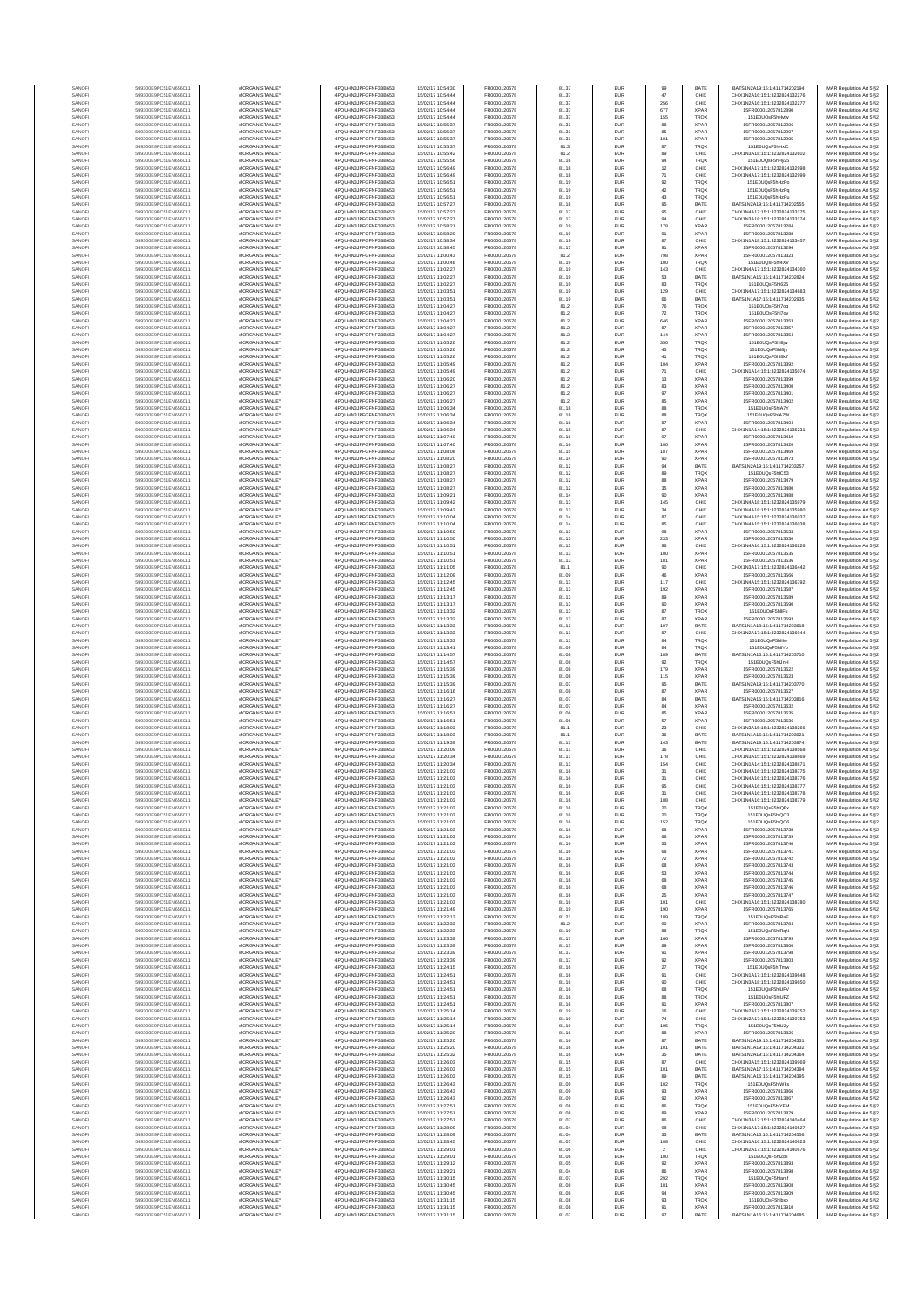| SANOFI<br>549300E9PC51EN656011<br><b>MORGAN STANLEY</b><br>4PQUHN3JPFGFNF3BB653<br>15/02/17 10:54:44<br>FR0000120578<br>81.37<br>EUR<br>SANOFI<br>549300E9PC51EN656011<br>MORGAN STANLEY<br>4PQUHN3JPFGFNF3BB653<br>15/02/17 10:54:44<br>FR0000120578<br>81.37<br>EUR<br>MORGAN STANLEY<br>15/02/17 10:54:44<br>FR0000120578<br>SANOFI<br>549300E9PC51EN656011<br>4PQUHN3JPFGFNF3BB653<br>81.37<br>EUR<br>SANOFI<br>549300E9PC51EN656011<br>MORGAN STANLEY<br>4PQUHN3JPFGFNF3BB653<br>15/02/17 10:54:44<br>FR0000120578<br>81.37<br>EUR<br>SANOFI<br>549300E9PC51EN656011<br>MORGAN STANLEY<br>4PQUHN3JPFGFNF3BB653<br>15/02/17 10:55:37<br>FR0000120578<br>81.31<br>EUR<br>549300E9PC51EN656011<br>MORGAN STANLEY<br>4PQUHN3JPFGFNF3BB653<br>15/02/17 10:55:37<br>FR0000120578<br>81.31<br>EUR<br>SANOFI<br>MORGAN STANLEY<br>15/02/17 10:55:37<br>FR0000120578<br>549300E9PC51EN656011<br>4PQUHN3JPFGFNF3BB653<br>81.31<br>EUR<br>SANOFI<br>SANOFI<br>549300E9PC51EN656011<br><b>MORGAN STANLEY</b><br>4PQUHN3JPFGFNF3BB653<br>15/02/17 10:55:37<br>FR0000120578<br>81.3<br>EUR<br>SANOFI<br>549300E9PC51EN656011<br><b>MORGAN STANLEY</b><br>4PQUHN3JPFGFNF3BB653<br>15/02/17 10:55:42<br>FR0000120578<br>81.2<br><b>EUR</b><br>SANOFI<br>549300E9PC51EN656011<br><b>MORGAN STANLEY</b><br>4PQUHN3JPFGFNF3BB653<br>15/02/17 10:55:56<br>FR0000120578<br>81.16<br>EUR<br>549300E9PC51EN656011<br>MORGAN STANLEY<br>4PQUHN3JPFGFNF3BB653<br>15/02/17 10:56:49<br>FR0000120578<br>81.18<br>EUR<br>SANOFI<br>MORGAN STANLEY<br>15/02/17 10:56:49<br>FR0000120578<br>SANOFI<br>549300E9PC51EN656011<br>4PQUHN3JPFGFNF3BB653<br>81.18<br>EUR<br>SANOF<br>549300E9PC51EN656011<br>MORGAN STANLEY<br>4PQUHN3JPFGFNF3BB653<br>15/02/17 10:56:51<br>FR0000120578<br>81.19<br>EUR<br>SANOFI<br>549300E9PC51EN656011<br>MORGAN STANLEY<br>4PQUHN3JPFGFNF3BB653<br>15/02/17 10:56:51<br>FR0000120578<br>81.19<br>EUR<br>549300E9PC51EN656011<br>MORGAN STANLEY<br>4PQUHN3JPFGFNF3BB653<br>15/02/17 10:56:51<br>FR0000120578<br>81.19<br>EUR<br>SANOFI<br>MORGAN STANLEY<br>15/02/17 10:57:27<br>FR0000120578<br>549300E9PC51EN656011<br>4PQUHN3JPFGFNF3BB653<br>81.18<br>EUR<br>SANOFI<br>SANOFI<br>549300E9PC51EN656011<br><b>MORGAN STANLEY</b><br>4PQUHN3JPFGFNF3BB653<br>15/02/17 10:57:27<br>FR0000120578<br>81.17<br>EUR<br>SANOFI<br>549300E9PC51EN656011<br><b>MORGAN STANLEY</b><br>4PQUHN3JPFGFNF3BB653<br>15/02/17 10:57:27<br>FR0000120578<br>81.17<br><b>EUR</b><br>549300E9PC51EN656011<br>MORGAN STANLEY<br>4PQUHN3JPFGFNF3BB653<br>15/02/17 10:58:21<br>FR0000120578<br>81.19<br>EUR<br>SANOFI<br>549300E9PC51EN656011<br>MORGAN STANLEY<br>4PQUHN3JPFGFNF3BB653<br>15/02/17 10:58:29<br>FR0000120578<br>81.19<br>EUR<br>SANOF<br>SANOFI<br>549300E9PC51EN656011<br>MORGAN STANLEY<br>4PQUHN3JPFGFNF3BB653<br>15/02/17 10:58:34<br>FR0000120578<br>81.19<br>EUR<br>SANOFI<br>549300E9PC51EN656011<br>MORGAN STANLEY<br>4PQUHN3JPFGFNF3BB653<br>15/02/17 10:58:45<br>FR0000120578<br>81.17<br>EUR<br>549300E9PC51EN656011<br>MORGAN STANLEY<br>15/02/17 11:00:43<br>FR0000120578<br>SANOFI<br>4PQUHN3JPFGFNF3BB653<br>81.2<br>EUR<br>81.19<br>EUR<br>549300E9PC51EN656011<br>MORGAN STANLEY<br>4PQUHN3JPFGFNF3BB653<br>15/02/17 11:00:48<br>FR0000120578<br>SANOFI<br>SANOFI<br>549300E9PC51EN656011<br><b>MORGAN STANLEY</b><br>4POLIHN3JPEGENE3BB653<br>15/02/17 11:02:27<br>FR0000120578<br>81.19<br><b>EUR</b><br>SANOFI<br>549300E9PC51EN656011<br>MORGAN STANLEY<br>4PQUHN3JPFGFNF3BB653<br>15/02/17 11:02:27<br>FR0000120578<br>81.19<br>EUR<br>549300E9PC51EN656011<br>MORGAN STANLEY<br>4PQUHN3JPFGFNF3BB653<br>15/02/17 11:02:27<br>FR0000120578<br>81.19<br>EUR<br>SANOFI<br>MORGAN STANLEY<br>15/02/17 11:03:51<br>FR0000120578<br>SANOFI<br>549300E9PC51EN656011<br>4PQUHN3JPFGFNF3BB653<br>81.19<br>EUR<br>SANOF<br>549300E9PC51EN656011<br>MORGAN STANLEY<br>4PQUHN3JPFGFNF3BB653<br>15/02/17 11:03:51<br>FR0000120578<br>81.19<br>EUR<br>SANOFI<br>549300E9PC51EN656011<br>MORGAN STANLEY<br>4PQUHN3JPFGFNF3BB653<br>15/02/17 11:04:27<br>FR0000120578<br>81.2<br>EUR<br>FR0000120578<br>81.2<br>EUR<br>549300E9PC51EN656011<br>MORGAN STANLEY<br>4PQUHN3JPFGFNF3BB653<br>15/02/17 11:04:27<br>SANOFI<br>15/02/17 11:04:27<br>FR0000120578<br>549300E9PC51EN656011<br>MORGAN STANLEY<br>4PQUHN3JPFGFNF3BB653<br>81.2<br>EUR<br>SANOFI<br>SANOFI<br>549300E9PC51EN656011<br><b>MORGAN STANLEY</b><br>4PQUHN3JPFGFNF3BB653<br>15/02/17 11:04:27<br>FR0000120578<br>81.2<br>EUR<br>SANOFI<br>549300E9PC51EN656011<br><b>MORGAN STANLEY</b><br>4PQUHN3JPFGFNF3BB653<br>15/02/17 11:04:27<br>FR0000120578<br>81.2<br>EUR<br>549300E9PC51EN656011<br>MORGAN STANLEY<br>4PQUHN3JPFGFNF3BB653<br>15/02/17 11:05:26<br>FR0000120578<br>81.2<br>EUR<br>SANOFI<br>549300E9PC51EN656011<br>MORGAN STANLEY<br>15/02/17 11:05:26<br>FR0000120578<br>81.2<br>EUR<br>SANOFI<br>4PQUHN3JPFGFNF3BB653<br>SANOFI<br>549300E9PC51EN656011<br>MORGAN STANLEY<br>4PQUHN3JPFGFNF3BB653<br>15/02/17 11:05:26<br>FR0000120578<br>81.2<br>EUR<br>549300E9PC51EN656011<br>MORGAN STANLEY<br>4PQUHN3JPFGFNF3BB653<br>15/02/17 11:05:49<br>FR0000120578<br>81.2<br>EUR<br>SANOFI<br>549300E9PC51EN656011<br>MORGAN STANLEY<br>4PQUHN3JPFGFNF3BB653<br>15/02/17 11:05:49<br>FR0000120578<br>81.2<br>EUR<br>SANOFI<br>81.2<br>EUR<br>MORGAN STANLEY<br>15/02/17 11:06:20<br>FR0000120578<br>SANOFI<br>549300E9PC51EN656011<br>4PQUHN3JPFGFNF3BB653<br>SANOFI<br>549300E9PC51EN656011<br><b>MORGAN STANLEY</b><br>4POLIHN3JPEGENE3BB653<br>15/02/17 11:06:27<br>FR0000120578<br>81.2<br><b>EUR</b><br>SANOFI<br>549300E9PC51EN656011<br><b>MORGAN STANLEY</b><br>4PQUHN3JPFGFNF3BB653<br>15/02/17 11:06:27<br>FR0000120578<br>81.2<br>EUR<br>SANOFI<br>549300E9PC51EN656011<br>MORGAN STANLEY<br>4PQUHN3JPFGFNF3BB653<br>15/02/17 11:06:27<br>FR0000120578<br>81.2<br>EUR<br>549300E9PC51EN656011<br>MORGAN STANLEY<br>4PQUHN3JPFGFNF3BB653<br>15/02/17 11:06:34<br>FR0000120578<br>EUR<br>SANOFI<br>81.18<br>549300E9PC51EN656011<br>MORGAN STANLEY<br>4PQUHN3JPFGFNF3BB653<br>15/02/17 11:06:34<br>FR0000120578<br>81.18<br>EUR<br>SANOFI<br>SANOFI<br>549300E9PC51EN656011<br>MORGAN STANLEY<br>4PQUHN3JPFGFNF3BB653<br>15/02/17 11:06:34<br>FR0000120578<br>81.18<br>EUR<br>549300E9PC51EN656011<br>MORGAN STANLEY<br>4PQUHN3JPFGFNF3BB653<br>15/02/17 11:06:34<br>FR0000120578<br>81.18<br>EUR<br>SANOFI<br>MORGAN STANLEY<br>15/02/17 11:07:40<br>FR0000120578<br>549300E9PC51EN656011<br>4PQUHN3JPFGFNF3BB653<br>81.16<br>EUR<br>SANOFI<br>MORGAN STANLEY<br>4PQUHN3JPFGFNF3BB653<br>15/02/17 11:07:40<br>FR0000120578<br>81.16<br>EUR<br>SANOFI<br>549300E9PC51EN656011<br>SANOFI<br>549300E9PC51EN656011<br><b>MORGAN STANLEY</b><br>4POLIHN3JPEGENE3BB653<br>15/02/17 11:08:08<br>FR0000120578<br>81.15<br><b>EUR</b><br>SANOFI<br>549300E9PC51EN656011<br><b>MORGAN STANLEY</b><br>4PQUHN3JPFGFNF3BB653<br>15/02/17 11:08:20<br>FR0000120578<br>81.14<br>EUR<br>549300E9PC51EN656011<br>MORGAN STANLEY<br>4PQUHN3JPFGFNF3BB653<br>15/02/17 11:08:27<br>FR0000120578<br>81.12<br>EUR<br>SANOFI<br>MORGAN STANLEY<br>15/02/17 11:08:27<br>FR0000120578<br>SANOFI<br>549300E9PC51EN656011<br>4PQUHN3JPFGFNF3BB653<br>81.12<br>EUR<br>SANOFI<br>549300E9PC51EN656011<br>MORGAN STANLEY<br>4PQUHN3JPFGFNF3BB653<br>15/02/17 11:08:27<br>FR0000120578<br>81.12<br>EUR<br>SANOFI<br>549300E9PC51EN656011<br>MORGAN STANLEY<br>4PQUHN3JPFGFNF3BB653<br>15/02/17 11:08:27<br>FR0000120578<br>81.12<br>EUR<br>549300E9PC51EN656011<br>MORGAN STANLEY<br>4PQUHN3JPFGFNF3BB653<br>15/02/17 11:09:21<br>FR0000120578<br>81.14<br>EUR<br>SANOFI<br>549300E9PC51EN656011<br>MORGAN STANLEY<br>15/02/17 11:09:42<br>FR0000120578<br>4PQUHN3JPFGFNF3BB653<br>81.13<br>EUR<br>SANOFI<br>SANOFI<br>549300E9PC51EN656011<br><b>MORGAN STANLEY</b><br>4PQUHN3JPFGFNF3BB653<br>15/02/17 11:09:42<br>FR0000120578<br>81.13<br>EUR<br>SANOFI<br>549300E9PC51EN656011<br><b>MORGAN STANLEY</b><br>4PQUHN3JPFGFNF3BB653<br>15/02/17 11:10:04<br>FR0000120578<br>81.14<br><b>EUR</b><br>549300E9PC51EN656011<br>MORGAN STANLEY<br>4POLIHN3JPEGENE3BB653<br>15/02/17 11:10:04<br>FR0000120578<br>81.14<br>EUR<br>SANOFI<br>549300E9PC51EN656011<br>MORGAN STANLEY<br>4PQUHN3JPFGFNF3BB653<br>15/02/17 11:10:50<br>FR0000120578<br>81.13<br>EUR<br>SANOFI<br>SANOFI<br>549300E9PC51EN656011<br>MORGAN STANLEY<br>4PQUHN3JPFGFNF3BB653<br>15/02/17 11:10:50<br>FR0000120578<br>81.13<br>EUR<br>549300E9PC51EN656011<br>MORGAN STANLEY<br>4PQUHN3JPFGFNF3BB653<br>15/02/17 11:10:51<br>FR0000120578<br>81.13<br>EUR<br>SANOFI<br>549300E9PC51EN656011<br>MORGAN STANLEY<br>15/02/17 11:10:51<br>FR0000120578<br>81.13<br>SANOFI<br>4PQUHN3JPFGFNF3BB653<br>EUR<br>549300E9PC51EN656011<br>MORGAN STANLEY<br>4PQUHN3JPFGFNF3BB653<br>15/02/17 11:10:51<br>FR0000120578<br>81.13<br>EUR<br>SANOFI<br>SANOFI<br>549300E9PC51EN656011<br><b>MORGAN STANLEY</b><br>4PQUHN3JPFGFNF3BB653<br>15/02/17 11:11:05<br>FR0000120578<br>81.1<br>EUR<br>SANOFI<br>549300E9PC51EN656011<br><b>MORGAN STANLEY</b><br>4PQUHN3JPFGFNF3BB653<br>15/02/17 11:12:09<br>FR0000120578<br>81.09<br>EUR<br>549300E9PC51EN656011<br>MORGAN STANLEY<br>4PQUHN3JPFGFNF3BB653<br>15/02/17 11:12:45<br>FR0000120578<br>81.13<br>EUR<br>SANOFI<br>MORGAN STANLEY<br>15/02/17 11:12:45<br>FR0000120578<br>SANOFI<br>549300E9PC51EN656011<br>4PQUHN3JPFGFNF3BB653<br>81.13<br>EUR<br>SANOF<br>549300E9PC51EN656011<br>MORGAN STANLEY<br>4PQUHN3JPFGFNF3BB653<br>15/02/17 11:13:17<br>FR0000120578<br>81.13<br>EUR<br>SANOFI<br>549300E9PC51EN656011<br>MORGAN STANLEY<br>4PQUHN3JPFGFNF3BB653<br>15/02/17 11:13:17<br>FR0000120578<br>81.13<br>EUR<br>MORGAN STANLEY<br>FR0000120578<br>81.13<br>EUR<br>549300E9PC51EN656011<br>4PQUHN3JPFGFNF3BB653<br>15/02/17 11:13:32<br>SANOFI<br>FR0000120578<br>549300E9PC51EN656011<br>MORGAN STANLEY<br>4PQUHN3JPFGFNF3BB653<br>15/02/17 11:13:32<br>81.13<br>EUR<br>SANOFI<br>SANOFI<br>549300E9PC51EN656011<br><b>MORGAN STANLEY</b><br>4PQUHN3JPFGFNF3BB653<br>15/02/17 11:13:33<br>FR0000120578<br>81.11<br>EUR<br>SANOFI<br>549300E9PC51EN656011<br><b>MORGAN STANLEY</b><br>4PQUHN3JPFGFNF3BB653<br>15/02/17 11:13:33<br>FR0000120578<br>81.11<br><b>EUR</b><br>SANOFI<br>549300E9PC51EN656011<br><b>MORGAN STANLEY</b><br>4PQUHN3JPFGFNF3BB653<br>15/02/17 11:13:33<br>FR0000120578<br>81.11<br>EUR<br>549300E9PC51EN656011<br>MORGAN STANLEY<br>4PQUHN3JPFGFNF3BB653<br>15/02/17 11:13:41<br>FR0000120578<br>81.09<br>EUR<br>SANOFI<br>MORGAN STANLEY<br>15/02/17 11:14:57<br>FR0000120578<br>SANOFI<br>549300E9PC51EN656011<br>4PQUHN3JPFGFNF3BB653<br>81.08<br>EUR<br>SANOF<br>549300E9PC51EN656011<br>MORGAN STANLEY<br>4PQUHN3JPFGFNF3BB653<br>15/02/17 11:14:57<br>FR0000120578<br>81.08<br>EUR<br>SANOFI<br>549300E9PC51EN656011<br>MORGAN STANLEY<br>4PQUHN3JPFGFNF3BB653<br>15/02/17 11:15:39<br>FR0000120578<br>81.08<br>EUR<br>MORGAN STANLEY<br>4PQUHN3JPFGFNF3BB653<br>FR0000120578<br>81.08<br>EUR<br>549300E9PC51EN656011<br>15/02/17 11:15:39<br>SANOFI<br>FR0000120578<br>549300E9PC51EN656011<br>MORGAN STANLEY<br>4PQUHN3JPFGFNF3BB653<br>15/02/17 11:15:39<br>81.07<br>EUR<br>SANOFI<br>SANOFI<br>549300E9PC51EN656011<br><b>MORGAN STANLEY</b><br>4PQUHN3JPFGFNF3BB653<br>15/02/17 11:16:16<br>FR0000120578<br>81.08<br>EUR<br>SANOFI<br>549300E9PC51EN656011<br><b>MORGAN STANLEY</b><br>4PQUHN3JPFGFNF3BB653<br>15/02/17 11:16:27<br>FR0000120578<br>81.07<br><b>EUR</b><br>549300E9PC51EN656011<br>MORGAN STANLEY<br>4PQUHN3JPFGFNF3BB653<br>15/02/17 11:16:27<br>FR0000120578<br>81.07<br>EUR<br>SANOFI<br>549300E9PC51EN656011<br>MORGAN STANLEY<br>4PQUHN3JPFGFNF3BB653<br>15/02/17 11:16:51<br>FR0000120578<br>81.06<br>EUR<br>SANOFI<br>SANOFI<br>549300E9PC51EN656011<br>MORGAN STANLEY<br>4PQUHN3JPFGFNF3BB653<br>15/02/17 11:16:51<br>FR0000120578<br>81.06<br>EUR<br>549300E9PC51EN656011<br>MORGAN STANLEY<br>4PQUHN3JPFGFNF3BB653<br>15/02/17 11:18:03<br>FR0000120578<br>81.1<br>EUR<br>SANOF<br>549300E9PC51EN656011<br>MORGAN STANLEY<br>4PQUHN3JPFGFNF3BB653<br>15/02/17 11:18:03<br>FR0000120578<br>81.1<br>EUR<br>SANOFI<br>MORGAN STANLEY<br>4PQUHN3JPFGFNF3BB653<br>FR0000120578<br>81.11<br>EUR<br>SANOFI<br>549300E9PC51EN656011<br>15/02/17 11:19:39<br>SANOFI<br>549300E9PC51EN656011<br><b>MORGAN STANLEY</b><br>4PQUHN3JPFGFNF3BB653<br>15/02/17 11:20:09<br>FR0000120578<br>81.11<br>EUR<br>SANOFI<br>549300E9PC51EN656011<br><b>MORGAN STANLEY</b><br>4PQUHN3JPFGFNF3BB653<br>15/02/17 11:20:34<br>FR0000120578<br>81.11<br>EUR<br>549300E9PC51EN656011<br>MORGAN STANLEY<br>4PQUHN3JPFGFNF3BB653<br>15/02/17 11:20:34<br>FR0000120578<br>81.11<br>EUR<br>SANOF<br>549300E9PC51EN656011<br>MORGAN STANLEY<br>4PQUHN3JPFGFNF3BB653<br>15/02/17 11:21:03<br>SANOFI<br>FR0000120578<br>81.16<br>EUR<br>N3JPFGFNF3BB653<br>02/17 11:21:03<br>SANOF<br>549300E9PC51EN656011<br>MORGAN STANLEY<br>4PQUHN3JPFGFNF3BB653<br>15/02/17 11:21:03<br>FR0000120578<br>81.16<br>EUR<br>549300E9PC51EN656011<br>MORGAN STANLEY<br>4PQUHN3JPFGFNF3BB653<br>15/02/17 11:21:03<br>FR0000120578<br>SANOFI<br>81.16<br>EUR<br>SANOFI<br>549300E9PC51EN656011<br>MORGAN STANLEY<br>4PQUHN3JPFGFNF3BB653<br>15/02/17 11:21:03<br>FR0000120578<br>EUR<br>81.16<br>SANOFI<br>549300E9PC51EN656011<br><b>MORGAN STANLEY</b><br>4PQUHN3JPFGFNF3BB653<br>15/02/17 11:21:03<br>FR0000120578<br>81.16<br><b>EUR</b><br>SANOFI<br>549300E9PC51EN656011<br><b>MORGAN STANLEY</b><br>4PQUHN3JPFGFNF3BB653<br>15/02/17 11:21:03<br>FR0000120578<br>81.16<br><b>EUR</b><br>549300E9PC51EN656011<br>MORGAN STANLEY<br>4PQUHN3JPFGFNF3BB653<br>15/02/17 11:21:03<br>FR0000120578<br>SANOFI<br>81.16<br>EUR<br>15/02/17 11:21:03<br>FR0000120578<br>SANOFI<br>549300E9PC51EN656011<br>MORGAN STANLEY<br>4PQUHN3JPFGFNF3BB653<br>81.16<br>EUR<br>SANOFI<br>549300E9PC51EN656011<br>MORGAN STANLEY<br>4PQUHN3JPFGFNF3BB653<br>15/02/17 11:21:03<br>FR0000120578<br>81.16<br>EUR<br>SANOFI<br>549300E9PC51EN656011<br>MORGAN STANLEY<br>4PQUHN3JPFGFNF3BB653<br>15/02/17 11:21:03<br>FR0000120578<br>81.16<br>EUR<br>SANOFI<br>549300E9PC51EN656011<br>MORGAN STANLEY<br>4PQUHN3JPFGFNF3BB653<br>15/02/17 11:21:03<br>FR0000120578<br>81.16<br>EUR<br>SANOFI<br>549300E9PC51EN656011<br>MORGAN STANLEY<br>4PQUHN3JPFGFNF3BB653<br>15/02/17 11:21:03<br>FR0000120578<br>81.16<br>EUR<br>SANOFI<br>549300E9PC51EN656011<br><b>MORGAN STANLEY</b><br>4PQUHN3JPFGFNF3BB653<br>15/02/17 11:21:03<br>FR0000120578<br>81.16<br><b>EUR</b><br>SANOFI<br>549300E9PC51EN656011<br>MORGAN STANLEY<br>4PQUHN3JPFGFNF3BB653<br>15/02/17 11:21:03<br>FR0000120578<br>81.16<br><b>EUR</b><br>SANOFI<br>549300E9PC51EN656011<br><b>MORGAN STANLEY</b><br>4PQUHN3JPFGFNF3BB653<br>15/02/17 11:21:03<br>FR0000120578<br>81.16<br><b>EUR</b><br>549300E9PC51EN656011<br>MORGAN STANLEY<br>4PQUHN3JPFGFNF3BB653<br>15/02/17 11:21:03<br>FR0000120578<br>SANOFI<br>81.16<br>EUR<br>FR0000120578<br>SANOFI<br>549300E9PC51EN656011<br>MORGAN STANLEY<br>4PQUHN3JPFGFNF3BB653<br>15/02/17 11:21:03<br>81.16<br>EUR<br>SANOFI<br>549300E9PC51EN656011<br>MORGAN STANLEY<br>4PQUHN3JPFGFNF3BB653<br>15/02/17 11:21:03<br>FR0000120578<br>81.16<br>EUR<br>SANOFI<br>549300E9PC51EN656011<br>MORGAN STANLEY<br>4PQUHN3JPFGFNF3BB653<br>15/02/17 11:21:49<br>FR0000120578<br>81.19<br>EUR<br>SANOFI<br>549300E9PC51EN656011<br>MORGAN STANLEY<br>4PQUHN3JPFGFNF3BB653<br>15/02/17 11:22:13<br>FR0000120578<br>81.21<br>EUR<br>SANOFI<br>549300E9PC51EN656011<br>MORGAN STANLEY<br>4PQUHN3JPFGFNF3BB653<br>15/02/17 11:22:33<br>FR0000120578<br>81.2<br>EUR<br>SANOFI<br>549300E9PC51EN656011<br><b>MORGAN STANLEY</b><br>4PQUHN3JPFGFNF3BB653<br>15/02/17 11:22:33<br>FR0000120578<br>81.19<br><b>EUR</b><br>SANOFI<br>549300E9PC51EN656011<br><b>MORGAN STANLEY</b><br>4PQUHN3JPFGFNF3BB653<br>15/02/17 11:23:39<br>FR0000120578<br>81.17<br>EUR<br>SANOFI<br>MORGAN STANLEY<br>15/02/17 11:23:39<br>FR0000120578<br>81.17<br>EUR<br>549300E9PC51EN656011<br>4PQUHN3JPFGFNF3BB653<br>MORGAN STANLEY<br>FR0000120578<br>SANOFI<br>549300E9PC51EN656011<br>4PQUHN3JPFGFNF3BB653<br>15/02/17 11:23:39<br>81.17<br>EUR<br>SANOFI<br>549300E9PC51EN656011<br>MORGAN STANLEY<br>4PQUHN3JPFGFNF3BB653<br>15/02/17 11:23:39<br>FR0000120578<br>81.17<br>EUR<br>SANOFI<br>549300E9PC51EN656011<br>MORGAN STANLEY<br>4PQUHN3JPFGFNF3BB653<br>15/02/17 11:24:15<br>FR0000120578<br>81.16<br>EUR<br>EUR<br>SANOFI<br>549300E9PC51EN656011<br>MORGAN STANLEY<br>4PQUHN3JPFGFNF3BB653<br>15/02/17 11:24:51<br>FR0000120578<br>81.16<br>SANOFI<br>549300E9PC51EN656011<br>MORGAN STANLEY<br>4PQUHN3JPFGFNF3BB653<br>15/02/17 11:24:51<br>FR0000120578<br>81.16<br>EUR<br>SANOFI<br>549300E9PC51EN656011<br><b>MORGAN STANLEY</b><br>4PQUHN3JPFGFNF3BB653<br>15/02/17 11:24:51<br>FR0000120578<br>81.16<br><b>EUR</b><br>SANOFI<br>549300E9PC51EN656011<br><b>MORGAN STANLEY</b><br>4PQUHN3JPFGFNF3BB653<br>15/02/17 11:24:51<br>FR0000120578<br>81.16<br><b>EUR</b><br>MORGAN STANLEY<br>15/02/17 11:24:51<br>FR0000120578<br>SANOFI<br>549300E9PC51EN656011<br>4PQUHN3JPFGFNF3BB653<br>81.16<br>EUR<br>SANOFI<br>549300E9PC51EN656011<br>MORGAN STANLEY<br>4PQUHN3JPFGFNF3BB653<br>15/02/17 11:25:14<br>FR0000120578<br>81.19<br>EUR<br>SANOFI<br>549300E9PC51EN656011<br>MORGAN STANLEY<br>4PQUHN3JPFGFNF3BB653<br>15/02/17 11:25:14<br>FR0000120578<br>81.19<br>EUR<br>SANOFI<br>549300E9PC51EN656011<br>MORGAN STANLEY<br>4PQUHN3JPFGFNF3BB653<br>15/02/17 11:25:14<br>FR0000120578<br>81.19<br>EUR<br>SANOFI<br>549300E9PC51EN656011<br>MORGAN STANLEY<br>4PQUHN3JPFGFNF3BB653<br>15/02/17 11:25:20<br>FR0000120578<br>81.16<br>EUR<br>SANOFI<br>MORGAN STANLEY<br>4PQUHN3JPFGFNF3BB653<br>FR0000120578<br>81.16<br>EUR<br>549300E9PC51EN656011<br>15/02/17 11:25:20<br>SANOFI<br>549300E9PC51EN656011<br>4PQUHN3JPFGFNF3BB653<br>81.16 | MORGAN STANLEY<br>4PQUHN3JPFGFNF3BB653 | 15/02/17 10:54:30<br>FR0000120578<br>81.37 | EUR<br>BATE<br>99                                      | BATS1N2A19:15:1:411714202194<br>MAR Regulation Art 5 §2                                                              |
|-----------------------------------------------------------------------------------------------------------------------------------------------------------------------------------------------------------------------------------------------------------------------------------------------------------------------------------------------------------------------------------------------------------------------------------------------------------------------------------------------------------------------------------------------------------------------------------------------------------------------------------------------------------------------------------------------------------------------------------------------------------------------------------------------------------------------------------------------------------------------------------------------------------------------------------------------------------------------------------------------------------------------------------------------------------------------------------------------------------------------------------------------------------------------------------------------------------------------------------------------------------------------------------------------------------------------------------------------------------------------------------------------------------------------------------------------------------------------------------------------------------------------------------------------------------------------------------------------------------------------------------------------------------------------------------------------------------------------------------------------------------------------------------------------------------------------------------------------------------------------------------------------------------------------------------------------------------------------------------------------------------------------------------------------------------------------------------------------------------------------------------------------------------------------------------------------------------------------------------------------------------------------------------------------------------------------------------------------------------------------------------------------------------------------------------------------------------------------------------------------------------------------------------------------------------------------------------------------------------------------------------------------------------------------------------------------------------------------------------------------------------------------------------------------------------------------------------------------------------------------------------------------------------------------------------------------------------------------------------------------------------------------------------------------------------------------------------------------------------------------------------------------------------------------------------------------------------------------------------------------------------------------------------------------------------------------------------------------------------------------------------------------------------------------------------------------------------------------------------------------------------------------------------------------------------------------------------------------------------------------------------------------------------------------------------------------------------------------------------------------------------------------------------------------------------------------------------------------------------------------------------------------------------------------------------------------------------------------------------------------------------------------------------------------------------------------------------------------------------------------------------------------------------------------------------------------------------------------------------------------------------------------------------------------------------------------------------------------------------------------------------------------------------------------------------------------------------------------------------------------------------------------------------------------------------------------------------------------------------------------------------------------------------------------------------------------------------------------------------------------------------------------------------------------------------------------------------------------------------------------------------------------------------------------------------------------------------------------------------------------------------------------------------------------------------------------------------------------------------------------------------------------------------------------------------------------------------------------------------------------------------------------------------------------------------------------------------------------------------------------------------------------------------------------------------------------------------------------------------------------------------------------------------------------------------------------------------------------------------------------------------------------------------------------------------------------------------------------------------------------------------------------------------------------------------------------------------------------------------------------------------------------------------------------------------------------------------------------------------------------------------------------------------------------------------------------------------------------------------------------------------------------------------------------------------------------------------------------------------------------------------------------------------------------------------------------------------------------------------------------------------------------------------------------------------------------------------------------------------------------------------------------------------------------------------------------------------------------------------------------------------------------------------------------------------------------------------------------------------------------------------------------------------------------------------------------------------------------------------------------------------------------------------------------------------------------------------------------------------------------------------------------------------------------------------------------------------------------------------------------------------------------------------------------------------------------------------------------------------------------------------------------------------------------------------------------------------------------------------------------------------------------------------------------------------------------------------------------------------------------------------------------------------------------------------------------------------------------------------------------------------------------------------------------------------------------------------------------------------------------------------------------------------------------------------------------------------------------------------------------------------------------------------------------------------------------------------------------------------------------------------------------------------------------------------------------------------------------------------------------------------------------------------------------------------------------------------------------------------------------------------------------------------------------------------------------------------------------------------------------------------------------------------------------------------------------------------------------------------------------------------------------------------------------------------------------------------------------------------------------------------------------------------------------------------------------------------------------------------------------------------------------------------------------------------------------------------------------------------------------------------------------------------------------------------------------------------------------------------------------------------------------------------------------------------------------------------------------------------------------------------------------------------------------------------------------------------------------------------------------------------------------------------------------------------------------------------------------------------------------------------------------------------------------------------------------------------------------------------------------------------------------------------------------------------------------------------------------------------------------------------------------------------------------------------------------------------------------------------------------------------------------------------------------------------------------------------------------------------------------------------------------------------------------------------------------------------------------------------------------------------------------------------------------------------------------------------------------------------------------------------------------------------------------------------------------------------------------------------------------------------------------------------------------------------------------------------------------------------------------------------------------------------------------------------------------------------------------------------------------------------------------------------------------------------------------------------------------------------------------------------------------------------------------------------------------------------------------------------------------------------------------------------------------------------------------------------------------------------------------------------------------------------------------------------------------------------------------------------------------------------------------------------------------------------------------------------------------------------------------------------------------------------------------------------------------------------------------------------------------------------------------------------------------------------------------------------------------------------------------------------------------------------------------------------------------------------------------------------------------------------------------------------------------------------------------------------------------------------------------------------------------------------------------------------------------------------------------------------------------------------------------------------------------------------------------------------------------------------------------------------------------------------------------------------------------------------------------------------------------------------------------------------------------------------------------------------------------------------------------------------------------------------------------------------------------------------------------------------------------------------------------------------------------------------------------------------------------------------------------------------------------------------------------------------------------------------------------------------------------------------------------------------------------------------------------------------------------------------------------------------------------------------------------------------------------------------------------------------------------------------------------------------------------------------------------------------------------------------------------------------------------------------------------------------------------------------------------------------------------------------------------------------------------------------------------------------------------------------------------------------------------------------------------------------------------------------------------------------------------------------------------------------------------------------------------------------------------------------------------------------------------------------------------------------------------------------------------------------------------------------------------------------------------------------------------------------------------------------------------------------------------------------------------------------------------------------------------------------------------------------------------------------------------------------------------------------------------------------------------------------------------------------------------------------------------------------------------------------------------------------------------------------------------------------------------------------------------------------------------------------------------------------------------------------------------------------------------------------------------------------------------------------------------------------------------------------------------------------------------------------------------------------------------------------------------------------------------------------------------------------------------------------------------------------------------------------------------------------------------------------------------------------------------------------------------------------------------------------------------------------------------------------------------------------------------------------------------------------------------------------------------------------------------------------------------------------------------------------------------------------------------------------------------------------------------------------------------------------------------------------------------------------------------------------------------------------------------------------------------------------------------------------------------------------------------------------------------------------------------------------------------------------------------------------------------------------------------------------------------------------------------------------------------------------------------------------------------------------------------------------------------------------------------------------------------------------------------------------------------------------------------------------------------------------------------------------------------------------------------------------------------------------------------------------------------------------------------------------------------------------------------------------------------------------------------------------------------------------------------------------------------------------------------------------------------------------------------------------------------------------------------------------------------------------------------------------------------------------------------------------------------------------------------------------------------------------------------------------------------------------------------------------------------------------------------------------------------------------------------------------------------------------------------------------------------------------------------------------------------------------------------------------------------------------------------------------------------------------------------------------------------------------------------------------------------------------------------------------------------------------------------------------------------------------------------------------------------------------------------------------------------------------------------------------------------------------------------------------------------------------------------------------------------------------------------------------------------------------------------------------------------------------------------------------------------------------------------------------------------------------------------------------------------------------------------------------------------------------------------------------------------------------------------------------------------------------------------------------------------------------------------------------------------------------------------------------------------------------------------------------------------|----------------------------------------|--------------------------------------------|--------------------------------------------------------|----------------------------------------------------------------------------------------------------------------------|
|                                                                                                                                                                                                                                                                                                                                                                                                                                                                                                                                                                                                                                                                                                                                                                                                                                                                                                                                                                                                                                                                                                                                                                                                                                                                                                                                                                                                                                                                                                                                                                                                                                                                                                                                                                                                                                                                                                                                                                                                                                                                                                                                                                                                                                                                                                                                                                                                                                                                                                                                                                                                                                                                                                                                                                                                                                                                                                                                                                                                                                                                                                                                                                                                                                                                                                                                                                                                                                                                                                                                                                                                                                                                                                                                                                                                                                                                                                                                                                                                                                                                                                                                                                                                                                                                                                                                                                                                                                                                                                                                                                                                                                                                                                                                                                                                                                                                                                                                                                                                                                                                                                                                                                                                                                                                                                                                                                                                                                                                                                                                                                                                                                                                                                                                                                                                                                                                                                                                                                                                                                                                                                                                                                                                                                                                                                                                                                                                                                                                                                                                                                                                                                                                                                                                                                                                                                                                                                                                                                                                                                                                                                                                                                                                                                                                                                                                                                                                                                                                                                                                                                                                                                                                                                                                                                                                                                                                                                                                                                                                                                                                                                                                                                                                                                                                                                                                                                                                                                                                                                                                                                                                                                                                                                                                                                                                                                                                                                                                                                                                                                                                                                                                                                                                                                                                                                                                                                                                                                                                                                                                                                                                                                                                                                                                                                                                                                                                                                                                                                                                                                                                                                                                                                                                                                                                                                                                                                                                                                                                                                                                                                                                                                                                                                                                                                                                                                                                                                                                                                                                                                                                                                                                                                                                                                                                                                                                                                                                                                                                                                                                                                                                                                                                                                                                                                                                                                                                                                                                                                                                                                                                                                                                                                                                                                                                                                                                                                                                                                                                                                                                                                                                                                                                                                                                                                                                                                                                                                                                                                                                                                                                                                                                                                                                                                                                                                                                                                                                                                                                                                                                                                                                                                                                                                                                                                                                                                                                                                                                                                                                                                                                                                                                                                                                                                                                                                                                                                                                                                                                                                                                                                                                                                                                                                                                                                                                                                                                                                                                                                                                                                                                                                                                                                                                                                                                                                                                                                                                                                                                                                                                                                                                                                                                                                                                                                                                                                                                                                                                                                                                                                                                                                                                                                                                                                                                                                                                                                                                                                                                                                                                                                                                                                                                                                                                                                                                                                                                                                                                                                                                                                                                                                                                                                                                                                                                                                                                                                                                                                                                                                                                                                                                                                                                                                                                                                                                                                                                                               |                                        |                                            | 47<br>CHIX                                             | CHIX1N2A16:15:1:3232824132276<br>MAR Regulation Art 5 §2                                                             |
|                                                                                                                                                                                                                                                                                                                                                                                                                                                                                                                                                                                                                                                                                                                                                                                                                                                                                                                                                                                                                                                                                                                                                                                                                                                                                                                                                                                                                                                                                                                                                                                                                                                                                                                                                                                                                                                                                                                                                                                                                                                                                                                                                                                                                                                                                                                                                                                                                                                                                                                                                                                                                                                                                                                                                                                                                                                                                                                                                                                                                                                                                                                                                                                                                                                                                                                                                                                                                                                                                                                                                                                                                                                                                                                                                                                                                                                                                                                                                                                                                                                                                                                                                                                                                                                                                                                                                                                                                                                                                                                                                                                                                                                                                                                                                                                                                                                                                                                                                                                                                                                                                                                                                                                                                                                                                                                                                                                                                                                                                                                                                                                                                                                                                                                                                                                                                                                                                                                                                                                                                                                                                                                                                                                                                                                                                                                                                                                                                                                                                                                                                                                                                                                                                                                                                                                                                                                                                                                                                                                                                                                                                                                                                                                                                                                                                                                                                                                                                                                                                                                                                                                                                                                                                                                                                                                                                                                                                                                                                                                                                                                                                                                                                                                                                                                                                                                                                                                                                                                                                                                                                                                                                                                                                                                                                                                                                                                                                                                                                                                                                                                                                                                                                                                                                                                                                                                                                                                                                                                                                                                                                                                                                                                                                                                                                                                                                                                                                                                                                                                                                                                                                                                                                                                                                                                                                                                                                                                                                                                                                                                                                                                                                                                                                                                                                                                                                                                                                                                                                                                                                                                                                                                                                                                                                                                                                                                                                                                                                                                                                                                                                                                                                                                                                                                                                                                                                                                                                                                                                                                                                                                                                                                                                                                                                                                                                                                                                                                                                                                                                                                                                                                                                                                                                                                                                                                                                                                                                                                                                                                                                                                                                                                                                                                                                                                                                                                                                                                                                                                                                                                                                                                                                                                                                                                                                                                                                                                                                                                                                                                                                                                                                                                                                                                                                                                                                                                                                                                                                                                                                                                                                                                                                                                                                                                                                                                                                                                                                                                                                                                                                                                                                                                                                                                                                                                                                                                                                                                                                                                                                                                                                                                                                                                                                                                                                                                                                                                                                                                                                                                                                                                                                                                                                                                                                                                                                                                                                                                                                                                                                                                                                                                                                                                                                                                                                                                                                                                                                                                                                                                                                                                                                                                                                                                                                                                                                                                                                                                                                                                                                                                                                                                                                                                                                                                                                                                                                                                                                               |                                        |                                            | 256<br>CHIX<br>677<br><b>XPAR</b>                      | CHIX1N2A16:15:1:3232824132277<br>MAR Regulation Art 5 §2<br>MAR Regulation Art 5 §2<br>15FR000012057812890           |
|                                                                                                                                                                                                                                                                                                                                                                                                                                                                                                                                                                                                                                                                                                                                                                                                                                                                                                                                                                                                                                                                                                                                                                                                                                                                                                                                                                                                                                                                                                                                                                                                                                                                                                                                                                                                                                                                                                                                                                                                                                                                                                                                                                                                                                                                                                                                                                                                                                                                                                                                                                                                                                                                                                                                                                                                                                                                                                                                                                                                                                                                                                                                                                                                                                                                                                                                                                                                                                                                                                                                                                                                                                                                                                                                                                                                                                                                                                                                                                                                                                                                                                                                                                                                                                                                                                                                                                                                                                                                                                                                                                                                                                                                                                                                                                                                                                                                                                                                                                                                                                                                                                                                                                                                                                                                                                                                                                                                                                                                                                                                                                                                                                                                                                                                                                                                                                                                                                                                                                                                                                                                                                                                                                                                                                                                                                                                                                                                                                                                                                                                                                                                                                                                                                                                                                                                                                                                                                                                                                                                                                                                                                                                                                                                                                                                                                                                                                                                                                                                                                                                                                                                                                                                                                                                                                                                                                                                                                                                                                                                                                                                                                                                                                                                                                                                                                                                                                                                                                                                                                                                                                                                                                                                                                                                                                                                                                                                                                                                                                                                                                                                                                                                                                                                                                                                                                                                                                                                                                                                                                                                                                                                                                                                                                                                                                                                                                                                                                                                                                                                                                                                                                                                                                                                                                                                                                                                                                                                                                                                                                                                                                                                                                                                                                                                                                                                                                                                                                                                                                                                                                                                                                                                                                                                                                                                                                                                                                                                                                                                                                                                                                                                                                                                                                                                                                                                                                                                                                                                                                                                                                                                                                                                                                                                                                                                                                                                                                                                                                                                                                                                                                                                                                                                                                                                                                                                                                                                                                                                                                                                                                                                                                                                                                                                                                                                                                                                                                                                                                                                                                                                                                                                                                                                                                                                                                                                                                                                                                                                                                                                                                                                                                                                                                                                                                                                                                                                                                                                                                                                                                                                                                                                                                                                                                                                                                                                                                                                                                                                                                                                                                                                                                                                                                                                                                                                                                                                                                                                                                                                                                                                                                                                                                                                                                                                                                                                                                                                                                                                                                                                                                                                                                                                                                                                                                                                                                                                                                                                                                                                                                                                                                                                                                                                                                                                                                                                                                                                                                                                                                                                                                                                                                                                                                                                                                                                                                                                                                                                                                                                                                                                                                                                                                                                                                                                                                                                                                                                                               |                                        |                                            | 155<br>TRQ)                                            | 151E0UQsF5hHvtw<br>MAR Regulation Art 5 §2                                                                           |
|                                                                                                                                                                                                                                                                                                                                                                                                                                                                                                                                                                                                                                                                                                                                                                                                                                                                                                                                                                                                                                                                                                                                                                                                                                                                                                                                                                                                                                                                                                                                                                                                                                                                                                                                                                                                                                                                                                                                                                                                                                                                                                                                                                                                                                                                                                                                                                                                                                                                                                                                                                                                                                                                                                                                                                                                                                                                                                                                                                                                                                                                                                                                                                                                                                                                                                                                                                                                                                                                                                                                                                                                                                                                                                                                                                                                                                                                                                                                                                                                                                                                                                                                                                                                                                                                                                                                                                                                                                                                                                                                                                                                                                                                                                                                                                                                                                                                                                                                                                                                                                                                                                                                                                                                                                                                                                                                                                                                                                                                                                                                                                                                                                                                                                                                                                                                                                                                                                                                                                                                                                                                                                                                                                                                                                                                                                                                                                                                                                                                                                                                                                                                                                                                                                                                                                                                                                                                                                                                                                                                                                                                                                                                                                                                                                                                                                                                                                                                                                                                                                                                                                                                                                                                                                                                                                                                                                                                                                                                                                                                                                                                                                                                                                                                                                                                                                                                                                                                                                                                                                                                                                                                                                                                                                                                                                                                                                                                                                                                                                                                                                                                                                                                                                                                                                                                                                                                                                                                                                                                                                                                                                                                                                                                                                                                                                                                                                                                                                                                                                                                                                                                                                                                                                                                                                                                                                                                                                                                                                                                                                                                                                                                                                                                                                                                                                                                                                                                                                                                                                                                                                                                                                                                                                                                                                                                                                                                                                                                                                                                                                                                                                                                                                                                                                                                                                                                                                                                                                                                                                                                                                                                                                                                                                                                                                                                                                                                                                                                                                                                                                                                                                                                                                                                                                                                                                                                                                                                                                                                                                                                                                                                                                                                                                                                                                                                                                                                                                                                                                                                                                                                                                                                                                                                                                                                                                                                                                                                                                                                                                                                                                                                                                                                                                                                                                                                                                                                                                                                                                                                                                                                                                                                                                                                                                                                                                                                                                                                                                                                                                                                                                                                                                                                                                                                                                                                                                                                                                                                                                                                                                                                                                                                                                                                                                                                                                                                                                                                                                                                                                                                                                                                                                                                                                                                                                                                                                                                                                                                                                                                                                                                                                                                                                                                                                                                                                                                                                                                                                                                                                                                                                                                                                                                                                                                                                                                                                                                                                                                                                                                                                                                                                                                                                                                                                                                                                                                                                                                                               |                                        |                                            | 88<br><b>XPAR</b>                                      | 15FR000012057812906<br>MAR Regulation Art 5 §2                                                                       |
|                                                                                                                                                                                                                                                                                                                                                                                                                                                                                                                                                                                                                                                                                                                                                                                                                                                                                                                                                                                                                                                                                                                                                                                                                                                                                                                                                                                                                                                                                                                                                                                                                                                                                                                                                                                                                                                                                                                                                                                                                                                                                                                                                                                                                                                                                                                                                                                                                                                                                                                                                                                                                                                                                                                                                                                                                                                                                                                                                                                                                                                                                                                                                                                                                                                                                                                                                                                                                                                                                                                                                                                                                                                                                                                                                                                                                                                                                                                                                                                                                                                                                                                                                                                                                                                                                                                                                                                                                                                                                                                                                                                                                                                                                                                                                                                                                                                                                                                                                                                                                                                                                                                                                                                                                                                                                                                                                                                                                                                                                                                                                                                                                                                                                                                                                                                                                                                                                                                                                                                                                                                                                                                                                                                                                                                                                                                                                                                                                                                                                                                                                                                                                                                                                                                                                                                                                                                                                                                                                                                                                                                                                                                                                                                                                                                                                                                                                                                                                                                                                                                                                                                                                                                                                                                                                                                                                                                                                                                                                                                                                                                                                                                                                                                                                                                                                                                                                                                                                                                                                                                                                                                                                                                                                                                                                                                                                                                                                                                                                                                                                                                                                                                                                                                                                                                                                                                                                                                                                                                                                                                                                                                                                                                                                                                                                                                                                                                                                                                                                                                                                                                                                                                                                                                                                                                                                                                                                                                                                                                                                                                                                                                                                                                                                                                                                                                                                                                                                                                                                                                                                                                                                                                                                                                                                                                                                                                                                                                                                                                                                                                                                                                                                                                                                                                                                                                                                                                                                                                                                                                                                                                                                                                                                                                                                                                                                                                                                                                                                                                                                                                                                                                                                                                                                                                                                                                                                                                                                                                                                                                                                                                                                                                                                                                                                                                                                                                                                                                                                                                                                                                                                                                                                                                                                                                                                                                                                                                                                                                                                                                                                                                                                                                                                                                                                                                                                                                                                                                                                                                                                                                                                                                                                                                                                                                                                                                                                                                                                                                                                                                                                                                                                                                                                                                                                                                                                                                                                                                                                                                                                                                                                                                                                                                                                                                                                                                                                                                                                                                                                                                                                                                                                                                                                                                                                                                                                                                                                                                                                                                                                                                                                                                                                                                                                                                                                                                                                                                                                                                                                                                                                                                                                                                                                                                                                                                                                                                                                                                                                                                                                                                                                                                                                                                                                                                                                                                                                                                                                               |                                        |                                            | 85<br><b>XPAR</b>                                      | 15FR000012057812907<br>MAR Regulation Art 5 §2                                                                       |
|                                                                                                                                                                                                                                                                                                                                                                                                                                                                                                                                                                                                                                                                                                                                                                                                                                                                                                                                                                                                                                                                                                                                                                                                                                                                                                                                                                                                                                                                                                                                                                                                                                                                                                                                                                                                                                                                                                                                                                                                                                                                                                                                                                                                                                                                                                                                                                                                                                                                                                                                                                                                                                                                                                                                                                                                                                                                                                                                                                                                                                                                                                                                                                                                                                                                                                                                                                                                                                                                                                                                                                                                                                                                                                                                                                                                                                                                                                                                                                                                                                                                                                                                                                                                                                                                                                                                                                                                                                                                                                                                                                                                                                                                                                                                                                                                                                                                                                                                                                                                                                                                                                                                                                                                                                                                                                                                                                                                                                                                                                                                                                                                                                                                                                                                                                                                                                                                                                                                                                                                                                                                                                                                                                                                                                                                                                                                                                                                                                                                                                                                                                                                                                                                                                                                                                                                                                                                                                                                                                                                                                                                                                                                                                                                                                                                                                                                                                                                                                                                                                                                                                                                                                                                                                                                                                                                                                                                                                                                                                                                                                                                                                                                                                                                                                                                                                                                                                                                                                                                                                                                                                                                                                                                                                                                                                                                                                                                                                                                                                                                                                                                                                                                                                                                                                                                                                                                                                                                                                                                                                                                                                                                                                                                                                                                                                                                                                                                                                                                                                                                                                                                                                                                                                                                                                                                                                                                                                                                                                                                                                                                                                                                                                                                                                                                                                                                                                                                                                                                                                                                                                                                                                                                                                                                                                                                                                                                                                                                                                                                                                                                                                                                                                                                                                                                                                                                                                                                                                                                                                                                                                                                                                                                                                                                                                                                                                                                                                                                                                                                                                                                                                                                                                                                                                                                                                                                                                                                                                                                                                                                                                                                                                                                                                                                                                                                                                                                                                                                                                                                                                                                                                                                                                                                                                                                                                                                                                                                                                                                                                                                                                                                                                                                                                                                                                                                                                                                                                                                                                                                                                                                                                                                                                                                                                                                                                                                                                                                                                                                                                                                                                                                                                                                                                                                                                                                                                                                                                                                                                                                                                                                                                                                                                                                                                                                                                                                                                                                                                                                                                                                                                                                                                                                                                                                                                                                                                                                                                                                                                                                                                                                                                                                                                                                                                                                                                                                                                                                                                                                                                                                                                                                                                                                                                                                                                                                                                                                                                                                                                                                                                                                                                                                                                                                                                                                                                                                                                                                                               |                                        |                                            | 101<br><b>XPAR</b><br>87<br><b>TRQX</b>                | 15FR000012057812905<br>MAR Regulation Art 5 §2<br>151E0UQsF5hHxIC                                                    |
|                                                                                                                                                                                                                                                                                                                                                                                                                                                                                                                                                                                                                                                                                                                                                                                                                                                                                                                                                                                                                                                                                                                                                                                                                                                                                                                                                                                                                                                                                                                                                                                                                                                                                                                                                                                                                                                                                                                                                                                                                                                                                                                                                                                                                                                                                                                                                                                                                                                                                                                                                                                                                                                                                                                                                                                                                                                                                                                                                                                                                                                                                                                                                                                                                                                                                                                                                                                                                                                                                                                                                                                                                                                                                                                                                                                                                                                                                                                                                                                                                                                                                                                                                                                                                                                                                                                                                                                                                                                                                                                                                                                                                                                                                                                                                                                                                                                                                                                                                                                                                                                                                                                                                                                                                                                                                                                                                                                                                                                                                                                                                                                                                                                                                                                                                                                                                                                                                                                                                                                                                                                                                                                                                                                                                                                                                                                                                                                                                                                                                                                                                                                                                                                                                                                                                                                                                                                                                                                                                                                                                                                                                                                                                                                                                                                                                                                                                                                                                                                                                                                                                                                                                                                                                                                                                                                                                                                                                                                                                                                                                                                                                                                                                                                                                                                                                                                                                                                                                                                                                                                                                                                                                                                                                                                                                                                                                                                                                                                                                                                                                                                                                                                                                                                                                                                                                                                                                                                                                                                                                                                                                                                                                                                                                                                                                                                                                                                                                                                                                                                                                                                                                                                                                                                                                                                                                                                                                                                                                                                                                                                                                                                                                                                                                                                                                                                                                                                                                                                                                                                                                                                                                                                                                                                                                                                                                                                                                                                                                                                                                                                                                                                                                                                                                                                                                                                                                                                                                                                                                                                                                                                                                                                                                                                                                                                                                                                                                                                                                                                                                                                                                                                                                                                                                                                                                                                                                                                                                                                                                                                                                                                                                                                                                                                                                                                                                                                                                                                                                                                                                                                                                                                                                                                                                                                                                                                                                                                                                                                                                                                                                                                                                                                                                                                                                                                                                                                                                                                                                                                                                                                                                                                                                                                                                                                                                                                                                                                                                                                                                                                                                                                                                                                                                                                                                                                                                                                                                                                                                                                                                                                                                                                                                                                                                                                                                                                                                                                                                                                                                                                                                                                                                                                                                                                                                                                                                                                                                                                                                                                                                                                                                                                                                                                                                                                                                                                                                                                                                                                                                                                                                                                                                                                                                                                                                                                                                                                                                                                                                                                                                                                                                                                                                                                                                                                                                                                                                                                                                               |                                        |                                            | 89<br>CHIX                                             | MAR Regulation Art 5 §2<br>CHIX1N3A18:15:1:3232824132602<br>MAR Regulation Art 5 §2                                  |
|                                                                                                                                                                                                                                                                                                                                                                                                                                                                                                                                                                                                                                                                                                                                                                                                                                                                                                                                                                                                                                                                                                                                                                                                                                                                                                                                                                                                                                                                                                                                                                                                                                                                                                                                                                                                                                                                                                                                                                                                                                                                                                                                                                                                                                                                                                                                                                                                                                                                                                                                                                                                                                                                                                                                                                                                                                                                                                                                                                                                                                                                                                                                                                                                                                                                                                                                                                                                                                                                                                                                                                                                                                                                                                                                                                                                                                                                                                                                                                                                                                                                                                                                                                                                                                                                                                                                                                                                                                                                                                                                                                                                                                                                                                                                                                                                                                                                                                                                                                                                                                                                                                                                                                                                                                                                                                                                                                                                                                                                                                                                                                                                                                                                                                                                                                                                                                                                                                                                                                                                                                                                                                                                                                                                                                                                                                                                                                                                                                                                                                                                                                                                                                                                                                                                                                                                                                                                                                                                                                                                                                                                                                                                                                                                                                                                                                                                                                                                                                                                                                                                                                                                                                                                                                                                                                                                                                                                                                                                                                                                                                                                                                                                                                                                                                                                                                                                                                                                                                                                                                                                                                                                                                                                                                                                                                                                                                                                                                                                                                                                                                                                                                                                                                                                                                                                                                                                                                                                                                                                                                                                                                                                                                                                                                                                                                                                                                                                                                                                                                                                                                                                                                                                                                                                                                                                                                                                                                                                                                                                                                                                                                                                                                                                                                                                                                                                                                                                                                                                                                                                                                                                                                                                                                                                                                                                                                                                                                                                                                                                                                                                                                                                                                                                                                                                                                                                                                                                                                                                                                                                                                                                                                                                                                                                                                                                                                                                                                                                                                                                                                                                                                                                                                                                                                                                                                                                                                                                                                                                                                                                                                                                                                                                                                                                                                                                                                                                                                                                                                                                                                                                                                                                                                                                                                                                                                                                                                                                                                                                                                                                                                                                                                                                                                                                                                                                                                                                                                                                                                                                                                                                                                                                                                                                                                                                                                                                                                                                                                                                                                                                                                                                                                                                                                                                                                                                                                                                                                                                                                                                                                                                                                                                                                                                                                                                                                                                                                                                                                                                                                                                                                                                                                                                                                                                                                                                                                                                                                                                                                                                                                                                                                                                                                                                                                                                                                                                                                                                                                                                                                                                                                                                                                                                                                                                                                                                                                                                                                                                                                                                                                                                                                                                                                                                                                                                                                                                                                                                                               |                                        |                                            | 94<br><b>TRQX</b>                                      | 151E0UQsF5hHv25<br>MAR Regulation Art 5 §2                                                                           |
|                                                                                                                                                                                                                                                                                                                                                                                                                                                                                                                                                                                                                                                                                                                                                                                                                                                                                                                                                                                                                                                                                                                                                                                                                                                                                                                                                                                                                                                                                                                                                                                                                                                                                                                                                                                                                                                                                                                                                                                                                                                                                                                                                                                                                                                                                                                                                                                                                                                                                                                                                                                                                                                                                                                                                                                                                                                                                                                                                                                                                                                                                                                                                                                                                                                                                                                                                                                                                                                                                                                                                                                                                                                                                                                                                                                                                                                                                                                                                                                                                                                                                                                                                                                                                                                                                                                                                                                                                                                                                                                                                                                                                                                                                                                                                                                                                                                                                                                                                                                                                                                                                                                                                                                                                                                                                                                                                                                                                                                                                                                                                                                                                                                                                                                                                                                                                                                                                                                                                                                                                                                                                                                                                                                                                                                                                                                                                                                                                                                                                                                                                                                                                                                                                                                                                                                                                                                                                                                                                                                                                                                                                                                                                                                                                                                                                                                                                                                                                                                                                                                                                                                                                                                                                                                                                                                                                                                                                                                                                                                                                                                                                                                                                                                                                                                                                                                                                                                                                                                                                                                                                                                                                                                                                                                                                                                                                                                                                                                                                                                                                                                                                                                                                                                                                                                                                                                                                                                                                                                                                                                                                                                                                                                                                                                                                                                                                                                                                                                                                                                                                                                                                                                                                                                                                                                                                                                                                                                                                                                                                                                                                                                                                                                                                                                                                                                                                                                                                                                                                                                                                                                                                                                                                                                                                                                                                                                                                                                                                                                                                                                                                                                                                                                                                                                                                                                                                                                                                                                                                                                                                                                                                                                                                                                                                                                                                                                                                                                                                                                                                                                                                                                                                                                                                                                                                                                                                                                                                                                                                                                                                                                                                                                                                                                                                                                                                                                                                                                                                                                                                                                                                                                                                                                                                                                                                                                                                                                                                                                                                                                                                                                                                                                                                                                                                                                                                                                                                                                                                                                                                                                                                                                                                                                                                                                                                                                                                                                                                                                                                                                                                                                                                                                                                                                                                                                                                                                                                                                                                                                                                                                                                                                                                                                                                                                                                                                                                                                                                                                                                                                                                                                                                                                                                                                                                                                                                                                                                                                                                                                                                                                                                                                                                                                                                                                                                                                                                                                                                                                                                                                                                                                                                                                                                                                                                                                                                                                                                                                                                                                                                                                                                                                                                                                                                                                                                                                                                                                                                               |                                        |                                            | 12<br>CHIX                                             | CHIX1N4A17:15:1:3232824132998<br>MAR Regulation Art 5 §2                                                             |
|                                                                                                                                                                                                                                                                                                                                                                                                                                                                                                                                                                                                                                                                                                                                                                                                                                                                                                                                                                                                                                                                                                                                                                                                                                                                                                                                                                                                                                                                                                                                                                                                                                                                                                                                                                                                                                                                                                                                                                                                                                                                                                                                                                                                                                                                                                                                                                                                                                                                                                                                                                                                                                                                                                                                                                                                                                                                                                                                                                                                                                                                                                                                                                                                                                                                                                                                                                                                                                                                                                                                                                                                                                                                                                                                                                                                                                                                                                                                                                                                                                                                                                                                                                                                                                                                                                                                                                                                                                                                                                                                                                                                                                                                                                                                                                                                                                                                                                                                                                                                                                                                                                                                                                                                                                                                                                                                                                                                                                                                                                                                                                                                                                                                                                                                                                                                                                                                                                                                                                                                                                                                                                                                                                                                                                                                                                                                                                                                                                                                                                                                                                                                                                                                                                                                                                                                                                                                                                                                                                                                                                                                                                                                                                                                                                                                                                                                                                                                                                                                                                                                                                                                                                                                                                                                                                                                                                                                                                                                                                                                                                                                                                                                                                                                                                                                                                                                                                                                                                                                                                                                                                                                                                                                                                                                                                                                                                                                                                                                                                                                                                                                                                                                                                                                                                                                                                                                                                                                                                                                                                                                                                                                                                                                                                                                                                                                                                                                                                                                                                                                                                                                                                                                                                                                                                                                                                                                                                                                                                                                                                                                                                                                                                                                                                                                                                                                                                                                                                                                                                                                                                                                                                                                                                                                                                                                                                                                                                                                                                                                                                                                                                                                                                                                                                                                                                                                                                                                                                                                                                                                                                                                                                                                                                                                                                                                                                                                                                                                                                                                                                                                                                                                                                                                                                                                                                                                                                                                                                                                                                                                                                                                                                                                                                                                                                                                                                                                                                                                                                                                                                                                                                                                                                                                                                                                                                                                                                                                                                                                                                                                                                                                                                                                                                                                                                                                                                                                                                                                                                                                                                                                                                                                                                                                                                                                                                                                                                                                                                                                                                                                                                                                                                                                                                                                                                                                                                                                                                                                                                                                                                                                                                                                                                                                                                                                                                                                                                                                                                                                                                                                                                                                                                                                                                                                                                                                                                                                                                                                                                                                                                                                                                                                                                                                                                                                                                                                                                                                                                                                                                                                                                                                                                                                                                                                                                                                                                                                                                                                                                                                                                                                                                                                                                                                                                                                                                                                                                                                                               |                                        |                                            | $71\,$<br>CHIX<br>$92\,$<br>TRQ)                       | CHIX1N4A17:15:1:3232824132999<br>MAR Regulation Art 5 §2<br>151E0UQsF5hHzPo<br>MAR Regulation Art 5 §2               |
|                                                                                                                                                                                                                                                                                                                                                                                                                                                                                                                                                                                                                                                                                                                                                                                                                                                                                                                                                                                                                                                                                                                                                                                                                                                                                                                                                                                                                                                                                                                                                                                                                                                                                                                                                                                                                                                                                                                                                                                                                                                                                                                                                                                                                                                                                                                                                                                                                                                                                                                                                                                                                                                                                                                                                                                                                                                                                                                                                                                                                                                                                                                                                                                                                                                                                                                                                                                                                                                                                                                                                                                                                                                                                                                                                                                                                                                                                                                                                                                                                                                                                                                                                                                                                                                                                                                                                                                                                                                                                                                                                                                                                                                                                                                                                                                                                                                                                                                                                                                                                                                                                                                                                                                                                                                                                                                                                                                                                                                                                                                                                                                                                                                                                                                                                                                                                                                                                                                                                                                                                                                                                                                                                                                                                                                                                                                                                                                                                                                                                                                                                                                                                                                                                                                                                                                                                                                                                                                                                                                                                                                                                                                                                                                                                                                                                                                                                                                                                                                                                                                                                                                                                                                                                                                                                                                                                                                                                                                                                                                                                                                                                                                                                                                                                                                                                                                                                                                                                                                                                                                                                                                                                                                                                                                                                                                                                                                                                                                                                                                                                                                                                                                                                                                                                                                                                                                                                                                                                                                                                                                                                                                                                                                                                                                                                                                                                                                                                                                                                                                                                                                                                                                                                                                                                                                                                                                                                                                                                                                                                                                                                                                                                                                                                                                                                                                                                                                                                                                                                                                                                                                                                                                                                                                                                                                                                                                                                                                                                                                                                                                                                                                                                                                                                                                                                                                                                                                                                                                                                                                                                                                                                                                                                                                                                                                                                                                                                                                                                                                                                                                                                                                                                                                                                                                                                                                                                                                                                                                                                                                                                                                                                                                                                                                                                                                                                                                                                                                                                                                                                                                                                                                                                                                                                                                                                                                                                                                                                                                                                                                                                                                                                                                                                                                                                                                                                                                                                                                                                                                                                                                                                                                                                                                                                                                                                                                                                                                                                                                                                                                                                                                                                                                                                                                                                                                                                                                                                                                                                                                                                                                                                                                                                                                                                                                                                                                                                                                                                                                                                                                                                                                                                                                                                                                                                                                                                                                                                                                                                                                                                                                                                                                                                                                                                                                                                                                                                                                                                                                                                                                                                                                                                                                                                                                                                                                                                                                                                                                                                                                                                                                                                                                                                                                                                                                                                                                                                                                                                               |                                        |                                            | 42<br><b>TRQX</b>                                      | 151E0UQsF5hHzPq<br>MAR Regulation Art 5 §2                                                                           |
|                                                                                                                                                                                                                                                                                                                                                                                                                                                                                                                                                                                                                                                                                                                                                                                                                                                                                                                                                                                                                                                                                                                                                                                                                                                                                                                                                                                                                                                                                                                                                                                                                                                                                                                                                                                                                                                                                                                                                                                                                                                                                                                                                                                                                                                                                                                                                                                                                                                                                                                                                                                                                                                                                                                                                                                                                                                                                                                                                                                                                                                                                                                                                                                                                                                                                                                                                                                                                                                                                                                                                                                                                                                                                                                                                                                                                                                                                                                                                                                                                                                                                                                                                                                                                                                                                                                                                                                                                                                                                                                                                                                                                                                                                                                                                                                                                                                                                                                                                                                                                                                                                                                                                                                                                                                                                                                                                                                                                                                                                                                                                                                                                                                                                                                                                                                                                                                                                                                                                                                                                                                                                                                                                                                                                                                                                                                                                                                                                                                                                                                                                                                                                                                                                                                                                                                                                                                                                                                                                                                                                                                                                                                                                                                                                                                                                                                                                                                                                                                                                                                                                                                                                                                                                                                                                                                                                                                                                                                                                                                                                                                                                                                                                                                                                                                                                                                                                                                                                                                                                                                                                                                                                                                                                                                                                                                                                                                                                                                                                                                                                                                                                                                                                                                                                                                                                                                                                                                                                                                                                                                                                                                                                                                                                                                                                                                                                                                                                                                                                                                                                                                                                                                                                                                                                                                                                                                                                                                                                                                                                                                                                                                                                                                                                                                                                                                                                                                                                                                                                                                                                                                                                                                                                                                                                                                                                                                                                                                                                                                                                                                                                                                                                                                                                                                                                                                                                                                                                                                                                                                                                                                                                                                                                                                                                                                                                                                                                                                                                                                                                                                                                                                                                                                                                                                                                                                                                                                                                                                                                                                                                                                                                                                                                                                                                                                                                                                                                                                                                                                                                                                                                                                                                                                                                                                                                                                                                                                                                                                                                                                                                                                                                                                                                                                                                                                                                                                                                                                                                                                                                                                                                                                                                                                                                                                                                                                                                                                                                                                                                                                                                                                                                                                                                                                                                                                                                                                                                                                                                                                                                                                                                                                                                                                                                                                                                                                                                                                                                                                                                                                                                                                                                                                                                                                                                                                                                                                                                                                                                                                                                                                                                                                                                                                                                                                                                                                                                                                                                                                                                                                                                                                                                                                                                                                                                                                                                                                                                                                                                                                                                                                                                                                                                                                                                                                                                                                                                                                                                               |                                        |                                            | $43\,$<br><b>TRQX</b>                                  | 151E0UQsF5hHzPu<br>MAR Regulation Art 5 §2                                                                           |
|                                                                                                                                                                                                                                                                                                                                                                                                                                                                                                                                                                                                                                                                                                                                                                                                                                                                                                                                                                                                                                                                                                                                                                                                                                                                                                                                                                                                                                                                                                                                                                                                                                                                                                                                                                                                                                                                                                                                                                                                                                                                                                                                                                                                                                                                                                                                                                                                                                                                                                                                                                                                                                                                                                                                                                                                                                                                                                                                                                                                                                                                                                                                                                                                                                                                                                                                                                                                                                                                                                                                                                                                                                                                                                                                                                                                                                                                                                                                                                                                                                                                                                                                                                                                                                                                                                                                                                                                                                                                                                                                                                                                                                                                                                                                                                                                                                                                                                                                                                                                                                                                                                                                                                                                                                                                                                                                                                                                                                                                                                                                                                                                                                                                                                                                                                                                                                                                                                                                                                                                                                                                                                                                                                                                                                                                                                                                                                                                                                                                                                                                                                                                                                                                                                                                                                                                                                                                                                                                                                                                                                                                                                                                                                                                                                                                                                                                                                                                                                                                                                                                                                                                                                                                                                                                                                                                                                                                                                                                                                                                                                                                                                                                                                                                                                                                                                                                                                                                                                                                                                                                                                                                                                                                                                                                                                                                                                                                                                                                                                                                                                                                                                                                                                                                                                                                                                                                                                                                                                                                                                                                                                                                                                                                                                                                                                                                                                                                                                                                                                                                                                                                                                                                                                                                                                                                                                                                                                                                                                                                                                                                                                                                                                                                                                                                                                                                                                                                                                                                                                                                                                                                                                                                                                                                                                                                                                                                                                                                                                                                                                                                                                                                                                                                                                                                                                                                                                                                                                                                                                                                                                                                                                                                                                                                                                                                                                                                                                                                                                                                                                                                                                                                                                                                                                                                                                                                                                                                                                                                                                                                                                                                                                                                                                                                                                                                                                                                                                                                                                                                                                                                                                                                                                                                                                                                                                                                                                                                                                                                                                                                                                                                                                                                                                                                                                                                                                                                                                                                                                                                                                                                                                                                                                                                                                                                                                                                                                                                                                                                                                                                                                                                                                                                                                                                                                                                                                                                                                                                                                                                                                                                                                                                                                                                                                                                                                                                                                                                                                                                                                                                                                                                                                                                                                                                                                                                                                                                                                                                                                                                                                                                                                                                                                                                                                                                                                                                                                                                                                                                                                                                                                                                                                                                                                                                                                                                                                                                                                                                                                                                                                                                                                                                                                                                                                                                                                                                                                                                                               |                                        |                                            | BATE<br>95<br>95                                       | BATS1N2A19:15:1:411714202555<br>MAR Regulation Art 5 §2                                                              |
|                                                                                                                                                                                                                                                                                                                                                                                                                                                                                                                                                                                                                                                                                                                                                                                                                                                                                                                                                                                                                                                                                                                                                                                                                                                                                                                                                                                                                                                                                                                                                                                                                                                                                                                                                                                                                                                                                                                                                                                                                                                                                                                                                                                                                                                                                                                                                                                                                                                                                                                                                                                                                                                                                                                                                                                                                                                                                                                                                                                                                                                                                                                                                                                                                                                                                                                                                                                                                                                                                                                                                                                                                                                                                                                                                                                                                                                                                                                                                                                                                                                                                                                                                                                                                                                                                                                                                                                                                                                                                                                                                                                                                                                                                                                                                                                                                                                                                                                                                                                                                                                                                                                                                                                                                                                                                                                                                                                                                                                                                                                                                                                                                                                                                                                                                                                                                                                                                                                                                                                                                                                                                                                                                                                                                                                                                                                                                                                                                                                                                                                                                                                                                                                                                                                                                                                                                                                                                                                                                                                                                                                                                                                                                                                                                                                                                                                                                                                                                                                                                                                                                                                                                                                                                                                                                                                                                                                                                                                                                                                                                                                                                                                                                                                                                                                                                                                                                                                                                                                                                                                                                                                                                                                                                                                                                                                                                                                                                                                                                                                                                                                                                                                                                                                                                                                                                                                                                                                                                                                                                                                                                                                                                                                                                                                                                                                                                                                                                                                                                                                                                                                                                                                                                                                                                                                                                                                                                                                                                                                                                                                                                                                                                                                                                                                                                                                                                                                                                                                                                                                                                                                                                                                                                                                                                                                                                                                                                                                                                                                                                                                                                                                                                                                                                                                                                                                                                                                                                                                                                                                                                                                                                                                                                                                                                                                                                                                                                                                                                                                                                                                                                                                                                                                                                                                                                                                                                                                                                                                                                                                                                                                                                                                                                                                                                                                                                                                                                                                                                                                                                                                                                                                                                                                                                                                                                                                                                                                                                                                                                                                                                                                                                                                                                                                                                                                                                                                                                                                                                                                                                                                                                                                                                                                                                                                                                                                                                                                                                                                                                                                                                                                                                                                                                                                                                                                                                                                                                                                                                                                                                                                                                                                                                                                                                                                                                                                                                                                                                                                                                                                                                                                                                                                                                                                                                                                                                                                                                                                                                                                                                                                                                                                                                                                                                                                                                                                                                                                                                                                                                                                                                                                                                                                                                                                                                                                                                                                                                                                                                                                                                                                                                                                                                                                                                                                                                                                                                                                                                               |                                        |                                            | CHIX<br>94<br>CHIX                                     | CHIX1N4A17:15:1:3232824133175<br>MAR Regulation Art 5 §2<br>CHIX1N3A18:15:1:3232824133174<br>MAR Regulation Art 5 §2 |
|                                                                                                                                                                                                                                                                                                                                                                                                                                                                                                                                                                                                                                                                                                                                                                                                                                                                                                                                                                                                                                                                                                                                                                                                                                                                                                                                                                                                                                                                                                                                                                                                                                                                                                                                                                                                                                                                                                                                                                                                                                                                                                                                                                                                                                                                                                                                                                                                                                                                                                                                                                                                                                                                                                                                                                                                                                                                                                                                                                                                                                                                                                                                                                                                                                                                                                                                                                                                                                                                                                                                                                                                                                                                                                                                                                                                                                                                                                                                                                                                                                                                                                                                                                                                                                                                                                                                                                                                                                                                                                                                                                                                                                                                                                                                                                                                                                                                                                                                                                                                                                                                                                                                                                                                                                                                                                                                                                                                                                                                                                                                                                                                                                                                                                                                                                                                                                                                                                                                                                                                                                                                                                                                                                                                                                                                                                                                                                                                                                                                                                                                                                                                                                                                                                                                                                                                                                                                                                                                                                                                                                                                                                                                                                                                                                                                                                                                                                                                                                                                                                                                                                                                                                                                                                                                                                                                                                                                                                                                                                                                                                                                                                                                                                                                                                                                                                                                                                                                                                                                                                                                                                                                                                                                                                                                                                                                                                                                                                                                                                                                                                                                                                                                                                                                                                                                                                                                                                                                                                                                                                                                                                                                                                                                                                                                                                                                                                                                                                                                                                                                                                                                                                                                                                                                                                                                                                                                                                                                                                                                                                                                                                                                                                                                                                                                                                                                                                                                                                                                                                                                                                                                                                                                                                                                                                                                                                                                                                                                                                                                                                                                                                                                                                                                                                                                                                                                                                                                                                                                                                                                                                                                                                                                                                                                                                                                                                                                                                                                                                                                                                                                                                                                                                                                                                                                                                                                                                                                                                                                                                                                                                                                                                                                                                                                                                                                                                                                                                                                                                                                                                                                                                                                                                                                                                                                                                                                                                                                                                                                                                                                                                                                                                                                                                                                                                                                                                                                                                                                                                                                                                                                                                                                                                                                                                                                                                                                                                                                                                                                                                                                                                                                                                                                                                                                                                                                                                                                                                                                                                                                                                                                                                                                                                                                                                                                                                                                                                                                                                                                                                                                                                                                                                                                                                                                                                                                                                                                                                                                                                                                                                                                                                                                                                                                                                                                                                                                                                                                                                                                                                                                                                                                                                                                                                                                                                                                                                                                                                                                                                                                                                                                                                                                                                                                                                                                                                                                                                                                                               |                                        |                                            | 178<br><b>XPAR</b>                                     | 15FR000012057813284<br>MAR Regulation Art 5 §2                                                                       |
|                                                                                                                                                                                                                                                                                                                                                                                                                                                                                                                                                                                                                                                                                                                                                                                                                                                                                                                                                                                                                                                                                                                                                                                                                                                                                                                                                                                                                                                                                                                                                                                                                                                                                                                                                                                                                                                                                                                                                                                                                                                                                                                                                                                                                                                                                                                                                                                                                                                                                                                                                                                                                                                                                                                                                                                                                                                                                                                                                                                                                                                                                                                                                                                                                                                                                                                                                                                                                                                                                                                                                                                                                                                                                                                                                                                                                                                                                                                                                                                                                                                                                                                                                                                                                                                                                                                                                                                                                                                                                                                                                                                                                                                                                                                                                                                                                                                                                                                                                                                                                                                                                                                                                                                                                                                                                                                                                                                                                                                                                                                                                                                                                                                                                                                                                                                                                                                                                                                                                                                                                                                                                                                                                                                                                                                                                                                                                                                                                                                                                                                                                                                                                                                                                                                                                                                                                                                                                                                                                                                                                                                                                                                                                                                                                                                                                                                                                                                                                                                                                                                                                                                                                                                                                                                                                                                                                                                                                                                                                                                                                                                                                                                                                                                                                                                                                                                                                                                                                                                                                                                                                                                                                                                                                                                                                                                                                                                                                                                                                                                                                                                                                                                                                                                                                                                                                                                                                                                                                                                                                                                                                                                                                                                                                                                                                                                                                                                                                                                                                                                                                                                                                                                                                                                                                                                                                                                                                                                                                                                                                                                                                                                                                                                                                                                                                                                                                                                                                                                                                                                                                                                                                                                                                                                                                                                                                                                                                                                                                                                                                                                                                                                                                                                                                                                                                                                                                                                                                                                                                                                                                                                                                                                                                                                                                                                                                                                                                                                                                                                                                                                                                                                                                                                                                                                                                                                                                                                                                                                                                                                                                                                                                                                                                                                                                                                                                                                                                                                                                                                                                                                                                                                                                                                                                                                                                                                                                                                                                                                                                                                                                                                                                                                                                                                                                                                                                                                                                                                                                                                                                                                                                                                                                                                                                                                                                                                                                                                                                                                                                                                                                                                                                                                                                                                                                                                                                                                                                                                                                                                                                                                                                                                                                                                                                                                                                                                                                                                                                                                                                                                                                                                                                                                                                                                                                                                                                                                                                                                                                                                                                                                                                                                                                                                                                                                                                                                                                                                                                                                                                                                                                                                                                                                                                                                                                                                                                                                                                                                                                                                                                                                                                                                                                                                                                                                                                                                                                                                                                               |                                        |                                            | 91<br><b>XPAR</b>                                      | MAR Regulation Art 5 §2<br>15FR000012057813288                                                                       |
|                                                                                                                                                                                                                                                                                                                                                                                                                                                                                                                                                                                                                                                                                                                                                                                                                                                                                                                                                                                                                                                                                                                                                                                                                                                                                                                                                                                                                                                                                                                                                                                                                                                                                                                                                                                                                                                                                                                                                                                                                                                                                                                                                                                                                                                                                                                                                                                                                                                                                                                                                                                                                                                                                                                                                                                                                                                                                                                                                                                                                                                                                                                                                                                                                                                                                                                                                                                                                                                                                                                                                                                                                                                                                                                                                                                                                                                                                                                                                                                                                                                                                                                                                                                                                                                                                                                                                                                                                                                                                                                                                                                                                                                                                                                                                                                                                                                                                                                                                                                                                                                                                                                                                                                                                                                                                                                                                                                                                                                                                                                                                                                                                                                                                                                                                                                                                                                                                                                                                                                                                                                                                                                                                                                                                                                                                                                                                                                                                                                                                                                                                                                                                                                                                                                                                                                                                                                                                                                                                                                                                                                                                                                                                                                                                                                                                                                                                                                                                                                                                                                                                                                                                                                                                                                                                                                                                                                                                                                                                                                                                                                                                                                                                                                                                                                                                                                                                                                                                                                                                                                                                                                                                                                                                                                                                                                                                                                                                                                                                                                                                                                                                                                                                                                                                                                                                                                                                                                                                                                                                                                                                                                                                                                                                                                                                                                                                                                                                                                                                                                                                                                                                                                                                                                                                                                                                                                                                                                                                                                                                                                                                                                                                                                                                                                                                                                                                                                                                                                                                                                                                                                                                                                                                                                                                                                                                                                                                                                                                                                                                                                                                                                                                                                                                                                                                                                                                                                                                                                                                                                                                                                                                                                                                                                                                                                                                                                                                                                                                                                                                                                                                                                                                                                                                                                                                                                                                                                                                                                                                                                                                                                                                                                                                                                                                                                                                                                                                                                                                                                                                                                                                                                                                                                                                                                                                                                                                                                                                                                                                                                                                                                                                                                                                                                                                                                                                                                                                                                                                                                                                                                                                                                                                                                                                                                                                                                                                                                                                                                                                                                                                                                                                                                                                                                                                                                                                                                                                                                                                                                                                                                                                                                                                                                                                                                                                                                                                                                                                                                                                                                                                                                                                                                                                                                                                                                                                                                                                                                                                                                                                                                                                                                                                                                                                                                                                                                                                                                                                                                                                                                                                                                                                                                                                                                                                                                                                                                                                                                                                                                                                                                                                                                                                                                                                                                                                                                                                                                                                               |                                        |                                            | 87<br>CHIX<br>91<br><b>XPAF</b>                        | CHIX1N1A18:15:1:3232824133457<br>MAR Regulation Art 5 §2<br>15FR000012057813294                                      |
|                                                                                                                                                                                                                                                                                                                                                                                                                                                                                                                                                                                                                                                                                                                                                                                                                                                                                                                                                                                                                                                                                                                                                                                                                                                                                                                                                                                                                                                                                                                                                                                                                                                                                                                                                                                                                                                                                                                                                                                                                                                                                                                                                                                                                                                                                                                                                                                                                                                                                                                                                                                                                                                                                                                                                                                                                                                                                                                                                                                                                                                                                                                                                                                                                                                                                                                                                                                                                                                                                                                                                                                                                                                                                                                                                                                                                                                                                                                                                                                                                                                                                                                                                                                                                                                                                                                                                                                                                                                                                                                                                                                                                                                                                                                                                                                                                                                                                                                                                                                                                                                                                                                                                                                                                                                                                                                                                                                                                                                                                                                                                                                                                                                                                                                                                                                                                                                                                                                                                                                                                                                                                                                                                                                                                                                                                                                                                                                                                                                                                                                                                                                                                                                                                                                                                                                                                                                                                                                                                                                                                                                                                                                                                                                                                                                                                                                                                                                                                                                                                                                                                                                                                                                                                                                                                                                                                                                                                                                                                                                                                                                                                                                                                                                                                                                                                                                                                                                                                                                                                                                                                                                                                                                                                                                                                                                                                                                                                                                                                                                                                                                                                                                                                                                                                                                                                                                                                                                                                                                                                                                                                                                                                                                                                                                                                                                                                                                                                                                                                                                                                                                                                                                                                                                                                                                                                                                                                                                                                                                                                                                                                                                                                                                                                                                                                                                                                                                                                                                                                                                                                                                                                                                                                                                                                                                                                                                                                                                                                                                                                                                                                                                                                                                                                                                                                                                                                                                                                                                                                                                                                                                                                                                                                                                                                                                                                                                                                                                                                                                                                                                                                                                                                                                                                                                                                                                                                                                                                                                                                                                                                                                                                                                                                                                                                                                                                                                                                                                                                                                                                                                                                                                                                                                                                                                                                                                                                                                                                                                                                                                                                                                                                                                                                                                                                                                                                                                                                                                                                                                                                                                                                                                                                                                                                                                                                                                                                                                                                                                                                                                                                                                                                                                                                                                                                                                                                                                                                                                                                                                                                                                                                                                                                                                                                                                                                                                                                                                                                                                                                                                                                                                                                                                                                                                                                                                                                                                                                                                                                                                                                                                                                                                                                                                                                                                                                                                                                                                                                                                                                                                                                                                                                                                                                                                                                                                                                                                                                                                                                                                                                                                                                                                                                                                                                                                                                                                                                                                                                               |                                        |                                            | <b>XPAR</b><br>798                                     | MAR Regulation Art 5 §2<br>MAR Regulation Art 5 §2<br>15FR000012057813323                                            |
|                                                                                                                                                                                                                                                                                                                                                                                                                                                                                                                                                                                                                                                                                                                                                                                                                                                                                                                                                                                                                                                                                                                                                                                                                                                                                                                                                                                                                                                                                                                                                                                                                                                                                                                                                                                                                                                                                                                                                                                                                                                                                                                                                                                                                                                                                                                                                                                                                                                                                                                                                                                                                                                                                                                                                                                                                                                                                                                                                                                                                                                                                                                                                                                                                                                                                                                                                                                                                                                                                                                                                                                                                                                                                                                                                                                                                                                                                                                                                                                                                                                                                                                                                                                                                                                                                                                                                                                                                                                                                                                                                                                                                                                                                                                                                                                                                                                                                                                                                                                                                                                                                                                                                                                                                                                                                                                                                                                                                                                                                                                                                                                                                                                                                                                                                                                                                                                                                                                                                                                                                                                                                                                                                                                                                                                                                                                                                                                                                                                                                                                                                                                                                                                                                                                                                                                                                                                                                                                                                                                                                                                                                                                                                                                                                                                                                                                                                                                                                                                                                                                                                                                                                                                                                                                                                                                                                                                                                                                                                                                                                                                                                                                                                                                                                                                                                                                                                                                                                                                                                                                                                                                                                                                                                                                                                                                                                                                                                                                                                                                                                                                                                                                                                                                                                                                                                                                                                                                                                                                                                                                                                                                                                                                                                                                                                                                                                                                                                                                                                                                                                                                                                                                                                                                                                                                                                                                                                                                                                                                                                                                                                                                                                                                                                                                                                                                                                                                                                                                                                                                                                                                                                                                                                                                                                                                                                                                                                                                                                                                                                                                                                                                                                                                                                                                                                                                                                                                                                                                                                                                                                                                                                                                                                                                                                                                                                                                                                                                                                                                                                                                                                                                                                                                                                                                                                                                                                                                                                                                                                                                                                                                                                                                                                                                                                                                                                                                                                                                                                                                                                                                                                                                                                                                                                                                                                                                                                                                                                                                                                                                                                                                                                                                                                                                                                                                                                                                                                                                                                                                                                                                                                                                                                                                                                                                                                                                                                                                                                                                                                                                                                                                                                                                                                                                                                                                                                                                                                                                                                                                                                                                                                                                                                                                                                                                                                                                                                                                                                                                                                                                                                                                                                                                                                                                                                                                                                                                                                                                                                                                                                                                                                                                                                                                                                                                                                                                                                                                                                                                                                                                                                                                                                                                                                                                                                                                                                                                                                                                                                                                                                                                                                                                                                                                                                                                                                                                                                                                                                               |                                        |                                            | 100<br><b>TRQX</b>                                     | 151E0UQsF5hl4XV<br>MAR Regulation Art 5 §2                                                                           |
|                                                                                                                                                                                                                                                                                                                                                                                                                                                                                                                                                                                                                                                                                                                                                                                                                                                                                                                                                                                                                                                                                                                                                                                                                                                                                                                                                                                                                                                                                                                                                                                                                                                                                                                                                                                                                                                                                                                                                                                                                                                                                                                                                                                                                                                                                                                                                                                                                                                                                                                                                                                                                                                                                                                                                                                                                                                                                                                                                                                                                                                                                                                                                                                                                                                                                                                                                                                                                                                                                                                                                                                                                                                                                                                                                                                                                                                                                                                                                                                                                                                                                                                                                                                                                                                                                                                                                                                                                                                                                                                                                                                                                                                                                                                                                                                                                                                                                                                                                                                                                                                                                                                                                                                                                                                                                                                                                                                                                                                                                                                                                                                                                                                                                                                                                                                                                                                                                                                                                                                                                                                                                                                                                                                                                                                                                                                                                                                                                                                                                                                                                                                                                                                                                                                                                                                                                                                                                                                                                                                                                                                                                                                                                                                                                                                                                                                                                                                                                                                                                                                                                                                                                                                                                                                                                                                                                                                                                                                                                                                                                                                                                                                                                                                                                                                                                                                                                                                                                                                                                                                                                                                                                                                                                                                                                                                                                                                                                                                                                                                                                                                                                                                                                                                                                                                                                                                                                                                                                                                                                                                                                                                                                                                                                                                                                                                                                                                                                                                                                                                                                                                                                                                                                                                                                                                                                                                                                                                                                                                                                                                                                                                                                                                                                                                                                                                                                                                                                                                                                                                                                                                                                                                                                                                                                                                                                                                                                                                                                                                                                                                                                                                                                                                                                                                                                                                                                                                                                                                                                                                                                                                                                                                                                                                                                                                                                                                                                                                                                                                                                                                                                                                                                                                                                                                                                                                                                                                                                                                                                                                                                                                                                                                                                                                                                                                                                                                                                                                                                                                                                                                                                                                                                                                                                                                                                                                                                                                                                                                                                                                                                                                                                                                                                                                                                                                                                                                                                                                                                                                                                                                                                                                                                                                                                                                                                                                                                                                                                                                                                                                                                                                                                                                                                                                                                                                                                                                                                                                                                                                                                                                                                                                                                                                                                                                                                                                                                                                                                                                                                                                                                                                                                                                                                                                                                                                                                                                                                                                                                                                                                                                                                                                                                                                                                                                                                                                                                                                                                                                                                                                                                                                                                                                                                                                                                                                                                                                                                                                                                                                                                                                                                                                                                                                                                                                                                                                                                                                                                               |                                        |                                            | 143<br>CHIX                                            | CHIX1N4A17:15:1:3232824134360<br>MAR Regulation Art 5 §2                                                             |
|                                                                                                                                                                                                                                                                                                                                                                                                                                                                                                                                                                                                                                                                                                                                                                                                                                                                                                                                                                                                                                                                                                                                                                                                                                                                                                                                                                                                                                                                                                                                                                                                                                                                                                                                                                                                                                                                                                                                                                                                                                                                                                                                                                                                                                                                                                                                                                                                                                                                                                                                                                                                                                                                                                                                                                                                                                                                                                                                                                                                                                                                                                                                                                                                                                                                                                                                                                                                                                                                                                                                                                                                                                                                                                                                                                                                                                                                                                                                                                                                                                                                                                                                                                                                                                                                                                                                                                                                                                                                                                                                                                                                                                                                                                                                                                                                                                                                                                                                                                                                                                                                                                                                                                                                                                                                                                                                                                                                                                                                                                                                                                                                                                                                                                                                                                                                                                                                                                                                                                                                                                                                                                                                                                                                                                                                                                                                                                                                                                                                                                                                                                                                                                                                                                                                                                                                                                                                                                                                                                                                                                                                                                                                                                                                                                                                                                                                                                                                                                                                                                                                                                                                                                                                                                                                                                                                                                                                                                                                                                                                                                                                                                                                                                                                                                                                                                                                                                                                                                                                                                                                                                                                                                                                                                                                                                                                                                                                                                                                                                                                                                                                                                                                                                                                                                                                                                                                                                                                                                                                                                                                                                                                                                                                                                                                                                                                                                                                                                                                                                                                                                                                                                                                                                                                                                                                                                                                                                                                                                                                                                                                                                                                                                                                                                                                                                                                                                                                                                                                                                                                                                                                                                                                                                                                                                                                                                                                                                                                                                                                                                                                                                                                                                                                                                                                                                                                                                                                                                                                                                                                                                                                                                                                                                                                                                                                                                                                                                                                                                                                                                                                                                                                                                                                                                                                                                                                                                                                                                                                                                                                                                                                                                                                                                                                                                                                                                                                                                                                                                                                                                                                                                                                                                                                                                                                                                                                                                                                                                                                                                                                                                                                                                                                                                                                                                                                                                                                                                                                                                                                                                                                                                                                                                                                                                                                                                                                                                                                                                                                                                                                                                                                                                                                                                                                                                                                                                                                                                                                                                                                                                                                                                                                                                                                                                                                                                                                                                                                                                                                                                                                                                                                                                                                                                                                                                                                                                                                                                                                                                                                                                                                                                                                                                                                                                                                                                                                                                                                                                                                                                                                                                                                                                                                                                                                                                                                                                                                                                                                                                                                                                                                                                                                                                                                                                                                                                                                                                                                                               |                                        |                                            | 53<br>BATE<br>$^{\rm 83}$<br><b>TRQX</b>               | BATS1N1A15:15:1:411714202824<br>MAR Regulation Art 5 §2<br>151E0UQsF5hl625<br>MAR Regulation Art 5 §2                |
|                                                                                                                                                                                                                                                                                                                                                                                                                                                                                                                                                                                                                                                                                                                                                                                                                                                                                                                                                                                                                                                                                                                                                                                                                                                                                                                                                                                                                                                                                                                                                                                                                                                                                                                                                                                                                                                                                                                                                                                                                                                                                                                                                                                                                                                                                                                                                                                                                                                                                                                                                                                                                                                                                                                                                                                                                                                                                                                                                                                                                                                                                                                                                                                                                                                                                                                                                                                                                                                                                                                                                                                                                                                                                                                                                                                                                                                                                                                                                                                                                                                                                                                                                                                                                                                                                                                                                                                                                                                                                                                                                                                                                                                                                                                                                                                                                                                                                                                                                                                                                                                                                                                                                                                                                                                                                                                                                                                                                                                                                                                                                                                                                                                                                                                                                                                                                                                                                                                                                                                                                                                                                                                                                                                                                                                                                                                                                                                                                                                                                                                                                                                                                                                                                                                                                                                                                                                                                                                                                                                                                                                                                                                                                                                                                                                                                                                                                                                                                                                                                                                                                                                                                                                                                                                                                                                                                                                                                                                                                                                                                                                                                                                                                                                                                                                                                                                                                                                                                                                                                                                                                                                                                                                                                                                                                                                                                                                                                                                                                                                                                                                                                                                                                                                                                                                                                                                                                                                                                                                                                                                                                                                                                                                                                                                                                                                                                                                                                                                                                                                                                                                                                                                                                                                                                                                                                                                                                                                                                                                                                                                                                                                                                                                                                                                                                                                                                                                                                                                                                                                                                                                                                                                                                                                                                                                                                                                                                                                                                                                                                                                                                                                                                                                                                                                                                                                                                                                                                                                                                                                                                                                                                                                                                                                                                                                                                                                                                                                                                                                                                                                                                                                                                                                                                                                                                                                                                                                                                                                                                                                                                                                                                                                                                                                                                                                                                                                                                                                                                                                                                                                                                                                                                                                                                                                                                                                                                                                                                                                                                                                                                                                                                                                                                                                                                                                                                                                                                                                                                                                                                                                                                                                                                                                                                                                                                                                                                                                                                                                                                                                                                                                                                                                                                                                                                                                                                                                                                                                                                                                                                                                                                                                                                                                                                                                                                                                                                                                                                                                                                                                                                                                                                                                                                                                                                                                                                                                                                                                                                                                                                                                                                                                                                                                                                                                                                                                                                                                                                                                                                                                                                                                                                                                                                                                                                                                                                                                                                                                                                                                                                                                                                                                                                                                                                                                                                                                                                                                                                               |                                        |                                            | 129<br>CHIX                                            | CHIX1N4A17:15:1:3232824134683<br>MAR Regulation Art 5 §2                                                             |
|                                                                                                                                                                                                                                                                                                                                                                                                                                                                                                                                                                                                                                                                                                                                                                                                                                                                                                                                                                                                                                                                                                                                                                                                                                                                                                                                                                                                                                                                                                                                                                                                                                                                                                                                                                                                                                                                                                                                                                                                                                                                                                                                                                                                                                                                                                                                                                                                                                                                                                                                                                                                                                                                                                                                                                                                                                                                                                                                                                                                                                                                                                                                                                                                                                                                                                                                                                                                                                                                                                                                                                                                                                                                                                                                                                                                                                                                                                                                                                                                                                                                                                                                                                                                                                                                                                                                                                                                                                                                                                                                                                                                                                                                                                                                                                                                                                                                                                                                                                                                                                                                                                                                                                                                                                                                                                                                                                                                                                                                                                                                                                                                                                                                                                                                                                                                                                                                                                                                                                                                                                                                                                                                                                                                                                                                                                                                                                                                                                                                                                                                                                                                                                                                                                                                                                                                                                                                                                                                                                                                                                                                                                                                                                                                                                                                                                                                                                                                                                                                                                                                                                                                                                                                                                                                                                                                                                                                                                                                                                                                                                                                                                                                                                                                                                                                                                                                                                                                                                                                                                                                                                                                                                                                                                                                                                                                                                                                                                                                                                                                                                                                                                                                                                                                                                                                                                                                                                                                                                                                                                                                                                                                                                                                                                                                                                                                                                                                                                                                                                                                                                                                                                                                                                                                                                                                                                                                                                                                                                                                                                                                                                                                                                                                                                                                                                                                                                                                                                                                                                                                                                                                                                                                                                                                                                                                                                                                                                                                                                                                                                                                                                                                                                                                                                                                                                                                                                                                                                                                                                                                                                                                                                                                                                                                                                                                                                                                                                                                                                                                                                                                                                                                                                                                                                                                                                                                                                                                                                                                                                                                                                                                                                                                                                                                                                                                                                                                                                                                                                                                                                                                                                                                                                                                                                                                                                                                                                                                                                                                                                                                                                                                                                                                                                                                                                                                                                                                                                                                                                                                                                                                                                                                                                                                                                                                                                                                                                                                                                                                                                                                                                                                                                                                                                                                                                                                                                                                                                                                                                                                                                                                                                                                                                                                                                                                                                                                                                                                                                                                                                                                                                                                                                                                                                                                                                                                                                                                                                                                                                                                                                                                                                                                                                                                                                                                                                                                                                                                                                                                                                                                                                                                                                                                                                                                                                                                                                                                                                                                                                                                                                                                                                                                                                                                                                                                                                                                                                                                                               |                                        |                                            | 66<br>BATE                                             | BATS1N1A17:15:1:411714202935<br>MAR Regulation Art 5 §2                                                              |
|                                                                                                                                                                                                                                                                                                                                                                                                                                                                                                                                                                                                                                                                                                                                                                                                                                                                                                                                                                                                                                                                                                                                                                                                                                                                                                                                                                                                                                                                                                                                                                                                                                                                                                                                                                                                                                                                                                                                                                                                                                                                                                                                                                                                                                                                                                                                                                                                                                                                                                                                                                                                                                                                                                                                                                                                                                                                                                                                                                                                                                                                                                                                                                                                                                                                                                                                                                                                                                                                                                                                                                                                                                                                                                                                                                                                                                                                                                                                                                                                                                                                                                                                                                                                                                                                                                                                                                                                                                                                                                                                                                                                                                                                                                                                                                                                                                                                                                                                                                                                                                                                                                                                                                                                                                                                                                                                                                                                                                                                                                                                                                                                                                                                                                                                                                                                                                                                                                                                                                                                                                                                                                                                                                                                                                                                                                                                                                                                                                                                                                                                                                                                                                                                                                                                                                                                                                                                                                                                                                                                                                                                                                                                                                                                                                                                                                                                                                                                                                                                                                                                                                                                                                                                                                                                                                                                                                                                                                                                                                                                                                                                                                                                                                                                                                                                                                                                                                                                                                                                                                                                                                                                                                                                                                                                                                                                                                                                                                                                                                                                                                                                                                                                                                                                                                                                                                                                                                                                                                                                                                                                                                                                                                                                                                                                                                                                                                                                                                                                                                                                                                                                                                                                                                                                                                                                                                                                                                                                                                                                                                                                                                                                                                                                                                                                                                                                                                                                                                                                                                                                                                                                                                                                                                                                                                                                                                                                                                                                                                                                                                                                                                                                                                                                                                                                                                                                                                                                                                                                                                                                                                                                                                                                                                                                                                                                                                                                                                                                                                                                                                                                                                                                                                                                                                                                                                                                                                                                                                                                                                                                                                                                                                                                                                                                                                                                                                                                                                                                                                                                                                                                                                                                                                                                                                                                                                                                                                                                                                                                                                                                                                                                                                                                                                                                                                                                                                                                                                                                                                                                                                                                                                                                                                                                                                                                                                                                                                                                                                                                                                                                                                                                                                                                                                                                                                                                                                                                                                                                                                                                                                                                                                                                                                                                                                                                                                                                                                                                                                                                                                                                                                                                                                                                                                                                                                                                                                                                                                                                                                                                                                                                                                                                                                                                                                                                                                                                                                                                                                                                                                                                                                                                                                                                                                                                                                                                                                                                                                                                                                                                                                                                                                                                                                                                                                                                                                                                                                                                                               |                                        |                                            | 76<br><b>TRQX</b><br>$72\,$<br><b>TRQX</b>             | 151E0UQsF5hl7oq<br>MAR Regulation Art 5 §2                                                                           |
|                                                                                                                                                                                                                                                                                                                                                                                                                                                                                                                                                                                                                                                                                                                                                                                                                                                                                                                                                                                                                                                                                                                                                                                                                                                                                                                                                                                                                                                                                                                                                                                                                                                                                                                                                                                                                                                                                                                                                                                                                                                                                                                                                                                                                                                                                                                                                                                                                                                                                                                                                                                                                                                                                                                                                                                                                                                                                                                                                                                                                                                                                                                                                                                                                                                                                                                                                                                                                                                                                                                                                                                                                                                                                                                                                                                                                                                                                                                                                                                                                                                                                                                                                                                                                                                                                                                                                                                                                                                                                                                                                                                                                                                                                                                                                                                                                                                                                                                                                                                                                                                                                                                                                                                                                                                                                                                                                                                                                                                                                                                                                                                                                                                                                                                                                                                                                                                                                                                                                                                                                                                                                                                                                                                                                                                                                                                                                                                                                                                                                                                                                                                                                                                                                                                                                                                                                                                                                                                                                                                                                                                                                                                                                                                                                                                                                                                                                                                                                                                                                                                                                                                                                                                                                                                                                                                                                                                                                                                                                                                                                                                                                                                                                                                                                                                                                                                                                                                                                                                                                                                                                                                                                                                                                                                                                                                                                                                                                                                                                                                                                                                                                                                                                                                                                                                                                                                                                                                                                                                                                                                                                                                                                                                                                                                                                                                                                                                                                                                                                                                                                                                                                                                                                                                                                                                                                                                                                                                                                                                                                                                                                                                                                                                                                                                                                                                                                                                                                                                                                                                                                                                                                                                                                                                                                                                                                                                                                                                                                                                                                                                                                                                                                                                                                                                                                                                                                                                                                                                                                                                                                                                                                                                                                                                                                                                                                                                                                                                                                                                                                                                                                                                                                                                                                                                                                                                                                                                                                                                                                                                                                                                                                                                                                                                                                                                                                                                                                                                                                                                                                                                                                                                                                                                                                                                                                                                                                                                                                                                                                                                                                                                                                                                                                                                                                                                                                                                                                                                                                                                                                                                                                                                                                                                                                                                                                                                                                                                                                                                                                                                                                                                                                                                                                                                                                                                                                                                                                                                                                                                                                                                                                                                                                                                                                                                                                                                                                                                                                                                                                                                                                                                                                                                                                                                                                                                                                                                                                                                                                                                                                                                                                                                                                                                                                                                                                                                                                                                                                                                                                                                                                                                                                                                                                                                                                                                                                                                                                                                                                                                                                                                                                                                                                                                                                                                                                                                                                                                                                               |                                        |                                            | <b>XPAR</b><br>646                                     | 151E0UQsF5hl7ov<br>MAR Regulation Art 5 §2<br>15FR000012057813353<br>MAR Regulation Art 5 §2                         |
|                                                                                                                                                                                                                                                                                                                                                                                                                                                                                                                                                                                                                                                                                                                                                                                                                                                                                                                                                                                                                                                                                                                                                                                                                                                                                                                                                                                                                                                                                                                                                                                                                                                                                                                                                                                                                                                                                                                                                                                                                                                                                                                                                                                                                                                                                                                                                                                                                                                                                                                                                                                                                                                                                                                                                                                                                                                                                                                                                                                                                                                                                                                                                                                                                                                                                                                                                                                                                                                                                                                                                                                                                                                                                                                                                                                                                                                                                                                                                                                                                                                                                                                                                                                                                                                                                                                                                                                                                                                                                                                                                                                                                                                                                                                                                                                                                                                                                                                                                                                                                                                                                                                                                                                                                                                                                                                                                                                                                                                                                                                                                                                                                                                                                                                                                                                                                                                                                                                                                                                                                                                                                                                                                                                                                                                                                                                                                                                                                                                                                                                                                                                                                                                                                                                                                                                                                                                                                                                                                                                                                                                                                                                                                                                                                                                                                                                                                                                                                                                                                                                                                                                                                                                                                                                                                                                                                                                                                                                                                                                                                                                                                                                                                                                                                                                                                                                                                                                                                                                                                                                                                                                                                                                                                                                                                                                                                                                                                                                                                                                                                                                                                                                                                                                                                                                                                                                                                                                                                                                                                                                                                                                                                                                                                                                                                                                                                                                                                                                                                                                                                                                                                                                                                                                                                                                                                                                                                                                                                                                                                                                                                                                                                                                                                                                                                                                                                                                                                                                                                                                                                                                                                                                                                                                                                                                                                                                                                                                                                                                                                                                                                                                                                                                                                                                                                                                                                                                                                                                                                                                                                                                                                                                                                                                                                                                                                                                                                                                                                                                                                                                                                                                                                                                                                                                                                                                                                                                                                                                                                                                                                                                                                                                                                                                                                                                                                                                                                                                                                                                                                                                                                                                                                                                                                                                                                                                                                                                                                                                                                                                                                                                                                                                                                                                                                                                                                                                                                                                                                                                                                                                                                                                                                                                                                                                                                                                                                                                                                                                                                                                                                                                                                                                                                                                                                                                                                                                                                                                                                                                                                                                                                                                                                                                                                                                                                                                                                                                                                                                                                                                                                                                                                                                                                                                                                                                                                                                                                                                                                                                                                                                                                                                                                                                                                                                                                                                                                                                                                                                                                                                                                                                                                                                                                                                                                                                                                                                                                                                                                                                                                                                                                                                                                                                                                                                                                                                                                                                                                               |                                        |                                            | 87<br><b>XPAR</b>                                      | 15FR000012057813357<br>MAR Regulation Art 5 §2                                                                       |
|                                                                                                                                                                                                                                                                                                                                                                                                                                                                                                                                                                                                                                                                                                                                                                                                                                                                                                                                                                                                                                                                                                                                                                                                                                                                                                                                                                                                                                                                                                                                                                                                                                                                                                                                                                                                                                                                                                                                                                                                                                                                                                                                                                                                                                                                                                                                                                                                                                                                                                                                                                                                                                                                                                                                                                                                                                                                                                                                                                                                                                                                                                                                                                                                                                                                                                                                                                                                                                                                                                                                                                                                                                                                                                                                                                                                                                                                                                                                                                                                                                                                                                                                                                                                                                                                                                                                                                                                                                                                                                                                                                                                                                                                                                                                                                                                                                                                                                                                                                                                                                                                                                                                                                                                                                                                                                                                                                                                                                                                                                                                                                                                                                                                                                                                                                                                                                                                                                                                                                                                                                                                                                                                                                                                                                                                                                                                                                                                                                                                                                                                                                                                                                                                                                                                                                                                                                                                                                                                                                                                                                                                                                                                                                                                                                                                                                                                                                                                                                                                                                                                                                                                                                                                                                                                                                                                                                                                                                                                                                                                                                                                                                                                                                                                                                                                                                                                                                                                                                                                                                                                                                                                                                                                                                                                                                                                                                                                                                                                                                                                                                                                                                                                                                                                                                                                                                                                                                                                                                                                                                                                                                                                                                                                                                                                                                                                                                                                                                                                                                                                                                                                                                                                                                                                                                                                                                                                                                                                                                                                                                                                                                                                                                                                                                                                                                                                                                                                                                                                                                                                                                                                                                                                                                                                                                                                                                                                                                                                                                                                                                                                                                                                                                                                                                                                                                                                                                                                                                                                                                                                                                                                                                                                                                                                                                                                                                                                                                                                                                                                                                                                                                                                                                                                                                                                                                                                                                                                                                                                                                                                                                                                                                                                                                                                                                                                                                                                                                                                                                                                                                                                                                                                                                                                                                                                                                                                                                                                                                                                                                                                                                                                                                                                                                                                                                                                                                                                                                                                                                                                                                                                                                                                                                                                                                                                                                                                                                                                                                                                                                                                                                                                                                                                                                                                                                                                                                                                                                                                                                                                                                                                                                                                                                                                                                                                                                                                                                                                                                                                                                                                                                                                                                                                                                                                                                                                                                                                                                                                                                                                                                                                                                                                                                                                                                                                                                                                                                                                                                                                                                                                                                                                                                                                                                                                                                                                                                                                                                                                                                                                                                                                                                                                                                                                                                                                                                                                                                                                                               |                                        |                                            | 144<br><b>XPAR</b>                                     | 15FR000012057813354<br>MAR Regulation Art 5 §2                                                                       |
|                                                                                                                                                                                                                                                                                                                                                                                                                                                                                                                                                                                                                                                                                                                                                                                                                                                                                                                                                                                                                                                                                                                                                                                                                                                                                                                                                                                                                                                                                                                                                                                                                                                                                                                                                                                                                                                                                                                                                                                                                                                                                                                                                                                                                                                                                                                                                                                                                                                                                                                                                                                                                                                                                                                                                                                                                                                                                                                                                                                                                                                                                                                                                                                                                                                                                                                                                                                                                                                                                                                                                                                                                                                                                                                                                                                                                                                                                                                                                                                                                                                                                                                                                                                                                                                                                                                                                                                                                                                                                                                                                                                                                                                                                                                                                                                                                                                                                                                                                                                                                                                                                                                                                                                                                                                                                                                                                                                                                                                                                                                                                                                                                                                                                                                                                                                                                                                                                                                                                                                                                                                                                                                                                                                                                                                                                                                                                                                                                                                                                                                                                                                                                                                                                                                                                                                                                                                                                                                                                                                                                                                                                                                                                                                                                                                                                                                                                                                                                                                                                                                                                                                                                                                                                                                                                                                                                                                                                                                                                                                                                                                                                                                                                                                                                                                                                                                                                                                                                                                                                                                                                                                                                                                                                                                                                                                                                                                                                                                                                                                                                                                                                                                                                                                                                                                                                                                                                                                                                                                                                                                                                                                                                                                                                                                                                                                                                                                                                                                                                                                                                                                                                                                                                                                                                                                                                                                                                                                                                                                                                                                                                                                                                                                                                                                                                                                                                                                                                                                                                                                                                                                                                                                                                                                                                                                                                                                                                                                                                                                                                                                                                                                                                                                                                                                                                                                                                                                                                                                                                                                                                                                                                                                                                                                                                                                                                                                                                                                                                                                                                                                                                                                                                                                                                                                                                                                                                                                                                                                                                                                                                                                                                                                                                                                                                                                                                                                                                                                                                                                                                                                                                                                                                                                                                                                                                                                                                                                                                                                                                                                                                                                                                                                                                                                                                                                                                                                                                                                                                                                                                                                                                                                                                                                                                                                                                                                                                                                                                                                                                                                                                                                                                                                                                                                                                                                                                                                                                                                                                                                                                                                                                                                                                                                                                                                                                                                                                                                                                                                                                                                                                                                                                                                                                                                                                                                                                                                                                                                                                                                                                                                                                                                                                                                                                                                                                                                                                                                                                                                                                                                                                                                                                                                                                                                                                                                                                                                                                                                                                                                                                                                                                                                                                                                                                                                                                                                                                                                                                               |                                        |                                            | 350<br>TRQX<br>$45\,$<br><b>TRQX</b>                   | 151E0UQsF5hl8jw<br>MAR Regulation Art 5 §2<br>151E0UQsF5hl8jy<br>MAR Regulation Art 5 §2                             |
|                                                                                                                                                                                                                                                                                                                                                                                                                                                                                                                                                                                                                                                                                                                                                                                                                                                                                                                                                                                                                                                                                                                                                                                                                                                                                                                                                                                                                                                                                                                                                                                                                                                                                                                                                                                                                                                                                                                                                                                                                                                                                                                                                                                                                                                                                                                                                                                                                                                                                                                                                                                                                                                                                                                                                                                                                                                                                                                                                                                                                                                                                                                                                                                                                                                                                                                                                                                                                                                                                                                                                                                                                                                                                                                                                                                                                                                                                                                                                                                                                                                                                                                                                                                                                                                                                                                                                                                                                                                                                                                                                                                                                                                                                                                                                                                                                                                                                                                                                                                                                                                                                                                                                                                                                                                                                                                                                                                                                                                                                                                                                                                                                                                                                                                                                                                                                                                                                                                                                                                                                                                                                                                                                                                                                                                                                                                                                                                                                                                                                                                                                                                                                                                                                                                                                                                                                                                                                                                                                                                                                                                                                                                                                                                                                                                                                                                                                                                                                                                                                                                                                                                                                                                                                                                                                                                                                                                                                                                                                                                                                                                                                                                                                                                                                                                                                                                                                                                                                                                                                                                                                                                                                                                                                                                                                                                                                                                                                                                                                                                                                                                                                                                                                                                                                                                                                                                                                                                                                                                                                                                                                                                                                                                                                                                                                                                                                                                                                                                                                                                                                                                                                                                                                                                                                                                                                                                                                                                                                                                                                                                                                                                                                                                                                                                                                                                                                                                                                                                                                                                                                                                                                                                                                                                                                                                                                                                                                                                                                                                                                                                                                                                                                                                                                                                                                                                                                                                                                                                                                                                                                                                                                                                                                                                                                                                                                                                                                                                                                                                                                                                                                                                                                                                                                                                                                                                                                                                                                                                                                                                                                                                                                                                                                                                                                                                                                                                                                                                                                                                                                                                                                                                                                                                                                                                                                                                                                                                                                                                                                                                                                                                                                                                                                                                                                                                                                                                                                                                                                                                                                                                                                                                                                                                                                                                                                                                                                                                                                                                                                                                                                                                                                                                                                                                                                                                                                                                                                                                                                                                                                                                                                                                                                                                                                                                                                                                                                                                                                                                                                                                                                                                                                                                                                                                                                                                                                                                                                                                                                                                                                                                                                                                                                                                                                                                                                                                                                                                                                                                                                                                                                                                                                                                                                                                                                                                                                                                                                                                                                                                                                                                                                                                                                                                                                                                                                                                                                                                                                               |                                        |                                            | 41<br>TRQ)                                             | 151E0UQsF5hl8k7<br>MAR Regulation Art 5 §2                                                                           |
|                                                                                                                                                                                                                                                                                                                                                                                                                                                                                                                                                                                                                                                                                                                                                                                                                                                                                                                                                                                                                                                                                                                                                                                                                                                                                                                                                                                                                                                                                                                                                                                                                                                                                                                                                                                                                                                                                                                                                                                                                                                                                                                                                                                                                                                                                                                                                                                                                                                                                                                                                                                                                                                                                                                                                                                                                                                                                                                                                                                                                                                                                                                                                                                                                                                                                                                                                                                                                                                                                                                                                                                                                                                                                                                                                                                                                                                                                                                                                                                                                                                                                                                                                                                                                                                                                                                                                                                                                                                                                                                                                                                                                                                                                                                                                                                                                                                                                                                                                                                                                                                                                                                                                                                                                                                                                                                                                                                                                                                                                                                                                                                                                                                                                                                                                                                                                                                                                                                                                                                                                                                                                                                                                                                                                                                                                                                                                                                                                                                                                                                                                                                                                                                                                                                                                                                                                                                                                                                                                                                                                                                                                                                                                                                                                                                                                                                                                                                                                                                                                                                                                                                                                                                                                                                                                                                                                                                                                                                                                                                                                                                                                                                                                                                                                                                                                                                                                                                                                                                                                                                                                                                                                                                                                                                                                                                                                                                                                                                                                                                                                                                                                                                                                                                                                                                                                                                                                                                                                                                                                                                                                                                                                                                                                                                                                                                                                                                                                                                                                                                                                                                                                                                                                                                                                                                                                                                                                                                                                                                                                                                                                                                                                                                                                                                                                                                                                                                                                                                                                                                                                                                                                                                                                                                                                                                                                                                                                                                                                                                                                                                                                                                                                                                                                                                                                                                                                                                                                                                                                                                                                                                                                                                                                                                                                                                                                                                                                                                                                                                                                                                                                                                                                                                                                                                                                                                                                                                                                                                                                                                                                                                                                                                                                                                                                                                                                                                                                                                                                                                                                                                                                                                                                                                                                                                                                                                                                                                                                                                                                                                                                                                                                                                                                                                                                                                                                                                                                                                                                                                                                                                                                                                                                                                                                                                                                                                                                                                                                                                                                                                                                                                                                                                                                                                                                                                                                                                                                                                                                                                                                                                                                                                                                                                                                                                                                                                                                                                                                                                                                                                                                                                                                                                                                                                                                                                                                                                                                                                                                                                                                                                                                                                                                                                                                                                                                                                                                                                                                                                                                                                                                                                                                                                                                                                                                                                                                                                                                                                                                                                                                                                                                                                                                                                                                                                                                                                                                                                                                               |                                        |                                            | 104<br><b>XPAR</b>                                     | 15FR000012057813392<br>MAR Regulation Art 5 §2                                                                       |
|                                                                                                                                                                                                                                                                                                                                                                                                                                                                                                                                                                                                                                                                                                                                                                                                                                                                                                                                                                                                                                                                                                                                                                                                                                                                                                                                                                                                                                                                                                                                                                                                                                                                                                                                                                                                                                                                                                                                                                                                                                                                                                                                                                                                                                                                                                                                                                                                                                                                                                                                                                                                                                                                                                                                                                                                                                                                                                                                                                                                                                                                                                                                                                                                                                                                                                                                                                                                                                                                                                                                                                                                                                                                                                                                                                                                                                                                                                                                                                                                                                                                                                                                                                                                                                                                                                                                                                                                                                                                                                                                                                                                                                                                                                                                                                                                                                                                                                                                                                                                                                                                                                                                                                                                                                                                                                                                                                                                                                                                                                                                                                                                                                                                                                                                                                                                                                                                                                                                                                                                                                                                                                                                                                                                                                                                                                                                                                                                                                                                                                                                                                                                                                                                                                                                                                                                                                                                                                                                                                                                                                                                                                                                                                                                                                                                                                                                                                                                                                                                                                                                                                                                                                                                                                                                                                                                                                                                                                                                                                                                                                                                                                                                                                                                                                                                                                                                                                                                                                                                                                                                                                                                                                                                                                                                                                                                                                                                                                                                                                                                                                                                                                                                                                                                                                                                                                                                                                                                                                                                                                                                                                                                                                                                                                                                                                                                                                                                                                                                                                                                                                                                                                                                                                                                                                                                                                                                                                                                                                                                                                                                                                                                                                                                                                                                                                                                                                                                                                                                                                                                                                                                                                                                                                                                                                                                                                                                                                                                                                                                                                                                                                                                                                                                                                                                                                                                                                                                                                                                                                                                                                                                                                                                                                                                                                                                                                                                                                                                                                                                                                                                                                                                                                                                                                                                                                                                                                                                                                                                                                                                                                                                                                                                                                                                                                                                                                                                                                                                                                                                                                                                                                                                                                                                                                                                                                                                                                                                                                                                                                                                                                                                                                                                                                                                                                                                                                                                                                                                                                                                                                                                                                                                                                                                                                                                                                                                                                                                                                                                                                                                                                                                                                                                                                                                                                                                                                                                                                                                                                                                                                                                                                                                                                                                                                                                                                                                                                                                                                                                                                                                                                                                                                                                                                                                                                                                                                                                                                                                                                                                                                                                                                                                                                                                                                                                                                                                                                                                                                                                                                                                                                                                                                                                                                                                                                                                                                                                                                                                                                                                                                                                                                                                                                                                                                                                                                                                                                                                                               |                                        |                                            | CHIX<br>71<br>$13$<br><b>XPAR</b>                      | CHIX1N1A14:15:1:3232824135074<br>MAR Regulation Art 5 §2<br>15FR000012057813399<br>MAR Regulation Art 5 §2           |
|                                                                                                                                                                                                                                                                                                                                                                                                                                                                                                                                                                                                                                                                                                                                                                                                                                                                                                                                                                                                                                                                                                                                                                                                                                                                                                                                                                                                                                                                                                                                                                                                                                                                                                                                                                                                                                                                                                                                                                                                                                                                                                                                                                                                                                                                                                                                                                                                                                                                                                                                                                                                                                                                                                                                                                                                                                                                                                                                                                                                                                                                                                                                                                                                                                                                                                                                                                                                                                                                                                                                                                                                                                                                                                                                                                                                                                                                                                                                                                                                                                                                                                                                                                                                                                                                                                                                                                                                                                                                                                                                                                                                                                                                                                                                                                                                                                                                                                                                                                                                                                                                                                                                                                                                                                                                                                                                                                                                                                                                                                                                                                                                                                                                                                                                                                                                                                                                                                                                                                                                                                                                                                                                                                                                                                                                                                                                                                                                                                                                                                                                                                                                                                                                                                                                                                                                                                                                                                                                                                                                                                                                                                                                                                                                                                                                                                                                                                                                                                                                                                                                                                                                                                                                                                                                                                                                                                                                                                                                                                                                                                                                                                                                                                                                                                                                                                                                                                                                                                                                                                                                                                                                                                                                                                                                                                                                                                                                                                                                                                                                                                                                                                                                                                                                                                                                                                                                                                                                                                                                                                                                                                                                                                                                                                                                                                                                                                                                                                                                                                                                                                                                                                                                                                                                                                                                                                                                                                                                                                                                                                                                                                                                                                                                                                                                                                                                                                                                                                                                                                                                                                                                                                                                                                                                                                                                                                                                                                                                                                                                                                                                                                                                                                                                                                                                                                                                                                                                                                                                                                                                                                                                                                                                                                                                                                                                                                                                                                                                                                                                                                                                                                                                                                                                                                                                                                                                                                                                                                                                                                                                                                                                                                                                                                                                                                                                                                                                                                                                                                                                                                                                                                                                                                                                                                                                                                                                                                                                                                                                                                                                                                                                                                                                                                                                                                                                                                                                                                                                                                                                                                                                                                                                                                                                                                                                                                                                                                                                                                                                                                                                                                                                                                                                                                                                                                                                                                                                                                                                                                                                                                                                                                                                                                                                                                                                                                                                                                                                                                                                                                                                                                                                                                                                                                                                                                                                                                                                                                                                                                                                                                                                                                                                                                                                                                                                                                                                                                                                                                                                                                                                                                                                                                                                                                                                                                                                                                                                                                                                                                                                                                                                                                                                                                                                                                                                                                                                                                                                                               |                                        |                                            | 83<br><b>XPAR</b>                                      | 15FR000012057813400<br>MAR Regulation Art 5 §2                                                                       |
|                                                                                                                                                                                                                                                                                                                                                                                                                                                                                                                                                                                                                                                                                                                                                                                                                                                                                                                                                                                                                                                                                                                                                                                                                                                                                                                                                                                                                                                                                                                                                                                                                                                                                                                                                                                                                                                                                                                                                                                                                                                                                                                                                                                                                                                                                                                                                                                                                                                                                                                                                                                                                                                                                                                                                                                                                                                                                                                                                                                                                                                                                                                                                                                                                                                                                                                                                                                                                                                                                                                                                                                                                                                                                                                                                                                                                                                                                                                                                                                                                                                                                                                                                                                                                                                                                                                                                                                                                                                                                                                                                                                                                                                                                                                                                                                                                                                                                                                                                                                                                                                                                                                                                                                                                                                                                                                                                                                                                                                                                                                                                                                                                                                                                                                                                                                                                                                                                                                                                                                                                                                                                                                                                                                                                                                                                                                                                                                                                                                                                                                                                                                                                                                                                                                                                                                                                                                                                                                                                                                                                                                                                                                                                                                                                                                                                                                                                                                                                                                                                                                                                                                                                                                                                                                                                                                                                                                                                                                                                                                                                                                                                                                                                                                                                                                                                                                                                                                                                                                                                                                                                                                                                                                                                                                                                                                                                                                                                                                                                                                                                                                                                                                                                                                                                                                                                                                                                                                                                                                                                                                                                                                                                                                                                                                                                                                                                                                                                                                                                                                                                                                                                                                                                                                                                                                                                                                                                                                                                                                                                                                                                                                                                                                                                                                                                                                                                                                                                                                                                                                                                                                                                                                                                                                                                                                                                                                                                                                                                                                                                                                                                                                                                                                                                                                                                                                                                                                                                                                                                                                                                                                                                                                                                                                                                                                                                                                                                                                                                                                                                                                                                                                                                                                                                                                                                                                                                                                                                                                                                                                                                                                                                                                                                                                                                                                                                                                                                                                                                                                                                                                                                                                                                                                                                                                                                                                                                                                                                                                                                                                                                                                                                                                                                                                                                                                                                                                                                                                                                                                                                                                                                                                                                                                                                                                                                                                                                                                                                                                                                                                                                                                                                                                                                                                                                                                                                                                                                                                                                                                                                                                                                                                                                                                                                                                                                                                                                                                                                                                                                                                                                                                                                                                                                                                                                                                                                                                                                                                                                                                                                                                                                                                                                                                                                                                                                                                                                                                                                                                                                                                                                                                                                                                                                                                                                                                                                                                                                                                                                                                                                                                                                                                                                                                                                                                                                                                                                                                                                               |                                        |                                            | 97<br><b>XPAR</b>                                      | 15FR000012057813401<br>MAR Regulation Art 5 §2                                                                       |
|                                                                                                                                                                                                                                                                                                                                                                                                                                                                                                                                                                                                                                                                                                                                                                                                                                                                                                                                                                                                                                                                                                                                                                                                                                                                                                                                                                                                                                                                                                                                                                                                                                                                                                                                                                                                                                                                                                                                                                                                                                                                                                                                                                                                                                                                                                                                                                                                                                                                                                                                                                                                                                                                                                                                                                                                                                                                                                                                                                                                                                                                                                                                                                                                                                                                                                                                                                                                                                                                                                                                                                                                                                                                                                                                                                                                                                                                                                                                                                                                                                                                                                                                                                                                                                                                                                                                                                                                                                                                                                                                                                                                                                                                                                                                                                                                                                                                                                                                                                                                                                                                                                                                                                                                                                                                                                                                                                                                                                                                                                                                                                                                                                                                                                                                                                                                                                                                                                                                                                                                                                                                                                                                                                                                                                                                                                                                                                                                                                                                                                                                                                                                                                                                                                                                                                                                                                                                                                                                                                                                                                                                                                                                                                                                                                                                                                                                                                                                                                                                                                                                                                                                                                                                                                                                                                                                                                                                                                                                                                                                                                                                                                                                                                                                                                                                                                                                                                                                                                                                                                                                                                                                                                                                                                                                                                                                                                                                                                                                                                                                                                                                                                                                                                                                                                                                                                                                                                                                                                                                                                                                                                                                                                                                                                                                                                                                                                                                                                                                                                                                                                                                                                                                                                                                                                                                                                                                                                                                                                                                                                                                                                                                                                                                                                                                                                                                                                                                                                                                                                                                                                                                                                                                                                                                                                                                                                                                                                                                                                                                                                                                                                                                                                                                                                                                                                                                                                                                                                                                                                                                                                                                                                                                                                                                                                                                                                                                                                                                                                                                                                                                                                                                                                                                                                                                                                                                                                                                                                                                                                                                                                                                                                                                                                                                                                                                                                                                                                                                                                                                                                                                                                                                                                                                                                                                                                                                                                                                                                                                                                                                                                                                                                                                                                                                                                                                                                                                                                                                                                                                                                                                                                                                                                                                                                                                                                                                                                                                                                                                                                                                                                                                                                                                                                                                                                                                                                                                                                                                                                                                                                                                                                                                                                                                                                                                                                                                                                                                                                                                                                                                                                                                                                                                                                                                                                                                                                                                                                                                                                                                                                                                                                                                                                                                                                                                                                                                                                                                                                                                                                                                                                                                                                                                                                                                                                                                                                                                                                                                                                                                                                                                                                                                                                                                                                                                                                                                                                                                                               |                                        |                                            | 85<br><b>XPAR</b><br>88<br>TRQX                        | 15FR000012057813402<br>MAR Regulation Art 5 §2<br>151E0UQsF5hIA7Y                                                    |
|                                                                                                                                                                                                                                                                                                                                                                                                                                                                                                                                                                                                                                                                                                                                                                                                                                                                                                                                                                                                                                                                                                                                                                                                                                                                                                                                                                                                                                                                                                                                                                                                                                                                                                                                                                                                                                                                                                                                                                                                                                                                                                                                                                                                                                                                                                                                                                                                                                                                                                                                                                                                                                                                                                                                                                                                                                                                                                                                                                                                                                                                                                                                                                                                                                                                                                                                                                                                                                                                                                                                                                                                                                                                                                                                                                                                                                                                                                                                                                                                                                                                                                                                                                                                                                                                                                                                                                                                                                                                                                                                                                                                                                                                                                                                                                                                                                                                                                                                                                                                                                                                                                                                                                                                                                                                                                                                                                                                                                                                                                                                                                                                                                                                                                                                                                                                                                                                                                                                                                                                                                                                                                                                                                                                                                                                                                                                                                                                                                                                                                                                                                                                                                                                                                                                                                                                                                                                                                                                                                                                                                                                                                                                                                                                                                                                                                                                                                                                                                                                                                                                                                                                                                                                                                                                                                                                                                                                                                                                                                                                                                                                                                                                                                                                                                                                                                                                                                                                                                                                                                                                                                                                                                                                                                                                                                                                                                                                                                                                                                                                                                                                                                                                                                                                                                                                                                                                                                                                                                                                                                                                                                                                                                                                                                                                                                                                                                                                                                                                                                                                                                                                                                                                                                                                                                                                                                                                                                                                                                                                                                                                                                                                                                                                                                                                                                                                                                                                                                                                                                                                                                                                                                                                                                                                                                                                                                                                                                                                                                                                                                                                                                                                                                                                                                                                                                                                                                                                                                                                                                                                                                                                                                                                                                                                                                                                                                                                                                                                                                                                                                                                                                                                                                                                                                                                                                                                                                                                                                                                                                                                                                                                                                                                                                                                                                                                                                                                                                                                                                                                                                                                                                                                                                                                                                                                                                                                                                                                                                                                                                                                                                                                                                                                                                                                                                                                                                                                                                                                                                                                                                                                                                                                                                                                                                                                                                                                                                                                                                                                                                                                                                                                                                                                                                                                                                                                                                                                                                                                                                                                                                                                                                                                                                                                                                                                                                                                                                                                                                                                                                                                                                                                                                                                                                                                                                                                                                                                                                                                                                                                                                                                                                                                                                                                                                                                                                                                                                                                                                                                                                                                                                                                                                                                                                                                                                                                                                                                                                                                                                                                                                                                                                                                                                                                                                                                                                                                                                                                                               |                                        |                                            | 88<br><b>TRQX</b>                                      | MAR Regulation Art 5 §2<br>151E0UQsF5hIA7W<br>MAR Regulation Art 5 §2                                                |
|                                                                                                                                                                                                                                                                                                                                                                                                                                                                                                                                                                                                                                                                                                                                                                                                                                                                                                                                                                                                                                                                                                                                                                                                                                                                                                                                                                                                                                                                                                                                                                                                                                                                                                                                                                                                                                                                                                                                                                                                                                                                                                                                                                                                                                                                                                                                                                                                                                                                                                                                                                                                                                                                                                                                                                                                                                                                                                                                                                                                                                                                                                                                                                                                                                                                                                                                                                                                                                                                                                                                                                                                                                                                                                                                                                                                                                                                                                                                                                                                                                                                                                                                                                                                                                                                                                                                                                                                                                                                                                                                                                                                                                                                                                                                                                                                                                                                                                                                                                                                                                                                                                                                                                                                                                                                                                                                                                                                                                                                                                                                                                                                                                                                                                                                                                                                                                                                                                                                                                                                                                                                                                                                                                                                                                                                                                                                                                                                                                                                                                                                                                                                                                                                                                                                                                                                                                                                                                                                                                                                                                                                                                                                                                                                                                                                                                                                                                                                                                                                                                                                                                                                                                                                                                                                                                                                                                                                                                                                                                                                                                                                                                                                                                                                                                                                                                                                                                                                                                                                                                                                                                                                                                                                                                                                                                                                                                                                                                                                                                                                                                                                                                                                                                                                                                                                                                                                                                                                                                                                                                                                                                                                                                                                                                                                                                                                                                                                                                                                                                                                                                                                                                                                                                                                                                                                                                                                                                                                                                                                                                                                                                                                                                                                                                                                                                                                                                                                                                                                                                                                                                                                                                                                                                                                                                                                                                                                                                                                                                                                                                                                                                                                                                                                                                                                                                                                                                                                                                                                                                                                                                                                                                                                                                                                                                                                                                                                                                                                                                                                                                                                                                                                                                                                                                                                                                                                                                                                                                                                                                                                                                                                                                                                                                                                                                                                                                                                                                                                                                                                                                                                                                                                                                                                                                                                                                                                                                                                                                                                                                                                                                                                                                                                                                                                                                                                                                                                                                                                                                                                                                                                                                                                                                                                                                                                                                                                                                                                                                                                                                                                                                                                                                                                                                                                                                                                                                                                                                                                                                                                                                                                                                                                                                                                                                                                                                                                                                                                                                                                                                                                                                                                                                                                                                                                                                                                                                                                                                                                                                                                                                                                                                                                                                                                                                                                                                                                                                                                                                                                                                                                                                                                                                                                                                                                                                                                                                                                                                                                                                                                                                                                                                                                                                                                                                                                                                                                                                                                                               |                                        |                                            | 87<br><b>XPAR</b>                                      | 15FR000012057813404<br>MAR Regulation Art 5 §2                                                                       |
|                                                                                                                                                                                                                                                                                                                                                                                                                                                                                                                                                                                                                                                                                                                                                                                                                                                                                                                                                                                                                                                                                                                                                                                                                                                                                                                                                                                                                                                                                                                                                                                                                                                                                                                                                                                                                                                                                                                                                                                                                                                                                                                                                                                                                                                                                                                                                                                                                                                                                                                                                                                                                                                                                                                                                                                                                                                                                                                                                                                                                                                                                                                                                                                                                                                                                                                                                                                                                                                                                                                                                                                                                                                                                                                                                                                                                                                                                                                                                                                                                                                                                                                                                                                                                                                                                                                                                                                                                                                                                                                                                                                                                                                                                                                                                                                                                                                                                                                                                                                                                                                                                                                                                                                                                                                                                                                                                                                                                                                                                                                                                                                                                                                                                                                                                                                                                                                                                                                                                                                                                                                                                                                                                                                                                                                                                                                                                                                                                                                                                                                                                                                                                                                                                                                                                                                                                                                                                                                                                                                                                                                                                                                                                                                                                                                                                                                                                                                                                                                                                                                                                                                                                                                                                                                                                                                                                                                                                                                                                                                                                                                                                                                                                                                                                                                                                                                                                                                                                                                                                                                                                                                                                                                                                                                                                                                                                                                                                                                                                                                                                                                                                                                                                                                                                                                                                                                                                                                                                                                                                                                                                                                                                                                                                                                                                                                                                                                                                                                                                                                                                                                                                                                                                                                                                                                                                                                                                                                                                                                                                                                                                                                                                                                                                                                                                                                                                                                                                                                                                                                                                                                                                                                                                                                                                                                                                                                                                                                                                                                                                                                                                                                                                                                                                                                                                                                                                                                                                                                                                                                                                                                                                                                                                                                                                                                                                                                                                                                                                                                                                                                                                                                                                                                                                                                                                                                                                                                                                                                                                                                                                                                                                                                                                                                                                                                                                                                                                                                                                                                                                                                                                                                                                                                                                                                                                                                                                                                                                                                                                                                                                                                                                                                                                                                                                                                                                                                                                                                                                                                                                                                                                                                                                                                                                                                                                                                                                                                                                                                                                                                                                                                                                                                                                                                                                                                                                                                                                                                                                                                                                                                                                                                                                                                                                                                                                                                                                                                                                                                                                                                                                                                                                                                                                                                                                                                                                                                                                                                                                                                                                                                                                                                                                                                                                                                                                                                                                                                                                                                                                                                                                                                                                                                                                                                                                                                                                                                                                                                                                                                                                                                                                                                                                                                                                                                                                                                                                                                                                               |                                        |                                            | 87<br>CHIX                                             | CHIX1N1A14:15:1:3232824135231<br>MAR Regulation Art 5 §2                                                             |
|                                                                                                                                                                                                                                                                                                                                                                                                                                                                                                                                                                                                                                                                                                                                                                                                                                                                                                                                                                                                                                                                                                                                                                                                                                                                                                                                                                                                                                                                                                                                                                                                                                                                                                                                                                                                                                                                                                                                                                                                                                                                                                                                                                                                                                                                                                                                                                                                                                                                                                                                                                                                                                                                                                                                                                                                                                                                                                                                                                                                                                                                                                                                                                                                                                                                                                                                                                                                                                                                                                                                                                                                                                                                                                                                                                                                                                                                                                                                                                                                                                                                                                                                                                                                                                                                                                                                                                                                                                                                                                                                                                                                                                                                                                                                                                                                                                                                                                                                                                                                                                                                                                                                                                                                                                                                                                                                                                                                                                                                                                                                                                                                                                                                                                                                                                                                                                                                                                                                                                                                                                                                                                                                                                                                                                                                                                                                                                                                                                                                                                                                                                                                                                                                                                                                                                                                                                                                                                                                                                                                                                                                                                                                                                                                                                                                                                                                                                                                                                                                                                                                                                                                                                                                                                                                                                                                                                                                                                                                                                                                                                                                                                                                                                                                                                                                                                                                                                                                                                                                                                                                                                                                                                                                                                                                                                                                                                                                                                                                                                                                                                                                                                                                                                                                                                                                                                                                                                                                                                                                                                                                                                                                                                                                                                                                                                                                                                                                                                                                                                                                                                                                                                                                                                                                                                                                                                                                                                                                                                                                                                                                                                                                                                                                                                                                                                                                                                                                                                                                                                                                                                                                                                                                                                                                                                                                                                                                                                                                                                                                                                                                                                                                                                                                                                                                                                                                                                                                                                                                                                                                                                                                                                                                                                                                                                                                                                                                                                                                                                                                                                                                                                                                                                                                                                                                                                                                                                                                                                                                                                                                                                                                                                                                                                                                                                                                                                                                                                                                                                                                                                                                                                                                                                                                                                                                                                                                                                                                                                                                                                                                                                                                                                                                                                                                                                                                                                                                                                                                                                                                                                                                                                                                                                                                                                                                                                                                                                                                                                                                                                                                                                                                                                                                                                                                                                                                                                                                                                                                                                                                                                                                                                                                                                                                                                                                                                                                                                                                                                                                                                                                                                                                                                                                                                                                                                                                                                                                                                                                                                                                                                                                                                                                                                                                                                                                                                                                                                                                                                                                                                                                                                                                                                                                                                                                                                                                                                                                                                                                                                                                                                                                                                                                                                                                                                                                                                                                                                                                                               |                                        |                                            | 97<br><b>XPAR</b><br>100<br><b>XPAR</b>                | 15FR000012057813419<br>MAR Regulation Art 5 §2<br>15FR000012057813420<br>MAR Regulation Art 5 §2                     |
|                                                                                                                                                                                                                                                                                                                                                                                                                                                                                                                                                                                                                                                                                                                                                                                                                                                                                                                                                                                                                                                                                                                                                                                                                                                                                                                                                                                                                                                                                                                                                                                                                                                                                                                                                                                                                                                                                                                                                                                                                                                                                                                                                                                                                                                                                                                                                                                                                                                                                                                                                                                                                                                                                                                                                                                                                                                                                                                                                                                                                                                                                                                                                                                                                                                                                                                                                                                                                                                                                                                                                                                                                                                                                                                                                                                                                                                                                                                                                                                                                                                                                                                                                                                                                                                                                                                                                                                                                                                                                                                                                                                                                                                                                                                                                                                                                                                                                                                                                                                                                                                                                                                                                                                                                                                                                                                                                                                                                                                                                                                                                                                                                                                                                                                                                                                                                                                                                                                                                                                                                                                                                                                                                                                                                                                                                                                                                                                                                                                                                                                                                                                                                                                                                                                                                                                                                                                                                                                                                                                                                                                                                                                                                                                                                                                                                                                                                                                                                                                                                                                                                                                                                                                                                                                                                                                                                                                                                                                                                                                                                                                                                                                                                                                                                                                                                                                                                                                                                                                                                                                                                                                                                                                                                                                                                                                                                                                                                                                                                                                                                                                                                                                                                                                                                                                                                                                                                                                                                                                                                                                                                                                                                                                                                                                                                                                                                                                                                                                                                                                                                                                                                                                                                                                                                                                                                                                                                                                                                                                                                                                                                                                                                                                                                                                                                                                                                                                                                                                                                                                                                                                                                                                                                                                                                                                                                                                                                                                                                                                                                                                                                                                                                                                                                                                                                                                                                                                                                                                                                                                                                                                                                                                                                                                                                                                                                                                                                                                                                                                                                                                                                                                                                                                                                                                                                                                                                                                                                                                                                                                                                                                                                                                                                                                                                                                                                                                                                                                                                                                                                                                                                                                                                                                                                                                                                                                                                                                                                                                                                                                                                                                                                                                                                                                                                                                                                                                                                                                                                                                                                                                                                                                                                                                                                                                                                                                                                                                                                                                                                                                                                                                                                                                                                                                                                                                                                                                                                                                                                                                                                                                                                                                                                                                                                                                                                                                                                                                                                                                                                                                                                                                                                                                                                                                                                                                                                                                                                                                                                                                                                                                                                                                                                                                                                                                                                                                                                                                                                                                                                                                                                                                                                                                                                                                                                                                                                                                                                                                                                                                                                                                                                                                                                                                                                                                                                                                                                                                                                               |                                        |                                            | 187<br><b>XPAR</b>                                     | 15FR000012057813469<br>MAR Regulation Art 5 §2                                                                       |
|                                                                                                                                                                                                                                                                                                                                                                                                                                                                                                                                                                                                                                                                                                                                                                                                                                                                                                                                                                                                                                                                                                                                                                                                                                                                                                                                                                                                                                                                                                                                                                                                                                                                                                                                                                                                                                                                                                                                                                                                                                                                                                                                                                                                                                                                                                                                                                                                                                                                                                                                                                                                                                                                                                                                                                                                                                                                                                                                                                                                                                                                                                                                                                                                                                                                                                                                                                                                                                                                                                                                                                                                                                                                                                                                                                                                                                                                                                                                                                                                                                                                                                                                                                                                                                                                                                                                                                                                                                                                                                                                                                                                                                                                                                                                                                                                                                                                                                                                                                                                                                                                                                                                                                                                                                                                                                                                                                                                                                                                                                                                                                                                                                                                                                                                                                                                                                                                                                                                                                                                                                                                                                                                                                                                                                                                                                                                                                                                                                                                                                                                                                                                                                                                                                                                                                                                                                                                                                                                                                                                                                                                                                                                                                                                                                                                                                                                                                                                                                                                                                                                                                                                                                                                                                                                                                                                                                                                                                                                                                                                                                                                                                                                                                                                                                                                                                                                                                                                                                                                                                                                                                                                                                                                                                                                                                                                                                                                                                                                                                                                                                                                                                                                                                                                                                                                                                                                                                                                                                                                                                                                                                                                                                                                                                                                                                                                                                                                                                                                                                                                                                                                                                                                                                                                                                                                                                                                                                                                                                                                                                                                                                                                                                                                                                                                                                                                                                                                                                                                                                                                                                                                                                                                                                                                                                                                                                                                                                                                                                                                                                                                                                                                                                                                                                                                                                                                                                                                                                                                                                                                                                                                                                                                                                                                                                                                                                                                                                                                                                                                                                                                                                                                                                                                                                                                                                                                                                                                                                                                                                                                                                                                                                                                                                                                                                                                                                                                                                                                                                                                                                                                                                                                                                                                                                                                                                                                                                                                                                                                                                                                                                                                                                                                                                                                                                                                                                                                                                                                                                                                                                                                                                                                                                                                                                                                                                                                                                                                                                                                                                                                                                                                                                                                                                                                                                                                                                                                                                                                                                                                                                                                                                                                                                                                                                                                                                                                                                                                                                                                                                                                                                                                                                                                                                                                                                                                                                                                                                                                                                                                                                                                                                                                                                                                                                                                                                                                                                                                                                                                                                                                                                                                                                                                                                                                                                                                                                                                                                                                                                                                                                                                                                                                                                                                                                                                                                                                                                                                                               |                                        |                                            | 90<br><b>XPAR</b>                                      | 15FR000012057813473<br>MAR Regulation Art 5 §2                                                                       |
|                                                                                                                                                                                                                                                                                                                                                                                                                                                                                                                                                                                                                                                                                                                                                                                                                                                                                                                                                                                                                                                                                                                                                                                                                                                                                                                                                                                                                                                                                                                                                                                                                                                                                                                                                                                                                                                                                                                                                                                                                                                                                                                                                                                                                                                                                                                                                                                                                                                                                                                                                                                                                                                                                                                                                                                                                                                                                                                                                                                                                                                                                                                                                                                                                                                                                                                                                                                                                                                                                                                                                                                                                                                                                                                                                                                                                                                                                                                                                                                                                                                                                                                                                                                                                                                                                                                                                                                                                                                                                                                                                                                                                                                                                                                                                                                                                                                                                                                                                                                                                                                                                                                                                                                                                                                                                                                                                                                                                                                                                                                                                                                                                                                                                                                                                                                                                                                                                                                                                                                                                                                                                                                                                                                                                                                                                                                                                                                                                                                                                                                                                                                                                                                                                                                                                                                                                                                                                                                                                                                                                                                                                                                                                                                                                                                                                                                                                                                                                                                                                                                                                                                                                                                                                                                                                                                                                                                                                                                                                                                                                                                                                                                                                                                                                                                                                                                                                                                                                                                                                                                                                                                                                                                                                                                                                                                                                                                                                                                                                                                                                                                                                                                                                                                                                                                                                                                                                                                                                                                                                                                                                                                                                                                                                                                                                                                                                                                                                                                                                                                                                                                                                                                                                                                                                                                                                                                                                                                                                                                                                                                                                                                                                                                                                                                                                                                                                                                                                                                                                                                                                                                                                                                                                                                                                                                                                                                                                                                                                                                                                                                                                                                                                                                                                                                                                                                                                                                                                                                                                                                                                                                                                                                                                                                                                                                                                                                                                                                                                                                                                                                                                                                                                                                                                                                                                                                                                                                                                                                                                                                                                                                                                                                                                                                                                                                                                                                                                                                                                                                                                                                                                                                                                                                                                                                                                                                                                                                                                                                                                                                                                                                                                                                                                                                                                                                                                                                                                                                                                                                                                                                                                                                                                                                                                                                                                                                                                                                                                                                                                                                                                                                                                                                                                                                                                                                                                                                                                                                                                                                                                                                                                                                                                                                                                                                                                                                                                                                                                                                                                                                                                                                                                                                                                                                                                                                                                                                                                                                                                                                                                                                                                                                                                                                                                                                                                                                                                                                                                                                                                                                                                                                                                                                                                                                                                                                                                                                                                                                                                                                                                                                                                                                                                                                                                                                                                                                                                                                                                               |                                        |                                            | 94<br>BATE<br>89                                       | BATS1N2A19:15:1:411714203257<br>MAR Regulation Art 5 §2<br>151E0UQsF5hIC53<br>MAR Regulation Art 5 §2                |
|                                                                                                                                                                                                                                                                                                                                                                                                                                                                                                                                                                                                                                                                                                                                                                                                                                                                                                                                                                                                                                                                                                                                                                                                                                                                                                                                                                                                                                                                                                                                                                                                                                                                                                                                                                                                                                                                                                                                                                                                                                                                                                                                                                                                                                                                                                                                                                                                                                                                                                                                                                                                                                                                                                                                                                                                                                                                                                                                                                                                                                                                                                                                                                                                                                                                                                                                                                                                                                                                                                                                                                                                                                                                                                                                                                                                                                                                                                                                                                                                                                                                                                                                                                                                                                                                                                                                                                                                                                                                                                                                                                                                                                                                                                                                                                                                                                                                                                                                                                                                                                                                                                                                                                                                                                                                                                                                                                                                                                                                                                                                                                                                                                                                                                                                                                                                                                                                                                                                                                                                                                                                                                                                                                                                                                                                                                                                                                                                                                                                                                                                                                                                                                                                                                                                                                                                                                                                                                                                                                                                                                                                                                                                                                                                                                                                                                                                                                                                                                                                                                                                                                                                                                                                                                                                                                                                                                                                                                                                                                                                                                                                                                                                                                                                                                                                                                                                                                                                                                                                                                                                                                                                                                                                                                                                                                                                                                                                                                                                                                                                                                                                                                                                                                                                                                                                                                                                                                                                                                                                                                                                                                                                                                                                                                                                                                                                                                                                                                                                                                                                                                                                                                                                                                                                                                                                                                                                                                                                                                                                                                                                                                                                                                                                                                                                                                                                                                                                                                                                                                                                                                                                                                                                                                                                                                                                                                                                                                                                                                                                                                                                                                                                                                                                                                                                                                                                                                                                                                                                                                                                                                                                                                                                                                                                                                                                                                                                                                                                                                                                                                                                                                                                                                                                                                                                                                                                                                                                                                                                                                                                                                                                                                                                                                                                                                                                                                                                                                                                                                                                                                                                                                                                                                                                                                                                                                                                                                                                                                                                                                                                                                                                                                                                                                                                                                                                                                                                                                                                                                                                                                                                                                                                                                                                                                                                                                                                                                                                                                                                                                                                                                                                                                                                                                                                                                                                                                                                                                                                                                                                                                                                                                                                                                                                                                                                                                                                                                                                                                                                                                                                                                                                                                                                                                                                                                                                                                                                                                                                                                                                                                                                                                                                                                                                                                                                                                                                                                                                                                                                                                                                                                                                                                                                                                                                                                                                                                                                                                                                                                                                                                                                                                                                                                                                                                                                                                                                                                                                                               |                                        |                                            | TRQX<br>88<br><b>XPAR</b>                              | 15FR000012057813479<br>MAR Regulation Art 5 §2                                                                       |
|                                                                                                                                                                                                                                                                                                                                                                                                                                                                                                                                                                                                                                                                                                                                                                                                                                                                                                                                                                                                                                                                                                                                                                                                                                                                                                                                                                                                                                                                                                                                                                                                                                                                                                                                                                                                                                                                                                                                                                                                                                                                                                                                                                                                                                                                                                                                                                                                                                                                                                                                                                                                                                                                                                                                                                                                                                                                                                                                                                                                                                                                                                                                                                                                                                                                                                                                                                                                                                                                                                                                                                                                                                                                                                                                                                                                                                                                                                                                                                                                                                                                                                                                                                                                                                                                                                                                                                                                                                                                                                                                                                                                                                                                                                                                                                                                                                                                                                                                                                                                                                                                                                                                                                                                                                                                                                                                                                                                                                                                                                                                                                                                                                                                                                                                                                                                                                                                                                                                                                                                                                                                                                                                                                                                                                                                                                                                                                                                                                                                                                                                                                                                                                                                                                                                                                                                                                                                                                                                                                                                                                                                                                                                                                                                                                                                                                                                                                                                                                                                                                                                                                                                                                                                                                                                                                                                                                                                                                                                                                                                                                                                                                                                                                                                                                                                                                                                                                                                                                                                                                                                                                                                                                                                                                                                                                                                                                                                                                                                                                                                                                                                                                                                                                                                                                                                                                                                                                                                                                                                                                                                                                                                                                                                                                                                                                                                                                                                                                                                                                                                                                                                                                                                                                                                                                                                                                                                                                                                                                                                                                                                                                                                                                                                                                                                                                                                                                                                                                                                                                                                                                                                                                                                                                                                                                                                                                                                                                                                                                                                                                                                                                                                                                                                                                                                                                                                                                                                                                                                                                                                                                                                                                                                                                                                                                                                                                                                                                                                                                                                                                                                                                                                                                                                                                                                                                                                                                                                                                                                                                                                                                                                                                                                                                                                                                                                                                                                                                                                                                                                                                                                                                                                                                                                                                                                                                                                                                                                                                                                                                                                                                                                                                                                                                                                                                                                                                                                                                                                                                                                                                                                                                                                                                                                                                                                                                                                                                                                                                                                                                                                                                                                                                                                                                                                                                                                                                                                                                                                                                                                                                                                                                                                                                                                                                                                                                                                                                                                                                                                                                                                                                                                                                                                                                                                                                                                                                                                                                                                                                                                                                                                                                                                                                                                                                                                                                                                                                                                                                                                                                                                                                                                                                                                                                                                                                                                                                                                                                                                                                                                                                                                                                                                                                                                                                                                                                                                                                                                                               |                                        |                                            | 35<br><b>XPAR</b>                                      | 15FR000012057813480<br>MAR Regulation Art 5 §2                                                                       |
|                                                                                                                                                                                                                                                                                                                                                                                                                                                                                                                                                                                                                                                                                                                                                                                                                                                                                                                                                                                                                                                                                                                                                                                                                                                                                                                                                                                                                                                                                                                                                                                                                                                                                                                                                                                                                                                                                                                                                                                                                                                                                                                                                                                                                                                                                                                                                                                                                                                                                                                                                                                                                                                                                                                                                                                                                                                                                                                                                                                                                                                                                                                                                                                                                                                                                                                                                                                                                                                                                                                                                                                                                                                                                                                                                                                                                                                                                                                                                                                                                                                                                                                                                                                                                                                                                                                                                                                                                                                                                                                                                                                                                                                                                                                                                                                                                                                                                                                                                                                                                                                                                                                                                                                                                                                                                                                                                                                                                                                                                                                                                                                                                                                                                                                                                                                                                                                                                                                                                                                                                                                                                                                                                                                                                                                                                                                                                                                                                                                                                                                                                                                                                                                                                                                                                                                                                                                                                                                                                                                                                                                                                                                                                                                                                                                                                                                                                                                                                                                                                                                                                                                                                                                                                                                                                                                                                                                                                                                                                                                                                                                                                                                                                                                                                                                                                                                                                                                                                                                                                                                                                                                                                                                                                                                                                                                                                                                                                                                                                                                                                                                                                                                                                                                                                                                                                                                                                                                                                                                                                                                                                                                                                                                                                                                                                                                                                                                                                                                                                                                                                                                                                                                                                                                                                                                                                                                                                                                                                                                                                                                                                                                                                                                                                                                                                                                                                                                                                                                                                                                                                                                                                                                                                                                                                                                                                                                                                                                                                                                                                                                                                                                                                                                                                                                                                                                                                                                                                                                                                                                                                                                                                                                                                                                                                                                                                                                                                                                                                                                                                                                                                                                                                                                                                                                                                                                                                                                                                                                                                                                                                                                                                                                                                                                                                                                                                                                                                                                                                                                                                                                                                                                                                                                                                                                                                                                                                                                                                                                                                                                                                                                                                                                                                                                                                                                                                                                                                                                                                                                                                                                                                                                                                                                                                                                                                                                                                                                                                                                                                                                                                                                                                                                                                                                                                                                                                                                                                                                                                                                                                                                                                                                                                                                                                                                                                                                                                                                                                                                                                                                                                                                                                                                                                                                                                                                                                                                                                                                                                                                                                                                                                                                                                                                                                                                                                                                                                                                                                                                                                                                                                                                                                                                                                                                                                                                                                                                                                                                                                                                                                                                                                                                                                                                                                                                                                                                                                                                                                               |                                        |                                            | 90<br><b>XPAR</b>                                      | 15FR000012057813488<br>MAR Regulation Art 5 §2                                                                       |
|                                                                                                                                                                                                                                                                                                                                                                                                                                                                                                                                                                                                                                                                                                                                                                                                                                                                                                                                                                                                                                                                                                                                                                                                                                                                                                                                                                                                                                                                                                                                                                                                                                                                                                                                                                                                                                                                                                                                                                                                                                                                                                                                                                                                                                                                                                                                                                                                                                                                                                                                                                                                                                                                                                                                                                                                                                                                                                                                                                                                                                                                                                                                                                                                                                                                                                                                                                                                                                                                                                                                                                                                                                                                                                                                                                                                                                                                                                                                                                                                                                                                                                                                                                                                                                                                                                                                                                                                                                                                                                                                                                                                                                                                                                                                                                                                                                                                                                                                                                                                                                                                                                                                                                                                                                                                                                                                                                                                                                                                                                                                                                                                                                                                                                                                                                                                                                                                                                                                                                                                                                                                                                                                                                                                                                                                                                                                                                                                                                                                                                                                                                                                                                                                                                                                                                                                                                                                                                                                                                                                                                                                                                                                                                                                                                                                                                                                                                                                                                                                                                                                                                                                                                                                                                                                                                                                                                                                                                                                                                                                                                                                                                                                                                                                                                                                                                                                                                                                                                                                                                                                                                                                                                                                                                                                                                                                                                                                                                                                                                                                                                                                                                                                                                                                                                                                                                                                                                                                                                                                                                                                                                                                                                                                                                                                                                                                                                                                                                                                                                                                                                                                                                                                                                                                                                                                                                                                                                                                                                                                                                                                                                                                                                                                                                                                                                                                                                                                                                                                                                                                                                                                                                                                                                                                                                                                                                                                                                                                                                                                                                                                                                                                                                                                                                                                                                                                                                                                                                                                                                                                                                                                                                                                                                                                                                                                                                                                                                                                                                                                                                                                                                                                                                                                                                                                                                                                                                                                                                                                                                                                                                                                                                                                                                                                                                                                                                                                                                                                                                                                                                                                                                                                                                                                                                                                                                                                                                                                                                                                                                                                                                                                                                                                                                                                                                                                                                                                                                                                                                                                                                                                                                                                                                                                                                                                                                                                                                                                                                                                                                                                                                                                                                                                                                                                                                                                                                                                                                                                                                                                                                                                                                                                                                                                                                                                                                                                                                                                                                                                                                                                                                                                                                                                                                                                                                                                                                                                                                                                                                                                                                                                                                                                                                                                                                                                                                                                                                                                                                                                                                                                                                                                                                                                                                                                                                                                                                                                                                                                                                                                                                                                                                                                                                                                                                                                                                                                                                                                                               |                                        |                                            | 145<br>CHIX<br>34<br>CHIX                              | CHIX1N4A18:15:1:3232824135979<br>MAR Regulation Art 5 §2<br>CHIX1N4A18:15:1:3232824135980<br>MAR Regulation Art 5 §2 |
|                                                                                                                                                                                                                                                                                                                                                                                                                                                                                                                                                                                                                                                                                                                                                                                                                                                                                                                                                                                                                                                                                                                                                                                                                                                                                                                                                                                                                                                                                                                                                                                                                                                                                                                                                                                                                                                                                                                                                                                                                                                                                                                                                                                                                                                                                                                                                                                                                                                                                                                                                                                                                                                                                                                                                                                                                                                                                                                                                                                                                                                                                                                                                                                                                                                                                                                                                                                                                                                                                                                                                                                                                                                                                                                                                                                                                                                                                                                                                                                                                                                                                                                                                                                                                                                                                                                                                                                                                                                                                                                                                                                                                                                                                                                                                                                                                                                                                                                                                                                                                                                                                                                                                                                                                                                                                                                                                                                                                                                                                                                                                                                                                                                                                                                                                                                                                                                                                                                                                                                                                                                                                                                                                                                                                                                                                                                                                                                                                                                                                                                                                                                                                                                                                                                                                                                                                                                                                                                                                                                                                                                                                                                                                                                                                                                                                                                                                                                                                                                                                                                                                                                                                                                                                                                                                                                                                                                                                                                                                                                                                                                                                                                                                                                                                                                                                                                                                                                                                                                                                                                                                                                                                                                                                                                                                                                                                                                                                                                                                                                                                                                                                                                                                                                                                                                                                                                                                                                                                                                                                                                                                                                                                                                                                                                                                                                                                                                                                                                                                                                                                                                                                                                                                                                                                                                                                                                                                                                                                                                                                                                                                                                                                                                                                                                                                                                                                                                                                                                                                                                                                                                                                                                                                                                                                                                                                                                                                                                                                                                                                                                                                                                                                                                                                                                                                                                                                                                                                                                                                                                                                                                                                                                                                                                                                                                                                                                                                                                                                                                                                                                                                                                                                                                                                                                                                                                                                                                                                                                                                                                                                                                                                                                                                                                                                                                                                                                                                                                                                                                                                                                                                                                                                                                                                                                                                                                                                                                                                                                                                                                                                                                                                                                                                                                                                                                                                                                                                                                                                                                                                                                                                                                                                                                                                                                                                                                                                                                                                                                                                                                                                                                                                                                                                                                                                                                                                                                                                                                                                                                                                                                                                                                                                                                                                                                                                                                                                                                                                                                                                                                                                                                                                                                                                                                                                                                                                                                                                                                                                                                                                                                                                                                                                                                                                                                                                                                                                                                                                                                                                                                                                                                                                                                                                                                                                                                                                                                                                                                                                                                                                                                                                                                                                                                                                                                                                                                                                                                                                               |                                        |                                            | 87<br>CHIX                                             | CHIX1N4A15-15-1-3232824136037<br>MAR Regulation Art 5 §2                                                             |
|                                                                                                                                                                                                                                                                                                                                                                                                                                                                                                                                                                                                                                                                                                                                                                                                                                                                                                                                                                                                                                                                                                                                                                                                                                                                                                                                                                                                                                                                                                                                                                                                                                                                                                                                                                                                                                                                                                                                                                                                                                                                                                                                                                                                                                                                                                                                                                                                                                                                                                                                                                                                                                                                                                                                                                                                                                                                                                                                                                                                                                                                                                                                                                                                                                                                                                                                                                                                                                                                                                                                                                                                                                                                                                                                                                                                                                                                                                                                                                                                                                                                                                                                                                                                                                                                                                                                                                                                                                                                                                                                                                                                                                                                                                                                                                                                                                                                                                                                                                                                                                                                                                                                                                                                                                                                                                                                                                                                                                                                                                                                                                                                                                                                                                                                                                                                                                                                                                                                                                                                                                                                                                                                                                                                                                                                                                                                                                                                                                                                                                                                                                                                                                                                                                                                                                                                                                                                                                                                                                                                                                                                                                                                                                                                                                                                                                                                                                                                                                                                                                                                                                                                                                                                                                                                                                                                                                                                                                                                                                                                                                                                                                                                                                                                                                                                                                                                                                                                                                                                                                                                                                                                                                                                                                                                                                                                                                                                                                                                                                                                                                                                                                                                                                                                                                                                                                                                                                                                                                                                                                                                                                                                                                                                                                                                                                                                                                                                                                                                                                                                                                                                                                                                                                                                                                                                                                                                                                                                                                                                                                                                                                                                                                                                                                                                                                                                                                                                                                                                                                                                                                                                                                                                                                                                                                                                                                                                                                                                                                                                                                                                                                                                                                                                                                                                                                                                                                                                                                                                                                                                                                                                                                                                                                                                                                                                                                                                                                                                                                                                                                                                                                                                                                                                                                                                                                                                                                                                                                                                                                                                                                                                                                                                                                                                                                                                                                                                                                                                                                                                                                                                                                                                                                                                                                                                                                                                                                                                                                                                                                                                                                                                                                                                                                                                                                                                                                                                                                                                                                                                                                                                                                                                                                                                                                                                                                                                                                                                                                                                                                                                                                                                                                                                                                                                                                                                                                                                                                                                                                                                                                                                                                                                                                                                                                                                                                                                                                                                                                                                                                                                                                                                                                                                                                                                                                                                                                                                                                                                                                                                                                                                                                                                                                                                                                                                                                                                                                                                                                                                                                                                                                                                                                                                                                                                                                                                                                                                                                                                                                                                                                                                                                                                                                                                                                                                                                                                                                                                                               |                                        |                                            | 85<br>CHIX                                             | CHIX1N4A15:15:1:3232824136038<br>MAR Regulation Art 5 §2                                                             |
|                                                                                                                                                                                                                                                                                                                                                                                                                                                                                                                                                                                                                                                                                                                                                                                                                                                                                                                                                                                                                                                                                                                                                                                                                                                                                                                                                                                                                                                                                                                                                                                                                                                                                                                                                                                                                                                                                                                                                                                                                                                                                                                                                                                                                                                                                                                                                                                                                                                                                                                                                                                                                                                                                                                                                                                                                                                                                                                                                                                                                                                                                                                                                                                                                                                                                                                                                                                                                                                                                                                                                                                                                                                                                                                                                                                                                                                                                                                                                                                                                                                                                                                                                                                                                                                                                                                                                                                                                                                                                                                                                                                                                                                                                                                                                                                                                                                                                                                                                                                                                                                                                                                                                                                                                                                                                                                                                                                                                                                                                                                                                                                                                                                                                                                                                                                                                                                                                                                                                                                                                                                                                                                                                                                                                                                                                                                                                                                                                                                                                                                                                                                                                                                                                                                                                                                                                                                                                                                                                                                                                                                                                                                                                                                                                                                                                                                                                                                                                                                                                                                                                                                                                                                                                                                                                                                                                                                                                                                                                                                                                                                                                                                                                                                                                                                                                                                                                                                                                                                                                                                                                                                                                                                                                                                                                                                                                                                                                                                                                                                                                                                                                                                                                                                                                                                                                                                                                                                                                                                                                                                                                                                                                                                                                                                                                                                                                                                                                                                                                                                                                                                                                                                                                                                                                                                                                                                                                                                                                                                                                                                                                                                                                                                                                                                                                                                                                                                                                                                                                                                                                                                                                                                                                                                                                                                                                                                                                                                                                                                                                                                                                                                                                                                                                                                                                                                                                                                                                                                                                                                                                                                                                                                                                                                                                                                                                                                                                                                                                                                                                                                                                                                                                                                                                                                                                                                                                                                                                                                                                                                                                                                                                                                                                                                                                                                                                                                                                                                                                                                                                                                                                                                                                                                                                                                                                                                                                                                                                                                                                                                                                                                                                                                                                                                                                                                                                                                                                                                                                                                                                                                                                                                                                                                                                                                                                                                                                                                                                                                                                                                                                                                                                                                                                                                                                                                                                                                                                                                                                                                                                                                                                                                                                                                                                                                                                                                                                                                                                                                                                                                                                                                                                                                                                                                                                                                                                                                                                                                                                                                                                                                                                                                                                                                                                                                                                                                                                                                                                                                                                                                                                                                                                                                                                                                                                                                                                                                                                                                                                                                                                                                                                                                                                                                                                                                                                                                                                                                                                               |                                        |                                            | 98<br><b>XPAR</b><br>233<br><b>XPAF</b>                | MAR Regulation Art 5 §2<br>15FR000012057813533<br>15FR000012057813530                                                |
|                                                                                                                                                                                                                                                                                                                                                                                                                                                                                                                                                                                                                                                                                                                                                                                                                                                                                                                                                                                                                                                                                                                                                                                                                                                                                                                                                                                                                                                                                                                                                                                                                                                                                                                                                                                                                                                                                                                                                                                                                                                                                                                                                                                                                                                                                                                                                                                                                                                                                                                                                                                                                                                                                                                                                                                                                                                                                                                                                                                                                                                                                                                                                                                                                                                                                                                                                                                                                                                                                                                                                                                                                                                                                                                                                                                                                                                                                                                                                                                                                                                                                                                                                                                                                                                                                                                                                                                                                                                                                                                                                                                                                                                                                                                                                                                                                                                                                                                                                                                                                                                                                                                                                                                                                                                                                                                                                                                                                                                                                                                                                                                                                                                                                                                                                                                                                                                                                                                                                                                                                                                                                                                                                                                                                                                                                                                                                                                                                                                                                                                                                                                                                                                                                                                                                                                                                                                                                                                                                                                                                                                                                                                                                                                                                                                                                                                                                                                                                                                                                                                                                                                                                                                                                                                                                                                                                                                                                                                                                                                                                                                                                                                                                                                                                                                                                                                                                                                                                                                                                                                                                                                                                                                                                                                                                                                                                                                                                                                                                                                                                                                                                                                                                                                                                                                                                                                                                                                                                                                                                                                                                                                                                                                                                                                                                                                                                                                                                                                                                                                                                                                                                                                                                                                                                                                                                                                                                                                                                                                                                                                                                                                                                                                                                                                                                                                                                                                                                                                                                                                                                                                                                                                                                                                                                                                                                                                                                                                                                                                                                                                                                                                                                                                                                                                                                                                                                                                                                                                                                                                                                                                                                                                                                                                                                                                                                                                                                                                                                                                                                                                                                                                                                                                                                                                                                                                                                                                                                                                                                                                                                                                                                                                                                                                                                                                                                                                                                                                                                                                                                                                                                                                                                                                                                                                                                                                                                                                                                                                                                                                                                                                                                                                                                                                                                                                                                                                                                                                                                                                                                                                                                                                                                                                                                                                                                                                                                                                                                                                                                                                                                                                                                                                                                                                                                                                                                                                                                                                                                                                                                                                                                                                                                                                                                                                                                                                                                                                                                                                                                                                                                                                                                                                                                                                                                                                                                                                                                                                                                                                                                                                                                                                                                                                                                                                                                                                                                                                                                                                                                                                                                                                                                                                                                                                                                                                                                                                                                                                                                                                                                                                                                                                                                                                                                                                                                                                                                                                                                               |                                        |                                            | 96<br>CHIX                                             | MAR Regulation Art 5 §2<br>CHIX1N4A16:15:1:3232824136226<br>MAR Regulation Art 5 §2                                  |
|                                                                                                                                                                                                                                                                                                                                                                                                                                                                                                                                                                                                                                                                                                                                                                                                                                                                                                                                                                                                                                                                                                                                                                                                                                                                                                                                                                                                                                                                                                                                                                                                                                                                                                                                                                                                                                                                                                                                                                                                                                                                                                                                                                                                                                                                                                                                                                                                                                                                                                                                                                                                                                                                                                                                                                                                                                                                                                                                                                                                                                                                                                                                                                                                                                                                                                                                                                                                                                                                                                                                                                                                                                                                                                                                                                                                                                                                                                                                                                                                                                                                                                                                                                                                                                                                                                                                                                                                                                                                                                                                                                                                                                                                                                                                                                                                                                                                                                                                                                                                                                                                                                                                                                                                                                                                                                                                                                                                                                                                                                                                                                                                                                                                                                                                                                                                                                                                                                                                                                                                                                                                                                                                                                                                                                                                                                                                                                                                                                                                                                                                                                                                                                                                                                                                                                                                                                                                                                                                                                                                                                                                                                                                                                                                                                                                                                                                                                                                                                                                                                                                                                                                                                                                                                                                                                                                                                                                                                                                                                                                                                                                                                                                                                                                                                                                                                                                                                                                                                                                                                                                                                                                                                                                                                                                                                                                                                                                                                                                                                                                                                                                                                                                                                                                                                                                                                                                                                                                                                                                                                                                                                                                                                                                                                                                                                                                                                                                                                                                                                                                                                                                                                                                                                                                                                                                                                                                                                                                                                                                                                                                                                                                                                                                                                                                                                                                                                                                                                                                                                                                                                                                                                                                                                                                                                                                                                                                                                                                                                                                                                                                                                                                                                                                                                                                                                                                                                                                                                                                                                                                                                                                                                                                                                                                                                                                                                                                                                                                                                                                                                                                                                                                                                                                                                                                                                                                                                                                                                                                                                                                                                                                                                                                                                                                                                                                                                                                                                                                                                                                                                                                                                                                                                                                                                                                                                                                                                                                                                                                                                                                                                                                                                                                                                                                                                                                                                                                                                                                                                                                                                                                                                                                                                                                                                                                                                                                                                                                                                                                                                                                                                                                                                                                                                                                                                                                                                                                                                                                                                                                                                                                                                                                                                                                                                                                                                                                                                                                                                                                                                                                                                                                                                                                                                                                                                                                                                                                                                                                                                                                                                                                                                                                                                                                                                                                                                                                                                                                                                                                                                                                                                                                                                                                                                                                                                                                                                                                                                                                                                                                                                                                                                                                                                                                                                                                                                                                                                                                                               |                                        |                                            | 100<br><b>XPAR</b>                                     | 15FR000012057813535<br>MAR Regulation Art 5 §2                                                                       |
|                                                                                                                                                                                                                                                                                                                                                                                                                                                                                                                                                                                                                                                                                                                                                                                                                                                                                                                                                                                                                                                                                                                                                                                                                                                                                                                                                                                                                                                                                                                                                                                                                                                                                                                                                                                                                                                                                                                                                                                                                                                                                                                                                                                                                                                                                                                                                                                                                                                                                                                                                                                                                                                                                                                                                                                                                                                                                                                                                                                                                                                                                                                                                                                                                                                                                                                                                                                                                                                                                                                                                                                                                                                                                                                                                                                                                                                                                                                                                                                                                                                                                                                                                                                                                                                                                                                                                                                                                                                                                                                                                                                                                                                                                                                                                                                                                                                                                                                                                                                                                                                                                                                                                                                                                                                                                                                                                                                                                                                                                                                                                                                                                                                                                                                                                                                                                                                                                                                                                                                                                                                                                                                                                                                                                                                                                                                                                                                                                                                                                                                                                                                                                                                                                                                                                                                                                                                                                                                                                                                                                                                                                                                                                                                                                                                                                                                                                                                                                                                                                                                                                                                                                                                                                                                                                                                                                                                                                                                                                                                                                                                                                                                                                                                                                                                                                                                                                                                                                                                                                                                                                                                                                                                                                                                                                                                                                                                                                                                                                                                                                                                                                                                                                                                                                                                                                                                                                                                                                                                                                                                                                                                                                                                                                                                                                                                                                                                                                                                                                                                                                                                                                                                                                                                                                                                                                                                                                                                                                                                                                                                                                                                                                                                                                                                                                                                                                                                                                                                                                                                                                                                                                                                                                                                                                                                                                                                                                                                                                                                                                                                                                                                                                                                                                                                                                                                                                                                                                                                                                                                                                                                                                                                                                                                                                                                                                                                                                                                                                                                                                                                                                                                                                                                                                                                                                                                                                                                                                                                                                                                                                                                                                                                                                                                                                                                                                                                                                                                                                                                                                                                                                                                                                                                                                                                                                                                                                                                                                                                                                                                                                                                                                                                                                                                                                                                                                                                                                                                                                                                                                                                                                                                                                                                                                                                                                                                                                                                                                                                                                                                                                                                                                                                                                                                                                                                                                                                                                                                                                                                                                                                                                                                                                                                                                                                                                                                                                                                                                                                                                                                                                                                                                                                                                                                                                                                                                                                                                                                                                                                                                                                                                                                                                                                                                                                                                                                                                                                                                                                                                                                                                                                                                                                                                                                                                                                                                                                                                                                                                                                                                                                                                                                                                                                                                                                                                                                                                                                                                               |                                        |                                            | 101<br><b>XPAR</b>                                     | 15FR000012057813536<br>MAR Regulation Art 5 §2                                                                       |
|                                                                                                                                                                                                                                                                                                                                                                                                                                                                                                                                                                                                                                                                                                                                                                                                                                                                                                                                                                                                                                                                                                                                                                                                                                                                                                                                                                                                                                                                                                                                                                                                                                                                                                                                                                                                                                                                                                                                                                                                                                                                                                                                                                                                                                                                                                                                                                                                                                                                                                                                                                                                                                                                                                                                                                                                                                                                                                                                                                                                                                                                                                                                                                                                                                                                                                                                                                                                                                                                                                                                                                                                                                                                                                                                                                                                                                                                                                                                                                                                                                                                                                                                                                                                                                                                                                                                                                                                                                                                                                                                                                                                                                                                                                                                                                                                                                                                                                                                                                                                                                                                                                                                                                                                                                                                                                                                                                                                                                                                                                                                                                                                                                                                                                                                                                                                                                                                                                                                                                                                                                                                                                                                                                                                                                                                                                                                                                                                                                                                                                                                                                                                                                                                                                                                                                                                                                                                                                                                                                                                                                                                                                                                                                                                                                                                                                                                                                                                                                                                                                                                                                                                                                                                                                                                                                                                                                                                                                                                                                                                                                                                                                                                                                                                                                                                                                                                                                                                                                                                                                                                                                                                                                                                                                                                                                                                                                                                                                                                                                                                                                                                                                                                                                                                                                                                                                                                                                                                                                                                                                                                                                                                                                                                                                                                                                                                                                                                                                                                                                                                                                                                                                                                                                                                                                                                                                                                                                                                                                                                                                                                                                                                                                                                                                                                                                                                                                                                                                                                                                                                                                                                                                                                                                                                                                                                                                                                                                                                                                                                                                                                                                                                                                                                                                                                                                                                                                                                                                                                                                                                                                                                                                                                                                                                                                                                                                                                                                                                                                                                                                                                                                                                                                                                                                                                                                                                                                                                                                                                                                                                                                                                                                                                                                                                                                                                                                                                                                                                                                                                                                                                                                                                                                                                                                                                                                                                                                                                                                                                                                                                                                                                                                                                                                                                                                                                                                                                                                                                                                                                                                                                                                                                                                                                                                                                                                                                                                                                                                                                                                                                                                                                                                                                                                                                                                                                                                                                                                                                                                                                                                                                                                                                                                                                                                                                                                                                                                                                                                                                                                                                                                                                                                                                                                                                                                                                                                                                                                                                                                                                                                                                                                                                                                                                                                                                                                                                                                                                                                                                                                                                                                                                                                                                                                                                                                                                                                                                                                                                                                                                                                                                                                                                                                                                                                                                                                                                                                                                                               |                                        |                                            | 90<br>CHIX<br>46<br><b>XPAR</b>                        | CHIX1N3A17:15:1:3232824136442<br>MAR Regulation Art 5 §2<br>15FR000012057813566<br>MAR Regulation Art 5 §2           |
|                                                                                                                                                                                                                                                                                                                                                                                                                                                                                                                                                                                                                                                                                                                                                                                                                                                                                                                                                                                                                                                                                                                                                                                                                                                                                                                                                                                                                                                                                                                                                                                                                                                                                                                                                                                                                                                                                                                                                                                                                                                                                                                                                                                                                                                                                                                                                                                                                                                                                                                                                                                                                                                                                                                                                                                                                                                                                                                                                                                                                                                                                                                                                                                                                                                                                                                                                                                                                                                                                                                                                                                                                                                                                                                                                                                                                                                                                                                                                                                                                                                                                                                                                                                                                                                                                                                                                                                                                                                                                                                                                                                                                                                                                                                                                                                                                                                                                                                                                                                                                                                                                                                                                                                                                                                                                                                                                                                                                                                                                                                                                                                                                                                                                                                                                                                                                                                                                                                                                                                                                                                                                                                                                                                                                                                                                                                                                                                                                                                                                                                                                                                                                                                                                                                                                                                                                                                                                                                                                                                                                                                                                                                                                                                                                                                                                                                                                                                                                                                                                                                                                                                                                                                                                                                                                                                                                                                                                                                                                                                                                                                                                                                                                                                                                                                                                                                                                                                                                                                                                                                                                                                                                                                                                                                                                                                                                                                                                                                                                                                                                                                                                                                                                                                                                                                                                                                                                                                                                                                                                                                                                                                                                                                                                                                                                                                                                                                                                                                                                                                                                                                                                                                                                                                                                                                                                                                                                                                                                                                                                                                                                                                                                                                                                                                                                                                                                                                                                                                                                                                                                                                                                                                                                                                                                                                                                                                                                                                                                                                                                                                                                                                                                                                                                                                                                                                                                                                                                                                                                                                                                                                                                                                                                                                                                                                                                                                                                                                                                                                                                                                                                                                                                                                                                                                                                                                                                                                                                                                                                                                                                                                                                                                                                                                                                                                                                                                                                                                                                                                                                                                                                                                                                                                                                                                                                                                                                                                                                                                                                                                                                                                                                                                                                                                                                                                                                                                                                                                                                                                                                                                                                                                                                                                                                                                                                                                                                                                                                                                                                                                                                                                                                                                                                                                                                                                                                                                                                                                                                                                                                                                                                                                                                                                                                                                                                                                                                                                                                                                                                                                                                                                                                                                                                                                                                                                                                                                                                                                                                                                                                                                                                                                                                                                                                                                                                                                                                                                                                                                                                                                                                                                                                                                                                                                                                                                                                                                                                                                                                                                                                                                                                                                                                                                                                                                                                                                                                                                                                               |                                        |                                            | 117<br>CHIX                                            | CHIX1N4A15:15:1:3232824136792<br>MAR Regulation Art 5 §2                                                             |
|                                                                                                                                                                                                                                                                                                                                                                                                                                                                                                                                                                                                                                                                                                                                                                                                                                                                                                                                                                                                                                                                                                                                                                                                                                                                                                                                                                                                                                                                                                                                                                                                                                                                                                                                                                                                                                                                                                                                                                                                                                                                                                                                                                                                                                                                                                                                                                                                                                                                                                                                                                                                                                                                                                                                                                                                                                                                                                                                                                                                                                                                                                                                                                                                                                                                                                                                                                                                                                                                                                                                                                                                                                                                                                                                                                                                                                                                                                                                                                                                                                                                                                                                                                                                                                                                                                                                                                                                                                                                                                                                                                                                                                                                                                                                                                                                                                                                                                                                                                                                                                                                                                                                                                                                                                                                                                                                                                                                                                                                                                                                                                                                                                                                                                                                                                                                                                                                                                                                                                                                                                                                                                                                                                                                                                                                                                                                                                                                                                                                                                                                                                                                                                                                                                                                                                                                                                                                                                                                                                                                                                                                                                                                                                                                                                                                                                                                                                                                                                                                                                                                                                                                                                                                                                                                                                                                                                                                                                                                                                                                                                                                                                                                                                                                                                                                                                                                                                                                                                                                                                                                                                                                                                                                                                                                                                                                                                                                                                                                                                                                                                                                                                                                                                                                                                                                                                                                                                                                                                                                                                                                                                                                                                                                                                                                                                                                                                                                                                                                                                                                                                                                                                                                                                                                                                                                                                                                                                                                                                                                                                                                                                                                                                                                                                                                                                                                                                                                                                                                                                                                                                                                                                                                                                                                                                                                                                                                                                                                                                                                                                                                                                                                                                                                                                                                                                                                                                                                                                                                                                                                                                                                                                                                                                                                                                                                                                                                                                                                                                                                                                                                                                                                                                                                                                                                                                                                                                                                                                                                                                                                                                                                                                                                                                                                                                                                                                                                                                                                                                                                                                                                                                                                                                                                                                                                                                                                                                                                                                                                                                                                                                                                                                                                                                                                                                                                                                                                                                                                                                                                                                                                                                                                                                                                                                                                                                                                                                                                                                                                                                                                                                                                                                                                                                                                                                                                                                                                                                                                                                                                                                                                                                                                                                                                                                                                                                                                                                                                                                                                                                                                                                                                                                                                                                                                                                                                                                                                                                                                                                                                                                                                                                                                                                                                                                                                                                                                                                                                                                                                                                                                                                                                                                                                                                                                                                                                                                                                                                                                                                                                                                                                                                                                                                                                                                                                                                                                                                                                                               |                                        |                                            | 192<br><b>XPAR</b>                                     | MAR Regulation Art 5 §2<br>15FR000012057813587                                                                       |
|                                                                                                                                                                                                                                                                                                                                                                                                                                                                                                                                                                                                                                                                                                                                                                                                                                                                                                                                                                                                                                                                                                                                                                                                                                                                                                                                                                                                                                                                                                                                                                                                                                                                                                                                                                                                                                                                                                                                                                                                                                                                                                                                                                                                                                                                                                                                                                                                                                                                                                                                                                                                                                                                                                                                                                                                                                                                                                                                                                                                                                                                                                                                                                                                                                                                                                                                                                                                                                                                                                                                                                                                                                                                                                                                                                                                                                                                                                                                                                                                                                                                                                                                                                                                                                                                                                                                                                                                                                                                                                                                                                                                                                                                                                                                                                                                                                                                                                                                                                                                                                                                                                                                                                                                                                                                                                                                                                                                                                                                                                                                                                                                                                                                                                                                                                                                                                                                                                                                                                                                                                                                                                                                                                                                                                                                                                                                                                                                                                                                                                                                                                                                                                                                                                                                                                                                                                                                                                                                                                                                                                                                                                                                                                                                                                                                                                                                                                                                                                                                                                                                                                                                                                                                                                                                                                                                                                                                                                                                                                                                                                                                                                                                                                                                                                                                                                                                                                                                                                                                                                                                                                                                                                                                                                                                                                                                                                                                                                                                                                                                                                                                                                                                                                                                                                                                                                                                                                                                                                                                                                                                                                                                                                                                                                                                                                                                                                                                                                                                                                                                                                                                                                                                                                                                                                                                                                                                                                                                                                                                                                                                                                                                                                                                                                                                                                                                                                                                                                                                                                                                                                                                                                                                                                                                                                                                                                                                                                                                                                                                                                                                                                                                                                                                                                                                                                                                                                                                                                                                                                                                                                                                                                                                                                                                                                                                                                                                                                                                                                                                                                                                                                                                                                                                                                                                                                                                                                                                                                                                                                                                                                                                                                                                                                                                                                                                                                                                                                                                                                                                                                                                                                                                                                                                                                                                                                                                                                                                                                                                                                                                                                                                                                                                                                                                                                                                                                                                                                                                                                                                                                                                                                                                                                                                                                                                                                                                                                                                                                                                                                                                                                                                                                                                                                                                                                                                                                                                                                                                                                                                                                                                                                                                                                                                                                                                                                                                                                                                                                                                                                                                                                                                                                                                                                                                                                                                                                                                                                                                                                                                                                                                                                                                                                                                                                                                                                                                                                                                                                                                                                                                                                                                                                                                                                                                                                                                                                                                                                                                                                                                                                                                                                                                                                                                                                                                                                                                                                                                                               |                                        |                                            | 89<br><b>XPAF</b><br>90<br><b>XPAR</b>                 | 15FR000012057813589<br>MAR Regulation Art 5 §2<br>15FR000012057813590                                                |
|                                                                                                                                                                                                                                                                                                                                                                                                                                                                                                                                                                                                                                                                                                                                                                                                                                                                                                                                                                                                                                                                                                                                                                                                                                                                                                                                                                                                                                                                                                                                                                                                                                                                                                                                                                                                                                                                                                                                                                                                                                                                                                                                                                                                                                                                                                                                                                                                                                                                                                                                                                                                                                                                                                                                                                                                                                                                                                                                                                                                                                                                                                                                                                                                                                                                                                                                                                                                                                                                                                                                                                                                                                                                                                                                                                                                                                                                                                                                                                                                                                                                                                                                                                                                                                                                                                                                                                                                                                                                                                                                                                                                                                                                                                                                                                                                                                                                                                                                                                                                                                                                                                                                                                                                                                                                                                                                                                                                                                                                                                                                                                                                                                                                                                                                                                                                                                                                                                                                                                                                                                                                                                                                                                                                                                                                                                                                                                                                                                                                                                                                                                                                                                                                                                                                                                                                                                                                                                                                                                                                                                                                                                                                                                                                                                                                                                                                                                                                                                                                                                                                                                                                                                                                                                                                                                                                                                                                                                                                                                                                                                                                                                                                                                                                                                                                                                                                                                                                                                                                                                                                                                                                                                                                                                                                                                                                                                                                                                                                                                                                                                                                                                                                                                                                                                                                                                                                                                                                                                                                                                                                                                                                                                                                                                                                                                                                                                                                                                                                                                                                                                                                                                                                                                                                                                                                                                                                                                                                                                                                                                                                                                                                                                                                                                                                                                                                                                                                                                                                                                                                                                                                                                                                                                                                                                                                                                                                                                                                                                                                                                                                                                                                                                                                                                                                                                                                                                                                                                                                                                                                                                                                                                                                                                                                                                                                                                                                                                                                                                                                                                                                                                                                                                                                                                                                                                                                                                                                                                                                                                                                                                                                                                                                                                                                                                                                                                                                                                                                                                                                                                                                                                                                                                                                                                                                                                                                                                                                                                                                                                                                                                                                                                                                                                                                                                                                                                                                                                                                                                                                                                                                                                                                                                                                                                                                                                                                                                                                                                                                                                                                                                                                                                                                                                                                                                                                                                                                                                                                                                                                                                                                                                                                                                                                                                                                                                                                                                                                                                                                                                                                                                                                                                                                                                                                                                                                                                                                                                                                                                                                                                                                                                                                                                                                                                                                                                                                                                                                                                                                                                                                                                                                                                                                                                                                                                                                                                                                                                                                                                                                                                                                                                                                                                                                                                                                                                                                                                                                                               |                                        |                                            | $^{\rm 87}$<br>TRQX                                    | MAR Regulation Art 5 §2<br>151E0UQsF5hllFu<br>MAR Regulation Art 5 §2                                                |
|                                                                                                                                                                                                                                                                                                                                                                                                                                                                                                                                                                                                                                                                                                                                                                                                                                                                                                                                                                                                                                                                                                                                                                                                                                                                                                                                                                                                                                                                                                                                                                                                                                                                                                                                                                                                                                                                                                                                                                                                                                                                                                                                                                                                                                                                                                                                                                                                                                                                                                                                                                                                                                                                                                                                                                                                                                                                                                                                                                                                                                                                                                                                                                                                                                                                                                                                                                                                                                                                                                                                                                                                                                                                                                                                                                                                                                                                                                                                                                                                                                                                                                                                                                                                                                                                                                                                                                                                                                                                                                                                                                                                                                                                                                                                                                                                                                                                                                                                                                                                                                                                                                                                                                                                                                                                                                                                                                                                                                                                                                                                                                                                                                                                                                                                                                                                                                                                                                                                                                                                                                                                                                                                                                                                                                                                                                                                                                                                                                                                                                                                                                                                                                                                                                                                                                                                                                                                                                                                                                                                                                                                                                                                                                                                                                                                                                                                                                                                                                                                                                                                                                                                                                                                                                                                                                                                                                                                                                                                                                                                                                                                                                                                                                                                                                                                                                                                                                                                                                                                                                                                                                                                                                                                                                                                                                                                                                                                                                                                                                                                                                                                                                                                                                                                                                                                                                                                                                                                                                                                                                                                                                                                                                                                                                                                                                                                                                                                                                                                                                                                                                                                                                                                                                                                                                                                                                                                                                                                                                                                                                                                                                                                                                                                                                                                                                                                                                                                                                                                                                                                                                                                                                                                                                                                                                                                                                                                                                                                                                                                                                                                                                                                                                                                                                                                                                                                                                                                                                                                                                                                                                                                                                                                                                                                                                                                                                                                                                                                                                                                                                                                                                                                                                                                                                                                                                                                                                                                                                                                                                                                                                                                                                                                                                                                                                                                                                                                                                                                                                                                                                                                                                                                                                                                                                                                                                                                                                                                                                                                                                                                                                                                                                                                                                                                                                                                                                                                                                                                                                                                                                                                                                                                                                                                                                                                                                                                                                                                                                                                                                                                                                                                                                                                                                                                                                                                                                                                                                                                                                                                                                                                                                                                                                                                                                                                                                                                                                                                                                                                                                                                                                                                                                                                                                                                                                                                                                                                                                                                                                                                                                                                                                                                                                                                                                                                                                                                                                                                                                                                                                                                                                                                                                                                                                                                                                                                                                                                                                                                                                                                                                                                                                                                                                                                                                                                                                                                                                                                                               |                                        |                                            | 87<br><b>XPAR</b>                                      | 15FR000012057813593<br>MAR Regulation Art 5 §2                                                                       |
|                                                                                                                                                                                                                                                                                                                                                                                                                                                                                                                                                                                                                                                                                                                                                                                                                                                                                                                                                                                                                                                                                                                                                                                                                                                                                                                                                                                                                                                                                                                                                                                                                                                                                                                                                                                                                                                                                                                                                                                                                                                                                                                                                                                                                                                                                                                                                                                                                                                                                                                                                                                                                                                                                                                                                                                                                                                                                                                                                                                                                                                                                                                                                                                                                                                                                                                                                                                                                                                                                                                                                                                                                                                                                                                                                                                                                                                                                                                                                                                                                                                                                                                                                                                                                                                                                                                                                                                                                                                                                                                                                                                                                                                                                                                                                                                                                                                                                                                                                                                                                                                                                                                                                                                                                                                                                                                                                                                                                                                                                                                                                                                                                                                                                                                                                                                                                                                                                                                                                                                                                                                                                                                                                                                                                                                                                                                                                                                                                                                                                                                                                                                                                                                                                                                                                                                                                                                                                                                                                                                                                                                                                                                                                                                                                                                                                                                                                                                                                                                                                                                                                                                                                                                                                                                                                                                                                                                                                                                                                                                                                                                                                                                                                                                                                                                                                                                                                                                                                                                                                                                                                                                                                                                                                                                                                                                                                                                                                                                                                                                                                                                                                                                                                                                                                                                                                                                                                                                                                                                                                                                                                                                                                                                                                                                                                                                                                                                                                                                                                                                                                                                                                                                                                                                                                                                                                                                                                                                                                                                                                                                                                                                                                                                                                                                                                                                                                                                                                                                                                                                                                                                                                                                                                                                                                                                                                                                                                                                                                                                                                                                                                                                                                                                                                                                                                                                                                                                                                                                                                                                                                                                                                                                                                                                                                                                                                                                                                                                                                                                                                                                                                                                                                                                                                                                                                                                                                                                                                                                                                                                                                                                                                                                                                                                                                                                                                                                                                                                                                                                                                                                                                                                                                                                                                                                                                                                                                                                                                                                                                                                                                                                                                                                                                                                                                                                                                                                                                                                                                                                                                                                                                                                                                                                                                                                                                                                                                                                                                                                                                                                                                                                                                                                                                                                                                                                                                                                                                                                                                                                                                                                                                                                                                                                                                                                                                                                                                                                                                                                                                                                                                                                                                                                                                                                                                                                                                                                                                                                                                                                                                                                                                                                                                                                                                                                                                                                                                                                                                                                                                                                                                                                                                                                                                                                                                                                                                                                                                                                                                                                                                                                                                                                                                                                                                                                                                                                                                                                                                               |                                        |                                            | 107<br>BATE                                            | BATS1N1A18:15:1:411714203618<br>MAR Regulation Art 5 §2                                                              |
|                                                                                                                                                                                                                                                                                                                                                                                                                                                                                                                                                                                                                                                                                                                                                                                                                                                                                                                                                                                                                                                                                                                                                                                                                                                                                                                                                                                                                                                                                                                                                                                                                                                                                                                                                                                                                                                                                                                                                                                                                                                                                                                                                                                                                                                                                                                                                                                                                                                                                                                                                                                                                                                                                                                                                                                                                                                                                                                                                                                                                                                                                                                                                                                                                                                                                                                                                                                                                                                                                                                                                                                                                                                                                                                                                                                                                                                                                                                                                                                                                                                                                                                                                                                                                                                                                                                                                                                                                                                                                                                                                                                                                                                                                                                                                                                                                                                                                                                                                                                                                                                                                                                                                                                                                                                                                                                                                                                                                                                                                                                                                                                                                                                                                                                                                                                                                                                                                                                                                                                                                                                                                                                                                                                                                                                                                                                                                                                                                                                                                                                                                                                                                                                                                                                                                                                                                                                                                                                                                                                                                                                                                                                                                                                                                                                                                                                                                                                                                                                                                                                                                                                                                                                                                                                                                                                                                                                                                                                                                                                                                                                                                                                                                                                                                                                                                                                                                                                                                                                                                                                                                                                                                                                                                                                                                                                                                                                                                                                                                                                                                                                                                                                                                                                                                                                                                                                                                                                                                                                                                                                                                                                                                                                                                                                                                                                                                                                                                                                                                                                                                                                                                                                                                                                                                                                                                                                                                                                                                                                                                                                                                                                                                                                                                                                                                                                                                                                                                                                                                                                                                                                                                                                                                                                                                                                                                                                                                                                                                                                                                                                                                                                                                                                                                                                                                                                                                                                                                                                                                                                                                                                                                                                                                                                                                                                                                                                                                                                                                                                                                                                                                                                                                                                                                                                                                                                                                                                                                                                                                                                                                                                                                                                                                                                                                                                                                                                                                                                                                                                                                                                                                                                                                                                                                                                                                                                                                                                                                                                                                                                                                                                                                                                                                                                                                                                                                                                                                                                                                                                                                                                                                                                                                                                                                                                                                                                                                                                                                                                                                                                                                                                                                                                                                                                                                                                                                                                                                                                                                                                                                                                                                                                                                                                                                                                                                                                                                                                                                                                                                                                                                                                                                                                                                                                                                                                                                                                                                                                                                                                                                                                                                                                                                                                                                                                                                                                                                                                                                                                                                                                                                                                                                                                                                                                                                                                                                                                                                                                                                                                                                                                                                                                                                                                                                                                                                                                                                                                                                               |                                        |                                            | 87<br>CHIX<br>84<br><b>TRQX</b>                        | CHIX1N2A17:15:1:3232824136944<br>MAR Regulation Art 5 §2<br>151E0UQsF5hillw<br>MAR Regulation Art 5 §2               |
|                                                                                                                                                                                                                                                                                                                                                                                                                                                                                                                                                                                                                                                                                                                                                                                                                                                                                                                                                                                                                                                                                                                                                                                                                                                                                                                                                                                                                                                                                                                                                                                                                                                                                                                                                                                                                                                                                                                                                                                                                                                                                                                                                                                                                                                                                                                                                                                                                                                                                                                                                                                                                                                                                                                                                                                                                                                                                                                                                                                                                                                                                                                                                                                                                                                                                                                                                                                                                                                                                                                                                                                                                                                                                                                                                                                                                                                                                                                                                                                                                                                                                                                                                                                                                                                                                                                                                                                                                                                                                                                                                                                                                                                                                                                                                                                                                                                                                                                                                                                                                                                                                                                                                                                                                                                                                                                                                                                                                                                                                                                                                                                                                                                                                                                                                                                                                                                                                                                                                                                                                                                                                                                                                                                                                                                                                                                                                                                                                                                                                                                                                                                                                                                                                                                                                                                                                                                                                                                                                                                                                                                                                                                                                                                                                                                                                                                                                                                                                                                                                                                                                                                                                                                                                                                                                                                                                                                                                                                                                                                                                                                                                                                                                                                                                                                                                                                                                                                                                                                                                                                                                                                                                                                                                                                                                                                                                                                                                                                                                                                                                                                                                                                                                                                                                                                                                                                                                                                                                                                                                                                                                                                                                                                                                                                                                                                                                                                                                                                                                                                                                                                                                                                                                                                                                                                                                                                                                                                                                                                                                                                                                                                                                                                                                                                                                                                                                                                                                                                                                                                                                                                                                                                                                                                                                                                                                                                                                                                                                                                                                                                                                                                                                                                                                                                                                                                                                                                                                                                                                                                                                                                                                                                                                                                                                                                                                                                                                                                                                                                                                                                                                                                                                                                                                                                                                                                                                                                                                                                                                                                                                                                                                                                                                                                                                                                                                                                                                                                                                                                                                                                                                                                                                                                                                                                                                                                                                                                                                                                                                                                                                                                                                                                                                                                                                                                                                                                                                                                                                                                                                                                                                                                                                                                                                                                                                                                                                                                                                                                                                                                                                                                                                                                                                                                                                                                                                                                                                                                                                                                                                                                                                                                                                                                                                                                                                                                                                                                                                                                                                                                                                                                                                                                                                                                                                                                                                                                                                                                                                                                                                                                                                                                                                                                                                                                                                                                                                                                                                                                                                                                                                                                                                                                                                                                                                                                                                                                                                                                                                                                                                                                                                                                                                                                                                                                                                                                                                                                                                               |                                        |                                            | 84<br><b>TRQX</b>                                      | 151E0UQsF5hllYo<br>MAR Regulation Art 5 §2                                                                           |
|                                                                                                                                                                                                                                                                                                                                                                                                                                                                                                                                                                                                                                                                                                                                                                                                                                                                                                                                                                                                                                                                                                                                                                                                                                                                                                                                                                                                                                                                                                                                                                                                                                                                                                                                                                                                                                                                                                                                                                                                                                                                                                                                                                                                                                                                                                                                                                                                                                                                                                                                                                                                                                                                                                                                                                                                                                                                                                                                                                                                                                                                                                                                                                                                                                                                                                                                                                                                                                                                                                                                                                                                                                                                                                                                                                                                                                                                                                                                                                                                                                                                                                                                                                                                                                                                                                                                                                                                                                                                                                                                                                                                                                                                                                                                                                                                                                                                                                                                                                                                                                                                                                                                                                                                                                                                                                                                                                                                                                                                                                                                                                                                                                                                                                                                                                                                                                                                                                                                                                                                                                                                                                                                                                                                                                                                                                                                                                                                                                                                                                                                                                                                                                                                                                                                                                                                                                                                                                                                                                                                                                                                                                                                                                                                                                                                                                                                                                                                                                                                                                                                                                                                                                                                                                                                                                                                                                                                                                                                                                                                                                                                                                                                                                                                                                                                                                                                                                                                                                                                                                                                                                                                                                                                                                                                                                                                                                                                                                                                                                                                                                                                                                                                                                                                                                                                                                                                                                                                                                                                                                                                                                                                                                                                                                                                                                                                                                                                                                                                                                                                                                                                                                                                                                                                                                                                                                                                                                                                                                                                                                                                                                                                                                                                                                                                                                                                                                                                                                                                                                                                                                                                                                                                                                                                                                                                                                                                                                                                                                                                                                                                                                                                                                                                                                                                                                                                                                                                                                                                                                                                                                                                                                                                                                                                                                                                                                                                                                                                                                                                                                                                                                                                                                                                                                                                                                                                                                                                                                                                                                                                                                                                                                                                                                                                                                                                                                                                                                                                                                                                                                                                                                                                                                                                                                                                                                                                                                                                                                                                                                                                                                                                                                                                                                                                                                                                                                                                                                                                                                                                                                                                                                                                                                                                                                                                                                                                                                                                                                                                                                                                                                                                                                                                                                                                                                                                                                                                                                                                                                                                                                                                                                                                                                                                                                                                                                                                                                                                                                                                                                                                                                                                                                                                                                                                                                                                                                                                                                                                                                                                                                                                                                                                                                                                                                                                                                                                                                                                                                                                                                                                                                                                                                                                                                                                                                                                                                                                                                                                                                                                                                                                                                                                                                                                                                                                                                                                                                                                                               |                                        |                                            | 189<br>BATE                                            | BATS1N1A16:15:1:411714203710<br>MAR Regulation Art 5 §2                                                              |
|                                                                                                                                                                                                                                                                                                                                                                                                                                                                                                                                                                                                                                                                                                                                                                                                                                                                                                                                                                                                                                                                                                                                                                                                                                                                                                                                                                                                                                                                                                                                                                                                                                                                                                                                                                                                                                                                                                                                                                                                                                                                                                                                                                                                                                                                                                                                                                                                                                                                                                                                                                                                                                                                                                                                                                                                                                                                                                                                                                                                                                                                                                                                                                                                                                                                                                                                                                                                                                                                                                                                                                                                                                                                                                                                                                                                                                                                                                                                                                                                                                                                                                                                                                                                                                                                                                                                                                                                                                                                                                                                                                                                                                                                                                                                                                                                                                                                                                                                                                                                                                                                                                                                                                                                                                                                                                                                                                                                                                                                                                                                                                                                                                                                                                                                                                                                                                                                                                                                                                                                                                                                                                                                                                                                                                                                                                                                                                                                                                                                                                                                                                                                                                                                                                                                                                                                                                                                                                                                                                                                                                                                                                                                                                                                                                                                                                                                                                                                                                                                                                                                                                                                                                                                                                                                                                                                                                                                                                                                                                                                                                                                                                                                                                                                                                                                                                                                                                                                                                                                                                                                                                                                                                                                                                                                                                                                                                                                                                                                                                                                                                                                                                                                                                                                                                                                                                                                                                                                                                                                                                                                                                                                                                                                                                                                                                                                                                                                                                                                                                                                                                                                                                                                                                                                                                                                                                                                                                                                                                                                                                                                                                                                                                                                                                                                                                                                                                                                                                                                                                                                                                                                                                                                                                                                                                                                                                                                                                                                                                                                                                                                                                                                                                                                                                                                                                                                                                                                                                                                                                                                                                                                                                                                                                                                                                                                                                                                                                                                                                                                                                                                                                                                                                                                                                                                                                                                                                                                                                                                                                                                                                                                                                                                                                                                                                                                                                                                                                                                                                                                                                                                                                                                                                                                                                                                                                                                                                                                                                                                                                                                                                                                                                                                                                                                                                                                                                                                                                                                                                                                                                                                                                                                                                                                                                                                                                                                                                                                                                                                                                                                                                                                                                                                                                                                                                                                                                                                                                                                                                                                                                                                                                                                                                                                                                                                                                                                                                                                                                                                                                                                                                                                                                                                                                                                                                                                                                                                                                                                                                                                                                                                                                                                                                                                                                                                                                                                                                                                                                                                                                                                                                                                                                                                                                                                                                                                                                                                                                                                                                                                                                                                                                                                                                                                                                                                                                                                                                                                                               |                                        |                                            | 92<br>TRQ)<br>179<br><b>XPAR</b>                       | 151E0UQsF5hlJnH<br>MAR Regulation Art 5 §2<br>15FR000012057813622<br>MAR Regulation Art 5 §2                         |
|                                                                                                                                                                                                                                                                                                                                                                                                                                                                                                                                                                                                                                                                                                                                                                                                                                                                                                                                                                                                                                                                                                                                                                                                                                                                                                                                                                                                                                                                                                                                                                                                                                                                                                                                                                                                                                                                                                                                                                                                                                                                                                                                                                                                                                                                                                                                                                                                                                                                                                                                                                                                                                                                                                                                                                                                                                                                                                                                                                                                                                                                                                                                                                                                                                                                                                                                                                                                                                                                                                                                                                                                                                                                                                                                                                                                                                                                                                                                                                                                                                                                                                                                                                                                                                                                                                                                                                                                                                                                                                                                                                                                                                                                                                                                                                                                                                                                                                                                                                                                                                                                                                                                                                                                                                                                                                                                                                                                                                                                                                                                                                                                                                                                                                                                                                                                                                                                                                                                                                                                                                                                                                                                                                                                                                                                                                                                                                                                                                                                                                                                                                                                                                                                                                                                                                                                                                                                                                                                                                                                                                                                                                                                                                                                                                                                                                                                                                                                                                                                                                                                                                                                                                                                                                                                                                                                                                                                                                                                                                                                                                                                                                                                                                                                                                                                                                                                                                                                                                                                                                                                                                                                                                                                                                                                                                                                                                                                                                                                                                                                                                                                                                                                                                                                                                                                                                                                                                                                                                                                                                                                                                                                                                                                                                                                                                                                                                                                                                                                                                                                                                                                                                                                                                                                                                                                                                                                                                                                                                                                                                                                                                                                                                                                                                                                                                                                                                                                                                                                                                                                                                                                                                                                                                                                                                                                                                                                                                                                                                                                                                                                                                                                                                                                                                                                                                                                                                                                                                                                                                                                                                                                                                                                                                                                                                                                                                                                                                                                                                                                                                                                                                                                                                                                                                                                                                                                                                                                                                                                                                                                                                                                                                                                                                                                                                                                                                                                                                                                                                                                                                                                                                                                                                                                                                                                                                                                                                                                                                                                                                                                                                                                                                                                                                                                                                                                                                                                                                                                                                                                                                                                                                                                                                                                                                                                                                                                                                                                                                                                                                                                                                                                                                                                                                                                                                                                                                                                                                                                                                                                                                                                                                                                                                                                                                                                                                                                                                                                                                                                                                                                                                                                                                                                                                                                                                                                                                                                                                                                                                                                                                                                                                                                                                                                                                                                                                                                                                                                                                                                                                                                                                                                                                                                                                                                                                                                                                                                                                                                                                                                                                                                                                                                                                                                                                                                                                                                                                                                                               |                                        |                                            | 115<br><b>XPAR</b>                                     | 15FR000012057813623<br>MAR Regulation Art 5 §2                                                                       |
|                                                                                                                                                                                                                                                                                                                                                                                                                                                                                                                                                                                                                                                                                                                                                                                                                                                                                                                                                                                                                                                                                                                                                                                                                                                                                                                                                                                                                                                                                                                                                                                                                                                                                                                                                                                                                                                                                                                                                                                                                                                                                                                                                                                                                                                                                                                                                                                                                                                                                                                                                                                                                                                                                                                                                                                                                                                                                                                                                                                                                                                                                                                                                                                                                                                                                                                                                                                                                                                                                                                                                                                                                                                                                                                                                                                                                                                                                                                                                                                                                                                                                                                                                                                                                                                                                                                                                                                                                                                                                                                                                                                                                                                                                                                                                                                                                                                                                                                                                                                                                                                                                                                                                                                                                                                                                                                                                                                                                                                                                                                                                                                                                                                                                                                                                                                                                                                                                                                                                                                                                                                                                                                                                                                                                                                                                                                                                                                                                                                                                                                                                                                                                                                                                                                                                                                                                                                                                                                                                                                                                                                                                                                                                                                                                                                                                                                                                                                                                                                                                                                                                                                                                                                                                                                                                                                                                                                                                                                                                                                                                                                                                                                                                                                                                                                                                                                                                                                                                                                                                                                                                                                                                                                                                                                                                                                                                                                                                                                                                                                                                                                                                                                                                                                                                                                                                                                                                                                                                                                                                                                                                                                                                                                                                                                                                                                                                                                                                                                                                                                                                                                                                                                                                                                                                                                                                                                                                                                                                                                                                                                                                                                                                                                                                                                                                                                                                                                                                                                                                                                                                                                                                                                                                                                                                                                                                                                                                                                                                                                                                                                                                                                                                                                                                                                                                                                                                                                                                                                                                                                                                                                                                                                                                                                                                                                                                                                                                                                                                                                                                                                                                                                                                                                                                                                                                                                                                                                                                                                                                                                                                                                                                                                                                                                                                                                                                                                                                                                                                                                                                                                                                                                                                                                                                                                                                                                                                                                                                                                                                                                                                                                                                                                                                                                                                                                                                                                                                                                                                                                                                                                                                                                                                                                                                                                                                                                                                                                                                                                                                                                                                                                                                                                                                                                                                                                                                                                                                                                                                                                                                                                                                                                                                                                                                                                                                                                                                                                                                                                                                                                                                                                                                                                                                                                                                                                                                                                                                                                                                                                                                                                                                                                                                                                                                                                                                                                                                                                                                                                                                                                                                                                                                                                                                                                                                                                                                                                                                                                                                                                                                                                                                                                                                                                                                                                                                                                                                                                                                               |                                        |                                            | BATE<br>95                                             | BATS1N2A19:15:1:411714203770<br>MAR Regulation Art 5 §2                                                              |
|                                                                                                                                                                                                                                                                                                                                                                                                                                                                                                                                                                                                                                                                                                                                                                                                                                                                                                                                                                                                                                                                                                                                                                                                                                                                                                                                                                                                                                                                                                                                                                                                                                                                                                                                                                                                                                                                                                                                                                                                                                                                                                                                                                                                                                                                                                                                                                                                                                                                                                                                                                                                                                                                                                                                                                                                                                                                                                                                                                                                                                                                                                                                                                                                                                                                                                                                                                                                                                                                                                                                                                                                                                                                                                                                                                                                                                                                                                                                                                                                                                                                                                                                                                                                                                                                                                                                                                                                                                                                                                                                                                                                                                                                                                                                                                                                                                                                                                                                                                                                                                                                                                                                                                                                                                                                                                                                                                                                                                                                                                                                                                                                                                                                                                                                                                                                                                                                                                                                                                                                                                                                                                                                                                                                                                                                                                                                                                                                                                                                                                                                                                                                                                                                                                                                                                                                                                                                                                                                                                                                                                                                                                                                                                                                                                                                                                                                                                                                                                                                                                                                                                                                                                                                                                                                                                                                                                                                                                                                                                                                                                                                                                                                                                                                                                                                                                                                                                                                                                                                                                                                                                                                                                                                                                                                                                                                                                                                                                                                                                                                                                                                                                                                                                                                                                                                                                                                                                                                                                                                                                                                                                                                                                                                                                                                                                                                                                                                                                                                                                                                                                                                                                                                                                                                                                                                                                                                                                                                                                                                                                                                                                                                                                                                                                                                                                                                                                                                                                                                                                                                                                                                                                                                                                                                                                                                                                                                                                                                                                                                                                                                                                                                                                                                                                                                                                                                                                                                                                                                                                                                                                                                                                                                                                                                                                                                                                                                                                                                                                                                                                                                                                                                                                                                                                                                                                                                                                                                                                                                                                                                                                                                                                                                                                                                                                                                                                                                                                                                                                                                                                                                                                                                                                                                                                                                                                                                                                                                                                                                                                                                                                                                                                                                                                                                                                                                                                                                                                                                                                                                                                                                                                                                                                                                                                                                                                                                                                                                                                                                                                                                                                                                                                                                                                                                                                                                                                                                                                                                                                                                                                                                                                                                                                                                                                                                                                                                                                                                                                                                                                                                                                                                                                                                                                                                                                                                                                                                                                                                                                                                                                                                                                                                                                                                                                                                                                                                                                                                                                                                                                                                                                                                                                                                                                                                                                                                                                                                                                                                                                                                                                                                                                                                                                                                                                                                                                                                                                                                                               |                                        |                                            | 87<br><b>XPAR</b>                                      | 15FR000012057813627<br>MAR Regulation Art 5 §2                                                                       |
|                                                                                                                                                                                                                                                                                                                                                                                                                                                                                                                                                                                                                                                                                                                                                                                                                                                                                                                                                                                                                                                                                                                                                                                                                                                                                                                                                                                                                                                                                                                                                                                                                                                                                                                                                                                                                                                                                                                                                                                                                                                                                                                                                                                                                                                                                                                                                                                                                                                                                                                                                                                                                                                                                                                                                                                                                                                                                                                                                                                                                                                                                                                                                                                                                                                                                                                                                                                                                                                                                                                                                                                                                                                                                                                                                                                                                                                                                                                                                                                                                                                                                                                                                                                                                                                                                                                                                                                                                                                                                                                                                                                                                                                                                                                                                                                                                                                                                                                                                                                                                                                                                                                                                                                                                                                                                                                                                                                                                                                                                                                                                                                                                                                                                                                                                                                                                                                                                                                                                                                                                                                                                                                                                                                                                                                                                                                                                                                                                                                                                                                                                                                                                                                                                                                                                                                                                                                                                                                                                                                                                                                                                                                                                                                                                                                                                                                                                                                                                                                                                                                                                                                                                                                                                                                                                                                                                                                                                                                                                                                                                                                                                                                                                                                                                                                                                                                                                                                                                                                                                                                                                                                                                                                                                                                                                                                                                                                                                                                                                                                                                                                                                                                                                                                                                                                                                                                                                                                                                                                                                                                                                                                                                                                                                                                                                                                                                                                                                                                                                                                                                                                                                                                                                                                                                                                                                                                                                                                                                                                                                                                                                                                                                                                                                                                                                                                                                                                                                                                                                                                                                                                                                                                                                                                                                                                                                                                                                                                                                                                                                                                                                                                                                                                                                                                                                                                                                                                                                                                                                                                                                                                                                                                                                                                                                                                                                                                                                                                                                                                                                                                                                                                                                                                                                                                                                                                                                                                                                                                                                                                                                                                                                                                                                                                                                                                                                                                                                                                                                                                                                                                                                                                                                                                                                                                                                                                                                                                                                                                                                                                                                                                                                                                                                                                                                                                                                                                                                                                                                                                                                                                                                                                                                                                                                                                                                                                                                                                                                                                                                                                                                                                                                                                                                                                                                                                                                                                                                                                                                                                                                                                                                                                                                                                                                                                                                                                                                                                                                                                                                                                                                                                                                                                                                                                                                                                                                                                                                                                                                                                                                                                                                                                                                                                                                                                                                                                                                                                                                                                                                                                                                                                                                                                                                                                                                                                                                                                                                                                                                                                                                                                                                                                                                                                                                                                                                                                                                                                                                               |                                        |                                            | 84<br>BATE<br>84<br><b>XPAR</b>                        | BATS1N2A16:15:1:411714203816<br>MAR Regulation Art 5 §2<br>15FR000012057813632<br>MAR Regulation Art 5 §2            |
|                                                                                                                                                                                                                                                                                                                                                                                                                                                                                                                                                                                                                                                                                                                                                                                                                                                                                                                                                                                                                                                                                                                                                                                                                                                                                                                                                                                                                                                                                                                                                                                                                                                                                                                                                                                                                                                                                                                                                                                                                                                                                                                                                                                                                                                                                                                                                                                                                                                                                                                                                                                                                                                                                                                                                                                                                                                                                                                                                                                                                                                                                                                                                                                                                                                                                                                                                                                                                                                                                                                                                                                                                                                                                                                                                                                                                                                                                                                                                                                                                                                                                                                                                                                                                                                                                                                                                                                                                                                                                                                                                                                                                                                                                                                                                                                                                                                                                                                                                                                                                                                                                                                                                                                                                                                                                                                                                                                                                                                                                                                                                                                                                                                                                                                                                                                                                                                                                                                                                                                                                                                                                                                                                                                                                                                                                                                                                                                                                                                                                                                                                                                                                                                                                                                                                                                                                                                                                                                                                                                                                                                                                                                                                                                                                                                                                                                                                                                                                                                                                                                                                                                                                                                                                                                                                                                                                                                                                                                                                                                                                                                                                                                                                                                                                                                                                                                                                                                                                                                                                                                                                                                                                                                                                                                                                                                                                                                                                                                                                                                                                                                                                                                                                                                                                                                                                                                                                                                                                                                                                                                                                                                                                                                                                                                                                                                                                                                                                                                                                                                                                                                                                                                                                                                                                                                                                                                                                                                                                                                                                                                                                                                                                                                                                                                                                                                                                                                                                                                                                                                                                                                                                                                                                                                                                                                                                                                                                                                                                                                                                                                                                                                                                                                                                                                                                                                                                                                                                                                                                                                                                                                                                                                                                                                                                                                                                                                                                                                                                                                                                                                                                                                                                                                                                                                                                                                                                                                                                                                                                                                                                                                                                                                                                                                                                                                                                                                                                                                                                                                                                                                                                                                                                                                                                                                                                                                                                                                                                                                                                                                                                                                                                                                                                                                                                                                                                                                                                                                                                                                                                                                                                                                                                                                                                                                                                                                                                                                                                                                                                                                                                                                                                                                                                                                                                                                                                                                                                                                                                                                                                                                                                                                                                                                                                                                                                                                                                                                                                                                                                                                                                                                                                                                                                                                                                                                                                                                                                                                                                                                                                                                                                                                                                                                                                                                                                                                                                                                                                                                                                                                                                                                                                                                                                                                                                                                                                                                                                                                                                                                                                                                                                                                                                                                                                                                                                                                                                                                                                               |                                        |                                            | 85<br><b>XPAR</b>                                      | 15FR000012057813635<br>MAR Regulation Art 5 §2                                                                       |
|                                                                                                                                                                                                                                                                                                                                                                                                                                                                                                                                                                                                                                                                                                                                                                                                                                                                                                                                                                                                                                                                                                                                                                                                                                                                                                                                                                                                                                                                                                                                                                                                                                                                                                                                                                                                                                                                                                                                                                                                                                                                                                                                                                                                                                                                                                                                                                                                                                                                                                                                                                                                                                                                                                                                                                                                                                                                                                                                                                                                                                                                                                                                                                                                                                                                                                                                                                                                                                                                                                                                                                                                                                                                                                                                                                                                                                                                                                                                                                                                                                                                                                                                                                                                                                                                                                                                                                                                                                                                                                                                                                                                                                                                                                                                                                                                                                                                                                                                                                                                                                                                                                                                                                                                                                                                                                                                                                                                                                                                                                                                                                                                                                                                                                                                                                                                                                                                                                                                                                                                                                                                                                                                                                                                                                                                                                                                                                                                                                                                                                                                                                                                                                                                                                                                                                                                                                                                                                                                                                                                                                                                                                                                                                                                                                                                                                                                                                                                                                                                                                                                                                                                                                                                                                                                                                                                                                                                                                                                                                                                                                                                                                                                                                                                                                                                                                                                                                                                                                                                                                                                                                                                                                                                                                                                                                                                                                                                                                                                                                                                                                                                                                                                                                                                                                                                                                                                                                                                                                                                                                                                                                                                                                                                                                                                                                                                                                                                                                                                                                                                                                                                                                                                                                                                                                                                                                                                                                                                                                                                                                                                                                                                                                                                                                                                                                                                                                                                                                                                                                                                                                                                                                                                                                                                                                                                                                                                                                                                                                                                                                                                                                                                                                                                                                                                                                                                                                                                                                                                                                                                                                                                                                                                                                                                                                                                                                                                                                                                                                                                                                                                                                                                                                                                                                                                                                                                                                                                                                                                                                                                                                                                                                                                                                                                                                                                                                                                                                                                                                                                                                                                                                                                                                                                                                                                                                                                                                                                                                                                                                                                                                                                                                                                                                                                                                                                                                                                                                                                                                                                                                                                                                                                                                                                                                                                                                                                                                                                                                                                                                                                                                                                                                                                                                                                                                                                                                                                                                                                                                                                                                                                                                                                                                                                                                                                                                                                                                                                                                                                                                                                                                                                                                                                                                                                                                                                                                                                                                                                                                                                                                                                                                                                                                                                                                                                                                                                                                                                                                                                                                                                                                                                                                                                                                                                                                                                                                                                                                                                                                                                                                                                                                                                                                                                                                                                                                                                                                                                                               |                                        |                                            | 57<br><b>XPAR</b>                                      | 15FR000012057813636<br>MAR Regulation Art 5 §2                                                                       |
|                                                                                                                                                                                                                                                                                                                                                                                                                                                                                                                                                                                                                                                                                                                                                                                                                                                                                                                                                                                                                                                                                                                                                                                                                                                                                                                                                                                                                                                                                                                                                                                                                                                                                                                                                                                                                                                                                                                                                                                                                                                                                                                                                                                                                                                                                                                                                                                                                                                                                                                                                                                                                                                                                                                                                                                                                                                                                                                                                                                                                                                                                                                                                                                                                                                                                                                                                                                                                                                                                                                                                                                                                                                                                                                                                                                                                                                                                                                                                                                                                                                                                                                                                                                                                                                                                                                                                                                                                                                                                                                                                                                                                                                                                                                                                                                                                                                                                                                                                                                                                                                                                                                                                                                                                                                                                                                                                                                                                                                                                                                                                                                                                                                                                                                                                                                                                                                                                                                                                                                                                                                                                                                                                                                                                                                                                                                                                                                                                                                                                                                                                                                                                                                                                                                                                                                                                                                                                                                                                                                                                                                                                                                                                                                                                                                                                                                                                                                                                                                                                                                                                                                                                                                                                                                                                                                                                                                                                                                                                                                                                                                                                                                                                                                                                                                                                                                                                                                                                                                                                                                                                                                                                                                                                                                                                                                                                                                                                                                                                                                                                                                                                                                                                                                                                                                                                                                                                                                                                                                                                                                                                                                                                                                                                                                                                                                                                                                                                                                                                                                                                                                                                                                                                                                                                                                                                                                                                                                                                                                                                                                                                                                                                                                                                                                                                                                                                                                                                                                                                                                                                                                                                                                                                                                                                                                                                                                                                                                                                                                                                                                                                                                                                                                                                                                                                                                                                                                                                                                                                                                                                                                                                                                                                                                                                                                                                                                                                                                                                                                                                                                                                                                                                                                                                                                                                                                                                                                                                                                                                                                                                                                                                                                                                                                                                                                                                                                                                                                                                                                                                                                                                                                                                                                                                                                                                                                                                                                                                                                                                                                                                                                                                                                                                                                                                                                                                                                                                                                                                                                                                                                                                                                                                                                                                                                                                                                                                                                                                                                                                                                                                                                                                                                                                                                                                                                                                                                                                                                                                                                                                                                                                                                                                                                                                                                                                                                                                                                                                                                                                                                                                                                                                                                                                                                                                                                                                                                                                                                                                                                                                                                                                                                                                                                                                                                                                                                                                                                                                                                                                                                                                                                                                                                                                                                                                                                                                                                                                                                                                                                                                                                                                                                                                                                                                                                                                                                                                                                                                               |                                        |                                            | $23\,$<br>CHIX<br>BATE<br>36                           | CHIX1N3A15:15:1:3232824138266<br>MAR Regulation Art 5 §2<br>MAR Regulation Art 5 §2<br>BATS1N1A16:15:1:411714203921  |
|                                                                                                                                                                                                                                                                                                                                                                                                                                                                                                                                                                                                                                                                                                                                                                                                                                                                                                                                                                                                                                                                                                                                                                                                                                                                                                                                                                                                                                                                                                                                                                                                                                                                                                                                                                                                                                                                                                                                                                                                                                                                                                                                                                                                                                                                                                                                                                                                                                                                                                                                                                                                                                                                                                                                                                                                                                                                                                                                                                                                                                                                                                                                                                                                                                                                                                                                                                                                                                                                                                                                                                                                                                                                                                                                                                                                                                                                                                                                                                                                                                                                                                                                                                                                                                                                                                                                                                                                                                                                                                                                                                                                                                                                                                                                                                                                                                                                                                                                                                                                                                                                                                                                                                                                                                                                                                                                                                                                                                                                                                                                                                                                                                                                                                                                                                                                                                                                                                                                                                                                                                                                                                                                                                                                                                                                                                                                                                                                                                                                                                                                                                                                                                                                                                                                                                                                                                                                                                                                                                                                                                                                                                                                                                                                                                                                                                                                                                                                                                                                                                                                                                                                                                                                                                                                                                                                                                                                                                                                                                                                                                                                                                                                                                                                                                                                                                                                                                                                                                                                                                                                                                                                                                                                                                                                                                                                                                                                                                                                                                                                                                                                                                                                                                                                                                                                                                                                                                                                                                                                                                                                                                                                                                                                                                                                                                                                                                                                                                                                                                                                                                                                                                                                                                                                                                                                                                                                                                                                                                                                                                                                                                                                                                                                                                                                                                                                                                                                                                                                                                                                                                                                                                                                                                                                                                                                                                                                                                                                                                                                                                                                                                                                                                                                                                                                                                                                                                                                                                                                                                                                                                                                                                                                                                                                                                                                                                                                                                                                                                                                                                                                                                                                                                                                                                                                                                                                                                                                                                                                                                                                                                                                                                                                                                                                                                                                                                                                                                                                                                                                                                                                                                                                                                                                                                                                                                                                                                                                                                                                                                                                                                                                                                                                                                                                                                                                                                                                                                                                                                                                                                                                                                                                                                                                                                                                                                                                                                                                                                                                                                                                                                                                                                                                                                                                                                                                                                                                                                                                                                                                                                                                                                                                                                                                                                                                                                                                                                                                                                                                                                                                                                                                                                                                                                                                                                                                                                                                                                                                                                                                                                                                                                                                                                                                                                                                                                                                                                                                                                                                                                                                                                                                                                                                                                                                                                                                                                                                                                                                                                                                                                                                                                                                                                                                                                                                                                                                                                                                                               |                                        |                                            | 143<br>BATE                                            | MAR Regulation Art 5 §2<br>BATS1N2A19:15:1:411714203974                                                              |
|                                                                                                                                                                                                                                                                                                                                                                                                                                                                                                                                                                                                                                                                                                                                                                                                                                                                                                                                                                                                                                                                                                                                                                                                                                                                                                                                                                                                                                                                                                                                                                                                                                                                                                                                                                                                                                                                                                                                                                                                                                                                                                                                                                                                                                                                                                                                                                                                                                                                                                                                                                                                                                                                                                                                                                                                                                                                                                                                                                                                                                                                                                                                                                                                                                                                                                                                                                                                                                                                                                                                                                                                                                                                                                                                                                                                                                                                                                                                                                                                                                                                                                                                                                                                                                                                                                                                                                                                                                                                                                                                                                                                                                                                                                                                                                                                                                                                                                                                                                                                                                                                                                                                                                                                                                                                                                                                                                                                                                                                                                                                                                                                                                                                                                                                                                                                                                                                                                                                                                                                                                                                                                                                                                                                                                                                                                                                                                                                                                                                                                                                                                                                                                                                                                                                                                                                                                                                                                                                                                                                                                                                                                                                                                                                                                                                                                                                                                                                                                                                                                                                                                                                                                                                                                                                                                                                                                                                                                                                                                                                                                                                                                                                                                                                                                                                                                                                                                                                                                                                                                                                                                                                                                                                                                                                                                                                                                                                                                                                                                                                                                                                                                                                                                                                                                                                                                                                                                                                                                                                                                                                                                                                                                                                                                                                                                                                                                                                                                                                                                                                                                                                                                                                                                                                                                                                                                                                                                                                                                                                                                                                                                                                                                                                                                                                                                                                                                                                                                                                                                                                                                                                                                                                                                                                                                                                                                                                                                                                                                                                                                                                                                                                                                                                                                                                                                                                                                                                                                                                                                                                                                                                                                                                                                                                                                                                                                                                                                                                                                                                                                                                                                                                                                                                                                                                                                                                                                                                                                                                                                                                                                                                                                                                                                                                                                                                                                                                                                                                                                                                                                                                                                                                                                                                                                                                                                                                                                                                                                                                                                                                                                                                                                                                                                                                                                                                                                                                                                                                                                                                                                                                                                                                                                                                                                                                                                                                                                                                                                                                                                                                                                                                                                                                                                                                                                                                                                                                                                                                                                                                                                                                                                                                                                                                                                                                                                                                                                                                                                                                                                                                                                                                                                                                                                                                                                                                                                                                                                                                                                                                                                                                                                                                                                                                                                                                                                                                                                                                                                                                                                                                                                                                                                                                                                                                                                                                                                                                                                                                                                                                                                                                                                                                                                                                                                                                                                                                                                                                                               |                                        |                                            | 36<br>CHIX                                             | CHIX1N3A15:15:1:3232824138568<br>MAR Regulation Art 5 §2                                                             |
|                                                                                                                                                                                                                                                                                                                                                                                                                                                                                                                                                                                                                                                                                                                                                                                                                                                                                                                                                                                                                                                                                                                                                                                                                                                                                                                                                                                                                                                                                                                                                                                                                                                                                                                                                                                                                                                                                                                                                                                                                                                                                                                                                                                                                                                                                                                                                                                                                                                                                                                                                                                                                                                                                                                                                                                                                                                                                                                                                                                                                                                                                                                                                                                                                                                                                                                                                                                                                                                                                                                                                                                                                                                                                                                                                                                                                                                                                                                                                                                                                                                                                                                                                                                                                                                                                                                                                                                                                                                                                                                                                                                                                                                                                                                                                                                                                                                                                                                                                                                                                                                                                                                                                                                                                                                                                                                                                                                                                                                                                                                                                                                                                                                                                                                                                                                                                                                                                                                                                                                                                                                                                                                                                                                                                                                                                                                                                                                                                                                                                                                                                                                                                                                                                                                                                                                                                                                                                                                                                                                                                                                                                                                                                                                                                                                                                                                                                                                                                                                                                                                                                                                                                                                                                                                                                                                                                                                                                                                                                                                                                                                                                                                                                                                                                                                                                                                                                                                                                                                                                                                                                                                                                                                                                                                                                                                                                                                                                                                                                                                                                                                                                                                                                                                                                                                                                                                                                                                                                                                                                                                                                                                                                                                                                                                                                                                                                                                                                                                                                                                                                                                                                                                                                                                                                                                                                                                                                                                                                                                                                                                                                                                                                                                                                                                                                                                                                                                                                                                                                                                                                                                                                                                                                                                                                                                                                                                                                                                                                                                                                                                                                                                                                                                                                                                                                                                                                                                                                                                                                                                                                                                                                                                                                                                                                                                                                                                                                                                                                                                                                                                                                                                                                                                                                                                                                                                                                                                                                                                                                                                                                                                                                                                                                                                                                                                                                                                                                                                                                                                                                                                                                                                                                                                                                                                                                                                                                                                                                                                                                                                                                                                                                                                                                                                                                                                                                                                                                                                                                                                                                                                                                                                                                                                                                                                                                                                                                                                                                                                                                                                                                                                                                                                                                                                                                                                                                                                                                                                                                                                                                                                                                                                                                                                                                                                                                                                                                                                                                                                                                                                                                                                                                                                                                                                                                                                                                                                                                                                                                                                                                                                                                                                                                                                                                                                                                                                                                                                                                                                                                                                                                                                                                                                                                                                                                                                                                                                                                                                                                                                                                                                                                                                                                                                                                                                                                                                                                                                                                               |                                        |                                            | 178<br>CHIX<br>154<br>CHIX                             | CHIX1N3A15:15:1:3232824138669<br>MAR Regulation Art 5 §2<br>CHIX1N1A14:15:1:3232824138671                            |
|                                                                                                                                                                                                                                                                                                                                                                                                                                                                                                                                                                                                                                                                                                                                                                                                                                                                                                                                                                                                                                                                                                                                                                                                                                                                                                                                                                                                                                                                                                                                                                                                                                                                                                                                                                                                                                                                                                                                                                                                                                                                                                                                                                                                                                                                                                                                                                                                                                                                                                                                                                                                                                                                                                                                                                                                                                                                                                                                                                                                                                                                                                                                                                                                                                                                                                                                                                                                                                                                                                                                                                                                                                                                                                                                                                                                                                                                                                                                                                                                                                                                                                                                                                                                                                                                                                                                                                                                                                                                                                                                                                                                                                                                                                                                                                                                                                                                                                                                                                                                                                                                                                                                                                                                                                                                                                                                                                                                                                                                                                                                                                                                                                                                                                                                                                                                                                                                                                                                                                                                                                                                                                                                                                                                                                                                                                                                                                                                                                                                                                                                                                                                                                                                                                                                                                                                                                                                                                                                                                                                                                                                                                                                                                                                                                                                                                                                                                                                                                                                                                                                                                                                                                                                                                                                                                                                                                                                                                                                                                                                                                                                                                                                                                                                                                                                                                                                                                                                                                                                                                                                                                                                                                                                                                                                                                                                                                                                                                                                                                                                                                                                                                                                                                                                                                                                                                                                                                                                                                                                                                                                                                                                                                                                                                                                                                                                                                                                                                                                                                                                                                                                                                                                                                                                                                                                                                                                                                                                                                                                                                                                                                                                                                                                                                                                                                                                                                                                                                                                                                                                                                                                                                                                                                                                                                                                                                                                                                                                                                                                                                                                                                                                                                                                                                                                                                                                                                                                                                                                                                                                                                                                                                                                                                                                                                                                                                                                                                                                                                                                                                                                                                                                                                                                                                                                                                                                                                                                                                                                                                                                                                                                                                                                                                                                                                                                                                                                                                                                                                                                                                                                                                                                                                                                                                                                                                                                                                                                                                                                                                                                                                                                                                                                                                                                                                                                                                                                                                                                                                                                                                                                                                                                                                                                                                                                                                                                                                                                                                                                                                                                                                                                                                                                                                                                                                                                                                                                                                                                                                                                                                                                                                                                                                                                                                                                                                                                                                                                                                                                                                                                                                                                                                                                                                                                                                                                                                                                                                                                                                                                                                                                                                                                                                                                                                                                                                                                                                                                                                                                                                                                                                                                                                                                                                                                                                                                                                                                                                                                                                                                                                                                                                                                                                                                                                                                                                                                                                                                                               |                                        |                                            | 31<br>CHIX                                             | MAR Regulation Art 5 §2<br>CHIX1N4A16:15:1:3232824138775<br>MAR Regulation Art 5 §2                                  |
|                                                                                                                                                                                                                                                                                                                                                                                                                                                                                                                                                                                                                                                                                                                                                                                                                                                                                                                                                                                                                                                                                                                                                                                                                                                                                                                                                                                                                                                                                                                                                                                                                                                                                                                                                                                                                                                                                                                                                                                                                                                                                                                                                                                                                                                                                                                                                                                                                                                                                                                                                                                                                                                                                                                                                                                                                                                                                                                                                                                                                                                                                                                                                                                                                                                                                                                                                                                                                                                                                                                                                                                                                                                                                                                                                                                                                                                                                                                                                                                                                                                                                                                                                                                                                                                                                                                                                                                                                                                                                                                                                                                                                                                                                                                                                                                                                                                                                                                                                                                                                                                                                                                                                                                                                                                                                                                                                                                                                                                                                                                                                                                                                                                                                                                                                                                                                                                                                                                                                                                                                                                                                                                                                                                                                                                                                                                                                                                                                                                                                                                                                                                                                                                                                                                                                                                                                                                                                                                                                                                                                                                                                                                                                                                                                                                                                                                                                                                                                                                                                                                                                                                                                                                                                                                                                                                                                                                                                                                                                                                                                                                                                                                                                                                                                                                                                                                                                                                                                                                                                                                                                                                                                                                                                                                                                                                                                                                                                                                                                                                                                                                                                                                                                                                                                                                                                                                                                                                                                                                                                                                                                                                                                                                                                                                                                                                                                                                                                                                                                                                                                                                                                                                                                                                                                                                                                                                                                                                                                                                                                                                                                                                                                                                                                                                                                                                                                                                                                                                                                                                                                                                                                                                                                                                                                                                                                                                                                                                                                                                                                                                                                                                                                                                                                                                                                                                                                                                                                                                                                                                                                                                                                                                                                                                                                                                                                                                                                                                                                                                                                                                                                                                                                                                                                                                                                                                                                                                                                                                                                                                                                                                                                                                                                                                                                                                                                                                                                                                                                                                                                                                                                                                                                                                                                                                                                                                                                                                                                                                                                                                                                                                                                                                                                                                                                                                                                                                                                                                                                                                                                                                                                                                                                                                                                                                                                                                                                                                                                                                                                                                                                                                                                                                                                                                                                                                                                                                                                                                                                                                                                                                                                                                                                                                                                                                                                                                                                                                                                                                                                                                                                                                                                                                                                                                                                                                                                                                                                                                                                                                                                                                                                                                                                                                                                                                                                                                                                                                                                                                                                                                                                                                                                                                                                                                                                                                                                                                                                                                                                                                                                                                                                                                                                                                                                                                                                                                                                                                                                               |                                        |                                            |                                                        | : Regulation Art 5 §2                                                                                                |
|                                                                                                                                                                                                                                                                                                                                                                                                                                                                                                                                                                                                                                                                                                                                                                                                                                                                                                                                                                                                                                                                                                                                                                                                                                                                                                                                                                                                                                                                                                                                                                                                                                                                                                                                                                                                                                                                                                                                                                                                                                                                                                                                                                                                                                                                                                                                                                                                                                                                                                                                                                                                                                                                                                                                                                                                                                                                                                                                                                                                                                                                                                                                                                                                                                                                                                                                                                                                                                                                                                                                                                                                                                                                                                                                                                                                                                                                                                                                                                                                                                                                                                                                                                                                                                                                                                                                                                                                                                                                                                                                                                                                                                                                                                                                                                                                                                                                                                                                                                                                                                                                                                                                                                                                                                                                                                                                                                                                                                                                                                                                                                                                                                                                                                                                                                                                                                                                                                                                                                                                                                                                                                                                                                                                                                                                                                                                                                                                                                                                                                                                                                                                                                                                                                                                                                                                                                                                                                                                                                                                                                                                                                                                                                                                                                                                                                                                                                                                                                                                                                                                                                                                                                                                                                                                                                                                                                                                                                                                                                                                                                                                                                                                                                                                                                                                                                                                                                                                                                                                                                                                                                                                                                                                                                                                                                                                                                                                                                                                                                                                                                                                                                                                                                                                                                                                                                                                                                                                                                                                                                                                                                                                                                                                                                                                                                                                                                                                                                                                                                                                                                                                                                                                                                                                                                                                                                                                                                                                                                                                                                                                                                                                                                                                                                                                                                                                                                                                                                                                                                                                                                                                                                                                                                                                                                                                                                                                                                                                                                                                                                                                                                                                                                                                                                                                                                                                                                                                                                                                                                                                                                                                                                                                                                                                                                                                                                                                                                                                                                                                                                                                                                                                                                                                                                                                                                                                                                                                                                                                                                                                                                                                                                                                                                                                                                                                                                                                                                                                                                                                                                                                                                                                                                                                                                                                                                                                                                                                                                                                                                                                                                                                                                                                                                                                                                                                                                                                                                                                                                                                                                                                                                                                                                                                                                                                                                                                                                                                                                                                                                                                                                                                                                                                                                                                                                                                                                                                                                                                                                                                                                                                                                                                                                                                                                                                                                                                                                                                                                                                                                                                                                                                                                                                                                                                                                                                                                                                                                                                                                                                                                                                                                                                                                                                                                                                                                                                                                                                                                                                                                                                                                                                                                                                                                                                                                                                                                                                                                                                                                                                                                                                                                                                                                                                                                                                                                                                                                                                                               |                                        |                                            | 95<br>CHIX                                             | CHIX1N4A16:15:1:3232824138777<br>MAR Regulation Art 5 §2                                                             |
|                                                                                                                                                                                                                                                                                                                                                                                                                                                                                                                                                                                                                                                                                                                                                                                                                                                                                                                                                                                                                                                                                                                                                                                                                                                                                                                                                                                                                                                                                                                                                                                                                                                                                                                                                                                                                                                                                                                                                                                                                                                                                                                                                                                                                                                                                                                                                                                                                                                                                                                                                                                                                                                                                                                                                                                                                                                                                                                                                                                                                                                                                                                                                                                                                                                                                                                                                                                                                                                                                                                                                                                                                                                                                                                                                                                                                                                                                                                                                                                                                                                                                                                                                                                                                                                                                                                                                                                                                                                                                                                                                                                                                                                                                                                                                                                                                                                                                                                                                                                                                                                                                                                                                                                                                                                                                                                                                                                                                                                                                                                                                                                                                                                                                                                                                                                                                                                                                                                                                                                                                                                                                                                                                                                                                                                                                                                                                                                                                                                                                                                                                                                                                                                                                                                                                                                                                                                                                                                                                                                                                                                                                                                                                                                                                                                                                                                                                                                                                                                                                                                                                                                                                                                                                                                                                                                                                                                                                                                                                                                                                                                                                                                                                                                                                                                                                                                                                                                                                                                                                                                                                                                                                                                                                                                                                                                                                                                                                                                                                                                                                                                                                                                                                                                                                                                                                                                                                                                                                                                                                                                                                                                                                                                                                                                                                                                                                                                                                                                                                                                                                                                                                                                                                                                                                                                                                                                                                                                                                                                                                                                                                                                                                                                                                                                                                                                                                                                                                                                                                                                                                                                                                                                                                                                                                                                                                                                                                                                                                                                                                                                                                                                                                                                                                                                                                                                                                                                                                                                                                                                                                                                                                                                                                                                                                                                                                                                                                                                                                                                                                                                                                                                                                                                                                                                                                                                                                                                                                                                                                                                                                                                                                                                                                                                                                                                                                                                                                                                                                                                                                                                                                                                                                                                                                                                                                                                                                                                                                                                                                                                                                                                                                                                                                                                                                                                                                                                                                                                                                                                                                                                                                                                                                                                                                                                                                                                                                                                                                                                                                                                                                                                                                                                                                                                                                                                                                                                                                                                                                                                                                                                                                                                                                                                                                                                                                                                                                                                                                                                                                                                                                                                                                                                                                                                                                                                                                                                                                                                                                                                                                                                                                                                                                                                                                                                                                                                                                                                                                                                                                                                                                                                                                                                                                                                                                                                                                                                                                                                                                                                                                                                                                                                                                                                                                                                                                                                                                                                                                               |                                        |                                            | 31<br>CHIX<br>188<br>CHIX                              | CHIX1N4A16:15:1:3232824138778<br>MAR Regulation Art 5 §2<br>CHIX1N4A16:15:1:3232824138779<br>MAR Regulation Art 5 §2 |
|                                                                                                                                                                                                                                                                                                                                                                                                                                                                                                                                                                                                                                                                                                                                                                                                                                                                                                                                                                                                                                                                                                                                                                                                                                                                                                                                                                                                                                                                                                                                                                                                                                                                                                                                                                                                                                                                                                                                                                                                                                                                                                                                                                                                                                                                                                                                                                                                                                                                                                                                                                                                                                                                                                                                                                                                                                                                                                                                                                                                                                                                                                                                                                                                                                                                                                                                                                                                                                                                                                                                                                                                                                                                                                                                                                                                                                                                                                                                                                                                                                                                                                                                                                                                                                                                                                                                                                                                                                                                                                                                                                                                                                                                                                                                                                                                                                                                                                                                                                                                                                                                                                                                                                                                                                                                                                                                                                                                                                                                                                                                                                                                                                                                                                                                                                                                                                                                                                                                                                                                                                                                                                                                                                                                                                                                                                                                                                                                                                                                                                                                                                                                                                                                                                                                                                                                                                                                                                                                                                                                                                                                                                                                                                                                                                                                                                                                                                                                                                                                                                                                                                                                                                                                                                                                                                                                                                                                                                                                                                                                                                                                                                                                                                                                                                                                                                                                                                                                                                                                                                                                                                                                                                                                                                                                                                                                                                                                                                                                                                                                                                                                                                                                                                                                                                                                                                                                                                                                                                                                                                                                                                                                                                                                                                                                                                                                                                                                                                                                                                                                                                                                                                                                                                                                                                                                                                                                                                                                                                                                                                                                                                                                                                                                                                                                                                                                                                                                                                                                                                                                                                                                                                                                                                                                                                                                                                                                                                                                                                                                                                                                                                                                                                                                                                                                                                                                                                                                                                                                                                                                                                                                                                                                                                                                                                                                                                                                                                                                                                                                                                                                                                                                                                                                                                                                                                                                                                                                                                                                                                                                                                                                                                                                                                                                                                                                                                                                                                                                                                                                                                                                                                                                                                                                                                                                                                                                                                                                                                                                                                                                                                                                                                                                                                                                                                                                                                                                                                                                                                                                                                                                                                                                                                                                                                                                                                                                                                                                                                                                                                                                                                                                                                                                                                                                                                                                                                                                                                                                                                                                                                                                                                                                                                                                                                                                                                                                                                                                                                                                                                                                                                                                                                                                                                                                                                                                                                                                                                                                                                                                                                                                                                                                                                                                                                                                                                                                                                                                                                                                                                                                                                                                                                                                                                                                                                                                                                                                                                                                                                                                                                                                                                                                                                                                                                                                                                                                                                                                                               |                                        |                                            | 20<br><b>TRQX</b>                                      | 151E0UQsF5hIQBx<br>MAR Regulation Art 5 §2                                                                           |
|                                                                                                                                                                                                                                                                                                                                                                                                                                                                                                                                                                                                                                                                                                                                                                                                                                                                                                                                                                                                                                                                                                                                                                                                                                                                                                                                                                                                                                                                                                                                                                                                                                                                                                                                                                                                                                                                                                                                                                                                                                                                                                                                                                                                                                                                                                                                                                                                                                                                                                                                                                                                                                                                                                                                                                                                                                                                                                                                                                                                                                                                                                                                                                                                                                                                                                                                                                                                                                                                                                                                                                                                                                                                                                                                                                                                                                                                                                                                                                                                                                                                                                                                                                                                                                                                                                                                                                                                                                                                                                                                                                                                                                                                                                                                                                                                                                                                                                                                                                                                                                                                                                                                                                                                                                                                                                                                                                                                                                                                                                                                                                                                                                                                                                                                                                                                                                                                                                                                                                                                                                                                                                                                                                                                                                                                                                                                                                                                                                                                                                                                                                                                                                                                                                                                                                                                                                                                                                                                                                                                                                                                                                                                                                                                                                                                                                                                                                                                                                                                                                                                                                                                                                                                                                                                                                                                                                                                                                                                                                                                                                                                                                                                                                                                                                                                                                                                                                                                                                                                                                                                                                                                                                                                                                                                                                                                                                                                                                                                                                                                                                                                                                                                                                                                                                                                                                                                                                                                                                                                                                                                                                                                                                                                                                                                                                                                                                                                                                                                                                                                                                                                                                                                                                                                                                                                                                                                                                                                                                                                                                                                                                                                                                                                                                                                                                                                                                                                                                                                                                                                                                                                                                                                                                                                                                                                                                                                                                                                                                                                                                                                                                                                                                                                                                                                                                                                                                                                                                                                                                                                                                                                                                                                                                                                                                                                                                                                                                                                                                                                                                                                                                                                                                                                                                                                                                                                                                                                                                                                                                                                                                                                                                                                                                                                                                                                                                                                                                                                                                                                                                                                                                                                                                                                                                                                                                                                                                                                                                                                                                                                                                                                                                                                                                                                                                                                                                                                                                                                                                                                                                                                                                                                                                                                                                                                                                                                                                                                                                                                                                                                                                                                                                                                                                                                                                                                                                                                                                                                                                                                                                                                                                                                                                                                                                                                                                                                                                                                                                                                                                                                                                                                                                                                                                                                                                                                                                                                                                                                                                                                                                                                                                                                                                                                                                                                                                                                                                                                                                                                                                                                                                                                                                                                                                                                                                                                                                                                                                                                                                                                                                                                                                                                                                                                                                                                                                                                                                                                                               |                                        |                                            | 20<br><b>TRQX</b>                                      | 151E0UQsF5hIQC3<br>MAR Regulation Art 5 §2                                                                           |
|                                                                                                                                                                                                                                                                                                                                                                                                                                                                                                                                                                                                                                                                                                                                                                                                                                                                                                                                                                                                                                                                                                                                                                                                                                                                                                                                                                                                                                                                                                                                                                                                                                                                                                                                                                                                                                                                                                                                                                                                                                                                                                                                                                                                                                                                                                                                                                                                                                                                                                                                                                                                                                                                                                                                                                                                                                                                                                                                                                                                                                                                                                                                                                                                                                                                                                                                                                                                                                                                                                                                                                                                                                                                                                                                                                                                                                                                                                                                                                                                                                                                                                                                                                                                                                                                                                                                                                                                                                                                                                                                                                                                                                                                                                                                                                                                                                                                                                                                                                                                                                                                                                                                                                                                                                                                                                                                                                                                                                                                                                                                                                                                                                                                                                                                                                                                                                                                                                                                                                                                                                                                                                                                                                                                                                                                                                                                                                                                                                                                                                                                                                                                                                                                                                                                                                                                                                                                                                                                                                                                                                                                                                                                                                                                                                                                                                                                                                                                                                                                                                                                                                                                                                                                                                                                                                                                                                                                                                                                                                                                                                                                                                                                                                                                                                                                                                                                                                                                                                                                                                                                                                                                                                                                                                                                                                                                                                                                                                                                                                                                                                                                                                                                                                                                                                                                                                                                                                                                                                                                                                                                                                                                                                                                                                                                                                                                                                                                                                                                                                                                                                                                                                                                                                                                                                                                                                                                                                                                                                                                                                                                                                                                                                                                                                                                                                                                                                                                                                                                                                                                                                                                                                                                                                                                                                                                                                                                                                                                                                                                                                                                                                                                                                                                                                                                                                                                                                                                                                                                                                                                                                                                                                                                                                                                                                                                                                                                                                                                                                                                                                                                                                                                                                                                                                                                                                                                                                                                                                                                                                                                                                                                                                                                                                                                                                                                                                                                                                                                                                                                                                                                                                                                                                                                                                                                                                                                                                                                                                                                                                                                                                                                                                                                                                                                                                                                                                                                                                                                                                                                                                                                                                                                                                                                                                                                                                                                                                                                                                                                                                                                                                                                                                                                                                                                                                                                                                                                                                                                                                                                                                                                                                                                                                                                                                                                                                                                                                                                                                                                                                                                                                                                                                                                                                                                                                                                                                                                                                                                                                                                                                                                                                                                                                                                                                                                                                                                                                                                                                                                                                                                                                                                                                                                                                                                                                                                                                                                                                                                                                                                                                                                                                                                                                                                                                                                                                                                                                                                                               |                                        |                                            | 152<br><b>TRQX</b><br>68<br><b>XPAR</b>                | 151E0UQsF5hIQC6<br>MAR Regulation Art 5 §2<br>15FR000012057813738<br>MAR Regulation Art 5 §2                         |
|                                                                                                                                                                                                                                                                                                                                                                                                                                                                                                                                                                                                                                                                                                                                                                                                                                                                                                                                                                                                                                                                                                                                                                                                                                                                                                                                                                                                                                                                                                                                                                                                                                                                                                                                                                                                                                                                                                                                                                                                                                                                                                                                                                                                                                                                                                                                                                                                                                                                                                                                                                                                                                                                                                                                                                                                                                                                                                                                                                                                                                                                                                                                                                                                                                                                                                                                                                                                                                                                                                                                                                                                                                                                                                                                                                                                                                                                                                                                                                                                                                                                                                                                                                                                                                                                                                                                                                                                                                                                                                                                                                                                                                                                                                                                                                                                                                                                                                                                                                                                                                                                                                                                                                                                                                                                                                                                                                                                                                                                                                                                                                                                                                                                                                                                                                                                                                                                                                                                                                                                                                                                                                                                                                                                                                                                                                                                                                                                                                                                                                                                                                                                                                                                                                                                                                                                                                                                                                                                                                                                                                                                                                                                                                                                                                                                                                                                                                                                                                                                                                                                                                                                                                                                                                                                                                                                                                                                                                                                                                                                                                                                                                                                                                                                                                                                                                                                                                                                                                                                                                                                                                                                                                                                                                                                                                                                                                                                                                                                                                                                                                                                                                                                                                                                                                                                                                                                                                                                                                                                                                                                                                                                                                                                                                                                                                                                                                                                                                                                                                                                                                                                                                                                                                                                                                                                                                                                                                                                                                                                                                                                                                                                                                                                                                                                                                                                                                                                                                                                                                                                                                                                                                                                                                                                                                                                                                                                                                                                                                                                                                                                                                                                                                                                                                                                                                                                                                                                                                                                                                                                                                                                                                                                                                                                                                                                                                                                                                                                                                                                                                                                                                                                                                                                                                                                                                                                                                                                                                                                                                                                                                                                                                                                                                                                                                                                                                                                                                                                                                                                                                                                                                                                                                                                                                                                                                                                                                                                                                                                                                                                                                                                                                                                                                                                                                                                                                                                                                                                                                                                                                                                                                                                                                                                                                                                                                                                                                                                                                                                                                                                                                                                                                                                                                                                                                                                                                                                                                                                                                                                                                                                                                                                                                                                                                                                                                                                                                                                                                                                                                                                                                                                                                                                                                                                                                                                                                                                                                                                                                                                                                                                                                                                                                                                                                                                                                                                                                                                                                                                                                                                                                                                                                                                                                                                                                                                                                                                                                                                                                                                                                                                                                                                                                                                                                                                                                                                                                                                                               |                                        |                                            | 68<br><b>XPAR</b>                                      | 15FR000012057813739<br>MAR Regulation Art 5 §2                                                                       |
|                                                                                                                                                                                                                                                                                                                                                                                                                                                                                                                                                                                                                                                                                                                                                                                                                                                                                                                                                                                                                                                                                                                                                                                                                                                                                                                                                                                                                                                                                                                                                                                                                                                                                                                                                                                                                                                                                                                                                                                                                                                                                                                                                                                                                                                                                                                                                                                                                                                                                                                                                                                                                                                                                                                                                                                                                                                                                                                                                                                                                                                                                                                                                                                                                                                                                                                                                                                                                                                                                                                                                                                                                                                                                                                                                                                                                                                                                                                                                                                                                                                                                                                                                                                                                                                                                                                                                                                                                                                                                                                                                                                                                                                                                                                                                                                                                                                                                                                                                                                                                                                                                                                                                                                                                                                                                                                                                                                                                                                                                                                                                                                                                                                                                                                                                                                                                                                                                                                                                                                                                                                                                                                                                                                                                                                                                                                                                                                                                                                                                                                                                                                                                                                                                                                                                                                                                                                                                                                                                                                                                                                                                                                                                                                                                                                                                                                                                                                                                                                                                                                                                                                                                                                                                                                                                                                                                                                                                                                                                                                                                                                                                                                                                                                                                                                                                                                                                                                                                                                                                                                                                                                                                                                                                                                                                                                                                                                                                                                                                                                                                                                                                                                                                                                                                                                                                                                                                                                                                                                                                                                                                                                                                                                                                                                                                                                                                                                                                                                                                                                                                                                                                                                                                                                                                                                                                                                                                                                                                                                                                                                                                                                                                                                                                                                                                                                                                                                                                                                                                                                                                                                                                                                                                                                                                                                                                                                                                                                                                                                                                                                                                                                                                                                                                                                                                                                                                                                                                                                                                                                                                                                                                                                                                                                                                                                                                                                                                                                                                                                                                                                                                                                                                                                                                                                                                                                                                                                                                                                                                                                                                                                                                                                                                                                                                                                                                                                                                                                                                                                                                                                                                                                                                                                                                                                                                                                                                                                                                                                                                                                                                                                                                                                                                                                                                                                                                                                                                                                                                                                                                                                                                                                                                                                                                                                                                                                                                                                                                                                                                                                                                                                                                                                                                                                                                                                                                                                                                                                                                                                                                                                                                                                                                                                                                                                                                                                                                                                                                                                                                                                                                                                                                                                                                                                                                                                                                                                                                                                                                                                                                                                                                                                                                                                                                                                                                                                                                                                                                                                                                                                                                                                                                                                                                                                                                                                                                                                                                                                                                                                                                                                                                                                                                                                                                                                                                                                                                                                                                               |                                        |                                            | 53<br><b>XPAR</b>                                      | 15FR000012057813740<br>MAR Regulation Art 5 §2                                                                       |
|                                                                                                                                                                                                                                                                                                                                                                                                                                                                                                                                                                                                                                                                                                                                                                                                                                                                                                                                                                                                                                                                                                                                                                                                                                                                                                                                                                                                                                                                                                                                                                                                                                                                                                                                                                                                                                                                                                                                                                                                                                                                                                                                                                                                                                                                                                                                                                                                                                                                                                                                                                                                                                                                                                                                                                                                                                                                                                                                                                                                                                                                                                                                                                                                                                                                                                                                                                                                                                                                                                                                                                                                                                                                                                                                                                                                                                                                                                                                                                                                                                                                                                                                                                                                                                                                                                                                                                                                                                                                                                                                                                                                                                                                                                                                                                                                                                                                                                                                                                                                                                                                                                                                                                                                                                                                                                                                                                                                                                                                                                                                                                                                                                                                                                                                                                                                                                                                                                                                                                                                                                                                                                                                                                                                                                                                                                                                                                                                                                                                                                                                                                                                                                                                                                                                                                                                                                                                                                                                                                                                                                                                                                                                                                                                                                                                                                                                                                                                                                                                                                                                                                                                                                                                                                                                                                                                                                                                                                                                                                                                                                                                                                                                                                                                                                                                                                                                                                                                                                                                                                                                                                                                                                                                                                                                                                                                                                                                                                                                                                                                                                                                                                                                                                                                                                                                                                                                                                                                                                                                                                                                                                                                                                                                                                                                                                                                                                                                                                                                                                                                                                                                                                                                                                                                                                                                                                                                                                                                                                                                                                                                                                                                                                                                                                                                                                                                                                                                                                                                                                                                                                                                                                                                                                                                                                                                                                                                                                                                                                                                                                                                                                                                                                                                                                                                                                                                                                                                                                                                                                                                                                                                                                                                                                                                                                                                                                                                                                                                                                                                                                                                                                                                                                                                                                                                                                                                                                                                                                                                                                                                                                                                                                                                                                                                                                                                                                                                                                                                                                                                                                                                                                                                                                                                                                                                                                                                                                                                                                                                                                                                                                                                                                                                                                                                                                                                                                                                                                                                                                                                                                                                                                                                                                                                                                                                                                                                                                                                                                                                                                                                                                                                                                                                                                                                                                                                                                                                                                                                                                                                                                                                                                                                                                                                                                                                                                                                                                                                                                                                                                                                                                                                                                                                                                                                                                                                                                                                                                                                                                                                                                                                                                                                                                                                                                                                                                                                                                                                                                                                                                                                                                                                                                                                                                                                                                                                                                                                                                                                                                                                                                                                                                                                                                                                                                                                                                                                                                                                                               |                                        |                                            | 68<br><b>XPAR</b><br>$\scriptstyle{72}$<br><b>XPAR</b> | 15FR000012057813741<br>MAR Regulation Art 5 §2<br>15FR000012057813742<br>MAR Regulation Art 5 §2                     |
|                                                                                                                                                                                                                                                                                                                                                                                                                                                                                                                                                                                                                                                                                                                                                                                                                                                                                                                                                                                                                                                                                                                                                                                                                                                                                                                                                                                                                                                                                                                                                                                                                                                                                                                                                                                                                                                                                                                                                                                                                                                                                                                                                                                                                                                                                                                                                                                                                                                                                                                                                                                                                                                                                                                                                                                                                                                                                                                                                                                                                                                                                                                                                                                                                                                                                                                                                                                                                                                                                                                                                                                                                                                                                                                                                                                                                                                                                                                                                                                                                                                                                                                                                                                                                                                                                                                                                                                                                                                                                                                                                                                                                                                                                                                                                                                                                                                                                                                                                                                                                                                                                                                                                                                                                                                                                                                                                                                                                                                                                                                                                                                                                                                                                                                                                                                                                                                                                                                                                                                                                                                                                                                                                                                                                                                                                                                                                                                                                                                                                                                                                                                                                                                                                                                                                                                                                                                                                                                                                                                                                                                                                                                                                                                                                                                                                                                                                                                                                                                                                                                                                                                                                                                                                                                                                                                                                                                                                                                                                                                                                                                                                                                                                                                                                                                                                                                                                                                                                                                                                                                                                                                                                                                                                                                                                                                                                                                                                                                                                                                                                                                                                                                                                                                                                                                                                                                                                                                                                                                                                                                                                                                                                                                                                                                                                                                                                                                                                                                                                                                                                                                                                                                                                                                                                                                                                                                                                                                                                                                                                                                                                                                                                                                                                                                                                                                                                                                                                                                                                                                                                                                                                                                                                                                                                                                                                                                                                                                                                                                                                                                                                                                                                                                                                                                                                                                                                                                                                                                                                                                                                                                                                                                                                                                                                                                                                                                                                                                                                                                                                                                                                                                                                                                                                                                                                                                                                                                                                                                                                                                                                                                                                                                                                                                                                                                                                                                                                                                                                                                                                                                                                                                                                                                                                                                                                                                                                                                                                                                                                                                                                                                                                                                                                                                                                                                                                                                                                                                                                                                                                                                                                                                                                                                                                                                                                                                                                                                                                                                                                                                                                                                                                                                                                                                                                                                                                                                                                                                                                                                                                                                                                                                                                                                                                                                                                                                                                                                                                                                                                                                                                                                                                                                                                                                                                                                                                                                                                                                                                                                                                                                                                                                                                                                                                                                                                                                                                                                                                                                                                                                                                                                                                                                                                                                                                                                                                                                                                                                                                                                                                                                                                                                                                                                                                                                                                                                                                                                                                               |                                        |                                            | 68<br><b>XPAR</b>                                      | 15FR000012057813743<br>MAR Regulation Art 5 §2                                                                       |
|                                                                                                                                                                                                                                                                                                                                                                                                                                                                                                                                                                                                                                                                                                                                                                                                                                                                                                                                                                                                                                                                                                                                                                                                                                                                                                                                                                                                                                                                                                                                                                                                                                                                                                                                                                                                                                                                                                                                                                                                                                                                                                                                                                                                                                                                                                                                                                                                                                                                                                                                                                                                                                                                                                                                                                                                                                                                                                                                                                                                                                                                                                                                                                                                                                                                                                                                                                                                                                                                                                                                                                                                                                                                                                                                                                                                                                                                                                                                                                                                                                                                                                                                                                                                                                                                                                                                                                                                                                                                                                                                                                                                                                                                                                                                                                                                                                                                                                                                                                                                                                                                                                                                                                                                                                                                                                                                                                                                                                                                                                                                                                                                                                                                                                                                                                                                                                                                                                                                                                                                                                                                                                                                                                                                                                                                                                                                                                                                                                                                                                                                                                                                                                                                                                                                                                                                                                                                                                                                                                                                                                                                                                                                                                                                                                                                                                                                                                                                                                                                                                                                                                                                                                                                                                                                                                                                                                                                                                                                                                                                                                                                                                                                                                                                                                                                                                                                                                                                                                                                                                                                                                                                                                                                                                                                                                                                                                                                                                                                                                                                                                                                                                                                                                                                                                                                                                                                                                                                                                                                                                                                                                                                                                                                                                                                                                                                                                                                                                                                                                                                                                                                                                                                                                                                                                                                                                                                                                                                                                                                                                                                                                                                                                                                                                                                                                                                                                                                                                                                                                                                                                                                                                                                                                                                                                                                                                                                                                                                                                                                                                                                                                                                                                                                                                                                                                                                                                                                                                                                                                                                                                                                                                                                                                                                                                                                                                                                                                                                                                                                                                                                                                                                                                                                                                                                                                                                                                                                                                                                                                                                                                                                                                                                                                                                                                                                                                                                                                                                                                                                                                                                                                                                                                                                                                                                                                                                                                                                                                                                                                                                                                                                                                                                                                                                                                                                                                                                                                                                                                                                                                                                                                                                                                                                                                                                                                                                                                                                                                                                                                                                                                                                                                                                                                                                                                                                                                                                                                                                                                                                                                                                                                                                                                                                                                                                                                                                                                                                                                                                                                                                                                                                                                                                                                                                                                                                                                                                                                                                                                                                                                                                                                                                                                                                                                                                                                                                                                                                                                                                                                                                                                                                                                                                                                                                                                                                                                                                                                                                                                                                                                                                                                                                                                                                                                                                                                                                                                                                                               |                                        |                                            | 53<br><b>XPAR</b><br>68<br><b>XPAR</b>                 | 15FR000012057813744<br>MAR Regulation Art 5 §2<br>15FR000012057813745                                                |
|                                                                                                                                                                                                                                                                                                                                                                                                                                                                                                                                                                                                                                                                                                                                                                                                                                                                                                                                                                                                                                                                                                                                                                                                                                                                                                                                                                                                                                                                                                                                                                                                                                                                                                                                                                                                                                                                                                                                                                                                                                                                                                                                                                                                                                                                                                                                                                                                                                                                                                                                                                                                                                                                                                                                                                                                                                                                                                                                                                                                                                                                                                                                                                                                                                                                                                                                                                                                                                                                                                                                                                                                                                                                                                                                                                                                                                                                                                                                                                                                                                                                                                                                                                                                                                                                                                                                                                                                                                                                                                                                                                                                                                                                                                                                                                                                                                                                                                                                                                                                                                                                                                                                                                                                                                                                                                                                                                                                                                                                                                                                                                                                                                                                                                                                                                                                                                                                                                                                                                                                                                                                                                                                                                                                                                                                                                                                                                                                                                                                                                                                                                                                                                                                                                                                                                                                                                                                                                                                                                                                                                                                                                                                                                                                                                                                                                                                                                                                                                                                                                                                                                                                                                                                                                                                                                                                                                                                                                                                                                                                                                                                                                                                                                                                                                                                                                                                                                                                                                                                                                                                                                                                                                                                                                                                                                                                                                                                                                                                                                                                                                                                                                                                                                                                                                                                                                                                                                                                                                                                                                                                                                                                                                                                                                                                                                                                                                                                                                                                                                                                                                                                                                                                                                                                                                                                                                                                                                                                                                                                                                                                                                                                                                                                                                                                                                                                                                                                                                                                                                                                                                                                                                                                                                                                                                                                                                                                                                                                                                                                                                                                                                                                                                                                                                                                                                                                                                                                                                                                                                                                                                                                                                                                                                                                                                                                                                                                                                                                                                                                                                                                                                                                                                                                                                                                                                                                                                                                                                                                                                                                                                                                                                                                                                                                                                                                                                                                                                                                                                                                                                                                                                                                                                                                                                                                                                                                                                                                                                                                                                                                                                                                                                                                                                                                                                                                                                                                                                                                                                                                                                                                                                                                                                                                                                                                                                                                                                                                                                                                                                                                                                                                                                                                                                                                                                                                                                                                                                                                                                                                                                                                                                                                                                                                                                                                                                                                                                                                                                                                                                                                                                                                                                                                                                                                                                                                                                                                                                                                                                                                                                                                                                                                                                                                                                                                                                                                                                                                                                                                                                                                                                                                                                                                                                                                                                                                                                                                                                                                                                                                                                                                                                                                                                                                                                                                                                                                                                                                                               |                                        |                                            | 68<br>XPAR                                             | MAR Regulation Art 5 §2<br>MAR Regulation Art 5 §2<br>15FR000012057813746                                            |
|                                                                                                                                                                                                                                                                                                                                                                                                                                                                                                                                                                                                                                                                                                                                                                                                                                                                                                                                                                                                                                                                                                                                                                                                                                                                                                                                                                                                                                                                                                                                                                                                                                                                                                                                                                                                                                                                                                                                                                                                                                                                                                                                                                                                                                                                                                                                                                                                                                                                                                                                                                                                                                                                                                                                                                                                                                                                                                                                                                                                                                                                                                                                                                                                                                                                                                                                                                                                                                                                                                                                                                                                                                                                                                                                                                                                                                                                                                                                                                                                                                                                                                                                                                                                                                                                                                                                                                                                                                                                                                                                                                                                                                                                                                                                                                                                                                                                                                                                                                                                                                                                                                                                                                                                                                                                                                                                                                                                                                                                                                                                                                                                                                                                                                                                                                                                                                                                                                                                                                                                                                                                                                                                                                                                                                                                                                                                                                                                                                                                                                                                                                                                                                                                                                                                                                                                                                                                                                                                                                                                                                                                                                                                                                                                                                                                                                                                                                                                                                                                                                                                                                                                                                                                                                                                                                                                                                                                                                                                                                                                                                                                                                                                                                                                                                                                                                                                                                                                                                                                                                                                                                                                                                                                                                                                                                                                                                                                                                                                                                                                                                                                                                                                                                                                                                                                                                                                                                                                                                                                                                                                                                                                                                                                                                                                                                                                                                                                                                                                                                                                                                                                                                                                                                                                                                                                                                                                                                                                                                                                                                                                                                                                                                                                                                                                                                                                                                                                                                                                                                                                                                                                                                                                                                                                                                                                                                                                                                                                                                                                                                                                                                                                                                                                                                                                                                                                                                                                                                                                                                                                                                                                                                                                                                                                                                                                                                                                                                                                                                                                                                                                                                                                                                                                                                                                                                                                                                                                                                                                                                                                                                                                                                                                                                                                                                                                                                                                                                                                                                                                                                                                                                                                                                                                                                                                                                                                                                                                                                                                                                                                                                                                                                                                                                                                                                                                                                                                                                                                                                                                                                                                                                                                                                                                                                                                                                                                                                                                                                                                                                                                                                                                                                                                                                                                                                                                                                                                                                                                                                                                                                                                                                                                                                                                                                                                                                                                                                                                                                                                                                                                                                                                                                                                                                                                                                                                                                                                                                                                                                                                                                                                                                                                                                                                                                                                                                                                                                                                                                                                                                                                                                                                                                                                                                                                                                                                                                                                                                                                                                                                                                                                                                                                                                                                                                                                                                                                                                                                                               |                                        |                                            | 25<br><b>XPAR</b>                                      | MAR Regulation Art 5 §2<br>15FR000012057813747                                                                       |
|                                                                                                                                                                                                                                                                                                                                                                                                                                                                                                                                                                                                                                                                                                                                                                                                                                                                                                                                                                                                                                                                                                                                                                                                                                                                                                                                                                                                                                                                                                                                                                                                                                                                                                                                                                                                                                                                                                                                                                                                                                                                                                                                                                                                                                                                                                                                                                                                                                                                                                                                                                                                                                                                                                                                                                                                                                                                                                                                                                                                                                                                                                                                                                                                                                                                                                                                                                                                                                                                                                                                                                                                                                                                                                                                                                                                                                                                                                                                                                                                                                                                                                                                                                                                                                                                                                                                                                                                                                                                                                                                                                                                                                                                                                                                                                                                                                                                                                                                                                                                                                                                                                                                                                                                                                                                                                                                                                                                                                                                                                                                                                                                                                                                                                                                                                                                                                                                                                                                                                                                                                                                                                                                                                                                                                                                                                                                                                                                                                                                                                                                                                                                                                                                                                                                                                                                                                                                                                                                                                                                                                                                                                                                                                                                                                                                                                                                                                                                                                                                                                                                                                                                                                                                                                                                                                                                                                                                                                                                                                                                                                                                                                                                                                                                                                                                                                                                                                                                                                                                                                                                                                                                                                                                                                                                                                                                                                                                                                                                                                                                                                                                                                                                                                                                                                                                                                                                                                                                                                                                                                                                                                                                                                                                                                                                                                                                                                                                                                                                                                                                                                                                                                                                                                                                                                                                                                                                                                                                                                                                                                                                                                                                                                                                                                                                                                                                                                                                                                                                                                                                                                                                                                                                                                                                                                                                                                                                                                                                                                                                                                                                                                                                                                                                                                                                                                                                                                                                                                                                                                                                                                                                                                                                                                                                                                                                                                                                                                                                                                                                                                                                                                                                                                                                                                                                                                                                                                                                                                                                                                                                                                                                                                                                                                                                                                                                                                                                                                                                                                                                                                                                                                                                                                                                                                                                                                                                                                                                                                                                                                                                                                                                                                                                                                                                                                                                                                                                                                                                                                                                                                                                                                                                                                                                                                                                                                                                                                                                                                                                                                                                                                                                                                                                                                                                                                                                                                                                                                                                                                                                                                                                                                                                                                                                                                                                                                                                                                                                                                                                                                                                                                                                                                                                                                                                                                                                                                                                                                                                                                                                                                                                                                                                                                                                                                                                                                                                                                                                                                                                                                                                                                                                                                                                                                                                                                                                                                                                                                                                                                                                                                                                                                                                                                                                                                                                                                                                                                                                                               |                                        |                                            | 101<br>CHIX<br>190<br><b>XPAR</b>                      | CHIX1N1A16:15:1:3232824138780<br>MAR Regulation Art 5 §2<br>15FR000012057813765<br>MAR Regulation Art 5 §2           |
|                                                                                                                                                                                                                                                                                                                                                                                                                                                                                                                                                                                                                                                                                                                                                                                                                                                                                                                                                                                                                                                                                                                                                                                                                                                                                                                                                                                                                                                                                                                                                                                                                                                                                                                                                                                                                                                                                                                                                                                                                                                                                                                                                                                                                                                                                                                                                                                                                                                                                                                                                                                                                                                                                                                                                                                                                                                                                                                                                                                                                                                                                                                                                                                                                                                                                                                                                                                                                                                                                                                                                                                                                                                                                                                                                                                                                                                                                                                                                                                                                                                                                                                                                                                                                                                                                                                                                                                                                                                                                                                                                                                                                                                                                                                                                                                                                                                                                                                                                                                                                                                                                                                                                                                                                                                                                                                                                                                                                                                                                                                                                                                                                                                                                                                                                                                                                                                                                                                                                                                                                                                                                                                                                                                                                                                                                                                                                                                                                                                                                                                                                                                                                                                                                                                                                                                                                                                                                                                                                                                                                                                                                                                                                                                                                                                                                                                                                                                                                                                                                                                                                                                                                                                                                                                                                                                                                                                                                                                                                                                                                                                                                                                                                                                                                                                                                                                                                                                                                                                                                                                                                                                                                                                                                                                                                                                                                                                                                                                                                                                                                                                                                                                                                                                                                                                                                                                                                                                                                                                                                                                                                                                                                                                                                                                                                                                                                                                                                                                                                                                                                                                                                                                                                                                                                                                                                                                                                                                                                                                                                                                                                                                                                                                                                                                                                                                                                                                                                                                                                                                                                                                                                                                                                                                                                                                                                                                                                                                                                                                                                                                                                                                                                                                                                                                                                                                                                                                                                                                                                                                                                                                                                                                                                                                                                                                                                                                                                                                                                                                                                                                                                                                                                                                                                                                                                                                                                                                                                                                                                                                                                                                                                                                                                                                                                                                                                                                                                                                                                                                                                                                                                                                                                                                                                                                                                                                                                                                                                                                                                                                                                                                                                                                                                                                                                                                                                                                                                                                                                                                                                                                                                                                                                                                                                                                                                                                                                                                                                                                                                                                                                                                                                                                                                                                                                                                                                                                                                                                                                                                                                                                                                                                                                                                                                                                                                                                                                                                                                                                                                                                                                                                                                                                                                                                                                                                                                                                                                                                                                                                                                                                                                                                                                                                                                                                                                                                                                                                                                                                                                                                                                                                                                                                                                                                                                                                                                                                                                                                                                                                                                                                                                                                                                                                                                                                                                                                                                                                                                               |                                        |                                            | TRQX<br>189                                            | MAR Regulation Art 5 §2<br>151E0UQsF5hlRaE                                                                           |
|                                                                                                                                                                                                                                                                                                                                                                                                                                                                                                                                                                                                                                                                                                                                                                                                                                                                                                                                                                                                                                                                                                                                                                                                                                                                                                                                                                                                                                                                                                                                                                                                                                                                                                                                                                                                                                                                                                                                                                                                                                                                                                                                                                                                                                                                                                                                                                                                                                                                                                                                                                                                                                                                                                                                                                                                                                                                                                                                                                                                                                                                                                                                                                                                                                                                                                                                                                                                                                                                                                                                                                                                                                                                                                                                                                                                                                                                                                                                                                                                                                                                                                                                                                                                                                                                                                                                                                                                                                                                                                                                                                                                                                                                                                                                                                                                                                                                                                                                                                                                                                                                                                                                                                                                                                                                                                                                                                                                                                                                                                                                                                                                                                                                                                                                                                                                                                                                                                                                                                                                                                                                                                                                                                                                                                                                                                                                                                                                                                                                                                                                                                                                                                                                                                                                                                                                                                                                                                                                                                                                                                                                                                                                                                                                                                                                                                                                                                                                                                                                                                                                                                                                                                                                                                                                                                                                                                                                                                                                                                                                                                                                                                                                                                                                                                                                                                                                                                                                                                                                                                                                                                                                                                                                                                                                                                                                                                                                                                                                                                                                                                                                                                                                                                                                                                                                                                                                                                                                                                                                                                                                                                                                                                                                                                                                                                                                                                                                                                                                                                                                                                                                                                                                                                                                                                                                                                                                                                                                                                                                                                                                                                                                                                                                                                                                                                                                                                                                                                                                                                                                                                                                                                                                                                                                                                                                                                                                                                                                                                                                                                                                                                                                                                                                                                                                                                                                                                                                                                                                                                                                                                                                                                                                                                                                                                                                                                                                                                                                                                                                                                                                                                                                                                                                                                                                                                                                                                                                                                                                                                                                                                                                                                                                                                                                                                                                                                                                                                                                                                                                                                                                                                                                                                                                                                                                                                                                                                                                                                                                                                                                                                                                                                                                                                                                                                                                                                                                                                                                                                                                                                                                                                                                                                                                                                                                                                                                                                                                                                                                                                                                                                                                                                                                                                                                                                                                                                                                                                                                                                                                                                                                                                                                                                                                                                                                                                                                                                                                                                                                                                                                                                                                                                                                                                                                                                                                                                                                                                                                                                                                                                                                                                                                                                                                                                                                                                                                                                                                                                                                                                                                                                                                                                                                                                                                                                                                                                                                                                                                                                                                                                                                                                                                                                                                                                                                                                                                                                                                                               |                                        |                                            | 90<br><b>XPAR</b>                                      | 15FR000012057813784<br>MAR Regulation Art 5 §2                                                                       |
|                                                                                                                                                                                                                                                                                                                                                                                                                                                                                                                                                                                                                                                                                                                                                                                                                                                                                                                                                                                                                                                                                                                                                                                                                                                                                                                                                                                                                                                                                                                                                                                                                                                                                                                                                                                                                                                                                                                                                                                                                                                                                                                                                                                                                                                                                                                                                                                                                                                                                                                                                                                                                                                                                                                                                                                                                                                                                                                                                                                                                                                                                                                                                                                                                                                                                                                                                                                                                                                                                                                                                                                                                                                                                                                                                                                                                                                                                                                                                                                                                                                                                                                                                                                                                                                                                                                                                                                                                                                                                                                                                                                                                                                                                                                                                                                                                                                                                                                                                                                                                                                                                                                                                                                                                                                                                                                                                                                                                                                                                                                                                                                                                                                                                                                                                                                                                                                                                                                                                                                                                                                                                                                                                                                                                                                                                                                                                                                                                                                                                                                                                                                                                                                                                                                                                                                                                                                                                                                                                                                                                                                                                                                                                                                                                                                                                                                                                                                                                                                                                                                                                                                                                                                                                                                                                                                                                                                                                                                                                                                                                                                                                                                                                                                                                                                                                                                                                                                                                                                                                                                                                                                                                                                                                                                                                                                                                                                                                                                                                                                                                                                                                                                                                                                                                                                                                                                                                                                                                                                                                                                                                                                                                                                                                                                                                                                                                                                                                                                                                                                                                                                                                                                                                                                                                                                                                                                                                                                                                                                                                                                                                                                                                                                                                                                                                                                                                                                                                                                                                                                                                                                                                                                                                                                                                                                                                                                                                                                                                                                                                                                                                                                                                                                                                                                                                                                                                                                                                                                                                                                                                                                                                                                                                                                                                                                                                                                                                                                                                                                                                                                                                                                                                                                                                                                                                                                                                                                                                                                                                                                                                                                                                                                                                                                                                                                                                                                                                                                                                                                                                                                                                                                                                                                                                                                                                                                                                                                                                                                                                                                                                                                                                                                                                                                                                                                                                                                                                                                                                                                                                                                                                                                                                                                                                                                                                                                                                                                                                                                                                                                                                                                                                                                                                                                                                                                                                                                                                                                                                                                                                                                                                                                                                                                                                                                                                                                                                                                                                                                                                                                                                                                                                                                                                                                                                                                                                                                                                                                                                                                                                                                                                                                                                                                                                                                                                                                                                                                                                                                                                                                                                                                                                                                                                                                                                                                                                                                                                                                                                                                                                                                                                                                                                                                                                                                                                                                                                                                                                               |                                        |                                            | 88<br><b>TRQX</b><br>166<br><b>XPAR</b>                | 151E0UQsF5hlRgN<br>MAR Regulation Art 5 §2<br>15FR000012057813799                                                    |
|                                                                                                                                                                                                                                                                                                                                                                                                                                                                                                                                                                                                                                                                                                                                                                                                                                                                                                                                                                                                                                                                                                                                                                                                                                                                                                                                                                                                                                                                                                                                                                                                                                                                                                                                                                                                                                                                                                                                                                                                                                                                                                                                                                                                                                                                                                                                                                                                                                                                                                                                                                                                                                                                                                                                                                                                                                                                                                                                                                                                                                                                                                                                                                                                                                                                                                                                                                                                                                                                                                                                                                                                                                                                                                                                                                                                                                                                                                                                                                                                                                                                                                                                                                                                                                                                                                                                                                                                                                                                                                                                                                                                                                                                                                                                                                                                                                                                                                                                                                                                                                                                                                                                                                                                                                                                                                                                                                                                                                                                                                                                                                                                                                                                                                                                                                                                                                                                                                                                                                                                                                                                                                                                                                                                                                                                                                                                                                                                                                                                                                                                                                                                                                                                                                                                                                                                                                                                                                                                                                                                                                                                                                                                                                                                                                                                                                                                                                                                                                                                                                                                                                                                                                                                                                                                                                                                                                                                                                                                                                                                                                                                                                                                                                                                                                                                                                                                                                                                                                                                                                                                                                                                                                                                                                                                                                                                                                                                                                                                                                                                                                                                                                                                                                                                                                                                                                                                                                                                                                                                                                                                                                                                                                                                                                                                                                                                                                                                                                                                                                                                                                                                                                                                                                                                                                                                                                                                                                                                                                                                                                                                                                                                                                                                                                                                                                                                                                                                                                                                                                                                                                                                                                                                                                                                                                                                                                                                                                                                                                                                                                                                                                                                                                                                                                                                                                                                                                                                                                                                                                                                                                                                                                                                                                                                                                                                                                                                                                                                                                                                                                                                                                                                                                                                                                                                                                                                                                                                                                                                                                                                                                                                                                                                                                                                                                                                                                                                                                                                                                                                                                                                                                                                                                                                                                                                                                                                                                                                                                                                                                                                                                                                                                                                                                                                                                                                                                                                                                                                                                                                                                                                                                                                                                                                                                                                                                                                                                                                                                                                                                                                                                                                                                                                                                                                                                                                                                                                                                                                                                                                                                                                                                                                                                                                                                                                                                                                                                                                                                                                                                                                                                                                                                                                                                                                                                                                                                                                                                                                                                                                                                                                                                                                                                                                                                                                                                                                                                                                                                                                                                                                                                                                                                                                                                                                                                                                                                                                                                                                                                                                                                                                                                                                                                                                                                                                                                                                                                                                                               |                                        |                                            | 89<br><b>XPAR</b>                                      | MAR Regulation Art 5 §2<br>15FR000012057813800<br>MAR Regulation Art 5 §2                                            |
|                                                                                                                                                                                                                                                                                                                                                                                                                                                                                                                                                                                                                                                                                                                                                                                                                                                                                                                                                                                                                                                                                                                                                                                                                                                                                                                                                                                                                                                                                                                                                                                                                                                                                                                                                                                                                                                                                                                                                                                                                                                                                                                                                                                                                                                                                                                                                                                                                                                                                                                                                                                                                                                                                                                                                                                                                                                                                                                                                                                                                                                                                                                                                                                                                                                                                                                                                                                                                                                                                                                                                                                                                                                                                                                                                                                                                                                                                                                                                                                                                                                                                                                                                                                                                                                                                                                                                                                                                                                                                                                                                                                                                                                                                                                                                                                                                                                                                                                                                                                                                                                                                                                                                                                                                                                                                                                                                                                                                                                                                                                                                                                                                                                                                                                                                                                                                                                                                                                                                                                                                                                                                                                                                                                                                                                                                                                                                                                                                                                                                                                                                                                                                                                                                                                                                                                                                                                                                                                                                                                                                                                                                                                                                                                                                                                                                                                                                                                                                                                                                                                                                                                                                                                                                                                                                                                                                                                                                                                                                                                                                                                                                                                                                                                                                                                                                                                                                                                                                                                                                                                                                                                                                                                                                                                                                                                                                                                                                                                                                                                                                                                                                                                                                                                                                                                                                                                                                                                                                                                                                                                                                                                                                                                                                                                                                                                                                                                                                                                                                                                                                                                                                                                                                                                                                                                                                                                                                                                                                                                                                                                                                                                                                                                                                                                                                                                                                                                                                                                                                                                                                                                                                                                                                                                                                                                                                                                                                                                                                                                                                                                                                                                                                                                                                                                                                                                                                                                                                                                                                                                                                                                                                                                                                                                                                                                                                                                                                                                                                                                                                                                                                                                                                                                                                                                                                                                                                                                                                                                                                                                                                                                                                                                                                                                                                                                                                                                                                                                                                                                                                                                                                                                                                                                                                                                                                                                                                                                                                                                                                                                                                                                                                                                                                                                                                                                                                                                                                                                                                                                                                                                                                                                                                                                                                                                                                                                                                                                                                                                                                                                                                                                                                                                                                                                                                                                                                                                                                                                                                                                                                                                                                                                                                                                                                                                                                                                                                                                                                                                                                                                                                                                                                                                                                                                                                                                                                                                                                                                                                                                                                                                                                                                                                                                                                                                                                                                                                                                                                                                                                                                                                                                                                                                                                                                                                                                                                                                                                                                                                                                                                                                                                                                                                                                                                                                                                                                                                                                                                               |                                        |                                            | 91<br><b>XPAR</b>                                      | MAR Regulation Art 5 §2<br>15FR000012057813798                                                                       |
|                                                                                                                                                                                                                                                                                                                                                                                                                                                                                                                                                                                                                                                                                                                                                                                                                                                                                                                                                                                                                                                                                                                                                                                                                                                                                                                                                                                                                                                                                                                                                                                                                                                                                                                                                                                                                                                                                                                                                                                                                                                                                                                                                                                                                                                                                                                                                                                                                                                                                                                                                                                                                                                                                                                                                                                                                                                                                                                                                                                                                                                                                                                                                                                                                                                                                                                                                                                                                                                                                                                                                                                                                                                                                                                                                                                                                                                                                                                                                                                                                                                                                                                                                                                                                                                                                                                                                                                                                                                                                                                                                                                                                                                                                                                                                                                                                                                                                                                                                                                                                                                                                                                                                                                                                                                                                                                                                                                                                                                                                                                                                                                                                                                                                                                                                                                                                                                                                                                                                                                                                                                                                                                                                                                                                                                                                                                                                                                                                                                                                                                                                                                                                                                                                                                                                                                                                                                                                                                                                                                                                                                                                                                                                                                                                                                                                                                                                                                                                                                                                                                                                                                                                                                                                                                                                                                                                                                                                                                                                                                                                                                                                                                                                                                                                                                                                                                                                                                                                                                                                                                                                                                                                                                                                                                                                                                                                                                                                                                                                                                                                                                                                                                                                                                                                                                                                                                                                                                                                                                                                                                                                                                                                                                                                                                                                                                                                                                                                                                                                                                                                                                                                                                                                                                                                                                                                                                                                                                                                                                                                                                                                                                                                                                                                                                                                                                                                                                                                                                                                                                                                                                                                                                                                                                                                                                                                                                                                                                                                                                                                                                                                                                                                                                                                                                                                                                                                                                                                                                                                                                                                                                                                                                                                                                                                                                                                                                                                                                                                                                                                                                                                                                                                                                                                                                                                                                                                                                                                                                                                                                                                                                                                                                                                                                                                                                                                                                                                                                                                                                                                                                                                                                                                                                                                                                                                                                                                                                                                                                                                                                                                                                                                                                                                                                                                                                                                                                                                                                                                                                                                                                                                                                                                                                                                                                                                                                                                                                                                                                                                                                                                                                                                                                                                                                                                                                                                                                                                                                                                                                                                                                                                                                                                                                                                                                                                                                                                                                                                                                                                                                                                                                                                                                                                                                                                                                                                                                                                                                                                                                                                                                                                                                                                                                                                                                                                                                                                                                                                                                                                                                                                                                                                                                                                                                                                                                                                                                                                                                                                                                                                                                                                                                                                                                                                                                                                                                                                                                                                               |                                        |                                            | 92<br><b>XPAR</b>                                      | 15FR000012057813803<br>MAR Regulation Art 5 §2                                                                       |
|                                                                                                                                                                                                                                                                                                                                                                                                                                                                                                                                                                                                                                                                                                                                                                                                                                                                                                                                                                                                                                                                                                                                                                                                                                                                                                                                                                                                                                                                                                                                                                                                                                                                                                                                                                                                                                                                                                                                                                                                                                                                                                                                                                                                                                                                                                                                                                                                                                                                                                                                                                                                                                                                                                                                                                                                                                                                                                                                                                                                                                                                                                                                                                                                                                                                                                                                                                                                                                                                                                                                                                                                                                                                                                                                                                                                                                                                                                                                                                                                                                                                                                                                                                                                                                                                                                                                                                                                                                                                                                                                                                                                                                                                                                                                                                                                                                                                                                                                                                                                                                                                                                                                                                                                                                                                                                                                                                                                                                                                                                                                                                                                                                                                                                                                                                                                                                                                                                                                                                                                                                                                                                                                                                                                                                                                                                                                                                                                                                                                                                                                                                                                                                                                                                                                                                                                                                                                                                                                                                                                                                                                                                                                                                                                                                                                                                                                                                                                                                                                                                                                                                                                                                                                                                                                                                                                                                                                                                                                                                                                                                                                                                                                                                                                                                                                                                                                                                                                                                                                                                                                                                                                                                                                                                                                                                                                                                                                                                                                                                                                                                                                                                                                                                                                                                                                                                                                                                                                                                                                                                                                                                                                                                                                                                                                                                                                                                                                                                                                                                                                                                                                                                                                                                                                                                                                                                                                                                                                                                                                                                                                                                                                                                                                                                                                                                                                                                                                                                                                                                                                                                                                                                                                                                                                                                                                                                                                                                                                                                                                                                                                                                                                                                                                                                                                                                                                                                                                                                                                                                                                                                                                                                                                                                                                                                                                                                                                                                                                                                                                                                                                                                                                                                                                                                                                                                                                                                                                                                                                                                                                                                                                                                                                                                                                                                                                                                                                                                                                                                                                                                                                                                                                                                                                                                                                                                                                                                                                                                                                                                                                                                                                                                                                                                                                                                                                                                                                                                                                                                                                                                                                                                                                                                                                                                                                                                                                                                                                                                                                                                                                                                                                                                                                                                                                                                                                                                                                                                                                                                                                                                                                                                                                                                                                                                                                                                                                                                                                                                                                                                                                                                                                                                                                                                                                                                                                                                                                                                                                                                                                                                                                                                                                                                                                                                                                                                                                                                                                                                                                                                                                                                                                                                                                                                                                                                                                                                                                                                                                                                                                                                                                                                                                                                                                                                                                                                                                                                                                                               |                                        |                                            | $27\,$<br><b>TRQX</b><br>91<br>CHIX                    | 151E0UQsF5hlTmw<br>MAR Regulation Art 5 §2<br>CHIX1N1A17:15:1:3232824139648<br>MAR Regulation Art 5 §2               |
|                                                                                                                                                                                                                                                                                                                                                                                                                                                                                                                                                                                                                                                                                                                                                                                                                                                                                                                                                                                                                                                                                                                                                                                                                                                                                                                                                                                                                                                                                                                                                                                                                                                                                                                                                                                                                                                                                                                                                                                                                                                                                                                                                                                                                                                                                                                                                                                                                                                                                                                                                                                                                                                                                                                                                                                                                                                                                                                                                                                                                                                                                                                                                                                                                                                                                                                                                                                                                                                                                                                                                                                                                                                                                                                                                                                                                                                                                                                                                                                                                                                                                                                                                                                                                                                                                                                                                                                                                                                                                                                                                                                                                                                                                                                                                                                                                                                                                                                                                                                                                                                                                                                                                                                                                                                                                                                                                                                                                                                                                                                                                                                                                                                                                                                                                                                                                                                                                                                                                                                                                                                                                                                                                                                                                                                                                                                                                                                                                                                                                                                                                                                                                                                                                                                                                                                                                                                                                                                                                                                                                                                                                                                                                                                                                                                                                                                                                                                                                                                                                                                                                                                                                                                                                                                                                                                                                                                                                                                                                                                                                                                                                                                                                                                                                                                                                                                                                                                                                                                                                                                                                                                                                                                                                                                                                                                                                                                                                                                                                                                                                                                                                                                                                                                                                                                                                                                                                                                                                                                                                                                                                                                                                                                                                                                                                                                                                                                                                                                                                                                                                                                                                                                                                                                                                                                                                                                                                                                                                                                                                                                                                                                                                                                                                                                                                                                                                                                                                                                                                                                                                                                                                                                                                                                                                                                                                                                                                                                                                                                                                                                                                                                                                                                                                                                                                                                                                                                                                                                                                                                                                                                                                                                                                                                                                                                                                                                                                                                                                                                                                                                                                                                                                                                                                                                                                                                                                                                                                                                                                                                                                                                                                                                                                                                                                                                                                                                                                                                                                                                                                                                                                                                                                                                                                                                                                                                                                                                                                                                                                                                                                                                                                                                                                                                                                                                                                                                                                                                                                                                                                                                                                                                                                                                                                                                                                                                                                                                                                                                                                                                                                                                                                                                                                                                                                                                                                                                                                                                                                                                                                                                                                                                                                                                                                                                                                                                                                                                                                                                                                                                                                                                                                                                                                                                                                                                                                                                                                                                                                                                                                                                                                                                                                                                                                                                                                                                                                                                                                                                                                                                                                                                                                                                                                                                                                                                                                                                                                                                                                                                                                                                                                                                                                                                                                                                                                                                                                                                                                               |                                        |                                            | 90<br>CHIX                                             | CHIX1N3A18:15:1:3232824139650<br>MAR Regulation Art 5 §2                                                             |
|                                                                                                                                                                                                                                                                                                                                                                                                                                                                                                                                                                                                                                                                                                                                                                                                                                                                                                                                                                                                                                                                                                                                                                                                                                                                                                                                                                                                                                                                                                                                                                                                                                                                                                                                                                                                                                                                                                                                                                                                                                                                                                                                                                                                                                                                                                                                                                                                                                                                                                                                                                                                                                                                                                                                                                                                                                                                                                                                                                                                                                                                                                                                                                                                                                                                                                                                                                                                                                                                                                                                                                                                                                                                                                                                                                                                                                                                                                                                                                                                                                                                                                                                                                                                                                                                                                                                                                                                                                                                                                                                                                                                                                                                                                                                                                                                                                                                                                                                                                                                                                                                                                                                                                                                                                                                                                                                                                                                                                                                                                                                                                                                                                                                                                                                                                                                                                                                                                                                                                                                                                                                                                                                                                                                                                                                                                                                                                                                                                                                                                                                                                                                                                                                                                                                                                                                                                                                                                                                                                                                                                                                                                                                                                                                                                                                                                                                                                                                                                                                                                                                                                                                                                                                                                                                                                                                                                                                                                                                                                                                                                                                                                                                                                                                                                                                                                                                                                                                                                                                                                                                                                                                                                                                                                                                                                                                                                                                                                                                                                                                                                                                                                                                                                                                                                                                                                                                                                                                                                                                                                                                                                                                                                                                                                                                                                                                                                                                                                                                                                                                                                                                                                                                                                                                                                                                                                                                                                                                                                                                                                                                                                                                                                                                                                                                                                                                                                                                                                                                                                                                                                                                                                                                                                                                                                                                                                                                                                                                                                                                                                                                                                                                                                                                                                                                                                                                                                                                                                                                                                                                                                                                                                                                                                                                                                                                                                                                                                                                                                                                                                                                                                                                                                                                                                                                                                                                                                                                                                                                                                                                                                                                                                                                                                                                                                                                                                                                                                                                                                                                                                                                                                                                                                                                                                                                                                                                                                                                                                                                                                                                                                                                                                                                                                                                                                                                                                                                                                                                                                                                                                                                                                                                                                                                                                                                                                                                                                                                                                                                                                                                                                                                                                                                                                                                                                                                                                                                                                                                                                                                                                                                                                                                                                                                                                                                                                                                                                                                                                                                                                                                                                                                                                                                                                                                                                                                                                                                                                                                                                                                                                                                                                                                                                                                                                                                                                                                                                                                                                                                                                                                                                                                                                                                                                                                                                                                                                                                                                                                                                                                                                                                                                                                                                                                                                                                                                                                                                                                                               |                                        |                                            | 68<br><b>TRQX</b>                                      | 151E0UQsF5hIUFV<br>MAR Regulation Art 5 §2                                                                           |
|                                                                                                                                                                                                                                                                                                                                                                                                                                                                                                                                                                                                                                                                                                                                                                                                                                                                                                                                                                                                                                                                                                                                                                                                                                                                                                                                                                                                                                                                                                                                                                                                                                                                                                                                                                                                                                                                                                                                                                                                                                                                                                                                                                                                                                                                                                                                                                                                                                                                                                                                                                                                                                                                                                                                                                                                                                                                                                                                                                                                                                                                                                                                                                                                                                                                                                                                                                                                                                                                                                                                                                                                                                                                                                                                                                                                                                                                                                                                                                                                                                                                                                                                                                                                                                                                                                                                                                                                                                                                                                                                                                                                                                                                                                                                                                                                                                                                                                                                                                                                                                                                                                                                                                                                                                                                                                                                                                                                                                                                                                                                                                                                                                                                                                                                                                                                                                                                                                                                                                                                                                                                                                                                                                                                                                                                                                                                                                                                                                                                                                                                                                                                                                                                                                                                                                                                                                                                                                                                                                                                                                                                                                                                                                                                                                                                                                                                                                                                                                                                                                                                                                                                                                                                                                                                                                                                                                                                                                                                                                                                                                                                                                                                                                                                                                                                                                                                                                                                                                                                                                                                                                                                                                                                                                                                                                                                                                                                                                                                                                                                                                                                                                                                                                                                                                                                                                                                                                                                                                                                                                                                                                                                                                                                                                                                                                                                                                                                                                                                                                                                                                                                                                                                                                                                                                                                                                                                                                                                                                                                                                                                                                                                                                                                                                                                                                                                                                                                                                                                                                                                                                                                                                                                                                                                                                                                                                                                                                                                                                                                                                                                                                                                                                                                                                                                                                                                                                                                                                                                                                                                                                                                                                                                                                                                                                                                                                                                                                                                                                                                                                                                                                                                                                                                                                                                                                                                                                                                                                                                                                                                                                                                                                                                                                                                                                                                                                                                                                                                                                                                                                                                                                                                                                                                                                                                                                                                                                                                                                                                                                                                                                                                                                                                                                                                                                                                                                                                                                                                                                                                                                                                                                                                                                                                                                                                                                                                                                                                                                                                                                                                                                                                                                                                                                                                                                                                                                                                                                                                                                                                                                                                                                                                                                                                                                                                                                                                                                                                                                                                                                                                                                                                                                                                                                                                                                                                                                                                                                                                                                                                                                                                                                                                                                                                                                                                                                                                                                                                                                                                                                                                                                                                                                                                                                                                                                                                                                                                                                                                                                                                                                                                                                                                                                                                                                                                                                                                                                                                                               |                                        |                                            | 88<br><b>TRQX</b><br>91<br><b>XPAR</b>                 | 151E0UQsF5hIUFZ<br>MAR Regulation Art 5 §2<br>MAR Regulation Art 5 §2<br>15FR000012057813807                         |
|                                                                                                                                                                                                                                                                                                                                                                                                                                                                                                                                                                                                                                                                                                                                                                                                                                                                                                                                                                                                                                                                                                                                                                                                                                                                                                                                                                                                                                                                                                                                                                                                                                                                                                                                                                                                                                                                                                                                                                                                                                                                                                                                                                                                                                                                                                                                                                                                                                                                                                                                                                                                                                                                                                                                                                                                                                                                                                                                                                                                                                                                                                                                                                                                                                                                                                                                                                                                                                                                                                                                                                                                                                                                                                                                                                                                                                                                                                                                                                                                                                                                                                                                                                                                                                                                                                                                                                                                                                                                                                                                                                                                                                                                                                                                                                                                                                                                                                                                                                                                                                                                                                                                                                                                                                                                                                                                                                                                                                                                                                                                                                                                                                                                                                                                                                                                                                                                                                                                                                                                                                                                                                                                                                                                                                                                                                                                                                                                                                                                                                                                                                                                                                                                                                                                                                                                                                                                                                                                                                                                                                                                                                                                                                                                                                                                                                                                                                                                                                                                                                                                                                                                                                                                                                                                                                                                                                                                                                                                                                                                                                                                                                                                                                                                                                                                                                                                                                                                                                                                                                                                                                                                                                                                                                                                                                                                                                                                                                                                                                                                                                                                                                                                                                                                                                                                                                                                                                                                                                                                                                                                                                                                                                                                                                                                                                                                                                                                                                                                                                                                                                                                                                                                                                                                                                                                                                                                                                                                                                                                                                                                                                                                                                                                                                                                                                                                                                                                                                                                                                                                                                                                                                                                                                                                                                                                                                                                                                                                                                                                                                                                                                                                                                                                                                                                                                                                                                                                                                                                                                                                                                                                                                                                                                                                                                                                                                                                                                                                                                                                                                                                                                                                                                                                                                                                                                                                                                                                                                                                                                                                                                                                                                                                                                                                                                                                                                                                                                                                                                                                                                                                                                                                                                                                                                                                                                                                                                                                                                                                                                                                                                                                                                                                                                                                                                                                                                                                                                                                                                                                                                                                                                                                                                                                                                                                                                                                                                                                                                                                                                                                                                                                                                                                                                                                                                                                                                                                                                                                                                                                                                                                                                                                                                                                                                                                                                                                                                                                                                                                                                                                                                                                                                                                                                                                                                                                                                                                                                                                                                                                                                                                                                                                                                                                                                                                                                                                                                                                                                                                                                                                                                                                                                                                                                                                                                                                                                                                                                                                                                                                                                                                                                                                                                                                                                                                                                                                                                                                                               |                                        |                                            | 16<br>CHIX                                             | MAR Regulation Art 5 §2<br>CHIX1N2A17:15:1:3232824139752                                                             |
|                                                                                                                                                                                                                                                                                                                                                                                                                                                                                                                                                                                                                                                                                                                                                                                                                                                                                                                                                                                                                                                                                                                                                                                                                                                                                                                                                                                                                                                                                                                                                                                                                                                                                                                                                                                                                                                                                                                                                                                                                                                                                                                                                                                                                                                                                                                                                                                                                                                                                                                                                                                                                                                                                                                                                                                                                                                                                                                                                                                                                                                                                                                                                                                                                                                                                                                                                                                                                                                                                                                                                                                                                                                                                                                                                                                                                                                                                                                                                                                                                                                                                                                                                                                                                                                                                                                                                                                                                                                                                                                                                                                                                                                                                                                                                                                                                                                                                                                                                                                                                                                                                                                                                                                                                                                                                                                                                                                                                                                                                                                                                                                                                                                                                                                                                                                                                                                                                                                                                                                                                                                                                                                                                                                                                                                                                                                                                                                                                                                                                                                                                                                                                                                                                                                                                                                                                                                                                                                                                                                                                                                                                                                                                                                                                                                                                                                                                                                                                                                                                                                                                                                                                                                                                                                                                                                                                                                                                                                                                                                                                                                                                                                                                                                                                                                                                                                                                                                                                                                                                                                                                                                                                                                                                                                                                                                                                                                                                                                                                                                                                                                                                                                                                                                                                                                                                                                                                                                                                                                                                                                                                                                                                                                                                                                                                                                                                                                                                                                                                                                                                                                                                                                                                                                                                                                                                                                                                                                                                                                                                                                                                                                                                                                                                                                                                                                                                                                                                                                                                                                                                                                                                                                                                                                                                                                                                                                                                                                                                                                                                                                                                                                                                                                                                                                                                                                                                                                                                                                                                                                                                                                                                                                                                                                                                                                                                                                                                                                                                                                                                                                                                                                                                                                                                                                                                                                                                                                                                                                                                                                                                                                                                                                                                                                                                                                                                                                                                                                                                                                                                                                                                                                                                                                                                                                                                                                                                                                                                                                                                                                                                                                                                                                                                                                                                                                                                                                                                                                                                                                                                                                                                                                                                                                                                                                                                                                                                                                                                                                                                                                                                                                                                                                                                                                                                                                                                                                                                                                                                                                                                                                                                                                                                                                                                                                                                                                                                                                                                                                                                                                                                                                                                                                                                                                                                                                                                                                                                                                                                                                                                                                                                                                                                                                                                                                                                                                                                                                                                                                                                                                                                                                                                                                                                                                                                                                                                                                                                                                                                                                                                                                                                                                                                                                                                                                                                                                                                                                                                               |                                        |                                            | $74$<br>CHIX                                           | CHIX1N2A17:15:1:3232824139753<br>MAR Regulation Art 5 §2                                                             |
|                                                                                                                                                                                                                                                                                                                                                                                                                                                                                                                                                                                                                                                                                                                                                                                                                                                                                                                                                                                                                                                                                                                                                                                                                                                                                                                                                                                                                                                                                                                                                                                                                                                                                                                                                                                                                                                                                                                                                                                                                                                                                                                                                                                                                                                                                                                                                                                                                                                                                                                                                                                                                                                                                                                                                                                                                                                                                                                                                                                                                                                                                                                                                                                                                                                                                                                                                                                                                                                                                                                                                                                                                                                                                                                                                                                                                                                                                                                                                                                                                                                                                                                                                                                                                                                                                                                                                                                                                                                                                                                                                                                                                                                                                                                                                                                                                                                                                                                                                                                                                                                                                                                                                                                                                                                                                                                                                                                                                                                                                                                                                                                                                                                                                                                                                                                                                                                                                                                                                                                                                                                                                                                                                                                                                                                                                                                                                                                                                                                                                                                                                                                                                                                                                                                                                                                                                                                                                                                                                                                                                                                                                                                                                                                                                                                                                                                                                                                                                                                                                                                                                                                                                                                                                                                                                                                                                                                                                                                                                                                                                                                                                                                                                                                                                                                                                                                                                                                                                                                                                                                                                                                                                                                                                                                                                                                                                                                                                                                                                                                                                                                                                                                                                                                                                                                                                                                                                                                                                                                                                                                                                                                                                                                                                                                                                                                                                                                                                                                                                                                                                                                                                                                                                                                                                                                                                                                                                                                                                                                                                                                                                                                                                                                                                                                                                                                                                                                                                                                                                                                                                                                                                                                                                                                                                                                                                                                                                                                                                                                                                                                                                                                                                                                                                                                                                                                                                                                                                                                                                                                                                                                                                                                                                                                                                                                                                                                                                                                                                                                                                                                                                                                                                                                                                                                                                                                                                                                                                                                                                                                                                                                                                                                                                                                                                                                                                                                                                                                                                                                                                                                                                                                                                                                                                                                                                                                                                                                                                                                                                                                                                                                                                                                                                                                                                                                                                                                                                                                                                                                                                                                                                                                                                                                                                                                                                                                                                                                                                                                                                                                                                                                                                                                                                                                                                                                                                                                                                                                                                                                                                                                                                                                                                                                                                                                                                                                                                                                                                                                                                                                                                                                                                                                                                                                                                                                                                                                                                                                                                                                                                                                                                                                                                                                                                                                                                                                                                                                                                                                                                                                                                                                                                                                                                                                                                                                                                                                                                                                                                                                                                                                                                                                                                                                                                                                                                                                                                                                                                               |                                        |                                            | 105<br><b>TRQX</b><br><b>XPAR</b>                      | 151E0UQsF5hIUZy<br>MAR Regulation Art 5 §2                                                                           |
|                                                                                                                                                                                                                                                                                                                                                                                                                                                                                                                                                                                                                                                                                                                                                                                                                                                                                                                                                                                                                                                                                                                                                                                                                                                                                                                                                                                                                                                                                                                                                                                                                                                                                                                                                                                                                                                                                                                                                                                                                                                                                                                                                                                                                                                                                                                                                                                                                                                                                                                                                                                                                                                                                                                                                                                                                                                                                                                                                                                                                                                                                                                                                                                                                                                                                                                                                                                                                                                                                                                                                                                                                                                                                                                                                                                                                                                                                                                                                                                                                                                                                                                                                                                                                                                                                                                                                                                                                                                                                                                                                                                                                                                                                                                                                                                                                                                                                                                                                                                                                                                                                                                                                                                                                                                                                                                                                                                                                                                                                                                                                                                                                                                                                                                                                                                                                                                                                                                                                                                                                                                                                                                                                                                                                                                                                                                                                                                                                                                                                                                                                                                                                                                                                                                                                                                                                                                                                                                                                                                                                                                                                                                                                                                                                                                                                                                                                                                                                                                                                                                                                                                                                                                                                                                                                                                                                                                                                                                                                                                                                                                                                                                                                                                                                                                                                                                                                                                                                                                                                                                                                                                                                                                                                                                                                                                                                                                                                                                                                                                                                                                                                                                                                                                                                                                                                                                                                                                                                                                                                                                                                                                                                                                                                                                                                                                                                                                                                                                                                                                                                                                                                                                                                                                                                                                                                                                                                                                                                                                                                                                                                                                                                                                                                                                                                                                                                                                                                                                                                                                                                                                                                                                                                                                                                                                                                                                                                                                                                                                                                                                                                                                                                                                                                                                                                                                                                                                                                                                                                                                                                                                                                                                                                                                                                                                                                                                                                                                                                                                                                                                                                                                                                                                                                                                                                                                                                                                                                                                                                                                                                                                                                                                                                                                                                                                                                                                                                                                                                                                                                                                                                                                                                                                                                                                                                                                                                                                                                                                                                                                                                                                                                                                                                                                                                                                                                                                                                                                                                                                                                                                                                                                                                                                                                                                                                                                                                                                                                                                                                                                                                                                                                                                                                                                                                                                                                                                                                                                                                                                                                                                                                                                                                                                                                                                                                                                                                                                                                                                                                                                                                                                                                                                                                                                                                                                                                                                                                                                                                                                                                                                                                                                                                                                                                                                                                                                                                                                                                                                                                                                                                                                                                                                                                                                                                                                                                                                                                                                                                                                                                                                                                                                                                                                                                                                                                                                                                                                                                               |                                        |                                            | 88<br>87<br>BATE                                       | 15FR000012057813826<br>MAR Regulation Art 5 §2<br>BATS1N2A19:15:1:411714204331<br>MAR Regulation Art 5 §2            |
|                                                                                                                                                                                                                                                                                                                                                                                                                                                                                                                                                                                                                                                                                                                                                                                                                                                                                                                                                                                                                                                                                                                                                                                                                                                                                                                                                                                                                                                                                                                                                                                                                                                                                                                                                                                                                                                                                                                                                                                                                                                                                                                                                                                                                                                                                                                                                                                                                                                                                                                                                                                                                                                                                                                                                                                                                                                                                                                                                                                                                                                                                                                                                                                                                                                                                                                                                                                                                                                                                                                                                                                                                                                                                                                                                                                                                                                                                                                                                                                                                                                                                                                                                                                                                                                                                                                                                                                                                                                                                                                                                                                                                                                                                                                                                                                                                                                                                                                                                                                                                                                                                                                                                                                                                                                                                                                                                                                                                                                                                                                                                                                                                                                                                                                                                                                                                                                                                                                                                                                                                                                                                                                                                                                                                                                                                                                                                                                                                                                                                                                                                                                                                                                                                                                                                                                                                                                                                                                                                                                                                                                                                                                                                                                                                                                                                                                                                                                                                                                                                                                                                                                                                                                                                                                                                                                                                                                                                                                                                                                                                                                                                                                                                                                                                                                                                                                                                                                                                                                                                                                                                                                                                                                                                                                                                                                                                                                                                                                                                                                                                                                                                                                                                                                                                                                                                                                                                                                                                                                                                                                                                                                                                                                                                                                                                                                                                                                                                                                                                                                                                                                                                                                                                                                                                                                                                                                                                                                                                                                                                                                                                                                                                                                                                                                                                                                                                                                                                                                                                                                                                                                                                                                                                                                                                                                                                                                                                                                                                                                                                                                                                                                                                                                                                                                                                                                                                                                                                                                                                                                                                                                                                                                                                                                                                                                                                                                                                                                                                                                                                                                                                                                                                                                                                                                                                                                                                                                                                                                                                                                                                                                                                                                                                                                                                                                                                                                                                                                                                                                                                                                                                                                                                                                                                                                                                                                                                                                                                                                                                                                                                                                                                                                                                                                                                                                                                                                                                                                                                                                                                                                                                                                                                                                                                                                                                                                                                                                                                                                                                                                                                                                                                                                                                                                                                                                                                                                                                                                                                                                                                                                                                                                                                                                                                                                                                                                                                                                                                                                                                                                                                                                                                                                                                                                                                                                                                                                                                                                                                                                                                                                                                                                                                                                                                                                                                                                                                                                                                                                                                                                                                                                                                                                                                                                                                                                                                                                                                                                                                                                                                                                                                                                                                                                                                                                                                                                                                                                                                               | <b>MORGAN STANLEY</b>                  | 15/02/17 11:25:20<br>FR0000120578          | <b>EUR</b><br>101<br><b>BATE</b>                       | BATS1N1A19:15:1:411714204332<br>MAR Regulation Art 5 §2                                                              |
| SANOFI<br>549300E9PC51EN656011<br><b>MORGAN STANLEY</b><br>4PQUHN3JPFGFNF3BB653<br>15/02/17 11:25:32<br>FR0000120578<br>81.16<br><b>EUR</b>                                                                                                                                                                                                                                                                                                                                                                                                                                                                                                                                                                                                                                                                                                                                                                                                                                                                                                                                                                                                                                                                                                                                                                                                                                                                                                                                                                                                                                                                                                                                                                                                                                                                                                                                                                                                                                                                                                                                                                                                                                                                                                                                                                                                                                                                                                                                                                                                                                                                                                                                                                                                                                                                                                                                                                                                                                                                                                                                                                                                                                                                                                                                                                                                                                                                                                                                                                                                                                                                                                                                                                                                                                                                                                                                                                                                                                                                                                                                                                                                                                                                                                                                                                                                                                                                                                                                                                                                                                                                                                                                                                                                                                                                                                                                                                                                                                                                                                                                                                                                                                                                                                                                                                                                                                                                                                                                                                                                                                                                                                                                                                                                                                                                                                                                                                                                                                                                                                                                                                                                                                                                                                                                                                                                                                                                                                                                                                                                                                                                                                                                                                                                                                                                                                                                                                                                                                                                                                                                                                                                                                                                                                                                                                                                                                                                                                                                                                                                                                                                                                                                                                                                                                                                                                                                                                                                                                                                                                                                                                                                                                                                                                                                                                                                                                                                                                                                                                                                                                                                                                                                                                                                                                                                                                                                                                                                                                                                                                                                                                                                                                                                                                                                                                                                                                                                                                                                                                                                                                                                                                                                                                                                                                                                                                                                                                                                                                                                                                                                                                                                                                                                                                                                                                                                                                                                                                                                                                                                                                                                                                                                                                                                                                                                                                                                                                                                                                                                                                                                                                                                                                                                                                                                                                                                                                                                                                                                                                                                                                                                                                                                                                                                                                                                                                                                                                                                                                                                                                                                                                                                                                                                                                                                                                                                                                                                                                                                                                                                                                                                                                                                                                                                                                                                                                                                                                                                                                                                                                                                                                                                                                                                                                                                                                                                                                                                                                                                                                                                                                                                                                                                                                                                                                                                                                                                                                                                                                                                                                                                                                                                                                                                                                                                                                                                                                                                                                                                                                                                                                                                                                                                                                                                                                                                                                                                                                                                                                                                                                                                                                                                                                                                                                                                                                                                                                                                                                                                                                                                                                                                                                                                                                                                                                                                                                                                                                                                                                                                                                                                                                                                                                                                                                                                                                                                                                                                                                                                                                                                                                                                                                                                                                                                                                                                                                                                                                                                                                                                                                                                                                                                                                                                                                                                                                                                                                                                                                                                                                                                                                                                                                                                                                                                                                                                                                                                                   |                                        |                                            | 35<br>BATE                                             | BATS1N2A19:15:1:411714204364<br>MAR Regulation Art 5 §2                                                              |
| SANOFI<br>MORGAN STANLEY<br>15/02/17 11:26:03<br>FR0000120578<br>549300E9PC51EN656011<br>4PQUHN3JPFGFNF3BB653<br>81.15<br>EUR<br>MORGAN STANLEY<br>SANOFI<br>549300E9PC51EN656011<br>4PQUHN3JPFGFNF3BB653<br>15/02/17 11:26:03<br>FR0000120578<br>81.15<br>EUR                                                                                                                                                                                                                                                                                                                                                                                                                                                                                                                                                                                                                                                                                                                                                                                                                                                                                                                                                                                                                                                                                                                                                                                                                                                                                                                                                                                                                                                                                                                                                                                                                                                                                                                                                                                                                                                                                                                                                                                                                                                                                                                                                                                                                                                                                                                                                                                                                                                                                                                                                                                                                                                                                                                                                                                                                                                                                                                                                                                                                                                                                                                                                                                                                                                                                                                                                                                                                                                                                                                                                                                                                                                                                                                                                                                                                                                                                                                                                                                                                                                                                                                                                                                                                                                                                                                                                                                                                                                                                                                                                                                                                                                                                                                                                                                                                                                                                                                                                                                                                                                                                                                                                                                                                                                                                                                                                                                                                                                                                                                                                                                                                                                                                                                                                                                                                                                                                                                                                                                                                                                                                                                                                                                                                                                                                                                                                                                                                                                                                                                                                                                                                                                                                                                                                                                                                                                                                                                                                                                                                                                                                                                                                                                                                                                                                                                                                                                                                                                                                                                                                                                                                                                                                                                                                                                                                                                                                                                                                                                                                                                                                                                                                                                                                                                                                                                                                                                                                                                                                                                                                                                                                                                                                                                                                                                                                                                                                                                                                                                                                                                                                                                                                                                                                                                                                                                                                                                                                                                                                                                                                                                                                                                                                                                                                                                                                                                                                                                                                                                                                                                                                                                                                                                                                                                                                                                                                                                                                                                                                                                                                                                                                                                                                                                                                                                                                                                                                                                                                                                                                                                                                                                                                                                                                                                                                                                                                                                                                                                                                                                                                                                                                                                                                                                                                                                                                                                                                                                                                                                                                                                                                                                                                                                                                                                                                                                                                                                                                                                                                                                                                                                                                                                                                                                                                                                                                                                                                                                                                                                                                                                                                                                                                                                                                                                                                                                                                                                                                                                                                                                                                                                                                                                                                                                                                                                                                                                                                                                                                                                                                                                                                                                                                                                                                                                                                                                                                                                                                                                                                                                                                                                                                                                                                                                                                                                                                                                                                                                                                                                                                                                                                                                                                                                                                                                                                                                                                                                                                                                                                                                                                                                                                                                                                                                                                                                                                                                                                                                                                                                                                                                                                                                                                                                                                                                                                                                                                                                                                                                                                                                                                                                                                                                                                                                                                                                                                                                                                                                                                                                                                                                                                                                                                                                                                                                                                                                                                                                                                                                                                                                                                                                                                                |                                        |                                            | 87<br>CHIX<br>101<br>BATE                              | CHIX1N3A15:15:1:3232824139969<br>MAR Regulation Art 5 §2<br>MAR Regulation Art 5 §2<br>BATS1N2A17:15:1:411714204394  |
| SANOFI<br>549300E9PC51EN656011<br>MORGAN STANLEY<br>4PQUHN3JPFGFNF3BB653<br>15/02/17 11:26:03<br>FR0000120578<br>81.15<br>EUR                                                                                                                                                                                                                                                                                                                                                                                                                                                                                                                                                                                                                                                                                                                                                                                                                                                                                                                                                                                                                                                                                                                                                                                                                                                                                                                                                                                                                                                                                                                                                                                                                                                                                                                                                                                                                                                                                                                                                                                                                                                                                                                                                                                                                                                                                                                                                                                                                                                                                                                                                                                                                                                                                                                                                                                                                                                                                                                                                                                                                                                                                                                                                                                                                                                                                                                                                                                                                                                                                                                                                                                                                                                                                                                                                                                                                                                                                                                                                                                                                                                                                                                                                                                                                                                                                                                                                                                                                                                                                                                                                                                                                                                                                                                                                                                                                                                                                                                                                                                                                                                                                                                                                                                                                                                                                                                                                                                                                                                                                                                                                                                                                                                                                                                                                                                                                                                                                                                                                                                                                                                                                                                                                                                                                                                                                                                                                                                                                                                                                                                                                                                                                                                                                                                                                                                                                                                                                                                                                                                                                                                                                                                                                                                                                                                                                                                                                                                                                                                                                                                                                                                                                                                                                                                                                                                                                                                                                                                                                                                                                                                                                                                                                                                                                                                                                                                                                                                                                                                                                                                                                                                                                                                                                                                                                                                                                                                                                                                                                                                                                                                                                                                                                                                                                                                                                                                                                                                                                                                                                                                                                                                                                                                                                                                                                                                                                                                                                                                                                                                                                                                                                                                                                                                                                                                                                                                                                                                                                                                                                                                                                                                                                                                                                                                                                                                                                                                                                                                                                                                                                                                                                                                                                                                                                                                                                                                                                                                                                                                                                                                                                                                                                                                                                                                                                                                                                                                                                                                                                                                                                                                                                                                                                                                                                                                                                                                                                                                                                                                                                                                                                                                                                                                                                                                                                                                                                                                                                                                                                                                                                                                                                                                                                                                                                                                                                                                                                                                                                                                                                                                                                                                                                                                                                                                                                                                                                                                                                                                                                                                                                                                                                                                                                                                                                                                                                                                                                                                                                                                                                                                                                                                                                                                                                                                                                                                                                                                                                                                                                                                                                                                                                                                                                                                                                                                                                                                                                                                                                                                                                                                                                                                                                                                                                                                                                                                                                                                                                                                                                                                                                                                                                                                                                                                                                                                                                                                                                                                                                                                                                                                                                                                                                                                                                                                                                                                                                                                                                                                                                                                                                                                                                                                                                                                                                                                                                                                                                                                                                                                                                                                                                                                                                                                                                                                                                                 |                                        |                                            | 89<br>BATE                                             | BATS1N1A16:15:1:411714204395<br>MAR Regulation Art 5 §2                                                              |
| SANOFI<br>549300E9PC51EN656011<br>MORGAN STANLEY<br>4PQUHN3JPFGFNF3BB653<br>15/02/17 11:26:43<br>FR0000120578<br>81.09<br>EUR                                                                                                                                                                                                                                                                                                                                                                                                                                                                                                                                                                                                                                                                                                                                                                                                                                                                                                                                                                                                                                                                                                                                                                                                                                                                                                                                                                                                                                                                                                                                                                                                                                                                                                                                                                                                                                                                                                                                                                                                                                                                                                                                                                                                                                                                                                                                                                                                                                                                                                                                                                                                                                                                                                                                                                                                                                                                                                                                                                                                                                                                                                                                                                                                                                                                                                                                                                                                                                                                                                                                                                                                                                                                                                                                                                                                                                                                                                                                                                                                                                                                                                                                                                                                                                                                                                                                                                                                                                                                                                                                                                                                                                                                                                                                                                                                                                                                                                                                                                                                                                                                                                                                                                                                                                                                                                                                                                                                                                                                                                                                                                                                                                                                                                                                                                                                                                                                                                                                                                                                                                                                                                                                                                                                                                                                                                                                                                                                                                                                                                                                                                                                                                                                                                                                                                                                                                                                                                                                                                                                                                                                                                                                                                                                                                                                                                                                                                                                                                                                                                                                                                                                                                                                                                                                                                                                                                                                                                                                                                                                                                                                                                                                                                                                                                                                                                                                                                                                                                                                                                                                                                                                                                                                                                                                                                                                                                                                                                                                                                                                                                                                                                                                                                                                                                                                                                                                                                                                                                                                                                                                                                                                                                                                                                                                                                                                                                                                                                                                                                                                                                                                                                                                                                                                                                                                                                                                                                                                                                                                                                                                                                                                                                                                                                                                                                                                                                                                                                                                                                                                                                                                                                                                                                                                                                                                                                                                                                                                                                                                                                                                                                                                                                                                                                                                                                                                                                                                                                                                                                                                                                                                                                                                                                                                                                                                                                                                                                                                                                                                                                                                                                                                                                                                                                                                                                                                                                                                                                                                                                                                                                                                                                                                                                                                                                                                                                                                                                                                                                                                                                                                                                                                                                                                                                                                                                                                                                                                                                                                                                                                                                                                                                                                                                                                                                                                                                                                                                                                                                                                                                                                                                                                                                                                                                                                                                                                                                                                                                                                                                                                                                                                                                                                                                                                                                                                                                                                                                                                                                                                                                                                                                                                                                                                                                                                                                                                                                                                                                                                                                                                                                                                                                                                                                                                                                                                                                                                                                                                                                                                                                                                                                                                                                                                                                                                                                                                                                                                                                                                                                                                                                                                                                                                                                                                                                                                                                                                                                                                                                                                                                                                                                                                                                                                                                                                                                 |                                        |                                            | 102<br><b>TRQX</b>                                     | 151E0UQsF5hIWks<br>MAR Regulation Art 5 §2                                                                           |
| MORGAN STANLEY<br>4PQUHN3JPFGFNF3BB653<br>FR0000120578<br>EUR<br>SANOFI<br>549300E9PC51EN656011<br>15/02/17 11:26:43<br>81.09                                                                                                                                                                                                                                                                                                                                                                                                                                                                                                                                                                                                                                                                                                                                                                                                                                                                                                                                                                                                                                                                                                                                                                                                                                                                                                                                                                                                                                                                                                                                                                                                                                                                                                                                                                                                                                                                                                                                                                                                                                                                                                                                                                                                                                                                                                                                                                                                                                                                                                                                                                                                                                                                                                                                                                                                                                                                                                                                                                                                                                                                                                                                                                                                                                                                                                                                                                                                                                                                                                                                                                                                                                                                                                                                                                                                                                                                                                                                                                                                                                                                                                                                                                                                                                                                                                                                                                                                                                                                                                                                                                                                                                                                                                                                                                                                                                                                                                                                                                                                                                                                                                                                                                                                                                                                                                                                                                                                                                                                                                                                                                                                                                                                                                                                                                                                                                                                                                                                                                                                                                                                                                                                                                                                                                                                                                                                                                                                                                                                                                                                                                                                                                                                                                                                                                                                                                                                                                                                                                                                                                                                                                                                                                                                                                                                                                                                                                                                                                                                                                                                                                                                                                                                                                                                                                                                                                                                                                                                                                                                                                                                                                                                                                                                                                                                                                                                                                                                                                                                                                                                                                                                                                                                                                                                                                                                                                                                                                                                                                                                                                                                                                                                                                                                                                                                                                                                                                                                                                                                                                                                                                                                                                                                                                                                                                                                                                                                                                                                                                                                                                                                                                                                                                                                                                                                                                                                                                                                                                                                                                                                                                                                                                                                                                                                                                                                                                                                                                                                                                                                                                                                                                                                                                                                                                                                                                                                                                                                                                                                                                                                                                                                                                                                                                                                                                                                                                                                                                                                                                                                                                                                                                                                                                                                                                                                                                                                                                                                                                                                                                                                                                                                                                                                                                                                                                                                                                                                                                                                                                                                                                                                                                                                                                                                                                                                                                                                                                                                                                                                                                                                                                                                                                                                                                                                                                                                                                                                                                                                                                                                                                                                                                                                                                                                                                                                                                                                                                                                                                                                                                                                                                                                                                                                                                                                                                                                                                                                                                                                                                                                                                                                                                                                                                                                                                                                                                                                                                                                                                                                                                                                                                                                                                                                                                                                                                                                                                                                                                                                                                                                                                                                                                                                                                                                                                                                                                                                                                                                                                                                                                                                                                                                                                                                                                                                                                                                                                                                                                                                                                                                                                                                                                                                                                                                                                                                                                                                                                                                                                                                                                                                                                                                                                                                                                                                                                 |                                        |                                            | 93<br><b>XPAR</b><br><b>XPAR</b>                       | 15FR000012057813866<br>MAR Regulation Art 5 §2                                                                       |
| SANOFI<br>549300E9PC51EN656011<br>MORGAN STANLEY<br>4PQUHN3JPFGFNF3BB653<br>15/02/17 11:26:43<br>FR0000120578<br>81.09<br><b>EUR</b><br>SANOFI<br>549300E9PC51EN656011<br><b>MORGAN STANLEY</b><br>4PQUHN3JPFGFNF3BB653<br>15/02/17 11:27:51<br>FR0000120578<br>81.08<br><b>EUR</b>                                                                                                                                                                                                                                                                                                                                                                                                                                                                                                                                                                                                                                                                                                                                                                                                                                                                                                                                                                                                                                                                                                                                                                                                                                                                                                                                                                                                                                                                                                                                                                                                                                                                                                                                                                                                                                                                                                                                                                                                                                                                                                                                                                                                                                                                                                                                                                                                                                                                                                                                                                                                                                                                                                                                                                                                                                                                                                                                                                                                                                                                                                                                                                                                                                                                                                                                                                                                                                                                                                                                                                                                                                                                                                                                                                                                                                                                                                                                                                                                                                                                                                                                                                                                                                                                                                                                                                                                                                                                                                                                                                                                                                                                                                                                                                                                                                                                                                                                                                                                                                                                                                                                                                                                                                                                                                                                                                                                                                                                                                                                                                                                                                                                                                                                                                                                                                                                                                                                                                                                                                                                                                                                                                                                                                                                                                                                                                                                                                                                                                                                                                                                                                                                                                                                                                                                                                                                                                                                                                                                                                                                                                                                                                                                                                                                                                                                                                                                                                                                                                                                                                                                                                                                                                                                                                                                                                                                                                                                                                                                                                                                                                                                                                                                                                                                                                                                                                                                                                                                                                                                                                                                                                                                                                                                                                                                                                                                                                                                                                                                                                                                                                                                                                                                                                                                                                                                                                                                                                                                                                                                                                                                                                                                                                                                                                                                                                                                                                                                                                                                                                                                                                                                                                                                                                                                                                                                                                                                                                                                                                                                                                                                                                                                                                                                                                                                                                                                                                                                                                                                                                                                                                                                                                                                                                                                                                                                                                                                                                                                                                                                                                                                                                                                                                                                                                                                                                                                                                                                                                                                                                                                                                                                                                                                                                                                                                                                                                                                                                                                                                                                                                                                                                                                                                                                                                                                                                                                                                                                                                                                                                                                                                                                                                                                                                                                                                                                                                                                                                                                                                                                                                                                                                                                                                                                                                                                                                                                                                                                                                                                                                                                                                                                                                                                                                                                                                                                                                                                                                                                                                                                                                                                                                                                                                                                                                                                                                                                                                                                                                                                                                                                                                                                                                                                                                                                                                                                                                                                                                                                                                                                                                                                                                                                                                                                                                                                                                                                                                                                                                                                                                                                                                                                                                                                                                                                                                                                                                                                                                                                                                                                                                                                                                                                                                                                                                                                                                                                                                                                                                                                                                                                                                                                                                                                                                                                                                                                                                                                                                                                                                                                                                                                           |                                        |                                            | 92<br>86<br><b>TRQX</b>                                | 15FR000012057813867<br>MAR Regulation Art 5 §2<br>151E0UQsF5hIYEM<br>MAR Regulation Art 5 §2                         |
| SANOFI<br>549300E9PC51EN656011<br><b>MORGAN STANLEY</b><br>4PQUHN3JPFGFNF3BB653<br>15/02/17 11:27:51<br>FR0000120578<br>81.08<br><b>EUR</b>                                                                                                                                                                                                                                                                                                                                                                                                                                                                                                                                                                                                                                                                                                                                                                                                                                                                                                                                                                                                                                                                                                                                                                                                                                                                                                                                                                                                                                                                                                                                                                                                                                                                                                                                                                                                                                                                                                                                                                                                                                                                                                                                                                                                                                                                                                                                                                                                                                                                                                                                                                                                                                                                                                                                                                                                                                                                                                                                                                                                                                                                                                                                                                                                                                                                                                                                                                                                                                                                                                                                                                                                                                                                                                                                                                                                                                                                                                                                                                                                                                                                                                                                                                                                                                                                                                                                                                                                                                                                                                                                                                                                                                                                                                                                                                                                                                                                                                                                                                                                                                                                                                                                                                                                                                                                                                                                                                                                                                                                                                                                                                                                                                                                                                                                                                                                                                                                                                                                                                                                                                                                                                                                                                                                                                                                                                                                                                                                                                                                                                                                                                                                                                                                                                                                                                                                                                                                                                                                                                                                                                                                                                                                                                                                                                                                                                                                                                                                                                                                                                                                                                                                                                                                                                                                                                                                                                                                                                                                                                                                                                                                                                                                                                                                                                                                                                                                                                                                                                                                                                                                                                                                                                                                                                                                                                                                                                                                                                                                                                                                                                                                                                                                                                                                                                                                                                                                                                                                                                                                                                                                                                                                                                                                                                                                                                                                                                                                                                                                                                                                                                                                                                                                                                                                                                                                                                                                                                                                                                                                                                                                                                                                                                                                                                                                                                                                                                                                                                                                                                                                                                                                                                                                                                                                                                                                                                                                                                                                                                                                                                                                                                                                                                                                                                                                                                                                                                                                                                                                                                                                                                                                                                                                                                                                                                                                                                                                                                                                                                                                                                                                                                                                                                                                                                                                                                                                                                                                                                                                                                                                                                                                                                                                                                                                                                                                                                                                                                                                                                                                                                                                                                                                                                                                                                                                                                                                                                                                                                                                                                                                                                                                                                                                                                                                                                                                                                                                                                                                                                                                                                                                                                                                                                                                                                                                                                                                                                                                                                                                                                                                                                                                                                                                                                                                                                                                                                                                                                                                                                                                                                                                                                                                                                                                                                                                                                                                                                                                                                                                                                                                                                                                                                                                                                                                                                                                                                                                                                                                                                                                                                                                                                                                                                                                                                                                                                                                                                                                                                                                                                                                                                                                                                                                                                                                                                                                                                                                                                                                                                                                                                                                                                                                                                                                                                                                                   |                                        |                                            | 89<br><b>XPAR</b>                                      | 15FR000012057813879<br>MAR Regulation Art 5 §2                                                                       |
| SANOFI<br>549300E9PC51EN656011<br><b>MORGAN STANLEY</b><br>4PQUHN3JPFGFNF3BB653<br>15/02/17 11:27:51<br>FR0000120578<br>81.07<br><b>EUR</b>                                                                                                                                                                                                                                                                                                                                                                                                                                                                                                                                                                                                                                                                                                                                                                                                                                                                                                                                                                                                                                                                                                                                                                                                                                                                                                                                                                                                                                                                                                                                                                                                                                                                                                                                                                                                                                                                                                                                                                                                                                                                                                                                                                                                                                                                                                                                                                                                                                                                                                                                                                                                                                                                                                                                                                                                                                                                                                                                                                                                                                                                                                                                                                                                                                                                                                                                                                                                                                                                                                                                                                                                                                                                                                                                                                                                                                                                                                                                                                                                                                                                                                                                                                                                                                                                                                                                                                                                                                                                                                                                                                                                                                                                                                                                                                                                                                                                                                                                                                                                                                                                                                                                                                                                                                                                                                                                                                                                                                                                                                                                                                                                                                                                                                                                                                                                                                                                                                                                                                                                                                                                                                                                                                                                                                                                                                                                                                                                                                                                                                                                                                                                                                                                                                                                                                                                                                                                                                                                                                                                                                                                                                                                                                                                                                                                                                                                                                                                                                                                                                                                                                                                                                                                                                                                                                                                                                                                                                                                                                                                                                                                                                                                                                                                                                                                                                                                                                                                                                                                                                                                                                                                                                                                                                                                                                                                                                                                                                                                                                                                                                                                                                                                                                                                                                                                                                                                                                                                                                                                                                                                                                                                                                                                                                                                                                                                                                                                                                                                                                                                                                                                                                                                                                                                                                                                                                                                                                                                                                                                                                                                                                                                                                                                                                                                                                                                                                                                                                                                                                                                                                                                                                                                                                                                                                                                                                                                                                                                                                                                                                                                                                                                                                                                                                                                                                                                                                                                                                                                                                                                                                                                                                                                                                                                                                                                                                                                                                                                                                                                                                                                                                                                                                                                                                                                                                                                                                                                                                                                                                                                                                                                                                                                                                                                                                                                                                                                                                                                                                                                                                                                                                                                                                                                                                                                                                                                                                                                                                                                                                                                                                                                                                                                                                                                                                                                                                                                                                                                                                                                                                                                                                                                                                                                                                                                                                                                                                                                                                                                                                                                                                                                                                                                                                                                                                                                                                                                                                                                                                                                                                                                                                                                                                                                                                                                                                                                                                                                                                                                                                                                                                                                                                                                                                                                                                                                                                                                                                                                                                                                                                                                                                                                                                                                                                                                                                                                                                                                                                                                                                                                                                                                                                                                                                                                                                                                                                                                                                                                                                                                                                                                                                                                                                                                                                                                                   |                                        |                                            | 86<br>CHIX                                             | CHIX1N3A17:15:1:3232824140464<br>MAR Regulation Art 5 §2                                                             |
| SANOFI<br>MORGAN STANLEY<br>15/02/17 11:28:09<br>FR0000120578<br>EUR<br>549300E9PC51EN656011<br>4PQUHN3JPFGFNF3BB653<br>81.04<br>MORGAN STANLEY<br>FR0000120578<br>SANOFI<br>549300E9PC51EN656011<br>4PQUHN3JPFGFNF3BB653<br>15/02/17 11:28:09<br>81.04<br>EUR                                                                                                                                                                                                                                                                                                                                                                                                                                                                                                                                                                                                                                                                                                                                                                                                                                                                                                                                                                                                                                                                                                                                                                                                                                                                                                                                                                                                                                                                                                                                                                                                                                                                                                                                                                                                                                                                                                                                                                                                                                                                                                                                                                                                                                                                                                                                                                                                                                                                                                                                                                                                                                                                                                                                                                                                                                                                                                                                                                                                                                                                                                                                                                                                                                                                                                                                                                                                                                                                                                                                                                                                                                                                                                                                                                                                                                                                                                                                                                                                                                                                                                                                                                                                                                                                                                                                                                                                                                                                                                                                                                                                                                                                                                                                                                                                                                                                                                                                                                                                                                                                                                                                                                                                                                                                                                                                                                                                                                                                                                                                                                                                                                                                                                                                                                                                                                                                                                                                                                                                                                                                                                                                                                                                                                                                                                                                                                                                                                                                                                                                                                                                                                                                                                                                                                                                                                                                                                                                                                                                                                                                                                                                                                                                                                                                                                                                                                                                                                                                                                                                                                                                                                                                                                                                                                                                                                                                                                                                                                                                                                                                                                                                                                                                                                                                                                                                                                                                                                                                                                                                                                                                                                                                                                                                                                                                                                                                                                                                                                                                                                                                                                                                                                                                                                                                                                                                                                                                                                                                                                                                                                                                                                                                                                                                                                                                                                                                                                                                                                                                                                                                                                                                                                                                                                                                                                                                                                                                                                                                                                                                                                                                                                                                                                                                                                                                                                                                                                                                                                                                                                                                                                                                                                                                                                                                                                                                                                                                                                                                                                                                                                                                                                                                                                                                                                                                                                                                                                                                                                                                                                                                                                                                                                                                                                                                                                                                                                                                                                                                                                                                                                                                                                                                                                                                                                                                                                                                                                                                                                                                                                                                                                                                                                                                                                                                                                                                                                                                                                                                                                                                                                                                                                                                                                                                                                                                                                                                                                                                                                                                                                                                                                                                                                                                                                                                                                                                                                                                                                                                                                                                                                                                                                                                                                                                                                                                                                                                                                                                                                                                                                                                                                                                                                                                                                                                                                                                                                                                                                                                                                                                                                                                                                                                                                                                                                                                                                                                                                                                                                                                                                                                                                                                                                                                                                                                                                                                                                                                                                                                                                                                                                                                                                                                                                                                                                                                                                                                                                                                                                                                                                                                                                                                                                                                                                                                                                                                                                                                                                                                                                                                                                                                                                |                                        |                                            | 98<br>CHIX<br>33<br>BATE                               | CHIX1N1A17:15:1:3232824140527<br>MAR Regulation Art 5 §2<br>MAR Regulation Art 5 §2<br>BATS1N1A16:15:1:411714204556  |
| SANOFI<br>549300E9PC51EN656011<br>MORGAN STANLEY<br>4PQUHN3JPFGFNF3BB653<br>15/02/17 11:28:45<br>FR0000120578<br>81.07<br>EUR                                                                                                                                                                                                                                                                                                                                                                                                                                                                                                                                                                                                                                                                                                                                                                                                                                                                                                                                                                                                                                                                                                                                                                                                                                                                                                                                                                                                                                                                                                                                                                                                                                                                                                                                                                                                                                                                                                                                                                                                                                                                                                                                                                                                                                                                                                                                                                                                                                                                                                                                                                                                                                                                                                                                                                                                                                                                                                                                                                                                                                                                                                                                                                                                                                                                                                                                                                                                                                                                                                                                                                                                                                                                                                                                                                                                                                                                                                                                                                                                                                                                                                                                                                                                                                                                                                                                                                                                                                                                                                                                                                                                                                                                                                                                                                                                                                                                                                                                                                                                                                                                                                                                                                                                                                                                                                                                                                                                                                                                                                                                                                                                                                                                                                                                                                                                                                                                                                                                                                                                                                                                                                                                                                                                                                                                                                                                                                                                                                                                                                                                                                                                                                                                                                                                                                                                                                                                                                                                                                                                                                                                                                                                                                                                                                                                                                                                                                                                                                                                                                                                                                                                                                                                                                                                                                                                                                                                                                                                                                                                                                                                                                                                                                                                                                                                                                                                                                                                                                                                                                                                                                                                                                                                                                                                                                                                                                                                                                                                                                                                                                                                                                                                                                                                                                                                                                                                                                                                                                                                                                                                                                                                                                                                                                                                                                                                                                                                                                                                                                                                                                                                                                                                                                                                                                                                                                                                                                                                                                                                                                                                                                                                                                                                                                                                                                                                                                                                                                                                                                                                                                                                                                                                                                                                                                                                                                                                                                                                                                                                                                                                                                                                                                                                                                                                                                                                                                                                                                                                                                                                                                                                                                                                                                                                                                                                                                                                                                                                                                                                                                                                                                                                                                                                                                                                                                                                                                                                                                                                                                                                                                                                                                                                                                                                                                                                                                                                                                                                                                                                                                                                                                                                                                                                                                                                                                                                                                                                                                                                                                                                                                                                                                                                                                                                                                                                                                                                                                                                                                                                                                                                                                                                                                                                                                                                                                                                                                                                                                                                                                                                                                                                                                                                                                                                                                                                                                                                                                                                                                                                                                                                                                                                                                                                                                                                                                                                                                                                                                                                                                                                                                                                                                                                                                                                                                                                                                                                                                                                                                                                                                                                                                                                                                                                                                                                                                                                                                                                                                                                                                                                                                                                                                                                                                                                                                                                                                                                                                                                                                                                                                                                                                                                                                                                                                                                                                 |                                        |                                            | 108<br>CHIX                                            | CHIX1N1A16:15:1:3232824140623<br>MAR Regulation Art 5 §2                                                             |
| SANOFI<br>549300E9PC51EN656011<br>MORGAN STANLEY<br>4PQUHN3JPFGFNF3BB653<br>15/02/17 11:29:01<br>FR0000120578<br>81.06<br>EUR                                                                                                                                                                                                                                                                                                                                                                                                                                                                                                                                                                                                                                                                                                                                                                                                                                                                                                                                                                                                                                                                                                                                                                                                                                                                                                                                                                                                                                                                                                                                                                                                                                                                                                                                                                                                                                                                                                                                                                                                                                                                                                                                                                                                                                                                                                                                                                                                                                                                                                                                                                                                                                                                                                                                                                                                                                                                                                                                                                                                                                                                                                                                                                                                                                                                                                                                                                                                                                                                                                                                                                                                                                                                                                                                                                                                                                                                                                                                                                                                                                                                                                                                                                                                                                                                                                                                                                                                                                                                                                                                                                                                                                                                                                                                                                                                                                                                                                                                                                                                                                                                                                                                                                                                                                                                                                                                                                                                                                                                                                                                                                                                                                                                                                                                                                                                                                                                                                                                                                                                                                                                                                                                                                                                                                                                                                                                                                                                                                                                                                                                                                                                                                                                                                                                                                                                                                                                                                                                                                                                                                                                                                                                                                                                                                                                                                                                                                                                                                                                                                                                                                                                                                                                                                                                                                                                                                                                                                                                                                                                                                                                                                                                                                                                                                                                                                                                                                                                                                                                                                                                                                                                                                                                                                                                                                                                                                                                                                                                                                                                                                                                                                                                                                                                                                                                                                                                                                                                                                                                                                                                                                                                                                                                                                                                                                                                                                                                                                                                                                                                                                                                                                                                                                                                                                                                                                                                                                                                                                                                                                                                                                                                                                                                                                                                                                                                                                                                                                                                                                                                                                                                                                                                                                                                                                                                                                                                                                                                                                                                                                                                                                                                                                                                                                                                                                                                                                                                                                                                                                                                                                                                                                                                                                                                                                                                                                                                                                                                                                                                                                                                                                                                                                                                                                                                                                                                                                                                                                                                                                                                                                                                                                                                                                                                                                                                                                                                                                                                                                                                                                                                                                                                                                                                                                                                                                                                                                                                                                                                                                                                                                                                                                                                                                                                                                                                                                                                                                                                                                                                                                                                                                                                                                                                                                                                                                                                                                                                                                                                                                                                                                                                                                                                                                                                                                                                                                                                                                                                                                                                                                                                                                                                                                                                                                                                                                                                                                                                                                                                                                                                                                                                                                                                                                                                                                                                                                                                                                                                                                                                                                                                                                                                                                                                                                                                                                                                                                                                                                                                                                                                                                                                                                                                                                                                                                                                                                                                                                                                                                                                                                                                                                                                                                                                                                                                                                 |                                        |                                            | $\,$ 2 $\,$<br>CHIX                                    | CHIX1N2A17:15:1:3232824140676<br>MAR Regulation Art 5 §2                                                             |
| MORGAN STANLEY<br>4PQUHN3JPFGFNF3BB653<br>FR0000120578<br>EUR<br>SANOFI<br>549300E9PC51EN656011<br>15/02/17 11:29:01<br>81.06<br>SANOFI<br>549300E9PC51EN656011<br>MORGAN STANLEY<br>4PQUHN3JPFGFNF3BB653<br>15/02/17 11:29:12<br>FR0000120578                                                                                                                                                                                                                                                                                                                                                                                                                                                                                                                                                                                                                                                                                                                                                                                                                                                                                                                                                                                                                                                                                                                                                                                                                                                                                                                                                                                                                                                                                                                                                                                                                                                                                                                                                                                                                                                                                                                                                                                                                                                                                                                                                                                                                                                                                                                                                                                                                                                                                                                                                                                                                                                                                                                                                                                                                                                                                                                                                                                                                                                                                                                                                                                                                                                                                                                                                                                                                                                                                                                                                                                                                                                                                                                                                                                                                                                                                                                                                                                                                                                                                                                                                                                                                                                                                                                                                                                                                                                                                                                                                                                                                                                                                                                                                                                                                                                                                                                                                                                                                                                                                                                                                                                                                                                                                                                                                                                                                                                                                                                                                                                                                                                                                                                                                                                                                                                                                                                                                                                                                                                                                                                                                                                                                                                                                                                                                                                                                                                                                                                                                                                                                                                                                                                                                                                                                                                                                                                                                                                                                                                                                                                                                                                                                                                                                                                                                                                                                                                                                                                                                                                                                                                                                                                                                                                                                                                                                                                                                                                                                                                                                                                                                                                                                                                                                                                                                                                                                                                                                                                                                                                                                                                                                                                                                                                                                                                                                                                                                                                                                                                                                                                                                                                                                                                                                                                                                                                                                                                                                                                                                                                                                                                                                                                                                                                                                                                                                                                                                                                                                                                                                                                                                                                                                                                                                                                                                                                                                                                                                                                                                                                                                                                                                                                                                                                                                                                                                                                                                                                                                                                                                                                                                                                                                                                                                                                                                                                                                                                                                                                                                                                                                                                                                                                                                                                                                                                                                                                                                                                                                                                                                                                                                                                                                                                                                                                                                                                                                                                                                                                                                                                                                                                                                                                                                                                                                                                                                                                                                                                                                                                                                                                                                                                                                                                                                                                                                                                                                                                                                                                                                                                                                                                                                                                                                                                                                                                                                                                                                                                                                                                                                                                                                                                                                                                                                                                                                                                                                                                                                                                                                                                                                                                                                                                                                                                                                                                                                                                                                                                                                                                                                                                                                                                                                                                                                                                                                                                                                                                                                                                                                                                                                                                                                                                                                                                                                                                                                                                                                                                                                                                                                                                                                                                                                                                                                                                                                                                                                                                                                                                                                                                                                                                                                                                                                                                                                                                                                                                                                                                                                                                                                                                                                                                                                                                                                                                                                                                                                                                                                                                                                                                                                                                |                                        |                                            | 100<br>TRQX<br>92<br><b>XPAR</b>                       | 151E0UQsF5hlZbT<br>MAR Regulation Art 5 §2<br>15FR000012057813893<br>MAR Regulation Art 5 §2                         |
| 81.05<br><b>EUR</b><br>SANOFI<br>549300E9PC51EN656011<br><b>MORGAN STANLEY</b><br>4PQUHN3JPFGFNF3BB653<br>15/02/17 11:29:21<br>FR0000120578<br>81.04<br><b>EUR</b>                                                                                                                                                                                                                                                                                                                                                                                                                                                                                                                                                                                                                                                                                                                                                                                                                                                                                                                                                                                                                                                                                                                                                                                                                                                                                                                                                                                                                                                                                                                                                                                                                                                                                                                                                                                                                                                                                                                                                                                                                                                                                                                                                                                                                                                                                                                                                                                                                                                                                                                                                                                                                                                                                                                                                                                                                                                                                                                                                                                                                                                                                                                                                                                                                                                                                                                                                                                                                                                                                                                                                                                                                                                                                                                                                                                                                                                                                                                                                                                                                                                                                                                                                                                                                                                                                                                                                                                                                                                                                                                                                                                                                                                                                                                                                                                                                                                                                                                                                                                                                                                                                                                                                                                                                                                                                                                                                                                                                                                                                                                                                                                                                                                                                                                                                                                                                                                                                                                                                                                                                                                                                                                                                                                                                                                                                                                                                                                                                                                                                                                                                                                                                                                                                                                                                                                                                                                                                                                                                                                                                                                                                                                                                                                                                                                                                                                                                                                                                                                                                                                                                                                                                                                                                                                                                                                                                                                                                                                                                                                                                                                                                                                                                                                                                                                                                                                                                                                                                                                                                                                                                                                                                                                                                                                                                                                                                                                                                                                                                                                                                                                                                                                                                                                                                                                                                                                                                                                                                                                                                                                                                                                                                                                                                                                                                                                                                                                                                                                                                                                                                                                                                                                                                                                                                                                                                                                                                                                                                                                                                                                                                                                                                                                                                                                                                                                                                                                                                                                                                                                                                                                                                                                                                                                                                                                                                                                                                                                                                                                                                                                                                                                                                                                                                                                                                                                                                                                                                                                                                                                                                                                                                                                                                                                                                                                                                                                                                                                                                                                                                                                                                                                                                                                                                                                                                                                                                                                                                                                                                                                                                                                                                                                                                                                                                                                                                                                                                                                                                                                                                                                                                                                                                                                                                                                                                                                                                                                                                                                                                                                                                                                                                                                                                                                                                                                                                                                                                                                                                                                                                                                                                                                                                                                                                                                                                                                                                                                                                                                                                                                                                                                                                                                                                                                                                                                                                                                                                                                                                                                                                                                                                                                                                                                                                                                                                                                                                                                                                                                                                                                                                                                                                                                                                                                                                                                                                                                                                                                                                                                                                                                                                                                                                                                                                                                                                                                                                                                                                                                                                                                                                                                                                                                                                                                                                                                                                                                                                                                                                                                                                                                                                                                                                                                                                                                            |                                        |                                            | 86<br><b>XPAR</b>                                      | 15FR000012057813898<br>MAR Regulation Art 5 §2                                                                       |
| SANOFI<br>549300E9PC51EN656011<br><b>MORGAN STANLEY</b><br>4PQUHN3JPFGFNF3BB653<br>15/02/17 11:30:15<br>FR0000120578<br>81.07<br><b>EUR</b>                                                                                                                                                                                                                                                                                                                                                                                                                                                                                                                                                                                                                                                                                                                                                                                                                                                                                                                                                                                                                                                                                                                                                                                                                                                                                                                                                                                                                                                                                                                                                                                                                                                                                                                                                                                                                                                                                                                                                                                                                                                                                                                                                                                                                                                                                                                                                                                                                                                                                                                                                                                                                                                                                                                                                                                                                                                                                                                                                                                                                                                                                                                                                                                                                                                                                                                                                                                                                                                                                                                                                                                                                                                                                                                                                                                                                                                                                                                                                                                                                                                                                                                                                                                                                                                                                                                                                                                                                                                                                                                                                                                                                                                                                                                                                                                                                                                                                                                                                                                                                                                                                                                                                                                                                                                                                                                                                                                                                                                                                                                                                                                                                                                                                                                                                                                                                                                                                                                                                                                                                                                                                                                                                                                                                                                                                                                                                                                                                                                                                                                                                                                                                                                                                                                                                                                                                                                                                                                                                                                                                                                                                                                                                                                                                                                                                                                                                                                                                                                                                                                                                                                                                                                                                                                                                                                                                                                                                                                                                                                                                                                                                                                                                                                                                                                                                                                                                                                                                                                                                                                                                                                                                                                                                                                                                                                                                                                                                                                                                                                                                                                                                                                                                                                                                                                                                                                                                                                                                                                                                                                                                                                                                                                                                                                                                                                                                                                                                                                                                                                                                                                                                                                                                                                                                                                                                                                                                                                                                                                                                                                                                                                                                                                                                                                                                                                                                                                                                                                                                                                                                                                                                                                                                                                                                                                                                                                                                                                                                                                                                                                                                                                                                                                                                                                                                                                                                                                                                                                                                                                                                                                                                                                                                                                                                                                                                                                                                                                                                                                                                                                                                                                                                                                                                                                                                                                                                                                                                                                                                                                                                                                                                                                                                                                                                                                                                                                                                                                                                                                                                                                                                                                                                                                                                                                                                                                                                                                                                                                                                                                                                                                                                                                                                                                                                                                                                                                                                                                                                                                                                                                                                                                                                                                                                                                                                                                                                                                                                                                                                                                                                                                                                                                                                                                                                                                                                                                                                                                                                                                                                                                                                                                                                                                                                                                                                                                                                                                                                                                                                                                                                                                                                                                                                                                                                                                                                                                                                                                                                                                                                                                                                                                                                                                                                                                                                                                                                                                                                                                                                                                                                                                                                                                                                                                                                                                                                                                                                                                                                                                                                                                                                                                                                                                                                                                                                   |                                        |                                            | 292<br><b>TRQX</b>                                     | 151E0UQsF5hlamf<br>MAR Regulation Art 5 §2                                                                           |
| MORGAN STANLEY<br>15/02/17 11:30:45<br>FR0000120578<br>SANOFI<br>549300E9PC51EN656011<br>4PQUHN3JPFGFNF3BB653<br>81.08<br>EUR                                                                                                                                                                                                                                                                                                                                                                                                                                                                                                                                                                                                                                                                                                                                                                                                                                                                                                                                                                                                                                                                                                                                                                                                                                                                                                                                                                                                                                                                                                                                                                                                                                                                                                                                                                                                                                                                                                                                                                                                                                                                                                                                                                                                                                                                                                                                                                                                                                                                                                                                                                                                                                                                                                                                                                                                                                                                                                                                                                                                                                                                                                                                                                                                                                                                                                                                                                                                                                                                                                                                                                                                                                                                                                                                                                                                                                                                                                                                                                                                                                                                                                                                                                                                                                                                                                                                                                                                                                                                                                                                                                                                                                                                                                                                                                                                                                                                                                                                                                                                                                                                                                                                                                                                                                                                                                                                                                                                                                                                                                                                                                                                                                                                                                                                                                                                                                                                                                                                                                                                                                                                                                                                                                                                                                                                                                                                                                                                                                                                                                                                                                                                                                                                                                                                                                                                                                                                                                                                                                                                                                                                                                                                                                                                                                                                                                                                                                                                                                                                                                                                                                                                                                                                                                                                                                                                                                                                                                                                                                                                                                                                                                                                                                                                                                                                                                                                                                                                                                                                                                                                                                                                                                                                                                                                                                                                                                                                                                                                                                                                                                                                                                                                                                                                                                                                                                                                                                                                                                                                                                                                                                                                                                                                                                                                                                                                                                                                                                                                                                                                                                                                                                                                                                                                                                                                                                                                                                                                                                                                                                                                                                                                                                                                                                                                                                                                                                                                                                                                                                                                                                                                                                                                                                                                                                                                                                                                                                                                                                                                                                                                                                                                                                                                                                                                                                                                                                                                                                                                                                                                                                                                                                                                                                                                                                                                                                                                                                                                                                                                                                                                                                                                                                                                                                                                                                                                                                                                                                                                                                                                                                                                                                                                                                                                                                                                                                                                                                                                                                                                                                                                                                                                                                                                                                                                                                                                                                                                                                                                                                                                                                                                                                                                                                                                                                                                                                                                                                                                                                                                                                                                                                                                                                                                                                                                                                                                                                                                                                                                                                                                                                                                                                                                                                                                                                                                                                                                                                                                                                                                                                                                                                                                                                                                                                                                                                                                                                                                                                                                                                                                                                                                                                                                                                                                                                                                                                                                                                                                                                                                                                                                                                                                                                                                                                                                                                                                                                                                                                                                                                                                                                                                                                                                                                                                                                                                                                                                                                                                                                                                                                                                                                                                                                                                                                                                                                 |                                        |                                            | 181<br><b>XPAR</b><br>94<br><b>XPAR</b>                | MAR Regulation Art 5 §2<br>15FR000012057813908                                                                       |
| SANOFI<br>549300E9PC51EN656011<br>MORGAN STANLEY<br>4PQUHN3JPFGFNF3BB653<br>15/02/17 11:30:45<br>FR0000120578<br>81.08<br>EUR<br>SANOF<br>549300E9PC51EN656011<br>MORGAN STANLEY<br>4PQUHN3JPFGFNF3BB653<br>15/02/17 11:31:15<br>FR0000120578<br>81.08<br>EUR                                                                                                                                                                                                                                                                                                                                                                                                                                                                                                                                                                                                                                                                                                                                                                                                                                                                                                                                                                                                                                                                                                                                                                                                                                                                                                                                                                                                                                                                                                                                                                                                                                                                                                                                                                                                                                                                                                                                                                                                                                                                                                                                                                                                                                                                                                                                                                                                                                                                                                                                                                                                                                                                                                                                                                                                                                                                                                                                                                                                                                                                                                                                                                                                                                                                                                                                                                                                                                                                                                                                                                                                                                                                                                                                                                                                                                                                                                                                                                                                                                                                                                                                                                                                                                                                                                                                                                                                                                                                                                                                                                                                                                                                                                                                                                                                                                                                                                                                                                                                                                                                                                                                                                                                                                                                                                                                                                                                                                                                                                                                                                                                                                                                                                                                                                                                                                                                                                                                                                                                                                                                                                                                                                                                                                                                                                                                                                                                                                                                                                                                                                                                                                                                                                                                                                                                                                                                                                                                                                                                                                                                                                                                                                                                                                                                                                                                                                                                                                                                                                                                                                                                                                                                                                                                                                                                                                                                                                                                                                                                                                                                                                                                                                                                                                                                                                                                                                                                                                                                                                                                                                                                                                                                                                                                                                                                                                                                                                                                                                                                                                                                                                                                                                                                                                                                                                                                                                                                                                                                                                                                                                                                                                                                                                                                                                                                                                                                                                                                                                                                                                                                                                                                                                                                                                                                                                                                                                                                                                                                                                                                                                                                                                                                                                                                                                                                                                                                                                                                                                                                                                                                                                                                                                                                                                                                                                                                                                                                                                                                                                                                                                                                                                                                                                                                                                                                                                                                                                                                                                                                                                                                                                                                                                                                                                                                                                                                                                                                                                                                                                                                                                                                                                                                                                                                                                                                                                                                                                                                                                                                                                                                                                                                                                                                                                                                                                                                                                                                                                                                                                                                                                                                                                                                                                                                                                                                                                                                                                                                                                                                                                                                                                                                                                                                                                                                                                                                                                                                                                                                                                                                                                                                                                                                                                                                                                                                                                                                                                                                                                                                                                                                                                                                                                                                                                                                                                                                                                                                                                                                                                                                                                                                                                                                                                                                                                                                                                                                                                                                                                                                                                                                                                                                                                                                                                                                                                                                                                                                                                                                                                                                                                                                                                                                                                                                                                                                                                                                                                                                                                                                                                                                                                                                                                                                                                                                                                                                                                                                                                                                                                                                                                                                                                 |                                        |                                            | 93<br><b>TRQX</b>                                      | 15FR000012057813909<br>MAR Regulation Art 5 §2<br>151E0UQsF5hlbxo<br>MAR Regulation Art 5 §2                         |
| SANOF<br>549300E9PC51EN656011<br>MORGAN STANLEY<br>4PQUHN3JPFGFNF3BB653<br>15/02/17 11:31:15<br>FR0000120578<br>81.08<br>EUR                                                                                                                                                                                                                                                                                                                                                                                                                                                                                                                                                                                                                                                                                                                                                                                                                                                                                                                                                                                                                                                                                                                                                                                                                                                                                                                                                                                                                                                                                                                                                                                                                                                                                                                                                                                                                                                                                                                                                                                                                                                                                                                                                                                                                                                                                                                                                                                                                                                                                                                                                                                                                                                                                                                                                                                                                                                                                                                                                                                                                                                                                                                                                                                                                                                                                                                                                                                                                                                                                                                                                                                                                                                                                                                                                                                                                                                                                                                                                                                                                                                                                                                                                                                                                                                                                                                                                                                                                                                                                                                                                                                                                                                                                                                                                                                                                                                                                                                                                                                                                                                                                                                                                                                                                                                                                                                                                                                                                                                                                                                                                                                                                                                                                                                                                                                                                                                                                                                                                                                                                                                                                                                                                                                                                                                                                                                                                                                                                                                                                                                                                                                                                                                                                                                                                                                                                                                                                                                                                                                                                                                                                                                                                                                                                                                                                                                                                                                                                                                                                                                                                                                                                                                                                                                                                                                                                                                                                                                                                                                                                                                                                                                                                                                                                                                                                                                                                                                                                                                                                                                                                                                                                                                                                                                                                                                                                                                                                                                                                                                                                                                                                                                                                                                                                                                                                                                                                                                                                                                                                                                                                                                                                                                                                                                                                                                                                                                                                                                                                                                                                                                                                                                                                                                                                                                                                                                                                                                                                                                                                                                                                                                                                                                                                                                                                                                                                                                                                                                                                                                                                                                                                                                                                                                                                                                                                                                                                                                                                                                                                                                                                                                                                                                                                                                                                                                                                                                                                                                                                                                                                                                                                                                                                                                                                                                                                                                                                                                                                                                                                                                                                                                                                                                                                                                                                                                                                                                                                                                                                                                                                                                                                                                                                                                                                                                                                                                                                                                                                                                                                                                                                                                                                                                                                                                                                                                                                                                                                                                                                                                                                                                                                                                                                                                                                                                                                                                                                                                                                                                                                                                                                                                                                                                                                                                                                                                                                                                                                                                                                                                                                                                                                                                                                                                                                                                                                                                                                                                                                                                                                                                                                                                                                                                                                                                                                                                                                                                                                                                                                                                                                                                                                                                                                                                                                                                                                                                                                                                                                                                                                                                                                                                                                                                                                                                                                                                                                                                                                                                                                                                                                                                                                                                                                                                                                                                                                                                                                                                                                                                                                                                                                                                                                                                                                                                                                                  |                                        |                                            | 91<br><b>XPAR</b>                                      | 15FR000012057813910<br>MAR Regulation Art 5 §2                                                                       |
| SANOFI<br>15/02/17 11:31:15<br>549300E9PC51EN656011<br>MORGAN STANLEY<br>4PQUHN3JPFGFNF3BB653<br>FR0000120578<br>81.07<br>EUR                                                                                                                                                                                                                                                                                                                                                                                                                                                                                                                                                                                                                                                                                                                                                                                                                                                                                                                                                                                                                                                                                                                                                                                                                                                                                                                                                                                                                                                                                                                                                                                                                                                                                                                                                                                                                                                                                                                                                                                                                                                                                                                                                                                                                                                                                                                                                                                                                                                                                                                                                                                                                                                                                                                                                                                                                                                                                                                                                                                                                                                                                                                                                                                                                                                                                                                                                                                                                                                                                                                                                                                                                                                                                                                                                                                                                                                                                                                                                                                                                                                                                                                                                                                                                                                                                                                                                                                                                                                                                                                                                                                                                                                                                                                                                                                                                                                                                                                                                                                                                                                                                                                                                                                                                                                                                                                                                                                                                                                                                                                                                                                                                                                                                                                                                                                                                                                                                                                                                                                                                                                                                                                                                                                                                                                                                                                                                                                                                                                                                                                                                                                                                                                                                                                                                                                                                                                                                                                                                                                                                                                                                                                                                                                                                                                                                                                                                                                                                                                                                                                                                                                                                                                                                                                                                                                                                                                                                                                                                                                                                                                                                                                                                                                                                                                                                                                                                                                                                                                                                                                                                                                                                                                                                                                                                                                                                                                                                                                                                                                                                                                                                                                                                                                                                                                                                                                                                                                                                                                                                                                                                                                                                                                                                                                                                                                                                                                                                                                                                                                                                                                                                                                                                                                                                                                                                                                                                                                                                                                                                                                                                                                                                                                                                                                                                                                                                                                                                                                                                                                                                                                                                                                                                                                                                                                                                                                                                                                                                                                                                                                                                                                                                                                                                                                                                                                                                                                                                                                                                                                                                                                                                                                                                                                                                                                                                                                                                                                                                                                                                                                                                                                                                                                                                                                                                                                                                                                                                                                                                                                                                                                                                                                                                                                                                                                                                                                                                                                                                                                                                                                                                                                                                                                                                                                                                                                                                                                                                                                                                                                                                                                                                                                                                                                                                                                                                                                                                                                                                                                                                                                                                                                                                                                                                                                                                                                                                                                                                                                                                                                                                                                                                                                                                                                                                                                                                                                                                                                                                                                                                                                                                                                                                                                                                                                                                                                                                                                                                                                                                                                                                                                                                                                                                                                                                                                                                                                                                                                                                                                                                                                                                                                                                                                                                                                                                                                                                                                                                                                                                                                                                                                                                                                                                                                                                                                                                                                                                                                                                                                                                                                                                                                                                                                                                                                                                                 |                                        |                                            | BATE<br>97                                             | BATS1N1A16:15:1:411714204685<br>MAR Regulation Art 5 §2                                                              |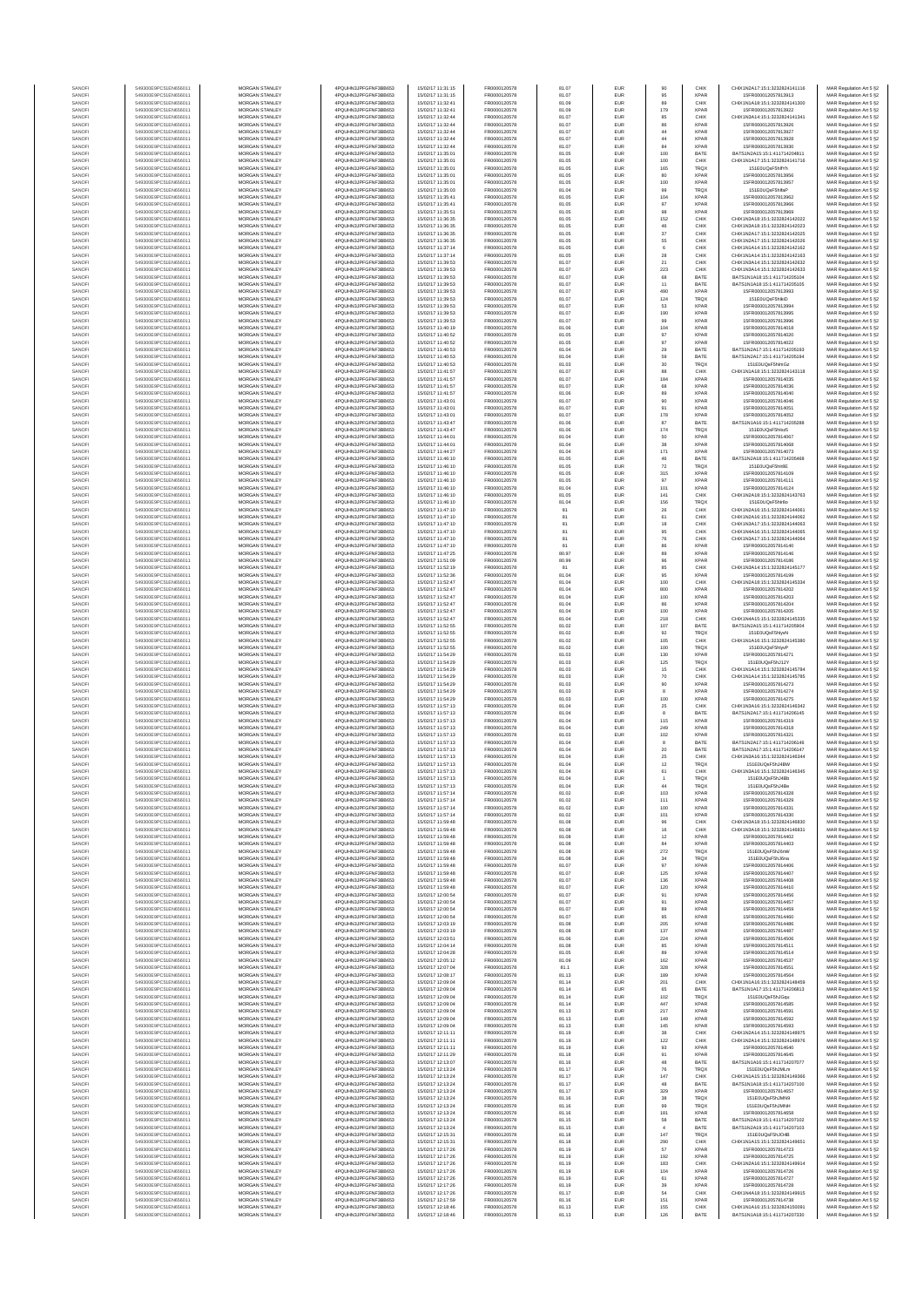| SANOFI<br>SANOF<br>SANOFI<br>SANOFI<br>SANOFI<br>SANOFI<br>SANOFI | 549300E9PC51EN656011<br>549300E9PC51EN656011<br>549300E9PC51EN656011<br>549300E9PC51EN656011<br>549300E9PC51EN656011 | <b>MORGAN STANLEY</b><br>MORGAN STANLEY<br>MORGAN STANLEY<br>MORGAN STANLEY | 4PQUHN3JPFGFNF3BB653<br>4PQUHN3JPFGFNF3BB653<br>4PQUHN3JPFGFNF3BB653<br>4PQUHN3JPFGFNF3BB653 | 15/02/17 11:31:15<br>15/02/17 11:32:41<br>15/02/17 11:32:41 | FR0000120578<br>FR0000120578<br>FR0000120578 | 81.07<br>81.09<br>81.09 | EUR<br>EUR<br>EUR | 95<br>89<br>179<br>85     | <b>XPAR</b><br>CHIX<br><b>XPAF</b><br>CHIX | 15FR000012057813913<br>CHIX1N1A18:15:1:3232824141300<br>15FR000012057813922         | MAR Regulation Art 5 §2<br>MAR Regulation Art 5 §2<br>MAR Regulation Art 5 §2<br>MAR Regulation Art 5 §2 |
|-------------------------------------------------------------------|----------------------------------------------------------------------------------------------------------------------|-----------------------------------------------------------------------------|----------------------------------------------------------------------------------------------|-------------------------------------------------------------|----------------------------------------------|-------------------------|-------------------|---------------------------|--------------------------------------------|-------------------------------------------------------------------------------------|----------------------------------------------------------------------------------------------------------|
|                                                                   |                                                                                                                      |                                                                             |                                                                                              |                                                             |                                              |                         |                   |                           |                                            |                                                                                     |                                                                                                          |
|                                                                   |                                                                                                                      |                                                                             |                                                                                              |                                                             |                                              |                         |                   |                           |                                            |                                                                                     |                                                                                                          |
|                                                                   |                                                                                                                      |                                                                             |                                                                                              | 15/02/17 11:32:44                                           | FR0000120578                                 | 81.07                   | EUR               |                           |                                            | CHIX1N3A14:15:1:3232824141341                                                       |                                                                                                          |
|                                                                   |                                                                                                                      | MORGAN STANLEY                                                              | 4PQUHN3JPFGFNF3BB653                                                                         | 15/02/17 11:32:44                                           | FR0000120578                                 | 81.07                   | EUR               | 86                        | <b>XPAF</b>                                | 15FR000012057813926                                                                 | MAR Regulation Art 5 §2                                                                                  |
|                                                                   | 549300E9PC51EN656011                                                                                                 | MORGAN STANLEY                                                              | 4PQUHN3JPFGFNF3BB653                                                                         | 15/02/17 11:32:44                                           | FR0000120578                                 | 81.07                   | EUR               | $44\,$                    | <b>XPAR</b>                                | 15FR000012057813927                                                                 | MAR Regulation Art 5 §2                                                                                  |
| SANOFI                                                            | 549300E9PC51EN656011<br>549300E9PC51EN656011                                                                         | MORGAN STANLEY<br><b>MORGAN STANLEY</b>                                     | 4PQUHN3JPFGFNF3BB653<br>4PQUHN3JPFGFNF3BB653                                                 | 15/02/17 11:32:44<br>15/02/17 11:32:44                      | FR0000120578<br>FR0000120578                 | 81.07<br>81.07          | EUR<br>EUR        | 44<br>84                  | <b>XPAR</b><br><b>XPAR</b>                 | 15FR000012057813928<br>15FR000012057813930                                          | MAR Regulation Art 5 §2                                                                                  |
| SANOFI                                                            | 549300E9PC51EN656011                                                                                                 | <b>MORGAN STANLEY</b>                                                       | 4PQUHN3JPFGFNF3BB653                                                                         | 15/02/17 11:35:01                                           | FR0000120578                                 | 81.05                   | EUR               | 100                       | BATE                                       | BATS1N2A15:15:1:411714204811                                                        | MAR Regulation Art 5 §2<br>MAR Regulation Art 5 §2                                                       |
| SANOFI                                                            | 549300E9PC51EN656011                                                                                                 | <b>MORGAN STANLEY</b>                                                       | 4PQUHN3JPFGFNF3BB653                                                                         | 15/02/17 11:35:01                                           | FR0000120578                                 | 81.05                   | EUR               | 100                       | CHIX                                       | CHIX1N1A17:15:1:3232824141716                                                       | MAR Regulation Art 5 §2                                                                                  |
| SANOFI                                                            | 549300E9PC51EN656011                                                                                                 | MORGAN STANLEY<br>MORGAN STANLEY                                            | 4PQUHN3JPFGFNF3BB653                                                                         | 15/02/17 11:35:01                                           | FR0000120578                                 | 81.05                   | EUR               | 165                       | <b>TRQX</b>                                | 151E0UQsF5hlfYh                                                                     | MAR Regulation Art 5 §2                                                                                  |
| SANOFI<br>SANOF                                                   | 549300E9PC51EN656011<br>549300E9PC51EN656011                                                                         | MORGAN STANLEY                                                              | 4PQUHN3JPFGFNF3BB653<br>4PQUHN3JPFGFNF3BB653                                                 | 15/02/17 11:35:01<br>15/02/17 11:35:01                      | FR0000120578<br>FR0000120578                 | 81.05<br>81.05          | EUR<br>EUR        | 80<br>100                 | <b>XPAR</b><br><b>XPAF</b>                 | 15FR000012057813956<br>15FR000012057813957                                          | MAR Regulation Art 5 §2<br>MAR Regulation Art 5 §2                                                       |
| SANOFI                                                            | 549300E9PC51EN656011                                                                                                 | MORGAN STANLEY                                                              | 4PQUHN3JPFGFNF3BB653                                                                         | 15/02/17 11:35:03                                           | FR0000120578                                 | 81.04                   | EUR               | 99                        | TRQ)                                       | 151E0UQsF5hlfaP                                                                     | MAR Regulation Art 5 §2                                                                                  |
| SANOFI                                                            | 549300E9PC51EN656011                                                                                                 | MORGAN STANLEY                                                              | 4PQUHN3JPFGFNF3BB653                                                                         | 15/02/17 11:35:41                                           | FR0000120578                                 | 81.05                   | EUR               | 104                       | <b>XPAR</b>                                | 15FR000012057813962                                                                 | MAR Regulation Art 5 §2                                                                                  |
| SANOFI<br>SANOFI                                                  | 549300E9PC51EN656011<br>549300E9PC51EN656011                                                                         | MORGAN STANLEY<br><b>MORGAN STANLEY</b>                                     | 4PQUHN3JPFGFNF3BB653<br>4PQUHN3JPFGFNF3BB653                                                 | 15/02/17 11:35:41<br>15/02/17 11:35:51                      | FR0000120578<br>FR0000120578                 | 81.05<br>81.05          | EUR<br>EUR        | 97<br>98                  | <b>XPAR</b><br><b>XPAR</b>                 | 15FR000012057813966<br>15FR000012057813969                                          | MAR Regulation Art 5 §2                                                                                  |
| SANOFI                                                            | 549300E9PC51EN656011                                                                                                 | <b>MORGAN STANLEY</b>                                                       | 4PQUHN3JPFGFNF3BB653                                                                         | 15/02/17 11:36:35                                           | FR0000120578                                 | 81.05                   | EUR               | 152                       | CHIX                                       | CHIX1N3A18:15:1:3232824142022                                                       | MAR Regulation Art 5 §2<br>MAR Regulation Art 5 §2                                                       |
| SANOFI                                                            | 549300E9PC51EN656011                                                                                                 | MORGAN STANLEY                                                              | 4PQUHN3JPFGFNF3BB653                                                                         | 15/02/17 11:36:35                                           | FR0000120578                                 | 81.05                   | EUR               | 46                        | CHIX                                       | CHIX1N3A18:15:1:3232824142023                                                       | MAR Regulation Art 5 §2                                                                                  |
| SANOF                                                             | 549300E9PC51EN656011                                                                                                 | MORGAN STANLEY                                                              | 4PQUHN3JPFGFNF3BB653                                                                         | 15/02/17 11:36:35                                           | FR0000120578                                 | 81.05                   | EUR               | $37\,$                    | CHIX                                       | CHIX1N2A17:15:1:3232824142025                                                       | MAR Regulation Art 5 §2                                                                                  |
| SANOFI<br>SANOFI                                                  | 549300E9PC51EN656011<br>549300E9PC51EN656011                                                                         | MORGAN STANLEY<br>MORGAN STANLEY                                            | 4PQUHN3JPFGFNF3BB653<br>4PQUHN3JPFGFNF3BB653                                                 | 15/02/17 11:36:35<br>15/02/17 11:37:14                      | FR0000120578<br>FR0000120578                 | 81.05<br>81.05          | EUR<br>EUR        | 55<br>6                   | CHIX<br>CHIX                               | CHIX1N2A17:15:1:3232824142026<br>CHIX1N1A14:15:1:3232824142162                      | MAR Regulation Art 5 §2                                                                                  |
| SANOFI                                                            | 549300E9PC51EN656011                                                                                                 | MORGAN STANLEY                                                              | 4PQUHN3JPFGFNF3BB653                                                                         | 15/02/17 11:37:14                                           | FR0000120578                                 | 81.05                   | EUR               | 28                        | CHIX                                       | CHIX1N1A14:15:1:3232824142163                                                       | MAR Regulation Art 5 §2<br>MAR Regulation Art 5 §2                                                       |
| SANOFI                                                            | 549300E9PC51EN656011                                                                                                 | MORGAN STANLEY                                                              | 4PQUHN3JPFGFNF3BB653                                                                         | 15/02/17 11:39:53                                           | FR0000120578                                 | 81.07                   | EUR               | $21\,$                    | CHIX                                       | CHIX1N3A14:15:1:3232824142632                                                       | MAR Regulation Art 5 §2                                                                                  |
| SANOFI<br>SANOFI                                                  | 549300E9PC51EN656011<br>549300E9PC51EN656011                                                                         | <b>MORGAN STANLEY</b><br><b>MORGAN STANLEY</b>                              | 4POLIHN3JPEGENE3BB653<br>4PQUHN3JPFGFNF3BB653                                                | 15/02/17 11:39:53<br>15/02/17 11:39:53                      | FR0000120578<br>FR0000120578                 | 81.07<br>81.07          | EUR<br>EUR        | 223                       | CHIX<br>BATE                               | CHIX1N3A14:15:1:3232824142633<br>BATS1N1A18:15:1:411714205104                       | MAR Regulation Art 5 §2                                                                                  |
| SANOFI                                                            | 549300E9PC51EN656011                                                                                                 | MORGAN STANLEY                                                              | 4PQUHN3JPFGFNF3BB653                                                                         | 15/02/17 11:39:53                                           | FR0000120578                                 | 81.07                   | EUR               | 68<br>$11\,$              | BATE                                       | BATS1N1A18:15:1:411714205105                                                        | MAR Regulation Art 5 §2<br>MAR Regulation Art 5 §2                                                       |
| SANOFI                                                            | 549300E9PC51EN656011                                                                                                 | MORGAN STANLEY                                                              | 4PQUHN3JPFGFNF3BB653                                                                         | 15/02/17 11:39:53                                           | FR0000120578                                 | 81.07                   | EUR               | 490                       | <b>XPAR</b>                                | 15FR000012057813993                                                                 | MAR Regulation Art 5 §2                                                                                  |
| SANOF                                                             | 549300E9PC51EN656011                                                                                                 | MORGAN STANLEY                                                              | 4PQUHN3JPFGFNF3BB653                                                                         | 15/02/17 11:39:53                                           | FR0000120578                                 | 81.07                   | EUR               | 124                       | TRQ)                                       | 151E0UQsF5hlkiD                                                                     | MAR Regulation Art 5 §2                                                                                  |
| SANOFI<br>SANOFI                                                  | 549300E9PC51EN656011<br>549300E9PC51EN656011                                                                         | MORGAN STANLEY<br>MORGAN STANLEY                                            | 4PQUHN3JPFGFNF3BB653<br>4PQUHN3JPFGFNF3BB653                                                 | 15/02/17 11:39:53<br>15/02/17 11:39:53                      | FR0000120578<br>FR0000120578                 | 81.07<br>81.07          | EUR<br>EUR        | 53<br>190                 | <b>XPAF</b><br><b>XPAR</b>                 | 15FR000012057813994<br>15FR000012057813995                                          | MAR Regulation Art 5 §2<br>MAR Regulation Art 5 §2                                                       |
| SANOFI                                                            | 549300E9PC51EN656011                                                                                                 | MORGAN STANLEY                                                              | 4PQUHN3JPFGFNF3BB653                                                                         | 15/02/17 11:39:53                                           | FR0000120578                                 | 81.07                   | EUR               | 99                        | <b>XPAR</b>                                | 15FR000012057813996                                                                 | MAR Regulation Art 5 §2                                                                                  |
| SANOFI                                                            | 549300E9PC51EN656011                                                                                                 | <b>MORGAN STANLEY</b>                                                       | 4PQUHN3JPFGFNF3BB653                                                                         | 15/02/17 11:40:19                                           | FR0000120578                                 | 81.06                   | EUR               | 104                       | <b>XPAR</b>                                | 15FR000012057814018                                                                 | MAR Regulation Art 5 §2                                                                                  |
| SANOFI<br>SANOFI                                                  | 549300E9PC51EN656011<br>549300E9PC51EN656011                                                                         | <b>MORGAN STANLEY</b><br>MORGAN STANLEY                                     | 4PQUHN3JPFGFNF3BB653<br>4PQUHN3JPFGFNF3BB653                                                 | 15/02/17 11:40:52<br>15/02/17 11:40:52                      | FR0000120578<br>FR0000120578                 | 81.05<br>81.05          | EUR<br>EUR        | 97<br>97                  | <b>XPAR</b><br><b>XPAR</b>                 | 15FR000012057814020<br>15FR000012057814022                                          | MAR Regulation Art 5 §2<br>MAR Regulation Art 5 §2                                                       |
| SANOFI                                                            | 549300E9PC51EN656011                                                                                                 | MORGAN STANLEY                                                              | 4PQUHN3JPFGFNF3BB653                                                                         | 15/02/17 11:40:53                                           | FR0000120578                                 | 81.04                   | EUR               | $29\,$                    | BATE                                       | BATS1N2A17:15:1:411714205193                                                        | MAR Regulation Art 5 §2                                                                                  |
| SANOFI                                                            | 549300E9PC51EN656011                                                                                                 | MORGAN STANLEY                                                              | 4PQUHN3JPFGFNF3BB653                                                                         | 15/02/17 11:40:53                                           | FR0000120578                                 | 81.04                   | EUR               | 59                        | BATE                                       | BATS1N2A17:15:1:411714205194                                                        | MAR Regulation Art 5 §2                                                                                  |
| SANOFI                                                            | 549300E9PC51EN656011                                                                                                 | MORGAN STANLEY                                                              | 4PQUHN3JPFGFNF3BB653                                                                         | 15/02/17 11:40:53                                           | FR0000120578                                 | 81.03                   | EUR               | 30                        | TRQ)                                       | 151E0UQsF5hlmG.                                                                     | MAR Regulation Art 5 §2                                                                                  |
| SANOFI<br>SANOFI                                                  | 549300E9PC51EN656011<br>549300E9PC51EN656011                                                                         | MORGAN STANLEY<br>MORGAN STANLEY                                            | 4PQUHN3JPFGFNF3BB653<br>4PQUHN3JPFGFNF3BB653                                                 | 15/02/17 11:41:57<br>15/02/17 11:41:57                      | FR0000120578<br>FR0000120578                 | 81.07<br>81.07          | EUR<br>EUR        | 88<br>184                 | CHIX<br><b>XPAF</b>                        | CHIX1N1A18:15:1:3232824143118<br>15FR000012057814035                                | MAR Regulation Art 5 §2<br>MAR Regulation Art 5 §2                                                       |
| SANOFI                                                            | 549300E9PC51EN656011                                                                                                 | <b>MORGAN STANLEY</b>                                                       | 4POLIHN3JPEGENE3BB653                                                                        | 15/02/17 11:41:57                                           | FR0000120578                                 | 81.07                   | EUR               | 68                        | <b>XPAR</b>                                | 15FR000012057814036                                                                 | MAR Regulation Art 5 §2                                                                                  |
| SANOFI                                                            | 549300E9PC51EN656011                                                                                                 | MORGAN STANLEY<br>MORGAN STANLEY                                            | 4PQUHN3JPFGFNF3BB653                                                                         | 15/02/17 11:41:57                                           | FR0000120578                                 | 81.06                   | EUR               | 89                        | <b>XPAR</b>                                | 15FR000012057814040                                                                 | MAR Regulation Art 5 §2                                                                                  |
| SANOFI<br>SANOFI                                                  | 549300E9PC51EN656011<br>549300E9PC51EN656011                                                                         | MORGAN STANLEY                                                              | 4PQUHN3JPFGFNF3BB653<br>4PQUHN3JPFGFNF3BB653                                                 | 15/02/17 11:43:01<br>15/02/17 11:43:01                      | FR0000120578<br>FR0000120578                 | 81.07<br>81.07          | EUR<br>EUR        | 90<br>91                  | <b>XPAR</b><br>XPAR                        | 15FR000012057814046<br>15FR000012057814051                                          | MAR Regulation Art 5 §2<br>MAR Regulation Art 5 §2                                                       |
| SANOFI                                                            | 549300E9PC51EN656011                                                                                                 | MORGAN STANLEY                                                              | 4PQUHN3JPFGFNF3BB653                                                                         | 15/02/17 11:43:01                                           | FR0000120578                                 | 81.07                   | EUR               | 178                       | <b>XPAR</b>                                | 15FR000012057814052                                                                 | MAR Regulation Art 5 §2                                                                                  |
| SANOFI                                                            | 549300E9PC51EN656011                                                                                                 | MORGAN STANLEY                                                              | 4PQUHN3JPFGFNF3BB653                                                                         | 15/02/17 11:43:47                                           | FR0000120578                                 | 81.06                   | EUR               | 87                        | BATE                                       | BATS1N1A16:15:1:411714205288                                                        | MAR Regulation Art 5 §2                                                                                  |
| SANOFI                                                            | 549300E9PC51EN656011<br>549300E9PC51EN656011                                                                         | MORGAN STANLEY<br>MORGAN STANLEY                                            | 4PQUHN3JPFGFNF3BB653                                                                         | 15/02/17 11:43:47                                           | FR0000120578<br>FR0000120578                 | 81.06                   | EUR               | 174<br>50                 | TRQ)<br><b>XPAR</b>                        | 151E0UQsF5hloz5<br>15FR000012057814067                                              | MAR Regulation Art 5 §2<br>MAR Regulation Art 5 §2                                                       |
| SANOFI<br>SANOFI                                                  | 549300E9PC51EN656011                                                                                                 | MORGAN STANLEY                                                              | 4PQUHN3JPFGFNF3BB653<br>4PQUHN3JPFGFNF3BB653                                                 | 15/02/17 11:44:01<br>15/02/17 11:44:01                      | FR0000120578                                 | 81.04<br>81.04          | EUR<br>EUR        | 38                        | <b>XPAR</b>                                | 15FR000012057814068                                                                 | MAR Regulation Art 5 §2                                                                                  |
| SANOFI                                                            | 549300E9PC51EN656011                                                                                                 | <b>MORGAN STANLEY</b>                                                       | 4POLIHN3JPEGENE3BB653                                                                        | 15/02/17 11:44:27                                           | FR0000120578                                 | 81.04                   | EUR               | 171                       | <b>XPAR</b>                                | 15FR000012057814073                                                                 | MAR Regulation Art 5 §2                                                                                  |
| SANOFI                                                            | 549300E9PC51EN656011                                                                                                 | <b>MORGAN STANLEY</b>                                                       | 4POLIHN3JPEGENE3BB653                                                                        | 15/02/17 11:46:10                                           | FR0000120578                                 | 81.05                   | EUR               | 46                        | BATE                                       | BATS1N2A18:15:1:411714205468                                                        | MAR Regulation Art 5 §2                                                                                  |
| SANOFI<br>SANOFI                                                  | 549300E9PC51EN656011<br>549300E9PC51EN656011                                                                         | MORGAN STANLEY<br>MORGAN STANLEY                                            | 4PQUHN3JPFGFNF3BB653<br>4PQUHN3JPFGFNF3BB653                                                 | 15/02/17 11:46:10<br>15/02/17 11:46:10                      | FR0000120578<br>FR0000120578                 | 81.05<br>81.05          | EUR<br>EUR        | $\scriptstyle{72}$<br>315 | TRQ)<br><b>XPAR</b>                        | 151E0UQsF5hlr8E<br>15FR000012057814109                                              | MAR Regulation Art 5 §2<br>MAR Regulation Art 5 §2                                                       |
| SANOFI                                                            | 549300E9PC51EN656011                                                                                                 | MORGAN STANLEY                                                              | 4PQUHN3JPFGFNF3BB653                                                                         | 15/02/17 11:46:10                                           | FR0000120578                                 | 81.05                   | EUR               | 97                        | <b>XPAF</b>                                | 15FR000012057814111                                                                 | MAR Regulation Art 5 §2                                                                                  |
| SANOFI                                                            | 549300E9PC51EN656011                                                                                                 | MORGAN STANLEY                                                              | 4PQUHN3JPFGFNF3BB653                                                                         | 15/02/17 11:46:10                                           | FR0000120578                                 | 81.04                   | EUR               | 101                       | <b>XPAF</b>                                | 15FR000012057814124                                                                 | MAR Regulation Art 5 §2                                                                                  |
| SANOFI                                                            | 549300E9PC51EN656011                                                                                                 | MORGAN STANLEY<br>MORGAN STANLEY                                            | 4PQUHN3JPFGFNF3BB653                                                                         | 15/02/17 11:46:10                                           | FR0000120578<br>FR0000120578                 | 81.05                   | EUR               | 141<br>156                | CHIX                                       | CHIX1N2A18:15:1:3232824143763                                                       | MAR Regulation Art 5 §2                                                                                  |
| SANOFI<br>SANOFI                                                  | 549300E9PC51EN656011<br>549300E9PC51EN656011                                                                         | <b>MORGAN STANLEY</b>                                                       | 4PQUHN3JPFGFNF3BB653<br>4POLIHN3JPEGENE3BB653                                                | 15/02/17 11:46:10<br>15/02/17 11:47:10                      | FR0000120578                                 | 81.04<br>81             | EUR<br>EUR        | 26                        | <b>TRQX</b><br>CHIX                        | 151E0UQsF5hlr8o<br>CHIX1N2A16:15:1:3232824144061                                    | MAR Regulation Art 5 §2<br>MAR Regulation Art 5 §2                                                       |
| SANOFI                                                            | 549300E9PC51EN656011                                                                                                 | MORGAN STANLEY                                                              | 4PQUHN3JPFGFNF3BB653                                                                         | 15/02/17 11:47:10                                           | FR0000120578                                 | 81                      | EUR               | 61                        | CHIX                                       | CHIX1N2A16:15:1:3232824144062                                                       | MAR Regulation Art 5 §2                                                                                  |
| SANOFI                                                            | 549300E9PC51EN656011                                                                                                 | MORGAN STANLEY                                                              | 4PQUHN3JPFGFNF3BB653                                                                         | 15/02/17 11:47:10                                           | FR0000120578                                 | 81                      | EUR               | $18\,$                    | CHIX                                       | CHIX1N3A17:15:1:3232824144063                                                       | MAR Regulation Art 5 §2                                                                                  |
| SANOF<br>SANOFI                                                   | 549300E9PC51EN656011<br>549300E9PC51EN656011                                                                         | MORGAN STANLEY<br>MORGAN STANLEY                                            | 4PQUHN3JPFGFNF3BB653<br>4PQUHN3JPFGFNF3BB653                                                 | 15/02/17 11:47:10<br>15/02/17 11:47:10                      | FR0000120578<br>FR0000120578                 | 81<br>81                | EUR<br>EUR        | 95                        | CHIX<br>CHIX                               | CHIX1N4A16:15:1:3232824144065<br>CHIX1N3A17:15:1:3232824144064                      | MAR Regulation Art 5 §2                                                                                  |
| SANOFI                                                            | 549300E9PC51EN656011                                                                                                 | MORGAN STANLEY                                                              | 4PQUHN3JPFGFNF3BB653                                                                         | 15/02/17 11:47:10                                           | FR0000120578                                 |                         | EUR               | ${\bf 76}$<br>86          | <b>XPAF</b>                                | 15FR000012057814140                                                                 | MAR Regulation Art 5 §2<br>MAR Regulation Art 5 §2                                                       |
| SANOFI                                                            | 549300E9PC51EN656011                                                                                                 | MORGAN STANLEY                                                              | 4PQUHN3JPFGFNF3BB653                                                                         | 15/02/17 11:47:25                                           | FR0000120578                                 | 80.97                   | EUR               | 89                        | <b>XPAR</b>                                | 15FR000012057814146                                                                 | MAR Regulation Art 5 §2                                                                                  |
| SANOFI                                                            | 549300E9PC51EN656011                                                                                                 | MORGAN STANLEY                                                              | 4PQUHN3JPFGFNF3BB653                                                                         | 15/02/17 11:51:09                                           | FR0000120578                                 | 80.99                   | EUR               | 96                        | <b>XPAR</b>                                | 15FR000012057814186                                                                 | MAR Regulation Art 5 §2                                                                                  |
| SANOFI<br>SANOFI                                                  | 549300E9PC51EN656011<br>549300E9PC51EN656011                                                                         | <b>MORGAN STANLEY</b><br><b>MORGAN STANLEY</b>                              | 4PQUHN3JPFGFNF3BB653<br>4PQUHN3JPFGFNF3BB653                                                 | 15/02/17 11:52:19<br>15/02/17 11:52:36                      | FR0000120578<br>FR0000120578                 | 81<br>81.04             | EUR<br>EUR        | 85<br>95                  | CHIX<br><b>XPAR</b>                        | CHIX1N3A14:15:1:3232824145177<br>15FR000012057814199                                | MAR Regulation Art 5 §2<br>MAR Regulation Art 5 §2                                                       |
| SANOFI                                                            | 549300E9PC51EN656011                                                                                                 | MORGAN STANLEY                                                              | 4PQUHN3JPFGFNF3BB653                                                                         | 15/02/17 11:52:47                                           | FR0000120578                                 | 81.04                   | EUR               | 100                       | CHIX                                       | CHIX1N2A18:15:1:3232824145334                                                       | MAR Regulation Art 5 §2                                                                                  |
| SANOFI                                                            | 549300E9PC51EN656011                                                                                                 | MORGAN STANLEY                                                              | 4PQUHN3JPFGFNF3BB653                                                                         | 15/02/17 11:52:47                                           | FR0000120578                                 | 81.04                   | EUR               | 800                       | <b>XPAR</b>                                | 15FR000012057814202                                                                 | MAR Regulation Art 5 §2                                                                                  |
| SANOFI                                                            | 549300E9PC51EN656011<br>549300E9PC51EN656011                                                                         | MORGAN STANLEY<br>MORGAN STANLEY                                            | 4PQUHN3JPFGFNF3BB653<br>4PQUHN3JPFGFNF3BB653                                                 | 15/02/17 11:52:47<br>15/02/17 11:52:4                       | FR0000120578<br>FR0000120578                 | 81.04<br>81.04          | EUR<br>EUR        | 100<br>86                 | <b>XPAF</b><br><b>XPAF</b>                 | 15FR000012057814203<br>15FR000012057814204                                          | MAR Regulation Art 5 §2                                                                                  |
| SANOFI<br>SANOFI                                                  | 549300E9PC51EN656011                                                                                                 | MORGAN STANLEY                                                              | 4PQUHN3JPFGFNF3BB653                                                                         | 15/02/17 11:52:47                                           | FR0000120578                                 | 81.04                   | EUR               | 100                       | <b>XPAR</b>                                | 15FR000012057814205                                                                 | MAR Regulation Art 5 §2<br>MAR Regulation Art 5 §2                                                       |
| SANOFI                                                            | 549300E9PC51EN656011                                                                                                 | MORGAN STANLEY                                                              | 4PQUHN3JPFGFNF3BB653                                                                         | 15/02/17 11:52:47                                           | FR0000120578                                 | 81.04                   | EUR               | 218                       | CHIX                                       | CHIX1N4A15:15:1:3232824145335                                                       | MAR Regulation Art 5 §2                                                                                  |
| SANOFI                                                            | 549300E9PC51EN656011                                                                                                 | <b>MORGAN STANLEY</b>                                                       | 4PQUHN3JPFGFNF3BB653                                                                         | 15/02/17 11:52:55                                           | FR0000120578                                 | 81.02                   | EUR               | 107                       | BATE                                       | BATS1N2A15:15:1:411714205904                                                        | MAR Regulation Art 5 §2                                                                                  |
| SANOFI<br>SANOFI                                                  | 549300E9PC51EN656011<br>549300E9PC51EN656011                                                                         | <b>MORGAN STANLEY</b><br><b>MORGAN STANLEY</b>                              | 4PQUHN3JPFGFNF3BB653<br>4PQUHN3JPFGFNF3BB653                                                 | 15/02/17 11:52:55<br>15/02/17 11:52:55                      | FR0000120578<br>FR0000120578                 | 81.02<br>81.02          | EUR<br>EUR        | 92<br>105                 | TRQX<br>CHIX                               | 151E0UQsF5hlvvN<br>CHIX1N1A16:15:1:3232824145380                                    | MAR Regulation Art 5 §2<br>MAR Regulation Art 5 §2                                                       |
| SANOFI                                                            | 549300E9PC51EN656011                                                                                                 | MORGAN STANLEY                                                              | 4PQUHN3JPFGFNF3BB653                                                                         | 15/02/17 11:52:55                                           | FR0000120578                                 | 81.02                   | EUR               | 100                       | <b>TRQX</b>                                | 151E0UQsF5hlyvP                                                                     | MAR Regulation Art 5 §2                                                                                  |
| SANOFI                                                            | 549300E9PC51EN656011                                                                                                 | MORGAN STANLEY                                                              | 4PQUHN3JPFGFNF3BB653                                                                         | 15/02/17 11:54:29                                           | FR0000120578                                 | 81.03                   | EUR               | 130                       | <b>XPAR</b>                                | 15FR000012057814271                                                                 | MAR Regulation Art 5 §2                                                                                  |
| SANOF<br>SANOFI                                                   | 549300E9PC51EN656011<br>549300E9PC51EN656011                                                                         | MORGAN STANLEY<br>MORGAN STANLEY                                            | 4PQUHN3JPFGFNF3BB653<br>4PQUHN3JPFGFNF3BB653                                                 | 15/02/17 11:54:29<br>15/02/17 11:54:29                      | FR0000120578<br>FR0000120578                 | 81.03<br>81.03          | EUR<br>EUR        | 125<br>15                 | TRQ)<br>CHIX                               | 151E0UQsF5hJ12Y<br>CHIX1N1A14:15:1:3232824145784                                    | MAR Regulation Art 5 §2<br>MAR Regulation Art 5 §2                                                       |
| SANOFI                                                            | 549300E9PC51EN656011                                                                                                 | MORGAN STANLEY                                                              | 4PQUHN3JPFGFNF3BB653                                                                         | 15/02/17 11:54:29                                           | FR0000120578                                 | 81.03                   | EUR               | 70                        | CHIX                                       | CHIX1N1A14:15:1:3232824145785                                                       | MAR Regulation Art 5 §2                                                                                  |
| SANOFI                                                            | 549300E9PC51EN656011                                                                                                 | MORGAN STANLEY                                                              | 4PQUHN3JPFGFNF3BB653                                                                         | 15/02/17 11:54:29                                           | FR0000120578                                 | 81.03                   | EUR               | 90                        | <b>XPAR</b>                                | 15FR000012057814273                                                                 | MAR Regulation Art 5 §2                                                                                  |
| SANOFI<br>SANOFI                                                  | 549300E9PC51EN656011<br>549300E9PC51EN656011                                                                         | <b>MORGAN STANLEY</b><br><b>MORGAN STANLEY</b>                              | 4PQUHN3JPFGFNF3BB653<br>4POLIHN3JPEGENE3BB653                                                | 15/02/17 11:54:29<br>15/02/17 11:54:29                      | FR0000120578<br>FR0000120578                 | 81.03<br>81.03          | EUR<br>EUR        | 8<br>100                  | <b>XPAR</b><br><b>XPAR</b>                 | 15FR000012057814274<br>15FR000012057814275                                          | MAR Regulation Art 5 §2<br>MAR Regulation Art 5 §2                                                       |
| SANOFI                                                            | 549300E9PC51EN656011                                                                                                 | MORGAN STANLEY                                                              | 4PQUHN3JPFGFNF3BB653                                                                         | 15/02/17 11:57:13                                           | FR0000120578                                 | 81.04                   | EUR               | $25\,$                    | CHIX                                       | CHIX1N3A16:15:1:3232824146342                                                       | MAR Regulation Art 5 §2                                                                                  |
| SANOFI                                                            | 549300E9PC51EN656011                                                                                                 | MORGAN STANLEY                                                              | 4PQUHN3JPFGFNF3BB653                                                                         | 15/02/17 11:57:13                                           | FR0000120578                                 | 81.04                   | EUR               | 8                         | BATE                                       | BATS1N2A17:15:1:411714206145                                                        | MAR Regulation Art 5 §2                                                                                  |
| SANOFI                                                            | 549300E9PC51EN656011                                                                                                 | MORGAN STANLEY                                                              | 4PQUHN3JPFGFNF3BB653                                                                         | 15/02/17 11:57:13                                           | FR0000120578                                 | 81.04                   | EUR               | 115                       | <b>XPAF</b>                                | 15FR000012057814319                                                                 | MAR Regulation Art 5 §2                                                                                  |
| SANOF<br>SANOFI                                                   | 549300E9PC51EN656011<br>549300E9PC51EN656011                                                                         | MORGAN STANLEY<br>MORGAN STANLEY                                            | 4PQUHN3JPFGFNF3BB653<br>4PQUHN3JPFGFNF3BB653                                                 | 15/02/17 11:57:13<br>15/02/17 11:57:13                      | FR0000120578<br>FR0000120578                 | 81.04<br>81.03          | EUR<br>EUR        | 249<br>102                | <b>XPAR</b><br><b>XPAR</b>                 | 15FR000012057814318<br>15FR000012057814321                                          | MAR Regulation Art 5 §2<br>MAR Regulation Art 5 §2                                                       |
| SANOFI                                                            | 549300E9PC51EN656011                                                                                                 | MORGAN STANLEY                                                              | 4PQUHN3JPFGFNF3BB653                                                                         | 15/02/17 11:57:13                                           | FR0000120578                                 | 81.04                   | EUR               | 8                         | BATE                                       | BATS1N2A17:15:1:411714206146                                                        | MAR Regulation Art 5 §2                                                                                  |
| SANOFI                                                            | 549300E9PC51EN656011                                                                                                 | <b>MORGAN STANLEY</b>                                                       | 4PQUHN3JPFGFNF3BB653                                                                         | 15/02/17 11:57:13                                           | FR0000120578                                 | 81.04                   | EUR               | 20                        | BATE                                       | BATS1N2A17:15:1:411714206147                                                        | MAR Regulation Art 5 §2                                                                                  |
| SANOFI<br>SANOF                                                   | 549300E9PC51EN656011<br>549300E9PC51EN656011                                                                         | <b>MORGAN STANLEY</b><br><b>MORGAN STANLEY</b>                              | 4PQUHN3JPFGFNF3BB653<br>4PQUHN3JPFGFNF3BB653                                                 | 15/02/17 11:57:13<br>15/02/17 11:57:13                      | FR0000120578<br>FR0000120578                 | 81.04<br>81.04          | EUR<br>EUR        | 25<br>12                  | CHIX<br><b>TRQX</b>                        | CHIX1N3A16:15:1:3232824146344<br>151E0UQsF5hJ4BW                                    | MAR Regulation Art 5 §2                                                                                  |
| SANOFI                                                            | 549300E9PC51EN656011                                                                                                 | MORGAN STANLEY                                                              | 4PQUHN3JPFGFNF3BB653                                                                         | 15/02/17 11:57:13                                           | FR0000120578                                 | 81.04                   | EUR               | 61                        | CHIX                                       | CHIX1N3A16:15:1:3232824146345                                                       | MAR Regulation Art 5 §2<br>MAR Regulation Art 5 §2                                                       |
|                                                                   |                                                                                                                      |                                                                             | 1N3JPFGFNF3BB653                                                                             |                                                             |                                              |                         |                   |                           |                                            |                                                                                     |                                                                                                          |
| SANOF                                                             | 549300E9PC51EN656011                                                                                                 | MORGAN STANLEY<br>MORGAN STANLEY                                            | 4PQUHN3JPFGFNF3BB653                                                                         | 15/02/17 11:57:13                                           | FR0000120578<br>FR0000120578                 | 81.04                   | EUR               | 44                        | <b>TRQX</b>                                | 151E0UQsF5hJ4Be                                                                     | MAR Regulation Art 5 §2                                                                                  |
| SANOFI<br>SANOFI                                                  | 549300E9PC51EN656011<br>549300E9PC51EN656011                                                                         | MORGAN STANLEY                                                              | 4PQUHN3JPFGFNF3BB653<br>4PQUHN3JPFGFNF3BB653                                                 | 15/02/17 11:57:14<br>15/02/17 11:57:14                      | FR0000120578                                 | 81.02<br>81.02          | EUR<br>EUR        | 103<br>111                | <b>XPAR</b><br><b>XPAR</b>                 | 15FR000012057814328<br>15FR000012057814329                                          | MAR Regulation Art 5 §2<br>MAR Regulation Art 5 §2                                                       |
| SANOFI                                                            | 549300E9PC51EN656011                                                                                                 | <b>MORGAN STANLEY</b>                                                       | 4PQUHN3JPFGFNF3BB653                                                                         | 15/02/17 11:57:14                                           | FR0000120578                                 | 81.02                   | EUR               | 100                       | <b>XPAR</b>                                | 15FR000012057814331                                                                 | MAR Regulation Art 5 §2                                                                                  |
| SANOFI                                                            | 549300E9PC51EN656011                                                                                                 | <b>MORGAN STANLEY</b>                                                       | 4PQUHN3JPFGFNF3BB653                                                                         | 15/02/17 11:57:14                                           | FR0000120578                                 | 81.02                   | EUR               | 101                       | <b>XPAR</b>                                | 15FR000012057814330                                                                 | MAR Regulation Art 5 §2                                                                                  |
| SANOFI<br>SANOFI                                                  | 549300E9PC51EN656011<br>549300E9PC51EN656011                                                                         | MORGAN STANLEY<br>MORGAN STANLEY                                            | 4PQUHN3JPFGFNF3BB653<br>4PQUHN3JPFGFNF3BB653                                                 | 15/02/17 11:59:48<br>15/02/17 11:59:48                      | FR0000120578<br>FR0000120578                 | 81.08<br>81.08          | EUR<br>EUR        | 96<br>16                  | CHIX<br>CHIX                               | CHIX1N3A18:15:1:3232824146830<br>CHIX1N3A18:15:1:3232824146831                      | MAR Regulation Art 5 §2<br>MAR Regulation Art 5 §2                                                       |
| SANOFI                                                            | 549300E9PC51EN656011                                                                                                 | MORGAN STANLEY                                                              | 4PQUHN3JPFGFNF3BB653                                                                         | 15/02/17 11:59:48                                           | FR0000120578                                 | 81.08                   | EUR               | 12                        | <b>XPAF</b>                                | 15FR000012057814402                                                                 | MAR Regulation Art 5 §2                                                                                  |
| SANOFI                                                            | 549300E9PC51EN656011                                                                                                 | MORGAN STANLEY                                                              | 4PQUHN3JPFGFNF3BB653                                                                         | 15/02/17 11:59:48                                           | FR0000120578                                 | 81.08                   | EUR               | 84                        | <b>XPAR</b>                                | 15FR000012057814403                                                                 | MAR Regulation Art 5 §2                                                                                  |
| SANOFI<br>SANOFI                                                  | 549300E9PC51EN656011<br>549300E9PC51EN656011                                                                         | MORGAN STANLEY<br>MORGAN STANLEY                                            | 4PQUHN3JPFGFNF3BB653<br>4PQUHN3JPFGFNF3BB653                                                 | 15/02/17 11:59:48<br>15/02/17 11:59:48                      | FR0000120578<br>FR0000120578                 | 81.08<br>81.08          | EUR<br>EUR        | 272<br>34                 | <b>TRQX</b><br><b>TRQX</b>                 | 151E0UQsF5hJ6nW<br>151E0UQsF5hJ6na                                                  | MAR Regulation Art 5 §2<br>MAR Regulation Art 5 §2                                                       |
| SANOFI                                                            | 549300E9PC51EN656011                                                                                                 | <b>MORGAN STANLEY</b>                                                       | 4PQUHN3JPFGFNF3BB653                                                                         | 15/02/17 11:59:48                                           | FR0000120578                                 | 81.07                   | EUR               | 97                        | <b>XPAR</b>                                | 15FR000012057814406                                                                 | MAR Regulation Art 5 §2                                                                                  |
| SANOFI                                                            | 549300E9PC51EN656011                                                                                                 | <b>MORGAN STANLEY</b>                                                       | 4PQUHN3JPFGFNF3BB653                                                                         | 15/02/17 11:59:48                                           | FR0000120578                                 | 81.07                   | EUR               | 125                       | <b>XPAR</b>                                | 15FR000012057814407                                                                 | MAR Regulation Art 5 §2                                                                                  |
| SANOFI<br>SANOFI                                                  | 549300E9PC51EN656011<br>549300E9PC51EN656011                                                                         | <b>MORGAN STANLEY</b><br>MORGAN STANLEY                                     | 4PQUHN3JPFGFNF3BB653<br>4PQUHN3JPFGFNF3BB653                                                 | 15/02/17 11:59:48<br>15/02/17 11:59:48                      | FR0000120578<br>FR0000120578                 | 81.07<br>81.07          | EUR<br>EUR        | 136<br>120                | <b>XPAR</b><br><b>XPAR</b>                 | 15FR000012057814408<br>15FR000012057814410                                          | MAR Regulation Art 5 §2<br>MAR Regulation Art 5 §2                                                       |
| SANOFI                                                            | 549300E9PC51EN656011                                                                                                 | <b>MORGAN STANLEY</b>                                                       | 4PQUHN3JPFGFNF3BB653                                                                         | 15/02/17 12:00:54                                           | FR0000120578                                 | 81.07                   | EUR               | 91                        | <b>XPAR</b>                                | 15FR000012057814456                                                                 | MAR Regulation Art 5 §2                                                                                  |
| SANOFI                                                            | 549300E9PC51EN656011                                                                                                 | MORGAN STANLEY                                                              | 4PQUHN3JPFGFNF3BB653                                                                         | 15/02/17 12:00:54                                           | FR0000120578                                 | 81.07                   | EUR               | 91                        | <b>XPAR</b>                                | 15FR000012057814457                                                                 | MAR Regulation Art 5 §2                                                                                  |
| SANOFI<br>SANOFI                                                  | 549300E9PC51EN656011<br>549300E9PC51EN656011                                                                         | MORGAN STANLEY<br>MORGAN STANLEY                                            | 4PQUHN3JPFGFNF3BB653<br>4PQUHN3JPFGFNF3BB653                                                 | 15/02/17 12:00:54<br>15/02/17 12:00:54                      | FR0000120578<br>FR0000120578                 | 81.07<br>81.07          | EUR<br>EUR        | 89<br>95                  | <b>XPAR</b><br><b>XPAR</b>                 | 15FR000012057814459<br>15FR000012057814460                                          | MAR Regulation Art 5 §2<br>MAR Regulation Art 5 §2                                                       |
| SANOFI                                                            | 549300E9PC51EN656011                                                                                                 | MORGAN STANLEY                                                              | 4PQUHN3JPFGFNF3BB653                                                                         | 15/02/17 12:03:19                                           | FR0000120578                                 | 81.08                   | EUR               | 205                       | <b>XPAR</b>                                | 15FR000012057814486                                                                 | MAR Regulation Art 5 §2                                                                                  |
| SANOFI                                                            | 549300E9PC51EN656011                                                                                                 | MORGAN STANLEY                                                              | 4PQUHN3JPFGFNF3BB653                                                                         | 15/02/17 12:03:19                                           | FR0000120578                                 | 81.08                   | EUR               | 137                       | <b>XPAR</b>                                | 15FR000012057814487                                                                 | MAR Regulation Art 5 §2                                                                                  |
| SANOFI<br>SANOFI                                                  | 549300E9PC51EN656011<br>549300E9PC51EN656011                                                                         | <b>MORGAN STANLEY</b><br>MORGAN STANLEY                                     | 4PQUHN3JPFGFNF3BB653<br>4PQUHN3JPFGFNF3BB653                                                 | 15/02/17 12:03:51<br>15/02/17 12:04:14                      | FR0000120578<br>FR0000120578                 | 81.06<br>81.08          | EUR<br>EUR        | 224<br>85                 | <b>XPAR</b><br><b>XPAR</b>                 | 15FR000012057814506<br>15FR000012057814511                                          | MAR Regulation Art 5 §2<br>MAR Regulation Art 5 §2                                                       |
| SANOFI                                                            | 549300E9PC51EN656011                                                                                                 | MORGAN STANLEY                                                              | 4PQUHN3JPFGFNF3BB653                                                                         | 15/02/17 12:04:28                                           | FR0000120578                                 | 81.05                   | EUR               | 89                        | <b>XPAR</b>                                | 15FR000012057814514                                                                 | MAR Regulation Art 5 §2                                                                                  |
| SANOFI                                                            | 549300E9PC51EN656011                                                                                                 | MORGAN STANLEY                                                              | 4PQUHN3JPFGFNF3BB653                                                                         | 15/02/17 12:05:12                                           | FR0000120578                                 | 81.09                   | EUR               | 162                       | <b>XPAR</b>                                | 15FR000012057814537                                                                 | MAR Regulation Art 5 §2                                                                                  |
| SANOFI<br>SANOFI                                                  | 549300E9PC51EN656011<br>549300E9PC51EN656011                                                                         | MORGAN STANLEY<br>MORGAN STANLEY                                            | 4PQUHN3JPFGFNF3BB653                                                                         | 15/02/17 12:07:04                                           | FR0000120578<br>FR0000120578                 | 81.1                    | EUR               | 328<br>189                | <b>XPAR</b><br><b>XPAR</b>                 | 15FR000012057814551                                                                 | MAR Regulation Art 5 §2                                                                                  |
| SANOFI                                                            | 549300E9PC51EN656011                                                                                                 | MORGAN STANLEY                                                              | 4PQUHN3JPFGFNF3BB653<br>4PQUHN3JPFGFNF3BB653                                                 | 15/02/17 12:08:17<br>15/02/17 12:09:04                      | FR0000120578                                 | 81.13<br>81.14          | EUR<br><b>EUR</b> | 201                       | CHIX                                       | 15FR000012057814564<br>CHIX1N1A16:15:1:3232824148459                                | MAR Regulation Art 5 §2<br>MAR Regulation Art 5 §2                                                       |
| SANOFI                                                            | 549300E9PC51EN656011                                                                                                 | <b>MORGAN STANLEY</b>                                                       | 4PQUHN3JPFGFNF3BB653                                                                         | 15/02/17 12:09:04                                           | FR0000120578                                 | 81.14                   | EUR               | 65                        | BATE                                       | BATS1N1A17:15:1:411714206813                                                        | MAR Regulation Art 5 §2                                                                                  |
| SANOFI                                                            | 549300E9PC51EN656011                                                                                                 | <b>MORGAN STANLEY</b><br>MORGAN STANLEY                                     | 4PQUHN3JPFGFNF3BB653                                                                         | 15/02/17 12:09:04                                           | FR0000120578                                 | 81.14                   | EUR               | 102<br>447                | <b>TRQX</b><br><b>XPAR</b>                 | 151E0UQsF5hJGau                                                                     | MAR Regulation Art 5 §2                                                                                  |
| SANOFI<br>SANOFI                                                  | 549300E9PC51EN656011<br>549300E9PC51EN656011                                                                         | MORGAN STANLEY                                                              | 4PQUHN3JPFGFNF3BB653<br>4PQUHN3JPFGFNF3BB653                                                 | 15/02/17 12:09:04<br>15/02/17 12:09:04                      | FR0000120578<br>FR0000120578                 | 81.14<br>81.13          | EUR<br>EUR        | 217                       | <b>XPAR</b>                                | 15FR000012057814585<br>15FR000012057814591                                          | MAR Regulation Art 5 §2<br>MAR Regulation Art 5 §2                                                       |
| SANOFI                                                            | 549300E9PC51EN656011                                                                                                 | MORGAN STANLEY                                                              | 4PQUHN3JPFGFNF3BB653                                                                         | 15/02/17 12:09:04                                           | FR0000120578                                 | 81.13                   | EUR               | 149                       | <b>XPAR</b>                                | 15FR000012057814592                                                                 | MAR Regulation Art 5 §2                                                                                  |
| SANOFI                                                            | 549300E9PC51EN656011                                                                                                 | MORGAN STANLEY                                                              | 4PQUHN3JPFGFNF3BB653                                                                         | 15/02/17 12:09:04                                           | FR0000120578                                 | 81.13                   | EUR               | 145                       | <b>XPAR</b>                                | 15FR000012057814593                                                                 | MAR Regulation Art 5 §2                                                                                  |
| SANOFI<br>SANOFI                                                  | 549300E9PC51EN656011<br>549300E9PC51EN656011                                                                         | MORGAN STANLEY<br>MORGAN STANLEY                                            | 4PQUHN3JPFGFNF3BB653<br>4PQUHN3JPFGFNF3BB653                                                 | 15/02/17 12:11:11<br>15/02/17 12:11:11                      | FR0000120578<br>FR0000120578                 | 81.19<br>81.19          | EUR<br>EUR        | 38<br>122                 | CHIX<br>CHIX                               | CHIX1N2A14:15:1:3232824148975<br>CHIX1N2A14:15:1:3232824148976                      | MAR Regulation Art 5 §2<br>MAR Regulation Art 5 §2                                                       |
| SANOFI                                                            | 549300E9PC51EN656011                                                                                                 | <b>MORGAN STANLEY</b>                                                       | 4PQUHN3JPFGFNF3BB653                                                                         | 15/02/17 12:11:11                                           | FR0000120578                                 | 81.19                   | EUR               | 93                        | <b>XPAR</b>                                | 15FR000012057814640                                                                 | MAR Regulation Art 5 §2                                                                                  |
| SANOFI                                                            | 549300E9PC51EN656011                                                                                                 | <b>MORGAN STANLEY</b>                                                       | 4PQUHN3JPFGFNF3BB653                                                                         | 15/02/17 12:11:29                                           | FR0000120578                                 | 81.18                   | EUR               | 91                        | <b>XPAR</b>                                | 15FR000012057814645                                                                 | MAR Regulation Art 5 §2                                                                                  |
| SANOFI<br>SANOFI                                                  | 549300E9PC51EN656011<br>549300E9PC51EN656011                                                                         | MORGAN STANLEY<br>MORGAN STANLEY                                            | 4PQUHN3JPFGFNF3BB653<br>4PQUHN3JPFGFNF3BB653                                                 | 15/02/17 12:13:07<br>15/02/17 12:13:24                      | FR0000120578<br>FR0000120578                 | 81.16<br>81.17          | EUR<br>EUR        | 48<br>76                  | BATE<br><b>TRQX</b>                        | BATS1N1A16:15:1:411714207077<br>151E0UQsF5hJMLm                                     | MAR Regulation Art 5 §2                                                                                  |
| SANOFI                                                            | 549300E9PC51EN656011                                                                                                 | MORGAN STANLEY                                                              | 4PQUHN3JPFGFNF3BB653                                                                         | 15/02/17 12:13:24                                           | FR0000120578                                 | 81.17                   | EUR               | 147                       | CHIX                                       | CHIX1N1A15:15:1:3232824149366                                                       | MAR Regulation Art 5 §2<br>MAR Regulation Art 5 §2                                                       |
| SANOFI                                                            | 549300E9PC51EN656011                                                                                                 | MORGAN STANLEY                                                              | 4PQUHN3JPFGFNF3BB653                                                                         | 15/02/17 12:13:24                                           | FR0000120578                                 | 81.17                   | EUR               | 48                        | BATE                                       | BATS1N1A18:15:1:411714207100                                                        | MAR Regulation Art 5 §2                                                                                  |
| SANOFI                                                            | 549300E9PC51EN656011                                                                                                 | MORGAN STANLEY                                                              | 4PQUHN3JPFGFNF3BB653                                                                         | 15/02/17 12:13:24                                           | FR0000120578                                 | 81.17                   | EUR               | 329                       | <b>XPAR</b>                                | 15FR000012057814657                                                                 | MAR Regulation Art 5 §2                                                                                  |
| SANOFI<br>SANOFI                                                  | 549300E9PC51EN656011<br>549300E9PC51EN656011                                                                         | MORGAN STANLEY<br><b>MORGAN STANLEY</b>                                     | 4PQUHN3JPFGFNF3BB653<br>4PQUHN3JPFGFNF3BB653                                                 | 15/02/17 12:13:24<br>15/02/17 12:13:24                      | FR0000120578<br>FR0000120578                 | 81.16<br>81.16          | EUR<br>EUR        | 38<br>99                  | TRQX<br><b>TRQX</b>                        | 151E0UQsF5hJMN9<br>151E0UQsF5hJMNH                                                  | MAR Regulation Art 5 §2<br>MAR Regulation Art 5 §2                                                       |
| SANOFI                                                            | 549300E9PC51EN656011                                                                                                 | <b>MORGAN STANLEY</b>                                                       | 4PQUHN3JPFGFNF3BB653                                                                         | 15/02/17 12:13:24                                           | FR0000120578                                 | 81.16                   | EUR               | 181                       | <b>XPAR</b>                                | 15FR000012057814658                                                                 | MAR Regulation Art 5 §2                                                                                  |
| SANOFI                                                            | 549300E9PC51EN656011                                                                                                 | <b>MORGAN STANLEY</b>                                                       | 4PQUHN3JPFGFNF3BB653                                                                         | 15/02/17 12:13:24                                           | FR0000120578                                 | 81.15                   | EUR               | 58                        | <b>BATE</b>                                | BATS1N2A19:15:1:411714207102                                                        | MAR Regulation Art 5 §2                                                                                  |
| SANOFI<br>SANOFI                                                  | 549300E9PC51EN656011<br>549300E9PC51EN656011                                                                         | MORGAN STANLEY<br>MORGAN STANLEY                                            | 4PQUHN3JPFGFNF3BB653<br>4PQUHN3JPFGFNF3BB653                                                 | 15/02/17 12:13:24<br>15/02/17 12:15:31                      | FR0000120578<br>FR0000120578                 | 81.15<br>81.18          | EUR<br>EUR        | $\overline{4}$<br>147     | BATE<br><b>TRQX</b>                        | BATS1N2A19:15:1:411714207103<br>151E0UQsF5hJO4B                                     | MAR Regulation Art 5 §2<br>MAR Regulation Art 5 §2                                                       |
| SANOFI                                                            | 549300E9PC51EN656011                                                                                                 | MORGAN STANLEY                                                              | 4PQUHN3JPFGFNF3BB653                                                                         | 15/02/17 12:15:31                                           | FR0000120578                                 | 81.18                   | EUR               | 290                       | CHIX                                       | CHIX1N1A15:15:1:3232824149651                                                       | MAR Regulation Art 5 §2                                                                                  |
|                                                                   | 549300E9PC51EN656011                                                                                                 | MORGAN STANLEY                                                              | 4PQUHN3JPFGFNF3BB653                                                                         | 15/02/17 12:17:26                                           | FR0000120578                                 | 81.19                   | EUR               | 57                        | <b>XPAR</b>                                | 15FR000012057814723                                                                 | MAR Regulation Art 5 §2                                                                                  |
|                                                                   | 549300E9PC51EN656011                                                                                                 | MORGAN STANLEY                                                              | 4PQUHN3JPFGFNF3BB653                                                                         | 15/02/17 12:17:26                                           | FR0000120578                                 | 81.19                   | EUR               | 192                       | <b>XPAR</b>                                | 15FR000012057814725                                                                 | MAR Regulation Art 5 §2                                                                                  |
|                                                                   |                                                                                                                      |                                                                             | 4PQUHN3JPFGFNF3BB653                                                                         | 15/02/17 12:17:26                                           | FR0000120578                                 | 81.19                   | EUR               | 183                       | CHIX                                       | CHIX1N2A16:15:1:3232824149914                                                       | MAR Regulation Art 5 §2                                                                                  |
|                                                                   | 549300E9PC51EN656011                                                                                                 | MORGAN STANLEY                                                              |                                                                                              |                                                             |                                              |                         |                   |                           |                                            |                                                                                     |                                                                                                          |
| SANOFI<br>SANOFI<br>SANOFI<br>SANOFI<br>SANOFI                    | 549300E9PC51EN656011<br>549300E9PC51EN656011                                                                         | <b>MORGAN STANLEY</b><br><b>MORGAN STANLEY</b>                              | 4PQUHN3JPFGFNF3BB653<br>4PQUHN3JPFGFNF3BB653                                                 | 15/02/17 12:17:26<br>15/02/17 12:17:26                      | FR0000120578<br>FR0000120578                 | 81.19<br>81.19          | EUR<br>EUR        | 104<br>61                 | <b>XPAR</b><br><b>XPAR</b>                 | 15FR000012057814726<br>15FR000012057814727                                          | MAR Regulation Art 5 §2<br>MAR Regulation Art 5 §2                                                       |
| SANOFI                                                            | 549300E9PC51EN656011                                                                                                 | MORGAN STANLEY                                                              | 4PQUHN3JPFGFNF3BB653                                                                         | 15/02/17 12:17:26                                           | FR0000120578                                 | 81.19                   | EUR               | 39                        | <b>XPAR</b>                                | 15FR000012057814728                                                                 | MAR Regulation Art 5 §2                                                                                  |
| SANOFI                                                            | 549300E9PC51EN656011                                                                                                 | MORGAN STANLEY                                                              | 4PQUHN3JPFGFNF3BB653                                                                         | 15/02/17 12:17:26                                           | FR0000120578                                 | 81.17                   | EUR               | 54                        | CHIX                                       | CHIX1N4A18:15:1:3232824149915                                                       | MAR Regulation Art 5 §2                                                                                  |
| SANOF<br>SANOF<br>SANOFI                                          | 549300E9PC51EN656011<br>549300E9PC51EN656011<br>549300E9PC51EN656011                                                 | MORGAN STANLEY<br>MORGAN STANLEY<br>MORGAN STANLEY                          | 4PQUHN3JPFGFNF3BB653<br>4PQUHN3JPFGFNF3BB653<br>4PQUHN3JPFGFNF3BB653                         | 15/02/17 12:17:59<br>15/02/17 12:18:46<br>15/02/17 12:18:46 | FR0000120578<br>FR0000120578<br>FR0000120578 | 81.16<br>81.13<br>81.13 | EUR<br>EUR<br>EUR | 151<br>155<br>126         | <b>XPAF</b><br>CHIX<br>BATE                | 15FR000012057814738<br>CHIX1N1A16:15:1:323282415009<br>BATS1N1A18:15:1:411714207330 | MAR Regulation Art 5 §2<br>MAR Regulation Art 5 §2<br>MAR Regulation Art 5 §2                            |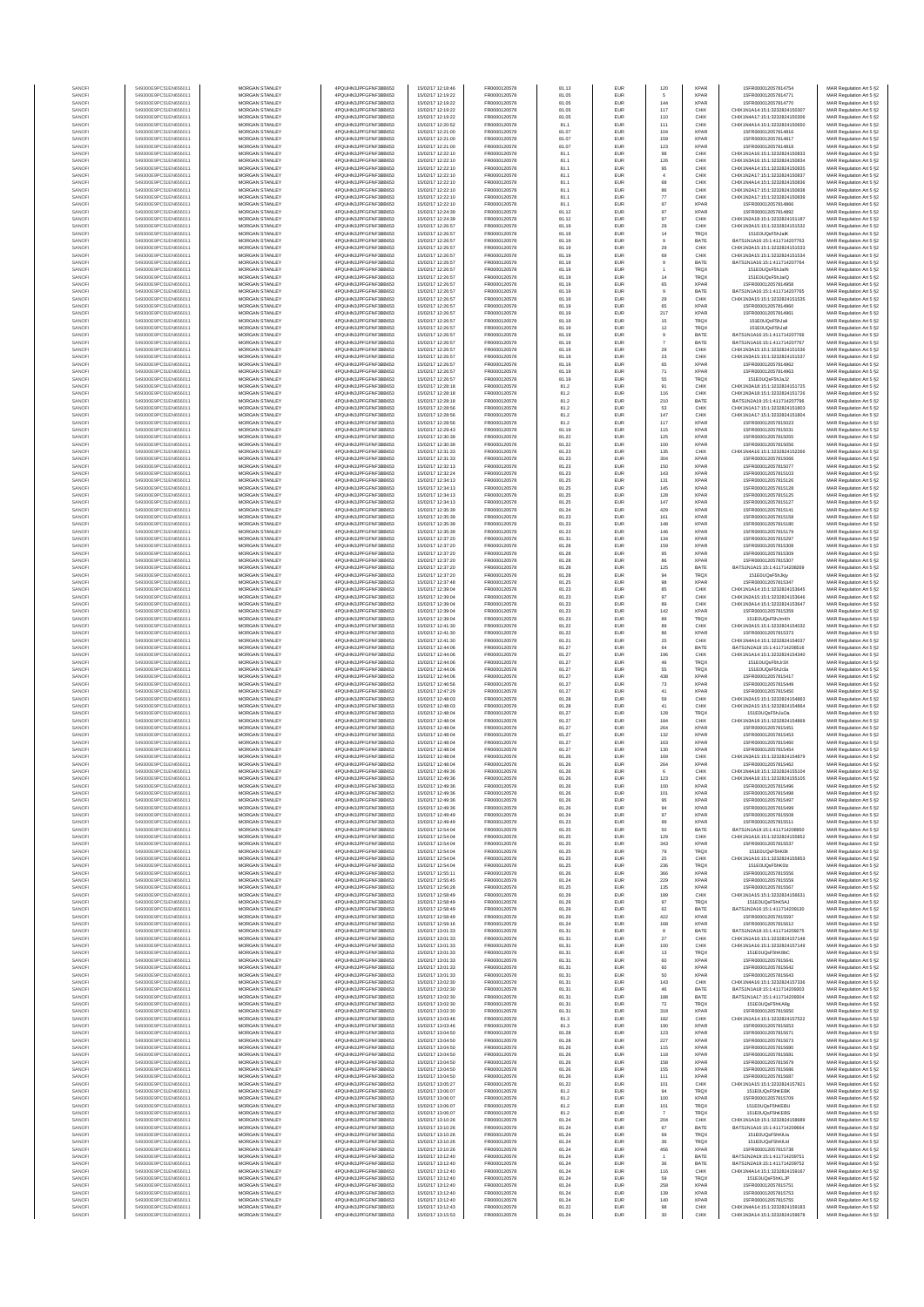| SANOF            | 549300E9PC51EN656011                         | MORGAN STANLEY                                 | 4PQUHN3JPFGFNF3BB653                          | 15/02/17 12:18:46                      | FR0000120578                 | 81.13          | EUR                      | 120              | <b>XPAR</b>                | 15FR000012057814754                                            | MAR Regulation Art 5 §2                            |
|------------------|----------------------------------------------|------------------------------------------------|-----------------------------------------------|----------------------------------------|------------------------------|----------------|--------------------------|------------------|----------------------------|----------------------------------------------------------------|----------------------------------------------------|
| SANOFI           | 549300E9PC51EN656011                         | <b>MORGAN STANLEY</b>                          | 4PQUHN3JPFGFNF3BB653                          | 15/02/17 12:19:22                      | FR0000120578                 | 81.05          | EUR                      |                  | <b>XPAR</b>                | 15FR000012057814771                                            | MAR Regulation Art 5 §2                            |
| SANOFI           | 549300E9PC51EN656011                         | MORGAN STANLEY                                 | 4PQUHN3JPFGFNF3BB653                          | 15/02/17 12:19:22                      | FR0000120578                 | 81.05          | EUR                      | 144              | <b>XPAR</b>                | 15FR000012057814770<br>CHIX1N1A14:15:1:3232824150307           | MAR Regulation Art 5 §2                            |
| SANOFI<br>SANOFI | 549300E9PC51EN656011<br>549300E9PC51EN656011 | MORGAN STANLEY<br>MORGAN STANLEY               | 4PQUHN3JPFGFNF3BB653<br>4PQUHN3JPFGFNF3BB653  | 15/02/17 12:19:22<br>15/02/17 12:19:22 | FR0000120578<br>FR0000120578 | 81.05<br>81.05 | EUR<br>EUR               | 117<br>110       | CHIX<br>CHIX               | CHIX1N4A17:15:1:3232824150306                                  | MAR Regulation Art 5 §2<br>MAR Regulation Art 5 §2 |
| SANOFI           | 549300E9PC51EN656011                         | MORGAN STANLEY                                 | 4PQUHN3JPFGFNF3BB653                          | 15/02/17 12:20:52                      | FR0000120578                 | 81.1           | EUR                      | 111              | CHIX                       | CHIX1N4A14:15:1:3232824150650                                  | MAR Regulation Art 5 §2                            |
| SANOFI           | 549300E9PC51EN656011                         | MORGAN STANLEY                                 | 4PQUHN3JPFGFNF3BB653                          | 15/02/17 12:21:00                      | FR0000120578                 | 81.07          | EUR                      | 104              | <b>XPAR</b>                | 15FR000012057814816                                            | MAR Regulation Art 5 §2                            |
| SANOFI           | 549300E9PC51EN656011                         | MORGAN STANLEY                                 | 4PQUHN3JPFGFNF3BB653                          | 15/02/17 12:21:00                      | FR0000120578                 | 81.07          | EUR                      | 159              | <b>XPAR</b>                | 15FR000012057814817                                            | MAR Regulation Art 5 §2                            |
| SANOFI<br>SANOFI | 549300E9PC51EN656011<br>549300E9PC51EN656011 | <b>MORGAN STANLEY</b><br><b>MORGAN STANLEY</b> | 4PQUHN3JPFGFNF3BB653<br>4PQUHN3JPFGFNF3BB653  | 15/02/17 12:21:00<br>15/02/17 12:22:10 | FR0000120578<br>FR0000120578 | 81.07<br>81.1  | EUR<br><b>EUR</b>        | 123<br>98        | <b>XPAR</b><br>CHIX        | 15FR000012057814818<br>CHIX1N1A16:15:1:3232824150833           | MAR Regulation Art 5 §2<br>MAR Regulation Art 5 §2 |
| SANOFI           | 549300E9PC51EN656011                         | <b>MORGAN STANLEY</b>                          | 4PQUHN3JPFGFNF3BB653                          | 15/02/17 12:22:10                      | FR0000120578                 | 81.1           | EUR                      | 126              | CHIX                       | CHIX1N3A16-15-1-3232824150834                                  | MAR Regulation Art 5 §2                            |
| SANOFI           | 549300E9PC51EN656011                         | MORGAN STANLEY                                 | 4PQUHN3JPFGFNF3BB653                          | 15/02/17 12:22:10                      | FR0000120578                 | 81.1           | EUR                      | 95               | CHIX                       | CHIX1N4A14:15:1:3232824150835                                  | MAR Regulation Art 5 §2                            |
| SANOFI           | 549300E9PC51EN656011                         | MORGAN STANLEY                                 | 4PQUHN3JPFGFNF3BB653                          | 15/02/17 12:22:10                      | FR0000120578                 | 81.1           | EUR                      | $\overline{4}$   | CHIX                       | CHIX1N2A17:15:1:3232824150837                                  | MAR Regulation Art 5 §2                            |
| SANOF<br>SANOFI  | 549300E9PC51EN656011<br>549300E9PC51EN656011 | MORGAN STANLEY<br>MORGAN STANLEY               | 4PQUHN3JPFGFNF3BB653<br>4PQUHN3JPFGFNF3BB653  | 15/02/17 12:22:10<br>15/02/17 12:22:10 | FR0000120578<br>FR0000120578 | 81.1<br>81.1   | EUR<br>EUR               | 68<br>86         | CHIX<br>CHIX               | CHIX1N4A14:15:1:3232824150836<br>CHIX1N2A17:15:1:3232824150838 | MAR Regulation Art 5 §2                            |
| SANOFI           | 549300E9PC51EN656011                         | MORGAN STANLEY                                 | 4PQUHN3JPFGFNF3BB653                          | 15/02/17 12:22:10                      | FR0000120578                 | 81.1           | EUR                      | $77\,$           | CHIX                       | CHIX1N2A17:15:1:3232824150839                                  | MAR Regulation Art 5 §2<br>MAR Regulation Art 5 §2 |
| SANOFI           | 549300E9PC51EN656011                         | MORGAN STANLEY                                 | 4PQUHN3JPFGFNF3BB653                          | 15/02/17 12:22:10                      | FR0000120578                 | 81.1           | EUR                      | 97               | <b>XPAR</b>                | 15FR000012057814866                                            | MAR Regulation Art 5 §2                            |
| SANOFI           | 549300E9PC51EN656011                         | <b>MORGAN STANLEY</b>                          | 4PQUHN3JPFGFNF3BB653                          | 15/02/17 12:24:39                      | FR0000120578                 | 81.12          | EUR                      | 97               | <b>XPAR</b>                | 15FR000012057814892                                            | MAR Regulation Art 5 §2                            |
| SANOFI           | 549300E9PC51EN656011                         | <b>MORGAN STANLEY</b>                          | 4PQUHN3JPFGFNF3BB653                          | 15/02/17 12:24:39                      | FR0000120578                 | 81.12          | EUR                      | 97               | CHIX                       | CHIX1N2A18:15:1:3232824151187                                  | MAR Regulation Art 5 §2                            |
| SANOFI           | 549300E9PC51EN656011                         | MORGAN STANLEY                                 | 4PQUHN3JPFGFNF3BB653                          | 15/02/17 12:26:57                      | FR0000120578                 | 81.19          | EUR                      | 29               | CHIX                       | CHIX1N3A15:15:1:3232824151532                                  | MAR Regulation Art 5 §2                            |
| SANOF<br>SANOFI  | 549300E9PC51EN656011<br>549300E9PC51EN656011 | MORGAN STANLEY<br>MORGAN STANLEY               | 4PQUHN3JPFGFNF3BB653<br>4PQUHN3JPFGFNF3BB653  | 15/02/17 12:26:57<br>15/02/17 12:26:57 | FR0000120578<br>FR0000120578 | 81.19<br>81.19 | EUR<br>EUR               | 14               | <b>TRQX</b><br>BATE        | 151E0UQsF5hJalK<br>BATS1N1A16:15:1:411714207763                | MAR Regulation Art 5 §2                            |
| SANOFI           | 549300E9PC51EN656011                         | MORGAN STANLEY                                 | 4PQUHN3JPFGFNF3BB653                          | 15/02/17 12:26:57                      | FR0000120578                 | 81.19          | EUR                      | $29\,$           | CHIX                       | CHIX1N3A15:15:1:3232824151533                                  | MAR Regulation Art 5 §2<br>MAR Regulation Art 5 §2 |
| SANOFI           | 549300E9PC51EN656011                         | MORGAN STANLEY                                 | 4PQUHN3JPFGFNF3BB653                          | 15/02/17 12:26:57                      | FR0000120578                 | 81.19          | EUR                      | 69               | CHIX                       | CHIX1N3A15:15:1:3232824151534                                  | MAR Regulation Art 5 §2                            |
| SANOFI           | 549300E9PC51EN656011                         | MORGAN STANLEY                                 | 4PQUHN3JPFGFNF3BB653                          | 15/02/17 12:26:57                      | FR0000120578                 | 81.19          | EUR                      | $\mathbf{9}$     | BATE                       | BATS1N1A16:15:1:411714207764                                   | MAR Regulation Art 5 §2                            |
| SANOFI           | 549300E9PC51EN656011                         | <b>MORGAN STANLEY</b><br>MORGAN STANLEY        | 4PQUHN3JPFGFNF3BB653                          | 15/02/17 12:26:57                      | FR0000120578                 | 81.19          | EUR                      |                  | <b>TRQX</b>                | 151E0UQsF5hJaIN                                                | MAR Regulation Art 5 §2                            |
| SANOFI<br>SANOFI | 549300E9PC51EN656011<br>549300E9PC51EN656011 | MORGAN STANLEY                                 | 4PQUHN3JPFGFNF3BB653<br>4PQUHN3JPFGFNF3BB653  | 15/02/17 12:26:57<br>15/02/17 12:26:57 | FR0000120578<br>FR0000120578 | 81.19<br>81.19 | EUR<br>EUR               | 14<br>65         | <b>TRQX</b><br><b>XPAR</b> | 151E0UQsF5hJalQ<br>15FR000012057814958                         | MAR Regulation Art 5 §2<br>MAR Regulation Art 5 §2 |
| SANOFI           | 549300E9PC51EN656011                         | MORGAN STANLEY                                 | 4PQUHN3JPFGFNF3BB653                          | 15/02/17 12:26:57                      | FR0000120578                 | 81.19          | EUR                      | $\mathsf g$      | BATE                       | BATS1N1A16:15:1:411714207765                                   | MAR Regulation Art 5 §2                            |
| SANOF            | 549300E9PC51EN656011                         | MORGAN STANLEY                                 | 4PQUHN3JPFGFNF3BB653                          | 15/02/17 12:26:57                      | FR0000120578                 | 81.19          | EUR                      | $29\,$           | CHIX                       | CHIX1N3A15:15:1:3232824151535                                  | MAR Regulation Art 5 §2                            |
| SANOFI           | 549300E9PC51EN656011                         | MORGAN STANLEY                                 | 4PQUHN3JPFGFNF3BB653                          | 15/02/17 12:26:57                      | FR0000120578                 | 81.19          | EUR                      | 65               | <b>XPAF</b>                | 15FR000012057814960                                            | MAR Regulation Art 5 §2                            |
| SANOFI<br>SANOFI | 549300E9PC51EN656011<br>549300E9PC51EN656011 | MORGAN STANLEY<br>MORGAN STANLEY               | 4PQUHN3JPFGFNF3BB653<br>4PQUHN3JPFGFNF3BB653  | 15/02/17 12:26:57<br>15/02/17 12:26:57 | FR0000120578<br>FR0000120578 | 81.19<br>81.19 | EUR<br>EUR               | 217<br>15        | <b>XPAR</b><br><b>TRQX</b> | 15FR000012057814961<br>151E0UQsF5hJali                         | MAR Regulation Art 5 §2<br>MAR Regulation Art 5 §2 |
| SANOFI           | 549300E9PC51EN656011                         | <b>MORGAN STANLEY</b>                          | 4PQUHN3JPFGFNF3BB653                          | 15/02/17 12:26:57                      | FR0000120578                 | 81.19          | EUR                      | 12               | <b>TRQX</b>                | 151E0UQsF5hJall                                                | MAR Regulation Art 5 §2                            |
| SANOFI           | 549300E9PC51EN656011                         | <b>MORGAN STANLEY</b>                          | 4PQUHN3JPFGFNF3BB653                          | 15/02/17 12:26:57                      | FR0000120578                 | 81.19          | EUR                      | $\overline{9}$   | BATE                       | BATS1N1A16:15:1:411714207766                                   | MAR Regulation Art 5 §2                            |
| SANOFI           | 549300E9PC51EN656011                         | <b>MORGAN STANLEY</b>                          | 4PQUHN3JPFGFNF3BB653                          | 15/02/17 12:26:57                      | FR0000120578                 | 81.19          | EUR                      |                  | BATE                       | BATS1N1A16:15:1:411714207767                                   | MAR Regulation Art 5 §2                            |
| SANOFI<br>SANOFI | 549300E9PC51EN656011<br>549300E9PC51EN656011 | MORGAN STANLEY<br>MORGAN STANLEY               | 4PQUHN3JPFGFNF3BB653<br>4PQUHN3JPFGFNF3BB653  | 15/02/17 12:26:57<br>15/02/17 12:26:57 | FR0000120578<br>FR0000120578 | 81.19<br>81.19 | EUR<br>EUR               | $29\,$<br>$23\,$ | CHIX<br>CHIX               | CHIX1N3A15:15:1:3232824151536<br>CHIX1N3A15:15:1:3232824151537 | MAR Regulation Art 5 §2                            |
| SANOFI           | 549300E9PC51EN656011                         | MORGAN STANLEY                                 | 4PQUHN3JPFGFNF3BB653                          | 15/02/17 12:26:57                      | FR0000120578                 | 81.19          | EUR                      | 65               | <b>XPAF</b>                | 15FR000012057814962                                            | MAR Regulation Art 5 §2<br>MAR Regulation Art 5 §2 |
| SANOFI           | 549300E9PC51EN656011                         | MORGAN STANLEY                                 | 4PQUHN3JPFGFNF3BB653                          | 15/02/17 12:26:57                      | FR0000120578                 | 81.19          | EUR                      | 71               | <b>XPAR</b>                | 15FR000012057814963                                            | MAR Regulation Art 5 §2                            |
| SANOFI           | 549300E9PC51EN656011                         | MORGAN STANLEY                                 | 4PQUHN3JPFGFNF3BB653                          | 15/02/17 12:26:57                      | FR0000120578                 | 81.19          | EUR                      | 55               | TRQX                       | 151E0UQsF5hJaJ2                                                | MAR Regulation Art 5 §2                            |
| SANOFI<br>SANOFI | 549300E9PC51EN656011<br>549300E9PC51EN656011 | <b>MORGAN STANLEY</b><br><b>MORGAN STANLEY</b> | 4POLIHN3JPEGENE3BB653<br>4PQUHN3JPFGFNF3BB653 | 15/02/17 12:28:18<br>15/02/17 12:28:18 | FR0000120578<br>FR0000120578 | 81.2<br>81.2   | <b>EUR</b><br>EUR        | 91<br>116        | CHIX<br>CHIX               | CHIX1N3A18:15:1:3232824151725<br>CHIX1N3A18:15:1:3232824151726 | MAR Regulation Art 5 §2                            |
| SANOFI           | 549300E9PC51EN656011                         | MORGAN STANLEY                                 | 4PQUHN3JPFGFNF3BB653                          | 15/02/17 12:28:18                      | FR0000120578                 | 81.2           | EUR                      | 210              | BATE                       | BATS1N2A19:15:1:411714207796                                   | MAR Regulation Art 5 §2<br>MAR Regulation Art 5 §2 |
| SANOFI           | 549300E9PC51EN656011                         | MORGAN STANLEY                                 | 4PQUHN3JPFGFNF3BB653                          | 15/02/17 12:28:56                      | FR0000120578                 | 81.2           | EUR                      | 53               | CHIX                       | CHIX1N1A17:15:1:3232824151803                                  | MAR Regulation Art 5 §2                            |
| SANOFI           | 549300E9PC51EN656011                         | MORGAN STANLEY                                 | 4PQUHN3JPFGFNF3BB653                          | 15/02/17 12:28:56                      | FR0000120578                 | 81.2           | EUR                      | 147              | CHIX                       | CHIX1N1A17:15:1:3232824151804                                  | MAR Regulation Art 5 §2                            |
| SANOFI           | 549300E9PC51EN656011                         | MORGAN STANLEY                                 | 4PQUHN3JPFGFNF3BB653                          | 15/02/17 12:28:56                      | FR0000120578                 | 81.2           | EUR                      | 117              | <b>XPAF</b>                | 15FR000012057815023                                            | MAR Regulation Art 5 §2                            |
| SANOFI<br>SANOFI | 549300E9PC51EN656011<br>549300E9PC51EN656011 | MORGAN STANLEY<br>MORGAN STANLEY               | 4PQUHN3JPFGFNF3BB653<br>4PQUHN3JPFGFNF3BB653  | 15/02/17 12:29:43<br>15/02/17 12:30:39 | FR0000120578<br>FR0000120578 | 81.19<br>81.22 | EUR<br>EUR               | 115<br>125       | <b>XPAF</b><br><b>XPAR</b> | 15FR000012057815031<br>15FR000012057815055                     | MAR Regulation Art 5 §2<br>MAR Regulation Art 5 §2 |
| SANOFI           | 549300E9PC51EN656011                         | MORGAN STANLEY                                 | 4PQUHN3JPFGFNF3BB653                          | 15/02/17 12:30:39                      | FR0000120578                 | 81.22          | EUR                      | 100              | <b>XPAR</b>                | 15FR000012057815056                                            | MAR Regulation Art 5 §2                            |
| SANOFI           | 549300E9PC51EN656011                         | <b>MORGAN STANLEY</b>                          | 4PQUHN3JPFGFNF3BB653                          | 15/02/17 12:31:33                      | FR0000120578                 | 81.23          | EUR                      | 135              | CHIX                       | CHIX1N4A16-15-1-3232824152266                                  | MAR Regulation Art 5 §2                            |
| SANOFI           | 549300E9PC51EN656011                         | MORGAN STANLEY                                 | 4PQUHN3JPFGFNF3BB653                          | 15/02/17 12:31:33                      | FR0000120578                 | 81.23          | EUR                      | 304              | <b>XPAR</b>                | 15FR000012057815066                                            | MAR Regulation Art 5 §2                            |
| SANOFI<br>SANOFI | 549300E9PC51EN656011<br>549300E9PC51EN656011 | MORGAN STANLEY<br>MORGAN STANLEY               | 4PQUHN3JPFGFNF3BB653<br>4PQUHN3JPFGFNF3BB653  | 15/02/17 12:32:13<br>15/02/17 12:32:24 | FR0000120578<br>FR0000120578 | 81.23<br>81.23 | EUR<br>EUR               | 150<br>143       | <b>XPAR</b><br>XPAR        | 15FR000012057815077<br>15FR000012057815103                     | MAR Regulation Art 5 §2<br>MAR Regulation Art 5 §2 |
| SANOFI           | 549300E9PC51EN656011                         | MORGAN STANLEY                                 | 4PQUHN3JPFGFNF3BB653                          | 15/02/17 12:34:13                      | FR0000120578                 | 81.25          | EUR                      | 131              | <b>XPAF</b>                | 15FR000012057815126                                            | MAR Regulation Art 5 §2                            |
| SANOFI           | 549300E9PC51EN656011                         | MORGAN STANLEY                                 | 4PQUHN3JPFGFNF3BB653                          | 15/02/17 12:34:13                      | FR0000120578                 | 81.25          | EUR                      | 145              | <b>XPAR</b>                | 15FR000012057815128                                            | MAR Regulation Art 5 §2                            |
| SANOFI           | 549300E9PC51EN656011                         | MORGAN STANLEY                                 | 4PQUHN3JPFGFNF3BB653                          | 15/02/17 12:34:13                      | FR0000120578                 | 81.25          | EUR                      | 128              | <b>XPAR</b>                | 15FR000012057815125<br>15FR000012057815127                     | MAR Regulation Art 5 §2                            |
| SANOFI<br>SANOFI | 549300E9PC51EN656011<br>549300E9PC51EN656011 | <b>MORGAN STANLEY</b><br><b>MORGAN STANLEY</b> | 4PQUHN3JPFGFNF3BB653<br>4PQUHN3JPFGFNF3BB653  | 15/02/17 12:34:13<br>15/02/17 12:35:39 | FR0000120578<br>FR0000120578 | 81.25<br>81.24 | EUR<br>EUR               | 147<br>429       | <b>XPAR</b><br><b>XPAR</b> | 15FR000012057815141                                            | MAR Regulation Art 5 §2<br>MAR Regulation Art 5 §2 |
| SANOFI           | 549300E9PC51EN656011                         | <b>MORGAN STANLEY</b>                          | 4PQUHN3JPFGFNF3BB653                          | 15/02/17 12:35:39                      | FR0000120578                 | 81.23          | EUR                      | 161              | <b>XPAR</b>                | 15FR000012057815158                                            | MAR Regulation Art 5 §2                            |
| SANOFI           | 549300E9PC51EN656011                         | MORGAN STANLEY                                 | 4PQUHN3JPFGFNF3BB653                          | 15/02/17 12:35:39                      | FR0000120578                 | 81.23          | EUR                      | 148              | <b>XPAR</b>                | 15ER000012057815180                                            | MAR Regulation Art 5 §2                            |
| SANOFI           | 549300E9PC51EN656011                         | MORGAN STANLEY                                 | 4PQUHN3JPFGFNF3BB653                          | 15/02/17 12:35:39                      | FR0000120578                 | 81.23          | EUR                      | 146              | <b>XPAR</b>                | 15FR000012057815179                                            | MAR Regulation Art 5 §2                            |
| SANOFI           | 549300E9PC51EN656011<br>549300E9PC51EN656011 | MORGAN STANLEY<br>MORGAN STANLEY               | 4PQUHN3JPFGFNF3BB653<br>4PQUHN3JPFGFNF3BB653  | 15/02/17 12:37:20<br>15/02/17 12:37:20 | FR0000120578<br>FR0000120578 | 81.31<br>81.28 | EUR<br>EUR               | 134<br>159       | <b>XPAF</b><br><b>XPAF</b> | 15FR000012057815297<br>15FR000012057815308                     | MAR Regulation Art 5 §2<br>MAR Regulation Art 5 §2 |
| SANOFI<br>SANOFI | 549300E9PC51EN656011                         | MORGAN STANLEY                                 | 4PQUHN3JPFGFNF3BB653                          | 15/02/17 12:37:20                      | FR0000120578                 | 81.28          | EUR                      | 95               | <b>XPAR</b>                | 15FR000012057815309                                            | MAR Regulation Art 5 §2                            |
| SANOFI           | 549300E9PC51EN656011                         | MORGAN STANLEY                                 | 4PQUHN3JPFGFNF3BB653                          | 15/02/17 12:37:20                      | FR0000120578                 | 81.28          | EUR                      | 86               | <b>XPAR</b>                | 15FR000012057815307                                            | MAR Regulation Art 5 §2                            |
| SANOFI           | 549300E9PC51EN656011                         | <b>MORGAN STANLEY</b>                          | 4PQUHN3JPFGFNF3BB653                          | 15/02/17 12:37:20                      | FR0000120578                 | 81.28          | EUR                      | 125              | BATE                       | BATS1N1A15:15:1:411714208269                                   | MAR Regulation Art 5 §2                            |
| SANOFI           | 549300E9PC51EN656011                         | <b>MORGAN STANLEY</b>                          | 4PQUHN3JPFGFNF3BB653                          | 15/02/17 12:37:20                      | FR0000120578                 | 81.28          | EUR                      | 94               | <b>TRQX</b>                | 151E0UQsF5hJkiv                                                | MAR Regulation Art 5 §2                            |
| SANOFI<br>SANOFI | 549300E9PC51EN656011<br>549300E9PC51EN656011 | MORGAN STANLEY<br>MORGAN STANLEY               | 4PQUHN3JPFGFNF3BB653<br>4PQUHN3JPFGFNF3BB653  | 15/02/17 12:37:48<br>15/02/17 12:39:04 | FR0000120578<br>FR0000120578 | 81.25<br>81.23 | EUR<br>EUR               | $98\,$<br>85     | <b>XPAR</b><br>CHIX        | 15FR000012057815347<br>CHIX1N1A14:15:1:3232824153645           | MAR Regulation Art 5 §2<br>MAR Regulation Art 5 §2 |
| SANOF            | 549300E9PC51EN656011                         | MORGAN STANLEY                                 | 4PQUHN3JPFGFNF3BB653                          | 15/02/17 12:39:04                      | FR0000120578                 | 81.23          | EUR                      | 97               | CHIX                       | CHIX1N2A15:15:1:3232824153646                                  | MAR Regulation Art 5 §2                            |
| SANOFI           | 549300E9PC51EN656011                         | MORGAN STANLEY                                 | 4PQUHN3JPFGFNF3BB653                          | 15/02/17 12:39:04                      | FR0000120578                 | 81.23          | EUR                      | 89               | CHIX                       | CHIX1N3A14:15:1:3232824153647                                  | MAR Regulation Art 5 §2                            |
| SANOFI           | 549300E9PC51EN656011                         | MORGAN STANLEY                                 | 4PQUHN3JPFGFNF3BB653                          | 15/02/17 12:39:04                      | FR0000120578                 | 81.23          | EUR                      | 142              | <b>XPAR</b>                | 15FR000012057815359                                            | MAR Regulation Art 5 §2                            |
| SANOFI<br>SANOFI | 549300E9PC51EN656011<br>549300E9PC51EN656011 | MORGAN STANLEY<br><b>MORGAN STANLEY</b>        | 4PQUHN3JPFGFNF3BB653<br>4PQUHN3JPFGFNF3BB653  | 15/02/17 12:39:04<br>15/02/17 12:41:30 | FR0000120578<br>FR0000120578 | 81.23<br>81.22 | EUR<br>EUR               | 89<br>89         | <b>TRQX</b><br>CHIX        | 151E0UQsF5hJmKh<br>CHIX1N3A15:15:1:3232824154032               | MAR Regulation Art 5 §2<br>MAR Regulation Art 5 §2 |
| SANOFI           | 549300E9PC51EN656011                         | <b>MORGAN STANLEY</b>                          | 4PQUHN3JPFGFNF3BB653                          | 15/02/17 12:41:30                      | FR0000120578                 | 81.22          | EUR                      | 86               | <b>XPAR</b>                | 15FR000012057815373                                            | MAR Regulation Art 5 §2                            |
| SANOFI           | 549300E9PC51EN656011                         | <b>MORGAN STANLEY</b>                          | 4PQUHN3JPFGFNF3BB653                          | 15/02/17 12:41:30                      | FR0000120578                 | 81.21          | EUR                      | 25               | CHIX                       | CHIX1N4A14:15:1:3232824154037                                  | MAR Regulation Art 5 §2                            |
| SANOFI           | 549300E9PC51EN656011                         | MORGAN STANLEY                                 | 4PQUHN3JPFGFNF3BB653                          | 15/02/17 12:44:06                      | FR0000120578                 | 81.27          | EUR                      | $_{\rm 64}$      | BATE                       | BATS1N2A18:15:1:411714208516                                   | MAR Regulation Art 5 §2                            |
| SANOFI<br>SANOF  | 549300E9PC51EN656011<br>549300E9PC51EN656011 | MORGAN STANLEY<br>MORGAN STANLEY               | 4PQUHN3JPFGFNF3BB653<br>4PQUHN3JPFGFNF3BB653  | 15/02/17 12:44:06<br>15/02/17 12:44:06 | FR0000120578<br>FR0000120578 | 81.27<br>81.27 | EUR<br>EUR               | 196<br>46        | CHIX<br>TRQ)               | CHIX1N1A14:15:1:3232824154340<br>151E0UQsF5hJr3)               | MAR Regulation Art 5 §2<br>MAR Regulation Art 5 §2 |
| SANOFI           | 549300E9PC51EN656011                         | MORGAN STANLEY                                 | 4PQUHN3JPFGFNF3BB653                          | 15/02/17 12:44:06                      | FR0000120578                 | 81.27          | EUR                      | 55               | TRQ)                       | 151E0UQsF5hJr3a                                                | MAR Regulation Art 5 §2                            |
| SANOFI           | 549300E9PC51EN656011                         | MORGAN STANLEY                                 | 4PQUHN3JPFGFNF3BB653                          | 15/02/17 12:44:06                      | FR0000120578                 | 81.27          | EUR                      | 438              | <b>XPAR</b>                | 15FR000012057815417                                            | MAR Regulation Art 5 §2                            |
| SANOFI           | 549300E9PC51EN656011                         | MORGAN STANLEY                                 | 4PQUHN3JPFGFNF3BB653                          | 15/02/17 12:46:56                      | FR0000120578                 | 81.27          | EUR                      | 73               | <b>XPAR</b>                | 15FR000012057815449                                            | MAR Regulation Art 5 §2                            |
| SANOFI<br>SANOFI | 549300E9PC51EN656011<br>549300E9PC51EN656011 | <b>MORGAN STANLEY</b><br><b>MORGAN STANLEY</b> | 4PQUHN3JPFGFNF3BB653<br>4PQUHN3JPFGFNF3BB653  | 15/02/17 12:47:29<br>15/02/17 12:48:03 | FR0000120578<br>FR0000120578 | 81.27<br>81.28 | EUR<br>EUR               | 41<br>59         | <b>XPAR</b><br>CHIX        | 15FR000012057815450<br>CHIX1N2A15:15:1:3232824154863           | MAR Regulation Art 5 §2<br>MAR Regulation Art 5 §2 |
| SANOFI           | 549300E9PC51EN656011                         | <b>MORGAN STANLEY</b>                          | 4PQUHN3JPFGFNF3BB653                          | 15/02/17 12:48:03                      | FR0000120578                 | 81.28          | EUR                      | 41               | CHIX                       | CHIX1N2A15:15:1:3232824154864                                  | MAR Regulation Art 5 §2                            |
| SANOFI           | 549300E9PC51EN656011                         | MORGAN STANLEY                                 | 4PQUHN3JPFGFNF3BB653                          | 15/02/17 12:48:04                      | FR0000120578                 | 81.27          | EUR                      | 128              | <b>TRQX</b>                | 151E0UQsF5hJuOa                                                | MAR Regulation Art 5 §2                            |
| SANOFI           | 549300E9PC51EN656011                         | MORGAN STANLEY                                 | 4PQUHN3JPFGFNF3BB653                          | 15/02/17 12:48:04                      | FR0000120578                 | 81.27          | EUR                      | 184              | CHIX                       | CHIX1N3A18:15:1:3232824154869                                  | MAR Regulation Art 5 §2                            |
| SANOF<br>SANOFI  | 549300E9PC51EN656011<br>549300E9PC51EN656011 | MORGAN STANLEY<br>MORGAN STANLEY               | 4PQUHN3JPFGFNF3BB653<br>4PQUHN3JPFGFNF3BB653  | 15/02/17 12:48:04<br>15/02/17 12:48:04 | FR0000120578<br>FR0000120578 | 81.27<br>81.27 | EUR<br>EUR               | 264<br>132       | <b>XPAR</b><br><b>XPAR</b> | 15FR000012057815451<br>15FR000012057815453                     | MAR Regulation Art 5 §2<br>MAR Regulation Art 5 §2 |
| SANOFI           | 549300E9PC51EN656011                         | MORGAN STANLEY                                 | 4PQUHN3JPFGFNF3BB653                          | 15/02/17 12:48:04                      | FR0000120578                 | 81.27          | EUR                      | 163              | <b>XPAR</b>                | 15FR000012057815460                                            | MAR Regulation Art 5 §2                            |
| SANOFI           | 549300E9PC51EN656011                         | <b>MORGAN STANLEY</b>                          | 4PQUHN3JPFGFNF3BB653                          | 15/02/17 12:48:04                      | FR0000120578                 | 81.27          | EUR                      | 130              | <b>XPAR</b>                | 15FR000012057815454                                            | MAR Regulation Art 5 §2                            |
| SANOFI           | 549300E9PC51EN656011                         | <b>MORGAN STANLEY</b>                          | 4PQUHN3JPFGFNF3BB653                          | 15/02/17 12:48:04                      | FR0000120578                 | 81.26          | EUR                      | 169              | CHIX                       | CHIX1N3A15:15:1:3232824154879                                  | MAR Regulation Art 5 §2                            |
| SANOF<br>SANOFI  | 549300E9PC51EN656011<br>549300E9PC51EN656011 | <b>MORGAN STANLEY</b><br>MORGAN STANLEY        | 4PQUHN3JPFGFNF3BB653<br>4PQUHN3JPFGFNF3BB653  | 15/02/17 12:48:04<br>15/02/17 12:49:36 | FR0000120578<br>FR0000120578 | 81.26<br>81.26 | EUR<br>EUR               | 264<br>6         | <b>XPAR</b><br>CHIX        | 15FR000012057815462<br>CHIX1N4A18:15:1:3232824155104           | MAR Regulation Art 5 §2<br>MAR Regulation Art 5 §2 |
|                  |                                              |                                                | N3JPFGFNF3BB653                               |                                        |                              |                |                          |                  |                            | 4155105                                                        | : Regulation Art 5 §2                              |
| SANOF            | 549300E9PC51EN656011                         | MORGAN STANLEY                                 | 4PQUHN3JPFGFNF3BB653                          | 15/02/17 12:49:36                      | FR0000120578                 | 81.26          | EUR                      | 100              | <b>XPAR</b>                | 15FR000012057815496                                            | MAR Regulation Art 5 §2                            |
| SANOFI           | 549300E9PC51EN656011                         | MORGAN STANLEY                                 | 4PQUHN3JPFGFNF3BB653                          | 15/02/17 12:49:36                      | FR0000120578                 | 81.26          | EUR                      | 101              | <b>XPAR</b>                | 15FR000012057815498                                            | MAR Regulation Art 5 §2                            |
| SANOFI<br>SANOFI | 549300E9PC51EN656011<br>549300E9PC51EN656011 | MORGAN STANLEY<br><b>MORGAN STANLEY</b>        | 4PQUHN3JPFGFNF3BB653<br>4PQUHN3JPFGFNF3BB653  | 15/02/17 12:49:36<br>15/02/17 12:49:36 | FR0000120578<br>FR0000120578 | 81.26<br>81.26 | EUR<br><b>EUR</b>        | 95<br>94         | <b>XPAR</b><br><b>XPAR</b> | 15FR000012057815497<br>15FR000012057815499                     | MAR Regulation Art 5 §2                            |
| SANOFI           | 549300E9PC51EN656011                         | <b>MORGAN STANLEY</b>                          | 4PQUHN3JPFGFNF3BB653                          | 15/02/17 12:49:49                      | FR0000120578                 | 81.24          | <b>EUR</b>               | 97               | <b>XPAR</b>                | 15FR000012057815508                                            | MAR Regulation Art 5 §2<br>MAR Regulation Art 5 §2 |
| SANOFI           | 549300E9PC51EN656011                         | MORGAN STANLEY                                 | 4PQUHN3JPFGFNF3BB653                          | 15/02/17 12:49:49                      | FR0000120578                 | 81.23          | EUR                      | 99               | <b>XPAR</b>                | 15FR000012057815511                                            | MAR Regulation Art 5 §2                            |
| SANOFI           | 549300E9PC51EN656011                         | MORGAN STANLEY                                 | 4PQUHN3JPFGFNF3BB653                          | 15/02/17 12:54:04                      | FR0000120578                 | 81.25          | EUR                      | 50               | BATE                       | BATS1N1A19:15:1:411714208950                                   | MAR Regulation Art 5 §2                            |
| SANOFI<br>SANOFI | 549300E9PC51EN656011<br>549300E9PC51EN656011 | MORGAN STANLEY<br>MORGAN STANLEY               | 4PQUHN3JPFGFNF3BB653<br>4PQUHN3JPFGFNF3BB653  | 15/02/17 12:54:04<br>15/02/17 12:54:04 | FR0000120578<br>FR0000120578 | 81.25<br>81.25 | EUR<br>EUR               | 129<br>343       | CHIX<br><b>XPAR</b>        | CHIX1N1A16:15:1:3232824155852<br>15FR000012057815537           | MAR Regulation Art 5 §2<br>MAR Regulation Art 5 §2 |
| SANOFI           | 549300E9PC51EN656011                         | MORGAN STANLEY                                 | 4PQUHN3JPFGFNF3BB653                          | 15/02/17 12:54:04                      | FR0000120578                 | 81.25          | EUR                      | 79               | <b>TRQX</b>                | 151E0UQsF5hK0lt                                                | MAR Regulation Art 5 §2                            |
| SANOFI           | 549300E9PC51EN656011                         | MORGAN STANLEY                                 | 4PQUHN3JPFGFNF3BB653                          | 15/02/17 12:54:04                      | FR0000120578                 | 81.25          | EUR                      | 25               | CHIX                       | CHIX1N1A16:15:1:3232824155853                                  | MAR Regulation Art 5 §2                            |
| SANOFI           | 549300E9PC51EN656011                         | <b>MORGAN STANLEY</b>                          | 4PQUHN3JPFGFNF3BB653                          | 15/02/17 12:54:04                      | FR0000120578                 | 81.25          | <b>EUR</b>               | 236              | <b>TROX</b>                | 151F0UQsF5hK0lz                                                | MAR Regulation Art 5 §2                            |
| SANOFI<br>SANOFI | 549300E9PC51EN656011<br>549300E9PC51EN656011 | MORGAN STANLEY<br><b>MORGAN STANLEY</b>        | 4PQUHN3JPFGFNF3BB653<br>4PQUHN3JPFGFNF3BB653  | 15/02/17 12:55:11<br>15/02/17 12:55:45 | FR0000120578<br>FR0000120578 | 81.26<br>81.24 | <b>EUR</b><br><b>EUR</b> | 366<br>229       | <b>XPAR</b><br><b>XPAR</b> | 15FR000012057815556<br>15FR000012057815559                     | MAR Regulation Art 5 §2<br>MAR Regulation Art 5 §2 |
| SANOFI           | 549300E9PC51EN656011                         | MORGAN STANLEY                                 | 4PQUHN3JPFGFNF3BB653                          | 15/02/17 12:56:28                      | FR0000120578                 | 81.25          | EUR                      | 135              | <b>XPAR</b>                | 15FR000012057815567                                            | MAR Regulation Art 5 §2                            |
| SANOFI           | 549300E9PC51EN656011                         | MORGAN STANLEY                                 | 4PQUHN3JPFGFNF3BB653                          | 15/02/17 12:58:49                      | FR0000120578                 | 81.29          | EUR                      | 189              | CHIX                       | CHIX1N1A15:15:1:3232824156631                                  | MAR Regulation Art 5 §2                            |
| SANOFI           | 549300E9PC51EN656011<br>549300E9PC51EN656011 | MORGAN STANLEY                                 | 4PQUHN3JPFGFNF3BB653                          | 15/02/17 12:58:49                      | FR0000120578                 | 81.29          | EUR                      | 97               | TRQ)                       | 151E0UQsF5hK5AJ                                                | MAR Regulation Art 5 §2                            |
| SANOFI<br>SANOFI | 549300E9PC51EN656011                         | MORGAN STANLEY<br>MORGAN STANLEY               | 4PQUHN3JPFGFNF3BB653<br>4PQUHN3JPFGFNF3BB653  | 15/02/17 12:58:49<br>15/02/17 12:58:49 | FR0000120578<br>FR0000120578 | 81.29<br>81.29 | EUR<br>EUR               | 62<br>422        | BATE<br><b>XPAR</b>        | BATS1N2A16:15:1:411714209130<br>15FR000012057815597            | MAR Regulation Art 5 §2<br>MAR Regulation Art 5 §2 |
| SANOFI           | 549300E9PC51EN656011                         | MORGAN STANLEY                                 | 4PQUHN3JPFGFNF3BB653                          | 15/02/17 12:59:16                      | FR0000120578                 | 81.24          | EUR                      | 168              | <b>XPAR</b>                | 15FR000012057815612                                            | MAR Regulation Art 5 §2                            |
| SANOFI           | 549300E9PC51EN656011                         | <b>MORGAN STANLEY</b>                          | 4PQUHN3JPFGFNF3BB653                          | 15/02/17 13:01:33                      | FR0000120578                 | 81.31          | <b>EUR</b>               | 8                | BATE                       | BATS1N2A18:15:1:411714209275                                   | MAR Regulation Art 5 §2                            |
| SANOFI<br>SANOFI | 549300E9PC51EN656011<br>549300E9PC51EN656011 | <b>MORGAN STANLEY</b>                          | 4PQUHN3JPFGFNF3BB653                          | 15/02/17 13:01:33<br>15/02/17 13:01:33 | FR0000120578                 | 81.31          | EUR<br>EUR               | 27               | CHIX<br>CHIX               | CHIX1N1A16:15:1:3232824157148                                  | MAR Regulation Art 5 §2                            |
| SANOFI           | 549300E9PC51EN656011                         | MORGAN STANLEY<br>MORGAN STANLEY               | 4PQUHN3JPFGFNF3BB653<br>4PQUHN3JPFGFNF3BB653  | 15/02/17 13:01:33                      | FR0000120578<br>FR0000120578 | 81.31<br>81.31 | EUR                      | 100<br>13        | TRQX                       | CHIX1N1A16:15:1:3232824157149<br>151E0UQsF5hK8bC               | MAR Regulation Art 5 §2<br>MAR Regulation Art 5 §2 |
| SANOFI           | 549300E9PC51EN656011                         | MORGAN STANLEY                                 | 4PQUHN3JPFGFNF3BB653                          | 15/02/17 13:01:33                      | FR0000120578                 | 81.31          | EUR                      | 60               | <b>XPAR</b>                | 15FR000012057815641                                            | MAR Regulation Art 5 §2                            |
| SANOFI           | 549300E9PC51EN656011                         | MORGAN STANLEY                                 | 4PQUHN3JPFGFNF3BB653                          | 15/02/17 13:01:33                      | FR0000120578                 | 81.31          | EUR                      | 60               | <b>XPAR</b>                | 15FR000012057815642                                            | MAR Regulation Art 5 §2                            |
| SANOFI           | 549300E9PC51EN656011                         | MORGAN STANLEY                                 | 4PQUHN3JPFGFNF3BB653                          | 15/02/17 13:01:33                      | FR0000120578                 | 81.31          | EUR                      | 50               | <b>XPAR</b>                | 15FR000012057815643                                            | MAR Regulation Art 5 §2                            |
| SANOFI<br>SANOFI | 549300E9PC51EN656011<br>549300E9PC51EN656011 | MORGAN STANLEY<br><b>MORGAN STANLEY</b>        | 4PQUHN3JPFGFNF3BB653<br>4PQUHN3JPFGFNF3BB653  | 15/02/17 13:02:30<br>15/02/17 13:02:30 | FR0000120578<br>FR0000120578 | 81.31<br>81.31 | EUR<br><b>EUR</b>        | 143<br>46        | CHIX<br>BATE               | CHIX1N4A16:15:1:3232824157336<br>BATS1N1A18:15:1:411714209303  | MAR Regulation Art 5 §2<br>MAR Regulation Art 5 §2 |
| SANOFI           | 549300E9PC51EN656011                         | <b>MORGAN STANLEY</b>                          | 4PQUHN3JPFGFNF3BB653                          | 15/02/17 13:02:30                      | FR0000120578                 | 81.31          | <b>EUR</b>               | 188              | BATE                       | BATS1N1A17:15:1:411714209304                                   | MAR Regulation Art 5 §2                            |
| SANOFI           | 549300E9PC51EN656011                         | MORGAN STANLEY                                 | 4PQUHN3JPFGFNF3BB653                          | 15/02/17 13:02:30                      | FR0000120578                 | 81.31          | EUR                      | 72               | <b>TRQX</b>                | 151E0UQsF5hKA9c                                                | MAR Regulation Art 5 §2                            |
| SANOFI           | 549300E9PC51EN656011                         | MORGAN STANLEY                                 | 4PQUHN3JPFGFNF3BB653                          | 15/02/17 13:02:30                      | FR0000120578                 | 81.31          | EUR                      | 318              | <b>XPAR</b>                | 15FR000012057815650                                            | MAR Regulation Art 5 §2                            |
| SANOFI<br>SANOFI | 549300E9PC51EN656011<br>549300E9PC51EN656011 | MORGAN STANLEY<br>MORGAN STANLEY               | 4PQUHN3JPFGFNF3BB653<br>4PQUHN3JPFGFNF3BB653  | 15/02/17 13:03:46<br>15/02/17 13:03:46 | FR0000120578<br>FR0000120578 | 81.3<br>81.3   | EUR<br>EUR               | 182<br>190       | CHIX<br><b>XPAR</b>        | CHIX1N1A14:15:1:3232824157522<br>15FR000012057815653           | MAR Regulation Art 5 §2<br>MAR Regulation Art 5 §2 |
| SANOFI           | 549300E9PC51EN656011                         | MORGAN STANLEY                                 | 4PQUHN3JPFGFNF3BB653                          | 15/02/17 13:04:50                      | FR0000120578                 | 81.28          | EUR                      | 123              | <b>XPAR</b>                | 15FR000012057815671                                            | MAR Regulation Art 5 §2                            |
| SANOFI           | 549300E9PC51EN656011                         | MORGAN STANLEY                                 | 4PQUHN3JPFGFNF3BB653                          | 15/02/17 13:04:50                      | FR0000120578                 | 81.28          | EUR                      | 227              | <b>XPAR</b>                | 15FR000012057815673                                            | MAR Regulation Art 5 §2                            |
| SANOFI<br>SANOFI | 549300E9PC51EN656011<br>549300E9PC51EN656011 | <b>MORGAN STANLEY</b><br><b>MORGAN STANLEY</b> | 4PQUHN3JPFGFNF3BB653<br>4PQUHN3JPFGFNF3BB653  | 15/02/17 13:04:50<br>15/02/17 13:04:50 | FR0000120578<br>FR0000120578 | 81.26<br>81.26 | <b>EUR</b><br><b>EUR</b> | 115<br>118       | <b>XPAR</b><br><b>XPAR</b> | 15FR000012057815680<br>15FR000012057815681                     | MAR Regulation Art 5 §2                            |
| SANOFI           | 549300E9PC51EN656011                         | MORGAN STANLEY                                 | 4PQUHN3JPFGFNF3BB653                          | 15/02/17 13:04:50                      | FR0000120578                 | 81.26          | EUR                      | 158              | <b>XPAR</b>                | 15FR000012057815679                                            | MAR Regulation Art 5 §2<br>MAR Regulation Art 5 §2 |
| SANOFI           | 549300E9PC51EN656011                         | MORGAN STANLEY                                 | 4PQUHN3JPFGFNF3BB653                          | 15/02/17 13:04:50                      | FR0000120578                 | 81.26          | EUR                      | 155              | <b>XPAR</b>                | 15FR000012057815686                                            | MAR Regulation Art 5 §2                            |
| SANOFI           | 549300E9PC51EN656011                         | MORGAN STANLEY                                 | 4PQUHN3JPFGFNF3BB653                          | 15/02/17 13:04:50                      | FR0000120578                 | 81.26          | EUR                      | 111              | <b>XPAR</b>                | 15FR000012057815687                                            | MAR Regulation Art 5 §2                            |
| SANOFI           | 549300E9PC51EN656011                         | MORGAN STANLEY                                 | 4PQUHN3JPFGFNF3BB653                          | 15/02/17 13:05:27                      | FR0000120578                 | 81.22          | EUR                      | 101              | CHIX                       | CHIX1N1A15:15:1:3232824157821                                  | MAR Regulation Art 5 §2                            |
| SANOFI<br>SANOFI | 549300E9PC51EN656011<br>549300E9PC51EN656011 | MORGAN STANLEY<br>MORGAN STANLEY               | 4PQUHN3JPFGFNF3BB653<br>4PQUHN3JPFGFNF3BB653  | 15/02/17 13:06:07<br>15/02/17 13:06:07 | FR0000120578<br>FR0000120578 | 81.2<br>81.2   | EUR<br><b>EUR</b>        | 94<br>100        | TRQX<br><b>XPAR</b>        | 151E0UQsF5hKEBK<br>15FR000012057815709                         | MAR Regulation Art 5 §2<br>MAR Regulation Art 5 §2 |
| SANOFI           | 549300E9PC51EN656011                         | <b>MORGAN STANLEY</b>                          | 4PQUHN3JPFGFNF3BB653                          | 15/02/17 13:06:07                      | FR0000120578                 | 81.2           | <b>EUR</b>               | 101              | <b>TRQX</b>                | 151E0UQsF5hKEBU                                                | MAR Regulation Art 5 §2                            |
| SANOFI           | 549300E9PC51EN656011                         | <b>MORGAN STANLEY</b>                          | 4PQUHN3JPFGFNF3BB653                          | 15/02/17 13:06:07                      | FR0000120578                 | 81.2           | <b>EUR</b>               | $\overline{7}$   | <b>TRQX</b>                | 151E0UQsF5hKEBS                                                | MAR Regulation Art 5 §2                            |
| SANOFI           | 549300E9PC51EN656011                         | <b>MORGAN STANLEY</b>                          | 4PQUHN3JPFGFNF3BB653                          | 15/02/17 13:10:26                      | FR0000120578                 | 81.24          | <b>EUR</b>               | 204              | CHIX                       | CHIX1N1A18:15:1:3232824158689                                  | MAR Regulation Art 5 §2                            |
| SANOFI<br>SANOFI | 549300E9PC51EN656011<br>549300E9PC51EN656011 | MORGAN STANLEY<br>MORGAN STANLEY               | 4PQUHN3JPFGFNF3BB653<br>4PQUHN3JPFGFNF3BB653  | 15/02/17 13:10:26<br>15/02/17 13:10:26 | FR0000120578<br>FR0000120578 | 81.24<br>81.24 | EUR<br>EUR               | 67<br>69         | BATE<br>TRQX               | BATS1N1A16:15:1:411714209664<br>151E0UQsF5hKIUa                | MAR Regulation Art 5 §2<br>MAR Regulation Art 5 §2 |
| SANOFI           | 549300E9PC51EN656011                         | MORGAN STANLEY                                 | 4PQUHN3JPFGFNF3BB653                          | 15/02/17 13:10:26                      | FR0000120578                 | 81.24          | EUR                      | 36               | <b>TRQX</b>                | 151E0UQsF5hKIUd                                                | MAR Regulation Art 5 §2                            |
| SANOFI           | 549300E9PC51EN656011                         | MORGAN STANLEY                                 | 4PQUHN3JPFGFNF3BB653                          | 15/02/17 13:10:26                      | FR0000120578                 | 81.24          | EUR                      | 456              | <b>XPAR</b>                | 15FR000012057815738                                            | MAR Regulation Art 5 §2                            |
| SANOFI           | 549300E9PC51EN656011                         | MORGAN STANLEY                                 | 4PQUHN3JPFGFNF3BB653                          | 15/02/17 13:12:40                      | FR0000120578                 | 81.24          | EUR                      | $\mathbf{1}$     | BATE                       | BATS1N2A19:15:1:411714209751                                   | MAR Regulation Art 5 §2                            |
| SANOFI<br>SANOFI | 549300E9PC51EN656011<br>549300E9PC51EN656011 | MORGAN STANLEY<br><b>MORGAN STANLEY</b>        | 4PQUHN3JPFGFNF3BB653<br>4PQUHN3JPFGFNF3BB653  | 15/02/17 13:12:40<br>15/02/17 13:12:40 | FR0000120578<br>FR0000120578 | 81.24<br>81.24 | <b>EUR</b><br><b>EUR</b> | 36<br>116        | BATE<br>CHIX               | BATS1N2A19:15:1:411714209752<br>CHIX1N4A14:15:1:3232824159167  | MAR Regulation Art 5 §2                            |
| SANOFI           | 549300E9PC51EN656011                         | <b>MORGAN STANLEY</b>                          | 4PQUHN3JPFGFNF3BB653                          | 15/02/17 13:12:40                      | FR0000120578                 | 81.24          | <b>EUR</b>               | 59               | <b>TRQX</b>                | 151E0UQsF5hKLJP                                                | MAR Regulation Art 5 §2<br>MAR Regulation Art 5 §2 |
| SANOFI           | 549300E9PC51EN656011                         | MORGAN STANLEY                                 | 4PQUHN3JPFGFNF3BB653                          | 15/02/17 13:12:40                      | FR0000120578                 | 81.24          | EUR                      | 258              | <b>XPAR</b>                | 15FR000012057815751                                            | MAR Regulation Art 5 §2                            |
| SANOFI           | 549300E9PC51EN656011                         | MORGAN STANLEY                                 | 4PQUHN3JPFGFNF3BB653                          | 15/02/17 13:12:40                      | FR0000120578                 | 81.24          | EUR                      | 139              | <b>XPAR</b>                | 15FR000012057815753                                            | MAR Regulation Art 5 §2                            |
| SANOFI<br>SANOF  | 549300E9PC51EN656011<br>549300E9PC51EN656011 | MORGAN STANLEY<br>MORGAN STANLEY               | 4PQUHN3JPFGFNF3BB653<br>4PQUHN3JPFGFNF3BB653  | 15/02/17 13:12:40<br>15/02/17 13:12:43 | FR0000120578<br>FR0000120578 | 81.24<br>81.22 | EUR<br>EUR               | 140<br>98        | <b>XPAR</b><br>CHIX        | 15FR000012057815755<br>CHIX1N4A14:15:1:3232824159183           | MAR Regulation Art 5 §2                            |
| SANOFI           | 549300E9PC51EN656011                         | MORGAN STANLEY                                 | 4PQUHN3JPFGFNF3BB653                          | 15/02/17 13:15:53                      | FR0000120578                 | 81.24          | EUR                      | 30               | CHIX                       | CHIX1N3A14:15:1:3232824159678                                  | MAR Regulation Art 5 §2<br>MAR Regulation Art 5 §2 |
|                  |                                              |                                                |                                               |                                        |                              |                |                          |                  |                            |                                                                |                                                    |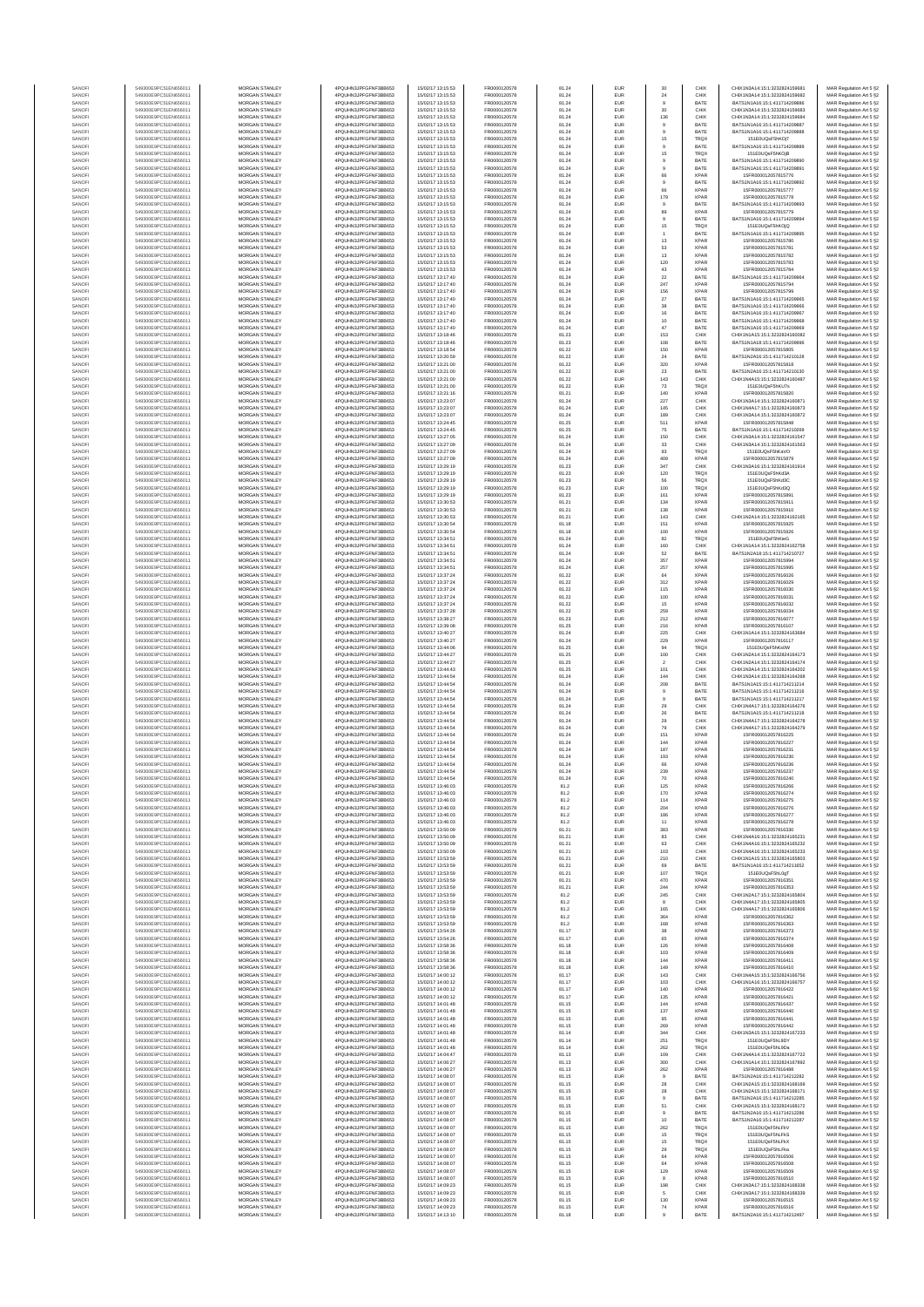| SANOF            | 549300E9PC51EN656011                         | MORGAN STANLEY                                 | 4PQUHN3JPFGFNF3BB653                          | 15/02/17 13:15:53                      | FR0000120578                 | 81.24          | EUR        | 30                    | CHIX                       | CHIX1N3A14:15:1:3232824159681                                  | MAR Regulation Art 5 §2                            |
|------------------|----------------------------------------------|------------------------------------------------|-----------------------------------------------|----------------------------------------|------------------------------|----------------|------------|-----------------------|----------------------------|----------------------------------------------------------------|----------------------------------------------------|
| SANOF            | 549300E9PC51EN656011                         | MORGAN STANLEY                                 | 4PQUHN3JPFGFNF3BB653                          | 15/02/17 13:15:53                      | FR0000120578                 | 81.24          | EUR        | 24                    | CHIX                       | CHIX1N3A14:15:1:3232824159682                                  | MAR Regulation Art 5 §2                            |
| SANOFI           | 549300E9PC51EN656011                         | MORGAN STANLEY                                 | 4PQUHN3JPFGFNF3BB653                          | 15/02/17 13:15:53                      | FR0000120578                 | 81.24          | EUR        | $_{9}$                | BATE                       | BATS1N1A16:15:1:411714209886                                   | MAR Regulation Art 5 §2<br>MAR Regulation Art 5 §2 |
| SANOFI<br>SANOFI | 549300E9PC51EN656011<br>549300E9PC51EN656011 | MORGAN STANLEY<br><b>MORGAN STANLEY</b>        | 4PQUHN3JPFGFNF3BB653<br>4PQUHN3JPFGFNF3BB653  | 15/02/17 13:15:53<br>15/02/17 13:15:53 | FR0000120578<br>FR0000120578 | 81.24<br>81.24 | EUR<br>EUR | 30<br>136             | CHIX<br>CHIX               | CHIX1N3A14:15:1:3232824159683<br>CHIX1N3A14:15:1:3232824159684 | MAR Regulation Art 5 §2                            |
| SANOFI           | 549300E9PC51EN656011                         | <b>MORGAN STANLEY</b>                          | 4PQUHN3JPFGFNF3BB653                          | 15/02/17 13:15:53                      | FR0000120578                 | 81.24          | EUR        | $9$                   | <b>BATE</b>                | BATS1N1A16-15-1-411714209887                                   | MAR Regulation Art 5 §2                            |
| SANOFI           | 549300E9PC51EN656011                         | MORGAN STANLEY                                 | 4PQUHN3JPFGFNF3BB653                          | 15/02/17 13:15:53                      | FR0000120578                 | 81.24          | EUR        | $^{\circ}$            | BATE                       | BATS1N1A16:15:1:411714209888                                   | MAR Regulation Art 5 §2                            |
| SANOF            | 549300E9PC51EN656011                         | MORGAN STANLEY                                 | 4PQUHN3JPFGFNF3BB653                          | 15/02/17 13:15:53                      | FR0000120578                 | 81.24          | EUR        | 15                    | <b>TRQX</b>                | 151E0UQsF5hKOj7                                                | MAR Regulation Art 5 §2                            |
| SANOFI<br>SANOF  | 549300E9PC51EN656011<br>549300E9PC51EN656011 | MORGAN STANLEY<br>MORGAN STANLEY               | 4PQUHN3JPFGFNF3BB653<br>4PQUHN3JPFGFNF3BB653  | 15/02/17 13:15:53<br>15/02/17 13:15:53 | FR0000120578<br>FR0000120578 | 81.24<br>81.24 | EUR<br>EUR | 15                    | BATE<br>TRQ)               | BATS1N1A16:15:1:411714209889<br>151E0UQsF5hKOjB                | MAR Regulation Art 5 §2<br>MAR Regulation Art 5 §2 |
| SANOFI           | 549300E9PC51EN656011                         | MORGAN STANLEY                                 | 4PQUHN3JPFGFNF3BB653                          | 15/02/17 13:15:53                      | FR0000120578                 | 81.24          | EUR        | $\mathsf g$           | BATE                       | BATS1N1A16:15:1:411714209890                                   | MAR Regulation Art 5 §2                            |
| SANOFI           | 549300E9PC51EN656011                         | MORGAN STANLEY                                 | 4PQUHN3JPFGFNF3BB653                          | 15/02/17 13:15:53                      | FR0000120578                 | 81.24          | EUR        | $\mathsf{9}$          | BATE                       | BATS1N1A16:15:1:411714209891                                   | MAR Regulation Art 5 §2                            |
| SANOFI<br>SANOFI | 549300E9PC51EN656011<br>549300E9PC51EN656011 | MORGAN STANLEY<br><b>MORGAN STANLEY</b>        | 4PQUHN3JPFGFNF3BB653<br>4POLIHN3JPEGENE3BB653 | 15/02/17 13:15:53<br>15/02/17 13:15:53 | FR0000120578<br>FR0000120578 | 81.24<br>81.24 | EUR<br>EUR | 66<br>$\mathbf{9}$    | <b>XPAR</b><br>BATE        | 15FR000012057815776<br>BATS1N1A16:15:1:411714209892            | MAR Regulation Art 5 §2<br>MAR Regulation Art 5 §2 |
| SANOFI           | 549300E9PC51EN656011                         | <b>MORGAN STANLEY</b>                          | 4PQUHN3JPFGFNF3BB653                          | 15/02/17 13:15:53                      | FR0000120578                 | 81.24          | EUR        | 66                    | <b>XPAR</b>                | 15FR000012057815777                                            | MAR Regulation Art 5 §2                            |
| SANOFI           | 549300E9PC51EN656011                         | MORGAN STANLEY                                 | 4PQUHN3JPFGFNF3BB653                          | 15/02/17 13:15:53                      | FR0000120578                 | 81.24          | EUR        | 179                   | <b>XPAR</b>                | 15FR000012057815778                                            | MAR Regulation Art 5 §2                            |
| SANOF            | 549300E9PC51EN656011                         | MORGAN STANLEY                                 | 4PQUHN3JPFGFNF3BB653                          | 15/02/17 13:15:53                      | FR0000120578                 | 81.24          | EUR        | $\mathsf g$           | BATE                       | BATS1N1A16:15:1:411714209893                                   | MAR Regulation Art 5 §2                            |
| SANOFI<br>SANOFI | 549300E9PC51EN656011<br>549300E9PC51EN656011 | MORGAN STANLEY<br>MORGAN STANLEY               | 4PQUHN3JPFGFNF3BB653<br>4PQUHN3JPFGFNF3BB653  | 15/02/17 13:15:53<br>15/02/17 13:15:53 | FR0000120578<br>FR0000120578 | 81.24<br>81.24 | EUR<br>EUR | 89<br>$\mathsf g$     | <b>XPAF</b><br>BATE        | 15FR000012057815779<br>BATS1N1A16:15:1:411714209894            | MAR Regulation Art 5 §2<br>MAR Regulation Art 5 §2 |
| SANOFI           | 549300E9PC51EN656011                         | MORGAN STANLEY                                 | 4PQUHN3JPFGFNF3BB653                          | 15/02/17 13:15:53                      | FR0000120578                 | 81.24          | EUR        | 15                    | <b>TRQX</b>                | 151E0UQsF5hKOjQ                                                | MAR Regulation Art 5 §2                            |
| SANOFI           | 549300E9PC51EN656011                         | MORGAN STANLEY                                 | 4PQUHN3JPFGFNF3BB653                          | 15/02/17 13:15:53                      | FR0000120578                 | 81.24          | EUR        | 1                     | BATE                       | BATS1N1A16:15:1:411714209895                                   | MAR Regulation Art 5 §2                            |
| SANOFI           | 549300E9PC51EN656011                         | <b>MORGAN STANLEY</b>                          | 4POLIHN3JPEGENE3BB653                         | 15/02/17 13:15:53                      | FR0000120578                 | 81.24          | EUR        | 13                    | <b>XPAR</b>                | 15FR000012057815780                                            | MAR Regulation Art 5 §2                            |
| SANOFI<br>SANOFI | 549300E9PC51EN656011<br>549300E9PC51EN656011 | <b>MORGAN STANLEY</b><br>MORGAN STANLEY        | 4PQUHN3JPFGFNF3BB653<br>4PQUHN3JPFGFNF3BB653  | 15/02/17 13:15:53<br>15/02/17 13:15:53 | FR0000120578<br>FR0000120578 | 81.24<br>81.24 | EUR<br>EUR | 53<br>$13\,$          | <b>XPAR</b><br><b>XPAR</b> | 15FR000012057815781<br>15FR000012057815782                     | MAR Regulation Art 5 §2<br>MAR Regulation Art 5 §2 |
| SANOFI           | 549300E9PC51EN656011                         | MORGAN STANLEY                                 | 4PQUHN3JPFGFNF3BB653                          | 15/02/17 13:15:53                      | FR0000120578                 | 81.24          | EUR        | 120                   | <b>XPAR</b>                | 15FR000012057815783                                            | MAR Regulation Art 5 §2                            |
| SANOF            | 549300E9PC51EN656011                         | MORGAN STANLEY                                 | 4PQUHN3JPFGFNF3BB653                          | 15/02/17 13:15:53                      | FR0000120578                 | 81.24          | EUR        | $43\,$                | <b>XPAF</b>                | 15FR000012057815784                                            | MAR Regulation Art 5 §2                            |
| SANOFI           | 549300E9PC51EN656011                         | MORGAN STANLEY                                 | 4PQUHN3JPFGFNF3BB653                          | 15/02/17 13:17:40                      | FR0000120578                 | 81.24          | EUR        | $22\,$                | BATE                       | BATS1N1A16:15:1:411714209964<br>15FR000012057815794            | MAR Regulation Art 5 §2                            |
| SANOFI<br>SANOFI | 549300E9PC51EN656011<br>549300E9PC51EN656011 | MORGAN STANLEY<br>MORGAN STANLEY               | 4PQUHN3JPFGFNF3BB653<br>4PQUHN3JPFGFNF3BB653  | 15/02/17 13:17:40<br>15/02/17 13:17:40 | FR0000120578<br>FR0000120578 | 81.24<br>81.24 | EUR<br>EUR | 247<br>156            | <b>XPAR</b><br><b>XPAR</b> | 15FR000012057815799                                            | MAR Regulation Art 5 §2<br>MAR Regulation Art 5 §2 |
| SANOFI           | 549300E9PC51EN656011                         | <b>MORGAN STANLEY</b>                          | 4PQUHN3JPFGFNF3BB653                          | 15/02/17 13:17:40                      | FR0000120578                 | 81.24          | EUR        | 27                    | BATE                       | BATS1N1A16:15:1:411714209965                                   | MAR Regulation Art 5 §2                            |
| SANOFI           | 549300E9PC51EN656011                         | <b>MORGAN STANLEY</b>                          | 4PQUHN3JPFGFNF3BB653                          | 15/02/17 13:17:40                      | FR0000120578                 | 81.24          | EUR        | 38                    | BATE                       | BATS1N1A16:15:1:411714209966                                   | MAR Regulation Art 5 §2                            |
| SANOFI<br>SANOFI | 549300E9PC51EN656011<br>549300E9PC51EN656011 | MORGAN STANLEY<br>MORGAN STANLEY               | 4PQUHN3JPFGFNF3BB653<br>4PQUHN3JPFGFNF3BB653  | 15/02/17 13:17:40<br>15/02/17 13:17:40 | FR0000120578<br>FR0000120578 | 81.24<br>81.24 | EUR<br>EUR | 16<br>$10$            | BATE<br>BATE               | BATS1N1A16:15:1:411714209967<br>BATS1N1A16:15:1:411714209968   | MAR Regulation Art 5 §2<br>MAR Regulation Art 5 §2 |
| SANOFI           | 549300E9PC51EN656011                         | MORGAN STANLEY                                 | 4PQUHN3JPFGFNF3BB653                          | 15/02/17 13:17:40                      | FR0000120578                 | 81.24          | EUR        | 47                    | BATE                       | BATS1N1A16:15:1:411714209969                                   | MAR Regulation Art 5 §2                            |
| SANOFI           | 549300E9PC51EN656011                         | MORGAN STANLEY                                 | 4PQUHN3JPFGFNF3BB653                          | 15/02/17 13:18:46                      | FR0000120578                 | 81.23          | EUR        | 153                   | CHIX                       | CHIX1N1A15:15:1:3232824160082                                  | MAR Regulation Art 5 §2                            |
| SANOFI<br>SANOFI | 549300E9PC51EN656011<br>549300E9PC51EN656011 | MORGAN STANLEY<br>MORGAN STANLEY               | 4PQUHN3JPFGFNF3BB653<br>4PQUHN3JPFGFNF3BB653  | 15/02/17 13:18:46<br>15/02/17 13:18:54 | FR0000120578<br>FR0000120578 | 81.23<br>81.22 | EUR<br>EUR | 108<br>150            | BATE<br><b>XPAF</b>        | BATS1N1A18:15:1:411714209996<br>15FR000012057815805            | MAR Regulation Art 5 §2<br>MAR Regulation Art 5 §2 |
| SANOFI           | 549300E9PC51EN656011                         | <b>MORGAN STANLEY</b>                          | 4PQUHN3JPFGFNF3BB653                          | 15/02/17 13:20:59                      | FR0000120578                 | 81.22          | EUR        | 24                    | BATE                       | BATS1N2A16:15:1:411714210128                                   | MAR Regulation Art 5 §2                            |
| SANOFI           | 549300E9PC51EN656011                         | <b>MORGAN STANLEY</b>                          | 4PQUHN3JPFGFNF3BB653                          | 15/02/17 13:21:00                      | FR0000120578                 | 81.22          | EUR        | 320                   | <b>XPAR</b>                | 15FR000012057815818                                            | MAR Regulation Art 5 §2                            |
| SANOFI<br>SANOFI | 549300E9PC51EN656011<br>549300E9PC51EN656011 | MORGAN STANLEY<br>MORGAN STANLEY               | 4PQUHN3JPFGFNF3BB653<br>4PQUHN3JPFGFNF3BB653  | 15/02/17 13:21:00<br>15/02/17 13:21:00 | FR0000120578<br>FR0000120578 | 81.22<br>81.22 | EUR<br>EUR | $23\,$<br>143         | BATE<br>CHIX               | BATS1N2A16:15:1:411714210130<br>CHIX1N4A15:15:1:3232824160487  | MAR Regulation Art 5 §2<br>MAR Regulation Art 5 §2 |
| SANOFI           | 549300E9PC51EN656011                         | MORGAN STANLEY                                 | 4PQUHN3JPFGFNF3BB653                          | 15/02/17 13:21:00                      | FR0000120578                 | 81.22          | EUR        | $\bf 73$              | TRQ)                       | 151E0UQsF5hKU7s                                                | MAR Regulation Art 5 §2                            |
| SANOFI           | 549300E9PC51EN656011                         | MORGAN STANLEY                                 | 4PQUHN3JPFGFNF3BB653                          | 15/02/17 13:21:16                      | FR0000120578                 | 81.21          | EUR        | 140                   | <b>XPAF</b>                | 15FR000012057815820                                            | MAR Regulation Art 5 §2                            |
| SANOFI           | 549300E9PC51EN656011<br>549300E9PC51EN656011 | MORGAN STANLEY<br>MORGAN STANLEY               | 4PQUHN3JPFGFNF3BB653                          | 15/02/17 13:23:07                      | FR0000120578                 | 81.24          | EUR        | 227                   | CHIX                       | CHIX1N3A14:15:1:323282416087                                   | MAR Regulation Art 5 §2                            |
| SANOFI<br>SANOFI | 549300E9PC51EN656011                         | MORGAN STANLEY                                 | 4PQUHN3JPFGFNF3BB653<br>4PQUHN3JPFGFNF3BB653  | 15/02/17 13:23:07<br>15/02/17 13:23:07 | FR0000120578<br>FR0000120578 | 81.24<br>81.24 | EUR<br>EUR | 145<br>189            | CHIX<br>CHIX               | CHIX1N4A17:15:1:3232824160873<br>CHIX1N3A14:15:1:3232824160872 | MAR Regulation Art 5 §2<br>MAR Regulation Art 5 §2 |
| SANOFI           | 549300E9PC51EN656011                         | <b>MORGAN STANLEY</b>                          | 4POLIHN3JPEGENE3BB653                         | 15/02/17 13:24:45                      | FR0000120578                 | 81.25          | EUR        | 511                   | <b>XPAR</b>                | 15FR000012057815848                                            | MAR Regulation Art 5 §2                            |
| SANOFI           | 549300E9PC51EN656011                         | <b>MORGAN STANLEY</b>                          | 4POLIHN3JPEGENE3BB653                         | 15/02/17 13:24:45                      | FR0000120578                 | 81.25          | EUR        | 75                    | BATE                       | BATS1N1A16:15:1:411714210269                                   | MAR Regulation Art 5 §2                            |
| SANOFI<br>SANOFI | 549300E9PC51EN656011<br>549300E9PC51EN656011 | MORGAN STANLEY<br>MORGAN STANLEY               | 4PQUHN3JPFGFNF3BB653<br>4PQUHN3JPFGFNF3BB653  | 15/02/17 13:27:05<br>15/02/17 13:27:09 | FR0000120578<br>FR0000120578 | 81.24<br>81.24 | EUR<br>EUR | 150<br>$_{\rm 33}$    | CHIX<br>CHIX               | CHIX1N3A14:15:1:3232824161547<br>CHIX1N3A14:15:1:3232824161563 | MAR Regulation Art 5 §2<br>MAR Regulation Art 5 §2 |
| SANOFI           | 549300E9PC51EN656011                         | MORGAN STANLEY                                 | 4PQUHN3JPFGFNF3BB653                          | 15/02/17 13:27:09                      | FR0000120578                 | 81.24          | EUR        | $\mathfrak{g}_3$      | TRQ)                       | 151E0UQsF5hKaVC                                                | MAR Regulation Art 5 §2                            |
| SANOFI           | 549300E9PC51EN656011                         | MORGAN STANLEY                                 | 4PQUHN3JPFGFNF3BB653                          | 15/02/17 13:27:09                      | FR0000120578                 | 81.24          | EUR        | 409                   | <b>XPAF</b>                | 15FR000012057815879                                            | MAR Regulation Art 5 §2                            |
| SANOFI           | 549300E9PC51EN656011                         | MORGAN STANLEY                                 | 4PQUHN3JPFGFNF3BB653                          | 15/02/17 13:29:19                      | FR0000120578                 | 81.23          | EUR        | 347                   | CHIX                       | CHIX1N3A16:15:1:3232824161914                                  | MAR Regulation Art 5 §2                            |
| SANOFI<br>SANOFI | 549300E9PC51EN656011<br>549300E9PC51EN656011 | MORGAN STANLEY<br><b>MORGAN STANLEY</b>        | 4PQUHN3JPFGFNF3BB653<br>4POLIHN3JPEGENE3BB653 | 15/02/17 13:29:19<br>15/02/17 13:29:19 | FR0000120578<br>FR0000120578 | 81.23<br>81.23 | EUR<br>EUR | 120<br>56             | <b>TRQX</b><br><b>TRQX</b> | 151E0UQsF5hKd3A<br>151E0UQsF5hKd3C                             | MAR Regulation Art 5 §2<br>MAR Regulation Art 5 §2 |
| SANOFI           | 549300E9PC51EN656011                         | MORGAN STANLEY                                 | 4PQUHN3JPFGFNF3BB653                          | 15/02/17 13:29:19                      | FR0000120578                 | 81.23          | EUR        | 100                   | <b>TRQX</b>                | 151E0UQsF5hKd3Q                                                | MAR Regulation Art 5 §2                            |
| SANOFI           | 549300E9PC51EN656011                         | MORGAN STANLEY                                 | 4PQUHN3JPFGFNF3BB653                          | 15/02/17 13:29:19                      | FR0000120578                 | 81.23          | EUR        | 161                   | <b>XPAR</b>                | 15FR000012057815891                                            | MAR Regulation Art 5 §2                            |
| SANOF<br>SANOFI  | 549300E9PC51EN656011<br>549300E9PC51EN656011 | MORGAN STANLEY<br>MORGAN STANLEY               | 4PQUHN3JPFGFNF3BB653<br>4PQUHN3JPFGFNF3BB653  | 15/02/17 13:30:53<br>15/02/17 13:30:53 | FR0000120578<br>FR0000120578 | 81.21<br>81.21 | EUR<br>EUR | 134<br>138            | <b>XPAR</b><br><b>XPAF</b> | 15FR000012057815911<br>15FR000012057815910                     | MAR Regulation Art 5 §2<br>MAR Regulation Art 5 §2 |
| SANOFI           | 549300E9PC51EN656011                         | MORGAN STANLEY                                 | 4PQUHN3JPFGFNF3BB653                          | 15/02/17 13:30:53                      | FR0000120578                 | 81.21          | EUR        | 143                   | CHIX                       | CHIX1N2A14:15:1:3232824162165                                  | MAR Regulation Art 5 §2                            |
| SANOFI           | 549300E9PC51EN656011                         | MORGAN STANLEY                                 | 4PQUHN3JPFGFNF3BB653                          | 15/02/17 13:30:54                      | FR0000120578                 | 81.18          | EUR        | 151                   | <b>XPAR</b>                | 15FR000012057815925                                            | MAR Regulation Art 5 §2                            |
| SANOFI           | 549300E9PC51EN656011                         | MORGAN STANLEY                                 | 4PQUHN3JPFGFNF3BB653                          | 15/02/17 13:30:54                      | FR0000120578                 | 81.18          | EUR        | 100                   | <b>XPAR</b>                | 15FR000012057815926                                            | MAR Regulation Art 5 §2                            |
| SANOFI<br>SANOFI | 549300E9PC51EN656011<br>549300E9PC51EN656011 | <b>MORGAN STANLEY</b><br><b>MORGAN STANLEY</b> | 4PQUHN3JPFGFNF3BB653<br>4PQUHN3JPFGFNF3BB653  | 15/02/17 13:34:51<br>15/02/17 13:34:51 | FR0000120578<br>FR0000120578 | 81.24<br>81.24 | EUR<br>EUR | 82<br>160             | <b>TRQX</b><br>CHIX        | 151E0UQsF5hKieG<br>CHIX1N1A14:15:1:3232824162758               | MAR Regulation Art 5 §2<br>MAR Regulation Art 5 §2 |
| SANOFI           | 549300E9PC51EN656011                         | MORGAN STANLEY                                 | 4PQUHN3JPFGFNF3BB653                          | 15/02/17 13:34:51                      | FR0000120578                 | 81.24          | EUR        | 52                    | BATE                       | BATS1N2A18:15:1:411714210727                                   | MAR Regulation Art 5 §2                            |
| SANOFI           | 549300E9PC51EN656011                         | MORGAN STANLEY                                 | 4PQUHN3JPFGFNF3BB653                          | 15/02/17 13:34:51                      | FR0000120578                 | 81.24          | EUR        | 357                   | <b>XPAR</b>                | 15FR000012057815994                                            | MAR Regulation Art 5 §2                            |
| SANOF<br>SANOFI  | 549300E9PC51EN656011<br>549300E9PC51EN656011 | MORGAN STANLEY<br>MORGAN STANLEY               | 4PQUHN3JPFGFNF3BB653<br>4PQUHN3JPFGFNF3BB653  | 15/02/17 13:34:51<br>15/02/17 13:37:24 | FR0000120578<br>FR0000120578 | 81.24<br>81.22 | EUR<br>EUR | 257<br>64             | <b>XPAF</b><br><b>XPAF</b> | 15FR000012057815995<br>15FR000012057816026                     | MAR Regulation Art 5 §2<br>MAR Regulation Art 5 §2 |
| SANOFI           | 549300E9PC51EN656011                         | MORGAN STANLEY                                 | 4PQUHN3JPFGFNF3BB653                          | 15/02/17 13:37:24                      | FR0000120578                 | 81.22          | EUR        | 312                   | <b>XPAR</b>                | 15FR000012057816029                                            | MAR Regulation Art 5 §2                            |
| SANOFI           | 549300E9PC51EN656011                         | MORGAN STANLEY                                 | 4PQUHN3JPFGFNF3BB653                          | 15/02/17 13:37:24                      | FR0000120578                 | 81.22          | EUR        | 115                   | <b>XPAR</b>                | 15FR000012057816030                                            | MAR Regulation Art 5 §2                            |
| SANOFI           | 549300E9PC51EN656011                         | <b>MORGAN STANLEY</b>                          | 4PQUHN3JPFGFNF3BB653                          | 15/02/17 13:37:24                      | FR0000120578                 | 81.22          | EUR        | 100                   | <b>XPAR</b>                | 15FR000012057816031                                            | MAR Regulation Art 5 §2                            |
| SANOFI<br>SANOFI | 549300E9PC51EN656011<br>549300E9PC51EN656011 | <b>MORGAN STANLEY</b><br>MORGAN STANLEY        | 4PQUHN3JPFGFNF3BB653<br>4PQUHN3JPFGFNF3BB653  | 15/02/17 13:37:24<br>15/02/17 13:37:28 | FR0000120578<br>FR0000120578 | 81.22<br>81.22 | EUR<br>EUR | 15<br>259             | <b>XPAR</b><br><b>XPAR</b> | 15FR000012057816032<br>15FR000012057816034                     | MAR Regulation Art 5 §2<br>MAR Regulation Art 5 §2 |
| SANOFI           | 549300E9PC51EN656011                         | MORGAN STANLEY                                 | 4PQUHN3JPFGFNF3BB653                          | 15/02/17 13:38:27                      | FR0000120578                 | 81.23          | EUR        | $212\,$               | <b>XPAR</b>                | 15FR000012057816077                                            | MAR Regulation Art 5 §2                            |
| SANOFI           | 549300E9PC51EN656011                         | MORGAN STANLEY                                 | 4PQUHN3JPFGFNF3BB653                          | 15/02/17 13:39:08                      | FR0000120578                 | 81.25          | EUR        | 216                   | <b>XPAF</b>                | 15FR000012057816107                                            | MAR Regulation Art 5 §2                            |
| SANOF<br>SANOFI  | 549300E9PC51EN656011<br>549300E9PC51EN656011 | MORGAN STANLEY<br>MORGAN STANLEY               | 4PQUHN3JPFGFNF3BB653<br>4PQUHN3JPFGFNF3BB653  | 15/02/17 13:40:27<br>15/02/17 13:40:27 | FR0000120578<br>FR0000120578 | 81.24<br>81.24 | EUR<br>EUR | 225<br>229            | CHIX<br><b>XPAF</b>        | CHIX1N1A14:15:1:3232824163684<br>15FR000012057816117           | MAR Regulation Art 5 §2<br>MAR Regulation Art 5 §2 |
| SANOFI           | 549300E9PC51EN656011                         | MORGAN STANLEY                                 | 4PQUHN3JPFGFNF3BB653                          | 15/02/17 13:44:06                      | FR0000120578                 | 81.25          | EUR        | 94                    | <b>TRQX</b>                | 151E0UQsF5hKs0W                                                | MAR Regulation Art 5 §2                            |
| SANOFI           | 549300E9PC51EN656011                         | MORGAN STANLEY                                 | 4PQUHN3JPFGFNF3BB653                          | 15/02/17 13:44:27                      | FR0000120578                 | 81.25          | EUR        | 100                   | CHIX                       | CHIX1N2A14:15:1:3232824164173                                  | MAR Regulation Art 5 §2                            |
| SANOFI<br>SANOFI | 549300E9PC51EN656011<br>549300E9PC51EN656011 | <b>MORGAN STANLEY</b><br><b>MORGAN STANLEY</b> | 4PQUHN3JPFGFNF3BB653<br>4PQUHN3JPFGFNF3BB653  | 15/02/17 13:44:27<br>15/02/17 13:44:43 | FR0000120578<br>FR0000120578 | 81.25<br>81.25 | EUR<br>EUR | $\overline{2}$<br>101 | CHIX<br>CHIX               | CHIX1N2A14:15:1:3232824164174<br>CHIX1N3A14:15:1:3232824164202 | MAR Regulation Art 5 §2<br>MAR Regulation Art 5 §2 |
| SANOFI           | 549300E9PC51EN656011                         | MORGAN STANLEY                                 | 4PQUHN3JPFGFNF3BB653                          | 15/02/17 13:44:54                      | FR0000120578                 | 81.24          | EUR        | 144                   | CHIX                       | CHIX1N3A14:15:1:3232824164268                                  | MAR Regulation Art 5 §2                            |
| SANOFI           | 549300E9PC51EN656011                         | MORGAN STANLEY                                 | 4PQUHN3JPFGFNF3BB653                          | 15/02/17 13:44:54                      | FR0000120578                 | 81.24          | EUR        | 208                   | BATE                       | BATS1N1A15:15:1:411714211214                                   | MAR Regulation Art 5 §2                            |
| SANOFI           | 549300E9PC51EN656011                         | MORGAN STANLEY                                 | 4PQUHN3JPFGFNF3BB653                          | 15/02/17 13:44:54                      | FR0000120578                 | 81.24          | EUR        | $^{\circ}$            | BATE                       | BATS1N1A15:15:1:411714211216                                   | MAR Regulation Art 5 §2                            |
| SANOFI<br>SANOFI | 549300E9PC51EN656011<br>549300E9PC51EN656011 | MORGAN STANLEY<br>MORGAN STANLEY               | 4PQUHN3JPFGFNF3BB653<br>4PQUHN3JPFGFNF3BB653  | 15/02/17 13:44:54<br>15/02/17 13:44:54 | FR0000120578<br>FR0000120578 | 81.24<br>81.24 | EUR<br>EUR | $\mathsf g$<br>29     | BATE<br>CHIX               | BATS1N1A15:15:1:411714211217<br>CHIX1N4A17:15:1:3232824164276  | MAR Regulation Art 5 §2<br>MAR Regulation Art 5 §2 |
| SANOFI           | 549300E9PC51EN656011                         | MORGAN STANLEY                                 | 4PQUHN3JPFGFNF3BB653                          | 15/02/17 13:44:54                      | FR0000120578                 | 81.24          | EUR        | $\rm 26$              | BATE                       | BATS1N1A15:15:1:411714211218                                   | MAR Regulation Art 5 §2                            |
| SANOFI           | 549300E9PC51EN656011                         | <b>MORGAN STANLEY</b>                          | 4POLIHN3JPEGENE3BB653                         | 15/02/17 13:44:54                      | FR0000120578                 | 81.24          | EUR        | 29                    | CHIX                       | CHIX1N4A17-15-1-3232824164278                                  | MAR Regulation Art 5 §2                            |
| SANOFI<br>SANOF  | 549300E9PC51EN656011<br>549300E9PC51EN656011 | MORGAN STANLEY<br>MORGAN STANLEY               | 4POLIHN3JPEGENE3BB653<br>4PQUHN3JPFGFNF3BB653 | 15/02/17 13:44:54<br>15/02/17 13:44:54 | FR0000120578<br>FR0000120578 | 81.24<br>81.24 | EUR<br>EUR | 79<br>151             | CHIX<br><b>XPAR</b>        | CHIX1N4A17:15:1:3232824164279<br>15FR000012057816225           | MAR Regulation Art 5 §2<br>MAR Regulation Art 5 §2 |
| SANOFI           | 549300E9PC51EN656011                         | MORGAN STANLEY                                 | 4PQUHN3JPFGFNF3BB653                          | 15/02/17 13:44:54                      | FR0000120578                 | 81.24          | EUR        | 144                   | XPAR                       | 15FR000012057816227                                            | MAR Regulation Art 5 §2                            |
| SANOF            | 549300E9PC51EN656011                         | MORGAN STANLEY                                 | 4PQUHN3JPFGFNF3BB653                          | 15/02/17 13:44:54                      | FR0000120578                 | 81.24          | EUR        | 187                   | <b>XPAR</b>                | 15FR000012057816231                                            | MAR Regulation Art 5 §2                            |
| SANOFI<br>SANOFI | 549300E9PC51EN656011<br>549300E9PC51EN656011 | MORGAN STANLEY<br>MORGAN STANLEY               | 4PQUHN3JPFGFNF3BB653<br>4PQUHN3JPFGFNF3BB653  | 15/02/17 13:44:54<br>15/02/17 13:44:54 | FR0000120578<br>FR0000120578 | 81.24<br>81.24 | EUR<br>EUR | 193<br>66             | <b>XPAF</b><br><b>XPAR</b> | 15FR000012057816230<br>15FR000012057816236                     | MAR Regulation Art 5 §2<br>MAR Regulation Art 5 §2 |
| SANOFI           | 549300E9PC51EN656011                         | MORGAN STANLEY                                 | 4PQUHN3JPFGFNF3BB653                          | 15/02/17 13:44:54                      | FR0000120578                 | 81.24          | EUR        | 239                   | <b>XPAR</b>                | 15FR000012057816237                                            | MAR Regulation Art 5 §2                            |
| SANOFI           | 549300E9PC51EN656011                         | <b>MORGAN STANLEY</b>                          | 4PQUHN3JPFGFNF3BB653                          | 15/02/17 13:44:54                      | FR0000120578                 | 81.24          | <b>FUR</b> | 70                    | <b>XPAR</b>                | 15FR000012057816240                                            | MAR Regulation Art 5 §2                            |
| SANOFI<br>SANOFI | 549300E9PC51EN656011<br>549300E9PC51EN656011 | <b>MORGAN STANLEY</b><br>MORGAN STANLEY        | 4PQUHN3JPFGFNF3BB653<br>4POLIHN3JPEGENE3BB653 | 15/02/17 13:46:03<br>15/02/17 13:46:03 | FR0000120578<br>FR0000120578 | 81.2           | EUR        | 125                   | <b>XPAR</b><br><b>XPAR</b> | 15FR000012057816266<br>15FR000012057816274                     | MAR Regulation Art 5 §2                            |
| SANOFI           | 549300E9PC51EN656011                         | MORGAN STANLEY                                 | 4PQUHN3JPFGFNF3BB653                          | 15/02/17 13:46:03                      | FR0000120578                 | 81.2<br>81.2   | EUR<br>EUR | 170<br>114            | <b>XPAR</b>                | 15FR000012057816275                                            | MAR Regulation Art 5 §2<br>MAR Regulation Art 5 §2 |
| SANOFI           | 549300E9PC51EN656011                         | MORGAN STANLEY                                 | 4PQUHN3JPFGFNF3BB653                          | 15/02/17 13:46:03                      | FR0000120578                 | 81.2           | EUR        | 204                   | <b>XPAR</b>                | 15FR000012057816276                                            | MAR Regulation Art 5 §2                            |
| SANOFI           | 549300E9PC51EN656011                         | MORGAN STANLEY                                 | 4PQUHN3JPFGFNF3BB653                          | 15/02/17 13:46:03                      | FR0000120578                 | 81.2           | EUR        | 186                   | <b>XPAR</b><br><b>XPAR</b> | 15FR000012057816277                                            | MAR Regulation Art 5 §2<br>MAR Regulation Art 5 §2 |
| SANOFI<br>SANOFI | 549300E9PC51EN656011<br>549300E9PC51EN656011 | MORGAN STANLEY<br>MORGAN STANLEY               | 4PQUHN3JPFGFNF3BB653<br>4PQUHN3JPFGFNF3BB653  | 15/02/17 13:46:03<br>15/02/17 13:50:09 | FR0000120578<br>FR0000120578 | 81.2<br>81.21  | EUR<br>EUR | 11<br>383             | <b>XPAR</b>                | 15FR000012057816278<br>15FR000012057816330                     | MAR Regulation Art 5 §2                            |
| SANOFI           | 549300E9PC51EN656011                         | MORGAN STANLEY                                 | 4PQUHN3JPFGFNF3BB653                          | 15/02/17 13:50:09                      | FR0000120578                 | 81.21          | EUR        | 83                    | CHIX                       | CHIX1N4A16-15-1-3232824165231                                  | MAR Regulation Art 5 §2                            |
| SANOFI<br>SANOFI | 549300E9PC51EN656011<br>549300E9PC51EN656011 | <b>MORGAN STANLEY</b><br>MORGAN STANLEY        | 4PQUHN3JPFGFNF3BB653<br>4PQUHN3JPFGFNF3BB653  | 15/02/17 13:50:09<br>15/02/17 13:50:09 | FR0000120578                 | 81.21          | EUR<br>EUR | 63                    | CHIX<br>CHIX               | CHIX1N4A16-15-1-3232824165232<br>CHIX1N4A16:15:1:3232824165233 | MAR Regulation Art 5 §2                            |
| SANOFI           | 549300E9PC51EN656011                         | MORGAN STANLEY                                 | 4PQUHN3JPFGFNF3BB653                          | 15/02/17 13:53:59                      | FR0000120578<br>FR0000120578 | 81.21<br>81.21 | EUR        | 103<br>210            | CHIX                       | CHIX1N1A15:15:1:3232824165803                                  | MAR Regulation Art 5 §2<br>MAR Regulation Art 5 §2 |
| SANOFI           | 549300E9PC51EN656011                         | MORGAN STANLEY                                 | 4PQUHN3JPFGFNF3BB653                          | 15/02/17 13:53:59                      | FR0000120578                 | 81.21          | EUR        | 69                    | BATE                       | BATS1N1A16:15:1:411714211652                                   | MAR Regulation Art 5 §2                            |
| SANOFI<br>SANOFI | 549300E9PC51EN656011<br>549300E9PC51EN656011 | MORGAN STANLEY<br>MORGAN STANLEY               | 4PQUHN3JPFGFNF3BB653<br>4PQUHN3JPFGFNF3BB653  | 15/02/17 13:53:59<br>15/02/17 13:53:59 | FR0000120578<br>FR0000120578 | 81.21<br>81.21 | EUR<br>EUR | 107<br>470            | TRQ)<br><b>XPAR</b>        | 151E0UQsF5hL0gT<br>15FR000012057816351                         | MAR Regulation Art 5 §2<br>MAR Regulation Art 5 §2 |
| SANOFI           | 549300E9PC51EN656011                         | MORGAN STANLEY                                 | 4PQUHN3JPFGFNF3BB653                          | 15/02/17 13:53:59                      | FR0000120578                 | 81.21          | EUR        | 244                   | <b>XPAR</b>                | 15FR000012057816353                                            | MAR Regulation Art 5 §2                            |
| SANOFI           | 549300E9PC51EN656011                         | MORGAN STANLEY                                 | 4PQUHN3JPFGFNF3BB653                          | 15/02/17 13:53:59                      | FR0000120578                 | 81.2           | EUR        | 245                   | CHIX                       | CHIX1N2A17:15:1:3232824165804                                  | MAR Regulation Art 5 §2                            |
| SANOFI<br>SANOFI | 549300E9PC51EN656011<br>549300E9PC51EN656011 | <b>MORGAN STANLEY</b><br><b>MORGAN STANLEY</b> | 4PQUHN3JPFGFNF3BB653<br>4PQUHN3JPFGFNF3BB653  | 15/02/17 13:53:59<br>15/02/17 13:53:59 | FR0000120578<br>FR0000120578 | 81.2<br>81.2   | EUR<br>EUR | 8<br>165              | CHIX<br>CHIX               | CHIX1N4A17-15-1-3232824165805<br>CHIX1N4A17:15:1:3232824165806 | MAR Regulation Art 5 §2<br>MAR Regulation Art 5 §2 |
| SANOFI           | 549300E9PC51EN656011                         | MORGAN STANLEY                                 | 4PQUHN3JPFGFNF3BB653                          | 15/02/17 13:53:59                      | FR0000120578                 | 81.2           | EUR        | 364                   | <b>XPAR</b>                | 15FR000012057816362                                            | MAR Regulation Art 5 §2                            |
| SANOFI           | 549300E9PC51EN656011                         | <b>MORGAN STANLEY</b>                          | 4PQUHN3JPFGFNF3BB653                          | 15/02/17 13:53:59                      | FR0000120578                 | 81.2           | EUR        | 168                   | <b>XPAR</b>                | 15FR000012057816363                                            | MAR Regulation Art 5 §2                            |
| SANOFI<br>SANOFI | 549300E9PC51EN656011<br>549300E9PC51EN656011 | MORGAN STANLEY<br>MORGAN STANLEY               | 4PQUHN3JPFGFNF3BB653<br>4PQUHN3JPFGFNF3BB653  | 15/02/17 13:54:26<br>15/02/17 13:54:26 | FR0000120578<br>FR0000120578 | 81.17<br>81.17 | EUR<br>EUR | 38<br>65              | <b>XPAR</b><br><b>XPAR</b> | 15FR000012057816373<br>15FR000012057816374                     | MAR Regulation Art 5 §2<br>MAR Regulation Art 5 §2 |
| SANOFI           | 549300E9PC51EN656011                         | MORGAN STANLEY                                 | 4PQUHN3JPFGFNF3BB653                          | 15/02/17 13:58:36                      | FR0000120578                 | 81.18          | EUR        | 126                   | <b>XPAR</b>                | 15FR000012057816408                                            | MAR Regulation Art 5 §2                            |
| SANOFI           | 549300E9PC51EN656011                         | MORGAN STANLEY                                 | 4PQUHN3JPFGFNF3BB653                          | 15/02/17 13:58:36                      | FR0000120578                 | 81.18          | <b>EUR</b> | 103                   | <b>XPAR</b>                | 15FR000012057816409                                            | MAR Regulation Art 5 §2                            |
| SANOFI<br>SANOFI | 549300E9PC51EN656011<br>549300E9PC51EN656011 | MORGAN STANLEY<br><b>MORGAN STANLEY</b>        | 4PQUHN3JPFGFNF3BB653<br>4PQUHN3JPFGFNF3BB653  | 15/02/17 13:58:36<br>15/02/17 13:58:36 | FR0000120578<br>FR0000120578 | 81.18<br>81.18 | EUR<br>EUR | 144<br>149            | <b>XPAR</b><br><b>XPAR</b> | 15FR000012057816411<br>15ER000012057816410                     | MAR Regulation Art 5 §2<br>MAR Regulation Art 5 §2 |
| SANOFI           | 549300E9PC51EN656011                         | MORGAN STANLEY                                 | 4PQUHN3JPFGFNF3BB653                          | 15/02/17 14:00:12                      | FR0000120578                 | 81.17          | EUR        | 143                   | CHIX                       | CHIX1N4A15:15:1:3232824166756                                  | MAR Regulation Art 5 §2                            |
| SANOFI           | 549300E9PC51EN656011                         | MORGAN STANLEY                                 | 4PQUHN3JPFGFNF3BB653                          | 15/02/17 14:00:12                      | FR0000120578                 | 81.17          | EUR        | 103                   | CHIX                       | CHIX1N1A16:15:1:3232824166757                                  | MAR Regulation Art 5 §2                            |
| SANOFI<br>SANOFI | 549300E9PC51EN656011<br>549300E9PC51EN656011 | MORGAN STANLEY<br>MORGAN STANLEY               | 4PQUHN3JPFGFNF3BB653<br>4PQUHN3JPFGFNF3BB653  | 15/02/17 14:00:12<br>15/02/17 14:00:12 | FR0000120578<br>FR0000120578 | 81.17<br>81.17 | EUR<br>EUR | 140<br>135            | <b>XPAF</b><br><b>XPAR</b> | 15FR000012057816422<br>15FR000012057816421                     | MAR Regulation Art 5 §2                            |
| SANOFI           | 549300E9PC51EN656011                         | MORGAN STANLEY                                 | 4PQUHN3JPFGFNF3BB653                          | 15/02/17 14:01:48                      | FR0000120578                 | 81.15          | EUR        | 144                   | <b>XPAR</b>                | 15FR000012057816437                                            | MAR Regulation Art 5 §2<br>MAR Regulation Art 5 §2 |
| SANOFI           | 549300E9PC51EN656011                         | MORGAN STANLEY                                 | 4PQUHN3JPFGFNF3BB653                          | 15/02/17 14:01:48                      | FR0000120578                 | 81.15          | EUR        | 137                   | <b>XPAR</b>                | 15FR000012057816440                                            | MAR Regulation Art 5 §2                            |
| SANOFI           | 549300E9PC51EN656011                         | <b>MORGAN STANLEY</b>                          | 4PQUHN3JPFGFNF3BB653                          | 15/02/17 14:01:48                      | FR0000120578                 | 81.15          | EUR        | 95                    | <b>XPAR</b>                | 15FR000012057816441                                            | MAR Regulation Art 5 §2                            |
| SANOFI<br>SANOFI | 549300E9PC51EN656011<br>549300E9PC51EN656011 | <b>MORGAN STANLEY</b><br>MORGAN STANLEY        | 4PQUHN3JPFGFNF3BB653<br>4PQUHN3JPFGFNF3BB653  | 15/02/17 14:01:48<br>15/02/17 14:01:48 | FR0000120578<br>FR0000120578 | 81.15<br>81.14 | EUR<br>EUR | 269<br>344            | <b>XPAR</b><br>CHIX        | 15FR000012057816442<br>CHIX1N3A15:15:1:3232824167233           | MAR Regulation Art 5 §2<br>MAR Regulation Art 5 §2 |
| SANOFI           | 549300E9PC51EN656011                         | MORGAN STANLEY                                 | 4PQUHN3JPFGFNF3BB653                          | 15/02/17 14:01:48                      | FR0000120578                 | 81.14          | EUR        | 251                   | <b>TRQX</b>                | 151E0UQsF5hL9DY                                                | MAR Regulation Art 5 §2                            |
| SANOFI           | 549300E9PC51EN656011                         | MORGAN STANLEY                                 | 4PQUHN3JPFGFNF3BB653                          | 15/02/17 14:01:48                      | FR0000120578                 | 81.14          | EUR        | 262                   | <b>TRQX</b>                | 151E0UQsF5hL9Da                                                | MAR Regulation Art 5 §2                            |
| SANOFI<br>SANOFI | 549300E9PC51EN656011<br>549300E9PC51EN656011 | MORGAN STANLEY<br>MORGAN STANLEY               | 4PQUHN3JPFGFNF3BB653<br>4PQUHN3JPFGFNF3BB653  | 15/02/17 14:04:47<br>15/02/17 14:06:27 | FR0000120578<br>FR0000120578 | 81.13<br>81.13 | EUR<br>EUR | 109<br>300            | CHIX<br>CHIX               | CHIX1N4A14:15:1:3232824167722<br>CHIX1N1A14:15:1:3232824167892 | MAR Regulation Art 5 §2<br>MAR Regulation Art 5 §2 |
| SANOFI           | 549300E9PC51EN656011                         | MORGAN STANLEY                                 | 4PQUHN3JPFGFNF3BB653                          | 15/02/17 14:06:27                      | FR0000120578                 | 81.13          | EUR        | 262                   | <b>XPAR</b>                | 15FR000012057816488                                            | MAR Regulation Art 5 §2                            |
| SANOFI           | 549300E9PC51EN656011                         | <b>MORGAN STANLEY</b>                          | 4PQUHN3JPFGFNF3BB653                          | 15/02/17 14:08:07                      | FR0000120578                 | 81.15          | EUR        | 9                     | <b>BATE</b>                | BATS1N2A16:15:1:411714212282                                   | MAR Regulation Art 5 §2                            |
| SANOFI<br>SANOFI | 549300E9PC51EN656011<br>549300E9PC51EN656011 | <b>MORGAN STANLEY</b><br>MORGAN STANLEY        | 4PQUHN3JPFGFNF3BB653<br>4PQUHN3JPFGFNF3BB653  | 15/02/17 14:08:07<br>15/02/17 14:08:07 | FR0000120578<br>FR0000120578 | 81.15<br>81.15 | EUR<br>EUR | 28<br>28              | CHIX<br>CHIX               | CHIX1N2A15:15:1:3232824168169<br>CHIX1N2A15:15:1:3232824168171 | MAR Regulation Art 5 §2                            |
| SANOFI           | 549300E9PC51EN656011                         | MORGAN STANLEY                                 | 4PQUHN3JPFGFNF3BB653                          | 15/02/17 14:08:07                      | FR0000120578                 | 81.15          | EUR        | $^{\circ}$            | BATE                       | BATS1N2A16:15:1:411714212285                                   | MAR Regulation Art 5 §2<br>MAR Regulation Art 5 §2 |
| SANOFI           | 549300E9PC51EN656011                         | MORGAN STANLEY                                 | 4PQUHN3JPFGFNF3BB653                          | 15/02/17 14:08:0                       | FR0000120578                 | 81.15          | EUR        | 51                    | CHIX                       | CHIX1N2A15:15:1:3232824168172                                  | MAR Regulation Art 5 §2                            |
| SANOFI<br>SANOFI | 549300E9PC51EN656011<br>549300E9PC51EN656011 | MORGAN STANLEY<br>MORGAN STANLEY               | 4PQUHN3JPFGFNF3BB653<br>4PQUHN3JPFGFNF3BB653  | 15/02/17 14:08:07<br>15/02/17 14:08:07 | FR0000120578<br>FR0000120578 | 81.15<br>81.15 | EUR<br>EUR | $\mathsf g$<br>10     | BATE<br>BATE               | BATS1N2A16:15:1:411714212286<br>BATS1N2A16:15:1:411714212287   | MAR Regulation Art 5 §2<br>MAR Regulation Art 5 §2 |
| SANOFI           | 549300E9PC51EN656011                         | MORGAN STANLEY                                 | 4PQUHN3JPFGFNF3BB653                          | 15/02/17 14:08:07                      | FR0000120578                 | 81.15          | EUR        | 262                   | <b>TRQX</b>                | 151E0UQsF5hLFkV                                                | MAR Regulation Art 5 §2                            |
| SANOFI           | 549300E9PC51EN656011                         | MORGAN STANLEY                                 | 4PQUHN3JPFGFNF3BB653                          | 15/02/17 14:08:07                      | FR0000120578                 | 81.15          | EUR        | 15                    | <b>TRQX</b>                | 151E0UQsF5hLFkS                                                | MAR Regulation Art 5 §2                            |
| SANOFI           | 549300E9PC51EN656011                         | <b>MORGAN STANLEY</b>                          | 4PQUHN3JPFGFNF3BB653                          | 15/02/17 14:08:07                      | FR0000120578                 | 81.15          | EUR        | 15                    | <b>TRQX</b>                | 151E0UQsF5hLFkX                                                | MAR Regulation Art 5 §2                            |
| SANOFI<br>SANOFI | 549300E9PC51EN656011<br>549300E9PC51EN656011 | <b>MORGAN STANLEY</b><br>MORGAN STANLEY        | 4PQUHN3JPFGFNF3BB653<br>4PQUHN3JPFGFNF3BB653  | 15/02/17 14:08:07<br>15/02/17 14:08:07 | FR0000120578<br>FR0000120578 | 81.15<br>81.15 | EUR<br>EUR | 29<br>64              | <b>TRQX</b><br><b>XPAR</b> | 151E0UQsF5hLFka<br>15FR000012057816506                         | MAR Regulation Art 5 §2<br>MAR Regulation Art 5 §2 |
| SANOFI           | 549300E9PC51EN656011                         | MORGAN STANLEY                                 | 4PQUHN3JPFGFNF3BB653                          | 15/02/17 14:08:07                      | FR0000120578                 | 81.15          | EUR        | 64                    | <b>XPAR</b>                | 15FR000012057816508                                            | MAR Regulation Art 5 §2                            |
| SANOFI           | 549300E9PC51EN656011                         | MORGAN STANLEY                                 | 4PQUHN3JPFGFNF3BB653                          | 15/02/17 14:08:07                      | FR0000120578                 | 81.15          | EUR        | 129                   | <b>XPAR</b>                | 15FR000012057816509                                            | MAR Regulation Art 5 §2                            |
| SANOFI<br>SANOFI | 549300E9PC51EN656011<br>549300E9PC51EN656011 | MORGAN STANLEY<br>MORGAN STANLEY               | 4PQUHN3JPFGFNF3BB653<br>4PQUHN3JPFGFNF3BB653  | 15/02/17 14:08:07<br>15/02/17 14:09:23 | FR0000120578<br>FR0000120578 | 81.15<br>81.15 | EUR<br>EUR | 8<br>198              | <b>XPAR</b><br>CHIX        | 15FR000012057816510<br>CHIX1N3A17:15:1:3232824168338           | MAR Regulation Art 5 §2<br>MAR Regulation Art 5 §2 |
| SANOFI           | 549300E9PC51EN656011                         | MORGAN STANLEY                                 | 4PQUHN3JPFGFNF3BB653                          | 15/02/17 14:09:23                      | FR0000120578                 | 81.15          | EUR        | - 5                   | CHIX                       | CHIX1N3A17:15:1:3232824168339                                  | MAR Regulation Art 5 §2                            |
| SANOFI           | 549300E9PC51EN656011                         | <b>MORGAN STANLEY</b>                          | 4PQUHN3JPFGFNF3BB653                          | 15/02/17 14:09:23                      | FR0000120578                 | 81.15          | EUR        | 130                   | <b>XPAR</b>                | 15FR000012057816515                                            | MAR Regulation Art 5 §2                            |
| SANOFI<br>SANOFI | 549300E9PC51EN656011<br>549300E9PC51EN656011 | <b>MORGAN STANLEY</b><br>MORGAN STANLEY        | 4PQUHN3JPFGFNF3BB653<br>4PQUHN3JPFGFNF3BB653  | 15/02/17 14:09:23<br>15/02/17 14:13:10 | FR0000120578<br>FR0000120578 | 81.15<br>81.18 | EUR<br>EUR | 74<br>9               | <b>XPAR</b><br>BATE        | 15FR000012057816516<br>BATS1N2A16:15:1:411714212497            | MAR Regulation Art 5 §2<br>MAR Regulation Art 5 §2 |
|                  |                                              |                                                |                                               |                                        |                              |                |            |                       |                            |                                                                |                                                    |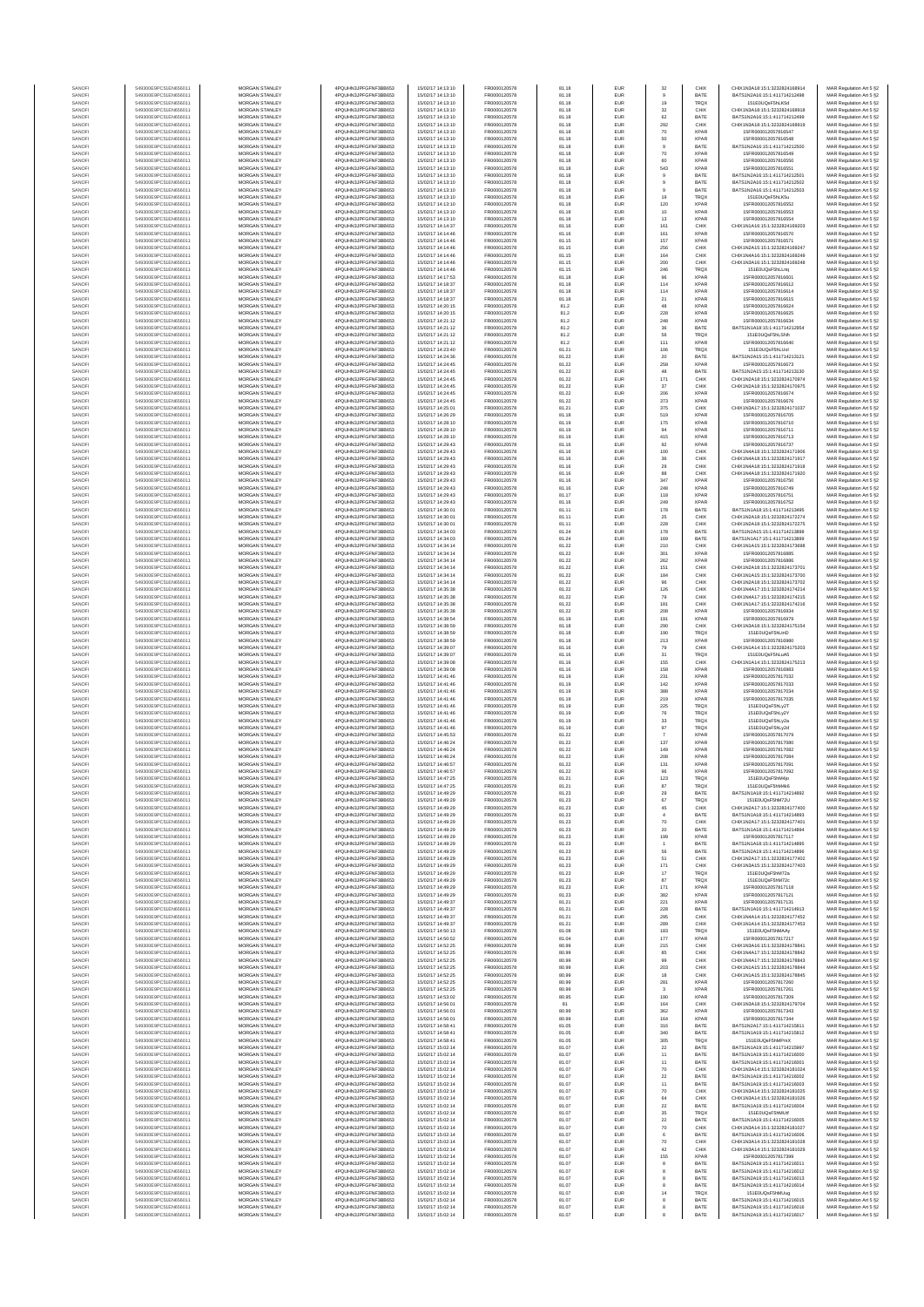| SANOF            | 549300E9PC51EN656011                         | MORGAN STANLEY                                 | 4PQUHN3JPFGFNF3BB653                          | 15/02/17 14:13:10                      | FR0000120578                 | 81.18          | EUR                      | 32                  | CHIX                       | CHIX1N3A18:15:1:3232824168914                                  | MAR Regulation Art 5 §2                            |
|------------------|----------------------------------------------|------------------------------------------------|-----------------------------------------------|----------------------------------------|------------------------------|----------------|--------------------------|---------------------|----------------------------|----------------------------------------------------------------|----------------------------------------------------|
| SANOFI           | 549300E9PC51EN656011                         | MORGAN STANLEY                                 | 4PQUHN3JPFGFNF3BB653                          | 15/02/17 14:13:10                      | FR0000120578                 | 81.18          | EUR                      | $\mathbf{9}$        | BATE                       | BATS1N2A16:15:1:411714212498                                   | MAR Regulation Art 5 §2                            |
| SANOFI<br>SANOFI | 549300E9PC51EN656011<br>549300E9PC51EN656011 | MORGAN STANLEY<br>MORGAN STANLEY               | 4PQUHN3JPFGFNF3BB653<br>4PQUHN3JPFGFNF3BB653  | 15/02/17 14:13:10<br>15/02/17 14:13:10 | FR0000120578<br>FR0000120578 | 81.18<br>81.18 | EUR<br>EUR               | 19<br>$32\,$        | <b>TRQX</b><br>CHIX        | 151E0UQsF5hLK5d<br>CHIX1N3A18:15:1:3232824168918               | MAR Regulation Art 5 §2<br>MAR Regulation Art 5 §2 |
| SANOFI           | 549300E9PC51EN656011                         | MORGAN STANLEY                                 | 4PQUHN3JPFGFNF3BB653                          | 15/02/17 14:13:10                      | FR0000120578                 | 81.18          | EUR                      | 62                  | BATE                       | BATS1N2A16:15:1:411714212499                                   | MAR Regulation Art 5 §2                            |
| SANOFI<br>SANOFI | 549300E9PC51EN656011<br>549300E9PC51EN656011 | MORGAN STANLEY<br>MORGAN STANLEY               | 4PQUHN3JPFGFNF3BB653<br>4PQUHN3JPFGFNF3BB653  | 15/02/17 14:13:10<br>15/02/17 14:13:10 | FR0000120578<br>FR0000120578 | 81.18<br>81.18 | EUR<br>EUR               | 292<br>70           | CHIX<br><b>XPAR</b>        | CHIX1N3A18:15:1:3232824168919<br>15FR000012057816547           | MAR Regulation Art 5 §2<br>MAR Regulation Art 5 §2 |
| SANOFI           | 549300E9PC51EN656011                         | MORGAN STANLEY                                 | 4PQUHN3JPFGFNF3BB653                          | 15/02/17 14:13:10                      | FR0000120578                 | 81.18          | EUR                      | 50                  | <b>XPAR</b>                | 15FR000012057816548                                            | MAR Regulation Art 5 §2                            |
| SANOFI           | 549300E9PC51EN656011                         | <b>MORGAN STANLEY</b>                          | 4PQUHN3JPFGFNF3BB653                          | 15/02/17 14:13:10                      | FR0000120578                 | 81.18          | EUR                      | $\overline{9}$      | BATE                       | BATS1N2A16:15:1:411714212500                                   | MAR Regulation Art 5 §2                            |
| SANOFI<br>SANOFI | 549300E9PC51EN656011<br>549300E9PC51EN656011 | <b>MORGAN STANLEY</b><br><b>MORGAN STANLEY</b> | 4PQUHN3JPFGFNF3BB653<br>4PQUHN3JPFGFNF3BB653  | 15/02/17 14:13:10<br>15/02/17 14:13:10 | FR0000120578<br>FR0000120578 | 81.18<br>81.18 | <b>EUR</b><br>EUR        | 70<br>60            | <b>XPAR</b><br><b>XPAR</b> | 15FR000012057816549<br>15FR000012057816550                     | MAR Regulation Art 5 §2<br>MAR Regulation Art 5 §2 |
| SANOFI           | 549300E9PC51EN656011                         | MORGAN STANLEY                                 | 4PQUHN3JPFGFNF3BB653                          | 15/02/17 14:13:10                      | FR0000120578                 | 81.18          | EUR                      | 543                 | <b>XPAR</b>                | 15FR000012057816551                                            | MAR Regulation Art 5 §2                            |
| SANOFI<br>SANOF  | 549300E9PC51EN656011<br>549300E9PC51EN656011 | MORGAN STANLEY<br>MORGAN STANLEY               | 4PQUHN3JPFGFNF3BB653<br>4PQUHN3JPFGFNF3BB653  | 15/02/17 14:13:10<br>15/02/17 14:13:10 | FR0000120578<br>FR0000120578 | 81.18<br>81.18 | EUR<br>EUR               | $\overline{9}$      | BATE<br>BATE               | BATS1N2A16:15:1:411714212501<br>BATS1N2A16:15:1:411714212502   | MAR Regulation Art 5 §2                            |
| SANOFI           | 549300E9PC51EN656011                         | MORGAN STANLEY                                 | 4PQUHN3JPFGFNF3BB653                          | 15/02/17 14:13:10                      | FR0000120578                 | 81.18          | EUR                      |                     | BATE                       | BATS1N2A16:15:1:411714212503                                   | MAR Regulation Art 5 §2<br>MAR Regulation Art 5 §2 |
| SANOFI           | 549300E9PC51EN656011                         | MORGAN STANLEY                                 | 4PQUHN3JPFGFNF3BB653                          | 15/02/17 14:13:10                      | FR0000120578                 | 81.18          | EUR                      | 19                  | <b>TRQX</b>                | 151E0UQsF5hLK5u                                                | MAR Regulation Art 5 §2                            |
| SANOFI<br>SANOFI | 549300E9PC51EN656011<br>549300E9PC51EN656011 | MORGAN STANLEY<br><b>MORGAN STANLEY</b>        | 4PQUHN3JPFGFNF3BB653<br>4PQUHN3JPFGFNF3BB653  | 15/02/17 14:13:10<br>15/02/17 14:13:10 | FR0000120578<br>FR0000120578 | 81.18<br>81.18 | EUR<br>EUR               | 120<br>10           | <b>XPAR</b><br><b>XPAR</b> | 15FR000012057816552<br>15FR000012057816553                     | MAR Regulation Art 5 §2                            |
| SANOFI           | 549300E9PC51EN656011                         | <b>MORGAN STANLEY</b>                          | 4PQUHN3JPFGFNF3BB653                          | 15/02/17 14:13:10                      | FR0000120578                 | 81.18          | <b>EUR</b>               | 13                  | <b>XPAR</b>                | 15FR000012057816554                                            | MAR Regulation Art 5 §2<br>MAR Regulation Art 5 §2 |
| SANOFI           | 549300E9PC51EN656011                         | <b>MORGAN STANLEY</b>                          | 4PQUHN3JPFGFNF3BB653                          | 15/02/17 14:14:37                      | FR0000120578                 | 81.16          | EUR                      | 161                 | CHIX                       | CHIX1N1A16:15:1:3232824169203                                  | MAR Regulation Art 5 §2                            |
| SANOF            | 549300E9PC51EN656011                         | MORGAN STANLEY                                 | 4PQUHN3JPFGFNF3BB653                          | 15/02/17 14:14:46                      | FR0000120578                 | 81.16          | EUR                      | 161                 | <b>XPAR</b>                | 15FR000012057816570                                            | MAR Regulation Art 5 §2                            |
| SANOFI<br>SANOFI | 549300E9PC51EN656011<br>549300E9PC51EN656011 | MORGAN STANLEY<br>MORGAN STANLEY               | 4PQUHN3JPFGFNF3BB653<br>4PQUHN3JPFGFNF3BB653  | 15/02/17 14:14:46<br>15/02/17 14:14:46 | FR0000120578<br>FR0000120578 | 81.15<br>81.15 | EUR<br>EUR               | 157<br>256          | <b>XPAR</b><br>CHIX        | 15FR000012057816571<br>CHIX1N2A15:15:1:3232824169247           | MAR Regulation Art 5 §2<br>MAR Regulation Art 5 §2 |
| SANOFI           | 549300E9PC51EN656011                         | MORGAN STANLEY                                 | 4PQUHN3JPFGFNF3BB653                          | 15/02/17 14:14:46                      | FR0000120578                 | 81.15          | EUR                      | 164                 | CHIX                       | CHIX1N4A16:15:1:3232824169249                                  | MAR Regulation Art 5 §2                            |
| SANOFI           | 549300E9PC51EN656011                         | MORGAN STANLEY                                 | 4PQUHN3JPFGFNF3BB653                          | 15/02/17 14:14:46                      | FR0000120578                 | 81.15          | EUR                      | 200                 | CHIX                       | CHIX1N3A16:15:1:3232824169248                                  | MAR Regulation Art 5 §2                            |
| SANOFI<br>SANOFI | 549300E9PC51EN656011<br>549300E9PC51EN656011 | <b>MORGAN STANLEY</b><br>MORGAN STANLEY        | 4POLIHN3JPEGENE3BB653<br>4PQUHN3JPFGFNF3BB653 | 15/02/17 14:14:46<br>15/02/17 14:17:53 | FR0000120578<br>FR0000120578 | 81.15<br>81.18 | <b>EUR</b><br>EUR        | 246<br>96           | <b>TRQX</b><br><b>XPAR</b> | 151F0UQsF5hLLng<br>15FR000012057816601                         | MAR Regulation Art 5 §2<br>MAR Regulation Art 5 §2 |
| SANOFI           | 549300E9PC51EN656011                         | MORGAN STANLEY                                 | 4PQUHN3JPFGFNF3BB653                          | 15/02/17 14:18:37                      | FR0000120578                 | 81.18          | EUR                      | 114                 | <b>XPAR</b>                | 15FR000012057816612                                            | MAR Regulation Art 5 §2                            |
| SANOFI           | 549300E9PC51EN656011                         | MORGAN STANLEY                                 | 4PQUHN3JPFGFNF3BB653                          | 15/02/17 14:18:37                      | FR0000120578                 | 81.18          | EUR                      | 114                 | <b>XPAR</b>                | 15FR000012057816614                                            | MAR Regulation Art 5 §2                            |
| SANOF<br>SANOFI  | 549300E9PC51EN656011<br>549300E9PC51EN656011 | MORGAN STANLEY<br>MORGAN STANLEY               | 4PQUHN3JPFGFNF3BB653<br>4PQUHN3JPFGFNF3BB653  | 15/02/17 14:18:37<br>15/02/17 14:20:15 | FR0000120578<br>FR0000120578 | 81.18<br>81.2  | EUR<br>EUR               | $21\,$<br>48        | <b>XPAF</b><br><b>XPAR</b> | 15FR000012057816615<br>15FR000012057816624                     | MAR Regulation Art 5 §2                            |
| SANOFI           | 549300E9PC51EN656011                         | MORGAN STANLEY                                 | 4PQUHN3JPFGFNF3BB653                          | 15/02/17 14:20:15                      | FR0000120578                 | 81.2           | EUR                      | 228                 | <b>XPAR</b>                | 15FR000012057816625                                            | MAR Regulation Art 5 §2<br>MAR Regulation Art 5 §2 |
| SANOFI           | 549300E9PC51EN656011                         | MORGAN STANLEY                                 | 4PQUHN3JPFGFNF3BB653                          | 15/02/17 14:21:12                      | FR0000120578                 | 81.2           | EUR                      | 248                 | <b>XPAR</b>                | 15FR000012057816634                                            | MAR Regulation Art 5 §2                            |
| SANOFI<br>SANOFI | 549300E9PC51EN656011<br>549300E9PC51EN656011 | <b>MORGAN STANLEY</b><br><b>MORGAN STANLEY</b> | 4PQUHN3JPFGFNF3BB653<br>4PQUHN3JPFGFNF3BB653  | 15/02/17 14:21:12<br>15/02/17 14:21:12 | FR0000120578                 | 81.2<br>81.2   | EUR<br>EUR               | 36<br>56            | BATE<br><b>TRQX</b>        | BATS1N1A18:15:1:411714212954<br>151E0UQsF5hLSNh                | MAR Regulation Art 5 §2                            |
| SANOFI           | 549300E9PC51EN656011                         | MORGAN STANLEY                                 | 4PQUHN3JPFGFNF3BB653                          | 15/02/17 14:21:12                      | FR0000120578<br>FR0000120578 | 81.2           | EUR                      | 111                 | <b>XPAR</b>                | 15FR000012057816640                                            | MAR Regulation Art 5 §2<br>MAR Regulation Art 5 §2 |
| SANOFI           | 549300E9PC51EN656011                         | MORGAN STANLEY                                 | 4PQUHN3JPFGFNF3BB653                          | 15/02/17 14:23:40                      | FR0000120578                 | 81.21          | EUR                      | 106                 | TRQX                       | 151E0UQsF5hLUol                                                | MAR Regulation Art 5 §2                            |
| SANOFI           | 549300E9PC51EN656011<br>549300E9PC51EN656011 | MORGAN STANLEY<br>MORGAN STANLEY               | 4PQUHN3JPFGFNF3BB653<br>4PQUHN3JPFGFNF3BB653  | 15/02/17 14:24:36<br>15/02/17 14:24:45 | FR0000120578<br>FR0000120578 | 81.22<br>81.22 | EUR<br>EUR               | 20<br>258           | BATE<br><b>XPAF</b>        | BATS1N2A15:15:1:411714213121<br>15FR000012057816673            | MAR Regulation Art 5 §2                            |
| SANOFI<br>SANOFI | 549300E9PC51EN656011                         | MORGAN STANLEY                                 | 4PQUHN3JPFGFNF3BB653                          | 15/02/17 14:24:45                      | FR0000120578                 | 81.22          | EUR                      | 48                  | BATE                       | BATS1N2A15:15:1:411714213130                                   | MAR Regulation Art 5 §2<br>MAR Regulation Art 5 §2 |
| SANOFI           | 549300E9PC51EN656011                         | MORGAN STANLEY                                 | 4PQUHN3JPFGFNF3BB653                          | 15/02/17 14:24:45                      | FR0000120578                 | 81.22          | EUR                      | 171                 | CHIX                       | CHIX1N2A18:15:1:3232824170974                                  | MAR Regulation Art 5 §2                            |
| SANOFI<br>SANOFI | 549300E9PC51EN656011<br>549300E9PC51EN656011 | <b>MORGAN STANLEY</b><br><b>MORGAN STANLEY</b> | 4POLIHN3JPEGENE3BB653<br>4PQUHN3JPFGFNF3BB653 | 15/02/17 14:24:45<br>15/02/17 14:24:45 | FR0000120578<br>FR0000120578 | 81.22<br>81.22 | <b>EUR</b><br>EUR        | 37<br>206           | CHIX<br><b>XPAR</b>        | CHIX1N2A18:15:1:3232824170975<br>15ER000012057816674           | MAR Regulation Art 5 §2<br>MAR Regulation Art 5 §2 |
| SANOFI           | 549300E9PC51EN656011                         | MORGAN STANLEY                                 | 4PQUHN3JPFGFNF3BB653                          | 15/02/17 14:24:45                      | FR0000120578                 | 81.22          | EUR                      | 373                 | <b>XPAR</b>                | 15FR000012057816676                                            | MAR Regulation Art 5 §2                            |
| SANOFI           | 549300E9PC51EN656011                         | MORGAN STANLEY                                 | 4PQUHN3JPFGFNF3BB653                          | 15/02/17 14:25:01                      | FR0000120578                 | 81.21          | EUR                      | 375                 | CHIX                       | CHIX1N3A17:15:1:3232824171037                                  | MAR Regulation Art 5 §2                            |
| SANOFI<br>SANOFI | 549300E9PC51EN656011<br>549300E9PC51EN656011 | MORGAN STANLEY<br>MORGAN STANLEY               | 4PQUHN3JPFGFNF3BB653<br>4PQUHN3JPFGFNF3BB653  | 15/02/17 14:26:29<br>15/02/17 14:28:10 | FR0000120578<br>FR0000120578 | 81.18<br>81.19 | EUR<br>EUR               | 519<br>175          | <b>XPAR</b><br><b>XPAF</b> | 15FR000012057816705<br>15FR000012057816710                     | MAR Regulation Art 5 §2                            |
| SANOFI           | 549300E9PC51EN656011                         | MORGAN STANLEY                                 | 4PQUHN3JPFGFNF3BB653                          | 15/02/17 14:28:10                      | FR0000120578                 | 81.19          | EUR                      | 94                  | <b>XPAR</b>                | 15FR000012057816711                                            | MAR Regulation Art 5 §2<br>MAR Regulation Art 5 §2 |
| SANOFI           | 549300E9PC51EN656011                         | MORGAN STANLEY                                 | 4PQUHN3JPFGFNF3BB653                          | 15/02/17 14:28:10                      | FR0000120578                 | 81.19          | EUR                      | 415                 | <b>XPAR</b>                | 15FR000012057816713                                            | MAR Regulation Art 5 §2                            |
| SANOFI<br>SANOFI | 549300E9PC51EN656011<br>549300E9PC51EN656011 | MORGAN STANLEY<br><b>MORGAN STANLEY</b>        | 4PQUHN3JPFGFNF3BB653<br>4POLIHN3JPEGENE3BB653 | 15/02/17 14:29:43<br>15/02/17 14:29:43 | FR0000120578<br>FR0000120578 | 81.16<br>81.16 | EUR<br><b>EUR</b>        | 92<br>100           | <b>XPAR</b><br>CHIX        | 15FR000012057816737<br>CHIX1N4A18:15:1:3232824171906           | MAR Regulation Art 5 §2<br>MAR Regulation Art 5 §2 |
| SANOFI           | 549300E9PC51EN656011                         | MORGAN STANLEY                                 | 4PQUHN3JPFGFNF3BB653                          | 15/02/17 14:29:43                      | FR0000120578                 | 81.16          | EUR                      | 36                  | CHIX                       | CHIX1N4A18:15:1:3232824171917                                  | MAR Regulation Art 5 §2                            |
| SANOFI           | 549300E9PC51EN656011                         | MORGAN STANLEY                                 | 4PQUHN3JPFGFNF3BB653                          | 15/02/17 14:29:43                      | FR0000120578                 | 81.16          | EUR                      | $29\,$              | CHIX                       | CHIX1N4A18:15:1:3232824171918                                  | MAR Regulation Art 5 §2                            |
| SANOFI<br>SANOFI | 549300E9PC51EN656011<br>549300E9PC51EN656011 | MORGAN STANLEY<br>MORGAN STANLEY               | 4PQUHN3JPFGFNF3BB653<br>4PQUHN3JPFGFNF3BB653  | 15/02/17 14:29:43<br>15/02/17 14:29:43 | FR0000120578<br>FR0000120578 | 81.16<br>81.16 | EUR<br>EUR               | 88<br>347           | CHIX<br><b>XPAF</b>        | CHIX1N4A18:15:1:3232824171920<br>15FR000012057816750           | MAR Regulation Art 5 §2                            |
| SANOFI           | 549300E9PC51EN656011                         | MORGAN STANLEY                                 | 4PQUHN3JPFGFNF3BB653                          | 15/02/17 14:29:43                      | FR0000120578                 | 81.16          | EUR                      | 248                 | <b>XPAR</b>                | 15FR000012057816749                                            | MAR Regulation Art 5 §2<br>MAR Regulation Art 5 §2 |
| SANOFI           | 549300E9PC51EN656011                         | MORGAN STANLEY                                 | 4PQUHN3JPFGFNF3BB653                          | 15/02/17 14:29:43                      | FR0000120578                 | 81.17          | EUR                      | 118                 | <b>XPAR</b>                | 15FR000012057816751                                            | MAR Regulation Art 5 §2                            |
| SANOFI<br>SANOFI | 549300E9PC51EN656011<br>549300E9PC51EN656011 | MORGAN STANLEY<br><b>MORGAN STANLEY</b>        | 4PQUHN3JPFGFNF3BB653<br>4PQUHN3JPFGFNF3BB653  | 15/02/17 14:29:43<br>15/02/17 14:30:01 | FR0000120578<br>FR0000120578 | 81.16<br>81.11 | EUR<br>EUR               | 249<br>178          | <b>XPAR</b><br>BATE        | 15FR000012057816752<br>BATS1N1A18:15:1:411714213495            | MAR Regulation Art 5 §2                            |
| SANOFI           | 549300E9PC51EN656011                         | <b>MORGAN STANLEY</b>                          | 4PQUHN3JPFGFNF3BB653                          | 15/02/17 14:30:01                      | FR0000120578                 | 81.11          | <b>EUR</b>               | 25                  | CHIX                       | CHIX1N2A18:15:1:3232824172274                                  | MAR Regulation Art 5 §2<br>MAR Regulation Art 5 §2 |
| SANOFI           | 549300E9PC51EN656011                         | MORGAN STANLEY                                 | 4PQUHN3JPFGFNF3BB653                          | 15/02/17 14:30:01                      | FR0000120578                 | 81.11          | EUR                      | 228                 | CHIX                       | CHIX1N2A18:15:1:3232824172275                                  | MAR Regulation Art 5 §2                            |
| SANOFI           | 549300E9PC51EN656011                         | MORGAN STANLEY                                 | 4PQUHN3JPFGFNF3BB653                          | 15/02/17 14:34:03                      | FR0000120578                 | 81.24          | EUR                      | 178                 | BATE                       | BATS1N2A15:15:1:411714213898                                   | MAR Regulation Art 5 §2                            |
| SANOFI<br>SANOFI | 549300E9PC51EN656011<br>549300E9PC51EN656011 | MORGAN STANLEY<br>MORGAN STANLEY               | 4PQUHN3JPFGFNF3BB653<br>4PQUHN3JPFGFNF3BB653  | 15/02/17 14:34:03<br>15/02/17 14:34:14 | FR0000120578<br>FR0000120578 | 81.24<br>81.22 | EUR<br>EUR               | 169<br>210          | BATE<br>CHIX               | BATS1N1A17:15:1:411714213899<br>CHIX1N1A15:15:1:3232824173698  | MAR Regulation Art 5 §2<br>MAR Regulation Art 5 §2 |
| SANOFI           | 549300E9PC51EN656011                         | MORGAN STANLEY                                 | 4PQUHN3JPFGFNF3BB653                          | 15/02/17 14:34:14                      | FR0000120578                 | 81.22          | EUR                      | 301                 | <b>XPAR</b>                | 15FR000012057816885                                            | MAR Regulation Art 5 §2                            |
| SANOFI           | 549300E9PC51EN656011                         | MORGAN STANLEY                                 | 4PQUHN3JPFGFNF3BB653                          | 15/02/17 14:34:14                      | FR0000120578                 | 81.22          | EUR                      | 262                 | <b>XPAR</b>                | 15FR000012057816886                                            | MAR Regulation Art 5 §2                            |
| SANOFI<br>SANOFI | 549300E9PC51EN656011<br>549300E9PC51EN656011 | <b>MORGAN STANLEY</b><br><b>MORGAN STANLEY</b> | 4PQUHN3JPFGFNF3BB653<br>4PQUHN3JPFGFNF3BB653  | 15/02/17 14:34:14<br>15/02/17 14:34:14 | FR0000120578<br>FR0000120578 | 81.22<br>81.22 | EUR<br>EUR               | 151<br>184          | CHIX<br>CHIX               | CHIX1N2A18:15:1:3232824173701<br>CHIX1N1A15:15:1:3232824173700 | MAR Regulation Art 5 §2<br>MAR Regulation Art 5 §2 |
| SANOFI           | 549300E9PC51EN656011                         | MORGAN STANLEY                                 | 4PQUHN3JPFGFNF3BB653                          | 15/02/17 14:34:14                      | FR0000120578                 | 81.22          | EUR                      | $96\,$              | CHIX                       | CHIX1N2A18:15:1:3232824173702                                  | MAR Regulation Art 5 §2                            |
| SANOFI           | 549300E9PC51EN656011                         | MORGAN STANLEY                                 | 4PQUHN3JPFGFNF3BB653                          | 15/02/17 14:35:38                      | FR0000120578                 | 81.22          | EUR                      | 126                 | CHIX                       | CHIX1N4A17:15:1:3232824174214                                  | MAR Regulation Art 5 §2                            |
| SANOF<br>SANOFI  | 549300E9PC51EN656011<br>549300E9PC51EN656011 | MORGAN STANLEY<br>MORGAN STANLEY               | 4PQUHN3JPFGFNF3BB653<br>4PQUHN3JPFGFNF3BB653  | 15/02/17 14:35:38<br>15/02/17 14:35:38 | FR0000120578<br>FR0000120578 | 81.22<br>81.22 | EUR<br>EUR               | 79<br>181           | CHIX<br>CHIX               | CHIX1N4A17:15:1:3232824174215<br>CHIX1N1A17:15:1:3232824174216 | MAR Regulation Art 5 §2<br>MAR Regulation Art 5 §2 |
| SANOFI           | 549300E9PC51EN656011                         | MORGAN STANLEY                                 | 4PQUHN3JPFGFNF3BB653                          | 15/02/17 14:35:38                      | FR0000120578                 | 81.22          | EUR                      | 208                 | <b>XPAR</b>                | 15FR000012057816934                                            | MAR Regulation Art 5 §2                            |
| SANOFI           | 549300E9PC51EN656011                         | MORGAN STANLEY                                 | 4PQUHN3JPFGFNF3BB653                          | 15/02/17 14:38:54                      | FR0000120578                 | 81.19          | EUR                      | 191<br>290          | <b>XPAR</b>                | 15FR000012057816979                                            | MAR Regulation Art 5 §2                            |
| SANOFI<br>SANOFI | 549300E9PC51EN656011<br>549300E9PC51EN656011 | <b>MORGAN STANLEY</b><br><b>MORGAN STANLEY</b> | 4PQUHN3JPFGFNF3BB653<br>4PQUHN3JPFGFNF3BB653  | 15/02/17 14:38:59<br>15/02/17 14:38:59 | FR0000120578<br>FR0000120578 | 81.18<br>81.18 | EUR<br><b>EUR</b>        | 190                 | CHIX<br><b>TRQX</b>        | CHIX1N3A18:15:1:3232824175154<br>151E0UQsF5hLtnD               | MAR Regulation Art 5 §2<br>MAR Regulation Art 5 §2 |
| SANOFI           | 549300E9PC51EN656011                         | <b>MORGAN STANLEY</b>                          | 4PQUHN3JPFGFNF3BB653                          | 15/02/17 14:38:59                      | FR0000120578                 | 81.18          | EUR                      | 213                 | <b>XPAR</b>                | 15FR000012057816980                                            | MAR Regulation Art 5 §2                            |
| SANOFI<br>SANOFI | 549300E9PC51EN656011<br>549300E9PC51EN656011 | MORGAN STANLEY<br>MORGAN STANLEY               | 4PQUHN3JPFGFNF3BB653<br>4PQUHN3JPFGFNF3BB653  | 15/02/17 14:39:07<br>15/02/17 14:39:07 | FR0000120578<br>FR0000120578 | 81.16<br>81.16 | EUR<br>EUR               | 79                  | CHIX<br><b>TRQX</b>        | CHIX1N1A14:15:1:3232824175203<br>151E0UQsF5hLuA5               | MAR Regulation Art 5 §2                            |
| SANOF            | 549300E9PC51EN656011                         | MORGAN STANLEY                                 | 4PQUHN3JPFGFNF3BB653                          | 15/02/17 14:39:08                      | FR0000120578                 | 81.16          | EUR                      | $31\,$<br>155       | CHIX                       | CHIX1N1A14:15:1:3232824175213                                  | MAR Regulation Art 5 §2<br>MAR Regulation Art 5 §2 |
| SANOFI           | 549300E9PC51EN656011                         | MORGAN STANLEY                                 | 4PQUHN3JPFGFNF3BB653                          | 15/02/17 14:39:08                      | FR0000120578                 | 81.16          | EUR                      | 158                 | <b>XPAF</b>                | 15FR000012057816983                                            | MAR Regulation Art 5 §2                            |
| SANOFI           | 549300E9PC51EN656011                         | MORGAN STANLEY                                 | 4PQUHN3JPFGFNF3BB653                          | 15/02/17 14:41:46                      | FR0000120578                 | 81.19          | EUR                      | 231                 | <b>XPAR</b>                | 15FR000012057817032                                            | MAR Regulation Art 5 §2                            |
| SANOFI<br>SANOFI | 549300E9PC51EN656011<br>549300E9PC51EN656011 | MORGAN STANLEY<br><b>MORGAN STANLEY</b>        | 4PQUHN3JPFGFNF3BB653<br>4PQUHN3JPFGFNF3BB653  | 15/02/17 14:41:46<br>15/02/17 14:41:46 | FR0000120578<br>FR0000120578 | 81.19<br>81.19 | EUR<br>EUR               | 142<br>388          | <b>XPAR</b><br><b>XPAR</b> | 15FR000012057817033<br>15FR000012057817034                     | MAR Regulation Art 5 §2<br>MAR Regulation Art 5 §2 |
| SANOFI           | 549300E9PC51EN656011                         | <b>MORGAN STANLEY</b>                          | 4PQUHN3JPFGFNF3BB653                          | 15/02/17 14:41:46                      | FR0000120578                 | 81.19          | <b>EUR</b>               | 219                 | <b>XPAR</b>                | 15FR000012057817035                                            | MAR Regulation Art 5 §2                            |
| SANOFI           | 549300E9PC51EN656011                         | MORGAN STANLEY<br>MORGAN STANLEY               | 4POLIHN3JPEGENE3BB653                         | 15/02/17 14:41:46                      | FR0000120578                 | 81.19          | EUR                      | 225                 | TRQX                       | 151E0UQsF5hLy2T                                                | MAR Regulation Art 5 §2                            |
| SANOFI<br>SANOFI | 549300E9PC51EN656011<br>549300E9PC51EN656011 | MORGAN STANLEY                                 | 4PQUHN3JPFGFNF3BB653<br>4PQUHN3JPFGFNF3BB653  | 15/02/17 14:41:46<br>15/02/17 14:41:46 | FR0000120578<br>FR0000120578 | 81.19<br>81.19 | EUR<br>EUR               | ${\bf 76}$<br>33    | <b>TRQX</b><br><b>TRQX</b> | 151E0UQsF5hLy2Y<br>151E0UQsF5hLy2a                             | MAR Regulation Art 5 §2<br>MAR Regulation Art 5 §2 |
| SANOF            | 549300E9PC51EN656011                         | MORGAN STANLEY                                 | 4PQUHN3JPFGFNF3BB653                          | 15/02/17 14:41:46                      | FR0000120578                 | 81.19          | EUR                      | 97                  | TRQX                       | 151E0UQsF5hLv2d                                                | MAR Regulation Art 5 §2                            |
| SANOFI           | 549300E9PC51EN656011                         | MORGAN STANLEY                                 | 4PQUHN3JPFGFNF3BB653<br>4PQUHN3JPFGFNF3BB653  | 15/02/17 14:45:53                      | FR0000120578                 | 81.22<br>81.22 | EUR                      | 137                 | <b>XPAR</b><br><b>XPAR</b> | 15FR000012057817079                                            | MAR Regulation Art 5 §2<br>MAR Regulation Art 5 §2 |
| SANOFI<br>SANOFI | 549300E9PC51EN656011<br>549300E9PC51EN656011 | MORGAN STANLEY<br><b>MORGAN STANLEY</b>        | 4PQUHN3JPFGFNF3BB653                          | 15/02/17 14:46:24<br>15/02/17 14:46:24 | FR0000120578<br>FR0000120578 | 81.22          | EUR<br>EUR               | 149                 | <b>XPAR</b>                | 15FR000012057817080<br>15FR000012057817082                     | MAR Regulation Art 5 §2                            |
| SANOFI           | 549300E9PC51EN656011                         | <b>MORGAN STANLEY</b>                          | 4PQUHN3JPFGFNF3BB653                          | 15/02/17 14:46:24                      | FR0000120578                 | 81.22          | EUR                      | 208                 | <b>XPAR</b>                | 15ER000012057817084                                            | MAR Regulation Art 5 §2                            |
| SANOF            | 549300E9PC51EN656011                         | MORGAN STANLEY<br>MORGAN STANLEY               | 4PQUHN3JPFGFNF3BB653                          | 15/02/17 14:46:57<br>15/02/17 14:46:57 | FR0000120578                 | 81.22          | EUR                      | 131                 | <b>XPAR</b>                | 15FR000012057817091                                            | MAR Regulation Art 5 §2                            |
| SANOFI           | 549300E9PC51EN656011                         |                                                | 4PQUHN3JPFGFNF3BB653<br>N3JPFGFNF3BB653       |                                        | FR0000120578                 | 81.22          | EUR                      | 96<br>123           | <b>XPAR</b>                | 15FR000012057817092                                            | MAR Regulation Art 5 §2<br>t Regulation Art 5 §2   |
| SANOF            | 549300E9PC51EN656011                         | MORGAN STANLEY                                 | 4PQUHN3JPFGFNF3BB653                          | 15/02/17 14:47:25                      | FR0000120578                 | 81.21          | EUR                      | 87                  | TRQX                       | 151E0UQsF5hM4k6                                                | MAR Regulation Art 5 §2                            |
| SANOFI<br>SANOFI | 549300E9PC51EN656011<br>549300E9PC51EN656011 | MORGAN STANLEY<br>MORGAN STANLEY               | 4PQUHN3JPFGFNF3BB653<br>4PQUHN3JPFGFNF3BB653  | 15/02/17 14:49:29<br>15/02/17 14:49:29 | FR0000120578<br>FR0000120578 | 81.23          | EUR<br>EUR               | 29<br>67            | BATE<br><b>TRQX</b>        | BATS1N1A18:15:1:411714214892<br>151E0UQsF5hM72U                | MAR Regulation Art 5 §2<br>MAR Regulation Art 5 §2 |
| SANOFI           | 549300E9PC51EN656011                         | <b>MORGAN STANLEY</b>                          | 4PQUHN3JPFGFNF3BB653                          | 15/02/17 14:49:29                      | FR0000120578                 | 81.23<br>81.23 | <b>EUR</b>               | 45                  | CHIX                       | CHIX1N2A17:15:1:3232824177400                                  | MAR Regulation Art 5 §2                            |
| SANOFI           | 549300E9PC51EN656011                         | <b>MORGAN STANLEY</b>                          | 4PQUHN3JPFGFNF3BB653                          | 15/02/17 14:49:29                      | FR0000120578                 | 81.23          | <b>EUR</b>               | $\overline{4}$      | BATE                       | BATS1N1A18:15:1:411714214893                                   | MAR Regulation Art 5 §2                            |
| SANOFI<br>SANOFI | 549300E9PC51EN656011<br>549300E9PC51EN656011 | MORGAN STANLEY<br>MORGAN STANLEY               | 4PQUHN3JPFGFNF3BB653<br>4PQUHN3JPFGFNF3BB653  | 15/02/17 14:49:29<br>15/02/17 14:49:29 | FR0000120578<br>FR0000120578 | 81.23<br>81.23 | EUR<br>EUR               | 70<br>$20\,$        | CHIX<br>BATE               | CHIX1N2A17-15-1-3232824177401<br>BATS1N1A18:15:1:411714214894  | MAR Regulation Art 5 §2<br>MAR Regulation Art 5 §2 |
| SANOFI           | 549300E9PC51EN656011                         | MORGAN STANLEY                                 | 4PQUHN3JPFGFNF3BB653                          | 15/02/17 14:49:29                      | FR0000120578                 | 81.23          | EUR                      | 199                 | <b>XPAR</b>                | 15FR000012057817117                                            | MAR Regulation Art 5 §2                            |
| SANOFI           | 549300E9PC51EN656011                         | MORGAN STANLEY                                 | 4PQUHN3JPFGFNF3BB653                          | 15/02/17 14:49:29                      | FR0000120578                 | 81.23          | EUR                      |                     | BATE                       | BATS1N1A18:15:1:411714214895                                   | MAR Regulation Art 5 §2                            |
| SANOFI<br>SANOFI | 549300E9PC51EN656011<br>549300E9PC51EN656011 | MORGAN STANLEY<br>MORGAN STANLEY               | 4PQUHN3JPFGFNF3BB653<br>4PQUHN3JPFGFNF3BB653  | 15/02/17 14:49:29<br>15/02/17 14:49:29 | FR0000120578<br>FR0000120578 | 81.23<br>81.23 | EUR<br>EUR               | 56<br>51            | BATE<br>CHIX               | BATS1N2A19:15:1:411714214896<br>CHIX1N2A17:15:1:3232824177402  | MAR Regulation Art 5 §2<br>MAR Regulation Art 5 §2 |
| SANOFI           | 549300E9PC51EN656011                         | <b>MORGAN STANLEY</b>                          | 4PQUHN3JPFGFNF3BB653                          | 15/02/17 14:49:29                      | FR0000120578                 | 81.23          | <b>EUR</b>               | 171                 | CHIX                       | CHIX1N3A15:15:1:3232824177403                                  | MAR Regulation Art 5 §2                            |
| SANOFI<br>SANOFI | 549300E9PC51EN656011<br>549300E9PC51EN656011 | MORGAN STANLEY<br><b>MORGAN STANLEY</b>        | 4PQUHN3JPFGFNF3BB653<br>4PQUHN3JPFGFNF3BB653  | 15/02/17 14:49:29<br>15/02/17 14:49:29 | FR0000120578<br>FR0000120578 | 81.23<br>81.23 | EUR<br><b>EUR</b>        | 17<br>87            | <b>TRQX</b><br><b>TRQX</b> | 151E0UQsF5hM72a<br>151E0UQsF5hM72c                             | MAR Regulation Art 5 §2<br>MAR Regulation Art 5 §2 |
| SANOFI           | 549300E9PC51EN656011                         | MORGAN STANLEY                                 | 4PQUHN3JPFGFNF3BB653                          | 15/02/17 14:49:29                      | FR0000120578                 | 81.23          | EUR                      | 171                 | <b>XPAR</b>                | 15FR000012057817118                                            | MAR Regulation Art 5 §2                            |
| SANOFI           | 549300E9PC51EN656011                         | MORGAN STANLEY                                 | 4PQUHN3JPFGFNF3BB653                          | 15/02/17 14:49:29                      | FR0000120578                 | 81.23          | EUR                      | 382                 | <b>XPAR</b>                | 15FR000012057817121                                            | MAR Regulation Art 5 §2                            |
| SANOFI<br>SANOFI | 549300E9PC51EN656011<br>549300E9PC51EN656011 | MORGAN STANLEY<br>MORGAN STANLEY               | 4PQUHN3JPFGFNF3BB653<br>4PQUHN3JPFGFNF3BB653  | 15/02/17 14:49:37<br>15/02/17 14:49:37 | FR0000120578<br>FR0000120578 | 81.21<br>81.21 | EUR<br>EUR               | 221<br>228          | <b>XPAR</b><br>BATE        | 15FR000012057817131<br>BATS1N1A16:15:1:411714214913            | MAR Regulation Art 5 §2<br>MAR Regulation Art 5 §2 |
| SANOFI           | 549300E9PC51EN656011                         | MORGAN STANLEY                                 | 4PQUHN3JPFGFNF3BB653                          | 15/02/17 14:49:37                      | FR0000120578                 | 81.21          | EUR                      | 295                 | CHIX                       | CHIX1N4A14:15:1:3232824177452                                  | MAR Regulation Art 5 §2                            |
| SANOFI           | 549300E9PC51EN656011                         | MORGAN STANLEY                                 | 4PQUHN3JPFGFNF3BB653                          | 15/02/17 14:49:37                      | FR0000120578                 | 81.21          | EUR                      | 289                 | CHIX                       | CHIX1N1A14:15:1:3232824177453                                  | MAR Regulation Art 5 §2                            |
| SANOFI<br>SANOFI | 549300E9PC51EN656011<br>549300E9PC51EN656011 | <b>MORGAN STANLEY</b><br><b>MORGAN STANLEY</b> | 4PQUHN3JPFGFNF3BB653<br>4PQUHN3JPFGFNF3BB653  | 15/02/17 14:50:13<br>15/02/17 14:50:52 | FR0000120578<br>FR0000120578 | 81.08<br>81.04 | <b>EUR</b><br>EUR        | 183<br>177          | <b>TRQX</b><br><b>XPAR</b> | 151E0UQsF5hMAAv<br>15ER000012057817217                         | MAR Regulation Art 5 §2<br>MAR Regulation Art 5 §2 |
| SANOFI           | 549300E9PC51EN656011                         | MORGAN STANLEY                                 | 4PQUHN3JPFGFNF3BB653                          | 15/02/17 14:52:25                      | FR0000120578                 | 80.99          | EUR                      | 215                 | CHIX                       | CHIX1N3A16:15:1:3232824178841                                  | MAR Regulation Art 5 §2                            |
| SANOFI           | 549300E9PC51EN656011                         | MORGAN STANLEY                                 | 4PQUHN3JPFGFNF3BB653                          | 15/02/17 14:52:25                      | FR0000120578                 | 80.99          | EUR                      | 85                  | CHIX                       | CHIX1N4A17:15:1:3232824178842                                  | MAR Regulation Art 5 §2                            |
| SANOF<br>SANOFI  | 549300E9PC51EN656011<br>549300E9PC51EN656011 | MORGAN STANLEY<br>MORGAN STANLEY               | 4PQUHN3JPFGFNF3BB653<br>4PQUHN3JPFGFNF3BB653  | 15/02/17 14:52:25<br>15/02/17 14:52:25 | FR0000120578<br>FR0000120578 | 80.99<br>80.99 | EUR<br>EUR               | 99<br>203           | CHIX<br>CHIX               | CHIX1N4A17:15:1:3232824178843<br>CHIX1N1A15:15:1:3232824178844 | MAR Regulation Art 5 §2<br>MAR Regulation Art 5 §2 |
| SANOFI           | 549300E9PC51EN656011                         | MORGAN STANLEY                                 | 4PQUHN3JPFGFNF3BB653                          | 15/02/17 14:52:25                      | FR0000120578                 | 80.99          | EUR                      | 18                  | CHIX                       | CHIX1N1A15:15:1:3232824178845                                  | MAR Regulation Art 5 §2                            |
| SANOFI           | 549300E9PC51EN656011                         | MORGAN STANLEY                                 | 4PQUHN3JPFGFNF3BB653                          | 15/02/17 14:52:25                      | FR0000120578                 | 80.99          | <b>EUR</b>               | 281                 | <b>XPAR</b>                | 15FR000012057817260                                            | MAR Regulation Art 5 §2                            |
| SANOFI<br>SANOFI | 549300E9PC51EN656011<br>549300E9PC51EN656011 | <b>MORGAN STANLEY</b><br><b>MORGAN STANLEY</b> | 4PQUHN3JPFGFNF3BB653<br>4PQUHN3JPFGFNF3BB653  | 15/02/17 14:52:25<br>15/02/17 14:53:02 | FR0000120578<br>FR0000120578 | 80.99<br>80.95 | EUR<br><b>EUR</b>        | $\mathbf{3}$<br>190 | <b>XPAR</b><br><b>XPAR</b> | 15FR000012057817261<br>15FR000012057817309                     | MAR Regulation Art 5 §2<br>MAR Regulation Art 5 §2 |
| SANOFI           | 549300E9PC51EN656011                         | MORGAN STANLEY                                 | 4PQUHN3JPFGFNF3BB653                          | 15/02/17 14:56:01                      | FR0000120578                 | 81             | EUR                      | 164                 | CHIX                       | CHIX1N3A18:15:1:3232824179704                                  | MAR Regulation Art 5 §2                            |
| SANOFI<br>SANOF  | 549300E9PC51EN656011<br>549300E9PC51EN656011 | MORGAN STANLEY<br>MORGAN STANLEY               | 4PQUHN3JPFGFNF3BB653<br>4PQUHN3JPFGFNF3BB653  | 15/02/17 14:56:01<br>15/02/17 14:56:01 | FR0000120578<br>FR0000120578 | 80.99<br>80.99 | EUR<br>EUR               | 362<br>164          | <b>XPAR</b><br><b>XPAR</b> | 15FR000012057817343<br>15FR000012057817344                     | MAR Regulation Art 5 §2                            |
| SANOFI           | 549300E9PC51EN656011                         | MORGAN STANLEY                                 | 4PQUHN3JPFGFNF3BB653                          | 15/02/17 14:58:41                      | FR0000120578                 | 81.05          | EUR                      | 316                 | BATE                       | BATS1N2A17:15:1:411714215811                                   | MAR Regulation Art 5 §2<br>MAR Regulation Art 5 §2 |
| SANOFI           | 549300E9PC51EN656011                         | MORGAN STANLEY                                 | 4PQUHN3JPFGFNF3BB653                          | 15/02/17 14:58:41                      | FR0000120578                 | 81.05          | <b>EUR</b>               | 340                 | BATE                       | BATS1N1A19:15:1:411714215812                                   | MAR Regulation Art 5 §2                            |
| SANOFI           | 549300E9PC51EN656011                         | MORGAN STANLEY                                 | 4PQUHN3JPFGFNF3BB653                          | 15/02/17 14:58:41                      | FR0000120578                 | 81.05          | EUR                      | 305                 | <b>TRQX</b>                | 151E0UQsF5hMPmX                                                | MAR Regulation Art 5 §2                            |
| SANOFI<br>SANOFI | 549300E9PC51EN656011<br>549300E9PC51EN656011 | <b>MORGAN STANLEY</b><br><b>MORGAN STANLEY</b> | 4PQUHN3JPFGFNF3BB653<br>4PQUHN3JPFGFNF3BB653  | 15/02/17 15:02:14<br>15/02/17 15:02:14 | FR0000120578<br>FR0000120578 | 81.07<br>81.07 | <b>EUR</b><br>EUR        | 22<br>11            | BATE<br>BATE               | BATS1N1A19:15:1:411714215997<br>BATS1N1A19:15:1:411714216000   | MAR Regulation Art 5 §2<br>MAR Regulation Art 5 §2 |
| SANOFI           | 549300E9PC51EN656011                         | MORGAN STANLEY                                 | 4PQUHN3JPFGFNF3BB653                          | 15/02/17 15:02:14                      | FR0000120578                 | 81.07          | EUR                      | 11                  | BATE                       | BATS1N1A19:15:1:411714216001                                   | MAR Regulation Art 5 §2                            |
| SANOFI<br>SANOFI | 549300E9PC51EN656011<br>549300E9PC51EN656011 | MORGAN STANLEY<br>MORGAN STANLEY               | 4PQUHN3JPFGFNF3BB653<br>4PQUHN3JPFGFNF3BB653  | 15/02/17 15:02:14<br>15/02/17 15:02:14 | FR0000120578<br>FR0000120578 | 81.07<br>81.07 | EUR<br>EUR               | 70<br>$\bf 22$      | CHIX<br>BATE               | CHIX1N3A14:15:1:3232824181024<br>BATS1N1A19:15:1:411714216002  | MAR Regulation Art 5 §2                            |
| SANOFI           | 549300E9PC51EN656011                         | MORGAN STANLEY                                 | 4PQUHN3JPFGFNF3BB653                          | 15/02/17 15:02:14                      | FR0000120578                 | 81.07          | EUR                      | 11                  | BATE                       | BATS1N1A19:15:1:411714216003                                   | MAR Regulation Art 5 §2<br>MAR Regulation Art 5 §2 |
| SANOFI           | 549300E9PC51EN656011                         | MORGAN STANLEY                                 | 4PQUHN3JPFGFNF3BB653                          | 15/02/17 15:02:14                      | FR0000120578                 | 81.07          | EUR                      | 70                  | CHIX                       | CHIX1N3A14:15:1:3232824181025                                  | MAR Regulation Art 5 §2                            |
| SANOFI<br>SANOFI | 549300E9PC51EN656011<br>549300E9PC51EN656011 | MORGAN STANLEY<br><b>MORGAN STANLEY</b>        | 4PQUHN3JPFGFNF3BB653<br>4PQUHN3JPFGFNF3BB653  | 15/02/17 15:02:14<br>15/02/17 15:02:14 | FR0000120578<br>FR0000120578 | 81.07<br>81.07 | <b>EUR</b><br>EUR        | 64<br>22            | CHIX<br>BATE               | CHIX1N3A14:15:1:3232824181026<br>BATS1N1A19:15:1:411714216004  | MAR Regulation Art 5 §2                            |
| SANOFI           | 549300E9PC51EN656011                         | <b>MORGAN STANLEY</b>                          | 4PQUHN3JPFGFNF3BB653                          | 15/02/17 15:02:14                      | FR0000120578                 | 81.07          | <b>EUR</b>               | 35                  | <b>TRQX</b>                | 151E0UQsF5hMUtf                                                | MAR Regulation Art 5 §2<br>MAR Regulation Art 5 §2 |
| SANOFI           | 549300E9PC51EN656011                         | <b>MORGAN STANLEY</b>                          | 4PQUHN3JPFGFNF3BB653                          | 15/02/17 15:02:14                      | FR0000120578                 | 81.07          | EUR                      | 22                  | BATE                       | BATS1N1A19:15:1:411714216005                                   | MAR Regulation Art 5 §2                            |
| SANOFI<br>SANOFI | 549300E9PC51EN656011<br>549300E9PC51EN656011 | MORGAN STANLEY<br>MORGAN STANLEY               | 4PQUHN3JPFGFNF3BB653<br>4PQUHN3JPFGFNF3BB653  | 15/02/17 15:02:14<br>15/02/17 15:02:14 | FR0000120578<br>FR0000120578 | 81.07<br>81.07 | EUR<br>EUR               | 70<br>6             | CHIX<br>BATE               | CHIX1N3A14:15:1:3232824181027<br>BATS1N1A19:15:1:411714216006  | MAR Regulation Art 5 §2<br>MAR Regulation Art 5 §2 |
| SANOFI           | 549300E9PC51EN656011                         | MORGAN STANLEY                                 | 4PQUHN3JPFGFNF3BB653                          | 15/02/17 15:02:14                      | FR0000120578                 | 81.07          | EUR                      | 70                  | CHIX                       | CHIX1N3A14:15:1:3232824181028                                  | MAR Regulation Art 5 §2                            |
| SANOFI           | 549300E9PC51EN656011                         | MORGAN STANLEY                                 | 4PQUHN3JPFGFNF3BB653                          | 15/02/17 15:02:14                      | FR0000120578                 | 81.07          | EUR                      | 42                  | CHIX                       | CHIX1N3A14:15:1:3232824181029                                  | MAR Regulation Art 5 §2                            |
| SANOFI           | 549300E9PC51EN656011                         | MORGAN STANLEY                                 | 4PQUHN3JPFGFNF3BB653                          | 15/02/17 15:02:14                      | FR0000120578                 | 81.07          | EUR                      | 155                 | <b>XPAR</b><br>BATE        | 15FR000012057817399                                            | MAR Regulation Art 5 §2                            |
| SANOFI<br>SANOFI | 549300E9PC51EN656011<br>549300E9PC51EN656011 | MORGAN STANLEY<br><b>MORGAN STANLEY</b>        | 4PQUHN3JPFGFNF3BB653<br>4PQUHN3JPFGFNF3BB653  | 15/02/17 15:02:14<br>15/02/17 15:02:14 | FR0000120578<br>FR0000120578 | 81.07<br>81.07 | <b>EUR</b><br><b>EUR</b> | 8<br>$\mathbf{R}$   | <b>BATE</b>                | BATS1N2A19:15:1:411714216011<br>BATS1N2A19:15:1:411714216012   | MAR Regulation Art 5 §2<br>MAR Regulation Art 5 §2 |
| SANOFI           | 549300E9PC51EN656011                         | <b>MORGAN STANLEY</b>                          | 4PQUHN3JPFGFNF3BB653                          | 15/02/17 15:02:14                      | FR0000120578                 | 81.07          | <b>EUR</b>               | 8                   | <b>BATE</b>                | BATS1N2A19:15:1:411714216013                                   | MAR Regulation Art 5 §2                            |
| SANOFI<br>SANOFI | 549300E9PC51EN656011<br>549300E9PC51EN656011 | MORGAN STANLEY<br>MORGAN STANLEY               | 4PQUHN3JPFGFNF3BB653<br>4PQUHN3JPFGFNF3BB653  | 15/02/17 15:02:14<br>15/02/17 15:02:14 | FR0000120578<br>FR0000120578 | 81.07<br>81.07 | EUR<br>EUR               | $\mathbf{R}$<br>14  | BATE<br><b>TRQX</b>        | BATS1N2A19:15:1:411714216014<br>151E0UQsF5hMUug                | MAR Regulation Art 5 §2<br>MAR Regulation Art 5 §2 |
| SANOF            | 549300E9PC51EN656011                         | MORGAN STANLEY                                 | 4PQUHN3JPFGFNF3BB653                          | 15/02/17 15:02:14                      | FR0000120578                 | 81.07          | EUR                      |                     | BATE                       | BATS1N2A19:15:1:411714216015                                   | MAR Regulation Art 5 §2                            |
| SANOF            | 549300E9PC51EN656011                         | MORGAN STANLEY                                 | 4PQUHN3JPFGFNF3BB653                          | 15/02/17 15:02:14                      | FR0000120578                 | 81.07          | EUR                      |                     | BATE                       | BATS1N2A19:15:1:411714216016                                   | MAR Regulation Art 5 §2                            |
| SANOFI           | 549300E9PC51EN656011                         | MORGAN STANLEY                                 | 4PQUHN3JPFGFNF3BB653                          | 15/02/17 15:02:14                      | FR0000120578                 | 81.07          | EUR                      |                     | BATE                       | BATS1N2A19:15:1:411714216017                                   | MAR Regulation Art 5 §2                            |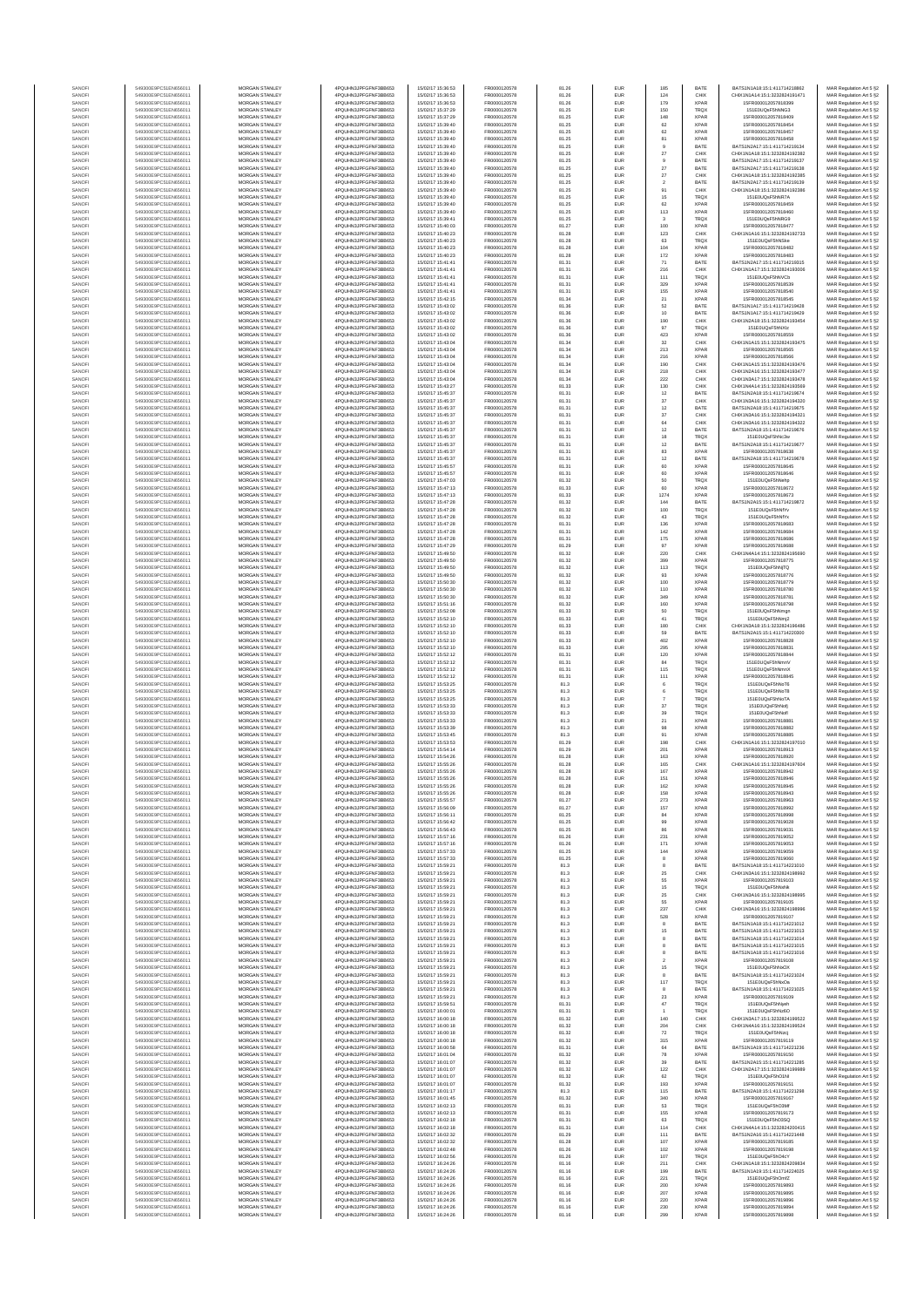| SANOF            | 549300E9PC51EN656011                         | MORGAN STANLEY                                 | 4PQUHN3JPFGFNF3BB653                           | 15/02/17 15:36:53                      | FR0000120578                 | 81.26          | EUR               | 185               | <b>BATE</b>                | BATS1N1A18:15:1:411714218862                                   | MAR Regulation Art 5 §2                            |
|------------------|----------------------------------------------|------------------------------------------------|------------------------------------------------|----------------------------------------|------------------------------|----------------|-------------------|-------------------|----------------------------|----------------------------------------------------------------|----------------------------------------------------|
| SANOFI           | 549300E9PC51EN656011                         | MORGAN STANLEY                                 | 4PQUHN3JPFGFNF3BB653                           | 15/02/17 15:36:53                      | FR0000120578                 | 81.26          | EUR               | 124               | CHIX                       | CHIX1N1A14:15:1:3232824191471                                  | MAR Regulation Art 5 §2                            |
| SANOFI           | 549300E9PC51EN656011                         | <b>MORGAN STANLEY</b>                          | 4PQUHN3JPFGFNF3BB653                           | 15/02/17 15:36:53                      | FR0000120578                 | 81.26          | EUR               | 179               | <b>XPAF</b>                | 15FR000012057818399                                            | MAR Regulation Art 5 §2                            |
| SANOFI<br>SANOFI | 549300E9PC51EN656011<br>549300E9PC51EN656011 | MORGAN STANLEY<br>MORGAN STANLEY               | 4PQUHN3JPFGFNF3BB653<br>4PQUHN3JPFGFNF3BB653   | 15/02/17 15:37:29<br>15/02/17 15:37:29 | FR0000120578                 | 81.25<br>81.25 | EUR<br>EUR        | 150<br>148        | TRQ)<br><b>XPAF</b>        | 151E0UQsF5hNNG3<br>15FR000012057818409                         | MAR Regulation Art 5 §2                            |
| SANOFI           | 549300E9PC51EN656011                         | MORGAN STANLEY                                 | 4PQUHN3JPFGFNF3BB653                           | 15/02/17 15:39:40                      | FR0000120578<br>FR0000120578 | 81.25          | EUR               | 62                | <b>XPAF</b>                | 15FR000012057818454                                            | MAR Regulation Art 5 §2<br>MAR Regulation Art 5 §2 |
| SANOF            | 549300E9PC51EN656011                         | MORGAN STANLEY                                 | 4PQUHN3JPFGFNF3BB653                           | 15/02/17 15:39:40                      | FR0000120578                 | 81.25          | EUR               | 62                | <b>XPAF</b>                | 15FR000012057818457                                            | MAR Regulation Art 5 §2                            |
| SANOFI           | 549300E9PC51EN656011                         | MORGAN STANLEY                                 | 4PQUHN3JPFGFNF3BB653                           | 15/02/17 15:39:40                      | FR0000120578                 | 81.25          | EUR               | 81                | <b>XPAF</b>                | 15FR000012057818458                                            | MAR Regulation Art 5 §2                            |
| SANOFI           | 549300E9PC51EN656011<br>549300E9PC51EN656011 | MORGAN STANLEY<br>MORGAN STANLEY               | 4PQUHN3JPFGFNF3BB653<br>4PQUHN3JPFGFNF3BB653   | 15/02/17 15:39:40<br>15/02/17 15:39:40 | FR0000120578<br>FR0000120578 | 81.25<br>81.25 | EUR<br>EUR        | 9<br>$27\,$       | BATE<br>CHIX               | BATS1N2A17:15:1:411714219134<br>CHIX1N1A18:15:1:3232824192382  | MAR Regulation Art 5 §2<br>MAR Regulation Art 5 §2 |
| SANOFI<br>SANOFI | 549300E9PC51EN656011                         | MORGAN STANLEY                                 | 4PQUHN3JPFGFNF3BB653                           | 15/02/17 15:39:40                      | FR0000120578                 | 81.25          | EUR               | $\overline{9}$    | BATE                       | BATS1N2A17:15:1:411714219137                                   | MAR Regulation Art 5 §2                            |
| SANOFI           | 549300E9PC51EN656011                         | <b>MORGAN STANLEY</b>                          | 4PQUHN3JPFGFNF3BB653                           | 15/02/17 15:39:40                      | FR0000120578                 | 81.25          | EUR               | 27                | BATE                       | BATS1N2A17:15:1:411714219138                                   | MAR Regulation Art 5 §2                            |
| SANOFI           | 549300E9PC51EN656011                         | <b>MORGAN STANLEY</b>                          | 4PQUHN3JPFGFNF3BB653                           | 15/02/17 15:39:40                      | FR0000120578                 | 81.25          | EUR               | 27                | CHIX                       | CHIX1N1A18:15:1:3232824192385                                  | MAR Regulation Art 5 §2                            |
| SANOFI           | 549300E9PC51EN656011                         | MORGAN STANLEY                                 | 4PQUHN3JPFGFNF3BB653                           | 15/02/17 15:39:40                      | FR0000120578                 | 81.25          | EUR               | $\overline{2}$    | BATE                       | BATS1N2A17:15:1:411714219139                                   | MAR Regulation Art 5 §2                            |
| SANOFI<br>SANOF  | 549300E9PC51EN656011<br>549300E9PC51EN656011 | MORGAN STANLEY<br>MORGAN STANLEY               | 4PQUHN3JPFGFNF3BB653<br>4PQUHN3JPFGFNF3BB653   | 15/02/17 15:39:40<br>15/02/17 15:39:40 | FR0000120578<br>FR0000120578 | 81.25<br>81.25 | EUR<br>EUR        | 91<br>15          | CHIX<br>TRQ)               | CHIX1N1A18:15:1:3232824192386<br>151E0UQsF5hNR7A               | MAR Regulation Art 5 §2<br>MAR Regulation Art 5 §2 |
| SANOFI           | 549300E9PC51EN656011                         | MORGAN STANLEY                                 | 4PQUHN3JPFGFNF3BB653                           | 15/02/17 15:39:40                      | FR0000120578                 | 81.25          | EUR               | 62                | <b>XPAF</b>                | 15FR000012057818459                                            | MAR Regulation Art 5 §2                            |
| SANOFI           | 549300E9PC51EN656011                         | MORGAN STANLEY                                 | 4PQUHN3JPFGFNF3BB653                           | 15/02/17 15:39:40                      | FR0000120578                 | 81.25          | EUR               | 113               | XPAF                       | 15FR000012057818460                                            | MAR Regulation Art 5 §2                            |
| SANOFI           | 549300E9PC51EN656011                         | MORGAN STANLEY                                 | 4PQUHN3JPFGFNF3BB653                           | 15/02/17 15:39:41                      | FR0000120578                 | 81.25          | EUR               | $\mathbf{3}$      | TRQ)                       | 151E0UQsF5hNRG9                                                | MAR Regulation Art 5 §2                            |
| SANOFI<br>SANOFI | 549300E9PC51EN656011<br>549300E9PC51EN656011 | <b>MORGAN STANLEY</b><br><b>MORGAN STANLEY</b> | 4PQUHN3JPFGFNF3BB653<br>4POLIHN3JPEGENE3BB653  | 15/02/17 15:40:03<br>15/02/17 15:40:23 | FR0000120578<br>FR0000120578 | 81.27<br>81.28 | EUR<br>EUR        | 100<br>123        | <b>XPAF</b><br>CHIX        | 15FR000012057818477<br>CHIX1N1A16:15:1:3232824192733           | MAR Regulation Art 5 §2<br>MAR Regulation Art 5 §2 |
| SANOFI           | 549300E9PC51EN656011                         | MORGAN STANLEY                                 | 4PQUHN3JPFGFNF3BB653                           | 15/02/17 15:40:23                      | FR0000120578                 | 81.28          | EUR               | 63                | TRQ)                       | 151E0UQsF5hNSke                                                | MAR Regulation Art 5 §2                            |
| SANOFI           | 549300E9PC51EN656011                         | MORGAN STANLEY                                 | 4PQUHN3JPFGFNF3BB653                           | 15/02/17 15:40:23                      | FR0000120578                 | 81.28          | EUR               | 104               | XPAF                       | 15FR000012057818482                                            | MAR Regulation Art 5 §2                            |
| SANOFI           | 549300E9PC51EN656011                         | MORGAN STANLEY                                 | 4PQUHN3JPFGFNF3BB653                           | 15/02/17 15:40:23                      | FR0000120578                 | 81.28          | EUR               | 172               | <b>XPAF</b>                | 15FR000012057818483                                            | MAR Regulation Art 5 §2                            |
| SANOFI           | 549300E9PC51EN656011                         | MORGAN STANLEY                                 | 4PQUHN3JPFGFNF3BB653                           | 15/02/17 15:41:41                      | FR0000120578                 | 81.31          | EUR               | 71                | BATE                       | BATS1N2A17:15:1:411714219315                                   | MAR Regulation Art 5 §2                            |
| SANOFI<br>SANOFI | 549300E9PC51EN656011<br>549300E9PC51EN656011 | MORGAN STANLEY<br>MORGAN STANLEY               | 4PQUHN3JPFGFNF3BB653<br>4PQUHN3JPFGFNF3BB653   | 15/02/17 15:41:41<br>15/02/17 15:41:41 | FR0000120578<br>FR0000120578 | 81.31<br>81.31 | EUR<br>EUR        | 216<br>111        | CHIX<br>TRQ)               | CHIX1N1A17:15:1:3232824193006<br>151E0UQsF5hNVCb               | MAR Regulation Art 5 §2<br>MAR Regulation Art 5 §2 |
| SANOFI           | 549300E9PC51EN656011                         | <b>MORGAN STANLEY</b>                          | 4PQUHN3JPFGFNF3BB653                           | 15/02/17 15:41:41                      | FR0000120578                 | 81.31          | EUR               | 329               | <b>XPAR</b>                | 15FR000012057818539                                            | MAR Regulation Art 5 §2                            |
| SANOFI           | 549300E9PC51EN656011                         | <b>MORGAN STANLEY</b>                          | 4PQUHN3JPFGFNF3BB653                           | 15/02/17 15:41:41                      | FR0000120578                 | 81.31          | EUR               | 155               | <b>XPAF</b>                | 15FR000012057818540                                            | MAR Regulation Art 5 §2                            |
| SANOFI           | 549300E9PC51EN656011                         | MORGAN STANLEY                                 | 4PQUHN3JPFGFNF3BB653                           | 15/02/17 15:42:15                      | FR0000120578                 | 81.34          | EUR               | $21\,$            | <b>XPAF</b>                | 15FR000012057818545                                            | MAR Regulation Art 5 §2                            |
| SANOFI<br>SANOF  | 549300E9PC51EN656011<br>549300E9PC51EN656011 | MORGAN STANLEY<br>MORGAN STANLEY               | 4PQUHN3JPFGFNF3BB653<br>4PQUHN3JPFGFNF3BB653   | 15/02/17 15:43:02<br>15/02/17 15:43:02 | FR0000120578<br>FR0000120578 | 81.36<br>81.36 | EUR<br>EUR        | $_{\rm 52}$<br>10 | BATE<br>BATE               | BATS1N1A17:15:1:411714219428<br>BATS1N1A17:15:1:411714219429   | MAR Regulation Art 5 §2                            |
| SANOFI           | 549300E9PC51EN656011                         | MORGAN STANLEY                                 | 4PQUHN3JPFGFNF3BB653                           | 15/02/17 15:43:02                      | FR0000120578                 | 81.36          | EUR               | 190               | CHIX                       | CHIX1N2A18:15:1:3232824193454                                  | MAR Regulation Art 5 §2<br>MAR Regulation Art 5 §2 |
| SANOFI           | 549300E9PC51EN656011                         | MORGAN STANLEY                                 | 4PQUHN3JPFGFNF3BB653                           | 15/02/17 15:43:02                      | FR0000120578                 | 81.36          | EUR               | 97                | TRQ)                       | 151E0UQsF5hNXIz                                                | MAR Regulation Art 5 §2                            |
| SANOFI           | 549300E9PC51EN656011                         | MORGAN STANLEY                                 | 4PQUHN3JPFGFNF3BB653                           | 15/02/17 15:43:02                      | FR0000120578                 | 81.36          | EUR               | 423               | <b>XPAF</b>                | 15FR000012057818559                                            | MAR Regulation Art 5 §2                            |
| SANOFI<br>SANOFI | 549300E9PC51EN656011<br>549300E9PC51EN656011 | <b>MORGAN STANLEY</b><br><b>MORGAN STANLEY</b> | 4PQUHN3JPFGFNF3BB653<br>4PQUHN3JPFGFNF3BB653   | 15/02/17 15:43:04<br>15/02/17 15:43:04 | FR0000120578<br>FR0000120578 | 81.34<br>81.34 | EUR<br>EUR        | 32<br>213         | CHIX<br><b>XPAF</b>        | CHIX1N1A15:15:1:3232824193475<br>15FR000012057818565           | MAR Regulation Art 5 §2<br>MAR Regulation Art 5 §2 |
| SANOFI           | 549300E9PC51EN656011                         | MORGAN STANLEY                                 | 4PQUHN3JPFGFNF3BB653                           | 15/02/17 15:43:04                      | FR0000120578                 | 81.34          | EUR               | 216               | <b>XPAF</b>                | 15FR000012057818566                                            | MAR Regulation Art 5 §2                            |
| SANOFI           | 549300E9PC51EN656011                         | MORGAN STANLEY                                 | 4PQUHN3JPFGFNF3BB653                           | 15/02/17 15:43:04                      | FR0000120578                 | 81.34          | EUR               | 190               | CHIX                       | CHIX1N1A15:15:1:3232824193476                                  | MAR Regulation Art 5 §2                            |
| SANOFI           | 549300E9PC51EN656011                         | MORGAN STANLEY                                 | 4PQUHN3JPFGFNF3BB653                           | 15/02/17 15:43:04                      | FR0000120578                 | 81.34          | EUR               | 218               | CHIX                       | CHIX1N2A16:15:1:3232824193477                                  | MAR Regulation Art 5 §2                            |
| SANOFI<br>SANOFI | 549300E9PC51EN656011<br>549300E9PC51EN656011 | MORGAN STANLEY<br>MORGAN STANLEY               | 4PQUHN3JPFGFNF3BB653<br>4PQUHN3JPFGFNF3BB653   | 15/02/17 15:43:04<br>15/02/17 15:43:27 | FR0000120578<br>FR0000120578 | 81.34<br>81.33 | EUR<br>EUR        | 222<br>130        | CHIX<br>CHIX               | CHIX1N3A17:15:1:3232824193478<br>CHIX1N4A14:15:1:3232824193569 | MAR Regulation Art 5 §2<br>MAR Regulation Art 5 §2 |
| SANOFI           | 549300E9PC51EN656011                         | MORGAN STANLEY                                 | 4PQUHN3JPFGFNF3BB653                           | 15/02/17 15:45:37                      | FR0000120578                 | 81.31          | EUR               | 12                | BATE                       | BATS1N2A18:15:1:411714219674                                   | MAR Regulation Art 5 §2                            |
| SANOFI           | 549300E9PC51EN656011                         | MORGAN STANLEY                                 | 4PQUHN3JPFGFNF3BB653                           | 15/02/17 15:45:37                      | FR0000120578                 | 81.31          | EUR               | 37                | CHIX                       | CHIX1N3A16:15:1:3232824194320                                  | MAR Regulation Art 5 §2                            |
| SANOFI           | 549300E9PC51EN656011                         | <b>MORGAN STANLEY</b><br>MORGAN STANLEY        | 4POLIHN3JPEGENE3BB653<br>4POLIHN3JPEGENE3BB653 | 15/02/17 15:45:37                      | FR0000120578<br>FR0000120578 | 81.31          | EUR               | 12                | BATE                       | BATS1N2A18-15-1-411714219875                                   | MAR Regulation Art 5 §2                            |
| SANOFI<br>SANOFI | 549300E9PC51EN656011<br>549300E9PC51EN656011 | MORGAN STANLEY                                 | 4POLIHN3JPEGENE3BB653                          | 15/02/17 15:45:37<br>15/02/17 15:45:37 | FR0000120578                 | 81.31<br>81.31 | EUR<br>EUR        | 37<br>64          | CHIX<br>CHIX               | CHIX1N3A16:15:1:3232824194321<br>CHIX1N3A16:15:1:3232824194322 | MAR Regulation Art 5 §2<br>MAR Regulation Art 5 §2 |
| SANOFI           | 549300E9PC51EN656011                         | MORGAN STANLEY                                 | 4PQUHN3JPFGFNF3BB653                           | 15/02/17 15:45:37                      | FR0000120578                 | 81.31          | EUR               | $12\,$            | BATE                       | BATS1N2A18:15:1:411714219676                                   | MAR Regulation Art 5 §2                            |
| SANOFI           | 549300E9PC51EN656011                         | MORGAN STANLEY                                 | 4PQUHN3JPFGFNF3BB653                           | 15/02/17 15:45:37                      | FR0000120578                 | 81.31          | EUR               | 18                | TRQ)                       | 151E0UQsF5hNc3w                                                | MAR Regulation Art 5 §2                            |
| SANOFI           | 549300E9PC51EN656011                         | MORGAN STANLEY                                 | 4PQUHN3JPFGFNF3BB653                           | 15/02/17 15:45:37                      | FR0000120578                 | 81.31          | EUR               | $12\,$            | BATE                       | BATS1N2A18:15:1:411714219677                                   | MAR Regulation Art 5 §2                            |
| SANOFI<br>SANOFI | 549300E9PC51EN656011<br>549300E9PC51EN656011 | MORGAN STANLEY<br>MORGAN STANLEY               | 4PQUHN3JPFGFNF3BB653<br>4PQUHN3JPFGFNF3BB653   | 15/02/17 15:45:37<br>15/02/17 15:45:37 | FR0000120578<br>FR0000120578 | 81.31<br>81.31 | EUR<br>EUR        | 83<br>$12\,$      | XPAF<br>BATE               | 15FR000012057818638<br>BATS1N2A18:15:1:411714219678            | MAR Regulation Art 5 §2<br>MAR Regulation Art 5 §2 |
| SANOFI           | 549300E9PC51EN656011                         | <b>MORGAN STANLEY</b>                          | 4PQUHN3JPFGFNF3BB653                           | 15/02/17 15:45:57                      | FR0000120578                 | 81.31          | EUR               | 60                | <b>XPAF</b>                | 15FR000012057818645                                            | MAR Regulation Art 5 §2                            |
| SANOFI           | 549300E9PC51EN656011                         | MORGAN STANLEY                                 | 4PQUHN3JPFGFNF3BB653                           | 15/02/17 15:45:57                      | FR0000120578                 | 81.31          | EUR               | 60                | <b>XPAF</b>                | 15FR000012057818646                                            | MAR Regulation Art 5 §2                            |
| SANOFI<br>SANOFI | 549300E9PC51EN656011<br>549300E9PC51EN656011 | MORGAN STANLEY<br>MORGAN STANLEY               | 4PQUHN3JPFGFNF3BB653<br>4PQUHN3JPFGFNF3BB653   | 15/02/17 15:47:03<br>15/02/17 15:47:13 | FR0000120578<br>FR0000120578 | 81.32<br>81.33 | EUR<br>EUR        | 50<br>60          | TRQ)<br><b>XPAF</b>        | 151E0UQsF5hNehp<br>15FR000012057818672                         | MAR Regulation Art 5 §2<br>MAR Regulation Art 5 §2 |
| SANOF            | 549300E9PC51EN656011                         | MORGAN STANLEY                                 | 4PQUHN3JPFGFNF3BB653                           | 15/02/17 15:47:13                      | FR0000120578                 | 81.33          | EUR               | 1274              | <b>XPAF</b>                | 15FR000012057818673                                            | MAR Regulation Art 5 §2                            |
| SANOFI           | 549300E9PC51EN656011                         | MORGAN STANLEY                                 | 4PQUHN3JPFGFNF3BB653                           | 15/02/17 15:47:28                      | FR0000120578                 | 81.32          | EUR               | 144               | BATE                       | BATS1N2A15:15:1:411714219872                                   | MAR Regulation Art 5 §2                            |
| SANOFI           | 549300E9PC51EN656011                         | MORGAN STANLEY<br>MORGAN STANLEY               | 4PQUHN3JPFGFNF3BB653                           | 15/02/17 15:47:28                      | FR0000120578                 | 81.32          | EUR               | 100               | TRQ)                       | 151E0UQsF5hNfYv                                                | MAR Regulation Art 5 §2                            |
| SANOFI<br>SANOFI | 549300E9PC51EN656011<br>549300E9PC51EN656011 | <b>MORGAN STANLEY</b>                          | 4PQUHN3JPFGFNF3BB653<br>4POLIHN3JPEGENE3BB653  | 15/02/17 15:47:28<br>15/02/17 15:47:28 | FR0000120578<br>FR0000120578 | 81.32<br>81.31 | EUR<br>EUR        | 43<br>136         | TRQ)<br><b>XPAF</b>        | 151E0UQsF5hNfYx<br>15FR000012057818683                         | MAR Regulation Art 5 §2<br>MAR Regulation Art 5 §2 |
| SANOFI           | 549300E9PC51EN656011                         | <b>MORGAN STANLEY</b>                          | 4PQUHN3JPFGFNF3BB653                           | 15/02/17 15:47:28                      | FR0000120578                 | 81.31          | EUR               | 142               | <b>XPAF</b>                | 15FR000012057818684                                            | MAR Regulation Art 5 §2                            |
| SANOFI           | 549300E9PC51EN656011                         | MORGAN STANLEY                                 | 4PQUHN3JPFGFNF3BB653                           | 15/02/17 15:47:28                      | FR0000120578                 | 81.31          | EUR               | 175               | <b>XPAR</b>                | 15FR000012057818686                                            | MAR Regulation Art 5 §2                            |
| SANOFI           | 549300E9PC51EN656011                         | MORGAN STANLEY                                 | 4PQUHN3JPFGFNF3BB653                           | 15/02/17 15:47:29                      | FR0000120578                 | 81.29          | EUR               | 97                | <b>XPAF</b>                | 15FR000012057818688                                            | MAR Regulation Art 5 §2                            |
| SANOFI<br>SANOFI | 549300E9PC51EN656011<br>549300E9PC51EN656011 | MORGAN STANLEY<br>MORGAN STANLEY               | 4PQUHN3JPFGFNF3BB653<br>4PQUHN3JPFGFNF3BB653   | 15/02/17 15:49:50<br>15/02/17 15:49:50 | FR0000120578<br>FR0000120578 | 81.32<br>81.32 | EUR<br>EUR        | 220<br>399        | CHIX<br><b>XPAF</b>        | CHIX1N4A14:15:1:3232824195690<br>15FR000012057818775           | MAR Regulation Art 5 §2<br>MAR Regulation Art 5 §2 |
| SANOFI           | 549300E9PC51EN656011                         | MORGAN STANLEY                                 | 4PQUHN3JPFGFNF3BB653                           | 15/02/17 15:49:50                      | FR0000120578                 | 81.32          | EUR               | 113               | TRQ)                       | 151E0UQsF5hNjTQ                                                | MAR Regulation Art 5 §2                            |
| SANOFI           | 549300E9PC51EN656011                         | MORGAN STANLEY                                 | 4PQUHN3JPFGFNF3BB653                           | 15/02/17 15:49:50                      | FR0000120578                 | 81.32          | EUR               | 93                | <b>XPAF</b>                | 15FR000012057818776                                            | MAR Regulation Art 5 §2                            |
| SANOFI<br>SANOFI | 549300E9PC51EN656011<br>549300E9PC51EN656011 | <b>MORGAN STANLEY</b><br><b>MORGAN STANLEY</b> | 4PQUHN3JPFGFNF3BB653<br>4PQUHN3JPFGFNF3BB653   | 15/02/17 15:50:30<br>15/02/17 15:50:30 | FR0000120578<br>FR0000120578 | 81.32<br>81.32 | EUR<br>EUR        | 100<br>110        | <b>XPAF</b><br><b>XPAF</b> | 15FR000012057818779<br>15FR000012057818780                     | MAR Regulation Art 5 §2<br>MAR Regulation Art 5 §2 |
| SANOFI           | 549300E9PC51EN656011                         | MORGAN STANLEY                                 | 4PQUHN3JPFGFNF3BB653                           | 15/02/17 15:50:30                      | FR0000120578                 | 81.32          | EUR               | 349               | <b>XPAF</b>                | 15FR000012057818781                                            | MAR Regulation Art 5 §2                            |
| SANOFI           | 549300E9PC51EN656011                         | MORGAN STANLEY                                 | 4PQUHN3JPFGFNF3BB653                           | 15/02/17 15:51:16                      | FR0000120578                 | 81.32          | EUR               | 160               | <b>XPAF</b>                | 15FR000012057818798                                            | MAR Regulation Art 5 §2                            |
| SANOF            | 549300E9PC51EN656011                         | MORGAN STANLEY                                 | 4PQUHN3JPFGFNF3BB653                           | 15/02/17 15:52:08                      | FR0000120578                 | 81.33          | EUR               | 50                | TRQ)                       | 151E0UQsF5hNmgn                                                | MAR Regulation Art 5 §2                            |
| SANOFI<br>SANOFI | 549300E9PC51EN656011<br>549300E9PC51EN656011 | MORGAN STANLEY<br>MORGAN STANLEY               | 4PQUHN3JPFGFNF3BB653<br>4PQUHN3JPFGFNF3BB653   | 15/02/17 15:52:10<br>15/02/17 15:52:10 | FR0000120578<br>FR0000120578 | 81.33<br>81.33 | EUR<br>EUR        | 41<br>180         | TRQ)<br>CHIX               | 151E0UQsF5hNmj2<br>CHIX1N3A18:15:1:3232824196486               | MAR Regulation Art 5 §2<br>MAR Regulation Art 5 §2 |
| SANOFI           | 549300E9PC51EN656011                         | MORGAN STANLEY                                 | 4PQUHN3JPFGFNF3BB653                           | 15/02/17 15:52:10                      | FR0000120578                 | 81.33          | EUR               | 59                | BATE                       | BATS1N2A15:15:1:411714220300                                   | MAR Regulation Art 5 §2                            |
| SANOFI           | 549300E9PC51EN656011                         | MORGAN STANLEY                                 | 4PQUHN3JPFGFNF3BB653                           | 15/02/17 15:52:10                      | FR0000120578                 | 81.33          | EUR               | 402               | <b>XPAF</b>                | 15FR000012057818828                                            | MAR Regulation Art 5 §2                            |
| SANOFI<br>SANOFI | 549300E9PC51EN656011<br>549300E9PC51EN656011 | <b>MORGAN STANLEY</b><br><b>MORGAN STANLEY</b> | 4PQUHN3JPFGFNF3BB653<br>4PQUHN3JPFGFNF3BB653   | 15/02/17 15:52:10<br>15/02/17 15:52:12 | FR0000120578<br>FR0000120578 | 81.33<br>81.31 | EUR<br>EUR        | 295<br>120        | <b>XPAF</b><br><b>XPAF</b> | 15FR000012057818831<br>15FR000012057818844                     | MAR Regulation Art 5 §2<br>MAR Regulation Art 5 §2 |
| SANOFI           | 549300E9PC51EN656011                         | MORGAN STANLEY                                 | 4PQUHN3JPFGFNF3BB653                           | 15/02/17 15:52:12                      | FR0000120578                 | 81.31          | EUR               | $^{\rm 84}$       | TRQ)                       | 151E0UQsF5hNmnV                                                | MAR Regulation Art 5 §2                            |
| SANOFI           | 549300E9PC51EN656011                         | MORGAN STANLEY                                 | 4PQUHN3JPFGFNF3BB653                           | 15/02/17 15:52:12                      | FR0000120578                 | 81.31          | EUR               | 115               | TRQ)                       | 151E0UQsF5hNmnX                                                | MAR Regulation Art 5 §2                            |
| SANOFI           | 549300E9PC51EN656011                         | MORGAN STANLEY                                 | 4PQUHN3JPFGFNF3BB653                           | 15/02/17 15:52:12                      | FR0000120578                 | 81.31          | EUR               | 111               | <b>XPAF</b>                | 15FR000012057818845                                            | MAR Regulation Art 5 §2                            |
| SANOFI           | 549300E9PC51EN656011<br>549300E9PC51EN656011 | MORGAN STANLEY<br>MORGAN STANLEY               | 4PQUHN3JPFGFNF3BB653<br>4PQUHN3JPFGFNF3BB653   | 15/02/17 15:53:25<br>15/02/17 15:53:25 | FR0000120578<br>FR0000120578 | 81.3<br>81.3   | EUR<br>EUR        | 6<br>6            | TRQ)<br>TRQ)               | 151E0UQsF5hNoT6<br>151E0UQsF5hNoT8                             | MAR Regulation Art 5 §2<br>MAR Regulation Art 5 §2 |
| SANOFI<br>SANOFI | 549300E9PC51EN656011                         | MORGAN STANLEY                                 | 4PQUHN3JPFGFNF3BB653                           | 15/02/17 15:53:25                      | FR0000120578                 | 81.3           | EUR               |                   | TRQ)                       | 151E0UQsF5hNoTA                                                | MAR Regulation Art 5 §2                            |
| SANOFI           | 549300E9PC51EN656011                         | <b>MORGAN STANLEY</b>                          | 4POLIHN3JPEGENE3BB653                          | 15/02/17 15:53:32                      | FR0000120578                 | 81.3           | EUR               | 37                | TRQ)                       | 151E0UQsF5hNofi                                                | MAR Regulation Art 5 §2                            |
| SANOFI           | 549300E9PC51EN656011                         | MORGAN STANLEY                                 | 4POLIHN3JPEGENE3BB653                          | 15/02/17 15:53:32                      | FR0000120578                 | 81.3           | EUR               | 39                | TRQ)                       | 151E0UQsF5hNofl                                                | MAR Regulation Art 5 §2                            |
| SANOFI<br>SANOFI | 549300E9PC51EN656011<br>549300E9PC51EN656011 | MORGAN STANLEY<br>MORGAN STANLEY               | 4PQUHN3JPFGFNF3BB653<br>4PQUHN3JPFGFNF3BB653   | 15/02/17 15:53:33<br>15/02/17 15:53:39 | FR0000120578<br>FR0000120578 | 81.3<br>81.3   | EUR<br>EUR        | $21\,$<br>98      | <b>XPAF</b><br><b>XPAF</b> | 15FR000012057818881<br>15FR000012057818882                     | MAR Regulation Art 5 §2<br>MAR Regulation Art 5 §2 |
| SANOFI           | 549300E9PC51EN656011                         | MORGAN STANLEY                                 | 4PQUHN3JPFGFNF3BB653                           | 15/02/17 15:53:45                      | FR0000120578                 | 81.3           | EUR               | 91                | <b>XPAF</b>                | 15FR000012057818885                                            | MAR Regulation Art 5 §2                            |
| SANOFI           | 549300E9PC51EN656011                         | MORGAN STANLEY                                 | 4PQUHN3JPFGFNF3BB653                           | 15/02/17 15:53:53                      | FR0000120578                 | 81.29          | EUR               | 198               | CHIX                       | CHIX1N1A16:15:1:3232824197010                                  | MAR Regulation Art 5 §2                            |
| SANOFI           | 549300E9PC51EN656011                         | MORGAN STANLEY                                 | 4PQUHN3JPFGFNF3BB653                           | 15/02/17 15:54:14                      | FR0000120578                 | 81.29          | EUR               | 201               | <b>XPAF</b>                | 15FR000012057818913                                            | MAR Regulation Art 5 §2                            |
| SANOFI<br>SANOFI | 549300E9PC51EN656011<br>549300E9PC51EN656011 | MORGAN STANLEY<br><b>MORGAN STANLEY</b>        | 4PQUHN3JPFGFNF3BB653<br>4PQUHN3JPFGFNF3BB653   | 15/02/17 15:54:26<br>15/02/17 15:55:26 | FR0000120578<br>FR0000120578 | 81.28<br>81.28 | EUR<br>EUR        | 163<br>165        | XPAF<br>CHIX               | 15FR000012057818920<br>CHIX1N1A16:15:1:3232824197604           | MAR Regulation Art 5 §2<br>MAR Regulation Art 5 §2 |
| SANOFI           | 549300E9PC51EN656011                         | <b>MORGAN STANLEY</b>                          | 4PQUHN3JPFGFNF3BB653                           | 15/02/17 15:55:26                      | FR0000120578                 | 81.28          | EUR               | 167               | <b>XPAR</b>                | 15FR000012057818942                                            | MAR Regulation Art 5 §2                            |
|                  |                                              |                                                |                                                |                                        |                              |                | ELID              | 151               |                            |                                                                |                                                    |
| SANOFI<br>SANOF  | 549300E9PC51EN656011<br>549300E9PC51EN656011 | MORGAN STANLEY<br>MORGAN STANLEY               | 4PQUHN3JPFGFNF3BB653<br>4PQUHN3JPFGFNF3BB653   | 15/02/17 15:55:26<br>15/02/17 15:55:26 | FR0000120578<br>FR0000120578 | 81.28<br>81.28 | EUR<br>EUR        | 162<br>158        | <b>XPAR</b><br><b>XPAF</b> | 15FR000012057818945<br>15FR000012057818943                     | MAR Regulation Art 5 §2                            |
| SANOFI           | 549300E9PC51EN656011                         | MORGAN STANLEY                                 | 4PQUHN3JPFGFNF3BB653                           | 15/02/17 15:55:57                      | FR0000120578                 | 81.27          | EUR               | 273               | <b>XPAF</b>                | 15FR000012057818963                                            | MAR Regulation Art 5 §2<br>MAR Regulation Art 5 §2 |
| SANOFI           | 549300E9PC51EN656011                         | MORGAN STANLEY                                 | 4PQUHN3JPFGFNF3BB653                           | 15/02/17 15:56:09                      | FR0000120578                 | 81.27          | EUR               | 157               | <b>XPAF</b>                | 15FR000012057818992                                            | MAR Regulation Art 5 §2                            |
| SANOFI           | 549300E9PC51EN656011                         | MORGAN STANLEY                                 | 4PQUHN3JPFGFNF3BB653                           | 15/02/17 15:56:11                      | FR0000120578<br>FR0000120578 | 81.25          | EUR               | 84                | <b>XPAF</b>                | 15FR000012057818998                                            | MAR Regulation Art 5 §2                            |
| SANOFI<br>SANOFI | 549300E9PC51EN656011<br>549300E9PC51EN656011 | <b>MORGAN STANLEY</b><br><b>MORGAN STANLEY</b> | 4PQUHN3JPFGFNF3BB653<br>4PQUHN3JPFGFNF3BB653   | 15/02/17 15:56:42<br>15/02/17 15:56:43 | FR0000120578                 | 81.25<br>81.25 | EUR<br>EUR        | 99<br>86          | <b>XPAR</b><br><b>XPAF</b> | 15FR000012057819028<br>15FR000012057819031                     | MAR Regulation Art 5 §2<br>MAR Regulation Art 5 §2 |
| SANOFI           | 549300E9PC51EN656011                         | MORGAN STANLEY                                 | 4PQUHN3JPFGFNF3BB653                           | 15/02/17 15:57:16                      | FR0000120578                 | 81.26          | EUR               | 231               | <b>XPAF</b>                | 15FR000012057819052                                            | MAR Regulation Art 5 §2                            |
| SANOFI           | 549300E9PC51EN656011                         | MORGAN STANLEY                                 | 4PQUHN3JPFGFNF3BB653                           | 15/02/17 15:57:16                      | FR0000120578                 | 81.26          | EUR               | 171               | <b>XPAF</b>                | 15FR000012057819053                                            | MAR Regulation Art 5 §2                            |
| SANOFI<br>SANOFI | 549300E9PC51EN656011<br>549300E9PC51EN656011 | MORGAN STANLEY<br>MORGAN STANLEY               | 4PQUHN3JPFGFNF3BB653<br>4PQUHN3JPFGFNF3BB653   | 15/02/17 15:57:33<br>15/02/17 15:57:33 | FR0000120578<br>FR0000120578 | 81.25<br>81.25 | EUR<br>EUR        | 144<br>8          | <b>XPAF</b><br><b>XPAF</b> | 15FR000012057819059<br>15FR000012057819060                     | MAR Regulation Art 5 §2<br>MAR Regulation Art 5 §2 |
| SANOFI           | 549300E9PC51EN656011                         | MORGAN STANLEY                                 | 4PQUHN3JPFGFNF3BB653                           | 15/02/17 15:59:21                      | FR0000120578                 | 81.3           | EUR               | 8                 | BATE                       | BATS1N1A18:15:1:411714221010                                   | MAR Regulation Art 5 §2                            |
| SANOFI           | 549300E9PC51EN656011                         | MORGAN STANLEY                                 | 4PQUHN3JPFGFNF3BB653                           | 15/02/17 15:59:21                      | FR0000120578                 | 81.3           | EUR               | 25                | CHIX                       | CHIX1N3A16:15:1:3232824198992                                  | MAR Regulation Art 5 §2                            |
| SANOFI<br>SANOFI | 549300E9PC51EN656011<br>549300E9PC51EN656011 | MORGAN STANLEY<br>MORGAN STANLEY               | 4PQUHN3JPFGFNF3BB653<br>4PQUHN3JPFGFNF3BB653   | 15/02/17 15:59:21<br>15/02/17 15:59:21 | FR0000120578<br>FR0000120578 | 81.3<br>81.3   | EUR<br>EUR        | 55<br>15          | <b>XPAF</b><br>TRQ)        | 15FR000012057819103<br>151FOLIOsF5bNxNk                        | MAR Regulation Art 5 §2                            |
| SANOFI           | 549300E9PC51EN656011                         | <b>MORGAN STANLEY</b>                          | 4PQUHN3JPFGFNF3BB653                           | 15/02/17 15:59:21                      | FR0000120578                 | 81.3           | EUR               | 25                | CHIX                       | CHIX1N3A16-15-1-3232824198995                                  | MAR Regulation Art 5 §2<br>MAR Regulation Art 5 §2 |
| SANOFI           | 549300E9PC51EN656011                         | MORGAN STANLEY                                 | 4PQUHN3JPFGFNF3BB653                           | 15/02/17 15:59:21                      | FR0000120578                 | 81.3           | EUR               | 55                | <b>XPAF</b>                | 15FR000012057819105                                            | MAR Regulation Art 5 §2                            |
| SANOFI           | 549300E9PC51EN656011                         | MORGAN STANLEY                                 | 4PQUHN3JPFGFNF3BB653                           | 15/02/17 15:59:21                      | FR0000120578                 | 81.3           | EUR               | 237               | CHIX                       | CHIX1N3A16:15:1:3232824198996                                  | MAR Regulation Art 5 §2                            |
| SANOF<br>SANOFI  | 549300E9PC51EN656011<br>549300E9PC51EN656011 | MORGAN STANLEY<br>MORGAN STANLEY               | 4PQUHN3JPFGFNF3BB653<br>4PQUHN3JPFGFNF3BB653   | 15/02/17 15:59:21<br>15/02/17 15:59:21 | FR0000120578<br>FR0000120578 | 81.3<br>81.3   | EUR<br>EUR        | 528<br>8          | <b>XPAF</b><br>BATE        | 15FR000012057819107<br>BATS1N1A18:15:1:411714221012            | MAR Regulation Art 5 §2<br>MAR Regulation Art 5 §2 |
| SANOFI           | 549300E9PC51EN656011                         | MORGAN STANLEY                                 | 4PQUHN3JPFGFNF3BB653                           | 15/02/17 15:59:21                      | FR0000120578                 | 81.3           | EUR               | 15                | BATE                       | BATS1N1A18:15:1:411714221013                                   | MAR Regulation Art 5 §2                            |
| SANOFI           | 549300E9PC51EN656011                         | MORGAN STANLEY                                 | 4PQUHN3JPFGFNF3BB653                           | 15/02/17 15:59:21                      | FR0000120578                 | 81.3           | EUR               | 8                 | BATE                       | BATS1N1A18:15:1:411714221014                                   | MAR Regulation Art 5 §2                            |
| SANOFI<br>SANOFI | 549300E9PC51EN656011<br>549300E9PC51EN656011 | MORGAN STANLEY<br><b>MORGAN STANLEY</b>        | 4PQUHN3JPFGFNF3BB653<br>4PQUHN3JPFGFNF3BB653   | 15/02/17 15:59:21<br>15/02/17 15:59:21 | FR0000120578<br>FR0000120578 | 81.3<br>81.3   | EUR<br>EUR        | 8<br>8            | BATE<br>BATE               | BATS1N1A18:15:1:411714221015<br>BATS1N1A18:15:1:411714221016   | MAR Regulation Art 5 §2                            |
| SANOFI           | 549300E9PC51EN656011                         | MORGAN STANLEY                                 | 4PQUHN3JPFGFNF3BB653                           | 15/02/17 15:59:21                      | FR0000120578                 | 81.3           | EUR               | $\overline{2}$    | XPAR                       | 15FR000012057819108                                            | MAR Regulation Art 5 §2<br>MAR Regulation Art 5 §2 |
| SANOFI           | 549300E9PC51EN656011                         | MORGAN STANLEY                                 | 4PQUHN3JPFGFNF3BB653                           | 15/02/17 15:59:21                      | FR0000120578                 | 81.3           | EUR               | 15                | <b>TRQX</b>                | 151E0UQsF5hNxOX                                                | MAR Regulation Art 5 §2                            |
| SANOFI           | 549300E9PC51EN656011                         | MORGAN STANLEY                                 | 4PQUHN3JPFGFNF3BB653                           | 15/02/17 15:59:21                      | FR0000120578                 | 81.3           | EUR               |                   | BATE                       | BATS1N1A18:15:1:411714221024                                   | MAR Regulation Art 5 §2                            |
| SANOFI<br>SANOFI | 549300E9PC51EN656011<br>549300E9PC51EN656011 | MORGAN STANLEY<br>MORGAN STANLEY               | 4PQUHN3JPFGFNF3BB653<br>4PQUHN3JPFGFNF3BB653   | 15/02/17 15:59:21<br>15/02/17 15:59:21 | FR0000120578<br>FR0000120578 | 81.3<br>81.3   | EUR<br>EUR        | 117<br>8          | TRQ)<br>BATE               | 151E0UQsF5hNxOa<br>BATS1N1A18:15:1:411714221025                | MAR Regulation Art 5 §2<br>MAR Regulation Art 5 §2 |
| SANOFI           | 549300E9PC51EN656011                         | MORGAN STANLEY                                 | 4PQUHN3JPFGFNF3BB653                           | 15/02/17 15:59:21                      | FR0000120578                 | 81.3           | <b>EUR</b>        | 23                | <b>XPAF</b>                | 15FR000012057819109                                            | MAR Regulation Art 5 §2                            |
| SANOFI           | 549300E9PC51EN656011                         | <b>MORGAN STANLEY</b>                          | 4PQUHN3JPFGFNF3BB653                           | 15/02/17 15:59:51                      | FR0000120578                 | 81.31          | EUR               | 47                | <b>TRQX</b>                | 151E0UQsF5hNveh                                                | MAR Regulation Art 5 §2                            |
| SANOFI<br>SANOFI | 549300E9PC51EN656011<br>549300E9PC51EN656011 | <b>MORGAN STANLEY</b><br>MORGAN STANLEY        | 4PQUHN3JPFGFNF3BB653<br>4PQUHN3JPFGFNF3BB653   | 15/02/17 16:00:01<br>15/02/17 16:00:18 | FR0000120578<br>FR0000120578 | 81.31<br>81.32 | EUR<br>EUR        | 1<br>140          | <b>TRQX</b><br>CHIX        | 151E0UQsF5hNz6O<br>CHIX1N3A17:15:1:3232824199522               | MAR Regulation Art 5 §2<br>MAR Regulation Art 5 §2 |
| SANOFI           | 549300E9PC51EN656011                         | MORGAN STANLEY                                 | 4PQUHN3JPFGFNF3BB653                           | 15/02/17 16:00:18                      | FR0000120578                 | 81.32          | EUR               | 204               | CHIX                       | CHIX1N4A16:15:1:3232824199524                                  | MAR Regulation Art 5 §2                            |
| SANOFI           | 549300E9PC51EN656011                         | MORGAN STANLEY                                 | 4PQUHN3JPFGFNF3BB653                           | 15/02/17 16:00:18                      | FR0000120578                 | 81.32          | EUR               | 72                | TRQ)                       | 151E0UQsF5hNzcj                                                | MAR Regulation Art 5 §2                            |
| SANOFI           | 549300E9PC51EN656011                         | MORGAN STANLEY                                 | 4PQUHN3JPFGFNF3BB653                           | 15/02/17 16:00:18                      | FR0000120578                 | 81.32          | EUR<br>EUR        | 315               | <b>XPAF</b><br>BATE        | 15FR000012057819119                                            | MAR Regulation Art 5 §2                            |
| SANOFI<br>SANOFI | 549300E9PC51EN656011<br>549300E9PC51EN656011 | MORGAN STANLEY<br>MORGAN STANLEY               | 4PQUHN3JPFGFNF3BB653<br>4PQUHN3JPFGFNF3BB653   | 15/02/17 16:00:58<br>15/02/17 16:01:04 | FR0000120578<br>FR0000120578 | 81.31<br>81.32 | EUR               | 64<br>78          | <b>XPAF</b>                | BATS1N1A19:15:1:411714221236<br>15FR000012057819150            | MAR Regulation Art 5 §2<br>MAR Regulation Art 5 §2 |
| SANOFI           | 549300E9PC51EN656011                         | <b>MORGAN STANLEY</b>                          | 4PQUHN3JPFGFNF3BB653                           | 15/02/17 16:01:07                      | FR0000120578                 | 81.32          | EUR               | 39                | BATE                       | BATS1N2A15:15:1:411714221285                                   | MAR Regulation Art 5 §2                            |
| SANOFI           | 549300E9PC51EN656011                         | <b>MORGAN STANLEY</b>                          | 4PQUHN3JPFGFNF3BB653                           | 15/02/17 16:01:07                      | FR0000120578                 | 81.32          | EUR               | 122               | CHIX                       | CHIX1N2A17:15:1:3232824199989                                  | MAR Regulation Art 5 §2                            |
| SANOFI<br>SANOFI | 549300E9PC51EN656011<br>549300E9PC51EN656011 | MORGAN STANLEY<br>MORGAN STANLEY               | 4PQUHN3JPFGFNF3BB653<br>4PQUHN3JPFGFNF3BB653   | 15/02/17 16:01:07<br>15/02/17 16:01:07 | FR0000120578<br>FR0000120578 | 81.32<br>81.32 | EUR<br>EUR        | 62<br>193         | TRQ)<br><b>XPAR</b>        | 151E0UQsF5hO1NI<br>15FR000012057819151                         | MAR Regulation Art 5 §2<br>MAR Regulation Art 5 §2 |
| SANOF            | 549300E9PC51EN656011                         | MORGAN STANLEY                                 | 4PQUHN3JPFGFNF3BB653                           | 15/02/17 16:01:17                      | FR0000120578                 | 81.3           | EUR               | 115               | BATE                       | BATS1N2A18:15:1:411714221298                                   | MAR Regulation Art 5 §2                            |
| SANOFI           | 549300E9PC51EN656011                         | MORGAN STANLEY                                 | 4PQUHN3JPFGFNF3BB653                           | 15/02/17 16:01:45                      | FR0000120578                 | 81.32          | EUR               | 340               | <b>XPAF</b>                | 15FR000012057819167                                            | MAR Regulation Art 5 §2                            |
| SANOFI<br>SANOFI | 549300E9PC51EN656011<br>549300E9PC51EN656011 | MORGAN STANLEY<br>MORGAN STANLEY               | 4PQUHN3JPFGFNF3BB653<br>4PQUHN3JPFGFNF3BB653   | 15/02/17 16:02:13<br>15/02/17 16:02:13 | FR0000120578<br>FR0000120578 | 81.31<br>81.31 | EUR<br><b>EUR</b> | 53<br>155         | TRQ)<br><b>XPAF</b>        | 151E0UQsF5hO3Mf<br>15FR000012057819173                         | MAR Regulation Art 5 §2<br>MAR Regulation Art 5 §2 |
| SANOFI           | 549300E9PC51EN656011                         | MORGAN STANLEY                                 | 4PQUHN3JPFGFNF3BB653                           | 15/02/17 16:02:18                      | FR0000120578                 | 81.31          | EUR               | 63                | TRQ)                       | 151E0UQsF5hO3SQ                                                | MAR Regulation Art 5 §2                            |
| SANOFI           | 549300E9PC51EN656011                         | <b>MORGAN STANLEY</b>                          | 4PQUHN3JPFGFNF3BB653                           | 15/02/17 16:02:18                      | FR0000120578                 | 81.31          | EUR               | 114               | CHIX                       | CHIX1N4A14:15:1:3232824200415                                  | MAR Regulation Art 5 §2                            |
| SANOFI           | 549300E9PC51EN656011                         | <b>MORGAN STANLEY</b>                          | 4PQUHN3JPFGFNF3BB653                           | 15/02/17 16:02:32                      | FR0000120578                 | 81.29          | EUR               | 111               | BATE<br>XPAR               | BATS1N2A16:15:1:411714221448                                   | MAR Regulation Art 5 §2                            |
| SANOFI<br>SANOFI | 549300E9PC51EN656011<br>549300E9PC51EN656011 | MORGAN STANLEY<br>MORGAN STANLEY               | 4PQUHN3JPFGFNF3BB653<br>4PQUHN3JPFGFNF3BB653   | 15/02/17 16:02:32<br>15/02/17 16:02:48 | FR0000120578<br>FR0000120578 | 81.28<br>81.26 | EUR<br>EUR        | 107<br>102        | XPAR                       | 15FR000012057819185<br>15FR000012057819198                     | MAR Regulation Art 5 §2<br>MAR Regulation Art 5 §2 |
| SANOF            | 549300E9PC51EN656011                         | MORGAN STANLEY                                 | 4PQUHN3JPFGFNF3BB653                           | 15/02/17 16:02:56                      | FR0000120578                 | 81.26          | EUR               | 107               | TRQ)                       | 151E0UQsF5hO4cY                                                | MAR Regulation Art 5 §2                            |
| SANOFI           | 549300E9PC51EN656011                         | MORGAN STANLEY                                 | 4PQUHN3JPFGFNF3BB653                           | 15/02/17 16:24:26                      | FR0000120578                 | 81.16          | EUR               | 211               | CHIX                       | CHIX1N1A18:15:1:3232824209834                                  | MAR Regulation Art 5 §2                            |
| SANOFI<br>SANOFI | 549300E9PC51EN656011<br>549300E9PC51EN656011 | MORGAN STANLEY<br>MORGAN STANLEY               | 4PQUHN3JPFGFNF3BB653<br>4PQUHN3JPFGFNF3BB653   | 15/02/17 16:24:26<br>15/02/17 16:24:26 | FR0000120578<br>FR0000120578 | 81.16<br>81.16 | EUR<br><b>EUR</b> | 199<br>221        | BATE<br>TRQ)               | BATS1N1A19:15:1:411714224025<br>151E0UQsF5hOmfZ                | MAR Regulation Art 5 §2<br>MAR Regulation Art 5 §2 |
| SANOFI           | 549300E9PC51EN656011                         | <b>MORGAN STANLEY</b>                          | 4PQUHN3JPFGFNF3BB653                           | 15/02/17 16:24:26                      | FR0000120578                 | 81.16          | EUR               | 200               | <b>XPAR</b>                | 15FR000012057819893                                            | MAR Regulation Art 5 §2                            |
| SANOFI           | 549300E9PC51EN656011                         | <b>MORGAN STANLEY</b>                          | 4PQUHN3JPFGFNF3BB653                           | 15/02/17 16:24:26                      | FR0000120578                 | 81.16          | EUR               | 207               | <b>XPAR</b>                | 15FR000012057819895                                            | MAR Regulation Art 5 §2                            |
| SANOFI<br>SANOFI | 549300E9PC51EN656011                         | MORGAN STANLEY<br>MORGAN STANLEY               | 4PQUHN3JPFGFNF3BB653<br>4PQUHN3JPFGFNF3BB653   | 15/02/17 16:24:26<br>15/02/17 16:24:26 | FR0000120578<br>FR0000120578 | 81.16<br>81.16 | EUR<br>EUR        | 220<br>230        | <b>XPAR</b><br>XPAR        | 15FR000012057819896<br>15FR000012057819894                     | MAR Regulation Art 5 §2                            |
| SANOF            | 549300E9PC51EN656011<br>549300E9PC51EN656011 | MORGAN STANLEY                                 | 4PQUHN3JPFGFNF3BB653                           | 15/02/17 16:24:26                      | FR0000120578                 | 81.16          | EUR               | 299               | <b>XPAR</b>                | 15FR000012057819898                                            | MAR Regulation Art 5 §2<br>MAR Regulation Art 5 §2 |
|                  |                                              |                                                |                                                |                                        |                              |                |                   |                   |                            |                                                                |                                                    |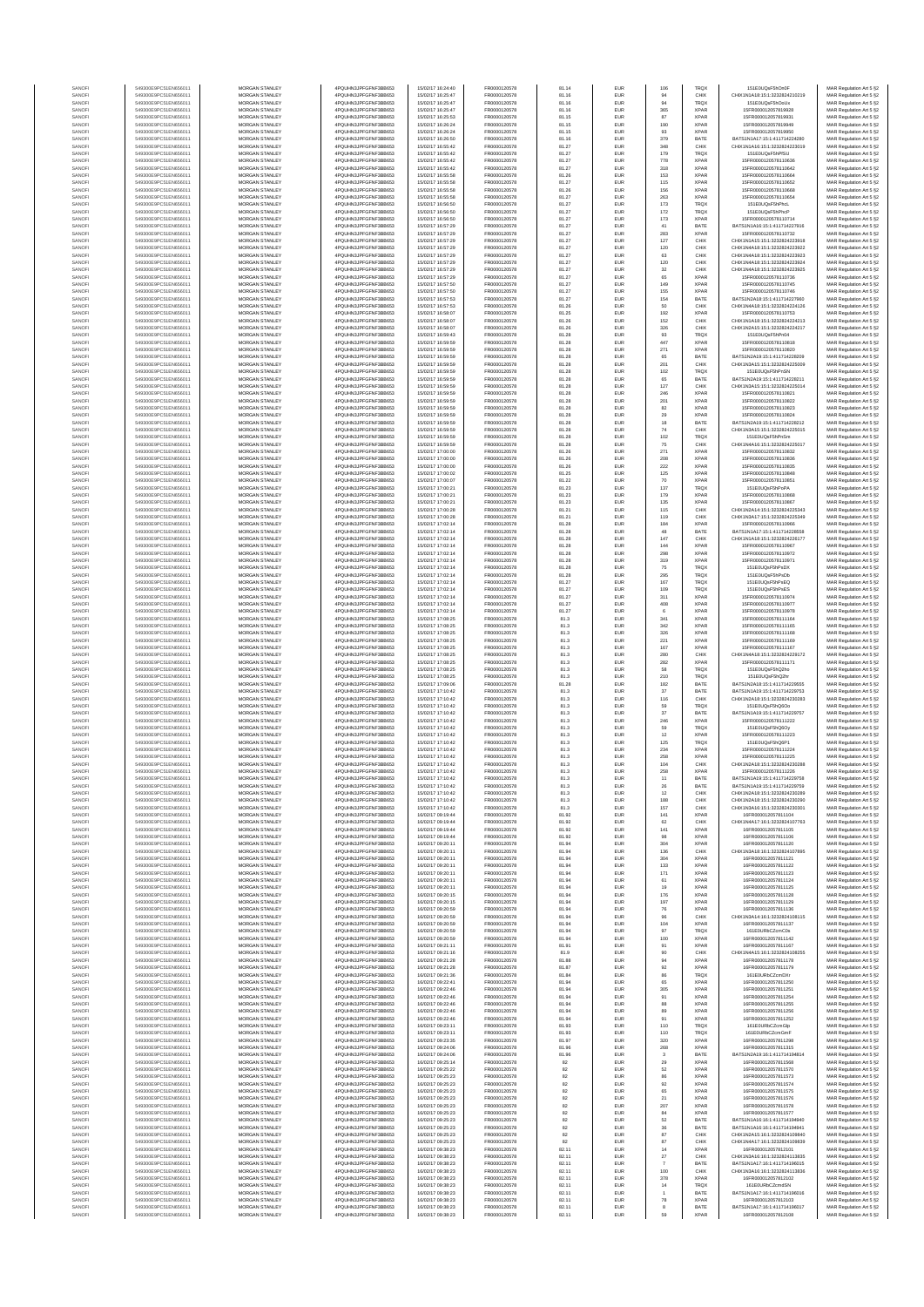| SANOF            | 549300E9PC51EN656011                         | MORGAN STANLEY                                 | 4PQUHN3JPFGFNF3BB653                           | 15/02/17 16:24:40                      | FR0000120578                 | 81.14          | EUR               | 106           | TRQX                       | 151E0UQsF5hOn0F                                                | MAR Regulation Art 5 §2                            |
|------------------|----------------------------------------------|------------------------------------------------|------------------------------------------------|----------------------------------------|------------------------------|----------------|-------------------|---------------|----------------------------|----------------------------------------------------------------|----------------------------------------------------|
| SANOFI           | 549300E9PC51EN656011                         | MORGAN STANLEY                                 | 4PQUHN3JPFGFNF3BB653                           | 15/02/17 16:25:47                      | FR0000120578                 | 81.16          | EUR               | 94            | CHIX                       | CHIX1N1A18:15:1:3232824210219                                  | MAR Regulation Art 5 §2                            |
| SANOFI           | 549300E9PC51EN656011                         | <b>MORGAN STANLEY</b>                          | 4PQUHN3JPFGFNF3BB653                           | 15/02/17 16:25:47                      | FR0000120578                 | 81.16          | EUR               | 94            | TRQ)                       | 151E0UQsF5hOoUx                                                | MAR Regulation Art 5 §2                            |
| SANOFI<br>SANOFI | 549300E9PC51EN656011<br>549300E9PC51EN656011 | MORGAN STANLEY<br>MORGAN STANLEY               | 4PQUHN3JPFGFNF3BB653<br>4PQUHN3JPFGFNF3BB653   | 15/02/17 16:25:47<br>15/02/17 16:25:53 | FR0000120578                 | 81.16<br>81.15 | EUR<br>EUR        | 365<br>87     | <b>XPAF</b><br>XPAF        | 15ER000012057819928<br>15FR000012057819931                     | MAR Regulation Art 5 §2                            |
| SANOFI           | 549300E9PC51EN656011                         | MORGAN STANLEY                                 | 4PQUHN3JPFGFNF3BB653                           | 15/02/17 16:26:24                      | FR0000120578<br>FR0000120578 | 81.15          | EUR               | 190           | <b>XPAF</b>                | 15FR000012057819949                                            | MAR Regulation Art 5 §2<br>MAR Regulation Art 5 §2 |
| SANOF            | 549300E9PC51EN656011                         | MORGAN STANLEY                                 | 4PQUHN3JPFGFNF3BB653                           | 15/02/17 16:26:24                      | FR0000120578                 | 81.15          | EUR               | 93            | <b>XPAF</b>                | 15FR000012057819950                                            | MAR Regulation Art 5 §2                            |
| SANOFI           | 549300E9PC51EN656011                         | MORGAN STANLEY                                 | 4PQUHN3JPFGFNF3BB653                           | 15/02/17 16:26:50                      | FR0000120578                 | 81.16          | EUR               | 379           | BATE                       | BATS1N1A17:15:1:411714224280                                   | MAR Regulation Art 5 §2                            |
| SANOFI           | 549300E9PC51EN656011<br>549300E9PC51EN656011 | MORGAN STANLEY<br>MORGAN STANLEY               | 4PQUHN3JPFGFNF3BB653<br>4PQUHN3JPFGFNF3BB653   | 15/02/17 16:55:42<br>15/02/17 16:55:42 | FR0000120578<br>FR0000120578 | 81.27<br>81.27 | EUR<br>EUR        | 348<br>179    | CHIX<br>TRQ)               | CHIX1N1A16:15:1:3232824223019<br>151E0UQsF5hPfSU               | MAR Regulation Art 5 §2<br>MAR Regulation Art 5 §2 |
| SANOFI<br>SANOFI | 549300E9PC51EN656011                         | MORGAN STANLEY                                 | 4PQUHN3JPFGFNF3BB653                           | 15/02/17 16:55:42                      | FR0000120578                 | 81.27          | EUR               | 778           | <b>XPAF</b>                | 15FR0000120578110636                                           | MAR Regulation Art 5 §2                            |
| SANOFI           | 549300E9PC51EN656011                         | <b>MORGAN STANLEY</b>                          | 4PQUHN3JPFGFNF3BB653                           | 15/02/17 16:55:42                      | FR0000120578                 | 81.27          | EUR               | 318           | <b>XPAF</b>                | 15FR0000120578110642                                           | MAR Regulation Art 5 §2                            |
| SANOFI           | 549300E9PC51EN656011                         | <b>MORGAN STANLEY</b>                          | 4PQUHN3JPFGFNF3BB653                           | 15/02/17 16:55:58                      | FR0000120578                 | 81.26          | EUR               | 153           | <b>XPAF</b>                | 15FR0000120578110664                                           | MAR Regulation Art 5 §2                            |
| SANOFI           | 549300E9PC51EN656011                         | MORGAN STANLEY                                 | 4PQUHN3JPFGFNF3BB653                           | 15/02/17 16:55:58                      | FR0000120578                 | 81.27          | EUR               | 115           | XPAF                       | 15FR0000120578110652                                           | MAR Regulation Art 5 §2                            |
| SANOFI<br>SANOF  | 549300E9PC51EN656011<br>549300E9PC51EN656011 | MORGAN STANLEY<br>MORGAN STANLEY               | 4PQUHN3JPFGFNF3BB653<br>4PQUHN3JPFGFNF3BB653   | 15/02/17 16:55:58<br>15/02/17 16:55:58 | FR0000120578<br>FR0000120578 | 81.26<br>81.27 | EUR<br>EUR        | 156<br>263    | <b>XPAF</b><br><b>XPAF</b> | 15FR0000120578110668<br>15FR0000120578110654                   | MAR Regulation Art 5 §2<br>MAR Regulation Art 5 §2 |
| SANOFI           | 549300E9PC51EN656011                         | MORGAN STANLEY                                 | 4PQUHN3JPFGFNF3BB653                           | 15/02/17 16:56:50                      | FR0000120578                 | 81.27          | EUR               | 173           | TRQ)                       | 151E0UQsF5hPhcL                                                | MAR Regulation Art 5 §2                            |
| SANOFI           | 549300E9PC51EN656011                         | MORGAN STANLEY                                 | 4PQUHN3JPFGFNF3BB653                           | 15/02/17 16:56:50                      | FR0000120578                 | 81.27          | EUR               | 172           | TRQ)                       | 151E0UQsF5hPhcP                                                | MAR Regulation Art 5 §2                            |
| SANOFI           | 549300E9PC51EN656011                         | MORGAN STANLEY                                 | 4PQUHN3JPFGFNF3BB653                           | 15/02/17 16:56:50                      | FR0000120578                 | 81.27          | EUR               | 173           | <b>XPAF</b>                | 15FR0000120578110714                                           | MAR Regulation Art 5 §2                            |
| SANOFI<br>SANOFI | 549300E9PC51EN656011<br>549300E9PC51EN656011 | <b>MORGAN STANLEY</b><br><b>MORGAN STANLEY</b> | 4PQUHN3JPFGFNF3BB653<br>4POLIHN3JPEGENE3BB653  | 15/02/17 16:57:29<br>15/02/17 18:57:29 | FR0000120578<br>FR0000120578 | 81.27<br>81.27 | EUR<br>EUR        | 41<br>283     | BATE<br><b>XPAF</b>        | BATS1N1A16:15:1:411714227916<br>15FR0000120578110732           | MAR Regulation Art 5 §2<br>MAR Regulation Art 5 §2 |
| SANOFI           | 549300E9PC51EN656011                         | MORGAN STANLEY                                 | 4PQUHN3JPFGFNF3BB653                           | 15/02/17 16:57:29                      | FR0000120578                 | 81.27          | EUR               | 127           | CHIX                       | CHIX1N1A15:15:1:3232824223918                                  | MAR Regulation Art 5 §2                            |
| SANOFI           | 549300E9PC51EN656011                         | MORGAN STANLEY                                 | 4PQUHN3JPFGFNF3BB653                           | 15/02/17 16:57:29                      | FR0000120578                 | 81.27          | EUR               | 120           | CHIX                       | CHIX1N4A18:15:1:3232824223922                                  | MAR Regulation Art 5 §2                            |
| SANOFI           | 549300E9PC51EN656011                         | MORGAN STANLEY                                 | 4PQUHN3JPFGFNF3BB653                           | 15/02/17 16:57:29                      | FR0000120578                 | 81.27          | EUR               | 63            | CHIX                       | CHIX1N4A18:15:1:3232824223923                                  | MAR Regulation Art 5 §2                            |
| SANOFI           | 549300E9PC51EN656011                         | MORGAN STANLEY                                 | 4PQUHN3JPFGFNF3BB653                           | 15/02/17 16:57:29                      | FR0000120578                 | 81.27          | EUR               | 120           | CHIX                       | CHIX1N4A18:15:1:3232824223924                                  | MAR Regulation Art 5 §2                            |
| SANOFI<br>SANOFI | 549300E9PC51EN656011<br>549300E9PC51EN656011 | MORGAN STANLEY<br>MORGAN STANLEY               | 4PQUHN3JPFGFNF3BB653<br>4PQUHN3JPFGFNF3BB653   | 15/02/17 16:57:29<br>15/02/17 16:57:29 | FR0000120578<br>FR0000120578 | 81.27<br>81.27 | EUR<br>EUR        | 32<br>65      | CHIX<br><b>XPAF</b>        | CHIX1N4A18:15:1:3232824223925<br>15FR0000120578110736          | MAR Regulation Art 5 §2<br>MAR Regulation Art 5 §2 |
| SANOFI           | 549300E9PC51EN656011                         | <b>MORGAN STANLEY</b>                          | 4PQUHN3JPFGFNF3BB653                           | 15/02/17 16:57:50                      | FR0000120578                 | 81.27          | EUR               | 149           | <b>XPAF</b>                | 15FR0000120578110745                                           | MAR Regulation Art 5 §2                            |
| SANOFI           | 549300E9PC51EN656011                         | <b>MORGAN STANLEY</b>                          | 4PQUHN3JPFGFNF3BB653                           | 15/02/17 16:57:50                      | FR0000120578                 | 81.27          | EUR               | 155           | <b>XPAF</b>                | 15FR0000120578110746                                           | MAR Regulation Art 5 §2                            |
| SANOFI           | 549300E9PC51EN656011                         | MORGAN STANLEY                                 | 4PQUHN3JPFGFNF3BB653                           | 15/02/17 16:57:53                      | FR0000120578                 | 81.27          | EUR               | 154           | BATE                       | BATS1N2A18:15:1:411714227960                                   | MAR Regulation Art 5 §2                            |
| SANOFI<br>SANOF  | 549300E9PC51EN656011<br>549300E9PC51EN656011 | MORGAN STANLEY<br>MORGAN STANLEY               | 4PQUHN3JPFGFNF3BB653<br>4PQUHN3JPFGFNF3BB653   | 15/02/17 16:57:53<br>15/02/17 16:58:07 | FR0000120578<br>FR0000120578 | 81.26<br>81.25 | EUR<br>EUR        | 50<br>192     | CHIX<br><b>XPAF</b>        | CHIX1N4A18:15:1:3232824224126<br>15FR0000120578110753          | MAR Regulation Art 5 §2                            |
| SANOFI           | 549300E9PC51EN656011                         | MORGAN STANLEY                                 | 4PQUHN3JPFGFNF3BB653                           | 15/02/17 16:58:07                      | FR0000120578                 | 81.26          | EUR               | 152           | CHIX                       | CHIX1N1A18:15:1:3232824224213                                  | MAR Regulation Art 5 §2<br>MAR Regulation Art 5 §2 |
| SANOFI           | 549300E9PC51EN656011                         | MORGAN STANLEY                                 | 4PQUHN3JPFGFNF3BB653                           | 15/02/17 16:58:07                      | FR0000120578                 | 81.26          | EUR               | 326           | CHIX                       | CHIX1N2A15:15:1:3232824224217                                  | MAR Regulation Art 5 §2                            |
| SANOFI           | 549300E9PC51EN656011                         | MORGAN STANLEY                                 | 4PQUHN3JPFGFNF3BB653                           | 15/02/17 16:59:43                      | FR0000120578                 | 81.28          | EUR               | 93            | TRQ)                       | 151E0UQsF5hPn04                                                | MAR Regulation Art 5 §2                            |
| SANOFI<br>SANOFI | 549300E9PC51EN656011<br>549300E9PC51EN656011 | <b>MORGAN STANLEY</b><br><b>MORGAN STANLEY</b> | 4PQUHN3JPFGFNF3BB653<br>4PQUHN3JPFGFNF3BB653   | 15/02/17 16:59:59<br>15/02/17 16:59:59 | FR0000120578<br>FR0000120578 | 81.28<br>81.28 | EUR<br>EUR        | 447<br>271    | <b>XPAF</b><br><b>XPAF</b> | 15FR0000120578110818<br>15FR0000120578110820                   | MAR Regulation Art 5 §2<br>MAR Regulation Art 5 §2 |
| SANOFI           | 549300E9PC51EN656011                         | MORGAN STANLEY                                 | 4PQUHN3JPFGFNF3BB653                           | 15/02/17 16:59:59                      | FR0000120578                 | 81.28          | EUR               | 65            | BATE                       | BATS1N2A19:15:1:411714228209                                   | MAR Regulation Art 5 §2                            |
| SANOFI           | 549300E9PC51EN656011                         | MORGAN STANLEY                                 | 4PQUHN3JPFGFNF3BB653                           | 15/02/17 16:59:59                      | FR0000120578                 | 81.28          | EUR               | 201           | CHIX                       | CHIX1N3A15:15:1:3232824225009                                  | MAR Regulation Art 5 §2                            |
| SANOFI           | 549300E9PC51EN656011                         | MORGAN STANLEY                                 | 4PQUHN3JPFGFNF3BB653                           | 15/02/17 16:59:59                      | FR0000120578                 | 81.28          | EUR               | 102           | TRQ)                       | 151E0UQsF5hPnSN                                                | MAR Regulation Art 5 §2                            |
| SANOFI<br>SANOFI | 549300E9PC51EN656011<br>549300E9PC51EN656011 | MORGAN STANLEY<br>MORGAN STANLEY               | 4PQUHN3JPFGFNF3BB653<br>4PQUHN3JPFGFNF3BB653   | 15/02/17 16:59:59<br>15/02/17 16:59:59 | FR0000120578<br>FR0000120578 | 81.28<br>81.28 | EUR<br>EUR        | 65<br>127     | BATE<br>CHIX               | BATS1N2A19:15:1:411714228211<br>CHIX1N3A15:15:1:3232824225014  | MAR Regulation Art 5 §2<br>MAR Regulation Art 5 §2 |
| SANOFI           | 549300E9PC51EN656011                         | MORGAN STANLEY                                 | 4PQUHN3JPFGFNF3BB653                           | 15/02/17 16:59:59                      | FR0000120578                 | 81.28          | EUR               | 246           | <b>XPAF</b>                | 15FR0000120578110821                                           | MAR Regulation Art 5 §2                            |
| SANOFI           | 549300E9PC51EN656011                         | MORGAN STANLEY                                 | 4PQUHN3JPFGFNF3BB653                           | 15/02/17 16:59:59                      | FR0000120578                 | 81.28          | EUR               | 201           | <b>XPAF</b>                | 15FR0000120578110822                                           | MAR Regulation Art 5 §2                            |
| SANOFI           | 549300E9PC51EN656011                         | <b>MORGAN STANLEY</b><br>MORGAN STANLEY        | 4POLIHN3JPEGENE3BB653<br>4POLIHN3JPEGENE3BB653 | 15/02/17 16:59:59                      | FR0000120578                 | 81.28          | EUR               | 82            | <b>XPAF</b>                | 15FR0000120578110823                                           | MAR Regulation Art 5 §2                            |
| SANOFI<br>SANOFI | 549300E9PC51EN656011<br>549300E9PC51EN656011 | MORGAN STANLEY                                 | 4PQUHN3JPFGFNF3BB653                           | 15/02/17 16:59:59<br>15/02/17 16:59:59 | FR0000120578<br>FR0000120578 | 81.28<br>81.28 | EUR<br>EUR        | 29<br>$18\,$  | <b>XPAF</b><br>BATE        | 15FR0000120578110824<br>BATS1N2A19:15:1:411714228212           | MAR Regulation Art 5 §2<br>MAR Regulation Art 5 §2 |
| SANOFI           | 549300E9PC51EN656011                         | MORGAN STANLEY                                 | 4PQUHN3JPFGFNF3BB653                           | 15/02/17 16:59:59                      | FR0000120578                 | 81.28          | EUR               | 74            | CHIX                       | CHIX1N3A15:15:1:3232824225015                                  | MAR Regulation Art 5 §2                            |
| SANOFI           | 549300E9PC51EN656011                         | MORGAN STANLEY                                 | 4PQUHN3JPFGFNF3BB653                           | 15/02/17 16:59:59                      | FR0000120578                 | 81.28          | EUR               | 102           | TRQ)                       | 151E0UQsF5hPnSn                                                | MAR Regulation Art 5 §2                            |
| SANOFI           | 549300E9PC51EN656011                         | MORGAN STANLEY                                 | 4PQUHN3JPFGFNF3BB653                           | 15/02/17 16:59:59                      | FR0000120578                 | 81.28          | EUR               | 75            | CHIX                       | CHIX1N4A16:15:1:3232824225017                                  | MAR Regulation Art 5 §2                            |
| SANOFI<br>SANOFI | 549300E9PC51EN656011<br>549300E9PC51EN656011 | MORGAN STANLEY<br>MORGAN STANLEY               | 4PQUHN3JPFGFNF3BB653<br>4PQUHN3JPFGFNF3BB653   | 15/02/17 17:00:00<br>15/02/17 17:00:00 | FR0000120578<br>FR0000120578 | 81.26<br>81.26 | EUR<br>EUR        | 271<br>208    | XPAF<br><b>XPAF</b>        | 15FR0000120578110832<br>15FR0000120578110836                   | MAR Regulation Art 5 §2<br>MAR Regulation Art 5 §2 |
| SANOFI           | 549300E9PC51EN656011                         | <b>MORGAN STANLEY</b>                          | 4PQUHN3JPFGFNF3BB653                           | 15/02/17 17:00:00                      | FR0000120578                 | 81.26          | EUR               | 222           | <b>XPAF</b>                | 15FR0000120578110835                                           | MAR Regulation Art 5 §2                            |
| SANOFI           | 549300E9PC51EN656011                         | MORGAN STANLEY                                 | 4PQUHN3JPFGFNF3BB653                           | 15/02/17 17:00:02                      | FR0000120578                 | 81.25          | EUR               | 125           | <b>XPAF</b>                | 15FR0000120578110848                                           | MAR Regulation Art 5 §2                            |
| SANOFI           | 549300E9PC51EN656011                         | MORGAN STANLEY                                 | 4PQUHN3JPFGFNF3BB653                           | 15/02/17 17:00:07                      | FR0000120578                 | 81.22          | EUR               | 70            | XPAF                       | 15FR0000120578110851                                           | MAR Regulation Art 5 §2                            |
| SANOFI<br>SANOF  | 549300E9PC51EN656011<br>549300E9PC51EN656011 | MORGAN STANLEY<br>MORGAN STANLEY               | 4PQUHN3JPFGFNF3BB653<br>4PQUHN3JPFGFNF3BB653   | 15/02/17 17:00:21<br>15/02/17 17:00:21 | FR0000120578<br>FR0000120578 | 81.23<br>81.23 | EUR<br>EUR        | 137<br>179    | TRQ)<br><b>XPAF</b>        | 151E0UQsF5hPoPA<br>15FR0000120578110868                        | MAR Regulation Art 5 §2<br>MAR Regulation Art 5 §2 |
| SANOFI           | 549300E9PC51EN656011                         | MORGAN STANLEY                                 | 4PQUHN3JPFGFNF3BB653                           | 15/02/17 17:00:21                      | FR0000120578                 | 81.23          | EUR               | 135           | <b>XPAF</b>                | 15FR0000120578110867                                           | MAR Regulation Art 5 §2                            |
| SANOFI           | 549300E9PC51EN656011                         | MORGAN STANLEY                                 | 4PQUHN3JPFGFNF3BB653                           | 15/02/17 17:00:28                      | FR0000120578                 | 81.21          | EUR               | 115           | CHIX                       | CHIX1N2A14:15:1:3232824225343                                  | MAR Regulation Art 5 §2                            |
| SANOFI           | 549300E9PC51EN656011                         | MORGAN STANLEY                                 | 4PQUHN3JPFGFNF3BB653                           | 15/02/17 17:00:28                      | FR0000120578                 | 81.21          | EUR               | 119           | CHIX                       | CHIX1N3A17:15:1:3232824225349                                  | MAR Regulation Art 5 §2                            |
| SANOFI<br>SANOFI | 549300E9PC51EN656011<br>549300E9PC51EN656011 | <b>MORGAN STANLEY</b><br><b>MORGAN STANLEY</b> | 4POLIHN3JPEGENE3BB653<br>4PQUHN3JPFGFNF3BB653  | 15/02/17 17:02:14<br>15/02/17 17:02:14 | FR0000120578<br>FR0000120578 | 81.28<br>81.28 | EUR<br>EUR        | 184<br>48     | <b>XPAF</b><br>BATE        | 15FR0000120578110966<br>BATS1N1A17:15:1:411714228558           | MAR Regulation Art 5 §2<br>MAR Regulation Art 5 §2 |
| SANOFI           | 549300E9PC51EN656011                         | MORGAN STANLEY                                 | 4PQUHN3JPFGFNF3BB653                           | 15/02/17 17:02:14                      | FR0000120578                 | 81.28          | EUR               | 147           | CHIX                       | CHIX1N1A18:15:1:3232824226177                                  | MAR Regulation Art 5 §2                            |
| SANOFI           | 549300E9PC51EN656011                         | MORGAN STANLEY                                 | 4PQUHN3JPFGFNF3BB653                           | 15/02/17 17:02:14                      | FR0000120578                 | 81.28          | EUR               | 144           | <b>XPAF</b>                | 15FR0000120578110967                                           | MAR Regulation Art 5 §2                            |
| SANOFI           | 549300E9PC51EN656011                         | MORGAN STANLEY                                 | 4PQUHN3JPFGFNF3BB653                           | 15/02/17 17:02:14                      | FR0000120578                 | 81.28          | EUR               | 298           | <b>XPAF</b>                | 15FR0000120578110972                                           | MAR Regulation Art 5 §2                            |
| SANOFI<br>SANOFI | 549300E9PC51EN656011<br>549300E9PC51EN656011 | MORGAN STANLEY<br>MORGAN STANLEY               | 4PQUHN3JPFGFNF3BB653<br>4PQUHN3JPFGFNF3BB653   | 15/02/17 17:02:14<br>15/02/17 17:02:14 | FR0000120578<br>FR0000120578 | 81.28<br>81.28 | EUR<br>EUR        | 319<br>75     | <b>XPAF</b><br>TRQ)        | 15FR0000120578110971<br>151E0UQsF5hPsDX                        | MAR Regulation Art 5 §2<br>MAR Regulation Art 5 §2 |
| SANOFI           | 549300E9PC51EN656011                         | MORGAN STANLEY                                 | 4PQUHN3JPFGFNF3BB653                           | 15/02/17 17:02:14                      | FR0000120578                 | 81.28          | EUR               | 295           | TRQ)                       | 151E0UQsF5hPsDb                                                | MAR Regulation Art 5 §2                            |
| SANOFI           | 549300E9PC51EN656011                         | <b>MORGAN STANLEY</b>                          | 4PQUHN3JPFGFNF3BB653                           | 15/02/17 17:02:14                      | FR0000120578                 | 81.27          | EUR               | 167           | TRQ)                       | 151E0UQsF5hPsEQ                                                | MAR Regulation Art 5 §2                            |
| SANOFI           | 549300E9PC51EN656011                         | <b>MORGAN STANLEY</b>                          | 4PQUHN3JPFGFNF3BB653                           | 15/02/17 17:02:14                      | FR0000120578                 | 81.27          | EUR               | 109           | TRQ)                       | 151E0UQsF5hPsES                                                | MAR Regulation Art 5 §2                            |
| SANOFI<br>SANOFI | 549300E9PC51EN656011<br>549300E9PC51EN656011 | MORGAN STANLEY<br>MORGAN STANLEY               | 4PQUHN3JPFGFNF3BB653<br>4PQUHN3JPFGFNF3BB653   | 15/02/17 17:02:14<br>15/02/17 17:02:14 | FR0000120578<br>FR0000120578 | 81.27<br>81.27 | EUR<br>EUR        | 311<br>408    | XPAF<br><b>XPAF</b>        | 15FR0000120578110974<br>15FR0000120578110977                   | MAR Regulation Art 5 §2<br>MAR Regulation Art 5 §2 |
| SANOF            | 549300E9PC51EN656011                         | MORGAN STANLEY                                 | 4PQUHN3JPFGFNF3BB653                           | 15/02/17 17:02:14                      | FR0000120578                 | 81.27          | EUR               |               | <b>XPAF</b>                | 15FR0000120578110978                                           | MAR Regulation Art 5 §2                            |
| SANOFI           | 549300E9PC51EN656011                         | MORGAN STANLEY                                 | 4PQUHN3JPFGFNF3BB653                           | 15/02/17 17:08:25                      | FR0000120578                 | 81.3           | EUR               | 341           | <b>XPAF</b>                | 15FR0000120578111164                                           | MAR Regulation Art 5 §2                            |
| SANOFI<br>SANOFI | 549300E9PC51EN656011<br>549300E9PC51EN656011 | MORGAN STANLEY<br>MORGAN STANLEY               | 4PQUHN3JPFGFNF3BB653<br>4PQUHN3JPFGFNF3BB653   | 15/02/17 17:08:25<br>15/02/17 17:08:25 | FR0000120578<br>FR0000120578 | 81.3<br>81.3   | EUR<br>EUR        | 342<br>326    | <b>XPAF</b><br><b>XPAF</b> | 15FR0000120578111165<br>15FR0000120578111168                   | MAR Regulation Art 5 §2<br>MAR Regulation Art 5 §2 |
| SANOFI           | 549300E9PC51EN656011                         | MORGAN STANLEY                                 | 4PQUHN3JPFGFNF3BB653                           | 15/02/17 17:08:25                      | FR0000120578                 | 81.3           | EUR               | 221           | <b>XPAF</b>                | 15FR0000120578111169                                           | MAR Regulation Art 5 §2                            |
| SANOFI           | 549300E9PC51EN656011                         | <b>MORGAN STANLEY</b>                          | 4PQUHN3JPFGFNF3BB653                           | 15/02/17 17:08:25                      | FR0000120578                 | 81.3           | EUR               | 167           | <b>XPAF</b>                | 15FR0000120578111167                                           | MAR Regulation Art 5 §2                            |
| SANOFI           | 549300E9PC51EN656011                         | <b>MORGAN STANLEY</b>                          | 4PQUHN3JPFGFNF3BB653                           | 15/02/17 17:08:25                      | FR0000120578                 | 81.3           | EUR               | 280           | CHIX                       | CHIX1N4A18:15:1:3232824229172                                  | MAR Regulation Art 5 §2                            |
| SANOFI<br>SANOFI | 549300E9PC51EN656011<br>549300E9PC51EN656011 | MORGAN STANLEY<br>MORGAN STANLEY               | 4PQUHN3JPFGFNF3BB653<br>4PQUHN3JPFGFNF3BB653   | 15/02/17 17:08:25<br>15/02/17 17:08:25 | FR0000120578<br>FR0000120578 | 81.3<br>81.3   | EUR<br>EUR        | 282<br>58     | <b>XPAF</b><br>TRQ)        | 15FR0000120578111171<br>151E0UQsF5hQ2ho                        | MAR Regulation Art 5 §2<br>MAR Regulation Art 5 §2 |
| SANOFI           | 549300E9PC51EN656011                         | MORGAN STANLEY                                 | 4PQUHN3JPFGFNF3BB653                           | 15/02/17 17:08:25                      | FR0000120578                 | 81.3           | EUR               | 210           | TRQ)                       | 151E0UQsF5hQ2h                                                 | MAR Regulation Art 5 §2                            |
| SANOFI           | 549300E9PC51EN656011                         | MORGAN STANLEY                                 | 4PQUHN3JPFGFNF3BB653                           | 15/02/17 17:09:06                      | FR0000120578                 | 81.28          | EUR               | 182           | BATE                       | BATS1N2A18:15:1:411714229555                                   | MAR Regulation Art 5 §2                            |
| SANOFI           | 549300E9PC51EN656011<br>549300E9PC51EN656011 | MORGAN STANLEY<br>MORGAN STANLEY               | 4POLIHN3JPEGENE3BB653<br>4PQUHN3JPFGFNF3BB653  | 15/02/17 17:10:42<br>15/02/17 17:10:42 | FR0000120578<br>FR0000120578 | 81.3<br>81.3   | EUR<br>EUR        | $37\,$<br>116 | BATE<br>CHIX               | BATS1N1A19:15:1:411714229753<br>CHIX1N2A18:15:1:3232824230283  | MAR Regulation Art 5 §2<br>MAR Regulation Art 5 §2 |
| SANOFI<br>SANOFI | 549300E9PC51EN656011                         | <b>MORGAN STANLEY</b>                          | 4POLIHN3JPEGENE3BB653                          | 15/02/17 17:10:42                      | FR0000120578                 | 81.3           | EUR               | 59            | TRQ)                       | 151E0LIOsE5hO6On                                               | MAR Regulation Art 5 §2                            |
| SANOFI           | 549300E9PC51EN656011                         | <b>MORGAN STANLEY</b>                          | 4PQUHN3JPFGFNF3BB653                           | 15/02/17 17:10:42                      | FR0000120578                 | 81.3           | EUR               | 37            | BATE                       | BATS1N1A19:15:1:411714229757                                   | MAR Regulation Art 5 §2                            |
| SANOFI           | 549300E9PC51EN656011                         | MORGAN STANLEY                                 | 4PQUHN3JPFGFNF3BB653                           | 15/02/17 17:10:42                      | FR0000120578                 | 81.3           | EUR               | 246           | <b>XPAF</b>                | 15FR0000120578111222                                           | MAR Regulation Art 5 §2                            |
| SANOFI<br>SANOFI | 549300E9PC51EN656011<br>549300E9PC51EN656011 | MORGAN STANLEY<br>MORGAN STANLEY               | 4PQUHN3JPFGFNF3BB653<br>4PQUHN3JPFGFNF3BB653   | 15/02/17 17:10:42<br>15/02/17 17:10:42 | FR0000120578<br>FR0000120578 | 81.3<br>81.3   | EUR<br>EUR        | 59<br>12      | TRQ)<br><b>XPAF</b>        | 151E0UQsF5hQ6Oy<br>15FR0000120578111223                        | MAR Regulation Art 5 §2<br>MAR Regulation Art 5 §2 |
| SANOFI           | 549300E9PC51EN656011                         | MORGAN STANLEY                                 | 4PQUHN3JPFGFNF3BB653                           | 15/02/17 17:10:42                      | FR0000120578                 | 81.3           | EUR               | 125           | TRQ)                       | 151E0UQsF5hQ6P1                                                | MAR Regulation Art 5 §2                            |
| SANOFI           | 549300E9PC51EN656011                         | MORGAN STANLEY                                 | 4PQUHN3JPFGFNF3BB653                           | 15/02/17 17:10:42                      | FR0000120578                 | 81.3           | EUR               | 234           | <b>XPAF</b>                | 15FR0000120578111224                                           | MAR Regulation Art 5 §2                            |
| SANOFI           | 549300E9PC51EN656011                         | MORGAN STANLEY                                 | 4PQUHN3JPFGFNF3BB653                           | 15/02/17 17:10:42                      | FR0000120578                 | 81.3           | EUR               | 258           | <b>XPAF</b>                | 15FR0000120578111225                                           | MAR Regulation Art 5 §2                            |
| SANOFI<br>SANOFI | 549300E9PC51EN656011<br>549300E9PC51EN656011 | <b>MORGAN STANLEY</b><br><b>MORGAN STANLEY</b> | 4PQUHN3JPFGFNF3BB653<br>4PQUHN3JPFGFNF3BB653   | 15/02/17 17:10:42<br>15/02/17 17:10:42 | FR0000120578<br>FR0000120578 | 81.3<br>81.3   | EUR<br>EUR        | 104<br>258    | CHIX<br><b>XPAR</b>        | CHIX1N2A18-15-1-3232824230288<br>15FR0000120578111226          | MAR Regulation Art 5 §2<br>MAR Regulation Art 5 §2 |
|                  |                                              |                                                |                                                |                                        |                              |                | ELID              |               |                            | 21N1A10-16-1-41171                                             |                                                    |
| SANOFI           | 549300E9PC51EN656011                         | MORGAN STANLEY                                 | 4PQUHN3JPFGFNF3BB653                           | 15/02/17 17:10:42                      | FR0000120578                 | 81.3           | EUR               | 26            | BATE                       | BATS1N1A19:15:1:411714229759                                   | MAR Regulation Art 5 §2                            |
| SANOF            | 549300E9PC51EN656011                         | MORGAN STANLEY                                 | 4PQUHN3JPFGFNF3BB653                           | 15/02/17 17:10:42                      | FR0000120578<br>FR0000120578 | 81.3           | EUR               | 12            | CHIX                       | CHIX1N2A18:15:1:3232824230289                                  | MAR Regulation Art 5 §2                            |
| SANOFI<br>SANOFI | 549300E9PC51EN656011<br>549300E9PC51EN656011 | MORGAN STANLEY<br>MORGAN STANLEY               | 4PQUHN3JPFGFNF3BB653<br>4PQUHN3JPFGFNF3BB653   | 15/02/17 17:10:42<br>15/02/17 17:10:42 | FR0000120578                 | 81.3<br>81.3   | EUR<br>EUR        | 188<br>157    | CHIX<br>CHIX               | CHIX1N2A18:15:1:3232824230290<br>CHIX1N3A16:15:1:3232824230301 | MAR Regulation Art 5 §2<br>MAR Regulation Art 5 §2 |
| SANOFI           | 549300E9PC51EN656011                         | MORGAN STANLEY                                 | 4PQUHN3JPFGFNF3BB653                           | 16/02/17 09:19:44                      | FR0000120578                 | 81.92          | <b>EUR</b>        | 141           | <b>XPAF</b>                | 16FR000012057811104                                            | MAR Regulation Art 5 §2                            |
| SANOFI           | 549300E9PC51EN656011                         | <b>MORGAN STANLEY</b>                          | 4PQUHN3JPFGFNF3BB653                           | 16/02/17 09:19:44                      | FR0000120578                 | 81.92          | EUR               | 62            | CHIX                       | CHIX1N4A17:16:1:3232824107763                                  | MAR Regulation Art 5 §2                            |
| SANOFI<br>SANOFI | 549300E9PC51EN656011<br>549300E9PC51EN656011 | <b>MORGAN STANLEY</b><br>MORGAN STANLEY        | 4PQUHN3JPFGFNF3BB653<br>4PQUHN3JPFGFNF3BB653   | 16/02/17 09:19:44<br>16/02/17 09:19:44 | FR0000120578<br>FR0000120578 | 81.92<br>81.92 | EUR<br>EUR        | 141<br>98     | <b>XPAF</b><br><b>XPAF</b> | 16FR000012057811105<br>16FR000012057811106                     | MAR Regulation Art 5 §2                            |
| SANOFI           | 549300E9PC51EN656011                         | MORGAN STANLEY                                 | 4PQUHN3JPFGFNF3BB653                           | 16/02/17 09:20:11                      | FR0000120578                 | 81.94          | EUR               | 304           | <b>XPAF</b>                | 16FR000012057811120                                            | MAR Regulation Art 5 §2<br>MAR Regulation Art 5 §2 |
| SANOF            | 549300E9PC51EN656011                         | MORGAN STANLEY                                 | 4PQUHN3JPFGFNF3BB653                           | 16/02/17 09:20:11                      | FR0000120578                 | 81.94          | EUR               | 136           | CHIX                       | CHIX1N3A18:16:1:3232824107895                                  | MAR Regulation Art 5 §2                            |
| SANOFI           | 549300E9PC51EN656011                         | MORGAN STANLEY                                 | 4PQUHN3JPFGFNF3BB653                           | 16/02/17 09:20:11                      | FR0000120578                 | 81.94          | EUR               | 304           | XPAF                       | 16FR000012057811121                                            | MAR Regulation Art 5 §2                            |
| SANOFI<br>SANOFI | 549300E9PC51EN656011<br>549300E9PC51EN656011 | MORGAN STANLEY<br>MORGAN STANLEY               | 4PQUHN3JPFGFNF3BB653<br>4PQUHN3JPFGFNF3BB653   | 16/02/17 09:20:11<br>16/02/17 09:20:11 | FR0000120578<br>FR0000120578 | 81.94<br>81.94 | EUR<br>EUR        | 133<br>171    | <b>XPAF</b><br><b>XPAF</b> | 16FR000012057811122<br>16FR000012057811123                     | MAR Regulation Art 5 §2<br>MAR Regulation Art 5 §2 |
| SANOFI           | 549300E9PC51EN656011                         | MORGAN STANLEY                                 | 4PQUHN3JPFGFNF3BB653                           | 16/02/17 09:20:11                      | FR0000120578                 | 81.94          | <b>EUR</b>        | 61            | <b>XPAF</b>                | 16FR000012057811124                                            | MAR Regulation Art 5 §2                            |
| SANOFI           | 549300E9PC51EN656011                         | <b>MORGAN STANLEY</b>                          | 4PQUHN3JPFGFNF3BB653                           | 16/02/17 09:20:11                      | FR0000120578                 | 81.94          | EUR               | 19            | <b>XPAR</b>                | 16FR000012057811125                                            | MAR Regulation Art 5 §2                            |
| SANOFI<br>SANOFI | 549300E9PC51EN656011<br>549300E9PC51EN656011 | <b>MORGAN STANLEY</b><br>MORGAN STANLEY        | 4PQUHN3JPFGFNF3BB653<br>4PQUHN3JPFGFNF3BB653   | 16/02/17 09:20:15<br>16/02/17 09:20:15 | FR0000120578<br>FR0000120578 | 81.94<br>81.94 | EUR<br>EUR        | 176<br>197    | <b>XPAR</b><br><b>XPAF</b> | 16FR000012057811128<br>16FR000012057811129                     | MAR Regulation Art 5 §2<br>MAR Regulation Art 5 §2 |
| SANOFI           | 549300E9PC51EN656011                         | MORGAN STANLEY                                 | 4PQUHN3JPFGFNF3BB653                           | 16/02/17 09:20:59                      | FR0000120578                 | 81.94          | EUR               | ${\bf 76}$    | <b>XPAF</b>                | 16FR000012057811136                                            | MAR Regulation Art 5 §2                            |
| SANOF            | 549300E9PC51EN656011                         | MORGAN STANLEY                                 | 4PQUHN3JPFGFNF3BB653                           | 16/02/17 09:20:59                      | FR0000120578                 | 81.94          | EUR               | 96            | CHIX                       | CHIX1N3A14:16:1:3232824108115                                  | MAR Regulation Art 5 §2                            |
| SANOF<br>SANOFI  | 549300E9PC51EN656011<br>549300E9PC51EN656011 | MORGAN STANLEY<br>MORGAN STANLEY               | 4PQUHN3JPFGFNF3BB653<br>4PQUHN3JPFGFNF3BB653   | 16/02/17 09:20:59<br>16/02/17 09:20:59 | FR0000120578<br>FR0000120578 | 81.94<br>81.94 | EUR<br>EUR        | 104<br>97     | <b>XPAF</b><br>TRQ)        | 16FR000012057811137<br>161E0URbCZcmC0s                         | MAR Regulation Art 5 §2<br>MAR Regulation Art 5 §2 |
| SANOFI           | 549300E9PC51EN656011                         | MORGAN STANLEY                                 | 4PQUHN3JPFGFNF3BB653                           | 16/02/17 09:20:59                      | FR0000120578                 | 81.94          | EUR               | 100           | <b>XPAF</b>                | 16FR000012057811142                                            | MAR Regulation Art 5 §2                            |
| SANOFI           | 549300E9PC51EN656011                         | <b>MORGAN STANLEY</b>                          | 4PQUHN3JPFGFNF3BB653                           | 16/02/17 09:21:11                      | FR0000120578                 | 81.91          | EUR               | 91            | <b>XPAR</b>                | 16FR000012057811167                                            | MAR Regulation Art 5 §2                            |
| SANOFI           | 549300E9PC51EN656011                         | <b>MORGAN STANLEY</b>                          | 4PQUHN3JPFGFNF3BB653                           | 16/02/17 09:21:16                      | FR0000120578                 | 81.9           | EUR               | 90            | CHIX                       | CHIX1N4A15:16:1:3232824108255                                  | MAR Regulation Art 5 §2                            |
| SANOFI<br>SANOFI | 549300E9PC51EN656011<br>549300E9PC51EN656011 | MORGAN STANLEY<br>MORGAN STANLEY               | 4PQUHN3JPFGFNF3BB653<br>4PQUHN3JPFGFNF3BB653   | 16/02/17 09:21:28<br>16/02/17 09:21:28 | FR0000120578<br>FR0000120578 | 81.88<br>81.87 | EUR<br>EUR        | 94<br>92      | <b>XPAF</b><br><b>XPAF</b> | 16FR000012057811178<br>16FR000012057811179                     | MAR Regulation Art 5 §2<br>MAR Regulation Art 5 §2 |
| SANOFI           | 549300E9PC51EN656011                         | MORGAN STANLEY                                 | 4PQUHN3JPFGFNF3BB653                           | 16/02/17 09:21:36                      | FR0000120578                 | 81.84          | EUR               | 86            | TRQ)                       | 161E0URbCZcmDXr                                                | MAR Regulation Art 5 §2                            |
| SANOFI           | 549300E9PC51EN656011                         | MORGAN STANLEY                                 | 4PQUHN3JPFGFNF3BB653                           | 16/02/17 09:22:41                      | FR0000120578                 | 81.94          | EUR               | 65            | <b>XPAF</b>                | 16FR000012057811250                                            | MAR Regulation Art 5 §2                            |
| SANOFI<br>SANOFI | 549300E9PC51EN656011<br>549300E9PC51EN656011 | MORGAN STANLEY<br>MORGAN STANLEY               | 4PQUHN3JPFGFNF3BB653<br>4PQUHN3JPFGFNF3BB653   | 16/02/17 09:22:46<br>16/02/17 09:22:46 | FR0000120578<br>FR0000120578 | 81.94          | EUR               | 305           | <b>XPAF</b><br><b>XPAF</b> | 16FR000012057811251<br>16FR000012057811254                     | MAR Regulation Art 5 §2<br>MAR Regulation Art 5 §2 |
| SANOFI           | 549300E9PC51EN656011                         | <b>MORGAN STANLEY</b>                          | 4PQUHN3JPFGFNF3BB653                           | 16/02/17 09:22:46                      | FR0000120578                 | 81.94<br>81.94 | <b>EUR</b><br>EUR | 91<br>88      | <b>XPAR</b>                | 16FR000012057811255                                            | MAR Regulation Art 5 §2                            |
| SANOFI           | 549300E9PC51EN656011                         | <b>MORGAN STANLEY</b>                          | 4PQUHN3JPFGFNF3BB653                           | 16/02/17 09:22:46                      | FR0000120578                 | 81.94          | EUR               | 89            | <b>XPAR</b>                | 16FR000012057811256                                            | MAR Regulation Art 5 §2                            |
| SANOFI           | 549300E9PC51EN656011                         | MORGAN STANLEY                                 | 4PQUHN3JPFGFNF3BB653                           | 16/02/17 09:22:46                      | FR0000120578                 | 81.94          | EUR               | 91            | <b>XPAR</b>                | 16FR000012057811252                                            | MAR Regulation Art 5 §2                            |
| SANOFI<br>SANOFI | 549300E9PC51EN656011<br>549300E9PC51EN656011 | MORGAN STANLEY<br>MORGAN STANLEY               | 4PQUHN3JPFGFNF3BB653<br>4PQUHN3JPFGFNF3BB653   | 16/02/17 09:23:11<br>16/02/17 09:23:11 | FR0000120578<br>FR0000120578 | 81.93<br>81.93 | EUR<br>EUR        | 110<br>110    | TRQ)<br>TRQ)               | 161E0URbCZcmGlp<br>161E0URbCZcmGmf                             | MAR Regulation Art 5 §2                            |
| SANOFI           | 549300E9PC51EN656011                         | MORGAN STANLEY                                 | 4PQUHN3JPFGFNF3BB653                           | 16/02/17 09:23:35                      | FR0000120578                 | 81.97          | EUR               | 320           | <b>XPAF</b>                | 16FR000012057811298                                            | MAR Regulation Art 5 §2<br>MAR Regulation Art 5 §2 |
| SANOFI           | 549300E9PC51EN656011                         | MORGAN STANLEY                                 | 4PQUHN3JPFGFNF3BB653                           | 16/02/17 09:24:06                      | FR0000120578                 | 81.96          | EUR               | 268           | <b>XPAF</b>                | 16FR000012057811315                                            | MAR Regulation Art 5 §2                            |
| SANOFI           | 549300E9PC51EN656011                         | MORGAN STANLEY                                 | 4PQUHN3JPFGFNF3BB653                           | 16/02/17 09:24:06                      | FR0000120578                 | 81.96          | EUR               | 3             | BATE                       | BATS1N2A19:16:1:411714194814                                   | MAR Regulation Art 5 §2                            |
| SANOFI<br>SANOFI | 549300E9PC51EN656011<br>549300E9PC51EN656011 | <b>MORGAN STANLEY</b><br><b>MORGAN STANLEY</b> | 4PQUHN3JPFGFNF3BB653<br>4PQUHN3JPFGFNF3BB653   | 16/02/17 09:25:14<br>16/02/17 09:25:22 | FR0000120578<br>FR0000120578 | 82<br>82       | EUR<br>EUR        | 29<br>62      | <b>XPAF</b><br><b>XPAR</b> | 16FR000012057811568<br>16FR000012057811570                     | MAR Regulation Art 5 §2<br>MAR Regulation Art 5 §2 |
| SANOFI           | 549300E9PC51EN656011                         | MORGAN STANLEY                                 | 4PQUHN3JPFGFNF3BB653                           | 16/02/17 09:25:23                      | FR0000120578                 | 82             | EUR               | $_{86}$       | <b>XPAF</b>                | 16FR000012057811573                                            | MAR Regulation Art 5 §2                            |
| SANOFI           | 549300E9PC51EN656011                         | MORGAN STANLEY                                 | 4PQUHN3JPFGFNF3BB653                           | 16/02/17 09:25:23                      | FR0000120578                 | 82             | EUR               | 92            | <b>XPAR</b>                | 16FR000012057811574                                            | MAR Regulation Art 5 §2                            |
| SANOF<br>SANOFI  | 549300E9PC51EN656011<br>549300E9PC51EN656011 | MORGAN STANLEY<br>MORGAN STANLEY               | 4PQUHN3JPFGFNF3BB653<br>4PQUHN3JPFGFNF3BB653   | 16/02/17 09:25:23<br>16/02/17 09:25:23 | FR0000120578<br>FR0000120578 | 82<br>82       | EUR               | 65<br>21      | <b>XPAF</b><br><b>XPAF</b> | 16FR000012057811575<br>16FR000012057811576                     | MAR Regulation Art 5 §2                            |
| SANOFI           | 549300E9PC51EN656011                         | MORGAN STANLEY                                 | 4PQUHN3JPFGFNF3BB653                           | 16/02/17 09:25:23                      | FR0000120578                 | 82             | EUR<br>EUR        | 207           | <b>XPAF</b>                | 16FR000012057811578                                            | MAR Regulation Art 5 §2<br>MAR Regulation Art 5 §2 |
| SANOFI           | 549300E9PC51EN656011                         | MORGAN STANLEY                                 | 4PQUHN3JPFGFNF3BB653                           | 16/02/17 09:25:23                      | FR0000120578                 | 82             | <b>EUR</b>        | 84            | <b>XPAF</b>                | 16FR000012057811577                                            | MAR Regulation Art 5 §2                            |
| SANOFI           | 549300E9PC51EN656011                         | MORGAN STANLEY                                 | 4PQUHN3JPFGFNF3BB653                           | 16/02/17 09:25:23                      | FR0000120578                 | 82             | EUR               | 52            | BATE                       | BATS1N1A16:16:1:411714194940                                   | MAR Regulation Art 5 §2                            |
| SANOFI<br>SANOFI | 549300E9PC51EN656011<br>549300E9PC51EN656011 | <b>MORGAN STANLEY</b><br><b>MORGAN STANLEY</b> | 4PQUHN3JPFGFNF3BB653<br>4PQUHN3JPFGFNF3BB653   | 16/02/17 09:25:23<br>16/02/17 09:25:23 | FR0000120578<br>FR0000120578 | 82<br>82       | EUR<br>EUR        | 36<br>87      | BATE<br>CHIX               | BATS1N1A16:16:1:411714194941<br>CHIX1N2A15:16:1:3232824109840  | MAR Regulation Art 5 §2<br>MAR Regulation Art 5 §2 |
| SANOFI           | 549300E9PC51EN656011                         | MORGAN STANLEY                                 | 4PQUHN3JPFGFNF3BB653                           | 16/02/17 09:25:23                      | FR0000120578                 | 82             | EUR               | 87            | CHIX                       | CHIX1N4A17:16:1:3232824109839                                  | MAR Regulation Art 5 §2                            |
| SANOFI           | 549300E9PC51EN656011                         | MORGAN STANLEY                                 | 4PQUHN3JPFGFNF3BB653                           | 16/02/17 09:38:23                      | FR0000120578                 | 82.11          | EUR               | 14            | <b>XPAF</b>                | 16FR000012057812101                                            | MAR Regulation Art 5 §2                            |
| SANOF<br>SANOFI  | 549300E9PC51EN656011<br>549300E9PC51EN656011 | MORGAN STANLEY<br>MORGAN STANLEY               | 4PQUHN3JPFGFNF3BB653<br>4PQUHN3JPFGFNF3BB653   | 16/02/17 09:38:23<br>16/02/17 09:38:23 | FR0000120578<br>FR0000120578 | 82.11<br>82.11 | EUR<br>EUR        | 27            | CHIX<br>BATE               | CHIX1N3A16:16:1:3232824113835<br>BATS1N1A17:16:1:411714196015  | MAR Regulation Art 5 §2                            |
| SANOFI           | 549300E9PC51EN656011                         | MORGAN STANLEY                                 | 4PQUHN3JPFGFNF3BB653                           | 16/02/17 09:38:23                      | FR0000120578                 | 82.11          | EUR               | 100           | CHIX                       | CHIX1N3A16:16:1:3232824113836                                  | MAR Regulation Art 5 §2<br>MAR Regulation Art 5 §2 |
| SANOFI           | 549300E9PC51EN656011                         | MORGAN STANLEY                                 | 4PQUHN3JPFGFNF3BB653                           | 16/02/17 09:38:23                      | FR0000120578                 | 82.11          | <b>EUR</b>        | 378           | <b>XPAF</b>                | 16FR000012057812102                                            | MAR Regulation Art 5 §2                            |
| SANOFI           | 549300E9PC51EN656011                         | <b>MORGAN STANLEY</b>                          | 4PQUHN3JPFGFNF3BB653                           | 16/02/17 09:38:23                      | FR0000120578                 | 82.11          | EUR               | 14            | <b>TRQX</b>                | 161E0URbCZcmdSN                                                | MAR Regulation Art 5 §2                            |
| SANOFI<br>SANOFI | 549300E9PC51EN656011<br>549300E9PC51EN656011 | <b>MORGAN STANLEY</b><br>MORGAN STANLEY        | 4PQUHN3JPFGFNF3BB653<br>4PQUHN3JPFGFNF3BB653   | 16/02/17 09:38:23<br>16/02/17 09:38:23 | FR0000120578<br>FR0000120578 | 82.11<br>82.11 | EUR<br>EUR        | 1<br>78       | BATE<br><b>XPAF</b>        | BATS1N1A17:16:1:411714196016<br>16FR000012057812103            | MAR Regulation Art 5 §2<br>MAR Regulation Art 5 §2 |
| SANOFI           | 549300E9PC51EN656011                         | MORGAN STANLEY                                 | 4PQUHN3JPFGFNF3BB653                           | 16/02/17 09:38:23                      | FR0000120578                 | 82.11          | EUR               | 8             | BATE                       | BATS1N1A17:16:1:411714196017                                   | MAR Regulation Art 5 §2                            |
| SANOF            | 549300E9PC51EN656011                         | MORGAN STANLEY                                 | 4PQUHN3JPFGFNF3BB653                           | 16/02/17 09:38:23                      | FR0000120578                 | 82.11          | EUR               | 59            | <b>XPAR</b>                | 16FR000012057812108                                            | MAR Regulation Art 5 §2                            |
|                  |                                              |                                                |                                                |                                        |                              |                |                   |               |                            |                                                                |                                                    |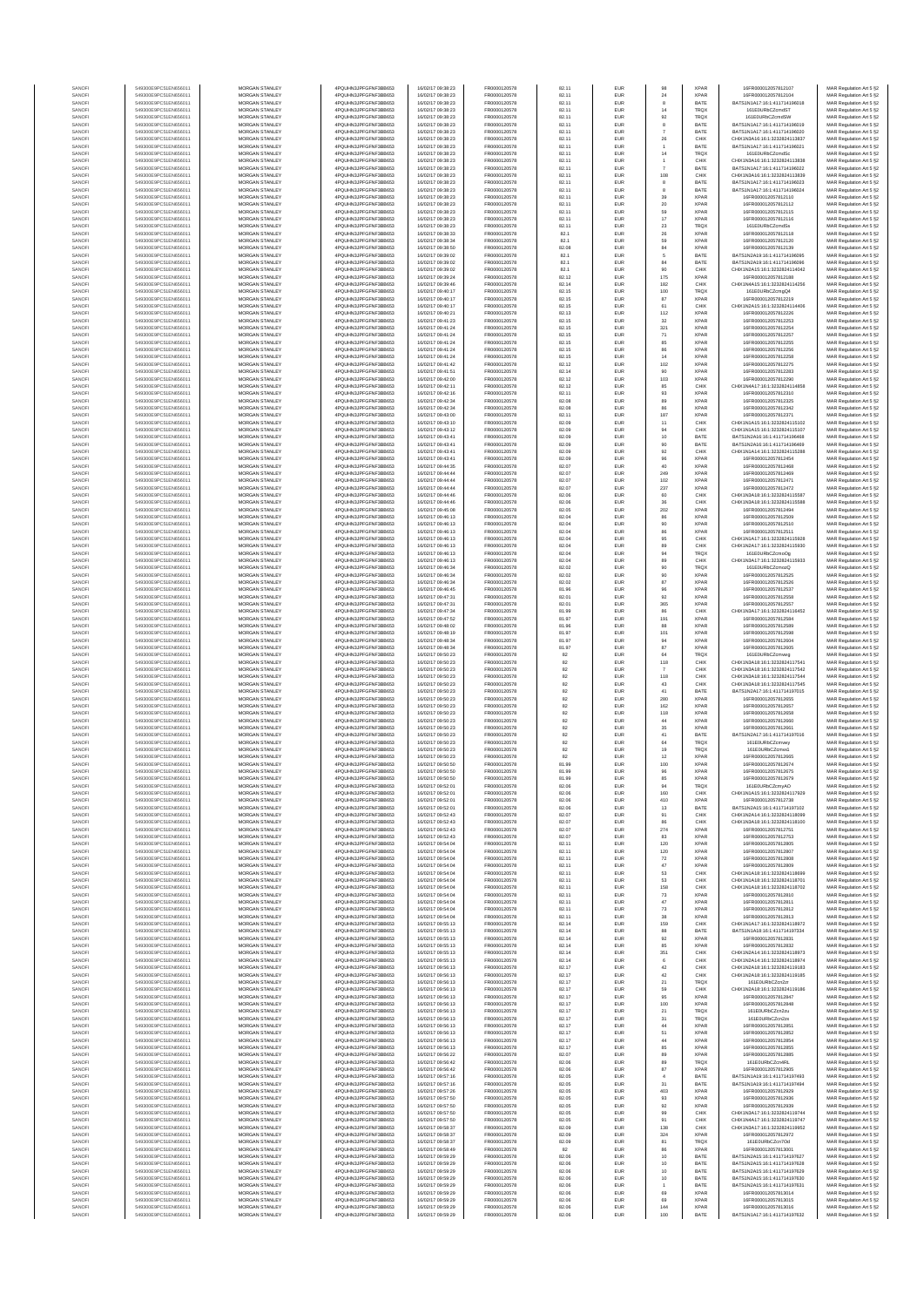| SANOF            | 549300E9PC51EN656011                         | MORGAN STANLEY                                 | 4PQUHN3JPFGFNF3BB653                          | 16/02/17 09:38:23                      | FR0000120578                 | 82.11          | EUR                      | 98                         | <b>XPAR</b>                | 16FR000012057812107                                            | MAR Regulation Art 5 §2                            |
|------------------|----------------------------------------------|------------------------------------------------|-----------------------------------------------|----------------------------------------|------------------------------|----------------|--------------------------|----------------------------|----------------------------|----------------------------------------------------------------|----------------------------------------------------|
| SANOFI           | 549300E9PC51EN656011                         | MORGAN STANLEY                                 | 4PQUHN3JPFGFNF3BB653                          | 16/02/17 09:38:23                      | FR0000120578                 | 82.11          | <b>EUR</b>               | 24                         | <b>XPAR</b>                | 16ER000012057812104                                            | MAR Regulation Art 5 §2                            |
| SANOFI<br>SANOFI | 549300E9PC51EN656011<br>549300E9PC51EN656011 | MORGAN STANLEY<br>MORGAN STANLEY               | 4PQUHN3JPFGFNF3BB653<br>4PQUHN3JPFGFNF3BB653  | 16/02/17 09:38:23<br>16/02/17 09:38:23 | FR0000120578<br>FR0000120578 | 82.11<br>82.11 | EUR<br>EUR               | 8<br>14                    | BATE<br><b>TRQX</b>        | BATS1N1A17:16:1:411714196018<br>161E0URbCZcmdST                | MAR Regulation Art 5 §2<br>MAR Regulation Art 5 §2 |
| SANOFI           | 549300E9PC51EN656011                         | MORGAN STANLEY                                 | 4PQUHN3JPFGFNF3BB653                          | 16/02/17 09:38:23                      | FR0000120578                 | 82.11          | EUR                      | 92                         | TRQ)                       | 161E0URbCZcmdSW                                                | MAR Regulation Art 5 §2                            |
| SANOFI           | 549300E9PC51EN656011                         | MORGAN STANLEY                                 | 4PQUHN3JPFGFNF3BB653                          | 16/02/17 09:38:23                      | FR0000120578                 | 82.11          | EUR                      | 8                          | BATE                       | BATS1N1A17:16:1:411714196019                                   | MAR Regulation Art 5 §2                            |
| SANOFI           | 549300E9PC51EN656011                         | MORGAN STANLEY                                 | 4PQUHN3JPFGFNF3BB653                          | 16/02/17 09:38:23                      | FR0000120578                 | 82.11          | EUR                      | $\scriptstyle\rm 7$        | BATE                       | BATS1N1A17:16:1:411714196020                                   | MAR Regulation Art 5 §2                            |
| SANOFI<br>SANOFI | 549300E9PC51EN656011<br>549300E9PC51EN656011 | MORGAN STANLEY<br><b>MORGAN STANLEY</b>        | 4PQUHN3JPFGFNF3BB653<br>4PQUHN3JPFGFNF3BB653  | 16/02/17 09:38:23<br>16/02/17 09:38:23 | FR0000120578<br>FR0000120578 | 82.11<br>82.11 | EUR<br>EUR               | 26<br>$\ddot{\phantom{1}}$ | CHIX<br>BATE               | CHIX1N3A16:16:1:3232824113837<br>BATS1N1A17:16:1:411714196021  | MAR Regulation Art 5 §2<br>MAR Regulation Art 5 §2 |
| SANOFI           | 549300E9PC51EN656011                         | <b>MORGAN STANLEY</b>                          | 4PQUHN3JPFGFNF3BB653                          | 16/02/17 09:38:23                      | FR0000120578                 | 82.11          | <b>EUR</b>               | 14                         | <b>TRQX</b>                | 161E0URbCZcmdSc                                                | MAR Regulation Art 5 §2                            |
| SANOFI           | 549300E9PC51EN656011<br>549300E9PC51EN656011 | <b>MORGAN STANLEY</b>                          | 4PQUHN3JPFGFNF3BB653                          | 16/02/17 09:38:23                      | FR0000120578                 | 82.11          | <b>EUR</b>               | $\ddot{\phantom{1}}$       | CHIX                       | CHIX1N3A16:16:1:3232824113838                                  | MAR Regulation Art 5 §2                            |
| SANOFI<br>SANOFI | 549300E9PC51EN656011                         | MORGAN STANLEY<br>MORGAN STANLEY               | 4PQUHN3JPFGFNF3BB653<br>4PQUHN3JPFGFNF3BB653  | 16/02/17 09:38:23<br>16/02/17 09:38:23 | FR0000120578<br>FR0000120578 | 82.11<br>82.11 | EUR<br>EUR               | $\overline{7}$<br>108      | BATE<br>CHIX               | BATS1N1A17:16:1:411714196022<br>CHIX1N3A16:16:1:3232824113839  | MAR Regulation Art 5 §2<br>MAR Regulation Art 5 §2 |
| SANOF            | 549300E9PC51EN656011                         | MORGAN STANLEY                                 | 4PQUHN3JPFGFNF3BB653                          | 16/02/17 09:38:23                      | FR0000120578                 | 82.11          | EUR                      | $^{\rm 8}$                 | BATE                       | BATS1N1A17:16:1:411714196023                                   | MAR Regulation Art 5 §2                            |
| SANOFI           | 549300E9PC51EN656011                         | MORGAN STANLEY                                 | 4PQUHN3JPFGFNF3BB653<br>4PQUHN3JPFGFNF3BB653  | 16/02/17 09:38:23                      | FR0000120578                 | 82.11          | EUR                      | 8                          | BATE                       | BATS1N1A17:16:1:411714196024<br>16FR000012057812110            | MAR Regulation Art 5 §2                            |
| SANOFI<br>SANOFI | 549300E9PC51EN656011<br>549300E9PC51EN656011 | MORGAN STANLEY<br>MORGAN STANLEY               | 4PQUHN3JPFGFNF3BB653                          | 16/02/17 09:38:23<br>16/02/17 09:38:23 | FR0000120578<br>FR0000120578 | 82.11<br>82.11 | EUR<br>EUR               | 39<br>20                   | XPAF<br><b>XPAF</b>        | 16FR000012057812112                                            | MAR Regulation Art 5 §2<br>MAR Regulation Art 5 §2 |
| SANOFI           | 549300E9PC51EN656011                         | <b>MORGAN STANLEY</b>                          | 4PQUHN3JPFGFNF3BB653                          | 16/02/17 09:38:23                      | FR0000120578                 | 82.11          | <b>EUR</b>               | 69                         | <b>XPAR</b>                | 16FR000012057812115                                            | MAR Regulation Art 5 §2                            |
| SANOFI           | 549300E9PC51EN656011                         | <b>MORGAN STANLEY</b>                          | 4PQUHN3JPFGFNF3BB653                          | 16/02/17 09:38:23                      | FR0000120578                 | 82.11          | <b>EUR</b>               | $17\,$                     | <b>XPAR</b>                | 16FR000012057812116                                            | MAR Regulation Art 5 §2                            |
| SANOFI<br>SANOFI | 549300E9PC51EN656011<br>549300E9PC51EN656011 | MORGAN STANLEY<br>MORGAN STANLEY               | 4PQUHN3JPFGFNF3BB653<br>4PQUHN3JPFGFNF3BB653  | 16/02/17 09:38:23<br>16/02/17 09:38:33 | FR0000120578<br>FR0000120578 | 82.11<br>82.1  | EUR<br>EUR               | $\bf 23$<br>${\bf 26}$     | TRQX<br><b>XPAR</b>        | 161E0URbCZcmdSs<br>16FR000012057812118                         | MAR Regulation Art 5 §2<br>MAR Regulation Art 5 §2 |
| SANOFI           | 549300E9PC51EN656011                         | MORGAN STANLEY                                 | 4PQUHN3JPFGFNF3BB653                          | 16/02/17 09:38:34                      | FR0000120578                 | 82.1           | EUR                      | 59                         | XPAF                       | 16FR000012057812120                                            | MAR Regulation Art 5 §2                            |
| SANOFI           | 549300E9PC51EN656011                         | MORGAN STANLEY                                 | 4PQUHN3JPFGFNF3BB653                          | 16/02/17 09:38:50                      | FR0000120578                 | 82.08          | EUR                      | 84                         | XPAF                       | 16FR000012057812139                                            | MAR Regulation Art 5 §2                            |
| SANOFI<br>SANOFI | 549300E9PC51EN656011<br>549300E9PC51EN656011 | MORGAN STANLEY<br>MORGAN STANLEY               | 4PQUHN3JPFGFNF3BB653<br>4PQUHN3JPFGFNF3BB653  | 16/02/17 09:39:02<br>16/02/17 09:39:02 | FR0000120578<br>FR0000120578 | 82.1<br>82.1   | EUR<br>EUR               | 5<br>84                    | BATE<br>BATE               | BATS1N2A19:16:1:411714196095<br>BATS1N2A19:16:1:411714196096   | MAR Regulation Art 5 §2<br>MAR Regulation Art 5 §2 |
| SANOFI           | 549300E9PC51EN656011                         | <b>MORGAN STANLEY</b>                          | 4PQUHN3JPFGFNF3BB653                          | 16/02/17 09:39:02                      | FR0000120578                 | 82.1           | <b>EUR</b>               | 90                         | CHIX                       | CHIX1N2A15:16:1:3232824114042                                  | MAR Regulation Art 5 §2                            |
| SANOFI           | 549300E9PC51EN656011                         | MORGAN STANLEY                                 | 4PQUHN3JPFGFNF3BB653                          | 16/02/17 09:39:24                      | FR0000120578                 | 82.12          | EUR                      | 175                        | <b>XPAR</b>                | 16FR000012057812188                                            | MAR Regulation Art 5 §2                            |
| SANOFI<br>SANOFI | 549300E9PC51EN656011<br>549300E9PC51EN656011 | MORGAN STANLEY<br>MORGAN STANLEY               | 4PQUHN3JPFGFNF3BB653<br>4PQUHN3JPFGFNF3BB653  | 16/02/17 09:39:46                      | FR0000120578<br>FR0000120578 | 82.14<br>82.15 | EUR<br>EUR               | 182                        | CHIX<br>TRQX               | CHIX1N4A15:16:1:3232824114256<br>161E0URbCZcmgQ4               | MAR Regulation Art 5 §2                            |
| SANOF            | 549300E9PC51EN656011                         | MORGAN STANLEY                                 | 4PQUHN3JPFGFNF3BB653                          | 16/02/17 09:40:17<br>16/02/17 09:40:17 | FR0000120578                 | 82.15          | EUR                      | 100<br>87                  | XPAF                       | 16FR000012057812219                                            | MAR Regulation Art 5 §2<br>MAR Regulation Art 5 §2 |
| SANOFI           | 549300E9PC51EN656011                         | MORGAN STANLEY                                 | 4PQUHN3JPFGFNF3BB653                          | 16/02/17 09:40:17                      | FR0000120578                 | 82.15          | EUR                      | 61                         | CHIX                       | CHIX1N2A15:16:1:3232824114406                                  | MAR Regulation Art 5 §2                            |
| SANOFI           | 549300E9PC51EN656011<br>549300E9PC51EN656011 | MORGAN STANLEY<br>MORGAN STANLEY               | 4PQUHN3JPFGFNF3BB653<br>4PQUHN3JPFGFNF3BB653  | 16/02/17 09:40:21<br>16/02/17 09:41:23 | FR0000120578<br>FR0000120578 | 82.13<br>82.15 | EUR<br>EUR               | 112<br>32                  | <b>XPAR</b><br><b>XPAR</b> | 16FR000012057812226<br>16FR000012057812253                     | MAR Regulation Art 5 §2<br>MAR Regulation Art 5 §2 |
| SANOFI<br>SANOFI | 549300E9PC51EN656011                         | <b>MORGAN STANLEY</b>                          | 4PQUHN3JPFGFNF3BB653                          | 16/02/17 09:41:24                      | FR0000120578                 | 82.15          | <b>EUR</b>               | 321                        | <b>XPAR</b>                | 16FR000012057812254                                            | MAR Regulation Art 5 §2                            |
| SANOFI           | 549300E9PC51EN656011                         | <b>MORGAN STANLEY</b>                          | 4PQUHN3JPFGFNF3BB653                          | 16/02/17 09:41:24                      | FR0000120578                 | 82.15          | <b>EUR</b>               | $71\,$                     | <b>XPAR</b>                | 16FR000012057812257                                            | MAR Regulation Art 5 §2                            |
| SANOFI<br>SANOFI | 549300E9PC51EN656011<br>549300E9PC51EN656011 | MORGAN STANLEY<br>MORGAN STANLEY               | 4PQUHN3JPFGFNF3BB653<br>4PQUHN3JPFGFNF3BB653  | 16/02/17 09:41:24<br>16/02/17 09:41:24 | FR0000120578<br>FR0000120578 | 82.15<br>82.15 | EUR<br>EUR               | 85                         | <b>XPAF</b><br><b>XPAF</b> | 16FR000012057812255<br>16FR000012057812256                     | MAR Regulation Art 5 §2                            |
| SANOFI           | 549300E9PC51EN656011                         | MORGAN STANLEY                                 | 4PQUHN3JPFGFNF3BB653                          | 16/02/17 09:41:24                      | FR0000120578                 | 82.15          | EUR                      | 86<br>14                   | XPAF                       | 16FR000012057812258                                            | MAR Regulation Art 5 §2<br>MAR Regulation Art 5 §2 |
| SANOFI           | 549300E9PC51EN656011                         | MORGAN STANLEY                                 | 4PQUHN3JPFGFNF3BB653                          | 16/02/17 09:41:42                      | FR0000120578                 | 82.12          | EUR                      | 102                        | XPAF                       | 16FR000012057812275                                            | MAR Regulation Art 5 §2                            |
| SANOFI           | 549300E9PC51EN656011<br>549300E9PC51EN656011 | MORGAN STANLEY<br>MORGAN STANLEY               | 4PQUHN3JPFGFNF3BB653<br>4PQUHN3JPFGFNF3BB653  | 16/02/17 09:41:51<br>16/02/17 09:42:00 | FR0000120578<br>FR0000120578 | 82.14<br>82.12 | EUR<br>EUR               | 90<br>103                  | <b>XPAR</b><br><b>XPAF</b> | 16FR000012057812283<br>16FR000012057812290                     | MAR Regulation Art 5 §2<br>MAR Regulation Art 5 §2 |
| SANOFI<br>SANOFI | 549300E9PC51EN656011                         | <b>MORGAN STANLEY</b>                          | 4POLIHN3JPEGENE3BB653                         | 16/02/17 09:42:11                      | FR0000120578                 | 82.12          | <b>EUR</b>               | 85                         | CHIX                       | CHIX1N4A17:16:1:3232824114858                                  | MAR Regulation Art 5 §2                            |
| SANOFI           | 549300E9PC51EN656011                         | MORGAN STANLEY                                 | 4PQUHN3JPFGFNF3BB653                          | 16/02/17 09:42:16                      | FR0000120578                 | 82.11          | <b>EUR</b>               | 93                         | <b>XPAR</b>                | 16FR000012057812310                                            | MAR Regulation Art 5 §2                            |
| SANOFI           | 549300E9PC51EN656011<br>549300E9PC51EN656011 | <b>MORGAN STANLEY</b><br>MORGAN STANLEY        | 4PQUHN3JPFGFNF3BB653<br>4PQUHN3JPFGFNF3BB653  | 16/02/17 09:42:34<br>16/02/17 09:42:34 | FR0000120578<br>FR0000120578 | 82.08<br>82.08 | <b>EUR</b><br>EUR        | 89<br>86                   | <b>XPAR</b><br><b>XPAR</b> | 16FR000012057812325<br>16FR000012057812342                     | MAR Regulation Art 5 §2                            |
| SANOFI<br>SANOFI | 549300E9PC51EN656011                         | MORGAN STANLEY                                 | 4PQUHN3JPFGFNF3BB653                          | 16/02/17 09:43:00                      | FR0000120578                 | 82.11          | EUR                      | 187                        | <b>XPAR</b>                | 16FR000012057812371                                            | MAR Regulation Art 5 §2<br>MAR Regulation Art 5 §2 |
| SANOFI           | 549300E9PC51EN656011                         | MORGAN STANLEY                                 | 4PQUHN3JPFGFNF3BB653                          | 16/02/17 09:43:10                      | FR0000120578                 | 82.09          | EUR                      | $11$                       | CHIX                       | CHIX1N1A15:16:1:3232824115102                                  | MAR Regulation Art 5 §2                            |
| SANOFI           | 549300E9PC51EN656011                         | MORGAN STANLEY                                 | 4PQUHN3JPFGFNF3BB653                          | 16/02/17 09:43:12                      | FR0000120578                 | 82.09          | EUR                      | 94                         | CHIX                       | CHIX1N1A15:16:1:3232824115107                                  | MAR Regulation Art 5 §2                            |
| SANOFI<br>SANOFI | 549300E9PC51EN656011<br>549300E9PC51EN656011 | MORGAN STANLEY<br>MORGAN STANLEY               | 4PQUHN3JPFGFNF3BB653<br>4PQUHN3JPFGFNF3BB653  | 16/02/17 09:43:41<br>16/02/17 09:43:41 | FR0000120578<br>FR0000120578 | 82.09<br>82.09 | EUR<br>EUR               | 10<br>90                   | BATE<br>BATE               | BATS1N2A16:16:1:411714196468<br>BATS1N2A16:16:1:411714196469   | MAR Regulation Art 5 §2<br>MAR Regulation Art 5 §2 |
| SANOFI           | 549300E9PC51EN656011                         | <b>MORGAN STANLEY</b>                          | 4PQUHN3JPFGFNF3BB653                          | 16/02/17 09:43:41                      | FR0000120578                 | 82.09          | EUR                      | $92\,$                     | CHIX                       | CHIX1N1A14-16-1-3232824115288                                  | MAR Regulation Art 5 §2                            |
| SANOFI           | 549300E9PC51EN656011                         | MORGAN STANLEY                                 | 4PQUHN3JPFGFNF3BB653                          | 16/02/17 09:43:41                      | FR0000120578                 | 82.09          | <b>EUR</b>               | 96                         | <b>XPAR</b>                | 16FR000012057812454                                            | MAR Regulation Art 5 §2                            |
| SANOFI<br>SANOFI | 549300E9PC51EN656011<br>549300E9PC51EN656011 | MORGAN STANLEY<br>MORGAN STANLEY               | 4PQUHN3JPFGFNF3BB653<br>4PQUHN3JPFGFNF3BB653  | 16/02/17 09:44:35<br>16/02/17 09:44:44 | FR0000120578<br>FR0000120578 | 82.07<br>82.07 | EUR<br>EUR               | 40<br>249                  | <b>XPAR</b><br>XPAR        | 16FR000012057812468<br>16FR000012057812469                     | MAR Regulation Art 5 §2<br>MAR Regulation Art 5 §2 |
| SANOF            | 549300E9PC51EN656011                         | MORGAN STANLEY                                 | 4PQUHN3JPFGFNF3BB653                          | 16/02/17 09:44:44                      | FR0000120578                 | 82.07          | EUR                      | 102                        | XPAF                       | 16FR000012057812471                                            | MAR Regulation Art 5 §2                            |
| SANOFI           | 549300E9PC51EN656011                         | MORGAN STANLEY                                 | 4PQUHN3JPFGFNF3BB653                          | 16/02/17 09:44:44                      | FR0000120578                 | 82.07          | EUR                      | 237                        | XPAF                       | 16FR000012057812472                                            | MAR Regulation Art 5 §2                            |
| SANOFI<br>SANOFI | 549300E9PC51EN656011<br>549300E9PC51EN656011 | MORGAN STANLEY<br>MORGAN STANLEY               | 4PQUHN3JPFGFNF3BB653<br>4PQUHN3JPFGFNF3BB653  | 16/02/17 09:44:46<br>16/02/17 09:44:46 | FR0000120578<br>FR0000120578 | 82.06<br>82.06 | EUR<br>EUR               | 60<br>36                   | CHIX<br>CHIX               | CHIX1N3A18:16:1:3232824115587<br>CHIX1N3A18:16:1:3232824115588 | MAR Regulation Art 5 §2<br>MAR Regulation Art 5 §2 |
| SANOFI           | 549300E9PC51EN656011                         | <b>MORGAN STANLEY</b>                          | 4POLIHN3JPEGENE3BB653                         | 16/02/17 09:45:08                      | FR0000120578                 | 82.05          | <b>EUR</b>               | 202                        | <b>XPAR</b>                | 16FR000012057812494                                            | MAR Regulation Art 5 §2                            |
| SANOFI           | 549300E9PC51EN656011                         | <b>MORGAN STANLEY</b>                          | 4PQUHN3JPFGFNF3BB653                          | 16/02/17 09:46:13                      | FR0000120578                 | 82.04          | <b>EUR</b>               | 86                         | <b>XPAR</b>                | 16FR000012057812509                                            | MAR Regulation Art 5 §2                            |
| SANOFI<br>SANOFI | 549300E9PC51EN656011<br>549300E9PC51EN656011 | MORGAN STANLEY<br>MORGAN STANLEY               | 4POLIHN3JPEGENE3BB653<br>4PQUHN3JPFGFNF3BB653 | 16/02/17 09:46:13<br>16/02/17 09:46:13 | FR0000120578<br>FR0000120578 | 82.04<br>82.04 | EUR<br>EUR               | 90<br>86                   | <b>XPAR</b><br>XPAF        | 16FR000012057812510<br>16FR000012057812511                     | MAR Regulation Art 5 §2<br>MAR Regulation Art 5 §2 |
| SANOFI           | 549300E9PC51EN656011                         | MORGAN STANLEY                                 | 4PQUHN3JPFGFNF3BB653                          | 16/02/17 09:46:13                      | FR0000120578                 | 82.04          | EUR                      | 95                         | CHIX                       | CHIX1N1A17:16:1:323282411592                                   | MAR Regulation Art 5 §2                            |
| SANOFI           | 549300E9PC51EN656011                         | MORGAN STANLEY                                 | 4PQUHN3JPFGFNF3BB653                          | 16/02/17 09:46:13                      | FR0000120578                 | 82.04          | EUR                      | 89                         | CHIX                       | CHIX1N2A17:16:1:3232824115930                                  | MAR Regulation Art 5 §2                            |
| SANOFI<br>SANOFI | 549300E9PC51EN656011<br>549300E9PC51EN656011 | MORGAN STANLEY<br>MORGAN STANLEY               | 4PQUHN3JPFGFNF3BB653<br>4PQUHN3JPFGFNF3BB653  | 16/02/17 09:46:13<br>16/02/17 09:46:13 | FR0000120578<br>FR0000120578 | 82.04<br>82.04 | EUR<br>EUR               | 94<br>89                   | TRQX<br>CHIX               | 161E0URbCZcmoOg<br>CHIX1N3A17:16:1:3232824115933               | MAR Regulation Art 5 §2<br>MAR Regulation Art 5 §2 |
| SANOFI           | 549300E9PC51EN656011                         | <b>MORGAN STANLEY</b>                          | 4PQUHN3JPFGFNF3BB653                          | 16/02/17 09:46:34                      | FR0000120578                 | 82.02          | <b>EUR</b>               |                            | <b>TRQX</b>                | 161E0URbCZcmozQ                                                | MAR Regulation Art 5 §2                            |
| SANOFI           | 549300E9PC51EN656011                         | <b>MORGAN STANLEY</b>                          | 4PQUHN3JPFGFNF3BB653                          | 16/02/17 09:46:34                      | FR0000120578                 | 82.02          | EUR                      | 90<br>90                   | <b>XPAR</b>                | 16FR000012057812525                                            | MAR Regulation Art 5 §2                            |
| SANOFI<br>SANOFI | 549300E9PC51EN656011<br>549300E9PC51EN656011 | MORGAN STANLEY<br>MORGAN STANLEY               | 4PQUHN3JPFGFNF3BB653<br>4PQUHN3JPFGFNF3BB653  | 16/02/17 09:46:34<br>16/02/17 09:46:45 | FR0000120578<br>FR0000120578 | 82.02<br>81.96 | EUR<br>EUR               | 87<br>$96\,$               | <b>XPAR</b><br><b>XPAR</b> | 16FR000012057812526<br>16FR000012057812537                     | MAR Regulation Art 5 §2<br>MAR Regulation Art 5 §2 |
| SANOF            | 549300E9PC51EN656011                         | MORGAN STANLEY                                 | 4PQUHN3JPFGFNF3BB653                          | 16/02/17 09:47:31                      | FR0000120578                 | 82.01          | EUR                      | 92                         | XPAF                       | 16FR000012057812558                                            | MAR Regulation Art 5 §2                            |
| SANOFI           | 549300E9PC51EN656011                         | MORGAN STANLEY                                 | 4PQUHN3JPFGFNF3BB653                          | 16/02/17 09:47:31                      | FR0000120578                 | 82.01          | EUR                      | 365                        | XPAF                       | 16FR00001205781255                                             | MAR Regulation Art 5 §2                            |
| SANOFI<br>SANOFI | 549300E9PC51EN656011<br>549300E9PC51EN656011 | MORGAN STANLEY<br>MORGAN STANLEY               | 4PQUHN3JPFGFNF3BB653<br>4PQUHN3JPFGFNF3BB653  | 16/02/17 09:47:34<br>16/02/17 09:47:52 | FR0000120578<br>FR0000120578 | 81.99<br>81.97 | EUR<br>EUR               | 86<br>191                  | CHIX<br><b>XPAR</b>        | CHIX1N3A17:16:1:3232824116452<br>16FR000012057812584           | MAR Regulation Art 5 §2<br>MAR Regulation Art 5 §2 |
| SANOFI           | 549300E9PC51EN656011                         | <b>MORGAN STANLEY</b>                          | 4PQUHN3JPFGFNF3BB653                          | 16/02/17 09:48:02                      | FR0000120578                 | 81.96          | <b>EUR</b>               | 88                         | <b>XPAR</b>                | 16FR000012057812589                                            | MAR Regulation Art 5 §2                            |
| SANOFI           | 549300E9PC51EN656011                         | <b>MORGAN STANLEY</b>                          | 4PQUHN3JPFGFNF3BB653                          | 16/02/17 09:48:19                      | FR0000120578                 | 81.97          | <b>EUR</b>               | 101                        | <b>XPAR</b>                | 16FR000012057812598                                            | MAR Regulation Art 5 §2                            |
| SANOFI<br>SANOFI | 549300E9PC51EN656011<br>549300E9PC51EN656011 | <b>MORGAN STANLEY</b><br>MORGAN STANLEY        | 4PQUHN3JPFGFNF3BB653<br>4PQUHN3JPFGFNF3BB653  | 16/02/17 09:48:34<br>16/02/17 09:48:34 | FR0000120578<br>FR0000120578 | 81.97<br>81.97 | EUR<br>EUR               | 94<br>87                   | <b>XPAR</b><br><b>XPAR</b> | 16FR000012057812604<br>16FR000012057812605                     | MAR Regulation Art 5 §2<br>MAR Regulation Art 5 §2 |
| SANOFI           | 549300E9PC51EN656011                         | MORGAN STANLEY                                 | 4PQUHN3JPFGFNF3BB653                          | 16/02/17 09:50:23                      | FR0000120578                 | 82             | EUR                      | 64                         | TRQX                       | 161E0URbCZcmvwg                                                | MAR Regulation Art 5 §2                            |
| SANOF            | 549300E9PC51EN656011                         | MORGAN STANLEY                                 | 4PQUHN3JPFGFNF3BB653                          | 16/02/17 09:50:23                      | FR0000120578                 | 82             | EUR                      | 118                        | CHIX                       | CHIX1N3A18:16:1:323282411754                                   | MAR Regulation Art 5 §2                            |
| SANOFI<br>SANOFI | 549300E9PC51EN656011<br>549300E9PC51EN656011 | MORGAN STANLEY<br>MORGAN STANLEY               | 4PQUHN3JPFGFNF3BB653<br>4PQUHN3JPFGFNF3BB653  | 16/02/17 09:50:23<br>16/02/17 09:50:23 | FR0000120578<br>FR0000120578 | 82<br>82       | EUR<br>EUR               | $\overline{7}$<br>118      | CHIX<br>CHIX               | CHIX1N3A18:16:1:3232824117542<br>CHIX1N3A18:16:1:3232824117544 | MAR Regulation Art 5 §2<br>MAR Regulation Art 5 §2 |
| SANOFI           | 549300E9PC51EN656011                         | MORGAN STANLEY                                 | 4PQUHN3JPFGFNF3BB653                          | 16/02/17 09:50:23                      | FR0000120578                 | 82             | EUR                      | 43                         | CHIX                       | CHIX1N3A18:16:1:3232824117545                                  | MAR Regulation Art 5 §2                            |
| SANOFI           | 549300E9PC51EN656011                         | <b>MORGAN STANLEY</b>                          | 4POLIHN3JPEGENE3BB653                         | 16/02/17 09:50:22                      | FR0000120578                 | 82             | <b>EUR</b>               | 41                         | BATE                       | BATS1N2A17:16:1:411714197015                                   | MAR Regulation Art 5 §2                            |
| SANOFI<br>SANOFI | 549300E9PC51EN656011<br>549300E9PC51EN656011 | <b>MORGAN STANLEY</b><br>MORGAN STANLEY        | 4PQUHN3JPFGFNF3BB653<br>4PQUHN3JPFGFNF3BB653  | 16/02/17 09:50:23<br>16/02/17 09:50:23 | FR0000120578<br>FR0000120578 | 82<br>82       | <b>EUR</b><br>EUR        | 280<br>162                 | <b>XPAR</b><br><b>XPAR</b> | 16FR000012057812655<br>16FR000012057812657                     | MAR Regulation Art 5 §2<br>MAR Regulation Art 5 §2 |
| SANOFI           | 549300E9PC51EN656011                         | MORGAN STANLEY                                 | 4PQUHN3JPFGFNF3BB653                          | 16/02/17 09:50:23                      | FR0000120578                 | 82             | EUR                      | 118                        | <b>XPAR</b>                | 16FR000012057812658                                            | MAR Regulation Art 5 §2                            |
| SANOFI           | 549300E9PC51EN656011                         | MORGAN STANLEY                                 | 4PQUHN3JPFGFNF3BB653                          | 16/02/17 09:50:23                      | FR0000120578                 | 82             | EUR                      | 44                         | XPAF                       | 16FR000012057812660                                            | MAR Regulation Art 5 §2                            |
| SANOFI<br>SANOFI | 549300E9PC51EN656011<br>549300E9PC51EN656011 | MORGAN STANLEY<br>MORGAN STANLEY               | 4PQUHN3JPFGFNF3BB653<br>4PQUHN3JPFGFNF3BB653  | 16/02/17 09:50:23<br>16/02/17 09:50:23 | FR0000120578<br>FR0000120578 | 82<br>82       | EUR<br>EUR               | 35<br>41                   | XPAF<br>BATE               | 16FR00001205781266<br>BATS1N2A17:16:1:411714197016             | MAR Regulation Art 5 §2<br>MAR Regulation Art 5 §2 |
| SANOFI           | 549300E9PC51EN656011                         | MORGAN STANLEY                                 | 4PQUHN3JPFGFNF3BB653                          | 16/02/17 09:50:23                      | FR0000120578                 | 82             | EUR                      | 64                         | TRQX                       | 161E0URbCZcmvwy                                                | MAR Regulation Art 5 §2                            |
| SANOFI           | 549300E9PC51EN656011                         | <b>MORGAN STANLEY</b>                          | 4PQUHN3JPFGFNF3BB653                          | 16/02/17 09:50:23                      | FR0000120578                 | 82             | <b>EUR</b>               | 19                         | <b>TRQX</b>                | 161E0URbCZcmvx1                                                | MAR Regulation Art 5 §2                            |
| SANOFI<br>SANOFI | 549300E9PC51EN656011<br>549300E9PC51EN656011 | <b>MORGAN STANLEY</b><br>MORGAN STANLEY        | 4PQUHN3JPFGFNF3BB653<br>4PQUHN3JPFGFNF3BB653  | 16/02/17 09:50:23<br>16/02/17 09:50:50 | FR0000120578<br>FR0000120578 | 82<br>81.99    | <b>EUR</b><br>EUR        | 12<br>100                  | <b>XPAR</b><br><b>XPAR</b> | 16FR000012057812665<br>16FR000012057812674                     | MAR Regulation Art 5 §2<br>MAR Regulation Art 5 §2 |
| SANOFI           | 549300E9PC51EN656011                         | MORGAN STANLEY                                 | 4PQUHN3JPFGFNF3BB653                          | 16/02/17 09:50:50                      | FR0000120578                 | 81.99          | EUR                      | 96                         | <b>XPAR</b>                | 16FR000012057812675                                            | MAR Regulation Art 5 §2                            |
|                  |                                              |                                                | 4PQUHN3JPFGFNF3BB653                          |                                        | FR0000120578                 |                |                          |                            |                            |                                                                | रे Regulation Art 5 \$2                            |
| SANOF<br>SANOFI  | 549300E9PC51EN656011<br>549300E9PC51EN656011 | MORGAN STANLEY<br>MORGAN STANLEY               | 4PQUHN3JPFGFNF3BB653                          | 16/02/17 09:52:01<br>16/02/17 09:52:01 | FR0000120578                 | 82.06<br>82.06 | EUR<br>EUR               | 94<br>160                  | TRQX<br>CHIX               | 161E0URbCZcmyAO<br>CHIX1N1A15:16:1:3232824117929               | MAR Regulation Art 5 §2<br>MAR Regulation Art 5 §2 |
| SANOFI           | 549300E9PC51EN656011                         | MORGAN STANLEY                                 | 4PQUHN3JPFGFNF3BB653                          | 16/02/17 09:52:01                      | FR0000120578                 | 82.06          | <b>EUR</b>               | 410                        | <b>XPAR</b>                | 16FR000012057812738                                            | MAR Regulation Art 5 §2                            |
| SANOFI<br>SANOFI | 549300E9PC51EN656011<br>549300E9PC51EN656011 | <b>MORGAN STANLEY</b><br><b>MORGAN STANLEY</b> | 4PQUHN3JPFGFNF3BB653<br>4PQUHN3JPFGFNF3BB653  | 16/02/17 09:52:01<br>16/02/17 09:52:43 | FR0000120578<br>FR0000120578 | 82.06<br>82.07 | <b>EUR</b><br><b>EUR</b> | 13                         | BATE<br>CHIX               | BATS1N2A15:16:1:411714197102<br>CHIX1N2A14:16:1:3232824118099  | MAR Regulation Art 5 §2                            |
| SANOFI           | 549300E9PC51EN656011                         | MORGAN STANLEY                                 | 4PQUHN3JPFGFNF3BB653                          | 16/02/17 09:52:43                      | FR0000120578                 | 82.07          | EUR                      | 91<br>86                   | CHIX                       | CHIX1N3A18:16:1:3232824118100                                  | MAR Regulation Art 5 §2<br>MAR Regulation Art 5 §2 |
| SANOFI           | 549300E9PC51EN656011                         | MORGAN STANLEY                                 | 4PQUHN3JPFGFNF3BB653                          | 16/02/17 09:52:43                      | FR0000120578                 | 82.07          | EUR                      | 274                        | <b>XPAR</b>                | 16FR000012057812751                                            | MAR Regulation Art 5 §2                            |
| SANOFI<br>SANOFI | 549300E9PC51EN656011<br>549300E9PC51EN656011 | MORGAN STANLEY<br>MORGAN STANLEY               | 4PQUHN3JPFGFNF3BB653<br>4PQUHN3JPFGFNF3BB653  | 16/02/17 09:52:43<br>16/02/17 09:54:04 | FR0000120578<br>FR0000120578 | 82.07<br>82.11 | EUR<br>EUR               | 83<br>120                  | <b>XPAR</b><br><b>XPAR</b> | 16FR000012057812753<br>16FR000012057812805                     | MAR Regulation Art 5 §2                            |
| SANOFI           | 549300E9PC51EN656011                         | MORGAN STANLEY                                 | 4PQUHN3JPFGFNF3BB653                          | 16/02/17 09:54:04                      | FR0000120578                 | 82.11          | EUR                      | 120                        | <b>XPAR</b>                | 16FR000012057812807                                            | MAR Regulation Art 5 §2<br>MAR Regulation Art 5 §2 |
| SANOFI           | 549300E9PC51EN656011                         | MORGAN STANLEY                                 | 4PQUHN3JPFGFNF3BB653                          | 16/02/17 09:54:04                      | FR0000120578                 | 82.11          | EUR                      | $72\,$                     | <b>XPAR</b>                | 16FR000012057812808                                            | MAR Regulation Art 5 §2                            |
| SANOFI<br>SANOFI | 549300E9PC51EN656011<br>549300E9PC51EN656011 | <b>MORGAN STANLEY</b><br><b>MORGAN STANLEY</b> | 4PQUHN3JPFGFNF3BB653<br>4PQUHN3JPFGFNF3BB653  | 16/02/17 09:54:04<br>16/02/17 09:54:04 | FR0000120578<br>FR0000120578 | 82.11<br>82.11 | <b>EUR</b><br><b>EUR</b> | 47<br>53                   | <b>XPAR</b><br>CHIX        | 16FR000012057812809<br>CHIX1N1A18:16:1:3232824118699           | MAR Regulation Art 5 §2<br>MAR Regulation Art 5 §2 |
| SANOFI           | 549300E9PC51EN656011                         | <b>MORGAN STANLEY</b>                          | 4PQUHN3JPFGFNF3BB653                          | 16/02/17 09:54:04                      | FR0000120578                 | 82.11          | <b>EUR</b>               | 53                         | CHIX                       | CHIX1N1A18:16:1:3232824118701                                  | MAR Regulation Art 5 §2                            |
| SANOFI           | 549300E9PC51EN656011                         | MORGAN STANLEY                                 | 4PQUHN3JPFGFNF3BB653                          | 16/02/17 09:54:04                      | FR0000120578                 | 82.11          | EUR                      | 158                        | CHIX                       | CHIX1N1A18:16:1:3232824118702                                  | MAR Regulation Art 5 §2                            |
| SANOFI<br>SANOFI | 549300E9PC51EN656011<br>549300E9PC51EN656011 | MORGAN STANLEY<br>MORGAN STANLEY               | 4PQUHN3JPFGFNF3BB653<br>4PQUHN3JPFGFNF3BB653  | 16/02/17 09:54:04<br>16/02/17 09:54:04 | FR0000120578<br>FR0000120578 | 82.11<br>82.11 | EUR<br>EUR               | $\bf 73$<br>47             | <b>XPAR</b><br><b>XPAR</b> | 16FR000012057812810<br>16FR000012057812811                     | MAR Regulation Art 5 §2<br>MAR Regulation Art 5 §2 |
| SANOFI           | 549300E9PC51EN656011                         | MORGAN STANLEY                                 | 4PQUHN3JPFGFNF3BB653                          | 16/02/17 09:54:04                      | FR0000120578                 | 82.11          | EUR                      | 73                         | <b>XPAR</b>                | 16FR000012057812812                                            | MAR Regulation Art 5 §2                            |
| SANOFI<br>SANOFI | 549300E9PC51EN656011<br>549300E9PC51EN656011 | MORGAN STANLEY<br>MORGAN STANLEY               | 4PQUHN3JPFGFNF3BB653<br>4PQUHN3JPFGFNF3BB653  | 16/02/17 09:54:04<br>16/02/17 09:55:13 | FR0000120578<br>FR0000120578 | 82.11<br>82.14 | EUR<br><b>EUR</b>        | 38<br>159                  | <b>XPAR</b><br>CHIX        | 16FR000012057812813<br>CHIX1N1A17:16:1:3232824118972           | MAR Regulation Art 5 §2<br>MAR Regulation Art 5 §2 |
| SANOFI           | 549300E9PC51EN656011                         | MORGAN STANLEY                                 | 4PQUHN3JPFGFNF3BB653                          | 16/02/17 09:55:13                      | FR0000120578                 | 82.14          | <b>EUR</b>               | 88                         | BATE                       | BATS1N1A18:16:1:411714197334                                   | MAR Regulation Art 5 §2                            |
| SANOFI           | 549300E9PC51EN656011                         | MORGAN STANLEY                                 | 4POLIHN3JPEGENE3BB653                         | 16/02/17 09:55:13                      | FR0000120578                 | 82.14          | <b>EUR</b>               | 92                         | <b>XPAR</b>                | 16ER000012057812831                                            | MAR Regulation Art 5 §2                            |
| SANOFI<br>SANOFI | 549300E9PC51EN656011<br>549300E9PC51EN656011 | MORGAN STANLEY<br>MORGAN STANLEY               | 4PQUHN3JPFGFNF3BB653<br>4PQUHN3JPFGFNF3BB653  | 16/02/17 09:55:13<br>16/02/17 09:55:13 | FR0000120578<br>FR0000120578 | 82.14<br>82.14 | EUR<br><b>EUR</b>        | 85<br>351                  | <b>XPAR</b><br>CHIX        | 16FR000012057812832<br>CHIX1N2A14:16:1:3232824118973           | MAR Regulation Art 5 §2<br>MAR Regulation Art 5 §2 |
| SANOF            | 549300E9PC51EN656011                         | MORGAN STANLEY                                 | 4PQUHN3JPFGFNF3BB653                          | 16/02/17 09:55:13                      | FR0000120578                 | 82.14          | EUR                      | 6                          | CHIX                       | CHIX1N2A14:16:1:3232824118974                                  | MAR Regulation Art 5 §2                            |
| SANOFI           | 549300E9PC51EN656011                         | MORGAN STANLEY                                 | 4PQUHN3JPFGFNF3BB653                          | 16/02/17 09:56:13                      | FR0000120578                 | 82.17          | EUR                      | 42                         | CHIX                       | CHIX1N2A18:16:1:3232824119183                                  | MAR Regulation Art 5 §2                            |
| SANOFI<br>SANOFI | 549300E9PC51EN656011<br>549300E9PC51EN656011 | MORGAN STANLEY<br>MORGAN STANLEY               | 4PQUHN3JPFGFNF3BB653<br>4PQUHN3JPFGFNF3BB653  | 16/02/17 09:56:13<br>16/02/17 09:56:13 | FR0000120578<br>FR0000120578 | 82.17<br>82.17 | EUR<br><b>EUR</b>        | $42\,$<br>21               | CHIX<br><b>TRQX</b>        | CHIX1N2A18:16:1:3232824119185<br>161E0URbCZcn2zr               | MAR Regulation Art 5 §2<br>MAR Regulation Art 5 §2 |
| SANOFI           | 549300E9PC51EN656011                         | <b>MORGAN STANLEY</b>                          | 4PQUHN3JPFGFNF3BB653                          | 16/02/17 09:56:13                      | FR0000120578                 | 82.17          | <b>EUR</b>               | 59                         | CHIX                       | CHIX1N2A18:16:1:3232824119186                                  | MAR Regulation Art 5 §2                            |
| SANOFI           | 549300E9PC51EN656011                         | <b>MORGAN STANLEY</b>                          | 4PQUHN3JPFGFNF3BB653                          | 16/02/17 09:56:13                      | FR0000120578                 | 82.17          | <b>EUR</b>               | 95                         | <b>XPAR</b>                | 16FR000012057812847                                            | MAR Regulation Art 5 §2                            |
| SANOFI<br>SANOFI | 549300E9PC51EN656011<br>549300E9PC51EN656011 | MORGAN STANLEY<br>MORGAN STANLEY               | 4PQUHN3JPFGFNF3BB653<br>4PQUHN3JPFGFNF3BB653  | 16/02/17 09:56:13<br>16/02/17 09:56:13 | FR0000120578<br>FR0000120578 | 82.17<br>82.17 | <b>EUR</b><br><b>EUR</b> | 100<br>$21\,$              | <b>XPAR</b><br><b>TRQX</b> | 16FR000012057812848<br>161E0URbCZcn2zu                         | MAR Regulation Art 5 §2<br>MAR Regulation Art 5 §2 |
| SANOFI           | 549300E9PC51EN656011                         | MORGAN STANLEY                                 | 4PQUHN3JPFGFNF3BB653                          | 16/02/17 09:56:13                      | FR0000120578                 | 82.17          | EUR                      | 31                         | TRQX                       | 161E0URbCZcn2zx                                                | MAR Regulation Art 5 §2                            |
| SANOFI           | 549300E9PC51EN656011                         | MORGAN STANLEY                                 | 4PQUHN3JPFGFNF3BB653                          | 16/02/17 09:56:13                      | FR0000120578                 | 82.17          | EUR                      | $44\,$                     | <b>XPAR</b>                | 16FR000012057812851                                            | MAR Regulation Art 5 §2                            |
| SANOFI<br>SANOFI | 549300E9PC51EN656011<br>549300E9PC51EN656011 | MORGAN STANLEY<br>MORGAN STANLEY               | 4PQUHN3JPFGFNF3BB653<br>4PQUHN3JPFGFNF3BB653  | 16/02/17 09:56:13<br>16/02/17 09:56:13 | FR0000120578<br>FR0000120578 | 82.17<br>82.17 | EUR<br>EUR               | 51<br>$44\,$               | <b>XPAR</b><br><b>XPAR</b> | 16FR000012057812852<br>16FR000012057812854                     | MAR Regulation Art 5 §2<br>MAR Regulation Art 5 §2 |
| SANOFI           | 549300E9PC51EN656011                         | <b>MORGAN STANLEY</b>                          | 4PQUHN3JPFGFNF3BB653                          | 16/02/17 09:56:13                      | FR0000120578                 | 82.17          | <b>EUR</b>               | 85                         | <b>XPAR</b>                | 16FR000012057812855                                            | MAR Regulation Art 5 §2                            |
| SANOFI           | 549300E9PC51EN656011                         | <b>MORGAN STANLEY</b>                          | 4PQUHN3JPFGFNF3BB653                          | 16/02/17 09:56:22                      | FR0000120578                 | 82.07          | <b>EUR</b>               | 89                         | <b>XPAR</b>                | 16FR000012057812885                                            | MAR Regulation Art 5 §2                            |
| SANOFI<br>SANOFI | 549300E9PC51EN656011<br>549300E9PC51EN656011 | MORGAN STANLEY<br>MORGAN STANLEY               | 4PQUHN3JPFGFNF3BB653<br>4PQUHN3JPFGFNF3BB653  | 16/02/17 09:56:42<br>16/02/17 09:56:42 | FR0000120578<br>FR0000120578 | 82.06<br>82.06 | <b>EUR</b><br>EUR        | 89<br>87                   | TRQX<br><b>XPAR</b>        | 161E0URbCZcn4RL<br>16FR000012057812905                         | MAR Regulation Art 5 §2<br>MAR Regulation Art 5 §2 |
| SANOFI           | 549300E9PC51EN656011                         | MORGAN STANLEY                                 | 4PQUHN3JPFGFNF3BB653                          | 16/02/17 09:57:16                      | FR0000120578                 | 82.05          | EUR                      |                            | BATE                       | BATS1N1A19:16:1:411714197493                                   | MAR Regulation Art 5 §2                            |
| SANOFI           | 549300E9PC51EN656011                         | MORGAN STANLEY                                 | 4PQUHN3JPFGFNF3BB653<br>4PQUHN3JPFGFNF3BB653  | 16/02/17 09:57:16                      | FR0000120578                 | 82.05          | EUR                      | 31                         | BATE                       | BATS1N1A19:16:1:411714197494                                   | MAR Regulation Art 5 §2                            |
| SANOFI<br>SANOFI | 549300E9PC51EN656011<br>549300E9PC51EN656011 | MORGAN STANLEY<br>MORGAN STANLEY               | 4PQUHN3JPFGFNF3BB653                          | 16/02/17 09:57:26<br>16/02/17 09:57:50 | FR0000120578<br>FR0000120578 | 82.05<br>82.05 | <b>EUR</b><br>EUR        | 403<br>93                  | <b>XPAR</b><br><b>XPAR</b> | 16FR000012057812929<br>16FR000012057812936                     | MAR Regulation Art 5 §2<br>MAR Regulation Art 5 §2 |
| SANOFI           | 549300E9PC51EN656011                         | <b>MORGAN STANLEY</b>                          | 4PQUHN3JPFGFNF3BB653                          | 16/02/17 09:57:50                      | FR0000120578                 | 82.05          | <b>EUR</b>               | 92                         | <b>XPAR</b>                | 16FR000012057812939                                            | MAR Regulation Art 5 §2                            |
| SANOFI<br>SANOFI | 549300E9PC51EN656011<br>549300E9PC51EN656011 | <b>MORGAN STANLEY</b><br><b>MORGAN STANLEY</b> | 4PQUHN3JPFGFNF3BB653<br>4PQUHN3JPFGFNF3BB653  | 16/02/17 09:57:50<br>16/02/17 09:57:50 | FR0000120578<br>FR0000120578 | 82.05<br>82.05 | <b>EUR</b><br><b>EUR</b> | 99<br>91                   | CHIX<br>CHIX               | CHIX1N3A17:16:1:3232824119744<br>CHIX1N4A17:16:1:3232824119747 | MAR Regulation Art 5 §2                            |
| SANOFI           | 549300E9PC51EN656011                         | MORGAN STANLEY                                 | 4PQUHN3JPFGFNF3BB653                          | 16/02/17 09:58:37                      | FR0000120578                 | 82.09          | <b>EUR</b>               | 138                        | CHIX                       | CHIX1N3A17:16:1:3232824119952                                  | MAR Regulation Art 5 §2<br>MAR Regulation Art 5 §2 |
| SANOFI           | 549300E9PC51EN656011                         | MORGAN STANLEY                                 | 4PQUHN3JPFGFNF3BB653                          | 16/02/17 09:58:37                      | FR0000120578                 | 82.09          | <b>EUR</b>               | 324                        | <b>XPAR</b>                | 16FR000012057812972                                            | MAR Regulation Art 5 §2                            |
| SANOFI<br>SANOFI | 549300E9PC51EN656011<br>549300E9PC51EN656011 | MORGAN STANLEY<br>MORGAN STANLEY               | 4PQUHN3JPFGFNF3BB653<br>4PQUHN3JPFGFNF3BB653  | 16/02/17 09:58:37<br>16/02/17 09:58:49 | FR0000120578<br>FR0000120578 | 82.09<br>82    | EUR<br>EUR               | 81<br>86                   | TRQX<br><b>XPAR</b>        | 161E0URbCZcn7Od<br>16FR000012057813001                         | MAR Regulation Art 5 §2<br>MAR Regulation Art 5 §2 |
| SANOFI           | 549300E9PC51EN656011                         | MORGAN STANLEY                                 | 4PQUHN3JPFGFNF3BB653                          | 16/02/17 09:59:29                      | FR0000120578                 | 82.06          | EUR                      | 10                         | BATE                       | BATS1N2A15:16:1:411714197627                                   | MAR Regulation Art 5 §2                            |
| SANOFI           | 549300E9PC51EN656011                         | MORGAN STANLEY                                 | 4PQUHN3JPFGFNF3BB653                          | 16/02/17 09:59:29                      | FR0000120578                 | 82.06          | <b>EUR</b>               | 10                         | BATE                       | BATS1N2A15:16:1:411714197628                                   | MAR Regulation Art 5 §2                            |
| SANOFI<br>SANOFI | 549300E9PC51EN656011<br>549300E9PC51EN656011 | <b>MORGAN STANLEY</b><br><b>MORGAN STANLEY</b> | 4PQUHN3JPFGFNF3BB653<br>4PQUHN3JPFGFNF3BB653  | 16/02/17 09:59:29<br>16/02/17 09:59:29 | FR0000120578<br>FR0000120578 | 82.06<br>82.06 | <b>EUR</b><br><b>EUR</b> | 10<br>10                   | BATE<br>BATE               | BATS1N2A15:16:1:411714197629<br>BATS1N2A15:16:1:411714197630   | MAR Regulation Art 5 §2<br>MAR Regulation Art 5 §2 |
| SANOFI           | 549300E9PC51EN656011                         | MORGAN STANLEY                                 | 4PQUHN3JPFGFNF3BB653                          | 16/02/17 09:59:29                      | FR0000120578                 | 82.06          | EUR                      |                            | BATE                       | BATS1N2A15:16:1:411714197631                                   | MAR Regulation Art 5 §2                            |
| SANOFI           | 549300E9PC51EN656011                         | MORGAN STANLEY                                 | 4PQUHN3JPFGFNF3BB653                          | 16/02/17 09:59:29                      | FR0000120578                 | 82.06          | EUR                      | 69                         | <b>XPAR</b>                | 16FR000012057813014                                            | MAR Regulation Art 5 §2                            |
| SANOFI<br>SANOF  | 549300E9PC51EN656011<br>549300E9PC51EN656011 | MORGAN STANLEY<br>MORGAN STANLEY               | 4PQUHN3JPFGFNF3BB653<br>4PQUHN3JPFGFNF3BB653  | 16/02/17 09:59:29<br>16/02/17 09:59:29 | FR0000120578<br>FR0000120578 | 82.06<br>82.06 | EUR<br>EUR               | 69<br>144                  | <b>XPAR</b><br><b>XPAR</b> | 16FR000012057813015<br>16FR000012057813016                     | MAR Regulation Art 5 §2<br>MAR Regulation Art 5 §2 |
| SANOFI           | 549300E9PC51EN656011                         | MORGAN STANLEY                                 | 4PQUHN3JPFGFNF3BB653                          | 16/02/17 09:59:29                      | FR0000120578                 | 82.06          | EUR                      | 100                        | BATE                       | BATS1N1A17:16:1:411714197632                                   | MAR Regulation Art 5 §2                            |
|                  |                                              |                                                |                                               |                                        |                              |                |                          |                            |                            |                                                                |                                                    |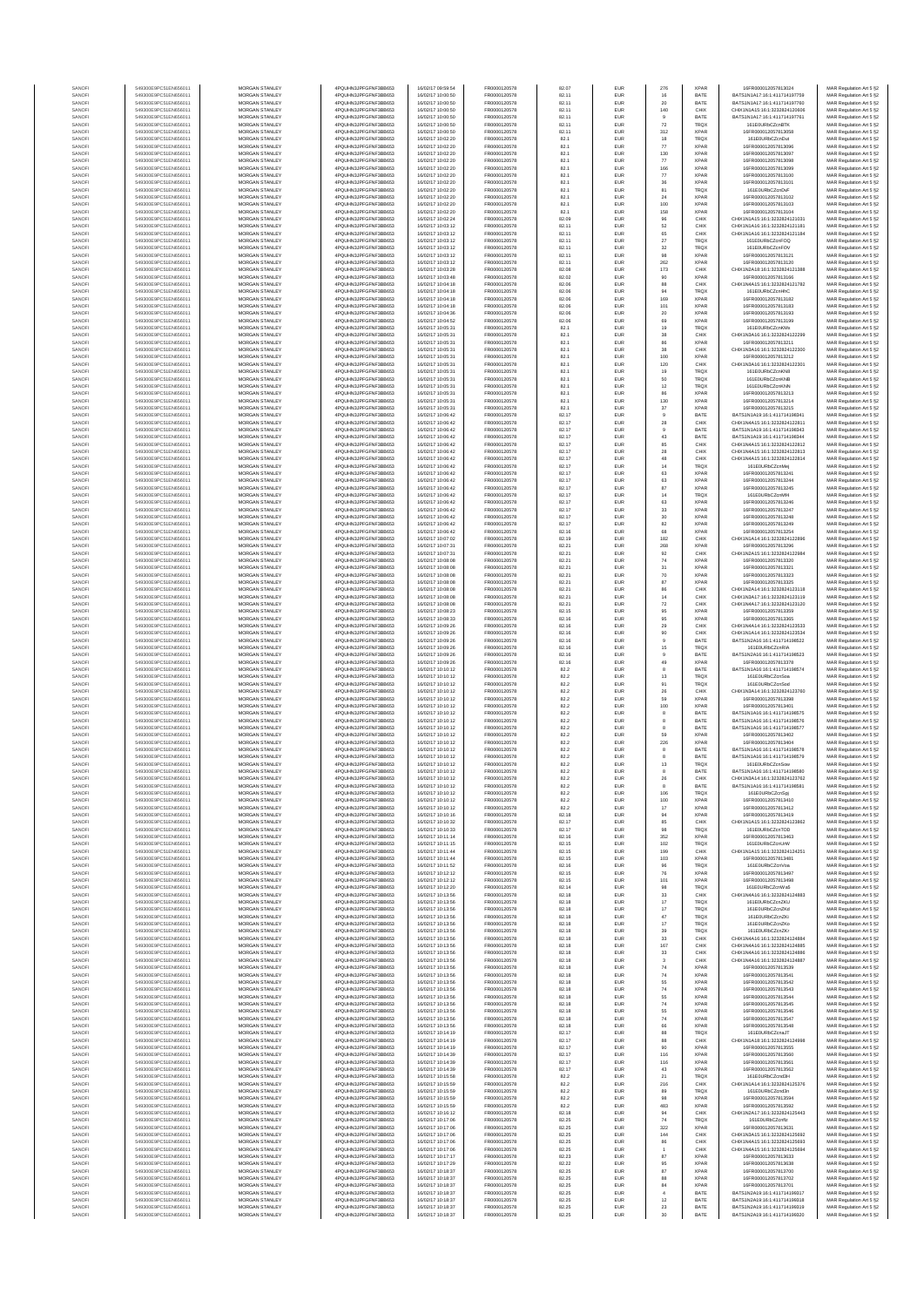| SANOF            | 549300E9PC51EN656011                         | <b>MORGAN STANLEY</b>                          | 4PQUHN3JPFGFNF3BB653                          | 16/02/17 09:59:54                      | FR0000120578                 | 82.07          | EUR                      | 276                       | <b>XPAR</b>                | 16FR000012057813024                                          | MAR Regulation Art 5 §2                            |
|------------------|----------------------------------------------|------------------------------------------------|-----------------------------------------------|----------------------------------------|------------------------------|----------------|--------------------------|---------------------------|----------------------------|--------------------------------------------------------------|----------------------------------------------------|
| SANOFI           | 549300E9PC51EN656011                         | MORGAN STANLEY                                 | 4PQUHN3JPFGFNF3BB653                          | 16/02/17 10:00:50                      | FR0000120578                 | 82.11          | <b>EUR</b>               | 16                        | BATE                       | RATS1N1A17-16-1-411714197759                                 | MAR Regulation Art 5 §2                            |
| SANOFI           | 549300E9PC51EN656011                         | MORGAN STANLEY                                 | 4POLIHN3JPEGENE3BB653                         | 16/02/17 10:00:50                      | FR0000120578                 | 82.11          | EUR                      | $20\,$                    | BATE                       | BATS1N1A17:16:1:411714197760                                 | MAR Regulation Art 5 §2                            |
| SANOFI           | 549300E9PC51EN656011                         | MORGAN STANLEY                                 | 4PQUHN3JPFGFNF3BB653                          | 16/02/17 10:00:50                      | FR0000120578                 | 82.11          | EUR                      | 140                       | CHIX                       | CHIX1N1A15:16:1:3232824120606                                | MAR Regulation Art 5 §2                            |
| SANOFI           | 549300E9PC51EN656011                         | MORGAN STANLEY                                 | 4PQUHN3JPFGFNF3BB653                          | 16/02/17 10:00:50                      | FR0000120578                 | 82.11          | EUR                      | $9$                       | BATE                       | BATS1N1A17:16:1:411714197761                                 | MAR Regulation Art 5 §2                            |
| SANOFI<br>SANOFI | 549300E9PC51EN656011<br>549300E9PC51EN656011 | MORGAN STANLEY<br>MORGAN STANLEY               | 4PQUHN3JPFGFNF3BB653<br>4PQUHN3JPFGFNF3BB653  | 16/02/17 10:00:50<br>16/02/17 10:00:50 | FR0000120578<br>FR0000120578 | 82.11<br>82.11 | EUR<br>EUR               | $\scriptstyle{72}$<br>312 | TRQ)<br><b>XPAR</b>        | 161E0URbCZcnBTK<br>16FR000012057813058                       | MAR Regulation Art 5 §2<br>MAR Regulation Art 5 §2 |
| SANOFI           | 549300E9PC51EN656011                         | MORGAN STANLEY                                 | 4PQUHN3JPFGFNF3BB653                          | 16/02/17 10:02:20                      | FR0000120578                 | 82.1           | EUR                      | 18                        | TRQX                       | 161E0URbCZcnDut                                              | MAR Regulation Art 5 §2                            |
| SANOFI           | 549300E9PC51EN656011                         | <b>MORGAN STANLEY</b>                          | 4PQUHN3JPFGFNF3BB653                          | 16/02/17 10:02:20                      | FR0000120578                 | 82.1           | EUR                      | 77                        | <b>XPAR</b>                | 16FR000012057813096                                          | MAR Regulation Art 5 §2                            |
| SANOFI           | 549300E9PC51EN656011                         | <b>MORGAN STANLEY</b>                          | 4PQUHN3JPFGFNF3BB653                          | 16/02/17 10:02:20                      | FR0000120578                 | 82.1           | <b>EUR</b>               | 130                       | <b>XPAR</b>                | 16FR000012057813097                                          | MAR Regulation Art 5 §2                            |
| SANOFI           | 549300E9PC51EN656011                         | <b>MORGAN STANLEY</b>                          | 4PQUHN3JPFGFNF3BB653                          | 16/02/17 10:02:20                      | FR0000120578                 | 82.1           | <b>EUR</b>               | 77                        | <b>XPAR</b>                | 16FR000012057813098                                          | MAR Regulation Art 5 §2                            |
| SANOFI<br>SANOFI | 549300E9PC51EN656011<br>549300E9PC51EN656011 | MORGAN STANLEY<br>MORGAN STANLEY               | 4PQUHN3JPFGFNF3BB653<br>4PQUHN3JPFGFNF3BB653  | 16/02/17 10:02:20<br>16/02/17 10:02:20 | FR0000120578<br>FR0000120578 | 82.1<br>82.1   | EUR<br>EUR               | 166                       | <b>XPAR</b><br><b>XPAF</b> | 16FR000012057813099<br>16FR000012057813100                   | MAR Regulation Art 5 §2                            |
| SANOF            | 549300E9PC51EN656011                         | MORGAN STANLEY                                 | 4PQUHN3JPFGFNF3BB653                          | 16/02/17 10:02:20                      | FR0000120578                 | 82.1           | EUR                      | $77\,$<br>36              | XPAF                       | 16FR00001205781310                                           | MAR Regulation Art 5 §2<br>MAR Regulation Art 5 §2 |
| SANOFI           | 549300E9PC51EN656011                         | MORGAN STANLEY                                 | 4PQUHN3JPFGFNF3BB653                          | 16/02/17 10:02:20                      | FR0000120578                 | 82.1           | EUR                      | 81                        | TRQ)                       | 161E0URbCZcnDvF                                              | MAR Regulation Art 5 §2                            |
| SANOFI           | 549300E9PC51EN656011                         | MORGAN STANLEY                                 | 4PQUHN3JPFGFNF3BB653                          | 16/02/17 10:02:20                      | FR0000120578                 | 82.1           | EUR                      | $24\,$                    | <b>XPAR</b>                | 16FR000012057813102                                          | MAR Regulation Art 5 §2                            |
| SANOFI           | 549300E9PC51EN656011                         | MORGAN STANLEY                                 | 4PQUHN3JPFGFNF3BB653                          | 16/02/17 10:02:20                      | FR0000120578                 | 82.1           | EUR                      | 100                       | <b>XPAF</b>                | 16FR000012057813103                                          | MAR Regulation Art 5 §2                            |
| SANOFI           | 549300E9PC51EN656011                         | <b>MORGAN STANLEY</b>                          | 4PQUHN3JPFGFNF3BB653                          | 16/02/17 10:02:20                      | FR0000120578                 | 82.1           | <b>EUR</b>               | 158                       | <b>XPAR</b>                | 16FR000012057813104                                          | MAR Regulation Art 5 §2                            |
| SANOFI           | 549300E9PC51EN656011                         | <b>MORGAN STANLEY</b>                          | 4PQUHN3JPFGFNF3BB653                          | 16/02/17 10:02:24                      | FR0000120578                 | 82.09          | <b>EUR</b>               | 96                        | CHIX                       | CHIX1N1A15:16:1:3232824121031                                | MAR Regulation Art 5 §2                            |
| SANOFI           | 549300E9PC51EN656011                         | MORGAN STANLEY<br>MORGAN STANLEY               | 4PQUHN3JPFGFNF3BB653<br>4PQUHN3JPFGFNF3BB653  | 16/02/17 10:03:12                      | FR0000120578                 | 82.11          | EUR<br>EUR               | 52                        | CHIX<br>CHIX               | CHIX1N1A16:16:1:3232824121181                                | MAR Regulation Art 5 §2                            |
| SANOF<br>SANOFI  | 549300E9PC51EN656011<br>549300E9PC51EN656011 | MORGAN STANLEY                                 | 4PQUHN3JPFGFNF3BB653                          | 16/02/17 10:03:12<br>16/02/17 10:03:12 | FR0000120578<br>FR0000120578 | 82.11<br>82.11 | EUR                      | 65<br>$\sqrt{27}$         | TRQ)                       | CHIX1N1A16:16:1:3232824121184<br>161E0URbCZcnFOQ             | MAR Regulation Art 5 §2<br>MAR Regulation Art 5 §2 |
| SANOFI           | 549300E9PC51EN656011                         | MORGAN STANLEY                                 | 4PQUHN3JPFGFNF3BB653                          | 16/02/17 10:03:12                      | FR0000120578                 | 82.11          | EUR                      | $_{32}$                   | TRQ)                       | 161E0URbCZcnFOV                                              | MAR Regulation Art 5 §2                            |
| SANOFI           | 549300E9PC51EN656011                         | MORGAN STANLEY                                 | 4PQUHN3JPFGFNF3BB653                          | 16/02/17 10:03:12                      | FR0000120578                 | 82.11          | EUR                      | 98                        | <b>XPAR</b>                | 16FR000012057813121                                          | MAR Regulation Art 5 §2                            |
| SANOFI           | 549300E9PC51EN656011                         | MORGAN STANLEY                                 | 4POLIHN3JPEGENE3BB653                         | 16/02/17 10:03:12                      | FR0000120578                 | 82.11          | EUR                      | 262                       | <b>XPAR</b>                | 16FR000012057813120                                          | MAR Regulation Art 5 §2                            |
| SANOFI           | 549300E9PC51EN656011                         | <b>MORGAN STANLEY</b>                          | 4PQUHN3JPFGFNF3BB653                          | 16/02/17 10:03:28                      | FR0000120578                 | 82.08          | <b>EUR</b>               | 173                       | CHIX                       | CHIX1N2A18:16:1:3232824121388                                | MAR Regulation Art 5 §2                            |
| SANOFI           | 549300E9PC51EN656011                         | MORGAN STANLEY                                 | 4PQUHN3JPFGFNF3BB653                          | 16/02/17 10:03:48                      | FR0000120578                 | 82.02          | EUR                      | 90                        | <b>XPAF</b>                | 16FR000012057813166                                          | MAR Regulation Art 5 §2                            |
| SANOFI<br>SANOFI | 549300E9PC51EN656011<br>549300E9PC51EN656011 | MORGAN STANLEY<br>MORGAN STANLEY               | 4PQUHN3JPFGFNF3BB653<br>4PQUHN3JPFGFNF3BB653  | 16/02/17 10:04:18<br>16/02/17 10:04:18 | FR0000120578<br>FR0000120578 | 82.06<br>82.06 | EUR<br>EUR               | 88<br>94                  | CHIX<br>TRQX               | CHIX1N4A15:16:1:3232824121782<br>161E0URbCZcnHhC             | MAR Regulation Art 5 §2<br>MAR Regulation Art 5 §2 |
| SANOF            | 549300E9PC51EN656011                         | MORGAN STANLEY                                 | 4PQUHN3JPFGFNF3BB653                          | 16/02/17 10:04:18                      | FR0000120578                 | 82.06          | EUR                      | 169                       | XPAF                       | 16FR000012057813182                                          | MAR Regulation Art 5 §2                            |
| SANOFI           | 549300E9PC51EN656011                         | MORGAN STANLEY                                 | 4PQUHN3JPFGFNF3BB653                          | 16/02/17 10:04:18                      | FR0000120578                 | 82.06          | EUR                      | 101                       | XPAF                       | 16FR000012057813183                                          | MAR Regulation Art 5 §2                            |
| SANOFI           | 549300E9PC51EN656011                         | MORGAN STANLEY                                 | 4PQUHN3JPFGFNF3BB653                          | 16/02/17 10:04:36                      | FR0000120578                 | 82.06          | EUR                      | 20                        | <b>XPAR</b>                | 16FR000012057813193                                          | MAR Regulation Art 5 §2                            |
| SANOFI           | 549300E9PC51EN656011                         | MORGAN STANLEY                                 | 4PQUHN3JPFGFNF3BB653                          | 16/02/17 10:04:52                      | FR0000120578                 | 82.06          | EUR                      | 69                        | <b>XPAR</b>                | 16FR000012057813199                                          | MAR Regulation Art 5 §2                            |
| SANOFI<br>SANOFI | 549300E9PC51EN656011<br>549300E9PC51EN656011 | <b>MORGAN STANLEY</b><br><b>MORGAN STANLEY</b> | 4PQUHN3JPFGFNF3BB653<br>4PQUHN3JPFGFNF3BB653  | 16/02/17 10:05:31<br>16/02/17 10:05:31 | FR0000120578<br>FR0000120578 | 82.1<br>82.1   | EUR<br><b>EUR</b>        | 19<br>38                  | <b>TRQX</b><br>CHIX        | 161E0URbCZcnKMx<br>CHIX1N3A16:16:1:3232824122299             | MAR Regulation Art 5 §2<br>MAR Regulation Art 5 §2 |
| SANOFI           | 549300E9PC51EN656011                         | MORGAN STANLEY                                 | 4PQUHN3JPFGFNF3BB653                          | 16/02/17 10:05:31                      | FR0000120578                 | 82.1           | EUR                      | 86                        | <b>XPAF</b>                | 16FR000012057813211                                          | MAR Regulation Art 5 §2                            |
| SANOFI           | 549300E9PC51EN656011                         | MORGAN STANLEY                                 | 4PQUHN3JPFGFNF3BB653                          | 16/02/17 10:05:31                      | FR0000120578                 | 82.1           | EUR                      | $_{\rm 38}$               | CHIX                       | CHIX1N3A16:16:1:3232824122300                                | MAR Regulation Art 5 §2                            |
| SANOFI           | 549300E9PC51EN656011                         | MORGAN STANLEY                                 | 4PQUHN3JPFGFNF3BB653                          | 16/02/17 10:05:31                      | FR0000120578                 | 82.1           | EUR                      | 100                       | XPAF                       | 16FR000012057813212                                          | MAR Regulation Art 5 §2                            |
| SANOFI           | 549300E9PC51EN656011                         | MORGAN STANLEY                                 | 4PQUHN3JPFGFNF3BB653                          | 16/02/17 10:05:31                      | FR0000120578                 | 82.1           | EUR                      | 120                       | CHIX                       | CHIX1N3A16:16:1:323282412230                                 | MAR Regulation Art 5 §2                            |
| SANOFI           | 549300E9PC51EN656011                         | MORGAN STANLEY                                 | 4PQUHN3JPFGFNF3BB653                          | 16/02/17 10:05:31                      | FR0000120578                 | 82.1           | EUR                      | 19                        | TRQX<br>TRQX               | 161E0URbCZcnKN8                                              | MAR Regulation Art 5 §2                            |
| SANOFI<br>SANOFI | 549300E9PC51EN656011<br>549300E9PC51EN656011 | MORGAN STANLEY<br><b>MORGAN STANLEY</b>        | 4PQUHN3JPFGFNF3BB653<br>4PQUHN3JPFGFNF3BB653  | 16/02/17 10:05:31<br>16/02/17 10:05:31 | FR0000120578<br>FR0000120578 | 82.1<br>82.1   | EUR<br><b>EUR</b>        | 50                        | <b>TRQX</b>                | 161E0URbCZcnKNB<br>161F0URbCZcnKNN                           | MAR Regulation Art 5 §2<br>MAR Regulation Art 5 §2 |
| SANOFI           | 549300E9PC51EN656011                         | MORGAN STANLEY                                 | 4PQUHN3JPFGFNF3BB653                          | 16/02/17 10:05:31                      | FR0000120578                 | 82.1           | EUR                      | $12\,$<br>86              | <b>XPAR</b>                | 16FR000012057813213                                          | MAR Regulation Art 5 §2                            |
| SANOFI           | 549300E9PC51EN656011                         | MORGAN STANLEY                                 | 4PQUHN3JPFGFNF3BB653                          | 16/02/17 10:05:31                      | FR0000120578                 | 82.1           | <b>EUR</b>               | 130                       | <b>XPAR</b>                | 16FR000012057813214                                          | MAR Regulation Art 5 §2                            |
| SANOFI           | 549300E9PC51EN656011                         | MORGAN STANLEY                                 | 4PQUHN3JPFGFNF3BB653                          | 16/02/17 10:05:31                      | FR0000120578                 | 82.1           | EUR                      | 37                        | <b>XPAF</b>                | 16FR000012057813215                                          | MAR Regulation Art 5 §2                            |
| SANOFI           | 549300E9PC51EN656011                         | MORGAN STANLEY                                 | 4PQUHN3JPFGFNF3BB653                          | 16/02/17 10:06:42                      | FR0000120578                 | 82.17          | EUR                      | $9\,$                     | BATE                       | BATS1N1A19:16:1:411714198341                                 | MAR Regulation Art 5 §2                            |
| SANOFI<br>SANOF  | 549300E9PC51EN656011<br>549300E9PC51EN656011 | MORGAN STANLEY<br>MORGAN STANLEY               | 4PQUHN3JPFGFNF3BB653<br>4PQUHN3JPFGFNF3BB653  | 16/02/17 10:06:42<br>16/02/17 10:06:42 | FR0000120578<br>FR0000120578 | 82.17<br>82.17 | EUR<br>EUR               | ${\bf 28}$<br>$\mathsf g$ | CHID<br>BATE               | CHIX1N4A15:16:1:323282412281<br>BATS1N1A19:16:1:411714198343 | MAR Regulation Art 5 §2                            |
| SANOFI           | 549300E9PC51EN656011                         | MORGAN STANLEY                                 | 4PQUHN3JPFGFNF3BB653                          | 16/02/17 10:06:42                      | FR0000120578                 | 82.17          | EUR                      | 43                        | BATE                       | BATS1N1A19:16:1:411714198344                                 | MAR Regulation Art 5 §2<br>MAR Regulation Art 5 §2 |
| SANOFI           | 549300E9PC51EN656011                         | MORGAN STANLEY                                 | 4PQUHN3JPFGFNF3BB653                          | 16/02/17 10:06:42                      | FR0000120578                 | 82.17          | EUR                      | 85                        | CHIX                       | CHIX1N4A15:16:1:3232824122812                                | MAR Regulation Art 5 §2                            |
| SANOFI           | 549300E9PC51EN656011                         | <b>MORGAN STANLEY</b>                          | 4PQUHN3JPFGFNF3BB653                          | 16/02/17 10:06:42                      | FR0000120578                 | 82.17          | <b>EUR</b>               | 28<br>48                  | CHIX                       | CHIX1N4A15:16:1:3232824122813                                | MAR Regulation Art 5 §2                            |
| SANOFI           | 549300E9PC51EN656011                         | <b>MORGAN STANLEY</b>                          | 4PQUHN3JPFGFNF3BB653                          | 16/02/17 10:06:42                      | FR0000120578                 | 82.17          | <b>EUR</b>               |                           | CHIX                       | CHIX1N4A15:16:1:3232824122814                                | MAR Regulation Art 5 §2                            |
| SANOFI           | 549300E9PC51EN656011<br>549300E9PC51EN656011 | MORGAN STANLEY<br>MORGAN STANLEY               | 4PQUHN3JPFGFNF3BB653                          | 16/02/17 10:06:42                      | FR0000120578<br>FR0000120578 | 82.17          | EUR                      | $14\,$                    | TRQ)                       | 161E0URbCZcnMei<br>16FR000012057813241                       | MAR Regulation Art 5 §2                            |
| SANOFI<br>SANOF  | 549300E9PC51EN656011                         | MORGAN STANLEY                                 | 4PQUHN3JPFGFNF3BB653<br>4PQUHN3JPFGFNF3BB653  | 16/02/17 10:06:42<br>16/02/17 10:06:42 | FR0000120578                 | 82.17<br>82.17 | EUR<br>EUR               | 63<br>63                  | <b>XPAF</b><br>XPAF        | 16FR000012057813244                                          | MAR Regulation Art 5 §2                            |
| SANOFI           | 549300E9PC51EN656011                         | MORGAN STANLEY                                 | 4PQUHN3JPFGFNF3BB653                          | 16/02/17 10:06:42                      | FR0000120578                 | 82.17          | EUR                      | 87                        | XPAF                       | 16FR000012057813245                                          | MAR Regulation Art 5 §2<br>MAR Regulation Art 5 §2 |
| SANOFI           | 549300E9PC51EN656011                         | MORGAN STANLEY                                 | 4PQUHN3JPFGFNF3BB653                          | 16/02/17 10:06:42                      | FR0000120578                 | 82.17          | EUR                      | $14\,$                    | TRQ)                       | 161E0URbCZcnMf4                                              | MAR Regulation Art 5 §2                            |
| SANOFI           | 549300E9PC51EN656011                         | MORGAN STANLEY                                 | 4PQUHN3JPFGFNF3BB653                          | 16/02/17 10:06:42                      | FR0000120578                 | 82.17          | EUR                      | 63                        | <b>XPAF</b>                | 16FR000012057813246                                          | MAR Regulation Art 5 §2                            |
| SANOFI           | 549300E9PC51EN656011                         | <b>MORGAN STANLEY</b>                          | 4PQUHN3JPFGFNF3BB653                          | 16/02/17 10:06:42                      | FR0000120578                 | 82.17          | EUR                      | 33                        | <b>XPAR</b>                | 16FR000012057813247                                          | MAR Regulation Art 5 §2                            |
| SANOFI           | 549300E9PC51EN656011                         | MORGAN STANLEY<br>MORGAN STANLEY               | 4PQUHN3JPFGFNF3BB653                          | 16/02/17 10:06:42                      | FR0000120578                 | 82.17          | <b>EUR</b>               | 30                        | <b>XPAR</b>                | 16FR000012057813248                                          | MAR Regulation Art 5 §2                            |
| SANOFI<br>SANOF  | 549300E9PC51EN656011<br>549300E9PC51EN656011 | MORGAN STANLEY                                 | 4PQUHN3JPFGFNF3BB653<br>4PQUHN3JPFGFNF3BB653  | 16/02/17 10:06:42<br>16/02/17 10:06:42 | FR0000120578<br>FR0000120578 | 82.17<br>82.16 | EUR<br>EUR               | 82<br>68                  | <b>XPAF</b><br>XPAF        | 16FR000012057813249<br>16FR000012057813254                   | MAR Regulation Art 5 §2<br>MAR Regulation Art 5 §2 |
| SANOFI           | 549300E9PC51EN656011                         | MORGAN STANLEY                                 | 4PQUHN3JPFGFNF3BB653                          | 16/02/17 10:07:02                      | FR0000120578                 | 82.19          | EUR                      | 182                       | CHIX                       | CHIX1N1A14:16:1:323282412289                                 | MAR Regulation Art 5 §2                            |
| SANOFI           | 549300E9PC51EN656011                         | MORGAN STANLEY                                 | 4PQUHN3JPFGFNF3BB653                          | 16/02/17 10:07:31                      | FR0000120578                 | 82.21          | EUR                      | 268                       | XPAF                       | 16FR000012057813296                                          | MAR Regulation Art 5 §2                            |
| SANOFI           | 549300E9PC51EN656011                         | MORGAN STANLEY                                 | 4PQUHN3JPFGFNF3BB653                          | 16/02/17 10:07:31                      | FR0000120578                 | 82.21          | EUR                      | 92                        | CHIX                       | CHIX1N2A15:16:1:3232824122984                                | MAR Regulation Art 5 §2                            |
| SANOFI           | 549300E9PC51EN656011                         | MORGAN STANLEY                                 | 4PQUHN3JPFGFNF3BB653                          | 16/02/17 10:08:08                      | FR0000120578                 | 82.21          | EUR                      | $74\,$                    | <b>XPAR</b>                | 16FR000012057813320                                          | MAR Regulation Art 5 §2                            |
| SANOFI           | 549300E9PC51EN656011                         | <b>MORGAN STANLEY</b>                          | 4PQUHN3JPFGFNF3BB653                          | 16/02/17 10:08:08                      | FR0000120578                 | 82.21          | <b>EUR</b>               | 31                        | <b>XPAR</b>                | 16FR000012057813321                                          | MAR Regulation Art 5 §2                            |
| SANOFI<br>SANOFI | 549300E9PC51EN656011<br>549300E9PC51EN656011 | <b>MORGAN STANLEY</b><br>MORGAN STANLEY        | 4PQUHN3JPFGFNF3BB653<br>4PQUHN3JPFGFNF3BB653  | 16/02/17 10:08:08<br>16/02/17 10:08:08 | FR0000120578<br>FR0000120578 | 82.21<br>82.21 | EUR<br>EUR               | 70<br>87                  | <b>XPAR</b><br>XPAF        | 16FR000012057813323<br>16FR000012057813325                   | MAR Regulation Art 5 §2<br>MAR Regulation Art 5 §2 |
| SANOFI           | 549300E9PC51EN656011                         | MORGAN STANLEY                                 | 4PQUHN3JPFGFNF3BB653                          | 16/02/17 10:08:08                      | FR0000120578                 | 82.21          | EUR                      | 86                        | CHIX                       | CHIX1N2A14:16:1:3232824123118                                | MAR Regulation Art 5 §2                            |
| SANOF            | 549300E9PC51EN656011                         | MORGAN STANLEY                                 | 4PQUHN3JPFGFNF3BB653                          | 16/02/17 10:08:08                      | FR0000120578                 | 82.21          | EUR                      | 14                        | CHIX                       | CHIX1N3A17:16:1:3232824123119                                | MAR Regulation Art 5 §2                            |
| SANOFI           | 549300E9PC51EN656011                         | MORGAN STANLEY                                 | 4PQUHN3JPFGFNF3BB653                          | 16/02/17 10:08:08                      | FR0000120578                 | 82.21          | EUR                      | $\scriptstyle{72}$        | CHIX                       | CHIX1N4A17:16:1:3232824123120                                | MAR Regulation Art 5 §2                            |
| SANOFI           | 549300E9PC51EN656011                         | MORGAN STANLEY                                 | 4PQUHN3JPFGFNF3BB653                          | 16/02/17 10:08:23                      | FR0000120578                 | 82.15          | EUR                      | 95                        | XPAF                       | 16FR000012057813359                                          | MAR Regulation Art 5 §2                            |
| SANOFI<br>SANOFI | 549300E9PC51EN656011<br>549300E9PC51EN656011 | MORGAN STANLEY<br><b>MORGAN STANLEY</b>        | 4PQUHN3JPFGFNF3BB653<br>4PQUHN3JPFGFNF3BB653  | 16/02/17 10:08:33<br>16/02/17 10:09:26 | FR0000120578<br>FR0000120578 | 82.16<br>82.16 | EUR<br>EUR               | 95<br>29                  | <b>XPAF</b><br>CHIX        | 16FR000012057813365<br>CHIX1N4A14:16:1:3232824123533         | MAR Regulation Art 5 §2<br>MAR Regulation Art 5 §2 |
| SANOFI           | 549300E9PC51EN656011                         | <b>MORGAN STANLEY</b>                          | 4PQUHN3JPFGFNF3BB653                          | 16/02/17 10:09:26                      | FR0000120578                 | 82.16          | <b>EUR</b>               | 90                        | CHIX                       | CHIX1N1A14:16:1:3232824123534                                | MAR Regulation Art 5 §2                            |
| SANOFI           | 549300E9PC51EN656011                         | <b>MORGAN STANLEY</b>                          | 4PQUHN3JPFGFNF3BB653                          | 16/02/17 10:09:26                      | FR0000120578                 | 82.16          | EUR                      | $\overline{9}$            | BATE                       | BATS1N2A16:16:1:411714198522                                 | MAR Regulation Art 5 §2                            |
| SANOFI           | 549300E9PC51EN656011                         | MORGAN STANLEY                                 | 4PQUHN3JPFGFNF3BB653                          | 16/02/17 10:09:26                      | FR0000120578                 | 82.16          | EUR                      | $15\,$                    | TRQX                       | 161E0URbCZcnRIA                                              | MAR Regulation Art 5 §2                            |
| SANOFI           | 549300E9PC51EN656011                         | MORGAN STANLEY                                 | 4PQUHN3JPFGFNF3BB653                          | 16/02/17 10:09:26                      | FR0000120578                 | 82.16          | EUR                      | $_{9}$                    | BATE                       | BATS1N2A16:16:1:411714198523                                 | MAR Regulation Art 5 §2                            |
| SANOF            | 549300E9PC51EN656011                         | MORGAN STANLEY                                 | 4PQUHN3JPFGFNF3BB653                          | 16/02/17 10:09:26                      | FR0000120578                 | 82.16          | EUR                      | 49                        | XPAF                       | 16FR000012057813378                                          | MAR Regulation Art 5 §2                            |
| SANOFI<br>SANOFI | 549300E9PC51EN656011<br>549300E9PC51EN656011 | MORGAN STANLEY<br>MORGAN STANLEY               | 4PQUHN3JPFGFNF3BB653<br>4PQUHN3JPFGFNF3BB653  | 16/02/17 10:10:12<br>16/02/17 10:10:12 | FR0000120578<br>FR0000120578 | 82.2<br>82.2   | EUR<br>EUR               | 8<br>$13$                 | BATE<br>TRQ)               | BATS1N1A16:16:1:411714198574<br>161E0URbCZcnSoa              | MAR Regulation Art 5 §2<br>MAR Regulation Art 5 §2 |
| SANOFI           | 549300E9PC51EN656011                         | MORGAN STANLEY                                 | 4PQUHN3JPFGFNF3BB653                          | 16/02/17 10:10:12                      | FR0000120578                 | 82.2           | EUR                      | 91                        | TRQX                       | 161E0URbCZcnSod                                              | MAR Regulation Art 5 §2                            |
| SANOFI           | 549300E9PC51EN656011                         | <b>MORGAN STANLEY</b>                          | 4PQUHN3JPFGFNF3BB653                          | 16/02/17 10:10:12                      | FR0000120578                 | 82.2           | <b>EUR</b>               | 26                        | CHIX                       | CHIX1N3A14:16:1:3232824123760                                | MAR Regulation Art 5 §2                            |
| SANOFI           | 549300E9PC51EN656011                         | MORGAN STANLEY                                 | 4PQUHN3JPFGFNF3BB653                          | 16/02/17 10:10:12                      | FR0000120578                 | 82.2           | <b>EUR</b>               | 59                        | <b>XPAR</b>                | 16FR000012057813398                                          | MAR Regulation Art 5 §2                            |
| SANOFI           | 549300E9PC51EN656011                         | MORGAN STANLEY                                 | 4PQUHN3JPFGFNF3BB653                          | 16/02/17 10:10:12                      | FR0000120578                 | 82.2           | EUR                      | 100                       | <b>XPAR</b>                | 16FR000012057813401                                          | MAR Regulation Art 5 §2                            |
| SANOFI           | 549300E9PC51EN656011                         | MORGAN STANLEY                                 | 4PQUHN3JPFGFNF3BB653                          | 16/02/17 10:10:12                      | FR0000120578                 | 82.2           | EUR                      | 8                         | BATE                       | BATS1N1A16:16:1:411714198575                                 | MAR Regulation Art 5 §2                            |
| SANOFI<br>SANOF  | 549300E9PC51EN656011<br>549300E9PC51EN656011 | MORGAN STANLEY<br>MORGAN STANLEY               | 4PQUHN3JPFGFNF3BB653<br>4PQUHN3JPFGFNF3BB653  | 16/02/17 10:10:12<br>16/02/17 10:10:12 | FR0000120578<br>FR0000120578 | 82.2<br>82.2   | EUR<br>EUR               | $^{\rm 8}$                | BATE<br>BATE               | BATS1N1A16:16:1:411714198576<br>BATS1N1A16:16:1:411714198577 | MAR Regulation Art 5 §2<br>MAR Regulation Art 5 §2 |
| SANOFI           | 549300E9PC51EN656011                         | MORGAN STANLEY                                 | 4PQUHN3JPFGFNF3BB653                          | 16/02/17 10:10:12                      | FR0000120578                 | 82.2           | EUR                      | 59                        | <b>XPAF</b>                | 16FR000012057813402                                          | MAR Regulation Art 5 §2                            |
| SANOFI           | 549300E9PC51EN656011                         | MORGAN STANLEY                                 | 4PQUHN3JPFGFNF3BB653                          | 16/02/17 10:10:12                      | FR0000120578                 | 82.2           | EUR                      | 226                       | <b>XPAF</b>                | 16FR000012057813404                                          | MAR Regulation Art 5 §2                            |
| SANOFI           | 549300E9PC51EN656011                         | <b>MORGAN STANLEY</b>                          | 4PQUHN3JPFGFNF3BB653                          | 16/02/17 10:10:12                      | FR0000120578                 | 82.2           | <b>EUR</b>               | 8                         | BATE                       | BATS1N1A16:16:1:411714198578                                 | MAR Regulation Art 5 §2                            |
| SANOFI           | 549300E9PC51EN656011                         | <b>MORGAN STANLEY</b>                          | 4PQUHN3JPFGFNF3BB653                          | 16/02/17 10:10:12                      | FR0000120578                 | 82.2           | <b>EUR</b>               | 8                         | BATE                       | BATS1N1A16:16:1:411714198579                                 | MAR Regulation Art 5 §2                            |
| SANOF            | 549300E9PC51EN656011<br>549300E9PC51EN656011 | MORGAN STANLEY<br>MORGAN STANLEY               | 4PQUHN3JPFGFNF3BB653<br>4PQUHN3JPFGFNF3BB653  | 16/02/17 10:10:12                      | FR0000120578                 | 82.2           | EUR                      | $13\,$                    | TRQX<br>BATE               | 161F0URbCZcnSow<br>BATS1N1A16:16:1:411714198580              | MAR Regulation Art 5 §2                            |
| SANOFI           |                                              |                                                |                                               | 16/02/17 10:10:12                      | FR0000120578                 | 82.2           | EUR                      | 8                         |                            | 3A14:16:1:3232824123762                                      | MAR Regulation Art 5 §2<br>: Regulation Art 5 §.   |
| SANOF            | 549300E9PC51EN656011                         | MORGAN STANLEY                                 | 4PQUHN3JPFGFNF3BB653                          | 16/02/17 10:10:12                      | FR0000120578                 | 82.2           | EUR                      | 8                         | BATE                       | BATS1N1A16:16:1:411714198581                                 | MAR Regulation Art 5 §2                            |
| SANOFI           | 549300E9PC51EN656011                         | MORGAN STANLEY                                 | 4PQUHN3JPFGFNF3BB653                          | 16/02/17 10:10:12                      | FR0000120578                 | 82.2           | EUR                      | 106                       | <b>TRQX</b>                | 161E0URbCZcnSpi                                              | MAR Regulation Art 5 §2                            |
| SANOFI           | 549300E9PC51EN656011                         | MORGAN STANLEY                                 | 4PQUHN3JPFGFNF3BB653                          | 16/02/17 10:10:12                      | FR0000120578                 | 82.2           | <b>EUR</b>               | 100                       | <b>XPAR</b>                | 16FR000012057813410                                          | MAR Regulation Art 5 §2                            |
| SANOFI<br>SANOFI | 549300E9PC51EN656011<br>549300E9PC51EN656011 | <b>MORGAN STANLEY</b><br><b>MORGAN STANLEY</b> | 4PQUHN3JPFGFNF3BB653<br>4PQUHN3JPFGFNF3BB653  | 16/02/17 10:10:12<br>16/02/17 10:10:16 | FR0000120578<br>FR0000120578 | 82.2<br>82.18  | <b>EUR</b><br><b>EUR</b> | 17<br>94                  | <b>XPAR</b><br><b>XPAR</b> | 16FR000012057813412<br>16FR000012057813419                   | MAR Regulation Art 5 §2<br>MAR Regulation Art 5 §2 |
| SANOFI           | 549300E9PC51EN656011                         | MORGAN STANLEY                                 | 4PQUHN3JPFGFNF3BB653                          | 16/02/17 10:10:32                      | FR0000120578                 | 82.17          | EUR                      | 85                        | CHIX                       | CHIX1N1A15:16:1:3232824123862                                | MAR Regulation Art 5 §2                            |
| SANOFI           | 549300E9PC51EN656011                         | MORGAN STANLEY                                 | 4PQUHN3JPFGFNF3BB653                          | 16/02/17 10:10:33                      | FR0000120578                 | 82.17          | EUR                      | 98                        | <b>TRQX</b>                | 161E0URbCZcnTOD                                              | MAR Regulation Art 5 §2                            |
| SANOFI           | 549300E9PC51EN656011                         | MORGAN STANLEY                                 | 4PQUHN3JPFGFNF3BB653                          | 16/02/17 10:11:14                      | FR0000120578                 | 82.16          | EUR                      | 352                       | <b>XPAR</b>                | 16FR000012057813463                                          | MAR Regulation Art 5 §2                            |
| SANOFI           | 549300E9PC51EN656011                         | MORGAN STANLEY                                 | 4PQUHN3JPFGFNF3BB653                          | 16/02/17 10:11:15                      | FR0000120578                 | 82.15          | EUR                      | 102                       | TRQX                       | 161E0URbCZcnUrW                                              | MAR Regulation Art 5 §2                            |
| SANOFI<br>SANOFI | 549300E9PC51EN656011                         | MORGAN STANLEY                                 | 4PQUHN3JPFGFNF3BB653<br>4PQUHN3JPFGFNF3BB653  | 16/02/17 10:11:44                      | FR0000120578<br>FR0000120578 | 82.15<br>82.15 | EUR                      | 199<br>103                | CHIX<br><b>XPAR</b>        | CHIX1N1A15:16:1:3232824124251                                | MAR Regulation Art 5 §2                            |
| SANOFI           | 549300E9PC51EN656011<br>549300E9PC51EN656011 | MORGAN STANLEY<br><b>MORGAN STANLEY</b>        | 4PQUHN3JPFGFNF3BB653                          | 16/02/17 10:11:44<br>16/02/17 10:11:52 | FR0000120578                 | 82.16          | EUR<br><b>EUR</b>        | 96                        | <b>TRQX</b>                | 16FR000012057813481<br>161E0URbCZcnVoa                       | MAR Regulation Art 5 §2<br>MAR Regulation Art 5 §2 |
| SANOFI           | 549300E9PC51EN656011                         | <b>MORGAN STANLEY</b>                          | 4PQUHN3JPFGFNF3BB653                          | 16/02/17 10:12:12                      | FR0000120578                 | 82.15          | <b>EUR</b>               | 76                        | <b>XPAR</b>                | 16FR000012057813497                                          | MAR Regulation Art 5 §2                            |
| SANOFI           | 549300E9PC51EN656011                         | <b>MORGAN STANLEY</b>                          | 4PQUHN3JPFGFNF3BB653                          | 16/02/17 10:12:12                      | FR0000120578                 | 82.15          | <b>EUR</b>               | 101                       | <b>XPAR</b>                | 16ER000012057813498                                          | MAR Regulation Art 5 §2                            |
| SANOFI           | 549300E9PC51EN656011                         | MORGAN STANLEY<br><b>MORGAN STANLEY</b>        | 4POLIHN3JPEGENE3BB653                         | 16/02/17 10:12:20                      | FR0000120578<br>FR0000120578 | 82.14          | <b>EUR</b>               | 98                        | <b>TRQX</b>                | 161F0URbCZcnWa5<br>CHIX1N4A16:16:1:3232824124883             | MAR Regulation Art 5 §2                            |
| SANOFI<br>SANOFI | 549300E9PC51EN656011<br>549300E9PC51EN656011 | MORGAN STANLEY                                 | 4PQUHN3JPFGFNF3BB653<br>4PQUHN3JPFGFNF3BB653  | 16/02/17 10:13:56<br>16/02/17 10:13:56 | FR0000120578                 | 82.18<br>82.18 | EUR<br>EUR               | $_{\rm 33}$<br>17         | CHIX<br>TRQX               | 161E0URbCZcnZKU                                              | MAR Regulation Art 5 §2<br>MAR Regulation Art 5 §2 |
| SANOFI           | 549300E9PC51EN656011                         | MORGAN STANLEY                                 | 4PQUHN3JPFGFNF3BB653                          | 16/02/17 10:13:56                      | FR0000120578                 | 82.18          | EUR                      | $17\,$                    | TRQX                       | 161E0URbCZcnZKd                                              | MAR Regulation Art 5 §2                            |
| SANOFI           | 549300E9PC51EN656011                         | MORGAN STANLEY                                 | 4PQUHN3JPFGFNF3BB653                          | 16/02/17 10:13:56                      | FR0000120578                 | 82.18          | EUR                      | 47                        | <b>TRQX</b>                | 161E0URbCZcnZKi                                              | MAR Regulation Art 5 §2                            |
| SANOFI           | 549300E9PC51EN656011                         | MORGAN STANLEY                                 | 4PQUHN3JPFGFNF3BB653                          | 16/02/17 10:13:56                      | FR0000120578                 | 82.18          | <b>EUR</b>               | $17\,$                    | TRQX                       | 161E0URbCZcnZKo                                              | MAR Regulation Art 5 §2                            |
| SANOFI<br>SANOFI | 549300E9PC51EN656011<br>549300E9PC51EN656011 | MORGAN STANLEY<br>MORGAN STANLEY               | 4PQUHN3JPFGFNF3BB653<br>4POLIHN3JPEGENE3BB653 | 16/02/17 10:13:56<br>16/02/17 10:13:56 | FR0000120578<br>FR0000120578 | 82.18<br>82.18 | <b>EUR</b><br><b>EUR</b> | 39<br>33                  | <b>TRQX</b><br>CHIX        | 161E0URbCZcnZKr<br>CHIX1N4A16:16:1:3232824124884             | MAR Regulation Art 5 §2<br>MAR Regulation Art 5 §2 |
| SANOFI           | 549300E9PC51EN656011                         | MORGAN STANLEY                                 | 4PQUHN3JPFGFNF3BB653                          | 16/02/17 10:13:56                      | FR0000120578                 | 82.18          | EUR                      | 167                       | CHIX                       | CHIX1N4A16:16:1:3232824124885                                | MAR Regulation Art 5 §2                            |
| SANOFI           | 549300E9PC51EN656011                         | MORGAN STANLEY                                 | 4PQUHN3JPFGFNF3BB653                          | 16/02/17 10:13:56                      | FR0000120578                 | 82.18          | <b>EUR</b>               | 33                        | CHIX                       | CHIX1N4A16:16:1:3232824124886                                | MAR Regulation Art 5 §2                            |
| SANOF            | 549300E9PC51EN656011                         | MORGAN STANLEY                                 | 4PQUHN3JPFGFNF3BB653                          | 16/02/17 10:13:56                      | FR0000120578                 | 82.18          | EUR                      | $_{3}$                    | CHIX                       | CHIX1N4A16:16:1:3232824124887                                | MAR Regulation Art 5 §2                            |
| SANOFI           | 549300E9PC51EN656011                         | MORGAN STANLEY                                 | 4PQUHN3JPFGFNF3BB653                          | 16/02/17 10:13:56                      | FR0000120578                 | 82.18          | EUR                      | 74                        | XPAF                       | 16FR000012057813539                                          | MAR Regulation Art 5 §2                            |
| SANOFI<br>SANOFI | 549300E9PC51EN656011<br>549300E9PC51EN656011 | MORGAN STANLEY<br>MORGAN STANLEY               | 4PQUHN3JPFGFNF3BB653<br>4PQUHN3JPFGFNF3BB653  | 16/02/17 10:13:56<br>16/02/17 10:13:56 | FR0000120578<br>FR0000120578 | 82.18<br>82.18 | EUR<br><b>EUR</b>        | $74\,$<br>55              | <b>XPAR</b><br><b>XPAR</b> | 16FR000012057813541<br>16FR000012057813542                   | MAR Regulation Art 5 §2                            |
| SANOFI           | 549300E9PC51EN656011                         | <b>MORGAN STANLEY</b>                          | 4PQUHN3JPFGFNF3BB653                          | 16/02/17 10:13:56                      | FR0000120578                 | 82.18          | <b>EUR</b>               | 74                        | <b>XPAR</b>                | 16FR000012057813543                                          | MAR Regulation Art 5 §2<br>MAR Regulation Art 5 §2 |
| SANOFI           | 549300E9PC51EN656011                         | <b>MORGAN STANLEY</b>                          | 4PQUHN3JPFGFNF3BB653                          | 16/02/17 10:13:56                      | FR0000120578                 | 82.18          | <b>EUR</b>               | 55                        | <b>XPAR</b>                | 16FR000012057813544                                          | MAR Regulation Art 5 §2                            |
| SANOFI           | 549300E9PC51EN656011                         | MORGAN STANLEY                                 | 4PQUHN3JPFGFNF3BB653                          | 16/02/17 10:13:56                      | FR0000120578                 | 82.18          | <b>EUR</b>               | 74                        | <b>XPAR</b>                | 16FR000012057813545                                          | MAR Regulation Art 5 §2                            |
| SANOFI           | 549300E9PC51EN656011                         | MORGAN STANLEY                                 | 4PQUHN3JPFGFNF3BB653                          | 16/02/17 10:13:56                      | FR0000120578                 | 82.18          | <b>EUR</b>               | 55                        | <b>XPAR</b>                | 16FR000012057813546                                          | MAR Regulation Art 5 §2                            |
| SANOFI<br>SANOFI | 549300E9PC51EN656011<br>549300E9PC51EN656011 | MORGAN STANLEY<br>MORGAN STANLEY               | 4PQUHN3JPFGFNF3BB653<br>4PQUHN3JPFGFNF3BB653  | 16/02/17 10:13:56<br>16/02/17 10:13:56 | FR0000120578<br>FR0000120578 | 82.18<br>82.18 | EUR<br>EUR               | 74<br>66                  | <b>XPAR</b><br><b>XPAR</b> | 16FR000012057813547<br>16FR000012057813548                   | MAR Regulation Art 5 §2<br>MAR Regulation Art 5 §2 |
| SANOFI           | 549300E9PC51EN656011                         | MORGAN STANLEY                                 | 4PQUHN3JPFGFNF3BB653                          | 16/02/17 10:14:19                      | FR0000120578                 | 82.17          | EUR                      | 88                        | <b>TRQX</b>                | 161E0URbCZcnaJT                                              | MAR Regulation Art 5 §2                            |
| SANOFI           | 549300E9PC51EN656011                         | MORGAN STANLEY                                 | 4PQUHN3JPFGFNF3BB653                          | 16/02/17 10:14:19                      | FR0000120578                 | 82.17          | EUR                      | 88                        | CHIX                       | CHIX1N1A18:16:1:3232824124998                                | MAR Regulation Art 5 §2                            |
| SANOFI           | 549300E9PC51EN656011                         | <b>MORGAN STANLEY</b>                          | 4PQUHN3JPFGFNF3BB653                          | 16/02/17 10:14:19                      | FR0000120578                 | 82.17          | <b>EUR</b>               | 90                        | <b>XPAR</b>                | 16FR000012057813555                                          | MAR Regulation Art 5 §2                            |
| SANOFI           | 549300E9PC51EN656011                         | <b>MORGAN STANLEY</b>                          | 4PQUHN3JPFGFNF3BB653                          | 16/02/17 10:14:39                      | FR0000120578                 | 82.17          | <b>EUR</b>               | 116                       | <b>XPAR</b>                | 16FR000012057813560                                          | MAR Regulation Art 5 §2                            |
| SANOFI<br>SANOFI | 549300E9PC51EN656011<br>549300E9PC51EN656011 | MORGAN STANLEY<br>MORGAN STANLEY               | 4PQUHN3JPFGFNF3BB653<br>4PQUHN3JPFGFNF3BB653  | 16/02/17 10:14:39<br>16/02/17 10:14:39 | FR0000120578<br>FR0000120578 | 82.17<br>82.17 | <b>EUR</b><br>EUR        | 116<br>43                 | <b>XPAR</b><br><b>XPAR</b> | 16FR000012057813561<br>16FR000012057813562                   | MAR Regulation Art 5 §2<br>MAR Regulation Art 5 §2 |
| SANOFI           | 549300E9PC51EN656011                         | MORGAN STANLEY                                 | 4PQUHN3JPFGFNF3BB653                          | 16/02/17 10:15:58                      | FR0000120578                 | 82.2           | EUR                      | 21                        | TRQX                       | 161E0URbCZcnd3H                                              | MAR Regulation Art 5 §2                            |
| SANOFI           | 549300E9PC51EN656011                         | MORGAN STANLEY                                 | 4PQUHN3JPFGFNF3BB653                          | 16/02/17 10:15:59                      | FR0000120578                 | 82.2           | EUR                      | 216                       | CHIX                       | CHIX1N1A14:16:1:3232824125376                                | MAR Regulation Art 5 §2                            |
| SANOFI           | 549300E9PC51EN656011                         | MORGAN STANLEY                                 | 4PQUHN3JPFGFNF3BB653                          | 16/02/17 10:15:59                      | FR0000120578                 | 82.2           | <b>EUR</b>               | 89                        | TRQX                       | 161E0URbCZcnd3n                                              | MAR Regulation Art 5 §2                            |
| SANOFI           | 549300E9PC51EN656011                         | MORGAN STANLEY                                 | 4PQUHN3JPFGFNF3BB653                          | 16/02/17 10:15:59                      | FR0000120578                 | 82.2           | EUR                      | 98                        | <b>XPAR</b>                | 16FR000012057813594                                          | MAR Regulation Art 5 §2                            |
| SANOFI<br>SANOFI | 549300E9PC51EN656011<br>549300E9PC51EN656011 | <b>MORGAN STANLEY</b><br><b>MORGAN STANLEY</b> | 4PQUHN3JPFGFNF3BB653<br>4PQUHN3JPFGFNF3BB653  | 16/02/17 10:15:59<br>16/02/17 10:16:12 | FR0000120578<br>FR0000120578 | 82.2<br>82.18  | <b>EUR</b><br><b>EUR</b> | 483<br>94                 | <b>XPAR</b><br>CHIX        | 16FR000012057813592<br>CHIX1N2A17:16:1:3232824125443         | MAR Regulation Art 5 §2                            |
| SANOFI           | 549300E9PC51EN656011                         | <b>MORGAN STANLEY</b>                          | 4PQUHN3JPFGFNF3BB653                          | 16/02/17 10:17:06                      | FR0000120578                 | 82.25          | <b>EUR</b>               | 74                        | <b>TRQX</b>                | 161E0URbCZcnflz                                              | MAR Regulation Art 5 §2<br>MAR Regulation Art 5 §2 |
| SANOFI           | 549300E9PC51EN656011                         | MORGAN STANLEY                                 | 4PQUHN3JPFGFNF3BB653                          | 16/02/17 10:17:06                      | FR0000120578                 | 82.25          | <b>EUR</b>               | $322\,$                   | <b>XPAR</b>                | 16FR000012057813631                                          | MAR Regulation Art 5 §2                            |
| SANOFI           | 549300E9PC51EN656011                         | MORGAN STANLEY                                 | 4PQUHN3JPFGFNF3BB653                          | 16/02/17 10:17:06                      | FR0000120578                 | 82.25          | <b>EUR</b>               | 144                       | CHIX                       | CHIX1N3A15:16:1:3232824125692                                | MAR Regulation Art 5 §2                            |
| SANOFI           | 549300E9PC51EN656011                         | MORGAN STANLEY                                 | 4PQUHN3JPFGFNF3BB653                          | 16/02/17 10:17:06                      | FR0000120578                 | 82.25          | EUR                      | 86                        | CHIX                       | CHIX1N4A15:16:1:3232824125693                                | MAR Regulation Art 5 §2                            |
| SANOFI           | 549300E9PC51EN656011                         | MORGAN STANLEY                                 | 4PQUHN3JPFGFNF3BB653<br>4PQUHN3JPFGFNF3BB653  | 16/02/17 10:17:06                      | FR0000120578                 | 82.25          | EUR                      |                           | CHIX<br><b>XPAR</b>        | CHIX1N4A15:16:1:3232824125694                                | MAR Regulation Art 5 §2                            |
| SANOFI<br>SANOFI | 549300E9PC51EN656011<br>549300E9PC51EN656011 | MORGAN STANLEY<br>MORGAN STANLEY               | 4PQUHN3JPFGFNF3BB653                          | 16/02/17 10:17:17<br>16/02/17 10:17:29 | FR0000120578<br>FR0000120578 | 82.23<br>82.22 | EUR<br><b>EUR</b>        | 87<br>95                  | <b>XPAR</b>                | 16FR000012057813633<br>16FR000012057813638                   | MAR Regulation Art 5 §2<br>MAR Regulation Art 5 §2 |
| SANOFI           | 549300E9PC51EN656011                         | <b>MORGAN STANLEY</b>                          | 4PQUHN3JPFGFNF3BB653                          | 16/02/17 10:18:37                      | FR0000120578                 | 82.25          | <b>EUR</b>               | 87                        | <b>XPAR</b>                | 16FR000012057813700                                          | MAR Regulation Art 5 §2                            |
| SANOFI           | 549300E9PC51EN656011                         | <b>MORGAN STANLEY</b>                          | 4PQUHN3JPFGFNF3BB653                          | 16/02/17 10:18:37                      | FR0000120578                 | 82.25          | <b>EUR</b>               | 88                        | <b>XPAR</b>                | 16FR000012057813702                                          | MAR Regulation Art 5 §2                            |
| SANOFI           | 549300E9PC51EN656011                         | <b>MORGAN STANLEY</b>                          | 4PQUHN3JPFGFNF3BB653                          | 16/02/17 10:18:37                      | FR0000120578                 | 82.25          | EUR                      | 84                        | <b>XPAR</b>                | 16FR000012057813701                                          | MAR Regulation Art 5 §2                            |
| SANOFI<br>SANOFI | 549300E9PC51EN656011<br>549300E9PC51EN656011 | MORGAN STANLEY<br>MORGAN STANLEY               | 4PQUHN3JPFGFNF3BB653<br>4PQUHN3JPFGFNF3BB653  | 16/02/17 10:18:37<br>16/02/17 10:18:37 | FR0000120578<br>FR0000120578 | 82.25<br>82.25 | EUR<br>EUR               | $\overline{4}$<br>12      | BATE<br>BATE               | BATS1N2A19:16:1:411714199317<br>BATS1N2A19:16:1:411714199318 | MAR Regulation Art 5 §2<br>MAR Regulation Art 5 §2 |
| SANOF            | 549300E9PC51EN656011                         | MORGAN STANLEY                                 | 4PQUHN3JPFGFNF3BB653                          | 16/02/17 10:18:37                      | FR0000120578                 | 82.25          | EUR                      | $23\,$                    | BATE                       | BATS1N2A19:16:1:411714199319                                 | MAR Regulation Art 5 §2                            |
| SANOFI           | 549300E9PC51EN656011                         | MORGAN STANLEY                                 | 4PQUHN3JPFGFNF3BB653                          | 16/02/17 10:18:37                      | FR0000120578                 | 82.25          | EUR                      | 30                        | BATE                       | BATS1N2A19:16:1:411714199320                                 | MAR Regulation Art 5 §2                            |
|                  |                                              |                                                |                                               |                                        |                              |                |                          |                           |                            |                                                              |                                                    |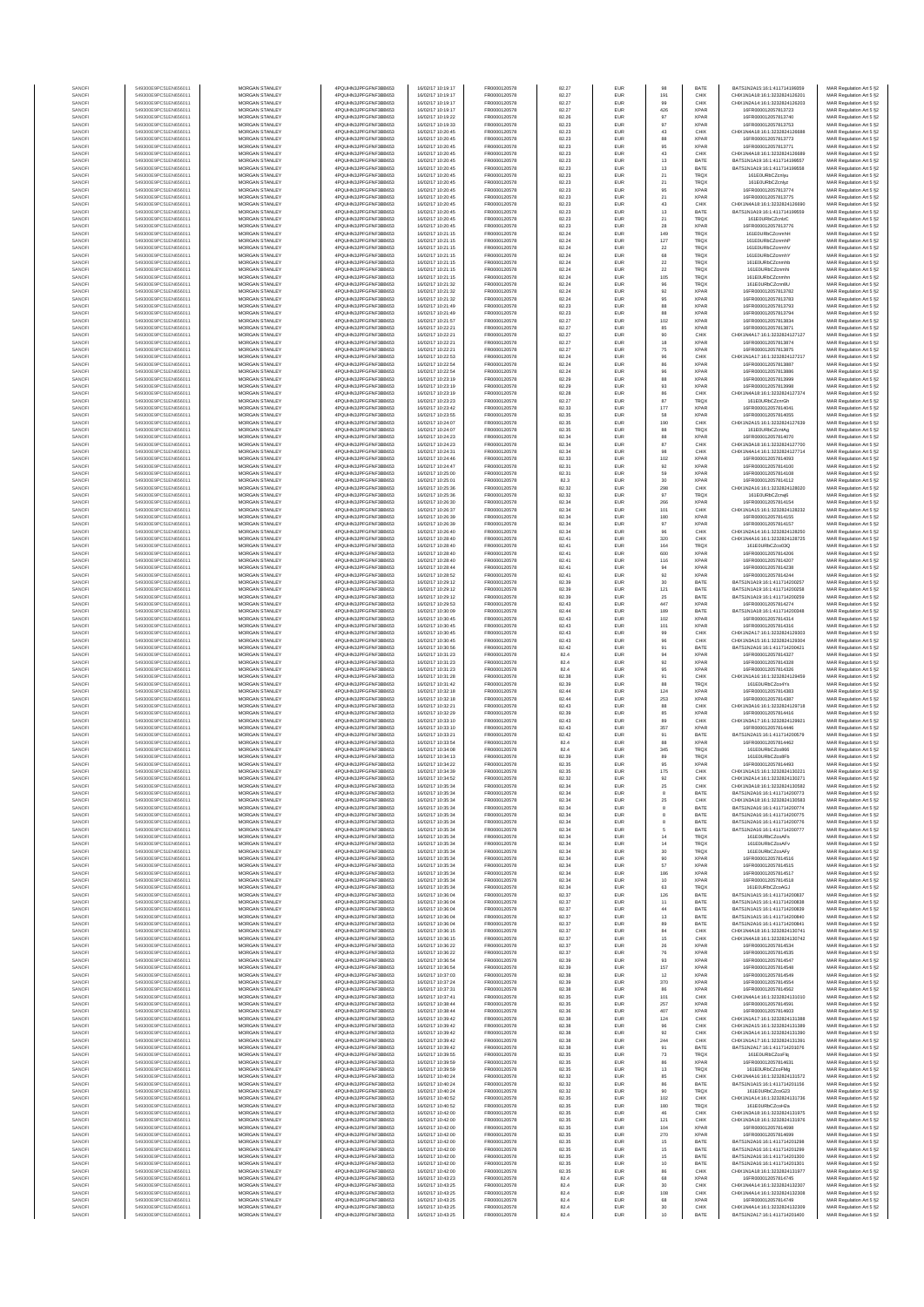| SANOFI           | 549300E9PC51EN656011                         | MORGAN STANLEY                                 | 4PQUHN3JPFGFNF3BB653                          | 16/02/17 10:19:17                      | FR0000120578                 | 82.27          | EUR                      | 98                   | BATE                       | BATS1N2A15:16:1:411714199359                                   | MAR Regulation Art 5 §2                            |
|------------------|----------------------------------------------|------------------------------------------------|-----------------------------------------------|----------------------------------------|------------------------------|----------------|--------------------------|----------------------|----------------------------|----------------------------------------------------------------|----------------------------------------------------|
| SANOFI           | 549300E9PC51EN656011                         | MORGAN STANLEY                                 | 4PQUHN3JPFGFNF3BB653                          | 16/02/17 10:19:17                      | FR0000120578                 | 82.27          | EUR                      | 191                  | CHIX                       | CHIX1N1A18:16:1:3232824126201                                  | MAR Regulation Art 5 §2                            |
| SANOFI<br>SANOFI | 549300E9PC51EN656011<br>549300E9PC51EN656011 | <b>MORGAN STANLEY</b><br><b>MORGAN STANLEY</b> | 4PQUHN3JPFGFNF3BB653<br>4PQUHN3JPFGFNF3BB653  | 16/02/17 10:19:17<br>16/02/17 10:19:17 | FR0000120578<br>FR0000120578 | 82.27<br>82.27 | <b>EUR</b><br><b>EUR</b> | 99<br>426            | CHIX<br><b>XPAR</b>        | CHIX1N2A14:16:1:3232824126203<br>16FR000012057813723           | MAR Regulation Art 5 §2<br>MAR Regulation Art 5 §2 |
| SANOFI           | 549300E9PC51EN656011                         | MORGAN STANLEY                                 | 4PQUHN3JPFGFNF3BB653                          | 16/02/17 10:19:22                      | FR0000120578                 | 82.26          | EUR                      | $97\,$               | <b>XPAF</b>                | 16FR000012057813740                                            | MAR Regulation Art 5 §2                            |
| SANOFI<br>SANOFI | 549300E9PC51EN656011<br>549300E9PC51EN656011 | MORGAN STANLEY<br>MORGAN STANLEY               | 4PQUHN3JPFGFNF3BB653<br>4PQUHN3JPFGFNF3BB653  | 16/02/17 10:19:33<br>16/02/17 10:20:45 | FR0000120578<br>FR0000120578 | 82.23<br>82.23 | EUR                      | $97\,$               | <b>XPAF</b><br>CHIX        | 16FR000012057813753<br>CHIX1N4A18:16:1:3232824126688           | MAR Regulation Art 5 §2                            |
| SANOFI           | 549300E9PC51EN656011                         | MORGAN STANLEY                                 | 4PQUHN3JPFGFNF3BB653                          | 16/02/17 10:20:45                      | FR0000120578                 | 82.23          | EUR<br>EUR               | $43\,$<br>88         | XPAF                       | 16FR000012057813773                                            | MAR Regulation Art 5 §2<br>MAR Regulation Art 5 §2 |
| SANOFI           | 549300E9PC51EN656011                         | MORGAN STANLEY                                 | 4PQUHN3JPFGFNF3BB653                          | 16/02/17 10:20:45                      | FR0000120578                 | 82.23          | <b>EUR</b>               | 95                   | <b>XPAF</b>                | 16FR000012057813771                                            | MAR Regulation Art 5 §2                            |
| SANOFI<br>SANOFI | 549300E9PC51EN656011<br>549300E9PC51EN656011 | MORGAN STANLEY<br>MORGAN STANLEY               | 4PQUHN3JPFGFNF3BB653<br>4PQUHN3JPFGFNF3BB653  | 16/02/17 10:20:45<br>16/02/17 10:20:45 | FR0000120578<br>FR0000120578 | 82.23<br>82.23 | EUR<br><b>EUR</b>        | $43\,$<br>13         | CHIX<br>BATE               | CHIX1N4A18:16:1:3232824126689<br>BATS1N1A19:16:1:411714199557  | MAR Regulation Art 5 §2<br>MAR Regulation Art 5 §2 |
| SANOFI           | 549300E9PC51EN656011                         | <b>MORGAN STANLEY</b>                          | 4PQUHN3JPFGFNF3BB653                          | 16/02/17 10:20:45                      | FR0000120578                 | 82.23          | <b>EUR</b>               | 13                   | BATE                       | BATS1N1A19:16:1:411714199558                                   | MAR Regulation Art 5 §2                            |
| SANOFI<br>SANOFI | 549300E9PC51EN656011<br>549300E9PC51EN656011 | MORGAN STANLEY<br>MORGAN STANLEY               | 4POLIHN3JPEGENE3BB653<br>4PQUHN3JPFGFNF3BB653 | 16/02/17 10:20:45<br>16/02/17 10:20:45 | FR0000120578<br>FR0000120578 | 82.23<br>82.23 | EUR<br>EUR               | $21\,$<br>${\bf 21}$ | <b>TRQX</b><br>TRQX        | 161F0URbCZcnlwu<br>161E0URbCZcnlvz                             | MAR Regulation Art 5 §2<br>MAR Regulation Art 5 §2 |
| SANOFI           | 549300E9PC51EN656011                         | MORGAN STANLEY                                 | 4PQUHN3JPFGFNF3BB653                          | 16/02/17 10:20:45                      | FR0000120578                 | 82.23          | EUR                      | 95                   | <b>XPAF</b>                | 16FR000012057813774                                            | MAR Regulation Art 5 §2                            |
| SANOFI           | 549300E9PC51EN656011                         | MORGAN STANLEY                                 | 4PQUHN3JPFGFNF3BB653                          | 16/02/17 10:20:45                      | FR0000120578                 | 82.23          | EUR                      | 21                   | XPAF                       | 16FR000012057813775                                            | MAR Regulation Art 5 §2                            |
| SANOFI<br>SANOFI | 549300E9PC51EN656011<br>549300E9PC51EN656011 | MORGAN STANLEY<br>MORGAN STANLEY               | 4PQUHN3JPFGFNF3BB653<br>4PQUHN3JPFGFNF3BB653  | 16/02/17 10:20:45<br>16/02/17 10:20:45 | FR0000120578<br>FR0000120578 | 82.23<br>82.23 | EUR<br><b>EUR</b>        | $43\,$<br>13         | CHIX<br>BATE               | CHIX1N4A18:16:1:3232824126690<br>BATS1N1A19:16:1:411714199559  | MAR Regulation Art 5 §2<br>MAR Regulation Art 5 §2 |
| SANOFI           | 549300E9PC51EN656011                         | MORGAN STANLEY                                 | 4PQUHN3JPFGFNF3BB653                          | 16/02/17 10:20:45                      | FR0000120578                 | 82.23          | EUR                      | $21\,$               | TRQ)                       | 161E0URbCZcnlzC                                                | MAR Regulation Art 5 §2                            |
| SANOFI<br>SANOFI | 549300E9PC51EN656011<br>549300E9PC51EN656011 | <b>MORGAN STANLEY</b><br><b>MORGAN STANLEY</b> | 4PQUHN3JPFGFNF3BB653<br>4PQUHN3JPFGFNF3BB653  | 16/02/17 10:20:45<br>16/02/17 10:21:15 | FR0000120578<br>FR0000120578 | 82.23<br>82.24 | <b>EUR</b><br><b>EUR</b> | 28<br>149            | <b>XPAR</b><br><b>TRQX</b> | 16FR000012057813776<br>161F0URbCZcnmbH                         | MAR Regulation Art 5 §2<br>MAR Regulation Art 5 §2 |
| SANOFI           | 549300E9PC51EN656011                         | MORGAN STANLEY                                 | 4PQUHN3JPFGFNF3BB653                          | 16/02/17 10:21:15                      | FR0000120578                 | 82.24          | EUR                      | $127\,$              | TRQ)                       | 161E0URbCZcnmhF                                                | MAR Regulation Art 5 §2                            |
| SANOFI           | 549300E9PC51EN656011                         | MORGAN STANLEY                                 | 4PQUHN3JPFGFNF3BB653                          | 16/02/17 10:21:15                      | FR0000120578                 | 82.24          | EUR                      | $\bf 22$             | TRQX                       | 161E0URbCZcnmhV                                                | MAR Regulation Art 5 §2                            |
| SANOFI<br>SANOFI | 549300E9PC51EN656011<br>549300E9PC51EN656011 | MORGAN STANLEY<br>MORGAN STANLEY               | 4PQUHN3JPFGFNF3BB653<br>4PQUHN3JPFGFNF3BB653  | 16/02/17 10:21:15<br>16/02/17 10:21:15 | FR0000120578<br>FR0000120578 | 82.24<br>82.24 | EUR<br>EUR               | 68<br>$\bf 22$       | TRQ)<br>TRQ)               | 161E0URbCZcnmhY<br>161E0URbCZcnmhb                             | MAR Regulation Art 5 §2<br>MAR Regulation Art 5 §2 |
| SANOFI           | 549300E9PC51EN656011                         | MORGAN STANLEY                                 | 4PQUHN3JPFGFNF3BB653                          | 16/02/17 10:21:15                      | FR0000120578                 | 82.24          | EUR                      | $\bf{22}$            | TRQ)                       | 161E0URbCZcnmhi                                                | MAR Regulation Art 5 §2                            |
| SANOFI<br>SANOFI | 549300E9PC51EN656011<br>549300E9PC51EN656011 | <b>MORGAN STANLEY</b><br><b>MORGAN STANLEY</b> | 4PQUHN3JPFGFNF3BB653<br>4PQUHN3JPFGFNF3BB653  | 16/02/17 10:21:15<br>16/02/17 10:21:32 | FR0000120578<br>FR0000120578 | 82.24<br>82.24 | <b>EUR</b><br>EUR        | 105                  | TRQX<br><b>TRQX</b>        | 161E0URbCZcnmhn<br>161E0URbCZcnn8U                             | MAR Regulation Art 5 §2                            |
| SANOFI           | 549300E9PC51EN656011                         | <b>MORGAN STANLEY</b>                          | 4PQUHN3JPFGFNF3BB653                          | 16/02/17 10:21:32                      | FR0000120578                 | 82.24          | <b>EUR</b>               | $96\,$<br>92         | <b>XPAR</b>                | 16FR000012057813782                                            | MAR Regulation Art 5 §2<br>MAR Regulation Art 5 §2 |
| SANOFI           | 549300E9PC51EN656011                         | MORGAN STANLEY                                 | 4PQUHN3JPFGFNF3BB653                          | 16/02/17 10:21:32                      | FR0000120578                 | 82.24          | EUR                      | 95                   | XPAR                       | 16ER000012057813783                                            | MAR Regulation Art 5 §2                            |
| SANOFI<br>SANOFI | 549300E9PC51EN656011<br>549300E9PC51EN656011 | MORGAN STANLEY<br>MORGAN STANLEY               | 4PQUHN3JPFGFNF3BB653<br>4PQUHN3JPFGFNF3BB653  | 16/02/17 10:21:49<br>16/02/17 10:21:49 | FR0000120578<br>FR0000120578 | 82.23<br>82.23 | EUR<br>EUR               | $_{88}$<br>88        | <b>XPAF</b><br>XPAF        | 16FR000012057813793<br>16FR000012057813794                     | MAR Regulation Art 5 §2<br>MAR Regulation Art 5 §2 |
| SANOFI           | 549300E9PC51EN656011                         | MORGAN STANLEY                                 | 4PQUHN3JPFGFNF3BB653                          | 16/02/17 10:21:57                      | FR0000120578                 | 82.27          | EUR                      | 102                  | XPAF                       | 16FR000012057813834                                            | MAR Regulation Art 5 §2                            |
| SANOFI<br>SANOFI | 549300E9PC51EN656011<br>549300E9PC51EN656011 | MORGAN STANLEY<br>MORGAN STANLEY               | 4PQUHN3JPFGFNF3BB653<br>4PQUHN3JPFGFNF3BB653  | 16/02/17 10:22:21<br>16/02/17 10:22:21 | FR0000120578<br>FR0000120578 | 82.27<br>82.27 | <b>EUR</b><br>EUR        | 85<br>90             | <b>XPAF</b><br>CHIX        | 16FR000012057813871<br>CHIX1N4A17:16:1:3232824127127           | MAR Regulation Art 5 §2<br>MAR Regulation Art 5 §2 |
| SANOFI           | 549300E9PC51EN656011                         | <b>MORGAN STANLEY</b>                          | 4PQUHN3JPFGFNF3BB653                          | 16/02/17 10:22:21                      | FR0000120578                 | 82.27          | <b>EUR</b>               | 18                   | <b>XPAR</b>                | 16FR000012057813874                                            | MAR Regulation Art 5 §2                            |
| SANOFI           | 549300E9PC51EN656011                         | <b>MORGAN STANLEY</b>                          | 4PQUHN3JPFGFNF3BB653                          | 16/02/17 10:22:21                      | FR0000120578                 | 82.27          | EUR                      | 75                   | <b>XPAF</b>                | 16FR000012057813875                                            | MAR Regulation Art 5 §2                            |
| SANOFI<br>SANOFI | 549300E9PC51EN656011<br>549300E9PC51EN656011 | MORGAN STANLEY<br>MORGAN STANLEY               | 4PQUHN3JPFGFNF3BB653<br>4PQUHN3JPFGFNF3BB653  | 16/02/17 10:22:53<br>16/02/17 10:22:54 | FR0000120578<br>FR0000120578 | 82.24<br>82.24 | EUR<br>EUR               | $96\,$<br>86         | CHIX<br><b>XPAF</b>        | CHIX1N1A17:16:1:3232824127217<br>16FR000012057813887           | MAR Regulation Art 5 §2<br>MAR Regulation Art 5 §2 |
| SANOF            | 549300E9PC51EN656011                         | MORGAN STANLEY                                 | 4PQUHN3JPFGFNF3BB653                          | 16/02/17 10:22:54                      | FR0000120578                 | 82.24          | EUR                      | $96\,$               | XPAF                       | 16FR000012057813886                                            | MAR Regulation Art 5 §2                            |
| SANOFI<br>SANOFI | 549300E9PC51EN656011<br>549300E9PC51EN656011 | MORGAN STANLEY<br>MORGAN STANLEY               | 4PQUHN3JPFGFNF3BB653<br>4PQUHN3JPFGFNF3BB653  | 16/02/17 10:23:19<br>16/02/17 10:23:19 | FR0000120578<br>FR0000120578 | 82.29<br>82.29 | EUR<br>EUR               | 88<br>93             | XPAF<br><b>XPAF</b>        | 16FR000012057813999<br>16FR000012057813996                     | MAR Regulation Art 5 §2<br>MAR Regulation Art 5 §2 |
| SANOFI           | 549300E9PC51EN656011                         | MORGAN STANLEY                                 | 4PQUHN3JPFGFNF3BB653                          | 16/02/17 10:23:19                      | FR0000120578                 | 82.28          | <b>EUR</b>               | 86                   | CHIX                       | CHIX1N4A18:16:1:3232824127374                                  | MAR Regulation Art 5 §2                            |
| SANOFI           | 549300E9PC51EN656011                         | MORGAN STANLEY                                 | 4PQUHN3JPFGFNF3BB653                          | 16/02/17 10:23:23                      | FR0000120578                 | 82.27          | EUR                      | 87                   | TRQ)                       | 161E0URbCZcnrGh                                                | MAR Regulation Art 5 §2                            |
| SANOFI<br>SANOFI | 549300E9PC51EN656011<br>549300E9PC51EN656011 | <b>MORGAN STANLEY</b><br><b>MORGAN STANLEY</b> | 4PQUHN3JPFGFNF3BB653<br>4PQUHN3JPFGFNF3BB653  | 16/02/17 10:23:42<br>16/02/17 10:23:55 | FR0000120578<br>FR0000120578 | 82.33<br>82.35 | <b>EUR</b><br>EUR        | 177<br>58            | <b>XPAF</b><br><b>XPAF</b> | 16FR000012057814041<br>16ER000012057814055                     | MAR Regulation Art 5 §2<br>MAR Regulation Art 5 §2 |
| SANOFI           | 549300E9PC51EN656011                         | MORGAN STANLEY                                 | 4PQUHN3JPFGFNF3BB653                          | 16/02/17 10:24:07                      | FR0000120578                 | 82.35          | EUR                      | 190                  | CHIX                       | CHIX1N2A15:16:1:3232824127639                                  | MAR Regulation Art 5 §2                            |
| SANOFI<br>SANOF  | 549300E9PC51EN656011<br>549300E9PC51EN656011 | MORGAN STANLEY<br>MORGAN STANLEY               | 4PQUHN3JPFGFNF3BB653<br>4PQUHN3JPFGFNF3BB653  | 16/02/17 10:24:07<br>16/02/17 10:24:23 | FR0000120578<br>FR0000120578 | 82.35<br>82.34 | EUR<br>EUR               | 88<br>88             | TRQX<br>XPAF               | 161E0URbCZcntAg<br>16FR000012057814070                         | MAR Regulation Art 5 §2<br>MAR Regulation Art 5 §2 |
| SANOFI           | 549300E9PC51EN656011                         | MORGAN STANLEY                                 | 4PQUHN3JPFGFNF3BB653                          | 16/02/17 10:24:23                      | FR0000120578                 | 82.34          | EUR                      | 87                   | CHIX                       | CHIX1N3A18:16:1:3232824127700                                  | MAR Regulation Art 5 §2                            |
| SANOFI           | 549300E9PC51EN656011                         | MORGAN STANLEY                                 | 4PQUHN3JPFGFNF3BB653                          | 16/02/17 10:24:31<br>16/02/17 10:24:46 | FR0000120578                 | 82.34          | EUR                      | $98\,$               | CHIX                       | CHIX1N4A14:16:1:3232824127714                                  | MAR Regulation Art 5 §2                            |
| SANOFI<br>SANOFI | 549300E9PC51EN656011<br>549300E9PC51EN656011 | MORGAN STANLEY<br><b>MORGAN STANLEY</b>        | 4PQUHN3JPFGFNF3BB653<br>4PQUHN3JPFGFNF3BB653  | 16/02/17 10:24:47                      | FR0000120578<br>FR0000120578 | 82.33<br>82.31 | <b>EUR</b><br><b>EUR</b> | 102<br>92            | <b>XPAF</b><br><b>XPAR</b> | 16FR000012057814093<br>16FR000012057814100                     | MAR Regulation Art 5 §2<br>MAR Regulation Art 5 §2 |
| SANOFI           | 549300E9PC51EN656011                         | MORGAN STANLEY                                 | 4POLIHN3JPEGENE3BB653                         | 16/02/17 10:25:00                      | FR0000120578                 | 82.31          | <b>EUR</b>               | 59                   | <b>XPAR</b>                | 16FR000012057814108                                            | MAR Regulation Art 5 §2                            |
| SANOFI<br>SANOFI | 549300E9PC51EN656011<br>549300E9PC51EN656011 | MORGAN STANLEY<br>MORGAN STANLEY               | 4PQUHN3JPFGFNF3BB653<br>4PQUHN3JPFGFNF3BB653  | 16/02/17 10:25:01<br>16/02/17 10:25:36 | FR0000120578<br>FR0000120578 | 82.3<br>82.32  | EUR<br>EUR               | $30\,$<br>298        | XPAR<br>CHIX               | 16FR000012057814112<br>CHIX1N2A16:16:1:3232824128020           | MAR Regulation Art 5 §2<br>MAR Regulation Art 5 §2 |
| SANOFI           | 549300E9PC51EN656011                         | MORGAN STANLEY                                 | 4PQUHN3JPFGFNF3BB653                          | 16/02/17 10:25:36                      | FR0000120578                 | 82.32          | EUR                      | 97                   | TRQ)                       | 161E0URbCZcnvi6                                                | MAR Regulation Art 5 §2                            |
| SANOFI           | 549300E9PC51EN656011                         | MORGAN STANLEY                                 | 4PQUHN3JPFGFNF3BB653                          | 16/02/17 10:26:30                      | FR0000120578                 | 82.34          | EUR                      | 266                  | XPAF                       | 16FR000012057814154                                            | MAR Regulation Art 5 §2                            |
| SANOFI<br>SANOFI | 549300E9PC51EN656011<br>549300E9PC51EN656011 | MORGAN STANLEY<br>MORGAN STANLEY               | 4PQUHN3JPFGFNF3BB653<br>4PQUHN3JPFGFNF3BB653  | 16/02/17 10:26:37<br>16/02/17 10:26:39 | FR0000120578<br>FR0000120578 | 82.34<br>82.34 | <b>EUR</b><br>EUR        | 101<br>180           | CHIX<br><b>XPAF</b>        | CHIX1N1A15:16:1:3232824128232<br>16FR000012057814155           | MAR Regulation Art 5 §2<br>MAR Regulation Art 5 §2 |
| SANOFI           | 549300E9PC51EN656011                         | <b>MORGAN STANLEY</b>                          | 4PQUHN3JPFGFNF3BB653                          | 16/02/17 10:26:39                      | FR0000120578                 | 82.34          | <b>EUR</b>               | 97                   | <b>XPAR</b>                | 16FR000012057814157                                            | MAR Regulation Art 5 §2                            |
| SANOFI<br>SANOFI | 549300E9PC51EN656011<br>549300E9PC51EN656011 | <b>MORGAN STANLEY</b><br>MORGAN STANLEY        | 4PQUHN3JPFGFNF3BB653<br>4PQUHN3JPFGFNF3BB653  | 16/02/17 10:26:40<br>16/02/17 10:28:40 | FR0000120578<br>FR0000120578 | 82.34          | <b>EUR</b>               | 96                   | CHIX                       | CHIX1N2A14:16:1:3232824128250<br>CHIX1N4A16:16:1:3232824128725 | MAR Regulation Art 5 §2                            |
| SANOFI           | 549300E9PC51EN656011                         | MORGAN STANLEY                                 | 4PQUHN3JPFGFNF3BB653                          | 16/02/17 10:28:40                      | FR0000120578                 | 82.41<br>82.41 | EUR<br>EUR               | 320<br>164           | CHIX<br>TRQ)               | 161E0URbCZco03Q                                                | MAR Regulation Art 5 §2<br>MAR Regulation Art 5 §2 |
| SANOFI           | 549300E9PC51EN656011                         | MORGAN STANLEY                                 | 4PQUHN3JPFGFNF3BB653                          | 16/02/17 10:28:40                      | FR0000120578                 | 82.41          | EUR                      | 600                  | <b>XPAF</b>                | 16FR000012057814206                                            | MAR Regulation Art 5 §2                            |
| SANOFI<br>SANOFI | 549300E9PC51EN656011<br>549300E9PC51EN656011 | MORGAN STANLEY<br>MORGAN STANLEY               | 4PQUHN3JPFGFNF3BB653<br>4PQUHN3JPFGFNF3BB653  | 16/02/17 10:28:40<br>16/02/17 10:28:44 | FR0000120578<br>FR0000120578 | 82.41<br>82.41 | EUR<br>EUR               | 116<br>94            | <b>XPAF</b><br><b>XPAF</b> | 16FR000012057814207<br>16FR000012057814238                     | MAR Regulation Art 5 §2<br>MAR Regulation Art 5 §2 |
| SANOFI           | 549300E9PC51EN656011                         | MORGAN STANLEY                                 | 4PQUHN3JPFGFNF3BB653                          | 16/02/17 10:28:52                      | FR0000120578                 | 82.41          | <b>EUR</b>               | 92                   | <b>XPAF</b>                | 16FR000012057814244                                            | MAR Regulation Art 5 §2                            |
| SANOFI<br>SANOFI | 549300E9PC51EN656011<br>549300E9PC51EN656011 | <b>MORGAN STANLEY</b><br><b>MORGAN STANLEY</b> | 4PQUHN3JPFGFNF3BB653<br>4PQUHN3JPFGFNF3BB653  | 16/02/17 10:29:12<br>16/02/17 10:29:12 | FR0000120578<br>FR0000120578 | 82.39<br>82.39 | EUR<br>EUR               | 30                   | BATE<br>BATE               | BATS1N1A19:16:1:411714200257<br>BATS1N1A19:16:1:411714200258   | MAR Regulation Art 5 §2                            |
| SANOFI           | 549300E9PC51EN656011                         | MORGAN STANLEY                                 | 4PQUHN3JPFGFNF3BB653                          | 16/02/17 10:29:12                      | FR0000120578                 | 82.39          | EUR                      | 121<br>$25\,$        | BATE                       | BATS1N1A19:16:1:411714200259                                   | MAR Regulation Art 5 §2<br>MAR Regulation Art 5 §2 |
| SANOFI           | 549300E9PC51EN656011                         | MORGAN STANLEY                                 | 4PQUHN3JPFGFNF3BB653                          | 16/02/17 10:29:53                      | FR0000120578                 | 82.43          | EUR                      | 447                  | <b>XPAF</b>                | 16FR000012057814274                                            | MAR Regulation Art 5 §2                            |
| SANOFI<br>SANOFI | 549300E9PC51EN656011<br>549300E9PC51EN656011 | MORGAN STANLEY<br>MORGAN STANLEY               | 4PQUHN3JPFGFNF3BB653<br>4PQUHN3JPFGFNF3BB653  | 16/02/17 10:30:09<br>16/02/17 10:30:45 | FR0000120578<br>FR0000120578 | 82.44<br>82.43 | EUR<br>EUR               | 189<br>102           | BATE<br>XPAF               | BATS1N1A18:16:1:411714200348<br>16FR000012057814314            | MAR Regulation Art 5 §2<br>MAR Regulation Art 5 §2 |
| SANOFI           | 549300E9PC51EN656011                         | MORGAN STANLEY                                 | 4PQUHN3JPFGFNF3BB653                          | 16/02/17 10:30:45                      | FR0000120578                 | 82.43          | <b>EUR</b>               | 101                  | <b>XPAF</b>                | 16FR000012057814316                                            | MAR Regulation Art 5 §2                            |
| SANOFI           | 549300E9PC51EN656011                         | MORGAN STANLEY                                 | 4PQUHN3JPFGFNF3BB653                          | 16/02/17 10:30:45<br>16/02/17 10:30:45 | FR0000120578                 | 82.43          | EUR                      | 99                   | CHIX<br>CHIX               | CHIX1N2A17:16:1:3232824129303                                  | MAR Regulation Art 5 §2<br>MAR Regulation Art 5 §2 |
| SANOFI<br>SANOFI | 549300E9PC51EN656011<br>549300E9PC51EN656011 | MORGAN STANLEY<br><b>MORGAN STANLEY</b>        | 4PQUHN3JPFGFNF3BB653<br>4PQUHN3JPFGFNF3BB653  | 16/02/17 10:30:56                      | FR0000120578<br>FR0000120578 | 82.43<br>82.42 | <b>EUR</b><br><b>EUR</b> | $96\,$<br>91         | BATE                       | CHIX1N3A15:16:1:3232824129304<br>BATS1N2A16:16:1:411714200421  | MAR Regulation Art 5 §2                            |
| SANOFI           | 549300E9PC51EN656011                         | <b>MORGAN STANLEY</b>                          | 4PQUHN3JPFGFNF3BB653                          | 16/02/17 10:31:23                      | FR0000120578                 | 82.4           | EUR                      | 94                   | <b>XPAF</b>                | 16FR000012057814327                                            | MAR Regulation Art 5 §2                            |
| SANOFI<br>SANOFI | 549300E9PC51EN656011<br>549300E9PC51EN656011 | MORGAN STANLEY<br>MORGAN STANLEY               | 4PQUHN3JPFGFNF3BB653<br>4PQUHN3JPFGFNF3BB653  | 16/02/17 10:31:23<br>16/02/17 10:31:23 | FR0000120578<br>FR0000120578 | 82.4<br>82.4   | EUR<br>EUR               | $92\,$<br>95         | <b>XPAF</b><br><b>XPAF</b> | 16FR000012057814328<br>16FR000012057814326                     | MAR Regulation Art 5 §2<br>MAR Regulation Art 5 §2 |
| SANOFI           | 549300E9PC51EN656011                         | MORGAN STANLEY                                 | 4PQUHN3JPFGFNF3BB653                          | 16/02/17 10:31:28                      | FR0000120578                 | 82.38          | EUR                      | 91                   | CHIX                       | CHIX1N1A16:16:1:3232824129459                                  | MAR Regulation Art 5 §2                            |
| SANOFI           | 549300E9PC51EN656011<br>549300E9PC51EN656011 | MORGAN STANLEY<br>MORGAN STANLEY               | 4PQUHN3JPFGFNF3BB653<br>4PQUHN3JPFGFNF3BB653  | 16/02/17 10:31:42<br>16/02/17 10:32:18 | FR0000120578<br>FR0000120578 | 82.39<br>82.44 | EUR                      | 88<br>124            | TRQ)<br><b>XPAF</b>        | 161E0URbCZco4Ys<br>16FR000012057814383                         | MAR Regulation Art 5 §2<br>MAR Regulation Art 5 §2 |
| SANOFI<br>SANOFI | 549300E9PC51EN656011                         | MORGAN STANLEY                                 | 4PQUHN3JPFGFNF3BB653                          | 16/02/17 10:32:18                      | FR0000120578                 | 82.44          | <b>EUR</b><br>EUR        | 253                  | <b>XPAF</b>                | 16FR00001205781438                                             | MAR Regulation Art 5 §2                            |
| SANOFI           | 549300E9PC51EN656011                         | <b>MORGAN STANLEY</b>                          | 4PQUHN3JPFGFNF3BB653                          | 16/02/17 10:32:21                      | FR0000120578                 | 82.43          | <b>EUR</b>               | 88                   | CHIX                       | CHIX1N3A16-16-1-3232824129718                                  | MAR Regulation Art 5 §2                            |
| SANOFI<br>SANOFI | 549300E9PC51EN656011<br>549300E9PC51EN656011 | <b>MORGAN STANLEY</b><br>MORGAN STANLEY        | 4PQUHN3JPFGFNF3BB653<br>4PQUHN3JPFGFNF3BB653  | 16/02/17 10:32:29<br>16/02/17 10:33:10 | FR0000120578<br>FR0000120578 | 82.39<br>82.43 | EUR<br>EUR               | 85<br>89             | <b>XPAF</b><br>CHIX        | 16FR000012057814416<br>CHIX1N3A17:16:1:3232824129921           | MAR Regulation Art 5 §2<br>MAR Regulation Art 5 §2 |
| SANOFI           | 549300E9PC51EN656011                         | MORGAN STANLEY                                 | 4PQUHN3JPFGFNF3BB653                          | 16/02/17 10:33:10                      | FR0000120578                 | 82.43          | EUR                      | 357                  | <b>XPAR</b>                | 16FR000012057814446                                            | MAR Regulation Art 5 §2                            |
| SANOF<br>SANOFI  | 549300E9PC51EN656011<br>549300E9PC51EN656011 | MORGAN STANLEY<br>MORGAN STANLEY               | 4PQUHN3JPFGFNF3BB653<br>4PQUHN3JPFGFNF3BB653  | 16/02/17 10:33:21<br>16/02/17 10:33:54 | FR0000120578<br>FR0000120578 | 82.42<br>82.4  | EUR<br>EUR               | 91<br>88             | BATE<br>XPAF               | BATS1N2A15:16:1:411714200579<br>16FR000012057814462            | MAR Regulation Art 5 §2<br>MAR Regulation Art 5 §2 |
| SANOFI           | 549300E9PC51EN656011                         | MORGAN STANLEY                                 | 4PQUHN3JPFGFNF3BB653                          | 16/02/17 10:34:08                      | FR0000120578                 | 82.4           | EUR                      | 345                  | TRQ)                       | 161E0URbCZco866                                                | MAR Regulation Art 5 §2                            |
| SANOFI           | 549300E9PC51EN656011                         | MORGAN STANLEY                                 | 4PQUHN3JPFGFNF3BB653                          | 16/02/17 10:34:13                      | FR0000120578                 | 82.39          | <b>EUR</b>               | 89                   | TRQX                       | 161E0URbCZco8Fb                                                | MAR Regulation Art 5 §2                            |
| SANOFI<br>SANOFI | 549300E9PC51EN656011<br>549300E9PC51EN656011 | <b>MORGAN STANLEY</b><br><b>MORGAN STANLEY</b> | 4PQUHN3JPFGFNF3BB653<br>4POLIHN3JPEGENE3BB653 | 16/02/17 10:34:22<br>16/02/17 10:34:39 | FR0000120578<br>FR0000120578 | 82.35<br>82.35 | <b>EUR</b><br><b>EUR</b> | 95<br>175            | <b>XPAR</b><br>CHIX        | 16FR000012057814493<br>CHIX1N1A15:16:1:3232824130221           | MAR Regulation Art 5 §2<br>MAR Regulation Art 5 §2 |
| SANOFI           | 549300E9PC51EN65601                          | <b>MORGAN STANLEY</b>                          | 4PQUHN3JPFGFNF3BB653                          | 16/02/17 10:34:52                      | ER0000120578                 | 82.32          | <b>FUE</b>               | 92                   | CHID                       | CHIX1N2A14-16-1-3232824130271                                  | MAR Regulation Art 5 §2                            |
| SANOFI<br>SANOF  | 549300E9PC51EN656011<br>549300E9PC51EN656011 | MORGAN STANLEY<br>MORGAN STANLEY               | 4PQUHN3JPFGFNF3BB653<br>4PQUHN3JPFGFNF3BB653  | 16/02/17 10:35:34<br>16/02/17 10:35:34 | FR0000120578<br>FR0000120578 | 82.34<br>82.34 | EUR<br>EUR               | $2\mathrm{s}$        | CHIX<br>BATE               | CHIX1N3A18:16:1:3232824130582<br>BATS1N2A16:16:1:411714200773  | MAR Regulation Art 5 §2                            |
| SANOFI           | 549300E9PC51EN656011                         | MORGAN STANLEY                                 | 4PQUHN3JPFGFNF3BB653                          | 16/02/17 10:35:34                      | FR0000120578                 | 82.34          | EUR                      | 25                   | CHIX                       | CHIX1N3A18:16:1:3232824130583                                  | MAR Regulation Art 5 §2<br>MAR Regulation Art 5 §2 |
| SANOFI           | 549300E9PC51EN656011                         | MORGAN STANLEY                                 | 4PQUHN3JPFGFNF3BB653                          | 16/02/17 10:35:34                      | FR0000120578                 | 82.34          | <b>EUR</b>               | 8                    | BATE<br>BATE               | BATS1N2A16:16:1:411714200774<br>BATS1N2A16:16:1:411714200775   | MAR Regulation Art 5 §2                            |
| SANOFI<br>SANOFI | 549300E9PC51EN656011<br>549300E9PC51EN656011 | MORGAN STANLEY<br><b>MORGAN STANLEY</b>        | 4PQUHN3JPFGFNF3BB653<br>4PQUHN3JPFGFNF3BB653  | 16/02/17 10:35:34<br>16/02/17 10:35:34 | FR0000120578<br>FR0000120578 | 82.34<br>82.34 | <b>EUR</b><br><b>EUR</b> | 8                    | BATE                       | BATS1N2A16:16:1:411714200776                                   | MAR Regulation Art 5 §2<br>MAR Regulation Art 5 §2 |
| SANOFI           | 549300E9PC51EN656011                         | <b>MORGAN STANLEY</b>                          | 4PQUHN3JPFGFNF3BB653                          | 16/02/17 10:35:34                      | FR0000120578                 | 82.34          | <b>EUR</b>               | 5                    | BATE                       | BATS1N2A16-16-1-411714200777                                   | MAR Regulation Art 5 §2                            |
| SANOFI<br>SANOFI | 549300E9PC51EN656011<br>549300E9PC51EN656011 | MORGAN STANLEY<br>MORGAN STANLEY               | 4PQUHN3JPFGFNF3BB653<br>4PQUHN3JPFGFNF3BB653  | 16/02/17 10:35:34<br>16/02/17 10:35:34 | FR0000120578<br>FR0000120578 | 82.34<br>82.34 | EUR<br>EUR               | $14\,$<br>$14\,$     | TRQX<br><b>TRQX</b>        | 161E0URbCZcoAFs<br>161E0URbCZcoAFv                             | MAR Regulation Art 5 §2<br>MAR Regulation Art 5 §2 |
| SANOFI           | 549300E9PC51EN656011                         | MORGAN STANLEY                                 | 4PQUHN3JPFGFNF3BB653                          | 16/02/17 10:35:34                      | FR0000120578                 | 82.34          | EUR                      | 30                   | TRQ)                       | 161E0URbCZcoAFy                                                | MAR Regulation Art 5 §2                            |
| SANOFI<br>SANOFI | 549300E9PC51EN656011<br>549300E9PC51EN656011 | MORGAN STANLEY<br>MORGAN STANLEY               | 4PQUHN3JPFGFNF3BB653<br>4PQUHN3JPFGFNF3BB653  | 16/02/17 10:35:34<br>16/02/17 10:35:34 | FR0000120578<br>FR0000120578 | 82.34<br>82.34 | EUR<br>EUR               | $90\,$<br>57         | <b>XPAF</b><br><b>XPAR</b> | 16FR000012057814516<br>16FR000012057814515                     | MAR Regulation Art 5 §2<br>MAR Regulation Art 5 §2 |
| SANOFI           | 549300E9PC51EN656011                         | MORGAN STANLEY                                 | 4PQUHN3JPFGFNF3BB653                          | 16/02/17 10:35:34                      | FR0000120578                 | 82.34          | <b>EUR</b>               | 186                  | <b>XPAR</b>                | 16FR000012057814517                                            | MAR Regulation Art 5 §2                            |
| SANOFI<br>SANOFI | 549300E9PC51EN656011<br>549300E9PC51EN656011 | MORGAN STANLEY<br><b>MORGAN STANLEY</b>        | 4PQUHN3JPFGFNF3BB653<br>4PQUHN3JPFGFNF3BB653  | 16/02/17 10:35:34<br>16/02/17 10:35:34 | FR0000120578<br>FR0000120578 | 82.34<br>82.34 | <b>EUR</b><br><b>EUR</b> | 10                   | <b>XPAR</b><br><b>TRQX</b> | 16FR000012057814518<br>161E0URbCZcoAGJ                         | MAR Regulation Art 5 §2                            |
| SANOFI           | 549300E9PC51EN656011                         | MORGAN STANLEY                                 | 4PQUHN3JPFGFNF3BB653                          | 16/02/17 10:36:04                      | FR0000120578                 | 82.37          | <b>EUR</b>               | 63<br>126            | BATE                       | BATS1N1A15:16:1:411714200837                                   | MAR Regulation Art 5 §2<br>MAR Regulation Art 5 §2 |
| SANOFI           | 549300E9PC51EN656011                         | <b>MORGAN STANLEY</b>                          | 4PQUHN3JPFGFNF3BB653                          | 16/02/17 10:36:04                      | FR0000120578                 | 82.37          | EUR                      | $11\,$               | BATE                       | BATS1N1A15:16:1:411714200838                                   | MAR Regulation Art 5 §2                            |
| SANOFI<br>SANOFI | 549300E9PC51EN656011<br>549300E9PC51EN656011 | MORGAN STANLEY<br>MORGAN STANLEY               | 4PQUHN3JPFGFNF3BB653<br>4PQUHN3JPFGFNF3BB653  | 16/02/17 10:36:04<br>16/02/17 10:36:04 | FR0000120578<br>FR0000120578 | 82.37<br>82.37 | EUR<br>EUR               | $44\,$<br>13         | BATE<br>BATE               | BATS1N1A15:16:1:411714200839<br>BATS1N1A15:16:1:411714200840   | MAR Regulation Art 5 §2<br>MAR Regulation Art 5 §2 |
| SANOFI           | 549300E9PC51EN656011                         | MORGAN STANLEY                                 | 4PQUHN3JPFGFNF3BB653                          | 16/02/17 10:36:04                      | FR0000120578                 | 82.37          | EUR                      | 89                   | BATE                       | BATS1N2A16:16:1:411714200841                                   | MAR Regulation Art 5 §2                            |
| SANOFI<br>SANOFI | 549300E9PC51EN656011<br>549300E9PC51EN656011 | MORGAN STANLEY<br>MORGAN STANLEY               | 4PQUHN3JPFGFNF3BB653<br>4PQUHN3JPFGFNF3BB653  | 16/02/17 10:36:15<br>16/02/17 10:36:15 | FR0000120578<br>FR0000120578 | 82.37<br>82.37 | EUR<br><b>EUR</b>        | $^{\rm 84}$<br>15    | CHIX<br>CHIX               | CHIX1N4A18:16:1:3232824130741<br>CHIX1N4A18:16:1:3232824130742 | MAR Regulation Art 5 §2<br>MAR Regulation Art 5 §2 |
| SANOFI           | 549300E9PC51EN656011                         | MORGAN STANLEY                                 | 4PQUHN3JPFGFNF3BB653                          | 16/02/17 10:36:22                      | FR0000120578                 | 82.37          | <b>EUR</b>               | 26                   | <b>XPAR</b>                | 16FR000012057814534                                            | MAR Regulation Art 5 §2                            |
| SANOFI           | 549300E9PC51EN656011                         | <b>MORGAN STANLEY</b>                          | 4PQUHN3JPFGFNF3BB653                          | 16/02/17 10:36:22                      | FR0000120578                 | 82.37          | <b>EUR</b>               | 76                   | <b>XPAR</b><br><b>XPAR</b> | 16FR000012057814535                                            | MAR Regulation Art 5 §2                            |
| SANOFI<br>SANOFI | 549300E9PC51EN656011<br>549300E9PC51EN656011 | MORGAN STANLEY<br>MORGAN STANLEY               | 4PQUHN3JPFGFNF3BB653<br>4PQUHN3JPFGFNF3BB653  | 16/02/17 10:36:54<br>16/02/17 10:36:54 | FR0000120578<br>FR0000120578 | 82.39<br>82.39 | EUR<br>EUR               | 93<br>157            | <b>XPAR</b>                | 16FR000012057814547<br>16FR000012057814548                     | MAR Regulation Art 5 §2<br>MAR Regulation Art 5 §2 |
| SANOFI           | 549300E9PC51EN656011                         | MORGAN STANLEY                                 | 4PQUHN3JPFGFNF3BB653                          | 16/02/17 10:37:03                      | FR0000120578                 | 82.38          | EUR                      | 12                   | XPAF                       | 16FR000012057814549                                            | MAR Regulation Art 5 §2                            |
| SANOFI<br>SANOFI | 549300E9PC51EN656011<br>549300E9PC51EN656011 | MORGAN STANLEY<br>MORGAN STANLEY               | 4PQUHN3JPFGFNF3BB653<br>4PQUHN3JPFGFNF3BB653  | 16/02/17 10:37:24<br>16/02/17 10:37:31 | FR0000120578<br>FR0000120578 | 82.39<br>82.38 | EUR<br><b>EUR</b>        | 370<br>86            | XPAF<br><b>XPAR</b>        | 16FR000012057814554<br>16FR000012057814562                     | MAR Regulation Art 5 §2<br>MAR Regulation Art 5 §2 |
| SANOFI           | 549300E9PC51EN656011                         | MORGAN STANLEY                                 | 4PQUHN3JPFGFNF3BB653                          | 16/02/17 10:37:41                      | FR0000120578                 | 82.35          | EUR                      | 101                  | CHIX                       | CHIX1N4A14:16:1:3232824131010                                  | MAR Regulation Art 5 §2                            |
| SANOFI           | 549300E9PC51EN656011                         | <b>MORGAN STANLEY</b>                          | 4PQUHN3JPFGFNF3BB653                          | 16/02/17 10:38:44                      | FR0000120578                 | 82.35          | <b>EUR</b>               | 257                  | <b>XPAR</b>                | 16FR000012057814591                                            | MAR Regulation Art 5 §2                            |
| SANOFI<br>SANOFI | 549300E9PC51EN656011<br>549300E9PC51EN656011 | <b>MORGAN STANLEY</b><br>MORGAN STANLEY        | 4PQUHN3JPFGFNF3BB653<br>4PQUHN3JPFGFNF3BB653  | 16/02/17 10:38:44<br>16/02/17 10:39:42 | FR0000120578<br>FR0000120578 | 82.36<br>82.38 | <b>EUR</b><br>EUR        | 407<br>124           | <b>XPAR</b><br>CHIX        | 16FR000012057814603<br>CHIX1N1A17:16:1:3232824131388           | MAR Regulation Art 5 §2<br>MAR Regulation Art 5 §2 |
| SANOFI           | 549300E9PC51EN656011                         | MORGAN STANLEY                                 | 4PQUHN3JPFGFNF3BB653                          | 16/02/17 10:39:42                      | FR0000120578                 | 82.38          | EUR                      | 96                   | CHIX                       | CHIX1N2A15:16:1:3232824131389                                  | MAR Regulation Art 5 §2                            |
| SANOFI<br>SANOFI | 549300E9PC51EN656011<br>549300E9PC51EN656011 | MORGAN STANLEY<br>MORGAN STANLEY               | 4PQUHN3JPFGFNF3BB653<br>4PQUHN3JPFGFNF3BB653  | 16/02/17 10:39:42<br>16/02/17 10:39:42 | FR0000120578<br>FR0000120578 | 82.38<br>82.38 | EUR<br>EUR               | 92<br>244            | CHIX<br>CHIX               | CHIX1N3A14:16:1:3232824131390<br>CHIX1N1A17:16:1:3232824131391 | MAR Regulation Art 5 §2<br>MAR Regulation Art 5 §2 |
| SANOFI           | 549300E9PC51EN656011                         | MORGAN STANLEY                                 | 4PQUHN3JPFGFNF3BB653                          | 16/02/17 10:39:42                      | FR0000120578                 | 82.38          | EUR                      | 91                   | BATE                       | BATS1N2A17:16:1:411714201076                                   | MAR Regulation Art 5 §2                            |
| SANOFI           | 549300E9PC51EN656011                         | MORGAN STANLEY                                 | 4PQUHN3JPFGFNF3BB653                          | 16/02/17 10:39:55                      | FR0000120578                 | 82.35          | <b>EUR</b>               | 73                   | <b>TRQX</b>                | 161E0URbCZcoFlq                                                | MAR Regulation Art 5 §2                            |
| SANOFI<br>SANOFI | 549300E9PC51EN656011<br>549300E9PC51EN656011 | <b>MORGAN STANLEY</b><br><b>MORGAN STANLEY</b> | 4PQUHN3JPFGFNF3BB653<br>4PQUHN3JPFGFNF3BB653  | 16/02/17 10:39:59<br>16/02/17 10:39:59 | FR0000120578<br>FR0000120578 | 82.35<br>82.35 | <b>EUR</b><br><b>EUR</b> | 86<br>13             | <b>XPAR</b><br><b>TRQX</b> | 16FR000012057814631<br>161E0URbCZcoFMg                         | MAR Regulation Art 5 §2<br>MAR Regulation Art 5 §2 |
| SANOFI           | 549300E9PC51EN656011                         | MORGAN STANLEY                                 | 4PQUHN3JPFGFNF3BB653                          | 16/02/17 10:40:24                      | FR0000120578                 | 82.32          | EUR                      | 85                   | CHIX                       | CHIX1N4A16:16:1:3232824131572                                  | MAR Regulation Art 5 §2                            |
| SANOFI           | 549300E9PC51EN656011                         | MORGAN STANLEY                                 | 4PQUHN3JPFGFNF3BB653                          | 16/02/17 10:40:24                      | FR0000120578                 | 82.32          | EUR                      | $_{86}$              | BATE                       | BATS1N1A15:16:1:411714201156                                   | MAR Regulation Art 5 §2                            |
| SANOFI<br>SANOFI | 549300E9PC51EN656011<br>549300E9PC51EN656011 | MORGAN STANLEY<br>MORGAN STANLEY               | 4PQUHN3JPFGFNF3BB653<br>4PQUHN3JPFGFNF3BB653  | 16/02/17 10:40:24<br>16/02/17 10:40:52 | FR0000120578<br>FR0000120578 | 82.32<br>82.35 | EUR<br>EUR               | 90<br>102            | TRQ)<br>CHIX               | 161E0URbCZcoG23<br>CHIX1N1A14:16:1:3232824131736               | MAR Regulation Art 5 §2<br>MAR Regulation Art 5 §2 |
| SANOFI           | 549300E9PC51EN656011                         | MORGAN STANLEY                                 | 4PQUHN3JPFGFNF3BB653                          | 16/02/17 10:40:52                      | FR0000120578                 | 82.35          | <b>EUR</b>               | 180                  | <b>TRQX</b>                | 161E0URbCZcoH2a                                                | MAR Regulation Art 5 §2                            |
| SANOFI<br>SANOFI | 549300E9PC51EN656011<br>549300E9PC51EN656011 | MORGAN STANLEY<br><b>MORGAN STANLEY</b>        | 4PQUHN3JPFGFNF3BB653<br>4PQUHN3JPFGFNF3BB653  | 16/02/17 10:42:00<br>16/02/17 10:42:00 | FR0000120578<br>FR0000120578 | 82.35<br>82.35 | <b>EUR</b><br><b>EUR</b> | 46<br>121            | CHIX<br>CHIX               | CHIX1N3A18:16:1:3232824131975<br>CHIX1N3A18:16:1:3232824131976 | MAR Regulation Art 5 §2<br>MAR Regulation Art 5 §2 |
| SANOFI           | 549300E9PC51EN656011                         | <b>MORGAN STANLEY</b>                          | 4PQUHN3JPFGFNF3BB653                          | 16/02/17 10:42:00                      | FR0000120578                 | 82.35          | <b>EUR</b>               | 104                  | <b>XPAR</b>                | 16FR000012057814698                                            | MAR Regulation Art 5 §2                            |
| SANOFI           | 549300E9PC51EN656011                         | MORGAN STANLEY                                 | 4PQUHN3JPFGFNF3BB653                          | 16/02/17 10:42:00                      | FR0000120578                 | 82.35          | <b>EUR</b>               | 270                  | <b>XPAR</b>                | 16FR000012057814699                                            | MAR Regulation Art 5 §2                            |
| SANOFI<br>SANOFI | 549300E9PC51EN656011<br>549300E9PC51EN656011 | MORGAN STANLEY<br>MORGAN STANLEY               | 4PQUHN3JPFGFNF3BB653<br>4PQUHN3JPFGFNF3BB653  | 16/02/17 10:42:00<br>16/02/17 10:42:00 | FR0000120578<br>FR0000120578 | 82.35<br>82.35 | EUR<br>EUR               | 15<br>$15\,$         | BATE<br>BATE               | BATS1N2A16:16:1:411714201298<br>BATS1N2A16:16:1:411714201299   | MAR Regulation Art 5 §2<br>MAR Regulation Art 5 §2 |
| SANOFI           | 549300E9PC51EN656011                         | MORGAN STANLEY                                 | 4PQUHN3JPFGFNF3BB653                          | 16/02/17 10:42:00                      | FR0000120578                 | 82.35          | EUR                      | 15                   | BATE                       | BATS1N2A16:16:1:411714201300                                   | MAR Regulation Art 5 §2                            |
| SANOFI<br>SANOFI | 549300E9PC51EN656011<br>549300E9PC51EN656011 | MORGAN STANLEY<br>MORGAN STANLEY               | 4PQUHN3JPFGFNF3BB653<br>4PQUHN3JPFGFNF3BB653  | 16/02/17 10:42:00<br>16/02/17 10:42:00 | FR0000120578<br>FR0000120578 | 82.35<br>82.35 | EUR<br><b>EUR</b>        | $10$<br>86           | BATE<br>CHIX               | BATS1N2A16:16:1:411714201301<br>CHIX1N1A18:16:1:3232824131977  | MAR Regulation Art 5 §2<br>MAR Regulation Art 5 §2 |
| SANOFI           | 549300E9PC51EN656011                         | MORGAN STANLEY                                 | 4PQUHN3JPFGFNF3BB653                          | 16/02/17 10:43:23                      | FR0000120578                 | 82.4           | <b>EUR</b>               | 68                   | <b>XPAF</b>                | 16FR000012057814745                                            | MAR Regulation Art 5 §2                            |
| SANOFI           | 549300E9PC51EN656011                         | <b>MORGAN STANLEY</b>                          | 4PQUHN3JPFGFNF3BB653                          | 16/02/17 10:43:25                      | FR0000120578                 | 82.4           | <b>EUR</b>               | 30                   | CHIX                       | CHIX1N4A14:16:1:3232824132307                                  | MAR Regulation Art 5 §2                            |
| SANOFI<br>SANOFI | 549300E9PC51EN656011<br>549300E9PC51EN656011 | <b>MORGAN STANLEY</b><br>MORGAN STANLEY        | 4PQUHN3JPFGFNF3BB653<br>4PQUHN3JPFGFNF3BB653  | 16/02/17 10:43:25<br>16/02/17 10:43:25 | FR0000120578<br>FR0000120578 | 82.4<br>82.4   | <b>EUR</b><br>EUR        | 108<br>$_{\rm 68}$   | CHIX<br><b>XPAR</b>        | CHIX1N4A14:16:1:3232824132308<br>16FR000012057814749           | MAR Regulation Art 5 §2<br>MAR Regulation Art 5 §2 |
| SANOFI           | 549300E9PC51EN656011                         | MORGAN STANLEY                                 | 4PQUHN3JPFGFNF3BB653                          | 16/02/17 10:43:25                      | FR0000120578                 | 82.4           | EUR                      | 30                   | CHIX                       | CHIX1N4A14:16:1:3232824132309                                  | MAR Regulation Art 5 §2                            |
| SANOFI           | 549300E9PC51EN656011                         | MORGAN STANLEY                                 | 4PQUHN3JPFGFNF3BB653                          | 16/02/17 10:43:25                      | FR0000120578                 | 82.4           | EUR                      | 10                   | BATE                       | BATS1N2A17:16:1:411714201400                                   | MAR Regulation Art 5 §2                            |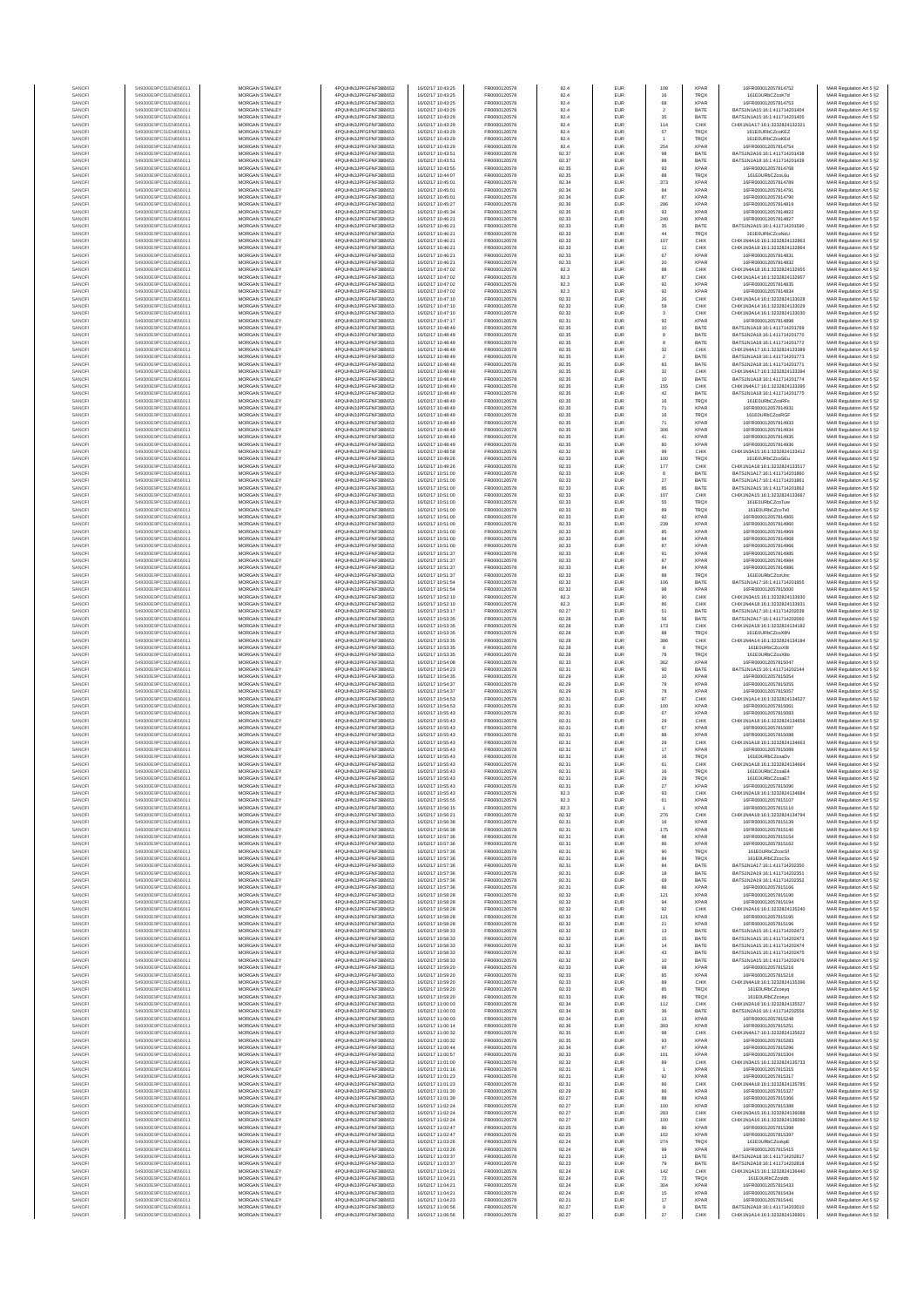| SANOF            | 549300E9PC51EN656011                         | MORGAN STANLEY                                 | 4PQUHN3JPFGFNF3BB653                         | 16/02/17 10:43:25                      | FR0000120578                 | 82.4           | EUR                      | 108                     | <b>XPAR</b>                | 16FR000012057814752                                            | MAR Regulation Art 5 §2                            |
|------------------|----------------------------------------------|------------------------------------------------|----------------------------------------------|----------------------------------------|------------------------------|----------------|--------------------------|-------------------------|----------------------------|----------------------------------------------------------------|----------------------------------------------------|
| SANOFI           | 549300E9PC51EN656011                         | <b>MORGAN STANLEY</b>                          | 4PQUHN3JPFGFNF3BB653                         | 16/02/17 10:43:25                      | FR0000120578                 | 82.4           | EUR                      | 16                      | <b>TRQX</b>                | 161E0URbCZcoK7d                                                | MAR Regulation Art 5 §2                            |
| SANOFI<br>SANOFI | 549300E9PC51EN656011<br>549300E9PC51EN656011 | MORGAN STANLEY<br>MORGAN STANLEY               | 4PQUHN3JPFGFNF3BB653<br>4PQUHN3JPFGFNF3BB653 | 16/02/17 10:43:25<br>16/02/17 10:43:29 | FR0000120578<br>FR0000120578 | 82.4<br>82.4   | EUR<br>EUR               | 68<br>$\overline{2}$    | <b>XPAR</b><br>BATE        | 16FR000012057814753<br>BATS1N1A15:16:1:411714201404            | MAR Regulation Art 5 §2<br>MAR Regulation Art 5 §2 |
| SANOFI           | 549300E9PC51EN656011                         | MORGAN STANLEY                                 | 4PQUHN3JPFGFNF3BB653                         | 16/02/17 10:43:29                      | FR0000120578                 | 82.4           | EUR                      | 35                      | BATE                       | BATS1N1A15:16:1:411714201405                                   | MAR Regulation Art 5 §2                            |
| SANOFI           | 549300E9PC51EN656011                         | MORGAN STANLEY                                 | 4PQUHN3JPFGFNF3BB653                         | 16/02/17 10:43:29                      | FR0000120578                 | 82.4           | EUR                      | 114                     | CHIX                       | CHIX1N1A17:16:1:3232824132321                                  | MAR Regulation Art 5 §2                            |
| SANOFI           | 549300E9PC51EN656011                         | MORGAN STANLEY                                 | 4PQUHN3JPFGFNF3BB653                         | 16/02/17 10:43:29                      | FR0000120578                 | 82.4           | EUR                      | $_{\rm 57}$             | <b>TRQX</b>                | 161F0LIRbCZcoKEZ                                               | MAR Regulation Art 5 §2                            |
| SANOFI<br>SANOFI | 549300E9PC51EN656011<br>549300E9PC51EN656011 | MORGAN STANLEY<br><b>MORGAN STANLEY</b>        | 4PQUHN3JPFGFNF3BB653<br>4PQUHN3JPFGFNF3BB653 | 16/02/17 10:43:29<br>16/02/17 10:43:29 | FR0000120578<br>FR0000120578 | 82.4<br>82.4   | EUR<br>EUR               | 254                     | <b>TRQX</b><br><b>XPAR</b> | 161E0URbCZcoKEd<br>16FR000012057814754                         | MAR Regulation Art 5 §2<br>MAR Regulation Art 5 §2 |
| SANOFI           | 549300E9PC51EN656011                         | <b>MORGAN STANLEY</b>                          | 4PQUHN3JPFGFNF3BB653                         | 16/02/17 10:43:51                      | FR0000120578                 | 82.37          | <b>EUR</b>               | 98                      | BATE                       | BATS1N2A16:16:1:411714201438                                   | MAR Regulation Art 5 §2                            |
| SANOFI           | 549300E9PC51EN656011                         | <b>MORGAN STANLEY</b>                          | 4PQUHN3JPFGFNF3BB653                         | 16/02/17 10:43:51                      | FR0000120578                 | 82.37          | EUR                      | 88                      | BATE                       | BATS1N1A18-16-1-411714201439                                   | MAR Regulation Art 5 §2                            |
| SANOFI           | 549300E9PC51EN656011                         | MORGAN STANLEY<br>MORGAN STANLEY               | 4PQUHN3JPFGFNF3BB653                         | 16/02/17 10:43:55<br>16/02/17 10:44:07 | FR0000120578<br>FR0000120578 | 82.35          | EUR                      | $\mathbf{93}$           | <b>XPAR</b>                | 16FR000012057814768<br>161E0URbCZcoL6u                         | MAR Regulation Art 5 §2                            |
| SANOFI<br>SANOF  | 549300E9PC51EN656011<br>549300E9PC51EN656011 | MORGAN STANLEY                                 | 4PQUHN3JPFGFNF3BB653<br>4PQUHN3JPFGFNF3BB653 | 16/02/17 10:45:01                      | FR0000120578                 | 82.35<br>82.34 | EUR<br>EUR               | 88<br>373               | TRQX<br><b>XPAR</b>        | 16FR000012057814789                                            | MAR Regulation Art 5 §2<br>MAR Regulation Art 5 §2 |
| SANOFI           | 549300E9PC51EN656011                         | MORGAN STANLEY                                 | 4PQUHN3JPFGFNF3BB653                         | 16/02/17 10:45:01                      | FR0000120578                 | 82.34          | EUR                      | 84                      | <b>XPAR</b>                | 16FR000012057814791                                            | MAR Regulation Art 5 §2                            |
| SANOFI           | 549300E9PC51EN656011                         | MORGAN STANLEY                                 | 4PQUHN3JPFGFNF3BB653                         | 16/02/17 10:45:01                      | FR0000120578                 | 82.34          | EUR                      | 87                      | <b>XPAR</b>                | 16FR000012057814790                                            | MAR Regulation Art 5 §2                            |
| SANOFI<br>SANOFI | 549300E9PC51EN656011<br>549300E9PC51EN656011 | MORGAN STANLEY<br><b>MORGAN STANLEY</b>        | 4PQUHN3JPFGFNF3BB653<br>4PQUHN3JPFGFNF3BB653 | 16/02/17 10:45:27<br>16/02/17 10:45:34 | FR0000120578<br>FR0000120578 | 82.36<br>82.35 | EUR<br>EUR               | 286<br>93               | <b>XPAR</b><br><b>XPAR</b> | 16FR000012057814819<br>16FR000012057814822                     | MAR Regulation Art 5 §2                            |
| SANOFI           | 549300E9PC51EN656011                         | <b>MORGAN STANLEY</b>                          | 4PQUHN3JPFGFNF3BB653                         | 16/02/17 10:46:21                      | FR0000120578                 | 82.33          | <b>EUR</b>               | 240                     | <b>XPAR</b>                | 16FR000012057814827                                            | MAR Regulation Art 5 §2<br>MAR Regulation Art 5 §2 |
| SANOFI           | 549300E9PC51EN656011                         | MORGAN STANLEY                                 | 4PQUHN3JPFGFNF3BB653                         | 16/02/17 10:46:21                      | FR0000120578                 | 82.33          | EUR                      | $35\,$                  | BATE                       | BATS1N2A15:16:1:411714201590                                   | MAR Regulation Art 5 §2                            |
| SANOF            | 549300E9PC51EN656011                         | MORGAN STANLEY                                 | 4PQUHN3JPFGFNF3BB653                         | 16/02/17 10:46:21                      | FR0000120578                 | 82.33          | EUR                      | $44\,$                  | TRQ)                       | 161E0URbCZcoNsU                                                | MAR Regulation Art 5 §2                            |
| SANOFI<br>SANOFI | 549300E9PC51EN656011<br>549300E9PC51EN656011 | MORGAN STANLEY<br>MORGAN STANLEY               | 4PQUHN3JPFGFNF3BB653<br>4PQUHN3JPFGFNF3BB653 | 16/02/17 10:46:21<br>16/02/17 10:46:21 | FR0000120578<br>FR0000120578 | 82.33<br>82.33 | EUR<br>EUR               | 107<br>11               | CHIX<br>CHIX               | CHIX1N4A16:16:1:3232824132863<br>CHIX1N3A18:16:1:3232824132864 | MAR Regulation Art 5 §2<br>MAR Regulation Art 5 §2 |
| SANOFI           | 549300E9PC51EN656011                         | MORGAN STANLEY                                 | 4PQUHN3JPFGFNF3BB653                         | 16/02/17 10:46:21                      | FR0000120578                 | 82.33          | EUR                      | $_{\rm 67}$             | <b>XPAR</b>                | 16FR000012057814831                                            | MAR Regulation Art 5 §2                            |
| SANOFI           | 549300E9PC51EN656011                         | MORGAN STANLEY                                 | 4PQUHN3JPFGFNF3BB653                         | 16/02/17 10:46:21                      | FR0000120578                 | 82.33          | EUR                      | 20                      | <b>XPAR</b>                | 16FR000012057814832                                            | MAR Regulation Art 5 §2                            |
| SANOFI           | 549300E9PC51EN656011                         | <b>MORGAN STANLEY</b><br>MORGAN STANLEY        | 4POLIHN3JPEGENE3BB653                        | 16/02/17 10:47:02                      | FR0000120578<br>FR0000120578 | 82.3           | EUR                      | 88                      | CHIX                       | CHIX1N4A18:16:1:3232824132955                                  | MAR Regulation Art 5 §2                            |
| SANOFI<br>SANOFI | 549300E9PC51EN656011<br>549300E9PC51EN656011 | MORGAN STANLEY                                 | 4PQUHN3JPFGFNF3BB653<br>4PQUHN3JPFGFNF3BB653 | 16/02/17 10:47:02<br>16/02/17 10:47:02 | FR0000120578                 | 82.3<br>82.3   | EUR<br>EUR               | 87<br>$92\,$            | CHIX<br><b>XPAR</b>        | CHIX1N1A14:16:1:3232824132957<br>16FR000012057814835           | MAR Regulation Art 5 §2<br>MAR Regulation Art 5 §2 |
| SANOFI           | 549300E9PC51EN656011                         | MORGAN STANLEY                                 | 4PQUHN3JPFGFNF3BB653                         | 16/02/17 10:47:02                      | FR0000120578                 | 82.3           | EUR                      | $92\,$                  | <b>XPAR</b>                | 16FR000012057814834                                            | MAR Regulation Art 5 §2                            |
| SANOF            | 549300E9PC51EN656011                         | MORGAN STANLEY                                 | 4PQUHN3JPFGFNF3BB653                         | 16/02/17 10:47:10                      | FR0000120578                 | 82.32          | EUR                      | $2\!\!\!$               | CHIX                       | CHIX1N3A14:16:1:3232824133028                                  | MAR Regulation Art 5 §2                            |
| SANOFI           | 549300E9PC51EN656011                         | MORGAN STANLEY                                 | 4PQUHN3JPFGFNF3BB653                         | 16/02/17 10:47:10                      | FR0000120578<br>FR0000120578 | 82.32<br>82.32 | EUR<br>EUR               | 59<br>$^{\rm 3}$        | CHIX<br>CHIX               | CHIX1N3A14:16:1:3232824133029                                  | MAR Regulation Art 5 §2                            |
| SANOFI<br>SANOFI | 549300E9PC51EN656011<br>549300E9PC51EN656011 | MORGAN STANLEY<br>MORGAN STANLEY               | 4PQUHN3JPFGFNF3BB653<br>4PQUHN3JPFGFNF3BB653 | 16/02/17 10:47:10<br>16/02/17 10:47:17 | FR0000120578                 | 82.31          | EUR                      | 92                      | <b>XPAR</b>                | CHIX1N3A14:16:1:3232824133030<br>16FR000012057814898           | MAR Regulation Art 5 §2<br>MAR Regulation Art 5 §2 |
| SANOFI           | 549300E9PC51EN656011                         | <b>MORGAN STANLEY</b>                          | 4PQUHN3JPFGFNF3BB653                         | 16/02/17 10:48:49                      | FR0000120578                 | 82.35          | EUR                      | 10                      | BATE                       | BATS1N1A18:16:1:411714201769                                   | MAR Regulation Art 5 §2                            |
| SANOFI           | 549300E9PC51EN656011                         | <b>MORGAN STANLEY</b><br>MORGAN STANLEY        | 4PQUHN3JPFGFNF3BB653<br>4PQUHN3JPFGFNF3BB653 | 16/02/17 10:48:49                      | FR0000120578                 | 82.35          | EUR                      | 8                       | BATE                       | BATS1N2A18:16:1:411714201770<br>BATS1N1A18:16:1:411714201772   | MAR Regulation Art 5 §2                            |
| SANOFI<br>SANOFI | 549300E9PC51EN656011<br>549300E9PC51EN656011 | MORGAN STANLEY                                 | 4PQUHN3JPFGFNF3BB653                         | 16/02/17 10:48:49<br>16/02/17 10:48:49 | FR0000120578<br>FR0000120578 | 82.35<br>82.35 | EUR<br>EUR               | $_{\rm 32}$             | BATE<br>CHIX               | CHIX1N4A17:16:1:3232824133389                                  | MAR Regulation Art 5 §2<br>MAR Regulation Art 5 §2 |
| SANOFI           | 549300E9PC51EN656011                         | MORGAN STANLEY                                 | 4PQUHN3JPFGFNF3BB653                         | 16/02/17 10:48:49                      | FR0000120578                 | 82.35          | EUR                      | $\overline{\mathbf{2}}$ | BATE                       | BATS1N1A18:16:1:411714201773                                   | MAR Regulation Art 5 §2                            |
| SANOFI           | 549300E9PC51EN656011                         | MORGAN STANLEY                                 | 4PQUHN3JPFGFNF3BB653                         | 16/02/17 10:48:49                      | FR0000120578                 | 82.35          | EUR                      | 83                      | BATE                       | BATS1N2A18:16:1:411714201771                                   | MAR Regulation Art 5 §2                            |
| SANOFI<br>SANOFI | 549300E9PC51EN656011<br>549300E9PC51EN656011 | MORGAN STANLEY<br>MORGAN STANLEY               | 4PQUHN3JPFGFNF3BB653<br>4PQUHN3JPFGFNF3BB653 | 16/02/17 10:48:49<br>16/02/17 10:48:49 | FR0000120578<br>FR0000120578 | 82.35<br>82.35 | EUR<br>EUR               | $32\,$<br>10            | CHIX<br>BATE               | CHIX1N4A17:16:1:3232824133394<br>BATS1N1A18:16:1:411714201774  | MAR Regulation Art 5 §2<br>MAR Regulation Art 5 §2 |
| SANOFI           | 549300E9PC51EN656011                         | <b>MORGAN STANLEY</b>                          | 4POLIHN3JPEGENE3BB653                        | 16/02/17 10:48:49                      | FR0000120578                 | 82.35          | <b>EUR</b>               | 155                     | CHIX                       | CHIX1N4A17-16-1-3232824133395                                  | MAR Regulation Art 5 §2                            |
| SANOFI           | 549300E9PC51EN656011                         | <b>MORGAN STANLEY</b>                          | 4PQUHN3JPFGFNF3BB653                         | 16/02/17 10:48:49                      | FR0000120578                 | 82.35          | EUR                      | 42                      | BATE                       | BATS1N1A18-16-1-411714201775                                   | MAR Regulation Art 5 §2                            |
| SANOFI           | 549300E9PC51EN656011<br>549300E9PC51EN656011 | MORGAN STANLEY<br>MORGAN STANLEY               | 4PQUHN3JPFGFNF3BB653                         | 16/02/17 10:48:49<br>16/02/17 10:48:49 | FR0000120578<br>FR0000120578 | 82.35<br>82.35 | EUR<br>EUR               | 16<br>71                | <b>TRQX</b><br><b>XPAR</b> | 161E0URbCZcoRFs<br>16FR000012057814931                         | MAR Regulation Art 5 §2                            |
| SANOFI<br>SANOFI | 549300E9PC51EN656011                         | MORGAN STANLEY                                 | 4PQUHN3JPFGFNF3BB653<br>4PQUHN3JPFGFNF3BB653 | 16/02/17 10:48:49                      | FR0000120578                 | 82.35          | EUR                      | 16                      | <b>TRQX</b>                | 161E0URbCZcoRGF                                                | MAR Regulation Art 5 §2<br>MAR Regulation Art 5 §2 |
| SANOFI           | 549300E9PC51EN656011                         | MORGAN STANLEY                                 | 4PQUHN3JPFGFNF3BB653                         | 16/02/17 10:48:49                      | FR0000120578                 | 82.35          | EUR                      | 71                      | <b>XPAR</b>                | 16FR000012057814933                                            | MAR Regulation Art 5 §2                            |
| SANOFI           | 549300E9PC51EN656011                         | MORGAN STANLEY                                 | 4PQUHN3JPFGFNF3BB653                         | 16/02/17 10:48:49                      | FR0000120578                 | 82.35          | EUR                      | 306                     | <b>XPAF</b>                | 16FR000012057814934                                            | MAR Regulation Art 5 §2                            |
| SANOFI<br>SANOFI | 549300E9PC51EN656011<br>549300E9PC51EN656011 | MORGAN STANLEY<br>MORGAN STANLEY               | 4PQUHN3JPFGFNF3BB653<br>4PQUHN3JPFGFNF3BB653 | 16/02/17 10:48:49<br>16/02/17 10:48:49 | FR0000120578<br>FR0000120578 | 82.35<br>82.35 | EUR<br>EUR               | 41<br>80                | <b>XPAR</b><br><b>XPAR</b> | 16FR000012057814935<br>16FR000012057814936                     | MAR Regulation Art 5 §2<br>MAR Regulation Art 5 §2 |
| SANOFI           | 549300E9PC51EN656011                         | <b>MORGAN STANLEY</b>                          | 4POLIHN3JPEGENE3BB653                        | 16/02/17 10:48:58                      | FR0000120578                 | 82.32          | <b>EUR</b>               | 99                      | CHIX                       | CHIX1N3A15:16:1:3232824133412                                  | MAR Regulation Art 5 §2                            |
| SANOFI           | 549300E9PC51EN656011                         | MORGAN STANLEY                                 | 4PQUHN3JPFGFNF3BB653                         | 16/02/17 10:49:26                      | FR0000120578                 | 82.33          | EUR                      | 100                     | <b>TRQX</b>                | 161E0URbCZcoSEu                                                | MAR Regulation Art 5 §2                            |
| SANOFI           | 549300E9PC51EN656011                         | MORGAN STANLEY                                 | 4PQUHN3JPFGFNF3BB653                         | 16/02/17 10:49:26                      | FR0000120578                 | 82.33          | EUR                      | 177                     | CHIX                       | CHIX1N1A18:16:1:3232824133517                                  | MAR Regulation Art 5 §2                            |
| SANOFI<br>SANOFI | 549300E9PC51EN656011<br>549300E9PC51EN656011 | MORGAN STANLEY<br>MORGAN STANLEY               | 4PQUHN3JPFGFNF3BB653<br>4PQUHN3JPFGFNF3BB653 | 16/02/17 10:51:00<br>16/02/17 10:51:00 | FR0000120578<br>FR0000120578 | 82.33<br>82.33 | EUR<br>EUR               | $27\,$                  | BATE<br>BATE               | BATS1N1A17:16:1:411714201860<br>BATS1N1A17:16:1:411714201861   | MAR Regulation Art 5 §2<br>MAR Regulation Art 5 §2 |
| SANOFI           | 549300E9PC51EN656011                         | MORGAN STANLEY                                 | 4PQUHN3JPFGFNF3BB653                         | 16/02/17 10:51:00                      | FR0000120578                 | 82.33          | EUR                      | 85                      | BATE                       | BATS1N2A15:16:1:411714201862                                   | MAR Regulation Art 5 §2                            |
| SANOFI           | 549300E9PC51EN656011                         | MORGAN STANLEY                                 | 4PQUHN3JPFGFNF3BB653                         | 16/02/17 10:51:00                      | FR0000120578                 | 82.33          | EUR                      | 107                     | CHIX                       | CHIX1N2A15:16:1:3232824133667                                  | MAR Regulation Art 5 §2                            |
| SANOFI<br>SANOFI | 549300E9PC51EN656011<br>549300E9PC51EN656011 | MORGAN STANLEY<br><b>MORGAN STANLEY</b>        | 4PQUHN3JPFGFNF3BB653<br>4PQUHN3JPFGFNF3BB653 | 16/02/17 10:51:00<br>16/02/17 10:51:00 | FR0000120578<br>FR0000120578 | 82.33<br>82.33 | EUR<br>EUR               | 55<br>89                | <b>TRQX</b><br><b>TRQX</b> | 161E0URbCZcoTuw<br>161F0URbCZcoTv0                             | MAR Regulation Art 5 §2<br>MAR Regulation Art 5 §2 |
| SANOFI           | 549300E9PC51EN656011                         | MORGAN STANLEY                                 | 4PQUHN3JPFGFNF3BB653                         | 16/02/17 10:51:00                      | FR0000120578                 | 82.33          | EUR                      | 92                      | <b>XPAR</b>                | 16FR000012057814965                                            | MAR Regulation Art 5 §2                            |
| SANOFI           | 549300E9PC51EN656011                         | MORGAN STANLEY                                 | 4PQUHN3JPFGFNF3BB653                         | 16/02/17 10:51:00                      | FR0000120578                 | 82.33          | EUR                      | 239                     | <b>XPAR</b>                | 16ER000012057814960                                            | MAR Regulation Art 5 §2                            |
| SANOFI           | 549300E9PC51EN656011                         | MORGAN STANLEY                                 | 4PQUHN3JPFGFNF3BB653                         | 16/02/17 10:51:00                      | FR0000120578                 | 82.33          | EUR                      | 85                      | <b>XPAR</b>                | 16FR000012057814969                                            | MAR Regulation Art 5 §2                            |
| SANOFI<br>SANOFI | 549300E9PC51EN656011<br>549300E9PC51EN656011 | MORGAN STANLEY<br>MORGAN STANLEY               | 4PQUHN3JPFGFNF3BB653<br>4PQUHN3JPFGFNF3BB653 | 16/02/17 10:51:00<br>16/02/17 10:51:00 | FR0000120578<br>FR0000120578 | 82.33<br>82.33 | EUR<br>EUR               | 84<br>87                | <b>XPAF</b><br><b>XPAF</b> | 16FR000012057814968<br>16FR000012057814966                     | MAR Regulation Art 5 §2<br>MAR Regulation Art 5 §2 |
| SANOFI           | 549300E9PC51EN656011                         | MORGAN STANLEY                                 | 4PQUHN3JPFGFNF3BB653                         | 16/02/17 10:51:37                      | FR0000120578                 | 82.33          | EUR                      | 91                      | <b>XPAR</b>                | 16FR000012057814985                                            | MAR Regulation Art 5 §2                            |
| SANOFI           | 549300E9PC51EN656011                         | MORGAN STANLEY                                 | 4PQUHN3JPFGFNF3BB653                         | 16/02/17 10:51:37                      | FR0000120578                 | 82.33          | EUR                      | $^{\rm 87}$             | <b>XPAR</b>                | 16FR000012057814984                                            | MAR Regulation Art 5 §2                            |
| SANOFI<br>SANOFI | 549300E9PC51EN656011<br>549300E9PC51EN656011 | <b>MORGAN STANLEY</b><br><b>MORGAN STANLEY</b> | 4PQUHN3JPFGFNF3BB653<br>4PQUHN3JPFGFNF3BB653 | 16/02/17 10:51:37<br>16/02/17 10:51:37 | FR0000120578<br>FR0000120578 | 82.33<br>82.33 | EUR<br>EUR               | 84<br>88                | <b>XPAR</b><br>TRQX        | 16FR000012057814986<br>161E0URbCZcoUnc                         | MAR Regulation Art 5 §2<br>MAR Regulation Art 5 §2 |
| SANOFI           | 549300E9PC51EN656011                         | MORGAN STANLEY                                 | 4PQUHN3JPFGFNF3BB653                         | 16/02/17 10:51:54                      | FR0000120578                 | 82.32          | EUR                      | 106                     | BATE                       | BATS1N1A17:16:1:411714201955                                   | MAR Regulation Art 5 §2                            |
| SANOFI           | 549300E9PC51EN656011                         | MORGAN STANLEY                                 | 4PQUHN3JPFGFNF3BB653                         | 16/02/17 10:51:54                      | FR0000120578                 | 82.32          | EUR                      | 98                      | <b>XPAR</b>                | 16FR000012057815000                                            | MAR Regulation Art 5 §2                            |
| SANOF            | 549300E9PC51EN656011                         | MORGAN STANLEY                                 | 4PQUHN3JPFGFNF3BB653                         | 16/02/17 10:52:10                      | FR0000120578                 | 82.3           | EUR                      | 90                      | CHIX                       | CHIX1N3A15:16:1:3232824133930                                  | MAR Regulation Art 5 §2                            |
| SANOFI<br>SANOFI | 549300E9PC51EN656011<br>549300E9PC51EN656011 | MORGAN STANLEY<br>MORGAN STANLEY               | 4PQUHN3JPFGFNF3BB653<br>4PQUHN3JPFGFNF3BB653 | 16/02/17 10:52:10<br>16/02/17 10:53:17 | FR0000120578<br>FR0000120578 | 82.3<br>82.27  | EUR<br>EUR               | 51                      | CHIX<br>BATE               | CHIX1N4A18:16:1:3232824133931<br>BATS1N1A17:16:1:411714202039  | MAR Regulation Art 5 §2<br>MAR Regulation Art 5 §2 |
| SANOFI           | 549300E9PC51EN656011                         | MORGAN STANLEY                                 | 4PQUHN3JPFGFNF3BB653                         | 16/02/17 10:53:35                      | FR0000120578                 | 82.28          | EUR                      | 56                      | BATE                       | BATS1N2A17:16:1:411714202060                                   | MAR Regulation Art 5 §2                            |
| SANOFI           | 549300E9PC51EN656011                         | <b>MORGAN STANLEY</b>                          | 4PQUHN3JPFGFNF3BB653                         | 16/02/17 10:53:35                      | FR0000120578                 | 82.28          | EUR                      | 173                     | CHIX                       | CHIX1N2A18:16:1:3232824134182                                  | MAR Regulation Art 5 §2                            |
| SANOFI<br>SANOFI | 549300E9PC51EN656011<br>549300E9PC51EN656011 | <b>MORGAN STANLEY</b><br><b>MORGAN STANLEY</b> | 4PQUHN3JPFGFNF3BB653<br>4PQUHN3JPFGFNF3BB653 | 16/02/17 10:53:35<br>16/02/17 10:53:35 | FR0000120578<br>FR0000120578 | 82.28<br>82.28 | <b>EUR</b><br>EUR        | 88<br>386               | <b>TRQX</b><br>CHIX        | 161E0URbCZcoX8N<br>CHIX1N4A14:16:1:3232824134184               | MAR Regulation Art 5 §2<br>MAR Regulation Art 5 §2 |
| SANOFI           | 549300E9PC51EN656011                         | MORGAN STANLEY                                 | 4PQUHN3JPFGFNF3BB653                         | 16/02/17 10:53:35                      | FR0000120578                 | 82.28          | EUR                      | $^{\rm 8}$              | <b>TRQX</b>                | 161E0URbCZcoX8i                                                | MAR Regulation Art 5 §2                            |
| SANOFI           | 549300E9PC51EN656011                         | MORGAN STANLEY                                 | 4PQUHN3JPFGFNF3BB653                         | 16/02/17 10:53:35                      | FR0000120578                 | 82.28          | EUR                      | 78                      | TRQX                       | 161E0URbCZcoX8c                                                | MAR Regulation Art 5 §2                            |
| SANOF<br>SANOFI  | 549300E9PC51EN656011<br>549300E9PC51EN656011 | MORGAN STANLEY<br>MORGAN STANLEY               | 4PQUHN3JPFGFNF3BB653<br>4PQUHN3JPFGFNF3BB653 | 16/02/17 10:54:08<br>16/02/17 10:54:23 | FR0000120578<br>FR0000120578 | 82.33<br>82.31 | EUR<br>EUR               | 362<br>90               | <b>XPAR</b><br>BATE        | 16FR000012057815047<br>BATS1N1A15:16:1:411714202144            | MAR Regulation Art 5 §2<br>MAR Regulation Art 5 §2 |
| SANOFI           | 549300E9PC51EN656011                         | MORGAN STANLEY                                 | 4PQUHN3JPFGFNF3BB653                         | 16/02/17 10:54:35                      | FR0000120578                 | 82.29          | EUR                      | 10                      | <b>XPAR</b>                | 16FR000012057815054                                            | MAR Regulation Art 5 §2                            |
| SANOFI           | 549300E9PC51EN656011                         | MORGAN STANLEY                                 | 4PQUHN3JPFGFNF3BB653                         | 16/02/17 10:54:37                      | FR0000120578                 | 82.29          | EUR                      | 78                      | <b>XPAR</b>                | 16FR000012057815055                                            | MAR Regulation Art 5 §2                            |
| SANOFI<br>SANOFI | 549300E9PC51EN656011<br>549300E9PC51EN656011 | <b>MORGAN STANLEY</b><br><b>MORGAN STANLEY</b> | 4PQUHN3JPFGFNF3BB653<br>4PQUHN3JPFGFNF3BB653 | 16/02/17 10:54:37<br>16/02/17 10:54:53 | FR0000120578<br>FR0000120578 | 82.29<br>82.31 | EUR<br>EUR               | 78<br>97                | <b>XPAR</b><br>CHIX        | 16FR000012057815057<br>CHIX1N1A14:16:1:3232824134527           | MAR Regulation Art 5 §2                            |
| SANOFI           | 549300E9PC51EN656011                         | MORGAN STANLEY                                 | 4PQUHN3JPFGFNF3BB653                         | 16/02/17 10:54:53                      | FR0000120578                 | 82.31          | EUR                      | 100                     | <b>XPAR</b>                | 16FR000012057815061                                            | MAR Regulation Art 5 §2<br>MAR Regulation Art 5 §2 |
| SANOFI           | 549300E9PC51EN656011                         | MORGAN STANLEY                                 | 4PQUHN3JPFGFNF3BB653                         | 16/02/17 10:55:43                      | FR0000120578                 | 82.31          | EUR                      | $_{\rm 67}$             | <b>XPAR</b>                | 16FR000012057815083                                            | MAR Regulation Art 5 §2                            |
| SANOFI           | 549300E9PC51EN656011                         | MORGAN STANLEY                                 | 4PQUHN3JPFGFNF3BB653                         | 16/02/17 10:55:43                      | FR0000120578                 | 82.31          | EUR                      | 29                      | CHIX                       | CHIX1N1A18:16:1:3232824134656                                  | MAR Regulation Art 5 §2                            |
| SANOF<br>SANOFI  | 549300E9PC51EN656011<br>549300E9PC51EN656011 | MORGAN STANLEY<br>MORGAN STANLEY               | 4PQUHN3JPFGFNF3BB653<br>4PQUHN3JPFGFNF3BB653 | 16/02/17 10:55:43<br>16/02/17 10:55:43 | FR0000120578<br>FR0000120578 | 82.31<br>82.31 | EUR<br>EUR               | $_{\rm 67}$<br>88       | <b>XPAR</b><br><b>XPAR</b> | 6FR000012057815087<br>16FR000012057815088                      | MAR Regulation Art 5 §2<br>MAR Regulation Art 5 §2 |
| SANOFI           | 549300E9PC51EN656011                         | MORGAN STANLEY                                 | 4PQUHN3JPFGFNF3BB653                         | 16/02/17 10:55:43                      | FR0000120578                 | 82.31          | EUR                      | 29                      | CHIX                       | CHIX1N1A18:16:1:3232824134663                                  | MAR Regulation Art 5 §2                            |
| SANOFI           | 549300E9PC51EN656011                         | <b>MORGAN STANLEY</b>                          | 4PQUHN3JPFGFNF3BB653                         | 16/02/17 10:55:43                      | FR0000120578                 | 82.31          | EUR                      | 17                      | <b>XPAR</b>                | 16FR000012057815089                                            | MAR Regulation Art 5 §2                            |
| SANOFI           | 549300E9PC51EN656011<br>549300E9PC51EN656011 | <b>MORGAN STANLEY</b><br><b>MORGAN STANLEY</b> | 4PQUHN3JPFGFNF3BB653<br>4PQUHN3JPFGFNF3BB653 | 16/02/17 10:55:43                      | FR0000120578                 | 82.31          | EUR<br>EUR               | 16                      | <b>TRQX</b><br>CHIX        | 161E0URbCZcoaDy<br>CHIX1N1A18:16:1:3232824134664               | MAR Regulation Art 5 §2                            |
| SANOF<br>SANOFI  | 549300E9PC51EN656011                         | MORGAN STANLEY                                 | 4PQUHN3JPFGFNF3BB653                         | 16/02/17 10:55:43<br>16/02/17 10:55:43 | FR0000120578<br>FR0000120578 | 82.31<br>82.31 | EUR                      | 61<br>16                | <b>TRQX</b>                | 161E0URbCZcoaE4                                                | MAR Regulation Art 5 §2<br>MAR Regulation Art 5 §2 |
|                  |                                              |                                                | N3JPFGFNF3BB653                              |                                        |                              |                |                          |                         |                            |                                                                | t Regulation Art 5 §2                              |
| SANOF            | 549300E9PC51EN656011                         | MORGAN STANLEY<br>MORGAN STANLEY               | 4PQUHN3JPFGFNF3BB653                         | 16/02/17 10:55:43                      | FR0000120578<br>FR0000120578 | 82.31          | EUR                      | $27\,$                  | <b>XPAR</b>                | 16FR000012057815090                                            | MAR Regulation Art 5 §2                            |
| SANOFI<br>SANOFI | 549300E9PC51EN656011<br>549300E9PC51EN656011 | MORGAN STANLEY                                 | 4PQUHN3JPFGFNF3BB653<br>4PQUHN3JPFGFNF3BB653 | 16/02/17 10:55:43<br>16/02/17 10:55:55 | FR0000120578                 | 82.3<br>82.3   | EUR<br>EUR               | 93<br>61                | CHIX<br><b>XPAR</b>        | CHIX1N2A18:16:1:3232824134684<br>16FR000012057815107           | MAR Regulation Art 5 §2<br>MAR Regulation Art 5 §2 |
| SANOFI           | 549300E9PC51EN656011                         | <b>MORGAN STANLEY</b>                          | 4PQUHN3JPFGFNF3BB653                         | 16/02/17 10:56:15                      | FR0000120578                 | 82.3           | <b>EUR</b>               |                         | <b>XPAR</b>                | 16FR000012057815110                                            | MAR Regulation Art 5 §2                            |
| SANOFI           | 549300E9PC51EN656011                         | <b>MORGAN STANLEY</b>                          | 4PQUHN3JPFGFNF3BB653                         | 16/02/17 10:56:21                      | FR0000120578                 | 82.32          | <b>EUR</b>               | 276                     | CHIX                       | CHIX1N4A18:16:1:3232824134794                                  | MAR Regulation Art 5 §2                            |
| SANOFI<br>SANOFI | 549300E9PC51EN656011<br>549300E9PC51EN656011 | MORGAN STANLEY<br>MORGAN STANLEY               | 4PQUHN3JPFGFNF3BB653<br>4PQUHN3JPFGFNF3BB653 | 16/02/17 10:56:38<br>16/02/17 10:56:38 | FR0000120578<br>FR0000120578 | 82.31<br>82.31 | EUR<br>EUR               | 16<br>175               | <b>XPAR</b><br><b>XPAR</b> | 16FR000012057815139<br>16FR000012057815140                     | MAR Regulation Art 5 §2<br>MAR Regulation Art 5 §2 |
| SANOFI           | 549300E9PC51EN656011                         | MORGAN STANLEY                                 | 4PQUHN3JPFGFNF3BB653                         | 16/02/17 10:57:36                      | FR0000120578                 | 82.31          | EUR                      |                         | <b>XPAR</b>                | 16FR000012057815154                                            | MAR Regulation Art 5 §2                            |
| SANOFI           | 549300E9PC51EN656011                         | MORGAN STANLEY                                 | 4PQUHN3JPFGFNF3BB653                         | 16/02/17 10:57:36                      | FR0000120578                 | 82.31          | EUR                      | 86                      | <b>XPAR</b>                | 16FR000012057815162                                            | MAR Regulation Art 5 §2                            |
| SANOFI<br>SANOFI | 549300E9PC51EN656011<br>549300E9PC51EN656011 | MORGAN STANLEY<br>MORGAN STANLEY               | 4PQUHN3JPFGFNF3BB653<br>4PQUHN3JPFGFNF3BB653 | 16/02/17 10:57:36<br>16/02/17 10:57:36 | FR0000120578<br>FR0000120578 | 82.31<br>82.31 | EUR<br>EUR               | 90<br>84                | <b>TRQX</b><br>TRQX        | 161E0URbCZcocSf<br>161E0URbCZcocSx                             | MAR Regulation Art 5 §2<br>MAR Regulation Art 5 §2 |
| SANOFI           | 549300E9PC51EN656011                         | <b>MORGAN STANLEY</b>                          | 4PQUHN3JPFGFNF3BB653                         | 16/02/17 10:57:36                      | FR0000120578                 | 82.31          | <b>EUR</b>               | 84                      | BATE                       | BATS1N1A17-16-1-411714202350                                   | MAR Regulation Art 5 §2                            |
| SANOFI           | 549300E9PC51EN656011                         | MORGAN STANLEY                                 | 4PQUHN3JPFGFNF3BB653                         | 16/02/17 10:57:36<br>16/02/17 10:57:36 | FR0000120578                 | 82.31          | EUR                      | 18                      | BATE                       | BATS1N2A19:16:1:411714202351                                   | MAR Regulation Art 5 §2                            |
| SANOFI<br>SANOFI | 549300E9PC51EN656011<br>549300E9PC51EN656011 | <b>MORGAN STANLEY</b><br>MORGAN STANLEY        | 4PQUHN3JPFGFNF3BB653<br>4PQUHN3JPFGFNF3BB653 | 16/02/17 10:57:36                      | FR0000120578<br>FR0000120578 | 82.31<br>82.31 | <b>EUR</b><br>EUR        | 69<br>86                | BATE<br>XPAR               | BATS1N2A19:16:1:411714202352<br>16ER000012057815166            | MAR Regulation Art 5 §2<br>MAR Regulation Art 5 §2 |
| SANOFI           | 549300E9PC51EN656011                         | MORGAN STANLEY                                 | 4PQUHN3JPFGFNF3BB653                         | 16/02/17 10:58:28                      | FR0000120578                 | 82.32          | EUR                      | 121                     | <b>XPAR</b>                | 16FR000012057815190                                            | MAR Regulation Art 5 §2                            |
| SANOFI           | 549300E9PC51EN656011                         | MORGAN STANLEY                                 | 4PQUHN3JPFGFNF3BB653                         | 16/02/17 10:58:28                      | FR0000120578                 | 82.32          | EUR                      | 94                      | <b>XPAR</b>                | 16FR000012057815194                                            | MAR Regulation Art 5 §2                            |
| SANOFI<br>SANOFI | 549300E9PC51EN656011<br>549300E9PC51EN656011 | MORGAN STANLEY<br>MORGAN STANLEY               | 4PQUHN3JPFGFNF3BB653<br>4PQUHN3JPFGFNF3BB653 | 16/02/17 10:58:28<br>16/02/17 10:58:28 | FR0000120578<br>FR0000120578 | 82.32<br>82.32 | EUR<br><b>EUR</b>        | 92<br>121               | CHIX<br><b>XPAR</b>        | CHIX1N2A16:16:1:3232824135240<br>16FR000012057815195           | MAR Regulation Art 5 §2<br>MAR Regulation Art 5 §2 |
| SANOFI           | 549300E9PC51EN656011                         | MORGAN STANLEY                                 | 4PQUHN3JPFGFNF3BB653                         | 16/02/17 10:58:28                      | FR0000120578                 | 82.32          | EUR                      | 21                      | <b>XPAR</b>                | 16FR000012057815196                                            | MAR Regulation Art 5 §2                            |
| SANOFI           | 549300E9PC51EN656011                         | <b>MORGAN STANLEY</b>                          | 4PQUHN3JPFGFNF3BB653                         | 16/02/17 10:58:33                      | FR0000120578                 | 82.32          | <b>EUR</b>               | 13                      | BATE                       | BATS1N1A15:16:1:411714202472                                   | MAR Regulation Art 5 §2                            |
| SANOFI<br>SANOFI | 549300E9PC51EN656011<br>549300E9PC51EN656011 | <b>MORGAN STANLEY</b>                          | 4PQUHN3JPFGFNF3BB653<br>4PQUHN3JPFGFNF3BB653 | 16/02/17 10:58:33<br>16/02/17 10:58:33 | FR0000120578                 | 82.32<br>82.32 | EUR<br>EUR               | 15                      | BATE<br>BATE               | BATS1N1A15:16:1:411714202473<br>BATS1N1A15:16:1:411714202474   | MAR Regulation Art 5 §2                            |
| SANOFI           | 549300E9PC51EN656011                         | MORGAN STANLEY<br>MORGAN STANLEY               | 4PQUHN3JPFGFNF3BB653                         | 16/02/17 10:58:33                      | FR0000120578<br>FR0000120578 | 82.32          | EUR                      | $14\,$<br>43            | BATE                       | BATS1N1A15:16:1:411714202475                                   | MAR Regulation Art 5 §2<br>MAR Regulation Art 5 §2 |
| SANOFI           | 549300E9PC51EN656011                         | MORGAN STANLEY                                 | 4PQUHN3JPFGFNF3BB653                         | 16/02/17 10:58:33                      | FR0000120578                 | 82.32          | EUR                      | 10                      | BATE                       | BATS1N1A15:16:1:411714202476                                   | MAR Regulation Art 5 §2                            |
| SANOFI           | 549300E9PC51EN656011                         | MORGAN STANLEY                                 | 4PQUHN3JPFGFNF3BB653                         | 16/02/17 10:59:20                      | FR0000120578                 | 82.33          | EUR                      | 98                      | <b>XPAR</b>                | 16FR000012057815216                                            | MAR Regulation Art 5 §2                            |
| SANOFI<br>SANOFI | 549300E9PC51EN656011<br>549300E9PC51EN656011 | MORGAN STANLEY<br>MORGAN STANLEY               | 4PQUHN3JPFGFNF3BB653<br>4PQUHN3JPFGFNF3BB653 | 16/02/17 10:59:20<br>16/02/17 10:59:20 | FR0000120578<br>FR0000120578 | 82.33<br>82.33 | EUR<br><b>EUR</b>        | 85<br>89                | <b>XPAR</b><br>CHIX        | 16FR000012057815218<br>CHIX1N4A18:16:1:3232824135396           | MAR Regulation Art 5 §2<br>MAR Regulation Art 5 §2 |
| SANOFI           | 549300E9PC51EN656011                         | <b>MORGAN STANLEY</b>                          | 4PQUHN3JPFGFNF3BB653                         | 16/02/17 10:59:20                      | FR0000120578                 | 82.33          | EUR                      | 85                      | <b>TRQX</b>                | 161E0URbCZcoeyq                                                | MAR Regulation Art 5 §2                            |
| SANOFI           | 549300E9PC51EN656011                         | <b>MORGAN STANLEY</b>                          | 4PQUHN3JPFGFNF3BB653                         | 16/02/17 10:59:20                      | FR0000120578                 | 82.33          | <b>EUR</b>               | 89                      | <b>TRQX</b>                | 161E0URbCZcoevo                                                | MAR Regulation Art 5 §2                            |
| SANOFI<br>SANOFI | 549300E9PC51EN656011<br>549300E9PC51EN656011 | MORGAN STANLEY<br>MORGAN STANLEY               | 4PQUHN3JPFGFNF3BB653<br>4PQUHN3JPFGFNF3BB653 | 16/02/17 11:00:03<br>16/02/17 11:00:03 | FR0000120578<br>FR0000120578 | 82.34<br>82.34 | EUR<br>EUR               | 112<br>$_{\rm 36}$      | CHIX<br>BATE               | CHIX1N2A18:16:1:3232824135527<br>BATS1N2A16:16:1:411714202556  | MAR Regulation Art 5 §2<br>MAR Regulation Art 5 §2 |
| SANOFI           | 549300E9PC51EN656011                         | MORGAN STANLEY                                 | 4PQUHN3JPFGFNF3BB653                         | 16/02/17 11:00:03                      | FR0000120578                 | 82.34          | EUR                      | 13                      | <b>XPAR</b>                | 16FR000012057815248                                            | MAR Regulation Art 5 §2                            |
| SANOFI           | 549300E9PC51EN656011                         | MORGAN STANLEY                                 | 4PQUHN3JPFGFNF3BB653                         | 16/02/17 11:00:14                      | FR0000120578                 | 82.36          | EUR                      | 393                     | <b>XPAR</b>                | 16FR000012057815251                                            | MAR Regulation Art 5 §2                            |
| SANOFI<br>SANOFI | 549300E9PC51EN656011<br>549300E9PC51EN656011 | MORGAN STANLEY<br>MORGAN STANLEY               | 4PQUHN3JPFGFNF3BB653<br>4PQUHN3JPFGFNF3BB653 | 16/02/17 11:00:32<br>16/02/17 11:00:32 | FR0000120578<br>FR0000120578 | 82.35<br>82.35 | <b>EUR</b><br>EUR        | 98<br>93                | CHIX<br><b>XPAR</b>        | CHIX1N4A17:16:1:3232824135622<br>16FR000012057815283           | MAR Regulation Art 5 §2<br>MAR Regulation Art 5 §2 |
| SANOFI           | 549300E9PC51EN656011                         | <b>MORGAN STANLEY</b>                          | 4PQUHN3JPFGFNF3BB653                         | 16/02/17 11:00:44                      | FR0000120578                 | 82.34          | <b>EUR</b>               | 97                      | <b>XPAR</b>                | 16FR000012057815296                                            | MAR Regulation Art 5 §2                            |
| SANOFI           | 549300E9PC51EN656011                         | <b>MORGAN STANLEY</b>                          | 4PQUHN3JPFGFNF3BB653                         | 16/02/17 11:00:57                      | FR0000120578                 | 82.33          | <b>EUR</b>               | 101                     | <b>XPAR</b>                | 16FR000012057815304                                            | MAR Regulation Art 5 §2                            |
| SANOFI<br>SANOFI | 549300E9PC51EN656011<br>549300E9PC51EN656011 | MORGAN STANLEY<br>MORGAN STANLEY               | 4PQUHN3JPFGFNF3BB653<br>4PQUHN3JPFGFNF3BB653 | 16/02/17 11:01:00<br>16/02/17 11:01:16 | FR0000120578<br>FR0000120578 | 82.32<br>82.31 | EUR<br>EUR               | 89                      | CHIX<br><b>XPAR</b>        | CHIX1N3A15:16:1:3232824135733<br>16FR000012057815315           | MAR Regulation Art 5 §2<br>MAR Regulation Art 5 §2 |
| SANOFI           | 549300E9PC51EN656011                         | MORGAN STANLEY                                 | 4PQUHN3JPFGFNF3BB653                         | 16/02/17 11:01:23                      | FR0000120578                 | 82.31          | EUR                      | 92                      | <b>XPAR</b>                | 16FR000012057815317                                            | MAR Regulation Art 5 §2                            |
| SANOFI           | 549300E9PC51EN656011                         | MORGAN STANLEY                                 | 4PQUHN3JPFGFNF3BB653                         | 16/02/17 11:01:23                      | FR0000120578                 | 82.31          | EUR                      |                         | CHIX                       | CHIX1N4A18:16:1:3232824135785                                  | MAR Regulation Art 5 §2                            |
| SANOFI           | 549300E9PC51EN656011                         | MORGAN STANLEY                                 | 4PQUHN3JPFGFNF3BB653                         | 16/02/17 11:01:30                      | FR0000120578                 | 82.29          | EUR                      | 86                      | <b>XPAR</b><br><b>XPAR</b> | 16FR000012057815327                                            | MAR Regulation Art 5 §2                            |
| SANOFI<br>SANOFI | 549300E9PC51EN656011<br>549300E9PC51EN656011 | MORGAN STANLEY<br><b>MORGAN STANLEY</b>        | 4PQUHN3JPFGFNF3BB653<br>4PQUHN3JPFGFNF3BB653 | 16/02/17 11:01:39<br>16/02/17 11:02:24 | FR0000120578<br>FR0000120578 | 82.27<br>82.27 | <b>EUR</b><br><b>EUR</b> | 88<br>100               | <b>XPAR</b>                | 16FR000012057815366<br>16FR000012057815388                     | MAR Regulation Art 5 §2<br>MAR Regulation Art 5 §2 |
| SANOFI           | 549300E9PC51EN656011                         | <b>MORGAN STANLEY</b>                          | 4PQUHN3JPFGFNF3BB653                         | 16/02/17 11:02:24                      | FR0000120578                 | 82.27          | <b>EUR</b>               | 283                     | CHIX                       | CHIX1N3A15:16:1:3232824136088                                  | MAR Regulation Art 5 §2                            |
| SANOFI           | 549300E9PC51EN656011                         | <b>MORGAN STANLEY</b>                          | 4PQUHN3JPFGFNF3BB653                         | 16/02/17 11:02:24                      | FR0000120578                 | 82.27          | <b>EUR</b>               | 100                     | CHIX                       | CHIX1N1A16:16:1:3232824136090                                  | MAR Regulation Art 5 §2                            |
| SANOFI<br>SANOFI | 549300E9PC51EN656011<br>549300E9PC51EN656011 | MORGAN STANLEY<br>MORGAN STANLEY               | 4PQUHN3JPFGFNF3BB653<br>4PQUHN3JPFGFNF3BB653 | 16/02/17 11:02:47<br>16/02/17 11:02:47 | FR0000120578<br>FR0000120578 | 82.25<br>82.25 | EUR<br>EUR               | 86<br>102               | <b>XPAR</b><br><b>XPAR</b> | 16FR000012057815398<br>16FR000012057815397                     | MAR Regulation Art 5 §2<br>MAR Regulation Art 5 §2 |
| SANOFI           | 549300E9PC51EN656011                         | MORGAN STANLEY                                 | 4PQUHN3JPFGFNF3BB653                         | 16/02/17 11:03:26                      | FR0000120578                 | 82.24          | EUR                      | 274                     | <b>TRQX</b>                | 161E0URbCZcokpE                                                | MAR Regulation Art 5 §2                            |
| SANOFI           | 549300E9PC51EN656011                         | MORGAN STANLEY                                 | 4PQUHN3JPFGFNF3BB653                         | 16/02/17 11:03:26                      | FR0000120578                 | 82.24          | EUR                      | 99                      | <b>XPAR</b>                | 16FR000012057815415                                            | MAR Regulation Art 5 §2                            |
| SANOFI           | 549300E9PC51EN656011                         | MORGAN STANLEY<br>MORGAN STANLEY               | 4PQUHN3JPFGFNF3BB653                         | 16/02/17 11:03:37<br>16/02/17 11:03:37 | FR0000120578<br>FR0000120578 | 82.23<br>82.23 | EUR                      | 13                      | BATE<br>BATE               | BATS1N2A18:16:1:411714202817<br>BATS1N2A18:16:1:411714202818   | MAR Regulation Art 5 §2<br>MAR Regulation Art 5 §2 |
| SANOFI<br>SANOFI | 549300E9PC51EN656011<br>549300E9PC51EN656011 | <b>MORGAN STANLEY</b>                          | 4PQUHN3JPFGFNF3BB653<br>4PQUHN3JPFGFNF3BB653 | 16/02/17 11:04:21                      | FR0000120578                 | 82.24          | <b>EUR</b><br><b>EUR</b> | 79<br>142               | CHIX                       | CHIX1N1A15:16:1:3232824136440                                  | MAR Regulation Art 5 §2                            |
| SANOFI           | 549300E9PC51EN656011                         | <b>MORGAN STANLEY</b>                          | 4PQUHN3JPFGFNF3BB653                         | 16/02/17 11:04:21                      | FR0000120578                 | 82.24          | <b>EUR</b>               | 73                      | <b>TRQX</b>                | 161E0URbCZcoldb                                                | MAR Regulation Art 5 §2                            |
| SANOFI           | 549300E9PC51EN656011                         | <b>MORGAN STANLEY</b>                          | 4PQUHN3JPFGFNF3BB653                         | 16/02/17 11:04:21                      | FR0000120578                 | 82.24          | EUR                      | 304                     | <b>XPAR</b>                | 16FR000012057815433                                            | MAR Regulation Art 5 §2                            |
| SANOFI<br>SANOFI | 549300E9PC51EN656011<br>549300E9PC51EN656011 | MORGAN STANLEY<br>MORGAN STANLEY               | 4PQUHN3JPFGFNF3BB653<br>4PQUHN3JPFGFNF3BB653 | 16/02/17 11:04:21<br>16/02/17 11:04:23 | FR0000120578<br>FR0000120578 | 82.24<br>82.21 | EUR<br>EUR               | 15<br>17                | <b>XPAR</b><br><b>XPAR</b> | 16FR000012057815434<br>16FR000012057815441                     | MAR Regulation Art 5 §2<br>MAR Regulation Art 5 §2 |
| SANOF            | 549300E9PC51EN656011                         | MORGAN STANLEY                                 | 4PQUHN3JPFGFNF3BB653                         | 16/02/17 11:06:56                      | FR0000120578                 | 82.27          | EUR                      |                         | BATE                       | BATS1N2A18:16:1:411714203010                                   | MAR Regulation Art 5 §2                            |
| SANOFI           | 549300E9PC51EN656011                         | MORGAN STANLEY                                 | 4PQUHN3JPFGFNF3BB653                         | 16/02/17 11:06:56                      | FR0000120578                 | 82.27          | EUR                      | $27\,$                  | CHIX                       | CHIX1N1A14:16:1:3232824136901                                  | MAR Regulation Art 5 §2                            |
|                  |                                              |                                                |                                              |                                        |                              |                |                          |                         |                            |                                                                |                                                    |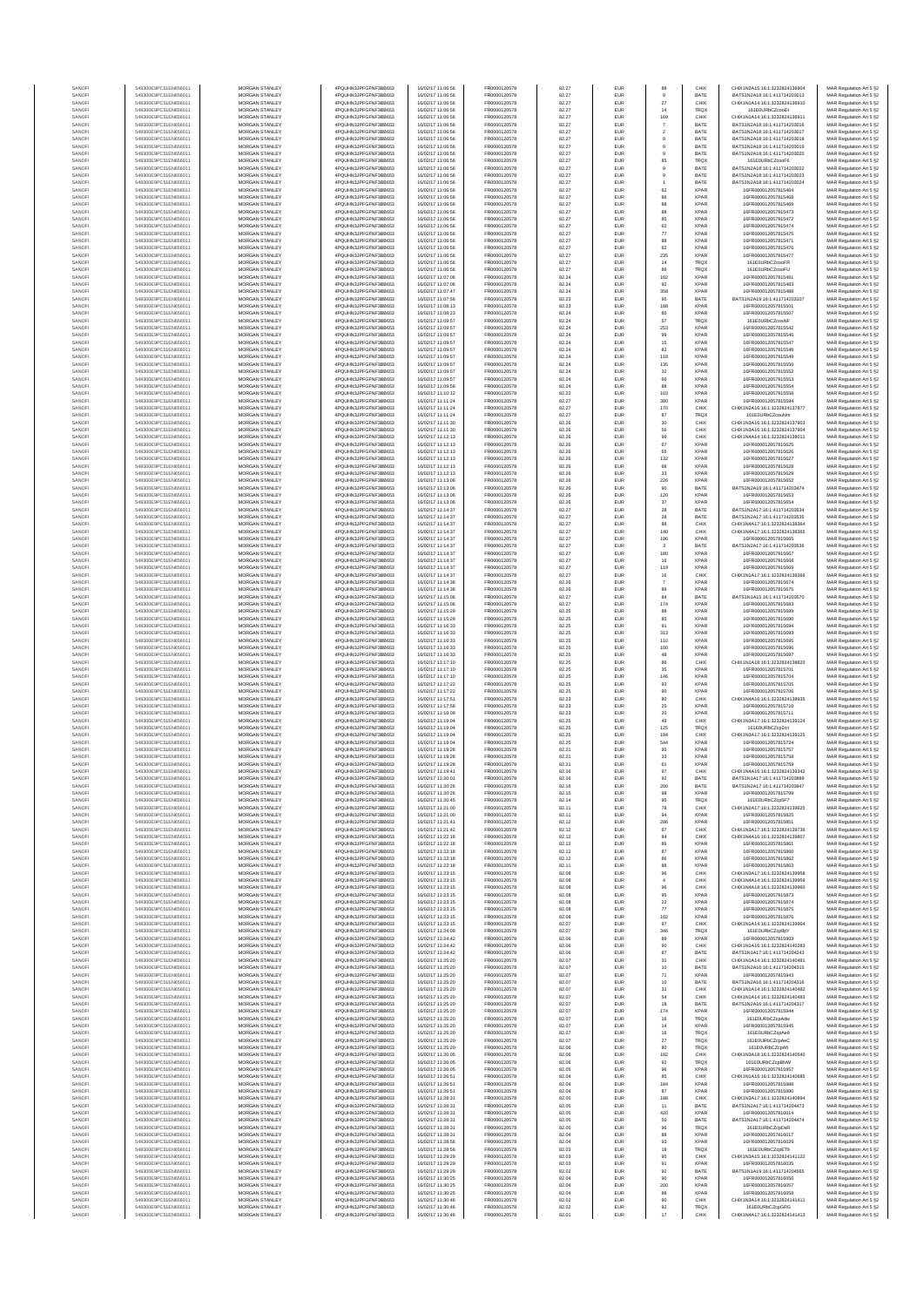| SANOF            | 549300E9PC51EN656011                         | MORGAN STANLEY                                 | 4PQUHN3JPFGFNF3BB653                          | 16/02/17 11:06:56                      | FR0000120578                 | 82.27          | EUR                      | 88                               | CHIX                       |
|------------------|----------------------------------------------|------------------------------------------------|-----------------------------------------------|----------------------------------------|------------------------------|----------------|--------------------------|----------------------------------|----------------------------|
| SANOFI           | 549300E9PC51EN656011                         | MORGAN STANLEY                                 | 4PQUHN3JPFGFNF3BB653                          | 16/02/17 11:06:56                      | FR0000120578                 | 82.27          | EUR                      |                                  | BATE                       |
| SANOF            | 549300E9PC51EN656011                         | MORGAN STANLEY                                 | 4PQUHN3JPFGFNF3BB653                          | 16/02/17 11:06:56                      | FR0000120578                 | 82.27          | EUR                      | $\sqrt{27}$                      | CHIX                       |
| SANOFI           | 549300E9PC51EN656011                         | MORGAN STANLEY                                 | 4PQUHN3JPFGFNF3BB653                          | 16/02/17 11:06:56                      | FR0000120578                 | 82.27          | EUR                      | 14                               | TRQ)                       |
| SANOFI           | 549300E9PC51EN656011                         | MORGAN STANLEY                                 | 4PQUHN3JPFGFNF3BB653                          | 16/02/17 11:06:56                      | FR0000120578                 | 82.27          | EUR                      | 169                              | CHIX                       |
| SANOFI<br>SANOFI | 549300E9PC51EN656011<br>549300E9PC51EN656011 | MORGAN STANLEY<br><b>MORGAN STANLEY</b>        | 4PQUHN3JPFGFNF3BB653<br>4PQUHN3JPFGFNF3BB653  | 16/02/17 11:06:56<br>16/02/17 11:06:56 | FR0000120578<br>FR0000120578 | 82.27<br>82.27 | <b>EUR</b><br><b>EUR</b> | $\overline{7}$<br>$\overline{2}$ | BATE<br>BATE               |
| SANOFI           | 549300E9PC51EN656011                         | <b>MORGAN STANLEY</b>                          | 4PQUHN3JPFGFNF3BB653                          | 16/02/17 11:06:56                      | FR0000120578                 | 82.27          | <b>EUR</b>               | $\theta$                         | BATE                       |
| SANOFI           | 549300E9PC51EN656011                         | MORGAN STANLEY                                 | 4PQUHN3JPFGFNF3BB653                          | 16/02/17 11:06:56                      | FR0000120578                 | 82.27          | EUR                      | $_{9}$                           | BATE                       |
| SANOFI           | 549300E9PC51EN656011                         | MORGAN STANLEY                                 | 4PQUHN3JPFGFNF3BB653                          | 16/02/17 11:06:56                      | FR0000120578                 | 82.27          | EUR                      | $_{9}$                           | BATE                       |
| SANOFI           | 549300E9PC51EN656011                         | MORGAN STANLEY                                 | 4PQUHN3JPFGFNF3BB653                          | 16/02/17 11:06:56                      | FR0000120578                 | 82.27          | EUR                      | 85                               | TRQX                       |
| SANOFI           | 549300E9PC51EN656011                         | MORGAN STANLEY                                 | 4PQUHN3JPFGFNF3BB653                          | 16/02/17 11:06:56                      | FR0000120578                 | 82.27          | EUR                      | $\mathsf g$                      | BATE                       |
| SANOFI           | 549300E9PC51EN656011                         | MORGAN STANLEY                                 | 4PQUHN3JPFGFNF3BB653                          | 16/02/17 11:06:56                      | FR0000120578                 | 82.27          | EUR                      |                                  | BATE                       |
| SANOFI<br>SANOFI | 549300E9PC51EN656011<br>549300E9PC51EN656011 | MORGAN STANLEY<br>MORGAN STANLEY               | 4PQUHN3JPFGFNF3BB653<br>4PQUHN3JPFGFNF3BB653  | 16/02/17 11:06:56<br>16/02/17 11:06:56 | FR0000120578<br>FR0000120578 | 82.27<br>82.27 | EUR<br>EUR               | -1<br>62                         | BATE<br><b>XPAF</b>        |
| SANOFI           | 549300E9PC51EN656011                         | <b>MORGAN STANLEY</b>                          | 4PQUHN3JPFGFNF3BB653                          | 16/02/17 11:06:56                      | FR0000120578                 | 82.27          | <b>EUR</b>               | 86                               | <b>XPAR</b>                |
| SANOFI           | 549300E9PC51EN656011                         | <b>MORGAN STANLEY</b>                          | 4PQUHN3JPFGFNF3BB653                          | 16/02/17 11:06:56                      | FR0000120578                 | 82.27          | <b>EUR</b>               | 88                               | <b>XPAR</b>                |
| SANOFI           | 549300E9PC51EN656011                         | MORGAN STANLEY                                 | 4PQUHN3JPFGFNF3BB653                          | 16/02/17 11:06:56                      | FR0000120578                 | 82.27          | EUR                      | 88                               | <b>XPAR</b>                |
| SANOFI           | 549300E9PC51EN656011                         | MORGAN STANLEY                                 | 4PQUHN3JPFGFNF3BB653                          | 16/02/17 11:06:56                      | FR0000120578                 | 82.27          | EUR                      | 85                               | <b>XPAR</b>                |
| SANOFI           | 549300E9PC51EN656011                         | MORGAN STANLEY                                 | 4PQUHN3JPFGFNF3BB653                          | 16/02/17 11:06:56                      | FR0000120578                 | 82.27          | EUR                      | $_{\rm 62}$                      | XPAF                       |
| SANOFI           | 549300E9PC51EN656011                         | MORGAN STANLEY                                 | 4PQUHN3JPFGFNF3BB653                          | 16/02/17 11:06:56                      | FR0000120578                 | 82.27          | EUR                      | $77\,$                           | XPAF                       |
| SANOFI           | 549300E9PC51EN656011                         | MORGAN STANLEY                                 | 4PQUHN3JPFGFNF3BB653                          | 16/02/17 11:06:56                      | FR0000120578                 | 82.27          | EUR                      | 88                               | <b>XPAF</b>                |
| SANOFI           | 549300E9PC51EN656011                         | MORGAN STANLEY                                 | 4PQUHN3JPFGFNF3BB653                          | 16/02/17 11:06:56                      | FR0000120578                 | 82.27          | EUR                      | 62                               | <b>XPAF</b>                |
| SANOFI<br>SANOFI | 549300E9PC51EN656011<br>549300E9PC51EN656011 | <b>MORGAN STANLEY</b><br><b>MORGAN STANLEY</b> | 4PQUHN3JPFGFNF3BB653<br>4PQUHN3JPFGFNF3BB653  | 16/02/17 11:06:56<br>16/02/17 11:06:56 | FR0000120578<br>FR0000120578 | 82.27<br>82.27 | <b>EUR</b><br><b>EUR</b> | 235<br>14                        | <b>XPAR</b><br><b>TRQX</b> |
| SANOFI           | 549300E9PC51EN656011                         | MORGAN STANLEY                                 | 4PQUHN3JPFGFNF3BB653                          | 16/02/17 11:06:56                      | FR0000120578                 | 82.27          | EUR                      | 86                               | TRQX                       |
| SANOFI           | 549300E9PC51EN656011                         | MORGAN STANLEY                                 | 4PQUHN3JPFGFNF3BB653                          | 16/02/17 11:07:06                      | FR0000120578                 | 82.24          | EUR                      | 102                              | <b>XPAR</b>                |
| SANOF            | 549300E9PC51EN656011                         | MORGAN STANLEY                                 | 4PQUHN3JPFGFNF3BB653                          | 16/02/17 11:07:06                      | FR0000120578                 | 82.24          | EUR                      | 92                               | XPAF                       |
| SANOFI           | 549300E9PC51EN656011                         | MORGAN STANLEY                                 | 4PQUHN3JPFGFNF3BB653                          | 16/02/17 11:07:47                      | FR0000120578                 | 82.24          | EUR                      | 358                              | XPAF                       |
| SANOFI           | 549300E9PC51EN656011                         | MORGAN STANLEY                                 | 4PQUHN3JPFGFNF3BB653                          | 16/02/17 11:07:56                      | FR0000120578                 | 82.23          | EUR                      | 95                               | BATE                       |
| SANOFI           | 549300E9PC51EN656011                         | MORGAN STANLEY                                 | 4PQUHN3JPFGFNF3BB653                          | 16/02/17 11:08:13                      | FR0000120578                 | 82.23          | EUR                      | 188                              | <b>XPAF</b>                |
| SANOFI<br>SANOFI | 549300E9PC51EN656011<br>549300E9PC51EN656011 | <b>MORGAN STANLEY</b><br><b>MORGAN STANLEY</b> | 4PQUHN3JPFGFNF3BB653<br>4PQUHN3JPFGFNF3BB653  | 16/02/17 11:08:23<br>16/02/17 11:09:57 | FR0000120578<br>FR0000120578 | 82.24<br>82.24 | <b>EUR</b><br><b>EUR</b> | 85<br>57                         | <b>XPAR</b><br><b>TRQX</b> |
| SANOFI           | 549300E9PC51EN656011                         | MORGAN STANLEY                                 | 4PQUHN3JPFGFNF3BB653                          | 16/02/17 11:09:57                      | FR0000120578                 | 82.24          | EUR                      | 253                              | <b>XPAR</b>                |
| SANOFI           | 549300E9PC51EN656011                         | MORGAN STANLEY                                 | 4PQUHN3JPFGFNF3BB653                          | 16/02/17 11:09:57                      | FR0000120578                 | 82.24          | EUR                      | 99                               | <b>XPAR</b>                |
| SANOFI           | 549300E9PC51EN656011                         | MORGAN STANLEY                                 | 4PQUHN3JPFGFNF3BB653                          | 16/02/17 11:09:57                      | FR0000120578                 | 82.24          | EUR                      | 15                               | XPAF                       |
| SANOFI           | 549300E9PC51EN656011                         | MORGAN STANLEY                                 | 4PQUHN3JPFGFNF3BB653                          | 16/02/17 11:09:57                      | FR0000120578                 | 82.24          | EUR                      | 82                               | XPAF                       |
| SANOFI           | 549300E9PC51EN656011                         | MORGAN STANLEY                                 | 4PQUHN3JPFGFNF3BB653                          | 16/02/17 11:09:57                      | FR0000120578                 | 82.24          | EUR                      | 118                              | <b>XPAF</b>                |
| SANOFI           | 549300E9PC51EN656011                         | MORGAN STANLEY                                 | 4PQUHN3JPFGFNF3BB653                          | 16/02/17 11:09:57                      | FR0000120578                 | 82.24          | EUR                      | 135                              | <b>XPAR</b>                |
| SANOFI<br>SANOFI | 549300E9PC51EN656011<br>549300E9PC51EN656011 | <b>MORGAN STANLEY</b><br><b>MORGAN STANLEY</b> | 4PQUHN3JPFGFNF3BB653<br>4PQUHN3JPFGFNF3BB653  | 16/02/17 11:09:57<br>16/02/17 11:09:57 | FR0000120578<br>FR0000120578 | 82.24<br>82.24 | <b>EUR</b><br>EUR        | 32<br>66                         | <b>XPAR</b><br><b>XPAR</b> |
| SANOFI           | 549300E9PC51EN656011                         | MORGAN STANLEY                                 | 4PQUHN3JPFGFNF3BB653                          | 16/02/17 11:09:58                      | FR0000120578                 | 82.24          | EUR                      | 88                               | <b>XPAR</b>                |
| SANOFI           | 549300E9PC51EN656011                         | MORGAN STANLEY                                 | 4PQUHN3JPFGFNF3BB653                          | 16/02/17 11:10:12                      | FR0000120578                 | 82.22          | EUR                      | 103                              | XPAR                       |
| SANOFI           | 549300E9PC51EN656011                         | MORGAN STANLEY                                 | 4PQUHN3JPFGFNF3BB653                          | 16/02/17 11:11:24                      | FR0000120578                 | 82.27          | EUR                      | 380                              | XPAF                       |
| SANOFI           | 549300E9PC51EN656011                         | MORGAN STANLEY                                 | 4PQUHN3JPFGFNF3BB653                          | 16/02/17 11:11:24                      | FR0000120578                 | 82.27          | EUR                      | 170                              | CHIX                       |
| SANOFI           | 549300E9PC51EN656011                         | MORGAN STANLEY                                 | 4PQUHN3JPFGFNF3BB653                          | 16/02/17 11:11:24                      | FR0000120578                 | 82.27          | EUR                      | 87                               | TRQ)                       |
| SANOFI<br>SANOFI | 549300E9PC51EN656011<br>549300E9PC51EN656011 | MORGAN STANLEY<br>MORGAN STANLEY               | 4PQUHN3JPFGFNF3BB653<br>4PQUHN3JPFGFNF3BB653  | 16/02/17 11:11:30<br>16/02/17 11:11:30 | FR0000120578<br>FR0000120578 | 82.26<br>82.26 | EUR<br>EUR               | 30<br>56                         | CHIX<br>CHIX               |
| SANOFI           | 549300E9PC51EN656011                         | <b>MORGAN STANLEY</b>                          | 4PQUHN3JPFGFNF3BB653                          | 16/02/17 11:12:13                      | FR0000120578                 | 82.26          | <b>EUR</b>               | 99                               | CHIX                       |
| SANOFI           | 549300E9PC51EN656011                         | MORGAN STANLEY                                 | 4PQUHN3JPFGFNF3BB653                          | 16/02/17 11:12:13                      | FR0000120578                 | 82.26          | EUR                      | 67                               | <b>XPAR</b>                |
| SANOFI           | 549300E9PC51EN656011                         | MORGAN STANLEY                                 | 4PQUHN3JPFGFNF3BB653                          | 16/02/17 11:12:13                      | FR0000120578                 | 82.26          | EUR                      | 65                               | <b>XPAR</b>                |
| SANOFI           | 549300E9PC51EN656011                         | MORGAN STANLEY                                 | 4PQUHN3JPFGFNF3BB653                          | 16/02/17 11:12:13                      | FR0000120578                 | 82.26          | EUR                      | 132                              | <b>XPAR</b>                |
| SANOF            | 549300E9PC51EN656011                         | MORGAN STANLEY                                 | 4PQUHN3JPFGFNF3BB653                          | 16/02/17 11:12:13                      | FR0000120578                 | 82.26          | EUR                      | 68                               | XPAF                       |
| SANOFI           | 549300E9PC51EN656011<br>549300E9PC51EN656011 | MORGAN STANLEY                                 | 4PQUHN3JPFGFNF3BB653<br>4PQUHN3JPFGFNF3BB653  | 16/02/17 11:12:13                      | FR0000120578<br>FR0000120578 | 82.26<br>82.26 | EUR<br>EUR               | 33<br>226                        | XPAF<br><b>XPAR</b>        |
| SANOFI<br>SANOFI | 549300E9PC51EN656011                         | MORGAN STANLEY<br>MORGAN STANLEY               | 4PQUHN3JPFGFNF3BB653                          | 16/02/17 11:13:06<br>16/02/17 11:13:06 | FR0000120578                 | 82.26          | EUR                      | 90                               | BATE                       |
| SANOFI           | 549300E9PC51EN656011                         | <b>MORGAN STANLEY</b>                          | 4PQUHN3JPFGFNF3BB653                          | 16/02/17 11:13:06                      | FR0000120578                 | 82.26          | <b>EUR</b>               | 120                              | <b>XPAR</b>                |
| SANOFI           | 549300E9PC51EN656011                         | MORGAN STANLEY                                 | 4PQUHN3JPFGFNF3BB653                          | 16/02/17 11:13:06                      | FR0000120578                 | 82.26          | <b>EUR</b>               | 37                               | <b>XPAR</b>                |
| SANOFI           | 549300E9PC51EN656011                         | MORGAN STANLEY                                 | 4PQUHN3JPFGFNF3BB653                          | 16/02/17 11:14:37                      | FR0000120578                 | 82.27          | EUR                      | 28                               | BATE                       |
| SANOFI           | 549300E9PC51EN656011                         | MORGAN STANLEY                                 | 4PQUHN3JPFGFNF3BB653                          | 16/02/17 11:14:37                      | FR0000120578                 | 82.27          | EUR                      | $28\,$                           | BATE                       |
| SANOFI           | 549300E9PC51EN656011                         | MORGAN STANLEY                                 | 4PQUHN3JPFGFNF3BB653                          | 16/02/17 11:14:37                      | FR0000120578                 | 82.27          | EUR                      | 88                               | CHIX                       |
| SANOFI           | 549300E9PC51EN656011                         | MORGAN STANLEY                                 | 4PQUHN3JPFGFNF3BB653                          | 16/02/17 11:14:37                      | FR0000120578                 | 82.27          | EUR                      | 140                              | CHIX                       |
| SANOFI<br>SANOFI | 549300E9PC51EN656011<br>549300E9PC51EN656011 | MORGAN STANLEY<br>MORGAN STANLEY               | 4PQUHN3JPFGFNF3BB653<br>4PQUHN3JPFGFNF3BB653  | 16/02/17 11:14:37<br>16/02/17 11:14:37 | FR0000120578<br>FR0000120578 | 82.27<br>82.27 | EUR<br>EUR               | 196<br>3                         | XPAF<br>BATE               |
| SANOFI           | 549300E9PC51EN656011                         | <b>MORGAN STANLEY</b>                          | 4PQUHN3JPFGFNF3BB653                          | 16/02/17 11:14:37                      | FR0000120578                 | 82.27          | <b>EUR</b>               | 180                              | <b>XPAR</b>                |
| SANOFI           | 549300E9PC51EN656011                         | <b>MORGAN STANLEY</b>                          | 4PQUHN3JPFGFNF3BB653                          | 16/02/17 11:14:37                      | FR0000120578                 | 82.27          | <b>EUR</b>               | 16                               | <b>XPAR</b>                |
| SANOFI           | 549300E9PC51EN656011                         | MORGAN STANLEY                                 | 4PQUHN3JPFGFNF3BB653                          | 16/02/17 11:14:37                      | FR0000120578                 | 82.27          | EUR                      | 119                              | <b>XPAR</b>                |
| SANOFI           | 549300E9PC51EN656011                         | MORGAN STANLEY                                 | 4PQUHN3JPFGFNF3BB653                          | 16/02/17 11:14:37                      | FR0000120578                 | 82.27          | EUR                      | 16                               | CHIX                       |
| SANOF            | 549300E9PC51EN656011                         | MORGAN STANLEY                                 | 4PQUHN3JPFGFNF3BB653                          | 16/02/17 11:14:38                      | FR0000120578                 | 82.26          | EUR                      | $\scriptstyle\rm 7$              | XPAF                       |
| SANOFI<br>SANOFI | 549300E9PC51EN656011<br>549300E9PC51EN656011 | MORGAN STANLEY<br>MORGAN STANLEY               | 4PQUHN3JPFGFNF3BB653<br>4PQUHN3JPFGFNF3BB653  | 16/02/17 11:14:38<br>16/02/17 11:15:06 | FR0000120578<br>FR0000120578 | 82.26<br>82.27 | EUR<br>EUR               | 89<br>84                         | XPAF<br>BATE               |
| SANOFI           | 549300E9PC51EN656011                         | MORGAN STANLEY                                 | 4PQUHN3JPFGFNF3BB653                          | 16/02/17 11:15:06                      | FR0000120578                 | 82.27          | <b>EUR</b>               | 174                              | <b>XPAF</b>                |
| SANOFI           | 549300E9PC51EN656011                         | <b>MORGAN STANLEY</b>                          | 4PQUHN3JPFGFNF3BB653                          | 16/02/17 11:15:29                      | FR0000120578                 | 82.25          | <b>EUR</b>               | 88                               | <b>XPAR</b>                |
| SANOFI           | 549300E9PC51EN656011                         | <b>MORGAN STANLEY</b>                          | 4PQUHN3JPFGFNF3BB653                          | 16/02/17 11:15:29                      | FR0000120578                 | 82.25          | <b>EUR</b>               | 85                               | <b>XPAR</b>                |
| SANOFI           | 549300E9PC51EN656011                         | MORGAN STANLEY                                 | 4PQUHN3JPFGFNF3BB653                          | 16/02/17 11:16:33                      | FR0000120578                 | 82.25          | EUR                      | 91                               | <b>XPAR</b>                |
| SANOF            | 549300E9PC51EN656011                         | MORGAN STANLEY                                 | 4PQUHN3JPFGFNF3BB653                          | 16/02/17 11:16:33                      | FR0000120578                 | 82.25          | EUR                      | 313                              | <b>XPAR</b>                |
| SANOFI<br>SANOFI | 549300E9PC51EN656011<br>549300E9PC51EN656011 | MORGAN STANLEY<br>MORGAN STANLEY               | 4PQUHN3JPFGFNF3BB653<br>4PQUHN3JPFGFNF3BB653  | 16/02/17 11:16:33<br>16/02/17 11:16:33 | FR0000120578<br>FR0000120578 | 82.25<br>82.25 | EUR<br>EUR               | 110<br>100                       | <b>XPAF</b><br>XPAF        |
| SANOFI           | 549300E9PC51EN656011                         | MORGAN STANLEY                                 | 4PQUHN3JPFGFNF3BB653                          | 16/02/17 11:16:33                      | FR0000120578                 | 82.25          | EUR                      | 48                               | XPAF                       |
| SANOFI           | 549300E9PC51EN656011                         | MORGAN STANLEY                                 | 4PQUHN3JPFGFNF3BB653                          | 16/02/17 11:17:10                      | FR0000120578                 | 82.25          | EUR                      | 86                               | CHIX                       |
| SANOFI           | 549300E9PC51EN656011                         | MORGAN STANLEY                                 | 4PQUHN3JPFGFNF3BB653                          | 16/02/17 11:17:10                      | FR0000120578                 | 82.25          | EUR                      | 35                               | XPAF                       |
| SANOFI           | 549300E9PC51EN656011                         | <b>MORGAN STANLEY</b>                          | 4PQUHN3JPFGFNF3BB653                          | 16/02/17 11:17:10                      | FR0000120578                 | 82.25          | EUR                      | 146                              | <b>XPAR</b>                |
| SANOFI           | 549300E9PC51EN656011                         | MORGAN STANLEY                                 | 4PQUHN3JPFGFNF3BB653                          | 16/02/17 11:17:22                      | FR0000120578                 | 82.25          | <b>EUR</b>               | 93                               | <b>XPAR</b>                |
| SANOFI           | 549300E9PC51EN656011                         | MORGAN STANLEY                                 | 4POURN3JPEGENE3BB653                          | 16/02/17 11:17:22                      | FR0000120578                 | 82.25          | EUR                      | 90                               | XPAF                       |
| SANOFI<br>SANOFI | 549300E9PC51EN656011<br>549300E9PC51EN656011 | MORGAN STANLEY<br>MORGAN STANLEY               | 4PQUHN3JPFGFNF3BB653<br>4PQUHN3JPFGFNF3BB653  | 16/02/17 11:17:51<br>16/02/17 11:17:58 | FR0000120578<br>FR0000120578 | 82.23<br>82.23 | EUR<br>EUR               | 80<br>25                         | CHIX<br>XPAF               |
| SANOFI           | 549300E9PC51EN656011                         | MORGAN STANLEY                                 | 4PQUHN3JPFGFNF3BB653                          | 16/02/17 11:18:09                      | FR0000120578                 | 82.23          | EUR                      | $20\,$                           | XPAF                       |
| SANOFI           | 549300E9PC51EN656011                         | MORGAN STANLEY                                 | 4PQUHN3JPFGFNF3BB653                          | 16/02/17 11:19:04                      | FR0000120578                 | 82.25          | EUR                      | 49                               | CHIX                       |
| SANOFI           | 549300E9PC51EN656011                         | MORGAN STANLEY                                 | 4PQUHN3JPFGFNF3BB653                          | 16/02/17 11:19:04                      | FR0000120578                 | 82.25          | EUR                      | 125                              | TRQX                       |
| SANOFI           | 549300E9PC51EN656011                         | <b>MORGAN STANLEY</b>                          | 4PQUHN3JPFGFNF3BB653                          | 16/02/17 11:19:04                      | FR0000120578                 | 82.25          | <b>EUR</b>               | 194                              | CHIX                       |
| SANOFI           | 549300E9PC51EN656011                         | <b>MORGAN STANLEY</b>                          | 4PQUHN3JPFGFNF3BB653                          | 16/02/17 11:19:04                      | FR0000120578                 | 82.25          | EUR                      | 544                              | <b>XPAR</b>                |
| SANOFI<br>SANOFI | 549300E9PC51EN656011<br>549300E9PC51EN656011 | MORGAN STANLEY<br>MORGAN STANLEY               | 4PQUHN3JPFGFNF3BB653<br>4POLIHN3JPEGENE3BB653 | 16/02/17 11:19:28<br>16/02/17 11:19:28 | FR0000120578<br>FR0000120578 | 82.21<br>82.21 | EUR<br>EUR               | 95<br>33                         | <b>XPAR</b><br><b>XPAR</b> |
| SANOF            | 549300E9PC51EN656011                         | MORGAN STANLEY                                 | 4PQUHN3JPFGFNF3BB653                          | 16/02/17 11:19:28                      | FR0000120578                 | 82.21          | EUR                      | 61                               | <b>XPAR</b>                |
| SANOFI           | 549300E9PC51EN656011                         | MORGAN STANLEY                                 | 4PQUHN3JPFGFNF3BB653                          | 16/02/17 11:19:41                      | FR0000120578                 | 82.16          |                          | 97                               | CHIX                       |
| SANOF            |                                              | MORGAN STANLEY                                 | PQUHN3JPFGFNF3BB653                           | 16/02/17 11:20:01                      | ER0000120578                 | 82.16          |                          |                                  |                            |
| SANOFI           | 549300E9PC51EN656011                         | MORGAN STANLEY                                 | 4PQUHN3JPFGFNF3BB653                          | 16/02/17 11:20:26                      | FR0000120578                 | 82.16          | EUR                      | 200                              | BATE                       |
| SANOFI           | 549300E9PC51EN656011                         | MORGAN STANLEY                                 | 4PQUHN3JPFGFNF3BB653                          | 16/02/17 11:20:26                      | FR0000120578                 | 82.15          | <b>EUR</b>               | 98                               | <b>XPAR</b>                |
| SANOFI<br>SANOFI | 549300E9PC51EN656011                         | <b>MORGAN STANLEY</b>                          | 4PQUHN3JPFGFNF3BB653                          | 16/02/17 11:20:45                      | FR0000120578                 | 82.14          | <b>EUR</b>               | 95                               | <b>TRQX</b>                |
| SANOFI           | 549300E9PC51EN656011<br>549300E9PC51EN656011 | MORGAN STANLEY<br>MORGAN STANLEY               | 4PQUHN3JPFGFNF3BB653<br>4PQUHN3JPFGFNF3BB653  | 16/02/17 11:21:00<br>16/02/17 11:21:00 | FR0000120578<br>FR0000120578 | 82.11<br>82.11 | <b>EUR</b><br>EUR        | 78<br>94                         | CHIX<br><b>XPAR</b>        |
| SANOFI           | 549300E9PC51EN656011                         | MORGAN STANLEY                                 | 4PQUHN3JPFGFNF3BB653                          | 16/02/17 11:21:41                      | FR0000120578                 | 82.12          | EUR                      | 286                              | <b>XPAR</b>                |
| SANOFI           | 549300E9PC51EN656011                         | MORGAN STANLEY                                 | 4PQUHN3JPFGFNF3BB653                          | 16/02/17 11:21:42                      | FR0000120578                 | 82.12          | EUR                      | 67                               | CHIX                       |
| SANOFI           | 549300E9PC51EN656011                         | MORGAN STANLEY                                 | 4PQUHN3JPFGFNF3BB653                          | 16/02/17 11:22:18                      | FR0000120578                 | 82.12          | EUR                      | 84                               | CHIX                       |
| SANOFI           | 549300E9PC51EN656011                         | MORGAN STANLEY                                 | 4PQUHN3JPFGFNF3BB653                          | 16/02/17 11:22:18                      | FR0000120578                 | 82.12          | EUR                      | 86                               | <b>XPAR</b>                |
| SANOFI           | 549300E9PC51EN656011                         | MORGAN STANLEY                                 | 4PQUHN3JPFGFNF3BB653                          | 16/02/17 11:22:18                      | FR0000120578                 | 82.12          | <b>EUR</b>               | 87                               | <b>XPAR</b>                |
| SANOFI<br>SANOFI | 549300E9PC51EN656011<br>549300E9PC51EN656011 | <b>MORGAN STANLEY</b><br>MORGAN STANLEY        | 4PQUHN3JPFGFNF3BB653<br>4PQUHN3JPFGFNF3BB653  | 16/02/17 11:22:18<br>16/02/17 11:22:18 | FR0000120578<br>FR0000120578 | 82.12<br>82.11 | <b>EUR</b><br>EUR        | 86                               | <b>XPAR</b><br><b>XPAR</b> |
| SANOFI           | 549300E9PC51EN656011                         | MORGAN STANLEY                                 | 4PQUHN3JPFGFNF3BB653                          | 16/02/17 11:23:15                      | FR0000120578                 | 82.08          | EUR                      | 88<br>$96\,$                     | CHIX                       |
| SANOFI           | 549300E9PC51EN656011                         | MORGAN STANLEY                                 | 4PQUHN3JPFGFNF3BB653                          | 16/02/17 11:23:15                      | FR0000120578                 | 82.08          | <b>EUR</b>               | $\sqrt{4}$                       | CHIX                       |
| SANOFI           | 549300E9PC51EN656011                         | MORGAN STANLEY                                 | 4PQUHN3JPFGFNF3BB653                          | 16/02/17 11:23:15                      | FR0000120578                 | 82.08          | EUR                      | 96                               | CHIX                       |
| SANOFI           | 549300E9PC51EN656011                         | MORGAN STANLEY                                 | 4PQUHN3JPFGFNF3BB653                          | 16/02/17 11:23:15                      | FR0000120578                 | 82.08          | EUR                      | 95                               | <b>XPAR</b>                |
| SANOFI<br>SANOFI | 549300E9PC51EN656011                         | MORGAN STANLEY<br>MORGAN STANLEY               | 4PQUHN3JPFGFNF3BB653<br>4PQUHN3JPFGFNF3BB653  | 16/02/17 11:23:15                      | FR0000120578<br>FR0000120578 | 82.08<br>82.08 | <b>EUR</b><br>EUR        | 22<br>$77\,$                     | <b>XPAR</b><br><b>XPAR</b> |
| SANOFI           | 549300E9PC51EN656011<br>549300E9PC51EN656011 | MORGAN STANLEY                                 | 4PQUHN3JPFGFNF3BB653                          | 16/02/17 11:23:15<br>16/02/17 11:23:15 | FR0000120578                 | 82.08          | <b>EUR</b>               | 102                              | <b>XPAR</b>                |
| SANOFI           | 549300E9PC51EN656011                         | <b>MORGAN STANLEY</b>                          | 4PQUHN3JPFGFNF3BB653                          | 16/02/17 11:23:15                      | FR0000120578                 | 82.07          | <b>EUR</b>               | 97                               | CHIX                       |
| SANOFI           | 549300E9PC51EN656011                         | MORGAN STANLEY                                 | 4PQUHN3JPFGFNF3BB653                          | 16/02/17 11:24:09                      | FR0000120578                 | 82.07          | <b>EUR</b>               | 346                              | TRQX                       |
| SANOFI           | 549300E9PC51EN656011                         | MORGAN STANLEY                                 | 4PQUHN3JPFGFNF3BB653                          | 16/02/17 11:24:42                      | FR0000120578                 | 82.06          | <b>EUR</b>               | 89                               | <b>XPAR</b>                |
| SANOFI           | 549300E9PC51EN656011                         | MORGAN STANLEY                                 | 4PQUHN3JPFGFNF3BB653                          | 16/02/17 11:24:42                      | FR0000120578                 | 82.06          | EUR                      | 90                               | CHIX                       |
| SANOFI           | 549300E9PC51EN656011                         | MORGAN STANLEY                                 | 4PQUHN3JPFGFNF3BB653                          | 16/02/17 11:24:42                      | FR0000120578                 | 82.06          | EUR                      | 87                               | BATE                       |
| SANOFI<br>SANOFI | 549300E9PC51EN656011<br>549300E9PC51EN656011 | MORGAN STANLEY<br>MORGAN STANLEY               | 4PQUHN3JPFGFNF3BB653<br>4PQUHN3JPFGFNF3BB653  | 16/02/17 11:25:20<br>16/02/17 11:25:20 | FR0000120578<br>FR0000120578 | 82.07<br>82.07 | EUR<br><b>EUR</b>        | 31<br>10                         | CHIX<br>BATE               |
| SANOFI           | 549300E9PC51EN656011                         | <b>MORGAN STANLEY</b>                          | 4PQUHN3JPFGFNF3BB653                          | 16/02/17 11:25:20                      | FR0000120578                 | 82.07          | <b>EUR</b>               | 71                               | <b>XPAR</b>                |
| SANOFI           | 549300E9PC51EN656011                         | <b>MORGAN STANLEY</b>                          | 4PQUHN3JPFGFNF3BB653                          | 16/02/17 11:25:20                      | FR0000120578                 | 82.07          | <b>EUR</b>               | 10                               | BATE                       |
| SANOFI           | 549300E9PC51EN656011                         | MORGAN STANLEY                                 | 4PQUHN3JPFGFNF3BB653                          | 16/02/17 11:25:20                      | FR0000120578                 | 82.07          | EUR                      | 31                               | CHIX                       |
| SANOFI           | 549300E9PC51EN656011                         | MORGAN STANLEY                                 | 4PQUHN3JPFGFNF3BB653                          | 16/02/17 11:25:20                      | FR0000120578                 | 82.07          | EUR                      | 54                               | CHIX                       |
| SANOFI<br>SANOFI | 549300E9PC51EN656011<br>549300E9PC51EN656011 | MORGAN STANLEY<br>MORGAN STANLEY               | 4PQUHN3JPFGFNF3BB653<br>4PQUHN3JPFGFNF3BB653  | 16/02/17 11:25:20<br>16/02/17 11:25:20 | FR0000120578<br>FR0000120578 | 82.07<br>82.07 | EUR<br>EUR               | 18<br>174                        | BATE<br><b>XPAR</b>        |
| SANOFI           | 549300E9PC51EN656011                         | MORGAN STANLEY                                 | 4PQUHN3JPFGFNF3BB653                          | 16/02/17 11:25:20                      | FR0000120578                 | 82.07          | EUR                      | 16                               | TRQX                       |
| SANOFI           | 549300E9PC51EN656011                         | MORGAN STANLEY                                 | 4PQUHN3JPFGFNF3BB653                          | 16/02/17 11:25:20                      | FR0000120578                 | 82.07          | <b>EUR</b>               | $14\,$                           | <b>XPAR</b>                |
| SANOFI           | 549300E9PC51EN656011                         | <b>MORGAN STANLEY</b>                          | 4PQUHN3JPFGFNF3BB653                          | 16/02/17 11:25:20                      | FR0000120578                 | 82.07          | <b>EUR</b>               | 16                               | <b>TRQX</b>                |
| SANOFI           | 549300E9PC51EN656011                         | <b>MORGAN STANLEY</b>                          | 4PQUHN3JPFGFNF3BB653                          | 16/02/17 11:25:20                      | FR0000120578                 | 82.07          | <b>EUR</b>               | 27                               | <b>TRQX</b>                |
| SANOFI           | 549300E9PC51EN656011                         | MORGAN STANLEY                                 | 4PQUHN3JPFGFNF3BB653                          | 16/02/17 11:25:20                      | FR0000120578                 | 82.06          | EUR                      | 80                               | TRQX                       |
| SANOFI           | 549300E9PC51EN656011                         | MORGAN STANLEY                                 | 4PQUHN3JPFGFNF3BB653                          | 16/02/17 11:26:05                      | FR0000120578                 | 82.06          | <b>EUR</b>               | 182                              | CHIX                       |
| SANOFI<br>SANOFI | 549300E9PC51EN656011<br>549300E9PC51EN656011 | MORGAN STANLEY<br>MORGAN STANLEY               | 4PQUHN3JPFGFNF3BB653<br>4PQUHN3JPFGFNF3BB653  | 16/02/17 11:26:05<br>16/02/17 11:26:05 | FR0000120578<br>FR0000120578 | 82.06<br>82.05 | EUR<br>EUR               | 92<br>96                         | TRQX<br><b>XPAR</b>        |
| SANOFI           | 549300E9PC51EN656011                         | MORGAN STANLEY                                 | 4PQUHN3JPFGFNF3BB653                          | 16/02/17 11:26:51                      | FR0000120578                 | 82.04          | EUR                      | 85                               | CHIX                       |
| SANOFI           | 549300E9PC51EN656011                         | MORGAN STANLEY                                 | 4PQUHN3JPFGFNF3BB653                          | 16/02/17 11:26:51                      | FR0000120578                 | 82.04          | <b>EUR</b>               | 184                              | <b>XPAR</b>                |
| SANOFI           | 549300E9PC51EN656011                         | <b>MORGAN STANLEY</b>                          | 4PQUHN3JPFGFNF3BB653                          | 16/02/17 11:26:51                      | FR0000120578                 | 82.04          | <b>EUR</b>               | 87                               | <b>XPAR</b>                |
| SANOFI           | 549300E9PC51EN656011                         | <b>MORGAN STANLEY</b>                          | 4PQUHN3JPFGFNF3BB653                          | 16/02/17 11:28:31                      | FR0000120578                 | 82.05          | <b>EUR</b>               | 188                              | CHIX                       |
| SANOFI           | 549300E9PC51EN656011                         | MORGAN STANLEY                                 | 4PQUHN3JPFGFNF3BB653                          | 16/02/17 11:28:31                      | FR0000120578                 | 82.05          | <b>EUR</b>               | 11                               | BATE                       |
| SANOFI           | 549300E9PC51EN656011                         | MORGAN STANLEY                                 | 4PQUHN3JPFGFNF3BB653                          | 16/02/17 11:28:31                      | FR0000120578                 | 82.05          | <b>EUR</b>               | 420                              | <b>XPAR</b>                |
| SANOFI<br>SANOF  | 549300E9PC51EN656011<br>549300E9PC51EN656011 | MORGAN STANLEY<br>MORGAN STANLEY               | 4PQUHN3JPFGFNF3BB653<br>4PQUHN3JPFGFNF3BB653  | 16/02/17 11:28:31<br>16/02/17 11:28:31 | FR0000120578<br>FR0000120578 | 82.05<br>82.05 | <b>EUR</b><br>EUR        | 50<br>96                         | BATE<br>TRQ)               |
| SANOFI           | 549300E9PC51EN656011                         | MORGAN STANLEY                                 | 4PQUHN3JPFGFNF3BB653                          | 16/02/17 11:28:31                      | FR0000120578                 | 82.04          | EUR                      | 88                               | <b>XPAR</b>                |
| SANOFI           | 549300E9PC51EN656011                         | MORGAN STANLEY                                 | 4PQUHN3JPFGFNF3BB653                          | 16/02/17 11:28:56                      | FR0000120578                 | 82.04          | <b>EUR</b>               | 93                               | <b>XPAR</b>                |
| SANOFI           | 549300E9PC51EN656011                         | MORGAN STANLEY                                 | 4PQUHN3JPFGFNF3BB653                          | 16/02/17 11:28:56                      | FR0000120578                 | 82.03          | EUR                      | 18                               | <b>TRQX</b>                |
| SANOFI           | 549300E9PC51EN656011                         | <b>MORGAN STANLEY</b>                          | 4PQUHN3JPFGFNF3BB653                          | 16/02/17 11:29:29                      | FR0000120578                 | 82.03          | <b>EUR</b>               | 95                               | CHIX                       |
| SANOFI           | 549300E9PC51EN656011                         | <b>MORGAN STANLEY</b>                          | 4PQUHN3JPFGFNF3BB653                          | 16/02/17 11:29:29                      | FR0000120578                 | 82.03          | <b>EUR</b>               | 91                               | <b>XPAR</b>                |
| SANOFI           | 549300E9PC51EN656011                         | MORGAN STANLEY                                 | 4PQUHN3JPFGFNF3BB653                          | 16/02/17 11:29:29                      | FR0000120578                 | 82.02          | EUR                      | 92                               | BATE                       |
| SANOFI<br>SANOFI | 549300E9PC51EN656011<br>549300E9PC51EN656011 | MORGAN STANLEY<br>MORGAN STANLEY               | 4PQUHN3JPFGFNF3BB653<br>4PQUHN3JPFGFNF3BB653  | 16/02/17 11:30:25<br>16/02/17 11:30:25 | FR0000120578<br>FR0000120578 | 82.04<br>82.04 | <b>EUR</b><br>EUR        | 90<br>200                        | <b>XPAR</b><br><b>XPAR</b> |
| SANOFI           | 549300E9PC51EN656011                         | MORGAN STANLEY                                 | 4PQUHN3JPFGFNF3BB653                          | 16/02/17 11:30:25                      | FR0000120578                 | 82.04          | EUR                      | 88                               | <b>XPAR</b>                |
| SANOFI           | 549300E9PC51EN656011                         | MORGAN STANLEY                                 | 4PQUHN3JPFGFNF3BB653                          | 16/02/17 11:30:46                      | FR0000120578                 | 82.02          | EUR                      | 90                               | CHIX                       |
| SANOFI           | 549300E9PC51EN656011                         | MORGAN STANLEY                                 | 4PQUHN3JPFGFNF3BB653                          | 16/02/17 11:30:46                      | FR0000120578                 | 82.02          | EUR                      | 92                               | TRQX                       |
| SANOFI           | 549300E9PC51EN656011                         | <b>MORGAN STANLEY</b>                          | 4PQUHN3JPFGFNF3BB653                          | 16/02/17 11:30:46                      | FR0000120578                 | 82.01          | EUR                      | 17                               | CHIX                       |
|                  |                                              |                                                |                                               |                                        |                              |                |                          |                                  |                            |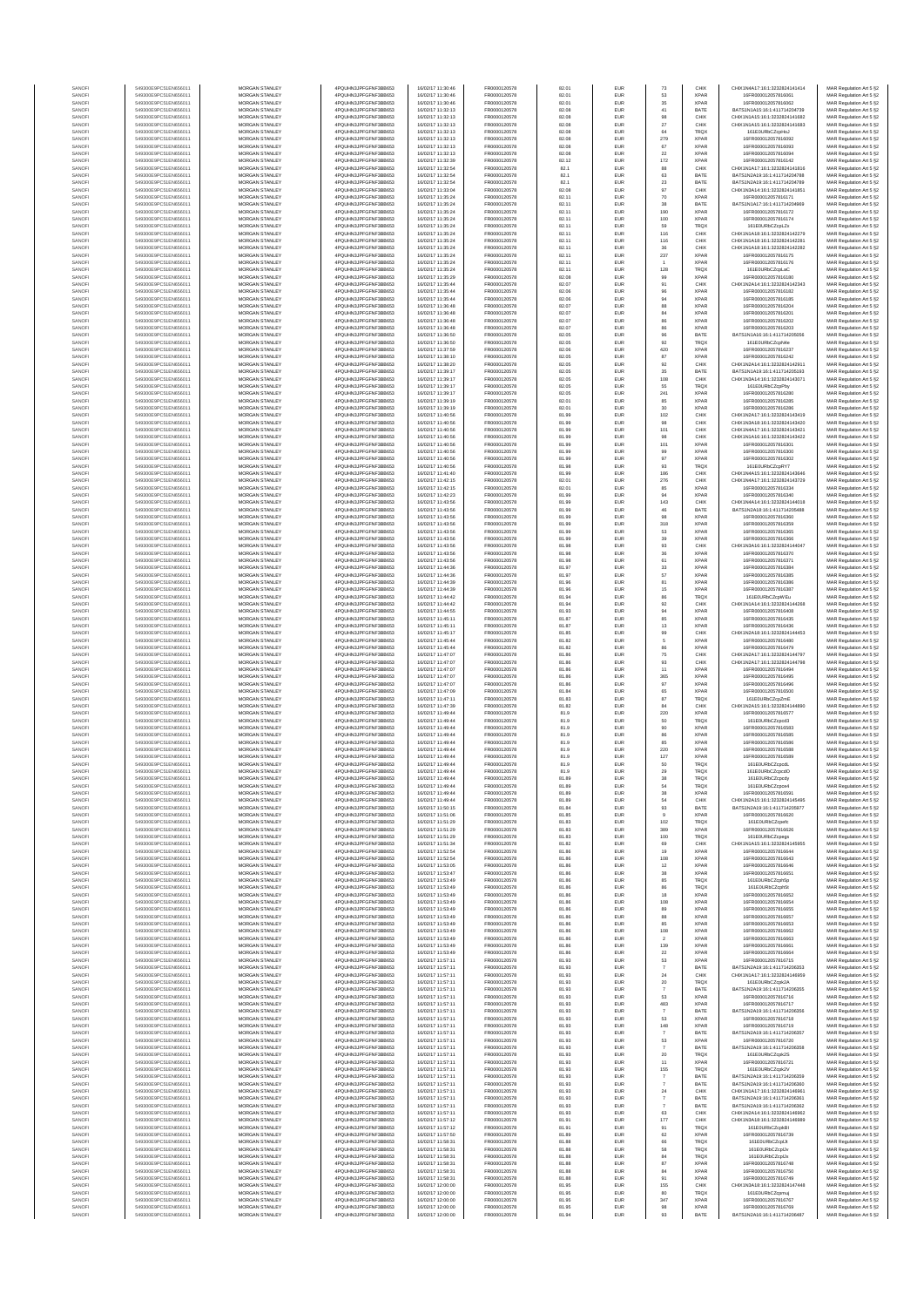| SANOF            | 549300E9PC51EN656011                         | MORGAN STANLEY                                 | 4PQUHN3JPFGFNF3BB653                          | 16/02/17 11:30:46                      | FR0000120578                 | 82.01          | EUR        | $73\,$                           | CHIX                       | CHIX1N4A17:16:1:3232824141414                                  | MAR Regulation Art 5 §2                            |
|------------------|----------------------------------------------|------------------------------------------------|-----------------------------------------------|----------------------------------------|------------------------------|----------------|------------|----------------------------------|----------------------------|----------------------------------------------------------------|----------------------------------------------------|
| SANOFI           | 549300E9PC51EN656011                         | MORGAN STANLEY                                 | 4PQUHN3JPFGFNF3BB653                          | 16/02/17 11:30:46                      | FR0000120578                 | 82.01          | EUR        | 53                               | <b>XPAF</b>                | 16FR000012057816061                                            | MAR Regulation Art 5 §2                            |
| SANOFI           | 549300E9PC51EN656011                         | <b>MORGAN STANLEY</b>                          | 4PQUHN3JPFGFNF3BB653                          | 16/02/17 11:30:46                      | FR0000120578                 | 82.01          | EUR        | 35                               | <b>XPAF</b>                | 16FR000012057816062                                            | MAR Regulation Art 5 §2                            |
| SANOFI<br>SANOFI | 549300E9PC51EN656011<br>549300E9PC51EN656011 | MORGAN STANLEY<br>MORGAN STANLEY               | 4PQUHN3JPFGFNF3BB653<br>4PQUHN3JPFGFNF3BB653  | 16/02/17 11:32:13<br>16/02/17 11:32:13 | FR0000120578                 | 82.08<br>82.08 | EUR<br>EUR | 41                               | BATE<br>CHIX               | BATS1N1A15:16:1:411714204739<br>CHIX1N1A15:16:1:3232824141682  | MAR Regulation Art 5 §2                            |
| SANOFI           | 549300E9PC51EN656011                         | MORGAN STANLEY                                 | 4PQUHN3JPFGFNF3BB653                          | 16/02/17 11:32:13                      | FR0000120578<br>FR0000120578 | 82.08          | EUR        | $98\,$<br>27                     | CHIX                       | CHIX1N1A15:16:1:3232824141683                                  | MAR Regulation Art 5 §2<br>MAR Regulation Art 5 §2 |
| SANOF            | 549300E9PC51EN656011                         | MORGAN STANLEY                                 | 4PQUHN3JPFGFNF3BB653                          | 16/02/17 11:32:13                      | FR0000120578                 | 82.08          | EUR        | 64                               | TRQ)                       | 161E0URbCZcpHo.                                                | MAR Regulation Art 5 §2                            |
| SANOFI           | 549300E9PC51EN656011                         | MORGAN STANLEY                                 | 4PQUHN3JPFGFNF3BB653                          | 16/02/17 11:32:13                      | FR0000120578                 | 82.08          | EUR        | 279                              | <b>XPAF</b>                | 16FR000012057816092                                            | MAR Regulation Art 5 §2                            |
| SANOFI           | 549300E9PC51EN656011                         | MORGAN STANLEY<br>MORGAN STANLEY               | 4PQUHN3JPFGFNF3BB653                          | 16/02/17 11:32:13<br>16/02/17 11:32:13 | FR0000120578                 | 82.08          | EUR        | 67<br>22                         | <b>XPAF</b><br><b>XPAF</b> | 16FR000012057816093                                            | MAR Regulation Art 5 §2<br>MAR Regulation Art 5 §2 |
| SANOFI<br>SANOFI | 549300E9PC51EN656011<br>549300E9PC51EN656011 | MORGAN STANLEY                                 | 4PQUHN3JPFGFNF3BB653<br>4PQUHN3JPFGFNF3BB653  | 16/02/17 11:32:39                      | FR0000120578<br>FR0000120578 | 82.08<br>82.12 | EUR<br>EUR | 172                              | <b>XPAF</b>                | 16FR000012057816094<br>16FR000012057816142                     | MAR Regulation Art 5 §2                            |
| SANOFI           | 549300E9PC51EN656011                         | <b>MORGAN STANLEY</b>                          | 4PQUHN3JPFGFNF3BB653                          | 16/02/17 11:32:54                      | FR0000120578                 | 82.1           | EUR        | 88                               | CHIX                       | CHIX1N1A17:16:1:3232824141816                                  | MAR Regulation Art 5 §2                            |
| SANOFI           | 549300E9PC51EN656011                         | <b>MORGAN STANLEY</b>                          | 4PQUHN3JPFGFNF3BB653                          | 16/02/17 11:32:54                      | FR0000120578                 | 82.1           | EUR        | 63                               | BATE                       | BATS1N2A19:16:1:411714204788                                   | MAR Regulation Art 5 §2                            |
| SANOFI           | 549300E9PC51EN656011                         | MORGAN STANLEY                                 | 4PQUHN3JPFGFNF3BB653                          | 16/02/17 11:32:54                      | FR0000120578                 | 82.1           | EUR        | $23\,$                           | BATE                       | BATS1N2A19:16:1:411714204789                                   | MAR Regulation Art 5 §2                            |
| SANOFI<br>SANOF  | 549300E9PC51EN656011<br>549300E9PC51EN656011 | MORGAN STANLEY<br>MORGAN STANLEY               | 4PQUHN3JPFGFNF3BB653<br>4PQUHN3JPFGFNF3BB653  | 16/02/17 11:33:04<br>16/02/17 11:35:24 | FR0000120578<br>FR0000120578 | 82.08<br>82.11 | EUR<br>EUR | 97<br>$70\,$                     | CHIX<br><b>XPAF</b>        | CHIX1N3A14:16:1:3232824141851<br>16FR000012057816171           | MAR Regulation Art 5 §2<br>MAR Regulation Art 5 §2 |
| SANOFI           | 549300E9PC51EN656011                         | MORGAN STANLEY                                 | 4PQUHN3JPFGFNF3BB653                          | 16/02/17 11:35:24                      | FR0000120578                 | 82.11          | EUR        | 38                               | BATE                       | BATS1N1A17:16:1:411714204969                                   | MAR Regulation Art 5 §2                            |
| SANOFI           | 549300E9PC51EN656011                         | MORGAN STANLEY                                 | 4PQUHN3JPFGFNF3BB653                          | 16/02/17 11:35:24                      | FR0000120578                 | 82.11          | EUR        | 190                              | <b>XPAF</b>                | 16FR000012057816172                                            | MAR Regulation Art 5 §2                            |
| SANOFI           | 549300E9PC51EN656011                         | MORGAN STANLEY                                 | 4PQUHN3JPFGFNF3BB653                          | 16/02/17 11:35:24                      | FR0000120578                 | 82.11          | EUR        | 100                              | <b>XPAF</b>                | 16FR000012057816174                                            | MAR Regulation Art 5 §2                            |
| SANOFI           | 549300E9PC51EN656011                         | <b>MORGAN STANLEY</b>                          | 4PQUHN3JPFGFNF3BB653                          | 16/02/17 11:35:24                      | FR0000120578                 | 82.11          | EUR        | 69                               | TRQ)                       | 161E0URbCZcoLZx                                                | MAR Regulation Art 5 §2                            |
| SANOFI           | 549300E9PC51EN656011                         | <b>MORGAN STANLEY</b>                          | 4POLIHN3JPEGENE3BB653<br>4PQUHN3JPFGFNF3BB653 | 16/02/17 11:35:24                      | FR0000120578                 | 82.11          | EUR        | 116                              | CHIX                       | CHIX1N1A1R-1R-1-3232R24142279                                  | MAR Regulation Art 5 §2                            |
| SANOFI<br>SANOFI | 549300E9PC51EN656011<br>549300E9PC51EN656011 | MORGAN STANLEY<br>MORGAN STANLEY               | 4PQUHN3JPFGFNF3BB653                          | 16/02/17 11:35:24<br>16/02/17 11:35:24 | FR0000120578<br>FR0000120578 | 82.11<br>82.11 | EUR<br>EUR | 116<br>$36\,$                    | CHIX<br>CHIX               | CHIX1N1A18:16:1:3232824142281<br>CHIX1N1A18:16:1:3232824142282 | MAR Regulation Art 5 §2<br>MAR Regulation Art 5 §2 |
| SANOFI           | 549300E9PC51EN656011                         | MORGAN STANLEY                                 | 4PQUHN3JPFGFNF3BB653                          | 16/02/17 11:35:24                      | FR0000120578                 | 82.11          | EUR        | 237                              | <b>XPAF</b>                | 16FR000012057816175                                            | MAR Regulation Art 5 §2                            |
| SANOFI           | 549300E9PC51EN656011                         | MORGAN STANLEY                                 | 4PQUHN3JPFGFNF3BB653                          | 16/02/17 11:35:24                      | FR0000120578                 | 82.11          | EUR        |                                  | <b>XPAF</b>                | 16FR000012057816176                                            | MAR Regulation Art 5 §2                            |
| SANOFI           | 549300E9PC51EN656011                         | MORGAN STANLEY                                 | 4PQUHN3JPFGFNF3BB653                          | 16/02/17 11:35:24                      | FR0000120578                 | 82.11          | EUR        | 128                              | TRQ)                       | 161E0URbCZcpLaC                                                | MAR Regulation Art 5 §2                            |
| SANOFI<br>SANOFI | 549300E9PC51EN656011<br>549300E9PC51EN656011 | MORGAN STANLEY<br><b>MORGAN STANLEY</b>        | 4PQUHN3JPFGFNF3BB653<br>4PQUHN3JPFGFNF3BB653  | 16/02/17 11:35:29<br>16/02/17 11:35:44 | FR0000120578<br>FR0000120578 | 82.08<br>82.07 | EUR<br>EUR | 99<br>91                         | <b>XPAF</b><br>CHIX        | 16FR000012057816180<br>CHIX1N2A14:16:1:3232824142343           | MAR Regulation Art 5 §2<br>MAR Regulation Art 5 §2 |
| SANOFI           | 549300E9PC51EN656011                         | <b>MORGAN STANLEY</b>                          | 4PQUHN3JPFGFNF3BB653                          | 16/02/17 11:35:44                      | FR0000120578                 | 82.06          | EUR        | 96                               | <b>XPAF</b>                | 16FR000012057816182                                            | MAR Regulation Art 5 §2                            |
| SANOFI           | 549300E9PC51EN656011                         | MORGAN STANLEY                                 | 4PQUHN3JPFGFNF3BB653                          | 16/02/17 11:35:44                      | FR0000120578                 | 82.06          | EUR        | 94                               | <b>XPAF</b>                | 16FR000012057816185                                            | MAR Regulation Art 5 §2                            |
| SANOFI           | 549300E9PC51EN656011                         | MORGAN STANLEY                                 | 4PQUHN3JPFGFNF3BB653                          | 16/02/17 11:36:48                      | FR0000120578                 | 82.07          | EUR        | 88                               | <b>XPAF</b>                | 16FR000012057816204                                            | MAR Regulation Art 5 §2                            |
| SANOF<br>SANOFI  | 549300E9PC51EN656011<br>549300E9PC51EN656011 | MORGAN STANLEY<br>MORGAN STANLEY               | 4PQUHN3JPFGFNF3BB653<br>4PQUHN3JPFGFNF3BB653  | 16/02/17 11:36:48<br>16/02/17 11:36:48 | FR0000120578<br>FR0000120578 | 82.07<br>82.07 | EUR<br>EUR | 84<br>86                         | <b>XPAF</b><br><b>XPAF</b> | 16FR000012057816201<br>16FR000012057816202                     | MAR Regulation Art 5 §2                            |
| SANOFI           | 549300E9PC51EN656011                         | MORGAN STANLEY                                 | 4PQUHN3JPFGFNF3BB653                          | 16/02/17 11:36:48                      | FR0000120578                 | 82.07          | EUR        | $_{86}$                          | <b>XPAF</b>                | 16FR000012057816203                                            | MAR Regulation Art 5 §2<br>MAR Regulation Art 5 §2 |
| SANOFI           | 549300E9PC51EN656011                         | MORGAN STANLEY                                 | 4PQUHN3JPFGFNF3BB653                          | 16/02/17 11:36:50                      | FR0000120578                 | 82.05          | EUR        | 96                               | BATE                       | BATS1N1A16:16:1:411714205056                                   | MAR Regulation Art 5 §2                            |
| SANOFI           | 549300E9PC51EN656011                         | <b>MORGAN STANLEY</b>                          | 4PQUHN3JPFGFNF3BB653                          | 16/02/17 11:36:50                      | FR0000120578                 | 82.05          | EUR        | 92                               | TRQ)                       | 161E0URbCZcpN4e                                                | MAR Regulation Art 5 §2                            |
| SANOFI           | 549300E9PC51EN656011                         | <b>MORGAN STANLEY</b>                          | 4PQUHN3JPFGFNF3BB653                          | 16/02/17 11:37:59                      | FR0000120578                 | 82.06          | EUR        | 420                              | <b>XPAF</b>                | 16FR000012057816237                                            | MAR Regulation Art 5 §2                            |
| SANOFI<br>SANOFI | 549300E9PC51EN656011<br>549300E9PC51EN656011 | MORGAN STANLEY<br>MORGAN STANLEY               | 4PQUHN3JPFGFNF3BB653<br>4PQUHN3JPFGFNF3BB653  | 16/02/17 11:38:10<br>16/02/17 11:38:20 | FR0000120578<br>FR0000120578 | 82.05<br>82.05 | EUR<br>EUR | 87<br>$92\,$                     | <b>XPAF</b><br>CHIX        | 16FR000012057816242<br>CHIX1N2A14:16:1:3232824142911           | MAR Regulation Art 5 §2<br>MAR Regulation Art 5 §2 |
| SANOFI           | 549300E9PC51EN656011                         | MORGAN STANLEY                                 | 4PQUHN3JPFGFNF3BB653                          | 16/02/17 11:39:17                      | FR0000120578                 | 82.05          | EUR        | 35                               | BATE                       | BATS1N1A19:16:1:411714205193                                   | MAR Regulation Art 5 §2                            |
| SANOFI           | 549300E9PC51EN656011                         | MORGAN STANLEY                                 | 4PQUHN3JPFGFNF3BB653                          | 16/02/17 11:39:17                      | FR0000120578                 | 82.05          | EUR        | 108                              | CHIX                       | CHIX1N3A14:16:1:3232824143071                                  | MAR Regulation Art 5 §2                            |
| SANOFI           | 549300E9PC51EN656011                         | MORGAN STANLEY                                 | 4PQUHN3JPFGFNF3BB653                          | 16/02/17 11:39:17                      | FR0000120578                 | 82.05          | EUR        | 55                               | TRQ)                       | 161E0URbCZcpPbv                                                | MAR Regulation Art 5 §2                            |
| SANOFI<br>SANOFI | 549300E9PC51EN656011<br>549300E9PC51EN656011 | MORGAN STANLEY<br>MORGAN STANLEY               | 4PQUHN3JPFGFNF3BB653<br>4PQUHN3JPFGFNF3BB653  | 16/02/17 11:39:17<br>16/02/17 11:39:19 | FR0000120578<br>FR0000120578 | 82.05<br>82.01 | EUR<br>EUR | 241<br>85                        | <b>XPAF</b><br><b>XPAF</b> | 16FR000012057816280<br>16FR000012057816285                     | MAR Regulation Art 5 §2<br>MAR Regulation Art 5 §2 |
| SANOFI           | 549300E9PC51EN656011                         | <b>MORGAN STANLEY</b>                          | 4POLIHN3JPEGENE3BB653                         | 16/02/17 11:39:19                      | FR0000120578                 | 82.01          | EUR        | 30 <sup>°</sup>                  | <b>XPAF</b>                | 16ER000012057816286                                            | MAR Regulation Art 5 §2                            |
| SANOFI           | 549300E9PC51EN656011                         | MORGAN STANLEY                                 | 4POLIHN3JPEGENE3BB653                         | 16/02/17 11:40:56                      | FR0000120578                 | 81.99          | EUR        | 102                              | CHIX                       | CHIX1N2A17-16-1-3232824143419                                  | MAR Regulation Art 5 §2                            |
| SANOFI           | 549300E9PC51EN656011                         | MORGAN STANLEY                                 | 4POLIHN3JPEGENE3BB653                         | 16/02/17 11:40:56                      | FR0000120578                 | 81.99          | EUR        | 98                               | CHIX                       | CHIX1N3A18:16:1:3232824143420                                  | MAR Regulation Art 5 §2                            |
| SANOFI<br>SANOFI | 549300E9PC51EN656011<br>549300E9PC51EN656011 | MORGAN STANLEY<br>MORGAN STANLEY               | 4PQUHN3JPFGFNF3BB653<br>4PQUHN3JPFGFNF3BB653  | 16/02/17 11:40:56<br>16/02/17 11:40:56 | FR0000120578<br>FR0000120578 | 81.99<br>81.99 | EUR<br>EUR | 101<br>98                        | CHIX<br>CHIX               | CHIX1N4A17:16:1:3232824143421<br>CHIX1N1A16:16:1:3232824143422 | MAR Regulation Art 5 §2<br>MAR Regulation Art 5 §2 |
| SANOFI           | 549300E9PC51EN656011                         | MORGAN STANLEY                                 | 4PQUHN3JPFGFNF3BB653                          | 16/02/17 11:40:56                      | FR0000120578                 | 81.99          | EUR        | 101                              | <b>XPAF</b>                | 16FR000012057816301                                            | MAR Regulation Art 5 §2                            |
| SANOFI           | 549300E9PC51EN656011                         | MORGAN STANLEY                                 | 4PQUHN3JPFGFNF3BB653                          | 16/02/17 11:40:56                      | FR0000120578                 | 81.99          | EUR        | 99                               | <b>XPAF</b>                | 16FR000012057816300                                            | MAR Regulation Art 5 §2                            |
| SANOFI           | 549300E9PC51EN656011                         | MORGAN STANLEY                                 | 4PQUHN3JPFGFNF3BB653                          | 16/02/17 11:40:56                      | FR0000120578                 | 81.99          | EUR        | $97\,$                           | <b>XPAF</b>                | 16FR000012057816302                                            | MAR Regulation Art 5 §2                            |
| SANOFI<br>SANOFI | 549300E9PC51EN656011<br>549300E9PC51EN656011 | <b>MORGAN STANLEY</b><br>MORGAN STANLEY        | 4PQUHN3JPFGFNF3BB653<br>4PQUHN3JPFGFNF3BB653  | 16/02/17 11:40:56<br>16/02/17 11:41:40 | FR0000120578<br>FR0000120578 | 81.98<br>81.99 | EUR<br>EUR | 93<br>186                        | TRQ)<br>CHIX               | 161E0URbCZcoRY7<br>CHIX1N4A15:16:1:3232824143646               | MAR Regulation Art 5 §2<br>MAR Regulation Art 5 §2 |
| SANOFI           | 549300E9PC51EN656011                         | MORGAN STANLEY                                 | 4PQUHN3JPFGFNF3BB653                          | 16/02/17 11:42:15                      | FR0000120578                 | 82.01          | EUR        | 276                              | CHIX                       | CHIX1N4A17:16:1:3232824143729                                  | MAR Regulation Art 5 §2                            |
| SANOFI           | 549300E9PC51EN656011                         | MORGAN STANLEY                                 | 4PQUHN3JPFGFNF3BB653                          | 16/02/17 11:42:15                      | FR0000120578                 | 82.01          | EUR        | 85                               | <b>XPAF</b>                | 16FR000012057816334                                            | MAR Regulation Art 5 §2                            |
| SANOF            | 549300E9PC51EN656011                         | MORGAN STANLEY                                 | 4PQUHN3JPFGFNF3BB653                          | 16/02/17 11:42:23                      | FR0000120578                 | 81.99          | EUR        | 94                               | <b>XPAF</b>                | 16FR000012057816340                                            | MAR Regulation Art 5 §2                            |
| SANOFI<br>SANOFI | 549300E9PC51EN656011<br>549300E9PC51EN656011 | MORGAN STANLEY<br>MORGAN STANLEY               | 4PQUHN3JPFGFNF3BB653<br>4PQUHN3JPFGFNF3BB653  | 16/02/17 11:43:56<br>16/02/17 11:43:56 | FR0000120578<br>FR0000120578 | 81.99<br>81.99 | EUR<br>EUR | 143<br>46                        | CHIX<br>BATE               | CHIX1N4A14:16:1:3232824144018<br>BATS1N2A18:16:1:411714205488  | MAR Regulation Art 5 §2<br>MAR Regulation Art 5 §2 |
| SANOFI           | 549300E9PC51EN656011                         | MORGAN STANLEY                                 | 4PQUHN3JPFGFNF3BB653                          | 16/02/17 11:43:56                      | FR0000120578                 | 81.99          | EUR        | 98                               | <b>XPAF</b>                | 16FR000012057816360                                            | MAR Regulation Art 5 §2                            |
| SANOFI           | 549300E9PC51EN656011                         | <b>MORGAN STANLEY</b>                          | 4POLIHN3JPEGENE3BB653                         | 16/02/17 11:43:56                      | FR0000120578                 | 81.99          | EUR        | 318                              | <b>XPAF</b>                | 16FR000012057816359                                            | MAR Regulation Art 5 §2                            |
| SANOFI           | 549300E9PC51EN656011                         | <b>MORGAN STANLEY</b>                          | 4PQUHN3JPFGFNF3BB653                          | 16/02/17 11:43:56                      | FR0000120578                 | 81.99          | EUR        | 53                               | <b>XPAF</b>                | 16FR000012057816365                                            | MAR Regulation Art 5 §2                            |
| SANOFI<br>SANOFI | 549300E9PC51EN656011<br>549300E9PC51EN656011 | MORGAN STANLEY<br>MORGAN STANLEY               | 4PQUHN3JPFGFNF3BB653<br>4PQUHN3JPFGFNF3BB653  | 16/02/17 11:43:56<br>16/02/17 11:43:56 | FR0000120578<br>FR0000120578 | 81.99<br>81.98 | EUR<br>EUR | $39\,$<br>$93\,$                 | <b>XPAF</b><br>CHIX        | 16FR000012057816366<br>CHIX1N3A16:16:1:3232824144047           | MAR Regulation Art 5 §2<br>MAR Regulation Art 5 §2 |
| SANOFI           | 549300E9PC51EN656011                         | MORGAN STANLEY                                 | 4PQUHN3JPFGFNF3BB653                          | 16/02/17 11:43:56                      | FR0000120578                 | 81.98          | EUR        | 36                               | <b>XPAF</b>                | 16FR000012057816370                                            | MAR Regulation Art 5 §2                            |
| SANOFI           | 549300E9PC51EN656011                         | MORGAN STANLEY                                 | 4PQUHN3JPFGFNF3BB653                          | 16/02/17 11:43:56                      | FR0000120578                 | 81.98          | EUR        | 61                               | <b>XPAF</b>                | 16FR000012057816371                                            | MAR Regulation Art 5 §2                            |
| SANOFI           | 549300E9PC51EN656011                         | MORGAN STANLEY                                 | 4PQUHN3JPFGFNF3BB653                          | 16/02/17 11:44:36                      | FR0000120578                 | 81.97          | EUR        | 33                               | <b>XPAF</b>                | 16FR000012057816384                                            | MAR Regulation Art 5 §2                            |
| SANOFI<br>SANOFI | 549300E9PC51EN656011<br>549300E9PC51EN656011 | MORGAN STANLEY<br><b>MORGAN STANLEY</b>        | 4PQUHN3JPFGFNF3BB653<br>4PQUHN3JPFGFNF3BB653  | 16/02/17 11:44:36<br>16/02/17 11:44:39 | FR0000120578<br>FR0000120578 | 81.97<br>81.96 | EUR<br>EUR | $_{\rm 57}$<br>81                | <b>XPAF</b><br><b>XPAF</b> | 16FR000012057816385<br>16FR000012057816386                     | MAR Regulation Art 5 §2<br>MAR Regulation Art 5 §2 |
| SANOFI           | 549300E9PC51EN656011                         | <b>MORGAN STANLEY</b>                          | 4PQUHN3JPFGFNF3BB653                          | 16/02/17 11:44:39                      | FR0000120578                 | 81.96          | EUR        | 15                               | <b>XPAF</b>                | 16FR000012057816387                                            | MAR Regulation Art 5 §2                            |
| SANOFI           | 549300E9PC51EN656011                         | MORGAN STANLEY                                 | 4PQUHN3JPFGFNF3BB653                          | 16/02/17 11:44:42                      | FR0000120578                 | 81.94          | EUR        | $_{86}$                          | TRQ)                       | 161E0URbCZcpWEu                                                | MAR Regulation Art 5 §2                            |
| SANOFI           | 549300E9PC51EN656011                         | MORGAN STANLEY                                 | 4PQUHN3JPFGFNF3BB653                          | 16/02/17 11:44:42                      | FR0000120578                 | 81.94          | EUR        | 92                               | CHIX                       | CHIX1N1A14:16:1:3232824144268                                  | MAR Regulation Art 5 §2                            |
| SANOF<br>SANOFI  | 549300E9PC51EN656011<br>549300E9PC51EN656011 | MORGAN STANLEY<br>MORGAN STANLEY               | 4PQUHN3JPFGFNF3BB653<br>4PQUHN3JPFGFNF3BB653  | 16/02/17 11:44:55<br>16/02/17 11:45:11 | FR0000120578<br>FR0000120578 | 81.93<br>81.87 | EUR<br>EUR | 94<br>85                         | <b>XPAF</b><br>XPAF        | 16FR000012057816408<br>16FR000012057816435                     | MAR Regulation Art 5 §2<br>MAR Regulation Art 5 §2 |
| SANOFI           | 549300E9PC51EN656011                         | MORGAN STANLEY                                 | 4PQUHN3JPFGFNF3BB653                          | 16/02/17 11:45:11                      | FR0000120578                 | 81.87          | EUR        | 13                               | <b>XPAF</b>                | 16FR000012057816436                                            | MAR Regulation Art 5 §2                            |
| SANOFI           | 549300E9PC51EN656011                         | MORGAN STANLEY                                 | 4PQUHN3JPFGFNF3BB653                          | 16/02/17 11:45:17                      | FR0000120578                 | 81.85          | EUR        | 99                               | CHIX                       | CHIX1N2A18:16:1:3232824144453                                  | MAR Regulation Art 5 §2                            |
| SANOFI           | 549300E9PC51EN656011                         | MORGAN STANLEY                                 | 4PQUHN3JPFGFNF3BB653                          | 16/02/17 11:45:44                      | FR0000120578                 | 81.82          | EUR        | 5                                | <b>XPAF</b>                | 16FR000012057816480                                            | MAR Regulation Art 5 §2                            |
| SANOFI<br>SANOFI | 549300E9PC51EN656011<br>549300E9PC51EN656011 | <b>MORGAN STANLEY</b><br><b>MORGAN STANLEY</b> | 4PQUHN3JPFGFNF3BB653<br>4PQUHN3JPFGFNF3BB653  | 16/02/17 11:45:44<br>16/02/17 11:47:07 | FR0000120578<br>FR0000120578 | 81.82<br>81.86 | EUR<br>EUR | 86<br>75                         | <b>XPAF</b><br>CHIX        | 16FR000012057816479<br>CHIX1N2A17:16:1:3232824144797           | MAR Regulation Art 5 §2<br>MAR Regulation Art 5 §2 |
| SANOFI           | 549300E9PC51EN656011                         | MORGAN STANLEY                                 | 4PQUHN3JPFGFNF3BB653                          | 16/02/17 11:47:07                      | FR0000120578                 | 81.86          | EUR        | $93\,$                           | CHIX                       | CHIX1N2A17:16:1:3232824144798                                  | MAR Regulation Art 5 §2                            |
| SANOFI           | 549300E9PC51EN656011                         | MORGAN STANLEY                                 | 4PQUHN3JPFGFNF3BB653                          | 16/02/17 11:47:07                      | FR0000120578                 | 81.86          | EUR        | $11\,$                           | <b>XPAF</b>                | 16FR000012057816494                                            | MAR Regulation Art 5 §2                            |
| SANOFI           | 549300E9PC51EN656011                         | MORGAN STANLEY                                 | 4PQUHN3JPFGFNF3BB653                          | 16/02/17 11:47:07                      | FR0000120578                 | 81.86          | EUR        | 365                              | <b>XPAF</b>                | 16FR000012057816495                                            | MAR Regulation Art 5 §2                            |
| SANOFI<br>SANOFI | 549300E9PC51EN656011<br>549300E9PC51EN656011 | MORGAN STANLEY<br>MORGAN STANLEY               | 4PQUHN3JPFGFNF3BB653<br>4POLIHN3JPEGENE3BB653 | 16/02/17 11:47:07<br>16/02/17 11:47:09 | FR0000120578<br>FR0000120578 | 81.86<br>81.84 | EUR<br>EUR | 97<br>65                         | <b>XPAF</b><br>XPAF        | 16FR000012057816496<br>16FR000012057816500                     | MAR Regulation Art 5 §2<br>MAR Regulation Art 5 §2 |
| SANOFI           | 549300E9PC51EN656011                         | MORGAN STANLEY                                 | 4PQUHN3JPFGFNF3BB653                          | 16/02/17 11:47:11                      | FR0000120578                 | 81.83          | EUR        | 87                               | TRQ)                       | 161E0URbCZcpZmE                                                | MAR Regulation Art 5 §2                            |
| SANOFI           | 549300E9PC51EN656011                         | <b>MORGAN STANLEY</b>                          | 4POLIHN3JPEGENE3BB653                         | 16/02/17 11:47:39                      | FR0000120578                 | 81.82          | EUR        | 84                               | CHIX                       | CHIX1N2A15:16:1:3232824144890                                  | MAR Regulation Art 5 §2                            |
| SANOFI           | 549300E9PC51EN656011                         | MORGAN STANLEY                                 | 4POLIHN3JPEGENE3BB653                         | 16/02/17 11:49:44                      | FR0000120578                 | 81.9           | EUR        | 220                              | <b>XPAF</b>                | 16FR000012057816577                                            | MAR Regulation Art 5 §2                            |
| SANOFI<br>SANOFI | 549300E9PC51EN656011<br>549300E9PC51EN656011 | MORGAN STANLEY<br>MORGAN STANLEY               | 4PQUHN3JPFGFNF3BB653<br>4PQUHN3JPFGFNF3BB653  | 16/02/17 11:49:44<br>16/02/17 11:49:44 | FR0000120578                 | 81.9<br>81.9   | EUR<br>EUR | 50                               | TRQ)<br><b>XPAF</b>        | 161E0URbCZcpcd3<br>16FR000012057816583                         | MAR Regulation Art 5 §2<br>MAR Regulation Art 5 §2 |
| SANOFI           | 549300E9PC51EN656011                         | MORGAN STANLEY                                 | 4PQUHN3JPFGFNF3BB653                          | 16/02/17 11:49:44                      | FR0000120578<br>FR0000120578 | 81.9           | EUR        | 90<br>86                         | <b>XPAF</b>                | 16FR000012057816585                                            | MAR Regulation Art 5 §2                            |
| SANOFI           | 549300E9PC51EN656011                         | MORGAN STANLEY                                 | 4PQUHN3JPFGFNF3BB653                          | 16/02/17 11:49:44                      | FR0000120578                 | 81.9           | EUR        | 85                               | <b>XPAF</b>                | 16FR000012057816586                                            | MAR Regulation Art 5 §2                            |
| SANOFI           | 549300E9PC51EN656011                         | MORGAN STANLEY                                 | 4PQUHN3JPFGFNF3BB653                          | 16/02/17 11:49:44                      | FR0000120578                 | 81.9           | EUR        | 220                              | XPAF                       | 16FR000012057816588                                            | MAR Regulation Art 5 §2                            |
| SANOFI<br>SANOFI | 549300E9PC51EN656011<br>549300E9PC51EN656011 | MORGAN STANLEY<br><b>MORGAN STANLEY</b>        | 4PQUHN3JPFGFNF3BB653<br>4PQUHN3JPFGFNF3BB653  | 16/02/17 11:49:44<br>16/02/17 11:49:44 | FR0000120578<br>FR0000120578 | 81.9<br>81.9   | EUR<br>EUR | 127<br>50                        | XPAF<br>TRQ)               | 16FR000012057816589<br>161E0URbCZcpcdL                         | MAR Regulation Art 5 §2<br>MAR Regulation Art 5 §2 |
| SANOFI           | 549300E9PC51EN656011                         | <b>MORGAN STANLEY</b>                          | 4PQUHN3JPFGFNF3BB653                          | 16/02/17 11:49:44                      | FR0000120578                 | 81.9           | EUR        | 29                               | <b>TRQX</b>                | 161E0URbCZcpcdO                                                | MAR Regulation Art 5 §2                            |
|                  |                                              |                                                |                                               |                                        |                              |                | ELID       |                                  |                            |                                                                |                                                    |
| SANOFI           | 549300E9PC51EN656011                         | MORGAN STANLEY                                 | 4PQUHN3JPFGFNF3BB653                          | 16/02/17 11:49:44                      | FR0000120578                 | 81.89          | EUR        | 54                               | <b>TRQX</b>                | 161E0URbCZcpce4                                                | MAR Regulation Art 5 §2                            |
| SANOF<br>SANOFI  | 549300E9PC51EN656011<br>549300E9PC51EN656011 | MORGAN STANLEY<br>MORGAN STANLEY               | 4PQUHN3JPFGFNF3BB653<br>4PQUHN3JPFGFNF3BB653  | 16/02/17 11:49:44<br>16/02/17 11:49:44 | FR0000120578<br>FR0000120578 | 81.89<br>81.89 | EUR<br>EUR | 38<br>54                         | <b>XPAF</b><br>CHIX        | 16FR000012057816591<br>CHIX1N2A15:16:1:3232824145495           | MAR Regulation Art 5 §2                            |
| SANOFI           | 549300E9PC51EN656011                         | MORGAN STANLEY                                 | 4PQUHN3JPFGFNF3BB653                          | 16/02/17 11:50:15                      | FR0000120578                 | 81.84          | EUR        | 93                               | BATE                       | BATS1N2A19:16:1:411714205977                                   | MAR Regulation Art 5 §2<br>MAR Regulation Art 5 §2 |
| SANOFI           | 549300E9PC51EN656011                         | MORGAN STANLEY                                 | 4PQUHN3JPFGFNF3BB653                          | 16/02/17 11:51:06                      | FR0000120578                 | 81.85          | EUR        | $\theta$                         | <b>XPAF</b>                | 16FR000012057816620                                            | MAR Regulation Art 5 §2                            |
| SANOFI           | 549300E9PC51EN656011                         | <b>MORGAN STANLEY</b>                          | 4PQUHN3JPFGFNF3BB653                          | 16/02/17 11:51:29                      | FR0000120578                 | 81.83          | EUR        | 102                              | <b>TRQX</b>                | 161E0URbCZcpefc                                                | MAR Regulation Art 5 §2                            |
| SANOFI<br>SANOFI | 549300E9PC51EN656011<br>549300E9PC51EN656011 | <b>MORGAN STANLEY</b><br>MORGAN STANLEY        | 4PQUHN3JPFGFNF3BB653<br>4PQUHN3JPFGFNF3BB653  | 16/02/17 11:51:29<br>16/02/17 11:51:29 | FR0000120578<br>FR0000120578 | 81.83<br>81.83 | EUR<br>EUR | 389<br>100                       | <b>XPAR</b><br>TRQ)        | 16FR000012057816626                                            | MAR Regulation Art 5 §2                            |
| SANOFI           | 549300E9PC51EN656011                         | MORGAN STANLEY                                 | 4PQUHN3JPFGFNF3BB653                          | 16/02/17 11:51:34                      | FR0000120578                 | 81.82          | EUR        | 69                               | CHIX                       | 161E0URbCZcpegs<br>CHIX1N1A15:16:1:3232824145955               | MAR Regulation Art 5 §2<br>MAR Regulation Art 5 §2 |
| SANOFI           | 549300E9PC51EN656011                         | MORGAN STANLEY                                 | 4PQUHN3JPFGFNF3BB653                          | 16/02/17 11:52:54                      | FR0000120578                 | 81.86          | EUR        | 19                               | XPAF                       | 16FR000012057816644                                            | MAR Regulation Art 5 §2                            |
| SANOFI           | 549300E9PC51EN656011                         | MORGAN STANLEY                                 | 4PQUHN3JPFGFNF3BB653                          | 16/02/17 11:52:54                      | FR0000120578                 | 81.86          | EUR        | 108                              | <b>XPAF</b>                | 16FR000012057816643                                            | MAR Regulation Art 5 §2                            |
| SANOFI<br>SANOFI | 549300E9PC51EN656011<br>549300E9PC51EN656011 | MORGAN STANLEY<br>MORGAN STANLEY               | 4PQUHN3JPFGFNF3BB653<br>4PQUHN3JPFGFNF3BB653  | 16/02/17 11:53:05<br>16/02/17 11:53:47 | FR0000120578<br>FR0000120578 | 81.86<br>81.86 | EUR<br>EUR | 12<br>38                         | <b>XPAF</b><br><b>XPAF</b> | 16FR000012057816646<br>16FR000012057816651                     | MAR Regulation Art 5 §2<br>MAR Regulation Art 5 §2 |
| SANOFI           | 549300E9PC51EN656011                         | MORGAN STANLEY                                 | 4PQUHN3JPFGFNF3BB653                          | 16/02/17 11:53:49                      | FR0000120578                 | 81.86          | EUR        | 85                               | TRQ)                       | 161E0URbCZcph5p                                                | MAR Regulation Art 5 §2                            |
| SANOFI           | 549300E9PC51EN656011                         | <b>MORGAN STANLEY</b>                          | 4PQUHN3JPFGFNF3BB653                          | 16/02/17 11:53:49                      | FR0000120578                 | 81.86          | EUR        | 86                               | <b>TRQX</b>                | 161E0URbCZcph5t                                                | MAR Regulation Art 5 §2                            |
| SANOFI<br>SANOFI | 549300E9PC51EN656011<br>549300E9PC51EN656011 | <b>MORGAN STANLEY</b><br>MORGAN STANLEY        | 4PQUHN3JPFGFNF3BB653<br>4PQUHN3JPFGFNF3BB653  | 16/02/17 11:53:49<br>16/02/17 11:53:49 | FR0000120578<br>FR0000120578 | 81.86<br>81.86 | EUR<br>EUR | 18<br>108                        | <b>XPAR</b><br><b>XPAF</b> | 16FR000012057816652<br>16FR000012057816654                     | MAR Regulation Art 5 §2<br>MAR Regulation Art 5 §2 |
| SANOFI           | 549300E9PC51EN656011                         | MORGAN STANLEY                                 | 4PQUHN3JPFGFNF3BB653                          | 16/02/17 11:53:49                      | FR0000120578                 | 81.86          | EUR        | 89                               | <b>XPAF</b>                | 16FR000012057816655                                            | MAR Regulation Art 5 §2                            |
| SANOFI           | 549300E9PC51EN656011                         | MORGAN STANLEY                                 | 4PQUHN3JPFGFNF3BB653                          | 16/02/17 11:53:49                      | FR0000120578                 | 81.86          | EUR        | 88                               | <b>XPAF</b>                | 16FR000012057816657                                            | MAR Regulation Art 5 §2                            |
| SANOFI           | 549300E9PC51EN656011                         | MORGAN STANLEY                                 | 4PQUHN3JPFGFNF3BB653                          | 16/02/17 11:53:49                      | FR0000120578                 | 81.86          | EUR        | 85                               | <b>XPAF</b>                | 16FR000012057816653                                            | MAR Regulation Art 5 §2                            |
| SANOFI<br>SANOFI | 549300E9PC51EN656011<br>549300E9PC51EN656011 | MORGAN STANLEY<br>MORGAN STANLEY               | 4PQUHN3JPFGFNF3BB653<br>4PQUHN3JPFGFNF3BB653  | 16/02/17 11:53:49<br>16/02/17 11:53:49 | FR0000120578<br>FR0000120578 | 81.86<br>81.86 | EUR<br>EUR | 108<br>$\overline{2}$            | <b>XPAF</b><br><b>XPAF</b> | 16FR000012057816662<br>16FR000012057816663                     | MAR Regulation Art 5 §2<br>MAR Regulation Art 5 §2 |
| SANOFI           | 549300E9PC51EN656011                         | <b>MORGAN STANLEY</b>                          | 4POLIHN3JPEGENE3BB653                         | 16/02/17 11:53:49                      | FR0000120578                 | 81.86          | EUR        | 139                              | <b>XPAR</b>                | 16FR000012057816661                                            | MAR Regulation Art 5 §2                            |
| SANOFI           | 549300E9PC51EN656011                         | <b>MORGAN STANLEY</b>                          | 4PQUHN3JPFGFNF3BB653                          | 16/02/17 11:53:49                      | FR0000120578                 | 81.86          | EUR        | 22                               | <b>XPAR</b>                | 16FR000012057816664                                            | MAR Regulation Art 5 §2                            |
| SANOFI           | 549300E9PC51EN656011                         | MORGAN STANLEY                                 | 4PQUHN3JPFGFNF3BB653                          | 16/02/17 11:57:11                      | FR0000120578                 | 81.93          | EUR        | 53                               | <b>XPAF</b>                | 16FR000012057816715                                            | MAR Regulation Art 5 §2                            |
| SANOFI           | 549300E9PC51EN656011                         | MORGAN STANLEY                                 | 4PQUHN3JPFGFNF3BB653                          | 16/02/17 11:57:11                      | FR0000120578                 | 81.93          | EUR        |                                  | BATE                       | BATS1N2A19:16:1:411714206353                                   | MAR Regulation Art 5 §2                            |
| SANOFI<br>SANOFI | 549300E9PC51EN656011<br>549300E9PC51EN656011 | MORGAN STANLEY<br>MORGAN STANLEY               | 4PQUHN3JPFGFNF3BB653<br>4PQUHN3JPFGFNF3BB653  | 16/02/17 11:57:11<br>16/02/17 11:57:11 | FR0000120578<br>FR0000120578 | 81.93<br>81.93 | EUR<br>EUR | 24<br>20                         | CHIX<br>TRQ)               | CHIX1N1A17:16:1:3232824146959<br>161E0URbCZcpk2A               | MAR Regulation Art 5 §2<br>MAR Regulation Art 5 §2 |
| SANOFI           | 549300E9PC51EN656011                         | MORGAN STANLEY                                 | 4PQUHN3JPFGFNF3BB653                          | 16/02/17 11:57:11                      | FR0000120578                 | 81.93          | EUR        | $\overline{7}$                   | BATE                       | BATS1N2A19:16:1:411714206355                                   | MAR Regulation Art 5 §2                            |
| SANOFI           | 549300E9PC51EN656011                         | MORGAN STANLEY                                 | 4PQUHN3JPFGFNF3BB653                          | 16/02/17 11:57:11                      | FR0000120578                 | 81.93          | <b>EUR</b> | 53                               | <b>XPAF</b>                | 16FR000012057816716                                            | MAR Regulation Art 5 §2                            |
| SANOFI<br>SANOFI | 549300E9PC51EN656011<br>549300E9PC51EN656011 | <b>MORGAN STANLEY</b><br><b>MORGAN STANLEY</b> | 4PQUHN3JPFGFNF3BB653<br>4PQUHN3JPFGFNF3BB653  | 16/02/17 11:57:11<br>16/02/17 11:57:11 | FR0000120578<br>FR0000120578 | 81.93<br>81.93 | EUR<br>EUR | 483<br>$\overline{7}$            | <b>XPAF</b><br>BATE        | 16FR000012057816717<br>BATS1N2A19:16:1:411714206356            | MAR Regulation Art 5 §2                            |
| SANOFI           | 549300E9PC51EN656011                         | MORGAN STANLEY                                 | 4PQUHN3JPFGFNF3BB653                          | 16/02/17 11:57:11                      | FR0000120578                 | 81.93          | EUR        | 53                               | <b>XPAF</b>                | 16FR000012057816718                                            | MAR Regulation Art 5 §2<br>MAR Regulation Art 5 §2 |
| SANOFI           | 549300E9PC51EN656011                         | MORGAN STANLEY                                 | 4PQUHN3JPFGFNF3BB653                          | 16/02/17 11:57:11                      | FR0000120578                 | 81.93          | EUR        | 148                              | <b>XPAF</b>                | 16FR000012057816719                                            | MAR Regulation Art 5 §2                            |
| SANOFI           | 549300E9PC51EN656011                         | MORGAN STANLEY                                 | 4PQUHN3JPFGFNF3BB653                          | 16/02/17 11:57:11                      | FR0000120578                 | 81.93          | EUR        |                                  | BATE                       | BATS1N2A19:16:1:411714206357                                   | MAR Regulation Art 5 §2                            |
| SANOFI           | 549300E9PC51EN656011                         | MORGAN STANLEY                                 | 4PQUHN3JPFGFNF3BB653                          | 16/02/17 11:57:11                      | FR0000120578                 | 81.93          | EUR        | 53                               | <b>XPAF</b>                | 16FR000012057816720                                            | MAR Regulation Art 5 §2                            |
| SANOFI<br>SANOFI | 549300E9PC51EN656011<br>549300E9PC51EN656011 | MORGAN STANLEY<br>MORGAN STANLEY               | 4PQUHN3JPFGFNF3BB653<br>4PQUHN3JPFGFNF3BB653  | 16/02/17 11:57:11<br>16/02/17 11:57:11 | FR0000120578<br>FR0000120578 | 81.93<br>81.93 | EUR<br>EUR | 20                               | BATE<br>TRQ)               | BATS1N2A19:16:1:411714206358<br>161E0URbCZcpk2S                | MAR Regulation Art 5 §2<br>MAR Regulation Art 5 §2 |
| SANOFI           | 549300E9PC51EN656011                         | <b>MORGAN STANLEY</b>                          | 4PQUHN3JPFGFNF3BB653                          | 16/02/17 11:57:11                      | FR0000120578                 | 81.93          | EUR        | 11                               | <b>XPAR</b>                | 16FR000012057816721                                            | MAR Regulation Art 5 §2                            |
| SANOFI           | 549300E9PC51EN656011                         | <b>MORGAN STANLEY</b>                          | 4PQUHN3JPFGFNF3BB653                          | 16/02/17 11:57:11                      | FR0000120578                 | 81.93          | EUR        | 155                              | <b>TRQX</b>                | 161E0URbCZcpk2V                                                | MAR Regulation Art 5 §2                            |
| SANOFI<br>SANOFI | 549300E9PC51EN656011<br>549300E9PC51EN656011 | MORGAN STANLEY<br>MORGAN STANLEY               | 4PQUHN3JPFGFNF3BB653<br>4PQUHN3JPFGFNF3BB653  | 16/02/17 11:57:11<br>16/02/17 11:57:11 | FR0000120578<br>FR0000120578 | 81.93<br>81.93 | EUR<br>EUR | $\overline{7}$<br>$\overline{7}$ | BATE<br>BATE               | BATS1N2A19:16:1:411714206359<br>BATS1N2A19:16:1:411714206360   | MAR Regulation Art 5 §2                            |
| SANOFI           | 549300E9PC51EN656011                         | MORGAN STANLEY                                 | 4PQUHN3JPFGFNF3BB653                          | 16/02/17 11:57:11                      | FR0000120578                 | 81.93          | EUR        | 24                               | CHIX                       | CHIX1N1A17:16:1:3232824146961                                  | MAR Regulation Art 5 §2<br>MAR Regulation Art 5 §2 |
| SANOFI           | 549300E9PC51EN656011                         | MORGAN STANLEY                                 | 4PQUHN3JPFGFNF3BB653                          | 16/02/17 11:57:11                      | FR0000120578                 | 81.93          | EUR        |                                  | BATE                       | BATS1N2A19:16:1:411714206361                                   | MAR Regulation Art 5 §2                            |
| SANOFI           | 549300E9PC51EN656011                         | MORGAN STANLEY                                 | 4PQUHN3JPFGFNF3BB653                          | 16/02/17 11:57:11                      | FR0000120578                 | 81.93          | EUR        |                                  | BATE                       | BATS1N2A19:16:1:411714206362                                   | MAR Regulation Art 5 §2                            |
| SANOFI<br>SANOFI | 549300E9PC51EN656011<br>549300E9PC51EN656011 | MORGAN STANLEY<br>MORGAN STANLEY               | 4PQUHN3JPFGFNF3BB653<br>4PQUHN3JPFGFNF3BB653  | 16/02/17 11:57:11<br>16/02/17 11:57:12 | FR0000120578<br>FR0000120578 | 81.93<br>81.91 | EUR<br>EUR | 63<br>177                        | CHIX<br>CHIX               | CHIX1N2A14:16:1:3232824146962<br>CHIX1N3A18:16:1:3232824146989 | MAR Regulation Art 5 §2<br>MAR Regulation Art 5 §2 |
| SANOFI           | 549300E9PC51EN656011                         | <b>MORGAN STANLEY</b>                          | 4PQUHN3JPFGFNF3BB653                          | 16/02/17 11:57:12                      | FR0000120578                 | 81.91          | EUR        | 91                               | TRQ)                       | 161E0URbCZcpkBI                                                | MAR Regulation Art 5 §2                            |
| SANOFI           | 549300E9PC51EN656011                         | <b>MORGAN STANLEY</b>                          | 4PQUHN3JPFGFNF3BB653                          | 16/02/17 11:57:50                      | FR0000120578                 | 81.89          | EUR        | 62                               | <b>XPAR</b>                | 16FR000012057816739                                            | MAR Regulation Art 5 §2                            |
| SANOFI           | 549300E9PC51EN656011                         | MORGAN STANLEY                                 | 4PQUHN3JPFGFNF3BB653                          | 16/02/17 11:58:31                      | FR0000120578                 | 81.88          | EUR        | $_{\rm 66}$                      | TRQX                       | 161E0URbCZcplJt                                                | MAR Regulation Art 5 §2                            |
| SANOFI<br>SANOF  | 549300E9PC51EN656011<br>549300E9PC51EN656011 | MORGAN STANLEY<br>MORGAN STANLEY               | 4PQUHN3JPFGFNF3BB653<br>4PQUHN3JPFGFNF3BB653  | 16/02/17 11:58:31<br>16/02/17 11:58:31 | FR0000120578<br>FR0000120578 | 81.88<br>81.88 | EUR<br>EUR | 58<br>84                         | <b>TRQX</b><br>TRQ)        | 161E0URbCZcplJv<br>161E0URbCZcplJx                             | MAR Regulation Art 5 §2                            |
| SANOFI           | 549300E9PC51EN656011                         | MORGAN STANLEY                                 | 4PQUHN3JPFGFNF3BB653                          | 16/02/17 11:58:31                      | FR0000120578                 | 81.88          | EUR        | 87                               | <b>XPAF</b>                | 16FR000012057816748                                            | MAR Regulation Art 5 §2<br>MAR Regulation Art 5 §2 |
| SANOFI           | 549300E9PC51EN656011                         | MORGAN STANLEY                                 | 4PQUHN3JPFGFNF3BB653                          | 16/02/17 11:58:31                      | FR0000120578                 | 81.88          | EUR        | 84                               | <b>XPAF</b>                | 16FR000012057816750                                            | MAR Regulation Art 5 §2                            |
| SANOFI           | 549300E9PC51EN656011                         | MORGAN STANLEY                                 | 4PQUHN3JPFGFNF3BB653                          | 16/02/17 11:58:31                      | FR0000120578                 | 81.88          | EUR        | 91                               | <b>XPAF</b>                | 16FR000012057816749                                            | MAR Regulation Art 5 §2                            |
| SANOFI<br>SANOFI | 549300E9PC51EN656011<br>549300E9PC51EN656011 | <b>MORGAN STANLEY</b><br><b>MORGAN STANLEY</b> | 4PQUHN3JPFGFNF3BB653<br>4PQUHN3JPFGFNF3BB653  | 16/02/17 12:00:00<br>16/02/17 12:00:00 | FR0000120578<br>FR0000120578 | 81.95<br>81.95 | EUR<br>EUR | 155<br>80                        | CHIX<br><b>TRQX</b>        | CHIX1N3A18:16:1:3232824147448<br>161E0URbCZcpmuj               | MAR Regulation Art 5 §2<br>MAR Regulation Art 5 §2 |
| SANOFI           | 549300E9PC51EN656011                         | MORGAN STANLEY                                 | 4PQUHN3JPFGFNF3BB653                          | 16/02/17 12:00:00                      | FR0000120578                 | 81.95          | EUR        | 347                              | <b>XPAR</b>                | 16FR000012057816767                                            | MAR Regulation Art 5 §2                            |
| SANOFI           | 549300E9PC51EN656011                         | MORGAN STANLEY                                 | 4PQUHN3JPFGFNF3BB653                          | 16/02/17 12:00:00                      | FR0000120578                 | 81.95          | EUR        | 98                               | XPAF                       | 16FR000012057816769                                            | MAR Regulation Art 5 §2                            |
| SANOFI           | 549300E9PC51EN656011                         | MORGAN STANLEY                                 | 4PQUHN3JPFGFNF3BB653                          | 16/02/17 12:00:00                      | FR0000120578                 | 81.94          | EUR        | 93                               | BATE                       | BATS1N2A16:16:1:411714206487                                   | MAR Regulation Art 5 §2                            |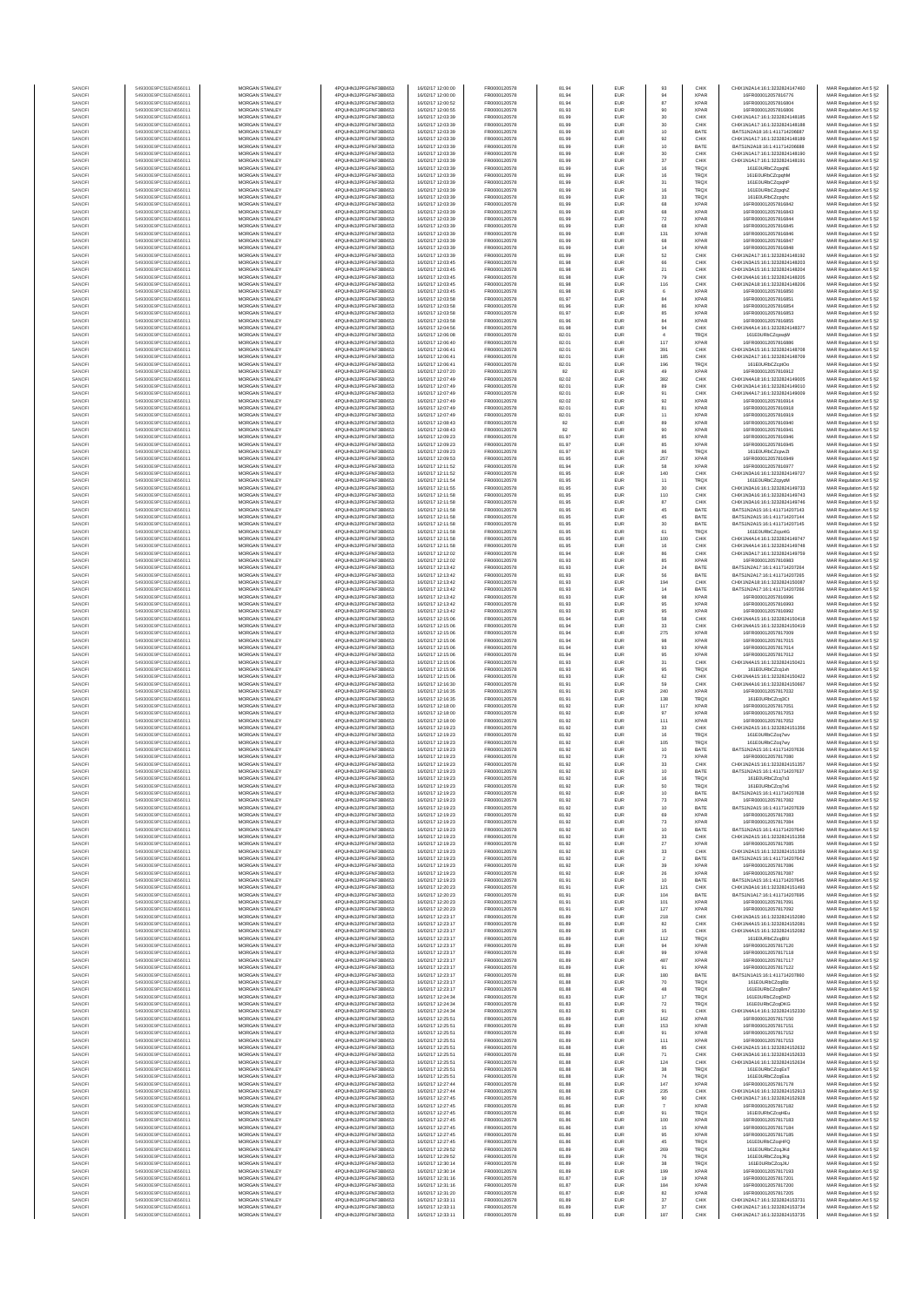| SANOF                  | 549300E9PC51EN656011                         | MORGAN STANLEY                                 | 4PQUHN3JPFGFNF3BB653                         | 16/02/17 12:00:00                      | FR0000120578                 | 81.94          | EUR                      | 93                | CHIX                       | CHIX1N2A14:16:1:3232824147460                                  | MAR Regulation Art 5 §2                            |
|------------------------|----------------------------------------------|------------------------------------------------|----------------------------------------------|----------------------------------------|------------------------------|----------------|--------------------------|-------------------|----------------------------|----------------------------------------------------------------|----------------------------------------------------|
| SANOF                  | 549300E9PC51EN656011                         | MORGAN STANLEY                                 | 4PQUHN3JPFGFNF3BB653                         | 6/02/17 12:00:00                       | FR0000120578                 | 81.94          | EUR                      | 94                |                            | 16FR000012057816776                                            | MAR Regulation Art 5 §2                            |
| SANOFI                 | 549300E9PC51EN656011                         | MORGAN STANLEY                                 | 4PQUHN3JPFGFNF3BB653                         | 16/02/17 12:00:52                      | FR0000120578                 | 81.94          | EUR                      | 87                | <b>XPAR</b>                | 16FR000012057816804                                            | MAR Regulation Art 5 §2                            |
| SANOFI                 | 549300E9PC51EN656011                         | MORGAN STANLEY                                 | 4PQUHN3JPFGFNF3BB653                         | 16/02/17 12:00:55                      | FR0000120578                 | 81.93          | EUR                      | 90                | <b>XPAR</b>                | 16FR000012057816806                                            | MAR Regulation Art 5 §2                            |
| SANOFI<br>SANOFI       | 549300E9PC51EN656011<br>549300E9PC51EN656011 | <b>MORGAN STANLEY</b><br><b>MORGAN STANLEY</b> | 4PQUHN3JPFGFNF3BB653<br>4PQUHN3JPFGFNF3BB653 | 16/02/17 12:03:39<br>16/02/17 12:03:39 | FR0000120578<br>FR0000120578 | 81.99<br>81.99 | <b>EUR</b><br>EUR        | 30<br>30          | CHIX<br>CHIX               | CHIX1N1A17:16:1:3232824148185<br>CHIX1N1A17:16:1:3232824148188 | MAR Regulation Art 5 §2<br>MAR Regulation Art 5 §2 |
| SANOFI                 | 549300E9PC51EN656011                         | MORGAN STANLEY                                 | 4PQUHN3JPFGFNF3BB653                         | 16/02/17 12:03:39                      | FR0000120578                 | 81.99          | EUR                      | $10$              | BATE                       | BATS1N2A18:16:1:411714206687                                   | MAR Regulation Art 5 §2                            |
| SANOFI                 | 549300E9PC51EN656011                         | MORGAN STANLEY                                 | 4PQUHN3JPFGFNF3BB653                         | 16/02/17 12:03:39                      | FR0000120578                 | 81.99          | EUR                      | 92                | CHIX                       | CHIX1N1A17:16:1:3232824148189                                  | MAR Regulation Art 5 §2                            |
| SANOFI                 | 549300E9PC51EN656011                         | MORGAN STANLEY                                 | 4PQUHN3JPFGFNF3BB653                         | 16/02/17 12:03:39                      | FR0000120578                 | 81.99          | EUR                      | 10                | BATE                       | BATS1N2A18:16:1:411714206688                                   | MAR Regulation Art 5 §2                            |
| SANOFI<br>SANOFI       | 549300E9PC51EN656011<br>549300E9PC51EN656011 | MORGAN STANLEY<br>MORGAN STANLEY               | 4PQUHN3JPFGFNF3BB653<br>4PQUHN3JPFGFNF3BB653 | 16/02/17 12:03:39<br>16/02/17 12:03:39 | FR0000120578<br>FR0000120578 | 81.99<br>81.99 | EUR<br>EUR               | 30<br>$37\,$      | CHIX<br>CHIX               | CHIX1N1A17:16:1:3232824148190<br>CHIX1N1A17:16:1:3232824148191 | MAR Regulation Art 5 §2<br>MAR Regulation Art 5 §2 |
| SANOFI                 | 549300E9PC51EN656011                         | MORGAN STANLEY                                 | 4PQUHN3JPFGFNF3BB653                         | 16/02/17 12:03:39                      | FR0000120578                 | 81.99          | EUR                      | 16                | <b>TRQX</b>                | 161E0URbCZcpghE                                                | MAR Regulation Art 5 §2                            |
| SANOFI                 | 549300E9PC51EN656011                         | MORGAN STANLEY                                 | 4PQUHN3JPFGFNF3BB653                         | 16/02/17 12:03:39                      | FR0000120578                 | 81.99          | EUR                      | 16                | TRQX                       | 161E0URbCZcpqhM                                                | MAR Regulation Art 5 §2                            |
| SANOFI                 | 549300E9PC51EN656011                         | <b>MORGAN STANLEY</b>                          | 4POLIHN3JPEGENE3BB653                        | 16/02/17 12:03:39                      | FR0000120578                 | 81.99          | <b>EUR</b>               | 31                | <b>TRQX</b>                | 161E0URbCZcpqhF                                                | MAR Regulation Art 5 §2                            |
| SANOFI<br>SANOFI       | 549300E9PC51EN656011<br>549300E9PC51EN656011 | <b>MORGAN STANLEY</b><br>MORGAN STANLEY        | 4PQUHN3JPFGFNF3BB653<br>4PQUHN3JPFGFNF3BB653 | 16/02/17 12:03:39<br>16/02/17 12:03:39 | FR0000120578<br>FR0000120578 | 81.99<br>81.99 | EUR<br>EUR               | 16                | <b>TRQX</b><br><b>TRQX</b> | 161E0URbCZcpghZ<br>161E0URbCZcpqhc                             | MAR Regulation Art 5 §2                            |
| SANOFI                 | 549300E9PC51EN656011                         | MORGAN STANLEY                                 | 4PQUHN3JPFGFNF3BB653                         | 16/02/17 12:03:39                      | FR0000120578                 | 81.99          | EUR                      | $_{\rm 33}$<br>68 | <b>XPAR</b>                | 16FR000012057816842                                            | MAR Regulation Art 5 §2<br>MAR Regulation Art 5 §2 |
| SANOF                  | 549300E9PC51EN656011                         | MORGAN STANLEY                                 | 4PQUHN3JPFGFNF3BB653                         | 16/02/17 12:03:39                      | FR0000120578                 | 81.99          | EUR                      | 68                | <b>XPAF</b>                | 16FR000012057816843                                            | MAR Regulation Art 5 §2                            |
| SANOFI                 | 549300E9PC51EN656011                         | MORGAN STANLEY                                 | 4PQUHN3JPFGFNF3BB653                         | 16/02/17 12:03:39                      | FR0000120578                 | 81.99          | EUR                      | $72\,$            | <b>XPAF</b>                | 16FR000012057816844                                            | MAR Regulation Art 5 §2                            |
| SANOFI                 | 549300E9PC51EN656011                         | MORGAN STANLEY                                 | 4PQUHN3JPFGFNF3BB653                         | 16/02/17 12:03:39                      | FR0000120578                 | 81.99          | EUR                      | 68                | <b>XPAR</b><br><b>XPAR</b> | 16FR000012057816845                                            | MAR Regulation Art 5 §2                            |
| SANOFI<br>SANOFI       | 549300E9PC51EN656011<br>549300E9PC51EN656011 | MORGAN STANLEY<br><b>MORGAN STANLEY</b>        | 4PQUHN3JPFGFNF3BB653<br>4PQUHN3JPFGFNF3BB653 | 16/02/17 12:03:39<br>16/02/17 12:03:39 | FR0000120578<br>FR0000120578 | 81.99<br>81.99 | EUR<br>EUR               | 131<br>68         | <b>XPAR</b>                | 16FR000012057816846<br>16FR000012057816847                     | MAR Regulation Art 5 §2<br>MAR Regulation Art 5 §2 |
| SANOFI                 | 549300E9PC51EN656011                         | MORGAN STANLEY                                 | 4PQUHN3JPFGFNF3BB653                         | 16/02/17 12:03:39                      | FR0000120578                 | 81.99          | <b>EUR</b>               | 14                | <b>XPAR</b>                | 16FR000012057816848                                            | MAR Regulation Art 5 §2                            |
| SANOFI                 | 549300E9PC51EN656011                         | MORGAN STANLEY                                 | 4POLIHN3JPEGENE3BB653                        | 16/02/17 12:03:39                      | FR0000120578                 | 81.99          | EUR                      | 52                | CHIX                       | CHIX1N2A17:16:1:3232824148192                                  | MAR Regulation Art 5 §2                            |
| SANOFI                 | 549300E9PC51EN656011                         | MORGAN STANLEY                                 | 4PQUHN3JPFGFNF3BB653                         | 16/02/17 12:03:45                      | FR0000120578                 | 81.98          | EUR                      | $66\,$            | CHIX                       | CHIX1N3A15:16:1:3232824148203                                  | MAR Regulation Art 5 §2                            |
| SANOFI<br>SANOFI       | 549300E9PC51EN656011<br>549300E9PC51EN656011 | MORGAN STANLEY<br>MORGAN STANLEY               | 4PQUHN3JPFGFNF3BB653<br>4PQUHN3JPFGFNF3BB653 | 16/02/17 12:03:45<br>16/02/17 12:03:45 | FR0000120578<br>FR0000120578 | 81.98<br>81.98 | EUR<br>EUR               | 21<br>79          | CHIX<br>CHIX               | CHIX1N3A15:16:1:3232824148204<br>CHIX1N4A16:16:1:3232824148205 | MAR Regulation Art 5 §2<br>MAR Regulation Art 5 §2 |
| SANOFI                 | 549300E9PC51EN656011                         | MORGAN STANLEY                                 | 4PQUHN3JPFGFNF3BB653                         | 16/02/17 12:03:45                      | FR0000120578                 | 81.98          | EUR                      | 116               | CHIX                       | CHIX1N2A18:16:1:3232824148206                                  | MAR Regulation Art 5 §2                            |
| SANOFI                 | 549300E9PC51EN656011                         | MORGAN STANLEY                                 | 4PQUHN3JPFGFNF3BB653                         | 16/02/17 12:03:45                      | FR0000120578                 | 81.98          | EUR                      | 6                 | <b>XPAR</b>                | 16FR000012057816850                                            | MAR Regulation Art 5 §2                            |
| SANOFI                 | 549300E9PC51EN656011                         | <b>MORGAN STANLEY</b>                          | 4POLIHN3JPEGENE3BB653                        | 16/02/17 12:03:58                      | FR0000120578                 | 81.97          | <b>EUR</b>               | 84                | <b>XPAR</b>                | 16FR000012057816851                                            | MAR Regulation Art 5 §2                            |
| SANOFI<br>SANOFI       | 549300E9PC51EN656011<br>549300E9PC51EN656011 | <b>MORGAN STANLEY</b><br>MORGAN STANLEY        | 4PQUHN3JPFGFNF3BB653<br>4PQUHN3JPFGFNF3BB653 | 16/02/17 12:03:58<br>16/02/17 12:03:58 | FR0000120578<br>FR0000120578 | 81.96<br>81.97 | EUR<br>EUR               | 86<br>85          | <b>XPAR</b><br><b>XPAR</b> | 16ER000012057816854<br>16FR000012057816853                     | MAR Regulation Art 5 §2<br>MAR Regulation Art 5 §2 |
| SANOFI                 | 549300E9PC51EN656011                         | MORGAN STANLEY                                 | 4PQUHN3JPFGFNF3BB653                         | 16/02/17 12:03:58                      | FR0000120578                 | 81.96          | EUR                      | 84                | <b>XPAR</b>                | 16FR000012057816855                                            | MAR Regulation Art 5 §2                            |
| SANOF                  | 549300E9PC51EN656011                         | MORGAN STANLEY                                 | 4PQUHN3JPFGFNF3BB653                         | 16/02/17 12:04:56                      | FR0000120578                 | 81.98          | EUR                      | 94                | CHIX                       | CHIX1N4A14:16:1:3232824148377                                  | MAR Regulation Art 5 §2                            |
| SANOFI                 | 549300E9PC51EN656011                         | MORGAN STANLEY                                 | 4PQUHN3JPFGFNF3BB653                         | 16/02/17 12:06:08                      | FR0000120578                 | 82.01          | EUR                      |                   | TRQ)                       | 161E0URbCZcpsqW                                                | MAR Regulation Art 5 §2                            |
| SANOFI<br>SANOFI       | 549300E9PC51EN656011<br>549300E9PC51EN656011 | MORGAN STANLEY<br>MORGAN STANLEY               | 4PQUHN3JPFGFNF3BB653<br>4PQUHN3JPFGFNF3BB653 | 16/02/17 12:06:40<br>16/02/17 12:06:41 | FR0000120578<br>FR0000120578 | 82.01<br>82.01 | EUR<br>EUR               | 117<br>391        | <b>XPAR</b><br>CHIX        | 16FR000012057816886<br>CHIX1N3A15:16:1:3232824148708           | MAR Regulation Art 5 §2<br>MAR Regulation Art 5 §2 |
| SANOFI                 | 549300E9PC51EN656011                         | <b>MORGAN STANLEY</b>                          | 4PQUHN3JPFGFNF3BB653                         | 16/02/17 12:06:41                      | FR0000120578                 | 82.01          | EUR                      | 185               | CHIX                       | CHIX1N2A17:16:1:3232824148709                                  | MAR Regulation Art 5 §2                            |
| SANOFI                 | 549300E9PC51EN656011                         | <b>MORGAN STANLEY</b>                          | 4PQUHN3JPFGFNF3BB653                         | 16/02/17 12:06:41                      | FR0000120578                 | 82.01          | <b>EUR</b>               | 196               | <b>TRQX</b>                | 161E0URbCZcptOo                                                | MAR Regulation Art 5 §2                            |
| SANOFI                 | 549300E9PC51EN656011                         | MORGAN STANLEY                                 | 4PQUHN3JPFGFNF3BB653                         | 16/02/17 12:07:20                      | FR0000120578                 | 82             | EUR                      | 49                | <b>XPAR</b>                | 16FR000012057816912                                            | MAR Regulation Art 5 §2                            |
| SANOFI<br>SANOF        | 549300E9PC51EN656011<br>549300E9PC51EN656011 | MORGAN STANLEY<br>MORGAN STANLEY               | 4PQUHN3JPFGFNF3BB653<br>4PQUHN3JPFGFNF3BB653 | 16/02/17 12:07:49<br>16/02/17 12:07:49 | FR0000120578<br>FR0000120578 | 82.02<br>82.01 | EUR<br>EUR               | 382<br>89         | CHIX<br>CHIX               | CHIX1N4A18:16:1:3232824149005<br>CHIX1N3A14:16:1:3232824149010 | MAR Regulation Art 5 §2                            |
| SANOF                  | 549300E9PC51EN656011                         | MORGAN STANLEY                                 | 4PQUHN3JPFGFNF3BB653                         | 16/02/17 12:07:49                      | FR0000120578                 | 82.01          | EUR                      | 91                | CHIX                       | CHIX1N4A17:16:1:3232824149009                                  | MAR Regulation Art 5 §2<br>MAR Regulation Art 5 §2 |
| SANOFI                 | 549300E9PC51EN656011                         | MORGAN STANLEY                                 | 4PQUHN3JPFGFNF3BB653                         | 16/02/17 12:07:49                      | FR0000120578                 | 82.02          | EUR                      | 92                | <b>XPAF</b>                | 16FR000012057816914                                            | MAR Regulation Art 5 §2                            |
| SANOFI                 | 549300E9PC51EN656011                         | MORGAN STANLEY                                 | 4PQUHN3JPFGFNF3BB653                         | 16/02/17 12:07:49                      | FR0000120578                 | 82.01          | EUR                      | 81                | <b>XPAR</b>                | 16FR000012057816918                                            | MAR Regulation Art 5 §2                            |
| SANOFI                 | 549300E9PC51EN656011                         | MORGAN STANLEY                                 | 4PQUHN3JPFGFNF3BB653                         | 16/02/17 12:07:49                      | FR0000120578                 | 82.01          | EUR                      | 11<br>89          | <b>XPAR</b>                | 16FR000012057816919                                            | MAR Regulation Art 5 §2                            |
| SANOFI<br>SANOFI       | 549300E9PC51EN656011<br>549300E9PC51EN656011 | <b>MORGAN STANLEY</b><br><b>MORGAN STANLEY</b> | 4PQUHN3JPFGFNF3BB653<br>4PQUHN3JPFGFNF3BB653 | 16/02/17 12:08:43<br>16/02/17 12:08:43 | FR0000120578<br>FR0000120578 | 82<br>82       | EUR<br>EUR               | 90                | <b>XPAR</b><br><b>XPAR</b> | 16FR000012057816940<br>16FR000012057816941                     | MAR Regulation Art 5 §2<br>MAR Regulation Art 5 §2 |
| SANOFI                 | 549300E9PC51EN656011                         | MORGAN STANLEY                                 | 4PQUHN3JPFGFNF3BB653                         | 16/02/17 12:09:23                      | FR0000120578                 | 81.97          | EUR                      | 85                | <b>XPAR</b>                | 16FR000012057816946                                            | MAR Regulation Art 5 §2                            |
| SANOFI                 | 549300E9PC51EN656011                         | MORGAN STANLEY                                 | 4PQUHN3JPFGFNF3BB653                         | 16/02/17 12:09:23                      | FR0000120578                 | 81.97          | EUR                      | 85                | <b>XPAR</b>                | 16FR000012057816945                                            | MAR Regulation Art 5 §2                            |
| SANOFI                 | 549300E9PC51EN656011                         | MORGAN STANLEY                                 | 4PQUHN3JPFGFNF3BB653                         | 16/02/17 12:09:23                      | FR0000120578                 | 81.97          | EUR                      | 86                | TRQ)                       | 161E0URbCZcpwZt                                                | MAR Regulation Art 5 §2                            |
| SANOFI<br>SANOFI       | 549300E9PC51EN656011<br>549300E9PC51EN656011 | MORGAN STANLEY<br>MORGAN STANLEY               | 4PQUHN3JPFGFNF3BB653<br>4PQUHN3JPFGFNF3BB653 | 16/02/17 12:09:53<br>16/02/17 12:11:52 | FR0000120578<br>FR0000120578 | 81.95<br>81.94 | EUR<br>EUR               | 257<br>58         | <b>XPAF</b><br><b>XPAR</b> | 16FR000012057816949<br>16FR000012057816977                     | MAR Regulation Art 5 §2<br>MAR Regulation Art 5 §2 |
| SANOFI                 | 549300E9PC51EN656011                         | MORGAN STANLEY                                 | 4PQUHN3JPFGFNF3BB653                         | 16/02/17 12:11:52                      | FR0000120578                 | 81.95          | EUR                      | 140               | CHIX                       | CHIX1N3A16:16:1:3232824149727                                  | MAR Regulation Art 5 §2                            |
| SANOFI                 | 549300E9PC51EN656011                         | <b>MORGAN STANLEY</b>                          | 4POLIHN3JPEGENE3BB653                        | 16/02/17 12:11:54                      | FR0000120578                 | 81.95          | <b>EUR</b>               | 11                | <b>TRQX</b>                | 161E0URbCZcpyzM                                                | MAR Regulation Art 5 §2                            |
| SANOFI                 | 549300E9PC51EN656011                         | MORGAN STANLEY                                 | 4PQUHN3JPFGFNF3BB653                         | 16/02/17 12:11:55                      | FR0000120578                 | 81.95          | EUR                      | 30                | CHIX                       | CHIX1N3A16:16:1:3232824149733                                  | MAR Regulation Art 5 §2                            |
| SANOFI<br>SANOFI       | 549300E9PC51EN656011<br>549300E9PC51EN656011 | MORGAN STANLEY<br>MORGAN STANLEY               | 4PQUHN3JPFGFNF3BB653<br>4PQUHN3JPFGFNF3BB653 | 16/02/17 12:11:58<br>16/02/17 12:11:58 | FR0000120578<br>FR0000120578 | 81.95<br>81.95 | EUR<br>EUR               | 110<br>87         | CHIX<br>CHIX               | CHIX1N3A16:16:1:3232824149743<br>CHIX1N3A16:16:1:3232824149746 | MAR Regulation Art 5 §2<br>MAR Regulation Art 5 §2 |
| SANOFI                 | 549300E9PC51EN656011                         | MORGAN STANLEY                                 | 4PQUHN3JPFGFNF3BB653                         | 16/02/17 12:11:58                      | FR0000120578                 | 81.95          | EUR                      | 45                | BATE                       | BATS1N2A15:16:1:411714207143                                   | MAR Regulation Art 5 §2                            |
| SANOFI                 | 549300E9PC51EN656011                         | MORGAN STANLEY                                 | 4PQUHN3JPFGFNF3BB653                         | 16/02/17 12:11:58                      | FR0000120578                 | 81.95          | EUR                      | 45                | BATE                       | BATS1N2A15:16:1:411714207144                                   | MAR Regulation Art 5 §2                            |
| SANOFI                 | 549300E9PC51EN656011                         | MORGAN STANLEY                                 | 4PQUHN3JPFGFNF3BB653                         | 16/02/17 12:11:58                      | FR0000120578                 | 81.95          | EUR                      | $30\,$            | BATE                       | BATS1N2A15:16:1:411714207145                                   | MAR Regulation Art 5 §2                            |
| SANOFI                 | 549300E9PC51EN656011                         | MORGAN STANLEY                                 | 4PQUHN3JPFGFNF3BB653                         | 16/02/17 12:11:58                      | FR0000120578                 | 81.95          | EUR                      | 61                | <b>TRQX</b>                | 161E0URbCZcpz4G                                                | MAR Regulation Art 5 §2                            |
| SANOFI<br>SANOFI       | 549300E9PC51EN656011<br>549300E9PC51EN656011 | <b>MORGAN STANLEY</b><br><b>MORGAN STANLEY</b> | 4PQUHN3JPFGFNF3BB653<br>4PQUHN3JPFGFNF3BB653 | 16/02/17 12:11:58<br>16/02/17 12:11:58 | FR0000120578<br>FR0000120578 | 81.95<br>81.95 | EUR<br><b>EUR</b>        | 100<br>16         | CHIX<br>CHIX               | CHIX1N4A14:16:1:3232824149747<br>CHIX1N4A14:16:1:3232824149748 | MAR Regulation Art 5 §2<br>MAR Regulation Art 5 §2 |
| SANOFI                 | 549300E9PC51EN656011                         | MORGAN STANLEY                                 | 4PQUHN3JPFGFNF3BB653                         | 16/02/17 12:12:02                      | FR0000120578                 | 81.94          | EUR                      | 86                | CHIX                       | CHIX1N3A17:16:1:3232824149759                                  | MAR Regulation Art 5 §2                            |
| SANOFI                 | 549300E9PC51EN656011                         | MORGAN STANLEY                                 | 4PQUHN3JPFGFNF3BB653                         | 16/02/17 12:12:02                      | FR0000120578                 | 81.93          | EUR                      | 85                | <b>XPAR</b>                | 16FR000012057816983                                            | MAR Regulation Art 5 §2                            |
| SANOFI                 | 549300E9PC51EN656011                         | MORGAN STANLEY                                 | 4PQUHN3JPFGFNF3BB653                         | 16/02/17 12:13:42                      | FR0000120578                 | 81.93          | EUR                      | 24                | BATE                       | BATS1N2A17:16:1:411714207264                                   | MAR Regulation Art 5 §2                            |
| SANOFI<br>SANOFI       | 549300E9PC51EN656011<br>549300E9PC51EN656011 | MORGAN STANLEY<br>MORGAN STANLEY               | 4PQUHN3JPFGFNF3BB653<br>4PQUHN3JPFGFNF3BB653 | 16/02/17 12:13:42<br>16/02/17 12:13:42 | FR0000120578<br>FR0000120578 | 81.93<br>81.93 | EUR<br>EUR               | 56<br>194         | BATE<br>CHIX               | BATS1N2A17:16:1:411714207265<br>CHIX1N2A18:16:1:3232824150087  | MAR Regulation Art 5 §2<br>MAR Regulation Art 5 §2 |
| SANOFI                 | 549300E9PC51EN656011                         | MORGAN STANLEY                                 | 4PQUHN3JPFGFNF3BB653                         | 16/02/17 12:13:42                      | FR0000120578                 | 81.93          | EUR                      | $14\,$            | BATE                       | BATS1N2A17:16:1:411714207266                                   | MAR Regulation Art 5 §2                            |
| SANOFI                 | 549300E9PC51EN656011                         | <b>MORGAN STANLEY</b>                          | 4PQUHN3JPFGFNF3BB653                         | 16/02/17 12:13:42                      | FR0000120578                 | 81.93          | <b>EUR</b>               | 98                | <b>XPAR</b>                | 16FR000012057816996                                            | MAR Regulation Art 5 §2                            |
| SANOFI                 | 549300E9PC51EN656011                         | <b>MORGAN STANLEY</b>                          | 4PQUHN3JPFGFNF3BB653                         | 16/02/17 12:13:42                      | FR0000120578                 | 81.93          | EUR                      | 95                | <b>XPAR</b>                | 16FR000012057816993                                            | MAR Regulation Art 5 §2                            |
| SANOFI<br>SANOFI       | 549300E9PC51EN656011<br>549300E9PC51EN656011 | MORGAN STANLEY<br>MORGAN STANLEY               | 4PQUHN3JPFGFNF3BB653<br>4PQUHN3JPFGFNF3BB653 | 16/02/17 12:13:42<br>16/02/17 12:15:06 | FR0000120578<br>FR0000120578 | 81.93<br>81.94 | EUR<br>EUR               | 95<br>58          | <b>XPAR</b><br>CHIX        | 16FR000012057816992<br>CHIX1N4A15:16:1:3232824150418           | MAR Regulation Art 5 §2<br>MAR Regulation Art 5 §2 |
| SANOF                  | 549300E9PC51EN656011                         | MORGAN STANLEY                                 | 4PQUHN3JPFGFNF3BB653                         | 16/02/17 12:15:06                      | FR0000120578                 | 81.94          | EUR                      | $_{33}$           | CHIX                       | CHIX1N4A15:16:1:3232824150419                                  | MAR Regulation Art 5 §2                            |
| SANOFI                 | 549300E9PC51EN656011                         | MORGAN STANLEY                                 | 4PQUHN3JPFGFNF3BB653                         | 16/02/17 12:15:06                      | FR0000120578                 | 81.94          | EUR                      | 275               | <b>XPAF</b>                | 16FR000012057817009                                            | MAR Regulation Art 5 §2                            |
| SANOF                  | 549300E9PC51EN656011                         | MORGAN STANLEY                                 | 4PQUHN3JPFGFNF3BB653                         | 16/02/17 12:15:06                      | FR0000120578                 | 81.94          | EUR                      | 98                | <b>XPAF</b>                | 16FR000012057817015                                            | MAR Regulation Art 5 §2                            |
| SANOFI<br>SANOFI       | 549300E9PC51EN656011<br>549300E9PC51EN656011 | MORGAN STANLEY<br>MORGAN STANLEY               | 4PQUHN3JPFGFNF3BB653<br>4PQUHN3JPFGFNF3BB653 | 16/02/17 12:15:06<br>16/02/17 12:15:06 | FR0000120578<br>FR0000120578 | 81.94<br>81.94 | EUR<br>EUR               | 93<br>95          | <b>XPAR</b><br><b>XPAR</b> | 16FR000012057817014<br>16FR000012057817012                     | MAR Regulation Art 5 §2<br>MAR Regulation Art 5 §2 |
| SANOFI                 | 549300E9PC51EN656011                         | <b>MORGAN STANLEY</b>                          | 4PQUHN3JPFGFNF3BB653                         | 16/02/17 12:15:06                      | FR0000120578                 | 81.93          | <b>EUR</b>               | 31                | CHIX                       | CHIX1N4A15:16:1:3232824150421                                  | MAR Regulation Art 5 §2                            |
| SANOFI                 | 549300E9PC51EN656011                         | <b>MORGAN STANLEY</b>                          | 4PQUHN3JPFGFNF3BB653                         | 16/02/17 12:15:06                      | FR0000120578                 | 81.93          | EUR                      | 95                | <b>TRQX</b>                | 161E0URbCZcg1vh                                                | MAR Regulation Art 5 §2                            |
| SANOFI                 | 549300E9PC51EN656011                         | MORGAN STANLEY                                 | 4PQUHN3JPFGFNF3BB653                         | 16/02/17 12:15:06                      | FR0000120578                 | 81.93          | EUR                      | $62\,$            | CHIX                       | CHIX1N4A15:16:1:3232824150422                                  | MAR Regulation Art 5 §2                            |
| SANOFI                 | 549300E9PC51EN656011                         | MORGAN STANLEY                                 | 4PQUHN3JPFGFNF3BB653                         | 16/02/17 12:16:30                      | FR0000120578                 | 81.91          | EUR                      | 59                | CHIX                       | CHIX1N4A16:16:1:3232824150667                                  | MAR Regulation Art 5 §2                            |
| SANOF<br>SANOFI        | 549300E9PC51EN656011<br>549300E9PC51EN656011 | MORGAN STANLEY<br>MORGAN STANLEY               | 4PQUHN3JPFGFNF3BB653<br>4PQUHN3JPFGFNF3BB653 | 16/02/17 12:16:35<br>16/02/17 12:16:35 | FR0000120578<br>FR0000120578 | 81.91<br>81.91 | EUR<br>EUR               | 240<br>138        | <b>XPAR</b><br>TRQ)        | 6FR000012057817032<br>161E0URbCZcq3Ct                          | MAR Regulation Art 5 §2<br>MAR Regulation Art 5 §2 |
| SANOFI                 | 549300E9PC51EN656011                         | MORGAN STANLEY                                 | 4PQUHN3JPFGFNF3BB653                         | 16/02/17 12:18:00                      | FR0000120578                 | 81.92          | EUR                      | 117               | <b>XPAR</b>                | 16FR000012057817051                                            | MAR Regulation Art 5 §2                            |
| SANOFI                 | 549300E9PC51EN656011                         | MORGAN STANLEY                                 | 4PQUHN3JPFGFNF3BB653                         | 16/02/17 12:18:00                      | FR0000120578                 | 81.92          | EUR                      | 97                | <b>XPAR</b>                | 16FR000012057817053                                            | MAR Regulation Art 5 §2                            |
| SANOFI                 | 549300E9PC51EN656011                         | <b>MORGAN STANLEY</b>                          | 4PQUHN3JPFGFNF3BB653                         | 16/02/17 12:18:00                      | FR0000120578                 | 81.92          | EUR                      | 111               | <b>XPAR</b>                | 16FR000012057817052                                            | MAR Regulation Art 5 §2                            |
| SANOFI<br>SANOFI       | 549300E9PC51EN656011<br>549300E9PC51EN656011 | MORGAN STANLEY<br>MORGAN STANLEY               | 4PQUHN3JPFGFNF3BB653<br>4PQUHN3JPFGFNF3BB653 | 16/02/17 12:19:23<br>16/02/17 12:19:23 | FR0000120578<br>FR0000120578 | 81.92<br>81.92 | <b>EUR</b><br>EUR        | 33<br>16          | CHIX<br>TRQX               | CHIX1N2A15:16:1:3232824151356<br>161E0URbCZcg7wy               | MAR Regulation Art 5 §2                            |
| SANOFI                 | 549300E9PC51EN656011                         | MORGAN STANLEY                                 | 4PQUHN3JPFGFNF3BB653                         | 16/02/17 12:19:23                      | FR0000120578                 | 81.92          | EUR                      | 105               | <b>TRQX</b>                | 161E0URbCZcq7wy                                                | MAR Regulation Art 5 §2<br>MAR Regulation Art 5 §2 |
| SANOF                  | 549300E9PC51EN656011                         | MORGAN STANLEY                                 | 4PQUHN3JPFGFNF3BB653                         | 16/02/17 12:19:23                      | FR0000120578                 | 81.92          | EUR                      | 10                | BATE                       | BATS1N2A15:16:1:411714207636                                   | MAR Regulation Art 5 §2                            |
| SANOF                  | 549300E9PC51EN656011                         | MORGAN STANLEY                                 | 4PQUHN3JPFGFNF3BB653                         | 16/02/17 12:19:23                      | FR0000120578                 | 81.92          | EUR                      | 73                | <b>XPAR</b>                | 6FR000012057817080                                             | MAR Regulation Art 5 §2                            |
| SANOFI                 | 549300E9PC51EN656011                         | MORGAN STANLEY<br>MORGAN STANLEY               | 4PQUHN3JPFGFNF3BB653<br>4PQUHN3JPFGFNF3BB653 | 16/02/17 12:19:23                      | FR0000120578                 | 81.92<br>81.92 | EUR<br>EUR               | 33<br>10          | CHIX<br>BATE               | CHIX1N2A15:16:1:3232824151357<br>BATS1N2A15:16:1:411714207637  | MAR Regulation Art 5 §2<br>MAR Regulation Art 5 §2 |
| SANOFI<br><b>SANOF</b> | 549300E9PC51EN656011<br>9300E9PC51EN65601    | <b>IORGAN STANLEY</b>                          | OLIHN3.IPEGENE3BB653                         | 16/02/17 12:19:23<br>R/02/17 12:19:23  | FR0000120578<br>R000012057   | 81.92          | FUR                      | 16                | <b>TRO)</b>                | 161FOURbC                                                      | MAR Regulation Art 5.82                            |
| SANOFI                 | 549300E9PC51EN656011                         | <b>MORGAN STANLEY</b>                          | 4PQUHN3JPFGFNF3BB653                         | 16/02/17 12:19:23                      | FR0000120578                 | 81.92          | <b>EUR</b>               | 50                | <b>TRQX</b>                | 161F0URbCZcg7x6                                                | MAR Regulation Art 5 §2                            |
| SANOFI                 | 549300E9PC51EN656011                         | MORGAN STANLEY                                 | 4PQUHN3JPFGFNF3BB653                         | 16/02/17 12:19:23                      | FR0000120578                 | 81.92          | EUR                      | 10                | BATE                       | BATS1N2A15:16:1:411714207638                                   | MAR Regulation Art 5 §2                            |
| SANOFI                 | 549300E9PC51EN656011                         | MORGAN STANLEY<br>MORGAN STANLEY               | 4PQUHN3JPFGFNF3BB653                         | 16/02/17 12:19:23                      | FR0000120578<br>FR0000120578 | 81.92          | EUR                      | 73                | <b>XPAR</b>                | 16FR000012057817082<br>BATS1N2A15:16:1:411714207639            | MAR Regulation Art 5 §2                            |
| SANOFI<br>SANOFI       | 549300E9PC51EN656011<br>549300E9PC51EN656011 | MORGAN STANLEY                                 | 4PQUHN3JPFGFNF3BB653<br>4PQUHN3JPFGFNF3BB653 | 16/02/17 12:19:23<br>16/02/17 12:19:23 | FR0000120578                 | 81.92<br>81.92 | EUR<br>EUR               | 10<br>69          | BATE<br><b>XPAR</b>        | 16FR000012057817083                                            | MAR Regulation Art 5 §2<br>MAR Regulation Art 5 §2 |
| SANOFI                 | 549300E9PC51EN656011                         | MORGAN STANLEY                                 | 4PQUHN3JPFGFNF3BB653                         | 16/02/17 12:19:23                      | FR0000120578                 | 81.92          | EUR                      | 73                | <b>XPAR</b>                | 16FR000012057817084                                            | MAR Regulation Art 5 §2                            |
| SANOFI                 | 549300E9PC51EN656011                         | MORGAN STANLEY                                 | 4PQUHN3JPFGFNF3BB653                         | 16/02/17 12:19:23                      | FR0000120578                 | 81.92          | EUR                      | 10                | BATE                       | BATS1N2A15:16:1:411714207640                                   | MAR Regulation Art 5 §2                            |
| SANOFI<br>SANOFI       | 549300E9PC51EN656011<br>549300E9PC51EN656011 | <b>MORGAN STANLEY</b><br><b>MORGAN STANLEY</b> | 4PQUHN3JPFGFNF3BB653<br>4PQUHN3JPFGFNF3BB653 | 16/02/17 12:19:23<br>16/02/17 12:19:23 | FR0000120578<br>FR0000120578 | 81.92<br>81.92 | <b>EUR</b><br><b>EUR</b> | 33<br>27          | CHIX<br><b>XPAR</b>        | CHIX1N2A15:16:1:3232824151358<br>16FR000012057817085           | MAR Regulation Art 5 §2                            |
| SANOFI                 | 549300E9PC51EN656011                         | MORGAN STANLEY                                 | 4POLIHN3JPEGENE3BB653                        | 16/02/17 12:19:23                      | FR0000120578                 | 81.92          | EUR                      | $_{\rm 33}$       | CHIX                       | CHIX1N2A15-16-1-3232824151359                                  | MAR Regulation Art 5 §2<br>MAR Regulation Art 5 §2 |
| SANOFI                 | 549300E9PC51EN656011                         | MORGAN STANLEY                                 | 4PQUHN3JPFGFNF3BB653                         | 16/02/17 12:19:23                      | FR0000120578                 | 81.92          | EUR                      | $\,$ 2 $\,$       | BATE                       | BATS1N2A15:16:1:411714207642                                   | MAR Regulation Art 5 §2                            |
| SANOFI                 | 549300E9PC51EN656011                         | MORGAN STANLEY                                 | 4PQUHN3JPFGFNF3BB653                         | 16/02/17 12:19:23                      | FR0000120578                 | 81.92          | EUR                      | 39                | <b>XPAR</b>                | 16FR000012057817086                                            | MAR Regulation Art 5 §2                            |
| SANOFI<br>SANOFI       | 549300E9PC51EN656011<br>549300E9PC51EN656011 | MORGAN STANLEY<br>MORGAN STANLEY               | 4PQUHN3JPFGFNF3BB653<br>4PQUHN3JPFGFNF3BB653 | 16/02/17 12:19:23<br>16/02/17 12:19:23 | FR0000120578<br>FR0000120578 | 81.92<br>81.91 | EUR<br>EUR               | 26<br>10          | <b>XPAR</b><br>BATE        | 16FR000012057817087<br>BATS1N1A15:16:1:411714207645            | MAR Regulation Art 5 §2<br>MAR Regulation Art 5 §2 |
| SANOFI                 | 549300E9PC51EN656011                         | MORGAN STANLEY                                 | 4PQUHN3JPFGFNF3BB653                         | 16/02/17 12:20:23                      | FR0000120578                 | 81.91          | <b>EUR</b>               | 121               | CHIX                       | CHIX1N3A16:16:1:3232824151493                                  | MAR Regulation Art 5 §2                            |
| SANOFI                 | 549300E9PC51EN656011                         | MORGAN STANLEY                                 | 4PQUHN3JPFGFNF3BB653                         | 16/02/17 12:20:23                      | FR0000120578                 | 81.91          | EUR                      | 104               | BATE                       | BATS1N1A17:16:1:411714207695                                   | MAR Regulation Art 5 §2                            |
| SANOFI                 | 549300E9PC51EN656011                         | <b>MORGAN STANLEY</b>                          | 4PQUHN3JPFGFNF3BB653                         | 16/02/17 12:20:23<br>16/02/17 12:20:23 | FR0000120578<br>FR0000120578 | 81.91          | <b>EUR</b>               | 101               | <b>XPAR</b>                | 16ER000012057817091                                            | MAR Regulation Art 5 §2                            |
| SANOFI<br>SANOFI       | 549300E9PC51EN656011<br>549300E9PC51EN656011 | <b>MORGAN STANLEY</b><br>MORGAN STANLEY        | 4PQUHN3JPFGFNF3BB653<br>4PQUHN3JPFGFNF3BB653 | 16/02/17 12:23:17                      | FR0000120578                 | 81.91<br>81.89 | <b>EUR</b><br>EUR        | 127<br>218        | <b>XPAR</b><br>CHIX        | 16FR000012057817092<br>CHIX1N3A15:16:1:3232824152080           | MAR Regulation Art 5 §2<br>MAR Regulation Art 5 §2 |
| SANOFI                 | 549300E9PC51EN656011                         | MORGAN STANLEY                                 | 4PQUHN3JPFGFNF3BB653                         | 16/02/17 12:23:17                      | FR0000120578                 | 81.89          | EUR                      | 82                | CHIX                       | CHIX1N4A15:16:1:3232824152081                                  | MAR Regulation Art 5 §2                            |
| SANOFI                 | 549300E9PC51EN656011                         | MORGAN STANLEY                                 | 4PQUHN3JPFGFNF3BB653                         | 16/02/17 12:23:17                      | FR0000120578                 | 81.89          | EUR                      | 15                | CHIX                       | CHIX1N4A15:16:1:3232824152082                                  | MAR Regulation Art 5 §2                            |
| SANOFI                 | 549300E9PC51EN656011                         | MORGAN STANLEY                                 | 4PQUHN3JPFGFNF3BB653                         | 16/02/17 12:23:17                      | FR0000120578                 | 81.89          | EUR                      | 112               | <b>TRQX</b>                | 161E0URbCZcgBIU                                                | MAR Regulation Art 5 §2                            |
| SANOFI<br>SANOFI       | 549300E9PC51EN656011<br>549300E9PC51EN656011 | MORGAN STANLEY<br>MORGAN STANLEY               | 4PQUHN3JPFGFNF3BB653<br>4PQUHN3JPFGFNF3BB653 | 16/02/17 12:23:17<br>16/02/17 12:23:17 | FR0000120578<br>FR0000120578 | 81.89<br>81.89 | EUR<br>EUR               | 94<br>99          | <b>XPAR</b><br><b>XPAR</b> | 16FR000012057817120<br>16FR000012057817118                     | MAR Regulation Art 5 §2<br>MAR Regulation Art 5 §2 |
| SANOFI                 | 549300E9PC51EN656011                         | MORGAN STANLEY                                 | 4PQUHN3JPFGFNF3BB653                         | 16/02/17 12:23:17                      | FR0000120578                 | 81.89          | <b>EUR</b>               | 487               | <b>XPAR</b>                | 16FR000012057817117                                            | MAR Regulation Art 5 §2                            |
| SANOFI                 | 549300E9PC51EN656011                         | <b>MORGAN STANLEY</b>                          | 4PQUHN3JPFGFNF3BB653                         | 16/02/17 12:23:17                      | FR0000120578                 | 81.89          | <b>EUR</b>               | 91                | <b>XPAR</b>                | 16FR000012057817122                                            | MAR Regulation Art 5 §2                            |
| SANOFI                 | 549300E9PC51EN656011                         | MORGAN STANLEY                                 | 4PQUHN3JPFGFNF3BB653                         | 16/02/17 12:23:17                      | FR0000120578                 | 81.88          | EUR                      | 180               | BATE                       | BATS1N1A15:16:1:411714207860                                   | MAR Regulation Art 5 §2                            |
| SANOFI                 | 549300E9PC51EN656011                         | MORGAN STANLEY                                 | 4PQUHN3JPFGFNF3BB653                         | 16/02/17 12:23:17                      | FR0000120578                 | 81.88          | EUR                      | 70                | <b>TRQX</b>                | 161E0URbCZcqBlz                                                | MAR Regulation Art 5 §2                            |
| SANOFI<br>SANOFI       | 549300E9PC51EN656011<br>549300E9PC51EN656011 | MORGAN STANLEY<br>MORGAN STANLEY               | 4PQUHN3JPFGFNF3BB653<br>4PQUHN3JPFGFNF3BB653 | 16/02/17 12:23:17<br>16/02/17 12:24:34 | FR0000120578<br>FR0000120578 | 81.88<br>81.83 | EUR<br>EUR               | 48<br>17          | <b>TRQX</b><br><b>TRQX</b> | 161E0URbCZcqBm7<br>161E0URbCZcqDKD                             | MAR Regulation Art 5 §2<br>MAR Regulation Art 5 §2 |
| SANOFI                 | 549300E9PC51EN656011                         | MORGAN STANLEY                                 | 4PQUHN3JPFGFNF3BB653                         | 16/02/17 12:24:34                      | FR0000120578                 | 81.83          | EUR                      | $72\,$            | <b>TRQX</b>                | 161E0URbCZcqDKG                                                | MAR Regulation Art 5 §2                            |
| SANOFI                 | 549300E9PC51EN656011                         | MORGAN STANLEY                                 | 4PQUHN3JPFGFNF3BB653                         | 16/02/17 12:24:34                      | FR0000120578                 | 81.83          | EUR                      | 91                | CHIX                       | CHIX1N4A14:16:1:3232824152330                                  | MAR Regulation Art 5 §2                            |
| SANOFI<br>SANOFI       | 549300E9PC51EN656011<br>549300E9PC51EN656011 | <b>MORGAN STANLEY</b><br><b>MORGAN STANLEY</b> | 4PQUHN3JPFGFNF3BB653<br>4PQUHN3JPFGFNF3BB653 | 16/02/17 12:25:51<br>16/02/17 12:25:51 | FR0000120578<br>FR0000120578 | 81.89<br>81.89 | <b>EUR</b><br><b>EUR</b> | 162<br>153        | <b>XPAR</b><br><b>XPAR</b> | 16FR000012057817150<br>16FR000012057817151                     | MAR Regulation Art 5 §2                            |
| SANOFI                 | 549300E9PC51EN656011                         | MORGAN STANLEY                                 | 4PQUHN3JPFGFNF3BB653                         | 16/02/17 12:25:51                      | FR0000120578                 | 81.89          | EUR                      | 91                | <b>XPAR</b>                | 16FR000012057817152                                            | MAR Regulation Art 5 §2<br>MAR Regulation Art 5 §2 |
| SANOFI                 | 549300E9PC51EN656011                         | MORGAN STANLEY                                 | 4PQUHN3JPFGFNF3BB653                         | 16/02/17 12:25:51                      | FR0000120578                 | 81.89          | EUR                      | 111               | <b>XPAR</b>                | 16FR000012057817153                                            | MAR Regulation Art 5 §2                            |
| SANOFI                 | 549300E9PC51EN656011                         | MORGAN STANLEY                                 | 4PQUHN3JPFGFNF3BB653                         | 16/02/17 12:25:51                      | FR0000120578                 | 81.88          | EUR                      | 85                | CHIX                       | CHIX1N2A15:16:1:3232824152632                                  | MAR Regulation Art 5 §2                            |
| SANOFI                 | 549300E9PC51EN656011                         | MORGAN STANLEY                                 | 4PQUHN3JPFGFNF3BB653                         | 16/02/17 12:25:51                      | FR0000120578                 | 81.88          | EUR                      | 71                | CHIX                       | CHIX1N3A16:16:1:3232824152633                                  | MAR Regulation Art 5 §2                            |
| SANOFI<br>SANOFI       | 549300E9PC51EN656011<br>549300E9PC51EN656011 | MORGAN STANLEY<br>MORGAN STANLEY               | 4PQUHN3JPFGFNF3BB653<br>4PQUHN3JPFGFNF3BB653 | 16/02/17 12:25:51<br>16/02/17 12:25:51 | FR0000120578<br>FR0000120578 | 81.88<br>81.88 | EUR<br>EUR               | 124<br>38         | CHIX<br>TRQX               | CHIX1N3A16:16:1:3232824152634<br>161E0URbCZcqEsT               | MAR Regulation Art 5 §2<br>MAR Regulation Art 5 §2 |
| SANOFI                 | 549300E9PC51EN656011                         | <b>MORGAN STANLEY</b>                          | 4PQUHN3JPFGFNF3BB653                         | 16/02/17 12:25:51                      | FR0000120578                 | 81.88          | <b>EUR</b>               | 74                | <b>TRQX</b>                | 161E0URbCZcgEsa                                                | MAR Regulation Art 5 §2                            |
| SANOFI                 | 549300E9PC51EN656011                         | <b>MORGAN STANLEY</b>                          | 4PQUHN3JPFGFNF3BB653                         | 16/02/17 12:27:44                      | FR0000120578                 | 81.88          | <b>EUR</b>               | 147               | <b>XPAR</b>                | 16FR000012057817178                                            | MAR Regulation Art 5 §2                            |
| SANOFI                 | 549300E9PC51EN656011                         | MORGAN STANLEY                                 | 4PQUHN3JPFGFNF3BB653                         | 16/02/17 12:27:44                      | FR0000120578                 | 81.88          | EUR                      | 235               | CHIX                       | CHIX1N1A16:16:1:3232824152913                                  | MAR Regulation Art 5 §2                            |
| SANOFI<br>SANOFI       | 549300E9PC51EN656011<br>549300E9PC51EN656011 | MORGAN STANLEY<br>MORGAN STANLEY               | 4PQUHN3JPFGFNF3BB653<br>4PQUHN3JPFGFNF3BB653 | 16/02/17 12:27:45<br>16/02/17 12:27:45 | FR0000120578<br>FR0000120578 | 81.86<br>81.86 | EUR<br>EUR               | 90                | CHIX<br><b>XPAR</b>        | CHIX1N3A17:16:1:3232824152928<br>16FR000012057817182           | MAR Regulation Art 5 §2<br>MAR Regulation Art 5 §2 |
| SANOFI                 | 549300E9PC51EN656011                         | MORGAN STANLEY                                 | 4PQUHN3JPFGFNF3BB653                         | 16/02/17 12:27:45                      | FR0000120578                 | 81.86          | EUR                      | 91                | TRQ)                       | 161E0URbCZcqHEu                                                | MAR Regulation Art 5 §2                            |
| SANOFI                 | 549300E9PC51EN656011                         | MORGAN STANLEY                                 | 4PQUHN3JPFGFNF3BB653                         | 16/02/17 12:27:45                      | FR0000120578                 | 81.86          | EUR                      | 100               | <b>XPAR</b>                | 16FR000012057817183                                            | MAR Regulation Art 5 §2                            |
| SANOFI                 | 549300E9PC51EN656011                         | MORGAN STANLEY                                 | 4PQUHN3JPFGFNF3BB653                         | 16/02/17 12:27:45                      | FR0000120578                 | 81.86          | EUR                      | 15                | <b>XPAR</b>                | 16FR000012057817184                                            | MAR Regulation Art 5 §2                            |
| SANOFI<br>SANOFI       | 549300E9PC51EN656011<br>549300E9PC51EN656011 | MORGAN STANLEY<br><b>MORGAN STANLEY</b>        | 4PQUHN3JPFGFNF3BB653<br>4PQUHN3JPFGFNF3BB653 | 16/02/17 12:27:45<br>16/02/17 12:27:45 | FR0000120578<br>FR0000120578 | 81.86<br>81.86 | EUR<br><b>EUR</b>        | 95<br>45          | <b>XPAR</b><br><b>TRQX</b> | 16FR000012057817185<br>161E0URbCZcqHFQ                         | MAR Regulation Art 5 §2                            |
| SANOFI                 | 549300E9PC51EN656011                         | <b>MORGAN STANLEY</b>                          | 4PQUHN3JPFGFNF3BB653                         | 16/02/17 12:29:52                      | FR0000120578                 | 81.89          | <b>EUR</b>               | 269               | <b>TRQX</b>                | 161E0URbCZcaJKd                                                | MAR Regulation Art 5 §2<br>MAR Regulation Art 5 §2 |
| SANOFI                 | 549300E9PC51EN656011                         | MORGAN STANLEY                                 | 4PQUHN3JPFGFNF3BB653                         | 16/02/17 12:29:52                      | FR0000120578                 | 81.89          | EUR                      | ${\bf 76}$        | <b>TRQX</b>                | 161E0URbCZcqJKg                                                | MAR Regulation Art 5 §2                            |
| SANOFI                 | 549300E9PC51EN656011                         | MORGAN STANLEY                                 | 4PQUHN3JPFGFNF3BB653                         | 16/02/17 12:30:14                      | FR0000120578                 | 81.89          | EUR                      | 38                | TRQX                       | 161E0URbCZcqJiU                                                | MAR Regulation Art 5 §2                            |
| SANOFI<br>SANOFI       | 549300E9PC51EN656011<br>549300E9PC51EN656011 | MORGAN STANLEY<br>MORGAN STANLEY               | 4PQUHN3JPFGFNF3BB653<br>4PQUHN3JPFGFNF3BB653 | 16/02/17 12:30:14<br>16/02/17 12:31:16 | FR0000120578<br>FR0000120578 | 81.89<br>81.87 | EUR<br>EUR               | 199<br>19         | <b>XPAR</b><br><b>XPAR</b> | 16FR000012057817193<br>16FR000012057817201                     | MAR Regulation Art 5 §2                            |
| SANOFI                 | 549300E9PC51EN656011                         | MORGAN STANLEY                                 | 4PQUHN3JPFGFNF3BB653                         | 16/02/17 12:31:16                      | FR0000120578                 | 81.87          | EUR                      | 184               | <b>XPAR</b>                | 16FR000012057817200                                            | MAR Regulation Art 5 §2<br>MAR Regulation Art 5 §2 |
| SANOFI                 | 549300E9PC51EN656011                         | MORGAN STANLEY                                 | 4PQUHN3JPFGFNF3BB653                         | 16/02/17 12:31:20                      | FR0000120578                 | 81.87          | <b>EUR</b>               | 82                | <b>XPAR</b>                | 16FR000012057817205                                            | MAR Regulation Art 5 §2                            |
| SANOFI                 | 549300E9PC51EN656011                         | <b>MORGAN STANLEY</b>                          | 4PQUHN3JPFGFNF3BB653                         | 16/02/17 12:33:11                      | FR0000120578                 | 81.89          | <b>EUR</b>               | 37                | CHIX                       | CHIX1N2A17:16:1:3232824153731                                  | MAR Regulation Art 5 §2                            |
| SANOFI<br>SANOFI       | 549300E9PC51EN656011                         | <b>MORGAN STANLEY</b><br>MORGAN STANLEY        | 4PQUHN3JPFGFNF3BB653<br>4PQUHN3JPFGFNF3BB653 | 16/02/17 12:33:11                      | FR0000120578<br>FR0000120578 | 81.89          | <b>EUR</b>               | 37<br>187         | CHIX<br>CHIX               | CHIX1N2A17:16:1:3232824153734                                  | MAR Regulation Art 5 §2                            |
|                        | 549300E9PC51EN656011                         |                                                |                                              | 16/02/17 12:33:11                      |                              | 81.89          | EUR                      |                   |                            | CHIX1N2A17:16:1:3232824153735                                  | MAR Regulation Art 5 §2                            |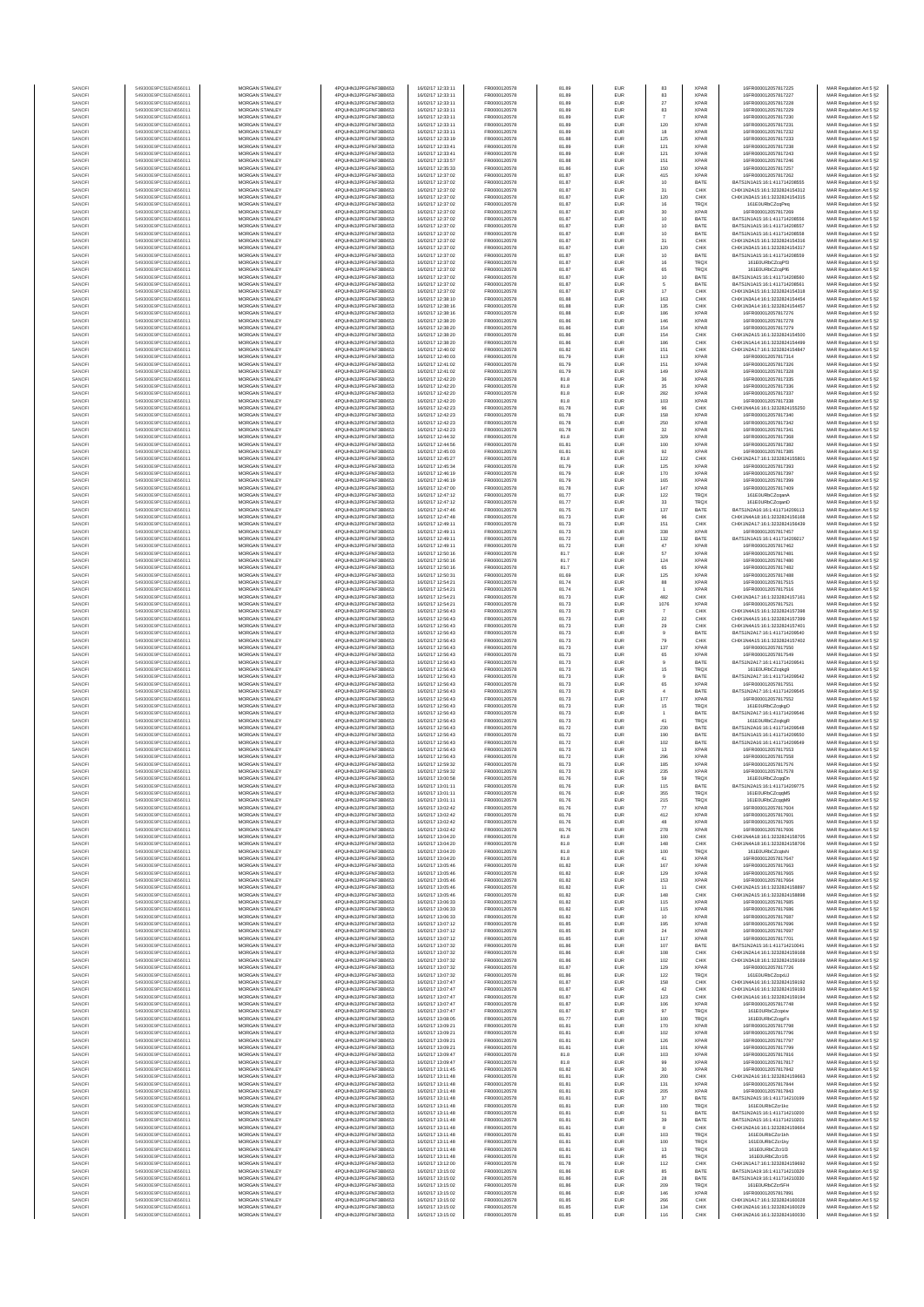| SANOF            | 549300E9PC51EN656011                         | MORGAN STANLEY                                 | 4PQUHN3JPFGFNF3BB653                          | 16/02/17 12:33:11                      | FR0000120578                 | 81.89          | EUR               | 83                    | <b>XPAR</b>                | 16FR000012057817225                                            | MAR Regulation Art 5 §2                            |
|------------------|----------------------------------------------|------------------------------------------------|-----------------------------------------------|----------------------------------------|------------------------------|----------------|-------------------|-----------------------|----------------------------|----------------------------------------------------------------|----------------------------------------------------|
| SANOF            | 549300E9PC51EN656011                         | MORGAN STANLEY                                 | 4PQUHN3JPFGFNF3BB653                          | 16/02/17 12:33:11                      | FR0000120578                 | 81.89          | EUR               | 83                    | XPAR                       | 16FR000012057817227                                            | MAR Regulation Art 5 §2                            |
| SANOFI           | 549300E9PC51EN656011                         | MORGAN STANLEY                                 | 4PQUHN3JPFGFNF3BB653                          | 16/02/17 12:33:11                      | FR0000120578                 | 81.89          | EUR               | 27                    | <b>XPAR</b>                | 16FR000012057817228                                            | MAR Regulation Art 5 §2                            |
| SANOFI<br>SANOFI | 549300E9PC51EN656011<br>549300E9PC51EN656011 | MORGAN STANLEY<br><b>MORGAN STANLEY</b>        | 4PQUHN3JPFGFNF3BB653<br>4PQUHN3JPFGFNF3BB653  | 16/02/17 12:33:11<br>16/02/17 12:33:11 | FR0000120578<br>FR0000120578 | 81.89          | EUR<br>EUR        | 83                    | <b>XPAR</b><br><b>XPAR</b> | 16FR000012057817229<br>16FR000012057817230                     | MAR Regulation Art 5 §2                            |
| SANOFI           | 549300E9PC51EN656011                         | <b>MORGAN STANLEY</b>                          | 4PQUHN3JPFGFNF3BB653                          | 16/02/17 12:33:11                      | FR0000120578                 | 81.89<br>81.89 | EUR               | 120                   | <b>XPAR</b>                | 16FR000012057817231                                            | MAR Regulation Art 5 §2<br>MAR Regulation Art 5 §2 |
| SANOFI           | 549300E9PC51EN656011                         | MORGAN STANLEY                                 | 4PQUHN3JPFGFNF3BB653                          | 16/02/17 12:33:11                      | FR0000120578                 | 81.89          | EUR               | 18                    | <b>XPAR</b>                | 16FR000012057817232                                            | MAR Regulation Art 5 §2                            |
| SANOFI           | 549300E9PC51EN656011                         | MORGAN STANLEY                                 | 4PQUHN3JPFGFNF3BB653                          | 16/02/17 12:33:19                      | FR0000120578                 | 81.88          | EUR               | 125                   | <b>XPAR</b>                | 16FR000012057817233                                            | MAR Regulation Art 5 §2                            |
| SANOFI           | 549300E9PC51EN656011                         | MORGAN STANLEY                                 | 4PQUHN3JPFGFNF3BB653                          | 16/02/17 12:33:41                      | FR0000120578                 | 81.89          | EUR               | 121                   | <b>XPAR</b>                | 16FR000012057817238                                            | MAR Regulation Art 5 §2                            |
| SANOFI<br>SANOFI | 549300E9PC51EN656011<br>549300E9PC51EN656011 | MORGAN STANLEY<br>MORGAN STANLEY               | 4PQUHN3JPFGFNF3BB653<br>4PQUHN3JPFGFNF3BB653  | 16/02/17 12:33:41<br>16/02/17 12:33:57 | FR0000120578<br>FR0000120578 | 81.89<br>81.88 | EUR<br>EUR        | 121<br>151            | <b>XPAR</b><br><b>XPAR</b> | 16FR000012057817243<br>16FR000012057817246                     | MAR Regulation Art 5 §2<br>MAR Regulation Art 5 §2 |
| SANOFI           | 549300E9PC51EN656011                         | MORGAN STANLEY                                 | 4PQUHN3JPFGFNF3BB653                          | 16/02/17 12:35:33                      | FR0000120578                 | 81.86          | EUR               | 150                   | <b>XPAR</b>                | 16FR000012057817257                                            | MAR Regulation Art 5 §2                            |
| SANOFI           | 549300E9PC51EN656011                         | MORGAN STANLEY                                 | 4PQUHN3JPFGFNF3BB653                          | 16/02/17 12:37:02                      | FR0000120578                 | 81.87          | EUR               | 415                   | <b>XPAR</b>                | 16FR000012057817262                                            | MAR Regulation Art 5 §2                            |
| SANOFI           | 549300E9PC51EN656011                         | <b>MORGAN STANLEY</b>                          | 4POLIHN3JPEGENE3BB653                         | 16/02/17 12:37:02                      | FR0000120578                 | 81.87          | EUR               | 10                    | BATE                       | BATS1N1A15:16:1:411714208555                                   | MAR Regulation Art 5 §2                            |
| SANOFI           | 549300E9PC51EN656011<br>549300E9PC51EN656011 | <b>MORGAN STANLEY</b><br>MORGAN STANLEY        | 4PQUHN3JPFGFNF3BB653<br>4PQUHN3JPFGFNF3BB653  | 16/02/17 12:37:02                      | FR0000120578                 | 81.87          | EUR               | 31                    | CHIX                       | CHIX1N2A15:16:1:3232824154312<br>CHIX1N3A15:16:1:3232824154315 | MAR Regulation Art 5 §2                            |
| SANOFI<br>SANOFI | 549300E9PC51EN656011                         | MORGAN STANLEY                                 | 4PQUHN3JPFGFNF3BB653                          | 16/02/17 12:37:02<br>16/02/17 12:37:02 | FR0000120578<br>FR0000120578 | 81.87<br>81.87 | EUR<br>EUR        | 120<br>$16\,$         | CHIX<br>TRQX               | 161E0URbCZcqPeq                                                | MAR Regulation Art 5 §2<br>MAR Regulation Art 5 §2 |
| SANOFI           | 549300E9PC51EN656011                         | MORGAN STANLEY                                 | 4PQUHN3JPFGFNF3BB653                          | 16/02/17 12:37:02                      | FR0000120578                 | 81.87          | EUR               | 30                    | <b>XPAR</b>                | 16FR000012057817269                                            | MAR Regulation Art 5 §2                            |
| SANOFI           | 549300E9PC51EN656011                         | MORGAN STANLEY                                 | 4PQUHN3JPFGFNF3BB653                          | 16/02/17 12:37:02                      | FR0000120578                 | 81.87          | EUR               | 10                    | BATE                       | BATS1N1A15:16:1:411714208556                                   | MAR Regulation Art 5 §2                            |
| SANOFI           | 549300E9PC51EN656011                         | MORGAN STANLEY                                 | 4PQUHN3JPFGFNF3BB653                          | 16/02/17 12:37:02                      | FR0000120578                 | 81.87          | EUR               | $10$                  | BATE                       | BATS1N1A15:16:1:411714208557                                   | MAR Regulation Art 5 §2                            |
| SANOFI           | 549300E9PC51EN656011                         | <b>MORGAN STANLEY</b>                          | 4PQUHN3JPFGFNF3BB653                          | 16/02/17 12:37:02                      | FR0000120578                 | 81.87          | EUR               | 10                    | BATE                       | BATS1N1A15:16:1:411714208558                                   | MAR Regulation Art 5 §2                            |
| SANOFI<br>SANOFI | 549300E9PC51EN656011<br>549300E9PC51EN656011 | <b>MORGAN STANLEY</b><br>MORGAN STANLEY        | 4PQUHN3JPFGFNF3BB653<br>4PQUHN3JPFGFNF3BB653  | 16/02/17 12:37:02<br>16/02/17 12:37:02 | FR0000120578<br>FR0000120578 | 81.87<br>81.87 | EUR<br>EUR        | 31<br>120             | CHIX<br>CHIX               | CHIX1N2A15:16:1:3232824154316<br>CHIX1N3A15-16-1-3232824154317 | MAR Regulation Art 5 §2<br>MAR Regulation Art 5 §2 |
| SANOFI           | 549300E9PC51EN656011                         | MORGAN STANLEY                                 | 4PQUHN3JPFGFNF3BB653                          | 16/02/17 12:37:02                      | FR0000120578                 | 81.87          | EUR               | $10$                  | BATE                       | BATS1N1A15:16:1:411714208559                                   | MAR Regulation Art 5 §2                            |
| SANOFI           | 549300E9PC51EN656011                         | MORGAN STANLEY                                 | 4PQUHN3JPFGFNF3BB653                          | 16/02/17 12:37:02                      | FR0000120578                 | 81.87          | EUR               | $16\,$                | TRQX                       | 161E0URbCZcqPf3                                                | MAR Regulation Art 5 §2                            |
| SANOFI           | 549300E9PC51EN656011                         | MORGAN STANLEY                                 | 4PQUHN3JPFGFNF3BB653                          | 16/02/17 12:37:02                      | FR0000120578                 | 81.87          | EUR               | 65                    | TRQX                       | 161E0URbCZcqPf6                                                | MAR Regulation Art 5 §2                            |
| SANOFI           | 549300E9PC51EN656011                         | MORGAN STANLEY<br><b>MORGAN STANLEY</b>        | 4PQUHN3JPFGFNF3BB653                          | 16/02/17 12:37:02                      | FR0000120578<br>FR0000120578 | 81.87<br>81.87 | EUR               | $10$                  | BATE                       | BATS1N1A15:16:1:411714208560<br>BATS1N1A15:16:1:411714208561   | MAR Regulation Art 5 §2<br>MAR Regulation Art 5 §2 |
| SANOFI<br>SANOFI | 549300E9PC51EN656011<br>549300E9PC51EN656011 | MORGAN STANLEY                                 | 4PQUHN3JPFGFNF3BB653<br>4PQUHN3JPFGFNF3BB653  | 16/02/17 12:37:02<br>16/02/17 12:37:02 | FR0000120578                 | 81.87          | EUR<br>EUR        | 5<br>$17\,$           | BATE<br>CHIX               | CHIX1N3A15:16:1:3232824154318                                  | MAR Regulation Art 5 §2                            |
| SANOFI           | 549300E9PC51EN656011                         | <b>MORGAN STANLEY</b>                          | 4POLIHN3JPEGENE3BB653                         | 16/02/17 12:38:10                      | FR0000120578                 | 81.88          | EUR               | 163                   | CHIX                       | CHIX1N3A14:16:1:3232824154454                                  | MAR Regulation Art 5 §2                            |
| SANOFI           | 549300E9PC51EN656011                         | <b>MORGAN STANLEY</b>                          | 4PQUHN3JPFGFNF3BB653                          | 16/02/17 12:38:16                      | FR0000120578                 | 81.88          | EUR               | 135                   | CHIX                       | CHIX1N3A14:16:1:3232824154457                                  | MAR Regulation Art 5 §2                            |
| SANOFI           | 549300E9PC51EN656011                         | MORGAN STANLEY<br>MORGAN STANLEY               | 4PQUHN3JPFGFNF3BB653                          | 16/02/17 12:38:16                      | FR0000120578<br>FR0000120578 | 81.88          | EUR               | 186<br>146            | <b>XPAR</b><br><b>XPAR</b> | 16FR000012057817276                                            | MAR Regulation Art 5 §2                            |
| SANOFI<br>SANOF  | 549300E9PC51EN656011<br>549300E9PC51EN656011 | MORGAN STANLEY                                 | 4PQUHN3JPFGFNF3BB653<br>4PQUHN3JPFGFNF3BB653  | 16/02/17 12:38:20<br>16/02/17 12:38:20 | FR0000120578                 | 81.86<br>81.86 | EUR<br>EUR        | 154                   | <b>XPAR</b>                | 16FR000012057817278<br>16FR000012057817279                     | MAR Regulation Art 5 §2<br>MAR Regulation Art 5 §2 |
| SANOFI           | 549300E9PC51EN656011                         | MORGAN STANLEY                                 | 4PQUHN3JPFGFNF3BB653                          | 16/02/17 12:38:20                      | FR0000120578                 | 81.86          | EUR               | 154                   | CHIX                       | CHIX1N2A15:16:1:3232824154500                                  | MAR Regulation Art 5 §2                            |
| SANOFI           | 549300E9PC51EN656011                         | MORGAN STANLEY                                 | 4PQUHN3JPFGFNF3BB653                          | 16/02/17 12:38:20                      | FR0000120578                 | 81.86          | EUR               | 186                   | CHIX                       | CHIX1N1A14:16:1:3232824154499                                  | MAR Regulation Art 5 §2                            |
| SANOFI           | 549300E9PC51EN656011                         | MORGAN STANLEY                                 | 4PQUHN3JPFGFNF3BB653                          | 16/02/17 12:40:02                      | FR0000120578                 | 81.82          | EUR               | 151                   | CHIX                       | CHIX1N2A17:16:1:3232824154847                                  | MAR Regulation Art 5 §2                            |
| SANOFI<br>SANOFI | 549300E9PC51EN656011<br>549300E9PC51EN656011 | <b>MORGAN STANLEY</b><br><b>MORGAN STANLEY</b> | 4PQUHN3JPFGFNF3BB653<br>4PQUHN3JPFGFNF3BB653  | 16/02/17 12:40:03<br>16/02/17 12:41:02 | FR0000120578<br>FR0000120578 | 81.79<br>81.79 | EUR<br>EUR        | 113<br>151            | <b>XPAR</b><br><b>XPAR</b> | 16FR000012057817314<br>16FR000012057817326                     | MAR Regulation Art 5 §2<br>MAR Regulation Art 5 §2 |
| SANOFI           | 549300E9PC51EN656011                         | MORGAN STANLEY                                 | 4PQUHN3JPFGFNF3BB653                          | 16/02/17 12:41:02                      | FR0000120578                 | 81.79          | EUR               | 149                   | <b>XPAR</b>                | 16FR000012057817328                                            | MAR Regulation Art 5 §2                            |
| SANOFI           | 549300E9PC51EN656011                         | MORGAN STANLEY                                 | 4PQUHN3JPFGFNF3BB653                          | 16/02/17 12:42:20                      | FR0000120578                 | 81.8           | EUR               | $36\,$                | <b>XPAR</b>                | 16FR000012057817335                                            | MAR Regulation Art 5 §2                            |
| SANOFI           | 549300E9PC51EN656011                         | MORGAN STANLEY                                 | 4PQUHN3JPFGFNF3BB653                          | 16/02/17 12:42:20                      | FR0000120578                 | 81.8           | EUR               | 35                    | <b>XPAR</b>                | 16FR000012057817336                                            | MAR Regulation Art 5 §2                            |
| SANOF<br>SANOFI  | 549300E9PC51EN656011<br>549300E9PC51EN656011 | MORGAN STANLEY<br>MORGAN STANLEY               | 4PQUHN3JPFGFNF3BB653<br>4PQUHN3JPFGFNF3BB653  | 16/02/17 12:42:20<br>16/02/17 12:42:20 | FR0000120578<br>FR0000120578 | 81.8<br>81.8   | EUR<br>EUR        | 282<br>103            | <b>XPAR</b><br><b>XPAR</b> | 16FR000012057817337<br>16FR000012057817338                     | MAR Regulation Art 5 §2<br>MAR Regulation Art 5 §2 |
| SANOFI           | 549300E9PC51EN656011                         | MORGAN STANLEY                                 | 4PQUHN3JPFGFNF3BB653                          | 16/02/17 12:42:23                      | FR0000120578                 | 81.78          | EUR               | 96                    | CHIX                       | CHIX1N4A16:16:1:3232824155250                                  | MAR Regulation Art 5 §2                            |
| SANOFI           | 549300E9PC51EN656011                         | MORGAN STANLEY                                 | 4PQUHN3JPFGFNF3BB653                          | 16/02/17 12:42:23                      | FR0000120578                 | 81.78          | EUR               | 158                   | <b>XPAR</b>                | 16FR000012057817340                                            | MAR Regulation Art 5 §2                            |
| SANOFI           | 549300E9PC51EN656011                         | <b>MORGAN STANLEY</b>                          | 4PQUHN3JPFGFNF3BB653<br>4POLIHN3JPEGENE3BB653 | 16/02/17 12:42:23<br>16/02/17 12:42:23 | FR0000120578                 | 81.78          | EUR               | 250                   | <b>XPAR</b>                | 16FR000012057817342                                            | MAR Regulation Art 5 §2                            |
| SANOFI<br>SANOFI | 549300E9PC51EN656011<br>549300E9PC51EN656011 | <b>MORGAN STANLEY</b><br>MORGAN STANLEY        | 4PQUHN3JPFGFNF3BB653                          | 16/02/17 12:44:32                      | FR0000120578<br>FR0000120578 | 81.78<br>81.8  | EUR<br>EUR        | 32<br>329             | <b>XPAR</b><br><b>XPAR</b> | 16FR000012057817341<br>16FR000012057817368                     | MAR Regulation Art 5 §2<br>MAR Regulation Art 5 §2 |
| SANOFI           | 549300E9PC51EN656011                         | MORGAN STANLEY                                 | 4PQUHN3JPFGFNF3BB653                          | 16/02/17 12:44:56                      | FR0000120578                 | 81.81          | EUR               | 100                   | <b>XPAR</b>                | 16FR000012057817382                                            | MAR Regulation Art 5 §2                            |
| SANOFI           | 549300E9PC51EN656011                         | MORGAN STANLEY                                 | 4PQUHN3JPFGFNF3BB653                          | 16/02/17 12:45:03                      | FR0000120578                 | 81.81          | EUR               | 92                    | <b>XPAR</b>                | 16FR000012057817385                                            | MAR Regulation Art 5 §2                            |
| SANOFI           | 549300E9PC51EN656011                         | MORGAN STANLEY                                 | 4PQUHN3JPFGFNF3BB653                          | 16/02/17 12:45:27                      | FR0000120578                 | 81.8           | EUR               | 122                   | CHIX                       | CHIX1N2A17:16:1:3232824155801                                  | MAR Regulation Art 5 §2                            |
| SANOFI<br>SANOFI | 549300E9PC51EN656011<br>549300E9PC51EN656011 | MORGAN STANLEY<br>MORGAN STANLEY               | 4PQUHN3JPFGFNF3BB653<br>4PQUHN3JPFGFNF3BB653  | 16/02/17 12:45:34<br>16/02/17 12:46:19 | FR0000120578<br>FR0000120578 | 81.79<br>81.79 | EUR<br>EUR        | 125<br>170            | <b>XPAR</b><br><b>XPAR</b> | 16FR000012057817393<br>16FR000012057817397                     | MAR Regulation Art 5 §2<br>MAR Regulation Art 5 §2 |
| SANOFI           | 549300E9PC51EN656011                         | <b>MORGAN STANLEY</b>                          | 4POLIHN3JPEGENE3BB653                         | 16/02/17 12:46:19                      | FR0000120578                 | 81.79          | EUR               | 165                   | <b>XPAR</b>                | 16FR000012057817399                                            | MAR Regulation Art 5 §2                            |
| SANOFI           | 549300E9PC51EN656011                         | <b>MORGAN STANLEY</b>                          | 4PQUHN3JPFGFNF3BB653                          | 16/02/17 12:47:00                      | FR0000120578                 | 81.78          | EUR               | 147                   | <b>XPAR</b>                | 16FR000012057817409                                            | MAR Regulation Art 5 §2                            |
| SANOFI           | 549300E9PC51EN656011                         | MORGAN STANLEY                                 | 4PQUHN3JPFGFNF3BB653                          | 16/02/17 12:47:12                      | FR0000120578                 | 81.77          | EUR               | 122                   | <b>TRQX</b>                | 161E0URbCZcqanA                                                | MAR Regulation Art 5 §2                            |
| SANOFI<br>SANOFI | 549300E9PC51EN656011<br>549300E9PC51EN656011 | MORGAN STANLEY<br>MORGAN STANLEY               | 4PQUHN3JPFGFNF3BB653<br>4PQUHN3JPFGFNF3BB653  | 16/02/17 12:47:12<br>16/02/17 12:47:46 | FR0000120578<br>FR0000120578 | 81.77<br>81.75 | EUR<br>EUR        | $_{\rm 33}$           | TRQX<br>BATE               | 161E0URbCZcganD<br>BATS1N2A16:16:1:411714209113                | MAR Regulation Art 5 §2                            |
| SANOFI           | 549300E9PC51EN656011                         | MORGAN STANLEY                                 | 4PQUHN3JPFGFNF3BB653                          | 16/02/17 12:47:48                      | FR0000120578                 | 81.73          | EUR               | 137<br>96             | CHIX                       | CHIX1N4A18:16:1:3232824156168                                  | MAR Regulation Art 5 §2<br>MAR Regulation Art 5 §2 |
| SANOFI           | 549300E9PC51EN656011                         | MORGAN STANLEY                                 | 4PQUHN3JPFGFNF3BB653                          | 16/02/17 12:49:11                      | FR0000120578                 | 81.73          | EUR               | 151                   | CHIX                       | CHIX1N2A17:16:1:3232824156439                                  | MAR Regulation Art 5 §2                            |
| SANOFI           | 549300E9PC51EN656011                         | MORGAN STANLEY                                 | 4PQUHN3JPFGFNF3BB653                          | 16/02/17 12:49:11                      | FR0000120578                 | 81.73          | EUR               | 338                   | <b>XPAR</b>                | 16FR000012057817457                                            | MAR Regulation Art 5 §2                            |
| SANOFI<br>SANOFI | 549300E9PC51EN656011<br>549300E9PC51EN656011 | <b>MORGAN STANLEY</b><br><b>MORGAN STANLEY</b> | 4PQUHN3JPFGFNF3BB653<br>4PQUHN3JPFGFNF3BB653  | 16/02/17 12:49:11<br>16/02/17 12:49:11 | FR0000120578<br>FR0000120578 | 81.72          | EUR               | 132                   | BATE<br><b>XPAR</b>        | BATS1N1A15:16:1:411714209217<br>16FR000012057817462            | MAR Regulation Art 5 §2                            |
| SANOFI           | 549300E9PC51EN656011                         | MORGAN STANLEY                                 | 4PQUHN3JPFGFNF3BB653                          | 16/02/17 12:50:16                      | FR0000120578                 | 81.72<br>81.7  | EUR<br>EUR        | 47<br>57              | <b>XPAR</b>                | 16FR000012057817481                                            | MAR Regulation Art 5 §2<br>MAR Regulation Art 5 §2 |
| SANOFI           | 549300E9PC51EN656011                         | MORGAN STANLEY                                 | 4PQUHN3JPFGFNF3BB653                          | 16/02/17 12:50:16                      | FR0000120578                 | 81.7           | EUR               | 124                   | <b>XPAR</b>                | 16FR000012057817480                                            | MAR Regulation Art 5 §2                            |
| SANOFI           | 549300E9PC51EN656011                         | MORGAN STANLEY                                 | 4PQUHN3JPFGFNF3BB653                          | 16/02/17 12:50:16                      | FR0000120578                 | 81.7           | EUR               | 65                    | <b>XPAR</b>                | 16FR000012057817482                                            | MAR Regulation Art 5 §2                            |
| SANOFI           | 549300E9PC51EN656011                         | MORGAN STANLEY                                 | 4PQUHN3JPFGFNF3BB653                          | 16/02/17 12:50:31                      | FR0000120578                 | 81.69          | EUR               | 125                   | <b>XPAR</b>                | 16FR000012057817488                                            | MAR Regulation Art 5 §2                            |
| SANOFI<br>SANOFI | 549300E9PC51EN656011<br>549300E9PC51EN656011 | MORGAN STANLEY<br>MORGAN STANLEY               | 4PQUHN3JPFGFNF3BB653<br>4PQUHN3JPFGFNF3BB653  | 16/02/17 12:54:21<br>16/02/17 12:54:21 | FR0000120578<br>FR0000120578 | 81.74<br>81.74 | EUR<br>EUR        | 88<br>$\overline{1}$  | <b>XPAR</b><br><b>XPAR</b> | 16FR000012057817515<br>16FR000012057817516                     | MAR Regulation Art 5 §2<br>MAR Regulation Art 5 §2 |
| SANOFI           | 549300E9PC51EN656011                         | <b>MORGAN STANLEY</b>                          | 4PQUHN3JPFGFNF3BB653                          | 16/02/17 12:54:21                      | FR0000120578                 | 81.73          | EUR               | 482                   | CHIX                       | CHIX1N3A17:16:1:3232824157161                                  | MAR Regulation Art 5 §2                            |
| SANOFI           | 549300E9PC51EN656011                         | <b>MORGAN STANLEY</b>                          | 4PQUHN3JPFGFNF3BB653                          | 16/02/17 12:54:21                      | FR0000120578                 | 81.73          | EUR               | 1076                  | <b>XPAR</b>                | 16FR000012057817521                                            | MAR Regulation Art 5 §2                            |
| SANOFI<br>SANOFI | 549300E9PC51EN656011<br>549300E9PC51EN656011 | MORGAN STANLEY<br>MORGAN STANLEY               | 4PQUHN3JPFGFNF3BB653<br>4PQUHN3JPFGFNF3BB653  | 16/02/17 12:56:43                      | FR0000120578<br>FR0000120578 | 81.73          | EUR<br>EUR        | $\overline{7}$        | CHIX<br>CHIX               | CHIX1N4A15:16:1:3232824157398<br>CHIX1N4A15:16:1:3232824157399 | MAR Regulation Art 5 §2                            |
| SANOFI           | 549300E9PC51EN656011                         | MORGAN STANLEY                                 | 4PQUHN3JPFGFNF3BB653                          | 16/02/17 12:56:43<br>16/02/17 12:56:43 | FR0000120578                 | 81.73<br>81.73 | EUR               | $22\,$<br>$29\,$      | CHIX                       | CHIX1N4A15:16:1:3232824157401                                  | MAR Regulation Art 5 §2<br>MAR Regulation Art 5 §2 |
| SANOFI           | 549300E9PC51EN656011                         | MORGAN STANLEY                                 | 4PQUHN3JPFGFNF3BB653                          | 16/02/17 12:56:43                      | FR0000120578                 | 81.73          | EUR               |                       | BATE                       | BATS1N2A17:16:1:411714209540                                   | MAR Regulation Art 5 §2                            |
| SANOFI           | 549300E9PC51EN656011                         | MORGAN STANLEY                                 | 4PQUHN3JPFGFNF3BB653                          | 16/02/17 12:56:43                      | FR0000120578                 | 81.73          | EUR               | 79                    | CHIX                       | CHIX1N4A15:16:1:3232824157402                                  | MAR Regulation Art 5 §2                            |
| SANOFI<br>SANOFI | 549300E9PC51EN656011<br>549300E9PC51EN656011 | MORGAN STANLEY<br>MORGAN STANLEY               | 4PQUHN3JPFGFNF3BB653<br>4PQUHN3JPFGFNF3BB653  | 16/02/17 12:56:43<br>16/02/17 12:56:43 | FR0000120578<br>FR0000120578 | 81.73<br>81.73 | EUR<br>EUR        | 137<br>65             | <b>XPAR</b><br><b>XPAR</b> | 16FR000012057817550<br>16FR000012057817549                     | MAR Regulation Art 5 §2<br>MAR Regulation Art 5 §2 |
| SANOFI           | 549300E9PC51EN656011                         | <b>MORGAN STANLEY</b>                          | 4PQUHN3JPFGFNF3BB653                          | 16/02/17 12:56:43                      | FR0000120578                 | 81.73          | EUR               | 9                     | <b>BATE</b>                | BATS1N2A17:16:1:411714209541                                   | MAR Regulation Art 5 §2                            |
| SANOFI           | 549300E9PC51EN656011                         | <b>MORGAN STANLEY</b>                          | 4PQUHN3JPFGFNF3BB653                          | 16/02/17 12:56:43                      | FR0000120578                 | 81.73          | EUR               | 15                    | <b>TRQX</b>                | 161E0URbCZcaka9                                                | MAR Regulation Art 5 §2                            |
| SANOFI           | 549300E9PC51EN656011                         | MORGAN STANLEY                                 | 4PQUHN3JPFGFNF3BB653                          | 16/02/17 12:56:43                      | FR0000120578                 | 81.73          | EUR               | $9$                   | BATE                       | BATS1N2A17:16:1:411714209542                                   | MAR Regulation Art 5 §2                            |
| SANOFI           | 549300E9PC51EN656011                         | MORGAN STANLEY<br>MORGAN STANLEY               | 4PQUHN3JPFGFNF3BB653                          | 16/02/17 12:56:43<br>16/02/17 12:56:43 | FR0000120578<br>FR0000120578 | 81.73          | EUR               | 65                    | <b>XPAR</b>                | 16FR000012057817551                                            | MAR Regulation Art 5 §2                            |
| SANOFI<br>SANOFI | 549300E9PC51EN656011<br>549300E9PC51EN656011 | MORGAN STANLEY                                 | 4PQUHN3JPFGFNF3BB653<br>4PQUHN3JPFGFNF3BB653  | 16/02/17 12:56:43                      | FR0000120578                 | 81.73<br>81.73 | EUR<br>EUR        | $\overline{4}$<br>177 | BATE<br><b>XPAR</b>        | BATS1N2A17:16:1:411714209545<br>16FR000012057817552            | MAR Regulation Art 5 §2<br>MAR Regulation Art 5 §2 |
| SANOFI           | 549300E9PC51EN656011                         | MORGAN STANLEY                                 | 4PQUHN3JPFGFNF3BB653                          | 16/02/17 12:56:43                      | FR0000120578                 | 81.73          | EUR               | $15\,$                | TRQX                       | 161E0URbCZcqkgO                                                | MAR Regulation Art 5 §2                            |
| SANOFI           | 549300E9PC51EN656011                         | MORGAN STANLEY                                 | 4PQUHN3JPFGFNF3BB653                          | 16/02/17 12:56:43                      | FR0000120578                 | 81.73          | EUR               | -1                    | BATE                       | BATS1N2A17:16:1:411714209546                                   | MAR Regulation Art 5 §2                            |
| SANOFI<br>SANOFI | 549300E9PC51EN656011<br>549300E9PC51EN656011 | <b>MORGAN STANLEY</b><br>MORGAN STANLEY        | 4PQUHN3JPFGFNF3BB653<br>4POLIHN3JPEGENE3BB653 | 16/02/17 12:56:43<br>16/02/17 12:56:43 | FR0000120578<br>FR0000120578 | 81.73<br>81.72 | EUR<br>EUR        | 41<br>230             | <b>TRQX</b><br><b>BATE</b> | 161E0URbCZcakaR<br>BATS1N2A16-16-1-411714209548                | MAR Regulation Art 5 §2                            |
| SANOFI           | 549300E9PC51EN656011                         | MORGAN STANLEY                                 | 4PQUHN3JPFGFNF3BB653                          | 16/02/17 12:56:43                      | FR0000120578                 | 81.72          | EUR               | 190                   | BATE                       | BATS1N1A15:16:1:411714209550                                   | MAR Regulation Art 5 §2<br>MAR Regulation Art 5 §2 |
| SANOFI           | 549300E9PC51EN656011                         | MORGAN STANLEY                                 | 4PQUHN3JPFGFNF3BB653                          | 16/02/17 12:56:43                      | FR0000120578                 | 81.72          | EUR               | 102                   | BATE                       | BATS1N2A16:16:1:411714209549                                   | MAR Regulation Art 5 §2                            |
| SANOFI           | 549300E9PC51EN656011<br>549300E9PC51EN656011 | MORGAN STANLEY                                 | 4PQUHN3JPFGFNF3BB653                          | 16/02/17 12:56:43                      | FR0000120578                 | 81.73          | EUR               | 13                    | <b>XPAR</b>                | 16FR000012057817553                                            | MAR Regulation Art 5 §2                            |
| SANOF<br>SANOFI  | 549300E9PC51EN656011                         | MORGAN STANLEY<br>MORGAN STANLEY               | 4PQUHN3JPFGFNF3BB653<br>4PQUHN3JPFGFNF3BB653  | 16/02/17 12:56:43<br>16/02/17 12:59:32 | FR0000120578<br>FR0000120578 | 81.72<br>81.73 | EUR<br>EUR        | 296<br>185            | <b>XPAR</b><br><b>XPAR</b> | 16FR000012057817558<br>16FR000012057817576                     | MAR Regulation Art 5 §2<br>MAR Regulation Art 5 §2 |
| SANOFI           | 549300E9PC51EN656011                         | MORGAN STANLEY                                 | 4PQUHN3JPFGFNF3BB653                          | 16/02/17 12:59:32                      | FR0000120578                 | 81.73          | EUR               | 235                   | <b>XPAR</b>                | 16FR000012057817578                                            | MAR Regulation Art 5 §2                            |
| <b>ANOF</b>      |                                              | <b>IORGAN STANLEY</b>                          | OUHN3JPEGENE3BB65                             | 6/02/17 13:00:58                       | FR000012057                  | 81.76          | FUR               |                       | TROX                       | 161FOLIRhCZ                                                    | MAR Regulation Art 5.62                            |
| SANOFI           | 549300E9PC51EN656011                         | MORGAN STANLEY                                 | 4PQUHN3JPFGFNF3BB653                          | 16/02/17 13:01:11                      | FR0000120578                 | 81.76          | EUR               | 115                   | <b>BATE</b>                | BATS1N2A15:16:1:411714209775                                   | MAR Regulation Art 5 §2                            |
| SANOF<br>SANOFI  | 549300E9PC51EN656011<br>549300E9PC51EN656011 | MORGAN STANLEY<br>MORGAN STANLEY               | 4PQUHN3JPFGFNF3BB653<br>4PQUHN3JPFGFNF3BB653  | 16/02/17 13:01:11<br>16/02/17 13:01:11 | FR0000120578<br>FR0000120578 | 81.76<br>81.76 | EUR<br>EUR        | 355<br>215            | TRQX<br>TRQX               | 161E0URbCZcggM5<br>161E0URbCZcqqM9                             | MAR Regulation Art 5 §2<br>MAR Regulation Art 5 §2 |
| SANOFI           | 549300E9PC51EN656011                         | MORGAN STANLEY                                 | 4PQUHN3JPFGFNF3BB653                          | 16/02/17 13:02:42                      | FR0000120578                 | 81.76          | EUR               | 77                    | <b>XPAR</b>                | 16FR000012057817604                                            | MAR Regulation Art 5 §2                            |
| SANOFI           | 549300E9PC51EN656011                         | MORGAN STANLEY                                 | 4PQUHN3JPFGFNF3BB653                          | 16/02/17 13:02:42                      | FR0000120578                 | 81.76          | EUR               | 412                   | <b>XPAR</b>                | 16FR000012057817601                                            | MAR Regulation Art 5 §2                            |
| SANOFI<br>SANOFI | 549300E9PC51EN656011<br>549300E9PC51EN656011 | MORGAN STANLEY<br>MORGAN STANLEY               | 4POLIHN3JPEGENE3BB653<br>4PQUHN3JPFGFNF3BB653 | 16/02/17 13:02:42<br>16/02/17 13:02:42 | FR0000120578<br>FR0000120578 | 81.76<br>81.76 | EUR<br><b>EUR</b> | 48<br>278             | <b>XPAR</b><br><b>XPAR</b> | 16ER000012057817605<br>16FR000012057817606                     | MAR Regulation Art 5 §2<br>MAR Regulation Art 5 §2 |
| SANOFI           | 549300E9PC51EN656011                         | MORGAN STANLEY                                 | 4PQUHN3JPFGFNF3BB653                          | 16/02/17 13:04:20                      | FR0000120578                 | 81.8           | EUR               | 100                   | CHIX                       | CHIX1N4A18-16-1-3232824158705                                  | MAR Regulation Art 5 §2                            |
| SANOFI           | 549300E9PC51EN656011                         | <b>MORGAN STANLEY</b>                          | 4PQUHN3JPFGFNF3BB653                          | 16/02/17 13:04:20                      | FR0000120578                 | 81.8           | EUR               | 148                   | CHIX                       | CHIX1N4A18:16:1:3232824158706                                  | MAR Regulation Art 5 §2                            |
| SANOFI           | 549300E9PC51EN656011                         | MORGAN STANLEY<br><b>MORGAN STANLEY</b>        | 4PQUHN3JPFGFNF3BB653<br>4PQUHN3JPFGFNF3BB653  | 16/02/17 13:04:20                      | FR0000120578                 | 81.8           | EUR               | 100                   | <b>TRQX</b><br><b>XPAR</b> | 161E0URbCZcqtsN                                                | MAR Regulation Art 5 §2                            |
| SANOFI<br>SANOF  | 549300E9PC51EN656011<br>549300E9PC51EN656011 | MORGAN STANLEY                                 | 4PQUHN3JPFGFNF3BB653                          | 16/02/17 13:04:20<br>16/02/17 13:05:46 | FR0000120578<br>FR0000120578 | 81.8<br>81.82  | EUR<br>EUR        | 41<br>167             | <b>XPAR</b>                | 16FR000012057817647<br>16FR000012057817663                     | MAR Regulation Art 5 §2<br>MAR Regulation Art 5 §2 |
| SANOFI           | 549300E9PC51EN656011                         | MORGAN STANLEY                                 | 4PQUHN3JPFGFNF3BB653                          | 16/02/17 13:05:46                      | FR0000120578                 | 81.82          | EUR               | 129                   | <b>XPAR</b>                | 16FR000012057817665                                            | MAR Regulation Art 5 §2                            |
| SANOFI           | 549300E9PC51EN656011                         | MORGAN STANLEY                                 | 4PQUHN3JPFGFNF3BB653                          | 16/02/17 13:05:46                      | FR0000120578                 | 81.82          | EUR               | 153                   | <b>XPAR</b>                | 16FR000012057817664                                            | MAR Regulation Art 5 §2                            |
| SANOFI<br>SANOFI | 549300E9PC51EN656011<br>549300E9PC51EN656011 | MORGAN STANLEY<br>MORGAN STANLEY               | 4PQUHN3JPFGFNF3BB653<br>4PQUHN3JPFGFNF3BB653  | 16/02/17 13:05:46<br>16/02/17 13:05:46 | FR0000120578<br>FR0000120578 | 81.82<br>81.82 | EUR<br><b>EUR</b> | 11<br>148             | CHIX<br>CHIX               | CHIX1N2A15:16:1:3232824158897<br>CHIX1N2A15:16:1:3232824158898 | MAR Regulation Art 5 §2<br>MAR Regulation Art 5 §2 |
| SANOFI           | 549300E9PC51EN656011                         | <b>MORGAN STANLEY</b>                          | 4PQUHN3JPFGFNF3BB653                          | 16/02/17 13:06:33                      | FR0000120578                 | 81.82          | EUR               | 115                   | <b>XPAR</b>                | 16FR000012057817685                                            | MAR Regulation Art 5 §2                            |
| SANOFI           | 549300E9PC51EN656011                         | <b>MORGAN STANLEY</b>                          | 4PQUHN3JPFGFNF3BB653                          | 16/02/17 13:06:33                      | FR0000120578                 | 81.82          | EUR               | 115                   | <b>XPAR</b>                | 16FR000012057817686                                            | MAR Regulation Art 5 §2                            |
| SANOFI           | 549300E9PC51EN656011                         | MORGAN STANLEY                                 | 4PQUHN3JPFGFNF3BB653                          | 16/02/17 13:06:33                      | FR0000120578                 | 81.82          | EUR               | 10                    | <b>XPAR</b>                | 16FR000012057817687                                            | MAR Regulation Art 5 §2                            |
| SANOFI<br>SANOF  | 549300E9PC51EN656011<br>549300E9PC51EN656011 | MORGAN STANLEY<br>MORGAN STANLEY               | 4PQUHN3JPFGFNF3BB653<br>4PQUHN3JPFGFNF3BB653  | 16/02/17 13:07:12<br>16/02/17 13:07:12 | FR0000120578<br>FR0000120578 | 81.85<br>81.85 | EUR<br>EUR        | 195<br>24             | <b>XPAR</b><br><b>XPAR</b> | 16FR000012057817696<br>16FR000012057817697                     | MAR Regulation Art 5 §2<br>MAR Regulation Art 5 §2 |
| SANOFI           | 549300E9PC51EN656011                         | MORGAN STANLEY                                 | 4PQUHN3JPFGFNF3BB653                          | 16/02/17 13:07:12                      | FR0000120578                 | 81.85          | EUR               | 117                   | <b>XPAR</b>                | 16FR000012057817701                                            | MAR Regulation Art 5 §2                            |
| SANOFI           | 549300E9PC51EN656011                         | MORGAN STANLEY                                 | 4PQUHN3JPFGFNF3BB653                          | 16/02/17 13:07:32                      | FR0000120578                 | 81.86          | <b>EUR</b>        | 107                   | BATE                       | BATS1N2A15:16:1:411714210041                                   | MAR Regulation Art 5 §2                            |
| SANOFI           | 549300E9PC51EN656011                         | MORGAN STANLEY                                 | 4PQUHN3JPFGFNF3BB653                          | 16/02/17 13:07:32                      | FR0000120578                 | 81.86          | EUR               | 108                   | CHIX                       | CHIX1N2A14:16:1:3232824159168                                  | MAR Regulation Art 5 §2                            |
| SANOFI<br>SANOFI | 549300E9PC51EN656011<br>549300E9PC51EN656011 | MORGAN STANLEY<br><b>MORGAN STANLEY</b>        | 4PQUHN3JPFGFNF3BB653<br>4PQUHN3JPFGFNF3BB653  | 16/02/17 13:07:32<br>16/02/17 13:07:32 | FR0000120578<br>FR0000120578 | 81.86<br>81.87 | EUR<br>EUR        | 102<br>129            | CHIX<br><b>XPAR</b>        | CHIX1N3A18:16:1:3232824159169<br>16FR000012057817726           | MAR Regulation Art 5 §2<br>MAR Regulation Art 5 §2 |
| SANOFI           | 549300E9PC51EN656011                         | MORGAN STANLEY                                 | 4PQUHN3JPFGFNF3BB653                          | 16/02/17 13:07:32                      | FR0000120578                 | 81.86          | EUR               | 122                   | <b>TRQX</b>                | 161E0URbCZcqxUJ                                                | MAR Regulation Art 5 §2                            |
| SANOFI           | 549300E9PC51EN656011                         | MORGAN STANLEY                                 | 4PQUHN3JPFGFNF3BB653                          | 16/02/17 13:07:47                      | FR0000120578                 | 81.87          | EUR               | 158                   | CHIX                       | CHIX1N4A16:16:1:3232824159192                                  | MAR Regulation Art 5 §2                            |
| SANOF            | 549300E9PC51EN656011                         | MORGAN STANLEY                                 | 4PQUHN3JPFGFNF3BB653                          | 16/02/17 13:07:47                      | FR0000120578                 | 81.87          | EUR               | 42                    | CHIX                       | CHIX1N1A16:16:1:3232824159193                                  | MAR Regulation Art 5 §2                            |
| SANOFI<br>SANOFI | 549300E9PC51EN656011<br>549300E9PC51EN656011 | MORGAN STANLEY<br>MORGAN STANLEY               | 4PQUHN3JPFGFNF3BB653<br>4PQUHN3JPFGFNF3BB653  | 16/02/17 13:07:47<br>16/02/17 13:07:47 | FR0000120578<br>FR0000120578 | 81.87<br>81.87 | EUR<br>EUR        | 123<br>106            | CHIX<br><b>XPAR</b>        | CHIX1N1A16:16:1:3232824159194<br>16FR000012057817748           | MAR Regulation Art 5 §2<br>MAR Regulation Art 5 §2 |
| SANOFI           | 549300E9PC51EN656011                         | MORGAN STANLEY                                 | 4PQUHN3JPFGFNF3BB653                          | 16/02/17 13:07:47                      | FR0000120578                 | 81.87          | <b>EUR</b>        | 97                    | TRQX                       | 161E0URbCZcqxiw                                                | MAR Regulation Art 5 §2                            |
| SANOFI           | 549300E9PC51EN656011                         | <b>MORGAN STANLEY</b>                          | 4PQUHN3JPFGFNF3BB653                          | 16/02/17 13:08:05                      | FR0000120578                 | 81.77          | EUR               | 100                   | <b>TRQX</b>                | 161E0URbCZcavFx                                                | MAR Regulation Art 5 §2                            |
| SANOFI           | 549300E9PC51EN656011                         | <b>MORGAN STANLEY</b>                          | 4PQUHN3JPFGFNF3BB653                          | 16/02/17 13:09:21                      | FR0000120578                 | 81.81          | EUR               | 170                   | <b>XPAR</b>                | 16FR000012057817798                                            | MAR Regulation Art 5 §2                            |
| SANOFI<br>SANOFI | 549300E9PC51EN656011<br>549300E9PC51EN656011 | MORGAN STANLEY<br>MORGAN STANLEY               | 4PQUHN3JPFGFNF3BB653<br>4PQUHN3JPFGFNF3BB653  | 16/02/17 13:09:21<br>16/02/17 13:09:21 | FR0000120578<br>FR0000120578 | 81.81<br>81.81 | EUR<br>EUR        | 102<br>126            | <b>XPAR</b><br><b>XPAR</b> | 16FR000012057817796<br>16FR000012057817797                     | MAR Regulation Art 5 §2<br>MAR Regulation Art 5 §2 |
| SANOF            | 549300E9PC51EN656011                         | MORGAN STANLEY                                 | 4PQUHN3JPFGFNF3BB653                          | 16/02/17 13:09:21                      | FR0000120578                 | 81.81          | EUR               | 101                   | <b>XPAR</b>                | 16FR000012057817799                                            | MAR Regulation Art 5 §2                            |
| SANOFI           | 549300E9PC51EN656011                         | MORGAN STANLEY                                 | 4PQUHN3JPFGFNF3BB653                          | 16/02/17 13:09:47                      | FR0000120578                 | 81.8           | EUR               | 103                   | <b>XPAR</b>                | 16FR000012057817816                                            | MAR Regulation Art 5 §2                            |
| SANOFI           | 549300E9PC51EN656011                         | MORGAN STANLEY                                 | 4PQUHN3JPFGFNF3BB653                          | 16/02/17 13:09:47                      | FR0000120578                 | 81.8           | EUR               | 99                    | <b>XPAR</b>                | 16FR000012057817817                                            | MAR Regulation Art 5 §2                            |
| SANOFI<br>SANOFI | 549300E9PC51EN656011<br>549300E9PC51EN656011 | <b>MORGAN STANLEY</b><br><b>MORGAN STANLEY</b> | 4PQUHN3JPFGFNF3BB653<br>4PQUHN3JPFGFNF3BB653  | 16/02/17 13:11:45<br>16/02/17 13:11:48 | FR0000120578<br>FR0000120578 | 81.82<br>81.81 | EUR<br>EUR        | 30<br>200             | <b>XPAR</b><br>CHIX        | 16FR000012057817842<br>CHIX1N2A16:16:1:3232824159663           | MAR Regulation Art 5 §2<br>MAR Regulation Art 5 §2 |
| SANOFI           | 549300E9PC51EN656011                         | <b>MORGAN STANLEY</b>                          | 4PQUHN3JPFGFNF3BB653                          | 16/02/17 13:11:48                      | FR0000120578                 | 81.81          | EUR               | 131                   | <b>XPAR</b>                | 16FR000012057817844                                            | MAR Regulation Art 5 §2                            |
| SANOFI           | 549300E9PC51EN656011                         | MORGAN STANLEY                                 | 4PQUHN3JPFGFNF3BB653                          | 16/02/17 13:11:48                      | FR0000120578                 | 81.81          | EUR               | 205                   | <b>XPAR</b>                | 16FR000012057817843                                            | MAR Regulation Art 5 §2                            |
| SANOFI           | 549300E9PC51EN656011                         | MORGAN STANLEY                                 | 4PQUHN3JPFGFNF3BB653                          | 16/02/17 13:11:48                      | FR0000120578                 | 81.81          | EUR               | 37                    | BATE                       | BATS1N2A15:16:1:411714210199                                   | MAR Regulation Art 5 §2                            |
| SANOFI<br>SANOFI | 549300E9PC51EN656011<br>549300E9PC51EN656011 | MORGAN STANLEY<br>MORGAN STANLEY               | 4PQUHN3JPFGFNF3BB653<br>4PQUHN3JPFGFNF3BB653  | 16/02/17 13:11:48<br>16/02/17 13:11:48 | FR0000120578<br>FR0000120578 | 81.81<br>81.81 | EUR<br>EUR        | 100<br>51             | TRQX<br>BATE               | 161E0URbCZcr1ko<br>BATS1N2A15:16:1:411714210200                | MAR Regulation Art 5 §2<br>MAR Regulation Art 5 §2 |
| SANOFI           | 549300E9PC51EN656011                         | MORGAN STANLEY                                 | 4PQUHN3JPFGFNF3BB653                          | 16/02/17 13:11:48                      | FR0000120578                 | 81.81          | EUR               | 39                    | BATE                       | BATS1N2A15:16:1:411714210201                                   | MAR Regulation Art 5 §2                            |
| SANOFI           | 549300E9PC51EN656011                         | MORGAN STANLEY                                 | 4PQUHN3JPFGFNF3BB653                          | 16/02/17 13:11:48                      | FR0000120578                 | 81.81          | EUR               | 8                     | CHIX                       | CHIX1N2A16:16:1:3232824159664                                  | MAR Regulation Art 5 §2                            |
| SANOFI<br>SANOFI | 549300E9PC51EN656011<br>549300E9PC51EN656011 | MORGAN STANLEY<br><b>MORGAN STANLEY</b>        | 4PQUHN3JPFGFNF3BB653<br>4PQUHN3JPFGFNF3BB653  | 16/02/17 13:11:48<br>16/02/17 13:11:48 | FR0000120578<br>FR0000120578 | 81.81<br>81.81 | <b>EUR</b><br>EUR | 103<br>100            | TRQX<br><b>TRQX</b>        | 161E0URbCZcr1kh<br>161E0URbCZcr1kv                             | MAR Regulation Art 5 §2<br>MAR Regulation Art 5 §2 |
| SANOFI           | 549300E9PC51EN656011                         | <b>MORGAN STANLEY</b>                          | 4PQUHN3JPFGFNF3BB653                          | 16/02/17 13:11:48                      | FR0000120578                 | 81.81          | EUR               | 13                    | <b>TRQX</b>                | 161E0URbCZcr1l3                                                | MAR Regulation Art 5 §2                            |
| SANOFI           | 549300E9PC51EN656011                         | MORGAN STANLEY                                 | 4PQUHN3JPFGFNF3BB653                          | 16/02/17 13:11:48                      | FR0000120578                 | 81.81          | EUR               | 85                    | <b>TRQX</b>                | 161E0URbCZcr1l5                                                | MAR Regulation Art 5 §2                            |
| SANOFI           | 549300E9PC51EN656011                         | MORGAN STANLEY                                 | 4PQUHN3JPFGFNF3BB653                          | 16/02/17 13:12:00                      | FR0000120578                 | 81.78          | EUR               | 112                   | CHIX                       | CHIX1N1A17:16:1:3232824159692                                  | MAR Regulation Art 5 §2                            |
| SANOFI<br>SANOFI | 549300E9PC51EN656011<br>549300E9PC51EN656011 | MORGAN STANLEY<br>MORGAN STANLEY               | 4PQUHN3JPFGFNF3BB653<br>4PQUHN3JPFGFNF3BB653  | 16/02/17 13:15:02<br>16/02/17 13:15:02 | FR0000120578<br>FR0000120578 | 81.86<br>81.86 | EUR<br>EUR        | 85<br>28              | BATE<br>BATE               | BATS1N1A19:16:1:411714210329<br>BATS1N1A19:16:1:411714210330   | MAR Regulation Art 5 §2<br>MAR Regulation Art 5 §2 |
| SANOFI           | 549300E9PC51EN656011                         | MORGAN STANLEY                                 | 4PQUHN3JPFGFNF3BB653                          | 16/02/17 13:15:02                      | FR0000120578                 | 81.86          | EUR               | 209                   | <b>TRQX</b>                | 161E0URbCZcr5FH                                                | MAR Regulation Art 5 §2                            |
| SANOFI           | 549300E9PC51EN656011                         | <b>MORGAN STANLEY</b>                          | 4PQUHN3JPFGFNF3BB653                          | 16/02/17 13:15:02                      | FR0000120578                 | 81.86          | <b>EUR</b>        | 146                   | <b>XPAR</b>                | 16FR000012057817891                                            | MAR Regulation Art 5 §2                            |
| SANOFI           | 549300E9PC51EN656011                         | <b>MORGAN STANLEY</b>                          | 4PQUHN3JPFGFNF3BB653                          | 16/02/17 13:15:02                      | FR0000120578                 | 81.85          | EUR               | 266                   | CHIX                       | CHIX1N1A17:16:1:3232824160028                                  | MAR Regulation Art 5 §2                            |
| SANOFI<br>SANOFI | 549300E9PC51EN656011<br>549300E9PC51EN656011 | <b>MORGAN STANLEY</b><br>MORGAN STANLEY        | 4PQUHN3JPFGFNF3BB653<br>4PQUHN3JPFGFNF3BB653  | 16/02/17 13:15:02<br>16/02/17 13:15:02 | FR0000120578<br>FR0000120578 | 81.85<br>81.85 | EUR<br>EUR        | 134<br>116            | CHIX<br>CHIX               | CHIX1N2A16:16:1:3232824160029<br>CHIX1N2A16:16:1:3232824160030 | MAR Regulation Art 5 §2<br>MAR Regulation Art 5 §2 |
|                  |                                              |                                                |                                               |                                        |                              |                |                   |                       |                            |                                                                |                                                    |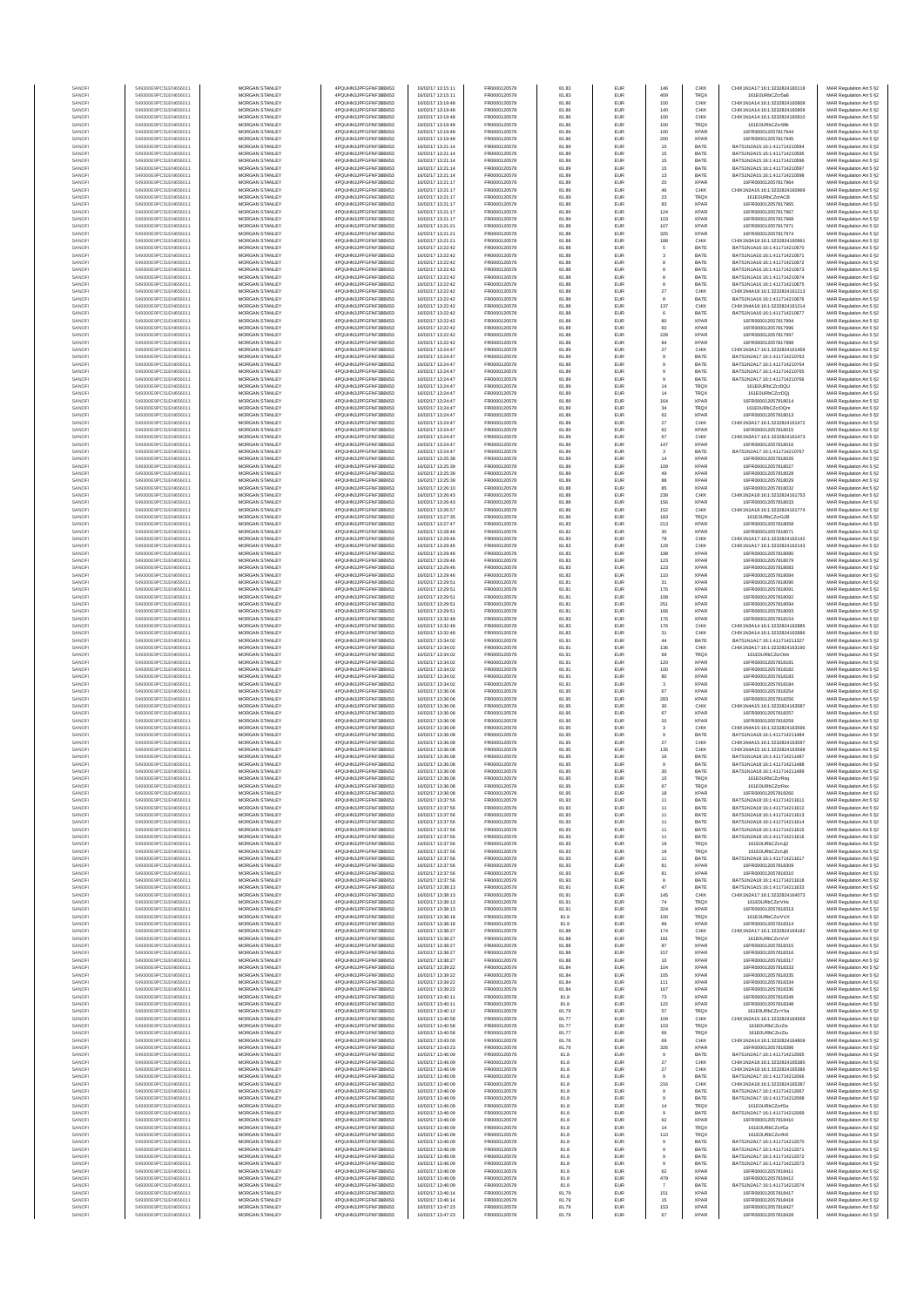| SANOF            | 549300E9PC51EN656011                         | <b>MORGAN STANLEY</b>                          | 4PQUHN3JPFGFNF3BB653                         | 16/02/17 13:15:11                      | FR0000120578                 | 81.83          | <b>EUR</b>               | 146                     | CHIX                       | CHIX1N1A17:16:1:3232824160118                                  | MAR Regulation Art 5 §2                            |
|------------------|----------------------------------------------|------------------------------------------------|----------------------------------------------|----------------------------------------|------------------------------|----------------|--------------------------|-------------------------|----------------------------|----------------------------------------------------------------|----------------------------------------------------|
| SANOFI           | 549300E9PC51EN656011                         | <b>MORGAN STANLEY</b>                          | 4PQUHN3JPFGFNF3BB653                         | 16/02/17 13:15:11                      | FR0000120578                 | 81.83          | <b>EUR</b>               | 409                     | <b>TRQX</b>                | 161E0URbCZcr5a6                                                | MAR Regulation Art 5 §2                            |
| SANOFI<br>SANOFI | 549300E9PC51EN656011<br>549300E9PC51EN656011 | MORGAN STANLEY<br>MORGAN STANLEY               | 4PQUHN3JPFGFNF3BB653<br>4PQUHN3JPFGFNF3BB653 | 16/02/17 13:19:48<br>16/02/17 13:19:48 | FR0000120578<br>FR0000120578 | 81.86<br>81.86 | EUR<br>EUR               | 100<br>140              | CHIX<br>CHIX               | CHIX1N1A14:16:1:3232824160808<br>CHIX1N1A14:16:1:3232824160809 | MAR Regulation Art 5 §2<br>MAR Regulation Art 5 §2 |
| SANOFI           | 549300E9PC51EN656011                         | MORGAN STANLEY                                 | 4PQUHN3JPFGFNF3BB653                         | 16/02/17 13:19:48                      | FR0000120578                 | 81.86          | EUR                      | 100                     | CHIX                       | CHIX1N1A14:16:1:3232824160810                                  | MAR Regulation Art 5 §2                            |
| SANOFI<br>SANOFI | 549300E9PC51EN656011<br>549300E9PC51EN656011 | MORGAN STANLEY<br>MORGAN STANLEY               | 4PQUHN3JPFGFNF3BB653<br>4PQUHN3JPFGFNF3BB653 | 16/02/17 13:19:48<br>16/02/17 13:19:48 | FR0000120578<br>FR0000120578 | 81.86<br>81.86 | EUR<br>EUR               | 100<br>100              | TRQX<br><b>XPAR</b>        | 161E0URbCZcr99<br>16FR000012057817944                          | MAR Regulation Art 5 §2<br>MAR Regulation Art 5 §2 |
| SANOFI           | 549300E9PC51EN656011                         | MORGAN STANLEY                                 | 4PQUHN3JPFGFNF3BB653                         | 16/02/17 13:19:48                      | FR0000120578                 | 81.86          | EUR                      | 200                     | <b>XPAR</b>                | 16FR000012057817945                                            | MAR Regulation Art 5 §2                            |
| SANOFI           | 549300E9PC51EN656011                         | <b>MORGAN STANLEY</b>                          | 4PQUHN3JPFGFNF3BB653                         | 16/02/17 13:21:14                      | FR0000120578                 | 81.89          | EUR                      | 15                      | BATE                       | BATS1N2A15:16:1:411714210594                                   | MAR Regulation Art 5 §2                            |
| SANOFI<br>SANOFI | 549300E9PC51EN656011<br>549300E9PC51EN656011 | MORGAN STANLEY<br>MORGAN STANLEY               | 4PQUHN3JPFGFNF3BB653<br>4PQUHN3JPFGFNF3BB653 | 16/02/17 13:21:14<br>16/02/17 13:21:14 | FR0000120578<br>FR0000120578 | 81.89<br>81.89 | <b>EUR</b><br><b>EUR</b> | $15$<br>$15$            | BATE<br>BATE               | BATS1N2A15:16:1:411714210595<br>BATS1N2A15-16-1-411714210596   | MAR Regulation Art 5 §2<br>MAR Regulation Art 5 §2 |
| SANOFI           | 549300E9PC51EN656011                         | MORGAN STANLEY                                 | 4PQUHN3JPFGFNF3BB653                         | 16/02/17 13:21:14                      | FR0000120578                 | 81.89          | EUR                      | $15\,$                  | BATE                       | BATS1N2A15:16:1:411714210597                                   | MAR Regulation Art 5 §2                            |
| SANOFI<br>SANOF  | 549300E9PC51EN656011<br>549300E9PC51EN656011 | MORGAN STANLEY<br>MORGAN STANLEY               | 4PQUHN3JPFGFNF3BB653<br>4PQUHN3JPFGFNF3BB653 | 16/02/17 13:21:14<br>16/02/17 13:21:17 | FR0000120578<br>FR0000120578 | 81.89<br>81.89 | EUR<br>EUR               | $13\,$                  | BATE<br><b>XPAF</b>        | BATS1N2A15:16:1:411714210598<br>16FR000012057817964            | MAR Regulation Art 5 §2                            |
| SANOFI           | 549300E9PC51EN656011                         | MORGAN STANLEY                                 | 4PQUHN3JPFGFNF3BB653                         | 16/02/17 13:21:17                      | FR0000120578                 | 81.89          | EUR                      | $20\,$<br>46            | CHIX                       | CHIX1N2A16:16:1:3232824160969                                  | MAR Regulation Art 5 §2<br>MAR Regulation Art 5 §2 |
| SANOFI           | 549300E9PC51EN656011                         | MORGAN STANLEY                                 | 4PQUHN3JPFGFNF3BB653                         | 16/02/17 13:21:17                      | FR0000120578                 | 81.89          | EUR                      | $\bf 23$                | TRQX                       | 161E0URbCZcrACB                                                | MAR Regulation Art 5 §2                            |
| SANOFI<br>SANOFI | 549300E9PC51EN656011<br>549300E9PC51EN656011 | MORGAN STANLEY<br><b>MORGAN STANLEY</b>        | 4PQUHN3JPFGFNF3BB653<br>4PQUHN3JPFGFNF3BB653 | 16/02/17 13:21:17<br>16/02/17 13:21:17 | FR0000120578<br>FR0000120578 | 81.89<br>81.89 | <b>EUR</b><br>EUR        | 83<br>124               | <b>XPAR</b><br><b>XPAR</b> | 16FR000012057817965<br>16FR000012057817967                     | MAR Regulation Art 5 §2                            |
| SANOFI           | 549300E9PC51EN656011                         | <b>MORGAN STANLEY</b>                          | 4PQUHN3JPFGFNF3BB653                         | 16/02/17 13:21:17                      | FR0000120578                 | 81.89          | <b>EUR</b>               | 103                     | <b>XPAR</b>                | 16FR000012057817968                                            | MAR Regulation Art 5 §2<br>MAR Regulation Art 5 §2 |
| SANOFI           | 549300E9PC51EN656011                         | MORGAN STANLEY                                 | 4PQUHN3JPFGFNF3BB653                         | 16/02/17 13:21:21                      | FR0000120578                 | 81.88          | EUR                      | 107                     | <b>XPAR</b>                | 16FR000012057817971                                            | MAR Regulation Art 5 §2                            |
| SANOF            | 549300E9PC51EN656011                         | MORGAN STANLEY                                 | 4PQUHN3JPFGFNF3BB653                         | 16/02/17 13:21:21                      | FR0000120578                 | 81.88          | EUR                      | 325                     | <b>XPAR</b>                | 16FR000012057817974                                            | MAR Regulation Art 5 §2                            |
| SANOFI<br>SANOFI | 549300E9PC51EN656011<br>549300E9PC51EN656011 | MORGAN STANLEY<br>MORGAN STANLEY               | 4PQUHN3JPFGFNF3BB653<br>4PQUHN3JPFGFNF3BB653 | 16/02/17 13:21:21<br>16/02/17 13:22:42 | FR0000120578<br>FR0000120578 | 81.88<br>81.88 | EUR<br>EUR               | 188<br>$\,$ 6           | CHIX<br>BATE               | CHIX1N3A18:16:1:323282416099<br>BATS1N1A16:16:1:411714210670   | MAR Regulation Art 5 §2<br>MAR Regulation Art 5 §2 |
| SANOFI           | 549300E9PC51EN656011                         | MORGAN STANLEY                                 | 4PQUHN3JPFGFNF3BB653                         | 16/02/17 13:22:42                      | FR0000120578                 | 81.88          | EUR                      | 3                       | BATE                       | BATS1N1A16:16:1:411714210671                                   | MAR Regulation Art 5 §2                            |
| SANOFI           | 549300E9PC51EN656011                         | MORGAN STANLEY                                 | 4PQUHN3JPFGFNF3BB653                         | 16/02/17 13:22:42                      | FR0000120578                 | 81.88          | EUR                      | 8                       | BATE                       | BATS1N1A16:16:1:411714210672                                   | MAR Regulation Art 5 §2                            |
| SANOFI<br>SANOFI | 549300E9PC51EN656011<br>549300E9PC51EN656011 | <b>MORGAN STANLEY</b><br><b>MORGAN STANLEY</b> | 4PQUHN3JPFGFNF3BB653<br>4PQUHN3JPFGFNF3BB653 | 16/02/17 13:22:42<br>16/02/17 13:22:42 | FR0000120578<br>FR0000120578 | 81.88<br>81.88 | <b>EUR</b><br>EUR        | 8                       | BATE<br>BATE               | BATS1N1A16:16:1:411714210673<br>BATS1N1A16:16:1:411714210674   | MAR Regulation Art 5 §2<br>MAR Regulation Art 5 §2 |
| SANOFI           | 549300E9PC51EN656011                         | MORGAN STANLEY                                 | 4PQUHN3JPFGFNF3BB653                         | 16/02/17 13:22:42                      | FR0000120578                 | 81.88          | EUR                      |                         | BATE                       | BATS1N1A16:16:1:411714210675                                   | MAR Regulation Art 5 §2                            |
| SANOFI           | 549300E9PC51EN656011                         | MORGAN STANLEY                                 | 4PQUHN3JPFGFNF3BB653                         | 16/02/17 13:22:42                      | FR0000120578                 | 81.88          | EUR                      | 27                      | CHIX                       | CHIX1N4A18:16:1:3232824161213                                  | MAR Regulation Art 5 §2                            |
| SANOF<br>SANOFI  | 549300E9PC51EN656011<br>549300E9PC51EN656011 | MORGAN STANLEY<br>MORGAN STANLEY               | 4PQUHN3JPFGFNF3BB653<br>4PQUHN3JPFGFNF3BB653 | 6/02/17 13:22:42<br>16/02/17 13:22:42  | FR0000120578<br>FR0000120578 | 81.88<br>81.88 | EUR<br>EUR               | 137                     | BATE<br>CHIX               | BATS1N1A16:16:1:411714210676<br>CHIX1N4A18:16:1:3232824161214  | MAR Regulation Art 5 §2                            |
| SANOFI           | 549300E9PC51EN656011                         | MORGAN STANLEY                                 | 4PQUHN3JPFGFNF3BB653                         | 16/02/17 13:22:42                      | FR0000120578                 | 81.88          | EUR                      | $_{\rm 6}$              | BATE                       | BATS1N1A16:16:1:411714210677                                   | MAR Regulation Art 5 §2<br>MAR Regulation Art 5 §2 |
| SANOFI           | 549300E9PC51EN656011                         | MORGAN STANLEY                                 | 4PQUHN3JPFGFNF3BB653                         | 16/02/17 13:22:42                      | FR0000120578                 | 81.88          | EUR                      | 80                      | <b>XPAR</b>                | 16FR000012057817994                                            | MAR Regulation Art 5 §2                            |
| SANOFI<br>SANOFI | 549300E9PC51EN656011<br>549300E9PC51EN656011 | <b>MORGAN STANLEY</b><br>MORGAN STANLEY        | 4PQUHN3JPFGFNF3BB653<br>4PQUHN3JPFGFNF3BB653 | 16/02/17 13:22:42<br>16/02/17 13:22:42 | FR0000120578<br>FR0000120578 | 81.88<br>81.88 | EUR<br><b>EUR</b>        | 60<br>228               | <b>XPAR</b><br><b>XPAR</b> | 16FR000012057817996<br>16FR000012057817997                     | MAR Regulation Art 5 §2<br>MAR Regulation Art 5 §2 |
| SANOFI           | 549300E9PC51EN656011                         | MORGAN STANLEY                                 | 4PQUHN3JPFGFNF3BB653                         | 16/02/17 13:22:42                      | FR0000120578                 | 81.88          | EUR                      | 84                      | <b>XPAR</b>                | 16FR000012057817998                                            | MAR Regulation Art 5 §2                            |
| SANOFI           | 549300E9PC51EN656011                         | MORGAN STANLEY                                 | 4PQUHN3JPFGFNF3BB653                         | 16/02/17 13:24:47                      | FR0000120578                 | 81.89          | EUR                      | $27\,$                  | CHIX                       | CHIX1N3A17:16:1:3232824161469                                  | MAR Regulation Art 5 §2                            |
| SANOFI<br>SANOFI | 549300E9PC51EN656011<br>549300E9PC51EN656011 | MORGAN STANLEY<br>MORGAN STANLEY               | 4PQUHN3JPFGFNF3BB653<br>4PQUHN3JPFGFNF3BB653 | 16/02/17 13:24:47<br>16/02/17 13:24:47 | FR0000120578<br>FR0000120578 | 81.89<br>81.89 | EUR<br>EUR               |                         | BATE<br>BATE               | BATS1N2A17:16:1:411714210763<br>BATS1N2A17:16:1:411714210764   | MAR Regulation Art 5 §2<br>MAR Regulation Art 5 §2 |
| SANOFI           | 549300E9PC51EN656011                         | MORGAN STANLEY                                 | 4PQUHN3JPFGFNF3BB653                         | 16/02/17 13:24:47                      | FR0000120578                 | 81.89          | EUR                      |                         | BATE                       | BATS1N2A17:16:1:411714210765                                   | MAR Regulation Art 5 §2                            |
| SANOFI           | 549300E9PC51EN656011                         | MORGAN STANLEY                                 | 4PQUHN3JPFGFNF3BB653                         | 16/02/17 13:24:47                      | FR0000120578                 | 81.89          | EUR                      | $\theta$                | BATE                       | BATS1N2A17:16:1:411714210766                                   | MAR Regulation Art 5 §2                            |
| SANOFI<br>SANOFI | 549300E9PC51EN656011<br>549300E9PC51EN656011 | <b>MORGAN STANLEY</b><br>MORGAN STANLEY        | 4PQUHN3JPFGFNF3BB653<br>4PQUHN3JPFGFNF3BB653 | 16/02/17 13:24:47<br>16/02/17 13:24:47 | FR0000120578<br>FR0000120578 | 81.89<br>81.89 | <b>EUR</b><br><b>EUR</b> | 14<br>14                | <b>TRQX</b><br><b>TRQX</b> | 161F0URbCZerDOU<br>161E0URbCZcrDQi                             | MAR Regulation Art 5 §2<br>MAR Regulation Art 5 §2 |
| SANOFI           | 549300E9PC51EN656011                         | MORGAN STANLEY                                 | 4PQUHN3JPFGFNF3BB653                         | 16/02/17 13:24:47                      | FR0000120578                 | 81.89          | <b>EUR</b>               | 164                     | <b>XPAR</b>                | 16FR000012057818014                                            | MAR Regulation Art 5 §2                            |
| SANOFI           | 549300E9PC51EN656011                         | MORGAN STANLEY                                 | 4PQUHN3JPFGFNF3BB653                         | 16/02/17 13:24:47                      | FR0000120578                 | 81.89          | EUR                      | $_{\rm 34}$             | TRQX                       | 161E0URbCZcrDQm                                                | MAR Regulation Art 5 §2                            |
| SANOFI<br>SANOFI | 549300E9PC51EN656011<br>549300E9PC51EN656011 | MORGAN STANLEY<br>MORGAN STANLEY               | 4PQUHN3JPFGFNF3BB653<br>4PQUHN3JPFGFNF3BB653 | 16/02/17 13:24:47<br>16/02/17 13:24:47 | FR0000120578<br>FR0000120578 | 81.89<br>81.89 | EUR<br>EUR               | $62\,$<br>27            | <b>XPAR</b><br>CHIX        | 16FR000012057818013<br>CHIX1N3A17:16:1:3232824161472           | MAR Regulation Art 5 §2<br>MAR Regulation Art 5 §2 |
| SANOFI           | 549300E9PC51EN656011                         | MORGAN STANLEY                                 | 4PQUHN3JPFGFNF3BB653                         | 16/02/17 13:24:47                      | FR0000120578                 | 81.89          | EUR                      | $62\,$                  | <b>XPAR</b>                | 16FR000012057818015                                            | MAR Regulation Art 5 §2                            |
| SANOFI           | 549300E9PC51EN656011                         | MORGAN STANLEY<br>MORGAN STANLEY               | 4PQUHN3JPFGFNF3BB653<br>4PQUHN3JPFGFNF3BB653 | 16/02/17 13:24:47<br>16/02/17 13:24:47 | FR0000120578<br>FR0000120578 | 81.89<br>81.89 | EUR<br>EUR               | 67<br>147               | CHIX<br><b>XPAR</b>        | CHIX1N3A17:16:1:3232824161473<br>16FR000012057818016           | MAR Regulation Art 5 §2<br>MAR Regulation Art 5 §2 |
| SANOFI<br>SANOFI | 549300E9PC51EN656011<br>549300E9PC51EN656011 | <b>MORGAN STANLEY</b>                          | 4PQUHN3JPFGFNF3BB653                         | 16/02/17 13:24:47                      | FR0000120578                 | 81.89          | <b>EUR</b>               | $\overline{\mathbf{3}}$ | BATE                       | BATS1N2A17:16:1:411714210767                                   | MAR Regulation Art 5 §2                            |
| SANOFI           | 549300E9PC51EN656011                         | <b>MORGAN STANLEY</b>                          | 4POLIHN3JPEGENE3BB653                        | 16/02/17 13:25:38                      | FR0000120578                 | 81.89          | <b>EUR</b>               | 14                      | <b>XPAR</b>                | 16ER000012057818026                                            | MAR Regulation Art 5 §2                            |
| SANOFI           | 549300E9PC51EN656011                         | MORGAN STANLEY                                 | 4PQUHN3JPFGFNF3BB653                         | 16/02/17 13:25:39<br>16/02/17 13:25:39 | FR0000120578                 | 81.89          | EUR                      | 109                     | <b>XPAR</b>                | 16FR000012057818027                                            | MAR Regulation Art 5 §2                            |
| SANOFI<br>SANOFI | 549300E9PC51EN656011<br>549300E9PC51EN656011 | MORGAN STANLEY<br>MORGAN STANLEY               | 4PQUHN3JPFGFNF3BB653<br>4PQUHN3JPFGFNF3BB653 | 16/02/17 13:25:39                      | FR0000120578<br>FR0000120578 | 81.89<br>81.89 | EUR<br>EUR               | 49<br>88                | <b>XPAR</b><br><b>XPAR</b> | 16FR000012057818028<br>16FR000012057818029                     | MAR Regulation Art 5 §2<br>MAR Regulation Art 5 §2 |
| SANOFI           | 549300E9PC51EN656011                         | MORGAN STANLEY                                 | 4PQUHN3JPFGFNF3BB653                         | 16/02/17 13:26:10                      | FR0000120578                 | 81.88          | EUR                      | 85                      | <b>XPAR</b>                | 16FR000012057818032                                            | MAR Regulation Art 5 §2                            |
| SANOFI           | 549300E9PC51EN656011<br>549300E9PC51EN656011 | MORGAN STANLEY                                 | 4PQUHN3JPFGFNF3BB653                         | 16/02/17 13:26:43                      | FR0000120578                 | 81.88          | EUR                      | 239                     | CHIX                       | CHIX1N2A18:16:1:3232824161753                                  | MAR Regulation Art 5 §2                            |
| SANOFI<br>SANOFI | 549300E9PC51EN656011                         | MORGAN STANLEY<br><b>MORGAN STANLEY</b>        | 4PQUHN3JPFGFNF3BB653<br>4PQUHN3JPFGFNF3BB653 | 16/02/17 13:26:43<br>16/02/17 13:26:57 | FR0000120578<br>FR0000120578 | 81.88<br>81.86 | EUR<br>EUR               | 156<br>152              | <b>XPAR</b><br>CHIX        | 16FR000012057818033<br>CHIX1N1A18:16:1:3232824161774           | MAR Regulation Art 5 §2<br>MAR Regulation Art 5 §2 |
| SANOFI           | 549300E9PC51EN656011                         | MORGAN STANLEY                                 | 4PQUHN3JPFGFNF3BB653                         | 16/02/17 13:27:35                      | FR0000120578                 | 81.86          | <b>EUR</b>               | 183                     | <b>TRQX</b>                | 161E0URbCZcrG2B                                                | MAR Regulation Art 5 §2                            |
| SANOFI           | 549300E9PC51EN656011                         | MORGAN STANLEY                                 | 4POLIHN3JPEGENE3BB653                        | 16/02/17 13:27:47                      | FR0000120578                 | 81.83          | EUR                      | 213                     | <b>XPAR</b>                | 16FR000012057818058                                            | MAR Regulation Art 5 §2                            |
| SANOF<br>SANOFI  | 549300E9PC51EN656011<br>549300E9PC51EN656011 | MORGAN STANLEY<br>MORGAN STANLEY               | 4PQUHN3JPFGFNF3BB653<br>4PQUHN3JPFGFNF3BB653 | 16/02/17 13:28:46<br>16/02/17 13:29:46 | FR0000120578<br>FR0000120578 | 81.82<br>81.83 | EUR<br>EUR               | $30\,$<br>78            | <b>XPAR</b><br>CHIX        | 16FR000012057818071<br>CHIX1N1A17:16:1:3232824162142           | MAR Regulation Art 5 §2<br>MAR Regulation Art 5 §2 |
| SANOFI           | 549300E9PC51EN656011                         | MORGAN STANLEY                                 | 4PQUHN3JPFGFNF3BB653                         | 16/02/17 13:29:46                      | FR0000120578                 | 81.83          | EUR                      | 129                     | CHIX                       | CHIX1N1A17:16:1:3232824162143                                  | MAR Regulation Art 5 §2                            |
| SANOFI           | 549300E9PC51EN656011                         | MORGAN STANLEY                                 | 4PQUHN3JPFGFNF3BB653                         | 16/02/17 13:29:46                      | FR0000120578                 | 81.83          | EUR                      | 198                     | <b>XPAR</b>                | 16FR000012057818080                                            | MAR Regulation Art 5 §2                            |
| SANOFI<br>SANOFI | 549300E9PC51EN656011<br>549300E9PC51EN656011 | MORGAN STANLEY<br>MORGAN STANLEY               | 4PQUHN3JPFGFNF3BB653<br>4PQUHN3JPFGFNF3BB653 | 16/02/17 13:29:46<br>16/02/17 13:29:46 | FR0000120578<br>FR0000120578 | 81.83<br>81.83 | EUR<br><b>EUR</b>        | 123<br>123              | <b>XPAR</b><br><b>XPAR</b> | 16FR000012057818079<br>16FR000012057818083                     | MAR Regulation Art 5 §2<br>MAR Regulation Art 5 §2 |
| SANOFI           | 549300E9PC51EN656011                         | <b>MORGAN STANLEY</b>                          | 4PQUHN3JPFGFNF3BB653                         | 16/02/17 13:29:46                      | FR0000120578                 | 81.83          | <b>EUR</b>               | 110                     | <b>XPAR</b>                | 16FR000012057818084                                            | MAR Regulation Art 5 §2                            |
| SANOFI           | 549300E9PC51EN656011                         | MORGAN STANLEY<br>MORGAN STANLEY               | 4PQUHN3JPFGFNF3BB653                         | 16/02/17 13:29:51                      | FR0000120578                 | 81.81          | EUR                      | $31\,$                  | <b>XPAR</b><br>XPAR        | 16FR000012057818090                                            | MAR Regulation Art 5 §2                            |
| SANOFI<br>SANOF  | 549300E9PC51EN656011<br>549300E9PC51EN656011 | MORGAN STANLEY                                 | 4PQUHN3JPFGFNF3BB653<br>4PQUHN3JPFGFNF3BB653 | 16/02/17 13:29:51<br>6/02/17 13:29:51  | FR0000120578<br>FR0000120578 | 81.81<br>81.81 | EUR<br>EUR               | 176<br>108              | <b>XPAR</b>                | 16FR000012057818091<br>16FR000012057818092                     | MAR Regulation Art 5 §2<br>MAR Regulation Art 5 §2 |
| SANOFI           | 549300E9PC51EN656011                         | MORGAN STANLEY                                 | 4PQUHN3JPFGFNF3BB653                         | 16/02/17 13:29:51                      | FR0000120578                 | 81.81          | EUR                      | 251                     | <b>XPAR</b>                | 16FR000012057818094                                            | MAR Regulation Art 5 §2                            |
| SANOFI<br>SANOFI | 549300E9PC51EN656011<br>549300E9PC51EN656011 | MORGAN STANLEY<br>MORGAN STANLEY               | 4PQUHN3JPFGFNF3BB653<br>4PQUHN3JPFGFNF3BB653 | 16/02/17 13:29:51<br>16/02/17 13:32:48 | FR0000120578<br>FR0000120578 | 81.81<br>81.83 | EUR<br>EUR               | 166<br>176              | <b>XPAR</b><br><b>XPAR</b> | 16FR000012057818093<br>16FR000012057818154                     | MAR Regulation Art 5 §2<br>MAR Regulation Art 5 §2 |
| SANOFI           | 549300E9PC51EN656011                         | <b>MORGAN STANLEY</b>                          | 4PQUHN3JPFGFNF3BB653                         | 16/02/17 13:32:48                      | FR0000120578                 | 81.83          | <b>EUR</b>               | 176                     | CHIX                       | CHIX1N3A14:16:1:3232824162885                                  | MAR Regulation Art 5 §2                            |
| SANOFI           | 549300E9PC51EN656011                         | <b>MORGAN STANLEY</b>                          | 4PQUHN3JPFGFNF3BB653                         | 16/02/17 13:32:48                      | FR0000120578                 | 81.83          | <b>EUR</b>               | 31                      | CHIX                       | CHIX1N3A14:16:1:3232824162886                                  | MAR Regulation Art 5 §2                            |
| SANOFI<br>SANOFI | 549300E9PC51EN656011<br>549300E9PC51EN656011 | <b>MORGAN STANLEY</b><br>MORGAN STANLEY        | 4PQUHN3JPFGFNF3BB653<br>4PQUHN3JPFGFNF3BB653 | 16/02/17 13:34:02<br>16/02/17 13:34:02 | FR0000120578<br>FR0000120578 | 81.91<br>81.91 | EUR<br>EUR               | 44<br>136               | BATE<br>CHIX               | BATS1N1A17:16:1:411714211327<br>CHIX1N3A17:16:1:3232824163190  | MAR Regulation Art 5 §2<br>MAR Regulation Art 5 §2 |
| SANOFI           | 549300E9PC51EN656011                         | MORGAN STANLEY                                 | 4PQUHN3JPFGFNF3BB653                         | 16/02/17 13:34:02                      | FR0000120578                 | 81.91          | EUR                      | 69                      | TRQX                       | 161E0URbCZcrOtm                                                | MAR Regulation Art 5 §2                            |
| SANOF            | 549300E9PC51EN656011                         | MORGAN STANLEY                                 | 4PQUHN3JPFGFNF3BB653                         | 6/02/17 13:34:02                       | FR0000120578                 | 81.91          | EUR                      | 120                     | <b>XPAR</b>                | 16FR000012057818181                                            | MAR Regulation Art 5 §2                            |
| SANOFI<br>SANOFI | 549300E9PC51EN656011<br>549300E9PC51EN656011 | MORGAN STANLEY<br>MORGAN STANLEY               | 4PQUHN3JPFGFNF3BB653<br>4PQUHN3JPFGFNF3BB653 | 16/02/17 13:34:02<br>16/02/17 13:34:02 | FR0000120578<br>FR0000120578 | 81.91<br>81.91 | EUR<br>EUR               | 100<br>80               | <b>XPAR</b><br><b>XPAR</b> | 16FR000012057818182<br>16FR000012057818183                     | MAR Regulation Art 5 §2<br>MAR Regulation Art 5 §2 |
| SANOFI           | 549300E9PC51EN656011                         | MORGAN STANLEY                                 | 4PQUHN3JPFGFNF3BB653                         | 16/02/17 13:34:02                      | FR0000120578                 | 81.91          | EUR                      | 3                       | <b>XPAR</b>                | 16FR000012057818184                                            | MAR Regulation Art 5 §2                            |
| SANOFI           | 549300E9PC51EN656011                         | <b>MORGAN STANLEY</b>                          | 4PQUHN3JPFGFNF3BB653                         | 16/02/17 13:36:06                      | FR0000120578                 | 81.95          | EUR                      | 67                      | <b>XPAR</b>                | 16ER000012057818254                                            | MAR Regulation Art 5 §2                            |
| SANOFI<br>SANOFI | 549300E9PC51EN656011<br>549300E9PC51EN656011 | MORGAN STANLEY<br>MORGAN STANLEY               | 4PQUHN3JPFGFNF3BB653<br>4PQUHN3JPFGFNF3BB653 | 16/02/17 13:36:06<br>16/02/17 13:36:06 | FR0000120578<br>FR0000120578 | 81.95<br>81.95 | <b>EUR</b><br>EUR        | 283<br>$30\,$           | <b>XPAR</b><br>CHIX        | 16FR000012057818256<br>CHIX1N4A15:16:1:3232824163587           | MAR Regulation Art 5 §2<br>MAR Regulation Art 5 §2 |
| SANOFI           | 549300E9PC51EN656011                         | MORGAN STANLEY                                 | 4PQUHN3JPFGFNF3BB653                         | 16/02/17 13:36:08                      | FR0000120578                 | 81.95          | EUR                      | $_{\rm 67}$             | <b>XPAR</b>                | 16FR000012057818257                                            | MAR Regulation Art 5 §2                            |
| SANOFI           | 549300E9PC51EN656011                         | MORGAN STANLEY                                 | 4PQUHN3JPFGFNF3BB653                         | 16/02/17 13:36:08                      | FR0000120578                 | 81.95          | EUR                      | 20                      | <b>XPAR</b>                | 16FR000012057818259                                            | MAR Regulation Art 5 §2                            |
| SANOF<br>SANOFI  | 549300E9PC51EN656011<br>549300E9PC51EN656011 | MORGAN STANLEY<br>MORGAN STANLEY               | 4PQUHN3JPFGFNF3BB653<br>4PQUHN3JPFGFNF3BB653 | 6/02/17 13:36:08<br>16/02/17 13:36:08  | FR0000120578<br>FR0000120578 | 81.95<br>81.95 | EUR<br>EUR               | $\mathbf{3}$<br>9       | CHIX<br>BATE               | CHIX1N4A15:16:1:3232824163596<br>BATS1N1A18:16:1:411714211484  | MAR Regulation Art 5 §2<br>MAR Regulation Art 5 §2 |
| SANOFI           | 549300E9PC51EN656011                         | MORGAN STANLEY                                 | 4PQUHN3JPFGFNF3BB653                         | 16/02/17 13:36:08                      | FR0000120578                 | 81.95          | EUR                      | $27\,$                  | CHIX                       | CHIX1N4A15:16:1:3232824163597                                  | MAR Regulation Art 5 §2                            |
| SANOFI           | 549300E9PC51EN656011                         | <b>MORGAN STANLEY</b>                          | 4PQUHN3JPFGFNF3BB653                         | 16/02/17 13:36:08                      | FR0000120578                 | 81.95          | <b>EUR</b>               | 135                     | CHIX                       | CHIX1N4A15:16:1:3232824163599                                  | MAR Regulation Art 5 §2                            |
| SANOFI<br>SANOF  | 549300E9PC51EN656011<br>549300E9PC51EN656011 | <b>MORGAN STANLEY</b><br>MORGAN STANLEY        | 4PQUHN3JPFGFNF3BB653<br>4PQUHN3JPFGFNF3BB653 | 16/02/17 13:36:08<br>16/02/17 13:36:08 | FR0000120578<br>FR0000120578 | 81.95<br>81.95 | <b>EUR</b><br>EUR        | 16<br>$9$               | BATE<br>BATE               | BATS1N1A18:16:1:411714211487<br>BATS1N1A18:16:1:411714211488   | MAR Regulation Art 5 §2<br>MAR Regulation Art 5 §2 |
| SANOFI           | 549300E9PC51EN656011                         | MORGAN STANLEY                                 | 4PQUHN3JPFGFNF3BB653                         | 16/02/17 13:36:08                      | FR0000120578                 | 81.95          | EUR                      | 30                      | BATE                       | BATS1N1A18:16:1:411714211489                                   | MAR Regulation Art 5 §2                            |
|                  |                                              |                                                |                                              |                                        |                              |                |                          |                         |                            |                                                                | ⊀ Regulation Art 5 §.                              |
| SANOF<br>SANOFI  | 549300E9PC51EN656011<br>549300E9PC51EN656011 | MORGAN STANLEY<br>MORGAN STANLEY               | 4PQUHN3JPFGFNF3BB653<br>4PQUHN3JPFGFNF3BB653 | 16/02/17 13:36:08<br>16/02/17 13:36:08 | FR0000120578<br>FR0000120578 | 81.95<br>81.95 | EUR<br>EUR               | 67<br>18                | TRQX<br><b>XPAR</b>        | 161E0URbCZcrRxx<br>16FR000012057818260                         | MAR Regulation Art 5 §2<br>MAR Regulation Art 5 §2 |
| SANOFI           | 549300E9PC51EN656011                         | MORGAN STANLEY                                 | 4PQUHN3JPFGFNF3BB653                         | 16/02/17 13:37:56                      | FR0000120578                 | 81.93          | <b>EUR</b>               | 11                      | BATE                       | BATS1N2A18:16:1:411714211611                                   | MAR Regulation Art 5 §2                            |
| SANOFI<br>SANOFI | 549300E9PC51EN656011<br>549300E9PC51EN656011 | MORGAN STANLEY<br><b>MORGAN STANLEY</b>        | 4PQUHN3JPFGFNF3BB653<br>4PQUHN3JPFGFNF3BB653 | 16/02/17 13:37:56<br>16/02/17 13:37:56 | FR0000120578<br>FR0000120578 | 81.93<br>81.93 | <b>EUR</b><br><b>EUR</b> | 11<br>11                | BATE<br>BATE               | BATS1N2A18:16:1:411714211612<br>BATS1N2A18:16:1:411714211613   | MAR Regulation Art 5 §2                            |
| SANOFI           | 549300E9PC51EN656011                         | MORGAN STANLEY                                 | 4PQUHN3JPFGFNF3BB653                         | 16/02/17 13:37:56                      | FR0000120578                 | 81.93          | EUR                      | 11                      | BATE                       | BATS1N2A18:16:1:411714211614                                   | MAR Regulation Art 5 §2<br>MAR Regulation Art 5 §2 |
| SANOFI           | 549300E9PC51EN656011                         | MORGAN STANLEY                                 | 4PQUHN3JPFGFNF3BB653                         | 16/02/17 13:37:56                      | FR0000120578                 | 81.93          | EUR                      | $11\,$                  | BATE                       | BATS1N2A18:16:1:411714211615                                   | MAR Regulation Art 5 §2                            |
| SANOFI<br>SANOFI | 549300E9PC51EN656011<br>549300E9PC51EN656011 | MORGAN STANLEY<br>MORGAN STANLEY               | 4PQUHN3JPFGFNF3BB653<br>4PQUHN3JPFGFNF3BB653 | 16/02/17 13:37:56<br>16/02/17 13:37:56 | FR0000120578<br>FR0000120578 | 81.93<br>81.93 | EUR<br>EUR               | 11<br>19                | BATE<br>TRQX               | BATS1N2A18:16:1:411714211616<br>161E0URbCZcrUj2                | MAR Regulation Art 5 §2<br>MAR Regulation Art 5 §2 |
| SANOFI           | 549300E9PC51EN656011                         | MORGAN STANLEY                                 | 4PQUHN3JPFGFNF3BB653                         | 16/02/17 13:37:56                      | FR0000120578                 | 81.93          | <b>EUR</b>               | 19                      | <b>TRQX</b>                | 161E0URbCZcrUi6                                                | MAR Regulation Art 5 §2                            |
| SANOFI           | 549300E9PC51EN656011                         | MORGAN STANLEY                                 | 4PQUHN3JPFGFNF3BB653                         | 16/02/17 13:37:56                      | FR0000120578                 | 81.93          | EUR                      | $11\,$                  | BATE                       | BATS1N2A18:16:1:411714211617                                   | MAR Regulation Art 5 §2                            |
| SANOFI<br>SANOFI | 549300E9PC51EN656011<br>549300E9PC51EN656011 | <b>MORGAN STANLEY</b><br><b>MORGAN STANLEY</b> | 4PQUHN3JPFGFNF3BB653<br>4PQUHN3JPFGFNF3BB653 | 16/02/17 13:37:56<br>16/02/17 13:37:56 | FR0000120578<br>FR0000120578 | 81.93<br>81.93 | <b>EUR</b><br><b>EUR</b> | 81<br>81                | <b>XPAR</b><br><b>XPAR</b> | 16FR000012057818309<br>16FR000012057818310                     | MAR Regulation Art 5 §2<br>MAR Regulation Art 5 §2 |
| SANOFI           | 549300E9PC51EN656011                         | <b>MORGAN STANLEY</b>                          | 4PQUHN3JPFGFNF3BB653                         | 16/02/17 13:37:56                      | FR0000120578                 | 81.93          | <b>EUR</b>               | 8                       | BATE                       | BATS1N2A18:16:1:411714211618                                   | MAR Regulation Art 5 §2                            |
| SANOFI<br>SANOFI | 549300E9PC51EN656011<br>549300E9PC51EN656011 | MORGAN STANLEY<br>MORGAN STANLEY               | 4PQUHN3JPFGFNF3BB653<br>4PQUHN3JPFGFNF3BB653 | 16/02/17 13:38:13<br>16/02/17 13:38:13 | FR0000120578<br>FR0000120578 | 81.91<br>81.91 | <b>EUR</b><br><b>EUR</b> | 47<br>145               | BATE<br>CHIX               | BATS1N1A15:16:1:411714211633<br>CHIX1N2A17:16:1:3232824164073  | MAR Regulation Art 5 §2<br>MAR Regulation Art 5 §2 |
| SANOFI           | 549300E9PC51EN656011                         | MORGAN STANLEY                                 | 4PQUHN3JPFGFNF3BB653                         | 16/02/17 13:38:13                      | FR0000120578                 | 81.91          | EUR                      | 74                      | TRQX                       | 161E0URbCZcrVHc                                                | MAR Regulation Art 5 §2                            |
| SANOFI           | 549300E9PC51EN656011                         | MORGAN STANLEY                                 | 4PQUHN3JPFGFNF3BB653                         | 16/02/17 13:38:13                      | FR0000120578                 | 81.91          | EUR                      | 324                     | <b>XPAR</b>                | 16FR000012057818313                                            | MAR Regulation Art 5 §2                            |
| SANOFI<br>SANOFI | 549300E9PC51EN656011<br>549300E9PC51EN656011 | MORGAN STANLEY<br>MORGAN STANLEY               | 4PQUHN3JPFGFNF3BB653<br>4PQUHN3JPFGFNF3BB653 | 16/02/17 13:38:18<br>16/02/17 13:38:18 | FR0000120578<br>FR0000120578 | 81.9<br>81.9   | <b>EUR</b><br><b>EUR</b> | 100<br>89               | TRQX<br><b>XPAR</b>        | 161E0URbCZcrVVX<br>16FR000012057818314                         | MAR Regulation Art 5 §2<br>MAR Regulation Art 5 §2 |
| SANOFI           | 549300E9PC51EN656011                         | MORGAN STANLEY                                 | 4PQUHN3JPFGFNF3BB653                         | 16/02/17 13:38:27                      | FR0000120578                 | 81.88          | <b>EUR</b>               | 174                     | CHIX                       | CHIX1N2A17:16:1:3232824164182                                  | MAR Regulation Art 5 §2                            |
| SANOFI<br>SANOFI | 549300E9PC51EN656011                         | <b>MORGAN STANLEY</b>                          | 4PQUHN3JPFGFNF3BB653<br>4PQUHN3JPFGFNF3BB653 | 16/02/17 13:38:27<br>16/02/17 13:38:27 | FR0000120578                 | 81.88          | <b>EUR</b>               | 181<br>87               | <b>TRQX</b><br><b>XPAR</b> | 161F0URbCZcrVvY                                                | MAR Regulation Art 5 §2                            |
| SANOFI           | 549300E9PC51EN656011<br>549300E9PC51EN656011 | MORGAN STANLEY<br>MORGAN STANLEY               | 4PQUHN3JPFGFNF3BB653                         | 16/02/17 13:38:27                      | FR0000120578<br>FR0000120578 | 81.88<br>81.88 | <b>EUR</b><br>EUR        | 157                     | <b>XPAR</b>                | 16FR000012057818315<br>16FR000012057818316                     | MAR Regulation Art 5 §2<br>MAR Regulation Art 5 §2 |
| SANOF            | 549300E9PC51EN656011                         | MORGAN STANLEY                                 | 4PQUHN3JPFGFNF3BB653                         | 16/02/17 13:38:27                      | FR0000120578                 | 81.88          | EUR                      | 10                      | <b>XPAR</b>                | 16FR000012057818317                                            | MAR Regulation Art 5 §2                            |
| SANOFI           | 549300E9PC51EN656011                         | MORGAN STANLEY                                 | 4PQUHN3JPFGFNF3BB653<br>4PQUHN3JPFGFNF3BB653 | 16/02/17 13:39:22                      | FR0000120578                 | 81.84          | EUR                      | 104                     | <b>XPAR</b><br><b>XPAR</b> | 16FR000012057818333                                            | MAR Regulation Art 5 §2                            |
| SANOFI<br>SANOFI | 549300E9PC51EN656011<br>549300E9PC51EN656011 | MORGAN STANLEY<br>MORGAN STANLEY               | 4PQUHN3JPFGFNF3BB653                         | 16/02/17 13:39:22<br>16/02/17 13:39:22 | FR0000120578<br>FR0000120578 | 81.84<br>81.84 | <b>EUR</b><br>EUR        | 105<br>111              | <b>XPAR</b>                | 16FR000012057818335<br>16FR000012057818334                     | MAR Regulation Art 5 §2<br>MAR Regulation Art 5 §2 |
| SANOFI           | 549300E9PC51EN656011                         | <b>MORGAN STANLEY</b>                          | 4PQUHN3JPFGFNF3BB653                         | 16/02/17 13:39:22                      | FR0000120578                 | 81.84          | <b>EUR</b>               | 167                     | <b>XPAR</b>                | 16FR000012057818336                                            | MAR Regulation Art 5 §2                            |
| SANOFI<br>SANOFI | 549300E9PC51EN656011<br>549300E9PC51EN656011 | MORGAN STANLEY<br>MORGAN STANLEY               | 4PQUHN3JPFGFNF3BB653<br>4PQUHN3JPFGFNF3BB653 | 16/02/17 13:40:11<br>16/02/17 13:40:11 | FR0000120578<br>FR0000120578 | 81.8<br>81.8   | <b>EUR</b><br>EUR        | 73<br>122               | <b>XPAR</b><br><b>XPAR</b> | 16FR000012057818349<br>16FR000012057818348                     | MAR Regulation Art 5 §2<br>MAR Regulation Art 5 §2 |
| SANOFI           | 549300E9PC51EN656011                         | MORGAN STANLEY                                 | 4PQUHN3JPFGFNF3BB653                         | 16/02/17 13:40:12                      | FR0000120578                 | 81.79          | <b>EUR</b>               | 57                      | TRQX                       | 161E0URbCZcrYXa                                                | MAR Regulation Art 5 §2                            |
| SANOFI           | 549300E9PC51EN656011                         | MORGAN STANLEY                                 | 4PQUHN3JPFGFNF3BB653                         | 16/02/17 13:40:58                      | FR0000120578                 | 81.77          | EUR                      | 109                     | CHIX                       | CHIX1N2A15:16:1:3232824164569                                  | MAR Regulation Art 5 §2                            |
| SANOFI<br>SANOFI | 549300E9PC51EN656011<br>549300E9PC51EN656011 | MORGAN STANLEY<br>MORGAN STANLEY               | 4PQUHN3JPFGFNF3BB653<br>4PQUHN3JPFGFNF3BB653 | 16/02/17 13:40:58<br>16/02/17 13:40:58 | FR0000120578<br>FR0000120578 | 81.77<br>81.77 | EUR<br><b>EUR</b>        | 103<br>66               | TRQX<br><b>TRQX</b>        | 161E0URbCZcrZis<br>161E0URbCZcrZiu                             | MAR Regulation Art 5 §2<br>MAR Regulation Art 5 §2 |
| SANOFI           | 549300E9PC51EN656011                         | MORGAN STANLEY                                 | 4PQUHN3JPFGFNF3BB653                         | 16/02/17 13:43:00                      | FR0000120578                 | 81.76          | <b>EUR</b>               | 69                      | CHIX                       | CHIX1N2A14:16:1:3232824164809                                  | MAR Regulation Art 5 §2                            |
| SANOFI           | 549300E9PC51EN656011                         | <b>MORGAN STANLEY</b>                          | 4PQUHN3JPFGFNF3BB653                         | 16/02/17 13:43:23                      | FR0000120578                 | 81.79          | <b>EUR</b>               | 326                     | <b>XPAR</b>                | 16FR000012057818386                                            | MAR Regulation Art 5 §2                            |
| SANOFI<br>SANOFI | 549300E9PC51EN656011<br>549300E9PC51EN656011 | <b>MORGAN STANLEY</b><br>MORGAN STANLEY        | 4PQUHN3JPFGFNF3BB653<br>4PQUHN3JPFGFNF3BB653 | 16/02/17 13:46:09<br>16/02/17 13:46:09 | FR0000120578<br>FR0000120578 | 81.8<br>81.8   | <b>EUR</b><br><b>EUR</b> | 9<br>$27\,$             | BATE<br>CHIX               | BATS1N2A17:16:1:411714212065<br>CHIX1N2A18:16:1:3232824165385  | MAR Regulation Art 5 §2<br>MAR Regulation Art 5 §2 |
| SANOFI           | 549300E9PC51EN656011                         | MORGAN STANLEY                                 | 4PQUHN3JPFGFNF3BB653                         | 16/02/17 13:46:09                      | FR0000120578                 | 81.8           | EUR                      | $27\,$                  | CHIX                       | CHIX1N2A18:16:1:3232824165386                                  | MAR Regulation Art 5 §2                            |
| SANOFI           | 549300E9PC51EN656011                         | MORGAN STANLEY                                 | 4PQUHN3JPFGFNF3BB653                         | 16/02/17 13:46:09                      | FR0000120578                 | 81.8           | EUR                      |                         | BATE                       | BATS1N2A17:16:1:411714212066                                   | MAR Regulation Art 5 §2                            |
| SANOFI<br>SANOFI | 549300E9PC51EN656011<br>549300E9PC51EN656011 | MORGAN STANLEY<br>MORGAN STANLEY               | 4PQUHN3JPFGFNF3BB653<br>4PQUHN3JPFGFNF3BB653 | 16/02/17 13:46:09<br>16/02/17 13:46:09 | FR0000120578<br>FR0000120578 | 81.8<br>81.8   | EUR<br>EUR               | 216<br>$\theta$         | CHIX<br>BATE               | CHIX1N2A18:16:1:3232824165387<br>BATS1N2A17:16:1:411714212067  | MAR Regulation Art 5 §2<br>MAR Regulation Art 5 §2 |
| SANOFI           | 549300E9PC51EN656011                         | MORGAN STANLEY                                 | 4PQUHN3JPFGFNF3BB653                         | 16/02/17 13:46:09                      | FR0000120578                 | 81.8           | EUR                      |                         | BATE                       | BATS1N2A17:16:1:411714212068                                   | MAR Regulation Art 5 §2                            |
| SANOFI           | 549300E9PC51EN656011                         | <b>MORGAN STANLEY</b>                          | 4PQUHN3JPFGFNF3BB653                         | 16/02/17 13:46:09                      | FR0000120578                 | 81.8           | <b>EUR</b>               | 14                      | <b>TRQX</b>                | 161E0URbCZcrfGo                                                | MAR Regulation Art 5 §2                            |
| SANOFI<br>SANOFI | 549300E9PC51EN656011<br>549300E9PC51EN656011 | <b>MORGAN STANLEY</b><br><b>MORGAN STANLEY</b> | 4PQUHN3JPFGFNF3BB653<br>4PQUHN3JPFGFNF3BB653 | 16/02/17 13:46:09<br>16/02/17 13:46:09 | FR0000120578<br>FR0000120578 | 81.8<br>81.8   | <b>EUR</b><br><b>EUR</b> | 9<br>62                 | BATE<br><b>XPAR</b>        | BATS1N2A17:16:1:411714212069<br>16FR000012057818410            | MAR Regulation Art 5 §2<br>MAR Regulation Art 5 §2 |
| SANOFI           | 549300E9PC51EN656011                         | MORGAN STANLEY                                 | 4PQUHN3JPFGFNF3BB653                         | 16/02/17 13:46:09                      | FR0000120578                 | 81.8           | EUR                      | 14                      | TRQX                       | 161E0URbCZcrfGz                                                | MAR Regulation Art 5 §2                            |
| SANOFI<br>SANOFI | 549300E9PC51EN656011<br>549300E9PC51EN656011 | MORGAN STANLEY<br>MORGAN STANLEY               | 4PQUHN3JPFGFNF3BB653<br>4PQUHN3JPFGFNF3BB653 | 16/02/17 13:46:09<br>16/02/17 13:46:09 | FR0000120578<br>FR0000120578 | 81.8<br>81.8   | EUR<br>EUR               | 110                     | <b>TRQX</b><br>BATE        | 161E0URbCZcrfH2<br>BATS1N2A17:16:1:411714212070                | MAR Regulation Art 5 §2                            |
| SANOFI           | 549300E9PC51EN656011                         | MORGAN STANLEY                                 | 4PQUHN3JPFGFNF3BB653                         | 16/02/17 13:46:09                      | FR0000120578                 | 81.8           | EUR                      |                         | BATE                       | BATS1N2A17:16:1:411714212071                                   | MAR Regulation Art 5 §2<br>MAR Regulation Art 5 §2 |
| SANOFI           | 549300E9PC51EN656011                         | MORGAN STANLEY                                 | 4PQUHN3JPFGFNF3BB653                         | 16/02/17 13:46:09                      | FR0000120578                 | 81.8           | EUR                      | $\theta$                | BATE                       | BATS1N2A17:16:1:411714212072                                   | MAR Regulation Art 5 §2                            |
| SANOFI<br>SANOFI | 549300E9PC51EN656011<br>549300E9PC51EN656011 | MORGAN STANLEY<br><b>MORGAN STANLEY</b>        | 4PQUHN3JPFGFNF3BB653<br>4PQUHN3JPFGFNF3BB653 | 16/02/17 13:46:09<br>16/02/17 13:46:09 | FR0000120578<br>FR0000120578 | 81.8<br>81.8   | EUR<br><b>EUR</b>        | 62                      | BATE<br><b>XPAR</b>        | BATS1N2A17:16:1:411714212073<br>16FR000012057818411            | MAR Regulation Art 5 §2                            |
| SANOFI           | 549300E9PC51EN656011                         | <b>MORGAN STANLEY</b>                          | 4PQUHN3JPFGFNF3BB653                         | 16/02/17 13:46:09                      | FR0000120578                 | 81.8           | <b>EUR</b>               | 479                     | <b>XPAR</b>                | 16FR000012057818412                                            | MAR Regulation Art 5 §2<br>MAR Regulation Art 5 §2 |
| SANOFI           | 549300E9PC51EN656011                         | MORGAN STANLEY                                 | 4PQUHN3JPFGFNF3BB653                         | 16/02/17 13:46:09                      | FR0000120578                 | 81.8           | EUR                      | $\overline{7}$          | BATE                       | BATS1N2A17:16:1:411714212074                                   | MAR Regulation Art 5 §2                            |
| SANOFI<br>SANOFI | 549300E9PC51EN656011<br>549300E9PC51EN656011 | MORGAN STANLEY<br>MORGAN STANLEY               | 4PQUHN3JPFGFNF3BB653<br>4PQUHN3JPFGFNF3BB653 | 16/02/17 13:46:14<br>16/02/17 13:46:14 | FR0000120578<br>FR0000120578 | 81.79<br>81.79 | <b>EUR</b><br>EUR        | 151<br>15               | <b>XPAR</b><br><b>XPAR</b> | 16FR000012057818417<br>16FR000012057818418                     | MAR Regulation Art 5 §2<br>MAR Regulation Art 5 §2 |
| SANOF            | 549300E9PC51EN656011                         | MORGAN STANLEY                                 | 4PQUHN3JPFGFNF3BB653                         | 16/02/17 13:47:23                      | FR0000120578                 | 81.79          | EUR                      | 153                     | <b>XPAR</b>                | 16FR000012057818427                                            | MAR Regulation Art 5 §2                            |
| SANOFI           | 549300E9PC51EN656011                         | MORGAN STANLEY                                 | 4PQUHN3JPFGFNF3BB653                         | 16/02/17 13:47:23                      | FR0000120578                 | 81.79          | <b>EUR</b>               | 67                      | XPAR                       | 16FR000012057818428                                            | MAR Regulation Art 5 §2                            |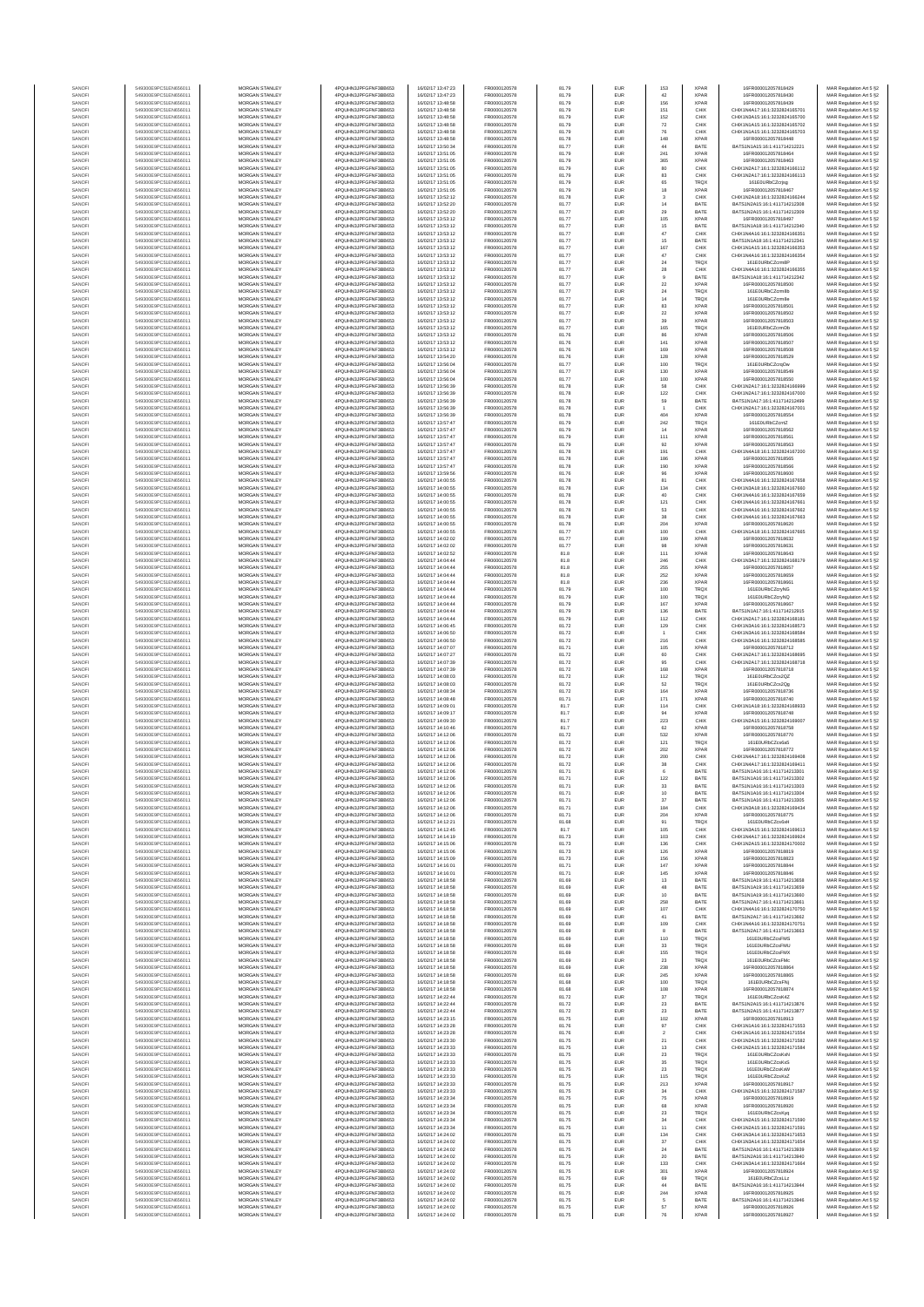| SANOF            | 549300E9PC51EN656011                         | MORGAN STANLEY                                 | 4PQUHN3JPFGFNF3BB653                          | 16/02/17 13:47:23                      | FR0000120578                 | 81.79          | EUR               | 153                     | <b>XPAR</b>                | 16FR000012057818429                                            | MAR Regulation Art 5 §2                            |
|------------------|----------------------------------------------|------------------------------------------------|-----------------------------------------------|----------------------------------------|------------------------------|----------------|-------------------|-------------------------|----------------------------|----------------------------------------------------------------|----------------------------------------------------|
| SANOFI           | 549300E9PC51EN656011                         | MORGAN STANLEY                                 | 4PQUHN3JPFGFNF3BB653                          | 16/02/17 13:47:23                      | FR0000120578                 | 81.79          | EUR               | 42                      | <b>XPAR</b>                | 16FR000012057818430                                            | MAR Regulation Art 5 §2                            |
| SANOF<br>SANOFI  | 549300E9PC51EN656011<br>549300E9PC51EN656011 | MORGAN STANLEY<br>MORGAN STANLEY               | 4PQUHN3JPFGFNF3BB653<br>4PQUHN3JPFGFNF3BB653  | 16/02/17 13:48:58<br>16/02/17 13:48:58 | FR0000120578<br>FR0000120578 | 81.79<br>81.79 | EUR<br>EUR        | 156<br>151              | <b>XPAR</b><br>CHIX        | 16FR000012057818439<br>CHIX1N4A17:16:1:3232824165701           | MAR Regulation Art 5 §2<br>MAR Regulation Art 5 §2 |
| SANOFI           | 549300E9PC51EN656011                         | MORGAN STANLEY                                 | 4PQUHN3JPFGFNF3BB653                          | 16/02/17 13:48:58                      | FR0000120578                 | 81.79          | EUR               | 152                     | CHIX                       | CHIX1N3A15:16:1:3232824165700                                  | MAR Regulation Art 5 §2                            |
| SANOFI           | 549300E9PC51EN656011                         | MORGAN STANLEY                                 | 4PQUHN3JPFGFNF3BB653                          | 16/02/17 13:48:58<br>16/02/17 13:48:58 | FR0000120578                 | 81.79          | EUR               | 72                      | CHIX                       | CHIX1N1A15:16:1:3232824165702                                  | MAR Regulation Art 5 §2<br>MAR Regulation Art 5 §2 |
| SANOFI<br>SANOFI | 549300E9PC51EN656011<br>549300E9PC51EN656011 | <b>MORGAN STANLEY</b><br><b>MORGAN STANLEY</b> | 4PQUHN3JPFGFNF3BB653<br>4PQUHN3JPFGFNF3BB653  | 16/02/17 13:48:58                      | FR0000120578<br>FR0000120578 | 81.79<br>81.78 | EUR<br>EUR        | 76<br>148               | CHIX<br><b>XPAR</b>        | CHIX1N1A15:16:1:3232824165703<br>16FR000012057818448           | MAR Regulation Art 5 §2                            |
| SANOFI           | 549300E9PC51EN656011                         | MORGAN STANLEY                                 | 4PQUHN3JPFGFNF3BB653                          | 16/02/17 13:50:34                      | FR0000120578                 | 81.77          | EUR               | 44                      | BATE                       | BATS1N1A15:16:1:411714212221                                   | MAR Regulation Art 5 §2                            |
| SANOFI<br>SANOFI | 549300E9PC51EN656011<br>549300E9PC51EN656011 | MORGAN STANLEY<br>MORGAN STANLEY               | 4PQUHN3JPFGFNF3BB653<br>4PQUHN3JPFGFNF3BB653  | 16/02/17 13:51:05<br>16/02/17 13:51:05 | FR0000120578<br>FR0000120578 | 81.79<br>81.79 | EUR<br>EUR        | 241<br>365              | XPAF<br><b>XPAR</b>        | 16FR000012057818464<br>16FR000012057818463                     | MAR Regulation Art 5 §2<br>MAR Regulation Art 5 §2 |
| SANOFI           | 549300E9PC51EN656011                         | MORGAN STANLEY                                 | 4PQUHN3JPFGFNF3BB653                          | 16/02/17 13:51:05                      | FR0000120578                 | 81.79          | EUR               | 80                      | CHIX                       | CHIX1N2A17:16:1:3232824166112                                  | MAR Regulation Art 5 §2                            |
| SANOFI           | 549300E9PC51EN656011                         | MORGAN STANLEY                                 | 4PQUHN3JPFGFNF3BB653                          | 16/02/17 13:51:05                      | FR0000120578                 | 81.79          | EUR               | 83                      | CHIX                       | CHIX1N2A17:16:1:3232824166113                                  | MAR Regulation Art 5 §2                            |
| SANOFI<br>SANOFI | 549300E9PC51EN656011<br>549300E9PC51EN656011 | MORGAN STANLEY<br>MORGAN STANLEY               | 4PQUHN3JPFGFNF3BB653<br>4PQUHN3JPFGFNF3BB653  | 16/02/17 13:51:05<br>16/02/17 13:51:05 | FR0000120578<br>FR0000120578 | 81.79<br>81.79 | EUR<br>EUR        | 65<br>18                | <b>TRQX</b><br><b>XPAR</b> | 161E0URbCZcrjsg<br>16FR000012057818467                         | MAR Regulation Art 5 §2<br>MAR Regulation Art 5 §2 |
| SANOFI           | 549300E9PC51EN656011                         | <b>MORGAN STANLEY</b>                          | 4PQUHN3JPFGFNF3BB653                          | 16/02/17 13:52:12                      | FR0000120578                 | 81.78          | EUR               | $\mathbf{3}$            | CHIX                       | CHIX1N2A18:16:1:3232824166244                                  | MAR Regulation Art 5 §2                            |
| SANOFI           | 549300E9PC51EN656011                         | <b>MORGAN STANLEY</b>                          | 4PQUHN3JPFGFNF3BB653                          | 16/02/17 13:52:20                      | FR0000120578                 | 81.77          | EUR               | 14                      | BATE                       | BATS1N2A15:16:1:411714212308                                   | MAR Regulation Art 5 §2                            |
| SANOFI<br>SANOFI | 549300E9PC51EN656011<br>549300E9PC51EN656011 | MORGAN STANLEY<br>MORGAN STANLEY               | 4PQUHN3JPFGFNF3BB653<br>4PQUHN3JPFGFNF3BB653  | 16/02/17 13:52:20<br>16/02/17 13:53:12 | FR0000120578<br>FR0000120578 | 81.77<br>81.77 | EUR<br>EUR        | $29\,$<br>105           | BATE<br><b>XPAF</b>        | BATS1N2A15:16:1:411714212309<br>16FR000012057818497            | MAR Regulation Art 5 §2<br>MAR Regulation Art 5 §2 |
| SANOFI           | 549300E9PC51EN656011                         | MORGAN STANLEY                                 | 4PQUHN3JPFGFNF3BB653                          | 16/02/17 13:53:12                      | FR0000120578                 | 81.77          | EUR               | 15                      | BATE                       | BATS1N1A18:16:1:411714212340                                   | MAR Regulation Art 5 §2                            |
| SANOFI           | 549300E9PC51EN656011                         | MORGAN STANLEY                                 | 4PQUHN3JPFGFNF3BB653                          | 16/02/17 13:53:12                      | FR0000120578                 | 81.77          | EUR               | 47                      | CHIX                       | CHIX1N4A16:16:1:3232824166351                                  | MAR Regulation Art 5 §2                            |
| SANOFI           | 549300E9PC51EN656011                         | MORGAN STANLEY<br>MORGAN STANLEY               | 4PQUHN3JPFGFNF3BB653<br>4PQUHN3JPFGFNF3BB653  | 16/02/17 13:53:12                      | FR0000120578<br>FR0000120578 | 81.77<br>81.77 | EUR<br>EUR        | 15<br>167               | BATE<br>CHIX               | BATS1N1A18:16:1:411714212341<br>CHIX1N1A15:16:1:3232824166353  | MAR Regulation Art 5 §2<br>MAR Regulation Art 5 §2 |
| SANOFI<br>SANOFI | 549300E9PC51EN656011<br>549300E9PC51EN656011 | <b>MORGAN STANLEY</b>                          | 4POLIHN3JPEGENE3BB653                         | 16/02/17 13:53:12<br>16/02/17 13:53:12 | FR0000120578                 | 81.77          | EUR               | 47                      | CHIX                       | CHIX1N4A16:16:1:3232824166354                                  | MAR Regulation Art 5 §2                            |
| SANOFI           | 549300E9PC51EN656011                         | <b>MORGAN STANLEY</b>                          | 4PQUHN3JPFGFNF3BB653                          | 16/02/17 13:53:12                      | FR0000120578                 | 81.77          | EUR               | 24                      | <b>TRQX</b>                | 161E0URbCZcrm8F                                                | MAR Regulation Art 5 §2                            |
| SANOFI           | 549300E9PC51EN656011                         | MORGAN STANLEY<br>MORGAN STANLEY               | 4PQUHN3JPFGFNF3BB653                          | 16/02/17 13:53:12                      | FR0000120578                 | 81.77          | EUR               | ${\bf 28}$              | CHIX                       | CHIX1N4A16:16:1:3232824166355                                  | MAR Regulation Art 5 §2                            |
| SANOFI<br>SANOFI | 549300E9PC51EN656011<br>549300E9PC51EN656011 | MORGAN STANLEY                                 | 4PQUHN3JPFGFNF3BB653<br>4PQUHN3JPFGFNF3BB653  | 16/02/17 13:53:12<br>16/02/17 13:53:12 | FR0000120578<br>FR0000120578 | 81.77<br>81.77 | EUR<br>EUR        | $\mathsf g$<br>$\bf 22$ | BATE<br><b>XPAF</b>        | BATS1N1A18:16:1:411714212342<br>16FR000012057818500            | MAR Regulation Art 5 §2<br>MAR Regulation Art 5 §2 |
| SANOFI           | 549300E9PC51EN656011                         | MORGAN STANLEY                                 | 4PQUHN3JPFGFNF3BB653                          | 16/02/17 13:53:12                      | FR0000120578                 | 81.77          | EUR               | $\bf{24}$               | TRQ)                       | 161E0URbCZcrm8b                                                | MAR Regulation Art 5 §2                            |
| SANOFI           | 549300E9PC51EN656011                         | MORGAN STANLEY                                 | 4PQUHN3JPFGFNF3BB653                          | 16/02/17 13:53:12                      | FR0000120578                 | 81.77          | EUR               | $14$                    | <b>TRQX</b>                | 161E0URbCZcrm8e                                                | MAR Regulation Art 5 §2                            |
| SANOFI<br>SANOFI | 549300E9PC51EN656011<br>549300E9PC51EN656011 | MORGAN STANLEY<br><b>MORGAN STANLEY</b>        | 4PQUHN3JPFGFNF3BB653<br>4PQUHN3JPFGFNF3BB653  | 16/02/17 13:53:12<br>16/02/17 13:53:12 | FR0000120578<br>FR0000120578 | 81.77<br>81.77 | EUR<br>EUR        | 83<br>22                | <b>XPAR</b><br><b>XPAR</b> | 16FR000012057818501<br>16FR000012057818502                     | MAR Regulation Art 5 §2<br>MAR Regulation Art 5 §2 |
| SANOFI           | 549300E9PC51EN656011                         | <b>MORGAN STANLEY</b>                          | 4PQUHN3JPFGFNF3BB653                          | 16/02/17 13:53:12                      | FR0000120578                 | 81.77          | EUR               | 39                      | <b>XPAR</b>                | 16FR000012057818503                                            | MAR Regulation Art 5 §2                            |
| SANOFI           | 549300E9PC51EN656011                         | MORGAN STANLEY<br>MORGAN STANLEY               | 4PQUHN3JPFGFNF3BB653                          | 16/02/17 13:53:12                      | FR0000120578<br>FR0000120578 | 81.77<br>81.76 | EUR               | 165<br>86               | <b>TRQX</b><br><b>XPAR</b> | 161E0URbCZcrmDb<br>16FR000012057818506                         | MAR Regulation Art 5 §2                            |
| SANOF<br>SANOFI  | 549300E9PC51EN656011<br>549300E9PC51EN656011 | MORGAN STANLEY                                 | 4PQUHN3JPFGFNF3BB653<br>4PQUHN3JPFGFNF3BB653  | 16/02/17 13:53:12<br>16/02/17 13:53:12 | FR0000120578                 | 81.76          | EUR<br>EUR        | 141                     | <b>XPAF</b>                | 16FR000012057818507                                            | MAR Regulation Art 5 §2<br>MAR Regulation Art 5 §2 |
| SANOFI           | 549300E9PC51EN656011                         | MORGAN STANLEY                                 | 4PQUHN3JPFGFNF3BB653                          | 16/02/17 13:53:12                      | FR0000120578                 | 81.76          | EUR               | 169                     | <b>XPAF</b>                | 16FR000012057818506                                            | MAR Regulation Art 5 §2                            |
| SANOFI           | 549300E9PC51EN656011<br>549300E9PC51EN656011 | MORGAN STANLEY<br>MORGAN STANLEY               | 4PQUHN3JPFGFNF3BB653<br>4PQUHN3JPFGFNF3BB653  | 16/02/17 13:54:20                      | FR0000120578<br>FR0000120578 | 81.76<br>81.77 | EUR<br>EUR        | 128<br>100              | <b>XPAR</b><br>TRQX        | 16FR000012057818529<br>161E0URbCZcrqOw                         | MAR Regulation Art 5 §2<br>MAR Regulation Art 5 §2 |
| SANOFI<br>SANOFI | 549300E9PC51EN656011                         | <b>MORGAN STANLEY</b>                          | 4PQUHN3JPFGFNF3BB653                          | 16/02/17 13:56:04<br>16/02/17 13:56:04 | FR0000120578                 | 81.77          | EUR               | 130                     | <b>XPAR</b>                | 16FR000012057818549                                            | MAR Regulation Art 5 §2                            |
| SANOFI           | 549300E9PC51EN656011                         | <b>MORGAN STANLEY</b>                          | 4PQUHN3JPFGFNF3BB653                          | 16/02/17 13:56:04                      | FR0000120578                 | 81.77          | EUR               | 100                     | <b>XPAR</b>                | 16FR000012057818550                                            | MAR Regulation Art 5 §2                            |
| SANOFI<br>SANOFI | 549300E9PC51EN656011<br>549300E9PC51EN656011 | MORGAN STANLEY<br>MORGAN STANLEY               | 4PQUHN3JPFGFNF3BB653<br>4PQUHN3JPFGFNF3BB653  | 16/02/17 13:56:39<br>16/02/17 13:56:39 | FR0000120578<br>FR0000120578 | 81.78<br>81.78 | EUR<br>EUR        | 58<br>122               | CHIX<br>CHIX               | CHIX1N2A17:16:1:3232824166999<br>CHIX1N2A17:16:1:3232824167000 | MAR Regulation Art 5 §2<br>MAR Regulation Art 5 §2 |
| SANOF            | 549300E9PC51EN656011                         | MORGAN STANLEY                                 | 4PQUHN3JPFGFNF3BB653                          | 16/02/17 13:56:39                      | FR0000120578                 | 81.78          | EUR               | 59                      | BATE                       | BATS1N1A17:16:1:411714212499                                   | MAR Regulation Art 5 §2                            |
| SANOFI           | 549300E9PC51EN656011                         | MORGAN STANLEY                                 | 4PQUHN3JPFGFNF3BB653                          | 16/02/17 13:56:39                      | FR0000120578                 | 81.78          | EUR               |                         | CHIX                       | CHIX1N2A17:16:1:3232824167001                                  | MAR Regulation Art 5 §2                            |
| SANOFI           | 549300E9PC51EN656011<br>549300E9PC51EN656011 | MORGAN STANLEY<br>MORGAN STANLEY               | 4PQUHN3JPFGFNF3BB653<br>4PQUHN3JPFGFNF3BB653  | 16/02/17 13:56:39<br>16/02/17 13:57:47 | FR0000120578<br>FR0000120578 | 81.78<br>81.79 | EUR<br>EUR        | 404<br>242              | <b>XPAF</b><br><b>TRQX</b> | 16FR000012057818554<br>161E0URbCZcmZ                           | MAR Regulation Art 5 §2<br>MAR Regulation Art 5 §2 |
| SANOFI<br>SANOFI | 549300E9PC51EN656011                         | MORGAN STANLEY                                 | 4PQUHN3JPFGFNF3BB653                          | 16/02/17 13:57:47                      | FR0000120578                 | 81.79          | EUR               | 14                      | <b>XPAR</b>                | 16FR000012057818562                                            | MAR Regulation Art 5 §2                            |
| SANOFI           | 549300E9PC51EN656011                         | <b>MORGAN STANLEY</b>                          | 4PQUHN3JPFGFNF3BB653                          | 16/02/17 13:57:47                      | FR0000120578                 | 81.79          | EUR               | 111                     | <b>XPAR</b>                | 16FR000012057818561                                            | MAR Regulation Art 5 §2                            |
| SANOFI<br>SANOFI | 549300E9PC51EN656011<br>549300E9PC51EN656011 | MORGAN STANLEY<br>MORGAN STANLEY               | 4PQUHN3JPFGFNF3BB653<br>4PQUHN3JPFGFNF3BB653  | 16/02/17 13:57:47<br>16/02/17 13:57:47 | FR0000120578<br>FR0000120578 | 81.79<br>81.78 | EUR<br>EUR        | 92<br>191               | <b>XPAR</b><br>CHIX        | 16FR000012057818563<br>CHIX1N4A18:16:1:3232824167200           | MAR Regulation Art 5 §2<br>MAR Regulation Art 5 §2 |
| SANOFI           | 549300E9PC51EN656011                         | MORGAN STANLEY                                 | 4PQUHN3JPFGFNF3BB653                          | 16/02/17 13:57:47                      | FR0000120578                 | 81.78          | EUR               | 186                     | <b>XPAR</b>                | 16FR000012057818565                                            | MAR Regulation Art 5 §2                            |
| SANOF            | 549300E9PC51EN656011                         | MORGAN STANLEY                                 | 4PQUHN3JPFGFNF3BB653                          | 16/02/17 13:57:47                      | FR0000120578                 | 81.78          | EUR               | 190                     | <b>XPAF</b>                | 16FR000012057818566                                            | MAR Regulation Art 5 §2                            |
| SANOFI<br>SANOFI | 549300E9PC51EN656011<br>549300E9PC51EN656011 | MORGAN STANLEY<br>MORGAN STANLEY               | 4PQUHN3JPFGFNF3BB653<br>4PQUHN3JPFGFNF3BB653  | 16/02/17 13:59:56<br>16/02/17 14:00:55 | FR0000120578<br>FR0000120578 | 81.76<br>81.78 | EUR<br>EUR        | 96<br>81                | <b>XPAF</b><br>CHIX        | 16FR000012057818600<br>CHIX1N4A16:16:1:3232824167658           | MAR Regulation Art 5 §2<br>MAR Regulation Art 5 §2 |
| SANOFI           | 549300E9PC51EN656011                         | MORGAN STANLEY                                 | 4PQUHN3JPFGFNF3BB653                          | 16/02/17 14:00:55                      | FR0000120578                 | 81.78          | EUR               | 134                     | CHIX                       | CHIX1N3A18:16:1:3232824167660                                  | MAR Regulation Art 5 §2                            |
| SANOFI           | 549300E9PC51EN656011                         | <b>MORGAN STANLEY</b>                          | 4PQUHN3JPFGFNF3BB653                          | 16/02/17 14:00:55                      | FR0000120578                 | 81.78          | EUR               | 40                      | CHIX                       | CHIX1N4A16:16:1:3232824167659                                  | MAR Regulation Art 5 §2                            |
| SANOFI<br>SANOFI | 549300E9PC51EN656011<br>549300E9PC51EN656011 | <b>MORGAN STANLEY</b><br>MORGAN STANLEY        | 4PQUHN3JPFGFNF3BB653<br>4POLIHN3JPEGENE3BB653 | 16/02/17 14:00:55<br>16/02/17 14:00:55 | FR0000120578<br>FR0000120578 | 81.78<br>81.78 | EUR<br>EUR        | 121<br>53               | CHIX<br>CHIX               | CHIX1N4A16:16:1:3232824167661<br>CHIX1N4A16:16:1:3232824167662 | MAR Regulation Art 5 §2<br>MAR Regulation Art 5 §2 |
| SANOFI           | 549300E9PC51EN656011                         | MORGAN STANLEY                                 | 4PQUHN3JPFGFNF3BB653                          | 16/02/17 14:00:55                      | FR0000120578                 | 81.78          | EUR               | $_{\rm 38}$             | CHIX                       | CHIX1N4A16:16:1:3232824167663                                  | MAR Regulation Art 5 §2                            |
| SANOFI           | 549300E9PC51EN656011                         | MORGAN STANLEY                                 | 4PQUHN3JPFGFNF3BB653                          | 16/02/17 14:00:55                      | FR0000120578                 | 81.78          | EUR               | 204                     | <b>XPAF</b>                | 16FR000012057818620                                            | MAR Regulation Art 5 §2                            |
| SANOFI           | 549300E9PC51EN656011<br>549300E9PC51EN656011 | MORGAN STANLEY<br>MORGAN STANLEY               | 4PQUHN3JPFGFNF3BB653<br>4PQUHN3JPFGFNF3BB653  | 16/02/17 14:00:55<br>16/02/17 14:02:02 | FR0000120578<br>FR0000120578 | 81.77<br>81.77 | EUR<br>EUR        | 100<br>199              | CHIX<br><b>XPAR</b>        | CHIX1N1A18:16:1:3232824167665<br>16FR000012057818632           | MAR Regulation Art 5 §2<br>MAR Regulation Art 5 §2 |
| SANOFI<br>SANOFI | 549300E9PC51EN656011                         | MORGAN STANLEY                                 | 4PQUHN3JPFGFNF3BB653                          | 16/02/17 14:02:02                      | FR0000120578                 | 81.77          | EUR               | 98                      | <b>XPAR</b>                | 16FR000012057818631                                            | MAR Regulation Art 5 §2                            |
| SANOFI           | 549300E9PC51EN656011                         | <b>MORGAN STANLEY</b>                          | 4PQUHN3JPFGFNF3BB653                          | 16/02/17 14:02:52                      | FR0000120578                 | 81.8           | EUR               | 111                     | <b>XPAR</b>                | 16FR000012057818643                                            | MAR Regulation Art 5 §2                            |
| SANOFI           | 549300E9PC51EN656011<br>549300E9PC51EN656011 | <b>MORGAN STANLEY</b><br>MORGAN STANLEY        | 4PQUHN3JPFGFNF3BB653<br>4PQUHN3JPFGFNF3BB653  | 16/02/17 14:04:44<br>16/02/17 14:04:44 | FR0000120578<br>FR0000120578 | 81.8           | EUR<br>EUR        | 246                     | CHIX<br><b>XPAR</b>        | CHIX1N3A17:16:1:3232824168179<br>16FR000012057818657           | MAR Regulation Art 5 §2                            |
| SANOFI<br>SANOFI | 549300E9PC51EN656011                         | MORGAN STANLEY                                 | 4PQUHN3JPFGFNF3BB653                          | 16/02/17 14:04:44                      | FR0000120578                 | 81.8<br>81.8   | EUR               | 255<br>252              | <b>XPAR</b>                | 16FR000012057818659                                            | MAR Regulation Art 5 §2<br>MAR Regulation Art 5 §2 |
| SANOFI           | 549300E9PC51EN656011                         | MORGAN STANLEY                                 | 4PQUHN3JPFGFNF3BB653                          | 16/02/17 14:04:44                      | FR0000120578                 | 81.8           | EUR               | 236                     | <b>XPAR</b>                | 16FR000012057818661                                            | MAR Regulation Art 5 §2                            |
| SANOFI           | 549300E9PC51EN656011                         | MORGAN STANLEY<br>MORGAN STANLEY               | 4PQUHN3JPFGFNF3BB653<br>4PQUHN3JPFGFNF3BB653  | 16/02/17 14:04:44                      | FR0000120578<br>FR0000120578 | 81.79<br>81.79 | EUR<br>EUR        | 100<br>100              | TRQ)<br>TRQX               | 161E0URbCZcryNG                                                | MAR Regulation Art 5 §2                            |
| SANOFI<br>SANOFI | 549300E9PC51EN656011<br>549300E9PC51EN656011 | MORGAN STANLEY                                 | 4PQUHN3JPFGFNF3BB653                          | 16/02/17 14:04:44<br>16/02/17 14:04:44 | FR0000120578                 | 81.79          | EUR               | 167                     | <b>XPAR</b>                | 161E0URbCZcryNQ<br>16FR000012057818667                         | MAR Regulation Art 5 §2<br>MAR Regulation Art 5 §2 |
| SANOFI           | 549300E9PC51EN656011                         | <b>MORGAN STANLEY</b>                          | 4PQUHN3JPFGFNF3BB653                          | 16/02/17 14:04:44                      | FR0000120578                 | 81.79          | EUR               | 136                     | BATE                       | BATS1N1A17:16:1:411714212915                                   | MAR Regulation Art 5 §2                            |
| SANOFI<br>SANOFI | 549300E9PC51EN656011<br>549300E9PC51EN656011 | <b>MORGAN STANLEY</b><br>MORGAN STANLEY        | 4PQUHN3JPFGFNF3BB653<br>4PQUHN3JPFGFNF3BB653  | 16/02/17 14:04:44<br>16/02/17 14:06:45 | FR0000120578<br>FR0000120578 | 81.79<br>81.72 | EUR<br>EUR        | 112<br>129              | CHIX<br>CHIX               | CHIX1N2A17:16:1:3232824168181<br>CHIX1N3A16:16:1:3232824168573 | MAR Regulation Art 5 §2<br>MAR Regulation Art 5 §2 |
| SANOF            | 549300E9PC51EN656011                         | MORGAN STANLEY                                 | 4PQUHN3JPFGFNF3BB653                          | 16/02/17 14:06:50                      | FR0000120578                 | 81.72          | EUR               |                         | CHIX                       | CHIX1N3A16:16:1:3232824168584                                  | MAR Regulation Art 5 §2                            |
| SANOFI           | 549300E9PC51EN656011                         | MORGAN STANLEY                                 | 4PQUHN3JPFGFNF3BB653                          | 16/02/17 14:06:50                      | FR0000120578                 | 81.72          | EUR               | 216                     | CHIX                       | CHIX1N3A16:16:1:3232824168585                                  | MAR Regulation Art 5 §2                            |
| SANOFI<br>SANOFI | 549300E9PC51EN656011<br>549300E9PC51EN656011 | MORGAN STANLEY<br>MORGAN STANLEY               | 4PQUHN3JPFGFNF3BB653<br>4PQUHN3JPFGFNF3BB653  | 16/02/17 14:07:07<br>16/02/17 14:07:27 | FR0000120578<br>FR0000120578 | 81.71<br>81.72 | EUR<br>EUR        | 105<br>60               | <b>XPAF</b><br>CHIX        | 16FR000012057818712<br>CHIX1N2A17:16:1:3232824168695           | MAR Regulation Art 5 §2<br>MAR Regulation Art 5 §2 |
| SANOFI           | 549300E9PC51EN656011                         | MORGAN STANLEY                                 | 4PQUHN3JPFGFNF3BB653                          | 16/02/17 14:07:39                      | FR0000120578                 | 81.72          | EUR               | 95                      | CHIX                       | CHIX1N2A17:16:1:3232824168718                                  | MAR Regulation Art 5 §2                            |
| SANOFI           | 549300E9PC51EN656011                         | MORGAN STANLEY                                 | 4PQUHN3JPFGFNF3BB653                          | 16/02/17 14:07:39                      | FR0000120578                 | 81.72          | EUR               | 168                     | <b>XPAR</b>                | 16FR000012057818718                                            | MAR Regulation Art 5 §2                            |
| SANOFI<br>SANOFI | 549300E9PC51EN656011<br>549300E9PC51EN656011 | <b>MORGAN STANLEY</b><br>MORGAN STANLEY        | 4PQUHN3JPFGFNF3BB653<br>4PQUHN3JPFGFNF3BB653  | 16/02/17 14:08:03<br>16/02/17 14:08:03 | FR0000120578<br>FR0000120578 | 81.72<br>81.72 | EUR<br>EUR        | 112<br>52               | <b>TRQX</b><br><b>TRQX</b> | 161E0URbCZcs2QZ<br>161E0URbCZcs2Qg                             | MAR Regulation Art 5 §2                            |
| SANOFI           | 549300E9PC51EN656011                         | MORGAN STANLEY                                 | 4PQUHN3JPFGFNF3BB653                          | 16/02/17 14:08:34                      | FR0000120578                 | 81.72          | EUR               | 164                     | <b>XPAR</b>                | 16FR000012057818736                                            | MAR Regulation Art 5 §2<br>MAR Regulation Art 5 §2 |
| SANOF            | 549300E9PC51EN656011                         | MORGAN STANLEY                                 | 4PQUHN3JPFGFNF3BB653                          | 16/02/17 14:08:48                      | FR0000120578                 | 81.71          | EUR               | 171                     | <b>XPAR</b>                | 16FR000012057818740                                            | MAR Regulation Art 5 §2                            |
| SANOFI<br>SANOFI | 549300E9PC51EN656011<br>549300E9PC51EN656011 | MORGAN STANLEY<br>MORGAN STANLEY               | 4PQUHN3JPFGFNF3BB653<br>4PQUHN3JPFGFNF3BB653  | 16/02/17 14:09:01<br>16/02/17 14:09:17 | FR0000120578<br>FR0000120578 | 81.7<br>81.7   | EUR<br>EUR        | 114<br>94               | CHIX<br><b>XPAF</b>        | CHIX1N1A18:16:1:3232824168933<br>16FR000012057818748           | MAR Regulation Art 5 §2<br>MAR Regulation Art 5 §2 |
| SANOFI           | 549300E9PC51EN656011                         | MORGAN STANLEY                                 | 4PQUHN3JPFGFNF3BB653                          | 16/02/17 14:09:30                      | FR0000120578                 | 81.7           | EUR               | 223                     | CHIX                       | CHIX1N2A15:16:1:3232824169007                                  | MAR Regulation Art 5 §2                            |
| SANOFI           | 549300E9PC51EN656011                         | MORGAN STANLEY                                 | 4PQUHN3JPFGFNF3BB653                          | 16/02/17 14:10:46                      | FR0000120578                 | 81.7           | EUR               | 62                      | <b>XPAR</b>                | 16FR000012057818758                                            | MAR Regulation Art 5 §2                            |
| SANOFI<br>SANOFI | 549300E9PC51EN656011<br>549300E9PC51EN656011 | <b>MORGAN STANLEY</b><br><b>MORGAN STANLEY</b> | 4PQUHN3JPFGFNF3BB653<br>4PQUHN3JPFGFNF3BB653  | 16/02/17 14:12:06<br>16/02/17 14:12:06 | FR0000120578<br>FR0000120578 | 81.72<br>81.72 | EUR<br>EUR        | 532<br>121              | <b>XPAR</b><br><b>TRQX</b> | 16FR000012057818770<br>161E0URbCZcs6a5                         | MAR Regulation Art 5 §2<br>MAR Regulation Art 5 §2 |
| SANOFI           | 549300E9PC51EN656011                         | MORGAN STANLEY                                 | 4PQUHN3JPFGFNF3BB653                          | 16/02/17 14:12:06                      | FR0000120578                 | 81.72          | EUR               | 202                     | <b>XPAR</b>                | 16FR000012057818772                                            | MAR Regulation Art 5 §2                            |
| SANOFI           | 549300E9PC51EN656011                         | MORGAN STANLEY                                 | 4PQUHN3JPFGFNF3BB653                          | 16/02/17 14:12:06                      | FR0000120578                 | 81.72          | EUR               | 200                     | CHIX                       | CHIX1N4A17:16:1:3232824169408                                  | MAR Regulation Art 5 §2                            |
| SANOF<br>SANOFI  | 549300E9PC51EN656011<br>549300E9PC51EN656011 | MORGAN STANLEY<br>MORGAN STANLEY               | 4PQUHN3JPFGFNF3BB653<br>4PQUHN3JPFGFNF3BB653  | 16/02/17 14:12:06<br>16/02/17 14:12:06 | FR0000120578<br>FR0000120578 | 81.72<br>81.71 | EUR<br>EUR        | 38                      | CHIX<br>BATE               | CHIX1N4A17:16:1:3232824169411<br>BATS1N1A16:16:1:411714213301  | MAR Regulation Art 5 §2<br>MAR Regulation Art 5 §2 |
| SANOF            | 549300E9PC51EN656011                         | MORGAN STANLEY                                 | PQUHN3JPFGFNF3BB653                           | 16/02/17 14:12:06                      | ER0000120578                 | 81.71          |                   | 122                     | BATE                       | BATS1N1A16:16:1:411714213302                                   | MAR Regulation Art 5 §2                            |
| SANOFI           | 549300E9PC51EN656011                         | MORGAN STANLEY                                 | 4PQUHN3JPFGFNF3BB653                          | 16/02/17 14:12:06                      | FR0000120578                 | 81.71          | EUR               | 33                      | BATE                       | BATS1N1A16:16:1:411714213303                                   | MAR Regulation Art 5 §2                            |
| SANOFI<br>SANOFI | 549300E9PC51EN656011<br>549300E9PC51EN656011 | MORGAN STANLEY<br><b>MORGAN STANLEY</b>        | 4PQUHN3JPFGFNF3BB653<br>4PQUHN3JPFGFNF3BB653  | 16/02/17 14:12:06<br>16/02/17 14:12:06 | FR0000120578<br>FR0000120578 | 81.71<br>81.71 | EUR<br>EUR        | 10<br>37                | <b>BATE</b><br>BATE        | BATS1N1A16-16-1-411714213304<br>BATS1N1A16:16:1:411714213305   | MAR Regulation Art 5 §2<br>MAR Regulation Art 5 §2 |
| SANOFI           | 549300E9PC51EN656011                         | MORGAN STANLEY                                 | 4PQUHN3JPFGFNF3BB653                          | 16/02/17 14:12:06                      | FR0000120578                 | 81.71          | EUR               | 184                     | CHIX                       | CHIX1N3A18:16:1:3232824169434                                  | MAR Regulation Art 5 §2                            |
| SANOFI           | 549300E9PC51EN656011                         | MORGAN STANLEY<br>MORGAN STANLEY               | 4PQUHN3JPFGFNF3BB653<br>4PQUHN3JPFGFNF3BB653  | 16/02/17 14:12:06                      | FR0000120578                 | 81.71          | EUR               | 204                     | <b>XPAR</b>                | 16FR000012057818775<br>161E0URbCZcs6xH                         | MAR Regulation Art 5 §2                            |
| SANOFI<br>SANOFI | 549300E9PC51EN656011<br>549300E9PC51EN656011 | MORGAN STANLEY                                 | 4PQUHN3JPFGFNF3BB653                          | 16/02/17 14:12:21<br>16/02/17 14:12:45 | FR0000120578<br>FR0000120578 | 81.68<br>81.7  | EUR<br>EUR        | 91<br>105               | TRQ)<br>CHIX               | CHIX1N3A15:16:1:3232824169613                                  | MAR Regulation Art 5 §2<br>MAR Regulation Art 5 §2 |
| SANOFI           | 549300E9PC51EN656011                         | MORGAN STANLEY                                 | 4PQUHN3JPFGFNF3BB653                          | 16/02/17 14:14:19                      | FR0000120578                 | 81.73          | EUR               | 103                     | CHIX                       | CHIX1N4A17:16:1:3232824169924                                  | MAR Regulation Art 5 §2                            |
| SANOFI<br>SANOFI | 549300E9PC51EN656011<br>549300E9PC51EN656011 | MORGAN STANLEY<br><b>MORGAN STANLEY</b>        | 4PQUHN3JPFGFNF3BB653<br>4PQUHN3JPFGFNF3BB653  | 16/02/17 14:15:06<br>16/02/17 14:15:06 | FR0000120578<br>FR0000120578 | 81.73<br>81.73 | EUR<br>EUR        | 136<br>126              | CHIX<br><b>XPAR</b>        | CHIX1N2A15:16:1:3232824170002<br>16FR000012057818819           | MAR Regulation Art 5 §2                            |
| SANOFI           | 549300E9PC51EN656011                         | <b>MORGAN STANLEY</b>                          | 4PQUHN3JPFGFNF3BB653                          | 16/02/17 14:15:09                      | FR0000120578                 | 81.73          | EUR               | 156                     | <b>XPAR</b>                | 16FR000012057818823                                            | MAR Regulation Art 5 §2<br>MAR Regulation Art 5 §2 |
| SANOFI           | 549300E9PC51EN656011                         | MORGAN STANLEY                                 | 4PQUHN3JPFGFNF3BB653                          | 16/02/17 14:16:01                      | FR0000120578                 | 81.71          | EUR               | 147                     | <b>XPAR</b>                | 16FR000012057818844                                            | MAR Regulation Art 5 §2                            |
| SANOFI<br>SANOFI | 549300E9PC51EN656011<br>549300E9PC51EN656011 | MORGAN STANLEY<br>MORGAN STANLEY               | 4PQUHN3JPFGFNF3BB653<br>4PQUHN3JPFGFNF3BB653  | 16/02/17 14:16:01<br>16/02/17 14:18:58 | FR0000120578<br>FR0000120578 | 81.71<br>81.69 | EUR<br>EUR        | 145<br>$13\,$           | <b>XPAR</b><br>BATE        | 16FR000012057818846<br>BATS1N1A19:16:1:411714213658            | MAR Regulation Art 5 §2<br>MAR Regulation Art 5 §2 |
| SANOF            | 549300E9PC51EN656011                         | MORGAN STANLEY                                 | 4PQUHN3JPFGFNF3BB653                          | 16/02/17 14:18:58                      | FR0000120578                 | 81.69          | EUR               | 48                      | BATE                       | BATS1N1A19:16:1:411714213659                                   | MAR Regulation Art 5 §2                            |
| SANOFI           | 549300E9PC51EN656011                         | MORGAN STANLEY                                 | 4PQUHN3JPFGFNF3BB653                          | 16/02/17 14:18:58                      | FR0000120578                 | 81.69          | EUR               | 10                      | BATE                       | BATS1N1A19:16:1:411714213660                                   | MAR Regulation Art 5 §2                            |
| SANOFI<br>SANOFI | 549300E9PC51EN656011<br>549300E9PC51EN656011 | MORGAN STANLEY<br>MORGAN STANLEY               | 4PQUHN3JPFGFNF3BB653<br>4PQUHN3JPFGFNF3BB653  | 16/02/17 14:18:58<br>16/02/17 14:18:58 | FR0000120578<br>FR0000120578 | 81.69<br>81.69 | EUR<br>EUR        | 258<br>107              | BATE<br>CHIX               | BATS1N2A17:16:1:411714213661<br>CHIX1N4A16:16:1:3232824170750  | MAR Regulation Art 5 §2<br>MAR Regulation Art 5 §2 |
| SANOFI           | 549300E9PC51EN656011                         | MORGAN STANLEY                                 | 4PQUHN3JPFGFNF3BB653                          | 16/02/17 14:18:58                      | FR0000120578                 | 81.69          | EUR               | 41                      | BATE                       | BATS1N2A17-16-1-411714213662                                   | MAR Regulation Art 5 §2                            |
| SANOFI<br>SANOFI | 549300E9PC51EN656011<br>549300E9PC51EN656011 | <b>MORGAN STANLEY</b><br>MORGAN STANLEY        | 4PQUHN3JPFGFNF3BB653<br>4PQUHN3JPFGFNF3BB653  | 16/02/17 14:18:58<br>16/02/17 14:18:58 | FR0000120578<br>FR0000120578 | 81.69<br>81.69 | EUR<br>EUR        | 109<br>8                | CHIX<br>BATE               | CHIX1N4A16:16:1:3232824170751<br>BATS1N2A17:16:1:411714213663  | MAR Regulation Art 5 §2<br>MAR Regulation Art 5 §2 |
| SANOFI           | 549300E9PC51EN656011                         | MORGAN STANLEY                                 | 4PQUHN3JPFGFNF3BB653                          | 16/02/17 14:18:58                      | FR0000120578                 | 81.69          | EUR               | 110                     | TRQX                       | 161E0URbCZcsFMS                                                | MAR Regulation Art 5 §2                            |
| SANOFI           | 549300E9PC51EN656011                         | MORGAN STANLEY                                 | 4PQUHN3JPFGFNF3BB653                          | 16/02/17 14:18:58                      | FR0000120578                 | 81.69          | EUR               | 33                      | <b>TRQX</b>                | 161E0URbCZcsFML                                                | MAR Regulation Art 5 §2                            |
| SANOFI<br>SANOFI | 549300E9PC51EN656011<br>549300E9PC51EN656011 | MORGAN STANLEY<br>MORGAN STANLEY               | 4PQUHN3JPFGFNF3BB653<br>4PQUHN3JPFGFNF3BB653  | 16/02/17 14:18:58<br>16/02/17 14:18:58 | FR0000120578<br>FR0000120578 | 81.69<br>81.69 | EUR<br>EUR        | 155<br>23               | <b>TRQX</b><br><b>TRQX</b> | 161E0URbCZcsFMX<br>161E0URbCZcsFMc                             | MAR Regulation Art 5 §2<br>MAR Regulation Art 5 §2 |
| SANOFI           | 549300E9PC51EN656011                         | MORGAN STANLEY                                 | 4PQUHN3JPFGFNF3BB653                          | 16/02/17 14:18:58                      | FR0000120578                 | 81.69          | EUR               | 238                     | <b>XPAR</b>                | 16FR000012057818864                                            | MAR Regulation Art 5 §2                            |
| SANOFI           | 549300E9PC51EN656011                         | <b>MORGAN STANLEY</b>                          | 4PQUHN3JPFGFNF3BB653                          | 16/02/17 14:18:58                      | FR0000120578                 | 81.69          | EUR               | 245                     | <b>XPAR</b>                | 16FR000012057818865                                            | MAR Regulation Art 5 §2                            |
| SANOFI<br>SANOFI | 549300E9PC51EN656011<br>549300E9PC51EN656011 | <b>MORGAN STANLEY</b><br>MORGAN STANLEY        | 4PQUHN3JPFGFNF3BB653<br>4PQUHN3JPFGFNF3BB653  | 16/02/17 14:18:58<br>16/02/17 14:18:58 | FR0000120578<br>FR0000120578 | 81.68<br>81.68 | EUR<br>EUR        | 100<br>108              | <b>TRQX</b><br><b>XPAR</b> | 161E0URbCZcsFNi<br>16FR000012057818874                         | MAR Regulation Art 5 §2<br>MAR Regulation Art 5 §2 |
| SANOFI           | 549300E9PC51EN656011                         | MORGAN STANLEY                                 | 4PQUHN3JPFGFNF3BB653                          | 16/02/17 14:22:44                      | FR0000120578                 | 81.72          | EUR               | 37                      | TRQX                       | 161E0URbCZcsK4Z                                                | MAR Regulation Art 5 §2                            |
| SANOFI<br>SANOFI | 549300E9PC51EN656011<br>549300E9PC51EN656011 | MORGAN STANLEY<br>MORGAN STANLEY               | 4PQUHN3JPFGFNF3BB653<br>4PQUHN3JPFGFNF3BB653  | 16/02/17 14:22:44<br>16/02/17 14:22:44 | FR0000120578<br>FR0000120578 | 81.72<br>81.72 | EUR<br>EUR        | 23<br>23                | BATE<br>BATE               | BATS1N2A15:16:1:411714213876<br>BATS1N2A15:16:1:411714213877   | MAR Regulation Art 5 §2                            |
| SANOFI           | 549300E9PC51EN656011                         | MORGAN STANLEY                                 | 4PQUHN3JPFGFNF3BB653                          | 16/02/17 14:23:15                      | FR0000120578                 | 81.75          | EUR               | 102                     | <b>XPAR</b>                | 16FR000012057818913                                            | MAR Regulation Art 5 §2<br>MAR Regulation Art 5 §2 |
| SANOFI           | 549300E9PC51EN656011                         | MORGAN STANLEY                                 | 4PQUHN3JPFGFNF3BB653                          | 16/02/17 14:23:28                      | FR0000120578                 | 81.76          | EUR               | 97                      | CHIX                       | CHIX1N1A16:16:1:3232824171553                                  | MAR Regulation Art 5 §2                            |
| SANOFI<br>SANOFI | 549300E9PC51EN656011<br>549300E9PC51EN656011 | <b>MORGAN STANLEY</b><br><b>MORGAN STANLEY</b> | 4PQUHN3JPFGFNF3BB653<br>4PQUHN3JPFGFNF3BB653  | 16/02/17 14:23:28<br>16/02/17 14:23:30 | FR0000120578<br>FR0000120578 | 81.76<br>81.75 | EUR<br>EUR        | $\overline{2}$<br>21    | CHIX<br>CHIX               | CHIX1N1A16:16:1:3232824171554<br>CHIX1N2A15:16:1:3232824171582 | MAR Regulation Art 5 §2<br>MAR Regulation Art 5 §2 |
| SANOFI           | 549300E9PC51EN656011                         | MORGAN STANLEY                                 | 4PQUHN3JPFGFNF3BB653                          | 16/02/17 14:23:33                      | FR0000120578                 | 81.75          | EUR               | $13\,$                  | CHIX                       | CHIX1N2A15:16:1:3232824171584                                  | MAR Regulation Art 5 §2                            |
| SANOFI           | 549300E9PC51EN656011                         | MORGAN STANLEY                                 | 4PQUHN3JPFGFNF3BB653                          | 16/02/17 14:23:33                      | FR0000120578                 | 81.75          | EUR               | 23                      | TRQX                       | 161E0URbCZcsKxN                                                | MAR Regulation Art 5 §2                            |
| SANOFI<br>SANOFI | 549300E9PC51EN656011<br>549300E9PC51EN656011 | MORGAN STANLEY<br>MORGAN STANLEY               | 4PQUHN3JPFGFNF3BB653<br>4PQUHN3JPFGFNF3BB653  | 16/02/17 14:23:33<br>16/02/17 14:23:33 | FR0000120578<br>FR0000120578 | 81.75<br>81.75 | EUR<br>EUR        | 35<br>23                | <b>TRQX</b><br><b>TRQX</b> | 161E0URbCZcsKxS<br>161E0URbCZcsKxW                             | MAR Regulation Art 5 §2<br>MAR Regulation Art 5 §2 |
| SANOFI           | 549300E9PC51EN656011                         | MORGAN STANLEY                                 | 4PQUHN3JPFGFNF3BB653                          | 16/02/17 14:23:33                      | FR0000120578                 | 81.75          | EUR               | 115                     | <b>TRQX</b>                | 161E0URbCZcsKxZ                                                | MAR Regulation Art 5 §2                            |
| SANOFI           | 549300E9PC51EN656011                         | MORGAN STANLEY                                 | 4PQUHN3JPFGFNF3BB653                          | 16/02/17 14:23:33                      | FR0000120578                 | 81.75          | EUR               | 213                     | <b>XPAR</b>                | 16FR000012057818917                                            | MAR Regulation Art 5 §2                            |
| SANOFI<br>SANOFI | 549300E9PC51EN656011<br>549300E9PC51EN656011 | <b>MORGAN STANLEY</b><br><b>MORGAN STANLEY</b> | 4PQUHN3JPFGFNF3BB653<br>4PQUHN3JPFGFNF3BB653  | 16/02/17 14:23:33<br>16/02/17 14:23:34 | FR0000120578<br>FR0000120578 | 81.75<br>81.75 | EUR<br>EUR        | 34<br>75                | CHIX<br><b>XPAR</b>        | CHIX1N2A15:16:1:3232824171587<br>16FR000012057818919           | MAR Regulation Art 5 §2<br>MAR Regulation Art 5 §2 |
| SANOFI           | 549300E9PC51EN656011                         | MORGAN STANLEY                                 | 4PQUHN3JPFGFNF3BB653                          | 16/02/17 14:23:34                      | FR0000120578                 | 81.75          | EUR               | 68                      | <b>XPAR</b>                | 16FR000012057818920                                            | MAR Regulation Art 5 §2                            |
| SANOFI           | 549300E9PC51EN656011                         | MORGAN STANLEY                                 | 4PQUHN3JPFGFNF3BB653                          | 16/02/17 14:23:34                      | FR0000120578                 | 81.75          | EUR               | $23\,$                  | TRQX                       | 161E0URbCZcsKyq                                                | MAR Regulation Art 5 §2                            |
| SANOFI<br>SANOFI | 549300E9PC51EN656011<br>549300E9PC51EN656011 | MORGAN STANLEY<br>MORGAN STANLEY               | 4PQUHN3JPFGFNF3BB653<br>4PQUHN3JPFGFNF3BB653  | 16/02/17 14:23:34<br>16/02/17 14:23:34 | FR0000120578<br>FR0000120578 | 81.75<br>81.75 | EUR<br>EUR        | $_{\rm 34}$<br>11       | CHIX<br>CHIX               | CHIX1N2A15:16:1:3232824171590<br>CHIX1N2A15:16:1:323282417159  | MAR Regulation Art 5 §2<br>MAR Regulation Art 5 §2 |
| SANOFI           | 549300E9PC51EN656011                         | MORGAN STANLEY                                 | 4PQUHN3JPFGFNF3BB653                          | 16/02/17 14:24:02                      | FR0000120578                 | 81.75          | EUR               | 134                     | CHIX                       | CHIX1N3A14:16:1:3232824171653                                  | MAR Regulation Art 5 §2                            |
| SANOFI           | 549300E9PC51EN656011                         | MORGAN STANLEY                                 | 4PQUHN3JPFGFNF3BB653                          | 16/02/17 14:24:02                      | FR0000120578                 | 81.75          | EUR               | $37\,$                  | CHIX                       | CHIX1N3A14:16:1:3232824171654                                  | MAR Regulation Art 5 §2                            |
| SANOFI<br>SANOFI | 549300E9PC51EN656011<br>549300E9PC51EN656011 | MORGAN STANLEY<br><b>MORGAN STANLEY</b>        | 4PQUHN3JPFGFNF3BB653<br>4PQUHN3JPFGFNF3BB653  | 16/02/17 14:24:02<br>16/02/17 14:24:02 | FR0000120578<br>FR0000120578 | 81.75<br>81.75 | <b>EUR</b><br>EUR | 24<br>20                | BATE<br><b>BATE</b>        | BATS1N2A16:16:1:411714213939<br>BATS1N2A16:16:1:411714213940   | MAR Regulation Art 5 §2<br>MAR Regulation Art 5 §2 |
| SANOFI           | 549300E9PC51EN656011                         | <b>MORGAN STANLEY</b>                          | 4PQUHN3JPFGFNF3BB653                          | 16/02/17 14:24:02                      | FR0000120578                 | 81.75          | EUR               | 133                     | CHIX                       | CHIX1N3A14:16:1:3232824171664                                  | MAR Regulation Art 5 §2                            |
| SANOFI<br>SANOFI | 549300E9PC51EN656011<br>549300E9PC51EN656011 | MORGAN STANLEY                                 | 4PQUHN3JPFGFNF3BB653<br>4PQUHN3JPFGFNF3BB653  | 16/02/17 14:24:02<br>16/02/17 14:24:02 | FR0000120578<br>FR0000120578 | 81.75<br>81.75 | EUR<br>EUR        | 301                     | <b>XPAR</b><br>TRQX        | 16FR000012057818924<br>161E0URbCZcsLLz                         | MAR Regulation Art 5 §2                            |
| SANOFI           | 549300E9PC51EN656011                         | MORGAN STANLEY<br>MORGAN STANLEY               | 4PQUHN3JPFGFNF3BB653                          | 16/02/17 14:24:02                      | FR0000120578                 | 81.75          | EUR               | 69<br>44                | BATE                       | BATS1N2A16:16:1:411714213944                                   | MAR Regulation Art 5 §2<br>MAR Regulation Art 5 §2 |
| SANOFI           | 549300E9PC51EN656011                         | MORGAN STANLEY                                 | 4PQUHN3JPFGFNF3BB653                          | 16/02/17 14:24:02                      | FR0000120578                 | 81.75          | EUR               | 244                     | <b>XPAR</b>                | 16FR000012057818925                                            | MAR Regulation Art 5 §2                            |
| SANOFI<br>SANOFI | 549300E9PC51EN656011<br>549300E9PC51EN656011 | MORGAN STANLEY<br>MORGAN STANLEY               | 4PQUHN3JPFGFNF3BB653<br>4PQUHN3JPFGFNF3BB653  | 16/02/17 14:24:02<br>16/02/17 14:24:02 | FR0000120578<br>FR0000120578 | 81.75<br>81.75 | EUR<br>EUR        | 5<br>57                 | BATE<br><b>XPAR</b>        | BATS1N2A16:16:1:411714213946<br>16FR000012057818926            | MAR Regulation Art 5 §2<br>MAR Regulation Art 5 §2 |
| SANOFI           | 549300E9PC51EN656011                         | <b>MORGAN STANLEY</b>                          | 4PQUHN3JPFGFNF3BB653                          | 16/02/17 14:24:02                      | FR0000120578                 | 81.75          | EUR               | 76                      | <b>XPAR</b>                | 16FR000012057818927                                            | MAR Regulation Art 5 §2                            |
|                  |                                              |                                                |                                               |                                        |                              |                |                   |                         |                            |                                                                |                                                    |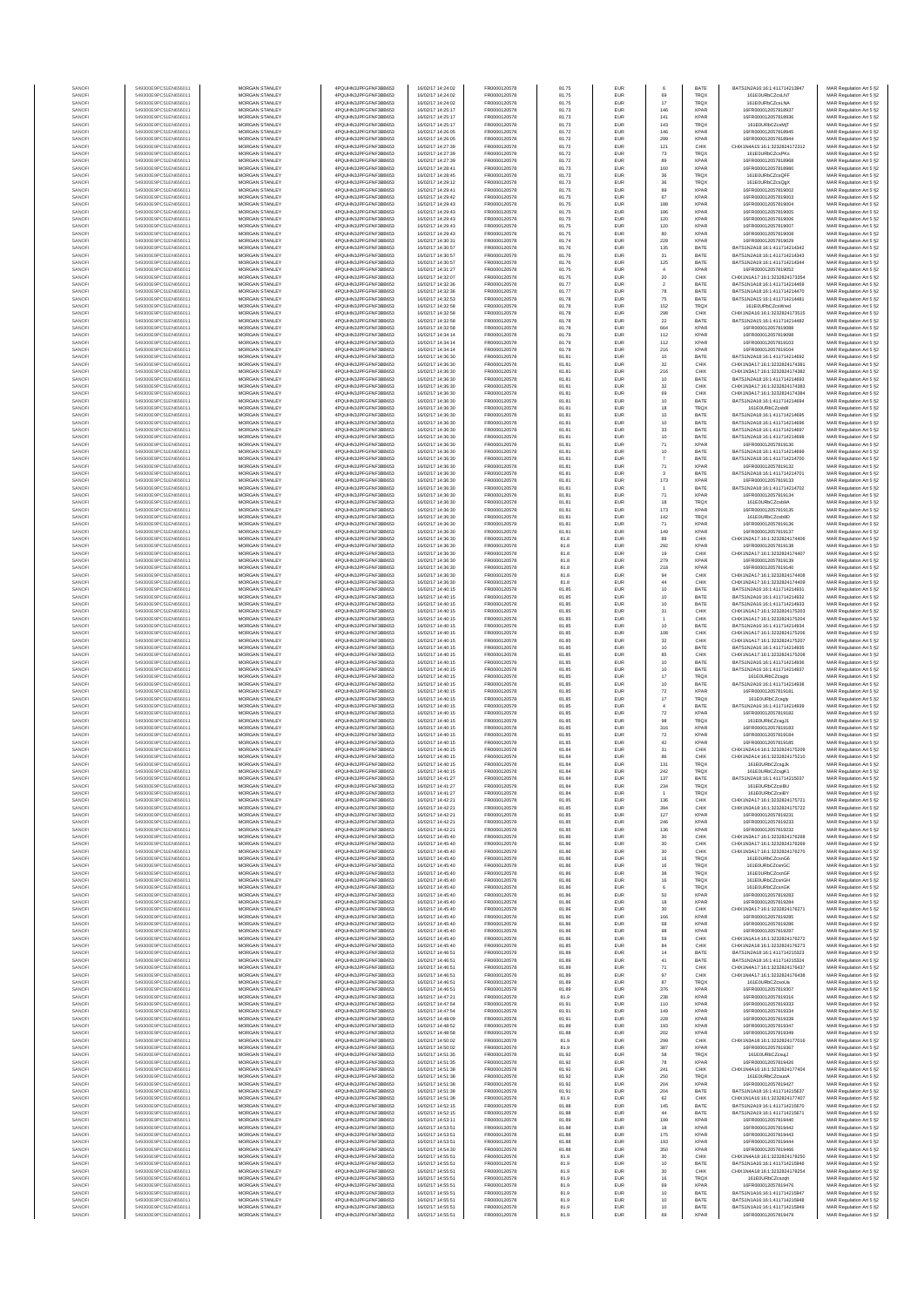| SANOF            | 549300E9PC51EN656011                         | MORGAN STANLEY                                 | 4PQUHN3JPFGFNF3BB653                           | 16/02/17 14:24:02                      | FR0000120578                 | 81.75          | EUR        | 6                                    | BATE                       | BATS1N2A16:16:1:411714213947                                   | MAR Regulation Art 5 §2                            |
|------------------|----------------------------------------------|------------------------------------------------|------------------------------------------------|----------------------------------------|------------------------------|----------------|------------|--------------------------------------|----------------------------|----------------------------------------------------------------|----------------------------------------------------|
| SANOFI<br>SANOFI | 549300E9PC51EN656011<br>549300E9PC51EN656011 | <b>MORGAN STANLEY</b><br>MORGAN STANLEY        | 4PQUHN3JPFGFNF3BB653<br>4PQUHN3JPFGFNF3BB653   | 16/02/17 14:24:02<br>16/02/17 14:24:02 | FR0000120578<br>FR0000120578 | 81.75<br>81.75 | EUR<br>EUR | 69<br>17                             | TRQ)<br>TRQ)               | 161F0URbCZesLNZ<br>161E0URbCZcsLNA                             | MAR Regulation Art 5 §2<br>MAR Regulation Art 5 §2 |
| SANOFI           | 549300E9PC51EN656011                         | MORGAN STANLEY                                 | 4PQUHN3JPFGFNF3BB653                           | 16/02/17 14:25:17                      | FR0000120578                 | 81.73          | EUR        | 146                                  | <b>XPAF</b>                | 16FR000012057818937                                            | MAR Regulation Art 5 §2                            |
| SANOFI<br>SANOFI | 549300E9PC51EN656011<br>549300E9PC51EN656011 | MORGAN STANLEY<br>MORGAN STANLEY               | 4PQUHN3JPFGFNF3BB653<br>4PQUHN3JPFGFNF3BB653   | 16/02/17 14:25:17<br>16/02/17 14:25:17 | FR0000120578<br>FR0000120578 | 81.73<br>81.73 | EUR<br>EUR | 141<br>143                           | XPAF<br>TRQ)               | 16FR000012057818936<br>161E0URbCZcsMjT                         | MAR Regulation Art 5 §2<br>MAR Regulation Art 5 §2 |
| SANOFI           | 549300E9PC51EN656011                         | MORGAN STANLEY<br>MORGAN STANLEY               | 4PQUHN3JPFGFNF3BB653                           | 16/02/17 14:26:05                      | FR0000120578                 | 81.72          | EUR        | 146                                  | <b>XPAF</b><br><b>XPAF</b> | 16FR000012057818945                                            | MAR Regulation Art 5 §2                            |
| SANOFI<br>SANOFI | 549300E9PC51EN656011<br>549300E9PC51EN656011 | <b>MORGAN STANLEY</b>                          | 4PQUHN3JPFGFNF3BB653<br>4PQUHN3JPFGFNF3BB653   | 16/02/17 14:26:05<br>16/02/17 14:27:39 | FR0000120578<br>FR0000120578 | 81.72<br>81.72 | EUR<br>EUR | 299<br>121                           | CHIX                       | 16FR000012057818944<br>CHIX1N4A15:16:1:3232824172312           | MAR Regulation Art 5 §2<br>MAR Regulation Art 5 §2 |
| SANOFI<br>SANOFI | 549300E9PC51EN656011<br>549300E9PC51EN656011 | <b>MORGAN STANLEY</b><br>MORGAN STANLEY        | 4PQUHN3JPFGFNF3BB653<br>4PQUHN3JPFGFNF3BB653   | 16/02/17 14:27:39<br>16/02/17 14:27:39 | FR0000120578<br>FR0000120578 | 81.72<br>81.72 | EUR<br>EUR | 73<br>89                             | TRQ)<br><b>XPAF</b>        | 161E0URbCZcsPKs<br>16FR000012057818968                         | MAR Regulation Art 5 §2<br>MAR Regulation Art 5 §2 |
| SANOFI           | 549300E9PC51EN656011                         | MORGAN STANLEY                                 | 4PQUHN3JPFGFNF3BB653                           | 16/02/17 14:28:41                      | FR0000120578                 | 81.73          | EUR        | 160                                  | XPAF                       | 16FR000012057818980                                            | MAR Regulation Art 5 §2                            |
| SANOFI<br>SANOF  | 549300E9PC51EN656011<br>549300E9PC51EN656011 | MORGAN STANLEY<br>MORGAN STANLEY               | 4PQUHN3JPFGFNF3BB653<br>4PQUHN3JPFGFNF3BB653   | 16/02/17 14:28:45<br>16/02/17 14:29:12 | FR0000120578<br>FR0000120578 | 81.73<br>81.73 | EUR<br>EUR | $36\,$<br>$_{\rm 36}$                | TRQ)<br>TRQ)               | 161E0URbCZcsQFF<br>161E0URbCZcsQgX                             | MAR Regulation Art 5 §2<br>MAR Regulation Art 5 §2 |
| SANOFI           | 549300E9PC51EN656011                         | MORGAN STANLEY                                 | 4PQUHN3JPFGFNF3BB653                           | 16/02/17 14:29:41                      | FR0000120578                 | 81.75          | EUR        | 89                                   | <b>XPAF</b>                | 16FR000012057819002                                            | MAR Regulation Art 5 §2                            |
| SANOFI           | 549300E9PC51EN656011<br>549300E9PC51EN656011 | MORGAN STANLEY<br>MORGAN STANLEY               | 4PQUHN3JPFGFNF3BB653<br>4PQUHN3JPFGFNF3BB653   | 16/02/17 14:29:42<br>16/02/17 14:29:43 | FR0000120578<br>FR0000120578 | 81.75<br>81.75 | EUR<br>EUR | 67<br>188                            | <b>XPAF</b><br><b>XPAF</b> | 16FR000012057819003<br>16FR000012057819004                     | MAR Regulation Art 5 §2<br>MAR Regulation Art 5 §2 |
| SANOFI<br>SANOFI | 549300E9PC51EN656011                         | <b>MORGAN STANLEY</b>                          | 4PQUHN3JPFGFNF3BB653                           | 16/02/17 14:29:43                      | FR0000120578                 | 81.75          | EUR        | 186                                  | <b>XPAF</b>                | 16FR000012057819005                                            | MAR Regulation Art 5 §2                            |
| SANOFI           | 549300E9PC51EN656011<br>549300E9PC51EN656011 | <b>MORGAN STANLEY</b><br>MORGAN STANLEY        | 4PQUHN3JPFGFNF3BB653<br>4PQUHN3JPFGFNF3BB653   | 16/02/17 14:29:43<br>16/02/17 14:29:43 | FR0000120578<br>FR0000120578 | 81.75<br>81.75 | EUR<br>EUR | 120                                  | <b>XPAF</b><br><b>XPAF</b> | 16FR000012057819006<br>16FR000012057819007                     | MAR Regulation Art 5 §2                            |
| SANOFI<br>SANOFI | 549300E9PC51EN656011                         | MORGAN STANLEY                                 | 4PQUHN3JPFGFNF3BB653                           | 16/02/17 14:29:43                      | FR0000120578                 | 81.75          | EUR        | 120<br>80                            | <b>XPAR</b>                | 16FR000012057819008                                            | MAR Regulation Art 5 §2<br>MAR Regulation Art 5 §2 |
| SANOFI           | 549300E9PC51EN656011                         | MORGAN STANLEY                                 | 4PQUHN3JPFGFNF3BB653                           | 16/02/17 14:30:31                      | FR0000120578                 | 81.74          | EUR        | 228                                  | <b>XPAF</b>                | 16FR000012057819029                                            | MAR Regulation Art 5 §2                            |
| SANOFI<br>SANOFI | 549300E9PC51EN656011<br>549300E9PC51EN656011 | MORGAN STANLEY<br>MORGAN STANLEY               | 4PQUHN3JPFGFNF3BB653<br>4PQUHN3JPFGFNF3BB653   | 16/02/17 14:30:57<br>16/02/17 14:30:57 | FR0000120578<br>FR0000120578 | 81.76<br>81.76 | EUR<br>EUR | 135<br>31                            | BATE<br>BATE               | BATS1N2A18:16:1:411714214342<br>BATS1N2A18:16:1:411714214343   | MAR Regulation Art 5 §2<br>MAR Regulation Art 5 §2 |
| SANOFI           | 549300E9PC51EN656011                         | MORGAN STANLEY                                 | 4PQUHN3JPFGFNF3BB653                           | 16/02/17 14:30:57                      | FR0000120578                 | 81.76          | EUR        | 125                                  | BATE                       | BATS1N2A19:16:1:411714214344                                   | MAR Regulation Art 5 §2                            |
| SANOFI<br>SANOFI | 549300E9PC51EN656011<br>549300E9PC51EN656011 | <b>MORGAN STANLEY</b><br><b>MORGAN STANLEY</b> | 4PQUHN3JPFGFNF3BB653<br>4PQUHN3JPFGFNF3BB653   | 16/02/17 14:31:27<br>16/02/17 14:32:07 | FR0000120578<br>FR0000120578 | 81.75<br>81.75 | EUR<br>EUR | $\overline{4}$<br>20                 | <b>XPAF</b><br>CHIX        | 16FR000012057819052<br>CHIX1N1A17:16:1:3232824173354           | MAR Regulation Art 5 §2<br>MAR Regulation Art 5 §2 |
| SANOFI           | 549300E9PC51EN656011                         | MORGAN STANLEY                                 | 4PQUHN3JPFGFNF3BB653                           | 16/02/17 14:32:36                      | FR0000120578                 | 81.77          | EUR        | $\sqrt{2}$                           | BATE                       | BATS1N1A18:16:1:411714214469                                   | MAR Regulation Art 5 §2                            |
| SANOFI<br>SANOF  | 549300E9PC51EN656011<br>549300E9PC51EN656011 | MORGAN STANLEY<br>MORGAN STANLEY               | 4PQUHN3JPFGFNF3BB653<br>4PQUHN3JPFGFNF3BB653   | 16/02/17 14:32:36<br>16/02/17 14:32:53 | FR0000120578<br>FR0000120578 | 81.77<br>81.78 | EUR<br>EUR | ${\bf 78}$<br>75                     | BATE<br>BATE               | BATS1N1A18:16:1:411714214470<br>BATS1N2A15:16:1:411714214481   | MAR Regulation Art 5 §2<br>MAR Regulation Art 5 §2 |
| SANOFI           | 549300E9PC51EN656011                         | MORGAN STANLEY                                 | 4PQUHN3JPFGFNF3BB653                           | 16/02/17 14:32:58                      | FR0000120578                 | 81.78          | EUR        | 152                                  | TRQ)                       | 161E0URbCZcsWwd                                                | MAR Regulation Art 5 §2                            |
| SANOFI<br>SANOFI | 549300E9PC51EN656011<br>549300E9PC51EN656011 | MORGAN STANLEY<br>MORGAN STANLEY               | 4PQUHN3JPFGFNF3BB653<br>4PQUHN3JPFGFNF3BB653   | 16/02/17 14:32:58<br>16/02/17 14:32:58 | FR0000120578<br>FR0000120578 | 81.78<br>81.78 | EUR<br>EUR | 298<br>$22\,$                        | CHIX<br>BATE               | CHIX1N2A16:16:1:3232824173515<br>BATS1N2A15:16:1:411714214482  | MAR Regulation Art 5 §2<br>MAR Regulation Art 5 §2 |
| SANOFI           | 549300E9PC51EN656011                         | <b>MORGAN STANLEY</b>                          | 4PQUHN3JPFGFNF3BB653                           | 16/02/17 14:32:58                      | FR0000120578                 | 81.78          | EUR        | 664                                  | <b>XPAF</b>                | 16FR000012057819088                                            | MAR Regulation Art 5 §2                            |
| SANOFI<br>SANOFI | 549300E9PC51EN656011<br>549300E9PC51EN656011 | <b>MORGAN STANLEY</b><br>MORGAN STANLEY        | 4PQUHN3JPFGFNF3BB653<br>4PQUHN3JPFGFNF3BB653   | 16/02/17 14:34:14<br>16/02/17 14:34:14 | FR0000120578<br>FR0000120578 | 81.79<br>81.79 | EUR<br>EUR | 112<br>$112$                         | <b>XPAF</b><br><b>XPAF</b> | 16FR000012057819098<br>16FR000012057819103                     | MAR Regulation Art 5 §2<br>MAR Regulation Art 5 §2 |
| SANOFI           | 549300E9PC51EN656011                         | MORGAN STANLEY                                 | 4PQUHN3JPFGFNF3BB653                           | 16/02/17 14:34:14                      | FR0000120578                 | 81.79          | EUR        | 216                                  | <b>XPAF</b>                | 16FR000012057819104                                            | MAR Regulation Art 5 §2                            |
| SANOFI<br>SANOFI | 549300E9PC51EN656011<br>549300E9PC51EN656011 | MORGAN STANLEY<br>MORGAN STANLEY               | 4PQUHN3JPFGFNF3BB653<br>4PQUHN3JPFGFNF3BB653   | 16/02/17 14:36:30<br>16/02/17 14:36:30 | FR0000120578<br>FR0000120578 | 81.81<br>81.81 | EUR<br>EUR | 10<br>$32\,$                         | BATE<br>CHIX               | BATS1N2A18:16:1:411714214692<br>CHIX1N3A17:16:1:3232824174381  | MAR Regulation Art 5 §2<br>MAR Regulation Art 5 §2 |
| SANOFI           | 549300E9PC51EN656011                         | MORGAN STANLEY                                 | 4PQUHN3JPFGFNF3BB653                           | 16/02/17 14:36:30                      | FR0000120578                 | 81.81          | EUR        | 216                                  | CHIX                       | CHIX1N3A17:16:1:3232824174382                                  | MAR Regulation Art 5 §2                            |
| SANOFI<br>SANOFI | 549300E9PC51EN656011<br>549300E9PC51EN656011 | MORGAN STANLEY<br><b>MORGAN STANLEY</b>        | 4PQUHN3JPFGFNF3BB653<br>4PQUHN3JPFGFNF3BB653   | 16/02/17 14:36:30<br>16/02/17 14:36:30 | FR0000120578<br>FR0000120578 | 81.81<br>81.81 | EUR<br>EUR | 10<br>32                             | BATE<br>CHIX               | BATS1N2A18:16:1:411714214693<br>CHIX1N3A17:16:1:3232824174383  | MAR Regulation Art 5 §2<br>MAR Regulation Art 5 §2 |
| SANOFI           | 549300E9PC51EN656011                         | <b>MORGAN STANLEY</b>                          | 4PQUHN3JPFGFNF3BB653                           | 16/02/17 14:36:30                      | FR0000120578                 | 81.81          | EUR        | 69                                   | CHIX                       | CHIX1N3A17:16:1:3232824174384                                  | MAR Regulation Art 5 §2                            |
| SANOFI<br>SANOFI | 549300E9PC51EN656011<br>549300E9PC51EN656011 | MORGAN STANLEY<br>MORGAN STANLEY               | 4POLIHN3JPEGENE3BB653<br>4POLIHN3JPEGENE3BB653 | 16/02/17 14:36:30<br>16/02/17 14:36:30 | FR0000120578<br>FR0000120578 | 81.81<br>81.81 | EUR<br>EUR | 10<br>18                             | BATE<br>TRQ)               | BATS1N2A18:16:1:411714214694<br>161E0URbCZcsb8                 | MAR Regulation Art 5 §2<br>MAR Regulation Art 5 §2 |
| SANOFI           | 549300E9PC51EN656011                         | MORGAN STANLEY                                 | 4PQUHN3JPFGFNF3BB653                           | 16/02/17 14:36:30                      | FR0000120578                 | 81.81          | EUR        | 10                                   | BATE                       | BATS1N2A18:16:1:411714214695                                   | MAR Regulation Art 5 §2                            |
| SANOFI<br>SANOF  | 549300E9PC51EN656011<br>549300E9PC51EN656011 | MORGAN STANLEY<br>MORGAN STANLEY               | 4PQUHN3JPFGFNF3BB653<br>4PQUHN3JPFGFNF3BB653   | 16/02/17 14:36:30<br>16/02/17 14:36:30 | FR0000120578<br>FR0000120578 | 81.81<br>81.81 | EUR<br>EUR | 10<br>33                             | BATE<br>BATE               | BATS1N2A18:16:1:411714214696<br>BATS1N2A18:16:1:411714214697   | MAR Regulation Art 5 §2<br>MAR Regulation Art 5 §2 |
| SANOFI           | 549300E9PC51EN656011                         | MORGAN STANLEY                                 | 4PQUHN3JPFGFNF3BB653                           | 16/02/17 14:36:30                      | FR0000120578                 | 81.81          | EUR        | 10                                   | BATE                       | BATS1N2A18:16:1:411714214698                                   | MAR Regulation Art 5 §2                            |
| SANOFI<br>SANOFI | 549300E9PC51EN656011<br>549300E9PC51EN656011 | MORGAN STANLEY<br><b>MORGAN STANLEY</b>        | 4PQUHN3JPFGFNF3BB653<br>4PQUHN3JPFGFNF3BB653   | 16/02/17 14:36:30<br>16/02/17 14:36:30 | FR0000120578<br>FR0000120578 | 81.81<br>81.81 | EUR<br>EUR | 71<br>10                             | <b>XPAF</b><br>BATE        | 16FR000012057819130<br>BATS1N2A18:16:1:411714214699            | MAR Regulation Art 5 §2<br>MAR Regulation Art 5 §2 |
| SANOFI           | 549300E9PC51EN656011                         | <b>MORGAN STANLEY</b>                          | 4PQUHN3JPFGFNF3BB653                           | 16/02/17 14:36:30                      | FR0000120578                 | 81.81          | EUR        | $\overline{7}$                       | BATE                       | BATS1N2A18:16:1:411714214700                                   | MAR Regulation Art 5 §2                            |
| SANOFI<br>SANOFI | 549300E9PC51EN656011<br>549300E9PC51EN656011 | MORGAN STANLEY<br>MORGAN STANLEY               | 4PQUHN3JPFGFNF3BB653<br>4PQUHN3JPFGFNF3BB653   | 16/02/17 14:36:30<br>16/02/17 14:36:30 | FR0000120578<br>FR0000120578 | 81.81<br>81.81 | EUR<br>EUR | $71\,$<br>3                          | XPAF<br>BATE               | 16FR000012057819132<br>BATS1N2A18:16:1:411714214701            | MAR Regulation Art 5 §2<br>MAR Regulation Art 5 §2 |
| SANOF            | 549300E9PC51EN656011                         | MORGAN STANLEY                                 | 4PQUHN3JPFGFNF3BB653                           | 16/02/17 14:36:30                      | FR0000120578                 | 81.81          | EUR        | 173                                  | <b>XPAF</b>                | 16FR000012057819133                                            | MAR Regulation Art 5 §2                            |
| SANOFI<br>SANOFI | 549300E9PC51EN656011<br>549300E9PC51EN656011 | MORGAN STANLEY<br>MORGAN STANLEY               | 4PQUHN3JPFGFNF3BB653<br>4POLIHN3JPEGENE3BB653  | 16/02/17 14:36:30<br>16/02/17 14:36:30 | FR0000120578<br>FR0000120578 | 81.81<br>81.81 | EUR<br>EUR | 71                                   | BATE<br><b>XPAF</b>        | BATS1N2A18:16:1:411714214702<br>16FR000012057819134            | MAR Regulation Art 5 §2<br>MAR Regulation Art 5 §2 |
| SANOFI           | 549300E9PC51EN656011                         | MORGAN STANLEY                                 | 4PQUHN3JPFGFNF3BB653                           | 16/02/17 14:36:30                      | FR0000120578                 | 81.81          | EUR        | 18                                   | TRQ)                       | 161E0URbCZcsb9A                                                | MAR Regulation Art 5 §2                            |
| SANOFI<br>SANOFI | 549300E9PC51EN656011<br>549300E9PC51EN656011 | <b>MORGAN STANLEY</b><br><b>MORGAN STANLEY</b> | 4PQUHN3JPFGFNF3BB653<br>4PQUHN3JPFGFNF3BB653   | 16/02/17 14:36:30<br>16/02/17 14:36:30 | FR0000120578<br>FR0000120578 | 81.81<br>81.81 | EUR<br>EUR | 173<br>142                           | <b>XPAF</b><br>TRQ)        | 16FR000012057819135<br>161E0URbCZcsb9D                         | MAR Regulation Art 5 §2<br>MAR Regulation Art 5 §2 |
| SANOFI           | 549300E9PC51EN656011                         | MORGAN STANLEY                                 | 4PQUHN3JPFGFNF3BB653                           | 16/02/17 14:36:30                      | FR0000120578                 | 81.81          | EUR        | $71\,$                               | <b>XPAF</b>                | 16FR000012057819136                                            | MAR Regulation Art 5 §2                            |
| SANOFI<br>SANOFI | 549300E9PC51EN656011<br>549300E9PC51EN656011 | MORGAN STANLEY<br>MORGAN STANLEY               | 4PQUHN3JPFGFNF3BB653<br>4PQUHN3JPFGFNF3BB653   | 16/02/17 14:36:30<br>16/02/17 14:36:30 | FR0000120578<br>FR0000120578 | 81.81<br>81.8  | EUR<br>EUR | 149<br>89                            | <b>XPAF</b><br>CHIX        | 16FR000012057819137<br>CHIX1N2A17:16:1:3232824174406           | MAR Regulation Art 5 §2<br>MAR Regulation Art 5 §2 |
| SANOFI           | 549300E9PC51EN656011                         | MORGAN STANLEY                                 | 4PQUHN3JPFGFNF3BB653                           | 16/02/17 14:36:30                      | FR0000120578                 | 81.8           | EUR        | 292                                  | <b>XPAF</b>                | 16FR000012057819138                                            | MAR Regulation Art 5 §2                            |
| SANOFI<br>SANOFI | 549300E9PC51EN656011<br>549300E9PC51EN656011 | MORGAN STANLEY<br>MORGAN STANLEY               | 4PQUHN3JPFGFNF3BB653<br>4PQUHN3JPFGFNF3BB653   | 16/02/17 14:36:30<br>16/02/17 14:36:30 | FR0000120578<br>FR0000120578 | 81.8<br>81.8   | EUR<br>EUR | 19<br>279                            | CHIX<br><b>XPAF</b>        | CHIX1N2A17:16:1:3232824174407<br>16FR000012057819139           | MAR Regulation Art 5 §2<br>MAR Regulation Art 5 §2 |
| SANOFI           | 549300E9PC51EN656011                         | <b>MORGAN STANLEY</b>                          | 4PQUHN3JPFGFNF3BB653                           | 16/02/17 14:36:30                      | FR0000120578                 | 81.8           | EUR        | 218                                  | <b>XPAF</b>                | 16FR000012057819140                                            | MAR Regulation Art 5 §2                            |
| SANOFI<br>SANOFI | 549300E9PC51EN656011<br>549300E9PC51EN656011 | <b>MORGAN STANLEY</b><br>MORGAN STANLEY        | 4PQUHN3JPFGFNF3BB653<br>4PQUHN3JPFGFNF3BB653   | 16/02/17 14:36:30<br>16/02/17 14:36:30 | FR0000120578<br>FR0000120578 | 81.8<br>81.8   | EUR<br>EUR | 94<br>$44\,$                         | CHIX<br>CHIX               | CHIX1N2A17:16:1:3232824174408<br>CHIX1N2A17:16:1:3232824174409 | MAR Regulation Art 5 §2<br>MAR Regulation Art 5 §2 |
| SANOFI           | 549300E9PC51EN656011                         | MORGAN STANLEY                                 | 4PQUHN3JPFGFNF3BB653                           | 16/02/17 14:40:15                      | FR0000120578                 | 81.85          | EUR        | 10                                   | BATE                       | BATS1N2A16:16:1:411714214931                                   | MAR Regulation Art 5 §2                            |
| SANOF<br>SANOFI  | 549300E9PC51EN656011<br>549300E9PC51EN656011 | MORGAN STANLEY<br>MORGAN STANLEY               | 4PQUHN3JPFGFNF3BB653<br>4PQUHN3JPFGFNF3BB653   | 16/02/17 14:40:15<br>16/02/17 14:40:15 | FR0000120578<br>FR0000120578 | 81.85<br>81.85 | EUR<br>EUR | 10<br>10                             | BATE<br>BATE               | BATS1N2A16:16:1:411714214932<br>BATS1N2A16:16:1:411714214933   | MAR Regulation Art 5 §2<br>MAR Regulation Art 5 §2 |
| SANOFI           | 549300E9PC51EN656011                         | MORGAN STANLEY                                 | 4PQUHN3JPFGFNF3BB653                           | 16/02/17 14:40:15                      | FR0000120578                 | 81.85          | EUR        | 31                                   | CHIX                       | CHIX1N1A17:16:1:3232824175203                                  | MAR Regulation Art 5 §2                            |
| SANOFI<br>SANOFI | 549300E9PC51EN656011<br>549300E9PC51EN656011 | MORGAN STANLEY<br><b>MORGAN STANLEY</b>        | 4PQUHN3JPFGFNF3BB653<br>4PQUHN3JPFGFNF3BB653   | 16/02/17 14:40:15<br>16/02/17 14:40:15 | FR0000120578<br>FR0000120578 | 81.85<br>81.85 | EUR<br>EUR | 10                                   | CHIX<br>BATE               | CHIX1N1A17:16:1:3232824175204<br>BATS1N2A16:16:1:411714214934  | MAR Regulation Art 5 §2<br>MAR Regulation Art 5 §2 |
| SANOFI           | 549300E9PC51EN656011                         | <b>MORGAN STANLEY</b>                          | 4PQUHN3JPFGFNF3BB653                           | 16/02/17 14:40:15                      | FR0000120578                 | 81.85          | EUR        | 108                                  | CHIX                       | CHIX1N1A17:16:1:3232824175206                                  | MAR Regulation Art 5 §2                            |
| SANOFI<br>SANOFI | 549300E9PC51EN656011<br>549300E9PC51EN656011 | <b>MORGAN STANLEY</b><br>MORGAN STANLEY        | 4PQUHN3JPFGFNF3BB653<br>4PQUHN3JPFGFNF3BB653   | 16/02/17 14:40:15<br>16/02/17 14:40:15 | FR0000120578<br>FR0000120578 | 81.85<br>81.85 | EUR<br>EUR | 32<br>$10$                           | CHIX<br>BATE               | CHIX1N1A17:16:1:3232824175207<br>BATS1N2A16:16:1:411714214935  | MAR Regulation Art 5 §2<br>MAR Regulation Art 5 §2 |
| SANOFI           | 549300E9PC51EN656011                         | MORGAN STANLEY                                 | 4PQUHN3JPFGFNF3BB653                           | 16/02/17 14:40:15                      | FR0000120578                 | 81.85          | EUR        | 85                                   | CHIX                       | CHIX1N1A17:16:1:3232824175208                                  | MAR Regulation Art 5 §2                            |
| SANOF<br>SANOFI  | 549300E9PC51EN656011<br>549300E9PC51EN656011 | MORGAN STANLEY<br>MORGAN STANLEY               | 4PQUHN3JPFGFNF3BB653<br>4PQUHN3JPFGFNF3BB653   | 16/02/17 14:40:15<br>16/02/17 14:40:15 | FR0000120578<br>FR0000120578 | 81.85<br>81.85 | EUR<br>EUR | 10<br>10                             | BATE<br>BATE               | BATS1N2A16:16:1:411714214936<br>BATS1N2A16:16:1:411714214937   | MAR Regulation Art 5 §2<br>MAR Regulation Art 5 §2 |
| SANOFI           | 549300E9PC51EN656011                         | MORGAN STANLEY                                 | 4PQUHN3JPFGFNF3BB653                           | 16/02/17 14:40:15                      | FR0000120578                 | 81.85          | EUR        | $17\,$                               | TRQ)                       | 161E0URbCZcsglo                                                | MAR Regulation Art 5 §2                            |
| SANOFI<br>SANOFI | 549300E9PC51EN656011<br>549300E9PC51EN656011 | MORGAN STANLEY<br><b>MORGAN STANLEY</b>        | 4PQUHN3JPFGFNF3BB653<br>4POLIHN3JPEGENE3BB653  | 16/02/17 14:40:15<br>16/02/17 14:40:15 | FR0000120578<br>FR0000120578 | 81.85<br>81.85 | EUR<br>EUR | 10<br>72                             | BATE<br><b>XPAF</b>        | BATS1N2A16:16:1:411714214938<br>16FR000012057819181            | MAR Regulation Art 5 §2<br>MAR Regulation Art 5 §2 |
| SANOFI           | 549300E9PC51EN656011                         | <b>MORGAN STANLEY</b>                          | 4POLIHN3JPEGENE3BB653                          | 16/02/17 14:40:15                      | FR0000120578                 | 81.85          | EUR        | 17                                   | TRQ)                       | 161E0URbCZcsgly                                                | MAR Regulation Art 5 §2                            |
| SANOFI<br>SANOFI | 549300E9PC51EN656011<br>549300E9PC51EN656011 | MORGAN STANLEY<br>MORGAN STANLEY               | 4PQUHN3JPFGFNF3BB653<br>4PQUHN3JPFGFNF3BB653   | 16/02/17 14:40:15<br>16/02/17 14:40:15 | FR0000120578<br>FR0000120578 | 81.85<br>81.85 | EUR<br>EUR | $\overline{4}$<br>$\scriptstyle{72}$ | BATE<br><b>XPAF</b>        | BATS1N2A16:16:1:411714214939<br>16FR000012057819182            | MAR Regulation Art 5 §2<br>MAR Regulation Art 5 §2 |
| SANOFI           | 549300E9PC51EN656011                         | MORGAN STANLEY                                 | 4PQUHN3JPFGFNF3BB653                           | 16/02/17 14:40:15                      | FR0000120578                 | 81.85          | EUR        | 98                                   | TRQ)                       | 161E0URbCZcsgJ1                                                | MAR Regulation Art 5 §2                            |
| SANOFI<br>SANOFI | 549300E9PC51EN656011<br>549300E9PC51EN656011 | MORGAN STANLEY<br>MORGAN STANLEY               | 4PQUHN3JPFGFNF3BB653<br>4PQUHN3JPFGFNF3BB653   | 16/02/17 14:40:15<br>16/02/17 14:40:15 | FR0000120578<br>FR0000120578 | 81.85<br>81.85 | EUR<br>EUR | 316<br>72                            | <b>XPAF</b><br><b>XPAF</b> | 16FR000012057819183<br>16FR000012057819184                     | MAR Regulation Art 5 §2<br>MAR Regulation Art 5 §2 |
| SANOFI           | 549300E9PC51EN656011                         | MORGAN STANLEY                                 | 4PQUHN3JPFGFNF3BB653                           | 16/02/17 14:40:15                      | FR0000120578                 | 81.85          | EUR        | $42\,$                               | <b>XPAF</b>                | 16FR000012057819185                                            | MAR Regulation Art 5 §2                            |
| SANOFI<br>SANOFI | 549300E9PC51EN656011<br>549300E9PC51EN656011 | <b>MORGAN STANLEY</b><br>MORGAN STANLEY        | 4PQUHN3JPFGFNF3BB653<br>4PQUHN3JPFGFNF3BB653   | 16/02/17 14:40:15<br>16/02/17 14:40:15 | FR0000120578<br>ER0000120578 | 81.84<br>81.84 | EUR<br>EUR | 31<br>86                             | CHIX<br>CHIX               | CHIX1N2A14:16:1:3232824175209<br>CHIX1N2A14:16:1:3232824175210 | MAR Regulation Art 5 §2<br>MAR Regulation Art 5 §2 |
| SANOFI           | 549300E9PC51EN656011                         | MORGAN STANLEY                                 | 4PQUHN3JPFGFNF3BB653                           | 16/02/17 14:40:15                      | FR0000120578                 | 81.84          | EUR        | 131                                  | TRQ)                       | 161E0URbCZcsgJk                                                | MAR Regulation Art 5 §2                            |
| SANOFI           | 549300E9PC51EN656011                         | MORGAN STANLEY                                 | 4PQUHN3JPFGFNF3BB653                           | 16/02/17 14:40:15                      | FR0000120578                 | 81.84          | EUR        | 242                                  | TRQX                       | 161E0URbCZcsgK1<br>BATS1N2A18:16:1:411714215037                | MAR Regulation Art 5 §2                            |
| SANOF            | 549300E9PC51EN656011                         | MORGAN STANLEY                                 | 4PQUHN3JPFGFNF3BB653                           | 16/02/17 14:41:27                      | FR0000120578                 | 81.84          | EUR        | 234                                  | TRQ)                       | 161E0URbCZcsiBU                                                | MAR Regulation Art 5 §2                            |
| SANOFI<br>SANOFI | 549300E9PC51EN656011<br>549300E9PC51EN656011 | MORGAN STANLEY<br>MORGAN STANLEY               | 4PQUHN3JPFGFNF3BB653<br>4PQUHN3JPFGFNF3BB653   | 16/02/17 14:41:27<br>16/02/17 14:42:21 | FR0000120578<br>FR0000120578 | 81.84<br>81.85 | EUR<br>EUR | 136                                  | <b>TRQX</b><br>CHIX        | 161E0URbCZcsiBY<br>CHIX1N2A17:16:1:3232824175721               | MAR Regulation Art 5 §2<br>MAR Regulation Art 5 §2 |
| SANOFI           | 549300E9PC51EN656011                         | <b>MORGAN STANLEY</b>                          | 4PQUHN3JPFGFNF3BB653                           | 16/02/17 14:42:21                      | FR0000120578                 | 81.85          | EUR        | 394                                  | CHIX                       | CHIX1N3A18:16:1:3232824175722                                  | MAR Regulation Art 5 §2                            |
| SANOFI<br>SANOFI | 549300E9PC51EN656011<br>549300E9PC51EN656011 | <b>MORGAN STANLEY</b><br>MORGAN STANLEY        | 4PQUHN3JPFGFNF3BB653<br>4POLIHN3JPEGENE3BB653  | 16/02/17 14:42:21<br>16/02/17 14:42:21 | FR0000120578<br>FR0000120578 | 81.85<br>81.85 | EUR<br>EUR | 127<br>246                           | <b>XPAR</b><br><b>XPAF</b> | 16FR000012057819231<br>16FR000012057819233                     | MAR Regulation Art 5 §2<br>MAR Regulation Art 5 §2 |
| SANOFI           | 549300E9PC51EN656011                         | MORGAN STANLEY                                 | 4PQUHN3JPFGFNF3BB653                           | 16/02/17 14:42:21                      | FR0000120578                 | 81.85          | EUR        | 136                                  | <b>XPAF</b>                | 16FR000012057819232                                            | MAR Regulation Art 5 §2                            |
| SANOFI<br>SANOFI | 549300E9PC51EN656011<br>549300E9PC51EN656011 | MORGAN STANLEY<br>MORGAN STANLEY               | 4PQUHN3JPFGFNF3BB653<br>4PQUHN3JPFGFNF3BB653   | 16/02/17 14:45:40<br>16/02/17 14:45:40 | FR0000120578<br>FR0000120578 | 81.86<br>81.86 | EUR<br>EUR | 30<br>30                             | CHIX<br>CHIX               | CHIX1N3A17:16:1:3232824176268<br>CHIX1N3A17:16:1:3232824176269 | MAR Regulation Art 5 §2<br>MAR Regulation Art 5 §2 |
| SANOFI<br>SANOFI | 549300E9PC51EN656011                         | MORGAN STANLEY                                 | 4PQUHN3JPFGFNF3BB653                           | 16/02/17 14:45:40                      | FR0000120578                 | 81.86          | EUR<br>EUR | 30<br>16                             | CHIX<br>TRQX               | CHIX1N3A17:16:1:3232824176270<br>161F0URbCZesnG6               | MAR Regulation Art 5 §2                            |
| SANOFI           | 549300E9PC51EN656011<br>549300E9PC51EN656011 | MORGAN STANLEY<br><b>MORGAN STANLEY</b>        | 4PQUHN3JPFGFNF3BB653<br>4POLIHN3JPEGENE3BB653  | 16/02/17 14:45:40<br>16/02/17 14:45:40 | FR0000120578<br>FR0000120578 | 81.86<br>81.86 | EUR        | 16                                   | <b>TRQX</b>                | 161E0URbCZcsnGC                                                | MAR Regulation Art 5 §2<br>MAR Regulation Art 5 §2 |
| SANOFI<br>SANOFI | 549300E9PC51EN656011<br>549300E9PC51EN656011 | <b>MORGAN STANLEY</b><br><b>MORGAN STANLEY</b> | 4PQUHN3JPFGFNF3BB653<br>4PQUHN3JPFGFNF3BB653   | 16/02/17 14:45:40<br>16/02/17 14:45:40 | FR0000120578<br>FR0000120578 | 81.86<br>81.86 | EUR<br>EUR | 38<br>16                             | <b>TRQX</b><br><b>TRQX</b> | 161F0URbCZesnGE<br>161E0URbCZcsnGH                             | MAR Regulation Art 5 §2<br>MAR Regulation Art 5 §2 |
| SANOFI           | 549300E9PC51EN656011                         | MORGAN STANLEY                                 | 4PQUHN3JPFGFNF3BB653                           | 16/02/17 14:45:40                      | FR0000120578                 | 81.86          | EUR        | 6                                    | <b>TRQX</b>                | 161E0URbCZcsnGK                                                | MAR Regulation Art 5 §2                            |
| SANOFI<br>SANOFI | 549300E9PC51EN656011<br>549300E9PC51EN656011 | MORGAN STANLEY<br>MORGAN STANLEY               | 4PQUHN3JPFGFNF3BB653<br>4PQUHN3JPFGFNF3BB653   | 16/02/17 14:45:40<br>16/02/17 14:45:40 | FR0000120578<br>FR0000120578 | 81.86<br>81.86 | EUR<br>EUR | 50<br>18                             | <b>XPAF</b><br><b>XPAF</b> | 16FR000012057819283<br>16FR000012057819284                     | MAR Regulation Art 5 §2<br>MAR Regulation Art 5 §2 |
| SANOFI           | 549300E9PC51EN656011                         | MORGAN STANLEY                                 | 4PQUHN3JPFGFNF3BB653                           | 16/02/17 14:45:40                      | FR0000120578                 | 81.86          | EUR        | 30                                   | CHIX                       | CHIX1N3A17:16:1:3232824176271                                  | MAR Regulation Art 5 §2                            |
| SANOFI<br>SANOFI | 549300E9PC51EN656011<br>549300E9PC51EN656011 | MORGAN STANLEY<br>MORGAN STANLEY               | 4PQUHN3JPFGFNF3BB653<br>4PQUHN3JPFGFNF3BB653   | 16/02/17 14:45:40<br>16/02/17 14:45:40 | FR0000120578<br>FR0000120578 | 81.86<br>81.86 | EUR<br>EUR | 166<br>68                            | <b>XPAF</b><br><b>XPAR</b> | 16FR000012057819285<br>16FR000012057819286                     | MAR Regulation Art 5 §2<br>MAR Regulation Art 5 §2 |
| SANOFI           | 549300E9PC51EN656011                         | MORGAN STANLEY                                 | 4PQUHN3JPFGFNF3BB653                           | 16/02/17 14:45:40                      | FR0000120578                 | 81.86          | EUR        | 98                                   | <b>XPAR</b>                | 16FR000012057819287                                            | MAR Regulation Art 5 §2                            |
| SANOFI<br>SANOFI | 549300E9PC51EN656011<br>549300E9PC51EN656011 | <b>MORGAN STANLEY</b><br>MORGAN STANLEY        | 4PQUHN3JPFGFNF3BB653<br>4PQUHN3JPFGFNF3BB653   | 16/02/17 14:45:40<br>16/02/17 14:45:40 | FR0000120578<br>FR0000120578 | 81.86<br>81.85 | EUR<br>EUR | 59<br>84                             | CHIX<br>CHIX               | CHIX1N1A14-16-1-3232824176272<br>CHIX1N2A18:16:1:3232824176273 | MAR Regulation Art 5 §2<br>MAR Regulation Art 5 §2 |
| SANOFI           | 549300E9PC51EN656011                         | MORGAN STANLEY                                 | 4PQUHN3JPFGFNF3BB653                           | 16/02/17 14:46:51                      | FR0000120578                 | 81.89          | EUR        | 14                                   | BATE                       | BATS1N2A18:16:1:411714215323                                   | MAR Regulation Art 5 §2                            |
| SANOFI<br>SANOFI | 549300E9PC51EN656011<br>549300E9PC51EN656011 | MORGAN STANLEY<br>MORGAN STANLEY               | 4PQUHN3JPFGFNF3BB653<br>4PQUHN3JPFGFNF3BB653   | 16/02/17 14:46:51<br>16/02/17 14:46:51 | FR0000120578<br>FR0000120578 | 81.89<br>81.89 | EUR<br>EUR | 41<br>71                             | BATE<br>CHIX               | BATS1N2A18:16:1:411714215324<br>CHIX1N4A17:16:1:3232824176437  | MAR Regulation Art 5 §2<br>MAR Regulation Art 5 §2 |
| SANOFI           | 549300E9PC51EN656011                         | MORGAN STANLEY                                 | 4PQUHN3JPFGFNF3BB653                           | 16/02/17 14:46:51                      | FR0000120578                 | 81.89          | EUR        | 97                                   | CHIX                       | CHIX1N4A17:16:1:3232824176438                                  | MAR Regulation Art 5 §2                            |
| SANOFI<br>SANOFI | 549300E9PC51EN656011<br>549300E9PC51EN656011 | MORGAN STANLEY<br><b>MORGAN STANLEY</b>        | 4PQUHN3JPFGFNF3BB653<br>4PQUHN3JPFGFNF3BB653   | 16/02/17 14:46:51<br>16/02/17 14:46:51 | FR0000120578<br>FR0000120578 | 81.89<br>81.89 | EUR<br>EUR | 87<br>376                            | <b>TRQX</b><br><b>XPAR</b> | 161E0URbCZcsoUa<br>16FR000012057819307                         | MAR Regulation Art 5 §2<br>MAR Regulation Art 5 §2 |
| SANOFI           | 549300E9PC51EN656011                         | <b>MORGAN STANLEY</b>                          | 4PQUHN3JPFGFNF3BB653                           | 16/02/17 14:47:21                      | FR0000120578                 | 81.9           | EUR        | 238                                  | <b>XPAR</b>                | 16FR000012057819316                                            | MAR Regulation Art 5 §2                            |
| SANOFI<br>SANOFI | 549300E9PC51EN656011<br>549300E9PC51EN656011 | MORGAN STANLEY<br>MORGAN STANLEY               | 4PQUHN3JPFGFNF3BB653<br>4PQUHN3JPFGFNF3BB653   | 16/02/17 14:47:54<br>16/02/17 14:47:54 | FR0000120578<br>FR0000120578 | 81.91<br>81.91 | EUR<br>EUR | 110<br>149                           | <b>XPAF</b><br><b>XPAF</b> | 16FR000012057819333<br>16FR000012057819334                     | MAR Regulation Art 5 §2<br>MAR Regulation Art 5 §2 |
| SANOFI<br>SANOFI | 549300E9PC51EN656011<br>549300E9PC51EN656011 | MORGAN STANLEY<br>MORGAN STANLEY               | 4PQUHN3JPFGFNF3BB653<br>4PQUHN3JPFGFNF3BB653   | 16/02/17 14:48:09<br>16/02/17 14:48:52 | FR0000120578<br>FR0000120578 | 81.91<br>81.89 | EUR<br>EUR | 228<br>193                           | <b>XPAF</b><br><b>XPAF</b> | 16FR000012057819339<br>16FR000012057819347                     | MAR Regulation Art 5 §2<br>MAR Regulation Art 5 §2 |
| SANOFI           | 549300E9PC51EN656011                         | MORGAN STANLEY                                 | 4PQUHN3JPFGFNF3BB653                           | 16/02/17 14:48:58                      | FR0000120578                 | 81.88          | EUR        | 202                                  | <b>XPAF</b>                | 16FR000012057819349                                            | MAR Regulation Art 5 §2                            |
| SANOFI<br>SANOFI | 549300E9PC51EN656011<br>549300E9PC51EN656011 | MORGAN STANLEY<br><b>MORGAN STANLEY</b>        | 4PQUHN3JPFGFNF3BB653<br>4PQUHN3JPFGFNF3BB653   | 16/02/17 14:50:02<br>16/02/17 14:50:02 | FR0000120578<br>FR0000120578 | 81.9<br>81.9   | EUR<br>EUR | 299<br>387                           | CHIX<br><b>XPAR</b>        | CHIX1N3A18:16:1:3232824177016<br>16FR000012057819367           | MAR Regulation Art 5 §2<br>MAR Regulation Art 5 §2 |
| SANOFI           | 549300E9PC51EN656011                         | <b>MORGAN STANLEY</b>                          | 4PQUHN3JPFGFNF3BB653                           | 16/02/17 14:51:35                      | FR0000120578                 | 81.92          | EUR        | 58                                   | TRQ)                       | 161E0URbCZcsuiJ                                                | MAR Regulation Art 5 §2                            |
| SANOFI<br>SANOFI | 549300E9PC51EN656011<br>549300E9PC51EN656011 | MORGAN STANLEY<br>MORGAN STANLEY               | 4PQUHN3JPFGFNF3BB653<br>4PQUHN3JPFGFNF3BB653   | 16/02/17 14:51:35<br>16/02/17 14:51:38 | FR0000120578<br>FR0000120578 | 81.92<br>81.92 | EUR<br>EUR | ${\bf 78}$<br>241                    | <b>XPAF</b><br>CHIX        | 16FR000012057819426<br>CHIX1N4A16:16:1:3232824177404           | MAR Regulation Art 5 §2<br>MAR Regulation Art 5 §2 |
| SANOFI           | 549300E9PC51EN656011                         | MORGAN STANLEY                                 | 4PQUHN3JPFGFNF3BB653                           | 16/02/17 14:51:38                      | FR0000120578                 | 81.92          | EUR        | 250                                  | TRQ)                       | 161E0URbCZcsuo/                                                | MAR Regulation Art 5 §2                            |
| SANOFI<br>SANOFI | 549300E9PC51EN656011<br>549300E9PC51EN656011 | MORGAN STANLEY<br>MORGAN STANLEY               | 4PQUHN3JPFGFNF3BB653<br>4PQUHN3JPFGFNF3BB653   | 16/02/17 14:51:38<br>16/02/17 14:51:38 | FR0000120578<br>FR0000120578 | 81.92<br>81.91 | EUR<br>EUR | 204<br>204                           | <b>XPAF</b><br>BATE        | 16FR000012057819427<br>BATS1N1A18:16:1:411714215637            | MAR Regulation Art 5 §2<br>MAR Regulation Art 5 §2 |
| SANOFI           | 549300E9PC51EN656011                         | MORGAN STANLEY                                 | 4PQUHN3JPFGFNF3BB653                           | 16/02/17 14:51:38                      | FR0000120578                 | 81.9           | EUR        | 62                                   | CHIX                       | CHIX1N1A16:16:1:3232824177407                                  | MAR Regulation Art 5 §2                            |
| SANOFI<br>SANOFI | 549300E9PC51EN656011<br>549300E9PC51EN656011 | <b>MORGAN STANLEY</b><br><b>MORGAN STANLEY</b> | 4PQUHN3JPFGFNF3BB653<br>4PQUHN3JPFGFNF3BB653   | 16/02/17 14:52:15<br>16/02/17 14:52:15 | FR0000120578<br>FR0000120578 | 81.88<br>81.88 | EUR<br>EUR | 145<br>44                            | BATE<br>BATE               | BATS1N2A19:16:1:411714215670<br>BATS1N2A19:16:1:411714215671   | MAR Regulation Art 5 §2<br>MAR Regulation Art 5 §2 |
| SANOFI           | 549300E9PC51EN656011                         | <b>MORGAN STANLEY</b>                          | 4PQUHN3JPFGFNF3BB653                           | 16/02/17 14:53:11                      | FR0000120578                 | 81.89          | EUR        | 199                                  | <b>XPAF</b>                | 16FR000012057819440                                            | MAR Regulation Art 5 §2                            |
| SANOFI<br>SANOFI | 549300E9PC51EN656011<br>549300E9PC51EN656011 | MORGAN STANLEY<br>MORGAN STANLEY               | 4PQUHN3JPFGFNF3BB653<br>4PQUHN3JPFGFNF3BB653   | 16/02/17 14:53:51<br>16/02/17 14:53:51 | FR0000120578<br>FR0000120578 | 81.88<br>81.88 | EUR<br>EUR | 18<br>175                            | XPAR<br><b>XPAF</b>        | 16FR000012057819442<br>16FR000012057819443                     | MAR Regulation Art 5 §2<br>MAR Regulation Art 5 §2 |
| SANOFI           | 549300E9PC51EN656011                         | MORGAN STANLEY                                 | 4PQUHN3JPFGFNF3BB653                           | 16/02/17 14:53:51                      | FR0000120578                 | 81.88          | EUR        | 193                                  | XPAF                       | 16FR000012057819444                                            | MAR Regulation Art 5 §2                            |
| SANOFI<br>SANOFI | 549300E9PC51EN656011<br>549300E9PC51EN656011 | MORGAN STANLEY<br>MORGAN STANLEY               | 4PQUHN3JPFGFNF3BB653<br>4PQUHN3JPFGFNF3BB653   | 16/02/17 14:54:30<br>16/02/17 14:55:51 | FR0000120578<br>FR0000120578 | 81.88<br>81.9  | EUR<br>EUR | 350<br>30                            | <b>XPAF</b><br>CHIX        | 16FR000012057819466<br>CHIX1N4A18:16:1:3232824178250           | MAR Regulation Art 5 §2<br>MAR Regulation Art 5 §2 |
| SANOFI           | 549300E9PC51EN656011                         | MORGAN STANLEY                                 | 4PQUHN3JPFGFNF3BB653                           | 16/02/17 14:55:51                      | FR0000120578                 | 81.9           | EUR        | 10                                   | BATE                       | BATS1N1A16:16:1:411714215946                                   | MAR Regulation Art 5 §2                            |
| SANOFI<br>SANOFI | 549300E9PC51EN656011<br>549300E9PC51EN656011 | <b>MORGAN STANLEY</b><br><b>MORGAN STANLEY</b> | 4PQUHN3JPFGFNF3BB653<br>4PQUHN3JPFGFNF3BB653   | 16/02/17 14:55:51<br>16/02/17 14:55:51 | FR0000120578<br>FR0000120578 | 81.9<br>81.9   | EUR<br>EUR | 30 <sup>°</sup><br>16                | CHIX<br><b>TRQX</b>        | CHIX1N4A18:16:1:3232824178254<br>161E0URbCZcszgh               | MAR Regulation Art 5 §2<br>MAR Regulation Art 5 §2 |
| SANOFI           | 549300E9PC51EN656011                         | MORGAN STANLEY                                 | 4PQUHN3JPFGFNF3BB653                           | 16/02/17 14:55:51                      | FR0000120578                 | 81.9           | EUR        | 69                                   | <b>XPAR</b>                | 16FR000012057819476                                            | MAR Regulation Art 5 §2                            |
| SANOFI<br>SANOFI | 549300E9PC51EN656011<br>549300E9PC51EN656011 | MORGAN STANLEY<br>MORGAN STANLEY               | 4PQUHN3JPFGFNF3BB653<br>4PQUHN3JPFGFNF3BB653   | 16/02/17 14:55:51<br>16/02/17 14:55:51 | FR0000120578<br>FR0000120578 | 81.9<br>81.9   | EUR<br>EUR | 10<br>10                             | BATE<br>BATE               | BATS1N1A16:16:1:411714215947<br>BATS1N1A16:16:1:411714215948   | MAR Regulation Art 5 §2<br>MAR Regulation Art 5 §2 |
| SANOF            | 549300E9PC51EN656011                         | MORGAN STANLEY                                 | 4PQUHN3JPFGFNF3BB653                           | 16/02/17 14:55:51                      | FR0000120578                 | 81.9           | EUR        | 10                                   | BATE                       | BATS1N1A16:16:1:411714215949                                   | MAR Regulation Art 5 §2                            |
| SANOFI           | 549300E9PC51EN656011                         | MORGAN STANLEY                                 | 4PQUHN3JPFGFNF3BB653                           | 16/02/17 14:55:51                      | FR0000120578                 | 81.9           | EUR        | 69                                   | XPAR                       | 16FR000012057819479                                            | MAR Regulation Art 5 §2                            |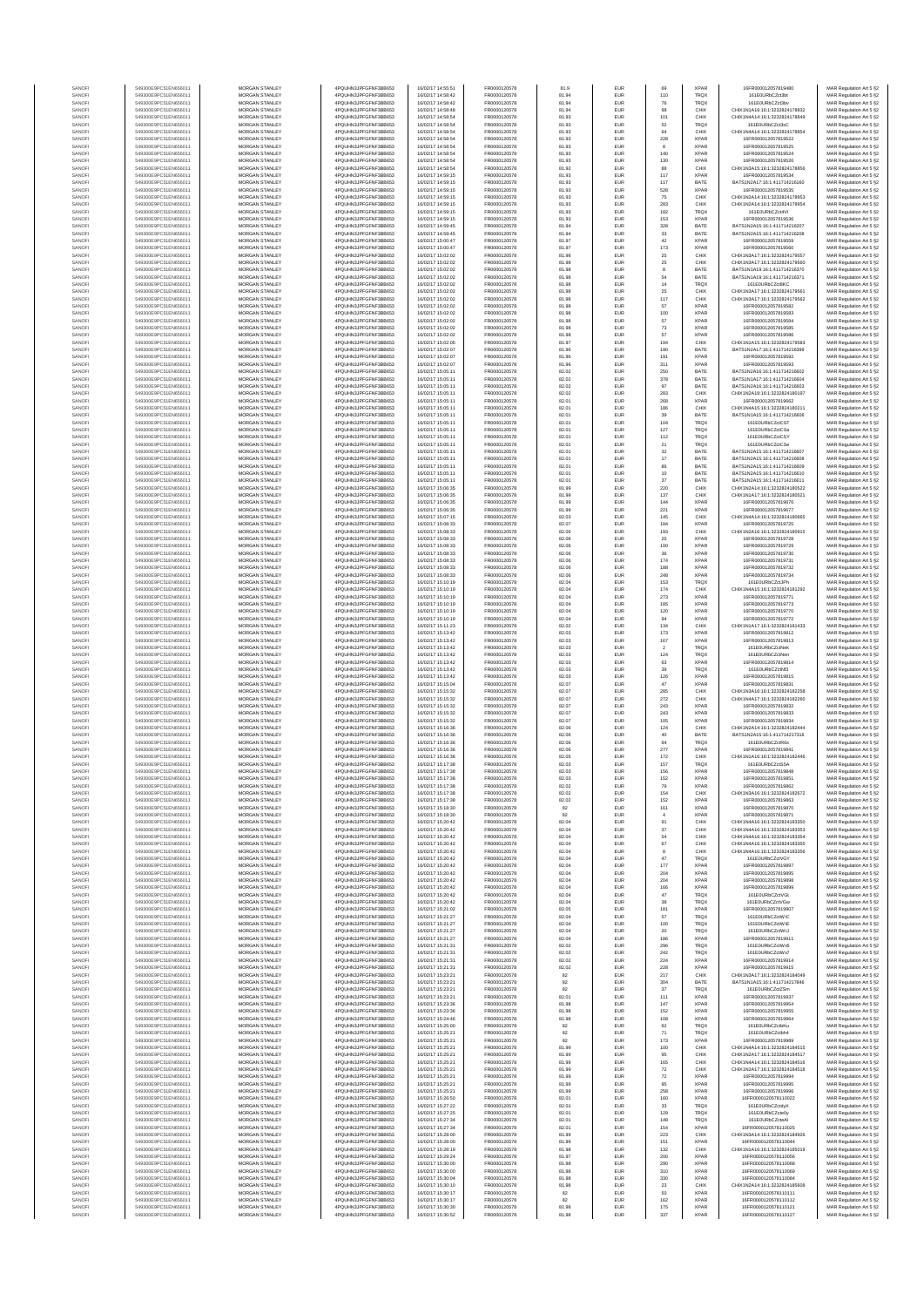| SANOF            | 549300E9PC51EN656011                         | MORGAN STANLEY                                 | 4PQUHN3JPFGFNF3BB653                          | 16/02/17 14:55:51                      | FR0000120578                 | 81.9           | EUR                      | 69                | <b>XPAR</b>                | 16FR000012057819480                                            | MAR Regulation Art 5 §2                            |
|------------------|----------------------------------------------|------------------------------------------------|-----------------------------------------------|----------------------------------------|------------------------------|----------------|--------------------------|-------------------|----------------------------|----------------------------------------------------------------|----------------------------------------------------|
| SANOFI           | 549300E9PC51EN656011                         | MORGAN STANLEY                                 | 4PQUHN3JPFGFNF3BB653                          | 16/02/17 14:58:42                      | FR0000120578                 | 81.94          | EUR                      | 110               | TRQX                       | 161E0URbCZct3bt                                                | MAR Regulation Art 5 §2                            |
| SANOF<br>SANOFI  | 549300E9PC51EN656011<br>549300E9PC51EN656011 | MORGAN STANLEY<br>MORGAN STANLEY               | 4PQUHN3JPFGFNF3BB653<br>4PQUHN3JPFGFNF3BB653  | 16/02/17 14:58:42<br>16/02/17 14:58:48 | FR0000120578<br>FR0000120578 | 81.94<br>81.94 | EUR<br>EUR               | 76<br>98          | TRQ)<br>CHIX               | 161E0URbCZct3b<br>CHIX1N1A16:16:1:3232824178832                | MAR Regulation Art 5 §2<br>MAR Regulation Art 5 §2 |
| SANOFI           | 549300E9PC51EN656011                         | MORGAN STANLEY                                 | 4PQUHN3JPFGFNF3BB653                          | 16/02/17 14:58:54                      | FR0000120578                 | 81.93          | EUR                      | 101               | CHIX                       | CHIX1N4A14:16:1:3232824178849                                  | MAR Regulation Art 5 §2                            |
| SANOFI           | 549300E9PC51EN656011                         | MORGAN STANLEY                                 | 4PQUHN3JPFGFNF3BB653                          | 16/02/17 14:58:54                      | FR0000120578                 | 81.93          | EUR                      | 62                | <b>TRQX</b>                | 161E0URbCZct3sC                                                | MAR Regulation Art 5 §2                            |
| SANOFI           | 549300E9PC51EN656011                         | <b>MORGAN STANLEY</b>                          | 4PQUHN3JPFGFNF3BB653                          | 16/02/17 14:58:54                      | FR0000120578                 | 81.93          | <b>EUR</b>               | 64                | CHIX                       | CHIX1N4A14:16:1:3232824178854                                  | MAR Regulation Art 5 §2                            |
| SANOFI           | 549300E9PC51EN656011                         | <b>MORGAN STANLEY</b>                          | 4PQUHN3JPFGFNF3BB653                          | 16/02/17 14:58:54                      | FR0000120578                 | 81.93          | <b>EUR</b>               | 228               | <b>XPAR</b>                | 16FR000012057819522                                            | MAR Regulation Art 5 §2                            |
| SANOFI<br>SANOFI | 549300E9PC51EN656011<br>549300E9PC51EN656011 | MORGAN STANLEY<br>MORGAN STANLEY               | 4PQUHN3JPFGFNF3BB653<br>4PQUHN3JPFGFNF3BB653  | 16/02/17 14:58:54<br>16/02/17 14:58:54 | FR0000120578<br>FR0000120578 | 81.93<br>81.93 | EUR<br>EUR               | 8<br>140          | <b>XPAF</b><br><b>XPAR</b> | 16FR000012057819525<br>16FR000012057819524                     | MAR Regulation Art 5 §2<br>MAR Regulation Art 5 §2 |
| SANOFI           | 549300E9PC51EN656011                         | MORGAN STANLEY                                 | 4PQUHN3JPFGFNF3BB653                          | 16/02/17 14:58:54                      | FR0000120578                 | 81.93          | EUR                      | 130               | XPAR                       | 16FR000012057819526                                            | MAR Regulation Art 5 §2                            |
| SANOFI           | 549300E9PC51EN656011                         | MORGAN STANLEY                                 | 4PQUHN3JPFGFNF3BB653                          | 16/02/17 14:58:54                      | FR0000120578                 | 81.92          | EUR                      | 88                | CHIX                       | CHIX1N3A15:16:1:323282417885                                   | MAR Regulation Art 5 §2                            |
| SANOFI<br>SANOFI | 549300E9PC51EN656011<br>549300E9PC51EN656011 | MORGAN STANLEY<br>MORGAN STANLEY               | 4PQUHN3JPFGFNF3BB653<br>4PQUHN3JPFGFNF3BB653  | 16/02/17 14:59:15<br>16/02/17 14:59:15 | FR0000120578<br>FR0000120578 | 81.93<br>81.93 | EUR<br>EUR               | 117<br>117        | XPAF<br>BATE               | 16FR000012057819534<br>BATS1N2A17:16:1:411714216160            | MAR Regulation Art 5 §2<br>MAR Regulation Art 5 §2 |
| SANOFI           | 549300E9PC51EN656011                         | MORGAN STANLEY                                 | 4PQUHN3JPFGFNF3BB653                          | 16/02/17 14:59:15                      | FR0000120578                 | 81.93          | EUR                      | 528               | <b>XPAF</b>                | 16FR000012057819535                                            | MAR Regulation Art 5 §2                            |
| SANOFI           | 549300E9PC51EN656011                         | <b>MORGAN STANLEY</b>                          | 4PQUHN3JPFGFNF3BB653                          | 16/02/17 14:59:15                      | FR0000120578                 | 81.93          | <b>EUR</b>               | 75                | CHIX                       | CHIX1N2A14:16:1:3232824178953                                  | MAR Regulation Art 5 §2                            |
| SANOFI           | 549300E9PC51EN656011                         | <b>MORGAN STANLEY</b>                          | 4PQUHN3JPFGFNF3BB653                          | 16/02/17 14:59:15                      | FR0000120578                 | 81.93          | <b>EUR</b>               | 283               | CHIX                       | CHIX1N2A14:16:1:3232824178954                                  | MAR Regulation Art 5 §2                            |
| SANOFI<br>SANOFI | 549300E9PC51EN656011<br>549300E9PC51EN656011 | MORGAN STANLEY<br>MORGAN STANLEY               | 4PQUHN3JPFGFNF3BB653<br>4PQUHN3JPFGFNF3BB653  | 16/02/17 14:59:15<br>16/02/17 14:59:15 | FR0000120578<br>FR0000120578 | 81.93<br>81.93 | EUR<br>EUR               | 182<br>153        | TRQX<br><b>XPAR</b>        | 161E0URbCZn4VI<br>16FR000012057819536                          | MAR Regulation Art 5 §2<br>MAR Regulation Art 5 §2 |
| SANOFI           | 549300E9PC51EN656011                         | MORGAN STANLEY                                 | 4PQUHN3JPFGFNF3BB653                          | 16/02/17 14:59:45                      | FR0000120578                 | 81.94          | EUR                      | 328               | BATE                       | BATS1N2A15:16:1:411714216207                                   | MAR Regulation Art 5 §2                            |
| SANOFI           | 549300E9PC51EN656011                         | MORGAN STANLEY                                 | 4PQUHN3JPFGFNF3BB653                          | 16/02/17 14:59:45                      | FR0000120578                 | 81.94          | EUR                      | $_{\rm 33}$       | BATE                       | BATS1N2A15:16:1:411714216208                                   | MAR Regulation Art 5 §2                            |
| SANOFI           | 549300E9PC51EN656011                         | MORGAN STANLEY                                 | 4PQUHN3JPFGFNF3BB653                          | 16/02/17 15:00:47                      | FR0000120578                 | 81.97          | EUR                      | 42                | XPAF                       | 16FR000012057819559                                            | MAR Regulation Art 5 §2                            |
| SANOFI<br>SANOFI | 549300E9PC51EN656011<br>549300E9PC51EN656011 | MORGAN STANLEY<br><b>MORGAN STANLEY</b>        | 4PQUHN3JPFGFNF3BB653<br>4PQUHN3JPFGFNF3BB653  | 16/02/17 15:00:47<br>16/02/17 15:02:02 | FR0000120578<br>FR0000120578 | 81.97<br>81.98 | EUR<br><b>EUR</b>        | 173               | <b>XPAF</b><br>CHIX        | 16FR000012057819560<br>CHIX1N3A17:16:1:3232824179557           | MAR Regulation Art 5 §2<br>MAR Regulation Art 5 §2 |
| SANOFI           | 549300E9PC51EN656011                         | <b>MORGAN STANLEY</b>                          | 4PQUHN3JPFGFNF3BB653                          | 16/02/17 15:02:02                      | FR0000120578                 | 81.98          | <b>EUR</b>               | 25<br>25          | CHIX                       | CHIX1N3A17:16:1:3232824179560                                  | MAR Regulation Art 5 §2                            |
| SANOFI           | 549300E9PC51EN656011                         | MORGAN STANLEY                                 | 4PQUHN3JPFGFNF3BB653                          | 16/02/17 15:02:02                      | FR0000120578                 | 81.98          | EUR                      | $\,$ 8            | BATE                       | BATS1N1A19:16:1:411714216370                                   | MAR Regulation Art 5 §2                            |
| SANOFI           | 549300E9PC51EN656011                         | MORGAN STANLEY                                 | 4PQUHN3JPFGFNF3BB653                          | 16/02/17 15:02:02                      | FR0000120578                 | 81.98          | EUR                      | 54                | BATE                       | BATS1N1A19:16:1:411714216371                                   | MAR Regulation Art 5 §2                            |
| SANOF<br>SANOFI  | 549300E9PC51EN656011<br>549300E9PC51EN656011 | MORGAN STANLEY<br>MORGAN STANLEY               | 4PQUHN3JPFGFNF3BB653<br>4PQUHN3JPFGFNF3BB653  | 16/02/17 15:02:02<br>16/02/17 15:02:02 | FR0000120578<br>FR0000120578 | 81.98<br>81.98 | EUR<br>EUR               | $^{\rm 14}$<br>25 | TRQ)<br>CHIX               | 161E0URbCZct8KO<br>CHIX1N3A17:16:1:323282417956                | MAR Regulation Art 5 §2<br>MAR Regulation Art 5 §2 |
| SANOFI           | 549300E9PC51EN656011                         | MORGAN STANLEY                                 | 4PQUHN3JPFGFNF3BB653                          | 16/02/17 15:02:02                      | FR0000120578                 | 81.98          | EUR                      | 117               | CHIX                       | CHIX1N3A17:16:1:3232824179562                                  | MAR Regulation Art 5 §2                            |
| SANOFI           | 549300E9PC51EN656011                         | MORGAN STANLEY                                 | 4PQUHN3JPFGFNF3BB653                          | 16/02/17 15:02:02                      | FR0000120578                 | 81.98          | EUR                      | 57                | XPAF                       | 16FR000012057819582                                            | MAR Regulation Art 5 §2                            |
| SANOFI           | 549300E9PC51EN656011                         | <b>MORGAN STANLEY</b>                          | 4PQUHN3JPFGFNF3BB653                          | 16/02/17 15:02:02                      | FR0000120578                 | 81.98          | <b>EUR</b>               | 100               | <b>XPAR</b>                | 16FR000012057819583                                            | MAR Regulation Art 5 §2                            |
| SANOFI<br>SANOFI | 549300E9PC51EN656011<br>549300E9PC51EN656011 | <b>MORGAN STANLEY</b><br>MORGAN STANLEY        | 4PQUHN3JPFGFNF3BB653<br>4PQUHN3JPFGFNF3BB653  | 16/02/17 15:02:02<br>16/02/17 15:02:02 | FR0000120578<br>FR0000120578 | 81.98<br>81.98 | <b>EUR</b><br>EUR        | 57<br>$\bf 73$    | <b>XPAR</b><br><b>XPAR</b> | 16FR000012057819584<br>16FR000012057819585                     | MAR Regulation Art 5 §2<br>MAR Regulation Art 5 §2 |
| SANOFI           | 549300E9PC51EN656011                         | MORGAN STANLEY                                 | 4PQUHN3JPFGFNF3BB653                          | 16/02/17 15:02:02                      | FR0000120578                 | 81.98          | EUR                      | 57                | <b>XPAR</b>                | 16FR000012057819586                                            | MAR Regulation Art 5 §2                            |
| SANOFI           | 549300E9PC51EN656011                         | MORGAN STANLEY                                 | 4PQUHN3JPFGFNF3BB653                          | 16/02/17 15:02:05                      | FR0000120578                 | 81.97          | EUR                      | 194               | CHIX                       | CHIX1N1A15:16:1:3232824179583                                  | MAR Regulation Art 5 §2                            |
| SANOFI<br>SANOFI | 549300E9PC51EN656011<br>549300E9PC51EN656011 | MORGAN STANLEY<br>MORGAN STANLEY               | 4PQUHN3JPFGFNF3BB653<br>4PQUHN3JPFGFNF3BB653  | 16/02/17 15:02:07<br>16/02/17 15:02:07 | FR0000120578<br>FR0000120578 | 81.96<br>81.96 | EUR<br>EUR               | 190<br>191        | BATE<br>XPAF               | BATS1N2A17:16:1:411714216399<br>16FR000012057819592            | MAR Regulation Art 5 §2<br>MAR Regulation Art 5 §2 |
| SANOFI           | 549300E9PC51EN656011                         | MORGAN STANLEY                                 | 4PQUHN3JPFGFNF3BB653                          | 16/02/17 15:02:07                      | FR0000120578                 | 81.96          | EUR                      | 311               | <b>XPAR</b>                | 16FR000012057819593                                            | MAR Regulation Art 5 §2                            |
| SANOFI           | 549300E9PC51EN656011                         | <b>MORGAN STANLEY</b>                          | 4PQUHN3JPFGFNF3BB653                          | 16/02/17 15:05:11                      | FR0000120578                 | 82.02          | <b>EUR</b>               | 250               | BATE                       | BATS1N2A16:16:1:411714216602                                   | MAR Regulation Art 5 §2                            |
| SANOFI           | 549300E9PC51EN656011<br>549300E9PC51EN656011 | <b>MORGAN STANLEY</b>                          | 4PQUHN3JPFGFNF3BB653                          | 16/02/17 15:05:11                      | FR0000120578                 | 82.02          | EUR                      | 378               | BATE                       | BATS1N1A17:16:1:411714216604                                   | MAR Regulation Art 5 §2                            |
| SANOFI<br>SANOFI | 549300E9PC51EN656011                         | MORGAN STANLEY<br>MORGAN STANLEY               | 4PQUHN3JPFGFNF3BB653<br>4POLIHN3JPEGENE3BB653 | 16/02/17 15:05:11<br>16/02/17 15:05:11 | FR0000120578<br>FR0000120578 | 82.02<br>82.02 | EUR<br>EUR               | 97<br>283         | BATE<br>CHIX               | BATS1N2A16:16:1:411714216603<br>CHIX1N2A18:16:1:3232824180197  | MAR Regulation Art 5 §2<br>MAR Regulation Art 5 §2 |
| SANOFI           | 549300E9PC51EN656011                         | MORGAN STANLEY                                 | 4PQUHN3JPFGFNF3BB653                          | 16/02/17 15:05:11                      | FR0000120578                 | 82.01          | EUR                      | 268               | XPAF                       | 16FR000012057819662                                            | MAR Regulation Art 5 §2                            |
| SANOFI           | 549300E9PC51EN656011                         | MORGAN STANLEY                                 | 4PQUHN3JPFGFNF3BB653                          | 16/02/17 15:05:11                      | FR0000120578                 | 82.01          | EUR                      | 186               | CHIX                       | CHIX1N4A15:16:1:3232824180211                                  | MAR Regulation Art 5 §2                            |
| SANOFI           | 549300E9PC51EN656011                         | MORGAN STANLEY                                 | 4PQUHN3JPFGFNF3BB653                          | 16/02/17 15:05:11                      | FR0000120578                 | 82.01          | EUR                      | 39                | BATE                       | BATS1N1A15:16:1:411714216606                                   | MAR Regulation Art 5 §2                            |
| SANOFI<br>SANOFI | 549300E9PC51EN656011<br>549300E9PC51EN656011 | MORGAN STANLEY<br>MORGAN STANLEY               | 4PQUHN3JPFGFNF3BB653<br>4PQUHN3JPFGFNF3BB653  | 16/02/17 15:05:11<br>16/02/17 15:05:11 | FR0000120578<br>FR0000120578 | 82.01<br>82.01 | EUR<br>EUR               | 104<br>127        | TRQX<br>TRQX               | 161E0URbCZctCST<br>161E0URbCZctCSa                             | MAR Regulation Art 5 §2<br>MAR Regulation Art 5 §2 |
| SANOFI           | 549300E9PC51EN656011                         | <b>MORGAN STANLEY</b>                          | 4PQUHN3JPFGFNF3BB653                          | 16/02/17 16:06:11                      | FR0000120578                 | 82.01          | <b>EUR</b>               | $112\,$           | <b>TRQX</b>                | 161F0URbCZetCSY                                                | MAR Regulation Art 5 §2                            |
| SANOFI           | 549300E9PC51EN656011                         | MORGAN STANLEY                                 | 4PQUHN3JPFGFNF3BB653                          | 16/02/17 15:05:11                      | FR0000120578                 | 82.01          | EUR                      | 21                | <b>TRQX</b>                | 161E0URbCZctCSe                                                | MAR Regulation Art 5 §2                            |
| SANOFI<br>SANOFI | 549300E9PC51EN656011<br>549300E9PC51EN656011 | MORGAN STANLEY<br>MORGAN STANLEY               | 4PQUHN3JPFGFNF3BB653<br>4PQUHN3JPFGFNF3BB653  | 16/02/17 15:05:11<br>16/02/17 15:05:11 | FR0000120578<br>FR0000120578 | 82.01<br>82.01 | EUR<br>EUR               | $_{\rm 32}$       | BATE<br>BATE               | BATS1N2A15:16:1:411714216607<br>BATS1N2A15:16:1:411714216608   | MAR Regulation Art 5 §2                            |
| SANOFI           | 549300E9PC51EN656011                         | MORGAN STANLEY                                 | 4PQUHN3JPFGFNF3BB653                          | 16/02/17 15:05:11                      | FR0000120578                 | 82.01          | EUR                      | $17\,$<br>86      | BATE                       | BATS1N2A15:16:1:411714216609                                   | MAR Regulation Art 5 §2<br>MAR Regulation Art 5 §2 |
| SANOFI           | 549300E9PC51EN656011                         | MORGAN STANLEY                                 | 4PQUHN3JPFGFNF3BB653                          | 16/02/17 15:05:11                      | FR0000120578                 | 82.01          | EUR                      | 10                | BATE                       | BATS1N2A15:16:1:411714216610                                   | MAR Regulation Art 5 §2                            |
| SANOFI           | 549300E9PC51EN656011                         | MORGAN STANLEY                                 | 4PQUHN3JPFGFNF3BB653                          | 16/02/17 15:05:11                      | FR0000120578                 | 82.01          | EUR                      | $37\,$            | BATE                       | BATS1N2A15:16:1:411714216611                                   | MAR Regulation Art 5 §2                            |
| SANOFI           | 549300E9PC51EN656011                         | MORGAN STANLEY                                 | 4PQUHN3JPFGFNF3BB653<br>4POLIHN3JPEGENE3BB653 | 16/02/17 15:06:35<br>16/02/17 15:06:35 | FR0000120578                 | 81.99          | EUR                      | 220               | CHIX                       | CHIX1N2A14:16:1:3232824180522                                  | MAR Regulation Art 5 §2                            |
| SANOFI<br>SANOFI | 549300E9PC51EN656011<br>549300E9PC51EN656011 | <b>MORGAN STANLEY</b><br>MORGAN STANLEY        | 4PQUHN3JPFGFNF3BB653                          | 16/02/17 15:06:35                      | FR0000120578<br>FR0000120578 | 81.99<br>81.99 | <b>EUR</b><br><b>EUR</b> | 137<br>144        | CHIX<br><b>XPAR</b>        | CHIX1N1A17:16:1:3232824180521<br>16ER000012057819676           | MAR Regulation Art 5 §2<br>MAR Regulation Art 5 §2 |
| SANOFI           | 549300E9PC51EN656011                         | MORGAN STANLEY                                 | 4POURN3JPEGENE3BB653                          | 16/02/17 15:06:35                      | FR0000120578                 | 81.99          | EUR                      | 221               | <b>XPAF</b>                | 16FR000012057819677                                            | MAR Regulation Art 5 §2                            |
| SANOFI           | 549300E9PC51EN656011                         | MORGAN STANLEY                                 | 4PQUHN3JPFGFNF3BB653                          | 16/02/17 15:07:15                      | FR0000120578                 | 82.03          | EUR                      | 145               | CHIX                       | CHIX1N4A14:16:1:3232824180665                                  | MAR Regulation Art 5 §2                            |
| SANOFI<br>SANOFI | 549300E9PC51EN656011<br>549300E9PC51EN656011 | MORGAN STANLEY<br>MORGAN STANLEY               | 4PQUHN3JPFGFNF3BB653<br>4PQUHN3JPFGFNF3BB653  | 16/02/17 15:08:33<br>16/02/17 15:08:33 | FR0000120578<br>FR0000120578 | 82.07<br>82.06 | EUR<br>EUR               | 184<br>193        | XPAF<br>CHIX               | 16FR000012057819725<br>CHIX1N2A16:16:1:3232824180915           | MAR Regulation Art 5 §2                            |
| SANOFI           | 549300E9PC51EN656011                         | MORGAN STANLEY                                 | 4PQUHN3JPFGFNF3BB653                          | 16/02/17 15:08:33                      | FR0000120578                 | 82.06          | EUR                      | 25                | XPAF                       | 16FR000012057819728                                            | MAR Regulation Art 5 §2<br>MAR Regulation Art 5 §2 |
| SANOFI           | 549300E9PC51EN656011                         | MORGAN STANLEY                                 | 4PQUHN3JPFGFNF3BB653                          | 16/02/17 15:08:33                      | FR0000120578                 | 82.06          | EUR                      | 100               | <b>XPAR</b>                | 16FR000012057819729                                            | MAR Regulation Art 5 §2                            |
| SANOFI           | 549300E9PC51EN656011                         | <b>MORGAN STANLEY</b>                          | 4PQUHN3JPFGFNF3BB653                          | 16/02/17 15:08:33                      | FR0000120578                 | 82.06          | <b>EUR</b>               | 36                | <b>XPAR</b>                | 16FR000012057819730                                            | MAR Regulation Art 5 §2                            |
| SANOFI           | 549300E9PC51EN656011<br>549300E9PC51EN656011 | <b>MORGAN STANLEY</b>                          | 4PQUHN3JPFGFNF3BB653<br>4PQUHN3JPFGFNF3BB653  | 16/02/17 15:08:33                      | FR0000120578                 | 82.06          | <b>EUR</b>               | 174               | <b>XPAR</b><br><b>XPAR</b> | 16FR000012057819731                                            | MAR Regulation Art 5 §2                            |
| SANOFI<br>SANOFI | 549300E9PC51EN656011                         | MORGAN STANLEY<br>MORGAN STANLEY               | 4PQUHN3JPFGFNF3BB653                          | 16/02/17 15:08:33<br>16/02/17 15:08:33 | FR0000120578<br>FR0000120578 | 82.06<br>82.06 | EUR<br>EUR               | 188<br>248        | XPAR                       | 16FR000012057819732<br>16FR000012057819734                     | MAR Regulation Art 5 §2<br>MAR Regulation Art 5 §2 |
| SANOF            | 549300E9PC51EN656011                         | MORGAN STANLEY                                 | 4PQUHN3JPFGFNF3BB653                          | 16/02/17 15:10:19                      | FR0000120578                 | 82.04          | EUR                      | 153               | TRQ)                       | 161E0URbCZctJPh                                                | MAR Regulation Art 5 §2                            |
| SANOFI           | 549300E9PC51EN656011                         | MORGAN STANLEY                                 | 4PQUHN3JPFGFNF3BB653                          | 16/02/17 15:10:19                      | FR0000120578                 | 82.04          | EUR                      | 174               | CHIX                       | CHIX1N4A15:16:1:3232824181292                                  | MAR Regulation Art 5 §2                            |
| SANOFI<br>SANOFI | 549300E9PC51EN656011<br>549300E9PC51EN656011 | MORGAN STANLEY<br>MORGAN STANLEY               | 4PQUHN3JPFGFNF3BB653<br>4PQUHN3JPFGFNF3BB653  | 16/02/17 15:10:19<br>16/02/17 15:10:19 | FR0000120578<br>FR0000120578 | 82.04<br>82.04 | EUR<br>EUR               | 273<br>185        | XPAF<br><b>XPAF</b>        | 16FR000012057819771<br>16FR000012057819773                     | MAR Regulation Art 5 §2<br>MAR Regulation Art 5 §2 |
| SANOFI           | 549300E9PC51EN656011                         | <b>MORGAN STANLEY</b>                          | 4PQUHN3JPFGFNF3BB653                          | 16/02/17 15:10:19                      | FR0000120578                 | 82.04          | <b>EUR</b>               | 120               | <b>XPAR</b>                | 16FR000012057819770                                            | MAR Regulation Art 5 §2                            |
| SANOFI           | 549300E9PC51EN656011                         | <b>MORGAN STANLEY</b>                          | 4PQUHN3JPFGFNF3BB653                          | 16/02/17 15:10:19                      | FR0000120578                 | 82.04          | <b>EUR</b>               | 94                | <b>XPAR</b>                | 16FR000012057819772                                            | MAR Regulation Art 5 §2                            |
| SANOFI           | 549300E9PC51EN656011<br>549300E9PC51EN656011 | MORGAN STANLEY<br>MORGAN STANLEY               | 4PQUHN3JPFGFNF3BB653<br>4PQUHN3JPFGFNF3BB653  | 16/02/17 15:11:23<br>16/02/17 15:13:42 | FR0000120578                 | 82.02          | EUR<br>EUR               | 134               | CHIX<br>XPAF               | CHIX1N1A17:16:1:3232824181433<br>16FR000012057819812           | MAR Regulation Art 5 §2                            |
| SANOFI<br>SANOFI | 549300E9PC51EN656011                         | MORGAN STANLEY                                 | 4PQUHN3JPFGFNF3BB653                          | 16/02/17 15:13:42                      | FR0000120578<br>FR0000120578 | 82.03<br>82.03 | EUR                      | 173<br>167        | <b>XPAR</b>                | 16FR000012057819813                                            | MAR Regulation Art 5 §2<br>MAR Regulation Art 5 §2 |
| SANOFI           | 549300E9PC51EN656011                         | MORGAN STANLEY                                 | 4PQUHN3JPFGFNF3BB653                          | 16/02/17 15:13:42                      | FR0000120578                 | 82.03          | EUR                      | $\,$ 2 $\,$       | TRQ)                       | 161E0URbCZctNel                                                | MAR Regulation Art 5 §2                            |
| SANOFI           | 549300E9PC51EN656011                         | MORGAN STANLEY                                 | 4PQUHN3JPFGFNF3BB653                          | 16/02/17 15:13:42                      | FR0000120578                 | 82.03          | EUR                      | 124               | TRQ)                       | 161E0URbCZctNer                                                | MAR Regulation Art 5 §2                            |
| SANOFI<br>SANOFI | 549300E9PC51EN656011<br>549300E9PC51EN656011 | MORGAN STANLEY<br>MORGAN STANLEY               | 4PQUHN3JPFGFNF3BB653<br>4PQUHN3JPFGFNF3BB653  | 16/02/17 15:13:42<br>16/02/17 15:13:42 | FR0000120578<br>FR0000120578 | 82.03<br>82.03 | EUR<br>EUR               | 63<br>39          | <b>XPAR</b><br><b>TRQX</b> | 16FR000012057819814<br>161E0URbCZctNf3                         | MAR Regulation Art 5 §2<br>MAR Regulation Art 5 §2 |
| SANOFI           | 549300E9PC51EN656011                         | <b>MORGAN STANLEY</b>                          | 4PQUHN3JPFGFNF3BB653                          | 16/02/17 15:13:42                      | FR0000120578                 | 82.03          | EUR                      | 126               | <b>XPAR</b>                | 16FR000012057819815                                            | MAR Regulation Art 5 §2                            |
| SANOFI           | 549300E9PC51EN656011                         | MORGAN STANLEY                                 | 4PQUHN3JPFGFNF3BB653                          | 16/02/17 15:15:04                      | FR0000120578                 | 82.07          | <b>EUR</b>               | $47\,$            | <b>XPAR</b>                | 16FR000012057819831                                            | MAR Regulation Art 5 §2                            |
| SANOFI           | 549300E9PC51EN656011                         | MORGAN STANLEY                                 | 4PQUHN3JPFGFNF3BB653                          | 16/02/17 15:15:32                      | FR0000120578                 | 82.07          | EUR                      | 285               | CHIX                       | CHIX1N3A16:16:1:3232824182258                                  | MAR Regulation Art 5 §2                            |
| SANOFI<br>SANOFI | 549300E9PC51EN656011<br>549300E9PC51EN656011 | MORGAN STANLEY<br>MORGAN STANLEY               | 4PQUHN3JPFGFNF3BB653<br>4PQUHN3JPFGFNF3BB653  | 16/02/17 15:15:32<br>16/02/17 15:15:32 | FR0000120578<br>FR0000120578 | 82.07<br>82.07 | EUR<br>EUR               | 272<br>243        | CHIX<br>XPAF               | CHIX1N4A17:16:1:3232824182260<br>16FR000012057819832           | MAR Regulation Art 5 §2<br>MAR Regulation Art 5 §2 |
| SANOFI           | 549300E9PC51EN656011                         | MORGAN STANLEY                                 | 4PQUHN3JPFGFNF3BB653                          | 16/02/17 15:15:32                      | FR0000120578                 | 82.07          | EUR                      | 243               | XPAF                       | 16FR000012057819833                                            | MAR Regulation Art 5 §2                            |
| SANOFI           | 549300E9PC51EN656011                         | MORGAN STANLEY                                 | 4PQUHN3JPFGFNF3BB653                          | 16/02/17 15:15:32                      | FR0000120578                 | 82.07          | EUR                      | 105               | <b>XPAR</b>                | 16FR000012057819834                                            | MAR Regulation Art 5 §2                            |
| SANOFI<br>SANOFI | 549300E9PC51EN656011<br>549300E9PC51EN656011 | MORGAN STANLEY<br><b>MORGAN STANLEY</b>        | 4PQUHN3JPFGFNF3BB653<br>4PQUHN3JPFGFNF3BB653  | 16/02/17 15:16:36<br>16/02/17 15:16:36 | FR0000120578<br>FR0000120578 | 82.06<br>82.06 | EUR<br><b>EUR</b>        | 124<br>40         | CHIX<br>BATE               | CHIX1N2A14:16:1:3232824182444<br>BATS1N2A15:16:1:411714217316  | MAR Regulation Art 5 §2<br>MAR Regulation Art 5 §2 |
| SANOFI           | 549300E9PC51EN656011                         | MORGAN STANLEY                                 | 4PQUHN3JPFGFNF3BB653                          | 16/02/17 15:16:36                      | FR0000120578                 | 82.06          | EUR                      | 64                | <b>TRQX</b>                | 161E0URbCZctR6s                                                | MAR Regulation Art 5 §2                            |
| SANOFI           | 549300E9PC51EN656011                         | MORGAN STANLEY                                 | 4PQUHN3JPFGFNF3BB653                          | 16/02/17 15:16:36                      | FR0000120578                 | 82.06          | EUR                      | 277               | <b>XPAR</b>                | 16FR000012057819841                                            | MAR Regulation Art 5 §2                            |
| SANOFI           | 549300E9PC51EN656011                         | MORGAN STANLEY                                 | 4POLIHN3JPEGENE3BB653                         | 16/02/17 15:16:36                      | FR0000120578                 | 82.05          | EUR                      | 172               | CHIX                       | CHIX1N1A16:16:1:3232824182446                                  | MAR Regulation Art 5 §2                            |
| SANOF<br>SANOFI  | 549300E9PC51EN656011<br>549300E9PC51EN656011 | MORGAN STANLEY<br>MORGAN STANLEY               | 4PQUHN3JPFGFNF3BB653<br>4PQUHN3JPFGFNF3BB653  | 16/02/17 15:17:38<br>16/02/17 15:17:38 | FR0000120578<br>FR0000120578 | 82.03<br>82.03 | EUR                      | 157<br>156        | TRQX<br><b>XPAR</b>        | 161E0URbCZctS5A<br>16FR000012057819848                         | MAR Regulation Art 5 §2<br>MAR Regulation Art 5 §2 |
| SANOF            |                                              | MORGAN STANLEY                                 | PQUHN3JPFGFNF3BB653                           | 16/02/17 15:17:38                      | ER0000120578                 | 82.03          |                          | 152               |                            | 16FR00001205781985                                             | MAR Regulation Art 5 §2                            |
| SANOFI           | 549300E9PC51EN656011                         | MORGAN STANLEY                                 | 4PQUHN3JPFGFNF3BB653                          | 16/02/17 15:17:38                      | FR0000120578                 | 82.02          | EUR                      | 79                | <b>XPAR</b>                | 16FR000012057819862                                            | MAR Regulation Art 5 §2                            |
| SANOFI<br>SANOFI | 549300E9PC51EN656011<br>549300E9PC51EN656011 | MORGAN STANLEY<br>MORGAN STANLEY               | 4PQUHN3JPFGFNF3BB653<br>4PQUHN3JPFGFNF3BB653  | 16/02/17 15:17:38<br>16/02/17 15:17:38 | FR0000120578<br>FR0000120578 | 82.02<br>82.02 | <b>EUR</b><br><b>EUR</b> | 154<br>152        | CHIX<br><b>XPAR</b>        | CHIX1N3A16:16:1:3232824182672<br>16FR000012057819863           | MAR Regulation Art 5 §2                            |
| SANOFI           | 549300E9PC51EN656011                         | MORGAN STANLEY                                 | 4PQUHN3JPFGFNF3BB653                          | 16/02/17 15:18:30                      | FR0000120578                 | 82             | <b>EUR</b>               | 161               | <b>XPAR</b>                | 16FR000012057819870                                            | MAR Regulation Art 5 §2<br>MAR Regulation Art 5 §2 |
| SANOFI           | 549300E9PC51EN656011                         | MORGAN STANLEY                                 | 4PQUHN3JPFGFNF3BB653                          | 16/02/17 15:18:30                      | FR0000120578                 | 82             | EUR                      | $\overline{4}$    | <b>XPAR</b>                | 16FR000012057819871                                            | MAR Regulation Art 5 §2                            |
| SANOFI<br>SANOFI | 549300E9PC51EN656011<br>549300E9PC51EN656011 | MORGAN STANLEY<br>MORGAN STANLEY               | 4PQUHN3JPFGFNF3BB653<br>4PQUHN3JPFGFNF3BB653  | 16/02/17 15:20:42<br>16/02/17 15:20:42 | FR0000120578<br>FR0000120578 | 82.04<br>82.04 | EUR<br>EUR               | 91<br>$_{37}$     | CHIX<br>CHIX               | CHIX1N4A16:16:1:323282418335<br>CHIX1N4A16:16:1:3232824183353  | MAR Regulation Art 5 §2                            |
| SANOFI           | 549300E9PC51EN656011                         | MORGAN STANLEY                                 | 4PQUHN3JPFGFNF3BB653                          | 16/02/17 15:20:42                      | FR0000120578                 | 82.04          | EUR                      | 54                | CHIX                       | CHIX1N4A16:16:1:3232824183354                                  | MAR Regulation Art 5 §2<br>MAR Regulation Art 5 §2 |
| SANOFI           | 549300E9PC51EN656011                         | MORGAN STANLEY                                 | 4PQUHN3JPFGFNF3BB653                          | 16/02/17 15:20:42                      | FR0000120578                 | 82.04          | EUR                      | 67                | CHIX                       | CHIX1N4A16:16:1:3232824183355                                  | MAR Regulation Art 5 §2                            |
| SANOFI           | 549300E9PC51EN656011                         | MORGAN STANLEY                                 | 4PQUHN3JPFGFNF3BB653                          | 16/02/17 16:20:42                      | FR0000120578                 | 82.04          | <b>EUR</b>               | 8<br>47           | CHIX                       | CHIX1N4A16:16:1:3232824183356                                  | MAR Regulation Art 5 §2                            |
| SANOFI<br>SANOFI | 549300E9PC51EN656011<br>549300E9PC51EN656011 | <b>MORGAN STANLEY</b><br>MORGAN STANLEY        | 4PQUHN3JPFGFNF3BB653<br>4PQUHN3JPFGFNF3BB653  | 16/02/17 15:20:42<br>16/02/17 15:20:42 | FR0000120578<br>FR0000120578 | 82.04<br>82.04 | <b>EUR</b><br>EUR        | 177               | <b>TRQX</b><br><b>XPAR</b> | 161E0URbCZctVGY<br>16FR000012057819897                         | MAR Regulation Art 5 §2<br>MAR Regulation Art 5 §2 |
| SANOFI           | 549300E9PC51EN656011                         | MORGAN STANLEY                                 | 4PQUHN3JPFGFNF3BB653                          | 16/02/17 15:20:42                      | FR0000120578                 | 82.04          | <b>EUR</b>               | 204               | <b>XPAR</b>                | 16FR000012057819895                                            | MAR Regulation Art 5 §2                            |
| SANOFI           | 549300E9PC51EN656011                         | MORGAN STANLEY                                 | 4PQUHN3JPFGFNF3BB653                          | 16/02/17 15:20:42                      | FR0000120578                 | 82.04          | <b>EUR</b>               | $204\,$           | <b>XPAR</b>                | 16FR000012057819898                                            | MAR Regulation Art 5 §2                            |
| SANOFI<br>SANOFI | 549300E9PC51EN656011<br>549300E9PC51EN656011 | MORGAN STANLEY<br>MORGAN STANLEY               | 4PQUHN3JPFGFNF3BB653<br>4PQUHN3JPFGFNF3BB653  | 16/02/17 15:20:42<br>16/02/17 15:20:42 | FR0000120578<br>FR0000120578 | 82.04<br>82.04 | EUR<br>EUR               | 166<br>47         | <b>XPAR</b><br>TRQX        | 16FR000012057819899<br>161E0URbCZctVGt                         | MAR Regulation Art 5 §2<br>MAR Regulation Art 5 §2 |
| SANOFI           | 549300E9PC51EN656011                         | MORGAN STANLEY                                 | 4PQUHN3JPFGFNF3BB653                          | 16/02/17 15:20:42                      | FR0000120578                 | 82.04          | <b>EUR</b>               | 38                | <b>TRQX</b>                | 161E0URbCZctVGw                                                | MAR Regulation Art 5 §2                            |
| SANOFI           | 549300E9PC51EN656011                         | MORGAN STANLEY                                 | 4PQUHN3JPFGFNF3BB653                          | 16/02/17 15:21:02                      | FR0000120578                 | 82.05          | EUR                      | 181               | <b>XPAR</b>                | 16FR000012057819907                                            | MAR Regulation Art 5 §2                            |
| SANOFI<br>SANOFI | 549300E9PC51EN656011<br>549300E9PC51EN656011 | MORGAN STANLEY<br><b>MORGAN STANLEY</b>        | 4PQUHN3JPFGFNF3BB653<br>4PQUHN3JPFGFNF3BB653  | 16/02/17 16:21:27<br>16/02/17 15:21:27 | FR0000120578<br>FR0000120578 | 82.04<br>82.04 | <b>EUR</b><br><b>EUR</b> | 57<br>100         | <b>TRQX</b><br><b>TRQX</b> | 161F0URbCZetWiC<br>161FOURbCZetWiF                             | MAR Regulation Art 5 §2<br>MAR Regulation Art 5 §2 |
| SANOFI           | 549300E9PC51EN656011                         | MORGAN STANLEY                                 | 4PQUHN3JPFGFNF3BB653                          | 16/02/17 15:21:27                      | FR0000120578                 | 82.04          | <b>EUR</b>               | 20                | TRQX                       | 161E0URbCZctWiJ                                                | MAR Regulation Art 5 §2                            |
| SANOFI           | 549300E9PC51EN656011                         | MORGAN STANLEY                                 | 4PQUHN3JPFGFNF3BB653                          | 16/02/17 15:21:27                      | FR0000120578                 | 82.04          | <b>EUR</b>               | 186               | <b>XPAR</b>                | 16FR000012057819911                                            | MAR Regulation Art 5 §2                            |
| SANOFI           | 549300E9PC51EN656011                         | MORGAN STANLEY                                 | 4PQUHN3JPFGFNF3BB653                          | 16/02/17 15:21:31                      | FR0000120578<br>FR0000120578 | 82.02          | EUR                      | 296               | TRQX                       | 161E0URbCZctWx5                                                | MAR Regulation Art 5 §2                            |
| SANOFI<br>SANOFI | 549300E9PC51EN656011<br>549300E9PC51EN656011 | MORGAN STANLEY<br>MORGAN STANLEY               | 4PQUHN3JPFGFNF3BB653<br>4PQUHN3JPFGFNF3BB653  | 16/02/17 15:21:31<br>16/02/17 15:21:31 | FR0000120578                 | 82.02<br>82.02 | EUR<br>EUR               | 242<br>224        | TRQX<br><b>XPAR</b>        | 161E0URbCZctWx7<br>16FR000012057819914                         | MAR Regulation Art 5 §2<br>MAR Regulation Art 5 §2 |
| SANOFI           | 549300E9PC51EN656011                         | MORGAN STANLEY                                 | 4PQUHN3JPFGFNF3BB653                          | 16/02/17 15:21:31                      | FR0000120578                 | 82.02          | EUR                      | 228               | <b>XPAR</b>                | 16FR000012057819915                                            | MAR Regulation Art 5 §2                            |
| SANOFI           | 549300E9PC51EN656011                         | <b>MORGAN STANLEY</b>                          | 4PQUHN3JPFGFNF3BB653                          | 16/02/17 16:23:21                      | FR0000120578                 | 82             | <b>EUR</b>               | 217               | CHIX                       | CHIX1N3A17:16:1:3232824184049                                  | MAR Regulation Art 5 §2                            |
| SANOFI           | 549300E9PC51EN656011                         | <b>MORGAN STANLEY</b>                          | 4PQUHN3JPFGFNF3BB653                          | 16/02/17 15:23:21                      | FR0000120578                 | 82<br>82       | <b>EUR</b>               | 304               | BATE<br>TRQX               | BATS1N1A15:16:1:411714217846                                   | MAR Regulation Art 5 §2                            |
| SANOFI<br>SANOFI | 549300E9PC51EN656011<br>549300E9PC51EN656011 | MORGAN STANLEY<br>MORGAN STANLEY               | 4PQUHN3JPFGFNF3BB653<br>4PQUHN3JPFGFNF3BB653  | 16/02/17 15:23:21<br>16/02/17 15:23:21 | FR0000120578<br>FR0000120578 | 82.01          | EUR<br>EUR               | 37<br>111         | <b>XPAR</b>                | 161E0URbCZctZSm<br>16FR000012057819937                         | MAR Regulation Art 5 §2<br>MAR Regulation Art 5 §2 |
| SANOFI           | 549300E9PC51EN656011                         | MORGAN STANLEY                                 | 4PQUHN3JPFGFNF3BB653                          | 16/02/17 15:23:36                      | FR0000120578                 | 81.98          | EUR                      | 147               | <b>XPAR</b>                | 16FR000012057819954                                            | MAR Regulation Art 5 §2                            |
| SANOFI           | 549300E9PC51EN656011                         | MORGAN STANLEY                                 | 4PQUHN3JPFGFNF3BB653                          | 16/02/17 15:23:36                      | FR0000120578                 | 81.98          | EUR                      | 152               | <b>XPAR</b>                | 16FR000012057819955                                            | MAR Regulation Art 5 §2                            |
| SANOFI<br>SANOFI | 549300E9PC51EN656011<br>549300E9PC51EN656011 | MORGAN STANLEY<br>MORGAN STANLEY               | 4PQUHN3JPFGFNF3BB653<br>4PQUHN3JPFGFNF3BB653  | 16/02/17 15:24:46<br>16/02/17 15:25:00 | FR0000120578<br>FR0000120578 | 81.98<br>82    | EUR<br><b>EUR</b>        | 108<br>62         | <b>XPAR</b><br><b>TRQX</b> | 16FR000012057819964<br>161E0URbCZctbKu                         | MAR Regulation Art 5 §2<br>MAR Regulation Art 5 §2 |
| SANOFI           | 549300E9PC51EN656011                         | <b>MORGAN STANLEY</b>                          | 4PQUHN3JPFGFNF3BB653                          | 16/02/17 15:25:21                      | FR0000120578                 | 82             | <b>EUR</b>               | 71                | <b>TRQX</b>                | 161E0URbCZctbh4                                                | MAR Regulation Art 5 §2                            |
| SANOFI           | 549300E9PC51EN656011                         | <b>MORGAN STANLEY</b>                          | 4PQUHN3JPFGFNF3BB653                          | 16/02/17 15:25:21                      | FR0000120578                 | 82             | <b>EUR</b>               | 173               | <b>XPAR</b>                | 16FR000012057819989                                            | MAR Regulation Art 5 §2                            |
| SANOFI           | 549300E9PC51EN656011                         | MORGAN STANLEY                                 | 4PQUHN3JPFGFNF3BB653                          | 16/02/17 15:25:21                      | FR0000120578                 | 81.99          | EUR                      | 100               | CHIX                       | CHIX1N4A14:16:1:3232824184515                                  | MAR Regulation Art 5 §2                            |
| SANOFI<br>SANOFI | 549300E9PC51EN656011<br>549300E9PC51EN656011 | MORGAN STANLEY<br>MORGAN STANLEY               | 4PQUHN3JPFGFNF3BB653<br>4PQUHN3JPFGFNF3BB653  | 16/02/17 15:25:21<br>16/02/17 15:25:21 | FR0000120578<br>FR0000120578 | 81.99<br>81.99 | <b>EUR</b><br>EUR        | 95<br>165         | CHIX<br>CHIX               | CHIX1N2A17:16:1:3232824184517<br>CHIX1N4A14:16:1:3232824184516 | MAR Regulation Art 5 §2<br>MAR Regulation Art 5 §2 |
| SANOFI           | 549300E9PC51EN656011                         | MORGAN STANLEY                                 | 4PQUHN3JPFGFNF3BB653                          | 16/02/17 15:25:21                      | FR0000120578                 | 81.99          | EUR                      | 72                | CHIX                       | CHIX1N2A17:16:1:3232824184518                                  | MAR Regulation Art 5 §2                            |
| SANOFI           | 549300E9PC51EN656011                         | MORGAN STANLEY                                 | 4PQUHN3JPFGFNF3BB653                          | 16/02/17 15:25:21                      | FR0000120578                 | 81.99          | EUR                      | $72\,$            | <b>XPAR</b>                | 16FR000012057819994                                            | MAR Regulation Art 5 §2                            |
| SANOFI<br>SANOFI | 549300E9PC51EN656011<br>549300E9PC51EN656011 | MORGAN STANLEY<br><b>MORGAN STANLEY</b>        | 4PQUHN3JPFGFNF3BB653<br>4PQUHN3JPFGFNF3BB653  | 16/02/17 15:25:21<br>16/02/17 15:25:21 | FR0000120578<br>FR0000120578 | 81.99<br>81.99 | <b>EUR</b><br><b>EUR</b> | 95<br>258         | <b>XPAR</b><br><b>XPAR</b> | 16FR000012057819995<br>16FR000012057819996                     | MAR Regulation Art 5 §2                            |
| SANOFI           | 549300E9PC51EN656011                         | <b>MORGAN STANLEY</b>                          | 4PQUHN3JPFGFNF3BB653                          | 16/02/17 15:26:50                      | FR0000120578                 | 82.01          | <b>EUR</b>               | 160               | <b>XPAR</b>                | 16FR0000120578110022                                           | MAR Regulation Art 5 §2<br>MAR Regulation Art 5 §2 |
| SANOFI           | 549300E9PC51EN656011                         | MORGAN STANLEY                                 | 4PQUHN3JPFGFNF3BB653                          | 16/02/17 15:27:22                      | FR0000120578                 | 82.01          | <b>EUR</b>               | 33                | <b>TROX</b>                | 161E0URbCZctdyX                                                | MAR Regulation Art 5 §2                            |
| SANOFI           | 549300E9PC51EN656011                         | MORGAN STANLEY                                 | 4PQUHN3JPFGFNF3BB653                          | 16/02/17 15:27:25                      | FR0000120578                 | 82.01          | <b>EUR</b>               | 129               | <b>TRQX</b>                | 161E0URbCZcte0y                                                | MAR Regulation Art 5 §2                            |
| SANOFI<br>SANOFI | 549300E9PC51EN656011<br>549300E9PC51EN656011 | MORGAN STANLEY<br>MORGAN STANLEY               | 4PQUHN3JPFGFNF3BB653<br>4PQUHN3JPFGFNF3BB653  | 16/02/17 15:27:34<br>16/02/17 15:27:34 | FR0000120578<br>FR0000120578 | 82.01<br>82.01 | <b>EUR</b><br>EUR        | 148<br>154        | <b>TRQX</b><br><b>XPAR</b> | 161E0URbCZcteAl<br>6FR0000120578110025                         | MAR Regulation Art 5 §2<br>MAR Regulation Art 5 §2 |
| SANOFI           | 549300E9PC51EN656011                         | MORGAN STANLEY                                 | 4PQUHN3JPFGFNF3BB653                          | 16/02/17 15:28:00                      | FR0000120578                 | 81.99          | EUR                      | 223               | CHIX                       | CHIX1N3A14:16:1:3232824184926                                  | MAR Regulation Art 5 §2                            |
| SANOFI           | 549300E9PC51EN656011                         | MORGAN STANLEY                                 | 4PQUHN3JPFGFNF3BB653                          | 16/02/17 15:28:00                      | FR0000120578                 | 81.99          | <b>EUR</b>               | 151               | <b>XPAR</b>                | 16FR0000120578110044                                           | MAR Regulation Art 5 §2                            |
| SANOFI           | 549300E9PC51EN656011                         | MORGAN STANLEY                                 | 4PQUHN3JPFGFNF3BB653                          | 16/02/17 15:28:19                      | FR0000120578                 | 81.98          | EUR                      | 132               | CHIX                       | CHIX1N1A16:16:1:3232824185019                                  | MAR Regulation Art 5 §2                            |
| SANOFI<br>SANOFI | 549300E9PC51EN656011<br>549300E9PC51EN656011 | <b>MORGAN STANLEY</b><br><b>MORGAN STANLEY</b> | 4PQUHN3JPFGFNF3BB653<br>4PQUHN3JPFGFNF3BB653  | 16/02/17 15:29:24<br>16/02/17 15:30:00 | FR0000120578<br>FR0000120578 | 81.97<br>81.98 | <b>EUR</b><br><b>EUR</b> | 200<br>290        | <b>XPAR</b><br><b>XPAR</b> | 16FR0000120578110056<br>16FR0000120578110068                   | MAR Regulation Art 5 §2<br>MAR Regulation Art 5 §2 |
| SANOFI           | 549300E9PC51EN656011                         | MORGAN STANLEY                                 | 4PQUHN3JPFGFNF3BB653                          | 16/02/17 15:30:00                      | FR0000120578                 | 81.98          | EUR                      | 310               | <b>XPAR</b>                | 16FR0000120578110069                                           | MAR Regulation Art 5 §2                            |
| SANOFI           | 549300E9PC51EN656011                         | MORGAN STANLEY                                 | 4PQUHN3JPFGFNF3BB653                          | 16/02/17 15:30:04                      | FR0000120578                 | 81.98          | <b>EUR</b>               | 330               | <b>XPAR</b>                | 16FR0000120578110084                                           | MAR Regulation Art 5 §2                            |
| SANOFI           | 549300E9PC51EN656011                         | MORGAN STANLEY                                 | 4PQUHN3JPFGFNF3BB653                          | 16/02/17 15:30:10                      | FR0000120578                 | 81.98          | EUR                      | 23                | CHIX                       | CHIX1N2A14:16:1:3232824185608                                  | MAR Regulation Art 5 §2                            |
| SANOFI<br>SANOFI | 549300E9PC51EN656011<br>549300E9PC51EN656011 | MORGAN STANLEY<br>MORGAN STANLEY               | 4PQUHN3JPFGFNF3BB653<br>4PQUHN3JPFGFNF3BB653  | 16/02/17 15:30:17<br>16/02/17 15:30:17 | FR0000120578<br>FR0000120578 | 82<br>82       | EUR<br>EUR               | 50<br>162         | <b>XPAR</b><br><b>XPAR</b> | 6FR0000120578110111<br>16FR0000120578110112                    | MAR Regulation Art 5 §2<br>MAR Regulation Art 5 §2 |
| SANOFI           | 549300E9PC51EN656011                         | MORGAN STANLEY                                 | 4PQUHN3JPFGFNF3BB653                          | 16/02/17 15:30:30                      | FR0000120578                 | 81.98          | EUR                      | 175               | <b>XPAR</b>                | 16FR0000120578110121                                           | MAR Regulation Art 5 §2                            |
| SANOFI           | 549300E9PC51EN656011                         | <b>MORGAN STANLEY</b>                          | 4PQUHN3JPFGFNF3BB653                          | 16/02/17 15:30:52                      | FR0000120578                 | 81.98          | EUR                      | 337               | <b>XPAR</b>                | 16FR0000120578110127                                           | MAR Regulation Art 5 §2                            |
|                  |                                              |                                                |                                               |                                        |                              |                |                          |                   |                            |                                                                |                                                    |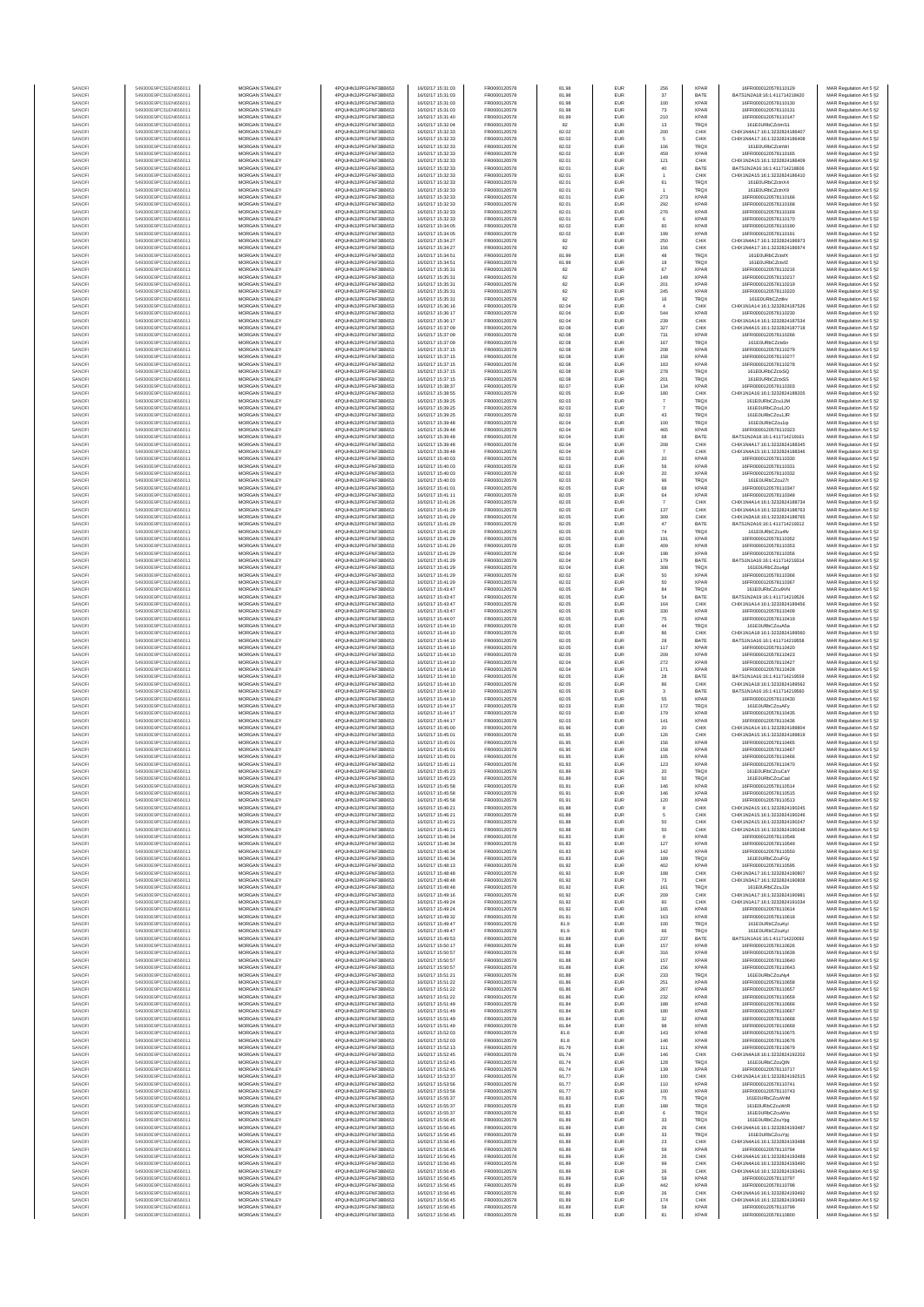| SANOF            | 549300E9PC51EN656011                         | MORGAN STANLEY                   | 4PQUHN3JPFGFNF3BB653                         | 16/02/17 15:31:03                      | FR0000120578                 | 81.98          | EUR        | 256               | <b>XPAR</b>                | 16FR0000120578110129                                          | MAR Regulation Art 5 §2                            |
|------------------|----------------------------------------------|----------------------------------|----------------------------------------------|----------------------------------------|------------------------------|----------------|------------|-------------------|----------------------------|---------------------------------------------------------------|----------------------------------------------------|
| SANOF            | 549300E9PC51EN656011                         | MORGAN STANLEY                   | 4PQUHN3JPFGFNF3BB653                         | 16/02/17 15:31:03                      | FR0000120578                 | 81.98          | EUR        | 37                | BATE                       | BATS1N2A18:16:1:411714218420                                  | MAR Regulation Art 5 §2                            |
| SANOFI           | 549300E9PC51EN656011                         | MORGAN STANLEY                   | 4PQUHN3JPFGFNF3BB653                         | 16/02/17 15:31:03                      | FR0000120578                 | 81.98          | EUR        | 100               | <b>XPAR</b>                | 16FR0000120578110130                                          | MAR Regulation Art 5 §2                            |
| SANOFI           | 549300E9PC51EN656011                         | MORGAN STANLEY                   | 4PQUHN3JPFGFNF3BB653                         | 16/02/17 15:31:03                      | FR0000120578                 | 81.98          | <b>EUR</b> | 73                | <b>XPAR</b>                | 16FR0000120578110131                                          | MAR Regulation Art 5 §2                            |
| SANOFI           | 549300E9PC51EN656011                         | <b>MORGAN STANLEY</b>            | 4PQUHN3JPFGFNF3BB653                         | 16/02/17 15:31:40                      | FR0000120578                 | 81.99          | <b>EUR</b> | 210               | <b>XPAR</b>                | 16FR0000120578110147                                          | MAR Regulation Art 5 §2                            |
| SANOFI           | 549300E9PC51EN656011                         | <b>MORGAN STANLEY</b>            | 4PQUHN3JPFGFNF3BB653                         | 16/02/17 16:32:04                      | FR0000120578                 | 82             | <b>EUR</b> | 13                | <b>TRQX</b>                | 161E0URbCZctmS1                                               | MAR Regulation Art 5 §2                            |
| SANOFI           | 549300E9PC51EN656011                         | MORGAN STANLEY                   | 4PQUHN3JPFGFNF3BB653                         | 16/02/17 15:32:33                      | FR0000120578                 | 82.02          | EUR        | 200               | CHIX                       | CHIX1N4A17:16:1:3232824186407                                 | MAR Regulation Art 5 §2                            |
| SANOFI           | 549300E9PC51EN656011                         | MORGAN STANLEY                   | 4PQUHN3JPFGFNF3BB653                         | 16/02/17 15:32:33                      | FR0000120578                 | 82.02          | EUR        | $\sqrt{5}$        | CHIX                       | CHIX1N4A17:16:1:3232824186408                                 | MAR Regulation Art 5 §2                            |
| SANOFI           | 549300E9PC51EN656011                         | MORGAN STANLEY                   | 4PQUHN3JPFGFNF3BB653                         | 16/02/17 15:32:33                      | FR0000120578                 | 82.02          | EUR        | 106               | TRQ)                       | 161E0URbCZctnWI                                               | MAR Regulation Art 5 §2                            |
| SANOFI           | 549300E9PC51EN656011                         | MORGAN STANLEY                   | 4PQUHN3JPFGFNF3BB653                         | 16/02/17 15:32:33                      | FR0000120578                 | 82.02          | EUR        | 459               | <b>XPAR</b>                | 16FR0000120578110165                                          | MAR Regulation Art 5 §2                            |
| SANOFI           | 549300E9PC51EN656011                         | MORGAN STANLEY                   | 4PQUHN3JPFGFNF3BB653                         | 16/02/17 15:32:33                      | FR0000120578                 | 82.01          | EUR        | 121               | CHIX                       | CHIX1N2A15:16:1:3232824186409                                 | MAR Regulation Art 5 §2                            |
| SANOFI           | 549300E9PC51EN656011                         | MORGAN STANLEY                   | 4PQUHN3JPFGFNF3BB653                         | 16/02/17 15:32:33                      | FR0000120578                 | 82.01          | EUR        | $40\,$            | BATE                       | BATS1N2A16:16:1:411714218606                                  | MAR Regulation Art 5 §2                            |
| SANOFI           | 549300E9PC51EN656011                         | MORGAN STANLEY                   | 4PQUHN3JPFGFNF3BB653                         | 16/02/17 15:32:33                      | FR0000120578                 | 82.01          | EUR        |                   | CHIX                       | CHIX1N2A15:16:1:3232824186410                                 | MAR Regulation Art 5 §2                            |
| SANOFI           | 549300E9PC51EN656011                         | <b>MORGAN STANLEY</b>            | 4PQUHN3JPFGFNF3BB653                         | 16/02/17 16:32:33                      | FR0000120578                 | 82.01          | <b>EUR</b> | 61                | <b>TROX</b>                | 161E0URbCZctnX4                                               | MAR Regulation Art 5 §2                            |
| SANOFI           | 549300E9PC51EN656011                         | MORGAN STANLEY                   | 4PQUHN3JPFGFNF3BB653                         | 16/02/17 15:32:33                      | FR0000120578                 | 82.01          | <b>EUR</b> |                   | <b>TRQX</b>                | 161F0URbCZctnX9                                               | MAR Regulation Art 5 §2                            |
| SANOFI           | 549300E9PC51EN656011                         | MORGAN STANLEY                   | 4PQUHN3JPFGFNF3BB653                         | 16/02/17 15:32:33                      | FR0000120578                 | 82.01          | EUR        | 273               | XPAR                       | 16FR0000120578110166                                          | MAR Regulation Art 5 §2                            |
| SANOFI           | 549300E9PC51EN656011                         | MORGAN STANLEY                   | 4PQUHN3JPFGFNF3BB653                         | 16/02/17 15:32:33                      | FR0000120578                 | 82.01          | EUR        | 292               | <b>XPAR</b>                | 16FR0000120578110168                                          | MAR Regulation Art 5 §2                            |
| SANOFI           | 549300E9PC51EN656011                         | MORGAN STANLEY                   | 4PQUHN3JPFGFNF3BB653                         | 16/02/17 15:32:33                      | FR0000120578                 | 82.01          | EUR        | 276               | <b>XPAR</b>                | 16FR0000120578110169                                          | MAR Regulation Art 5 §2                            |
| SANOFI           | 549300E9PC51EN656011                         | MORGAN STANLEY                   | 4PQUHN3JPFGFNF3BB653                         | 16/02/17 15:32:33                      | FR0000120578                 | 82.01          | EUR        | $_{\rm 6}$        | <b>XPAR</b>                | 16FR0000120578110170                                          | MAR Regulation Art 5 §2                            |
| SANOFI           | 549300E9PC51EN656011                         | MORGAN STANLEY                   | 4PQUHN3JPFGFNF3BB653                         | 16/02/17 15:34:05                      | FR0000120578                 | 82.02          | EUR        | 60                | <b>XPAR</b>                | 16FR0000120578110190                                          | MAR Regulation Art 5 §2                            |
| SANOFI           | 549300E9PC51EN656011                         | MORGAN STANLEY                   | 4PQUHN3JPFGFNF3BB653                         | 16/02/17 15:34:05                      | FR0000120578                 | 82.02          | EUR        | 199               | <b>XPAR</b>                | 16FR0000120578110191                                          | MAR Regulation Art 5 §2                            |
| SANOFI           | 549300E9PC51EN656011                         | <b>MORGAN STANLEY</b>            | 4PQUHN3JPFGFNF3BB653                         | 16/02/17 15:34:27                      | FR0000120578                 | 82             | <b>EUR</b> | 250               | CHIX                       | CHIX1N4A17:16:1:3232824186973                                 | MAR Regulation Art 5 §2                            |
| SANOFI           | 549300E9PC51EN656011                         | MORGAN STANLEY                   | 4PQUHN3JPFGFNF3BB653                         | 16/02/17 15:34:27                      | FR0000120578                 | 82             | <b>EUR</b> | 156               | CHIX                       | CHIX1N4A17:16:1:3232824186974                                 | MAR Regulation Art 5 §2                            |
| SANOFI           | 549300E9PC51EN656011                         | MORGAN STANLEY                   | 4PQUHN3JPFGFNF3BB653                         | 16/02/17 15:34:51                      | FR0000120578                 | 81.99          | EUR        | $48\,$            | TRQX                       | 161E0URbCZctsfX                                               | MAR Regulation Art 5 §2                            |
| SANOFI           | 549300E9PC51EN656011                         | MORGAN STANLEY                   | 4PQUHN3JPFGFNF3BB653                         | 16/02/17 15:34:51                      | FR0000120578                 | 81.99          | EUR        | 19                | TRQX                       | 161E0URbCZctsfZ                                               | MAR Regulation Art 5 §2                            |
| SANOF            | 549300E9PC51EN656011                         | MORGAN STANLEY                   | 4PQUHN3JPFGFNF3BB653                         | 6/02/17 15:35:31                       | FR0000120578                 | 82             | EUR        | 67                | <b>XPAR</b>                | 16FR0000120578110216                                          | MAR Regulation Art 5 §2                            |
| SANOFI           | 549300E9PC51EN656011                         | MORGAN STANLEY                   | 4PQUHN3JPFGFNF3BB653                         | 16/02/17 15:35:31                      | FR0000120578                 | 82             | EUR        | 149               | <b>XPAR</b>                | 16FR0000120578110217                                          | MAR Regulation Art 5 §2                            |
| SANOFI           | 549300E9PC51EN656011                         | MORGAN STANLEY                   | 4PQUHN3JPFGFNF3BB653                         | 16/02/17 15:35:31                      | FR0000120578                 | 82             | EUR        | 201               | <b>XPAR</b>                | 16FR0000120578110219                                          | MAR Regulation Art 5 §2                            |
| SANOFI           | 549300E9PC51EN656011                         | MORGAN STANLEY                   | 4PQUHN3JPFGFNF3BB653                         | 16/02/17 15:35:31                      | FR0000120578                 | 82             | <b>EUR</b> | 245               | <b>XPAR</b>                | 16FR0000120578110220                                          | MAR Regulation Art 5 §2                            |
| SANOFI           | 549300E9PC51EN656011                         | <b>MORGAN STANLEY</b>            | 4PQUHN3JPFGFNF3BB653                         | 16/02/17 15:35:31                      | FR0000120578                 | 82             | <b>EUR</b> | 16                | <b>TRQX</b>                | 161E0URbCZcttkv                                               | MAR Regulation Art 5 §2                            |
| SANOFI           | 549300E9PC51EN656011                         | MORGAN STANLEY                   | 4PQUHN3JPFGFNF3BB653                         | 16/02/17 15:36:16                      | FR0000120578                 | 82.04          | <b>EUR</b> | $\overline{4}$    | CHIX                       | CHIX1N1A14:16:1:3232824187526                                 | MAR Regulation Art 5 §2                            |
| SANOFI           | 549300E9PC51EN656011                         | MORGAN STANLEY                   | 4PQUHN3JPFGFNF3BB653                         | 16/02/17 15:36:17                      | FR0000120578                 | 82.04          | EUR        | 544               | <b>XPAR</b>                | 16FR0000120578110230                                          | MAR Regulation Art 5 §2                            |
| SANOFI           | 549300E9PC51EN656011                         | MORGAN STANLEY                   | 4PQUHN3JPFGFNF3BB653                         | 16/02/17 15:36:17                      | FR0000120578                 | 82.04          | EUR        | 239               | CHIX                       | CHIX1N1A14:16:1:3232824187534                                 | MAR Regulation Art 5 §2                            |
| SANOFI           | 549300E9PC51EN656011                         | MORGAN STANLEY                   | 4PQUHN3JPFGFNF3BB653                         | 16/02/17 15:37:09                      | FR0000120578                 | 82.08          | EUR        | 327               | CHIX                       | CHIX1N4A15:16:1:3232824187718                                 | MAR Regulation Art 5 §2                            |
| SANOFI           | 549300E9PC51EN656011                         | MORGAN STANLEY                   | 4PQUHN3JPFGFNF3BB653                         | 16/02/17 15:37:09                      | FR0000120578                 | 82.08          | EUR        | 731               | <b>XPAR</b>                | 16FR0000120578110266                                          | MAR Regulation Art 5 §2                            |
| SANOFI           | 549300E9PC51EN656011                         | MORGAN STANLEY                   | 4PQUHN3JPFGFNF3BB653                         | 16/02/17 15:37:09                      | FR0000120578                 | 82.08          | EUR        | 167               | TRQX                       | 161E0URbCZctx5n                                               | MAR Regulation Art 5 §2                            |
| SANOFI           | 549300E9PC51EN656011                         | MORGAN STANLEY                   | 4PQUHN3JPFGFNF3BB653                         | 16/02/17 15:37:15                      | FR0000120578                 | 82.08          | EUR        | 208               | <b>XPAR</b>                | 16FR0000120578110279                                          | MAR Regulation Art 5 §2                            |
| SANOFI           | 549300E9PC51EN656011                         | <b>MORGAN STANLEY</b>            | 4PQUHN3JPFGFNF3BB653                         | 16/02/17 15:37:15                      | FR0000120578                 | 82.08          | <b>EUR</b> | 158               | <b>XPAR</b>                | 16FR0000120578110277                                          | MAR Regulation Art 5 §2                            |
| SANOFI           | 549300E9PC51EN656011                         | <b>MORGAN STANLEY</b>            | 4PQUHN3JPFGFNF3BB653                         | 16/02/17 15:37:15                      | FR0000120578                 | 82.08          | <b>EUR</b> | 183               | <b>XPAR</b>                | 16FR0000120578110278                                          | MAR Regulation Art 5 §2                            |
| SANOFI           | 549300E9PC51EN656011                         | MORGAN STANLEY                   | 4PQUHN3JPFGFNF3BB653                         | 16/02/17 15:37:15                      | FR0000120578                 | 82.08          | EUR        | 278               | TRQX                       | 161E0URbCZctxSQ                                               | MAR Regulation Art 5 §2                            |
| SANOFI           | 549300E9PC51EN656011                         | MORGAN STANLEY                   | 4PQUHN3JPFGFNF3BB653                         | 16/02/17 15:37:15                      | FR0000120578                 | 82.08          | EUR        | 201               | <b>TRQX</b>                | 161E0URbCZctxSS                                               | MAR Regulation Art 5 §2                            |
| SANOFI           | 549300E9PC51EN656011                         | MORGAN STANLEY                   | 4PQUHN3JPFGFNF3BB653                         | 16/02/17 15:38:37                      | FR0000120578                 | 82.07          | EUR        | 134               | <b>XPAR</b>                | 16FR0000120578110303                                          | MAR Regulation Art 5 §2                            |
| SANOFI           | 549300E9PC51EN656011                         | MORGAN STANLEY                   | 4PQUHN3JPFGFNF3BB653                         | 16/02/17 15:38:55                      | FR0000120578                 | 82.05          | EUR        | 180               | CHIX                       | CHIX1N1A16:16:1:3232824188205                                 | MAR Regulation Art 5 §2                            |
| SANOFI           | 549300E9PC51EN656011                         | MORGAN STANLEY                   | 4PQUHN3JPFGFNF3BB653                         | 16/02/17 15:39:25                      | FR0000120578                 | 82.03          | EUR        | $\boldsymbol{7}$  | <b>TRQX</b>                | 161E0URbCZcu1JM                                               | MAR Regulation Art 5 §2                            |
| SANOFI           | 549300E9PC51EN656011                         | MORGAN STANLEY                   | 4PQUHN3JPFGFNF3BB653                         | 16/02/17 15:39:25                      | FR0000120578                 | 82.03          | EUR        |                   | TRQX                       | 161E0URbCZcu1JO                                               | MAR Regulation Art 5 §2                            |
| SANOFI           | 549300E9PC51EN656011                         | MORGAN STANLEY                   | 4PQUHN3JPFGFNF3BB653                         | 16/02/17 15:39:25                      | FR0000120578                 | 82.03          | EUR        | $43\,$            | TRQX                       | 161E0URbCZcu1JR                                               | MAR Regulation Art 5 §2                            |
| SANOFI           | 549300E9PC51EN656011                         | <b>MORGAN STANLEY</b>            | 4PQUHN3JPFGFNF3BB653                         | 16/02/17 15:39:48                      | FR0000120578                 | 82.04          | <b>EUR</b> | 100               | <b>TRQX</b>                | 161F0URbCZcu1in                                               | MAR Regulation Art 5 §2                            |
| SANOFI           | 549300E9PC51EN656011<br>549300E9PC51EN656011 | <b>MORGAN STANLEY</b>            | 4PQUHN3JPFGFNF3BB653<br>4PQUHN3JPFGFNF3BB653 | 16/02/17 15:39:48                      | FR0000120578                 | 82.04          | <b>EUR</b> | 465               | <b>XPAR</b>                | 16FR0000120578110323                                          | MAR Regulation Art 5 §2                            |
| SANOFI<br>SANOFI | 549300E9PC51EN656011                         | MORGAN STANLEY<br>MORGAN STANLEY | 4PQUHN3JPFGFNF3BB653                         | 16/02/17 15:39:48<br>16/02/17 15:39:48 | FR0000120578<br>FR0000120578 | 82.04<br>82.04 | EUR<br>EUR | 68<br>208         | BATE<br>CHIX               | BATS1N2A18:16:1:411714219161<br>CHIX1N4A17:16:1:3232824188345 | MAR Regulation Art 5 §2<br>MAR Regulation Art 5 §2 |
| SANOFI<br>SANOFI | 549300E9PC51EN656011<br>549300E9PC51EN656011 | MORGAN STANLEY<br>MORGAN STANLEY | 4PQUHN3JPFGFNF3BB653<br>4PQUHN3JPFGFNF3BB653 | 16/02/17 15:39:48<br>16/02/17 15:40:03 | FR0000120578<br>FR0000120578 | 82.04<br>82.03 | EUR<br>EUR | $\scriptstyle{7}$ | CHIX<br><b>XPAR</b>        | CHIX1N4A15:16:1:3232824188346<br>16FR0000120578110330         | MAR Regulation Art 5 §2                            |
| SANOFI           | 549300E9PC51EN656011                         | MORGAN STANLEY                   | 4PQUHN3JPFGFNF3BB653                         | 16/02/17 15:40:03                      | FR0000120578                 | 82.03          | EUR        | $20\,$<br>56      | <b>XPAR</b>                | 16FR0000120578110331                                          | MAR Regulation Art 5 §2<br>MAR Regulation Art 5 §2 |
| SANOFI           | 549300E9PC51EN656011                         | MORGAN STANLEY                   | 4PQUHN3JPFGFNF3BB653                         | 16/02/17 15:40:03                      | FR0000120578                 | 82.03          | EUR        | 20                | <b>XPAR</b>                | 16FR0000120578110332                                          | MAR Regulation Art 5 §2                            |
| SANOFI           | 549300E9PC51EN656011                         | <b>MORGAN STANLEY</b>            | 4PQUHN3JPFGFNF3BB653                         | 16/02/17 16:40:03                      | FR0000120578                 | 82.03          | <b>EUR</b> | 96                | <b>TRQX</b>                | 161E0URbCZcu27t                                               | MAR Regulation Art 5 §2                            |
| SANOFI           | 549300E9PC51EN656011                         | MORGAN STANLEY                   | 4PQUHN3JPFGFNF3BB653                         | 16/02/17 15:41:01                      | FR0000120578                 | 82.05          | <b>EUR</b> | 68                | <b>XPAR</b>                | 16FR0000120578110347                                          | MAR Regulation Art 5 §2                            |
| SANOFI           | 549300E9PC51EN656011                         | MORGAN STANLEY                   | 4POLIHN3JPEGENE3BB653                        | 16/02/17 15:41:11                      | FR0000120578                 | 82.05          | EUR        | 64                | XPAR                       | 16ER0000120578110348                                          | MAR Regulation Art 5 §2                            |
| SANOFI           | 549300E9PC51EN656011                         | MORGAN STANLEY                   | 4PQUHN3JPFGFNF3BB653                         | 16/02/17 15:41:26                      | FR0000120578                 | 82.05          | EUR        | $\overline{7}$    | CHIX                       | CHIX1N4A14:16:1:3232824188734                                 | MAR Regulation Art 5 §2                            |
| SANOFI           | 549300E9PC51EN656011                         | MORGAN STANLEY                   | 4PQUHN3JPFGFNF3BB653                         | 16/02/17 15:41:29                      | FR0000120578                 | 82.05          | EUR        | 137               | CHIX                       | CHIX1N4A14:16:1:3232824188763                                 | MAR Regulation Art 5 §2                            |
| SANOFI           | 549300E9PC51EN656011                         | MORGAN STANLEY                   | 4PQUHN3JPFGFNF3BB653                         | 16/02/17 15:41:29                      | FR0000120578                 | 82.05          | EUR        | 309               | CHIX                       | CHIX1N3A18:16:1:3232824188765                                 | MAR Regulation Art 5 §2                            |
| SANOFI           | 549300E9PC51EN656011                         | MORGAN STANLEY                   | 4PQUHN3JPFGFNF3BB653                         | 16/02/17 15:41:29                      | FR0000120578                 | 82.05          | EUR        | $47\,$            | BATE                       | BATS1N2A16:16:1:411714219312                                  | MAR Regulation Art 5 §2                            |
| SANOFI           | 549300E9PC51EN656011                         | MORGAN STANLEY                   | 4PQUHN3JPFGFNF3BB653                         | 16/02/17 15:41:29                      | FR0000120578                 | 82.05          | EUR        | $74\,$            | <b>TROX</b>                | 161E0URbCZcu4fv                                               | MAR Regulation Art 5 §2                            |
| SANOFI           | 549300E9PC51EN656011                         | <b>MORGAN STANLEY</b>            | 4PQUHN3JPFGFNF3BB653                         | 16/02/17 15:41:29                      | FR0000120578                 | 82.05          | <b>EUR</b> | 191               | <b>XPAR</b>                | 16FR0000120578110352                                          | MAR Regulation Art 5 §2                            |
| SANOFI           | 549300E9PC51EN656011                         | <b>MORGAN STANLEY</b>            | 4PQUHN3JPFGFNF3BB653                         | 16/02/17 15:41:29                      | FR0000120578                 | 82.05          | <b>EUR</b> | 409               | <b>XPAR</b>                | 16FR0000120578110353                                          | MAR Regulation Art 5 §2                            |
| SANOFI           | 549300E9PC51EN656011                         | MORGAN STANLEY                   | 4PQUHN3JPFGFNF3BB653                         | 16/02/17 15:41:29                      | FR0000120578                 | 82.04          | EUR        | 198               | <b>XPAR</b>                | 16FR0000120578110356                                          | MAR Regulation Art 5 §2                            |
| SANOFI           | 549300E9PC51EN656011                         | MORGAN STANLEY                   | 4PQUHN3JPFGFNF3BB653                         | 16/02/17 15:41:29                      | FR0000120578                 | 82.04          | EUR        | 179               | BATE                       | BATS1N1A16:16:1:411714219314                                  | MAR Regulation Art 5 §2                            |
| SANOF            | 549300E9PC51EN656011                         | MORGAN STANLEY                   | 4PQUHN3JPFGFNF3BB653                         | 6/02/17 15:41:29                       | FR0000120578                 | 82.04          | EUR        | 308               | <b>TRQX</b>                | 161E0URbCZcu4gd                                               | MAR Regulation Art 5 §2                            |
| SANOFI           | 549300E9PC51EN656011                         | MORGAN STANLEY                   | 4PQUHN3JPFGFNF3BB653                         | 16/02/17 15:41:29                      | FR0000120578                 | 82.02          | EUR        | 50                | <b>XPAR</b>                | 16FR0000120578110366                                          | MAR Regulation Art 5 §2                            |
| SANOFI           | 549300E9PC51EN656011                         | MORGAN STANLEY                   | 4PQUHN3JPFGFNF3BB653                         | 16/02/17 15:41:29                      | FR0000120578                 | 82.02          | EUR        | 50                | <b>XPAR</b>                | 16FR0000120578110367                                          | MAR Regulation Art 5 §2                            |
| SANOFI           | 549300E9PC51EN656011                         | MORGAN STANLEY                   | 4PQUHN3JPFGFNF3BB653                         | 16/02/17 15:43:47                      | FR0000120578                 | 82.05          | <b>EUR</b> | 84                | TRQX                       | 161E0URbCZcu9VN                                               | MAR Regulation Art 5 §2                            |
| SANOFI           | 549300E9PC51EN656011                         | <b>MORGAN STANLEY</b>            | 4PQUHN3JPFGFNF3BB653                         | 16/02/17 15:43:47                      | FR0000120578                 | 82.05          | <b>EUR</b> | 64                | BATE                       | BATS1N2A19:16:1:411714219526                                  | MAR Regulation Art 5 §2                            |
| SANOFI           | 549300E9PC51EN656011                         | <b>MORGAN STANLEY</b>            | 4PQUHN3JPFGFNF3BB653                         | 16/02/17 15:43:47                      | FR0000120578                 | 82.05          | <b>EUR</b> | 164               | CHIX                       | CHIX1N1A14:16:1:3232824189456                                 | MAR Regulation Art 5 §2                            |
| SANOFI           | 549300E9PC51EN656011                         | MORGAN STANLEY                   | 4PQUHN3JPFGFNF3BB653                         | 16/02/17 15:43:47                      | FR0000120578                 | 82.05          | EUR        | 330               | XPAR                       | 16FR0000120578110409                                          | MAR Regulation Art 5 §2                            |
| SANOFI           | 549300E9PC51EN656011                         | MORGAN STANLEY                   | 4PQUHN3JPFGFNF3BB653                         | 16/02/17 15:44:07                      | FR0000120578                 | 82.05          | EUR        | 75                | <b>XPAR</b>                | 16FR0000120578110419                                          | MAR Regulation Art 5 §2                            |
| SANOFI           | 549300E9PC51EN656011                         | MORGAN STANLEY                   | 4PQUHN3JPFGFNF3BB653                         | 16/02/17 15:44:10                      | FR0000120578                 | 82.05          | EUR        | 44                | TRQX                       | 161E0URbCZcuA5a                                               | MAR Regulation Art 5 §2                            |
| SANOF            | 549300E9PC51EN656011                         | MORGAN STANLEY                   | 4PQUHN3JPFGFNF3BB653                         | 16/02/17 15:44:10                      | FR0000120578                 | 82.05          | EUR        | 86                | CHIX                       | CHIX1N1A18:16:1:3232824189560                                 | MAR Regulation Art 5 §2                            |
| SANOFI           | 549300E9PC51EN656011                         | MORGAN STANLEY                   | 4PQUHN3JPFGFNF3BB653                         | 16/02/17 15:44:10                      | FR0000120578                 | 82.05          | EUR        | 28                | BATE                       | BATS1N1A16:16:1:411714219558                                  | MAR Regulation Art 5 §2                            |
| SANOFI           | 549300E9PC51EN656011                         | MORGAN STANLEY                   | 4PQUHN3JPFGFNF3BB653                         | 16/02/17 15:44:10                      | FR0000120578                 | 82.05          | EUR        | 117               | <b>XPAR</b>                | 16FR0000120578110420                                          | MAR Regulation Art 5 §2                            |
| SANOFI           | 549300E9PC51EN656011                         | MORGAN STANLEY                   | 4PQUHN3JPFGFNF3BB653                         | 16/02/17 15:44:10                      | FR0000120578                 | 82.05          | EUR        | 209               | <b>XPAR</b>                | 16FR0000120578110423                                          | MAR Regulation Art 5 §2                            |
| SANOFI           | 549300E9PC51EN656011                         | <b>MORGAN STANLEY</b>            | 4PQUHN3JPFGFNF3BB653                         | 16/02/17 15:44:10                      | FR0000120578                 | 82.04          | <b>EUR</b> | 272               | <b>XPAR</b>                | 16FR0000120578110427                                          | MAR Regulation Art 5 §2                            |
| SANOFI           | 549300E9PC51EN656011                         | MORGAN STANLEY                   | 4PQUHN3JPFGFNF3BB653                         | 16/02/17 15:44:10                      | FR0000120578                 | 82.04          | <b>EUR</b> | 171               | <b>XPAR</b>                | 16FR0000120578110428                                          | MAR Regulation Art 5 §2                            |
| SANOFI           | 549300E9PC51EN656011                         | MORGAN STANLEY                   | 4PQUHN3JPFGFNF3BB653                         | 16/02/17 15:44:10                      | FR0000120578                 | 82.05          | EUR        | ${\bf 28}$        | BATE                       | BATS1N1A16:16:1:411714219559                                  | MAR Regulation Art 5 §2                            |
| SANOFI           | 549300E9PC51EN656011                         | MORGAN STANLEY                   | 4PQUHN3JPFGFNF3BB653                         | 16/02/17 15:44:10                      | FR0000120578                 | 82.05          | EUR        | 86                | CHIX                       | CHIX1N1A18:16:1:3232824189562                                 | MAR Regulation Art 5 §2                            |
| SANOFI<br>SANOFI | 549300E9PC51EN656011<br>549300E9PC51EN656011 | MORGAN STANLEY<br>MORGAN STANLEY | 4PQUHN3JPFGFNF3BB653<br>4PQUHN3JPFGFNF3BB653 | 16/02/17 15:44:10<br>16/02/17 15:44:10 | FR0000120578<br>FR0000120578 | 82.05<br>82.05 | EUR<br>EUR | 55                | BATE<br><b>XPAR</b>        | BATS1N1A16:16:1:411714219560<br>16FR0000120578110430          | MAR Regulation Art 5 §2                            |
| SANOFI           | 549300E9PC51EN656011                         | MORGAN STANLEY                   | 4PQUHN3JPFGFNF3BB653                         | 16/02/17 15:44:17                      | FR0000120578                 | 82.03          | EUR        | 172               | TRQX                       | 161E0URbCZcuAFy                                               | MAR Regulation Art 5 §2<br>MAR Regulation Art 5 §2 |
| SANOFI           | 549300E9PC51EN656011                         | MORGAN STANLEY                   | 4PQUHN3JPFGFNF3BB653                         | 16/02/17 15:44:17                      | FR0000120578                 | 82.03          | EUR        | 179               | <b>XPAR</b>                | 16FR0000120578110435                                          | MAR Regulation Art 5 §2                            |
| SANOFI           | 549300E9PC51EN656011                         | <b>MORGAN STANLEY</b>            | 4PQUHN3JPFGFNF3BB653                         | 16/02/17 15:44:17                      | FR0000120578                 | 82.03          | <b>EUR</b> | 141               | <b>XPAR</b>                | 16FR0000120578110436                                          | MAR Regulation Art 5 §2                            |
| SANOFI           | 549300E9PC51EN656011                         | MORGAN STANLEY                   | 4PQUHN3JPFGFNF3BB653                         | 16/02/17 15:45:00                      | FR0000120578                 | 81.96          | <b>EUR</b> | 20                | CHIX                       | CHIX1N1A14-16-1-3232824189804                                 | MAR Regulation Art 5 §2                            |
| SANOFI           | 549300E9PC51EN656011                         | MORGAN STANLEY                   | 4PQUHN3JPFGFNF3BB653                         | 16/02/17 15:45:01                      | FR0000120578                 | 81.95          | EUR        | 126               | CHIX                       | CHIX1N3A15:16:1:3232824189819                                 | MAR Regulation Art 5 §2                            |
| SANOFI           | 549300E9PC51EN656011                         | MORGAN STANLEY                   | 4PQUHN3JPFGFNF3BB653                         | 16/02/17 15:45:01                      | FR0000120578                 | 81.95          | EUR        | 156               | XPAR                       | 16FR0000120578110465                                          | MAR Regulation Art 5 §2                            |
| SANOF            | 549300E9PC51EN656011                         | MORGAN STANLEY                   | 4PQUHN3JPFGFNF3BB653                         | 16/02/17 15:45:01                      | FR0000120578                 | 81.95          | EUR        | 158               | <b>XPAR</b>                | 16FR0000120578110467                                          | MAR Regulation Art 5 §2                            |
| SANOFI           | 549300E9PC51EN656011                         | MORGAN STANLEY                   | 4PQUHN3JPFGFNF3BB653                         | 16/02/17 15:45:01                      | FR0000120578                 | 81.95          | EUR        | 105               | <b>XPAR</b>                | 16FR0000120578110466                                          | MAR Regulation Art 5 §2                            |
| SANOFI           | 549300E9PC51EN656011                         | MORGAN STANLEY                   | 4PQUHN3JPFGFNF3BB653                         | 16/02/17 15:45:11                      | FR0000120578                 | 81.93          | EUR        | 123               | <b>XPAR</b>                | 16FR0000120578110470                                          | MAR Regulation Art 5 §2                            |
| SANOFI           | 549300E9PC51EN656011                         | MORGAN STANLEY                   | 4PQUHN3JPFGFNF3BB653                         | 16/02/17 15:45:23                      | FR0000120578                 | 81.89          | <b>EUR</b> | 20                | TRQX                       | 161E0URbCZcuCaY                                               | MAR Regulation Art 5 §2                            |
| SANOFI           | 549300E9PC51EN656011                         | <b>MORGAN STANLEY</b>            | 4PQUHN3JPFGFNF3BB653                         | 16/02/17 15:45:23                      | FR0000120578                 | 81.89          | <b>FUR</b> | 50                | TRO)                       | 161F0URbCZcuCac                                               | MAR Regulation Art 5 §2                            |
| SANOFI           | 549300E9PC51EN656011                         | MORGAN STANLEY                   | 4PQUHN3JPFGFNF3BB653                         | 16/02/17 15:45:58                      | FR0000120578                 | 81.91          | <b>EUR</b> | 146               | <b>XPAR</b>                | 16FR0000120578110514                                          | MAR Regulation Art 5 §2                            |
| SANOFI           | 549300E9PC51EN656011                         | MORGAN STANLEY<br>MORGAN STANLEY | 4POLIHN3JPEGENE3BB653                        | 16/02/17 15:45:58<br>16/02/17 15:45:58 | FR0000120578<br>FR0000120578 | 81.91          | EUR<br>EUR | 146               | <b>XPAR</b><br><b>XPAR</b> | 16FR0000120578110515                                          | MAR Regulation Art 5 §2<br>MAR Regulation Art 5 §2 |
| SANOFI<br>SANOFI | 549300E9PC51EN656011<br>549300E9PC51EN656011 | MORGAN STANLEY                   | 4PQUHN3JPFGFNF3BB653<br>4PQUHN3JPFGFNF3BB653 | 16/02/17 15:46:21                      | FR0000120578                 | 81.91<br>81.88 | EUR        | 120               | CHIX                       | 16FR0000120578110513<br>CHIX1N2A15:16:1:3232824190245         | MAR Regulation Art 5 §2                            |
| SANOFI           | 549300E9PC51EN656011                         | MORGAN STANLEY                   | 4PQUHN3JPFGFNF3BB653                         | 16/02/17 15:46:21                      | FR0000120578                 | 81.88          | EUR        | $\mathbf s$       | CHIX                       | CHIX1N2A15:16:1:3232824190246                                 | MAR Regulation Art 5 §2                            |
| SANOFI           | 549300E9PC51EN656011                         | MORGAN STANLEY                   | 4PQUHN3JPFGFNF3BB653                         | 16/02/17 15:46:21                      | FR0000120578                 | 81.88          | <b>EUR</b> | 50                | CHIX                       | CHIX1N2A15:16:1:3232824190247                                 | MAR Regulation Art 5 §2                            |
| SANOFI           | 549300E9PC51EN656011                         | MORGAN STANLEY                   | 4PQUHN3JPFGFNF3BB653                         | 16/02/17 15:46:21                      | FR0000120578                 | 81.88          | EUR        | 50                | CHIX                       | CHIX1N2A15:16:1:3232824190248                                 | MAR Regulation Art 5 §2                            |
| SANOFI           | 549300E9PC51EN656011                         | <b>MORGAN STANLEY</b>            | 4PQUHN3JPFGFNF3BB653                         | 16/02/17 15:46:34                      | FR0000120578                 | 81.83          | <b>EUR</b> | 8                 | <b>XPAR</b>                | 16FR0000120578110548                                          | MAR Regulation Art 5 §2                            |
| SANOFI           | 549300E9PC51EN656011                         | MORGAN STANLEY                   | 4PQUHN3JPFGFNF3BB653                         | 16/02/17 15:46:34                      | FR0000120578                 | 81.83          | <b>EUR</b> | 127               | <b>XPAR</b>                | 16FR0000120578110549                                          | MAR Regulation Art 5 §2                            |
| SANOFI           | 549300E9PC51EN656011                         | MORGAN STANLEY                   | 4PQUHN3JPFGFNF3BB653                         | 16/02/17 15:46:34                      | FR0000120578                 | 81.83          | EUR        | $142\,$           | XPAR                       | 16FR0000120578110550<br>161E0URbCZcuFGv                       | MAR Regulation Art 5 §2                            |
| SANOFI           | 549300E9PC51EN656011                         | MORGAN STANLEY                   | 4PQUHN3JPFGFNF3BB653                         | 16/02/17 15:46:34                      | FR0000120578                 | 81.83          | EUR        | 189               | <b>TRQX</b>                | 16FR0000120578110595                                          | MAR Regulation Art 5 §2                            |
| SANOF            | 549300E9PC51EN656011                         | MORGAN STANLEY                   | 4PQUHN3JPFGFNF3BB653                         | 16/02/17 15:48:13                      | FR0000120578                 | 81.92          | EUR        | 402               | <b>XPAR</b>                |                                                               | MAR Regulation Art 5 §2                            |
| SANOFI           | 549300E9PC51EN656011                         | MORGAN STANLEY                   | 4PQUHN3JPFGFNF3BB653                         | 16/02/17 15:48:48                      | FR0000120578                 | 81.92          | EUR        | 188               | CHIX                       | CHIX1N3A17:16:1:323282419080                                  | MAR Regulation Art 5 §2                            |
| SANOFI           | 549300E9PC51EN656011                         | MORGAN STANLEY                   | 4PQUHN3JPFGFNF3BB653                         | 16/02/17 15:48:48                      | FR0000120578                 | 81.92          | EUR        | 73                | CHIX                       | CHIX1N3A17:16:1:3232824190808                                 | MAR Regulation Art 5 §2                            |
| SANOFI           | 549300E9PC51EN656011                         | MORGAN STANLEY                   | 4PQUHN3JPFGFNF3BB653                         | 16/02/17 15:48:48                      | FR0000120578                 | 81.92          | EUR        | 161               | TRQX                       | 161E0URbCZcuJ2e                                               | MAR Regulation Art 5 §2                            |
| SANOFI           | 549300E9PC51EN656011                         | MORGAN STANLEY                   | 4PQUHN3JPFGFNF3BB653                         | 16/02/17 15:49:16                      | FR0000120578                 | 81.92          | EUR        | 209               | CHIX                       | CHIX1N1A17:16:1:3232824190981                                 | MAR Regulation Art 5 §2                            |
| SANOFI           | 549300E9PC51EN656011                         | MORGAN STANLEY                   | 4PQUHN3JPFGFNF3BB653                         | 16/02/17 15:49:24                      | FR0000120578                 | 81.92          | <b>EUR</b> | 60                | CHIX                       | CHIX1N1A17:16:1:3232824191034                                 | MAR Regulation Art 5 §2                            |
| SANOFI           | 549300E9PC51EN656011                         | MORGAN STANLEY                   | 4PQUHN3JPFGFNF3BB653                         | 16/02/17 15:49:24                      | FR0000120578                 | 81.92          | <b>EUR</b> | 165               | <b>XPAR</b><br><b>XPAR</b> | 16FR0000120578110614                                          | MAR Regulation Art 5 §2                            |
| SANOFI           | 549300E9PC51EN656011                         | MORGAN STANLEY                   | 4PQUHN3JPFGFNF3BB653                         | 16/02/17 15:49:32                      | FR0000120578                 | 81.91          | EUR        | 163               | TRQX                       | 16FR0000120578110618                                          | MAR Regulation Art 5 §2                            |
| SANOFI           | 549300E9PC51EN656011                         | MORGAN STANLEY                   | 4PQUHN3JPFGFNF3BB653                         | 16/02/17 15:49:47                      | FR0000120578                 | 81.9           | EUR        | 100               |                            | 161E0URbCZcuKvi                                               | MAR Regulation Art 5 §2                            |
| SANOFI           | 549300E9PC51EN656011                         | MORGAN STANLEY                   | 4PQUHN3JPFGFNF3BB653                         | 16/02/17 15:49:47                      | FR0000120578                 | 81.9           | EUR        | 66                | <b>TRQX</b>                | 161E0URbCZcuKyl                                               | MAR Regulation Art 5 §2                            |
| SANOFI           | 549300E9PC51EN656011                         | MORGAN STANLEY                   | 4PQUHN3JPFGFNF3BB653                         | 16/02/17 15:49:53                      | FR0000120578                 | 81.88          | EUR        | 237               | BATE                       | BATS1N1A16:16:1:411714220092                                  | MAR Regulation Art 5 §2                            |
| SANOFI           | 549300E9PC51EN656011                         | MORGAN STANLEY                   | 4PQUHN3JPFGFNF3BB653                         | 16/02/17 15:50:17                      | FR0000120578                 | 81.88          | EUR        | 157               | <b>XPAR</b>                | 16FR0000120578110626                                          | MAR Regulation Art 5 §2                            |
| SANOFI           | 549300E9PC51EN656011                         | MORGAN STANLEY                   | 4PQUHN3JPFGFNF3BB653                         | 16/02/17 15:50:57                      | FR0000120578                 | 81.88          | EUR        | 316               | <b>XPAR</b>                | 16FR0000120578110639                                          | MAR Regulation Art 5 §2                            |
| SANOFI           | 549300E9PC51EN656011                         | MORGAN STANLEY                   | 4PQUHN3JPFGFNF3BB653                         | 16/02/17 16:50:57                      | FR0000120578                 | 81.88          | <b>EUR</b> | 157               | <b>XPAR</b>                | 16FR0000120578110640                                          | MAR Regulation Art 5 §2                            |
| SANOFI           | 549300E9PC51EN656011                         | MORGAN STANLEY                   | 4PQUHN3JPFGFNF3BB653                         | 16/02/17 15:50:57                      | FR0000120578                 | 81.88          | <b>EUR</b> | 156               | <b>XPAR</b>                | 16FR0000120578110643                                          | MAR Regulation Art 5 §2                            |
| SANOFI           | 549300E9PC51EN656011                         | MORGAN STANLEY                   | 4PQUHN3JPFGFNF3BB653                         | 16/02/17 15:51:21                      | FR0000120578                 | 81.88          | EUR        | 233               | TRQX                       | 161E0URbCZcuNv4                                               | MAR Regulation Art 5 §2                            |
| SANOFI           | 549300E9PC51EN656011                         | MORGAN STANLEY                   | 4PQUHN3JPFGFNF3BB653                         | 16/02/17 15:51:22                      | FR0000120578                 | 81.86          | EUR        | 251               | <b>XPAR</b>                | 16FR0000120578110658                                          | MAR Regulation Art 5 §2                            |
| SANOFI           | 549300E9PC51EN656011                         | MORGAN STANLEY                   | 4PQUHN3JPFGFNF3BB653                         | 16/02/17 15:51:22                      | FR0000120578                 | 81.86          | EUR        | 267               | <b>XPAR</b>                | 16FR0000120578110657                                          | MAR Regulation Art 5 §2                            |
| SANOFI           | 549300E9PC51EN656011                         | MORGAN STANLEY                   | 4PQUHN3JPFGFNF3BB653                         | 16/02/17 15:51:22                      | FR0000120578                 | 81.86          | EUR        | 232               | <b>XPAR</b>                | 16FR0000120578110659                                          | MAR Regulation Art 5 §2                            |
| SANOFI           | 549300E9PC51EN656011                         | MORGAN STANLEY                   | 4PQUHN3JPFGFNF3BB653                         | 16/02/17 15:51:49                      | FR0000120578                 | 81.84          | <b>EUR</b> | 188               | <b>XPAR</b>                | 16FR0000120578110666                                          | MAR Regulation Art 5 §2                            |
| SANOFI           | 549300E9PC51EN656011                         | MORGAN STANLEY                   | 4PQUHN3JPFGFNF3BB653                         | 16/02/17 15:51:49                      | FR0000120578                 | 81.84          | EUR        | 180               | <b>XPAR</b>                | 16FR0000120578110667                                          | MAR Regulation Art 5 §2                            |
| SANOFI           | 549300E9PC51EN656011                         | <b>MORGAN STANLEY</b>            | 4PQUHN3JPFGFNF3BB653                         | 16/02/17 15:51:49                      | FR0000120578                 | 81.84          | <b>EUR</b> | 32                | <b>XPAR</b>                | 16FR0000120578110668                                          | MAR Regulation Art 5 §2                            |
| SANOFI           | 549300E9PC51EN656011                         | <b>MORGAN STANLEY</b>            | 4PQUHN3JPFGFNF3BB653                         | 16/02/17 15:51:49                      | FR0000120578                 | 81.84          | <b>EUR</b> | 98                | <b>XPAR</b>                | 16FR0000120578110669                                          | MAR Regulation Art 5 §2                            |
| SANOFI           | 549300E9PC51EN656011                         | MORGAN STANLEY                   | 4PQUHN3JPFGFNF3BB653                         | 16/02/17 15:52:03                      | FR0000120578                 | 81.8           | EUR        | 143               | <b>XPAR</b>                | 16FR0000120578110675                                          | MAR Regulation Art 5 §2                            |
| SANOFI           | 549300E9PC51EN656011                         | MORGAN STANLEY                   | 4PQUHN3JPFGFNF3BB653                         | 16/02/17 15:52:03                      | FR0000120578                 | 81.8           | EUR        | 146               | <b>XPAR</b>                | 16FR0000120578110676                                          | MAR Regulation Art 5 §2                            |
| SANOFI           | 549300E9PC51EN656011                         | MORGAN STANLEY                   | 4PQUHN3JPFGFNF3BB653                         | 16/02/17 15:52:13                      | FR0000120578                 | 81.79          | EUR        | 111               | <b>XPAR</b>                | 16FR0000120578110679                                          | MAR Regulation Art 5 §2                            |
| SANOFI           | 549300E9PC51EN656011                         | MORGAN STANLEY                   | 4PQUHN3JPFGFNF3BB653                         | 16/02/17 15:52:45                      | FR0000120578                 | 81.74          | EUR        | 146               | CHIX                       | CHIX1N4A18:16:1:3232824192202                                 |                                                    |
| SANOFI           | 549300E9PC51EN656011                         | MORGAN STANLEY                   | 4PQUHN3JPFGFNF3BB653                         | 16/02/17 15:52:45                      | FR0000120578                 | 81.74          | EUR        | 128               | TRQX                       | 161E0URbCZcuQtN                                               | MAR Regulation Art 5 §2<br>MAR Regulation Art 5 §2 |
| SANOFI           | 549300E9PC51EN656011                         | MORGAN STANLEY                   | 4PQUHN3JPFGFNF3BB653                         | 16/02/17 15:52:45                      | FR0000120578                 | 81.74          | EUR        | 139               | <b>XPAR</b>                | 16FR0000120578110717                                          | MAR Regulation Art 5 §2                            |
| SANOFI           | 549300E9PC51EN656011                         | <b>MORGAN STANLEY</b>            | 4PQUHN3JPFGFNF3BB653                         | 16/02/17 15:53:37                      | FR0000120578                 | 81.77          | <b>EUR</b> | 100               | CHIX                       | CHIX1N3A14:16:1:3232824192515                                 | MAR Regulation Art 5 §2                            |
| SANOFI           | 549300E9PC51EN656011                         | <b>MORGAN STANLEY</b>            | 4PQUHN3JPFGFNF3BB653                         | 16/02/17 15:53:56                      | FR0000120578                 | 81.77          | <b>EUR</b> | 110               | <b>XPAR</b>                | 16FR0000120578110741                                          | MAR Regulation Art 5 §2                            |
| SANOFI           | 549300E9PC51EN656011                         | MORGAN STANLEY                   | 4PQUHN3JPFGFNF3BB653                         | 16/02/17 15:53:56                      | FR0000120578                 | 81.77          | EUR        | 100               | <b>XPAR</b>                | 16FR0000120578110743                                          | MAR Regulation Art 5 §2                            |
| SANOFI           | 549300E9PC51EN656011                         | MORGAN STANLEY                   | 4PQUHN3JPFGFNF3BB653                         | 16/02/17 15:55:37                      | FR0000120578                 | 81.83          | EUR        | 75                | TRQX                       | 161E0URbCZcuWtM                                               | MAR Regulation Art 5 §2                            |
| SANOFI           | 549300E9PC51EN656011                         | MORGAN STANLEY                   | 4PQUHN3JPFGFNF3BB653                         | 16/02/17 15:55:37                      | FR0000120578                 | 81.83          | EUR        | 188               | TRQX                       | 161E0URbCZcuWtR                                               | MAR Regulation Art 5 §2                            |
| SANOFI           | 549300E9PC51EN656011                         | MORGAN STANLEY                   | 4PQUHN3JPFGFNF3BB653                         | 16/02/17 15:55:37                      | FR0000120578                 | 81.83          | EUR        | $_{\rm 6}$        | TRQX                       | 161E0URbCZcuWto                                               | MAR Regulation Art 5 §2                            |
| SANOFI           | 549300E9PC51EN656011                         | MORGAN STANLEY                   | 4PQUHN3JPFGFNF3BB653                         | 16/02/17 15:56:45                      | FR0000120578                 | 81.89          | EUR        | 33                | TRQX                       | 161E0URbCZcuYpg                                               | MAR Regulation Art 5 §2                            |
| SANOFI           | 549300E9PC51EN656011                         | MORGAN STANLEY                   | 4PQUHN3JPFGFNF3BB653                         | 16/02/17 15:56:45                      | FR0000120578                 | 81.89          | <b>EUR</b> | 26                | CHIX                       | CHIX1N4A16:16:1:3232824193487                                 | MAR Regulation Art 5 §2                            |
| SANOFI           | 549300E9PC51EN656011                         | MORGAN STANLEY                   | 4PQUHN3JPFGFNF3BB653                         | 16/02/17 15:56:45                      | FR0000120578                 | 81.89          | EUR        | 33                | TRQX                       | 161E0URbCZcuYpj                                               | MAR Regulation Art 5 §2                            |
| SANOFI           | 549300E9PC51EN656011                         | <b>MORGAN STANLEY</b>            | 4PQUHN3JPFGFNF3BB653                         | 16/02/17 15:56:45                      | FR0000120578                 | 81.89          | <b>EUR</b> | 23                | CHIX                       | CHIX1N4A16:16:1:3232824193488                                 | MAR Regulation Art 5 §2                            |
| SANOFI           | 549300E9PC51EN656011                         | <b>MORGAN STANLEY</b>            | 4PQUHN3JPFGFNF3BB653                         | 16/02/17 15:56:45                      | FR0000120578                 | 81.89          | <b>EUR</b> | 59                | <b>XPAR</b>                | 16FR0000120578110794                                          | MAR Regulation Art 5 §2                            |
| SANOFI           | 549300E9PC51EN656011                         | MORGAN STANLEY                   | 4PQUHN3JPFGFNF3BB653                         | 16/02/17 15:56:45                      | FR0000120578                 | 81.89          | EUR        | ${\bf 26}$        | CHIX                       | CHIX1N4A16:16:1:3232824193489                                 | MAR Regulation Art 5 §2                            |
| SANOFI           | 549300E9PC51EN656011                         | MORGAN STANLEY                   | 4PQUHN3JPFGFNF3BB653                         | 16/02/17 15:56:45                      | FR0000120578                 | 81.89          | EUR        | 99                | CHIX                       | CHIX1N4A16:16:1:3232824193490                                 | MAR Regulation Art 5 §2                            |
| SANOFI           | 549300E9PC51EN656011                         | MORGAN STANLEY                   | 4PQUHN3JPFGFNF3BB653                         | 16/02/17 15:56:45                      | FR0000120578                 | 81.89          | EUR        | 26                | CHIX                       | CHIX1N4A16:16:1:3232824193491                                 | MAR Regulation Art 5 §2                            |
| SANOFI           | 549300E9PC51EN656011                         | MORGAN STANLEY                   | 4PQUHN3JPFGFNF3BB653                         | 16/02/17 15:56:45                      | FR0000120578                 | 81.89          | EUR        | 59                | <b>XPAR</b>                | 16FR0000120578110797                                          | MAR Regulation Art 5 §2                            |
| SANOFI           | 549300E9PC51EN656011                         | MORGAN STANLEY                   | 4PQUHN3JPFGFNF3BB653                         | 16/02/17 15:56:45                      | FR0000120578                 | 81.89          | <b>EUR</b> | 442               | <b>XPAR</b>                | 16FR0000120578110798                                          | MAR Regulation Art 5 §2                            |
| SANOFI           |                                              | MORGAN STANLEY                   | 4PQUHN3JPFGFNF3BB653                         | 16/02/17 15:56:45                      | FR0000120578                 | 81.89          | EUR        | 26                | CHIX                       | CHIX1N4A16:16:1:3232824193492                                 | MAR Regulation Art 5 §2                            |
| SANOFI           | 549300E9PC51EN656011<br>549300E9PC51EN656011 | <b>MORGAN STANLEY</b>            | 4PQUHN3JPFGFNF3BB653                         | 16/02/17 15:56:45                      | FR0000120578                 | 81.89          | <b>EUR</b> | 174               | CHIX                       | CHIX1N4A16:16:1:3232824193493                                 | MAR Regulation Art 5 §2                            |
| SANOFI           | 549300E9PC51EN656011                         | <b>MORGAN STANLEY</b>            | 4PQUHN3JPFGFNF3BB653                         | 16/02/17 15:56:45                      | FR0000120578                 | 81.89          | <b>EUR</b> | 59                | <b>XPAR</b>                | 16FR0000120578110799                                          | MAR Regulation Art 5 §2                            |
| SANOFI           | 549300E9PC51EN656011                         | MORGAN STANLEY                   | 4PQUHN3JPFGFNF3BB653                         | 16/02/17 15:56:45                      | FR0000120578                 | 81.89          | EUR        | 81                | <b>XPAR</b>                | 16FR0000120578110800                                          | MAR Regulation Art 5 §2                            |
|                  |                                              |                                  |                                              |                                        |                              |                |            |                   |                            |                                                               |                                                    |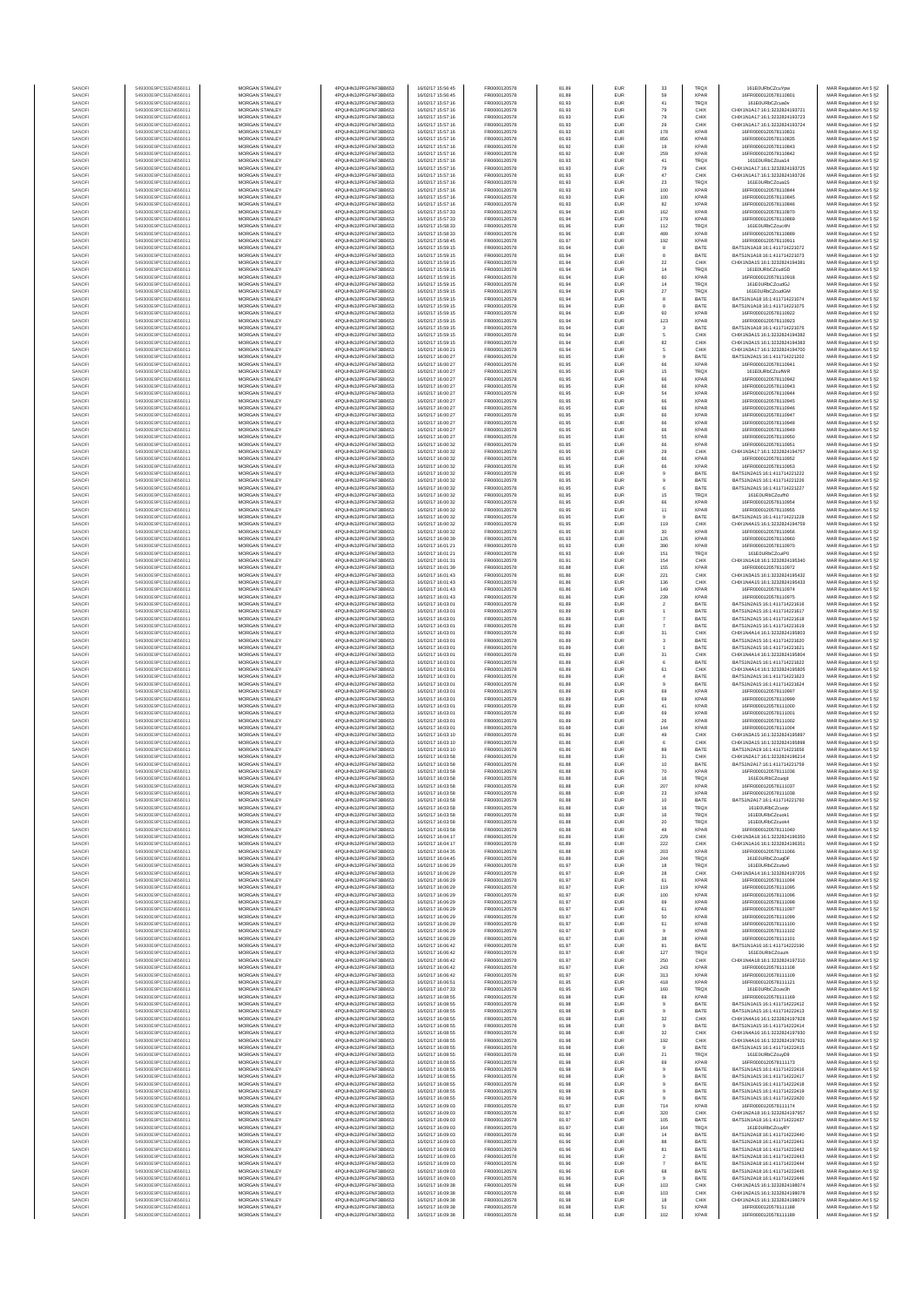| SANOF            | 549300E9PC51EN656011                         | MORGAN STANLEY                                 | 4PQUHN3JPFGFNF3BB653                          | 16/02/17 15:56:45                      | FR0000120578                 | 81.89          | EUR                      | 33                         | <b>TRQX</b>                | 161E0URbCZcuYpw                                                | MAR Regulation Art 5 §2                            |
|------------------|----------------------------------------------|------------------------------------------------|-----------------------------------------------|----------------------------------------|------------------------------|----------------|--------------------------|----------------------------|----------------------------|----------------------------------------------------------------|----------------------------------------------------|
| SANOFI<br>SANOFI | 549300E9PC51EN656011<br>549300E9PC51EN656011 | MORGAN STANLEY<br>MORGAN STANLEY               | 4PQUHN3JPFGFNF3BB653<br>4POLIHN3JPEGENE3BB653 | 16/02/17 15:56:45<br>16/02/17 15:57:16 | FR0000120578<br>FR0000120578 | 81.89<br>81.93 | EUR<br>EUR               | 59<br>41                   | <b>XPAR</b><br><b>TRQX</b> | 16FR0000120578110801<br>161E0URbCZcua0v                        | MAR Regulation Art 5 §2<br>MAR Regulation Art 5 §2 |
| SANOFI           | 549300E9PC51EN656011                         | MORGAN STANLEY                                 | 4PQUHN3JPFGFNF3BB653                          | 16/02/17 15:57:16                      | FR0000120578                 | 81.93          | EUR                      | 79                         | CHIX                       | CHIX1N1A17:16:1:3232824193721                                  | MAR Regulation Art 5 §2                            |
| SANOFI<br>SANOFI | 549300E9PC51EN656011<br>549300E9PC51EN656011 | MORGAN STANLEY<br>MORGAN STANLEY               | 4PQUHN3JPFGFNF3BB653<br>4PQUHN3JPFGFNF3BB653  | 16/02/17 15:57:16<br>16/02/17 15:57:16 | FR0000120578<br>FR0000120578 | 81.93<br>81.93 | EUR<br>EUR               | 79<br>29                   | CHIX<br>CHIX               | CHIX1N1A17:16:1:3232824193723<br>CHIX1N1A17:16:1:3232824193724 | MAR Regulation Art 5 §2<br>MAR Regulation Art 5 §2 |
| SANOFI           | 549300E9PC51EN656011                         | MORGAN STANLEY                                 | 4PQUHN3JPFGFNF3BB653                          | 16/02/17 15:57:16                      | FR0000120578                 | 81.93          | EUR                      | 178                        | <b>XPAR</b>                | 16ER0000120578110831                                           | MAR Regulation Art 5 §2                            |
| SANOFI<br>SANOFI | 549300E9PC51EN656011<br>549300E9PC51EN656011 | MORGAN STANLEY<br><b>MORGAN STANLEY</b>        | 4PQUHN3JPFGFNF3BB653<br>4PQUHN3JPFGFNF3BB653  | 16/02/17 15:57:16<br>16/02/17 15:57:16 | FR0000120578<br>FR0000120578 | 81.93<br>81.92 | EUR<br>EUR               | 856<br>19                  | <b>XPAR</b><br><b>XPAR</b> | 16FR0000120578110835<br>16FR0000120578110843                   | MAR Regulation Art 5 §2<br>MAR Regulation Art 5 §2 |
| SANOFI           | 549300E9PC51EN656011                         | <b>MORGAN STANLEY</b>                          | 4PQUHN3JPFGFNF3BB653                          | 16/02/17 15:57:16                      | FR0000120578                 | 81.92          | <b>EUR</b>               | 259                        | <b>XPAR</b>                | 16FR0000120578110842                                           | MAR Regulation Art 5 §2                            |
| SANOFI<br>SANOFI | 549300E9PC51EN656011<br>549300E9PC51EN656011 | <b>MORGAN STANLEY</b><br>MORGAN STANLEY        | 4PQUHN3JPFGFNF3BB653<br>4PQUHN3JPFGFNF3BB653  | 16/02/17 15:57:16<br>16/02/17 15:57:16 | FR0000120578<br>FR0000120578 | 81.93<br>81.93 | EUR<br>EUR               | 41<br>79                   | <b>TRQX</b><br>CHIX        | 161E0URbCZcua14<br>CHIX1N1A17:16:1:3232824193725               | MAR Regulation Art 5 §2<br>MAR Regulation Art 5 §2 |
| SANOFI           | 549300E9PC51EN656011                         | MORGAN STANLEY                                 | 4PQUHN3JPFGFNF3BB653                          | 16/02/17 15:57:16                      | FR0000120578                 | 81.93          | EUR                      | 47                         | CHIX                       | CHIX1N1A17:16:1:3232824193726                                  | MAR Regulation Art 5 §2                            |
| SANOF<br>SANOFI  | 549300E9PC51EN656011<br>549300E9PC51EN656011 | MORGAN STANLEY<br>MORGAN STANLEY               | 4PQUHN3JPFGFNF3BB653<br>4PQUHN3JPFGFNF3BB653  | 16/02/17 15:57:16<br>16/02/17 15:57:16 | FR0000120578<br>FR0000120578 | 81.93<br>81.93 | EUR<br>EUR               | $23\,$<br>100              | TRQ)<br><b>XPAF</b>        | 161E0URbCZcua1S<br>16FR0000120578110844                        | MAR Regulation Art 5 §2<br>MAR Regulation Art 5 §2 |
| SANOFI           | 549300E9PC51EN656011                         | MORGAN STANLEY                                 | 4PQUHN3JPFGFNF3BB653                          | 16/02/17 15:57:16                      | FR0000120578                 | 81.93          | EUR                      | 100                        | <b>XPAR</b><br><b>XPAR</b> | 16FR0000120578110845                                           | MAR Regulation Art 5 §2                            |
| SANOFI<br>SANOFI | 549300E9PC51EN656011<br>549300E9PC51EN656011 | MORGAN STANLEY<br><b>MORGAN STANLEY</b>        | 4PQUHN3JPFGFNF3BB653<br>4PQUHN3JPFGFNF3BB653  | 16/02/17 15:57:16<br>16/02/17 15:57:33 | FR0000120578<br>FR0000120578 | 81.93<br>81.94 | EUR<br>EUR               | 82<br>162                  | <b>XPAR</b>                | 16FR0000120578110846<br>16FR0000120578110870                   | MAR Regulation Art 5 §2<br>MAR Regulation Art 5 §2 |
| SANOFI           | 549300E9PC51EN656011                         | <b>MORGAN STANLEY</b>                          | 4PQUHN3JPFGFNF3BB653                          | 16/02/17 15:57:33                      | FR0000120578                 | 81.94          | EUR                      | 179                        | <b>XPAR</b>                | 16FR0000120578110869                                           | MAR Regulation Art 5 §2                            |
| SANOFI<br>SANOF  | 549300E9PC51EN656011<br>549300E9PC51EN656011 | <b>MORGAN STANLEY</b><br>MORGAN STANLEY        | 4PQUHN3JPFGFNF3BB653<br>4PQUHN3JPFGFNF3BB653  | 16/02/17 15:58:33<br>16/02/17 15:58:33 | FR0000120578<br>FR0000120578 | 81.96<br>81.96 | EUR<br>EUR               | 112<br>489                 | TROX<br><b>XPAR</b>        | 161E0URbCZcuc4N<br>16FR0000120578110889                        | MAR Regulation Art 5 §2<br>MAR Regulation Art 5 §2 |
| SANOFI           | 549300E9PC51EN656011                         | MORGAN STANLEY                                 | 4PQUHN3JPFGFNF3BB653                          | 16/02/17 15:58:45                      | FR0000120578                 | 81.97          | EUR                      | 192                        | <b>XPAF</b>                | 16FR0000120578110911<br>BATS1N1A18:16:1:411714221072           | MAR Regulation Art 5 §2                            |
| SANOFI<br>SANOFI | 549300E9PC51EN656011<br>549300E9PC51EN656011 | MORGAN STANLEY<br>MORGAN STANLEY               | 4PQUHN3JPFGFNF3BB653<br>4PQUHN3JPFGFNF3BB653  | 16/02/17 15:59:15<br>16/02/17 15:59:15 | FR0000120578<br>FR0000120578 | 81.94<br>81.94 | EUR<br>EUR               | 8<br>8                     | BATE<br>BATE               | BATS1N1A18:16:1:411714221073                                   | MAR Regulation Art 5 §2<br>MAR Regulation Art 5 §2 |
| SANOFI           | 549300E9PC51EN656011                         | MORGAN STANLEY                                 | 4PQUHN3JPFGFNF3BB653<br>4POLIHN3JPEGENE3BB653 | 16/02/17 15:59:15                      | FR0000120578                 | 81.94          | EUR                      | $22\,$                     | CHIX                       | CHIX1N3A15:16:1:3232824194381                                  | MAR Regulation Art 5 §2                            |
| SANOFI<br>SANOFI | 549300E9PC51EN656011<br>549300E9PC51EN656011 | <b>MORGAN STANLEY</b><br>MORGAN STANLEY        | 4PQUHN3JPFGFNF3BB653                          | 16/02/17 15:59:15<br>16/02/17 15:59:15 | FR0000120578<br>FR0000120578 | 81.94<br>81.94 | EUR<br>EUR               | 14<br>60                   | <b>TRQX</b><br><b>XPAR</b> | 161E0URbCZcudGD<br>16FR0000120578110918                        | MAR Regulation Art 5 §2<br>MAR Regulation Art 5 §2 |
| SANOFI           | 549300E9PC51EN656011                         | MORGAN STANLEY<br>MORGAN STANLEY               | 4PQUHN3JPFGFNF3BB653                          | 16/02/17 15:59:15<br>16/02/17 15:59:15 | FR0000120578<br>FR0000120578 | 81.94          | EUR                      | 14<br>$27\,$               | <b>TRQX</b>                | 161E0URbCZcudGJ<br>161E0URbCZcudGM                             | MAR Regulation Art 5 §2                            |
| SANOFI<br>SANOF  | 549300E9PC51EN656011<br>549300E9PC51EN656011 | MORGAN STANLEY                                 | 4PQUHN3JPFGFNF3BB653<br>4PQUHN3JPFGFNF3BB653  | 16/02/17 15:59:15                      | FR0000120578                 | 81.94<br>81.94 | EUR<br>EUR               | 8                          | TRQX<br>BATE               | BATS1N1A18:16:1:411714221074                                   | MAR Regulation Art 5 §2<br>MAR Regulation Art 5 §2 |
| SANOFI           | 549300E9PC51EN656011<br>549300E9PC51EN656011 | MORGAN STANLEY<br>MORGAN STANLEY               | 4PQUHN3JPFGFNF3BB653<br>4PQUHN3JPFGFNF3BB653  | 16/02/17 15:59:15<br>16/02/17 15:59:15 | FR0000120578<br>FR0000120578 | 81.94<br>81.94 | EUR<br>EUR               | 60                         | BATE<br><b>XPAR</b>        | BATS1N1A18:16:1:411714221075<br>16FR0000120578110922           | MAR Regulation Art 5 §2<br>MAR Regulation Art 5 §2 |
| SANOFI<br>SANOFI | 549300E9PC51EN656011                         | MORGAN STANLEY                                 | 4PQUHN3JPFGFNF3BB653                          | 16/02/17 15:59:15                      | FR0000120578                 | 81.94          | EUR                      | 123                        | <b>XPAR</b>                | 16FR0000120578110923                                           | MAR Regulation Art 5 §2                            |
| SANOFI<br>SANOFI | 549300E9PC51EN656011<br>549300E9PC51EN656011 | <b>MORGAN STANLEY</b><br><b>MORGAN STANLEY</b> | 4PQUHN3JPFGFNF3BB653<br>4PQUHN3JPFGFNF3BB653  | 16/02/17 15:59:15<br>16/02/17 15:59:15 | FR0000120578<br>FR0000120578 | 81.94<br>81.94 | EUR<br>EUR               | $\mathbf{3}$<br>5          | BATE<br>CHIX               | BATS1N1A18:16:1:411714221076<br>CHIX1N3A15:16:1:3232824194382  | MAR Regulation Art 5 §2<br>MAR Regulation Art 5 §2 |
| SANOFI           | 549300E9PC51EN656011                         | MORGAN STANLEY                                 | 4PQUHN3JPFGFNF3BB653                          | 16/02/17 15:59:15                      | FR0000120578                 | 81.94          | EUR                      | 82                         | CHIX                       | CHIX1N3A15:16:1:3232824194383                                  | MAR Regulation Art 5 §2                            |
| SANOFI<br>SANOFI | 549300E9PC51EN656011<br>549300E9PC51EN656011 | MORGAN STANLEY<br>MORGAN STANLEY               | 4PQUHN3JPFGFNF3BB653<br>4PQUHN3JPFGFNF3BB653  | 16/02/17 16:00:21<br>16/02/17 16:00:27 | FR0000120578<br>FR0000120578 | 81.94<br>81.95 | EUR<br>EUR               | 5                          | CHIX<br>BATE               | CHIX1N3A17:16:1:3232824194700<br>BATS1N2A15:16:1:411714221202  | MAR Regulation Art 5 §2<br>MAR Regulation Art 5 §2 |
| SANOFI           | 549300E9PC51EN656011                         | MORGAN STANLEY                                 | 4PQUHN3JPFGFNF3BB653                          | 16/02/17 16:00:27                      | FR0000120578                 | 81.95          | EUR                      | 66                         | <b>XPAF</b>                | 16FR0000120578110941                                           | MAR Regulation Art 5 §2                            |
| SANOFI<br>SANOFI | 549300E9PC51EN656011<br>549300E9PC51EN656011 | MORGAN STANLEY<br>MORGAN STANLEY               | 4PQUHN3JPFGFNF3BB653<br>4PQUHN3JPFGFNF3BB653  | 16/02/17 16:00:27<br>16/02/17 16:00:27 | FR0000120578<br>FR0000120578 | 81.95<br>81.95 | EUR<br>EUR               | 15<br>$66\,$               | <b>TRQX</b><br><b>XPAR</b> | 161E0URbCZcufWR<br>16FR0000120578110942                        | MAR Regulation Art 5 §2<br>MAR Regulation Art 5 §2 |
| SANOFI           | 549300E9PC51EN656011                         | <b>MORGAN STANLEY</b>                          | 4POLIHN3JPEGENE3BB653                         | 16/02/17 16:00:27                      | FR0000120578                 | 81.95          | <b>EUR</b>               | 66                         | <b>XPAR</b>                | 16FR0000120578110943                                           | MAR Regulation Art 5 §2                            |
| SANOFI<br>SANOFI | 549300E9PC51EN656011<br>549300E9PC51EN656011 | <b>MORGAN STANLEY</b><br>MORGAN STANLEY        | 4PQUHN3JPFGFNF3BB653<br>4PQUHN3JPFGFNF3BB653  | 16/02/17 16:00:27<br>16/02/17 16:00:27 | FR0000120578<br>FR0000120578 | 81.95<br>81.95 | EUR<br>EUR               | 54<br>66                   | <b>XPAR</b><br><b>XPAR</b> | 16FR0000120578110944<br>16FR0000120578110945                   | MAR Regulation Art 5 §2<br>MAR Regulation Art 5 §2 |
| SANOFI           | 549300E9PC51EN656011<br>549300E9PC51EN656011 | MORGAN STANLEY                                 | 4PQUHN3JPFGFNF3BB653                          | 16/02/17 16:00:27<br>16/02/17 16:00:27 | FR0000120578<br>FR0000120578 | 81.95<br>81.95 | EUR<br>EUR               | 66                         | <b>XPAR</b><br><b>XPAR</b> | 16FR0000120578110946                                           | MAR Regulation Art 5 §2<br>MAR Regulation Art 5 §2 |
| SANOFI<br>SANOFI | 549300E9PC51EN656011                         | MORGAN STANLEY<br>MORGAN STANLEY               | 4PQUHN3JPFGFNF3BB653<br>4PQUHN3JPFGFNF3BB653  | 16/02/17 16:00:27                      | FR0000120578                 | 81.95          | EUR                      | $66\,$<br>66               | <b>XPAF</b>                | 16FR0000120578110947<br>16FR0000120578110948                   | MAR Regulation Art 5 §2                            |
| SANOFI<br>SANOFI | 549300E9PC51EN656011<br>549300E9PC51EN656011 | MORGAN STANLEY<br>MORGAN STANLEY               | 4PQUHN3JPFGFNF3BB653<br>4PQUHN3JPFGFNF3BB653  | 16/02/17 16:00:27<br>16/02/17 16:00:27 | FR0000120578<br>FR0000120578 | 81.95<br>81.95 | EUR<br>EUR               | 66<br>55                   | <b>XPAF</b><br><b>XPAR</b> | 16FR0000120578110949<br>16FR0000120578110950                   | MAR Regulation Art 5 §2<br>MAR Regulation Art 5 §2 |
| SANOFI           | 549300E9PC51EN656011                         | MORGAN STANLEY                                 | 4PQUHN3JPFGFNF3BB653                          | 16/02/17 16:00:32                      | FR0000120578                 | 81.95          | EUR                      | $66\,$                     | <b>XPAR</b>                | 16FR0000120578110951                                           | MAR Regulation Art 5 §2                            |
| SANOFI<br>SANOFI | 549300E9PC51EN656011<br>549300E9PC51EN656011 | <b>MORGAN STANLEY</b><br>MORGAN STANLEY        | 4POLIHN3JPEGENE3BB653<br>4PQUHN3JPFGFNF3BB653 | 16/02/17 16:00:32<br>16/02/17 16:00:32 | FR0000120578<br>FR0000120578 | 81.95<br>81.95 | EUR<br>EUR               | 29<br>66                   | CHIX<br><b>XPAR</b>        | CHIX1N3A17:16:1:3232824194757<br>16FR0000120578110952          | MAR Regulation Art 5 §2<br>MAR Regulation Art 5 §2 |
| SANOFI           | 549300E9PC51EN656011                         | MORGAN STANLEY                                 | 4PQUHN3JPFGFNF3BB653                          | 16/02/17 16:00:32                      | FR0000120578                 | 81.95          | EUR                      | 66                         | <b>XPAR</b>                | 16FR0000120578110953                                           | MAR Regulation Art 5 §2                            |
| SANOFI<br>SANOFI | 549300E9PC51EN656011<br>549300E9PC51EN656011 | MORGAN STANLEY<br>MORGAN STANLEY               | 4PQUHN3JPFGFNF3BB653<br>4PQUHN3JPFGFNF3BB653  | 16/02/17 16:00:32<br>16/02/17 16:00:32 | FR0000120578<br>FR0000120578 | 81.95<br>81.95 | EUR<br>EUR               | $\overline{9}$             | BATE<br>BATE               | BATS1N2A15:16:1:411714221222<br>BATS1N2A15:16:1:411714221226   | MAR Regulation Art 5 §2<br>MAR Regulation Art 5 §2 |
| SANOFI           | 549300E9PC51EN656011                         | MORGAN STANLEY                                 | 4PQUHN3JPFGFNF3BB653                          | 16/02/17 16:00:32                      | FR0000120578                 | 81.95          | EUR                      | 6                          | BATE                       | BATS1N2A15:16:1:411714221227                                   | MAR Regulation Art 5 §2                            |
| SANOFI<br>SANOFI | 549300E9PC51EN656011<br>549300E9PC51EN656011 | MORGAN STANLEY<br><b>MORGAN STANLEY</b>        | 4PQUHN3JPFGFNF3BB653<br>4PQUHN3JPFGFNF3BB653  | 16/02/17 16:00:32<br>16/02/17 16:00:32 | FR0000120578<br>FR0000120578 | 81.95<br>81.95 | EUR<br>EUR               | $15\,$<br>66               | <b>TRQX</b><br><b>XPAR</b> | 161E0URbCZcufh0<br>16FR0000120578110954                        | MAR Regulation Art 5 §2<br>MAR Regulation Art 5 §2 |
| SANOFI           | 549300E9PC51EN656011                         | <b>MORGAN STANLEY</b>                          | 4PQUHN3JPFGFNF3BB653                          | 16/02/17 16:00:32                      | FR0000120578                 | 81.95          | EUR                      | 11                         | <b>XPAR</b>                | 16FR0000120578110955                                           | MAR Regulation Art 5 §2                            |
| SANOFI<br>SANOFI | 549300E9PC51EN656011<br>549300E9PC51EN656011 | <b>MORGAN STANLEY</b><br>MORGAN STANLEY        | 4PQUHN3JPFGFNF3BB653<br>4PQUHN3JPFGFNF3BB653  | 16/02/17 16:00:32<br>16/02/17 16:00:32 | FR0000120578<br>FR0000120578 | 81.95<br>81.95 | <b>EUR</b><br>EUR        | $\theta$<br>119            | BATE<br>CHIX               | BATS1N2A15:16:1:411714221228<br>CHIX1N4A15:16:1:3232824194759  | MAR Regulation Art 5 §2<br>MAR Regulation Art 5 §2 |
| SANOFI           | 549300E9PC51EN656011                         | MORGAN STANLEY                                 | 4PQUHN3JPFGFNF3BB653                          | 16/02/17 16:00:32                      | FR0000120578                 | 81.95          | EUR                      | $30\,$                     | <b>XPAR</b>                | 16FR0000120578110956                                           | MAR Regulation Art 5 §2                            |
| SANOFI<br>SANOFI | 549300E9PC51EN656011<br>549300E9PC51EN656011 | MORGAN STANLEY<br>MORGAN STANLEY               | 4PQUHN3JPFGFNF3BB653<br>4PQUHN3JPFGFNF3BB653  | 16/02/17 16:00:39<br>16/02/17 16:01:21 | FR0000120578<br>FR0000120578 | 81.93<br>81.93 | EUR<br>EUR               | 126<br>390                 | <b>XPAF</b><br><b>XPAR</b> | 16FR0000120578110960<br>16FR0000120578110970                   | MAR Regulation Art 5 §2<br>MAR Regulation Art 5 §2 |
| SANOFI           | 549300E9PC51EN656011                         | MORGAN STANLEY                                 | 4PQUHN3JPFGFNF3BB653                          | 16/02/17 16:01:21                      | FR0000120578                 | 81.93          | EUR                      | 151                        | <b>TRQX</b>                | 161E0URbCZcuiP0                                                | MAR Regulation Art 5 §2                            |
| SANOFI<br>SANOFI | 549300E9PC51EN656011<br>549300E9PC51EN656011 | MORGAN STANLEY<br><b>MORGAN STANLEY</b>        | 4PQUHN3JPFGFNF3BB653<br>4PQUHN3JPFGFNF3BB653  | 16/02/17 16:01:31<br>16/02/17 16:01:39 | FR0000120578<br>FR0000120578 | 81.91<br>81.88 | EUR<br>EUR               | 154<br>155                 | CHIX<br><b>XPAR</b>        | CHIX1N1A18:16:1:3232824195340<br>16FR0000120578110972          | MAR Regulation Art 5 §2<br>MAR Regulation Art 5 §2 |
| SANOFI<br>SANOFI | 549300E9PC51EN656011<br>549300E9PC51EN656011 | <b>MORGAN STANLEY</b><br>MORGAN STANLEY        | 4PQUHN3JPFGFNF3BB653<br>4PQUHN3JPFGFNF3BB653  | 16/02/17 16:01:43<br>16/02/17 16:01:43 | FR0000120578<br>FR0000120578 | 81.86<br>81.86 | EUR<br>EUR               | 221                        | CHIX<br>CHIX               | CHIX1N3A15:16:1:3232824195432<br>CHIX1N4A15:16:1:3232824195433 | MAR Regulation Art 5 §2                            |
| SANOFI           | 549300E9PC51EN656011                         | MORGAN STANLEY                                 | 4PQUHN3JPFGFNF3BB653                          | 16/02/17 16:01:43                      | FR0000120578                 | 81.86          | EUR                      | 136<br>149                 | <b>XPAR</b>                | 16FR0000120578110974                                           | MAR Regulation Art 5 §2<br>MAR Regulation Art 5 §2 |
| SANOF<br>SANOFI  | 549300E9PC51EN656011<br>549300E9PC51EN656011 | MORGAN STANLEY<br>MORGAN STANLEY               | 4PQUHN3JPFGFNF3BB653<br>4PQUHN3JPFGFNF3BB653  | 16/02/17 16:01:43<br>16/02/17 16:03:01 | FR0000120578<br>FR0000120578 | 81.86<br>81.89 | EUR<br>EUR               | 239<br>$\bar{2}$           | <b>XPAR</b><br>BATE        | 16FR0000120578110975<br>BATS1N2A15:16:1:411714221616           | MAR Regulation Art 5 §2<br>MAR Regulation Art 5 §2 |
| SANOFI           | 549300E9PC51EN656011                         | MORGAN STANLEY                                 | 4PQUHN3JPFGFNF3BB653                          | 16/02/17 16:03:01                      | FR0000120578                 | 81.89          | EUR                      |                            | BATE                       | BATS1N2A15:16:1:411714221617                                   | MAR Regulation Art 5 §2                            |
| SANOFI<br>SANOFI | 549300E9PC51EN656011<br>549300E9PC51EN656011 | MORGAN STANLEY<br><b>MORGAN STANLEY</b>        | 4PQUHN3JPFGFNF3BB653<br>4PQUHN3JPFGFNF3BB653  | 16/02/17 16:03:01<br>16/02/17 16:03:01 | FR0000120578<br>FR0000120578 | 81.89<br>81.89 | EUR<br>EUR               | $\overline{7}$             | BATE<br>BATE               | BATS1N2A15:16:1:411714221618<br>BATS1N2A15:16:1:411714221619   | MAR Regulation Art 5 §2<br>MAR Regulation Art 5 §2 |
| SANOFI<br>SANOFI | 549300E9PC51EN656011<br>549300E9PC51EN656011 | <b>MORGAN STANLEY</b><br><b>MORGAN STANLEY</b> | 4PQUHN3JPFGFNF3BB653<br>4PQUHN3JPFGFNF3BB653  | 16/02/17 16:03:01<br>16/02/17 16:03:01 | FR0000120578<br>FR0000120578 | 81.89<br>81.89 | <b>EUR</b><br>EUR        | 31<br>3                    | CHIX<br>BATE               | CHIX1N4A14:16:1:3232824195803<br>BATS1N2A15:16:1:411714221620  | MAR Regulation Art 5 §2<br>MAR Regulation Art 5 §2 |
| SANOFI           | 549300E9PC51EN656011                         | MORGAN STANLEY                                 | 4PQUHN3JPFGFNF3BB653                          | 16/02/17 16:03:01                      | FR0000120578                 | 81.89          | EUR                      |                            | BATE                       | BATS1N2A15:16:1:411714221621                                   | MAR Regulation Art 5 §2                            |
| SANOFI<br>SANOF  | 549300E9PC51EN656011<br>549300E9PC51EN656011 | MORGAN STANLEY<br>MORGAN STANLEY               | 4PQUHN3JPFGFNF3BB653<br>4PQUHN3JPFGFNF3BB653  | 16/02/17 16:03:01<br>16/02/17 16:03:01 | FR0000120578<br>FR0000120578 | 81.89<br>81.89 | EUR<br>EUR               | 31<br>$\boldsymbol{6}$     | CHIX<br>BATE               | CHIX1N4A14:16:1:3232824195804<br>BATS1N2A15:16:1:411714221622  | MAR Regulation Art 5 §2<br>MAR Regulation Art 5 §2 |
| SANOFI           | 549300E9PC51EN656011                         | MORGAN STANLEY                                 | 4PQUHN3JPFGFNF3BB653                          | 16/02/17 16:03:01                      | FR0000120578                 | 81.89          | EUR                      | 61                         | CHIX                       | CHIX1N4A14:16:1:3232824195805                                  | MAR Regulation Art 5 §2                            |
| SANOFI<br>SANOFI | 549300E9PC51EN656011<br>549300E9PC51EN656011 | MORGAN STANLEY<br>MORGAN STANLEY               | 4PQUHN3JPFGFNF3BB653<br>4PQUHN3JPFGFNF3BB653  | 16/02/17 16:03:01<br>16/02/17 16:03:01 | FR0000120578<br>FR0000120578 | 81.89<br>81.89 | EUR<br>EUR               | $\overline{4}$<br>$\theta$ | BATE<br>BATE               | BATS1N2A15:16:1:411714221623<br>BATS1N2A15:16:1:411714221624   | MAR Regulation Art 5 §2<br>MAR Regulation Art 5 §2 |
| SANOFI<br>SANOFI | 549300E9PC51EN656011<br>549300E9PC51EN656011 | <b>MORGAN STANLEY</b><br><b>MORGAN STANLEY</b> | 4PQUHN3JPFGFNF3BB653<br>4PQUHN3JPFGFNF3BB653  | 16/02/17 16:03:01<br>16/02/17 16:03:01 | FR0000120578<br>FR0000120578 | 81.89<br>81.89 | EUR<br><b>EUR</b>        | 69<br>69                   | <b>XPAR</b><br><b>XPAR</b> | 16FR0000120578110997<br>16FR0000120578110999                   | MAR Regulation Art 5 §2<br>MAR Regulation Art 5 §2 |
| SANOFI           | 549300E9PC51EN656011                         | MORGAN STANLEY                                 | 4POLIHN3JPEGENE3BB653                         | 16/02/17 16:03:01                      | FR0000120578                 | 81.89          | EUR                      | 41                         | <b>XPAR</b>                | 16FR0000120578111000                                           | MAR Regulation Art 5 §2                            |
| SANOFI<br>SANOFI | 549300E9PC51EN656011<br>549300E9PC51EN656011 | MORGAN STANLEY<br>MORGAN STANLEY               | 4PQUHN3JPFGFNF3BB653<br>4PQUHN3JPFGFNF3BB653  | 16/02/17 16:03:01<br>16/02/17 16:03:01 | FR0000120578<br>FR0000120578 | 81.89<br>81.89 | EUR<br>EUR               | 69<br>26                   | <b>XPAR</b><br><b>XPAR</b> | 16FR0000120578111001<br>16FR0000120578111002                   | MAR Regulation Art 5 §2<br>MAR Regulation Art 5 §2 |
| SANOF            | 549300E9PC51EN656011                         | MORGAN STANLEY                                 | 4PQUHN3JPFGFNF3BB653                          | 16/02/17 16:03:01                      | FR0000120578                 | 81.88          | EUR                      | 144                        | <b>XPAR</b>                | 16FR0000120578111004                                           | MAR Regulation Art 5 §2                            |
| SANOFI<br>SANOFI | 549300E9PC51EN656011<br>549300E9PC51EN656011 | MORGAN STANLEY<br>MORGAN STANLEY               | 4PQUHN3JPFGFNF3BB653<br>4PQUHN3JPFGFNF3BB653  | 16/02/17 16:03:10<br>16/02/17 16:03:10 | FR0000120578<br>FR0000120578 | 81.86<br>81.86 | EUR<br>EUR               | 49<br>6                    | CHIX<br>CHIX               | CHIX1N3A15:16:1:3232824195897<br>CHIX1N3A15:16:1:3232824195898 | MAR Regulation Art 5 §2<br>MAR Regulation Art 5 §2 |
| SANOFI           | 549300E9PC51EN656011                         | <b>MORGAN STANLEY</b>                          | 4PQUHN3JPFGFNF3BB653                          | 16/02/17 16:03:10                      | FR0000120578                 | 81.86          | EUR                      | 89                         | BATE                       | BATS1N2A19:16:1:411714221656                                   | MAR Regulation Art 5 §2                            |
| SANOFI<br>SANOF  | 549300E9PC51EN656011<br>549300E9PC51EN656011 | <b>MORGAN STANLEY</b><br>MORGAN STANLEY        | 4PQUHN3JPFGFNF3BB653<br>4PQUHN3JPFGFNF3BB653  | 16/02/17 16:03:58<br>16/02/17 16:03:58 | FR0000120578<br>FR0000120578 | 81.88<br>81.88 | EUR<br>EUR               | 31<br>10                   | CHIX<br>BATE               | CHIX1N2A17:16:1:3232824196214<br>BATS1N2A17:16:1:411714221759  | MAR Regulation Art 5 §2<br>MAR Regulation Art 5 §2 |
| SANOFI           | 549300E9PC51EN656011                         | MORGAN STANLEY                                 | 4PQUHN3JPFGFNF3BB653                          | 16/02/17 16:03:58                      | FR0000120578                 | 81.88          | EUR                      | 70                         | <b>XPAR</b>                | 16FR0000120578111036                                           | MAR Regulation Art 5 §2                            |
| SANOF            | 549300E9PC51EN656011                         | MORGAN STANLEY                                 | N3JPFGFNF3BB653<br>4PQUHN3JPFGFNF3BB653       | 16/02/17 16:03:58                      | FR0000120578                 | 81.88          | EUR                      | 207                        | <b>XPAR</b>                | 16FR0000120578111037                                           | t Regulation Art 5 §2<br>MAR Regulation Art 5 §2   |
| SANOF            | 549300E9PC51EN656011<br>549300E9PC51EN656011 | MORGAN STANLEY                                 | 4PQUHN3JPFGFNF3BB653                          | 16/02/17 16:03:58                      | FR0000120578                 | 81.88          | EUR                      | 23                         | <b>XPAR</b>                | 16FR0000120578111038                                           | MAR Regulation Art 5 §2                            |
| SANOFI<br>SANOFI | 549300E9PC51EN656011                         | MORGAN STANLEY<br><b>MORGAN STANLEY</b>        | 4PQUHN3JPFGFNF3BB653<br>4PQUHN3JPFGFNF3BB653  | 16/02/17 16:03:58<br>16/02/17 16:03:58 | FR0000120578<br>FR0000120578 | 81.88<br>81.88 | EUR<br><b>EUR</b>        | 10<br>16                   | BATE<br><b>TRQX</b>        | BATS1N2A17:16:1:411714221760<br>161E0URbCZcuciv                | MAR Regulation Art 5 §2<br>MAR Regulation Art 5 §2 |
| SANOFI<br>SANOFI | 549300E9PC51EN656011<br>549300E9PC51EN656011 | <b>MORGAN STANLEY</b><br>MORGAN STANLEY        | 4PQUHN3JPFGFNF3BB653<br>4PQUHN3JPFGFNF3BB653  | 16/02/17 16:03:58<br>16/02/17 16:03:58 | FR0000120578<br>FR0000120578 | 81.88<br>81.88 | <b>EUR</b><br>EUR        | 16<br>20                   | <b>TRQX</b><br><b>TRQX</b> | 161E0URbCZcuok1<br>161E0URbCZcuok4                             | MAR Regulation Art 5 §2<br>MAR Regulation Art 5 §2 |
| SANOFI           | 549300E9PC51EN656011                         | MORGAN STANLEY                                 | 4PQUHN3JPFGFNF3BB653                          | 16/02/17 16:03:58                      | FR0000120578                 | 81.88          | EUR                      | 49                         | <b>XPAR</b>                | 16FR0000120578111040                                           | MAR Regulation Art 5 §2                            |
| SANOFI<br>SANOFI | 549300E9PC51EN656011<br>549300E9PC51EN656011 | MORGAN STANLEY<br>MORGAN STANLEY               | 4PQUHN3JPFGFNF3BB653<br>4PQUHN3JPFGFNF3BB653  | 16/02/17 16:04:17<br>16/02/17 16:04:17 | FR0000120578<br>FR0000120578 | 81.89<br>81.89 | EUR<br>EUR               | 229<br>222                 | CHIX<br>CHIX               | CHIX1N3A18:16:1:3232824196350<br>CHIX1N1A16:16:1:3232824196351 | MAR Regulation Art 5 §2<br>MAR Regulation Art 5 §2 |
| SANOFI           | 549300E9PC51EN656011                         | MORGAN STANLEY                                 | 4PQUHN3JPFGFNF3BB653                          | 16/02/17 16:04:35                      | FR0000120578                 | 81.88          | EUR                      | 203                        | <b>XPAR</b>                | 16FR0000120578111066                                           | MAR Regulation Art 5 §2                            |
| SANOFI<br>SANOFI | 549300E9PC51EN656011<br>549300E9PC51EN656011 | MORGAN STANLEY<br><b>MORGAN STANLEY</b>        | 4PQUHN3JPFGFNF3BB653<br>4PQUHN3JPFGFNF3BB653  | 16/02/17 16:04:45<br>16/02/17 16:06:29 | FR0000120578<br>FR0000120578 | 81.89<br>81.97 | EUR<br><b>EUR</b>        | 244<br>18                  | TRQX<br><b>TRQX</b>        | 161E0URbCZcugDF<br>161E0URbCZcutw0                             | MAR Regulation Art 5 §2<br>MAR Regulation Art 5 §2 |
| SANOFI<br>SANOFI | 549300E9PC51EN656011<br>549300E9PC51EN656011 | MORGAN STANLEY<br><b>MORGAN STANLEY</b>        | 4PQUHN3JPFGFNF3BB653<br>4PQUHN3JPFGFNF3BB653  | 16/02/17 16:06:29<br>16/02/17 16:06:29 | FR0000120578<br>FR0000120578 | 81.97<br>81.97 | EUR<br><b>EUR</b>        | 28<br>61                   | CHIX<br><b>XPAR</b>        | CHIX1N3A14:16:1:3232824197205<br>16FR0000120578111094          | MAR Regulation Art 5 §2<br>MAR Regulation Art 5 §2 |
| SANOFI           | 549300E9PC51EN656011                         | MORGAN STANLEY                                 | 4PQUHN3JPFGFNF3BB653                          | 16/02/17 16:06:29                      | FR0000120578                 | 81.97          | EUR                      | 119                        | <b>XPAR</b>                | 16ER0000120578111095                                           | MAR Regulation Art 5 §2                            |
| SANOFI<br>SANOFI | 549300E9PC51EN656011<br>549300E9PC51EN656011 | MORGAN STANLEY<br>MORGAN STANLEY               | 4PQUHN3JPFGFNF3BB653<br>4PQUHN3JPFGFNF3BB653  | 16/02/17 16:06:29<br>16/02/17 16:06:29 | FR0000120578<br>FR0000120578 | 81.97<br>81.97 | EUR<br>EUR               | 100                        | <b>XPAR</b><br><b>XPAR</b> | 16FR0000120578111096<br>16FR0000120578111098                   | MAR Regulation Art 5 §2<br>MAR Regulation Art 5 §2 |
| SANOFI           | 549300E9PC51EN656011                         | MORGAN STANLEY                                 | 4PQUHN3JPFGFNF3BB653                          | 16/02/17 16:06:29                      | FR0000120578                 | 81.97          | EUR                      | 61                         | <b>XPAR</b>                | 16FR0000120578111097                                           | MAR Regulation Art 5 §2                            |
| SANOFI<br>SANOFI | 549300E9PC51EN656011<br>549300E9PC51EN656011 | MORGAN STANLEY<br>MORGAN STANLEY               | 4PQUHN3JPFGFNF3BB653<br>4PQUHN3JPFGFNF3BB653  | 16/02/17 16:06:29<br>16/02/17 16:06:29 | FR0000120578<br>FR0000120578 | 81.97<br>81.97 | <b>EUR</b><br>EUR        | 50<br>61                   | <b>XPAR</b><br><b>XPAR</b> | 16FR0000120578111099<br>16FR0000120578111100                   | MAR Regulation Art 5 §2<br>MAR Regulation Art 5 §2 |
| SANOFI<br>SANOFI | 549300E9PC51EN656011<br>549300E9PC51EN656011 | <b>MORGAN STANLEY</b><br><b>MORGAN STANLEY</b> | 4PQUHN3JPFGFNF3BB653<br>4PQUHN3JPFGFNF3BB653  | 16/02/17 16:06:29<br>16/02/17 16:06:29 | FR0000120578<br>FR0000120578 | 81.97<br>81.97 | <b>EUR</b><br>EUR        | $\theta$<br>38             | <b>XPAR</b><br><b>XPAR</b> | 16FR0000120578111102<br>16ER0000120578111101                   | MAR Regulation Art 5 §2                            |
| SANOFI           | 549300E9PC51EN656011                         | MORGAN STANLEY                                 | 4PQUHN3JPFGFNF3BB653                          | 16/02/17 16:06:42                      | FR0000120578                 | 81.97          | EUR                      | 81                         | BATE                       | BATS1N1A16:16:1:411714222190                                   | MAR Regulation Art 5 §2<br>MAR Regulation Art 5 §2 |
| SANOFI<br>SANOF  | 549300E9PC51EN656011<br>549300E9PC51EN656011 | MORGAN STANLEY<br>MORGAN STANLEY               | 4PQUHN3JPFGFNF3BB653<br>4PQUHN3JPFGFNF3BB653  | 16/02/17 16:06:42<br>16/02/17 16:06:42 | FR0000120578<br>FR0000120578 | 81.97<br>81.97 | EUR<br>EUR               | 127<br>250                 | <b>TRQX</b><br>CHIX        | 161E0URbCZcuuln<br>CHIX1N4A18:16:1:3232824197310               | MAR Regulation Art 5 §2<br>MAR Regulation Art 5 §2 |
| SANOFI           | 549300E9PC51EN656011                         | MORGAN STANLEY                                 | 4PQUHN3JPFGFNF3BB653                          | 16/02/17 16:06:42                      | FR0000120578                 | 81.97          | EUR                      | 243                        | <b>XPAR</b>                | 16FR0000120578111108                                           | MAR Regulation Art 5 §2                            |
| SANOFI<br>SANOFI | 549300E9PC51EN656011<br>549300E9PC51EN656011 | MORGAN STANLEY<br>MORGAN STANLEY               | 4PQUHN3JPFGFNF3BB653<br>4PQUHN3JPFGFNF3BB653  | 16/02/17 16:06:42<br>16/02/17 16:06:51 | FR0000120578<br>FR0000120578 | 81.97<br>81.95 | EUR<br><b>EUR</b>        | 313<br>418                 | <b>XPAR</b><br><b>XPAR</b> | 16FR0000120578111109<br>16FR0000120578111121                   | MAR Regulation Art 5 §2<br>MAR Regulation Art 5 §2 |
| SANOFI           | 549300E9PC51EN656011                         | <b>MORGAN STANLEY</b>                          | 4PQUHN3JPFGFNF3BB653                          | 16/02/17 16:07:33                      | FR0000120578                 | 81.95          | <b>EUR</b>               | 160                        | <b>TRQX</b>                | 161E0URbCZcuw3h                                                | MAR Regulation Art 5 §2                            |
| SANOFI<br>SANOFI | 549300E9PC51EN656011<br>549300E9PC51EN656011 | <b>MORGAN STANLEY</b><br>MORGAN STANLEY        | 4PQUHN3JPFGFNF3BB653<br>4PQUHN3JPFGFNF3BB653  | 16/02/17 16:08:55<br>16/02/17 16:08:55 | FR0000120578<br>FR0000120578 | 81.98<br>81.98 | <b>EUR</b><br>EUR        | 69<br>$\overline{9}$       | <b>XPAR</b><br>BATE        | 16FR0000120578111169<br>BATS1N1A15:16:1:411714222412           | MAR Regulation Art 5 §2<br>MAR Regulation Art 5 §2 |
| SANOFI<br>SANOF  | 549300E9PC51EN656011<br>549300E9PC51EN656011 | MORGAN STANLEY<br>MORGAN STANLEY               | 4PQUHN3JPFGFNF3BB653<br>4PQUHN3JPFGFNF3BB653  | 16/02/17 16:08:55<br>16/02/17 16:08:55 | FR0000120578<br>FR0000120578 | 81.98<br>81.98 | EUR<br>EUR               | $\overline{9}$<br>32       | BATE<br>CHIX               | BATS1N1A15:16:1:411714222413<br>CHIX1N4A16:16:1:3232824197928  | MAR Regulation Art 5 §2                            |
| SANOFI           | 549300E9PC51EN656011                         | MORGAN STANLEY                                 | 4PQUHN3JPFGFNF3BB653                          | 16/02/17 16:08:55                      | FR0000120578                 | 81.98          | EUR                      | $9$                        | BATE                       | BATS1N1A15:16:1:411714222414                                   | MAR Regulation Art 5 §2<br>MAR Regulation Art 5 §2 |
| SANOFI<br>SANOFI | 549300E9PC51EN656011<br>549300E9PC51EN656011 | MORGAN STANLEY<br>MORGAN STANLEY               | 4PQUHN3JPFGFNF3BB653<br>4PQUHN3JPFGFNF3BB653  | 16/02/17 16:08:55<br>16/02/17 16:08:55 | FR0000120578<br>FR0000120578 | 81.98<br>81.98 | <b>EUR</b><br>EUR        | 32<br>192                  | CHIX<br>CHIX               | CHIX1N4A16:16:1:3232824197930<br>CHIX1N4A16:16:1:3232824197931 | MAR Regulation Art 5 §2<br>MAR Regulation Art 5 §2 |
| SANOFI           | 549300E9PC51EN656011                         | <b>MORGAN STANLEY</b>                          | 4PQUHN3JPFGFNF3BB653                          | 16/02/17 16:08:55                      | FR0000120578                 | 81.98          | <b>EUR</b>               | $\overline{9}$             | <b>BATE</b>                | BATS1N1A15:16:1:411714222415                                   | MAR Regulation Art 5 §2                            |
| SANOFI<br>SANOFI | 549300E9PC51EN656011<br>549300E9PC51EN656011 | <b>MORGAN STANLEY</b><br>MORGAN STANLEY        | 4PQUHN3JPFGFNF3BB653<br>4PQUHN3JPFGFNF3BB653  | 16/02/17 16:08:55<br>16/02/17 16:08:55 | FR0000120578<br>FR0000120578 | 81.98<br>81.98 | <b>EUR</b><br>EUR        | 21<br>69                   | <b>TRQX</b><br><b>XPAR</b> | 161E0URbCZcuvD9<br>16FR0000120578111173                        | MAR Regulation Art 5 §2<br>MAR Regulation Art 5 §2 |
| SANOFI           | 549300E9PC51EN656011                         | MORGAN STANLEY                                 | 4PQUHN3JPFGFNF3BB653                          | 16/02/17 16:08:55                      | FR0000120578                 | 81.98          | EUR                      |                            | BATE                       | BATS1N1A15:16:1:411714222416                                   | MAR Regulation Art 5 §2                            |
| SANOFI<br>SANOFI | 549300E9PC51EN656011<br>549300E9PC51EN656011 | MORGAN STANLEY<br>MORGAN STANLEY               | 4PQUHN3JPFGFNF3BB653<br>4PQUHN3JPFGFNF3BB653  | 16/02/17 16:08:55<br>16/02/17 16:08:55 | FR0000120578<br>FR0000120578 | 81.98<br>81.98 | EUR<br>EUR               |                            | BATE<br>BATE               | BATS1N1A15:16:1:411714222417<br>BATS1N1A15:16:1:411714222418   | MAR Regulation Art 5 §2<br>MAR Regulation Art 5 §2 |
| SANOFI<br>SANOFI | 549300E9PC51EN656011<br>549300E9PC51EN656011 | MORGAN STANLEY<br>MORGAN STANLEY               | 4PQUHN3JPFGFNF3BB653<br>4PQUHN3JPFGFNF3BB653  | 16/02/17 16:08:55<br>16/02/17 16:08:55 | FR0000120578<br>FR0000120578 | 81.98          | EUR                      | $\theta$                   | BATE<br>BATE               | BATS1N1A15:16:1:411714222419<br>BATS1N1A15:16:1:411714222420   | MAR Regulation Art 5 §2                            |
| SANOFI           | 549300E9PC51EN656011                         | <b>MORGAN STANLEY</b>                          | 4PQUHN3JPFGFNF3BB653                          | 16/02/17 16:09:03                      | FR0000120578                 | 81.98<br>81.97 | <b>EUR</b><br><b>EUR</b> | 714                        | <b>XPAR</b>                | 16FR0000120578111174                                           | MAR Regulation Art 5 §2<br>MAR Regulation Art 5 §2 |
| SANOFI<br>SANOFI | 549300E9PC51EN656011<br>549300E9PC51EN656011 | <b>MORGAN STANLEY</b><br><b>MORGAN STANLEY</b> | 4PQUHN3JPFGFNF3BB653<br>4PQUHN3JPFGFNF3BB653  | 16/02/17 16:09:03<br>16/02/17 16:09:03 | FR0000120578<br>FR0000120578 | 81.97<br>81.97 | <b>EUR</b><br><b>EUR</b> | 320<br>105                 | CHIX<br><b>BATE</b>        | CHIX1N2A18:16:1:3232824197957<br>BATS1N1A18:16:1:411714222437  | MAR Regulation Art 5 §2<br>MAR Regulation Art 5 §2 |
| SANOFI           | 549300E9PC51EN656011                         | MORGAN STANLEY                                 | 4PQUHN3JPFGFNF3BB653                          | 16/02/17 16:09:03                      | FR0000120578                 | 81.97          | EUR                      | 164                        | <b>TRQX</b>                | 161E0URbCZcuyRY                                                | MAR Regulation Art 5 §2                            |
| SANOFI<br>SANOFI | 549300E9PC51EN656011<br>549300E9PC51EN656011 | MORGAN STANLEY<br>MORGAN STANLEY               | 4PQUHN3JPFGFNF3BB653<br>4PQUHN3JPFGFNF3BB653  | 16/02/17 16:09:03<br>16/02/17 16:09:03 | FR0000120578<br>FR0000120578 | 81.96<br>81.96 | EUR<br>EUR               | 14<br>88                   | BATE<br>BATE               | BATS1N2A18:16:1:411714222440<br>BATS1N2A18:16:1:411714222441   | MAR Regulation Art 5 §2<br>MAR Regulation Art 5 §2 |
| SANOFI           | 549300E9PC51EN656011                         | MORGAN STANLEY<br>MORGAN STANLEY               | 4PQUHN3JPFGFNF3BB653<br>4PQUHN3JPFGFNF3BB653  | 16/02/17 16:09:03                      | FR0000120578                 | 81.96<br>81.96 | EUR<br>EUR               | 81                         | BATE<br>BATE               | BATS1N2A18:16:1:411714222442<br>BATS1N2A18:16:1:411714222443   | MAR Regulation Art 5 §2                            |
| SANOFI<br>SANOFI | 549300E9PC51EN656011<br>549300E9PC51EN656011 | MORGAN STANLEY                                 | 4PQUHN3JPFGFNF3BB653                          | 16/02/17 16:09:03<br>16/02/17 16:09:03 | FR0000120578<br>FR0000120578 | 81.96          | <b>EUR</b>               | $\,$ 2 $\,$                | BATE                       | BATS1N2A18:16:1:411714222444                                   | MAR Regulation Art 5 §2<br>MAR Regulation Art 5 §2 |
| SANOFI<br>SANOFI | 549300E9PC51EN656011<br>549300E9PC51EN656011 | <b>MORGAN STANLEY</b><br><b>MORGAN STANLEY</b> | 4PQUHN3JPFGFNF3BB653<br>4PQUHN3JPFGFNF3BB653  | 16/02/17 16:09:03<br>16/02/17 16:09:03 | FR0000120578<br>FR0000120578 | 81.96<br>81.96 | <b>EUR</b><br><b>EUR</b> | 68<br>9                    | <b>BATE</b><br><b>BATE</b> | BATS1N2A18:16:1:411714222445<br>BATS1N2A18:16:1:411714222446   | MAR Regulation Art 5 §2<br>MAR Regulation Art 5 §2 |
| SANOFI           | 549300E9PC51EN656011                         | MORGAN STANLEY                                 | 4PQUHN3JPFGFNF3BB653                          | 16/02/17 16:09:38                      | FR0000120578                 | 81.98          | EUR                      | 103                        | CHIX                       | CHIX1N2A15:16:1:3232824198074                                  | MAR Regulation Art 5 §2                            |
| SANOFI<br>SANOF  | 549300E9PC51EN656011<br>549300E9PC51EN656011 | MORGAN STANLEY<br>MORGAN STANLEY               | 4PQUHN3JPFGFNF3BB653<br>4PQUHN3JPFGFNF3BB653  | 16/02/17 16:09:38<br>16/02/17 16:09:38 | FR0000120578<br>FR0000120578 | 81.98<br>81.98 | EUR<br>EUR               | 103<br>18                  | CHIX<br>CHIX               | CHIX1N2A15:16:1:3232824198078<br>CHIX1N2A15:16:1:3232824198079 | MAR Regulation Art 5 §2<br>MAR Regulation Art 5 §2 |
| SANOF<br>SANOFI  | 549300E9PC51EN656011<br>549300E9PC51EN656011 | MORGAN STANLEY<br>MORGAN STANLEY               | 4PQUHN3JPFGFNF3BB653<br>4PQUHN3JPFGFNF3BB653  | 16/02/17 16:09:38<br>16/02/17 16:09:38 | FR0000120578<br>FR0000120578 | 81.98<br>81.98 | EUR<br>EUR               | 51<br>102                  | <b>XPAR</b><br>XPAR        | 16FR0000120578111188<br>16FR0000120578111189                   | MAR Regulation Art 5 §2<br>MAR Regulation Art 5 §2 |
|                  |                                              |                                                |                                               |                                        |                              |                |                          |                            |                            |                                                                |                                                    |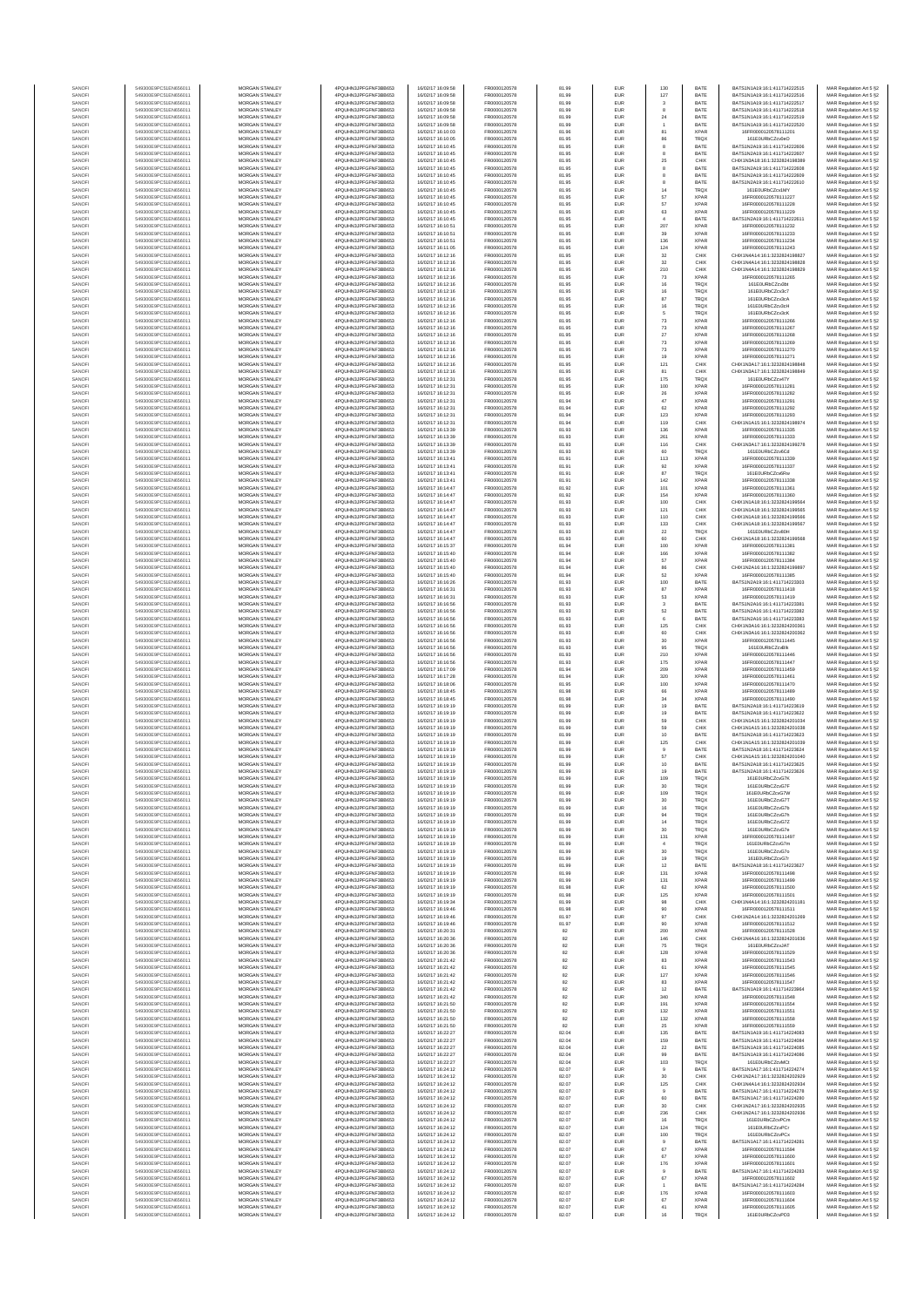| SANOF            | 549300E9PC51EN656011                         | <b>MORGAN STANLEY</b>                          | 4PQUHN3JPFGFNF3BB653                          | 16/02/17 16:09:58                      | FR0000120578                 | 81.99          | EUR                      | 130                            | BATE                       | RATS1N1A19-16-1-411714222515                                   | MAR Regulation Art 5 §2                            |
|------------------|----------------------------------------------|------------------------------------------------|-----------------------------------------------|----------------------------------------|------------------------------|----------------|--------------------------|--------------------------------|----------------------------|----------------------------------------------------------------|----------------------------------------------------|
| SANOFI<br>SANOFI | 549300E9PC51EN656011<br>549300E9PC51EN656011 | <b>MORGAN STANLEY</b><br>MORGAN STANLEY        | 4PQUHN3JPFGFNF3BB653<br>4POLIHN3JPEGENE3BB653 | 16/02/17 16:09:58<br>16/02/17 16:09:58 | FR0000120578<br>FR0000120578 | 81.99<br>81.99 | <b>EUR</b><br>EUR        | 127<br>$\overline{\mathbf{3}}$ | BATE<br>BATE               | BATS1N1A19:16:1:411714222516<br>BATS1N1A19:16:1:411714222517   | MAR Regulation Art 5 §2<br>MAR Regulation Art 5 §2 |
| SANOFI           | 549300E9PC51EN656011                         | MORGAN STANLEY                                 | 4PQUHN3JPFGFNF3BB653                          | 16/02/17 16:09:58                      | FR0000120578                 | 81.99          | EUR                      |                                | BATE                       | BATS1N1A19:16:1:411714222518                                   | MAR Regulation Art 5 §2                            |
| SANOF<br>SANOFI  | 549300E9PC51EN656011<br>549300E9PC51EN656011 | MORGAN STANLEY<br>MORGAN STANLEY               | 4PQUHN3JPFGFNF3BB653<br>4PQUHN3JPFGFNF3BB653  | 16/02/17 16:09:58<br>16/02/17 16:09:58 | FR0000120578<br>FR0000120578 | 81.99<br>81.99 | EUR<br>EUR               | 24                             | BATE<br>BATE               | BATS1N1A19:16:1:411714222519<br>BATS1N1A19:16:1:411714222520   | MAR Regulation Art 5 §2<br>MAR Regulation Art 5 §2 |
| SANOFI           | 549300E9PC51EN656011                         | MORGAN STANLEY                                 | 4PQUHN3JPFGFNF3BB653                          | 16/02/17 16:10:03                      | FR0000120578                 | 81.96          | EUR                      | 81                             | <b>XPAR</b>                | 16FR0000120578111201                                           | MAR Regulation Art 5 §2<br>MAR Regulation Art 5 §2 |
| SANOFI<br>SANOFI | 549300E9PC51EN656011<br>549300E9PC51EN656011 | MORGAN STANLEY<br><b>MORGAN STANLEY</b>        | 4PQUHN3JPFGFNF3BB653<br>4PQUHN3JPFGFNF3BB653  | 16/02/17 16:10:05<br>16/02/17 16:10:45 | FR0000120578<br>FR0000120578 | 81.95<br>81.95 | EUR<br>EUR               | 86<br>8                        | <b>TRQX</b><br>BATE        | 161E0URbCZcv0eO<br>BATS1N2A19:16:1:411714222606                | MAR Regulation Art 5 §2                            |
| SANOFI<br>SANOFI | 549300E9PC51EN656011<br>549300E9PC51EN656011 | MORGAN STANLEY<br>MORGAN STANLEY               | 4PQUHN3JPFGFNF3BB653<br>4PQUHN3JPFGFNF3BB653  | 16/02/17 16:10:45<br>16/02/17 16:10:45 | FR0000120578<br>FR0000120578 | 81.95<br>81.95 | <b>EUR</b><br><b>EUR</b> | 8<br>25                        | BATE<br>CHIX               | BATS1N2A19:16:1:411714222607<br>CHIX1N3A18:16:1:3232824198389  | MAR Regulation Art 5 §2<br>MAR Regulation Art 5 §2 |
| SANOFI           | 549300E9PC51EN656011                         | MORGAN STANLEY                                 | 4PQUHN3JPFGFNF3BB653                          | 16/02/17 16:10:45                      | FR0000120578                 | 81.95          | EUR                      |                                | BATE                       | BATS1N2A19:16:1:411714222608                                   | MAR Regulation Art 5 §2                            |
| SANOFI<br>SANOF  | 549300E9PC51EN656011<br>549300E9PC51EN656011 | MORGAN STANLEY<br>MORGAN STANLEY               | 4PQUHN3JPFGFNF3BB653<br>4PQUHN3JPFGFNF3BB653  | 16/02/17 16:10:45<br>16/02/17 16:10:45 | FR0000120578<br>FR0000120578 | 81.95<br>81.95 | EUR<br>EUR               |                                | BATE<br>BATE               | BATS1N2A19:16:1:41171422260!<br>BATS1N2A19:16:1:411714222610   | MAR Regulation Art 5 §2<br>MAR Regulation Art 5 §2 |
| SANOFI           | 549300E9PC51EN656011                         | MORGAN STANLEY                                 | 4PQUHN3JPFGFNF3BB653                          | 16/02/17 16:10:45                      | FR0000120578                 | 81.95          | EUR                      | 14                             | <b>TRQX</b>                | 161E0URbCZcv1MY                                                | MAR Regulation Art 5 §2                            |
| SANOFI           | 549300E9PC51EN656011<br>549300E9PC51EN656011 | MORGAN STANLEY<br>MORGAN STANLEY               | 4PQUHN3JPFGFNF3BB653<br>4PQUHN3JPFGFNF3BB653  | 16/02/17 16:10:45<br>16/02/17 16:10:45 | FR0000120578<br>FR0000120578 | 81.95<br>81.95 | EUR<br>EUR               | 57<br>57                       | <b>XPAR</b><br><b>XPAR</b> | 16FR0000120578111227<br>16FR0000120578111228                   | MAR Regulation Art 5 §2<br>MAR Regulation Art 5 §2 |
| SANOFI<br>SANOFI | 549300E9PC51EN656011                         | <b>MORGAN STANLEY</b>                          | 4PQUHN3JPFGFNF3BB653                          | 16/02/17 16:10:45                      | FR0000120578                 | 81.95          | EUR                      | 63                             | <b>XPAR</b>                | 16FR0000120578111229                                           | MAR Regulation Art 5 §2                            |
| SANOFI           | 549300E9PC51EN656011<br>549300E9PC51EN656011 | <b>MORGAN STANLEY</b><br>MORGAN STANLEY        | 4PQUHN3JPFGFNF3BB653<br>4PQUHN3JPFGFNF3BB653  | 16/02/17 16:10:45<br>16/02/17 16:10:51 | FR0000120578<br>FR0000120578 | 81.95          | EUR                      | $\overline{4}$                 | BATE<br>XPAR               | BATS1N2A19:16:1:411714222611<br>16FR0000120578111232           | MAR Regulation Art 5 §2                            |
| SANOFI<br>SANOF  | 549300E9PC51EN656011                         | MORGAN STANLEY                                 | 4PQUHN3JPFGFNF3BB653                          | 16/02/17 16:10:51                      | FR0000120578                 | 81.95<br>81.95 | EUR<br>EUR               | 207<br>$39\,$                  | <b>XPAR</b>                | 16FR0000120578111233                                           | MAR Regulation Art 5 §2<br>MAR Regulation Art 5 §2 |
| SANOFI           | 549300E9PC51EN656011                         | MORGAN STANLEY                                 | 4PQUHN3JPFGFNF3BB653<br>4PQUHN3JPFGFNF3BB653  | 16/02/17 16:10:51                      | FR0000120578                 | 81.95          | EUR                      | 136                            | <b>XPAF</b>                | 16FR0000120578111234                                           | MAR Regulation Art 5 §2                            |
| SANOFI<br>SANOFI | 549300E9PC51EN656011<br>549300E9PC51EN656011 | MORGAN STANLEY<br>MORGAN STANLEY               | 4PQUHN3JPFGFNF3BB653                          | 16/02/17 16:11:05<br>16/02/17 16:12:16 | FR0000120578<br>FR0000120578 | 81.95<br>81.95 | EUR<br>EUR               | 124<br>32                      | <b>XPAF</b><br>CHIX        | 16FR0000120578111243<br>CHIX1N4A14:16:1:3232824198827          | MAR Regulation Art 5 §2<br>MAR Regulation Art 5 §2 |
| SANOFI           | 549300E9PC51EN656011                         | MORGAN STANLEY                                 | 4PQUHN3JPFGFNF3BB653                          | 16/02/17 16:12:16                      | FR0000120578                 | 81.95          | EUR                      | $_{32}$                        | CHIX                       | CHIX1N4A14:16:1:3232824198828                                  | MAR Regulation Art 5 §2                            |
| SANOFI<br>SANOFI | 549300E9PC51EN656011<br>549300E9PC51EN656011 | <b>MORGAN STANLEY</b><br><b>MORGAN STANLEY</b> | 4PQUHN3JPFGFNF3BB653<br>4PQUHN3JPFGFNF3BB653  | 16/02/17 16:12:16<br>16/02/17 16:12:16 | FR0000120578<br>FR0000120578 | 81.95<br>81.95 | <b>EUR</b><br>EUR        | 210<br>73                      | CHIX<br><b>XPAR</b>        | CHIX1N4A14:16:1:3232824198829<br>16FR0000120578111265          | MAR Regulation Art 5 §2<br>MAR Regulation Art 5 §2 |
| SANOFI           | 549300E9PC51EN656011                         | MORGAN STANLEY                                 | 4PQUHN3JPFGFNF3BB653                          | 16/02/17 16:12:16                      | FR0000120578<br>FR0000120578 | 81.95          | EUR                      | $16\,$                         | TRQX                       | 161E0URbCZcv3bt                                                | MAR Regulation Art 5 §2                            |
| SANOFI<br>SANOF  | 549300E9PC51EN656011<br>549300E9PC51EN656011 | MORGAN STANLEY<br>MORGAN STANLEY               | 4PQUHN3JPFGFNF3BB653<br>4PQUHN3JPFGFNF3BB653  | 16/02/17 16:12:16<br>6/02/17 16:12:16  | FR0000120578                 | 81.95<br>81.95 | EUR<br>EUR               | $16\,$<br>87                   | TRQX<br>TRQX               | 161E0URbCZcv3c7<br>161E0URbCZcv3cA                             | MAR Regulation Art 5 §2<br>MAR Regulation Art 5 §2 |
| SANOFI           | 549300E9PC51EN656011                         | MORGAN STANLEY                                 | 4PQUHN3JPFGFNF3BB653                          | 16/02/17 16:12:16                      | FR0000120578                 | 81.95          | EUR                      | 16                             | TRQX                       | 161E0URbCZcv3cH                                                | MAR Regulation Art 5 §2                            |
| SANOFI<br>SANOFI | 549300E9PC51EN656011<br>549300E9PC51EN656011 | MORGAN STANLEY<br>MORGAN STANLEY               | 4PQUHN3JPFGFNF3BB653<br>4PQUHN3JPFGFNF3BB653  | 16/02/17 16:12:16<br>16/02/17 16:12:16 | FR0000120578<br>FR0000120578 | 81.95<br>81.95 | EUR<br>EUR               | $\,$ 6<br>73                   | TRQX<br><b>XPAR</b>        | 161E0URbCZcv3cK<br>16FR0000120578111266                        | MAR Regulation Art 5 §2<br>MAR Regulation Art 5 §2 |
| SANOFI<br>SANOFI | 549300E9PC51EN656011<br>549300E9PC51EN656011 | <b>MORGAN STANLEY</b><br>MORGAN STANLEY        | 4PQUHN3JPFGFNF3BB653<br>4PQUHN3JPFGFNF3BB653  | 16/02/17 16:12:16<br>16/02/17 16:12:16 | FR0000120578<br>FR0000120578 | 81.95<br>81.95 | EUR<br><b>EUR</b>        | 73<br>$27\,$                   | <b>XPAR</b><br><b>XPAR</b> | 16FR0000120578111267<br>16FR0000120578111268                   | MAR Regulation Art 5 §2<br>MAR Regulation Art 5 §2 |
| SANOFI           | 549300E9PC51EN656011                         | MORGAN STANLEY                                 | 4PQUHN3JPFGFNF3BB653                          | 16/02/17 16:12:16                      | FR0000120578                 | 81.95          | EUR                      | $\bf 73$                       | <b>XPAR</b>                | 16FR0000120578111269                                           | MAR Regulation Art 5 §2                            |
| SANOFI<br>SANOFI | 549300E9PC51EN656011<br>549300E9PC51EN656011 | MORGAN STANLEY<br>MORGAN STANLEY               | 4PQUHN3JPFGFNF3BB653<br>4PQUHN3JPFGFNF3BB653  | 16/02/17 16:12:16<br>16/02/17 16:12:16 | FR0000120578<br>FR0000120578 | 81.95<br>81.95 | EUR<br>EUR               | $\bf 73$<br>19                 | <b>XPAR</b><br><b>XPAR</b> | 16FR0000120578111270<br>16FR0000120578111271                   | MAR Regulation Art 5 §2                            |
| SANOF            | 549300E9PC51EN656011                         | MORGAN STANLEY                                 | 4PQUHN3JPFGFNF3BB653                          | 16/02/17 16:12:16                      | FR0000120578                 | 81.95          | EUR                      | 121                            | CHIX                       | CHIX1N3A17:16:1:3232824198848                                  | MAR Regulation Art 5 §2<br>MAR Regulation Art 5 §2 |
| SANOFI<br>SANOFI | 549300E9PC51EN656011                         | MORGAN STANLEY<br>MORGAN STANLEY               | 4PQUHN3JPFGFNF3BB653<br>4PQUHN3JPFGFNF3BB653  | 16/02/17 16:12:16<br>16/02/17 16:12:31 | FR0000120578<br>FR0000120578 | 81.95<br>81.95 | EUR<br>EUR               | 81<br>175                      | CHIX<br>TRQX               | CHIX1N3A17:16:1:3232824198849<br>161E0URbCZcv47Y               | MAR Regulation Art 5 §2<br>MAR Regulation Art 5 §2 |
| SANOFI           | 549300E9PC51EN656011<br>549300E9PC51EN656011 | <b>MORGAN STANLEY</b>                          | 4PQUHN3JPFGFNF3BB653                          | 16/02/17 16:12:31                      | FR0000120578                 | 81.95          | <b>EUR</b>               | 100                            | <b>XPAR</b>                | 16FR0000120578111281                                           | MAR Regulation Art 5 §2                            |
| SANOFI<br>SANOFI | 549300E9PC51EN656011<br>549300E9PC51EN656011 | MORGAN STANLEY<br>MORGAN STANLEY               | 4PQUHN3JPFGFNF3BB653<br>4PQUHN3JPFGFNF3BB653  | 16/02/17 16:12:31<br>16/02/17 16:12:31 | FR0000120578<br>FR0000120578 | 81.95<br>81.94 | <b>EUR</b><br>EUR        | 26<br>47                       | <b>XPAR</b><br><b>XPAR</b> | 16FR0000120578111282<br>16FR0000120578111291                   | MAR Regulation Art 5 §2<br>MAR Regulation Art 5 §2 |
| SANOFI           | 549300E9PC51EN656011                         | MORGAN STANLEY                                 | 4PQUHN3JPFGFNF3BB653                          | 16/02/17 16:12:31                      | FR0000120578                 | 81.94          | EUR                      | 62                             | XPAR                       | 16FR0000120578111292                                           | MAR Regulation Art 5 §2                            |
| SANOFI<br>SANOFI | 549300E9PC51EN656011<br>549300E9PC51EN656011 | MORGAN STANLEY<br>MORGAN STANLEY               | 4PQUHN3JPFGFNF3BB653<br>4PQUHN3JPFGFNF3BB653  | 16/02/17 16:12:31<br>16/02/17 16:12:31 | FR0000120578<br>FR0000120578 | 81.94<br>81.94 | EUR<br>EUR               | 123<br>119                     | <b>XPAR</b><br>CHIX        | 16FR0000120578111293<br>CHIX1N1A15:16:1:3232824198974          | MAR Regulation Art 5 §2<br>MAR Regulation Art 5 §2 |
| SANOFI           | 549300E9PC51EN656011                         | MORGAN STANLEY                                 | 4PQUHN3JPFGFNF3BB653                          | 16/02/17 16:13:39                      | FR0000120578                 | 81.93          | EUR                      | 136                            | <b>XPAR</b>                | 6FR0000120578111335                                            | MAR Regulation Art 5 §2                            |
| SANOFI<br>SANOFI | 549300E9PC51EN656011<br>549300E9PC51EN656011 | MORGAN STANLEY<br>MORGAN STANLEY               | 4PQUHN3JPFGFNF3BB653<br>4PQUHN3JPFGFNF3BB653  | 16/02/17 16:13:39<br>16/02/17 16:13:39 | FR0000120578<br>FR0000120578 | 81.93<br>81.93 | EUR<br>EUR               | 261<br>116                     | <b>XPAR</b><br>CHIX        | 16FR0000120578111333<br>CHIX1N3A17:16:1:3232824199278          | MAR Regulation Art 5 §2<br>MAR Regulation Art 5 §2 |
| SANOFI           | 549300E9PC51EN656011                         | <b>MORGAN STANLEY</b>                          | 4PQUHN3JPFGFNF3BB653                          | 16/02/17 16:13:39                      | FR0000120578                 | 81.93          | <b>EUR</b>               | 60                             | <b>TRQX</b>                | 161F0URbCZcv6Cd                                                | MAR Regulation Art 5 §2                            |
| SANOFI<br>SANOFI | 549300E9PC51EN656011<br>549300E9PC51EN656011 | <b>MORGAN STANLEY</b><br>MORGAN STANLEY        | 4POLIHN3JPEGENE3BB653<br>4PQUHN3JPFGFNF3BB653 | 16/02/17 16:13:41<br>16/02/17 16:13:41 | FR0000120578<br>FR0000120578 | 81.91<br>81.91 | EUR<br>EUR               | 113<br>$92\,$                  | <b>XPAR</b><br><b>XPAR</b> | 16FR0000120578111339<br>16FR0000120578111337                   | MAR Regulation Art 5 §2<br>MAR Regulation Art 5 §2 |
| SANOFI           | 549300E9PC51EN656011                         | MORGAN STANLEY                                 | 4PQUHN3JPFGFNF3BB653                          | 16/02/17 16:13:41                      | FR0000120578                 | 81.91          | EUR                      | 87                             | TRQX                       | 161E0URbCZcv6Rw                                                | MAR Regulation Art 5 §2                            |
| SANOFI<br>SANOFI | 549300E9PC51EN656011<br>549300E9PC51EN656011 | MORGAN STANLEY<br>MORGAN STANLEY               | 4PQUHN3JPFGFNF3BB653<br>4PQUHN3JPFGFNF3BB653  | 16/02/17 16:13:41<br>16/02/17 16:14:47 | FR0000120578<br>FR0000120578 | 81.91<br>81.92 | EUR<br>EUR               | 142<br>101                     | <b>XPAR</b><br><b>XPAR</b> | 16FR0000120578111338<br>16FR0000120578111361                   | MAR Regulation Art 5 §2<br>MAR Regulation Art 5 §2 |
| SANOFI           | 549300E9PC51EN656011                         | MORGAN STANLEY                                 | 4PQUHN3JPFGFNF3BB653                          | 16/02/17 16:14:47                      | FR0000120578                 | 81.92          | EUR                      | 154                            | <b>XPAR</b>                | 16ER0000120578111360                                           | MAR Regulation Art 5 §2                            |
| SANOFI<br>SANOFI | 549300E9PC51EN656011<br>549300E9PC51EN656011 | MORGAN STANLEY<br><b>MORGAN STANLEY</b>        | 4PQUHN3JPFGFNF3BB653<br>4PQUHN3JPFGFNF3BB653  | 16/02/17 16:14:47<br>16/02/17 16:14:47 | FR0000120578<br>FR0000120578 | 81.93<br>81.93 | EUR<br>EUR               | 100<br>121                     | CHIX<br>CHIX               | CHIX1N1A18:16:1:3232824199564<br>CHIX1N1A18-16-1-3232824199565 | MAR Regulation Art 5 §2<br>MAR Regulation Art 5 §2 |
| SANOFI           | 549300E9PC51EN656011                         | MORGAN STANLEY                                 | 4PQUHN3JPFGFNF3BB653                          | 16/02/17 16:14:47                      | FR0000120578                 | 81.93          | <b>EUR</b>               | 110                            | CHIX                       | CHIX1N1A18:16:1:3232824199566                                  | MAR Regulation Art 5 §2                            |
| SANOFI<br>SANOF  | 549300E9PC51EN656011<br>549300E9PC51EN656011 | MORGAN STANLEY<br>MORGAN STANLEY               | 4PQUHN3JPFGFNF3BB653<br>4PQUHN3JPFGFNF3BB653  | 16/02/17 16:14:47<br>16/02/17 16:14:47 | FR0000120578<br>FR0000120578 | 81.93<br>81.93 | EUR<br>EUR               | 133<br>$\bf 22$                | CHIX<br><b>TRQX</b>        | CHIX1N1A18:16:1:3232824199567<br>161E0URbCZcv80H               | MAR Regulation Art 5 §2<br>MAR Regulation Art 5 §2 |
| SANOFI           | 549300E9PC51EN656011                         | MORGAN STANLEY                                 | 4PQUHN3JPFGFNF3BB653                          | 16/02/17 16:14:47                      | FR0000120578                 | 81.93          | EUR                      | 60                             | CHIX                       | CHIX1N1A18:16:1:3232824199568                                  | MAR Regulation Art 5 §2                            |
| SANOFI<br>SANOFI | 549300E9PC51EN656011<br>549300E9PC51EN656011 | MORGAN STANLEY<br>MORGAN STANLEY               | 4PQUHN3JPFGFNF3BB653<br>4PQUHN3JPFGFNF3BB653  | 6/02/17 16:15:37<br>16/02/17 16:15:40  | FR0000120578<br>FR0000120578 | 81.94<br>81.94 | EUR<br>EUR               | 100<br>166                     | <b>XPAF</b><br><b>XPAR</b> | 6FR0000120578111381<br>16FR0000120578111382                    | MAR Regulation Art 5 §2<br>MAR Regulation Art 5 §2 |
| SANOFI           | 549300E9PC51EN656011                         | MORGAN STANLEY                                 | 4PQUHN3JPFGFNF3BB653                          | 16/02/17 16:15:40                      | FR0000120578                 | 81.94          | EUR                      | 57                             | <b>XPAR</b>                | 16FR0000120578111384                                           | MAR Regulation Art 5 §2                            |
| SANOFI<br>SANOFI | 549300E9PC51EN656011<br>549300E9PC51EN656011 | MORGAN STANLEY<br><b>MORGAN STANLEY</b>        | 4PQUHN3JPFGFNF3BB653<br>4PQUHN3JPFGFNF3BB653  | 16/02/17 16:15:40<br>16/02/17 16:15:40 | FR0000120578<br>FR0000120578 | 81.94<br>81.94 | <b>EUR</b><br>EUR        | 86<br>52                       | CHIX<br><b>XPAR</b>        | CHIX1N2A16:16:1:3232824199897<br>16FR0000120578111385          | MAR Regulation Art 5 §2<br>MAR Regulation Art 5 §2 |
| SANOFI           | 549300E9PC51EN656011                         | MORGAN STANLEY                                 | 4PQUHN3JPFGFNF3BB653                          | 16/02/17 16:16:26                      | FR0000120578                 | 81.93          | EUR                      | 100                            | BATE                       | BATS1N2A19:16:1:411714223303                                   | MAR Regulation Art 5 §2                            |
| SANOFI<br>SANOF  | 549300E9PC51EN656011<br>549300E9PC51EN656011 | MORGAN STANLEY<br>MORGAN STANLEY               | 4PQUHN3JPFGFNF3BB653<br>4PQUHN3JPFGFNF3BB653  | 16/02/17 16:16:31<br>6/02/17 16:16:31  | FR0000120578<br>FR0000120578 | 81.93<br>81.93 | EUR<br>EUR               | 87<br>53                       | <b>XPAR</b><br><b>XPAR</b> | 16FR0000120578111418<br>16FR0000120578111419                   | MAR Regulation Art 5 §2<br>MAR Regulation Art 5 §2 |
| SANOFI           | 549300E9PC51EN656011                         | MORGAN STANLEY                                 | 4PQUHN3JPFGFNF3BB653                          | 16/02/17 16:16:56                      | FR0000120578                 | 81.93          | EUR                      | $\mathbf{3}$                   | BATE                       | BATS1N2A16:16:1:411714223381                                   | MAR Regulation Art 5 §2                            |
| SANOFI<br>SANOFI | 549300E9PC51EN656011<br>549300E9PC51EN656011 | MORGAN STANLEY<br>MORGAN STANLEY               | 4PQUHN3JPFGFNF3BB653<br>4PQUHN3JPFGFNF3BB653  | 16/02/17 16:16:56<br>16/02/17 16:16:56 | FR0000120578<br>FR0000120578 | 81.93<br>81.93 | EUR<br>EUR               | 62<br>6                        | BATE<br>BATE               | BATS1N2A16:16:1:411714223382<br>BATS1N2A16:16:1:411714223383   | MAR Regulation Art 5 §2<br>MAR Regulation Art 5 §2 |
| SANOFI           | 549300E9PC51EN656011                         | <b>MORGAN STANLEY</b>                          | 4PQUHN3JPFGFNF3BB653                          | 16/02/17 16:16:56                      | FR0000120578                 | 81.93          | <b>EUR</b>               | 125                            | CHIX                       | CHIX1N3A16:16:1:3232824200361                                  | MAR Regulation Art 5 §2                            |
| SANOFI<br>SANOFI | 549300E9PC51EN656011<br>549300E9PC51EN656011 | <b>MORGAN STANLEY</b><br><b>MORGAN STANLEY</b> | 4PQUHN3JPFGFNF3BB653<br>4PQUHN3JPFGFNF3BB653  | 16/02/17 16:16:56<br>16/02/17 16:16:56 | FR0000120578<br>FR0000120578 | 81.93<br>81.93 | <b>EUR</b><br>EUR        | 60<br>30                       | CHIX<br><b>XPAR</b>        | CHIX1N3A16:16:1:3232824200362<br>16FR0000120578111445          | MAR Regulation Art 5 §2<br>MAR Regulation Art 5 §2 |
| SANOFI<br>SANOFI | 549300E9PC51EN656011<br>549300E9PC51EN656011 | MORGAN STANLEY<br>MORGAN STANLEY               | 4PQUHN3JPFGFNF3BB653<br>4PQUHN3JPFGFNF3BB653  | 16/02/17 16:16:56<br>16/02/17 16:16:56 | FR0000120578<br>FR0000120578 | 81.93<br>81.93 | EUR<br>EUR               | 95<br>210                      | TRQX<br><b>XPAR</b>        | 161E0URbCZcvBlk<br>16FR0000120578111446                        | MAR Regulation Art 5 §2<br>MAR Regulation Art 5 §2 |
| SANOF            | 549300E9PC51EN656011                         | MORGAN STANLEY                                 | 4PQUHN3JPFGFNF3BB653                          | 6/02/17 16:16:56                       | FR0000120578                 | 81.93          | EUR                      | 175                            | <b>XPAR</b>                | 16FR0000120578111447                                           | MAR Regulation Art 5 §2                            |
| SANOFI           | 549300E9PC51EN656011                         | MORGAN STANLEY                                 | 4PQUHN3JPFGFNF3BB653<br>4PQUHN3JPFGFNF3BB653  | 16/02/17 16:17:09<br>16/02/17 16:17:28 | FR0000120578<br>FR0000120578 | 81.94          | EUR<br>EUR               | 209<br>320                     | <b>XPAR</b><br><b>XPAR</b> | 16FR0000120578111459<br>16FR0000120578111461                   | MAR Regulation Art 5 §2                            |
| SANOFI<br>SANOFI | 549300E9PC51EN656011<br>549300E9PC51EN656011 | MORGAN STANLEY<br>MORGAN STANLEY               | 4PQUHN3JPFGFNF3BB653                          | 16/02/17 16:18:06                      | FR0000120578                 | 81.94<br>81.95 | EUR                      | 100                            | <b>XPAR</b>                | 16FR0000120578111470                                           | MAR Regulation Art 5 §2<br>MAR Regulation Art 5 §2 |
| SANOFI<br>SANOFI | 549300E9PC51EN656011<br>549300E9PC51EN656011 | <b>MORGAN STANLEY</b><br>MORGAN STANLEY        | 4PQUHN3JPFGFNF3BB653<br>4PQUHN3JPFGFNF3BB653  | 16/02/17 16:18:45<br>16/02/17 16:18:45 | FR0000120578<br>FR0000120578 | 81.98<br>81.98 | EUR<br><b>EUR</b>        | 66<br>34                       | <b>XPAR</b><br><b>XPAR</b> | 16FR0000120578111489<br>16FR0000120578111490                   | MAR Regulation Art 5 §2<br>MAR Regulation Art 5 §2 |
| SANOFI           | 549300E9PC51EN656011                         | MORGAN STANLEY                                 | 4POUHN3JPEGENE3BB653                          | 16/02/17 16:19:19                      | FR0000120578                 | 81.99          | EUR                      | 19                             | BATE                       | BATS1N2A18:16:1:411714223619                                   | MAR Regulation Art 5 §2                            |
| SANOFI<br>SANOFI | 549300E9PC51EN656011<br>549300E9PC51EN656011 | MORGAN STANLEY<br>MORGAN STANLEY               | 4PQUHN3JPFGFNF3BB653<br>4PQUHN3JPFGFNF3BB653  | 16/02/17 16:19:19<br>16/02/17 16:19:19 | FR0000120578<br>FR0000120578 | 81.99<br>81.99 | EUR<br>EUR               | 19<br>59                       | BATE<br>CHIX               | BATS1N2A18:16:1:411714223622<br>CHIX1N1A15:16:1:3232824201034  | MAR Regulation Art 5 §2<br>MAR Regulation Art 5 §2 |
| SANOF            | 549300E9PC51EN656011                         | MORGAN STANLEY                                 | 4PQUHN3JPFGFNF3BB653                          | 6/02/17 16:19:19                       | FR0000120578                 | 81.99          | EUR                      | 59                             | CHIX                       | CHIX1N1A15:16:1:3232824201038                                  | MAR Regulation Art 5 §2                            |
| SANOFI<br>SANOFI | 549300E9PC51EN656011<br>549300E9PC51EN656011 | MORGAN STANLEY<br>MORGAN STANLEY               | 4PQUHN3JPFGFNF3BB653<br>4PQUHN3JPFGFNF3BB653  | 16/02/17 16:19:19<br>16/02/17 16:19:19 | FR0000120578<br>FR0000120578 | 81.99<br>81.99 | EUR<br>EUR               | 10<br>125                      | BATE<br>CHIX               | BATS1N2A18:16:1:411714223623<br>CHIX1N1A15:16:1:3232824201039  | MAR Regulation Art 5 §2<br>MAR Regulation Art 5 §2 |
| SANOFI           | 549300E9PC51EN656011                         | <b>MORGAN STANLEY</b>                          | 4PQUHN3JPFGFNF3BB653                          | 16/02/17 16:19:19                      | FR0000120578                 | 81.99          | <b>EUR</b>               | $\theta$                       | BATE                       | BATS1N2A18-16-1-411714223624                                   | MAR Regulation Art 5 §2                            |
| SANOFI<br>SANOF  | 549300E9PC51EN656011<br>549300E9PC51EN656011 | <b>MORGAN STANLEY</b><br>MORGAN STANLEY        | 4PQUHN3JPFGFNF3BB653<br>4PQUHN3JPFGFNF3BB653  | 16/02/17 16:19:19<br>16/02/17 16:19:19 | FR0000120578<br>FR0000120578 | 81.99<br>81.99 | <b>EUR</b><br>EUR        | 57<br>$10$                     | CHIX<br>BATE               | CHIX1N1A15:16:1:3232824201040<br>BATS1N2A18:16:1:411714223625  | MAR Regulation Art 5 §2<br>MAR Regulation Art 5 §2 |
| SANOF            | 549300E9PC51EN656011                         | MORGAN STANLEY                                 | 4PQUHN3JPFGFNF3BB653                          | 16/02/17 16:19:19                      | FR0000120578                 | 81.99          | EUR                      | 19                             | BATE                       | BATS1N2A18:16:1:411714223626                                   | MAR Regulation Art 5 §2                            |
| SANOF            | 549300E9PC51EN656011                         | MORGAN STANLEY                                 | 4PQUHN3JPFGFNF3BB653                          | 16/02/17 16:19:19                      | FR0000120578                 | 81.99          | EUR                      | 30                             | TRQX                       | 161E0URbCZcvG7F                                                | Art $5.9$<br>MAR Regulation Art 5 §2               |
| SANOFI           | 549300E9PC51EN656011                         | MORGAN STANLEY                                 | 4PQUHN3JPFGFNF3BB653                          | 16/02/17 16:19:19                      | FR0000120578                 | 81.99          | EUR                      | 109                            | <b>TRQX</b>                | 161E0URbCZcvG7W                                                | MAR Regulation Art 5 §2                            |
| SANOFI<br>SANOFI | 549300E9PC51EN656011<br>549300E9PC51EN656011 | MORGAN STANLEY<br><b>MORGAN STANLEY</b>        | 4PQUHN3JPFGFNF3BB653<br>4PQUHN3JPFGFNF3BB653  | 16/02/17 16:19:19<br>16/02/17 16:19:19 | FR0000120578<br>FR0000120578 | 81.99<br>81.99 | EUR<br><b>EUR</b>        | 30<br>16                       | <b>TRQX</b><br><b>TRQX</b> | 161E0URbCZcvG7T<br>161E0URbCZcvG7b                             | MAR Regulation Art 5 §2<br>MAR Regulation Art 5 §2 |
| SANOFI           | 549300E9PC51EN656011                         | <b>MORGAN STANLEY</b>                          | 4PQUHN3JPFGFNF3BB653                          | 16/02/17 16:19:19                      | FR0000120578                 | 81.99          | <b>EUR</b>               | 94                             | <b>TRQX</b>                | 161E0URbCZcvG7h                                                | MAR Regulation Art 5 §2                            |
| SANOFI<br>SANOFI | 549300E9PC51EN656011<br>549300E9PC51EN656011 | MORGAN STANLEY<br>MORGAN STANLEY               | 4PQUHN3JPFGFNF3BB653<br>4PQUHN3JPFGFNF3BB653  | 16/02/17 16:19:19<br>16/02/17 16:19:19 | FR0000120578<br>FR0000120578 | 81.99<br>81.99 | EUR<br>EUR               | 14<br>$30\,$                   | <b>TRQX</b><br>TRQX        | 161E0URbCZcvG7Z<br>161E0URbCZcvG7e                             | MAR Regulation Art 5 §2<br>MAR Regulation Art 5 §2 |
| SANOFI<br>SANOFI | 549300E9PC51EN656011<br>549300E9PC51EN656011 | MORGAN STANLEY<br>MORGAN STANLEY               | 4PQUHN3JPFGFNF3BB653<br>4PQUHN3JPFGFNF3BB653  | 16/02/17 16:19:19<br>16/02/17 16:19:19 | FR0000120578<br>FR0000120578 | 81.99<br>81.99 | EUR<br>EUR               | 131<br>$\sqrt{4}$              | <b>XPAR</b><br>TRQX        | 16FR0000120578111497<br>161E0URbCZcvG7m                        | MAR Regulation Art 5 §2                            |
| SANOFI           | 549300E9PC51EN656011                         | MORGAN STANLEY                                 | 4PQUHN3JPFGFNF3BB653                          | 16/02/17 16:19:19                      | FR0000120578                 | 81.99          | <b>EUR</b>               | 30                             | <b>TRQX</b>                | 161E0URbCZcvG7o                                                | MAR Regulation Art 5 §2<br>MAR Regulation Art 5 §2 |
| SANOFI           | 549300E9PC51EN656011                         | MORGAN STANLEY                                 | 4PQUHN3JPFGFNF3BB653                          | 16/02/17 16:19:19                      | FR0000120578                 | 81.99          | EUR                      | 19                             | TRQX                       | 161E0URbCZcvG7r                                                | MAR Regulation Art 5 §2                            |
| SANOFI<br>SANOFI | 549300E9PC51EN656011<br>549300E9PC51EN656011 | <b>MORGAN STANLEY</b><br>MORGAN STANLEY        | 4PQUHN3JPFGFNF3BB653<br>4PQUHN3JPFGFNF3BB653  | 16/02/17 16:19:19<br>16/02/17 16:19:19 | FR0000120578<br>FR0000120578 | 81.99<br>81.99 | <b>EUR</b><br><b>EUR</b> | 12<br>131                      | BATE<br><b>XPAR</b>        | BATS1N2A18:16:1:411714223627<br>16FR0000120578111498           | MAR Regulation Art 5 §2<br>MAR Regulation Art 5 §2 |
| SANOFI<br>SANOFI | 549300E9PC51EN656011<br>549300E9PC51EN656011 | <b>MORGAN STANLEY</b><br>MORGAN STANLEY        | 4PQUHN3JPFGFNF3BB653<br>4PQUHN3JPFGFNF3BB653  | 16/02/17 16:19:19<br>16/02/17 16:19:19 | FR0000120578<br>FR0000120578 | 81.99<br>81.98 | <b>EUR</b><br><b>EUR</b> | 131<br>62                      | <b>XPAR</b><br><b>XPAR</b> | 16FR0000120578111499<br>16FR0000120578111500                   | MAR Regulation Art 5 §2<br>MAR Regulation Art 5 §2 |
| SANOFI           | 549300E9PC51EN656011                         | MORGAN STANLEY                                 | 4PQUHN3JPFGFNF3BB653                          | 16/02/17 16:19:19                      | FR0000120578                 | 81.98          | EUR                      | 125                            | <b>XPAR</b>                | 16FR0000120578111501                                           | MAR Regulation Art 5 §2                            |
| SANOFI<br>SANOFI | 549300E9PC51EN656011<br>549300E9PC51EN656011 | MORGAN STANLEY<br>MORGAN STANLEY               | 4PQUHN3JPFGFNF3BB653<br>4PQUHN3JPFGFNF3BB653  | 16/02/17 16:19:34<br>16/02/17 16:19:46 | FR0000120578<br>FR0000120578 | 81.99<br>81.98 | EUR<br>EUR               | 98<br>90                       | CHIX<br><b>XPAR</b>        | CHIX1N4A14:16:1:3232824201181<br>6FR0000120578111511           | MAR Regulation Art 5 §2<br>MAR Regulation Art 5 §2 |
| SANOFI           | 549300E9PC51EN656011                         | MORGAN STANLEY                                 | 4PQUHN3JPFGFNF3BB653                          | 16/02/17 16:19:46                      | FR0000120578                 | 81.97          | EUR                      | 97                             | CHIX<br><b>XPAR</b>        | CHIX1N2A14:16:1:3232824201269                                  | MAR Regulation Art 5 §2                            |
| SANOFI<br>SANOFI | 549300E9PC51EN656011<br>549300E9PC51EN656011 | MORGAN STANLEY<br>MORGAN STANLEY               | 4PQUHN3JPFGFNF3BB653<br>4PQUHN3JPFGFNF3BB653  | 16/02/17 16:19:46<br>16/02/17 16:20:31 | FR0000120578<br>FR0000120578 | 81.97<br>82    | EUR<br><b>EUR</b>        | 90<br>200                      | <b>XPAR</b>                | 16FR0000120578111512<br>16FR0000120578111528                   | MAR Regulation Art 5 §2<br>MAR Regulation Art 5 §2 |
| SANOFI<br>SANOFI | 549300E9PC51EN656011                         | MORGAN STANLEY                                 | 4PQUHN3JPFGFNF3BB653                          | 16/02/17 16:20:36                      | FR0000120578                 | 82             | <b>EUR</b>               | 146                            | CHIX<br>TRQX               | CHIX1N4A16:16:1:3232824201636                                  | MAR Regulation Art 5 §2                            |
| SANOFI           | 549300E9PC51EN656011<br>549300E9PC51EN656011 | MORGAN STANLEY<br>MORGAN STANLEY               | 4PQUHN3JPFGFNF3BB653<br>4PQUHN3JPFGFNF3BB653  | 16/02/17 16:20:36<br>16/02/17 16:20:36 | FR0000120578<br>FR0000120578 | 82<br>82       | EUR<br><b>EUR</b>        | 75<br>128                      | <b>XPAR</b>                | 161E0URbCZcvJAT<br>16FR0000120578111529                        | MAR Regulation Art 5 §2<br>MAR Regulation Art 5 §2 |
| SANOF<br>SANOFI  | 549300E9PC51EN656011<br>549300E9PC51EN656011 | MORGAN STANLEY<br>MORGAN STANLEY               | 4PQUHN3JPFGFNF3BB653<br>4PQUHN3JPFGFNF3BB653  | 16/02/17 16:21:42<br>16/02/17 16:21:42 | FR0000120578<br>FR0000120578 | 82<br>82       | EUR<br>EUR               | 83<br>61                       | <b>XPAR</b><br><b>XPAR</b> | 16FR0000120578111543<br>16FR0000120578111545                   | MAR Regulation Art 5 §2<br>MAR Regulation Art 5 §2 |
| SANOFI           | 549300E9PC51EN656011                         | MORGAN STANLEY                                 | 4PQUHN3JPFGFNF3BB653                          | 16/02/17 16:21:42                      | FR0000120578                 | 82             | <b>EUR</b>               | 127                            | <b>XPAR</b>                | 16FR0000120578111546                                           | MAR Regulation Art 5 §2                            |
| SANOFI<br>SANOFI | 549300E9PC51EN656011<br>549300E9PC51EN656011 | MORGAN STANLEY<br><b>MORGAN STANLEY</b>        | 4PQUHN3JPFGFNF3BB653<br>4PQUHN3JPFGFNF3BB653  | 16/02/17 16:21:42<br>16/02/17 16:21:42 | FR0000120578<br>FR0000120578 | 82<br>82       | EUR<br><b>EUR</b>        | 83<br>12                       | <b>XPAR</b><br>BATE        | 16FR0000120578111547<br>BATS1N1A19:16:1:411714223964           | MAR Regulation Art 5 §2<br>MAR Regulation Art 5 §2 |
| SANOFI           | 549300E9PC51EN656011                         | MORGAN STANLEY                                 | 4PQUHN3JPFGFNF3BB653                          | 16/02/17 16:21:42                      | FR0000120578                 | 82             | <b>EUR</b>               | 340                            | <b>XPAR</b>                | 16FR0000120578111548                                           | MAR Regulation Art 5 §2                            |
| SANOFI<br>SANOFI | 549300E9PC51EN656011<br>549300E9PC51EN656011 | MORGAN STANLEY<br>MORGAN STANLEY               | 4PQUHN3JPFGFNF3BB653<br>4PQUHN3JPFGFNF3BB653  | 16/02/17 16:21:50<br>16/02/17 16:21:50 | FR0000120578<br>FR0000120578 | 82<br>82       | EUR<br><b>EUR</b>        | 191<br>132                     | <b>XPAR</b><br><b>XPAR</b> | 16FR0000120578111554<br>16FR0000120578111551                   | MAR Regulation Art 5 §2<br>MAR Regulation Art 5 §2 |
| SANOFI           | 549300E9PC51EN656011                         | MORGAN STANLEY                                 | 4PQUHN3JPFGFNF3BB653                          | 16/02/17 16:21:50                      | FR0000120578                 | 82             | EUR                      | 132                            | <b>XPAR</b>                | 16FR0000120578111558                                           | MAR Regulation Art 5 §2                            |
| SANOFI<br>SANOFI | 549300E9PC51EN656011<br>549300E9PC51EN656011 | MORGAN STANLEY<br>MORGAN STANLEY               | 4PQUHN3JPFGFNF3BB653<br>4PQUHN3JPFGFNF3BB653  | 16/02/17 16:21:50<br>16/02/17 16:22:27 | FR0000120578<br>FR0000120578 | 82<br>82.04    | EUR<br><b>EUR</b>        | 25<br>135                      | <b>XPAR</b><br>BATE        | 16FR0000120578111559<br>BATS1N1A19:16:1:411714224083           | MAR Regulation Art 5 §2<br>MAR Regulation Art 5 §2 |
| SANOFI           | 549300E9PC51EN656011                         | MORGAN STANLEY                                 | 4PQUHN3JPFGFNF3BB653                          | 16/02/17 16:22:27                      | FR0000120578                 | 82.04          | <b>EUR</b>               | 159                            | BATE                       | BATS1N1A19:16:1:411714224084                                   | MAR Regulation Art 5 §2                            |
| SANOFI<br>SANOFI | 549300E9PC51EN656011<br>549300E9PC51EN656011 | <b>MORGAN STANLEY</b><br><b>MORGAN STANLEY</b> | 4PQUHN3JPFGFNF3BB653<br>4PQUHN3JPFGFNF3BB653  | 16/02/17 16:22:27<br>16/02/17 16:22:27 | FR0000120578<br>FR0000120578 | 82.04<br>82.04 | <b>EUR</b><br><b>EUR</b> | 22<br>99                       | BATE<br>BATE               | BATS1N1A19:16:1:411714224085<br>BATS1N1A19:16:1:411714224086   | MAR Regulation Art 5 §2<br>MAR Regulation Art 5 §2 |
| SANOFI           | 549300E9PC51EN656011                         | MORGAN STANLEY                                 | 4PQUHN3JPFGFNF3BB653                          | 16/02/17 16:22:27                      | FR0000120578                 | 82.04          | <b>EUR</b>               | 103                            | TRQX                       | 161E0URbCZcvMCt                                                | MAR Regulation Art 5 §2                            |
| SANOFI<br>SANOFI | 549300E9PC51EN656011<br>549300E9PC51EN656011 | MORGAN STANLEY<br>MORGAN STANLEY               | 4PQUHN3JPFGFNF3BB653<br>4PQUHN3JPFGFNF3BB653  | 16/02/17 16:24:12<br>16/02/17 16:24:12 | FR0000120578<br>FR0000120578 | 82.07<br>82.07 | <b>EUR</b><br>EUR        | $9$<br>30                      | BATE<br>CHIX               | BATS1N1A17:16:1:411714224274<br>CHIX1N2A17:16:1:3232824202929  | MAR Regulation Art 5 §2<br>MAR Regulation Art 5 §2 |
| SANOFI           | 549300E9PC51EN656011                         | MORGAN STANLEY                                 | 4PQUHN3JPFGFNF3BB653                          | 16/02/17 16:24:12                      | FR0000120578                 | 82.07          | EUR                      | 125                            | CHIX<br>BATE               | CHIX1N4A14:16:1:3232824202934                                  | MAR Regulation Art 5 §2                            |
| SANOFI<br>SANOFI | 549300E9PC51EN656011<br>549300E9PC51EN656011 | MORGAN STANLEY<br>MORGAN STANLEY               | 4PQUHN3JPFGFNF3BB653<br>4PQUHN3JPFGFNF3BB653  | 16/02/17 16:24:12<br>16/02/17 16:24:12 | FR0000120578<br>FR0000120578 | 82.07<br>82.07 | <b>EUR</b><br><b>EUR</b> | $\theta$<br>60                 | BATE                       | BATS1N1A17:16:1:411714224278<br>BATS1N1A17:16:1:411714224280   | MAR Regulation Art 5 §2<br>MAR Regulation Art 5 §2 |
| SANOFI<br>SANOFI | 549300E9PC51EN656011<br>549300E9PC51EN656011 | <b>MORGAN STANLEY</b><br><b>MORGAN STANLEY</b> | 4PQUHN3JPFGFNF3BB653<br>4PQUHN3JPFGFNF3BB653  | 16/02/17 16:24:12<br>16/02/17 16:24:12 | FR0000120578                 | 82.07<br>82.07 | <b>EUR</b><br><b>EUR</b> | 30<br>236                      | CHIX<br>CHIX               | CHIX1N2A17:16:1:3232824202935<br>CHIX1N2A17:16:1:3232824202936 | MAR Regulation Art 5 §2                            |
| SANOFI           | 549300E9PC51EN656011                         | <b>MORGAN STANLEY</b>                          | 4PQUHN3JPFGFNF3BB653                          | 16/02/17 16:24:12                      | FR0000120578<br>FR0000120578 | 82.07          | <b>EUR</b>               | 16                             | <b>TRQX</b>                | 161E0URbCZcvPCm                                                | MAR Regulation Art 5 §2<br>MAR Regulation Art 5 §2 |
| SANOFI<br>SANOFI | 549300E9PC51EN656011<br>549300E9PC51EN656011 | MORGAN STANLEY<br>MORGAN STANLEY               | 4PQUHN3JPFGFNF3BB653<br>4PQUHN3JPFGFNF3BB653  | 16/02/17 16:24:12<br>16/02/17 16:24:12 | FR0000120578<br>FR0000120578 | 82.07<br>82.07 | <b>EUR</b><br><b>EUR</b> | 124<br>100                     | TRQX<br>TRQX               | 161E0URbCZcvPCr<br>161E0URbCZcvPCx                             | MAR Regulation Art 5 §2<br>MAR Regulation Art 5 §2 |
| SANOFI           | 549300E9PC51EN656011                         | MORGAN STANLEY                                 | 4PQUHN3JPFGFNF3BB653                          | 16/02/17 16:24:12                      | FR0000120578                 | 82.07          | EUR                      | $\overline{9}$                 | BATE                       | BATS1N1A17:16:1:411714224281                                   | MAR Regulation Art 5 §2                            |
| SANOFI<br>SANOFI | 549300E9PC51EN656011<br>549300E9PC51EN656011 | MORGAN STANLEY<br>MORGAN STANLEY               | 4PQUHN3JPFGFNF3BB653<br>4PQUHN3JPFGFNF3BB653  | 16/02/17 16:24:12<br>16/02/17 16:24:12 | FR0000120578<br>FR0000120578 | 82.07<br>82.07 | EUR<br><b>EUR</b>        | 67<br>67                       | <b>XPAR</b><br><b>XPAR</b> | 16FR0000120578111594<br>16FR0000120578111600                   | MAR Regulation Art 5 §2<br>MAR Regulation Art 5 §2 |
| SANOFI           | 549300E9PC51EN656011                         | MORGAN STANLEY                                 | 4PQUHN3JPFGFNF3BB653                          | 16/02/17 16:24:12                      | FR0000120578                 | 82.07          | EUR                      | 176                            | <b>XPAR</b>                | 16FR0000120578111601                                           | MAR Regulation Art 5 §2                            |
| SANOFI<br>SANOFI | 549300E9PC51EN656011<br>549300E9PC51EN656011 | <b>MORGAN STANLEY</b><br><b>MORGAN STANLEY</b> | 4PQUHN3JPFGFNF3BB653<br>4PQUHN3JPFGFNF3BB653  | 16/02/17 16:24:12<br>16/02/17 16:24:12 | FR0000120578<br>FR0000120578 | 82.07<br>82.07 | <b>EUR</b><br><b>EUR</b> | 67                             | BATE<br><b>XPAR</b>        | BATS1N1A17:16:1:411714224283<br>16FR0000120578111602           | MAR Regulation Art 5 §2<br>MAR Regulation Art 5 §2 |
| SANOFI           | 549300E9PC51EN656011                         | MORGAN STANLEY                                 | 4PQUHN3JPFGFNF3BB653                          | 16/02/17 16:24:12                      | FR0000120578                 | 82.07          | EUR                      |                                | BATE                       | BATS1N1A17:16:1:411714224284                                   | MAR Regulation Art 5 §2                            |
| SANOFI<br>SANOFI | 549300E9PC51EN656011<br>549300E9PC51EN656011 | MORGAN STANLEY<br>MORGAN STANLEY               | 4PQUHN3JPFGFNF3BB653<br>4PQUHN3JPFGFNF3BB653  | 16/02/17 16:24:12<br>16/02/17 16:24:12 | FR0000120578<br>FR0000120578 | 82.07<br>82.07 | <b>EUR</b><br>EUR        | 176<br>67                      | <b>XPAR</b><br><b>XPAR</b> | 16FR0000120578111603<br>16FR0000120578111604                   | MAR Regulation Art 5 §2<br>MAR Regulation Art 5 §2 |
| SANOFI<br>SANOFI | 549300E9PC51EN656011                         | MORGAN STANLEY                                 | 4PQUHN3JPFGFNF3BB653                          | 16/02/17 16:24:12                      | FR0000120578                 | 82.07          | EUR                      | 41                             | <b>XPAR</b><br>TRQX        | 16FR0000120578111605                                           | MAR Regulation Art 5 §2                            |
|                  | 549300E9PC51EN656011                         | MORGAN STANLEY                                 | 4PQUHN3JPFGFNF3BB653                          | 16/02/17 16:24:12                      | FR0000120578                 | 82.07          | <b>EUR</b>               | 16                             |                            | 161E0URbCZcvPD3                                                | MAR Regulation Art 5 §2                            |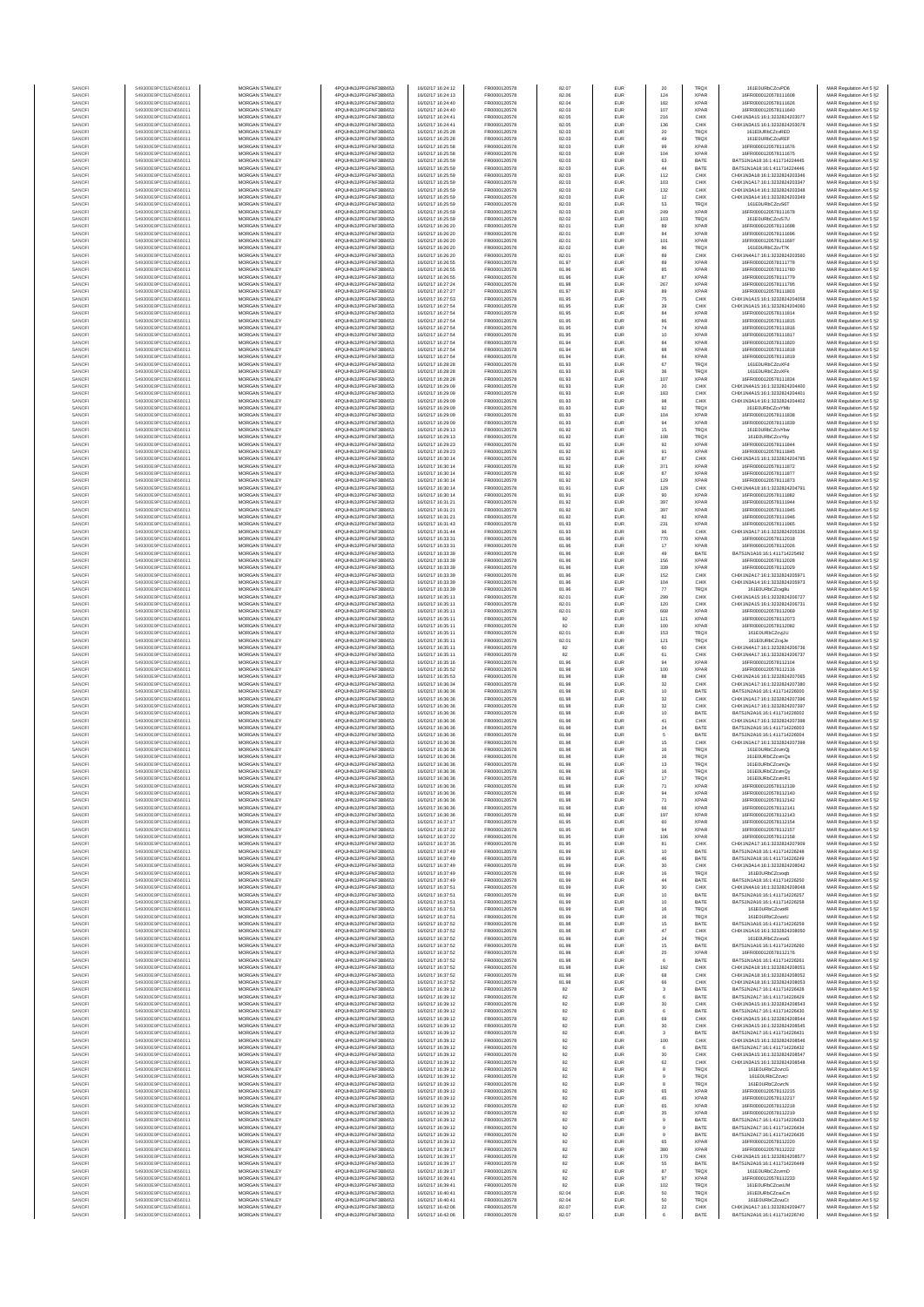| SANOF            | 549300E9PC51EN656011                         | MORGAN STANLEY                                 | 4PQUHN3JPFGFNF3BB653                          | 16/02/17 16:24:12                      | FR0000120578                 | 82.07          | EUR        | 20                                      | <b>TRQX</b>                | 161F0URbCZcvPD6                                                | MAR Regulation Art 5 §2                            |
|------------------|----------------------------------------------|------------------------------------------------|-----------------------------------------------|----------------------------------------|------------------------------|----------------|------------|-----------------------------------------|----------------------------|----------------------------------------------------------------|----------------------------------------------------|
| SANOFI<br>SANOFI | 549300E9PC51EN656011<br>549300E9PC51EN656011 | MORGAN STANLEY<br>MORGAN STANLEY               | 4PQUHN3JPFGFNF3BB653<br>4PQUHN3JPFGFNF3BB653  | 16/02/17 16:24:13<br>16/02/17 16:24:40 | FR0000120578<br>FR0000120578 | 82.06<br>82.04 | EUR<br>EUR | 124<br>182                              | <b>XPAR</b><br><b>XPAR</b> | 16FR0000120578111608<br>16FR0000120578111626                   | MAR Regulation Art 5 §2<br>MAR Regulation Art 5 §2 |
| SANOFI           | 549300E9PC51EN656011                         | MORGAN STANLEY                                 | 4PQUHN3JPFGFNF3BB653                          | 16/02/17 16:24:40                      | FR0000120578                 | 82.03          | EUR        | 107                                     | XPAR                       | 16FR0000120578111640                                           | MAR Regulation Art 5 §2                            |
| SANOFI<br>SANOFI | 549300E9PC51EN656011<br>549300E9PC51EN656011 | MORGAN STANLEY<br>MORGAN STANLEY               | 4PQUHN3JPFGFNF3BB653<br>4PQUHN3JPFGFNF3BB653  | 16/02/17 16:24:41<br>16/02/17 16:24:41 | FR0000120578<br>FR0000120578 | 82.05<br>82.05 | EUR<br>EUR | 216<br>136                              | CHIX<br>CHIX               | CHIX1N3A15:16:1:3232824203077<br>CHIX1N3A15:16:1:3232824203078 | MAR Regulation Art 5 §2<br>MAR Regulation Art 5 §2 |
| SANOFI           | 549300E9PC51EN656011                         | MORGAN STANLEY                                 | 4PQUHN3JPFGFNF3BB653                          | 16/02/17 16:25:28                      | FR0000120578                 | 82.03          | EUR        | $20\,$                                  | <b>TRQX</b>                | 161E0URbCZcvRED                                                | MAR Regulation Art 5 §2                            |
| SANOFI<br>SANOFI | 549300E9PC51EN656011<br>549300E9PC51EN656011 | MORGAN STANLEY<br><b>MORGAN STANLEY</b>        | 4PQUHN3JPFGFNF3BB653<br>4PQUHN3JPFGFNF3BB653  | 16/02/17 16:25:28<br>16/02/17 16:25:58 | FR0000120578<br>FR0000120578 | 82.03<br>82.03 | EUR<br>EUR | 49<br>99                                | TRQX<br><b>XPAR</b>        | 161E0URbCZcvREF<br>16FR0000120578111676                        | MAR Regulation Art 5 §2<br>MAR Regulation Art 5 §2 |
| SANOFI           | 549300E9PC51EN656011                         | <b>MORGAN STANLEY</b>                          | 4PQUHN3JPFGFNF3BB653                          | 16/02/17 16:25:58                      | FR0000120578                 | 82.03          | EUR        | 104                                     | <b>XPAR</b>                | 16FR0000120578111675                                           | MAR Regulation Art 5 §2                            |
| SANOFI<br>SANOFI | 549300E9PC51EN656011<br>549300E9PC51EN656011 | <b>MORGAN STANLEY</b><br>MORGAN STANLEY        | 4PQUHN3JPFGFNF3BB653<br>4PQUHN3JPFGFNF3BB653  | 16/02/17 16:25:59<br>16/02/17 16:25:59 | FR0000120578<br>FR0000120578 | 82.03<br>82.03 | EUR<br>EUR | 63<br>$44\,$                            | BATE<br>BATE               | RATS1N1A18-16-1-411714224445<br>BATS1N1A18:16:1:411714224446   | MAR Regulation Art 5 §2<br>MAR Regulation Art 5 §2 |
| SANOFI           | 549300E9PC51EN656011                         | MORGAN STANLEY                                 | 4PQUHN3JPFGFNF3BB653                          | 16/02/17 16:25:59                      | FR0000120578                 | 82.03          | EUR        | 112                                     | CHIX                       | CHIX1N3A18:16:1:3232824203346                                  | MAR Regulation Art 5 §2                            |
| SANOF<br>SANOFI  | 549300E9PC51EN656011<br>549300E9PC51EN656011 | MORGAN STANLEY<br>MORGAN STANLEY               | 4PQUHN3JPFGFNF3BB653<br>4PQUHN3JPFGFNF3BB653  | 16/02/17 16:25:59<br>16/02/17 16:25:59 | FR0000120578<br>FR0000120578 | 82.03<br>82.03 | EUR<br>EUR | 103<br>132                              | CHIX<br>CHIX               | CHIX1N1A17:16:1:3232824203347<br>CHIX1N3A14:16:1:3232824203348 | MAR Regulation Art 5 §2<br>MAR Regulation Art 5 §2 |
| SANOFI           | 549300E9PC51EN656011                         | MORGAN STANLEY                                 | 4PQUHN3JPFGFNF3BB653                          | 16/02/17 16:25:59                      | FR0000120578                 | 82.03          | EUR        | 12                                      | CHIX                       | CHIX1N3A14:16:1:3232824203349                                  | MAR Regulation Art 5 §2                            |
| SANOFI<br>SANOFI | 549300E9PC51EN656011<br>549300E9PC51EN656011 | MORGAN STANLEY<br><b>MORGAN STANLEY</b>        | 4PQUHN3JPFGFNF3BB653<br>4PQUHN3JPFGFNF3BB653  | 16/02/17 16:25:59<br>16/02/17 16:25:59 | FR0000120578<br>FR0000120578 | 82.03<br>82.03 | EUR<br>EUR | 53<br>249                               | TRQX<br><b>XPAR</b>        | 161E0URbCZcvS6T<br>16FR0000120578111678                        | MAR Regulation Art 5 §2<br>MAR Regulation Art 5 §2 |
| SANOFI           | 549300E9PC51EN656011                         | <b>MORGAN STANLEY</b>                          | 4PQUHN3JPFGFNF3BB653                          | 16/02/17 16:25:59                      | FR0000120578                 | 82.02          | EUR        | 103                                     | <b>TRQX</b>                | 161E0URbCZcvS7U                                                | MAR Regulation Art 5 §2                            |
| SANOFI<br>SANOF  | 549300E9PC51EN656011<br>549300E9PC51EN656011 | MORGAN STANLEY<br>MORGAN STANLEY               | 4PQUHN3JPFGFNF3BB653<br>4PQUHN3JPFGFNF3BB653  | 16/02/17 16:26:20<br>16/02/17 16:26:20 | FR0000120578<br>FR0000120578 | 82.01<br>82.01 | EUR<br>EUR | 89<br>84                                | <b>XPAR</b><br><b>XPAR</b> | 16FR0000120578111698<br>16FR0000120578111696                   | MAR Regulation Art 5 §2<br>MAR Regulation Art 5 §2 |
| SANOFI           | 549300E9PC51EN656011                         | MORGAN STANLEY                                 | 4PQUHN3JPFGFNF3BB653                          | 16/02/17 16:26:20                      | FR0000120578                 | 82.01          | EUR        | 101                                     | <b>XPAF</b>                | 16FR0000120578111697                                           | MAR Regulation Art 5 §2                            |
| SANOFI<br>SANOFI | 549300E9PC51EN656011<br>549300E9PC51EN656011 | MORGAN STANLEY<br>MORGAN STANLEY               | 4PQUHN3JPFGFNF3BB653<br>4PQUHN3JPFGFNF3BB653  | 16/02/17 16:26:20<br>16/02/17 16:26:20 | FR0000120578<br>FR0000120578 | 82.02<br>82.01 | EUR<br>EUR | 86<br>89                                | TRQ)<br>CHIX               | 161E0URbCZcvT7K<br>CHIX1N4A17:16:1:3232824203560               | MAR Regulation Art 5 §2<br>MAR Regulation Art 5 §2 |
| SANOFI           | 549300E9PC51EN656011                         | MORGAN STANLEY                                 | 4PQUHN3JPFGFNF3BB653                          | 16/02/17 16:26:55<br>16/02/17 16:26:55 | FR0000120578                 | 81.97          | EUR        | 89                                      | <b>XPAR</b>                | 16FR0000120578111778                                           | MAR Regulation Art 5 §2                            |
| SANOFI<br>SANOFI | 549300E9PC51EN656011<br>549300E9PC51EN656011 | <b>MORGAN STANLEY</b><br>MORGAN STANLEY        | 4PQUHN3JPFGFNF3BB653<br>4PQUHN3JPFGFNF3BB653  | 16/02/17 16:26:55                      | FR0000120578<br>FR0000120578 | 81.96<br>81.96 | EUR<br>EUR | 85<br>87                                | <b>XPAR</b><br><b>XPAR</b> | 16FR0000120578111780<br>16FR0000120578111779                   | MAR Regulation Art 5 §2<br>MAR Regulation Art 5 §2 |
| SANOFI<br>SANOFI | 549300E9PC51EN656011<br>549300E9PC51EN656011 | MORGAN STANLEY<br>MORGAN STANLEY               | 4PQUHN3JPFGFNF3BB653<br>4PQUHN3JPFGFNF3BB653  | 16/02/17 16:27:24                      | FR0000120578<br>FR0000120578 | 81.98          | EUR<br>EUR | 267                                     | <b>XPAR</b><br>XPAR        | 16FR0000120578111795<br>16FR0000120578111803                   | MAR Regulation Art 5 §2                            |
| SANOF            | 549300E9PC51EN656011                         | MORGAN STANLEY                                 | 4PQUHN3JPFGFNF3BB653                          | 16/02/17 16:27:27<br>16/02/17 16:27:53 | FR0000120578                 | 81.97<br>81.95 | EUR        | 89<br>75                                | CHIX                       | CHIX1N1A15:16:1:3232824204058                                  | MAR Regulation Art 5 §2<br>MAR Regulation Art 5 §2 |
| SANOFI<br>SANOFI | 549300E9PC51EN656011<br>549300E9PC51EN656011 | MORGAN STANLEY<br>MORGAN STANLEY               | 4PQUHN3JPFGFNF3BB653<br>4PQUHN3JPFGFNF3BB653  | 16/02/17 16:27:54<br>16/02/17 16:27:54 | FR0000120578<br>FR0000120578 | 81.95<br>81.95 | EUR<br>EUR | 39<br>84                                | CHIX<br><b>XPAF</b>        | CHIX1N1A15:16:1:3232824204060<br>16FR0000120578111814          | MAR Regulation Art 5 §2<br>MAR Regulation Art 5 §2 |
| SANOFI           | 549300E9PC51EN656011                         | MORGAN STANLEY                                 | 4PQUHN3JPFGFNF3BB653                          | 16/02/17 16:27:54                      | FR0000120578                 | 81.95          | EUR        | 86                                      | <b>XPAR</b>                | 16FR0000120578111815                                           | MAR Regulation Art 5 §2                            |
| SANOFI<br>SANOFI | 549300E9PC51EN656011<br>549300E9PC51EN656011 | <b>MORGAN STANLEY</b><br><b>MORGAN STANLEY</b> | 4PQUHN3JPFGFNF3BB653<br>4PQUHN3JPFGFNF3BB653  | 16/02/17 16:27:54<br>16/02/17 16:27:54 | FR0000120578<br>FR0000120578 | 81.95<br>81.95 | EUR<br>EUR | 74<br>10                                | <b>XPAR</b><br><b>XPAR</b> | 16FR0000120578111816<br>16FR0000120578111817                   | MAR Regulation Art 5 §2<br>MAR Regulation Art 5 §2 |
| SANOFI           | 549300E9PC51EN656011                         | MORGAN STANLEY                                 | 4PQUHN3JPFGFNF3BB653                          | 16/02/17 16:27:54                      | FR0000120578                 | 81.94          | EUR        | 84                                      | <b>XPAR</b>                | 16FR0000120578111820                                           | MAR Regulation Art 5 §2                            |
| SANOFI<br>SANOFI | 549300E9PC51EN656011<br>549300E9PC51EN656011 | MORGAN STANLEY<br>MORGAN STANLEY               | 4PQUHN3JPFGFNF3BB653<br>4PQUHN3JPFGFNF3BB653  | 16/02/17 16:27:54<br>16/02/17 16:27:54 | FR0000120578<br>FR0000120578 | 81.94<br>81.94 | EUR<br>EUR | 88<br>84                                | <b>XPAR</b><br><b>XPAF</b> | 16FR0000120578111818<br>16FR0000120578111819                   | MAR Regulation Art 5 §2<br>MAR Regulation Art 5 §2 |
| SANOFI           | 549300E9PC51EN656011                         | MORGAN STANLEY                                 | 4PQUHN3JPFGFNF3BB653                          | 16/02/17 16:28:28                      | FR0000120578                 | 81.93          | EUR        | 67                                      | TRQ)                       | 161E0URbCZcvXFd                                                | MAR Regulation Art 5 §2                            |
| SANOFI<br>SANOFI | 549300E9PC51EN656011<br>549300E9PC51EN656011 | MORGAN STANLEY<br>MORGAN STANLEY               | 4PQUHN3JPFGFNF3BB653<br>4PQUHN3JPFGFNF3BB653  | 16/02/17 16:28:28<br>16/02/17 16:28:28 | FR0000120578<br>FR0000120578 | 81.93<br>81.93 | EUR<br>EUR | 36<br>107                               | <b>TRQX</b><br><b>XPAR</b> | 161E0URbCZcvXFk<br>16FR0000120578111834                        | MAR Regulation Art 5 §2<br>MAR Regulation Art 5 §2 |
| SANOFI           | 549300E9PC51EN656011                         | <b>MORGAN STANLEY</b><br>MORGAN STANLEY        | 4PQUHN3JPFGFNF3BB653                          | 16/02/17 16:29:09                      | FR0000120578<br>FR0000120578 | 81.93          | EUR        | 20                                      | CHIX                       | CHIX1N4A15-16-1-3232824204400                                  | MAR Regulation Art 5 §2                            |
| SANOFI<br>SANOFI | 549300E9PC51EN656011<br>549300E9PC51EN656011 | <b>MORGAN STANLEY</b>                          | 4PQUHN3JPFGFNF3BB653<br>4PQUHN3JPFGFNF3BB653  | 16/02/17 16:29:09<br>16/02/17 16:29:09 | FR0000120578                 | 81.93<br>81.93 | EUR<br>EUR | 183<br>98                               | CHIX<br>CHIX               | CHIX1N4A15:16:1:3232824204401<br>CHIX1N3A14:16:1:3232824204402 | MAR Regulation Art 5 §2<br>MAR Regulation Art 5 §2 |
| SANOFI<br>SANOFI | 549300E9PC51EN656011<br>549300E9PC51EN656011 | MORGAN STANLEY<br>MORGAN STANLEY               | 4PQUHN3JPFGFNF3BB653<br>4PQUHN3JPFGFNF3BB653  | 16/02/17 16:29:09                      | FR0000120578                 | 81.93          | EUR<br>EUR | $92\,$                                  | TRQ)<br><b>XPAR</b>        | 161E0URbCZcvYMt<br>16FR0000120578111838                        | MAR Regulation Art 5 §2                            |
| SANOFI           | 549300E9PC51EN656011                         | MORGAN STANLEY                                 | 4PQUHN3JPFGFNF3BB653                          | 16/02/17 16:29:09<br>16/02/17 16:29:09 | FR0000120578<br>FR0000120578 | 81.93<br>81.93 | EUR        | 104<br>94                               | <b>XPAF</b>                | 16FR0000120578111839                                           | MAR Regulation Art 5 §2<br>MAR Regulation Art 5 §2 |
| SANOFI<br>SANOFI | 549300E9PC51EN656011<br>549300E9PC51EN656011 | MORGAN STANLEY<br>MORGAN STANLEY               | 4PQUHN3JPFGFNF3BB653<br>4PQUHN3JPFGFNF3BB653  | 16/02/17 16:29:13<br>16/02/17 16:29:13 | FR0000120578<br>FR0000120578 | 81.92<br>81.92 | EUR<br>EUR | 15<br>108                               | TRQ)<br><b>TRQX</b>        | 161E0URbCZcvYbw<br>161E0URbCZcvYby                             | MAR Regulation Art 5 §2<br>MAR Regulation Art 5 §2 |
| SANOFI           | 549300E9PC51EN656011                         | MORGAN STANLEY                                 | 4PQUHN3JPFGFNF3BB653                          | 16/02/17 16:29:23                      | FR0000120578                 | 81.92          | EUR        | 92                                      | <b>XPAR</b>                | 16FR0000120578111844                                           | MAR Regulation Art 5 §2                            |
| SANOFI<br>SANOFI | 549300E9PC51EN656011<br>549300E9PC51EN656011 | <b>MORGAN STANLEY</b><br><b>MORGAN STANLEY</b> | 4POLIHN3JPEGENE3BB653<br>4PQUHN3JPFGFNF3BB653 | 16/02/17 16:29:23<br>16/02/17 16:30:14 | FR0000120578<br>FR0000120578 | 81.92<br>81.92 | EUR<br>EUR | $\begin{array}{c} 91 \\ 87 \end{array}$ | <b>XPAR</b><br>CHIX        | 16FR0000120578111845<br>CHIX1N3A15:16:1:3232824204785          | MAR Regulation Art 5 §2<br>MAR Regulation Art 5 §2 |
| SANOFI           | 549300E9PC51EN656011                         | MORGAN STANLEY                                 | 4PQUHN3JPFGFNF3BB653                          | 16/02/17 16:30:14                      | FR0000120578                 | 81.92          | EUR        | 371                                     | <b>XPAR</b>                | 16FR0000120578111872                                           | MAR Regulation Art 5 §2                            |
| SANOFI<br>SANOFI | 549300E9PC51EN656011<br>549300E9PC51EN656011 | MORGAN STANLEY<br>MORGAN STANLEY               | 4PQUHN3JPFGFNF3BB653<br>4PQUHN3JPFGFNF3BB653  | 16/02/17 16:30:14<br>16/02/17 16:30:14 | FR0000120578<br>FR0000120578 | 81.92<br>81.92 | EUR<br>EUR | 87<br>129                               | <b>XPAR</b><br><b>XPAF</b> | 16FR0000120578111877<br>16FR0000120578111873                   | MAR Regulation Art 5 §2<br>MAR Regulation Art 5 §2 |
| SANOFI           | 549300E9PC51EN656011                         | MORGAN STANLEY                                 | 4PQUHN3JPFGFNF3BB653                          | 16/02/17 16:30:14                      | FR0000120578                 | 81.91          | EUR        | 129                                     | CHIX                       | CHIX1N4A18:16:1:3232824204791                                  | MAR Regulation Art 5 §2                            |
| SANOFI<br>SANOFI | 549300E9PC51EN656011<br>549300E9PC51EN656011 | MORGAN STANLEY<br>MORGAN STANLEY               | 4PQUHN3JPFGFNF3BB653<br>4PQUHN3JPFGFNF3BB653  | 16/02/17 16:30:14<br>16/02/17 16:31:21 | FR0000120578<br>FR0000120578 | 81.91<br>81.92 | EUR<br>EUR | 90<br>397                               | <b>XPAR</b><br><b>XPAR</b> | 16FR0000120578111882<br>16FR0000120578111944                   | MAR Regulation Art 5 §2<br>MAR Regulation Art 5 §2 |
| SANOFI           | 549300E9PC51EN656011                         | <b>MORGAN STANLEY</b>                          | 4POLIHN3JPEGENE3BB653                         | 16/02/17 16:31:21                      | FR0000120578                 | 81.92          | EUR        | 397                                     | <b>XPAR</b>                | 16FR0000120578111945                                           | MAR Regulation Art 5 §2                            |
| SANOFI<br>SANOFI | 549300E9PC51EN656011<br>549300E9PC51EN656011 | MORGAN STANLEY<br>MORGAN STANLEY               | 4PQUHN3JPFGFNF3BB653<br>4PQUHN3JPFGFNF3BB653  | 16/02/17 16:31:21<br>16/02/17 16:31:43 | FR0000120578<br>FR0000120578 | 81.92<br>81.93 | EUR<br>EUR | 82<br>231                               | <b>XPAR</b><br><b>XPAR</b> | 16FR0000120578111946<br>16FR0000120578111965                   | MAR Regulation Art 5 §2<br>MAR Regulation Art 5 §2 |
| SANOFI           | 549300E9PC51EN656011                         | MORGAN STANLEY                                 | 4PQUHN3JPFGFNF3BB653                          | 16/02/17 16:31:44                      | FR0000120578                 | 81.93          | EUR        | $96\,$                                  | CHIX                       | CHIX1N3A17:16:1:3232824205336                                  | MAR Regulation Art 5 §2                            |
| SANOFI<br>SANOFI | 549300E9PC51EN656011<br>549300E9PC51EN656011 | MORGAN STANLEY<br>MORGAN STANLEY               | 4PQUHN3JPFGFNF3BB653<br>4PQUHN3JPFGFNF3BB653  | 16/02/17 16:33:3<br>16/02/17 16:33:31  | FR0000120578<br>FR0000120578 | 81.96<br>81.96 | EUR<br>EUR | 770<br>17                               | <b>XPAF</b><br><b>XPAF</b> | 16FR0000120578112018<br>6FR000012057811202                     | MAR Regulation Art 5 §2<br>MAR Regulation Art 5 §2 |
| SANOFI           | 549300E9PC51EN656011                         | MORGAN STANLEY                                 | 4PQUHN3JPFGFNF3BB653                          | 16/02/17 16:33:39                      | FR0000120578                 | 81.96          | EUR        | 49<br>156                               | BATE<br><b>XPAF</b>        | BATS1N1A16:16:1:411714225492<br>16FR0000120578112028           | MAR Regulation Art 5 §2                            |
| SANOFI<br>SANOFI | 549300E9PC51EN656011<br>549300E9PC51EN656011 | MORGAN STANLEY<br><b>MORGAN STANLEY</b>        | 4PQUHN3JPFGFNF3BB653<br>4PQUHN3JPFGFNF3BB653  | 16/02/17 16:33:39<br>16/02/17 16:33:39 | FR0000120578<br>FR0000120578 | 81.96<br>81.96 | EUR<br>EUR | 339                                     | <b>XPAR</b>                | 16FR0000120578112029                                           | MAR Regulation Art 5 §2<br>MAR Regulation Art 5 §2 |
| SANOFI<br>SANOFI | 549300E9PC51EN656011<br>549300E9PC51EN656011 | <b>MORGAN STANLEY</b><br>MORGAN STANLEY        | 4PQUHN3JPFGFNF3BB653<br>4PQUHN3JPFGFNF3BB653  | 16/02/17 16:33:39<br>16/02/17 16:33:39 | FR0000120578<br>FR0000120578 | 81.96<br>81.96 | EUR<br>EUR | 152<br>104                              | CHIX<br>CHIX               | CHIX1N2A17:16:1:3232824205971<br>CHIX1N3A14:16:1:3232824205973 | MAR Regulation Art 5 §2<br>MAR Regulation Art 5 §2 |
| SANOFI           | 549300E9PC51EN656011                         | MORGAN STANLEY                                 | 4PQUHN3JPFGFNF3BB653                          | 16/02/17 16:33:39                      | FR0000120578                 | 81.96          | EUR        | $77\,$                                  | <b>TRQX</b>                | 161E0URbCZcvg8                                                 | MAR Regulation Art 5 §2                            |
| SANOFI<br>SANOFI | 549300E9PC51EN656011<br>549300E9PC51EN656011 | MORGAN STANLEY<br>MORGAN STANLEY               | 4PQUHN3JPFGFNF3BB653<br>4PQUHN3JPFGFNF3BB653  | 16/02/17 16:35:1<br>16/02/17 16:35:11  | FR0000120578<br>FR0000120578 | 82.01<br>82.01 | EUR<br>EUR | 299<br>120                              | CHIX<br>CHIX               | CHIX1N1A15:16:1:3232824206727<br>CHIX1N2A15:16:1:3232824206731 | MAR Regulation Art 5 §2<br>MAR Regulation Art 5 §2 |
| SANOFI<br>SANOFI | 549300E9PC51EN656011<br>549300E9PC51EN656011 | MORGAN STANLEY<br>MORGAN STANLEY               | 4PQUHN3JPFGFNF3BB653<br>4PQUHN3JPFGFNF3BB653  | 16/02/17 16:35:11<br>16/02/17 16:35:11 | FR0000120578<br>FR0000120578 | 82.01<br>82    | EUR<br>EUR | 668<br>121                              | <b>XPAR</b><br><b>XPAR</b> | 16FR0000120578112069<br>16FR0000120578112073                   | MAR Regulation Art 5 §2<br>MAR Regulation Art 5 §2 |
| SANOFI           | 549300E9PC51EN656011                         | <b>MORGAN STANLEY</b>                          | 4PQUHN3JPFGFNF3BB653                          | 16/02/17 16:35:11                      | FR0000120578                 | 82             | EUR        | 100                                     | <b>XPAR</b>                | 16FR0000120578112082                                           | MAR Regulation Art 5 §2                            |
| SANOFI<br>SANOFI | 549300E9PC51EN656011<br>549300E9PC51EN656011 | <b>MORGAN STANLEY</b><br><b>MORGAN STANLEY</b> | 4PQUHN3JPFGFNF3BB653<br>4PQUHN3JPFGFNF3BB653  | 16/02/17 16:35:11<br>16/02/17 16:35:11 | FR0000120578<br>FR0000120578 | 82.01<br>82.01 | EUR<br>EUR | 153<br>121                              | <b>TRQX</b><br><b>TRQX</b> | 161E0URbCZcviJU<br>161E0URbCZcviJe                             | MAR Regulation Art 5 §2<br>MAR Regulation Art 5 §2 |
| SANOFI           | 549300E9PC51EN656011                         | MORGAN STANLEY<br>MORGAN STANLEY               | 4PQUHN3JPFGFNF3BB653                          | 16/02/17 16:35:11                      | FR0000120578<br>FR0000120578 | $\bf 82$<br>82 | EUR        | 60<br>61                                | CHIX                       | CHIX1N4A17:16:1:3232824206736<br>CHIX1N4A17:16:1:3232824206737 | MAR Regulation Art 5 §2                            |
| SANOFI<br>SANOF  | 549300E9PC51EN656011<br>549300E9PC51EN656011 | MORGAN STANLEY                                 | 4PQUHN3JPFGFNF3BB653<br>4PQUHN3JPFGFNF3BB653  | 16/02/17 16:35:11<br>16/02/17 16:35:16 | FR0000120578                 | 81.96          | EUR<br>EUR | 94                                      | CHIX<br><b>XPAF</b>        | 16FR0000120578112104                                           | MAR Regulation Art 5 §2<br>MAR Regulation Art 5 §2 |
| SANOFI<br>SANOFI | 549300E9PC51EN656011<br>549300E9PC51EN656011 | MORGAN STANLEY<br>MORGAN STANLEY               | 4PQUHN3JPFGFNF3BB653<br>4PQUHN3JPFGFNF3BB653  | 16/02/17 16:35:52<br>16/02/17 16:35:53 | FR0000120578<br>FR0000120578 | 81.98<br>81.98 | EUR<br>EUR | 100<br>88                               | <b>XPAF</b><br>CHIX        | 16FR0000120578112116<br>CHIX1N2A16:16:1:3232824207065          | MAR Regulation Art 5 §2<br>MAR Regulation Art 5 §2 |
| SANOFI           | 549300E9PC51EN656011                         | MORGAN STANLEY                                 | 4PQUHN3JPFGFNF3BB653                          | 16/02/17 16:36:34                      | FR0000120578                 | 81.98          | EUR        | 32                                      | CHIX                       | CHIX1N1A17:16:1:3232824207380                                  | MAR Regulation Art 5 §2                            |
| SANOFI<br>SANOFI | 549300E9PC51EN656011<br>549300E9PC51EN656011 | <b>MORGAN STANLEY</b><br><b>MORGAN STANLEY</b> | 4PQUHN3JPFGFNF3BB653<br>4POLIHN3JPEGENE3BB653 | 16/02/17 16:36:36<br>16/02/17 16:36:36 | FR0000120578<br>FR0000120578 | 81.98<br>81.98 | EUR<br>EUR | 10<br>32                                | BATE<br>CHIX               | BATS1N2A16-16-1-411714226000<br>CHIX1N1A17:16:1:3232824207396  | MAR Regulation Art 5 §2<br>MAR Regulation Art 5 §2 |
| SANOFI           | 549300E9PC51EN656011                         | MORGAN STANLEY<br>MORGAN STANLEY               | 4PQUHN3JPFGFNF3BB653                          | 16/02/17 16:36:36                      | FR0000120578                 | 81.98          | EUR        | $_{\rm 32}$                             | CHIX                       | CHIX1N1A17:16:1:3232824207397                                  | MAR Regulation Art 5 §2                            |
| SANOFI<br>SANOFI | 549300E9PC51EN656011<br>549300E9PC51EN656011 | MORGAN STANLEY                                 | 4PQUHN3JPFGFNF3BB653<br>4PQUHN3JPFGFNF3BB653  | 16/02/17 16:36:36<br>16/02/17 16:36:36 | FR0000120578<br>FR0000120578 | 81.98<br>81.98 | EUR<br>EUR | $10$<br>41                              | BATE<br>CHIX               | BATS1N2A16:16:1:411714226002<br>CHIX1N1A17:16:1:3232824207398  | MAR Regulation Art 5 §2<br>MAR Regulation Art 5 §2 |
| SANOF            | 549300E9PC51EN656011<br>549300E9PC51EN656011 | MORGAN STANLEY<br>MORGAN STANLEY               | 4PQUHN3JPFGFNF3BB653<br>4PQUHN3JPFGFNF3BB653  | 16/02/17 16:36:36<br>16/02/17 16:36:36 | FR0000120578<br>FR0000120578 | 81.98<br>81.98 | EUR<br>EUR | $\bf{24}$<br>5                          | BATE<br>BATE               | BATS1N2A16:16:1:411714226003<br>BATS1N2A16:16:1:411714226004   | MAR Regulation Art 5 §2<br>MAR Regulation Art 5 §2 |
| SANOFI<br>SANOFI | 549300E9PC51EN656011                         | MORGAN STANLEY                                 | 4PQUHN3JPFGFNF3BB653                          | 16/02/17 16:36:36                      | FR0000120578                 | 81.98          | EUR        | 15                                      | CHIX                       | CHIX1N1A17:16:1:3232824207399                                  | MAR Regulation Art 5 §2                            |
| SANOFI<br>SANOFI | 549300E9PC51EN656011<br>549300E9PC51EN656011 | <b>MORGAN STANLEY</b><br><b>MORGAN STANLEY</b> | 4PQUHN3JPFGFNF3BB653<br>4PQUHN3JPFGFNF3BB653  | 16/02/17 16:36:36<br>16/02/17 16:36:36 | FR0000120578<br>FR0000120578 | 81.98<br>81.98 | EUR<br>EUR | 16<br>16                                | <b>TRQX</b><br><b>TRQX</b> | 161E0URbCZcymQi<br>161E0URbCZcvmQs                             | MAR Regulation Art 5 §2<br>MAR Regulation Art 5 §2 |
| SANOF            | 549300E9PC51EN656011                         | MORGAN STANLEY                                 | 4PQUHN3JPFGFNF3BB653                          | 16/02/17 16:36:36                      | FR0000120578                 | 81.98          | EUR        | 13                                      | TRQX                       | 161E0URbCZcvmQv                                                | MAR Regulation Art 5 §2                            |
| SANOFI           | 549300E9PC51EN656011                         | MORGAN STANLEY                                 | 4PQUHN3JPFGFNF3BB653<br>1N3JPFGFNF3BB653      | 16/02/17 16:36:36<br>J2/17 16:36:36    | FR0000120578                 | 81.98          | EUR        | 16                                      | TRQX                       | 161E0URbCZcvmQy                                                | MAR Regulation Art 5 §2                            |
| SANOF            | 549300E9PC51EN656011                         | MORGAN STANLEY                                 | 4PQUHN3JPFGFNF3BB653                          | 16/02/17 16:36:36                      | FR0000120578                 | 81.98          | EUR        | 71                                      | <b>XPAR</b>                | 16FR0000120578112139                                           | MAR Regulation Art 5 §2                            |
| SANOFI<br>SANOFI | 549300E9PC51EN656011<br>549300E9PC51EN656011 | MORGAN STANLEY<br>MORGAN STANLEY               | 4PQUHN3JPFGFNF3BB653<br>4PQUHN3JPFGFNF3BB653  | 16/02/17 16:36:36<br>16/02/17 16:36:36 | FR0000120578<br>FR0000120578 | 81.98<br>81.98 | EUR<br>EUR | 94<br>71                                | <b>XPAR</b><br><b>XPAR</b> | 16FR0000120578112140<br>16FR0000120578112142                   | MAR Regulation Art 5 §2<br>MAR Regulation Art 5 §2 |
| SANOFI<br>SANOFI | 549300E9PC51EN656011<br>549300E9PC51EN656011 | <b>MORGAN STANLEY</b><br><b>MORGAN STANLEY</b> | 4PQUHN3JPFGFNF3BB653<br>4PQUHN3JPFGFNF3BB653  | 16/02/17 16:36:36<br>16/02/17 16:36:36 | FR0000120578<br>FR0000120578 | 81.98<br>81.98 | EUR<br>EUR | 66<br>197                               | <b>XPAR</b><br><b>XPAR</b> | 16FR0000120578112141<br>16FR0000120578112143                   | MAR Regulation Art 5 §2<br>MAR Regulation Art 5 §2 |
| SANOFI           | 549300E9PC51EN656011                         | MORGAN STANLEY                                 | 4PQUHN3JPFGFNF3BB653                          | 16/02/17 16:37:17                      | FR0000120578                 | 81.95          | EUR        | 60                                      | <b>XPAR</b>                | 16FR0000120578112154                                           | MAR Regulation Art 5 §2                            |
| SANOFI<br>SANOFI | 549300E9PC51EN656011<br>549300E9PC51EN656011 | MORGAN STANLEY<br>MORGAN STANLEY               | 4PQUHN3JPFGFNF3BB653<br>4PQUHN3JPFGFNF3BB653  | 16/02/17 16:37:22<br>16/02/17 16:37:22 | FR0000120578<br>FR0000120578 | 81.95<br>81.95 | EUR<br>EUR | 94<br>106                               | <b>XPAR</b><br><b>XPAR</b> | 16FR0000120578112157<br>16FR0000120578112158                   | MAR Regulation Art 5 §2<br>MAR Regulation Art 5 §2 |
| SANOFI           | 549300E9PC51EN656011                         | MORGAN STANLEY                                 | 4PQUHN3JPFGFNF3BB653                          | 16/02/17 16:37:35                      | FR0000120578                 | 81.95          | EUR        | 81                                      | CHIX                       | CHIX1N2A17:16:1:3232824207909                                  | MAR Regulation Art 5 §2                            |
| SANOFI<br>SANOFI | 549300E9PC51EN656011<br>549300E9PC51EN656011 | MORGAN STANLEY<br>MORGAN STANLEY               | 4PQUHN3JPFGFNF3BB653<br>4PQUHN3JPFGFNF3BB653  | 16/02/17 16:37:49<br>16/02/17 16:37:49 | FR0000120578<br>FR0000120578 | 81.99<br>81.99 | EUR<br>EUR | 10<br>46                                | BATE<br>BATE               | BATS1N2A18:16:1:411714226248<br>BATS1N2A18:16:1:411714226249   | MAR Regulation Art 5 §2<br>MAR Regulation Art 5 §2 |
| SANOFI<br>SANOFI | 549300E9PC51EN656011<br>549300E9PC51EN656011 | <b>MORGAN STANLEY</b><br>MORGAN STANLEY        | 4PQUHN3JPFGFNF3BB653<br>4PQUHN3JPFGFNF3BB653  | 16/02/17 16:37:49<br>16/02/17 16:37:49 | FR0000120578<br>FR0000120578 | 81.99<br>81.99 | EUR<br>EUR | 30<br>16                                | CHIX<br><b>TRQX</b>        | CHIX1N3A14:16:1:3232824208042<br>161F0URbCZcynob               | MAR Regulation Art 5 §2<br>MAR Regulation Art 5 §2 |
| SANOFI           | 549300E9PC51EN656011                         | <b>MORGAN STANLEY</b>                          | 4PQUHN3JPFGFNF3BB653                          | 16/02/17 16:37:49                      | FR0000120578                 | 81.99          | EUR        | 44                                      | BATE                       | BATS1N1A18:16:1:411714226250                                   | MAR Regulation Art 5 §2                            |
| SANOFI<br>SANOFI | 549300E9PC51EN656011<br>549300E9PC51EN656011 | MORGAN STANLEY<br>MORGAN STANLEY               | 4PQUHN3JPFGFNF3BB653<br>4PQUHN3JPFGFNF3BB653  | 16/02/17 16:37:51<br>16/02/17 16:37:51 | FR0000120578<br>FR0000120578 | 81.99<br>81.99 | EUR<br>EUR | 30<br>$10$                              | CHIX<br>BATE               | CHIX1N4A16:16:1:3232824208048<br>BATS1N2A16:16:1:411714226257  | MAR Regulation Art 5 §2<br>MAR Regulation Art 5 §2 |
| SANOFI           | 549300E9PC51EN656011                         | MORGAN STANLEY                                 | 4PQUHN3JPFGFNF3BB653                          | 16/02/17 16:37:51                      | FR0000120578                 | 81.99          | EUR        | 10                                      | BATE                       | BATS1N2A16:16:1:411714226258                                   | MAR Regulation Art 5 §2                            |
| SANOFI<br>SANOFI | 549300E9PC51EN656011<br>549300E9PC51EN656011 | MORGAN STANLEY<br>MORGAN STANLEY               | 4PQUHN3JPFGFNF3BB653<br>4PQUHN3JPFGFNF3BB653  | 16/02/17 16:37:51<br>16/02/17 16:37:51 | FR0000120578<br>FR0000120578 | 81.99<br>81.99 | EUR<br>EUR | 16<br>16                                | <b>TRQX</b><br>TRQX        | 161E0URbCZcvotR<br>161E0URbCZcvotU                             | MAR Regulation Art 5 §2<br>MAR Regulation Art 5 §2 |
| SANOFI<br>SANOFI | 549300E9PC51EN656011<br>549300E9PC51EN656011 | MORGAN STANLEY<br>MORGAN STANLEY               | 4PQUHN3JPFGFNF3BB653<br>4PQUHN3JPFGFNF3BB653  | 16/02/17 16:37:52<br>16/02/17 16:37:52 | FR0000120578                 | 81.98<br>81.98 | EUR<br>EUR | 15<br>47                                | BATE<br>CHIX               | BATS1N1A16:16:1:411714226259                                   | MAR Regulation Art 5 §2                            |
| SANOFI           | 549300E9PC51EN656011                         | <b>MORGAN STANLEY</b>                          | 4PQUHN3JPFGFNF3BB653                          | 16/02/17 16:37:52                      | FR0000120578<br>FR0000120578 | 81.98          | EUR        | 24                                      | <b>TRQX</b>                | CHIX1N1A16:16:1:3232824208050<br>161F0URbCZcypxG               | MAR Regulation Art 5 §2<br>MAR Regulation Art 5 §2 |
| SANOFI<br>SANOFI | 549300E9PC51EN656011<br>549300E9PC51EN656011 | MORGAN STANLEY<br>MORGAN STANLEY               | 4PQUHN3JPFGFNF3BB653<br>4PQUHN3JPFGFNF3BB653  | 16/02/17 16:37:52<br>16/02/17 16:37:52 | FR0000120578<br>FR0000120578 | 81.98<br>81.98 | EUR<br>EUR | $15\,$<br>25                            | BATE<br><b>XPAR</b>        | BATS1N1A16:16:1:411714226260<br>16FR0000120578112176           | MAR Regulation Art 5 §2<br>MAR Regulation Art 5 §2 |
| SANOFI           | 549300E9PC51EN656011<br>549300E9PC51EN656011 | MORGAN STANLEY                                 | 4PQUHN3JPFGFNF3BB653                          | 16/02/17 16:37:52                      | FR0000120578                 | 81.98          | EUR        | $_{\rm 6}$                              | BATE                       | BATS1N1A16:16:1:411714226261<br>CHIX1N2A18:16:1:3232824208051  | MAR Regulation Art 5 §2                            |
| SANOFI<br>SANOFI | 549300E9PC51EN656011                         | MORGAN STANLEY<br>MORGAN STANLEY               | 4PQUHN3JPFGFNF3BB653<br>4PQUHN3JPFGFNF3BB653  | 16/02/17 16:37:52<br>16/02/17 16:37:52 | FR0000120578<br>FR0000120578 | 81.98<br>81.98 | EUR<br>EUR | 192<br>68                               | CHIX<br>CHIX               | CHIX1N2A18:16:1:3232824208052                                  | MAR Regulation Art 5 §2<br>MAR Regulation Art 5 §2 |
| SANOFI           | 549300E9PC51EN656011                         | MORGAN STANLEY                                 | 4PQUHN3JPFGFNF3BB653                          | 16/02/17 16:37:52                      | FR0000120578                 | 81.98          | <b>EUR</b> | 66                                      | CHIX                       | CHIX1N2A18:16:1:3232824208053                                  | MAR Regulation Art 5 §2                            |
| SANOFI<br>SANOFI | 549300E9PC51EN656011<br>549300E9PC51EN656011 | <b>MORGAN STANLEY</b><br><b>MORGAN STANLEY</b> | 4PQUHN3JPFGFNF3BB653<br>4PQUHN3JPFGFNF3BB653  | 16/02/17 16:39:12<br>16/02/17 16:39:12 | FR0000120578<br>FR0000120578 | 82<br>82       | EUR<br>EUR | 3<br>6                                  | BATE<br>BATE               | BATS1N2A17:16:1:411714226428<br>BATS1N2A17:16:1:411714226429   | MAR Regulation Art 5 §2<br>MAR Regulation Art 5 §2 |
| SANOFI<br>SANOFI | 549300E9PC51EN656011<br>549300E9PC51EN656011 | MORGAN STANLEY<br>MORGAN STANLEY               | 4PQUHN3JPFGFNF3BB653<br>4PQUHN3JPFGFNF3BB653  | 16/02/17 16:39:12<br>16/02/17 16:39:12 | FR0000120578<br>FR0000120578 | 82<br>82       | EUR<br>EUR | 30<br>6                                 | CHIX<br>BATE               | CHIX1N3A15:16:1:3232824208543<br>BATS1N2A17:16:1:411714226430  | MAR Regulation Art 5 §2<br>MAR Regulation Art 5 §2 |
| SANOFI           | 549300E9PC51EN656011                         | MORGAN STANLEY                                 | 4PQUHN3JPFGFNF3BB653                          | 16/02/17 16:39:12                      | FR0000120578                 | 82             | EUR        | 69                                      | CHIX                       | CHIX1N3A15:16:1:3232824208544                                  | MAR Regulation Art 5 §2                            |
| SANOFI<br>SANOFI | 549300E9PC51EN656011<br>549300E9PC51EN656011 | MORGAN STANLEY<br>MORGAN STANLEY               | 4PQUHN3JPFGFNF3BB653<br>4PQUHN3JPFGFNF3BB653  | 16/02/17 16:39:12<br>16/02/17 16:39:12 | FR0000120578<br>FR0000120578 | 82<br>82       | EUR<br>EUR | 30<br>3                                 | CHIX<br>BATE               | CHIX1N3A15:16:1:3232824208545<br>BATS1N2A17:16:1:411714226431  | MAR Regulation Art 5 §2<br>MAR Regulation Art 5 §2 |
| SANOFI           | 549300E9PC51EN656011                         | MORGAN STANLEY                                 | 4PQUHN3JPFGFNF3BB653                          | 16/02/17 16:39:12                      | FR0000120578                 | 82             | <b>EUR</b> | 100                                     | CHIX                       | CHIX1N3A15:16:1:3232824208546                                  | MAR Regulation Art 5 §2                            |
| SANOFI<br>SANOFI | 549300E9PC51EN656011<br>549300E9PC51EN656011 | <b>MORGAN STANLEY</b><br><b>MORGAN STANLEY</b> | 4PQUHN3JPFGFNF3BB653<br>4PQUHN3JPFGFNF3BB653  | 16/02/17 16:39:12<br>16/02/17 16:39:12 | FR0000120578<br>FR0000120578 | 82<br>82       | EUR<br>EUR | 6<br>30                                 | BATE<br>CHIX               | BATS1N2A17:16:1:411714226432<br>CHIX1N3A15:16:1:3232824208547  | MAR Regulation Art 5 §2<br>MAR Regulation Art 5 §2 |
| SANOFI<br>SANOFI | 549300E9PC51EN656011<br>549300E9PC51EN656011 | MORGAN STANLEY<br>MORGAN STANLEY               | 4PQUHN3JPFGFNF3BB653<br>4PQUHN3JPFGFNF3BB653  | 16/02/17 16:39:12<br>16/02/17 16:39:12 | FR0000120578<br>FR0000120578 | 82<br>82       | EUR<br>EUR | 62<br>8                                 | CHIX<br><b>TRQX</b>        | CHIX1N3A15:16:1:3232824208548<br>161E0URbCZcvrcG               | MAR Regulation Art 5 §2<br>MAR Regulation Art 5 §2 |
| SANOFI           | 549300E9PC51EN656011                         | MORGAN STANLEY                                 | 4PQUHN3JPFGFNF3BB653                          | 16/02/17 16:39:12                      | FR0000120578                 | 82             | EUR        | $\mathsf g$                             | <b>TRQX</b>                | 161E0URbCZcwcl                                                 | MAR Regulation Art 5 §2                            |
| SANOFI<br>SANOFI | 549300E9PC51EN656011<br>549300E9PC51EN656011 | MORGAN STANLEY<br>MORGAN STANLEY               | 4PQUHN3JPFGFNF3BB653<br>4PQUHN3JPFGFNF3BB653  | 16/02/17 16:39:12<br>16/02/17 16:39:12 | FR0000120578<br>FR0000120578 | 82<br>82       | EUR<br>EUR | 65                                      | <b>TRQX</b><br><b>XPAR</b> | 161E0URbCZcwcN<br>16FR0000120578112215                         | MAR Regulation Art 5 §2<br>MAR Regulation Art 5 §2 |
| SANOFI           | 549300E9PC51EN656011                         | MORGAN STANLEY                                 | 4PQUHN3JPFGFNF3BB653                          | 16/02/17 16:39:12                      | FR0000120578                 | 82             | EUR        | 45                                      | <b>XPAR</b>                | 16FR0000120578112217                                           | MAR Regulation Art 5 §2                            |
| SANOFI<br>SANOFI | 549300E9PC51EN656011<br>549300E9PC51EN656011 | <b>MORGAN STANLEY</b><br><b>MORGAN STANLEY</b> | 4PQUHN3JPFGFNF3BB653<br>4PQUHN3JPFGFNF3BB653  | 16/02/17 16:39:12<br>16/02/17 16:39:12 | FR0000120578<br>FR0000120578 | 82<br>82       | EUR<br>EUR | 65<br>35                                | <b>XPAR</b><br><b>XPAR</b> | 16FR0000120578112218<br>16FR0000120578112219                   | MAR Regulation Art 5 §2<br>MAR Regulation Art 5 §2 |
| SANOFI<br>SANOFI | 549300E9PC51EN656011<br>549300E9PC51EN656011 | <b>MORGAN STANLEY</b><br>MORGAN STANLEY        | 4PQUHN3JPFGFNF3BB653<br>4PQUHN3JPFGFNF3BB653  | 16/02/17 16:39:12<br>16/02/17 16:39:12 | FR0000120578<br>FR0000120578 | 82<br>82       | EUR<br>EUR | $\mathbf{9}$<br>$\mathsf g$             | BATE<br>BATE               | BATS1N2A17:16:1:411714226433<br>BATS1N2A17:16:1:411714226434   | MAR Regulation Art 5 §2<br>MAR Regulation Art 5 §2 |
| SANOFI           | 549300E9PC51EN656011                         | MORGAN STANLEY                                 | 4PQUHN3JPFGFNF3BB653                          | 16/02/17 16:39:12                      | FR0000120578                 | 82             | EUR        |                                         | BATE                       | BATS1N2A17:16:1:411714226435                                   | MAR Regulation Art 5 §2                            |
| SANOFI<br>SANOFI | 549300E9PC51EN656011<br>549300E9PC51EN656011 | MORGAN STANLEY<br>MORGAN STANLEY               | 4PQUHN3JPFGFNF3BB653<br>4PQUHN3JPFGFNF3BB653  | 16/02/17 16:39:12<br>16/02/17 16:39:17 | FR0000120578<br>FR0000120578 | 82<br>82       | EUR<br>EUR | 65<br>380                               | <b>XPAF</b><br><b>XPAR</b> | 16FR0000120578112220<br>16FR0000120578112222                   | MAR Regulation Art 5 §2<br>MAR Regulation Art 5 §2 |
| SANOFI           | 549300E9PC51EN656011<br>549300E9PC51EN656011 | MORGAN STANLEY<br>MORGAN STANLEY               | 4PQUHN3JPFGFNF3BB653<br>4PQUHN3JPFGFNF3BB653  | 16/02/17 16:39:17<br>16/02/17 16:39:17 | FR0000120578<br>FR0000120578 | 82<br>82       | EUR        | 170<br>55                               | CHIX<br>BATE               | CHIX1N3A15:16:1:3232824208577<br>BATS1N2A16:16:1:411714226449  | MAR Regulation Art 5 §2<br>MAR Regulation Art 5 §2 |
| SANOFI<br>SANOFI | 549300E9PC51EN656011                         | <b>MORGAN STANLEY</b>                          | 4PQUHN3JPFGFNF3BB653                          | 16/02/17 16:39:17                      | FR0000120578                 | 82             | EUR<br>EUR | 87                                      | <b>TRQX</b>                | 161E0URbCZcvrmD                                                | MAR Regulation Art 5 §2                            |
| SANOFI<br>SANOFI | 549300E9PC51EN656011<br>549300E9PC51EN656011 | <b>MORGAN STANLEY</b><br>MORGAN STANLEY        | 4PQUHN3JPFGFNF3BB653<br>4PQUHN3JPFGFNF3BB653  | 16/02/17 16:39:41<br>16/02/17 16:39:41 | FR0000120578<br>FR0000120578 | 82<br>82       | EUR<br>EUR | 97<br>102                               | <b>XPAR</b><br>TRQX        | 16FR0000120578112233<br>161E0URbCZcvsUM                        | MAR Regulation Art 5 §2<br>MAR Regulation Art 5 §2 |
| SANOFI           | 549300E9PC51EN656011                         | MORGAN STANLEY                                 | 4PQUHN3JPFGFNF3BB653                          | 16/02/17 16:40:41                      | FR0000120578                 | 82.04          | EUR        | 50                                      | TRQX                       | 161E0URbCZcvuCm                                                | MAR Regulation Art 5 §2                            |
| SANOF<br>SANOF   | 549300E9PC51EN656011<br>549300E9PC51EN656011 | MORGAN STANLEY<br>MORGAN STANLEY               | 4PQUHN3JPFGFNF3BB653<br>4PQUHN3JPFGFNF3BB653  | 16/02/17 16:40:41<br>16/02/17 16:42:06 | FR0000120578<br>FR0000120578 | 82.04<br>82.07 | EUR<br>EUR | 50<br>$\bf{22}$                         | TRQ)<br>CHIX               | 161E0URbCZcvuCt<br>CHIX1N1A17:16:1:3232824209477               | MAR Regulation Art 5 §2<br>MAR Regulation Art 5 §2 |
| SANOFI           | 549300E9PC51EN656011                         | MORGAN STANLEY                                 | 4PQUHN3JPFGFNF3BB653                          | 16/02/17 16:42:06                      | FR0000120578                 | 82.07          | EUR        | 6                                       | BATE                       | BATS1N2A16:16:1:411714226740                                   | MAR Regulation Art 5 §2                            |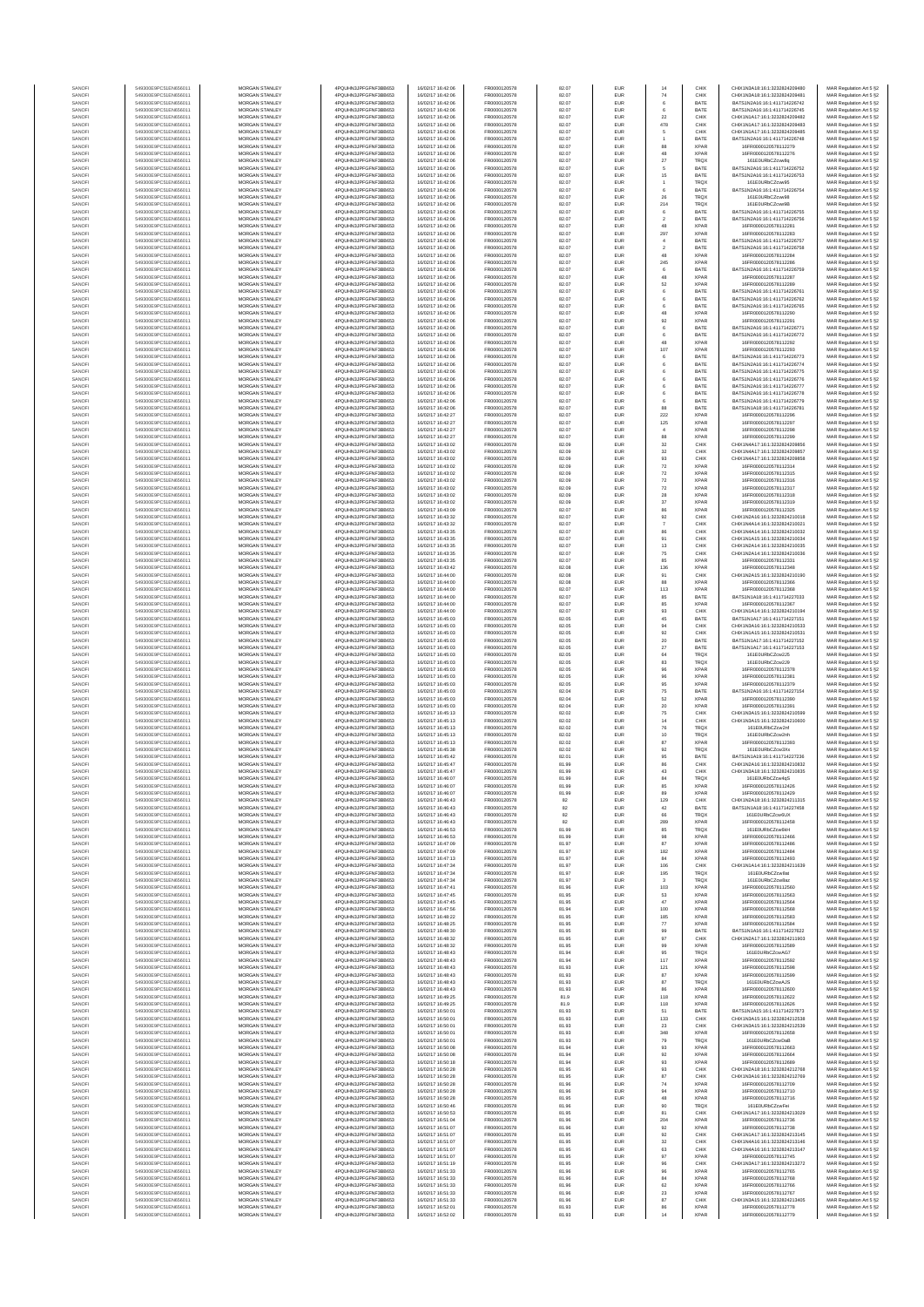| SANOF            | 549300E9PC51EN656011                         | MORGAN STANLEY                                 | 4PQUHN3JPFGFNF3BB653                           | 16/02/17 16:42:06                      | FR0000120578                 | 82.07          | EUR                      | 14                                       | CHIX                       | CHIX1N3A18:16:1:3232824209480                                  | MAR Regulation Art 5 §2                            |
|------------------|----------------------------------------------|------------------------------------------------|------------------------------------------------|----------------------------------------|------------------------------|----------------|--------------------------|------------------------------------------|----------------------------|----------------------------------------------------------------|----------------------------------------------------|
| SANOF<br>SANOFI  | 549300E9PC51EN656011<br>549300E9PC51EN656011 | MORGAN STANLEY<br>MORGAN STANLEY               | 4PQUHN3JPFGFNF3BB653<br>4PQUHN3JPFGFNF3BB653   | 16/02/17 16:42:06<br>16/02/17 16:42:06 | FR0000120578<br>FR0000120578 | 82.07<br>82.07 | EUR<br>EUR               | 74<br>$_{\rm 6}$                         | CHIX<br>BATE               | CHIX1N3A18:16:1:3232824209481<br>BATS1N2A16:16:1:411714226742  | MAR Regulation Art 5 §2<br>MAR Regulation Art 5 §2 |
| SANOFI           | 549300E9PC51EN656011                         | MORGAN STANLEY                                 | 4PQUHN3JPFGFNF3BB653                           | 16/02/17 16:42:06                      | FR0000120578                 | 82.07          | EUR                      | 6                                        | BATE                       | BATS1N2A16:16:1:411714226745                                   | MAR Regulation Art 5 §2                            |
| SANOFI<br>SANOFI | 549300E9PC51EN656011<br>549300E9PC51EN656011 | <b>MORGAN STANLEY</b><br><b>MORGAN STANLEY</b> | 4PQUHN3JPFGFNF3BB653<br>4PQUHN3JPFGFNF3BB653   | 16/02/17 16:42:06<br>16/02/17 16:42:06 | FR0000120578<br>FR0000120578 | 82.07<br>82.07 | EUR<br><b>EUR</b>        | 22<br>478                                | CHIX<br>CHIX               | CHIX1N1A17:16:1:3232824209482<br>CHIX1N1A17:16:1:3232824209483 | MAR Regulation Art 5 §2<br>MAR Regulation Art 5 §2 |
| SANOFI           | 549300E9PC51EN656011                         | MORGAN STANLEY                                 | 4PQUHN3JPFGFNF3BB653                           | 16/02/17 16:42:06                      | FR0000120578                 | 82.07          | EUR                      | $\mathbf s$                              | CHIX                       | CHIX1N1A17:16:1:3232824209485                                  | MAR Regulation Art 5 §2                            |
| SANOF<br>SANOFI  | 549300E9PC51EN656011<br>549300E9PC51EN656011 | MORGAN STANLEY<br>MORGAN STANLEY               | 4PQUHN3JPFGFNF3BB653<br>4PQUHN3JPFGFNF3BB653   | 16/02/17 16:42:06<br>16/02/17 16:42:06 | FR0000120578<br>FR0000120578 | 82.07<br>82.07 | EUR<br>EUR               | 88                                       | BATE<br><b>XPAR</b>        | BATS1N2A16:16:1:411714226748<br>16FR0000120578112279           | MAR Regulation Art 5 §2<br>MAR Regulation Art 5 §2 |
| SANOFI           | 549300E9PC51EN656011                         | MORGAN STANLEY                                 | 4PQUHN3JPFGFNF3BB653                           | 16/02/17 16:42:06                      | FR0000120578                 | 82.07          | EUR                      | 48                                       | <b>XPAR</b>                | 16FR0000120578112276<br>161E0URbCZcwv8g                        | MAR Regulation Art 5 §2                            |
| SANOFI<br>SANOFI | 549300E9PC51EN656011<br>549300E9PC51EN656011 | MORGAN STANLEY<br>MORGAN STANLEY               | 4PQUHN3JPFGFNF3BB653<br>4PQUHN3JPFGFNF3BB653   | 16/02/17 16:42:06<br>16/02/17 16:42:06 | FR0000120578<br>FR0000120578 | 82.07<br>82.07 | EUR<br>EUR               | 27<br>$\mathbf s$                        | TRQX<br>BATE               | BATS1N2A16:16:1:411714226752                                   | MAR Regulation Art 5 §2<br>MAR Regulation Art 5 §2 |
| SANOFI           | 549300E9PC51EN656011                         | MORGAN STANLEY                                 | 4PQUHN3JPFGFNF3BB653                           | 16/02/17 16:42:06                      | FR0000120578                 | 82.07          | EUR                      | 15                                       | BATE                       | BATS1N2A16:16:1:411714226753                                   | MAR Regulation Art 5 §2                            |
| SANOFI<br>SANOFI | 549300E9PC51EN656011<br>549300E9PC51EN656011 | <b>MORGAN STANLEY</b><br>MORGAN STANLEY        | 4PQUHN3JPFGFNF3BB653<br>4PQUHN3JPFGFNF3BB653   | 16/02/17 16:42:06<br>16/02/17 16:42:06 | FR0000120578<br>FR0000120578 | 82.07<br>82.07 | <b>EUR</b><br>EUR        | $\overline{1}$<br>6                      | <b>TROX</b><br>BATE        | 161F0URbCZcwv95<br>BATS1N2A16:16:1:411714226754                | MAR Regulation Art 5 §2<br>MAR Regulation Art 5 §2 |
| SANOFI           | 549300E9PC51EN656011                         | MORGAN STANLEY                                 | 4PQUHN3JPFGFNF3BB653                           | 16/02/17 16:42:06                      | FR0000120578                 | 82.07          | EUR                      | ${\bf 26}$                               | TRQX                       | 161E0URbCZcwv98                                                | MAR Regulation Art 5 §2                            |
| SANOFI<br>SANOFI | 549300E9PC51EN656011<br>549300E9PC51EN656011 | MORGAN STANLEY<br>MORGAN STANLEY               | 4PQUHN3JPFGFNF3BB653<br>4PQUHN3JPFGFNF3BB653   | 16/02/17 16:42:06<br>16/02/17 16:42:06 | FR0000120578<br>FR0000120578 | 82.07<br>82.07 | EUR<br>EUR               | 214<br>$_{\rm 6}$                        | <b>TRQX</b><br>BATE        | 161E0URbCZcvw9B<br>BATS1N2A16:16:1:411714226755                | MAR Regulation Art 5 §2<br>MAR Regulation Art 5 §2 |
| SANOFI           | 549300E9PC51EN656011                         | MORGAN STANLEY                                 | 4PQUHN3JPFGFNF3BB653                           | 16/02/17 16:42:06                      | FR0000120578                 | 82.07          | EUR                      | $\,$ 2                                   | BATE                       | BATS1N2A16:16:1:411714226756                                   | MAR Regulation Art 5 §2                            |
| SANOFI<br>SANOFI | 549300E9PC51EN656011<br>549300E9PC51EN656011 | MORGAN STANLEY<br>MORGAN STANLEY               | 4PQUHN3JPFGFNF3BB653<br>4PQUHN3JPFGFNF3BB653   | 16/02/17 16:42:06<br>16/02/17 16:42:06 | FR0000120578<br>FR0000120578 | 82.07<br>82.07 | EUR<br>EUR               | 48<br>297                                | <b>XPAR</b><br><b>XPAR</b> | 16FR0000120578112281<br>16FR0000120578112283                   | MAR Regulation Art 5 §2<br>MAR Regulation Art 5 §2 |
| SANOFI           | 549300E9PC51EN656011                         | <b>MORGAN STANLEY</b>                          | 4PQUHN3JPFGFNF3BB653                           | 16/02/17 16:42:06                      | FR0000120578                 | 82.07          | <b>EUR</b>               | $\overline{4}$                           | BATE                       | BATS1N2A16-16-1-411714226757                                   | MAR Regulation Art 5 §2                            |
| SANOFI<br>SANOFI | 549300E9PC51EN656011<br>549300E9PC51EN656011 | MORGAN STANLEY<br>MORGAN STANLEY               | 4POLIHN3JPEGENE3BB653<br>4PQUHN3JPFGFNF3BB653  | 16/02/17 16:42:06<br>16/02/17 16:42:06 | FR0000120578                 | 82.07<br>82.07 | <b>EUR</b>               | $\overline{2}$                           | BATE<br><b>XPAR</b>        | BATS1N2A16:16:1:411714226758<br>16FR0000120578112284           | MAR Regulation Art 5 §2                            |
| SANOFI           | 549300E9PC51EN656011                         | MORGAN STANLEY                                 | 4PQUHN3JPFGFNF3BB653                           | 16/02/17 16:42:06                      | FR0000120578<br>FR0000120578 | 82.07          | EUR<br>EUR               | $48\,$<br>245                            | <b>XPAR</b>                | 16FR0000120578112286                                           | MAR Regulation Art 5 §2<br>MAR Regulation Art 5 §2 |
| SANOFI<br>SANOFI | 549300E9PC51EN656011<br>549300E9PC51EN656011 | MORGAN STANLEY<br>MORGAN STANLEY               | 4PQUHN3JPFGFNF3BB653<br>4PQUHN3JPFGFNF3BB653   | 6/02/17 16:42:06<br>16/02/17 16:42:06  | FR0000120578<br>FR0000120578 | 82.07<br>82.07 | EUR<br>EUR               | $_{\rm 6}$<br>48                         | BATE<br><b>XPAR</b>        | BATS1N2A16:16:1:411714226759<br>16FR0000120578112287           | MAR Regulation Art 5 §2<br>MAR Regulation Art 5 §2 |
| SANOFI           | 549300E9PC51EN656011                         | MORGAN STANLEY                                 | 4PQUHN3JPFGFNF3BB653                           | 16/02/17 16:42:06                      | FR0000120578                 | 82.07          | EUR                      | 62                                       | <b>XPAR</b>                | 16FR0000120578112289                                           | MAR Regulation Art 5 §2                            |
| SANOFI           | 549300E9PC51EN656011                         | MORGAN STANLEY                                 | 4PQUHN3JPFGFNF3BB653                           | 16/02/17 16:42:06                      | FR0000120578                 | 82.07          | EUR                      | 6                                        | BATE                       | BATS1N2A16:16:1:411714226761                                   | MAR Regulation Art 5 §2<br>MAR Regulation Art 5 §2 |
| SANOFI<br>SANOFI | 549300E9PC51EN656011<br>549300E9PC51EN656011 | <b>MORGAN STANLEY</b><br>MORGAN STANLEY        | 4PQUHN3JPFGFNF3BB653<br>4PQUHN3JPFGFNF3BB653   | 16/02/17 16:42:06<br>16/02/17 16:42:06 | FR0000120578<br>FR0000120578 | 82.07<br>82.07 | <b>EUR</b><br><b>EUR</b> | 6<br>6                                   | BATE<br>BATE               | BATS1N2A16:16:1:411714226762<br>BATS1N2A16:16:1:411714226765   | MAR Regulation Art 5 §2                            |
| SANOFI           | 549300E9PC51EN656011                         | MORGAN STANLEY<br>MORGAN STANLEY               | 4PQUHN3JPFGFNF3BB653                           | 16/02/17 16:42:06<br>16/02/17 16:42:06 | FR0000120578                 | 82.07<br>82.07 | EUR<br>EUR               | 48                                       | <b>XPAR</b><br><b>XPAR</b> | 16FR0000120578112290                                           | MAR Regulation Art 5 §2                            |
| SANOFI<br>SANOFI | 549300E9PC51EN656011<br>549300E9PC51EN656011 | MORGAN STANLEY                                 | 4PQUHN3JPFGFNF3BB653<br>4PQUHN3JPFGFNF3BB653   | 16/02/17 16:42:06                      | FR0000120578<br>FR0000120578 | 82.07          | EUR                      | $92\,$                                   | BATE                       | 16FR0000120578112291<br>BATS1N2A16:16:1:41171422677            | MAR Regulation Art 5 §2<br>MAR Regulation Art 5 §2 |
| SANOFI           | 549300E9PC51EN656011<br>549300E9PC51EN656011 | MORGAN STANLEY<br>MORGAN STANLEY               | 4PQUHN3JPFGFNF3BB653<br>4PQUHN3JPFGFNF3BB653   | 6/02/17 16:42:06<br>16/02/17 16:42:06  | FR0000120578<br>FR0000120578 | 82.07<br>82.07 | EUR<br>EUR               | $_{\rm 6}$<br>48                         | BATE<br><b>XPAR</b>        | BATS1N2A16:16:1:411714226772<br>16FR0000120578112292           | MAR Regulation Art 5 §2<br>MAR Regulation Art 5 §2 |
| SANOFI<br>SANOFI | 549300E9PC51EN656011                         | MORGAN STANLEY                                 | 4PQUHN3JPFGFNF3BB653                           | 16/02/17 16:42:06                      | FR0000120578                 | 82.07          | EUR                      | 107                                      | <b>XPAR</b>                | 16FR0000120578112293                                           | MAR Regulation Art 5 §2                            |
| SANOFI<br>SANOFI | 549300E9PC51EN656011<br>549300E9PC51EN656011 | <b>MORGAN STANLEY</b><br><b>MORGAN STANLEY</b> | 4PQUHN3JPFGFNF3BB653<br>4PQUHN3JPFGFNF3BB653   | 16/02/17 16:42:06<br>16/02/17 16:42:06 | FR0000120578<br>FR0000120578 | 82.07<br>82.07 | <b>EUR</b><br><b>EUR</b> | 6<br>6                                   | BATE<br>BATE               | BATS1N2A16:16:1:411714226773<br>BATS1N2A16:16:1:411714226774   | MAR Regulation Art 5 §2                            |
| SANOFI           | 549300E9PC51EN656011                         | MORGAN STANLEY                                 | 4PQUHN3JPFGFNF3BB653                           | 16/02/17 16:42:06                      | FR0000120578                 | 82.07          | EUR                      |                                          | BATE                       | BATS1N2A16:16:1:411714226775                                   | MAR Regulation Art 5 §2<br>MAR Regulation Art 5 §2 |
| SANOFI           | 549300E9PC51EN656011                         | MORGAN STANLEY<br>MORGAN STANLEY               | 4PQUHN3JPFGFNF3BB653                           | 16/02/17 16:42:06                      | FR0000120578<br>FR0000120578 | 82.07          | EUR                      |                                          | BATE                       | BATS1N2A16:16:1:411714226776                                   | MAR Regulation Art 5 §2                            |
| SANOFI<br>SANOFI | 549300E9PC51EN656011<br>549300E9PC51EN656011 | MORGAN STANLEY                                 | 4PQUHN3JPFGFNF3BB653<br>4PQUHN3JPFGFNF3BB653   | 16/02/17 16:42:06<br>16/02/17 16:42:06 | FR0000120578                 | 82.07<br>82.07 | EUR<br>EUR               |                                          | BATE<br>BATE               | BATS1N2A16:16:1:411714226777<br>BATS1N2A16:16:1:411714226778   | MAR Regulation Art 5 §2<br>MAR Regulation Art 5 §2 |
| SANOFI           | 549300E9PC51EN656011<br>549300E9PC51EN656011 | MORGAN STANLEY                                 | 4PQUHN3JPFGFNF3BB653<br>4PQUHN3JPFGFNF3BB653   | 16/02/17 16:42:06<br>16/02/17 16:42:06 | FR0000120578                 | 82.07          | EUR                      | $_{\rm 6}$                               | BATE                       | BATS1N2A16:16:1:411714226779<br>BATS1N1A18:16:1:411714226781   | MAR Regulation Art 5 §2<br>MAR Regulation Art 5 §2 |
| SANOFI<br>SANOFI | 549300E9PC51EN656011                         | MORGAN STANLEY<br>MORGAN STANLEY               | 4PQUHN3JPFGFNF3BB653                           | 16/02/17 16:42:27                      | FR0000120578<br>FR0000120578 | 82.07<br>82.07 | EUR<br>EUR               | 88<br>222                                | BATE<br><b>XPAR</b>        | 16FR0000120578112296                                           | MAR Regulation Art 5 §2                            |
| SANOFI<br>SANOFI | 549300E9PC51EN656011<br>549300E9PC51EN656011 | <b>MORGAN STANLEY</b><br><b>MORGAN STANLEY</b> | 4PQUHN3JPFGFNF3BB653<br>4PQUHN3JPFGFNF3BB653   | 16/02/17 16:42:27<br>16/02/17 16:42:27 | FR0000120578<br>FR0000120578 | 82.07<br>82.07 | <b>EUR</b><br><b>EUR</b> | 125<br>$\overline{4}$                    | <b>XPAR</b><br><b>XPAR</b> | 16FR0000120578112297<br>16FR0000120578112298                   | MAR Regulation Art 5 §2<br>MAR Regulation Art 5 §2 |
| SANOFI           | 549300E9PC51EN656011                         | MORGAN STANLEY                                 | 4PQUHN3JPFGFNF3BB653                           | 16/02/17 16:42:27                      | FR0000120578                 | 82.07          | EUR                      | 88                                       | <b>XPAR</b>                | 16FR0000120578112299                                           | MAR Regulation Art 5 §2                            |
| SANOFI<br>SANOFI | 549300E9PC51EN656011<br>549300E9PC51EN656011 | MORGAN STANLEY<br>MORGAN STANLEY               | 4PQUHN3JPFGFNF3BB653<br>4PQUHN3JPFGFNF3BB653   | 16/02/17 16:43:02<br>16/02/17 16:43:02 | FR0000120578<br>FR0000120578 | 82.09<br>82.09 | EUR<br>EUR               | $_{\rm 32}$                              | CHIX<br>CHIX               | CHIX1N4A17:16:1:3232824209856<br>CHIX1N4A17:16:1:323282420985  | MAR Regulation Art 5 §2                            |
| SANOFI           | 549300E9PC51EN656011                         | MORGAN STANLEY                                 | 4PQUHN3JPFGFNF3BB653                           | 16/02/17 16:43:02                      | FR0000120578                 | 82.09          | EUR                      | $_{\rm 32}$<br>93                        | CHIX                       | CHIX1N4A17:16:1:3232824209858                                  | MAR Regulation Art 5 §2<br>MAR Regulation Art 5 §2 |
| SANOFI           | 549300E9PC51EN656011                         | MORGAN STANLEY<br>MORGAN STANLEY               | 4PQUHN3JPFGFNF3BB653                           | 16/02/17 16:43:02<br>16/02/17 16:43:02 | FR0000120578                 | 82.09          | EUR                      | $\scriptstyle{72}$                       | <b>XPAR</b><br><b>XPAR</b> | 16FR0000120578112314                                           | MAR Regulation Art 5 §2<br>MAR Regulation Art 5 §2 |
| SANOFI<br>SANOFI | 549300E9PC51EN656011<br>549300E9PC51EN656011 | <b>MORGAN STANLEY</b>                          | 4PQUHN3JPFGFNF3BB653<br>4PQUHN3JPFGFNF3BB653   | 16/02/17 16:43:02                      | FR0000120578<br>FR0000120578 | 82.09<br>82.09 | EUR<br><b>EUR</b>        | $\scriptstyle{72}$<br>$\scriptstyle{72}$ | <b>XPAR</b>                | 16FR0000120578112315<br>16FR0000120578112316                   | MAR Regulation Art 5 §2                            |
| SANOFI           | 549300E9PC51EN656011                         | MORGAN STANLEY<br>MORGAN STANLEY               | 4PQUHN3JPFGFNF3BB653                           | 16/02/17 16:43:02                      | FR0000120578                 | 82.09          | <b>EUR</b>               | $\scriptstyle{72}$                       | <b>XPAR</b>                | 16FR0000120578112317                                           | MAR Regulation Art 5 §2                            |
| SANOFI<br>SANOFI | 549300E9PC51EN656011<br>549300E9PC51EN656011 | MORGAN STANLEY                                 | 4PQUHN3JPFGFNF3BB653<br>4PQUHN3JPFGFNF3BB653   | 16/02/17 16:43:02<br>16/02/17 16:43:02 | FR0000120578<br>FR0000120578 | 82.09<br>82.09 | EUR<br>EUR               | ${\bf 28}$<br>$37\,$                     | <b>XPAR</b><br><b>XPAR</b> | 16FR0000120578112318<br>16FR0000120578112319                   | MAR Regulation Art 5 §2<br>MAR Regulation Art 5 §2 |
| SANOFI           | 549300E9PC51EN656011                         | MORGAN STANLEY                                 | 4PQUHN3JPFGFNF3BB653                           | 16/02/17 16:43:09                      | FR0000120578                 | 82.07          | EUR                      | 86                                       | <b>XPAF</b>                | 16FR0000120578112325                                           | MAR Regulation Art 5 §2                            |
| SANOFI<br>SANOFI | 549300E9PC51EN656011<br>549300E9PC51EN656011 | MORGAN STANLEY<br>MORGAN STANLEY               | 4PQUHN3JPFGFNF3BB653<br>4PQUHN3JPFGFNF3BB653   | 16/02/17 16:43:32<br>16/02/17 16:43:32 | FR0000120578<br>FR0000120578 | 82.07<br>82.07 | EUR<br>EUR               | 92<br>$\overline{7}$                     | CHIX<br>CHIX               | CHIX1N2A16:16:1:3232824210018<br>CHIX1N4A14:16:1:3232824210021 | MAR Regulation Art 5 §2<br>MAR Regulation Art 5 §2 |
| SANOFI           | 549300E9PC51EN656011                         | MORGAN STANLEY                                 | 4PQUHN3JPFGFNF3BB653                           | 16/02/17 16:43:35                      | FR0000120578                 | 82.07          | EUR                      | 86                                       | CHIX                       | CHIX1N4A14:16:1:3232824210032                                  | MAR Regulation Art 5 §2                            |
| SANOFI<br>SANOFI | 549300E9PC51EN656011<br>549300E9PC51EN656011 | <b>MORGAN STANLEY</b><br><b>MORGAN STANLEY</b> | 4PQUHN3JPFGFNF3BB653<br>4PQUHN3JPFGFNF3BB653   | 16/02/17 16:43:35<br>16/02/17 16:43:35 | FR0000120578<br>FR0000120578 | 82.07<br>82.07 | <b>EUR</b><br><b>EUR</b> | 91<br>13                                 | CHIX<br>CHIX               | CHIX1N1A15:16:1:3232824210034<br>CHIX1N2A14:16:1:3232824210035 | MAR Regulation Art 5 §2<br>MAR Regulation Art 5 §2 |
| SANOFI           | 549300E9PC51EN656011                         | MORGAN STANLEY                                 | 4PQUHN3JPFGFNF3BB653                           | 16/02/17 16:43:35                      | FR0000120578                 | 82.07          | EUR                      | 75                                       | CHIX                       | CHIX1N2A14:16:1:3232824210036                                  | MAR Regulation Art 5 §2                            |
| SANOFI<br>SANOF  | 549300E9PC51EN656011<br>549300E9PC51EN656011 | MORGAN STANLEY<br>MORGAN STANLEY               | 4PQUHN3JPFGFNF3BB653<br>4PQUHN3JPFGFNF3BB653   | 16/02/17 16:43:35<br>6/02/17 16:43:42  | FR0000120578<br>FR0000120578 | 82.07<br>82.08 | EUR<br>EUR               | 85<br>136                                | XPAR<br><b>XPAR</b>        | 16FR0000120578112331<br>16FR0000120578112348                   | MAR Regulation Art 5 §2<br>MAR Regulation Art 5 §2 |
| SANOFI           | 549300E9PC51EN656011                         | MORGAN STANLEY                                 | 4PQUHN3JPFGFNF3BB653                           | 16/02/17 16:44:00                      | FR0000120578                 | 82.08          | EUR                      | 91                                       | CHIX                       | CHIX1N2A15:16:1:3232824210190                                  | MAR Regulation Art 5 §2                            |
| SANOFI<br>SANOFI | 549300E9PC51EN656011<br>549300E9PC51EN656011 | MORGAN STANLEY<br>MORGAN STANLEY               | 4PQUHN3JPFGFNF3BB653<br>4PQUHN3JPFGFNF3BB653   | 16/02/17 16:44:00<br>16/02/17 16:44:00 | FR0000120578<br>FR0000120578 | 82.08<br>82.07 | EUR<br>EUR               | 88<br>113                                | <b>XPAR</b><br><b>XPAR</b> | 16FR0000120578112366<br>16FR0000120578112368                   | MAR Regulation Art 5 §2<br>MAR Regulation Art 5 §2 |
| SANOFI           | 549300E9PC51EN656011                         | <b>MORGAN STANLEY</b>                          | 4PQUHN3JPFGFNF3BB653                           | 16/02/17 16:44:00                      | FR0000120578                 | 82.07          | <b>EUR</b>               | 85                                       | BATE                       | BATS1N1A18:16:1:411714227033                                   | MAR Regulation Art 5 §2                            |
| SANOFI<br>SANOFI | 549300E9PC51EN656011<br>549300E9PC51EN656011 | <b>MORGAN STANLEY</b><br>MORGAN STANLEY        | 4PQUHN3JPFGFNF3BB653<br>4PQUHN3JPFGFNF3BB653   | 16/02/17 16:44:00<br>16/02/17 16:44:00 | FR0000120578<br>FR0000120578 | 82.07<br>82.07 | <b>EUR</b><br>EUR        | 85<br>$\mathbf{93}$                      | <b>XPAR</b><br>CHIX        | 16FR0000120578112367<br>CHIX1N1A14:16:1:3232824210194          | MAR Regulation Art 5 §2<br>MAR Regulation Art 5 §2 |
| SANOFI           | 549300E9PC51EN656011                         | MORGAN STANLEY                                 | 4PQUHN3JPFGFNF3BB653                           | 16/02/17 16:45:03                      | FR0000120578                 | 82.05          | EUR                      | $45\,$                                   | BATE                       | BATS1N1A17:16:1:411714227151                                   | MAR Regulation Art 5 §2                            |
| SANOFI<br>SANOF  | 549300E9PC51EN656011<br>549300E9PC51EN656011 | MORGAN STANLEY<br>MORGAN STANLEY               | 4PQUHN3JPFGFNF3BB653<br>4PQUHN3JPFGFNF3BB653   | 16/02/17 16:45:03<br>16/02/17 16:45:03 | FR0000120578<br>FR0000120578 | 82.05<br>82.05 | EUR<br>EUR               | 94<br>92                                 | CHIX<br>CHIX               | CHIX1N3A16:16:1:3232824210533<br>CHIX1N1A15:16:1:3232824210531 | MAR Regulation Art 5 §2<br>MAR Regulation Art 5 §2 |
| SANOFI           | 549300E9PC51EN656011                         | MORGAN STANLEY                                 | 4PQUHN3JPFGFNF3BB653                           | 16/02/17 16:45:03                      | FR0000120578                 | 82.05          | EUR                      | 20                                       | BATE                       | BATS1N1A17:16:1:411714227152                                   | MAR Regulation Art 5 §2                            |
| SANOFI<br>SANOFI | 549300E9PC51EN656011<br>549300E9PC51EN656011 | MORGAN STANLEY<br>MORGAN STANLEY               | 4PQUHN3JPFGFNF3BB653<br>4PQUHN3JPFGFNF3BB653   | 16/02/17 16:45:03<br>16/02/17 16:45:03 | FR0000120578<br>FR0000120578 | 82.05<br>82.05 | EUR<br>EUR               | $27\,$<br>64                             | BATE<br>TRQX               | BATS1N1A17:16:1:411714227153<br>161E0URbCZcw2J5                | MAR Regulation Art 5 §2<br>MAR Regulation Art 5 §2 |
| SANOFI           | 549300E9PC51EN656011                         | <b>MORGAN STANLEY</b>                          | 4PQUHN3JPFGFNF3BB653                           | 16/02/17 16:45:03                      | FR0000120578                 | 82.05          | <b>EUR</b>               | 83                                       | <b>TRQX</b>                | 161E0URbCZcw2J9                                                | MAR Regulation Art 5 §2                            |
| SANOFI<br>SANOFI | 549300E9PC51EN656011<br>549300E9PC51EN656011 | MORGAN STANLEY<br>MORGAN STANLEY               | 4PQUHN3JPFGFNF3BB653<br>4PQUHN3JPFGFNF3BB653   | 16/02/17 16:45:03<br>16/02/17 16:45:03 | FR0000120578<br>FR0000120578 | 82.05<br>82.05 | <b>EUR</b><br>EUR        | 96<br>$96\,$                             | <b>XPAR</b><br><b>XPAR</b> | 16FR0000120578112378<br>16FR0000120578112381                   | MAR Regulation Art 5 §2<br>MAR Regulation Art 5 §2 |
| SANOFI           | 549300E9PC51EN656011                         | MORGAN STANLEY                                 | 4PQUHN3JPFGFNF3BB653                           | 16/02/17 16:45:03                      | FR0000120578                 | 82.05          | EUR                      | 95                                       | <b>XPAR</b>                | 16FR0000120578112379                                           | MAR Regulation Art 5 §2                            |
| SANOFI<br>SANOFI | 549300E9PC51EN656011<br>549300E9PC51EN656011 | MORGAN STANLEY<br>MORGAN STANLEY               | 4PQUHN3JPFGFNF3BB653<br>4PQUHN3JPFGFNF3BB653   | 16/02/17 16:45:03<br>16/02/17 16:45:03 | FR0000120578<br>FR0000120578 | 82.04<br>82.04 | EUR<br>EUR               | 75<br>52                                 | BATE<br><b>XPAR</b>        | BATS1N2A16:16:1:411714227154<br>6FR0000120578112390            | MAR Regulation Art 5 §2<br>MAR Regulation Art 5 §2 |
| SANOFI           | 549300E9PC51EN656011                         | MORGAN STANLEY                                 | 4PQUHN3JPFGFNF3BB653                           | 16/02/17 16:45:03                      | FR0000120578                 | 82.04          | EUR                      | 20                                       | <b>XPAR</b>                | 16FR0000120578112391                                           | MAR Regulation Art 5 §2                            |
| SANOFI<br>SANOFI | 549300E9PC51EN656011<br>549300E9PC51EN656011 | MORGAN STANLEY<br><b>MORGAN STANLEY</b>        | 4PQUHN3JPFGFNF3BB653<br>4PQUHN3JPFGFNF3BB653   | 16/02/17 16:45:13<br>16/02/17 16:45:13 | FR0000120578<br>FR0000120578 | 82.02<br>82.02 | EUR<br><b>EUR</b>        | 75                                       | CHIX<br>CHIX               | CHIX1N3A15:16:1:3232824210599<br>CHIX1N3A15:16:1:3232824210600 | MAR Regulation Art 5 §2<br>MAR Regulation Art 5 §2 |
| SANOFI           | 549300E9PC51EN656011                         | MORGAN STANLEY                                 | 4PQUHN3JPFGFNF3BB653                           | 16/02/17 16:45:13                      | FR0000120578                 | 82.02          | <b>EUR</b>               | $14$<br>76                               | <b>TRQX</b>                | 161F0URbCZcw2nf                                                | MAR Regulation Art 5 §2                            |
| SANOFI<br>SANOFI | 549300E9PC51EN656011<br>549300E9PC51EN656011 | MORGAN STANLEY<br>MORGAN STANLEY               | 4PQUHN3JPFGFNF3BB653<br>4PQUHN3JPFGFNF3BB653   | 16/02/17 16:45:13<br>16/02/17 16:45:13 | FR0000120578<br>FR0000120578 | 82.02<br>82.02 | EUR<br>EUR               | $10$<br>87                               | TRQX<br><b>XPAR</b>        | 161E0URbCZcw2nh<br>16FR0000120578112393                        | MAR Regulation Art 5 §2<br>MAR Regulation Art 5 §2 |
| SANOF            | 549300E9PC51EN656011                         | MORGAN STANLEY                                 | 4PQUHN3JPFGFNF3BB653                           | 16/02/17 16:45:38                      | FR0000120578                 | 82.02          | EUR                      | 92                                       | <b>TRQX</b>                | 161E0URbCZcw3Xx                                                | MAR Regulation Art 5 §2                            |
| SANOFI<br>SANOFI | 549300E9PC51EN656011<br>549300E9PC51EN656011 | MORGAN STANLEY<br>MORGAN STANLEY               | 4PQUHN3JPFGFNF3BB653<br>4PQUHN3JPFGFNF3BB653   | 16/02/17 16:45:42<br>16/02/17 16:45:47 | FR0000120578<br>FR0000120578 | 82.01<br>81.99 | EUR<br>EUR               | 95<br>86                                 | BATE<br>CHIX               | BATS1N1A19:16:1:411714227236<br>CHIX1N2A16:16:1:3232824210832  | MAR Regulation Art 5 §2<br>MAR Regulation Art 5 §2 |
| SANOFI           | 549300E9PC51EN656011                         | MORGAN STANLEY                                 | 4PQUHN3JPFGFNF3BB653                           | 16/02/17 16:45:47                      | FR0000120578                 | 81.99          | <b>EUR</b>               | 43                                       | CHIX                       | CHIX1N3A18:16:1:3232824210835                                  | MAR Regulation Art 5 §2                            |
| SANOFI<br>SANOFI | 549300E9PC51EN656011<br>549300E9PC51EN656011 | <b>MORGAN STANLEY</b><br>MORGAN STANLEY        | 4POLIHN3-IPEGENE3BB653<br>4PQUHN3JPFGFNF3BB653 | 16/02/17 16:46:07<br>16/02/17 16:46:07 | FR0000120578<br>FR0000120578 | 81.99<br>81.99 | <b>FUR</b><br><b>EUR</b> | RA<br>85                                 | <b>TROX</b><br><b>XPAR</b> | 161E0URbCZcw4gS<br>16FR0000120578112426                        | MAR Regulation Art 5 §2<br>MAR Regulation Art 5 §2 |
| SANOFI           | 549300E9PC51EN656011                         | MORGAN STANLEY                                 | 4POLIHN3JPEGENE3BB653                          | 16/02/17 16:46:07                      | FR0000120578                 | 81.99          | EUR                      | 89                                       | <b>XPAR</b>                | 16FR0000120578112429                                           | MAR Regulation Art 5 §2                            |
| SANOFI<br>SANOFI | 549300E9PC51EN656011<br>549300E9PC51EN656011 | MORGAN STANLEY<br>MORGAN STANLEY               | 4PQUHN3JPFGFNF3BB653<br>4PQUHN3JPFGFNF3BB653   | 16/02/17 16:46:43<br>16/02/17 16:46:43 | FR0000120578<br>FR0000120578 | 82             | EUR<br>EUR               | 129<br>42                                | CHIX<br>BATE               | CHIX1N2A18:16:1:3232824211315<br>BATS1N1A18:16:1:411714227458  | MAR Regulation Art 5 §2<br>MAR Regulation Art 5 §2 |
| SANOFI           | 549300E9PC51EN656011                         | MORGAN STANLEY                                 | 4PQUHN3JPFGFNF3BB653                           | 16/02/17 16:46:43                      | FR0000120578                 | 82             | EUR                      | 66                                       | TRQX                       | 161E0URbCZcw6UX                                                | MAR Regulation Art 5 §2                            |
| SANOFI<br>SANOFI | 549300E9PC51EN656011<br>549300E9PC51EN656011 | MORGAN STANLEY<br>MORGAN STANLEY               | 4PQUHN3JPFGFNF3BB653<br>4PQUHN3JPFGFNF3BB653   | 16/02/17 16:46:43<br>16/02/17 16:46:53 | FR0000120578<br>FR0000120578 | 82<br>81.99    | <b>EUR</b><br>EUR        | 289<br>85                                | <b>XPAR</b><br><b>TRQX</b> | 16FR0000120578112458<br>161E0URbCZcw6kH                        | MAR Regulation Art 5 §2<br>MAR Regulation Art 5 §2 |
| SANOFI           | 549300E9PC51EN656011                         | <b>MORGAN STANLEY</b>                          | 4PQUHN3JPFGFNF3BB653                           | 16/02/17 16:46:53                      | FR0000120578                 | 81.99          | <b>EUR</b>               | 98                                       | <b>XPAR</b>                | 16FR0000120578112466                                           | MAR Regulation Art 5 §2                            |
| SANOFI<br>SANOFI | 549300E9PC51EN656011<br>549300E9PC51EN656011 | MORGAN STANLEY<br>MORGAN STANLEY               | 4PQUHN3JPFGFNF3BB653<br>4PQUHN3JPFGFNF3BB653   | 16/02/17 16:47:09<br>16/02/17 16:47:09 | FR0000120578<br>FR0000120578 | 81.97<br>81.97 | <b>EUR</b><br><b>EUR</b> | 87<br>182                                | <b>XPAR</b><br>XPAR        | 16ER0000120578112486<br>16FR0000120578112484                   | MAR Regulation Art 5 §2<br>MAR Regulation Art 5 §2 |
| SANOFI           | 549300E9PC51EN656011                         | MORGAN STANLEY                                 | 4PQUHN3JPFGFNF3BB653                           | 16/02/17 16:47:13                      | FR0000120578                 | 81.97          | <b>EUR</b>               | 84                                       | <b>XPAR</b>                | 16FR0000120578112493                                           | MAR Regulation Art 5 §2                            |
| SANOF<br>SANOFI  | 549300E9PC51EN656011<br>549300E9PC51EN656011 | MORGAN STANLEY<br>MORGAN STANLEY               | 4PQUHN3JPFGFNF3BB653<br>4PQUHN3JPFGFNF3BB653   | 16/02/17 16:47:34<br>16/02/17 16:47:34 | FR0000120578<br>FR0000120578 | 81.97<br>81.97 | EUR<br>EUR               | 106<br>195                               | CHIX<br>TRQX               | CHIX1N1A14:16:1:3232824211639<br>161E0URbCZcw8at               | MAR Regulation Art 5 §2<br>MAR Regulation Art 5 §2 |
| SANOFI           | 549300E9PC51EN656011                         | MORGAN STANLEY                                 | 4PQUHN3JPFGFNF3BB653                           | 16/02/17 16:47:34<br>16/02/17 16:47:41 | FR0000120578                 | 81.97          | EUR                      | $\mathbf{3}$                             | <b>TRQX</b><br><b>XPAR</b> | 161E0URbCZcw8az                                                | MAR Regulation Art 5 §2                            |
| SANOFI<br>SANOFI | 549300E9PC51EN656011<br>549300E9PC51EN656011 | MORGAN STANLEY<br>MORGAN STANLEY               | 4PQUHN3JPFGFNF3BB653<br>4PQUHN3JPFGFNF3BB653   | 16/02/17 16:47:45                      | FR0000120578<br>FR0000120578 | 81.96<br>81.95 | EUR<br>EUR               | 103<br>53                                | <b>XPAR</b>                | 16FR0000120578112560<br>16FR0000120578112563                   | MAR Regulation Art 5 §2<br>MAR Regulation Art 5 §2 |
| SANOFI<br>SANOFI | 549300E9PC51EN656011<br>549300E9PC51EN656011 | MORGAN STANLEY<br>MORGAN STANLEY               | 4PQUHN3JPFGFNF3BB653<br>4PQUHN3JPFGFNF3BB653   | 16/02/17 16:47:45<br>16/02/17 16:47:56 | FR0000120578<br>FR0000120578 | 81.95<br>81.94 | <b>EUR</b><br><b>EUR</b> | 47<br>100                                | <b>XPAR</b><br><b>XPAR</b> | 16FR0000120578112564<br>16FR0000120578112568                   | MAR Regulation Art 5 §2<br>MAR Regulation Art 5 §2 |
| SANOFI           | 549300E9PC51EN656011                         | MORGAN STANLEY                                 | 4PQUHN3JPFGFNF3BB653                           | 16/02/17 16:48:22                      | FR0000120578                 | 81.95          | <b>EUR</b>               | 185                                      | <b>XPAR</b>                | 16FR0000120578112583                                           | MAR Regulation Art 5 §2                            |
| SANOFI<br>SANOFI | 549300E9PC51EN656011<br>549300E9PC51EN656011 | MORGAN STANLEY<br>MORGAN STANLEY               | 4PQUHN3JPFGFNF3BB653<br>4PQUHN3JPFGFNF3BB653   | 16/02/17 16:48:25<br>16/02/17 16:48:30 | FR0000120578<br>FR0000120578 | 81.95<br>81.95 | EUR<br>EUR               | $77\,$<br>99                             | <b>XPAR</b><br>BATE        | 16FR0000120578112584<br>BATS1N1A16:16:1:411714227622           | MAR Regulation Art 5 §2<br>MAR Regulation Art 5 §2 |
| SANOFI           | 549300E9PC51EN656011                         | MORGAN STANLEY                                 | 4PQUHN3JPFGFNF3BB653                           | 16/02/17 16:48:32                      | FR0000120578                 | 81.95          | EUR                      | 97                                       | CHIX                       | CHIX1N2A17:16:1:3232824211903                                  | MAR Regulation Art 5 §2                            |
| SANOFI<br>SANOFI | 549300E9PC51EN656011<br>549300E9PC51EN656011 | MORGAN STANLEY<br>MORGAN STANLEY               | 4PQUHN3JPFGFNF3BB653<br>4PQUHN3JPFGFNF3BB653   | 16/02/17 16:48:32<br>16/02/17 16:48:43 | FR0000120578<br>FR0000120578 | 81.95<br>81.94 | <b>EUR</b><br>EUR        | 99<br>95                                 | <b>XPAR</b><br><b>TROX</b> | 16FR0000120578112589<br>161E0URbCZcwAG7                        | MAR Regulation Art 5 §2<br>MAR Regulation Art 5 §2 |
| SANOFI           | 549300E9PC51EN656011                         | MORGAN STANLEY                                 | 4PQUHN3JPFGFNF3BB653                           | 16/02/17 16:48:43                      | FR0000120578                 | 81.94          | <b>EUR</b>               | 117                                      | <b>XPAR</b>                | 16FR0000120578112592                                           | MAR Regulation Art 5 §2                            |
| SANOFI<br>SANOFI | 549300E9PC51EN656011<br>549300E9PC51EN656011 | <b>MORGAN STANLEY</b><br>MORGAN STANLEY        | 4PQUHN3JPFGFNF3BB653<br>4PQUHN3JPFGFNF3BB653   | 16/02/17 16:48:43<br>16/02/17 16:48:43 | FR0000120578<br>FR0000120578 | 81.93<br>81.93 | <b>EUR</b><br>EUR        | 121<br>87                                | <b>XPAR</b><br><b>XPAR</b> | 16FR0000120578112598<br>16FR0000120578112599                   | MAR Regulation Art 5 §2<br>MAR Regulation Art 5 §2 |
| SANOFI           | 549300E9PC51EN656011                         | MORGAN STANLEY                                 | 4PQUHN3JPFGFNF3BB653                           | 16/02/17 16:48:43                      | FR0000120578                 | 81.93          | <b>EUR</b>               | 87                                       | TRQX                       | 161E0URbCZcwAJS                                                | MAR Regulation Art 5 §2                            |
| SANOFI<br>SANOFI | 549300E9PC51EN656011<br>549300E9PC51EN656011 | MORGAN STANLEY<br>MORGAN STANLEY               | 4PQUHN3JPFGFNF3BB653<br>4PQUHN3JPFGFNF3BB653   | 16/02/17 16:48:43<br>16/02/17 16:49:25 | FR0000120578<br>FR0000120578 | 81.93<br>81.9  | EUR<br>EUR               | 86<br>118                                | <b>XPAR</b><br><b>XPAR</b> | 16FR0000120578112600<br>16FR0000120578112622                   | MAR Regulation Art 5 §2<br>MAR Regulation Art 5 §2 |
| SANOFI           | 549300E9PC51EN656011                         | MORGAN STANLEY                                 | 4PQUHN3JPFGFNF3BB653                           | 16/02/17 16:49:25                      | FR0000120578                 | 81.9           | <b>EUR</b>               | 118                                      | <b>XPAR</b>                | 16FR0000120578112626                                           | MAR Regulation Art 5 §2                            |
| SANOFI<br>SANOFI | 549300E9PC51EN656011<br>549300E9PC51EN656011 | MORGAN STANLEY<br><b>MORGAN STANLEY</b>        | 4PQUHN3JPFGFNF3BB653<br>4PQUHN3JPFGFNF3BB653   | 16/02/17 16:50:01<br>16/02/17 16:50:01 | FR0000120578<br>FR0000120578 | 81.93<br>81.93 | EUR<br><b>EUR</b>        | 51<br>133                                | BATE<br>CHIX               | BATS1N1A15:16:1:411714227873<br>CHIX1N3A15:16:1:3232824212538  | MAR Regulation Art 5 §2<br>MAR Regulation Art 5 §2 |
| SANOFI           | 549300E9PC51EN656011                         | <b>MORGAN STANLEY</b>                          | 4PQUHN3JPFGFNF3BB653                           | 16/02/17 16:50:01                      | FR0000120578                 | 81.93          | <b>EUR</b>               | 23                                       | CHIX                       | CHIX1N3A15:16:1:3232824212539                                  | MAR Regulation Art 5 §2                            |
| SANOFI<br>SANOFI | 549300E9PC51EN656011<br>549300E9PC51EN656011 | MORGAN STANLEY<br>MORGAN STANLEY               | 4PQUHN3JPFGFNF3BB653<br>4PQUHN3JPFGFNF3BB653   | 16/02/17 16:50:01<br>16/02/17 16:50:01 | FR0000120578<br>FR0000120578 | 81.93<br>81.93 | EUR<br>EUR               | 348<br>79                                | <b>XPAR</b><br><b>TRQX</b> | 16FR0000120578112658<br>161E0URbCZcwDaB                        | MAR Regulation Art 5 §2<br>MAR Regulation Art 5 §2 |
| SANOFI           | 549300E9PC51EN656011                         | MORGAN STANLEY                                 | 4PQUHN3JPFGFNF3BB653                           | 16/02/17 16:50:08                      | FR0000120578                 | 81.94          | EUR                      | 93                                       | <b>XPAR</b>                | 16FR0000120578112663                                           | MAR Regulation Art 5 §2                            |
| SANOFI<br>SANOFI | 549300E9PC51EN656011<br>549300E9PC51EN656011 | MORGAN STANLEY<br>MORGAN STANLEY               | 4PQUHN3JPFGFNF3BB653<br>4PQUHN3JPFGFNF3BB653   | 16/02/17 16:50:08<br>16/02/17 16:50:18 | FR0000120578<br>FR0000120578 | 81.94<br>81.94 | EUR<br>EUR               | 92<br>93                                 | <b>XPAR</b><br><b>XPAR</b> | 16FR0000120578112664<br>16FR0000120578112689                   | MAR Regulation Art 5 §2<br>MAR Regulation Art 5 §2 |
| SANOFI           | 549300E9PC51EN656011                         | MORGAN STANLEY                                 | 4PQUHN3JPFGFNF3BB653                           | 16/02/17 16:50:28                      | FR0000120578                 | 81.95          | EUR                      | 93                                       | CHIX                       | CHIX1N2A18:16:1:3232824212768                                  | MAR Regulation Art 5 §2                            |
| SANOFI<br>SANOFI | 549300E9PC51EN656011<br>549300E9PC51EN656011 | <b>MORGAN STANLEY</b><br><b>MORGAN STANLEY</b> | 4PQUHN3JPFGFNF3BB653<br>4PQUHN3JPFGFNF3BB653   | 16/02/17 16:50:28<br>16/02/17 16:50:28 | FR0000120578<br>FR0000120578 | 81.95<br>81.96 | <b>EUR</b><br><b>EUR</b> | 87<br>74                                 | CHIX<br><b>XPAR</b>        | CHIX1N3A16:16:1:3232824212769<br>16FR0000120578112709          | MAR Regulation Art 5 §2<br>MAR Regulation Art 5 §2 |
| SANOFI           | 549300E9PC51EN656011                         | MORGAN STANLEY                                 | 4PQUHN3JPFGFNF3BB653                           | 16/02/17 16:50:28                      | FR0000120578                 | 81.96          | EUR                      | 94                                       | <b>XPAR</b>                | 16FR0000120578112710                                           | MAR Regulation Art 5 §2                            |
| SANOFI<br>SANOFI | 549300E9PC51EN656011<br>549300E9PC51EN656011 | MORGAN STANLEY<br>MORGAN STANLEY               | 4PQUHN3JPFGFNF3BB653<br>4PQUHN3JPFGFNF3BB653   | 16/02/17 16:50:28<br>16/02/17 16:50:46 | FR0000120578<br>FR0000120578 | 81.95<br>81.96 | EUR<br>EUR               | $48\,$<br>90                             | <b>XPAR</b><br>TRQX        | 16FR0000120578112716<br>161E0URbCZcwFei                        | MAR Regulation Art 5 §2<br>MAR Regulation Art 5 §2 |
| SANOFI           | 549300E9PC51EN656011                         | MORGAN STANLEY                                 | 4PQUHN3JPFGFNF3BB653                           | 16/02/17 16:50:53                      | FR0000120578                 | 81.95          | EUR                      | 81                                       | CHIX                       | CHIX1N1A17:16:1:3232824213029                                  | MAR Regulation Art 5 §2                            |
| SANOFI<br>SANOFI | 549300E9PC51EN656011<br>549300E9PC51EN656011 | MORGAN STANLEY<br>MORGAN STANLEY               | 4PQUHN3JPFGFNF3BB653<br>4PQUHN3JPFGFNF3BB653   | 16/02/17 16:51:04<br>16/02/17 16:51:07 | FR0000120578<br>FR0000120578 | 81.96<br>81.96 | EUR<br><b>EUR</b>        | 204<br>92                                | <b>XPAR</b><br><b>XPAR</b> | 16FR0000120578112736<br>16FR0000120578112738                   | MAR Regulation Art 5 §2<br>MAR Regulation Art 5 §2 |
| SANOFI           | 549300E9PC51EN656011                         | MORGAN STANLEY                                 | 4PQUHN3JPFGFNF3BB653                           | 16/02/17 16:51:07                      | FR0000120578                 | 81.95          | EUR                      | 92<br>32                                 | CHIX                       | CHIX1N1A17:16:1:3232824213145                                  | MAR Regulation Art 5 §2                            |
| SANOFI<br>SANOFI | 549300E9PC51EN656011<br>549300E9PC51EN656011 | <b>MORGAN STANLEY</b><br><b>MORGAN STANLEY</b> | 4PQUHN3JPFGFNF3BB653<br>4PQUHN3JPFGFNF3BB653   | 16/02/17 16:51:07<br>16/02/17 16:51:07 | FR0000120578<br>FR0000120578 | 81.95<br>81.95 | <b>EUR</b><br><b>EUR</b> | 63                                       | CHIX<br>CHIX               | CHIX1N4A16:16:1:3232824213146<br>CHIX1N4A16:16:1:3232824213147 | MAR Regulation Art 5 §2<br>MAR Regulation Art 5 §2 |
| SANOFI<br>SANOFI | 549300E9PC51EN656011<br>549300E9PC51EN656011 | MORGAN STANLEY<br>MORGAN STANLEY               | 4PQUHN3JPFGFNF3BB653<br>4PQUHN3JPFGFNF3BB653   | 16/02/17 16:51:07<br>16/02/17 16:51:19 | FR0000120578<br>FR0000120578 | 81.95<br>81.95 | EUR<br>EUR               | 97                                       | <b>XPAR</b><br>CHIX        | 16FR0000120578112745<br>CHIX1N3A17:16:1:3232824213272          | MAR Regulation Art 5 §2                            |
| SANOFI           | 549300E9PC51EN656011                         | MORGAN STANLEY                                 | 4PQUHN3JPFGFNF3BB653                           | 16/02/17 16:51:33                      | FR0000120578                 | 81.96          | EUR                      | $96\,$<br>96                             | <b>XPAR</b>                | 16FR0000120578112765                                           | MAR Regulation Art 5 §2<br>MAR Regulation Art 5 §2 |
| SANOFI           | 549300E9PC51EN656011                         | MORGAN STANLEY                                 | 4PQUHN3JPFGFNF3BB653                           | 16/02/17 16:51:33                      | FR0000120578                 | 81.96          | EUR                      | 84                                       | <b>XPAR</b>                | 16FR0000120578112768                                           | MAR Regulation Art 5 §2                            |
| SANOFI<br>SANOFI | 549300E9PC51EN656011<br>549300E9PC51EN656011 | MORGAN STANLEY<br>MORGAN STANLEY               | 4PQUHN3JPFGFNF3BB653<br>4PQUHN3JPFGFNF3BB653   | 16/02/17 16:51:33<br>16/02/17 16:51:33 | FR0000120578<br>FR0000120578 | 81.96<br>81.96 | <b>EUR</b><br>EUR        | 62<br>23                                 | <b>XPAR</b><br><b>XPAR</b> | 16FR0000120578112766<br>16FR0000120578112767                   | MAR Regulation Art 5 §2<br>MAR Regulation Art 5 §2 |
| SANOFI<br>SANOFI | 549300E9PC51EN656011<br>549300E9PC51EN656011 | <b>MORGAN STANLEY</b><br><b>MORGAN STANLEY</b> | 4PQUHN3JPFGFNF3BB653<br>4PQUHN3JPFGFNF3BB653   | 16/02/17 16:51:33<br>16/02/17 16:52:01 | FR0000120578<br>FR0000120578 | 81.96<br>81.93 | <b>EUR</b><br><b>EUR</b> | 87<br>86                                 | CHIX<br><b>XPAR</b>        | CHIX1N3A15:16:1:3232824213405<br>16FR0000120578112778          | MAR Regulation Art 5 §2<br>MAR Regulation Art 5 §2 |
| SANOFI           | 549300E9PC51EN656011                         | MORGAN STANLEY                                 | 4PQUHN3JPFGFNF3BB653                           | 16/02/17 16:52:02                      | FR0000120578                 | 81.93          | EUR                      | 14                                       | <b>XPAR</b>                | 16FR0000120578112779                                           | MAR Regulation Art 5 §2                            |
|                  |                                              |                                                |                                                |                                        |                              |                |                          |                                          |                            |                                                                |                                                    |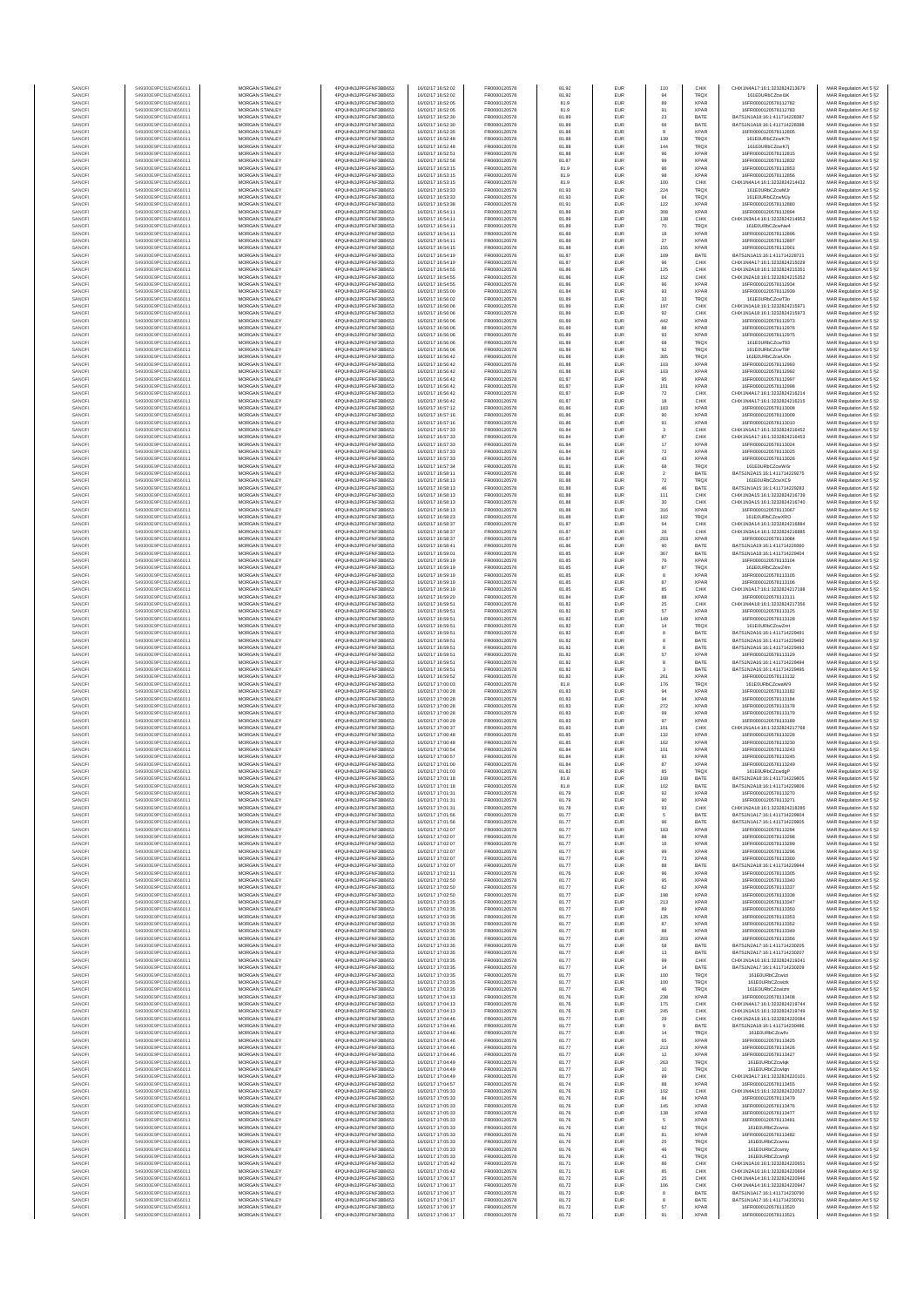| SANOF            | 549300E9PC51EN656011                         | MORGAN STANLEY                                 | 4PQUHN3JPFGFNF3BB653                          | 16/02/17 16:52:02                      | FR0000120578                 | 81.92          | EUR                      | 110                       | CHIX                       | CHIX1N4A17:16:1:3232824213679                                  | MAR Regulation Art 5 §2                            |
|------------------|----------------------------------------------|------------------------------------------------|-----------------------------------------------|----------------------------------------|------------------------------|----------------|--------------------------|---------------------------|----------------------------|----------------------------------------------------------------|----------------------------------------------------|
| SANOF            | 549300E9PC51EN656011                         | MORGAN STANLEY                                 | 4PQUHN3JPFGFNF3BB653<br>4POLIHN3JPEGENE3BB653 | 16/02/17 16:52:02                      | FR0000120578                 | 81.92          | EUR                      |                           | TRQ)                       | 161E0URbCZcwl1K                                                | MAR Regulation Art 5 §2                            |
| SANOFI<br>SANOFI | 549300E9PC51EN656011<br>549300E9PC51EN656011 | MORGAN STANLEY<br>MORGAN STANLEY               | 4PQUHN3JPFGFNF3BB653                          | 16/02/17 16:52:05<br>16/02/17 16:52:05 | FR0000120578<br>FR0000120578 | 81.9<br>81.9   | EUR<br>EUR               | 89<br>91                  | <b>XPAR</b><br><b>XPAR</b> | 16FR0000120578112782<br>16FR0000120578112783                   | MAR Regulation Art 5 §2<br>MAR Regulation Art 5 §2 |
| SANOFI           | 549300E9PC51EN656011                         | <b>MORGAN STANLEY</b>                          | 4PQUHN3JPFGFNF3BB653                          | 16/02/17 16:52:30                      | FR0000120578                 | 81.89          | EUR                      | 23                        | BATE                       | BATS1N1A18:16:1:411714228387                                   | MAR Regulation Art 5 §2                            |
| SANOFI<br>SANOFI | 549300E9PC51EN656011<br>549300E9PC51EN656011 | <b>MORGAN STANLEY</b><br>MORGAN STANLEY        | 4PQUHN3JPFGFNF3BB653<br>4PQUHN3JPFGFNF3BB653  | 16/02/17 16:52:30<br>16/02/17 16:52:35 | FR0000120578<br>FR0000120578 | 81.89<br>81.88 | <b>EUR</b><br>EUR        | 66<br>$\theta$            | BATE<br><b>XPAR</b>        | BATS1N1A18:16:1:411714228388<br>16ER0000120578112805           | MAR Regulation Art 5 §2<br>MAR Regulation Art 5 §2 |
| SANOF            | 549300E9PC51EN656011                         | MORGAN STANLEY                                 | 4PQUHN3JPFGFNF3BB653                          | 16/02/17 16:52:48                      | FR0000120578                 | 81.88          | EUR                      | 139                       | <b>TRQX</b>                | 161E0URbCZcwK7h                                                | MAR Regulation Art 5 §2                            |
| SANOFI           | 549300E9PC51EN656011                         | MORGAN STANLEY                                 | 4PQUHN3JPFGFNF3BB653                          | 16/02/17 16:52:48                      | FR0000120578                 | 81.88          | EUR                      | 144                       | TRQ)                       | 161E0URbCZcwK7j                                                | MAR Regulation Art 5 §2                            |
| SANOF<br>SANOFI  | 549300E9PC51EN656011<br>549300E9PC51EN656011 | MORGAN STANLEY<br>MORGAN STANLEY               | 4PQUHN3JPFGFNF3BB653<br>4PQUHN3JPFGFNF3BB653  | 16/02/17 16:52:51<br>16/02/17 16:52:58 | FR0000120578<br>FR0000120578 | 81.88<br>81.87 | EUR<br>EUR               | 96<br>99                  | <b>XPAR</b><br><b>XPAR</b> | 16FR0000120578112815<br>16FR0000120578112832                   | MAR Regulation Art 5 §2<br>MAR Regulation Art 5 §2 |
| SANOFI           | 549300E9PC51EN656011                         | MORGAN STANLEY                                 | 4PQUHN3JPFGFNF3BB653                          | 16/02/17 16:53:15                      | FR0000120578                 | 81.9           | EUR                      | 96                        | <b>XPAR</b>                | 16FR0000120578112853                                           | MAR Regulation Art 5 §2                            |
| SANOFI<br>SANOFI | 549300E9PC51EN656011<br>549300E9PC51EN656011 | MORGAN STANLEY<br><b>MORGAN STANLEY</b>        | 4PQUHN3JPFGFNF3BB653<br>4POLIHN3JPEGENE3BB653 | 16/02/17 16:53:15<br>16/02/17 16:53:15 | FR0000120578<br>FR0000120578 | 81.9<br>81.9   | EUR<br>EUR               | 98<br>100                 | <b>XPAR</b><br>CHIX        | 16FR0000120578112856<br>CHIX1N4A14-16-1-3232824214432          | MAR Regulation Art 5 §2<br>MAR Regulation Art 5 §2 |
| SANOFI           | 549300E9PC51EN656011                         | <b>MORGAN STANLEY</b>                          | 4PQUHN3JPFGFNF3BB653                          | 16/02/17 16:53:33                      | FR0000120578                 | 81.93          | <b>EUR</b>               | 224                       | <b>TRQX</b>                | 161E0URbCZcwMJr                                                | MAR Regulation Art 5 §2                            |
| SANOFI           | 549300E9PC51EN656011                         | MORGAN STANLEY                                 | 4PQUHN3JPFGFNF3BB653                          | 16/02/17 16:53:33                      | FR0000120578                 | 81.93          | EUR                      | 64                        | TRQX                       | 161E0URbCZcwMJv                                                | MAR Regulation Art 5 §2                            |
| SANOFI<br>SANOFI | 549300E9PC51EN656011<br>549300E9PC51EN656011 | MORGAN STANLEY<br>MORGAN STANLEY               | 4PQUHN3JPFGFNF3BB653<br>4PQUHN3JPFGFNF3BB653  | 16/02/17 16:53:38<br>16/02/17 16:54:11 | FR0000120578<br>FR0000120578 | 81.91<br>81.89 | EUR<br>EUR               | 122<br>308                | <b>XPAR</b><br><b>XPAR</b> | 16FR0000120578112880<br>16FR0000120578112894                   | MAR Regulation Art 5 §2<br>MAR Regulation Art 5 §2 |
| SANOFI           | 549300E9PC51EN656011                         | MORGAN STANLEY                                 | 4PQUHN3JPFGFNF3BB653                          | 16/02/17 16:54:11                      | FR0000120578                 | 81.89          | EUR                      | 138                       | CHIX                       | CHIX1N3A14:16:1:3232824214953                                  | MAR Regulation Art 5 §2                            |
| SANOFI           | 549300E9PC51EN656011                         | MORGAN STANLEY                                 | 4PQUHN3JPFGFNF3BB653                          | 16/02/17 16:54:11                      | FR0000120578                 | 81.89          | EUR                      | 70                        | <b>TRQX</b>                | 161E0URbCZcwNw4                                                | MAR Regulation Art 5 §2                            |
| SANOFI<br>SANOFI | 549300E9PC51EN656011<br>549300E9PC51EN656011 | MORGAN STANLEY<br><b>MORGAN STANLEY</b>        | 4PQUHN3JPFGFNF3BB653<br>4POLIHN3JPEGENE3BB653 | 16/02/17 16:54:11<br>16/02/17 16:54:11 | FR0000120578<br>FR0000120578 | 81.89<br>81.89 | EUR<br><b>EUR</b>        | $18\,$<br>27              | <b>XPAR</b><br><b>XPAR</b> | 16ER0000120578112896<br>16FR0000120578112897                   | MAR Regulation Art 5 §2<br>MAR Regulation Art 5 §2 |
| SANOFI           | 549300E9PC51EN656011                         | MORGAN STANLEY                                 | 4PQUHN3JPFGFNF3BB653                          | 16/02/17 16:54:15                      | FR0000120578                 | 81.88          | EUR                      | 155                       | <b>XPAR</b>                | 16ER0000120578112901                                           | MAR Regulation Art 5 §2                            |
| SANOFI           | 549300E9PC51EN656011                         | MORGAN STANLEY                                 | 4PQUHN3JPFGFNF3BB653                          | 16/02/17 16:54:19                      | FR0000120578                 | 81.87          | EUR                      | 109                       | BATE                       | BATS1N1A15:16:1:411714228721                                   | MAR Regulation Art 5 §2                            |
| SANOFI<br>SANOF  | 549300E9PC51EN656011<br>549300E9PC51EN656011 | MORGAN STANLEY<br>MORGAN STANLEY               | 4PQUHN3JPFGFNF3BB653<br>4PQUHN3JPFGFNF3BB653  | 16/02/17 16:54:19<br>16/02/17 16:54:55 | FR0000120578<br>FR0000120578 | 81.87<br>81.86 | EUR<br>EUR               | 96<br>125                 | CHIX<br>CHIX               | CHIX1N4A17:16:1:3232824215029<br>CHIX1N2A18:16:1:3232824215351 | MAR Regulation Art 5 §2<br>MAR Regulation Art 5 §2 |
| SANOFI           | 549300E9PC51EN656011                         | MORGAN STANLEY                                 | 4PQUHN3JPFGFNF3BB653                          | 16/02/17 16:54:55                      | FR0000120578                 | 81.86          | EUR                      | 152                       | CHIX                       | CHIX1N2A18:16:1:3232824215352                                  | MAR Regulation Art 5 §2                            |
| SANOFI           | 549300E9PC51EN656011                         | MORGAN STANLEY                                 | 4PQUHN3JPFGFNF3BB653                          | 16/02/17 16:54:55                      | FR0000120578                 | 81.86          | EUR                      | 96                        | <b>XPAR</b>                | 16FR0000120578112934                                           | MAR Regulation Art 5 §2                            |
| SANOFI<br>SANOFI | 549300E9PC51EN656011<br>549300E9PC51EN656011 | MORGAN STANLEY<br><b>MORGAN STANLEY</b>        | 4PQUHN3JPFGFNF3BB653<br>4PQUHN3JPFGFNF3BB653  | 16/02/17 16:55:00<br>16/02/17 16:56:02 | FR0000120578<br>FR0000120578 | 81.84<br>81.89 | EUR<br>EUR               | 93<br>33                  | <b>XPAR</b><br><b>TRQX</b> | 16FR0000120578112939<br>161E0URbCZcwT3o                        | MAR Regulation Art 5 §2<br>MAR Regulation Art 5 §2 |
| SANOFI           | 549300E9PC51EN656011                         | <b>MORGAN STANLEY</b>                          | 4PQUHN3JPFGFNF3BB653                          | 16/02/17 16:56:06                      | FR0000120578                 | 81.89          | <b>EUR</b>               | 197                       | CHIX                       | CHIX1N1A18:16:1:3232824215971                                  | MAR Regulation Art 5 §2                            |
| SANOFI           | 549300E9PC51EN656011                         | MORGAN STANLEY                                 | 4PQUHN3JPFGFNF3BB653                          | 16/02/17 16:56:06                      | FR0000120578                 | 81.89          | EUR                      | 92                        | CHIX                       | CHIX1N1A18:16:1:3232824215973                                  | MAR Regulation Art 5 §2                            |
| SANOFI<br>SANOFI | 549300E9PC51EN656011<br>549300E9PC51EN656011 | MORGAN STANLEY<br>MORGAN STANLEY               | 4PQUHN3JPFGFNF3BB653<br>4PQUHN3JPFGFNF3BB653  | 16/02/17 16:56:06<br>16/02/17 16:56:06 | FR0000120578<br>FR0000120578 | 81.89<br>81.89 | EUR<br>EUR               | 442<br>88                 | <b>XPAR</b><br><b>XPAF</b> | 16FR0000120578112973<br>16FR0000120578112976                   | MAR Regulation Art 5 §2<br>MAR Regulation Art 5 §2 |
| SANOFI           | 549300E9PC51EN656011                         | MORGAN STANLEY                                 | 4PQUHN3JPFGFNF3BB653                          | 16/02/17 16:56:06                      | FR0000120578                 | 81.89          | EUR                      | $93\,$                    | <b>XPAR</b>                | 16FR0000120578112975                                           | MAR Regulation Art 5 §2                            |
| SANOFI           | 549300E9PC51EN656011                         | MORGAN STANLEY<br>MORGAN STANLEY               | 4PQUHN3JPFGFNF3BB653                          | 16/02/17 16:56:06<br>16/02/17 16:56:06 | FR0000120578<br>FR0000120578 | 81.89<br>81.89 | EUR<br>EUR               | 68<br>$92\,$              | <b>TRQX</b><br>TRQX        | 161E0URbCZcwT93<br>161E0URbCZcwT9F                             | MAR Regulation Art 5 §2<br>MAR Regulation Art 5 §2 |
| SANOFI<br>SANOFI | 549300E9PC51EN656011<br>549300E9PC51EN656011 | <b>MORGAN STANLEY</b>                          | 4PQUHN3JPFGFNF3BB653<br>4PQUHN3JPFGFNF3BB653  | 16/02/17 16:56:42                      | FR0000120578                 | 81.88          | <b>EUR</b>               | 305                       | <b>TRQX</b>                | 161E0URbCZcwUOn                                                | MAR Regulation Art 5 §2                            |
| SANOFI           | 549300E9PC51EN656011                         | <b>MORGAN STANLEY</b>                          | 4PQUHN3JPFGFNF3BB653                          | 16/02/17 16:56:42                      | FR0000120578                 | 81.88          | EUR                      | 103                       | <b>XPAR</b>                | 16FR0000120578112993                                           | MAR Regulation Art 5 §2                            |
| SANOFI<br>SANOFI | 549300E9PC51EN656011<br>549300E9PC51EN656011 | MORGAN STANLEY<br>MORGAN STANLEY               | 4PQUHN3JPFGFNF3BB653<br>4PQUHN3JPFGFNF3BB653  | 16/02/17 16:56:42<br>16/02/17 16:56:42 | FR0000120578<br>FR0000120578 | 81.88<br>81.87 | EUR<br>EUR               | 103<br>95                 | <b>XPAR</b><br>XPAR        | 16FR0000120578112992<br>16FR0000120578112997                   | MAR Regulation Art 5 §2<br>MAR Regulation Art 5 §2 |
| SANOFI           | 549300E9PC51EN656011                         | MORGAN STANLEY                                 | 4PQUHN3JPFGFNF3BB653                          | 16/02/17 16:56:42                      | FR0000120578                 | 81.87          | EUR                      | 101                       | <b>XPAF</b>                | 16FR0000120578112998                                           | MAR Regulation Art 5 §2                            |
| SANOFI           | 549300E9PC51EN656011<br>549300E9PC51EN656011 | MORGAN STANLEY                                 | 4PQUHN3JPFGFNF3BB653                          | 16/02/17 16:56:42                      | FR0000120578                 | 81.87          | EUR                      | $72\,$                    | CHIX                       | CHIX1N4A17:16:1:3232824216214                                  | MAR Regulation Art 5 §2                            |
| SANOFI<br>SANOFI | 549300E9PC51EN656011                         | MORGAN STANLEY<br>MORGAN STANLEY               | 4PQUHN3JPFGFNF3BB653<br>4PQUHN3JPFGFNF3BB653  | 16/02/17 16:56:42<br>16/02/17 16:57:12 | FR0000120578<br>FR0000120578 | 81.87<br>81.86 | EUR<br>EUR               | 18<br>183                 | CHIX<br><b>XPAR</b>        | CHIX1N4A17:16:1:3232824216215<br>16FR0000120578113008          | MAR Regulation Art 5 §2<br>MAR Regulation Art 5 §2 |
| SANOFI           | 549300E9PC51EN656011                         | MORGAN STANLEY                                 | 4PQUHN3JPFGFNF3BB653                          | 16/02/17 16:57:16                      | FR0000120578                 | 81.86          | EUR                      | 90                        | <b>XPAR</b>                | 16FR0000120578113009                                           | MAR Regulation Art 5 §2                            |
| SANOFI<br>SANOFI | 549300E9PC51EN656011<br>549300E9PC51EN656011 | <b>MORGAN STANLEY</b><br><b>MORGAN STANLEY</b> | 4POLIHN3JPEGENE3BB653<br>4PQUHN3JPFGFNF3BB653 | 16/02/17 16:57:16<br>16/02/17 16:57:33 | FR0000120578<br>FR0000120578 | 81.86<br>81.84 | <b>EUR</b><br>EUR        | 91<br>3                   | <b>XPAR</b><br>CHIX        | 16FR0000120578113010<br>CHIX1N1A17:16:1:3232824216452          | MAR Regulation Art 5 §2                            |
| SANOFI           | 549300E9PC51EN656011                         | MORGAN STANLEY                                 | 4PQUHN3JPFGFNF3BB653                          | 16/02/17 16:57:33                      | FR0000120578                 | 81.84          | EUR                      | 87                        | CHIX                       | CHIX1N1A17:16:1:3232824216453                                  | MAR Regulation Art 5 §2<br>MAR Regulation Art 5 §2 |
| SANOFI           | 549300E9PC51EN656011                         | MORGAN STANLEY                                 | 4PQUHN3JPFGFNF3BB653                          | 16/02/17 16:57:33                      | FR0000120578                 | 81.84          | EUR                      | 17                        | <b>XPAR</b>                | 16FR0000120578113024                                           | MAR Regulation Art 5 §2                            |
| SANOFI<br>SANOFI | 549300E9PC51EN656011<br>549300E9PC51EN656011 | MORGAN STANLEY<br>MORGAN STANLEY               | 4PQUHN3JPFGFNF3BB653<br>4PQUHN3JPFGFNF3BB653  | 16/02/17 16:57:33<br>16/02/17 16:57:33 | FR0000120578<br>FR0000120578 | 81.84<br>81.84 | EUR<br>EUR               | $\scriptstyle{72}$<br>43  | <b>XPAF</b><br><b>XPAR</b> | 16FR0000120578113025<br>16FR0000120578113026                   | MAR Regulation Art 5 §2                            |
| SANOFI           | 549300E9PC51EN656011                         | MORGAN STANLEY                                 | 4PQUHN3JPFGFNF3BB653                          | 16/02/17 16:57:34                      | FR0000120578                 | 81.81          | EUR                      | 68                        | TRQX                       | 161E0URbCZcwW6r                                                | MAR Regulation Art 5 §2<br>MAR Regulation Art 5 §2 |
| SANOFI           | 549300E9PC51EN656011                         | MORGAN STANLEY                                 | 4PQUHN3JPFGFNF3BB653                          | 16/02/17 16:58:11                      | FR0000120578                 | 81.88          | EUR                      | $\,$ 2 $\,$               | BATE                       | BATS1N2A15:16:1:411714229275                                   | MAR Regulation Art 5 §2                            |
| SANOFI<br>SANOFI | 549300E9PC51EN656011<br>549300E9PC51EN656011 | <b>MORGAN STANLEY</b><br>MORGAN STANLEY        | 4PQUHN3JPFGFNF3BB653<br>4PQUHN3JPFGFNF3BB653  | 16/02/17 16:58:13<br>16/02/17 16:58:13 | FR0000120578<br>FR0000120578 | 81.88<br>81.88 | EUR<br><b>EUR</b>        | 72<br>46                  | <b>TRQX</b><br>BATE        | 161E0URbCZcwXC9<br>BATS1N1A15:16:1:411714229283                | MAR Regulation Art 5 §2<br>MAR Regulation Art 5 §2 |
| SANOFI           | 549300E9PC51EN656011                         | MORGAN STANLEY                                 | 4POLIHN3JPEGENE3BB653                         | 16/02/17 16:58:13                      | FR0000120578                 | 81.88          | EUR                      | 111                       | CHIX                       | CHIX1N3A15:16:1:3232824216739                                  | MAR Regulation Art 5 §2                            |
| SANOFI           | 549300E9PC51EN656011                         | MORGAN STANLEY                                 | 4PQUHN3JPFGFNF3BB653                          | 16/02/17 16:58:13                      | FR0000120578                 | 81.88          | EUR                      | $30\,$                    | CHIX                       | CHIX1N3A15:16:1:3232824216740                                  | MAR Regulation Art 5 §2                            |
| SANOFI<br>SANOFI | 549300E9PC51EN656011<br>549300E9PC51EN656011 | MORGAN STANLEY<br>MORGAN STANLEY               | 4PQUHN3JPFGFNF3BB653<br>4PQUHN3JPFGFNF3BB653  | 16/02/17 16:58:13<br>16/02/17 16:58:23 | FR0000120578<br>FR0000120578 | 81.88<br>81.88 | EUR<br>EUR               | 316<br>102                | <b>XPAF</b><br>TRQ)        | 16FR0000120578113067<br>161E0URbCZcwXRO                        | MAR Regulation Art 5 §2<br>MAR Regulation Art 5 §2 |
| SANOFI           | 549300E9PC51EN656011                         | MORGAN STANLEY                                 | 4PQUHN3JPFGFNF3BB653                          | 16/02/17 16:58:37                      | FR0000120578                 | 81.87          | EUR                      | 64                        | CHIX                       | CHIX1N3A14:16:1:3232824216884                                  | MAR Regulation Art 5 §2                            |
| SANOFI           | 549300E9PC51EN656011                         | MORGAN STANLEY                                 | 4PQUHN3JPFGFNF3BB653                          | 16/02/17 16:58:37                      | FR0000120578                 | 81.87          | EUR                      | 26                        | CHIX                       | CHIX1N3A14:16:1:3232824216885                                  | MAR Regulation Art 5 §2                            |
| SANOFI<br>SANOFI | 549300E9PC51EN656011<br>549300E9PC51EN656011 | <b>MORGAN STANLEY</b><br><b>MORGAN STANLEY</b> | 4PQUHN3JPFGFNF3BB653<br>4PQUHN3JPFGFNF3BB653  | 16/02/17 16:58:37<br>16/02/17 16:58:41 | FR0000120578<br>FR0000120578 | 81.87<br>81.86 | <b>EUR</b><br>EUR        | 203<br>90                 | <b>XPAR</b><br>BATE        | 16FR0000120578113084<br>BATS1N1A19:16:1:411714229360           | MAR Regulation Art 5 §2<br>MAR Regulation Art 5 §2 |
| SANOFI           | 549300E9PC51EN656011                         | MORGAN STANLEY                                 | 4PQUHN3JPFGFNF3BB653                          | 16/02/17 16:59:01                      | FR0000120578                 | 81.85          | EUR                      | 367                       | BATE                       | BATS1N1A18:16:1:411714229404                                   | MAR Regulation Art 5 §2                            |
| SANOFI<br>SANOF  | 549300E9PC51EN656011<br>549300E9PC51EN656011 | MORGAN STANLEY<br>MORGAN STANLEY               | 4PQUHN3JPFGFNF3BB653<br>4PQUHN3JPFGFNF3BB653  | 16/02/17 16:59:19<br>16/02/17 16:59:19 | FR0000120578<br>FR0000120578 | 81.85<br>81.85 | EUR<br>EUR               | ${\bf 76}$<br>$^{\rm 87}$ | <b>XPAR</b><br>TRQ)        | 16FR0000120578113104<br>161E0URbCZcwZ4m                        | MAR Regulation Art 5 §2<br>MAR Regulation Art 5 §2 |
| SANOFI           | 549300E9PC51EN656011                         | MORGAN STANLEY                                 | 4PQUHN3JPFGFNF3BB653                          | 16/02/17 16:59:19                      | FR0000120578                 | 81.85          | EUR                      |                           | <b>XPAF</b>                | 16FR0000120578113105                                           | MAR Regulation Art 5 §2                            |
| SANOFI           | 549300E9PC51EN656011                         | MORGAN STANLEY                                 | 4PQUHN3JPFGFNF3BB653                          | 16/02/17 16:59:19                      | FR0000120578<br>FR0000120578 | 81.85          | EUR                      | $^{\rm 87}$               | <b>XPAR</b><br>CHIX        | 16FR0000120578113106                                           | MAR Regulation Art 5 §2                            |
| SANOFI<br>SANOFI | 549300E9PC51EN656011<br>549300E9PC51EN656011 | MORGAN STANLEY<br><b>MORGAN STANLEY</b>        | 4PQUHN3JPFGFNF3BB653<br>4PQUHN3JPFGFNF3BB653  | 16/02/17 16:59:19<br>16/02/17 16:59:20 | FR0000120578                 | 81.85<br>81.84 | EUR<br>EUR               | 85<br>88                  | <b>XPAR</b>                | CHIX1N1A17:16:1:3232824217198<br>16FR0000120578113111          | MAR Regulation Art 5 §2<br>MAR Regulation Art 5 §2 |
| SANOFI           | 549300E9PC51EN656011                         | <b>MORGAN STANLEY</b>                          | 4PQUHN3JPFGFNF3BB653                          | 16/02/17 16:59:51                      | FR0000120578                 | 81.82          | <b>EUR</b>               | 25                        | CHIX                       | CHIX1N4A18:16:1:3232824217356                                  | MAR Regulation Art 5 §2                            |
| SANOFI<br>SANOFI | 549300E9PC51EN656011<br>549300E9PC51EN656011 | <b>MORGAN STANLEY</b><br>MORGAN STANLEY        | 4PQUHN3JPFGFNF3BB653<br>4PQUHN3JPFGFNF3BB653  | 16/02/17 16:59:51<br>16/02/17 16:59:51 | FR0000120578<br>FR0000120578 | 81.82<br>81.82 | EUR<br>EUR               | 57<br>149                 | <b>XPAR</b><br><b>XPAR</b> | 16FR0000120578113125<br>16FR0000120578113128                   | MAR Regulation Art 5 §2<br>MAR Regulation Art 5 §2 |
| SANOFI           | 549300E9PC51EN656011                         | MORGAN STANLEY                                 | 4PQUHN3JPFGFNF3BB653                          | 16/02/17 16:59:51                      | FR0000120578                 | 81.82          | EUR                      | 14                        | TRQ)                       | 161E0URbCZcwZmt                                                | MAR Regulation Art 5 §2                            |
| SANOF<br>SANOFI  | 549300E9PC51EN656011<br>549300E9PC51EN656011 | MORGAN STANLEY<br>MORGAN STANLEY               | 4PQUHN3JPFGFNF3BB653<br>4PQUHN3JPFGFNF3BB653  | 16/02/17 16:59:51<br>16/02/17 16:59:51 | FR0000120578<br>FR0000120578 | 81.82<br>81.82 | EUR<br>EUR               | 8                         | BATE<br>BATE               | BATS1N2A16:16:1:411714229491<br>BATS1N2A16:16:1:411714229492   | MAR Regulation Art 5 §2                            |
| SANOFI           | 549300E9PC51EN656011                         | MORGAN STANLEY                                 | 4PQUHN3JPFGFNF3BB653                          | 16/02/17 16:59:51                      | FR0000120578                 | 81.82          | EUR                      | 8                         | BATE                       | BATS1N2A16:16:1:411714229493                                   | MAR Regulation Art 5 §2<br>MAR Regulation Art 5 §2 |
| SANOFI           | 549300E9PC51EN656011                         | MORGAN STANLEY                                 | 4PQUHN3JPFGFNF3BB653                          | 16/02/17 16:59:51                      | FR0000120578                 | 81.82          | EUR                      | 57                        | <b>XPAR</b>                | 16FR0000120578113129                                           | MAR Regulation Art 5 §2                            |
| SANOFI<br>SANOFI | 549300E9PC51EN656011<br>549300E9PC51EN656011 | <b>MORGAN STANLEY</b><br><b>MORGAN STANLEY</b> | 4PQUHN3JPFGFNF3BB653<br>4PQUHN3JPFGFNF3BB653  | 16/02/17 16:59:51<br>16/02/17 16:59:51 | FR0000120578<br>FR0000120578 | 81.82<br>81.82 | EUR<br><b>EUR</b>        | 8<br>3                    | BATE<br>BATE               | BATS1N2A16:16:1:411714229494<br>BATS1N2A16:16:1:411714229495   | MAR Regulation Art 5 §2<br>MAR Regulation Art 5 §2 |
| SANOFI           | 549300E9PC51EN656011                         | MORGAN STANLEY                                 | 4PQUHN3JPFGFNF3BB653                          | 16/02/17 16:59:52                      | FR0000120578                 | 81.82          | EUR                      | 261                       | <b>XPAR</b>                | 16FR0000120578113132                                           | MAR Regulation Art 5 §2                            |
| SANOFI           | 549300E9PC51EN656011                         | MORGAN STANLEY                                 | 4PQUHN3JPFGFNF3BB653                          | 16/02/17 17:00:03                      | FR0000120578                 | 81.8           | EUR                      | 176                       | TRQX                       | 161E0URbCZcwaW9                                                | MAR Regulation Art 5 §2                            |
| SANOFI<br>SANOFI | 549300E9PC51EN656011<br>549300E9PC51EN656011 | MORGAN STANLEY<br>MORGAN STANLEY               | 4PQUHN3JPFGFNF3BB653<br>4PQUHN3JPFGFNF3BB653  | 16/02/17 17:00:28<br>16/02/17 17:00:28 | FR0000120578<br>FR0000120578 | 81.83<br>81.83 | EUR<br>EUR               | 94<br>94                  | <b>XPAR</b><br><b>XPAR</b> | 16FR0000120578113182<br>16FR0000120578113184                   | MAR Regulation Art 5 §2<br>MAR Regulation Art 5 §2 |
| SANOFI           | 549300E9PC51EN656011                         | MORGAN STANLEY                                 | 4PQUHN3JPFGFNF3BB653                          | 16/02/17 17:00:28                      | FR0000120578                 | 81.83          | EUR                      | 272                       | <b>XPAR</b>                | 16FR0000120578113178                                           | MAR Regulation Art 5 §2                            |
| SANOFI<br>SANOFI | 549300E9PC51EN656011<br>549300E9PC51EN656011 | MORGAN STANLEY<br><b>MORGAN STANLEY</b>        | 4PQUHN3JPFGFNF3BB653<br>4POLIHN3JPEGENE3BB653 | 16/02/17 17:00:28<br>16/02/17 17:00:29 | FR0000120578<br>FR0000120578 | 81.83<br>81.83 | EUR<br><b>EUR</b>        | 99<br>97                  | <b>XPAR</b><br><b>XPAR</b> | 16FR0000120578113179<br>16FR0000120578113189                   | MAR Regulation Art 5 §2<br>MAR Regulation Art 5 §2 |
| SANOFI           | 549300E9PC51EN656011                         | <b>MORGAN STANLEY</b>                          | 4PQUHN3JPFGFNF3BB653                          | 16/02/17 17:00:37                      | FR0000120578                 | 81.83          | EUR                      | 101                       | CHIX                       | CHIX1N1A14:16:1:3232824217768                                  | MAR Regulation Art 5 §2                            |
| SANOFI           | 549300E9PC51EN656011                         | MORGAN STANLEY                                 | 4POLIHN3JPEGENE3BB653                         | 16/02/17 17:00:48                      | FR0000120578                 | 81.85          | EUR                      | 132                       | <b>XPAR</b>                | 16FR0000120578113228                                           | MAR Regulation Art 5 §2                            |
| SANOFI<br>SANOF  | 549300E9PC51EN656011<br>549300E9PC51EN656011 | MORGAN STANLEY<br>MORGAN STANLEY               | 4PQUHN3JPFGFNF3BB653<br>4PQUHN3JPFGFNF3BB653  | 16/02/17 17:00:48<br>16/02/17 17:00:54 | FR0000120578<br>FR0000120578 | 81.85<br>81.84 | EUR<br>EUR               | 162<br>101                | XPAR<br><b>XPAR</b>        | 16FR0000120578113230<br>16FR0000120578113243                   | MAR Regulation Art 5 §2<br>MAR Regulation Art 5 §2 |
| SANOFI           | 549300E9PC51EN656011                         | MORGAN STANLEY                                 | 4PQUHN3JPFGFNF3BB653                          | 16/02/17 17:00:57                      | FR0000120578                 | 81.84          | EUR                      | 93                        | <b>XPAR</b>                | 16FR0000120578113245                                           | MAR Regulation Art 5 §2                            |
| SANOFI           | 549300E9PC51EN656011<br>549300E9PC51EN656011 | MORGAN STANLEY<br>MORGAN STANLEY               | 4PQUHN3JPFGFNF3BB653<br>4PQUHN3JPFGFNF3BB653  | 16/02/17 17:01:00<br>16/02/17 17:01:03 | FR0000120578<br>FR0000120578 | 81.84<br>81.82 | EUR<br>EUR               | 87<br>85                  | <b>XPAR</b><br>TRQX        | 16FR0000120578113249<br>161E0URbCZcwdgP                        | MAR Regulation Art 5 §2<br>MAR Regulation Art 5 §2 |
| SANOFI<br>SANOFI | 549300E9PC51EN656011                         | <b>MORGAN STANLEY</b>                          | 4PQUHN3JPFGFNF3BB653                          | 6/02/17 17:01:18                       | FR0000120578                 | 81.8           | <b>FLIR</b>              |                           | RATE                       | BATS1N2A18:16:1:411714229805                                   | MAR Regulation Art 5 §2                            |
| SANOFI           | 549300E9PC51EN656011                         | <b>MORGAN STANLEY</b>                          | 4PQUHN3JPFGFNF3BB653                          | 16/02/17 17:01:18                      | FR0000120578                 | 81.8           | <b>EUR</b>               | 102                       | BATE                       | BATS1N2A18:16:1:411714229806                                   | MAR Regulation Art 5 §2                            |
| SANOFI<br>SANOFI | 549300E9PC51EN656011<br>549300E9PC51EN656011 | MORGAN STANLEY<br>MORGAN STANLEY               | 4PQUHN3JPFGFNF3BB653<br>4PQUHN3JPFGFNF3BB653  | 16/02/17 17:01:31<br>16/02/17 17:01:31 | FR0000120578<br>FR0000120578 | 81.79<br>81.79 | EUR<br>EUR               | 92<br>90                  | <b>XPAR</b><br><b>XPAR</b> | 16FR0000120578113270<br>16FR0000120578113271                   | MAR Regulation Art 5 §2<br>MAR Regulation Art 5 §2 |
| SANOFI           | 549300E9PC51EN656011                         | MORGAN STANLEY                                 | 4PQUHN3JPFGFNF3BB653                          | 16/02/17 17:01:31                      | FR0000120578                 | 81.78          | EUR                      | 93                        | CHIX                       | CHIX1N2A18:16:1:3232824218285                                  | MAR Regulation Art 5 §2                            |
| SANOFI           | 549300E9PC51EN656011                         | MORGAN STANLEY                                 | 4PQUHN3JPFGFNF3BB653                          | 16/02/17 17:01:56                      | FR0000120578                 | 81.77          | EUR                      | 6                         | BATE                       | 8ATS1N1A17:16:1:411714229904                                   | MAR Regulation Art 5 §2                            |
| SANOFI<br>SANOFI | 549300E9PC51EN656011<br>549300E9PC51EN656011 | MORGAN STANLEY<br>MORGAN STANLEY               | 4PQUHN3JPFGFNF3BB653<br>4PQUHN3JPFGFNF3BB653  | 16/02/17 17:01:56<br>16/02/17 17:02:07 | FR0000120578<br>FR0000120578 | 81.77<br>81.77 | EUR<br>EUR               | 96<br>183                 | BATE<br><b>XPAR</b>        | BATS1N1A17:16:1:411714229905<br>16FR0000120578113294           | MAR Regulation Art 5 §2<br>MAR Regulation Art 5 §2 |
| SANOFI           | 549300E9PC51EN656011                         | MORGAN STANLEY                                 | 4PQUHN3JPFGFNF3BB653                          | 16/02/17 17:02:07                      | FR0000120578                 | 81.77          | <b>EUR</b>               | 88                        | <b>XPAR</b>                | 16FR0000120578113298                                           | MAR Regulation Art 5 §2                            |
| SANOFI<br>SANOFI | 549300E9PC51EN656011<br>549300E9PC51EN656011 | <b>MORGAN STANLEY</b><br>MORGAN STANLEY        | 4PQUHN3JPFGFNF3BB653<br>4PQUHN3JPFGFNF3BB653  | 16/02/17 17:02:07<br>16/02/17 17:02:07 | FR0000120578<br>FR0000120578 | 81.77<br>81.77 | EUR<br>EUR               | 16<br>99                  | <b>XPAR</b><br><b>XPAR</b> | 16ER0000120578113299<br>16FR0000120578113296                   | MAR Regulation Art 5 §2<br>MAR Regulation Art 5 §2 |
| SANOFI           | 549300E9PC51EN656011                         | MORGAN STANLEY                                 | 4POLIHN3JPEGENE3BB653                         | 16/02/17 17:02:07                      | FR0000120578                 | 81.77          | EUR                      | 73                        | XPAR                       | 16FR0000120578113300                                           | MAR Regulation Art 5 §2                            |
| SANOFI           | 549300E9PC51EN656011                         | MORGAN STANLEY                                 | 4PQUHN3JPFGFNF3BB653                          | 16/02/17 17:02:07                      | FR0000120578                 | 81.77          | EUR                      | 88                        | BATE                       | BATS1N2A18:16:1:411714229944<br>16FR0000120578113305           | MAR Regulation Art 5 §2                            |
| SANOFI<br>SANOFI | 549300E9PC51EN656011<br>549300E9PC51EN656011 | MORGAN STANLEY<br>MORGAN STANLEY               | 4PQUHN3JPFGFNF3BB653<br>4PQUHN3JPFGFNF3BB653  | 16/02/17 17:02:11<br>16/02/17 17:02:50 | FR0000120578<br>FR0000120578 | 81.76<br>81.77 | EUR<br>EUR               | 96<br>95                  | <b>XPAR</b><br><b>XPAR</b> | 16FR0000120578113340                                           | MAR Regulation Art 5 §2<br>MAR Regulation Art 5 §2 |
| SANOFI           | 549300E9PC51EN656011                         | MORGAN STANLEY                                 | 4PQUHN3JPFGFNF3BB653                          | 16/02/17 17:02:50                      | FR0000120578                 | 81.77          | EUR                      | 62                        | <b>XPAR</b>                | 16FR0000120578113337                                           | MAR Regulation Art 5 §2                            |
| SANOFI<br>SANOFI | 549300E9PC51EN656011<br>549300E9PC51EN656011 | MORGAN STANLEY<br>MORGAN STANLEY               | 4PQUHN3JPFGFNF3BB653<br>4PQUHN3JPFGFNF3BB653  | 16/02/17 17:02:50<br>16/02/17 17:03:35 | FR0000120578<br>FR0000120578 | 81.77<br>81.77 | EUR<br><b>EUR</b>        | 198<br>213                | <b>XPAR</b><br><b>XPAR</b> | 16FR0000120578113338<br>16FR0000120578113347                   | MAR Regulation Art 5 §2<br>MAR Regulation Art 5 §2 |
| SANOFI           | 549300E9PC51EN656011                         | <b>MORGAN STANLEY</b>                          | 4PQUHN3JPFGFNF3BB653                          | 16/02/17 17:03:35                      | FR0000120578                 | 81.77          | EUR                      | 89                        | <b>XPAR</b>                | 16ER0000120578113350                                           | MAR Regulation Art 5 §2                            |
| SANOFI           | 549300E9PC51EN656011                         | MORGAN STANLEY                                 | 4PQUHN3JPFGFNF3BB653                          | 16/02/17 17:03:35                      | FR0000120578                 | 81.77          | EUR                      | 135                       | <b>XPAR</b>                | 16FR0000120578113353                                           | MAR Regulation Art 5 §2                            |
| SANOFI<br>SANOF  | 549300E9PC51EN656011<br>549300E9PC51EN656011 | <b>MORGAN STANLEY</b><br>MORGAN STANLEY        | 4PQUHN3JPFGFNF3BB653<br>4PQUHN3JPFGFNF3BB653  | 16/02/17 17:03:35<br>16/02/17 17:03:35 | FR0000120578<br>FR0000120578 | 81.77<br>81.77 | EUR<br>EUR               | 87<br>88                  | <b>XPAR</b><br><b>XPAR</b> | 16FR0000120578113352<br>16FR0000120578113349                   | MAR Regulation Art 5 §2<br>MAR Regulation Art 5 §2 |
| SANOFI           | 549300E9PC51EN656011                         | MORGAN STANLEY                                 | 4PQUHN3JPFGFNF3BB653                          | 16/02/17 17:03:35                      | FR0000120578                 | 81.77          | EUR                      | 203                       | <b>XPAR</b>                | 16FR0000120578113356                                           | MAR Regulation Art 5 §2                            |
| SANOFI           | 549300E9PC51EN656011                         | MORGAN STANLEY<br>MORGAN STANLEY               | 4PQUHN3JPFGFNF3BB653                          | 16/02/17 17:03:35                      | FR0000120578                 | 81.77          | EUR                      | 58                        | BATE<br>BATE               | BATS1N2A17:16:1:411714230205                                   | MAR Regulation Art 5 §2                            |
| SANOFI<br>SANOFI | 549300E9PC51EN656011<br>549300E9PC51EN656011 | MORGAN STANLEY                                 | 4PQUHN3JPFGFNF3BB653<br>4PQUHN3JPFGFNF3BB653  | 16/02/17 17:03:35<br>16/02/17 17:03:35 | FR0000120578<br>FR0000120578 | 81.77<br>81.77 | <b>EUR</b><br><b>EUR</b> | 13<br>99                  | CHIX                       | BATS1N2A17:16:1:411714230207<br>CHIX1N1A16:16:1:3232824219241  | MAR Regulation Art 5 §2<br>MAR Regulation Art 5 §2 |
| SANOFI           | 549300E9PC51EN656011                         | <b>MORGAN STANLEY</b>                          | 4PQUHN3JPFGFNF3BB653                          | 16/02/17 17:03:35                      | FR0000120578                 | 81.77          | <b>EUR</b>               | 14                        | BATE                       | BATS1N2A17:16:1:411714230209                                   | MAR Regulation Art 5 §2                            |
| SANOFI<br>SANOFI | 549300E9PC51EN656011<br>549300E9PC51EN656011 | MORGAN STANLEY<br>MORGAN STANLEY               | 4PQUHN3JPFGFNF3BB653<br>4PQUHN3JPFGFNF3BB653  | 16/02/17 17:03:35<br>16/02/17 17:03:35 | FR0000120578<br>FR0000120578 | 81.77<br>81.77 | EUR<br>EUR               | 100<br>100                | <b>TRQX</b><br><b>TRQX</b> | 161E0URbCZcwizi<br>161E0URbCZcwizk                             | MAR Regulation Art 5 §2<br>MAR Regulation Art 5 §2 |
| SANOF            | 549300E9PC51EN656011                         | MORGAN STANLEY                                 | 4PQUHN3JPFGFNF3BB653                          | 16/02/17 17:03:35                      | FR0000120578                 | 81.77          | EUR                      | 46                        | <b>TRQX</b>                | 161E0URbCZcwizm                                                | MAR Regulation Art 5 §2                            |
| SANOFI<br>SANOFI | 549300E9PC51EN656011<br>549300E9PC51EN656011 | MORGAN STANLEY<br>MORGAN STANLEY               | 4PQUHN3JPFGFNF3BB653<br>4PQUHN3JPFGFNF3BB653  | 16/02/17 17:04:13<br>16/02/17 17:04:13 | FR0000120578<br>FR0000120578 | 81.76<br>81.76 | EUR                      | 238<br>175                | <b>XPAR</b><br>CHIX        | 16FR0000120578113408<br>CHIX1N4A17:16:1:3232824219744          | MAR Regulation Art 5 §2<br>MAR Regulation Art 5 §2 |
| SANOFI           | 549300E9PC51EN656011                         | MORGAN STANLEY                                 | 4PQUHN3JPFGFNF3BB653                          | 16/02/17 17:04:13                      | FR0000120578                 | 81.76          | <b>EUR</b><br>EUR        | 245                       | CHIX                       | CHIX1N1A15:16:1:3232824219749                                  | MAR Regulation Art 5 §2                            |
| SANOFI           | 549300E9PC51EN656011                         | <b>MORGAN STANLEY</b>                          | 4PQUHN3JPFGFNF3BB653                          | 16/02/17 17:04:46                      | FR0000120578                 | 81.77          | <b>EUR</b>               | 29                        | CHIX                       | CHIX1N2A18:16:1:3232824220084                                  | MAR Regulation Art 5 §2                            |
| SANOFI<br>SANOFI | 549300E9PC51EN656011<br>549300E9PC51EN656011 | <b>MORGAN STANLEY</b><br>MORGAN STANLEY        | 4PQUHN3JPFGFNF3BB653<br>4PQUHN3JPFGFNF3BB653  | 16/02/17 17:04:46<br>16/02/17 17:04:46 | FR0000120578<br>FR0000120578 | 81.77<br>81.77 | <b>EUR</b><br>EUR        | $\overline{9}$<br>14      | BATE<br><b>TRQX</b>        | BATS1N2A18:16:1:411714230486<br>161E0URbCZcwllv                | MAR Regulation Art 5 §2<br>MAR Regulation Art 5 §2 |
| SANOFI           | 549300E9PC51EN656011                         | MORGAN STANLEY                                 | 4PQUHN3JPFGFNF3BB653                          | 16/02/17 17:04:46                      | FR0000120578                 | 81.77          | EUR                      | 65                        | <b>XPAR</b>                | 16FR0000120578113425                                           | MAR Regulation Art 5 §2                            |
| SANOFI<br>SANOFI | 549300E9PC51EN656011<br>549300E9PC51EN656011 | MORGAN STANLEY<br>MORGAN STANLEY               | 4PQUHN3JPFGFNF3BB653<br>4PQUHN3JPFGFNF3BB653  | 16/02/17 17:04:46<br>16/02/17 17:04:46 | FR0000120578<br>FR0000120578 | 81.77<br>81.77 | EUR<br>EUR               | 213<br>12                 | <b>XPAR</b><br><b>XPAR</b> | 16FR0000120578113426<br>16FR0000120578113427                   | MAR Regulation Art 5 §2                            |
| SANOFI           | 549300E9PC51EN656011                         | MORGAN STANLEY                                 | 4PQUHN3JPFGFNF3BB653                          | 16/02/17 17:04:49                      | FR0000120578                 | 81.77          | EUR                      | 263                       | TRQX                       | 161E0URbCZcwlak                                                | MAR Regulation Art 5 §2<br>MAR Regulation Art 5 §2 |
| SANOFI           | 549300E9PC51EN656011                         | MORGAN STANLEY                                 | 4PQUHN3JPFGFNF3BB653                          | 16/02/17 17:04:49                      | FR0000120578                 | 81.77          | <b>EUR</b>               | 10                        | <b>TRQX</b>                | 161E0URbCZcwlgn                                                | MAR Regulation Art 5 §2                            |
| SANOFI<br>SANOFI | 549300E9PC51EN656011<br>549300E9PC51EN656011 | <b>MORGAN STANLEY</b><br><b>MORGAN STANLEY</b> | 4PQUHN3JPFGFNF3BB653<br>4PQUHN3JPFGFNF3BB653  | 16/02/17 17:04:49<br>16/02/17 17:04:57 | FR0000120578<br>FR0000120578 | 81.77<br>81.74 | <b>EUR</b><br><b>EUR</b> | 99<br>88                  | CHIX<br><b>XPAR</b>        | CHIX1N3A17:16:1:3232824220101<br>16FR0000120578113455          | MAR Regulation Art 5 §2<br>MAR Regulation Art 5 §2 |
| SANOFI           | 549300E9PC51EN656011                         | <b>MORGAN STANLEY</b>                          | 4PQUHN3JPFGFNF3BB653                          | 16/02/17 17:05:33                      | FR0000120578                 | 81.76          | EUR                      | 102                       | CHIX                       | CHIX1N4A15:16:1:3232824220527                                  | MAR Regulation Art 5 §2                            |
| SANOFI<br>SANOFI | 549300E9PC51EN656011<br>549300E9PC51EN656011 | MORGAN STANLEY<br>MORGAN STANLEY               | 4PQUHN3JPFGFNF3BB653<br>4PQUHN3JPFGFNF3BB653  | 16/02/17 17:05:33<br>16/02/17 17:05:33 | FR0000120578<br>FR0000120578 | 81.76<br>81.76 | EUR<br>EUR               | 84<br>145                 | <b>XPAR</b><br><b>XPAR</b> | 16FR0000120578113479<br>16FR0000120578113476                   | MAR Regulation Art 5 §2                            |
| SANOFI           | 549300E9PC51EN656011                         | MORGAN STANLEY                                 | 4PQUHN3JPFGFNF3BB653                          | 16/02/17 17:05:33                      | FR0000120578                 | 81.76          | EUR                      | 138                       | <b>XPAR</b>                | 16FR0000120578113477                                           | MAR Regulation Art 5 §2<br>MAR Regulation Art 5 §2 |
| SANOFI           | 549300E9PC51EN656011                         | MORGAN STANLEY                                 | 4PQUHN3JPFGFNF3BB653                          | 16/02/17 17:05:33                      | FR0000120578                 | 81.76          | EUR                      | 5                         | <b>XPAR</b>                | 16FR0000120578113481                                           | MAR Regulation Art 5 §2                            |
| SANOFI<br>SANOFI | 549300E9PC51EN656011<br>549300E9PC51EN656011 | MORGAN STANLEY<br>MORGAN STANLEY               | 4PQUHN3JPFGFNF3BB653<br>4PQUHN3JPFGFNF3BB653  | 16/02/17 17:05:33<br>16/02/17 17:05:33 | FR0000120578<br>FR0000120578 | 81.76<br>81.76 | EUR<br><b>EUR</b>        | $62\,$<br>81              | TRQX<br><b>XPAR</b>        | 161E0URbCZcwnis<br>16FR0000120578113482                        | MAR Regulation Art 5 §2<br>MAR Regulation Art 5 §2 |
| SANOFI           | 549300E9PC51EN656011                         | <b>MORGAN STANLEY</b>                          | 4PQUHN3JPFGFNF3BB653                          | 16/02/17 17:05:33                      | FR0000120578                 | 81.76          | <b>EUR</b>               | 25                        | <b>TRQX</b>                | 161E0URbCZcwniu                                                | MAR Regulation Art 5 §2                            |
| SANOFI<br>SANOFI | 549300E9PC51EN656011<br>549300E9PC51EN656011 | <b>MORGAN STANLEY</b><br>MORGAN STANLEY        | 4PQUHN3JPFGFNF3BB653<br>4PQUHN3JPFGFNF3BB653  | 16/02/17 17:05:33<br>16/02/17 17:05:33 | FR0000120578<br>FR0000120578 | 81.76<br>81.76 | <b>EUR</b><br>EUR        | 46<br>43                  | <b>TRQX</b><br><b>TRQX</b> | 161E0URbCZcwniy<br>161E0URbCZcwnj0                             | MAR Regulation Art 5 §2<br>MAR Regulation Art 5 §2 |
| SANOFI           | 549300E9PC51EN656011                         | MORGAN STANLEY                                 | 4PQUHN3JPFGFNF3BB653                          | 16/02/17 17:05:42                      | FR0000120578                 | 81.71          | EUR                      | 86                        | CHIX                       | CHIX1N1A16:16:1:3232824220651                                  | MAR Regulation Art 5 §2                            |
| SANOFI<br>SANOFI | 549300E9PC51EN656011<br>549300E9PC51EN656011 | MORGAN STANLEY<br>MORGAN STANLEY               | 4PQUHN3JPFGFNF3BB653<br>4PQUHN3JPFGFNF3BB653  | 16/02/17 17:05:42<br>16/02/17 17:06:17 | FR0000120578<br>FR0000120578 | 81.71<br>81.72 | EUR<br>EUR               | 85<br>25                  | CHIX<br>CHIX               | CHIX1N2A16:16:1:3232824220664<br>CHIX1N4A14:16:1:3232824220946 | MAR Regulation Art 5 §2                            |
| SANOFI           | 549300E9PC51EN656011                         | MORGAN STANLEY                                 | 4PQUHN3JPFGFNF3BB653                          | 16/02/17 17:06:17                      | FR0000120578                 | 81.72          | EUR                      | 106                       | CHIX                       | CHIX1N4A14:16:1:3232824220947                                  | MAR Regulation Art 5 §2<br>MAR Regulation Art 5 §2 |
| SANOFI           | 549300E9PC51EN656011                         | MORGAN STANLEY                                 | 4PQUHN3JPFGFNF3BB653                          | 16/02/17 17:06:17                      | FR0000120578                 | 81.72          | EUR                      | 8                         | BATE                       | BATS1N1A17:16:1:411714230790                                   | MAR Regulation Art 5 §2                            |
| SANOFI<br>SANOFI | 549300E9PC51EN656011<br>549300E9PC51EN656011 | <b>MORGAN STANLEY</b><br><b>MORGAN STANLEY</b> | 4PQUHN3JPFGFNF3BB653<br>4PQUHN3JPFGFNF3BB653  | 16/02/17 17:06:17<br>16/02/17 17:06:17 | FR0000120578<br>FR0000120578 | 81.72<br>81.72 | <b>EUR</b><br>EUR        | 8<br>57                   | <b>BATE</b><br><b>XPAR</b> | BATS1N1A17:16:1:411714230791<br>16FR0000120578113520           | MAR Regulation Art 5 §2<br>MAR Regulation Art 5 §2 |
| SANOFI           | 549300E9PC51EN656011                         | MORGAN STANLEY                                 | 4PQUHN3JPFGFNF3BB653                          | 16/02/17 17:06:17                      | FR0000120578                 | 81.72          | EUR                      | 91                        | XPAR                       | 16FR0000120578113521                                           | MAR Regulation Art 5 §2                            |
|                  |                                              |                                                |                                               |                                        |                              |                |                          |                           |                            |                                                                |                                                    |